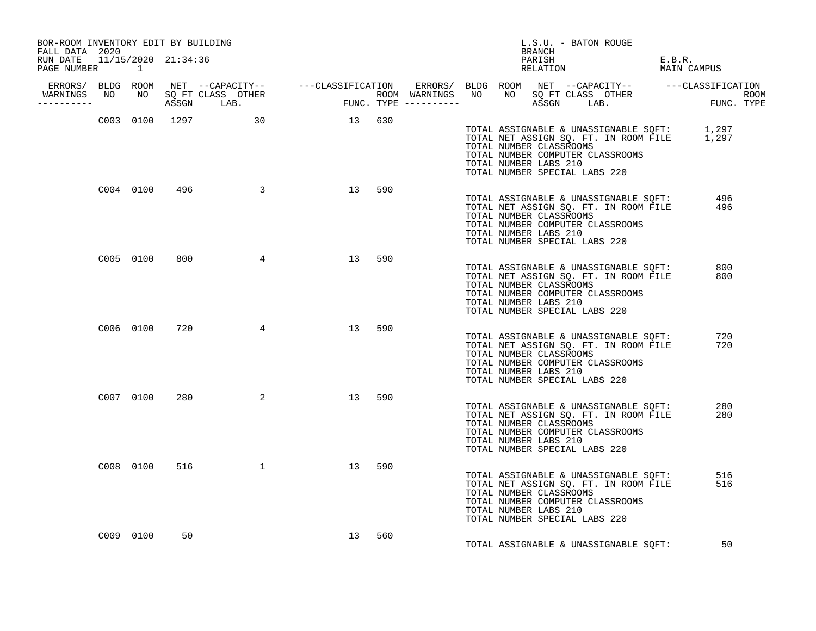| BOR-ROOM INVENTORY EDIT BY BUILDING<br>FALL DATA 2020               |           |     |                             |                       |     |  | BRANCH                                           | L.S.U. - BATON ROUGE                                                                                                                                            |                       |  |
|---------------------------------------------------------------------|-----------|-----|-----------------------------|-----------------------|-----|--|--------------------------------------------------|-----------------------------------------------------------------------------------------------------------------------------------------------------------------|-----------------------|--|
| RUN DATE 11/15/2020 21:34:36<br>PAGE NUMBER                         | $\sim$ 1  |     |                             |                       |     |  | PARISH                                           | RELATION                                                                                                                                                        | E.B.R.<br>MAIN CAMPUS |  |
| ERRORS/ BLDG ROOM<br>WARNINGS NO NO SQ FT CLASS OTHER<br>__________ |           |     |                             |                       |     |  |                                                  |                                                                                                                                                                 |                       |  |
|                                                                     |           |     | C003 0100 1297 30 30 13 630 |                       |     |  | TOTAL NUMBER CLASSROOMS<br>TOTAL NUMBER LABS 210 | TOTAL ASSIGNABLE & UNASSIGNABLE SQFT: 1,297<br>TOTAL NET ASSIGN SQ. FT. IN ROOM FILE 1,297<br>TOTAL NUMBER COMPUTER CLASSROOMS<br>TOTAL NUMBER SPECIAL LABS 220 |                       |  |
|                                                                     | C004 0100 |     | 496 3                       | 13                    | 590 |  | TOTAL NUMBER CLASSROOMS<br>TOTAL NUMBER LABS 210 | TOTAL ASSIGNABLE & UNASSIGNABLE SOFT:<br>TOTAL NET ASSIGN SQ. FT. IN ROOM FILE<br>TOTAL NUMBER COMPUTER CLASSROOMS<br>TOTAL NUMBER SPECIAL LABS 220             | 496<br>496            |  |
|                                                                     | C005 0100 | 800 |                             | $4\overline{ }$<br>13 | 590 |  | TOTAL NUMBER CLASSROOMS<br>TOTAL NUMBER LABS 210 | TOTAL ASSIGNABLE & UNASSIGNABLE SQFT:<br>TOTAL NET ASSIGN SQ. FT. IN ROOM FILE<br>TOTAL NUMBER COMPUTER CLASSROOMS<br>TOTAL NUMBER SPECIAL LABS 220             | 800<br>800            |  |
|                                                                     | C006 0100 | 720 | $4\overline{4}$             | 13 590                |     |  | TOTAL NUMBER CLASSROOMS<br>TOTAL NUMBER LABS 210 | TOTAL ASSIGNABLE & UNASSIGNABLE SQFT:<br>TOTAL NET ASSIGN SQ. FT. IN ROOM FILE<br>TOTAL NUMBER COMPUTER CLASSROOMS<br>TOTAL NUMBER SPECIAL LABS 220             | 720<br>720            |  |
|                                                                     | C007 0100 | 280 | $\overline{a}$              | 13 590                |     |  | TOTAL NUMBER CLASSROOMS<br>TOTAL NUMBER LABS 210 | TOTAL ASSIGNABLE & UNASSIGNABLE SQFT:<br>TOTAL NET ASSIGN SQ. FT. IN ROOM FILE<br>TOTAL NUMBER COMPUTER CLASSROOMS<br>TOTAL NUMBER SPECIAL LABS 220             | 280<br>280            |  |
|                                                                     | C008 0100 | 516 | $\sim$ 1                    | 13                    | 590 |  | TOTAL NUMBER CLASSROOMS<br>TOTAL NUMBER LABS 210 | TOTAL ASSIGNABLE & UNASSIGNABLE SQFT:<br>TOTAL NET ASSIGN SQ. FT. IN ROOM FILE<br>TOTAL NUMBER COMPUTER CLASSROOMS<br>TOTAL NUMBER SPECIAL LABS 220             | 516<br>516            |  |
|                                                                     | C009 0100 | 50  |                             | 13                    | 560 |  |                                                  | TOTAL ASSIGNABLE & UNASSIGNABLE SQFT: 50                                                                                                                        |                       |  |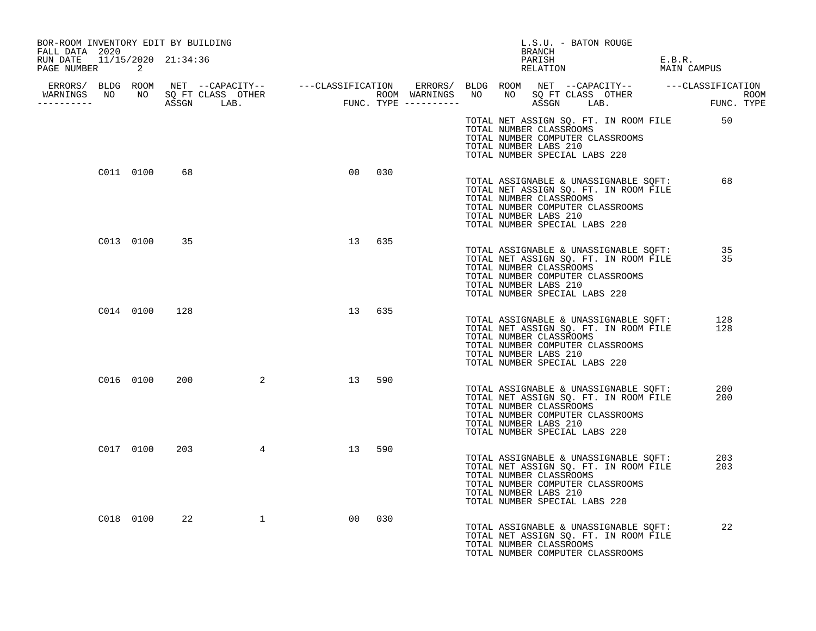| BOR-ROOM INVENTORY EDIT BY BUILDING<br>FALL DATA 2020 |              |     |                 |                |        |  | L.S.U. - BATON ROUGE<br>BRANCH                                                                                        |                                                                                |                                                |  |
|-------------------------------------------------------|--------------|-----|-----------------|----------------|--------|--|-----------------------------------------------------------------------------------------------------------------------|--------------------------------------------------------------------------------|------------------------------------------------|--|
| RUN DATE  11/15/2020  21:34:36<br>PAGE NUMBER 2       |              |     |                 |                |        |  | PARISH<br>RELATION                                                                                                    |                                                                                | E.B.R.<br>MAIN CAMPUS                          |  |
|                                                       |              |     |                 |                |        |  |                                                                                                                       |                                                                                |                                                |  |
| WARNINGS NO NO SQ FT CLASS OTHER<br>----------        |              |     |                 |                |        |  |                                                                                                                       |                                                                                |                                                |  |
|                                                       |              |     |                 |                |        |  | TOTAL NUMBER CLASSROOMS<br>TOTAL NUMBER COMPUTER CLASSROOMS<br>TOTAL NUMBER LABS 210<br>TOTAL NUMBER SPECIAL LABS 220 |                                                                                | TOTAL NET ASSIGN SQ. FT. IN ROOM FILE 50       |  |
|                                                       | C011 0100    | 68  |                 | 0 <sub>0</sub> | 030    |  | TOTAL NUMBER CLASSROOMS<br>TOTAL NUMBER COMPUTER CLASSROOMS<br>TOTAL NUMBER LABS 210<br>TOTAL NUMBER SPECIAL LABS 220 | TOTAL ASSIGNABLE & UNASSIGNABLE SQFT:<br>TOTAL NET ASSIGN SQ. FT. IN ROOM FILE | 68                                             |  |
|                                                       | C013 0100 35 |     |                 | 13             | 635    |  | TOTAL NUMBER CLASSROOMS<br>TOTAL NUMBER COMPUTER CLASSROOMS<br>TOTAL NUMBER LABS 210<br>TOTAL NUMBER SPECIAL LABS 220 | TOTAL NET ASSIGN SQ. FT. IN ROOM FILE                                          | TOTAL ASSIGNABLE & UNASSIGNABLE SQFT: 35<br>35 |  |
|                                                       | C014 0100    | 128 |                 |                | 13 635 |  | TOTAL NUMBER CLASSROOMS<br>TOTAL NUMBER COMPUTER CLASSROOMS<br>TOTAL NUMBER LABS 210<br>TOTAL NUMBER SPECIAL LABS 220 | TOTAL ASSIGNABLE & UNASSIGNABLE SQFT:<br>TOTAL NET ASSIGN SQ. FT. IN ROOM FILE | 128<br>128                                     |  |
|                                                       | C016 0100    | 200 | $\overline{a}$  | 13             | 590    |  | TOTAL NUMBER CLASSROOMS<br>TOTAL NUMBER COMPUTER CLASSROOMS<br>TOTAL NUMBER LABS 210<br>TOTAL NUMBER SPECIAL LABS 220 | TOTAL ASSIGNABLE & UNASSIGNABLE SQFT:<br>TOTAL NET ASSIGN SQ. FT. IN ROOM FILE | 200<br>200                                     |  |
|                                                       | C017 0100    | 203 | $4\overline{ }$ | 13             | 590    |  | TOTAL NUMBER CLASSROOMS<br>TOTAL NUMBER COMPUTER CLASSROOMS<br>TOTAL NUMBER LABS 210<br>TOTAL NUMBER SPECIAL LABS 220 | TOTAL ASSIGNABLE & UNASSIGNABLE SOFT:<br>TOTAL NET ASSIGN SQ. FT. IN ROOM FILE | 203<br>203                                     |  |
|                                                       | C018 0100    | 22  | $\mathbf{1}$    | 00             | 030    |  | TOTAL NUMBER CLASSROOMS<br>TOTAL NUMBER COMPUTER CLASSROOMS                                                           | TOTAL ASSIGNABLE & UNASSIGNABLE SQFT:<br>TOTAL NET ASSIGN SQ. FT. IN ROOM FILE | 22                                             |  |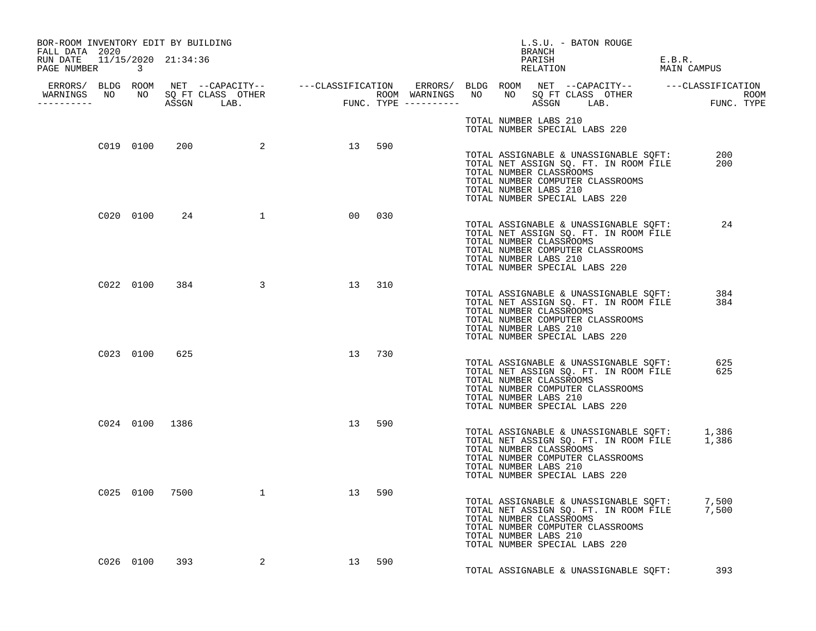| BOR-ROOM INVENTORY EDIT BY BUILDING<br>FALL DATA 2020 |           |                |                         |                 |        |  | L.S.U. - BATON ROUGE<br>BRANCH                                                                                                                                                                                                                   |                       |            |  |
|-------------------------------------------------------|-----------|----------------|-------------------------|-----------------|--------|--|--------------------------------------------------------------------------------------------------------------------------------------------------------------------------------------------------------------------------------------------------|-----------------------|------------|--|
| RUN DATE 11/15/2020 21:34:36<br>PAGE NUMBER 3         |           |                |                         |                 |        |  | PARISH<br>RELATION                                                                                                                                                                                                                               | E.B.R.<br>MAIN CAMPUS |            |  |
|                                                       |           |                |                         |                 |        |  |                                                                                                                                                                                                                                                  |                       |            |  |
|                                                       |           |                |                         |                 |        |  | TOTAL NUMBER LABS 210<br>TOTAL NUMBER SPECIAL LABS 220                                                                                                                                                                                           |                       |            |  |
|                                                       | C019 0100 |                | 200 2 13                |                 | 590    |  | TOTAL ASSIGNABLE & UNASSIGNABLE SQFT:<br>TOTAL NET ASSIGN SO. FT. IN ROOM FILE<br>TOTAL NET ASSIGN SQ. FT. IN ROOM FILE<br>TOTAL NUMBER CLASSROOMS<br>TOTAL NUMBER COMPUTER CLASSROOMS<br>TOTAL NUMBER LABS 210<br>TOTAL NUMBER SPECIAL LABS 220 |                       | 200<br>200 |  |
|                                                       |           |                | C020 0100 24 1          |                 | 00 030 |  | TOTAL ASSIGNABLE & UNASSIGNABLE SQFT: 24<br>TOTAL NET ASSIGN SQ. FT. IN ROOM FILE<br>TOTAL NUMBER CLASSROOMS<br>TOTAL NUMBER COMPUTER CLASSROOMS<br>TOTAL NUMBER LABS 210<br>TOTAL NUMBER SPECIAL LABS 220                                       |                       |            |  |
|                                                       |           | C022 0100 384  | $\overline{\mathbf{3}}$ | 13 310          |        |  | TOTAL ASSIGNABLE & UNASSIGNABLE SQFT:<br>TOTAL NET ASSIGN SQ. FT. IN ROOM FILE<br>TOTAL NUMBER CLASSROOMS<br>TOTAL NUMBER COMPUTER CLASSROOMS<br>TOTAL NUMBER LABS 210<br>TOTAL NUMBER SPECIAL LABS 220                                          |                       | 384<br>384 |  |
|                                                       | C023 0100 | 625            |                         | 13 730          |        |  | TOTAL ASSIGNABLE & UNASSIGNABLE SQFT: 625<br>TOTAL NET ASSIGN SQ. FT. IN ROOM FILE<br>TOTAL NUMBER CLASSROOMS<br>TOTAL NUMBER COMPUTER CLASSROOMS<br>TOTAL NUMBER LABS 210<br>TOTAL NUMBER SPECIAL LABS 220                                      |                       | 625        |  |
|                                                       |           | C024 0100 1386 |                         | 13 <sup>°</sup> | 590    |  | TOTAL ASSIGNABLE & UNASSIGNABLE SQFT: 1,386<br>TOTAL NET ASSIGN SQ. FT. IN ROOM FILE 1,386<br>TOTAL NUMBER CLASSROOMS<br>TOTAL NUMBER COMPUTER CLASSROOMS<br>TOTAL NUMBER LABS 210<br>TOTAL NUMBER SPECIAL LABS 220                              |                       |            |  |
|                                                       |           |                | C025 0100 7500 1        | 13              | 590    |  | TOTAL ASSIGNABLE & UNASSIGNABLE SQFT: 7,500<br>TOTAL NET ASSIGN SQ. FT. IN ROOM FILE 7,500<br>TOTAL NUMBER CLASSROOMS<br>TOTAL NUMBER COMPUTER CLASSROOMS<br>TOTAL NUMBER LABS 210<br>TOTAL NUMBER SPECIAL LABS 220                              |                       |            |  |
|                                                       |           | C026 0100 393  | 2                       | 13 590          |        |  | TOTAL ASSIGNABLE & UNASSIGNABLE SOFT:                                                                                                                                                                                                            |                       | 393        |  |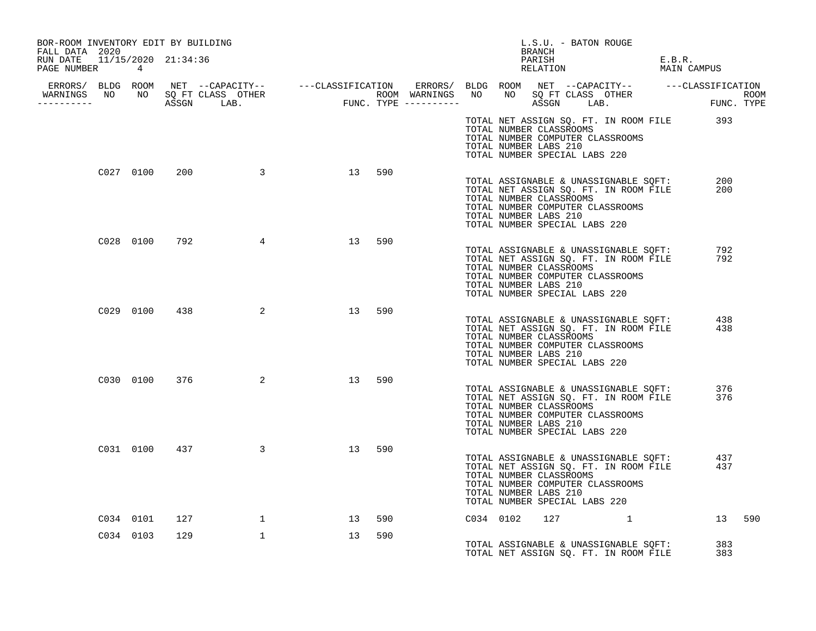| BOR-ROOM INVENTORY EDIT BY BUILDING                             |           |     |                    |    |        |                       | L.S.U. - BATON ROUGE<br>BRANCH                                                                                                                                                 |                                                  |        |
|-----------------------------------------------------------------|-----------|-----|--------------------|----|--------|-----------------------|--------------------------------------------------------------------------------------------------------------------------------------------------------------------------------|--------------------------------------------------|--------|
| FALL DATA 2020<br>RUN DATE 11/15/2020 21:34:36<br>PAGE NUMBER 4 |           |     |                    |    |        |                       | PARISH<br>PARISH<br>RELATION                                                                                                                                                   | E.B.R.<br>MAIN CAMPUS                            |        |
|                                                                 |           |     |                    |    |        |                       |                                                                                                                                                                                |                                                  |        |
|                                                                 |           |     |                    |    |        |                       |                                                                                                                                                                                |                                                  |        |
|                                                                 |           |     |                    |    |        | TOTAL NUMBER LABS 210 | TOTAL NUMBER CLASSROOMS<br>TOTAL NUMBER COMPUTER CLASSROOMS<br>TOTAL NUMBER SPECIAL LABS 220                                                                                   | TOTAL NET ASSIGN SQ. FT. IN ROOM FILE 393        |        |
|                                                                 | C027 0100 |     | 200 3              |    | 13 590 | TOTAL NUMBER LABS 210 | TOTAL ASSIGNABLE & UNASSIGNABLE SQFT:<br>TOTAL NET ASSIGN SQ. FT. IN ROOM FILE<br>TOTAL NUMBER CLASSROOMS<br>TOTAL NUMBER COMPUTER CLASSROOMS<br>TOTAL NUMBER SPECIAL LABS 220 | 200<br>200                                       |        |
|                                                                 | C028 0100 | 792 | 4                  | 13 | 590    | TOTAL NUMBER LABS 210 | TOTAL ASSIGNABLE & UNASSIGNABLE SQFT:<br>TOTAL NET ASSIGN SQ. FT. IN ROOM FILE<br>TOTAL NUMBER CLASSROOMS<br>TOTAL NUMBER COMPUTER CLASSROOMS<br>TOTAL NUMBER SPECIAL LABS 220 | 792<br>792                                       |        |
|                                                                 |           |     | C029 0100 438<br>2 | 13 | 590    | TOTAL NUMBER LABS 210 | TOTAL NET ASSIGN SQ. FT. IN ROOM FILE<br>TOTAL NUMBER CLASSROOMS<br>TOTAL NUMBER COMPUTER CLASSROOMS<br>TOTAL NUMBER SPECIAL LABS 220                                          | TOTAL ASSIGNABLE & UNASSIGNABLE SOFT: 438<br>438 |        |
|                                                                 |           |     | C030 0100 376 2    | 13 | 590    | TOTAL NUMBER LABS 210 | TOTAL ASSIGNABLE & UNASSIGNABLE SQFT:<br>TOTAL NET ASSIGN SQ. FT. IN ROOM FILE<br>TOTAL NUMBER CLASSROOMS<br>TOTAL NUMBER COMPUTER CLASSROOMS<br>TOTAL NUMBER SPECIAL LABS 220 | 376<br>376                                       |        |
|                                                                 |           |     | C031 0100 437 3    | 13 | 590    | TOTAL NUMBER LABS 210 | TOTAL ASSIGNABLE & UNASSIGNABLE SQFT:<br>TOTAL NET ASSIGN SQ. FT. IN ROOM FILE<br>TOTAL NUMBER CLASSROOMS<br>TOTAL NUMBER COMPUTER CLASSROOMS<br>TOTAL NUMBER SPECIAL LABS 220 | 437<br>437                                       |        |
|                                                                 | C034 0101 | 127 | $\mathbf{1}$       | 13 | 590    | C034 0102             | $127$ 1                                                                                                                                                                        |                                                  | 13 590 |
|                                                                 | C034 0103 | 129 | $\mathbf{1}$       | 13 | 590    |                       | TOTAL ASSIGNABLE & UNASSIGNABLE SQFT:<br>TOTAL NET ASSIGN SQ. FT. IN ROOM FILE<br>TOTAL NET ASSIGN SQ. FT. IN ROOM FILE                                                        | 383<br>383                                       |        |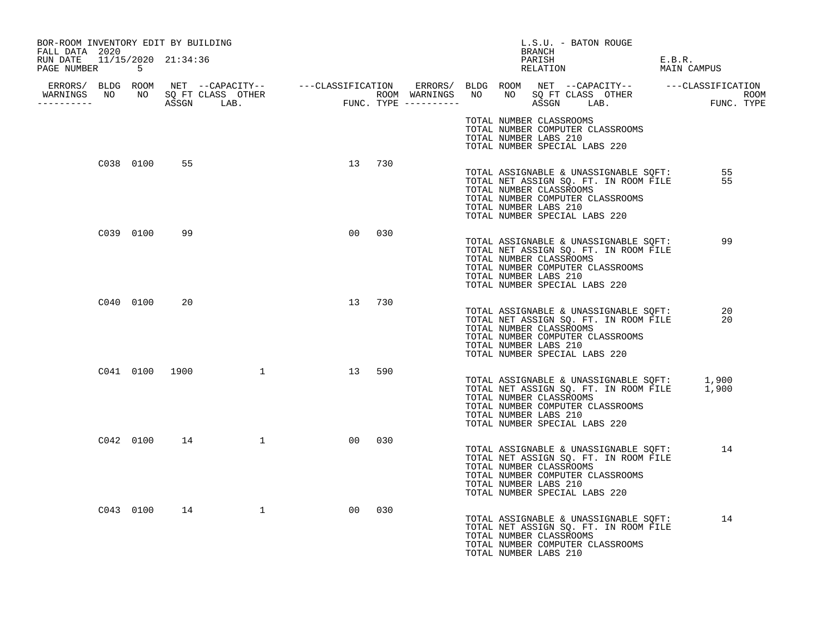| BOR-ROOM INVENTORY EDIT BY BUILDING<br>FALL DATA 2020 |           |              |                  |                 |     |  | L.S.U. - BATON ROUGE<br>BRANCH                                                                                        |                                                                                            |                       |
|-------------------------------------------------------|-----------|--------------|------------------|-----------------|-----|--|-----------------------------------------------------------------------------------------------------------------------|--------------------------------------------------------------------------------------------|-----------------------|
| RUN DATE 11/15/2020 21:34:36<br>PAGE NUMBER 5         |           |              |                  |                 |     |  | PARISH<br>RELATION                                                                                                    |                                                                                            | E.B.R.<br>MAIN CAMPUS |
| WARNINGS NO NO SQ FT CLASS OTHER<br>__________        |           |              |                  |                 |     |  |                                                                                                                       |                                                                                            |                       |
|                                                       |           |              |                  |                 |     |  | TOTAL NUMBER CLASSROOMS<br>TOTAL NUMBER COMPUTER CLASSROOMS<br>TOTAL NUMBER LABS 210<br>TOTAL NUMBER SPECIAL LABS 220 |                                                                                            |                       |
|                                                       | C038 0100 | 55           |                  | 13 730          |     |  | TOTAL NUMBER CLASSROOMS<br>TOTAL NUMBER COMPUTER CLASSROOMS<br>TOTAL NUMBER LABS 210<br>TOTAL NUMBER SPECIAL LABS 220 | TOTAL ASSIGNABLE & UNASSIGNABLE SQFT:<br>TOTAL NET ASSIGN SQ. FT. IN ROOM FILE             | 55<br>55              |
|                                                       | C039 0100 | 99           |                  | 00 <sup>o</sup> | 030 |  | TOTAL NUMBER CLASSROOMS<br>TOTAL NUMBER COMPUTER CLASSROOMS<br>TOTAL NUMBER LABS 210<br>TOTAL NUMBER SPECIAL LABS 220 | TOTAL ASSIGNABLE & UNASSIGNABLE SQFT:<br>TOTAL NET ASSIGN SQ. FT. IN ROOM FILE             | 99                    |
|                                                       | C040 0100 | 20           |                  | 13 730          |     |  | TOTAL NUMBER CLASSROOMS<br>TOTAL NUMBER COMPUTER CLASSROOMS<br>TOTAL NUMBER LABS 210<br>TOTAL NUMBER SPECIAL LABS 220 | TOTAL ASSIGNABLE & UNASSIGNABLE SQFT:<br>TOTAL NET ASSIGN SQ. FT. IN ROOM FILE             | 20<br>20              |
|                                                       |           |              | C041 0100 1900 1 | 13              | 590 |  | TOTAL NUMBER CLASSROOMS<br>TOTAL NUMBER COMPUTER CLASSROOMS<br>TOTAL NUMBER LABS 210<br>TOTAL NUMBER SPECIAL LABS 220 | TOTAL ASSIGNABLE & UNASSIGNABLE SQFT: 1,900<br>TOTAL NET ASSIGN SQ. FT. IN ROOM FILE 1,900 |                       |
|                                                       |           | C042 0100 14 |                  | 00              | 030 |  | TOTAL NUMBER CLASSROOMS<br>TOTAL NUMBER COMPUTER CLASSROOMS<br>TOTAL NUMBER LABS 210<br>TOTAL NUMBER SPECIAL LABS 220 | TOTAL ASSIGNABLE & UNASSIGNABLE SQFT:<br>TOTAL NET ASSIGN SO. FT. IN ROOM FILE             | 14                    |
|                                                       |           |              | C043 0100 14 1   | 00              | 030 |  | TOTAL NUMBER CLASSROOMS<br>TOTAL NUMBER COMPUTER CLASSROOMS<br>TOTAL NUMBER LABS 210                                  | TOTAL ASSIGNABLE & UNASSIGNABLE SQFT:<br>TOTAL NET ASSIGN SQ. FT. IN ROOM FILE             | 14                    |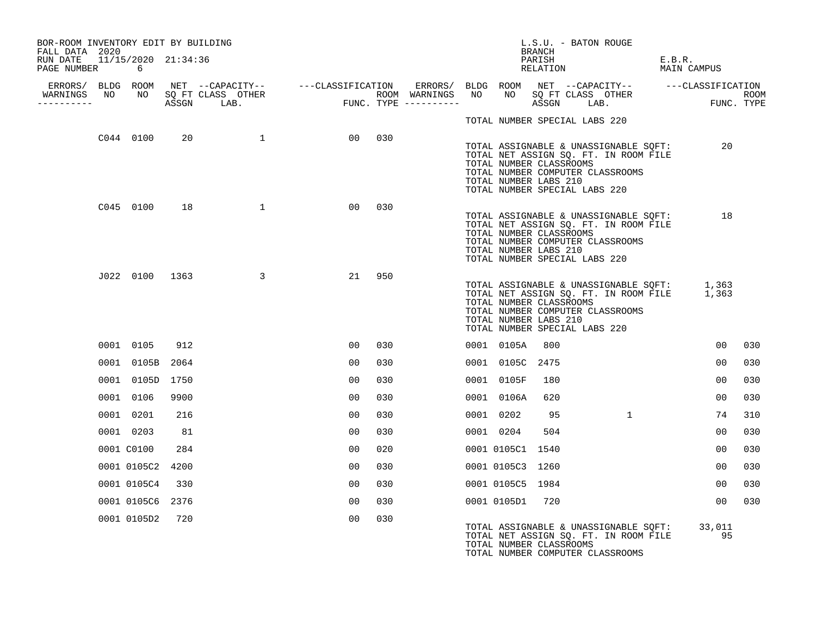| BOR-ROOM INVENTORY EDIT BY BUILDING<br>FALL DATA 2020 |                  |      |                  |                 |     |  |                  | L.S.U. - BATON ROUGE<br>BRANCH                                                    |                                                                                                                    |                                                                                            |                 |     |
|-------------------------------------------------------|------------------|------|------------------|-----------------|-----|--|------------------|-----------------------------------------------------------------------------------|--------------------------------------------------------------------------------------------------------------------|--------------------------------------------------------------------------------------------|-----------------|-----|
| RUN DATE 11/15/2020 21:34:36<br>PAGE NUMBER 6         |                  |      |                  |                 |     |  |                  | PARISH<br>RELATION                                                                |                                                                                                                    | E.B.R.<br>MAIN CAMPUS                                                                      |                 |     |
|                                                       |                  |      |                  |                 |     |  |                  |                                                                                   |                                                                                                                    |                                                                                            |                 |     |
| WARNINGS NO NO SQ FT CLASS OTHER<br>-----------       |                  |      |                  |                 |     |  |                  |                                                                                   |                                                                                                                    |                                                                                            |                 |     |
|                                                       |                  |      |                  |                 |     |  |                  | TOTAL NUMBER SPECIAL LABS 220                                                     |                                                                                                                    |                                                                                            |                 |     |
|                                                       | C044 0100        | 20   | $\overline{1}$   | 00 030          |     |  |                  | TOTAL NUMBER CLASSROOMS<br>TOTAL NUMBER LABS 210<br>TOTAL NUMBER SPECIAL LABS 220 | TOTAL ASSIGNABLE & UNASSIGNABLE SQFT:<br>TOTAL NET ASSIGN SQ. FT. IN ROOM FILE<br>TOTAL NUMBER COMPUTER CLASSROOMS |                                                                                            | 20              |     |
|                                                       | C045 0100 18     |      | $\sim$ 1         | 00 <sub>o</sub> | 030 |  |                  | TOTAL NUMBER CLASSROOMS<br>TOTAL NUMBER LABS 210<br>TOTAL NUMBER SPECIAL LABS 220 | TOTAL ASSIGNABLE & UNASSIGNABLE SQFT:<br>TOTAL NET ASSIGN SQ. FT. IN ROOM FILE<br>TOTAL NUMBER COMPUTER CLASSROOMS |                                                                                            | 18              |     |
|                                                       |                  |      | J022 0100 1363 3 | 21 950          |     |  |                  | TOTAL NUMBER CLASSROOMS<br>TOTAL NUMBER LABS 210<br>TOTAL NUMBER SPECIAL LABS 220 | TOTAL NUMBER COMPUTER CLASSROOMS                                                                                   | TOTAL ASSIGNABLE & UNASSIGNABLE SQFT: 1,363<br>TOTAL NET ASSIGN SQ. FT. IN ROOM FILE 1,363 |                 |     |
|                                                       | 0001 0105        | 912  |                  | 00              | 030 |  | 0001 0105A       | 800                                                                               |                                                                                                                    |                                                                                            | 00              | 030 |
|                                                       | 0001 0105B 2064  |      |                  | 00              | 030 |  | 0001 0105C 2475  |                                                                                   |                                                                                                                    |                                                                                            | 00              | 030 |
|                                                       | 0001 0105D 1750  |      |                  | 00              | 030 |  | 0001 0105F       | 180                                                                               |                                                                                                                    |                                                                                            | 00              | 030 |
|                                                       | 0001 0106        | 9900 |                  | 00              | 030 |  | 0001 0106A       | 620                                                                               |                                                                                                                    |                                                                                            | 00              | 030 |
|                                                       | 0001 0201        | 216  |                  | 00              | 030 |  | 0001 0202        | 95                                                                                | 1                                                                                                                  |                                                                                            | 74              | 310 |
|                                                       | 0001 0203        | 81   |                  | 00              | 030 |  | 0001 0204        | 504                                                                               |                                                                                                                    |                                                                                            | 00              | 030 |
|                                                       | 0001 C0100       | 284  |                  | 00              | 020 |  | 0001 0105C1 1540 |                                                                                   |                                                                                                                    |                                                                                            | 00              | 030 |
|                                                       | 0001 0105C2 4200 |      |                  | 0 <sub>0</sub>  | 030 |  | 0001 0105C3 1260 |                                                                                   |                                                                                                                    |                                                                                            | 00              | 030 |
|                                                       | 0001 0105C4      | 330  |                  | 00              | 030 |  | 0001 0105C5 1984 |                                                                                   |                                                                                                                    |                                                                                            | 00              | 030 |
|                                                       | 0001 0105C6 2376 |      |                  | 00              | 030 |  | 0001 0105D1 720  |                                                                                   |                                                                                                                    |                                                                                            | 00 <sub>o</sub> | 030 |
|                                                       | 0001 0105D2 720  |      |                  | 00              | 030 |  |                  | TOTAL NUMBER CLASSROOMS                                                           | TOTAL NUMBER COMPUTER CLASSROOMS                                                                                   | TOTAL ASSIGNABLE & UNASSIGNABLE SQFT: 33,011<br>--- ACALON SO FT IN ROOM FILE 95           |                 |     |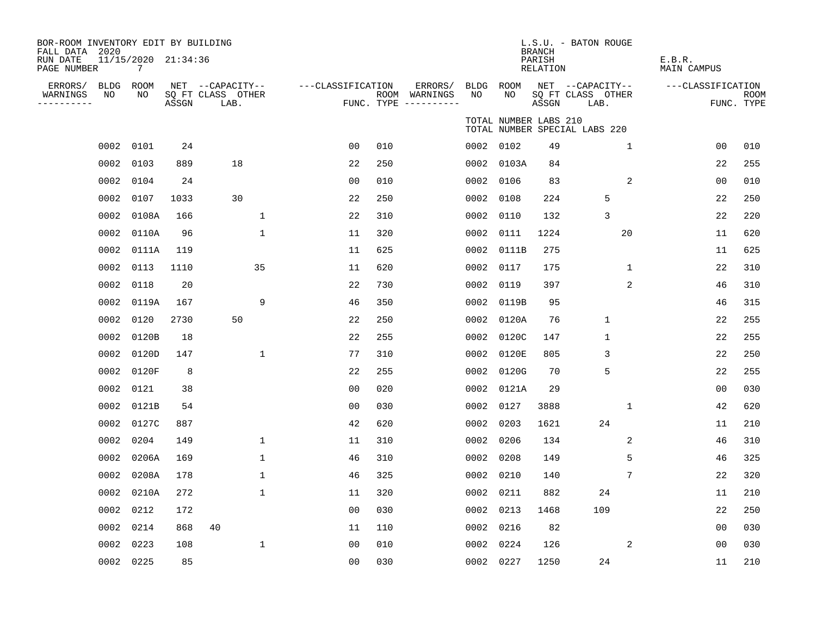| BOR-ROOM INVENTORY EDIT BY BUILDING<br>FALL DATA 2020 |                                        |       |                                       |                   |     |                          |                   |                       | <b>BRANCH</b>      | L.S.U. - BATON ROUGE                  |              |                   |             |
|-------------------------------------------------------|----------------------------------------|-------|---------------------------------------|-------------------|-----|--------------------------|-------------------|-----------------------|--------------------|---------------------------------------|--------------|-------------------|-------------|
| RUN DATE<br>PAGE NUMBER                               | 11/15/2020 21:34:36<br>$7\overline{ }$ |       |                                       |                   |     |                          |                   |                       | PARISH<br>RELATION |                                       | E.B.R.       | MAIN CAMPUS       |             |
| ERRORS/<br><b>BLDG</b><br>WARNINGS<br>NO              | ROOM<br>NO                             |       | NET --CAPACITY--<br>SO FT CLASS OTHER | ---CLASSIFICATION |     | ERRORS/<br>ROOM WARNINGS | <b>BLDG</b><br>NO | ROOM<br>NO.           |                    | NET --CAPACITY--<br>SQ FT CLASS OTHER |              | ---CLASSIFICATION | <b>ROOM</b> |
| ----------                                            |                                        | ASSGN | LAB.                                  |                   |     | FUNC. TYPE $------$      |                   |                       | ASSGN              | LAB.                                  |              |                   | FUNC. TYPE  |
|                                                       |                                        |       |                                       |                   |     |                          |                   | TOTAL NUMBER LABS 210 |                    | TOTAL NUMBER SPECIAL LABS 220         |              |                   |             |
| 0002                                                  | 0101                                   | 24    |                                       | 0 <sub>0</sub>    | 010 |                          | 0002              | 0102                  | 49                 | $\mathbf{1}$                          |              | 0 <sub>0</sub>    | 010         |
| 0002                                                  | 0103                                   | 889   | 18                                    | 22                | 250 |                          | 0002              | 0103A                 | 84                 |                                       |              | 22                | 255         |
| 0002                                                  | 0104                                   | 24    |                                       | 0 <sub>0</sub>    | 010 |                          | 0002              | 0106                  | 83                 |                                       | 2            | 0 <sub>0</sub>    | 010         |
| 0002                                                  | 0107                                   | 1033  | 30                                    | 22                | 250 |                          | 0002              | 0108                  | 224                | 5                                     |              | 22                | 250         |
| 0002                                                  | 0108A                                  | 166   | $\mathbf{1}$                          | 22                | 310 |                          | 0002              | 0110                  | 132                | 3                                     |              | 22                | 220         |
| 0002                                                  | 0110A                                  | 96    | $\mathbf{1}$                          | 11                | 320 |                          | 0002              | 0111                  | 1224               | 20                                    |              | 11                | 620         |
| 0002                                                  | 0111A                                  | 119   |                                       | 11                | 625 |                          | 0002              | 0111B                 | 275                |                                       |              | 11                | 625         |
| 0002                                                  | 0113                                   | 1110  | 35                                    | 11                | 620 |                          | 0002              | 0117                  | 175                | $\mathbf 1$                           |              | 22                | 310         |
| 0002                                                  | 0118                                   | 20    |                                       | 22                | 730 |                          | 0002              | 0119                  | 397                |                                       | $\mathbf{2}$ | 46                | 310         |
| 0002                                                  | 0119A                                  | 167   | 9                                     | 46                | 350 |                          | 0002              | 0119B                 | 95                 |                                       |              | 46                | 315         |
| 0002                                                  | 0120                                   | 2730  | 50                                    | 22                | 250 |                          | 0002              | 0120A                 | 76                 | $\mathbf{1}$                          |              | 22                | 255         |
| 0002                                                  | 0120B                                  | 18    |                                       | 22                | 255 |                          | 0002              | 0120C                 | 147                | $\mathbf{1}$                          |              | 22                | 255         |
| 0002                                                  | 0120D                                  | 147   | 1                                     | 77                | 310 |                          | 0002              | 0120E                 | 805                | 3                                     |              | 22                | 250         |
| 0002                                                  | 0120F                                  | 8     |                                       | 22                | 255 |                          | 0002              | 0120G                 | 70                 | 5                                     |              | 22                | 255         |
| 0002                                                  | 0121                                   | 38    |                                       | 0 <sub>0</sub>    | 020 |                          | 0002              | 0121A                 | 29                 |                                       |              | 0 <sub>0</sub>    | 030         |
| 0002                                                  | 0121B                                  | 54    |                                       | 0 <sub>0</sub>    | 030 |                          | 0002              | 0127                  | 3888               | $\mathbf 1$                           |              | 42                | 620         |
| 0002                                                  | 0127C                                  | 887   |                                       | 42                | 620 |                          | 0002              | 0203                  | 1621               | 24                                    |              | 11                | 210         |
| 0002                                                  | 0204                                   | 149   | $\mathbf{1}$                          | 11                | 310 |                          | 0002              | 0206                  | 134                |                                       | $\mathbf{2}$ | 46                | 310         |
| 0002                                                  | 0206A                                  | 169   | $\mathbf{1}$                          | 46                | 310 |                          | 0002              | 0208                  | 149                | 5                                     |              | 46                | 325         |
| 0002                                                  | 0208A                                  | 178   | $\mathbf{1}$                          | 46                | 325 |                          | 0002              | 0210                  | 140                |                                       | 7            | 22                | 320         |
| 0002                                                  | 0210A                                  | 272   | 1                                     | 11                | 320 |                          | 0002              | 0211                  | 882                | 24                                    |              | 11                | 210         |
| 0002                                                  | 0212                                   | 172   |                                       | 0 <sub>0</sub>    | 030 |                          | 0002              | 0213                  | 1468               | 109                                   |              | 22                | 250         |
| 0002                                                  | 0214                                   | 868   | 40                                    | 11                | 110 |                          | 0002              | 0216                  | 82                 |                                       |              | 0 <sub>0</sub>    | 030         |
| 0002                                                  | 0223                                   | 108   | $\mathbf{1}$                          | 0 <sub>0</sub>    | 010 |                          | 0002              | 0224                  | 126                |                                       | 2            | 0 <sub>0</sub>    | 030         |
|                                                       | 0002 0225                              | 85    |                                       | 0 <sub>0</sub>    | 030 |                          |                   | 0002 0227             | 1250               | 24                                    |              | 11                | 210         |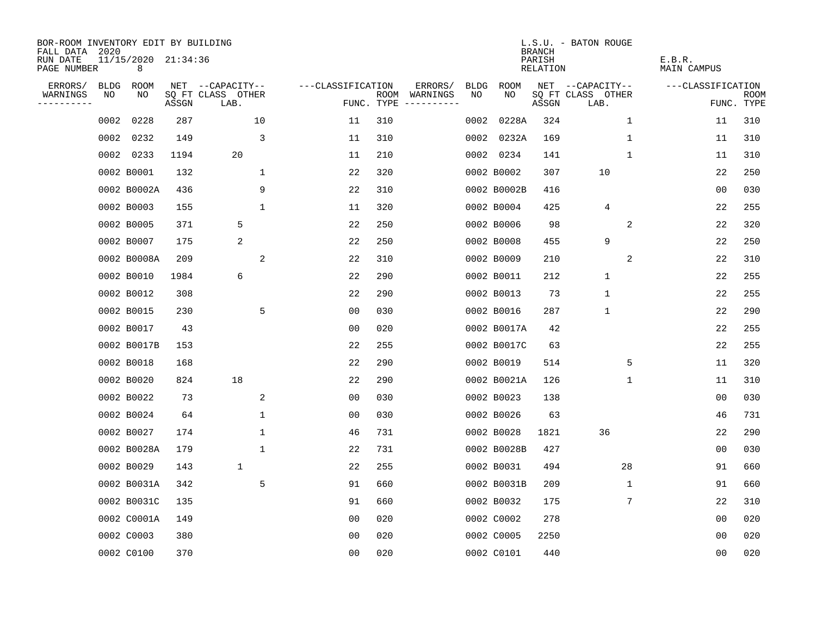| BOR-ROOM INVENTORY EDIT BY BUILDING<br>FALL DATA |      |                          |       |                           |                   |                    |                         |             |             | <b>BRANCH</b>      | L.S.U. - BATON ROUGE      |             |                       |                           |
|--------------------------------------------------|------|--------------------------|-------|---------------------------|-------------------|--------------------|-------------------------|-------------|-------------|--------------------|---------------------------|-------------|-----------------------|---------------------------|
| RUN DATE<br>PAGE NUMBER                          | 2020 | 11/15/2020 21:34:36<br>8 |       |                           |                   |                    |                         |             |             | PARISH<br>RELATION |                           |             | E.B.R.<br>MAIN CAMPUS |                           |
| ERRORS/                                          | BLDG | ROOM                     |       | NET --CAPACITY--          | ---CLASSIFICATION |                    | ERRORS/                 | <b>BLDG</b> | <b>ROOM</b> |                    | NET --CAPACITY--          |             | ---CLASSIFICATION     |                           |
| WARNINGS<br>$- - - - - - - -$                    | NO   | NO                       | ASSGN | SQ FT CLASS OTHER<br>LAB. |                   | ROOM<br>FUNC. TYPE | WARNINGS<br>----------- | NO          | NO          | ASSGN              | SQ FT CLASS OTHER<br>LAB. |             |                       | <b>ROOM</b><br>FUNC. TYPE |
|                                                  | 0002 | 0228                     | 287   | 10                        | 11                | 310                |                         | 0002        | 0228A       | 324                |                           | 1           | 11                    | 310                       |
|                                                  |      | 0002 0232                | 149   | 3                         | 11                | 310                |                         |             | 0002 0232A  | 169                |                           | 1           | 11                    | 310                       |
|                                                  |      | 0002 0233                | 1194  | 20                        | 11                | 210                |                         |             | 0002 0234   | 141                |                           | $\mathbf 1$ | 11                    | 310                       |
|                                                  |      | 0002 B0001               | 132   | 1                         | 22                | 320                |                         |             | 0002 B0002  | 307                | 10                        |             | 22                    | 250                       |
|                                                  |      | 0002 B0002A              | 436   | 9                         | 22                | 310                |                         |             | 0002 B0002B | 416                |                           |             | 00                    | 030                       |
|                                                  |      | 0002 B0003               | 155   | 1                         | 11                | 320                |                         |             | 0002 B0004  | 425                | 4                         |             | 22                    | 255                       |
|                                                  |      | 0002 B0005               | 371   | 5                         | 22                | 250                |                         |             | 0002 B0006  | 98                 |                           | 2           | 22                    | 320                       |
|                                                  |      | 0002 B0007               | 175   | 2                         | 22                | 250                |                         |             | 0002 B0008  | 455                | 9                         |             | 22                    | 250                       |
|                                                  |      | 0002 B0008A              | 209   | 2                         | 22                | 310                |                         |             | 0002 B0009  | 210                |                           | 2           | 22                    | 310                       |
|                                                  |      | 0002 B0010               | 1984  | 6                         | 22                | 290                |                         |             | 0002 B0011  | 212                | 1                         |             | 22                    | 255                       |
|                                                  |      | 0002 B0012               | 308   |                           | 22                | 290                |                         |             | 0002 B0013  | 73                 | $\mathbf 1$               |             | 22                    | 255                       |
|                                                  |      | 0002 B0015               | 230   | 5                         | 0 <sub>0</sub>    | 030                |                         |             | 0002 B0016  | 287                | $\mathbf 1$               |             | 22                    | 290                       |
|                                                  |      | 0002 B0017               | 43    |                           | 00                | 020                |                         |             | 0002 B0017A | 42                 |                           |             | 22                    | 255                       |
|                                                  |      | 0002 B0017B              | 153   |                           | 22                | 255                |                         |             | 0002 B0017C | 63                 |                           |             | 22                    | 255                       |
|                                                  |      | 0002 B0018               | 168   |                           | 22                | 290                |                         |             | 0002 B0019  | 514                |                           | 5           | 11                    | 320                       |
|                                                  |      | 0002 B0020               | 824   | 18                        | 22                | 290                |                         |             | 0002 B0021A | 126                |                           | 1           | 11                    | 310                       |
|                                                  |      | 0002 B0022               | 73    | 2                         | 0 <sub>0</sub>    | 030                |                         |             | 0002 B0023  | 138                |                           |             | 0 <sub>0</sub>        | 030                       |
|                                                  |      | 0002 B0024               | 64    | 1                         | 0 <sub>0</sub>    | 030                |                         |             | 0002 B0026  | 63                 |                           |             | 46                    | 731                       |
|                                                  |      | 0002 B0027               | 174   | $\mathbf{1}$              | 46                | 731                |                         |             | 0002 B0028  | 1821               | 36                        |             | 22                    | 290                       |
|                                                  |      | 0002 B0028A              | 179   | $\mathbf{1}$              | 22                | 731                |                         |             | 0002 B0028B | 427                |                           |             | 0 <sub>0</sub>        | 030                       |
|                                                  |      | 0002 B0029               | 143   | 1                         | 22                | 255                |                         |             | 0002 B0031  | 494                |                           | 28          | 91                    | 660                       |
|                                                  |      | 0002 B0031A              | 342   | 5                         | 91                | 660                |                         |             | 0002 B0031B | 209                |                           | $\mathbf 1$ | 91                    | 660                       |
|                                                  |      | 0002 B0031C              | 135   |                           | 91                | 660                |                         |             | 0002 B0032  | 175                |                           | 7           | 22                    | 310                       |
|                                                  |      | 0002 C0001A              | 149   |                           | 0 <sub>0</sub>    | 020                |                         |             | 0002 C0002  | 278                |                           |             | 0 <sub>0</sub>        | 020                       |
|                                                  |      | 0002 C0003               | 380   |                           | 0 <sub>0</sub>    | 020                |                         |             | 0002 C0005  | 2250               |                           |             | 0 <sub>0</sub>        | 020                       |
|                                                  |      | 0002 C0100               | 370   |                           | 0 <sub>0</sub>    | 020                |                         |             | 0002 C0101  | 440                |                           |             | 0 <sub>0</sub>        | 020                       |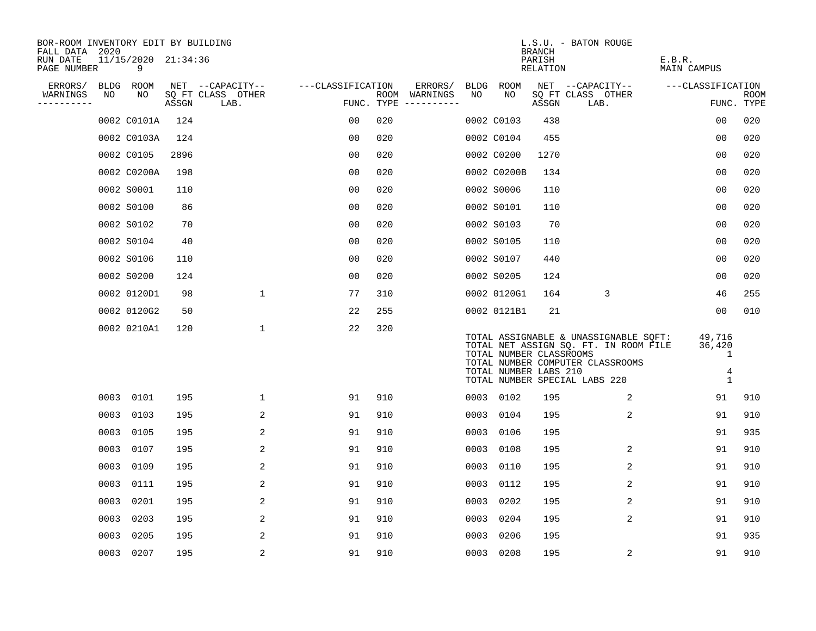| BOR-ROOM INVENTORY EDIT BY BUILDING<br>FALL DATA 2020 |      |                          |       |                           |                   |                                      |    |                                                  | <b>BRANCH</b>      | L.S.U. - BATON ROUGE                                                                                                                                |                                              |                           |
|-------------------------------------------------------|------|--------------------------|-------|---------------------------|-------------------|--------------------------------------|----|--------------------------------------------------|--------------------|-----------------------------------------------------------------------------------------------------------------------------------------------------|----------------------------------------------|---------------------------|
| RUN DATE<br>PAGE NUMBER                               |      | 11/15/2020 21:34:36<br>9 |       |                           |                   |                                      |    |                                                  | PARISH<br>RELATION |                                                                                                                                                     | E.B.R.<br><b>MAIN CAMPUS</b>                 |                           |
| ERRORS/                                               |      | BLDG ROOM                |       | NET --CAPACITY--          | ---CLASSIFICATION | ERRORS/                              |    | BLDG ROOM                                        |                    | NET --CAPACITY--                                                                                                                                    | ---CLASSIFICATION                            |                           |
| WARNINGS                                              | NO   | NO                       | ASSGN | SQ FT CLASS OTHER<br>LAB. |                   | ROOM WARNINGS<br>FUNC. TYPE $------$ | NO | NO                                               | ASSGN              | SQ FT CLASS OTHER<br>LAB.                                                                                                                           |                                              | <b>ROOM</b><br>FUNC. TYPE |
|                                                       |      | 0002 C0101A              | 124   |                           | 00                | 020                                  |    | 0002 C0103                                       | 438                |                                                                                                                                                     | 0 <sub>0</sub>                               | 020                       |
|                                                       |      | 0002 C0103A              | 124   |                           | 00                | 020                                  |    | 0002 C0104                                       | 455                |                                                                                                                                                     | 0 <sub>0</sub>                               | 020                       |
|                                                       |      | 0002 C0105               | 2896  |                           | 0 <sub>0</sub>    | 020                                  |    | 0002 C0200                                       | 1270               |                                                                                                                                                     | 00                                           | 020                       |
|                                                       |      | 0002 C0200A              | 198   |                           | 0 <sub>0</sub>    | 020                                  |    | 0002 C0200B                                      | 134                |                                                                                                                                                     | 0 <sub>0</sub>                               | 020                       |
|                                                       |      | 0002 S0001               | 110   |                           | 0 <sub>0</sub>    | 020                                  |    | 0002 S0006                                       | 110                |                                                                                                                                                     | 00                                           | 020                       |
|                                                       |      | 0002 S0100               | 86    |                           | 0 <sub>0</sub>    | 020                                  |    | 0002 S0101                                       | 110                |                                                                                                                                                     | 0 <sub>0</sub>                               | 020                       |
|                                                       |      | 0002 S0102               | 70    |                           | 00                | 020                                  |    | 0002 S0103                                       | 70                 |                                                                                                                                                     | 00                                           | 020                       |
|                                                       |      | 0002 S0104               | 40    |                           | 0 <sub>0</sub>    | 020                                  |    | 0002 S0105                                       | 110                |                                                                                                                                                     | 0 <sub>0</sub>                               | 020                       |
|                                                       |      | 0002 S0106               | 110   |                           | 0 <sub>0</sub>    | 020                                  |    | 0002 S0107                                       | 440                |                                                                                                                                                     | 0 <sub>0</sub>                               | 020                       |
|                                                       |      | 0002 S0200               | 124   |                           | 0 <sub>0</sub>    | 020                                  |    | 0002 S0205                                       | 124                |                                                                                                                                                     | 0 <sub>0</sub>                               | 020                       |
|                                                       |      | 0002 0120D1              | 98    | $\mathbf 1$               | 77                | 310                                  |    | 0002 0120G1                                      | 164                | 3                                                                                                                                                   | 46                                           | 255                       |
|                                                       |      | 0002 0120G2              | 50    |                           | 22                | 255                                  |    | 0002 0121B1                                      | 21                 |                                                                                                                                                     | 0 <sub>0</sub>                               | 010                       |
|                                                       |      | 0002 0210A1              | 120   | $\mathbf 1$               | 22                | 320                                  |    | TOTAL NUMBER CLASSROOMS<br>TOTAL NUMBER LABS 210 |                    | TOTAL ASSIGNABLE & UNASSIGNABLE SQFT:<br>TOTAL NET ASSIGN SQ. FT. IN ROOM FILE<br>TOTAL NUMBER COMPUTER CLASSROOMS<br>TOTAL NUMBER SPECIAL LABS 220 | 49,716<br>36,420<br>1<br>$\overline{4}$<br>1 |                           |
|                                                       |      | 0003 0101                | 195   | 1                         | 91                | 910                                  |    | 0003 0102                                        | 195                | 2                                                                                                                                                   | 91                                           | 910                       |
|                                                       |      | 0003 0103                | 195   | 2                         | 91                | 910                                  |    | 0003 0104                                        | 195                | 2                                                                                                                                                   | 91                                           | 910                       |
|                                                       |      | 0003 0105                | 195   | 2                         | 91                | 910                                  |    | 0003 0106                                        | 195                |                                                                                                                                                     | 91                                           | 935                       |
|                                                       |      | 0003 0107                | 195   | 2                         | 91                | 910                                  |    | 0003 0108                                        | 195                | 2                                                                                                                                                   | 91                                           | 910                       |
|                                                       |      | 0003 0109                | 195   | 2                         | 91                | 910                                  |    | 0003 0110                                        | 195                | 2                                                                                                                                                   | 91                                           | 910                       |
|                                                       |      | 0003 0111                | 195   | 2                         | 91                | 910                                  |    | 0003 0112                                        | 195                | 2                                                                                                                                                   | 91                                           | 910                       |
|                                                       |      | 0003 0201                | 195   | 2                         | 91                | 910                                  |    | 0003 0202                                        | 195                | 2                                                                                                                                                   | 91                                           | 910                       |
|                                                       |      | 0003 0203                | 195   | 2                         | 91                | 910                                  |    | 0003 0204                                        | 195                | 2                                                                                                                                                   | 91                                           | 910                       |
|                                                       | 0003 | 0205                     | 195   | 2                         | 91                | 910                                  |    | 0003 0206                                        | 195                |                                                                                                                                                     | 91                                           | 935                       |
|                                                       |      | 0003 0207                | 195   | 2                         | 91                | 910                                  |    | 0003 0208                                        | 195                | 2                                                                                                                                                   | 91                                           | 910                       |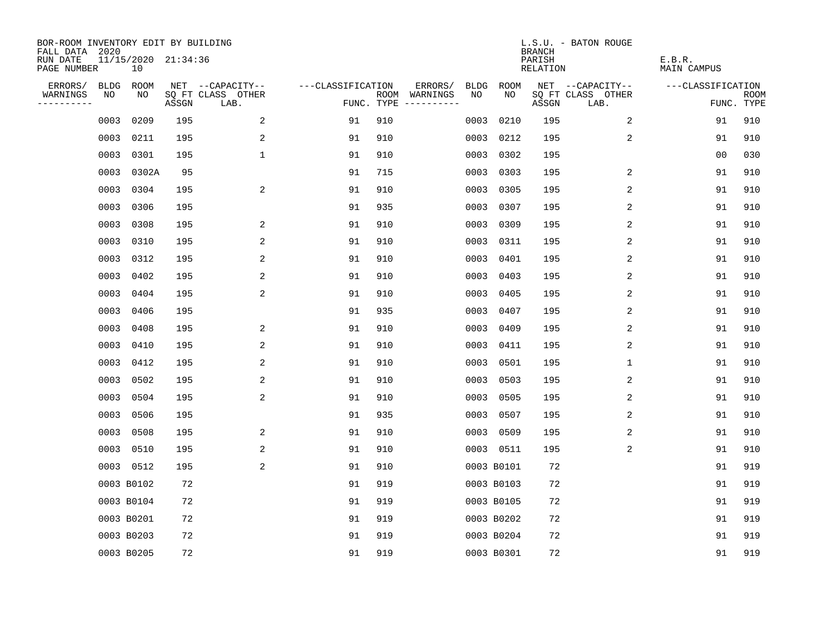| BOR-ROOM INVENTORY EDIT BY BUILDING<br>FALL DATA 2020 |             |                           |       |                           |                   |     |                                            |             | <b>BRANCH</b>             | L.S.U. - BATON ROUGE      |                              |                           |
|-------------------------------------------------------|-------------|---------------------------|-------|---------------------------|-------------------|-----|--------------------------------------------|-------------|---------------------------|---------------------------|------------------------------|---------------------------|
| RUN DATE<br>PAGE NUMBER                               |             | 11/15/2020 21:34:36<br>10 |       |                           |                   |     |                                            |             | PARISH<br><b>RELATION</b> |                           | E.B.R.<br><b>MAIN CAMPUS</b> |                           |
| ERRORS/                                               | <b>BLDG</b> | ROOM                      |       | NET --CAPACITY--          | ---CLASSIFICATION |     | ERRORS/<br><b>BLDG</b>                     | <b>ROOM</b> |                           | NET --CAPACITY--          | ---CLASSIFICATION            |                           |
| WARNINGS<br>----------                                | NO          | NO                        | ASSGN | SQ FT CLASS OTHER<br>LAB. |                   |     | ROOM WARNINGS<br>NO<br>FUNC. TYPE $------$ | NO          | ASSGN                     | SQ FT CLASS OTHER<br>LAB. |                              | <b>ROOM</b><br>FUNC. TYPE |
|                                                       | 0003        | 0209                      | 195   | 2                         | 91                | 910 | 0003                                       | 0210        | 195                       | 2                         | 91                           | 910                       |
|                                                       | 0003        | 0211                      | 195   | 2                         | 91                | 910 | 0003                                       | 0212        | 195                       | 2                         | 91                           | 910                       |
|                                                       | 0003        | 0301                      | 195   | $\mathbf 1$               | 91                | 910 | 0003                                       | 0302        | 195                       |                           | 0 <sub>0</sub>               | 030                       |
|                                                       | 0003        | 0302A                     | 95    |                           | 91                | 715 | 0003                                       | 0303        | 195                       | $\overline{c}$            | 91                           | 910                       |
|                                                       | 0003        | 0304                      | 195   | 2                         | 91                | 910 | 0003                                       | 0305        | 195                       | 2                         | 91                           | 910                       |
|                                                       | 0003        | 0306                      | 195   |                           | 91                | 935 |                                            | 0003 0307   | 195                       | 2                         | 91                           | 910                       |
|                                                       | 0003        | 0308                      | 195   | 2                         | 91                | 910 | 0003                                       | 0309        | 195                       | 2                         | 91                           | 910                       |
|                                                       |             | 0003 0310                 | 195   | 2                         | 91                | 910 |                                            | 0003 0311   | 195                       | 2                         | 91                           | 910                       |
|                                                       | 0003        | 0312                      | 195   | 2                         | 91                | 910 | 0003                                       | 0401        | 195                       | 2                         | 91                           | 910                       |
|                                                       |             | 0003 0402                 | 195   | 2                         | 91                | 910 | 0003                                       | 0403        | 195                       | 2                         | 91                           | 910                       |
|                                                       | 0003        | 0404                      | 195   | 2                         | 91                | 910 | 0003                                       | 0405        | 195                       | 2                         | 91                           | 910                       |
|                                                       |             | 0003 0406                 | 195   |                           | 91                | 935 | 0003                                       | 0407        | 195                       | 2                         | 91                           | 910                       |
|                                                       | 0003        | 0408                      | 195   | 2                         | 91                | 910 | 0003                                       | 0409        | 195                       | 2                         | 91                           | 910                       |
|                                                       | 0003        | 0410                      | 195   | 2                         | 91                | 910 | 0003                                       | 0411        | 195                       | 2                         | 91                           | 910                       |
|                                                       | 0003        | 0412                      | 195   | 2                         | 91                | 910 | 0003                                       | 0501        | 195                       | 1                         | 91                           | 910                       |
|                                                       | 0003        | 0502                      | 195   | 2                         | 91                | 910 | 0003                                       | 0503        | 195                       | $\overline{c}$            | 91                           | 910                       |
|                                                       | 0003        | 0504                      | 195   | 2                         | 91                | 910 | 0003                                       | 0505        | 195                       | 2                         | 91                           | 910                       |
|                                                       | 0003        | 0506                      | 195   |                           | 91                | 935 | 0003                                       | 0507        | 195                       | 2                         | 91                           | 910                       |
|                                                       | 0003        | 0508                      | 195   | 2                         | 91                | 910 |                                            | 0003 0509   | 195                       | 2                         | 91                           | 910                       |
|                                                       |             | 0003 0510                 | 195   | 2                         | 91                | 910 |                                            | 0003 0511   | 195                       | 2                         | 91                           | 910                       |
|                                                       |             | 0003 0512                 | 195   | 2                         | 91                | 910 |                                            | 0003 B0101  | 72                        |                           | 91                           | 919                       |
|                                                       |             | 0003 B0102                | 72    |                           | 91                | 919 |                                            | 0003 B0103  | 72                        |                           | 91                           | 919                       |
|                                                       |             | 0003 B0104                | 72    |                           | 91                | 919 |                                            | 0003 B0105  | 72                        |                           | 91                           | 919                       |
|                                                       |             | 0003 B0201                | 72    |                           | 91                | 919 |                                            | 0003 B0202  | 72                        |                           | 91                           | 919                       |
|                                                       |             | 0003 B0203                | 72    |                           | 91                | 919 |                                            | 0003 B0204  | 72                        |                           | 91                           | 919                       |
|                                                       |             | 0003 B0205                | 72    |                           | 91                | 919 |                                            | 0003 B0301  | 72                        |                           | 91                           | 919                       |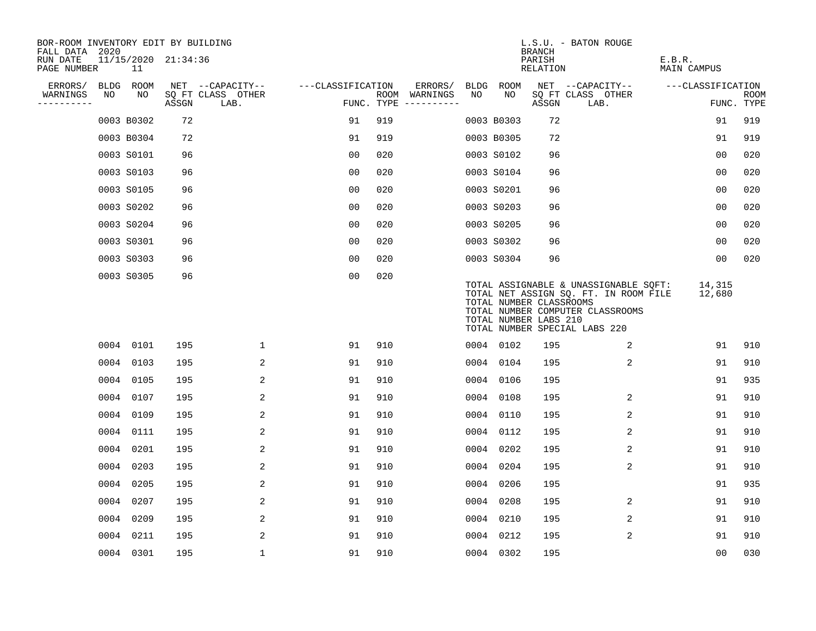| BOR-ROOM INVENTORY EDIT BY BUILDING<br>FALL DATA 2020 |                           |       |                           |                   |                                      |         |      |            | <b>BRANCH</b>                                    | L.S.U. - BATON ROUGE                                                                                                                                |                              |                           |
|-------------------------------------------------------|---------------------------|-------|---------------------------|-------------------|--------------------------------------|---------|------|------------|--------------------------------------------------|-----------------------------------------------------------------------------------------------------------------------------------------------------|------------------------------|---------------------------|
| RUN DATE<br>PAGE NUMBER                               | 11/15/2020 21:34:36<br>11 |       |                           |                   |                                      |         |      |            | PARISH<br>RELATION                               |                                                                                                                                                     | E.B.R.<br><b>MAIN CAMPUS</b> |                           |
| ERRORS/                                               | BLDG ROOM                 |       | NET --CAPACITY--          | ---CLASSIFICATION |                                      | ERRORS/ | BLDG | ROOM       |                                                  | NET --CAPACITY--                                                                                                                                    | ---CLASSIFICATION            |                           |
| WARNINGS<br>NO<br>----------                          | NO                        | ASSGN | SQ FT CLASS OTHER<br>LAB. |                   | ROOM WARNINGS<br>FUNC. TYPE $------$ |         | NO   | NO         | ASSGN                                            | SQ FT CLASS OTHER<br>LAB.                                                                                                                           |                              | <b>ROOM</b><br>FUNC. TYPE |
|                                                       | 0003 B0302                | 72    |                           | 91                | 919                                  |         |      | 0003 B0303 | 72                                               |                                                                                                                                                     | 91                           | 919                       |
|                                                       | 0003 B0304                | 72    |                           | 91                | 919                                  |         |      | 0003 B0305 | 72                                               |                                                                                                                                                     | 91                           | 919                       |
|                                                       | 0003 S0101                | 96    |                           | 00                | 020                                  |         |      | 0003 S0102 | 96                                               |                                                                                                                                                     | 0 <sub>0</sub>               | 020                       |
|                                                       | 0003 S0103                | 96    |                           | 0 <sub>0</sub>    | 020                                  |         |      | 0003 S0104 | 96                                               |                                                                                                                                                     | 0 <sub>0</sub>               | 020                       |
|                                                       | 0003 S0105                | 96    |                           | 0 <sub>0</sub>    | 020                                  |         |      | 0003 S0201 | 96                                               |                                                                                                                                                     | 0 <sub>0</sub>               | 020                       |
|                                                       | 0003 S0202                | 96    |                           | 0 <sub>0</sub>    | 020                                  |         |      | 0003 S0203 | 96                                               |                                                                                                                                                     | 0 <sub>0</sub>               | 020                       |
|                                                       | 0003 S0204                | 96    |                           | 00                | 020                                  |         |      | 0003 S0205 | 96                                               |                                                                                                                                                     | 00                           | 020                       |
|                                                       | 0003 S0301                | 96    |                           | 0 <sub>0</sub>    | 020                                  |         |      | 0003 S0302 | 96                                               |                                                                                                                                                     | 0 <sub>0</sub>               | 020                       |
|                                                       | 0003 S0303                | 96    |                           | 0 <sub>0</sub>    | 020                                  |         |      | 0003 S0304 | 96                                               |                                                                                                                                                     | 0 <sub>0</sub>               | 020                       |
|                                                       | 0003 S0305                | 96    |                           | 0 <sub>0</sub>    | 020                                  |         |      |            | TOTAL NUMBER CLASSROOMS<br>TOTAL NUMBER LABS 210 | TOTAL ASSIGNABLE & UNASSIGNABLE SQFT:<br>TOTAL NET ASSIGN SQ. FT. IN ROOM FILE<br>TOTAL NUMBER COMPUTER CLASSROOMS<br>TOTAL NUMBER SPECIAL LABS 220 | 14,315<br>12,680             |                           |
|                                                       | 0004 0101                 | 195   | $\mathbf{1}$              | 91                | 910                                  |         |      | 0004 0102  | 195                                              | 2                                                                                                                                                   | 91                           | 910                       |
|                                                       | 0004 0103                 | 195   | 2                         | 91                | 910                                  |         |      | 0004 0104  | 195                                              | 2                                                                                                                                                   | 91                           | 910                       |
|                                                       | 0004 0105                 | 195   | 2                         | 91                | 910                                  |         |      | 0004 0106  | 195                                              |                                                                                                                                                     | 91                           | 935                       |
|                                                       | 0004 0107                 | 195   | 2                         | 91                | 910                                  |         |      | 0004 0108  | 195                                              | 2                                                                                                                                                   | 91                           | 910                       |
|                                                       | 0004 0109                 | 195   | 2                         | 91                | 910                                  |         |      | 0004 0110  | 195                                              | 2                                                                                                                                                   | 91                           | 910                       |
|                                                       | 0004 0111                 | 195   | 2                         | 91                | 910                                  |         |      | 0004 0112  | 195                                              | 2                                                                                                                                                   | 91                           | 910                       |
|                                                       | 0004 0201                 | 195   | 2                         | 91                | 910                                  |         |      | 0004 0202  | 195                                              | 2                                                                                                                                                   | 91                           | 910                       |
|                                                       | 0004 0203                 | 195   | 2                         | 91                | 910                                  |         | 0004 | 0204       | 195                                              | 2                                                                                                                                                   | 91                           | 910                       |
|                                                       | 0004 0205                 | 195   | 2                         | 91                | 910                                  |         | 0004 | 0206       | 195                                              |                                                                                                                                                     | 91                           | 935                       |
|                                                       | 0004 0207                 | 195   | 2                         | 91                | 910                                  |         | 0004 | 0208       | 195                                              | 2                                                                                                                                                   | 91                           | 910                       |
|                                                       | 0004 0209                 | 195   | 2                         | 91                | 910                                  |         |      | 0004 0210  | 195                                              | 2                                                                                                                                                   | 91                           | 910                       |
|                                                       | 0004 0211                 | 195   | 2                         | 91                | 910                                  |         |      | 0004 0212  | 195                                              | 2                                                                                                                                                   | 91                           | 910                       |
|                                                       | 0004 0301                 | 195   | $\mathbf{1}$              | 91                | 910                                  |         |      | 0004 0302  | 195                                              |                                                                                                                                                     | 0 <sub>0</sub>               | 030                       |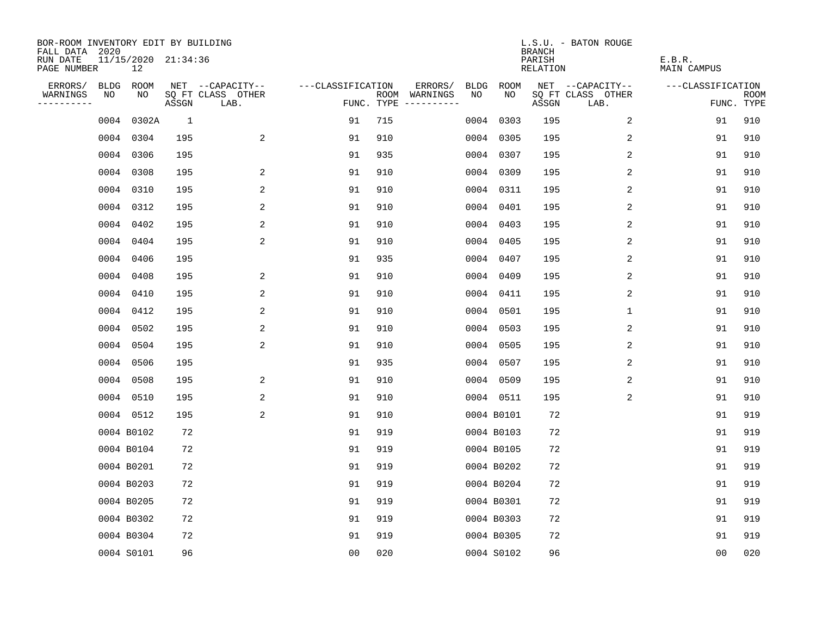| BOR-ROOM INVENTORY EDIT BY BUILDING<br>FALL DATA 2020 |             |                           |              |                           |                   |     |                                            |             |             | <b>BRANCH</b>             | L.S.U. - BATON ROUGE      |                              |                           |
|-------------------------------------------------------|-------------|---------------------------|--------------|---------------------------|-------------------|-----|--------------------------------------------|-------------|-------------|---------------------------|---------------------------|------------------------------|---------------------------|
| RUN DATE<br>PAGE NUMBER                               |             | 11/15/2020 21:34:36<br>12 |              |                           |                   |     |                                            |             |             | PARISH<br><b>RELATION</b> |                           | E.B.R.<br><b>MAIN CAMPUS</b> |                           |
| ERRORS/                                               | <b>BLDG</b> | ROOM                      |              | NET --CAPACITY--          | ---CLASSIFICATION |     | ERRORS/                                    | <b>BLDG</b> | <b>ROOM</b> |                           | NET --CAPACITY--          | ---CLASSIFICATION            |                           |
| WARNINGS<br>----------                                | NO          | NO                        | ASSGN        | SQ FT CLASS OTHER<br>LAB. |                   |     | NO<br>ROOM WARNINGS<br>FUNC. TYPE $------$ |             | NO          | ASSGN                     | SQ FT CLASS OTHER<br>LAB. |                              | <b>ROOM</b><br>FUNC. TYPE |
|                                                       | 0004        | 0302A                     | <sup>1</sup> |                           | 91                | 715 |                                            |             | 0004 0303   | 195                       | 2                         | 91                           | 910                       |
|                                                       |             | 0004 0304                 | 195          | 2                         | 91                | 910 |                                            |             | 0004 0305   | 195                       | 2                         | 91                           | 910                       |
|                                                       |             | 0004 0306                 | 195          |                           | 91                | 935 |                                            |             | 0004 0307   | 195                       | 2                         | 91                           | 910                       |
|                                                       |             | 0004 0308                 | 195          | 2                         | 91                | 910 |                                            |             | 0004 0309   | 195                       | 2                         | 91                           | 910                       |
|                                                       |             | 0004 0310                 | 195          | 2                         | 91                | 910 |                                            |             | 0004 0311   | 195                       | 2                         | 91                           | 910                       |
|                                                       |             | 0004 0312                 | 195          | 2                         | 91                | 910 |                                            |             | 0004 0401   | 195                       | 2                         | 91                           | 910                       |
|                                                       |             | 0004 0402                 | 195          | $\overline{a}$            | 91                | 910 |                                            |             | 0004 0403   | 195                       | 2                         | 91                           | 910                       |
|                                                       |             | 0004 0404                 | 195          | 2                         | 91                | 910 |                                            |             | 0004 0405   | 195                       | 2                         | 91                           | 910                       |
|                                                       |             | 0004 0406                 | 195          |                           | 91                | 935 |                                            |             | 0004 0407   | 195                       | 2                         | 91                           | 910                       |
|                                                       |             | 0004 0408                 | 195          | 2                         | 91                | 910 |                                            |             | 0004 0409   | 195                       | 2                         | 91                           | 910                       |
|                                                       |             | 0004 0410                 | 195          | 2                         | 91                | 910 |                                            |             | 0004 0411   | 195                       | 2                         | 91                           | 910                       |
|                                                       |             | 0004 0412                 | 195          | 2                         | 91                | 910 |                                            |             | 0004 0501   | 195                       | $\mathbf 1$               | 91                           | 910                       |
|                                                       |             | 0004 0502                 | 195          | 2                         | 91                | 910 |                                            |             | 0004 0503   | 195                       | 2                         | 91                           | 910                       |
|                                                       |             | 0004 0504                 | 195          | $\overline{c}$            | 91                | 910 |                                            |             | 0004 0505   | 195                       | 2                         | 91                           | 910                       |
|                                                       |             | 0004 0506                 | 195          |                           | 91                | 935 |                                            |             | 0004 0507   | 195                       | 2                         | 91                           | 910                       |
|                                                       |             | 0004 0508                 | 195          | 2                         | 91                | 910 |                                            |             | 0004 0509   | 195                       | 2                         | 91                           | 910                       |
|                                                       |             | 0004 0510                 | 195          | 2                         | 91                | 910 |                                            |             | 0004 0511   | 195                       | 2                         | 91                           | 910                       |
|                                                       |             | 0004 0512                 | 195          | 2                         | 91                | 910 |                                            |             | 0004 B0101  | 72                        |                           | 91                           | 919                       |
|                                                       |             | 0004 B0102                | 72           |                           | 91                | 919 |                                            |             | 0004 B0103  | 72                        |                           | 91                           | 919                       |
|                                                       |             | 0004 B0104                | 72           |                           | 91                | 919 |                                            |             | 0004 B0105  | 72                        |                           | 91                           | 919                       |
|                                                       |             | 0004 B0201                | 72           |                           | 91                | 919 |                                            |             | 0004 B0202  | 72                        |                           | 91                           | 919                       |
|                                                       |             | 0004 B0203                | 72           |                           | 91                | 919 |                                            |             | 0004 B0204  | 72                        |                           | 91                           | 919                       |
|                                                       |             | 0004 B0205                | 72           |                           | 91                | 919 |                                            |             | 0004 B0301  | 72                        |                           | 91                           | 919                       |
|                                                       |             | 0004 B0302                | 72           |                           | 91                | 919 |                                            |             | 0004 B0303  | 72                        |                           | 91                           | 919                       |
|                                                       |             | 0004 B0304                | 72           |                           | 91                | 919 |                                            |             | 0004 B0305  | 72                        |                           | 91                           | 919                       |
|                                                       |             | 0004 S0101                | 96           |                           | 0 <sub>0</sub>    | 020 |                                            |             | 0004 S0102  | 96                        |                           | 0 <sub>0</sub>               | 020                       |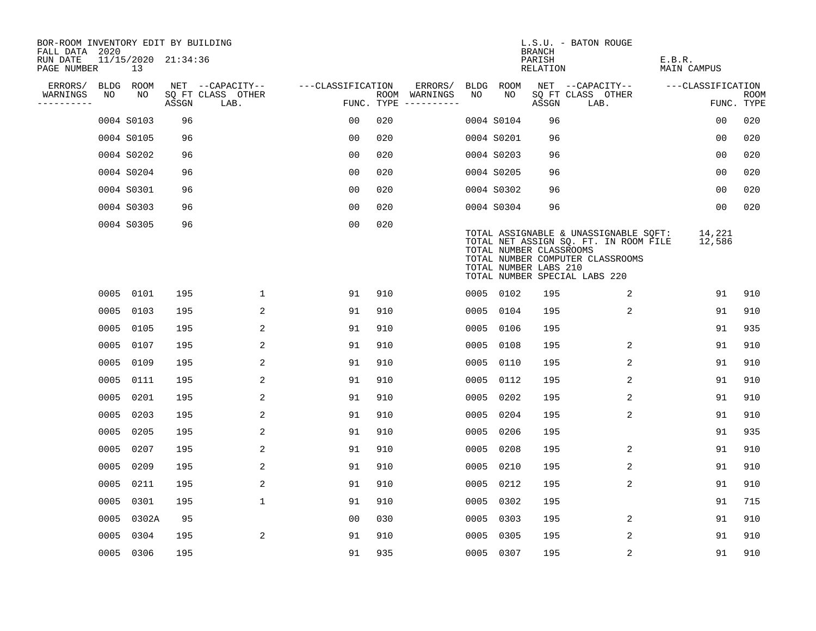| BOR-ROOM INVENTORY EDIT BY BUILDING       |      |                           |       |                           |                   |     |                                      |      |                                                  | <b>BRANCH</b>      | L.S.U. - BATON ROUGE                                                                                                                                |                              |                           |
|-------------------------------------------|------|---------------------------|-------|---------------------------|-------------------|-----|--------------------------------------|------|--------------------------------------------------|--------------------|-----------------------------------------------------------------------------------------------------------------------------------------------------|------------------------------|---------------------------|
| FALL DATA 2020<br>RUN DATE<br>PAGE NUMBER |      | 11/15/2020 21:34:36<br>13 |       |                           |                   |     |                                      |      |                                                  | PARISH<br>RELATION |                                                                                                                                                     | E.B.R.<br><b>MAIN CAMPUS</b> |                           |
| ERRORS/                                   | BLDG | ROOM                      |       | NET --CAPACITY--          | ---CLASSIFICATION |     | ERRORS/                              | BLDG | ROOM                                             |                    | NET --CAPACITY--                                                                                                                                    | ---CLASSIFICATION            |                           |
| WARNINGS<br>----------                    | NO   | NO.                       | ASSGN | SQ FT CLASS OTHER<br>LAB. |                   |     | ROOM WARNINGS<br>FUNC. TYPE $------$ | NO   | NO.                                              | ASSGN              | SQ FT CLASS OTHER<br>LAB.                                                                                                                           |                              | <b>ROOM</b><br>FUNC. TYPE |
|                                           |      | 0004 S0103                | 96    |                           | 0 <sub>0</sub>    | 020 |                                      |      | 0004 S0104                                       | 96                 |                                                                                                                                                     | 0 <sub>0</sub>               | 020                       |
|                                           |      | 0004 S0105                | 96    |                           | 0 <sub>0</sub>    | 020 |                                      |      | 0004 S0201                                       | 96                 |                                                                                                                                                     | 0 <sub>0</sub>               | 020                       |
|                                           |      | 0004 S0202                | 96    |                           | 0 <sub>0</sub>    | 020 |                                      |      | 0004 S0203                                       | 96                 |                                                                                                                                                     | 00                           | 020                       |
|                                           |      | 0004 S0204                | 96    |                           | 0 <sub>0</sub>    | 020 |                                      |      | 0004 S0205                                       | 96                 |                                                                                                                                                     | 0 <sub>0</sub>               | 020                       |
|                                           |      | 0004 S0301                | 96    |                           | 0 <sub>0</sub>    | 020 |                                      |      | 0004 S0302                                       | 96                 |                                                                                                                                                     | 00                           | 020                       |
|                                           |      | 0004 S0303                | 96    |                           | 0 <sub>0</sub>    | 020 |                                      |      | 0004 S0304                                       | 96                 |                                                                                                                                                     | 00                           | 020                       |
|                                           |      | 0004 S0305                | 96    |                           | 0 <sub>0</sub>    | 020 |                                      |      | TOTAL NUMBER CLASSROOMS<br>TOTAL NUMBER LABS 210 |                    | TOTAL ASSIGNABLE & UNASSIGNABLE SQFT:<br>TOTAL NET ASSIGN SQ. FT. IN ROOM FILE<br>TOTAL NUMBER COMPUTER CLASSROOMS<br>TOTAL NUMBER SPECIAL LABS 220 | 14,221<br>12,586             |                           |
|                                           |      | 0005 0101                 | 195   | $\mathbf{1}$              | 91                | 910 |                                      |      | 0005 0102                                        | 195                | 2                                                                                                                                                   | 91                           | 910                       |
|                                           |      | 0005 0103                 | 195   | 2                         | 91                | 910 |                                      |      | 0005 0104                                        | 195                | 2                                                                                                                                                   | 91                           | 910                       |
|                                           |      | 0005 0105                 | 195   | 2                         | 91                | 910 |                                      | 0005 | 0106                                             | 195                |                                                                                                                                                     | 91                           | 935                       |
|                                           |      | 0005 0107                 | 195   | 2                         | 91                | 910 |                                      | 0005 | 0108                                             | 195                | 2                                                                                                                                                   | 91                           | 910                       |
|                                           | 0005 | 0109                      | 195   | 2                         | 91                | 910 |                                      | 0005 | 0110                                             | 195                | 2                                                                                                                                                   | 91                           | 910                       |
|                                           | 0005 | 0111                      | 195   | 2                         | 91                | 910 |                                      | 0005 | 0112                                             | 195                | 2                                                                                                                                                   | 91                           | 910                       |
|                                           | 0005 | 0201                      | 195   | 2                         | 91                | 910 |                                      | 0005 | 0202                                             | 195                | 2                                                                                                                                                   | 91                           | 910                       |
|                                           | 0005 | 0203                      | 195   | 2                         | 91                | 910 |                                      | 0005 | 0204                                             | 195                | 2                                                                                                                                                   | 91                           | 910                       |
|                                           |      | 0005 0205                 | 195   | 2                         | 91                | 910 |                                      | 0005 | 0206                                             | 195                |                                                                                                                                                     | 91                           | 935                       |
|                                           | 0005 | 0207                      | 195   | 2                         | 91                | 910 |                                      | 0005 | 0208                                             | 195                | 2                                                                                                                                                   | 91                           | 910                       |
|                                           | 0005 | 0209                      | 195   | 2                         | 91                | 910 |                                      | 0005 | 0210                                             | 195                | 2                                                                                                                                                   | 91                           | 910                       |
|                                           | 0005 | 0211                      | 195   | 2                         | 91                | 910 |                                      | 0005 | 0212                                             | 195                | 2                                                                                                                                                   | 91                           | 910                       |
|                                           | 0005 | 0301                      | 195   | $\mathbf 1$               | 91                | 910 |                                      | 0005 | 0302                                             | 195                |                                                                                                                                                     | 91                           | 715                       |
|                                           |      | 0005 0302A                | 95    |                           | 0 <sub>0</sub>    | 030 |                                      | 0005 | 0303                                             | 195                | 2                                                                                                                                                   | 91                           | 910                       |
|                                           | 0005 | 0304                      | 195   | 2                         | 91                | 910 |                                      | 0005 | 0305                                             | 195                | 2                                                                                                                                                   | 91                           | 910                       |
|                                           |      | 0005 0306                 | 195   |                           | 91                | 935 |                                      |      | 0005 0307                                        | 195                | 2                                                                                                                                                   | 91                           | 910                       |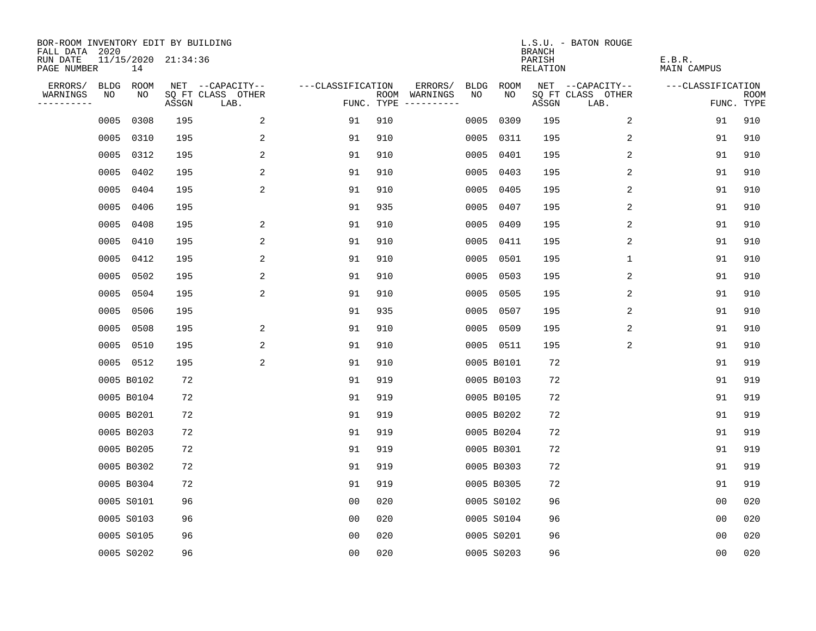| BOR-ROOM INVENTORY EDIT BY BUILDING<br>FALL DATA 2020 |             |            |                     |                           |                   |     |                                            |             | <b>BRANCH</b>             | L.S.U. - BATON ROUGE      |                              |                           |
|-------------------------------------------------------|-------------|------------|---------------------|---------------------------|-------------------|-----|--------------------------------------------|-------------|---------------------------|---------------------------|------------------------------|---------------------------|
| RUN DATE<br>PAGE NUMBER                               |             | 14         | 11/15/2020 21:34:36 |                           |                   |     |                                            |             | PARISH<br><b>RELATION</b> |                           | E.B.R.<br><b>MAIN CAMPUS</b> |                           |
| ERRORS/                                               | <b>BLDG</b> | ROOM       |                     | NET --CAPACITY--          | ---CLASSIFICATION |     | ERRORS/<br><b>BLDG</b>                     | <b>ROOM</b> |                           | NET --CAPACITY--          | ---CLASSIFICATION            |                           |
| WARNINGS<br>----------                                | NO          | NO         | ASSGN               | SQ FT CLASS OTHER<br>LAB. |                   |     | NO<br>ROOM WARNINGS<br>FUNC. TYPE $------$ | NO          | ASSGN                     | SQ FT CLASS OTHER<br>LAB. |                              | <b>ROOM</b><br>FUNC. TYPE |
|                                                       | 0005        | 0308       | 195                 | 2                         | 91                | 910 | 0005                                       | 0309        | 195                       | 2                         | 91                           | 910                       |
|                                                       | 0005        | 0310       | 195                 | 2                         | 91                | 910 |                                            | 0005 0311   | 195                       | 2                         | 91                           | 910                       |
|                                                       | 0005        | 0312       | 195                 | 2                         | 91                | 910 |                                            | 0005 0401   | 195                       | 2                         | 91                           | 910                       |
|                                                       | 0005        | 0402       | 195                 | 2                         | 91                | 910 |                                            | 0005 0403   | 195                       | 2                         | 91                           | 910                       |
|                                                       | 0005        | 0404       | 195                 | 2                         | 91                | 910 |                                            | 0005 0405   | 195                       | 2                         | 91                           | 910                       |
|                                                       | 0005        | 0406       | 195                 |                           | 91                | 935 |                                            | 0005 0407   | 195                       | 2                         | 91                           | 910                       |
|                                                       | 0005        | 0408       | 195                 | 2                         | 91                | 910 |                                            | 0005 0409   | 195                       | 2                         | 91                           | 910                       |
|                                                       | 0005        | 0410       | 195                 | 2                         | 91                | 910 |                                            | 0005 0411   | 195                       | 2                         | 91                           | 910                       |
|                                                       | 0005        | 0412       | 195                 | 2                         | 91                | 910 | 0005                                       | 0501        | 195                       | $\mathbf 1$               | 91                           | 910                       |
|                                                       | 0005        | 0502       | 195                 | 2                         | 91                | 910 |                                            | 0005 0503   | 195                       | 2                         | 91                           | 910                       |
|                                                       | 0005        | 0504       | 195                 | 2                         | 91                | 910 |                                            | 0005 0505   | 195                       | 2                         | 91                           | 910                       |
|                                                       |             | 0005 0506  | 195                 |                           | 91                | 935 |                                            | 0005 0507   | 195                       | 2                         | 91                           | 910                       |
|                                                       | 0005        | 0508       | 195                 | 2                         | 91                | 910 |                                            | 0005 0509   | 195                       | 2                         | 91                           | 910                       |
|                                                       | 0005        | 0510       | 195                 | 2                         | 91                | 910 |                                            | 0005 0511   | 195                       | 2                         | 91                           | 910                       |
|                                                       |             | 0005 0512  | 195                 | 2                         | 91                | 910 |                                            | 0005 B0101  | 72                        |                           | 91                           | 919                       |
|                                                       |             | 0005 B0102 | 72                  |                           | 91                | 919 |                                            | 0005 B0103  | 72                        |                           | 91                           | 919                       |
|                                                       |             | 0005 B0104 | 72                  |                           | 91                | 919 |                                            | 0005 B0105  | 72                        |                           | 91                           | 919                       |
|                                                       |             | 0005 B0201 | 72                  |                           | 91                | 919 |                                            | 0005 B0202  | 72                        |                           | 91                           | 919                       |
|                                                       |             | 0005 B0203 | 72                  |                           | 91                | 919 |                                            | 0005 B0204  | 72                        |                           | 91                           | 919                       |
|                                                       |             | 0005 B0205 | 72                  |                           | 91                | 919 |                                            | 0005 B0301  | 72                        |                           | 91                           | 919                       |
|                                                       |             | 0005 B0302 | 72                  |                           | 91                | 919 |                                            | 0005 B0303  | 72                        |                           | 91                           | 919                       |
|                                                       |             | 0005 B0304 | 72                  |                           | 91                | 919 |                                            | 0005 B0305  | 72                        |                           | 91                           | 919                       |
|                                                       |             | 0005 S0101 | 96                  |                           | 0 <sub>0</sub>    | 020 |                                            | 0005 S0102  | 96                        |                           | 0 <sub>0</sub>               | 020                       |
|                                                       |             | 0005 S0103 | 96                  |                           | 0 <sub>0</sub>    | 020 |                                            | 0005 S0104  | 96                        |                           | 0 <sub>0</sub>               | 020                       |
|                                                       |             | 0005 S0105 | 96                  |                           | 0 <sub>0</sub>    | 020 |                                            | 0005 S0201  | 96                        |                           | 0 <sub>0</sub>               | 020                       |
|                                                       |             | 0005 S0202 | 96                  |                           | 0 <sub>0</sub>    | 020 |                                            | 0005 S0203  | 96                        |                           | 0 <sub>0</sub>               | 020                       |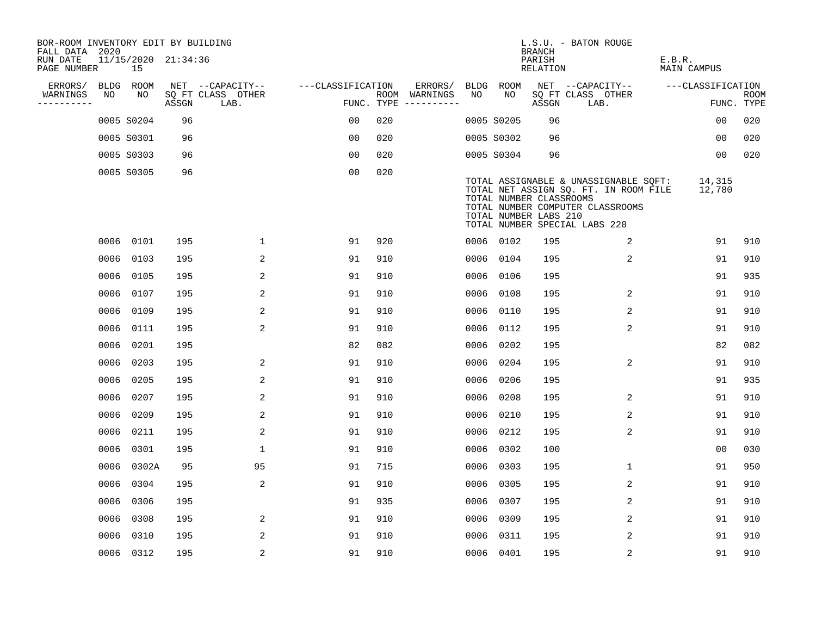| BOR-ROOM INVENTORY EDIT BY BUILDING<br>FALL DATA 2020 |      |                           |       |                           |                   |     |                                      |      |            | <b>BRANCH</b>                                    | L.S.U. - BATON ROUGE                                                                                                                                |                       |                           |
|-------------------------------------------------------|------|---------------------------|-------|---------------------------|-------------------|-----|--------------------------------------|------|------------|--------------------------------------------------|-----------------------------------------------------------------------------------------------------------------------------------------------------|-----------------------|---------------------------|
| RUN DATE<br>PAGE NUMBER                               |      | 11/15/2020 21:34:36<br>15 |       |                           |                   |     |                                      |      |            | PARISH<br>RELATION                               |                                                                                                                                                     | E.B.R.<br>MAIN CAMPUS |                           |
| ERRORS/                                               |      | BLDG ROOM                 |       | NET --CAPACITY--          | ---CLASSIFICATION |     | ERRORS/                              |      | BLDG ROOM  |                                                  | NET --CAPACITY--                                                                                                                                    | ---CLASSIFICATION     |                           |
| WARNINGS<br>----------                                | NO   | NO                        | ASSGN | SQ FT CLASS OTHER<br>LAB. |                   |     | ROOM WARNINGS<br>FUNC. TYPE $------$ | NO.  | NO.        | ASSGN                                            | SQ FT CLASS OTHER<br>LAB.                                                                                                                           |                       | <b>ROOM</b><br>FUNC. TYPE |
|                                                       |      | 0005 S0204                | 96    |                           | 0 <sub>0</sub>    | 020 |                                      |      | 0005 S0205 | 96                                               |                                                                                                                                                     | 0 <sub>0</sub>        | 020                       |
|                                                       |      | 0005 S0301                | 96    |                           | 0 <sub>0</sub>    | 020 |                                      |      | 0005 S0302 | 96                                               |                                                                                                                                                     | 0 <sub>0</sub>        | 020                       |
|                                                       |      | 0005 S0303                | 96    |                           | 0 <sub>0</sub>    | 020 |                                      |      | 0005 S0304 | 96                                               |                                                                                                                                                     | 00                    | 020                       |
|                                                       |      | 0005 S0305                | 96    |                           | 0 <sub>0</sub>    | 020 |                                      |      |            | TOTAL NUMBER CLASSROOMS<br>TOTAL NUMBER LABS 210 | TOTAL ASSIGNABLE & UNASSIGNABLE SQFT:<br>TOTAL NET ASSIGN SQ. FT. IN ROOM FILE<br>TOTAL NUMBER COMPUTER CLASSROOMS<br>TOTAL NUMBER SPECIAL LABS 220 | 14,315<br>12,780      |                           |
|                                                       |      | 0006 0101                 | 195   | 1                         | 91                | 920 |                                      |      | 0006 0102  | 195                                              | 2                                                                                                                                                   | 91                    | 910                       |
|                                                       | 0006 | 0103                      | 195   | 2                         | 91                | 910 |                                      | 0006 | 0104       | 195                                              | $\overline{2}$                                                                                                                                      | 91                    | 910                       |
|                                                       |      | 0006 0105                 | 195   | 2                         | 91                | 910 |                                      |      | 0006 0106  | 195                                              |                                                                                                                                                     | 91                    | 935                       |
|                                                       | 0006 | 0107                      | 195   | 2                         | 91                | 910 |                                      | 0006 | 0108       | 195                                              | 2                                                                                                                                                   | 91                    | 910                       |
|                                                       | 0006 | 0109                      | 195   | 2                         | 91                | 910 |                                      |      | 0006 0110  | 195                                              | 2                                                                                                                                                   | 91                    | 910                       |
|                                                       | 0006 | 0111                      | 195   | 2                         | 91                | 910 |                                      | 0006 | 0112       | 195                                              | 2                                                                                                                                                   | 91                    | 910                       |
|                                                       |      | 0006 0201                 | 195   |                           | 82                | 082 |                                      |      | 0006 0202  | 195                                              |                                                                                                                                                     | 82                    | 082                       |
|                                                       | 0006 | 0203                      | 195   | 2                         | 91                | 910 |                                      | 0006 | 0204       | 195                                              | 2                                                                                                                                                   | 91                    | 910                       |
|                                                       | 0006 | 0205                      | 195   | 2                         | 91                | 910 |                                      | 0006 | 0206       | 195                                              |                                                                                                                                                     | 91                    | 935                       |
|                                                       | 0006 | 0207                      | 195   | 2                         | 91                | 910 |                                      | 0006 | 0208       | 195                                              | 2                                                                                                                                                   | 91                    | 910                       |
|                                                       | 0006 | 0209                      | 195   | 2                         | 91                | 910 |                                      | 0006 | 0210       | 195                                              | $\overline{2}$                                                                                                                                      | 91                    | 910                       |
|                                                       | 0006 | 0211                      | 195   | 2                         | 91                | 910 |                                      | 0006 | 0212       | 195                                              | 2                                                                                                                                                   | 91                    | 910                       |
|                                                       | 0006 | 0301                      | 195   | $\mathbf 1$               | 91                | 910 |                                      |      | 0006 0302  | 100                                              |                                                                                                                                                     | 0 <sub>0</sub>        | 030                       |
|                                                       | 0006 | 0302A                     | 95    | 95                        | 91                | 715 |                                      |      | 0006 0303  | 195                                              | $\mathbf 1$                                                                                                                                         | 91                    | 950                       |
|                                                       | 0006 | 0304                      | 195   | 2                         | 91                | 910 |                                      | 0006 | 0305       | 195                                              | 2                                                                                                                                                   | 91                    | 910                       |
|                                                       | 0006 | 0306                      | 195   |                           | 91                | 935 |                                      |      | 0006 0307  | 195                                              | 2                                                                                                                                                   | 91                    | 910                       |
|                                                       | 0006 | 0308                      | 195   | 2                         | 91                | 910 |                                      |      | 0006 0309  | 195                                              | 2                                                                                                                                                   | 91                    | 910                       |
|                                                       | 0006 | 0310                      | 195   | 2                         | 91                | 910 |                                      |      | 0006 0311  | 195                                              | 2                                                                                                                                                   | 91                    | 910                       |
|                                                       |      | 0006 0312                 | 195   | $\overline{2}$            | 91                | 910 |                                      |      | 0006 0401  | 195                                              | 2                                                                                                                                                   | 91                    | 910                       |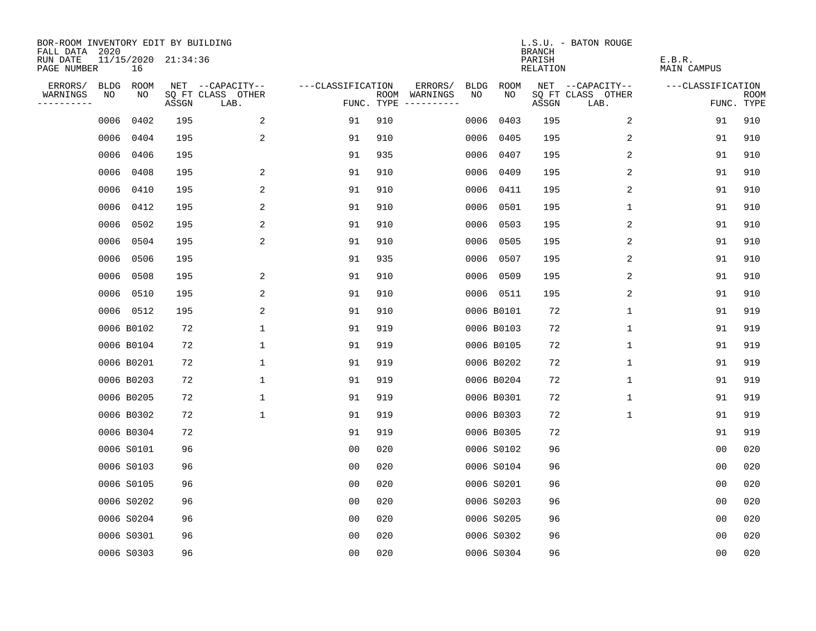| BOR-ROOM INVENTORY EDIT BY BUILDING<br>FALL DATA 2020 |             |                           |       |                           |                   |     |                                      |             |             | <b>BRANCH</b>             | L.S.U. - BATON ROUGE      |                              |                           |
|-------------------------------------------------------|-------------|---------------------------|-------|---------------------------|-------------------|-----|--------------------------------------|-------------|-------------|---------------------------|---------------------------|------------------------------|---------------------------|
| RUN DATE<br>PAGE NUMBER                               |             | 11/15/2020 21:34:36<br>16 |       |                           |                   |     |                                      |             |             | PARISH<br><b>RELATION</b> |                           | E.B.R.<br><b>MAIN CAMPUS</b> |                           |
| ERRORS/                                               | <b>BLDG</b> | ROOM                      |       | NET --CAPACITY--          | ---CLASSIFICATION |     | ERRORS/                              | <b>BLDG</b> | <b>ROOM</b> |                           | NET --CAPACITY--          | ---CLASSIFICATION            |                           |
| WARNINGS<br>----------                                | NO          | NO                        | ASSGN | SQ FT CLASS OTHER<br>LAB. |                   |     | ROOM WARNINGS<br>FUNC. TYPE $------$ | NO          | NO          | ASSGN                     | SQ FT CLASS OTHER<br>LAB. |                              | <b>ROOM</b><br>FUNC. TYPE |
|                                                       | 0006        | 0402                      | 195   | 2                         | 91                | 910 |                                      | 0006        | 0403        | 195                       | 2                         | 91                           | 910                       |
|                                                       | 0006        | 0404                      | 195   | 2                         | 91                | 910 |                                      | 0006        | 0405        | 195                       | 2                         | 91                           | 910                       |
|                                                       | 0006        | 0406                      | 195   |                           | 91                | 935 |                                      | 0006        | 0407        | 195                       | 2                         | 91                           | 910                       |
|                                                       | 0006        | 0408                      | 195   | 2                         | 91                | 910 |                                      |             | 0006 0409   | 195                       | 2                         | 91                           | 910                       |
|                                                       | 0006        | 0410                      | 195   | 2                         | 91                | 910 |                                      |             | 0006 0411   | 195                       | 2                         | 91                           | 910                       |
|                                                       | 0006        | 0412                      | 195   | 2                         | 91                | 910 |                                      |             | 0006 0501   | 195                       | 1                         | 91                           | 910                       |
|                                                       | 0006        | 0502                      | 195   | $\overline{a}$            | 91                | 910 |                                      |             | 0006 0503   | 195                       | 2                         | 91                           | 910                       |
|                                                       | 0006        | 0504                      | 195   | 2                         | 91                | 910 |                                      |             | 0006 0505   | 195                       | 2                         | 91                           | 910                       |
|                                                       | 0006        | 0506                      | 195   |                           | 91                | 935 |                                      | 0006        | 0507        | 195                       | 2                         | 91                           | 910                       |
|                                                       | 0006        | 0508                      | 195   | 2                         | 91                | 910 |                                      |             | 0006 0509   | 195                       | 2                         | 91                           | 910                       |
|                                                       | 0006        | 0510                      | 195   | 2                         | 91                | 910 |                                      |             | 0006 0511   | 195                       | 2                         | 91                           | 910                       |
|                                                       |             | 0006 0512                 | 195   | 2                         | 91                | 910 |                                      |             | 0006 B0101  | 72                        | $\mathbf{1}$              | 91                           | 919                       |
|                                                       |             | 0006 B0102                | 72    | 1                         | 91                | 919 |                                      |             | 0006 B0103  | 72                        | $\mathbf 1$               | 91                           | 919                       |
|                                                       |             | 0006 B0104                | 72    | 1                         | 91                | 919 |                                      |             | 0006 B0105  | 72                        | 1                         | 91                           | 919                       |
|                                                       |             | 0006 B0201                | 72    | 1                         | 91                | 919 |                                      |             | 0006 B0202  | 72                        | 1                         | 91                           | 919                       |
|                                                       |             | 0006 B0203                | 72    | $\mathbf 1$               | 91                | 919 |                                      |             | 0006 B0204  | 72                        | 1                         | 91                           | 919                       |
|                                                       |             | 0006 B0205                | 72    | $\mathbf 1$               | 91                | 919 |                                      |             | 0006 B0301  | 72                        | 1                         | 91                           | 919                       |
|                                                       |             | 0006 B0302                | 72    | $\mathbf 1$               | 91                | 919 |                                      |             | 0006 B0303  | 72                        | $\mathbf 1$               | 91                           | 919                       |
|                                                       |             | 0006 B0304                | 72    |                           | 91                | 919 |                                      |             | 0006 B0305  | 72                        |                           | 91                           | 919                       |
|                                                       |             | 0006 S0101                | 96    |                           | 0 <sub>0</sub>    | 020 |                                      |             | 0006 S0102  | 96                        |                           | 0 <sub>0</sub>               | 020                       |
|                                                       |             | 0006 S0103                | 96    |                           | 0 <sub>0</sub>    | 020 |                                      |             | 0006 S0104  | 96                        |                           | 0 <sub>0</sub>               | 020                       |
|                                                       |             | 0006 S0105                | 96    |                           | 0 <sub>0</sub>    | 020 |                                      |             | 0006 S0201  | 96                        |                           | 0 <sub>0</sub>               | 020                       |
|                                                       |             | 0006 S0202                | 96    |                           | 0 <sub>0</sub>    | 020 |                                      |             | 0006 S0203  | 96                        |                           | 0 <sub>0</sub>               | 020                       |
|                                                       |             | 0006 S0204                | 96    |                           | 0 <sub>0</sub>    | 020 |                                      |             | 0006 S0205  | 96                        |                           | 0 <sub>0</sub>               | 020                       |
|                                                       |             | 0006 S0301                | 96    |                           | 0 <sub>0</sub>    | 020 |                                      |             | 0006 S0302  | 96                        |                           | 0 <sub>0</sub>               | 020                       |
|                                                       |             | 0006 S0303                | 96    |                           | 0 <sub>0</sub>    | 020 |                                      |             | 0006 S0304  | 96                        |                           | 00                           | 020                       |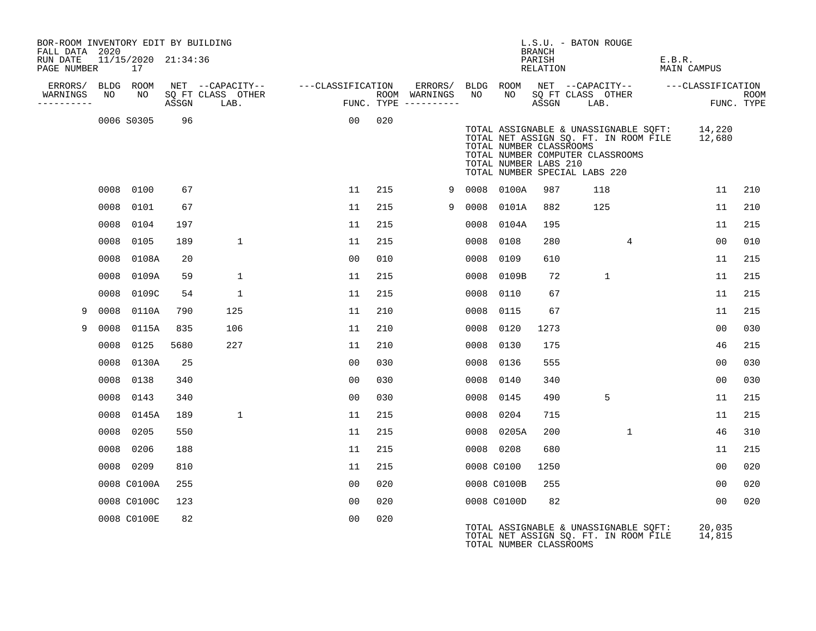| BOR-ROOM INVENTORY EDIT BY BUILDING<br>FALL DATA 2020 |      |                           |       |                   |                                                                                                                                                                                                                                   |     |                                    |      |                                                  | <b>BRANCH</b>      | L.S.U. - BATON ROUGE                                                                                                                                              |                       |                    |
|-------------------------------------------------------|------|---------------------------|-------|-------------------|-----------------------------------------------------------------------------------------------------------------------------------------------------------------------------------------------------------------------------------|-----|------------------------------------|------|--------------------------------------------------|--------------------|-------------------------------------------------------------------------------------------------------------------------------------------------------------------|-----------------------|--------------------|
| RUN DATE<br>PAGE NUMBER                               |      | 11/15/2020 21:34:36<br>17 |       |                   |                                                                                                                                                                                                                                   |     |                                    |      |                                                  | PARISH<br>RELATION |                                                                                                                                                                   | E.B.R.<br>MAIN CAMPUS |                    |
| ERRORS/<br>WARNINGS                                   | NO   | BLDG ROOM<br>NO           |       | SQ FT CLASS OTHER | NET --CAPACITY-- ---CLASSIFICATION                                                                                                                                                                                                |     | ERRORS/ BLDG ROOM<br>ROOM WARNINGS | NO   | NO.                                              |                    | NET --CAPACITY-- ---CLASSIFICATION                                                                                                                                |                       |                    |
| ----------                                            |      |                           | ASSGN | LAB.              | ।<br>स्रोत स्थान संस्कृत स्थान स्थान स्थान स्थान स्थान स्थान स्थान स्थान स्थान स्थान स्थान स्थान स्थान स्थान स्थान<br>स्थान स्थान स्थान स्थान स्थान स्थान स्थान स्थान स्थान स्थान स्थान स्थान स्थान स्थान स्थान स्थान स्थान स्थान |     | FUNC. TYPE $------$                |      |                                                  | ASSGN              | SQ FT CLASS OTHER<br>LAB.                                                                                                                                         |                       | ROOM<br>FUNC. TYPE |
|                                                       |      | 0006 S0305                | 96    |                   | 0 <sub>0</sub>                                                                                                                                                                                                                    | 020 |                                    |      | TOTAL NUMBER CLASSROOMS<br>TOTAL NUMBER LABS 210 |                    | TOTAL ASSIGNABLE & UNASSIGNABLE SQFT: 14,220<br>TOTAL NET ASSIGN SQ. FT. IN ROOM FILE 12,680<br>TOTAL NUMBER COMPUTER CLASSROOMS<br>TOTAL NUMBER SPECIAL LABS 220 |                       |                    |
|                                                       |      | 0008 0100                 | 67    |                   | 11                                                                                                                                                                                                                                | 215 | 9                                  |      | 0008 0100A                                       | 987                | 118                                                                                                                                                               | 11                    | 210                |
|                                                       | 0008 | 0101                      | 67    |                   | 11                                                                                                                                                                                                                                | 215 | 9                                  | 0008 | 0101A                                            | 882                | 125                                                                                                                                                               | 11                    | 210                |
|                                                       | 0008 | 0104                      | 197   |                   | 11                                                                                                                                                                                                                                | 215 |                                    | 0008 | 0104A                                            | 195                |                                                                                                                                                                   | 11                    | 215                |
|                                                       | 0008 | 0105                      | 189   | 1                 | 11                                                                                                                                                                                                                                | 215 |                                    | 0008 | 0108                                             | 280                | 4                                                                                                                                                                 | 00                    | 010                |
|                                                       | 0008 | 0108A                     | 20    |                   | 00                                                                                                                                                                                                                                | 010 |                                    | 0008 | 0109                                             | 610                |                                                                                                                                                                   | 11                    | 215                |
|                                                       | 0008 | 0109A                     | 59    | $\mathbf{1}$      | 11                                                                                                                                                                                                                                | 215 |                                    | 0008 | 0109B                                            | 72                 | $\mathbf{1}$                                                                                                                                                      | 11                    | 215                |
|                                                       | 0008 | 0109C                     | 54    | $\mathbf{1}$      | 11                                                                                                                                                                                                                                | 215 |                                    | 0008 | 0110                                             | 67                 |                                                                                                                                                                   | 11                    | 215                |
| 9                                                     | 0008 | 0110A                     | 790   | 125               | 11                                                                                                                                                                                                                                | 210 |                                    | 0008 | 0115                                             | 67                 |                                                                                                                                                                   | 11                    | 215                |
| 9                                                     | 0008 | 0115A                     | 835   | 106               | 11                                                                                                                                                                                                                                | 210 |                                    | 0008 | 0120                                             | 1273               |                                                                                                                                                                   | 00                    | 030                |
|                                                       | 0008 | 0125                      | 5680  | 227               | 11                                                                                                                                                                                                                                | 210 |                                    | 0008 | 0130                                             | 175                |                                                                                                                                                                   | 46                    | 215                |
|                                                       | 0008 | 0130A                     | 25    |                   | 0 <sub>0</sub>                                                                                                                                                                                                                    | 030 |                                    | 0008 | 0136                                             | 555                |                                                                                                                                                                   | 0 <sub>0</sub>        | 030                |
|                                                       | 0008 | 0138                      | 340   |                   | 00                                                                                                                                                                                                                                | 030 |                                    |      | 0008 0140                                        | 340                |                                                                                                                                                                   | 00                    | 030                |
|                                                       | 0008 | 0143                      | 340   |                   | 00                                                                                                                                                                                                                                | 030 |                                    | 0008 | 0145                                             | 490                | 5                                                                                                                                                                 | 11                    | 215                |
|                                                       | 0008 | 0145A                     | 189   | $\mathbf{1}$      | 11                                                                                                                                                                                                                                | 215 |                                    |      | 0008 0204                                        | 715                |                                                                                                                                                                   | 11                    | 215                |
|                                                       | 0008 | 0205                      | 550   |                   | 11                                                                                                                                                                                                                                | 215 |                                    |      | 0008 0205A                                       | 200                | $\mathbf{1}$                                                                                                                                                      | 46                    | 310                |
|                                                       | 0008 | 0206                      | 188   |                   | 11                                                                                                                                                                                                                                | 215 |                                    |      | 0008 0208                                        | 680                |                                                                                                                                                                   | 11                    | 215                |
|                                                       |      | 0008 0209                 | 810   |                   | 11                                                                                                                                                                                                                                | 215 |                                    |      | 0008 C0100                                       | 1250               |                                                                                                                                                                   | 00                    | 020                |
|                                                       |      | 0008 C0100A               | 255   |                   | 00                                                                                                                                                                                                                                | 020 |                                    |      | 0008 C0100B                                      | 255                |                                                                                                                                                                   | 00                    | 020                |
|                                                       |      | 0008 C0100C               | 123   |                   | 0 <sub>0</sub>                                                                                                                                                                                                                    | 020 |                                    |      | 0008 C0100D                                      | 82                 |                                                                                                                                                                   | 0 <sub>0</sub>        | 020                |
|                                                       |      | 0008 C0100E               | 82    |                   | 00                                                                                                                                                                                                                                | 020 |                                    |      | TOTAL NUMBER CLASSROOMS                          |                    | TOTAL ASSIGNABLE & UNASSIGNABLE SQFT:<br>TOTAL NET ASSIGN SQ. FT. IN ROOM FILE                                                                                    | 20,035<br>14,815      |                    |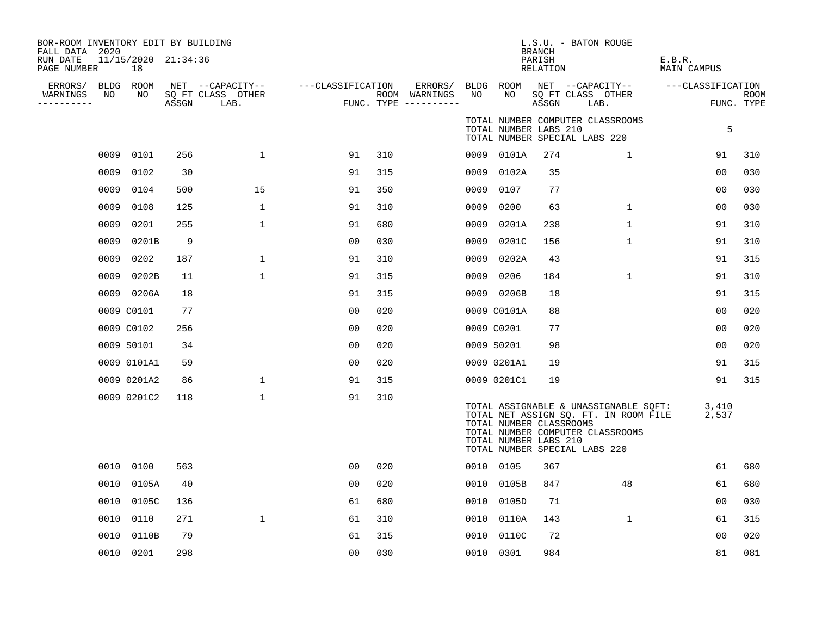| BOR-ROOM INVENTORY EDIT BY BUILDING<br>FALL DATA 2020<br>RUN DATE<br>PAGE NUMBER |      | 11/15/2020 21:34:36<br>18 |       |                                               |                   |     |                                                 |      |                                                  | <b>BRANCH</b><br>PARISH<br>RELATION | L.S.U. - BATON ROUGE                                                                                                                                | E.B.R.<br>MAIN CAMPUS |                    |
|----------------------------------------------------------------------------------|------|---------------------------|-------|-----------------------------------------------|-------------------|-----|-------------------------------------------------|------|--------------------------------------------------|-------------------------------------|-----------------------------------------------------------------------------------------------------------------------------------------------------|-----------------------|--------------------|
| ERRORS/<br>WARNINGS<br>---------                                                 | NO   | BLDG ROOM<br>NO           | ASSGN | NET --CAPACITY--<br>SQ FT CLASS OTHER<br>LAB. | ---CLASSIFICATION |     | ERRORS/<br>ROOM WARNINGS<br>FUNC. TYPE $------$ | NO   | BLDG ROOM<br>NO.                                 | ASSGN                               | NET --CAPACITY--<br>SQ FT CLASS OTHER<br>LAB.                                                                                                       | ---CLASSIFICATION     | ROOM<br>FUNC. TYPE |
|                                                                                  |      |                           |       |                                               |                   |     |                                                 |      | TOTAL NUMBER LABS 210                            |                                     | TOTAL NUMBER COMPUTER CLASSROOMS<br>TOTAL NUMBER SPECIAL LABS 220                                                                                   | 5                     |                    |
|                                                                                  | 0009 | 0101                      | 256   | $\mathbf{1}$                                  | 91                | 310 |                                                 |      | 0009 0101A                                       | 274                                 | $\mathbf{1}$                                                                                                                                        | 91                    | 310                |
|                                                                                  | 0009 | 0102                      | 30    |                                               | 91                | 315 |                                                 | 0009 | 0102A                                            | 35                                  |                                                                                                                                                     | 0 <sub>0</sub>        | 030                |
|                                                                                  | 0009 | 0104                      | 500   | 15                                            | 91                | 350 |                                                 | 0009 | 0107                                             | 77                                  |                                                                                                                                                     | 0 <sub>0</sub>        | 030                |
|                                                                                  | 0009 | 0108                      | 125   | $\mathbf{1}$                                  | 91                | 310 |                                                 | 0009 | 0200                                             | 63                                  | $\mathbf{1}$                                                                                                                                        | 0 <sub>0</sub>        | 030                |
|                                                                                  | 0009 | 0201                      | 255   | $\mathbf{1}$                                  | 91                | 680 |                                                 | 0009 | 0201A                                            | 238                                 | $\mathbf 1$                                                                                                                                         | 91                    | 310                |
|                                                                                  | 0009 | 0201B                     | 9     |                                               | 00                | 030 |                                                 | 0009 | 0201C                                            | 156                                 | 1                                                                                                                                                   | 91                    | 310                |
|                                                                                  | 0009 | 0202                      | 187   | $\mathbf{1}$                                  | 91                | 310 |                                                 | 0009 | 0202A                                            | 43                                  |                                                                                                                                                     | 91                    | 315                |
|                                                                                  | 0009 | 0202B                     | 11    | $\mathbf{1}$                                  | 91                | 315 |                                                 | 0009 | 0206                                             | 184                                 | $\mathbf 1$                                                                                                                                         | 91                    | 310                |
|                                                                                  |      | 0009 0206A                | 18    |                                               | 91                | 315 |                                                 |      | 0009 0206B                                       | 18                                  |                                                                                                                                                     | 91                    | 315                |
|                                                                                  |      | 0009 C0101                | 77    |                                               | 0 <sub>0</sub>    | 020 |                                                 |      | 0009 C0101A                                      | 88                                  |                                                                                                                                                     | 0 <sub>0</sub>        | 020                |
|                                                                                  |      | 0009 C0102                | 256   |                                               | 0 <sub>0</sub>    | 020 |                                                 |      | 0009 C0201                                       | 77                                  |                                                                                                                                                     | 0 <sub>0</sub>        | 020                |
|                                                                                  |      | 0009 S0101                | 34    |                                               | 00                | 020 |                                                 |      | 0009 S0201                                       | 98                                  |                                                                                                                                                     | 0 <sub>0</sub>        | 020                |
|                                                                                  |      | 0009 0101A1               | 59    |                                               | 0 <sub>0</sub>    | 020 |                                                 |      | 0009 0201A1                                      | 19                                  |                                                                                                                                                     | 91                    | 315                |
|                                                                                  |      | 0009 0201A2               | 86    | $\mathbf{1}$                                  | 91                | 315 |                                                 |      | 0009 0201C1                                      | 19                                  |                                                                                                                                                     | 91                    | 315                |
|                                                                                  |      | 0009 0201C2               | 118   | $\mathbf 1$                                   | 91                | 310 |                                                 |      | TOTAL NUMBER CLASSROOMS<br>TOTAL NUMBER LABS 210 |                                     | TOTAL ASSIGNABLE & UNASSIGNABLE SQFT:<br>TOTAL NET ASSIGN SQ. FT. IN ROOM FILE<br>TOTAL NUMBER COMPUTER CLASSROOMS<br>TOTAL NUMBER SPECIAL LABS 220 | 3,410<br>2,537        |                    |
|                                                                                  |      | 0010 0100                 | 563   |                                               | 0 <sub>0</sub>    | 020 |                                                 |      | 0010 0105                                        | 367                                 |                                                                                                                                                     | 61                    | 680                |
|                                                                                  | 0010 | 0105A                     | 40    |                                               | 0 <sub>0</sub>    | 020 |                                                 | 0010 | 0105B                                            | 847                                 | 48                                                                                                                                                  | 61                    | 680                |
|                                                                                  | 0010 | 0105C                     | 136   |                                               | 61                | 680 |                                                 | 0010 | 0105D                                            | 71                                  |                                                                                                                                                     | 00                    | 030                |
|                                                                                  | 0010 | 0110                      | 271   | $\mathbf 1$                                   | 61                | 310 |                                                 | 0010 | 0110A                                            | 143                                 | $\mathbf{1}$                                                                                                                                        | 61                    | 315                |
|                                                                                  | 0010 | 0110B                     | 79    |                                               | 61                | 315 |                                                 | 0010 | 0110C                                            | 72                                  |                                                                                                                                                     | 00                    | 020                |
|                                                                                  |      | 0010 0201                 | 298   |                                               | 0 <sub>0</sub>    | 030 |                                                 |      | 0010 0301                                        | 984                                 |                                                                                                                                                     | 81                    | 081                |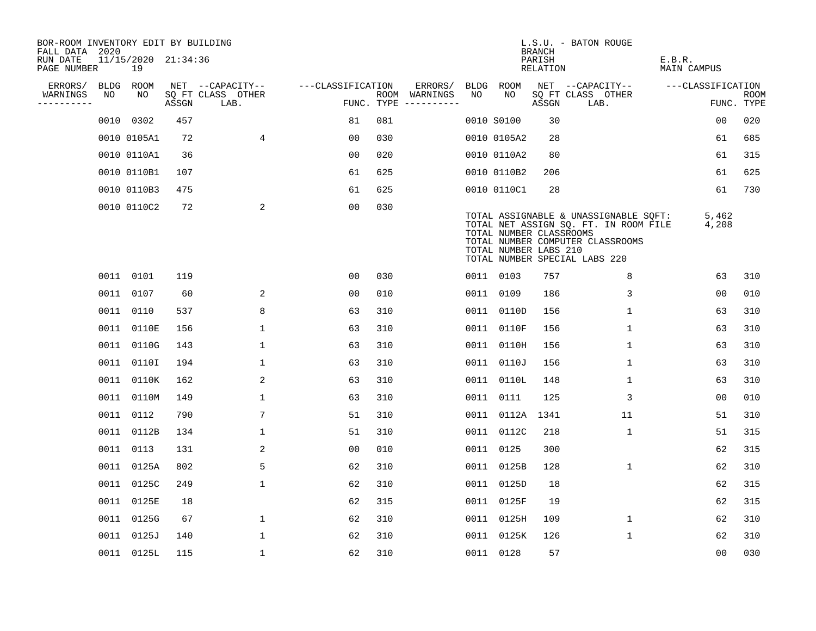| BOR-ROOM INVENTORY EDIT BY BUILDING<br>FALL DATA 2020 |      |                           |       |                           |                   |     |                                      |      |                                                  | <b>BRANCH</b>      | L.S.U. - BATON ROUGE                                                                                                                                |                              |                    |
|-------------------------------------------------------|------|---------------------------|-------|---------------------------|-------------------|-----|--------------------------------------|------|--------------------------------------------------|--------------------|-----------------------------------------------------------------------------------------------------------------------------------------------------|------------------------------|--------------------|
| RUN DATE<br>PAGE NUMBER                               |      | 11/15/2020 21:34:36<br>19 |       |                           |                   |     |                                      |      |                                                  | PARISH<br>RELATION |                                                                                                                                                     | E.B.R.<br><b>MAIN CAMPUS</b> |                    |
| ERRORS/                                               | BLDG | ROOM                      |       | NET --CAPACITY--          | ---CLASSIFICATION |     | ERRORS/                              | BLDG | ROOM                                             |                    | NET --CAPACITY--                                                                                                                                    | ---CLASSIFICATION            |                    |
| WARNINGS<br>----------                                | NO   | NO                        | ASSGN | SQ FT CLASS OTHER<br>LAB. |                   |     | ROOM WARNINGS<br>FUNC. TYPE $------$ | NO   | NO.                                              | ASSGN              | SQ FT CLASS OTHER<br>LAB.                                                                                                                           |                              | ROOM<br>FUNC. TYPE |
|                                                       |      | 0010 0302                 | 457   |                           | 81                | 081 |                                      |      | 0010 S0100                                       | 30                 |                                                                                                                                                     | 00                           | 020                |
|                                                       |      | 0010 0105A1               | 72    | $\overline{4}$            | 00                | 030 |                                      |      | 0010 0105A2                                      | 28                 |                                                                                                                                                     | 61                           | 685                |
|                                                       |      | 0010 0110A1               | 36    |                           | 00                | 020 |                                      |      | 0010 0110A2                                      | 80                 |                                                                                                                                                     | 61                           | 315                |
|                                                       |      | 0010 0110B1               | 107   |                           | 61                | 625 |                                      |      | 0010 0110B2                                      | 206                |                                                                                                                                                     | 61                           | 625                |
|                                                       |      | 0010 0110B3               | 475   |                           | 61                | 625 |                                      |      | 0010 0110C1                                      | 28                 |                                                                                                                                                     | 61                           | 730                |
|                                                       |      | 0010 0110C2               | 72    | 2                         | 0 <sub>0</sub>    | 030 |                                      |      | TOTAL NUMBER CLASSROOMS<br>TOTAL NUMBER LABS 210 |                    | TOTAL ASSIGNABLE & UNASSIGNABLE SQFT:<br>TOTAL NET ASSIGN SQ. FT. IN ROOM FILE<br>TOTAL NUMBER COMPUTER CLASSROOMS<br>TOTAL NUMBER SPECIAL LABS 220 | 5,462<br>4,208               |                    |
|                                                       |      | 0011 0101                 | 119   |                           | 0 <sub>0</sub>    | 030 |                                      |      | 0011 0103                                        | 757                | 8                                                                                                                                                   | 63                           | 310                |
|                                                       |      | 0011 0107                 | 60    | 2                         | 00                | 010 |                                      |      | 0011 0109                                        | 186                | 3                                                                                                                                                   | 0 <sub>0</sub>               | 010                |
|                                                       |      | 0011 0110                 | 537   | 8                         | 63                | 310 |                                      |      | 0011 0110D                                       | 156                | $\mathbf{1}$                                                                                                                                        | 63                           | 310                |
|                                                       |      | 0011 0110E                | 156   | $\mathbf{1}$              | 63                | 310 |                                      |      | 0011 0110F                                       | 156                | $\mathbf{1}$                                                                                                                                        | 63                           | 310                |
|                                                       |      | 0011 0110G                | 143   | $\mathbf{1}$              | 63                | 310 |                                      |      | 0011 0110H                                       | 156                | $\mathbf{1}$                                                                                                                                        | 63                           | 310                |
|                                                       |      | 0011 0110I                | 194   | 1                         | 63                | 310 |                                      |      | 0011 0110J                                       | 156                | $\mathbf{1}$                                                                                                                                        | 63                           | 310                |
|                                                       |      | 0011 0110K                | 162   | 2                         | 63                | 310 |                                      |      | 0011 0110L                                       | 148                | 1                                                                                                                                                   | 63                           | 310                |
|                                                       |      | 0011 0110M                | 149   | $\mathbf{1}$              | 63                | 310 |                                      |      | 0011 0111                                        | 125                | 3                                                                                                                                                   | 00                           | 010                |
|                                                       |      | 0011 0112                 | 790   | 7                         | 51                | 310 |                                      |      | 0011 0112A                                       | 1341               | 11                                                                                                                                                  | 51                           | 310                |
|                                                       |      | 0011 0112B                | 134   | 1                         | 51                | 310 |                                      |      | 0011 0112C                                       | 218                | 1                                                                                                                                                   | 51                           | 315                |
|                                                       |      | 0011 0113                 | 131   | 2                         | 0 <sub>0</sub>    | 010 |                                      |      | 0011 0125                                        | 300                |                                                                                                                                                     | 62                           | 315                |
|                                                       |      | 0011 0125A                | 802   | 5                         | 62                | 310 |                                      |      | 0011 0125B                                       | 128                | $\mathbf 1$                                                                                                                                         | 62                           | 310                |
|                                                       |      | 0011 0125C                | 249   | $\mathbf{1}$              | 62                | 310 |                                      |      | 0011 0125D                                       | 18                 |                                                                                                                                                     | 62                           | 315                |
|                                                       |      | 0011 0125E                | 18    |                           | 62                | 315 |                                      |      | 0011 0125F                                       | 19                 |                                                                                                                                                     | 62                           | 315                |
|                                                       |      | 0011 0125G                | 67    | $\mathbf 1$               | 62                | 310 |                                      |      | 0011 0125H                                       | 109                | $\mathbf 1$                                                                                                                                         | 62                           | 310                |
|                                                       |      | 0011 0125J                | 140   | $\mathbf{1}$              | 62                | 310 |                                      |      | 0011 0125K                                       | 126                | $\mathbf 1$                                                                                                                                         | 62                           | 310                |
|                                                       |      | 0011 0125L                | 115   | $\mathbf{1}$              | 62                | 310 |                                      |      | 0011 0128                                        | 57                 |                                                                                                                                                     | 0 <sub>0</sub>               | 030                |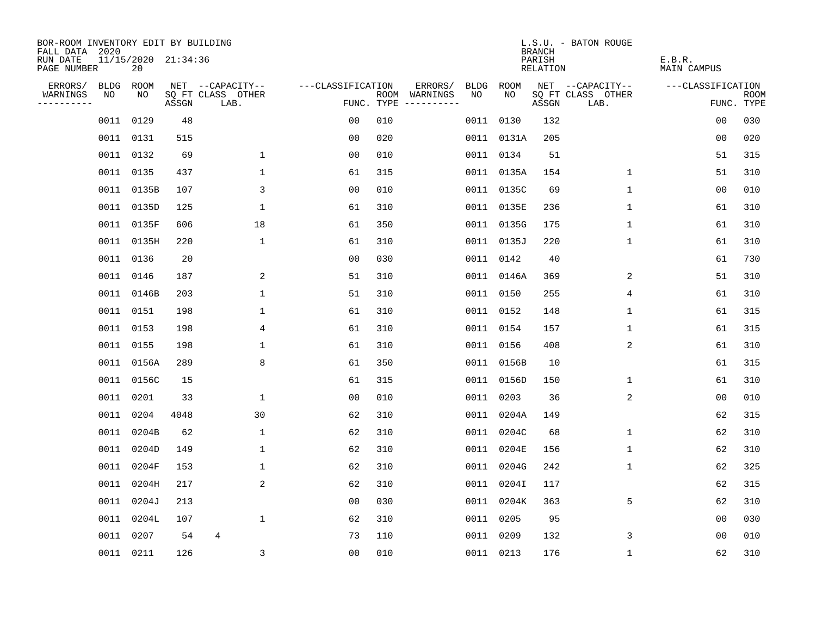| BOR-ROOM INVENTORY EDIT BY BUILDING<br>FALL DATA 2020 |           |                           |       |                           |                   |     |                                      |      |            | <b>BRANCH</b>      | L.S.U. - BATON ROUGE      |                       |                           |
|-------------------------------------------------------|-----------|---------------------------|-------|---------------------------|-------------------|-----|--------------------------------------|------|------------|--------------------|---------------------------|-----------------------|---------------------------|
| RUN DATE<br>PAGE NUMBER                               |           | 11/15/2020 21:34:36<br>20 |       |                           |                   |     |                                      |      |            | PARISH<br>RELATION |                           | E.B.R.<br>MAIN CAMPUS |                           |
| ERRORS/                                               | BLDG      | ROOM                      |       | NET --CAPACITY--          | ---CLASSIFICATION |     | ERRORS/                              | BLDG | ROOM       |                    | NET --CAPACITY--          | ---CLASSIFICATION     |                           |
| WARNINGS<br>----------                                | NO        | NO                        | ASSGN | SQ FT CLASS OTHER<br>LAB. |                   |     | ROOM WARNINGS<br>FUNC. TYPE $------$ | NO.  | NO         | ASSGN              | SQ FT CLASS OTHER<br>LAB. |                       | <b>ROOM</b><br>FUNC. TYPE |
|                                                       | 0011 0129 |                           | 48    |                           | 0 <sub>0</sub>    | 010 |                                      | 0011 | 0130       | 132                |                           | 0 <sub>0</sub>        | 030                       |
|                                                       | 0011 0131 |                           | 515   |                           | 0 <sub>0</sub>    | 020 |                                      |      | 0011 0131A | 205                |                           | 0 <sub>0</sub>        | 020                       |
|                                                       |           | 0011 0132                 | 69    | $\mathbf{1}$              | 0 <sub>0</sub>    | 010 |                                      |      | 0011 0134  | 51                 |                           | 51                    | 315                       |
|                                                       | 0011 0135 |                           | 437   | 1                         | 61                | 315 |                                      |      | 0011 0135A | 154                | 1                         | 51                    | 310                       |
|                                                       |           | 0011 0135B                | 107   | 3                         | 0 <sub>0</sub>    | 010 |                                      |      | 0011 0135C | 69                 | $\mathbf 1$               | 00                    | 010                       |
|                                                       |           | 0011 0135D                | 125   | $\mathbf{1}$              | 61                | 310 |                                      |      | 0011 0135E | 236                | 1                         | 61                    | 310                       |
|                                                       |           | 0011 0135F                | 606   | 18                        | 61                | 350 |                                      |      | 0011 0135G | 175                | 1                         | 61                    | 310                       |
|                                                       |           | 0011 0135H                | 220   | $\mathbf{1}$              | 61                | 310 |                                      |      | 0011 0135J | 220                | $\mathbf{1}$              | 61                    | 310                       |
|                                                       | 0011 0136 |                           | 20    |                           | 0 <sub>0</sub>    | 030 |                                      |      | 0011 0142  | 40                 |                           | 61                    | 730                       |
|                                                       | 0011 0146 |                           | 187   | 2                         | 51                | 310 |                                      |      | 0011 0146A | 369                | 2                         | 51                    | 310                       |
|                                                       |           | 0011 0146B                | 203   | $\mathbf 1$               | 51                | 310 |                                      |      | 0011 0150  | 255                | 4                         | 61                    | 310                       |
|                                                       |           | 0011 0151                 | 198   | $\mathbf 1$               | 61                | 310 |                                      |      | 0011 0152  | 148                | $\mathbf 1$               | 61                    | 315                       |
|                                                       |           | 0011 0153                 | 198   | 4                         | 61                | 310 |                                      |      | 0011 0154  | 157                | $\mathbf 1$               | 61                    | 315                       |
|                                                       | 0011 0155 |                           | 198   | $\mathbf 1$               | 61                | 310 |                                      |      | 0011 0156  | 408                | 2                         | 61                    | 310                       |
|                                                       |           | 0011 0156A                | 289   | 8                         | 61                | 350 |                                      |      | 0011 0156B | 10                 |                           | 61                    | 315                       |
|                                                       |           | 0011 0156C                | 15    |                           | 61                | 315 |                                      |      | 0011 0156D | 150                | 1                         | 61                    | 310                       |
|                                                       | 0011 0201 |                           | 33    | $\mathbf 1$               | 0 <sub>0</sub>    | 010 |                                      | 0011 | 0203       | 36                 | 2                         | 0 <sub>0</sub>        | 010                       |
|                                                       | 0011 0204 |                           | 4048  | 30                        | 62                | 310 |                                      | 0011 | 0204A      | 149                |                           | 62                    | 315                       |
|                                                       | 0011      | 0204B                     | 62    | $\mathbf 1$               | 62                | 310 |                                      | 0011 | 0204C      | 68                 | 1                         | 62                    | 310                       |
|                                                       |           | 0011 0204D                | 149   | $\mathbf{1}$              | 62                | 310 |                                      |      | 0011 0204E | 156                | 1                         | 62                    | 310                       |
|                                                       |           | 0011 0204F                | 153   | 1                         | 62                | 310 |                                      |      | 0011 0204G | 242                | 1                         | 62                    | 325                       |
|                                                       |           | 0011 0204H                | 217   | 2                         | 62                | 310 |                                      |      | 0011 0204I | 117                |                           | 62                    | 315                       |
|                                                       |           | 0011 0204J                | 213   |                           | 0 <sub>0</sub>    | 030 |                                      |      | 0011 0204K | 363                | 5                         | 62                    | 310                       |
|                                                       |           | 0011 0204L                | 107   | $\mathbf 1$               | 62                | 310 |                                      |      | 0011 0205  | 95                 |                           | 0 <sub>0</sub>        | 030                       |
|                                                       | 0011 0207 |                           | 54    | 4                         | 73                | 110 |                                      |      | 0011 0209  | 132                | 3                         | 0 <sub>0</sub>        | 010                       |
|                                                       | 0011 0211 |                           | 126   | 3                         | 0 <sub>0</sub>    | 010 |                                      |      | 0011 0213  | 176                | 1                         | 62                    | 310                       |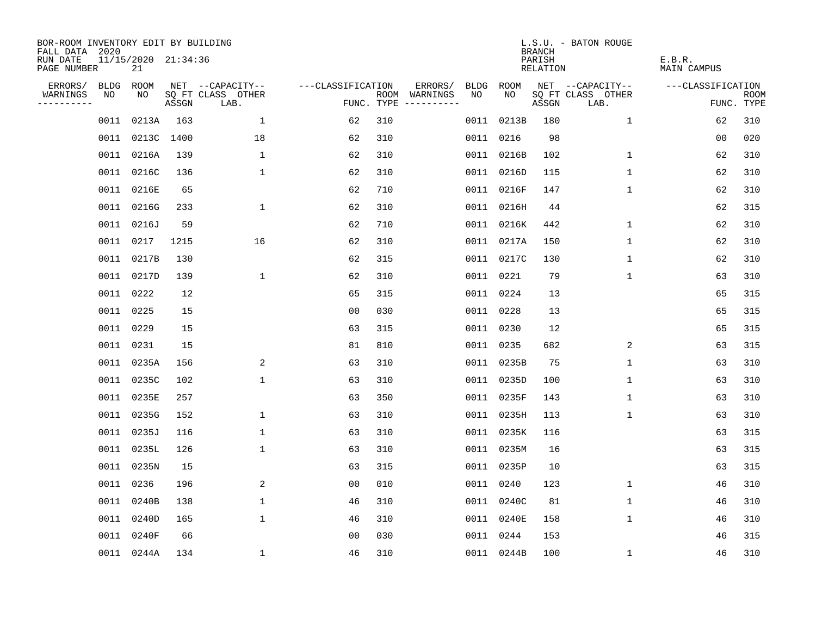| BOR-ROOM INVENTORY EDIT BY BUILDING<br>FALL DATA 2020 |      |                           |       |                           |                   |     |                                      |      |            | <b>BRANCH</b>      | L.S.U. - BATON ROUGE      |                       |                           |
|-------------------------------------------------------|------|---------------------------|-------|---------------------------|-------------------|-----|--------------------------------------|------|------------|--------------------|---------------------------|-----------------------|---------------------------|
| RUN DATE<br>PAGE NUMBER                               |      | 11/15/2020 21:34:36<br>21 |       |                           |                   |     |                                      |      |            | PARISH<br>RELATION |                           | E.B.R.<br>MAIN CAMPUS |                           |
| ERRORS/                                               | BLDG | ROOM                      |       | NET --CAPACITY--          | ---CLASSIFICATION |     | ERRORS/                              | BLDG | ROOM       |                    | NET --CAPACITY--          | ---CLASSIFICATION     |                           |
| WARNINGS<br>----------                                | NO   | NO                        | ASSGN | SQ FT CLASS OTHER<br>LAB. |                   |     | ROOM WARNINGS<br>FUNC. TYPE $------$ | NO.  | NO         | ASSGN              | SQ FT CLASS OTHER<br>LAB. |                       | <b>ROOM</b><br>FUNC. TYPE |
|                                                       | 0011 | 0213A                     | 163   | $\mathbf{1}$              | 62                | 310 |                                      | 0011 | 0213B      | 180                | $\mathbf{1}$              | 62                    | 310                       |
|                                                       |      | 0011 0213C 1400           |       | 18                        | 62                | 310 |                                      |      | 0011 0216  | 98                 |                           | 0 <sub>0</sub>        | 020                       |
|                                                       |      | 0011 0216A                | 139   | $\mathbf{1}$              | 62                | 310 |                                      |      | 0011 0216B | 102                | $\mathbf 1$               | 62                    | 310                       |
|                                                       |      | 0011 0216C                | 136   | $\mathbf{1}$              | 62                | 310 |                                      |      | 0011 0216D | 115                | 1                         | 62                    | 310                       |
|                                                       |      | 0011 0216E                | 65    |                           | 62                | 710 |                                      |      | 0011 0216F | 147                | 1                         | 62                    | 310                       |
|                                                       |      | 0011 0216G                | 233   | $\mathbf 1$               | 62                | 310 |                                      |      | 0011 0216H | 44                 |                           | 62                    | 315                       |
|                                                       |      | 0011 0216J                | 59    |                           | 62                | 710 |                                      |      | 0011 0216K | 442                | $\mathbf 1$               | 62                    | 310                       |
|                                                       |      | 0011 0217                 | 1215  | 16                        | 62                | 310 |                                      |      | 0011 0217A | 150                | $\mathbf 1$               | 62                    | 310                       |
|                                                       |      | 0011 0217B                | 130   |                           | 62                | 315 |                                      |      | 0011 0217C | 130                | $\mathbf{1}$              | 62                    | 310                       |
|                                                       |      | 0011 0217D                | 139   | $\mathbf 1$               | 62                | 310 |                                      |      | 0011 0221  | 79                 | $\mathbf 1$               | 63                    | 310                       |
|                                                       |      | 0011 0222                 | 12    |                           | 65                | 315 |                                      |      | 0011 0224  | 13                 |                           | 65                    | 315                       |
|                                                       |      | 0011 0225                 | 15    |                           | 0 <sub>0</sub>    | 030 |                                      |      | 0011 0228  | 13                 |                           | 65                    | 315                       |
|                                                       |      | 0011 0229                 | 15    |                           | 63                | 315 |                                      |      | 0011 0230  | 12                 |                           | 65                    | 315                       |
|                                                       |      | 0011 0231                 | 15    |                           | 81                | 810 |                                      |      | 0011 0235  | 682                | 2                         | 63                    | 315                       |
|                                                       |      | 0011 0235A                | 156   | 2                         | 63                | 310 |                                      |      | 0011 0235B | 75                 | 1                         | 63                    | 310                       |
|                                                       |      | 0011 0235C                | 102   | $\mathbf 1$               | 63                | 310 |                                      |      | 0011 0235D | 100                | 1                         | 63                    | 310                       |
|                                                       |      | 0011 0235E                | 257   |                           | 63                | 350 |                                      |      | 0011 0235F | 143                | 1                         | 63                    | 310                       |
|                                                       |      | 0011 0235G                | 152   | 1                         | 63                | 310 |                                      |      | 0011 0235H | 113                | 1                         | 63                    | 310                       |
|                                                       |      | 0011 0235J                | 116   | $\mathbf{1}$              | 63                | 310 |                                      |      | 0011 0235K | 116                |                           | 63                    | 315                       |
|                                                       |      | 0011 0235L                | 126   | $\mathbf{1}$              | 63                | 310 |                                      |      | 0011 0235M | 16                 |                           | 63                    | 315                       |
|                                                       |      | 0011 0235N                | 15    |                           | 63                | 315 |                                      |      | 0011 0235P | 10                 |                           | 63                    | 315                       |
|                                                       |      | 0011 0236                 | 196   | 2                         | 0 <sub>0</sub>    | 010 |                                      |      | 0011 0240  | 123                | 1                         | 46                    | 310                       |
|                                                       |      | 0011 0240B                | 138   | $\mathbf 1$               | 46                | 310 |                                      |      | 0011 0240C | 81                 | 1                         | 46                    | 310                       |
|                                                       |      | 0011 0240D                | 165   | $\mathbf 1$               | 46                | 310 |                                      |      | 0011 0240E | 158                | 1                         | 46                    | 310                       |
|                                                       |      | 0011 0240F                | 66    |                           | 0 <sub>0</sub>    | 030 |                                      |      | 0011 0244  | 153                |                           | 46                    | 315                       |
|                                                       |      | 0011 0244A                | 134   | $\mathbf{1}$              | 46                | 310 |                                      |      | 0011 0244B | 100                | 1                         | 46                    | 310                       |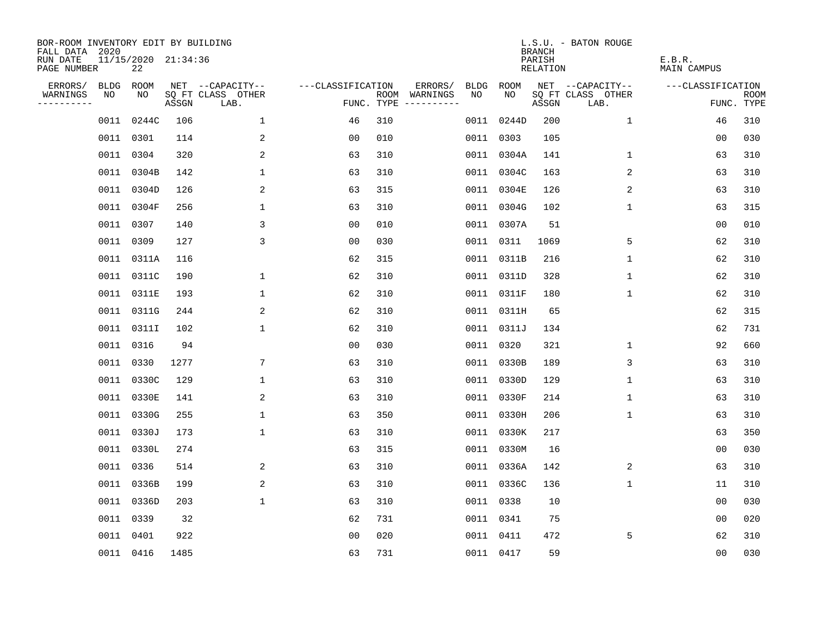| BOR-ROOM INVENTORY EDIT BY BUILDING<br>FALL DATA 2020 |      |                           |       |                           |                   |     |                                      |      |            | <b>BRANCH</b>      | L.S.U. - BATON ROUGE      |                       |                           |
|-------------------------------------------------------|------|---------------------------|-------|---------------------------|-------------------|-----|--------------------------------------|------|------------|--------------------|---------------------------|-----------------------|---------------------------|
| RUN DATE<br>PAGE NUMBER                               |      | 11/15/2020 21:34:36<br>22 |       |                           |                   |     |                                      |      |            | PARISH<br>RELATION |                           | E.B.R.<br>MAIN CAMPUS |                           |
| ERRORS/                                               | BLDG | ROOM                      |       | NET --CAPACITY--          | ---CLASSIFICATION |     | ERRORS/                              | BLDG | ROOM       |                    | NET --CAPACITY--          | ---CLASSIFICATION     |                           |
| WARNINGS<br>----------                                | NO   | NO                        | ASSGN | SQ FT CLASS OTHER<br>LAB. |                   |     | ROOM WARNINGS<br>FUNC. TYPE $------$ | NO.  | NO         | ASSGN              | SQ FT CLASS OTHER<br>LAB. |                       | <b>ROOM</b><br>FUNC. TYPE |
|                                                       | 0011 | 0244C                     | 106   | $\mathbf{1}$              | 46                | 310 |                                      | 0011 | 0244D      | 200                | $\mathbf{1}$              | 46                    | 310                       |
|                                                       |      | 0011 0301                 | 114   | 2                         | 0 <sub>0</sub>    | 010 |                                      |      | 0011 0303  | 105                |                           | 0 <sub>0</sub>        | 030                       |
|                                                       |      | 0011 0304                 | 320   | 2                         | 63                | 310 |                                      |      | 0011 0304A | 141                | $\mathbf 1$               | 63                    | 310                       |
|                                                       |      | 0011 0304B                | 142   | 1                         | 63                | 310 |                                      |      | 0011 0304C | 163                | 2                         | 63                    | 310                       |
|                                                       |      | 0011 0304D                | 126   | 2                         | 63                | 315 |                                      |      | 0011 0304E | 126                | 2                         | 63                    | 310                       |
|                                                       |      | 0011 0304F                | 256   | $\mathbf 1$               | 63                | 310 |                                      |      | 0011 0304G | 102                | $\mathbf 1$               | 63                    | 315                       |
|                                                       |      | 0011 0307                 | 140   | 3                         | 0 <sub>0</sub>    | 010 |                                      |      | 0011 0307A | 51                 |                           | 00                    | 010                       |
|                                                       |      | 0011 0309                 | 127   | 3                         | 0 <sub>0</sub>    | 030 |                                      |      | 0011 0311  | 1069               | 5                         | 62                    | 310                       |
|                                                       |      | 0011 0311A                | 116   |                           | 62                | 315 |                                      |      | 0011 0311B | 216                | $\mathbf{1}$              | 62                    | 310                       |
|                                                       |      | 0011 0311C                | 190   | $\mathbf 1$               | 62                | 310 |                                      |      | 0011 0311D | 328                | $\mathbf 1$               | 62                    | 310                       |
|                                                       |      | 0011 0311E                | 193   | $\mathbf 1$               | 62                | 310 |                                      |      | 0011 0311F | 180                | $\mathbf 1$               | 62                    | 310                       |
|                                                       |      | 0011 0311G                | 244   | 2                         | 62                | 310 |                                      |      | 0011 0311H | 65                 |                           | 62                    | 315                       |
|                                                       |      | 0011 0311I                | 102   | $\mathbf{1}$              | 62                | 310 |                                      |      | 0011 0311J | 134                |                           | 62                    | 731                       |
|                                                       |      | 0011 0316                 | 94    |                           | 0 <sub>0</sub>    | 030 |                                      |      | 0011 0320  | 321                | $\mathbf 1$               | 92                    | 660                       |
|                                                       |      | 0011 0330                 | 1277  | 7                         | 63                | 310 |                                      |      | 0011 0330B | 189                | 3                         | 63                    | 310                       |
|                                                       |      | 0011 0330C                | 129   | 1                         | 63                | 310 |                                      |      | 0011 0330D | 129                | 1                         | 63                    | 310                       |
|                                                       |      | 0011 0330E                | 141   | 2                         | 63                | 310 |                                      | 0011 | 0330F      | 214                | 1                         | 63                    | 310                       |
|                                                       |      | 0011 0330G                | 255   | $\mathbf 1$               | 63                | 350 |                                      |      | 0011 0330H | 206                | 1                         | 63                    | 310                       |
|                                                       |      | 0011 0330J                | 173   | $\mathbf{1}$              | 63                | 310 |                                      |      | 0011 0330K | 217                |                           | 63                    | 350                       |
|                                                       |      | 0011 0330L                | 274   |                           | 63                | 315 |                                      |      | 0011 0330M | 16                 |                           | 0 <sub>0</sub>        | 030                       |
|                                                       |      | 0011 0336                 | 514   | 2                         | 63                | 310 |                                      |      | 0011 0336A | 142                | 2                         | 63                    | 310                       |
|                                                       |      | 0011 0336B                | 199   | 2                         | 63                | 310 |                                      |      | 0011 0336C | 136                | $\mathbf 1$               | 11                    | 310                       |
|                                                       |      | 0011 0336D                | 203   | $\mathbf 1$               | 63                | 310 |                                      |      | 0011 0338  | 10                 |                           | 0 <sub>0</sub>        | 030                       |
|                                                       |      | 0011 0339                 | 32    |                           | 62                | 731 |                                      |      | 0011 0341  | 75                 |                           | 0 <sub>0</sub>        | 020                       |
|                                                       |      | 0011 0401                 | 922   |                           | 0 <sub>0</sub>    | 020 |                                      |      | 0011 0411  | 472                | 5                         | 62                    | 310                       |
|                                                       |      | 0011 0416                 | 1485  |                           | 63                | 731 |                                      |      | 0011 0417  | 59                 |                           | 0 <sub>0</sub>        | 030                       |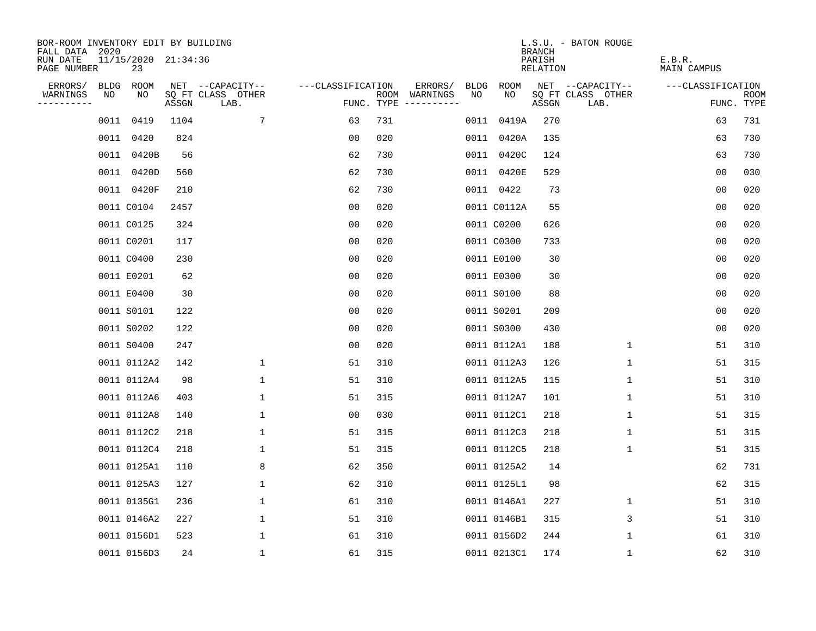| BOR-ROOM INVENTORY EDIT BY BUILDING<br>FALL DATA 2020 |             |                           |       |                           |                   |            |                              |             |             | <b>BRANCH</b>      | L.S.U. - BATON ROUGE      |                       |                           |
|-------------------------------------------------------|-------------|---------------------------|-------|---------------------------|-------------------|------------|------------------------------|-------------|-------------|--------------------|---------------------------|-----------------------|---------------------------|
| RUN DATE<br>PAGE NUMBER                               |             | 11/15/2020 21:34:36<br>23 |       |                           |                   |            |                              |             |             | PARISH<br>RELATION |                           | E.B.R.<br>MAIN CAMPUS |                           |
| ERRORS/                                               | <b>BLDG</b> | ROOM                      |       | NET --CAPACITY--          | ---CLASSIFICATION |            | ERRORS/                      | <b>BLDG</b> | ROOM        |                    | NET --CAPACITY--          | ---CLASSIFICATION     |                           |
| WARNINGS<br>----------                                | NO          | NO                        | ASSGN | SQ FT CLASS OTHER<br>LAB. |                   | FUNC. TYPE | ROOM WARNINGS<br>----------- | NO          | NO          | ASSGN              | SQ FT CLASS OTHER<br>LAB. |                       | <b>ROOM</b><br>FUNC. TYPE |
|                                                       |             | 0011 0419                 | 1104  | 7                         | 63                | 731        |                              | 0011        | 0419A       | 270                |                           | 63                    | 731                       |
|                                                       |             | 0011 0420                 | 824   |                           | 00                | 020        |                              |             | 0011 0420A  | 135                |                           | 63                    | 730                       |
|                                                       |             | 0011 0420B                | 56    |                           | 62                | 730        |                              |             | 0011 0420C  | 124                |                           | 63                    | 730                       |
|                                                       |             | 0011 0420D                | 560   |                           | 62                | 730        |                              |             | 0011 0420E  | 529                |                           | 0 <sub>0</sub>        | 030                       |
|                                                       |             | 0011 0420F                | 210   |                           | 62                | 730        |                              |             | 0011 0422   | 73                 |                           | 00                    | 020                       |
|                                                       |             | 0011 C0104                | 2457  |                           | 0 <sub>0</sub>    | 020        |                              |             | 0011 C0112A | 55                 |                           | 0 <sub>0</sub>        | 020                       |
|                                                       |             | 0011 C0125                | 324   |                           | 0 <sub>0</sub>    | 020        |                              |             | 0011 C0200  | 626                |                           | 0 <sub>0</sub>        | 020                       |
|                                                       |             | 0011 C0201                | 117   |                           | 0 <sub>0</sub>    | 020        |                              |             | 0011 C0300  | 733                |                           | 00                    | 020                       |
|                                                       |             | 0011 C0400                | 230   |                           | 0 <sub>0</sub>    | 020        |                              |             | 0011 E0100  | 30                 |                           | 0 <sub>0</sub>        | 020                       |
|                                                       |             | 0011 E0201                | 62    |                           | 0 <sub>0</sub>    | 020        |                              |             | 0011 E0300  | 30                 |                           | 0 <sub>0</sub>        | 020                       |
|                                                       |             | 0011 E0400                | 30    |                           | 00                | 020        |                              |             | 0011 S0100  | 88                 |                           | 0 <sub>0</sub>        | 020                       |
|                                                       |             | 0011 S0101                | 122   |                           | 0 <sub>0</sub>    | 020        |                              |             | 0011 S0201  | 209                |                           | 0 <sub>0</sub>        | 020                       |
|                                                       |             | 0011 S0202                | 122   |                           | 0 <sub>0</sub>    | 020        |                              |             | 0011 S0300  | 430                |                           | 0 <sub>0</sub>        | 020                       |
|                                                       |             | 0011 S0400                | 247   |                           | 0 <sub>0</sub>    | 020        |                              |             | 0011 0112A1 | 188                | $\mathbf{1}$              | 51                    | 310                       |
|                                                       |             | 0011 0112A2               | 142   | 1                         | 51                | 310        |                              |             | 0011 0112A3 | 126                | 1                         | 51                    | 315                       |
|                                                       |             | 0011 0112A4               | 98    | 1                         | 51                | 310        |                              |             | 0011 0112A5 | 115                | 1                         | 51                    | 310                       |
|                                                       |             | 0011 0112A6               | 403   | 1                         | 51                | 315        |                              |             | 0011 0112A7 | 101                | 1                         | 51                    | 310                       |
|                                                       |             | 0011 0112A8               | 140   | $\mathbf{1}$              | 0 <sub>0</sub>    | 030        |                              |             | 0011 0112C1 | 218                | 1                         | 51                    | 315                       |
|                                                       |             | 0011 0112C2               | 218   | 1                         | 51                | 315        |                              |             | 0011 0112C3 | 218                | 1                         | 51                    | 315                       |
|                                                       |             | 0011 0112C4               | 218   | 1                         | 51                | 315        |                              |             | 0011 0112C5 | 218                | $\mathbf{1}$              | 51                    | 315                       |
|                                                       |             | 0011 0125A1               | 110   | 8                         | 62                | 350        |                              |             | 0011 0125A2 | 14                 |                           | 62                    | 731                       |
|                                                       |             | 0011 0125A3               | 127   | 1                         | 62                | 310        |                              |             | 0011 0125L1 | 98                 |                           | 62                    | 315                       |
|                                                       |             | 0011 0135G1               | 236   | 1                         | 61                | 310        |                              |             | 0011 0146A1 | 227                | 1                         | 51                    | 310                       |
|                                                       |             | 0011 0146A2               | 227   | $\mathbf 1$               | 51                | 310        |                              |             | 0011 0146B1 | 315                | 3                         | 51                    | 310                       |
|                                                       |             | 0011 0156D1               | 523   | $\mathbf{1}$              | 61                | 310        |                              |             | 0011 0156D2 | 244                | 1                         | 61                    | 310                       |
|                                                       |             | 0011 0156D3               | 24    | 1                         | 61                | 315        |                              |             | 0011 0213C1 | 174                | 1                         | 62                    | 310                       |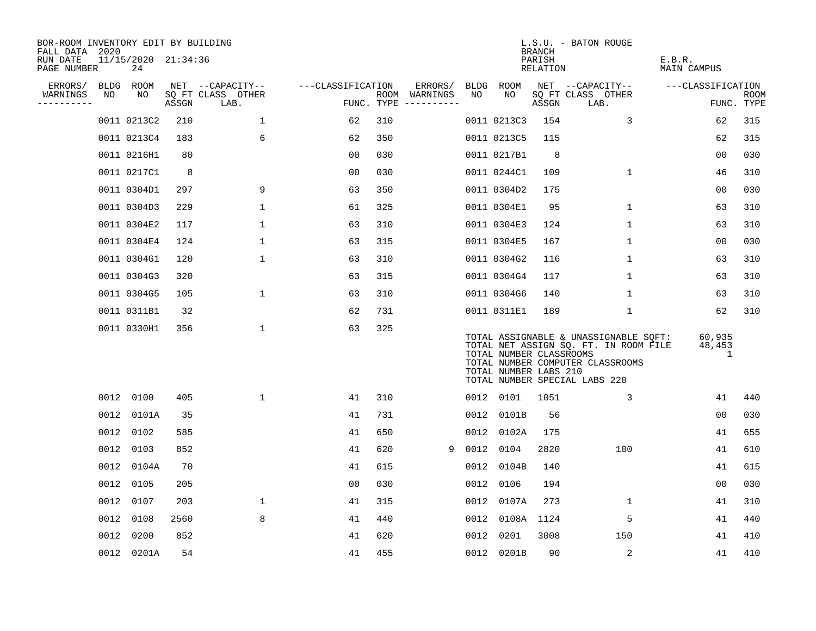| BOR-ROOM INVENTORY EDIT BY BUILDING<br>FALL DATA 2020 |    |                           |       |                           |                   |     |                                      |      |                                                  | BRANCH             | L.S.U. - BATON ROUGE                                                                                                                                |                       |                           |
|-------------------------------------------------------|----|---------------------------|-------|---------------------------|-------------------|-----|--------------------------------------|------|--------------------------------------------------|--------------------|-----------------------------------------------------------------------------------------------------------------------------------------------------|-----------------------|---------------------------|
| RUN DATE<br>PAGE NUMBER                               |    | 11/15/2020 21:34:36<br>24 |       |                           |                   |     |                                      |      |                                                  | PARISH<br>RELATION |                                                                                                                                                     | E.B.R.<br>MAIN CAMPUS |                           |
| ERRORS/                                               |    | BLDG ROOM                 |       | NET --CAPACITY--          | ---CLASSIFICATION |     | ERRORS/                              |      | BLDG ROOM                                        |                    | NET --CAPACITY--                                                                                                                                    | ---CLASSIFICATION     |                           |
| WARNINGS<br>----------                                | NO | NO                        | ASSGN | SQ FT CLASS OTHER<br>LAB. |                   |     | ROOM WARNINGS<br>FUNC. TYPE $------$ | NO   | NO.                                              | ASSGN              | SQ FT CLASS OTHER<br>LAB.                                                                                                                           |                       | <b>ROOM</b><br>FUNC. TYPE |
|                                                       |    | 0011 0213C2               | 210   | $\mathbf{1}$              | 62                | 310 |                                      |      | 0011 0213C3                                      | 154                | 3                                                                                                                                                   | 62                    | 315                       |
|                                                       |    | 0011 0213C4               | 183   | 6                         | 62                | 350 |                                      |      | 0011 0213C5                                      | 115                |                                                                                                                                                     | 62                    | 315                       |
|                                                       |    | 0011 0216H1               | 80    |                           | 0 <sub>0</sub>    | 030 |                                      |      | 0011 0217B1                                      | 8                  |                                                                                                                                                     | 00                    | 030                       |
|                                                       |    | 0011 0217C1               | 8     |                           | 0 <sub>0</sub>    | 030 |                                      |      | 0011 0244C1                                      | 109                | $\mathbf 1$                                                                                                                                         | 46                    | 310                       |
|                                                       |    | 0011 0304D1               | 297   | 9                         | 63                | 350 |                                      |      | 0011 0304D2                                      | 175                |                                                                                                                                                     | 00                    | 030                       |
|                                                       |    | 0011 0304D3               | 229   | $\mathbf{1}$              | 61                | 325 |                                      |      | 0011 0304E1                                      | 95                 | $\mathbf{1}$                                                                                                                                        | 63                    | 310                       |
|                                                       |    | 0011 0304E2               | 117   | $\mathbf{1}$              | 63                | 310 |                                      |      | 0011 0304E3                                      | 124                | $\mathbf 1$                                                                                                                                         | 63                    | 310                       |
|                                                       |    | 0011 0304E4               | 124   | $\mathbf{1}$              | 63                | 315 |                                      |      | 0011 0304E5                                      | 167                | $\mathbf{1}$                                                                                                                                        | 00                    | 030                       |
|                                                       |    | 0011 0304G1               | 120   | $\mathbf{1}$              | 63                | 310 |                                      |      | 0011 0304G2                                      | 116                | $\mathbf 1$                                                                                                                                         | 63                    | 310                       |
|                                                       |    | 0011 0304G3               | 320   |                           | 63                | 315 |                                      |      | 0011 0304G4                                      | 117                | 1                                                                                                                                                   | 63                    | 310                       |
|                                                       |    | 0011 0304G5               | 105   | $\mathbf 1$               | 63                | 310 |                                      |      | 0011 0304G6                                      | 140                | $\mathbf{1}$                                                                                                                                        | 63                    | 310                       |
|                                                       |    | 0011 0311B1               | 32    |                           | 62                | 731 |                                      |      | 0011 0311E1                                      | 189                | $\mathbf 1$                                                                                                                                         | 62                    | 310                       |
|                                                       |    | 0011 0330H1               | 356   | $\mathbf{1}$              | 63                | 325 |                                      |      | TOTAL NUMBER CLASSROOMS<br>TOTAL NUMBER LABS 210 |                    | TOTAL ASSIGNABLE & UNASSIGNABLE SQFT:<br>TOTAL NET ASSIGN SQ. FT. IN ROOM FILE<br>TOTAL NUMBER COMPUTER CLASSROOMS<br>TOTAL NUMBER SPECIAL LABS 220 | 60,935<br>48,453<br>1 |                           |
|                                                       |    | 0012 0100                 | 405   | $\mathbf 1$               | 41                | 310 |                                      |      | 0012 0101                                        | 1051               | 3                                                                                                                                                   | 41                    | 440                       |
|                                                       |    | 0012 0101A                | 35    |                           | 41                | 731 |                                      | 0012 | 0101B                                            | 56                 |                                                                                                                                                     | 0 <sub>0</sub>        | 030                       |
|                                                       |    | 0012 0102                 | 585   |                           | 41                | 650 |                                      |      | 0012 0102A                                       | 175                |                                                                                                                                                     | 41                    | 655                       |
|                                                       |    | 0012 0103                 | 852   |                           | 41                | 620 | 9                                    | 0012 | 0104                                             | 2820               | 100                                                                                                                                                 | 41                    | 610                       |
|                                                       |    | 0012 0104A                | 70    |                           | 41                | 615 |                                      |      | 0012 0104B                                       | 140                |                                                                                                                                                     | 41                    | 615                       |
|                                                       |    | 0012 0105                 | 205   |                           | 0 <sub>0</sub>    | 030 |                                      | 0012 | 0106                                             | 194                |                                                                                                                                                     | 00                    | 030                       |
|                                                       |    | 0012 0107                 | 203   | $\mathbf 1$               | 41                | 315 |                                      |      | 0012 0107A                                       | 273                | $\mathbf{1}$                                                                                                                                        | 41                    | 310                       |
|                                                       |    | 0012 0108                 | 2560  | 8                         | 41                | 440 |                                      | 0012 | 0108A 1124                                       |                    | 5                                                                                                                                                   | 41                    | 440                       |
|                                                       |    | 0012 0200                 | 852   |                           | 41                | 620 |                                      | 0012 | 0201                                             | 3008               | 150                                                                                                                                                 | 41                    | 410                       |
|                                                       |    | 0012 0201A                | 54    |                           | 41                | 455 |                                      |      | 0012 0201B                                       | 90                 | 2                                                                                                                                                   | 41                    | 410                       |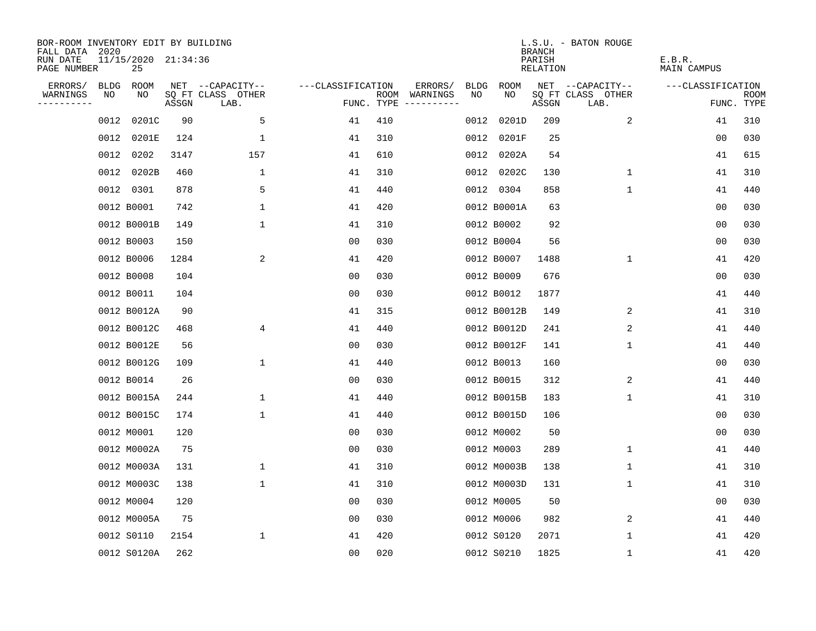| BOR-ROOM INVENTORY EDIT BY BUILDING<br>FALL DATA | 2020 |                           |       |                           |                   |     |                                      |      |             | <b>BRANCH</b>      | L.S.U. - BATON ROUGE      |                       |                           |
|--------------------------------------------------|------|---------------------------|-------|---------------------------|-------------------|-----|--------------------------------------|------|-------------|--------------------|---------------------------|-----------------------|---------------------------|
| RUN DATE<br>PAGE NUMBER                          |      | 11/15/2020 21:34:36<br>25 |       |                           |                   |     |                                      |      |             | PARISH<br>RELATION |                           | E.B.R.<br>MAIN CAMPUS |                           |
| ERRORS/                                          | BLDG | ROOM                      |       | NET --CAPACITY--          | ---CLASSIFICATION |     | ERRORS/                              | BLDG | <b>ROOM</b> |                    | NET --CAPACITY--          | ---CLASSIFICATION     |                           |
| WARNINGS<br>----------                           | NO   | NO                        | ASSGN | SQ FT CLASS OTHER<br>LAB. |                   |     | ROOM WARNINGS<br>FUNC. TYPE $------$ | NO   | NO          | ASSGN              | SQ FT CLASS OTHER<br>LAB. |                       | <b>ROOM</b><br>FUNC. TYPE |
|                                                  | 0012 | 0201C                     | 90    | 5                         | 41                | 410 |                                      | 0012 | 0201D       | 209                | 2                         | 41                    | 310                       |
|                                                  | 0012 | 0201E                     | 124   | 1                         | 41                | 310 |                                      | 0012 | 0201F       | 25                 |                           | 00                    | 030                       |
|                                                  | 0012 | 0202                      | 3147  | 157                       | 41                | 610 |                                      |      | 0012 0202A  | 54                 |                           | 41                    | 615                       |
|                                                  |      | 0012 0202B                | 460   | $\mathbf{1}$              | 41                | 310 |                                      |      | 0012 0202C  | 130                | 1                         | 41                    | 310                       |
|                                                  |      | 0012 0301                 | 878   | 5                         | 41                | 440 |                                      |      | 0012 0304   | 858                | 1                         | 41                    | 440                       |
|                                                  |      | 0012 B0001                | 742   | $\mathbf 1$               | 41                | 420 |                                      |      | 0012 B0001A | 63                 |                           | 00                    | 030                       |
|                                                  |      | 0012 B0001B               | 149   | $\mathbf 1$               | 41                | 310 |                                      |      | 0012 B0002  | 92                 |                           | 0 <sub>0</sub>        | 030                       |
|                                                  |      | 0012 B0003                | 150   |                           | 0 <sub>0</sub>    | 030 |                                      |      | 0012 B0004  | 56                 |                           | 00                    | 030                       |
|                                                  |      | 0012 B0006                | 1284  | 2                         | 41                | 420 |                                      |      | 0012 B0007  | 1488               | $\mathbf{1}$              | 41                    | 420                       |
|                                                  |      | 0012 B0008                | 104   |                           | 00                | 030 |                                      |      | 0012 B0009  | 676                |                           | 0 <sub>0</sub>        | 030                       |
|                                                  |      | 0012 B0011                | 104   |                           | 00                | 030 |                                      |      | 0012 B0012  | 1877               |                           | 41                    | 440                       |
|                                                  |      | 0012 B0012A               | 90    |                           | 41                | 315 |                                      |      | 0012 B0012B | 149                | 2                         | 41                    | 310                       |
|                                                  |      | 0012 B0012C               | 468   | 4                         | 41                | 440 |                                      |      | 0012 B0012D | 241                | 2                         | 41                    | 440                       |
|                                                  |      | 0012 B0012E               | 56    |                           | 0 <sub>0</sub>    | 030 |                                      |      | 0012 B0012F | 141                | $\mathbf{1}$              | 41                    | 440                       |
|                                                  |      | 0012 B0012G               | 109   | 1                         | 41                | 440 |                                      |      | 0012 B0013  | 160                |                           | 00                    | 030                       |
|                                                  |      | 0012 B0014                | 26    |                           | 00                | 030 |                                      |      | 0012 B0015  | 312                | 2                         | 41                    | 440                       |
|                                                  |      | 0012 B0015A               | 244   | 1                         | 41                | 440 |                                      |      | 0012 B0015B | 183                | 1                         | 41                    | 310                       |
|                                                  |      | 0012 B0015C               | 174   | $\mathbf 1$               | 41                | 440 |                                      |      | 0012 B0015D | 106                |                           | 0 <sub>0</sub>        | 030                       |
|                                                  |      | 0012 M0001                | 120   |                           | 0 <sub>0</sub>    | 030 |                                      |      | 0012 M0002  | 50                 |                           | 0 <sub>0</sub>        | 030                       |
|                                                  |      | 0012 M0002A               | 75    |                           | 0 <sub>0</sub>    | 030 |                                      |      | 0012 M0003  | 289                | $\mathbf 1$               | 41                    | 440                       |
|                                                  |      | 0012 M0003A               | 131   | 1                         | 41                | 310 |                                      |      | 0012 M0003B | 138                | 1                         | 41                    | 310                       |
|                                                  |      | 0012 M0003C               | 138   | $\mathbf 1$               | 41                | 310 |                                      |      | 0012 M0003D | 131                | 1                         | 41                    | 310                       |
|                                                  |      | 0012 M0004                | 120   |                           | 0 <sub>0</sub>    | 030 |                                      |      | 0012 M0005  | 50                 |                           | 0 <sub>0</sub>        | 030                       |
|                                                  |      | 0012 M0005A               | 75    |                           | 0 <sub>0</sub>    | 030 |                                      |      | 0012 M0006  | 982                | 2                         | 41                    | 440                       |
|                                                  |      | 0012 S0110                | 2154  | $\mathbf 1$               | 41                | 420 |                                      |      | 0012 S0120  | 2071               | 1                         | 41                    | 420                       |
|                                                  |      | 0012 S0120A               | 262   |                           | 0 <sub>0</sub>    | 020 |                                      |      | 0012 S0210  | 1825               | 1                         | 41                    | 420                       |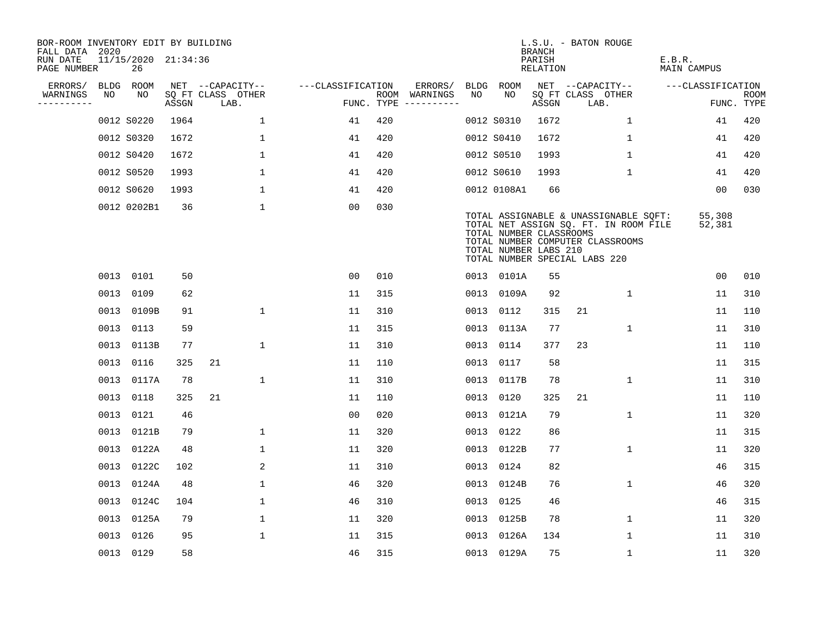| BOR-ROOM INVENTORY EDIT BY BUILDING<br>FALL DATA 2020 |      |                           |       |                           |                   |     |                                      |      |                                                                                   | <b>BRANCH</b>             | L.S.U. - BATON ROUGE      |                                                                                                                    |                              |                  |                           |
|-------------------------------------------------------|------|---------------------------|-------|---------------------------|-------------------|-----|--------------------------------------|------|-----------------------------------------------------------------------------------|---------------------------|---------------------------|--------------------------------------------------------------------------------------------------------------------|------------------------------|------------------|---------------------------|
| RUN DATE<br>PAGE NUMBER                               |      | 11/15/2020 21:34:36<br>26 |       |                           |                   |     |                                      |      |                                                                                   | PARISH<br><b>RELATION</b> |                           |                                                                                                                    | E.B.R.<br><b>MAIN CAMPUS</b> |                  |                           |
| ERRORS/                                               |      | BLDG ROOM                 |       | NET --CAPACITY--          | ---CLASSIFICATION |     | ERRORS/                              | BLDG | <b>ROOM</b>                                                                       |                           | NET --CAPACITY--          |                                                                                                                    | ---CLASSIFICATION            |                  |                           |
| WARNINGS<br>----------                                | NO   | NO                        | ASSGN | SQ FT CLASS OTHER<br>LAB. |                   |     | ROOM WARNINGS<br>FUNC. TYPE $------$ | NO   | NO                                                                                | ASSGN                     | SQ FT CLASS OTHER<br>LAB. |                                                                                                                    |                              |                  | <b>ROOM</b><br>FUNC. TYPE |
|                                                       |      | 0012 S0220                | 1964  | $\mathbf 1$               | 41                | 420 |                                      |      | 0012 S0310                                                                        | 1672                      |                           | 1                                                                                                                  |                              | 41               | 420                       |
|                                                       |      | 0012 S0320                | 1672  | $\mathbf{1}$              | 41                | 420 |                                      |      | 0012 S0410                                                                        | 1672                      |                           | $\mathbf 1$                                                                                                        |                              | 41               | 420                       |
|                                                       |      | 0012 S0420                | 1672  | $\mathbf{1}$              | 41                | 420 |                                      |      | 0012 S0510                                                                        | 1993                      |                           | 1                                                                                                                  |                              | 41               | 420                       |
|                                                       |      | 0012 S0520                | 1993  | $\mathbf 1$               | 41                | 420 |                                      |      | 0012 S0610                                                                        | 1993                      |                           | $\mathbf{1}$                                                                                                       |                              | 41               | 420                       |
|                                                       |      | 0012 S0620                | 1993  | $\mathbf 1$               | 41                | 420 |                                      |      | 0012 0108A1                                                                       | 66                        |                           |                                                                                                                    |                              | 00               | 030                       |
|                                                       |      | 0012 0202B1               | 36    | $\mathbf 1$               | 00                | 030 |                                      |      | TOTAL NUMBER CLASSROOMS<br>TOTAL NUMBER LABS 210<br>TOTAL NUMBER SPECIAL LABS 220 |                           |                           | TOTAL ASSIGNABLE & UNASSIGNABLE SQFT:<br>TOTAL NET ASSIGN SQ. FT. IN ROOM FILE<br>TOTAL NUMBER COMPUTER CLASSROOMS |                              | 55,308<br>52,381 |                           |
|                                                       |      | 0013 0101                 | 50    |                           | 0 <sub>0</sub>    | 010 |                                      |      | 0013 0101A                                                                        | 55                        |                           |                                                                                                                    |                              | 0 <sub>0</sub>   | 010                       |
|                                                       | 0013 | 0109                      | 62    |                           | 11                | 315 |                                      |      | 0013 0109A                                                                        | 92                        |                           | 1                                                                                                                  |                              | 11               | 310                       |
|                                                       |      | 0013 0109B                | 91    | $\mathbf{1}$              | 11                | 310 |                                      |      | 0013 0112                                                                         | 315                       | 21                        |                                                                                                                    |                              | 11               | 110                       |
|                                                       | 0013 | 0113                      | 59    |                           | 11                | 315 |                                      | 0013 | 0113A                                                                             | 77                        |                           | 1                                                                                                                  |                              | 11               | 310                       |
|                                                       |      | 0013 0113B                | 77    | $\mathbf 1$               | 11                | 310 |                                      |      | 0013 0114                                                                         | 377                       | 23                        |                                                                                                                    |                              | 11               | 110                       |
|                                                       |      | 0013 0116                 | 325   | 21                        | 11                | 110 |                                      |      | 0013 0117                                                                         | 58                        |                           |                                                                                                                    |                              | 11               | 315                       |
|                                                       |      | 0013 0117A                | 78    | $\mathbf{1}$              | 11                | 310 |                                      |      | 0013 0117B                                                                        | 78                        |                           | $\mathbf 1$                                                                                                        |                              | 11               | 310                       |
|                                                       |      | 0013 0118                 | 325   | 21                        | 11                | 110 |                                      |      | 0013 0120                                                                         | 325                       | 21                        |                                                                                                                    |                              | 11               | 110                       |
|                                                       | 0013 | 0121                      | 46    |                           | 0 <sub>0</sub>    | 020 |                                      |      | 0013 0121A                                                                        | 79                        |                           | 1                                                                                                                  |                              | 11               | 320                       |
|                                                       |      | 0013 0121B                | 79    | $\mathbf 1$               | 11                | 320 |                                      |      | 0013 0122                                                                         | 86                        |                           |                                                                                                                    |                              | 11               | 315                       |
|                                                       |      | 0013 0122A                | 48    | $\mathbf{1}$              | 11                | 320 |                                      |      | 0013 0122B                                                                        | 77                        |                           | $\mathbf{1}$                                                                                                       |                              | 11               | 320                       |
|                                                       |      | 0013 0122C                | 102   | 2                         | 11                | 310 |                                      |      | 0013 0124                                                                         | 82                        |                           |                                                                                                                    |                              | 46               | 315                       |
|                                                       | 0013 | 0124A                     | 48    | $\mathbf{1}$              | 46                | 320 |                                      |      | 0013 0124B                                                                        | 76                        |                           | 1                                                                                                                  |                              | 46               | 320                       |
|                                                       |      | 0013 0124C                | 104   | $\mathbf 1$               | 46                | 310 |                                      |      | 0013 0125                                                                         | 46                        |                           |                                                                                                                    |                              | 46               | 315                       |
|                                                       |      | 0013 0125A                | 79    | $\mathbf 1$               | 11                | 320 |                                      |      | 0013 0125B                                                                        | 78                        |                           | $\mathbf 1$                                                                                                        |                              | 11               | 320                       |
|                                                       |      | 0013 0126                 | 95    | $\mathbf 1$               | 11                | 315 |                                      |      | 0013 0126A                                                                        | 134                       |                           | $\mathbf 1$                                                                                                        |                              | 11               | 310                       |
|                                                       |      | 0013 0129                 | 58    |                           | 46                | 315 |                                      |      | 0013 0129A                                                                        | 75                        |                           | $\mathbf{1}$                                                                                                       |                              | 11               | 320                       |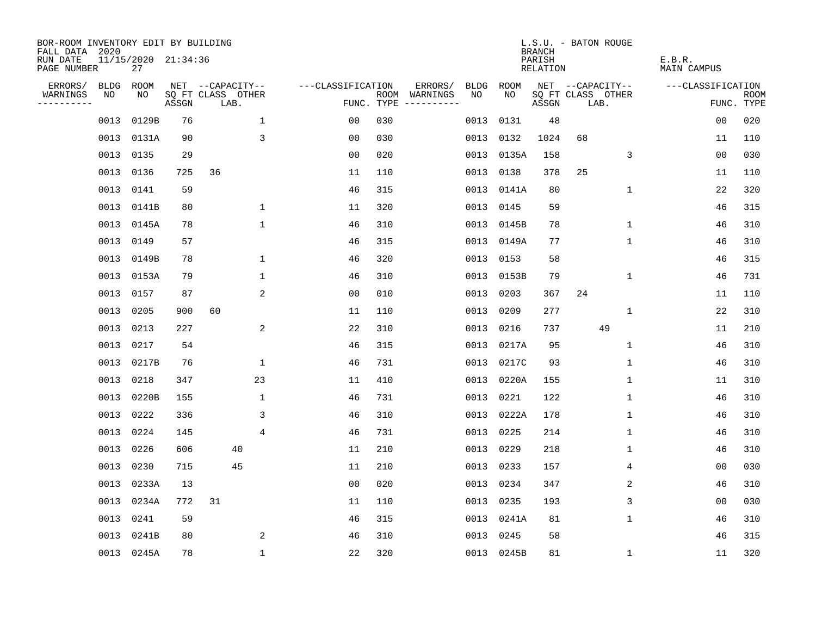| BOR-ROOM INVENTORY EDIT BY BUILDING<br>FALL DATA 2020 |             |                           |       |                           |                   |     |                                      |      |            | <b>BRANCH</b>      | L.S.U. - BATON ROUGE |                   |                       |                           |
|-------------------------------------------------------|-------------|---------------------------|-------|---------------------------|-------------------|-----|--------------------------------------|------|------------|--------------------|----------------------|-------------------|-----------------------|---------------------------|
| RUN DATE<br>PAGE NUMBER                               |             | 11/15/2020 21:34:36<br>27 |       |                           |                   |     |                                      |      |            | PARISH<br>RELATION |                      |                   | E.B.R.<br>MAIN CAMPUS |                           |
| ERRORS/                                               | <b>BLDG</b> | ROOM                      |       | NET --CAPACITY--          | ---CLASSIFICATION |     | ERRORS/                              | BLDG | ROOM       |                    |                      | NET --CAPACITY--  | ---CLASSIFICATION     |                           |
| WARNINGS<br>----------                                | NO          | NO.                       | ASSGN | SQ FT CLASS OTHER<br>LAB. |                   |     | ROOM WARNINGS<br>FUNC. TYPE $------$ | NO.  | NO.        | ASSGN              | LAB.                 | SQ FT CLASS OTHER |                       | <b>ROOM</b><br>FUNC. TYPE |
|                                                       | 0013        | 0129B                     | 76    | $\mathbf 1$               | 0 <sub>0</sub>    | 030 |                                      | 0013 | 0131       | 48                 |                      |                   | 0 <sub>0</sub>        | 020                       |
|                                                       |             | 0013 0131A                | 90    | 3                         | 0 <sub>0</sub>    | 030 |                                      | 0013 | 0132       | 1024               | 68                   |                   | 11                    | 110                       |
|                                                       | 0013 0135   |                           | 29    |                           | 0 <sub>0</sub>    | 020 |                                      | 0013 | 0135A      | 158                |                      | 3                 | 0 <sub>0</sub>        | 030                       |
|                                                       | 0013 0136   |                           | 725   | 36                        | 11                | 110 |                                      | 0013 | 0138       | 378                | 25                   |                   | 11                    | 110                       |
|                                                       | 0013        | 0141                      | 59    |                           | 46                | 315 |                                      |      | 0013 0141A | 80                 |                      | $\mathbf 1$       | 22                    | 320                       |
|                                                       |             | 0013 0141B                | 80    | $\mathbf{1}$              | 11                | 320 |                                      |      | 0013 0145  | 59                 |                      |                   | 46                    | 315                       |
|                                                       |             | 0013 0145A                | 78    | $\mathbf{1}$              | 46                | 310 |                                      |      | 0013 0145B | 78                 |                      | $\mathbf 1$       | 46                    | 310                       |
|                                                       | 0013 0149   |                           | 57    |                           | 46                | 315 |                                      |      | 0013 0149A | 77                 |                      | 1                 | 46                    | 310                       |
|                                                       |             | 0013 0149B                | 78    | $\mathbf 1$               | 46                | 320 |                                      | 0013 | 0153       | 58                 |                      |                   | 46                    | 315                       |
|                                                       |             | 0013 0153A                | 79    | $\mathbf{1}$              | 46                | 310 |                                      |      | 0013 0153B | 79                 |                      | $\mathbf 1$       | 46                    | 731                       |
|                                                       |             | 0013 0157                 | 87    | 2                         | 0 <sub>0</sub>    | 010 |                                      | 0013 | 0203       | 367                | 24                   |                   | 11                    | 110                       |
|                                                       | 0013 0205   |                           | 900   | 60                        | 11                | 110 |                                      | 0013 | 0209       | 277                |                      | $\mathbf 1$       | 22                    | 310                       |
|                                                       | 0013        | 0213                      | 227   | 2                         | 22                | 310 |                                      | 0013 | 0216       | 737                |                      | 49                | 11                    | 210                       |
|                                                       | 0013        | 0217                      | 54    |                           | 46                | 315 |                                      |      | 0013 0217A | 95                 |                      | 1                 | 46                    | 310                       |
|                                                       | 0013        | 0217B                     | 76    | $\mathbf 1$               | 46                | 731 |                                      | 0013 | 0217C      | 93                 |                      | 1                 | 46                    | 310                       |
|                                                       | 0013 0218   |                           | 347   | 23                        | 11                | 410 |                                      | 0013 | 0220A      | 155                |                      | 1                 | 11                    | 310                       |
|                                                       | 0013        | 0220B                     | 155   | $\mathbf{1}$              | 46                | 731 |                                      | 0013 | 0221       | 122                |                      | 1                 | 46                    | 310                       |
|                                                       | 0013 0222   |                           | 336   | 3                         | 46                | 310 |                                      | 0013 | 0222A      | 178                |                      | 1                 | 46                    | 310                       |
|                                                       | 0013        | 0224                      | 145   | 4                         | 46                | 731 |                                      | 0013 | 0225       | 214                |                      | 1                 | 46                    | 310                       |
|                                                       | 0013 0226   |                           | 606   | 40                        | 11                | 210 |                                      | 0013 | 0229       | 218                |                      | 1                 | 46                    | 310                       |
|                                                       | 0013        | 0230                      | 715   | 45                        | 11                | 210 |                                      |      | 0013 0233  | 157                |                      | 4                 | 0 <sub>0</sub>        | 030                       |
|                                                       | 0013        | 0233A                     | 13    |                           | 0 <sub>0</sub>    | 020 |                                      | 0013 | 0234       | 347                |                      | 2                 | 46                    | 310                       |
|                                                       |             | 0013 0234A                | 772   | 31                        | 11                | 110 |                                      |      | 0013 0235  | 193                |                      | 3                 | 00                    | 030                       |
|                                                       | 0013        | 0241                      | 59    |                           | 46                | 315 |                                      |      | 0013 0241A | 81                 |                      | $\mathbf 1$       | 46                    | 310                       |
|                                                       | 0013        | 0241B                     | 80    | 2                         | 46                | 310 |                                      |      | 0013 0245  | 58                 |                      |                   | 46                    | 315                       |
|                                                       |             | 0013 0245A                | 78    | $\mathbf{1}$              | 22                | 320 |                                      |      | 0013 0245B | 81                 |                      | $\mathbf 1$       | 11                    | 320                       |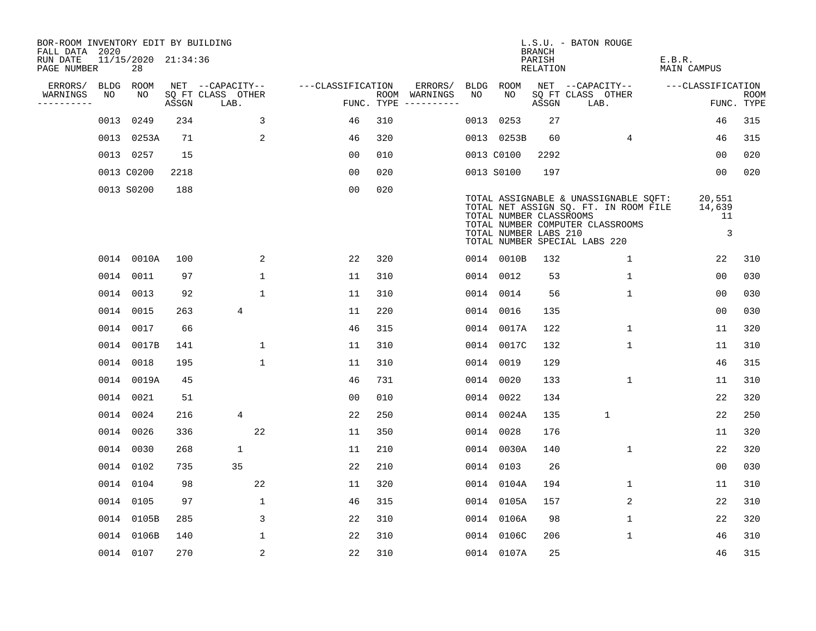| BOR-ROOM INVENTORY EDIT BY BUILDING<br>FALL DATA 2020 |      |                           |       |                           |                   |     |                                      |      |                                                  | BRANCH             | L.S.U. - BATON ROUGE                                                                                                                                |                             |                           |
|-------------------------------------------------------|------|---------------------------|-------|---------------------------|-------------------|-----|--------------------------------------|------|--------------------------------------------------|--------------------|-----------------------------------------------------------------------------------------------------------------------------------------------------|-----------------------------|---------------------------|
| RUN DATE<br>PAGE NUMBER                               |      | 11/15/2020 21:34:36<br>28 |       |                           |                   |     |                                      |      |                                                  | PARISH<br>RELATION |                                                                                                                                                     | E.B.R.<br>MAIN CAMPUS       |                           |
| ERRORS/                                               |      | BLDG ROOM                 |       | NET --CAPACITY--          | ---CLASSIFICATION |     | ERRORS/                              |      | BLDG ROOM                                        |                    | NET --CAPACITY--                                                                                                                                    | ---CLASSIFICATION           |                           |
| WARNINGS<br>----------                                | NO   | NO                        | ASSGN | SQ FT CLASS OTHER<br>LAB. |                   |     | ROOM WARNINGS<br>FUNC. TYPE $------$ | NO   | NO                                               | ASSGN              | SQ FT CLASS OTHER<br>LAB.                                                                                                                           |                             | <b>ROOM</b><br>FUNC. TYPE |
|                                                       | 0013 | 0249                      | 234   | 3                         | 46                | 310 |                                      | 0013 | 0253                                             | 27                 |                                                                                                                                                     | 46                          | 315                       |
|                                                       |      | 0013 0253A                | 71    | 2                         | 46                | 320 |                                      |      | 0013 0253B                                       | 60                 | $\overline{4}$                                                                                                                                      | 46                          | 315                       |
|                                                       |      | 0013 0257                 | 15    |                           | 0 <sub>0</sub>    | 010 |                                      |      | 0013 C0100                                       | 2292               |                                                                                                                                                     | 0 <sub>0</sub>              | 020                       |
|                                                       |      | 0013 C0200                | 2218  |                           | 0 <sub>0</sub>    | 020 |                                      |      | 0013 S0100                                       | 197                |                                                                                                                                                     | 00                          | 020                       |
|                                                       |      | 0013 S0200                | 188   |                           | 0 <sub>0</sub>    | 020 |                                      |      | TOTAL NUMBER CLASSROOMS<br>TOTAL NUMBER LABS 210 |                    | TOTAL ASSIGNABLE & UNASSIGNABLE SQFT:<br>TOTAL NET ASSIGN SQ. FT. IN ROOM FILE<br>TOTAL NUMBER COMPUTER CLASSROOMS<br>TOTAL NUMBER SPECIAL LABS 220 | 20,551<br>14,639<br>11<br>3 |                           |
|                                                       |      | 0014 0010A                | 100   | 2                         | 22                | 320 |                                      |      | 0014 0010B                                       | 132                | 1                                                                                                                                                   | 22                          | 310                       |
|                                                       |      | 0014 0011                 | 97    | $\mathbf 1$               | 11                | 310 |                                      |      | 0014 0012                                        | 53                 | $\mathbf 1$                                                                                                                                         | 00                          | 030                       |
|                                                       |      | 0014 0013                 | 92    | $\mathbf{1}$              | 11                | 310 |                                      |      | 0014 0014                                        | 56                 | $\mathbf{1}$                                                                                                                                        | 00                          | 030                       |
|                                                       |      | 0014 0015                 | 263   | $\overline{4}$            | 11                | 220 |                                      |      | 0014 0016                                        | 135                |                                                                                                                                                     | 00                          | 030                       |
|                                                       |      | 0014 0017                 | 66    |                           | 46                | 315 |                                      |      | 0014 0017A                                       | 122                | $\mathbf{1}$                                                                                                                                        | 11                          | 320                       |
|                                                       |      | 0014 0017B                | 141   | $\mathbf{1}$              | 11                | 310 |                                      |      | 0014 0017C                                       | 132                | $\mathbf 1$                                                                                                                                         | 11                          | 310                       |
|                                                       |      | 0014 0018                 | 195   | $\mathbf{1}$              | 11                | 310 |                                      | 0014 | 0019                                             | 129                |                                                                                                                                                     | 46                          | 315                       |
|                                                       |      | 0014 0019A                | 45    |                           | 46                | 731 |                                      |      | 0014 0020                                        | 133                | 1                                                                                                                                                   | 11                          | 310                       |
|                                                       |      | 0014 0021                 | 51    |                           | 0 <sub>0</sub>    | 010 |                                      | 0014 | 0022                                             | 134                |                                                                                                                                                     | 22                          | 320                       |
|                                                       |      | 0014 0024                 | 216   | 4                         | 22                | 250 |                                      |      | 0014 0024A                                       | 135                | $\mathbf{1}$                                                                                                                                        | 22                          | 250                       |
|                                                       |      | 0014 0026                 | 336   | 22                        | 11                | 350 |                                      |      | 0014 0028                                        | 176                |                                                                                                                                                     | 11                          | 320                       |
|                                                       |      | 0014 0030                 | 268   | $\mathbf{1}$              | 11                | 210 |                                      |      | 0014 0030A                                       | 140                | 1                                                                                                                                                   | 22                          | 320                       |
|                                                       |      | 0014 0102                 | 735   | 35                        | 22                | 210 |                                      |      | 0014 0103                                        | 26                 |                                                                                                                                                     | 0 <sub>0</sub>              | 030                       |
|                                                       |      | 0014 0104                 | 98    | 22                        | 11                | 320 |                                      |      | 0014 0104A                                       | 194                | $\mathbf 1$                                                                                                                                         | 11                          | 310                       |
|                                                       |      | 0014 0105                 | 97    | $\mathbf{1}$              | 46                | 315 |                                      |      | 0014 0105A                                       | 157                | 2                                                                                                                                                   | 22                          | 310                       |
|                                                       |      | 0014 0105B                | 285   | 3                         | 22                | 310 |                                      |      | 0014 0106A                                       | 98                 | $\mathbf 1$                                                                                                                                         | 22                          | 320                       |
|                                                       |      | 0014 0106B                | 140   | $\mathbf{1}$              | 22                | 310 |                                      |      | 0014 0106C                                       | 206                | $\mathbf{1}$                                                                                                                                        | 46                          | 310                       |
|                                                       |      | 0014 0107                 | 270   | 2                         | 22                | 310 |                                      |      | 0014 0107A                                       | 25                 |                                                                                                                                                     | 46                          | 315                       |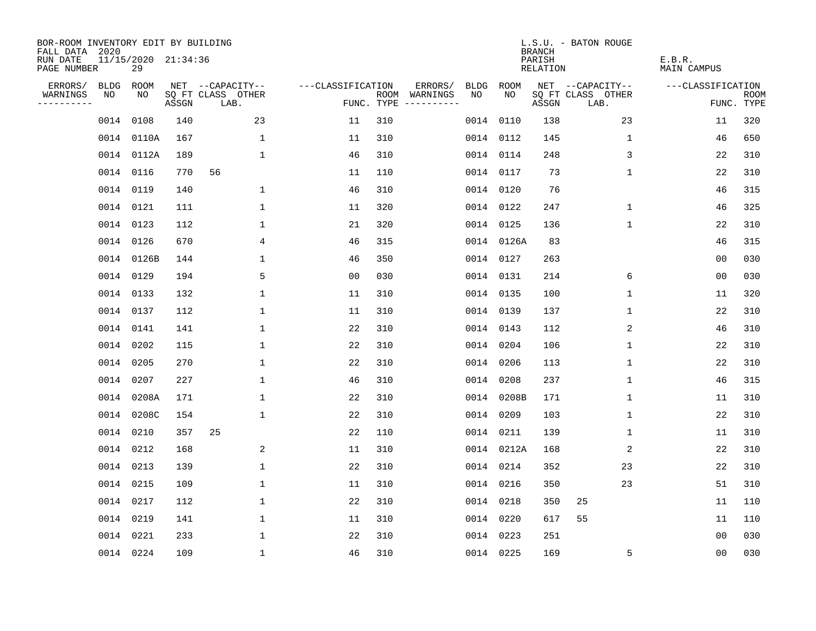| BOR-ROOM INVENTORY EDIT BY BUILDING<br>FALL DATA 2020 |                           |       |                           |                   |     |                                      |             |             | <b>BRANCH</b>             | L.S.U. - BATON ROUGE      |                              |                           |
|-------------------------------------------------------|---------------------------|-------|---------------------------|-------------------|-----|--------------------------------------|-------------|-------------|---------------------------|---------------------------|------------------------------|---------------------------|
| RUN DATE<br>PAGE NUMBER                               | 11/15/2020 21:34:36<br>29 |       |                           |                   |     |                                      |             |             | PARISH<br><b>RELATION</b> |                           | E.B.R.<br><b>MAIN CAMPUS</b> |                           |
| ERRORS/<br><b>BLDG</b>                                | ROOM                      |       | NET --CAPACITY--          | ---CLASSIFICATION |     | ERRORS/                              | <b>BLDG</b> | <b>ROOM</b> |                           | NET --CAPACITY--          | ---CLASSIFICATION            |                           |
| WARNINGS<br>NO<br>----------                          | NO                        | ASSGN | SQ FT CLASS OTHER<br>LAB. |                   |     | ROOM WARNINGS<br>FUNC. TYPE $------$ | NO          | NO          | ASSGN                     | SQ FT CLASS OTHER<br>LAB. |                              | <b>ROOM</b><br>FUNC. TYPE |
|                                                       | 0014 0108                 | 140   | 23                        | 11                | 310 |                                      | 0014        | 0110        | 138                       | 23                        | 11                           | 320                       |
|                                                       | 0014 0110A                | 167   | 1                         | 11                | 310 |                                      |             | 0014 0112   | 145                       | $\mathbf 1$               | 46                           | 650                       |
|                                                       | 0014 0112A                | 189   | $\mathbf{1}$              | 46                | 310 |                                      |             | 0014 0114   | 248                       | 3                         | 22                           | 310                       |
|                                                       | 0014 0116                 | 770   | 56                        | 11                | 110 |                                      |             | 0014 0117   | 73                        | 1                         | 22                           | 310                       |
|                                                       | 0014 0119                 | 140   | $\mathbf{1}$              | 46                | 310 |                                      |             | 0014 0120   | 76                        |                           | 46                           | 315                       |
|                                                       | 0014 0121                 | 111   | $\mathbf 1$               | 11                | 320 |                                      |             | 0014 0122   | 247                       | $\mathbf 1$               | 46                           | 325                       |
|                                                       | 0014 0123                 | 112   | $\mathbf 1$               | 21                | 320 |                                      |             | 0014 0125   | 136                       | $\mathbf{1}$              | 22                           | 310                       |
|                                                       | 0014 0126                 | 670   | 4                         | 46                | 315 |                                      |             | 0014 0126A  | 83                        |                           | 46                           | 315                       |
|                                                       | 0014 0126B                | 144   | $\mathbf{1}$              | 46                | 350 |                                      |             | 0014 0127   | 263                       |                           | 0 <sub>0</sub>               | 030                       |
|                                                       | 0014 0129                 | 194   | 5                         | 0 <sub>0</sub>    | 030 |                                      |             | 0014 0131   | 214                       | 6                         | 00                           | 030                       |
|                                                       | 0014 0133                 | 132   | $\mathbf 1$               | 11                | 310 |                                      | 0014        | 0135        | 100                       | $\mathbf 1$               | 11                           | 320                       |
|                                                       | 0014 0137                 | 112   | $\mathbf{1}$              | 11                | 310 |                                      |             | 0014 0139   | 137                       | $\mathbf 1$               | 22                           | 310                       |
|                                                       | 0014 0141                 | 141   | $\mathbf{1}$              | 22                | 310 |                                      | 0014        | 0143        | 112                       | 2                         | 46                           | 310                       |
|                                                       | 0014 0202                 | 115   | $\mathbf{1}$              | 22                | 310 |                                      |             | 0014 0204   | 106                       | $\mathbf{1}$              | 22                           | 310                       |
|                                                       | 0014 0205                 | 270   | $\mathbf{1}$              | 22                | 310 |                                      | 0014        | 0206        | 113                       | $\mathbf{1}$              | 22                           | 310                       |
|                                                       | 0014 0207                 | 227   | 1                         | 46                | 310 |                                      |             | 0014 0208   | 237                       | 1                         | 46                           | 315                       |
|                                                       | 0014 0208A                | 171   | 1                         | 22                | 310 |                                      |             | 0014 0208B  | 171                       | 1                         | 11                           | 310                       |
|                                                       | 0014 0208C                | 154   | $\mathbf{1}$              | 22                | 310 |                                      |             | 0014 0209   | 103                       | $\mathbf{1}$              | 22                           | 310                       |
|                                                       | 0014 0210                 | 357   | 25                        | 22                | 110 |                                      |             | 0014 0211   | 139                       | $\mathbf{1}$              | 11                           | 310                       |
|                                                       | 0014 0212                 | 168   | 2                         | 11                | 310 |                                      |             | 0014 0212A  | 168                       | 2                         | 22                           | 310                       |
|                                                       | 0014 0213                 | 139   | 1                         | 22                | 310 |                                      |             | 0014 0214   | 352                       | 23                        | 22                           | 310                       |
|                                                       | 0014 0215                 | 109   | $\mathbf 1$               | 11                | 310 |                                      |             | 0014 0216   | 350                       | 23                        | 51                           | 310                       |
|                                                       | 0014 0217                 | 112   | $\mathbf 1$               | 22                | 310 |                                      |             | 0014 0218   | 350                       | 25                        | 11                           | 110                       |
|                                                       | 0014 0219                 | 141   | $\mathbf{1}$              | 11                | 310 |                                      |             | 0014 0220   | 617                       | 55                        | 11                           | 110                       |
|                                                       | 0014 0221                 | 233   | $\mathbf{1}$              | 22                | 310 |                                      |             | 0014 0223   | 251                       |                           | 0 <sub>0</sub>               | 030                       |
|                                                       | 0014 0224                 | 109   | $\mathbf{1}$              | 46                | 310 |                                      |             | 0014 0225   | 169                       | 5                         | 0 <sub>0</sub>               | 030                       |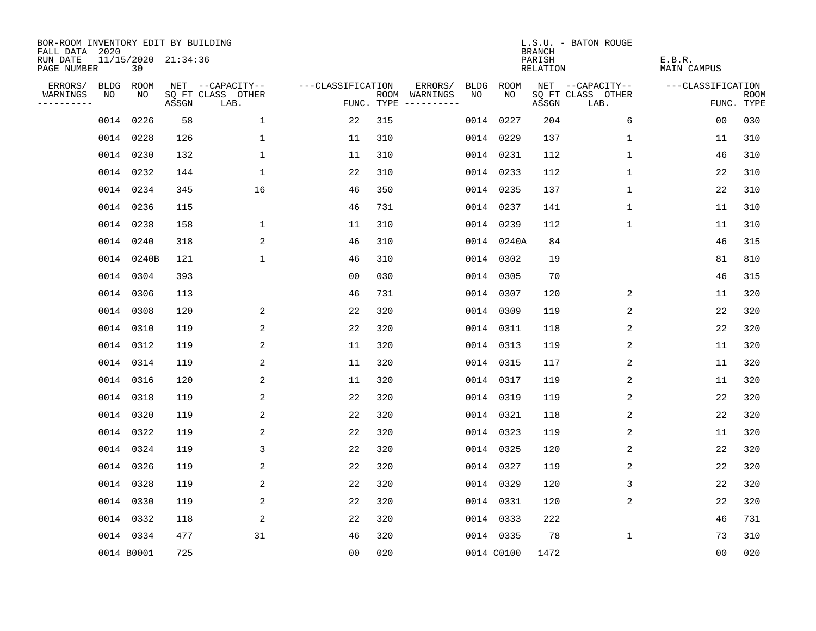| BOR-ROOM INVENTORY EDIT BY BUILDING<br>FALL DATA 2020 |      |                           |       |                           |                   |     |                                            |             |             | <b>BRANCH</b>             | L.S.U. - BATON ROUGE      |                              |                           |
|-------------------------------------------------------|------|---------------------------|-------|---------------------------|-------------------|-----|--------------------------------------------|-------------|-------------|---------------------------|---------------------------|------------------------------|---------------------------|
| RUN DATE<br>PAGE NUMBER                               |      | 11/15/2020 21:34:36<br>30 |       |                           |                   |     |                                            |             |             | PARISH<br><b>RELATION</b> |                           | E.B.R.<br><b>MAIN CAMPUS</b> |                           |
| ERRORS/                                               | BLDG | ROOM                      |       | NET --CAPACITY--          | ---CLASSIFICATION |     | ERRORS/                                    | <b>BLDG</b> | <b>ROOM</b> |                           | NET --CAPACITY--          | ---CLASSIFICATION            |                           |
| WARNINGS<br>----------                                | NO   | NO                        | ASSGN | SQ FT CLASS OTHER<br>LAB. |                   |     | ROOM WARNINGS<br>NO<br>FUNC. TYPE $------$ |             | NO          | ASSGN                     | SQ FT CLASS OTHER<br>LAB. |                              | <b>ROOM</b><br>FUNC. TYPE |
|                                                       |      | 0014 0226                 | 58    | $\mathbf{1}$              | 22                | 315 |                                            | 0014        | 0227        | 204                       | 6                         | 00                           | 030                       |
|                                                       |      | 0014 0228                 | 126   | $\mathbf 1$               | 11                | 310 |                                            |             | 0014 0229   | 137                       | 1                         | 11                           | 310                       |
|                                                       |      | 0014 0230                 | 132   | $\mathbf 1$               | 11                | 310 |                                            |             | 0014 0231   | 112                       | 1                         | 46                           | 310                       |
|                                                       |      | 0014 0232                 | 144   | $\mathbf{1}$              | 22                | 310 |                                            |             | 0014 0233   | 112                       | 1                         | 22                           | 310                       |
|                                                       |      | 0014 0234                 | 345   | 16                        | 46                | 350 |                                            |             | 0014 0235   | 137                       | $\mathbf 1$               | 22                           | 310                       |
|                                                       |      | 0014 0236                 | 115   |                           | 46                | 731 |                                            |             | 0014 0237   | 141                       | 1                         | 11                           | 310                       |
|                                                       |      | 0014 0238                 | 158   | $\mathbf 1$               | 11                | 310 |                                            |             | 0014 0239   | 112                       | $\mathbf{1}$              | 11                           | 310                       |
|                                                       |      | 0014 0240                 | 318   | 2                         | 46                | 310 |                                            |             | 0014 0240A  | 84                        |                           | 46                           | 315                       |
|                                                       |      | 0014 0240B                | 121   | $\mathbf{1}$              | 46                | 310 |                                            |             | 0014 0302   | 19                        |                           | 81                           | 810                       |
|                                                       |      | 0014 0304                 | 393   |                           | 0 <sub>0</sub>    | 030 |                                            |             | 0014 0305   | 70                        |                           | 46                           | 315                       |
|                                                       |      | 0014 0306                 | 113   |                           | 46                | 731 |                                            |             | 0014 0307   | 120                       | 2                         | 11                           | 320                       |
|                                                       |      | 0014 0308                 | 120   | 2                         | 22                | 320 |                                            |             | 0014 0309   | 119                       | 2                         | 22                           | 320                       |
|                                                       |      | 0014 0310                 | 119   | 2                         | 22                | 320 |                                            |             | 0014 0311   | 118                       | 2                         | 22                           | 320                       |
|                                                       |      | 0014 0312                 | 119   | 2                         | 11                | 320 |                                            |             | 0014 0313   | 119                       | 2                         | 11                           | 320                       |
|                                                       |      | 0014 0314                 | 119   | 2                         | 11                | 320 |                                            |             | 0014 0315   | 117                       | 2                         | 11                           | 320                       |
|                                                       |      | 0014 0316                 | 120   | 2                         | 11                | 320 |                                            |             | 0014 0317   | 119                       | 2                         | 11                           | 320                       |
|                                                       |      | 0014 0318                 | 119   | 2                         | 22                | 320 |                                            | 0014        | 0319        | 119                       | 2                         | 22                           | 320                       |
|                                                       |      | 0014 0320                 | 119   | 2                         | 22                | 320 |                                            |             | 0014 0321   | 118                       | 2                         | 22                           | 320                       |
|                                                       |      | 0014 0322                 | 119   | 2                         | 22                | 320 |                                            |             | 0014 0323   | 119                       | 2                         | 11                           | 320                       |
|                                                       |      | 0014 0324                 | 119   | 3                         | 22                | 320 |                                            |             | 0014 0325   | 120                       | 2                         | 22                           | 320                       |
|                                                       |      | 0014 0326                 | 119   | 2                         | 22                | 320 |                                            |             | 0014 0327   | 119                       | 2                         | 22                           | 320                       |
|                                                       |      | 0014 0328                 | 119   | 2                         | 22                | 320 |                                            |             | 0014 0329   | 120                       | 3                         | 22                           | 320                       |
|                                                       |      | 0014 0330                 | 119   | 2                         | 22                | 320 |                                            |             | 0014 0331   | 120                       | 2                         | 22                           | 320                       |
|                                                       |      | 0014 0332                 | 118   | 2                         | 22                | 320 |                                            |             | 0014 0333   | 222                       |                           | 46                           | 731                       |
|                                                       |      | 0014 0334                 | 477   | 31                        | 46                | 320 |                                            |             | 0014 0335   | 78                        | 1                         | 73                           | 310                       |
|                                                       |      | 0014 B0001                | 725   |                           | 0 <sub>0</sub>    | 020 |                                            |             | 0014 C0100  | 1472                      |                           | 0 <sub>0</sub>               | 020                       |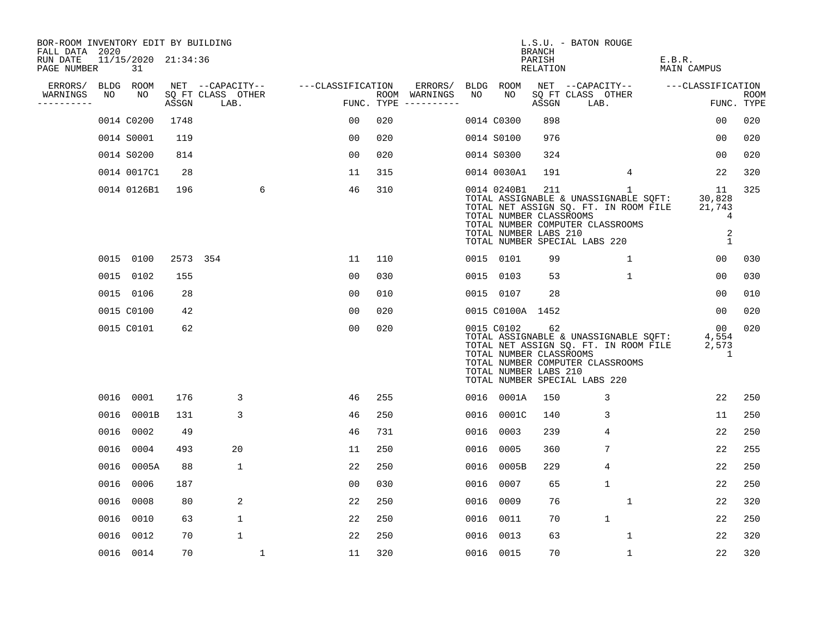| BOR-ROOM INVENTORY EDIT BY BUILDING<br>FALL DATA 2020 |      |                           |          |                           |   |                   |     |                                      |      |                                                                                                                                                                                                                        | BRANCH             | L.S.U. - BATON ROUGE      |                  |                        |                                 |
|-------------------------------------------------------|------|---------------------------|----------|---------------------------|---|-------------------|-----|--------------------------------------|------|------------------------------------------------------------------------------------------------------------------------------------------------------------------------------------------------------------------------|--------------------|---------------------------|------------------|------------------------|---------------------------------|
| RUN DATE<br>PAGE NUMBER                               |      | 11/15/2020 21:34:36<br>31 |          |                           |   |                   |     |                                      |      |                                                                                                                                                                                                                        | PARISH<br>RELATION |                           |                  | E.B.R.<br>MAIN CAMPUS  |                                 |
| ERRORS/                                               |      | BLDG ROOM                 |          | NET --CAPACITY--          |   | ---CLASSIFICATION |     | ERRORS/                              |      | BLDG ROOM                                                                                                                                                                                                              |                    |                           | NET --CAPACITY-- | ---CLASSIFICATION      |                                 |
| WARNINGS<br>---------                                 | NO   | NO                        | ASSGN    | SQ FT CLASS OTHER<br>LAB. |   |                   |     | ROOM WARNINGS<br>FUNC. TYPE $------$ | NO   | NO                                                                                                                                                                                                                     | ASSGN              | SQ FT CLASS OTHER<br>LAB. |                  |                        | <b>ROOM</b><br>FUNC. TYPE       |
|                                                       |      | 0014 C0200                | 1748     |                           |   | 00                | 020 |                                      |      | 0014 C0300                                                                                                                                                                                                             | 898                |                           |                  | 00                     | 020                             |
|                                                       |      | 0014 S0001                | 119      |                           |   | 0 <sub>0</sub>    | 020 |                                      |      | 0014 S0100                                                                                                                                                                                                             | 976                |                           |                  | 00                     | 020                             |
|                                                       |      | 0014 S0200                | 814      |                           |   | 0 <sub>0</sub>    | 020 |                                      |      | 0014 S0300                                                                                                                                                                                                             | 324                |                           |                  | 00                     | 020                             |
|                                                       |      | 0014 0017C1               | 28       |                           |   | 11                | 315 |                                      |      | 0014 0030A1                                                                                                                                                                                                            | 191                |                           | 4                | 22                     | 320                             |
|                                                       |      | 0014 0126B1               | 196      |                           | 6 | 46                | 310 |                                      |      | 0014 0240B1<br>TOTAL ASSIGNABLE & UNASSIGNABLE SQFT:<br>TOTAL NET ASSIGN SQ. FT. IN ROOM FILE<br>TOTAL NUMBER CLASSROOMS<br>TOTAL NUMBER COMPUTER CLASSROOMS<br>TOTAL NUMBER LABS 210<br>TOTAL NUMBER SPECIAL LABS 220 | 211                |                           | $\mathbf{1}$     | 11<br>30,828<br>21,743 | 325<br>4<br>$\overline{2}$<br>1 |
|                                                       |      | 0015 0100                 | 2573 354 |                           |   | 11                | 110 |                                      |      | 0015 0101                                                                                                                                                                                                              | 99                 |                           | 1                | 0 <sub>0</sub>         | 030                             |
|                                                       |      | 0015 0102                 | 155      |                           |   | 0 <sub>0</sub>    | 030 |                                      |      | 0015 0103                                                                                                                                                                                                              | 53                 |                           | $\mathbf{1}$     | 00                     | 030                             |
|                                                       |      | 0015 0106                 | 28       |                           |   | 0 <sub>0</sub>    | 010 |                                      |      | 0015 0107                                                                                                                                                                                                              | 28                 |                           |                  | 00                     | 010                             |
|                                                       |      | 0015 C0100                | 42       |                           |   | 0 <sub>0</sub>    | 020 |                                      |      | 0015 C0100A 1452                                                                                                                                                                                                       |                    |                           |                  | 00                     | 020                             |
|                                                       |      | 0015 C0101                | 62       |                           |   | 0 <sub>0</sub>    | 020 |                                      |      | 0015 C0102<br>TOTAL ASSIGNABLE & UNASSIGNABLE SQFT:<br>TOTAL NET ASSIGN SQ. FT. IN ROOM FILE<br>TOTAL NUMBER CLASSROOMS<br>TOTAL NUMBER COMPUTER CLASSROOMS<br>TOTAL NUMBER LABS 210<br>TOTAL NUMBER SPECIAL LABS 220  | 62                 |                           |                  | 00<br>4,554<br>2,573   | 020<br>1                        |
|                                                       |      | 0016 0001                 | 176      | 3                         |   | 46                | 255 |                                      |      | 0016 0001A                                                                                                                                                                                                             | 150                |                           | 3                | 22                     | 250                             |
|                                                       | 0016 | 0001B                     | 131      | 3                         |   | 46                | 250 |                                      |      | 0016 0001C                                                                                                                                                                                                             | 140                |                           | 3                | 11                     | 250                             |
|                                                       | 0016 | 0002                      | 49       |                           |   | 46                | 731 |                                      |      | 0016 0003                                                                                                                                                                                                              | 239                |                           | 4                | 22                     | 250                             |
|                                                       | 0016 | 0004                      | 493      | 20                        |   | 11                | 250 |                                      | 0016 | 0005                                                                                                                                                                                                                   | 360                |                           | 7                | 22                     | 255                             |
|                                                       | 0016 | 0005A                     | 88       | 1                         |   | 22                | 250 |                                      |      | 0016 0005B                                                                                                                                                                                                             | 229                |                           | 4                | 22                     | 250                             |
|                                                       | 0016 | 0006                      | 187      |                           |   | 0 <sub>0</sub>    | 030 |                                      | 0016 | 0007                                                                                                                                                                                                                   | 65                 |                           | $\mathbf{1}$     | 22                     | 250                             |
|                                                       | 0016 | 0008                      | 80       | 2                         |   | 22                | 250 |                                      | 0016 | 0009                                                                                                                                                                                                                   | 76                 |                           | 1                | 22                     | 320                             |
|                                                       |      | 0016 0010                 | 63       | 1                         |   | 22                | 250 |                                      | 0016 | 0011                                                                                                                                                                                                                   | 70                 |                           | $\mathbf{1}$     | 22                     | 250                             |
|                                                       |      | 0016 0012                 | 70       | $\mathbf 1$               |   | 22                | 250 |                                      | 0016 | 0013                                                                                                                                                                                                                   | 63                 |                           | $\mathbf{1}$     | 22                     | 320                             |
|                                                       |      | 0016 0014                 | 70       |                           | 1 | 11                | 320 |                                      |      | 0016 0015                                                                                                                                                                                                              | 70                 |                           | 1                | 22                     | 320                             |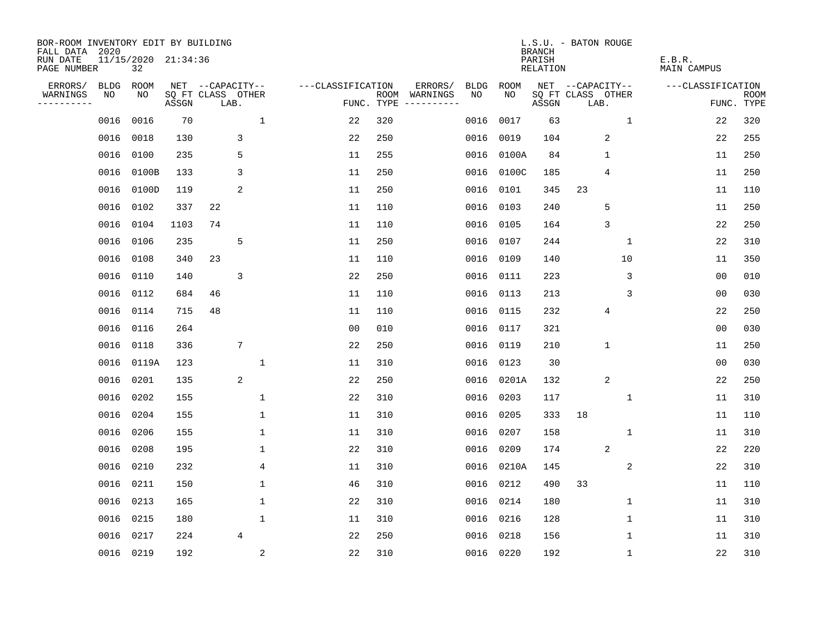| BOR-ROOM INVENTORY EDIT BY BUILDING<br>FALL DATA 2020 |             |                           |       |                           |              |                   |            |                              |             |           | <b>BRANCH</b>                   | L.S.U. - BATON ROUGE      |              |                       |                           |
|-------------------------------------------------------|-------------|---------------------------|-------|---------------------------|--------------|-------------------|------------|------------------------------|-------------|-----------|---------------------------------|---------------------------|--------------|-----------------------|---------------------------|
| RUN DATE<br>PAGE NUMBER                               |             | 11/15/2020 21:34:36<br>32 |       |                           |              |                   |            |                              |             |           | PARISH<br>RELATION              |                           |              | E.B.R.<br>MAIN CAMPUS |                           |
| ERRORS/                                               | <b>BLDG</b> | ROOM                      |       | NET --CAPACITY--          |              | ---CLASSIFICATION |            | ERRORS/                      | <b>BLDG</b> | ROOM      |                                 | NET --CAPACITY--          |              | ---CLASSIFICATION     |                           |
| WARNINGS<br>----------                                | NO          | NO                        | ASSGN | SQ FT CLASS OTHER<br>LAB. |              |                   | FUNC. TYPE | ROOM WARNINGS<br>----------- | NO          | NO.       | $\operatorname{\mathsf{ASSGN}}$ | SQ FT CLASS OTHER<br>LAB. |              |                       | <b>ROOM</b><br>FUNC. TYPE |
|                                                       | 0016        | 0016                      | 70    |                           | $\mathbf{1}$ | 22                | 320        |                              | 0016        | 0017      | 63                              |                           | $\mathbf{1}$ | 22                    | 320                       |
|                                                       | 0016        | 0018                      | 130   | 3                         |              | 22                | 250        |                              | 0016        | 0019      | 104                             | 2                         |              | 22                    | 255                       |
|                                                       | 0016        | 0100                      | 235   | 5                         |              | 11                | 255        |                              | 0016        | 0100A     | 84                              | $\mathbf{1}$              |              | 11                    | 250                       |
|                                                       | 0016        | 0100B                     | 133   | 3                         |              | 11                | 250        |                              | 0016        | 0100C     | 185                             | 4                         |              | 11                    | 250                       |
|                                                       | 0016        | 0100D                     | 119   | 2                         |              | 11                | 250        |                              | 0016        | 0101      | 345                             | 23                        |              | 11                    | 110                       |
|                                                       | 0016 0102   |                           | 337   | 22                        |              | 11                | 110        |                              | 0016        | 0103      | 240                             | 5                         |              | 11                    | 250                       |
|                                                       | 0016        | 0104                      | 1103  | 74                        |              | 11                | 110        |                              | 0016        | 0105      | 164                             | 3                         |              | 22                    | 250                       |
|                                                       | 0016        | 0106                      | 235   | 5                         |              | 11                | 250        |                              | 0016        | 0107      | 244                             |                           | $\mathbf{1}$ | 22                    | 310                       |
|                                                       | 0016        | 0108                      | 340   | 23                        |              | 11                | 110        |                              | 0016        | 0109      | 140                             |                           | 10           | 11                    | 350                       |
|                                                       | 0016 0110   |                           | 140   | 3                         |              | 22                | 250        |                              | 0016        | 0111      | 223                             |                           | 3            | 0 <sub>0</sub>        | 010                       |
|                                                       | 0016 0112   |                           | 684   | 46                        |              | 11                | 110        |                              | 0016        | 0113      | 213                             |                           | 3            | 0 <sub>0</sub>        | 030                       |
|                                                       | 0016 0114   |                           | 715   | 48                        |              | 11                | 110        |                              | 0016        | 0115      | 232                             | 4                         |              | 22                    | 250                       |
|                                                       | 0016 0116   |                           | 264   |                           |              | 0 <sub>0</sub>    | 010        |                              | 0016        | 0117      | 321                             |                           |              | 0 <sub>0</sub>        | 030                       |
|                                                       | 0016 0118   |                           | 336   | 7                         |              | 22                | 250        |                              | 0016        | 0119      | 210                             | $\mathbf 1$               |              | 11                    | 250                       |
|                                                       |             | 0016 0119A                | 123   |                           | 1            | 11                | 310        |                              | 0016        | 0123      | 30                              |                           |              | 00                    | 030                       |
|                                                       | 0016        | 0201                      | 135   | 2                         |              | 22                | 250        |                              | 0016        | 0201A     | 132                             | 2                         |              | 22                    | 250                       |
|                                                       | 0016        | 0202                      | 155   |                           | $\mathbf{1}$ | 22                | 310        |                              | 0016        | 0203      | 117                             |                           | 1            | 11                    | 310                       |
|                                                       | 0016        | 0204                      | 155   |                           | 1            | 11                | 310        |                              | 0016        | 0205      | 333                             | 18                        |              | 11                    | 110                       |
|                                                       | 0016 0206   |                           | 155   |                           | 1            | 11                | 310        |                              | 0016        | 0207      | 158                             |                           | $\mathbf{1}$ | 11                    | 310                       |
|                                                       | 0016        | 0208                      | 195   |                           | $\mathbf{1}$ | 22                | 310        |                              | 0016        | 0209      | 174                             | 2                         |              | 22                    | 220                       |
|                                                       | 0016        | 0210                      | 232   |                           | 4            | 11                | 310        |                              | 0016        | 0210A     | 145                             |                           | 2            | 22                    | 310                       |
|                                                       | 0016        | 0211                      | 150   |                           | 1            | 46                | 310        |                              | 0016        | 0212      | 490                             | 33                        |              | 11                    | 110                       |
|                                                       | 0016        | 0213                      | 165   |                           | $\mathbf{1}$ | 22                | 310        |                              | 0016        | 0214      | 180                             |                           | $\mathbf 1$  | 11                    | 310                       |
|                                                       | 0016        | 0215                      | 180   |                           | $\mathbf{1}$ | 11                | 310        |                              | 0016        | 0216      | 128                             |                           | 1            | 11                    | 310                       |
|                                                       | 0016        | 0217                      | 224   | $\overline{4}$            |              | 22                | 250        |                              | 0016        | 0218      | 156                             |                           | $\mathbf 1$  | 11                    | 310                       |
|                                                       | 0016 0219   |                           | 192   |                           | $\sqrt{2}$   | 22                | 310        |                              |             | 0016 0220 | 192                             |                           | $\mathbf{1}$ | 22                    | 310                       |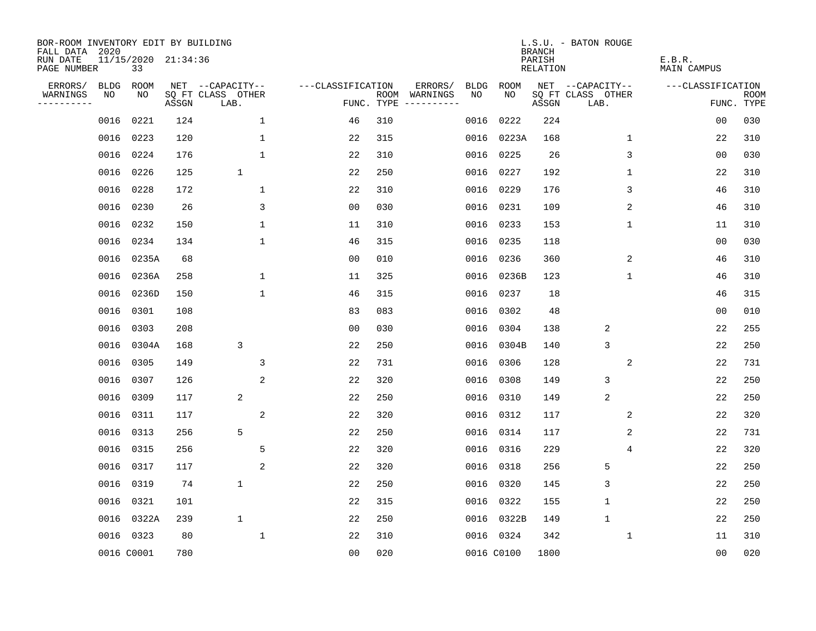| BOR-ROOM INVENTORY EDIT BY BUILDING<br>FALL DATA 2020 |      |                           |       |                           |                   |            |                              |             |             | <b>BRANCH</b>      | L.S.U. - BATON ROUGE      |                              |                           |
|-------------------------------------------------------|------|---------------------------|-------|---------------------------|-------------------|------------|------------------------------|-------------|-------------|--------------------|---------------------------|------------------------------|---------------------------|
| RUN DATE<br>PAGE NUMBER                               |      | 11/15/2020 21:34:36<br>33 |       |                           |                   |            |                              |             |             | PARISH<br>RELATION |                           | E.B.R.<br><b>MAIN CAMPUS</b> |                           |
| ERRORS/                                               | BLDG | ROOM                      |       | NET --CAPACITY--          | ---CLASSIFICATION |            | ERRORS/                      | <b>BLDG</b> | <b>ROOM</b> |                    | NET --CAPACITY--          | ---CLASSIFICATION            |                           |
| WARNINGS<br>- - - - - - - - - -                       | NO   | NO                        | ASSGN | SQ FT CLASS OTHER<br>LAB. |                   | FUNC. TYPE | ROOM WARNINGS<br>----------- | NO          | NO.         | ASSGN              | SQ FT CLASS OTHER<br>LAB. |                              | <b>ROOM</b><br>FUNC. TYPE |
|                                                       | 0016 | 0221                      | 124   | $\mathbf 1$               | 46                | 310        |                              | 0016        | 0222        | 224                |                           | 0 <sub>0</sub>               | 030                       |
|                                                       | 0016 | 0223                      | 120   | 1                         | 22                | 315        |                              | 0016        | 0223A       | 168                | 1                         | 22                           | 310                       |
|                                                       | 0016 | 0224                      | 176   | $\mathbf{1}$              | 22                | 310        |                              | 0016        | 0225        | 26                 | 3                         | 0 <sub>0</sub>               | 030                       |
|                                                       |      | 0016 0226                 | 125   | $\mathbf{1}$              | 22                | 250        |                              | 0016        | 0227        | 192                | 1                         | 22                           | 310                       |
|                                                       | 0016 | 0228                      | 172   | $\mathbf{1}$              | 22                | 310        |                              | 0016        | 0229        | 176                | 3                         | 46                           | 310                       |
|                                                       |      | 0016 0230                 | 26    | 3                         | 0 <sub>0</sub>    | 030        |                              | 0016        | 0231        | 109                | 2                         | 46                           | 310                       |
|                                                       |      | 0016 0232                 | 150   | $\mathbf{1}$              | 11                | 310        |                              | 0016        | 0233        | 153                | 1                         | 11                           | 310                       |
|                                                       |      | 0016 0234                 | 134   | $\mathbf 1$               | 46                | 315        |                              | 0016        | 0235        | 118                |                           | 0 <sub>0</sub>               | 030                       |
|                                                       | 0016 | 0235A                     | 68    |                           | 0 <sub>0</sub>    | 010        |                              | 0016        | 0236        | 360                | 2                         | 46                           | 310                       |
|                                                       |      | 0016 0236A                | 258   | $\mathbf{1}$              | 11                | 325        |                              |             | 0016 0236B  | 123                | $\mathbf 1$               | 46                           | 310                       |
|                                                       |      | 0016 0236D                | 150   | $\mathbf{1}$              | 46                | 315        |                              | 0016        | 0237        | 18                 |                           | 46                           | 315                       |
|                                                       |      | 0016 0301                 | 108   |                           | 83                | 083        |                              |             | 0016 0302   | 48                 |                           | 0 <sub>0</sub>               | 010                       |
|                                                       | 0016 | 0303                      | 208   |                           | 0 <sub>0</sub>    | 030        |                              | 0016        | 0304        | 138                | 2                         | 22                           | 255                       |
|                                                       |      | 0016 0304A                | 168   | 3                         | 22                | 250        |                              | 0016        | 0304B       | 140                | 3                         | 22                           | 250                       |
|                                                       |      | 0016 0305                 | 149   | 3                         | 22                | 731        |                              | 0016        | 0306        | 128                | 2                         | 22                           | 731                       |
|                                                       |      | 0016 0307                 | 126   | 2                         | 22                | 320        |                              | 0016        | 0308        | 149                | 3                         | 22                           | 250                       |
|                                                       | 0016 | 0309                      | 117   | 2                         | 22                | 250        |                              | 0016        | 0310        | 149                | 2                         | 22                           | 250                       |
|                                                       |      | 0016 0311                 | 117   | 2                         | 22                | 320        |                              |             | 0016 0312   | 117                | 2                         | 22                           | 320                       |
|                                                       |      | 0016 0313                 | 256   | 5                         | 22                | 250        |                              | 0016        | 0314        | 117                | 2                         | 22                           | 731                       |
|                                                       |      | 0016 0315                 | 256   | 5                         | 22                | 320        |                              | 0016        | 0316        | 229                | 4                         | 22                           | 320                       |
|                                                       | 0016 | 0317                      | 117   | 2                         | 22                | 320        |                              | 0016        | 0318        | 256                | 5                         | 22                           | 250                       |
|                                                       |      | 0016 0319                 | 74    | $\mathbf 1$               | 22                | 250        |                              | 0016        | 0320        | 145                | 3                         | 22                           | 250                       |
|                                                       |      | 0016 0321                 | 101   |                           | 22                | 315        |                              | 0016        | 0322        | 155                | $\mathbf{1}$              | 22                           | 250                       |
|                                                       |      | 0016 0322A                | 239   | $\mathbf{1}$              | 22                | 250        |                              | 0016        | 0322B       | 149                | $\mathbf{1}$              | 22                           | 250                       |
|                                                       |      | 0016 0323                 | 80    | 1                         | 22                | 310        |                              |             | 0016 0324   | 342                | 1                         | 11                           | 310                       |
|                                                       |      | 0016 C0001                | 780   |                           | 0 <sub>0</sub>    | 020        |                              |             | 0016 C0100  | 1800               |                           | 00                           | 020                       |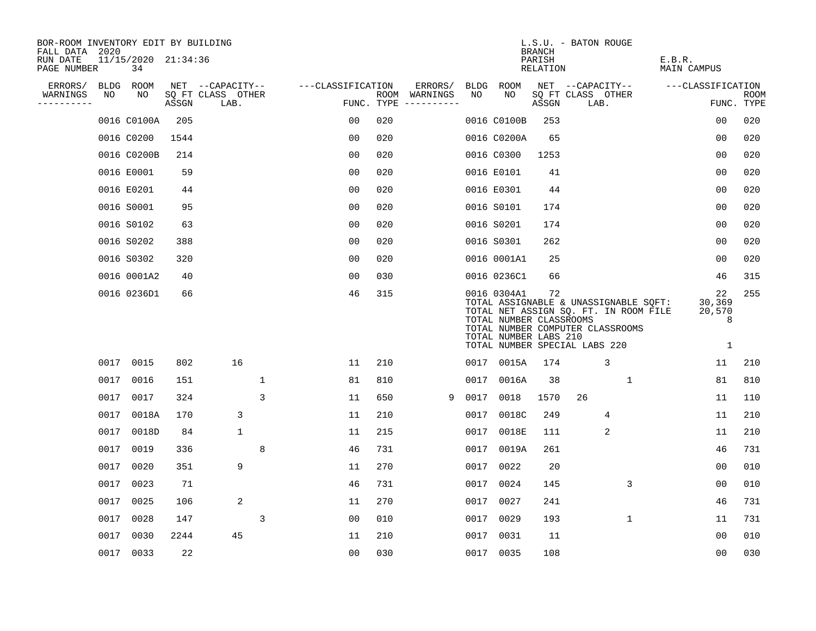| BOR-ROOM INVENTORY EDIT BY BUILDING<br>FALL DATA 2020 |      |                           |       |                           |             |                   |     |                                      |      |                                                                                                  | <b>BRANCH</b>      | L.S.U. - BATON ROUGE      |                                                                                                                    |                       |                                  |                    |
|-------------------------------------------------------|------|---------------------------|-------|---------------------------|-------------|-------------------|-----|--------------------------------------|------|--------------------------------------------------------------------------------------------------|--------------------|---------------------------|--------------------------------------------------------------------------------------------------------------------|-----------------------|----------------------------------|--------------------|
| RUN DATE<br>PAGE NUMBER                               |      | 11/15/2020 21:34:36<br>34 |       |                           |             |                   |     |                                      |      |                                                                                                  | PARISH<br>RELATION |                           |                                                                                                                    | E.B.R.<br>MAIN CAMPUS |                                  |                    |
| ERRORS/                                               |      | BLDG ROOM                 |       | NET --CAPACITY--          |             | ---CLASSIFICATION |     | ERRORS/                              | BLDG | ROOM                                                                                             |                    | NET --CAPACITY--          |                                                                                                                    |                       | ---CLASSIFICATION                |                    |
| WARNINGS<br>----------                                | NO   | NO                        | ASSGN | SQ FT CLASS OTHER<br>LAB. |             |                   |     | ROOM WARNINGS<br>FUNC. TYPE $------$ | NO   | NO                                                                                               | ASSGN              | SQ FT CLASS OTHER<br>LAB. |                                                                                                                    |                       |                                  | ROOM<br>FUNC. TYPE |
|                                                       |      | 0016 C0100A               | 205   |                           |             | 0 <sub>0</sub>    | 020 |                                      |      | 0016 C0100B                                                                                      | 253                |                           |                                                                                                                    |                       | 0 <sub>0</sub>                   | 020                |
|                                                       |      | 0016 C0200                | 1544  |                           |             | 0 <sub>0</sub>    | 020 |                                      |      | 0016 C0200A                                                                                      | 65                 |                           |                                                                                                                    |                       | 0 <sub>0</sub>                   | 020                |
|                                                       |      | 0016 C0200B               | 214   |                           |             | 0 <sub>0</sub>    | 020 |                                      |      | 0016 C0300                                                                                       | 1253               |                           |                                                                                                                    |                       | 00                               | 020                |
|                                                       |      | 0016 E0001                | 59    |                           |             | 0 <sub>0</sub>    | 020 |                                      |      | 0016 E0101                                                                                       | 41                 |                           |                                                                                                                    |                       | 0 <sub>0</sub>                   | 020                |
|                                                       |      | 0016 E0201                | 44    |                           |             | 0 <sub>0</sub>    | 020 |                                      |      | 0016 E0301                                                                                       | 44                 |                           |                                                                                                                    |                       | 0 <sub>0</sub>                   | 020                |
|                                                       |      | 0016 S0001                | 95    |                           |             | 0 <sub>0</sub>    | 020 |                                      |      | 0016 S0101                                                                                       | 174                |                           |                                                                                                                    |                       | 0 <sub>0</sub>                   | 020                |
|                                                       |      | 0016 S0102                | 63    |                           |             | 0 <sub>0</sub>    | 020 |                                      |      | 0016 S0201                                                                                       | 174                |                           |                                                                                                                    |                       | 00                               | 020                |
|                                                       |      | 0016 S0202                | 388   |                           |             | 0 <sub>0</sub>    | 020 |                                      |      | 0016 S0301                                                                                       | 262                |                           |                                                                                                                    |                       | 0 <sub>0</sub>                   | 020                |
|                                                       |      | 0016 S0302                | 320   |                           |             | 0 <sub>0</sub>    | 020 |                                      |      | 0016 0001A1                                                                                      | 25                 |                           |                                                                                                                    |                       | 0 <sub>0</sub>                   | 020                |
|                                                       |      | 0016 0001A2               | 40    |                           |             | 0 <sub>0</sub>    | 030 |                                      |      | 0016 0236C1                                                                                      | 66                 |                           |                                                                                                                    |                       | 46                               | 315                |
|                                                       |      | 0016 0236D1               | 66    |                           |             | 46                | 315 |                                      |      | 0016 0304A1<br>TOTAL NUMBER CLASSROOMS<br>TOTAL NUMBER LABS 210<br>TOTAL NUMBER SPECIAL LABS 220 | 72                 |                           | TOTAL ASSIGNABLE & UNASSIGNABLE SQFT:<br>TOTAL NET ASSIGN SQ. FT. IN ROOM FILE<br>TOTAL NUMBER COMPUTER CLASSROOMS |                       | 22<br>30,369<br>20,570<br>8<br>1 | 255                |
|                                                       |      | 0017 0015                 | 802   | 16                        |             | 11                | 210 |                                      |      | 0017 0015A                                                                                       | 174                |                           | 3                                                                                                                  |                       | 11                               | 210                |
|                                                       | 0017 | 0016                      | 151   |                           | $\mathbf 1$ | 81                | 810 |                                      | 0017 | 0016A                                                                                            | 38                 |                           | 1                                                                                                                  |                       | 81                               | 810                |
|                                                       | 0017 | 0017                      | 324   |                           | 3           | 11                | 650 | 9                                    | 0017 | 0018                                                                                             | 1570               | 26                        |                                                                                                                    |                       | 11                               | 110                |
|                                                       | 0017 | 0018A                     | 170   | 3                         |             | 11                | 210 |                                      | 0017 | 0018C                                                                                            | 249                |                           | 4                                                                                                                  |                       | 11                               | 210                |
|                                                       | 0017 | 0018D                     | 84    | $\mathbf 1$               |             | 11                | 215 |                                      | 0017 | 0018E                                                                                            | 111                |                           | 2                                                                                                                  |                       | 11                               | 210                |
|                                                       | 0017 | 0019                      | 336   |                           | 8           | 46                | 731 |                                      | 0017 | 0019A                                                                                            | 261                |                           |                                                                                                                    |                       | 46                               | 731                |
|                                                       | 0017 | 0020                      | 351   | 9                         |             | 11                | 270 |                                      | 0017 | 0022                                                                                             | 20                 |                           |                                                                                                                    |                       | 0 <sub>0</sub>                   | 010                |
|                                                       | 0017 | 0023                      | 71    |                           |             | 46                | 731 |                                      | 0017 | 0024                                                                                             | 145                |                           | 3                                                                                                                  |                       | 0 <sub>0</sub>                   | 010                |
|                                                       | 0017 | 0025                      | 106   | 2                         |             | 11                | 270 |                                      |      | 0017 0027                                                                                        | 241                |                           |                                                                                                                    |                       | 46                               | 731                |
|                                                       | 0017 | 0028                      | 147   |                           | 3           | 0 <sub>0</sub>    | 010 |                                      | 0017 | 0029                                                                                             | 193                |                           | $\mathbf{1}$                                                                                                       |                       | 11                               | 731                |
|                                                       | 0017 | 0030                      | 2244  | 45                        |             | 11                | 210 |                                      | 0017 | 0031                                                                                             | 11                 |                           |                                                                                                                    |                       | 0 <sub>0</sub>                   | 010                |
|                                                       |      | 0017 0033                 | 22    |                           |             | 0 <sub>0</sub>    | 030 |                                      |      | 0017 0035                                                                                        | 108                |                           |                                                                                                                    |                       | 0 <sub>0</sub>                   | 030                |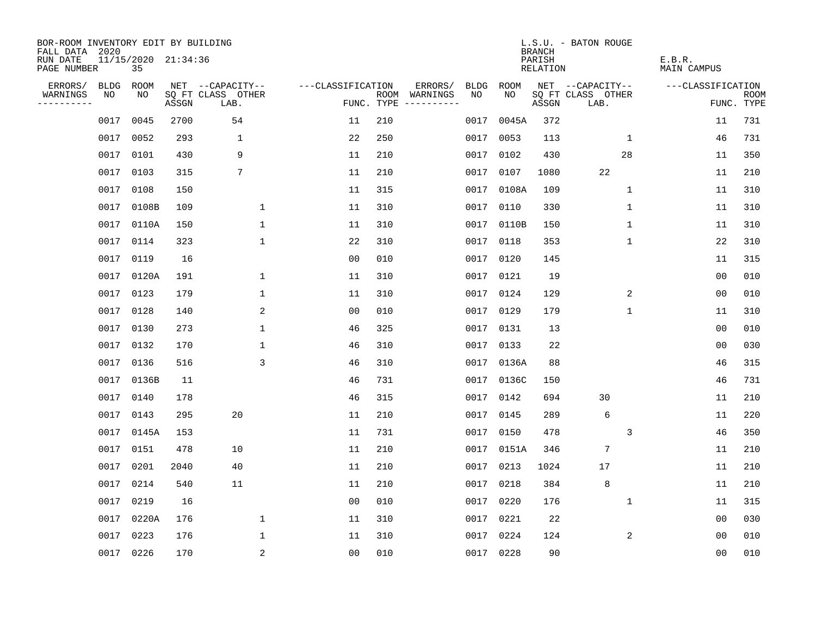| BOR-ROOM INVENTORY EDIT BY BUILDING<br>FALL DATA 2020 |             |                           |       |                           |                   |     |                                      |             |            | <b>BRANCH</b>             | L.S.U. - BATON ROUGE      |                              |                           |
|-------------------------------------------------------|-------------|---------------------------|-------|---------------------------|-------------------|-----|--------------------------------------|-------------|------------|---------------------------|---------------------------|------------------------------|---------------------------|
| RUN DATE<br>PAGE NUMBER                               |             | 11/15/2020 21:34:36<br>35 |       |                           |                   |     |                                      |             |            | PARISH<br><b>RELATION</b> |                           | E.B.R.<br><b>MAIN CAMPUS</b> |                           |
| ERRORS/                                               | <b>BLDG</b> | ROOM                      |       | NET --CAPACITY--          | ---CLASSIFICATION |     | ERRORS/                              | <b>BLDG</b> | ROOM       |                           | NET --CAPACITY--          | ---CLASSIFICATION            |                           |
| WARNINGS<br>----------                                | NO          | NO                        | ASSGN | SQ FT CLASS OTHER<br>LAB. |                   |     | ROOM WARNINGS<br>FUNC. TYPE $------$ | NO          | NO         | ASSGN                     | SQ FT CLASS OTHER<br>LAB. |                              | <b>ROOM</b><br>FUNC. TYPE |
|                                                       | 0017        | 0045                      | 2700  | 54                        | 11                | 210 |                                      | 0017        | 0045A      | 372                       |                           | 11                           | 731                       |
|                                                       | 0017        | 0052                      | 293   | 1                         | 22                | 250 |                                      |             | 0017 0053  | 113                       | $\mathbf 1$               | 46                           | 731                       |
|                                                       | 0017        | 0101                      | 430   | 9                         | 11                | 210 |                                      |             | 0017 0102  | 430                       | 28                        | 11                           | 350                       |
|                                                       | 0017        | 0103                      | 315   | 7                         | 11                | 210 |                                      |             | 0017 0107  | 1080                      | 22                        | 11                           | 210                       |
|                                                       | 0017        | 0108                      | 150   |                           | 11                | 315 |                                      | 0017        | 0108A      | 109                       | $\mathbf{1}$              | 11                           | 310                       |
|                                                       | 0017        | 0108B                     | 109   | 1                         | 11                | 310 |                                      |             | 0017 0110  | 330                       | 1                         | 11                           | 310                       |
|                                                       | 0017        | 0110A                     | 150   | $\mathbf 1$               | 11                | 310 |                                      |             | 0017 0110B | 150                       | $\mathbf{1}$              | 11                           | 310                       |
|                                                       | 0017        | 0114                      | 323   | $\mathbf{1}$              | 22                | 310 |                                      |             | 0017 0118  | 353                       | $\mathbf 1$               | 22                           | 310                       |
|                                                       | 0017        | 0119                      | 16    |                           | 0 <sub>0</sub>    | 010 |                                      |             | 0017 0120  | 145                       |                           | 11                           | 315                       |
|                                                       | 0017        | 0120A                     | 191   | 1                         | 11                | 310 |                                      |             | 0017 0121  | 19                        |                           | 00                           | 010                       |
|                                                       | 0017        | 0123                      | 179   | $\mathbf 1$               | 11                | 310 |                                      |             | 0017 0124  | 129                       | 2                         | 0 <sub>0</sub>               | 010                       |
|                                                       | 0017        | 0128                      | 140   | 2                         | 0 <sub>0</sub>    | 010 |                                      |             | 0017 0129  | 179                       | $\mathbf 1$               | 11                           | 310                       |
|                                                       | 0017        | 0130                      | 273   | $\mathbf 1$               | 46                | 325 |                                      | 0017        | 0131       | 13                        |                           | 0 <sub>0</sub>               | 010                       |
|                                                       | 0017        | 0132                      | 170   | 1                         | 46                | 310 |                                      |             | 0017 0133  | 22                        |                           | 0 <sub>0</sub>               | 030                       |
|                                                       | 0017        | 0136                      | 516   | 3                         | 46                | 310 |                                      |             | 0017 0136A | 88                        |                           | 46                           | 315                       |
|                                                       | 0017        | 0136B                     | 11    |                           | 46                | 731 |                                      | 0017        | 0136C      | 150                       |                           | 46                           | 731                       |
|                                                       | 0017        | 0140                      | 178   |                           | 46                | 315 |                                      | 0017        | 0142       | 694                       | 30                        | 11                           | 210                       |
|                                                       | 0017        | 0143                      | 295   | 20                        | 11                | 210 |                                      | 0017        | 0145       | 289                       | 6                         | 11                           | 220                       |
|                                                       | 0017        | 0145A                     | 153   |                           | 11                | 731 |                                      |             | 0017 0150  | 478                       | 3                         | 46                           | 350                       |
|                                                       | 0017        | 0151                      | 478   | 10                        | 11                | 210 |                                      |             | 0017 0151A | 346                       | $7\phantom{.0}$           | 11                           | 210                       |
|                                                       | 0017        | 0201                      | 2040  | 40                        | 11                | 210 |                                      |             | 0017 0213  | 1024                      | 17                        | 11                           | 210                       |
|                                                       | 0017        | 0214                      | 540   | 11                        | 11                | 210 |                                      | 0017        | 0218       | 384                       | 8                         | 11                           | 210                       |
|                                                       | 0017        | 0219                      | 16    |                           | 0 <sub>0</sub>    | 010 |                                      |             | 0017 0220  | 176                       | 1                         | 11                           | 315                       |
|                                                       | 0017        | 0220A                     | 176   | $\mathbf 1$               | 11                | 310 |                                      |             | 0017 0221  | 22                        |                           | 0 <sub>0</sub>               | 030                       |
|                                                       | 0017        | 0223                      | 176   | 1                         | 11                | 310 |                                      |             | 0017 0224  | 124                       | 2                         | 0 <sub>0</sub>               | 010                       |
|                                                       | 0017 0226   |                           | 170   | 2                         | 0 <sub>0</sub>    | 010 |                                      |             | 0017 0228  | 90                        |                           | 0 <sub>0</sub>               | 010                       |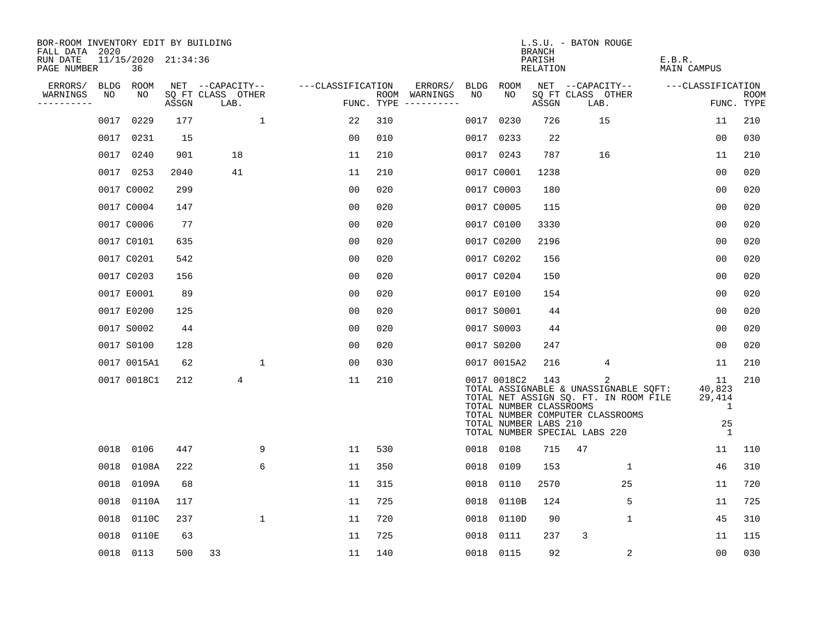| BOR-ROOM INVENTORY EDIT BY BUILDING<br>FALL DATA 2020 |             |                           |       |                           |              |                   |     |               |      |                                                                 | <b>BRANCH</b>      | L.S.U. - BATON ROUGE                                                                                                                                     |                                                   |                           |
|-------------------------------------------------------|-------------|---------------------------|-------|---------------------------|--------------|-------------------|-----|---------------|------|-----------------------------------------------------------------|--------------------|----------------------------------------------------------------------------------------------------------------------------------------------------------|---------------------------------------------------|---------------------------|
| RUN DATE<br>PAGE NUMBER                               |             | 11/15/2020 21:34:36<br>36 |       |                           |              |                   |     |               |      |                                                                 | PARISH<br>RELATION |                                                                                                                                                          | E.B.R.<br>MAIN CAMPUS                             |                           |
| ERRORS/                                               | <b>BLDG</b> | ROOM                      |       | NET --CAPACITY--          |              | ---CLASSIFICATION |     | ERRORS/       | BLDG | <b>ROOM</b>                                                     |                    | NET --CAPACITY--                                                                                                                                         | ---CLASSIFICATION                                 |                           |
| WARNINGS<br>. _ _ _ _ _ _ _ _ _                       | NO          | NO                        | ASSGN | SQ FT CLASS OTHER<br>LAB. |              | FUNC. TYPE        |     | ROOM WARNINGS | NO   | NO                                                              | ASSGN              | SQ FT CLASS OTHER<br>LAB.                                                                                                                                |                                                   | <b>ROOM</b><br>FUNC. TYPE |
|                                                       | 0017        | 0229                      | 177   |                           | $\mathbf{1}$ | 22                | 310 |               | 0017 | 0230                                                            | 726                | 15                                                                                                                                                       | 11                                                | 210                       |
|                                                       | 0017        | 0231                      | 15    |                           |              | 00                | 010 |               |      | 0017 0233                                                       | 22                 |                                                                                                                                                          | 0 <sub>0</sub>                                    | 030                       |
|                                                       | 0017        | 0240                      | 901   | 18                        |              | 11                | 210 |               |      | 0017 0243                                                       | 787                | 16                                                                                                                                                       | 11                                                | 210                       |
|                                                       |             | 0017 0253                 | 2040  | 41                        |              | 11                | 210 |               |      | 0017 C0001                                                      | 1238               |                                                                                                                                                          | 0 <sub>0</sub>                                    | 020                       |
|                                                       |             | 0017 C0002                | 299   |                           |              | 0 <sub>0</sub>    | 020 |               |      | 0017 C0003                                                      | 180                |                                                                                                                                                          | 00                                                | 020                       |
|                                                       |             | 0017 C0004                | 147   |                           |              | 0 <sub>0</sub>    | 020 |               |      | 0017 C0005                                                      | 115                |                                                                                                                                                          | 0 <sub>0</sub>                                    | 020                       |
|                                                       |             | 0017 C0006                | 77    |                           |              | 0 <sub>0</sub>    | 020 |               |      | 0017 C0100                                                      | 3330               |                                                                                                                                                          | 0 <sub>0</sub>                                    | 020                       |
|                                                       |             | 0017 C0101                | 635   |                           |              | 0 <sub>0</sub>    | 020 |               |      | 0017 C0200                                                      | 2196               |                                                                                                                                                          | 0 <sub>0</sub>                                    | 020                       |
|                                                       |             | 0017 C0201                | 542   |                           |              | 0 <sub>0</sub>    | 020 |               |      | 0017 C0202                                                      | 156                |                                                                                                                                                          | 0 <sub>0</sub>                                    | 020                       |
|                                                       |             | 0017 C0203                | 156   |                           |              | 00                | 020 |               |      | 0017 C0204                                                      | 150                |                                                                                                                                                          | 0 <sub>0</sub>                                    | 020                       |
|                                                       |             | 0017 E0001                | 89    |                           |              | 0 <sub>0</sub>    | 020 |               |      | 0017 E0100                                                      | 154                |                                                                                                                                                          | 0 <sub>0</sub>                                    | 020                       |
|                                                       |             | 0017 E0200                | 125   |                           |              | 0 <sub>0</sub>    | 020 |               |      | 0017 S0001                                                      | 44                 |                                                                                                                                                          | 00                                                | 020                       |
|                                                       |             | 0017 S0002                | 44    |                           |              | 00                | 020 |               |      | 0017 S0003                                                      | 44                 |                                                                                                                                                          | 0 <sub>0</sub>                                    | 020                       |
|                                                       |             | 0017 S0100                | 128   |                           |              | 0 <sub>0</sub>    | 020 |               |      | 0017 S0200                                                      | 247                |                                                                                                                                                          | 0 <sub>0</sub>                                    | 020                       |
|                                                       |             | 0017 0015A1               | 62    |                           | 1            | 0 <sub>0</sub>    | 030 |               |      | 0017 0015A2                                                     | 216                | 4                                                                                                                                                        | 11                                                | 210                       |
|                                                       |             | 0017 0018C1               | 212   | 4                         |              | 11                | 210 |               |      | 0017 0018C2<br>TOTAL NUMBER CLASSROOMS<br>TOTAL NUMBER LABS 210 | 143                | 2<br>TOTAL ASSIGNABLE & UNASSIGNABLE SQFT:<br>TOTAL NET ASSIGN SQ. FT. IN ROOM FILE<br>TOTAL NUMBER COMPUTER CLASSROOMS<br>TOTAL NUMBER SPECIAL LABS 220 | 11<br>40,823<br>29,414<br>1<br>25<br>$\mathbf{1}$ | 210                       |
|                                                       | 0018        | 0106                      | 447   |                           | 9            | 11                | 530 |               |      | 0018 0108                                                       | 715                | 47                                                                                                                                                       | 11                                                | 110                       |
|                                                       | 0018        | 0108A                     | 222   |                           | 6            | 11                | 350 |               | 0018 | 0109                                                            | 153                | $\mathbf{1}$                                                                                                                                             | 46                                                | 310                       |
|                                                       | 0018        | 0109A                     | 68    |                           |              | 11                | 315 |               | 0018 | 0110                                                            | 2570               | 25                                                                                                                                                       | 11                                                | 720                       |
|                                                       | 0018        | 0110A                     | 117   |                           |              | 11                | 725 |               | 0018 | 0110B                                                           | 124                | 5                                                                                                                                                        | 11                                                | 725                       |
|                                                       | 0018        | 0110C                     | 237   |                           | 1            | 11                | 720 |               | 0018 | 0110D                                                           | 90                 | $\mathbf 1$                                                                                                                                              | 45                                                | 310                       |
|                                                       | 0018        | 0110E                     | 63    |                           |              | 11                | 725 |               | 0018 | 0111                                                            | 237                | 3                                                                                                                                                        | 11                                                | 115                       |
|                                                       |             | 0018 0113                 | 500   | 33                        |              | 11                | 140 |               |      | 0018 0115                                                       | 92                 | 2                                                                                                                                                        | 0 <sub>0</sub>                                    | 030                       |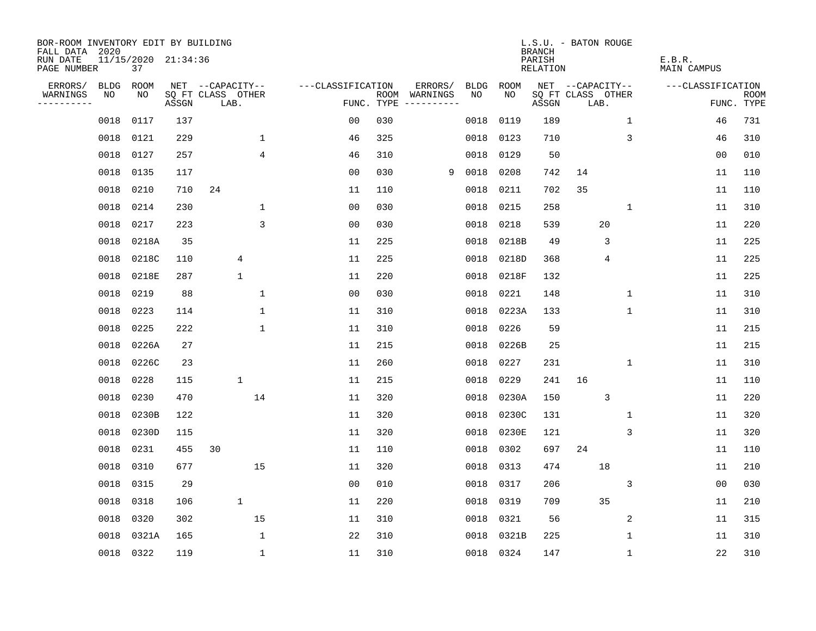| BOR-ROOM INVENTORY EDIT BY BUILDING<br>FALL DATA 2020 |      |                           |       |                           |                |                   |            |                              |             |           | <b>BRANCH</b>      | L.S.U. - BATON ROUGE      |              |                       |                           |
|-------------------------------------------------------|------|---------------------------|-------|---------------------------|----------------|-------------------|------------|------------------------------|-------------|-----------|--------------------|---------------------------|--------------|-----------------------|---------------------------|
| RUN DATE<br>PAGE NUMBER                               |      | 11/15/2020 21:34:36<br>37 |       |                           |                |                   |            |                              |             |           | PARISH<br>RELATION |                           |              | E.B.R.<br>MAIN CAMPUS |                           |
| ERRORS/                                               | BLDG | ROOM                      |       | NET --CAPACITY--          |                | ---CLASSIFICATION |            | ERRORS/                      | <b>BLDG</b> | ROOM      |                    | NET --CAPACITY--          |              | ---CLASSIFICATION     |                           |
| WARNINGS<br>----------                                | NO   | NO                        | ASSGN | SQ FT CLASS OTHER<br>LAB. |                |                   | FUNC. TYPE | ROOM WARNINGS<br>----------- | NO.         | NO.       | ASSGN              | SQ FT CLASS OTHER<br>LAB. |              |                       | <b>ROOM</b><br>FUNC. TYPE |
|                                                       | 0018 | 0117                      | 137   |                           |                | 0 <sub>0</sub>    | 030        |                              | 0018        | 0119      | 189                |                           | $\mathbf{1}$ | 46                    | 731                       |
|                                                       | 0018 | 0121                      | 229   |                           | $\mathbf 1$    | 46                | 325        |                              | 0018        | 0123      | 710                |                           | 3            | 46                    | 310                       |
|                                                       | 0018 | 0127                      | 257   |                           | 4              | 46                | 310        |                              | 0018        | 0129      | 50                 |                           |              | 00                    | 010                       |
|                                                       | 0018 | 0135                      | 117   |                           |                | 0 <sub>0</sub>    | 030        | 9                            | 0018        | 0208      | 742                | 14                        |              | 11                    | 110                       |
|                                                       | 0018 | 0210                      | 710   | 24                        |                | 11                | 110        |                              | 0018        | 0211      | 702                | 35                        |              | 11                    | 110                       |
|                                                       | 0018 | 0214                      | 230   |                           | $\mathbf 1$    | 0 <sub>0</sub>    | 030        |                              | 0018        | 0215      | 258                |                           | 1            | 11                    | 310                       |
|                                                       | 0018 | 0217                      | 223   |                           | $\overline{3}$ | 0 <sub>0</sub>    | 030        |                              | 0018        | 0218      | 539                |                           | 20           | 11                    | 220                       |
|                                                       | 0018 | 0218A                     | 35    |                           |                | 11                | 225        |                              | 0018        | 0218B     | 49                 |                           | 3            | 11                    | 225                       |
|                                                       | 0018 | 0218C                     | 110   | 4                         |                | 11                | 225        |                              | 0018        | 0218D     | 368                |                           | 4            | 11                    | 225                       |
|                                                       |      | 0018 0218E                | 287   | 1                         |                | 11                | 220        |                              | 0018        | 0218F     | 132                |                           |              | 11                    | 225                       |
|                                                       | 0018 | 0219                      | 88    |                           | $\mathbf 1$    | 0 <sub>0</sub>    | 030        |                              | 0018        | 0221      | 148                |                           | $\mathbf{1}$ | 11                    | 310                       |
|                                                       |      | 0018 0223                 | 114   |                           | $\mathbf{1}$   | 11                | 310        |                              | 0018        | 0223A     | 133                |                           | $\mathbf{1}$ | 11                    | 310                       |
|                                                       | 0018 | 0225                      | 222   |                           | $\mathbf 1$    | 11                | 310        |                              | 0018        | 0226      | 59                 |                           |              | 11                    | 215                       |
|                                                       | 0018 | 0226A                     | 27    |                           |                | 11                | 215        |                              | 0018        | 0226B     | 25                 |                           |              | 11                    | 215                       |
|                                                       | 0018 | 0226C                     | 23    |                           |                | 11                | 260        |                              | 0018        | 0227      | 231                |                           | 1            | 11                    | 310                       |
|                                                       | 0018 | 0228                      | 115   | $\mathbf{1}$              |                | 11                | 215        |                              | 0018        | 0229      | 241                | 16                        |              | 11                    | 110                       |
|                                                       | 0018 | 0230                      | 470   |                           | 14             | 11                | 320        |                              | 0018        | 0230A     | 150                |                           | $\mathsf 3$  | 11                    | 220                       |
|                                                       | 0018 | 0230B                     | 122   |                           |                | 11                | 320        |                              | 0018        | 0230C     | 131                |                           | 1            | 11                    | 320                       |
|                                                       | 0018 | 0230D                     | 115   |                           |                | 11                | 320        |                              | 0018        | 0230E     | 121                |                           | 3            | 11                    | 320                       |
|                                                       | 0018 | 0231                      | 455   | 30                        |                | 11                | 110        |                              | 0018        | 0302      | 697                | 24                        |              | 11                    | 110                       |
|                                                       | 0018 | 0310                      | 677   |                           | 15             | 11                | 320        |                              | 0018        | 0313      | 474                |                           | 18           | 11                    | 210                       |
|                                                       | 0018 | 0315                      | 29    |                           |                | 0 <sub>0</sub>    | 010        |                              | 0018        | 0317      | 206                |                           | 3            | 00                    | 030                       |
|                                                       | 0018 | 0318                      | 106   | $\mathbf 1$               |                | 11                | 220        |                              | 0018        | 0319      | 709                |                           | 35           | 11                    | 210                       |
|                                                       | 0018 | 0320                      | 302   |                           | 15             | 11                | 310        |                              | 0018        | 0321      | 56                 |                           | 2            | 11                    | 315                       |
|                                                       | 0018 | 0321A                     | 165   |                           | $\mathbf 1$    | 22                | 310        |                              | 0018        | 0321B     | 225                |                           | 1            | 11                    | 310                       |
|                                                       |      | 0018 0322                 | 119   |                           | $\mathbf{1}$   | 11                | 310        |                              |             | 0018 0324 | 147                |                           | $\mathbf{1}$ | 22                    | 310                       |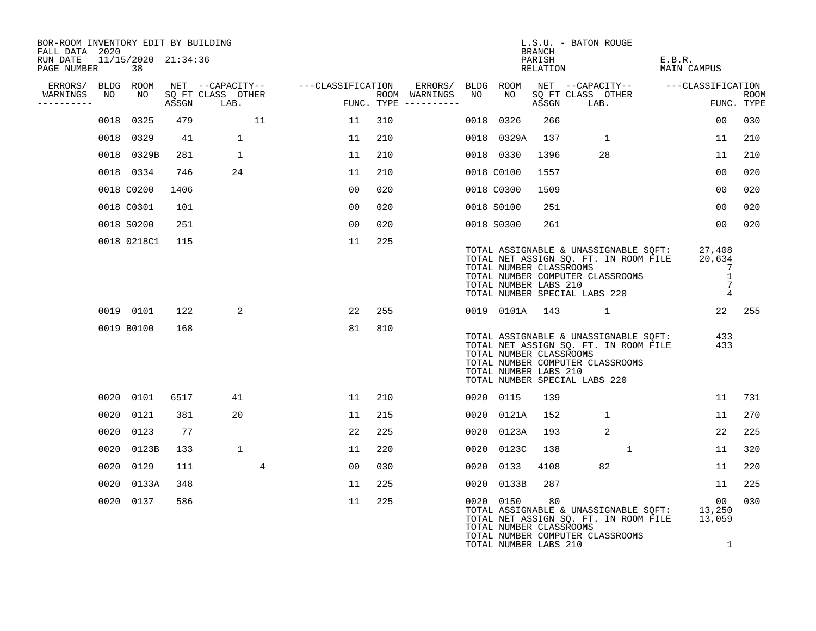| BOR-ROOM INVENTORY EDIT BY BUILDING<br>FALL DATA 2020 |                           |       |                           |                                    |     |                                      |      |                                                  | BRANCH             | L.S.U. - BATON ROUGE                                                                                                                                |                       |                                                                             |                           |
|-------------------------------------------------------|---------------------------|-------|---------------------------|------------------------------------|-----|--------------------------------------|------|--------------------------------------------------|--------------------|-----------------------------------------------------------------------------------------------------------------------------------------------------|-----------------------|-----------------------------------------------------------------------------|---------------------------|
| RUN DATE<br>PAGE NUMBER                               | 11/15/2020 21:34:36<br>38 |       |                           |                                    |     |                                      |      |                                                  | PARISH<br>RELATION |                                                                                                                                                     | E.B.R.<br>MAIN CAMPUS |                                                                             |                           |
| ERRORS/ BLDG ROOM<br>WARNINGS<br>NO<br>----------     | NO                        | ASSGN | SO FT CLASS OTHER<br>LAB. | NET --CAPACITY-- ---CLASSIFICATION |     | ROOM WARNINGS<br>FUNC. TYPE $------$ | NO   | NO                                               | ASSGN              | ERRORS/ BLDG ROOM NET --CAPACITY--  ---CLASSIFICATION<br>SQ FT CLASS OTHER<br>LAB.                                                                  |                       |                                                                             | <b>ROOM</b><br>FUNC. TYPE |
|                                                       | 0018 0325                 | 479   | 11                        | 11                                 | 310 |                                      | 0018 | 0326                                             | 266                |                                                                                                                                                     |                       | 00                                                                          | 030                       |
|                                                       | 0018 0329                 | 41    | 1                         | 11                                 | 210 |                                      |      | 0018 0329A                                       | 137                | $\mathbf{1}$                                                                                                                                        |                       | 11                                                                          | 210                       |
|                                                       | 0018 0329B                | 281   | $\mathbf{1}$              | 11                                 | 210 |                                      |      | 0018 0330                                        | 1396               | 28                                                                                                                                                  |                       | 11                                                                          | 210                       |
|                                                       | 0018 0334                 | 746   | 24                        | 11                                 | 210 |                                      |      | 0018 C0100                                       | 1557               |                                                                                                                                                     |                       | 00                                                                          | 020                       |
|                                                       | 0018 C0200                | 1406  |                           | 00                                 | 020 |                                      |      | 0018 C0300                                       | 1509               |                                                                                                                                                     |                       | 00                                                                          | 020                       |
|                                                       | 0018 C0301                | 101   |                           | 00                                 | 020 |                                      |      | 0018 S0100                                       | 251                |                                                                                                                                                     |                       | 00                                                                          | 020                       |
|                                                       | 0018 S0200                | 251   |                           | 00                                 | 020 |                                      |      | 0018 S0300                                       | 261                |                                                                                                                                                     |                       | 00                                                                          | 020                       |
|                                                       | 0018 0218C1               | 115   |                           | 11                                 | 225 |                                      |      | TOTAL NUMBER CLASSROOMS<br>TOTAL NUMBER LABS 210 |                    | TOTAL ASSIGNABLE & UNASSIGNABLE SQFT:<br>TOTAL NET ASSIGN SQ. FT. IN ROOM FILE<br>TOTAL NUMBER COMPUTER CLASSROOMS<br>TOTAL NUMBER SPECIAL LABS 220 |                       | 27,408<br>20,634<br>7<br>$\overline{1}$<br>$\overline{7}$<br>$\overline{4}$ |                           |
|                                                       | 0019 0101                 | 122   | 2                         | 22                                 | 255 |                                      |      |                                                  |                    | 0019 0101A 143 1                                                                                                                                    |                       | 22 255                                                                      |                           |
|                                                       | 0019 B0100                | 168   |                           | 81                                 | 810 |                                      |      | TOTAL NUMBER CLASSROOMS<br>TOTAL NUMBER LABS 210 |                    | TOTAL ASSIGNABLE & UNASSIGNABLE SQFT:<br>TOTAL NET ASSIGN SO. FT. IN ROOM FILE<br>TOTAL NUMBER COMPUTER CLASSROOMS<br>TOTAL NUMBER SPECIAL LABS 220 |                       | 433<br>433                                                                  |                           |
|                                                       | 0020 0101                 | 6517  | 41                        | 11                                 | 210 |                                      |      | 0020 0115                                        | 139                |                                                                                                                                                     |                       | 11                                                                          | 731                       |
|                                                       | 0020 0121                 | 381   | 20                        | 11                                 | 215 |                                      |      | 0020 0121A                                       | 152                | $\mathbf{1}$                                                                                                                                        |                       | 11                                                                          | 270                       |
|                                                       | 0020 0123                 | 77    |                           | 22                                 | 225 |                                      |      | 0020 0123A                                       | 193                | 2                                                                                                                                                   |                       | 22                                                                          | 225                       |
|                                                       | 0020 0123B                | 133   | $\mathbf{1}$              | 11                                 | 220 |                                      | 0020 | 0123C                                            | 138                | $\mathbf{1}$                                                                                                                                        |                       | 11                                                                          | 320                       |
| 0020                                                  | 0129                      | 111   | $\overline{4}$            | 00                                 | 030 |                                      | 0020 | 0133                                             | 4108               | 82                                                                                                                                                  |                       | 11                                                                          | 220                       |
|                                                       | 0020 0133A                | 348   |                           | 11                                 | 225 |                                      |      | 0020 0133B                                       | 287                |                                                                                                                                                     |                       | 11                                                                          | 225                       |
|                                                       | 0020 0137                 | 586   |                           | 11                                 | 225 |                                      |      | 0020 0150<br>TOTAL NUMBER CLASSROOMS             | 80                 | TOTAL ASSIGNABLE & UNASSIGNABLE SQFT: 13,250<br>TOTAL NET ASSIGN SQ. FT. IN ROOM FILE 13,059<br>TOTAL NUMBER COMPUTER CLASSROOMS                    |                       | 00 <sub>o</sub>                                                             | 030                       |

TOTAL NUMBER LABS 210 1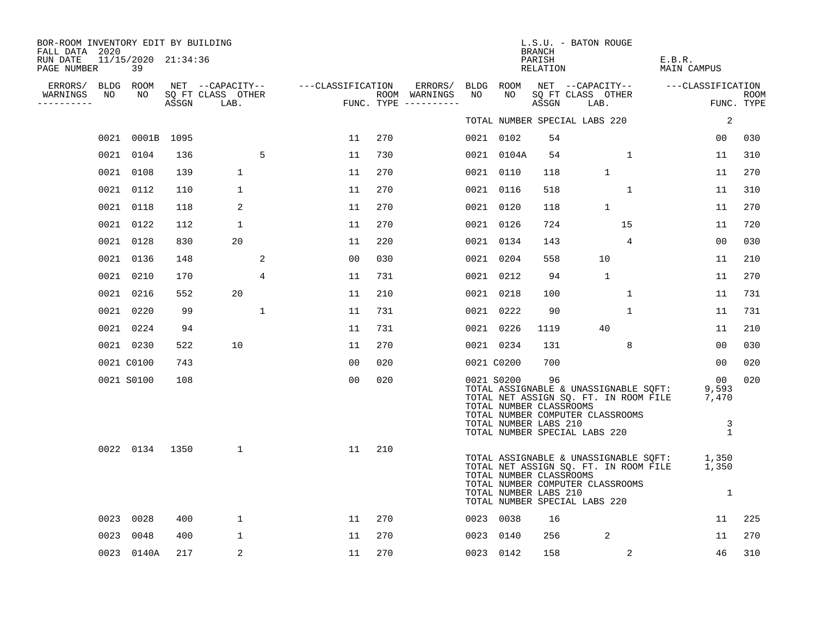| BOR-ROOM INVENTORY EDIT BY BUILDING<br>FALL DATA 2020<br>RUN DATE<br>PAGE NUMBER | 11/15/2020 21:34:36<br>39 |       |                                               |                   |     |                                                 |      |                                                                | <b>BRANCH</b><br>PARISH<br>RELATION | L.S.U. - BATON ROUGE                                                                                                                                |              | E.B.R.<br>MAIN CAMPUS                     |                           |
|----------------------------------------------------------------------------------|---------------------------|-------|-----------------------------------------------|-------------------|-----|-------------------------------------------------|------|----------------------------------------------------------------|-------------------------------------|-----------------------------------------------------------------------------------------------------------------------------------------------------|--------------|-------------------------------------------|---------------------------|
| ERRORS/<br>NO<br>WARNINGS<br>----------                                          | BLDG ROOM<br>NO           | ASSGN | NET --CAPACITY--<br>SQ FT CLASS OTHER<br>LAB. | ---CLASSIFICATION |     | ERRORS/<br>ROOM WARNINGS<br>FUNC. TYPE $------$ | NO   | BLDG ROOM<br>NO                                                | ASSGN                               | SQ FT CLASS OTHER<br>LAB.                                                                                                                           |              | NET --CAPACITY-- ---CLASSIFICATION        | <b>ROOM</b><br>FUNC. TYPE |
|                                                                                  |                           |       |                                               |                   |     |                                                 |      |                                                                |                                     | TOTAL NUMBER SPECIAL LABS 220                                                                                                                       |              | 2                                         |                           |
|                                                                                  | 0021 0001B 1095           |       |                                               | 11                | 270 |                                                 |      | 0021 0102                                                      | 54                                  |                                                                                                                                                     |              | 00                                        | 030                       |
|                                                                                  | 0021 0104                 | 136   | 5                                             | 11                | 730 |                                                 |      | 0021 0104A                                                     | 54                                  |                                                                                                                                                     | 1            | 11                                        | 310                       |
|                                                                                  | 0021 0108                 | 139   | $\mathbf{1}$                                  | 11                | 270 |                                                 |      | 0021 0110                                                      | 118                                 | $\mathbf{1}$                                                                                                                                        |              | 11                                        | 270                       |
| 0021                                                                             | 0112                      | 110   | $\mathbf 1$                                   | 11                | 270 |                                                 |      | 0021 0116                                                      | 518                                 |                                                                                                                                                     | $\mathbf{1}$ | 11                                        | 310                       |
|                                                                                  | 0021 0118                 | 118   | 2                                             | 11                | 270 |                                                 |      | 0021 0120                                                      | 118                                 | $\mathbf{1}$                                                                                                                                        |              | 11                                        | 270                       |
|                                                                                  | 0021 0122                 | 112   | 1                                             | 11                | 270 |                                                 |      | 0021 0126                                                      | 724                                 | 15                                                                                                                                                  |              | 11                                        | 720                       |
|                                                                                  | 0021 0128                 | 830   | 20                                            | 11                | 220 |                                                 |      | 0021 0134                                                      | 143                                 |                                                                                                                                                     | 4            | 00                                        | 030                       |
|                                                                                  | 0021 0136                 | 148   | 2                                             | 0 <sub>0</sub>    | 030 |                                                 | 0021 | 0204                                                           | 558                                 | 10                                                                                                                                                  |              | 11                                        | 210                       |
|                                                                                  | 0021 0210                 | 170   | 4                                             | 11                | 731 |                                                 |      | 0021 0212                                                      | 94                                  | $\mathbf{1}$                                                                                                                                        |              | 11                                        | 270                       |
|                                                                                  | 0021 0216                 | 552   | 20                                            | 11                | 210 |                                                 |      | 0021 0218                                                      | 100                                 |                                                                                                                                                     | 1            | 11                                        | 731                       |
|                                                                                  | 0021 0220                 | 99    | $\mathbf{1}$                                  | 11                | 731 |                                                 |      | 0021 0222                                                      | 90                                  |                                                                                                                                                     | $\mathbf 1$  | 11                                        | 731                       |
|                                                                                  | 0021 0224                 | 94    |                                               | 11                | 731 |                                                 |      | 0021 0226                                                      | 1119                                | 40                                                                                                                                                  |              | 11                                        | 210                       |
|                                                                                  | 0021 0230                 | 522   | 10                                            | 11                | 270 |                                                 |      | 0021 0234                                                      | 131                                 |                                                                                                                                                     | 8            | 00                                        | 030                       |
|                                                                                  | 0021 C0100                | 743   |                                               | 00                | 020 |                                                 |      | 0021 C0200                                                     | 700                                 |                                                                                                                                                     |              | 00                                        | 020                       |
|                                                                                  | 0021 S0100                | 108   |                                               | 00                | 020 |                                                 |      | 0021 S0200<br>TOTAL NUMBER CLASSROOMS<br>TOTAL NUMBER LABS 210 | 96                                  | TOTAL ASSIGNABLE & UNASSIGNABLE SQFT:<br>TOTAL NET ASSIGN SQ. FT. IN ROOM FILE<br>TOTAL NUMBER COMPUTER CLASSROOMS<br>TOTAL NUMBER SPECIAL LABS 220 |              | 00<br>9,593<br>7,470<br>3<br>$\mathbf{1}$ | 020                       |
|                                                                                  | 0022 0134 1350            |       | $\mathbf{1}$                                  | 11                | 210 |                                                 |      | TOTAL NUMBER CLASSROOMS<br>TOTAL NUMBER LABS 210               |                                     | TOTAL ASSIGNABLE & UNASSIGNABLE SQFT:<br>TOTAL NET ASSIGN SQ. FT. IN ROOM FILE<br>TOTAL NUMBER COMPUTER CLASSROOMS<br>TOTAL NUMBER SPECIAL LABS 220 |              | 1,350<br>1,350<br>1                       |                           |
| 0023                                                                             | 0028                      | 400   | 1                                             | 11                | 270 |                                                 |      | 0023 0038                                                      | 16                                  |                                                                                                                                                     |              | 11                                        | 225                       |
| 0023                                                                             | 0048                      | 400   | 1                                             | 11                | 270 |                                                 |      | 0023 0140                                                      | 256                                 | 2                                                                                                                                                   |              | 11                                        | 270                       |
|                                                                                  | 0023 0140A                | 217   | 2                                             | 11                | 270 |                                                 |      | 0023 0142                                                      | 158                                 |                                                                                                                                                     | 2            | 46                                        | 310                       |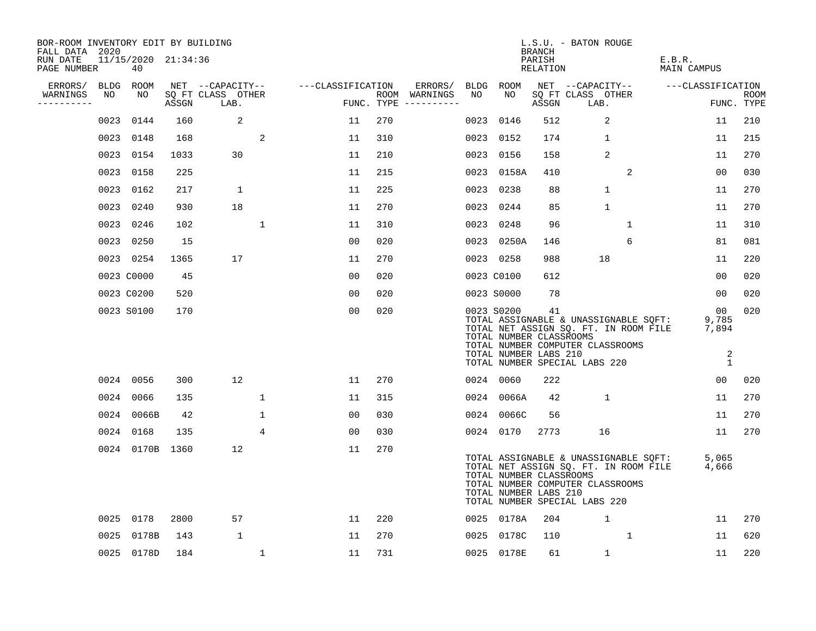| BOR-ROOM INVENTORY EDIT BY BUILDING<br>FALL DATA 2020 |             |                           |       |                           |              |                   |     |                                      |      |                                                                | <b>BRANCH</b>      | L.S.U. - BATON ROUGE                                                                                                                                |                                                        |                    |
|-------------------------------------------------------|-------------|---------------------------|-------|---------------------------|--------------|-------------------|-----|--------------------------------------|------|----------------------------------------------------------------|--------------------|-----------------------------------------------------------------------------------------------------------------------------------------------------|--------------------------------------------------------|--------------------|
| RUN DATE<br>PAGE NUMBER                               |             | 11/15/2020 21:34:36<br>40 |       |                           |              |                   |     |                                      |      |                                                                | PARISH<br>RELATION |                                                                                                                                                     | E.B.R.<br>MAIN CAMPUS                                  |                    |
| ERRORS/                                               | <b>BLDG</b> | ROOM                      |       | NET --CAPACITY--          |              | ---CLASSIFICATION |     | ERRORS/                              |      | BLDG ROOM                                                      |                    | NET --CAPACITY--                                                                                                                                    | ---CLASSIFICATION                                      |                    |
| WARNINGS<br>---------                                 | NO          | NO.                       | ASSGN | SO FT CLASS OTHER<br>LAB. |              |                   |     | ROOM WARNINGS<br>FUNC. TYPE $------$ | NO.  | NO.                                                            | ASSGN              | SO FT CLASS OTHER<br>LAB.                                                                                                                           |                                                        | ROOM<br>FUNC. TYPE |
|                                                       | 0023        | 0144                      | 160   | 2                         |              | 11                | 270 |                                      | 0023 | 0146                                                           | 512                | 2                                                                                                                                                   | 11                                                     | 210                |
|                                                       | 0023        | 0148                      | 168   |                           | 2            | 11                | 310 |                                      |      | 0023 0152                                                      | 174                | $\mathbf{1}$                                                                                                                                        | 11                                                     | 215                |
|                                                       |             | 0023 0154                 | 1033  | 30                        |              | 11                | 210 |                                      |      | 0023 0156                                                      | 158                | 2                                                                                                                                                   | 11                                                     | 270                |
|                                                       | 0023        | 0158                      | 225   |                           |              | 11                | 215 |                                      |      | 0023 0158A                                                     | 410                | 2                                                                                                                                                   | 00                                                     | 030                |
|                                                       | 0023        | 0162                      | 217   | $\mathbf{1}$              |              | 11                | 225 |                                      |      | 0023 0238                                                      | 88                 | $\mathbf{1}$                                                                                                                                        | 11                                                     | 270                |
|                                                       |             | 0023 0240                 | 930   | 18                        |              | 11                | 270 |                                      |      | 0023 0244                                                      | 85                 | $\mathbf{1}$                                                                                                                                        | 11                                                     | 270                |
|                                                       |             | 0023 0246                 | 102   |                           | $\mathbf{1}$ | 11                | 310 |                                      |      | 0023 0248                                                      | 96                 | $\mathbf{1}$                                                                                                                                        | 11                                                     | 310                |
|                                                       |             | 0023 0250                 | 15    |                           |              | 00                | 020 |                                      |      | 0023 0250A                                                     | 146                | 6                                                                                                                                                   | 81                                                     | 081                |
|                                                       |             | 0023 0254                 | 1365  | 17                        |              | 11                | 270 |                                      |      | 0023 0258                                                      | 988                | 18                                                                                                                                                  | 11                                                     | 220                |
|                                                       |             | 0023 C0000                | 45    |                           |              | 0 <sub>0</sub>    | 020 |                                      |      | 0023 C0100                                                     | 612                |                                                                                                                                                     | 00                                                     | 020                |
|                                                       |             | 0023 C0200                | 520   |                           |              | 00                | 020 |                                      |      | 0023 S0000                                                     | 78                 |                                                                                                                                                     | 00                                                     | 020                |
|                                                       |             | 0023 S0100                | 170   |                           |              | 00                | 020 |                                      |      | 0023 S0200<br>TOTAL NUMBER CLASSROOMS<br>TOTAL NUMBER LABS 210 | 41                 | TOTAL ASSIGNABLE & UNASSIGNABLE SQFT:<br>TOTAL NET ASSIGN SQ. FT. IN ROOM FILE<br>TOTAL NUMBER COMPUTER CLASSROOMS<br>TOTAL NUMBER SPECIAL LABS 220 | 00<br>9,785<br>7,894<br>$\overline{a}$<br>$\mathbf{1}$ | 020                |
|                                                       |             | 0024 0056                 | 300   | 12                        |              | 11                | 270 |                                      |      | 0024 0060                                                      | 222                |                                                                                                                                                     | 00                                                     | 020                |
|                                                       |             | 0024 0066                 | 135   |                           | $\mathbf 1$  | 11                | 315 |                                      |      | 0024 0066A                                                     | 42                 | $\mathbf{1}$                                                                                                                                        | 11                                                     | 270                |
|                                                       |             | 0024 0066B                | 42    |                           | $\mathbf{1}$ | 00                | 030 |                                      |      | 0024 0066C                                                     | 56                 |                                                                                                                                                     | 11                                                     | 270                |
|                                                       |             | 0024 0168                 | 135   |                           | 4            | 0 <sub>0</sub>    | 030 |                                      |      | 0024 0170                                                      | 2773               | 16                                                                                                                                                  | 11                                                     | 270                |
|                                                       |             | 0024 0170B 1360           |       | 12                        |              | 11                | 270 |                                      |      | TOTAL NUMBER CLASSROOMS<br>TOTAL NUMBER LABS 210               |                    | TOTAL ASSIGNABLE & UNASSIGNABLE SQFT:<br>TOTAL NET ASSIGN SQ. FT. IN ROOM FILE<br>TOTAL NUMBER COMPUTER CLASSROOMS<br>TOTAL NUMBER SPECIAL LABS 220 | 5,065<br>4,666                                         |                    |
|                                                       |             | 0025 0178                 | 2800  | 57                        |              | 11                | 220 |                                      |      | 0025 0178A                                                     | 204                | $\mathbf{1}$                                                                                                                                        | 11                                                     | 270                |
|                                                       | 0025        | 0178B                     | 143   | 1                         |              | 11                | 270 |                                      | 0025 | 0178C                                                          | 110                | $\mathbf{1}$                                                                                                                                        | 11                                                     | 620                |
|                                                       |             | 0025 0178D                | 184   |                           | $\mathbf 1$  | 11                | 731 |                                      |      | 0025 0178E                                                     | 61                 | $\mathbf{1}$                                                                                                                                        | 11                                                     | 220                |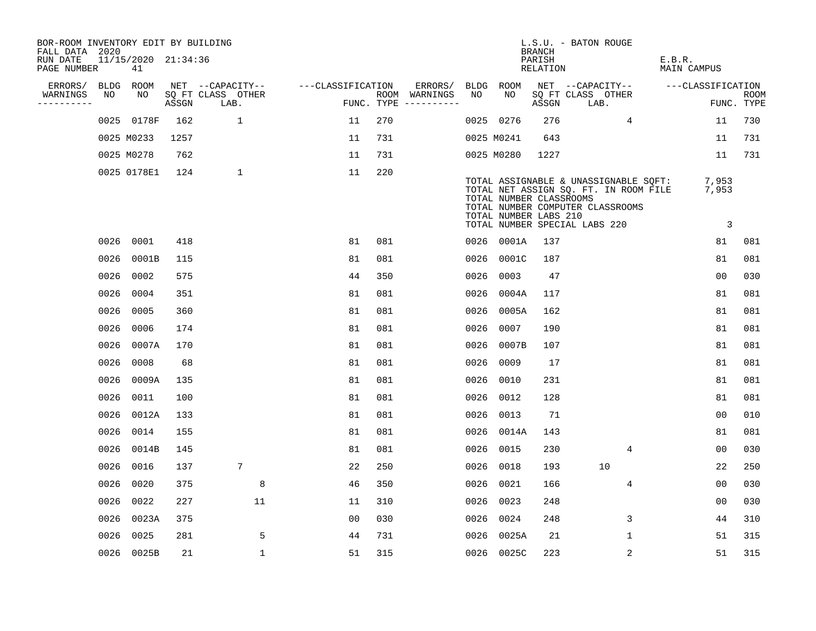| BOR-ROOM INVENTORY EDIT BY BUILDING<br>FALL DATA 2020 |             |                           |       |                           |                   |            |               |      |                                                  | BRANCH             | L.S.U. - BATON ROUGE                                                                                                                                |                                  |                           |
|-------------------------------------------------------|-------------|---------------------------|-------|---------------------------|-------------------|------------|---------------|------|--------------------------------------------------|--------------------|-----------------------------------------------------------------------------------------------------------------------------------------------------|----------------------------------|---------------------------|
| RUN DATE<br>PAGE NUMBER                               |             | 11/15/2020 21:34:36<br>41 |       |                           |                   |            |               |      |                                                  | PARISH<br>RELATION |                                                                                                                                                     | E.B.R.<br><b>MAIN CAMPUS</b>     |                           |
| ERRORS/                                               | <b>BLDG</b> | ROOM                      |       | NET --CAPACITY--          | ---CLASSIFICATION |            | ERRORS/       |      | BLDG ROOM                                        |                    | NET --CAPACITY--                                                                                                                                    | ---CLASSIFICATION                |                           |
| WARNINGS<br>----------                                | NO          | NO                        | ASSGN | SQ FT CLASS OTHER<br>LAB. |                   | FUNC. TYPE | ROOM WARNINGS | NO   | NO.                                              | ASSGN              | SQ FT CLASS OTHER<br>LAB.                                                                                                                           |                                  | <b>ROOM</b><br>FUNC. TYPE |
|                                                       | 0025        | 0178F                     | 162   | $\mathbf{1}$              | 11                | 270        |               |      | 0025 0276                                        | 276                | $\overline{4}$                                                                                                                                      | 11                               | 730                       |
|                                                       |             | 0025 M0233                | 1257  |                           | 11                | 731        |               |      | 0025 M0241                                       | 643                |                                                                                                                                                     | 11                               | 731                       |
|                                                       |             | 0025 M0278                | 762   |                           | 11                | 731        |               |      | 0025 M0280                                       | 1227               |                                                                                                                                                     | 11                               | 731                       |
|                                                       |             | 0025 0178E1               | 124   | $\mathbf{1}$              | 11                | 220        |               |      | TOTAL NUMBER CLASSROOMS<br>TOTAL NUMBER LABS 210 |                    | TOTAL ASSIGNABLE & UNASSIGNABLE SQFT:<br>TOTAL NET ASSIGN SQ. FT. IN ROOM FILE<br>TOTAL NUMBER COMPUTER CLASSROOMS<br>TOTAL NUMBER SPECIAL LABS 220 | 7,953<br>7,953<br>$\overline{3}$ |                           |
|                                                       | 0026        | 0001                      | 418   |                           | 81                | 081        |               |      | 0026 0001A                                       | 137                |                                                                                                                                                     | 81                               | 081                       |
|                                                       | 0026        | 0001B                     | 115   |                           | 81                | 081        |               | 0026 | 0001C                                            | 187                |                                                                                                                                                     | 81                               | 081                       |
|                                                       | 0026        | 0002                      | 575   |                           | 44                | 350        |               | 0026 | 0003                                             | 47                 |                                                                                                                                                     | 0 <sub>0</sub>                   | 030                       |
|                                                       | 0026        | 0004                      | 351   |                           | 81                | 081        |               | 0026 | 0004A                                            | 117                |                                                                                                                                                     | 81                               | 081                       |
|                                                       | 0026        | 0005                      | 360   |                           | 81                | 081        |               | 0026 | 0005A                                            | 162                |                                                                                                                                                     | 81                               | 081                       |
|                                                       | 0026        | 0006                      | 174   |                           | 81                | 081        |               | 0026 | 0007                                             | 190                |                                                                                                                                                     | 81                               | 081                       |
|                                                       | 0026        | 0007A                     | 170   |                           | 81                | 081        |               | 0026 | 0007B                                            | 107                |                                                                                                                                                     | 81                               | 081                       |
|                                                       | 0026        | 0008                      | 68    |                           | 81                | 081        |               | 0026 | 0009                                             | 17                 |                                                                                                                                                     | 81                               | 081                       |
|                                                       | 0026        | 0009A                     | 135   |                           | 81                | 081        |               | 0026 | 0010                                             | 231                |                                                                                                                                                     | 81                               | 081                       |
|                                                       | 0026        | 0011                      | 100   |                           | 81                | 081        |               | 0026 | 0012                                             | 128                |                                                                                                                                                     | 81                               | 081                       |
|                                                       | 0026        | 0012A                     | 133   |                           | 81                | 081        |               | 0026 | 0013                                             | 71                 |                                                                                                                                                     | 0 <sub>0</sub>                   | 010                       |
|                                                       | 0026        | 0014                      | 155   |                           | 81                | 081        |               | 0026 | 0014A                                            | 143                |                                                                                                                                                     | 81                               | 081                       |
|                                                       | 0026        | 0014B                     | 145   |                           | 81                | 081        |               | 0026 | 0015                                             | 230                | $\overline{4}$                                                                                                                                      | 0 <sub>0</sub>                   | 030                       |
|                                                       | 0026        | 0016                      | 137   | 7                         | 22                | 250        |               | 0026 | 0018                                             | 193                | 10                                                                                                                                                  | 22                               | 250                       |
|                                                       | 0026        | 0020                      | 375   | 8                         | 46                | 350        |               | 0026 | 0021                                             | 166                | $\overline{4}$                                                                                                                                      | 00                               | 030                       |
|                                                       | 0026        | 0022                      | 227   | 11                        | 11                | 310        |               | 0026 | 0023                                             | 248                |                                                                                                                                                     | 00                               | 030                       |
|                                                       | 0026        | 0023A                     | 375   |                           | 0 <sub>0</sub>    | 030        |               | 0026 | 0024                                             | 248                | 3                                                                                                                                                   | 44                               | 310                       |
|                                                       | 0026        | 0025                      | 281   | 5                         | 44                | 731        |               | 0026 | 0025A                                            | 21                 | $\mathbf 1$                                                                                                                                         | 51                               | 315                       |
|                                                       |             | 0026 0025B                | 21    | $\mathbf 1$               | 51                | 315        |               |      | 0026 0025C                                       | 223                | $\overline{2}$                                                                                                                                      | 51                               | 315                       |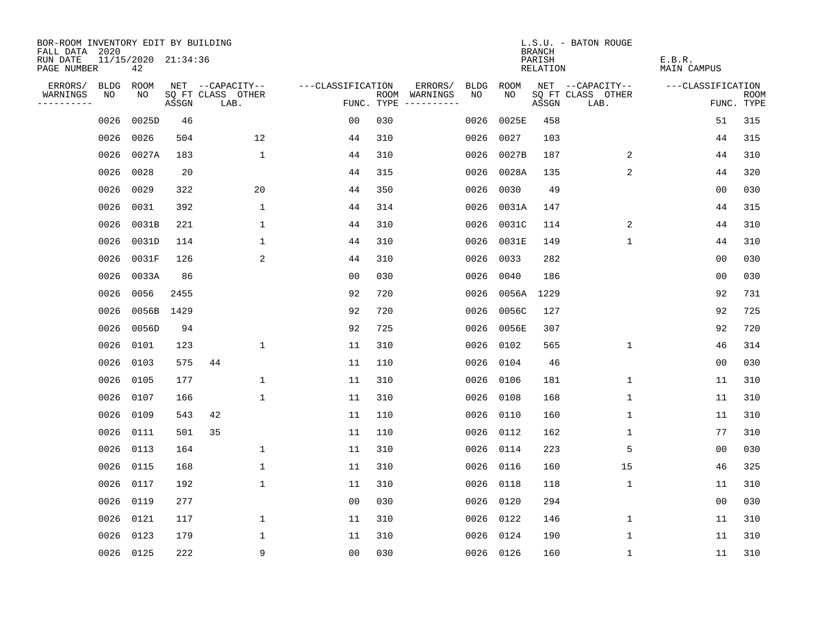| BOR-ROOM INVENTORY EDIT BY BUILDING       |             |                           |       |                           |                   |            |               |             |           | <b>BRANCH</b>      | L.S.U. - BATON ROUGE      |                              |                           |
|-------------------------------------------|-------------|---------------------------|-------|---------------------------|-------------------|------------|---------------|-------------|-----------|--------------------|---------------------------|------------------------------|---------------------------|
| FALL DATA 2020<br>RUN DATE<br>PAGE NUMBER |             | 11/15/2020 21:34:36<br>42 |       |                           |                   |            |               |             |           | PARISH<br>RELATION |                           | E.B.R.<br><b>MAIN CAMPUS</b> |                           |
| ERRORS/                                   | <b>BLDG</b> | ROOM                      |       | NET --CAPACITY--          | ---CLASSIFICATION |            | ERRORS/       | <b>BLDG</b> | ROOM      |                    | NET --CAPACITY--          | ---CLASSIFICATION            |                           |
| WARNINGS<br>----------                    | NO          | NO                        | ASSGN | SQ FT CLASS OTHER<br>LAB. |                   | FUNC. TYPE | ROOM WARNINGS | NO          | NO.       | ASSGN              | SQ FT CLASS OTHER<br>LAB. |                              | <b>ROOM</b><br>FUNC. TYPE |
|                                           | 0026        | 0025D                     | 46    |                           | 0 <sub>0</sub>    | 030        |               | 0026        | 0025E     | 458                |                           | 51                           | 315                       |
|                                           | 0026        | 0026                      | 504   | 12                        | 44                | 310        |               | 0026        | 0027      | 103                |                           | 44                           | 315                       |
|                                           | 0026        | 0027A                     | 183   | $\mathbf{1}$              | 44                | 310        |               | 0026        | 0027B     | 187                | 2                         | 44                           | 310                       |
|                                           | 0026        | 0028                      | 20    |                           | 44                | 315        |               | 0026        | 0028A     | 135                | 2                         | 44                           | 320                       |
|                                           | 0026        | 0029                      | 322   | 20                        | 44                | 350        |               | 0026        | 0030      | 49                 |                           | 0 <sub>0</sub>               | 030                       |
|                                           | 0026        | 0031                      | 392   | 1                         | 44                | 314        |               | 0026        | 0031A     | 147                |                           | 44                           | 315                       |
|                                           | 0026        | 0031B                     | 221   | 1                         | 44                | 310        |               | 0026        | 0031C     | 114                | 2                         | 44                           | 310                       |
|                                           | 0026        | 0031D                     | 114   | $\mathbf{1}$              | 44                | 310        |               | 0026        | 0031E     | 149                | $\mathbf{1}$              | 44                           | 310                       |
|                                           | 0026        | 0031F                     | 126   | 2                         | 44                | 310        |               | 0026        | 0033      | 282                |                           | 0 <sub>0</sub>               | 030                       |
|                                           | 0026        | 0033A                     | 86    |                           | 0 <sub>0</sub>    | 030        |               | 0026        | 0040      | 186                |                           | 0 <sub>0</sub>               | 030                       |
|                                           | 0026        | 0056                      | 2455  |                           | 92                | 720        |               | 0026        | 0056A     | 1229               |                           | 92                           | 731                       |
|                                           | 0026        | 0056B 1429                |       |                           | 92                | 720        |               | 0026        | 0056C     | 127                |                           | 92                           | 725                       |
|                                           | 0026        | 0056D                     | 94    |                           | 92                | 725        |               | 0026        | 0056E     | 307                |                           | 92                           | 720                       |
|                                           | 0026        | 0101                      | 123   | 1                         | 11                | 310        |               | 0026        | 0102      | 565                | $\mathbf 1$               | 46                           | 314                       |
|                                           | 0026        | 0103                      | 575   | 44                        | 11                | 110        |               | 0026        | 0104      | 46                 |                           | 00                           | 030                       |
|                                           | 0026        | 0105                      | 177   | 1                         | 11                | 310        |               | 0026        | 0106      | 181                | 1                         | 11                           | 310                       |
|                                           | 0026        | 0107                      | 166   | 1                         | 11                | 310        |               | 0026        | 0108      | 168                | 1                         | 11                           | 310                       |
|                                           | 0026        | 0109                      | 543   | 42                        | 11                | 110        |               | 0026        | 0110      | 160                | $\mathbf{1}$              | 11                           | 310                       |
|                                           | 0026        | 0111                      | 501   | 35                        | 11                | 110        |               | 0026        | 0112      | 162                | $\mathbf{1}$              | 77                           | 310                       |
|                                           | 0026        | 0113                      | 164   | $\mathbf{1}$              | 11                | 310        |               | 0026        | 0114      | 223                | 5                         | 0 <sub>0</sub>               | 030                       |
|                                           | 0026        | 0115                      | 168   | 1                         | 11                | 310        |               | 0026        | 0116      | 160                | 15                        | 46                           | 325                       |
|                                           | 0026        | 0117                      | 192   | 1                         | 11                | 310        |               | 0026        | 0118      | 118                | $\mathbf 1$               | 11                           | 310                       |
|                                           | 0026        | 0119                      | 277   |                           | 0 <sub>0</sub>    | 030        |               | 0026        | 0120      | 294                |                           | 0 <sub>0</sub>               | 030                       |
|                                           | 0026        | 0121                      | 117   | $\mathbf 1$               | 11                | 310        |               | 0026        | 0122      | 146                | $\mathbf 1$               | 11                           | 310                       |
|                                           | 0026        | 0123                      | 179   | $\mathbf{1}$              | 11                | 310        |               | 0026        | 0124      | 190                | $\mathbf 1$               | 11                           | 310                       |
|                                           |             | 0026 0125                 | 222   | 9                         | 0 <sub>0</sub>    | 030        |               |             | 0026 0126 | 160                | $\mathbf{1}$              | 11                           | 310                       |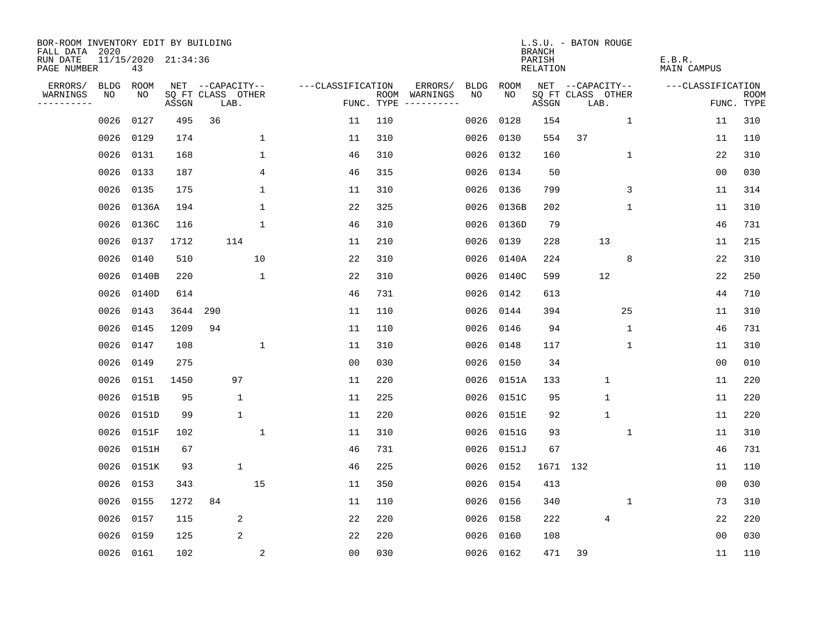| BOR-ROOM INVENTORY EDIT BY BUILDING<br>FALL DATA 2020 |             |                           |       |                           |              |                   |                    |                                  |             |             | <b>BRANCH</b>      | L.S.U. - BATON ROUGE      |              |                       |             |
|-------------------------------------------------------|-------------|---------------------------|-------|---------------------------|--------------|-------------------|--------------------|----------------------------------|-------------|-------------|--------------------|---------------------------|--------------|-----------------------|-------------|
| RUN DATE<br>PAGE NUMBER                               |             | 11/15/2020 21:34:36<br>43 |       |                           |              |                   |                    |                                  |             |             | PARISH<br>RELATION |                           |              | E.B.R.<br>MAIN CAMPUS |             |
| ERRORS/                                               | <b>BLDG</b> | ROOM                      |       | NET --CAPACITY--          |              | ---CLASSIFICATION |                    | ERRORS/                          | <b>BLDG</b> | <b>ROOM</b> |                    | NET --CAPACITY--          |              | ---CLASSIFICATION     |             |
| WARNINGS<br>.                                         | NO          | NO                        | ASSGN | SQ FT CLASS OTHER<br>LAB. |              |                   | ROOM<br>FUNC. TYPE | WARNINGS<br>$-- - - - - - - - -$ | NO          | NO.         | ASSGN              | SQ FT CLASS OTHER<br>LAB. |              | FUNC. TYPE            | <b>ROOM</b> |
|                                                       | 0026        | 0127                      | 495   | 36                        |              | 11                | 110                |                                  | 0026        | 0128        | 154                |                           | $\mathbf 1$  | 11                    | 310         |
|                                                       | 0026        | 0129                      | 174   |                           | $\mathbf 1$  | 11                | 310                |                                  | 0026        | 0130        | 554                | 37                        |              | 11                    | 110         |
|                                                       | 0026        | 0131                      | 168   |                           | 1            | 46                | 310                |                                  | 0026        | 0132        | 160                |                           | $\mathbf{1}$ | 22                    | 310         |
|                                                       | 0026        | 0133                      | 187   |                           | 4            | 46                | 315                |                                  | 0026        | 0134        | 50                 |                           |              | 0 <sub>0</sub>        | 030         |
|                                                       | 0026        | 0135                      | 175   |                           | 1            | 11                | 310                |                                  | 0026        | 0136        | 799                |                           | 3            | 11                    | 314         |
|                                                       | 0026        | 0136A                     | 194   |                           | 1            | 22                | 325                |                                  | 0026        | 0136B       | 202                |                           | $\mathbf 1$  | 11                    | 310         |
|                                                       | 0026        | 0136C                     | 116   |                           | $\mathbf{1}$ | 46                | 310                |                                  | 0026        | 0136D       | 79                 |                           |              | 46                    | 731         |
|                                                       | 0026        | 0137                      | 1712  | 114                       |              | 11                | 210                |                                  | 0026        | 0139        | 228                | 13                        |              | 11                    | 215         |
|                                                       | 0026        | 0140                      | 510   |                           | 10           | 22                | 310                |                                  | 0026        | 0140A       | 224                |                           | 8            | 22                    | 310         |
|                                                       | 0026        | 0140B                     | 220   |                           | 1            | 22                | 310                |                                  | 0026        | 0140C       | 599                | 12                        |              | 22                    | 250         |
|                                                       | 0026        | 0140D                     | 614   |                           |              | 46                | 731                |                                  | 0026        | 0142        | 613                |                           |              | 44                    | 710         |
|                                                       | 0026        | 0143                      | 3644  | 290                       |              | 11                | 110                |                                  | 0026        | 0144        | 394                |                           | 25           | 11                    | 310         |
|                                                       | 0026        | 0145                      | 1209  | 94                        |              | 11                | 110                |                                  | 0026        | 0146        | 94                 |                           | 1            | 46                    | 731         |
|                                                       | 0026        | 0147                      | 108   |                           | 1            | 11                | 310                |                                  | 0026        | 0148        | 117                |                           | 1            | 11                    | 310         |
|                                                       | 0026        | 0149                      | 275   |                           |              | 0 <sub>0</sub>    | 030                |                                  | 0026        | 0150        | 34                 |                           |              | 0 <sub>0</sub>        | 010         |
|                                                       | 0026        | 0151                      | 1450  | 97                        |              | 11                | 220                |                                  | 0026        | 0151A       | 133                | $\mathbf{1}$              |              | 11                    | 220         |
|                                                       | 0026        | 0151B                     | 95    | 1                         |              | 11                | 225                |                                  | 0026        | 0151C       | 95                 | $\mathbf{1}$              |              | 11                    | 220         |
|                                                       | 0026        | 0151D                     | 99    | $\mathbf 1$               |              | 11                | 220                |                                  | 0026        | 0151E       | 92                 | $\mathbf{1}$              |              | 11                    | 220         |
|                                                       | 0026        | 0151F                     | 102   |                           | 1            | 11                | 310                |                                  | 0026        | 0151G       | 93                 |                           | 1            | 11                    | 310         |
|                                                       | 0026        | 0151H                     | 67    |                           |              | 46                | 731                |                                  | 0026        | 0151J       | 67                 |                           |              | 46                    | 731         |
|                                                       | 0026        | 0151K                     | 93    | $\mathbf{1}$              |              | 46                | 225                |                                  | 0026        | 0152        | 1671 132           |                           |              | 11                    | 110         |
|                                                       | 0026        | 0153                      | 343   |                           | 15           | 11                | 350                |                                  | 0026        | 0154        | 413                |                           |              | 0 <sub>0</sub>        | 030         |
|                                                       | 0026        | 0155                      | 1272  | 84                        |              | 11                | 110                |                                  | 0026        | 0156        | 340                |                           | 1            | 73                    | 310         |
|                                                       | 0026        | 0157                      | 115   | 2                         |              | 22                | 220                |                                  | 0026        | 0158        | 222                | 4                         |              | 22                    | 220         |
|                                                       | 0026        | 0159                      | 125   | $\overline{2}$            |              | 22                | 220                |                                  | 0026        | 0160        | 108                |                           |              | 0 <sub>0</sub>        | 030         |
|                                                       |             | 0026 0161                 | 102   |                           | 2            | 0 <sub>0</sub>    | 030                |                                  |             | 0026 0162   | 471                | 39                        |              | 11                    | 110         |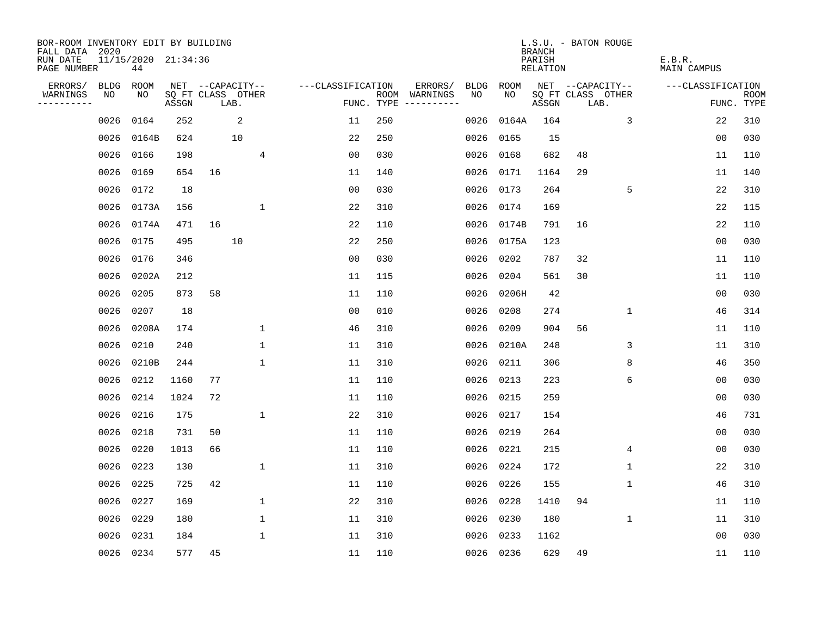| BOR-ROOM INVENTORY EDIT BY BUILDING<br>FALL DATA 2020 |                           |       |                           |              |                   |     |                                      |             |            | <b>BRANCH</b>      | L.S.U. - BATON ROUGE      |             |                       |                           |
|-------------------------------------------------------|---------------------------|-------|---------------------------|--------------|-------------------|-----|--------------------------------------|-------------|------------|--------------------|---------------------------|-------------|-----------------------|---------------------------|
| RUN DATE<br>PAGE NUMBER                               | 11/15/2020 21:34:36<br>44 |       |                           |              |                   |     |                                      |             |            | PARISH<br>RELATION |                           |             | E.B.R.<br>MAIN CAMPUS |                           |
| ERRORS/<br>BLDG                                       | ROOM                      |       | NET --CAPACITY--          |              | ---CLASSIFICATION |     | ERRORS/                              | <b>BLDG</b> | ROOM       |                    | NET --CAPACITY--          |             | ---CLASSIFICATION     |                           |
| WARNINGS<br>NO<br>----------                          | NO                        | ASSGN | SQ FT CLASS OTHER<br>LAB. |              |                   |     | ROOM WARNINGS<br>FUNC. TYPE $------$ | NO.         | NO.        | ASSGN              | SQ FT CLASS OTHER<br>LAB. |             |                       | <b>ROOM</b><br>FUNC. TYPE |
| 0026                                                  | 0164                      | 252   |                           | 2            | 11                | 250 |                                      | 0026        | 0164A      | 164                |                           | 3           | 22                    | 310                       |
| 0026                                                  | 0164B                     | 624   |                           | 10           | 22                | 250 |                                      | 0026        | 0165       | 15                 |                           |             | 0 <sub>0</sub>        | 030                       |
| 0026                                                  | 0166                      | 198   |                           | 4            | 0 <sub>0</sub>    | 030 |                                      | 0026        | 0168       | 682                | 48                        |             | 11                    | 110                       |
| 0026                                                  | 0169                      | 654   | 16                        |              | 11                | 140 |                                      | 0026        | 0171       | 1164               | 29                        |             | 11                    | 140                       |
| 0026                                                  | 0172                      | 18    |                           |              | 0 <sub>0</sub>    | 030 |                                      | 0026        | 0173       | 264                |                           | 5           | 22                    | 310                       |
| 0026                                                  | 0173A                     | 156   |                           | 1            | 22                | 310 |                                      | 0026        | 0174       | 169                |                           |             | 22                    | 115                       |
| 0026                                                  | 0174A                     | 471   | 16                        |              | 22                | 110 |                                      | 0026        | 0174B      | 791                | 16                        |             | 22                    | 110                       |
| 0026                                                  | 0175                      | 495   |                           | 10           | 22                | 250 |                                      | 0026        | 0175A      | 123                |                           |             | 0 <sub>0</sub>        | 030                       |
| 0026                                                  | 0176                      | 346   |                           |              | 0 <sub>0</sub>    | 030 |                                      | 0026        | 0202       | 787                | 32                        |             | 11                    | 110                       |
| 0026                                                  | 0202A                     | 212   |                           |              | 11                | 115 |                                      |             | 0026 0204  | 561                | 30                        |             | 11                    | 110                       |
| 0026                                                  | 0205                      | 873   | 58                        |              | 11                | 110 |                                      | 0026        | 0206H      | 42                 |                           |             | 0 <sub>0</sub>        | 030                       |
| 0026                                                  | 0207                      | 18    |                           |              | 0 <sub>0</sub>    | 010 |                                      | 0026        | 0208       | 274                |                           | $\mathbf 1$ | 46                    | 314                       |
| 0026                                                  | 0208A                     | 174   |                           | 1            | 46                | 310 |                                      | 0026        | 0209       | 904                | 56                        |             | 11                    | 110                       |
| 0026                                                  | 0210                      | 240   |                           | 1            | 11                | 310 |                                      |             | 0026 0210A | 248                |                           | 3           | 11                    | 310                       |
| 0026                                                  | 0210B                     | 244   |                           | 1            | 11                | 310 |                                      | 0026        | 0211       | 306                |                           | 8           | 46                    | 350                       |
| 0026                                                  | 0212                      | 1160  | 77                        |              | 11                | 110 |                                      | 0026        | 0213       | 223                |                           | 6           | 0 <sub>0</sub>        | 030                       |
| 0026                                                  | 0214                      | 1024  | 72                        |              | 11                | 110 |                                      | 0026        | 0215       | 259                |                           |             | 0 <sub>0</sub>        | 030                       |
| 0026                                                  | 0216                      | 175   |                           | 1            | 22                | 310 |                                      | 0026        | 0217       | 154                |                           |             | 46                    | 731                       |
| 0026                                                  | 0218                      | 731   | 50                        |              | 11                | 110 |                                      | 0026        | 0219       | 264                |                           |             | 0 <sub>0</sub>        | 030                       |
| 0026                                                  | 0220                      | 1013  | 66                        |              | 11                | 110 |                                      | 0026        | 0221       | 215                |                           | 4           | 0 <sub>0</sub>        | 030                       |
| 0026                                                  | 0223                      | 130   |                           | $\mathbf{1}$ | 11                | 310 |                                      | 0026        | 0224       | 172                |                           | 1           | 22                    | 310                       |
| 0026                                                  | 0225                      | 725   | 42                        |              | 11                | 110 |                                      | 0026        | 0226       | 155                |                           | 1           | 46                    | 310                       |
| 0026                                                  | 0227                      | 169   |                           | 1            | 22                | 310 |                                      | 0026        | 0228       | 1410               | 94                        |             | 11                    | 110                       |
| 0026                                                  | 0229                      | 180   |                           | $\mathbf 1$  | 11                | 310 |                                      | 0026        | 0230       | 180                |                           | 1           | 11                    | 310                       |
| 0026                                                  | 0231                      | 184   |                           | $\mathbf{1}$ | 11                | 310 |                                      | 0026        | 0233       | 1162               |                           |             | 0 <sub>0</sub>        | 030                       |
|                                                       | 0026 0234                 | 577   | 45                        |              | 11                | 110 |                                      |             | 0026 0236  | 629                | 49                        |             | 11                    | 110                       |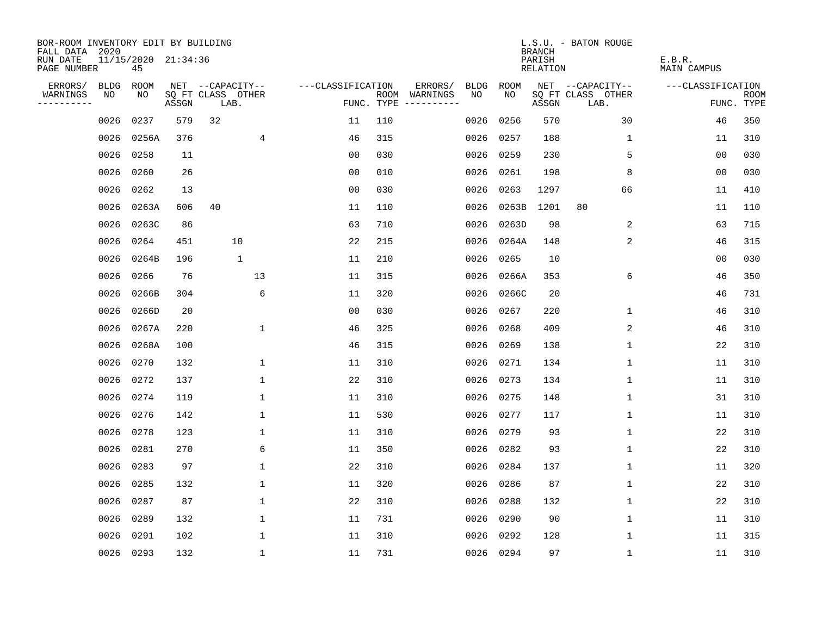| BOR-ROOM INVENTORY EDIT BY BUILDING<br>FALL DATA 2020 |             |                           |       |                           |                      |      |                                 |             |             | <b>BRANCH</b>      | L.S.U. - BATON ROUGE      |                              |                           |
|-------------------------------------------------------|-------------|---------------------------|-------|---------------------------|----------------------|------|---------------------------------|-------------|-------------|--------------------|---------------------------|------------------------------|---------------------------|
| RUN DATE<br>PAGE NUMBER                               |             | 11/15/2020 21:34:36<br>45 |       |                           |                      |      |                                 |             |             | PARISH<br>RELATION |                           | E.B.R.<br><b>MAIN CAMPUS</b> |                           |
| ERRORS/                                               | <b>BLDG</b> | ROOM                      |       | NET --CAPACITY--          | ---CLASSIFICATION    |      | ERRORS/                         | <b>BLDG</b> | <b>ROOM</b> |                    | NET --CAPACITY--          | ---CLASSIFICATION            |                           |
| WARNINGS<br>----------                                | NO          | NO                        | ASSGN | SQ FT CLASS OTHER<br>LAB. |                      | ROOM | WARNINGS<br>FUNC. TYPE $------$ | NO.         | NO.         | ASSGN              | SQ FT CLASS OTHER<br>LAB. |                              | <b>ROOM</b><br>FUNC. TYPE |
|                                                       | 0026        | 0237                      | 579   | 32                        | 11                   | 110  |                                 | 0026        | 0256        | 570                | 30                        | 46                           | 350                       |
|                                                       | 0026        | 0256A                     | 376   |                           | $\overline{4}$<br>46 | 315  |                                 | 0026        | 0257        | 188                | 1                         | 11                           | 310                       |
|                                                       | 0026        | 0258                      | 11    |                           | 0 <sub>0</sub>       | 030  |                                 | 0026        | 0259        | 230                | 5                         | 0 <sub>0</sub>               | 030                       |
|                                                       | 0026        | 0260                      | 26    |                           | 0 <sub>0</sub>       | 010  |                                 | 0026        | 0261        | 198                | 8                         | 00                           | 030                       |
|                                                       | 0026        | 0262                      | 13    |                           | 0 <sub>0</sub>       | 030  |                                 | 0026        | 0263        | 1297               | 66                        | 11                           | 410                       |
|                                                       | 0026        | 0263A                     | 606   | 40                        | 11                   | 110  |                                 | 0026        | 0263B       | 1201               | 80                        | 11                           | 110                       |
|                                                       | 0026        | 0263C                     | 86    |                           | 63                   | 710  |                                 | 0026        | 0263D       | 98                 | 2                         | 63                           | 715                       |
|                                                       | 0026        | 0264                      | 451   | 10                        | 22                   | 215  |                                 | 0026        | 0264A       | 148                | 2                         | 46                           | 315                       |
|                                                       | 0026        | 0264B                     | 196   | $\mathbf{1}$              | 11                   | 210  |                                 | 0026        | 0265        | 10                 |                           | 0 <sub>0</sub>               | 030                       |
|                                                       | 0026        | 0266                      | 76    | 13                        | 11                   | 315  |                                 | 0026        | 0266A       | 353                | 6                         | 46                           | 350                       |
|                                                       | 0026        | 0266B                     | 304   |                           | 6<br>11              | 320  |                                 | 0026        | 0266C       | 20                 |                           | 46                           | 731                       |
|                                                       | 0026        | 0266D                     | 20    |                           | 0 <sub>0</sub>       | 030  |                                 | 0026        | 0267        | 220                | $\mathbf 1$               | 46                           | 310                       |
|                                                       | 0026        | 0267A                     | 220   |                           | $\mathbf 1$<br>46    | 325  |                                 | 0026        | 0268        | 409                | 2                         | 46                           | 310                       |
|                                                       | 0026        | 0268A                     | 100   |                           | 46                   | 315  |                                 | 0026        | 0269        | 138                | 1                         | 22                           | 310                       |
|                                                       | 0026        | 0270                      | 132   |                           | 1<br>11              | 310  |                                 | 0026        | 0271        | 134                | 1                         | 11                           | 310                       |
|                                                       | 0026        | 0272                      | 137   |                           | 22<br>1              | 310  |                                 | 0026 0273   |             | 134                | 1                         | 11                           | 310                       |
|                                                       | 0026        | 0274                      | 119   |                           | $\mathbf{1}$<br>11   | 310  |                                 |             | 0026 0275   | 148                | 1                         | 31                           | 310                       |
|                                                       | 0026        | 0276                      | 142   |                           | $\mathbf{1}$<br>11   | 530  |                                 | 0026        | 0277        | 117                | 1                         | 11                           | 310                       |
|                                                       | 0026        | 0278                      | 123   |                           | 11<br>1              | 310  |                                 | 0026        | 0279        | 93                 | 1                         | 22                           | 310                       |
|                                                       | 0026        | 0281                      | 270   |                           | 6<br>11              | 350  |                                 | 0026        | 0282        | 93                 | 1                         | 22                           | 310                       |
|                                                       | 0026        | 0283                      | 97    |                           | 1<br>22              | 310  |                                 | 0026        | 0284        | 137                | 1                         | 11                           | 320                       |
|                                                       | 0026        | 0285                      | 132   |                           | $\mathbf{1}$<br>11   | 320  |                                 | 0026        | 0286        | 87                 | 1                         | 22                           | 310                       |
|                                                       | 0026        | 0287                      | 87    |                           | 1<br>22              | 310  |                                 | 0026        | 0288        | 132                | 1                         | 22                           | 310                       |
|                                                       | 0026        | 0289                      | 132   |                           | $\mathbf 1$<br>11    | 731  |                                 | 0026        | 0290        | 90                 | 1                         | 11                           | 310                       |
|                                                       | 0026        | 0291                      | 102   |                           | 1<br>11              | 310  |                                 | 0026        | 0292        | 128                | 1                         | 11                           | 315                       |
|                                                       |             | 0026 0293                 | 132   |                           | $\mathbf 1$<br>11    | 731  |                                 |             | 0026 0294   | 97                 | $\mathbf 1$               | 11                           | 310                       |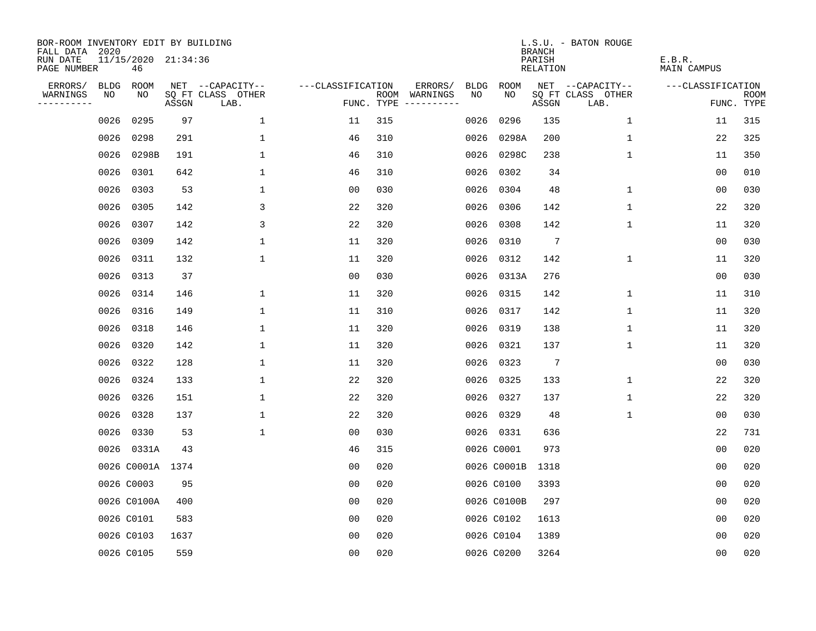| BOR-ROOM INVENTORY EDIT BY BUILDING<br>FALL DATA 2020 |             |                           |       |                           |                   |     |                                      |             |             | <b>BRANCH</b>             | L.S.U. - BATON ROUGE      |                              |                           |
|-------------------------------------------------------|-------------|---------------------------|-------|---------------------------|-------------------|-----|--------------------------------------|-------------|-------------|---------------------------|---------------------------|------------------------------|---------------------------|
| RUN DATE<br>PAGE NUMBER                               |             | 11/15/2020 21:34:36<br>46 |       |                           |                   |     |                                      |             |             | PARISH<br><b>RELATION</b> |                           | E.B.R.<br><b>MAIN CAMPUS</b> |                           |
| ERRORS/                                               | <b>BLDG</b> | ROOM                      |       | NET --CAPACITY--          | ---CLASSIFICATION |     | ERRORS/                              | <b>BLDG</b> | <b>ROOM</b> |                           | NET --CAPACITY--          | ---CLASSIFICATION            |                           |
| WARNINGS<br>----------                                | NO          | NO                        | ASSGN | SQ FT CLASS OTHER<br>LAB. |                   |     | ROOM WARNINGS<br>FUNC. TYPE $------$ | NO          | NO          | ASSGN                     | SQ FT CLASS OTHER<br>LAB. |                              | <b>ROOM</b><br>FUNC. TYPE |
|                                                       | 0026        | 0295                      | 97    | $\mathbf{1}$              | 11                | 315 |                                      | 0026        | 0296        | 135                       | $\mathbf 1$               | 11                           | 315                       |
|                                                       | 0026        | 0298                      | 291   | $\mathbf 1$               | 46                | 310 |                                      | 0026        | 0298A       | 200                       | $\mathbf 1$               | 22                           | 325                       |
|                                                       | 0026        | 0298B                     | 191   | $\mathbf{1}$              | 46                | 310 |                                      | 0026        | 0298C       | 238                       | $\mathbf 1$               | 11                           | 350                       |
|                                                       | 0026        | 0301                      | 642   | $\mathbf 1$               | 46                | 310 |                                      |             | 0026 0302   | 34                        |                           | 0 <sub>0</sub>               | 010                       |
|                                                       | 0026        | 0303                      | 53    | 1                         | 0 <sub>0</sub>    | 030 |                                      |             | 0026 0304   | 48                        | $\mathbf 1$               | 00                           | 030                       |
|                                                       | 0026        | 0305                      | 142   | 3                         | 22                | 320 |                                      |             | 0026 0306   | 142                       | $\mathbf 1$               | 22                           | 320                       |
|                                                       | 0026        | 0307                      | 142   | 3                         | 22                | 320 |                                      |             | 0026 0308   | 142                       | $\mathbf 1$               | 11                           | 320                       |
|                                                       | 0026        | 0309                      | 142   | $\mathbf 1$               | 11                | 320 |                                      |             | 0026 0310   | $7\phantom{.0}$           |                           | 0 <sub>0</sub>               | 030                       |
|                                                       | 0026        | 0311                      | 132   | $\mathbf 1$               | 11                | 320 |                                      | 0026        | 0312        | 142                       | $\mathbf 1$               | 11                           | 320                       |
|                                                       | 0026        | 0313                      | 37    |                           | 0 <sub>0</sub>    | 030 |                                      |             | 0026 0313A  | 276                       |                           | 00                           | 030                       |
|                                                       | 0026        | 0314                      | 146   | $\mathbf 1$               | 11                | 320 |                                      | 0026        | 0315        | 142                       | 1                         | 11                           | 310                       |
|                                                       | 0026        | 0316                      | 149   | 1                         | 11                | 310 |                                      |             | 0026 0317   | 142                       | $\mathbf 1$               | 11                           | 320                       |
|                                                       | 0026        | 0318                      | 146   | $\mathbf 1$               | 11                | 320 |                                      | 0026        | 0319        | 138                       | $\mathbf 1$               | 11                           | 320                       |
|                                                       | 0026        | 0320                      | 142   | $\mathbf 1$               | 11                | 320 |                                      |             | 0026 0321   | 137                       | $\mathbf 1$               | 11                           | 320                       |
|                                                       | 0026        | 0322                      | 128   | 1                         | 11                | 320 |                                      |             | 0026 0323   | $7\phantom{.0}$           |                           | 00                           | 030                       |
|                                                       | 0026        | 0324                      | 133   | 1                         | 22                | 320 |                                      |             | 0026 0325   | 133                       | 1                         | 22                           | 320                       |
|                                                       | 0026        | 0326                      | 151   | 1                         | 22                | 320 |                                      |             | 0026 0327   | 137                       | 1                         | 22                           | 320                       |
|                                                       | 0026        | 0328                      | 137   | $\mathbf{1}$              | 22                | 320 |                                      |             | 0026 0329   | 48                        | 1                         | 00                           | 030                       |
|                                                       | 0026        | 0330                      | 53    | $\mathbf{1}$              | 0 <sub>0</sub>    | 030 |                                      |             | 0026 0331   | 636                       |                           | 22                           | 731                       |
|                                                       | 0026        | 0331A                     | 43    |                           | 46                | 315 |                                      |             | 0026 C0001  | 973                       |                           | 0 <sub>0</sub>               | 020                       |
|                                                       |             | 0026 C0001A 1374          |       |                           | 0 <sub>0</sub>    | 020 |                                      |             | 0026 C0001B | 1318                      |                           | 00                           | 020                       |
|                                                       |             | 0026 C0003                | 95    |                           | 0 <sub>0</sub>    | 020 |                                      |             | 0026 C0100  | 3393                      |                           | 0 <sub>0</sub>               | 020                       |
|                                                       |             | 0026 C0100A               | 400   |                           | 0 <sub>0</sub>    | 020 |                                      |             | 0026 C0100B | 297                       |                           | 0 <sub>0</sub>               | 020                       |
|                                                       |             | 0026 C0101                | 583   |                           | 0 <sub>0</sub>    | 020 |                                      |             | 0026 C0102  | 1613                      |                           | 0 <sub>0</sub>               | 020                       |
|                                                       |             | 0026 C0103                | 1637  |                           | 0 <sub>0</sub>    | 020 |                                      |             | 0026 C0104  | 1389                      |                           | 0 <sub>0</sub>               | 020                       |
|                                                       |             | 0026 C0105                | 559   |                           | 0 <sub>0</sub>    | 020 |                                      |             | 0026 C0200  | 3264                      |                           | 0 <sub>0</sub>               | 020                       |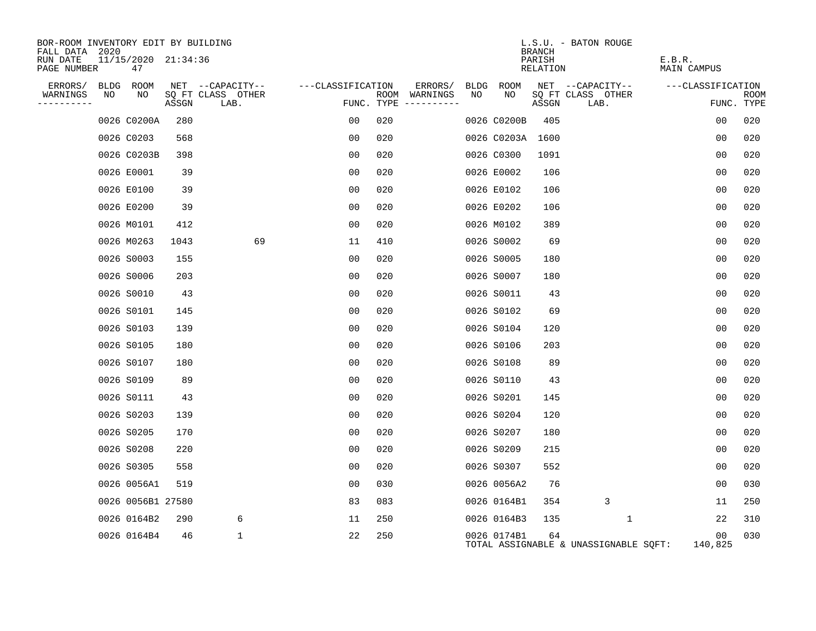| BOR-ROOM INVENTORY EDIT BY BUILDING<br>FALL DATA 2020 |    |                           |       |                           |                   |                |                                      |     |                  | <b>BRANCH</b>      | L.S.U. - BATON ROUGE                  |                              |                    |
|-------------------------------------------------------|----|---------------------------|-------|---------------------------|-------------------|----------------|--------------------------------------|-----|------------------|--------------------|---------------------------------------|------------------------------|--------------------|
| RUN DATE<br>PAGE NUMBER                               |    | 11/15/2020 21:34:36<br>47 |       |                           |                   |                |                                      |     |                  | PARISH<br>RELATION |                                       | E.B.R.<br><b>MAIN CAMPUS</b> |                    |
| ERRORS/ BLDG ROOM                                     |    |                           |       | NET --CAPACITY--          | ---CLASSIFICATION |                | ERRORS/                              |     | BLDG ROOM        |                    | NET --CAPACITY--                      | ---CLASSIFICATION            |                    |
| WARNINGS<br>----------                                | NO | NO                        | ASSGN | SQ FT CLASS OTHER<br>LAB. |                   |                | ROOM WARNINGS<br>FUNC. TYPE $------$ | NO. | NO.              | ASSGN              | SQ FT CLASS OTHER<br>LAB.             |                              | ROOM<br>FUNC. TYPE |
|                                                       |    | 0026 C0200A               | 280   |                           |                   | 00             | 020                                  |     | 0026 C0200B      | 405                |                                       | 0 <sub>0</sub>               | 020                |
|                                                       |    | 0026 C0203                | 568   |                           |                   | 00             | 020                                  |     | 0026 C0203A 1600 |                    |                                       | 00                           | 020                |
|                                                       |    | 0026 C0203B               | 398   |                           |                   | 0 <sub>0</sub> | 020                                  |     | 0026 C0300       | 1091               |                                       | 0 <sub>0</sub>               | 020                |
|                                                       |    | 0026 E0001                | 39    |                           |                   | 0 <sub>0</sub> | 020                                  |     | 0026 E0002       | 106                |                                       | 0 <sub>0</sub>               | 020                |
|                                                       |    | 0026 E0100                | 39    |                           |                   | 00             | 020                                  |     | 0026 E0102       | 106                |                                       | 0 <sub>0</sub>               | 020                |
|                                                       |    | 0026 E0200                | 39    |                           |                   | 0 <sub>0</sub> | 020                                  |     | 0026 E0202       | 106                |                                       | 0 <sub>0</sub>               | 020                |
|                                                       |    | 0026 M0101                | 412   |                           |                   | 0 <sub>0</sub> | 020                                  |     | 0026 M0102       | 389                |                                       | 0 <sub>0</sub>               | 020                |
|                                                       |    | 0026 M0263                | 1043  |                           | 69                | 11             | 410                                  |     | 0026 S0002       | 69                 |                                       | 0 <sub>0</sub>               | 020                |
|                                                       |    | 0026 S0003                | 155   |                           |                   | 0 <sub>0</sub> | 020                                  |     | 0026 S0005       | 180                |                                       | 0 <sub>0</sub>               | 020                |
|                                                       |    | 0026 S0006                | 203   |                           |                   | 0 <sub>0</sub> | 020                                  |     | 0026 S0007       | 180                |                                       | 00                           | 020                |
|                                                       |    | 0026 S0010                | 43    |                           |                   | 0 <sub>0</sub> | 020                                  |     | 0026 S0011       | 43                 |                                       | 0 <sub>0</sub>               | 020                |
|                                                       |    | 0026 S0101                | 145   |                           |                   | 00             | 020                                  |     | 0026 S0102       | 69                 |                                       | 0 <sub>0</sub>               | 020                |
|                                                       |    | 0026 S0103                | 139   |                           |                   | 00             | 020                                  |     | 0026 S0104       | 120                |                                       | 0 <sub>0</sub>               | 020                |
|                                                       |    | 0026 S0105                | 180   |                           |                   | 0 <sub>0</sub> | 020                                  |     | 0026 S0106       | 203                |                                       | 0 <sub>0</sub>               | 020                |
|                                                       |    | 0026 S0107                | 180   |                           |                   | 00             | 020                                  |     | 0026 S0108       | 89                 |                                       | 0 <sub>0</sub>               | 020                |
|                                                       |    | 0026 S0109                | 89    |                           |                   | 0 <sub>0</sub> | 020                                  |     | 0026 S0110       | 43                 |                                       | 0 <sub>0</sub>               | 020                |
|                                                       |    | 0026 S0111                | 43    |                           |                   | 00             | 020                                  |     | 0026 S0201       | 145                |                                       | 0 <sub>0</sub>               | 020                |
|                                                       |    | 0026 S0203                | 139   |                           |                   | 0 <sub>0</sub> | 020                                  |     | 0026 S0204       | 120                |                                       | 00                           | 020                |
|                                                       |    | 0026 S0205                | 170   |                           |                   | 00             | 020                                  |     | 0026 S0207       | 180                |                                       | 0 <sub>0</sub>               | 020                |
|                                                       |    | 0026 S0208                | 220   |                           |                   | 0 <sub>0</sub> | 020                                  |     | 0026 S0209       | 215                |                                       | 0 <sub>0</sub>               | 020                |
|                                                       |    | 0026 S0305                | 558   |                           |                   | 0 <sub>0</sub> | 020                                  |     | 0026 S0307       | 552                |                                       | 00                           | 020                |
|                                                       |    | 0026 0056A1               | 519   |                           |                   | 0 <sub>0</sub> | 030                                  |     | 0026 0056A2      | 76                 |                                       | 00                           | 030                |
|                                                       |    | 0026 0056B1 27580         |       |                           |                   | 83             | 083                                  |     | 0026 0164B1      | 354                | 3                                     | 11                           | 250                |
|                                                       |    | 0026 0164B2               | 290   | 6                         |                   | 11             | 250                                  |     | 0026 0164B3      | 135                | 1                                     | 22                           | 310                |
|                                                       |    | 0026 0164B4               | 46    | $\mathbf 1$               |                   | 22             | 250                                  |     | 0026 0174B1      | 64                 | TOTAL ASSIGNABLE & UNASSIGNABLE SOFT: | 00<br>140,825                | 030                |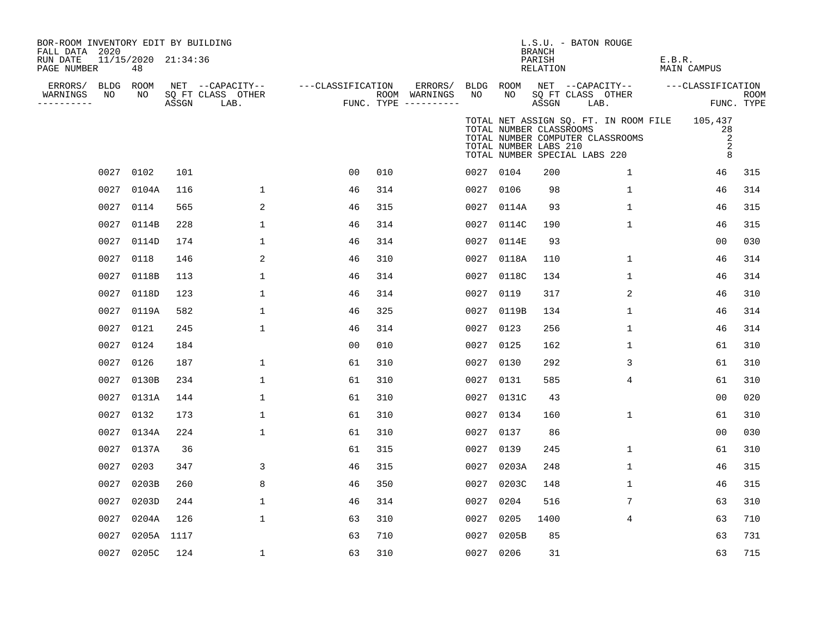| BOR-ROOM INVENTORY EDIT BY BUILDING<br>FALL DATA 2020<br>RUN DATE<br>PAGE NUMBER |                 | 11/15/2020 21:34:36<br>48 |       |                                               |                   |     |                                                 |                 |                                                  | <b>BRANCH</b><br>PARISH<br>RELATION | L.S.U. - BATON ROUGE                                                                                               | E.B.R.<br>MAIN CAMPUS |                           |
|----------------------------------------------------------------------------------|-----------------|---------------------------|-------|-----------------------------------------------|-------------------|-----|-------------------------------------------------|-----------------|--------------------------------------------------|-------------------------------------|--------------------------------------------------------------------------------------------------------------------|-----------------------|---------------------------|
| ERRORS/<br>WARNINGS<br>----------                                                | BLDG ROOM<br>NO | NO                        | ASSGN | NET --CAPACITY--<br>SQ FT CLASS OTHER<br>LAB. | ---CLASSIFICATION |     | ERRORS/<br>ROOM WARNINGS<br>FUNC. TYPE $------$ | BLDG ROOM<br>NO | NO                                               | ASSGN                               | NET --CAPACITY--<br>SQ FT CLASS OTHER<br>LAB.                                                                      | ---CLASSIFICATION     | <b>ROOM</b><br>FUNC. TYPE |
|                                                                                  |                 |                           |       |                                               |                   |     |                                                 |                 | TOTAL NUMBER CLASSROOMS<br>TOTAL NUMBER LABS 210 |                                     | TOTAL NET ASSIGN SQ. FT. IN ROOM FILE 105,437<br>TOTAL NUMBER COMPUTER CLASSROOMS<br>TOTAL NUMBER SPECIAL LABS 220 | 28                    | 2<br>2<br>8               |
|                                                                                  | 0027 0102       |                           | 101   |                                               | 0 <sub>0</sub>    | 010 |                                                 | 0027 0104       |                                                  | 200                                 | $\mathbf{1}$                                                                                                       | 46                    | 315                       |
|                                                                                  | 0027            | 0104A                     | 116   | $\mathbf{1}$                                  | 46                | 314 |                                                 | 0027 0106       |                                                  | 98                                  | $\mathbf 1$                                                                                                        | 46                    | 314                       |
|                                                                                  | 0027 0114       |                           | 565   | 2                                             | 46                | 315 |                                                 |                 | 0027 0114A                                       | 93                                  | $\mathbf{1}$                                                                                                       | 46                    | 315                       |
|                                                                                  | 0027            | 0114B                     | 228   | 1                                             | 46                | 314 |                                                 |                 | 0027 0114C                                       | 190                                 | $\mathbf 1$                                                                                                        | 46                    | 315                       |
|                                                                                  |                 | 0027 0114D                | 174   | 1                                             | 46                | 314 |                                                 | 0027            | 0114E                                            | 93                                  |                                                                                                                    | 00                    | 030                       |
|                                                                                  | 0027            | 0118                      | 146   | 2                                             | 46                | 310 |                                                 | 0027            | 0118A                                            | 110                                 | $\mathbf 1$                                                                                                        | 46                    | 314                       |
|                                                                                  | 0027            | 0118B                     | 113   | 1                                             | 46                | 314 |                                                 | 0027            | 0118C                                            | 134                                 | $\mathbf{1}$                                                                                                       | 46                    | 314                       |
|                                                                                  | 0027            | 0118D                     | 123   | 1                                             | 46                | 314 |                                                 | 0027            | 0119                                             | 317                                 | $\overline{2}$                                                                                                     | 46                    | 310                       |
|                                                                                  |                 | 0027 0119A                | 582   | $\mathbf{1}$                                  | 46                | 325 |                                                 | 0027            | 0119B                                            | 134                                 | $\mathbf 1$                                                                                                        | 46                    | 314                       |
|                                                                                  | 0027            | 0121                      | 245   | 1                                             | 46                | 314 |                                                 | 0027            | 0123                                             | 256                                 | 1                                                                                                                  | 46                    | 314                       |
|                                                                                  | 0027            | 0124                      | 184   |                                               | 0 <sub>0</sub>    | 010 |                                                 | 0027            | 0125                                             | 162                                 | $\mathbf 1$                                                                                                        | 61                    | 310                       |
|                                                                                  | 0027 0126       |                           | 187   | 1                                             | 61                | 310 |                                                 | 0027 0130       |                                                  | 292                                 | 3                                                                                                                  | 61                    | 310                       |
|                                                                                  |                 | 0027 0130B                | 234   | $\mathbf{1}$                                  | 61                | 310 |                                                 | 0027 0131       |                                                  | 585                                 | 4                                                                                                                  | 61                    | 310                       |
|                                                                                  | 0027            | 0131A                     | 144   | 1                                             | 61                | 310 |                                                 |                 | 0027 0131C                                       | 43                                  |                                                                                                                    | 0 <sub>0</sub>        | 020                       |
|                                                                                  | 0027            | 0132                      | 173   | 1                                             | 61                | 310 |                                                 | 0027 0134       |                                                  | 160                                 | $\mathbf 1$                                                                                                        | 61                    | 310                       |
|                                                                                  |                 | 0027 0134A                | 224   | 1                                             | 61                | 310 |                                                 | 0027 0137       |                                                  | 86                                  |                                                                                                                    | 0 <sub>0</sub>        | 030                       |
|                                                                                  | 0027            | 0137A                     | 36    |                                               | 61                | 315 |                                                 | 0027            | 0139                                             | 245                                 | $\mathbf{1}$                                                                                                       | 61                    | 310                       |
|                                                                                  | 0027            | 0203                      | 347   | 3                                             | 46                | 315 |                                                 |                 | 0027 0203A                                       | 248                                 | $\mathbf 1$                                                                                                        | 46                    | 315                       |
|                                                                                  | 0027            | 0203B                     | 260   | 8                                             | 46                | 350 |                                                 |                 | 0027 0203C                                       | 148                                 | $\mathbf 1$                                                                                                        | 46                    | 315                       |
|                                                                                  | 0027            | 0203D                     | 244   | 1                                             | 46                | 314 |                                                 | 0027 0204       |                                                  | 516                                 | 7                                                                                                                  | 63                    | 310                       |
|                                                                                  | 0027            | 0204A                     | 126   | 1                                             | 63                | 310 |                                                 | 0027            | 0205                                             | 1400                                | 4                                                                                                                  | 63                    | 710                       |
|                                                                                  | 0027            | 0205A 1117                |       |                                               | 63                | 710 |                                                 | 0027            | 0205B                                            | 85                                  |                                                                                                                    | 63                    | 731                       |
|                                                                                  |                 | 0027 0205C                | 124   | 1                                             | 63                | 310 |                                                 | 0027 0206       |                                                  | 31                                  |                                                                                                                    | 63                    | 715                       |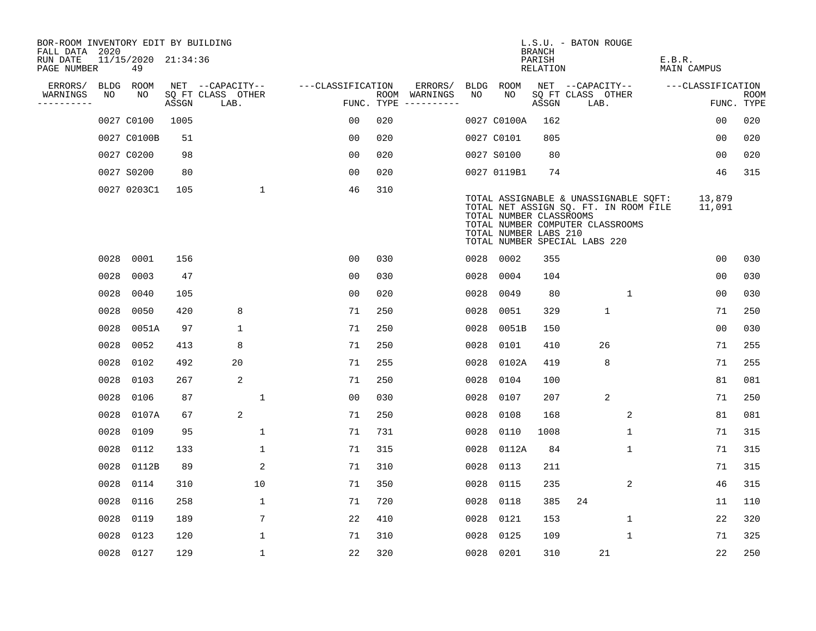| BOR-ROOM INVENTORY EDIT BY BUILDING<br>FALL DATA 2020 |      |                           |       |                           |                   |            |                                        |      |                                                                                   | <b>BRANCH</b>      | L.S.U. - BATON ROUGE      |                                                                                                                    |        |                   |                           |
|-------------------------------------------------------|------|---------------------------|-------|---------------------------|-------------------|------------|----------------------------------------|------|-----------------------------------------------------------------------------------|--------------------|---------------------------|--------------------------------------------------------------------------------------------------------------------|--------|-------------------|---------------------------|
| RUN DATE<br>PAGE NUMBER                               |      | 11/15/2020 21:34:36<br>49 |       |                           |                   |            |                                        |      |                                                                                   | PARISH<br>RELATION |                           |                                                                                                                    | E.B.R. | MAIN CAMPUS       |                           |
| ERRORS/                                               |      | BLDG ROOM                 |       | NET --CAPACITY--          | ---CLASSIFICATION |            | ERRORS/                                |      | BLDG ROOM                                                                         |                    | NET --CAPACITY--          |                                                                                                                    |        | ---CLASSIFICATION |                           |
| WARNINGS<br>----------                                | NO   | NO                        | ASSGN | SQ FT CLASS OTHER<br>LAB. |                   | FUNC. TYPE | ROOM WARNINGS<br>$- - - - - - - - - -$ | NO   | NO.                                                                               | ASSGN              | SQ FT CLASS OTHER<br>LAB. |                                                                                                                    |        |                   | <b>ROOM</b><br>FUNC. TYPE |
|                                                       |      | 0027 C0100                | 1005  |                           | 0 <sub>0</sub>    | 020        |                                        |      | 0027 C0100A                                                                       | 162                |                           |                                                                                                                    |        | 0 <sub>0</sub>    | 020                       |
|                                                       |      | 0027 C0100B               | 51    |                           | 0 <sub>0</sub>    | 020        |                                        |      | 0027 C0101                                                                        | 805                |                           |                                                                                                                    |        | 0 <sub>0</sub>    | 020                       |
|                                                       |      | 0027 C0200                | 98    |                           | 0 <sub>0</sub>    | 020        |                                        |      | 0027 S0100                                                                        | 80                 |                           |                                                                                                                    |        | 00                | 020                       |
|                                                       |      | 0027 S0200                | 80    |                           | 00                | 020        |                                        |      | 0027 0119B1                                                                       | 74                 |                           |                                                                                                                    |        | 46                | 315                       |
|                                                       |      | 0027 0203C1               | 105   | $\mathbf{1}$              | 46                | 310        |                                        |      | TOTAL NUMBER CLASSROOMS<br>TOTAL NUMBER LABS 210<br>TOTAL NUMBER SPECIAL LABS 220 |                    |                           | TOTAL ASSIGNABLE & UNASSIGNABLE SQFT:<br>TOTAL NET ASSIGN SQ. FT. IN ROOM FILE<br>TOTAL NUMBER COMPUTER CLASSROOMS |        | 13,879<br>11,091  |                           |
|                                                       | 0028 | 0001                      | 156   |                           | 0 <sub>0</sub>    | 030        |                                        |      | 0028 0002                                                                         | 355                |                           |                                                                                                                    |        | 0 <sub>0</sub>    | 030                       |
|                                                       | 0028 | 0003                      | 47    |                           | 0 <sub>0</sub>    | 030        |                                        | 0028 | 0004                                                                              | 104                |                           |                                                                                                                    |        | 0 <sub>0</sub>    | 030                       |
|                                                       | 0028 | 0040                      | 105   |                           | 0 <sub>0</sub>    | 020        |                                        | 0028 | 0049                                                                              | 80                 |                           | $\mathbf{1}$                                                                                                       |        | 0 <sub>0</sub>    | 030                       |
|                                                       | 0028 | 0050                      | 420   | 8                         | 71                | 250        |                                        | 0028 | 0051                                                                              | 329                |                           | $\mathbf{1}$                                                                                                       |        | 71                | 250                       |
|                                                       | 0028 | 0051A                     | 97    | $\mathbf 1$               | 71                | 250        |                                        | 0028 | 0051B                                                                             | 150                |                           |                                                                                                                    |        | 0 <sub>0</sub>    | 030                       |
|                                                       | 0028 | 0052                      | 413   | 8                         | 71                | 250        |                                        | 0028 | 0101                                                                              | 410                |                           | 26                                                                                                                 |        | 71                | 255                       |
|                                                       | 0028 | 0102                      | 492   | 20                        | 71                | 255        |                                        | 0028 | 0102A                                                                             | 419                |                           | 8                                                                                                                  |        | 71                | 255                       |
|                                                       | 0028 | 0103                      | 267   | 2                         | 71                | 250        |                                        | 0028 | 0104                                                                              | 100                |                           |                                                                                                                    |        | 81                | 081                       |
|                                                       | 0028 | 0106                      | 87    | $\mathbf{1}$              | 0 <sub>0</sub>    | 030        |                                        | 0028 | 0107                                                                              | 207                |                           | $\overline{2}$                                                                                                     |        | 71                | 250                       |
|                                                       | 0028 | 0107A                     | 67    | 2                         | 71                | 250        |                                        | 0028 | 0108                                                                              | 168                |                           | 2                                                                                                                  |        | 81                | 081                       |
|                                                       | 0028 | 0109                      | 95    | 1                         | 71                | 731        |                                        | 0028 | 0110                                                                              | 1008               |                           | 1                                                                                                                  |        | 71                | 315                       |
|                                                       | 0028 | 0112                      | 133   | $\mathbf{1}$              | 71                | 315        |                                        | 0028 | 0112A                                                                             | 84                 |                           | $\mathbf{1}$                                                                                                       |        | 71                | 315                       |
|                                                       | 0028 | 0112B                     | 89    | 2                         | 71                | 310        |                                        | 0028 | 0113                                                                              | 211                |                           |                                                                                                                    |        | 71                | 315                       |
|                                                       | 0028 | 0114                      | 310   | 10                        | 71                | 350        |                                        | 0028 | 0115                                                                              | 235                |                           | 2                                                                                                                  |        | 46                | 315                       |
|                                                       | 0028 | 0116                      | 258   | $\mathbf{1}$              | 71                | 720        |                                        | 0028 | 0118                                                                              | 385                | 24                        |                                                                                                                    |        | 11                | 110                       |
|                                                       | 0028 | 0119                      | 189   | 7                         | 22                | 410        |                                        | 0028 | 0121                                                                              | 153                |                           | $\mathbf{1}$                                                                                                       |        | 22                | 320                       |
|                                                       | 0028 | 0123                      | 120   | 1                         | 71                | 310        |                                        | 0028 | 0125                                                                              | 109                |                           | $\mathbf 1$                                                                                                        |        | 71                | 325                       |
|                                                       | 0028 | 0127                      | 129   | $\mathbf 1$               | 22                | 320        |                                        |      | 0028 0201                                                                         | 310                |                           | 21                                                                                                                 |        | 22                | 250                       |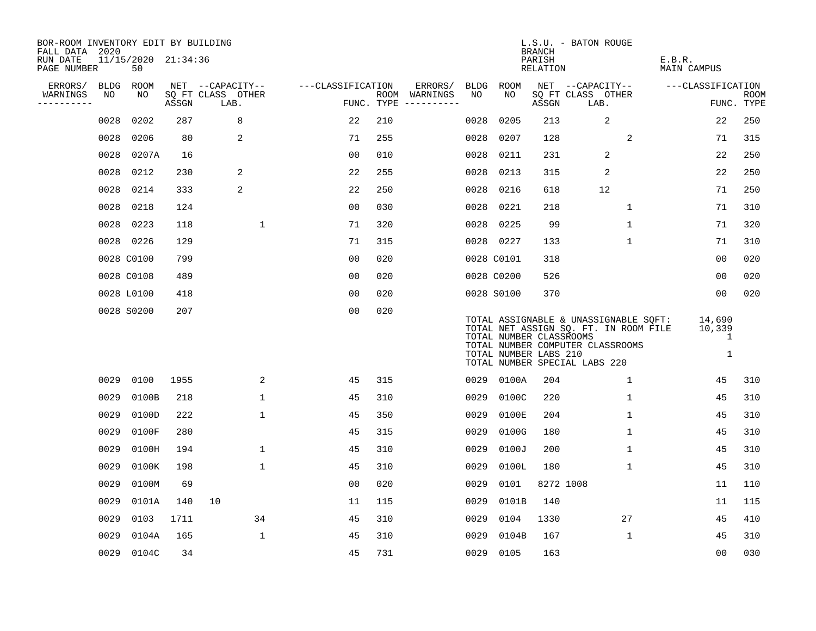| BOR-ROOM INVENTORY EDIT BY BUILDING<br>FALL DATA 2020 |             |                           |       |                           |                   |            |               |             |                                                  | <b>BRANCH</b>      | L.S.U. - BATON ROUGE                                                                                                                                |                              |                    |
|-------------------------------------------------------|-------------|---------------------------|-------|---------------------------|-------------------|------------|---------------|-------------|--------------------------------------------------|--------------------|-----------------------------------------------------------------------------------------------------------------------------------------------------|------------------------------|--------------------|
| RUN DATE<br>PAGE NUMBER                               |             | 11/15/2020 21:34:36<br>50 |       |                           |                   |            |               |             |                                                  | PARISH<br>RELATION |                                                                                                                                                     | E.B.R.<br><b>MAIN CAMPUS</b> |                    |
| ERRORS/                                               | <b>BLDG</b> | ROOM                      |       | NET --CAPACITY--          | ---CLASSIFICATION |            | ERRORS/       | <b>BLDG</b> | ROOM                                             |                    | NET --CAPACITY--                                                                                                                                    | ---CLASSIFICATION            |                    |
| WARNINGS<br>----------                                | NO          | NO                        | ASSGN | SQ FT CLASS OTHER<br>LAB. |                   | FUNC. TYPE | ROOM WARNINGS | NO          | NO                                               | ASSGN              | SQ FT CLASS OTHER<br>LAB.                                                                                                                           |                              | ROOM<br>FUNC. TYPE |
|                                                       | 0028        | 0202                      | 287   | 8                         | 22                | 210        |               | 0028        | 0205                                             | 213                | $\sqrt{2}$                                                                                                                                          | 22                           | 250                |
|                                                       | 0028        | 0206                      | 80    | 2                         | 71                | 255        |               | 0028        | 0207                                             | 128                | $\overline{a}$                                                                                                                                      | 71                           | 315                |
|                                                       | 0028        | 0207A                     | 16    |                           | 00                | 010        |               | 0028        | 0211                                             | 231                | $\overline{2}$                                                                                                                                      | 22                           | 250                |
|                                                       | 0028        | 0212                      | 230   | 2                         | 22                | 255        |               | 0028        | 0213                                             | 315                | 2                                                                                                                                                   | 22                           | 250                |
|                                                       | 0028        | 0214                      | 333   | 2                         | 22                | 250        |               | 0028        | 0216                                             | 618                | 12                                                                                                                                                  | 71                           | 250                |
|                                                       | 0028        | 0218                      | 124   |                           | 0 <sub>0</sub>    | 030        |               | 0028        | 0221                                             | 218                | $\mathbf 1$                                                                                                                                         | 71                           | 310                |
|                                                       | 0028        | 0223                      | 118   | $\mathbf 1$               | 71                | 320        |               | 0028        | 0225                                             | 99                 | $\mathbf 1$                                                                                                                                         | 71                           | 320                |
|                                                       |             | 0028 0226                 | 129   |                           | 71                | 315        |               |             | 0028 0227                                        | 133                | $\mathbf 1$                                                                                                                                         | 71                           | 310                |
|                                                       |             | 0028 C0100                | 799   |                           | 0 <sub>0</sub>    | 020        |               |             | 0028 C0101                                       | 318                |                                                                                                                                                     | 00                           | 020                |
|                                                       |             | 0028 C0108                | 489   |                           | 00                | 020        |               |             | 0028 C0200                                       | 526                |                                                                                                                                                     | 00                           | 020                |
|                                                       |             | 0028 L0100                | 418   |                           | 0 <sub>0</sub>    | 020        |               |             | 0028 S0100                                       | 370                |                                                                                                                                                     | 00                           | 020                |
|                                                       |             | 0028 S0200                | 207   |                           | 0 <sub>0</sub>    | 020        |               |             | TOTAL NUMBER CLASSROOMS<br>TOTAL NUMBER LABS 210 |                    | TOTAL ASSIGNABLE & UNASSIGNABLE SQFT:<br>TOTAL NET ASSIGN SQ. FT. IN ROOM FILE<br>TOTAL NUMBER COMPUTER CLASSROOMS<br>TOTAL NUMBER SPECIAL LABS 220 | 14,690<br>10,339<br>1<br>1   |                    |
|                                                       | 0029        | 0100                      | 1955  | 2                         | 45                | 315        |               | 0029        | 0100A                                            | 204                | $\mathbf{1}$                                                                                                                                        | 45                           | 310                |
|                                                       | 0029        | 0100B                     | 218   | 1                         | 45                | 310        |               | 0029        | 0100C                                            | 220                | 1                                                                                                                                                   | 45                           | 310                |
|                                                       | 0029        | 0100D                     | 222   | $\mathbf 1$               | 45                | 350        |               | 0029        | 0100E                                            | 204                | $\mathbf 1$                                                                                                                                         | 45                           | 310                |
|                                                       | 0029        | 0100F                     | 280   |                           | 45                | 315        |               | 0029        | 0100G                                            | 180                | $\mathbf 1$                                                                                                                                         | 45                           | 310                |
|                                                       | 0029        | 0100H                     | 194   | $\mathbf{1}$              | 45                | 310        |               | 0029        | 0100J                                            | 200                | $\mathbf{1}$                                                                                                                                        | 45                           | 310                |
|                                                       | 0029        | 0100K                     | 198   | $\mathbf 1$               | 45                | 310        |               | 0029        | 0100L                                            | 180                | $\mathbf 1$                                                                                                                                         | 45                           | 310                |
|                                                       | 0029        | 0100M                     | 69    |                           | 0 <sub>0</sub>    | 020        |               | 0029        | 0101                                             | 8272 1008          |                                                                                                                                                     | 11                           | 110                |
|                                                       | 0029        | 0101A                     | 140   | 10                        | 11                | 115        |               | 0029        | 0101B                                            | 140                |                                                                                                                                                     | 11                           | 115                |
|                                                       | 0029        | 0103                      | 1711  | 34                        | 45                | 310        |               | 0029        | 0104                                             | 1330               | 27                                                                                                                                                  | 45                           | 410                |
|                                                       | 0029        | 0104A                     | 165   | $\mathbf 1$               | 45                | 310        |               | 0029        | 0104B                                            | 167                | $\mathbf 1$                                                                                                                                         | 45                           | 310                |
|                                                       | 0029        | 0104C                     | 34    |                           | 45                | 731        |               | 0029        | 0105                                             | 163                |                                                                                                                                                     | 0 <sub>0</sub>               | 030                |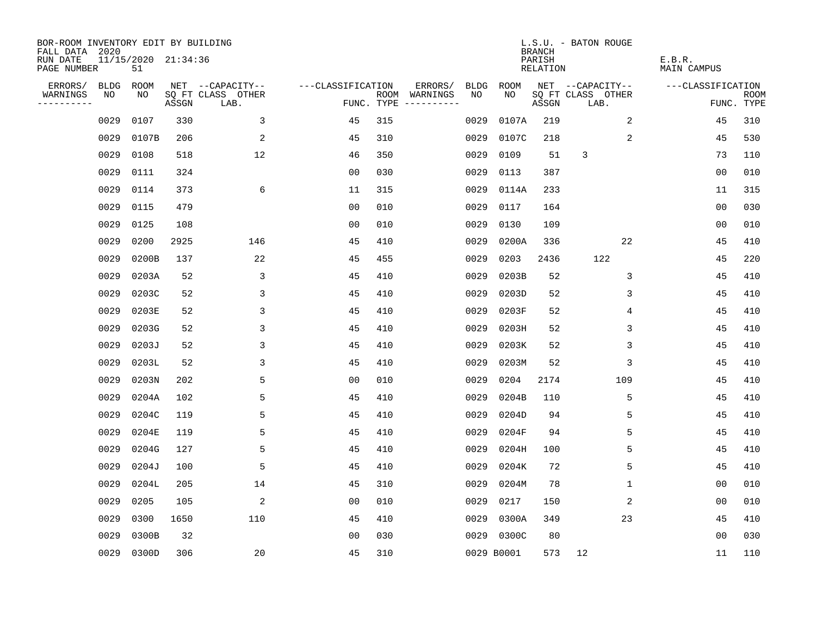| BOR-ROOM INVENTORY EDIT BY BUILDING<br>FALL DATA 2020 |             |                           |       |                           |                   |     |                                      |             |            | <b>BRANCH</b>      | L.S.U. - BATON ROUGE      |                              |                           |
|-------------------------------------------------------|-------------|---------------------------|-------|---------------------------|-------------------|-----|--------------------------------------|-------------|------------|--------------------|---------------------------|------------------------------|---------------------------|
| RUN DATE<br>PAGE NUMBER                               |             | 11/15/2020 21:34:36<br>51 |       |                           |                   |     |                                      |             |            | PARISH<br>RELATION |                           | E.B.R.<br><b>MAIN CAMPUS</b> |                           |
| ERRORS/                                               | <b>BLDG</b> | ROOM                      |       | NET --CAPACITY--          | ---CLASSIFICATION |     | ERRORS/                              | <b>BLDG</b> | ROOM       |                    | NET --CAPACITY--          | ---CLASSIFICATION            |                           |
| WARNINGS<br>----------                                | NO          | NO                        | ASSGN | SQ FT CLASS OTHER<br>LAB. |                   |     | ROOM WARNINGS<br>FUNC. TYPE $------$ | NO.         | NO.        | ASSGN              | SQ FT CLASS OTHER<br>LAB. |                              | <b>ROOM</b><br>FUNC. TYPE |
|                                                       | 0029        | 0107                      | 330   | 3                         | 45                | 315 |                                      | 0029        | 0107A      | 219                | 2                         | 45                           | 310                       |
|                                                       | 0029        | 0107B                     | 206   | 2                         | 45                | 310 |                                      | 0029        | 0107C      | 218                | 2                         | 45                           | 530                       |
|                                                       | 0029        | 0108                      | 518   | 12                        | 46                | 350 |                                      | 0029        | 0109       | 51                 | 3                         | 73                           | 110                       |
|                                                       | 0029        | 0111                      | 324   |                           | 0 <sub>0</sub>    | 030 |                                      | 0029        | 0113       | 387                |                           | 00                           | 010                       |
|                                                       | 0029        | 0114                      | 373   | 6                         | 11                | 315 |                                      | 0029        | 0114A      | 233                |                           | 11                           | 315                       |
|                                                       | 0029        | 0115                      | 479   |                           | 0 <sub>0</sub>    | 010 |                                      | 0029        | 0117       | 164                |                           | 0 <sub>0</sub>               | 030                       |
|                                                       | 0029        | 0125                      | 108   |                           | 0 <sub>0</sub>    | 010 |                                      | 0029        | 0130       | 109                |                           | 00                           | 010                       |
|                                                       | 0029        | 0200                      | 2925  | 146                       | 45                | 410 |                                      | 0029        | 0200A      | 336                | 22                        | 45                           | 410                       |
|                                                       | 0029        | 0200B                     | 137   | 22                        | 45                | 455 |                                      | 0029        | 0203       | 2436               | 122                       | 45                           | 220                       |
|                                                       | 0029        | 0203A                     | 52    | 3                         | 45                | 410 |                                      | 0029        | 0203B      | 52                 | 3                         | 45                           | 410                       |
|                                                       | 0029        | 0203C                     | 52    | 3                         | 45                | 410 |                                      | 0029        | 0203D      | 52                 | 3                         | 45                           | 410                       |
|                                                       | 0029        | 0203E                     | 52    | 3                         | 45                | 410 |                                      | 0029        | 0203F      | 52                 | 4                         | 45                           | 410                       |
|                                                       | 0029        | 0203G                     | 52    | 3                         | 45                | 410 |                                      | 0029        | 0203H      | 52                 | 3                         | 45                           | 410                       |
|                                                       | 0029        | 0203J                     | 52    | 3                         | 45                | 410 |                                      | 0029        | 0203K      | 52                 | 3                         | 45                           | 410                       |
|                                                       | 0029        | 0203L                     | 52    | 3                         | 45                | 410 |                                      | 0029        | 0203M      | 52                 | 3                         | 45                           | 410                       |
|                                                       | 0029        | 0203N                     | 202   | 5                         | 0 <sub>0</sub>    | 010 |                                      | 0029        | 0204       | 2174               | 109                       | 45                           | 410                       |
|                                                       | 0029        | 0204A                     | 102   | 5                         | 45                | 410 |                                      | 0029        | 0204B      | 110                | 5                         | 45                           | 410                       |
|                                                       | 0029        | 0204C                     | 119   | 5                         | 45                | 410 |                                      | 0029        | 0204D      | 94                 | 5                         | 45                           | 410                       |
|                                                       | 0029        | 0204E                     | 119   | 5                         | 45                | 410 |                                      | 0029        | 0204F      | 94                 | 5                         | 45                           | 410                       |
|                                                       | 0029        | 0204G                     | 127   | 5                         | 45                | 410 |                                      | 0029        | 0204H      | 100                | 5                         | 45                           | 410                       |
|                                                       | 0029        | 0204J                     | 100   | 5                         | 45                | 410 |                                      | 0029        | 0204K      | 72                 | 5                         | 45                           | 410                       |
|                                                       | 0029        | 0204L                     | 205   | 14                        | 45                | 310 |                                      | 0029        | 0204M      | 78                 | 1                         | 00                           | 010                       |
|                                                       | 0029        | 0205                      | 105   | 2                         | 0 <sub>0</sub>    | 010 |                                      | 0029        | 0217       | 150                | 2                         | 0 <sub>0</sub>               | 010                       |
|                                                       | 0029        | 0300                      | 1650  | 110                       | 45                | 410 |                                      | 0029        | 0300A      | 349                | 23                        | 45                           | 410                       |
|                                                       | 0029        | 0300B                     | 32    |                           | 0 <sub>0</sub>    | 030 |                                      | 0029        | 0300C      | 80                 |                           | 0 <sub>0</sub>               | 030                       |
|                                                       |             | 0029 0300D                | 306   | 20                        | 45                | 310 |                                      |             | 0029 B0001 | 573                | 12                        | 11                           | 110                       |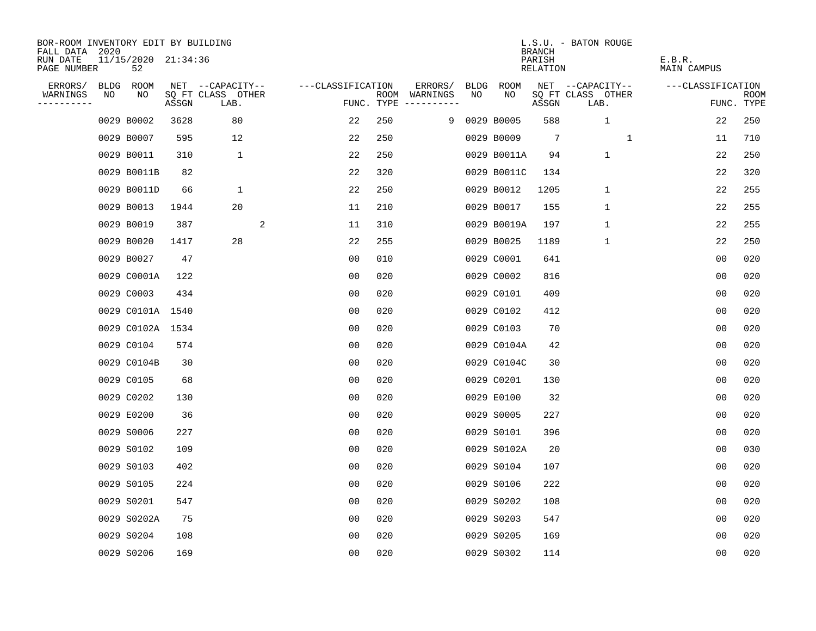| BOR-ROOM INVENTORY EDIT BY BUILDING       |    |                           |       |                           |                   |     |                                      |      |              | <b>BRANCH</b>      | L.S.U. - BATON ROUGE      |                       |                           |
|-------------------------------------------|----|---------------------------|-------|---------------------------|-------------------|-----|--------------------------------------|------|--------------|--------------------|---------------------------|-----------------------|---------------------------|
| FALL DATA 2020<br>RUN DATE<br>PAGE NUMBER |    | 11/15/2020 21:34:36<br>52 |       |                           |                   |     |                                      |      |              | PARISH<br>RELATION |                           | E.B.R.<br>MAIN CAMPUS |                           |
| ERRORS/                                   |    | BLDG ROOM                 |       | NET --CAPACITY--          | ---CLASSIFICATION |     | ERRORS/                              | BLDG | ROOM         |                    | NET --CAPACITY--          | ---CLASSIFICATION     |                           |
| WARNINGS<br>----------                    | NO | NO                        | ASSGN | SQ FT CLASS OTHER<br>LAB. |                   |     | ROOM WARNINGS<br>FUNC. TYPE $------$ | NO   | NO.          | ASSGN              | SQ FT CLASS OTHER<br>LAB. |                       | <b>ROOM</b><br>FUNC. TYPE |
|                                           |    | 0029 B0002                | 3628  | 80                        | 22                | 250 |                                      |      | 9 0029 B0005 | 588                | $\mathbf{1}$              | 22                    | 250                       |
|                                           |    | 0029 B0007                | 595   | 12                        | 22                | 250 |                                      |      | 0029 B0009   | 7                  | 1                         | 11                    | 710                       |
|                                           |    | 0029 B0011                | 310   | $\mathbf 1$               | 22                | 250 |                                      |      | 0029 B0011A  | 94                 | $\mathbf{1}$              | 22                    | 250                       |
|                                           |    | 0029 B0011B               | 82    |                           | 22                | 320 |                                      |      | 0029 B0011C  | 134                |                           | 22                    | 320                       |
|                                           |    | 0029 B0011D               | 66    | 1                         | 22                | 250 |                                      |      | 0029 B0012   | 1205               | 1                         | 22                    | 255                       |
|                                           |    | 0029 B0013                | 1944  | 20                        | 11                | 210 |                                      |      | 0029 B0017   | 155                | $\mathbf 1$               | 22                    | 255                       |
|                                           |    | 0029 B0019                | 387   | 2                         | 11                | 310 |                                      |      | 0029 B0019A  | 197                | $\mathbf 1$               | 22                    | 255                       |
|                                           |    | 0029 B0020                | 1417  | 28                        | 22                | 255 |                                      |      | 0029 B0025   | 1189               | $\mathbf{1}$              | 22                    | 250                       |
|                                           |    | 0029 B0027                | 47    |                           | 0 <sub>0</sub>    | 010 |                                      |      | 0029 C0001   | 641                |                           | 0 <sub>0</sub>        | 020                       |
|                                           |    | 0029 C0001A               | 122   |                           | 0 <sub>0</sub>    | 020 |                                      |      | 0029 C0002   | 816                |                           | 0 <sub>0</sub>        | 020                       |
|                                           |    | 0029 C0003                | 434   |                           | 00                | 020 |                                      |      | 0029 C0101   | 409                |                           | 0 <sub>0</sub>        | 020                       |
|                                           |    | 0029 C0101A 1540          |       |                           | 0 <sub>0</sub>    | 020 |                                      |      | 0029 C0102   | 412                |                           | 0 <sub>0</sub>        | 020                       |
|                                           |    | 0029 C0102A 1534          |       |                           | 0 <sub>0</sub>    | 020 |                                      |      | 0029 C0103   | 70                 |                           | 0 <sub>0</sub>        | 020                       |
|                                           |    | 0029 C0104                | 574   |                           | 0 <sub>0</sub>    | 020 |                                      |      | 0029 C0104A  | 42                 |                           | 0 <sub>0</sub>        | 020                       |
|                                           |    | 0029 C0104B               | 30    |                           | 00                | 020 |                                      |      | 0029 C0104C  | 30                 |                           | 00                    | 020                       |
|                                           |    | 0029 C0105                | 68    |                           | 00                | 020 |                                      |      | 0029 C0201   | 130                |                           | 0 <sub>0</sub>        | 020                       |
|                                           |    | 0029 C0202                | 130   |                           | 0 <sub>0</sub>    | 020 |                                      |      | 0029 E0100   | 32                 |                           | 0 <sub>0</sub>        | 020                       |
|                                           |    | 0029 E0200                | 36    |                           | 0 <sub>0</sub>    | 020 |                                      |      | 0029 S0005   | 227                |                           | 0 <sub>0</sub>        | 020                       |
|                                           |    | 0029 S0006                | 227   |                           | 0 <sub>0</sub>    | 020 |                                      |      | 0029 S0101   | 396                |                           | 0 <sub>0</sub>        | 020                       |
|                                           |    | 0029 S0102                | 109   |                           | 0 <sub>0</sub>    | 020 |                                      |      | 0029 S0102A  | 20                 |                           | 00                    | 030                       |
|                                           |    | 0029 S0103                | 402   |                           | 0 <sub>0</sub>    | 020 |                                      |      | 0029 S0104   | 107                |                           | 0 <sub>0</sub>        | 020                       |
|                                           |    | 0029 S0105                | 224   |                           | 0 <sub>0</sub>    | 020 |                                      |      | 0029 S0106   | 222                |                           | 0 <sub>0</sub>        | 020                       |
|                                           |    | 0029 S0201                | 547   |                           | 0 <sub>0</sub>    | 020 |                                      |      | 0029 S0202   | 108                |                           | 0 <sub>0</sub>        | 020                       |
|                                           |    | 0029 S0202A               | 75    |                           | 0 <sub>0</sub>    | 020 |                                      |      | 0029 S0203   | 547                |                           | 0 <sub>0</sub>        | 020                       |
|                                           |    | 0029 S0204                | 108   |                           | 0 <sub>0</sub>    | 020 |                                      |      | 0029 S0205   | 169                |                           | 0 <sub>0</sub>        | 020                       |
|                                           |    | 0029 S0206                | 169   |                           | 0 <sub>0</sub>    | 020 |                                      |      | 0029 S0302   | 114                |                           | 0 <sub>0</sub>        | 020                       |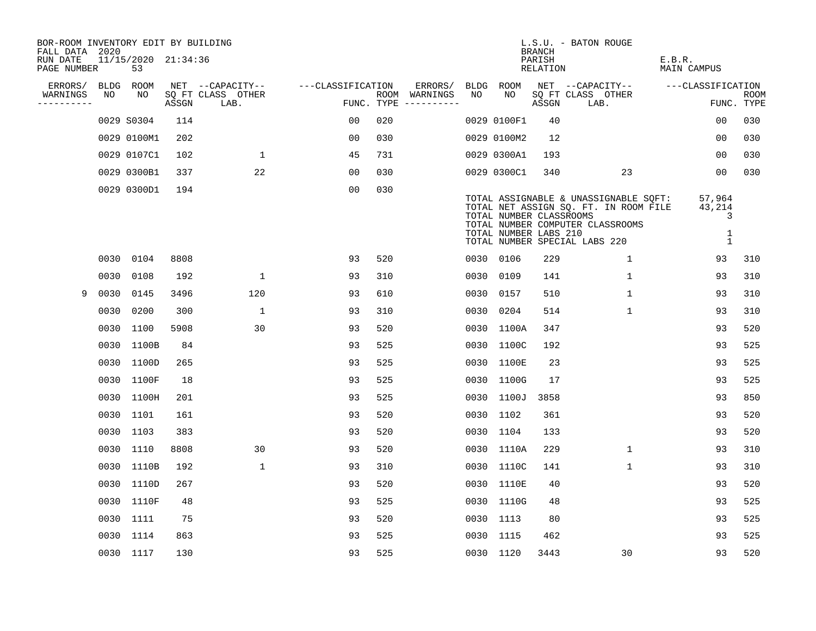| BOR-ROOM INVENTORY EDIT BY BUILDING<br>FALL DATA 2020 |      |                           |       |                           |                   |            |                              |      |                                                  | <b>BRANCH</b>      | L.S.U. - BATON ROUGE                                                                                                                                |                                           |                           |
|-------------------------------------------------------|------|---------------------------|-------|---------------------------|-------------------|------------|------------------------------|------|--------------------------------------------------|--------------------|-----------------------------------------------------------------------------------------------------------------------------------------------------|-------------------------------------------|---------------------------|
| RUN DATE<br>PAGE NUMBER                               |      | 11/15/2020 21:34:36<br>53 |       |                           |                   |            |                              |      |                                                  | PARISH<br>RELATION |                                                                                                                                                     | E.B.R.<br>MAIN CAMPUS                     |                           |
| ERRORS/                                               | BLDG | ROOM                      |       | NET --CAPACITY--          | ---CLASSIFICATION |            | ERRORS/                      |      | BLDG ROOM                                        |                    | NET --CAPACITY--                                                                                                                                    | ---CLASSIFICATION                         |                           |
| WARNINGS<br>----------                                | NO   | NO                        | ASSGN | SQ FT CLASS OTHER<br>LAB. |                   | FUNC. TYPE | ROOM WARNINGS<br>----------- | NO   | NO.                                              | ASSGN              | SQ FT CLASS OTHER<br>LAB.                                                                                                                           |                                           | <b>ROOM</b><br>FUNC. TYPE |
|                                                       |      | 0029 S0304                | 114   |                           | 0 <sub>0</sub>    | 020        |                              |      | 0029 0100F1                                      | 40                 |                                                                                                                                                     | 00                                        | 030                       |
|                                                       |      | 0029 0100M1               | 202   |                           | 0 <sub>0</sub>    | 030        |                              |      | 0029 0100M2                                      | 12                 |                                                                                                                                                     | 00                                        | 030                       |
|                                                       |      | 0029 0107C1               | 102   | 1                         | 45                | 731        |                              |      | 0029 0300A1                                      | 193                |                                                                                                                                                     | 00                                        | 030                       |
|                                                       |      | 0029 0300B1               | 337   | 22                        | 00                | 030        |                              |      | 0029 0300C1                                      | 340                | 23                                                                                                                                                  | 00                                        | 030                       |
|                                                       |      | 0029 0300D1               | 194   |                           | 0 <sub>0</sub>    | 030        |                              |      | TOTAL NUMBER CLASSROOMS<br>TOTAL NUMBER LABS 210 |                    | TOTAL ASSIGNABLE & UNASSIGNABLE SQFT:<br>TOTAL NET ASSIGN SQ. FT. IN ROOM FILE<br>TOTAL NUMBER COMPUTER CLASSROOMS<br>TOTAL NUMBER SPECIAL LABS 220 | 57,964<br>43,214<br>3<br>1<br>$\mathbf 1$ |                           |
|                                                       | 0030 | 0104                      | 8808  |                           | 93                | 520        |                              |      | 0030 0106                                        | 229                | $\mathbf 1$                                                                                                                                         | 93                                        | 310                       |
|                                                       | 0030 | 0108                      | 192   | $\mathbf 1$               | 93                | 310        |                              |      | 0030 0109                                        | 141                | $\mathbf{1}$                                                                                                                                        | 93                                        | 310                       |
| 9                                                     | 0030 | 0145                      | 3496  | 120                       | 93                | 610        |                              | 0030 | 0157                                             | 510                | $\mathbf 1$                                                                                                                                         | 93                                        | 310                       |
|                                                       | 0030 | 0200                      | 300   | $\mathbf{1}$              | 93                | 310        |                              |      | 0030 0204                                        | 514                | $\mathbf{1}$                                                                                                                                        | 93                                        | 310                       |
|                                                       |      | 0030 1100                 | 5908  | 30                        | 93                | 520        |                              |      | 0030 1100A                                       | 347                |                                                                                                                                                     | 93                                        | 520                       |
|                                                       |      | 0030 1100B                | 84    |                           | 93                | 525        |                              |      | 0030 1100C                                       | 192                |                                                                                                                                                     | 93                                        | 525                       |
|                                                       |      | 0030 1100D                | 265   |                           | 93                | 525        |                              |      | 0030 1100E                                       | 23                 |                                                                                                                                                     | 93                                        | 525                       |
|                                                       |      | 0030 1100F                | 18    |                           | 93                | 525        |                              |      | 0030 1100G                                       | 17                 |                                                                                                                                                     | 93                                        | 525                       |
|                                                       |      | 0030 1100H                | 201   |                           | 93                | 525        |                              |      | 0030 1100J                                       | 3858               |                                                                                                                                                     | 93                                        | 850                       |
|                                                       |      | 0030 1101                 | 161   |                           | 93                | 520        |                              |      | 0030 1102                                        | 361                |                                                                                                                                                     | 93                                        | 520                       |
|                                                       |      | 0030 1103                 | 383   |                           | 93                | 520        |                              |      | 0030 1104                                        | 133                |                                                                                                                                                     | 93                                        | 520                       |
|                                                       |      | 0030 1110                 | 8808  | 30                        | 93                | 520        |                              |      | 0030 1110A                                       | 229                | $\mathbf 1$                                                                                                                                         | 93                                        | 310                       |
|                                                       |      | 0030 1110B                | 192   | $\mathbf{1}$              | 93                | 310        |                              |      | 0030 1110C                                       | 141                | $\mathbf 1$                                                                                                                                         | 93                                        | 310                       |
|                                                       |      | 0030 1110D                | 267   |                           | 93                | 520        |                              |      | 0030 1110E                                       | 40                 |                                                                                                                                                     | 93                                        | 520                       |
|                                                       |      | 0030 1110F                | 48    |                           | 93                | 525        |                              |      | 0030 1110G                                       | 48                 |                                                                                                                                                     | 93                                        | 525                       |
|                                                       |      | 0030 1111                 | 75    |                           | 93                | 520        |                              |      | 0030 1113                                        | 80                 |                                                                                                                                                     | 93                                        | 525                       |
|                                                       |      | 0030 1114                 | 863   |                           | 93                | 525        |                              |      | 0030 1115                                        | 462                |                                                                                                                                                     | 93                                        | 525                       |
|                                                       |      | 0030 1117                 | 130   |                           | 93                | 525        |                              |      | 0030 1120                                        | 3443               | 30                                                                                                                                                  | 93                                        | 520                       |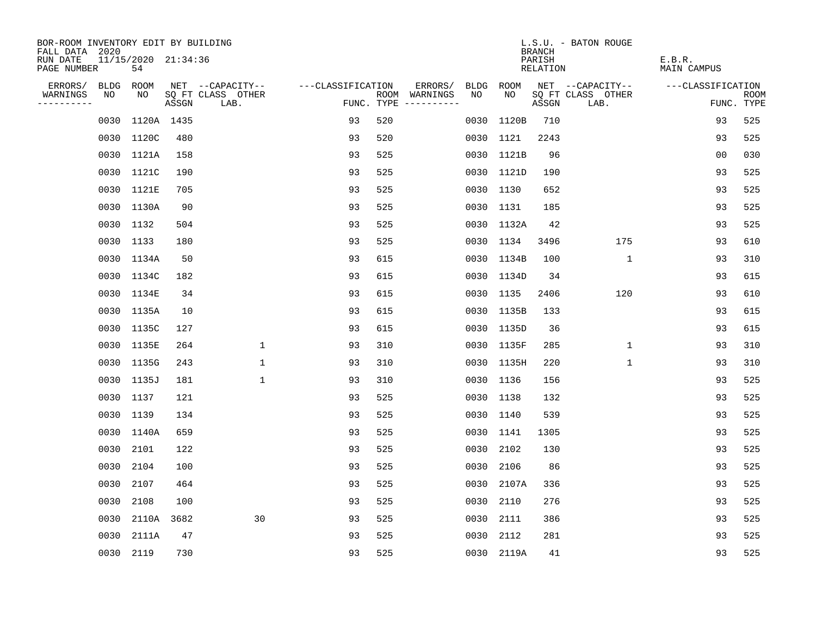| BOR-ROOM INVENTORY EDIT BY BUILDING<br>FALL DATA 2020 |           |                           |       |                           |                   |     |                                      |      |            | <b>BRANCH</b>      | L.S.U. - BATON ROUGE      |                              |                           |
|-------------------------------------------------------|-----------|---------------------------|-------|---------------------------|-------------------|-----|--------------------------------------|------|------------|--------------------|---------------------------|------------------------------|---------------------------|
| RUN DATE<br>PAGE NUMBER                               |           | 11/15/2020 21:34:36<br>54 |       |                           |                   |     |                                      |      |            | PARISH<br>RELATION |                           | E.B.R.<br><b>MAIN CAMPUS</b> |                           |
| ERRORS/                                               | BLDG      | ROOM                      |       | NET --CAPACITY--          | ---CLASSIFICATION |     | ERRORS/                              | BLDG | ROOM       |                    | NET --CAPACITY--          | ---CLASSIFICATION            |                           |
| WARNINGS<br>----------                                | NO        | NO.                       | ASSGN | SQ FT CLASS OTHER<br>LAB. |                   |     | ROOM WARNINGS<br>FUNC. TYPE $------$ | NO   | NO.        | ASSGN              | SQ FT CLASS OTHER<br>LAB. |                              | <b>ROOM</b><br>FUNC. TYPE |
|                                                       | 0030      | 1120A 1435                |       |                           | 93                | 520 |                                      |      | 0030 1120B | 710                |                           | 93                           | 525                       |
|                                                       |           | 0030 1120C                | 480   |                           | 93                | 520 |                                      |      | 0030 1121  | 2243               |                           | 93                           | 525                       |
|                                                       |           | 0030 1121A                | 158   |                           | 93                | 525 |                                      |      | 0030 1121B | 96                 |                           | 0 <sub>0</sub>               | 030                       |
|                                                       |           | 0030 1121C                | 190   |                           | 93                | 525 |                                      |      | 0030 1121D | 190                |                           | 93                           | 525                       |
|                                                       |           | 0030 1121E                | 705   |                           | 93                | 525 |                                      |      | 0030 1130  | 652                |                           | 93                           | 525                       |
|                                                       |           | 0030 1130A                | 90    |                           | 93                | 525 |                                      |      | 0030 1131  | 185                |                           | 93                           | 525                       |
|                                                       |           | 0030 1132                 | 504   |                           | 93                | 525 |                                      |      | 0030 1132A | 42                 |                           | 93                           | 525                       |
|                                                       | 0030 1133 |                           | 180   |                           | 93                | 525 |                                      |      | 0030 1134  | 3496               | 175                       | 93                           | 610                       |
|                                                       |           | 0030 1134A                | 50    |                           | 93                | 615 |                                      |      | 0030 1134B | 100                | $\mathbf{1}$              | 93                           | 310                       |
|                                                       |           | 0030 1134C                | 182   |                           | 93                | 615 |                                      |      | 0030 1134D | 34                 |                           | 93                           | 615                       |
|                                                       |           | 0030 1134E                | 34    |                           | 93                | 615 |                                      |      | 0030 1135  | 2406               | 120                       | 93                           | 610                       |
|                                                       |           | 0030 1135A                | 10    |                           | 93                | 615 |                                      |      | 0030 1135B | 133                |                           | 93                           | 615                       |
|                                                       |           | 0030 1135C                | 127   |                           | 93                | 615 |                                      |      | 0030 1135D | 36                 |                           | 93                           | 615                       |
|                                                       |           | 0030 1135E                | 264   | $\mathbf{1}$              | 93                | 310 |                                      |      | 0030 1135F | 285                | $\mathbf{1}$              | 93                           | 310                       |
|                                                       |           | 0030 1135G                | 243   | 1                         | 93                | 310 |                                      |      | 0030 1135H | 220                | 1                         | 93                           | 310                       |
|                                                       | 0030      | 1135J                     | 181   | $\mathbf{1}$              | 93                | 310 |                                      |      | 0030 1136  | 156                |                           | 93                           | 525                       |
|                                                       | 0030      | 1137                      | 121   |                           | 93                | 525 |                                      |      | 0030 1138  | 132                |                           | 93                           | 525                       |
|                                                       | 0030      | 1139                      | 134   |                           | 93                | 525 |                                      |      | 0030 1140  | 539                |                           | 93                           | 525                       |
|                                                       |           | 0030 1140A                | 659   |                           | 93                | 525 |                                      |      | 0030 1141  | 1305               |                           | 93                           | 525                       |
|                                                       | 0030      | 2101                      | 122   |                           | 93                | 525 |                                      | 0030 | 2102       | 130                |                           | 93                           | 525                       |
|                                                       | 0030      | 2104                      | 100   |                           | 93                | 525 |                                      | 0030 | 2106       | 86                 |                           | 93                           | 525                       |
|                                                       | 0030      | 2107                      | 464   |                           | 93                | 525 |                                      | 0030 | 2107A      | 336                |                           | 93                           | 525                       |
|                                                       | 0030      | 2108                      | 100   |                           | 93                | 525 |                                      | 0030 | 2110       | 276                |                           | 93                           | 525                       |
|                                                       | 0030      | 2110A                     | 3682  | 30                        | 93                | 525 |                                      | 0030 | 2111       | 386                |                           | 93                           | 525                       |
|                                                       | 0030      | 2111A                     | 47    |                           | 93                | 525 |                                      | 0030 | 2112       | 281                |                           | 93                           | 525                       |
|                                                       | 0030 2119 |                           | 730   |                           | 93                | 525 |                                      |      | 0030 2119A | 41                 |                           | 93                           | 525                       |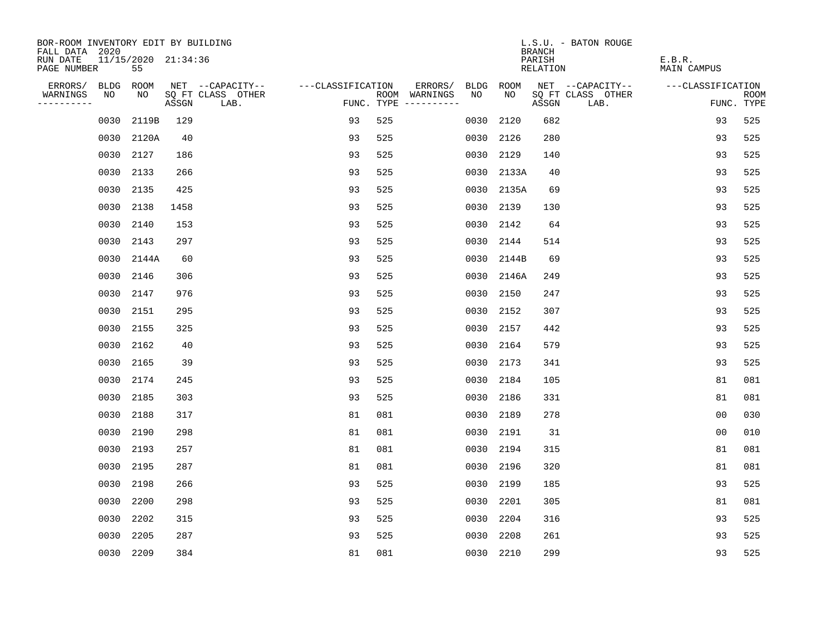| BOR-ROOM INVENTORY EDIT BY BUILDING<br>FALL DATA 2020 |                           |       |                           |                   |     |                                      |           |             | <b>BRANCH</b>      | L.S.U. - BATON ROUGE      |                              |                |                           |
|-------------------------------------------------------|---------------------------|-------|---------------------------|-------------------|-----|--------------------------------------|-----------|-------------|--------------------|---------------------------|------------------------------|----------------|---------------------------|
| RUN DATE<br>PAGE NUMBER                               | 11/15/2020 21:34:36<br>55 |       |                           |                   |     |                                      |           |             | PARISH<br>RELATION |                           | E.B.R.<br><b>MAIN CAMPUS</b> |                |                           |
| ERRORS/<br><b>BLDG</b>                                | ROOM                      |       | NET --CAPACITY--          | ---CLASSIFICATION |     | ERRORS/                              | BLDG      | <b>ROOM</b> |                    | NET --CAPACITY--          | ---CLASSIFICATION            |                |                           |
| WARNINGS<br>NO<br>----------                          | NO                        | ASSGN | SQ FT CLASS OTHER<br>LAB. |                   |     | ROOM WARNINGS<br>FUNC. TYPE $------$ | NO        | NO          | ASSGN              | SQ FT CLASS OTHER<br>LAB. |                              |                | <b>ROOM</b><br>FUNC. TYPE |
| 0030                                                  | 2119B                     | 129   |                           | 93                | 525 |                                      | 0030      | 2120        | 682                |                           |                              | 93             | 525                       |
|                                                       | 0030 2120A                | 40    |                           | 93                | 525 |                                      | 0030      | 2126        | 280                |                           |                              | 93             | 525                       |
|                                                       | 0030 2127                 | 186   |                           | 93                | 525 |                                      | 0030      | 2129        | 140                |                           |                              | 93             | 525                       |
|                                                       | 0030 2133                 | 266   |                           | 93                | 525 |                                      |           | 0030 2133A  | 40                 |                           |                              | 93             | 525                       |
| 0030                                                  | 2135                      | 425   |                           | 93                | 525 |                                      |           | 0030 2135A  | 69                 |                           |                              | 93             | 525                       |
|                                                       | 0030 2138                 | 1458  |                           | 93                | 525 |                                      | 0030 2139 |             | 130                |                           |                              | 93             | 525                       |
| 0030                                                  | 2140                      | 153   |                           | 93                | 525 |                                      | 0030      | 2142        | 64                 |                           |                              | 93             | 525                       |
|                                                       | 0030 2143                 | 297   |                           | 93                | 525 |                                      | 0030 2144 |             | 514                |                           |                              | 93             | 525                       |
| 0030                                                  | 2144A                     | 60    |                           | 93                | 525 |                                      | 0030      | 2144B       | 69                 |                           |                              | 93             | 525                       |
|                                                       | 0030 2146                 | 306   |                           | 93                | 525 |                                      |           | 0030 2146A  | 249                |                           |                              | 93             | 525                       |
|                                                       | 0030 2147                 | 976   |                           | 93                | 525 |                                      | 0030      | 2150        | 247                |                           |                              | 93             | 525                       |
|                                                       | 0030 2151                 | 295   |                           | 93                | 525 |                                      | 0030 2152 |             | 307                |                           |                              | 93             | 525                       |
| 0030                                                  | 2155                      | 325   |                           | 93                | 525 |                                      | 0030      | 2157        | 442                |                           |                              | 93             | 525                       |
| 0030                                                  | 2162                      | 40    |                           | 93                | 525 |                                      | 0030      | 2164        | 579                |                           |                              | 93             | 525                       |
| 0030                                                  | 2165                      | 39    |                           | 93                | 525 |                                      | 0030      | 2173        | 341                |                           |                              | 93             | 525                       |
| 0030                                                  | 2174                      | 245   |                           | 93                | 525 |                                      | 0030      | 2184        | 105                |                           |                              | 81             | 081                       |
| 0030                                                  | 2185                      | 303   |                           | 93                | 525 |                                      | 0030      | 2186        | 331                |                           |                              | 81             | 081                       |
| 0030                                                  | 2188                      | 317   |                           | 81                | 081 |                                      | 0030      | 2189        | 278                |                           |                              | 0 <sub>0</sub> | 030                       |
|                                                       | 0030 2190                 | 298   |                           | 81                | 081 |                                      | 0030 2191 |             | 31                 |                           |                              | 0 <sub>0</sub> | 010                       |
| 0030                                                  | 2193                      | 257   |                           | 81                | 081 |                                      | 0030      | 2194        | 315                |                           |                              | 81             | 081                       |
|                                                       | 0030 2195                 | 287   |                           | 81                | 081 |                                      | 0030      | 2196        | 320                |                           |                              | 81             | 081                       |
| 0030                                                  | 2198                      | 266   |                           | 93                | 525 |                                      | 0030      | 2199        | 185                |                           |                              | 93             | 525                       |
| 0030                                                  | 2200                      | 298   |                           | 93                | 525 |                                      | 0030      | 2201        | 305                |                           |                              | 81             | 081                       |
| 0030                                                  | 2202                      | 315   |                           | 93                | 525 |                                      | 0030      | 2204        | 316                |                           |                              | 93             | 525                       |
| 0030                                                  | 2205                      | 287   |                           | 93                | 525 |                                      | 0030      | 2208        | 261                |                           |                              | 93             | 525                       |
|                                                       | 0030 2209                 | 384   |                           | 81                | 081 |                                      | 0030 2210 |             | 299                |                           |                              | 93             | 525                       |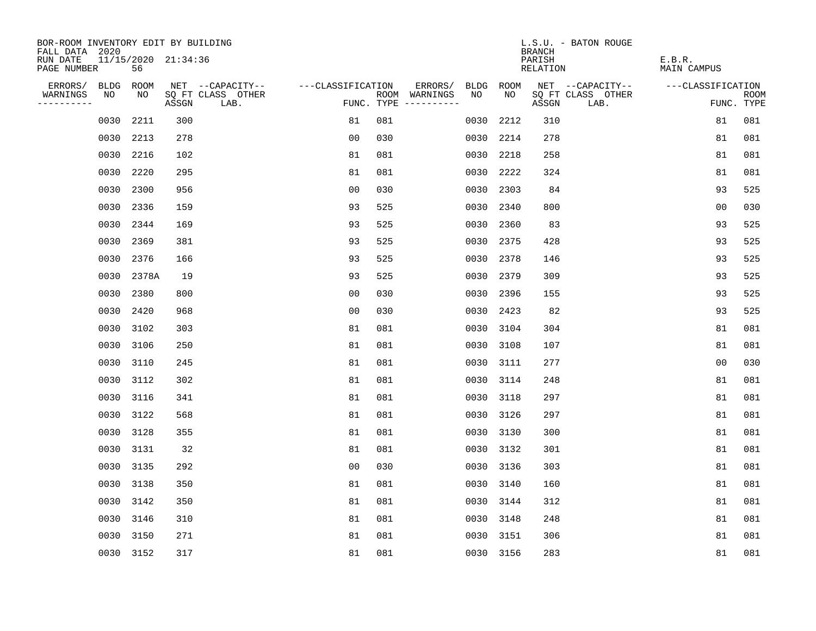| BOR-ROOM INVENTORY EDIT BY BUILDING<br>FALL DATA 2020 |                           |       |                           |                   |     |                                      |      |             | <b>BRANCH</b>             | L.S.U. - BATON ROUGE      |                              |                |                           |
|-------------------------------------------------------|---------------------------|-------|---------------------------|-------------------|-----|--------------------------------------|------|-------------|---------------------------|---------------------------|------------------------------|----------------|---------------------------|
| RUN DATE<br>PAGE NUMBER                               | 11/15/2020 21:34:36<br>56 |       |                           |                   |     |                                      |      |             | PARISH<br><b>RELATION</b> |                           | E.B.R.<br><b>MAIN CAMPUS</b> |                |                           |
| ERRORS/<br><b>BLDG</b>                                | ROOM                      |       | NET --CAPACITY--          | ---CLASSIFICATION |     | ERRORS/                              | BLDG | <b>ROOM</b> |                           | NET --CAPACITY--          | ---CLASSIFICATION            |                |                           |
| WARNINGS<br>NO<br>----------                          | NO                        | ASSGN | SQ FT CLASS OTHER<br>LAB. |                   |     | ROOM WARNINGS<br>FUNC. TYPE $------$ | NO   | NO          | ASSGN                     | SQ FT CLASS OTHER<br>LAB. |                              |                | <b>ROOM</b><br>FUNC. TYPE |
| 0030                                                  | 2211                      | 300   |                           | 81                | 081 |                                      | 0030 | 2212        | 310                       |                           |                              | 81             | 081                       |
|                                                       | 0030 2213                 | 278   |                           | 0 <sub>0</sub>    | 030 |                                      | 0030 | 2214        | 278                       |                           |                              | 81             | 081                       |
| 0030                                                  | 2216                      | 102   |                           | 81                | 081 |                                      | 0030 | 2218        | 258                       |                           |                              | 81             | 081                       |
| 0030                                                  | 2220                      | 295   |                           | 81                | 081 |                                      | 0030 | 2222        | 324                       |                           |                              | 81             | 081                       |
| 0030                                                  | 2300                      | 956   |                           | 0 <sub>0</sub>    | 030 |                                      | 0030 | 2303        | 84                        |                           |                              | 93             | 525                       |
|                                                       | 0030 2336                 | 159   |                           | 93                | 525 |                                      |      | 0030 2340   | 800                       |                           |                              | 0 <sub>0</sub> | 030                       |
| 0030                                                  | 2344                      | 169   |                           | 93                | 525 |                                      | 0030 | 2360        | 83                        |                           |                              | 93             | 525                       |
| 0030                                                  | 2369                      | 381   |                           | 93                | 525 |                                      |      | 0030 2375   | 428                       |                           |                              | 93             | 525                       |
| 0030                                                  | 2376                      | 166   |                           | 93                | 525 |                                      | 0030 | 2378        | 146                       |                           |                              | 93             | 525                       |
| 0030                                                  | 2378A                     | 19    |                           | 93                | 525 |                                      |      | 0030 2379   | 309                       |                           |                              | 93             | 525                       |
| 0030                                                  | 2380                      | 800   |                           | 00                | 030 |                                      | 0030 | 2396        | 155                       |                           |                              | 93             | 525                       |
| 0030                                                  | 2420                      | 968   |                           | 0 <sub>0</sub>    | 030 |                                      | 0030 | 2423        | 82                        |                           |                              | 93             | 525                       |
| 0030                                                  | 3102                      | 303   |                           | 81                | 081 |                                      | 0030 | 3104        | 304                       |                           |                              | 81             | 081                       |
| 0030                                                  | 3106                      | 250   |                           | 81                | 081 |                                      | 0030 | 3108        | 107                       |                           |                              | 81             | 081                       |
| 0030                                                  | 3110                      | 245   |                           | 81                | 081 |                                      | 0030 | 3111        | 277                       |                           |                              | 0 <sub>0</sub> | 030                       |
| 0030                                                  | 3112                      | 302   |                           | 81                | 081 |                                      | 0030 | 3114        | 248                       |                           |                              | 81             | 081                       |
| 0030                                                  | 3116                      | 341   |                           | 81                | 081 |                                      | 0030 | 3118        | 297                       |                           |                              | 81             | 081                       |
| 0030                                                  | 3122                      | 568   |                           | 81                | 081 |                                      | 0030 | 3126        | 297                       |                           |                              | 81             | 081                       |
|                                                       | 0030 3128                 | 355   |                           | 81                | 081 |                                      | 0030 | 3130        | 300                       |                           |                              | 81             | 081                       |
| 0030                                                  | 3131                      | 32    |                           | 81                | 081 |                                      | 0030 | 3132        | 301                       |                           |                              | 81             | 081                       |
|                                                       | 0030 3135                 | 292   |                           | 0 <sub>0</sub>    | 030 |                                      | 0030 | 3136        | 303                       |                           |                              | 81             | 081                       |
| 0030                                                  | 3138                      | 350   |                           | 81                | 081 |                                      | 0030 | 3140        | 160                       |                           |                              | 81             | 081                       |
|                                                       | 0030 3142                 | 350   |                           | 81                | 081 |                                      | 0030 | 3144        | 312                       |                           |                              | 81             | 081                       |
| 0030                                                  | 3146                      | 310   |                           | 81                | 081 |                                      | 0030 | 3148        | 248                       |                           |                              | 81             | 081                       |
| 0030                                                  | 3150                      | 271   |                           | 81                | 081 |                                      | 0030 | 3151        | 306                       |                           |                              | 81             | 081                       |
|                                                       | 0030 3152                 | 317   |                           | 81                | 081 |                                      |      | 0030 3156   | 283                       |                           |                              | 81             | 081                       |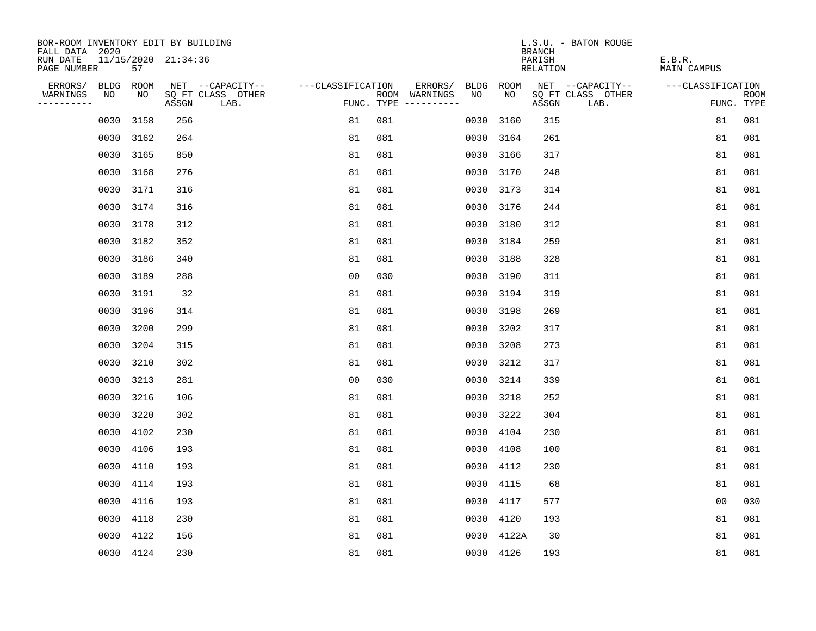| BOR-ROOM INVENTORY EDIT BY BUILDING<br>FALL DATA 2020 |           |                     |                           |                   |                                      |         |      |             | <b>BRANCH</b>      | L.S.U. - BATON ROUGE      |                              |                           |
|-------------------------------------------------------|-----------|---------------------|---------------------------|-------------------|--------------------------------------|---------|------|-------------|--------------------|---------------------------|------------------------------|---------------------------|
| RUN DATE<br>PAGE NUMBER                               | 57        | 11/15/2020 21:34:36 |                           |                   |                                      |         |      |             | PARISH<br>RELATION |                           | E.B.R.<br><b>MAIN CAMPUS</b> |                           |
| ERRORS/<br><b>BLDG</b>                                | ROOM      |                     | NET --CAPACITY--          | ---CLASSIFICATION |                                      | ERRORS/ | BLDG | <b>ROOM</b> |                    | NET --CAPACITY--          | ---CLASSIFICATION            |                           |
| WARNINGS<br>NO<br>----------                          | NO        | ASSGN               | SQ FT CLASS OTHER<br>LAB. |                   | ROOM WARNINGS<br>FUNC. TYPE $------$ |         | NO   | NO          | ASSGN              | SQ FT CLASS OTHER<br>LAB. |                              | <b>ROOM</b><br>FUNC. TYPE |
| 0030                                                  | 3158      | 256                 |                           | 81                | 081                                  |         | 0030 | 3160        | 315                |                           | 81                           | 081                       |
|                                                       | 0030 3162 | 264                 |                           | 81                | 081                                  |         | 0030 | 3164        | 261                |                           | 81                           | 081                       |
| 0030                                                  | 3165      | 850                 |                           | 81                | 081                                  |         | 0030 | 3166        | 317                |                           | 81                           | 081                       |
|                                                       | 0030 3168 | 276                 |                           | 81                | 081                                  |         | 0030 | 3170        | 248                |                           | 81                           | 081                       |
| 0030                                                  | 3171      | 316                 |                           | 81                | 081                                  |         | 0030 | 3173        | 314                |                           | 81                           | 081                       |
|                                                       | 0030 3174 | 316                 |                           | 81                | 081                                  |         |      | 0030 3176   | 244                |                           | 81                           | 081                       |
|                                                       | 0030 3178 | 312                 |                           | 81                | 081                                  |         | 0030 | 3180        | 312                |                           | 81                           | 081                       |
|                                                       | 0030 3182 | 352                 |                           | 81                | 081                                  |         | 0030 | 3184        | 259                |                           | 81                           | 081                       |
| 0030                                                  | 3186      | 340                 |                           | 81                | 081                                  |         | 0030 | 3188        | 328                |                           | 81                           | 081                       |
|                                                       | 0030 3189 | 288                 |                           | 0 <sub>0</sub>    | 030                                  |         | 0030 | 3190        | 311                |                           | 81                           | 081                       |
|                                                       | 0030 3191 | 32                  |                           | 81                | 081                                  |         | 0030 | 3194        | 319                |                           | 81                           | 081                       |
|                                                       | 0030 3196 | 314                 |                           | 81                | 081                                  |         | 0030 | 3198        | 269                |                           | 81                           | 081                       |
| 0030                                                  | 3200      | 299                 |                           | 81                | 081                                  |         | 0030 | 3202        | 317                |                           | 81                           | 081                       |
| 0030                                                  | 3204      | 315                 |                           | 81                | 081                                  |         | 0030 | 3208        | 273                |                           | 81                           | 081                       |
| 0030                                                  | 3210      | 302                 |                           | 81                | 081                                  |         | 0030 | 3212        | 317                |                           | 81                           | 081                       |
| 0030                                                  | 3213      | 281                 |                           | 0 <sub>0</sub>    | 030                                  |         | 0030 | 3214        | 339                |                           | 81                           | 081                       |
| 0030                                                  | 3216      | 106                 |                           | 81                | 081                                  |         | 0030 | 3218        | 252                |                           | 81                           | 081                       |
| 0030                                                  | 3220      | 302                 |                           | 81                | 081                                  |         | 0030 | 3222        | 304                |                           | 81                           | 081                       |
|                                                       | 0030 4102 | 230                 |                           | 81                | 081                                  |         | 0030 | 4104        | 230                |                           | 81                           | 081                       |
| 0030                                                  | 4106      | 193                 |                           | 81                | 081                                  |         | 0030 | 4108        | 100                |                           | 81                           | 081                       |
| 0030                                                  | 4110      | 193                 |                           | 81                | 081                                  |         | 0030 | 4112        | 230                |                           | 81                           | 081                       |
| 0030                                                  | 4114      | 193                 |                           | 81                | 081                                  |         | 0030 | 4115        | 68                 |                           | 81                           | 081                       |
|                                                       | 0030 4116 | 193                 |                           | 81                | 081                                  |         | 0030 | 4117        | 577                |                           | 0 <sub>0</sub>               | 030                       |
| 0030                                                  | 4118      | 230                 |                           | 81                | 081                                  |         | 0030 | 4120        | 193                |                           | 81                           | 081                       |
|                                                       | 0030 4122 | 156                 |                           | 81                | 081                                  |         | 0030 | 4122A       | 30                 |                           | 81                           | 081                       |
|                                                       | 0030 4124 | 230                 |                           | 81                | 081                                  |         |      | 0030 4126   | 193                |                           | 81                           | 081                       |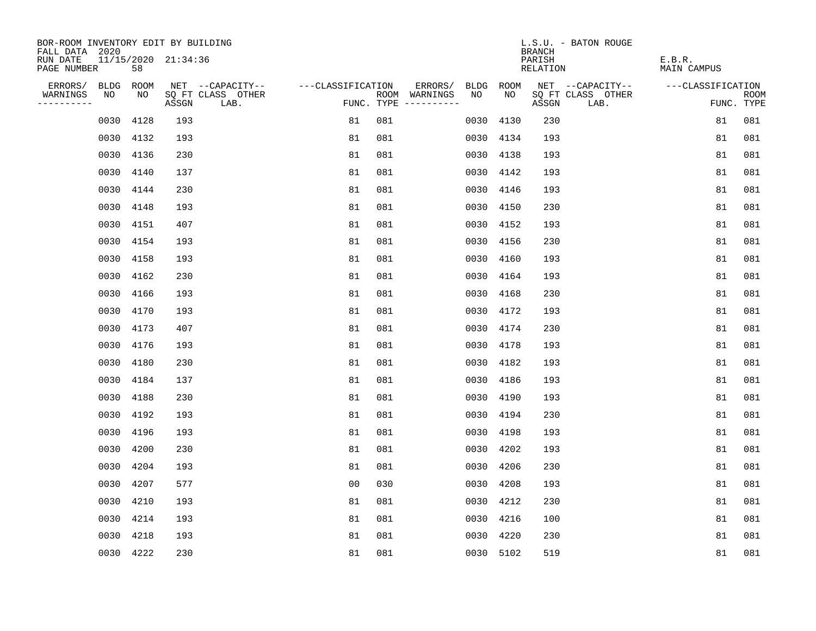| BOR-ROOM INVENTORY EDIT BY BUILDING<br>FALL DATA 2020 |           |                     |                           |                   |                                      |           |             | L.S.U. - BATON ROUGE<br><b>BRANCH</b> |                              |             |
|-------------------------------------------------------|-----------|---------------------|---------------------------|-------------------|--------------------------------------|-----------|-------------|---------------------------------------|------------------------------|-------------|
| RUN DATE<br>PAGE NUMBER                               | 58        | 11/15/2020 21:34:36 |                           |                   |                                      |           |             | PARISH<br>RELATION                    | E.B.R.<br><b>MAIN CAMPUS</b> |             |
| ERRORS/<br><b>BLDG</b>                                | ROOM      |                     | NET --CAPACITY--          | ---CLASSIFICATION | ERRORS/                              | BLDG      | <b>ROOM</b> | NET --CAPACITY--                      | ---CLASSIFICATION            |             |
| WARNINGS<br>NO<br>----------                          | NO        | ASSGN               | SQ FT CLASS OTHER<br>LAB. |                   | ROOM WARNINGS<br>FUNC. TYPE $------$ | NO        | NO          | SQ FT CLASS OTHER<br>ASSGN<br>LAB.    | FUNC. TYPE                   | <b>ROOM</b> |
| 0030                                                  | 4128      | 193                 |                           | 81                | 081                                  | 0030      | 4130        | 230                                   | 81                           | 081         |
|                                                       | 0030 4132 | 193                 |                           | 81                | 081                                  | 0030      | 4134        | 193                                   | 81                           | 081         |
|                                                       | 0030 4136 | 230                 |                           | 81                | 081                                  | 0030      | 4138        | 193                                   | 81                           | 081         |
|                                                       | 0030 4140 | 137                 |                           | 81                | 081                                  | 0030      | 4142        | 193                                   | 81                           | 081         |
| 0030                                                  | 4144      | 230                 |                           | 81                | 081                                  | 0030      | 4146        | 193                                   | 81                           | 081         |
|                                                       | 0030 4148 | 193                 |                           | 81                | 081                                  | 0030 4150 |             | 230                                   | 81                           | 081         |
|                                                       | 0030 4151 | 407                 |                           | 81                | 081                                  | 0030      | 4152        | 193                                   | 81                           | 081         |
|                                                       | 0030 4154 | 193                 |                           | 81                | 081                                  | 0030      | 4156        | 230                                   | 81                           | 081         |
|                                                       | 0030 4158 | 193                 |                           | 81                | 081                                  | 0030      | 4160        | 193                                   | 81                           | 081         |
|                                                       | 0030 4162 | 230                 |                           | 81                | 081                                  | 0030      | 4164        | 193                                   | 81                           | 081         |
|                                                       | 0030 4166 | 193                 |                           | 81                | 081                                  | 0030      | 4168        | 230                                   | 81                           | 081         |
| 0030                                                  | 4170      | 193                 |                           | 81                | 081                                  | 0030      | 4172        | 193                                   | 81                           | 081         |
| 0030                                                  | 4173      | 407                 |                           | 81                | 081                                  | 0030      | 4174        | 230                                   | 81                           | 081         |
| 0030                                                  | 4176      | 193                 |                           | 81                | 081                                  | 0030      | 4178        | 193                                   | 81                           | 081         |
| 0030                                                  | 4180      | 230                 |                           | 81                | 081                                  | 0030      | 4182        | 193                                   | 81                           | 081         |
| 0030                                                  | 4184      | 137                 |                           | 81                | 081                                  | 0030      | 4186        | 193                                   | 81                           | 081         |
| 0030                                                  | 4188      | 230                 |                           | 81                | 081                                  | 0030      | 4190        | 193                                   | 81                           | 081         |
| 0030                                                  | 4192      | 193                 |                           | 81                | 081                                  | 0030      | 4194        | 230                                   | 81                           | 081         |
|                                                       | 0030 4196 | 193                 |                           | 81                | 081                                  | 0030      | 4198        | 193                                   | 81                           | 081         |
| 0030                                                  | 4200      | 230                 |                           | 81                | 081                                  | 0030      | 4202        | 193                                   | 81                           | 081         |
| 0030                                                  | 4204      | 193                 |                           | 81                | 081                                  | 0030      | 4206        | 230                                   | 81                           | 081         |
| 0030                                                  | 4207      | 577                 |                           | 0 <sub>0</sub>    | 030                                  | 0030      | 4208        | 193                                   | 81                           | 081         |
|                                                       | 0030 4210 | 193                 |                           | 81                | 081                                  | 0030      | 4212        | 230                                   | 81                           | 081         |
| 0030                                                  | 4214      | 193                 |                           | 81                | 081                                  | 0030      | 4216        | 100                                   | 81                           | 081         |
| 0030                                                  | 4218      | 193                 |                           | 81                | 081                                  | 0030      | 4220        | 230                                   | 81                           | 081         |
|                                                       | 0030 4222 | 230                 |                           | 81                | 081                                  | 0030 5102 |             | 519                                   | 81                           | 081         |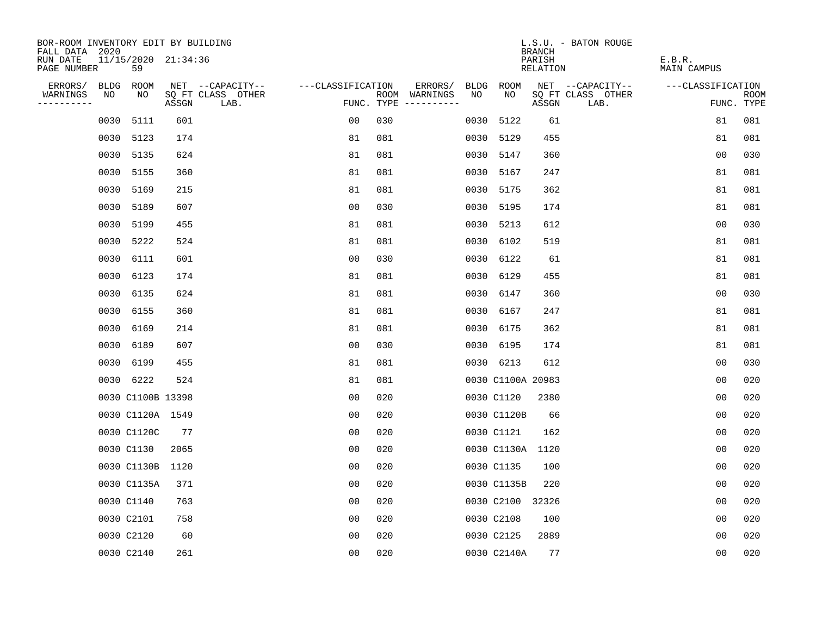| BOR-ROOM INVENTORY EDIT BY BUILDING<br>FALL DATA 2020 |                           |       |                           |                   |                                      |            |                   | <b>BRANCH</b>             | L.S.U. - BATON ROUGE      |                              |                           |
|-------------------------------------------------------|---------------------------|-------|---------------------------|-------------------|--------------------------------------|------------|-------------------|---------------------------|---------------------------|------------------------------|---------------------------|
| RUN DATE<br>PAGE NUMBER                               | 11/15/2020 21:34:36<br>59 |       |                           |                   |                                      |            |                   | PARISH<br><b>RELATION</b> |                           | E.B.R.<br><b>MAIN CAMPUS</b> |                           |
| ERRORS/<br><b>BLDG</b>                                | ROOM                      |       | NET --CAPACITY--          | ---CLASSIFICATION | ERRORS/                              | BLDG       | ROOM              |                           | NET --CAPACITY--          | ---CLASSIFICATION            |                           |
| WARNINGS<br>NO<br>----------                          | NO                        | ASSGN | SQ FT CLASS OTHER<br>LAB. |                   | ROOM WARNINGS<br>FUNC. TYPE $------$ | NO         | NO                | ASSGN                     | SQ FT CLASS OTHER<br>LAB. |                              | <b>ROOM</b><br>FUNC. TYPE |
| 0030                                                  | 5111                      | 601   |                           | 00                | 030                                  | 0030       | 5122              | 61                        |                           | 81                           | 081                       |
|                                                       | 0030 5123                 | 174   |                           | 81                | 081                                  | 0030       | 5129              | 455                       |                           | 81                           | 081                       |
| 0030                                                  | 5135                      | 624   |                           | 81                | 081                                  | 0030       | 5147              | 360                       |                           | 0 <sub>0</sub>               | 030                       |
| 0030                                                  | 5155                      | 360   |                           | 81                | 081                                  | 0030       | 5167              | 247                       |                           | 81                           | 081                       |
| 0030                                                  | 5169                      | 215   |                           | 81                | 081                                  | 0030       | 5175              | 362                       |                           | 81                           | 081                       |
| 0030                                                  | 5189                      | 607   |                           | 0 <sub>0</sub>    | 030                                  | 0030       | 5195              | 174                       |                           | 81                           | 081                       |
| 0030                                                  | 5199                      | 455   |                           | 81                | 081                                  | 0030       | 5213              | 612                       |                           | 0 <sub>0</sub>               | 030                       |
|                                                       | 0030 5222                 | 524   |                           | 81                | 081                                  |            | 0030 6102         | 519                       |                           | 81                           | 081                       |
| 0030                                                  | 6111                      | 601   |                           | 0 <sub>0</sub>    | 030                                  |            | 0030 6122         | 61                        |                           | 81                           | 081                       |
| 0030                                                  | 6123                      | 174   |                           | 81                | 081                                  | 0030 6129  |                   | 455                       |                           | 81                           | 081                       |
| 0030                                                  | 6135                      | 624   |                           | 81                | 081                                  |            | 0030 6147         | 360                       |                           | 0 <sub>0</sub>               | 030                       |
| 0030                                                  | 6155                      | 360   |                           | 81                | 081                                  | 0030 6167  |                   | 247                       |                           | 81                           | 081                       |
| 0030                                                  | 6169                      | 214   |                           | 81                | 081                                  |            | 0030 6175         | 362                       |                           | 81                           | 081                       |
| 0030                                                  | 6189                      | 607   |                           | 0 <sub>0</sub>    | 030                                  |            | 0030 6195         | 174                       |                           | 81                           | 081                       |
| 0030                                                  | 6199                      | 455   |                           | 81                | 081                                  |            | 0030 6213         | 612                       |                           | 0 <sub>0</sub>               | 030                       |
|                                                       | 0030 6222                 | 524   |                           | 81                | 081                                  |            | 0030 C1100A 20983 |                           |                           | 00                           | 020                       |
|                                                       | 0030 C1100B 13398         |       |                           | 0 <sub>0</sub>    | 020                                  |            | 0030 C1120        | 2380                      |                           | 0 <sub>0</sub>               | 020                       |
|                                                       | 0030 C1120A 1549          |       |                           | 0 <sub>0</sub>    | 020                                  |            | 0030 C1120B       | 66                        |                           | 0 <sub>0</sub>               | 020                       |
|                                                       | 0030 C1120C               | 77    |                           | 0 <sub>0</sub>    | 020                                  |            | 0030 C1121        | 162                       |                           | 0 <sub>0</sub>               | 020                       |
|                                                       | 0030 C1130                | 2065  |                           | 0 <sub>0</sub>    | 020                                  |            | 0030 C1130A 1120  |                           |                           | 0 <sub>0</sub>               | 020                       |
|                                                       | 0030 C1130B               | 1120  |                           | 0 <sub>0</sub>    | 020                                  |            | 0030 C1135        | 100                       |                           | 0 <sub>0</sub>               | 020                       |
|                                                       | 0030 C1135A               | 371   |                           | 0 <sub>0</sub>    | 020                                  |            | 0030 C1135B       | 220                       |                           | 0 <sub>0</sub>               | 020                       |
|                                                       | 0030 C1140                | 763   |                           | 0 <sub>0</sub>    | 020                                  |            | 0030 C2100 32326  |                           |                           | 0 <sub>0</sub>               | 020                       |
|                                                       | 0030 C2101                | 758   |                           | 0 <sub>0</sub>    | 020                                  | 0030 C2108 |                   | 100                       |                           | 0 <sub>0</sub>               | 020                       |
|                                                       | 0030 C2120                | 60    |                           | 0 <sub>0</sub>    | 020                                  |            | 0030 C2125        | 2889                      |                           | 0 <sub>0</sub>               | 020                       |
|                                                       | 0030 C2140                | 261   |                           | 0 <sub>0</sub>    | 020                                  |            | 0030 C2140A       | 77                        |                           | 0 <sub>0</sub>               | 020                       |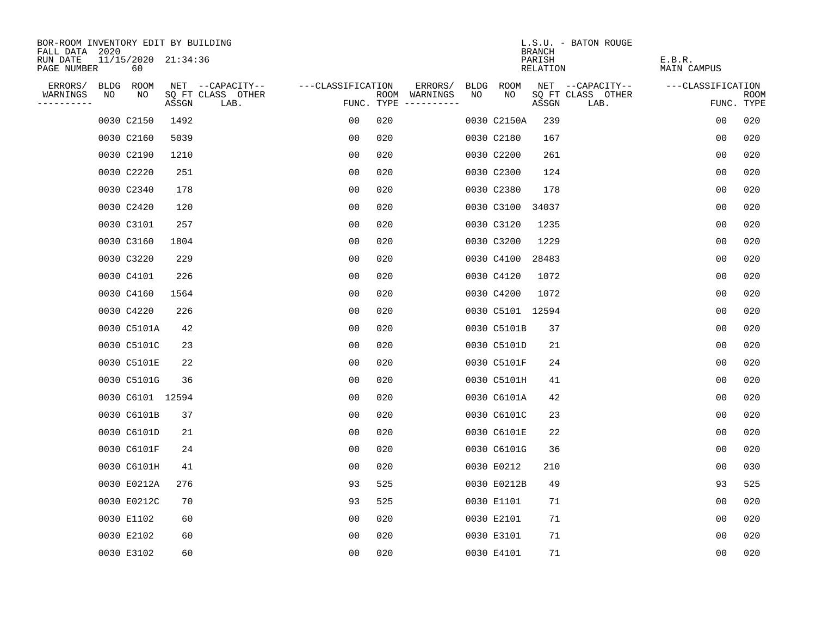| BOR-ROOM INVENTORY EDIT BY BUILDING                                    |       |                           |                   |     |                                      |      |                  | <b>BRANCH</b>      | L.S.U. - BATON ROUGE      |                       |                           |
|------------------------------------------------------------------------|-------|---------------------------|-------------------|-----|--------------------------------------|------|------------------|--------------------|---------------------------|-----------------------|---------------------------|
| FALL DATA 2020<br>11/15/2020 21:34:36<br>RUN DATE<br>PAGE NUMBER<br>60 |       |                           |                   |     |                                      |      |                  | PARISH<br>RELATION |                           | E.B.R.<br>MAIN CAMPUS |                           |
| ERRORS/<br>BLDG<br>ROOM                                                |       | NET --CAPACITY--          | ---CLASSIFICATION |     | ERRORS/                              | BLDG | ROOM             |                    | NET --CAPACITY--          | ---CLASSIFICATION     |                           |
| WARNINGS<br>NO<br>NO<br>----------                                     | ASSGN | SQ FT CLASS OTHER<br>LAB. |                   |     | ROOM WARNINGS<br>FUNC. TYPE $------$ | NO   | NO.              | ASSGN              | SQ FT CLASS OTHER<br>LAB. |                       | <b>ROOM</b><br>FUNC. TYPE |
| 0030 C2150                                                             | 1492  |                           | 00                | 020 |                                      |      | 0030 C2150A      | 239                |                           | 0 <sub>0</sub>        | 020                       |
| 0030 C2160                                                             | 5039  |                           | 0 <sub>0</sub>    | 020 |                                      |      | 0030 C2180       | 167                |                           | 0 <sub>0</sub>        | 020                       |
| 0030 C2190                                                             | 1210  |                           | 0 <sub>0</sub>    | 020 |                                      |      | 0030 C2200       | 261                |                           | 00                    | 020                       |
| 0030 C2220                                                             | 251   |                           | 00                | 020 |                                      |      | 0030 C2300       | 124                |                           | 00                    | 020                       |
| 0030 C2340                                                             | 178   |                           | 00                | 020 |                                      |      | 0030 C2380       | 178                |                           | 0 <sub>0</sub>        | 020                       |
| 0030 C2420                                                             | 120   |                           | 0 <sub>0</sub>    | 020 |                                      |      | 0030 C3100       | 34037              |                           | 0 <sub>0</sub>        | 020                       |
| 0030 C3101                                                             | 257   |                           | 0 <sub>0</sub>    | 020 |                                      |      | 0030 C3120       | 1235               |                           | 00                    | 020                       |
| 0030 C3160                                                             | 1804  |                           | 0 <sub>0</sub>    | 020 |                                      |      | 0030 C3200       | 1229               |                           | 00                    | 020                       |
| 0030 C3220                                                             | 229   |                           | 0 <sub>0</sub>    | 020 |                                      |      | 0030 C4100       | 28483              |                           | 0 <sub>0</sub>        | 020                       |
| 0030 C4101                                                             | 226   |                           | 0 <sub>0</sub>    | 020 |                                      |      | 0030 C4120       | 1072               |                           | 0 <sub>0</sub>        | 020                       |
| 0030 C4160                                                             | 1564  |                           | 00                | 020 |                                      |      | 0030 C4200       | 1072               |                           | 0 <sub>0</sub>        | 020                       |
| 0030 C4220                                                             | 226   |                           | 0 <sub>0</sub>    | 020 |                                      |      | 0030 C5101 12594 |                    |                           | 0 <sub>0</sub>        | 020                       |
| 0030 C5101A                                                            | 42    |                           | 0 <sub>0</sub>    | 020 |                                      |      | 0030 C5101B      | 37                 |                           | 0 <sub>0</sub>        | 020                       |
| 0030 C5101C                                                            | 23    |                           | 0 <sub>0</sub>    | 020 |                                      |      | 0030 C5101D      | 21                 |                           | 0 <sub>0</sub>        | 020                       |
| 0030 C5101E                                                            | 22    |                           | 00                | 020 |                                      |      | 0030 C5101F      | 24                 |                           | 00                    | 020                       |
| 0030 C5101G                                                            | 36    |                           | 0 <sub>0</sub>    | 020 |                                      |      | 0030 C5101H      | 41                 |                           | 0 <sub>0</sub>        | 020                       |
| 0030 C6101 12594                                                       |       |                           | 0 <sub>0</sub>    | 020 |                                      |      | 0030 C6101A      | 42                 |                           | 0 <sub>0</sub>        | 020                       |
| 0030 C6101B                                                            | 37    |                           | 0 <sub>0</sub>    | 020 |                                      |      | 0030 C6101C      | 23                 |                           | 0 <sub>0</sub>        | 020                       |
| 0030 C6101D                                                            | 21    |                           | 0 <sub>0</sub>    | 020 |                                      |      | 0030 C6101E      | 22                 |                           | 0 <sub>0</sub>        | 020                       |
| 0030 C6101F                                                            | 24    |                           | 0 <sub>0</sub>    | 020 |                                      |      | 0030 C6101G      | 36                 |                           | 00                    | 020                       |
| 0030 C6101H                                                            | 41    |                           | 0 <sub>0</sub>    | 020 |                                      |      | 0030 E0212       | 210                |                           | 0 <sub>0</sub>        | 030                       |
| 0030 E0212A                                                            | 276   |                           | 93                | 525 |                                      |      | 0030 E0212B      | 49                 |                           | 93                    | 525                       |
| 0030 E0212C                                                            | 70    |                           | 93                | 525 |                                      |      | 0030 E1101       | 71                 |                           | 0 <sub>0</sub>        | 020                       |
| 0030 E1102                                                             | 60    |                           | 0 <sub>0</sub>    | 020 |                                      |      | 0030 E2101       | 71                 |                           | 0 <sub>0</sub>        | 020                       |
| 0030 E2102                                                             | 60    |                           | 0 <sub>0</sub>    | 020 |                                      |      | 0030 E3101       | 71                 |                           | 0 <sub>0</sub>        | 020                       |
| 0030 E3102                                                             | 60    |                           | 0 <sub>0</sub>    | 020 |                                      |      | 0030 E4101       | 71                 |                           | 0 <sub>0</sub>        | 020                       |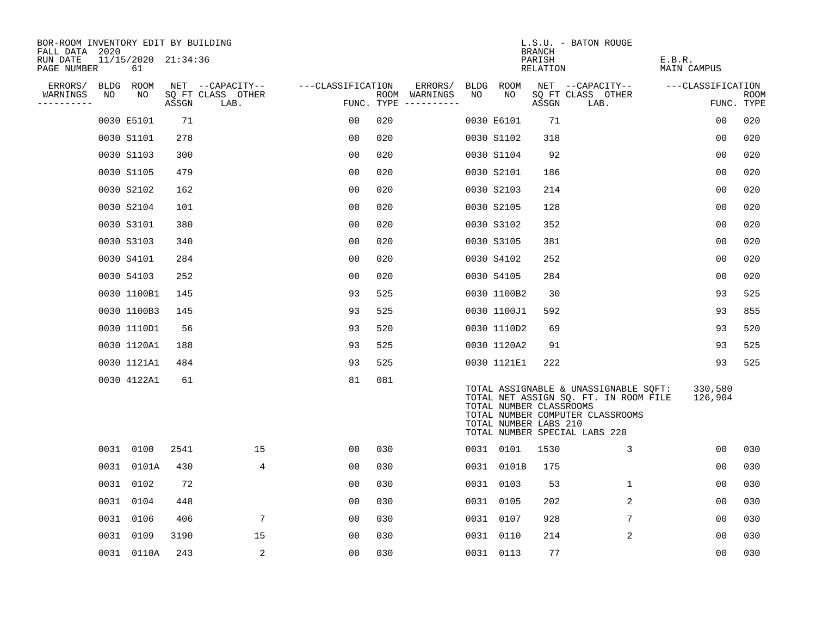| BOR-ROOM INVENTORY EDIT BY BUILDING<br>FALL DATA 2020 |    |                           |       |                           |                   |     |                                      |    |                                                  | <b>BRANCH</b>      | L.S.U. - BATON ROUGE                                                                                                                                |                       |                           |
|-------------------------------------------------------|----|---------------------------|-------|---------------------------|-------------------|-----|--------------------------------------|----|--------------------------------------------------|--------------------|-----------------------------------------------------------------------------------------------------------------------------------------------------|-----------------------|---------------------------|
| RUN DATE<br>PAGE NUMBER                               |    | 11/15/2020 21:34:36<br>61 |       |                           |                   |     |                                      |    |                                                  | PARISH<br>RELATION |                                                                                                                                                     | E.B.R.<br>MAIN CAMPUS |                           |
| ERRORS/                                               |    | BLDG ROOM                 |       | NET --CAPACITY--          | ---CLASSIFICATION |     | ERRORS/                              |    | BLDG ROOM                                        |                    | NET --CAPACITY--                                                                                                                                    | ---CLASSIFICATION     |                           |
| WARNINGS<br>----------                                | NO | NO                        | ASSGN | SQ FT CLASS OTHER<br>LAB. |                   |     | ROOM WARNINGS<br>FUNC. TYPE $------$ | NO | NO                                               | ASSGN              | SQ FT CLASS OTHER<br>LAB.                                                                                                                           |                       | <b>ROOM</b><br>FUNC. TYPE |
|                                                       |    | 0030 E5101                | 71    |                           | 0 <sub>0</sub>    | 020 |                                      |    | 0030 E6101                                       | 71                 |                                                                                                                                                     | 0 <sub>0</sub>        | 020                       |
|                                                       |    | 0030 S1101                | 278   |                           | 0 <sub>0</sub>    | 020 |                                      |    | 0030 S1102                                       | 318                |                                                                                                                                                     | 00                    | 020                       |
|                                                       |    | 0030 S1103                | 300   |                           | 0 <sub>0</sub>    | 020 |                                      |    | 0030 S1104                                       | 92                 |                                                                                                                                                     | 0 <sub>0</sub>        | 020                       |
|                                                       |    | 0030 S1105                | 479   |                           | 0 <sub>0</sub>    | 020 |                                      |    | 0030 S2101                                       | 186                |                                                                                                                                                     | 00                    | 020                       |
|                                                       |    | 0030 S2102                | 162   |                           | 0 <sub>0</sub>    | 020 |                                      |    | 0030 S2103                                       | 214                |                                                                                                                                                     | 0 <sub>0</sub>        | 020                       |
|                                                       |    | 0030 S2104                | 101   |                           | 0 <sub>0</sub>    | 020 |                                      |    | 0030 S2105                                       | 128                |                                                                                                                                                     | 0 <sub>0</sub>        | 020                       |
|                                                       |    | 0030 S3101                | 380   |                           | 0 <sub>0</sub>    | 020 |                                      |    | 0030 S3102                                       | 352                |                                                                                                                                                     | 0 <sub>0</sub>        | 020                       |
|                                                       |    | 0030 S3103                | 340   |                           | 0 <sub>0</sub>    | 020 |                                      |    | 0030 S3105                                       | 381                |                                                                                                                                                     | 0 <sub>0</sub>        | 020                       |
|                                                       |    | 0030 S4101                | 284   |                           | 0 <sub>0</sub>    | 020 |                                      |    | 0030 S4102                                       | 252                |                                                                                                                                                     | 00                    | 020                       |
|                                                       |    | 0030 S4103                | 252   |                           | 0 <sub>0</sub>    | 020 |                                      |    | 0030 S4105                                       | 284                |                                                                                                                                                     | 0 <sub>0</sub>        | 020                       |
|                                                       |    | 0030 1100B1               | 145   |                           | 93                | 525 |                                      |    | 0030 1100B2                                      | 30                 |                                                                                                                                                     | 93                    | 525                       |
|                                                       |    | 0030 1100B3               | 145   |                           | 93                | 525 |                                      |    | 0030 1100J1                                      | 592                |                                                                                                                                                     | 93                    | 855                       |
|                                                       |    | 0030 1110D1               | 56    |                           | 93                | 520 |                                      |    | 0030 1110D2                                      | 69                 |                                                                                                                                                     | 93                    | 520                       |
|                                                       |    | 0030 1120A1               | 188   |                           | 93                | 525 |                                      |    | 0030 1120A2                                      | 91                 |                                                                                                                                                     | 93                    | 525                       |
|                                                       |    | 0030 1121A1               | 484   |                           | 93                | 525 |                                      |    | 0030 1121E1                                      | 222                |                                                                                                                                                     | 93                    | 525                       |
|                                                       |    | 0030 4122A1               | 61    |                           | 81                | 081 |                                      |    | TOTAL NUMBER CLASSROOMS<br>TOTAL NUMBER LABS 210 |                    | TOTAL ASSIGNABLE & UNASSIGNABLE SQFT:<br>TOTAL NET ASSIGN SQ. FT. IN ROOM FILE<br>TOTAL NUMBER COMPUTER CLASSROOMS<br>TOTAL NUMBER SPECIAL LABS 220 | 330,580<br>126,904    |                           |
|                                                       |    | 0031 0100                 | 2541  | 15                        | 0 <sub>0</sub>    | 030 |                                      |    | 0031 0101                                        | 1530               | 3                                                                                                                                                   | 00                    | 030                       |
|                                                       |    | 0031 0101A                | 430   | 4                         | 0 <sub>0</sub>    | 030 |                                      |    | 0031 0101B                                       | 175                |                                                                                                                                                     | 0 <sub>0</sub>        | 030                       |
|                                                       |    | 0031 0102                 | 72    |                           | 0 <sub>0</sub>    | 030 |                                      |    | 0031 0103                                        | 53                 | $\mathbf 1$                                                                                                                                         | 0 <sub>0</sub>        | 030                       |
|                                                       |    | 0031 0104                 | 448   |                           | 00                | 030 |                                      |    | 0031 0105                                        | 202                | 2                                                                                                                                                   | 00                    | 030                       |
|                                                       |    | 0031 0106                 | 406   | 7                         | 0 <sub>0</sub>    | 030 |                                      |    | 0031 0107                                        | 928                | 7                                                                                                                                                   | 00                    | 030                       |
|                                                       |    | 0031 0109                 | 3190  | 15                        | 0 <sub>0</sub>    | 030 |                                      |    | 0031 0110                                        | 214                | $\overline{2}$                                                                                                                                      | 00                    | 030                       |
|                                                       |    | 0031 0110A                | 243   | 2                         | 0 <sub>0</sub>    | 030 |                                      |    | 0031 0113                                        | 77                 |                                                                                                                                                     | 0 <sub>0</sub>        | 030                       |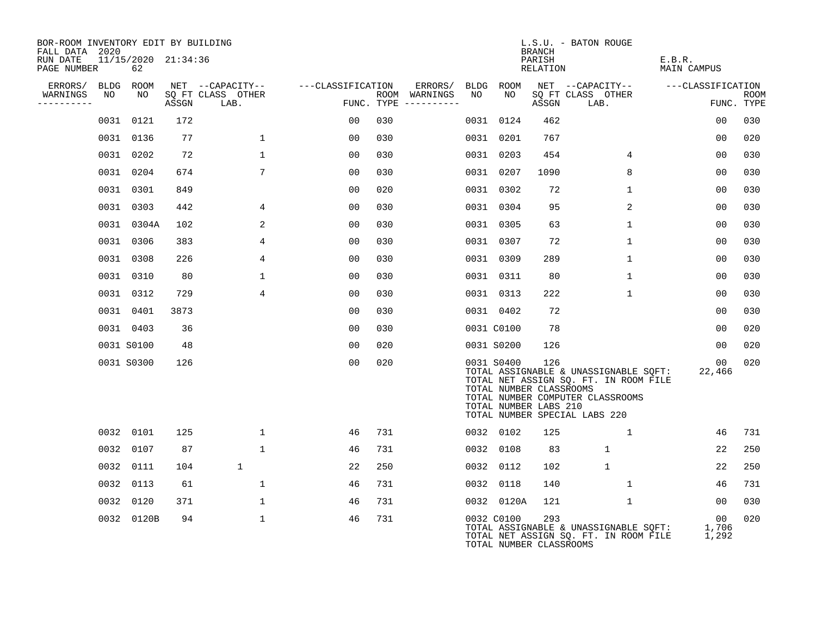| BOR-ROOM INVENTORY EDIT BY BUILDING<br>FALL DATA 2020 |                           |       |                           |                   |                                      |         |    |            | BRANCH                                                  | L.S.U. - BATON ROUGE          |                                                                           |                                       |                      |             |
|-------------------------------------------------------|---------------------------|-------|---------------------------|-------------------|--------------------------------------|---------|----|------------|---------------------------------------------------------|-------------------------------|---------------------------------------------------------------------------|---------------------------------------|----------------------|-------------|
| RUN DATE<br>PAGE NUMBER                               | 11/15/2020 21:34:36<br>62 |       |                           |                   |                                      |         |    |            | PARISH<br>RELATION                                      |                               |                                                                           | E.B.R.<br>MAIN CAMPUS                 |                      |             |
| ERRORS/ BLDG ROOM                                     |                           |       | NET --CAPACITY--          | ---CLASSIFICATION |                                      | ERRORS/ |    | BLDG ROOM  |                                                         |                               | NET --CAPACITY--                                                          | ---CLASSIFICATION                     |                      |             |
| WARNINGS<br>NO<br>----------                          | NO                        | ASSGN | SO FT CLASS OTHER<br>LAB. |                   | ROOM WARNINGS<br>FUNC. TYPE $------$ |         | NO | NO.        | ASSGN                                                   | SQ FT CLASS OTHER<br>LAB.     |                                                                           |                                       | FUNC. TYPE           | <b>ROOM</b> |
|                                                       | 0031 0121                 | 172   |                           | 00                | 030                                  |         |    | 0031 0124  | 462                                                     |                               |                                                                           |                                       | 0 <sub>0</sub>       | 030         |
|                                                       | 0031 0136                 | 77    | $\mathbf 1$               | 00                | 030                                  |         |    | 0031 0201  | 767                                                     |                               |                                                                           |                                       | 00                   | 020         |
|                                                       | 0031 0202                 | 72    | $\mathbf 1$               | 0 <sub>0</sub>    | 030                                  |         |    | 0031 0203  | 454                                                     |                               | $\overline{4}$                                                            |                                       | 00                   | 030         |
|                                                       | 0031 0204                 | 674   | $7\overline{ }$           | 0 <sub>0</sub>    | 030                                  |         |    | 0031 0207  | 1090                                                    |                               | 8                                                                         |                                       | 00                   | 030         |
|                                                       | 0031 0301                 | 849   |                           | 0 <sub>0</sub>    | 020                                  |         |    | 0031 0302  | 72                                                      |                               | $\mathbf{1}$                                                              |                                       | 00                   | 030         |
|                                                       | 0031 0303                 | 442   | 4                         | 0 <sub>0</sub>    | 030                                  |         |    | 0031 0304  | 95                                                      |                               | 2                                                                         |                                       | 00                   | 030         |
|                                                       | 0031 0304A                | 102   | 2                         | 0 <sub>0</sub>    | 030                                  |         |    | 0031 0305  | 63                                                      |                               | $\mathbf 1$                                                               |                                       | 0 <sub>0</sub>       | 030         |
|                                                       | 0031 0306                 | 383   | $\overline{4}$            | 00                | 030                                  |         |    | 0031 0307  | 72                                                      |                               | $\mathbf{1}$                                                              |                                       | 00                   | 030         |
|                                                       | 0031 0308                 | 226   | 4                         | 0 <sub>0</sub>    | 030                                  |         |    | 0031 0309  | 289                                                     |                               | 1                                                                         |                                       | 00                   | 030         |
|                                                       | 0031 0310                 | 80    | $\mathbf 1$               | 0 <sub>0</sub>    | 030                                  |         |    | 0031 0311  | 80                                                      |                               | $\mathbf 1$                                                               |                                       | 0 <sub>0</sub>       | 030         |
|                                                       | 0031 0312                 | 729   | 4                         | 0 <sub>0</sub>    | 030                                  |         |    | 0031 0313  | 222                                                     |                               | 1                                                                         |                                       | 0 <sub>0</sub>       | 030         |
|                                                       | 0031 0401                 | 3873  |                           | 0 <sub>0</sub>    | 030                                  |         |    | 0031 0402  | 72                                                      |                               |                                                                           |                                       | 00                   | 030         |
|                                                       | 0031 0403                 | 36    |                           | 0 <sub>0</sub>    | 030                                  |         |    | 0031 C0100 | 78                                                      |                               |                                                                           |                                       | 0 <sub>0</sub>       | 020         |
|                                                       | 0031 S0100                | 48    |                           | 00                | 020                                  |         |    | 0031 S0200 | 126                                                     |                               |                                                                           |                                       | 00                   | 020         |
|                                                       | 0031 S0300                | 126   |                           | 00                | 020                                  |         |    | 0031 S0400 | 126<br>TOTAL NUMBER CLASSROOMS<br>TOTAL NUMBER LABS 210 | TOTAL NUMBER SPECIAL LABS 220 | TOTAL NET ASSIGN SQ. FT. IN ROOM FILE<br>TOTAL NUMBER COMPUTER CLASSROOMS | TOTAL ASSIGNABLE & UNASSIGNABLE SQFT: | 00<br>22,466         | 020         |
|                                                       | 0032 0101                 | 125   | $\mathbf{1}$              | 46                | 731                                  |         |    | 0032 0102  | 125                                                     |                               | $\mathbf{1}$                                                              |                                       | 46                   | 731         |
|                                                       | 0032 0107                 | 87    | $\mathbf 1$               | 46                | 731                                  |         |    | 0032 0108  | 83                                                      |                               | $\mathbf{1}$                                                              |                                       | 22                   | 250         |
|                                                       | 0032 0111                 | 104   | $\mathbf{1}$              | 22                | 250                                  |         |    | 0032 0112  | 102                                                     |                               | $\mathbf{1}$                                                              |                                       | 22                   | 250         |
|                                                       | 0032 0113                 | 61    | $\mathbf{1}$              | 46                | 731                                  |         |    | 0032 0118  | 140                                                     |                               | $\mathbf{1}$                                                              |                                       | 46                   | 731         |
|                                                       | 0032 0120                 | 371   | $\mathbf 1$               | 46                | 731                                  |         |    | 0032 0120A | 121                                                     |                               | $\mathbf{1}$                                                              |                                       | 00                   | 030         |
|                                                       | 0032 0120B                | 94    | $\mathbf 1$               | 46                | 731                                  |         |    | 0032 C0100 | 293<br>TOTAL NUMBER CLASSROOMS                          |                               | TOTAL NET ASSIGN SQ. FT. IN ROOM FILE                                     | TOTAL ASSIGNABLE & UNASSIGNABLE SOFT: | 00<br>1,706<br>1,292 | 020         |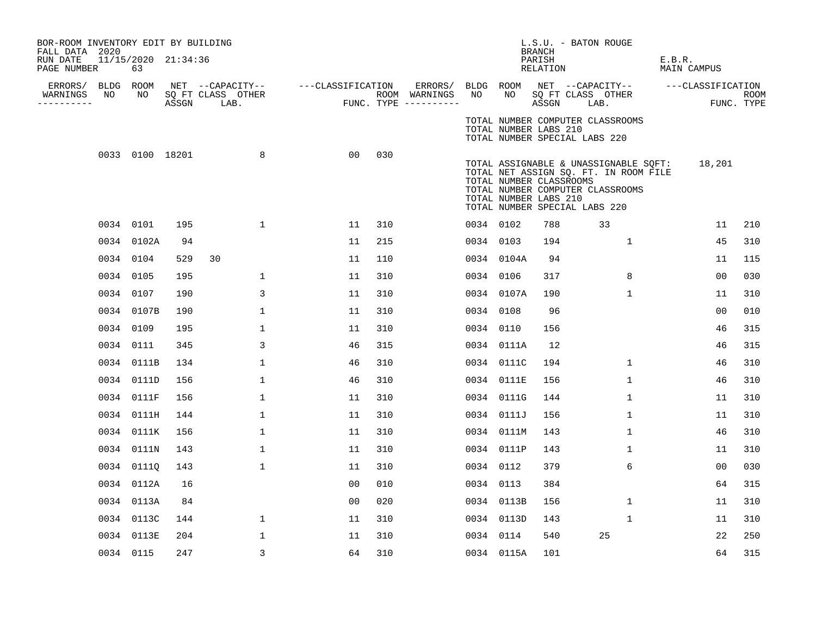| PAGE NUMBER | 63             |                                                                                                                                                                                                                                                                                                    |              |                                                                                                    |                   |                                     |    |                                                  |                                                                                                                                                                                                                                                                              |                         | E.B.R.<br><b>MAIN CAMPUS</b>                                                                                                                                                                                                                                                               |                                                                                                                                                                                                                                             |
|-------------|----------------|----------------------------------------------------------------------------------------------------------------------------------------------------------------------------------------------------------------------------------------------------------------------------------------------------|--------------|----------------------------------------------------------------------------------------------------|-------------------|-------------------------------------|----|--------------------------------------------------|------------------------------------------------------------------------------------------------------------------------------------------------------------------------------------------------------------------------------------------------------------------------------|-------------------------|--------------------------------------------------------------------------------------------------------------------------------------------------------------------------------------------------------------------------------------------------------------------------------------------|---------------------------------------------------------------------------------------------------------------------------------------------------------------------------------------------------------------------------------------------|
| NO          | NO             |                                                                                                                                                                                                                                                                                                    |              |                                                                                                    |                   |                                     | NO | NO                                               |                                                                                                                                                                                                                                                                              |                         |                                                                                                                                                                                                                                                                                            | <b>ROOM</b><br>FUNC. TYPE                                                                                                                                                                                                                   |
|             |                |                                                                                                                                                                                                                                                                                                    |              |                                                                                                    |                   |                                     |    |                                                  |                                                                                                                                                                                                                                                                              |                         |                                                                                                                                                                                                                                                                                            |                                                                                                                                                                                                                                             |
|             |                |                                                                                                                                                                                                                                                                                                    | 8            | 00                                                                                                 | 030               |                                     |    |                                                  |                                                                                                                                                                                                                                                                              |                         |                                                                                                                                                                                                                                                                                            |                                                                                                                                                                                                                                             |
|             |                |                                                                                                                                                                                                                                                                                                    | $\mathbf{1}$ | 11                                                                                                 | 310               |                                     |    |                                                  | 788                                                                                                                                                                                                                                                                          | 33                      |                                                                                                                                                                                                                                                                                            | 210                                                                                                                                                                                                                                         |
|             |                | 94                                                                                                                                                                                                                                                                                                 |              | 11                                                                                                 | 215               |                                     |    |                                                  | 194                                                                                                                                                                                                                                                                          | $\mathbf{1}$            |                                                                                                                                                                                                                                                                                            | 310                                                                                                                                                                                                                                         |
|             |                | 529                                                                                                                                                                                                                                                                                                | 30           | 11                                                                                                 | 110               |                                     |    |                                                  | 94                                                                                                                                                                                                                                                                           |                         |                                                                                                                                                                                                                                                                                            | 115                                                                                                                                                                                                                                         |
|             |                | 195                                                                                                                                                                                                                                                                                                | $\mathbf{1}$ | 11                                                                                                 | 310               |                                     |    |                                                  | 317                                                                                                                                                                                                                                                                          | 8                       | 00                                                                                                                                                                                                                                                                                         | 030                                                                                                                                                                                                                                         |
|             |                | 190                                                                                                                                                                                                                                                                                                | 3            | 11                                                                                                 | 310               |                                     |    |                                                  | 190                                                                                                                                                                                                                                                                          | $\mathbf 1$             |                                                                                                                                                                                                                                                                                            | 310                                                                                                                                                                                                                                         |
|             |                | 190                                                                                                                                                                                                                                                                                                | $\mathbf 1$  | 11                                                                                                 | 310               |                                     |    |                                                  | 96                                                                                                                                                                                                                                                                           |                         | 00                                                                                                                                                                                                                                                                                         | 010                                                                                                                                                                                                                                         |
|             |                | 195                                                                                                                                                                                                                                                                                                | $\mathbf{1}$ | 11                                                                                                 | 310               |                                     |    |                                                  | 156                                                                                                                                                                                                                                                                          |                         |                                                                                                                                                                                                                                                                                            | 315                                                                                                                                                                                                                                         |
|             |                | 345                                                                                                                                                                                                                                                                                                | 3            | 46                                                                                                 | 315               |                                     |    |                                                  | 12                                                                                                                                                                                                                                                                           |                         | 46                                                                                                                                                                                                                                                                                         | 315                                                                                                                                                                                                                                         |
|             |                | 134                                                                                                                                                                                                                                                                                                | $\mathbf{1}$ | 46                                                                                                 | 310               |                                     |    |                                                  | 194                                                                                                                                                                                                                                                                          | 1                       |                                                                                                                                                                                                                                                                                            | 310                                                                                                                                                                                                                                         |
|             |                | 156                                                                                                                                                                                                                                                                                                | $\mathbf{1}$ | 46                                                                                                 | 310               |                                     |    |                                                  | 156                                                                                                                                                                                                                                                                          | $\mathbf{1}$            |                                                                                                                                                                                                                                                                                            | 310                                                                                                                                                                                                                                         |
|             |                | 156                                                                                                                                                                                                                                                                                                | 1            | 11                                                                                                 | 310               |                                     |    |                                                  | 144                                                                                                                                                                                                                                                                          | 1                       |                                                                                                                                                                                                                                                                                            | 310                                                                                                                                                                                                                                         |
|             |                | 144                                                                                                                                                                                                                                                                                                | $\mathbf{1}$ | 11                                                                                                 | 310               |                                     |    |                                                  | 156                                                                                                                                                                                                                                                                          | $\mathbf 1$             |                                                                                                                                                                                                                                                                                            | 310                                                                                                                                                                                                                                         |
|             |                | 156                                                                                                                                                                                                                                                                                                | $\mathbf{1}$ | 11                                                                                                 | 310               |                                     |    |                                                  | 143                                                                                                                                                                                                                                                                          | 1                       |                                                                                                                                                                                                                                                                                            | 310                                                                                                                                                                                                                                         |
|             |                | 143                                                                                                                                                                                                                                                                                                | $\mathbf{1}$ | 11                                                                                                 | 310               |                                     |    |                                                  | 143                                                                                                                                                                                                                                                                          | $\mathbf 1$             |                                                                                                                                                                                                                                                                                            | 310                                                                                                                                                                                                                                         |
|             |                | 143                                                                                                                                                                                                                                                                                                | 1            | 11                                                                                                 | 310               |                                     |    |                                                  | 379                                                                                                                                                                                                                                                                          | 6                       | 00                                                                                                                                                                                                                                                                                         | 030                                                                                                                                                                                                                                         |
|             |                | 16                                                                                                                                                                                                                                                                                                 |              | 0 <sub>0</sub>                                                                                     | 010               |                                     |    |                                                  | 384                                                                                                                                                                                                                                                                          |                         |                                                                                                                                                                                                                                                                                            | 315                                                                                                                                                                                                                                         |
|             |                | 84                                                                                                                                                                                                                                                                                                 |              | 0 <sub>0</sub>                                                                                     | 020               |                                     |    |                                                  | 156                                                                                                                                                                                                                                                                          | $\mathbf 1$             |                                                                                                                                                                                                                                                                                            | 310                                                                                                                                                                                                                                         |
|             |                | 144                                                                                                                                                                                                                                                                                                | $\mathbf{1}$ | 11                                                                                                 | 310               |                                     |    |                                                  | 143                                                                                                                                                                                                                                                                          | $\mathbf 1$             |                                                                                                                                                                                                                                                                                            | 310                                                                                                                                                                                                                                         |
|             |                | 204                                                                                                                                                                                                                                                                                                | 1            | 11                                                                                                 | 310               |                                     |    |                                                  | 540                                                                                                                                                                                                                                                                          | 25                      |                                                                                                                                                                                                                                                                                            | 250                                                                                                                                                                                                                                         |
|             |                | 247                                                                                                                                                                                                                                                                                                | 3            | 64                                                                                                 | 310               |                                     |    |                                                  | 101                                                                                                                                                                                                                                                                          |                         |                                                                                                                                                                                                                                                                                            | 315                                                                                                                                                                                                                                         |
|             | FALL DATA 2020 | ERRORS/ BLDG ROOM<br>0034 0101<br>0034 0102A<br>0034 0104<br>0034 0105<br>0034 0107<br>0034 0107B<br>0034 0109<br>0034 0111<br>0034 0111B<br>0034 0111D<br>0034 0111F<br>0034 0111H<br>0034 0111K<br>0034 0111N<br>0034 01110<br>0034 0112A<br>0034 0113A<br>0034 0113C<br>0034 0113E<br>0034 0115 |              | BOR-ROOM INVENTORY EDIT BY BUILDING<br>11/15/2020 21:34:36<br>ASSGN LAB.<br>0033 0100 18201<br>195 | SQ FT CLASS OTHER | NET --CAPACITY-- ----CLASSIFICATION |    | ERRORS/<br>ROOM WARNINGS<br>FUNC. TYPE --------- | 0034 0102<br>0034 0103<br>0034 0104A<br>0034 0106<br>0034 0107A<br>0034 0108<br>0034 0110<br>0034 0111A<br>0034 0111C<br>0034 0111E<br>0034 0111G<br>0034 0111J<br>0034 0111M<br>0034 0111P<br>0034 0112<br>0034 0113<br>0034 0113B<br>0034 0113D<br>0034 0114<br>0034 0115A | <b>BRANCH</b><br>PARISH | L.S.U. - BATON ROUGE<br>RELATION<br>SQ FT CLASS OTHER<br>ASSGN LAB.<br>TOTAL NUMBER COMPUTER CLASSROOMS<br>TOTAL NUMBER LABS 210<br>TOTAL NUMBER SPECIAL LABS 220<br>TOTAL NUMBER CLASSROOMS<br>TOTAL NUMBER COMPUTER CLASSROOMS<br>TOTAL NUMBER LABS 210<br>TOTAL NUMBER SPECIAL LABS 220 | BLDG ROOM NET --CAPACITY--<br>---CLASSIFICATION<br>TOTAL ASSIGNABLE & UNASSIGNABLE SQFT:<br>18,201<br>TOTAL NET ASSIGN SQ. FT. IN ROOM FILE<br>11<br>45<br>11<br>11<br>46<br>46<br>46<br>11<br>11<br>46<br>11<br>64<br>11<br>11<br>22<br>64 |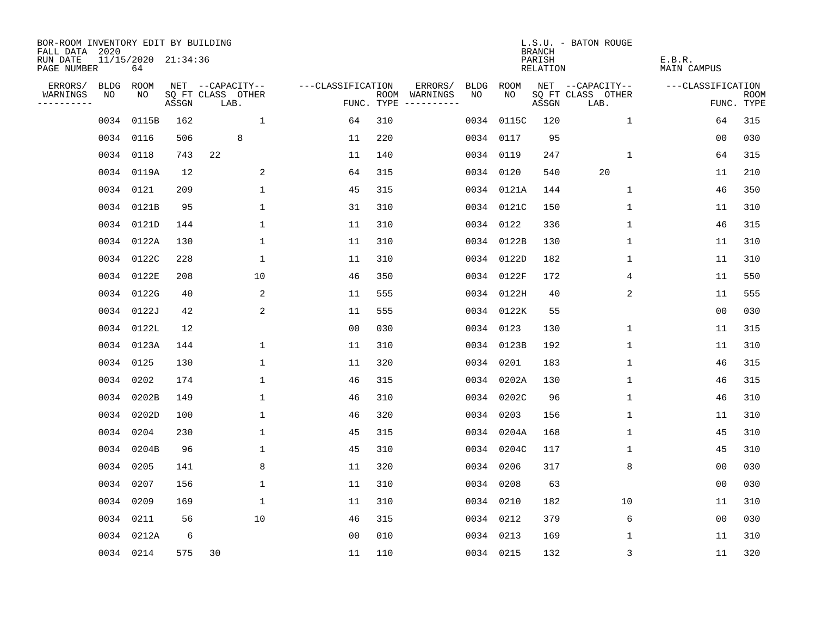| BOR-ROOM INVENTORY EDIT BY BUILDING<br>FALL DATA 2020 |           |                           |       |                           |                   |     |                                      |      |            | <b>BRANCH</b>      | L.S.U. - BATON ROUGE      |                       |                           |
|-------------------------------------------------------|-----------|---------------------------|-------|---------------------------|-------------------|-----|--------------------------------------|------|------------|--------------------|---------------------------|-----------------------|---------------------------|
| RUN DATE<br>PAGE NUMBER                               |           | 11/15/2020 21:34:36<br>64 |       |                           |                   |     |                                      |      |            | PARISH<br>RELATION |                           | E.B.R.<br>MAIN CAMPUS |                           |
| ERRORS/                                               | BLDG      | ROOM                      |       | NET --CAPACITY--          | ---CLASSIFICATION |     | ERRORS/                              | BLDG | ROOM       |                    | NET --CAPACITY--          | ---CLASSIFICATION     |                           |
| WARNINGS<br>----------                                | NO        | NO                        | ASSGN | SQ FT CLASS OTHER<br>LAB. |                   |     | ROOM WARNINGS<br>FUNC. TYPE $------$ | NO   | NO.        | ASSGN              | SQ FT CLASS OTHER<br>LAB. |                       | <b>ROOM</b><br>FUNC. TYPE |
|                                                       | 0034      | 0115B                     | 162   | $\mathbf{1}$              | 64                | 310 |                                      |      | 0034 0115C | 120                | $\mathbf{1}$              | 64                    | 315                       |
|                                                       |           | 0034 0116                 | 506   | 8                         | 11                | 220 |                                      |      | 0034 0117  | 95                 |                           | 00                    | 030                       |
|                                                       |           | 0034 0118                 | 743   | 22                        | 11                | 140 |                                      |      | 0034 0119  | 247                | $\mathbf{1}$              | 64                    | 315                       |
|                                                       |           | 0034 0119A                | 12    | 2                         | 64                | 315 |                                      |      | 0034 0120  | 540                | 20                        | 11                    | 210                       |
|                                                       |           | 0034 0121                 | 209   | 1                         | 45                | 315 |                                      |      | 0034 0121A | 144                | 1                         | 46                    | 350                       |
|                                                       |           | 0034 0121B                | 95    | $\mathbf 1$               | 31                | 310 |                                      |      | 0034 0121C | 150                | 1                         | 11                    | 310                       |
|                                                       |           | 0034 0121D                | 144   | $\mathbf 1$               | 11                | 310 |                                      |      | 0034 0122  | 336                | $\mathbf 1$               | 46                    | 315                       |
|                                                       |           | 0034 0122A                | 130   | $\mathbf{1}$              | 11                | 310 |                                      |      | 0034 0122B | 130                | $\mathbf 1$               | 11                    | 310                       |
|                                                       |           | 0034 0122C                | 228   | $\mathbf{1}$              | 11                | 310 |                                      |      | 0034 0122D | 182                | $\mathbf{1}$              | 11                    | 310                       |
|                                                       |           | 0034 0122E                | 208   | 10                        | 46                | 350 |                                      |      | 0034 0122F | 172                | 4                         | 11                    | 550                       |
|                                                       |           | 0034 0122G                | 40    | 2                         | 11                | 555 |                                      |      | 0034 0122H | 40                 | 2                         | 11                    | 555                       |
|                                                       |           | 0034 0122J                | 42    | 2                         | 11                | 555 |                                      |      | 0034 0122K | 55                 |                           | 0 <sub>0</sub>        | 030                       |
|                                                       |           | 0034 0122L                | 12    |                           | 0 <sub>0</sub>    | 030 |                                      |      | 0034 0123  | 130                | $\mathbf 1$               | 11                    | 315                       |
|                                                       |           | 0034 0123A                | 144   | 1                         | 11                | 310 |                                      |      | 0034 0123B | 192                | $\mathbf 1$               | 11                    | 310                       |
|                                                       |           | 0034 0125                 | 130   | 1                         | 11                | 320 |                                      |      | 0034 0201  | 183                | 1                         | 46                    | 315                       |
|                                                       |           | 0034 0202                 | 174   | 1                         | 46                | 315 |                                      |      | 0034 0202A | 130                | 1                         | 46                    | 315                       |
|                                                       |           | 0034 0202B                | 149   | 1                         | 46                | 310 |                                      | 0034 | 0202C      | 96                 | 1                         | 46                    | 310                       |
|                                                       |           | 0034 0202D                | 100   | 1                         | 46                | 320 |                                      | 0034 | 0203       | 156                | 1                         | 11                    | 310                       |
|                                                       |           | 0034 0204                 | 230   | $\mathbf{1}$              | 45                | 315 |                                      |      | 0034 0204A | 168                | 1                         | 45                    | 310                       |
|                                                       |           | 0034 0204B                | 96    | 1                         | 45                | 310 |                                      |      | 0034 0204C | 117                | 1                         | 45                    | 310                       |
|                                                       | 0034 0205 |                           | 141   | 8                         | 11                | 320 |                                      |      | 0034 0206  | 317                | 8                         | 0 <sub>0</sub>        | 030                       |
|                                                       | 0034 0207 |                           | 156   | $\mathbf 1$               | 11                | 310 |                                      |      | 0034 0208  | 63                 |                           | 0 <sub>0</sub>        | 030                       |
|                                                       | 0034 0209 |                           | 169   | 1                         | 11                | 310 |                                      |      | 0034 0210  | 182                | 10                        | 11                    | 310                       |
|                                                       |           | 0034 0211                 | 56    | 10                        | 46                | 315 |                                      |      | 0034 0212  | 379                | 6                         | 0 <sub>0</sub>        | 030                       |
|                                                       |           | 0034 0212A                | 6     |                           | 0 <sub>0</sub>    | 010 |                                      |      | 0034 0213  | 169                | 1                         | 11                    | 310                       |
|                                                       |           | 0034 0214                 | 575   | 30                        | 11                | 110 |                                      |      | 0034 0215  | 132                | 3                         | 11                    | 320                       |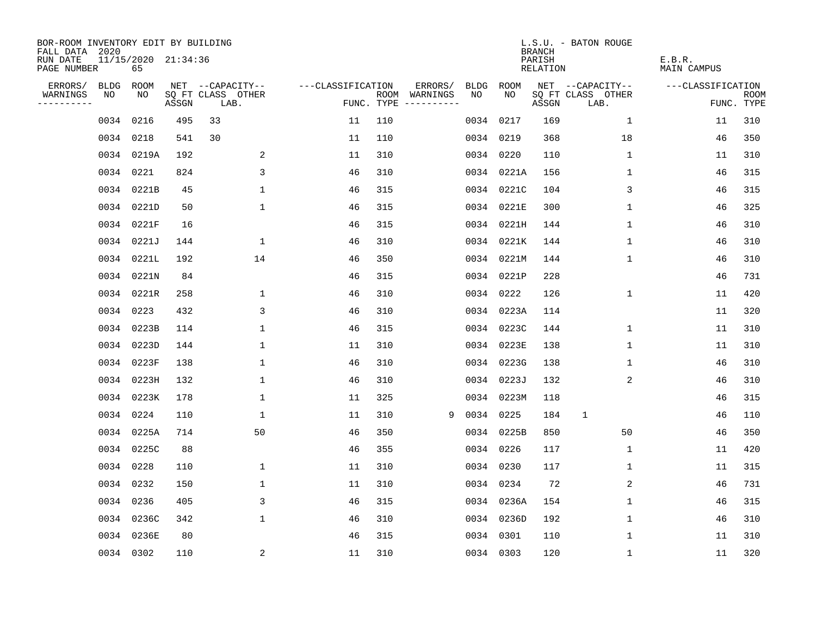| BOR-ROOM INVENTORY EDIT BY BUILDING<br>FALL DATA 2020 |           |                           |       |                           |                   |     |                                      |             |             | <b>BRANCH</b>             | L.S.U. - BATON ROUGE      |                              |                           |
|-------------------------------------------------------|-----------|---------------------------|-------|---------------------------|-------------------|-----|--------------------------------------|-------------|-------------|---------------------------|---------------------------|------------------------------|---------------------------|
| RUN DATE<br>PAGE NUMBER                               |           | 11/15/2020 21:34:36<br>65 |       |                           |                   |     |                                      |             |             | PARISH<br><b>RELATION</b> |                           | E.B.R.<br><b>MAIN CAMPUS</b> |                           |
| ERRORS/                                               | BLDG      | ROOM                      |       | NET --CAPACITY--          | ---CLASSIFICATION |     | ERRORS/                              | <b>BLDG</b> | <b>ROOM</b> |                           | NET --CAPACITY--          | ---CLASSIFICATION            |                           |
| WARNINGS<br>----------                                | NO        | NO                        | ASSGN | SQ FT CLASS OTHER<br>LAB. |                   |     | ROOM WARNINGS<br>FUNC. TYPE $------$ | NO          | NO          | ASSGN                     | SQ FT CLASS OTHER<br>LAB. |                              | <b>ROOM</b><br>FUNC. TYPE |
|                                                       | 0034      | 0216                      | 495   | 33                        | 11                | 110 |                                      | 0034        | 0217        | 169                       | $\mathbf{1}$              | 11                           | 310                       |
|                                                       | 0034 0218 |                           | 541   | 30                        | 11                | 110 |                                      |             | 0034 0219   | 368                       | 18                        | 46                           | 350                       |
|                                                       |           | 0034 0219A                | 192   | 2                         | 11                | 310 |                                      |             | 0034 0220   | 110                       | 1                         | 11                           | 310                       |
|                                                       | 0034 0221 |                           | 824   | 3                         | 46                | 310 |                                      |             | 0034 0221A  | 156                       | 1                         | 46                           | 315                       |
|                                                       |           | 0034 0221B                | 45    | $\mathbf{1}$              | 46                | 315 |                                      |             | 0034 0221C  | 104                       | 3                         | 46                           | 315                       |
|                                                       |           | 0034 0221D                | 50    | $\mathbf{1}$              | 46                | 315 |                                      |             | 0034 0221E  | 300                       | $\mathbf 1$               | 46                           | 325                       |
|                                                       |           | 0034 0221F                | 16    |                           | 46                | 315 |                                      |             | 0034 0221H  | 144                       | $\mathbf{1}$              | 46                           | 310                       |
|                                                       |           | 0034 0221J                | 144   | 1                         | 46                | 310 |                                      |             | 0034 0221K  | 144                       | 1                         | 46                           | 310                       |
|                                                       |           | 0034 0221L                | 192   | 14                        | 46                | 350 |                                      |             | 0034 0221M  | 144                       | $\mathbf 1$               | 46                           | 310                       |
|                                                       |           | 0034 0221N                | 84    |                           | 46                | 315 |                                      |             | 0034 0221P  | 228                       |                           | 46                           | 731                       |
|                                                       |           | 0034 0221R                | 258   | $\mathbf 1$               | 46                | 310 |                                      |             | 0034 0222   | 126                       | $\mathbf 1$               | 11                           | 420                       |
|                                                       | 0034 0223 |                           | 432   | 3                         | 46                | 310 |                                      |             | 0034 0223A  | 114                       |                           | 11                           | 320                       |
|                                                       |           | 0034 0223B                | 114   | 1                         | 46                | 315 |                                      |             | 0034 0223C  | 144                       | 1                         | 11                           | 310                       |
|                                                       |           | 0034 0223D                | 144   | $\mathbf{1}$              | 11                | 310 |                                      | 0034        | 0223E       | 138                       | 1                         | 11                           | 310                       |
|                                                       |           | 0034 0223F                | 138   | 1                         | 46                | 310 |                                      | 0034        | 0223G       | 138                       | 1                         | 46                           | 310                       |
|                                                       |           | 0034 0223H                | 132   | 1                         | 46                | 310 |                                      | 0034        | 0223J       | 132                       | 2                         | 46                           | 310                       |
|                                                       |           | 0034 0223K                | 178   | $\mathbf 1$               | 11                | 325 |                                      | 0034        | 0223M       | 118                       |                           | 46                           | 315                       |
|                                                       | 0034 0224 |                           | 110   | $\mathbf{1}$              | 11                | 310 | 9                                    | 0034        | 0225        | 184                       | 1                         | 46                           | 110                       |
|                                                       |           | 0034 0225A                | 714   | 50                        | 46                | 350 |                                      |             | 0034 0225B  | 850                       | 50                        | 46                           | 350                       |
|                                                       |           | 0034 0225C                | 88    |                           | 46                | 355 |                                      |             | 0034 0226   | 117                       | 1                         | 11                           | 420                       |
|                                                       | 0034 0228 |                           | 110   | 1                         | 11                | 310 |                                      |             | 0034 0230   | 117                       | 1                         | 11                           | 315                       |
|                                                       | 0034 0232 |                           | 150   | $\mathbf 1$               | 11                | 310 |                                      | 0034        | 0234        | 72                        | 2                         | 46                           | 731                       |
|                                                       | 0034 0236 |                           | 405   | 3                         | 46                | 315 |                                      |             | 0034 0236A  | 154                       | 1                         | 46                           | 315                       |
|                                                       |           | 0034 0236C                | 342   | $\mathbf{1}$              | 46                | 310 |                                      |             | 0034 0236D  | 192                       | $\mathbf 1$               | 46                           | 310                       |
|                                                       |           | 0034 0236E                | 80    |                           | 46                | 315 |                                      |             | 0034 0301   | 110                       | 1                         | 11                           | 310                       |
|                                                       | 0034 0302 |                           | 110   | $\overline{\mathbf{c}}$   | 11                | 310 |                                      |             | 0034 0303   | 120                       | 1                         | 11                           | 320                       |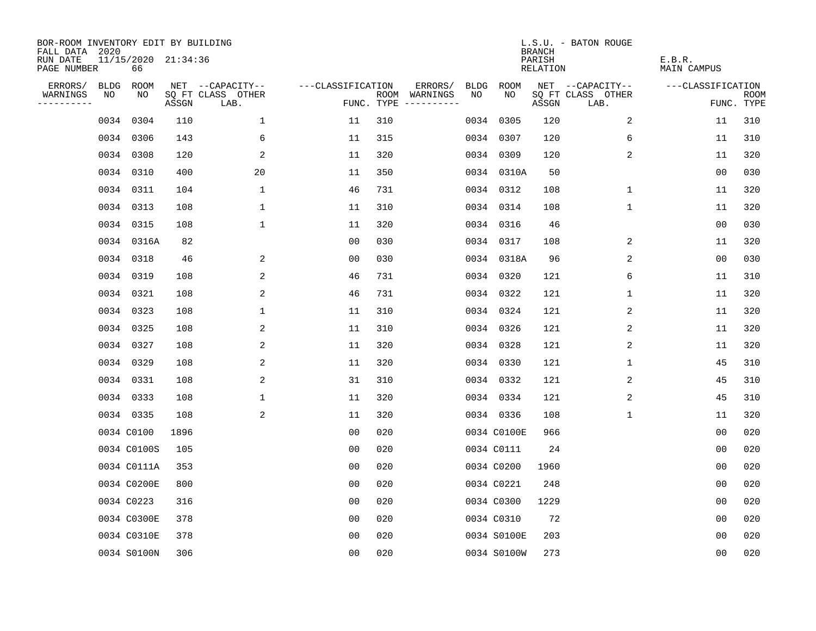| BOR-ROOM INVENTORY EDIT BY BUILDING<br>FALL DATA 2020 |             |                           |       |                           |                   |     |                                      |             |             | <b>BRANCH</b>             | L.S.U. - BATON ROUGE      |                              |                           |
|-------------------------------------------------------|-------------|---------------------------|-------|---------------------------|-------------------|-----|--------------------------------------|-------------|-------------|---------------------------|---------------------------|------------------------------|---------------------------|
| RUN DATE<br>PAGE NUMBER                               |             | 11/15/2020 21:34:36<br>66 |       |                           |                   |     |                                      |             |             | PARISH<br><b>RELATION</b> |                           | E.B.R.<br><b>MAIN CAMPUS</b> |                           |
| ERRORS/                                               | <b>BLDG</b> | ROOM                      |       | NET --CAPACITY--          | ---CLASSIFICATION |     | ERRORS/                              | <b>BLDG</b> | ROOM        |                           | NET --CAPACITY--          | ---CLASSIFICATION            |                           |
| WARNINGS<br>----------                                | NO          | NO                        | ASSGN | SQ FT CLASS OTHER<br>LAB. |                   |     | ROOM WARNINGS<br>FUNC. TYPE $------$ | NO          | NO          | ASSGN                     | SQ FT CLASS OTHER<br>LAB. |                              | <b>ROOM</b><br>FUNC. TYPE |
|                                                       |             | 0034 0304                 | 110   | $\mathbf{1}$              | 11                | 310 |                                      |             | 0034 0305   | 120                       | 2                         | 11                           | 310                       |
|                                                       |             | 0034 0306                 | 143   | 6                         | 11                | 315 |                                      |             | 0034 0307   | 120                       | 6                         | 11                           | 310                       |
|                                                       |             | 0034 0308                 | 120   | 2                         | 11                | 320 |                                      |             | 0034 0309   | 120                       | 2                         | 11                           | 320                       |
|                                                       |             | 0034 0310                 | 400   | 20                        | 11                | 350 |                                      |             | 0034 0310A  | 50                        |                           | 0 <sub>0</sub>               | 030                       |
|                                                       |             | 0034 0311                 | 104   | $\mathbf{1}$              | 46                | 731 |                                      |             | 0034 0312   | 108                       | $\mathbf{1}$              | 11                           | 320                       |
|                                                       |             | 0034 0313                 | 108   | $\mathbf 1$               | 11                | 310 |                                      |             | 0034 0314   | 108                       | $\mathbf 1$               | 11                           | 320                       |
|                                                       |             | 0034 0315                 | 108   | $\mathbf 1$               | 11                | 320 |                                      |             | 0034 0316   | 46                        |                           | 0 <sub>0</sub>               | 030                       |
|                                                       |             | 0034 0316A                | 82    |                           | 0 <sub>0</sub>    | 030 |                                      |             | 0034 0317   | 108                       | 2                         | 11                           | 320                       |
|                                                       |             | 0034 0318                 | 46    | 2                         | 0 <sub>0</sub>    | 030 |                                      |             | 0034 0318A  | 96                        | 2                         | 0 <sub>0</sub>               | 030                       |
|                                                       |             | 0034 0319                 | 108   | 2                         | 46                | 731 |                                      |             | 0034 0320   | 121                       | 6                         | 11                           | 310                       |
|                                                       |             | 0034 0321                 | 108   | 2                         | 46                | 731 |                                      |             | 0034 0322   | 121                       | $\mathbf 1$               | 11                           | 320                       |
|                                                       |             | 0034 0323                 | 108   | $\mathbf{1}$              | 11                | 310 |                                      |             | 0034 0324   | 121                       | 2                         | 11                           | 320                       |
|                                                       |             | 0034 0325                 | 108   | 2                         | 11                | 310 |                                      |             | 0034 0326   | 121                       | 2                         | 11                           | 320                       |
|                                                       |             | 0034 0327                 | 108   | 2                         | 11                | 320 |                                      |             | 0034 0328   | 121                       | 2                         | 11                           | 320                       |
|                                                       |             | 0034 0329                 | 108   | 2                         | 11                | 320 |                                      |             | 0034 0330   | 121                       | 1                         | 45                           | 310                       |
|                                                       |             | 0034 0331                 | 108   | 2                         | 31                | 310 |                                      |             | 0034 0332   | 121                       | 2                         | 45                           | 310                       |
|                                                       |             | 0034 0333                 | 108   | $\mathbf 1$               | 11                | 320 |                                      |             | 0034 0334   | 121                       | 2                         | 45                           | 310                       |
|                                                       |             | 0034 0335                 | 108   | 2                         | 11                | 320 |                                      |             | 0034 0336   | 108                       | 1                         | 11                           | 320                       |
|                                                       |             | 0034 C0100                | 1896  |                           | 0 <sub>0</sub>    | 020 |                                      |             | 0034 C0100E | 966                       |                           | 0 <sub>0</sub>               | 020                       |
|                                                       |             | 0034 C0100S               | 105   |                           | 0 <sub>0</sub>    | 020 |                                      |             | 0034 C0111  | 24                        |                           | 0 <sub>0</sub>               | 020                       |
|                                                       |             | 0034 C0111A               | 353   |                           | 0 <sub>0</sub>    | 020 |                                      |             | 0034 C0200  | 1960                      |                           | 0 <sub>0</sub>               | 020                       |
|                                                       |             | 0034 C0200E               | 800   |                           | 0 <sub>0</sub>    | 020 |                                      |             | 0034 C0221  | 248                       |                           | 0 <sub>0</sub>               | 020                       |
|                                                       |             | 0034 C0223                | 316   |                           | 0 <sub>0</sub>    | 020 |                                      |             | 0034 C0300  | 1229                      |                           | 0 <sub>0</sub>               | 020                       |
|                                                       |             | 0034 C0300E               | 378   |                           | 0 <sub>0</sub>    | 020 |                                      |             | 0034 C0310  | 72                        |                           | 0 <sub>0</sub>               | 020                       |
|                                                       |             | 0034 C0310E               | 378   |                           | 0 <sub>0</sub>    | 020 |                                      |             | 0034 S0100E | 203                       |                           | 0 <sub>0</sub>               | 020                       |
|                                                       |             | 0034 S0100N               | 306   |                           | 0 <sub>0</sub>    | 020 |                                      |             | 0034 S0100W | 273                       |                           | 0 <sub>0</sub>               | 020                       |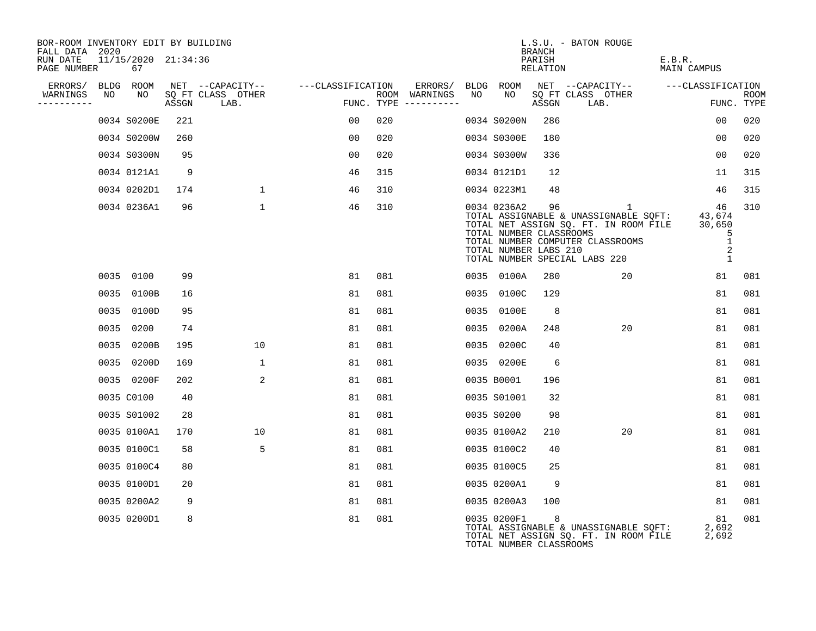| BOR-ROOM INVENTORY EDIT BY BUILDING<br>FALL DATA 2020 |    |                           |       |                           |                   |     |                                        |    |                                                                 | <b>BRANCH</b>      | L.S.U. - BATON ROUGE                                                                                                                                     |                                            |                           |
|-------------------------------------------------------|----|---------------------------|-------|---------------------------|-------------------|-----|----------------------------------------|----|-----------------------------------------------------------------|--------------------|----------------------------------------------------------------------------------------------------------------------------------------------------------|--------------------------------------------|---------------------------|
| RUN DATE<br>PAGE NUMBER                               |    | 11/15/2020 21:34:36<br>67 |       |                           |                   |     |                                        |    |                                                                 | PARISH<br>RELATION |                                                                                                                                                          | E.B.R.<br><b>MAIN CAMPUS</b>               |                           |
| ERRORS/                                               |    | BLDG ROOM                 |       | NET --CAPACITY--          | ---CLASSIFICATION |     | ERRORS/                                |    | BLDG ROOM                                                       |                    | NET --CAPACITY--                                                                                                                                         | ---CLASSIFICATION                          |                           |
| WARNINGS<br>---------                                 | NO | NO                        | ASSGN | SQ FT CLASS OTHER<br>LAB. |                   |     | ROOM WARNINGS<br>FUNC. TYPE ---------- | NO | NO                                                              | ASSGN              | SQ FT CLASS OTHER<br>LAB.                                                                                                                                |                                            | <b>ROOM</b><br>FUNC. TYPE |
|                                                       |    | 0034 S0200E               | 221   |                           | 00                | 020 |                                        |    | 0034 S0200N                                                     | 286                |                                                                                                                                                          | 00                                         | 020                       |
|                                                       |    | 0034 S0200W               | 260   |                           | 00                | 020 |                                        |    | 0034 S0300E                                                     | 180                |                                                                                                                                                          | 0 <sub>0</sub>                             | 020                       |
|                                                       |    | 0034 S0300N               | 95    |                           | 00                | 020 |                                        |    | 0034 S0300W                                                     | 336                |                                                                                                                                                          | 00                                         | 020                       |
|                                                       |    | 0034 0121A1               | 9     |                           | 46                | 315 |                                        |    | 0034 0121D1                                                     | 12                 |                                                                                                                                                          | 11                                         | 315                       |
|                                                       |    | 0034 0202D1               | 174   | $\mathbf{1}$              | 46                | 310 |                                        |    | 0034 0223M1                                                     | 48                 |                                                                                                                                                          | 46                                         | 315                       |
|                                                       |    | 0034 0236A1               | 96    | $\mathbf{1}$              | 46                | 310 |                                        |    | 0034 0236A2<br>TOTAL NUMBER CLASSROOMS<br>TOTAL NUMBER LABS 210 | 96                 | 1<br>TOTAL ASSIGNABLE & UNASSIGNABLE SQFT:<br>TOTAL NET ASSIGN SQ. FT. IN ROOM FILE<br>TOTAL NUMBER COMPUTER CLASSROOMS<br>TOTAL NUMBER SPECIAL LABS 220 | 46<br>43,674<br>30,650<br>5<br>1<br>2<br>1 | 310                       |
|                                                       |    | 0035 0100                 | 99    |                           | 81                | 081 |                                        |    | 0035 0100A                                                      | 280                | 20                                                                                                                                                       | 81                                         | 081                       |
|                                                       |    | 0035 0100B                | 16    |                           | 81                | 081 |                                        |    | 0035 0100C                                                      | 129                |                                                                                                                                                          | 81                                         | 081                       |
|                                                       |    | 0035 0100D                | 95    |                           | 81                | 081 |                                        |    | 0035 0100E                                                      | 8                  |                                                                                                                                                          | 81                                         | 081                       |
|                                                       |    | 0035 0200                 | 74    |                           | 81                | 081 |                                        |    | 0035 0200A                                                      | 248                | 20                                                                                                                                                       | 81                                         | 081                       |
|                                                       |    | 0035 0200B                | 195   | 10                        | 81                | 081 |                                        |    | 0035 0200C                                                      | 40                 |                                                                                                                                                          | 81                                         | 081                       |
|                                                       |    | 0035 0200D                | 169   | 1                         | 81                | 081 |                                        |    | 0035 0200E                                                      | 6                  |                                                                                                                                                          | 81                                         | 081                       |
|                                                       |    | 0035 0200F                | 202   | $\overline{a}$            | 81                | 081 |                                        |    | 0035 B0001                                                      | 196                |                                                                                                                                                          | 81                                         | 081                       |
|                                                       |    | 0035 C0100                | 40    |                           | 81                | 081 |                                        |    | 0035 S01001                                                     | 32                 |                                                                                                                                                          | 81                                         | 081                       |
|                                                       |    | 0035 S01002               | 28    |                           | 81                | 081 |                                        |    | 0035 S0200                                                      | 98                 |                                                                                                                                                          | 81                                         | 081                       |
|                                                       |    | 0035 0100A1               | 170   | 10                        | 81                | 081 |                                        |    | 0035 0100A2                                                     | 210                | 20                                                                                                                                                       | 81                                         | 081                       |
|                                                       |    | 0035 0100C1               | 58    | 5                         | 81                | 081 |                                        |    | 0035 0100C2                                                     | 40                 |                                                                                                                                                          | 81                                         | 081                       |
|                                                       |    | 0035 0100C4               | 80    |                           | 81                | 081 |                                        |    | 0035 0100C5                                                     | 25                 |                                                                                                                                                          | 81                                         | 081                       |
|                                                       |    | 0035 0100D1               | 20    |                           | 81                | 081 |                                        |    | 0035 0200A1                                                     | 9                  |                                                                                                                                                          | 81                                         | 081                       |
|                                                       |    | 0035 0200A2               | 9     |                           | 81                | 081 |                                        |    | 0035 0200A3                                                     | 100                |                                                                                                                                                          | 81                                         | 081                       |
|                                                       |    | 0035 0200D1               | 8     |                           | 81                | 081 |                                        |    | 0035 0200F1<br>TOTAL NUMBER CLASSROOMS                          | 8                  | TOTAL ASSIGNABLE & UNASSIGNABLE SQFT:<br>TOTAL NET ASSIGN SQ. FT. IN ROOM FILE                                                                           | 81<br>2,692<br>2,692                       | 081                       |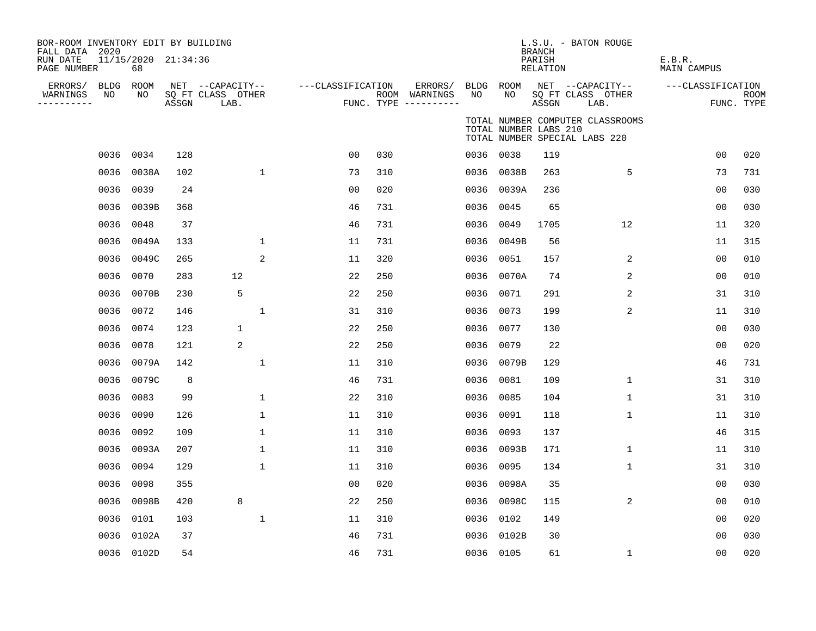| BOR-ROOM INVENTORY EDIT BY BUILDING<br>FALL DATA 2020<br>RUN DATE<br>PAGE NUMBER | 11/15/2020 21:34:36<br>68 |       |                                               |                   |     |                                                 |      |                       | <b>BRANCH</b><br>PARISH<br><b>RELATION</b> | L.S.U. - BATON ROUGE                                              | E.B.R.<br><b>MAIN CAMPUS</b> |                           |
|----------------------------------------------------------------------------------|---------------------------|-------|-----------------------------------------------|-------------------|-----|-------------------------------------------------|------|-----------------------|--------------------------------------------|-------------------------------------------------------------------|------------------------------|---------------------------|
| ERRORS/<br>BLDG<br>ΝO<br>WARNINGS<br>----------                                  | ROOM<br>NO                | ASSGN | NET --CAPACITY--<br>SQ FT CLASS OTHER<br>LAB. | ---CLASSIFICATION |     | ERRORS/<br>ROOM WARNINGS<br>FUNC. TYPE $------$ | NO   | BLDG ROOM<br>NO       | ASSGN                                      | NET --CAPACITY--<br>SQ FT CLASS OTHER<br>LAB.                     | ---CLASSIFICATION            | <b>ROOM</b><br>FUNC. TYPE |
|                                                                                  |                           |       |                                               |                   |     |                                                 |      | TOTAL NUMBER LABS 210 |                                            | TOTAL NUMBER COMPUTER CLASSROOMS<br>TOTAL NUMBER SPECIAL LABS 220 |                              |                           |
| 0036                                                                             | 0034                      | 128   |                                               | 0 <sub>0</sub>    | 030 |                                                 |      | 0036 0038             | 119                                        |                                                                   | 0 <sub>0</sub>               | 020                       |
|                                                                                  | 0036 0038A                | 102   | $\mathbf{1}$                                  | 73                | 310 |                                                 |      | 0036 0038B            | 263                                        | 5                                                                 | 73                           | 731                       |
| 0036                                                                             | 0039                      | 24    |                                               | 00                | 020 |                                                 |      | 0036 0039A            | 236                                        |                                                                   | 00                           | 030                       |
| 0036                                                                             | 0039B                     | 368   |                                               | 46                | 731 |                                                 | 0036 | 0045                  | 65                                         |                                                                   | 0 <sub>0</sub>               | 030                       |
| 0036                                                                             | 0048                      | 37    |                                               | 46                | 731 |                                                 | 0036 | 0049                  | 1705                                       | 12                                                                | 11                           | 320                       |
| 0036                                                                             | 0049A                     | 133   | $\mathbf{1}$                                  | 11                | 731 |                                                 | 0036 | 0049B                 | 56                                         |                                                                   | 11                           | 315                       |
| 0036                                                                             | 0049C                     | 265   | 2                                             | 11                | 320 |                                                 | 0036 | 0051                  | 157                                        | 2                                                                 | 0 <sub>0</sub>               | 010                       |
| 0036                                                                             | 0070                      | 283   | 12                                            | 22                | 250 |                                                 | 0036 | 0070A                 | 74                                         | 2                                                                 | 0 <sub>0</sub>               | 010                       |
| 0036                                                                             | 0070B                     | 230   | 5                                             | 22                | 250 |                                                 | 0036 | 0071                  | 291                                        | 2                                                                 | 31                           | 310                       |
| 0036                                                                             | 0072                      | 146   | $\mathbf{1}$                                  | 31                | 310 |                                                 | 0036 | 0073                  | 199                                        | 2                                                                 | 11                           | 310                       |
| 0036                                                                             | 0074                      | 123   | $\mathbf{1}$                                  | 22                | 250 |                                                 | 0036 | 0077                  | 130                                        |                                                                   | 0 <sub>0</sub>               | 030                       |
| 0036                                                                             | 0078                      | 121   | 2                                             | 22                | 250 |                                                 | 0036 | 0079                  | 22                                         |                                                                   | 0 <sub>0</sub>               | 020                       |
| 0036                                                                             | 0079A                     | 142   | 1                                             | 11                | 310 |                                                 |      | 0036 0079B            | 129                                        |                                                                   | 46                           | 731                       |
| 0036                                                                             | 0079C                     | 8     |                                               | 46                | 731 |                                                 | 0036 | 0081                  | 109                                        | $\mathbf 1$                                                       | 31                           | 310                       |
| 0036                                                                             | 0083                      | 99    | $\mathbf 1$                                   | 22                | 310 |                                                 | 0036 | 0085                  | 104                                        | $\mathbf 1$                                                       | 31                           | 310                       |
| 0036                                                                             | 0090                      | 126   | $\mathbf{1}$                                  | 11                | 310 |                                                 | 0036 | 0091                  | 118                                        | $\mathbf{1}$                                                      | 11                           | 310                       |
| 0036                                                                             | 0092                      | 109   | 1                                             | 11                | 310 |                                                 | 0036 | 0093                  | 137                                        |                                                                   | 46                           | 315                       |
| 0036                                                                             | 0093A                     | 207   | $\mathbf 1$                                   | 11                | 310 |                                                 | 0036 | 0093B                 | 171                                        | $\mathbf 1$                                                       | 11                           | 310                       |
| 0036                                                                             | 0094                      | 129   | $\mathbf{1}$                                  | 11                | 310 |                                                 | 0036 | 0095                  | 134                                        | $\mathbf{1}$                                                      | 31                           | 310                       |
| 0036                                                                             | 0098                      | 355   |                                               | 0 <sub>0</sub>    | 020 |                                                 | 0036 | 0098A                 | 35                                         |                                                                   | 0 <sub>0</sub>               | 030                       |
| 0036                                                                             | 0098B                     | 420   | 8                                             | 22                | 250 |                                                 | 0036 | 0098C                 | 115                                        | 2                                                                 | 0 <sub>0</sub>               | 010                       |
| 0036                                                                             | 0101                      | 103   | $\mathbf{1}$                                  | 11                | 310 |                                                 | 0036 | 0102                  | 149                                        |                                                                   | 00                           | 020                       |
| 0036                                                                             | 0102A                     | 37    |                                               | 46                | 731 |                                                 | 0036 | 0102B                 | 30                                         |                                                                   | 00                           | 030                       |
|                                                                                  | 0036 0102D                | 54    |                                               | 46                | 731 |                                                 |      | 0036 0105             | 61                                         | $\mathbf 1$                                                       | 00                           | 020                       |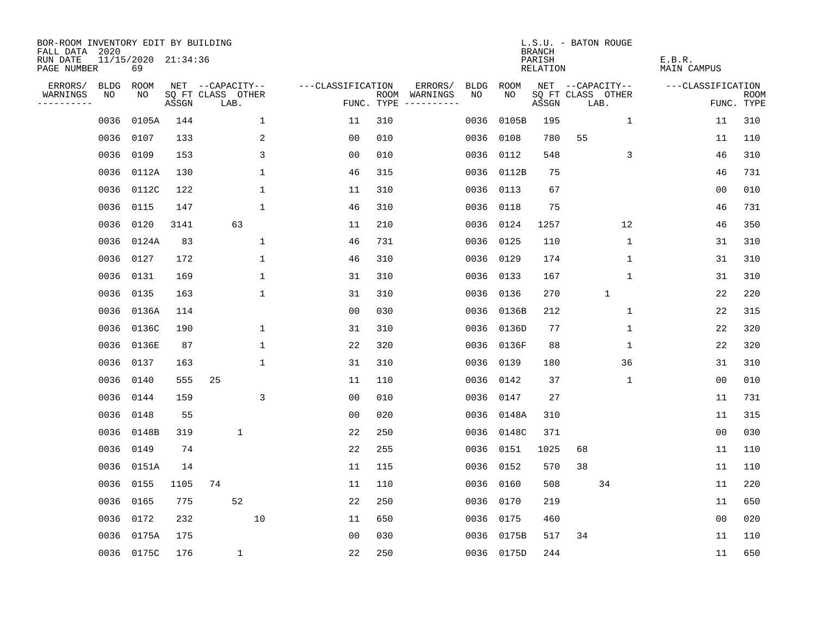| BOR-ROOM INVENTORY EDIT BY BUILDING<br>FALL DATA 2020 |      |                           |       |                           |              |                   |            |                              |             |            | L.S.U. - BATON ROUGE<br><b>BRANCH</b> |                   |              |              |                              |    |                           |
|-------------------------------------------------------|------|---------------------------|-------|---------------------------|--------------|-------------------|------------|------------------------------|-------------|------------|---------------------------------------|-------------------|--------------|--------------|------------------------------|----|---------------------------|
| RUN DATE<br>PAGE NUMBER                               |      | 11/15/2020 21:34:36<br>69 |       |                           |              |                   |            |                              |             |            | PARISH<br><b>RELATION</b>             |                   |              |              | E.B.R.<br><b>MAIN CAMPUS</b> |    |                           |
| ERRORS/                                               | BLDG | ROOM                      |       | NET --CAPACITY--          |              | ---CLASSIFICATION |            | ERRORS/                      | <b>BLDG</b> | ROOM       |                                       | NET --CAPACITY--  |              |              | ---CLASSIFICATION            |    |                           |
| WARNINGS<br>----------                                | NO   | NO                        | ASSGN | SQ FT CLASS OTHER<br>LAB. |              |                   | FUNC. TYPE | ROOM WARNINGS<br>----------- | NO.         | NO.        | ASSGN                                 | SQ FT CLASS OTHER | LAB.         |              |                              |    | <b>ROOM</b><br>FUNC. TYPE |
|                                                       | 0036 | 0105A                     | 144   |                           | $\mathbf 1$  | 11                | 310        |                              | 0036        | 0105B      | 195                                   |                   |              | $\mathbf 1$  | 11                           |    | 310                       |
|                                                       | 0036 | 0107                      | 133   |                           | 2            | 0 <sub>0</sub>    | 010        |                              | 0036        | 0108       | 780                                   | 55                |              |              | 11                           |    | 110                       |
|                                                       | 0036 | 0109                      | 153   |                           | 3            | 0 <sub>0</sub>    | 010        |                              | 0036        | 0112       | 548                                   |                   |              | 3            | 46                           |    | 310                       |
|                                                       |      | 0036 0112A                | 130   |                           | $\mathbf{1}$ | 46                | 315        |                              | 0036        | 0112B      | 75                                    |                   |              |              | 46                           |    | 731                       |
|                                                       | 0036 | 0112C                     | 122   |                           | $\mathbf{1}$ | 11                | 310        |                              | 0036        | 0113       | 67                                    |                   |              |              | 0 <sub>0</sub>               |    | 010                       |
|                                                       |      | 0036 0115                 | 147   |                           | $\mathbf{1}$ | 46                | 310        |                              | 0036        | 0118       | 75                                    |                   |              |              | 46                           |    | 731                       |
|                                                       | 0036 | 0120                      | 3141  | 63                        |              | 11                | 210        |                              | 0036        | 0124       | 1257                                  |                   |              | 12           | 46                           |    | 350                       |
|                                                       |      | 0036 0124A                | 83    |                           | $\mathbf 1$  | 46                | 731        |                              | 0036        | 0125       | 110                                   |                   |              | 1            | 31                           |    | 310                       |
|                                                       | 0036 | 0127                      | 172   |                           | $\mathbf{1}$ | 46                | 310        |                              | 0036        | 0129       | 174                                   |                   |              | $\mathbf{1}$ | 31                           |    | 310                       |
|                                                       |      | 0036 0131                 | 169   |                           | $\mathbf{1}$ | 31                | 310        |                              |             | 0036 0133  | 167                                   |                   |              | $\mathbf 1$  | 31                           |    | 310                       |
|                                                       | 0036 | 0135                      | 163   |                           | $\mathbf{1}$ | 31                | 310        |                              | 0036        | 0136       | 270                                   |                   | $\mathbf{1}$ |              | 22                           |    | 220                       |
|                                                       |      | 0036 0136A                | 114   |                           |              | 0 <sub>0</sub>    | 030        |                              | 0036        | 0136B      | 212                                   |                   |              | $\mathbf 1$  |                              | 22 | 315                       |
|                                                       | 0036 | 0136C                     | 190   |                           | $\mathbf 1$  | 31                | 310        |                              | 0036        | 0136D      | 77                                    |                   |              | $\mathbf 1$  |                              | 22 | 320                       |
|                                                       |      | 0036 0136E                | 87    |                           | $\mathbf 1$  | 22                | 320        |                              |             | 0036 0136F | 88                                    |                   |              | $\mathbf 1$  | 22                           |    | 320                       |
|                                                       |      | 0036 0137                 | 163   |                           | $\mathbf 1$  | 31                | 310        |                              | 0036        | 0139       | 180                                   |                   |              | 36           | 31                           |    | 310                       |
|                                                       |      | 0036 0140                 | 555   | 25                        |              | 11                | 110        |                              | 0036        | 0142       | 37                                    |                   |              | $\mathbf{1}$ | 0 <sub>0</sub>               |    | 010                       |
|                                                       | 0036 | 0144                      | 159   |                           | 3            | 0 <sub>0</sub>    | 010        |                              | 0036        | 0147       | 27                                    |                   |              |              | 11                           |    | 731                       |
|                                                       |      | 0036 0148                 | 55    |                           |              | 0 <sub>0</sub>    | 020        |                              | 0036        | 0148A      | 310                                   |                   |              |              | 11                           |    | 315                       |
|                                                       | 0036 | 0148B                     | 319   | 1                         |              | 22                | 250        |                              | 0036        | 0148C      | 371                                   |                   |              |              | 0 <sub>0</sub>               |    | 030                       |
|                                                       | 0036 | 0149                      | 74    |                           |              | 22                | 255        |                              | 0036        | 0151       | 1025                                  | 68                |              |              | 11                           |    | 110                       |
|                                                       | 0036 | 0151A                     | 14    |                           |              | 11                | 115        |                              | 0036        | 0152       | 570                                   | 38                |              |              | 11                           |    | 110                       |
|                                                       | 0036 | 0155                      | 1105  | 74                        |              | 11                | 110        |                              | 0036        | 0160       | 508                                   |                   | 34           |              | 11                           |    | 220                       |
|                                                       | 0036 | 0165                      | 775   | 52                        |              | 22                | 250        |                              | 0036        | 0170       | 219                                   |                   |              |              | 11                           |    | 650                       |
|                                                       | 0036 | 0172                      | 232   |                           | 10           | 11                | 650        |                              | 0036        | 0175       | 460                                   |                   |              |              | 0 <sub>0</sub>               |    | 020                       |
|                                                       | 0036 | 0175A                     | 175   |                           |              | 0 <sub>0</sub>    | 030        |                              | 0036        | 0175B      | 517                                   | 34                |              |              | 11                           |    | 110                       |
|                                                       |      | 0036 0175C                | 176   | 1                         |              | 22                | 250        |                              |             | 0036 0175D | 244                                   |                   |              |              | 11                           |    | 650                       |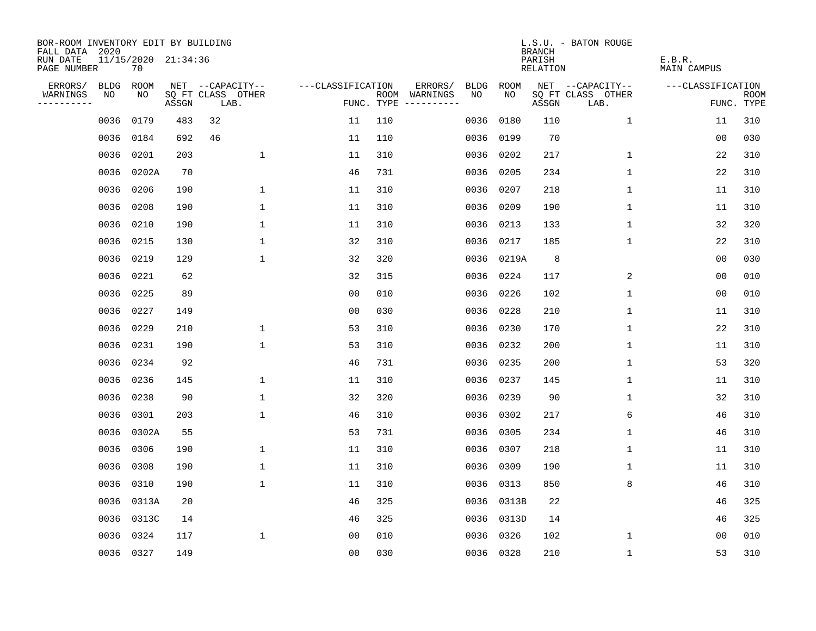| BOR-ROOM INVENTORY EDIT BY BUILDING<br>FALL DATA 2020 |      |                           |       |                           |                   |     |                                      |             |           | <b>BRANCH</b>                   | L.S.U. - BATON ROUGE      |                       |                           |
|-------------------------------------------------------|------|---------------------------|-------|---------------------------|-------------------|-----|--------------------------------------|-------------|-----------|---------------------------------|---------------------------|-----------------------|---------------------------|
| RUN DATE<br>PAGE NUMBER                               |      | 11/15/2020 21:34:36<br>70 |       |                           |                   |     |                                      |             |           | PARISH<br>RELATION              |                           | E.B.R.<br>MAIN CAMPUS |                           |
| ERRORS/                                               | BLDG | ROOM                      |       | NET --CAPACITY--          | ---CLASSIFICATION |     | ERRORS/                              | <b>BLDG</b> | ROOM      |                                 | NET --CAPACITY--          | ---CLASSIFICATION     |                           |
| WARNINGS<br>----------                                | NO   | NO                        | ASSGN | SQ FT CLASS OTHER<br>LAB. |                   |     | ROOM WARNINGS<br>FUNC. TYPE $------$ | NO.         | NO.       | $\operatorname{\mathsf{ASSGN}}$ | SQ FT CLASS OTHER<br>LAB. |                       | <b>ROOM</b><br>FUNC. TYPE |
|                                                       | 0036 | 0179                      | 483   | 32                        | 11                | 110 |                                      | 0036        | 0180      | 110                             | $\mathbf 1$               | 11                    | 310                       |
|                                                       | 0036 | 0184                      | 692   | 46                        | 11                | 110 |                                      | 0036        | 0199      | 70                              |                           | 0 <sub>0</sub>        | 030                       |
|                                                       | 0036 | 0201                      | 203   | $\mathbf{1}$              | 11                | 310 |                                      | 0036        | 0202      | 217                             | $\mathbf 1$               | 22                    | 310                       |
|                                                       |      | 0036 0202A                | 70    |                           | 46                | 731 |                                      | 0036        | 0205      | 234                             | 1                         | 22                    | 310                       |
|                                                       | 0036 | 0206                      | 190   | $\mathbf{1}$              | 11                | 310 |                                      | 0036        | 0207      | 218                             | 1                         | 11                    | 310                       |
|                                                       |      | 0036 0208                 | 190   | $\mathbf 1$               | 11                | 310 |                                      | 0036        | 0209      | 190                             | 1                         | 11                    | 310                       |
|                                                       | 0036 | 0210                      | 190   | $\mathbf 1$               | 11                | 310 |                                      | 0036        | 0213      | 133                             | $\mathbf 1$               | 32                    | 320                       |
|                                                       |      | 0036 0215                 | 130   | $\mathbf{1}$              | 32                | 310 |                                      | 0036        | 0217      | 185                             | $\mathbf 1$               | 22                    | 310                       |
|                                                       | 0036 | 0219                      | 129   | $\mathbf{1}$              | 32                | 320 |                                      | 0036        | 0219A     | 8                               |                           | 0 <sub>0</sub>        | 030                       |
|                                                       |      | 0036 0221                 | 62    |                           | 32                | 315 |                                      | 0036        | 0224      | 117                             | 2                         | 0 <sub>0</sub>        | 010                       |
|                                                       |      | 0036 0225                 | 89    |                           | 0 <sub>0</sub>    | 010 |                                      | 0036        | 0226      | 102                             | $\mathbf 1$               | 0 <sub>0</sub>        | 010                       |
|                                                       |      | 0036 0227                 | 149   |                           | 0 <sub>0</sub>    | 030 |                                      | 0036        | 0228      | 210                             | $\mathbf 1$               | 11                    | 310                       |
|                                                       | 0036 | 0229                      | 210   | $\mathbf 1$               | 53                | 310 |                                      | 0036        | 0230      | 170                             | $\mathbf 1$               | 22                    | 310                       |
|                                                       |      | 0036 0231                 | 190   | $\mathbf{1}$              | 53                | 310 |                                      | 0036        | 0232      | 200                             | 1                         | 11                    | 310                       |
|                                                       |      | 0036 0234                 | 92    |                           | 46                | 731 |                                      | 0036        | 0235      | 200                             | 1                         | 53                    | 320                       |
|                                                       |      | 0036 0236                 | 145   | $\mathbf{1}$              | 11                | 310 |                                      | 0036        | 0237      | 145                             | 1                         | 11                    | 310                       |
|                                                       | 0036 | 0238                      | 90    | $\mathbf 1$               | 32                | 320 |                                      | 0036        | 0239      | 90                              | 1                         | 32                    | 310                       |
|                                                       | 0036 | 0301                      | 203   | $\mathbf{1}$              | 46                | 310 |                                      | 0036        | 0302      | 217                             | 6                         | 46                    | 310                       |
|                                                       |      | 0036 0302A                | 55    |                           | 53                | 731 |                                      | 0036        | 0305      | 234                             | 1                         | 46                    | 310                       |
|                                                       | 0036 | 0306                      | 190   | $\mathbf{1}$              | 11                | 310 |                                      | 0036        | 0307      | 218                             | 1                         | 11                    | 310                       |
|                                                       | 0036 | 0308                      | 190   | 1                         | 11                | 310 |                                      | 0036        | 0309      | 190                             | 1                         | 11                    | 310                       |
|                                                       | 0036 | 0310                      | 190   | $\mathbf 1$               | 11                | 310 |                                      | 0036        | 0313      | 850                             | 8                         | 46                    | 310                       |
|                                                       | 0036 | 0313A                     | 20    |                           | 46                | 325 |                                      | 0036        | 0313B     | 22                              |                           | 46                    | 325                       |
|                                                       | 0036 | 0313C                     | 14    |                           | 46                | 325 |                                      | 0036        | 0313D     | 14                              |                           | 46                    | 325                       |
|                                                       | 0036 | 0324                      | 117   | $\mathbf{1}$              | 0 <sub>0</sub>    | 010 |                                      | 0036        | 0326      | 102                             | 1                         | 0 <sub>0</sub>        | 010                       |
|                                                       |      | 0036 0327                 | 149   |                           | 0 <sub>0</sub>    | 030 |                                      |             | 0036 0328 | 210                             | $\mathbf{1}$              | 53                    | 310                       |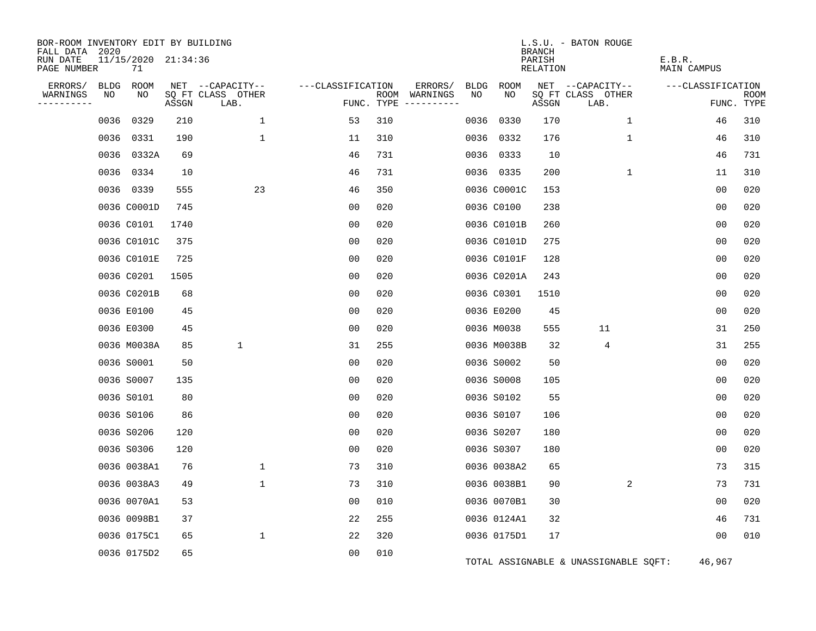| BOR-ROOM INVENTORY EDIT BY BUILDING<br>FALL DATA 2020 |      |                           |       |                           |                   |     |                                                                                                                  |      |             | <b>BRANCH</b>             | L.S.U. - BATON ROUGE                  |                       |                    |
|-------------------------------------------------------|------|---------------------------|-------|---------------------------|-------------------|-----|------------------------------------------------------------------------------------------------------------------|------|-------------|---------------------------|---------------------------------------|-----------------------|--------------------|
| RUN DATE<br>PAGE NUMBER                               |      | 11/15/2020 21:34:36<br>71 |       |                           |                   |     |                                                                                                                  |      |             | PARISH<br><b>RELATION</b> |                                       | E.B.R.<br>MAIN CAMPUS |                    |
| ERRORS/                                               | BLDG | ROOM                      |       | NET --CAPACITY--          | ---CLASSIFICATION |     | ERRORS/                                                                                                          | BLDG | ROOM        |                           | NET --CAPACITY--                      | ---CLASSIFICATION     |                    |
| WARNINGS<br>---------                                 | NO   | NO                        | ASSGN | SQ FT CLASS OTHER<br>LAB. | FUNC. TYPE        |     | ROOM WARNINGS<br>$\begin{tabular}{cccccc} - & - & - & - & - & - & - \\ & - & - & - & - & - & - \\ \end{tabular}$ | NO   | NO          | ASSGN                     | SQ FT CLASS OTHER<br>LAB.             |                       | ROOM<br>FUNC. TYPE |
|                                                       | 0036 | 0329                      | 210   | $\mathbf 1$               | 53                | 310 |                                                                                                                  | 0036 | 0330        | 170                       | $\mathbf 1$                           | 46                    | 310                |
|                                                       |      | 0036 0331                 | 190   | $\mathbf{1}$              | 11                | 310 |                                                                                                                  |      | 0036 0332   | 176                       | $\mathbf 1$                           | 46                    | 310                |
|                                                       |      | 0036 0332A                | 69    |                           | 46                | 731 |                                                                                                                  |      | 0036 0333   | 10                        |                                       | 46                    | 731                |
|                                                       |      | 0036 0334                 | 10    |                           | 46                | 731 |                                                                                                                  |      | 0036 0335   | 200                       | 1                                     | 11                    | 310                |
|                                                       |      | 0036 0339                 | 555   | 23                        | 46                | 350 |                                                                                                                  |      | 0036 C0001C | 153                       |                                       | 00                    | 020                |
|                                                       |      | 0036 C0001D               | 745   |                           | 00                | 020 |                                                                                                                  |      | 0036 C0100  | 238                       |                                       | 0 <sub>0</sub>        | 020                |
|                                                       |      | 0036 C0101                | 1740  |                           | 0 <sub>0</sub>    | 020 |                                                                                                                  |      | 0036 C0101B | 260                       |                                       | 0 <sub>0</sub>        | 020                |
|                                                       |      | 0036 C0101C               | 375   |                           | 0 <sub>0</sub>    | 020 |                                                                                                                  |      | 0036 C0101D | 275                       |                                       | 0 <sub>0</sub>        | 020                |
|                                                       |      | 0036 C0101E               | 725   |                           | 00                | 020 |                                                                                                                  |      | 0036 C0101F | 128                       |                                       | 00                    | 020                |
|                                                       |      | 0036 C0201                | 1505  |                           | 0 <sub>0</sub>    | 020 |                                                                                                                  |      | 0036 C0201A | 243                       |                                       | 00                    | 020                |
|                                                       |      | 0036 C0201B               | 68    |                           | 0 <sub>0</sub>    | 020 |                                                                                                                  |      | 0036 C0301  | 1510                      |                                       | 0 <sub>0</sub>        | 020                |
|                                                       |      | 0036 E0100                | 45    |                           | 0 <sub>0</sub>    | 020 |                                                                                                                  |      | 0036 E0200  | 45                        |                                       | 0 <sub>0</sub>        | 020                |
|                                                       |      | 0036 E0300                | 45    |                           | 0 <sub>0</sub>    | 020 |                                                                                                                  |      | 0036 M0038  | 555                       | 11                                    | 31                    | 250                |
|                                                       |      | 0036 M0038A               | 85    | 1                         | 31                | 255 |                                                                                                                  |      | 0036 M0038B | 32                        | 4                                     | 31                    | 255                |
|                                                       |      | 0036 S0001                | 50    |                           | 00                | 020 |                                                                                                                  |      | 0036 S0002  | 50                        |                                       | 00                    | 020                |
|                                                       |      | 0036 S0007                | 135   |                           | 0 <sub>0</sub>    | 020 |                                                                                                                  |      | 0036 S0008  | 105                       |                                       | 0 <sub>0</sub>        | 020                |
|                                                       |      | 0036 S0101                | 80    |                           | 0 <sub>0</sub>    | 020 |                                                                                                                  |      | 0036 S0102  | 55                        |                                       | 0 <sub>0</sub>        | 020                |
|                                                       |      | 0036 S0106                | 86    |                           | 0 <sub>0</sub>    | 020 |                                                                                                                  |      | 0036 S0107  | 106                       |                                       | 0 <sub>0</sub>        | 020                |
|                                                       |      | 0036 S0206                | 120   |                           | 00                | 020 |                                                                                                                  |      | 0036 S0207  | 180                       |                                       | 0 <sub>0</sub>        | 020                |
|                                                       |      | 0036 S0306                | 120   |                           | 0 <sub>0</sub>    | 020 |                                                                                                                  |      | 0036 S0307  | 180                       |                                       | 0 <sub>0</sub>        | 020                |
|                                                       |      | 0036 0038A1               | 76    | $\mathbf 1$               | 73                | 310 |                                                                                                                  |      | 0036 0038A2 | 65                        |                                       | 73                    | 315                |
|                                                       |      | 0036 0038A3               | 49    | $\mathbf 1$               | 73                | 310 |                                                                                                                  |      | 0036 0038B1 | 90                        | 2                                     | 73                    | 731                |
|                                                       |      | 0036 0070A1               | 53    |                           | 00                | 010 |                                                                                                                  |      | 0036 0070B1 | 30                        |                                       | 00                    | 020                |
|                                                       |      | 0036 0098B1               | 37    |                           | 22                | 255 |                                                                                                                  |      | 0036 0124A1 | 32                        |                                       | 46                    | 731                |
|                                                       |      | 0036 0175C1               | 65    | $\mathbf 1$               | 22                | 320 |                                                                                                                  |      | 0036 0175D1 | 17                        |                                       | 0 <sub>0</sub>        | 010                |
|                                                       |      | 0036 0175D2               | 65    |                           | 0 <sub>0</sub>    | 010 |                                                                                                                  |      |             |                           | TOTAL ASSIGNABLE & UNASSIGNABLE SQFT: | 46,967                |                    |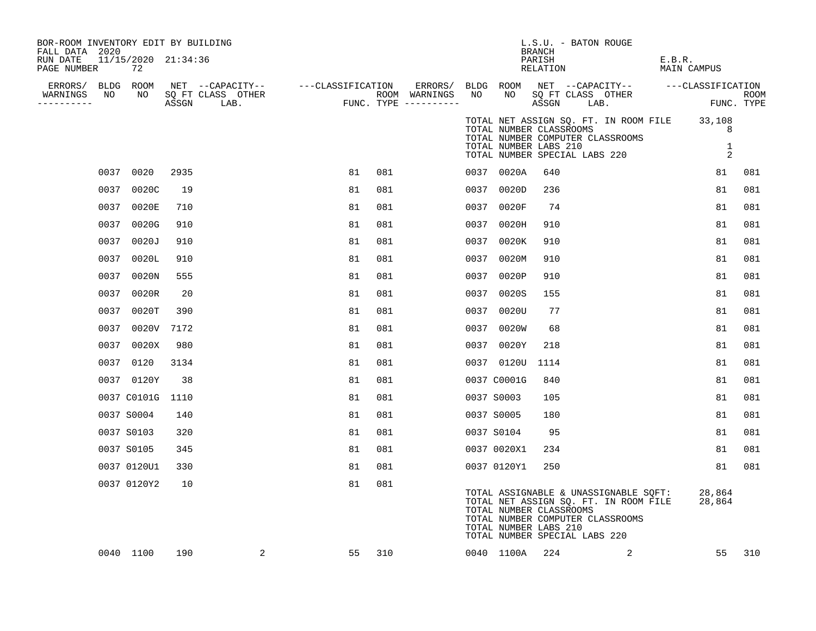| BOR-ROOM INVENTORY EDIT BY BUILDING<br>FALL DATA 2020 |      |                           |      |                                                                                                                                                             |    |        |    |             | L.S.U. - BATON ROUGE<br>BRANCH                                                                                                                                                                          |   |                                                             |        |
|-------------------------------------------------------|------|---------------------------|------|-------------------------------------------------------------------------------------------------------------------------------------------------------------|----|--------|----|-------------|---------------------------------------------------------------------------------------------------------------------------------------------------------------------------------------------------------|---|-------------------------------------------------------------|--------|
| RUN DATE<br>PAGE NUMBER                               |      | 11/15/2020 21:34:36<br>72 |      |                                                                                                                                                             |    |        |    |             | PARISH<br>RELATION                                                                                                                                                                                      |   | E.B.R.<br>MAIN CAMPUS                                       |        |
|                                                       |      |                           |      |                                                                                                                                                             |    |        |    |             |                                                                                                                                                                                                         |   | ERRORS/ BLDG ROOM NET --CAPACITY-- ----CLASSIFICATION       |        |
| WARNINGS<br>----------                                |      |                           |      | ERRORS/ BLDG ROOM NET --CAPACITY-- ----CLASSIFICATION ERRORS/<br>VARNINGS NO NO SQFTCLASS OTHER ROOM WARNINGS<br>--------- ASSGN LAB. FUNC. TYPE ---------- |    |        | NO |             | NO SOFT CLASS OTHER<br>ASSGN LAB.                                                                                                                                                                       |   | FUNC. TYPE                                                  | ROOM   |
|                                                       |      |                           |      |                                                                                                                                                             |    |        |    |             | TOTAL NUMBER CLASSROOMS<br>TOTAL NUMBER COMPUTER CLASSROOMS<br>TOTAL NUMBER LABS 210<br>TOTAL NUMBER SPECIAL LABS 220                                                                                   |   | TOTAL NET ASSIGN SQ. FT. IN ROOM FILE 33,108<br>8<br>1<br>2 |        |
|                                                       |      | 0037 0020                 | 2935 |                                                                                                                                                             | 81 | 081    |    | 0037 0020A  | 640                                                                                                                                                                                                     |   | 81                                                          | 081    |
|                                                       |      | 0037 0020C                | 19   |                                                                                                                                                             | 81 | 081    |    | 0037 0020D  | 236                                                                                                                                                                                                     |   | 81                                                          | 081    |
|                                                       |      | 0037 0020E                | 710  |                                                                                                                                                             | 81 | 081    |    | 0037 0020F  | 74                                                                                                                                                                                                      |   | 81                                                          | 081    |
|                                                       |      | 0037 0020G                | 910  |                                                                                                                                                             | 81 | 081    |    | 0037 0020H  | 910                                                                                                                                                                                                     |   | 81                                                          | 081    |
|                                                       |      | 0037 0020J                | 910  |                                                                                                                                                             | 81 | 081    |    | 0037 0020K  | 910                                                                                                                                                                                                     |   | 81                                                          | 081    |
|                                                       | 0037 | 0020L                     | 910  |                                                                                                                                                             | 81 | 081    |    | 0037 0020M  | 910                                                                                                                                                                                                     |   | 81                                                          | 081    |
|                                                       |      | 0037 0020N                | 555  |                                                                                                                                                             | 81 | 081    |    | 0037 0020P  | 910                                                                                                                                                                                                     |   | 81                                                          | 081    |
|                                                       |      | 0037 0020R                | 20   |                                                                                                                                                             | 81 | 081    |    | 0037 0020S  | 155                                                                                                                                                                                                     |   | 81                                                          | 081    |
|                                                       |      | 0037 0020T                | 390  |                                                                                                                                                             | 81 | 081    |    | 0037 0020U  | 77                                                                                                                                                                                                      |   | 81                                                          | 081    |
|                                                       | 0037 | 0020V                     | 7172 |                                                                                                                                                             | 81 | 081    |    | 0037 0020W  | 68                                                                                                                                                                                                      |   | 81                                                          | 081    |
|                                                       |      | 0037 0020X                | 980  |                                                                                                                                                             | 81 | 081    |    | 0037 0020Y  | 218                                                                                                                                                                                                     |   | 81                                                          | 081    |
|                                                       |      | 0037 0120                 | 3134 |                                                                                                                                                             | 81 | 081    |    | 0037 0120U  | 1114                                                                                                                                                                                                    |   | 81                                                          | 081    |
|                                                       |      | 0037 0120Y                | 38   |                                                                                                                                                             | 81 | 081    |    | 0037 C0001G | 840                                                                                                                                                                                                     |   | 81                                                          | 081    |
|                                                       |      | 0037 C0101G 1110          |      |                                                                                                                                                             | 81 | 081    |    | 0037 S0003  | 105                                                                                                                                                                                                     |   | 81                                                          | 081    |
|                                                       |      | 0037 S0004                | 140  |                                                                                                                                                             | 81 | 081    |    | 0037 S0005  | 180                                                                                                                                                                                                     |   | 81                                                          | 081    |
|                                                       |      | 0037 S0103                | 320  |                                                                                                                                                             | 81 | 081    |    | 0037 S0104  | 95                                                                                                                                                                                                      |   | 81                                                          | 081    |
|                                                       |      | 0037 S0105                | 345  |                                                                                                                                                             | 81 | 081    |    | 0037 0020X1 | 234                                                                                                                                                                                                     |   | 81                                                          | 081    |
|                                                       |      | 0037 0120U1               | 330  |                                                                                                                                                             | 81 | 081    |    | 0037 0120Y1 | 250                                                                                                                                                                                                     |   | 81                                                          | 081    |
|                                                       |      | 0037 0120Y2               | 10   |                                                                                                                                                             | 81 | 081    |    |             | TOTAL ASSIGNABLE & UNASSIGNABLE SQFT:<br>TOTAL NET ASSIGN SQ. FT. IN ROOM FILE<br>TOTAL NUMBER CLASSROOMS<br>TOTAL NUMBER COMPUTER CLASSROOMS<br>TOTAL NUMBER LABS 210<br>TOTAL NUMBER SPECIAL LABS 220 |   | 28,864<br>28,864                                            |        |
|                                                       |      | 0040 1100                 | 190  | 2                                                                                                                                                           |    | 55 310 |    | 0040 1100A  | 224                                                                                                                                                                                                     | 2 |                                                             | 55 310 |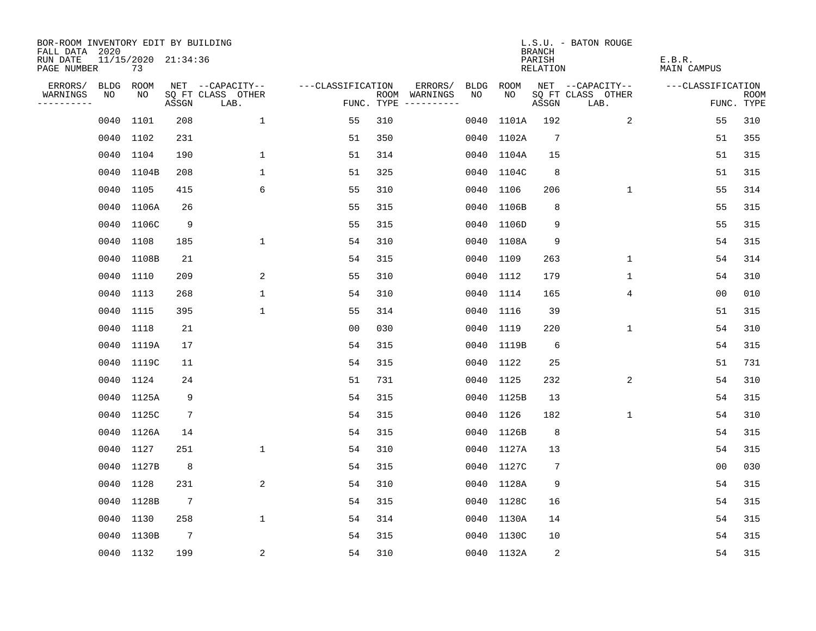| BOR-ROOM INVENTORY EDIT BY BUILDING<br>FALL DATA 2020 |             |                           |                 |                           |                   |     |                                      |      |            | <b>BRANCH</b>             | L.S.U. - BATON ROUGE      |                              |                           |
|-------------------------------------------------------|-------------|---------------------------|-----------------|---------------------------|-------------------|-----|--------------------------------------|------|------------|---------------------------|---------------------------|------------------------------|---------------------------|
| RUN DATE<br>PAGE NUMBER                               |             | 11/15/2020 21:34:36<br>73 |                 |                           |                   |     |                                      |      |            | PARISH<br><b>RELATION</b> |                           | E.B.R.<br><b>MAIN CAMPUS</b> |                           |
| ERRORS/                                               | <b>BLDG</b> | ROOM                      |                 | NET --CAPACITY--          | ---CLASSIFICATION |     | ERRORS/                              | BLDG | ROOM       |                           | NET --CAPACITY--          | ---CLASSIFICATION            |                           |
| WARNINGS<br>----------                                | NO          | NO                        | ASSGN           | SQ FT CLASS OTHER<br>LAB. |                   |     | ROOM WARNINGS<br>FUNC. TYPE $------$ | NO   | NO         | ASSGN                     | SQ FT CLASS OTHER<br>LAB. |                              | <b>ROOM</b><br>FUNC. TYPE |
|                                                       | 0040        | 1101                      | 208             | $\mathbf{1}$              | 55                | 310 |                                      | 0040 | 1101A      | 192                       | 2                         | 55                           | 310                       |
|                                                       | 0040 1102   |                           | 231             |                           | 51                | 350 |                                      |      | 0040 1102A | $7\phantom{.0}$           |                           | 51                           | 355                       |
|                                                       | 0040        | 1104                      | 190             | 1                         | 51                | 314 |                                      |      | 0040 1104A | 15                        |                           | 51                           | 315                       |
|                                                       | 0040        | 1104B                     | 208             | $\mathbf 1$               | 51                | 325 |                                      | 0040 | 1104C      | 8                         |                           | 51                           | 315                       |
|                                                       | 0040        | 1105                      | 415             | 6                         | 55                | 310 |                                      | 0040 | 1106       | 206                       | $\mathbf 1$               | 55                           | 314                       |
|                                                       |             | 0040 1106A                | 26              |                           | 55                | 315 |                                      |      | 0040 1106B | 8                         |                           | 55                           | 315                       |
|                                                       |             | 0040 1106C                | 9               |                           | 55                | 315 |                                      |      | 0040 1106D | 9                         |                           | 55                           | 315                       |
|                                                       | 0040 1108   |                           | 185             | $\mathbf{1}$              | 54                | 310 |                                      |      | 0040 1108A | 9                         |                           | 54                           | 315                       |
|                                                       | 0040        | 1108B                     | 21              |                           | 54                | 315 |                                      | 0040 | 1109       | 263                       | $\mathbf 1$               | 54                           | 314                       |
|                                                       | 0040 1110   |                           | 209             | 2                         | 55                | 310 |                                      |      | 0040 1112  | 179                       | $\mathbf 1$               | 54                           | 310                       |
|                                                       | 0040        | 1113                      | 268             | $\mathbf 1$               | 54                | 310 |                                      | 0040 | 1114       | 165                       | 4                         | 0 <sub>0</sub>               | 010                       |
|                                                       | 0040 1115   |                           | 395             | $\mathbf{1}$              | 55                | 314 |                                      |      | 0040 1116  | 39                        |                           | 51                           | 315                       |
|                                                       | 0040        | 1118                      | 21              |                           | 00                | 030 |                                      | 0040 | 1119       | 220                       | 1                         | 54                           | 310                       |
|                                                       | 0040        | 1119A                     | 17              |                           | 54                | 315 |                                      |      | 0040 1119B | 6                         |                           | 54                           | 315                       |
|                                                       |             | 0040 1119C                | 11              |                           | 54                | 315 |                                      |      | 0040 1122  | 25                        |                           | 51                           | 731                       |
|                                                       | 0040        | 1124                      | 24              |                           | 51                | 731 |                                      |      | 0040 1125  | 232                       | 2                         | 54                           | 310                       |
|                                                       |             | 0040 1125A                | 9               |                           | 54                | 315 |                                      |      | 0040 1125B | 13                        |                           | 54                           | 315                       |
|                                                       | 0040        | 1125C                     | 7               |                           | 54                | 315 |                                      | 0040 | 1126       | 182                       | $\mathbf 1$               | 54                           | 310                       |
|                                                       |             | 0040 1126A                | 14              |                           | 54                | 315 |                                      |      | 0040 1126B | 8                         |                           | 54                           | 315                       |
|                                                       | 0040        | 1127                      | 251             | $\mathbf{1}$              | 54                | 310 |                                      |      | 0040 1127A | 13                        |                           | 54                           | 315                       |
|                                                       |             | 0040 1127B                | 8               |                           | 54                | 315 |                                      |      | 0040 1127C | 7                         |                           | 0 <sub>0</sub>               | 030                       |
|                                                       | 0040        | 1128                      | 231             | $\overline{a}$            | 54                | 310 |                                      |      | 0040 1128A | 9                         |                           | 54                           | 315                       |
|                                                       |             | 0040 1128B                | $7\phantom{.0}$ |                           | 54                | 315 |                                      |      | 0040 1128C | 16                        |                           | 54                           | 315                       |
|                                                       | 0040        | 1130                      | 258             | $\mathbf 1$               | 54                | 314 |                                      |      | 0040 1130A | 14                        |                           | 54                           | 315                       |
|                                                       | 0040        | 1130B                     | $7\phantom{.0}$ |                           | 54                | 315 |                                      |      | 0040 1130C | 10                        |                           | 54                           | 315                       |
|                                                       |             | 0040 1132                 | 199             | 2                         | 54                | 310 |                                      |      | 0040 1132A | 2                         |                           | 54                           | 315                       |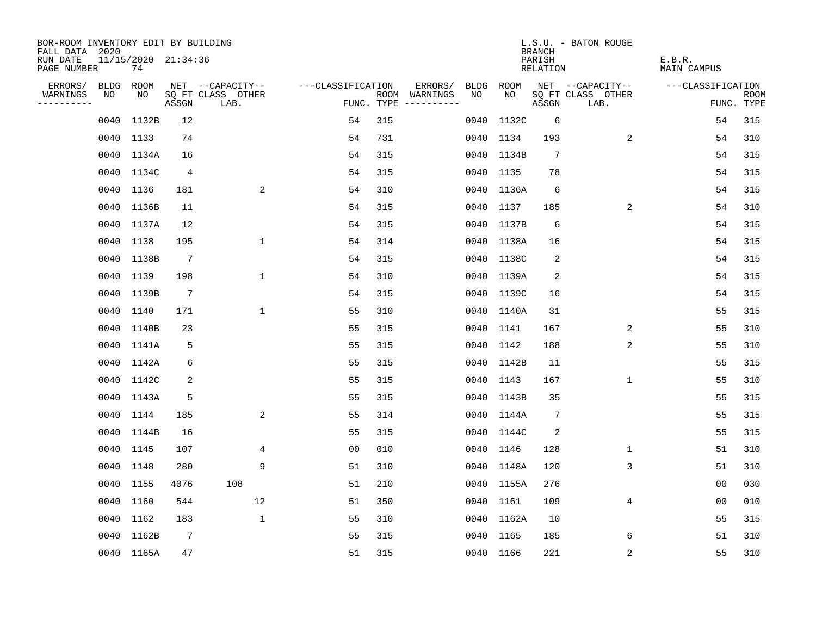| BOR-ROOM INVENTORY EDIT BY BUILDING<br>FALL DATA 2020 |           |                           |                 |                           |                   |     |                                      |      |            | <b>BRANCH</b>           | L.S.U. - BATON ROUGE      |                              |                           |
|-------------------------------------------------------|-----------|---------------------------|-----------------|---------------------------|-------------------|-----|--------------------------------------|------|------------|-------------------------|---------------------------|------------------------------|---------------------------|
| RUN DATE<br>PAGE NUMBER                               |           | 11/15/2020 21:34:36<br>74 |                 |                           |                   |     |                                      |      |            | PARISH<br>RELATION      |                           | E.B.R.<br><b>MAIN CAMPUS</b> |                           |
| ERRORS/                                               | BLDG      | ROOM                      |                 | NET --CAPACITY--          | ---CLASSIFICATION |     | ERRORS/                              | BLDG | ROOM       |                         | NET --CAPACITY--          | ---CLASSIFICATION            |                           |
| WARNINGS<br>----------                                | NO        | NO                        | ASSGN           | SQ FT CLASS OTHER<br>LAB. |                   |     | ROOM WARNINGS<br>FUNC. TYPE $------$ | NO.  | NO.        | ASSGN                   | SQ FT CLASS OTHER<br>LAB. |                              | <b>ROOM</b><br>FUNC. TYPE |
|                                                       | 0040      | 1132B                     | 12              |                           | 54                | 315 |                                      | 0040 | 1132C      | 6                       |                           | 54                           | 315                       |
|                                                       |           | 0040 1133                 | 74              |                           | 54                | 731 |                                      |      | 0040 1134  | 193                     | 2                         | 54                           | 310                       |
|                                                       |           | 0040 1134A                | 16              |                           | 54                | 315 |                                      |      | 0040 1134B | 7                       |                           | 54                           | 315                       |
|                                                       |           | 0040 1134C                | 4               |                           | 54                | 315 |                                      |      | 0040 1135  | 78                      |                           | 54                           | 315                       |
|                                                       |           | 0040 1136                 | 181             | 2                         | 54                | 310 |                                      |      | 0040 1136A | 6                       |                           | 54                           | 315                       |
|                                                       |           | 0040 1136B                | 11              |                           | 54                | 315 |                                      |      | 0040 1137  | 185                     | 2                         | 54                           | 310                       |
|                                                       |           | 0040 1137A                | 12              |                           | 54                | 315 |                                      |      | 0040 1137B | 6                       |                           | 54                           | 315                       |
|                                                       |           | 0040 1138                 | 195             | $\mathbf 1$               | 54                | 314 |                                      |      | 0040 1138A | 16                      |                           | 54                           | 315                       |
|                                                       | 0040      | 1138B                     | $7\phantom{.0}$ |                           | 54                | 315 |                                      |      | 0040 1138C | 2                       |                           | 54                           | 315                       |
|                                                       |           | 0040 1139                 | 198             | $\mathbf 1$               | 54                | 310 |                                      |      | 0040 1139A | $\overline{\mathbf{c}}$ |                           | 54                           | 315                       |
|                                                       |           | 0040 1139B                | $7\phantom{.0}$ |                           | 54                | 315 |                                      |      | 0040 1139C | 16                      |                           | 54                           | 315                       |
|                                                       |           | 0040 1140                 | 171             | 1                         | 55                | 310 |                                      |      | 0040 1140A | 31                      |                           | 55                           | 315                       |
|                                                       | 0040      | 1140B                     | 23              |                           | 55                | 315 |                                      |      | 0040 1141  | 167                     | 2                         | 55                           | 310                       |
|                                                       |           | 0040 1141A                | 5               |                           | 55                | 315 |                                      |      | 0040 1142  | 188                     | 2                         | 55                           | 310                       |
|                                                       |           | 0040 1142A                | 6               |                           | 55                | 315 |                                      |      | 0040 1142B | 11                      |                           | 55                           | 315                       |
|                                                       |           | 0040 1142C                | 2               |                           | 55                | 315 |                                      |      | 0040 1143  | 167                     | 1                         | 55                           | 310                       |
|                                                       |           | 0040 1143A                | 5               |                           | 55                | 315 |                                      |      | 0040 1143B | 35                      |                           | 55                           | 315                       |
|                                                       | 0040      | 1144                      | 185             | 2                         | 55                | 314 |                                      |      | 0040 1144A | $7\phantom{.0}$         |                           | 55                           | 315                       |
|                                                       |           | 0040 1144B                | 16              |                           | 55                | 315 |                                      |      | 0040 1144C | 2                       |                           | 55                           | 315                       |
|                                                       |           | 0040 1145                 | 107             | $\overline{4}$            | 0 <sub>0</sub>    | 010 |                                      |      | 0040 1146  | 128                     | $\mathbf 1$               | 51                           | 310                       |
|                                                       | 0040 1148 |                           | 280             | 9                         | 51                | 310 |                                      |      | 0040 1148A | 120                     | 3                         | 51                           | 310                       |
|                                                       | 0040      | 1155                      | 4076            | 108                       | 51                | 210 |                                      |      | 0040 1155A | 276                     |                           | 0 <sub>0</sub>               | 030                       |
|                                                       | 0040 1160 |                           | 544             | 12                        | 51                | 350 |                                      |      | 0040 1161  | 109                     | 4                         | 0 <sub>0</sub>               | 010                       |
|                                                       | 0040      | 1162                      | 183             | $\mathbf 1$               | 55                | 310 |                                      |      | 0040 1162A | 10                      |                           | 55                           | 315                       |
|                                                       |           | 0040 1162B                | $7\phantom{.0}$ |                           | 55                | 315 |                                      |      | 0040 1165  | 185                     | 6                         | 51                           | 310                       |
|                                                       |           | 0040 1165A                | 47              |                           | 51                | 315 |                                      |      | 0040 1166  | 221                     | $\sqrt{2}$                | 55                           | 310                       |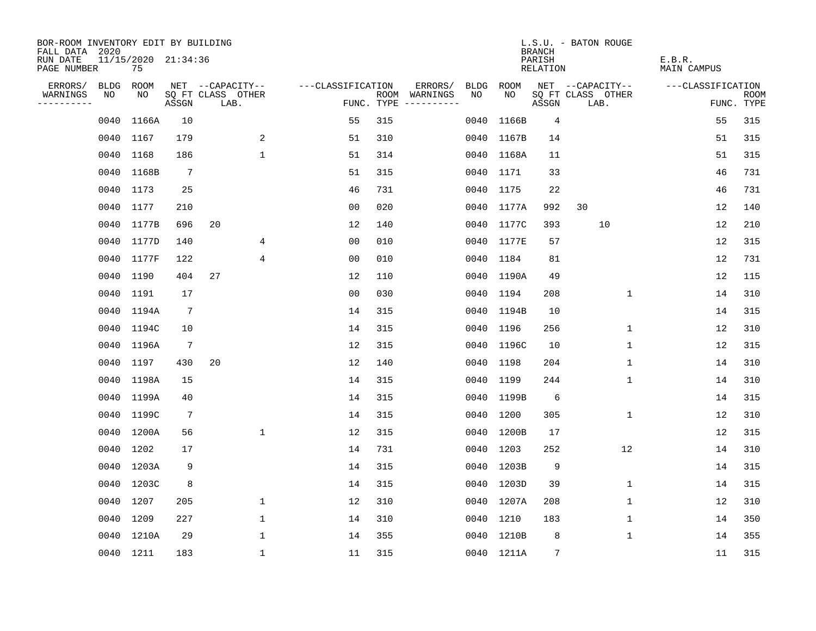| BOR-ROOM INVENTORY EDIT BY BUILDING<br>FALL DATA 2020 |           |            |                     |                           |              |                   |     |                                      |      |            | <b>BRANCH</b>      | L.S.U. - BATON ROUGE      |                       |                           |
|-------------------------------------------------------|-----------|------------|---------------------|---------------------------|--------------|-------------------|-----|--------------------------------------|------|------------|--------------------|---------------------------|-----------------------|---------------------------|
| RUN DATE<br>PAGE NUMBER                               |           | 75         | 11/15/2020 21:34:36 |                           |              |                   |     |                                      |      |            | PARISH<br>RELATION |                           | E.B.R.<br>MAIN CAMPUS |                           |
| ERRORS/                                               |           | BLDG ROOM  |                     | NET --CAPACITY--          |              | ---CLASSIFICATION |     | ERRORS/                              | BLDG | ROOM       |                    | NET --CAPACITY--          | ---CLASSIFICATION     |                           |
| WARNINGS<br>----------                                | NO        | NO         | ASSGN               | SQ FT CLASS OTHER<br>LAB. |              |                   |     | ROOM WARNINGS<br>FUNC. TYPE $------$ | NO.  | NO.        | ASSGN              | SQ FT CLASS OTHER<br>LAB. |                       | <b>ROOM</b><br>FUNC. TYPE |
|                                                       | 0040      | 1166A      | 10                  |                           |              | 55                | 315 |                                      | 0040 | 1166B      | 4                  |                           | 55                    | 315                       |
|                                                       | 0040 1167 |            | 179                 |                           | 2            | 51                | 310 |                                      |      | 0040 1167B | 14                 |                           | 51                    | 315                       |
|                                                       | 0040 1168 |            | 186                 |                           | $\mathbf 1$  | 51                | 314 |                                      |      | 0040 1168A | 11                 |                           | 51                    | 315                       |
|                                                       |           | 0040 1168B | $7\phantom{.0}$     |                           |              | 51                | 315 |                                      |      | 0040 1171  | 33                 |                           | 46                    | 731                       |
|                                                       | 0040 1173 |            | 25                  |                           |              | 46                | 731 |                                      |      | 0040 1175  | 22                 |                           | 46                    | 731                       |
|                                                       | 0040 1177 |            | 210                 |                           |              | 0 <sub>0</sub>    | 020 |                                      |      | 0040 1177A | 992                | 30                        | 12                    | 140                       |
|                                                       |           | 0040 1177B | 696                 | 20                        |              | 12                | 140 |                                      |      | 0040 1177C | 393                | 10                        | 12                    | 210                       |
|                                                       |           | 0040 1177D | 140                 |                           | 4            | 0 <sub>0</sub>    | 010 |                                      |      | 0040 1177E | 57                 |                           | 12                    | 315                       |
|                                                       | 0040      | 1177F      | 122                 |                           | 4            | 0 <sub>0</sub>    | 010 |                                      |      | 0040 1184  | 81                 |                           | 12                    | 731                       |
|                                                       | 0040 1190 |            | 404                 | 27                        |              | 12                | 110 |                                      |      | 0040 1190A | 49                 |                           | 12                    | 115                       |
|                                                       | 0040 1191 |            | 17                  |                           |              | 0 <sub>0</sub>    | 030 |                                      |      | 0040 1194  | 208                | $\mathbf{1}$              | 14                    | 310                       |
|                                                       |           | 0040 1194A | $7\phantom{.0}$     |                           |              | 14                | 315 |                                      |      | 0040 1194B | 10                 |                           | 14                    | 315                       |
|                                                       |           | 0040 1194C | 10                  |                           |              | 14                | 315 |                                      |      | 0040 1196  | 256                | $\mathbf 1$               | 12                    | 310                       |
|                                                       |           | 0040 1196A | $7\phantom{.0}$     |                           |              | 12                | 315 |                                      |      | 0040 1196C | 10                 | $\mathbf 1$               | 12                    | 315                       |
|                                                       |           | 0040 1197  | 430                 | 20                        |              | 12                | 140 |                                      |      | 0040 1198  | 204                | $\mathbf 1$               | 14                    | 310                       |
|                                                       |           | 0040 1198A | 15                  |                           |              | 14                | 315 |                                      |      | 0040 1199  | 244                | $\mathbf 1$               | 14                    | 310                       |
|                                                       |           | 0040 1199A | 40                  |                           |              | 14                | 315 |                                      |      | 0040 1199B | 6                  |                           | 14                    | 315                       |
|                                                       |           | 0040 1199C | $7\phantom{.0}$     |                           |              | 14                | 315 |                                      |      | 0040 1200  | 305                | 1                         | 12                    | 310                       |
|                                                       |           | 0040 1200A | 56                  |                           | $\mathbf 1$  | 12                | 315 |                                      |      | 0040 1200B | 17                 |                           | 12                    | 315                       |
|                                                       | 0040      | 1202       | 17                  |                           |              | 14                | 731 |                                      |      | 0040 1203  | 252                | 12                        | 14                    | 310                       |
|                                                       |           | 0040 1203A | 9                   |                           |              | 14                | 315 |                                      |      | 0040 1203B | 9                  |                           | 14                    | 315                       |
|                                                       |           | 0040 1203C | 8                   |                           |              | 14                | 315 |                                      |      | 0040 1203D | 39                 | 1                         | 14                    | 315                       |
|                                                       | 0040 1207 |            | 205                 |                           | 1            | 12                | 310 |                                      |      | 0040 1207A | 208                | 1                         | 12                    | 310                       |
|                                                       | 0040      | 1209       | 227                 |                           | $\mathbf 1$  | 14                | 310 |                                      |      | 0040 1210  | 183                | 1                         | 14                    | 350                       |
|                                                       |           | 0040 1210A | 29                  |                           | 1            | 14                | 355 |                                      |      | 0040 1210B | 8                  | 1                         | 14                    | 355                       |
|                                                       | 0040 1211 |            | 183                 |                           | $\mathbf{1}$ | 11                | 315 |                                      |      | 0040 1211A | 7                  |                           | 11                    | 315                       |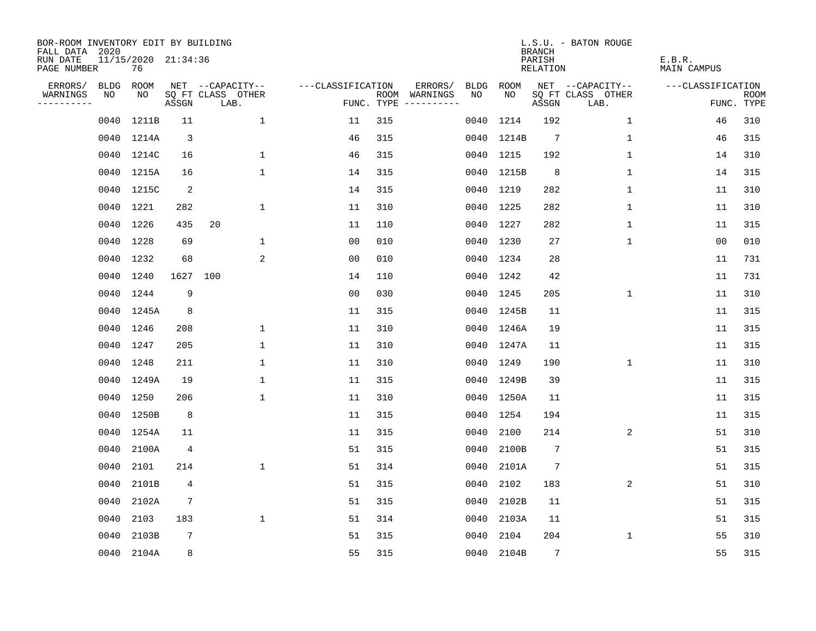| BOR-ROOM INVENTORY EDIT BY BUILDING<br>FALL DATA 2020 |      |                           |                 |                           |                   |     |                                      |      |            | <b>BRANCH</b>      | L.S.U. - BATON ROUGE      |                       |                           |
|-------------------------------------------------------|------|---------------------------|-----------------|---------------------------|-------------------|-----|--------------------------------------|------|------------|--------------------|---------------------------|-----------------------|---------------------------|
| RUN DATE<br>PAGE NUMBER                               |      | 11/15/2020 21:34:36<br>76 |                 |                           |                   |     |                                      |      |            | PARISH<br>RELATION |                           | E.B.R.<br>MAIN CAMPUS |                           |
| ERRORS/                                               | BLDG | ROOM                      |                 | NET --CAPACITY--          | ---CLASSIFICATION |     | ERRORS/                              | BLDG | ROOM       |                    | NET --CAPACITY--          | ---CLASSIFICATION     |                           |
| WARNINGS<br>----------                                | NO   | NO                        | ASSGN           | SQ FT CLASS OTHER<br>LAB. |                   |     | ROOM WARNINGS<br>FUNC. TYPE $------$ | NO.  | NO         | ASSGN              | SQ FT CLASS OTHER<br>LAB. |                       | <b>ROOM</b><br>FUNC. TYPE |
|                                                       | 0040 | 1211B                     | 11              | $\mathbf{1}$              | 11                | 315 |                                      | 0040 | 1214       | 192                | $\mathbf{1}$              | 46                    | 310                       |
|                                                       |      | 0040 1214A                | 3               |                           | 46                | 315 |                                      |      | 0040 1214B | $7\phantom{.0}$    | 1                         | 46                    | 315                       |
|                                                       |      | 0040 1214C                | 16              | $\mathbf 1$               | 46                | 315 |                                      | 0040 | 1215       | 192                | $\mathbf 1$               | 14                    | 310                       |
|                                                       |      | 0040 1215A                | 16              | $\mathbf{1}$              | 14                | 315 |                                      |      | 0040 1215B | 8                  | 1                         | 14                    | 315                       |
|                                                       |      | 0040 1215C                | $\overline{a}$  |                           | 14                | 315 |                                      |      | 0040 1219  | 282                | 1                         | 11                    | 310                       |
|                                                       |      | 0040 1221                 | 282             | $\mathbf 1$               | 11                | 310 |                                      |      | 0040 1225  | 282                | 1                         | 11                    | 310                       |
|                                                       |      | 0040 1226                 | 435             | 20                        | 11                | 110 |                                      |      | 0040 1227  | 282                | $\mathbf{1}$              | 11                    | 315                       |
|                                                       |      | 0040 1228                 | 69              | $\mathbf 1$               | 0 <sub>0</sub>    | 010 |                                      |      | 0040 1230  | 27                 | $\mathbf{1}$              | 00                    | 010                       |
|                                                       | 0040 | 1232                      | 68              | 2                         | 0 <sub>0</sub>    | 010 |                                      |      | 0040 1234  | 28                 |                           | 11                    | 731                       |
|                                                       |      | 0040 1240                 | 1627            | 100                       | 14                | 110 |                                      |      | 0040 1242  | 42                 |                           | 11                    | 731                       |
|                                                       |      | 0040 1244                 | 9               |                           | 0 <sub>0</sub>    | 030 |                                      |      | 0040 1245  | 205                | $\mathbf 1$               | 11                    | 310                       |
|                                                       |      | 0040 1245A                | 8               |                           | 11                | 315 |                                      |      | 0040 1245B | 11                 |                           | 11                    | 315                       |
|                                                       |      | 0040 1246                 | 208             | $\mathbf 1$               | 11                | 310 |                                      |      | 0040 1246A | 19                 |                           | 11                    | 315                       |
|                                                       |      | 0040 1247                 | 205             | $\mathbf 1$               | 11                | 310 |                                      |      | 0040 1247A | 11                 |                           | 11                    | 315                       |
|                                                       |      | 0040 1248                 | 211             | 1                         | 11                | 310 |                                      |      | 0040 1249  | 190                | $\mathbf{1}$              | 11                    | 310                       |
|                                                       |      | 0040 1249A                | 19              | $\mathbf 1$               | 11                | 315 |                                      |      | 0040 1249B | 39                 |                           | 11                    | 315                       |
|                                                       | 0040 | 1250                      | 206             | $\mathbf{1}$              | 11                | 310 |                                      | 0040 | 1250A      | 11                 |                           | 11                    | 315                       |
|                                                       | 0040 | 1250B                     | 8               |                           | 11                | 315 |                                      | 0040 | 1254       | 194                |                           | 11                    | 315                       |
|                                                       | 0040 | 1254A                     | 11              |                           | 11                | 315 |                                      | 0040 | 2100       | 214                | 2                         | 51                    | 310                       |
|                                                       | 0040 | 2100A                     | $\overline{4}$  |                           | 51                | 315 |                                      | 0040 | 2100B      | $7\phantom{.0}$    |                           | 51                    | 315                       |
|                                                       | 0040 | 2101                      | 214             | $\mathbf 1$               | 51                | 314 |                                      | 0040 | 2101A      | $\overline{7}$     |                           | 51                    | 315                       |
|                                                       | 0040 | 2101B                     | 4               |                           | 51                | 315 |                                      | 0040 | 2102       | 183                | 2                         | 51                    | 310                       |
|                                                       | 0040 | 2102A                     | $7\phantom{.0}$ |                           | 51                | 315 |                                      | 0040 | 2102B      | 11                 |                           | 51                    | 315                       |
|                                                       | 0040 | 2103                      | 183             | $\mathbf{1}$              | 51                | 314 |                                      | 0040 | 2103A      | 11                 |                           | 51                    | 315                       |
|                                                       | 0040 | 2103B                     | $7\phantom{.0}$ |                           | 51                | 315 |                                      | 0040 | 2104       | 204                | 1                         | 55                    | 310                       |
|                                                       |      | 0040 2104A                | 8               |                           | 55                | 315 |                                      | 0040 | 2104B      | $7\overline{ }$    |                           | 55                    | 315                       |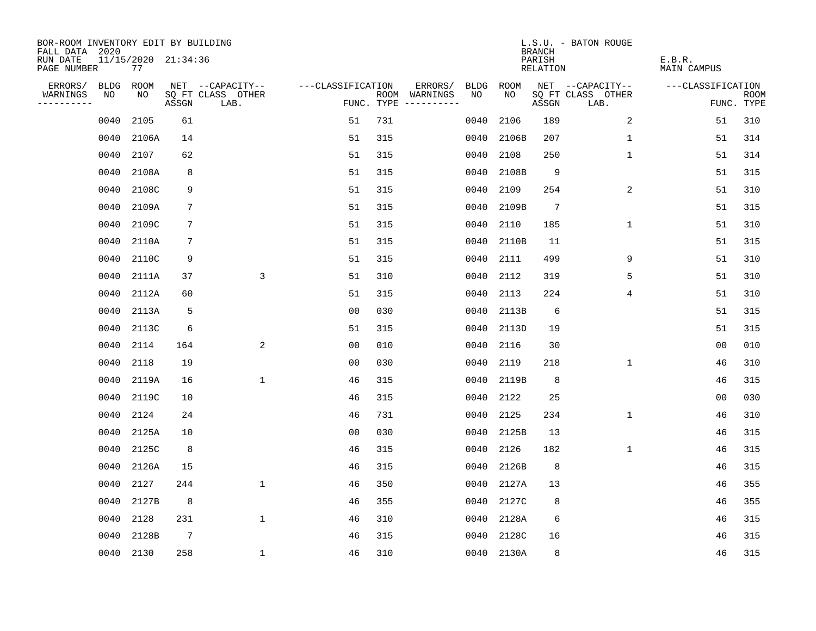| BOR-ROOM INVENTORY EDIT BY BUILDING<br>FALL DATA 2020 |                           |                 |                           |                   |     |                                      |             |       | <b>BRANCH</b>             | L.S.U. - BATON ROUGE      |                              |                           |
|-------------------------------------------------------|---------------------------|-----------------|---------------------------|-------------------|-----|--------------------------------------|-------------|-------|---------------------------|---------------------------|------------------------------|---------------------------|
| RUN DATE<br>PAGE NUMBER                               | 11/15/2020 21:34:36<br>77 |                 |                           |                   |     |                                      |             |       | PARISH<br><b>RELATION</b> |                           | E.B.R.<br><b>MAIN CAMPUS</b> |                           |
| ERRORS/<br><b>BLDG</b>                                | ROOM                      |                 | NET --CAPACITY--          | ---CLASSIFICATION |     | ERRORS/                              | <b>BLDG</b> | ROOM  |                           | NET --CAPACITY--          | ---CLASSIFICATION            |                           |
| WARNINGS<br>NO<br>----------                          | NO                        | ASSGN           | SQ FT CLASS OTHER<br>LAB. |                   |     | ROOM WARNINGS<br>FUNC. TYPE $------$ | NO          | NO    | ASSGN                     | SQ FT CLASS OTHER<br>LAB. |                              | <b>ROOM</b><br>FUNC. TYPE |
| 0040                                                  | 2105                      | 61              |                           | 51                | 731 |                                      | 0040        | 2106  | 189                       | 2                         | 51                           | 310                       |
| 0040                                                  | 2106A                     | 14              |                           | 51                | 315 |                                      | 0040        | 2106B | 207                       | $\mathbf 1$               | 51                           | 314                       |
| 0040                                                  | 2107                      | 62              |                           | 51                | 315 |                                      | 0040        | 2108  | 250                       | 1                         | 51                           | 314                       |
| 0040                                                  | 2108A                     | 8               |                           | 51                | 315 |                                      | 0040        | 2108B | 9                         |                           | 51                           | 315                       |
| 0040                                                  | 2108C                     | 9               |                           | 51                | 315 |                                      | 0040        | 2109  | 254                       | 2                         | 51                           | 310                       |
| 0040                                                  | 2109A                     | 7               |                           | 51                | 315 |                                      | 0040        | 2109B | $7\phantom{.0}$           |                           | 51                           | 315                       |
| 0040                                                  | 2109C                     | $7\phantom{.0}$ |                           | 51                | 315 |                                      | 0040        | 2110  | 185                       | $\mathbf{1}$              | 51                           | 310                       |
| 0040                                                  | 2110A                     | 7               |                           | 51                | 315 |                                      | 0040        | 2110B | 11                        |                           | 51                           | 315                       |
| 0040                                                  | 2110C                     | 9               |                           | 51                | 315 |                                      | 0040        | 2111  | 499                       | 9                         | 51                           | 310                       |
| 0040                                                  | 2111A                     | 37              | 3                         | 51                | 310 |                                      | 0040        | 2112  | 319                       | 5                         | 51                           | 310                       |
| 0040                                                  | 2112A                     | 60              |                           | 51                | 315 |                                      | 0040        | 2113  | 224                       | 4                         | 51                           | 310                       |
| 0040                                                  | 2113A                     | 5               |                           | 0 <sub>0</sub>    | 030 |                                      | 0040        | 2113B | 6                         |                           | 51                           | 315                       |
| 0040                                                  | 2113C                     | 6               |                           | 51                | 315 |                                      | 0040        | 2113D | 19                        |                           | 51                           | 315                       |
| 0040                                                  | 2114                      | 164             | 2                         | 00                | 010 |                                      | 0040        | 2116  | 30                        |                           | 00                           | 010                       |
| 0040                                                  | 2118                      | 19              |                           | 0 <sub>0</sub>    | 030 |                                      | 0040        | 2119  | 218                       | $\mathbf 1$               | 46                           | 310                       |
| 0040                                                  | 2119A                     | 16              | $\mathbf{1}$              | 46                | 315 |                                      | 0040        | 2119B | 8                         |                           | 46                           | 315                       |
| 0040                                                  | 2119C                     | 10              |                           | 46                | 315 |                                      | 0040        | 2122  | 25                        |                           | 0 <sub>0</sub>               | 030                       |
| 0040                                                  | 2124                      | 24              |                           | 46                | 731 |                                      | 0040        | 2125  | 234                       | 1                         | 46                           | 310                       |
| 0040                                                  | 2125A                     | 10              |                           | 0 <sub>0</sub>    | 030 |                                      | 0040        | 2125B | 13                        |                           | 46                           | 315                       |
| 0040                                                  | 2125C                     | 8               |                           | 46                | 315 |                                      | 0040        | 2126  | 182                       | $\mathbf{1}$              | 46                           | 315                       |
| 0040                                                  | 2126A                     | 15              |                           | 46                | 315 |                                      | 0040        | 2126B | 8                         |                           | 46                           | 315                       |
| 0040                                                  | 2127                      | 244             | $\mathbf{1}$              | 46                | 350 |                                      | 0040        | 2127A | 13                        |                           | 46                           | 355                       |
| 0040                                                  | 2127B                     | 8               |                           | 46                | 355 |                                      | 0040        | 2127C | 8                         |                           | 46                           | 355                       |
| 0040                                                  | 2128                      | 231             | $\mathbf 1$               | 46                | 310 |                                      | 0040        | 2128A | 6                         |                           | 46                           | 315                       |
| 0040                                                  | 2128B                     | $7\phantom{.0}$ |                           | 46                | 315 |                                      | 0040        | 2128C | 16                        |                           | 46                           | 315                       |
|                                                       | 0040 2130                 | 258             | $\mathbf 1$               | 46                | 310 |                                      | 0040        | 2130A | 8                         |                           | 46                           | 315                       |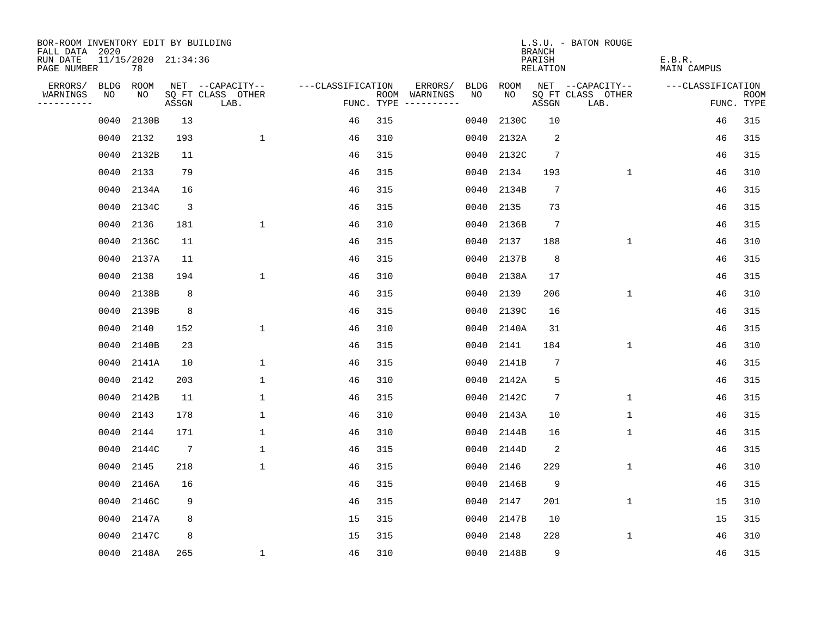| BOR-ROOM INVENTORY EDIT BY BUILDING<br>FALL DATA 2020 |             |                           |                 |                           |                   |     |                                      |      |            | <b>BRANCH</b>      | L.S.U. - BATON ROUGE      |                              |                           |
|-------------------------------------------------------|-------------|---------------------------|-----------------|---------------------------|-------------------|-----|--------------------------------------|------|------------|--------------------|---------------------------|------------------------------|---------------------------|
| RUN DATE<br>PAGE NUMBER                               |             | 11/15/2020 21:34:36<br>78 |                 |                           |                   |     |                                      |      |            | PARISH<br>RELATION |                           | E.B.R.<br><b>MAIN CAMPUS</b> |                           |
| ERRORS/                                               | <b>BLDG</b> | ROOM                      |                 | NET --CAPACITY--          | ---CLASSIFICATION |     | ERRORS/                              | BLDG | ROOM       |                    | NET --CAPACITY--          | ---CLASSIFICATION            |                           |
| WARNINGS<br>----------                                | NO          | NO                        | ASSGN           | SQ FT CLASS OTHER<br>LAB. |                   |     | ROOM WARNINGS<br>FUNC. TYPE $------$ | NO.  | NO.        | ASSGN              | SQ FT CLASS OTHER<br>LAB. |                              | <b>ROOM</b><br>FUNC. TYPE |
|                                                       | 0040        | 2130B                     | 13              |                           | 46                | 315 |                                      | 0040 | 2130C      | 10                 |                           | 46                           | 315                       |
|                                                       | 0040        | 2132                      | 193             | $\mathbf 1$               | 46                | 310 |                                      | 0040 | 2132A      | 2                  |                           | 46                           | 315                       |
|                                                       | 0040        | 2132B                     | 11              |                           | 46                | 315 |                                      | 0040 | 2132C      | 7                  |                           | 46                           | 315                       |
|                                                       | 0040        | 2133                      | 79              |                           | 46                | 315 |                                      | 0040 | 2134       | 193                | $\mathbf{1}$              | 46                           | 310                       |
|                                                       | 0040        | 2134A                     | 16              |                           | 46                | 315 |                                      | 0040 | 2134B      | $7\phantom{.0}$    |                           | 46                           | 315                       |
|                                                       | 0040        | 2134C                     | $\overline{3}$  |                           | 46                | 315 |                                      | 0040 | 2135       | 73                 |                           | 46                           | 315                       |
|                                                       | 0040        | 2136                      | 181             | $\mathbf 1$               | 46                | 310 |                                      | 0040 | 2136B      | $7\phantom{.0}$    |                           | 46                           | 315                       |
|                                                       | 0040        | 2136C                     | 11              |                           | 46                | 315 |                                      | 0040 | 2137       | 188                | $\mathbf{1}$              | 46                           | 310                       |
|                                                       | 0040        | 2137A                     | 11              |                           | 46                | 315 |                                      | 0040 | 2137B      | 8                  |                           | 46                           | 315                       |
|                                                       | 0040        | 2138                      | 194             | $\mathbf 1$               | 46                | 310 |                                      | 0040 | 2138A      | 17                 |                           | 46                           | 315                       |
|                                                       | 0040        | 2138B                     | 8               |                           | 46                | 315 |                                      | 0040 | 2139       | 206                | 1                         | 46                           | 310                       |
|                                                       | 0040        | 2139B                     | 8               |                           | 46                | 315 |                                      | 0040 | 2139C      | 16                 |                           | 46                           | 315                       |
|                                                       | 0040        | 2140                      | 152             | $\mathbf{1}$              | 46                | 310 |                                      | 0040 | 2140A      | 31                 |                           | 46                           | 315                       |
|                                                       | 0040        | 2140B                     | 23              |                           | 46                | 315 |                                      | 0040 | 2141       | 184                | $\mathbf{1}$              | 46                           | 310                       |
|                                                       | 0040        | 2141A                     | 10              | 1                         | 46                | 315 |                                      | 0040 | 2141B      | 7                  |                           | 46                           | 315                       |
|                                                       | 0040        | 2142                      | 203             | 1                         | 46                | 310 |                                      | 0040 | 2142A      | 5                  |                           | 46                           | 315                       |
|                                                       | 0040        | 2142B                     | 11              | 1                         | 46                | 315 |                                      | 0040 | 2142C      | 7                  | $\mathbf 1$               | 46                           | 315                       |
|                                                       | 0040        | 2143                      | 178             | $\mathbf{1}$              | 46                | 310 |                                      | 0040 | 2143A      | 10                 | $\mathbf 1$               | 46                           | 315                       |
|                                                       | 0040        | 2144                      | 171             | $\mathbf{1}$              | 46                | 310 |                                      | 0040 | 2144B      | 16                 | 1                         | 46                           | 315                       |
|                                                       | 0040        | 2144C                     | $7\phantom{.0}$ | $\mathbf{1}$              | 46                | 315 |                                      | 0040 | 2144D      | 2                  |                           | 46                           | 315                       |
|                                                       | 0040        | 2145                      | 218             | $\mathbf 1$               | 46                | 315 |                                      | 0040 | 2146       | 229                | 1                         | 46                           | 310                       |
|                                                       | 0040        | 2146A                     | 16              |                           | 46                | 315 |                                      | 0040 | 2146B      | 9                  |                           | 46                           | 315                       |
|                                                       | 0040        | 2146C                     | 9               |                           | 46                | 315 |                                      | 0040 | 2147       | 201                | $\mathbf 1$               | 15                           | 310                       |
|                                                       | 0040        | 2147A                     | 8               |                           | 15                | 315 |                                      | 0040 | 2147B      | 10                 |                           | 15                           | 315                       |
|                                                       | 0040        | 2147C                     | 8               |                           | 15                | 315 |                                      | 0040 | 2148       | 228                | 1                         | 46                           | 310                       |
|                                                       |             | 0040 2148A                | 265             | $\mathbf{1}$              | 46                | 310 |                                      |      | 0040 2148B | 9                  |                           | 46                           | 315                       |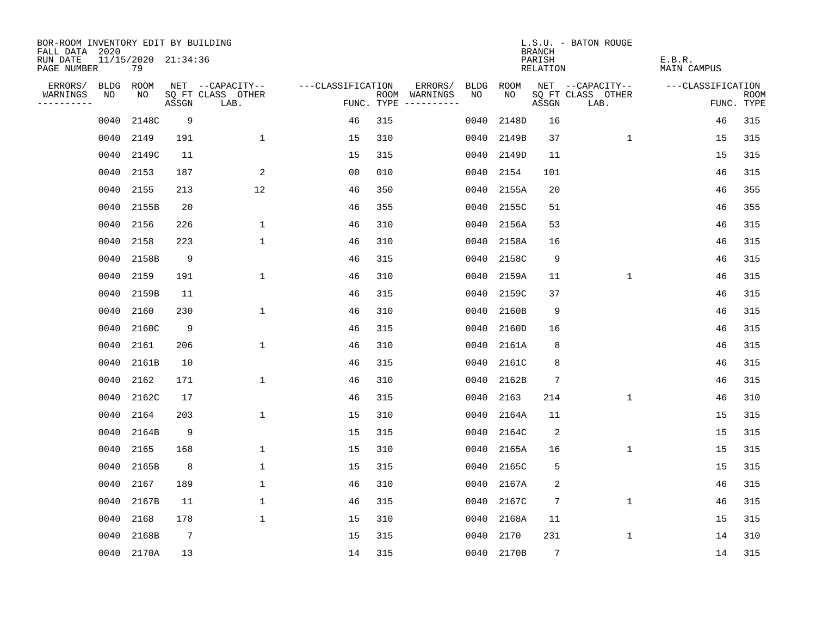| BOR-ROOM INVENTORY EDIT BY BUILDING<br>FALL DATA 2020 |      |                           |                 |                           |                   |            |                              |      |            | <b>BRANCH</b>      | L.S.U. - BATON ROUGE      |                              |                           |
|-------------------------------------------------------|------|---------------------------|-----------------|---------------------------|-------------------|------------|------------------------------|------|------------|--------------------|---------------------------|------------------------------|---------------------------|
| RUN DATE<br>PAGE NUMBER                               |      | 11/15/2020 21:34:36<br>79 |                 |                           |                   |            |                              |      |            | PARISH<br>RELATION |                           | E.B.R.<br><b>MAIN CAMPUS</b> |                           |
| ERRORS/                                               | BLDG | ROOM                      |                 | NET --CAPACITY--          | ---CLASSIFICATION |            | ERRORS/                      | BLDG | ROOM       |                    | NET --CAPACITY--          | ---CLASSIFICATION            |                           |
| WARNINGS<br>----------                                | NO   | NO.                       | ASSGN           | SQ FT CLASS OTHER<br>LAB. |                   | FUNC. TYPE | ROOM WARNINGS<br>----------- | NO   | NO.        | ASSGN              | SQ FT CLASS OTHER<br>LAB. |                              | <b>ROOM</b><br>FUNC. TYPE |
|                                                       | 0040 | 2148C                     | 9               |                           | 46                | 315        |                              | 0040 | 2148D      | 16                 |                           | 46                           | 315                       |
|                                                       | 0040 | 2149                      | 191             | $\mathbf 1$               | 15                | 310        |                              | 0040 | 2149B      | 37                 | $\mathbf{1}$              | 15                           | 315                       |
|                                                       | 0040 | 2149C                     | 11              |                           | 15                | 315        |                              | 0040 | 2149D      | 11                 |                           | 15                           | 315                       |
|                                                       | 0040 | 2153                      | 187             | $\overline{2}$            | 0 <sub>0</sub>    | 010        |                              | 0040 | 2154       | 101                |                           | 46                           | 315                       |
|                                                       | 0040 | 2155                      | 213             | 12                        | 46                | 350        |                              | 0040 | 2155A      | 20                 |                           | 46                           | 355                       |
|                                                       | 0040 | 2155B                     | 20              |                           | 46                | 355        |                              | 0040 | 2155C      | 51                 |                           | 46                           | 355                       |
|                                                       | 0040 | 2156                      | 226             | $\mathbf 1$               | 46                | 310        |                              | 0040 | 2156A      | 53                 |                           | 46                           | 315                       |
|                                                       | 0040 | 2158                      | 223             | $\mathbf{1}$              | 46                | 310        |                              | 0040 | 2158A      | 16                 |                           | 46                           | 315                       |
|                                                       | 0040 | 2158B                     | 9               |                           | 46                | 315        |                              | 0040 | 2158C      | 9                  |                           | 46                           | 315                       |
|                                                       | 0040 | 2159                      | 191             | $\mathbf{1}$              | 46                | 310        |                              | 0040 | 2159A      | 11                 | $\mathbf 1$               | 46                           | 315                       |
|                                                       | 0040 | 2159B                     | 11              |                           | 46                | 315        |                              | 0040 | 2159C      | 37                 |                           | 46                           | 315                       |
|                                                       | 0040 | 2160                      | 230             | $\mathbf{1}$              | 46                | 310        |                              | 0040 | 2160B      | 9                  |                           | 46                           | 315                       |
|                                                       | 0040 | 2160C                     | 9               |                           | 46                | 315        |                              | 0040 | 2160D      | 16                 |                           | 46                           | 315                       |
|                                                       | 0040 | 2161                      | 206             | $\mathbf{1}$              | 46                | 310        |                              | 0040 | 2161A      | 8                  |                           | 46                           | 315                       |
|                                                       | 0040 | 2161B                     | 10              |                           | 46                | 315        |                              | 0040 | 2161C      | 8                  |                           | 46                           | 315                       |
|                                                       | 0040 | 2162                      | 171             | $\mathbf{1}$              | 46                | 310        |                              | 0040 | 2162B      | 7                  |                           | 46                           | 315                       |
|                                                       | 0040 | 2162C                     | 17              |                           | 46                | 315        |                              | 0040 | 2163       | 214                | $\mathbf 1$               | 46                           | 310                       |
|                                                       | 0040 | 2164                      | 203             | $\mathbf{1}$              | 15                | 310        |                              | 0040 | 2164A      | 11                 |                           | 15                           | 315                       |
|                                                       | 0040 | 2164B                     | 9               |                           | 15                | 315        |                              | 0040 | 2164C      | 2                  |                           | 15                           | 315                       |
|                                                       | 0040 | 2165                      | 168             | $\mathbf{1}$              | 15                | 310        |                              | 0040 | 2165A      | 16                 | $\mathbf{1}$              | 15                           | 315                       |
|                                                       | 0040 | 2165B                     | 8               | $\mathbf{1}$              | 15                | 315        |                              | 0040 | 2165C      | 5                  |                           | 15                           | 315                       |
|                                                       | 0040 | 2167                      | 189             | $\mathbf 1$               | 46                | 310        |                              | 0040 | 2167A      | 2                  |                           | 46                           | 315                       |
|                                                       | 0040 | 2167B                     | 11              | $\mathbf{1}$              | 46                | 315        |                              | 0040 | 2167C      | 7                  | $\mathbf 1$               | 46                           | 315                       |
|                                                       | 0040 | 2168                      | 178             | $\mathbf{1}$              | 15                | 310        |                              | 0040 | 2168A      | 11                 |                           | 15                           | 315                       |
|                                                       | 0040 | 2168B                     | $7\phantom{.0}$ |                           | 15                | 315        |                              | 0040 | 2170       | 231                | $\mathbf 1$               | 14                           | 310                       |
|                                                       |      | 0040 2170A                | 13              |                           | 14                | 315        |                              |      | 0040 2170B | $7\overline{ }$    |                           | 14                           | 315                       |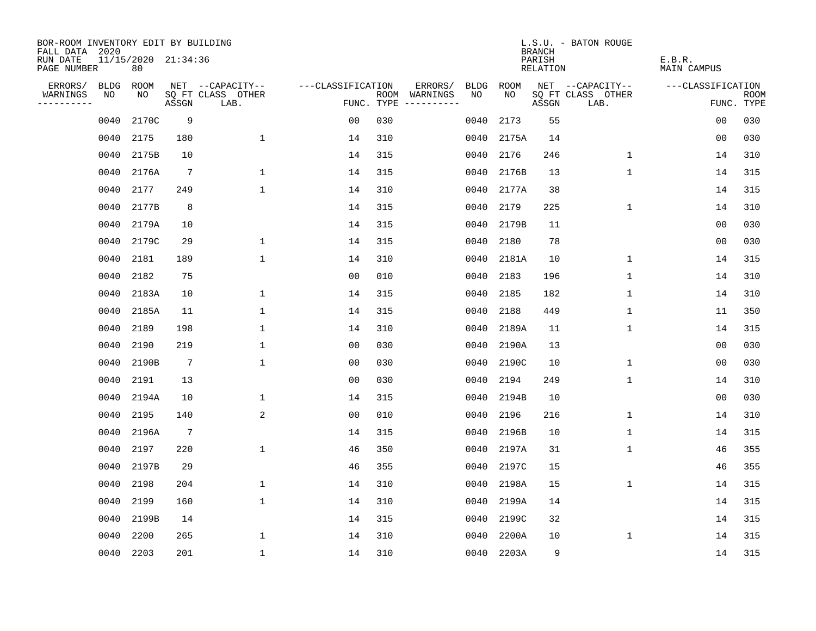| BOR-ROOM INVENTORY EDIT BY BUILDING<br>FALL DATA 2020 |      |                           |                 |                           |                   |            |               |             |       | <b>BRANCH</b>      | L.S.U. - BATON ROUGE      |                              |                           |
|-------------------------------------------------------|------|---------------------------|-----------------|---------------------------|-------------------|------------|---------------|-------------|-------|--------------------|---------------------------|------------------------------|---------------------------|
| RUN DATE<br>PAGE NUMBER                               |      | 11/15/2020 21:34:36<br>80 |                 |                           |                   |            |               |             |       | PARISH<br>RELATION |                           | E.B.R.<br><b>MAIN CAMPUS</b> |                           |
| ERRORS/                                               | BLDG | ROOM                      |                 | NET --CAPACITY--          | ---CLASSIFICATION |            | ERRORS/       | <b>BLDG</b> | ROOM  |                    | NET --CAPACITY--          | ---CLASSIFICATION            |                           |
| WARNINGS<br>----------                                | NO   | NO.                       | ASSGN           | SQ FT CLASS OTHER<br>LAB. |                   | FUNC. TYPE | ROOM WARNINGS | NO          | NO.   | ASSGN              | SQ FT CLASS OTHER<br>LAB. |                              | <b>ROOM</b><br>FUNC. TYPE |
|                                                       | 0040 | 2170C                     | 9               |                           | 0 <sub>0</sub>    | 030        |               | 0040        | 2173  | 55                 |                           | 0 <sub>0</sub>               | 030                       |
|                                                       | 0040 | 2175                      | 180             | $\mathbf{1}$              | 14                | 310        |               | 0040        | 2175A | 14                 |                           | 0 <sub>0</sub>               | 030                       |
|                                                       | 0040 | 2175B                     | 10              |                           | 14                | 315        |               | 0040        | 2176  | 246                | $\mathbf{1}$              | 14                           | 310                       |
|                                                       | 0040 | 2176A                     | $7\phantom{.0}$ | 1                         | 14                | 315        |               | 0040        | 2176B | 13                 | $\mathbf{1}$              | 14                           | 315                       |
|                                                       | 0040 | 2177                      | 249             | $\mathbf{1}$              | 14                | 310        |               | 0040        | 2177A | 38                 |                           | 14                           | 315                       |
|                                                       | 0040 | 2177B                     | 8               |                           | 14                | 315        |               | 0040        | 2179  | 225                | $\mathbf{1}$              | 14                           | 310                       |
|                                                       | 0040 | 2179A                     | 10              |                           | 14                | 315        |               | 0040        | 2179B | 11                 |                           | 0 <sub>0</sub>               | 030                       |
|                                                       | 0040 | 2179C                     | 29              | $\mathbf{1}$              | 14                | 315        |               | 0040        | 2180  | 78                 |                           | 0 <sub>0</sub>               | 030                       |
|                                                       | 0040 | 2181                      | 189             | $\mathbf{1}$              | 14                | 310        |               | 0040        | 2181A | 10                 | $\mathbf{1}$              | 14                           | 315                       |
|                                                       | 0040 | 2182                      | 75              |                           | 0 <sub>0</sub>    | 010        |               | 0040        | 2183  | 196                | $\mathbf 1$               | 14                           | 310                       |
|                                                       | 0040 | 2183A                     | 10              | $\mathbf 1$               | 14                | 315        |               | 0040        | 2185  | 182                | $\mathbf 1$               | 14                           | 310                       |
|                                                       | 0040 | 2185A                     | 11              | $\mathbf{1}$              | 14                | 315        |               | 0040        | 2188  | 449                | $\mathbf 1$               | 11                           | 350                       |
|                                                       | 0040 | 2189                      | 198             | $\mathbf{1}$              | 14                | 310        |               | 0040        | 2189A | 11                 | $\mathbf{1}$              | 14                           | 315                       |
|                                                       | 0040 | 2190                      | 219             | $\mathbf{1}$              | 0 <sub>0</sub>    | 030        |               | 0040        | 2190A | 13                 |                           | 0 <sub>0</sub>               | 030                       |
|                                                       | 0040 | 2190B                     | $7\phantom{.0}$ | 1                         | 00                | 030        |               | 0040        | 2190C | 10                 | 1                         | 00                           | 030                       |
|                                                       | 0040 | 2191                      | 13              |                           | 00                | 030        |               | 0040        | 2194  | 249                | $\mathbf 1$               | 14                           | 310                       |
|                                                       | 0040 | 2194A                     | 10              | 1                         | 14                | 315        |               | 0040        | 2194B | 10                 |                           | 0 <sub>0</sub>               | 030                       |
|                                                       | 0040 | 2195                      | 140             | $\overline{a}$            | 0 <sub>0</sub>    | 010        |               | 0040        | 2196  | 216                | $\mathbf{1}$              | 14                           | 310                       |
|                                                       | 0040 | 2196A                     | $7\phantom{.0}$ |                           | 14                | 315        |               | 0040        | 2196B | 10                 | $\mathbf 1$               | 14                           | 315                       |
|                                                       | 0040 | 2197                      | 220             | $\mathbf{1}$              | 46                | 350        |               | 0040        | 2197A | 31                 | $\mathbf{1}$              | 46                           | 355                       |
|                                                       | 0040 | 2197B                     | 29              |                           | 46                | 355        |               | 0040        | 2197C | 15                 |                           | 46                           | 355                       |
|                                                       | 0040 | 2198                      | 204             | $\mathbf 1$               | 14                | 310        |               | 0040        | 2198A | 15                 | $\mathbf 1$               | 14                           | 315                       |
|                                                       | 0040 | 2199                      | 160             | $\mathbf{1}$              | 14                | 310        |               | 0040        | 2199A | 14                 |                           | 14                           | 315                       |
|                                                       | 0040 | 2199B                     | 14              |                           | 14                | 315        |               | 0040        | 2199C | 32                 |                           | 14                           | 315                       |
|                                                       | 0040 | 2200                      | 265             | $\mathbf{1}$              | 14                | 310        |               | 0040        | 2200A | 10                 | $\mathbf 1$               | 14                           | 315                       |
|                                                       |      | 0040 2203                 | 201             | $\mathbf{1}$              | 14                | 310        |               | 0040        | 2203A | 9                  |                           | 14                           | 315                       |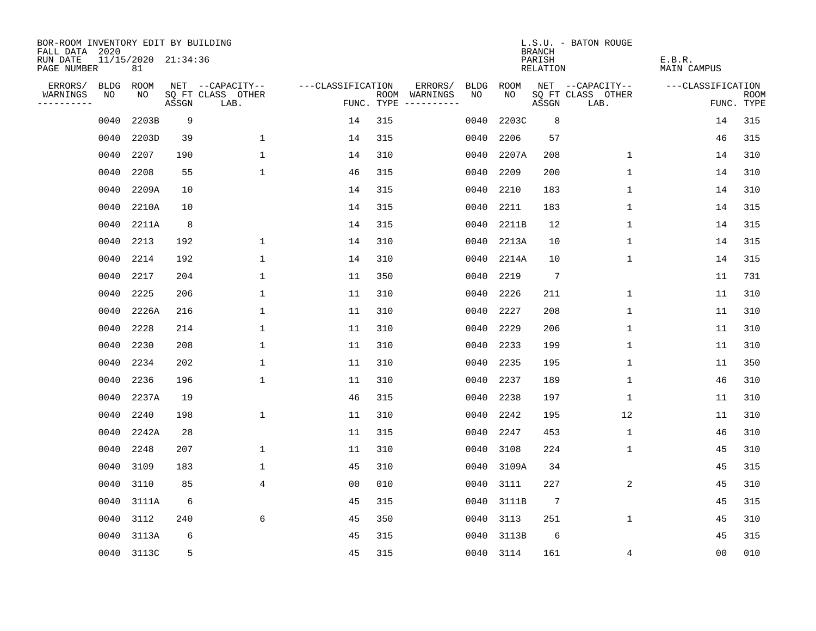| BOR-ROOM INVENTORY EDIT BY BUILDING<br>FALL DATA 2020 |             |                           |       |                           |                   |     |                                            |             | <b>BRANCH</b>             | L.S.U. - BATON ROUGE      |                              |                           |
|-------------------------------------------------------|-------------|---------------------------|-------|---------------------------|-------------------|-----|--------------------------------------------|-------------|---------------------------|---------------------------|------------------------------|---------------------------|
| RUN DATE<br>PAGE NUMBER                               |             | 11/15/2020 21:34:36<br>81 |       |                           |                   |     |                                            |             | PARISH<br><b>RELATION</b> |                           | E.B.R.<br><b>MAIN CAMPUS</b> |                           |
| ERRORS/                                               | <b>BLDG</b> | ROOM                      |       | NET --CAPACITY--          | ---CLASSIFICATION |     | ERRORS/<br><b>BLDG</b>                     | <b>ROOM</b> |                           | NET --CAPACITY--          | ---CLASSIFICATION            |                           |
| WARNINGS<br>----------                                | NO          | NO                        | ASSGN | SQ FT CLASS OTHER<br>LAB. |                   |     | ROOM WARNINGS<br>NO<br>FUNC. TYPE $------$ | NO          | ASSGN                     | SQ FT CLASS OTHER<br>LAB. |                              | <b>ROOM</b><br>FUNC. TYPE |
|                                                       | 0040        | 2203B                     | 9     |                           | 14                | 315 | 0040                                       | 2203C       | 8                         |                           | 14                           | 315                       |
|                                                       | 0040        | 2203D                     | 39    | $\mathbf 1$               | 14                | 315 | 0040                                       | 2206        | 57                        |                           | 46                           | 315                       |
|                                                       | 0040        | 2207                      | 190   | $\mathbf 1$               | 14                | 310 | 0040                                       | 2207A       | 208                       | $\mathbf 1$               | 14                           | 310                       |
|                                                       | 0040        | 2208                      | 55    | $\mathbf 1$               | 46                | 315 | 0040                                       | 2209        | 200                       | $\mathbf 1$               | 14                           | 310                       |
|                                                       | 0040        | 2209A                     | 10    |                           | 14                | 315 | 0040                                       | 2210        | 183                       | $\mathbf{1}$              | 14                           | 310                       |
|                                                       | 0040        | 2210A                     | 10    |                           | 14                | 315 | 0040                                       | 2211        | 183                       | $\mathbf 1$               | 14                           | 315                       |
|                                                       | 0040        | 2211A                     | 8     |                           | 14                | 315 | 0040                                       | 2211B       | 12                        | $\mathbf{1}$              | 14                           | 315                       |
|                                                       | 0040        | 2213                      | 192   | $\mathbf{1}$              | 14                | 310 | 0040                                       | 2213A       | 10                        | 1                         | 14                           | 315                       |
|                                                       | 0040        | 2214                      | 192   | $\mathbf 1$               | 14                | 310 | 0040                                       | 2214A       | 10                        | $\mathbf 1$               | 14                           | 315                       |
|                                                       | 0040        | 2217                      | 204   | $\mathbf 1$               | 11                | 350 | 0040                                       | 2219        | $7\phantom{.0}$           |                           | 11                           | 731                       |
|                                                       | 0040        | 2225                      | 206   | $\mathbf 1$               | 11                | 310 | 0040                                       | 2226        | 211                       | $\mathbf 1$               | 11                           | 310                       |
|                                                       | 0040        | 2226A                     | 216   | $\mathbf{1}$              | 11                | 310 | 0040                                       | 2227        | 208                       | $\mathbf{1}$              | 11                           | 310                       |
|                                                       | 0040        | 2228                      | 214   | $\mathbf 1$               | 11                | 310 | 0040                                       | 2229        | 206                       | $\mathbf 1$               | 11                           | 310                       |
|                                                       | 0040        | 2230                      | 208   | $\mathbf{1}$              | 11                | 310 | 0040                                       | 2233        | 199                       | 1                         | 11                           | 310                       |
|                                                       | 0040        | 2234                      | 202   | $\mathbf 1$               | 11                | 310 | 0040                                       | 2235        | 195                       | 1                         | 11                           | 350                       |
|                                                       | 0040        | 2236                      | 196   | $\mathbf 1$               | 11                | 310 | 0040                                       | 2237        | 189                       | 1                         | 46                           | 310                       |
|                                                       | 0040        | 2237A                     | 19    |                           | 46                | 315 | 0040                                       | 2238        | 197                       | 1                         | 11                           | 310                       |
|                                                       | 0040        | 2240                      | 198   | $\mathbf{1}$              | 11                | 310 | 0040                                       | 2242        | 195                       | 12                        | 11                           | 310                       |
|                                                       | 0040        | 2242A                     | 28    |                           | 11                | 315 | 0040                                       | 2247        | 453                       | 1                         | 46                           | 310                       |
|                                                       | 0040        | 2248                      | 207   | $\mathbf 1$               | 11                | 310 | 0040                                       | 3108        | 224                       | 1                         | 45                           | 310                       |
|                                                       | 0040        | 3109                      | 183   | $\mathbf 1$               | 45                | 310 | 0040                                       | 3109A       | 34                        |                           | 45                           | 315                       |
|                                                       | 0040        | 3110                      | 85    | $\overline{4}$            | 0 <sub>0</sub>    | 010 | 0040                                       | 3111        | 227                       | 2                         | 45                           | 310                       |
|                                                       | 0040        | 3111A                     | 6     |                           | 45                | 315 | 0040                                       | 3111B       | $7\phantom{.0}$           |                           | 45                           | 315                       |
|                                                       | 0040        | 3112                      | 240   | 6                         | 45                | 350 | 0040                                       | 3113        | 251                       | $\mathbf 1$               | 45                           | 310                       |
|                                                       | 0040        | 3113A                     | 6     |                           | 45                | 315 | 0040                                       | 3113B       | 6                         |                           | 45                           | 315                       |
|                                                       |             | 0040 3113C                | 5     |                           | 45                | 315 | 0040                                       | 3114        | 161                       | 4                         | 00                           | 010                       |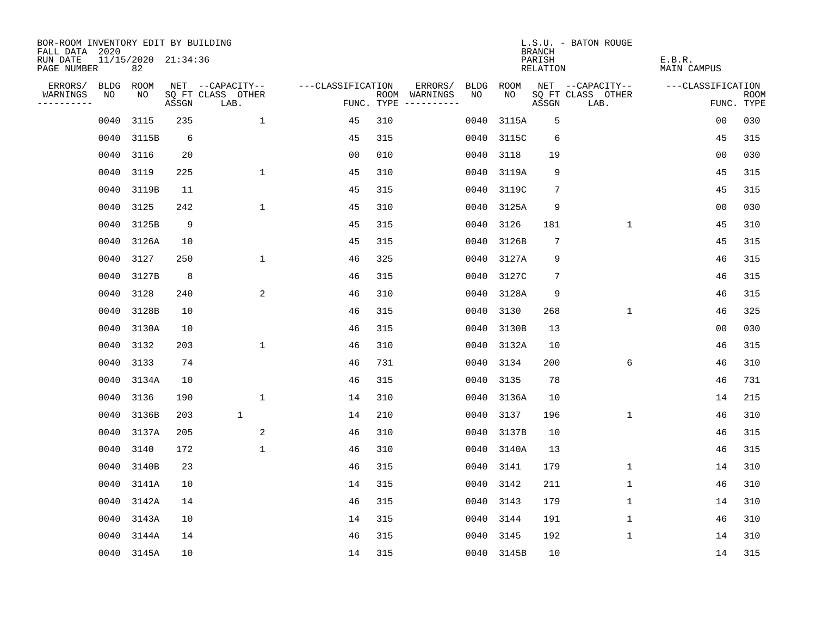| BOR-ROOM INVENTORY EDIT BY BUILDING<br>FALL DATA 2020 |      |                           |       |                           |                   |     |                                      |      |            | <b>BRANCH</b>      | L.S.U. - BATON ROUGE      |                              |                           |
|-------------------------------------------------------|------|---------------------------|-------|---------------------------|-------------------|-----|--------------------------------------|------|------------|--------------------|---------------------------|------------------------------|---------------------------|
| RUN DATE<br>PAGE NUMBER                               |      | 11/15/2020 21:34:36<br>82 |       |                           |                   |     |                                      |      |            | PARISH<br>RELATION |                           | E.B.R.<br><b>MAIN CAMPUS</b> |                           |
| ERRORS/                                               | BLDG | ROOM                      |       | NET --CAPACITY--          | ---CLASSIFICATION |     | ERRORS/                              | BLDG | ROOM       |                    | NET --CAPACITY--          | ---CLASSIFICATION            |                           |
| WARNINGS<br>----------                                | NO   | NO                        | ASSGN | SQ FT CLASS OTHER<br>LAB. |                   |     | ROOM WARNINGS<br>FUNC. TYPE $------$ | NO.  | NO         | ASSGN              | SQ FT CLASS OTHER<br>LAB. |                              | <b>ROOM</b><br>FUNC. TYPE |
|                                                       | 0040 | 3115                      | 235   | $\mathbf{1}$              | 45                | 310 |                                      | 0040 | 3115A      | 5                  |                           | 0 <sub>0</sub>               | 030                       |
|                                                       | 0040 | 3115B                     | 6     |                           | 45                | 315 |                                      | 0040 | 3115C      | 6                  |                           | 45                           | 315                       |
|                                                       | 0040 | 3116                      | 20    |                           | 0 <sub>0</sub>    | 010 |                                      | 0040 | 3118       | 19                 |                           | 0 <sub>0</sub>               | 030                       |
|                                                       | 0040 | 3119                      | 225   | $\mathbf{1}$              | 45                | 310 |                                      | 0040 | 3119A      | 9                  |                           | 45                           | 315                       |
|                                                       | 0040 | 3119B                     | 11    |                           | 45                | 315 |                                      | 0040 | 3119C      | 7                  |                           | 45                           | 315                       |
|                                                       | 0040 | 3125                      | 242   | $\mathbf{1}$              | 45                | 310 |                                      | 0040 | 3125A      | 9                  |                           | 00                           | 030                       |
|                                                       | 0040 | 3125B                     | 9     |                           | 45                | 315 |                                      | 0040 | 3126       | 181                | $\mathbf 1$               | 45                           | 310                       |
|                                                       | 0040 | 3126A                     | 10    |                           | 45                | 315 |                                      | 0040 | 3126B      | $7\phantom{.0}$    |                           | 45                           | 315                       |
|                                                       | 0040 | 3127                      | 250   | $\mathbf{1}$              | 46                | 325 |                                      | 0040 | 3127A      | 9                  |                           | 46                           | 315                       |
|                                                       | 0040 | 3127B                     | 8     |                           | 46                | 315 |                                      | 0040 | 3127C      | $\overline{7}$     |                           | 46                           | 315                       |
|                                                       | 0040 | 3128                      | 240   | 2                         | 46                | 310 |                                      | 0040 | 3128A      | 9                  |                           | 46                           | 315                       |
|                                                       | 0040 | 3128B                     | 10    |                           | 46                | 315 |                                      | 0040 | 3130       | 268                | $\mathbf{1}$              | 46                           | 325                       |
|                                                       | 0040 | 3130A                     | 10    |                           | 46                | 315 |                                      | 0040 | 3130B      | 13                 |                           | 0 <sub>0</sub>               | 030                       |
|                                                       | 0040 | 3132                      | 203   | $\mathbf{1}$              | 46                | 310 |                                      | 0040 | 3132A      | 10                 |                           | 46                           | 315                       |
|                                                       | 0040 | 3133                      | 74    |                           | 46                | 731 |                                      | 0040 | 3134       | 200                | 6                         | 46                           | 310                       |
|                                                       | 0040 | 3134A                     | 10    |                           | 46                | 315 |                                      | 0040 | 3135       | 78                 |                           | 46                           | 731                       |
|                                                       | 0040 | 3136                      | 190   | $\mathbf{1}$              | 14                | 310 |                                      | 0040 | 3136A      | 10                 |                           | 14                           | 215                       |
|                                                       | 0040 | 3136B                     | 203   | $\mathbf 1$               | 14                | 210 |                                      | 0040 | 3137       | 196                | $\mathbf 1$               | 46                           | 310                       |
|                                                       |      | 0040 3137A                | 205   | 2                         | 46                | 310 |                                      | 0040 | 3137B      | 10                 |                           | 46                           | 315                       |
|                                                       | 0040 | 3140                      | 172   | $\mathbf{1}$              | 46                | 310 |                                      | 0040 | 3140A      | 13                 |                           | 46                           | 315                       |
|                                                       | 0040 | 3140B                     | 23    |                           | 46                | 315 |                                      | 0040 | 3141       | 179                | 1                         | 14                           | 310                       |
|                                                       | 0040 | 3141A                     | 10    |                           | 14                | 315 |                                      | 0040 | 3142       | 211                | $\mathbf 1$               | 46                           | 310                       |
|                                                       |      | 0040 3142A                | 14    |                           | 46                | 315 |                                      | 0040 | 3143       | 179                | 1                         | 14                           | 310                       |
|                                                       | 0040 | 3143A                     | 10    |                           | 14                | 315 |                                      | 0040 | 3144       | 191                | $\mathbf 1$               | 46                           | 310                       |
|                                                       | 0040 | 3144A                     | 14    |                           | 46                | 315 |                                      | 0040 | 3145       | 192                | 1                         | 14                           | 310                       |
|                                                       |      | 0040 3145A                | 10    |                           | 14                | 315 |                                      |      | 0040 3145B | 10                 |                           | 14                           | 315                       |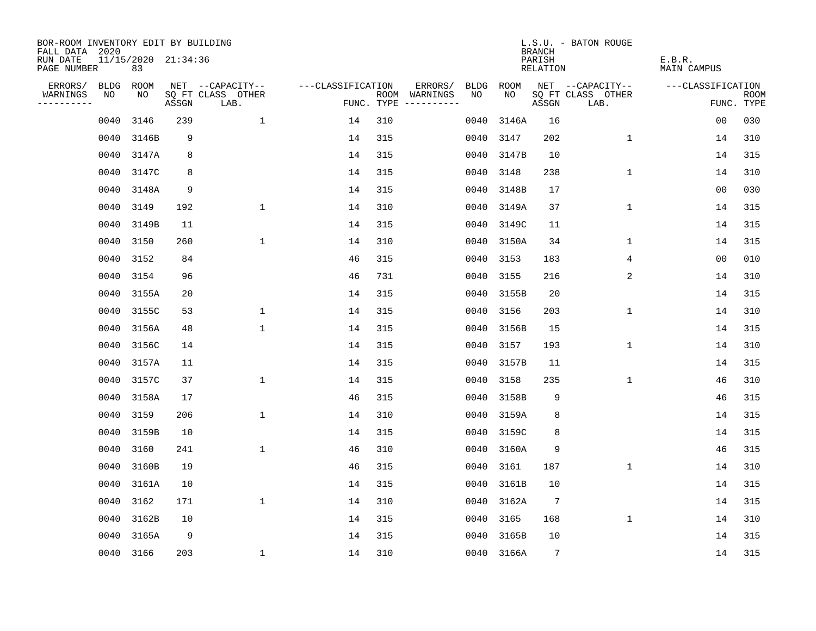| BOR-ROOM INVENTORY EDIT BY BUILDING<br>FALL DATA 2020 |                           |       |                           |                   |     |                                      |      |            | <b>BRANCH</b>      | L.S.U. - BATON ROUGE      |                       |                           |
|-------------------------------------------------------|---------------------------|-------|---------------------------|-------------------|-----|--------------------------------------|------|------------|--------------------|---------------------------|-----------------------|---------------------------|
| RUN DATE<br>PAGE NUMBER                               | 11/15/2020 21:34:36<br>83 |       |                           |                   |     |                                      |      |            | PARISH<br>RELATION |                           | E.B.R.<br>MAIN CAMPUS |                           |
| ERRORS/                                               | BLDG ROOM                 |       | NET --CAPACITY--          | ---CLASSIFICATION |     | ERRORS/                              | BLDG | ROOM       |                    | NET --CAPACITY--          | ---CLASSIFICATION     |                           |
| WARNINGS<br>NO<br>----------                          | NO                        | ASSGN | SQ FT CLASS OTHER<br>LAB. |                   |     | ROOM WARNINGS<br>FUNC. TYPE $------$ | NO.  | NO.        | ASSGN              | SQ FT CLASS OTHER<br>LAB. |                       | <b>ROOM</b><br>FUNC. TYPE |
| 0040                                                  | 3146                      | 239   | $\mathbf{1}$              | 14                | 310 |                                      | 0040 | 3146A      | 16                 |                           | 00                    | 030                       |
| 0040                                                  | 3146B                     | 9     |                           | 14                | 315 |                                      | 0040 | 3147       | 202                | $\mathbf{1}$              | 14                    | 310                       |
| 0040                                                  | 3147A                     | 8     |                           | 14                | 315 |                                      | 0040 | 3147B      | 10                 |                           | 14                    | 315                       |
| 0040                                                  | 3147C                     | 8     |                           | 14                | 315 |                                      | 0040 | 3148       | 238                | $\mathbf 1$               | 14                    | 310                       |
| 0040                                                  | 3148A                     | 9     |                           | 14                | 315 |                                      | 0040 | 3148B      | 17                 |                           | 0 <sub>0</sub>        | 030                       |
|                                                       | 0040 3149                 | 192   | $\mathbf{1}$              | 14                | 310 |                                      | 0040 | 3149A      | 37                 | $\mathbf 1$               | 14                    | 315                       |
| 0040                                                  | 3149B                     | 11    |                           | 14                | 315 |                                      | 0040 | 3149C      | 11                 |                           | 14                    | 315                       |
| 0040                                                  | 3150                      | 260   | $\mathbf{1}$              | 14                | 310 |                                      | 0040 | 3150A      | 34                 | 1                         | 14                    | 315                       |
| 0040                                                  | 3152                      | 84    |                           | 46                | 315 |                                      | 0040 | 3153       | 183                | 4                         | 0 <sub>0</sub>        | 010                       |
| 0040                                                  | 3154                      | 96    |                           | 46                | 731 |                                      | 0040 | 3155       | 216                | 2                         | 14                    | 310                       |
|                                                       | 0040 3155A                | 20    |                           | 14                | 315 |                                      | 0040 | 3155B      | 20                 |                           | 14                    | 315                       |
| 0040                                                  | 3155C                     | 53    | $\mathbf 1$               | 14                | 315 |                                      | 0040 | 3156       | 203                | $\mathbf 1$               | 14                    | 310                       |
| 0040                                                  | 3156A                     | 48    | $\mathbf{1}$              | 14                | 315 |                                      | 0040 | 3156B      | 15                 |                           | 14                    | 315                       |
| 0040                                                  | 3156C                     | 14    |                           | 14                | 315 |                                      | 0040 | 3157       | 193                | $\mathbf 1$               | 14                    | 310                       |
| 0040                                                  | 3157A                     | 11    |                           | 14                | 315 |                                      | 0040 | 3157B      | 11                 |                           | 14                    | 315                       |
| 0040                                                  | 3157C                     | 37    | $\mathbf{1}$              | 14                | 315 |                                      | 0040 | 3158       | 235                | $\mathbf{1}$              | 46                    | 310                       |
| 0040                                                  | 3158A                     | 17    |                           | 46                | 315 |                                      | 0040 | 3158B      | 9                  |                           | 46                    | 315                       |
| 0040                                                  | 3159                      | 206   | $\mathbf 1$               | 14                | 310 |                                      | 0040 | 3159A      | 8                  |                           | 14                    | 315                       |
| 0040                                                  | 3159B                     | 10    |                           | 14                | 315 |                                      | 0040 | 3159C      | 8                  |                           | 14                    | 315                       |
| 0040                                                  | 3160                      | 241   | $\mathbf{1}$              | 46                | 310 |                                      | 0040 | 3160A      | 9                  |                           | 46                    | 315                       |
| 0040                                                  | 3160B                     | 19    |                           | 46                | 315 |                                      | 0040 | 3161       | 187                | $\mathbf{1}$              | 14                    | 310                       |
| 0040                                                  | 3161A                     | 10    |                           | 14                | 315 |                                      | 0040 | 3161B      | 10                 |                           | 14                    | 315                       |
| 0040                                                  | 3162                      | 171   | $\mathbf 1$               | 14                | 310 |                                      | 0040 | 3162A      | $7\phantom{.0}$    |                           | 14                    | 315                       |
| 0040                                                  | 3162B                     | 10    |                           | 14                | 315 |                                      | 0040 | 3165       | 168                | $\mathbf 1$               | 14                    | 310                       |
|                                                       | 0040 3165A                | 9     |                           | 14                | 315 |                                      | 0040 | 3165B      | 10                 |                           | 14                    | 315                       |
|                                                       | 0040 3166                 | 203   | $\mathbf{1}$              | 14                | 310 |                                      |      | 0040 3166A | $7\phantom{.0}$    |                           | 14                    | 315                       |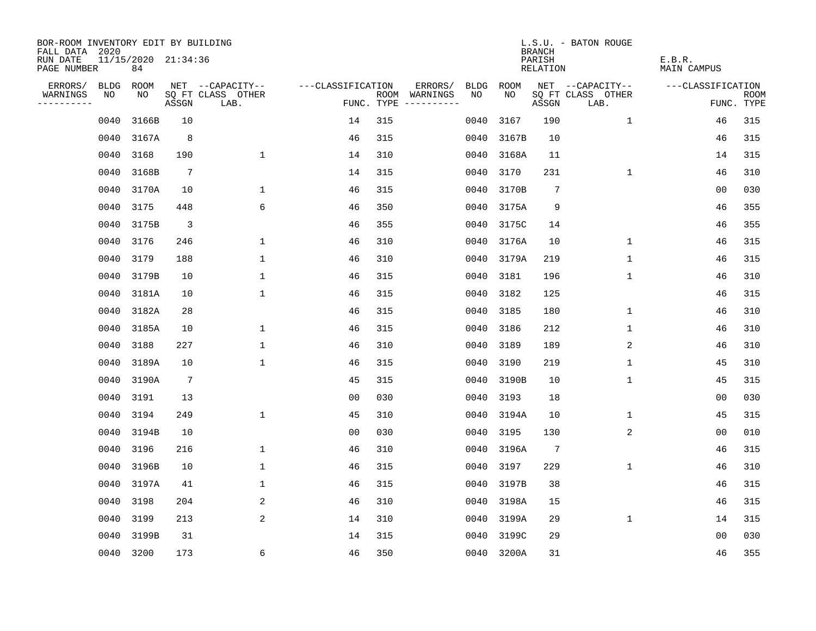| BOR-ROOM INVENTORY EDIT BY BUILDING<br>FALL DATA 2020 |                           |                 |                           |                   |     |                                      |             |            | <b>BRANCH</b>      | L.S.U. - BATON ROUGE      |                       |                           |
|-------------------------------------------------------|---------------------------|-----------------|---------------------------|-------------------|-----|--------------------------------------|-------------|------------|--------------------|---------------------------|-----------------------|---------------------------|
| RUN DATE<br>PAGE NUMBER                               | 11/15/2020 21:34:36<br>84 |                 |                           |                   |     |                                      |             |            | PARISH<br>RELATION |                           | E.B.R.<br>MAIN CAMPUS |                           |
| ERRORS/                                               | BLDG ROOM                 |                 | NET --CAPACITY--          | ---CLASSIFICATION |     | ERRORS/                              | <b>BLDG</b> | ROOM       |                    | NET --CAPACITY--          | ---CLASSIFICATION     |                           |
| WARNINGS<br>NO<br>----------                          | NO                        | ASSGN           | SQ FT CLASS OTHER<br>LAB. |                   |     | ROOM WARNINGS<br>FUNC. TYPE $------$ | NO.         | NO.        | ASSGN              | SQ FT CLASS OTHER<br>LAB. |                       | <b>ROOM</b><br>FUNC. TYPE |
| 0040                                                  | 3166B                     | 10              |                           | 14                | 315 |                                      | 0040        | 3167       | 190                | $\mathbf{1}$              | 46                    | 315                       |
| 0040                                                  | 3167A                     | 8               |                           | 46                | 315 |                                      | 0040        | 3167B      | 10                 |                           | 46                    | 315                       |
| 0040                                                  | 3168                      | 190             | $\mathbf 1$               | 14                | 310 |                                      | 0040        | 3168A      | 11                 |                           | 14                    | 315                       |
| 0040                                                  | 3168B                     | $7\phantom{.0}$ |                           | 14                | 315 |                                      | 0040        | 3170       | 231                | $\mathbf 1$               | 46                    | 310                       |
| 0040                                                  | 3170A                     | 10              | $\mathbf{1}$              | 46                | 315 |                                      | 0040        | 3170B      | $\overline{7}$     |                           | 00                    | 030                       |
| 0040                                                  | 3175                      | 448             | 6                         | 46                | 350 |                                      | 0040        | 3175A      | 9                  |                           | 46                    | 355                       |
| 0040                                                  | 3175B                     | $\overline{3}$  |                           | 46                | 355 |                                      | 0040        | 3175C      | 14                 |                           | 46                    | 355                       |
| 0040                                                  | 3176                      | 246             | $\mathbf{1}$              | 46                | 310 |                                      | 0040        | 3176A      | 10                 | $\mathbf 1$               | 46                    | 315                       |
| 0040                                                  | 3179                      | 188             | $\mathbf{1}$              | 46                | 310 |                                      | 0040        | 3179A      | 219                | $\mathbf{1}$              | 46                    | 315                       |
| 0040                                                  | 3179B                     | 10              | $\mathbf{1}$              | 46                | 315 |                                      | 0040        | 3181       | 196                | $\mathbf{1}$              | 46                    | 310                       |
| 0040                                                  | 3181A                     | 10              | $\mathbf 1$               | 46                | 315 |                                      | 0040        | 3182       | 125                |                           | 46                    | 315                       |
| 0040                                                  | 3182A                     | 28              |                           | 46                | 315 |                                      | 0040        | 3185       | 180                | $\mathbf 1$               | 46                    | 310                       |
| 0040                                                  | 3185A                     | 10              | $\mathbf 1$               | 46                | 315 |                                      | 0040        | 3186       | 212                | $\mathbf 1$               | 46                    | 310                       |
| 0040                                                  | 3188                      | 227             | $\mathbf{1}$              | 46                | 310 |                                      | 0040        | 3189       | 189                | 2                         | 46                    | 310                       |
| 0040                                                  | 3189A                     | 10              | $\mathbf 1$               | 46                | 315 |                                      | 0040        | 3190       | 219                | 1                         | 45                    | 310                       |
| 0040                                                  | 3190A                     | $7\phantom{.0}$ |                           | 45                | 315 |                                      | 0040        | 3190B      | 10                 | 1                         | 45                    | 315                       |
| 0040                                                  | 3191                      | 13              |                           | 0 <sub>0</sub>    | 030 |                                      | 0040        | 3193       | 18                 |                           | 0 <sub>0</sub>        | 030                       |
| 0040                                                  | 3194                      | 249             | $\mathbf{1}$              | 45                | 310 |                                      | 0040        | 3194A      | 10                 | 1                         | 45                    | 315                       |
| 0040                                                  | 3194B                     | 10              |                           | 0 <sub>0</sub>    | 030 |                                      | 0040        | 3195       | 130                | 2                         | 0 <sub>0</sub>        | 010                       |
| 0040                                                  | 3196                      | 216             | $\mathbf 1$               | 46                | 310 |                                      | 0040        | 3196A      | 7                  |                           | 46                    | 315                       |
| 0040                                                  | 3196B                     | 10              | $\mathbf{1}$              | 46                | 315 |                                      | 0040        | 3197       | 229                | 1                         | 46                    | 310                       |
| 0040                                                  | 3197A                     | 41              | $\mathbf{1}$              | 46                | 315 |                                      | 0040        | 3197B      | 38                 |                           | 46                    | 315                       |
| 0040                                                  | 3198                      | 204             | 2                         | 46                | 310 |                                      | 0040        | 3198A      | 15                 |                           | 46                    | 315                       |
| 0040                                                  | 3199                      | 213             | 2                         | 14                | 310 |                                      | 0040        | 3199A      | 29                 | $\mathbf{1}$              | 14                    | 315                       |
| 0040                                                  | 3199B                     | 31              |                           | 14                | 315 |                                      | 0040        | 3199C      | 29                 |                           | 0 <sub>0</sub>        | 030                       |
|                                                       | 0040 3200                 | 173             | 6                         | 46                | 350 |                                      |             | 0040 3200A | 31                 |                           | 46                    | 355                       |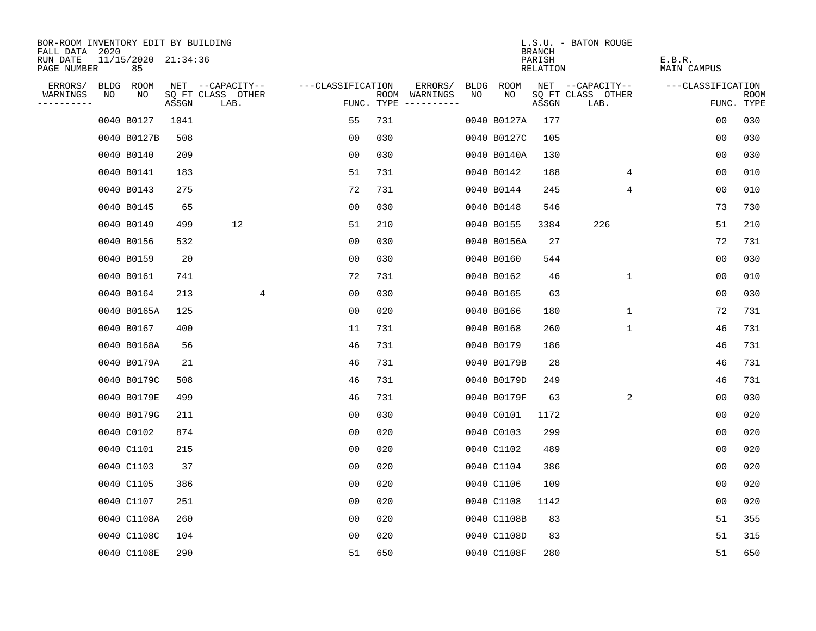| BOR-ROOM INVENTORY EDIT BY BUILDING       |    |                           |       |                           |                   |     |                                      |      |             | <b>BRANCH</b>      | L.S.U. - BATON ROUGE      |                              |                    |
|-------------------------------------------|----|---------------------------|-------|---------------------------|-------------------|-----|--------------------------------------|------|-------------|--------------------|---------------------------|------------------------------|--------------------|
| FALL DATA 2020<br>RUN DATE<br>PAGE NUMBER |    | 11/15/2020 21:34:36<br>85 |       |                           |                   |     |                                      |      |             | PARISH<br>RELATION |                           | E.B.R.<br><b>MAIN CAMPUS</b> |                    |
| ERRORS/                                   |    | BLDG ROOM                 |       | NET --CAPACITY--          | ---CLASSIFICATION |     | ERRORS/                              | BLDG | ROOM        |                    | NET --CAPACITY--          | ---CLASSIFICATION            |                    |
| WARNINGS<br>----------                    | NO | NO                        | ASSGN | SQ FT CLASS OTHER<br>LAB. |                   |     | ROOM WARNINGS<br>FUNC. TYPE $------$ | NO   | NO.         | ASSGN              | SQ FT CLASS OTHER<br>LAB. |                              | ROOM<br>FUNC. TYPE |
|                                           |    | 0040 B0127                | 1041  |                           | 55                | 731 |                                      |      | 0040 B0127A | 177                |                           | 00                           | 030                |
|                                           |    | 0040 B0127B               | 508   |                           | 00                | 030 |                                      |      | 0040 B0127C | 105                |                           | 00                           | 030                |
|                                           |    | 0040 B0140                | 209   |                           | 0 <sub>0</sub>    | 030 |                                      |      | 0040 B0140A | 130                |                           | 0 <sub>0</sub>               | 030                |
|                                           |    | 0040 B0141                | 183   |                           | 51                | 731 |                                      |      | 0040 B0142  | 188                | 4                         | 0 <sub>0</sub>               | 010                |
|                                           |    | 0040 B0143                | 275   |                           | 72                | 731 |                                      |      | 0040 B0144  | 245                | 4                         | 00                           | 010                |
|                                           |    | 0040 B0145                | 65    |                           | 0 <sub>0</sub>    | 030 |                                      |      | 0040 B0148  | 546                |                           | 73                           | 730                |
|                                           |    | 0040 B0149                | 499   | 12                        | 51                | 210 |                                      |      | 0040 B0155  | 3384               | 226                       | 51                           | 210                |
|                                           |    | 0040 B0156                | 532   |                           | 0 <sub>0</sub>    | 030 |                                      |      | 0040 B0156A | 27                 |                           | 72                           | 731                |
|                                           |    | 0040 B0159                | 20    |                           | 00                | 030 |                                      |      | 0040 B0160  | 544                |                           | 0 <sub>0</sub>               | 030                |
|                                           |    | 0040 B0161                | 741   |                           | 72                | 731 |                                      |      | 0040 B0162  | 46                 | $\mathbf{1}$              | 0 <sub>0</sub>               | 010                |
|                                           |    | 0040 B0164                | 213   | 4                         | 00                | 030 |                                      |      | 0040 B0165  | 63                 |                           | 0 <sub>0</sub>               | 030                |
|                                           |    | 0040 B0165A               | 125   |                           | 0 <sub>0</sub>    | 020 |                                      |      | 0040 B0166  | 180                | $\mathbf 1$               | 72                           | 731                |
|                                           |    | 0040 B0167                | 400   |                           | 11                | 731 |                                      |      | 0040 B0168  | 260                | $\mathbf 1$               | 46                           | 731                |
|                                           |    | 0040 B0168A               | 56    |                           | 46                | 731 |                                      |      | 0040 B0179  | 186                |                           | 46                           | 731                |
|                                           |    | 0040 B0179A               | 21    |                           | 46                | 731 |                                      |      | 0040 B0179B | 28                 |                           | 46                           | 731                |
|                                           |    | 0040 B0179C               | 508   |                           | 46                | 731 |                                      |      | 0040 B0179D | 249                |                           | 46                           | 731                |
|                                           |    | 0040 B0179E               | 499   |                           | 46                | 731 |                                      |      | 0040 B0179F | 63                 | 2                         | 0 <sub>0</sub>               | 030                |
|                                           |    | 0040 B0179G               | 211   |                           | 0 <sub>0</sub>    | 030 |                                      |      | 0040 C0101  | 1172               |                           | 0 <sub>0</sub>               | 020                |
|                                           |    | 0040 C0102                | 874   |                           | 00                | 020 |                                      |      | 0040 C0103  | 299                |                           | 00                           | 020                |
|                                           |    | 0040 C1101                | 215   |                           | 0 <sub>0</sub>    | 020 |                                      |      | 0040 C1102  | 489                |                           | 0 <sub>0</sub>               | 020                |
|                                           |    | 0040 C1103                | 37    |                           | 0 <sub>0</sub>    | 020 |                                      |      | 0040 C1104  | 386                |                           | 0 <sub>0</sub>               | 020                |
|                                           |    | 0040 C1105                | 386   |                           | 0 <sub>0</sub>    | 020 |                                      |      | 0040 C1106  | 109                |                           | 00                           | 020                |
|                                           |    | 0040 C1107                | 251   |                           | 00                | 020 |                                      |      | 0040 C1108  | 1142               |                           | 0 <sub>0</sub>               | 020                |
|                                           |    | 0040 C1108A               | 260   |                           | 0 <sub>0</sub>    | 020 |                                      |      | 0040 C1108B | 83                 |                           | 51                           | 355                |
|                                           |    | 0040 C1108C               | 104   |                           | 0 <sub>0</sub>    | 020 |                                      |      | 0040 C1108D | 83                 |                           | 51                           | 315                |
|                                           |    | 0040 C1108E               | 290   |                           | 51                | 650 |                                      |      | 0040 C1108F | 280                |                           | 51                           | 650                |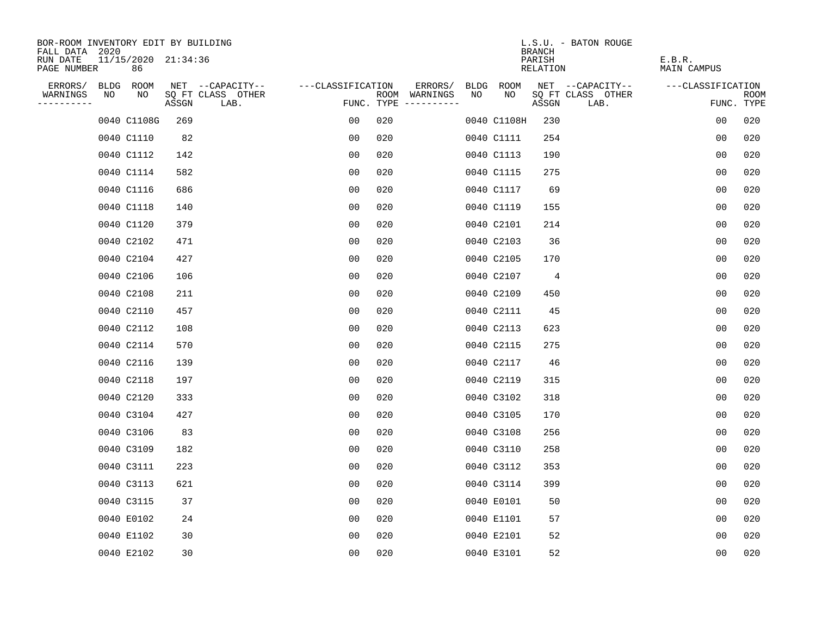| BOR-ROOM INVENTORY EDIT BY BUILDING       |    |                           |       |                           |                   |     |                                      |    |             | <b>BRANCH</b>      | L.S.U. - BATON ROUGE      |                       |                           |
|-------------------------------------------|----|---------------------------|-------|---------------------------|-------------------|-----|--------------------------------------|----|-------------|--------------------|---------------------------|-----------------------|---------------------------|
| FALL DATA 2020<br>RUN DATE<br>PAGE NUMBER |    | 11/15/2020 21:34:36<br>86 |       |                           |                   |     |                                      |    |             | PARISH<br>RELATION |                           | E.B.R.<br>MAIN CAMPUS |                           |
| ERRORS/                                   |    | BLDG ROOM                 |       | NET --CAPACITY--          | ---CLASSIFICATION |     | ERRORS/                              |    | BLDG ROOM   |                    | NET --CAPACITY--          | ---CLASSIFICATION     |                           |
| WARNINGS<br>----------                    | NO | NO                        | ASSGN | SQ FT CLASS OTHER<br>LAB. |                   |     | ROOM WARNINGS<br>FUNC. TYPE $------$ | NO | NO.         | ASSGN              | SQ FT CLASS OTHER<br>LAB. |                       | <b>ROOM</b><br>FUNC. TYPE |
|                                           |    | 0040 C1108G               | 269   |                           | 0 <sub>0</sub>    | 020 |                                      |    | 0040 C1108H | 230                |                           | 0 <sub>0</sub>        | 020                       |
|                                           |    | 0040 C1110                | 82    |                           | 0 <sub>0</sub>    | 020 |                                      |    | 0040 C1111  | 254                |                           | 0 <sub>0</sub>        | 020                       |
|                                           |    | 0040 C1112                | 142   |                           | 0 <sub>0</sub>    | 020 |                                      |    | 0040 C1113  | 190                |                           | 0 <sub>0</sub>        | 020                       |
|                                           |    | 0040 C1114                | 582   |                           | 00                | 020 |                                      |    | 0040 C1115  | 275                |                           | 0 <sub>0</sub>        | 020                       |
|                                           |    | 0040 C1116                | 686   |                           | 00                | 020 |                                      |    | 0040 C1117  | 69                 |                           | 0 <sub>0</sub>        | 020                       |
|                                           |    | 0040 C1118                | 140   |                           | 0 <sub>0</sub>    | 020 |                                      |    | 0040 C1119  | 155                |                           | 0 <sub>0</sub>        | 020                       |
|                                           |    | 0040 C1120                | 379   |                           | 0 <sub>0</sub>    | 020 |                                      |    | 0040 C2101  | 214                |                           | 00                    | 020                       |
|                                           |    | 0040 C2102                | 471   |                           | 0 <sub>0</sub>    | 020 |                                      |    | 0040 C2103  | 36                 |                           | 0 <sub>0</sub>        | 020                       |
|                                           |    | 0040 C2104                | 427   |                           | 0 <sub>0</sub>    | 020 |                                      |    | 0040 C2105  | 170                |                           | 0 <sub>0</sub>        | 020                       |
|                                           |    | 0040 C2106                | 106   |                           | 0 <sub>0</sub>    | 020 |                                      |    | 0040 C2107  | 4                  |                           | 0 <sub>0</sub>        | 020                       |
|                                           |    | 0040 C2108                | 211   |                           | 00                | 020 |                                      |    | 0040 C2109  | 450                |                           | 0 <sub>0</sub>        | 020                       |
|                                           |    | 0040 C2110                | 457   |                           | 0 <sub>0</sub>    | 020 |                                      |    | 0040 C2111  | 45                 |                           | 0 <sub>0</sub>        | 020                       |
|                                           |    | 0040 C2112                | 108   |                           | 0 <sub>0</sub>    | 020 |                                      |    | 0040 C2113  | 623                |                           | 0 <sub>0</sub>        | 020                       |
|                                           |    | 0040 C2114                | 570   |                           | 0 <sub>0</sub>    | 020 |                                      |    | 0040 C2115  | 275                |                           | 0 <sub>0</sub>        | 020                       |
|                                           |    | 0040 C2116                | 139   |                           | 00                | 020 |                                      |    | 0040 C2117  | 46                 |                           | 00                    | 020                       |
|                                           |    | 0040 C2118                | 197   |                           | 0 <sub>0</sub>    | 020 |                                      |    | 0040 C2119  | 315                |                           | 0 <sub>0</sub>        | 020                       |
|                                           |    | 0040 C2120                | 333   |                           | 0 <sub>0</sub>    | 020 |                                      |    | 0040 C3102  | 318                |                           | 0 <sub>0</sub>        | 020                       |
|                                           |    | 0040 C3104                | 427   |                           | 0 <sub>0</sub>    | 020 |                                      |    | 0040 C3105  | 170                |                           | 0 <sub>0</sub>        | 020                       |
|                                           |    | 0040 C3106                | 83    |                           | 0 <sub>0</sub>    | 020 |                                      |    | 0040 C3108  | 256                |                           | 0 <sub>0</sub>        | 020                       |
|                                           |    | 0040 C3109                | 182   |                           | 0 <sub>0</sub>    | 020 |                                      |    | 0040 C3110  | 258                |                           | 0 <sub>0</sub>        | 020                       |
|                                           |    | 0040 C3111                | 223   |                           | 0 <sub>0</sub>    | 020 |                                      |    | 0040 C3112  | 353                |                           | 0 <sub>0</sub>        | 020                       |
|                                           |    | 0040 C3113                | 621   |                           | 0 <sub>0</sub>    | 020 |                                      |    | 0040 C3114  | 399                |                           | 0 <sub>0</sub>        | 020                       |
|                                           |    | 0040 C3115                | 37    |                           | 0 <sub>0</sub>    | 020 |                                      |    | 0040 E0101  | 50                 |                           | 0 <sub>0</sub>        | 020                       |
|                                           |    | 0040 E0102                | 24    |                           | 0 <sub>0</sub>    | 020 |                                      |    | 0040 E1101  | 57                 |                           | 0 <sub>0</sub>        | 020                       |
|                                           |    | 0040 E1102                | 30    |                           | 0 <sub>0</sub>    | 020 |                                      |    | 0040 E2101  | 52                 |                           | 0 <sub>0</sub>        | 020                       |
|                                           |    | 0040 E2102                | 30    |                           | 0 <sub>0</sub>    | 020 |                                      |    | 0040 E3101  | 52                 |                           | 0 <sub>0</sub>        | 020                       |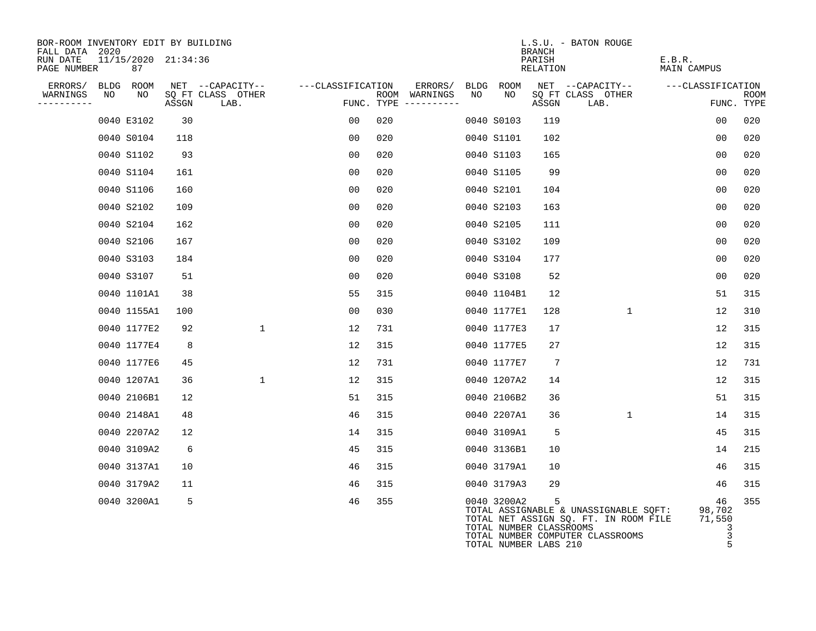| BOR-ROOM INVENTORY EDIT BY BUILDING<br>FALL DATA 2020 |    |                               |       |                           |                   |                                        |         |    |                                                                 | <b>BRANCH</b>      | L.S.U. - BATON ROUGE             |                                                                                |                       |                                       |             |
|-------------------------------------------------------|----|-------------------------------|-------|---------------------------|-------------------|----------------------------------------|---------|----|-----------------------------------------------------------------|--------------------|----------------------------------|--------------------------------------------------------------------------------|-----------------------|---------------------------------------|-------------|
| RUN DATE<br>PAGE NUMBER                               |    | $11/15/2020$ $21:34:36$<br>87 |       |                           |                   |                                        |         |    |                                                                 | PARISH<br>RELATION |                                  |                                                                                | E.B.R.<br>MAIN CAMPUS |                                       |             |
| ERRORS/                                               |    | BLDG ROOM                     |       | NET --CAPACITY--          | ---CLASSIFICATION |                                        | ERRORS/ |    | BLDG ROOM                                                       |                    | NET --CAPACITY--                 |                                                                                | ---CLASSIFICATION     |                                       |             |
| WARNINGS<br>----------                                | NO | NO                            | ASSGN | SO FT CLASS OTHER<br>LAB. |                   | ROOM WARNINGS<br>FUNC. TYPE ---------- |         | NO | NO                                                              | ASSGN              | SQ FT CLASS OTHER<br>LAB.        |                                                                                |                       | FUNC. TYPE                            | <b>ROOM</b> |
|                                                       |    | 0040 E3102                    | 30    |                           | 00                | 020                                    |         |    | 0040 S0103                                                      | 119                |                                  |                                                                                |                       | 0 <sub>0</sub>                        | 020         |
|                                                       |    | 0040 S0104                    | 118   |                           | 00                | 020                                    |         |    | 0040 S1101                                                      | 102                |                                  |                                                                                |                       | 00                                    | 020         |
|                                                       |    | 0040 S1102                    | 93    |                           | 00                | 020                                    |         |    | 0040 S1103                                                      | 165                |                                  |                                                                                |                       | 00                                    | 020         |
|                                                       |    | 0040 S1104                    | 161   |                           | 00                | 020                                    |         |    | 0040 S1105                                                      | 99                 |                                  |                                                                                |                       | 0 <sub>0</sub>                        | 020         |
|                                                       |    | 0040 S1106                    | 160   |                           | 0 <sub>0</sub>    | 020                                    |         |    | 0040 S2101                                                      | 104                |                                  |                                                                                |                       | 0 <sub>0</sub>                        | 020         |
|                                                       |    | 0040 S2102                    | 109   |                           | 00                | 020                                    |         |    | 0040 S2103                                                      | 163                |                                  |                                                                                |                       | 00                                    | 020         |
|                                                       |    | 0040 S2104                    | 162   |                           | 0 <sub>0</sub>    | 020                                    |         |    | 0040 S2105                                                      | 111                |                                  |                                                                                |                       | 0 <sub>0</sub>                        | 020         |
|                                                       |    | 0040 S2106                    | 167   |                           | 00                | 020                                    |         |    | 0040 S3102                                                      | 109                |                                  |                                                                                |                       | 0 <sub>0</sub>                        | 020         |
|                                                       |    | 0040 S3103                    | 184   |                           | 0 <sub>0</sub>    | 020                                    |         |    | 0040 S3104                                                      | 177                |                                  |                                                                                |                       | 0 <sub>0</sub>                        | 020         |
|                                                       |    | 0040 S3107                    | 51    |                           | 00                | 020                                    |         |    | 0040 S3108                                                      | 52                 |                                  |                                                                                |                       | 0 <sub>0</sub>                        | 020         |
|                                                       |    | 0040 1101A1                   | 38    |                           | 55                | 315                                    |         |    | 0040 1104B1                                                     | 12                 |                                  |                                                                                |                       | 51                                    | 315         |
|                                                       |    | 0040 1155A1                   | 100   |                           | 00                | 030                                    |         |    | 0040 1177E1                                                     | 128                |                                  | $\mathbf{1}$                                                                   |                       | 12                                    | 310         |
|                                                       |    | 0040 1177E2                   | 92    | $\mathbf{1}$              | 12                | 731                                    |         |    | 0040 1177E3                                                     | 17                 |                                  |                                                                                |                       | 12                                    | 315         |
|                                                       |    | 0040 1177E4                   | 8     |                           | 12                | 315                                    |         |    | 0040 1177E5                                                     | 27                 |                                  |                                                                                |                       | 12                                    | 315         |
|                                                       |    | 0040 1177E6                   | 45    |                           | 12                | 731                                    |         |    | 0040 1177E7                                                     | 7                  |                                  |                                                                                |                       | 12                                    | 731         |
|                                                       |    | 0040 1207A1                   | 36    | $\mathbf 1$               | 12                | 315                                    |         |    | 0040 1207A2                                                     | 14                 |                                  |                                                                                |                       | 12                                    | 315         |
|                                                       |    | 0040 2106B1                   | 12    |                           | 51                | 315                                    |         |    | 0040 2106B2                                                     | 36                 |                                  |                                                                                |                       | 51                                    | 315         |
|                                                       |    | 0040 2148A1                   | 48    |                           | 46                | 315                                    |         |    | 0040 2207A1                                                     | 36                 |                                  | 1                                                                              |                       | 14                                    | 315         |
|                                                       |    | 0040 2207A2                   | 12    |                           | 14                | 315                                    |         |    | 0040 3109A1                                                     | 5                  |                                  |                                                                                |                       | 45                                    | 315         |
|                                                       |    | 0040 3109A2                   | 6     |                           | 45                | 315                                    |         |    | 0040 3136B1                                                     | 10                 |                                  |                                                                                |                       | 14                                    | 215         |
|                                                       |    | 0040 3137A1                   | 10    |                           | 46                | 315                                    |         |    | 0040 3179A1                                                     | 10                 |                                  |                                                                                |                       | 46                                    | 315         |
|                                                       |    | 0040 3179A2                   | 11    |                           | 46                | 315                                    |         |    | 0040 3179A3                                                     | 29                 |                                  |                                                                                |                       | 46                                    | 315         |
|                                                       |    | 0040 3200A1                   | 5     |                           | 46                | 355                                    |         |    | 0040 3200A2<br>TOTAL NUMBER CLASSROOMS<br>TOTAL NUMBER LABS 210 | 5                  | TOTAL NUMBER COMPUTER CLASSROOMS | TOTAL ASSIGNABLE & UNASSIGNABLE SQFT:<br>TOTAL NET ASSIGN SQ. FT. IN ROOM FILE |                       | 46<br>98,702<br>71,550<br>3<br>3<br>5 | 355         |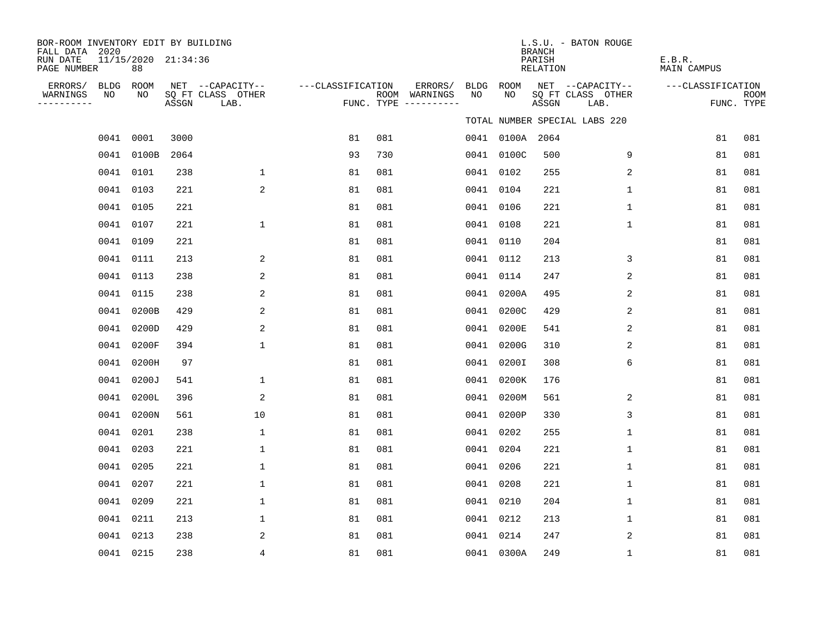| BOR-ROOM INVENTORY EDIT BY BUILDING<br>FALL DATA 2020<br>RUN DATE |           | 11/15/2020 21:34:36 |       |                                               |                   |     |                                                 |            |                 | <b>BRANCH</b><br>PARISH | L.S.U. - BATON ROUGE                          | E.B.R.             |                           |
|-------------------------------------------------------------------|-----------|---------------------|-------|-----------------------------------------------|-------------------|-----|-------------------------------------------------|------------|-----------------|-------------------------|-----------------------------------------------|--------------------|---------------------------|
| PAGE NUMBER                                                       |           | 88                  |       |                                               |                   |     |                                                 |            |                 | RELATION                |                                               | <b>MAIN CAMPUS</b> |                           |
| ERRORS/ BLDG ROOM<br>WARNINGS<br>----------                       | NO        | NO                  | ASSGN | NET --CAPACITY--<br>SQ FT CLASS OTHER<br>LAB. | ---CLASSIFICATION |     | ERRORS/<br>ROOM WARNINGS<br>FUNC. TYPE $------$ | BLDG<br>NO | ROOM<br>NO      | ASSGN                   | NET --CAPACITY--<br>SQ FT CLASS OTHER<br>LAB. | ---CLASSIFICATION  | <b>ROOM</b><br>FUNC. TYPE |
|                                                                   |           |                     |       |                                               |                   |     |                                                 |            |                 |                         | TOTAL NUMBER SPECIAL LABS 220                 |                    |                           |
|                                                                   | 0041 0001 |                     | 3000  |                                               | 81                | 081 |                                                 |            | 0041 0100A 2064 |                         |                                               | 81                 | 081                       |
|                                                                   |           | 0041 0100B          | 2064  |                                               | 93                | 730 |                                                 |            | 0041 0100C      | 500                     | 9                                             | 81                 | 081                       |
|                                                                   | 0041 0101 |                     | 238   | $\mathbf 1$                                   | 81                | 081 |                                                 |            | 0041 0102       | 255                     | 2                                             | 81                 | 081                       |
|                                                                   | 0041 0103 |                     | 221   | 2                                             | 81                | 081 |                                                 |            | 0041 0104       | 221                     | 1                                             | 81                 | 081                       |
|                                                                   | 0041 0105 |                     | 221   |                                               | 81                | 081 |                                                 |            | 0041 0106       | 221                     | $\mathbf 1$                                   | 81                 | 081                       |
|                                                                   | 0041 0107 |                     | 221   | $\mathbf 1$                                   | 81                | 081 |                                                 |            | 0041 0108       | 221                     | $\mathbf 1$                                   | 81                 | 081                       |
|                                                                   | 0041 0109 |                     | 221   |                                               | 81                | 081 |                                                 |            | 0041 0110       | 204                     |                                               | 81                 | 081                       |
|                                                                   | 0041      | 0111                | 213   | 2                                             | 81                | 081 |                                                 |            | 0041 0112       | 213                     | 3                                             | 81                 | 081                       |
|                                                                   | 0041 0113 |                     | 238   | 2                                             | 81                | 081 |                                                 |            | 0041 0114       | 247                     | 2                                             | 81                 | 081                       |
|                                                                   | 0041 0115 |                     | 238   | 2                                             | 81                | 081 |                                                 |            | 0041 0200A      | 495                     | 2                                             | 81                 | 081                       |
|                                                                   |           | 0041 0200B          | 429   | 2                                             | 81                | 081 |                                                 |            | 0041 0200C      | 429                     | 2                                             | 81                 | 081                       |
|                                                                   | 0041      | 0200D               | 429   | 2                                             | 81                | 081 |                                                 |            | 0041 0200E      | 541                     | 2                                             | 81                 | 081                       |
|                                                                   | 0041      | 0200F               | 394   | $\mathbf{1}$                                  | 81                | 081 |                                                 |            | 0041 0200G      | 310                     | 2                                             | 81                 | 081                       |
|                                                                   |           | 0041 0200H          | 97    |                                               | 81                | 081 |                                                 |            | 0041 0200I      | 308                     | 6                                             | 81                 | 081                       |
|                                                                   |           | 0041 0200J          | 541   | $\mathbf 1$                                   | 81                | 081 |                                                 |            | 0041 0200K      | 176                     |                                               | 81                 | 081                       |
|                                                                   |           | 0041 0200L          | 396   | 2                                             | 81                | 081 |                                                 |            | 0041 0200M      | 561                     | 2                                             | 81                 | 081                       |
|                                                                   |           | 0041 0200N          | 561   | 10                                            | 81                | 081 |                                                 |            | 0041 0200P      | 330                     | 3                                             | 81                 | 081                       |
|                                                                   | 0041 0201 |                     | 238   | $\mathbf{1}$                                  | 81                | 081 |                                                 |            | 0041 0202       | 255                     | $\mathbf{1}$                                  | 81                 | 081                       |
|                                                                   | 0041 0203 |                     | 221   | $\mathbf 1$                                   | 81                | 081 |                                                 |            | 0041 0204       | 221                     | $\mathbf 1$                                   | 81                 | 081                       |
|                                                                   | 0041 0205 |                     | 221   | $\mathbf{1}$                                  | 81                | 081 |                                                 |            | 0041 0206       | 221                     | $\mathbf 1$                                   | 81                 | 081                       |
|                                                                   | 0041 0207 |                     | 221   | $\mathbf{1}$                                  | 81                | 081 |                                                 |            | 0041 0208       | 221                     | $\mathbf{1}$                                  | 81                 | 081                       |
|                                                                   | 0041 0209 |                     | 221   | $\mathbf{1}$                                  | 81                | 081 |                                                 |            | 0041 0210       | 204                     | $\mathbf{1}$                                  | 81                 | 081                       |
|                                                                   | 0041 0211 |                     | 213   | $\mathbf 1$                                   | 81                | 081 |                                                 |            | 0041 0212       | 213                     | 1                                             | 81                 | 081                       |
|                                                                   | 0041 0213 |                     | 238   | 2                                             | 81                | 081 |                                                 |            | 0041 0214       | 247                     | 2                                             | 81                 | 081                       |
|                                                                   | 0041 0215 |                     | 238   | 4                                             | 81                | 081 |                                                 |            | 0041 0300A      | 249                     | $\mathbf 1$                                   | 81                 | 081                       |
|                                                                   |           |                     |       |                                               |                   |     |                                                 |            |                 |                         |                                               |                    |                           |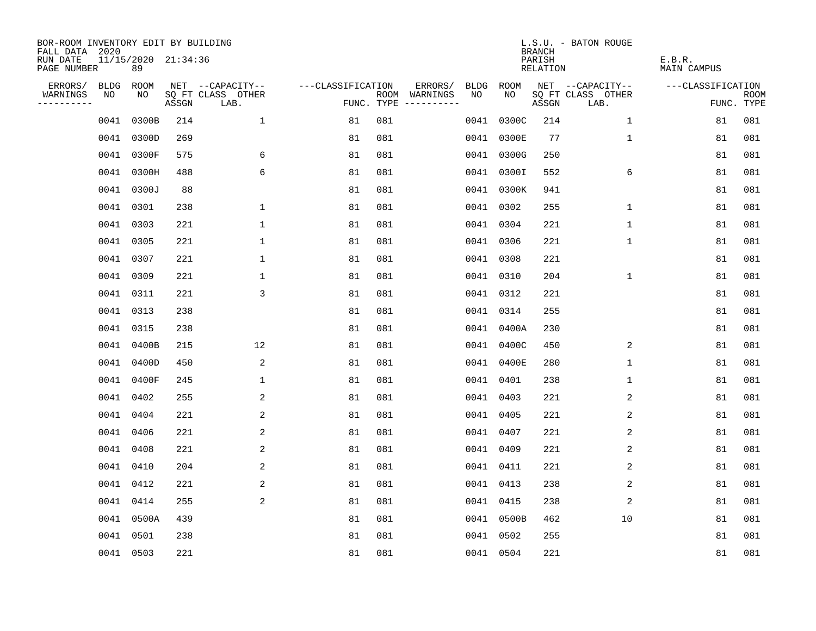| BOR-ROOM INVENTORY EDIT BY BUILDING<br>FALL DATA 2020 |      |                           |       |                           |                   |     |                                      |             |             | <b>BRANCH</b>             | L.S.U. - BATON ROUGE      |                              |                           |
|-------------------------------------------------------|------|---------------------------|-------|---------------------------|-------------------|-----|--------------------------------------|-------------|-------------|---------------------------|---------------------------|------------------------------|---------------------------|
| RUN DATE<br>PAGE NUMBER                               |      | 11/15/2020 21:34:36<br>89 |       |                           |                   |     |                                      |             |             | PARISH<br><b>RELATION</b> |                           | E.B.R.<br><b>MAIN CAMPUS</b> |                           |
| ERRORS/                                               | BLDG | ROOM                      |       | NET --CAPACITY--          | ---CLASSIFICATION |     | ERRORS/                              | <b>BLDG</b> | <b>ROOM</b> |                           | NET --CAPACITY--          | ---CLASSIFICATION            |                           |
| WARNINGS<br>----------                                | NO   | NO                        | ASSGN | SQ FT CLASS OTHER<br>LAB. |                   |     | ROOM WARNINGS<br>FUNC. TYPE $------$ | NO          | NO.         | ASSGN                     | SQ FT CLASS OTHER<br>LAB. |                              | <b>ROOM</b><br>FUNC. TYPE |
|                                                       | 0041 | 0300B                     | 214   | $\mathbf{1}$              | 81                | 081 |                                      | 0041        | 0300C       | 214                       | 1                         | 81                           | 081                       |
|                                                       | 0041 | 0300D                     | 269   |                           | 81                | 081 |                                      |             | 0041 0300E  | 77                        | $\mathbf 1$               | 81                           | 081                       |
|                                                       |      | 0041 0300F                | 575   | 6                         | 81                | 081 |                                      |             | 0041 0300G  | 250                       |                           | 81                           | 081                       |
|                                                       | 0041 | 0300H                     | 488   | 6                         | 81                | 081 |                                      |             | 0041 0300I  | 552                       | 6                         | 81                           | 081                       |
|                                                       |      | 0041 0300J                | 88    |                           | 81                | 081 |                                      |             | 0041 0300K  | 941                       |                           | 81                           | 081                       |
|                                                       |      | 0041 0301                 | 238   | $\mathbf{1}$              | 81                | 081 |                                      |             | 0041 0302   | 255                       | $\mathbf{1}$              | 81                           | 081                       |
|                                                       |      | 0041 0303                 | 221   | $\mathbf 1$               | 81                | 081 |                                      |             | 0041 0304   | 221                       | $\mathbf{1}$              | 81                           | 081                       |
|                                                       |      | 0041 0305                 | 221   | $\mathbf 1$               | 81                | 081 |                                      |             | 0041 0306   | 221                       | 1                         | 81                           | 081                       |
|                                                       |      | 0041 0307                 | 221   | $\mathbf 1$               | 81                | 081 |                                      |             | 0041 0308   | 221                       |                           | 81                           | 081                       |
|                                                       |      | 0041 0309                 | 221   | $\mathbf 1$               | 81                | 081 |                                      |             | 0041 0310   | 204                       | $\mathbf 1$               | 81                           | 081                       |
|                                                       |      | 0041 0311                 | 221   | 3                         | 81                | 081 |                                      |             | 0041 0312   | 221                       |                           | 81                           | 081                       |
|                                                       |      | 0041 0313                 | 238   |                           | 81                | 081 |                                      |             | 0041 0314   | 255                       |                           | 81                           | 081                       |
|                                                       |      | 0041 0315                 | 238   |                           | 81                | 081 |                                      |             | 0041 0400A  | 230                       |                           | 81                           | 081                       |
|                                                       |      | 0041 0400B                | 215   | 12                        | 81                | 081 |                                      |             | 0041 0400C  | 450                       | 2                         | 81                           | 081                       |
|                                                       |      | 0041 0400D                | 450   | 2                         | 81                | 081 |                                      | 0041        | 0400E       | 280                       | 1                         | 81                           | 081                       |
|                                                       |      | 0041 0400F                | 245   | $\mathbf 1$               | 81                | 081 |                                      |             | 0041 0401   | 238                       | 1                         | 81                           | 081                       |
|                                                       | 0041 | 0402                      | 255   | 2                         | 81                | 081 |                                      | 0041        | 0403        | 221                       | 2                         | 81                           | 081                       |
|                                                       |      | 0041 0404                 | 221   | 2                         | 81                | 081 |                                      |             | 0041 0405   | 221                       | 2                         | 81                           | 081                       |
|                                                       |      | 0041 0406                 | 221   | 2                         | 81                | 081 |                                      |             | 0041 0407   | 221                       | 2                         | 81                           | 081                       |
|                                                       |      | 0041 0408                 | 221   | $\overline{a}$            | 81                | 081 |                                      |             | 0041 0409   | 221                       | 2                         | 81                           | 081                       |
|                                                       |      | 0041 0410                 | 204   | 2                         | 81                | 081 |                                      |             | 0041 0411   | 221                       | 2                         | 81                           | 081                       |
|                                                       |      | 0041 0412                 | 221   | 2                         | 81                | 081 |                                      |             | 0041 0413   | 238                       | 2                         | 81                           | 081                       |
|                                                       |      | 0041 0414                 | 255   | 2                         | 81                | 081 |                                      |             | 0041 0415   | 238                       | 2                         | 81                           | 081                       |
|                                                       |      | 0041 0500A                | 439   |                           | 81                | 081 |                                      |             | 0041 0500B  | 462                       | 10                        | 81                           | 081                       |
|                                                       |      | 0041 0501                 | 238   |                           | 81                | 081 |                                      |             | 0041 0502   | 255                       |                           | 81                           | 081                       |
|                                                       |      | 0041 0503                 | 221   |                           | 81                | 081 |                                      |             | 0041 0504   | 221                       |                           | 81                           | 081                       |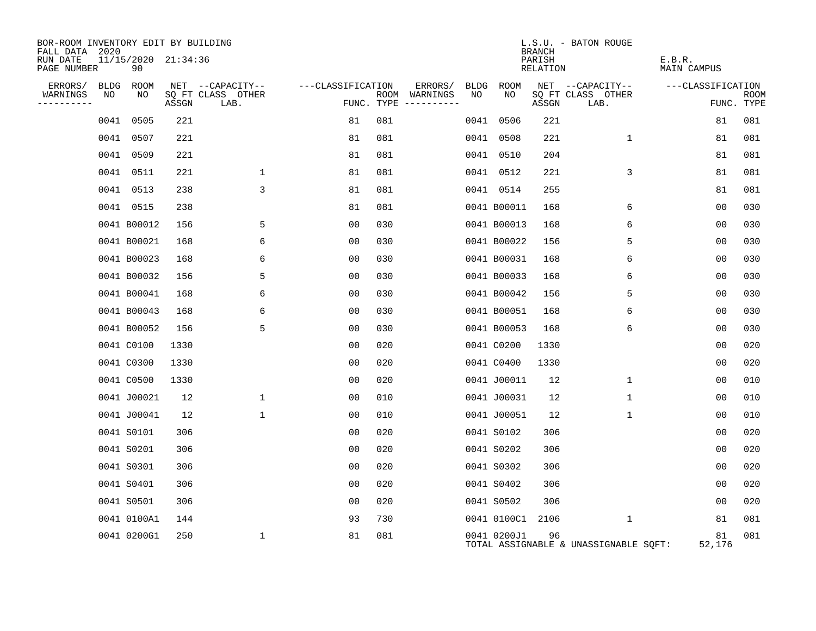| BOR-ROOM INVENTORY EDIT BY BUILDING<br>FALL DATA 2020 |    |                           |       |                           |                   |                                      |    |                  | <b>BRANCH</b>      | L.S.U. - BATON ROUGE                  |                       |                           |
|-------------------------------------------------------|----|---------------------------|-------|---------------------------|-------------------|--------------------------------------|----|------------------|--------------------|---------------------------------------|-----------------------|---------------------------|
| RUN DATE<br>PAGE NUMBER                               |    | 11/15/2020 21:34:36<br>90 |       |                           |                   |                                      |    |                  | PARISH<br>RELATION |                                       | E.B.R.<br>MAIN CAMPUS |                           |
| ERRORS/ BLDG ROOM                                     |    |                           |       | NET --CAPACITY--          | ---CLASSIFICATION | ERRORS/                              |    | BLDG ROOM        |                    | NET --CAPACITY--                      | ---CLASSIFICATION     |                           |
| WARNINGS<br>----------                                | NO | NO                        | ASSGN | SO FT CLASS OTHER<br>LAB. |                   | ROOM WARNINGS<br>FUNC. TYPE $------$ | NO | NO               | ASSGN              | SQ FT CLASS OTHER<br>LAB.             |                       | <b>ROOM</b><br>FUNC. TYPE |
|                                                       |    | 0041 0505                 | 221   |                           | 81                | 081                                  |    | 0041 0506        | 221                |                                       | 81                    | 081                       |
|                                                       |    | 0041 0507                 | 221   |                           | 81                | 081                                  |    | 0041 0508        | 221                | $\mathbf{1}$                          | 81                    | 081                       |
|                                                       |    | 0041 0509                 | 221   |                           | 81                | 081                                  |    | 0041 0510        | 204                |                                       | 81                    | 081                       |
|                                                       |    | 0041 0511                 | 221   | $\mathbf{1}$              | 81                | 081                                  |    | 0041 0512        | 221                | 3                                     | 81                    | 081                       |
|                                                       |    | 0041 0513                 | 238   | 3                         | 81                | 081                                  |    | 0041 0514        | 255                |                                       | 81                    | 081                       |
|                                                       |    | 0041 0515                 | 238   |                           | 81                | 081                                  |    | 0041 B00011      | 168                | 6                                     | 0 <sub>0</sub>        | 030                       |
|                                                       |    | 0041 B00012               | 156   | 5                         | 00                | 030                                  |    | 0041 B00013      | 168                | 6                                     | 00                    | 030                       |
|                                                       |    | 0041 B00021               | 168   | 6                         | 0 <sub>0</sub>    | 030                                  |    | 0041 B00022      | 156                | 5                                     | 00                    | 030                       |
|                                                       |    | 0041 B00023               | 168   | 6                         | 0 <sub>0</sub>    | 030                                  |    | 0041 B00031      | 168                | 6                                     | 0 <sub>0</sub>        | 030                       |
|                                                       |    | 0041 B00032               | 156   | 5                         | 00                | 030                                  |    | 0041 B00033      | 168                | 6                                     | 00                    | 030                       |
|                                                       |    | 0041 B00041               | 168   | 6                         | 0 <sub>0</sub>    | 030                                  |    | 0041 B00042      | 156                | 5                                     | 0 <sub>0</sub>        | 030                       |
|                                                       |    | 0041 B00043               | 168   | 6                         | 0 <sub>0</sub>    | 030                                  |    | 0041 B00051      | 168                | 6                                     | 00                    | 030                       |
|                                                       |    | 0041 B00052               | 156   | 5                         | 0 <sub>0</sub>    | 030                                  |    | 0041 B00053      | 168                | 6                                     | 00                    | 030                       |
|                                                       |    | 0041 C0100                | 1330  |                           | 0 <sub>0</sub>    | 020                                  |    | 0041 C0200       | 1330               |                                       | 0 <sub>0</sub>        | 020                       |
|                                                       |    | 0041 C0300                | 1330  |                           | 00                | 020                                  |    | 0041 C0400       | 1330               |                                       | 0 <sub>0</sub>        | 020                       |
|                                                       |    | 0041 C0500                | 1330  |                           | 0 <sub>0</sub>    | 020                                  |    | 0041 J00011      | 12                 | $\mathbf{1}$                          | 00                    | 010                       |
|                                                       |    | 0041 J00021               | 12    | $\mathbf{1}$              | 00                | 010                                  |    | 0041 J00031      | 12                 | $\mathbf 1$                           | 0 <sub>0</sub>        | 010                       |
|                                                       |    | 0041 J00041               | 12    | $\mathbf{1}$              | 0 <sub>0</sub>    | 010                                  |    | 0041 J00051      | 12                 | $\mathbf{1}$                          | 00                    | 010                       |
|                                                       |    | 0041 S0101                | 306   |                           | 0 <sub>0</sub>    | 020                                  |    | 0041 S0102       | 306                |                                       | 0 <sub>0</sub>        | 020                       |
|                                                       |    | 0041 S0201                | 306   |                           | 0 <sub>0</sub>    | 020                                  |    | 0041 S0202       | 306                |                                       | 0 <sub>0</sub>        | 020                       |
|                                                       |    | 0041 S0301                | 306   |                           | 00                | 020                                  |    | 0041 S0302       | 306                |                                       | 00                    | 020                       |
|                                                       |    | 0041 S0401                | 306   |                           | 0 <sub>0</sub>    | 020                                  |    | 0041 S0402       | 306                |                                       | 0 <sub>0</sub>        | 020                       |
|                                                       |    | 0041 S0501                | 306   |                           | 0 <sub>0</sub>    | 020                                  |    | 0041 S0502       | 306                |                                       | 00                    | 020                       |
|                                                       |    | 0041 0100A1               | 144   |                           | 93                | 730                                  |    | 0041 0100C1 2106 |                    | $\mathbf{1}$                          | 81                    | 081                       |
|                                                       |    | 0041 0200G1               | 250   | $\mathbf{1}$              | 81                | 081                                  |    | 0041 0200J1      | 96                 | TOTAL ASSIGNABLE & UNASSIGNABLE SOFT: | 81<br>52,176          | 081                       |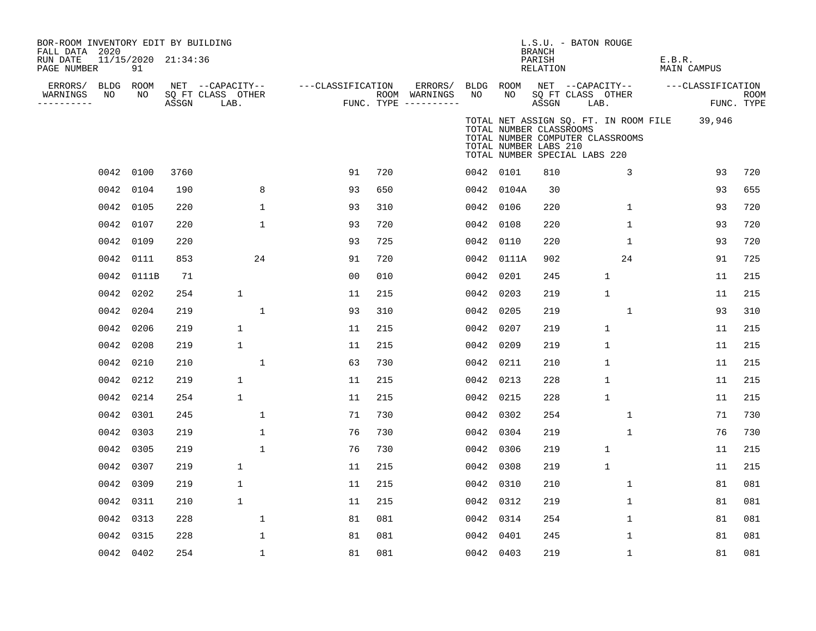| BOR-ROOM INVENTORY EDIT BY BUILDING<br>FALL DATA 2020 |           |                           |       |                           |                   |     |                                      |           |                                                                                   | <b>BRANCH</b>      | $L.S.U.$ - BATON ROUGE    |                                  |        |                                              |                    |
|-------------------------------------------------------|-----------|---------------------------|-------|---------------------------|-------------------|-----|--------------------------------------|-----------|-----------------------------------------------------------------------------------|--------------------|---------------------------|----------------------------------|--------|----------------------------------------------|--------------------|
| RUN DATE<br>PAGE NUMBER                               |           | 11/15/2020 21:34:36<br>91 |       |                           |                   |     |                                      |           |                                                                                   | PARISH<br>RELATION |                           |                                  | E.B.R. | MAIN CAMPUS                                  |                    |
| ERRORS/                                               | BLDG ROOM |                           |       | NET --CAPACITY--          | ---CLASSIFICATION |     | ERRORS/                              |           | BLDG ROOM                                                                         |                    |                           | NET --CAPACITY--                 |        | ---CLASSIFICATION                            |                    |
| WARNINGS<br>----------                                | NO        | NO                        | ASSGN | SQ FT CLASS OTHER<br>LAB. |                   |     | ROOM WARNINGS<br>FUNC. TYPE $------$ | NO        | NO                                                                                | ASSGN              | SQ FT CLASS OTHER<br>LAB. |                                  |        |                                              | ROOM<br>FUNC. TYPE |
|                                                       |           |                           |       |                           |                   |     |                                      |           | TOTAL NUMBER CLASSROOMS<br>TOTAL NUMBER LABS 210<br>TOTAL NUMBER SPECIAL LABS 220 |                    |                           | TOTAL NUMBER COMPUTER CLASSROOMS |        | TOTAL NET ASSIGN SQ. FT. IN ROOM FILE 39,946 |                    |
|                                                       | 0042 0100 |                           | 3760  |                           | 91                | 720 |                                      | 0042 0101 |                                                                                   | 810                |                           | 3                                |        | 93                                           | 720                |
|                                                       | 0042      | 0104                      | 190   | 8                         | 93                | 650 |                                      |           | 0042 0104A                                                                        | 30                 |                           |                                  |        | 93                                           | 655                |
|                                                       | 0042      | 0105                      | 220   | 1                         | 93                | 310 |                                      | 0042 0106 |                                                                                   | 220                |                           | 1                                |        | 93                                           | 720                |
|                                                       | 0042      | 0107                      | 220   | $\mathbf 1$               | 93                | 720 |                                      | 0042 0108 |                                                                                   | 220                |                           | $\mathbf{1}$                     |        | 93                                           | 720                |
|                                                       | 0042      | 0109                      | 220   |                           | 93                | 725 |                                      | 0042 0110 |                                                                                   | 220                |                           | $\mathbf{1}$                     |        | 93                                           | 720                |
|                                                       | 0042      | 0111                      | 853   | 24                        | 91                | 720 |                                      |           | 0042 0111A                                                                        | 902                |                           | 24                               |        | 91                                           | 725                |
|                                                       |           | 0042 0111B                | 71    |                           | 0 <sub>0</sub>    | 010 |                                      | 0042 0201 |                                                                                   | 245                |                           | $\mathbf{1}$                     |        | 11                                           | 215                |
|                                                       |           | 0042 0202                 | 254   | $\mathbf{1}$              | 11                | 215 |                                      | 0042 0203 |                                                                                   | 219                |                           | $\mathbf{1}$                     |        | 11                                           | 215                |
|                                                       | 0042 0204 |                           | 219   | $\mathbf{1}$              | 93                | 310 |                                      | 0042 0205 |                                                                                   | 219                |                           | $\mathbf{1}$                     |        | 93                                           | 310                |
|                                                       | 0042      | 0206                      | 219   | 1                         | 11                | 215 |                                      | 0042 0207 |                                                                                   | 219                |                           | $\mathbf{1}$                     |        | 11                                           | 215                |
|                                                       | 0042 0208 |                           | 219   | 1                         | 11                | 215 |                                      | 0042 0209 |                                                                                   | 219                |                           | $\mathbf{1}$                     |        | 11                                           | 215                |
|                                                       | 0042 0210 |                           | 210   | 1                         | 63                | 730 |                                      | 0042 0211 |                                                                                   | 210                |                           | $\mathbf{1}$                     |        | 11                                           | 215                |
|                                                       | 0042 0212 |                           | 219   | $\mathbf{1}$              | 11                | 215 |                                      | 0042 0213 |                                                                                   | 228                |                           | $\mathbf{1}$                     |        | 11                                           | 215                |
|                                                       | 0042 0214 |                           | 254   | 1                         | 11                | 215 |                                      | 0042 0215 |                                                                                   | 228                |                           | $\mathbf{1}$                     |        | 11                                           | 215                |
|                                                       | 0042 0301 |                           | 245   | 1                         | 71                | 730 |                                      | 0042 0302 |                                                                                   | 254                |                           | 1                                |        | 71                                           | 730                |
|                                                       | 0042 0303 |                           | 219   | $\mathbf{1}$              | 76                | 730 |                                      | 0042 0304 |                                                                                   | 219                |                           | $\mathbf{1}$                     |        | 76                                           | 730                |
|                                                       | 0042 0305 |                           | 219   | $\mathbf{1}$              | 76                | 730 |                                      | 0042 0306 |                                                                                   | 219                |                           | $\mathbf{1}$                     |        | 11                                           | 215                |
|                                                       | 0042      | 0307                      | 219   | $\mathbf{1}$              | 11                | 215 |                                      | 0042 0308 |                                                                                   | 219                |                           | $\mathbf{1}$                     |        | 11                                           | 215                |
|                                                       | 0042      | 0309                      | 219   | $\mathbf{1}$              | 11                | 215 |                                      | 0042 0310 |                                                                                   | 210                |                           | $\mathbf{1}$                     |        | 81                                           | 081                |
|                                                       | 0042      | 0311                      | 210   | $\mathbf{1}$              | 11                | 215 |                                      | 0042 0312 |                                                                                   | 219                |                           | $\mathbf{1}$                     |        | 81                                           | 081                |
|                                                       | 0042      | 0313                      | 228   | $\mathbf 1$               | 81                | 081 |                                      | 0042 0314 |                                                                                   | 254                |                           | 1                                |        | 81                                           | 081                |
|                                                       | 0042 0315 |                           | 228   | 1                         | 81                | 081 |                                      | 0042 0401 |                                                                                   | 245                |                           | $\mathbf{1}$                     |        | 81                                           | 081                |
|                                                       |           | 0042 0402                 | 254   | 1                         | 81                | 081 |                                      | 0042 0403 |                                                                                   | 219                |                           | 1                                |        | 81                                           | 081                |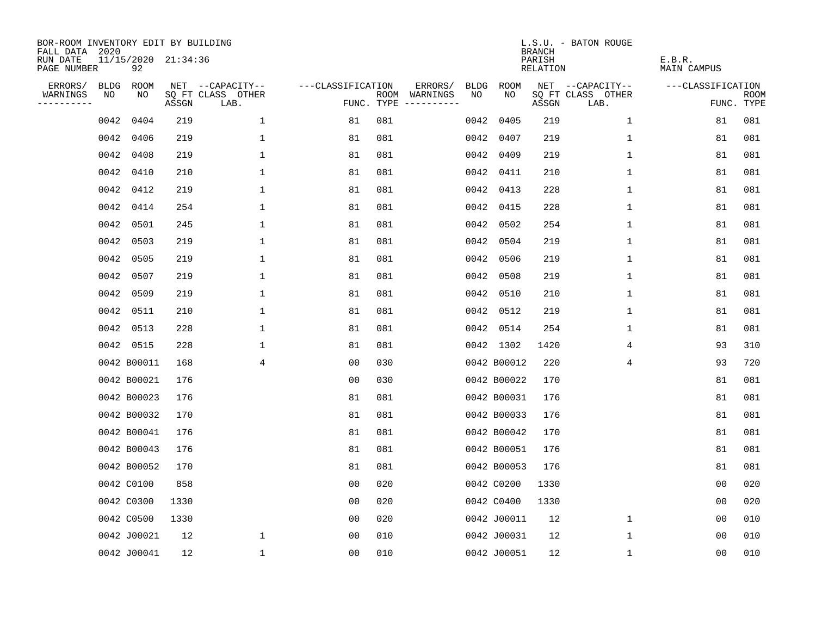| BOR-ROOM INVENTORY EDIT BY BUILDING<br>FALL DATA 2020 |             |             |                     |                           |                   |            |                                    |      |             | <b>BRANCH</b>             | L.S.U. - BATON ROUGE      |                              |                           |
|-------------------------------------------------------|-------------|-------------|---------------------|---------------------------|-------------------|------------|------------------------------------|------|-------------|---------------------------|---------------------------|------------------------------|---------------------------|
| RUN DATE<br>PAGE NUMBER                               |             | 92          | 11/15/2020 21:34:36 |                           |                   |            |                                    |      |             | PARISH<br><b>RELATION</b> |                           | E.B.R.<br><b>MAIN CAMPUS</b> |                           |
| ERRORS/                                               | <b>BLDG</b> | <b>ROOM</b> |                     | NET --CAPACITY--          | ---CLASSIFICATION |            | ERRORS/<br><b>BLDG</b>             |      | <b>ROOM</b> |                           | NET --CAPACITY--          | ---CLASSIFICATION            |                           |
| WARNINGS<br>----------                                | NO          | NO          | ASSGN               | SQ FT CLASS OTHER<br>LAB. |                   | FUNC. TYPE | NO<br>ROOM WARNINGS<br>----------- |      | NO          | ASSGN                     | SQ FT CLASS OTHER<br>LAB. |                              | <b>ROOM</b><br>FUNC. TYPE |
|                                                       | 0042        | 0404        | 219                 | $\mathbf{1}$              | 81                | 081        |                                    | 0042 | 0405        | 219                       | $\mathbf 1$               | 81                           | 081                       |
|                                                       | 0042        | 0406        | 219                 | $\mathbf 1$               | 81                | 081        |                                    | 0042 | 0407        | 219                       | 1                         | 81                           | 081                       |
|                                                       | 0042        | 0408        | 219                 | 1                         | 81                | 081        |                                    | 0042 | 0409        | 219                       | 1                         | 81                           | 081                       |
|                                                       | 0042        | 0410        | 210                 | 1                         | 81                | 081        |                                    | 0042 | 0411        | 210                       | 1                         | 81                           | 081                       |
|                                                       | 0042        | 0412        | 219                 | $\mathbf 1$               | 81                | 081        |                                    |      | 0042 0413   | 228                       | $\mathbf{1}$              | 81                           | 081                       |
|                                                       | 0042        | 0414        | 254                 | 1                         | 81                | 081        |                                    |      | 0042 0415   | 228                       | $\mathbf{1}$              | 81                           | 081                       |
|                                                       | 0042        | 0501        | 245                 | $\mathbf 1$               | 81                | 081        |                                    |      | 0042 0502   | 254                       | $\mathbf 1$               | 81                           | 081                       |
|                                                       | 0042        | 0503        | 219                 | 1                         | 81                | 081        |                                    | 0042 | 0504        | 219                       | 1                         | 81                           | 081                       |
|                                                       | 0042        | 0505        | 219                 | 1                         | 81                | 081        |                                    | 0042 | 0506        | 219                       | $\mathbf 1$               | 81                           | 081                       |
|                                                       | 0042        | 0507        | 219                 | 1                         | 81                | 081        |                                    | 0042 | 0508        | 219                       | $\mathbf 1$               | 81                           | 081                       |
|                                                       | 0042        | 0509        | 219                 | 1                         | 81                | 081        |                                    | 0042 | 0510        | 210                       | $\mathbf 1$               | 81                           | 081                       |
|                                                       | 0042        | 0511        | 210                 | $\mathbf 1$               | 81                | 081        |                                    | 0042 | 0512        | 219                       | $\mathbf 1$               | 81                           | 081                       |
|                                                       | 0042        | 0513        | 228                 | 1                         | 81                | 081        |                                    | 0042 | 0514        | 254                       | 1                         | 81                           | 081                       |
|                                                       | 0042 0515   |             | 228                 | 1                         | 81                | 081        |                                    |      | 0042 1302   | 1420                      | 4                         | 93                           | 310                       |
|                                                       | 0042 B00011 |             | 168                 | 4                         | 0 <sub>0</sub>    | 030        |                                    |      | 0042 B00012 | 220                       | 4                         | 93                           | 720                       |
|                                                       | 0042 B00021 |             | 176                 |                           | 0 <sub>0</sub>    | 030        |                                    |      | 0042 B00022 | 170                       |                           | 81                           | 081                       |
|                                                       | 0042 B00023 |             | 176                 |                           | 81                | 081        |                                    |      | 0042 B00031 | 176                       |                           | 81                           | 081                       |
|                                                       | 0042 B00032 |             | 170                 |                           | 81                | 081        |                                    |      | 0042 B00033 | 176                       |                           | 81                           | 081                       |
|                                                       | 0042 B00041 |             | 176                 |                           | 81                | 081        |                                    |      | 0042 B00042 | 170                       |                           | 81                           | 081                       |
|                                                       | 0042 B00043 |             | 176                 |                           | 81                | 081        |                                    |      | 0042 B00051 | 176                       |                           | 81                           | 081                       |
|                                                       | 0042 B00052 |             | 170                 |                           | 81                | 081        |                                    |      | 0042 B00053 | 176                       |                           | 81                           | 081                       |
|                                                       | 0042 C0100  |             | 858                 |                           | 0 <sub>0</sub>    | 020        |                                    |      | 0042 C0200  | 1330                      |                           | 0 <sub>0</sub>               | 020                       |
|                                                       | 0042 C0300  |             | 1330                |                           | 0 <sub>0</sub>    | 020        |                                    |      | 0042 C0400  | 1330                      |                           | 0 <sub>0</sub>               | 020                       |
|                                                       | 0042 C0500  |             | 1330                |                           | 0 <sub>0</sub>    | 020        |                                    |      | 0042 J00011 | 12                        | $\mathbf 1$               | 0 <sub>0</sub>               | 010                       |
|                                                       | 0042 J00021 |             | 12                  | 1                         | 0 <sub>0</sub>    | 010        |                                    |      | 0042 J00031 | 12                        | $\mathbf 1$               | 0 <sub>0</sub>               | 010                       |
|                                                       | 0042 J00041 |             | 12                  | $\mathbf 1$               | 0 <sub>0</sub>    | 010        |                                    |      | 0042 J00051 | 12                        | 1                         | 00                           | 010                       |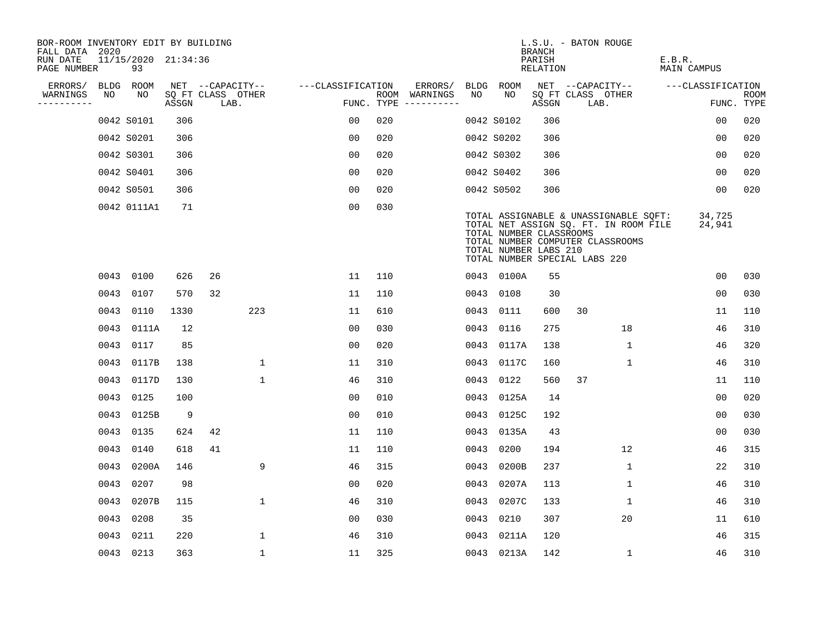| BOR-ROOM INVENTORY EDIT BY BUILDING<br>FALL DATA 2020 |      |                           |       |                           |              |                   |     |                                      |      |                                                                                   | <b>BRANCH</b>             | L.S.U. - BATON ROUGE |                                                                                                                    |        |                    |                           |
|-------------------------------------------------------|------|---------------------------|-------|---------------------------|--------------|-------------------|-----|--------------------------------------|------|-----------------------------------------------------------------------------------|---------------------------|----------------------|--------------------------------------------------------------------------------------------------------------------|--------|--------------------|---------------------------|
| RUN DATE<br>PAGE NUMBER                               |      | 11/15/2020 21:34:36<br>93 |       |                           |              |                   |     |                                      |      |                                                                                   | PARISH<br><b>RELATION</b> |                      |                                                                                                                    | E.B.R. | <b>MAIN CAMPUS</b> |                           |
| ERRORS/                                               |      | BLDG ROOM                 |       | NET --CAPACITY--          |              | ---CLASSIFICATION |     | ERRORS/                              | BLDG | ROOM                                                                              |                           |                      | NET --CAPACITY--                                                                                                   |        | ---CLASSIFICATION  |                           |
| WARNINGS<br>----------                                | NO   | NO                        | ASSGN | SQ FT CLASS OTHER<br>LAB. |              |                   |     | ROOM WARNINGS<br>FUNC. TYPE $------$ | NO   | NO                                                                                | ASSGN                     | LAB.                 | SQ FT CLASS OTHER                                                                                                  |        |                    | <b>ROOM</b><br>FUNC. TYPE |
|                                                       |      | 0042 S0101                | 306   |                           |              | 0 <sub>0</sub>    | 020 |                                      |      | 0042 S0102                                                                        | 306                       |                      |                                                                                                                    |        | 0 <sub>0</sub>     | 020                       |
|                                                       |      | 0042 S0201                | 306   |                           |              | 0 <sub>0</sub>    | 020 |                                      |      | 0042 S0202                                                                        | 306                       |                      |                                                                                                                    |        | 00                 | 020                       |
|                                                       |      | 0042 S0301                | 306   |                           |              | 00                | 020 |                                      |      | 0042 S0302                                                                        | 306                       |                      |                                                                                                                    |        | 00                 | 020                       |
|                                                       |      | 0042 S0401                | 306   |                           |              | 0 <sub>0</sub>    | 020 |                                      |      | 0042 S0402                                                                        | 306                       |                      |                                                                                                                    |        | 0 <sub>0</sub>     | 020                       |
|                                                       |      | 0042 S0501                | 306   |                           |              | 0 <sub>0</sub>    | 020 |                                      |      | 0042 S0502                                                                        | 306                       |                      |                                                                                                                    |        | 00                 | 020                       |
|                                                       |      | 0042 0111A1               | 71    |                           |              | 0 <sub>0</sub>    | 030 |                                      |      | TOTAL NUMBER CLASSROOMS<br>TOTAL NUMBER LABS 210<br>TOTAL NUMBER SPECIAL LABS 220 |                           |                      | TOTAL ASSIGNABLE & UNASSIGNABLE SQFT:<br>TOTAL NET ASSIGN SQ. FT. IN ROOM FILE<br>TOTAL NUMBER COMPUTER CLASSROOMS |        | 34,725<br>24,941   |                           |
|                                                       |      | 0043 0100                 | 626   | 26                        |              | 11                | 110 |                                      |      | 0043 0100A                                                                        | 55                        |                      |                                                                                                                    |        | 0 <sub>0</sub>     | 030                       |
|                                                       | 0043 | 0107                      | 570   | 32                        |              | 11                | 110 |                                      | 0043 | 0108                                                                              | 30                        |                      |                                                                                                                    |        | 0 <sub>0</sub>     | 030                       |
|                                                       |      | 0043 0110                 | 1330  |                           | 223          | 11                | 610 |                                      |      | 0043 0111                                                                         | 600                       | 30                   |                                                                                                                    |        | 11                 | 110                       |
|                                                       | 0043 | 0111A                     | 12    |                           |              | 00                | 030 |                                      | 0043 | 0116                                                                              | 275                       |                      | 18                                                                                                                 |        | 46                 | 310                       |
|                                                       | 0043 | 0117                      | 85    |                           |              | 00                | 020 |                                      |      | 0043 0117A                                                                        | 138                       |                      | 1                                                                                                                  |        | 46                 | 320                       |
|                                                       |      | 0043 0117B                | 138   |                           | $\mathbf{1}$ | 11                | 310 |                                      |      | 0043 0117C                                                                        | 160                       |                      | 1                                                                                                                  |        | 46                 | 310                       |
|                                                       |      | 0043 0117D                | 130   |                           | $\mathbf{1}$ | 46                | 310 |                                      |      | 0043 0122                                                                         | 560                       | 37                   |                                                                                                                    |        | 11                 | 110                       |
|                                                       | 0043 | 0125                      | 100   |                           |              | 0 <sub>0</sub>    | 010 |                                      |      | 0043 0125A                                                                        | 14                        |                      |                                                                                                                    |        | 0 <sub>0</sub>     | 020                       |
|                                                       | 0043 | 0125B                     | 9     |                           |              | 0 <sub>0</sub>    | 010 |                                      |      | 0043 0125C                                                                        | 192                       |                      |                                                                                                                    |        | 00                 | 030                       |
|                                                       |      | 0043 0135                 | 624   | 42                        |              | 11                | 110 |                                      |      | 0043 0135A                                                                        | 43                        |                      |                                                                                                                    |        | 00                 | 030                       |
|                                                       | 0043 | 0140                      | 618   | 41                        |              | 11                | 110 |                                      |      | 0043 0200                                                                         | 194                       |                      | 12                                                                                                                 |        | 46                 | 315                       |
|                                                       | 0043 | 0200A                     | 146   |                           | 9            | 46                | 315 |                                      |      | 0043 0200B                                                                        | 237                       |                      | $\mathbf 1$                                                                                                        |        | 22                 | 310                       |
|                                                       | 0043 | 0207                      | 98    |                           |              | 00                | 020 |                                      | 0043 | 0207A                                                                             | 113                       |                      | 1                                                                                                                  |        | 46                 | 310                       |
|                                                       |      | 0043 0207B                | 115   |                           | $\mathbf 1$  | 46                | 310 |                                      |      | 0043 0207C                                                                        | 133                       |                      | 1                                                                                                                  |        | 46                 | 310                       |
|                                                       |      | 0043 0208                 | 35    |                           |              | 0 <sub>0</sub>    | 030 |                                      |      | 0043 0210                                                                         | 307                       |                      | 20                                                                                                                 |        | 11                 | 610                       |
|                                                       | 0043 | 0211                      | 220   |                           | $\mathbf{1}$ | 46                | 310 |                                      |      | 0043 0211A                                                                        | 120                       |                      |                                                                                                                    |        | 46                 | 315                       |
|                                                       |      | 0043 0213                 | 363   |                           | $\mathbf 1$  | 11                | 325 |                                      |      | 0043 0213A                                                                        | 142                       |                      | $\mathbf{1}$                                                                                                       |        | 46                 | 310                       |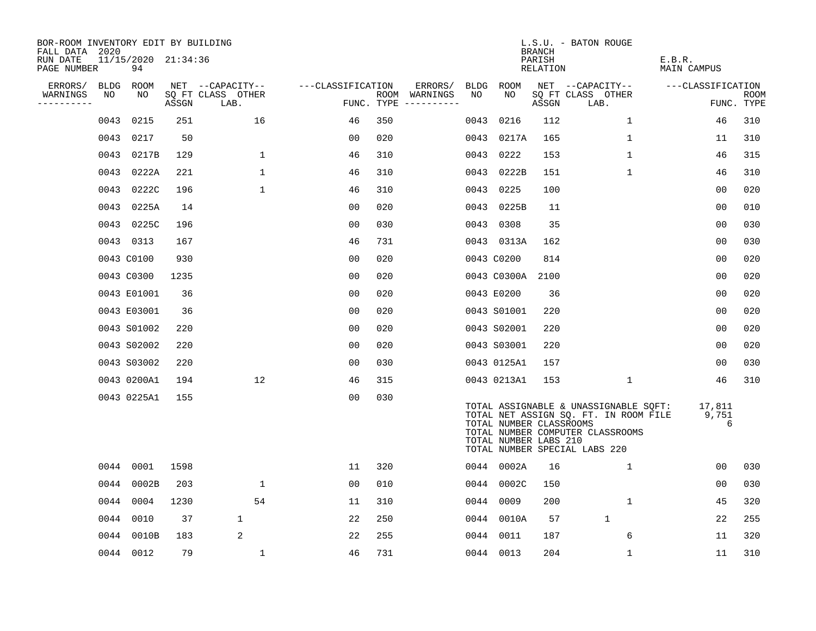| BOR-ROOM INVENTORY EDIT BY BUILDING<br>FALL DATA 2020 |             |                           |       |                           |                   |     |                                      |      |                                                  | <b>BRANCH</b>      | L.S.U. - BATON ROUGE                                                                                                                                |                       |                    |
|-------------------------------------------------------|-------------|---------------------------|-------|---------------------------|-------------------|-----|--------------------------------------|------|--------------------------------------------------|--------------------|-----------------------------------------------------------------------------------------------------------------------------------------------------|-----------------------|--------------------|
| RUN DATE<br>PAGE NUMBER                               |             | 11/15/2020 21:34:36<br>94 |       |                           |                   |     |                                      |      |                                                  | PARISH<br>RELATION |                                                                                                                                                     | E.B.R.<br>MAIN CAMPUS |                    |
| ERRORS/                                               | <b>BLDG</b> | ROOM                      |       | NET --CAPACITY--          | ---CLASSIFICATION |     | ERRORS/                              |      | BLDG ROOM                                        |                    | NET --CAPACITY--                                                                                                                                    | ---CLASSIFICATION     |                    |
| WARNINGS<br>----------                                | NO          | NO                        | ASSGN | SQ FT CLASS OTHER<br>LAB. |                   |     | ROOM WARNINGS<br>FUNC. TYPE $------$ | NO.  | NO                                               | ASSGN              | SQ FT CLASS OTHER<br>LAB.                                                                                                                           |                       | ROOM<br>FUNC. TYPE |
|                                                       | 0043        | 0215                      | 251   | 16                        | 46                | 350 |                                      | 0043 | 0216                                             | 112                | $\mathbf{1}$                                                                                                                                        | 46                    | 310                |
|                                                       | 0043        | 0217                      | 50    |                           | 00                | 020 |                                      |      | 0043 0217A                                       | 165                | 1                                                                                                                                                   | 11                    | 310                |
|                                                       |             | 0043 0217B                | 129   | 1                         | 46                | 310 |                                      |      | 0043 0222                                        | 153                | $\mathbf 1$                                                                                                                                         | 46                    | 315                |
|                                                       | 0043        | 0222A                     | 221   | 1                         | 46                | 310 |                                      |      | 0043 0222B                                       | 151                | $\mathbf 1$                                                                                                                                         | 46                    | 310                |
|                                                       |             | 0043 0222C                | 196   | $\mathbf{1}$              | 46                | 310 |                                      |      | 0043 0225                                        | 100                |                                                                                                                                                     | 00                    | 020                |
|                                                       |             | 0043 0225A                | 14    |                           | 00                | 020 |                                      |      | 0043 0225B                                       | 11                 |                                                                                                                                                     | 00                    | 010                |
|                                                       |             | 0043 0225C                | 196   |                           | 00                | 030 |                                      |      | 0043 0308                                        | 35                 |                                                                                                                                                     | 00                    | 030                |
|                                                       |             | 0043 0313                 | 167   |                           | 46                | 731 |                                      |      | 0043 0313A                                       | 162                |                                                                                                                                                     | 00                    | 030                |
|                                                       |             | 0043 C0100                | 930   |                           | 00                | 020 |                                      |      | 0043 C0200                                       | 814                |                                                                                                                                                     | 00                    | 020                |
|                                                       |             | 0043 C0300                | 1235  |                           | 0 <sub>0</sub>    | 020 |                                      |      | 0043 C0300A                                      | 2100               |                                                                                                                                                     | 0 <sub>0</sub>        | 020                |
|                                                       |             | 0043 E01001               | 36    |                           | 00                | 020 |                                      |      | 0043 E0200                                       | 36                 |                                                                                                                                                     | 00                    | 020                |
|                                                       |             | 0043 E03001               | 36    |                           | 00                | 020 |                                      |      | 0043 S01001                                      | 220                |                                                                                                                                                     | 00                    | 020                |
|                                                       |             | 0043 S01002               | 220   |                           | 00                | 020 |                                      |      | 0043 S02001                                      | 220                |                                                                                                                                                     | 00                    | 020                |
|                                                       |             | 0043 S02002               | 220   |                           | 0 <sup>0</sup>    | 020 |                                      |      | 0043 S03001                                      | 220                |                                                                                                                                                     | 00                    | 020                |
|                                                       |             | 0043 S03002               | 220   |                           | 00                | 030 |                                      |      | 0043 0125A1                                      | 157                |                                                                                                                                                     | 00                    | 030                |
|                                                       |             | 0043 0200A1               | 194   | 12 <sup>°</sup>           | 46                | 315 |                                      |      | 0043 0213A1                                      | 153                | 1                                                                                                                                                   | 46                    | 310                |
|                                                       |             | 0043 0225A1               | 155   |                           | 00                | 030 |                                      |      | TOTAL NUMBER CLASSROOMS<br>TOTAL NUMBER LABS 210 |                    | TOTAL ASSIGNABLE & UNASSIGNABLE SQFT:<br>TOTAL NET ASSIGN SQ. FT. IN ROOM FILE<br>TOTAL NUMBER COMPUTER CLASSROOMS<br>TOTAL NUMBER SPECIAL LABS 220 | 17,811<br>9,751<br>6  |                    |
|                                                       |             | 0044 0001                 | 1598  |                           | 11                | 320 |                                      |      | 0044 0002A                                       | 16                 | $\mathbf{1}$                                                                                                                                        | 00                    | 030                |
|                                                       |             | 0044 0002B                | 203   | 1                         | 00                | 010 |                                      |      | 0044 0002C                                       | 150                |                                                                                                                                                     | 00                    | 030                |
|                                                       |             | 0044 0004                 | 1230  | 54                        | 11                | 310 |                                      |      | 0044 0009                                        | 200                | 1                                                                                                                                                   | 45                    | 320                |
|                                                       |             | 0044 0010                 | 37    | $\mathbf{1}$              | 22                | 250 |                                      |      | 0044 0010A                                       | 57                 | $\mathbf{1}$                                                                                                                                        | 22                    | 255                |
|                                                       | 0044        | 0010B                     | 183   | 2                         | 22                | 255 |                                      |      | 0044 0011                                        | 187                | 6                                                                                                                                                   | 11                    | 320                |
|                                                       |             | 0044 0012                 | 79    | $\mathbf 1$               | 46                | 731 |                                      |      | 0044 0013                                        | 204                | $\mathbf 1$                                                                                                                                         | 11                    | 310                |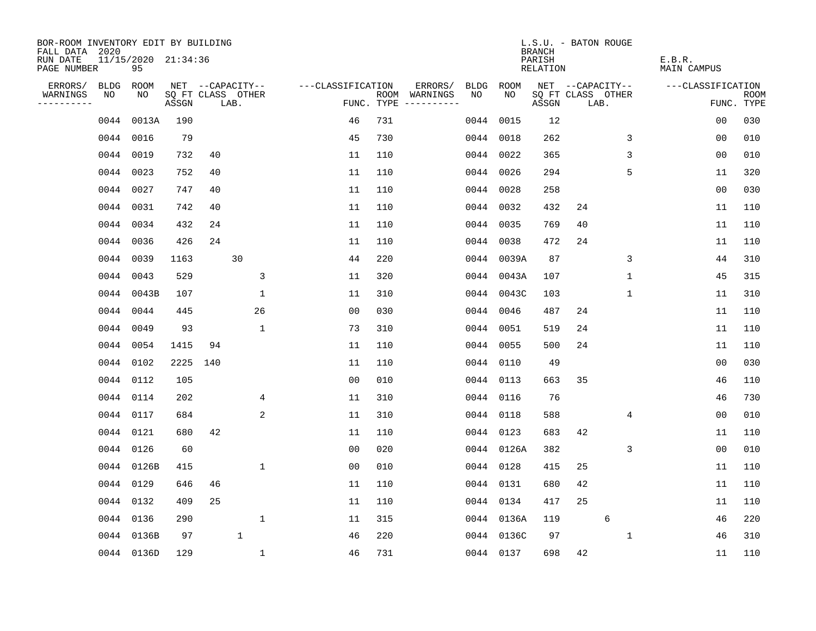| BOR-ROOM INVENTORY EDIT BY BUILDING<br>FALL DATA 2020 |           |                           |       |     |                           |                   |            |                                    |             | L.S.U. - BATON ROUGE<br><b>BRANCH</b> |    |                           |                              |                   |                           |
|-------------------------------------------------------|-----------|---------------------------|-------|-----|---------------------------|-------------------|------------|------------------------------------|-------------|---------------------------------------|----|---------------------------|------------------------------|-------------------|---------------------------|
| RUN DATE<br>PAGE NUMBER                               |           | 11/15/2020 21:34:36<br>95 |       |     |                           |                   |            |                                    |             | PARISH<br><b>RELATION</b>             |    |                           | E.B.R.<br><b>MAIN CAMPUS</b> |                   |                           |
| ERRORS/                                               | BLDG      | <b>ROOM</b>               |       |     | NET --CAPACITY--          | ---CLASSIFICATION |            | ERRORS/<br><b>BLDG</b>             | <b>ROOM</b> |                                       |    | NET --CAPACITY--          |                              | ---CLASSIFICATION |                           |
| WARNINGS<br>----------                                | NO        | NO                        | ASSGN |     | SQ FT CLASS OTHER<br>LAB. |                   | FUNC. TYPE | NO<br>ROOM WARNINGS<br>----------- | NO          | ASSGN                                 |    | SQ FT CLASS OTHER<br>LAB. |                              |                   | <b>ROOM</b><br>FUNC. TYPE |
|                                                       | 0044      | 0013A                     | 190   |     |                           | 46                | 731        | 0044                               | 0015        | 12                                    |    |                           |                              | 0 <sub>0</sub>    | 030                       |
|                                                       | 0044      | 0016                      | 79    |     |                           | 45                | 730        | 0044                               | 0018        | 262                                   |    | 3                         |                              | 0 <sub>0</sub>    | 010                       |
|                                                       | 0044      | 0019                      | 732   | 40  |                           | 11                | 110        | 0044                               | 0022        | 365                                   |    | 3                         |                              | 0 <sub>0</sub>    | 010                       |
|                                                       | 0044      | 0023                      | 752   | 40  |                           | 11                | 110        | 0044                               | 0026        | 294                                   |    | 5                         |                              | 11                | 320                       |
|                                                       | 0044      | 0027                      | 747   | 40  |                           | 11                | 110        | 0044                               | 0028        | 258                                   |    |                           |                              | 0 <sub>0</sub>    | 030                       |
|                                                       | 0044 0031 |                           | 742   | 40  |                           | 11                | 110        |                                    | 0044 0032   | 432                                   | 24 |                           |                              | 11                | 110                       |
|                                                       | 0044 0034 |                           | 432   | 24  |                           | 11                | 110        |                                    | 0044 0035   | 769                                   | 40 |                           |                              | 11                | 110                       |
|                                                       | 0044      | 0036                      | 426   | 24  |                           | 11                | 110        | 0044                               | 0038        | 472                                   | 24 |                           |                              | 11                | 110                       |
|                                                       | 0044      | 0039                      | 1163  |     | 30                        | 44                | 220        | 0044                               | 0039A       | 87                                    |    | 3                         |                              | 44                | 310                       |
|                                                       | 0044 0043 |                           | 529   |     | 3                         | 11                | 320        | 0044                               | 0043A       | 107                                   |    | $\mathbf 1$               |                              | 45                | 315                       |
|                                                       |           | 0044 0043B                | 107   |     | $\mathbf 1$               | 11                | 310        |                                    | 0044 0043C  | 103                                   |    | 1                         |                              | 11                | 310                       |
|                                                       | 0044 0044 |                           | 445   |     | 26                        | 0 <sub>0</sub>    | 030        | 0044                               | 0046        | 487                                   | 24 |                           |                              | 11                | 110                       |
|                                                       | 0044      | 0049                      | 93    |     | 1                         | 73                | 310        | 0044                               | 0051        | 519                                   | 24 |                           |                              | 11                | 110                       |
|                                                       | 0044 0054 |                           | 1415  | 94  |                           | 11                | 110        | 0044                               | 0055        | 500                                   | 24 |                           |                              | 11                | 110                       |
|                                                       | 0044 0102 |                           | 2225  | 140 |                           | 11                | 110        | 0044                               | 0110        | 49                                    |    |                           |                              | 0 <sub>0</sub>    | 030                       |
|                                                       | 0044 0112 |                           | 105   |     |                           | 0 <sub>0</sub>    | 010        | 0044                               | 0113        | 663                                   | 35 |                           |                              | 46                | 110                       |
|                                                       | 0044 0114 |                           | 202   |     | 4                         | 11                | 310        | 0044                               | 0116        | 76                                    |    |                           |                              | 46                | 730                       |
|                                                       | 0044 0117 |                           | 684   |     | 2                         | 11                | 310        | 0044                               | 0118        | 588                                   |    | 4                         |                              | 0 <sub>0</sub>    | 010                       |
|                                                       | 0044 0121 |                           | 680   | 42  |                           | 11                | 110        | 0044                               | 0123        | 683                                   | 42 |                           |                              | 11                | 110                       |
|                                                       | 0044 0126 |                           | 60    |     |                           | 0 <sub>0</sub>    | 020        |                                    | 0044 0126A  | 382                                   |    | 3                         |                              | 0 <sub>0</sub>    | 010                       |
|                                                       |           | 0044 0126B                | 415   |     | 1                         | 0 <sub>0</sub>    | 010        | 0044                               | 0128        | 415                                   | 25 |                           |                              | 11                | 110                       |
|                                                       | 0044 0129 |                           | 646   | 46  |                           | 11                | 110        | 0044                               | 0131        | 680                                   | 42 |                           |                              | 11                | 110                       |
|                                                       | 0044 0132 |                           | 409   | 25  |                           | 11                | 110        | 0044                               | 0134        | 417                                   | 25 |                           |                              | 11                | 110                       |
|                                                       | 0044 0136 |                           | 290   |     | $\mathbf{1}$              | 11                | 315        |                                    | 0044 0136A  | 119                                   |    | 6                         |                              | 46                | 220                       |
|                                                       |           | 0044 0136B                | 97    |     | $\mathbf{1}$              | 46                | 220        | 0044                               | 0136C       | 97                                    |    | 1                         |                              | 46                | 310                       |
|                                                       |           | 0044 0136D                | 129   |     | $\mathbf{1}$              | 46                | 731        |                                    | 0044 0137   | 698                                   | 42 |                           |                              | 11                | 110                       |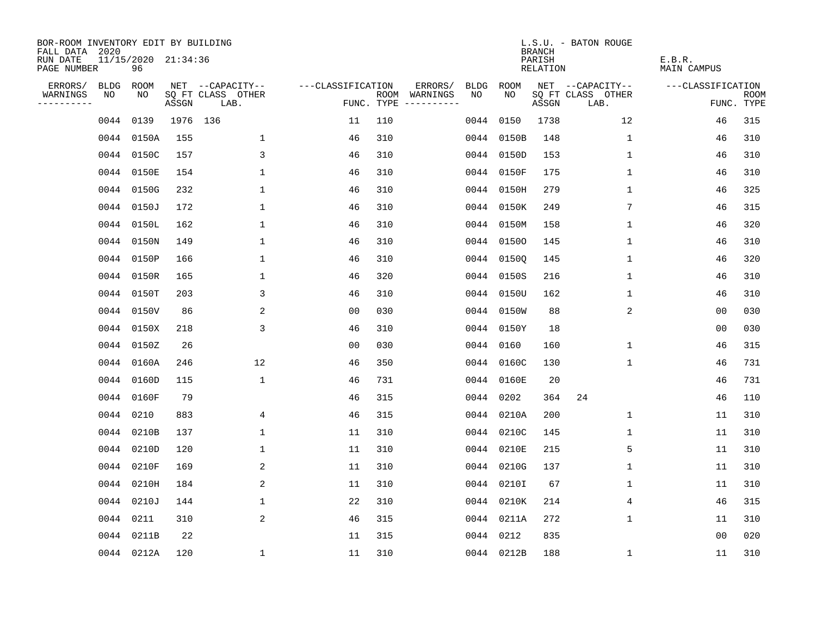| BOR-ROOM INVENTORY EDIT BY BUILDING<br>FALL DATA 2020 |      |                           |          |                           |                   |     |                                      |      |            | <b>BRANCH</b>      | L.S.U. - BATON ROUGE      |                              |                           |
|-------------------------------------------------------|------|---------------------------|----------|---------------------------|-------------------|-----|--------------------------------------|------|------------|--------------------|---------------------------|------------------------------|---------------------------|
| RUN DATE<br>PAGE NUMBER                               |      | 11/15/2020 21:34:36<br>96 |          |                           |                   |     |                                      |      |            | PARISH<br>RELATION |                           | E.B.R.<br><b>MAIN CAMPUS</b> |                           |
| ERRORS/                                               | BLDG | ROOM                      |          | NET --CAPACITY--          | ---CLASSIFICATION |     | ERRORS/                              | BLDG | ROOM       |                    | NET --CAPACITY--          | ---CLASSIFICATION            |                           |
| WARNINGS<br>----------                                | NO   | NO                        | ASSGN    | SQ FT CLASS OTHER<br>LAB. |                   |     | ROOM WARNINGS<br>FUNC. TYPE $------$ | NO.  | NO.        | ASSGN              | SQ FT CLASS OTHER<br>LAB. |                              | <b>ROOM</b><br>FUNC. TYPE |
|                                                       |      | 0044 0139                 | 1976 136 |                           | 11                | 110 |                                      |      | 0044 0150  | 1738               | 12                        | 46                           | 315                       |
|                                                       |      | 0044 0150A                | 155      | $\mathbf 1$               | 46                | 310 |                                      |      | 0044 0150B | 148                | 1                         | 46                           | 310                       |
|                                                       |      | 0044 0150C                | 157      | 3                         | 46                | 310 |                                      |      | 0044 0150D | 153                | 1                         | 46                           | 310                       |
|                                                       |      | 0044 0150E                | 154      | $\mathbf{1}$              | 46                | 310 |                                      |      | 0044 0150F | 175                | 1                         | 46                           | 310                       |
|                                                       |      | 0044 0150G                | 232      | $\mathbf 1$               | 46                | 310 |                                      |      | 0044 0150H | 279                | 1                         | 46                           | 325                       |
|                                                       |      | 0044 0150J                | 172      | $\mathbf 1$               | 46                | 310 |                                      |      | 0044 0150K | 249                | 7                         | 46                           | 315                       |
|                                                       |      | 0044 0150L                | 162      | $\mathbf 1$               | 46                | 310 |                                      |      | 0044 0150M | 158                | $\mathbf 1$               | 46                           | 320                       |
|                                                       |      | 0044 0150N                | 149      | $\mathbf{1}$              | 46                | 310 |                                      |      | 0044 01500 | 145                | 1                         | 46                           | 310                       |
|                                                       |      | 0044 0150P                | 166      | $\mathbf{1}$              | 46                | 310 |                                      |      | 0044 01500 | 145                | $\mathbf{1}$              | 46                           | 320                       |
|                                                       |      | 0044 0150R                | 165      | 1                         | 46                | 320 |                                      |      | 0044 0150S | 216                | 1                         | 46                           | 310                       |
|                                                       |      | 0044 0150T                | 203      | 3                         | 46                | 310 |                                      |      | 0044 0150U | 162                | $\mathbf 1$               | 46                           | 310                       |
|                                                       |      | 0044 0150V                | 86       | 2                         | 0 <sub>0</sub>    | 030 |                                      |      | 0044 0150W | 88                 | 2                         | 0 <sub>0</sub>               | 030                       |
|                                                       |      | 0044 0150X                | 218      | 3                         | 46                | 310 |                                      |      | 0044 0150Y | 18                 |                           | 0 <sub>0</sub>               | 030                       |
|                                                       |      | 0044 0150Z                | 26       |                           | 0 <sub>0</sub>    | 030 |                                      |      | 0044 0160  | 160                | $\mathbf{1}$              | 46                           | 315                       |
|                                                       |      | 0044 0160A                | 246      | 12                        | 46                | 350 |                                      |      | 0044 0160C | 130                | 1                         | 46                           | 731                       |
|                                                       |      | 0044 0160D                | 115      | $\mathbf 1$               | 46                | 731 |                                      |      | 0044 0160E | 20                 |                           | 46                           | 731                       |
|                                                       |      | 0044 0160F                | 79       |                           | 46                | 315 |                                      | 0044 | 0202       | 364                | 24                        | 46                           | 110                       |
|                                                       |      | 0044 0210                 | 883      | 4                         | 46                | 315 |                                      | 0044 | 0210A      | 200                | 1                         | 11                           | 310                       |
|                                                       |      | 0044 0210B                | 137      | $\mathbf{1}$              | 11                | 310 |                                      |      | 0044 0210C | 145                | 1                         | 11                           | 310                       |
|                                                       |      | 0044 0210D                | 120      | $\mathbf{1}$              | 11                | 310 |                                      |      | 0044 0210E | 215                | 5                         | 11                           | 310                       |
|                                                       |      | 0044 0210F                | 169      | 2                         | 11                | 310 |                                      |      | 0044 0210G | 137                | 1                         | 11                           | 310                       |
|                                                       |      | 0044 0210H                | 184      | 2                         | 11                | 310 |                                      |      | 0044 0210I | 67                 | 1                         | 11                           | 310                       |
|                                                       |      | 0044 0210J                | 144      | $\mathbf 1$               | 22                | 310 |                                      |      | 0044 0210K | 214                | 4                         | 46                           | 315                       |
|                                                       |      | 0044 0211                 | 310      | 2                         | 46                | 315 |                                      |      | 0044 0211A | 272                | $\mathbf 1$               | 11                           | 310                       |
|                                                       |      | 0044 0211B                | 22       |                           | 11                | 315 |                                      |      | 0044 0212  | 835                |                           | 0 <sub>0</sub>               | 020                       |
|                                                       |      | 0044 0212A                | 120      | $\mathbf{1}$              | 11                | 310 |                                      |      | 0044 0212B | 188                | 1                         | 11                           | 310                       |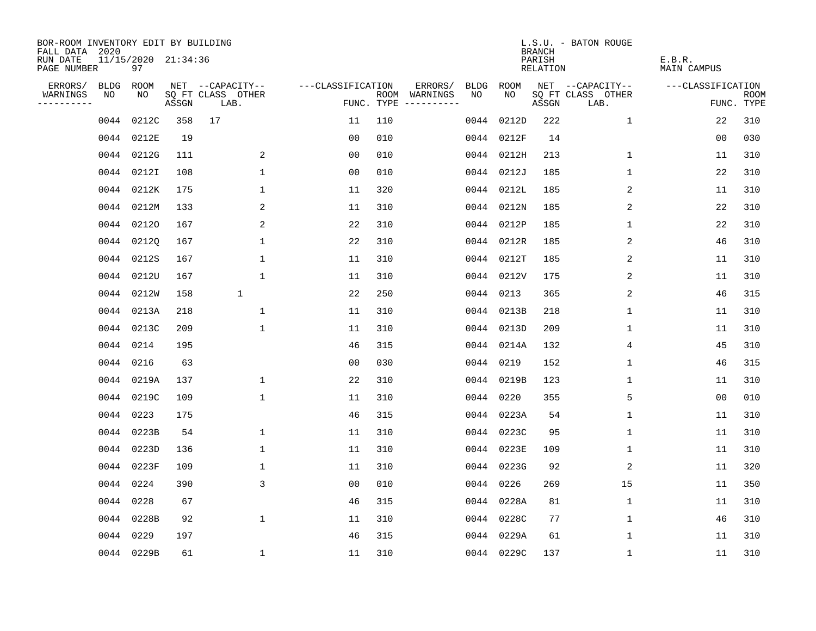| BOR-ROOM INVENTORY EDIT BY BUILDING<br>FALL DATA 2020 |      |                           |       |                           |                   |     |                                      |      |            | <b>BRANCH</b>      | L.S.U. - BATON ROUGE      |                       |                           |
|-------------------------------------------------------|------|---------------------------|-------|---------------------------|-------------------|-----|--------------------------------------|------|------------|--------------------|---------------------------|-----------------------|---------------------------|
| RUN DATE<br>PAGE NUMBER                               |      | 11/15/2020 21:34:36<br>97 |       |                           |                   |     |                                      |      |            | PARISH<br>RELATION |                           | E.B.R.<br>MAIN CAMPUS |                           |
| ERRORS/                                               | BLDG | ROOM                      |       | NET --CAPACITY--          | ---CLASSIFICATION |     | ERRORS/                              | BLDG | ROOM       |                    | NET --CAPACITY--          | ---CLASSIFICATION     |                           |
| WARNINGS<br>----------                                | NO   | NO                        | ASSGN | SQ FT CLASS OTHER<br>LAB. |                   |     | ROOM WARNINGS<br>FUNC. TYPE $------$ | NO.  | NO         | ASSGN              | SQ FT CLASS OTHER<br>LAB. |                       | <b>ROOM</b><br>FUNC. TYPE |
|                                                       | 0044 | 0212C                     | 358   | 17                        | 11                | 110 |                                      | 0044 | 0212D      | 222                | $\mathbf{1}$              | 22                    | 310                       |
|                                                       |      | 0044 0212E                | 19    |                           | 0 <sub>0</sub>    | 010 |                                      | 0044 | 0212F      | 14                 |                           | 0 <sub>0</sub>        | 030                       |
|                                                       |      | 0044 0212G                | 111   | 2                         | 0 <sub>0</sub>    | 010 |                                      |      | 0044 0212H | 213                | $\mathbf 1$               | 11                    | 310                       |
|                                                       |      | 0044 0212I                | 108   | $\mathbf{1}$              | 00                | 010 |                                      |      | 0044 0212J | 185                | 1                         | 22                    | 310                       |
|                                                       |      | 0044 0212K                | 175   | $\mathbf 1$               | 11                | 320 |                                      |      | 0044 0212L | 185                | 2                         | 11                    | 310                       |
|                                                       |      | 0044 0212M                | 133   | 2                         | 11                | 310 |                                      |      | 0044 0212N | 185                | 2                         | 22                    | 310                       |
|                                                       |      | 0044 02120                | 167   | 2                         | 22                | 310 |                                      |      | 0044 0212P | 185                | $\mathbf 1$               | 22                    | 310                       |
|                                                       |      | 0044 02120                | 167   | $\mathbf{1}$              | 22                | 310 |                                      |      | 0044 0212R | 185                | 2                         | 46                    | 310                       |
|                                                       |      | 0044 0212S                | 167   | $\mathbf{1}$              | 11                | 310 |                                      |      | 0044 0212T | 185                | 2                         | 11                    | 310                       |
|                                                       |      | 0044 0212U                | 167   | $\mathbf 1$               | 11                | 310 |                                      |      | 0044 0212V | 175                | 2                         | 11                    | 310                       |
|                                                       |      | 0044 0212W                | 158   | $\mathbf{1}$              | 22                | 250 |                                      |      | 0044 0213  | 365                | 2                         | 46                    | 315                       |
|                                                       |      | 0044 0213A                | 218   | $\mathbf 1$               | 11                | 310 |                                      |      | 0044 0213B | 218                | 1                         | 11                    | 310                       |
|                                                       |      | 0044 0213C                | 209   | $\mathbf{1}$              | 11                | 310 |                                      |      | 0044 0213D | 209                | $\mathbf 1$               | 11                    | 310                       |
|                                                       |      | 0044 0214                 | 195   |                           | 46                | 315 |                                      |      | 0044 0214A | 132                | 4                         | 45                    | 310                       |
|                                                       |      | 0044 0216                 | 63    |                           | 00                | 030 |                                      | 0044 | 0219       | 152                | 1                         | 46                    | 315                       |
|                                                       |      | 0044 0219A                | 137   | 1                         | 22                | 310 |                                      | 0044 | 0219B      | 123                | 1                         | 11                    | 310                       |
|                                                       |      | 0044 0219C                | 109   | $\mathbf 1$               | 11                | 310 |                                      | 0044 | 0220       | 355                | 5                         | 0 <sub>0</sub>        | 010                       |
|                                                       |      | 0044 0223                 | 175   |                           | 46                | 315 |                                      | 0044 | 0223A      | 54                 | 1                         | 11                    | 310                       |
|                                                       |      | 0044 0223B                | 54    | $\mathbf 1$               | 11                | 310 |                                      | 0044 | 0223C      | 95                 | 1                         | 11                    | 310                       |
|                                                       |      | 0044 0223D                | 136   | $\mathbf{1}$              | 11                | 310 |                                      |      | 0044 0223E | 109                | 1                         | 11                    | 310                       |
|                                                       |      | 0044 0223F                | 109   | 1                         | 11                | 310 |                                      |      | 0044 0223G | 92                 | 2                         | 11                    | 320                       |
|                                                       |      | 0044 0224                 | 390   | 3                         | 0 <sub>0</sub>    | 010 |                                      | 0044 | 0226       | 269                | 15                        | 11                    | 350                       |
|                                                       |      | 0044 0228                 | 67    |                           | 46                | 315 |                                      |      | 0044 0228A | 81                 | 1                         | 11                    | 310                       |
|                                                       |      | 0044 0228B                | 92    | $\mathbf 1$               | 11                | 310 |                                      |      | 0044 0228C | 77                 | 1                         | 46                    | 310                       |
|                                                       |      | 0044 0229                 | 197   |                           | 46                | 315 |                                      |      | 0044 0229A | 61                 | 1                         | 11                    | 310                       |
|                                                       |      | 0044 0229B                | 61    | $\mathbf{1}$              | 11                | 310 |                                      |      | 0044 0229C | 137                | 1                         | 11                    | 310                       |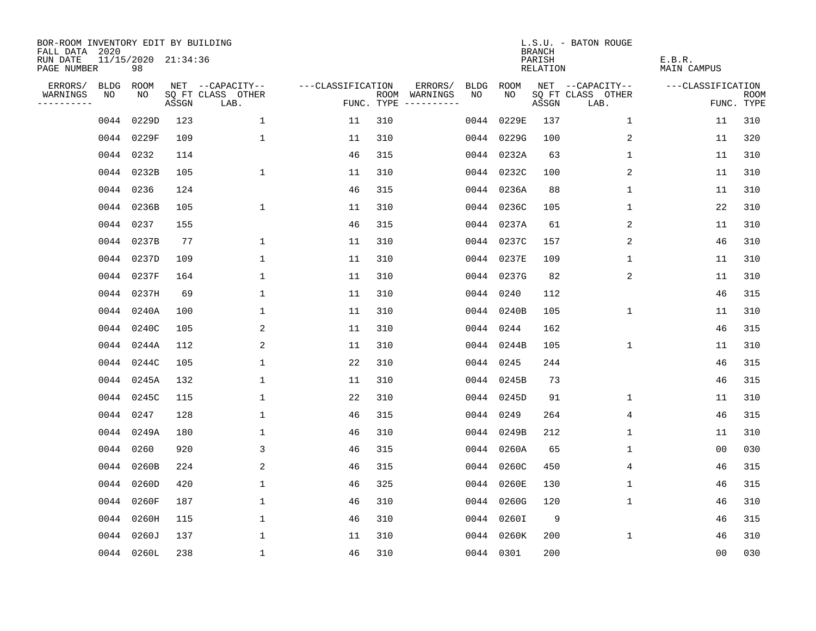| BOR-ROOM INVENTORY EDIT BY BUILDING<br>FALL DATA 2020 |             |                           |       |                           |                   |     |                                      |             |            | <b>BRANCH</b>             | L.S.U. - BATON ROUGE      |                              |                           |
|-------------------------------------------------------|-------------|---------------------------|-------|---------------------------|-------------------|-----|--------------------------------------|-------------|------------|---------------------------|---------------------------|------------------------------|---------------------------|
| RUN DATE<br>PAGE NUMBER                               |             | 11/15/2020 21:34:36<br>98 |       |                           |                   |     |                                      |             |            | PARISH<br><b>RELATION</b> |                           | E.B.R.<br><b>MAIN CAMPUS</b> |                           |
| ERRORS/                                               | <b>BLDG</b> | ROOM                      |       | NET --CAPACITY--          | ---CLASSIFICATION |     | ERRORS/                              | <b>BLDG</b> | ROOM       |                           | NET --CAPACITY--          | ---CLASSIFICATION            |                           |
| WARNINGS<br>----------                                | NO          | NO                        | ASSGN | SQ FT CLASS OTHER<br>LAB. |                   |     | ROOM WARNINGS<br>FUNC. TYPE $------$ | NO          | NO         | ASSGN                     | SQ FT CLASS OTHER<br>LAB. |                              | <b>ROOM</b><br>FUNC. TYPE |
|                                                       | 0044        | 0229D                     | 123   | $\mathbf{1}$              | 11                | 310 |                                      | 0044        | 0229E      | 137                       | $\mathbf 1$               | 11                           | 310                       |
|                                                       |             | 0044 0229F                | 109   | $\mathbf 1$               | 11                | 310 |                                      |             | 0044 0229G | 100                       | 2                         | 11                           | 320                       |
|                                                       | 0044 0232   |                           | 114   |                           | 46                | 315 |                                      |             | 0044 0232A | 63                        | 1                         | 11                           | 310                       |
|                                                       |             | 0044 0232B                | 105   | $\mathbf{1}$              | 11                | 310 |                                      |             | 0044 0232C | 100                       | 2                         | 11                           | 310                       |
|                                                       | 0044 0236   |                           | 124   |                           | 46                | 315 |                                      |             | 0044 0236A | 88                        | $\mathbf 1$               | 11                           | 310                       |
|                                                       |             | 0044 0236B                | 105   | $\mathbf 1$               | 11                | 310 |                                      |             | 0044 0236C | 105                       | $\mathbf{1}$              | 22                           | 310                       |
|                                                       | 0044 0237   |                           | 155   |                           | 46                | 315 |                                      |             | 0044 0237A | 61                        | 2                         | 11                           | 310                       |
|                                                       |             | 0044 0237B                | 77    | 1                         | 11                | 310 |                                      |             | 0044 0237C | 157                       | 2                         | 46                           | 310                       |
|                                                       |             | 0044 0237D                | 109   | 1                         | 11                | 310 |                                      |             | 0044 0237E | 109                       | 1                         | 11                           | 310                       |
|                                                       |             | 0044 0237F                | 164   | 1                         | 11                | 310 |                                      |             | 0044 0237G | 82                        | 2                         | 11                           | 310                       |
|                                                       |             | 0044 0237H                | 69    | $\mathbf{1}$              | 11                | 310 |                                      |             | 0044 0240  | 112                       |                           | 46                           | 315                       |
|                                                       |             | 0044 0240A                | 100   | $\mathbf{1}$              | 11                | 310 |                                      |             | 0044 0240B | 105                       | $\mathbf 1$               | 11                           | 310                       |
|                                                       |             | 0044 0240C                | 105   | 2                         | 11                | 310 |                                      |             | 0044 0244  | 162                       |                           | 46                           | 315                       |
|                                                       |             | 0044 0244A                | 112   | 2                         | 11                | 310 |                                      |             | 0044 0244B | 105                       | 1                         | 11                           | 310                       |
|                                                       |             | 0044 0244C                | 105   | $\mathbf 1$               | 22                | 310 |                                      |             | 0044 0245  | 244                       |                           | 46                           | 315                       |
|                                                       |             | 0044 0245A                | 132   | 1                         | 11                | 310 |                                      |             | 0044 0245B | 73                        |                           | 46                           | 315                       |
|                                                       |             | 0044 0245C                | 115   | 1                         | 22                | 310 |                                      | 0044        | 0245D      | 91                        | 1                         | 11                           | 310                       |
|                                                       | 0044 0247   |                           | 128   | $\mathbf{1}$              | 46                | 315 |                                      | 0044        | 0249       | 264                       | 4                         | 46                           | 315                       |
|                                                       |             | 0044 0249A                | 180   | 1                         | 46                | 310 |                                      |             | 0044 0249B | 212                       | 1                         | 11                           | 310                       |
|                                                       | 0044 0260   |                           | 920   | 3                         | 46                | 315 |                                      |             | 0044 0260A | 65                        | 1                         | 0 <sub>0</sub>               | 030                       |
|                                                       |             | 0044 0260B                | 224   | 2                         | 46                | 315 |                                      |             | 0044 0260C | 450                       | 4                         | 46                           | 315                       |
|                                                       |             | 0044 0260D                | 420   | $\mathbf 1$               | 46                | 325 |                                      | 0044        | 0260E      | 130                       | $\mathbf 1$               | 46                           | 315                       |
|                                                       |             | 0044 0260F                | 187   | 1                         | 46                | 310 |                                      |             | 0044 0260G | 120                       | 1                         | 46                           | 310                       |
|                                                       |             | 0044 0260H                | 115   | $\mathbf 1$               | 46                | 310 |                                      |             | 0044 0260I | 9                         |                           | 46                           | 315                       |
|                                                       |             | 0044 0260J                | 137   | $\mathbf{1}$              | 11                | 310 |                                      |             | 0044 0260K | 200                       | 1                         | 46                           | 310                       |
|                                                       |             | 0044 0260L                | 238   | $\mathbf{1}$              | 46                | 310 |                                      |             | 0044 0301  | 200                       |                           | 0 <sub>0</sub>               | 030                       |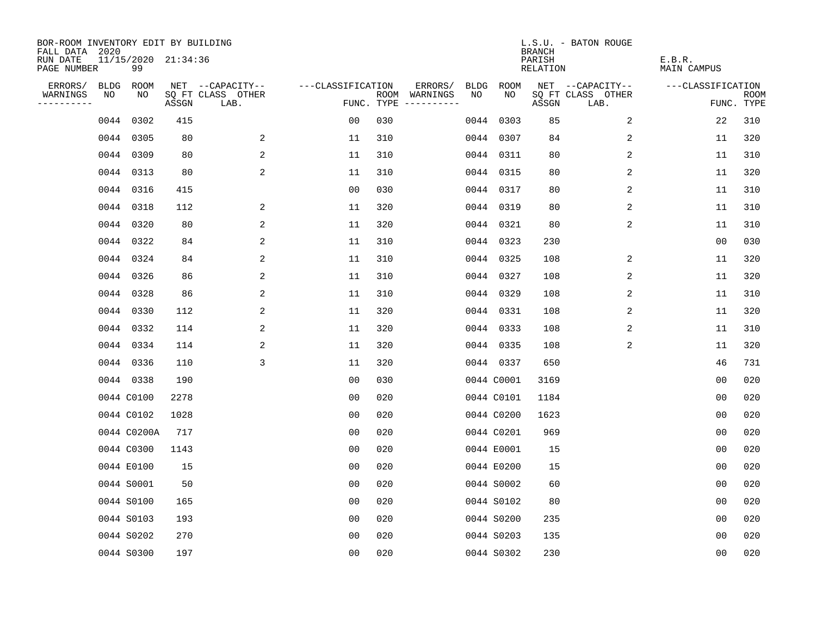| BOR-ROOM INVENTORY EDIT BY BUILDING<br>FALL DATA 2020 |    |                           |       |                           |                   |     |                                            |             | <b>BRANCH</b>             | L.S.U. - BATON ROUGE      |                              |                           |
|-------------------------------------------------------|----|---------------------------|-------|---------------------------|-------------------|-----|--------------------------------------------|-------------|---------------------------|---------------------------|------------------------------|---------------------------|
| RUN DATE<br>PAGE NUMBER                               |    | 11/15/2020 21:34:36<br>99 |       |                           |                   |     |                                            |             | PARISH<br><b>RELATION</b> |                           | E.B.R.<br><b>MAIN CAMPUS</b> |                           |
| ERRORS/                                               |    | BLDG ROOM                 |       | NET --CAPACITY--          | ---CLASSIFICATION |     | ERRORS/<br><b>BLDG</b>                     | <b>ROOM</b> |                           | NET --CAPACITY--          | ---CLASSIFICATION            |                           |
| WARNINGS<br>----------                                | NO | NO                        | ASSGN | SQ FT CLASS OTHER<br>LAB. |                   |     | NO<br>ROOM WARNINGS<br>FUNC. TYPE $------$ | NO          | ASSGN                     | SQ FT CLASS OTHER<br>LAB. |                              | <b>ROOM</b><br>FUNC. TYPE |
|                                                       |    | 0044 0302                 | 415   |                           | 00                | 030 | 0044                                       | 0303        | 85                        | 2                         | 22                           | 310                       |
|                                                       |    | 0044 0305                 | 80    | 2                         | 11                | 310 |                                            | 0044 0307   | 84                        | 2                         | 11                           | 320                       |
|                                                       |    | 0044 0309                 | 80    | 2                         | 11                | 310 |                                            | 0044 0311   | 80                        | 2                         | 11                           | 310                       |
|                                                       |    | 0044 0313                 | 80    | 2                         | 11                | 310 |                                            | 0044 0315   | 80                        | 2                         | 11                           | 320                       |
|                                                       |    | 0044 0316                 | 415   |                           | 0 <sub>0</sub>    | 030 |                                            | 0044 0317   | 80                        | 2                         | 11                           | 310                       |
|                                                       |    | 0044 0318                 | 112   | $\overline{a}$            | 11                | 320 |                                            | 0044 0319   | 80                        | 2                         | 11                           | 310                       |
|                                                       |    | 0044 0320                 | 80    | 2                         | 11                | 320 |                                            | 0044 0321   | 80                        | $\overline{2}$            | 11                           | 310                       |
|                                                       |    | 0044 0322                 | 84    | 2                         | 11                | 310 |                                            | 0044 0323   | 230                       |                           | 0 <sub>0</sub>               | 030                       |
|                                                       |    | 0044 0324                 | 84    | 2                         | 11                | 310 |                                            | 0044 0325   | 108                       | 2                         | 11                           | 320                       |
|                                                       |    | 0044 0326                 | 86    | 2                         | 11                | 310 |                                            | 0044 0327   | 108                       | 2                         | 11                           | 320                       |
|                                                       |    | 0044 0328                 | 86    | 2                         | 11                | 310 |                                            | 0044 0329   | 108                       | 2                         | 11                           | 310                       |
|                                                       |    | 0044 0330                 | 112   | 2                         | 11                | 320 |                                            | 0044 0331   | 108                       | 2                         | 11                           | 320                       |
|                                                       |    | 0044 0332                 | 114   | 2                         | 11                | 320 |                                            | 0044 0333   | 108                       | 2                         | 11                           | 310                       |
|                                                       |    | 0044 0334                 | 114   | 2                         | 11                | 320 |                                            | 0044 0335   | 108                       | 2                         | 11                           | 320                       |
|                                                       |    | 0044 0336                 | 110   | 3                         | 11                | 320 |                                            | 0044 0337   | 650                       |                           | 46                           | 731                       |
|                                                       |    | 0044 0338                 | 190   |                           | 0 <sub>0</sub>    | 030 |                                            | 0044 C0001  | 3169                      |                           | 0 <sub>0</sub>               | 020                       |
|                                                       |    | 0044 C0100                | 2278  |                           | 0 <sub>0</sub>    | 020 |                                            | 0044 C0101  | 1184                      |                           | 0 <sub>0</sub>               | 020                       |
|                                                       |    | 0044 C0102                | 1028  |                           | 0 <sub>0</sub>    | 020 |                                            | 0044 C0200  | 1623                      |                           | 0 <sub>0</sub>               | 020                       |
|                                                       |    | 0044 C0200A               | 717   |                           | 0 <sub>0</sub>    | 020 |                                            | 0044 C0201  | 969                       |                           | 0 <sub>0</sub>               | 020                       |
|                                                       |    | 0044 C0300                | 1143  |                           | 0 <sub>0</sub>    | 020 |                                            | 0044 E0001  | 15                        |                           | 0 <sub>0</sub>               | 020                       |
|                                                       |    | 0044 E0100                | 15    |                           | 0 <sub>0</sub>    | 020 |                                            | 0044 E0200  | 15                        |                           | 0 <sub>0</sub>               | 020                       |
|                                                       |    | 0044 S0001                | 50    |                           | 0 <sub>0</sub>    | 020 |                                            | 0044 S0002  | 60                        |                           | 0 <sub>0</sub>               | 020                       |
|                                                       |    | 0044 S0100                | 165   |                           | 0 <sub>0</sub>    | 020 |                                            | 0044 S0102  | 80                        |                           | 0 <sub>0</sub>               | 020                       |
|                                                       |    | 0044 S0103                | 193   |                           | 0 <sub>0</sub>    | 020 |                                            | 0044 S0200  | 235                       |                           | 0 <sub>0</sub>               | 020                       |
|                                                       |    | 0044 S0202                | 270   |                           | 0 <sub>0</sub>    | 020 |                                            | 0044 S0203  | 135                       |                           | 0 <sub>0</sub>               | 020                       |
|                                                       |    | 0044 S0300                | 197   |                           | 0 <sub>0</sub>    | 020 |                                            | 0044 S0302  | 230                       |                           | 0 <sub>0</sub>               | 020                       |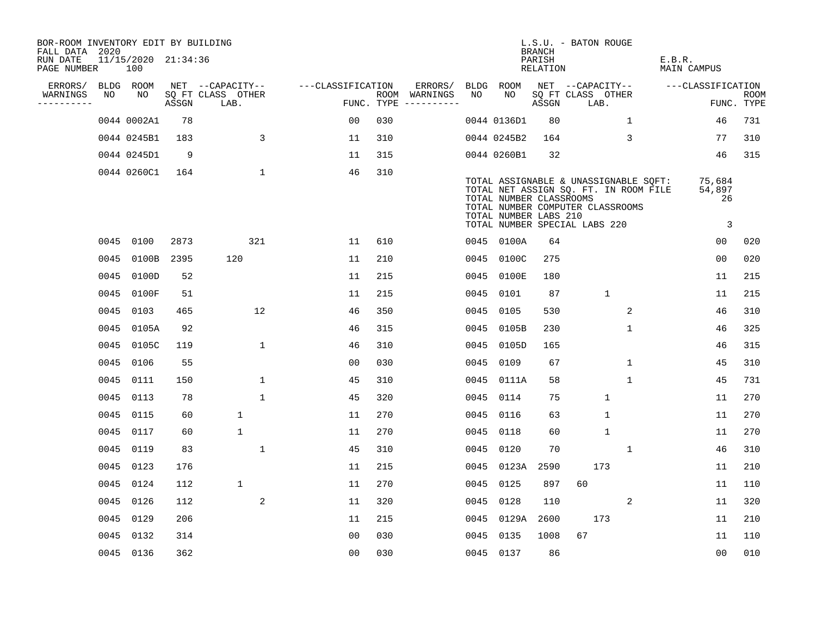| BOR-ROOM INVENTORY EDIT BY BUILDING<br>FALL DATA 2020 |      |                            |       |                           |                   |     |                                      |      |                                                                                                                                                                                                         | <b>BRANCH</b>      | L.S.U. - BATON ROUGE      |              |                       |                                                   |                    |
|-------------------------------------------------------|------|----------------------------|-------|---------------------------|-------------------|-----|--------------------------------------|------|---------------------------------------------------------------------------------------------------------------------------------------------------------------------------------------------------------|--------------------|---------------------------|--------------|-----------------------|---------------------------------------------------|--------------------|
| RUN DATE<br>PAGE NUMBER                               |      | 11/15/2020 21:34:36<br>100 |       |                           |                   |     |                                      |      |                                                                                                                                                                                                         | PARISH<br>RELATION |                           |              | E.B.R.<br>MAIN CAMPUS |                                                   |                    |
| ERRORS/                                               |      | BLDG ROOM                  |       | NET --CAPACITY--          | ---CLASSIFICATION |     | ERRORS/                              |      | BLDG ROOM                                                                                                                                                                                               |                    | NET --CAPACITY--          |              |                       | ---CLASSIFICATION                                 |                    |
| WARNINGS<br>----------                                | NO   | NO                         | ASSGN | SQ FT CLASS OTHER<br>LAB. |                   |     | ROOM WARNINGS<br>FUNC. TYPE $------$ | NO   | NO.                                                                                                                                                                                                     | ASSGN              | SQ FT CLASS OTHER<br>LAB. |              |                       |                                                   | ROOM<br>FUNC. TYPE |
|                                                       |      | 0044 0002A1                | 78    |                           | 0 <sub>0</sub>    | 030 |                                      |      | 0044 0136D1                                                                                                                                                                                             | 80                 |                           | $\mathbf{1}$ |                       | 46                                                | 731                |
|                                                       |      | 0044 0245B1                | 183   | 3                         | 11                | 310 |                                      |      | 0044 0245B2                                                                                                                                                                                             | 164                |                           | 3            |                       | 77                                                | 310                |
|                                                       |      | 0044 0245D1                | 9     |                           | 11                | 315 |                                      |      | 0044 0260B1                                                                                                                                                                                             | 32                 |                           |              |                       | 46                                                | 315                |
|                                                       |      | 0044 0260C1                | 164   | $\mathbf 1$               | 46                | 310 |                                      |      | TOTAL ASSIGNABLE & UNASSIGNABLE SQFT:<br>TOTAL NET ASSIGN SQ. FT. IN ROOM FILE<br>TOTAL NUMBER CLASSROOMS<br>TOTAL NUMBER COMPUTER CLASSROOMS<br>TOTAL NUMBER LABS 210<br>TOTAL NUMBER SPECIAL LABS 220 |                    |                           |              |                       | 75,684<br>54,897<br>26<br>$\overline{\mathbf{3}}$ |                    |
|                                                       |      | 0045 0100                  | 2873  | 321                       | 11                | 610 |                                      |      | 0045 0100A                                                                                                                                                                                              | 64                 |                           |              |                       | 0 <sub>0</sub>                                    | 020                |
|                                                       | 0045 | 0100B                      | 2395  | 120                       | 11                | 210 |                                      |      | 0045 0100C                                                                                                                                                                                              | 275                |                           |              |                       | 0 <sub>0</sub>                                    | 020                |
|                                                       |      | 0045 0100D                 | 52    |                           | 11                | 215 |                                      |      | 0045 0100E                                                                                                                                                                                              | 180                |                           |              |                       | 11                                                | 215                |
|                                                       |      | 0045 0100F                 | 51    |                           | 11                | 215 |                                      | 0045 | 0101                                                                                                                                                                                                    | 87                 |                           | $\mathbf{1}$ |                       | 11                                                | 215                |
|                                                       |      | 0045 0103                  | 465   | 12                        | 46                | 350 |                                      | 0045 | 0105                                                                                                                                                                                                    | 530                |                           | 2            |                       | 46                                                | 310                |
|                                                       | 0045 | 0105A                      | 92    |                           | 46                | 315 |                                      | 0045 | 0105B                                                                                                                                                                                                   | 230                |                           | $\mathbf{1}$ |                       | 46                                                | 325                |
|                                                       |      | 0045 0105C                 | 119   | $\mathbf{1}$              | 46                | 310 |                                      |      | 0045 0105D                                                                                                                                                                                              | 165                |                           |              |                       | 46                                                | 315                |
|                                                       |      | 0045 0106                  | 55    |                           | 00                | 030 |                                      | 0045 | 0109                                                                                                                                                                                                    | 67                 |                           | $\mathbf 1$  |                       | 45                                                | 310                |
|                                                       |      | 0045 0111                  | 150   | $\mathbf 1$               | 45                | 310 |                                      |      | 0045 0111A                                                                                                                                                                                              | 58                 |                           | $\mathbf 1$  |                       | 45                                                | 731                |
|                                                       |      | 0045 0113                  | 78    | $\mathbf{1}$              | 45                | 320 |                                      | 0045 | 0114                                                                                                                                                                                                    | 75                 |                           | $\mathbf{1}$ |                       | 11                                                | 270                |
|                                                       |      | 0045 0115                  | 60    | $\mathbf{1}$              | 11                | 270 |                                      | 0045 | 0116                                                                                                                                                                                                    | 63                 |                           | $\mathbf{1}$ |                       | 11                                                | 270                |
|                                                       |      | 0045 0117                  | 60    | $\mathbf{1}$              | 11                | 270 |                                      | 0045 | 0118                                                                                                                                                                                                    | 60                 |                           | $\mathbf{1}$ |                       | 11                                                | 270                |
|                                                       |      | 0045 0119                  | 83    | $\mathbf{1}$              | 45                | 310 |                                      | 0045 | 0120                                                                                                                                                                                                    | 70                 |                           | $\mathbf{1}$ |                       | 46                                                | 310                |
|                                                       |      | 0045 0123                  | 176   |                           | 11                | 215 |                                      | 0045 | 0123A                                                                                                                                                                                                   | 2590               |                           | 173          |                       | 11                                                | 210                |
|                                                       |      | 0045 0124                  | 112   | 1                         | 11                | 270 |                                      | 0045 | 0125                                                                                                                                                                                                    | 897                | 60                        |              |                       | 11                                                | 110                |
|                                                       |      | 0045 0126                  | 112   | 2                         | 11                | 320 |                                      | 0045 | 0128                                                                                                                                                                                                    | 110                |                           | 2            |                       | 11                                                | 320                |
|                                                       |      | 0045 0129                  | 206   |                           | 11                | 215 |                                      | 0045 | 0129A                                                                                                                                                                                                   | 2600               |                           | 173          |                       | 11                                                | 210                |
|                                                       |      | 0045 0132                  | 314   |                           | 0 <sub>0</sub>    | 030 |                                      | 0045 | 0135                                                                                                                                                                                                    | 1008               | 67                        |              |                       | 11                                                | 110                |
|                                                       |      | 0045 0136                  | 362   |                           | 0 <sub>0</sub>    | 030 |                                      |      | 0045 0137                                                                                                                                                                                               | 86                 |                           |              |                       | 0 <sub>0</sub>                                    | 010                |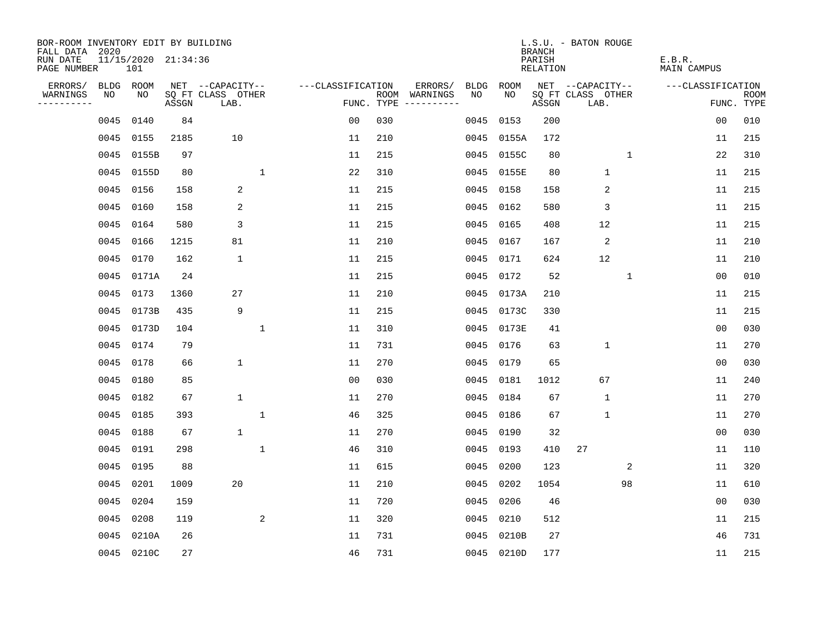| BOR-ROOM INVENTORY EDIT BY BUILDING<br>FALL DATA 2020 |      |                            |       |                           |              |                   |            |                              |      |            | <b>BRANCH</b>      | L.S.U. - BATON ROUGE      |              |                              |                |                           |
|-------------------------------------------------------|------|----------------------------|-------|---------------------------|--------------|-------------------|------------|------------------------------|------|------------|--------------------|---------------------------|--------------|------------------------------|----------------|---------------------------|
| RUN DATE<br>PAGE NUMBER                               |      | 11/15/2020 21:34:36<br>101 |       |                           |              |                   |            |                              |      |            | PARISH<br>RELATION |                           |              | E.B.R.<br><b>MAIN CAMPUS</b> |                |                           |
| ERRORS/                                               |      | BLDG ROOM                  |       | NET --CAPACITY--          |              | ---CLASSIFICATION |            | ERRORS/                      | BLDG | ROOM       |                    | NET --CAPACITY--          |              | ---CLASSIFICATION            |                |                           |
| WARNINGS<br>----------                                | NO   | NO                         | ASSGN | SQ FT CLASS OTHER<br>LAB. |              |                   | FUNC. TYPE | ROOM WARNINGS<br>----------- | NO   | NO.        | ASSGN              | SQ FT CLASS OTHER<br>LAB. |              |                              |                | <b>ROOM</b><br>FUNC. TYPE |
|                                                       | 0045 | 0140                       | 84    |                           |              | 0 <sub>0</sub>    | 030        |                              | 0045 | 0153       | 200                |                           |              |                              | 0 <sub>0</sub> | 010                       |
|                                                       | 0045 | 0155                       | 2185  | 10                        |              | 11                | 210        |                              |      | 0045 0155A | 172                |                           |              |                              | 11             | 215                       |
|                                                       | 0045 | 0155B                      | 97    |                           |              | 11                | 215        |                              |      | 0045 0155C | 80                 |                           | 1            |                              | 22             | 310                       |
|                                                       | 0045 | 0155D                      | 80    |                           | $\mathbf{1}$ | 22                | 310        |                              |      | 0045 0155E | 80                 | $\mathbf{1}$              |              |                              | 11             | 215                       |
|                                                       | 0045 | 0156                       | 158   | 2                         |              | 11                | 215        |                              |      | 0045 0158  | 158                | 2                         |              |                              | 11             | 215                       |
|                                                       | 0045 | 0160                       | 158   | 2                         |              | 11                | 215        |                              |      | 0045 0162  | 580                | 3                         |              |                              | 11             | 215                       |
|                                                       | 0045 | 0164                       | 580   | 3                         |              | 11                | 215        |                              |      | 0045 0165  | 408                | 12                        |              |                              | 11             | 215                       |
|                                                       | 0045 | 0166                       | 1215  | 81                        |              | 11                | 210        |                              |      | 0045 0167  | 167                | $\overline{2}$            |              |                              | 11             | 210                       |
|                                                       | 0045 | 0170                       | 162   | $\mathbf{1}$              |              | 11                | 215        |                              |      | 0045 0171  | 624                | 12                        |              |                              | 11             | 210                       |
|                                                       |      | 0045 0171A                 | 24    |                           |              | 11                | 215        |                              |      | 0045 0172  | 52                 |                           | $\mathbf{1}$ |                              | 0 <sub>0</sub> | 010                       |
|                                                       | 0045 | 0173                       | 1360  | 27                        |              | 11                | 210        |                              |      | 0045 0173A | 210                |                           |              |                              | 11             | 215                       |
|                                                       | 0045 | 0173B                      | 435   | 9                         |              | 11                | 215        |                              |      | 0045 0173C | 330                |                           |              |                              | 11             | 215                       |
|                                                       | 0045 | 0173D                      | 104   |                           | 1            | 11                | 310        |                              | 0045 | 0173E      | 41                 |                           |              |                              | 0 <sub>0</sub> | 030                       |
|                                                       | 0045 | 0174                       | 79    |                           |              | 11                | 731        |                              |      | 0045 0176  | 63                 | $\mathbf 1$               |              |                              | 11             | 270                       |
|                                                       | 0045 | 0178                       | 66    | $\mathbf 1$               |              | 11                | 270        |                              | 0045 | 0179       | 65                 |                           |              |                              | 0 <sub>0</sub> | 030                       |
|                                                       | 0045 | 0180                       | 85    |                           |              | 0 <sub>0</sub>    | 030        |                              |      | 0045 0181  | 1012               | 67                        |              |                              | 11             | 240                       |
|                                                       | 0045 | 0182                       | 67    | $\mathbf{1}$              |              | 11                | 270        |                              | 0045 | 0184       | 67                 | $\mathbf{1}$              |              |                              | 11             | 270                       |
|                                                       | 0045 | 0185                       | 393   |                           | $\mathbf{1}$ | 46                | 325        |                              |      | 0045 0186  | 67                 | $\mathbf 1$               |              |                              | 11             | 270                       |
|                                                       | 0045 | 0188                       | 67    | $\mathbf{1}$              |              | 11                | 270        |                              | 0045 | 0190       | 32                 |                           |              |                              | 0 <sub>0</sub> | 030                       |
|                                                       | 0045 | 0191                       | 298   |                           | $\mathbf 1$  | 46                | 310        |                              |      | 0045 0193  | 410                | 27                        |              |                              | 11             | 110                       |
|                                                       | 0045 | 0195                       | 88    |                           |              | 11                | 615        |                              | 0045 | 0200       | 123                |                           | 2            |                              | 11             | 320                       |
|                                                       | 0045 | 0201                       | 1009  | 20                        |              | 11                | 210        |                              | 0045 | 0202       | 1054               |                           | 98           |                              | 11             | 610                       |
|                                                       | 0045 | 0204                       | 159   |                           |              | 11                | 720        |                              | 0045 | 0206       | 46                 |                           |              |                              | 0 <sub>0</sub> | 030                       |
|                                                       | 0045 | 0208                       | 119   |                           | 2            | 11                | 320        |                              | 0045 | 0210       | 512                |                           |              |                              | 11             | 215                       |
|                                                       | 0045 | 0210A                      | 26    |                           |              | 11                | 731        |                              | 0045 | 0210B      | 27                 |                           |              |                              | 46             | 731                       |
|                                                       |      | 0045 0210C                 | 27    |                           |              | 46                | 731        |                              |      | 0045 0210D | 177                |                           |              |                              | 11             | 215                       |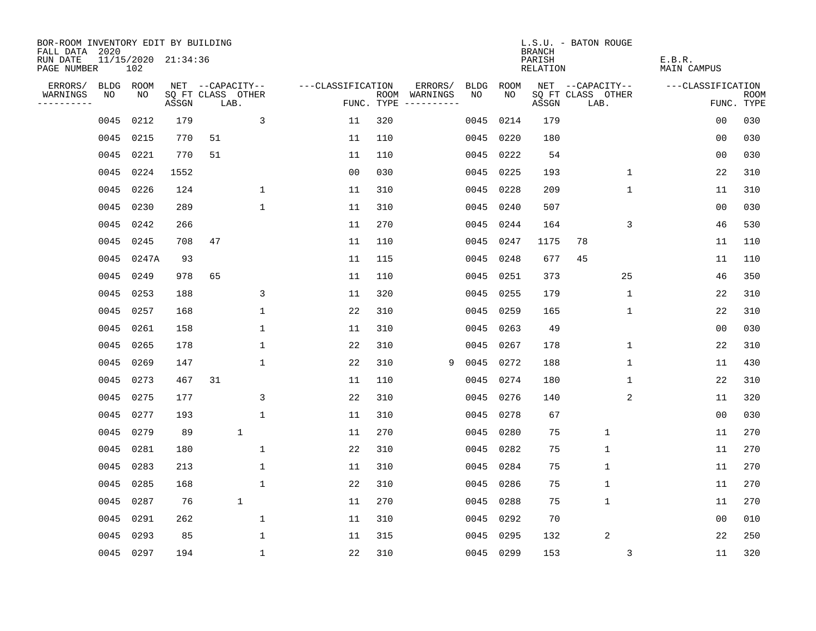| BOR-ROOM INVENTORY EDIT BY BUILDING<br>FALL DATA 2020 |             |                            |       |                           |              |                   |            |               |             |           | <b>BRANCH</b>      | L.S.U. - BATON ROUGE      |             |                       |                           |
|-------------------------------------------------------|-------------|----------------------------|-------|---------------------------|--------------|-------------------|------------|---------------|-------------|-----------|--------------------|---------------------------|-------------|-----------------------|---------------------------|
| RUN DATE<br>PAGE NUMBER                               |             | 11/15/2020 21:34:36<br>102 |       |                           |              |                   |            |               |             |           | PARISH<br>RELATION |                           |             | E.B.R.<br>MAIN CAMPUS |                           |
| ERRORS/                                               | <b>BLDG</b> | ROOM                       |       | NET --CAPACITY--          |              | ---CLASSIFICATION |            | ERRORS/       | <b>BLDG</b> | ROOM      |                    | NET --CAPACITY--          |             | ---CLASSIFICATION     |                           |
| WARNINGS<br>----------                                | NO          | NO                         | ASSGN | SQ FT CLASS OTHER<br>LAB. |              |                   | FUNC. TYPE | ROOM WARNINGS | NO.         | NO.       | ASSGN              | SQ FT CLASS OTHER<br>LAB. |             |                       | <b>ROOM</b><br>FUNC. TYPE |
|                                                       | 0045        | 0212                       | 179   |                           | 3            | 11                | 320        |               | 0045        | 0214      | 179                |                           |             | 0 <sub>0</sub>        | 030                       |
|                                                       | 0045        | 0215                       | 770   | 51                        |              | 11                | 110        |               | 0045        | 0220      | 180                |                           |             | 0 <sub>0</sub>        | 030                       |
|                                                       | 0045        | 0221                       | 770   | 51                        |              | 11                | 110        |               | 0045        | 0222      | 54                 |                           |             | 0 <sub>0</sub>        | 030                       |
|                                                       |             | 0045 0224                  | 1552  |                           |              | 0 <sub>0</sub>    | 030        |               | 0045        | 0225      | 193                |                           | 1           | 22                    | 310                       |
|                                                       | 0045        | 0226                       | 124   |                           | $\mathbf{1}$ | 11                | 310        |               | 0045        | 0228      | 209                |                           | 1           | 11                    | 310                       |
|                                                       | 0045        | 0230                       | 289   |                           | $\mathbf{1}$ | 11                | 310        |               | 0045        | 0240      | 507                |                           |             | 0 <sub>0</sub>        | 030                       |
|                                                       | 0045        | 0242                       | 266   |                           |              | 11                | 270        |               | 0045        | 0244      | 164                |                           | 3           | 46                    | 530                       |
|                                                       | 0045        | 0245                       | 708   | 47                        |              | 11                | 110        |               | 0045        | 0247      | 1175               | 78                        |             | 11                    | 110                       |
|                                                       | 0045        | 0247A                      | 93    |                           |              | 11                | 115        |               | 0045        | 0248      | 677                | 45                        |             | 11                    | 110                       |
|                                                       |             | 0045 0249                  | 978   | 65                        |              | 11                | 110        |               | 0045        | 0251      | 373                |                           | 25          | 46                    | 350                       |
|                                                       |             | 0045 0253                  | 188   |                           | 3            | 11                | 320        |               | 0045        | 0255      | 179                |                           | $\mathbf 1$ | 22                    | 310                       |
|                                                       |             | 0045 0257                  | 168   |                           | $\mathbf{1}$ | 22                | 310        |               | 0045        | 0259      | 165                |                           | $\mathbf 1$ | 22                    | 310                       |
|                                                       | 0045        | 0261                       | 158   |                           | $\mathbf{1}$ | 11                | 310        |               | 0045        | 0263      | 49                 |                           |             | 0 <sub>0</sub>        | 030                       |
|                                                       | 0045        | 0265                       | 178   |                           | $\mathbf 1$  | 22                | 310        |               | 0045        | 0267      | 178                |                           | $\mathbf 1$ | 22                    | 310                       |
|                                                       | 0045        | 0269                       | 147   |                           | 1            | 22                | 310        | 9             | 0045        | 0272      | 188                |                           | 1           | 11                    | 430                       |
|                                                       | 0045        | 0273                       | 467   | 31                        |              | 11                | 110        |               | 0045        | 0274      | 180                |                           | 1           | 22                    | 310                       |
|                                                       | 0045        | 0275                       | 177   |                           | 3            | 22                | 310        |               | 0045        | 0276      | 140                |                           | 2           | 11                    | 320                       |
|                                                       | 0045        | 0277                       | 193   |                           | $\mathbf 1$  | 11                | 310        |               | 0045        | 0278      | 67                 |                           |             | 0 <sub>0</sub>        | 030                       |
|                                                       | 0045        | 0279                       | 89    |                           | $\mathbf 1$  | 11                | 270        |               | 0045        | 0280      | 75                 | $\mathbf{1}$              |             | 11                    | 270                       |
|                                                       | 0045        | 0281                       | 180   |                           | $\mathbf{1}$ | 22                | 310        |               | 0045        | 0282      | 75                 | $\mathbf{1}$              |             | 11                    | 270                       |
|                                                       | 0045        | 0283                       | 213   |                           | $\mathbf 1$  | 11                | 310        |               | 0045        | 0284      | 75                 | $\mathbf 1$               |             | 11                    | 270                       |
|                                                       | 0045        | 0285                       | 168   |                           | $\mathbf{1}$ | 22                | 310        |               | 0045        | 0286      | 75                 | $\mathbf{1}$              |             | 11                    | 270                       |
|                                                       | 0045        | 0287                       | 76    |                           | $\mathbf 1$  | 11                | 270        |               | 0045        | 0288      | 75                 | $\mathbf 1$               |             | 11                    | 270                       |
|                                                       | 0045        | 0291                       | 262   |                           | $\mathbf 1$  | 11                | 310        |               | 0045        | 0292      | 70                 |                           |             | 0 <sub>0</sub>        | 010                       |
|                                                       | 0045        | 0293                       | 85    |                           | $\mathbf{1}$ | 11                | 315        |               | 0045        | 0295      | 132                | $\overline{2}$            |             | 22                    | 250                       |
|                                                       |             | 0045 0297                  | 194   |                           | $\mathbf{1}$ | 22                | 310        |               |             | 0045 0299 | 153                |                           | 3           | 11                    | 320                       |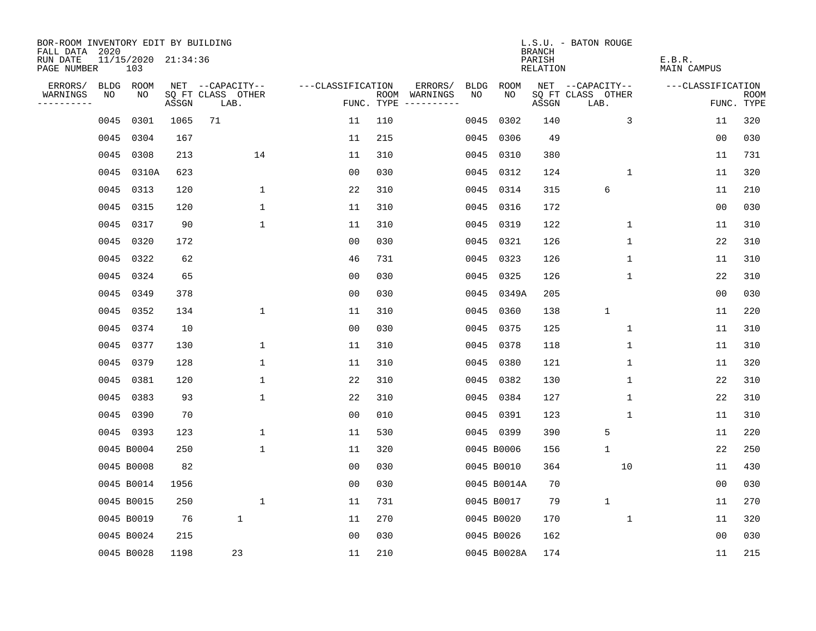| BOR-ROOM INVENTORY EDIT BY BUILDING<br>FALL DATA 2020 |             |                            |       |                           |                   |            |                        |             | <b>BRANCH</b>             | L.S.U. - BATON ROUGE      |                              |                           |
|-------------------------------------------------------|-------------|----------------------------|-------|---------------------------|-------------------|------------|------------------------|-------------|---------------------------|---------------------------|------------------------------|---------------------------|
| RUN DATE<br>PAGE NUMBER                               |             | 11/15/2020 21:34:36<br>103 |       |                           |                   |            |                        |             | PARISH<br><b>RELATION</b> |                           | E.B.R.<br><b>MAIN CAMPUS</b> |                           |
| ERRORS/                                               | <b>BLDG</b> | ROOM                       |       | NET --CAPACITY--          | ---CLASSIFICATION |            | ERRORS/<br><b>BLDG</b> | <b>ROOM</b> |                           | NET --CAPACITY--          | ---CLASSIFICATION            |                           |
| WARNINGS<br>----------                                | NO          | NO                         | ASSGN | SQ FT CLASS OTHER<br>LAB. |                   | FUNC. TYPE | NO<br>ROOM WARNINGS    | NO          | ASSGN                     | SQ FT CLASS OTHER<br>LAB. |                              | <b>ROOM</b><br>FUNC. TYPE |
|                                                       | 0045        | 0301                       | 1065  | 71                        | 11                | 110        | 0045                   | 0302        | 140                       | 3                         | 11                           | 320                       |
|                                                       | 0045        | 0304                       | 167   |                           | 11                | 215        | 0045                   | 0306        | 49                        |                           | 0 <sub>0</sub>               | 030                       |
|                                                       | 0045        | 0308                       | 213   | 14                        | 11                | 310        | 0045                   | 0310        | 380                       |                           | 11                           | 731                       |
|                                                       | 0045        | 0310A                      | 623   |                           | 0 <sub>0</sub>    | 030        | 0045                   | 0312        | 124                       | 1                         | 11                           | 320                       |
|                                                       | 0045        | 0313                       | 120   | $\mathbf 1$               | 22                | 310        | 0045                   | 0314        | 315                       | 6                         | 11                           | 210                       |
|                                                       | 0045        | 0315                       | 120   | 1                         | 11                | 310        | 0045                   | 0316        | 172                       |                           | 0 <sub>0</sub>               | 030                       |
|                                                       | 0045        | 0317                       | 90    | $\mathbf{1}$              | 11                | 310        | 0045                   | 0319        | 122                       | $\mathbf 1$               | 11                           | 310                       |
|                                                       | 0045        | 0320                       | 172   |                           | 0 <sub>0</sub>    | 030        | 0045                   | 0321        | 126                       | $\mathbf{1}$              | 22                           | 310                       |
|                                                       | 0045        | 0322                       | 62    |                           | 46                | 731        | 0045                   | 0323        | 126                       | $\mathbf{1}$              | 11                           | 310                       |
|                                                       | 0045        | 0324                       | 65    |                           | 0 <sub>0</sub>    | 030        | 0045                   | 0325        | 126                       | 1                         | 22                           | 310                       |
|                                                       | 0045        | 0349                       | 378   |                           | 0 <sub>0</sub>    | 030        | 0045                   | 0349A       | 205                       |                           | 0 <sub>0</sub>               | 030                       |
|                                                       | 0045        | 0352                       | 134   | $\mathbf{1}$              | 11                | 310        | 0045                   | 0360        | 138                       | $\mathbf{1}$              | 11                           | 220                       |
|                                                       | 0045        | 0374                       | 10    |                           | 0 <sub>0</sub>    | 030        | 0045                   | 0375        | 125                       | $\mathbf 1$               | 11                           | 310                       |
|                                                       | 0045        | 0377                       | 130   | 1                         | 11                | 310        |                        | 0045 0378   | 118                       | $\mathbf 1$               | 11                           | 310                       |
|                                                       | 0045        | 0379                       | 128   | $\mathbf 1$               | 11                | 310        | 0045                   | 0380        | 121                       | $\mathbf 1$               | 11                           | 320                       |
|                                                       | 0045        | 0381                       | 120   | 1                         | 22                | 310        | 0045                   | 0382        | 130                       | 1                         | 22                           | 310                       |
|                                                       | 0045        | 0383                       | 93    | 1                         | 22                | 310        | 0045                   | 0384        | 127                       | 1                         | 22                           | 310                       |
|                                                       | 0045        | 0390                       | 70    |                           | 0 <sub>0</sub>    | 010        | 0045                   | 0391        | 123                       | 1                         | 11                           | 310                       |
|                                                       |             | 0045 0393                  | 123   | 1                         | 11                | 530        |                        | 0045 0399   | 390                       | 5                         | 11                           | 220                       |
|                                                       |             | 0045 B0004                 | 250   | 1                         | 11                | 320        |                        | 0045 B0006  | 156                       | $\mathbf{1}$              | 22                           | 250                       |
|                                                       |             | 0045 B0008                 | 82    |                           | 0 <sub>0</sub>    | 030        |                        | 0045 B0010  | 364                       | 10                        | 11                           | 430                       |
|                                                       |             | 0045 B0014                 | 1956  |                           | 0 <sub>0</sub>    | 030        |                        | 0045 B0014A | 70                        |                           | 00                           | 030                       |
|                                                       |             | 0045 B0015                 | 250   | 1                         | 11                | 731        |                        | 0045 B0017  | 79                        | $\mathbf{1}$              | 11                           | 270                       |
|                                                       |             | 0045 B0019                 | 76    | $\mathbf 1$               | 11                | 270        |                        | 0045 B0020  | 170                       | $\mathbf 1$               | 11                           | 320                       |
|                                                       |             | 0045 B0024                 | 215   |                           | 0 <sub>0</sub>    | 030        |                        | 0045 B0026  | 162                       |                           | 00                           | 030                       |
|                                                       |             | 0045 B0028                 | 1198  | 23                        | 11                | 210        |                        | 0045 B0028A | 174                       |                           | 11                           | 215                       |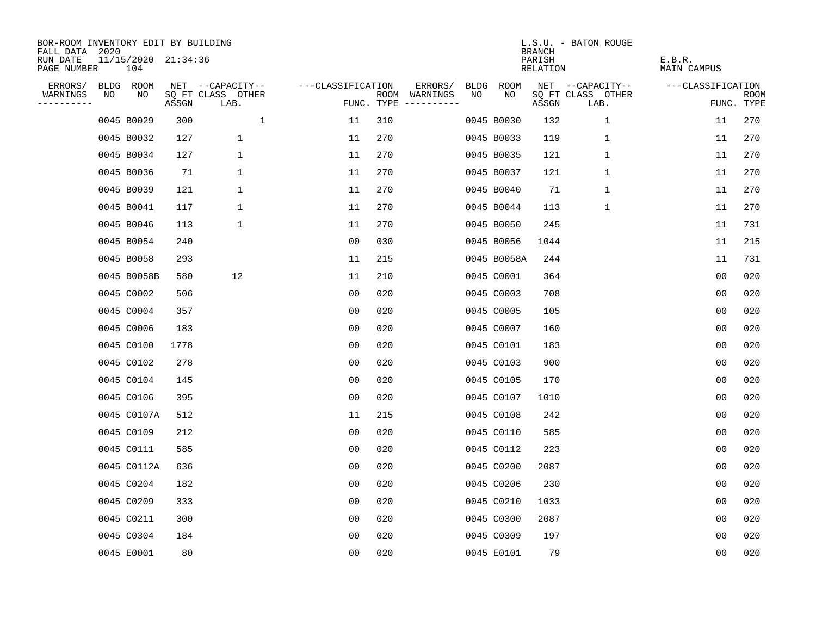| BOR-ROOM INVENTORY EDIT BY BUILDING<br>FALL DATA 2020 |    |                            |       |                           |                   |     |                                      |             |             | <b>BRANCH</b>             | L.S.U. - BATON ROUGE      |                              |                           |
|-------------------------------------------------------|----|----------------------------|-------|---------------------------|-------------------|-----|--------------------------------------|-------------|-------------|---------------------------|---------------------------|------------------------------|---------------------------|
| RUN DATE<br>PAGE NUMBER                               |    | 11/15/2020 21:34:36<br>104 |       |                           |                   |     |                                      |             |             | PARISH<br><b>RELATION</b> |                           | E.B.R.<br><b>MAIN CAMPUS</b> |                           |
| ERRORS/                                               |    | BLDG ROOM                  |       | NET --CAPACITY--          | ---CLASSIFICATION |     | ERRORS/                              | <b>BLDG</b> | <b>ROOM</b> |                           | NET --CAPACITY--          | ---CLASSIFICATION            |                           |
| WARNINGS<br>----------                                | NO | NO                         | ASSGN | SQ FT CLASS OTHER<br>LAB. |                   |     | ROOM WARNINGS<br>FUNC. TYPE $------$ | NO          | NO          | ASSGN                     | SQ FT CLASS OTHER<br>LAB. |                              | <b>ROOM</b><br>FUNC. TYPE |
|                                                       |    | 0045 B0029                 | 300   | $\mathbf{1}$              | 11                | 310 |                                      |             | 0045 B0030  | 132                       | $\mathbf{1}$              | 11                           | 270                       |
|                                                       |    | 0045 B0032                 | 127   | $\mathbf 1$               | 11                | 270 |                                      |             | 0045 B0033  | 119                       | $\mathbf 1$               | 11                           | 270                       |
|                                                       |    | 0045 B0034                 | 127   | $\mathbf 1$               | 11                | 270 |                                      |             | 0045 B0035  | 121                       | $\mathbf 1$               | 11                           | 270                       |
|                                                       |    | 0045 B0036                 | 71    | 1                         | 11                | 270 |                                      |             | 0045 B0037  | 121                       | $\mathbf 1$               | 11                           | 270                       |
|                                                       |    | 0045 B0039                 | 121   | $\mathbf 1$               | 11                | 270 |                                      |             | 0045 B0040  | 71                        | $\mathbf{1}$              | 11                           | 270                       |
|                                                       |    | 0045 B0041                 | 117   | 1                         | 11                | 270 |                                      |             | 0045 B0044  | 113                       | $\mathbf{1}$              | 11                           | 270                       |
|                                                       |    | 0045 B0046                 | 113   | $\mathbf 1$               | 11                | 270 |                                      |             | 0045 B0050  | 245                       |                           | 11                           | 731                       |
|                                                       |    | 0045 B0054                 | 240   |                           | 0 <sub>0</sub>    | 030 |                                      |             | 0045 B0056  | 1044                      |                           | 11                           | 215                       |
|                                                       |    | 0045 B0058                 | 293   |                           | 11                | 215 |                                      |             | 0045 B0058A | 244                       |                           | 11                           | 731                       |
|                                                       |    | 0045 B0058B                | 580   | 12                        | 11                | 210 |                                      |             | 0045 C0001  | 364                       |                           | 0 <sub>0</sub>               | 020                       |
|                                                       |    | 0045 C0002                 | 506   |                           | 00                | 020 |                                      |             | 0045 C0003  | 708                       |                           | 0 <sub>0</sub>               | 020                       |
|                                                       |    | 0045 C0004                 | 357   |                           | 0 <sub>0</sub>    | 020 |                                      |             | 0045 C0005  | 105                       |                           | 0 <sub>0</sub>               | 020                       |
|                                                       |    | 0045 C0006                 | 183   |                           | 0 <sub>0</sub>    | 020 |                                      |             | 0045 C0007  | 160                       |                           | 0 <sub>0</sub>               | 020                       |
|                                                       |    | 0045 C0100                 | 1778  |                           | 0 <sub>0</sub>    | 020 |                                      |             | 0045 C0101  | 183                       |                           | 0 <sub>0</sub>               | 020                       |
|                                                       |    | 0045 C0102                 | 278   |                           | 0 <sub>0</sub>    | 020 |                                      |             | 0045 C0103  | 900                       |                           | 0 <sub>0</sub>               | 020                       |
|                                                       |    | 0045 C0104                 | 145   |                           | 0 <sub>0</sub>    | 020 |                                      |             | 0045 C0105  | 170                       |                           | 0 <sub>0</sub>               | 020                       |
|                                                       |    | 0045 C0106                 | 395   |                           | 0 <sub>0</sub>    | 020 |                                      |             | 0045 C0107  | 1010                      |                           | 0 <sub>0</sub>               | 020                       |
|                                                       |    | 0045 C0107A                | 512   |                           | 11                | 215 |                                      |             | 0045 C0108  | 242                       |                           | 0 <sub>0</sub>               | 020                       |
|                                                       |    | 0045 C0109                 | 212   |                           | 0 <sub>0</sub>    | 020 |                                      |             | 0045 C0110  | 585                       |                           | 0 <sub>0</sub>               | 020                       |
|                                                       |    | 0045 C0111                 | 585   |                           | 0 <sub>0</sub>    | 020 |                                      |             | 0045 C0112  | 223                       |                           | 0 <sub>0</sub>               | 020                       |
|                                                       |    | 0045 C0112A                | 636   |                           | 0 <sub>0</sub>    | 020 |                                      |             | 0045 C0200  | 2087                      |                           | 0 <sub>0</sub>               | 020                       |
|                                                       |    | 0045 C0204                 | 182   |                           | 0 <sub>0</sub>    | 020 |                                      |             | 0045 C0206  | 230                       |                           | 0 <sub>0</sub>               | 020                       |
|                                                       |    | 0045 C0209                 | 333   |                           | 0 <sub>0</sub>    | 020 |                                      |             | 0045 C0210  | 1033                      |                           | 0 <sub>0</sub>               | 020                       |
|                                                       |    | 0045 C0211                 | 300   |                           | 0 <sub>0</sub>    | 020 |                                      |             | 0045 C0300  | 2087                      |                           | 0 <sub>0</sub>               | 020                       |
|                                                       |    | 0045 C0304                 | 184   |                           | 0 <sub>0</sub>    | 020 |                                      |             | 0045 C0309  | 197                       |                           | 0 <sub>0</sub>               | 020                       |
|                                                       |    | 0045 E0001                 | 80    |                           | 0 <sub>0</sub>    | 020 |                                      |             | 0045 E0101  | 79                        |                           | 0 <sub>0</sub>               | 020                       |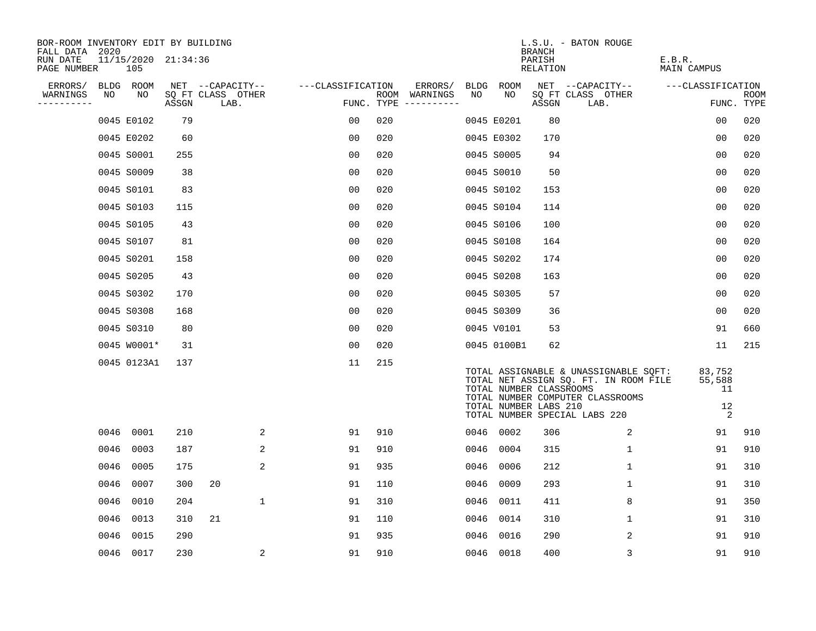| BOR-ROOM INVENTORY EDIT BY BUILDING<br>FALL DATA 2020 |      |                            |       |                           |                   |     |                                      |      |             | BRANCH                                           | L.S.U. - BATON ROUGE                                                                                                                                |                                   |                           |
|-------------------------------------------------------|------|----------------------------|-------|---------------------------|-------------------|-----|--------------------------------------|------|-------------|--------------------------------------------------|-----------------------------------------------------------------------------------------------------------------------------------------------------|-----------------------------------|---------------------------|
| RUN DATE<br>PAGE NUMBER                               |      | 11/15/2020 21:34:36<br>105 |       |                           |                   |     |                                      |      |             | PARISH<br>RELATION                               |                                                                                                                                                     | E.B.R.<br>MAIN CAMPUS             |                           |
| ERRORS/                                               |      | BLDG ROOM                  |       | NET --CAPACITY--          | ---CLASSIFICATION |     | ERRORS/                              |      | BLDG ROOM   |                                                  | NET --CAPACITY--                                                                                                                                    | ---CLASSIFICATION                 |                           |
| WARNINGS<br>----------                                | NO   | NO                         | ASSGN | SQ FT CLASS OTHER<br>LAB. |                   |     | ROOM WARNINGS<br>FUNC. TYPE $------$ | NO.  | NO.         | ASSGN                                            | SQ FT CLASS OTHER<br>LAB.                                                                                                                           |                                   | <b>ROOM</b><br>FUNC. TYPE |
|                                                       |      | 0045 E0102                 | 79    |                           | 0 <sub>0</sub>    | 020 |                                      |      | 0045 E0201  | 80                                               |                                                                                                                                                     | 0 <sub>0</sub>                    | 020                       |
|                                                       |      | 0045 E0202                 | 60    |                           | 0 <sub>0</sub>    | 020 |                                      |      | 0045 E0302  | 170                                              |                                                                                                                                                     | 0 <sub>0</sub>                    | 020                       |
|                                                       |      | 0045 S0001                 | 255   |                           | 0 <sub>0</sub>    | 020 |                                      |      | 0045 S0005  | 94                                               |                                                                                                                                                     | 0 <sub>0</sub>                    | 020                       |
|                                                       |      | 0045 S0009                 | 38    |                           | 0 <sub>0</sub>    | 020 |                                      |      | 0045 S0010  | 50                                               |                                                                                                                                                     | 0 <sub>0</sub>                    | 020                       |
|                                                       |      | 0045 S0101                 | 83    |                           | 0 <sub>0</sub>    | 020 |                                      |      | 0045 S0102  | 153                                              |                                                                                                                                                     | 00                                | 020                       |
|                                                       |      | 0045 S0103                 | 115   |                           | 0 <sub>0</sub>    | 020 |                                      |      | 0045 S0104  | 114                                              |                                                                                                                                                     | 0 <sub>0</sub>                    | 020                       |
|                                                       |      | 0045 S0105                 | 43    |                           | 0 <sub>0</sub>    | 020 |                                      |      | 0045 S0106  | 100                                              |                                                                                                                                                     | 0 <sub>0</sub>                    | 020                       |
|                                                       |      | 0045 S0107                 | 81    |                           | 0 <sub>0</sub>    | 020 |                                      |      | 0045 S0108  | 164                                              |                                                                                                                                                     | 0 <sub>0</sub>                    | 020                       |
|                                                       |      | 0045 S0201                 | 158   |                           | 00                | 020 |                                      |      | 0045 S0202  | 174                                              |                                                                                                                                                     | 0 <sub>0</sub>                    | 020                       |
|                                                       |      | 0045 S0205                 | 43    |                           | 0 <sub>0</sub>    | 020 |                                      |      | 0045 S0208  | 163                                              |                                                                                                                                                     | 0 <sub>0</sub>                    | 020                       |
|                                                       |      | 0045 S0302                 | 170   |                           | 0 <sub>0</sub>    | 020 |                                      |      | 0045 S0305  | 57                                               |                                                                                                                                                     | 0 <sub>0</sub>                    | 020                       |
|                                                       |      | 0045 S0308                 | 168   |                           | 0 <sub>0</sub>    | 020 |                                      |      | 0045 S0309  | 36                                               |                                                                                                                                                     | 0 <sub>0</sub>                    | 020                       |
|                                                       |      | 0045 S0310                 | 80    |                           | 0 <sub>0</sub>    | 020 |                                      |      | 0045 V0101  | 53                                               |                                                                                                                                                     | 91                                | 660                       |
|                                                       |      | 0045 W0001*                | 31    |                           | 0 <sub>0</sub>    | 020 |                                      |      | 0045 0100B1 | 62                                               |                                                                                                                                                     | 11                                | 215                       |
|                                                       |      | 0045 0123A1                | 137   |                           | 11                | 215 |                                      |      |             | TOTAL NUMBER CLASSROOMS<br>TOTAL NUMBER LABS 210 | TOTAL ASSIGNABLE & UNASSIGNABLE SQFT:<br>TOTAL NET ASSIGN SQ. FT. IN ROOM FILE<br>TOTAL NUMBER COMPUTER CLASSROOMS<br>TOTAL NUMBER SPECIAL LABS 220 | 83,752<br>55,588<br>11<br>12<br>2 |                           |
|                                                       | 0046 | 0001                       | 210   | 2                         | 91                | 910 |                                      |      | 0046 0002   | 306                                              | 2                                                                                                                                                   | 91                                | 910                       |
|                                                       | 0046 | 0003                       | 187   | 2                         | 91                | 910 |                                      | 0046 | 0004        | 315                                              | $\mathbf 1$                                                                                                                                         | 91                                | 910                       |
|                                                       | 0046 | 0005                       | 175   | 2                         | 91                | 935 |                                      | 0046 | 0006        | 212                                              | 1                                                                                                                                                   | 91                                | 310                       |
|                                                       | 0046 | 0007                       | 300   | 20                        | 91                | 110 |                                      | 0046 | 0009        | 293                                              | $\mathbf 1$                                                                                                                                         | 91                                | 310                       |
|                                                       | 0046 | 0010                       | 204   | $\mathbf 1$               | 91                | 310 |                                      | 0046 | 0011        | 411                                              | 8                                                                                                                                                   | 91                                | 350                       |
|                                                       | 0046 | 0013                       | 310   | 21                        | 91                | 110 |                                      | 0046 | 0014        | 310                                              | 1                                                                                                                                                   | 91                                | 310                       |
|                                                       | 0046 | 0015                       | 290   |                           | 91                | 935 |                                      | 0046 | 0016        | 290                                              | $\overline{2}$                                                                                                                                      | 91                                | 910                       |
|                                                       | 0046 | 0017                       | 230   | 2                         | 91                | 910 |                                      |      | 0046 0018   | 400                                              | 3                                                                                                                                                   | 91                                | 910                       |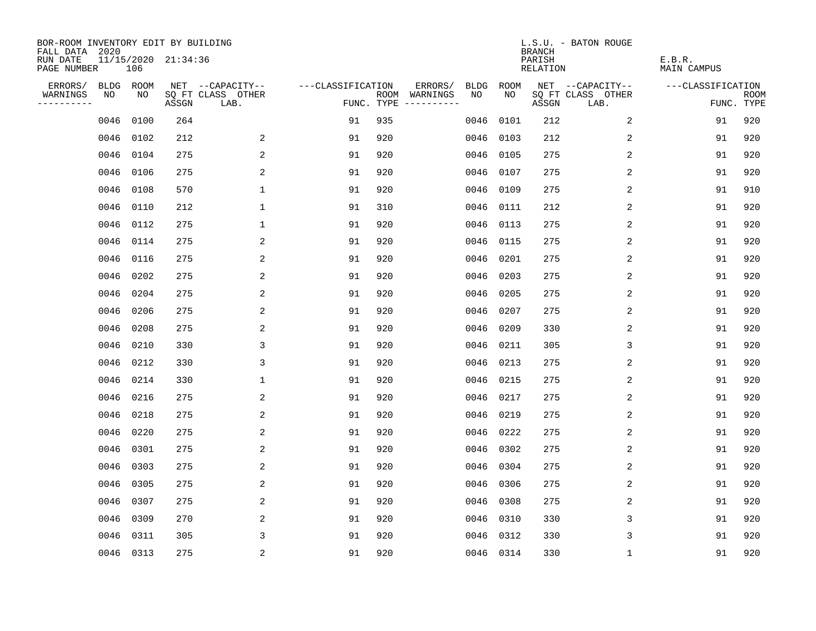| BOR-ROOM INVENTORY EDIT BY BUILDING<br>FALL DATA 2020 |           |      |                     |                           |                   |      |                                 |             |             | <b>BRANCH</b>             | L.S.U. - BATON ROUGE      |                              |                           |
|-------------------------------------------------------|-----------|------|---------------------|---------------------------|-------------------|------|---------------------------------|-------------|-------------|---------------------------|---------------------------|------------------------------|---------------------------|
| RUN DATE<br>PAGE NUMBER                               |           | 106  | 11/15/2020 21:34:36 |                           |                   |      |                                 |             |             | PARISH<br><b>RELATION</b> |                           | E.B.R.<br><b>MAIN CAMPUS</b> |                           |
| ERRORS/                                               | BLDG ROOM |      |                     | NET --CAPACITY--          | ---CLASSIFICATION |      | ERRORS/                         | <b>BLDG</b> | <b>ROOM</b> |                           | NET --CAPACITY--          | ---CLASSIFICATION            |                           |
| WARNINGS<br>----------                                | NO        | NO   | ASSGN               | SQ FT CLASS OTHER<br>LAB. |                   | ROOM | WARNINGS<br>FUNC. TYPE $------$ | NO          | NO          | ASSGN                     | SQ FT CLASS OTHER<br>LAB. |                              | <b>ROOM</b><br>FUNC. TYPE |
|                                                       | 0046      | 0100 | 264                 |                           | 91                | 935  |                                 | 0046        | 0101        | 212                       | 2                         | 91                           | 920                       |
|                                                       | 0046      | 0102 | 212                 | 2                         | 91                | 920  |                                 | 0046        | 0103        | 212                       | 2                         | 91                           | 920                       |
|                                                       | 0046      | 0104 | 275                 | 2                         | 91                | 920  |                                 | 0046        | 0105        | 275                       | $\overline{c}$            | 91                           | 920                       |
|                                                       | 0046      | 0106 | 275                 | 2                         | 91                | 920  |                                 | 0046        | 0107        | 275                       | 2                         | 91                           | 920                       |
|                                                       | 0046      | 0108 | 570                 | $\mathbf 1$               | 91                | 920  |                                 | 0046        | 0109        | 275                       | $\overline{2}$            | 91                           | 910                       |
|                                                       | 0046      | 0110 | 212                 | $\mathbf 1$               | 91                | 310  |                                 |             | 0046 0111   | 212                       | 2                         | 91                           | 920                       |
|                                                       | 0046      | 0112 | 275                 | $\mathbf 1$               | 91                | 920  |                                 | 0046        | 0113        | 275                       | 2                         | 91                           | 920                       |
|                                                       | 0046      | 0114 | 275                 | 2                         | 91                | 920  |                                 |             | 0046 0115   | 275                       | 2                         | 91                           | 920                       |
|                                                       | 0046      | 0116 | 275                 | 2                         | 91                | 920  |                                 | 0046        | 0201        | 275                       | 2                         | 91                           | 920                       |
|                                                       | 0046      | 0202 | 275                 | 2                         | 91                | 920  |                                 | 0046        | 0203        | 275                       | 2                         | 91                           | 920                       |
|                                                       | 0046      | 0204 | 275                 | 2                         | 91                | 920  |                                 | 0046        | 0205        | 275                       | 2                         | 91                           | 920                       |
|                                                       | 0046      | 0206 | 275                 | 2                         | 91                | 920  |                                 | 0046        | 0207        | 275                       | 2                         | 91                           | 920                       |
|                                                       | 0046      | 0208 | 275                 | 2                         | 91                | 920  |                                 | 0046        | 0209        | 330                       | 2                         | 91                           | 920                       |
|                                                       | 0046      | 0210 | 330                 | 3                         | 91                | 920  |                                 | 0046        | 0211        | 305                       | 3                         | 91                           | 920                       |
|                                                       | 0046      | 0212 | 330                 | 3                         | 91                | 920  |                                 | 0046        | 0213        | 275                       | 2                         | 91                           | 920                       |
|                                                       | 0046      | 0214 | 330                 | 1                         | 91                | 920  |                                 | 0046        | 0215        | 275                       | 2                         | 91                           | 920                       |
|                                                       | 0046      | 0216 | 275                 | 2                         | 91                | 920  |                                 | 0046        | 0217        | 275                       | 2                         | 91                           | 920                       |
|                                                       | 0046      | 0218 | 275                 | 2                         | 91                | 920  |                                 | 0046        | 0219        | 275                       | 2                         | 91                           | 920                       |
|                                                       | 0046      | 0220 | 275                 | 2                         | 91                | 920  |                                 | 0046        | 0222        | 275                       | 2                         | 91                           | 920                       |
|                                                       | 0046      | 0301 | 275                 | 2                         | 91                | 920  |                                 | 0046        | 0302        | 275                       | 2                         | 91                           | 920                       |
|                                                       | 0046      | 0303 | 275                 | 2                         | 91                | 920  |                                 | 0046        | 0304        | 275                       | 2                         | 91                           | 920                       |
|                                                       | 0046      | 0305 | 275                 | 2                         | 91                | 920  |                                 | 0046        | 0306        | 275                       | 2                         | 91                           | 920                       |
|                                                       | 0046      | 0307 | 275                 | 2                         | 91                | 920  |                                 | 0046        | 0308        | 275                       | 2                         | 91                           | 920                       |
|                                                       | 0046      | 0309 | 270                 | 2                         | 91                | 920  |                                 | 0046        | 0310        | 330                       | 3                         | 91                           | 920                       |
|                                                       | 0046      | 0311 | 305                 | 3                         | 91                | 920  |                                 | 0046        | 0312        | 330                       | 3                         | 91                           | 920                       |
|                                                       | 0046 0313 |      | 275                 | 2                         | 91                | 920  |                                 |             | 0046 0314   | 330                       | 1                         | 91                           | 920                       |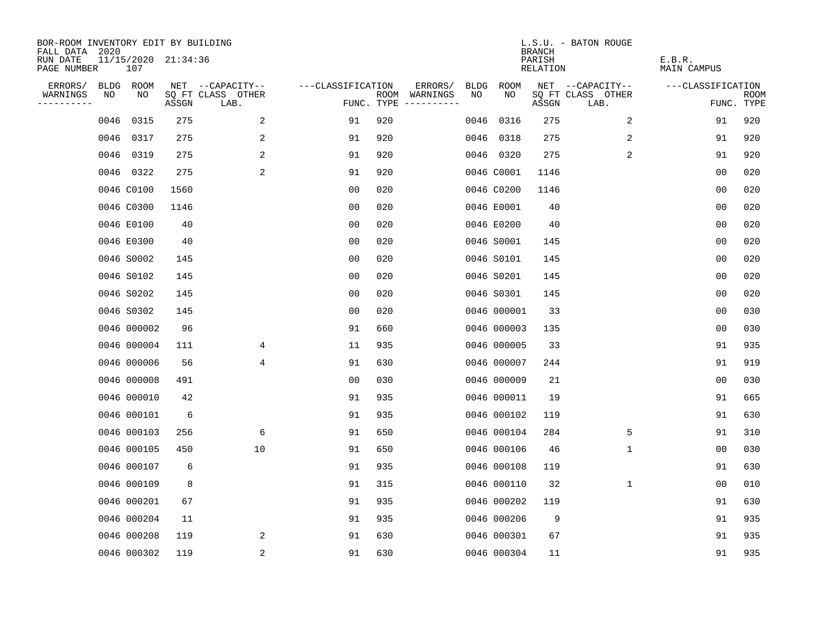| BOR-ROOM INVENTORY EDIT BY BUILDING<br>FALL DATA 2020 |      |                            |       |                           |                   |     |                                      |             |             | <b>BRANCH</b>      | L.S.U. - BATON ROUGE      |                              |                           |
|-------------------------------------------------------|------|----------------------------|-------|---------------------------|-------------------|-----|--------------------------------------|-------------|-------------|--------------------|---------------------------|------------------------------|---------------------------|
| RUN DATE<br>PAGE NUMBER                               |      | 11/15/2020 21:34:36<br>107 |       |                           |                   |     |                                      |             |             | PARISH<br>RELATION |                           | E.B.R.<br><b>MAIN CAMPUS</b> |                           |
| ERRORS/                                               |      | BLDG ROOM                  |       | NET --CAPACITY--          | ---CLASSIFICATION |     | ERRORS/                              | <b>BLDG</b> | <b>ROOM</b> |                    | NET --CAPACITY--          | ---CLASSIFICATION            |                           |
| WARNINGS<br>----------                                | NO   | NO                         | ASSGN | SQ FT CLASS OTHER<br>LAB. |                   |     | ROOM WARNINGS<br>FUNC. TYPE $------$ | NO          | NO          | ASSGN              | SQ FT CLASS OTHER<br>LAB. |                              | <b>ROOM</b><br>FUNC. TYPE |
|                                                       | 0046 | 0315                       | 275   | 2                         | 91                | 920 |                                      | 0046        | 0316        | 275                | 2                         | 91                           | 920                       |
|                                                       |      | 0046 0317                  | 275   | 2                         | 91                | 920 |                                      |             | 0046 0318   | 275                | 2                         | 91                           | 920                       |
|                                                       |      | 0046 0319                  | 275   | 2                         | 91                | 920 |                                      |             | 0046 0320   | 275                | 2                         | 91                           | 920                       |
|                                                       |      | 0046 0322                  | 275   | $\overline{c}$            | 91                | 920 |                                      |             | 0046 C0001  | 1146               |                           | 00                           | 020                       |
|                                                       |      | 0046 C0100                 | 1560  |                           | 0 <sub>0</sub>    | 020 |                                      |             | 0046 C0200  | 1146               |                           | 0 <sub>0</sub>               | 020                       |
|                                                       |      | 0046 C0300                 | 1146  |                           | 0 <sub>0</sub>    | 020 |                                      |             | 0046 E0001  | 40                 |                           | 0 <sub>0</sub>               | 020                       |
|                                                       |      | 0046 E0100                 | 40    |                           | 0 <sub>0</sub>    | 020 |                                      |             | 0046 E0200  | 40                 |                           | 0 <sub>0</sub>               | 020                       |
|                                                       |      | 0046 E0300                 | 40    |                           | 0 <sub>0</sub>    | 020 |                                      |             | 0046 S0001  | 145                |                           | 0 <sub>0</sub>               | 020                       |
|                                                       |      | 0046 S0002                 | 145   |                           | 00                | 020 |                                      |             | 0046 S0101  | 145                |                           | 0 <sub>0</sub>               | 020                       |
|                                                       |      | 0046 S0102                 | 145   |                           | 0 <sub>0</sub>    | 020 |                                      |             | 0046 S0201  | 145                |                           | 0 <sub>0</sub>               | 020                       |
|                                                       |      | 0046 S0202                 | 145   |                           | 0 <sub>0</sub>    | 020 |                                      |             | 0046 S0301  | 145                |                           | 0 <sub>0</sub>               | 020                       |
|                                                       |      | 0046 S0302                 | 145   |                           | 0 <sub>0</sub>    | 020 |                                      |             | 0046 000001 | 33                 |                           | 0 <sub>0</sub>               | 030                       |
|                                                       |      | 0046 000002                | 96    |                           | 91                | 660 |                                      |             | 0046 000003 | 135                |                           | 00                           | 030                       |
|                                                       |      | 0046 000004                | 111   | 4                         | 11                | 935 |                                      |             | 0046 000005 | 33                 |                           | 91                           | 935                       |
|                                                       |      | 0046 000006                | 56    | 4                         | 91                | 630 |                                      |             | 0046 000007 | 244                |                           | 91                           | 919                       |
|                                                       |      | 0046 000008                | 491   |                           | 0 <sub>0</sub>    | 030 |                                      |             | 0046 000009 | 21                 |                           | 0 <sub>0</sub>               | 030                       |
|                                                       |      | 0046 000010                | 42    |                           | 91                | 935 |                                      |             | 0046 000011 | 19                 |                           | 91                           | 665                       |
|                                                       |      | 0046 000101                | 6     |                           | 91                | 935 |                                      |             | 0046 000102 | 119                |                           | 91                           | 630                       |
|                                                       |      | 0046 000103                | 256   | 6                         | 91                | 650 |                                      |             | 0046 000104 | 284                | 5                         | 91                           | 310                       |
|                                                       |      | 0046 000105                | 450   | 10                        | 91                | 650 |                                      |             | 0046 000106 | 46                 | $\mathbf 1$               | 0 <sub>0</sub>               | 030                       |
|                                                       |      | 0046 000107                | 6     |                           | 91                | 935 |                                      |             | 0046 000108 | 119                |                           | 91                           | 630                       |
|                                                       |      | 0046 000109                | 8     |                           | 91                | 315 |                                      |             | 0046 000110 | 32                 | 1                         | 00                           | 010                       |
|                                                       |      | 0046 000201                | 67    |                           | 91                | 935 |                                      |             | 0046 000202 | 119                |                           | 91                           | 630                       |
|                                                       |      | 0046 000204                | 11    |                           | 91                | 935 |                                      |             | 0046 000206 | 9                  |                           | 91                           | 935                       |
|                                                       |      | 0046 000208                | 119   | 2                         | 91                | 630 |                                      |             | 0046 000301 | 67                 |                           | 91                           | 935                       |
|                                                       |      | 0046 000302                | 119   | 2                         | 91                | 630 |                                      |             | 0046 000304 | 11                 |                           | 91                           | 935                       |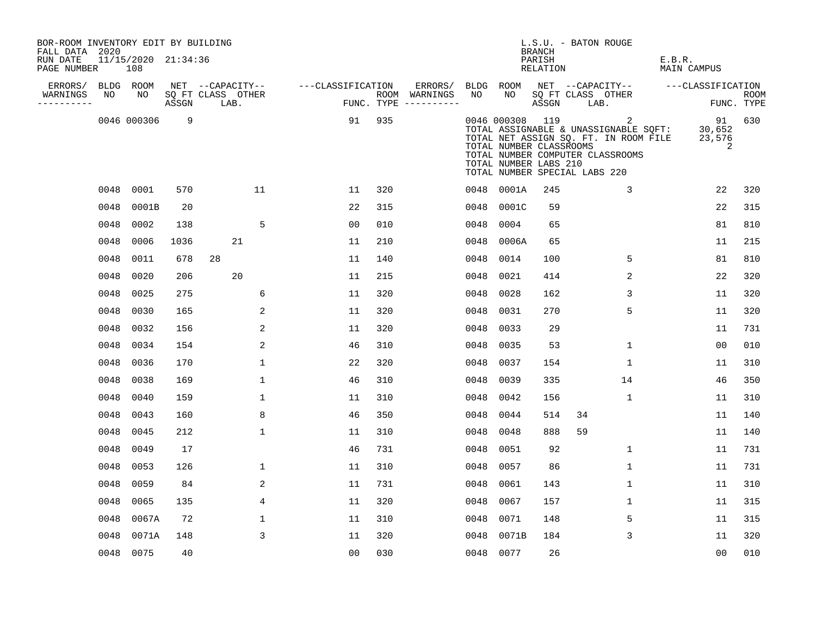| BOR-ROOM INVENTORY EDIT BY BUILDING<br>FALL DATA 2020 |      |                            |       |                                       |                |                   |     |                                      |      |                                                                                                      | <b>BRANCH</b>      | L.S.U. - BATON ROUGE |                                                                                                                         |        |                             |                           |
|-------------------------------------------------------|------|----------------------------|-------|---------------------------------------|----------------|-------------------|-----|--------------------------------------|------|------------------------------------------------------------------------------------------------------|--------------------|----------------------|-------------------------------------------------------------------------------------------------------------------------|--------|-----------------------------|---------------------------|
| RUN DATE<br>PAGE NUMBER                               |      | 11/15/2020 21:34:36<br>108 |       |                                       |                |                   |     |                                      |      |                                                                                                      | PARISH<br>RELATION |                      |                                                                                                                         | E.B.R. | MAIN CAMPUS                 |                           |
| ERRORS/                                               | NO   | BLDG ROOM<br>NO            |       | NET --CAPACITY--<br>SQ FT CLASS OTHER |                | ---CLASSIFICATION |     | ERRORS/                              | NO   | BLDG ROOM<br>NO                                                                                      |                    |                      | NET --CAPACITY--<br>SQ FT CLASS OTHER                                                                                   |        | ---CLASSIFICATION           |                           |
| WARNINGS<br>-----------                               |      |                            | ASSGN | LAB.                                  |                |                   |     | ROOM WARNINGS<br>FUNC. TYPE $------$ |      |                                                                                                      | ASSGN              | LAB.                 |                                                                                                                         |        |                             | <b>ROOM</b><br>FUNC. TYPE |
|                                                       |      | 0046 000306                | 9     |                                       |                | 91                | 935 |                                      |      | 0046 000308 119<br>TOTAL NUMBER CLASSROOMS<br>TOTAL NUMBER LABS 210<br>TOTAL NUMBER SPECIAL LABS 220 |                    |                      | 2<br>TOTAL ASSIGNABLE & UNASSIGNABLE SQFT:<br>TOTAL NET ASSIGN SQ. FT. IN ROOM FILE<br>TOTAL NUMBER COMPUTER CLASSROOMS |        | 91<br>30,652<br>23,576<br>2 | 630                       |
|                                                       |      | 0048 0001                  | 570   |                                       | 11             | 11                | 320 |                                      |      | 0048 0001A                                                                                           | 245                |                      | 3                                                                                                                       |        | 22                          | 320                       |
|                                                       | 0048 | 0001B                      | 20    |                                       |                | 22                | 315 |                                      | 0048 | 0001C                                                                                                | 59                 |                      |                                                                                                                         |        | 22                          | 315                       |
|                                                       | 0048 | 0002                       | 138   |                                       | 5              | 0 <sub>0</sub>    | 010 |                                      | 0048 | 0004                                                                                                 | 65                 |                      |                                                                                                                         |        | 81                          | 810                       |
|                                                       | 0048 | 0006                       | 1036  | 21                                    |                | 11                | 210 |                                      | 0048 | 0006A                                                                                                | 65                 |                      |                                                                                                                         |        | 11                          | 215                       |
|                                                       | 0048 | 0011                       | 678   | 28                                    |                | 11                | 140 |                                      | 0048 | 0014                                                                                                 | 100                |                      | 5                                                                                                                       |        | 81                          | 810                       |
|                                                       | 0048 | 0020                       | 206   | 20                                    |                | 11                | 215 |                                      | 0048 | 0021                                                                                                 | 414                |                      | 2                                                                                                                       |        | 22                          | 320                       |
|                                                       | 0048 | 0025                       | 275   |                                       | 6              | 11                | 320 |                                      | 0048 | 0028                                                                                                 | 162                |                      | 3                                                                                                                       |        | 11                          | 320                       |
|                                                       | 0048 | 0030                       | 165   |                                       | 2              | 11                | 320 |                                      | 0048 | 0031                                                                                                 | 270                |                      | 5                                                                                                                       |        | 11                          | 320                       |
|                                                       | 0048 | 0032                       | 156   |                                       | 2              | 11                | 320 |                                      | 0048 | 0033                                                                                                 | 29                 |                      |                                                                                                                         |        | 11                          | 731                       |
|                                                       | 0048 | 0034                       | 154   |                                       | 2              | 46                | 310 |                                      | 0048 | 0035                                                                                                 | 53                 |                      | $\mathbf 1$                                                                                                             |        | 0 <sub>0</sub>              | 010                       |
|                                                       | 0048 | 0036                       | 170   |                                       | 1              | 22                | 320 |                                      | 0048 | 0037                                                                                                 | 154                |                      | 1                                                                                                                       |        | 11                          | 310                       |
|                                                       |      | 0048 0038                  | 169   |                                       | $\mathbf{1}$   | 46                | 310 |                                      | 0048 | 0039                                                                                                 | 335                |                      | 14                                                                                                                      |        | 46                          | 350                       |
|                                                       | 0048 | 0040                       | 159   |                                       | 1              | 11                | 310 |                                      | 0048 | 0042                                                                                                 | 156                |                      | $\mathbf 1$                                                                                                             |        | 11                          | 310                       |
|                                                       | 0048 | 0043                       | 160   |                                       | 8              | 46                | 350 |                                      | 0048 | 0044                                                                                                 | 514                | 34                   |                                                                                                                         |        | 11                          | 140                       |
|                                                       | 0048 | 0045                       | 212   |                                       | 1              | 11                | 310 |                                      | 0048 | 0048                                                                                                 | 888                | 59                   |                                                                                                                         |        | 11                          | 140                       |
|                                                       | 0048 | 0049                       | 17    |                                       |                | 46                | 731 |                                      | 0048 | 0051                                                                                                 | 92                 |                      | $\mathbf 1$                                                                                                             |        | 11                          | 731                       |
|                                                       | 0048 | 0053                       | 126   |                                       | 1              | 11                | 310 |                                      | 0048 | 0057                                                                                                 | 86                 |                      | $\mathbf{1}$                                                                                                            |        | 11                          | 731                       |
|                                                       | 0048 | 0059                       | 84    |                                       | $\overline{2}$ | 11                | 731 |                                      | 0048 | 0061                                                                                                 | 143                |                      | $\mathbf{1}$                                                                                                            |        | 11                          | 310                       |
|                                                       | 0048 | 0065                       | 135   |                                       | 4              | 11                | 320 |                                      | 0048 | 0067                                                                                                 | 157                |                      | $\mathbf{1}$                                                                                                            |        | 11                          | 315                       |
|                                                       | 0048 | 0067A                      | 72    |                                       | $\mathbf{1}$   | 11                | 310 |                                      | 0048 | 0071                                                                                                 | 148                |                      | 5                                                                                                                       |        | 11                          | 315                       |
|                                                       | 0048 | 0071A                      | 148   |                                       | 3              | 11                | 320 |                                      |      | 0048 0071B                                                                                           | 184                |                      | 3                                                                                                                       |        | 11                          | 320                       |
|                                                       |      | 0048 0075                  | 40    |                                       |                | 0 <sub>0</sub>    | 030 |                                      |      | 0048 0077                                                                                            | 26                 |                      |                                                                                                                         |        | 00                          | 010                       |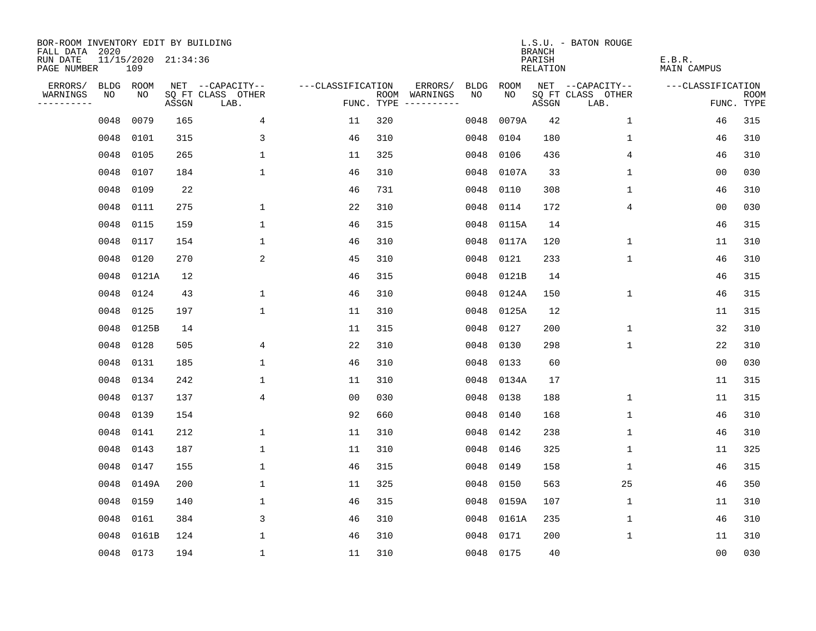| BOR-ROOM INVENTORY EDIT BY BUILDING<br>FALL DATA 2020 |      |                            |       |                           |                   |     |                                      |             |           | <b>BRANCH</b>      | L.S.U. - BATON ROUGE      |                              |                           |
|-------------------------------------------------------|------|----------------------------|-------|---------------------------|-------------------|-----|--------------------------------------|-------------|-----------|--------------------|---------------------------|------------------------------|---------------------------|
| RUN DATE<br>PAGE NUMBER                               |      | 11/15/2020 21:34:36<br>109 |       |                           |                   |     |                                      |             |           | PARISH<br>RELATION |                           | E.B.R.<br><b>MAIN CAMPUS</b> |                           |
| ERRORS/                                               |      | BLDG ROOM                  |       | NET --CAPACITY--          | ---CLASSIFICATION |     | ERRORS/                              | <b>BLDG</b> | ROOM      |                    | NET --CAPACITY--          | ---CLASSIFICATION            |                           |
| WARNINGS<br>----------                                | NO   | NO                         | ASSGN | SQ FT CLASS OTHER<br>LAB. |                   |     | ROOM WARNINGS<br>FUNC. TYPE $------$ | NO.         | NO.       | ASSGN              | SQ FT CLASS OTHER<br>LAB. |                              | <b>ROOM</b><br>FUNC. TYPE |
|                                                       | 0048 | 0079                       | 165   | $\overline{4}$            | 11                | 320 |                                      | 0048        | 0079A     | 42                 | 1                         | 46                           | 315                       |
|                                                       | 0048 | 0101                       | 315   | 3                         | 46                | 310 |                                      | 0048        | 0104      | 180                | 1                         | 46                           | 310                       |
|                                                       | 0048 | 0105                       | 265   | $\mathbf 1$               | 11                | 325 |                                      | 0048        | 0106      | 436                | 4                         | 46                           | 310                       |
|                                                       | 0048 | 0107                       | 184   | $\mathbf 1$               | 46                | 310 |                                      | 0048        | 0107A     | 33                 | 1                         | 00                           | 030                       |
|                                                       | 0048 | 0109                       | 22    |                           | 46                | 731 |                                      | 0048        | 0110      | 308                | 1                         | 46                           | 310                       |
|                                                       | 0048 | 0111                       | 275   | $\mathbf{1}$              | 22                | 310 |                                      | 0048        | 0114      | 172                | 4                         | 00                           | 030                       |
|                                                       | 0048 | 0115                       | 159   | $\mathbf 1$               | 46                | 315 |                                      | 0048        | 0115A     | 14                 |                           | 46                           | 315                       |
|                                                       | 0048 | 0117                       | 154   | $\mathbf 1$               | 46                | 310 |                                      | 0048        | 0117A     | 120                | $\mathbf 1$               | 11                           | 310                       |
|                                                       | 0048 | 0120                       | 270   | 2                         | 45                | 310 |                                      | 0048        | 0121      | 233                | $\mathbf 1$               | 46                           | 310                       |
|                                                       | 0048 | 0121A                      | 12    |                           | 46                | 315 |                                      | 0048        | 0121B     | 14                 |                           | 46                           | 315                       |
|                                                       | 0048 | 0124                       | 43    | 1                         | 46                | 310 |                                      | 0048        | 0124A     | 150                | $\mathbf 1$               | 46                           | 315                       |
|                                                       | 0048 | 0125                       | 197   | $\mathbf 1$               | 11                | 310 |                                      | 0048        | 0125A     | 12                 |                           | 11                           | 315                       |
|                                                       | 0048 | 0125B                      | 14    |                           | 11                | 315 |                                      | 0048        | 0127      | 200                | $\mathbf 1$               | 32                           | 310                       |
|                                                       | 0048 | 0128                       | 505   | 4                         | 22                | 310 |                                      | 0048        | 0130      | 298                | 1                         | 22                           | 310                       |
|                                                       | 0048 | 0131                       | 185   | $\mathbf 1$               | 46                | 310 |                                      | 0048        | 0133      | 60                 |                           | 0 <sub>0</sub>               | 030                       |
|                                                       | 0048 | 0134                       | 242   | 1                         | 11                | 310 |                                      | 0048        | 0134A     | 17                 |                           | 11                           | 315                       |
|                                                       | 0048 | 0137                       | 137   | $\overline{4}$            | 0 <sub>0</sub>    | 030 |                                      | 0048        | 0138      | 188                | 1                         | 11                           | 315                       |
|                                                       | 0048 | 0139                       | 154   |                           | 92                | 660 |                                      | 0048        | 0140      | 168                | 1                         | 46                           | 310                       |
|                                                       | 0048 | 0141                       | 212   | $\mathbf{1}$              | 11                | 310 |                                      | 0048        | 0142      | 238                | 1                         | 46                           | 310                       |
|                                                       | 0048 | 0143                       | 187   | $\mathbf 1$               | 11                | 310 |                                      | 0048        | 0146      | 325                | 1                         | 11                           | 325                       |
|                                                       | 0048 | 0147                       | 155   | 1                         | 46                | 315 |                                      | 0048        | 0149      | 158                | 1                         | 46                           | 315                       |
|                                                       | 0048 | 0149A                      | 200   | $\mathbf{1}$              | 11                | 325 |                                      | 0048        | 0150      | 563                | 25                        | 46                           | 350                       |
|                                                       | 0048 | 0159                       | 140   | 1                         | 46                | 315 |                                      | 0048        | 0159A     | 107                | 1                         | 11                           | 310                       |
|                                                       | 0048 | 0161                       | 384   | 3                         | 46                | 310 |                                      | 0048        | 0161A     | 235                | $\mathbf 1$               | 46                           | 310                       |
|                                                       | 0048 | 0161B                      | 124   | $\mathbf{1}$              | 46                | 310 |                                      | 0048        | 0171      | 200                | $\mathbf{1}$              | 11                           | 310                       |
|                                                       |      | 0048 0173                  | 194   | $\mathbf 1$               | 11                | 310 |                                      |             | 0048 0175 | 40                 |                           | 0 <sub>0</sub>               | 030                       |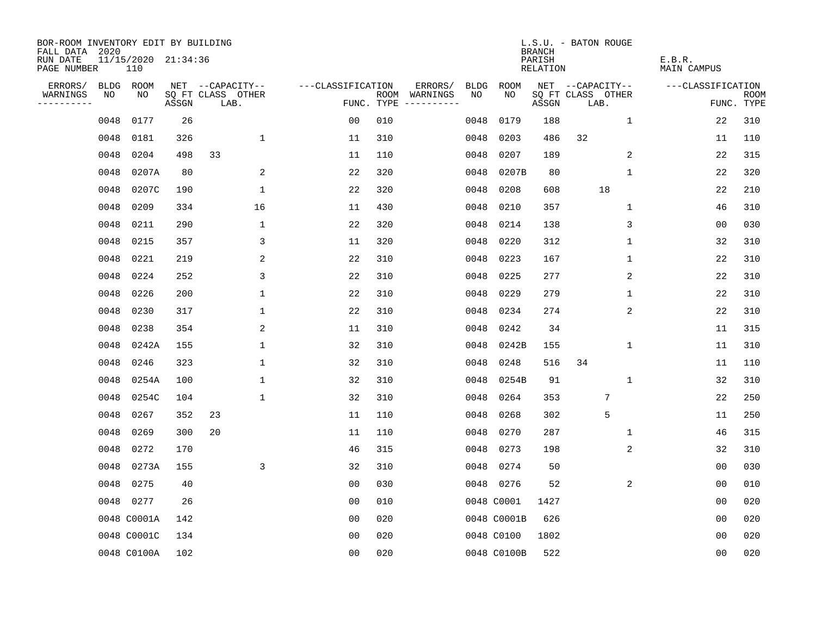| BOR-ROOM INVENTORY EDIT BY BUILDING<br>FALL DATA 2020 |      |                            |       |                           |                   |            |               |             |             | <b>BRANCH</b>      | L.S.U. - BATON ROUGE      |              |                       |                           |
|-------------------------------------------------------|------|----------------------------|-------|---------------------------|-------------------|------------|---------------|-------------|-------------|--------------------|---------------------------|--------------|-----------------------|---------------------------|
| RUN DATE<br>PAGE NUMBER                               |      | 11/15/2020 21:34:36<br>110 |       |                           |                   |            |               |             |             | PARISH<br>RELATION |                           |              | E.B.R.<br>MAIN CAMPUS |                           |
| ERRORS/                                               |      | BLDG ROOM                  |       | NET --CAPACITY--          | ---CLASSIFICATION |            | ERRORS/       | <b>BLDG</b> | ROOM        |                    | NET --CAPACITY--          |              | ---CLASSIFICATION     |                           |
| WARNINGS<br>----------                                | NO   | NO                         | ASSGN | SQ FT CLASS OTHER<br>LAB. |                   | FUNC. TYPE | ROOM WARNINGS | NO.         | NO.         | ASSGN              | SQ FT CLASS OTHER<br>LAB. |              |                       | <b>ROOM</b><br>FUNC. TYPE |
|                                                       | 0048 | 0177                       | 26    |                           | 0 <sub>0</sub>    | 010        |               | 0048        | 0179        | 188                |                           | $\mathbf 1$  | 22                    | 310                       |
|                                                       | 0048 | 0181                       | 326   | $\mathbf 1$               | 11                | 310        |               | 0048        | 0203        | 486                | 32                        |              | 11                    | 110                       |
|                                                       | 0048 | 0204                       | 498   | 33                        | 11                | 110        |               | 0048        | 0207        | 189                |                           | 2            | 22                    | 315                       |
|                                                       | 0048 | 0207A                      | 80    | 2                         | 22                | 320        |               | 0048        | 0207B       | 80                 |                           | 1            | 22                    | 320                       |
|                                                       | 0048 | 0207C                      | 190   | 1                         | 22                | 320        |               | 0048        | 0208        | 608                | 18                        |              | 22                    | 210                       |
|                                                       | 0048 | 0209                       | 334   | 16                        | 11                | 430        |               | 0048        | 0210        | 357                |                           | 1            | 46                    | 310                       |
|                                                       | 0048 | 0211                       | 290   | $\mathbf{1}$              | 22                | 320        |               | 0048        | 0214        | 138                |                           | 3            | 0 <sub>0</sub>        | 030                       |
|                                                       | 0048 | 0215                       | 357   | 3                         | 11                | 320        |               | 0048        | 0220        | 312                |                           | $\mathbf{1}$ | 32                    | 310                       |
|                                                       | 0048 | 0221                       | 219   | 2                         | 22                | 310        |               | 0048        | 0223        | 167                |                           | $\mathbf{1}$ | 22                    | 310                       |
|                                                       | 0048 | 0224                       | 252   | 3                         | 22                | 310        |               | 0048        | 0225        | 277                |                           | 2            | 22                    | 310                       |
|                                                       | 0048 | 0226                       | 200   | $\mathbf 1$               | 22                | 310        |               | 0048        | 0229        | 279                |                           | $\mathbf 1$  | 22                    | 310                       |
|                                                       | 0048 | 0230                       | 317   | $\mathbf 1$               | 22                | 310        |               | 0048        | 0234        | 274                |                           | 2            | 22                    | 310                       |
|                                                       | 0048 | 0238                       | 354   | 2                         | 11                | 310        |               | 0048        | 0242        | 34                 |                           |              | 11                    | 315                       |
|                                                       | 0048 | 0242A                      | 155   | $\mathbf 1$               | 32                | 310        |               | 0048        | 0242B       | 155                |                           | $\mathbf 1$  | 11                    | 310                       |
|                                                       | 0048 | 0246                       | 323   | 1                         | 32                | 310        |               | 0048        | 0248        | 516                | 34                        |              | 11                    | 110                       |
|                                                       | 0048 | 0254A                      | 100   | $\mathbf 1$               | 32                | 310        |               | 0048        | 0254B       | 91                 |                           | 1            | 32                    | 310                       |
|                                                       | 0048 | 0254C                      | 104   | $\mathbf{1}$              | 32                | 310        |               | 0048        | 0264        | 353                | $7\phantom{.0}$           |              | 22                    | 250                       |
|                                                       | 0048 | 0267                       | 352   | 23                        | 11                | 110        |               | 0048        | 0268        | 302                | 5                         |              | 11                    | 250                       |
|                                                       | 0048 | 0269                       | 300   | 20                        | 11                | 110        |               | 0048        | 0270        | 287                |                           | 1            | 46                    | 315                       |
|                                                       | 0048 | 0272                       | 170   |                           | 46                | 315        |               | 0048        | 0273        | 198                |                           | 2            | 32                    | 310                       |
|                                                       | 0048 | 0273A                      | 155   | 3                         | 32                | 310        |               | 0048        | 0274        | 50                 |                           |              | 0 <sub>0</sub>        | 030                       |
|                                                       | 0048 | 0275                       | 40    |                           | 0 <sub>0</sub>    | 030        |               | 0048        | 0276        | 52                 |                           | 2            | 0 <sub>0</sub>        | 010                       |
|                                                       |      | 0048 0277                  | 26    |                           | 0 <sub>0</sub>    | 010        |               |             | 0048 C0001  | 1427               |                           |              | 0 <sub>0</sub>        | 020                       |
|                                                       |      | 0048 C0001A                | 142   |                           | 0 <sub>0</sub>    | 020        |               |             | 0048 C0001B | 626                |                           |              | 0 <sub>0</sub>        | 020                       |
|                                                       |      | 0048 C0001C                | 134   |                           | 0 <sub>0</sub>    | 020        |               |             | 0048 C0100  | 1802               |                           |              | 0 <sub>0</sub>        | 020                       |
|                                                       |      | 0048 C0100A                | 102   |                           | 0 <sub>0</sub>    | 020        |               |             | 0048 C0100B | 522                |                           |              | 0 <sub>0</sub>        | 020                       |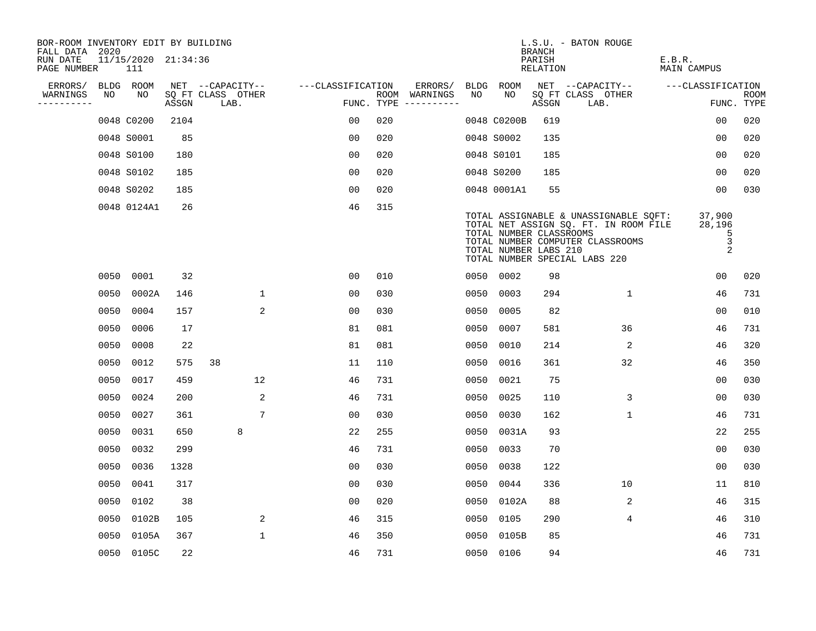| BOR-ROOM INVENTORY EDIT BY BUILDING<br>FALL DATA 2020 |      |                            |       |                           |              |                   |     |                                      |      |                                                  | <b>BRANCH</b>             | L.S.U. - BATON ROUGE                                                                                                                                |                                              |                           |
|-------------------------------------------------------|------|----------------------------|-------|---------------------------|--------------|-------------------|-----|--------------------------------------|------|--------------------------------------------------|---------------------------|-----------------------------------------------------------------------------------------------------------------------------------------------------|----------------------------------------------|---------------------------|
| RUN DATE<br>PAGE NUMBER                               |      | 11/15/2020 21:34:36<br>111 |       |                           |              |                   |     |                                      |      |                                                  | PARISH<br><b>RELATION</b> |                                                                                                                                                     | E.B.R.<br><b>MAIN CAMPUS</b>                 |                           |
| ERRORS/                                               |      | BLDG ROOM                  |       | NET --CAPACITY--          |              | ---CLASSIFICATION |     | ERRORS/                              | BLDG | ROOM                                             |                           | NET --CAPACITY--                                                                                                                                    | ---CLASSIFICATION                            |                           |
| WARNINGS<br>----------                                | NO   | NO                         | ASSGN | SQ FT CLASS OTHER<br>LAB. |              |                   |     | ROOM WARNINGS<br>FUNC. TYPE $------$ | NO   | NO                                               | ASSGN                     | SQ FT CLASS OTHER<br>LAB.                                                                                                                           |                                              | <b>ROOM</b><br>FUNC. TYPE |
|                                                       |      | 0048 C0200                 | 2104  |                           |              | 0 <sub>0</sub>    | 020 |                                      |      | 0048 C0200B                                      | 619                       |                                                                                                                                                     | 0 <sub>0</sub>                               | 020                       |
|                                                       |      | 0048 S0001                 | 85    |                           |              | 0 <sub>0</sub>    | 020 |                                      |      | 0048 S0002                                       | 135                       |                                                                                                                                                     | 00                                           | 020                       |
|                                                       |      | 0048 S0100                 | 180   |                           |              | 00                | 020 |                                      |      | 0048 S0101                                       | 185                       |                                                                                                                                                     | 00                                           | 020                       |
|                                                       |      | 0048 S0102                 | 185   |                           |              | 0 <sub>0</sub>    | 020 |                                      |      | 0048 S0200                                       | 185                       |                                                                                                                                                     | 00                                           | 020                       |
|                                                       |      | 0048 S0202                 | 185   |                           |              | 0 <sub>0</sub>    | 020 |                                      |      | 0048 0001A1                                      | 55                        |                                                                                                                                                     | 00                                           | 030                       |
|                                                       |      | 0048 0124A1                | 26    |                           |              | 46                | 315 |                                      |      | TOTAL NUMBER CLASSROOMS<br>TOTAL NUMBER LABS 210 |                           | TOTAL ASSIGNABLE & UNASSIGNABLE SQFT:<br>TOTAL NET ASSIGN SQ. FT. IN ROOM FILE<br>TOTAL NUMBER COMPUTER CLASSROOMS<br>TOTAL NUMBER SPECIAL LABS 220 | 37,900<br>28,196<br>5<br>3<br>$\overline{2}$ |                           |
|                                                       | 0050 | 0001                       | 32    |                           |              | 0 <sub>0</sub>    | 010 |                                      |      | 0050 0002                                        | 98                        |                                                                                                                                                     | 0 <sub>0</sub>                               | 020                       |
|                                                       | 0050 | 0002A                      | 146   |                           | $\mathbf 1$  | 0 <sub>0</sub>    | 030 |                                      | 0050 | 0003                                             | 294                       | 1                                                                                                                                                   | 46                                           | 731                       |
|                                                       | 0050 | 0004                       | 157   |                           | 2            | 0 <sub>0</sub>    | 030 |                                      | 0050 | 0005                                             | 82                        |                                                                                                                                                     | 00                                           | 010                       |
|                                                       | 0050 | 0006                       | 17    |                           |              | 81                | 081 |                                      | 0050 | 0007                                             | 581                       | 36                                                                                                                                                  | 46                                           | 731                       |
|                                                       | 0050 | 0008                       | 22    |                           |              | 81                | 081 |                                      | 0050 | 0010                                             | 214                       | 2                                                                                                                                                   | 46                                           | 320                       |
|                                                       | 0050 | 0012                       | 575   | 38                        |              | 11                | 110 |                                      | 0050 | 0016                                             | 361                       | 32                                                                                                                                                  | 46                                           | 350                       |
|                                                       | 0050 | 0017                       | 459   | $12 \overline{ }$         |              | 46                | 731 |                                      | 0050 | 0021                                             | 75                        |                                                                                                                                                     | 00                                           | 030                       |
|                                                       | 0050 | 0024                       | 200   |                           | 2            | 46                | 731 |                                      | 0050 | 0025                                             | 110                       | 3                                                                                                                                                   | 0 <sub>0</sub>                               | 030                       |
|                                                       | 0050 | 0027                       | 361   |                           | 7            | 0 <sub>0</sub>    | 030 |                                      | 0050 | 0030                                             | 162                       | $\mathbf 1$                                                                                                                                         | 46                                           | 731                       |
|                                                       | 0050 | 0031                       | 650   | 8                         |              | 22                | 255 |                                      |      | 0050 0031A                                       | 93                        |                                                                                                                                                     | 22                                           | 255                       |
|                                                       | 0050 | 0032                       | 299   |                           |              | 46                | 731 |                                      | 0050 | 0033                                             | 70                        |                                                                                                                                                     | 0 <sub>0</sub>                               | 030                       |
|                                                       | 0050 | 0036                       | 1328  |                           |              | 0 <sub>0</sub>    | 030 |                                      | 0050 | 0038                                             | 122                       |                                                                                                                                                     | 0 <sub>0</sub>                               | 030                       |
|                                                       | 0050 | 0041                       | 317   |                           |              | 00                | 030 |                                      | 0050 | 0044                                             | 336                       | 10                                                                                                                                                  | 11                                           | 810                       |
|                                                       | 0050 | 0102                       | 38    |                           |              | 00                | 020 |                                      |      | 0050 0102A                                       | 88                        | 2                                                                                                                                                   | 46                                           | 315                       |
|                                                       | 0050 | 0102B                      | 105   |                           | 2            | 46                | 315 |                                      | 0050 | 0105                                             | 290                       | 4                                                                                                                                                   | 46                                           | 310                       |
|                                                       | 0050 | 0105A                      | 367   |                           | $\mathbf{1}$ | 46                | 350 |                                      |      | 0050 0105B                                       | 85                        |                                                                                                                                                     | 46                                           | 731                       |
|                                                       |      | 0050 0105C                 | 22    |                           |              | 46                | 731 |                                      |      | 0050 0106                                        | 94                        |                                                                                                                                                     | 46                                           | 731                       |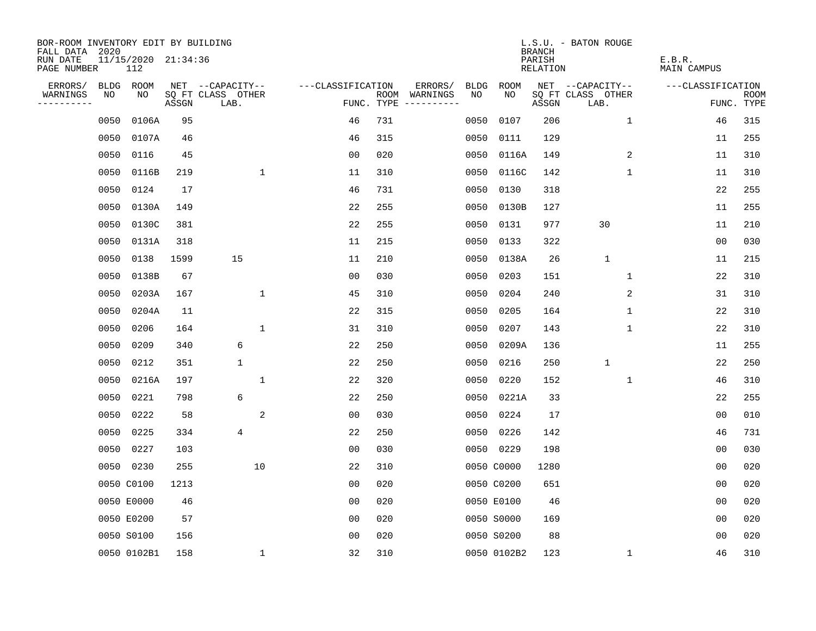| BOR-ROOM INVENTORY EDIT BY BUILDING<br>FALL DATA 2020 |             |                            |       |                           |                   |            |                              |             |             | <b>BRANCH</b>      | L.S.U. - BATON ROUGE      |                       |                           |
|-------------------------------------------------------|-------------|----------------------------|-------|---------------------------|-------------------|------------|------------------------------|-------------|-------------|--------------------|---------------------------|-----------------------|---------------------------|
| RUN DATE<br>PAGE NUMBER                               |             | 11/15/2020 21:34:36<br>112 |       |                           |                   |            |                              |             |             | PARISH<br>RELATION |                           | E.B.R.<br>MAIN CAMPUS |                           |
| ERRORS/                                               | <b>BLDG</b> | ROOM                       |       | NET --CAPACITY--          | ---CLASSIFICATION |            | ERRORS/                      | <b>BLDG</b> | ROOM        |                    | NET --CAPACITY--          | ---CLASSIFICATION     |                           |
| WARNINGS<br>----------                                | NO          | NO                         | ASSGN | SQ FT CLASS OTHER<br>LAB. |                   | FUNC. TYPE | ROOM WARNINGS<br>----------- | NO.         | NO.         | ASSGN              | SQ FT CLASS OTHER<br>LAB. |                       | <b>ROOM</b><br>FUNC. TYPE |
|                                                       | 0050        | 0106A                      | 95    |                           | 46                | 731        |                              | 0050        | 0107        | 206                | $\mathbf 1$               | 46                    | 315                       |
|                                                       | 0050        | 0107A                      | 46    |                           | 46                | 315        |                              | 0050        | 0111        | 129                |                           | 11                    | 255                       |
|                                                       | 0050        | 0116                       | 45    |                           | 0 <sub>0</sub>    | 020        |                              | 0050        | 0116A       | 149                | 2                         | 11                    | 310                       |
|                                                       | 0050        | 0116B                      | 219   | $\mathbf{1}$              | 11                | 310        |                              | 0050        | 0116C       | 142                | 1                         | 11                    | 310                       |
|                                                       | 0050        | 0124                       | 17    |                           | 46                | 731        |                              | 0050        | 0130        | 318                |                           | 22                    | 255                       |
|                                                       | 0050        | 0130A                      | 149   |                           | 22                | 255        |                              | 0050        | 0130B       | 127                |                           | 11                    | 255                       |
|                                                       | 0050        | 0130C                      | 381   |                           | 22                | 255        |                              | 0050        | 0131        | 977                | 30                        | 11                    | 210                       |
|                                                       | 0050        | 0131A                      | 318   |                           | 11                | 215        |                              | 0050        | 0133        | 322                |                           | 00                    | 030                       |
|                                                       | 0050        | 0138                       | 1599  | 15                        | 11                | 210        |                              | 0050        | 0138A       | 26                 | $\mathbf{1}$              | 11                    | 215                       |
|                                                       | 0050        | 0138B                      | 67    |                           | 0 <sub>0</sub>    | 030        |                              | 0050        | 0203        | 151                | 1                         | 22                    | 310                       |
|                                                       | 0050        | 0203A                      | 167   | $\mathbf 1$               | 45                | 310        |                              | 0050        | 0204        | 240                | 2                         | 31                    | 310                       |
|                                                       | 0050        | 0204A                      | 11    |                           | 22                | 315        |                              | 0050        | 0205        | 164                | $\mathbf 1$               | 22                    | 310                       |
|                                                       | 0050        | 0206                       | 164   | $\mathbf 1$               | 31                | 310        |                              | 0050        | 0207        | 143                | $\mathbf 1$               | 22                    | 310                       |
|                                                       | 0050        | 0209                       | 340   | 6                         | 22                | 250        |                              | 0050        | 0209A       | 136                |                           | 11                    | 255                       |
|                                                       | 0050        | 0212                       | 351   | $\mathbf{1}$              | 22                | 250        |                              | 0050        | 0216        | 250                | $\mathbf{1}$              | 22                    | 250                       |
|                                                       | 0050        | 0216A                      | 197   | 1                         | 22                | 320        |                              | 0050        | 0220        | 152                | 1                         | 46                    | 310                       |
|                                                       | 0050        | 0221                       | 798   | 6                         | 22                | 250        |                              | 0050        | 0221A       | 33                 |                           | 22                    | 255                       |
|                                                       | 0050        | 0222                       | 58    | 2                         | 0 <sub>0</sub>    | 030        |                              | 0050        | 0224        | 17                 |                           | 0 <sub>0</sub>        | 010                       |
|                                                       | 0050        | 0225                       | 334   | $\overline{4}$            | 22                | 250        |                              | 0050        | 0226        | 142                |                           | 46                    | 731                       |
|                                                       | 0050        | 0227                       | 103   |                           | 0 <sub>0</sub>    | 030        |                              | 0050        | 0229        | 198                |                           | 0 <sub>0</sub>        | 030                       |
|                                                       |             | 0050 0230                  | 255   | 10                        | 22                | 310        |                              |             | 0050 C0000  | 1280               |                           | 0 <sub>0</sub>        | 020                       |
|                                                       |             | 0050 C0100                 | 1213  |                           | 0 <sub>0</sub>    | 020        |                              |             | 0050 C0200  | 651                |                           | 0 <sub>0</sub>        | 020                       |
|                                                       |             | 0050 E0000                 | 46    |                           | 0 <sub>0</sub>    | 020        |                              |             | 0050 E0100  | 46                 |                           | 0 <sub>0</sub>        | 020                       |
|                                                       |             | 0050 E0200                 | 57    |                           | 0 <sub>0</sub>    | 020        |                              |             | 0050 S0000  | 169                |                           | 0 <sub>0</sub>        | 020                       |
|                                                       |             | 0050 S0100                 | 156   |                           | 0 <sub>0</sub>    | 020        |                              |             | 0050 S0200  | 88                 |                           | 0 <sub>0</sub>        | 020                       |
|                                                       |             | 0050 0102B1                | 158   | $\mathbf{1}$              | 32                | 310        |                              |             | 0050 0102B2 | 123                | 1                         | 46                    | 310                       |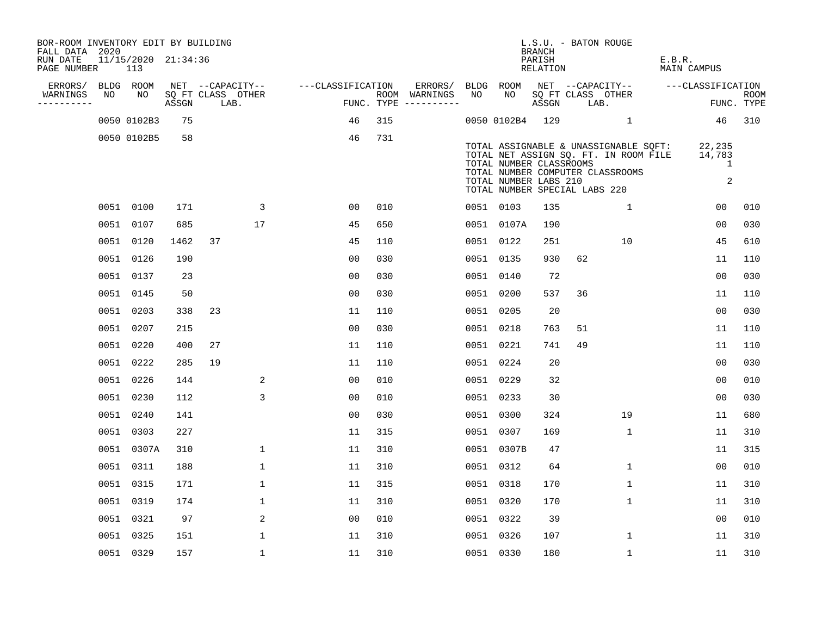| BOR-ROOM INVENTORY EDIT BY BUILDING<br>FALL DATA 2020 |    |                            |       |    |                           |                   |                |     |                                      |      |                                                                                   | <b>BRANCH</b>      | L.S.U. - BATON ROUGE |                                                                                                                    |        |                                                   |                           |
|-------------------------------------------------------|----|----------------------------|-------|----|---------------------------|-------------------|----------------|-----|--------------------------------------|------|-----------------------------------------------------------------------------------|--------------------|----------------------|--------------------------------------------------------------------------------------------------------------------|--------|---------------------------------------------------|---------------------------|
| RUN DATE<br>PAGE NUMBER                               |    | 11/15/2020 21:34:36<br>113 |       |    |                           |                   |                |     |                                      |      |                                                                                   | PARISH<br>RELATION |                      |                                                                                                                    | E.B.R. | <b>MAIN CAMPUS</b>                                |                           |
| ERRORS/                                               |    | BLDG ROOM                  |       |    | NET --CAPACITY--          | ---CLASSIFICATION |                |     | ERRORS/                              | BLDG | ROOM                                                                              |                    |                      | NET --CAPACITY--                                                                                                   |        | ---CLASSIFICATION                                 |                           |
| WARNINGS<br>----------                                | NO | NO.                        | ASSGN |    | SQ FT CLASS OTHER<br>LAB. |                   |                |     | ROOM WARNINGS<br>FUNC. TYPE $------$ | NO   | NO.                                                                               | ASSGN              | LAB.                 | SQ FT CLASS OTHER                                                                                                  |        |                                                   | <b>ROOM</b><br>FUNC. TYPE |
|                                                       |    | 0050 0102B3                | 75    |    |                           |                   | 46             | 315 |                                      |      | 0050 0102B4                                                                       | 129                |                      | $\mathbf{1}$                                                                                                       |        | 46                                                | 310                       |
|                                                       |    | 0050 0102B5                | 58    |    |                           |                   | 46             | 731 |                                      |      | TOTAL NUMBER CLASSROOMS<br>TOTAL NUMBER LABS 210<br>TOTAL NUMBER SPECIAL LABS 220 |                    |                      | TOTAL ASSIGNABLE & UNASSIGNABLE SQFT:<br>TOTAL NET ASSIGN SQ. FT. IN ROOM FILE<br>TOTAL NUMBER COMPUTER CLASSROOMS |        | 22,235<br>14,783<br>$\mathbf 1$<br>$\overline{a}$ |                           |
|                                                       |    | 0051 0100                  | 171   |    | 3                         |                   | 00             | 010 |                                      |      | 0051 0103                                                                         | 135                |                      | $\mathbf{1}$                                                                                                       |        | 00                                                | 010                       |
|                                                       |    | 0051 0107                  | 685   |    | 17                        |                   | 45             | 650 |                                      |      | 0051 0107A                                                                        | 190                |                      |                                                                                                                    |        | 0 <sub>0</sub>                                    | 030                       |
|                                                       |    | 0051 0120                  | 1462  | 37 |                           |                   | 45             | 110 |                                      |      | 0051 0122                                                                         | 251                |                      | 10                                                                                                                 |        | 45                                                | 610                       |
|                                                       |    | 0051 0126                  | 190   |    |                           |                   | 0 <sub>0</sub> | 030 |                                      |      | 0051 0135                                                                         | 930                | 62                   |                                                                                                                    |        | 11                                                | 110                       |
|                                                       |    | 0051 0137                  | 23    |    |                           |                   | 0 <sub>0</sub> | 030 |                                      |      | 0051 0140                                                                         | 72                 |                      |                                                                                                                    |        | 0 <sub>0</sub>                                    | 030                       |
|                                                       |    | 0051 0145                  | 50    |    |                           |                   | 0 <sub>0</sub> | 030 |                                      |      | 0051 0200                                                                         | 537                | 36                   |                                                                                                                    |        | 11                                                | 110                       |
|                                                       |    | 0051 0203                  | 338   | 23 |                           |                   | 11             | 110 |                                      |      | 0051 0205                                                                         | 20                 |                      |                                                                                                                    |        | 0 <sub>0</sub>                                    | 030                       |
|                                                       |    | 0051 0207                  | 215   |    |                           |                   | 0 <sub>0</sub> | 030 |                                      |      | 0051 0218                                                                         | 763                | 51                   |                                                                                                                    |        | 11                                                | 110                       |
|                                                       |    | 0051 0220                  | 400   | 27 |                           |                   | 11             | 110 |                                      |      | 0051 0221                                                                         | 741                | 49                   |                                                                                                                    |        | 11                                                | 110                       |
|                                                       |    | 0051 0222                  | 285   | 19 |                           |                   | 11             | 110 |                                      |      | 0051 0224                                                                         | 20                 |                      |                                                                                                                    |        | 0 <sub>0</sub>                                    | 030                       |
|                                                       |    | 0051 0226                  | 144   |    | 2                         |                   | 0 <sub>0</sub> | 010 |                                      |      | 0051 0229                                                                         | 32                 |                      |                                                                                                                    |        | 0 <sub>0</sub>                                    | 010                       |
|                                                       |    | 0051 0230                  | 112   |    | 3                         |                   | 0 <sub>0</sub> | 010 |                                      |      | 0051 0233                                                                         | 30                 |                      |                                                                                                                    |        | 0 <sub>0</sub>                                    | 030                       |
|                                                       |    | 0051 0240                  | 141   |    |                           |                   | 0 <sub>0</sub> | 030 |                                      |      | 0051 0300                                                                         | 324                |                      | 19                                                                                                                 |        | 11                                                | 680                       |
|                                                       |    | 0051 0303                  | 227   |    |                           |                   | 11             | 315 |                                      |      | 0051 0307                                                                         | 169                |                      | 1                                                                                                                  |        | 11                                                | 310                       |
|                                                       |    | 0051 0307A                 | 310   |    | $\mathbf{1}$              |                   | 11             | 310 |                                      |      | 0051 0307B                                                                        | 47                 |                      |                                                                                                                    |        | 11                                                | 315                       |
|                                                       |    | 0051 0311                  | 188   |    | $\mathbf 1$               |                   | 11             | 310 |                                      |      | 0051 0312                                                                         | 64                 |                      | $\mathbf 1$                                                                                                        |        | 0 <sub>0</sub>                                    | 010                       |
|                                                       |    | 0051 0315                  | 171   |    | $\mathbf{1}$              |                   | 11             | 315 |                                      |      | 0051 0318                                                                         | 170                |                      | $\mathbf{1}$                                                                                                       |        | 11                                                | 310                       |
|                                                       |    | 0051 0319                  | 174   |    | 1                         |                   | 11             | 310 |                                      |      | 0051 0320                                                                         | 170                |                      | 1                                                                                                                  |        | 11                                                | 310                       |
|                                                       |    | 0051 0321                  | 97    |    | 2                         |                   | 0 <sub>0</sub> | 010 |                                      |      | 0051 0322                                                                         | 39                 |                      |                                                                                                                    |        | 0 <sub>0</sub>                                    | 010                       |
|                                                       |    | 0051 0325                  | 151   |    | $\mathbf{1}$              |                   | 11             | 310 |                                      |      | 0051 0326                                                                         | 107                |                      | $\mathbf{1}$                                                                                                       |        | 11                                                | 310                       |
|                                                       |    | 0051 0329                  | 157   |    | $\mathbf{1}$              |                   | 11             | 310 |                                      |      | 0051 0330                                                                         | 180                |                      | $\mathbf{1}$                                                                                                       |        | 11                                                | 310                       |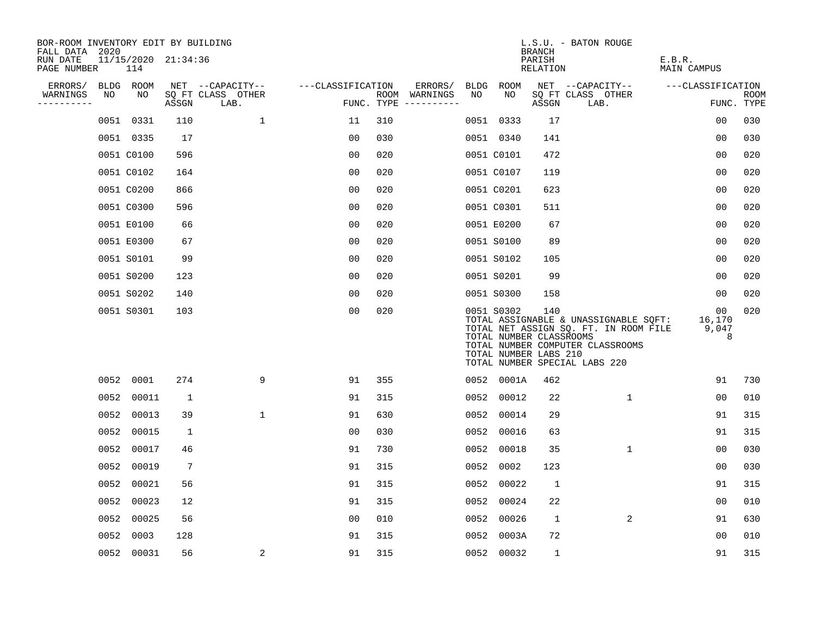| BOR-ROOM INVENTORY EDIT BY BUILDING<br>FALL DATA 2020 |      |                            |              |                           |                   |     |                                      |      |                                                                | <b>BRANCH</b>      | L.S.U. - BATON ROUGE                                                                                                                                |                            |                           |
|-------------------------------------------------------|------|----------------------------|--------------|---------------------------|-------------------|-----|--------------------------------------|------|----------------------------------------------------------------|--------------------|-----------------------------------------------------------------------------------------------------------------------------------------------------|----------------------------|---------------------------|
| RUN DATE<br>PAGE NUMBER                               |      | 11/15/2020 21:34:36<br>114 |              |                           |                   |     |                                      |      |                                                                | PARISH<br>RELATION |                                                                                                                                                     | E.B.R.<br>MAIN CAMPUS      |                           |
| ERRORS/                                               |      | BLDG ROOM                  |              | NET --CAPACITY--          | ---CLASSIFICATION |     | ERRORS/                              | BLDG | ROOM                                                           |                    | NET --CAPACITY--                                                                                                                                    | ---CLASSIFICATION          |                           |
| WARNINGS<br>----------                                | NO   | NO                         | ASSGN        | SQ FT CLASS OTHER<br>LAB. |                   |     | ROOM WARNINGS<br>FUNC. TYPE $------$ | NO   | NO                                                             | ASSGN              | SQ FT CLASS OTHER<br>LAB.                                                                                                                           |                            | <b>ROOM</b><br>FUNC. TYPE |
|                                                       | 0051 | 0331                       | 110          | $\mathbf 1$               | 11                | 310 |                                      |      | 0051 0333                                                      | 17                 |                                                                                                                                                     | 0 <sub>0</sub>             | 030                       |
|                                                       |      | 0051 0335                  | 17           |                           | 00                | 030 |                                      |      | 0051 0340                                                      | 141                |                                                                                                                                                     | 0 <sub>0</sub>             | 030                       |
|                                                       |      | 0051 C0100                 | 596          |                           | 0 <sub>0</sub>    | 020 |                                      |      | 0051 C0101                                                     | 472                |                                                                                                                                                     | 00                         | 020                       |
|                                                       |      | 0051 C0102                 | 164          |                           | 0 <sub>0</sub>    | 020 |                                      |      | 0051 C0107                                                     | 119                |                                                                                                                                                     | 0 <sub>0</sub>             | 020                       |
|                                                       |      | 0051 C0200                 | 866          |                           | 0 <sub>0</sub>    | 020 |                                      |      | 0051 C0201                                                     | 623                |                                                                                                                                                     | 00                         | 020                       |
|                                                       |      | 0051 C0300                 | 596          |                           | 0 <sub>0</sub>    | 020 |                                      |      | 0051 C0301                                                     | 511                |                                                                                                                                                     | 0 <sub>0</sub>             | 020                       |
|                                                       |      | 0051 E0100                 | 66           |                           | 00                | 020 |                                      |      | 0051 E0200                                                     | 67                 |                                                                                                                                                     | 00                         | 020                       |
|                                                       |      | 0051 E0300                 | 67           |                           | 0 <sub>0</sub>    | 020 |                                      |      | 0051 S0100                                                     | 89                 |                                                                                                                                                     | 0 <sub>0</sub>             | 020                       |
|                                                       |      | 0051 S0101                 | 99           |                           | 00                | 020 |                                      |      | 0051 S0102                                                     | 105                |                                                                                                                                                     | 0 <sub>0</sub>             | 020                       |
|                                                       |      | 0051 S0200                 | 123          |                           | 0 <sub>0</sub>    | 020 |                                      |      | 0051 S0201                                                     | 99                 |                                                                                                                                                     | 0 <sub>0</sub>             | 020                       |
|                                                       |      | 0051 S0202                 | 140          |                           | 0 <sub>0</sub>    | 020 |                                      |      | 0051 S0300                                                     | 158                |                                                                                                                                                     | 00                         | 020                       |
|                                                       |      | 0051 S0301                 | 103          |                           | 0 <sub>0</sub>    | 020 |                                      |      | 0051 S0302<br>TOTAL NUMBER CLASSROOMS<br>TOTAL NUMBER LABS 210 | 140                | TOTAL ASSIGNABLE & UNASSIGNABLE SQFT:<br>TOTAL NET ASSIGN SQ. FT. IN ROOM FILE<br>TOTAL NUMBER COMPUTER CLASSROOMS<br>TOTAL NUMBER SPECIAL LABS 220 | 00<br>16,170<br>9,047<br>8 | 020                       |
|                                                       |      | 0052 0001                  | 274          | 9                         | 91                | 355 |                                      |      | 0052 0001A                                                     | 462                |                                                                                                                                                     | 91                         | 730                       |
|                                                       | 0052 | 00011                      | $\mathbf{1}$ |                           | 91                | 315 |                                      |      | 0052 00012                                                     | 22                 | $\mathbf{1}$                                                                                                                                        | 0 <sub>0</sub>             | 010                       |
|                                                       | 0052 | 00013                      | 39           | $\mathbf{1}$              | 91                | 630 |                                      |      | 0052 00014                                                     | 29                 |                                                                                                                                                     | 91                         | 315                       |
|                                                       | 0052 | 00015                      | 1            |                           | 00                | 030 |                                      |      | 0052 00016                                                     | 63                 |                                                                                                                                                     | 91                         | 315                       |
|                                                       | 0052 | 00017                      | 46           |                           | 91                | 730 |                                      |      | 0052 00018                                                     | 35                 | $\mathbf{1}$                                                                                                                                        | 00                         | 030                       |
|                                                       | 0052 | 00019                      | 7            |                           | 91                | 315 |                                      |      | 0052 0002                                                      | 123                |                                                                                                                                                     | 00                         | 030                       |
|                                                       | 0052 | 00021                      | 56           |                           | 91                | 315 |                                      |      | 0052 00022                                                     | $\mathbf{1}$       |                                                                                                                                                     | 91                         | 315                       |
|                                                       |      | 0052 00023                 | 12           |                           | 91                | 315 |                                      |      | 0052 00024                                                     | 22                 |                                                                                                                                                     | 0 <sub>0</sub>             | 010                       |
|                                                       | 0052 | 00025                      | 56           |                           | 00                | 010 |                                      | 0052 | 00026                                                          | $\mathbf{1}$       | $\overline{2}$                                                                                                                                      | 91                         | 630                       |
|                                                       | 0052 | 0003                       | 128          |                           | 91                | 315 |                                      | 0052 | 0003A                                                          | 72                 |                                                                                                                                                     | 0 <sub>0</sub>             | 010                       |
|                                                       |      | 0052 00031                 | 56           | 2                         | 91                | 315 |                                      |      | 0052 00032                                                     | $\mathbf{1}$       |                                                                                                                                                     | 91                         | 315                       |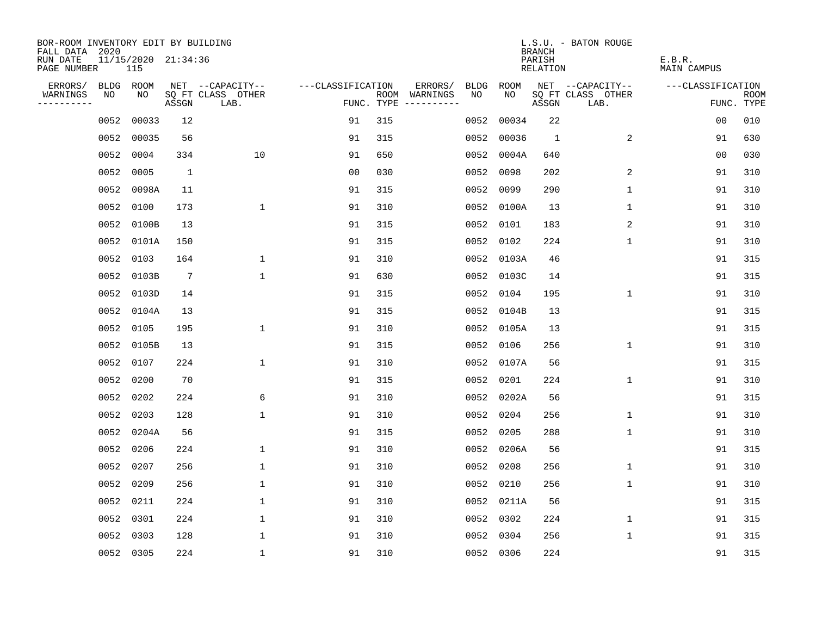| BOR-ROOM INVENTORY EDIT BY BUILDING       |      |                            |                 |                           |                   |     |                                      |      |            | <b>BRANCH</b>      | L.S.U. - BATON ROUGE      |                       |                           |
|-------------------------------------------|------|----------------------------|-----------------|---------------------------|-------------------|-----|--------------------------------------|------|------------|--------------------|---------------------------|-----------------------|---------------------------|
| FALL DATA 2020<br>RUN DATE<br>PAGE NUMBER |      | 11/15/2020 21:34:36<br>115 |                 |                           |                   |     |                                      |      |            | PARISH<br>RELATION |                           | E.B.R.<br>MAIN CAMPUS |                           |
| ERRORS/                                   |      | BLDG ROOM                  |                 | NET --CAPACITY--          | ---CLASSIFICATION |     | ERRORS/                              | BLDG | ROOM       |                    | NET --CAPACITY--          | ---CLASSIFICATION     |                           |
| WARNINGS<br>----------                    | NO   | NO                         | ASSGN           | SQ FT CLASS OTHER<br>LAB. |                   |     | ROOM WARNINGS<br>FUNC. TYPE $------$ | NO.  | NO.        | ASSGN              | SQ FT CLASS OTHER<br>LAB. |                       | <b>ROOM</b><br>FUNC. TYPE |
|                                           | 0052 | 00033                      | 12              |                           | 91                | 315 |                                      | 0052 | 00034      | 22                 |                           | 0 <sub>0</sub>        | 010                       |
|                                           | 0052 | 00035                      | 56              |                           | 91                | 315 |                                      | 0052 | 00036      | $\mathbf{1}$       | 2                         | 91                    | 630                       |
|                                           | 0052 | 0004                       | 334             | 10                        | 91                | 650 |                                      |      | 0052 0004A | 640                |                           | 00                    | 030                       |
|                                           | 0052 | 0005                       | <sup>1</sup>    |                           | 00                | 030 |                                      | 0052 | 0098       | 202                | 2                         | 91                    | 310                       |
|                                           | 0052 | 0098A                      | 11              |                           | 91                | 315 |                                      | 0052 | 0099       | 290                | 1                         | 91                    | 310                       |
|                                           | 0052 | 0100                       | 173             | $\mathbf 1$               | 91                | 310 |                                      |      | 0052 0100A | 13                 | 1                         | 91                    | 310                       |
|                                           | 0052 | 0100B                      | 13              |                           | 91                | 315 |                                      |      | 0052 0101  | 183                | 2                         | 91                    | 310                       |
|                                           | 0052 | 0101A                      | 150             |                           | 91                | 315 |                                      |      | 0052 0102  | 224                | $\mathbf{1}$              | 91                    | 310                       |
|                                           | 0052 | 0103                       | 164             | $\mathbf{1}$              | 91                | 310 |                                      |      | 0052 0103A | 46                 |                           | 91                    | 315                       |
|                                           |      | 0052 0103B                 | $7\phantom{.0}$ | $\mathbf{1}$              | 91                | 630 |                                      |      | 0052 0103C | 14                 |                           | 91                    | 315                       |
|                                           |      | 0052 0103D                 | 14              |                           | 91                | 315 |                                      | 0052 | 0104       | 195                | 1                         | 91                    | 310                       |
|                                           |      | 0052 0104A                 | 13              |                           | 91                | 315 |                                      |      | 0052 0104B | 13                 |                           | 91                    | 315                       |
|                                           | 0052 | 0105                       | 195             | $\mathbf 1$               | 91                | 310 |                                      |      | 0052 0105A | 13                 |                           | 91                    | 315                       |
|                                           | 0052 | 0105B                      | 13              |                           | 91                | 315 |                                      |      | 0052 0106  | 256                | $\mathbf 1$               | 91                    | 310                       |
|                                           | 0052 | 0107                       | 224             | $\mathbf{1}$              | 91                | 310 |                                      | 0052 | 0107A      | 56                 |                           | 91                    | 315                       |
|                                           | 0052 | 0200                       | 70              |                           | 91                | 315 |                                      | 0052 | 0201       | 224                | 1                         | 91                    | 310                       |
|                                           | 0052 | 0202                       | 224             | 6                         | 91                | 310 |                                      | 0052 | 0202A      | 56                 |                           | 91                    | 315                       |
|                                           | 0052 | 0203                       | 128             | $\mathbf 1$               | 91                | 310 |                                      | 0052 | 0204       | 256                | $\mathbf 1$               | 91                    | 310                       |
|                                           |      | 0052 0204A                 | 56              |                           | 91                | 315 |                                      | 0052 | 0205       | 288                | 1                         | 91                    | 310                       |
|                                           |      | 0052 0206                  | 224             | $\mathbf{1}$              | 91                | 310 |                                      |      | 0052 0206A | 56                 |                           | 91                    | 315                       |
|                                           | 0052 | 0207                       | 256             | $\mathbf 1$               | 91                | 310 |                                      | 0052 | 0208       | 256                | 1                         | 91                    | 310                       |
|                                           | 0052 | 0209                       | 256             | $\mathbf 1$               | 91                | 310 |                                      | 0052 | 0210       | 256                | 1                         | 91                    | 310                       |
|                                           |      | 0052 0211                  | 224             | 1                         | 91                | 310 |                                      |      | 0052 0211A | 56                 |                           | 91                    | 315                       |
|                                           | 0052 | 0301                       | 224             | $\mathbf 1$               | 91                | 310 |                                      |      | 0052 0302  | 224                | 1                         | 91                    | 315                       |
|                                           | 0052 | 0303                       | 128             | 1                         | 91                | 310 |                                      |      | 0052 0304  | 256                | 1                         | 91                    | 315                       |
|                                           |      | 0052 0305                  | 224             | $\mathbf{1}$              | 91                | 310 |                                      |      | 0052 0306  | 224                |                           | 91                    | 315                       |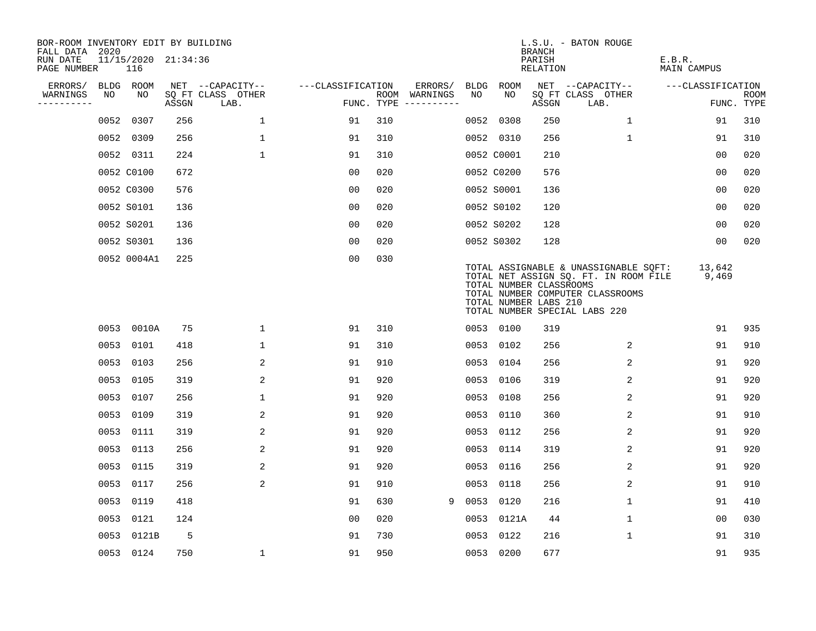| BOR-ROOM INVENTORY EDIT BY BUILDING<br>FALL DATA 2020 |    |                            |       |                           |                   |     |                                      |             |                                                  | <b>BRANCH</b>      | L.S.U. - BATON ROUGE                                                                                                                                |                              |                           |
|-------------------------------------------------------|----|----------------------------|-------|---------------------------|-------------------|-----|--------------------------------------|-------------|--------------------------------------------------|--------------------|-----------------------------------------------------------------------------------------------------------------------------------------------------|------------------------------|---------------------------|
| RUN DATE<br>PAGE NUMBER                               |    | 11/15/2020 21:34:36<br>116 |       |                           |                   |     |                                      |             |                                                  | PARISH<br>RELATION |                                                                                                                                                     | E.B.R.<br><b>MAIN CAMPUS</b> |                           |
| ERRORS/                                               |    | BLDG ROOM                  |       | NET --CAPACITY--          | ---CLASSIFICATION |     | ERRORS/                              | <b>BLDG</b> | <b>ROOM</b>                                      |                    | NET --CAPACITY--                                                                                                                                    | ---CLASSIFICATION            |                           |
| WARNINGS<br>----------                                | NO | NO                         | ASSGN | SQ FT CLASS OTHER<br>LAB. |                   |     | ROOM WARNINGS<br>FUNC. TYPE $------$ | NO          | NO                                               | ASSGN              | SQ FT CLASS OTHER<br>LAB.                                                                                                                           |                              | <b>ROOM</b><br>FUNC. TYPE |
|                                                       |    | 0052 0307                  | 256   | $\mathbf{1}$              | 91                | 310 |                                      |             | 0052 0308                                        | 250                | 1                                                                                                                                                   | 91                           | 310                       |
|                                                       |    | 0052 0309                  | 256   | $\mathbf 1$               | 91                | 310 |                                      |             | 0052 0310                                        | 256                | $\mathbf 1$                                                                                                                                         | 91                           | 310                       |
|                                                       |    | 0052 0311                  | 224   | $\mathbf{1}$              | 91                | 310 |                                      |             | 0052 C0001                                       | 210                |                                                                                                                                                     | 0 <sub>0</sub>               | 020                       |
|                                                       |    | 0052 C0100                 | 672   |                           | 0 <sub>0</sub>    | 020 |                                      |             | 0052 C0200                                       | 576                |                                                                                                                                                     | 00                           | 020                       |
|                                                       |    | 0052 C0300                 | 576   |                           | 0 <sub>0</sub>    | 020 |                                      |             | 0052 S0001                                       | 136                |                                                                                                                                                     | 0 <sub>0</sub>               | 020                       |
|                                                       |    | 0052 S0101                 | 136   |                           | 0 <sub>0</sub>    | 020 |                                      |             | 0052 S0102                                       | 120                |                                                                                                                                                     | 0 <sub>0</sub>               | 020                       |
|                                                       |    | 0052 S0201                 | 136   |                           | 0 <sub>0</sub>    | 020 |                                      |             | 0052 S0202                                       | 128                |                                                                                                                                                     | 0 <sub>0</sub>               | 020                       |
|                                                       |    | 0052 S0301                 | 136   |                           | 0 <sub>0</sub>    | 020 |                                      |             | 0052 S0302                                       | 128                |                                                                                                                                                     | 00                           | 020                       |
|                                                       |    | 0052 0004A1                | 225   |                           | 00                | 030 |                                      |             | TOTAL NUMBER CLASSROOMS<br>TOTAL NUMBER LABS 210 |                    | TOTAL ASSIGNABLE & UNASSIGNABLE SQFT:<br>TOTAL NET ASSIGN SQ. FT. IN ROOM FILE<br>TOTAL NUMBER COMPUTER CLASSROOMS<br>TOTAL NUMBER SPECIAL LABS 220 | 13,642<br>9,469              |                           |
|                                                       |    | 0053 0010A                 | 75    | $\mathbf 1$               | 91                | 310 |                                      |             | 0053 0100                                        | 319                |                                                                                                                                                     | 91                           | 935                       |
|                                                       |    | 0053 0101                  | 418   | 1                         | 91                | 310 |                                      |             | 0053 0102                                        | 256                | 2                                                                                                                                                   | 91                           | 910                       |
|                                                       |    | 0053 0103                  | 256   | 2                         | 91                | 910 |                                      | 0053        | 0104                                             | 256                | 2                                                                                                                                                   | 91                           | 920                       |
|                                                       |    | 0053 0105                  | 319   | 2                         | 91                | 920 |                                      |             | 0053 0106                                        | 319                | 2                                                                                                                                                   | 91                           | 920                       |
|                                                       |    | 0053 0107                  | 256   | 1                         | 91                | 920 |                                      | 0053        | 0108                                             | 256                | 2                                                                                                                                                   | 91                           | 920                       |
|                                                       |    | 0053 0109                  | 319   | 2                         | 91                | 920 |                                      | 0053        | 0110                                             | 360                | 2                                                                                                                                                   | 91                           | 910                       |
|                                                       |    | 0053 0111                  | 319   | 2                         | 91                | 920 |                                      | 0053        | 0112                                             | 256                | 2                                                                                                                                                   | 91                           | 920                       |
|                                                       |    | 0053 0113                  | 256   | 2                         | 91                | 920 |                                      | 0053        | 0114                                             | 319                | 2                                                                                                                                                   | 91                           | 920                       |
|                                                       |    | 0053 0115                  | 319   | 2                         | 91                | 920 |                                      | 0053        | 0116                                             | 256                | 2                                                                                                                                                   | 91                           | 920                       |
|                                                       |    | 0053 0117                  | 256   | 2                         | 91                | 910 |                                      | 0053        | 0118                                             | 256                | 2                                                                                                                                                   | 91                           | 910                       |
|                                                       |    | 0053 0119                  | 418   |                           | 91                | 630 | 9                                    |             | 0053 0120                                        | 216                | $\mathbf{1}$                                                                                                                                        | 91                           | 410                       |
|                                                       |    | 0053 0121                  | 124   |                           | 0 <sub>0</sub>    | 020 |                                      |             | 0053 0121A                                       | 44                 | $\mathbf{1}$                                                                                                                                        | 0 <sub>0</sub>               | 030                       |
|                                                       |    | 0053 0121B                 | 5     |                           | 91                | 730 |                                      | 0053        | 0122                                             | 216                | $\mathbf{1}$                                                                                                                                        | 91                           | 310                       |
|                                                       |    | 0053 0124                  | 750   | 1                         | 91                | 950 |                                      |             | 0053 0200                                        | 677                |                                                                                                                                                     | 91                           | 935                       |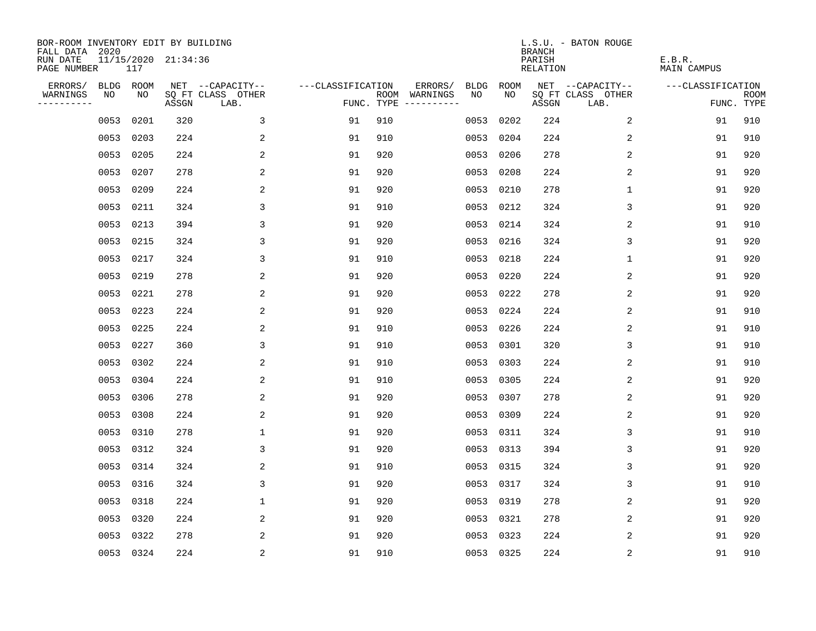| BOR-ROOM INVENTORY EDIT BY BUILDING<br>FALL DATA 2020 |           |      |                     |                           |                   |     |                                      |             |             | <b>BRANCH</b>             | L.S.U. - BATON ROUGE      |                              |                           |
|-------------------------------------------------------|-----------|------|---------------------|---------------------------|-------------------|-----|--------------------------------------|-------------|-------------|---------------------------|---------------------------|------------------------------|---------------------------|
| RUN DATE<br>PAGE NUMBER                               |           | 117  | 11/15/2020 21:34:36 |                           |                   |     |                                      |             |             | PARISH<br><b>RELATION</b> |                           | E.B.R.<br><b>MAIN CAMPUS</b> |                           |
| ERRORS/                                               | BLDG ROOM |      |                     | NET --CAPACITY--          | ---CLASSIFICATION |     | ERRORS/                              | <b>BLDG</b> | <b>ROOM</b> |                           | NET --CAPACITY--          | ---CLASSIFICATION            |                           |
| WARNINGS<br>----------                                | NO        | NO   | ASSGN               | SQ FT CLASS OTHER<br>LAB. |                   |     | ROOM WARNINGS<br>FUNC. TYPE $------$ | NO          | NO          | ASSGN                     | SQ FT CLASS OTHER<br>LAB. |                              | <b>ROOM</b><br>FUNC. TYPE |
|                                                       | 0053      | 0201 | 320                 | 3                         | 91                | 910 |                                      | 0053        | 0202        | 224                       | 2                         | 91                           | 910                       |
|                                                       | 0053      | 0203 | 224                 | 2                         | 91                | 910 |                                      | 0053        | 0204        | 224                       | 2                         | 91                           | 910                       |
|                                                       | 0053      | 0205 | 224                 | 2                         | 91                | 920 |                                      | 0053        | 0206        | 278                       | 2                         | 91                           | 920                       |
|                                                       | 0053      | 0207 | 278                 | 2                         | 91                | 920 |                                      |             | 0053 0208   | 224                       | 2                         | 91                           | 920                       |
|                                                       | 0053      | 0209 | 224                 | 2                         | 91                | 920 |                                      |             | 0053 0210   | 278                       | $\mathbf 1$               | 91                           | 920                       |
|                                                       | 0053 0211 |      | 324                 | 3                         | 91                | 910 |                                      |             | 0053 0212   | 324                       | 3                         | 91                           | 920                       |
|                                                       | 0053 0213 |      | 394                 | 3                         | 91                | 920 |                                      |             | 0053 0214   | 324                       | 2                         | 91                           | 910                       |
|                                                       | 0053 0215 |      | 324                 | 3                         | 91                | 920 |                                      |             | 0053 0216   | 324                       | 3                         | 91                           | 920                       |
|                                                       | 0053      | 0217 | 324                 | 3                         | 91                | 910 |                                      | 0053        | 0218        | 224                       | 1                         | 91                           | 920                       |
|                                                       | 0053      | 0219 | 278                 | 2                         | 91                | 920 |                                      |             | 0053 0220   | 224                       | 2                         | 91                           | 920                       |
|                                                       | 0053      | 0221 | 278                 | 2                         | 91                | 920 |                                      |             | 0053 0222   | 278                       | 2                         | 91                           | 920                       |
|                                                       | 0053 0223 |      | 224                 | 2                         | 91                | 920 |                                      |             | 0053 0224   | 224                       | 2                         | 91                           | 910                       |
|                                                       | 0053      | 0225 | 224                 | 2                         | 91                | 910 |                                      | 0053        | 0226        | 224                       | 2                         | 91                           | 910                       |
|                                                       | 0053 0227 |      | 360                 | 3                         | 91                | 910 |                                      |             | 0053 0301   | 320                       | 3                         | 91                           | 910                       |
|                                                       | 0053      | 0302 | 224                 | 2                         | 91                | 910 |                                      | 0053        | 0303        | 224                       | 2                         | 91                           | 910                       |
|                                                       | 0053      | 0304 | 224                 | 2                         | 91                | 910 |                                      |             | 0053 0305   | 224                       | 2                         | 91                           | 920                       |
|                                                       | 0053      | 0306 | 278                 | 2                         | 91                | 920 |                                      | 0053        | 0307        | 278                       | 2                         | 91                           | 920                       |
|                                                       | 0053      | 0308 | 224                 | 2                         | 91                | 920 |                                      |             | 0053 0309   | 224                       | 2                         | 91                           | 920                       |
|                                                       | 0053      | 0310 | 278                 | $\mathbf{1}$              | 91                | 920 |                                      |             | 0053 0311   | 324                       | 3                         | 91                           | 910                       |
|                                                       | 0053      | 0312 | 324                 | 3                         | 91                | 920 |                                      |             | 0053 0313   | 394                       | 3                         | 91                           | 920                       |
|                                                       | 0053      | 0314 | 324                 | 2                         | 91                | 910 |                                      |             | 0053 0315   | 324                       | 3                         | 91                           | 920                       |
|                                                       | 0053      | 0316 | 324                 | 3                         | 91                | 920 |                                      | 0053        | 0317        | 324                       | 3                         | 91                           | 910                       |
|                                                       | 0053      | 0318 | 224                 | 1                         | 91                | 920 |                                      |             | 0053 0319   | 278                       | 2                         | 91                           | 920                       |
|                                                       | 0053      | 0320 | 224                 | 2                         | 91                | 920 |                                      |             | 0053 0321   | 278                       | 2                         | 91                           | 920                       |
|                                                       | 0053      | 0322 | 278                 | 2                         | 91                | 920 |                                      |             | 0053 0323   | 224                       | 2                         | 91                           | 920                       |
|                                                       | 0053 0324 |      | 224                 | $\overline{c}$            | 91                | 910 |                                      |             | 0053 0325   | 224                       | $\sqrt{2}$                | 91                           | 910                       |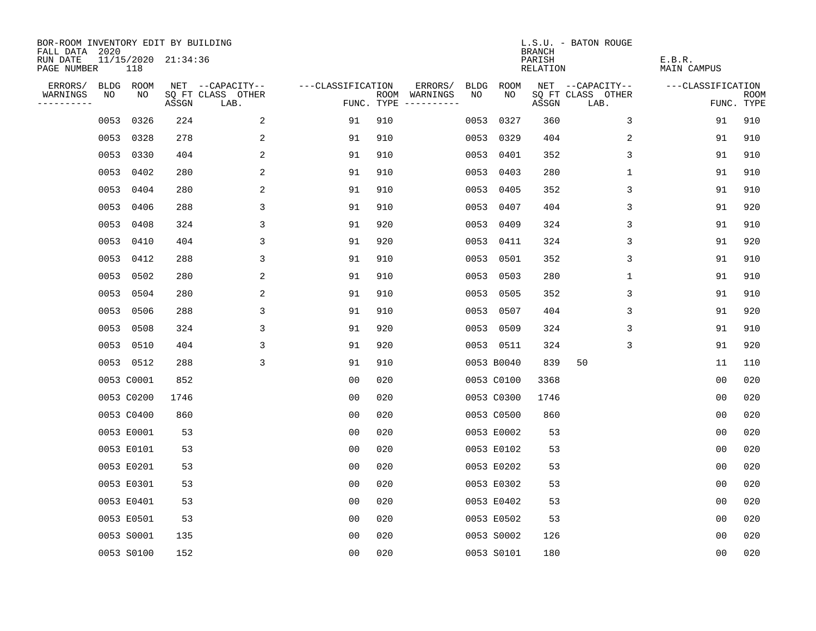| BOR-ROOM INVENTORY EDIT BY BUILDING<br>FALL DATA 2020 |      |            |                     |                           |                   |     |                                      |      |            | <b>BRANCH</b>      | L.S.U. - BATON ROUGE      |                       |                           |
|-------------------------------------------------------|------|------------|---------------------|---------------------------|-------------------|-----|--------------------------------------|------|------------|--------------------|---------------------------|-----------------------|---------------------------|
| RUN DATE<br>PAGE NUMBER                               |      | 118        | 11/15/2020 21:34:36 |                           |                   |     |                                      |      |            | PARISH<br>RELATION |                           | E.B.R.<br>MAIN CAMPUS |                           |
| ERRORS/                                               |      | BLDG ROOM  |                     | NET --CAPACITY--          | ---CLASSIFICATION |     | ERRORS/                              | BLDG | ROOM       |                    | NET --CAPACITY--          | ---CLASSIFICATION     |                           |
| WARNINGS<br>----------                                | NO   | NO         | ASSGN               | SQ FT CLASS OTHER<br>LAB. |                   |     | ROOM WARNINGS<br>FUNC. TYPE $------$ | NO.  | NO.        | ASSGN              | SQ FT CLASS OTHER<br>LAB. |                       | <b>ROOM</b><br>FUNC. TYPE |
|                                                       | 0053 | 0326       | 224                 | 2                         | 91                | 910 |                                      | 0053 | 0327       | 360                | 3                         | 91                    | 910                       |
|                                                       |      | 0053 0328  | 278                 | 2                         | 91                | 910 |                                      |      | 0053 0329  | 404                | 2                         | 91                    | 910                       |
|                                                       |      | 0053 0330  | 404                 | 2                         | 91                | 910 |                                      |      | 0053 0401  | 352                | 3                         | 91                    | 910                       |
|                                                       |      | 0053 0402  | 280                 | 2                         | 91                | 910 |                                      |      | 0053 0403  | 280                | 1                         | 91                    | 910                       |
|                                                       | 0053 | 0404       | 280                 | 2                         | 91                | 910 |                                      |      | 0053 0405  | 352                | 3                         | 91                    | 910                       |
|                                                       |      | 0053 0406  | 288                 | 3                         | 91                | 910 |                                      |      | 0053 0407  | 404                | 3                         | 91                    | 920                       |
|                                                       |      | 0053 0408  | 324                 | 3                         | 91                | 920 |                                      |      | 0053 0409  | 324                | 3                         | 91                    | 910                       |
|                                                       |      | 0053 0410  | 404                 | 3                         | 91                | 920 |                                      |      | 0053 0411  | 324                | 3                         | 91                    | 920                       |
|                                                       |      | 0053 0412  | 288                 | 3                         | 91                | 910 |                                      |      | 0053 0501  | 352                | 3                         | 91                    | 910                       |
|                                                       |      | 0053 0502  | 280                 | 2                         | 91                | 910 |                                      |      | 0053 0503  | 280                | $\mathbf 1$               | 91                    | 910                       |
|                                                       |      | 0053 0504  | 280                 | 2                         | 91                | 910 |                                      |      | 0053 0505  | 352                | 3                         | 91                    | 910                       |
|                                                       |      | 0053 0506  | 288                 | 3                         | 91                | 910 |                                      |      | 0053 0507  | 404                | 3                         | 91                    | 920                       |
|                                                       | 0053 | 0508       | 324                 | 3                         | 91                | 920 |                                      |      | 0053 0509  | 324                | 3                         | 91                    | 910                       |
|                                                       |      | 0053 0510  | 404                 | 3                         | 91                | 920 |                                      |      | 0053 0511  | 324                | 3                         | 91                    | 920                       |
|                                                       |      | 0053 0512  | 288                 | 3                         | 91                | 910 |                                      |      | 0053 B0040 | 839                | 50                        | 11                    | 110                       |
|                                                       |      | 0053 C0001 | 852                 |                           | 0 <sub>0</sub>    | 020 |                                      |      | 0053 C0100 | 3368               |                           | 0 <sub>0</sub>        | 020                       |
|                                                       |      | 0053 C0200 | 1746                |                           | 0 <sub>0</sub>    | 020 |                                      |      | 0053 C0300 | 1746               |                           | 0 <sub>0</sub>        | 020                       |
|                                                       |      | 0053 C0400 | 860                 |                           | 0 <sub>0</sub>    | 020 |                                      |      | 0053 C0500 | 860                |                           | 0 <sub>0</sub>        | 020                       |
|                                                       |      | 0053 E0001 | 53                  |                           | 0 <sub>0</sub>    | 020 |                                      |      | 0053 E0002 | 53                 |                           | 0 <sub>0</sub>        | 020                       |
|                                                       |      | 0053 E0101 | 53                  |                           | 0 <sub>0</sub>    | 020 |                                      |      | 0053 E0102 | 53                 |                           | 0 <sub>0</sub>        | 020                       |
|                                                       |      | 0053 E0201 | 53                  |                           | 0 <sub>0</sub>    | 020 |                                      |      | 0053 E0202 | 53                 |                           | 0 <sub>0</sub>        | 020                       |
|                                                       |      | 0053 E0301 | 53                  |                           | 0 <sub>0</sub>    | 020 |                                      |      | 0053 E0302 | 53                 |                           | 0 <sub>0</sub>        | 020                       |
|                                                       |      | 0053 E0401 | 53                  |                           | 0 <sub>0</sub>    | 020 |                                      |      | 0053 E0402 | 53                 |                           | 0 <sub>0</sub>        | 020                       |
|                                                       |      | 0053 E0501 | 53                  |                           | 0 <sub>0</sub>    | 020 |                                      |      | 0053 E0502 | 53                 |                           | 0 <sub>0</sub>        | 020                       |
|                                                       |      | 0053 S0001 | 135                 |                           | 0 <sub>0</sub>    | 020 |                                      |      | 0053 S0002 | 126                |                           | 0 <sub>0</sub>        | 020                       |
|                                                       |      | 0053 S0100 | 152                 |                           | 0 <sub>0</sub>    | 020 |                                      |      | 0053 S0101 | 180                |                           | 0 <sub>0</sub>        | 020                       |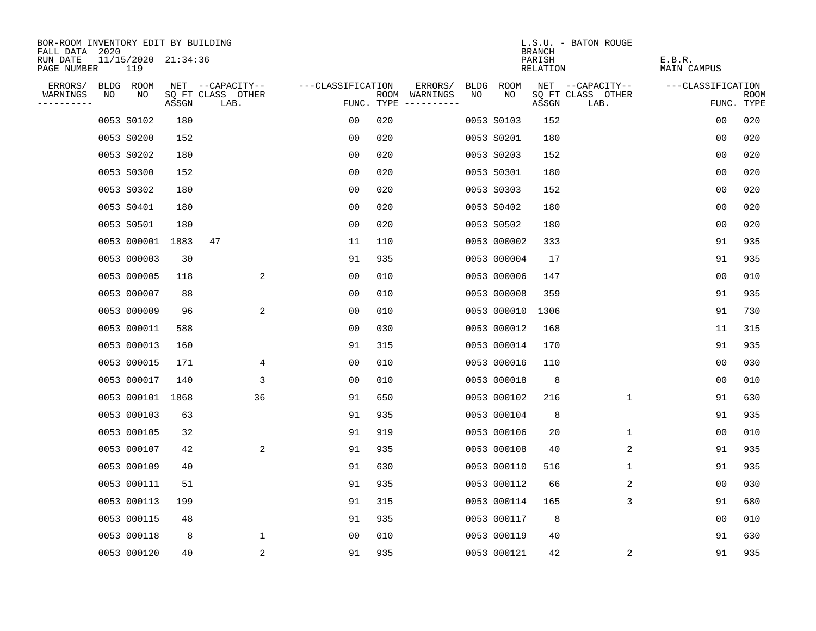| BOR-ROOM INVENTORY EDIT BY BUILDING  |                                    |    |       |                           |                   |     |                                      |      |             |                                     | L.S.U. - BATON ROUGE      |                       |                    |
|--------------------------------------|------------------------------------|----|-------|---------------------------|-------------------|-----|--------------------------------------|------|-------------|-------------------------------------|---------------------------|-----------------------|--------------------|
| FALL DATA<br>RUN DATE<br>PAGE NUMBER | 2020<br>11/15/2020 21:34:36<br>119 |    |       |                           |                   |     |                                      |      |             | <b>BRANCH</b><br>PARISH<br>RELATION |                           | E.B.R.<br>MAIN CAMPUS |                    |
| ERRORS/                              | BLDG ROOM                          |    |       | NET --CAPACITY--          | ---CLASSIFICATION |     | ERRORS/                              | BLDG | <b>ROOM</b> |                                     | NET --CAPACITY--          | ---CLASSIFICATION     |                    |
| WARNINGS<br>----------               | NO                                 | NO | ASSGN | SQ FT CLASS OTHER<br>LAB. |                   |     | ROOM WARNINGS<br>FUNC. TYPE $------$ | NO   | NO          | ASSGN                               | SQ FT CLASS OTHER<br>LAB. |                       | ROOM<br>FUNC. TYPE |
|                                      | 0053 S0102                         |    | 180   |                           | 00                | 020 |                                      |      | 0053 S0103  | 152                                 |                           | 0 <sub>0</sub>        | 020                |
|                                      | 0053 S0200                         |    | 152   |                           | 0 <sub>0</sub>    | 020 |                                      |      | 0053 S0201  | 180                                 |                           | 0 <sub>0</sub>        | 020                |
|                                      | 0053 S0202                         |    | 180   |                           | 0 <sub>0</sub>    | 020 |                                      |      | 0053 S0203  | 152                                 |                           | 0 <sub>0</sub>        | 020                |
|                                      | 0053 S0300                         |    | 152   |                           | 00                | 020 |                                      |      | 0053 S0301  | 180                                 |                           | 00                    | 020                |
|                                      | 0053 S0302                         |    | 180   |                           | 00                | 020 |                                      |      | 0053 S0303  | 152                                 |                           | 0 <sub>0</sub>        | 020                |
|                                      | 0053 S0401                         |    | 180   |                           | 0 <sub>0</sub>    | 020 |                                      |      | 0053 S0402  | 180                                 |                           | 0 <sub>0</sub>        | 020                |
|                                      | 0053 S0501                         |    | 180   |                           | 00                | 020 |                                      |      | 0053 S0502  | 180                                 |                           | 00                    | 020                |
|                                      | 0053 000001                        |    | 1883  | 47                        | 11                | 110 |                                      |      | 0053 000002 | 333                                 |                           | 91                    | 935                |
|                                      | 0053 000003                        |    | 30    |                           | 91                | 935 |                                      |      | 0053 000004 | 17                                  |                           | 91                    | 935                |
|                                      | 0053 000005                        |    | 118   | 2                         | 0 <sub>0</sub>    | 010 |                                      |      | 0053 000006 | 147                                 |                           | 0 <sub>0</sub>        | 010                |
|                                      | 0053 000007                        |    | 88    |                           | 00                | 010 |                                      |      | 0053 000008 | 359                                 |                           | 91                    | 935                |
|                                      | 0053 000009                        |    | 96    | 2                         | 0 <sub>0</sub>    | 010 |                                      |      | 0053 000010 | 1306                                |                           | 91                    | 730                |
|                                      | 0053 000011                        |    | 588   |                           | 0 <sub>0</sub>    | 030 |                                      |      | 0053 000012 | 168                                 |                           | 11                    | 315                |
|                                      | 0053 000013                        |    | 160   |                           | 91                | 315 |                                      |      | 0053 000014 | 170                                 |                           | 91                    | 935                |
|                                      | 0053 000015                        |    | 171   | 4                         | 0 <sub>0</sub>    | 010 |                                      |      | 0053 000016 | 110                                 |                           | 0 <sub>0</sub>        | 030                |
|                                      | 0053 000017                        |    | 140   | 3                         | 0 <sub>0</sub>    | 010 |                                      |      | 0053 000018 | 8                                   |                           | 0 <sub>0</sub>        | 010                |
|                                      | 0053 000101                        |    | 1868  | 36                        | 91                | 650 |                                      |      | 0053 000102 | 216                                 | 1                         | 91                    | 630                |
|                                      | 0053 000103                        |    | 63    |                           | 91                | 935 |                                      |      | 0053 000104 | 8                                   |                           | 91                    | 935                |
|                                      | 0053 000105                        |    | 32    |                           | 91                | 919 |                                      |      | 0053 000106 | 20                                  | 1                         | 0 <sub>0</sub>        | 010                |
|                                      | 0053 000107                        |    | 42    | 2                         | 91                | 935 |                                      |      | 0053 000108 | 40                                  | 2                         | 91                    | 935                |
|                                      | 0053 000109                        |    | 40    |                           | 91                | 630 |                                      |      | 0053 000110 | 516                                 | 1                         | 91                    | 935                |
|                                      | 0053 000111                        |    | 51    |                           | 91                | 935 |                                      |      | 0053 000112 | 66                                  | 2                         | 0 <sub>0</sub>        | 030                |
|                                      | 0053 000113                        |    | 199   |                           | 91                | 315 |                                      |      | 0053 000114 | 165                                 | 3                         | 91                    | 680                |
|                                      | 0053 000115                        |    | 48    |                           | 91                | 935 |                                      |      | 0053 000117 | 8                                   |                           | 00                    | 010                |
|                                      | 0053 000118                        |    | 8     | 1                         | 0 <sub>0</sub>    | 010 |                                      |      | 0053 000119 | 40                                  |                           | 91                    | 630                |
|                                      | 0053 000120                        |    | 40    | 2                         | 91                | 935 |                                      |      | 0053 000121 | 42                                  | 2                         | 91                    | 935                |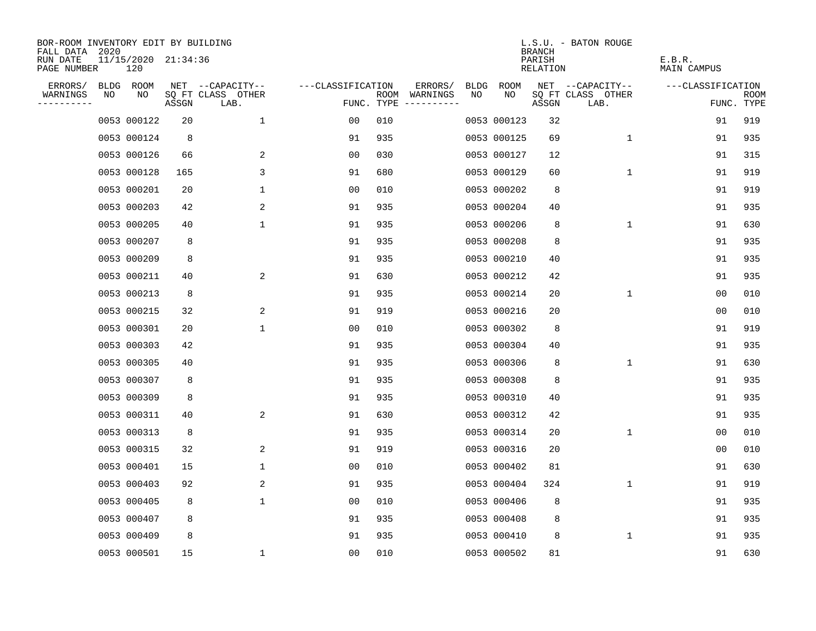| BOR-ROOM INVENTORY EDIT BY BUILDING<br>FALL DATA | 2020 |                            |       |                           |                   |      |                                 |             |             | <b>BRANCH</b>      | L.S.U. - BATON ROUGE      |                       |                           |
|--------------------------------------------------|------|----------------------------|-------|---------------------------|-------------------|------|---------------------------------|-------------|-------------|--------------------|---------------------------|-----------------------|---------------------------|
| RUN DATE<br>PAGE NUMBER                          |      | 11/15/2020 21:34:36<br>120 |       |                           |                   |      |                                 |             |             | PARISH<br>RELATION |                           | E.B.R.<br>MAIN CAMPUS |                           |
| ERRORS/                                          |      | BLDG ROOM                  |       | NET --CAPACITY--          | ---CLASSIFICATION |      | ERRORS/                         | <b>BLDG</b> | ROOM        |                    | NET --CAPACITY--          | ---CLASSIFICATION     |                           |
| WARNINGS<br>----------                           | NO   | NO                         | ASSGN | SQ FT CLASS OTHER<br>LAB. |                   | ROOM | WARNINGS<br>FUNC. TYPE $------$ | NO          | NO          | ASSGN              | SQ FT CLASS OTHER<br>LAB. |                       | <b>ROOM</b><br>FUNC. TYPE |
|                                                  |      | 0053 000122                | 20    | $\mathbf{1}$              | 0 <sub>0</sub>    | 010  |                                 |             | 0053 000123 | 32                 |                           | 91                    | 919                       |
|                                                  |      | 0053 000124                | 8     |                           | 91                | 935  |                                 |             | 0053 000125 | 69                 | 1                         | 91                    | 935                       |
|                                                  |      | 0053 000126                | 66    | 2                         | 0 <sub>0</sub>    | 030  |                                 |             | 0053 000127 | 12                 |                           | 91                    | 315                       |
|                                                  |      | 0053 000128                | 165   | 3                         | 91                | 680  |                                 |             | 0053 000129 | 60                 | 1                         | 91                    | 919                       |
|                                                  |      | 0053 000201                | 20    | 1                         | 00                | 010  |                                 |             | 0053 000202 | 8                  |                           | 91                    | 919                       |
|                                                  |      | 0053 000203                | 42    | 2                         | 91                | 935  |                                 |             | 0053 000204 | 40                 |                           | 91                    | 935                       |
|                                                  |      | 0053 000205                | 40    | $\mathbf 1$               | 91                | 935  |                                 |             | 0053 000206 | 8                  | $\mathbf 1$               | 91                    | 630                       |
|                                                  |      | 0053 000207                | 8     |                           | 91                | 935  |                                 |             | 0053 000208 | 8                  |                           | 91                    | 935                       |
|                                                  |      | 0053 000209                | 8     |                           | 91                | 935  |                                 |             | 0053 000210 | 40                 |                           | 91                    | 935                       |
|                                                  |      | 0053 000211                | 40    | 2                         | 91                | 630  |                                 |             | 0053 000212 | 42                 |                           | 91                    | 935                       |
|                                                  |      | 0053 000213                | 8     |                           | 91                | 935  |                                 |             | 0053 000214 | 20                 | 1                         | 0 <sub>0</sub>        | 010                       |
|                                                  |      | 0053 000215                | 32    | 2                         | 91                | 919  |                                 |             | 0053 000216 | 20                 |                           | 0 <sub>0</sub>        | 010                       |
|                                                  |      | 0053 000301                | 20    | $\mathbf 1$               | 0 <sub>0</sub>    | 010  |                                 |             | 0053 000302 | 8                  |                           | 91                    | 919                       |
|                                                  |      | 0053 000303                | 42    |                           | 91                | 935  |                                 |             | 0053 000304 | 40                 |                           | 91                    | 935                       |
|                                                  |      | 0053 000305                | 40    |                           | 91                | 935  |                                 |             | 0053 000306 | 8                  | 1                         | 91                    | 630                       |
|                                                  |      | 0053 000307                | 8     |                           | 91                | 935  |                                 |             | 0053 000308 | 8                  |                           | 91                    | 935                       |
|                                                  |      | 0053 000309                | 8     |                           | 91                | 935  |                                 |             | 0053 000310 | 40                 |                           | 91                    | 935                       |
|                                                  |      | 0053 000311                | 40    | 2                         | 91                | 630  |                                 |             | 0053 000312 | 42                 |                           | 91                    | 935                       |
|                                                  |      | 0053 000313                | 8     |                           | 91                | 935  |                                 |             | 0053 000314 | 20                 | $\mathbf 1$               | 0 <sub>0</sub>        | 010                       |
|                                                  |      | 0053 000315                | 32    | 2                         | 91                | 919  |                                 |             | 0053 000316 | 20                 |                           | 00                    | 010                       |
|                                                  |      | 0053 000401                | 15    | 1                         | 0 <sub>0</sub>    | 010  |                                 |             | 0053 000402 | 81                 |                           | 91                    | 630                       |
|                                                  |      | 0053 000403                | 92    | 2                         | 91                | 935  |                                 |             | 0053 000404 | 324                | 1                         | 91                    | 919                       |
|                                                  |      | 0053 000405                | 8     | $\mathbf 1$               | 0 <sub>0</sub>    | 010  |                                 |             | 0053 000406 | 8                  |                           | 91                    | 935                       |
|                                                  |      | 0053 000407                | 8     |                           | 91                | 935  |                                 |             | 0053 000408 | 8                  |                           | 91                    | 935                       |
|                                                  |      | 0053 000409                | 8     |                           | 91                | 935  |                                 |             | 0053 000410 | 8                  | 1                         | 91                    | 935                       |
|                                                  |      | 0053 000501                | 15    | $\mathbf{1}$              | 0 <sub>0</sub>    | 010  |                                 |             | 0053 000502 | 81                 |                           | 91                    | 630                       |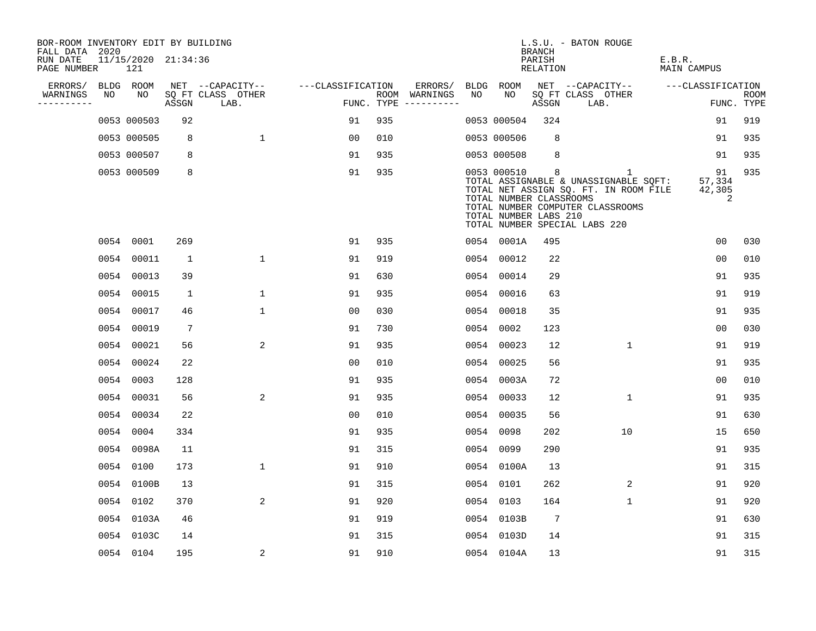| BOR-ROOM INVENTORY EDIT BY BUILDING<br>FALL DATA 2020 |    |                            |       |                           |                   |     |                                      |      |                                                                 | BRANCH             | L.S.U. - BATON ROUGE                                                                                                                                     |                        |                           |
|-------------------------------------------------------|----|----------------------------|-------|---------------------------|-------------------|-----|--------------------------------------|------|-----------------------------------------------------------------|--------------------|----------------------------------------------------------------------------------------------------------------------------------------------------------|------------------------|---------------------------|
| RUN DATE<br>PAGE NUMBER                               |    | 11/15/2020 21:34:36<br>121 |       |                           |                   |     |                                      |      |                                                                 | PARISH<br>RELATION |                                                                                                                                                          | E.B.R.<br>MAIN CAMPUS  |                           |
| ERRORS/                                               |    | BLDG ROOM                  |       | NET --CAPACITY--          | ---CLASSIFICATION |     | ERRORS/                              |      | BLDG ROOM                                                       |                    | NET --CAPACITY--                                                                                                                                         | ---CLASSIFICATION      |                           |
| WARNINGS<br>-----------                               | NO | NO                         | ASSGN | SQ FT CLASS OTHER<br>LAB. |                   |     | ROOM WARNINGS<br>FUNC. TYPE $------$ | NO   | NO                                                              | ASSGN              | SQ FT CLASS OTHER<br>LAB.                                                                                                                                |                        | <b>ROOM</b><br>FUNC. TYPE |
|                                                       |    | 0053 000503                | 92    |                           | 91                | 935 |                                      |      | 0053 000504                                                     | 324                |                                                                                                                                                          | 91                     | 919                       |
|                                                       |    | 0053 000505                | 8     | $\mathbf{1}$              | 0 <sub>0</sub>    | 010 |                                      |      | 0053 000506                                                     | 8                  |                                                                                                                                                          | 91                     | 935                       |
|                                                       |    | 0053 000507                | 8     |                           | 91                | 935 |                                      |      | 0053 000508                                                     | 8                  |                                                                                                                                                          | 91                     | 935                       |
|                                                       |    | 0053 000509                | 8     |                           | 91                | 935 |                                      |      | 0053 000510<br>TOTAL NUMBER CLASSROOMS<br>TOTAL NUMBER LABS 210 | 8                  | 1<br>TOTAL ASSIGNABLE & UNASSIGNABLE SQFT:<br>TOTAL NET ASSIGN SQ. FT. IN ROOM FILE<br>TOTAL NUMBER COMPUTER CLASSROOMS<br>TOTAL NUMBER SPECIAL LABS 220 | 91<br>57,334<br>42,305 | 935<br>2                  |
|                                                       |    | 0054 0001                  | 269   |                           | 91                | 935 |                                      |      | 0054 0001A                                                      | 495                |                                                                                                                                                          | 0 <sub>0</sub>         | 030                       |
|                                                       |    | 0054 00011                 | 1     | $\mathbf{1}$              | 91                | 919 |                                      |      | 0054 00012                                                      | 22                 |                                                                                                                                                          | 0 <sub>0</sub>         | 010                       |
|                                                       |    | 0054 00013                 | 39    |                           | 91                | 630 |                                      |      | 0054 00014                                                      | 29                 |                                                                                                                                                          | 91                     | 935                       |
|                                                       |    | 0054 00015                 | 1     | $\mathbf 1$               | 91                | 935 |                                      |      | 0054 00016                                                      | 63                 |                                                                                                                                                          | 91                     | 919                       |
|                                                       |    | 0054 00017                 | 46    | $\mathbf{1}$              | 00                | 030 |                                      |      | 0054 00018                                                      | 35                 |                                                                                                                                                          | 91                     | 935                       |
|                                                       |    | 0054 00019                 | 7     |                           | 91                | 730 |                                      | 0054 | 0002                                                            | 123                |                                                                                                                                                          | 0 <sub>0</sub>         | 030                       |
|                                                       |    | 0054 00021                 | 56    | 2                         | 91                | 935 |                                      |      | 0054 00023                                                      | 12                 | $\mathbf{1}$                                                                                                                                             | 91                     | 919                       |
|                                                       |    | 0054 00024                 | 22    |                           | 0 <sub>0</sub>    | 010 |                                      | 0054 | 00025                                                           | 56                 |                                                                                                                                                          | 91                     | 935                       |
|                                                       |    | 0054 0003                  | 128   |                           | 91                | 935 |                                      |      | 0054 0003A                                                      | 72                 |                                                                                                                                                          | 0 <sub>0</sub>         | 010                       |
|                                                       |    | 0054 00031                 | 56    | 2                         | 91                | 935 |                                      |      | 0054 00033                                                      | 12                 | 1                                                                                                                                                        | 91                     | 935                       |
|                                                       |    | 0054 00034                 | 22    |                           | 0 <sub>0</sub>    | 010 |                                      |      | 0054 00035                                                      | 56                 |                                                                                                                                                          | 91                     | 630                       |
|                                                       |    | 0054 0004                  | 334   |                           | 91                | 935 |                                      |      | 0054 0098                                                       | 202                | 10                                                                                                                                                       | 15                     | 650                       |
|                                                       |    | 0054 0098A                 | 11    |                           | 91                | 315 |                                      |      | 0054 0099                                                       | 290                |                                                                                                                                                          | 91                     | 935                       |
|                                                       |    | 0054 0100                  | 173   | $\mathbf 1$               | 91                | 910 |                                      |      | 0054 0100A                                                      | 13                 |                                                                                                                                                          | 91                     | 315                       |
|                                                       |    | 0054 0100B                 | 13    |                           | 91                | 315 |                                      |      | 0054 0101                                                       | 262                | 2                                                                                                                                                        | 91                     | 920                       |
|                                                       |    | 0054 0102                  | 370   | 2                         | 91                | 920 |                                      |      | 0054 0103                                                       | 164                | 1                                                                                                                                                        | 91                     | 920                       |
|                                                       |    | 0054 0103A                 | 46    |                           | 91                | 919 |                                      |      | 0054 0103B                                                      | 7                  |                                                                                                                                                          | 91                     | 630                       |
|                                                       |    | 0054 0103C                 | 14    |                           | 91                | 315 |                                      |      | 0054 0103D                                                      | 14                 |                                                                                                                                                          | 91                     | 315                       |
|                                                       |    | 0054 0104                  | 195   | 2                         | 91                | 910 |                                      |      | 0054 0104A                                                      | 13                 |                                                                                                                                                          | 91                     | 315                       |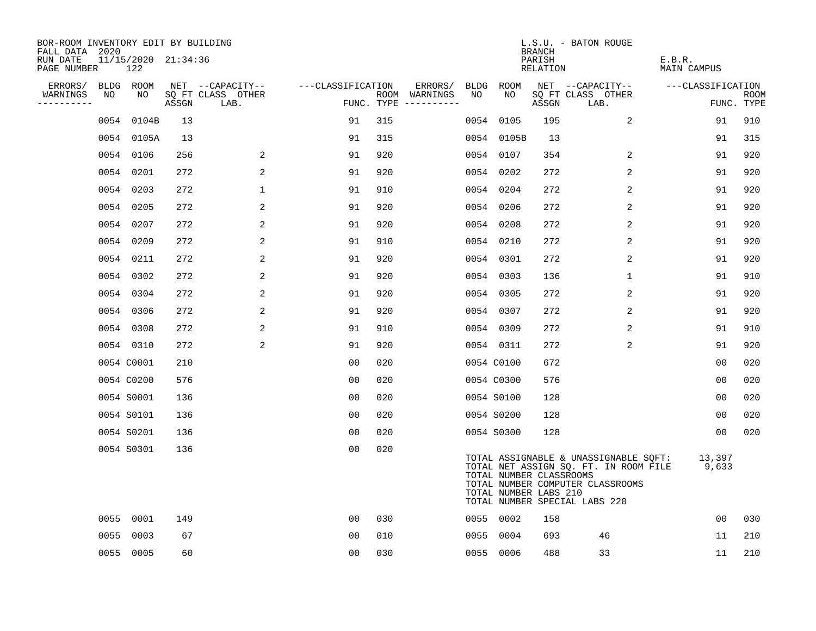| BOR-ROOM INVENTORY EDIT BY BUILDING<br>FALL DATA 2020 |      | 11/15/2020 21:34:36 |       |                                       |                   |     |                          |            |                                                  | BRANCH<br>PARISH | L.S.U. - BATON ROUGE                                                                                                                                | E.B.R.            |             |
|-------------------------------------------------------|------|---------------------|-------|---------------------------------------|-------------------|-----|--------------------------|------------|--------------------------------------------------|------------------|-----------------------------------------------------------------------------------------------------------------------------------------------------|-------------------|-------------|
| RUN DATE<br>PAGE NUMBER                               |      | 122                 |       |                                       |                   |     |                          |            |                                                  | RELATION         |                                                                                                                                                     | MAIN CAMPUS       |             |
| ERRORS/<br>WARNINGS                                   | NO   | BLDG ROOM<br>NO     |       | NET --CAPACITY--<br>SQ FT CLASS OTHER | ---CLASSIFICATION |     | ERRORS/<br>ROOM WARNINGS | BLDG<br>NO | ROOM<br>NO                                       |                  | NET --CAPACITY--<br>SQ FT CLASS OTHER                                                                                                               | ---CLASSIFICATION | <b>ROOM</b> |
| ----------                                            |      |                     | ASSGN | LAB.                                  |                   |     | FUNC. TYPE $------$      |            |                                                  | ASSGN            | LAB.                                                                                                                                                |                   | FUNC. TYPE  |
|                                                       | 0054 | 0104B               | 13    |                                       | 91                | 315 |                          | 0054       | 0105                                             | 195              | $\overline{a}$                                                                                                                                      | 91                | 910         |
|                                                       |      | 0054 0105A          | 13    |                                       | 91                | 315 |                          |            | 0054 0105B                                       | 13               |                                                                                                                                                     | 91                | 315         |
|                                                       | 0054 | 0106                | 256   | 2                                     | 91                | 920 |                          |            | 0054 0107                                        | 354              | 2                                                                                                                                                   | 91                | 920         |
|                                                       | 0054 | 0201                | 272   | 2                                     | 91                | 920 |                          |            | 0054 0202                                        | 272              | $\overline{2}$                                                                                                                                      | 91                | 920         |
|                                                       | 0054 | 0203                | 272   | $\mathbf 1$                           | 91                | 910 |                          |            | 0054 0204                                        | 272              | 2                                                                                                                                                   | 91                | 920         |
|                                                       | 0054 | 0205                | 272   | 2                                     | 91                | 920 |                          |            | 0054 0206                                        | 272              | 2                                                                                                                                                   | 91                | 920         |
|                                                       | 0054 | 0207                | 272   | 2                                     | 91                | 920 |                          |            | 0054 0208                                        | 272              | $\overline{2}$                                                                                                                                      | 91                | 920         |
|                                                       | 0054 | 0209                | 272   | 2                                     | 91                | 910 |                          |            | 0054 0210                                        | 272              | 2                                                                                                                                                   | 91                | 920         |
|                                                       | 0054 | 0211                | 272   | 2                                     | 91                | 920 |                          |            | 0054 0301                                        | 272              | 2                                                                                                                                                   | 91                | 920         |
|                                                       | 0054 | 0302                | 272   | 2                                     | 91                | 920 |                          |            | 0054 0303                                        | 136              | $\mathbf 1$                                                                                                                                         | 91                | 910         |
|                                                       |      | 0054 0304           | 272   | 2                                     | 91                | 920 |                          |            | 0054 0305                                        | 272              | 2                                                                                                                                                   | 91                | 920         |
|                                                       |      | 0054 0306           | 272   | 2                                     | 91                | 920 |                          |            | 0054 0307                                        | 272              | 2                                                                                                                                                   | 91                | 920         |
|                                                       | 0054 | 0308                | 272   | 2                                     | 91                | 910 |                          |            | 0054 0309                                        | 272              | 2                                                                                                                                                   | 91                | 910         |
|                                                       |      | 0054 0310           | 272   | 2                                     | 91                | 920 |                          |            | 0054 0311                                        | 272              | $\overline{2}$                                                                                                                                      | 91                | 920         |
|                                                       |      | 0054 C0001          | 210   |                                       | 0 <sub>0</sub>    | 020 |                          |            | 0054 C0100                                       | 672              |                                                                                                                                                     | 0 <sub>0</sub>    | 020         |
|                                                       |      | 0054 C0200          | 576   |                                       | 0 <sub>0</sub>    | 020 |                          |            | 0054 C0300                                       | 576              |                                                                                                                                                     | 0 <sub>0</sub>    | 020         |
|                                                       |      | 0054 S0001          | 136   |                                       | 0 <sub>0</sub>    | 020 |                          |            | 0054 S0100                                       | 128              |                                                                                                                                                     | 0 <sub>0</sub>    | 020         |
|                                                       |      | 0054 S0101          | 136   |                                       | 0 <sub>0</sub>    | 020 |                          |            | 0054 S0200                                       | 128              |                                                                                                                                                     | 0 <sub>0</sub>    | 020         |
|                                                       |      | 0054 S0201          | 136   |                                       | 0 <sub>0</sub>    | 020 |                          |            | 0054 S0300                                       | 128              |                                                                                                                                                     | 00                | 020         |
|                                                       |      | 0054 S0301          | 136   |                                       | 0 <sub>0</sub>    | 020 |                          |            | TOTAL NUMBER CLASSROOMS<br>TOTAL NUMBER LABS 210 |                  | TOTAL ASSIGNABLE & UNASSIGNABLE SQFT:<br>TOTAL NET ASSIGN SQ. FT. IN ROOM FILE<br>TOTAL NUMBER COMPUTER CLASSROOMS<br>TOTAL NUMBER SPECIAL LABS 220 | 13,397<br>9,633   |             |
|                                                       | 0055 | 0001                | 149   |                                       | 00                | 030 |                          |            | 0055 0002                                        | 158              |                                                                                                                                                     | 0 <sub>0</sub>    | 030         |
|                                                       | 0055 | 0003                | 67    |                                       | 0 <sub>0</sub>    | 010 |                          | 0055       | 0004                                             | 693              | 46                                                                                                                                                  | 11                | 210         |
|                                                       |      | 0055 0005           | 60    |                                       | 00                | 030 |                          |            | 0055 0006                                        | 488              | 33                                                                                                                                                  | 11                | 210         |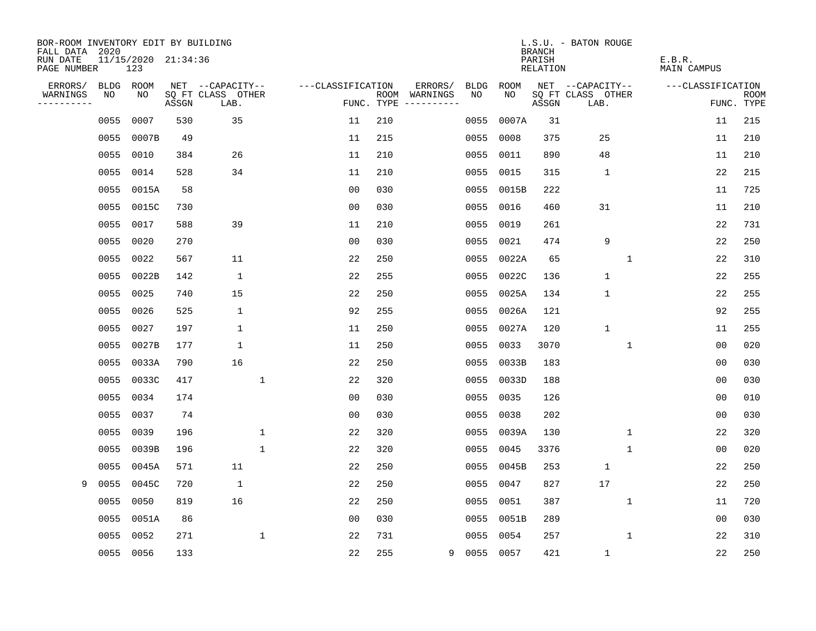| BOR-ROOM INVENTORY EDIT BY BUILDING<br>FALL DATA 2020 |           |                            |       |                           |                   |            |                              |             |       | <b>BRANCH</b>      | L.S.U. - BATON ROUGE      |                       |                           |
|-------------------------------------------------------|-----------|----------------------------|-------|---------------------------|-------------------|------------|------------------------------|-------------|-------|--------------------|---------------------------|-----------------------|---------------------------|
| RUN DATE<br>PAGE NUMBER                               |           | 11/15/2020 21:34:36<br>123 |       |                           |                   |            |                              |             |       | PARISH<br>RELATION |                           | E.B.R.<br>MAIN CAMPUS |                           |
| ERRORS/                                               | BLDG      | ROOM                       |       | NET --CAPACITY--          | ---CLASSIFICATION |            | ERRORS/                      | <b>BLDG</b> | ROOM  |                    | NET --CAPACITY--          | ---CLASSIFICATION     |                           |
| WARNINGS<br>----------                                | NO        | NO                         | ASSGN | SQ FT CLASS OTHER<br>LAB. |                   | FUNC. TYPE | ROOM WARNINGS<br>----------- | NO.         | NO.   | ASSGN              | SQ FT CLASS OTHER<br>LAB. |                       | <b>ROOM</b><br>FUNC. TYPE |
|                                                       | 0055      | 0007                       | 530   | 35                        | 11                | 210        |                              | 0055        | 0007A | 31                 |                           | 11                    | 215                       |
|                                                       | 0055      | 0007B                      | 49    |                           | 11                | 215        |                              | 0055        | 0008  | 375                | 25                        | 11                    | 210                       |
|                                                       | 0055      | 0010                       | 384   | 26                        | 11                | 210        |                              | 0055        | 0011  | 890                | 48                        | 11                    | 210                       |
|                                                       | 0055      | 0014                       | 528   | 34                        | 11                | 210        |                              | 0055        | 0015  | 315                | $\mathbf{1}$              | 22                    | 215                       |
|                                                       | 0055      | 0015A                      | 58    |                           | 0 <sub>0</sub>    | 030        |                              | 0055        | 0015B | 222                |                           | 11                    | 725                       |
|                                                       | 0055      | 0015C                      | 730   |                           | 0 <sub>0</sub>    | 030        |                              | 0055        | 0016  | 460                | 31                        | 11                    | 210                       |
|                                                       | 0055      | 0017                       | 588   | 39                        | 11                | 210        |                              | 0055        | 0019  | 261                |                           | 22                    | 731                       |
|                                                       | 0055      | 0020                       | 270   |                           | 0 <sub>0</sub>    | 030        |                              | 0055        | 0021  | 474                | 9                         | 22                    | 250                       |
|                                                       | 0055      | 0022                       | 567   | 11                        | 22                | 250        |                              | 0055        | 0022A | 65                 | $\mathbf{1}$              | 22                    | 310                       |
|                                                       | 0055      | 0022B                      | 142   | $\mathbf 1$               | 22                | 255        |                              | 0055        | 0022C | 136                | $\mathbf 1$               | 22                    | 255                       |
|                                                       | 0055      | 0025                       | 740   | 15                        | 22                | 250        |                              | 0055        | 0025A | 134                | $\mathbf 1$               | 22                    | 255                       |
|                                                       | 0055      | 0026                       | 525   | $\mathbf 1$               | 92                | 255        |                              | 0055        | 0026A | 121                |                           | 92                    | 255                       |
|                                                       | 0055      | 0027                       | 197   | $\mathbf 1$               | 11                | 250        |                              | 0055        | 0027A | 120                | $\mathbf{1}$              | 11                    | 255                       |
|                                                       | 0055      | 0027B                      | 177   | $\mathbf 1$               | 11                | 250        |                              | 0055        | 0033  | 3070               | 1                         | 0 <sub>0</sub>        | 020                       |
|                                                       | 0055      | 0033A                      | 790   | 16                        | 22                | 250        |                              | 0055        | 0033B | 183                |                           | 00                    | 030                       |
|                                                       | 0055      | 0033C                      | 417   | 1                         | 22                | 320        |                              | 0055        | 0033D | 188                |                           | 00                    | 030                       |
|                                                       | 0055      | 0034                       | 174   |                           | 0 <sub>0</sub>    | 030        |                              | 0055        | 0035  | 126                |                           | 0 <sub>0</sub>        | 010                       |
|                                                       | 0055      | 0037                       | 74    |                           | 0 <sub>0</sub>    | 030        |                              | 0055        | 0038  | 202                |                           | 0 <sub>0</sub>        | 030                       |
|                                                       | 0055      | 0039                       | 196   | $\mathbf 1$               | 22                | 320        |                              | 0055        | 0039A | 130                | 1                         | 22                    | 320                       |
|                                                       | 0055      | 0039B                      | 196   | $\mathbf{1}$              | 22                | 320        |                              | 0055        | 0045  | 3376               | $\mathbf{1}$              | 0 <sub>0</sub>        | 020                       |
|                                                       | 0055      | 0045A                      | 571   | 11                        | 22                | 250        |                              | 0055        | 0045B | 253                | $\mathbf{1}$              | 22                    | 250                       |
| 9                                                     | 0055      | 0045C                      | 720   | 1                         | 22                | 250        |                              | 0055        | 0047  | 827                | 17                        | 22                    | 250                       |
|                                                       | 0055      | 0050                       | 819   | 16                        | 22                | 250        |                              | 0055        | 0051  | 387                | 1                         | 11                    | 720                       |
|                                                       | 0055      | 0051A                      | 86    |                           | 0 <sub>0</sub>    | 030        |                              | 0055        | 0051B | 289                |                           | 0 <sub>0</sub>        | 030                       |
|                                                       | 0055      | 0052                       | 271   | $\mathbf 1$               | 22                | 731        |                              | 0055        | 0054  | 257                | $\mathbf{1}$              | 22                    | 310                       |
|                                                       | 0055 0056 |                            | 133   |                           | 22                | 255        | 9                            | 0055 0057   |       | 421                | $1\,$                     | 22                    | 250                       |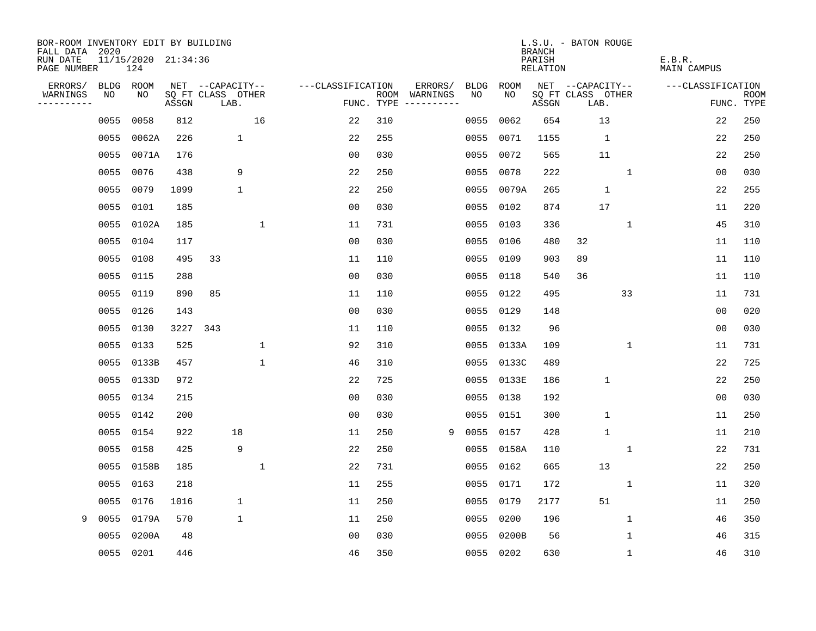| BOR-ROOM INVENTORY EDIT BY BUILDING<br>FALL DATA 2020 |             |                            |       |                           |             |                   |            |                              |             |            | <b>BRANCH</b>      | L.S.U. - BATON ROUGE      |              |                              |                           |
|-------------------------------------------------------|-------------|----------------------------|-------|---------------------------|-------------|-------------------|------------|------------------------------|-------------|------------|--------------------|---------------------------|--------------|------------------------------|---------------------------|
| RUN DATE<br>PAGE NUMBER                               |             | 11/15/2020 21:34:36<br>124 |       |                           |             |                   |            |                              |             |            | PARISH<br>RELATION |                           |              | E.B.R.<br><b>MAIN CAMPUS</b> |                           |
| ERRORS/                                               | <b>BLDG</b> | ROOM                       |       | NET --CAPACITY--          |             | ---CLASSIFICATION |            | ERRORS/                      | <b>BLDG</b> | ROOM       |                    | NET --CAPACITY--          |              | ---CLASSIFICATION            |                           |
| WARNINGS<br>--------                                  | NO          | NO                         | ASSGN | SQ FT CLASS OTHER<br>LAB. |             |                   | FUNC. TYPE | ROOM WARNINGS<br>----------- | NO          | NO.        | ASSGN              | SQ FT CLASS OTHER<br>LAB. |              |                              | <b>ROOM</b><br>FUNC. TYPE |
|                                                       | 0055        | 0058                       | 812   |                           | 16          | 22                | 310        |                              | 0055        | 0062       | 654                | 13                        |              | 22                           | 250                       |
|                                                       | 0055        | 0062A                      | 226   | 1                         |             | 22                | 255        |                              | 0055        | 0071       | 1155               | $\mathbf{1}$              |              | 22                           | 250                       |
|                                                       | 0055        | 0071A                      | 176   |                           |             | 00                | 030        |                              | 0055        | 0072       | 565                | 11                        |              | 22                           | 250                       |
|                                                       | 0055        | 0076                       | 438   | 9                         |             | 22                | 250        |                              | 0055        | 0078       | 222                |                           | $\mathbf{1}$ | 0 <sub>0</sub>               | 030                       |
|                                                       | 0055        | 0079                       | 1099  | 1                         |             | 22                | 250        |                              | 0055        | 0079A      | 265                | 1                         |              | 22                           | 255                       |
|                                                       | 0055 0101   |                            | 185   |                           |             | 00                | 030        |                              |             | 0055 0102  | 874                | 17                        |              | 11                           | 220                       |
|                                                       |             | 0055 0102A                 | 185   |                           | 1           | 11                | 731        |                              | 0055        | 0103       | 336                |                           | $\mathbf 1$  | 45                           | 310                       |
|                                                       |             | 0055 0104                  | 117   |                           |             | 00                | 030        |                              | 0055        | 0106       | 480                | 32                        |              | 11                           | 110                       |
|                                                       | 0055        | 0108                       | 495   | 33                        |             | 11                | 110        |                              | 0055        | 0109       | 903                | 89                        |              | 11                           | 110                       |
|                                                       |             | 0055 0115                  | 288   |                           |             | 00                | 030        |                              |             | 0055 0118  | 540                | 36                        |              | 11                           | 110                       |
|                                                       | 0055        | 0119                       | 890   | 85                        |             | 11                | 110        |                              | 0055        | 0122       | 495                |                           | 33           | 11                           | 731                       |
|                                                       | 0055        | 0126                       | 143   |                           |             | 0 <sub>0</sub>    | 030        |                              | 0055        | 0129       | 148                |                           |              | 0 <sub>0</sub>               | 020                       |
|                                                       | 0055        | 0130                       | 3227  | 343                       |             | 11                | 110        |                              | 0055        | 0132       | 96                 |                           |              | 0 <sub>0</sub>               | 030                       |
|                                                       | 0055        | 0133                       | 525   |                           | $\mathbf 1$ | 92                | 310        |                              |             | 0055 0133A | 109                |                           | $\mathbf 1$  | 11                           | 731                       |
|                                                       | 0055        | 0133B                      | 457   |                           | $\mathbf 1$ | 46                | 310        |                              |             | 0055 0133C | 489                |                           |              | 22                           | 725                       |
|                                                       | 0055        | 0133D                      | 972   |                           |             | 22                | 725        |                              | 0055        | 0133E      | 186                | $\mathbf{1}$              |              | 22                           | 250                       |
|                                                       | 0055        | 0134                       | 215   |                           |             | 00                | 030        |                              | 0055        | 0138       | 192                |                           |              | 00                           | 030                       |
|                                                       | 0055        | 0142                       | 200   |                           |             | 00                | 030        |                              | 0055        | 0151       | 300                | $\mathbf{1}$              |              | 11                           | 250                       |
|                                                       |             | 0055 0154                  | 922   | 18                        |             | 11                | 250        | 9                            | 0055        | 0157       | 428                | $\mathbf{1}$              |              | 11                           | 210                       |
|                                                       |             | 0055 0158                  | 425   | 9                         |             | 22                | 250        |                              | 0055        | 0158A      | 110                |                           | 1            | 22                           | 731                       |
|                                                       |             | 0055 0158B                 | 185   |                           | 1           | 22                | 731        |                              | 0055        | 0162       | 665                | 13                        |              | 22                           | 250                       |
|                                                       | 0055        | 0163                       | 218   |                           |             | 11                | 255        |                              | 0055        | 0171       | 172                |                           | 1            | 11                           | 320                       |
|                                                       | 0055        | 0176                       | 1016  | 1                         |             | 11                | 250        |                              | 0055        | 0179       | 2177               | 51                        |              | 11                           | 250                       |
| 9                                                     | 0055        | 0179A                      | 570   | $\mathbf 1$               |             | 11                | 250        |                              | 0055        | 0200       | 196                |                           | $\mathbf 1$  | 46                           | 350                       |
|                                                       | 0055        | 0200A                      | 48    |                           |             | 0 <sub>0</sub>    | 030        |                              | 0055        | 0200B      | 56                 |                           | 1            | 46                           | 315                       |
|                                                       | 0055 0201   |                            | 446   |                           |             | 46                | 350        |                              |             | 0055 0202  | 630                |                           | 1            | 46                           | 310                       |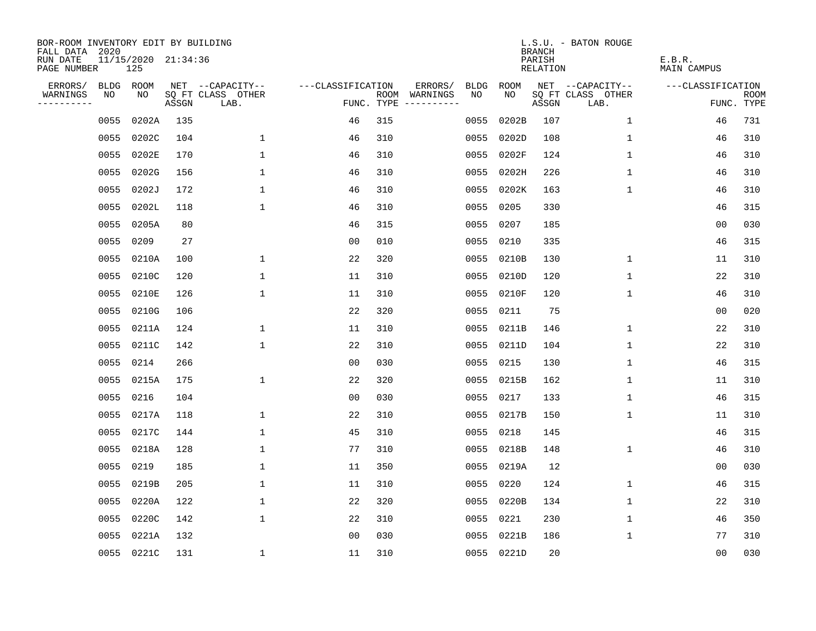| BOR-ROOM INVENTORY EDIT BY BUILDING<br>FALL DATA 2020 |           |                            |       |                           |                   |     |                                      |             |             | <b>BRANCH</b>             | L.S.U. - BATON ROUGE      |                              |                           |
|-------------------------------------------------------|-----------|----------------------------|-------|---------------------------|-------------------|-----|--------------------------------------|-------------|-------------|---------------------------|---------------------------|------------------------------|---------------------------|
| RUN DATE<br>PAGE NUMBER                               |           | 11/15/2020 21:34:36<br>125 |       |                           |                   |     |                                      |             |             | PARISH<br><b>RELATION</b> |                           | E.B.R.<br><b>MAIN CAMPUS</b> |                           |
| ERRORS/                                               | BLDG ROOM |                            |       | NET --CAPACITY--          | ---CLASSIFICATION |     | ERRORS/                              | <b>BLDG</b> | <b>ROOM</b> |                           | NET --CAPACITY--          | ---CLASSIFICATION            |                           |
| WARNINGS<br>----------                                | NO        | NO                         | ASSGN | SQ FT CLASS OTHER<br>LAB. |                   |     | ROOM WARNINGS<br>FUNC. TYPE $------$ | NO          | NO          | ASSGN                     | SQ FT CLASS OTHER<br>LAB. |                              | <b>ROOM</b><br>FUNC. TYPE |
|                                                       | 0055      | 0202A                      | 135   |                           | 46                | 315 |                                      | 0055        | 0202B       | 107                       | 1                         | 46                           | 731                       |
|                                                       | 0055      | 0202C                      | 104   | $\mathbf 1$               | 46                | 310 |                                      | 0055        | 0202D       | 108                       | 1                         | 46                           | 310                       |
|                                                       | 0055      | 0202E                      | 170   | $\mathbf 1$               | 46                | 310 |                                      | 0055        | 0202F       | 124                       | 1                         | 46                           | 310                       |
|                                                       | 0055      | 0202G                      | 156   | $\mathbf{1}$              | 46                | 310 |                                      |             | 0055 0202H  | 226                       | 1                         | 46                           | 310                       |
|                                                       | 0055      | 0202J                      | 172   | $\mathbf{1}$              | 46                | 310 |                                      |             | 0055 0202K  | 163                       | $\mathbf{1}$              | 46                           | 310                       |
|                                                       | 0055      | 0202L                      | 118   | $\mathbf{1}$              | 46                | 310 |                                      |             | 0055 0205   | 330                       |                           | 46                           | 315                       |
|                                                       | 0055      | 0205A                      | 80    |                           | 46                | 315 |                                      |             | 0055 0207   | 185                       |                           | 0 <sub>0</sub>               | 030                       |
|                                                       | 0055      | 0209                       | 27    |                           | 0 <sub>0</sub>    | 010 |                                      |             | 0055 0210   | 335                       |                           | 46                           | 315                       |
|                                                       | 0055      | 0210A                      | 100   | 1                         | 22                | 320 |                                      | 0055        | 0210B       | 130                       | $\mathbf 1$               | 11                           | 310                       |
|                                                       | 0055      | 0210C                      | 120   | 1                         | 11                | 310 |                                      |             | 0055 0210D  | 120                       | $\mathbf 1$               | 22                           | 310                       |
|                                                       | 0055      | 0210E                      | 126   | $\mathbf{1}$              | 11                | 310 |                                      | 0055        | 0210F       | 120                       | $\mathbf 1$               | 46                           | 310                       |
|                                                       | 0055      | 0210G                      | 106   |                           | 22                | 320 |                                      |             | 0055 0211   | 75                        |                           | 0 <sub>0</sub>               | 020                       |
|                                                       | 0055      | 0211A                      | 124   | 1                         | 11                | 310 |                                      | 0055        | 0211B       | 146                       | 1                         | 22                           | 310                       |
|                                                       | 0055      | 0211C                      | 142   | 1                         | 22                | 310 |                                      |             | 0055 0211D  | 104                       | 1                         | 22                           | 310                       |
|                                                       | 0055      | 0214                       | 266   |                           | 0 <sub>0</sub>    | 030 |                                      | 0055        | 0215        | 130                       | 1                         | 46                           | 315                       |
|                                                       | 0055      | 0215A                      | 175   | 1                         | 22                | 320 |                                      |             | 0055 0215B  | 162                       | 1                         | 11                           | 310                       |
|                                                       | 0055      | 0216                       | 104   |                           | 0 <sub>0</sub>    | 030 |                                      | 0055        | 0217        | 133                       | 1                         | 46                           | 315                       |
|                                                       | 0055      | 0217A                      | 118   | 1                         | 22                | 310 |                                      |             | 0055 0217B  | 150                       | 1                         | 11                           | 310                       |
|                                                       | 0055      | 0217C                      | 144   | $\mathbf{1}$              | 45                | 310 |                                      | 0055        | 0218        | 145                       |                           | 46                           | 315                       |
|                                                       | 0055      | 0218A                      | 128   | 1                         | 77                | 310 |                                      | 0055        | 0218B       | 148                       | 1                         | 46                           | 310                       |
|                                                       | 0055      | 0219                       | 185   | 1                         | 11                | 350 |                                      | 0055        | 0219A       | 12                        |                           | 00                           | 030                       |
|                                                       | 0055      | 0219B                      | 205   | $\mathbf 1$               | 11                | 310 |                                      | 0055        | 0220        | 124                       | $\mathbf 1$               | 46                           | 315                       |
|                                                       | 0055      | 0220A                      | 122   | 1                         | 22                | 320 |                                      | 0055        | 0220B       | 134                       | 1                         | 22                           | 310                       |
|                                                       | 0055      | 0220C                      | 142   | $\mathbf 1$               | 22                | 310 |                                      | 0055        | 0221        | 230                       | 1                         | 46                           | 350                       |
|                                                       | 0055      | 0221A                      | 132   |                           | 0 <sub>0</sub>    | 030 |                                      | 0055        | 0221B       | 186                       | 1                         | 77                           | 310                       |
|                                                       |           | 0055 0221C                 | 131   | 1                         | 11                | 310 |                                      |             | 0055 0221D  | 20                        |                           | 00                           | 030                       |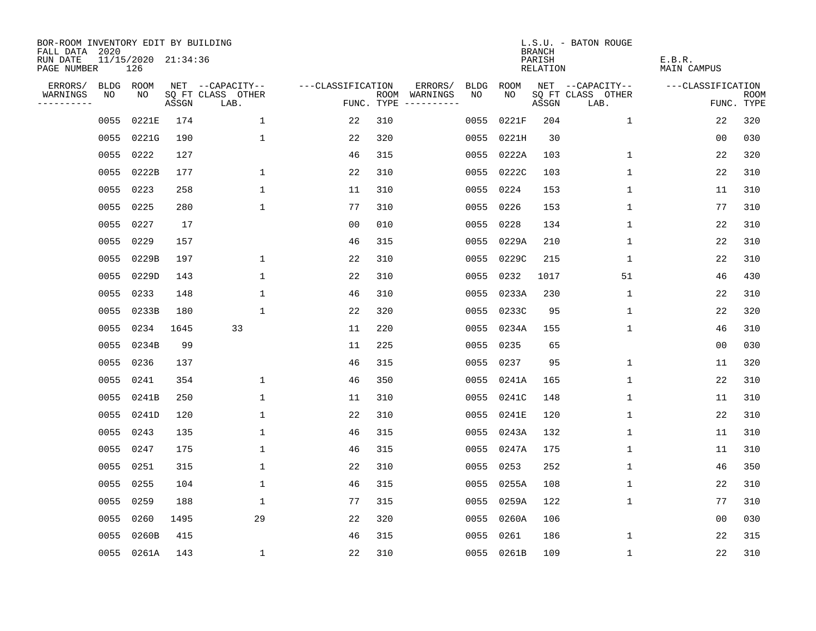| BOR-ROOM INVENTORY EDIT BY BUILDING<br>FALL DATA 2020 |           |                            |       |                           |                   |     |                                      |             |             | <b>BRANCH</b>             | L.S.U. - BATON ROUGE      |                              |                           |
|-------------------------------------------------------|-----------|----------------------------|-------|---------------------------|-------------------|-----|--------------------------------------|-------------|-------------|---------------------------|---------------------------|------------------------------|---------------------------|
| RUN DATE<br>PAGE NUMBER                               |           | 11/15/2020 21:34:36<br>126 |       |                           |                   |     |                                      |             |             | PARISH<br><b>RELATION</b> |                           | E.B.R.<br><b>MAIN CAMPUS</b> |                           |
| ERRORS/                                               | BLDG ROOM |                            |       | NET --CAPACITY--          | ---CLASSIFICATION |     | ERRORS/                              | <b>BLDG</b> | <b>ROOM</b> |                           | NET --CAPACITY--          | ---CLASSIFICATION            |                           |
| WARNINGS<br>----------                                | NO        | NO                         | ASSGN | SQ FT CLASS OTHER<br>LAB. |                   |     | ROOM WARNINGS<br>FUNC. TYPE $------$ | NO          | NO          | ASSGN                     | SQ FT CLASS OTHER<br>LAB. |                              | <b>ROOM</b><br>FUNC. TYPE |
|                                                       | 0055      | 0221E                      | 174   | 1                         | 22                | 310 |                                      | 0055        | 0221F       | 204                       | $\mathbf 1$               | 22                           | 320                       |
|                                                       | 0055      | 0221G                      | 190   | $\mathbf 1$               | 22                | 320 |                                      | 0055        | 0221H       | 30                        |                           | 00                           | 030                       |
|                                                       | 0055      | 0222                       | 127   |                           | 46                | 315 |                                      |             | 0055 0222A  | 103                       | 1                         | 22                           | 320                       |
|                                                       | 0055      | 0222B                      | 177   | $\mathbf 1$               | 22                | 310 |                                      |             | 0055 0222C  | 103                       | 1                         | 22                           | 310                       |
|                                                       | 0055      | 0223                       | 258   | $\mathbf{1}$              | 11                | 310 |                                      |             | 0055 0224   | 153                       | $\mathbf 1$               | 11                           | 310                       |
|                                                       | 0055      | 0225                       | 280   | $\mathbf{1}$              | 77                | 310 |                                      |             | 0055 0226   | 153                       | $\mathbf{1}$              | 77                           | 310                       |
|                                                       | 0055      | 0227                       | 17    |                           | 0 <sub>0</sub>    | 010 |                                      |             | 0055 0228   | 134                       | $\mathbf{1}$              | 22                           | 310                       |
|                                                       | 0055      | 0229                       | 157   |                           | 46                | 315 |                                      |             | 0055 0229A  | 210                       | 1                         | 22                           | 310                       |
|                                                       | 0055      | 0229B                      | 197   | 1                         | 22                | 310 |                                      | 0055        | 0229C       | 215                       | $\mathbf 1$               | 22                           | 310                       |
|                                                       | 0055      | 0229D                      | 143   | 1                         | 22                | 310 |                                      | 0055        | 0232        | 1017                      | 51                        | 46                           | 430                       |
|                                                       | 0055      | 0233                       | 148   | $\mathbf{1}$              | 46                | 310 |                                      |             | 0055 0233A  | 230                       | $\mathbf 1$               | 22                           | 310                       |
|                                                       | 0055      | 0233B                      | 180   | $\mathbf{1}$              | 22                | 320 |                                      |             | 0055 0233C  | 95                        | $\mathbf 1$               | 22                           | 320                       |
|                                                       | 0055      | 0234                       | 1645  | 33                        | 11                | 220 |                                      | 0055        | 0234A       | 155                       | $\mathbf 1$               | 46                           | 310                       |
|                                                       | 0055      | 0234B                      | 99    |                           | 11                | 225 |                                      |             | 0055 0235   | 65                        |                           | 00                           | 030                       |
|                                                       | 0055      | 0236                       | 137   |                           | 46                | 315 |                                      | 0055        | 0237        | 95                        | 1                         | 11                           | 320                       |
|                                                       | 0055      | 0241                       | 354   | 1                         | 46                | 350 |                                      |             | 0055 0241A  | 165                       | 1                         | 22                           | 310                       |
|                                                       | 0055      | 0241B                      | 250   | $\mathbf{1}$              | 11                | 310 |                                      | 0055        | 0241C       | 148                       | 1                         | 11                           | 310                       |
|                                                       | 0055      | 0241D                      | 120   | 1                         | 22                | 310 |                                      |             | 0055 0241E  | 120                       | 1                         | 22                           | 310                       |
|                                                       | 0055      | 0243                       | 135   | $\mathbf{1}$              | 46                | 315 |                                      |             | 0055 0243A  | 132                       | 1                         | 11                           | 310                       |
|                                                       | 0055      | 0247                       | 175   | $\mathbf 1$               | 46                | 315 |                                      | 0055        | 0247A       | 175                       | 1                         | 11                           | 310                       |
|                                                       | 0055      | 0251                       | 315   | 1                         | 22                | 310 |                                      | 0055        | 0253        | 252                       | 1                         | 46                           | 350                       |
|                                                       | 0055      | 0255                       | 104   | $\mathbf 1$               | 46                | 315 |                                      | 0055        | 0255A       | 108                       | $\mathbf 1$               | 22                           | 310                       |
|                                                       | 0055      | 0259                       | 188   | 1                         | 77                | 315 |                                      | 0055        | 0259A       | 122                       | 1                         | 77                           | 310                       |
|                                                       | 0055      | 0260                       | 1495  | 29                        | 22                | 320 |                                      |             | 0055 0260A  | 106                       |                           | 0 <sub>0</sub>               | 030                       |
|                                                       | 0055      | 0260B                      | 415   |                           | 46                | 315 |                                      | 0055        | 0261        | 186                       | 1                         | 22                           | 315                       |
|                                                       |           | 0055 0261A                 | 143   | 1                         | 22                | 310 |                                      |             | 0055 0261B  | 109                       | $\mathbf 1$               | 22                           | 310                       |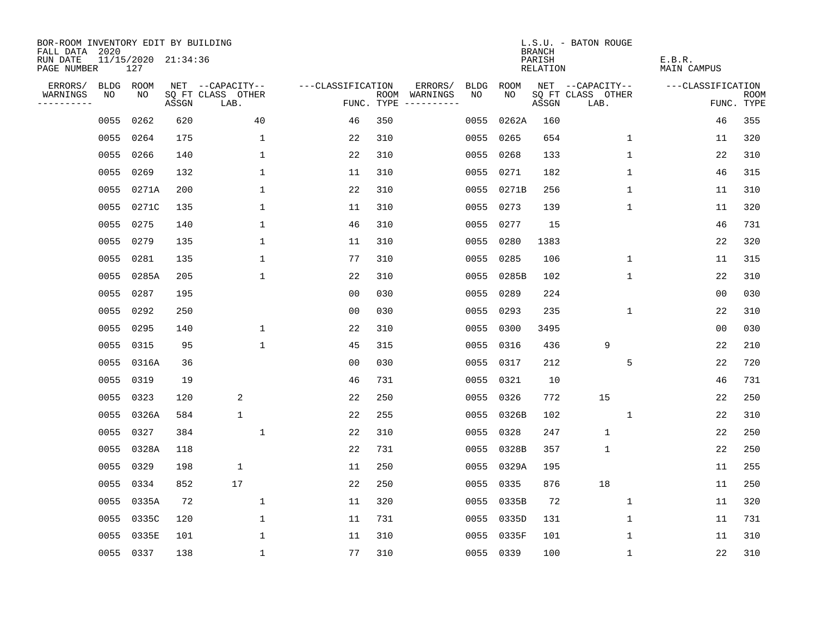| BOR-ROOM INVENTORY EDIT BY BUILDING<br>FALL DATA 2020 |      |                            |       |                           |                   |     |                                      |             |            | <b>BRANCH</b>      | L.S.U. - BATON ROUGE      |                       |                           |
|-------------------------------------------------------|------|----------------------------|-------|---------------------------|-------------------|-----|--------------------------------------|-------------|------------|--------------------|---------------------------|-----------------------|---------------------------|
| RUN DATE<br>PAGE NUMBER                               |      | 11/15/2020 21:34:36<br>127 |       |                           |                   |     |                                      |             |            | PARISH<br>RELATION |                           | E.B.R.<br>MAIN CAMPUS |                           |
| ERRORS/                                               |      | BLDG ROOM                  |       | NET --CAPACITY--          | ---CLASSIFICATION |     | ERRORS/                              | <b>BLDG</b> | ROOM       |                    | NET --CAPACITY--          | ---CLASSIFICATION     |                           |
| WARNINGS<br>----------                                | NO   | NO                         | ASSGN | SQ FT CLASS OTHER<br>LAB. |                   |     | ROOM WARNINGS<br>FUNC. TYPE $------$ | NO.         | NO.        | ASSGN              | SQ FT CLASS OTHER<br>LAB. |                       | <b>ROOM</b><br>FUNC. TYPE |
|                                                       | 0055 | 0262                       | 620   | 40                        | 46                | 350 |                                      | 0055        | 0262A      | 160                |                           | 46                    | 355                       |
|                                                       | 0055 | 0264                       | 175   | 1                         | 22                | 310 |                                      | 0055        | 0265       | 654                | 1                         | 11                    | 320                       |
|                                                       | 0055 | 0266                       | 140   | $\mathbf{1}$              | 22                | 310 |                                      | 0055        | 0268       | 133                | $\mathbf 1$               | 22                    | 310                       |
|                                                       | 0055 | 0269                       | 132   | 1                         | 11                | 310 |                                      |             | 0055 0271  | 182                | 1                         | 46                    | 315                       |
|                                                       | 0055 | 0271A                      | 200   | 1                         | 22                | 310 |                                      |             | 0055 0271B | 256                | 1                         | 11                    | 310                       |
|                                                       | 0055 | 0271C                      | 135   | $\mathbf 1$               | 11                | 310 |                                      |             | 0055 0273  | 139                | 1                         | 11                    | 320                       |
|                                                       | 0055 | 0275                       | 140   | $\mathbf 1$               | 46                | 310 |                                      | 0055        | 0277       | 15                 |                           | 46                    | 731                       |
|                                                       | 0055 | 0279                       | 135   | $\mathbf{1}$              | 11                | 310 |                                      | 0055        | 0280       | 1383               |                           | 22                    | 320                       |
|                                                       | 0055 | 0281                       | 135   | $\mathbf{1}$              | 77                | 310 |                                      | 0055        | 0285       | 106                | $\mathbf{1}$              | 11                    | 315                       |
|                                                       |      | 0055 0285A                 | 205   | 1                         | 22                | 310 |                                      |             | 0055 0285B | 102                | $\mathbf 1$               | 22                    | 310                       |
|                                                       |      | 0055 0287                  | 195   |                           | 00                | 030 |                                      | 0055        | 0289       | 224                |                           | 0 <sub>0</sub>        | 030                       |
|                                                       |      | 0055 0292                  | 250   |                           | 0 <sub>0</sub>    | 030 |                                      |             | 0055 0293  | 235                | $\mathbf 1$               | 22                    | 310                       |
|                                                       | 0055 | 0295                       | 140   | $\mathbf{1}$              | 22                | 310 |                                      | 0055        | 0300       | 3495               |                           | 0 <sub>0</sub>        | 030                       |
|                                                       | 0055 | 0315                       | 95    | $\mathbf 1$               | 45                | 315 |                                      |             | 0055 0316  | 436                | 9                         | 22                    | 210                       |
|                                                       | 0055 | 0316A                      | 36    |                           | 00                | 030 |                                      | 0055        | 0317       | 212                | 5                         | 22                    | 720                       |
|                                                       | 0055 | 0319                       | 19    |                           | 46                | 731 |                                      |             | 0055 0321  | 10                 |                           | 46                    | 731                       |
|                                                       | 0055 | 0323                       | 120   | 2                         | 22                | 250 |                                      | 0055        | 0326       | 772                | 15                        | 22                    | 250                       |
|                                                       | 0055 | 0326A                      | 584   | $\mathbf{1}$              | 22                | 255 |                                      |             | 0055 0326B | 102                | 1                         | 22                    | 310                       |
|                                                       | 0055 | 0327                       | 384   | $\mathbf{1}$              | 22                | 310 |                                      | 0055        | 0328       | 247                | $\mathbf{1}$              | 22                    | 250                       |
|                                                       | 0055 | 0328A                      | 118   |                           | 22                | 731 |                                      | 0055        | 0328B      | 357                | $\mathbf{1}$              | 22                    | 250                       |
|                                                       | 0055 | 0329                       | 198   | $\mathbf 1$               | 11                | 250 |                                      | 0055        | 0329A      | 195                |                           | 11                    | 255                       |
|                                                       | 0055 | 0334                       | 852   | 17                        | 22                | 250 |                                      | 0055        | 0335       | 876                | 18                        | 11                    | 250                       |
|                                                       | 0055 | 0335A                      | 72    | 1                         | 11                | 320 |                                      |             | 0055 0335B | 72                 | 1                         | 11                    | 320                       |
|                                                       | 0055 | 0335C                      | 120   | $\mathbf 1$               | 11                | 731 |                                      |             | 0055 0335D | 131                | 1                         | 11                    | 731                       |
|                                                       | 0055 | 0335E                      | 101   | 1                         | 11                | 310 |                                      |             | 0055 0335F | 101                | 1                         | 11                    | 310                       |
|                                                       |      | 0055 0337                  | 138   | $\mathbf{1}$              | 77                | 310 |                                      |             | 0055 0339  | 100                | 1                         | 22                    | 310                       |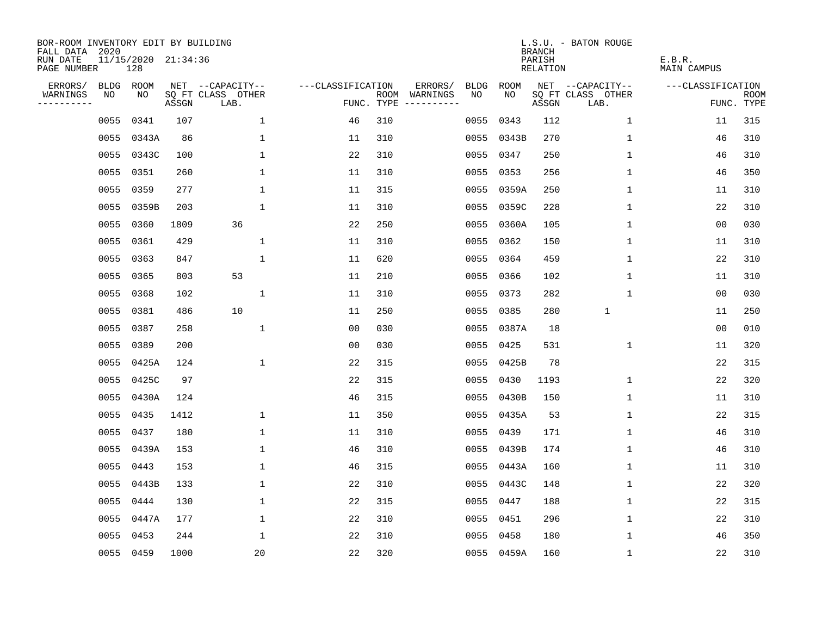| BOR-ROOM INVENTORY EDIT BY BUILDING<br>FALL DATA 2020 |      |                            |       |                           |                   |     |                                            |             | <b>BRANCH</b>             | L.S.U. - BATON ROUGE      |                              |                           |
|-------------------------------------------------------|------|----------------------------|-------|---------------------------|-------------------|-----|--------------------------------------------|-------------|---------------------------|---------------------------|------------------------------|---------------------------|
| RUN DATE<br>PAGE NUMBER                               |      | 11/15/2020 21:34:36<br>128 |       |                           |                   |     |                                            |             | PARISH<br><b>RELATION</b> |                           | E.B.R.<br><b>MAIN CAMPUS</b> |                           |
| ERRORS/                                               |      | BLDG ROOM                  |       | NET --CAPACITY--          | ---CLASSIFICATION |     | ERRORS/<br><b>BLDG</b>                     | <b>ROOM</b> |                           | NET --CAPACITY--          | ---CLASSIFICATION            |                           |
| WARNINGS<br>----------                                | NO   | NO                         | ASSGN | SQ FT CLASS OTHER<br>LAB. |                   |     | ROOM WARNINGS<br>NO<br>FUNC. TYPE $------$ | NO          | ASSGN                     | SQ FT CLASS OTHER<br>LAB. |                              | <b>ROOM</b><br>FUNC. TYPE |
|                                                       | 0055 | 0341                       | 107   | 1                         | 46                | 310 | 0055                                       | 0343        | 112                       | $\mathbf 1$               | 11                           | 315                       |
|                                                       | 0055 | 0343A                      | 86    | $\mathbf 1$               | 11                | 310 | 0055                                       | 0343B       | 270                       | 1                         | 46                           | 310                       |
|                                                       | 0055 | 0343C                      | 100   | $\mathbf 1$               | 22                | 310 | 0055                                       | 0347        | 250                       | 1                         | 46                           | 310                       |
|                                                       | 0055 | 0351                       | 260   | $\mathbf 1$               | 11                | 310 | 0055                                       | 0353        | 256                       | 1                         | 46                           | 350                       |
|                                                       | 0055 | 0359                       | 277   | $\mathbf{1}$              | 11                | 315 | 0055                                       | 0359A       | 250                       | $\mathbf{1}$              | 11                           | 310                       |
|                                                       | 0055 | 0359B                      | 203   | $\mathbf 1$               | 11                | 310 |                                            | 0055 0359C  | 228                       | $\mathbf{1}$              | 22                           | 310                       |
|                                                       | 0055 | 0360                       | 1809  | 36                        | 22                | 250 | 0055                                       | 0360A       | 105                       | $\mathbf{1}$              | 0 <sub>0</sub>               | 030                       |
|                                                       |      | 0055 0361                  | 429   | $\mathbf{1}$              | 11                | 310 | 0055                                       | 0362        | 150                       | 1                         | 11                           | 310                       |
|                                                       | 0055 | 0363                       | 847   | $\mathbf 1$               | 11                | 620 | 0055                                       | 0364        | 459                       | 1                         | 22                           | 310                       |
|                                                       |      | 0055 0365                  | 803   | 53                        | 11                | 210 | 0055                                       | 0366        | 102                       | $\mathbf 1$               | 11                           | 310                       |
|                                                       |      | 0055 0368                  | 102   | $\mathbf 1$               | 11                | 310 | 0055                                       | 0373        | 282                       | $\mathbf 1$               | 0 <sub>0</sub>               | 030                       |
|                                                       |      | 0055 0381                  | 486   | 10                        | 11                | 250 | 0055                                       | 0385        | 280                       | $\mathbf{1}$              | 11                           | 250                       |
|                                                       | 0055 | 0387                       | 258   | $\mathbf{1}$              | 0 <sub>0</sub>    | 030 | 0055                                       | 0387A       | 18                        |                           | 0 <sub>0</sub>               | 010                       |
|                                                       | 0055 | 0389                       | 200   |                           | 0 <sub>0</sub>    | 030 | 0055                                       | 0425        | 531                       | 1                         | 11                           | 320                       |
|                                                       | 0055 | 0425A                      | 124   | $\mathbf 1$               | 22                | 315 | 0055                                       | 0425B       | 78                        |                           | 22                           | 315                       |
|                                                       | 0055 | 0425C                      | 97    |                           | 22                | 315 | 0055                                       | 0430        | 1193                      | 1                         | 22                           | 320                       |
|                                                       | 0055 | 0430A                      | 124   |                           | 46                | 315 | 0055                                       | 0430B       | 150                       | 1                         | 11                           | 310                       |
|                                                       | 0055 | 0435                       | 1412  | $\mathbf 1$               | 11                | 350 | 0055                                       | 0435A       | 53                        | 1                         | 22                           | 315                       |
|                                                       | 0055 | 0437                       | 180   | $\mathbf{1}$              | 11                | 310 | 0055                                       | 0439        | 171                       | 1                         | 46                           | 310                       |
|                                                       | 0055 | 0439A                      | 153   | $\mathbf 1$               | 46                | 310 | 0055                                       | 0439B       | 174                       | 1                         | 46                           | 310                       |
|                                                       | 0055 | 0443                       | 153   | $\mathbf 1$               | 46                | 315 | 0055                                       | 0443A       | 160                       | 1                         | 11                           | 310                       |
|                                                       | 0055 | 0443B                      | 133   | $\mathbf 1$               | 22                | 310 | 0055                                       | 0443C       | 148                       | 1                         | 22                           | 320                       |
|                                                       | 0055 | 0444                       | 130   | $\mathbf 1$               | 22                | 315 | 0055                                       | 0447        | 188                       | 1                         | 22                           | 315                       |
|                                                       | 0055 | 0447A                      | 177   | $\mathbf 1$               | 22                | 310 | 0055                                       | 0451        | 296                       | 1                         | 22                           | 310                       |
|                                                       | 0055 | 0453                       | 244   | $\mathbf 1$               | 22                | 310 | 0055                                       | 0458        | 180                       | $\mathbf{1}$              | 46                           | 350                       |
|                                                       |      | 0055 0459                  | 1000  | 20                        | 22                | 320 |                                            | 0055 0459A  | 160                       | 1                         | 22                           | 310                       |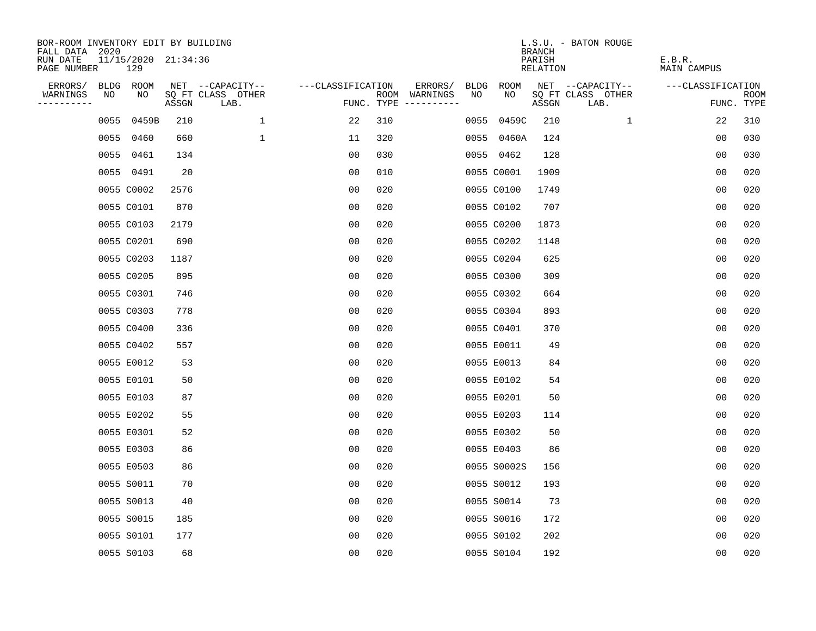| BOR-ROOM INVENTORY EDIT BY BUILDING<br>FALL DATA 2020 |      |                            |       |                           |                   |     |                                      |      |             | <b>BRANCH</b>             | L.S.U. - BATON ROUGE      |                              |                           |
|-------------------------------------------------------|------|----------------------------|-------|---------------------------|-------------------|-----|--------------------------------------|------|-------------|---------------------------|---------------------------|------------------------------|---------------------------|
| RUN DATE<br>PAGE NUMBER                               |      | 11/15/2020 21:34:36<br>129 |       |                           |                   |     |                                      |      |             | PARISH<br><b>RELATION</b> |                           | E.B.R.<br><b>MAIN CAMPUS</b> |                           |
| ERRORS/                                               |      | BLDG ROOM                  |       | NET --CAPACITY--          | ---CLASSIFICATION |     | ERRORS/                              | BLDG | <b>ROOM</b> |                           | NET --CAPACITY--          | ---CLASSIFICATION            |                           |
| WARNINGS<br>----------                                | NO   | NO                         | ASSGN | SQ FT CLASS OTHER<br>LAB. |                   |     | ROOM WARNINGS<br>FUNC. TYPE $------$ | NO   | NO          | ASSGN                     | SQ FT CLASS OTHER<br>LAB. |                              | <b>ROOM</b><br>FUNC. TYPE |
|                                                       | 0055 | 0459B                      | 210   | $\mathbf{1}$              | 22                | 310 |                                      | 0055 | 0459C       | 210                       | $\mathbf{1}$              | 22                           | 310                       |
|                                                       |      | 0055 0460                  | 660   | $\mathbf 1$               | 11                | 320 |                                      |      | 0055 0460A  | 124                       |                           | 0 <sub>0</sub>               | 030                       |
|                                                       |      | 0055 0461                  | 134   |                           | 0 <sub>0</sub>    | 030 |                                      |      | 0055 0462   | 128                       |                           | 0 <sub>0</sub>               | 030                       |
|                                                       |      | 0055 0491                  | 20    |                           | 0 <sub>0</sub>    | 010 |                                      |      | 0055 C0001  | 1909                      |                           | 0 <sub>0</sub>               | 020                       |
|                                                       |      | 0055 C0002                 | 2576  |                           | 0 <sub>0</sub>    | 020 |                                      |      | 0055 C0100  | 1749                      |                           | 00                           | 020                       |
|                                                       |      | 0055 C0101                 | 870   |                           | 00                | 020 |                                      |      | 0055 C0102  | 707                       |                           | 0 <sub>0</sub>               | 020                       |
|                                                       |      | 0055 C0103                 | 2179  |                           | 0 <sub>0</sub>    | 020 |                                      |      | 0055 C0200  | 1873                      |                           | 0 <sub>0</sub>               | 020                       |
|                                                       |      | 0055 C0201                 | 690   |                           | 0 <sub>0</sub>    | 020 |                                      |      | 0055 C0202  | 1148                      |                           | 0 <sub>0</sub>               | 020                       |
|                                                       |      | 0055 C0203                 | 1187  |                           | 0 <sub>0</sub>    | 020 |                                      |      | 0055 C0204  | 625                       |                           | 0 <sub>0</sub>               | 020                       |
|                                                       |      | 0055 C0205                 | 895   |                           | 0 <sub>0</sub>    | 020 |                                      |      | 0055 C0300  | 309                       |                           | 0 <sub>0</sub>               | 020                       |
|                                                       |      | 0055 C0301                 | 746   |                           | 00                | 020 |                                      |      | 0055 C0302  | 664                       |                           | 0 <sub>0</sub>               | 020                       |
|                                                       |      | 0055 C0303                 | 778   |                           | 0 <sub>0</sub>    | 020 |                                      |      | 0055 C0304  | 893                       |                           | 0 <sub>0</sub>               | 020                       |
|                                                       |      | 0055 C0400                 | 336   |                           | 0 <sub>0</sub>    | 020 |                                      |      | 0055 C0401  | 370                       |                           | 0 <sub>0</sub>               | 020                       |
|                                                       |      | 0055 C0402                 | 557   |                           | 00                | 020 |                                      |      | 0055 E0011  | 49                        |                           | 00                           | 020                       |
|                                                       |      | 0055 E0012                 | 53    |                           | 0 <sub>0</sub>    | 020 |                                      |      | 0055 E0013  | 84                        |                           | 0 <sub>0</sub>               | 020                       |
|                                                       |      | 0055 E0101                 | 50    |                           | 0 <sub>0</sub>    | 020 |                                      |      | 0055 E0102  | 54                        |                           | 0 <sub>0</sub>               | 020                       |
|                                                       |      | 0055 E0103                 | 87    |                           | 0 <sub>0</sub>    | 020 |                                      |      | 0055 E0201  | 50                        |                           | 0 <sub>0</sub>               | 020                       |
|                                                       |      | 0055 E0202                 | 55    |                           | 0 <sub>0</sub>    | 020 |                                      |      | 0055 E0203  | 114                       |                           | 00                           | 020                       |
|                                                       |      | 0055 E0301                 | 52    |                           | 0 <sub>0</sub>    | 020 |                                      |      | 0055 E0302  | 50                        |                           | 0 <sub>0</sub>               | 020                       |
|                                                       |      | 0055 E0303                 | 86    |                           | 0 <sub>0</sub>    | 020 |                                      |      | 0055 E0403  | 86                        |                           | 0 <sub>0</sub>               | 020                       |
|                                                       |      | 0055 E0503                 | 86    |                           | 0 <sub>0</sub>    | 020 |                                      |      | 0055 S0002S | 156                       |                           | 0 <sub>0</sub>               | 020                       |
|                                                       |      | 0055 S0011                 | 70    |                           | 0 <sub>0</sub>    | 020 |                                      |      | 0055 S0012  | 193                       |                           | 0 <sub>0</sub>               | 020                       |
|                                                       |      | 0055 S0013                 | 40    |                           | 0 <sub>0</sub>    | 020 |                                      |      | 0055 S0014  | 73                        |                           | 0 <sub>0</sub>               | 020                       |
|                                                       |      | 0055 S0015                 | 185   |                           | 0 <sub>0</sub>    | 020 |                                      |      | 0055 S0016  | 172                       |                           | 0 <sub>0</sub>               | 020                       |
|                                                       |      | 0055 S0101                 | 177   |                           | 0 <sub>0</sub>    | 020 |                                      |      | 0055 S0102  | 202                       |                           | 0 <sub>0</sub>               | 020                       |
|                                                       |      | 0055 S0103                 | 68    |                           | 0 <sub>0</sub>    | 020 |                                      |      | 0055 S0104  | 192                       |                           | 0 <sub>0</sub>               | 020                       |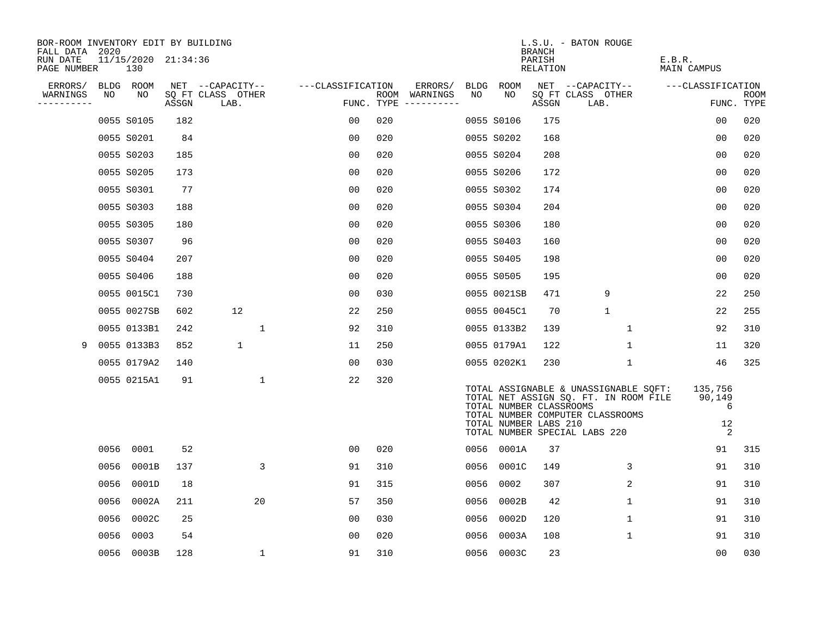| BOR-ROOM INVENTORY EDIT BY BUILDING<br>FALL DATA 2020 |      |                            |       |                           |                   |                                      |      |                                                  | BRANCH             | L.S.U. - BATON ROUGE                                                                                                                                |                                   |                           |
|-------------------------------------------------------|------|----------------------------|-------|---------------------------|-------------------|--------------------------------------|------|--------------------------------------------------|--------------------|-----------------------------------------------------------------------------------------------------------------------------------------------------|-----------------------------------|---------------------------|
| RUN DATE<br>PAGE NUMBER                               |      | 11/15/2020 21:34:36<br>130 |       |                           |                   |                                      |      |                                                  | PARISH<br>RELATION |                                                                                                                                                     | E.B.R.<br>MAIN CAMPUS             |                           |
| ERRORS/                                               |      | BLDG ROOM                  |       | NET --CAPACITY--          | ---CLASSIFICATION | ERRORS/                              |      | BLDG ROOM                                        |                    | NET --CAPACITY--                                                                                                                                    | ---CLASSIFICATION                 |                           |
| WARNINGS<br>----------                                | NO   | NO                         | ASSGN | SQ FT CLASS OTHER<br>LAB. |                   | ROOM WARNINGS<br>FUNC. TYPE $------$ | NO   | NO.                                              | ASSGN              | SQ FT CLASS OTHER<br>LAB.                                                                                                                           |                                   | <b>ROOM</b><br>FUNC. TYPE |
|                                                       |      | 0055 S0105                 | 182   |                           | 0 <sub>0</sub>    | 020                                  |      | 0055 S0106                                       | 175                |                                                                                                                                                     | 0 <sub>0</sub>                    | 020                       |
|                                                       |      | 0055 S0201                 | 84    |                           | 0 <sub>0</sub>    | 020                                  |      | 0055 S0202                                       | 168                |                                                                                                                                                     | 0 <sub>0</sub>                    | 020                       |
|                                                       |      | 0055 S0203                 | 185   |                           | 0 <sub>0</sub>    | 020                                  |      | 0055 S0204                                       | 208                |                                                                                                                                                     | 00                                | 020                       |
|                                                       |      | 0055 S0205                 | 173   |                           | 0 <sub>0</sub>    | 020                                  |      | 0055 S0206                                       | 172                |                                                                                                                                                     | 0 <sub>0</sub>                    | 020                       |
|                                                       |      | 0055 S0301                 | 77    |                           | 0 <sub>0</sub>    | 020                                  |      | 0055 S0302                                       | 174                |                                                                                                                                                     | 00                                | 020                       |
|                                                       |      | 0055 S0303                 | 188   |                           | 0 <sub>0</sub>    | 020                                  |      | 0055 S0304                                       | 204                |                                                                                                                                                     | 0 <sub>0</sub>                    | 020                       |
|                                                       |      | 0055 S0305                 | 180   |                           | 0 <sub>0</sub>    | 020                                  |      | 0055 S0306                                       | 180                |                                                                                                                                                     | 0 <sub>0</sub>                    | 020                       |
|                                                       |      | 0055 S0307                 | 96    |                           | 0 <sub>0</sub>    | 020                                  |      | 0055 S0403                                       | 160                |                                                                                                                                                     | 0 <sub>0</sub>                    | 020                       |
|                                                       |      | 0055 S0404                 | 207   |                           | 0 <sub>0</sub>    | 020                                  |      | 0055 S0405                                       | 198                |                                                                                                                                                     | 0 <sub>0</sub>                    | 020                       |
|                                                       |      | 0055 S0406                 | 188   |                           | 0 <sub>0</sub>    | 020                                  |      | 0055 S0505                                       | 195                |                                                                                                                                                     | 0 <sub>0</sub>                    | 020                       |
|                                                       |      | 0055 0015C1                | 730   |                           | 00                | 030                                  |      | 0055 0021SB                                      | 471                | 9                                                                                                                                                   | 22                                | 250                       |
|                                                       |      | 0055 0027SB                | 602   | 12                        | 22                | 250                                  |      | 0055 0045C1                                      | 70                 | $\mathbf{1}$                                                                                                                                        | 22                                | 255                       |
|                                                       |      | 0055 0133B1                | 242   | 1                         | 92                | 310                                  |      | 0055 0133B2                                      | 139                | 1                                                                                                                                                   | 92                                | 310                       |
| 9                                                     |      | 0055 0133B3                | 852   | $\mathbf 1$               | 11                | 250                                  |      | 0055 0179A1                                      | 122                | $\mathbf 1$                                                                                                                                         | 11                                | 320                       |
|                                                       |      | 0055 0179A2                | 140   |                           | 0 <sub>0</sub>    | 030                                  |      | 0055 0202K1                                      | 230                | $\mathbf 1$                                                                                                                                         | 46                                | 325                       |
|                                                       |      | 0055 0215A1                | 91    | $\mathbf{1}$              | 22                | 320                                  |      | TOTAL NUMBER CLASSROOMS<br>TOTAL NUMBER LABS 210 |                    | TOTAL ASSIGNABLE & UNASSIGNABLE SQFT:<br>TOTAL NET ASSIGN SQ. FT. IN ROOM FILE<br>TOTAL NUMBER COMPUTER CLASSROOMS<br>TOTAL NUMBER SPECIAL LABS 220 | 135,756<br>90,149<br>6<br>12<br>2 |                           |
|                                                       | 0056 | 0001                       | 52    |                           | 00                | 020                                  |      | 0056 0001A                                       | 37                 |                                                                                                                                                     | 91                                | 315                       |
|                                                       | 0056 | 0001B                      | 137   | 3                         | 91                | 310                                  | 0056 | 0001C                                            | 149                | 3                                                                                                                                                   | 91                                | 310                       |
|                                                       | 0056 | 0001D                      | 18    |                           | 91                | 315                                  | 0056 | 0002                                             | 307                | $\overline{2}$                                                                                                                                      | 91                                | 310                       |
|                                                       | 0056 | 0002A                      | 211   | 20                        | 57                | 350                                  | 0056 | 0002B                                            | 42                 | $\mathbf 1$                                                                                                                                         | 91                                | 310                       |
|                                                       | 0056 | 0002C                      | 25    |                           | 0 <sub>0</sub>    | 030                                  | 0056 | 0002D                                            | 120                | $\mathbf{1}$                                                                                                                                        | 91                                | 310                       |
|                                                       | 0056 | 0003                       | 54    |                           | 0 <sub>0</sub>    | 020                                  | 0056 | 0003A                                            | 108                | $\mathbf 1$                                                                                                                                         | 91                                | 310                       |
|                                                       | 0056 | 0003B                      | 128   | $\mathbf 1$               | 91                | 310                                  |      | 0056 0003C                                       | 23                 |                                                                                                                                                     | 0 <sub>0</sub>                    | 030                       |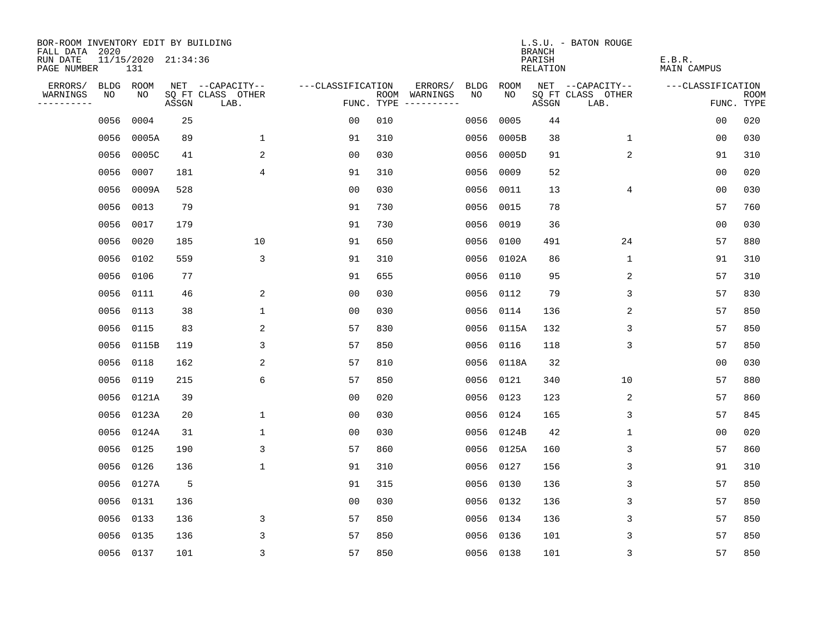| BOR-ROOM INVENTORY EDIT BY BUILDING<br>FALL DATA 2020 |           |                            |       |                           |                   |     |                                      |             |            | <b>BRANCH</b>      | L.S.U. - BATON ROUGE      |                              |                           |
|-------------------------------------------------------|-----------|----------------------------|-------|---------------------------|-------------------|-----|--------------------------------------|-------------|------------|--------------------|---------------------------|------------------------------|---------------------------|
| RUN DATE<br>PAGE NUMBER                               |           | 11/15/2020 21:34:36<br>131 |       |                           |                   |     |                                      |             |            | PARISH<br>RELATION |                           | E.B.R.<br><b>MAIN CAMPUS</b> |                           |
| ERRORS/                                               |           | BLDG ROOM                  |       | NET --CAPACITY--          | ---CLASSIFICATION |     | ERRORS/                              | <b>BLDG</b> | ROOM       |                    | NET --CAPACITY--          | ---CLASSIFICATION            |                           |
| WARNINGS<br>----------                                | NO        | NO                         | ASSGN | SQ FT CLASS OTHER<br>LAB. |                   |     | ROOM WARNINGS<br>FUNC. TYPE $------$ | NO.         | NO.        | ASSGN              | SQ FT CLASS OTHER<br>LAB. |                              | <b>ROOM</b><br>FUNC. TYPE |
|                                                       | 0056      | 0004                       | 25    |                           | 0 <sub>0</sub>    | 010 |                                      | 0056        | 0005       | 44                 |                           | 0 <sub>0</sub>               | 020                       |
|                                                       | 0056      | 0005A                      | 89    | $\mathbf 1$               | 91                | 310 |                                      | 0056        | 0005B      | 38                 | $\mathbf 1$               | 00                           | 030                       |
|                                                       | 0056      | 0005C                      | 41    | 2                         | 0 <sub>0</sub>    | 030 |                                      | 0056        | 0005D      | 91                 | 2                         | 91                           | 310                       |
|                                                       | 0056      | 0007                       | 181   | 4                         | 91                | 310 |                                      | 0056        | 0009       | 52                 |                           | 0 <sub>0</sub>               | 020                       |
|                                                       | 0056      | 0009A                      | 528   |                           | 0 <sub>0</sub>    | 030 |                                      | 0056        | 0011       | 13                 | 4                         | 00                           | 030                       |
|                                                       | 0056      | 0013                       | 79    |                           | 91                | 730 |                                      | 0056        | 0015       | 78                 |                           | 57                           | 760                       |
|                                                       | 0056      | 0017                       | 179   |                           | 91                | 730 |                                      | 0056        | 0019       | 36                 |                           | 00                           | 030                       |
|                                                       | 0056      | 0020                       | 185   | 10                        | 91                | 650 |                                      |             | 0056 0100  | 491                | 24                        | 57                           | 880                       |
|                                                       | 0056      | 0102                       | 559   | 3                         | 91                | 310 |                                      | 0056        | 0102A      | 86                 | $\mathbf 1$               | 91                           | 310                       |
|                                                       |           | 0056 0106                  | 77    |                           | 91                | 655 |                                      | 0056        | 0110       | 95                 | 2                         | 57                           | 310                       |
|                                                       | 0056      | 0111                       | 46    | 2                         | 0 <sub>0</sub>    | 030 |                                      | 0056        | 0112       | 79                 | 3                         | 57                           | 830                       |
|                                                       | 0056 0113 |                            | 38    | $\mathbf{1}$              | 00                | 030 |                                      | 0056        | 0114       | 136                | 2                         | 57                           | 850                       |
|                                                       | 0056      | 0115                       | 83    | 2                         | 57                | 830 |                                      | 0056        | 0115A      | 132                | 3                         | 57                           | 850                       |
|                                                       | 0056      | 0115B                      | 119   | 3                         | 57                | 850 |                                      | 0056        | 0116       | 118                | 3                         | 57                           | 850                       |
|                                                       | 0056      | 0118                       | 162   | 2                         | 57                | 810 |                                      | 0056        | 0118A      | 32                 |                           | 0 <sub>0</sub>               | 030                       |
|                                                       | 0056      | 0119                       | 215   | 6                         | 57                | 850 |                                      |             | 0056 0121  | 340                | 10                        | 57                           | 880                       |
|                                                       | 0056      | 0121A                      | 39    |                           | 0 <sub>0</sub>    | 020 |                                      | 0056        | 0123       | 123                | 2                         | 57                           | 860                       |
|                                                       | 0056      | 0123A                      | 20    | $\mathbf 1$               | 0 <sub>0</sub>    | 030 |                                      | 0056        | 0124       | 165                | 3                         | 57                           | 845                       |
|                                                       |           | 0056 0124A                 | 31    | 1                         | 0 <sub>0</sub>    | 030 |                                      |             | 0056 0124B | 42                 | 1                         | 0 <sub>0</sub>               | 020                       |
|                                                       | 0056      | 0125                       | 190   | 3                         | 57                | 860 |                                      |             | 0056 0125A | 160                | 3                         | 57                           | 860                       |
|                                                       | 0056      | 0126                       | 136   | $\mathbf{1}$              | 91                | 310 |                                      | 0056        | 0127       | 156                | 3                         | 91                           | 310                       |
|                                                       | 0056      | 0127A                      | 5     |                           | 91                | 315 |                                      | 0056        | 0130       | 136                | 3                         | 57                           | 850                       |
|                                                       |           | 0056 0131                  | 136   |                           | 0 <sub>0</sub>    | 030 |                                      |             | 0056 0132  | 136                | 3                         | 57                           | 850                       |
|                                                       | 0056      | 0133                       | 136   | 3                         | 57                | 850 |                                      |             | 0056 0134  | 136                | 3                         | 57                           | 850                       |
|                                                       | 0056      | 0135                       | 136   | 3                         | 57                | 850 |                                      |             | 0056 0136  | 101                | 3                         | 57                           | 850                       |
|                                                       |           | 0056 0137                  | 101   | $\overline{3}$            | 57                | 850 |                                      |             | 0056 0138  | 101                | 3                         | 57                           | 850                       |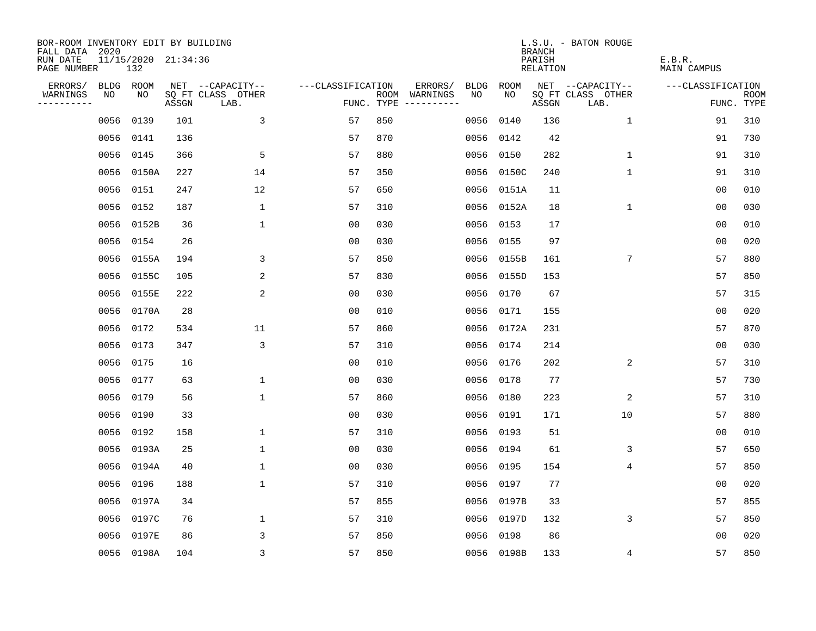| BOR-ROOM INVENTORY EDIT BY BUILDING<br>FALL DATA 2020 |      |                            |       |                           |                   |            |               |             |            | <b>BRANCH</b>      | L.S.U. - BATON ROUGE      |                              |                           |
|-------------------------------------------------------|------|----------------------------|-------|---------------------------|-------------------|------------|---------------|-------------|------------|--------------------|---------------------------|------------------------------|---------------------------|
| RUN DATE<br>PAGE NUMBER                               |      | 11/15/2020 21:34:36<br>132 |       |                           |                   |            |               |             |            | PARISH<br>RELATION |                           | E.B.R.<br><b>MAIN CAMPUS</b> |                           |
| ERRORS/                                               | BLDG | ROOM                       |       | NET --CAPACITY--          | ---CLASSIFICATION |            | ERRORS/       | <b>BLDG</b> | ROOM       |                    | NET --CAPACITY--          | ---CLASSIFICATION            |                           |
| WARNINGS<br>----------                                | NO   | NO                         | ASSGN | SQ FT CLASS OTHER<br>LAB. |                   | FUNC. TYPE | ROOM WARNINGS | NO          | NO.        | ASSGN              | SQ FT CLASS OTHER<br>LAB. |                              | <b>ROOM</b><br>FUNC. TYPE |
|                                                       | 0056 | 0139                       | 101   | 3                         | 57                | 850        |               | 0056        | 0140       | 136                | 1                         | 91                           | 310                       |
|                                                       | 0056 | 0141                       | 136   |                           | 57                | 870        |               | 0056        | 0142       | 42                 |                           | 91                           | 730                       |
|                                                       | 0056 | 0145                       | 366   | 5                         | 57                | 880        |               | 0056        | 0150       | 282                | $\mathbf{1}$              | 91                           | 310                       |
|                                                       |      | 0056 0150A                 | 227   | 14                        | 57                | 350        |               | 0056        | 0150C      | 240                | 1                         | 91                           | 310                       |
|                                                       | 0056 | 0151                       | 247   | 12                        | 57                | 650        |               | 0056        | 0151A      | 11                 |                           | 0 <sub>0</sub>               | 010                       |
|                                                       |      | 0056 0152                  | 187   | $\mathbf{1}$              | 57                | 310        |               |             | 0056 0152A | 18                 | $\mathbf 1$               | 0 <sub>0</sub>               | 030                       |
|                                                       |      | 0056 0152B                 | 36    | $\mathbf{1}$              | 0 <sub>0</sub>    | 030        |               | 0056        | 0153       | 17                 |                           | 0 <sub>0</sub>               | 010                       |
|                                                       |      | 0056 0154                  | 26    |                           | 0 <sub>0</sub>    | 030        |               | 0056        | 0155       | 97                 |                           | 0 <sub>0</sub>               | 020                       |
|                                                       |      | 0056 0155A                 | 194   | 3                         | 57                | 850        |               | 0056        | 0155B      | 161                | 7                         | 57                           | 880                       |
|                                                       |      | 0056 0155C                 | 105   | 2                         | 57                | 830        |               | 0056        | 0155D      | 153                |                           | 57                           | 850                       |
|                                                       |      | 0056 0155E                 | 222   | 2                         | 0 <sub>0</sub>    | 030        |               | 0056        | 0170       | 67                 |                           | 57                           | 315                       |
|                                                       |      | 0056 0170A                 | 28    |                           | 0 <sub>0</sub>    | 010        |               | 0056        | 0171       | 155                |                           | 0 <sub>0</sub>               | 020                       |
|                                                       |      | 0056 0172                  | 534   | 11                        | 57                | 860        |               | 0056        | 0172A      | 231                |                           | 57                           | 870                       |
|                                                       |      | 0056 0173                  | 347   | 3                         | 57                | 310        |               | 0056        | 0174       | 214                |                           | 0 <sub>0</sub>               | 030                       |
|                                                       | 0056 | 0175                       | 16    |                           | 00                | 010        |               | 0056        | 0176       | 202                | 2                         | 57                           | 310                       |
|                                                       | 0056 | 0177                       | 63    | 1                         | 00                | 030        |               | 0056        | 0178       | 77                 |                           | 57                           | 730                       |
|                                                       | 0056 | 0179                       | 56    | 1                         | 57                | 860        |               | 0056        | 0180       | 223                | 2                         | 57                           | 310                       |
|                                                       | 0056 | 0190                       | 33    |                           | 0 <sub>0</sub>    | 030        |               | 0056        | 0191       | 171                | 10                        | 57                           | 880                       |
|                                                       |      | 0056 0192                  | 158   | $\mathbf{1}$              | 57                | 310        |               | 0056        | 0193       | 51                 |                           | 0 <sub>0</sub>               | 010                       |
|                                                       | 0056 | 0193A                      | 25    | $\mathbf{1}$              | 0 <sub>0</sub>    | 030        |               | 0056        | 0194       | 61                 | 3                         | 57                           | 650                       |
|                                                       | 0056 | 0194A                      | 40    | 1                         | 0 <sub>0</sub>    | 030        |               | 0056        | 0195       | 154                | 4                         | 57                           | 850                       |
|                                                       | 0056 | 0196                       | 188   | 1                         | 57                | 310        |               | 0056        | 0197       | 77                 |                           | 0 <sub>0</sub>               | 020                       |
|                                                       | 0056 | 0197A                      | 34    |                           | 57                | 855        |               | 0056        | 0197B      | 33                 |                           | 57                           | 855                       |
|                                                       | 0056 | 0197C                      | 76    | 1                         | 57                | 310        |               | 0056        | 0197D      | 132                | 3                         | 57                           | 850                       |
|                                                       | 0056 | 0197E                      | 86    | 3                         | 57                | 850        |               | 0056        | 0198       | 86                 |                           | 0 <sub>0</sub>               | 020                       |
|                                                       |      | 0056 0198A                 | 104   | 3                         | 57                | 850        |               |             | 0056 0198B | 133                | 4                         | 57                           | 850                       |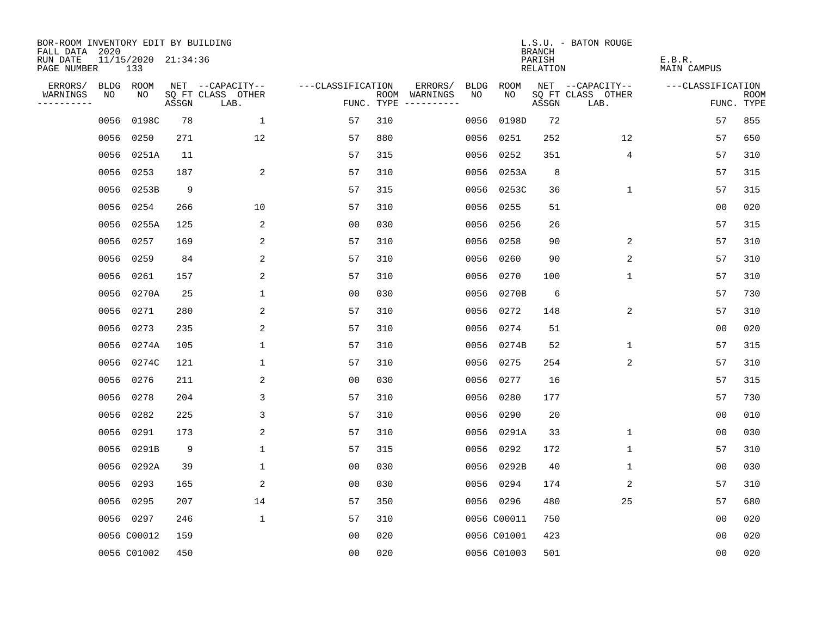| BOR-ROOM INVENTORY EDIT BY BUILDING<br>FALL DATA 2020 |      |                            |       |                           |                   |            |                              |             |             | <b>BRANCH</b>      | L.S.U. - BATON ROUGE      |                              |                           |
|-------------------------------------------------------|------|----------------------------|-------|---------------------------|-------------------|------------|------------------------------|-------------|-------------|--------------------|---------------------------|------------------------------|---------------------------|
| RUN DATE<br>PAGE NUMBER                               |      | 11/15/2020 21:34:36<br>133 |       |                           |                   |            |                              |             |             | PARISH<br>RELATION |                           | E.B.R.<br><b>MAIN CAMPUS</b> |                           |
| ERRORS/                                               | BLDG | ROOM                       |       | NET --CAPACITY--          | ---CLASSIFICATION |            | ERRORS/                      | <b>BLDG</b> | ROOM        |                    | NET --CAPACITY--          | ---CLASSIFICATION            |                           |
| WARNINGS<br>----------                                | NO   | NO                         | ASSGN | SQ FT CLASS OTHER<br>LAB. |                   | FUNC. TYPE | ROOM WARNINGS<br>----------- | NO          | NO.         | ASSGN              | SQ FT CLASS OTHER<br>LAB. |                              | <b>ROOM</b><br>FUNC. TYPE |
|                                                       | 0056 | 0198C                      | 78    | $\mathbf{1}$              | 57                | 310        |                              | 0056        | 0198D       | 72                 |                           | 57                           | 855                       |
|                                                       | 0056 | 0250                       | 271   | 12                        | 57                | 880        |                              | 0056        | 0251        | 252                | 12                        | 57                           | 650                       |
|                                                       | 0056 | 0251A                      | 11    |                           | 57                | 315        |                              | 0056        | 0252        | 351                | $\overline{4}$            | 57                           | 310                       |
|                                                       | 0056 | 0253                       | 187   | $\overline{a}$            | 57                | 310        |                              | 0056        | 0253A       | 8                  |                           | 57                           | 315                       |
|                                                       | 0056 | 0253B                      | 9     |                           | 57                | 315        |                              | 0056        | 0253C       | 36                 | 1                         | 57                           | 315                       |
|                                                       |      | 0056 0254                  | 266   | 10                        | 57                | 310        |                              | 0056        | 0255        | 51                 |                           | 0 <sub>0</sub>               | 020                       |
|                                                       |      | 0056 0255A                 | 125   | 2                         | 0 <sub>0</sub>    | 030        |                              | 0056        | 0256        | 26                 |                           | 57                           | 315                       |
|                                                       |      | 0056 0257                  | 169   | 2                         | 57                | 310        |                              | 0056        | 0258        | 90                 | 2                         | 57                           | 310                       |
|                                                       | 0056 | 0259                       | 84    | 2                         | 57                | 310        |                              | 0056        | 0260        | 90                 | 2                         | 57                           | 310                       |
|                                                       |      | 0056 0261                  | 157   | 2                         | 57                | 310        |                              | 0056        | 0270        | 100                | $\mathbf 1$               | 57                           | 310                       |
|                                                       |      | 0056 0270A                 | 25    | 1                         | 0 <sub>0</sub>    | 030        |                              | 0056        | 0270B       | 6                  |                           | 57                           | 730                       |
|                                                       |      | 0056 0271                  | 280   | 2                         | 57                | 310        |                              | 0056        | 0272        | 148                | 2                         | 57                           | 310                       |
|                                                       | 0056 | 0273                       | 235   | 2                         | 57                | 310        |                              | 0056        | 0274        | 51                 |                           | 0 <sub>0</sub>               | 020                       |
|                                                       |      | 0056 0274A                 | 105   | $\mathbf{1}$              | 57                | 310        |                              | 0056        | 0274B       | 52                 | $\mathbf{1}$              | 57                           | 315                       |
|                                                       |      | 0056 0274C                 | 121   | 1                         | 57                | 310        |                              | 0056        | 0275        | 254                | 2                         | 57                           | 310                       |
|                                                       | 0056 | 0276                       | 211   | 2                         | 00                | 030        |                              | 0056        | 0277        | 16                 |                           | 57                           | 315                       |
|                                                       | 0056 | 0278                       | 204   | 3                         | 57                | 310        |                              | 0056        | 0280        | 177                |                           | 57                           | 730                       |
|                                                       | 0056 | 0282                       | 225   | 3                         | 57                | 310        |                              | 0056        | 0290        | 20                 |                           | 0 <sub>0</sub>               | 010                       |
|                                                       | 0056 | 0291                       | 173   | 2                         | 57                | 310        |                              | 0056        | 0291A       | 33                 | $\mathbf{1}$              | 0 <sub>0</sub>               | 030                       |
|                                                       | 0056 | 0291B                      | 9     | $\mathbf{1}$              | 57                | 315        |                              | 0056        | 0292        | 172                | $\mathbf{1}$              | 57                           | 310                       |
|                                                       |      | 0056 0292A                 | 39    | 1                         | 0 <sub>0</sub>    | 030        |                              | 0056        | 0292B       | 40                 | 1                         | 0 <sub>0</sub>               | 030                       |
|                                                       | 0056 | 0293                       | 165   | 2                         | 0 <sub>0</sub>    | 030        |                              | 0056        | 0294        | 174                | 2                         | 57                           | 310                       |
|                                                       | 0056 | 0295                       | 207   | 14                        | 57                | 350        |                              |             | 0056 0296   | 480                | 25                        | 57                           | 680                       |
|                                                       |      | 0056 0297                  | 246   | $\mathbf 1$               | 57                | 310        |                              |             | 0056 C00011 | 750                |                           | 0 <sub>0</sub>               | 020                       |
|                                                       |      | 0056 C00012                | 159   |                           | 0 <sub>0</sub>    | 020        |                              |             | 0056 C01001 | 423                |                           | 0 <sub>0</sub>               | 020                       |
|                                                       |      | 0056 C01002                | 450   |                           | 0 <sub>0</sub>    | 020        |                              |             | 0056 C01003 | 501                |                           | 0 <sub>0</sub>               | 020                       |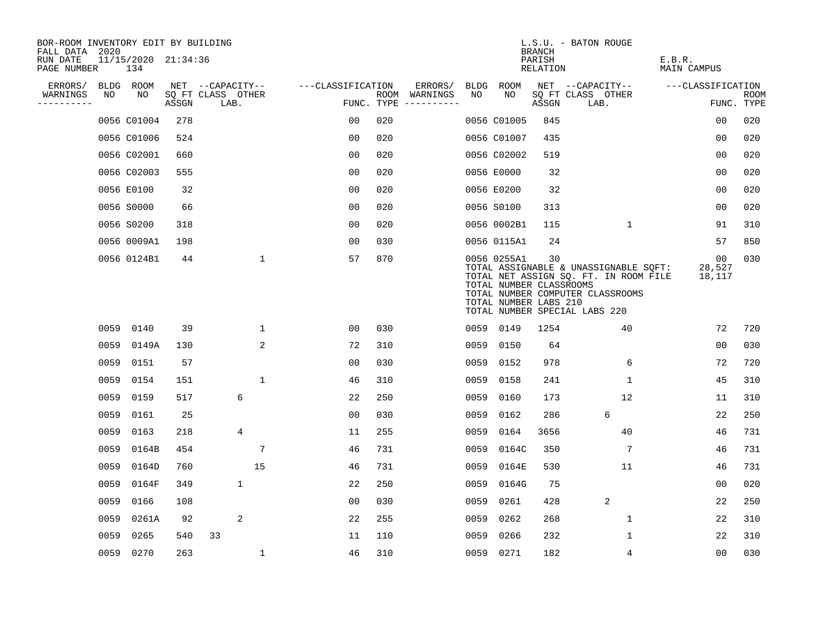| BOR-ROOM INVENTORY EDIT BY BUILDING<br>FALL DATA 2020 |      |                            |       |                           |                 |                   |     |                                      |      |                                                                 | <b>BRANCH</b>      | L.S.U. - BATON ROUGE                                                                                                                                |                        |                    |
|-------------------------------------------------------|------|----------------------------|-------|---------------------------|-----------------|-------------------|-----|--------------------------------------|------|-----------------------------------------------------------------|--------------------|-----------------------------------------------------------------------------------------------------------------------------------------------------|------------------------|--------------------|
| RUN DATE<br>PAGE NUMBER                               |      | 11/15/2020 21:34:36<br>134 |       |                           |                 |                   |     |                                      |      |                                                                 | PARISH<br>RELATION |                                                                                                                                                     | E.B.R.<br>MAIN CAMPUS  |                    |
| ERRORS/                                               |      | BLDG ROOM                  |       | NET --CAPACITY--          |                 | ---CLASSIFICATION |     | ERRORS/                              |      | BLDG ROOM                                                       |                    | NET --CAPACITY--                                                                                                                                    | ---CLASSIFICATION      |                    |
| WARNINGS<br>----------                                | NO   | NO                         | ASSGN | SQ FT CLASS OTHER<br>LAB. |                 |                   |     | ROOM WARNINGS<br>FUNC. TYPE $------$ | NO.  | NO.                                                             | ASSGN              | SQ FT CLASS OTHER<br>LAB.                                                                                                                           |                        | ROOM<br>FUNC. TYPE |
|                                                       |      | 0056 C01004                | 278   |                           |                 | 0 <sub>0</sub>    | 020 |                                      |      | 0056 C01005                                                     | 845                |                                                                                                                                                     | 00                     | 020                |
|                                                       |      | 0056 C01006                | 524   |                           |                 | 0 <sub>0</sub>    | 020 |                                      |      | 0056 C01007                                                     | 435                |                                                                                                                                                     | 0 <sub>0</sub>         | 020                |
|                                                       |      | 0056 C02001                | 660   |                           |                 | 0 <sub>0</sub>    | 020 |                                      |      | 0056 C02002                                                     | 519                |                                                                                                                                                     | 0 <sub>0</sub>         | 020                |
|                                                       |      | 0056 C02003                | 555   |                           |                 | 0 <sub>0</sub>    | 020 |                                      |      | 0056 E0000                                                      | 32                 |                                                                                                                                                     | 0 <sub>0</sub>         | 020                |
|                                                       |      | 0056 E0100                 | 32    |                           |                 | 0 <sub>0</sub>    | 020 |                                      |      | 0056 E0200                                                      | 32                 |                                                                                                                                                     | 0 <sub>0</sub>         | 020                |
|                                                       |      | 0056 S0000                 | 66    |                           |                 | 0 <sub>0</sub>    | 020 |                                      |      | 0056 S0100                                                      | 313                |                                                                                                                                                     | 0 <sub>0</sub>         | 020                |
|                                                       |      | 0056 S0200                 | 318   |                           |                 | 00                | 020 |                                      |      | 0056 0002B1                                                     | 115                | 1                                                                                                                                                   | 91                     | 310                |
|                                                       |      | 0056 0009A1                | 198   |                           |                 | 0 <sub>0</sub>    | 030 |                                      |      | 0056 0115A1                                                     | 24                 |                                                                                                                                                     | 57                     | 850                |
|                                                       |      | 0056 0124B1                | 44    |                           | $\mathbf{1}$    | 57                | 870 |                                      |      | 0056 0255A1<br>TOTAL NUMBER CLASSROOMS<br>TOTAL NUMBER LABS 210 | 30                 | TOTAL ASSIGNABLE & UNASSIGNABLE SQFT:<br>TOTAL NET ASSIGN SQ. FT. IN ROOM FILE<br>TOTAL NUMBER COMPUTER CLASSROOMS<br>TOTAL NUMBER SPECIAL LABS 220 | 00<br>28,527<br>18,117 | 030                |
|                                                       |      | 0059 0140                  | 39    |                           | $\mathbf 1$     | 00                | 030 |                                      |      | 0059 0149                                                       | 1254               | 40                                                                                                                                                  | 72                     | 720                |
|                                                       | 0059 | 0149A                      | 130   |                           | 2               | 72                | 310 |                                      |      | 0059 0150                                                       | 64                 |                                                                                                                                                     | 00                     | 030                |
|                                                       | 0059 | 0151                       | 57    |                           |                 | 00                | 030 |                                      | 0059 | 0152                                                            | 978                | 6                                                                                                                                                   | 72                     | 720                |
|                                                       | 0059 | 0154                       | 151   |                           | $\mathbf{1}$    | 46                | 310 |                                      | 0059 | 0158                                                            | 241                | $\mathbf{1}$                                                                                                                                        | 45                     | 310                |
|                                                       | 0059 | 0159                       | 517   | 6                         |                 | 22                | 250 |                                      | 0059 | 0160                                                            | 173                | 12                                                                                                                                                  | 11                     | 310                |
|                                                       | 0059 | 0161                       | 25    |                           |                 | 0 <sub>0</sub>    | 030 |                                      | 0059 | 0162                                                            | 286                | 6                                                                                                                                                   | 22                     | 250                |
|                                                       | 0059 | 0163                       | 218   | $\overline{4}$            |                 | 11                | 255 |                                      | 0059 | 0164                                                            | 3656               | 40                                                                                                                                                  | 46                     | 731                |
|                                                       | 0059 | 0164B                      | 454   |                           | $7\phantom{.0}$ | 46                | 731 |                                      | 0059 | 0164C                                                           | 350                | 7                                                                                                                                                   | 46                     | 731                |
|                                                       | 0059 | 0164D                      | 760   |                           | 15              | 46                | 731 |                                      | 0059 | 0164E                                                           | 530                | 11                                                                                                                                                  | 46                     | 731                |
|                                                       | 0059 | 0164F                      | 349   | $\mathbf 1$               |                 | 22                | 250 |                                      | 0059 | 0164G                                                           | 75                 |                                                                                                                                                     | 00                     | 020                |
|                                                       | 0059 | 0166                       | 108   |                           |                 | 00                | 030 |                                      | 0059 | 0261                                                            | 428                | 2                                                                                                                                                   | 22                     | 250                |
|                                                       | 0059 | 0261A                      | 92    | 2                         |                 | 22                | 255 |                                      | 0059 | 0262                                                            | 268                | 1                                                                                                                                                   | 22                     | 310                |
|                                                       | 0059 | 0265                       | 540   | 33                        |                 | 11                | 110 |                                      | 0059 | 0266                                                            | 232                | 1                                                                                                                                                   | 22                     | 310                |
|                                                       |      | 0059 0270                  | 263   |                           | $\mathbf{1}$    | 46                | 310 |                                      |      | 0059 0271                                                       | 182                | 4                                                                                                                                                   | 0 <sub>0</sub>         | 030                |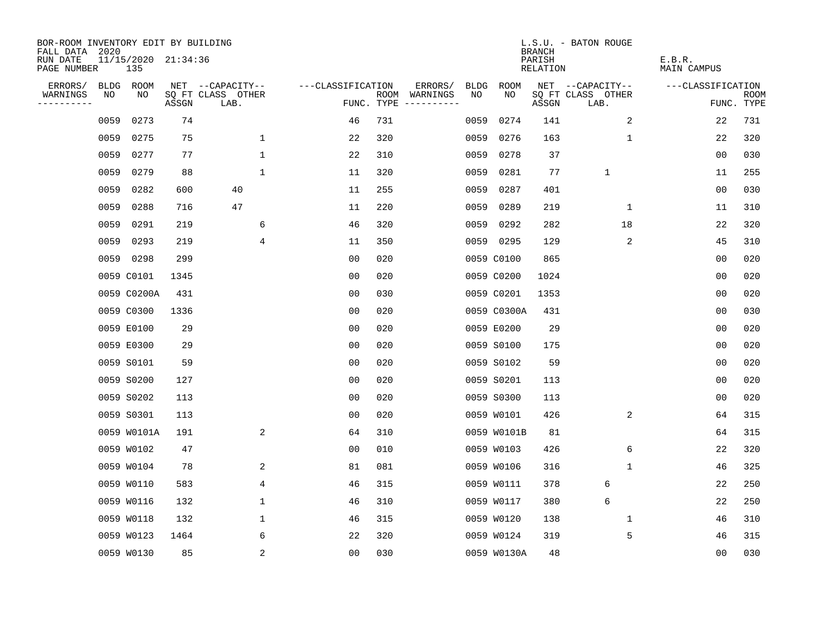| BOR-ROOM INVENTORY EDIT BY BUILDING<br>FALL DATA 2020 |             |                            |       |                           |                   |            |                                    |             | <b>BRANCH</b>             | L.S.U. - BATON ROUGE      |                              |                           |
|-------------------------------------------------------|-------------|----------------------------|-------|---------------------------|-------------------|------------|------------------------------------|-------------|---------------------------|---------------------------|------------------------------|---------------------------|
| RUN DATE<br>PAGE NUMBER                               |             | 11/15/2020 21:34:36<br>135 |       |                           |                   |            |                                    |             | PARISH<br><b>RELATION</b> |                           | E.B.R.<br><b>MAIN CAMPUS</b> |                           |
| ERRORS/                                               | <b>BLDG</b> | ROOM                       |       | NET --CAPACITY--          | ---CLASSIFICATION |            | ERRORS/<br><b>BLDG</b>             | <b>ROOM</b> |                           | NET --CAPACITY--          | ---CLASSIFICATION            |                           |
| WARNINGS<br>----------                                | NO          | NO                         | ASSGN | SQ FT CLASS OTHER<br>LAB. |                   | FUNC. TYPE | ROOM WARNINGS<br>NO<br>----------- | NO          | ASSGN                     | SQ FT CLASS OTHER<br>LAB. |                              | <b>ROOM</b><br>FUNC. TYPE |
|                                                       | 0059        | 0273                       | 74    |                           | 46                | 731        | 0059                               | 0274        | 141                       | 2                         | 22                           | 731                       |
|                                                       | 0059        | 0275                       | 75    | 1                         | 22                | 320        | 0059                               | 0276        | 163                       | 1                         | 22                           | 320                       |
|                                                       | 0059        | 0277                       | 77    | 1                         | 22                | 310        | 0059                               | 0278        | 37                        |                           | 0 <sub>0</sub>               | 030                       |
|                                                       | 0059        | 0279                       | 88    | $\mathbf 1$               | 11                | 320        | 0059                               | 0281        | 77                        | $\mathbf{1}$              | 11                           | 255                       |
|                                                       | 0059        | 0282                       | 600   | 40                        | 11                | 255        | 0059                               | 0287        | 401                       |                           | 00                           | 030                       |
|                                                       | 0059        | 0288                       | 716   | 47                        | 11                | 220        | 0059                               | 0289        | 219                       | 1                         | 11                           | 310                       |
|                                                       | 0059        | 0291                       | 219   | 6                         | 46                | 320        | 0059                               | 0292        | 282                       | 18                        | 22                           | 320                       |
|                                                       | 0059        | 0293                       | 219   | 4                         | 11                | 350        |                                    | 0059 0295   | 129                       | 2                         | 45                           | 310                       |
|                                                       | 0059        | 0298                       | 299   |                           | 0 <sub>0</sub>    | 020        |                                    | 0059 C0100  | 865                       |                           | 0 <sub>0</sub>               | 020                       |
|                                                       |             | 0059 C0101                 | 1345  |                           | 0 <sub>0</sub>    | 020        |                                    | 0059 C0200  | 1024                      |                           | 0 <sub>0</sub>               | 020                       |
|                                                       |             | 0059 C0200A                | 431   |                           | 0 <sub>0</sub>    | 030        |                                    | 0059 C0201  | 1353                      |                           | 0 <sub>0</sub>               | 020                       |
|                                                       |             | 0059 C0300                 | 1336  |                           | 0 <sub>0</sub>    | 020        |                                    | 0059 C0300A | 431                       |                           | 0 <sub>0</sub>               | 030                       |
|                                                       |             | 0059 E0100                 | 29    |                           | 0 <sub>0</sub>    | 020        |                                    | 0059 E0200  | 29                        |                           | 0 <sub>0</sub>               | 020                       |
|                                                       |             | 0059 E0300                 | 29    |                           | 00                | 020        |                                    | 0059 S0100  | 175                       |                           | 0 <sub>0</sub>               | 020                       |
|                                                       |             | 0059 S0101                 | 59    |                           | 0 <sub>0</sub>    | 020        |                                    | 0059 S0102  | 59                        |                           | 0 <sub>0</sub>               | 020                       |
|                                                       |             | 0059 S0200                 | 127   |                           | 0 <sub>0</sub>    | 020        |                                    | 0059 S0201  | 113                       |                           | 0 <sub>0</sub>               | 020                       |
|                                                       |             | 0059 S0202                 | 113   |                           | 0 <sub>0</sub>    | 020        |                                    | 0059 S0300  | 113                       |                           | 0 <sub>0</sub>               | 020                       |
|                                                       |             | 0059 S0301                 | 113   |                           | 0 <sub>0</sub>    | 020        |                                    | 0059 W0101  | 426                       | 2                         | 64                           | 315                       |
|                                                       |             | 0059 W0101A                | 191   | 2                         | 64                | 310        |                                    | 0059 W0101B | 81                        |                           | 64                           | 315                       |
|                                                       |             | 0059 W0102                 | 47    |                           | 0 <sub>0</sub>    | 010        |                                    | 0059 W0103  | 426                       | 6                         | 22                           | 320                       |
|                                                       |             | 0059 W0104                 | 78    | 2                         | 81                | 081        |                                    | 0059 W0106  | 316                       | 1                         | 46                           | 325                       |
|                                                       |             | 0059 W0110                 | 583   | 4                         | 46                | 315        |                                    | 0059 W0111  | 378                       | 6                         | 22                           | 250                       |
|                                                       |             | 0059 W0116                 | 132   | 1                         | 46                | 310        |                                    | 0059 W0117  | 380                       | 6                         | 22                           | 250                       |
|                                                       |             | 0059 W0118                 | 132   | 1                         | 46                | 315        |                                    | 0059 W0120  | 138                       | 1                         | 46                           | 310                       |
|                                                       |             | 0059 W0123                 | 1464  | 6                         | 22                | 320        |                                    | 0059 W0124  | 319                       | 5                         | 46                           | 315                       |
|                                                       |             | 0059 W0130                 | 85    | $\sqrt{2}$                | 00                | 030        |                                    | 0059 W0130A | 48                        |                           | 00                           | 030                       |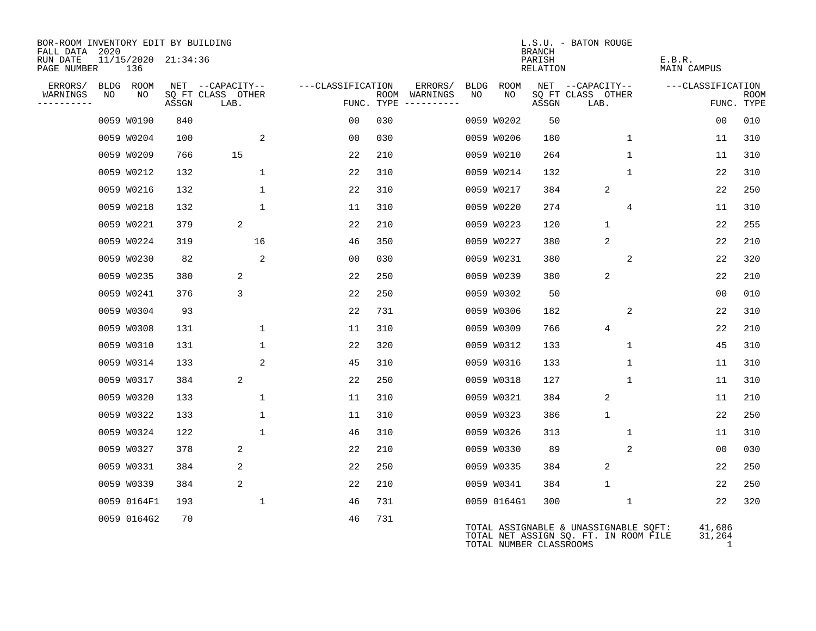| BOR-ROOM INVENTORY EDIT BY BUILDING<br>FALL DATA | 2020 |                            |       |                           |                  |                   |     |                                      |    |             | <b>BRANCH</b>           | L.S.U. - BATON ROUGE                                                           |              |                       |                              |                           |
|--------------------------------------------------|------|----------------------------|-------|---------------------------|------------------|-------------------|-----|--------------------------------------|----|-------------|-------------------------|--------------------------------------------------------------------------------|--------------|-----------------------|------------------------------|---------------------------|
| RUN DATE<br>PAGE NUMBER                          |      | 11/15/2020 21:34:36<br>136 |       |                           |                  |                   |     |                                      |    |             | PARISH<br>RELATION      |                                                                                |              | E.B.R.<br>MAIN CAMPUS |                              |                           |
| ERRORS/                                          |      | BLDG ROOM                  |       |                           | NET --CAPACITY-- | ---CLASSIFICATION |     | ERRORS/                              |    | BLDG ROOM   |                         | NET --CAPACITY--                                                               |              | ---CLASSIFICATION     |                              |                           |
| WARNINGS<br>----------                           | NO   | NO                         | ASSGN | SQ FT CLASS OTHER<br>LAB. |                  |                   |     | ROOM WARNINGS<br>FUNC. TYPE $------$ | NO | NO          | ASSGN                   | SQ FT CLASS OTHER<br>LAB.                                                      |              |                       |                              | <b>ROOM</b><br>FUNC. TYPE |
|                                                  |      | 0059 W0190                 | 840   |                           |                  | 0 <sub>0</sub>    | 030 |                                      |    | 0059 W0202  | 50                      |                                                                                |              |                       | 0 <sub>0</sub>               | 010                       |
|                                                  |      | 0059 W0204                 | 100   |                           | 2                | 00                | 030 |                                      |    | 0059 W0206  | 180                     |                                                                                | $\mathbf{1}$ |                       | 11                           | 310                       |
|                                                  |      | 0059 W0209                 | 766   |                           | 15               | 22                | 210 |                                      |    | 0059 W0210  | 264                     |                                                                                | $\mathbf{1}$ |                       | 11                           | 310                       |
|                                                  |      | 0059 W0212                 | 132   |                           | $\mathbf 1$      | 22                | 310 |                                      |    | 0059 W0214  | 132                     |                                                                                | $\mathbf{1}$ |                       | 22                           | 310                       |
|                                                  |      | 0059 W0216                 | 132   |                           | $\mathbf{1}$     | 22                | 310 |                                      |    | 0059 W0217  | 384                     | 2                                                                              |              |                       | 22                           | 250                       |
|                                                  |      | 0059 W0218                 | 132   |                           | $\mathbf{1}$     | 11                | 310 |                                      |    | 0059 W0220  | 274                     |                                                                                | 4            |                       | 11                           | 310                       |
|                                                  |      | 0059 W0221                 | 379   |                           | 2                | 22                | 210 |                                      |    | 0059 W0223  | 120                     | $\mathbf{1}$                                                                   |              |                       | 22                           | 255                       |
|                                                  |      | 0059 W0224                 | 319   |                           | 16               | 46                | 350 |                                      |    | 0059 W0227  | 380                     | 2                                                                              |              |                       | 22                           | 210                       |
|                                                  |      | 0059 W0230                 | 82    |                           | 2                | 00                | 030 |                                      |    | 0059 W0231  | 380                     |                                                                                | 2            |                       | 22                           | 320                       |
|                                                  |      | 0059 W0235                 | 380   |                           | 2                | 22                | 250 |                                      |    | 0059 W0239  | 380                     | 2                                                                              |              |                       | 22                           | 210                       |
|                                                  |      | 0059 W0241                 | 376   |                           | 3                | 22                | 250 |                                      |    | 0059 W0302  | 50                      |                                                                                |              |                       | 00                           | 010                       |
|                                                  |      | 0059 W0304                 | 93    |                           |                  | 22                | 731 |                                      |    | 0059 W0306  | 182                     |                                                                                | 2            |                       | 22                           | 310                       |
|                                                  |      | 0059 W0308                 | 131   |                           | $\mathbf 1$      | 11                | 310 |                                      |    | 0059 W0309  | 766                     | 4                                                                              |              |                       | 22                           | 210                       |
|                                                  |      | 0059 W0310                 | 131   |                           | $\mathbf{1}$     | 22                | 320 |                                      |    | 0059 W0312  | 133                     |                                                                                | $\mathbf 1$  |                       | 45                           | 310                       |
|                                                  |      | 0059 W0314                 | 133   |                           | 2                | 45                | 310 |                                      |    | 0059 W0316  | 133                     |                                                                                | $\mathbf{1}$ |                       | 11                           | 310                       |
|                                                  |      | 0059 W0317                 | 384   |                           | 2                | 22                | 250 |                                      |    | 0059 W0318  | 127                     |                                                                                | $\mathbf{1}$ |                       | 11                           | 310                       |
|                                                  |      | 0059 W0320                 | 133   |                           | $\mathbf 1$      | 11                | 310 |                                      |    | 0059 W0321  | 384                     | $\overline{a}$                                                                 |              |                       | 11                           | 210                       |
|                                                  |      | 0059 W0322                 | 133   |                           | $\mathbf{1}$     | 11                | 310 |                                      |    | 0059 W0323  | 386                     | $\mathbf{1}$                                                                   |              |                       | 22                           | 250                       |
|                                                  |      | 0059 W0324                 | 122   |                           | $\mathbf{1}$     | 46                | 310 |                                      |    | 0059 W0326  | 313                     |                                                                                | $\mathbf{1}$ |                       | 11                           | 310                       |
|                                                  |      | 0059 W0327                 | 378   |                           | 2                | 22                | 210 |                                      |    | 0059 W0330  | 89                      |                                                                                | 2            |                       | 00                           | 030                       |
|                                                  |      | 0059 W0331                 | 384   |                           | 2                | 22                | 250 |                                      |    | 0059 W0335  | 384                     | 2                                                                              |              |                       | 22                           | 250                       |
|                                                  |      | 0059 W0339                 | 384   |                           | 2                | 22                | 210 |                                      |    | 0059 W0341  | 384                     | $\mathbf{1}$                                                                   |              |                       | 22                           | 250                       |
|                                                  |      | 0059 0164F1                | 193   |                           | 1                | 46                | 731 |                                      |    | 0059 0164G1 | 300                     |                                                                                | 1            |                       | 22                           | 320                       |
|                                                  |      | 0059 0164G2                | 70    |                           |                  | 46                | 731 |                                      |    |             | TOTAL NUMBER CLASSROOMS | TOTAL ASSIGNABLE & UNASSIGNABLE SQFT:<br>TOTAL NET ASSIGN SQ. FT. IN ROOM FILE |              |                       | 41,686<br>31,264<br>$\sim$ 1 |                           |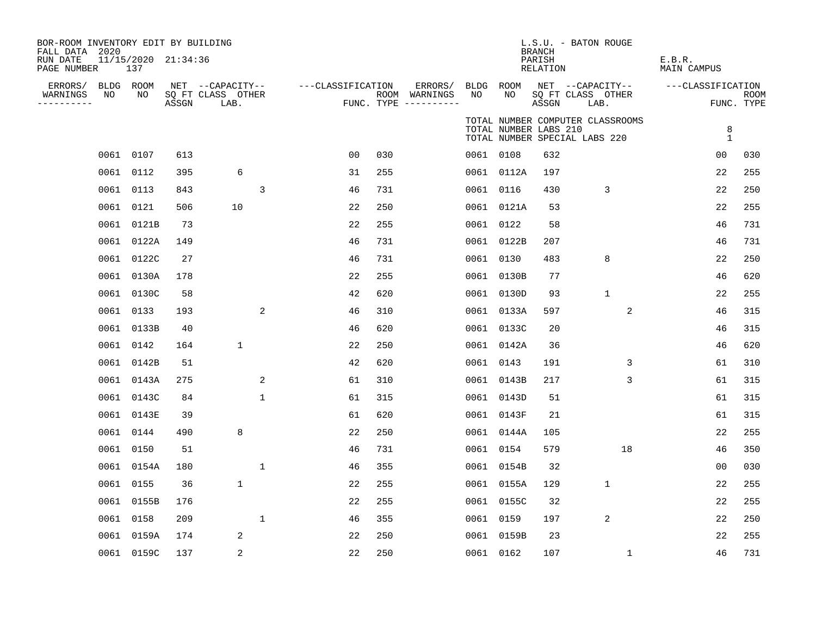| BOR-ROOM INVENTORY EDIT BY BUILDING<br>FALL DATA 2020 |      |                            |       |                           |              |                   |     |                                      |           |                       | <b>BRANCH</b>             | L.S.U. - BATON ROUGE          |                                  |                              |                   |                           |
|-------------------------------------------------------|------|----------------------------|-------|---------------------------|--------------|-------------------|-----|--------------------------------------|-----------|-----------------------|---------------------------|-------------------------------|----------------------------------|------------------------------|-------------------|---------------------------|
| RUN DATE<br>PAGE NUMBER                               |      | 11/15/2020 21:34:36<br>137 |       |                           |              |                   |     |                                      |           |                       | PARISH<br><b>RELATION</b> |                               |                                  | E.B.R.<br><b>MAIN CAMPUS</b> |                   |                           |
| ERRORS/                                               |      | BLDG ROOM                  |       | NET --CAPACITY--          |              | ---CLASSIFICATION |     | ERRORS/                              | BLDG ROOM |                       |                           | NET --CAPACITY--              |                                  | ---CLASSIFICATION            |                   |                           |
| WARNINGS<br>----------                                | NO   | NO                         | ASSGN | SQ FT CLASS OTHER<br>LAB. |              |                   |     | ROOM WARNINGS<br>FUNC. TYPE $------$ | NO        | NO                    | ASSGN                     | SQ FT CLASS OTHER<br>LAB.     |                                  |                              |                   | <b>ROOM</b><br>FUNC. TYPE |
|                                                       |      |                            |       |                           |              |                   |     |                                      |           | TOTAL NUMBER LABS 210 |                           | TOTAL NUMBER SPECIAL LABS 220 | TOTAL NUMBER COMPUTER CLASSROOMS |                              | 8<br>$\mathbf{1}$ |                           |
|                                                       |      | 0061 0107                  | 613   |                           |              | 0 <sub>0</sub>    | 030 |                                      | 0061 0108 |                       | 632                       |                               |                                  |                              | 0 <sub>0</sub>    | 030                       |
|                                                       |      | 0061 0112                  | 395   | 6                         |              | 31                | 255 |                                      |           | 0061 0112A            | 197                       |                               |                                  |                              | 22                | 255                       |
|                                                       |      | 0061 0113                  | 843   |                           | 3            | 46                | 731 |                                      | 0061 0116 |                       | 430                       |                               | 3                                |                              | 22                | 250                       |
|                                                       |      | 0061 0121                  | 506   | 10                        |              | 22                | 250 |                                      |           | 0061 0121A            | 53                        |                               |                                  |                              | 22                | 255                       |
|                                                       |      | 0061 0121B                 | 73    |                           |              | 22                | 255 |                                      | 0061 0122 |                       | 58                        |                               |                                  |                              | 46                | 731                       |
|                                                       |      | 0061 0122A                 | 149   |                           |              | 46                | 731 |                                      |           | 0061 0122B            | 207                       |                               |                                  |                              | 46                | 731                       |
|                                                       | 0061 | 0122C                      | 27    |                           |              | 46                | 731 |                                      | 0061      | 0130                  | 483                       |                               | 8                                |                              | 22                | 250                       |
|                                                       | 0061 | 0130A                      | 178   |                           |              | 22                | 255 |                                      |           | 0061 0130B            | 77                        |                               |                                  |                              | 46                | 620                       |
|                                                       | 0061 | 0130C                      | 58    |                           |              | 42                | 620 |                                      | 0061      | 0130D                 | 93                        |                               | $\mathbf{1}$                     |                              | 22                | 255                       |
|                                                       | 0061 | 0133                       | 193   |                           | 2            | 46                | 310 |                                      |           | 0061 0133A            | 597                       |                               | 2                                |                              | 46                | 315                       |
|                                                       | 0061 | 0133B                      | 40    |                           |              | 46                | 620 |                                      |           | 0061 0133C            | 20                        |                               |                                  |                              | 46                | 315                       |
|                                                       |      | 0061 0142                  | 164   | $\mathbf 1$               |              | 22                | 250 |                                      |           | 0061 0142A            | 36                        |                               |                                  |                              | 46                | 620                       |
|                                                       |      | 0061 0142B                 | 51    |                           |              | 42                | 620 |                                      | 0061 0143 |                       | 191                       |                               | 3                                |                              | 61                | 310                       |
|                                                       |      | 0061 0143A                 | 275   |                           | 2            | 61                | 310 |                                      |           | 0061 0143B            | 217                       |                               | 3                                |                              | 61                | 315                       |
|                                                       |      | 0061 0143C                 | 84    |                           | $\mathbf 1$  | 61                | 315 |                                      |           | 0061 0143D            | 51                        |                               |                                  |                              | 61                | 315                       |
|                                                       |      | 0061 0143E                 | 39    |                           |              | 61                | 620 |                                      |           | 0061 0143F            | 21                        |                               |                                  |                              | 61                | 315                       |
|                                                       |      | 0061 0144                  | 490   | 8                         |              | 22                | 250 |                                      |           | 0061 0144A            | 105                       |                               |                                  |                              | 22                | 255                       |
|                                                       |      | 0061 0150                  | 51    |                           |              | 46                | 731 |                                      |           | 0061 0154             | 579                       |                               | 18                               |                              | 46                | 350                       |
|                                                       |      | 0061 0154A                 | 180   |                           | $\mathbf 1$  | 46                | 355 |                                      |           | 0061 0154B            | 32                        |                               |                                  |                              | 0 <sub>0</sub>    | 030                       |
|                                                       |      | 0061 0155                  | 36    | $\mathbf 1$               |              | 22                | 255 |                                      |           | 0061 0155A            | 129                       |                               | $\mathbf{1}$                     |                              | 22                | 255                       |
|                                                       |      | 0061 0155B                 | 176   |                           |              | 22                | 255 |                                      |           | 0061 0155C            | 32                        |                               |                                  |                              | 22                | 255                       |
|                                                       |      | 0061 0158                  | 209   |                           | $\mathbf{1}$ | 46                | 355 |                                      | 0061 0159 |                       | 197                       |                               | 2                                |                              | 22                | 250                       |
|                                                       |      | 0061 0159A                 | 174   | 2                         |              | 22                | 250 |                                      |           | 0061 0159B            | 23                        |                               |                                  |                              | 22                | 255                       |
|                                                       |      | 0061 0159C                 | 137   | 2                         |              | 22                | 250 |                                      | 0061 0162 |                       | 107                       |                               | $\mathbf{1}$                     |                              | 46                | 731                       |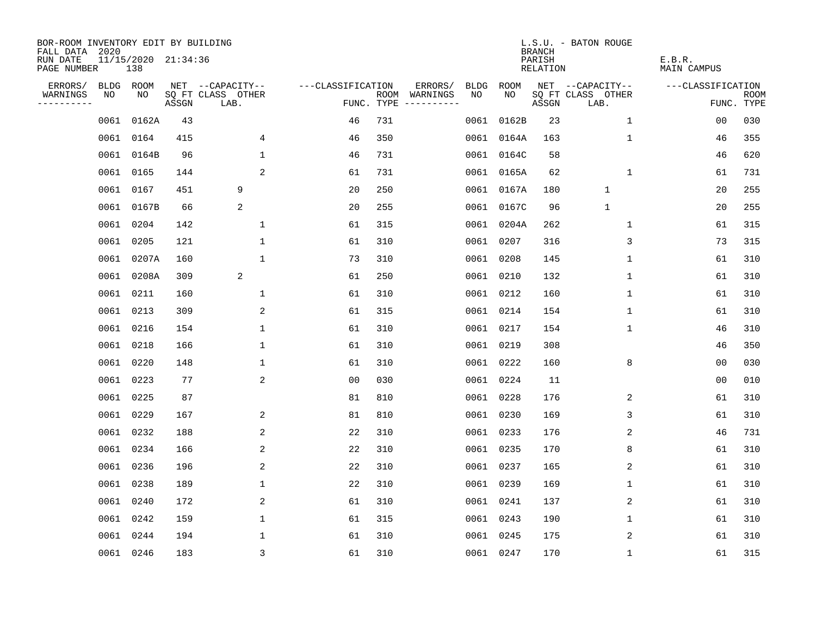| BOR-ROOM INVENTORY EDIT BY BUILDING<br>FALL DATA 2020 |             |                            |       |                           |                   |            |                              |             |            | <b>BRANCH</b>      | L.S.U. - BATON ROUGE      |                       |                           |
|-------------------------------------------------------|-------------|----------------------------|-------|---------------------------|-------------------|------------|------------------------------|-------------|------------|--------------------|---------------------------|-----------------------|---------------------------|
| RUN DATE<br>PAGE NUMBER                               |             | 11/15/2020 21:34:36<br>138 |       |                           |                   |            |                              |             |            | PARISH<br>RELATION |                           | E.B.R.<br>MAIN CAMPUS |                           |
| ERRORS/                                               | <b>BLDG</b> | ROOM                       |       | NET --CAPACITY--          | ---CLASSIFICATION |            | ERRORS/                      | <b>BLDG</b> | ROOM       |                    | NET --CAPACITY--          | ---CLASSIFICATION     |                           |
| WARNINGS<br>----------                                | NO          | NO.                        | ASSGN | SQ FT CLASS OTHER<br>LAB. |                   | FUNC. TYPE | ROOM WARNINGS<br>----------- | NO          | NO.        | ASSGN              | SQ FT CLASS OTHER<br>LAB. |                       | <b>ROOM</b><br>FUNC. TYPE |
|                                                       | 0061        | 0162A                      | 43    |                           | 46                | 731        |                              | 0061        | 0162B      | 23                 | 1                         | 0 <sub>0</sub>        | 030                       |
|                                                       |             | 0061 0164                  | 415   | 4                         | 46                | 350        |                              |             | 0061 0164A | 163                | $\mathbf 1$               | 46                    | 355                       |
|                                                       |             | 0061 0164B                 | 96    | $\mathbf{1}$              | 46                | 731        |                              |             | 0061 0164C | 58                 |                           | 46                    | 620                       |
|                                                       |             | 0061 0165                  | 144   | 2                         | 61                | 731        |                              |             | 0061 0165A | 62                 | $\mathbf 1$               | 61                    | 731                       |
|                                                       |             | 0061 0167                  | 451   | 9                         | 20                | 250        |                              |             | 0061 0167A | 180                | $\mathbf{1}$              | 20                    | 255                       |
|                                                       |             | 0061 0167B                 | 66    | 2                         | 20                | 255        |                              |             | 0061 0167C | 96                 | $\mathbf{1}$              | 20                    | 255                       |
|                                                       |             | 0061 0204                  | 142   | $\mathbf{1}$              | 61                | 315        |                              |             | 0061 0204A | 262                | $\mathbf{1}$              | 61                    | 315                       |
|                                                       |             | 0061 0205                  | 121   | $\mathbf{1}$              | 61                | 310        |                              |             | 0061 0207  | 316                | 3                         | 73                    | 315                       |
|                                                       |             | 0061 0207A                 | 160   | $\mathbf{1}$              | 73                | 310        |                              |             | 0061 0208  | 145                | $\mathbf 1$               | 61                    | 310                       |
|                                                       |             | 0061 0208A                 | 309   | 2                         | 61                | 250        |                              |             | 0061 0210  | 132                | $\mathbf{1}$              | 61                    | 310                       |
|                                                       |             | 0061 0211                  | 160   | $\mathbf{1}$              | 61                | 310        |                              |             | 0061 0212  | 160                | $\mathbf{1}$              | 61                    | 310                       |
|                                                       |             | 0061 0213                  | 309   | $\overline{a}$            | 61                | 315        |                              |             | 0061 0214  | 154                | 1                         | 61                    | 310                       |
|                                                       |             | 0061 0216                  | 154   | $\mathbf{1}$              | 61                | 310        |                              |             | 0061 0217  | 154                | $\mathbf 1$               | 46                    | 310                       |
|                                                       |             | 0061 0218                  | 166   | 1                         | 61                | 310        |                              |             | 0061 0219  | 308                |                           | 46                    | 350                       |
|                                                       |             | 0061 0220                  | 148   | 1                         | 61                | 310        |                              |             | 0061 0222  | 160                | 8                         | 0 <sub>0</sub>        | 030                       |
|                                                       |             | 0061 0223                  | 77    | 2                         | 0 <sub>0</sub>    | 030        |                              |             | 0061 0224  | 11                 |                           | 00                    | 010                       |
|                                                       |             | 0061 0225                  | 87    |                           | 81                | 810        |                              |             | 0061 0228  | 176                | 2                         | 61                    | 310                       |
|                                                       |             | 0061 0229                  | 167   | 2                         | 81                | 810        |                              |             | 0061 0230  | 169                | 3                         | 61                    | 310                       |
|                                                       |             | 0061 0232                  | 188   | 2                         | 22                | 310        |                              |             | 0061 0233  | 176                | 2                         | 46                    | 731                       |
|                                                       |             | 0061 0234                  | 166   | 2                         | 22                | 310        |                              |             | 0061 0235  | 170                | 8                         | 61                    | 310                       |
|                                                       |             | 0061 0236                  | 196   | 2                         | 22                | 310        |                              |             | 0061 0237  | 165                | 2                         | 61                    | 310                       |
|                                                       |             | 0061 0238                  | 189   | $\mathbf{1}$              | 22                | 310        |                              |             | 0061 0239  | 169                | 1                         | 61                    | 310                       |
|                                                       |             | 0061 0240                  | 172   | 2                         | 61                | 310        |                              |             | 0061 0241  | 137                | 2                         | 61                    | 310                       |
|                                                       |             | 0061 0242                  | 159   | $\mathbf 1$               | 61                | 315        |                              |             | 0061 0243  | 190                | 1                         | 61                    | 310                       |
|                                                       |             | 0061 0244                  | 194   | $\mathbf{1}$              | 61                | 310        |                              |             | 0061 0245  | 175                | 2                         | 61                    | 310                       |
|                                                       |             | 0061 0246                  | 183   | 3                         | 61                | 310        |                              |             | 0061 0247  | 170                | $\mathbf{1}$              | 61                    | 315                       |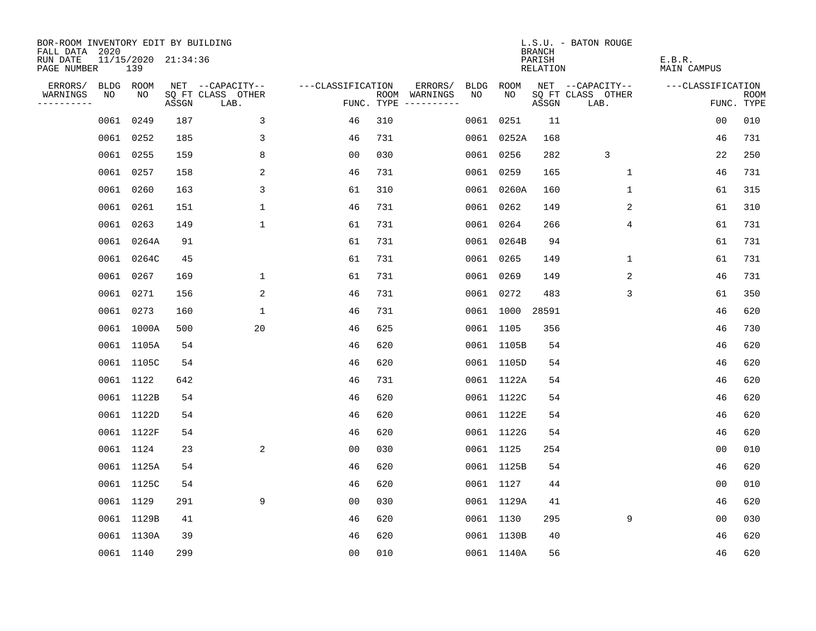| BOR-ROOM INVENTORY EDIT BY BUILDING<br>FALL DATA 2020 |      |                            |       |                           |                   |     |                                            |              | <b>BRANCH</b>             | L.S.U. - BATON ROUGE      |                              |                           |
|-------------------------------------------------------|------|----------------------------|-------|---------------------------|-------------------|-----|--------------------------------------------|--------------|---------------------------|---------------------------|------------------------------|---------------------------|
| RUN DATE<br>PAGE NUMBER                               |      | 11/15/2020 21:34:36<br>139 |       |                           |                   |     |                                            |              | PARISH<br><b>RELATION</b> |                           | E.B.R.<br><b>MAIN CAMPUS</b> |                           |
| ERRORS/                                               |      | BLDG ROOM                  |       | NET --CAPACITY--          | ---CLASSIFICATION |     | ERRORS/<br><b>BLDG</b>                     | <b>ROOM</b>  |                           | NET --CAPACITY--          | ---CLASSIFICATION            |                           |
| WARNINGS<br>----------                                | NO   | NO                         | ASSGN | SQ FT CLASS OTHER<br>LAB. |                   |     | NO<br>ROOM WARNINGS<br>FUNC. TYPE $------$ | NO           | ASSGN                     | SQ FT CLASS OTHER<br>LAB. |                              | <b>ROOM</b><br>FUNC. TYPE |
|                                                       | 0061 | 0249                       | 187   | 3                         | 46                | 310 |                                            | 0251<br>0061 | 11                        |                           | 0 <sub>0</sub>               | 010                       |
|                                                       |      | 0061 0252                  | 185   | 3                         | 46                | 731 |                                            | 0061 0252A   | 168                       |                           | 46                           | 731                       |
|                                                       |      | 0061 0255                  | 159   | 8                         | 0 <sub>0</sub>    | 030 |                                            | 0061 0256    | 282                       | 3                         | 22                           | 250                       |
|                                                       |      | 0061 0257                  | 158   | 2                         | 46                | 731 |                                            | 0061 0259    | 165                       | 1                         | 46                           | 731                       |
|                                                       | 0061 | 0260                       | 163   | 3                         | 61                | 310 |                                            | 0061 0260A   | 160                       | $\mathbf{1}$              | 61                           | 315                       |
|                                                       |      | 0061 0261                  | 151   | $\mathbf{1}$              | 46                | 731 |                                            | 0061 0262    | 149                       | 2                         | 61                           | 310                       |
|                                                       |      | 0061 0263                  | 149   | $\mathbf{1}$              | 61                | 731 |                                            | 0061 0264    | 266                       | 4                         | 61                           | 731                       |
|                                                       |      | 0061 0264A                 | 91    |                           | 61                | 731 |                                            | 0061 0264B   | 94                        |                           | 61                           | 731                       |
|                                                       |      | 0061 0264C                 | 45    |                           | 61                | 731 |                                            | 0061 0265    | 149                       | $\mathbf 1$               | 61                           | 731                       |
|                                                       |      | 0061 0267                  | 169   | $\mathbf 1$               | 61                | 731 |                                            | 0061 0269    | 149                       | 2                         | 46                           | 731                       |
|                                                       |      | 0061 0271                  | 156   | 2                         | 46                | 731 |                                            | 0061 0272    | 483                       | 3                         | 61                           | 350                       |
|                                                       |      | 0061 0273                  | 160   | $\mathbf{1}$              | 46                | 731 |                                            | 0061 1000    | 28591                     |                           | 46                           | 620                       |
|                                                       |      | 0061 1000A                 | 500   | 20                        | 46                | 625 |                                            | 0061 1105    | 356                       |                           | 46                           | 730                       |
|                                                       |      | 0061 1105A                 | 54    |                           | 46                | 620 |                                            | 0061 1105B   | 54                        |                           | 46                           | 620                       |
|                                                       |      | 0061 1105C                 | 54    |                           | 46                | 620 |                                            | 0061 1105D   | 54                        |                           | 46                           | 620                       |
|                                                       |      | 0061 1122                  | 642   |                           | 46                | 731 |                                            | 0061 1122A   | 54                        |                           | 46                           | 620                       |
|                                                       |      | 0061 1122B                 | 54    |                           | 46                | 620 |                                            | 0061 1122C   | 54                        |                           | 46                           | 620                       |
|                                                       |      | 0061 1122D                 | 54    |                           | 46                | 620 |                                            | 0061 1122E   | 54                        |                           | 46                           | 620                       |
|                                                       |      | 0061 1122F                 | 54    |                           | 46                | 620 |                                            | 0061 1122G   | 54                        |                           | 46                           | 620                       |
|                                                       |      | 0061 1124                  | 23    | 2                         | 0 <sub>0</sub>    | 030 |                                            | 0061 1125    | 254                       |                           | 0 <sub>0</sub>               | 010                       |
|                                                       |      | 0061 1125A                 | 54    |                           | 46                | 620 |                                            | 0061 1125B   | 54                        |                           | 46                           | 620                       |
|                                                       |      | 0061 1125C                 | 54    |                           | 46                | 620 |                                            | 0061 1127    | 44                        |                           | 0 <sub>0</sub>               | 010                       |
|                                                       |      | 0061 1129                  | 291   | 9                         | 0 <sub>0</sub>    | 030 |                                            | 0061 1129A   | 41                        |                           | 46                           | 620                       |
|                                                       |      | 0061 1129B                 | 41    |                           | 46                | 620 |                                            | 0061 1130    | 295                       | 9                         | 0 <sub>0</sub>               | 030                       |
|                                                       |      | 0061 1130A                 | 39    |                           | 46                | 620 |                                            | 0061 1130B   | 40                        |                           | 46                           | 620                       |
|                                                       |      | 0061 1140                  | 299   |                           | 0 <sub>0</sub>    | 010 |                                            | 0061 1140A   | 56                        |                           | 46                           | 620                       |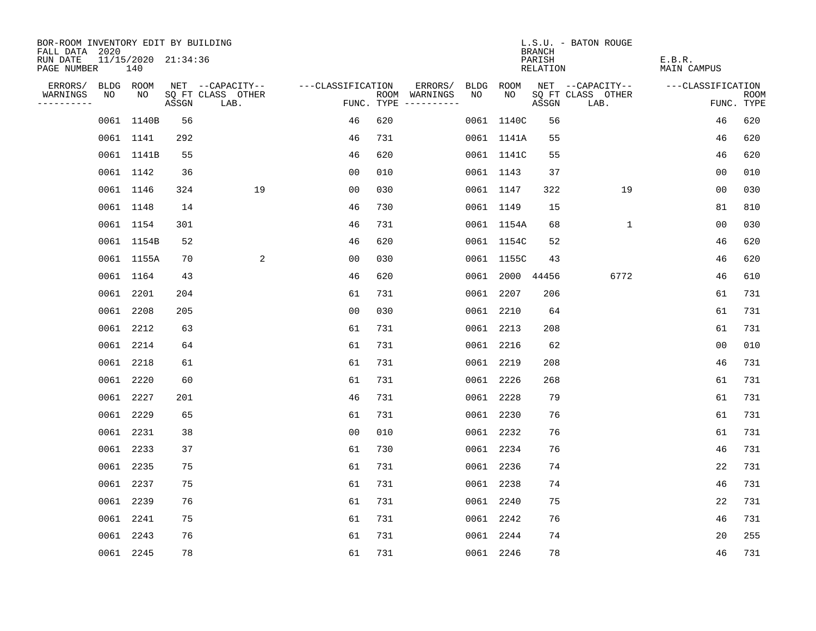| BOR-ROOM INVENTORY EDIT BY BUILDING<br>FALL DATA 2020 |                            |       |                           |                   |     |                                      |    |                 | <b>BRANCH</b>      | L.S.U. - BATON ROUGE      |                       |                           |
|-------------------------------------------------------|----------------------------|-------|---------------------------|-------------------|-----|--------------------------------------|----|-----------------|--------------------|---------------------------|-----------------------|---------------------------|
| RUN DATE<br>PAGE NUMBER                               | 11/15/2020 21:34:36<br>140 |       |                           |                   |     |                                      |    |                 | PARISH<br>RELATION |                           | E.B.R.<br>MAIN CAMPUS |                           |
| ERRORS/                                               | BLDG ROOM                  |       | NET --CAPACITY--          | ---CLASSIFICATION |     | ERRORS/                              |    | BLDG ROOM       |                    | NET --CAPACITY--          | ---CLASSIFICATION     |                           |
| WARNINGS<br>NO<br>----------                          | NO                         | ASSGN | SQ FT CLASS OTHER<br>LAB. |                   |     | ROOM WARNINGS<br>FUNC. TYPE $------$ | NO | NO.             | ASSGN              | SQ FT CLASS OTHER<br>LAB. |                       | <b>ROOM</b><br>FUNC. TYPE |
|                                                       | 0061 1140B                 | 56    |                           | 46                | 620 |                                      |    | 0061 1140C      | 56                 |                           | 46                    | 620                       |
|                                                       | 0061 1141                  | 292   |                           | 46                | 731 |                                      |    | 0061 1141A      | 55                 |                           | 46                    | 620                       |
|                                                       | 0061 1141B                 | 55    |                           | 46                | 620 |                                      |    | 0061 1141C      | 55                 |                           | 46                    | 620                       |
|                                                       | 0061 1142                  | 36    |                           | 0 <sub>0</sub>    | 010 |                                      |    | 0061 1143       | 37                 |                           | 00                    | 010                       |
|                                                       | 0061 1146                  | 324   | 19                        | 00                | 030 |                                      |    | 0061 1147       | 322                | 19                        | 00                    | 030                       |
|                                                       | 0061 1148                  | 14    |                           | 46                | 730 |                                      |    | 0061 1149       | 15                 |                           | 81                    | 810                       |
|                                                       | 0061 1154                  | 301   |                           | 46                | 731 |                                      |    | 0061 1154A      | 68                 | $\mathbf{1}$              | 00                    | 030                       |
|                                                       | 0061 1154B                 | 52    |                           | 46                | 620 |                                      |    | 0061 1154C      | 52                 |                           | 46                    | 620                       |
|                                                       | 0061 1155A                 | 70    | 2                         | 00                | 030 |                                      |    | 0061 1155C      | 43                 |                           | 46                    | 620                       |
|                                                       | 0061 1164                  | 43    |                           | 46                | 620 |                                      |    | 0061 2000 44456 |                    | 6772                      | 46                    | 610                       |
|                                                       | 0061 2201                  | 204   |                           | 61                | 731 |                                      |    | 0061 2207       | 206                |                           | 61                    | 731                       |
|                                                       | 0061 2208                  | 205   |                           | 0 <sub>0</sub>    | 030 |                                      |    | 0061 2210       | 64                 |                           | 61                    | 731                       |
|                                                       | 0061 2212                  | 63    |                           | 61                | 731 |                                      |    | 0061 2213       | 208                |                           | 61                    | 731                       |
|                                                       | 0061 2214                  | 64    |                           | 61                | 731 |                                      |    | 0061 2216       | 62                 |                           | 0 <sub>0</sub>        | 010                       |
|                                                       | 0061 2218                  | 61    |                           | 61                | 731 |                                      |    | 0061 2219       | 208                |                           | 46                    | 731                       |
|                                                       | 0061 2220                  | 60    |                           | 61                | 731 |                                      |    | 0061 2226       | 268                |                           | 61                    | 731                       |
|                                                       | 0061 2227                  | 201   |                           | 46                | 731 |                                      |    | 0061 2228       | 79                 |                           | 61                    | 731                       |
|                                                       | 0061 2229                  | 65    |                           | 61                | 731 |                                      |    | 0061 2230       | 76                 |                           | 61                    | 731                       |
|                                                       | 0061 2231                  | 38    |                           | 0 <sub>0</sub>    | 010 |                                      |    | 0061 2232       | 76                 |                           | 61                    | 731                       |
|                                                       | 0061 2233                  | 37    |                           | 61                | 730 |                                      |    | 0061 2234       | 76                 |                           | 46                    | 731                       |
|                                                       | 0061 2235                  | 75    |                           | 61                | 731 |                                      |    | 0061 2236       | 74                 |                           | 22                    | 731                       |
|                                                       | 0061 2237                  | 75    |                           | 61                | 731 |                                      |    | 0061 2238       | 74                 |                           | 46                    | 731                       |
|                                                       | 0061 2239                  | 76    |                           | 61                | 731 |                                      |    | 0061 2240       | 75                 |                           | 22                    | 731                       |
|                                                       | 0061 2241                  | 75    |                           | 61                | 731 |                                      |    | 0061 2242       | 76                 |                           | 46                    | 731                       |
|                                                       | 0061 2243                  | 76    |                           | 61                | 731 |                                      |    | 0061 2244       | 74                 |                           | 20                    | 255                       |
|                                                       | 0061 2245                  | 78    |                           | 61                | 731 |                                      |    | 0061 2246       | 78                 |                           | 46                    | 731                       |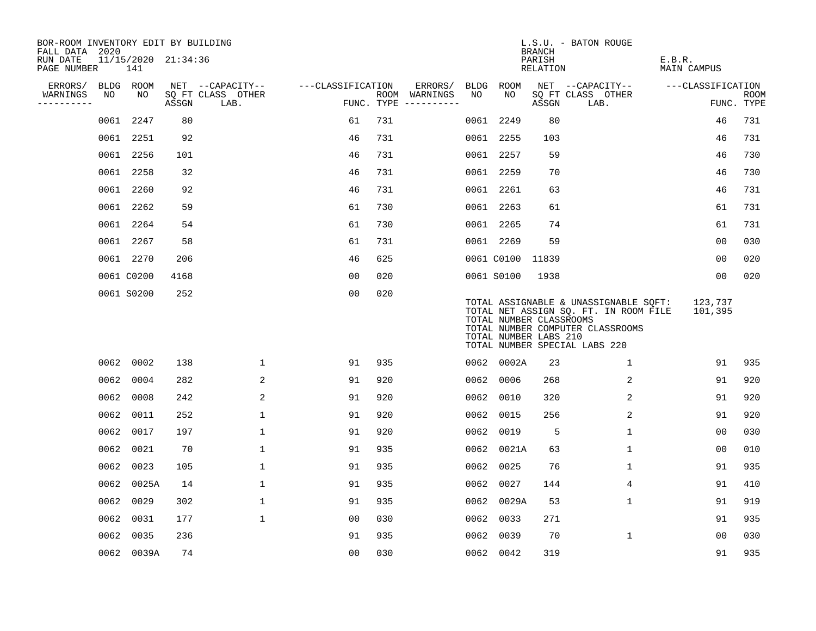| BOR-ROOM INVENTORY EDIT BY BUILDING<br>FALL DATA 2020 |      |            |                     |                           |                   |     |                                      |      |                  | <b>BRANCH</b>                                    | L.S.U. - BATON ROUGE                                                                                                                                |                              |                           |
|-------------------------------------------------------|------|------------|---------------------|---------------------------|-------------------|-----|--------------------------------------|------|------------------|--------------------------------------------------|-----------------------------------------------------------------------------------------------------------------------------------------------------|------------------------------|---------------------------|
| RUN DATE<br>PAGE NUMBER                               |      | 141        | 11/15/2020 21:34:36 |                           |                   |     |                                      |      |                  | PARISH<br><b>RELATION</b>                        |                                                                                                                                                     | E.B.R.<br><b>MAIN CAMPUS</b> |                           |
| ERRORS/                                               |      | BLDG ROOM  |                     | NET --CAPACITY--          | ---CLASSIFICATION |     | ERRORS/                              | BLDG | ROOM             |                                                  | NET --CAPACITY--                                                                                                                                    | ---CLASSIFICATION            |                           |
| WARNINGS<br>----------                                | NO   | NO         | ASSGN               | SQ FT CLASS OTHER<br>LAB. |                   |     | ROOM WARNINGS<br>FUNC. TYPE $------$ | NO   | NO               | ASSGN                                            | SQ FT CLASS OTHER<br>LAB.                                                                                                                           |                              | <b>ROOM</b><br>FUNC. TYPE |
|                                                       | 0061 | 2247       | 80                  |                           | 61                | 731 |                                      |      | 0061 2249        | 80                                               |                                                                                                                                                     | 46                           | 731                       |
|                                                       |      | 0061 2251  | 92                  |                           | 46                | 731 |                                      |      | 0061 2255        | 103                                              |                                                                                                                                                     | 46                           | 731                       |
|                                                       |      | 0061 2256  | 101                 |                           | 46                | 731 |                                      |      | 0061 2257        | 59                                               |                                                                                                                                                     | 46                           | 730                       |
|                                                       |      | 0061 2258  | 32                  |                           | 46                | 731 |                                      |      | 0061 2259        | 70                                               |                                                                                                                                                     | 46                           | 730                       |
|                                                       |      | 0061 2260  | 92                  |                           | 46                | 731 |                                      |      | 0061 2261        | 63                                               |                                                                                                                                                     | 46                           | 731                       |
|                                                       |      | 0061 2262  | 59                  |                           | 61                | 730 |                                      |      | 0061 2263        | 61                                               |                                                                                                                                                     | 61                           | 731                       |
|                                                       |      | 0061 2264  | 54                  |                           | 61                | 730 |                                      |      | 0061 2265        | 74                                               |                                                                                                                                                     | 61                           | 731                       |
|                                                       |      | 0061 2267  | 58                  |                           | 61                | 731 |                                      |      | 0061 2269        | 59                                               |                                                                                                                                                     | 0 <sub>0</sub>               | 030                       |
|                                                       |      | 0061 2270  | 206                 |                           | 46                | 625 |                                      |      | 0061 C0100 11839 |                                                  |                                                                                                                                                     | 0 <sub>0</sub>               | 020                       |
|                                                       |      | 0061 C0200 | 4168                |                           | 0 <sub>0</sub>    | 020 |                                      |      | 0061 S0100       | 1938                                             |                                                                                                                                                     | 0 <sub>0</sub>               | 020                       |
|                                                       |      | 0061 S0200 | 252                 |                           | 0 <sub>0</sub>    | 020 |                                      |      |                  | TOTAL NUMBER CLASSROOMS<br>TOTAL NUMBER LABS 210 | TOTAL ASSIGNABLE & UNASSIGNABLE SQFT:<br>TOTAL NET ASSIGN SQ. FT. IN ROOM FILE<br>TOTAL NUMBER COMPUTER CLASSROOMS<br>TOTAL NUMBER SPECIAL LABS 220 | 123,737<br>101,395           |                           |
|                                                       |      | 0062 0002  | 138                 | $\mathbf{1}$              | 91                | 935 |                                      |      | 0062 0002A       | 23                                               | 1                                                                                                                                                   | 91                           | 935                       |
|                                                       |      | 0062 0004  | 282                 | 2                         | 91                | 920 |                                      | 0062 | 0006             | 268                                              | 2                                                                                                                                                   | 91                           | 920                       |
|                                                       | 0062 | 0008       | 242                 | 2                         | 91                | 920 |                                      | 0062 | 0010             | 320                                              | 2                                                                                                                                                   | 91                           | 920                       |
|                                                       | 0062 | 0011       | 252                 | $\mathbf 1$               | 91                | 920 |                                      | 0062 | 0015             | 256                                              | 2                                                                                                                                                   | 91                           | 920                       |
|                                                       |      | 0062 0017  | 197                 | $\mathbf 1$               | 91                | 920 |                                      | 0062 | 0019             | 5                                                | 1                                                                                                                                                   | 0 <sub>0</sub>               | 030                       |
|                                                       |      | 0062 0021  | 70                  | $\mathbf 1$               | 91                | 935 |                                      |      | 0062 0021A       | 63                                               | $\mathbf 1$                                                                                                                                         | 0 <sub>0</sub>               | 010                       |
|                                                       |      | 0062 0023  | 105                 | $\mathbf 1$               | 91                | 935 |                                      | 0062 | 0025             | 76                                               | 1                                                                                                                                                   | 91                           | 935                       |
|                                                       | 0062 | 0025A      | 14                  | $\mathbf{1}$              | 91                | 935 |                                      | 0062 | 0027             | 144                                              | $\overline{4}$                                                                                                                                      | 91                           | 410                       |
|                                                       |      | 0062 0029  | 302                 | $\mathbf{1}$              | 91                | 935 |                                      | 0062 | 0029A            | 53                                               | 1                                                                                                                                                   | 91                           | 919                       |
|                                                       | 0062 | 0031       | 177                 | $\mathbf{1}$              | 0 <sub>0</sub>    | 030 |                                      | 0062 | 0033             | 271                                              |                                                                                                                                                     | 91                           | 935                       |
|                                                       |      | 0062 0035  | 236                 |                           | 91                | 935 |                                      | 0062 | 0039             | 70                                               | $\mathbf{1}$                                                                                                                                        | 0 <sub>0</sub>               | 030                       |
|                                                       |      | 0062 0039A | 74                  |                           | 0 <sub>0</sub>    | 030 |                                      |      | 0062 0042        | 319                                              |                                                                                                                                                     | 91                           | 935                       |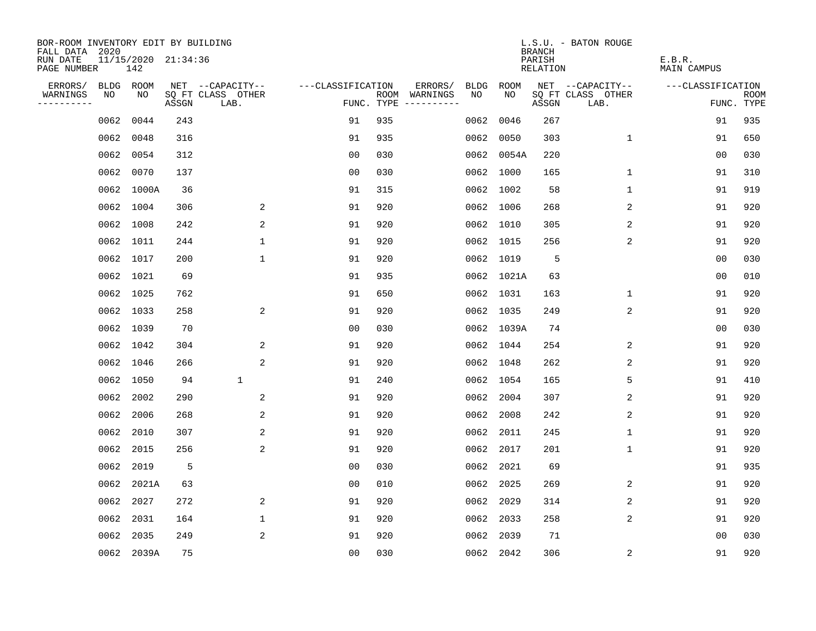| BOR-ROOM INVENTORY EDIT BY BUILDING<br>FALL DATA 2020 |           |                            |       |                           |                   |     |                                      |      |            | <b>BRANCH</b>      | L.S.U. - BATON ROUGE      |                       |                           |
|-------------------------------------------------------|-----------|----------------------------|-------|---------------------------|-------------------|-----|--------------------------------------|------|------------|--------------------|---------------------------|-----------------------|---------------------------|
| RUN DATE<br>PAGE NUMBER                               |           | 11/15/2020 21:34:36<br>142 |       |                           |                   |     |                                      |      |            | PARISH<br>RELATION |                           | E.B.R.<br>MAIN CAMPUS |                           |
| ERRORS/                                               | BLDG ROOM |                            |       | NET --CAPACITY--          | ---CLASSIFICATION |     | ERRORS/                              | BLDG | ROOM       |                    | NET --CAPACITY--          | ---CLASSIFICATION     |                           |
| WARNINGS<br>----------                                | NO        | NO                         | ASSGN | SQ FT CLASS OTHER<br>LAB. |                   |     | ROOM WARNINGS<br>FUNC. TYPE $------$ | NO.  | NO.        | ASSGN              | SQ FT CLASS OTHER<br>LAB. |                       | <b>ROOM</b><br>FUNC. TYPE |
|                                                       | 0062      | 0044                       | 243   |                           | 91                | 935 |                                      | 0062 | 0046       | 267                |                           | 91                    | 935                       |
|                                                       | 0062      | 0048                       | 316   |                           | 91                | 935 |                                      | 0062 | 0050       | 303                | $\mathbf 1$               | 91                    | 650                       |
|                                                       | 0062      | 0054                       | 312   |                           | 0 <sub>0</sub>    | 030 |                                      |      | 0062 0054A | 220                |                           | 00                    | 030                       |
|                                                       |           | 0062 0070                  | 137   |                           | 0 <sub>0</sub>    | 030 |                                      |      | 0062 1000  | 165                | 1                         | 91                    | 310                       |
|                                                       |           | 0062 1000A                 | 36    |                           | 91                | 315 |                                      |      | 0062 1002  | 58                 | 1                         | 91                    | 919                       |
|                                                       |           | 0062 1004                  | 306   | 2                         | 91                | 920 |                                      |      | 0062 1006  | 268                | 2                         | 91                    | 920                       |
|                                                       |           | 0062 1008                  | 242   | 2                         | 91                | 920 |                                      |      | 0062 1010  | 305                | 2                         | 91                    | 920                       |
|                                                       |           | 0062 1011                  | 244   | $\mathbf 1$               | 91                | 920 |                                      |      | 0062 1015  | 256                | 2                         | 91                    | 920                       |
|                                                       |           | 0062 1017                  | 200   | $\mathbf 1$               | 91                | 920 |                                      |      | 0062 1019  | 5                  |                           | 0 <sub>0</sub>        | 030                       |
|                                                       |           | 0062 1021                  | 69    |                           | 91                | 935 |                                      |      | 0062 1021A | 63                 |                           | 00                    | 010                       |
|                                                       |           | 0062 1025                  | 762   |                           | 91                | 650 |                                      |      | 0062 1031  | 163                | $\mathbf{1}$              | 91                    | 920                       |
|                                                       |           | 0062 1033                  | 258   | 2                         | 91                | 920 |                                      |      | 0062 1035  | 249                | 2                         | 91                    | 920                       |
|                                                       |           | 0062 1039                  | 70    |                           | 0 <sub>0</sub>    | 030 |                                      |      | 0062 1039A | 74                 |                           | 0 <sub>0</sub>        | 030                       |
|                                                       |           | 0062 1042                  | 304   | 2                         | 91                | 920 |                                      |      | 0062 1044  | 254                | 2                         | 91                    | 920                       |
|                                                       |           | 0062 1046                  | 266   | 2                         | 91                | 920 |                                      |      | 0062 1048  | 262                | 2                         | 91                    | 920                       |
|                                                       |           | 0062 1050                  | 94    | $\mathbf{1}$              | 91                | 240 |                                      |      | 0062 1054  | 165                | 5                         | 91                    | 410                       |
|                                                       | 0062      | 2002                       | 290   | $\overline{a}$            | 91                | 920 |                                      | 0062 | 2004       | 307                | 2                         | 91                    | 920                       |
|                                                       | 0062      | 2006                       | 268   | 2                         | 91                | 920 |                                      | 0062 | 2008       | 242                | 2                         | 91                    | 920                       |
|                                                       | 0062      | 2010                       | 307   | 2                         | 91                | 920 |                                      | 0062 | 2011       | 245                | 1                         | 91                    | 920                       |
|                                                       | 0062      | 2015                       | 256   | 2                         | 91                | 920 |                                      | 0062 | 2017       | 201                | 1                         | 91                    | 920                       |
|                                                       | 0062      | 2019                       | 5     |                           | 0 <sub>0</sub>    | 030 |                                      | 0062 | 2021       | 69                 |                           | 91                    | 935                       |
|                                                       | 0062      | 2021A                      | 63    |                           | 0 <sub>0</sub>    | 010 |                                      | 0062 | 2025       | 269                | 2                         | 91                    | 920                       |
|                                                       | 0062      | 2027                       | 272   | 2                         | 91                | 920 |                                      | 0062 | 2029       | 314                | 2                         | 91                    | 920                       |
|                                                       | 0062      | 2031                       | 164   | $\mathbf 1$               | 91                | 920 |                                      | 0062 | 2033       | 258                | 2                         | 91                    | 920                       |
|                                                       | 0062      | 2035                       | 249   | 2                         | 91                | 920 |                                      | 0062 | 2039       | 71                 |                           | 0 <sub>0</sub>        | 030                       |
|                                                       |           | 0062 2039A                 | 75    |                           | 0 <sub>0</sub>    | 030 |                                      |      | 0062 2042  | 306                | 2                         | 91                    | 920                       |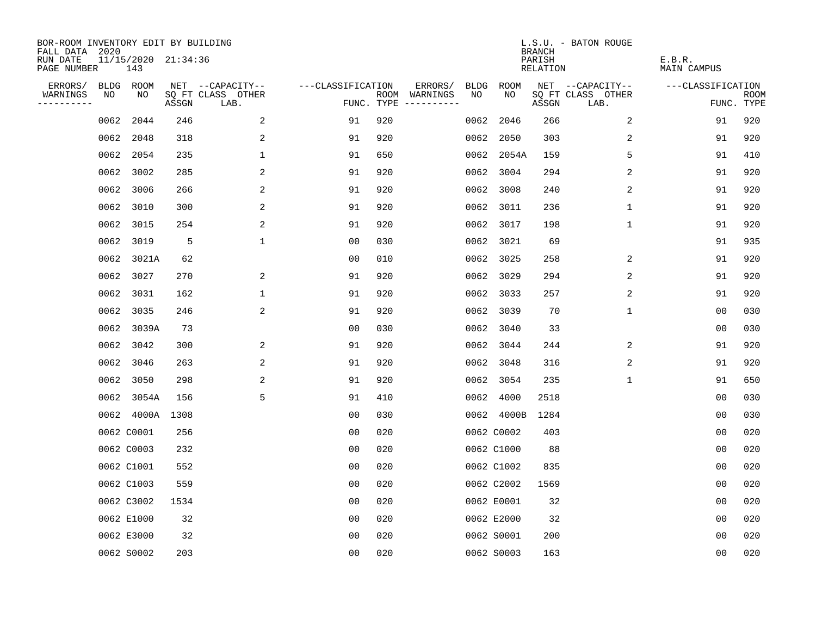| BOR-ROOM INVENTORY EDIT BY BUILDING<br>FALL DATA 2020 |      |                            |       |                           |                   |     |                                      |             |             | <b>BRANCH</b>             | L.S.U. - BATON ROUGE      |                              |                           |
|-------------------------------------------------------|------|----------------------------|-------|---------------------------|-------------------|-----|--------------------------------------|-------------|-------------|---------------------------|---------------------------|------------------------------|---------------------------|
| RUN DATE<br>PAGE NUMBER                               |      | 11/15/2020 21:34:36<br>143 |       |                           |                   |     |                                      |             |             | PARISH<br><b>RELATION</b> |                           | E.B.R.<br><b>MAIN CAMPUS</b> |                           |
| ERRORS/                                               |      | BLDG ROOM                  |       | NET --CAPACITY--          | ---CLASSIFICATION |     | ERRORS/                              | <b>BLDG</b> | <b>ROOM</b> |                           | NET --CAPACITY--          | ---CLASSIFICATION            |                           |
| WARNINGS<br>----------                                | NO   | NO                         | ASSGN | SQ FT CLASS OTHER<br>LAB. |                   |     | ROOM WARNINGS<br>FUNC. TYPE $------$ | NO          | NO          | ASSGN                     | SQ FT CLASS OTHER<br>LAB. |                              | <b>ROOM</b><br>FUNC. TYPE |
|                                                       | 0062 | 2044                       | 246   | 2                         | 91                | 920 |                                      | 0062        | 2046        | 266                       | 2                         | 91                           | 920                       |
|                                                       |      | 0062 2048                  | 318   | 2                         | 91                | 920 |                                      | 0062        | 2050        | 303                       | 2                         | 91                           | 920                       |
|                                                       | 0062 | 2054                       | 235   | $\mathbf 1$               | 91                | 650 |                                      | 0062        | 2054A       | 159                       | 5                         | 91                           | 410                       |
|                                                       | 0062 | 3002                       | 285   | 2                         | 91                | 920 |                                      | 0062        | 3004        | 294                       | 2                         | 91                           | 920                       |
|                                                       | 0062 | 3006                       | 266   | 2                         | 91                | 920 |                                      | 0062        | 3008        | 240                       | 2                         | 91                           | 920                       |
|                                                       |      | 0062 3010                  | 300   | 2                         | 91                | 920 |                                      |             | 0062 3011   | 236                       | $\mathbf{1}$              | 91                           | 920                       |
|                                                       |      | 0062 3015                  | 254   | 2                         | 91                | 920 |                                      | 0062        | 3017        | 198                       | $\mathbf 1$               | 91                           | 920                       |
|                                                       |      | 0062 3019                  | 5     | $\mathbf 1$               | 0 <sub>0</sub>    | 030 |                                      | 0062        | 3021        | 69                        |                           | 91                           | 935                       |
|                                                       | 0062 | 3021A                      | 62    |                           | 0 <sub>0</sub>    | 010 |                                      | 0062        | 3025        | 258                       | 2                         | 91                           | 920                       |
|                                                       |      | 0062 3027                  | 270   | 2                         | 91                | 920 |                                      | 0062        | 3029        | 294                       | 2                         | 91                           | 920                       |
|                                                       |      | 0062 3031                  | 162   | $\mathbf 1$               | 91                | 920 |                                      | 0062        | 3033        | 257                       | 2                         | 91                           | 920                       |
|                                                       |      | 0062 3035                  | 246   | 2                         | 91                | 920 |                                      | 0062        | 3039        | 70                        | $\mathbf{1}$              | 0 <sub>0</sub>               | 030                       |
|                                                       |      | 0062 3039A                 | 73    |                           | 0 <sub>0</sub>    | 030 |                                      | 0062        | 3040        | 33                        |                           | 0 <sub>0</sub>               | 030                       |
|                                                       | 0062 | 3042                       | 300   | 2                         | 91                | 920 |                                      | 0062        | 3044        | 244                       | 2                         | 91                           | 920                       |
|                                                       | 0062 | 3046                       | 263   | 2                         | 91                | 920 |                                      | 0062        | 3048        | 316                       | 2                         | 91                           | 920                       |
|                                                       | 0062 | 3050                       | 298   | 2                         | 91                | 920 |                                      | 0062        | 3054        | 235                       | $\mathbf 1$               | 91                           | 650                       |
|                                                       |      | 0062 3054A                 | 156   | 5                         | 91                | 410 |                                      | 0062        | 4000        | 2518                      |                           | 0 <sub>0</sub>               | 030                       |
|                                                       |      | 0062 4000A                 | 1308  |                           | 0 <sub>0</sub>    | 030 |                                      |             | 0062 4000B  | 1284                      |                           | 0 <sub>0</sub>               | 030                       |
|                                                       |      | 0062 C0001                 | 256   |                           | 0 <sub>0</sub>    | 020 |                                      |             | 0062 C0002  | 403                       |                           | 0 <sub>0</sub>               | 020                       |
|                                                       |      | 0062 C0003                 | 232   |                           | 0 <sub>0</sub>    | 020 |                                      |             | 0062 C1000  | 88                        |                           | 0 <sub>0</sub>               | 020                       |
|                                                       |      | 0062 C1001                 | 552   |                           | 0 <sub>0</sub>    | 020 |                                      |             | 0062 C1002  | 835                       |                           | 0 <sub>0</sub>               | 020                       |
|                                                       |      | 0062 C1003                 | 559   |                           | 0 <sub>0</sub>    | 020 |                                      |             | 0062 C2002  | 1569                      |                           | 0 <sub>0</sub>               | 020                       |
|                                                       |      | 0062 C3002                 | 1534  |                           | 0 <sub>0</sub>    | 020 |                                      |             | 0062 E0001  | 32                        |                           | 0 <sub>0</sub>               | 020                       |
|                                                       |      | 0062 E1000                 | 32    |                           | 0 <sub>0</sub>    | 020 |                                      |             | 0062 E2000  | 32                        |                           | 0 <sub>0</sub>               | 020                       |
|                                                       |      | 0062 E3000                 | 32    |                           | 0 <sub>0</sub>    | 020 |                                      |             | 0062 S0001  | 200                       |                           | 0 <sub>0</sub>               | 020                       |
|                                                       |      | 0062 S0002                 | 203   |                           | 0 <sub>0</sub>    | 020 |                                      |             | 0062 S0003  | 163                       |                           | 00                           | 020                       |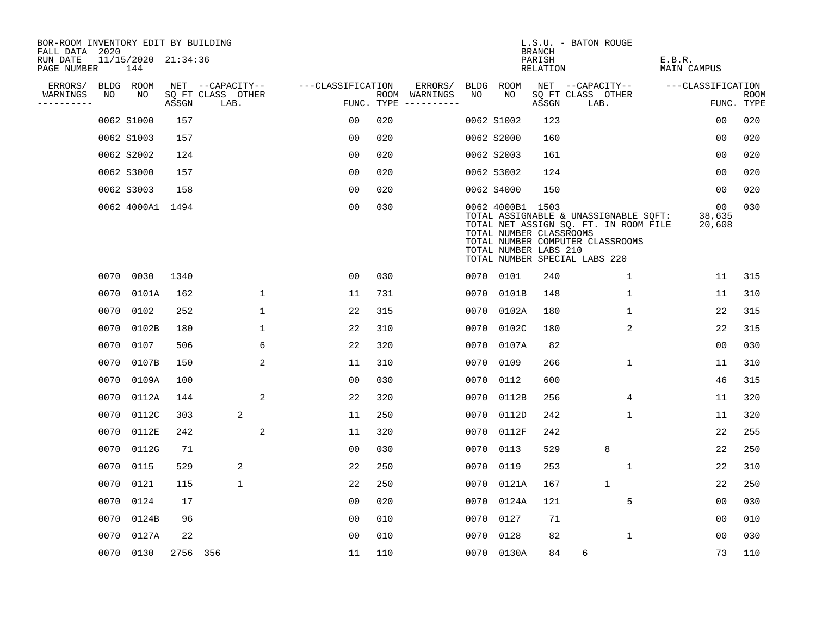| BOR-ROOM INVENTORY EDIT BY BUILDING<br>FALL DATA 2020 |      |                            |          |                           |                   |                                      |                 |                                                                      | <b>BRANCH</b>             | L.S.U. - BATON ROUGE                                                                                                                                |                              |                           |
|-------------------------------------------------------|------|----------------------------|----------|---------------------------|-------------------|--------------------------------------|-----------------|----------------------------------------------------------------------|---------------------------|-----------------------------------------------------------------------------------------------------------------------------------------------------|------------------------------|---------------------------|
| RUN DATE<br>PAGE NUMBER                               |      | 11/15/2020 21:34:36<br>144 |          |                           |                   |                                      |                 |                                                                      | PARISH<br><b>RELATION</b> |                                                                                                                                                     | E.B.R.<br><b>MAIN CAMPUS</b> |                           |
| ERRORS/                                               |      | BLDG ROOM                  |          | NET --CAPACITY--          | ---CLASSIFICATION |                                      | ERRORS/<br>BLDG | <b>ROOM</b>                                                          |                           | NET --CAPACITY--                                                                                                                                    | ---CLASSIFICATION            |                           |
| WARNINGS<br>----------                                | NO   | NO                         | ASSGN    | SQ FT CLASS OTHER<br>LAB. |                   | ROOM WARNINGS<br>FUNC. TYPE $------$ | NO              | NO                                                                   | ASSGN                     | SQ FT CLASS OTHER<br>LAB.                                                                                                                           |                              | <b>ROOM</b><br>FUNC. TYPE |
|                                                       |      | 0062 S1000                 | 157      |                           | 0 <sub>0</sub>    | 020                                  |                 | 0062 S1002                                                           | 123                       |                                                                                                                                                     | 0 <sub>0</sub>               | 020                       |
|                                                       |      | 0062 S1003                 | 157      |                           | 0 <sub>0</sub>    | 020                                  |                 | 0062 S2000                                                           | 160                       |                                                                                                                                                     | 00                           | 020                       |
|                                                       |      | 0062 S2002                 | 124      |                           | 0 <sub>0</sub>    | 020                                  |                 | 0062 S2003                                                           | 161                       |                                                                                                                                                     | 0 <sub>0</sub>               | 020                       |
|                                                       |      | 0062 S3000                 | 157      |                           | 0 <sub>0</sub>    | 020                                  |                 | 0062 S3002                                                           | 124                       |                                                                                                                                                     | 0 <sub>0</sub>               | 020                       |
|                                                       |      | 0062 S3003                 | 158      |                           | 0 <sub>0</sub>    | 020                                  |                 | 0062 S4000                                                           | 150                       |                                                                                                                                                     | 00                           | 020                       |
|                                                       |      | 0062 4000A1 1494           |          |                           | 0 <sub>0</sub>    | 030                                  |                 | 0062 4000B1 1503<br>TOTAL NUMBER CLASSROOMS<br>TOTAL NUMBER LABS 210 |                           | TOTAL ASSIGNABLE & UNASSIGNABLE SOFT:<br>TOTAL NET ASSIGN SQ. FT. IN ROOM FILE<br>TOTAL NUMBER COMPUTER CLASSROOMS<br>TOTAL NUMBER SPECIAL LABS 220 | 00<br>38,635<br>20,608       | 030                       |
|                                                       | 0070 | 0030                       | 1340     |                           | 0 <sub>0</sub>    | 030                                  |                 | 0070 0101                                                            | 240                       | 1                                                                                                                                                   | 11                           | 315                       |
|                                                       | 0070 | 0101A                      | 162      | $\mathbf 1$               | 11                | 731                                  |                 | 0070 0101B                                                           | 148                       | $\mathbf{1}$                                                                                                                                        | 11                           | 310                       |
|                                                       | 0070 | 0102                       | 252      | $\mathbf{1}$              | 22                | 315                                  |                 | 0070 0102A                                                           | 180                       | $\mathbf{1}$                                                                                                                                        | 22                           | 315                       |
|                                                       | 0070 | 0102B                      | 180      | $\mathbf 1$               | 22                | 310                                  |                 | 0070 0102C                                                           | 180                       | 2                                                                                                                                                   | 22                           | 315                       |
|                                                       | 0070 | 0107                       | 506      | 6                         | 22                | 320                                  |                 | 0070 0107A                                                           | 82                        |                                                                                                                                                     | 00                           | 030                       |
|                                                       | 0070 | 0107B                      | 150      | 2                         | 11                | 310                                  | 0070            | 0109                                                                 | 266                       | 1                                                                                                                                                   | 11                           | 310                       |
|                                                       | 0070 | 0109A                      | 100      |                           | 0 <sub>0</sub>    | 030                                  |                 | 0070 0112                                                            | 600                       |                                                                                                                                                     | 46                           | 315                       |
|                                                       | 0070 | 0112A                      | 144      | 2                         | 22                | 320                                  | 0070            | 0112B                                                                | 256                       | 4                                                                                                                                                   | 11                           | 320                       |
|                                                       | 0070 | 0112C                      | 303      | 2                         | 11                | 250                                  | 0070            | 0112D                                                                | 242                       | $\mathbf 1$                                                                                                                                         | 11                           | 320                       |
|                                                       | 0070 | 0112E                      | 242      | 2                         | 11                | 320                                  |                 | 0070 0112F                                                           | 242                       |                                                                                                                                                     | 22                           | 255                       |
|                                                       | 0070 | 0112G                      | 71       |                           | 0 <sub>0</sub>    | 030                                  | 0070            | 0113                                                                 | 529                       | 8                                                                                                                                                   | 22                           | 250                       |
|                                                       | 0070 | 0115                       | 529      | 2                         | 22                | 250                                  |                 | 0070 0119                                                            | 253                       | 1                                                                                                                                                   | 22                           | 310                       |
|                                                       | 0070 | 0121                       | 115      | $\mathbf 1$               | 22                | 250                                  | 0070            | 0121A                                                                | 167                       | $\mathbf{1}$                                                                                                                                        | 22                           | 250                       |
|                                                       | 0070 | 0124                       | 17       |                           | 0 <sub>0</sub>    | 020                                  |                 | 0070 0124A                                                           | 121                       | 5                                                                                                                                                   | 0 <sub>0</sub>               | 030                       |
|                                                       | 0070 | 0124B                      | 96       |                           | 0 <sub>0</sub>    | 010                                  |                 | 0070 0127                                                            | 71                        |                                                                                                                                                     | 0 <sub>0</sub>               | 010                       |
|                                                       | 0070 | 0127A                      | 22       |                           | 0 <sub>0</sub>    | 010                                  |                 | 0070 0128                                                            | 82                        | 1                                                                                                                                                   | 0 <sub>0</sub>               | 030                       |
|                                                       |      | 0070 0130                  | 2756 356 |                           | 11                | 110                                  |                 | 0070 0130A                                                           | 84                        | 6                                                                                                                                                   | 73                           | 110                       |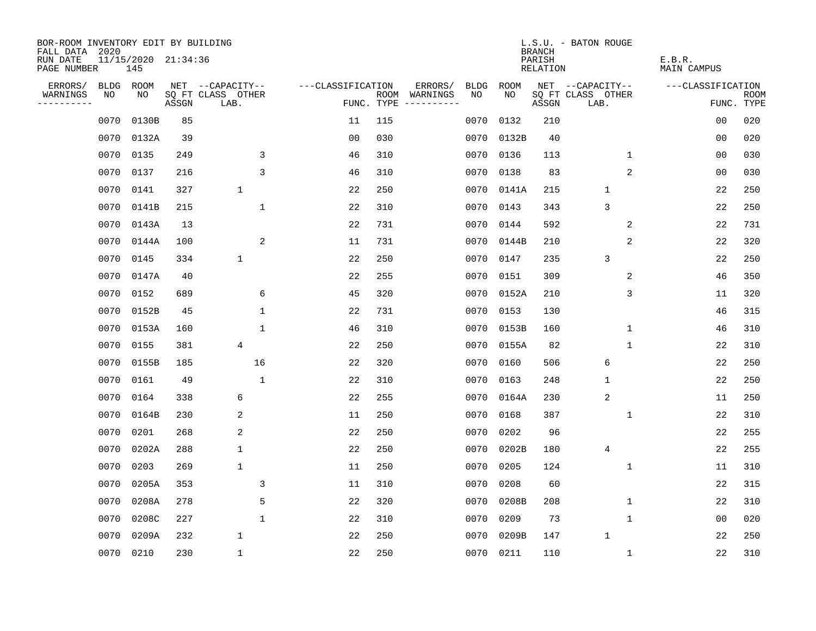| BOR-ROOM INVENTORY EDIT BY BUILDING       |             |                            |       |                           |                   |            |                              |             |            | <b>BRANCH</b>      | L.S.U. - BATON ROUGE      |                       |                |                           |
|-------------------------------------------|-------------|----------------------------|-------|---------------------------|-------------------|------------|------------------------------|-------------|------------|--------------------|---------------------------|-----------------------|----------------|---------------------------|
| FALL DATA 2020<br>RUN DATE<br>PAGE NUMBER |             | 11/15/2020 21:34:36<br>145 |       |                           |                   |            |                              |             |            | PARISH<br>RELATION |                           | E.B.R.<br>MAIN CAMPUS |                |                           |
| ERRORS/                                   | <b>BLDG</b> | ROOM                       |       | NET --CAPACITY--          | ---CLASSIFICATION |            | ERRORS/                      | <b>BLDG</b> | ROOM       |                    | NET --CAPACITY--          | ---CLASSIFICATION     |                |                           |
| WARNINGS<br>----------                    | NO          | NO                         | ASSGN | SQ FT CLASS OTHER<br>LAB. |                   | FUNC. TYPE | ROOM WARNINGS<br>----------- | NO.         | NO.        | ASSGN              | SQ FT CLASS OTHER<br>LAB. |                       |                | <b>ROOM</b><br>FUNC. TYPE |
|                                           | 0070        | 0130B                      | 85    |                           | 11                | 115        |                              | 0070        | 0132       | 210                |                           |                       | 0 <sub>0</sub> | 020                       |
|                                           | 0070        | 0132A                      | 39    |                           | 0 <sub>0</sub>    | 030        |                              |             | 0070 0132B | 40                 |                           |                       | 00             | 020                       |
|                                           | 0070        | 0135                       | 249   | 3                         | 46                | 310        |                              | 0070        | 0136       | 113                | $\mathbf{1}$              |                       | 0 <sub>0</sub> | 030                       |
|                                           | 0070        | 0137                       | 216   | $\overline{3}$            | 46                | 310        |                              |             | 0070 0138  | 83                 | 2                         |                       | 00             | 030                       |
|                                           | 0070        | 0141                       | 327   | $\mathbf 1$               | 22                | 250        |                              |             | 0070 0141A | 215                | $\mathbf{1}$              |                       | 22             | 250                       |
|                                           | 0070        | 0141B                      | 215   | $\mathbf{1}$              | 22                | 310        |                              |             | 0070 0143  | 343                | 3                         |                       | 22             | 250                       |
|                                           | 0070        | 0143A                      | 13    |                           | 22                | 731        |                              | 0070        | 0144       | 592                | 2                         |                       | 22             | 731                       |
|                                           | 0070        | 0144A                      | 100   | 2                         | 11                | 731        |                              |             | 0070 0144B | 210                | 2                         |                       | 22             | 320                       |
|                                           | 0070        | 0145                       | 334   | $\mathbf{1}$              | 22                | 250        |                              | 0070        | 0147       | 235                | 3                         |                       | 22             | 250                       |
|                                           | 0070        | 0147A                      | 40    |                           | 22                | 255        |                              |             | 0070 0151  | 309                | 2                         |                       | 46             | 350                       |
|                                           | 0070        | 0152                       | 689   | 6                         | 45                | 320        |                              |             | 0070 0152A | 210                | 3                         |                       | 11             | 320                       |
|                                           | 0070        | 0152B                      | 45    | $\mathbf{1}$              | 22                | 731        |                              |             | 0070 0153  | 130                |                           |                       | 46             | 315                       |
|                                           | 0070        | 0153A                      | 160   | $\mathbf{1}$              | 46                | 310        |                              |             | 0070 0153B | 160                | $\mathbf 1$               |                       | 46             | 310                       |
|                                           | 0070        | 0155                       | 381   | 4                         | 22                | 250        |                              |             | 0070 0155A | 82                 | 1                         |                       | 22             | 310                       |
|                                           | 0070        | 0155B                      | 185   | 16                        | 22                | 320        |                              | 0070        | 0160       | 506                | 6                         |                       | 22             | 250                       |
|                                           | 0070        | 0161                       | 49    | $\mathbf{1}$              | 22                | 310        |                              | 0070        | 0163       | 248                | $\mathbf 1$               |                       | 22             | 250                       |
|                                           | 0070        | 0164                       | 338   | 6                         | 22                | 255        |                              | 0070        | 0164A      | 230                | $\overline{2}$            |                       | 11             | 250                       |
|                                           | 0070        | 0164B                      | 230   | 2                         | 11                | 250        |                              | 0070        | 0168       | 387                | 1                         |                       | 22             | 310                       |
|                                           | 0070        | 0201                       | 268   | 2                         | 22                | 250        |                              | 0070        | 0202       | 96                 |                           |                       | 22             | 255                       |
|                                           | 0070        | 0202A                      | 288   | $\mathbf 1$               | 22                | 250        |                              | 0070        | 0202B      | 180                | $\overline{4}$            |                       | 22             | 255                       |
|                                           | 0070        | 0203                       | 269   | $\mathbf{1}$              | 11                | 250        |                              | 0070        | 0205       | 124                | 1                         |                       | 11             | 310                       |
|                                           | 0070        | 0205A                      | 353   | 3                         | 11                | 310        |                              | 0070        | 0208       | 60                 |                           |                       | 22             | 315                       |
|                                           | 0070        | 0208A                      | 278   | 5                         | 22                | 320        |                              | 0070        | 0208B      | 208                | 1                         |                       | 22             | 310                       |
|                                           | 0070        | 0208C                      | 227   | $\mathbf{1}$              | 22                | 310        |                              | 0070        | 0209       | 73                 | $\mathbf 1$               |                       | 0 <sub>0</sub> | 020                       |
|                                           | 0070        | 0209A                      | 232   | $\mathbf 1$               | 22                | 250        |                              | 0070        | 0209B      | 147                | $\mathbf{1}$              |                       | 22             | 250                       |
|                                           | 0070        | 0210                       | 230   | $\mathbf{1}$              | 22                | 250        |                              |             | 0070 0211  | 110                | $\mathbf{1}$              |                       | 22             | 310                       |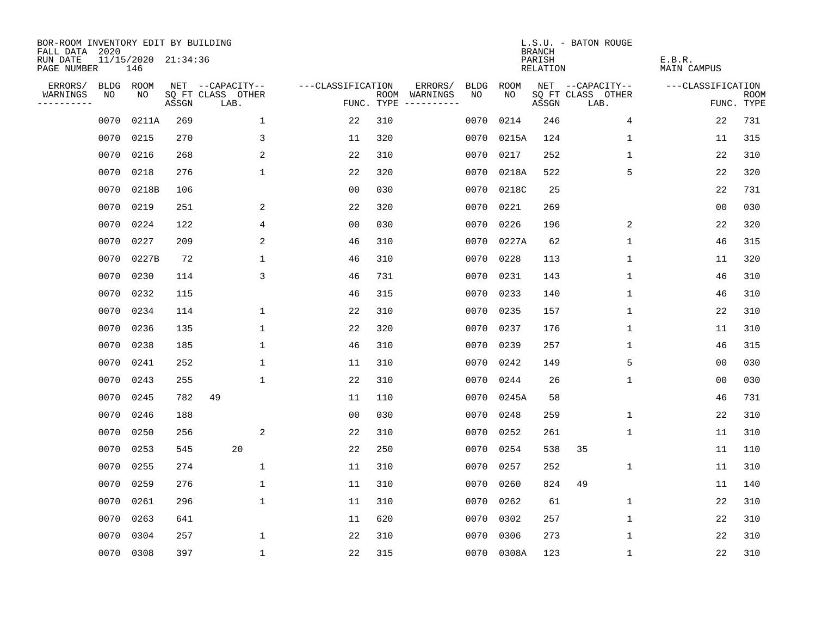| BOR-ROOM INVENTORY EDIT BY BUILDING<br>FALL DATA 2020 |             |                            |       |                           |                   |            |               |      |            | <b>BRANCH</b>             | L.S.U. - BATON ROUGE      |                              |                           |
|-------------------------------------------------------|-------------|----------------------------|-------|---------------------------|-------------------|------------|---------------|------|------------|---------------------------|---------------------------|------------------------------|---------------------------|
| RUN DATE<br>PAGE NUMBER                               |             | 11/15/2020 21:34:36<br>146 |       |                           |                   |            |               |      |            | PARISH<br><b>RELATION</b> |                           | E.B.R.<br><b>MAIN CAMPUS</b> |                           |
| ERRORS/                                               | <b>BLDG</b> | ROOM                       |       | NET --CAPACITY--          | ---CLASSIFICATION |            | ERRORS/       | BLDG | ROOM       |                           | NET --CAPACITY--          | ---CLASSIFICATION            |                           |
| WARNINGS<br>----------                                | NO          | NO.                        | ASSGN | SQ FT CLASS OTHER<br>LAB. |                   | FUNC. TYPE | ROOM WARNINGS | NO   | NO.        | ASSGN                     | SQ FT CLASS OTHER<br>LAB. |                              | <b>ROOM</b><br>FUNC. TYPE |
|                                                       | 0070        | 0211A                      | 269   | $\mathbf 1$               | 22                | 310        |               | 0070 | 0214       | 246                       | 4                         | 22                           | 731                       |
|                                                       | 0070        | 0215                       | 270   | 3                         | 11                | 320        |               | 0070 | 0215A      | 124                       | 1                         | 11                           | 315                       |
|                                                       | 0070        | 0216                       | 268   | 2                         | 22                | 310        |               | 0070 | 0217       | 252                       | $\mathbf{1}$              | 22                           | 310                       |
|                                                       | 0070        | 0218                       | 276   | $\mathbf{1}$              | 22                | 320        |               | 0070 | 0218A      | 522                       | 5                         | 22                           | 320                       |
|                                                       | 0070        | 0218B                      | 106   |                           | 0 <sub>0</sub>    | 030        |               | 0070 | 0218C      | 25                        |                           | 22                           | 731                       |
|                                                       | 0070        | 0219                       | 251   | 2                         | 22                | 320        |               | 0070 | 0221       | 269                       |                           | 0 <sub>0</sub>               | 030                       |
|                                                       | 0070        | 0224                       | 122   | 4                         | 0 <sub>0</sub>    | 030        |               | 0070 | 0226       | 196                       | 2                         | 22                           | 320                       |
|                                                       | 0070        | 0227                       | 209   | 2                         | 46                | 310        |               | 0070 | 0227A      | 62                        | 1                         | 46                           | 315                       |
|                                                       | 0070        | 0227B                      | 72    | $\mathbf{1}$              | 46                | 310        |               | 0070 | 0228       | 113                       | $\mathbf{1}$              | 11                           | 320                       |
|                                                       |             | 0070 0230                  | 114   | 3                         | 46                | 731        |               | 0070 | 0231       | 143                       | $\mathbf{1}$              | 46                           | 310                       |
|                                                       | 0070        | 0232                       | 115   |                           | 46                | 315        |               | 0070 | 0233       | 140                       | $\mathbf{1}$              | 46                           | 310                       |
|                                                       |             | 0070 0234                  | 114   | 1                         | 22                | 310        |               | 0070 | 0235       | 157                       | $\mathbf{1}$              | 22                           | 310                       |
|                                                       | 0070        | 0236                       | 135   | 1                         | 22                | 320        |               | 0070 | 0237       | 176                       | $\mathbf 1$               | 11                           | 310                       |
|                                                       | 0070        | 0238                       | 185   | 1                         | 46                | 310        |               | 0070 | 0239       | 257                       | $\mathbf 1$               | 46                           | 315                       |
|                                                       | 0070        | 0241                       | 252   | $\mathbf{1}$              | 11                | 310        |               | 0070 | 0242       | 149                       | 5                         | 0 <sub>0</sub>               | 030                       |
|                                                       | 0070        | 0243                       | 255   | $\mathbf{1}$              | 22                | 310        |               | 0070 | 0244       | 26                        | $\mathbf 1$               | 0 <sub>0</sub>               | 030                       |
|                                                       | 0070        | 0245                       | 782   | 49                        | 11                | 110        |               | 0070 | 0245A      | 58                        |                           | 46                           | 731                       |
|                                                       | 0070        | 0246                       | 188   |                           | 00                | 030        |               | 0070 | 0248       | 259                       | 1                         | 22                           | 310                       |
|                                                       | 0070        | 0250                       | 256   | 2                         | 22                | 310        |               | 0070 | 0252       | 261                       | 1                         | 11                           | 310                       |
|                                                       | 0070        | 0253                       | 545   | 20                        | 22                | 250        |               | 0070 | 0254       | 538                       | 35                        | 11                           | 110                       |
|                                                       | 0070        | 0255                       | 274   | 1                         | 11                | 310        |               | 0070 | 0257       | 252                       | $\mathbf 1$               | 11                           | 310                       |
|                                                       | 0070        | 0259                       | 276   | $\mathbf{1}$              | 11                | 310        |               | 0070 | 0260       | 824                       | 49                        | 11                           | 140                       |
|                                                       | 0070        | 0261                       | 296   | $\mathbf{1}$              | 11                | 310        |               | 0070 | 0262       | 61                        | $\mathbf{1}$              | 22                           | 310                       |
|                                                       | 0070        | 0263                       | 641   |                           | 11                | 620        |               | 0070 | 0302       | 257                       | $\mathbf 1$               | 22                           | 310                       |
|                                                       | 0070        | 0304                       | 257   | 1                         | 22                | 310        |               | 0070 | 0306       | 273                       | 1                         | 22                           | 310                       |
|                                                       |             | 0070 0308                  | 397   | 1                         | 22                | 315        |               |      | 0070 0308A | 123                       | $\mathbf 1$               | 22                           | 310                       |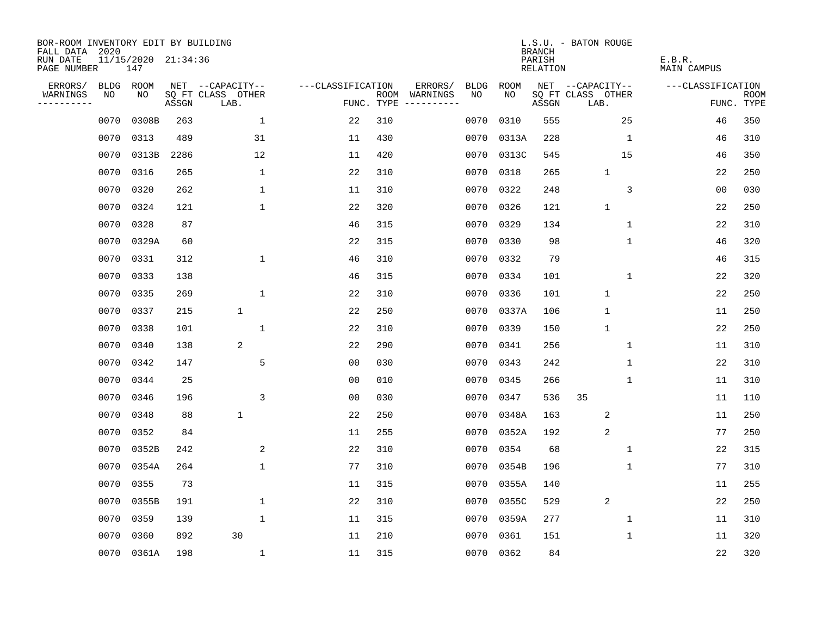| BOR-ROOM INVENTORY EDIT BY BUILDING<br>FALL DATA 2020 |             |                            |       |                           |                   |                    |                         |             |             | <b>BRANCH</b>             | L.S.U. - BATON ROUGE      |                              |                           |
|-------------------------------------------------------|-------------|----------------------------|-------|---------------------------|-------------------|--------------------|-------------------------|-------------|-------------|---------------------------|---------------------------|------------------------------|---------------------------|
| RUN DATE<br>PAGE NUMBER                               |             | 11/15/2020 21:34:36<br>147 |       |                           |                   |                    |                         |             |             | PARISH<br><b>RELATION</b> |                           | E.B.R.<br><b>MAIN CAMPUS</b> |                           |
| ERRORS/                                               | <b>BLDG</b> | ROOM                       |       | NET --CAPACITY--          | ---CLASSIFICATION |                    | ERRORS/                 | <b>BLDG</b> | <b>ROOM</b> |                           | NET --CAPACITY--          | ---CLASSIFICATION            |                           |
| WARNINGS<br>----------                                | NO          | NO                         | ASSGN | SQ FT CLASS OTHER<br>LAB. |                   | ROOM<br>FUNC. TYPE | WARNINGS<br>----------- | NO          | NO          | ASSGN                     | SQ FT CLASS OTHER<br>LAB. |                              | <b>ROOM</b><br>FUNC. TYPE |
|                                                       | 0070        | 0308B                      | 263   | $\mathbf{1}$              | 22                | 310                |                         | 0070        | 0310        | 555                       | 25                        | 46                           | 350                       |
|                                                       | 0070        | 0313                       | 489   | 31                        | 11                | 430                |                         |             | 0070 0313A  | 228                       | 1                         | 46                           | 310                       |
|                                                       | 0070        | 0313B                      | 2286  | 12                        | 11                | 420                |                         |             | 0070 0313C  | 545                       | 15                        | 46                           | 350                       |
|                                                       | 0070        | 0316                       | 265   | $\mathbf{1}$              | 22                | 310                |                         |             | 0070 0318   | 265                       | $\mathbf{1}$              | 22                           | 250                       |
|                                                       | 0070        | 0320                       | 262   | 1                         | 11                | 310                |                         | 0070        | 0322        | 248                       | 3                         | 00                           | 030                       |
|                                                       | 0070        | 0324                       | 121   | $\mathbf{1}$              | 22                | 320                |                         |             | 0070 0326   | 121                       | $\mathbf{1}$              | 22                           | 250                       |
|                                                       | 0070        | 0328                       | 87    |                           | 46                | 315                |                         |             | 0070 0329   | 134                       | $\mathbf 1$               | 22                           | 310                       |
|                                                       | 0070        | 0329A                      | 60    |                           | 22                | 315                |                         |             | 0070 0330   | 98                        | $\mathbf{1}$              | 46                           | 320                       |
|                                                       | 0070        | 0331                       | 312   | $\mathbf{1}$              | 46                | 310                |                         |             | 0070 0332   | 79                        |                           | 46                           | 315                       |
|                                                       | 0070        | 0333                       | 138   |                           | 46                | 315                |                         |             | 0070 0334   | 101                       | $\mathbf{1}$              | 22                           | 320                       |
|                                                       | 0070        | 0335                       | 269   | $\mathbf 1$               | 22                | 310                |                         |             | 0070 0336   | 101                       | $\mathbf{1}$              | 22                           | 250                       |
|                                                       | 0070        | 0337                       | 215   | $\mathbf 1$               | 22                | 250                |                         |             | 0070 0337A  | 106                       | $\mathbf 1$               | 11                           | 250                       |
|                                                       | 0070        | 0338                       | 101   | $\mathbf{1}$              | 22                | 310                |                         | 0070        | 0339        | 150                       | $\mathbf{1}$              | 22                           | 250                       |
|                                                       | 0070        | 0340                       | 138   | 2                         | 22                | 290                |                         | 0070        | 0341        | 256                       | 1                         | 11                           | 310                       |
|                                                       | 0070        | 0342                       | 147   | 5                         | 0 <sub>0</sub>    | 030                |                         |             | 0070 0343   | 242                       | 1                         | 22                           | 310                       |
|                                                       | 0070        | 0344                       | 25    |                           | 0 <sub>0</sub>    | 010                |                         | 0070        | 0345        | 266                       | $\mathbf{1}$              | 11                           | 310                       |
|                                                       | 0070        | 0346                       | 196   | 3                         | 0 <sub>0</sub>    | 030                |                         |             | 0070 0347   | 536                       | 35                        | 11                           | 110                       |
|                                                       | 0070        | 0348                       | 88    | $\mathbf 1$               | 22                | 250                |                         | 0070        | 0348A       | 163                       | 2                         | 11                           | 250                       |
|                                                       | 0070        | 0352                       | 84    |                           | 11                | 255                |                         |             | 0070 0352A  | 192                       | 2                         | 77                           | 250                       |
|                                                       | 0070        | 0352B                      | 242   | 2                         | 22                | 310                |                         | 0070        | 0354        | 68                        | $\mathbf 1$               | 22                           | 315                       |
|                                                       | 0070        | 0354A                      | 264   | $\mathbf{1}$              | 77                | 310                |                         |             | 0070 0354B  | 196                       | $\mathbf{1}$              | 77                           | 310                       |
|                                                       | 0070        | 0355                       | 73    |                           | 11                | 315                |                         | 0070        | 0355A       | 140                       |                           | 11                           | 255                       |
|                                                       | 0070        | 0355B                      | 191   | 1                         | 22                | 310                |                         |             | 0070 0355C  | 529                       | 2                         | 22                           | 250                       |
|                                                       | 0070        | 0359                       | 139   | $\mathbf{1}$              | 11                | 315                |                         | 0070        | 0359A       | 277                       | $\mathbf 1$               | 11                           | 310                       |
|                                                       | 0070        | 0360                       | 892   | 30                        | 11                | 210                |                         |             | 0070 0361   | 151                       | $\mathbf 1$               | 11                           | 320                       |
|                                                       |             | 0070 0361A                 | 198   | $\mathbf{1}$              | 11                | 315                |                         |             | 0070 0362   | 84                        |                           | 22                           | 320                       |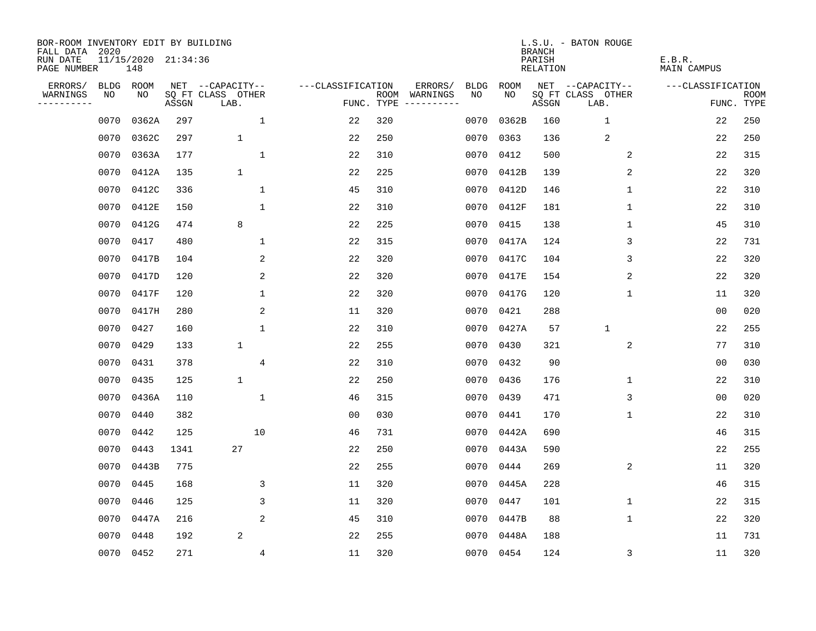| BOR-ROOM INVENTORY EDIT BY BUILDING<br>FALL DATA 2020 |      |                            |       |                           |                   |            |                              |             |            | <b>BRANCH</b>      | L.S.U. - BATON ROUGE      |                              |                           |
|-------------------------------------------------------|------|----------------------------|-------|---------------------------|-------------------|------------|------------------------------|-------------|------------|--------------------|---------------------------|------------------------------|---------------------------|
| RUN DATE<br>PAGE NUMBER                               |      | 11/15/2020 21:34:36<br>148 |       |                           |                   |            |                              |             |            | PARISH<br>RELATION |                           | E.B.R.<br><b>MAIN CAMPUS</b> |                           |
| ERRORS/                                               | BLDG | ROOM                       |       | NET --CAPACITY--          | ---CLASSIFICATION |            | ERRORS/                      | <b>BLDG</b> | ROOM       |                    | NET --CAPACITY--          | ---CLASSIFICATION            |                           |
| WARNINGS<br>----------                                | NO   | NO                         | ASSGN | SQ FT CLASS OTHER<br>LAB. |                   | FUNC. TYPE | ROOM WARNINGS<br>----------- | NO.         | NO.        | ASSGN              | SQ FT CLASS OTHER<br>LAB. |                              | <b>ROOM</b><br>FUNC. TYPE |
|                                                       | 0070 | 0362A                      | 297   | $\mathbf{1}$              | 22                | 320        |                              | 0070        | 0362B      | 160                | $\mathbf{1}$              | 22                           | 250                       |
|                                                       | 0070 | 0362C                      | 297   | $\mathbf{1}$              | 22                | 250        |                              | 0070        | 0363       | 136                | 2                         | 22                           | 250                       |
|                                                       | 0070 | 0363A                      | 177   | $\mathbf{1}$              | 22                | 310        |                              | 0070        | 0412       | 500                | 2                         | 22                           | 315                       |
|                                                       | 0070 | 0412A                      | 135   | $\mathbf{1}$              | 22                | 225        |                              |             | 0070 0412B | 139                | $\overline{2}$            | 22                           | 320                       |
|                                                       | 0070 | 0412C                      | 336   | $\mathbf{1}$              | 45                | 310        |                              |             | 0070 0412D | 146                | 1                         | 22                           | 310                       |
|                                                       | 0070 | 0412E                      | 150   | $\mathbf{1}$              | 22                | 310        |                              |             | 0070 0412F | 181                | 1                         | 22                           | 310                       |
|                                                       | 0070 | 0412G                      | 474   | 8                         | 22                | 225        |                              | 0070        | 0415       | 138                | $\mathbf 1$               | 45                           | 310                       |
|                                                       | 0070 | 0417                       | 480   | $\mathbf{1}$              | 22                | 315        |                              |             | 0070 0417A | 124                | 3                         | 22                           | 731                       |
|                                                       | 0070 | 0417B                      | 104   | 2                         | 22                | 320        |                              |             | 0070 0417C | 104                | 3                         | 22                           | 320                       |
|                                                       | 0070 | 0417D                      | 120   | 2                         | 22                | 320        |                              |             | 0070 0417E | 154                | 2                         | 22                           | 320                       |
|                                                       | 0070 | 0417F                      | 120   | $\mathbf 1$               | 22                | 320        |                              |             | 0070 0417G | 120                | $\mathbf 1$               | 11                           | 320                       |
|                                                       | 0070 | 0417H                      | 280   | 2                         | 11                | 320        |                              |             | 0070 0421  | 288                |                           | 0 <sub>0</sub>               | 020                       |
|                                                       | 0070 | 0427                       | 160   | $\mathbf{1}$              | 22                | 310        |                              |             | 0070 0427A | 57                 | $\mathbf{1}$              | 22                           | 255                       |
|                                                       | 0070 | 0429                       | 133   | $\mathbf 1$               | 22                | 255        |                              |             | 0070 0430  | 321                | 2                         | 77                           | 310                       |
|                                                       | 0070 | 0431                       | 378   | $\overline{4}$            | 22                | 310        |                              | 0070        | 0432       | 90                 |                           | 00                           | 030                       |
|                                                       | 0070 | 0435                       | 125   | $\mathbf 1$               | 22                | 250        |                              |             | 0070 0436  | 176                | 1                         | 22                           | 310                       |
|                                                       | 0070 | 0436A                      | 110   | $\mathbf{1}$              | 46                | 315        |                              | 0070        | 0439       | 471                | 3                         | 0 <sub>0</sub>               | 020                       |
|                                                       | 0070 | 0440                       | 382   |                           | 0 <sub>0</sub>    | 030        |                              | 0070        | 0441       | 170                | 1                         | 22                           | 310                       |
|                                                       | 0070 | 0442                       | 125   | 10                        | 46                | 731        |                              |             | 0070 0442A | 690                |                           | 46                           | 315                       |
|                                                       | 0070 | 0443                       | 1341  | 27                        | 22                | 250        |                              |             | 0070 0443A | 590                |                           | 22                           | 255                       |
|                                                       | 0070 | 0443B                      | 775   |                           | 22                | 255        |                              | 0070        | 0444       | 269                | $\overline{c}$            | 11                           | 320                       |
|                                                       | 0070 | 0445                       | 168   | 3                         | 11                | 320        |                              | 0070        | 0445A      | 228                |                           | 46                           | 315                       |
|                                                       | 0070 | 0446                       | 125   | 3                         | 11                | 320        |                              |             | 0070 0447  | 101                | 1                         | 22                           | 315                       |
|                                                       | 0070 | 0447A                      | 216   | 2                         | 45                | 310        |                              |             | 0070 0447B | 88                 | $\mathbf 1$               | 22                           | 320                       |
|                                                       | 0070 | 0448                       | 192   | 2                         | 22                | 255        |                              |             | 0070 0448A | 188                |                           | 11                           | 731                       |
|                                                       |      | 0070 0452                  | 271   | $\overline{4}$            | 11                | 320        |                              |             | 0070 0454  | 124                | 3                         | 11                           | 320                       |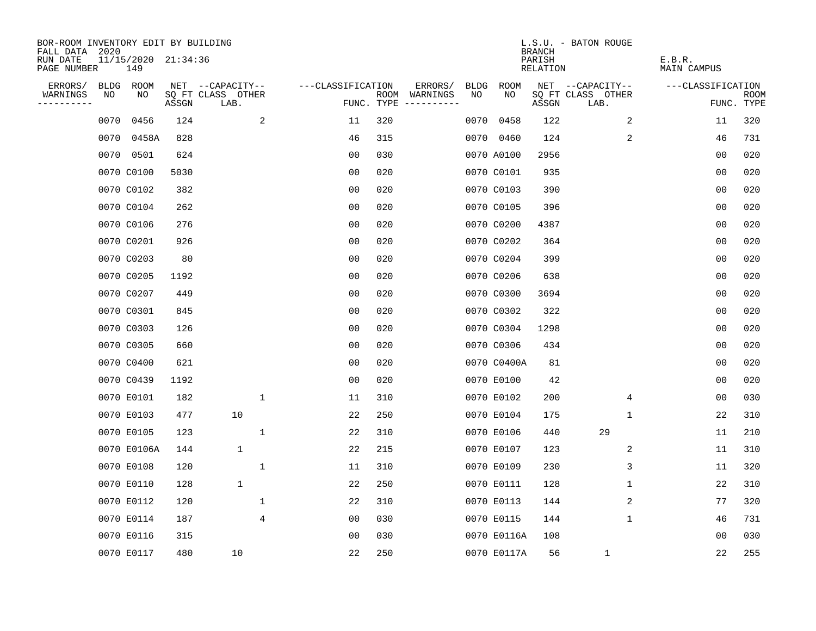| BOR-ROOM INVENTORY EDIT BY BUILDING<br>FALL DATA | 2020 |                            |       |                           |                     |                                   |                        |             | <b>BRANCH</b>                   | L.S.U. - BATON ROUGE      |                       |                    |
|--------------------------------------------------|------|----------------------------|-------|---------------------------|---------------------|-----------------------------------|------------------------|-------------|---------------------------------|---------------------------|-----------------------|--------------------|
| RUN DATE<br>PAGE NUMBER                          |      | 11/15/2020 21:34:36<br>149 |       |                           |                     |                                   |                        |             | PARISH<br>RELATION              |                           | E.B.R.<br>MAIN CAMPUS |                    |
| ERRORS/                                          |      | BLDG ROOM                  |       | NET --CAPACITY--          | ---CLASSIFICATION   |                                   | ERRORS/<br><b>BLDG</b> | <b>ROOM</b> |                                 | NET --CAPACITY--          | ---CLASSIFICATION     |                    |
| WARNINGS<br>----------                           | NO   | NO                         | ASSGN | SQ FT CLASS OTHER<br>LAB. |                     | ROOM<br>FUNC. TYPE<br>----------- | NO<br>WARNINGS         | NO.         | $\operatorname{\mathsf{ASSGN}}$ | SQ FT CLASS OTHER<br>LAB. |                       | ROOM<br>FUNC. TYPE |
|                                                  | 0070 | 0456                       | 124   |                           | 2<br>11             | 320                               | 0070                   | 0458        | 122                             | 2                         | 11                    | 320                |
|                                                  | 0070 | 0458A                      | 828   |                           | 46                  | 315                               |                        | 0070 0460   | 124                             | 2                         | 46                    | 731                |
|                                                  | 0070 | 0501                       | 624   |                           | 0 <sub>0</sub>      | 030                               |                        | 0070 A0100  | 2956                            |                           | 0 <sub>0</sub>        | 020                |
|                                                  |      | 0070 C0100                 | 5030  |                           | 0 <sub>0</sub>      | 020                               |                        | 0070 C0101  | 935                             |                           | 0 <sub>0</sub>        | 020                |
|                                                  |      | 0070 C0102                 | 382   |                           | 0 <sub>0</sub>      | 020                               |                        | 0070 C0103  | 390                             |                           | 0 <sub>0</sub>        | 020                |
|                                                  |      | 0070 C0104                 | 262   |                           | 0 <sub>0</sub>      | 020                               |                        | 0070 C0105  | 396                             |                           | 0 <sub>0</sub>        | 020                |
|                                                  |      | 0070 C0106                 | 276   |                           | 0 <sub>0</sub>      | 020                               |                        | 0070 C0200  | 4387                            |                           | 0 <sub>0</sub>        | 020                |
|                                                  |      | 0070 C0201                 | 926   |                           | 0 <sub>0</sub>      | 020                               |                        | 0070 C0202  | 364                             |                           | 0 <sub>0</sub>        | 020                |
|                                                  |      | 0070 C0203                 | 80    |                           | 0 <sub>0</sub>      | 020                               |                        | 0070 C0204  | 399                             |                           | 0 <sub>0</sub>        | 020                |
|                                                  |      | 0070 C0205                 | 1192  |                           | 0 <sub>0</sub>      | 020                               |                        | 0070 C0206  | 638                             |                           | 0 <sub>0</sub>        | 020                |
|                                                  |      | 0070 C0207                 | 449   |                           | 0 <sub>0</sub>      | 020                               |                        | 0070 C0300  | 3694                            |                           | 0 <sub>0</sub>        | 020                |
|                                                  |      | 0070 C0301                 | 845   |                           | 0 <sub>0</sub>      | 020                               |                        | 0070 C0302  | 322                             |                           | 0 <sub>0</sub>        | 020                |
|                                                  |      | 0070 C0303                 | 126   |                           | 0 <sub>0</sub>      | 020                               |                        | 0070 C0304  | 1298                            |                           | 0 <sub>0</sub>        | 020                |
|                                                  |      | 0070 C0305                 | 660   |                           | 0 <sub>0</sub>      | 020                               |                        | 0070 C0306  | 434                             |                           | 0 <sub>0</sub>        | 020                |
|                                                  |      | 0070 C0400                 | 621   |                           | 00                  | 020                               |                        | 0070 C0400A | 81                              |                           | 0 <sub>0</sub>        | 020                |
|                                                  |      | 0070 C0439                 | 1192  |                           | 0 <sub>0</sub>      | 020                               |                        | 0070 E0100  | 42                              |                           | 0 <sub>0</sub>        | 020                |
|                                                  |      | 0070 E0101                 | 182   |                           | $\mathbf 1$<br>11   | 310                               |                        | 0070 E0102  | 200                             | 4                         | 0 <sub>0</sub>        | 030                |
|                                                  |      | 0070 E0103                 | 477   | 10                        | 22                  | 250                               |                        | 0070 E0104  | 175                             | 1                         | 22                    | 310                |
|                                                  |      | 0070 E0105                 | 123   |                           | $\mathbf{1}$<br>22  | 310                               |                        | 0070 E0106  | 440                             | 29                        | 11                    | 210                |
|                                                  |      | 0070 E0106A                | 144   | $\mathbf 1$               | 22                  | 215                               |                        | 0070 E0107  | 123                             | 2                         | 11                    | 310                |
|                                                  |      | 0070 E0108                 | 120   |                           | $\mathbf{1}$<br>11  | 310                               |                        | 0070 E0109  | 230                             | 3                         | 11                    | 320                |
|                                                  |      | 0070 E0110                 | 128   | $\mathbf 1$               | 22                  | 250                               |                        | 0070 E0111  | 128                             | $\mathbf 1$               | 22                    | 310                |
|                                                  |      | 0070 E0112                 | 120   |                           | 1<br>22             | 310                               |                        | 0070 E0113  | 144                             | 2                         | 77                    | 320                |
|                                                  |      | 0070 E0114                 | 187   |                           | 4<br>0 <sub>0</sub> | 030                               |                        | 0070 E0115  | 144                             | $\mathbf 1$               | 46                    | 731                |
|                                                  |      | 0070 E0116                 | 315   |                           | 0 <sub>0</sub>      | 030                               |                        | 0070 E0116A | 108                             |                           | 0 <sub>0</sub>        | 030                |
|                                                  |      | 0070 E0117                 | 480   | 10                        | 22                  | 250                               |                        | 0070 E0117A | 56                              | $\mathbf{1}$              | 22                    | 255                |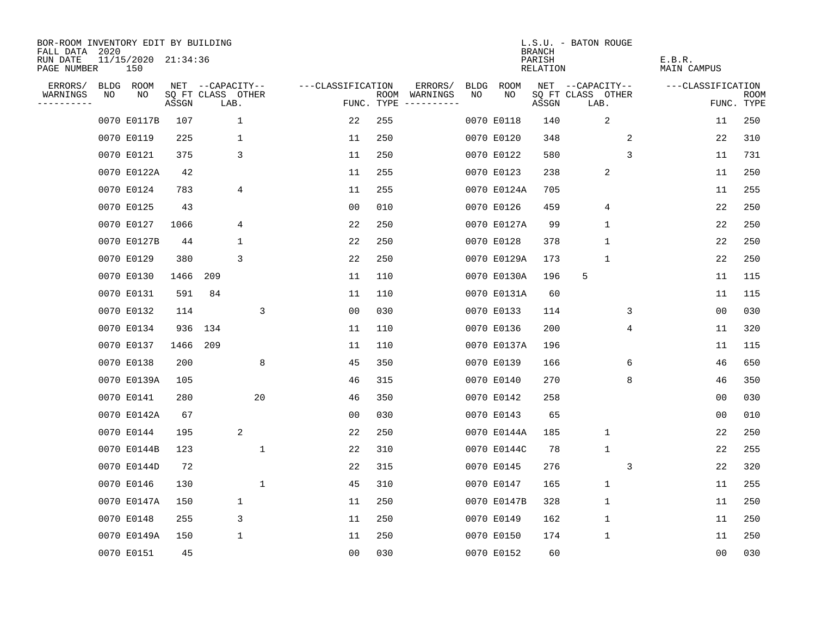| BOR-ROOM INVENTORY EDIT BY BUILDING<br>FALL DATA 2020 |    |                            |       |     |                           |                   |                    |                         |      |             | <b>BRANCH</b>      | L.S.U. - BATON ROUGE      |   |                       |                           |
|-------------------------------------------------------|----|----------------------------|-------|-----|---------------------------|-------------------|--------------------|-------------------------|------|-------------|--------------------|---------------------------|---|-----------------------|---------------------------|
| RUN DATE<br>PAGE NUMBER                               |    | 11/15/2020 21:34:36<br>150 |       |     |                           |                   |                    |                         |      |             | PARISH<br>RELATION |                           |   | E.B.R.<br>MAIN CAMPUS |                           |
| ERRORS/                                               |    | BLDG ROOM                  |       |     | NET --CAPACITY--          | ---CLASSIFICATION |                    | ERRORS/                 | BLDG | <b>ROOM</b> |                    | NET --CAPACITY--          |   | ---CLASSIFICATION     |                           |
| WARNINGS<br>--------                                  | NO | NO                         | ASSGN |     | SQ FT CLASS OTHER<br>LAB. |                   | ROOM<br>FUNC. TYPE | WARNINGS<br>----------- | NO   | NO.         | ASSGN              | SQ FT CLASS OTHER<br>LAB. |   |                       | <b>ROOM</b><br>FUNC. TYPE |
|                                                       |    | 0070 E0117B                | 107   |     | 1                         | 22                | 255                |                         |      | 0070 E0118  | 140                | 2                         |   | 11                    | 250                       |
|                                                       |    | 0070 E0119                 | 225   |     | 1                         | 11                | 250                |                         |      | 0070 E0120  | 348                |                           | 2 | 22                    | 310                       |
|                                                       |    | 0070 E0121                 | 375   |     | 3                         | 11                | 250                |                         |      | 0070 E0122  | 580                |                           | 3 | 11                    | 731                       |
|                                                       |    | 0070 E0122A                | 42    |     |                           | 11                | 255                |                         |      | 0070 E0123  | 238                | 2                         |   | 11                    | 250                       |
|                                                       |    | 0070 E0124                 | 783   |     | 4                         | 11                | 255                |                         |      | 0070 E0124A | 705                |                           |   | 11                    | 255                       |
|                                                       |    | 0070 E0125                 | 43    |     |                           | 0 <sub>0</sub>    | 010                |                         |      | 0070 E0126  | 459                | 4                         |   | 22                    | 250                       |
|                                                       |    | 0070 E0127                 | 1066  |     | 4                         | 22                | 250                |                         |      | 0070 E0127A | 99                 | $\mathbf 1$               |   | 22                    | 250                       |
|                                                       |    | 0070 E0127B                | 44    |     | 1                         | 22                | 250                |                         |      | 0070 E0128  | 378                | $\mathbf{1}$              |   | 22                    | 250                       |
|                                                       |    | 0070 E0129                 | 380   |     | 3                         | 22                | 250                |                         |      | 0070 E0129A | 173                | $\mathbf{1}$              |   | 22                    | 250                       |
|                                                       |    | 0070 E0130                 | 1466  | 209 |                           | 11                | 110                |                         |      | 0070 E0130A | 196                | 5                         |   | 11                    | 115                       |
|                                                       |    | 0070 E0131                 | 591   | 84  |                           | 11                | 110                |                         |      | 0070 E0131A | 60                 |                           |   | 11                    | 115                       |
|                                                       |    | 0070 E0132                 | 114   |     | 3                         | 0 <sub>0</sub>    | 030                |                         |      | 0070 E0133  | 114                |                           | 3 | 0 <sub>0</sub>        | 030                       |
|                                                       |    | 0070 E0134                 | 936   | 134 |                           | 11                | 110                |                         |      | 0070 E0136  | 200                |                           | 4 | 11                    | 320                       |
|                                                       |    | 0070 E0137                 | 1466  | 209 |                           | 11                | 110                |                         |      | 0070 E0137A | 196                |                           |   | 11                    | 115                       |
|                                                       |    | 0070 E0138                 | 200   |     | 8                         | 45                | 350                |                         |      | 0070 E0139  | 166                |                           | 6 | 46                    | 650                       |
|                                                       |    | 0070 E0139A                | 105   |     |                           | 46                | 315                |                         |      | 0070 E0140  | 270                |                           | 8 | 46                    | 350                       |
|                                                       |    | 0070 E0141                 | 280   |     | 20                        | 46                | 350                |                         |      | 0070 E0142  | 258                |                           |   | 0 <sub>0</sub>        | 030                       |
|                                                       |    | 0070 E0142A                | 67    |     |                           | 00                | 030                |                         |      | 0070 E0143  | 65                 |                           |   | 0 <sub>0</sub>        | 010                       |
|                                                       |    | 0070 E0144                 | 195   |     | 2                         | 22                | 250                |                         |      | 0070 E0144A | 185                | $\mathbf{1}$              |   | 22                    | 250                       |
|                                                       |    | 0070 E0144B                | 123   |     | $\mathbf{1}$              | 22                | 310                |                         |      | 0070 E0144C | 78                 | $\mathbf{1}$              |   | 22                    | 255                       |
|                                                       |    | 0070 E0144D                | 72    |     |                           | 22                | 315                |                         |      | 0070 E0145  | 276                |                           | 3 | 22                    | 320                       |
|                                                       |    | 0070 E0146                 | 130   |     | $\mathbf 1$               | 45                | 310                |                         |      | 0070 E0147  | 165                | $\mathbf{1}$              |   | 11                    | 255                       |
|                                                       |    | 0070 E0147A                | 150   |     | 1                         | 11                | 250                |                         |      | 0070 E0147B | 328                | $\mathbf 1$               |   | 11                    | 250                       |
|                                                       |    | 0070 E0148                 | 255   |     | 3                         | 11                | 250                |                         |      | 0070 E0149  | 162                | $\mathbf 1$               |   | 11                    | 250                       |
|                                                       |    | 0070 E0149A                | 150   |     | 1                         | 11                | 250                |                         |      | 0070 E0150  | 174                | $\mathbf 1$               |   | 11                    | 250                       |
|                                                       |    | 0070 E0151                 | 45    |     |                           | 0 <sub>0</sub>    | 030                |                         |      | 0070 E0152  | 60                 |                           |   | 0 <sub>0</sub>        | 030                       |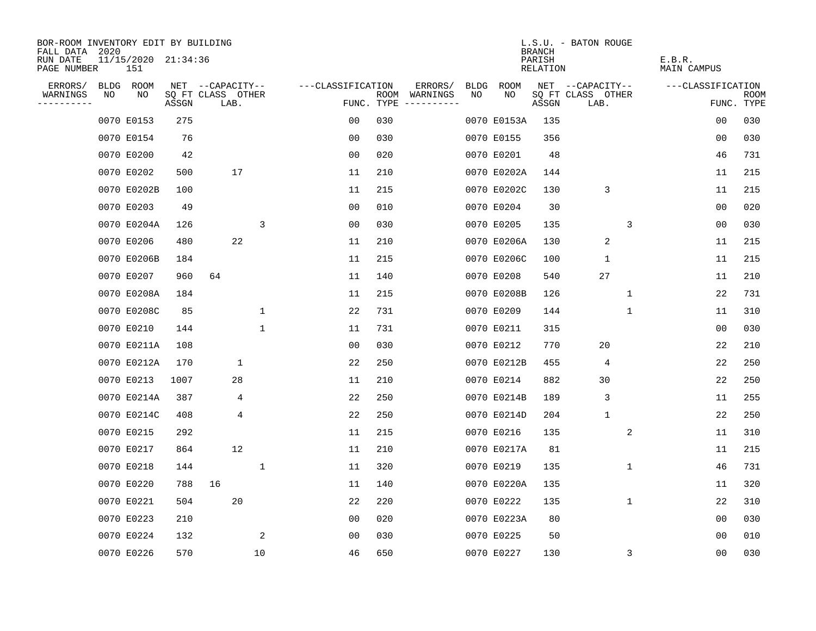| BOR-ROOM INVENTORY EDIT BY BUILDING          |                            |       |                           |             |                   |     |                                      |             |             |                                     | L.S.U. - BATON ROUGE      |             |                       |            |      |
|----------------------------------------------|----------------------------|-------|---------------------------|-------------|-------------------|-----|--------------------------------------|-------------|-------------|-------------------------------------|---------------------------|-------------|-----------------------|------------|------|
| FALL DATA<br>2020<br>RUN DATE<br>PAGE NUMBER | 11/15/2020 21:34:36<br>151 |       |                           |             |                   |     |                                      |             |             | <b>BRANCH</b><br>PARISH<br>RELATION |                           |             | E.B.R.<br>MAIN CAMPUS |            |      |
| ERRORS/                                      | BLDG ROOM                  |       | NET --CAPACITY--          |             | ---CLASSIFICATION |     | ERRORS/                              | <b>BLDG</b> | <b>ROOM</b> |                                     | NET --CAPACITY--          |             | ---CLASSIFICATION     |            |      |
| WARNINGS<br>NO<br>---------                  | NO                         | ASSGN | SQ FT CLASS OTHER<br>LAB. |             |                   |     | ROOM WARNINGS<br>FUNC. TYPE $------$ | NO          | NO          | ASSGN                               | SQ FT CLASS OTHER<br>LAB. |             |                       | FUNC. TYPE | ROOM |
|                                              | 0070 E0153                 | 275   |                           |             | 00                | 030 |                                      |             | 0070 E0153A | 135                                 |                           |             | 00                    |            | 030  |
|                                              | 0070 E0154                 | 76    |                           |             | 0 <sub>0</sub>    | 030 |                                      |             | 0070 E0155  | 356                                 |                           |             | 0 <sub>0</sub>        |            | 030  |
|                                              | 0070 E0200                 | 42    |                           |             | 0 <sub>0</sub>    | 020 |                                      |             | 0070 E0201  | 48                                  |                           |             | 46                    |            | 731  |
|                                              | 0070 E0202                 | 500   | 17                        |             | 11                | 210 |                                      |             | 0070 E0202A | 144                                 |                           |             | 11                    |            | 215  |
|                                              | 0070 E0202B                | 100   |                           |             | 11                | 215 |                                      |             | 0070 E0202C | 130                                 | 3                         |             | 11                    |            | 215  |
|                                              | 0070 E0203                 | 49    |                           |             | 0 <sub>0</sub>    | 010 |                                      |             | 0070 E0204  | 30                                  |                           |             | 00                    |            | 020  |
|                                              | 0070 E0204A                | 126   |                           | 3           | 0 <sub>0</sub>    | 030 |                                      |             | 0070 E0205  | 135                                 |                           | 3           | 00                    |            | 030  |
|                                              | 0070 E0206                 | 480   | 22                        |             | 11                | 210 |                                      |             | 0070 E0206A | 130                                 | $\overline{2}$            |             | 11                    |            | 215  |
|                                              | 0070 E0206B                | 184   |                           |             | 11                | 215 |                                      |             | 0070 E0206C | 100                                 | $\mathbf{1}$              |             | 11                    |            | 215  |
|                                              | 0070 E0207                 | 960   | 64                        |             | 11                | 140 |                                      |             | 0070 E0208  | 540                                 | 27                        |             | 11                    |            | 210  |
|                                              | 0070 E0208A                | 184   |                           |             | 11                | 215 |                                      |             | 0070 E0208B | 126                                 |                           | $\mathbf 1$ | 22                    |            | 731  |
|                                              | 0070 E0208C                | 85    |                           | 1           | 22                | 731 |                                      |             | 0070 E0209  | 144                                 |                           | 1           | 11                    |            | 310  |
|                                              | 0070 E0210                 | 144   |                           | $\mathbf 1$ | 11                | 731 |                                      |             | 0070 E0211  | 315                                 |                           |             | 0 <sub>0</sub>        |            | 030  |
|                                              | 0070 E0211A                | 108   |                           |             | 00                | 030 |                                      |             | 0070 E0212  | 770                                 | 20                        |             | 22                    |            | 210  |
|                                              | 0070 E0212A                | 170   | 1                         |             | 22                | 250 |                                      |             | 0070 E0212B | 455                                 | 4                         |             | 22                    |            | 250  |
|                                              | 0070 E0213                 | 1007  | 28                        |             | 11                | 210 |                                      |             | 0070 E0214  | 882                                 | 30                        |             | 22                    |            | 250  |
|                                              | 0070 E0214A                | 387   | 4                         |             | 22                | 250 |                                      |             | 0070 E0214B | 189                                 | 3                         |             | 11                    |            | 255  |
|                                              | 0070 E0214C                | 408   | 4                         |             | 22                | 250 |                                      |             | 0070 E0214D | 204                                 | $\mathbf{1}$              |             | 22                    |            | 250  |
|                                              | 0070 E0215                 | 292   |                           |             | 11                | 215 |                                      |             | 0070 E0216  | 135                                 |                           | 2           | 11                    |            | 310  |
|                                              | 0070 E0217                 | 864   | 12                        |             | 11                | 210 |                                      |             | 0070 E0217A | 81                                  |                           |             | 11                    |            | 215  |
|                                              | 0070 E0218                 | 144   |                           | 1           | 11                | 320 |                                      |             | 0070 E0219  | 135                                 |                           | 1           | 46                    |            | 731  |
|                                              | 0070 E0220                 | 788   | 16                        |             | 11                | 140 |                                      |             | 0070 E0220A | 135                                 |                           |             | 11                    |            | 320  |
|                                              | 0070 E0221                 | 504   | 20                        |             | 22                | 220 |                                      |             | 0070 E0222  | 135                                 |                           | 1           | 22                    |            | 310  |
|                                              | 0070 E0223                 | 210   |                           |             | 00                | 020 |                                      |             | 0070 E0223A | 80                                  |                           |             | 00                    |            | 030  |
|                                              | 0070 E0224                 | 132   |                           | 2           | 0 <sub>0</sub>    | 030 |                                      |             | 0070 E0225  | 50                                  |                           |             | 0 <sub>0</sub>        |            | 010  |
|                                              | 0070 E0226                 | 570   |                           | 10          | 46                | 650 |                                      |             | 0070 E0227  | 130                                 |                           | 3           | 0 <sub>0</sub>        |            | 030  |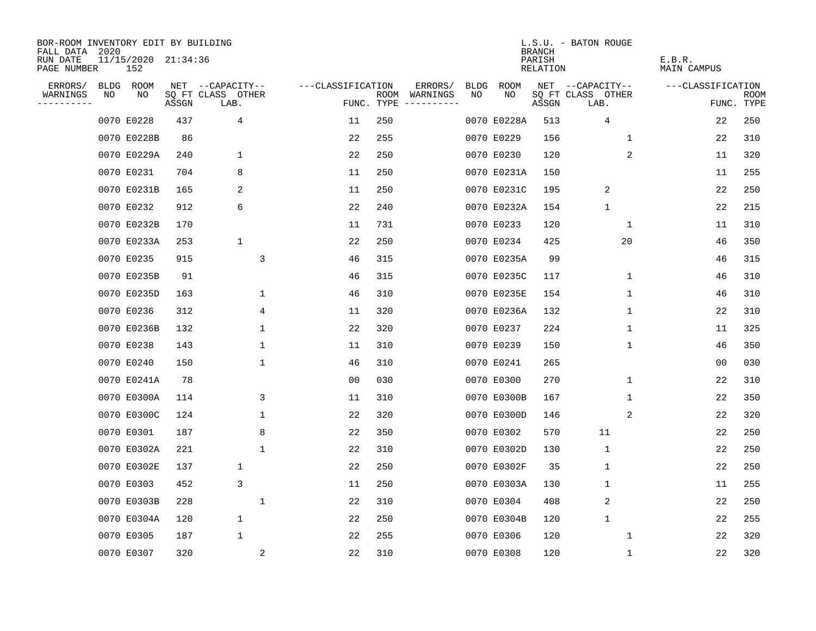| BOR-ROOM INVENTORY EDIT BY BUILDING<br>FALL DATA |             |                            |       |                           |                   |                    |                         |             |             | <b>BRANCH</b>      | L.S.U. - BATON ROUGE      |                       |                           |
|--------------------------------------------------|-------------|----------------------------|-------|---------------------------|-------------------|--------------------|-------------------------|-------------|-------------|--------------------|---------------------------|-----------------------|---------------------------|
| RUN DATE<br>PAGE NUMBER                          | 2020        | 11/15/2020 21:34:36<br>152 |       |                           |                   |                    |                         |             |             | PARISH<br>RELATION |                           | E.B.R.<br>MAIN CAMPUS |                           |
| ERRORS/                                          | <b>BLDG</b> | ROOM                       |       | NET --CAPACITY--          | ---CLASSIFICATION |                    | ERRORS/                 | <b>BLDG</b> | ROOM        |                    | NET --CAPACITY--          | ---CLASSIFICATION     |                           |
| WARNINGS<br>---------                            | NO          | NO                         | ASSGN | SQ FT CLASS OTHER<br>LAB. |                   | ROOM<br>FUNC. TYPE | WARNINGS<br>----------- | NO          | NO          | ASSGN              | SQ FT CLASS OTHER<br>LAB. |                       | <b>ROOM</b><br>FUNC. TYPE |
|                                                  |             | 0070 E0228                 | 437   | 4                         | 11                | 250                |                         |             | 0070 E0228A | 513                | 4                         | 22                    | 250                       |
|                                                  |             | 0070 E0228B                | 86    |                           | 22                | 255                |                         |             | 0070 E0229  | 156                | $\mathbf 1$               | 22                    | 310                       |
|                                                  |             | 0070 E0229A                | 240   | $\mathbf 1$               | 22                | 250                |                         |             | 0070 E0230  | 120                | 2                         | 11                    | 320                       |
|                                                  |             | 0070 E0231                 | 704   | 8                         | 11                | 250                |                         |             | 0070 E0231A | 150                |                           | 11                    | 255                       |
|                                                  |             | 0070 E0231B                | 165   | 2                         | 11                | 250                |                         |             | 0070 E0231C | 195                | 2                         | 22                    | 250                       |
|                                                  |             | 0070 E0232                 | 912   | 6                         | 22                | 240                |                         |             | 0070 E0232A | 154                | $\mathbf 1$               | 22                    | 215                       |
|                                                  |             | 0070 E0232B                | 170   |                           | 11                | 731                |                         |             | 0070 E0233  | 120                | $\mathbf 1$               | 11                    | 310                       |
|                                                  |             | 0070 E0233A                | 253   | 1                         | 22                | 250                |                         |             | 0070 E0234  | 425                | 20                        | 46                    | 350                       |
|                                                  |             | 0070 E0235                 | 915   | 3                         | 46                | 315                |                         |             | 0070 E0235A | 99                 |                           | 46                    | 315                       |
|                                                  |             | 0070 E0235B                | 91    |                           | 46                | 315                |                         |             | 0070 E0235C | 117                | 1                         | 46                    | 310                       |
|                                                  |             | 0070 E0235D                | 163   | 1                         | 46                | 310                |                         |             | 0070 E0235E | 154                | $\mathbf 1$               | 46                    | 310                       |
|                                                  |             | 0070 E0236                 | 312   | 4                         | 11                | 320                |                         |             | 0070 E0236A | 132                | 1                         | 22                    | 310                       |
|                                                  |             | 0070 E0236B                | 132   | $\mathbf{1}$              | 22                | 320                |                         |             | 0070 E0237  | 224                | $\mathbf{1}$              | 11                    | 325                       |
|                                                  |             | 0070 E0238                 | 143   | $\mathbf{1}$              | 11                | 310                |                         |             | 0070 E0239  | 150                | $\mathbf{1}$              | 46                    | 350                       |
|                                                  |             | 0070 E0240                 | 150   | 1                         | 46                | 310                |                         |             | 0070 E0241  | 265                |                           | 00                    | 030                       |
|                                                  |             | 0070 E0241A                | 78    |                           | 00                | 030                |                         |             | 0070 E0300  | 270                | 1                         | 22                    | 310                       |
|                                                  |             | 0070 E0300A                | 114   | 3                         | 11                | 310                |                         |             | 0070 E0300B | 167                | 1                         | 22                    | 350                       |
|                                                  |             | 0070 E0300C                | 124   | 1                         | 22                | 320                |                         |             | 0070 E0300D | 146                | 2                         | 22                    | 320                       |
|                                                  |             | 0070 E0301                 | 187   | 8                         | 22                | 350                |                         |             | 0070 E0302  | 570                | 11                        | 22                    | 250                       |
|                                                  |             | 0070 E0302A                | 221   | $\mathbf{1}$              | 22                | 310                |                         |             | 0070 E0302D | 130                | $\mathbf{1}$              | 22                    | 250                       |
|                                                  |             | 0070 E0302E                | 137   | 1                         | 22                | 250                |                         |             | 0070 E0302F | 35                 | $\mathbf 1$               | 22                    | 250                       |
|                                                  |             | 0070 E0303                 | 452   | 3                         | 11                | 250                |                         |             | 0070 E0303A | 130                | 1                         | 11                    | 255                       |
|                                                  |             | 0070 E0303B                | 228   | 1                         | 22                | 310                |                         |             | 0070 E0304  | 408                | 2                         | 22                    | 250                       |
|                                                  |             | 0070 E0304A                | 120   | $\mathbf 1$               | 22                | 250                |                         |             | 0070 E0304B | 120                | $\mathbf 1$               | 22                    | 255                       |
|                                                  |             | 0070 E0305                 | 187   | 1                         | 22                | 255                |                         |             | 0070 E0306  | 120                | $\mathbf 1$               | 22                    | 320                       |
|                                                  |             | 0070 E0307                 | 320   | 2                         | 22                | 310                |                         |             | 0070 E0308  | 120                | 1                         | 22                    | 320                       |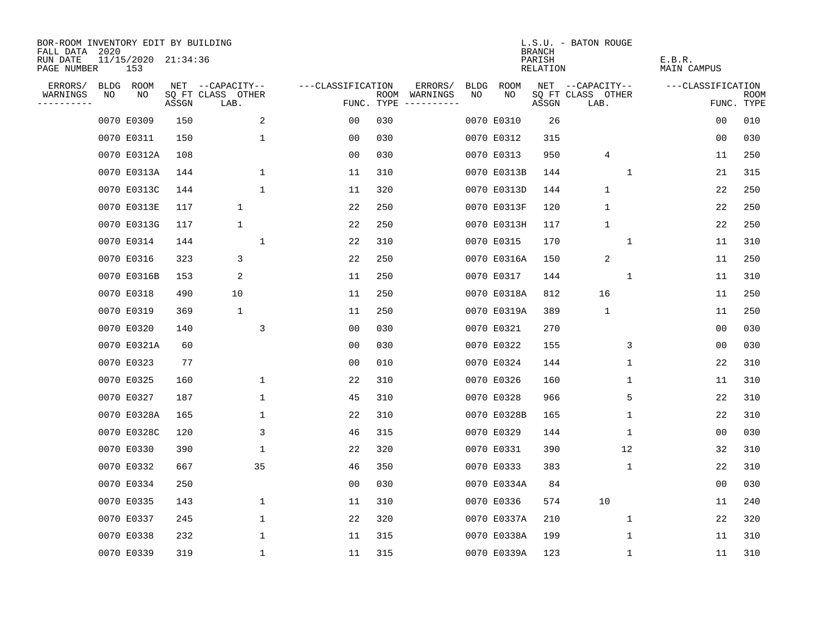| BOR-ROOM INVENTORY EDIT BY BUILDING<br>FALL DATA | 2020 |                            |       |                           |                   |     |                                      |      |             | <b>BRANCH</b>      | L.S.U. - BATON ROUGE      |                       |                    |
|--------------------------------------------------|------|----------------------------|-------|---------------------------|-------------------|-----|--------------------------------------|------|-------------|--------------------|---------------------------|-----------------------|--------------------|
| RUN DATE<br>PAGE NUMBER                          |      | 11/15/2020 21:34:36<br>153 |       |                           |                   |     |                                      |      |             | PARISH<br>RELATION |                           | E.B.R.<br>MAIN CAMPUS |                    |
| ERRORS/                                          |      | BLDG ROOM                  |       | NET --CAPACITY--          | ---CLASSIFICATION |     | ERRORS/                              | BLDG | <b>ROOM</b> |                    | NET --CAPACITY--          | ---CLASSIFICATION     |                    |
| WARNINGS<br>--------                             | NO   | NO                         | ASSGN | SQ FT CLASS OTHER<br>LAB. |                   |     | ROOM WARNINGS<br>FUNC. TYPE $------$ | NO   | NO          | ASSGN              | SQ FT CLASS OTHER<br>LAB. |                       | ROOM<br>FUNC. TYPE |
|                                                  |      | 0070 E0309                 | 150   | 2                         | 0 <sub>0</sub>    | 030 |                                      |      | 0070 E0310  | 26                 |                           | 00                    | 010                |
|                                                  |      | 0070 E0311                 | 150   | $\mathbf{1}$              | 00                | 030 |                                      |      | 0070 E0312  | 315                |                           | 0 <sub>0</sub>        | 030                |
|                                                  |      | 0070 E0312A                | 108   |                           | 0 <sub>0</sub>    | 030 |                                      |      | 0070 E0313  | 950                | 4                         | 11                    | 250                |
|                                                  |      | 0070 E0313A                | 144   | 1                         | 11                | 310 |                                      |      | 0070 E0313B | 144                | 1                         | 21                    | 315                |
|                                                  |      | 0070 E0313C                | 144   | $\mathbf{1}$              | 11                | 320 |                                      |      | 0070 E0313D | 144                | $\mathbf{1}$              | 22                    | 250                |
|                                                  |      | 0070 E0313E                | 117   | $\mathbf 1$               | 22                | 250 |                                      |      | 0070 E0313F | 120                | $\mathbf 1$               | 22                    | 250                |
|                                                  |      | 0070 E0313G                | 117   | $\mathbf{1}$              | 22                | 250 |                                      |      | 0070 E0313H | 117                | $\mathbf{1}$              | 22                    | 250                |
|                                                  |      | 0070 E0314                 | 144   | $\mathbf{1}$              | 22                | 310 |                                      |      | 0070 E0315  | 170                | 1                         | 11                    | 310                |
|                                                  |      | 0070 E0316                 | 323   | 3                         | 22                | 250 |                                      |      | 0070 E0316A | 150                | $\overline{2}$            | 11                    | 250                |
|                                                  |      | 0070 E0316B                | 153   | 2                         | 11                | 250 |                                      |      | 0070 E0317  | 144                | 1                         | 11                    | 310                |
|                                                  |      | 0070 E0318                 | 490   | 10                        | 11                | 250 |                                      |      | 0070 E0318A | 812                | 16                        | 11                    | 250                |
|                                                  |      | 0070 E0319                 | 369   | $\mathbf 1$               | 11                | 250 |                                      |      | 0070 E0319A | 389                | $\mathbf{1}$              | 11                    | 250                |
|                                                  |      | 0070 E0320                 | 140   | 3                         | 0 <sub>0</sub>    | 030 |                                      |      | 0070 E0321  | 270                |                           | 0 <sub>0</sub>        | 030                |
|                                                  |      | 0070 E0321A                | 60    |                           | 0 <sub>0</sub>    | 030 |                                      |      | 0070 E0322  | 155                | 3                         | 0 <sub>0</sub>        | 030                |
|                                                  |      | 0070 E0323                 | 77    |                           | 0 <sub>0</sub>    | 010 |                                      |      | 0070 E0324  | 144                | $\mathbf 1$               | 22                    | 310                |
|                                                  |      | 0070 E0325                 | 160   | 1                         | 22                | 310 |                                      |      | 0070 E0326  | 160                | 1                         | 11                    | 310                |
|                                                  |      | 0070 E0327                 | 187   | 1                         | 45                | 310 |                                      |      | 0070 E0328  | 966                | 5                         | 22                    | 310                |
|                                                  |      | 0070 E0328A                | 165   | 1                         | 22                | 310 |                                      |      | 0070 E0328B | 165                | 1                         | 22                    | 310                |
|                                                  |      | 0070 E0328C                | 120   | 3                         | 46                | 315 |                                      |      | 0070 E0329  | 144                | 1                         | 0 <sub>0</sub>        | 030                |
|                                                  |      | 0070 E0330                 | 390   | 1                         | 22                | 320 |                                      |      | 0070 E0331  | 390                | 12                        | 32                    | 310                |
|                                                  |      | 0070 E0332                 | 667   | 35                        | 46                | 350 |                                      |      | 0070 E0333  | 383                | 1                         | 22                    | 310                |
|                                                  |      | 0070 E0334                 | 250   |                           | 0 <sub>0</sub>    | 030 |                                      |      | 0070 E0334A | 84                 |                           | 0 <sub>0</sub>        | 030                |
|                                                  |      | 0070 E0335                 | 143   | 1                         | 11                | 310 |                                      |      | 0070 E0336  | 574                | 10                        | 11                    | 240                |
|                                                  |      | 0070 E0337                 | 245   | $\mathbf 1$               | 22                | 320 |                                      |      | 0070 E0337A | 210                | 1                         | 22                    | 320                |
|                                                  |      | 0070 E0338                 | 232   | 1                         | 11                | 315 |                                      |      | 0070 E0338A | 199                | 1                         | 11                    | 310                |
|                                                  |      | 0070 E0339                 | 319   | $\mathbf{1}$              | 11                | 315 |                                      |      | 0070 E0339A | 123                | 1                         | 11                    | 310                |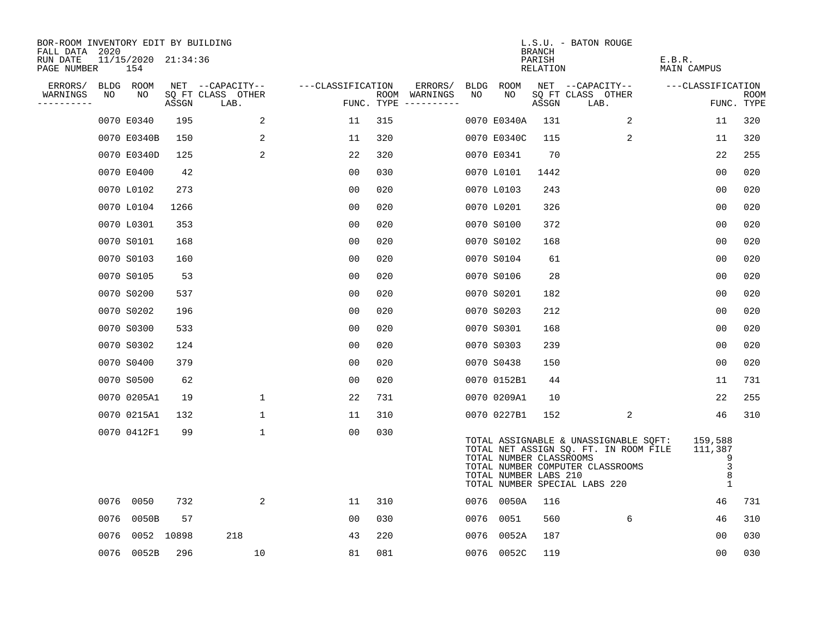| BOR-ROOM INVENTORY EDIT BY BUILDING       |      |                            |            |                           |                   |     |                                      |    |                                                  |                                     | L.S.U. - BATON ROUGE                                                                                                                                |                                                   |                           |
|-------------------------------------------|------|----------------------------|------------|---------------------------|-------------------|-----|--------------------------------------|----|--------------------------------------------------|-------------------------------------|-----------------------------------------------------------------------------------------------------------------------------------------------------|---------------------------------------------------|---------------------------|
| FALL DATA 2020<br>RUN DATE<br>PAGE NUMBER |      | 11/15/2020 21:34:36<br>154 |            |                           |                   |     |                                      |    |                                                  | <b>BRANCH</b><br>PARISH<br>RELATION |                                                                                                                                                     | E.B.R.<br>MAIN CAMPUS                             |                           |
| ERRORS/                                   |      | BLDG ROOM                  |            | NET --CAPACITY--          | ---CLASSIFICATION |     | ERRORS/                              |    | BLDG ROOM                                        |                                     | NET --CAPACITY--                                                                                                                                    | ---CLASSIFICATION                                 |                           |
| WARNINGS<br>----------                    | NO   | NO                         | ASSGN      | SQ FT CLASS OTHER<br>LAB. |                   |     | ROOM WARNINGS<br>FUNC. TYPE $------$ | NO | NO                                               | ASSGN                               | SQ FT CLASS OTHER<br>LAB.                                                                                                                           |                                                   | <b>ROOM</b><br>FUNC. TYPE |
|                                           |      | 0070 E0340                 | 195        | 2                         | 11                | 315 |                                      |    | 0070 E0340A                                      | 131                                 | 2                                                                                                                                                   | 11                                                | 320                       |
|                                           |      | 0070 E0340B                | 150        | 2                         | 11                | 320 |                                      |    | 0070 E0340C                                      | 115                                 | 2                                                                                                                                                   | 11                                                | 320                       |
|                                           |      | 0070 E0340D                | 125        | 2                         | 22                | 320 |                                      |    | 0070 E0341                                       | 70                                  |                                                                                                                                                     | 22                                                | 255                       |
|                                           |      | 0070 E0400                 | 42         |                           | 0 <sub>0</sub>    | 030 |                                      |    | 0070 L0101                                       | 1442                                |                                                                                                                                                     | 0 <sub>0</sub>                                    | 020                       |
|                                           |      | 0070 L0102                 | 273        |                           | 0 <sub>0</sub>    | 020 |                                      |    | 0070 L0103                                       | 243                                 |                                                                                                                                                     | 00                                                | 020                       |
|                                           |      | 0070 L0104                 | 1266       |                           | 0 <sub>0</sub>    | 020 |                                      |    | 0070 L0201                                       | 326                                 |                                                                                                                                                     | 0 <sub>0</sub>                                    | 020                       |
|                                           |      | 0070 L0301                 | 353        |                           | 0 <sub>0</sub>    | 020 |                                      |    | 0070 S0100                                       | 372                                 |                                                                                                                                                     | 0 <sub>0</sub>                                    | 020                       |
|                                           |      | 0070 S0101                 | 168        |                           | 0 <sub>0</sub>    | 020 |                                      |    | 0070 S0102                                       | 168                                 |                                                                                                                                                     | 00                                                | 020                       |
|                                           |      | 0070 S0103                 | 160        |                           | 0 <sub>0</sub>    | 020 |                                      |    | 0070 S0104                                       | 61                                  |                                                                                                                                                     | 0 <sub>0</sub>                                    | 020                       |
|                                           |      | 0070 S0105                 | 53         |                           | 0 <sub>0</sub>    | 020 |                                      |    | 0070 S0106                                       | 28                                  |                                                                                                                                                     | 0 <sub>0</sub>                                    | 020                       |
|                                           |      | 0070 S0200                 | 537        |                           | 0 <sub>0</sub>    | 020 |                                      |    | 0070 S0201                                       | 182                                 |                                                                                                                                                     | 00                                                | 020                       |
|                                           |      | 0070 S0202                 | 196        |                           | 0 <sub>0</sub>    | 020 |                                      |    | 0070 S0203                                       | 212                                 |                                                                                                                                                     | 00                                                | 020                       |
|                                           |      | 0070 S0300                 | 533        |                           | 0 <sub>0</sub>    | 020 |                                      |    | 0070 S0301                                       | 168                                 |                                                                                                                                                     | 00                                                | 020                       |
|                                           |      | 0070 S0302                 | 124        |                           | 0 <sub>0</sub>    | 020 |                                      |    | 0070 S0303                                       | 239                                 |                                                                                                                                                     | 0 <sub>0</sub>                                    | 020                       |
|                                           |      | 0070 S0400                 | 379        |                           | 0 <sub>0</sub>    | 020 |                                      |    | 0070 S0438                                       | 150                                 |                                                                                                                                                     | 0 <sub>0</sub>                                    | 020                       |
|                                           |      | 0070 S0500                 | 62         |                           | 0 <sub>0</sub>    | 020 |                                      |    | 0070 0152B1                                      | 44                                  |                                                                                                                                                     | 11                                                | 731                       |
|                                           |      | 0070 0205A1                | 19         | $\mathbf{1}$              | 22                | 731 |                                      |    | 0070 0209A1                                      | 10                                  |                                                                                                                                                     | 22                                                | 255                       |
|                                           |      | 0070 0215A1                | 132        | $\mathbf 1$               | 11                | 310 |                                      |    | 0070 0227B1                                      | 152                                 | 2                                                                                                                                                   | 46                                                | 310                       |
|                                           |      | 0070 0412F1                | 99         | 1                         | 0 <sub>0</sub>    | 030 |                                      |    | TOTAL NUMBER CLASSROOMS<br>TOTAL NUMBER LABS 210 |                                     | TOTAL ASSIGNABLE & UNASSIGNABLE SQFT:<br>TOTAL NET ASSIGN SQ. FT. IN ROOM FILE<br>TOTAL NUMBER COMPUTER CLASSROOMS<br>TOTAL NUMBER SPECIAL LABS 220 | 159,588<br>111,387<br>9<br>3<br>8<br>$\mathbf{1}$ |                           |
|                                           |      | 0076 0050                  | 732        | 2                         | 11                | 310 |                                      |    | 0076 0050A                                       | 116                                 |                                                                                                                                                     | 46                                                | 731                       |
|                                           | 0076 | 0050B                      | 57         |                           | 0 <sub>0</sub>    | 030 |                                      |    | 0076 0051                                        | 560                                 | 6                                                                                                                                                   | 46                                                | 310                       |
|                                           | 0076 |                            | 0052 10898 | 218                       | 43                | 220 |                                      |    | 0076 0052A                                       | 187                                 |                                                                                                                                                     | 00                                                | 030                       |
|                                           |      | 0076 0052B                 | 296        | 10                        | 81                | 081 |                                      |    | 0076 0052C                                       | 119                                 |                                                                                                                                                     | 00                                                | 030                       |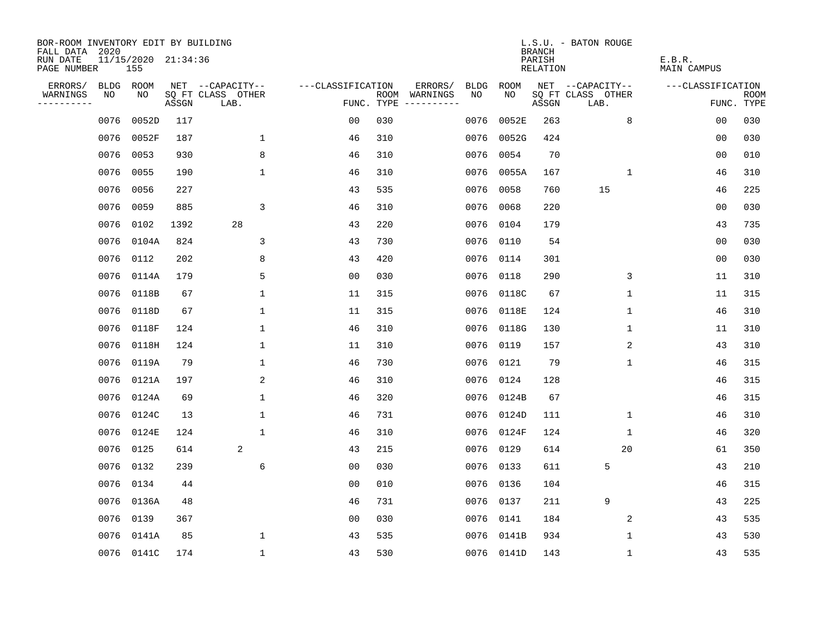| BOR-ROOM INVENTORY EDIT BY BUILDING<br>FALL DATA 2020 |                            |       |                           |                   |     |                                      |             |            | <b>BRANCH</b>      | L.S.U. - BATON ROUGE      |                       |                           |
|-------------------------------------------------------|----------------------------|-------|---------------------------|-------------------|-----|--------------------------------------|-------------|------------|--------------------|---------------------------|-----------------------|---------------------------|
| RUN DATE<br>PAGE NUMBER                               | 11/15/2020 21:34:36<br>155 |       |                           |                   |     |                                      |             |            | PARISH<br>RELATION |                           | E.B.R.<br>MAIN CAMPUS |                           |
| ERRORS/                                               | BLDG ROOM                  |       | NET --CAPACITY--          | ---CLASSIFICATION |     | ERRORS/                              | <b>BLDG</b> | ROOM       |                    | NET --CAPACITY--          | ---CLASSIFICATION     |                           |
| WARNINGS<br>NO<br>----------                          | NO                         | ASSGN | SQ FT CLASS OTHER<br>LAB. |                   |     | ROOM WARNINGS<br>FUNC. TYPE $------$ | NO.         | NO.        | ASSGN              | SQ FT CLASS OTHER<br>LAB. |                       | <b>ROOM</b><br>FUNC. TYPE |
| 0076                                                  | 0052D                      | 117   |                           | 0 <sub>0</sub>    | 030 |                                      | 0076        | 0052E      | 263                | 8                         | 00                    | 030                       |
| 0076                                                  | 0052F                      | 187   | 1                         | 46                | 310 |                                      | 0076        | 0052G      | 424                |                           | 0 <sub>0</sub>        | 030                       |
| 0076                                                  | 0053                       | 930   | 8                         | 46                | 310 |                                      | 0076        | 0054       | 70                 |                           | 0 <sub>0</sub>        | 010                       |
| 0076                                                  | 0055                       | 190   | $\mathbf 1$               | 46                | 310 |                                      | 0076        | 0055A      | 167                | 1                         | 46                    | 310                       |
| 0076                                                  | 0056                       | 227   |                           | 43                | 535 |                                      | 0076        | 0058       | 760                | 15                        | 46                    | 225                       |
| 0076                                                  | 0059                       | 885   | 3                         | 46                | 310 |                                      |             | 0076 0068  | 220                |                           | 0 <sub>0</sub>        | 030                       |
| 0076                                                  | 0102                       | 1392  | 28                        | 43                | 220 |                                      | 0076        | 0104       | 179                |                           | 43                    | 735                       |
| 0076                                                  | 0104A                      | 824   | 3                         | 43                | 730 |                                      |             | 0076 0110  | 54                 |                           | 00                    | 030                       |
| 0076                                                  | 0112                       | 202   | 8                         | 43                | 420 |                                      |             | 0076 0114  | 301                |                           | 0 <sub>0</sub>        | 030                       |
| 0076                                                  | 0114A                      | 179   | 5                         | 0 <sub>0</sub>    | 030 |                                      |             | 0076 0118  | 290                | 3                         | 11                    | 310                       |
| 0076                                                  | 0118B                      | 67    | $\mathbf{1}$              | 11                | 315 |                                      |             | 0076 0118C | 67                 | $\mathbf{1}$              | 11                    | 315                       |
| 0076                                                  | 0118D                      | 67    | 1                         | 11                | 315 |                                      |             | 0076 0118E | 124                | 1                         | 46                    | 310                       |
| 0076                                                  | 0118F                      | 124   | 1                         | 46                | 310 |                                      | 0076        | 0118G      | 130                | $\mathbf 1$               | 11                    | 310                       |
| 0076                                                  | 0118H                      | 124   | 1                         | 11                | 310 |                                      |             | 0076 0119  | 157                | 2                         | 43                    | 310                       |
| 0076                                                  | 0119A                      | 79    | $\mathbf{1}$              | 46                | 730 |                                      | 0076        | 0121       | 79                 | $\mathbf 1$               | 46                    | 315                       |
| 0076                                                  | 0121A                      | 197   | 2                         | 46                | 310 |                                      |             | 0076 0124  | 128                |                           | 46                    | 315                       |
| 0076                                                  | 0124A                      | 69    | $\mathbf 1$               | 46                | 320 |                                      | 0076        | 0124B      | 67                 |                           | 46                    | 315                       |
| 0076                                                  | 0124C                      | 13    | 1                         | 46                | 731 |                                      |             | 0076 0124D | 111                | 1                         | 46                    | 310                       |
| 0076                                                  | 0124E                      | 124   | $\mathbf{1}$              | 46                | 310 |                                      |             | 0076 0124F | 124                | 1                         | 46                    | 320                       |
| 0076                                                  | 0125                       | 614   | 2                         | 43                | 215 |                                      |             | 0076 0129  | 614                | 20                        | 61                    | 350                       |
| 0076                                                  | 0132                       | 239   | 6                         | 0 <sub>0</sub>    | 030 |                                      |             | 0076 0133  | 611                | 5                         | 43                    | 210                       |
| 0076                                                  | 0134                       | 44    |                           | 0 <sub>0</sub>    | 010 |                                      |             | 0076 0136  | 104                |                           | 46                    | 315                       |
| 0076                                                  | 0136A                      | 48    |                           | 46                | 731 |                                      |             | 0076 0137  | 211                | 9                         | 43                    | 225                       |
| 0076                                                  | 0139                       | 367   |                           | 0 <sub>0</sub>    | 030 |                                      |             | 0076 0141  | 184                | 2                         | 43                    | 535                       |
| 0076                                                  | 0141A                      | 85    | 1                         | 43                | 535 |                                      |             | 0076 0141B | 934                | $\mathbf{1}$              | 43                    | 530                       |
|                                                       | 0076 0141C                 | 174   | $\mathbf{1}$              | 43                | 530 |                                      |             | 0076 0141D | 143                | 1                         | 43                    | 535                       |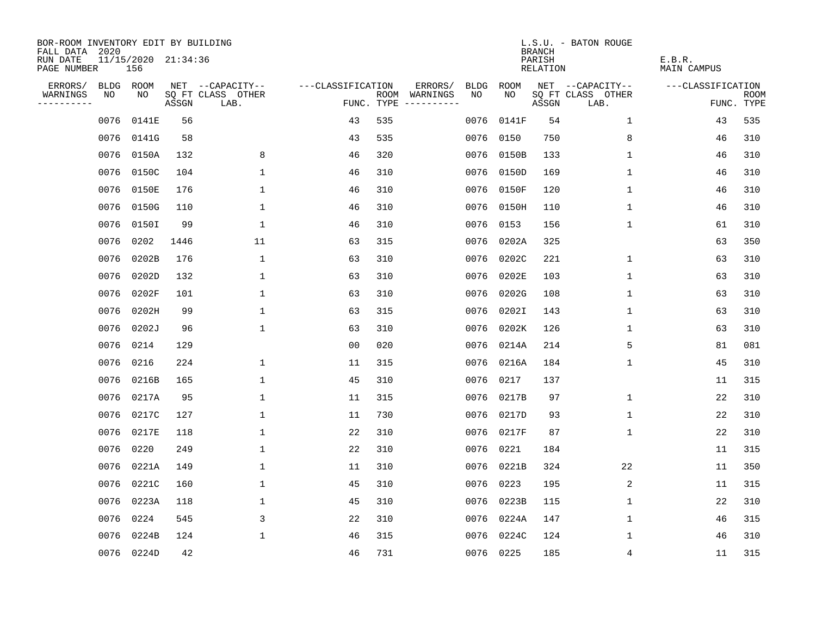| BOR-ROOM INVENTORY EDIT BY BUILDING       |                            |       |                           |                   |     |                                      |      |            | <b>BRANCH</b>      | L.S.U. - BATON ROUGE      |                       |                           |
|-------------------------------------------|----------------------------|-------|---------------------------|-------------------|-----|--------------------------------------|------|------------|--------------------|---------------------------|-----------------------|---------------------------|
| FALL DATA 2020<br>RUN DATE<br>PAGE NUMBER | 11/15/2020 21:34:36<br>156 |       |                           |                   |     |                                      |      |            | PARISH<br>RELATION |                           | E.B.R.<br>MAIN CAMPUS |                           |
| ERRORS/                                   | BLDG ROOM                  |       | NET --CAPACITY--          | ---CLASSIFICATION |     | ERRORS/                              | BLDG | ROOM       |                    | NET --CAPACITY--          | ---CLASSIFICATION     |                           |
| WARNINGS<br>NO<br>----------              | NO                         | ASSGN | SQ FT CLASS OTHER<br>LAB. |                   |     | ROOM WARNINGS<br>FUNC. TYPE $------$ | NO.  | NO.        | ASSGN              | SQ FT CLASS OTHER<br>LAB. |                       | <b>ROOM</b><br>FUNC. TYPE |
| 0076                                      | 0141E                      | 56    |                           | 43                | 535 |                                      | 0076 | 0141F      | 54                 | $\mathbf 1$               | 43                    | 535                       |
| 0076                                      | 0141G                      | 58    |                           | 43                | 535 |                                      | 0076 | 0150       | 750                | 8                         | 46                    | 310                       |
| 0076                                      | 0150A                      | 132   | 8                         | 46                | 320 |                                      |      | 0076 0150B | 133                | 1                         | 46                    | 310                       |
| 0076                                      | 0150C                      | 104   | $\mathbf 1$               | 46                | 310 |                                      |      | 0076 0150D | 169                | 1                         | 46                    | 310                       |
| 0076                                      | 0150E                      | 176   | $\mathbf{1}$              | 46                | 310 |                                      |      | 0076 0150F | 120                | 1                         | 46                    | 310                       |
| 0076                                      | 0150G                      | 110   | $\mathbf 1$               | 46                | 310 |                                      |      | 0076 0150H | 110                | 1                         | 46                    | 310                       |
| 0076                                      | 0150I                      | 99    | $\mathbf{1}$              | 46                | 310 |                                      |      | 0076 0153  | 156                | 1                         | 61                    | 310                       |
| 0076                                      | 0202                       | 1446  | 11                        | 63                | 315 |                                      |      | 0076 0202A | 325                |                           | 63                    | 350                       |
| 0076                                      | 0202B                      | 176   | $\mathbf{1}$              | 63                | 310 |                                      |      | 0076 0202C | 221                | $\mathbf 1$               | 63                    | 310                       |
| 0076                                      | 0202D                      | 132   | $\mathbf{1}$              | 63                | 310 |                                      |      | 0076 0202E | 103                | $\mathbf{1}$              | 63                    | 310                       |
| 0076                                      | 0202F                      | 101   | $\mathbf{1}$              | 63                | 310 |                                      |      | 0076 0202G | 108                | $\mathbf{1}$              | 63                    | 310                       |
| 0076                                      | 0202H                      | 99    | 1                         | 63                | 315 |                                      |      | 0076 0202I | 143                | 1                         | 63                    | 310                       |
| 0076                                      | 0202J                      | 96    | $\mathbf{1}$              | 63                | 310 |                                      | 0076 | 0202K      | 126                | $\mathbf 1$               | 63                    | 310                       |
|                                           | 0076 0214                  | 129   |                           | 0 <sub>0</sub>    | 020 |                                      |      | 0076 0214A | 214                | 5                         | 81                    | 081                       |
| 0076                                      | 0216                       | 224   | $\mathbf 1$               | 11                | 315 |                                      | 0076 | 0216A      | 184                | $\mathbf 1$               | 45                    | 310                       |
| 0076                                      | 0216B                      | 165   | 1                         | 45                | 310 |                                      |      | 0076 0217  | 137                |                           | 11                    | 315                       |
| 0076                                      | 0217A                      | 95    | 1                         | 11                | 315 |                                      | 0076 | 0217B      | 97                 | 1                         | 22                    | 310                       |
| 0076                                      | 0217C                      | 127   | 1                         | 11                | 730 |                                      |      | 0076 0217D | 93                 | 1                         | 22                    | 310                       |
| 0076                                      | 0217E                      | 118   | 1                         | 22                | 310 |                                      |      | 0076 0217F | 87                 | 1                         | 22                    | 310                       |
| 0076                                      | 0220                       | 249   | $\mathbf{1}$              | 22                | 310 |                                      |      | 0076 0221  | 184                |                           | 11                    | 315                       |
| 0076                                      | 0221A                      | 149   | $\mathbf{1}$              | 11                | 310 |                                      |      | 0076 0221B | 324                | 22                        | 11                    | 350                       |
| 0076                                      | 0221C                      | 160   | $\mathbf 1$               | 45                | 310 |                                      | 0076 | 0223       | 195                | 2                         | 11                    | 315                       |
| 0076                                      | 0223A                      | 118   | 1                         | 45                | 310 |                                      |      | 0076 0223B | 115                | 1                         | 22                    | 310                       |
| 0076                                      | 0224                       | 545   | 3                         | 22                | 310 |                                      |      | 0076 0224A | 147                | 1                         | 46                    | 315                       |
| 0076                                      | 0224B                      | 124   | $\mathbf{1}$              | 46                | 315 |                                      |      | 0076 0224C | 124                | 1                         | 46                    | 310                       |
|                                           | 0076 0224D                 | 42    |                           | 46                | 731 |                                      |      | 0076 0225  | 185                | 4                         | 11                    | 315                       |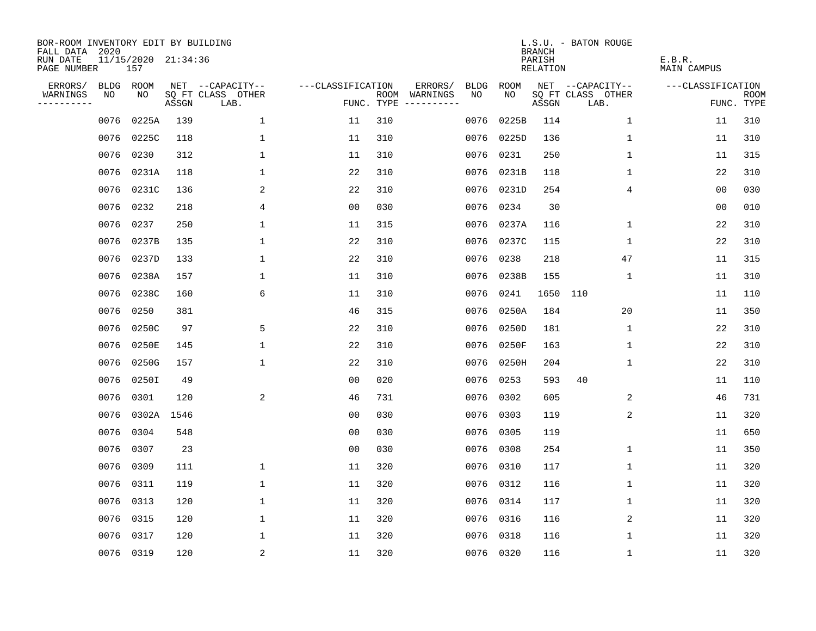| BOR-ROOM INVENTORY EDIT BY BUILDING<br>FALL DATA 2020 |           |       |                     |                           |                   |     |                                      |             |            | <b>BRANCH</b>      | L.S.U. - BATON ROUGE      |                       |                           |
|-------------------------------------------------------|-----------|-------|---------------------|---------------------------|-------------------|-----|--------------------------------------|-------------|------------|--------------------|---------------------------|-----------------------|---------------------------|
| RUN DATE<br>PAGE NUMBER                               |           | 157   | 11/15/2020 21:34:36 |                           |                   |     |                                      |             |            | PARISH<br>RELATION |                           | E.B.R.<br>MAIN CAMPUS |                           |
| ERRORS/                                               | BLDG ROOM |       |                     | NET --CAPACITY--          | ---CLASSIFICATION |     | ERRORS/                              | <b>BLDG</b> | ROOM       |                    | NET --CAPACITY--          | ---CLASSIFICATION     |                           |
| WARNINGS<br>----------                                | NO        | NO    | ASSGN               | SQ FT CLASS OTHER<br>LAB. |                   |     | ROOM WARNINGS<br>FUNC. TYPE $------$ | NO.         | NO.        | ASSGN              | SQ FT CLASS OTHER<br>LAB. |                       | <b>ROOM</b><br>FUNC. TYPE |
|                                                       | 0076      | 0225A | 139                 | $\mathbf 1$               | 11                | 310 |                                      | 0076        | 0225B      | 114                | $\mathbf 1$               | 11                    | 310                       |
|                                                       | 0076      | 0225C | 118                 | 1                         | 11                | 310 |                                      | 0076        | 0225D      | 136                | 1                         | 11                    | 310                       |
|                                                       | 0076      | 0230  | 312                 | 1                         | 11                | 310 |                                      | 0076        | 0231       | 250                | 1                         | 11                    | 315                       |
|                                                       | 0076      | 0231A | 118                 | 1                         | 22                | 310 |                                      |             | 0076 0231B | 118                | 1                         | 22                    | 310                       |
|                                                       | 0076      | 0231C | 136                 | 2                         | 22                | 310 |                                      |             | 0076 0231D | 254                | 4                         | 00                    | 030                       |
|                                                       | 0076      | 0232  | 218                 | 4                         | 0 <sub>0</sub>    | 030 |                                      |             | 0076 0234  | 30                 |                           | 00                    | 010                       |
|                                                       | 0076      | 0237  | 250                 | $\mathbf{1}$              | 11                | 315 |                                      |             | 0076 0237A | 116                | 1                         | 22                    | 310                       |
|                                                       | 0076      | 0237B | 135                 | 1                         | 22                | 310 |                                      |             | 0076 0237C | 115                | 1                         | 22                    | 310                       |
|                                                       | 0076      | 0237D | 133                 | $\mathbf{1}$              | 22                | 310 |                                      | 0076        | 0238       | 218                | 47                        | 11                    | 315                       |
|                                                       | 0076      | 0238A | 157                 | $\mathbf{1}$              | 11                | 310 |                                      |             | 0076 0238B | 155                | 1                         | 11                    | 310                       |
|                                                       | 0076      | 0238C | 160                 | 6                         | 11                | 310 |                                      |             | 0076 0241  | 1650               | 110                       | 11                    | 110                       |
|                                                       | 0076      | 0250  | 381                 |                           | 46                | 315 |                                      |             | 0076 0250A | 184                | 20                        | 11                    | 350                       |
|                                                       | 0076      | 0250C | 97                  | 5                         | 22                | 310 |                                      | 0076        | 0250D      | 181                | $\mathbf 1$               | 22                    | 310                       |
|                                                       | 0076      | 0250E | 145                 | 1                         | 22                | 310 |                                      |             | 0076 0250F | 163                | $\mathbf 1$               | 22                    | 310                       |
|                                                       | 0076      | 0250G | 157                 | $\mathbf{1}$              | 22                | 310 |                                      | 0076        | 0250H      | 204                | $\mathbf 1$               | 22                    | 310                       |
|                                                       | 0076      | 0250I | 49                  |                           | 0 <sub>0</sub>    | 020 |                                      |             | 0076 0253  | 593                | 40                        | 11                    | 110                       |
|                                                       | 0076      | 0301  | 120                 | 2                         | 46                | 731 |                                      | 0076        | 0302       | 605                | 2                         | 46                    | 731                       |
|                                                       | 0076      | 0302A | 1546                |                           | 0 <sub>0</sub>    | 030 |                                      | 0076        | 0303       | 119                | 2                         | 11                    | 320                       |
|                                                       | 0076      | 0304  | 548                 |                           | 0 <sub>0</sub>    | 030 |                                      |             | 0076 0305  | 119                |                           | 11                    | 650                       |
|                                                       | 0076      | 0307  | 23                  |                           | 0 <sub>0</sub>    | 030 |                                      |             | 0076 0308  | 254                | 1                         | 11                    | 350                       |
|                                                       | 0076      | 0309  | 111                 | $\mathbf{1}$              | 11                | 320 |                                      |             | 0076 0310  | 117                | 1                         | 11                    | 320                       |
|                                                       | 0076      | 0311  | 119                 | $\mathbf 1$               | 11                | 320 |                                      |             | 0076 0312  | 116                | 1                         | 11                    | 320                       |
|                                                       | 0076      | 0313  | 120                 | 1                         | 11                | 320 |                                      |             | 0076 0314  | 117                | 1                         | 11                    | 320                       |
|                                                       | 0076      | 0315  | 120                 | $\mathbf 1$               | 11                | 320 |                                      |             | 0076 0316  | 116                | 2                         | 11                    | 320                       |
|                                                       | 0076      | 0317  | 120                 | 1                         | 11                | 320 |                                      |             | 0076 0318  | 116                | 1                         | 11                    | 320                       |
|                                                       | 0076 0319 |       | 120                 | 2                         | 11                | 320 |                                      |             | 0076 0320  | 116                | 1                         | 11                    | 320                       |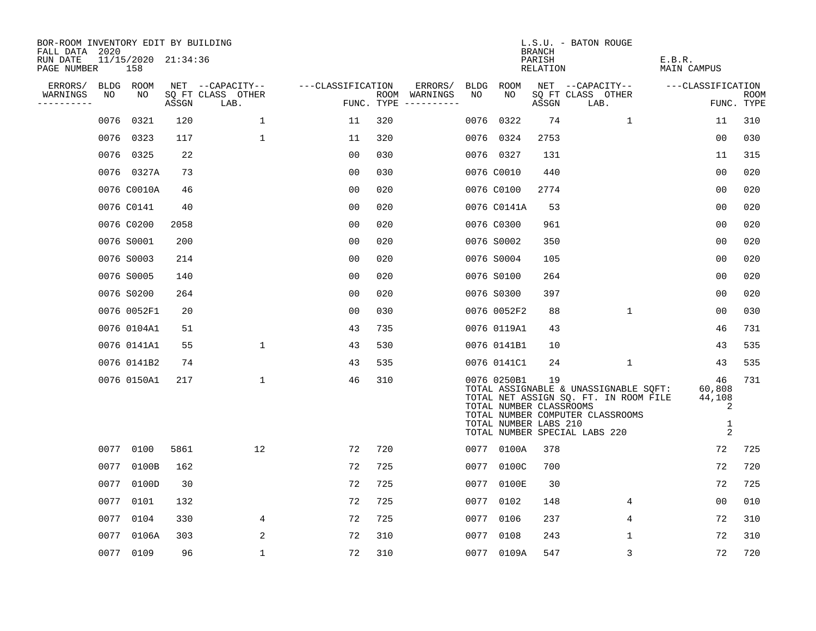| BOR-ROOM INVENTORY EDIT BY BUILDING<br>FALL DATA 2020 |               |                     |                           |                   |            |                                    |             | <b>BRANCH</b>                                          | L.S.U. - BATON ROUGE                                                                                                                                |                                       |                    |
|-------------------------------------------------------|---------------|---------------------|---------------------------|-------------------|------------|------------------------------------|-------------|--------------------------------------------------------|-----------------------------------------------------------------------------------------------------------------------------------------------------|---------------------------------------|--------------------|
| RUN DATE<br>PAGE NUMBER                               | 158           | 11/15/2020 21:34:36 |                           |                   |            |                                    |             | PARISH<br>RELATION                                     |                                                                                                                                                     | E.B.R.<br>MAIN CAMPUS                 |                    |
| ERRORS/                                               | BLDG ROOM     |                     | NET --CAPACITY--          | ---CLASSIFICATION |            | ERRORS/                            | BLDG ROOM   |                                                        | NET --CAPACITY--                                                                                                                                    | ---CLASSIFICATION                     |                    |
| WARNINGS<br>NO<br>----------                          | NO            | ASSGN               | SQ FT CLASS OTHER<br>LAB. |                   | FUNC. TYPE | ROOM WARNINGS<br>NO<br>----------- | NO          | ASSGN                                                  | SQ FT CLASS OTHER<br>LAB.                                                                                                                           |                                       | ROOM<br>FUNC. TYPE |
|                                                       | 0076<br>0321  | 120                 | 1                         | 11                | 320        | 0076                               | 0322        | 74                                                     | 1                                                                                                                                                   | 11                                    | 310                |
|                                                       | 0076<br>0323  | 117                 | 1                         | 11                | 320        | 0076                               | 0324        | 2753                                                   |                                                                                                                                                     | 0 <sub>0</sub>                        | 030                |
|                                                       | 0325<br>0076  | 22                  |                           | 0 <sub>0</sub>    | 030        |                                    | 0076 0327   | 131                                                    |                                                                                                                                                     | 11                                    | 315                |
|                                                       | 0076 0327A    | 73                  |                           | 0 <sub>0</sub>    | 030        |                                    | 0076 C0010  | 440                                                    |                                                                                                                                                     | 00                                    | 020                |
|                                                       | 0076 C0010A   | 46                  |                           | 00                | 020        |                                    | 0076 C0100  | 2774                                                   |                                                                                                                                                     | 00                                    | 020                |
|                                                       | 0076 C0141    | 40                  |                           | 0 <sub>0</sub>    | 020        |                                    | 0076 C0141A | 53                                                     |                                                                                                                                                     | 0 <sub>0</sub>                        | 020                |
|                                                       | 0076 C0200    | 2058                |                           | 0 <sub>0</sub>    | 020        |                                    | 0076 C0300  | 961                                                    |                                                                                                                                                     | 00                                    | 020                |
|                                                       | 0076 S0001    | 200                 |                           | 0 <sub>0</sub>    | 020        |                                    | 0076 S0002  | 350                                                    |                                                                                                                                                     | 0 <sub>0</sub>                        | 020                |
|                                                       | 0076 S0003    | 214                 |                           | 0 <sub>0</sub>    | 020        |                                    | 0076 S0004  | 105                                                    |                                                                                                                                                     | 0 <sub>0</sub>                        | 020                |
|                                                       | 0076 S0005    | 140                 |                           | 0 <sub>0</sub>    | 020        |                                    | 0076 S0100  | 264                                                    |                                                                                                                                                     | 0 <sub>0</sub>                        | 020                |
|                                                       | 0076 S0200    | 264                 |                           | 0 <sub>0</sub>    | 020        |                                    | 0076 S0300  | 397                                                    |                                                                                                                                                     | 0 <sub>0</sub>                        | 020                |
|                                                       | 0076 0052F1   | 20                  |                           | 0 <sub>0</sub>    | 030        |                                    | 0076 0052F2 | 88                                                     | $\mathbf{1}$                                                                                                                                        | 00                                    | 030                |
|                                                       | 0076 0104A1   | 51                  |                           | 43                | 735        |                                    | 0076 0119A1 | 43                                                     |                                                                                                                                                     | 46                                    | 731                |
|                                                       | 0076 0141A1   | 55                  | $\mathbf{1}$              | 43                | 530        |                                    | 0076 0141B1 | 10                                                     |                                                                                                                                                     | 43                                    | 535                |
|                                                       | 0076 0141B2   | 74                  |                           | 43                | 535        |                                    | 0076 0141C1 | 24                                                     | 1                                                                                                                                                   | 43                                    | 535                |
|                                                       | 0076 0150A1   | 217                 | 1                         | 46                | 310        |                                    | 0076 0250B1 | 19<br>TOTAL NUMBER CLASSROOMS<br>TOTAL NUMBER LABS 210 | TOTAL ASSIGNABLE & UNASSIGNABLE SQFT:<br>TOTAL NET ASSIGN SQ. FT. IN ROOM FILE<br>TOTAL NUMBER COMPUTER CLASSROOMS<br>TOTAL NUMBER SPECIAL LABS 220 | 46<br>60,808<br>44,108<br>2<br>1<br>2 | 731                |
|                                                       | 0077<br>0100  | 5861                | 12                        | 72                | 720        |                                    | 0077 0100A  | 378                                                    |                                                                                                                                                     | 72                                    | 725                |
|                                                       | 0077<br>0100B | 162                 |                           | 72                | 725        | 0077                               | 0100C       | 700                                                    |                                                                                                                                                     | 72                                    | 720                |
|                                                       | 0077<br>0100D | 30                  |                           | 72                | 725        | 0077                               | 0100E       | 30                                                     |                                                                                                                                                     | 72                                    | 725                |
|                                                       | 0077<br>0101  | 132                 |                           | 72                | 725        |                                    | 0077 0102   | 148                                                    | 4                                                                                                                                                   | 00                                    | 010                |
|                                                       | 0104<br>0077  | 330                 | 4                         | 72                | 725        | 0077                               | 0106        | 237                                                    | 4                                                                                                                                                   | 72                                    | 310                |
| 0077                                                  | 0106A         | 303                 | 2                         | 72                | 310        |                                    | 0077 0108   | 243                                                    | $\mathbf 1$                                                                                                                                         | 72                                    | 310                |
|                                                       | 0077<br>0109  | 96                  | $\mathbf 1$               | 72                | 310        |                                    | 0077 0109A  | 547                                                    | 3                                                                                                                                                   | 72                                    | 720                |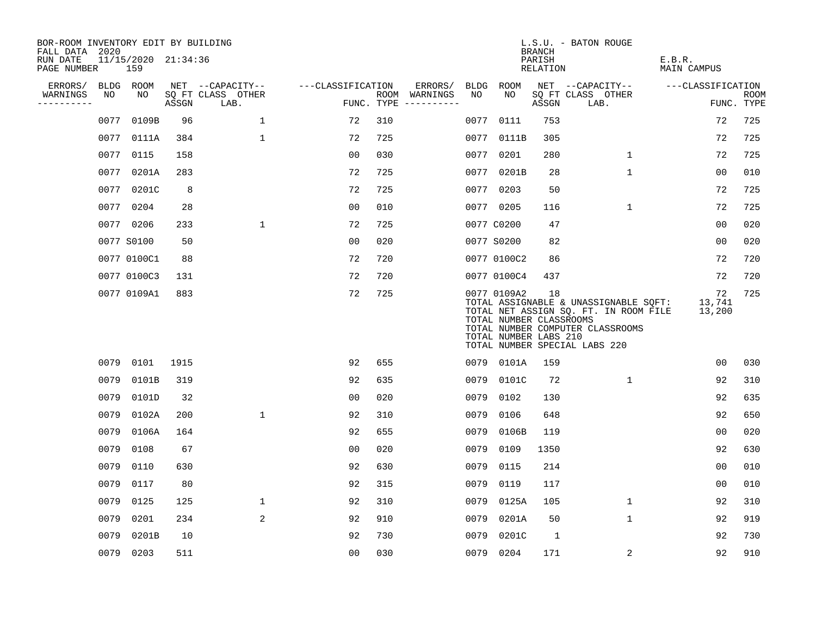| BOR-ROOM INVENTORY EDIT BY BUILDING<br>FALL DATA 2020 |      |                            |       |                           |                   |     |                                      |      |                                                                 | <b>BRANCH</b>      | L.S.U. - BATON ROUGE                                                                                                                                |                        |                           |
|-------------------------------------------------------|------|----------------------------|-------|---------------------------|-------------------|-----|--------------------------------------|------|-----------------------------------------------------------------|--------------------|-----------------------------------------------------------------------------------------------------------------------------------------------------|------------------------|---------------------------|
| RUN DATE<br>PAGE NUMBER                               |      | 11/15/2020 21:34:36<br>159 |       |                           |                   |     |                                      |      |                                                                 | PARISH<br>RELATION |                                                                                                                                                     | E.B.R.<br>MAIN CAMPUS  |                           |
| ERRORS/                                               |      | BLDG ROOM                  |       | NET --CAPACITY--          | ---CLASSIFICATION |     | ERRORS/                              | BLDG | <b>ROOM</b>                                                     |                    | NET --CAPACITY--                                                                                                                                    | ---CLASSIFICATION      |                           |
| WARNINGS<br>----------                                | NO   | NO                         | ASSGN | SQ FT CLASS OTHER<br>LAB. |                   |     | ROOM WARNINGS<br>FUNC. TYPE $------$ | NO.  | NO                                                              | ASSGN              | SQ FT CLASS OTHER<br>LAB.                                                                                                                           |                        | <b>ROOM</b><br>FUNC. TYPE |
|                                                       | 0077 | 0109B                      | 96    | $\mathbf{1}$              | 72                | 310 |                                      | 0077 | 0111                                                            | 753                |                                                                                                                                                     | 72                     | 725                       |
|                                                       | 0077 | 0111A                      | 384   | $\mathbf 1$               | 72                | 725 |                                      |      | 0077 0111B                                                      | 305                |                                                                                                                                                     | 72                     | 725                       |
|                                                       | 0077 | 0115                       | 158   |                           | 00                | 030 |                                      |      | 0077 0201                                                       | 280                | $\mathbf{1}$                                                                                                                                        | 72                     | 725                       |
|                                                       | 0077 | 0201A                      | 283   |                           | 72                | 725 |                                      |      | 0077 0201B                                                      | 28                 | $\mathbf{1}$                                                                                                                                        | 00                     | 010                       |
|                                                       | 0077 | 0201C                      | 8     |                           | 72                | 725 |                                      |      | 0077 0203                                                       | 50                 |                                                                                                                                                     | 72                     | 725                       |
|                                                       |      | 0077 0204                  | 28    |                           | 0 <sub>0</sub>    | 010 |                                      |      | 0077 0205                                                       | 116                | $\mathbf{1}$                                                                                                                                        | 72                     | 725                       |
|                                                       |      | 0077 0206                  | 233   | $\mathbf{1}$              | 72                | 725 |                                      |      | 0077 C0200                                                      | 47                 |                                                                                                                                                     | 0 <sub>0</sub>         | 020                       |
|                                                       |      | 0077 S0100                 | 50    |                           | 0 <sub>0</sub>    | 020 |                                      |      | 0077 S0200                                                      | 82                 |                                                                                                                                                     | 0 <sub>0</sub>         | 020                       |
|                                                       |      | 0077 0100C1                | 88    |                           | 72                | 720 |                                      |      | 0077 0100C2                                                     | 86                 |                                                                                                                                                     | 72                     | 720                       |
|                                                       |      | 0077 0100C3                | 131   |                           | 72                | 720 |                                      |      | 0077 0100C4                                                     | 437                |                                                                                                                                                     | 72                     | 720                       |
|                                                       |      | 0077 0109A1                | 883   |                           | 72                | 725 |                                      |      | 0077 0109A2<br>TOTAL NUMBER CLASSROOMS<br>TOTAL NUMBER LABS 210 | 18                 | TOTAL ASSIGNABLE & UNASSIGNABLE SQFT:<br>TOTAL NET ASSIGN SQ. FT. IN ROOM FILE<br>TOTAL NUMBER COMPUTER CLASSROOMS<br>TOTAL NUMBER SPECIAL LABS 220 | 72<br>13,741<br>13,200 | 725                       |
|                                                       | 0079 | 0101                       | 1915  |                           | 92                | 655 |                                      |      | 0079 0101A                                                      | 159                |                                                                                                                                                     | 0 <sub>0</sub>         | 030                       |
|                                                       | 0079 | 0101B                      | 319   |                           | 92                | 635 |                                      | 0079 | 0101C                                                           | 72                 | 1                                                                                                                                                   | 92                     | 310                       |
|                                                       | 0079 | 0101D                      | 32    |                           | 0 <sub>0</sub>    | 020 |                                      | 0079 | 0102                                                            | 130                |                                                                                                                                                     | 92                     | 635                       |
|                                                       | 0079 | 0102A                      | 200   | $\mathbf{1}$              | 92                | 310 |                                      | 0079 | 0106                                                            | 648                |                                                                                                                                                     | 92                     | 650                       |
|                                                       | 0079 | 0106A                      | 164   |                           | 92                | 655 |                                      | 0079 | 0106B                                                           | 119                |                                                                                                                                                     | 0 <sub>0</sub>         | 020                       |
|                                                       | 0079 | 0108                       | 67    |                           | 00                | 020 |                                      | 0079 | 0109                                                            | 1350               |                                                                                                                                                     | 92                     | 630                       |
|                                                       | 0079 | 0110                       | 630   |                           | 92                | 630 |                                      | 0079 | 0115                                                            | 214                |                                                                                                                                                     | 0 <sub>0</sub>         | 010                       |
|                                                       | 0079 | 0117                       | 80    |                           | 92                | 315 |                                      | 0079 | 0119                                                            | 117                |                                                                                                                                                     | 00                     | 010                       |
|                                                       | 0079 | 0125                       | 125   | $\mathbf{1}$              | 92                | 310 |                                      |      | 0079 0125A                                                      | 105                | $\mathbf{1}$                                                                                                                                        | 92                     | 310                       |
|                                                       | 0079 | 0201                       | 234   | 2                         | 92                | 910 |                                      | 0079 | 0201A                                                           | 50                 | $\mathbf 1$                                                                                                                                         | 92                     | 919                       |
|                                                       | 0079 | 0201B                      | 10    |                           | 92                | 730 |                                      | 0079 | 0201C                                                           | 1                  |                                                                                                                                                     | 92                     | 730                       |
|                                                       |      | 0079 0203                  | 511   |                           | 0 <sub>0</sub>    | 030 |                                      |      | 0079 0204                                                       | 171                | 2                                                                                                                                                   | 92                     | 910                       |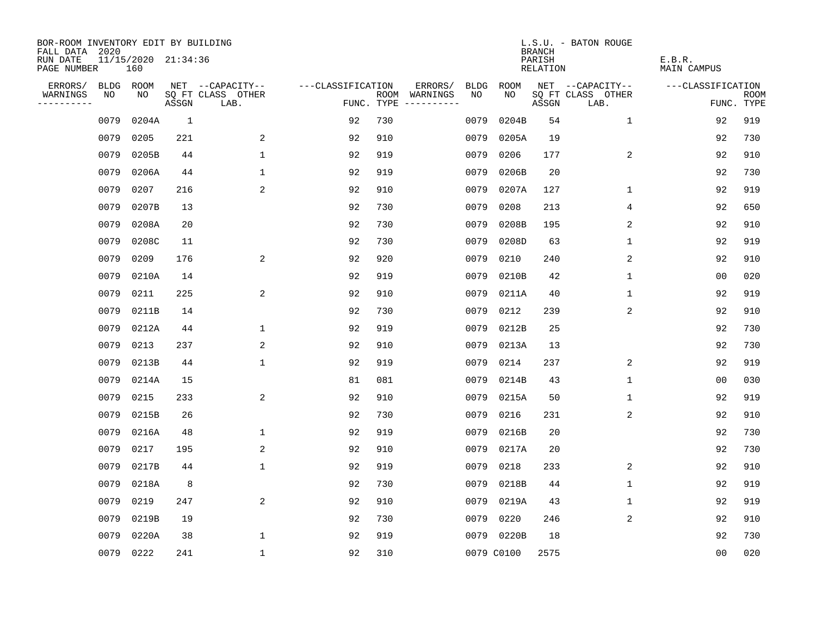| BOR-ROOM INVENTORY EDIT BY BUILDING       |      |                            |              |                           |                   |            |                              |             |            | <b>BRANCH</b>      | L.S.U. - BATON ROUGE      |                       |                           |
|-------------------------------------------|------|----------------------------|--------------|---------------------------|-------------------|------------|------------------------------|-------------|------------|--------------------|---------------------------|-----------------------|---------------------------|
| FALL DATA 2020<br>RUN DATE<br>PAGE NUMBER |      | 11/15/2020 21:34:36<br>160 |              |                           |                   |            |                              |             |            | PARISH<br>RELATION |                           | E.B.R.<br>MAIN CAMPUS |                           |
| ERRORS/                                   | BLDG | ROOM                       |              | NET --CAPACITY--          | ---CLASSIFICATION |            | ERRORS/                      | <b>BLDG</b> | ROOM       |                    | NET --CAPACITY--          | ---CLASSIFICATION     |                           |
| WARNINGS<br>----------                    | NO   | NO.                        | ASSGN        | SQ FT CLASS OTHER<br>LAB. |                   | FUNC. TYPE | ROOM WARNINGS<br>----------- | NO          | NO.        | ASSGN              | SQ FT CLASS OTHER<br>LAB. |                       | <b>ROOM</b><br>FUNC. TYPE |
|                                           | 0079 | 0204A                      | <sup>1</sup> |                           | 92                | 730        |                              | 0079        | 0204B      | 54                 | 1                         | 92                    | 919                       |
|                                           | 0079 | 0205                       | 221          | 2                         | 92                | 910        |                              | 0079        | 0205A      | 19                 |                           | 92                    | 730                       |
|                                           | 0079 | 0205B                      | 44           | $\mathbf{1}$              | 92                | 919        |                              | 0079        | 0206       | 177                | 2                         | 92                    | 910                       |
|                                           | 0079 | 0206A                      | 44           | 1                         | 92                | 919        |                              | 0079        | 0206B      | 20                 |                           | 92                    | 730                       |
|                                           | 0079 | 0207                       | 216          | 2                         | 92                | 910        |                              | 0079        | 0207A      | 127                | 1                         | 92                    | 919                       |
|                                           | 0079 | 0207B                      | 13           |                           | 92                | 730        |                              | 0079        | 0208       | 213                | 4                         | 92                    | 650                       |
|                                           | 0079 | 0208A                      | 20           |                           | 92                | 730        |                              | 0079        | 0208B      | 195                | 2                         | 92                    | 910                       |
|                                           | 0079 | 0208C                      | 11           |                           | 92                | 730        |                              | 0079        | 0208D      | 63                 | $\mathbf{1}$              | 92                    | 919                       |
|                                           | 0079 | 0209                       | 176          | 2                         | 92                | 920        |                              | 0079        | 0210       | 240                | 2                         | 92                    | 910                       |
|                                           | 0079 | 0210A                      | 14           |                           | 92                | 919        |                              | 0079        | 0210B      | 42                 | $\mathbf 1$               | 0 <sub>0</sub>        | 020                       |
|                                           | 0079 | 0211                       | 225          | 2                         | 92                | 910        |                              | 0079        | 0211A      | 40                 | $\mathbf 1$               | 92                    | 919                       |
|                                           | 0079 | 0211B                      | 14           |                           | 92                | 730        |                              | 0079        | 0212       | 239                | 2                         | 92                    | 910                       |
|                                           | 0079 | 0212A                      | 44           | $\mathbf{1}$              | 92                | 919        |                              | 0079        | 0212B      | 25                 |                           | 92                    | 730                       |
|                                           | 0079 | 0213                       | 237          | 2                         | 92                | 910        |                              | 0079        | 0213A      | 13                 |                           | 92                    | 730                       |
|                                           | 0079 | 0213B                      | 44           | 1                         | 92                | 919        |                              | 0079        | 0214       | 237                | 2                         | 92                    | 919                       |
|                                           | 0079 | 0214A                      | 15           |                           | 81                | 081        |                              | 0079        | 0214B      | 43                 | 1                         | 0 <sub>0</sub>        | 030                       |
|                                           | 0079 | 0215                       | 233          | 2                         | 92                | 910        |                              | 0079        | 0215A      | 50                 | 1                         | 92                    | 919                       |
|                                           | 0079 | 0215B                      | 26           |                           | 92                | 730        |                              | 0079        | 0216       | 231                | 2                         | 92                    | 910                       |
|                                           | 0079 | 0216A                      | 48           | $\mathbf{1}$              | 92                | 919        |                              | 0079        | 0216B      | 20                 |                           | 92                    | 730                       |
|                                           | 0079 | 0217                       | 195          | 2                         | 92                | 910        |                              | 0079        | 0217A      | 20                 |                           | 92                    | 730                       |
|                                           | 0079 | 0217B                      | 44           | $\mathbf 1$               | 92                | 919        |                              | 0079        | 0218       | 233                | 2                         | 92                    | 910                       |
|                                           | 0079 | 0218A                      | 8            |                           | 92                | 730        |                              | 0079        | 0218B      | 44                 | $\mathbf{1}$              | 92                    | 919                       |
|                                           | 0079 | 0219                       | 247          | 2                         | 92                | 910        |                              | 0079        | 0219A      | 43                 | $\mathbf{1}$              | 92                    | 919                       |
|                                           | 0079 | 0219B                      | 19           |                           | 92                | 730        |                              | 0079        | 0220       | 246                | 2                         | 92                    | 910                       |
|                                           | 0079 | 0220A                      | 38           | $\mathbf{1}$              | 92                | 919        |                              |             | 0079 0220B | 18                 |                           | 92                    | 730                       |
|                                           |      | 0079 0222                  | 241          | $\mathbf{1}$              | 92                | 310        |                              |             | 0079 C0100 | 2575               |                           | 0 <sub>0</sub>        | 020                       |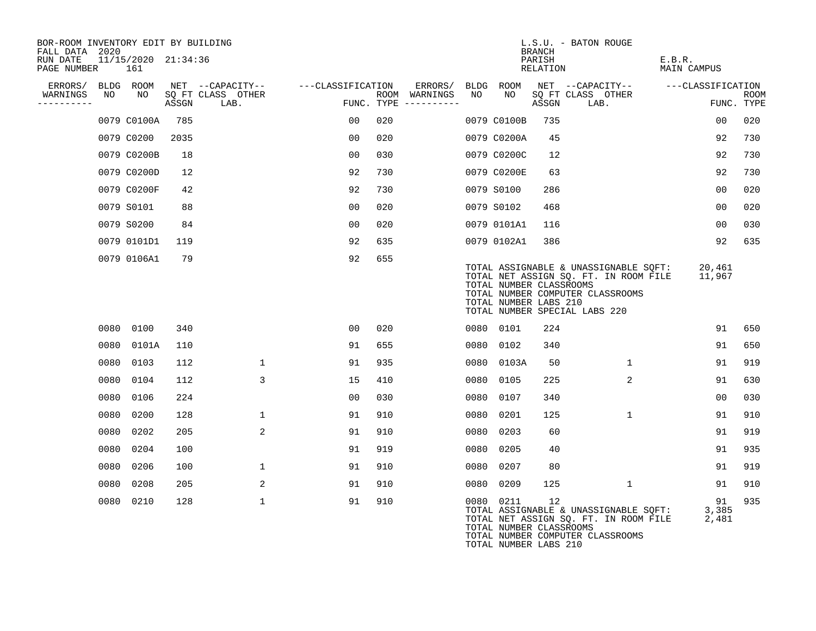| BOR-ROOM INVENTORY EDIT BY BUILDING       |                            |       |                           |                   |      |                                 |      |                                                  |                                     | L.S.U. - BATON ROUGE                                                                                                                                |                       |                           |
|-------------------------------------------|----------------------------|-------|---------------------------|-------------------|------|---------------------------------|------|--------------------------------------------------|-------------------------------------|-----------------------------------------------------------------------------------------------------------------------------------------------------|-----------------------|---------------------------|
| FALL DATA 2020<br>RUN DATE<br>PAGE NUMBER | 11/15/2020 21:34:36<br>161 |       |                           |                   |      |                                 |      |                                                  | <b>BRANCH</b><br>PARISH<br>RELATION |                                                                                                                                                     | E.B.R.<br>MAIN CAMPUS |                           |
| ERRORS/                                   | BLDG ROOM                  |       | NET --CAPACITY--          | ---CLASSIFICATION |      |                                 |      |                                                  |                                     | ERRORS/ BLDG ROOM NET --CAPACITY--                                                                                                                  | ---CLASSIFICATION     |                           |
| NO<br>WARNINGS<br>----------              | NO                         | ASSGN | SQ FT CLASS OTHER<br>LAB. |                   | ROOM | WARNINGS<br>FUNC. TYPE $------$ | NO   | NO                                               | ASSGN                               | SQ FT CLASS OTHER<br>LAB.                                                                                                                           |                       | <b>ROOM</b><br>FUNC. TYPE |
|                                           | 0079 C0100A                | 785   |                           | 00                | 020  |                                 |      | 0079 C0100B                                      | 735                                 |                                                                                                                                                     | 00                    | 020                       |
|                                           | 0079 C0200                 | 2035  |                           | 00                | 020  |                                 |      | 0079 C0200A                                      | 45                                  |                                                                                                                                                     | 92                    | 730                       |
|                                           | 0079 C0200B                | 18    |                           | 00                | 030  |                                 |      | 0079 C0200C                                      | 12                                  |                                                                                                                                                     | 92                    | 730                       |
|                                           | 0079 C0200D                | 12    |                           | 92                | 730  |                                 |      | 0079 C0200E                                      | 63                                  |                                                                                                                                                     | 92                    | 730                       |
|                                           | 0079 C0200F                | 42    |                           | 92                | 730  |                                 |      | 0079 S0100                                       | 286                                 |                                                                                                                                                     | 0 <sub>0</sub>        | 020                       |
|                                           | 0079 S0101                 | 88    |                           | 00                | 020  |                                 |      | 0079 S0102                                       | 468                                 |                                                                                                                                                     | 00                    | 020                       |
|                                           | 0079 S0200                 | 84    |                           | 00                | 020  |                                 |      | 0079 0101A1                                      | 116                                 |                                                                                                                                                     | 0 <sub>0</sub>        | 030                       |
|                                           | 0079 0101D1                | 119   |                           | 92                | 635  |                                 |      | 0079 0102A1                                      | 386                                 |                                                                                                                                                     | 92                    | 635                       |
|                                           | 0079 0106A1                | 79    |                           | 92                | 655  |                                 |      | TOTAL NUMBER CLASSROOMS<br>TOTAL NUMBER LABS 210 |                                     | TOTAL ASSIGNABLE & UNASSIGNABLE SOFT:<br>TOTAL NET ASSIGN SQ. FT. IN ROOM FILE<br>TOTAL NUMBER COMPUTER CLASSROOMS<br>TOTAL NUMBER SPECIAL LABS 220 | 20,461<br>11,967      |                           |
| 0080                                      | 0100                       | 340   |                           | 00                | 020  |                                 |      | 0080 0101                                        | 224                                 |                                                                                                                                                     | 91                    | 650                       |
| 0080                                      | 0101A                      | 110   |                           | 91                | 655  |                                 | 0080 | 0102                                             | 340                                 |                                                                                                                                                     | 91                    | 650                       |
| 0080                                      | 0103                       | 112   | 1                         | 91                | 935  |                                 | 0080 | 0103A                                            | 50                                  | $\mathbf{1}$                                                                                                                                        | 91                    | 919                       |
| 0080                                      | 0104                       | 112   | 3                         | 15                | 410  |                                 | 0080 | 0105                                             | 225                                 | 2                                                                                                                                                   | 91                    | 630                       |
| 0080                                      | 0106                       | 224   |                           | 00                | 030  |                                 | 0080 | 0107                                             | 340                                 |                                                                                                                                                     | 0 <sub>0</sub>        | 030                       |
| 0080                                      | 0200                       | 128   | $\mathbf{1}$              | 91                | 910  |                                 | 0080 | 0201                                             | 125                                 | $\mathbf{1}$                                                                                                                                        | 91                    | 910                       |
| 0080                                      | 0202                       | 205   | 2                         | 91                | 910  |                                 | 0080 | 0203                                             | 60                                  |                                                                                                                                                     | 91                    | 919                       |
| 0080                                      | 0204                       | 100   |                           | 91                | 919  |                                 | 0080 | 0205                                             | 40                                  |                                                                                                                                                     | 91                    | 935                       |
| 0080                                      | 0206                       | 100   | $\mathbf{1}$              | 91                | 910  |                                 | 0080 | 0207                                             | 80                                  |                                                                                                                                                     | 91                    | 919                       |
| 0080                                      | 0208                       | 205   | 2                         | 91                | 910  |                                 | 0080 | 0209                                             | 125                                 | $\mathbf{1}$                                                                                                                                        | 91                    | 910                       |
|                                           | 0080 0210                  | 128   | $\mathbf{1}$              | 91                | 910  |                                 |      | 0080 0211<br>TOTAL NUMBER CLASSROOMS             | 12                                  | TOTAL ASSIGNABLE & UNASSIGNABLE SQFT:<br>TOTAL NET ASSIGN SQ. FT. IN ROOM FILE                                                                      | 91<br>3,385<br>2,481  | 935                       |

TOTAL NUMBER COMPUTER CLASSROOMS

TOTAL NUMBER LABS 210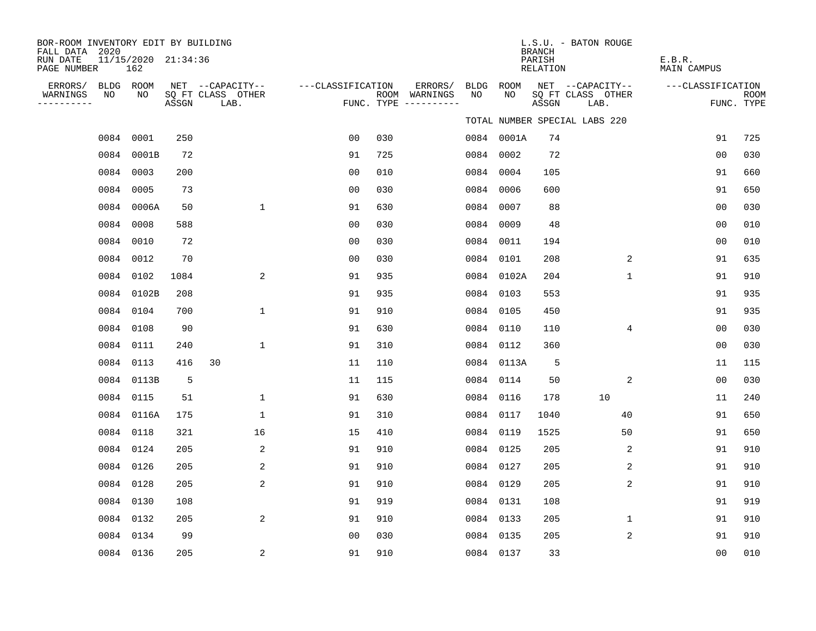| BOR-ROOM INVENTORY EDIT BY BUILDING<br>FALL DATA 2020 |           |                            |       |                           |                   |     |                                      |             |             | <b>BRANCH</b>      | L.S.U. - BATON ROUGE          |                |                       |                    |
|-------------------------------------------------------|-----------|----------------------------|-------|---------------------------|-------------------|-----|--------------------------------------|-------------|-------------|--------------------|-------------------------------|----------------|-----------------------|--------------------|
| RUN DATE<br>PAGE NUMBER                               |           | 11/15/2020 21:34:36<br>162 |       |                           |                   |     |                                      |             |             | PARISH<br>RELATION |                               |                | E.B.R.<br>MAIN CAMPUS |                    |
| ERRORS/                                               | BLDG ROOM |                            |       | NET --CAPACITY--          | ---CLASSIFICATION |     | ERRORS/                              | <b>BLDG</b> | <b>ROOM</b> |                    | NET --CAPACITY--              |                | ---CLASSIFICATION     |                    |
| WARNINGS<br>----------                                | NO        | NO                         | ASSGN | SQ FT CLASS OTHER<br>LAB. |                   |     | ROOM WARNINGS<br>FUNC. TYPE $------$ | NO          | NO          | ASSGN              | SQ FT CLASS OTHER<br>LAB.     |                |                       | ROOM<br>FUNC. TYPE |
|                                                       |           |                            |       |                           |                   |     |                                      |             |             |                    | TOTAL NUMBER SPECIAL LABS 220 |                |                       |                    |
|                                                       | 0084      | 0001                       | 250   |                           | 0 <sub>0</sub>    | 030 |                                      |             | 0084 0001A  | 74                 |                               |                | 91                    | 725                |
|                                                       | 0084      | 0001B                      | 72    |                           | 91                | 725 |                                      | 0084        | 0002        | 72                 |                               |                | 0 <sub>0</sub>        | 030                |
|                                                       | 0084      | 0003                       | 200   |                           | 0 <sub>0</sub>    | 010 |                                      | 0084        | 0004        | 105                |                               |                | 91                    | 660                |
|                                                       | 0084      | 0005                       | 73    |                           | 0 <sub>0</sub>    | 030 |                                      | 0084        | 0006        | 600                |                               |                | 91                    | 650                |
|                                                       |           | 0084 0006A                 | 50    | $\mathbf{1}$              | 91                | 630 |                                      | 0084        | 0007        | 88                 |                               |                | 0 <sub>0</sub>        | 030                |
|                                                       | 0084      | 0008                       | 588   |                           | 00                | 030 |                                      | 0084        | 0009        | 48                 |                               |                | 0 <sub>0</sub>        | 010                |
|                                                       | 0084      | 0010                       | 72    |                           | 0 <sub>0</sub>    | 030 |                                      | 0084        | 0011        | 194                |                               |                | 0 <sub>0</sub>        | 010                |
|                                                       | 0084      | 0012                       | 70    |                           | 0 <sub>0</sub>    | 030 |                                      | 0084        | 0101        | 208                |                               | 2              | 91                    | 635                |
|                                                       | 0084      | 0102                       | 1084  | 2                         | 91                | 935 |                                      | 0084        | 0102A       | 204                |                               | $\mathbf 1$    | 91                    | 910                |
|                                                       | 0084      | 0102B                      | 208   |                           | 91                | 935 |                                      | 0084        | 0103        | 553                |                               |                | 91                    | 935                |
|                                                       | 0084      | 0104                       | 700   | $\mathbf{1}$              | 91                | 910 |                                      | 0084        | 0105        | 450                |                               |                | 91                    | 935                |
|                                                       | 0084      | 0108                       | 90    |                           | 91                | 630 |                                      | 0084        | 0110        | 110                |                               | $\overline{4}$ | 0 <sub>0</sub>        | 030                |
|                                                       | 0084      | 0111                       | 240   | $\mathbf{1}$              | 91                | 310 |                                      | 0084        | 0112        | 360                |                               |                | 0 <sub>0</sub>        | 030                |
|                                                       | 0084      | 0113                       | 416   | 30                        | 11                | 110 |                                      |             | 0084 0113A  | 5                  |                               |                | 11                    | 115                |
|                                                       | 0084      | 0113B                      | 5     |                           | 11                | 115 |                                      | 0084        | 0114        | 50                 |                               | 2              | 0 <sub>0</sub>        | 030                |
|                                                       | 0084      | 0115                       | 51    | $\mathbf{1}$              | 91                | 630 |                                      | 0084        | 0116        | 178                | 10                            |                | 11                    | 240                |
|                                                       | 0084      | 0116A                      | 175   | $\mathbf{1}$              | 91                | 310 |                                      | 0084        | 0117        | 1040               |                               | 40             | 91                    | 650                |
|                                                       | 0084 0118 |                            | 321   | 16                        | 15                | 410 |                                      | 0084        | 0119        | 1525               |                               | 50             | 91                    | 650                |
|                                                       | 0084      | 0124                       | 205   | $\overline{2}$            | 91                | 910 |                                      | 0084        | 0125        | 205                |                               | 2              | 91                    | 910                |
|                                                       | 0084      | 0126                       | 205   | $\overline{2}$            | 91                | 910 |                                      | 0084        | 0127        | 205                |                               | 2              | 91                    | 910                |
|                                                       | 0084      | 0128                       | 205   | 2                         | 91                | 910 |                                      | 0084        | 0129        | 205                |                               | 2              | 91                    | 910                |
|                                                       | 0084 0130 |                            | 108   |                           | 91                | 919 |                                      | 0084        | 0131        | 108                |                               |                | 91                    | 919                |
|                                                       | 0084      | 0132                       | 205   | 2                         | 91                | 910 |                                      | 0084        | 0133        | 205                |                               | $\mathbf 1$    | 91                    | 910                |
|                                                       | 0084      | 0134                       | 99    |                           | 0 <sub>0</sub>    | 030 |                                      | 0084        | 0135        | 205                |                               | $\overline{a}$ | 91                    | 910                |
|                                                       | 0084 0136 |                            | 205   | 2                         | 91                | 910 |                                      | 0084 0137   |             | 33                 |                               |                | 0 <sub>0</sub>        | 010                |
|                                                       |           |                            |       |                           |                   |     |                                      |             |             |                    |                               |                |                       |                    |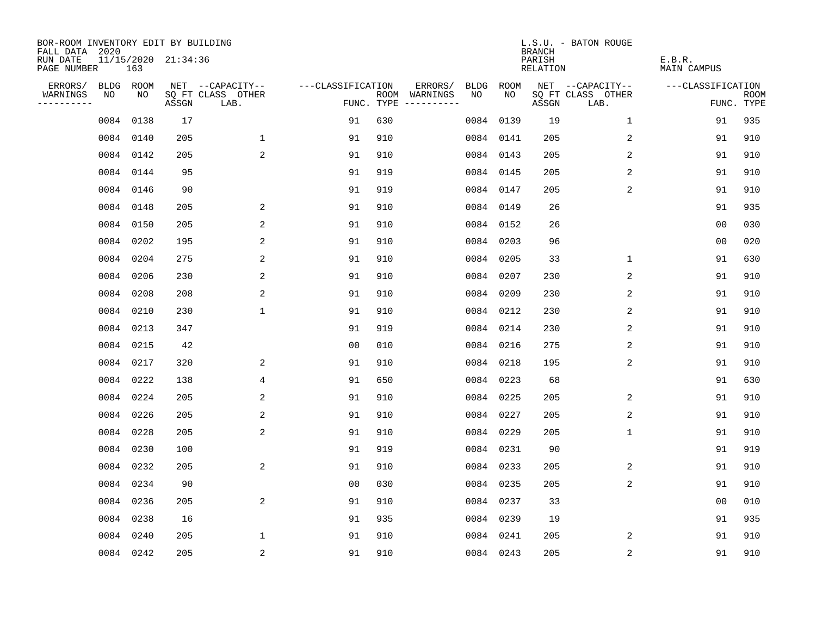| BOR-ROOM INVENTORY EDIT BY BUILDING<br>FALL DATA 2020 |           |           |                     |                           |                   |                                      |                 |           | <b>BRANCH</b>      | L.S.U. - BATON ROUGE      |                       |                           |
|-------------------------------------------------------|-----------|-----------|---------------------|---------------------------|-------------------|--------------------------------------|-----------------|-----------|--------------------|---------------------------|-----------------------|---------------------------|
| RUN DATE<br>PAGE NUMBER                               |           | 163       | 11/15/2020 21:34:36 |                           |                   |                                      |                 |           | PARISH<br>RELATION |                           | E.B.R.<br>MAIN CAMPUS |                           |
| ERRORS/                                               | BLDG ROOM |           |                     | NET --CAPACITY--          | ---CLASSIFICATION |                                      | ERRORS/<br>BLDG | ROOM      |                    | NET --CAPACITY--          | ---CLASSIFICATION     |                           |
| WARNINGS<br>----------                                | NO        | NO        | ASSGN               | SQ FT CLASS OTHER<br>LAB. |                   | ROOM WARNINGS<br>FUNC. TYPE $------$ | NO.             | NO.       | ASSGN              | SQ FT CLASS OTHER<br>LAB. |                       | <b>ROOM</b><br>FUNC. TYPE |
|                                                       |           | 0084 0138 | 17                  |                           | 91                | 630                                  | 0084            | 0139      | 19                 | $\mathbf 1$               | 91                    | 935                       |
|                                                       |           | 0084 0140 | 205                 | $\mathbf 1$               | 91                | 910                                  |                 | 0084 0141 | 205                | 2                         | 91                    | 910                       |
|                                                       |           | 0084 0142 | 205                 | 2                         | 91                | 910                                  |                 | 0084 0143 | 205                | 2                         | 91                    | 910                       |
|                                                       |           | 0084 0144 | 95                  |                           | 91                | 919                                  |                 | 0084 0145 | 205                | 2                         | 91                    | 910                       |
|                                                       |           | 0084 0146 | 90                  |                           | 91                | 919                                  |                 | 0084 0147 | 205                | 2                         | 91                    | 910                       |
|                                                       |           | 0084 0148 | 205                 | 2                         | 91                | 910                                  |                 | 0084 0149 | 26                 |                           | 91                    | 935                       |
|                                                       |           | 0084 0150 | 205                 | 2                         | 91                | 910                                  |                 | 0084 0152 | 26                 |                           | 00                    | 030                       |
|                                                       |           | 0084 0202 | 195                 | $\overline{\mathbf{c}}$   | 91                | 910                                  |                 | 0084 0203 | 96                 |                           | 0 <sub>0</sub>        | 020                       |
|                                                       |           | 0084 0204 | 275                 | 2                         | 91                | 910                                  |                 | 0084 0205 | 33                 | $\mathbf 1$               | 91                    | 630                       |
|                                                       |           | 0084 0206 | 230                 | 2                         | 91                | 910                                  |                 | 0084 0207 | 230                | 2                         | 91                    | 910                       |
|                                                       |           | 0084 0208 | 208                 | 2                         | 91                | 910                                  |                 | 0084 0209 | 230                | 2                         | 91                    | 910                       |
|                                                       |           | 0084 0210 | 230                 | $\mathbf{1}$              | 91                | 910                                  |                 | 0084 0212 | 230                | 2                         | 91                    | 910                       |
|                                                       |           | 0084 0213 | 347                 |                           | 91                | 919                                  |                 | 0084 0214 | 230                | 2                         | 91                    | 910                       |
|                                                       |           | 0084 0215 | 42                  |                           | 0 <sub>0</sub>    | 010                                  | 0084            | 0216      | 275                | 2                         | 91                    | 910                       |
|                                                       |           | 0084 0217 | 320                 | 2                         | 91                | 910                                  | 0084            | 0218      | 195                | 2                         | 91                    | 910                       |
|                                                       |           | 0084 0222 | 138                 | 4                         | 91                | 650                                  | 0084            | 0223      | 68                 |                           | 91                    | 630                       |
|                                                       |           | 0084 0224 | 205                 | 2                         | 91                | 910                                  | 0084            | 0225      | 205                | 2                         | 91                    | 910                       |
|                                                       |           | 0084 0226 | 205                 | 2                         | 91                | 910                                  | 0084            | 0227      | 205                | 2                         | 91                    | 910                       |
|                                                       |           | 0084 0228 | 205                 | 2                         | 91                | 910                                  |                 | 0084 0229 | 205                | 1                         | 91                    | 910                       |
|                                                       |           | 0084 0230 | 100                 |                           | 91                | 919                                  |                 | 0084 0231 | 90                 |                           | 91                    | 919                       |
|                                                       |           | 0084 0232 | 205                 | 2                         | 91                | 910                                  |                 | 0084 0233 | 205                | 2                         | 91                    | 910                       |
|                                                       |           | 0084 0234 | 90                  |                           | 0 <sub>0</sub>    | 030                                  |                 | 0084 0235 | 205                | $\overline{c}$            | 91                    | 910                       |
|                                                       |           | 0084 0236 | 205                 | 2                         | 91                | 910                                  |                 | 0084 0237 | 33                 |                           | 0 <sub>0</sub>        | 010                       |
|                                                       |           | 0084 0238 | 16                  |                           | 91                | 935                                  |                 | 0084 0239 | 19                 |                           | 91                    | 935                       |
|                                                       |           | 0084 0240 | 205                 | 1                         | 91                | 910                                  |                 | 0084 0241 | 205                | 2                         | 91                    | 910                       |
|                                                       |           | 0084 0242 | 205                 | 2                         | 91                | 910                                  |                 | 0084 0243 | 205                | 2                         | 91                    | 910                       |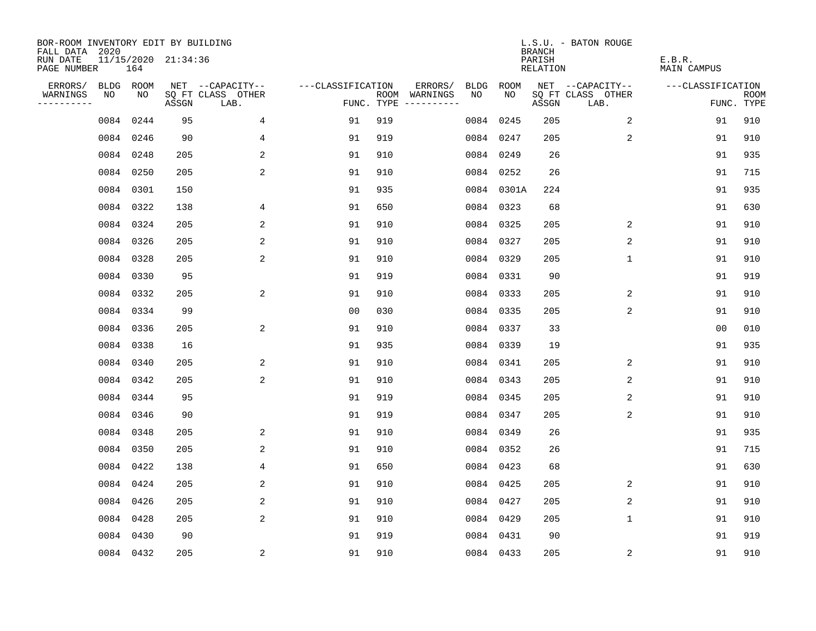| BOR-ROOM INVENTORY EDIT BY BUILDING       |      |           |                     |                           |                   |     |                                      |      |            | <b>BRANCH</b>      | L.S.U. - BATON ROUGE      |                       |                           |
|-------------------------------------------|------|-----------|---------------------|---------------------------|-------------------|-----|--------------------------------------|------|------------|--------------------|---------------------------|-----------------------|---------------------------|
| FALL DATA 2020<br>RUN DATE<br>PAGE NUMBER |      | 164       | 11/15/2020 21:34:36 |                           |                   |     |                                      |      |            | PARISH<br>RELATION |                           | E.B.R.<br>MAIN CAMPUS |                           |
| ERRORS/                                   |      | BLDG ROOM |                     | NET --CAPACITY--          | ---CLASSIFICATION |     | ERRORS/                              | BLDG | ROOM       |                    | NET --CAPACITY--          | ---CLASSIFICATION     |                           |
| WARNINGS<br>----------                    | NO   | NO        | ASSGN               | SQ FT CLASS OTHER<br>LAB. |                   |     | ROOM WARNINGS<br>FUNC. TYPE $------$ | NO.  | NO.        | ASSGN              | SQ FT CLASS OTHER<br>LAB. |                       | <b>ROOM</b><br>FUNC. TYPE |
|                                           | 0084 | 0244      | 95                  | $\overline{4}$            | 91                | 919 |                                      |      | 0084 0245  | 205                | 2                         | 91                    | 910                       |
|                                           |      | 0084 0246 | 90                  | 4                         | 91                | 919 |                                      |      | 0084 0247  | 205                | 2                         | 91                    | 910                       |
|                                           |      | 0084 0248 | 205                 | 2                         | 91                | 910 |                                      |      | 0084 0249  | 26                 |                           | 91                    | 935                       |
|                                           |      | 0084 0250 | 205                 | 2                         | 91                | 910 |                                      |      | 0084 0252  | 26                 |                           | 91                    | 715                       |
|                                           |      | 0084 0301 | 150                 |                           | 91                | 935 |                                      |      | 0084 0301A | 224                |                           | 91                    | 935                       |
|                                           |      | 0084 0322 | 138                 | 4                         | 91                | 650 |                                      |      | 0084 0323  | 68                 |                           | 91                    | 630                       |
|                                           |      | 0084 0324 | 205                 | 2                         | 91                | 910 |                                      |      | 0084 0325  | 205                | 2                         | 91                    | 910                       |
|                                           |      | 0084 0326 | 205                 | 2                         | 91                | 910 |                                      |      | 0084 0327  | 205                | 2                         | 91                    | 910                       |
|                                           |      | 0084 0328 | 205                 | 2                         | 91                | 910 |                                      |      | 0084 0329  | 205                | $\mathbf 1$               | 91                    | 910                       |
|                                           |      | 0084 0330 | 95                  |                           | 91                | 919 |                                      |      | 0084 0331  | 90                 |                           | 91                    | 919                       |
|                                           |      | 0084 0332 | 205                 | 2                         | 91                | 910 |                                      |      | 0084 0333  | 205                | 2                         | 91                    | 910                       |
|                                           |      | 0084 0334 | 99                  |                           | 0 <sub>0</sub>    | 030 |                                      |      | 0084 0335  | 205                | 2                         | 91                    | 910                       |
|                                           |      | 0084 0336 | 205                 | 2                         | 91                | 910 |                                      |      | 0084 0337  | 33                 |                           | 0 <sub>0</sub>        | 010                       |
|                                           |      | 0084 0338 | 16                  |                           | 91                | 935 |                                      |      | 0084 0339  | 19                 |                           | 91                    | 935                       |
|                                           |      | 0084 0340 | 205                 | 2                         | 91                | 910 |                                      |      | 0084 0341  | 205                | 2                         | 91                    | 910                       |
|                                           |      | 0084 0342 | 205                 | 2                         | 91                | 910 |                                      |      | 0084 0343  | 205                | 2                         | 91                    | 910                       |
|                                           |      | 0084 0344 | 95                  |                           | 91                | 919 |                                      |      | 0084 0345  | 205                | 2                         | 91                    | 910                       |
|                                           |      | 0084 0346 | 90                  |                           | 91                | 919 |                                      |      | 0084 0347  | 205                | 2                         | 91                    | 910                       |
|                                           |      | 0084 0348 | 205                 | 2                         | 91                | 910 |                                      |      | 0084 0349  | 26                 |                           | 91                    | 935                       |
|                                           |      | 0084 0350 | 205                 | 2                         | 91                | 910 |                                      |      | 0084 0352  | 26                 |                           | 91                    | 715                       |
|                                           |      | 0084 0422 | 138                 | 4                         | 91                | 650 |                                      |      | 0084 0423  | 68                 |                           | 91                    | 630                       |
|                                           |      | 0084 0424 | 205                 | 2                         | 91                | 910 |                                      |      | 0084 0425  | 205                | 2                         | 91                    | 910                       |
|                                           |      | 0084 0426 | 205                 | 2                         | 91                | 910 |                                      |      | 0084 0427  | 205                | 2                         | 91                    | 910                       |
|                                           |      | 0084 0428 | 205                 | 2                         | 91                | 910 |                                      |      | 0084 0429  | 205                | $\mathbf 1$               | 91                    | 910                       |
|                                           |      | 0084 0430 | 90                  |                           | 91                | 919 |                                      |      | 0084 0431  | 90                 |                           | 91                    | 919                       |
|                                           |      | 0084 0432 | 205                 | 2                         | 91                | 910 |                                      |      | 0084 0433  | 205                | 2                         | 91                    | 910                       |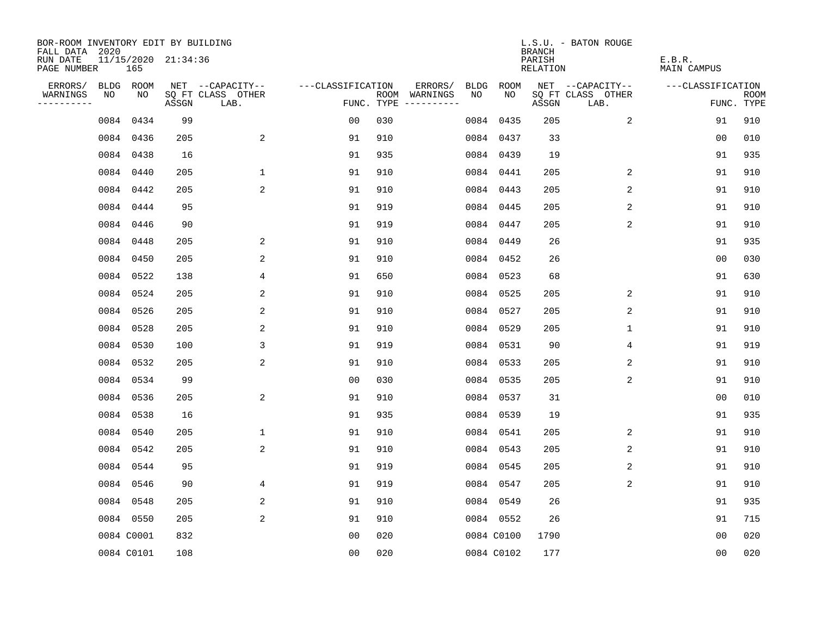| BOR-ROOM INVENTORY EDIT BY BUILDING       |      |            |                     |                           |                   |     |                                      |      |            | <b>BRANCH</b>      | L.S.U. - BATON ROUGE      |                              |                           |
|-------------------------------------------|------|------------|---------------------|---------------------------|-------------------|-----|--------------------------------------|------|------------|--------------------|---------------------------|------------------------------|---------------------------|
| FALL DATA 2020<br>RUN DATE<br>PAGE NUMBER |      | 165        | 11/15/2020 21:34:36 |                           |                   |     |                                      |      |            | PARISH<br>RELATION |                           | E.B.R.<br><b>MAIN CAMPUS</b> |                           |
| ERRORS/                                   |      | BLDG ROOM  |                     | NET --CAPACITY--          | ---CLASSIFICATION |     | ERRORS/                              | BLDG | ROOM       |                    | NET --CAPACITY--          | ---CLASSIFICATION            |                           |
| WARNINGS<br>----------                    | NO   | NO         | ASSGN               | SQ FT CLASS OTHER<br>LAB. |                   |     | ROOM WARNINGS<br>FUNC. TYPE $------$ | NO   | NO.        | ASSGN              | SQ FT CLASS OTHER<br>LAB. |                              | <b>ROOM</b><br>FUNC. TYPE |
|                                           | 0084 | 0434       | 99                  |                           | 0 <sub>0</sub>    | 030 |                                      |      | 0084 0435  | 205                | $\overline{2}$            | 91                           | 910                       |
|                                           |      | 0084 0436  | 205                 | 2                         | 91                | 910 |                                      |      | 0084 0437  | 33                 |                           | 0 <sub>0</sub>               | 010                       |
|                                           |      | 0084 0438  | 16                  |                           | 91                | 935 |                                      |      | 0084 0439  | 19                 |                           | 91                           | 935                       |
|                                           |      | 0084 0440  | 205                 | $\mathbf{1}$              | 91                | 910 |                                      |      | 0084 0441  | 205                | 2                         | 91                           | 910                       |
|                                           |      | 0084 0442  | 205                 | 2                         | 91                | 910 |                                      |      | 0084 0443  | 205                | 2                         | 91                           | 910                       |
|                                           |      | 0084 0444  | 95                  |                           | 91                | 919 |                                      |      | 0084 0445  | 205                | 2                         | 91                           | 910                       |
|                                           |      | 0084 0446  | 90                  |                           | 91                | 919 |                                      |      | 0084 0447  | 205                | 2                         | 91                           | 910                       |
|                                           |      | 0084 0448  | 205                 | 2                         | 91                | 910 |                                      |      | 0084 0449  | 26                 |                           | 91                           | 935                       |
|                                           |      | 0084 0450  | 205                 | 2                         | 91                | 910 |                                      |      | 0084 0452  | 26                 |                           | 0 <sub>0</sub>               | 030                       |
|                                           |      | 0084 0522  | 138                 | 4                         | 91                | 650 |                                      |      | 0084 0523  | 68                 |                           | 91                           | 630                       |
|                                           |      | 0084 0524  | 205                 | 2                         | 91                | 910 |                                      |      | 0084 0525  | 205                | 2                         | 91                           | 910                       |
|                                           |      | 0084 0526  | 205                 | 2                         | 91                | 910 |                                      |      | 0084 0527  | 205                | 2                         | 91                           | 910                       |
|                                           |      | 0084 0528  | 205                 | 2                         | 91                | 910 |                                      |      | 0084 0529  | 205                | $\mathbf 1$               | 91                           | 910                       |
|                                           |      | 0084 0530  | 100                 | 3                         | 91                | 919 |                                      |      | 0084 0531  | 90                 | 4                         | 91                           | 919                       |
|                                           |      | 0084 0532  | 205                 | 2                         | 91                | 910 |                                      |      | 0084 0533  | 205                | 2                         | 91                           | 910                       |
|                                           |      | 0084 0534  | 99                  |                           | 0 <sub>0</sub>    | 030 |                                      |      | 0084 0535  | 205                | 2                         | 91                           | 910                       |
|                                           |      | 0084 0536  | 205                 | 2                         | 91                | 910 |                                      |      | 0084 0537  | 31                 |                           | 00                           | 010                       |
|                                           |      | 0084 0538  | 16                  |                           | 91                | 935 |                                      |      | 0084 0539  | 19                 |                           | 91                           | 935                       |
|                                           |      | 0084 0540  | 205                 | 1                         | 91                | 910 |                                      |      | 0084 0541  | 205                | 2                         | 91                           | 910                       |
|                                           |      | 0084 0542  | 205                 | 2                         | 91                | 910 |                                      |      | 0084 0543  | 205                | 2                         | 91                           | 910                       |
|                                           |      | 0084 0544  | 95                  |                           | 91                | 919 |                                      |      | 0084 0545  | 205                | 2                         | 91                           | 910                       |
|                                           |      | 0084 0546  | 90                  | 4                         | 91                | 919 |                                      |      | 0084 0547  | 205                | 2                         | 91                           | 910                       |
|                                           |      | 0084 0548  | 205                 | 2                         | 91                | 910 |                                      |      | 0084 0549  | 26                 |                           | 91                           | 935                       |
|                                           |      | 0084 0550  | 205                 | $\overline{2}$            | 91                | 910 |                                      |      | 0084 0552  | 26                 |                           | 91                           | 715                       |
|                                           |      | 0084 C0001 | 832                 |                           | 0 <sub>0</sub>    | 020 |                                      |      | 0084 C0100 | 1790               |                           | 00                           | 020                       |
|                                           |      | 0084 C0101 | 108                 |                           | 0 <sub>0</sub>    | 020 |                                      |      | 0084 C0102 | 177                |                           | 0 <sub>0</sub>               | 020                       |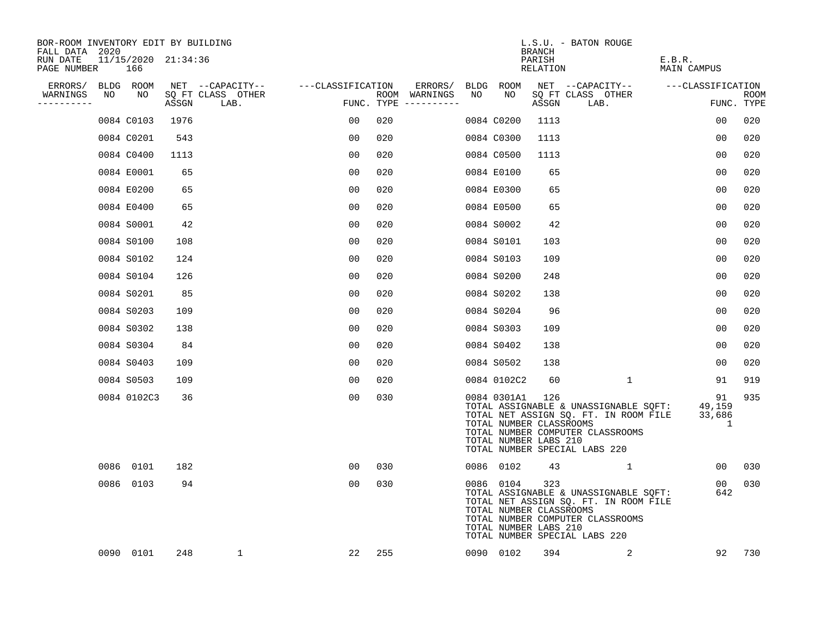| BOR-ROOM INVENTORY EDIT BY BUILDING<br>FALL DATA 2020 |    |                            |       |                           |                   |                                      |    |                                                                 | <b>BRANCH</b>      | L.S.U. - BATON ROUGE                                                                                                                                       |                       |                           |
|-------------------------------------------------------|----|----------------------------|-------|---------------------------|-------------------|--------------------------------------|----|-----------------------------------------------------------------|--------------------|------------------------------------------------------------------------------------------------------------------------------------------------------------|-----------------------|---------------------------|
| RUN DATE<br>PAGE NUMBER                               |    | 11/15/2020 21:34:36<br>166 |       |                           |                   |                                      |    |                                                                 | PARISH<br>RELATION |                                                                                                                                                            | E.B.R.<br>MAIN CAMPUS |                           |
| ERRORS/                                               |    | BLDG ROOM                  |       | NET --CAPACITY--          | ---CLASSIFICATION | ERRORS/                              |    | BLDG ROOM                                                       |                    | NET --CAPACITY-- ---CLASSIFICATION                                                                                                                         |                       |                           |
| WARNINGS<br>----------                                | NO | NO                         | ASSGN | SQ FT CLASS OTHER<br>LAB. |                   | ROOM WARNINGS<br>FUNC. TYPE $------$ | NO | NO                                                              | ASSGN              | SQ FT CLASS OTHER<br>LAB.                                                                                                                                  |                       | <b>ROOM</b><br>FUNC. TYPE |
|                                                       |    | 0084 C0103                 | 1976  |                           | 00                | 020                                  |    | 0084 C0200                                                      | 1113               |                                                                                                                                                            | 00                    | 020                       |
|                                                       |    | 0084 C0201                 | 543   |                           | 00                | 020                                  |    | 0084 C0300                                                      | 1113               |                                                                                                                                                            | 0 <sub>0</sub>        | 020                       |
|                                                       |    | 0084 C0400                 | 1113  |                           | 00                | 020                                  |    | 0084 C0500                                                      | 1113               |                                                                                                                                                            | 00                    | 020                       |
|                                                       |    | 0084 E0001                 | 65    |                           | 0 <sub>0</sub>    | 020                                  |    | 0084 E0100                                                      | 65                 |                                                                                                                                                            | 0 <sub>0</sub>        | 020                       |
|                                                       |    | 0084 E0200                 | 65    |                           | 0 <sub>0</sub>    | 020                                  |    | 0084 E0300                                                      | 65                 |                                                                                                                                                            | 0 <sub>0</sub>        | 020                       |
|                                                       |    | 0084 E0400                 | 65    |                           | 0 <sub>0</sub>    | 020                                  |    | 0084 E0500                                                      | 65                 |                                                                                                                                                            | 0 <sub>0</sub>        | 020                       |
|                                                       |    | 0084 S0001                 | 42    |                           | 00                | 020                                  |    | 0084 S0002                                                      | 42                 |                                                                                                                                                            | 0 <sub>0</sub>        | 020                       |
|                                                       |    | 0084 S0100                 | 108   |                           | 0 <sub>0</sub>    | 020                                  |    | 0084 S0101                                                      | 103                |                                                                                                                                                            | 0 <sub>0</sub>        | 020                       |
|                                                       |    | 0084 S0102                 | 124   |                           | 0 <sub>0</sub>    | 020                                  |    | 0084 S0103                                                      | 109                |                                                                                                                                                            | 0 <sub>0</sub>        | 020                       |
|                                                       |    | 0084 S0104                 | 126   |                           | 0 <sub>0</sub>    | 020                                  |    | 0084 S0200                                                      | 248                |                                                                                                                                                            | 0 <sub>0</sub>        | 020                       |
|                                                       |    | 0084 S0201                 | 85    |                           | 00                | 020                                  |    | 0084 S0202                                                      | 138                |                                                                                                                                                            | 0 <sub>0</sub>        | 020                       |
|                                                       |    | 0084 S0203                 | 109   |                           | 0 <sub>0</sub>    | 020                                  |    | 0084 S0204                                                      | 96                 |                                                                                                                                                            | 0 <sub>0</sub>        | 020                       |
|                                                       |    | 0084 S0302                 | 138   |                           | 00                | 020                                  |    | 0084 S0303                                                      | 109                |                                                                                                                                                            | 0 <sub>0</sub>        | 020                       |
|                                                       |    | 0084 S0304                 | 84    |                           | 0 <sub>0</sub>    | 020                                  |    | 0084 S0402                                                      | 138                |                                                                                                                                                            | 00                    | 020                       |
|                                                       |    | 0084 S0403                 | 109   |                           | 00                | 020                                  |    | 0084 S0502                                                      | 138                |                                                                                                                                                            | 00                    | 020                       |
|                                                       |    | 0084 S0503                 | 109   |                           | 00                | 020                                  |    | 0084 0102C2                                                     | 60                 | $\mathbf{1}$                                                                                                                                               | 91                    | 919                       |
|                                                       |    | 0084 0102C3                | 36    |                           | 00                | 030                                  |    | 0084 0301A1<br>TOTAL NUMBER CLASSROOMS<br>TOTAL NUMBER LABS 210 | 126                | TOTAL ASSIGNABLE & UNASSIGNABLE SQFT: 49,159<br>TOTAL NET ASSIGN SQ. FT. IN ROOM FILE<br>TOTAL NUMBER COMPUTER CLASSROOMS<br>TOTAL NUMBER SPECIAL LABS 220 | 91<br>33,686<br>-1    | 935                       |
|                                                       |    | 0086 0101                  | 182   |                           | 00                | 030                                  |    | 0086 0102                                                       | 43                 | $\sim$ 1                                                                                                                                                   | 00                    | 030                       |
|                                                       |    | 0086 0103                  | 94    |                           | 00                | 030                                  |    | 0086 0104<br>TOTAL NUMBER CLASSROOMS<br>TOTAL NUMBER LABS 210   | 323                | TOTAL ASSIGNABLE & UNASSIGNABLE SQFT:<br>TOTAL NET ASSIGN SQ. FT. IN ROOM FILE<br>TOTAL NUMBER COMPUTER CLASSROOMS<br>TOTAL NUMBER SPECIAL LABS 220        | 00<br>642             | 030                       |
|                                                       |    | 0090 0101                  | 248   | 1                         | 22                | 255                                  |    | 0090 0102                                                       | 394                | 2                                                                                                                                                          | 92                    | 730                       |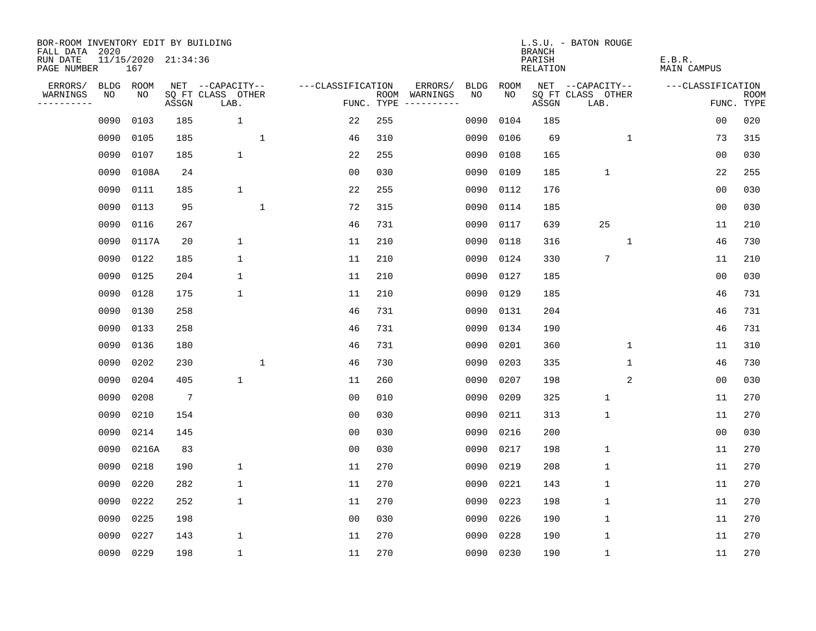| BOR-ROOM INVENTORY EDIT BY BUILDING<br>FALL DATA 2020 |             |                            |                 |                           |              |                   |            |                              |             |      | <b>BRANCH</b>      | L.S.U. - BATON ROUGE      |             |                       |                           |
|-------------------------------------------------------|-------------|----------------------------|-----------------|---------------------------|--------------|-------------------|------------|------------------------------|-------------|------|--------------------|---------------------------|-------------|-----------------------|---------------------------|
| RUN DATE<br>PAGE NUMBER                               |             | 11/15/2020 21:34:36<br>167 |                 |                           |              |                   |            |                              |             |      | PARISH<br>RELATION |                           |             | E.B.R.<br>MAIN CAMPUS |                           |
| ERRORS/                                               | <b>BLDG</b> | ROOM                       |                 | NET --CAPACITY--          |              | ---CLASSIFICATION |            | ERRORS/                      | <b>BLDG</b> | ROOM |                    | NET --CAPACITY--          |             | ---CLASSIFICATION     |                           |
| WARNINGS<br>----------                                | NO          | NO                         | ASSGN           | SQ FT CLASS OTHER<br>LAB. |              |                   | FUNC. TYPE | ROOM WARNINGS<br>----------- | NO.         | NO.  | ASSGN              | SQ FT CLASS OTHER<br>LAB. |             |                       | <b>ROOM</b><br>FUNC. TYPE |
|                                                       | 0090        | 0103                       | 185             | $\mathbf 1$               |              | 22                | 255        |                              | 0090        | 0104 | 185                |                           |             | 0 <sub>0</sub>        | 020                       |
|                                                       | 0090        | 0105                       | 185             |                           | $\mathbf 1$  | 46                | 310        |                              | 0090        | 0106 | 69                 |                           | $\mathbf 1$ | 73                    | 315                       |
|                                                       | 0090        | 0107                       | 185             | $\mathbf{1}$              |              | 22                | 255        |                              | 0090        | 0108 | 165                |                           |             | 0 <sub>0</sub>        | 030                       |
|                                                       | 0090        | 0108A                      | 24              |                           |              | 0 <sub>0</sub>    | 030        |                              | 0090        | 0109 | 185                | $\mathbf{1}$              |             | 22                    | 255                       |
|                                                       | 0090        | 0111                       | 185             | $\mathbf 1$               |              | 22                | 255        |                              | 0090        | 0112 | 176                |                           |             | 00                    | 030                       |
|                                                       | 0090        | 0113                       | 95              |                           | $\mathbf{1}$ | 72                | 315        |                              | 0090        | 0114 | 185                |                           |             | 0 <sub>0</sub>        | 030                       |
|                                                       | 0090        | 0116                       | 267             |                           |              | 46                | 731        |                              | 0090        | 0117 | 639                | 25                        |             | 11                    | 210                       |
|                                                       | 0090        | 0117A                      | 20              | $\mathbf 1$               |              | 11                | 210        |                              | 0090        | 0118 | 316                |                           | $\mathbf 1$ | 46                    | 730                       |
|                                                       | 0090        | 0122                       | 185             | $\mathbf 1$               |              | 11                | 210        |                              | 0090        | 0124 | 330                | $7\phantom{.0}$           |             | 11                    | 210                       |
|                                                       | 0090        | 0125                       | 204             | $\mathbf 1$               |              | 11                | 210        |                              | 0090        | 0127 | 185                |                           |             | 0 <sub>0</sub>        | 030                       |
|                                                       | 0090        | 0128                       | 175             | $\mathbf 1$               |              | 11                | 210        |                              | 0090        | 0129 | 185                |                           |             | 46                    | 731                       |
|                                                       | 0090        | 0130                       | 258             |                           |              | 46                | 731        |                              | 0090        | 0131 | 204                |                           |             | 46                    | 731                       |
|                                                       | 0090        | 0133                       | 258             |                           |              | 46                | 731        |                              | 0090        | 0134 | 190                |                           |             | 46                    | 731                       |
|                                                       | 0090        | 0136                       | 180             |                           |              | 46                | 731        |                              | 0090        | 0201 | 360                |                           | $\mathbf 1$ | 11                    | 310                       |
|                                                       | 0090        | 0202                       | 230             |                           | $\mathbf{1}$ | 46                | 730        |                              | 0090        | 0203 | 335                |                           | 1           | 46                    | 730                       |
|                                                       | 0090        | 0204                       | 405             | $\mathbf 1$               |              | 11                | 260        |                              | 0090        | 0207 | 198                |                           | 2           | 00                    | 030                       |
|                                                       | 0090        | 0208                       | $7\phantom{.0}$ |                           |              | 0 <sub>0</sub>    | 010        |                              | 0090        | 0209 | 325                | $\mathbf{1}$              |             | 11                    | 270                       |
|                                                       | 0090        | 0210                       | 154             |                           |              | 0 <sub>0</sub>    | 030        |                              | 0090        | 0211 | 313                | $1\,$                     |             | 11                    | 270                       |
|                                                       | 0090        | 0214                       | 145             |                           |              | 0 <sub>0</sub>    | 030        |                              | 0090        | 0216 | 200                |                           |             | 0 <sub>0</sub>        | 030                       |
|                                                       | 0090        | 0216A                      | 83              |                           |              | 0 <sub>0</sub>    | 030        |                              | 0090        | 0217 | 198                | $\mathbf{1}$              |             | 11                    | 270                       |
|                                                       | 0090        | 0218                       | 190             | $\mathbf 1$               |              | 11                | 270        |                              | 0090        | 0219 | 208                | $\mathbf 1$               |             | 11                    | 270                       |
|                                                       | 0090        | 0220                       | 282             | $\mathbf 1$               |              | 11                | 270        |                              | 0090        | 0221 | 143                | $\mathbf{1}$              |             | 11                    | 270                       |
|                                                       | 0090        | 0222                       | 252             | 1                         |              | 11                | 270        |                              | 0090        | 0223 | 198                | $\mathbf 1$               |             | 11                    | 270                       |
|                                                       | 0090        | 0225                       | 198             |                           |              | 0 <sub>0</sub>    | 030        |                              | 0090        | 0226 | 190                | $\mathbf 1$               |             | 11                    | 270                       |
|                                                       | 0090        | 0227                       | 143             | 1                         |              | 11                | 270        |                              | 0090        | 0228 | 190                | $\mathbf{1}$              |             | 11                    | 270                       |
|                                                       |             | 0090 0229                  | 198             | $\mathbf{1}$              |              | 11                | 270        |                              | 0090        | 0230 | 190                | $\mathbf 1$               |             | 11                    | 270                       |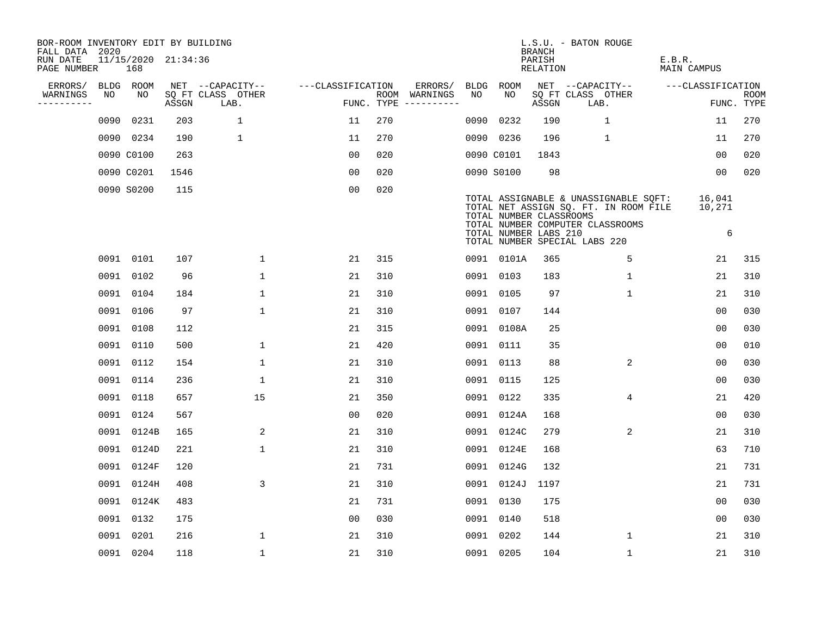| BOR-ROOM INVENTORY EDIT BY BUILDING<br>FALL DATA 2020 |      |                            |       |                           |                   |                                      |      |                                                  | <b>BRANCH</b>      | L.S.U. - BATON ROUGE                                                                                                                                |                       |                    |
|-------------------------------------------------------|------|----------------------------|-------|---------------------------|-------------------|--------------------------------------|------|--------------------------------------------------|--------------------|-----------------------------------------------------------------------------------------------------------------------------------------------------|-----------------------|--------------------|
| RUN DATE<br>PAGE NUMBER                               |      | 11/15/2020 21:34:36<br>168 |       |                           |                   |                                      |      |                                                  | PARISH<br>RELATION |                                                                                                                                                     | E.B.R.<br>MAIN CAMPUS |                    |
| ERRORS/                                               |      | BLDG ROOM                  |       | NET --CAPACITY--          | ---CLASSIFICATION | ERRORS/                              |      | BLDG ROOM                                        |                    | NET --CAPACITY--                                                                                                                                    | ---CLASSIFICATION     |                    |
| WARNINGS<br>----------                                | NO   | NO                         | ASSGN | SQ FT CLASS OTHER<br>LAB. |                   | ROOM WARNINGS<br>FUNC. TYPE $------$ | NO   | NO                                               | ASSGN              | SQ FT CLASS OTHER<br>LAB.                                                                                                                           |                       | ROOM<br>FUNC. TYPE |
|                                                       | 0090 | 0231                       | 203   | $\mathbf{1}$              | 11                | 270                                  | 0090 | 0232                                             | 190                | $\mathbf{1}$                                                                                                                                        | 11                    | 270                |
|                                                       |      | 0090 0234                  | 190   | 1                         | 11                | 270                                  |      | 0090 0236                                        | 196                | $\mathbf{1}$                                                                                                                                        | 11                    | 270                |
|                                                       |      | 0090 C0100                 | 263   |                           | 00                | 020                                  |      | 0090 C0101                                       | 1843               |                                                                                                                                                     | 0 <sub>0</sub>        | 020                |
|                                                       |      | 0090 C0201                 | 1546  |                           | 0 <sub>0</sub>    | 020                                  |      | 0090 S0100                                       | 98                 |                                                                                                                                                     | 0 <sub>0</sub>        | 020                |
|                                                       |      | 0090 S0200                 | 115   |                           | 0 <sub>0</sub>    | 020                                  |      | TOTAL NUMBER CLASSROOMS<br>TOTAL NUMBER LABS 210 |                    | TOTAL ASSIGNABLE & UNASSIGNABLE SQFT:<br>TOTAL NET ASSIGN SQ. FT. IN ROOM FILE<br>TOTAL NUMBER COMPUTER CLASSROOMS<br>TOTAL NUMBER SPECIAL LABS 220 | 16,041<br>10,271<br>6 |                    |
|                                                       |      | 0091 0101                  | 107   | $\mathbf{1}$              | 21                | 315                                  |      | 0091 0101A                                       | 365                | 5                                                                                                                                                   | 21                    | 315                |
|                                                       |      | 0091 0102                  | 96    | $\mathbf 1$               | 21                | 310                                  |      | 0091 0103                                        | 183                | $\mathbf 1$                                                                                                                                         | 21                    | 310                |
|                                                       |      | 0091 0104                  | 184   | $\mathbf{1}$              | 21                | 310                                  |      | 0091 0105                                        | 97                 | $\mathbf{1}$                                                                                                                                        | 21                    | 310                |
|                                                       |      | 0091 0106                  | 97    | $\mathbf 1$               | 21                | 310                                  |      | 0091 0107                                        | 144                |                                                                                                                                                     | 0 <sub>0</sub>        | 030                |
|                                                       |      | 0091 0108                  | 112   |                           | 21                | 315                                  |      | 0091 0108A                                       | 25                 |                                                                                                                                                     | 0 <sub>0</sub>        | 030                |
|                                                       |      | 0091 0110                  | 500   | $\mathbf 1$               | 21                | 420                                  |      | 0091 0111                                        | 35                 |                                                                                                                                                     | 0 <sub>0</sub>        | 010                |
|                                                       |      | 0091 0112                  | 154   | $\mathbf{1}$              | 21                | 310                                  |      | 0091 0113                                        | 88                 | $\overline{2}$                                                                                                                                      | 0 <sub>0</sub>        | 030                |
|                                                       |      | 0091 0114                  | 236   | $\mathbf{1}$              | 21                | 310                                  |      | 0091 0115                                        | 125                |                                                                                                                                                     | 00                    | 030                |
|                                                       |      | 0091 0118                  | 657   | 15                        | 21                | 350                                  | 0091 | 0122                                             | 335                | 4                                                                                                                                                   | 21                    | 420                |
|                                                       |      | 0091 0124                  | 567   |                           | 0 <sub>0</sub>    | 020                                  |      | 0091 0124A                                       | 168                |                                                                                                                                                     | 0 <sub>0</sub>        | 030                |
|                                                       |      | 0091 0124B                 | 165   | 2                         | 21                | 310                                  |      | 0091 0124C                                       | 279                | $\overline{2}$                                                                                                                                      | 21                    | 310                |
|                                                       |      | 0091 0124D                 | 221   | $\mathbf{1}$              | 21                | 310                                  |      | 0091 0124E                                       | 168                |                                                                                                                                                     | 63                    | 710                |
|                                                       |      | 0091 0124F                 | 120   |                           | 21                | 731                                  |      | 0091 0124G                                       | 132                |                                                                                                                                                     | 21                    | 731                |
|                                                       |      | 0091 0124H                 | 408   | 3                         | 21                | 310                                  |      | 0091 0124J                                       | 1197               |                                                                                                                                                     | 21                    | 731                |
|                                                       |      | 0091 0124K                 | 483   |                           | 21                | 731                                  |      | 0091 0130                                        | 175                |                                                                                                                                                     | 0 <sub>0</sub>        | 030                |
|                                                       |      | 0091 0132                  | 175   |                           | 0 <sub>0</sub>    | 030                                  |      | 0091 0140                                        | 518                |                                                                                                                                                     | 0 <sub>0</sub>        | 030                |
|                                                       | 0091 | 0201                       | 216   | $\mathbf 1$               | 21                | 310                                  |      | 0091 0202                                        | 144                | 1                                                                                                                                                   | 21                    | 310                |
|                                                       |      | 0091 0204                  | 118   | $\mathbf{1}$              | 21                | 310                                  |      | 0091 0205                                        | 104                | $\mathbf{1}$                                                                                                                                        | 21                    | 310                |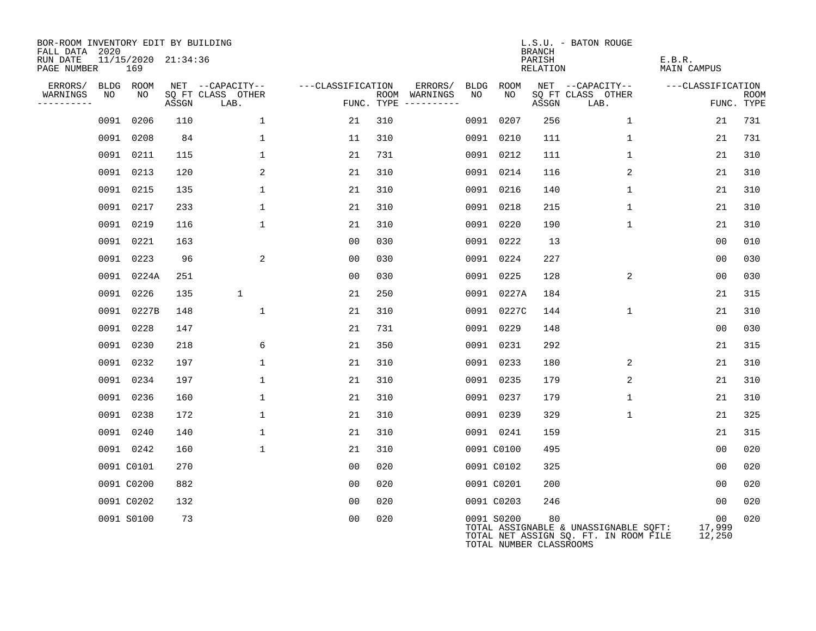| BOR-ROOM INVENTORY EDIT BY BUILDING<br>FALL DATA 2020 |      |            |                     |                           |                   |                                      |      |            | <b>BRANCH</b>                 | L.S.U. - BATON ROUGE                                                           |                        |                           |
|-------------------------------------------------------|------|------------|---------------------|---------------------------|-------------------|--------------------------------------|------|------------|-------------------------------|--------------------------------------------------------------------------------|------------------------|---------------------------|
| RUN DATE<br>PAGE NUMBER                               |      | 169        | 11/15/2020 21:34:36 |                           |                   |                                      |      |            | PARISH<br>RELATION            |                                                                                | E.B.R.<br>MAIN CAMPUS  |                           |
| ERRORS/                                               |      | BLDG ROOM  |                     | NET --CAPACITY--          | ---CLASSIFICATION | ERRORS/                              | BLDG | ROOM       |                               | NET --CAPACITY--                                                               | ---CLASSIFICATION      |                           |
| WARNINGS<br>----------                                | NO   | NO         | ASSGN               | SQ FT CLASS OTHER<br>LAB. |                   | ROOM WARNINGS<br>FUNC. TYPE $------$ | NO   | NO         | ASSGN                         | SQ FT CLASS OTHER<br>LAB.                                                      |                        | <b>ROOM</b><br>FUNC. TYPE |
|                                                       |      | 0091 0206  | 110                 | $\mathbf 1$               | 21                | 310                                  |      | 0091 0207  | 256                           | $\mathbf 1$                                                                    | 21                     | 731                       |
|                                                       |      | 0091 0208  | 84                  | $\mathbf 1$               | 11                | 310                                  |      | 0091 0210  | 111                           | $\mathbf 1$                                                                    | 21                     | 731                       |
|                                                       |      | 0091 0211  | 115                 | $\mathbf 1$               | 21                | 731                                  |      | 0091 0212  | 111                           | $\mathbf{1}$                                                                   | 21                     | 310                       |
|                                                       |      | 0091 0213  | 120                 | 2                         | 21                | 310                                  |      | 0091 0214  | 116                           | 2                                                                              | 21                     | 310                       |
|                                                       |      | 0091 0215  | 135                 | $\mathbf 1$               | 21                | 310                                  |      | 0091 0216  | 140                           | $\mathbf 1$                                                                    | 21                     | 310                       |
|                                                       |      | 0091 0217  | 233                 | $\mathbf{1}$              | 21                | 310                                  |      | 0091 0218  | 215                           | $\mathbf{1}$                                                                   | 21                     | 310                       |
|                                                       |      | 0091 0219  | 116                 | $\mathbf{1}$              | 21                | 310                                  |      | 0091 0220  | 190                           | $\mathbf 1$                                                                    | 21                     | 310                       |
|                                                       |      | 0091 0221  | 163                 |                           | 0 <sub>0</sub>    | 030                                  |      | 0091 0222  | 13                            |                                                                                | 00                     | 010                       |
|                                                       |      | 0091 0223  | 96                  | 2                         | 0 <sub>0</sub>    | 030                                  |      | 0091 0224  | 227                           |                                                                                | 0 <sub>0</sub>         | 030                       |
|                                                       |      | 0091 0224A | 251                 |                           | 00                | 030                                  |      | 0091 0225  | 128                           | 2                                                                              | 0 <sub>0</sub>         | 030                       |
|                                                       |      | 0091 0226  | 135                 | $\mathbf 1$               | 21                | 250                                  |      | 0091 0227A | 184                           |                                                                                | 21                     | 315                       |
|                                                       |      | 0091 0227B | 148                 | $\mathbf 1$               | 21                | 310                                  |      | 0091 0227C | 144                           | $\mathbf{1}$                                                                   | 21                     | 310                       |
|                                                       |      | 0091 0228  | 147                 |                           | 21                | 731                                  |      | 0091 0229  | 148                           |                                                                                | 00                     | 030                       |
|                                                       |      | 0091 0230  | 218                 | 6                         | 21                | 350                                  |      | 0091 0231  | 292                           |                                                                                | 21                     | 315                       |
|                                                       | 0091 | 0232       | 197                 | $\mathbf 1$               | 21                | 310                                  |      | 0091 0233  | 180                           | 2                                                                              | 21                     | 310                       |
|                                                       |      | 0091 0234  | 197                 | $\mathbf 1$               | 21                | 310                                  |      | 0091 0235  | 179                           | 2                                                                              | 21                     | 310                       |
|                                                       |      | 0091 0236  | 160                 | $\mathbf{1}$              | 21                | 310                                  |      | 0091 0237  | 179                           | $\mathbf{1}$                                                                   | 21                     | 310                       |
|                                                       |      | 0091 0238  | 172                 | $\mathbf 1$               | 21                | 310                                  |      | 0091 0239  | 329                           | $\mathbf 1$                                                                    | 21                     | 325                       |
|                                                       |      | 0091 0240  | 140                 | $\mathbf 1$               | 21                | 310                                  |      | 0091 0241  | 159                           |                                                                                | 21                     | 315                       |
|                                                       |      | 0091 0242  | 160                 | $\mathbf{1}$              | 21                | 310                                  |      | 0091 C0100 | 495                           |                                                                                | 00                     | 020                       |
|                                                       |      | 0091 C0101 | 270                 |                           | 00                | 020                                  |      | 0091 C0102 | 325                           |                                                                                | 0 <sub>0</sub>         | 020                       |
|                                                       |      | 0091 C0200 | 882                 |                           | 0 <sub>0</sub>    | 020                                  |      | 0091 C0201 | 200                           |                                                                                | 0 <sub>0</sub>         | 020                       |
|                                                       |      | 0091 C0202 | 132                 |                           | 0 <sub>0</sub>    | 020                                  |      | 0091 C0203 | 246                           |                                                                                | 00                     | 020                       |
|                                                       |      | 0091 S0100 | 73                  |                           | 0 <sub>0</sub>    | 020                                  |      | 0091 S0200 | 80<br>TOTAL NUMBER CLASSROOMS | TOTAL ASSIGNABLE & UNASSIGNABLE SQFT:<br>TOTAL NET ASSIGN SQ. FT. IN ROOM FILE | 00<br>17,999<br>12,250 | 020                       |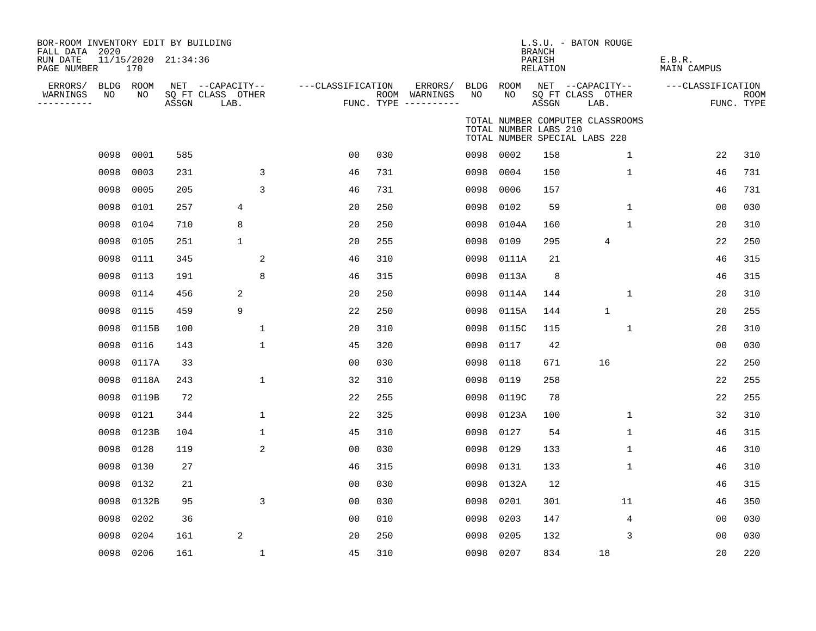| BOR-ROOM INVENTORY EDIT BY BUILDING<br>FALL DATA 2020 |                 |                     |                                       |                   |     |                          |            |                       | <b>BRANCH</b>      | L.S.U. - BATON ROUGE                                              |                              |             |
|-------------------------------------------------------|-----------------|---------------------|---------------------------------------|-------------------|-----|--------------------------|------------|-----------------------|--------------------|-------------------------------------------------------------------|------------------------------|-------------|
| RUN DATE<br>PAGE NUMBER                               | 170             | 11/15/2020 21:34:36 |                                       |                   |     |                          |            |                       | PARISH<br>RELATION |                                                                   | E.B.R.<br><b>MAIN CAMPUS</b> |             |
| ERRORS/<br>NO<br>WARNINGS                             | BLDG ROOM<br>NO |                     | NET --CAPACITY--<br>SQ FT CLASS OTHER | ---CLASSIFICATION |     | ERRORS/<br>ROOM WARNINGS | BLDG<br>NO | ROOM<br>NO            |                    | NET --CAPACITY--<br>SQ FT CLASS OTHER                             | ---CLASSIFICATION            | <b>ROOM</b> |
| ----------                                            |                 | ASSGN               | LAB.                                  |                   |     | FUNC. TYPE $------$      |            |                       | ASSGN              | LAB.                                                              |                              | FUNC. TYPE  |
|                                                       |                 |                     |                                       |                   |     |                          |            | TOTAL NUMBER LABS 210 |                    | TOTAL NUMBER COMPUTER CLASSROOMS<br>TOTAL NUMBER SPECIAL LABS 220 |                              |             |
| 0098                                                  | 0001            | 585                 |                                       | 00                | 030 |                          |            | 0098 0002             | 158                | $\mathbf 1$                                                       | 22                           | 310         |
| 0098                                                  | 0003            | 231                 | 3                                     | 46                | 731 |                          | 0098       | 0004                  | 150                | $\mathbf 1$                                                       | 46                           | 731         |
| 0098                                                  | 0005            | 205                 | 3                                     | 46                | 731 |                          | 0098       | 0006                  | 157                |                                                                   | 46                           | 731         |
| 0098                                                  | 0101            | 257                 | 4                                     | 20                | 250 |                          | 0098       | 0102                  | 59                 | $\mathbf{1}$                                                      | 00                           | 030         |
| 0098                                                  | 0104            | 710                 | 8                                     | 20                | 250 |                          | 0098       | 0104A                 | 160                | $\mathbf 1$                                                       | 20                           | 310         |
| 0098                                                  | 0105            | 251                 | $\mathbf 1$                           | 20                | 255 |                          | 0098       | 0109                  | 295                | 4                                                                 | 22                           | 250         |
| 0098                                                  | 0111            | 345                 | $\overline{c}$                        | 46                | 310 |                          | 0098       | 0111A                 | 21                 |                                                                   | 46                           | 315         |
| 0098                                                  | 0113            | 191                 | 8                                     | 46                | 315 |                          | 0098       | 0113A                 | $\,8\,$            |                                                                   | 46                           | 315         |
| 0098                                                  | 0114            | 456                 | 2                                     | 20                | 250 |                          | 0098       | 0114A                 | 144                | 1                                                                 | 20                           | 310         |
| 0098                                                  | 0115            | 459                 | 9                                     | 22                | 250 |                          | 0098       | 0115A                 | 144                | $\mathbf{1}$                                                      | 20                           | 255         |
| 0098                                                  | 0115B           | 100                 | $\mathbf{1}$                          | 20                | 310 |                          | 0098       | 0115C                 | 115                | $\mathbf 1$                                                       | 20                           | 310         |
| 0098                                                  | 0116            | 143                 | $\mathbf{1}$                          | 45                | 320 |                          | 0098       | 0117                  | 42                 |                                                                   | 0 <sub>0</sub>               | 030         |
| 0098                                                  | 0117A           | 33                  |                                       | 0 <sub>0</sub>    | 030 |                          | 0098       | 0118                  | 671                | 16                                                                | 22                           | 250         |
| 0098                                                  | 0118A           | 243                 | $\mathbf 1$                           | 32                | 310 |                          | 0098       | 0119                  | 258                |                                                                   | 22                           | 255         |
| 0098                                                  | 0119B           | 72                  |                                       | 22                | 255 |                          | 0098       | 0119C                 | 78                 |                                                                   | 22                           | 255         |
| 0098                                                  | 0121            | 344                 | $\mathbf 1$                           | 22                | 325 |                          | 0098       | 0123A                 | 100                | $\mathbf 1$                                                       | 32                           | 310         |
| 0098                                                  | 0123B           | 104                 | $\mathbf 1$                           | 45                | 310 |                          | 0098       | 0127                  | 54                 | $\mathbf 1$                                                       | 46                           | 315         |
| 0098                                                  | 0128            | 119                 | 2                                     | 0 <sub>0</sub>    | 030 |                          | 0098       | 0129                  | 133                | $\mathbf{1}$                                                      | 46                           | 310         |
| 0098                                                  | 0130            | 27                  |                                       | 46                | 315 |                          | 0098       | 0131                  | 133                | 1                                                                 | 46                           | 310         |
| 0098                                                  | 0132            | 21                  |                                       | 0 <sub>0</sub>    | 030 |                          | 0098       | 0132A                 | 12                 |                                                                   | 46                           | 315         |
| 0098                                                  | 0132B           | 95                  | 3                                     | 0 <sub>0</sub>    | 030 |                          | 0098       | 0201                  | 301                | 11                                                                | 46                           | 350         |
| 0098                                                  | 0202            | 36                  |                                       | 0 <sub>0</sub>    | 010 |                          | 0098       | 0203                  | 147                | 4                                                                 | 0 <sub>0</sub>               | 030         |
| 0098                                                  | 0204            | 161                 | 2                                     | 20                | 250 |                          | 0098       | 0205                  | 132                | 3                                                                 | 00                           | 030         |
|                                                       | 0098 0206       | 161                 | 1                                     | 45                | 310 |                          | 0098       | 0207                  | 834                | 18                                                                | 20                           | 220         |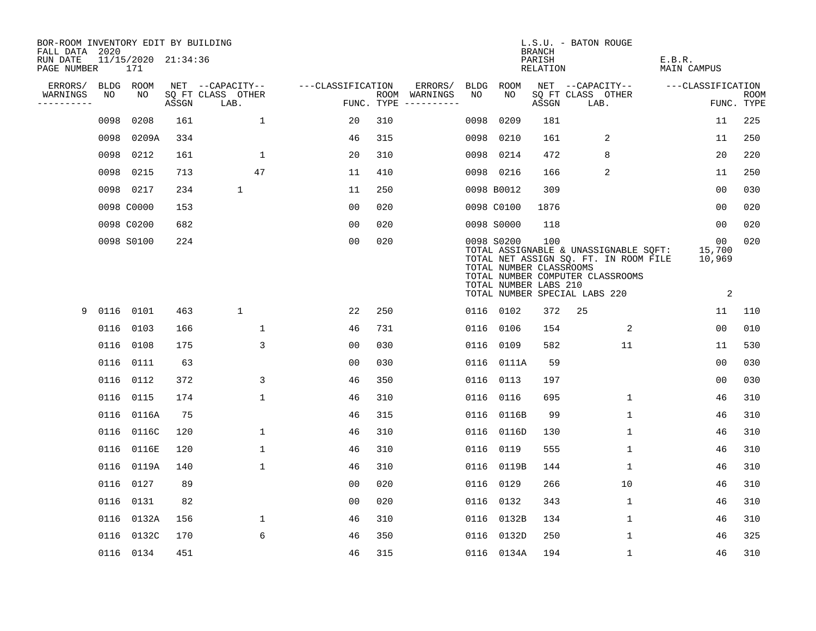| BOR-ROOM INVENTORY EDIT BY BUILDING<br>FALL DATA 2020 |      |                            |       |                           |                   |     |                                        |      |                                                                | <b>BRANCH</b>      | L.S.U. - BATON ROUGE                                                                                                                                |                             |                    |
|-------------------------------------------------------|------|----------------------------|-------|---------------------------|-------------------|-----|----------------------------------------|------|----------------------------------------------------------------|--------------------|-----------------------------------------------------------------------------------------------------------------------------------------------------|-----------------------------|--------------------|
| RUN DATE<br>PAGE NUMBER                               |      | 11/15/2020 21:34:36<br>171 |       |                           |                   |     |                                        |      |                                                                | PARISH<br>RELATION |                                                                                                                                                     | E.B.R.<br>MAIN CAMPUS       |                    |
| ERRORS/                                               |      | BLDG ROOM                  |       | NET --CAPACITY--          | ---CLASSIFICATION |     | ERRORS/                                |      | BLDG ROOM                                                      |                    | NET --CAPACITY--                                                                                                                                    | ---CLASSIFICATION           |                    |
| WARNINGS<br>----------                                | NO   | NO                         | ASSGN | SQ FT CLASS OTHER<br>LAB. |                   |     | ROOM WARNINGS<br>FUNC. TYPE ---------- | NO   | NO.                                                            | ASSGN              | SQ FT CLASS OTHER<br>LAB.                                                                                                                           |                             | ROOM<br>FUNC. TYPE |
|                                                       | 0098 | 0208                       | 161   | $\mathbf{1}$              | 20                | 310 |                                        | 0098 | 0209                                                           | 181                |                                                                                                                                                     | 11                          | 225                |
|                                                       |      | 0098 0209A                 | 334   |                           | 46                | 315 |                                        | 0098 | 0210                                                           | 161                | 2                                                                                                                                                   | 11                          | 250                |
|                                                       |      | 0098 0212                  | 161   | 1                         | 20                | 310 |                                        | 0098 | 0214                                                           | 472                | 8                                                                                                                                                   | 20                          | 220                |
|                                                       |      | 0098 0215                  | 713   | 47                        | 11                | 410 |                                        |      | 0098 0216                                                      | 166                | 2                                                                                                                                                   | 11                          | 250                |
|                                                       |      | 0098 0217                  | 234   | $\mathbf{1}$              | 11                | 250 |                                        |      | 0098 B0012                                                     | 309                |                                                                                                                                                     | 00                          | 030                |
|                                                       |      | 0098 C0000                 | 153   |                           | 0 <sub>0</sub>    | 020 |                                        |      | 0098 C0100                                                     | 1876               |                                                                                                                                                     | 00                          | 020                |
|                                                       |      | 0098 C0200                 | 682   |                           | 00                | 020 |                                        |      | 0098 S0000                                                     | 118                |                                                                                                                                                     | 00                          | 020                |
|                                                       |      | 0098 S0100                 | 224   |                           | 0 <sub>0</sub>    | 020 |                                        |      | 0098 S0200<br>TOTAL NUMBER CLASSROOMS<br>TOTAL NUMBER LABS 210 | 100                | TOTAL ASSIGNABLE & UNASSIGNABLE SQFT:<br>TOTAL NET ASSIGN SQ. FT. IN ROOM FILE<br>TOTAL NUMBER COMPUTER CLASSROOMS<br>TOTAL NUMBER SPECIAL LABS 220 | 00<br>15,700<br>10,969<br>2 | 020                |
| 9                                                     |      | 0116 0101                  | 463   | $\mathbf{1}$              | 22                | 250 |                                        |      | 0116 0102                                                      | 372                | 25                                                                                                                                                  | 11                          | 110                |
|                                                       |      | 0116 0103                  | 166   | $\mathbf{1}$              | 46                | 731 |                                        |      | 0116 0106                                                      | 154                | 2                                                                                                                                                   | 0 <sub>0</sub>              | 010                |
|                                                       |      | 0116 0108                  | 175   | 3                         | 0 <sub>0</sub>    | 030 |                                        |      | 0116 0109                                                      | 582                | 11                                                                                                                                                  | 11                          | 530                |
|                                                       |      | 0116 0111                  | 63    |                           | 0 <sub>0</sub>    | 030 |                                        |      | 0116 0111A                                                     | 59                 |                                                                                                                                                     | 0 <sub>0</sub>              | 030                |
|                                                       |      | 0116 0112                  | 372   | 3                         | 46                | 350 |                                        |      | 0116 0113                                                      | 197                |                                                                                                                                                     | 00                          | 030                |
|                                                       |      | 0116 0115                  | 174   | $\mathbf{1}$              | 46                | 310 |                                        | 0116 | 0116                                                           | 695                | 1                                                                                                                                                   | 46                          | 310                |
|                                                       |      | 0116 0116A                 | 75    |                           | 46                | 315 |                                        |      | 0116 0116B                                                     | 99                 | $\mathbf{1}$                                                                                                                                        | 46                          | 310                |
|                                                       |      | 0116 0116C                 | 120   | $\mathbf{1}$              | 46                | 310 |                                        |      | 0116 0116D                                                     | 130                | $\mathbf{1}$                                                                                                                                        | 46                          | 310                |
|                                                       |      | 0116 0116E                 | 120   | $\mathbf{1}$              | 46                | 310 |                                        |      | 0116 0119                                                      | 555                | $\mathbf{1}$                                                                                                                                        | 46                          | 310                |
|                                                       |      | 0116 0119A                 | 140   | $\mathbf{1}$              | 46                | 310 |                                        |      | 0116 0119B                                                     | 144                | 1                                                                                                                                                   | 46                          | 310                |
|                                                       |      | 0116 0127                  | 89    |                           | 00                | 020 |                                        |      | 0116 0129                                                      | 266                | 10                                                                                                                                                  | 46                          | 310                |
|                                                       |      | 0116 0131                  | 82    |                           | 0 <sub>0</sub>    | 020 |                                        |      | 0116 0132                                                      | 343                | $\mathbf 1$                                                                                                                                         | 46                          | 310                |
|                                                       |      | 0116 0132A                 | 156   | $\mathbf{1}$              | 46                | 310 |                                        |      | 0116 0132B                                                     | 134                | $\mathbf{1}$                                                                                                                                        | 46                          | 310                |
|                                                       |      | 0116 0132C                 | 170   | 6                         | 46                | 350 |                                        |      | 0116 0132D                                                     | 250                | $\mathbf{1}$                                                                                                                                        | 46                          | 325                |
|                                                       |      | 0116 0134                  | 451   |                           | 46                | 315 |                                        |      | 0116 0134A                                                     | 194                | $\mathbf{1}$                                                                                                                                        | 46                          | 310                |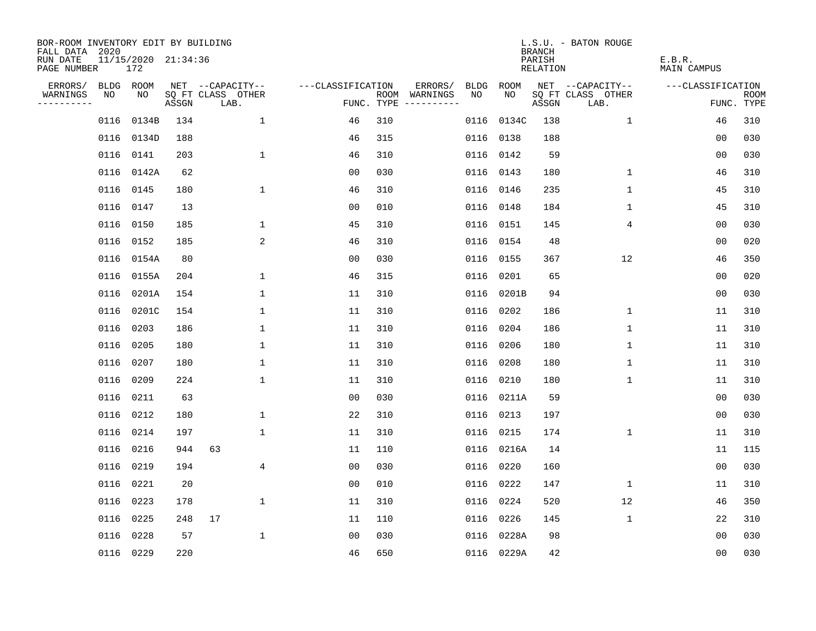| BOR-ROOM INVENTORY EDIT BY BUILDING<br>FALL DATA 2020 |           |                            |       |                           |                   |     |                                      |      |            | <b>BRANCH</b>      | L.S.U. - BATON ROUGE      |                       |                           |
|-------------------------------------------------------|-----------|----------------------------|-------|---------------------------|-------------------|-----|--------------------------------------|------|------------|--------------------|---------------------------|-----------------------|---------------------------|
| RUN DATE<br>PAGE NUMBER                               |           | 11/15/2020 21:34:36<br>172 |       |                           |                   |     |                                      |      |            | PARISH<br>RELATION |                           | E.B.R.<br>MAIN CAMPUS |                           |
| ERRORS/                                               | BLDG ROOM |                            |       | NET --CAPACITY--          | ---CLASSIFICATION |     | ERRORS/                              | BLDG | ROOM       |                    | NET --CAPACITY--          | ---CLASSIFICATION     |                           |
| WARNINGS<br>----------                                | NO        | NO                         | ASSGN | SQ FT CLASS OTHER<br>LAB. |                   |     | ROOM WARNINGS<br>FUNC. TYPE $------$ | NO.  | NO.        | ASSGN              | SQ FT CLASS OTHER<br>LAB. |                       | <b>ROOM</b><br>FUNC. TYPE |
|                                                       | 0116      | 0134B                      | 134   | $\mathbf{1}$              | 46                | 310 |                                      | 0116 | 0134C      | 138                | $\mathbf{1}$              | 46                    | 310                       |
|                                                       |           | 0116 0134D                 | 188   |                           | 46                | 315 |                                      | 0116 | 0138       | 188                |                           | 0 <sub>0</sub>        | 030                       |
|                                                       |           | 0116 0141                  | 203   | $\mathbf{1}$              | 46                | 310 |                                      | 0116 | 0142       | 59                 |                           | 00                    | 030                       |
|                                                       |           | 0116 0142A                 | 62    |                           | 00                | 030 |                                      |      | 0116 0143  | 180                | 1                         | 46                    | 310                       |
|                                                       |           | 0116 0145                  | 180   | $\mathbf{1}$              | 46                | 310 |                                      |      | 0116 0146  | 235                | $\mathbf 1$               | 45                    | 310                       |
|                                                       |           | 0116 0147                  | 13    |                           | 0 <sub>0</sub>    | 010 |                                      |      | 0116 0148  | 184                | 1                         | 45                    | 310                       |
|                                                       |           | 0116 0150                  | 185   | $\mathbf 1$               | 45                | 310 |                                      |      | 0116 0151  | 145                | 4                         | 00                    | 030                       |
|                                                       |           | 0116 0152                  | 185   | 2                         | 46                | 310 |                                      |      | 0116 0154  | 48                 |                           | 00                    | 020                       |
|                                                       |           | 0116 0154A                 | 80    |                           | 0 <sub>0</sub>    | 030 |                                      | 0116 | 0155       | 367                | 12                        | 46                    | 350                       |
|                                                       |           | 0116 0155A                 | 204   | $\mathbf 1$               | 46                | 315 |                                      | 0116 | 0201       | 65                 |                           | 0 <sub>0</sub>        | 020                       |
|                                                       |           | 0116 0201A                 | 154   | $\mathbf 1$               | 11                | 310 |                                      | 0116 | 0201B      | 94                 |                           | 0 <sub>0</sub>        | 030                       |
|                                                       |           | 0116 0201C                 | 154   | $\mathbf{1}$              | 11                | 310 |                                      | 0116 | 0202       | 186                | $\mathbf 1$               | 11                    | 310                       |
|                                                       |           | 0116 0203                  | 186   | $\mathbf 1$               | 11                | 310 |                                      | 0116 | 0204       | 186                | $\mathbf 1$               | 11                    | 310                       |
|                                                       |           | 0116 0205                  | 180   | $\mathbf 1$               | 11                | 310 |                                      | 0116 | 0206       | 180                | 1                         | 11                    | 310                       |
|                                                       |           | 0116 0207                  | 180   | 1                         | 11                | 310 |                                      | 0116 | 0208       | 180                | 1                         | 11                    | 310                       |
|                                                       |           | 0116 0209                  | 224   | $\mathbf 1$               | 11                | 310 |                                      | 0116 | 0210       | 180                | 1                         | 11                    | 310                       |
|                                                       | 0116 0211 |                            | 63    |                           | 0 <sub>0</sub>    | 030 |                                      | 0116 | 0211A      | 59                 |                           | 0 <sub>0</sub>        | 030                       |
|                                                       |           | 0116 0212                  | 180   | $\mathbf 1$               | 22                | 310 |                                      | 0116 | 0213       | 197                |                           | 0 <sub>0</sub>        | 030                       |
|                                                       |           | 0116 0214                  | 197   | $\mathbf{1}$              | 11                | 310 |                                      | 0116 | 0215       | 174                | 1                         | 11                    | 310                       |
|                                                       |           | 0116 0216                  | 944   | 63                        | 11                | 110 |                                      | 0116 | 0216A      | 14                 |                           | 11                    | 115                       |
|                                                       |           | 0116 0219                  | 194   | 4                         | 0 <sub>0</sub>    | 030 |                                      | 0116 | 0220       | 160                |                           | 0 <sub>0</sub>        | 030                       |
|                                                       | 0116      | 0221                       | 20    |                           | 0 <sub>0</sub>    | 010 |                                      | 0116 | 0222       | 147                | 1                         | 11                    | 310                       |
|                                                       |           | 0116 0223                  | 178   | $\mathbf 1$               | 11                | 310 |                                      | 0116 | 0224       | 520                | 12                        | 46                    | 350                       |
|                                                       |           | 0116 0225                  | 248   | 17                        | 11                | 110 |                                      | 0116 | 0226       | 145                | $\mathbf 1$               | 22                    | 310                       |
|                                                       |           | 0116 0228                  | 57    | $\mathbf{1}$              | 0 <sub>0</sub>    | 030 |                                      | 0116 | 0228A      | 98                 |                           | 0 <sub>0</sub>        | 030                       |
|                                                       |           | 0116 0229                  | 220   |                           | 46                | 650 |                                      |      | 0116 0229A | 42                 |                           | 0 <sub>0</sub>        | 030                       |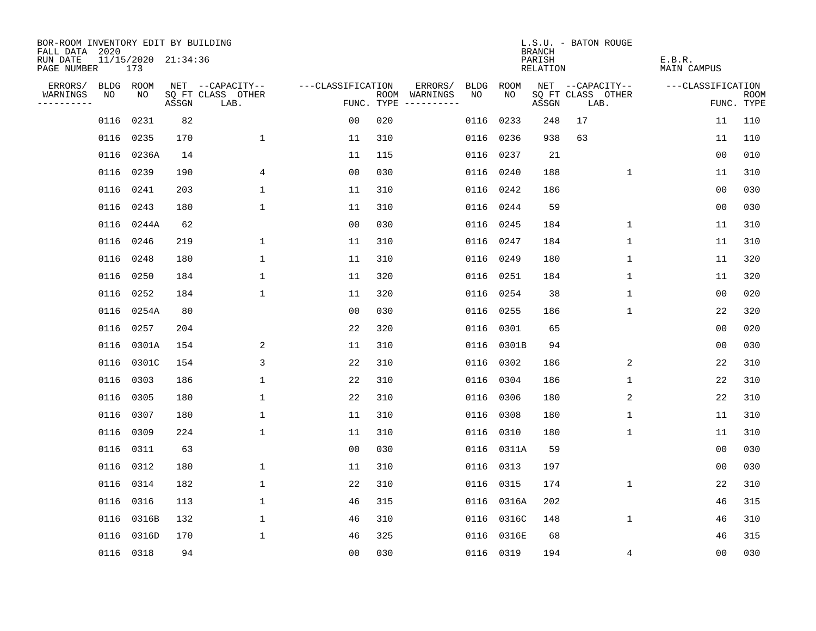| BOR-ROOM INVENTORY EDIT BY BUILDING<br>FALL DATA 2020 |           |                            |       |                           |                   |     |                                      |      |            | <b>BRANCH</b>      | L.S.U. - BATON ROUGE      |              |                       |                           |
|-------------------------------------------------------|-----------|----------------------------|-------|---------------------------|-------------------|-----|--------------------------------------|------|------------|--------------------|---------------------------|--------------|-----------------------|---------------------------|
| RUN DATE<br>PAGE NUMBER                               |           | 11/15/2020 21:34:36<br>173 |       |                           |                   |     |                                      |      |            | PARISH<br>RELATION |                           |              | E.B.R.<br>MAIN CAMPUS |                           |
| ERRORS/                                               | BLDG ROOM |                            |       | NET --CAPACITY--          | ---CLASSIFICATION |     | ERRORS/                              | BLDG | ROOM       |                    | NET --CAPACITY--          |              | ---CLASSIFICATION     |                           |
| WARNINGS<br>----------                                | NO        | NO                         | ASSGN | SQ FT CLASS OTHER<br>LAB. |                   |     | ROOM WARNINGS<br>FUNC. TYPE $------$ | NO.  | NO.        | ASSGN              | SQ FT CLASS OTHER<br>LAB. |              |                       | <b>ROOM</b><br>FUNC. TYPE |
|                                                       | 0116      | 0231                       | 82    |                           | 00                | 020 |                                      | 0116 | 0233       | 248                | 17                        |              | 11                    | 110                       |
|                                                       |           | 0116 0235                  | 170   | $\mathbf 1$               | 11                | 310 |                                      | 0116 | 0236       | 938                | 63                        |              | 11                    | 110                       |
|                                                       | 0116      | 0236A                      | 14    |                           | 11                | 115 |                                      | 0116 | 0237       | 21                 |                           |              | 0 <sub>0</sub>        | 010                       |
|                                                       |           | 0116 0239                  | 190   | 4                         | 0 <sub>0</sub>    | 030 |                                      | 0116 | 0240       | 188                |                           | 1            | 11                    | 310                       |
|                                                       | 0116      | 0241                       | 203   | $\mathbf{1}$              | 11                | 310 |                                      |      | 0116 0242  | 186                |                           |              | 0 <sub>0</sub>        | 030                       |
|                                                       |           | 0116 0243                  | 180   | $\mathbf 1$               | 11                | 310 |                                      |      | 0116 0244  | 59                 |                           |              | 0 <sub>0</sub>        | 030                       |
|                                                       |           | 0116 0244A                 | 62    |                           | 0 <sub>0</sub>    | 030 |                                      |      | 0116 0245  | 184                |                           | $\mathbf 1$  | 11                    | 310                       |
|                                                       |           | 0116 0246                  | 219   | 1                         | 11                | 310 |                                      |      | 0116 0247  | 184                |                           | 1            | 11                    | 310                       |
|                                                       | 0116      | 0248                       | 180   | $\mathbf{1}$              | 11                | 310 |                                      | 0116 | 0249       | 180                |                           | $\mathbf{1}$ | 11                    | 320                       |
|                                                       |           | 0116 0250                  | 184   | $\mathbf 1$               | 11                | 320 |                                      |      | 0116 0251  | 184                |                           | 1            | 11                    | 320                       |
|                                                       |           | 0116 0252                  | 184   | $\mathbf 1$               | 11                | 320 |                                      | 0116 | 0254       | 38                 |                           | $\mathbf 1$  | 0 <sub>0</sub>        | 020                       |
|                                                       |           | 0116 0254A                 | 80    |                           | 0 <sub>0</sub>    | 030 |                                      | 0116 | 0255       | 186                |                           | $\mathbf 1$  | 22                    | 320                       |
|                                                       |           | 0116 0257                  | 204   |                           | 22                | 320 |                                      | 0116 | 0301       | 65                 |                           |              | 0 <sub>0</sub>        | 020                       |
|                                                       |           | 0116 0301A                 | 154   | 2                         | 11                | 310 |                                      |      | 0116 0301B | 94                 |                           |              | 0 <sub>0</sub>        | 030                       |
|                                                       |           | 0116 0301C                 | 154   | 3                         | 22                | 310 |                                      | 0116 | 0302       | 186                |                           | 2            | 22                    | 310                       |
|                                                       |           | 0116 0303                  | 186   | 1                         | 22                | 310 |                                      | 0116 | 0304       | 186                |                           | 1            | 22                    | 310                       |
|                                                       | 0116      | 0305                       | 180   | $\mathbf 1$               | 22                | 310 |                                      | 0116 | 0306       | 180                |                           | 2            | 22                    | 310                       |
|                                                       |           | 0116 0307                  | 180   | $\mathbf 1$               | 11                | 310 |                                      | 0116 | 0308       | 180                |                           | 1            | 11                    | 310                       |
|                                                       |           | 0116 0309                  | 224   | $\mathbf{1}$              | 11                | 310 |                                      | 0116 | 0310       | 180                |                           | 1            | 11                    | 310                       |
|                                                       |           | 0116 0311                  | 63    |                           | 0 <sub>0</sub>    | 030 |                                      |      | 0116 0311A | 59                 |                           |              | 0 <sub>0</sub>        | 030                       |
|                                                       |           | 0116 0312                  | 180   | 1                         | 11                | 310 |                                      | 0116 | 0313       | 197                |                           |              | 0 <sub>0</sub>        | 030                       |
|                                                       | 0116      | 0314                       | 182   | $\mathbf 1$               | 22                | 310 |                                      | 0116 | 0315       | 174                |                           | $\mathbf 1$  | 22                    | 310                       |
|                                                       |           | 0116 0316                  | 113   | $\mathbf 1$               | 46                | 315 |                                      | 0116 | 0316A      | 202                |                           |              | 46                    | 315                       |
|                                                       |           | 0116 0316B                 | 132   | $\mathbf 1$               | 46                | 310 |                                      |      | 0116 0316C | 148                |                           | $\mathbf 1$  | 46                    | 310                       |
|                                                       |           | 0116 0316D                 | 170   | $\mathbf{1}$              | 46                | 325 |                                      | 0116 | 0316E      | 68                 |                           |              | 46                    | 315                       |
|                                                       |           | 0116 0318                  | 94    |                           | 0 <sub>0</sub>    | 030 |                                      |      | 0116 0319  | 194                |                           | 4            | 0 <sub>0</sub>        | 030                       |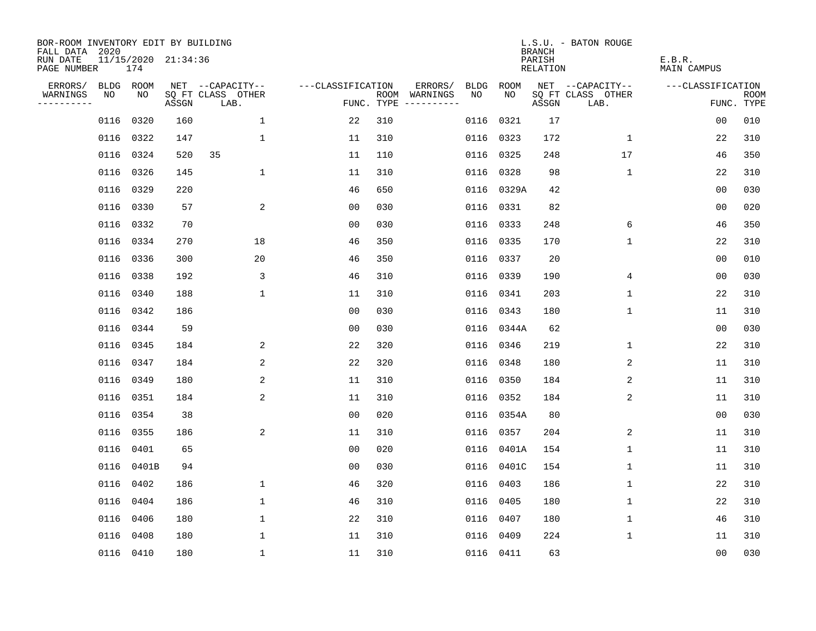| BOR-ROOM INVENTORY EDIT BY BUILDING<br>FALL DATA 2020 |           |            |                     |                           |                   |     |                                      |      |            | <b>BRANCH</b>      | L.S.U. - BATON ROUGE      |                       |                           |
|-------------------------------------------------------|-----------|------------|---------------------|---------------------------|-------------------|-----|--------------------------------------|------|------------|--------------------|---------------------------|-----------------------|---------------------------|
| RUN DATE<br>PAGE NUMBER                               |           | 174        | 11/15/2020 21:34:36 |                           |                   |     |                                      |      |            | PARISH<br>RELATION |                           | E.B.R.<br>MAIN CAMPUS |                           |
| ERRORS/                                               | BLDG ROOM |            |                     | NET --CAPACITY--          | ---CLASSIFICATION |     | ERRORS/                              | BLDG | ROOM       |                    | NET --CAPACITY--          | ---CLASSIFICATION     |                           |
| WARNINGS<br>----------                                | NO        | NO         | ASSGN               | SQ FT CLASS OTHER<br>LAB. |                   |     | ROOM WARNINGS<br>FUNC. TYPE $------$ | NO.  | NO         | ASSGN              | SQ FT CLASS OTHER<br>LAB. |                       | <b>ROOM</b><br>FUNC. TYPE |
|                                                       | 0116      | 0320       | 160                 | $\mathbf{1}$              | 22                | 310 |                                      | 0116 | 0321       | 17                 |                           | 0 <sub>0</sub>        | 010                       |
|                                                       |           | 0116 0322  | 147                 | $\mathbf 1$               | 11                | 310 |                                      | 0116 | 0323       | 172                | 1                         | 22                    | 310                       |
|                                                       |           | 0116 0324  | 520                 | 35                        | 11                | 110 |                                      | 0116 | 0325       | 248                | 17                        | 46                    | 350                       |
|                                                       |           | 0116 0326  | 145                 | 1                         | 11                | 310 |                                      |      | 0116 0328  | 98                 | 1                         | 22                    | 310                       |
|                                                       | 0116      | 0329       | 220                 |                           | 46                | 650 |                                      |      | 0116 0329A | 42                 |                           | 0 <sub>0</sub>        | 030                       |
|                                                       |           | 0116 0330  | 57                  | 2                         | 0 <sub>0</sub>    | 030 |                                      |      | 0116 0331  | 82                 |                           | 0 <sub>0</sub>        | 020                       |
|                                                       |           | 0116 0332  | 70                  |                           | 0 <sub>0</sub>    | 030 |                                      |      | 0116 0333  | 248                | 6                         | 46                    | 350                       |
|                                                       |           | 0116 0334  | 270                 | 18                        | 46                | 350 |                                      |      | 0116 0335  | 170                | $\mathbf{1}$              | 22                    | 310                       |
|                                                       |           | 0116 0336  | 300                 | 20                        | 46                | 350 |                                      | 0116 | 0337       | 20                 |                           | 0 <sub>0</sub>        | 010                       |
|                                                       |           | 0116 0338  | 192                 | 3                         | 46                | 310 |                                      |      | 0116 0339  | 190                | 4                         | 0 <sub>0</sub>        | 030                       |
|                                                       |           | 0116 0340  | 188                 | $\mathbf 1$               | 11                | 310 |                                      | 0116 | 0341       | 203                | $\mathbf 1$               | 22                    | 310                       |
|                                                       |           | 0116 0342  | 186                 |                           | 0 <sub>0</sub>    | 030 |                                      |      | 0116 0343  | 180                | $\mathbf 1$               | 11                    | 310                       |
|                                                       |           | 0116 0344  | 59                  |                           | 0 <sub>0</sub>    | 030 |                                      | 0116 | 0344A      | 62                 |                           | 0 <sub>0</sub>        | 030                       |
|                                                       |           | 0116 0345  | 184                 | 2                         | 22                | 320 |                                      |      | 0116 0346  | 219                | $\mathbf 1$               | 22                    | 310                       |
|                                                       |           | 0116 0347  | 184                 | 2                         | 22                | 320 |                                      | 0116 | 0348       | 180                | 2                         | 11                    | 310                       |
|                                                       |           | 0116 0349  | 180                 | 2                         | 11                | 310 |                                      | 0116 | 0350       | 184                | 2                         | 11                    | 310                       |
|                                                       | 0116 0351 |            | 184                 | 2                         | 11                | 310 |                                      | 0116 | 0352       | 184                | 2                         | 11                    | 310                       |
|                                                       |           | 0116 0354  | 38                  |                           | 0 <sub>0</sub>    | 020 |                                      |      | 0116 0354A | 80                 |                           | 0 <sub>0</sub>        | 030                       |
|                                                       |           | 0116 0355  | 186                 | 2                         | 11                | 310 |                                      | 0116 | 0357       | 204                | 2                         | 11                    | 310                       |
|                                                       | 0116      | 0401       | 65                  |                           | 0 <sub>0</sub>    | 020 |                                      | 0116 | 0401A      | 154                | 1                         | 11                    | 310                       |
|                                                       |           | 0116 0401B | 94                  |                           | 0 <sub>0</sub>    | 030 |                                      | 0116 | 0401C      | 154                | 1                         | 11                    | 310                       |
|                                                       |           | 0116 0402  | 186                 | $\mathbf 1$               | 46                | 320 |                                      | 0116 | 0403       | 186                | 1                         | 22                    | 310                       |
|                                                       |           | 0116 0404  | 186                 | $\mathbf 1$               | 46                | 310 |                                      | 0116 | 0405       | 180                | 1                         | 22                    | 310                       |
|                                                       |           | 0116 0406  | 180                 | $\mathbf 1$               | 22                | 310 |                                      |      | 0116 0407  | 180                | 1                         | 46                    | 310                       |
|                                                       |           | 0116 0408  | 180                 | $\mathbf 1$               | 11                | 310 |                                      | 0116 | 0409       | 224                | 1                         | 11                    | 310                       |
|                                                       |           | 0116 0410  | 180                 | $\mathbf{1}$              | 11                | 310 |                                      |      | 0116 0411  | 63                 |                           | 0 <sub>0</sub>        | 030                       |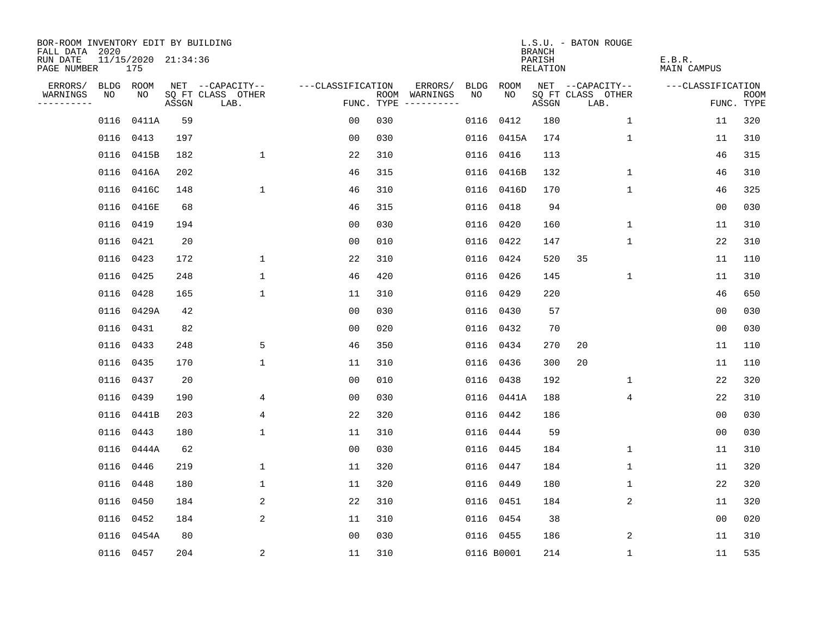| BOR-ROOM INVENTORY EDIT BY BUILDING<br>FALL DATA 2020 |      |                            |       |                           |                   |     |                                      |      |            | <b>BRANCH</b>      | L.S.U. - BATON ROUGE      |                       |                           |
|-------------------------------------------------------|------|----------------------------|-------|---------------------------|-------------------|-----|--------------------------------------|------|------------|--------------------|---------------------------|-----------------------|---------------------------|
| RUN DATE<br>PAGE NUMBER                               |      | 11/15/2020 21:34:36<br>175 |       |                           |                   |     |                                      |      |            | PARISH<br>RELATION |                           | E.B.R.<br>MAIN CAMPUS |                           |
| ERRORS/                                               |      | BLDG ROOM                  |       | NET --CAPACITY--          | ---CLASSIFICATION |     | ERRORS/                              | BLDG | ROOM       |                    | NET --CAPACITY--          | ---CLASSIFICATION     |                           |
| WARNINGS<br>----------                                | NO   | NO                         | ASSGN | SQ FT CLASS OTHER<br>LAB. |                   |     | ROOM WARNINGS<br>FUNC. TYPE $------$ | NO.  | NO         | ASSGN              | SQ FT CLASS OTHER<br>LAB. |                       | <b>ROOM</b><br>FUNC. TYPE |
|                                                       | 0116 | 0411A                      | 59    |                           | 00                | 030 |                                      | 0116 | 0412       | 180                | $\mathbf{1}$              | 11                    | 320                       |
|                                                       |      | 0116 0413                  | 197   |                           | 0 <sub>0</sub>    | 030 |                                      | 0116 | 0415A      | 174                | 1                         | 11                    | 310                       |
|                                                       |      | 0116 0415B                 | 182   | $\mathbf{1}$              | 22                | 310 |                                      | 0116 | 0416       | 113                |                           | 46                    | 315                       |
|                                                       |      | 0116 0416A                 | 202   |                           | 46                | 315 |                                      |      | 0116 0416B | 132                | 1                         | 46                    | 310                       |
|                                                       |      | 0116 0416C                 | 148   | $\mathbf 1$               | 46                | 310 |                                      |      | 0116 0416D | 170                | $\mathbf 1$               | 46                    | 325                       |
|                                                       |      | 0116 0416E                 | 68    |                           | 46                | 315 |                                      |      | 0116 0418  | 94                 |                           | 0 <sub>0</sub>        | 030                       |
|                                                       |      | 0116 0419                  | 194   |                           | 0 <sub>0</sub>    | 030 |                                      |      | 0116 0420  | 160                | $\mathbf 1$               | 11                    | 310                       |
|                                                       |      | 0116 0421                  | 20    |                           | 0 <sub>0</sub>    | 010 |                                      |      | 0116 0422  | 147                | $\mathbf{1}$              | 22                    | 310                       |
|                                                       |      | 0116 0423                  | 172   | $\mathbf{1}$              | 22                | 310 |                                      | 0116 | 0424       | 520                | 35                        | 11                    | 110                       |
|                                                       |      | 0116 0425                  | 248   | $\mathbf 1$               | 46                | 420 |                                      | 0116 | 0426       | 145                | $\mathbf 1$               | 11                    | 310                       |
|                                                       |      | 0116 0428                  | 165   | $\mathbf 1$               | 11                | 310 |                                      | 0116 | 0429       | 220                |                           | 46                    | 650                       |
|                                                       |      | 0116 0429A                 | 42    |                           | 0 <sub>0</sub>    | 030 |                                      | 0116 | 0430       | 57                 |                           | 0 <sub>0</sub>        | 030                       |
|                                                       |      | 0116 0431                  | 82    |                           | 0 <sub>0</sub>    | 020 |                                      | 0116 | 0432       | 70                 |                           | 0 <sub>0</sub>        | 030                       |
|                                                       |      | 0116 0433                  | 248   | 5                         | 46                | 350 |                                      |      | 0116 0434  | 270                | 20                        | 11                    | 110                       |
|                                                       |      | 0116 0435                  | 170   | $\mathbf{1}$              | 11                | 310 |                                      | 0116 | 0436       | 300                | 20                        | 11                    | 110                       |
|                                                       |      | 0116 0437                  | 20    |                           | 0 <sub>0</sub>    | 010 |                                      |      | 0116 0438  | 192                | 1                         | 22                    | 320                       |
|                                                       |      | 0116 0439                  | 190   | 4                         | 0 <sub>0</sub>    | 030 |                                      | 0116 | 0441A      | 188                | 4                         | 22                    | 310                       |
|                                                       |      | 0116 0441B                 | 203   | 4                         | 22                | 320 |                                      |      | 0116 0442  | 186                |                           | 0 <sub>0</sub>        | 030                       |
|                                                       |      | 0116 0443                  | 180   | $\mathbf{1}$              | 11                | 310 |                                      |      | 0116 0444  | 59                 |                           | 0 <sub>0</sub>        | 030                       |
|                                                       |      | 0116 0444A                 | 62    |                           | 0 <sub>0</sub>    | 030 |                                      |      | 0116 0445  | 184                | $\mathbf 1$               | 11                    | 310                       |
|                                                       |      | 0116 0446                  | 219   | $\mathbf 1$               | 11                | 320 |                                      |      | 0116 0447  | 184                | 1                         | 11                    | 320                       |
|                                                       | 0116 | 0448                       | 180   | $\mathbf 1$               | 11                | 320 |                                      | 0116 | 0449       | 180                | $\mathbf 1$               | 22                    | 320                       |
|                                                       |      | 0116 0450                  | 184   | 2                         | 22                | 310 |                                      | 0116 | 0451       | 184                | 2                         | 11                    | 320                       |
|                                                       |      | 0116 0452                  | 184   | 2                         | 11                | 310 |                                      |      | 0116 0454  | 38                 |                           | 0 <sub>0</sub>        | 020                       |
|                                                       |      | 0116 0454A                 | 80    |                           | 0 <sub>0</sub>    | 030 |                                      |      | 0116 0455  | 186                | 2                         | 11                    | 310                       |
|                                                       |      | 0116 0457                  | 204   | $\overline{a}$            | 11                | 310 |                                      |      | 0116 B0001 | 214                | $\mathbf{1}$              | 11                    | 535                       |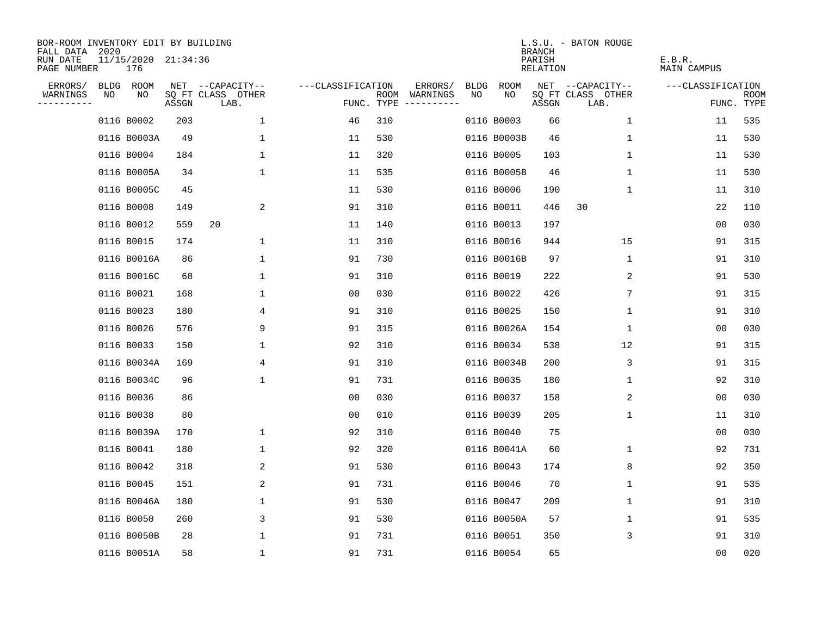| BOR-ROOM INVENTORY EDIT BY BUILDING<br>FALL DATA 2020 |    |                            |       |                           |                   |                    |                        |             |             | <b>BRANCH</b>      | L.S.U. - BATON ROUGE      |                       |                           |
|-------------------------------------------------------|----|----------------------------|-------|---------------------------|-------------------|--------------------|------------------------|-------------|-------------|--------------------|---------------------------|-----------------------|---------------------------|
| RUN DATE<br>PAGE NUMBER                               |    | 11/15/2020 21:34:36<br>176 |       |                           |                   |                    |                        |             |             | PARISH<br>RELATION |                           | E.B.R.<br>MAIN CAMPUS |                           |
| ERRORS/                                               |    | BLDG ROOM                  |       | NET --CAPACITY--          | ---CLASSIFICATION |                    | ERRORS/                | <b>BLDG</b> | <b>ROOM</b> |                    | NET --CAPACITY--          | ---CLASSIFICATION     |                           |
| WARNINGS<br>.                                         | NO | NO                         | ASSGN | SQ FT CLASS OTHER<br>LAB. |                   | ROOM<br>FUNC. TYPE | WARNINGS<br>---------- | NO          | NO          | ASSGN              | SQ FT CLASS OTHER<br>LAB. |                       | <b>ROOM</b><br>FUNC. TYPE |
|                                                       |    | 0116 B0002                 | 203   | 1                         | 46                | 310                |                        |             | 0116 B0003  | 66                 | 1                         | 11                    | 535                       |
|                                                       |    | 0116 B0003A                | 49    | 1                         | 11                | 530                |                        |             | 0116 B0003B | 46                 | 1                         | 11                    | 530                       |
|                                                       |    | 0116 B0004                 | 184   | $\mathbf{1}$              | 11                | 320                |                        |             | 0116 B0005  | 103                | 1                         | 11                    | 530                       |
|                                                       |    | 0116 B0005A                | 34    | 1                         | 11                | 535                |                        |             | 0116 B0005B | 46                 | 1                         | 11                    | 530                       |
|                                                       |    | 0116 B0005C                | 45    |                           | 11                | 530                |                        |             | 0116 B0006  | 190                | 1                         | 11                    | 310                       |
|                                                       |    | 0116 B0008                 | 149   | 2                         | 91                | 310                |                        |             | 0116 B0011  | 446                | 30                        | 22                    | 110                       |
|                                                       |    | 0116 B0012                 | 559   | 20                        | 11                | 140                |                        |             | 0116 B0013  | 197                |                           | 0 <sub>0</sub>        | 030                       |
|                                                       |    | 0116 B0015                 | 174   | $\mathbf 1$               | 11                | 310                |                        |             | 0116 B0016  | 944                | 15                        | 91                    | 315                       |
|                                                       |    | 0116 B0016A                | 86    | 1                         | 91                | 730                |                        |             | 0116 B0016B | 97                 | $\mathbf 1$               | 91                    | 310                       |
|                                                       |    | 0116 B0016C                | 68    | 1                         | 91                | 310                |                        |             | 0116 B0019  | 222                | 2                         | 91                    | 530                       |
|                                                       |    | 0116 B0021                 | 168   | 1                         | 00                | 030                |                        |             | 0116 B0022  | 426                | 7                         | 91                    | 315                       |
|                                                       |    | 0116 B0023                 | 180   | 4                         | 91                | 310                |                        |             | 0116 B0025  | 150                | 1                         | 91                    | 310                       |
|                                                       |    | 0116 B0026                 | 576   | 9                         | 91                | 315                |                        |             | 0116 B0026A | 154                | $\mathbf 1$               | 0 <sub>0</sub>        | 030                       |
|                                                       |    | 0116 B0033                 | 150   | 1                         | 92                | 310                |                        |             | 0116 B0034  | 538                | 12                        | 91                    | 315                       |
|                                                       |    | 0116 B0034A                | 169   | 4                         | 91                | 310                |                        |             | 0116 B0034B | 200                | 3                         | 91                    | 315                       |
|                                                       |    | 0116 B0034C                | 96    | 1                         | 91                | 731                |                        |             | 0116 B0035  | 180                | 1                         | 92                    | 310                       |
|                                                       |    | 0116 B0036                 | 86    |                           | 0 <sub>0</sub>    | 030                |                        |             | 0116 B0037  | 158                | 2                         | 0 <sub>0</sub>        | 030                       |
|                                                       |    | 0116 B0038                 | 80    |                           | 00                | 010                |                        |             | 0116 B0039  | 205                | 1                         | 11                    | 310                       |
|                                                       |    | 0116 B0039A                | 170   | 1                         | 92                | 310                |                        |             | 0116 B0040  | 75                 |                           | 0 <sub>0</sub>        | 030                       |
|                                                       |    | 0116 B0041                 | 180   | $\mathbf{1}$              | 92                | 320                |                        |             | 0116 B0041A | 60                 | 1                         | 92                    | 731                       |
|                                                       |    | 0116 B0042                 | 318   | 2                         | 91                | 530                |                        |             | 0116 B0043  | 174                | 8                         | 92                    | 350                       |
|                                                       |    | 0116 B0045                 | 151   | 2                         | 91                | 731                |                        |             | 0116 B0046  | 70                 | 1                         | 91                    | 535                       |
|                                                       |    | 0116 B0046A                | 180   | 1                         | 91                | 530                |                        |             | 0116 B0047  | 209                | 1                         | 91                    | 310                       |
|                                                       |    | 0116 B0050                 | 260   | 3                         | 91                | 530                |                        |             | 0116 B0050A | 57                 | 1                         | 91                    | 535                       |
|                                                       |    | 0116 B0050B                | 28    | $\mathbf 1$               | 91                | 731                |                        |             | 0116 B0051  | 350                | 3                         | 91                    | 310                       |
|                                                       |    | 0116 B0051A                | 58    | 1                         | 91                | 731                |                        |             | 0116 B0054  | 65                 |                           | 0 <sub>0</sub>        | 020                       |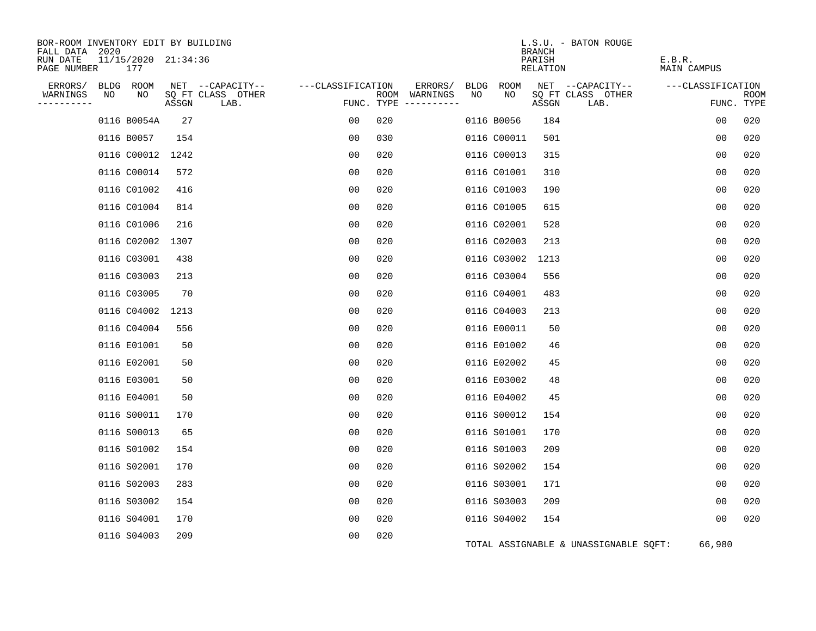| BOR-ROOM INVENTORY EDIT BY BUILDING<br>FALL DATA 2020 |                            |       |                           |                   |                                        |      |             | L.S.U. - BATON ROUGE<br><b>BRANCH</b> |                                       |                       |                    |
|-------------------------------------------------------|----------------------------|-------|---------------------------|-------------------|----------------------------------------|------|-------------|---------------------------------------|---------------------------------------|-----------------------|--------------------|
| RUN DATE<br>PAGE NUMBER                               | 11/15/2020 21:34:36<br>177 |       |                           |                   |                                        |      |             | PARISH<br>RELATION                    |                                       | E.B.R.<br>MAIN CAMPUS |                    |
| ERRORS/                                               | BLDG ROOM                  |       | NET --CAPACITY--          | ---CLASSIFICATION | ERRORS/                                | BLDG | ROOM        |                                       | NET --CAPACITY--                      | ---CLASSIFICATION     |                    |
| WARNINGS<br>NO<br>----------                          | NO                         | ASSGN | SQ FT CLASS OTHER<br>LAB. |                   | ROOM WARNINGS<br>FUNC. TYPE ---------- | NO.  | NO.         | SQ FT CLASS OTHER<br>ASSGN            | LAB.                                  |                       | ROOM<br>FUNC. TYPE |
|                                                       | 0116 B0054A                | 27    |                           | 00                | 020                                    |      | 0116 B0056  | 184                                   |                                       | 0 <sub>0</sub>        | 020                |
|                                                       | 0116 B0057                 | 154   |                           | 00                | 030                                    |      | 0116 C00011 | 501                                   |                                       | 00                    | 020                |
|                                                       | 0116 C00012 1242           |       |                           | 0 <sub>0</sub>    | 020                                    |      | 0116 C00013 | 315                                   |                                       | 0 <sub>0</sub>        | 020                |
|                                                       | 0116 C00014                | 572   |                           | 0 <sub>0</sub>    | 020                                    |      | 0116 C01001 | 310                                   |                                       | 0 <sub>0</sub>        | 020                |
|                                                       | 0116 C01002                | 416   |                           | 00                | 020                                    |      | 0116 C01003 | 190                                   |                                       | 0 <sub>0</sub>        | 020                |
|                                                       | 0116 C01004                | 814   |                           | 0 <sub>0</sub>    | 020                                    |      | 0116 C01005 | 615                                   |                                       | 0 <sub>0</sub>        | 020                |
|                                                       | 0116 C01006                | 216   |                           | 00                | 020                                    |      | 0116 C02001 | 528                                   |                                       | 0 <sub>0</sub>        | 020                |
|                                                       | 0116 C02002                | 1307  |                           | 0 <sub>0</sub>    | 020                                    |      | 0116 C02003 | 213                                   |                                       | 0 <sub>0</sub>        | 020                |
|                                                       | 0116 C03001                | 438   |                           | 0 <sub>0</sub>    | 020                                    |      | 0116 C03002 | 1213                                  |                                       | 0 <sub>0</sub>        | 020                |
|                                                       | 0116 C03003                | 213   |                           | 0 <sub>0</sub>    | 020                                    |      | 0116 C03004 | 556                                   |                                       | 00                    | 020                |
|                                                       | 0116 C03005                | 70    |                           | 0 <sub>0</sub>    | 020                                    |      | 0116 C04001 | 483                                   |                                       | 0 <sub>0</sub>        | 020                |
|                                                       | 0116 C04002                | 1213  |                           | 00                | 020                                    |      | 0116 C04003 | 213                                   |                                       | 00                    | 020                |
|                                                       | 0116 C04004                | 556   |                           | 0 <sub>0</sub>    | 020                                    |      | 0116 E00011 | 50                                    |                                       | 0 <sub>0</sub>        | 020                |
|                                                       | 0116 E01001                | 50    |                           | 0 <sub>0</sub>    | 020                                    |      | 0116 E01002 | 46                                    |                                       | 0 <sub>0</sub>        | 020                |
|                                                       | 0116 E02001                | 50    |                           | 00                | 020                                    |      | 0116 E02002 | 45                                    |                                       | 00                    | 020                |
|                                                       | 0116 E03001                | 50    |                           | 0 <sub>0</sub>    | 020                                    |      | 0116 E03002 | 48                                    |                                       | 0 <sub>0</sub>        | 020                |
|                                                       | 0116 E04001                | 50    |                           | 00                | 020                                    |      | 0116 E04002 | 45                                    |                                       | 0 <sub>0</sub>        | 020                |
|                                                       | 0116 S00011                | 170   |                           | 0 <sub>0</sub>    | 020                                    |      | 0116 S00012 | 154                                   |                                       | 00                    | 020                |
|                                                       | 0116 S00013                | 65    |                           | 0 <sub>0</sub>    | 020                                    |      | 0116 S01001 | 170                                   |                                       | 0 <sub>0</sub>        | 020                |
|                                                       | 0116 S01002                | 154   |                           | 00                | 020                                    |      | 0116 S01003 | 209                                   |                                       | 0 <sub>0</sub>        | 020                |
|                                                       | 0116 S02001                | 170   |                           | 0 <sub>0</sub>    | 020                                    |      | 0116 S02002 | 154                                   |                                       | 00                    | 020                |
|                                                       | 0116 S02003                | 283   |                           | 0 <sub>0</sub>    | 020                                    |      | 0116 S03001 | 171                                   |                                       | 0 <sub>0</sub>        | 020                |
|                                                       | 0116 S03002                | 154   |                           | 00                | 020                                    |      | 0116 S03003 | 209                                   |                                       | 00                    | 020                |
|                                                       | 0116 S04001                | 170   |                           | 00                | 020                                    |      | 0116 S04002 | 154                                   |                                       | 0 <sub>0</sub>        | 020                |
|                                                       | 0116 S04003                | 209   |                           | 0 <sub>0</sub>    | 020                                    |      |             |                                       | TOTAL ASSIGNABLE & UNASSIGNABLE SQFT: | 66,980                |                    |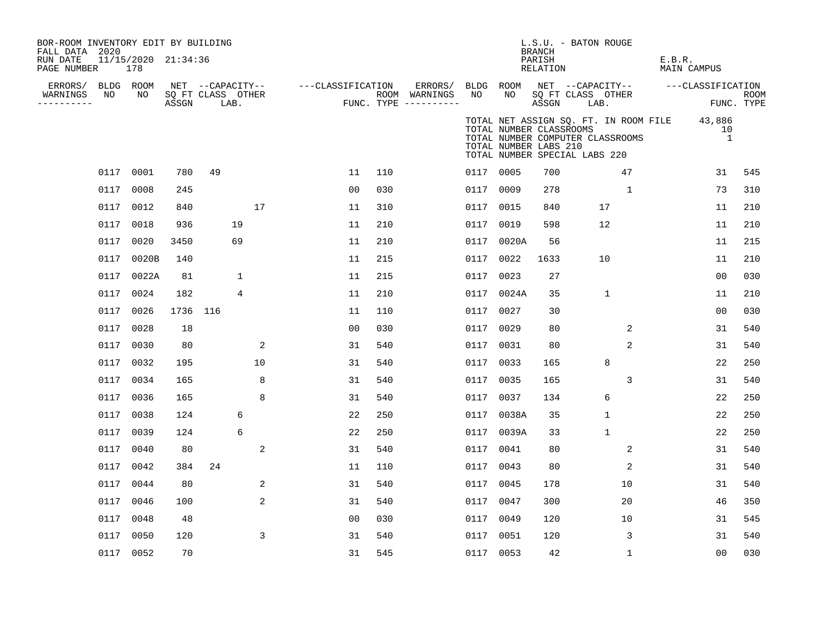| BOR-ROOM INVENTORY EDIT BY BUILDING<br>FALL DATA 2020 |           |                            |          |                           |    |                   |     |                                        |           |                                                  | BRANCH             | L.S.U. - BATON ROUGE                                                                                              |              |        |                      |                           |
|-------------------------------------------------------|-----------|----------------------------|----------|---------------------------|----|-------------------|-----|----------------------------------------|-----------|--------------------------------------------------|--------------------|-------------------------------------------------------------------------------------------------------------------|--------------|--------|----------------------|---------------------------|
| RUN DATE<br>PAGE NUMBER                               |           | 11/15/2020 21:34:36<br>178 |          |                           |    |                   |     |                                        |           |                                                  | PARISH<br>RELATION |                                                                                                                   |              | E.B.R. | MAIN CAMPUS          |                           |
| ERRORS/                                               |           | BLDG ROOM                  |          | NET --CAPACITY--          |    | ---CLASSIFICATION |     | ERRORS/                                | BLDG ROOM |                                                  |                    | NET --CAPACITY-- ---CLASSIFICATION                                                                                |              |        |                      |                           |
| WARNINGS<br>---------                                 | NO        | NO                         | ASSGN    | SQ FT CLASS OTHER<br>LAB. |    |                   |     | ROOM WARNINGS<br>FUNC. TYPE ---------- | NO        | NO                                               | ASSGN              | SQ FT CLASS OTHER<br>LAB.                                                                                         |              |        |                      | <b>ROOM</b><br>FUNC. TYPE |
|                                                       |           |                            |          |                           |    |                   |     |                                        |           | TOTAL NUMBER CLASSROOMS<br>TOTAL NUMBER LABS 210 |                    | TOTAL NET ASSIGN SQ. FT. IN ROOM FILE 43,886<br>TOTAL NUMBER COMPUTER CLASSROOMS<br>TOTAL NUMBER SPECIAL LABS 220 |              |        | 10<br>$\overline{1}$ |                           |
|                                                       | 0117 0001 |                            | 780      | 49                        |    | 11                | 110 |                                        | 0117 0005 |                                                  | 700                |                                                                                                                   | 47           |        | 31                   | 545                       |
|                                                       | 0117      | 0008                       | 245      |                           |    | 00                | 030 |                                        | 0117 0009 |                                                  | 278                |                                                                                                                   | $\mathbf{1}$ |        | 73                   | 310                       |
|                                                       | 0117 0012 |                            | 840      |                           | 17 | 11                | 310 |                                        | 0117 0015 |                                                  | 840                | 17                                                                                                                |              |        | 11                   | 210                       |
|                                                       | 0117      | 0018                       | 936      | 19                        |    | 11                | 210 |                                        | 0117 0019 |                                                  | 598                | 12                                                                                                                |              |        | 11                   | 210                       |
|                                                       | 0117      | 0020                       | 3450     | 69                        |    | 11                | 210 |                                        |           | 0117 0020A                                       | 56                 |                                                                                                                   |              |        | 11                   | 215                       |
|                                                       | 0117      | 0020B                      | 140      |                           |    | 11                | 215 |                                        | 0117 0022 |                                                  | 1633               | 10                                                                                                                |              |        | 11                   | 210                       |
|                                                       |           | 0117 0022A                 | 81       | $\mathbf 1$               |    | 11                | 215 |                                        | 0117 0023 |                                                  | 27                 |                                                                                                                   |              |        | 0 <sub>0</sub>       | 030                       |
|                                                       | 0117      | 0024                       | 182      | 4                         |    | 11                | 210 |                                        |           | 0117 0024A                                       | 35                 | $\mathbf{1}$                                                                                                      |              |        | 11                   | 210                       |
|                                                       | 0117      | 0026                       | 1736 116 |                           |    | 11                | 110 |                                        | 0117 0027 |                                                  | 30                 |                                                                                                                   |              |        | 0 <sub>0</sub>       | 030                       |
|                                                       | 0117      | 0028                       | 18       |                           |    | 0 <sub>0</sub>    | 030 |                                        | 0117      | 0029                                             | 80                 |                                                                                                                   | 2            |        | 31                   | 540                       |
|                                                       | 0117      | 0030                       | 80       |                           | 2  | 31                | 540 |                                        | 0117      | 0031                                             | 80                 |                                                                                                                   | 2            |        | 31                   | 540                       |
|                                                       | 0117      | 0032                       | 195      |                           | 10 | 31                | 540 |                                        | 0117 0033 |                                                  | 165                | 8                                                                                                                 |              |        | 22                   | 250                       |
|                                                       | 0117 0034 |                            | 165      |                           | 8  | 31                | 540 |                                        | 0117 0035 |                                                  | 165                |                                                                                                                   | 3            |        | 31                   | 540                       |
|                                                       | 0117      | 0036                       | 165      |                           | 8  | 31                | 540 |                                        | 0117 0037 |                                                  | 134                | 6                                                                                                                 |              |        | 22                   | 250                       |
|                                                       | 0117      | 0038                       | 124      | 6                         |    | 22                | 250 |                                        |           | 0117 0038A                                       | 35                 | $\mathbf{1}$                                                                                                      |              |        | 22                   | 250                       |
|                                                       | 0117      | 0039                       | 124      | 6                         |    | 22                | 250 |                                        |           | 0117 0039A                                       | 33                 | $\mathbf{1}$                                                                                                      |              |        | 22                   | 250                       |
|                                                       | 0117      | 0040                       | 80       |                           | 2  | 31                | 540 |                                        | 0117 0041 |                                                  | 80                 |                                                                                                                   | 2            |        | 31                   | 540                       |
|                                                       | 0117      | 0042                       | 384      | 24                        |    | 11                | 110 |                                        | 0117 0043 |                                                  | 80                 |                                                                                                                   | 2            |        | 31                   | 540                       |
|                                                       | 0117      | 0044                       | 80       |                           | 2  | 31                | 540 |                                        | 0117 0045 |                                                  | 178                |                                                                                                                   | 10           |        | 31                   | 540                       |
|                                                       | 0117      | 0046                       | 100      |                           | 2  | 31                | 540 |                                        | 0117 0047 |                                                  | 300                |                                                                                                                   | 20           |        | 46                   | 350                       |
|                                                       | 0117      | 0048                       | 48       |                           |    | 0 <sub>0</sub>    | 030 |                                        | 0117 0049 |                                                  | 120                |                                                                                                                   | 10           |        | 31                   | 545                       |
|                                                       | 0117      | 0050                       | 120      |                           | 3  | 31                | 540 |                                        | 0117 0051 |                                                  | 120                |                                                                                                                   | 3            |        | 31                   | 540                       |
|                                                       |           | 0117 0052                  | 70       |                           |    | 31                | 545 |                                        | 0117 0053 |                                                  | 42                 |                                                                                                                   | $\mathbf 1$  |        | 00                   | 030                       |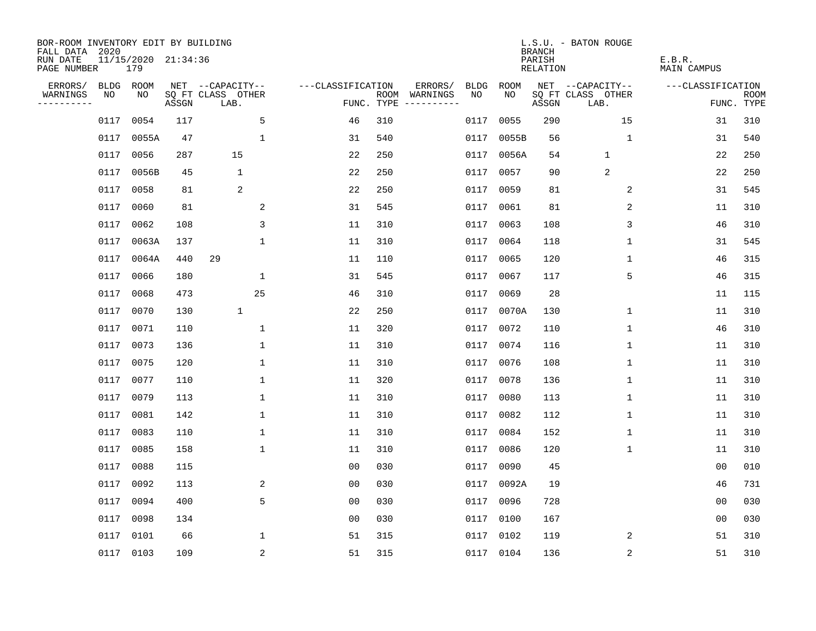| BOR-ROOM INVENTORY EDIT BY BUILDING<br>FALL DATA 2020 |      |                            |       |                           |                   |      |                                 |             |            | <b>BRANCH</b>      | L.S.U. - BATON ROUGE      |                              |                           |
|-------------------------------------------------------|------|----------------------------|-------|---------------------------|-------------------|------|---------------------------------|-------------|------------|--------------------|---------------------------|------------------------------|---------------------------|
| RUN DATE<br>PAGE NUMBER                               |      | 11/15/2020 21:34:36<br>179 |       |                           |                   |      |                                 |             |            | PARISH<br>RELATION |                           | E.B.R.<br><b>MAIN CAMPUS</b> |                           |
| ERRORS/                                               |      | BLDG ROOM                  |       | NET --CAPACITY--          | ---CLASSIFICATION |      | ERRORS/                         | <b>BLDG</b> | ROOM       |                    | NET --CAPACITY--          | ---CLASSIFICATION            |                           |
| WARNINGS<br>----------                                | NO   | NO                         | ASSGN | SQ FT CLASS OTHER<br>LAB. |                   | ROOM | WARNINGS<br>FUNC. TYPE $------$ | NO.         | NO.        | ASSGN              | SQ FT CLASS OTHER<br>LAB. |                              | <b>ROOM</b><br>FUNC. TYPE |
|                                                       | 0117 | 0054                       | 117   | 5                         | 46                | 310  |                                 | 0117        | 0055       | 290                | 15                        | 31                           | 310                       |
|                                                       | 0117 | 0055A                      | 47    | $\mathbf{1}$              | 31                | 540  |                                 | 0117        | 0055B      | 56                 | 1                         | 31                           | 540                       |
|                                                       | 0117 | 0056                       | 287   | 15                        | 22                | 250  |                                 | 0117        | 0056A      | 54                 | 1                         | 22                           | 250                       |
|                                                       | 0117 | 0056B                      | 45    | 1                         | 22                | 250  |                                 | 0117        | 0057       | 90                 | 2                         | 22                           | 250                       |
|                                                       | 0117 | 0058                       | 81    | 2                         | 22                | 250  |                                 | 0117        | 0059       | 81                 | 2                         | 31                           | 545                       |
|                                                       | 0117 | 0060                       | 81    | 2                         | 31                | 545  |                                 |             | 0117 0061  | 81                 | 2                         | 11                           | 310                       |
|                                                       | 0117 | 0062                       | 108   | 3                         | 11                | 310  |                                 | 0117        | 0063       | 108                | 3                         | 46                           | 310                       |
|                                                       | 0117 | 0063A                      | 137   | $\mathbf 1$               | 11                | 310  |                                 |             | 0117 0064  | 118                | 1                         | 31                           | 545                       |
|                                                       | 0117 | 0064A                      | 440   | 29                        | 11                | 110  |                                 | 0117        | 0065       | 120                | $\mathbf 1$               | 46                           | 315                       |
|                                                       | 0117 | 0066                       | 180   | 1                         | 31                | 545  |                                 |             | 0117 0067  | 117                | 5                         | 46                           | 315                       |
|                                                       | 0117 | 0068                       | 473   | 25                        | 46                | 310  |                                 | 0117        | 0069       | 28                 |                           | 11                           | 115                       |
|                                                       | 0117 | 0070                       | 130   | $\mathbf{1}$              | 22                | 250  |                                 |             | 0117 0070A | 130                | 1                         | 11                           | 310                       |
|                                                       | 0117 | 0071                       | 110   | 1                         | 11                | 320  |                                 | 0117        | 0072       | 110                | $\mathbf 1$               | 46                           | 310                       |
|                                                       | 0117 | 0073                       | 136   | 1                         | 11                | 310  |                                 |             | 0117 0074  | 116                | 1                         | 11                           | 310                       |
|                                                       | 0117 | 0075                       | 120   | 1                         | 11                | 310  |                                 | 0117        | 0076       | 108                | 1                         | 11                           | 310                       |
|                                                       | 0117 | 0077                       | 110   | 1                         | 11                | 320  |                                 | 0117        | 0078       | 136                | 1                         | 11                           | 310                       |
|                                                       | 0117 | 0079                       | 113   | 1                         | 11                | 310  |                                 | 0117        | 0080       | 113                | 1                         | 11                           | 310                       |
|                                                       | 0117 | 0081                       | 142   | $\mathbf 1$               | 11                | 310  |                                 | 0117        | 0082       | 112                | 1                         | 11                           | 310                       |
|                                                       | 0117 | 0083                       | 110   | $\mathbf 1$               | 11                | 310  |                                 | 0117        | 0084       | 152                | 1                         | 11                           | 310                       |
|                                                       | 0117 | 0085                       | 158   | $\mathbf 1$               | 11                | 310  |                                 | 0117        | 0086       | 120                | 1                         | 11                           | 310                       |
|                                                       | 0117 | 0088                       | 115   |                           | 0 <sub>0</sub>    | 030  |                                 | 0117        | 0090       | 45                 |                           | 0 <sub>0</sub>               | 010                       |
|                                                       | 0117 | 0092                       | 113   | 2                         | 00                | 030  |                                 | 0117        | 0092A      | 19                 |                           | 46                           | 731                       |
|                                                       | 0117 | 0094                       | 400   | 5                         | 0 <sub>0</sub>    | 030  |                                 | 0117        | 0096       | 728                |                           | 0 <sub>0</sub>               | 030                       |
|                                                       | 0117 | 0098                       | 134   |                           | 0 <sub>0</sub>    | 030  |                                 | 0117        | 0100       | 167                |                           | 0 <sub>0</sub>               | 030                       |
|                                                       | 0117 | 0101                       | 66    | 1                         | 51                | 315  |                                 |             | 0117 0102  | 119                | 2                         | 51                           | 310                       |
|                                                       |      | 0117 0103                  | 109   | 2                         | 51                | 315  |                                 |             | 0117 0104  | 136                | 2                         | 51                           | 310                       |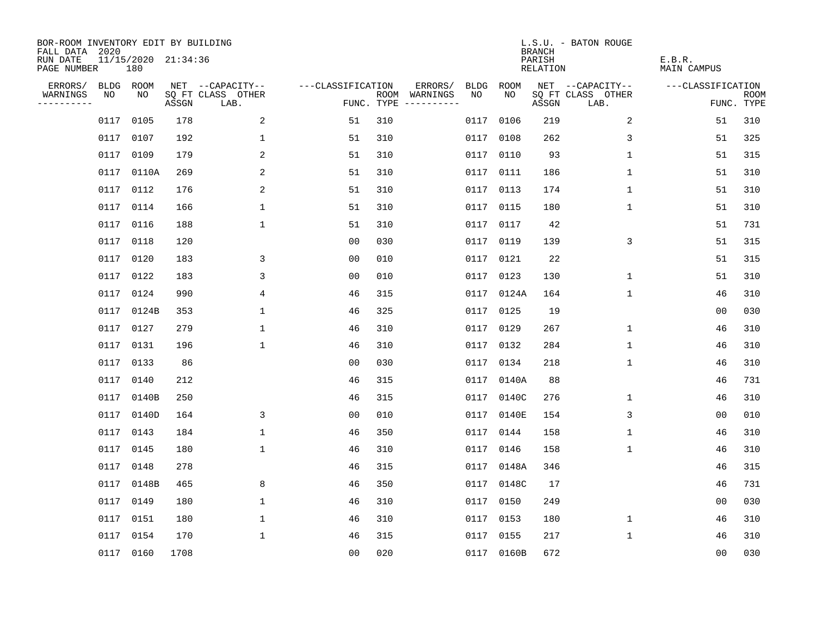| BOR-ROOM INVENTORY EDIT BY BUILDING<br>FALL DATA 2020 |           |                            |       |                           |                   |     |                                      |      |            | <b>BRANCH</b>             | L.S.U. - BATON ROUGE      |                              |                           |
|-------------------------------------------------------|-----------|----------------------------|-------|---------------------------|-------------------|-----|--------------------------------------|------|------------|---------------------------|---------------------------|------------------------------|---------------------------|
| RUN DATE<br>PAGE NUMBER                               |           | 11/15/2020 21:34:36<br>180 |       |                           |                   |     |                                      |      |            | PARISH<br><b>RELATION</b> |                           | E.B.R.<br><b>MAIN CAMPUS</b> |                           |
| ERRORS/                                               | BLDG ROOM |                            |       | NET --CAPACITY--          | ---CLASSIFICATION |     | ERRORS/                              | BLDG | ROOM       |                           | NET --CAPACITY--          | ---CLASSIFICATION            |                           |
| WARNINGS<br>----------                                | NO        | NO                         | ASSGN | SQ FT CLASS OTHER<br>LAB. |                   |     | ROOM WARNINGS<br>FUNC. TYPE $------$ | NO.  | NO         | ASSGN                     | SQ FT CLASS OTHER<br>LAB. |                              | <b>ROOM</b><br>FUNC. TYPE |
|                                                       | 0117      | 0105                       | 178   | 2                         | 51                | 310 |                                      | 0117 | 0106       | 219                       | 2                         | 51                           | 310                       |
|                                                       | 0117      | 0107                       | 192   | 1                         | 51                | 310 |                                      | 0117 | 0108       | 262                       | 3                         | 51                           | 325                       |
|                                                       | 0117      | 0109                       | 179   | 2                         | 51                | 310 |                                      | 0117 | 0110       | 93                        | $\mathbf 1$               | 51                           | 315                       |
|                                                       |           | 0117 0110A                 | 269   | 2                         | 51                | 310 |                                      | 0117 | 0111       | 186                       | 1                         | 51                           | 310                       |
|                                                       |           | 0117 0112                  | 176   | 2                         | 51                | 310 |                                      | 0117 | 0113       | 174                       | $\mathbf 1$               | 51                           | 310                       |
|                                                       |           | 0117 0114                  | 166   | $\mathbf{1}$              | 51                | 310 |                                      |      | 0117 0115  | 180                       | 1                         | 51                           | 310                       |
|                                                       | 0117 0116 |                            | 188   | $\mathbf 1$               | 51                | 310 |                                      | 0117 | 0117       | 42                        |                           | 51                           | 731                       |
|                                                       | 0117 0118 |                            | 120   |                           | 0 <sub>0</sub>    | 030 |                                      | 0117 | 0119       | 139                       | 3                         | 51                           | 315                       |
|                                                       | 0117      | 0120                       | 183   | 3                         | 0 <sub>0</sub>    | 010 |                                      | 0117 | 0121       | 22                        |                           | 51                           | 315                       |
|                                                       | 0117 0122 |                            | 183   | 3                         | 0 <sub>0</sub>    | 010 |                                      |      | 0117 0123  | 130                       | $\mathbf 1$               | 51                           | 310                       |
|                                                       | 0117      | 0124                       | 990   | $\overline{4}$            | 46                | 315 |                                      |      | 0117 0124A | 164                       | $\mathbf{1}$              | 46                           | 310                       |
|                                                       |           | 0117 0124B                 | 353   | $\mathbf{1}$              | 46                | 325 |                                      |      | 0117 0125  | 19                        |                           | 0 <sub>0</sub>               | 030                       |
|                                                       | 0117      | 0127                       | 279   | $\mathbf 1$               | 46                | 310 |                                      | 0117 | 0129       | 267                       | $\mathbf 1$               | 46                           | 310                       |
|                                                       | 0117 0131 |                            | 196   | $\mathbf 1$               | 46                | 310 |                                      |      | 0117 0132  | 284                       | $\mathbf 1$               | 46                           | 310                       |
|                                                       | 0117      | 0133                       | 86    |                           | 0 <sub>0</sub>    | 030 |                                      | 0117 | 0134       | 218                       | $\mathbf 1$               | 46                           | 310                       |
|                                                       | 0117 0140 |                            | 212   |                           | 46                | 315 |                                      |      | 0117 0140A | 88                        |                           | 46                           | 731                       |
|                                                       | 0117      | 0140B                      | 250   |                           | 46                | 315 |                                      | 0117 | 0140C      | 276                       | $\mathbf 1$               | 46                           | 310                       |
|                                                       |           | 0117 0140D                 | 164   | 3                         | 0 <sub>0</sub>    | 010 |                                      | 0117 | 0140E      | 154                       | 3                         | 00                           | 010                       |
|                                                       | 0117      | 0143                       | 184   | $\mathbf{1}$              | 46                | 350 |                                      | 0117 | 0144       | 158                       | 1                         | 46                           | 310                       |
|                                                       | 0117      | 0145                       | 180   | $\mathbf 1$               | 46                | 310 |                                      | 0117 | 0146       | 158                       | 1                         | 46                           | 310                       |
|                                                       | 0117      | 0148                       | 278   |                           | 46                | 315 |                                      | 0117 | 0148A      | 346                       |                           | 46                           | 315                       |
|                                                       | 0117      | 0148B                      | 465   | 8                         | 46                | 350 |                                      | 0117 | 0148C      | 17                        |                           | 46                           | 731                       |
|                                                       | 0117      | 0149                       | 180   | $\mathbf{1}$              | 46                | 310 |                                      | 0117 | 0150       | 249                       |                           | 0 <sub>0</sub>               | 030                       |
|                                                       | 0117      | 0151                       | 180   | $\mathbf 1$               | 46                | 310 |                                      | 0117 | 0153       | 180                       | 1                         | 46                           | 310                       |
|                                                       | 0117      | 0154                       | 170   | $\mathbf{1}$              | 46                | 315 |                                      | 0117 | 0155       | 217                       | 1                         | 46                           | 310                       |
|                                                       |           | 0117 0160                  | 1708  |                           | 0 <sub>0</sub>    | 020 |                                      |      | 0117 0160B | 672                       |                           | 0 <sub>0</sub>               | 030                       |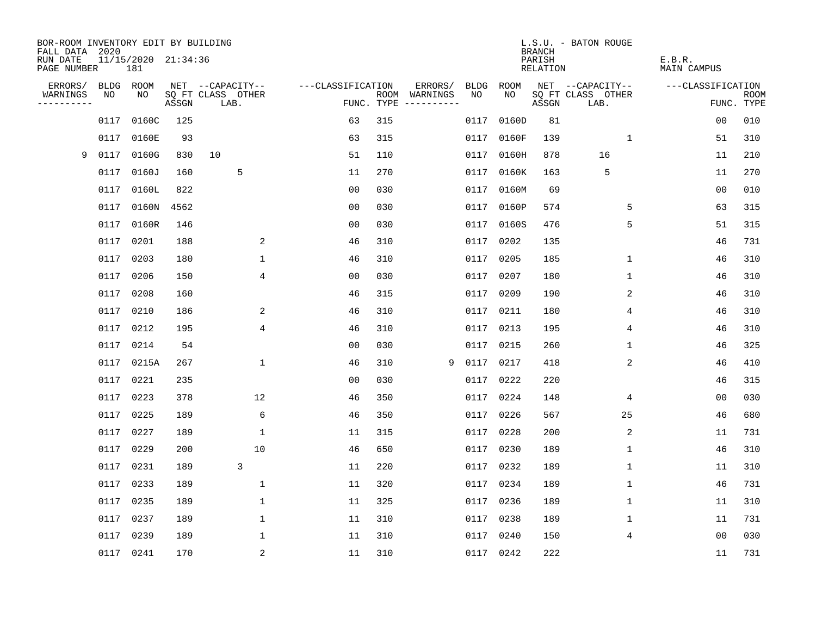| BOR-ROOM INVENTORY EDIT BY BUILDING<br>FALL DATA 2020 |      |                            |       |                           |                   |            |                              |      |            | <b>BRANCH</b>      | L.S.U. - BATON ROUGE      |                              |                           |
|-------------------------------------------------------|------|----------------------------|-------|---------------------------|-------------------|------------|------------------------------|------|------------|--------------------|---------------------------|------------------------------|---------------------------|
| RUN DATE<br>PAGE NUMBER                               |      | 11/15/2020 21:34:36<br>181 |       |                           |                   |            |                              |      |            | PARISH<br>RELATION |                           | E.B.R.<br><b>MAIN CAMPUS</b> |                           |
| ERRORS/                                               | BLDG | ROOM                       |       | NET --CAPACITY--          | ---CLASSIFICATION |            | ERRORS/                      | BLDG | ROOM       |                    | NET --CAPACITY--          | ---CLASSIFICATION            |                           |
| WARNINGS<br>----------                                | NO   | NO.                        | ASSGN | SQ FT CLASS OTHER<br>LAB. |                   | FUNC. TYPE | ROOM WARNINGS<br>----------- | NO   | NO.        | ASSGN              | SQ FT CLASS OTHER<br>LAB. |                              | <b>ROOM</b><br>FUNC. TYPE |
|                                                       | 0117 | 0160C                      | 125   |                           | 63                | 315        |                              | 0117 | 0160D      | 81                 |                           | 0 <sub>0</sub>               | 010                       |
|                                                       | 0117 | 0160E                      | 93    |                           | 63                | 315        |                              | 0117 | 0160F      | 139                | $\mathbf{1}$              | 51                           | 310                       |
| 9                                                     | 0117 | 0160G                      | 830   | 10                        | 51                | 110        |                              | 0117 | 0160H      | 878                | 16                        | 11                           | 210                       |
|                                                       | 0117 | 0160J                      | 160   | 5                         | 11                | 270        |                              | 0117 | 0160K      | 163                | 5                         | 11                           | 270                       |
|                                                       | 0117 | 0160L                      | 822   |                           | 0 <sub>0</sub>    | 030        |                              | 0117 | 0160M      | 69                 |                           | 0 <sub>0</sub>               | 010                       |
|                                                       |      | 0117 0160N                 | 4562  |                           | 0 <sub>0</sub>    | 030        |                              |      | 0117 0160P | 574                | 5                         | 63                           | 315                       |
|                                                       |      | 0117 0160R                 | 146   |                           | 0 <sub>0</sub>    | 030        |                              | 0117 | 0160S      | 476                | 5                         | 51                           | 315                       |
|                                                       |      | 0117 0201                  | 188   | 2                         | 46                | 310        |                              | 0117 | 0202       | 135                |                           | 46                           | 731                       |
|                                                       |      | 0117 0203                  | 180   | $\mathbf 1$               | 46                | 310        |                              | 0117 | 0205       | 185                | $\mathbf 1$               | 46                           | 310                       |
|                                                       |      | 0117 0206                  | 150   | 4                         | 0 <sub>0</sub>    | 030        |                              |      | 0117 0207  | 180                | $\mathbf{1}$              | 46                           | 310                       |
|                                                       |      | 0117 0208                  | 160   |                           | 46                | 315        |                              | 0117 | 0209       | 190                | 2                         | 46                           | 310                       |
|                                                       |      | 0117 0210                  | 186   | 2                         | 46                | 310        |                              |      | 0117 0211  | 180                | 4                         | 46                           | 310                       |
|                                                       |      | 0117 0212                  | 195   | 4                         | 46                | 310        |                              | 0117 | 0213       | 195                | 4                         | 46                           | 310                       |
|                                                       |      | 0117 0214                  | 54    |                           | 00                | 030        |                              |      | 0117 0215  | 260                | 1                         | 46                           | 325                       |
|                                                       |      | 0117 0215A                 | 267   | $\mathbf{1}$              | 46                | 310        | 9                            | 0117 | 0217       | 418                | 2                         | 46                           | 410                       |
|                                                       |      | 0117 0221                  | 235   |                           | 0 <sub>0</sub>    | 030        |                              | 0117 | 0222       | 220                |                           | 46                           | 315                       |
|                                                       |      | 0117 0223                  | 378   | 12                        | 46                | 350        |                              | 0117 | 0224       | 148                | 4                         | 0 <sub>0</sub>               | 030                       |
|                                                       | 0117 | 0225                       | 189   | 6                         | 46                | 350        |                              | 0117 | 0226       | 567                | 25                        | 46                           | 680                       |
|                                                       |      | 0117 0227                  | 189   | 1                         | 11                | 315        |                              | 0117 | 0228       | 200                | 2                         | 11                           | 731                       |
|                                                       |      | 0117 0229                  | 200   | 10                        | 46                | 650        |                              | 0117 | 0230       | 189                | $\mathbf 1$               | 46                           | 310                       |
|                                                       |      | 0117 0231                  | 189   | 3                         | 11                | 220        |                              |      | 0117 0232  | 189                | $\mathbf 1$               | 11                           | 310                       |
|                                                       | 0117 | 0233                       | 189   | 1                         | 11                | 320        |                              | 0117 | 0234       | 189                | 1                         | 46                           | 731                       |
|                                                       |      | 0117 0235                  | 189   | 1                         | 11                | 325        |                              |      | 0117 0236  | 189                | 1                         | 11                           | 310                       |
|                                                       |      | 0117 0237                  | 189   | 1                         | 11                | 310        |                              | 0117 | 0238       | 189                | 1                         | 11                           | 731                       |
|                                                       |      | 0117 0239                  | 189   | 1                         | 11                | 310        |                              |      | 0117 0240  | 150                | 4                         | 0 <sub>0</sub>               | 030                       |
|                                                       |      | 0117 0241                  | 170   | 2                         | 11                | 310        |                              |      | 0117 0242  | 222                |                           | 11                           | 731                       |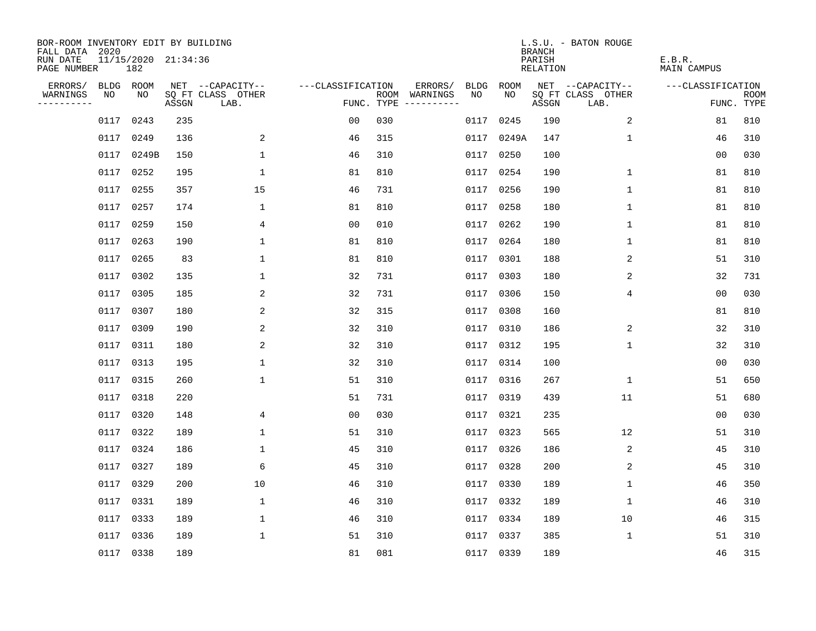| BOR-ROOM INVENTORY EDIT BY BUILDING<br>FALL DATA 2020 |      |                            |       |                           |                   |     |                                      |      |           | <b>BRANCH</b>             | L.S.U. - BATON ROUGE      |                              |                           |
|-------------------------------------------------------|------|----------------------------|-------|---------------------------|-------------------|-----|--------------------------------------|------|-----------|---------------------------|---------------------------|------------------------------|---------------------------|
| RUN DATE<br>PAGE NUMBER                               |      | 11/15/2020 21:34:36<br>182 |       |                           |                   |     |                                      |      |           | PARISH<br><b>RELATION</b> |                           | E.B.R.<br><b>MAIN CAMPUS</b> |                           |
| ERRORS/                                               |      | BLDG ROOM                  |       | NET --CAPACITY--          | ---CLASSIFICATION |     | ERRORS/                              | BLDG | ROOM      |                           | NET --CAPACITY--          | ---CLASSIFICATION            |                           |
| WARNINGS<br>----------                                | NO   | NO                         | ASSGN | SQ FT CLASS OTHER<br>LAB. |                   |     | ROOM WARNINGS<br>FUNC. TYPE $------$ | NO.  | NO.       | ASSGN                     | SQ FT CLASS OTHER<br>LAB. |                              | <b>ROOM</b><br>FUNC. TYPE |
|                                                       | 0117 | 0243                       | 235   |                           | 0 <sub>0</sub>    | 030 |                                      | 0117 | 0245      | 190                       | 2                         | 81                           | 810                       |
|                                                       | 0117 | 0249                       | 136   | 2                         | 46                | 315 |                                      | 0117 | 0249A     | 147                       | 1                         | 46                           | 310                       |
|                                                       | 0117 | 0249B                      | 150   | $\mathbf{1}$              | 46                | 310 |                                      | 0117 | 0250      | 100                       |                           | 0 <sub>0</sub>               | 030                       |
|                                                       | 0117 | 0252                       | 195   | $\mathbf 1$               | 81                | 810 |                                      | 0117 | 0254      | 190                       | $\mathbf 1$               | 81                           | 810                       |
|                                                       | 0117 | 0255                       | 357   | 15                        | 46                | 731 |                                      | 0117 | 0256      | 190                       | $\mathbf 1$               | 81                           | 810                       |
|                                                       | 0117 | 0257                       | 174   | $\mathbf{1}$              | 81                | 810 |                                      |      | 0117 0258 | 180                       | 1                         | 81                           | 810                       |
|                                                       |      | 0117 0259                  | 150   | 4                         | 0 <sub>0</sub>    | 010 |                                      | 0117 | 0262      | 190                       | 1                         | 81                           | 810                       |
|                                                       | 0117 | 0263                       | 190   | $\mathbf 1$               | 81                | 810 |                                      |      | 0117 0264 | 180                       | 1                         | 81                           | 810                       |
|                                                       | 0117 | 0265                       | 83    | $\mathbf{1}$              | 81                | 810 |                                      | 0117 | 0301      | 188                       | 2                         | 51                           | 310                       |
|                                                       |      | 0117 0302                  | 135   | $\mathbf 1$               | 32                | 731 |                                      |      | 0117 0303 | 180                       | 2                         | 32                           | 731                       |
|                                                       | 0117 | 0305                       | 185   | 2                         | 32                | 731 |                                      | 0117 | 0306      | 150                       | $\overline{4}$            | 0 <sub>0</sub>               | 030                       |
|                                                       |      | 0117 0307                  | 180   | 2                         | 32                | 315 |                                      |      | 0117 0308 | 160                       |                           | 81                           | 810                       |
|                                                       | 0117 | 0309                       | 190   | 2                         | 32                | 310 |                                      | 0117 | 0310      | 186                       | 2                         | 32                           | 310                       |
|                                                       |      | 0117 0311                  | 180   | 2                         | 32                | 310 |                                      |      | 0117 0312 | 195                       | $\mathbf 1$               | 32                           | 310                       |
|                                                       |      | 0117 0313                  | 195   | $\mathbf 1$               | 32                | 310 |                                      | 0117 | 0314      | 100                       |                           | 0 <sub>0</sub>               | 030                       |
|                                                       |      | 0117 0315                  | 260   | $\mathbf 1$               | 51                | 310 |                                      |      | 0117 0316 | 267                       | $\mathbf 1$               | 51                           | 650                       |
|                                                       | 0117 | 0318                       | 220   |                           | 51                | 731 |                                      | 0117 | 0319      | 439                       | 11                        | 51                           | 680                       |
|                                                       |      | 0117 0320                  | 148   | 4                         | 0 <sub>0</sub>    | 030 |                                      | 0117 | 0321      | 235                       |                           | 00                           | 030                       |
|                                                       | 0117 | 0322                       | 189   | 1                         | 51                | 310 |                                      | 0117 | 0323      | 565                       | 12                        | 51                           | 310                       |
|                                                       | 0117 | 0324                       | 186   | 1                         | 45                | 310 |                                      | 0117 | 0326      | 186                       | 2                         | 45                           | 310                       |
|                                                       | 0117 | 0327                       | 189   | 6                         | 45                | 310 |                                      | 0117 | 0328      | 200                       | 2                         | 45                           | 310                       |
|                                                       | 0117 | 0329                       | 200   | 10                        | 46                | 310 |                                      | 0117 | 0330      | 189                       | 1                         | 46                           | 350                       |
|                                                       | 0117 | 0331                       | 189   | $\mathbf 1$               | 46                | 310 |                                      | 0117 | 0332      | 189                       | 1                         | 46                           | 310                       |
|                                                       | 0117 | 0333                       | 189   | $\mathbf 1$               | 46                | 310 |                                      | 0117 | 0334      | 189                       | 10                        | 46                           | 315                       |
|                                                       | 0117 | 0336                       | 189   | 1                         | 51                | 310 |                                      | 0117 | 0337      | 385                       | 1                         | 51                           | 310                       |
|                                                       |      | 0117 0338                  | 189   |                           | 81                | 081 |                                      |      | 0117 0339 | 189                       |                           | 46                           | 315                       |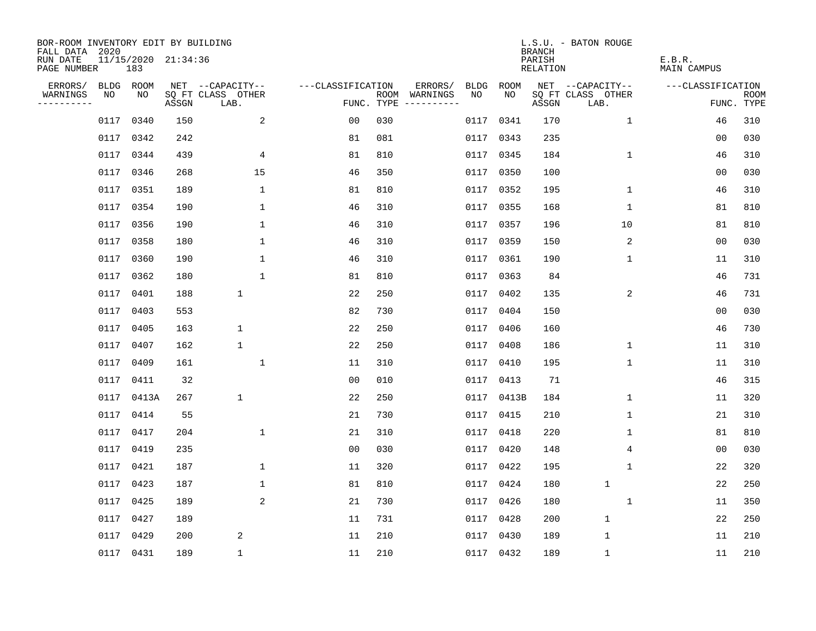| BOR-ROOM INVENTORY EDIT BY BUILDING<br>FALL DATA 2020 |           |           |                     |                           |                   |     |                                      |      |           | <b>BRANCH</b>             | L.S.U. - BATON ROUGE      |                              |                           |
|-------------------------------------------------------|-----------|-----------|---------------------|---------------------------|-------------------|-----|--------------------------------------|------|-----------|---------------------------|---------------------------|------------------------------|---------------------------|
| RUN DATE<br>PAGE NUMBER                               |           | 183       | 11/15/2020 21:34:36 |                           |                   |     |                                      |      |           | PARISH<br><b>RELATION</b> |                           | E.B.R.<br><b>MAIN CAMPUS</b> |                           |
| ERRORS/                                               | BLDG ROOM |           |                     | NET --CAPACITY--          | ---CLASSIFICATION |     | ERRORS/                              | BLDG | ROOM      |                           | NET --CAPACITY--          | ---CLASSIFICATION            |                           |
| WARNINGS<br>----------                                | NO        | NO        | ASSGN               | SQ FT CLASS OTHER<br>LAB. |                   |     | ROOM WARNINGS<br>FUNC. TYPE $------$ | NO.  | NO.       | ASSGN                     | SQ FT CLASS OTHER<br>LAB. |                              | <b>ROOM</b><br>FUNC. TYPE |
|                                                       | 0117      | 0340      | 150                 | 2                         | 0 <sub>0</sub>    | 030 |                                      | 0117 | 0341      | 170                       | $\mathbf 1$               | 46                           | 310                       |
|                                                       | 0117      | 0342      | 242                 |                           | 81                | 081 |                                      | 0117 | 0343      | 235                       |                           | 00                           | 030                       |
|                                                       | 0117      | 0344      | 439                 | 4                         | 81                | 810 |                                      | 0117 | 0345      | 184                       | $\mathbf 1$               | 46                           | 310                       |
|                                                       | 0117      | 0346      | 268                 | 15                        | 46                | 350 |                                      |      | 0117 0350 | 100                       |                           | 0 <sub>0</sub>               | 030                       |
|                                                       | 0117      | 0351      | 189                 | $\mathbf{1}$              | 81                | 810 |                                      | 0117 | 0352      | 195                       | $\mathbf 1$               | 46                           | 310                       |
|                                                       | 0117      | 0354      | 190                 | $\mathbf{1}$              | 46                | 310 |                                      |      | 0117 0355 | 168                       | 1                         | 81                           | 810                       |
|                                                       |           | 0117 0356 | 190                 | $\mathbf 1$               | 46                | 310 |                                      | 0117 | 0357      | 196                       | 10                        | 81                           | 810                       |
|                                                       | 0117      | 0358      | 180                 | $\mathbf 1$               | 46                | 310 |                                      |      | 0117 0359 | 150                       | 2                         | 0 <sub>0</sub>               | 030                       |
|                                                       | 0117      | 0360      | 190                 | $\mathbf{1}$              | 46                | 310 |                                      |      | 0117 0361 | 190                       | $\mathbf{1}$              | 11                           | 310                       |
|                                                       |           | 0117 0362 | 180                 | $\mathbf{1}$              | 81                | 810 |                                      |      | 0117 0363 | 84                        |                           | 46                           | 731                       |
|                                                       | 0117      | 0401      | 188                 | $\mathbf{1}$              | 22                | 250 |                                      |      | 0117 0402 | 135                       | $\overline{2}$            | 46                           | 731                       |
|                                                       |           | 0117 0403 | 553                 |                           | 82                | 730 |                                      |      | 0117 0404 | 150                       |                           | 0 <sub>0</sub>               | 030                       |
|                                                       | 0117      | 0405      | 163                 | $\mathbf 1$               | 22                | 250 |                                      | 0117 | 0406      | 160                       |                           | 46                           | 730                       |
|                                                       |           | 0117 0407 | 162                 | $\mathbf 1$               | 22                | 250 |                                      |      | 0117 0408 | 186                       | $\mathbf 1$               | 11                           | 310                       |
|                                                       | 0117      | 0409      | 161                 | $\mathbf 1$               | 11                | 310 |                                      | 0117 | 0410      | 195                       | $\mathbf 1$               | 11                           | 310                       |
|                                                       |           | 0117 0411 | 32                  |                           | 0 <sub>0</sub>    | 010 |                                      |      | 0117 0413 | 71                        |                           | 46                           | 315                       |
|                                                       | 0117      | 0413A     | 267                 | $\mathbf 1$               | 22                | 250 |                                      | 0117 | 0413B     | 184                       | $\mathbf 1$               | 11                           | 320                       |
|                                                       |           | 0117 0414 | 55                  |                           | 21                | 730 |                                      | 0117 | 0415      | 210                       | 1                         | 21                           | 310                       |
|                                                       | 0117      | 0417      | 204                 | $\mathbf{1}$              | 21                | 310 |                                      | 0117 | 0418      | 220                       | 1                         | 81                           | 810                       |
|                                                       | 0117      | 0419      | 235                 |                           | 0 <sub>0</sub>    | 030 |                                      | 0117 | 0420      | 148                       | 4                         | 0 <sub>0</sub>               | 030                       |
|                                                       | 0117      | 0421      | 187                 | $\mathbf 1$               | 11                | 320 |                                      | 0117 | 0422      | 195                       | 1                         | 22                           | 320                       |
|                                                       | 0117      | 0423      | 187                 | $\mathbf{1}$              | 81                | 810 |                                      | 0117 | 0424      | 180                       | $\mathbf{1}$              | 22                           | 250                       |
|                                                       | 0117      | 0425      | 189                 | 2                         | 21                | 730 |                                      | 0117 | 0426      | 180                       | 1                         | 11                           | 350                       |
|                                                       | 0117      | 0427      | 189                 |                           | 11                | 731 |                                      | 0117 | 0428      | 200                       | $\mathbf 1$               | 22                           | 250                       |
|                                                       | 0117      | 0429      | 200                 | 2                         | 11                | 210 |                                      | 0117 | 0430      | 189                       | $\mathbf 1$               | 11                           | 210                       |
|                                                       |           | 0117 0431 | 189                 | 1                         | 11                | 210 |                                      |      | 0117 0432 | 189                       | $\mathbf 1$               | 11                           | 210                       |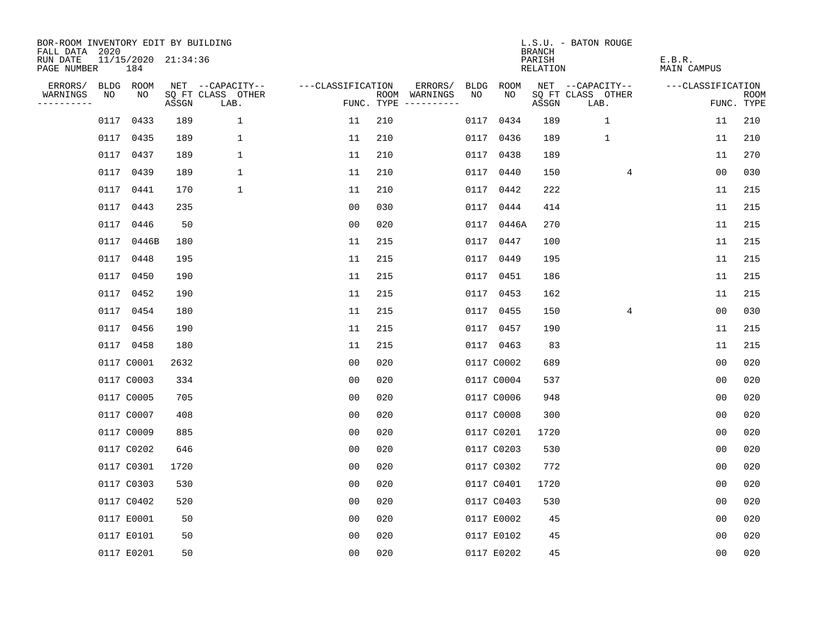| BOR-ROOM INVENTORY EDIT BY BUILDING       |                            |       |                           |                   |     |                                            |             |             |                                            | L.S.U. - BATON ROUGE      |                              |                           |
|-------------------------------------------|----------------------------|-------|---------------------------|-------------------|-----|--------------------------------------------|-------------|-------------|--------------------------------------------|---------------------------|------------------------------|---------------------------|
| FALL DATA 2020<br>RUN DATE<br>PAGE NUMBER | 11/15/2020 21:34:36<br>184 |       |                           |                   |     |                                            |             |             | <b>BRANCH</b><br>PARISH<br><b>RELATION</b> |                           | E.B.R.<br><b>MAIN CAMPUS</b> |                           |
| ERRORS/                                   | BLDG ROOM                  |       | NET --CAPACITY--          | ---CLASSIFICATION |     | ERRORS/                                    | <b>BLDG</b> | <b>ROOM</b> |                                            | NET --CAPACITY--          | ---CLASSIFICATION            |                           |
| NO<br>WARNINGS<br>----------              | NO                         | ASSGN | SQ FT CLASS OTHER<br>LAB. |                   |     | NO<br>ROOM WARNINGS<br>FUNC. TYPE $------$ |             | NO          | ASSGN                                      | SQ FT CLASS OTHER<br>LAB. |                              | <b>ROOM</b><br>FUNC. TYPE |
| 0117                                      | 0433                       | 189   | $\mathbf{1}$              | 11                | 210 |                                            | 0117        | 0434        | 189                                        | $\mathbf{1}$              | 11                           | 210                       |
| 0117                                      | 0435                       | 189   | 1                         | 11                | 210 |                                            |             | 0117 0436   | 189                                        | $\mathbf 1$               | 11                           | 210                       |
|                                           | 0117 0437                  | 189   | 1                         | 11                | 210 |                                            |             | 0117 0438   | 189                                        |                           | 11                           | 270                       |
|                                           | 0117 0439                  | 189   | 1                         | 11                | 210 |                                            |             | 0117 0440   | 150                                        | 4                         | 0 <sub>0</sub>               | 030                       |
| 0117                                      | 0441                       | 170   | $\mathbf 1$               | 11                | 210 |                                            |             | 0117 0442   | 222                                        |                           | 11                           | 215                       |
|                                           | 0117 0443                  | 235   |                           | 00                | 030 |                                            |             | 0117 0444   | 414                                        |                           | 11                           | 215                       |
| 0117                                      | 0446                       | 50    |                           | 0 <sub>0</sub>    | 020 |                                            |             | 0117 0446A  | 270                                        |                           | 11                           | 215                       |
|                                           | 0117 0446B                 | 180   |                           | 11                | 215 |                                            |             | 0117 0447   | 100                                        |                           | 11                           | 215                       |
| 0117                                      | 0448                       | 195   |                           | 11                | 215 |                                            | 0117        | 0449        | 195                                        |                           | 11                           | 215                       |
|                                           | 0117 0450                  | 190   |                           | 11                | 215 |                                            |             | 0117 0451   | 186                                        |                           | 11                           | 215                       |
|                                           | 0117 0452                  | 190   |                           | 11                | 215 |                                            |             | 0117 0453   | 162                                        |                           | 11                           | 215                       |
|                                           | 0117 0454                  | 180   |                           | 11                | 215 |                                            |             | 0117 0455   | 150                                        | 4                         | 0 <sub>0</sub>               | 030                       |
|                                           | 0117 0456                  | 190   |                           | 11                | 215 |                                            |             | 0117 0457   | 190                                        |                           | 11                           | 215                       |
|                                           | 0117 0458                  | 180   |                           | 11                | 215 |                                            |             | 0117 0463   | 83                                         |                           | 11                           | 215                       |
|                                           | 0117 C0001                 | 2632  |                           | 0 <sub>0</sub>    | 020 |                                            |             | 0117 C0002  | 689                                        |                           | 0 <sub>0</sub>               | 020                       |
|                                           | 0117 C0003                 | 334   |                           | 0 <sub>0</sub>    | 020 |                                            |             | 0117 C0004  | 537                                        |                           | 0 <sub>0</sub>               | 020                       |
|                                           | 0117 C0005                 | 705   |                           | 0 <sub>0</sub>    | 020 |                                            |             | 0117 C0006  | 948                                        |                           | 0 <sub>0</sub>               | 020                       |
|                                           | 0117 C0007                 | 408   |                           | 0 <sub>0</sub>    | 020 |                                            |             | 0117 C0008  | 300                                        |                           | 0 <sub>0</sub>               | 020                       |
|                                           | 0117 C0009                 | 885   |                           | 0 <sub>0</sub>    | 020 |                                            |             | 0117 C0201  | 1720                                       |                           | 0 <sub>0</sub>               | 020                       |
|                                           | 0117 C0202                 | 646   |                           | 0 <sub>0</sub>    | 020 |                                            |             | 0117 C0203  | 530                                        |                           | 0 <sub>0</sub>               | 020                       |
|                                           | 0117 C0301                 | 1720  |                           | 0 <sub>0</sub>    | 020 |                                            |             | 0117 C0302  | 772                                        |                           | 0 <sub>0</sub>               | 020                       |
|                                           | 0117 C0303                 | 530   |                           | 0 <sub>0</sub>    | 020 |                                            |             | 0117 C0401  | 1720                                       |                           | 0 <sub>0</sub>               | 020                       |
|                                           | 0117 C0402                 | 520   |                           | 0 <sub>0</sub>    | 020 |                                            |             | 0117 C0403  | 530                                        |                           | 0 <sub>0</sub>               | 020                       |
|                                           | 0117 E0001                 | 50    |                           | 0 <sub>0</sub>    | 020 |                                            |             | 0117 E0002  | 45                                         |                           | 0 <sub>0</sub>               | 020                       |
|                                           | 0117 E0101                 | 50    |                           | 0 <sub>0</sub>    | 020 |                                            |             | 0117 E0102  | 45                                         |                           | 0 <sub>0</sub>               | 020                       |
|                                           | 0117 E0201                 | 50    |                           | 0 <sub>0</sub>    | 020 |                                            |             | 0117 E0202  | 45                                         |                           | 0 <sub>0</sub>               | 020                       |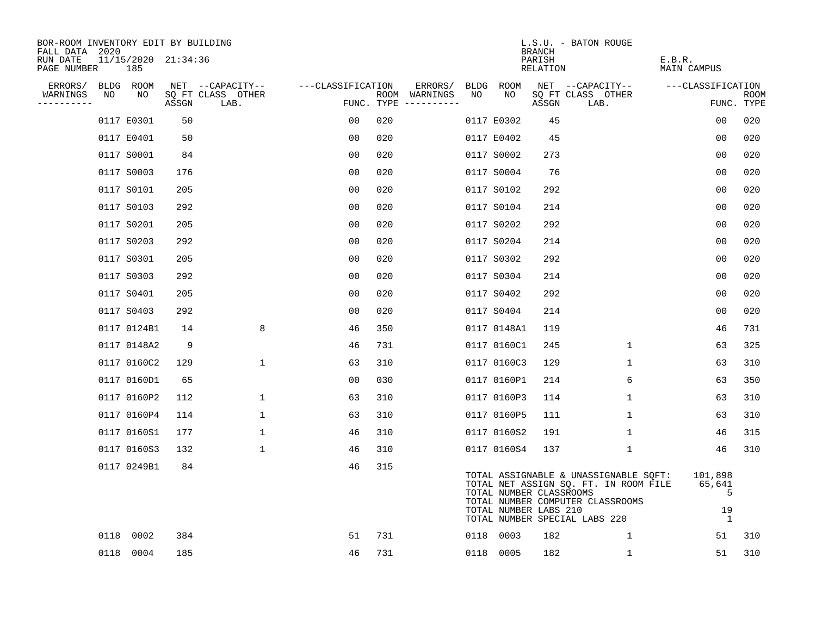| BOR-ROOM INVENTORY EDIT BY BUILDING<br>FALL DATA 2020 |                            |       |                           |                   |                                      |     |             | <b>BRANCH</b>                                    | L.S.U. - BATON ROUGE                                                                                                                                |                                                |                    |
|-------------------------------------------------------|----------------------------|-------|---------------------------|-------------------|--------------------------------------|-----|-------------|--------------------------------------------------|-----------------------------------------------------------------------------------------------------------------------------------------------------|------------------------------------------------|--------------------|
| RUN DATE<br>PAGE NUMBER                               | 11/15/2020 21:34:36<br>185 |       |                           |                   |                                      |     |             | PARISH<br>RELATION                               |                                                                                                                                                     | E.B.R.<br>MAIN CAMPUS                          |                    |
| ERRORS/                                               | BLDG ROOM                  |       | NET --CAPACITY--          | ---CLASSIFICATION | ERRORS/                              |     | BLDG ROOM   |                                                  | NET --CAPACITY--                                                                                                                                    | ---CLASSIFICATION                              |                    |
| WARNINGS<br>NO<br>----------                          | NO                         | ASSGN | SQ FT CLASS OTHER<br>LAB. |                   | ROOM WARNINGS<br>FUNC. TYPE $------$ | NO. | NO          | ASSGN                                            | SQ FT CLASS OTHER<br>LAB.                                                                                                                           |                                                | ROOM<br>FUNC. TYPE |
|                                                       | 0117 E0301                 | 50    |                           | 00                | 020                                  |     | 0117 E0302  | 45                                               |                                                                                                                                                     | 00                                             | 020                |
|                                                       | 0117 E0401                 | 50    |                           | 00                | 020                                  |     | 0117 E0402  | 45                                               |                                                                                                                                                     | 0 <sub>0</sub>                                 | 020                |
|                                                       | 0117 S0001                 | 84    |                           | 00                | 020                                  |     | 0117 S0002  | 273                                              |                                                                                                                                                     | 0 <sub>0</sub>                                 | 020                |
|                                                       | 0117 S0003                 | 176   |                           | 0 <sub>0</sub>    | 020                                  |     | 0117 S0004  | 76                                               |                                                                                                                                                     | 0 <sub>0</sub>                                 | 020                |
|                                                       | 0117 S0101                 | 205   |                           | 0 <sub>0</sub>    | 020                                  |     | 0117 S0102  | 292                                              |                                                                                                                                                     | 00                                             | 020                |
|                                                       | 0117 S0103                 | 292   |                           | 00                | 020                                  |     | 0117 S0104  | 214                                              |                                                                                                                                                     | 0 <sub>0</sub>                                 | 020                |
|                                                       | 0117 S0201                 | 205   |                           | 0 <sub>0</sub>    | 020                                  |     | 0117 S0202  | 292                                              |                                                                                                                                                     | 00                                             | 020                |
|                                                       | 0117 S0203                 | 292   |                           | 0 <sub>0</sub>    | 020                                  |     | 0117 S0204  | 214                                              |                                                                                                                                                     | 00                                             | 020                |
|                                                       | 0117 S0301                 | 205   |                           | 00                | 020                                  |     | 0117 S0302  | 292                                              |                                                                                                                                                     | 0 <sub>0</sub>                                 | 020                |
|                                                       | 0117 S0303                 | 292   |                           | 0 <sub>0</sub>    | 020                                  |     | 0117 S0304  | 214                                              |                                                                                                                                                     | 0 <sub>0</sub>                                 | 020                |
|                                                       | 0117 S0401                 | 205   |                           | 00                | 020                                  |     | 0117 S0402  | 292                                              |                                                                                                                                                     | 0 <sub>0</sub>                                 | 020                |
|                                                       | 0117 S0403                 | 292   |                           | 00                | 020                                  |     | 0117 S0404  | 214                                              |                                                                                                                                                     | 0 <sub>0</sub>                                 | 020                |
|                                                       | 0117 0124B1                | 14    | 8                         | 46                | 350                                  |     | 0117 0148A1 | 119                                              |                                                                                                                                                     | 46                                             | 731                |
|                                                       | 0117 0148A2                | 9     |                           | 46                | 731                                  |     | 0117 0160C1 | 245                                              | 1                                                                                                                                                   | 63                                             | 325                |
|                                                       | 0117 0160C2                | 129   | 1                         | 63                | 310                                  |     | 0117 0160C3 | 129                                              | 1                                                                                                                                                   | 63                                             | 310                |
|                                                       | 0117 0160D1                | 65    |                           | 0 <sub>0</sub>    | 030                                  |     | 0117 0160P1 | 214                                              | 6                                                                                                                                                   | 63                                             | 350                |
|                                                       | 0117 0160P2                | 112   | $\mathbf{1}$              | 63                | 310                                  |     | 0117 0160P3 | 114                                              | 1                                                                                                                                                   | 63                                             | 310                |
|                                                       | 0117 0160P4                | 114   | $\mathbf{1}$              | 63                | 310                                  |     | 0117 0160P5 | 111                                              | $\mathbf{1}$                                                                                                                                        | 63                                             | 310                |
|                                                       | 0117 0160S1                | 177   | 1                         | 46                | 310                                  |     | 0117 0160S2 | 191                                              | 1                                                                                                                                                   | 46                                             | 315                |
|                                                       | 0117 0160S3                | 132   | $\mathbf 1$               | 46                | 310                                  |     | 0117 0160S4 | 137                                              | $\mathbf 1$                                                                                                                                         | 46                                             | 310                |
|                                                       | 0117 0249B1                | 84    |                           | 46                | 315                                  |     |             | TOTAL NUMBER CLASSROOMS<br>TOTAL NUMBER LABS 210 | TOTAL ASSIGNABLE & UNASSIGNABLE SQFT:<br>TOTAL NET ASSIGN SQ. FT. IN ROOM FILE<br>TOTAL NUMBER COMPUTER CLASSROOMS<br>TOTAL NUMBER SPECIAL LABS 220 | 101,898<br>65,641<br>5<br>19<br>$\overline{1}$ |                    |
|                                                       | 0118 0002                  | 384   |                           | 51                | 731                                  |     | 0118 0003   | 182                                              | 1                                                                                                                                                   | 51                                             | 310                |
|                                                       | 0118 0004                  | 185   |                           | 46                | 731                                  |     | 0118 0005   | 182                                              | $\mathbf{1}$                                                                                                                                        | 51                                             | 310                |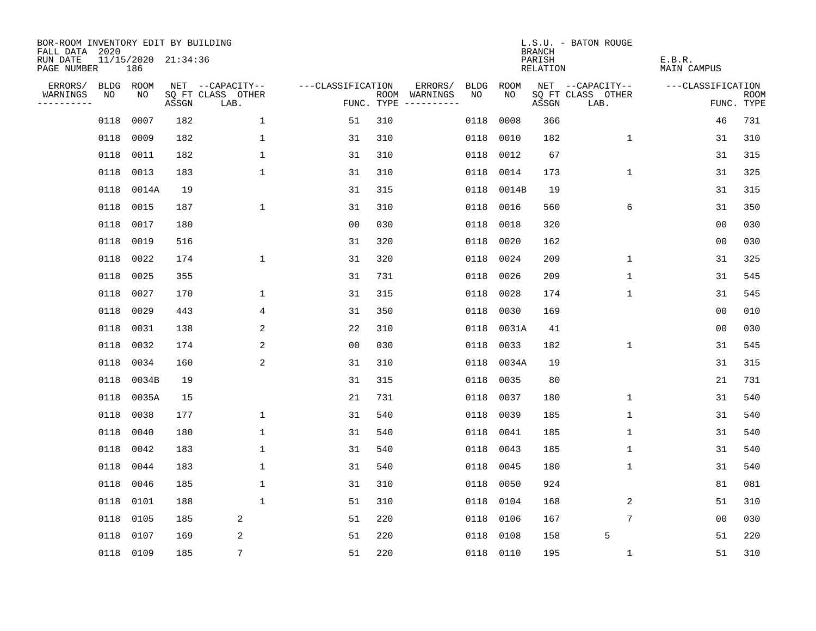| BOR-ROOM INVENTORY EDIT BY BUILDING<br>FALL DATA 2020 |             |                            |       |                           |                   |     |                                                                                                                                                                                                                                                                                                                                                                                                                                                                                                       |             |             | <b>BRANCH</b>             | L.S.U. - BATON ROUGE      |                              |                           |
|-------------------------------------------------------|-------------|----------------------------|-------|---------------------------|-------------------|-----|-------------------------------------------------------------------------------------------------------------------------------------------------------------------------------------------------------------------------------------------------------------------------------------------------------------------------------------------------------------------------------------------------------------------------------------------------------------------------------------------------------|-------------|-------------|---------------------------|---------------------------|------------------------------|---------------------------|
| RUN DATE<br>PAGE NUMBER                               |             | 11/15/2020 21:34:36<br>186 |       |                           |                   |     |                                                                                                                                                                                                                                                                                                                                                                                                                                                                                                       |             |             | PARISH<br><b>RELATION</b> |                           | E.B.R.<br><b>MAIN CAMPUS</b> |                           |
| ERRORS/                                               | <b>BLDG</b> | ROOM                       |       | NET --CAPACITY--          | ---CLASSIFICATION |     | ERRORS/                                                                                                                                                                                                                                                                                                                                                                                                                                                                                               | <b>BLDG</b> | <b>ROOM</b> |                           | NET --CAPACITY--          | ---CLASSIFICATION            |                           |
| WARNINGS<br>----------                                | NO          | NO                         | ASSGN | SQ FT CLASS OTHER<br>LAB. | FUNC. TYPE        |     | ROOM WARNINGS<br>$\begin{tabular}{cccccc} \multicolumn{2}{c}{} & \multicolumn{2}{c}{} & \multicolumn{2}{c}{} & \multicolumn{2}{c}{} & \multicolumn{2}{c}{} & \multicolumn{2}{c}{} & \multicolumn{2}{c}{} & \multicolumn{2}{c}{} & \multicolumn{2}{c}{} & \multicolumn{2}{c}{} & \multicolumn{2}{c}{} & \multicolumn{2}{c}{} & \multicolumn{2}{c}{} & \multicolumn{2}{c}{} & \multicolumn{2}{c}{} & \multicolumn{2}{c}{} & \multicolumn{2}{c}{} & \multicolumn{2}{c}{} & \multicolumn{2}{c}{} & \mult$ | NO          | NO          | ASSGN                     | SQ FT CLASS OTHER<br>LAB. |                              | <b>ROOM</b><br>FUNC. TYPE |
|                                                       | 0118        | 0007                       | 182   | $\mathbf{1}$              | 51                | 310 |                                                                                                                                                                                                                                                                                                                                                                                                                                                                                                       | 0118        | 0008        | 366                       |                           | 46                           | 731                       |
|                                                       | 0118        | 0009                       | 182   | 1                         | 31                | 310 |                                                                                                                                                                                                                                                                                                                                                                                                                                                                                                       | 0118        | 0010        | 182                       | $\mathbf 1$               | 31                           | 310                       |
|                                                       | 0118        | 0011                       | 182   | 1                         | 31                | 310 |                                                                                                                                                                                                                                                                                                                                                                                                                                                                                                       | 0118        | 0012        | 67                        |                           | 31                           | 315                       |
|                                                       | 0118        | 0013                       | 183   | 1                         | 31                | 310 |                                                                                                                                                                                                                                                                                                                                                                                                                                                                                                       | 0118        | 0014        | 173                       | $\mathbf 1$               | 31                           | 325                       |
|                                                       | 0118        | 0014A                      | 19    |                           | 31                | 315 |                                                                                                                                                                                                                                                                                                                                                                                                                                                                                                       | 0118        | 0014B       | 19                        |                           | 31                           | 315                       |
|                                                       | 0118        | 0015                       | 187   | $\mathbf 1$               | 31                | 310 |                                                                                                                                                                                                                                                                                                                                                                                                                                                                                                       | 0118        | 0016        | 560                       | 6                         | 31                           | 350                       |
|                                                       | 0118        | 0017                       | 180   |                           | 0 <sub>0</sub>    | 030 |                                                                                                                                                                                                                                                                                                                                                                                                                                                                                                       | 0118        | 0018        | 320                       |                           | 0 <sub>0</sub>               | 030                       |
|                                                       | 0118        | 0019                       | 516   |                           | 31                | 320 |                                                                                                                                                                                                                                                                                                                                                                                                                                                                                                       | 0118        | 0020        | 162                       |                           | 0 <sub>0</sub>               | 030                       |
|                                                       | 0118        | 0022                       | 174   | 1                         | 31                | 320 |                                                                                                                                                                                                                                                                                                                                                                                                                                                                                                       | 0118        | 0024        | 209                       | $\mathbf 1$               | 31                           | 325                       |
|                                                       | 0118        | 0025                       | 355   |                           | 31                | 731 |                                                                                                                                                                                                                                                                                                                                                                                                                                                                                                       | 0118        | 0026        | 209                       | $\mathbf{1}$              | 31                           | 545                       |
|                                                       | 0118        | 0027                       | 170   | 1                         | 31                | 315 |                                                                                                                                                                                                                                                                                                                                                                                                                                                                                                       | 0118        | 0028        | 174                       | $\mathbf 1$               | 31                           | 545                       |
|                                                       | 0118        | 0029                       | 443   | 4                         | 31                | 350 |                                                                                                                                                                                                                                                                                                                                                                                                                                                                                                       | 0118        | 0030        | 169                       |                           | 0 <sub>0</sub>               | 010                       |
|                                                       | 0118        | 0031                       | 138   | 2                         | 22                | 310 |                                                                                                                                                                                                                                                                                                                                                                                                                                                                                                       | 0118        | 0031A       | 41                        |                           | 0 <sub>0</sub>               | 030                       |
|                                                       | 0118        | 0032                       | 174   | 2                         | 00                | 030 |                                                                                                                                                                                                                                                                                                                                                                                                                                                                                                       | 0118        | 0033        | 182                       | 1                         | 31                           | 545                       |
|                                                       | 0118        | 0034                       | 160   | 2                         | 31                | 310 |                                                                                                                                                                                                                                                                                                                                                                                                                                                                                                       | 0118        | 0034A       | 19                        |                           | 31                           | 315                       |
|                                                       | 0118        | 0034B                      | 19    |                           | 31                | 315 |                                                                                                                                                                                                                                                                                                                                                                                                                                                                                                       | 0118        | 0035        | 80                        |                           | 21                           | 731                       |
|                                                       | 0118        | 0035A                      | 15    |                           | 21                | 731 |                                                                                                                                                                                                                                                                                                                                                                                                                                                                                                       | 0118        | 0037        | 180                       | $\mathbf 1$               | 31                           | 540                       |
|                                                       | 0118        | 0038                       | 177   | 1                         | 31                | 540 |                                                                                                                                                                                                                                                                                                                                                                                                                                                                                                       | 0118        | 0039        | 185                       | $\mathbf 1$               | 31                           | 540                       |
|                                                       | 0118        | 0040                       | 180   | $\mathbf 1$               | 31                | 540 |                                                                                                                                                                                                                                                                                                                                                                                                                                                                                                       | 0118        | 0041        | 185                       | 1                         | 31                           | 540                       |
|                                                       | 0118        | 0042                       | 183   | 1                         | 31                | 540 |                                                                                                                                                                                                                                                                                                                                                                                                                                                                                                       | 0118        | 0043        | 185                       | 1                         | 31                           | 540                       |
|                                                       | 0118        | 0044                       | 183   | 1                         | 31                | 540 |                                                                                                                                                                                                                                                                                                                                                                                                                                                                                                       | 0118        | 0045        | 180                       | 1                         | 31                           | 540                       |
|                                                       | 0118        | 0046                       | 185   | $\mathbf 1$               | 31                | 310 |                                                                                                                                                                                                                                                                                                                                                                                                                                                                                                       | 0118        | 0050        | 924                       |                           | 81                           | 081                       |
|                                                       | 0118        | 0101                       | 188   | $\mathbf 1$               | 51                | 310 |                                                                                                                                                                                                                                                                                                                                                                                                                                                                                                       | 0118        | 0104        | 168                       | 2                         | 51                           | 310                       |
|                                                       | 0118        | 0105                       | 185   | 2                         | 51                | 220 |                                                                                                                                                                                                                                                                                                                                                                                                                                                                                                       | 0118        | 0106        | 167                       | 7                         | 0 <sub>0</sub>               | 030                       |
|                                                       | 0118        | 0107                       | 169   | 2                         | 51                | 220 |                                                                                                                                                                                                                                                                                                                                                                                                                                                                                                       | 0118        | 0108        | 158                       | 5                         | 51                           | 220                       |
|                                                       | 0118 0109   |                            | 185   | 7                         | 51                | 220 |                                                                                                                                                                                                                                                                                                                                                                                                                                                                                                       | 0118 0110   |             | 195                       | $\mathbf 1$               | 51                           | 310                       |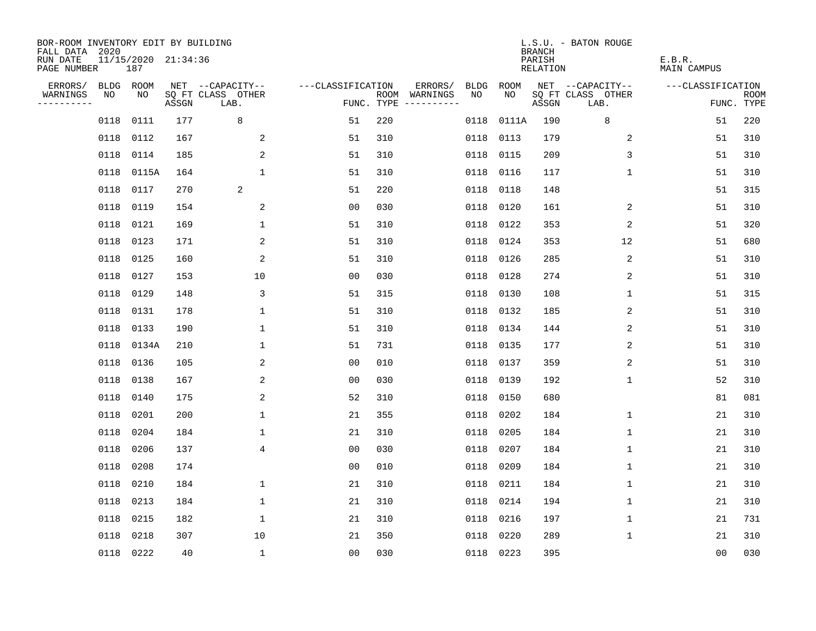| BOR-ROOM INVENTORY EDIT BY BUILDING<br>FALL DATA 2020 |      |                            |       |                           |                   |     |                                      |      |           | <b>BRANCH</b>      | L.S.U. - BATON ROUGE      |                              |                           |
|-------------------------------------------------------|------|----------------------------|-------|---------------------------|-------------------|-----|--------------------------------------|------|-----------|--------------------|---------------------------|------------------------------|---------------------------|
| RUN DATE<br>PAGE NUMBER                               |      | 11/15/2020 21:34:36<br>187 |       |                           |                   |     |                                      |      |           | PARISH<br>RELATION |                           | E.B.R.<br><b>MAIN CAMPUS</b> |                           |
| ERRORS/                                               |      | BLDG ROOM                  |       | NET --CAPACITY--          | ---CLASSIFICATION |     | ERRORS/                              | BLDG | ROOM      |                    | NET --CAPACITY--          | ---CLASSIFICATION            |                           |
| WARNINGS<br>----------                                | NO   | NO                         | ASSGN | SQ FT CLASS OTHER<br>LAB. |                   |     | ROOM WARNINGS<br>FUNC. TYPE $------$ | NO   | NO.       | ASSGN              | SQ FT CLASS OTHER<br>LAB. |                              | <b>ROOM</b><br>FUNC. TYPE |
|                                                       | 0118 | 0111                       | 177   | 8                         | 51                | 220 |                                      | 0118 | 0111A     | 190                | 8                         | 51                           | 220                       |
|                                                       | 0118 | 0112                       | 167   | 2                         | 51                | 310 |                                      | 0118 | 0113      | 179                | 2                         | 51                           | 310                       |
|                                                       | 0118 | 0114                       | 185   | 2                         | 51                | 310 |                                      | 0118 | 0115      | 209                | 3                         | 51                           | 310                       |
|                                                       |      | 0118 0115A                 | 164   | $\mathbf{1}$              | 51                | 310 |                                      | 0118 | 0116      | 117                | 1                         | 51                           | 310                       |
|                                                       | 0118 | 0117                       | 270   | 2                         | 51                | 220 |                                      | 0118 | 0118      | 148                |                           | 51                           | 315                       |
|                                                       |      | 0118 0119                  | 154   | $\overline{c}$            | 0 <sub>0</sub>    | 030 |                                      | 0118 | 0120      | 161                | 2                         | 51                           | 310                       |
|                                                       |      | 0118 0121                  | 169   | $\mathbf 1$               | 51                | 310 |                                      | 0118 | 0122      | 353                | 2                         | 51                           | 320                       |
|                                                       |      | 0118 0123                  | 171   | 2                         | 51                | 310 |                                      | 0118 | 0124      | 353                | 12                        | 51                           | 680                       |
|                                                       | 0118 | 0125                       | 160   | 2                         | 51                | 310 |                                      | 0118 | 0126      | 285                | 2                         | 51                           | 310                       |
|                                                       |      | 0118 0127                  | 153   | 10                        | 0 <sub>0</sub>    | 030 |                                      |      | 0118 0128 | 274                | 2                         | 51                           | 310                       |
|                                                       | 0118 | 0129                       | 148   | 3                         | 51                | 315 |                                      | 0118 | 0130      | 108                | $\mathbf{1}$              | 51                           | 315                       |
|                                                       |      | 0118 0131                  | 178   | $\mathbf{1}$              | 51                | 310 |                                      |      | 0118 0132 | 185                | 2                         | 51                           | 310                       |
|                                                       | 0118 | 0133                       | 190   | $\mathbf 1$               | 51                | 310 |                                      | 0118 | 0134      | 144                | 2                         | 51                           | 310                       |
|                                                       |      | 0118 0134A                 | 210   | $\mathbf 1$               | 51                | 731 |                                      |      | 0118 0135 | 177                | 2                         | 51                           | 310                       |
|                                                       | 0118 | 0136                       | 105   | 2                         | 0 <sub>0</sub>    | 010 |                                      | 0118 | 0137      | 359                | 2                         | 51                           | 310                       |
|                                                       | 0118 | 0138                       | 167   | 2                         | 0 <sub>0</sub>    | 030 |                                      | 0118 | 0139      | 192                | $\mathbf 1$               | 52                           | 310                       |
|                                                       | 0118 | 0140                       | 175   | 2                         | 52                | 310 |                                      | 0118 | 0150      | 680                |                           | 81                           | 081                       |
|                                                       | 0118 | 0201                       | 200   | $\mathbf{1}$              | 21                | 355 |                                      | 0118 | 0202      | 184                | 1                         | 21                           | 310                       |
|                                                       | 0118 | 0204                       | 184   | 1                         | 21                | 310 |                                      | 0118 | 0205      | 184                | 1                         | 21                           | 310                       |
|                                                       | 0118 | 0206                       | 137   | 4                         | 0 <sub>0</sub>    | 030 |                                      | 0118 | 0207      | 184                | 1                         | 21                           | 310                       |
|                                                       | 0118 | 0208                       | 174   |                           | 0 <sub>0</sub>    | 010 |                                      | 0118 | 0209      | 184                | 1                         | 21                           | 310                       |
|                                                       | 0118 | 0210                       | 184   | $\mathbf 1$               | 21                | 310 |                                      | 0118 | 0211      | 184                | 1                         | 21                           | 310                       |
|                                                       | 0118 | 0213                       | 184   | $\mathbf 1$               | 21                | 310 |                                      | 0118 | 0214      | 194                | 1                         | 21                           | 310                       |
|                                                       | 0118 | 0215                       | 182   | $\mathbf{1}$              | 21                | 310 |                                      | 0118 | 0216      | 197                | $\mathbf 1$               | 21                           | 731                       |
|                                                       | 0118 | 0218                       | 307   | 10                        | 21                | 350 |                                      | 0118 | 0220      | 289                | 1                         | 21                           | 310                       |
|                                                       |      | 0118 0222                  | 40    | $\mathbf{1}$              | 00                | 030 |                                      |      | 0118 0223 | 395                |                           | 0 <sub>0</sub>               | 030                       |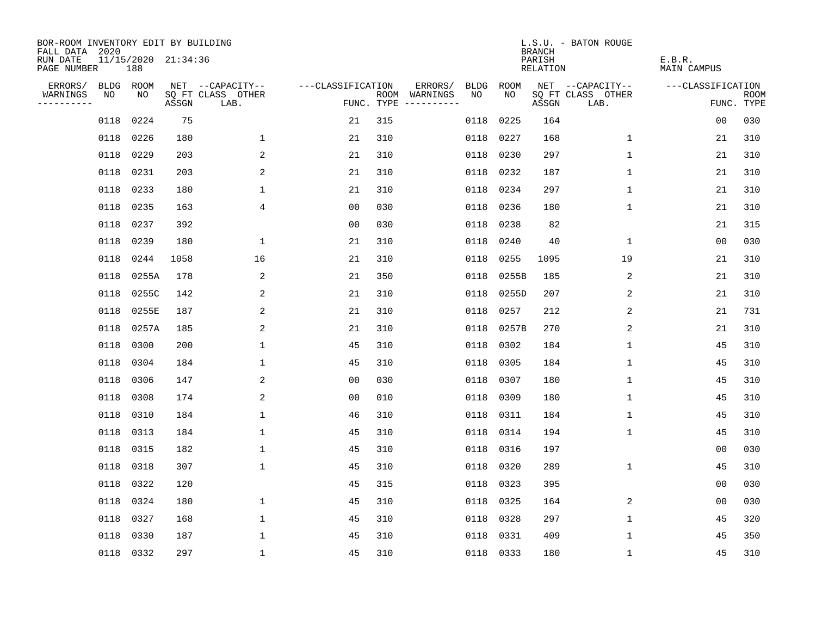| BOR-ROOM INVENTORY EDIT BY BUILDING<br>FALL DATA 2020 |            |       |                     |                           |                   |     |                                      |             |             | <b>BRANCH</b>             | L.S.U. - BATON ROUGE      |                              |                           |
|-------------------------------------------------------|------------|-------|---------------------|---------------------------|-------------------|-----|--------------------------------------|-------------|-------------|---------------------------|---------------------------|------------------------------|---------------------------|
| RUN DATE<br>PAGE NUMBER                               |            | 188   | 11/15/2020 21:34:36 |                           |                   |     |                                      |             |             | PARISH<br><b>RELATION</b> |                           | E.B.R.<br><b>MAIN CAMPUS</b> |                           |
| ERRORS/                                               | BLDG ROOM  |       |                     | NET --CAPACITY--          | ---CLASSIFICATION |     | ERRORS/                              | <b>BLDG</b> | <b>ROOM</b> |                           | NET --CAPACITY--          | ---CLASSIFICATION            |                           |
| WARNINGS<br>----------                                | NO         | NO    | ASSGN               | SQ FT CLASS OTHER<br>LAB. |                   |     | ROOM WARNINGS<br>FUNC. TYPE $------$ | NO          | NO          | ASSGN                     | SQ FT CLASS OTHER<br>LAB. |                              | <b>ROOM</b><br>FUNC. TYPE |
|                                                       | 0118       | 0224  | 75                  |                           | 21                | 315 |                                      | 0118        | 0225        | 164                       |                           | 00                           | 030                       |
|                                                       | 0118       | 0226  | 180                 | $\mathbf{1}$              | 21                | 310 |                                      | 0118        | 0227        | 168                       | 1                         | 21                           | 310                       |
|                                                       | 0118       | 0229  | 203                 | 2                         | 21                | 310 |                                      | 0118        | 0230        | 297                       | 1                         | 21                           | 310                       |
|                                                       | 0118 0231  |       | 203                 | 2                         | 21                | 310 |                                      | 0118        | 0232        | 187                       | 1                         | 21                           | 310                       |
|                                                       | 0118       | 0233  | 180                 | $\mathbf 1$               | 21                | 310 |                                      | 0118        | 0234        | 297                       | $\mathbf 1$               | 21                           | 310                       |
|                                                       | 0118 0235  |       | 163                 | 4                         | 0 <sub>0</sub>    | 030 |                                      | 0118        | 0236        | 180                       | 1                         | 21                           | 310                       |
|                                                       | 0118 0237  |       | 392                 |                           | 0 <sub>0</sub>    | 030 |                                      | 0118        | 0238        | 82                        |                           | 21                           | 315                       |
|                                                       | 0118 0239  |       | 180                 | $\mathbf{1}$              | 21                | 310 |                                      | 0118        | 0240        | 40                        | $\mathbf 1$               | 0 <sub>0</sub>               | 030                       |
|                                                       | 0118       | 0244  | 1058                | 16                        | 21                | 310 |                                      | 0118        | 0255        | 1095                      | 19                        | 21                           | 310                       |
|                                                       | 0118 0255A |       | 178                 | 2                         | 21                | 350 |                                      | 0118        | 0255B       | 185                       | 2                         | 21                           | 310                       |
|                                                       | 0118 0255C |       | 142                 | 2                         | 21                | 310 |                                      | 0118        | 0255D       | 207                       | 2                         | 21                           | 310                       |
|                                                       | 0118 0255E |       | 187                 | 2                         | 21                | 310 |                                      | 0118        | 0257        | 212                       | 2                         | 21                           | 731                       |
|                                                       | 0118       | 0257A | 185                 | 2                         | 21                | 310 |                                      | 0118        | 0257B       | 270                       | 2                         | 21                           | 310                       |
|                                                       | 0118       | 0300  | 200                 | $\mathbf 1$               | 45                | 310 |                                      | 0118        | 0302        | 184                       | $\mathbf 1$               | 45                           | 310                       |
|                                                       | 0118       | 0304  | 184                 | $\mathbf 1$               | 45                | 310 |                                      | 0118        | 0305        | 184                       | 1                         | 45                           | 310                       |
|                                                       | 0118 0306  |       | 147                 | 2                         | 00                | 030 |                                      | 0118        | 0307        | 180                       | 1                         | 45                           | 310                       |
|                                                       | 0118       | 0308  | 174                 | $\overline{\mathbf{c}}$   | 0 <sub>0</sub>    | 010 |                                      | 0118        | 0309        | 180                       | 1                         | 45                           | 310                       |
|                                                       | 0118       | 0310  | 184                 | $\mathbf{1}$              | 46                | 310 |                                      | 0118        | 0311        | 184                       | 1                         | 45                           | 310                       |
|                                                       | 0118       | 0313  | 184                 | $\mathbf 1$               | 45                | 310 |                                      | 0118        | 0314        | 194                       | 1                         | 45                           | 310                       |
|                                                       | 0118 0315  |       | 182                 | $\mathbf 1$               | 45                | 310 |                                      | 0118        | 0316        | 197                       |                           | 0 <sub>0</sub>               | 030                       |
|                                                       | 0118       | 0318  | 307                 | $\mathbf 1$               | 45                | 310 |                                      | 0118        | 0320        | 289                       | 1                         | 45                           | 310                       |
|                                                       | 0118       | 0322  | 120                 |                           | 45                | 315 |                                      | 0118        | 0323        | 395                       |                           | 0 <sub>0</sub>               | 030                       |
|                                                       | 0118 0324  |       | 180                 | $\mathbf 1$               | 45                | 310 |                                      | 0118        | 0325        | 164                       | 2                         | 0 <sub>0</sub>               | 030                       |
|                                                       | 0118       | 0327  | 168                 | $\mathbf 1$               | 45                | 310 |                                      | 0118        | 0328        | 297                       | $\mathbf 1$               | 45                           | 320                       |
|                                                       | 0118       | 0330  | 187                 | $\mathbf{1}$              | 45                | 310 |                                      | 0118        | 0331        | 409                       | 1                         | 45                           | 350                       |
|                                                       | 0118 0332  |       | 297                 | $\mathbf 1$               | 45                | 310 |                                      |             | 0118 0333   | 180                       | 1                         | 45                           | 310                       |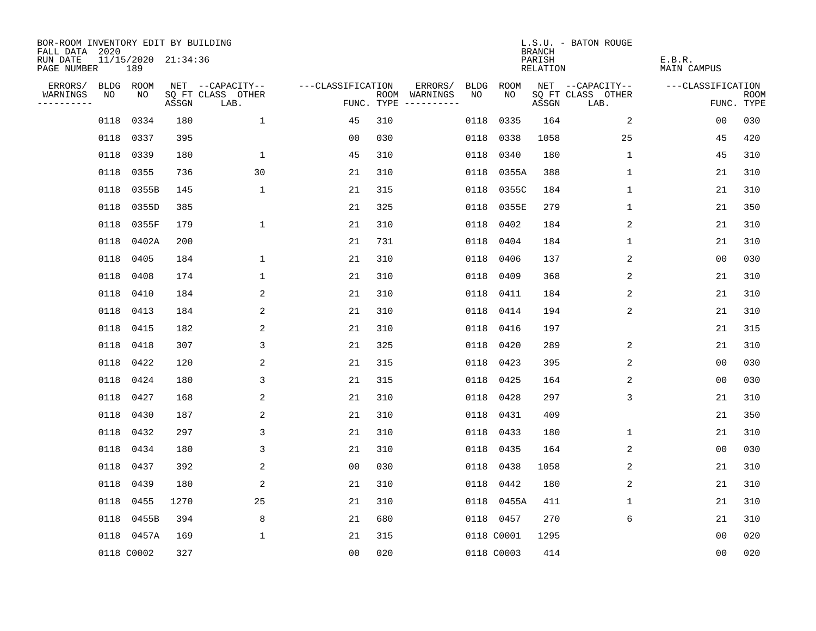| BOR-ROOM INVENTORY EDIT BY BUILDING<br>FALL DATA 2020 |      |                            |       |                           |                   |     |                                      |             |             | <b>BRANCH</b>             | L.S.U. - BATON ROUGE      |                              |                           |
|-------------------------------------------------------|------|----------------------------|-------|---------------------------|-------------------|-----|--------------------------------------|-------------|-------------|---------------------------|---------------------------|------------------------------|---------------------------|
| RUN DATE<br>PAGE NUMBER                               |      | 11/15/2020 21:34:36<br>189 |       |                           |                   |     |                                      |             |             | PARISH<br><b>RELATION</b> |                           | E.B.R.<br><b>MAIN CAMPUS</b> |                           |
| ERRORS/                                               |      | BLDG ROOM                  |       | NET --CAPACITY--          | ---CLASSIFICATION |     | ERRORS/                              | <b>BLDG</b> | <b>ROOM</b> |                           | NET --CAPACITY--          | ---CLASSIFICATION            |                           |
| WARNINGS<br>----------                                | NO   | NO                         | ASSGN | SQ FT CLASS OTHER<br>LAB. |                   |     | ROOM WARNINGS<br>FUNC. TYPE $------$ | NO          | NO          | ASSGN                     | SQ FT CLASS OTHER<br>LAB. |                              | <b>ROOM</b><br>FUNC. TYPE |
|                                                       | 0118 | 0334                       | 180   | $\mathbf{1}$              | 45                | 310 |                                      | 0118        | 0335        | 164                       | 2                         | 00                           | 030                       |
|                                                       | 0118 | 0337                       | 395   |                           | 0 <sub>0</sub>    | 030 |                                      | 0118        | 0338        | 1058                      | 25                        | 45                           | 420                       |
|                                                       | 0118 | 0339                       | 180   | $\mathbf 1$               | 45                | 310 |                                      | 0118        | 0340        | 180                       | $\mathbf 1$               | 45                           | 310                       |
|                                                       | 0118 | 0355                       | 736   | 30                        | 21                | 310 |                                      |             | 0118 0355A  | 388                       | 1                         | 21                           | 310                       |
|                                                       | 0118 | 0355B                      | 145   | $\mathbf{1}$              | 21                | 315 |                                      |             | 0118 0355C  | 184                       | $\mathbf 1$               | 21                           | 310                       |
|                                                       |      | 0118 0355D                 | 385   |                           | 21                | 325 |                                      |             | 0118 0355E  | 279                       | 1                         | 21                           | 350                       |
|                                                       |      | 0118 0355F                 | 179   | $\mathbf{1}$              | 21                | 310 |                                      | 0118        | 0402        | 184                       | 2                         | 21                           | 310                       |
|                                                       |      | 0118 0402A                 | 200   |                           | 21                | 731 |                                      | 0118        | 0404        | 184                       | 1                         | 21                           | 310                       |
|                                                       | 0118 | 0405                       | 184   | $\mathbf{1}$              | 21                | 310 |                                      | 0118        | 0406        | 137                       | 2                         | 0 <sub>0</sub>               | 030                       |
|                                                       | 0118 | 0408                       | 174   | $\mathbf 1$               | 21                | 310 |                                      |             | 0118 0409   | 368                       | 2                         | 21                           | 310                       |
|                                                       | 0118 | 0410                       | 184   | 2                         | 21                | 310 |                                      | 0118        | 0411        | 184                       | 2                         | 21                           | 310                       |
|                                                       | 0118 | 0413                       | 184   | 2                         | 21                | 310 |                                      |             | 0118 0414   | 194                       | 2                         | 21                           | 310                       |
|                                                       | 0118 | 0415                       | 182   | 2                         | 21                | 310 |                                      | 0118        | 0416        | 197                       |                           | 21                           | 315                       |
|                                                       | 0118 | 0418                       | 307   | 3                         | 21                | 325 |                                      | 0118        | 0420        | 289                       | 2                         | 21                           | 310                       |
|                                                       |      | 0118 0422                  | 120   | 2                         | 21                | 315 |                                      | 0118        | 0423        | 395                       | 2                         | 0 <sub>0</sub>               | 030                       |
|                                                       |      | 0118 0424                  | 180   | 3                         | 21                | 315 |                                      |             | 0118 0425   | 164                       | 2                         | 00                           | 030                       |
|                                                       | 0118 | 0427                       | 168   | 2                         | 21                | 310 |                                      | 0118        | 0428        | 297                       | 3                         | 21                           | 310                       |
|                                                       | 0118 | 0430                       | 187   | 2                         | 21                | 310 |                                      | 0118        | 0431        | 409                       |                           | 21                           | 350                       |
|                                                       |      | 0118 0432                  | 297   | 3                         | 21                | 310 |                                      | 0118        | 0433        | 180                       | 1                         | 21                           | 310                       |
|                                                       | 0118 | 0434                       | 180   | 3                         | 21                | 310 |                                      |             | 0118 0435   | 164                       | 2                         | 0 <sub>0</sub>               | 030                       |
|                                                       | 0118 | 0437                       | 392   | 2                         | 0 <sub>0</sub>    | 030 |                                      | 0118        | 0438        | 1058                      | 2                         | 21                           | 310                       |
|                                                       | 0118 | 0439                       | 180   | 2                         | 21                | 310 |                                      | 0118        | 0442        | 180                       | 2                         | 21                           | 310                       |
|                                                       | 0118 | 0455                       | 1270  | 25                        | 21                | 310 |                                      |             | 0118 0455A  | 411                       | 1                         | 21                           | 310                       |
|                                                       | 0118 | 0455B                      | 394   | 8                         | 21                | 680 |                                      |             | 0118 0457   | 270                       | 6                         | 21                           | 310                       |
|                                                       |      | 0118 0457A                 | 169   | $\mathbf{1}$              | 21                | 315 |                                      |             | 0118 C0001  | 1295                      |                           | 00                           | 020                       |
|                                                       |      | 0118 C0002                 | 327   |                           | 00                | 020 |                                      |             | 0118 C0003  | 414                       |                           | 0 <sub>0</sub>               | 020                       |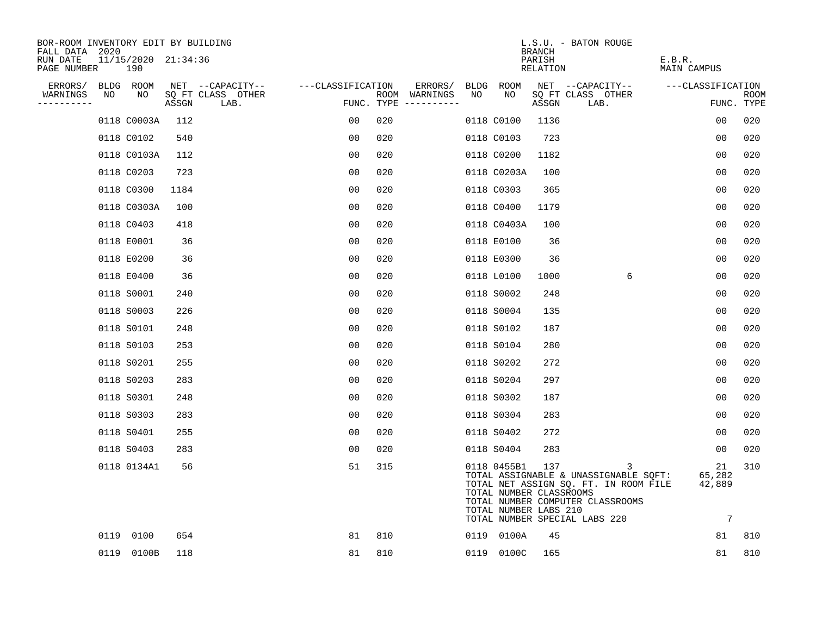| BOR-ROOM INVENTORY EDIT BY BUILDING<br>FALL DATA 2020 |                            |       |                           |                   |                                      |    |                                                                 | <b>BRANCH</b>      | L.S.U. - BATON ROUGE                                                                                                                                     |                                          |                    |
|-------------------------------------------------------|----------------------------|-------|---------------------------|-------------------|--------------------------------------|----|-----------------------------------------------------------------|--------------------|----------------------------------------------------------------------------------------------------------------------------------------------------------|------------------------------------------|--------------------|
| RUN DATE<br>PAGE NUMBER                               | 11/15/2020 21:34:36<br>190 |       |                           |                   |                                      |    |                                                                 | PARISH<br>RELATION |                                                                                                                                                          | E.B.R.<br>MAIN CAMPUS                    |                    |
| ERRORS/                                               | BLDG ROOM                  |       | NET --CAPACITY--          | ---CLASSIFICATION | ERRORS/                              |    | BLDG ROOM                                                       |                    | NET --CAPACITY--                                                                                                                                         | ---CLASSIFICATION                        |                    |
| WARNINGS<br>NO<br>----------                          | NO                         | ASSGN | SQ FT CLASS OTHER<br>LAB. |                   | ROOM WARNINGS<br>FUNC. TYPE $------$ | NO | NO.                                                             | ASSGN              | SQ FT CLASS OTHER<br>LAB.                                                                                                                                |                                          | ROOM<br>FUNC. TYPE |
|                                                       | 0118 C0003A                | 112   |                           | 00                | 020                                  |    | 0118 C0100                                                      | 1136               |                                                                                                                                                          | 00                                       | 020                |
|                                                       | 0118 C0102                 | 540   |                           | 00                | 020                                  |    | 0118 C0103                                                      | 723                |                                                                                                                                                          | 0 <sub>0</sub>                           | 020                |
|                                                       | 0118 C0103A                | 112   |                           | 0 <sub>0</sub>    | 020                                  |    | 0118 C0200                                                      | 1182               |                                                                                                                                                          | 0 <sub>0</sub>                           | 020                |
|                                                       | 0118 C0203                 | 723   |                           | 0 <sub>0</sub>    | 020                                  |    | 0118 C0203A                                                     | 100                |                                                                                                                                                          | 00                                       | 020                |
|                                                       | 0118 C0300                 | 1184  |                           | 0 <sub>0</sub>    | 020                                  |    | 0118 C0303                                                      | 365                |                                                                                                                                                          | 0 <sub>0</sub>                           | 020                |
|                                                       | 0118 C0303A                | 100   |                           | 0 <sub>0</sub>    | 020                                  |    | 0118 C0400                                                      | 1179               |                                                                                                                                                          | 0 <sub>0</sub>                           | 020                |
|                                                       | 0118 C0403                 | 418   |                           | 0 <sub>0</sub>    | 020                                  |    | 0118 C0403A                                                     | 100                |                                                                                                                                                          | 00                                       | 020                |
|                                                       | 0118 E0001                 | 36    |                           | 0 <sub>0</sub>    | 020                                  |    | 0118 E0100                                                      | 36                 |                                                                                                                                                          | 00                                       | 020                |
|                                                       | 0118 E0200                 | 36    |                           | 00                | 020                                  |    | 0118 E0300                                                      | 36                 |                                                                                                                                                          | 0 <sub>0</sub>                           | 020                |
|                                                       | 0118 E0400                 | 36    |                           | 0 <sub>0</sub>    | 020                                  |    | 0118 L0100                                                      | 1000               | 6                                                                                                                                                        | 0 <sub>0</sub>                           | 020                |
|                                                       | 0118 S0001                 | 240   |                           | 00                | 020                                  |    | 0118 S0002                                                      | 248                |                                                                                                                                                          | 0 <sub>0</sub>                           | 020                |
|                                                       | 0118 S0003                 | 226   |                           | 0 <sub>0</sub>    | 020                                  |    | 0118 S0004                                                      | 135                |                                                                                                                                                          | 0 <sub>0</sub>                           | 020                |
|                                                       | 0118 S0101                 | 248   |                           | 00                | 020                                  |    | 0118 S0102                                                      | 187                |                                                                                                                                                          | 0 <sub>0</sub>                           | 020                |
|                                                       | 0118 S0103                 | 253   |                           | 0 <sub>0</sub>    | 020                                  |    | 0118 S0104                                                      | 280                |                                                                                                                                                          | 0 <sub>0</sub>                           | 020                |
|                                                       | 0118 S0201                 | 255   |                           | 00                | 020                                  |    | 0118 S0202                                                      | 272                |                                                                                                                                                          | 0 <sub>0</sub>                           | 020                |
|                                                       | 0118 S0203                 | 283   |                           | 0 <sub>0</sub>    | 020                                  |    | 0118 S0204                                                      | 297                |                                                                                                                                                          | 0 <sub>0</sub>                           | 020                |
|                                                       | 0118 S0301                 | 248   |                           | 00                | 020                                  |    | 0118 S0302                                                      | 187                |                                                                                                                                                          | 0 <sub>0</sub>                           | 020                |
|                                                       | 0118 S0303                 | 283   |                           | 0 <sub>0</sub>    | 020                                  |    | 0118 S0304                                                      | 283                |                                                                                                                                                          | 0 <sub>0</sub>                           | 020                |
|                                                       | 0118 S0401                 | 255   |                           | 0 <sub>0</sub>    | 020                                  |    | 0118 S0402                                                      | 272                |                                                                                                                                                          | $00 \,$                                  | 020                |
|                                                       | 0118 S0403                 | 283   |                           | 0 <sub>0</sub>    | 020                                  |    | 0118 S0404                                                      | 283                |                                                                                                                                                          | 00                                       | 020                |
|                                                       | 0118 0134A1                | 56    |                           | 51                | 315                                  |    | 0118 0455B1<br>TOTAL NUMBER CLASSROOMS<br>TOTAL NUMBER LABS 210 | 137                | 3<br>TOTAL ASSIGNABLE & UNASSIGNABLE SQFT:<br>TOTAL NET ASSIGN SQ. FT. IN ROOM FILE<br>TOTAL NUMBER COMPUTER CLASSROOMS<br>TOTAL NUMBER SPECIAL LABS 220 | 21<br>65,282<br>42,889<br>$\overline{7}$ | 310                |
|                                                       | 0119 0100                  | 654   |                           | 81                | 810                                  |    | 0119 0100A                                                      | 45                 |                                                                                                                                                          | 81                                       | 810                |
|                                                       | 0119 0100B                 | 118   |                           | 81                | 810                                  |    | 0119 0100C                                                      | 165                |                                                                                                                                                          | 81                                       | 810                |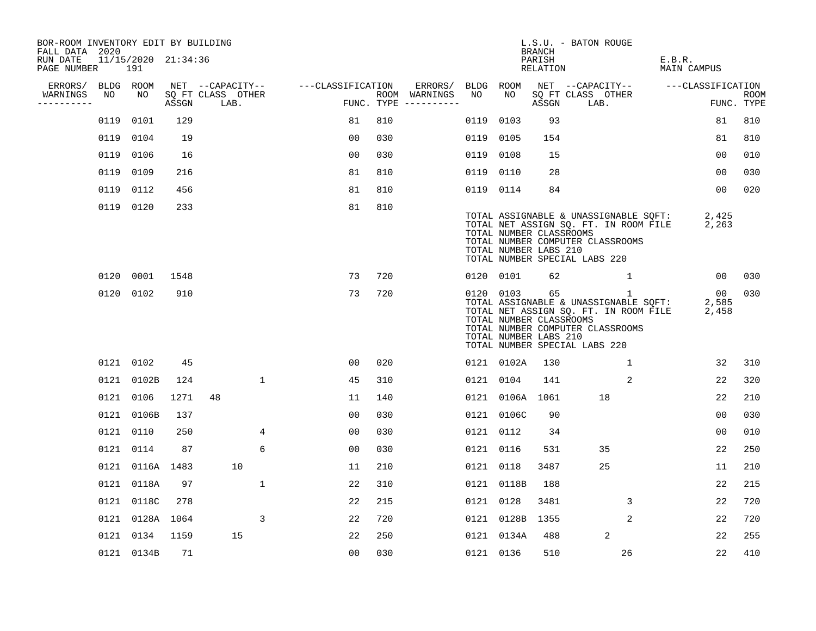| BOR-ROOM INVENTORY EDIT BY BUILDING<br>FALL DATA 2020 |      |                            |       |                           |              |                   |                |     |                                      |           |                 | BRANCH                                                 | L.S.U. - BATON ROUGE                                              |                                                                                                |                                       |                      |             |
|-------------------------------------------------------|------|----------------------------|-------|---------------------------|--------------|-------------------|----------------|-----|--------------------------------------|-----------|-----------------|--------------------------------------------------------|-------------------------------------------------------------------|------------------------------------------------------------------------------------------------|---------------------------------------|----------------------|-------------|
| RUN DATE<br>PAGE NUMBER                               |      | 11/15/2020 21:34:36<br>191 |       |                           |              |                   |                |     |                                      |           |                 | PARISH<br>RELATION                                     |                                                                   |                                                                                                | E.B.R.<br>MAIN CAMPUS                 |                      |             |
| ERRORS/                                               |      | BLDG ROOM                  |       | NET --CAPACITY--          |              | ---CLASSIFICATION |                |     | ERRORS/                              | BLDG ROOM |                 |                                                        | NET --CAPACITY--                                                  |                                                                                                |                                       | ---CLASSIFICATION    |             |
| WARNINGS<br>----------                                | NO   | NO                         | ASSGN | SQ FT CLASS OTHER<br>LAB. |              |                   |                |     | ROOM WARNINGS<br>FUNC. TYPE $------$ | NO        | NO              | ASSGN                                                  | SQ FT CLASS OTHER<br>LAB.                                         |                                                                                                |                                       | FUNC. TYPE           | <b>ROOM</b> |
|                                                       | 0119 | 0101                       | 129   |                           |              |                   | 81             | 810 |                                      | 0119      | 0103            | 93                                                     |                                                                   |                                                                                                |                                       | 81                   | 810         |
|                                                       | 0119 | 0104                       | 19    |                           |              |                   | 0 <sub>0</sub> | 030 |                                      | 0119      | 0105            | 154                                                    |                                                                   |                                                                                                |                                       | 81                   | 810         |
|                                                       | 0119 | 0106                       | 16    |                           |              |                   | 0 <sub>0</sub> | 030 |                                      | 0119      | 0108            | 15                                                     |                                                                   |                                                                                                |                                       | 00                   | 010         |
|                                                       | 0119 | 0109                       | 216   |                           |              |                   | 81             | 810 |                                      | 0119 0110 |                 | 28                                                     |                                                                   |                                                                                                |                                       | 00                   | 030         |
|                                                       | 0119 | 0112                       | 456   |                           |              |                   | 81             | 810 |                                      | 0119 0114 |                 | 84                                                     |                                                                   |                                                                                                |                                       | 00                   | 020         |
|                                                       |      | 0119 0120                  | 233   |                           |              |                   | 81             | 810 |                                      |           |                 | TOTAL NUMBER CLASSROOMS<br>TOTAL NUMBER LABS 210       | TOTAL NUMBER COMPUTER CLASSROOMS<br>TOTAL NUMBER SPECIAL LABS 220 | TOTAL NET ASSIGN SQ. FT. IN ROOM FILE                                                          | TOTAL ASSIGNABLE & UNASSIGNABLE SQFT: | 2,425<br>2,263       |             |
|                                                       |      | 0120 0001                  | 1548  |                           |              |                   | 73             | 720 |                                      |           | 0120 0101       | 62                                                     |                                                                   | $\mathbf{1}$                                                                                   |                                       | 00                   | 030         |
|                                                       |      | 0120 0102                  | 910   |                           |              |                   | 73             | 720 |                                      |           | 0120 0103       | 65<br>TOTAL NUMBER CLASSROOMS<br>TOTAL NUMBER LABS 210 | TOTAL NUMBER COMPUTER CLASSROOMS<br>TOTAL NUMBER SPECIAL LABS 220 | $\mathbf{1}$<br>TOTAL ASSIGNABLE & UNASSIGNABLE SQFT:<br>TOTAL NET ASSIGN SQ. FT. IN ROOM FILE |                                       | 00<br>2,585<br>2,458 | 030         |
|                                                       |      | 0121 0102                  | 45    |                           |              |                   | 00             | 020 |                                      |           | 0121 0102A      | 130                                                    |                                                                   | 1                                                                                              |                                       | 32                   | 310         |
|                                                       |      | 0121 0102B                 | 124   |                           | $\mathbf{1}$ |                   | 45             | 310 |                                      | 0121 0104 |                 | 141                                                    |                                                                   | 2                                                                                              |                                       | 22                   | 320         |
|                                                       | 0121 | 0106                       | 1271  | 48                        |              |                   | 11             | 140 |                                      |           | 0121 0106A 1061 |                                                        | 18                                                                |                                                                                                |                                       | 22                   | 210         |
|                                                       | 0121 | 0106B                      | 137   |                           |              |                   | 0 <sub>0</sub> | 030 |                                      |           | 0121 0106C      | 90                                                     |                                                                   |                                                                                                |                                       | 0 <sub>0</sub>       | 030         |
|                                                       |      | 0121 0110                  | 250   |                           | 4            |                   | 00             | 030 |                                      | 0121 0112 |                 | 34                                                     |                                                                   |                                                                                                |                                       | 0 <sub>0</sub>       | 010         |
|                                                       |      | 0121 0114                  | 87    |                           | 6            |                   | 0 <sub>0</sub> | 030 |                                      | 0121 0116 |                 | 531                                                    | 35                                                                |                                                                                                |                                       | 22                   | 250         |
|                                                       |      | 0121 0116A 1483            |       | 10                        |              |                   | 11             | 210 |                                      | 0121 0118 |                 | 3487                                                   | 25                                                                |                                                                                                |                                       | 11                   | 210         |
|                                                       | 0121 | 0118A                      | 97    |                           | $\mathbf{1}$ |                   | 22             | 310 |                                      |           | 0121 0118B      | 188                                                    |                                                                   |                                                                                                |                                       | 22                   | 215         |
|                                                       |      | 0121 0118C                 | 278   |                           |              |                   | 22             | 215 |                                      | 0121 0128 |                 | 3481                                                   |                                                                   | 3                                                                                              |                                       | 22                   | 720         |
|                                                       |      | 0121 0128A 1064            |       |                           | 3            |                   | 22             | 720 |                                      |           | 0121 0128B      | 1355                                                   |                                                                   | $\overline{2}$                                                                                 |                                       | 22                   | 720         |
|                                                       | 0121 | 0134                       | 1159  | 15                        |              |                   | 22             | 250 |                                      |           | 0121 0134A      | 488                                                    |                                                                   | 2                                                                                              |                                       | 22                   | 255         |
|                                                       |      | 0121 0134B                 | 71    |                           |              |                   | 00             | 030 |                                      | 0121 0136 |                 | 510                                                    |                                                                   | 26                                                                                             |                                       | 22                   | 410         |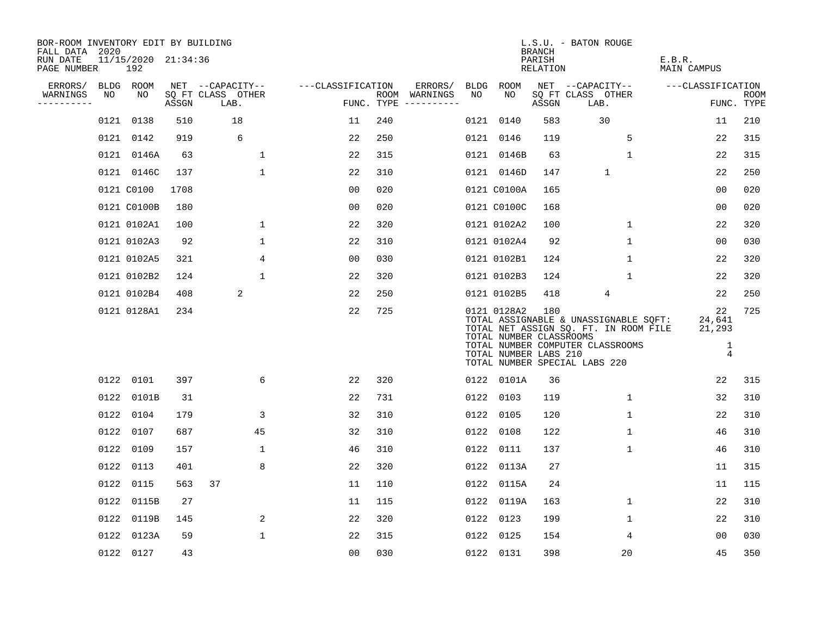| BOR-ROOM INVENTORY EDIT BY BUILDING<br>FALL DATA 2020 |      |                            |       |                           |                   |     |                                      |      |                                                                 | BRANCH             | L.S.U. - BATON ROUGE                                                                                                                                |                                               |                           |
|-------------------------------------------------------|------|----------------------------|-------|---------------------------|-------------------|-----|--------------------------------------|------|-----------------------------------------------------------------|--------------------|-----------------------------------------------------------------------------------------------------------------------------------------------------|-----------------------------------------------|---------------------------|
| RUN DATE<br>PAGE NUMBER                               |      | 11/15/2020 21:34:36<br>192 |       |                           |                   |     |                                      |      |                                                                 | PARISH<br>RELATION |                                                                                                                                                     | E.B.R.<br>MAIN CAMPUS                         |                           |
| ERRORS/                                               |      | BLDG ROOM                  |       | NET --CAPACITY--          | ---CLASSIFICATION |     | ERRORS/                              | BLDG | ROOM                                                            |                    | NET --CAPACITY--                                                                                                                                    | ---CLASSIFICATION                             |                           |
| WARNINGS<br>----------                                | NO   | NO                         | ASSGN | SQ FT CLASS OTHER<br>LAB. |                   |     | ROOM WARNINGS<br>FUNC. TYPE $------$ | NO.  | NO.                                                             | ASSGN              | SQ FT CLASS OTHER<br>LAB.                                                                                                                           |                                               | <b>ROOM</b><br>FUNC. TYPE |
|                                                       | 0121 | 0138                       | 510   | 18                        | 11                | 240 |                                      |      | 0121 0140                                                       | 583                | 30                                                                                                                                                  | 11                                            | 210                       |
|                                                       |      | 0121 0142                  | 919   | 6                         | 22                | 250 |                                      |      | 0121 0146                                                       | 119                | 5                                                                                                                                                   | 22                                            | 315                       |
|                                                       |      | 0121 0146A                 | 63    | $\mathbf{1}$              | 22                | 315 |                                      |      | 0121 0146B                                                      | 63                 | 1                                                                                                                                                   | 22                                            | 315                       |
|                                                       |      | 0121 0146C                 | 137   | $\mathbf{1}$              | 22                | 310 |                                      |      | 0121 0146D                                                      | 147                | $\mathbf 1$                                                                                                                                         | 22                                            | 250                       |
|                                                       |      | 0121 C0100                 | 1708  |                           | 0 <sub>0</sub>    | 020 |                                      |      | 0121 C0100A                                                     | 165                |                                                                                                                                                     | 0 <sub>0</sub>                                | 020                       |
|                                                       |      | 0121 C0100B                | 180   |                           | 0 <sub>0</sub>    | 020 |                                      |      | 0121 C0100C                                                     | 168                |                                                                                                                                                     | 0 <sub>0</sub>                                | 020                       |
|                                                       |      | 0121 0102A1                | 100   | $\mathbf{1}$              | 22                | 320 |                                      |      | 0121 0102A2                                                     | 100                | $\mathbf{1}$                                                                                                                                        | 22                                            | 320                       |
|                                                       |      | 0121 0102A3                | 92    | $\mathbf{1}$              | 22                | 310 |                                      |      | 0121 0102A4                                                     | 92                 | $\mathbf{1}$                                                                                                                                        | 0 <sub>0</sub>                                | 030                       |
|                                                       |      | 0121 0102A5                | 321   | 4                         | 0 <sub>0</sub>    | 030 |                                      |      | 0121 0102B1                                                     | 124                | $\mathbf 1$                                                                                                                                         | 22                                            | 320                       |
|                                                       |      | 0121 0102B2                | 124   | $\mathbf{1}$              | 22                | 320 |                                      |      | 0121 0102B3                                                     | 124                | $\mathbf{1}$                                                                                                                                        | 22                                            | 320                       |
|                                                       |      | 0121 0102B4                | 408   | 2                         | 22                | 250 |                                      |      | 0121 0102B5                                                     | 418                | 4                                                                                                                                                   | 22                                            | 250                       |
|                                                       |      | 0121 0128A1                | 234   |                           | 22                | 725 |                                      |      | 0121 0128A2<br>TOTAL NUMBER CLASSROOMS<br>TOTAL NUMBER LABS 210 | 180                | TOTAL ASSIGNABLE & UNASSIGNABLE SQFT:<br>TOTAL NET ASSIGN SQ. FT. IN ROOM FILE<br>TOTAL NUMBER COMPUTER CLASSROOMS<br>TOTAL NUMBER SPECIAL LABS 220 | 22<br>24,641<br>21,293<br>1<br>$\overline{4}$ | 725                       |
|                                                       |      | 0122 0101                  | 397   | 6                         | 22                | 320 |                                      |      | 0122 0101A                                                      | 36                 |                                                                                                                                                     | 22                                            | 315                       |
|                                                       |      | 0122 0101B                 | 31    |                           | 22                | 731 |                                      |      | 0122 0103                                                       | 119                | $\mathbf{1}$                                                                                                                                        | 32                                            | 310                       |
|                                                       |      | 0122 0104                  | 179   | 3                         | 32                | 310 |                                      |      | 0122 0105                                                       | 120                | $\mathbf 1$                                                                                                                                         | 22                                            | 310                       |
|                                                       |      | 0122 0107                  | 687   | 45                        | 32                | 310 |                                      |      | 0122 0108                                                       | 122                | $\mathbf 1$                                                                                                                                         | 46                                            | 310                       |
|                                                       |      | 0122 0109                  | 157   | $\mathbf 1$               | 46                | 310 |                                      |      | 0122 0111                                                       | 137                | $\mathbf 1$                                                                                                                                         | 46                                            | 310                       |
|                                                       |      | 0122 0113                  | 401   | 8                         | 22                | 320 |                                      |      | 0122 0113A                                                      | 27                 |                                                                                                                                                     | 11                                            | 315                       |
|                                                       |      | 0122 0115                  | 563   | 37                        | 11                | 110 |                                      | 0122 | 0115A                                                           | 24                 |                                                                                                                                                     | 11                                            | 115                       |
|                                                       |      | 0122 0115B                 | 27    |                           | 11                | 115 |                                      | 0122 | 0119A                                                           | 163                | $\mathbf 1$                                                                                                                                         | 22                                            | 310                       |
|                                                       |      | 0122 0119B                 | 145   | 2                         | 22                | 320 |                                      | 0122 | 0123                                                            | 199                | 1                                                                                                                                                   | 22                                            | 310                       |
|                                                       |      | 0122 0123A                 | 59    | $\mathbf{1}$              | 22                | 315 |                                      | 0122 | 0125                                                            | 154                | 4                                                                                                                                                   | 00                                            | 030                       |
|                                                       |      | 0122 0127                  | 43    |                           | 0 <sub>0</sub>    | 030 |                                      |      | 0122 0131                                                       | 398                | 20                                                                                                                                                  | 45                                            | 350                       |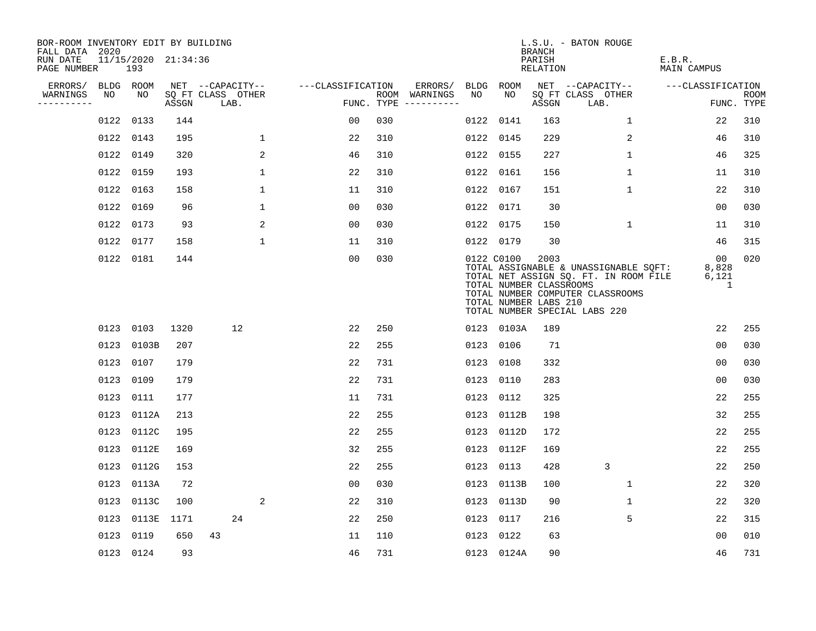| BOR-ROOM INVENTORY EDIT BY BUILDING<br>FALL DATA 2020 |      |                            |       |                           |              |                   |     |                                      |      |            | BRANCH                                                   | L.S.U. - BATON ROUGE                                                                                                                                |                              |                           |
|-------------------------------------------------------|------|----------------------------|-------|---------------------------|--------------|-------------------|-----|--------------------------------------|------|------------|----------------------------------------------------------|-----------------------------------------------------------------------------------------------------------------------------------------------------|------------------------------|---------------------------|
| RUN DATE<br>PAGE NUMBER                               |      | 11/15/2020 21:34:36<br>193 |       |                           |              |                   |     |                                      |      |            | PARISH<br>RELATION                                       |                                                                                                                                                     | E.B.R.<br><b>MAIN CAMPUS</b> |                           |
| ERRORS/                                               |      | BLDG ROOM                  |       | NET --CAPACITY--          |              | ---CLASSIFICATION |     | ERRORS/                              |      | BLDG ROOM  |                                                          | NET --CAPACITY--                                                                                                                                    | ---CLASSIFICATION            |                           |
| WARNINGS<br>----------                                | NO   | NO                         | ASSGN | SQ FT CLASS OTHER<br>LAB. |              |                   |     | ROOM WARNINGS<br>FUNC. TYPE $------$ | NO   | NO.        | ASSGN                                                    | SQ FT CLASS OTHER<br>LAB.                                                                                                                           |                              | <b>ROOM</b><br>FUNC. TYPE |
|                                                       | 0122 | 0133                       | 144   |                           |              | 00                | 030 |                                      | 0122 | 0141       | 163                                                      | $\mathbf{1}$                                                                                                                                        | 22                           | 310                       |
|                                                       | 0122 | 0143                       | 195   |                           | 1            | 22                | 310 |                                      |      | 0122 0145  | 229                                                      | $\overline{2}$                                                                                                                                      | 46                           | 310                       |
|                                                       | 0122 | 0149                       | 320   |                           | 2            | 46                | 310 |                                      |      | 0122 0155  | 227                                                      | $\mathbf 1$                                                                                                                                         | 46                           | 325                       |
|                                                       |      | 0122 0159                  | 193   |                           | $\mathbf{1}$ | 22                | 310 |                                      |      | 0122 0161  | 156                                                      | $\mathbf 1$                                                                                                                                         | 11                           | 310                       |
|                                                       | 0122 | 0163                       | 158   |                           | $\mathbf 1$  | 11                | 310 |                                      |      | 0122 0167  | 151                                                      | $\mathbf{1}$                                                                                                                                        | 22                           | 310                       |
|                                                       | 0122 | 0169                       | 96    |                           | 1            | 00                | 030 |                                      |      | 0122 0171  | 30                                                       |                                                                                                                                                     | 00                           | 030                       |
|                                                       | 0122 | 0173                       | 93    |                           | 2            | 0 <sub>0</sub>    | 030 |                                      |      | 0122 0175  | 150                                                      | $\mathbf 1$                                                                                                                                         | 11                           | 310                       |
|                                                       | 0122 | 0177                       | 158   |                           | $\mathbf{1}$ | 11                | 310 |                                      |      | 0122 0179  | 30                                                       |                                                                                                                                                     | 46                           | 315                       |
|                                                       |      | 0122 0181                  | 144   |                           |              | 0 <sub>0</sub>    | 030 |                                      |      | 0122 C0100 | 2003<br>TOTAL NUMBER CLASSROOMS<br>TOTAL NUMBER LABS 210 | TOTAL ASSIGNABLE & UNASSIGNABLE SQFT:<br>TOTAL NET ASSIGN SQ. FT. IN ROOM FILE<br>TOTAL NUMBER COMPUTER CLASSROOMS<br>TOTAL NUMBER SPECIAL LABS 220 | 00<br>8,828<br>6,121<br>1    | 020                       |
|                                                       |      | 0123 0103                  | 1320  | 12                        |              | 22                | 250 |                                      |      | 0123 0103A | 189                                                      |                                                                                                                                                     | 22                           | 255                       |
|                                                       | 0123 | 0103B                      | 207   |                           |              | 22                | 255 |                                      |      | 0123 0106  | 71                                                       |                                                                                                                                                     | 0 <sub>0</sub>               | 030                       |
|                                                       | 0123 | 0107                       | 179   |                           |              | 22                | 731 |                                      |      | 0123 0108  | 332                                                      |                                                                                                                                                     | 00                           | 030                       |
|                                                       | 0123 | 0109                       | 179   |                           |              | 22                | 731 |                                      |      | 0123 0110  | 283                                                      |                                                                                                                                                     | 00                           | 030                       |
|                                                       | 0123 | 0111                       | 177   |                           |              | 11                | 731 |                                      |      | 0123 0112  | 325                                                      |                                                                                                                                                     | 22                           | 255                       |
|                                                       | 0123 | 0112A                      | 213   |                           |              | 22                | 255 |                                      |      | 0123 0112B | 198                                                      |                                                                                                                                                     | 32                           | 255                       |
|                                                       | 0123 | 0112C                      | 195   |                           |              | 22                | 255 |                                      |      | 0123 0112D | 172                                                      |                                                                                                                                                     | 22                           | 255                       |
|                                                       | 0123 | 0112E                      | 169   |                           |              | 32                | 255 |                                      |      | 0123 0112F | 169                                                      |                                                                                                                                                     | 22                           | 255                       |
|                                                       | 0123 | 0112G                      | 153   |                           |              | 22                | 255 |                                      |      | 0123 0113  | 428                                                      | 3                                                                                                                                                   | 22                           | 250                       |
|                                                       | 0123 | 0113A                      | 72    |                           |              | 00                | 030 |                                      |      | 0123 0113B | 100                                                      | $\mathbf 1$                                                                                                                                         | 22                           | 320                       |
|                                                       | 0123 | 0113C                      | 100   |                           | 2            | 22                | 310 |                                      |      | 0123 0113D | 90                                                       | 1                                                                                                                                                   | 22                           | 320                       |
|                                                       | 0123 | 0113E                      | 1171  | 24                        |              | 22                | 250 |                                      |      | 0123 0117  | 216                                                      | 5                                                                                                                                                   | 22                           | 315                       |
|                                                       | 0123 | 0119                       | 650   | 43                        |              | 11                | 110 |                                      |      | 0123 0122  | 63                                                       |                                                                                                                                                     | 0 <sub>0</sub>               | 010                       |
|                                                       |      | 0123 0124                  | 93    |                           |              | 46                | 731 |                                      |      | 0123 0124A | 90                                                       |                                                                                                                                                     | 46                           | 731                       |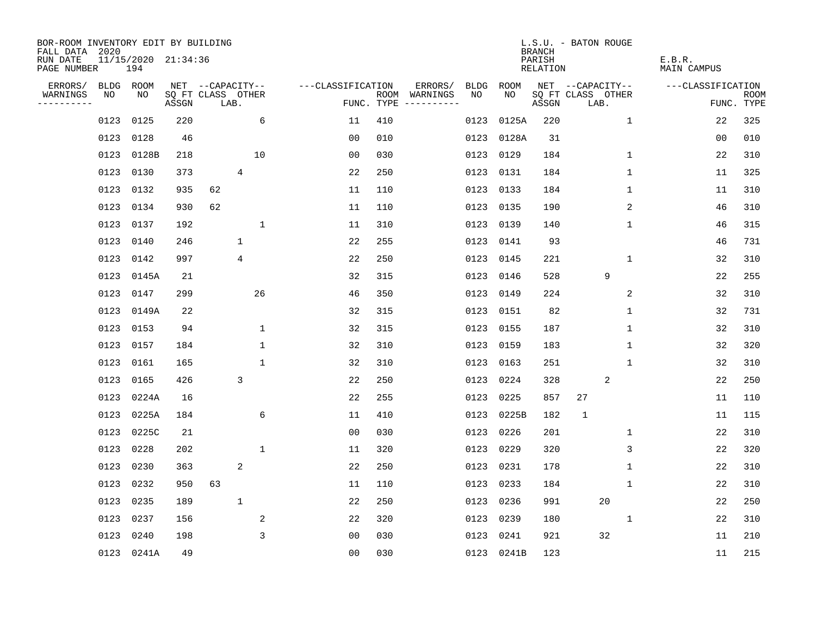| BOR-ROOM INVENTORY EDIT BY BUILDING<br>FALL DATA 2020 |      |                            |       |                   |                |              |                   |     |                                      |             |            | <b>BRANCH</b>      | L.S.U. - BATON ROUGE      |              |                       |                           |
|-------------------------------------------------------|------|----------------------------|-------|-------------------|----------------|--------------|-------------------|-----|--------------------------------------|-------------|------------|--------------------|---------------------------|--------------|-----------------------|---------------------------|
| RUN DATE<br>PAGE NUMBER                               |      | 11/15/2020 21:34:36<br>194 |       |                   |                |              |                   |     |                                      |             |            | PARISH<br>RELATION |                           |              | E.B.R.<br>MAIN CAMPUS |                           |
| ERRORS/                                               |      | BLDG ROOM                  |       | NET --CAPACITY--  |                |              | ---CLASSIFICATION |     | ERRORS/                              | <b>BLDG</b> | ROOM       |                    | NET --CAPACITY--          |              | ---CLASSIFICATION     |                           |
| WARNINGS<br>----------                                | NO   | NO                         | ASSGN | SQ FT CLASS OTHER | LAB.           |              |                   |     | ROOM WARNINGS<br>FUNC. TYPE $------$ | NO.         | NO.        | ASSGN              | SQ FT CLASS OTHER<br>LAB. |              |                       | <b>ROOM</b><br>FUNC. TYPE |
|                                                       | 0123 | 0125                       | 220   |                   |                | 6            | 11                | 410 |                                      | 0123        | 0125A      | 220                |                           | $\mathbf{1}$ | 22                    | 325                       |
|                                                       | 0123 | 0128                       | 46    |                   |                |              | 0 <sub>0</sub>    | 010 |                                      | 0123        | 0128A      | 31                 |                           |              | 00                    | 010                       |
|                                                       | 0123 | 0128B                      | 218   |                   |                | 10           | 0 <sub>0</sub>    | 030 |                                      | 0123        | 0129       | 184                |                           | $\mathbf 1$  | 22                    | 310                       |
|                                                       |      | 0123 0130                  | 373   |                   | $\overline{4}$ |              | 22                | 250 |                                      |             | 0123 0131  | 184                |                           | 1            | 11                    | 325                       |
|                                                       | 0123 | 0132                       | 935   | 62                |                |              | 11                | 110 |                                      |             | 0123 0133  | 184                |                           | 1            | 11                    | 310                       |
|                                                       |      | 0123 0134                  | 930   | 62                |                |              | 11                | 110 |                                      |             | 0123 0135  | 190                |                           | 2            | 46                    | 310                       |
|                                                       | 0123 | 0137                       | 192   |                   |                | $\mathbf 1$  | 11                | 310 |                                      |             | 0123 0139  | 140                |                           | $\mathbf 1$  | 46                    | 315                       |
|                                                       | 0123 | 0140                       | 246   |                   | $\mathbf{1}$   |              | 22                | 255 |                                      |             | 0123 0141  | 93                 |                           |              | 46                    | 731                       |
|                                                       | 0123 | 0142                       | 997   |                   | $\overline{4}$ |              | 22                | 250 |                                      | 0123        | 0145       | 221                |                           | $\mathbf{1}$ | 32                    | 310                       |
|                                                       |      | 0123 0145A                 | 21    |                   |                |              | 32                | 315 |                                      |             | 0123 0146  | 528                | 9                         |              | 22                    | 255                       |
|                                                       |      | 0123 0147                  | 299   |                   |                | 26           | 46                | 350 |                                      | 0123        | 0149       | 224                |                           | 2            | 32                    | 310                       |
|                                                       |      | 0123 0149A                 | 22    |                   |                |              | 32                | 315 |                                      |             | 0123 0151  | 82                 |                           | $\mathbf 1$  | 32                    | 731                       |
|                                                       |      | 0123 0153                  | 94    |                   |                | 1            | 32                | 315 |                                      | 0123        | 0155       | 187                |                           | $\mathbf 1$  | 32                    | 310                       |
|                                                       |      | 0123 0157                  | 184   |                   |                | $\mathbf 1$  | 32                | 310 |                                      |             | 0123 0159  | 183                |                           | 1            | 32                    | 320                       |
|                                                       | 0123 | 0161                       | 165   |                   |                | $\mathbf{1}$ | 32                | 310 |                                      | 0123        | 0163       | 251                |                           | 1            | 32                    | 310                       |
|                                                       |      | 0123 0165                  | 426   |                   | 3              |              | 22                | 250 |                                      | 0123        | 0224       | 328                | 2                         |              | 22                    | 250                       |
|                                                       |      | 0123 0224A                 | 16    |                   |                |              | 22                | 255 |                                      | 0123        | 0225       | 857                | 27                        |              | 11                    | 110                       |
|                                                       | 0123 | 0225A                      | 184   |                   |                | 6            | 11                | 410 |                                      | 0123        | 0225B      | 182                | 1                         |              | 11                    | 115                       |
|                                                       |      | 0123 0225C                 | 21    |                   |                |              | 0 <sub>0</sub>    | 030 |                                      | 0123        | 0226       | 201                |                           | 1            | 22                    | 310                       |
|                                                       | 0123 | 0228                       | 202   |                   |                | $\mathbf{1}$ | 11                | 320 |                                      | 0123        | 0229       | 320                |                           | 3            | 22                    | 320                       |
|                                                       | 0123 | 0230                       | 363   |                   | 2              |              | 22                | 250 |                                      | 0123        | 0231       | 178                |                           | 1            | 22                    | 310                       |
|                                                       | 0123 | 0232                       | 950   | 63                |                |              | 11                | 110 |                                      | 0123        | 0233       | 184                |                           | 1            | 22                    | 310                       |
|                                                       | 0123 | 0235                       | 189   |                   | $\mathbf 1$    |              | 22                | 250 |                                      | 0123        | 0236       | 991                | 20                        |              | 22                    | 250                       |
|                                                       | 0123 | 0237                       | 156   |                   |                | 2            | 22                | 320 |                                      | 0123        | 0239       | 180                |                           | $\mathbf 1$  | 22                    | 310                       |
|                                                       | 0123 | 0240                       | 198   |                   |                | 3            | 0 <sub>0</sub>    | 030 |                                      | 0123        | 0241       | 921                | 32                        |              | 11                    | 210                       |
|                                                       |      | 0123 0241A                 | 49    |                   |                |              | 0 <sub>0</sub>    | 030 |                                      |             | 0123 0241B | 123                |                           |              | 11                    | 215                       |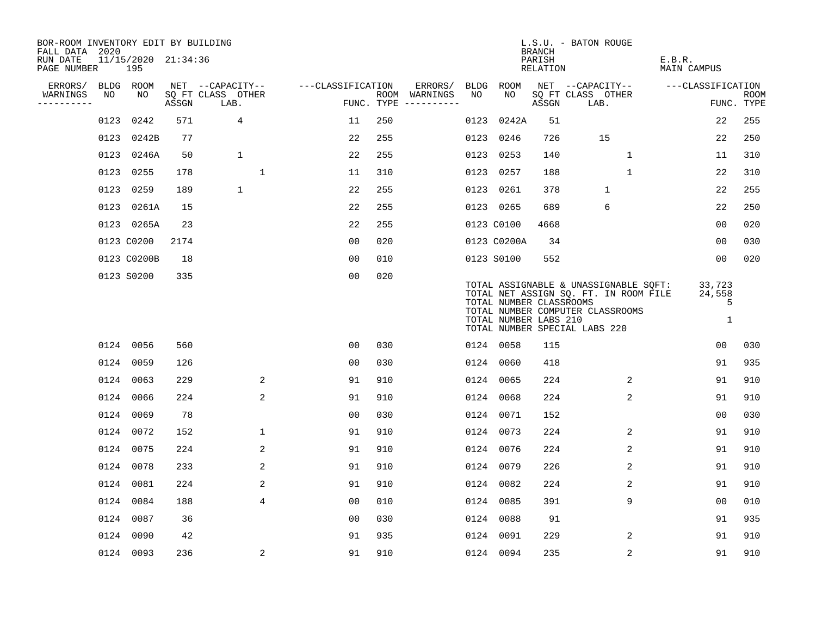| BOR-ROOM INVENTORY EDIT BY BUILDING<br>FALL DATA 2020 |      |                            |       |                           |                   |     |                                      |      |                                                  | <b>BRANCH</b>      | L.S.U. - BATON ROUGE                                                                                                                                |                            |                           |
|-------------------------------------------------------|------|----------------------------|-------|---------------------------|-------------------|-----|--------------------------------------|------|--------------------------------------------------|--------------------|-----------------------------------------------------------------------------------------------------------------------------------------------------|----------------------------|---------------------------|
| RUN DATE<br>PAGE NUMBER                               |      | 11/15/2020 21:34:36<br>195 |       |                           |                   |     |                                      |      |                                                  | PARISH<br>RELATION |                                                                                                                                                     | E.B.R.<br>MAIN CAMPUS      |                           |
| ERRORS/                                               |      | BLDG ROOM                  |       | NET --CAPACITY--          | ---CLASSIFICATION |     | ERRORS/                              | BLDG | ROOM                                             |                    | NET --CAPACITY--                                                                                                                                    | ---CLASSIFICATION          |                           |
| WARNINGS<br>----------                                | NO   | NO                         | ASSGN | SQ FT CLASS OTHER<br>LAB. |                   |     | ROOM WARNINGS<br>FUNC. TYPE $------$ | NO.  | NO                                               | ASSGN              | SQ FT CLASS OTHER<br>LAB.                                                                                                                           |                            | <b>ROOM</b><br>FUNC. TYPE |
|                                                       | 0123 | 0242                       | 571   | $\overline{4}$            | 11                | 250 |                                      | 0123 | 0242A                                            | 51                 |                                                                                                                                                     | 22                         | 255                       |
|                                                       |      | 0123 0242B                 | 77    |                           | 22                | 255 |                                      |      | 0123 0246                                        | 726                | 15                                                                                                                                                  | 22                         | 250                       |
|                                                       |      | 0123 0246A                 | 50    | 1                         | 22                | 255 |                                      |      | 0123 0253                                        | 140                | $\mathbf 1$                                                                                                                                         | 11                         | 310                       |
|                                                       |      | 0123 0255                  | 178   | $\mathbf{1}$              | 11                | 310 |                                      |      | 0123 0257                                        | 188                | $\mathbf{1}$                                                                                                                                        | 22                         | 310                       |
|                                                       |      | 0123 0259                  | 189   | $\mathbf{1}$              | 22                | 255 |                                      |      | 0123 0261                                        | 378                | $\mathbf{1}$                                                                                                                                        | 22                         | 255                       |
|                                                       |      | 0123 0261A                 | 15    |                           | 22                | 255 |                                      |      | 0123 0265                                        | 689                | 6                                                                                                                                                   | 22                         | 250                       |
|                                                       |      | 0123 0265A                 | 23    |                           | 22                | 255 |                                      |      | 0123 C0100                                       | 4668               |                                                                                                                                                     | 0 <sub>0</sub>             | 020                       |
|                                                       |      | 0123 C0200                 | 2174  |                           | 0 <sub>0</sub>    | 020 |                                      |      | 0123 C0200A                                      | 34                 |                                                                                                                                                     | 0 <sub>0</sub>             | 030                       |
|                                                       |      | 0123 C0200B                | 18    |                           | 0 <sub>0</sub>    | 010 |                                      |      | 0123 S0100                                       | 552                |                                                                                                                                                     | 0 <sub>0</sub>             | 020                       |
|                                                       |      | 0123 S0200                 | 335   |                           | 0 <sub>0</sub>    | 020 |                                      |      | TOTAL NUMBER CLASSROOMS<br>TOTAL NUMBER LABS 210 |                    | TOTAL ASSIGNABLE & UNASSIGNABLE SQFT:<br>TOTAL NET ASSIGN SQ. FT. IN ROOM FILE<br>TOTAL NUMBER COMPUTER CLASSROOMS<br>TOTAL NUMBER SPECIAL LABS 220 | 33,723<br>24,558<br>5<br>1 |                           |
|                                                       |      | 0124 0056                  | 560   |                           | 00                | 030 |                                      |      | 0124 0058                                        | 115                |                                                                                                                                                     | 00                         | 030                       |
|                                                       |      | 0124 0059                  | 126   |                           | 0 <sub>0</sub>    | 030 |                                      |      | 0124 0060                                        | 418                |                                                                                                                                                     | 91                         | 935                       |
|                                                       |      | 0124 0063                  | 229   | 2                         | 91                | 910 |                                      |      | 0124 0065                                        | 224                | $\overline{2}$                                                                                                                                      | 91                         | 910                       |
|                                                       |      | 0124 0066                  | 224   | 2                         | 91                | 910 |                                      |      | 0124 0068                                        | 224                | 2                                                                                                                                                   | 91                         | 910                       |
|                                                       |      | 0124 0069                  | 78    |                           | 0 <sub>0</sub>    | 030 |                                      |      | 0124 0071                                        | 152                |                                                                                                                                                     | 0 <sub>0</sub>             | 030                       |
|                                                       |      | 0124 0072                  | 152   | $\mathbf{1}$              | 91                | 910 |                                      |      | 0124 0073                                        | 224                | 2                                                                                                                                                   | 91                         | 910                       |
|                                                       |      | 0124 0075                  | 224   | 2                         | 91                | 910 |                                      |      | 0124 0076                                        | 224                | $\overline{c}$                                                                                                                                      | 91                         | 910                       |
|                                                       |      | 0124 0078                  | 233   | 2                         | 91                | 910 |                                      |      | 0124 0079                                        | 226                | 2                                                                                                                                                   | 91                         | 910                       |
|                                                       |      | 0124 0081                  | 224   | 2                         | 91                | 910 |                                      |      | 0124 0082                                        | 224                | 2                                                                                                                                                   | 91                         | 910                       |
|                                                       |      | 0124 0084                  | 188   | $\overline{4}$            | 0 <sub>0</sub>    | 010 |                                      |      | 0124 0085                                        | 391                | 9                                                                                                                                                   | 00                         | 010                       |
|                                                       |      | 0124 0087                  | 36    |                           | 0 <sub>0</sub>    | 030 |                                      |      | 0124 0088                                        | 91                 |                                                                                                                                                     | 91                         | 935                       |
|                                                       |      | 0124 0090                  | 42    |                           | 91                | 935 |                                      |      | 0124 0091                                        | 229                | 2                                                                                                                                                   | 91                         | 910                       |
|                                                       |      | 0124 0093                  | 236   | 2                         | 91                | 910 |                                      |      | 0124 0094                                        | 235                | 2                                                                                                                                                   | 91                         | 910                       |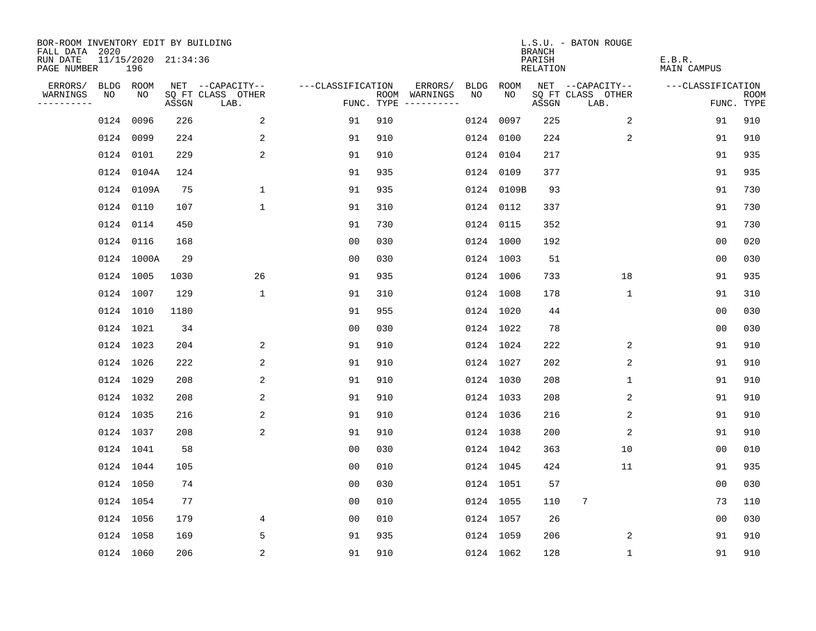| BOR-ROOM INVENTORY EDIT BY BUILDING<br>FALL DATA 2020 |    |                            |       |                           |                   |     |                                      |      |            | <b>BRANCH</b>      | L.S.U. - BATON ROUGE      |                       |                           |
|-------------------------------------------------------|----|----------------------------|-------|---------------------------|-------------------|-----|--------------------------------------|------|------------|--------------------|---------------------------|-----------------------|---------------------------|
| RUN DATE<br>PAGE NUMBER                               |    | 11/15/2020 21:34:36<br>196 |       |                           |                   |     |                                      |      |            | PARISH<br>RELATION |                           | E.B.R.<br>MAIN CAMPUS |                           |
| ERRORS/                                               |    | BLDG ROOM                  |       | NET --CAPACITY--          | ---CLASSIFICATION |     | ERRORS/                              | BLDG | ROOM       |                    | NET --CAPACITY--          | ---CLASSIFICATION     |                           |
| WARNINGS<br>----------                                | NO | NO                         | ASSGN | SQ FT CLASS OTHER<br>LAB. |                   |     | ROOM WARNINGS<br>FUNC. TYPE $------$ | NO.  | NO.        | ASSGN              | SQ FT CLASS OTHER<br>LAB. |                       | <b>ROOM</b><br>FUNC. TYPE |
|                                                       |    | 0124 0096                  | 226   | 2                         | 91                | 910 |                                      |      | 0124 0097  | 225                | 2                         | 91                    | 910                       |
|                                                       |    | 0124 0099                  | 224   | 2                         | 91                | 910 |                                      |      | 0124 0100  | 224                | 2                         | 91                    | 910                       |
|                                                       |    | 0124 0101                  | 229   | 2                         | 91                | 910 |                                      |      | 0124 0104  | 217                |                           | 91                    | 935                       |
|                                                       |    | 0124 0104A                 | 124   |                           | 91                | 935 |                                      |      | 0124 0109  | 377                |                           | 91                    | 935                       |
|                                                       |    | 0124 0109A                 | 75    | $\mathbf 1$               | 91                | 935 |                                      |      | 0124 0109B | 93                 |                           | 91                    | 730                       |
|                                                       |    | 0124 0110                  | 107   | $\mathbf{1}$              | 91                | 310 |                                      |      | 0124 0112  | 337                |                           | 91                    | 730                       |
|                                                       |    | 0124 0114                  | 450   |                           | 91                | 730 |                                      |      | 0124 0115  | 352                |                           | 91                    | 730                       |
|                                                       |    | 0124 0116                  | 168   |                           | 0 <sub>0</sub>    | 030 |                                      |      | 0124 1000  | 192                |                           | 0 <sub>0</sub>        | 020                       |
|                                                       |    | 0124 1000A                 | 29    |                           | 0 <sub>0</sub>    | 030 |                                      |      | 0124 1003  | 51                 |                           | 0 <sub>0</sub>        | 030                       |
|                                                       |    | 0124 1005                  | 1030  | 26                        | 91                | 935 |                                      |      | 0124 1006  | 733                | 18                        | 91                    | 935                       |
|                                                       |    | 0124 1007                  | 129   | $\mathbf{1}$              | 91                | 310 |                                      |      | 0124 1008  | 178                | 1                         | 91                    | 310                       |
|                                                       |    | 0124 1010                  | 1180  |                           | 91                | 955 |                                      |      | 0124 1020  | 44                 |                           | 0 <sub>0</sub>        | 030                       |
|                                                       |    | 0124 1021                  | 34    |                           | 0 <sub>0</sub>    | 030 |                                      |      | 0124 1022  | 78                 |                           | 0 <sub>0</sub>        | 030                       |
|                                                       |    | 0124 1023                  | 204   | 2                         | 91                | 910 |                                      |      | 0124 1024  | 222                | 2                         | 91                    | 910                       |
|                                                       |    | 0124 1026                  | 222   | 2                         | 91                | 910 |                                      |      | 0124 1027  | 202                | 2                         | 91                    | 910                       |
|                                                       |    | 0124 1029                  | 208   | 2                         | 91                | 910 |                                      |      | 0124 1030  | 208                | 1                         | 91                    | 910                       |
|                                                       |    | 0124 1032                  | 208   | 2                         | 91                | 910 |                                      |      | 0124 1033  | 208                | 2                         | 91                    | 910                       |
|                                                       |    | 0124 1035                  | 216   | 2                         | 91                | 910 |                                      |      | 0124 1036  | 216                | 2                         | 91                    | 910                       |
|                                                       |    | 0124 1037                  | 208   | 2                         | 91                | 910 |                                      |      | 0124 1038  | 200                | 2                         | 91                    | 910                       |
|                                                       |    | 0124 1041                  | 58    |                           | 0 <sub>0</sub>    | 030 |                                      |      | 0124 1042  | 363                | 10                        | 00                    | 010                       |
|                                                       |    | 0124 1044                  | 105   |                           | 0 <sub>0</sub>    | 010 |                                      |      | 0124 1045  | 424                | 11                        | 91                    | 935                       |
|                                                       |    | 0124 1050                  | 74    |                           | 0 <sub>0</sub>    | 030 |                                      |      | 0124 1051  | 57                 |                           | 0 <sub>0</sub>        | 030                       |
|                                                       |    | 0124 1054                  | 77    |                           | 0 <sub>0</sub>    | 010 |                                      |      | 0124 1055  | 110                | 7                         | 73                    | 110                       |
|                                                       |    | 0124 1056                  | 179   | 4                         | 0 <sub>0</sub>    | 010 |                                      |      | 0124 1057  | 26                 |                           | 0 <sub>0</sub>        | 030                       |
|                                                       |    | 0124 1058                  | 169   | 5                         | 91                | 935 |                                      |      | 0124 1059  | 206                | 2                         | 91                    | 910                       |
|                                                       |    | 0124 1060                  | 206   | 2                         | 91                | 910 |                                      |      | 0124 1062  | 128                | 1                         | 91                    | 910                       |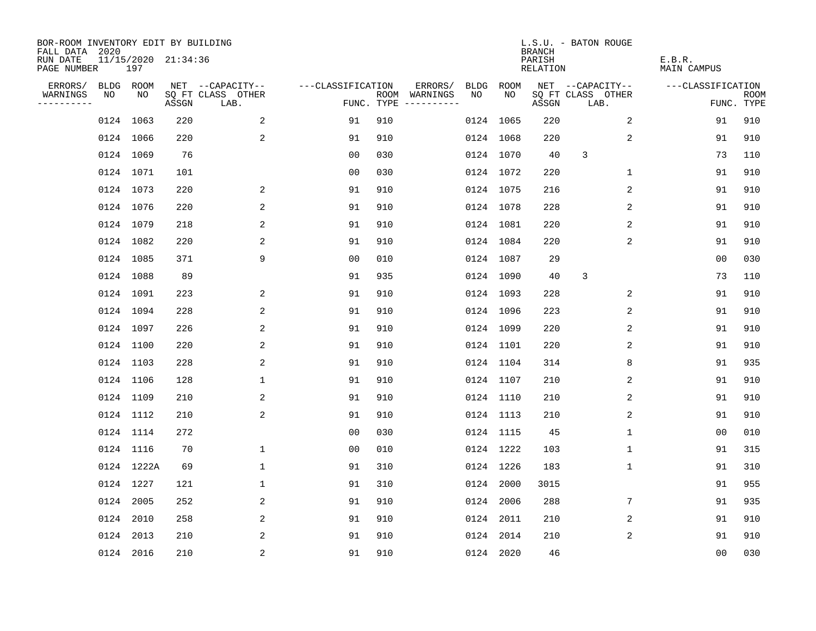| BOR-ROOM INVENTORY EDIT BY BUILDING<br>FALL DATA 2020 |           |            |                     |                           |                   |     |                                      |             |           | <b>BRANCH</b>             | L.S.U. - BATON ROUGE      |                              |                |                           |
|-------------------------------------------------------|-----------|------------|---------------------|---------------------------|-------------------|-----|--------------------------------------|-------------|-----------|---------------------------|---------------------------|------------------------------|----------------|---------------------------|
| RUN DATE<br>PAGE NUMBER                               |           | 197        | 11/15/2020 21:34:36 |                           |                   |     |                                      |             |           | PARISH<br><b>RELATION</b> |                           | E.B.R.<br><b>MAIN CAMPUS</b> |                |                           |
| ERRORS/                                               | BLDG ROOM |            |                     | NET --CAPACITY--          | ---CLASSIFICATION |     | ERRORS/                              | <b>BLDG</b> | ROOM      |                           | NET --CAPACITY--          | ---CLASSIFICATION            |                |                           |
| WARNINGS<br>----------                                | NO        | NO         | ASSGN               | SQ FT CLASS OTHER<br>LAB. |                   |     | ROOM WARNINGS<br>FUNC. TYPE $------$ | NO          | NO        | ASSGN                     | SQ FT CLASS OTHER<br>LAB. |                              |                | <b>ROOM</b><br>FUNC. TYPE |
|                                                       | 0124 1063 |            | 220                 | 2                         | 91                | 910 |                                      |             | 0124 1065 | 220                       | 2                         |                              | 91             | 910                       |
|                                                       | 0124 1066 |            | 220                 | 2                         | 91                | 910 |                                      |             | 0124 1068 | 220                       | 2                         |                              | 91             | 910                       |
|                                                       | 0124 1069 |            | 76                  |                           | 00                | 030 |                                      |             | 0124 1070 | 40                        | 3                         |                              | 73             | 110                       |
|                                                       | 0124 1071 |            | 101                 |                           | 0 <sub>0</sub>    | 030 |                                      |             | 0124 1072 | 220                       | $\mathbf 1$               |                              | 91             | 910                       |
|                                                       | 0124 1073 |            | 220                 | 2                         | 91                | 910 |                                      |             | 0124 1075 | 216                       | 2                         |                              | 91             | 910                       |
|                                                       | 0124 1076 |            | 220                 | 2                         | 91                | 910 |                                      |             | 0124 1078 | 228                       | 2                         |                              | 91             | 910                       |
|                                                       | 0124 1079 |            | 218                 | 2                         | 91                | 910 |                                      |             | 0124 1081 | 220                       | 2                         |                              | 91             | 910                       |
|                                                       | 0124 1082 |            | 220                 | 2                         | 91                | 910 |                                      |             | 0124 1084 | 220                       | 2                         |                              | 91             | 910                       |
|                                                       | 0124 1085 |            | 371                 | 9                         | 0 <sub>0</sub>    | 010 |                                      |             | 0124 1087 | 29                        |                           |                              | 0 <sub>0</sub> | 030                       |
|                                                       | 0124 1088 |            | 89                  |                           | 91                | 935 |                                      |             | 0124 1090 | 40                        | 3                         |                              | 73             | 110                       |
|                                                       | 0124 1091 |            | 223                 | 2                         | 91                | 910 |                                      |             | 0124 1093 | 228                       | 2                         |                              | 91             | 910                       |
|                                                       | 0124 1094 |            | 228                 | 2                         | 91                | 910 |                                      |             | 0124 1096 | 223                       | 2                         |                              | 91             | 910                       |
|                                                       | 0124 1097 |            | 226                 | 2                         | 91                | 910 |                                      |             | 0124 1099 | 220                       | 2                         |                              | 91             | 910                       |
|                                                       | 0124 1100 |            | 220                 | 2                         | 91                | 910 |                                      |             | 0124 1101 | 220                       | 2                         |                              | 91             | 910                       |
|                                                       | 0124 1103 |            | 228                 | 2                         | 91                | 910 |                                      |             | 0124 1104 | 314                       | 8                         |                              | 91             | 935                       |
|                                                       | 0124 1106 |            | 128                 | $\mathbf 1$               | 91                | 910 |                                      |             | 0124 1107 | 210                       | 2                         |                              | 91             | 910                       |
|                                                       | 0124 1109 |            | 210                 | 2                         | 91                | 910 |                                      |             | 0124 1110 | 210                       | 2                         |                              | 91             | 910                       |
|                                                       | 0124 1112 |            | 210                 | $\overline{c}$            | 91                | 910 |                                      |             | 0124 1113 | 210                       | 2                         |                              | 91             | 910                       |
|                                                       | 0124 1114 |            | 272                 |                           | 0 <sub>0</sub>    | 030 |                                      |             | 0124 1115 | 45                        | 1                         |                              | 0 <sub>0</sub> | 010                       |
|                                                       | 0124 1116 |            | 70                  | $\mathbf 1$               | 0 <sub>0</sub>    | 010 |                                      |             | 0124 1222 | 103                       | 1                         |                              | 91             | 315                       |
|                                                       |           | 0124 1222A | 69                  | $\mathbf 1$               | 91                | 310 |                                      |             | 0124 1226 | 183                       | 1                         |                              | 91             | 310                       |
|                                                       | 0124 1227 |            | 121                 | $\mathbf{1}$              | 91                | 310 |                                      |             | 0124 2000 | 3015                      |                           |                              | 91             | 955                       |
|                                                       | 0124 2005 |            | 252                 | 2                         | 91                | 910 |                                      |             | 0124 2006 | 288                       | 7                         |                              | 91             | 935                       |
|                                                       | 0124 2010 |            | 258                 | 2                         | 91                | 910 |                                      |             | 0124 2011 | 210                       | 2                         |                              | 91             | 910                       |
|                                                       | 0124 2013 |            | 210                 | 2                         | 91                | 910 |                                      |             | 0124 2014 | 210                       | 2                         |                              | 91             | 910                       |
|                                                       | 0124 2016 |            | 210                 | 2                         | 91                | 910 |                                      |             | 0124 2020 | 46                        |                           |                              | 0 <sub>0</sub> | 030                       |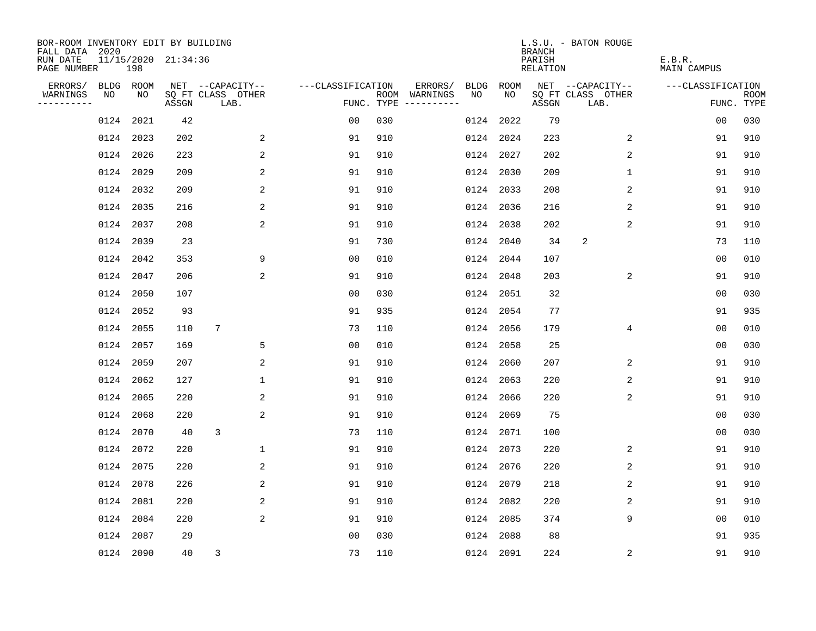| BOR-ROOM INVENTORY EDIT BY BUILDING<br>FALL DATA 2020 |           |           |                     |                           |                   |     |                                            |             | <b>BRANCH</b>             | L.S.U. - BATON ROUGE      |                              |                           |
|-------------------------------------------------------|-----------|-----------|---------------------|---------------------------|-------------------|-----|--------------------------------------------|-------------|---------------------------|---------------------------|------------------------------|---------------------------|
| RUN DATE<br>PAGE NUMBER                               |           | 198       | 11/15/2020 21:34:36 |                           |                   |     |                                            |             | PARISH<br><b>RELATION</b> |                           | E.B.R.<br><b>MAIN CAMPUS</b> |                           |
| ERRORS/                                               | BLDG ROOM |           |                     | NET --CAPACITY--          | ---CLASSIFICATION |     | ERRORS/<br><b>BLDG</b>                     | <b>ROOM</b> |                           | NET --CAPACITY--          | ---CLASSIFICATION            |                           |
| WARNINGS<br>----------                                | NO        | NO        | ASSGN               | SQ FT CLASS OTHER<br>LAB. |                   |     | NO<br>ROOM WARNINGS<br>FUNC. TYPE $------$ | NO          | ASSGN                     | SQ FT CLASS OTHER<br>LAB. |                              | <b>ROOM</b><br>FUNC. TYPE |
|                                                       | 0124      | 2021      | 42                  |                           | 00                | 030 | 0124                                       | 2022        | 79                        |                           | 0 <sub>0</sub>               | 030                       |
|                                                       | 0124 2023 |           | 202                 | 2                         | 91                | 910 |                                            | 0124 2024   | 223                       | 2                         | 91                           | 910                       |
|                                                       | 0124 2026 |           | 223                 | 2                         | 91                | 910 |                                            | 0124 2027   | 202                       | 2                         | 91                           | 910                       |
|                                                       | 0124 2029 |           | 209                 | 2                         | 91                | 910 | 0124                                       | 2030        | 209                       | $\mathbf 1$               | 91                           | 910                       |
|                                                       | 0124 2032 |           | 209                 | 2                         | 91                | 910 |                                            | 0124 2033   | 208                       | $\overline{2}$            | 91                           | 910                       |
|                                                       | 0124 2035 |           | 216                 | 2                         | 91                | 910 |                                            | 0124 2036   | 216                       | 2                         | 91                           | 910                       |
|                                                       | 0124 2037 |           | 208                 | 2                         | 91                | 910 |                                            | 0124 2038   | 202                       | $\overline{2}$            | 91                           | 910                       |
|                                                       | 0124 2039 |           | 23                  |                           | 91                | 730 |                                            | 0124 2040   | 34                        | 2                         | 73                           | 110                       |
|                                                       | 0124 2042 |           | 353                 | 9                         | 0 <sub>0</sub>    | 010 |                                            | 0124 2044   | 107                       |                           | 0 <sub>0</sub>               | 010                       |
|                                                       | 0124 2047 |           | 206                 | 2                         | 91                | 910 |                                            | 0124 2048   | 203                       | 2                         | 91                           | 910                       |
|                                                       | 0124 2050 |           | 107                 |                           | 0 <sub>0</sub>    | 030 |                                            | 0124 2051   | 32                        |                           | 0 <sub>0</sub>               | 030                       |
|                                                       |           | 0124 2052 | 93                  |                           | 91                | 935 |                                            | 0124 2054   | 77                        |                           | 91                           | 935                       |
|                                                       | 0124 2055 |           | 110                 | 7                         | 73                | 110 |                                            | 0124 2056   | 179                       | 4                         | 0 <sub>0</sub>               | 010                       |
|                                                       | 0124 2057 |           | 169                 | 5                         | 0 <sub>0</sub>    | 010 |                                            | 0124 2058   | 25                        |                           | 00                           | 030                       |
|                                                       | 0124 2059 |           | 207                 | 2                         | 91                | 910 | 0124                                       | 2060        | 207                       | 2                         | 91                           | 910                       |
|                                                       | 0124 2062 |           | 127                 | $\mathbf 1$               | 91                | 910 | 0124                                       | 2063        | 220                       | 2                         | 91                           | 910                       |
|                                                       | 0124      | 2065      | 220                 | 2                         | 91                | 910 | 0124                                       | 2066        | 220                       | 2                         | 91                           | 910                       |
|                                                       | 0124 2068 |           | 220                 | 2                         | 91                | 910 |                                            | 0124 2069   | 75                        |                           | 0 <sub>0</sub>               | 030                       |
|                                                       | 0124 2070 |           | 40                  | 3                         | 73                | 110 |                                            | 0124 2071   | 100                       |                           | 0 <sub>0</sub>               | 030                       |
|                                                       | 0124 2072 |           | 220                 | 1                         | 91                | 910 |                                            | 0124 2073   | 220                       | 2                         | 91                           | 910                       |
|                                                       | 0124 2075 |           | 220                 | 2                         | 91                | 910 |                                            | 0124 2076   | 220                       | 2                         | 91                           | 910                       |
|                                                       | 0124 2078 |           | 226                 | 2                         | 91                | 910 |                                            | 0124 2079   | 218                       | 2                         | 91                           | 910                       |
|                                                       | 0124 2081 |           | 220                 | 2                         | 91                | 910 |                                            | 0124 2082   | 220                       | 2                         | 91                           | 910                       |
|                                                       | 0124 2084 |           | 220                 | 2                         | 91                | 910 |                                            | 0124 2085   | 374                       | 9                         | 0 <sub>0</sub>               | 010                       |
|                                                       | 0124 2087 |           | 29                  |                           | 0 <sub>0</sub>    | 030 | 0124                                       | 2088        | 88                        |                           | 91                           | 935                       |
|                                                       | 0124 2090 |           | 40                  | 3                         | 73                | 110 |                                            | 0124 2091   | 224                       | 2                         | 91                           | 910                       |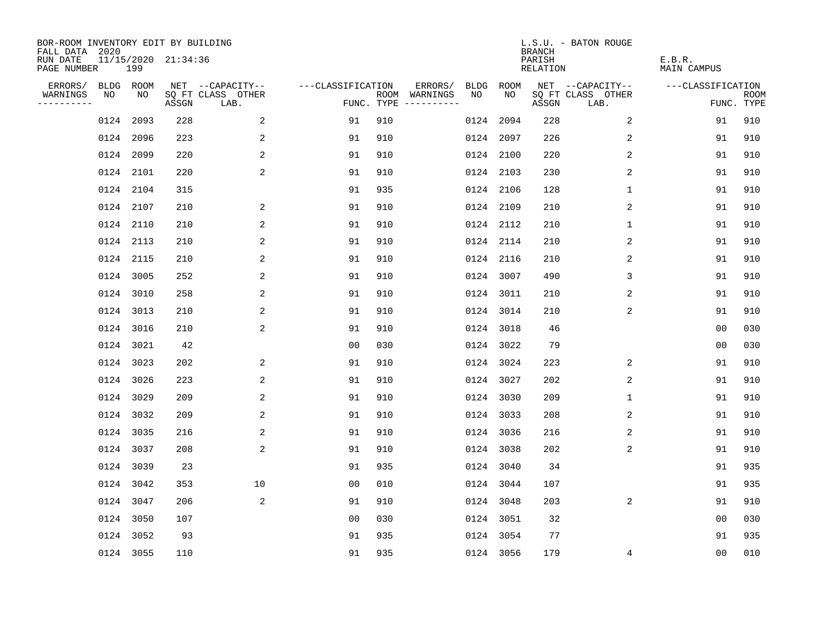| BOR-ROOM INVENTORY EDIT BY BUILDING<br>FALL DATA 2020 |           |           |                     |                           |                   |     |                                      |      |           | <b>BRANCH</b>             | L.S.U. - BATON ROUGE      |                              |                           |
|-------------------------------------------------------|-----------|-----------|---------------------|---------------------------|-------------------|-----|--------------------------------------|------|-----------|---------------------------|---------------------------|------------------------------|---------------------------|
| RUN DATE<br>PAGE NUMBER                               |           | 199       | 11/15/2020 21:34:36 |                           |                   |     |                                      |      |           | PARISH<br><b>RELATION</b> |                           | E.B.R.<br><b>MAIN CAMPUS</b> |                           |
| ERRORS/                                               | BLDG ROOM |           |                     | NET --CAPACITY--          | ---CLASSIFICATION |     | ERRORS/                              | BLDG | ROOM      |                           | NET --CAPACITY--          | ---CLASSIFICATION            |                           |
| WARNINGS<br>----------                                | NO        | NO        | ASSGN               | SQ FT CLASS OTHER<br>LAB. |                   |     | ROOM WARNINGS<br>FUNC. TYPE $------$ | NO   | NO        | ASSGN                     | SQ FT CLASS OTHER<br>LAB. |                              | <b>ROOM</b><br>FUNC. TYPE |
|                                                       | 0124      | 2093      | 228                 | 2                         | 91                | 910 |                                      | 0124 | 2094      | 228                       | 2                         | 91                           | 910                       |
|                                                       | 0124 2096 |           | 223                 | 2                         | 91                | 910 |                                      |      | 0124 2097 | 226                       | 2                         | 91                           | 910                       |
|                                                       | 0124 2099 |           | 220                 | $\overline{a}$            | 91                | 910 |                                      |      | 0124 2100 | 220                       | 2                         | 91                           | 910                       |
|                                                       | 0124 2101 |           | 220                 | 2                         | 91                | 910 |                                      |      | 0124 2103 | 230                       | 2                         | 91                           | 910                       |
|                                                       | 0124 2104 |           | 315                 |                           | 91                | 935 |                                      |      | 0124 2106 | 128                       | $\mathbf 1$               | 91                           | 910                       |
|                                                       | 0124 2107 |           | 210                 | 2                         | 91                | 910 |                                      |      | 0124 2109 | 210                       | 2                         | 91                           | 910                       |
|                                                       | 0124 2110 |           | 210                 | 2                         | 91                | 910 |                                      |      | 0124 2112 | 210                       | $\mathbf{1}$              | 91                           | 910                       |
|                                                       | 0124 2113 |           | 210                 | 2                         | 91                | 910 |                                      |      | 0124 2114 | 210                       | 2                         | 91                           | 910                       |
|                                                       | 0124 2115 |           | 210                 | 2                         | 91                | 910 |                                      |      | 0124 2116 | 210                       | 2                         | 91                           | 910                       |
|                                                       | 0124 3005 |           | 252                 | 2                         | 91                | 910 |                                      |      | 0124 3007 | 490                       | 3                         | 91                           | 910                       |
|                                                       | 0124 3010 |           | 258                 | 2                         | 91                | 910 |                                      |      | 0124 3011 | 210                       | 2                         | 91                           | 910                       |
|                                                       | 0124 3013 |           | 210                 | 2                         | 91                | 910 |                                      |      | 0124 3014 | 210                       | 2                         | 91                           | 910                       |
|                                                       | 0124      | 3016      | 210                 | $\overline{a}$            | 91                | 910 |                                      | 0124 | 3018      | 46                        |                           | 0 <sub>0</sub>               | 030                       |
|                                                       | 0124 3021 |           | 42                  |                           | 00                | 030 |                                      |      | 0124 3022 | 79                        |                           | 0 <sub>0</sub>               | 030                       |
|                                                       | 0124 3023 |           | 202                 | 2                         | 91                | 910 |                                      |      | 0124 3024 | 223                       | $\overline{2}$            | 91                           | 910                       |
|                                                       | 0124 3026 |           | 223                 | 2                         | 91                | 910 |                                      |      | 0124 3027 | 202                       | 2                         | 91                           | 910                       |
|                                                       | 0124 3029 |           | 209                 | 2                         | 91                | 910 |                                      |      | 0124 3030 | 209                       | 1                         | 91                           | 910                       |
|                                                       | 0124 3032 |           | 209                 | $\overline{\mathbf{c}}$   | 91                | 910 |                                      |      | 0124 3033 | 208                       | 2                         | 91                           | 910                       |
|                                                       | 0124 3035 |           | 216                 | 2                         | 91                | 910 |                                      |      | 0124 3036 | 216                       | 2                         | 91                           | 910                       |
|                                                       | 0124 3037 |           | 208                 | 2                         | 91                | 910 |                                      |      | 0124 3038 | 202                       | 2                         | 91                           | 910                       |
|                                                       | 0124 3039 |           | 23                  |                           | 91                | 935 |                                      |      | 0124 3040 | 34                        |                           | 91                           | 935                       |
|                                                       | 0124 3042 |           | 353                 | 10                        | 0 <sub>0</sub>    | 010 |                                      |      | 0124 3044 | 107                       |                           | 91                           | 935                       |
|                                                       | 0124 3047 |           | 206                 | 2                         | 91                | 910 |                                      |      | 0124 3048 | 203                       | 2                         | 91                           | 910                       |
|                                                       | 0124 3050 |           | 107                 |                           | 0 <sub>0</sub>    | 030 |                                      |      | 0124 3051 | 32                        |                           | 0 <sub>0</sub>               | 030                       |
|                                                       | 0124 3052 |           | 93                  |                           | 91                | 935 |                                      |      | 0124 3054 | 77                        |                           | 91                           | 935                       |
|                                                       |           | 0124 3055 | 110                 |                           | 91                | 935 |                                      |      | 0124 3056 | 179                       | 4                         | 0 <sub>0</sub>               | 010                       |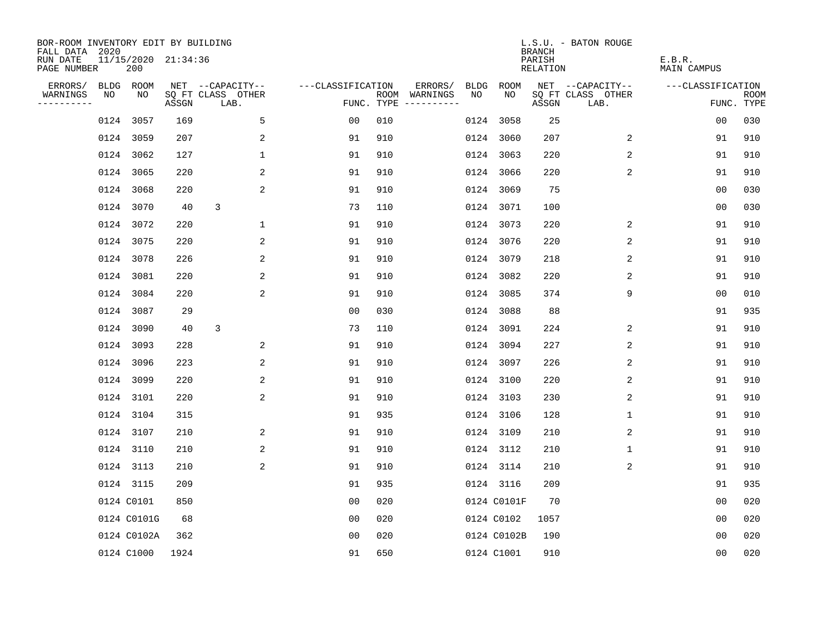| BOR-ROOM INVENTORY EDIT BY BUILDING<br>FALL DATA 2020 |            |                            |       |                           |                   |     |                                      |             |             | <b>BRANCH</b>             | L.S.U. - BATON ROUGE      |                              |                           |
|-------------------------------------------------------|------------|----------------------------|-------|---------------------------|-------------------|-----|--------------------------------------|-------------|-------------|---------------------------|---------------------------|------------------------------|---------------------------|
| RUN DATE<br>PAGE NUMBER                               |            | 11/15/2020 21:34:36<br>200 |       |                           |                   |     |                                      |             |             | PARISH<br><b>RELATION</b> |                           | E.B.R.<br><b>MAIN CAMPUS</b> |                           |
| ERRORS/                                               | BLDG ROOM  |                            |       | NET --CAPACITY--          | ---CLASSIFICATION |     | ERRORS/                              | <b>BLDG</b> | <b>ROOM</b> |                           | NET --CAPACITY--          | ---CLASSIFICATION            |                           |
| WARNINGS<br>----------                                | NO         | NO                         | ASSGN | SQ FT CLASS OTHER<br>LAB. |                   |     | ROOM WARNINGS<br>FUNC. TYPE $------$ | NO          | NO          | ASSGN                     | SQ FT CLASS OTHER<br>LAB. |                              | <b>ROOM</b><br>FUNC. TYPE |
|                                                       | 0124 3057  |                            | 169   | 5                         | 00                | 010 |                                      |             | 0124 3058   | 25                        |                           | 0 <sub>0</sub>               | 030                       |
|                                                       | 0124 3059  |                            | 207   | 2                         | 91                | 910 |                                      |             | 0124 3060   | 207                       | 2                         | 91                           | 910                       |
|                                                       | 0124 3062  |                            | 127   | $\mathbf 1$               | 91                | 910 |                                      |             | 0124 3063   | 220                       | 2                         | 91                           | 910                       |
|                                                       | 0124 3065  |                            | 220   | 2                         | 91                | 910 |                                      |             | 0124 3066   | 220                       | 2                         | 91                           | 910                       |
|                                                       | 0124 3068  |                            | 220   | 2                         | 91                | 910 |                                      |             | 0124 3069   | 75                        |                           | 00                           | 030                       |
|                                                       | 0124 3070  |                            | 40    | 3                         | 73                | 110 |                                      |             | 0124 3071   | 100                       |                           | 00                           | 030                       |
|                                                       | 0124 3072  |                            | 220   | $\mathbf 1$               | 91                | 910 |                                      |             | 0124 3073   | 220                       | 2                         | 91                           | 910                       |
|                                                       | 0124 3075  |                            | 220   | 2                         | 91                | 910 |                                      |             | 0124 3076   | 220                       | 2                         | 91                           | 910                       |
|                                                       | 0124 3078  |                            | 226   | 2                         | 91                | 910 |                                      |             | 0124 3079   | 218                       | 2                         | 91                           | 910                       |
|                                                       | 0124 3081  |                            | 220   | 2                         | 91                | 910 |                                      |             | 0124 3082   | 220                       | 2                         | 91                           | 910                       |
|                                                       | 0124 3084  |                            | 220   | 2                         | 91                | 910 |                                      |             | 0124 3085   | 374                       | 9                         | 0 <sub>0</sub>               | 010                       |
|                                                       | 0124 3087  |                            | 29    |                           | 0 <sub>0</sub>    | 030 |                                      |             | 0124 3088   | 88                        |                           | 91                           | 935                       |
|                                                       | 0124 3090  |                            | 40    | 3                         | 73                | 110 |                                      |             | 0124 3091   | 224                       | 2                         | 91                           | 910                       |
|                                                       | 0124 3093  |                            | 228   | 2                         | 91                | 910 |                                      |             | 0124 3094   | 227                       | 2                         | 91                           | 910                       |
|                                                       | 0124 3096  |                            | 223   | 2                         | 91                | 910 |                                      |             | 0124 3097   | 226                       | 2                         | 91                           | 910                       |
|                                                       | 0124 3099  |                            | 220   | 2                         | 91                | 910 |                                      |             | 0124 3100   | 220                       | $\overline{c}$            | 91                           | 910                       |
|                                                       | 0124 3101  |                            | 220   | 2                         | 91                | 910 |                                      |             | 0124 3103   | 230                       | 2                         | 91                           | 910                       |
|                                                       | 0124 3104  |                            | 315   |                           | 91                | 935 |                                      |             | 0124 3106   | 128                       | 1                         | 91                           | 910                       |
|                                                       | 0124 3107  |                            | 210   | 2                         | 91                | 910 |                                      |             | 0124 3109   | 210                       | 2                         | 91                           | 910                       |
|                                                       | 0124 3110  |                            | 210   | 2                         | 91                | 910 |                                      |             | 0124 3112   | 210                       | 1                         | 91                           | 910                       |
|                                                       | 0124 3113  |                            | 210   | 2                         | 91                | 910 |                                      |             | 0124 3114   | 210                       | 2                         | 91                           | 910                       |
|                                                       | 0124 3115  |                            | 209   |                           | 91                | 935 |                                      |             | 0124 3116   | 209                       |                           | 91                           | 935                       |
|                                                       | 0124 C0101 |                            | 850   |                           | 0 <sub>0</sub>    | 020 |                                      |             | 0124 C0101F | 70                        |                           | 0 <sub>0</sub>               | 020                       |
|                                                       |            | 0124 C0101G                | 68    |                           | 0 <sub>0</sub>    | 020 |                                      |             | 0124 C0102  | 1057                      |                           | 0 <sub>0</sub>               | 020                       |
|                                                       |            | 0124 C0102A                | 362   |                           | 0 <sub>0</sub>    | 020 |                                      |             | 0124 C0102B | 190                       |                           | 0 <sub>0</sub>               | 020                       |
|                                                       | 0124 C1000 |                            | 1924  |                           | 91                | 650 |                                      |             | 0124 C1001  | 910                       |                           | 0 <sub>0</sub>               | 020                       |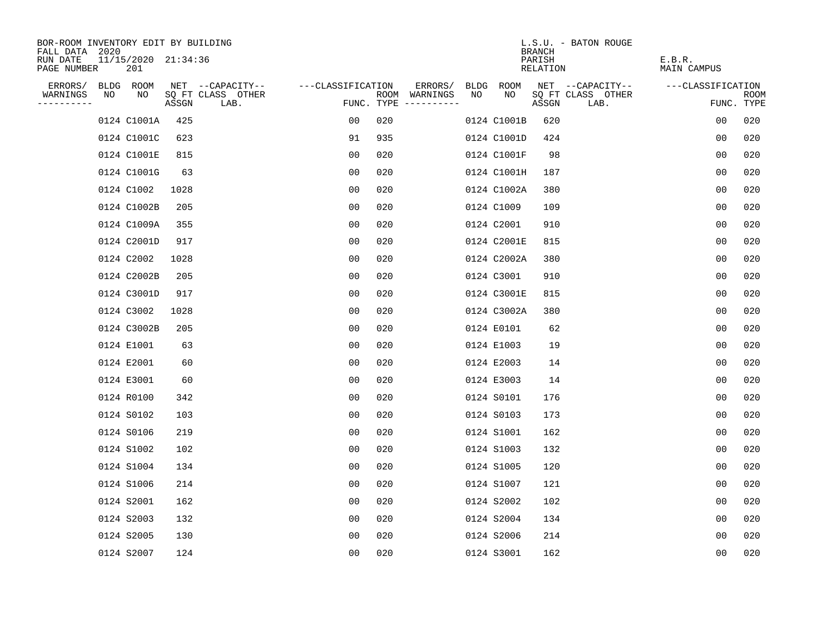| BOR-ROOM INVENTORY EDIT BY BUILDING       |    |                            |       |                           |                   |     |                                      |      |             | <b>BRANCH</b>      | L.S.U. - BATON ROUGE      |                       |                           |
|-------------------------------------------|----|----------------------------|-------|---------------------------|-------------------|-----|--------------------------------------|------|-------------|--------------------|---------------------------|-----------------------|---------------------------|
| FALL DATA 2020<br>RUN DATE<br>PAGE NUMBER |    | 11/15/2020 21:34:36<br>201 |       |                           |                   |     |                                      |      |             | PARISH<br>RELATION |                           | E.B.R.<br>MAIN CAMPUS |                           |
| ERRORS/                                   |    | BLDG ROOM                  |       | NET --CAPACITY--          | ---CLASSIFICATION |     | ERRORS/                              | BLDG | ROOM        |                    | NET --CAPACITY--          | ---CLASSIFICATION     |                           |
| WARNINGS<br>----------                    | NO | NO                         | ASSGN | SQ FT CLASS OTHER<br>LAB. |                   |     | ROOM WARNINGS<br>FUNC. TYPE $------$ | NO   | NO          | ASSGN              | SQ FT CLASS OTHER<br>LAB. |                       | <b>ROOM</b><br>FUNC. TYPE |
|                                           |    | 0124 C1001A                | 425   |                           | 0 <sub>0</sub>    | 020 |                                      |      | 0124 C1001B | 620                |                           | 0 <sub>0</sub>        | 020                       |
|                                           |    | 0124 C1001C                | 623   |                           | 91                | 935 |                                      |      | 0124 C1001D | 424                |                           | 0 <sub>0</sub>        | 020                       |
|                                           |    | 0124 C1001E                | 815   |                           | 0 <sub>0</sub>    | 020 |                                      |      | 0124 C1001F | 98                 |                           | 0 <sub>0</sub>        | 020                       |
|                                           |    | 0124 C1001G                | 63    |                           | 00                | 020 |                                      |      | 0124 C1001H | 187                |                           | 0 <sub>0</sub>        | 020                       |
|                                           |    | 0124 C1002                 | 1028  |                           | 00                | 020 |                                      |      | 0124 C1002A | 380                |                           | 0 <sub>0</sub>        | 020                       |
|                                           |    | 0124 C1002B                | 205   |                           | 0 <sub>0</sub>    | 020 |                                      |      | 0124 C1009  | 109                |                           | 0 <sub>0</sub>        | 020                       |
|                                           |    | 0124 C1009A                | 355   |                           | 0 <sub>0</sub>    | 020 |                                      |      | 0124 C2001  | 910                |                           | 0 <sub>0</sub>        | 020                       |
|                                           |    | 0124 C2001D                | 917   |                           | 0 <sub>0</sub>    | 020 |                                      |      | 0124 C2001E | 815                |                           | 0 <sub>0</sub>        | 020                       |
|                                           |    | 0124 C2002                 | 1028  |                           | 0 <sub>0</sub>    | 020 |                                      |      | 0124 C2002A | 380                |                           | 0 <sub>0</sub>        | 020                       |
|                                           |    | 0124 C2002B                | 205   |                           | 0 <sub>0</sub>    | 020 |                                      |      | 0124 C3001  | 910                |                           | 0 <sub>0</sub>        | 020                       |
|                                           |    | 0124 C3001D                | 917   |                           | 00                | 020 |                                      |      | 0124 C3001E | 815                |                           | 0 <sub>0</sub>        | 020                       |
|                                           |    | 0124 C3002                 | 1028  |                           | 0 <sub>0</sub>    | 020 |                                      |      | 0124 C3002A | 380                |                           | 0 <sub>0</sub>        | 020                       |
|                                           |    | 0124 C3002B                | 205   |                           | 0 <sub>0</sub>    | 020 |                                      |      | 0124 E0101  | 62                 |                           | 0 <sub>0</sub>        | 020                       |
|                                           |    | 0124 E1001                 | 63    |                           | 0 <sub>0</sub>    | 020 |                                      |      | 0124 E1003  | 19                 |                           | 0 <sub>0</sub>        | 020                       |
|                                           |    | 0124 E2001                 | 60    |                           | 00                | 020 |                                      |      | 0124 E2003  | 14                 |                           | 00                    | 020                       |
|                                           |    | 0124 E3001                 | 60    |                           | 00                | 020 |                                      |      | 0124 E3003  | 14                 |                           | 0 <sub>0</sub>        | 020                       |
|                                           |    | 0124 R0100                 | 342   |                           | 00                | 020 |                                      |      | 0124 S0101  | 176                |                           | 0 <sub>0</sub>        | 020                       |
|                                           |    | 0124 S0102                 | 103   |                           | 0 <sub>0</sub>    | 020 |                                      |      | 0124 S0103  | 173                |                           | 0 <sub>0</sub>        | 020                       |
|                                           |    | 0124 S0106                 | 219   |                           | 0 <sub>0</sub>    | 020 |                                      |      | 0124 S1001  | 162                |                           | 0 <sub>0</sub>        | 020                       |
|                                           |    | 0124 S1002                 | 102   |                           | 0 <sub>0</sub>    | 020 |                                      |      | 0124 S1003  | 132                |                           | 0 <sub>0</sub>        | 020                       |
|                                           |    | 0124 S1004                 | 134   |                           | 0 <sub>0</sub>    | 020 |                                      |      | 0124 S1005  | 120                |                           | 0 <sub>0</sub>        | 020                       |
|                                           |    | 0124 S1006                 | 214   |                           | 0 <sub>0</sub>    | 020 |                                      |      | 0124 S1007  | 121                |                           | 0 <sub>0</sub>        | 020                       |
|                                           |    | 0124 S2001                 | 162   |                           | 0 <sub>0</sub>    | 020 |                                      |      | 0124 S2002  | 102                |                           | 0 <sub>0</sub>        | 020                       |
|                                           |    | 0124 S2003                 | 132   |                           | 0 <sub>0</sub>    | 020 |                                      |      | 0124 S2004  | 134                |                           | 0 <sub>0</sub>        | 020                       |
|                                           |    | 0124 S2005                 | 130   |                           | 0 <sub>0</sub>    | 020 |                                      |      | 0124 S2006  | 214                |                           | 0 <sub>0</sub>        | 020                       |
|                                           |    | 0124 S2007                 | 124   |                           | 0 <sub>0</sub>    | 020 |                                      |      | 0124 S3001  | 162                |                           | 0 <sub>0</sub>        | 020                       |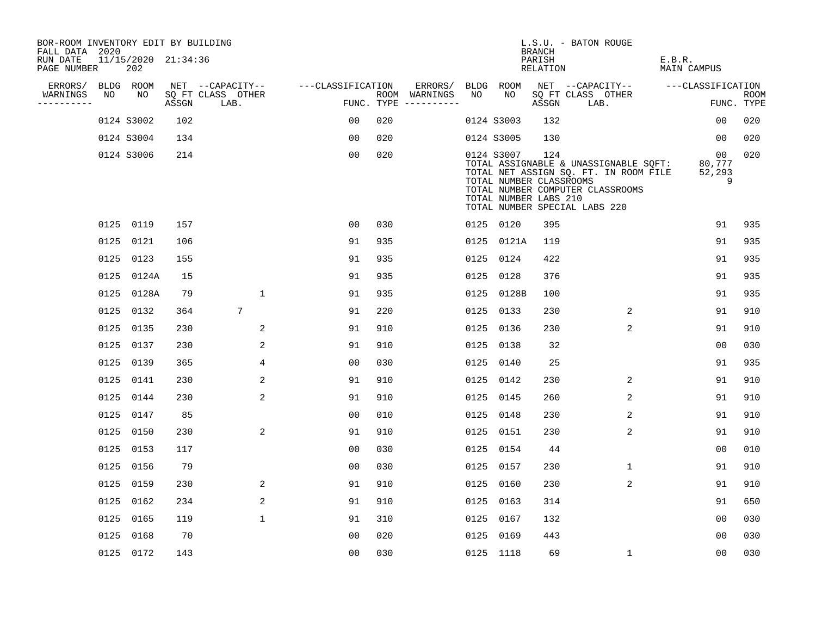| BOR-ROOM INVENTORY EDIT BY BUILDING       |    |                            |       |                           |                   |     |                                      |      |            | <b>BRANCH</b>                                           | L.S.U. - BATON ROUGE                                                                                                                                |                              |                           |
|-------------------------------------------|----|----------------------------|-------|---------------------------|-------------------|-----|--------------------------------------|------|------------|---------------------------------------------------------|-----------------------------------------------------------------------------------------------------------------------------------------------------|------------------------------|---------------------------|
| FALL DATA 2020<br>RUN DATE<br>PAGE NUMBER |    | 11/15/2020 21:34:36<br>202 |       |                           |                   |     |                                      |      |            | PARISH<br>RELATION                                      |                                                                                                                                                     | E.B.R.<br><b>MAIN CAMPUS</b> |                           |
| ERRORS/                                   |    | BLDG ROOM                  |       | NET --CAPACITY--          | ---CLASSIFICATION |     | ERRORS/                              |      | BLDG ROOM  |                                                         | NET --CAPACITY--                                                                                                                                    | ---CLASSIFICATION            |                           |
| WARNINGS<br>----------                    | NO | NO                         | ASSGN | SQ FT CLASS OTHER<br>LAB. |                   |     | ROOM WARNINGS<br>FUNC. TYPE $------$ | NO   | NO         | ASSGN                                                   | SQ FT CLASS OTHER<br>LAB.                                                                                                                           |                              | <b>ROOM</b><br>FUNC. TYPE |
|                                           |    | 0124 S3002                 | 102   |                           | 00                | 020 |                                      |      | 0124 S3003 | 132                                                     |                                                                                                                                                     | 0 <sub>0</sub>               | 020                       |
|                                           |    | 0124 S3004                 | 134   |                           | 0 <sub>0</sub>    | 020 |                                      |      | 0124 S3005 | 130                                                     |                                                                                                                                                     | 00                           | 020                       |
|                                           |    | 0124 S3006                 | 214   |                           | 0 <sub>0</sub>    | 020 |                                      |      | 0124 S3007 | 124<br>TOTAL NUMBER CLASSROOMS<br>TOTAL NUMBER LABS 210 | TOTAL ASSIGNABLE & UNASSIGNABLE SQFT:<br>TOTAL NET ASSIGN SQ. FT. IN ROOM FILE<br>TOTAL NUMBER COMPUTER CLASSROOMS<br>TOTAL NUMBER SPECIAL LABS 220 | 00<br>80,777<br>52,293       | 020<br>9                  |
|                                           |    | 0125 0119                  | 157   |                           | 0 <sub>0</sub>    | 030 |                                      |      | 0125 0120  | 395                                                     |                                                                                                                                                     | 91                           | 935                       |
|                                           |    | 0125 0121                  | 106   |                           | 91                | 935 |                                      |      | 0125 0121A | 119                                                     |                                                                                                                                                     | 91                           | 935                       |
|                                           |    | 0125 0123                  | 155   |                           | 91                | 935 |                                      | 0125 | 0124       | 422                                                     |                                                                                                                                                     | 91                           | 935                       |
|                                           |    | 0125 0124A                 | 15    |                           | 91                | 935 |                                      |      | 0125 0128  | 376                                                     |                                                                                                                                                     | 91                           | 935                       |
|                                           |    | 0125 0128A                 | 79    | $\mathbf{1}$              | 91                | 935 |                                      |      | 0125 0128B | 100                                                     |                                                                                                                                                     | 91                           | 935                       |
|                                           |    | 0125 0132                  | 364   | $7\overline{ }$           | 91                | 220 |                                      |      | 0125 0133  | 230                                                     | 2                                                                                                                                                   | 91                           | 910                       |
|                                           |    | 0125 0135                  | 230   | 2                         | 91                | 910 |                                      | 0125 | 0136       | 230                                                     | 2                                                                                                                                                   | 91                           | 910                       |
|                                           |    | 0125 0137                  | 230   | 2                         | 91                | 910 |                                      |      | 0125 0138  | 32                                                      |                                                                                                                                                     | 0 <sub>0</sub>               | 030                       |
|                                           |    | 0125 0139                  | 365   | 4                         | 0 <sub>0</sub>    | 030 |                                      |      | 0125 0140  | 25                                                      |                                                                                                                                                     | 91                           | 935                       |
|                                           |    | 0125 0141                  | 230   | 2                         | 91                | 910 |                                      |      | 0125 0142  | 230                                                     | $\overline{2}$                                                                                                                                      | 91                           | 910                       |
|                                           |    | 0125 0144                  | 230   | 2                         | 91                | 910 |                                      |      | 0125 0145  | 260                                                     | 2                                                                                                                                                   | 91                           | 910                       |
|                                           |    | 0125 0147                  | 85    |                           | 0 <sub>0</sub>    | 010 |                                      |      | 0125 0148  | 230                                                     | 2                                                                                                                                                   | 91                           | 910                       |
|                                           |    | 0125 0150                  | 230   | 2                         | 91                | 910 |                                      |      | 0125 0151  | 230                                                     | 2                                                                                                                                                   | 91                           | 910                       |
|                                           |    | 0125 0153                  | 117   |                           | 0 <sub>0</sub>    | 030 |                                      |      | 0125 0154  | 44                                                      |                                                                                                                                                     | 0 <sub>0</sub>               | 010                       |
|                                           |    | 0125 0156                  | 79    |                           | 0 <sub>0</sub>    | 030 |                                      |      | 0125 0157  | 230                                                     | 1                                                                                                                                                   | 91                           | 910                       |
|                                           |    | 0125 0159                  | 230   | 2                         | 91                | 910 |                                      |      | 0125 0160  | 230                                                     | $\overline{c}$                                                                                                                                      | 91                           | 910                       |
|                                           |    | 0125 0162                  | 234   | 2                         | 91                | 910 |                                      |      | 0125 0163  | 314                                                     |                                                                                                                                                     | 91                           | 650                       |
|                                           |    | 0125 0165                  | 119   | $\mathbf{1}$              | 91                | 310 |                                      |      | 0125 0167  | 132                                                     |                                                                                                                                                     | 0 <sub>0</sub>               | 030                       |
|                                           |    | 0125 0168                  | 70    |                           | 0 <sub>0</sub>    | 020 |                                      |      | 0125 0169  | 443                                                     |                                                                                                                                                     | 0 <sub>0</sub>               | 030                       |
|                                           |    | 0125 0172                  | 143   |                           | 0 <sub>0</sub>    | 030 |                                      |      | 0125 1118  | 69                                                      | $\mathbf{1}$                                                                                                                                        | 0 <sub>0</sub>               | 030                       |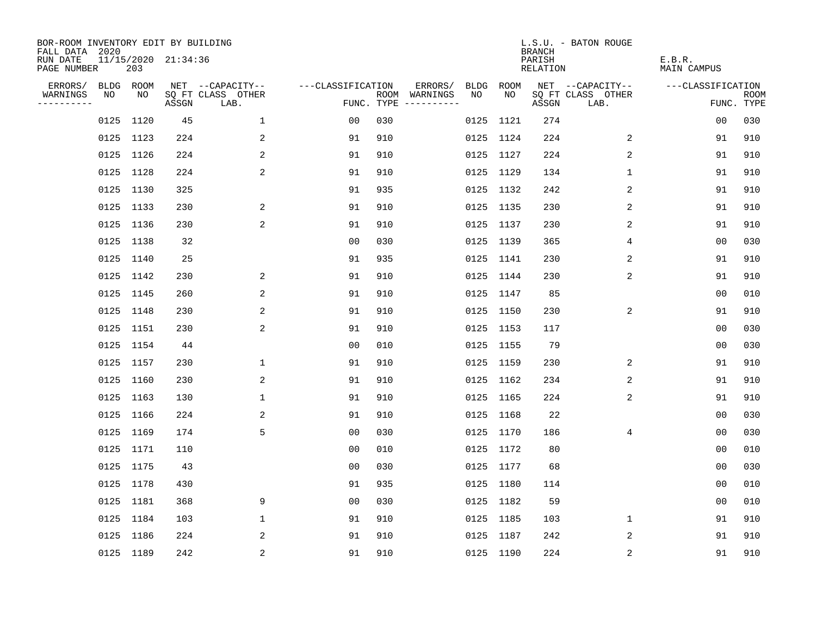| BOR-ROOM INVENTORY EDIT BY BUILDING<br>FALL DATA 2020 |           |     |                     |                           |                   |     |                                            |             | <b>BRANCH</b>             | L.S.U. - BATON ROUGE      |                              |                           |
|-------------------------------------------------------|-----------|-----|---------------------|---------------------------|-------------------|-----|--------------------------------------------|-------------|---------------------------|---------------------------|------------------------------|---------------------------|
| RUN DATE<br>PAGE NUMBER                               |           | 203 | 11/15/2020 21:34:36 |                           |                   |     |                                            |             | PARISH<br><b>RELATION</b> |                           | E.B.R.<br><b>MAIN CAMPUS</b> |                           |
| ERRORS/                                               | BLDG ROOM |     |                     | NET --CAPACITY--          | ---CLASSIFICATION |     | ERRORS/<br><b>BLDG</b>                     | <b>ROOM</b> |                           | NET --CAPACITY--          | ---CLASSIFICATION            |                           |
| WARNINGS<br>----------                                | NO        | NO  | ASSGN               | SQ FT CLASS OTHER<br>LAB. |                   |     | NO<br>ROOM WARNINGS<br>FUNC. TYPE $------$ | NO          | ASSGN                     | SQ FT CLASS OTHER<br>LAB. |                              | <b>ROOM</b><br>FUNC. TYPE |
|                                                       | 0125 1120 |     | 45                  | 1                         | 00                | 030 |                                            | 0125 1121   | 274                       |                           | 0 <sub>0</sub>               | 030                       |
|                                                       | 0125 1123 |     | 224                 | 2                         | 91                | 910 |                                            | 0125 1124   | 224                       | 2                         | 91                           | 910                       |
|                                                       | 0125 1126 |     | 224                 | 2                         | 91                | 910 |                                            | 0125 1127   | 224                       | 2                         | 91                           | 910                       |
|                                                       | 0125 1128 |     | 224                 | 2                         | 91                | 910 |                                            | 0125 1129   | 134                       | $\mathbf 1$               | 91                           | 910                       |
|                                                       | 0125 1130 |     | 325                 |                           | 91                | 935 |                                            | 0125 1132   | 242                       | 2                         | 91                           | 910                       |
|                                                       | 0125 1133 |     | 230                 | $\overline{a}$            | 91                | 910 |                                            | 0125 1135   | 230                       | 2                         | 91                           | 910                       |
|                                                       | 0125 1136 |     | 230                 | 2                         | 91                | 910 |                                            | 0125 1137   | 230                       | 2                         | 91                           | 910                       |
|                                                       | 0125 1138 |     | 32                  |                           | 0 <sub>0</sub>    | 030 |                                            | 0125 1139   | 365                       | 4                         | 0 <sub>0</sub>               | 030                       |
|                                                       | 0125 1140 |     | 25                  |                           | 91                | 935 |                                            | 0125 1141   | 230                       | 2                         | 91                           | 910                       |
|                                                       | 0125 1142 |     | 230                 | 2                         | 91                | 910 |                                            | 0125 1144   | 230                       | 2                         | 91                           | 910                       |
|                                                       | 0125 1145 |     | 260                 | 2                         | 91                | 910 |                                            | 0125 1147   | 85                        |                           | 0 <sub>0</sub>               | 010                       |
|                                                       | 0125 1148 |     | 230                 | 2                         | 91                | 910 |                                            | 0125 1150   | 230                       | 2                         | 91                           | 910                       |
|                                                       | 0125 1151 |     | 230                 | 2                         | 91                | 910 |                                            | 0125 1153   | 117                       |                           | 0 <sub>0</sub>               | 030                       |
|                                                       | 0125 1154 |     | 44                  |                           | 00                | 010 |                                            | 0125 1155   | 79                        |                           | 0 <sub>0</sub>               | 030                       |
|                                                       | 0125 1157 |     | 230                 | 1                         | 91                | 910 |                                            | 0125 1159   | 230                       | 2                         | 91                           | 910                       |
|                                                       | 0125 1160 |     | 230                 | 2                         | 91                | 910 |                                            | 0125 1162   | 234                       | 2                         | 91                           | 910                       |
|                                                       | 0125 1163 |     | 130                 | $\mathbf{1}$              | 91                | 910 |                                            | 0125 1165   | 224                       | 2                         | 91                           | 910                       |
|                                                       | 0125 1166 |     | 224                 | 2                         | 91                | 910 |                                            | 0125 1168   | 22                        |                           | 0 <sub>0</sub>               | 030                       |
|                                                       | 0125 1169 |     | 174                 | 5                         | 0 <sub>0</sub>    | 030 |                                            | 0125 1170   | 186                       | 4                         | 0 <sub>0</sub>               | 030                       |
|                                                       | 0125 1171 |     | 110                 |                           | 0 <sub>0</sub>    | 010 |                                            | 0125 1172   | 80                        |                           | 0 <sub>0</sub>               | 010                       |
|                                                       | 0125 1175 |     | 43                  |                           | 0 <sub>0</sub>    | 030 |                                            | 0125 1177   | 68                        |                           | 0 <sub>0</sub>               | 030                       |
|                                                       | 0125 1178 |     | 430                 |                           | 91                | 935 |                                            | 0125 1180   | 114                       |                           | 0 <sub>0</sub>               | 010                       |
|                                                       | 0125 1181 |     | 368                 | 9                         | 0 <sub>0</sub>    | 030 |                                            | 0125 1182   | 59                        |                           | 0 <sub>0</sub>               | 010                       |
|                                                       | 0125 1184 |     | 103                 | $\mathbf 1$               | 91                | 910 |                                            | 0125 1185   | 103                       | 1                         | 91                           | 910                       |
|                                                       | 0125 1186 |     | 224                 | 2                         | 91                | 910 |                                            | 0125 1187   | 242                       | 2                         | 91                           | 910                       |
|                                                       | 0125 1189 |     | 242                 | $\sqrt{2}$                | 91                | 910 |                                            | 0125 1190   | 224                       | 2                         | 91                           | 910                       |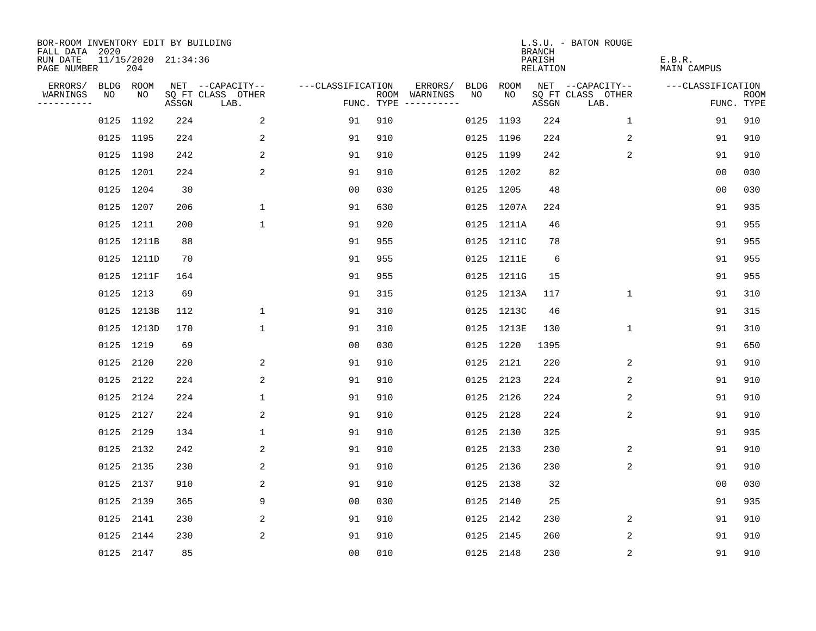| BOR-ROOM INVENTORY EDIT BY BUILDING<br>FALL DATA 2020 |           |                            |       |                           |                   |     |                                            |             | <b>BRANCH</b>             | L.S.U. - BATON ROUGE      |                              |                           |
|-------------------------------------------------------|-----------|----------------------------|-------|---------------------------|-------------------|-----|--------------------------------------------|-------------|---------------------------|---------------------------|------------------------------|---------------------------|
| RUN DATE<br>PAGE NUMBER                               |           | 11/15/2020 21:34:36<br>204 |       |                           |                   |     |                                            |             | PARISH<br><b>RELATION</b> |                           | E.B.R.<br><b>MAIN CAMPUS</b> |                           |
| ERRORS/                                               | BLDG ROOM |                            |       | NET --CAPACITY--          | ---CLASSIFICATION |     | ERRORS/<br><b>BLDG</b>                     | <b>ROOM</b> |                           | NET --CAPACITY--          | ---CLASSIFICATION            |                           |
| WARNINGS<br>----------                                | NO        | NO                         | ASSGN | SQ FT CLASS OTHER<br>LAB. |                   |     | NO<br>ROOM WARNINGS<br>FUNC. TYPE $------$ | NO          | ASSGN                     | SQ FT CLASS OTHER<br>LAB. |                              | <b>ROOM</b><br>FUNC. TYPE |
|                                                       | 0125 1192 |                            | 224   | 2                         | 91                | 910 |                                            | 0125 1193   | 224                       | 1                         | 91                           | 910                       |
|                                                       | 0125 1195 |                            | 224   | 2                         | 91                | 910 |                                            | 0125 1196   | 224                       | 2                         | 91                           | 910                       |
|                                                       | 0125 1198 |                            | 242   | 2                         | 91                | 910 |                                            | 0125 1199   | 242                       | 2                         | 91                           | 910                       |
|                                                       | 0125 1201 |                            | 224   | 2                         | 91                | 910 |                                            | 0125 1202   | 82                        |                           | 0 <sub>0</sub>               | 030                       |
|                                                       | 0125 1204 |                            | 30    |                           | 0 <sub>0</sub>    | 030 |                                            | 0125 1205   | 48                        |                           | 0 <sub>0</sub>               | 030                       |
|                                                       | 0125 1207 |                            | 206   | $\mathbf 1$               | 91                | 630 |                                            | 0125 1207A  | 224                       |                           | 91                           | 935                       |
|                                                       | 0125 1211 |                            | 200   | $\mathbf{1}$              | 91                | 920 |                                            | 0125 1211A  | 46                        |                           | 91                           | 955                       |
|                                                       |           | 0125 1211B                 | 88    |                           | 91                | 955 |                                            | 0125 1211C  | 78                        |                           | 91                           | 955                       |
|                                                       |           | 0125 1211D                 | 70    |                           | 91                | 955 |                                            | 0125 1211E  | 6                         |                           | 91                           | 955                       |
|                                                       |           | 0125 1211F                 | 164   |                           | 91                | 955 |                                            | 0125 1211G  | 15                        |                           | 91                           | 955                       |
|                                                       | 0125 1213 |                            | 69    |                           | 91                | 315 |                                            | 0125 1213A  | 117                       | $\mathbf 1$               | 91                           | 310                       |
|                                                       |           | 0125 1213B                 | 112   | $\mathbf{1}$              | 91                | 310 |                                            | 0125 1213C  | 46                        |                           | 91                           | 315                       |
|                                                       |           | 0125 1213D                 | 170   | $\mathbf 1$               | 91                | 310 |                                            | 0125 1213E  | 130                       | $\mathbf 1$               | 91                           | 310                       |
|                                                       | 0125 1219 |                            | 69    |                           | 00                | 030 |                                            | 0125 1220   | 1395                      |                           | 91                           | 650                       |
|                                                       | 0125 2120 |                            | 220   | 2                         | 91                | 910 |                                            | 0125 2121   | 220                       | 2                         | 91                           | 910                       |
|                                                       | 0125 2122 |                            | 224   | 2                         | 91                | 910 |                                            | 0125 2123   | 224                       | 2                         | 91                           | 910                       |
|                                                       | 0125      | 2124                       | 224   | $\mathbf{1}$              | 91                | 910 | 0125                                       | 2126        | 224                       | 2                         | 91                           | 910                       |
|                                                       | 0125      | 2127                       | 224   | 2                         | 91                | 910 |                                            | 0125 2128   | 224                       | 2                         | 91                           | 910                       |
|                                                       | 0125      | 2129                       | 134   | $\mathbf{1}$              | 91                | 910 | 0125                                       | 2130        | 325                       |                           | 91                           | 935                       |
|                                                       | 0125      | 2132                       | 242   | 2                         | 91                | 910 | 0125                                       | 2133        | 230                       | 2                         | 91                           | 910                       |
|                                                       | 0125      | 2135                       | 230   | 2                         | 91                | 910 | 0125                                       | 2136        | 230                       | 2                         | 91                           | 910                       |
|                                                       | 0125      | 2137                       | 910   | 2                         | 91                | 910 | 0125                                       | 2138        | 32                        |                           | 0 <sub>0</sub>               | 030                       |
|                                                       | 0125 2139 |                            | 365   | 9                         | 0 <sub>0</sub>    | 030 | 0125                                       | 2140        | 25                        |                           | 91                           | 935                       |
|                                                       | 0125      | 2141                       | 230   | 2                         | 91                | 910 | 0125                                       | 2142        | 230                       | 2                         | 91                           | 910                       |
|                                                       | 0125 2144 |                            | 230   | 2                         | 91                | 910 | 0125                                       | 2145        | 260                       | 2                         | 91                           | 910                       |
|                                                       | 0125 2147 |                            | 85    |                           | 0 <sub>0</sub>    | 010 |                                            | 0125 2148   | 230                       | 2                         | 91                           | 910                       |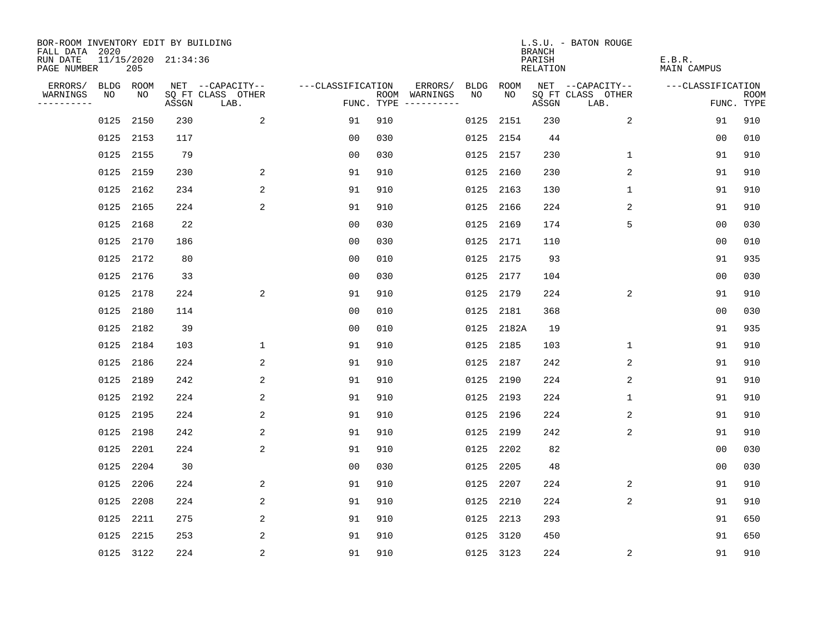| BOR-ROOM INVENTORY EDIT BY BUILDING<br>FALL DATA 2020 |           |      |                     |                           |                   |     |                                      |      |           | <b>BRANCH</b>             | L.S.U. - BATON ROUGE      |                              |                           |
|-------------------------------------------------------|-----------|------|---------------------|---------------------------|-------------------|-----|--------------------------------------|------|-----------|---------------------------|---------------------------|------------------------------|---------------------------|
| RUN DATE<br>PAGE NUMBER                               |           | 205  | 11/15/2020 21:34:36 |                           |                   |     |                                      |      |           | PARISH<br><b>RELATION</b> |                           | E.B.R.<br><b>MAIN CAMPUS</b> |                           |
| ERRORS/                                               | BLDG ROOM |      |                     | NET --CAPACITY--          | ---CLASSIFICATION |     | ERRORS/                              | BLDG | ROOM      |                           | NET --CAPACITY--          | ---CLASSIFICATION            |                           |
| WARNINGS<br>----------                                | NO        | NO   | ASSGN               | SQ FT CLASS OTHER<br>LAB. |                   |     | ROOM WARNINGS<br>FUNC. TYPE $------$ | NO   | NO        | ASSGN                     | SQ FT CLASS OTHER<br>LAB. |                              | <b>ROOM</b><br>FUNC. TYPE |
|                                                       | 0125      | 2150 | 230                 | 2                         | 91                | 910 |                                      | 0125 | 2151      | 230                       | 2                         | 91                           | 910                       |
|                                                       | 0125      | 2153 | 117                 |                           | 0 <sub>0</sub>    | 030 |                                      | 0125 | 2154      | 44                        |                           | 00                           | 010                       |
|                                                       | 0125      | 2155 | 79                  |                           | 00                | 030 |                                      | 0125 | 2157      | 230                       | 1                         | 91                           | 910                       |
|                                                       | 0125 2159 |      | 230                 | 2                         | 91                | 910 |                                      | 0125 | 2160      | 230                       | $\overline{2}$            | 91                           | 910                       |
|                                                       | 0125      | 2162 | 234                 | 2                         | 91                | 910 |                                      | 0125 | 2163      | 130                       | $\mathbf 1$               | 91                           | 910                       |
|                                                       | 0125      | 2165 | 224                 | 2                         | 91                | 910 |                                      |      | 0125 2166 | 224                       | 2                         | 91                           | 910                       |
|                                                       | 0125      | 2168 | 22                  |                           | 0 <sub>0</sub>    | 030 |                                      | 0125 | 2169      | 174                       | 5                         | 0 <sub>0</sub>               | 030                       |
|                                                       | 0125      | 2170 | 186                 |                           | 0 <sub>0</sub>    | 030 |                                      | 0125 | 2171      | 110                       |                           | 0 <sub>0</sub>               | 010                       |
|                                                       | 0125      | 2172 | 80                  |                           | 0 <sub>0</sub>    | 010 |                                      | 0125 | 2175      | 93                        |                           | 91                           | 935                       |
|                                                       | 0125 2176 |      | 33                  |                           | 0 <sub>0</sub>    | 030 |                                      |      | 0125 2177 | 104                       |                           | 00                           | 030                       |
|                                                       | 0125      | 2178 | 224                 | 2                         | 91                | 910 |                                      | 0125 | 2179      | 224                       | 2                         | 91                           | 910                       |
|                                                       | 0125      | 2180 | 114                 |                           | 0 <sub>0</sub>    | 010 |                                      |      | 0125 2181 | 368                       |                           | 0 <sub>0</sub>               | 030                       |
|                                                       | 0125      | 2182 | 39                  |                           | 0 <sub>0</sub>    | 010 |                                      | 0125 | 2182A     | 19                        |                           | 91                           | 935                       |
|                                                       | 0125      | 2184 | 103                 | $\mathbf 1$               | 91                | 910 |                                      |      | 0125 2185 | 103                       | 1                         | 91                           | 910                       |
|                                                       | 0125      | 2186 | 224                 | 2                         | 91                | 910 |                                      |      | 0125 2187 | 242                       | 2                         | 91                           | 910                       |
|                                                       | 0125      | 2189 | 242                 | 2                         | 91                | 910 |                                      | 0125 | 2190      | 224                       | 2                         | 91                           | 910                       |
|                                                       | 0125      | 2192 | 224                 | 2                         | 91                | 910 |                                      | 0125 | 2193      | 224                       | 1                         | 91                           | 910                       |
|                                                       | 0125      | 2195 | 224                 | 2                         | 91                | 910 |                                      | 0125 | 2196      | 224                       | 2                         | 91                           | 910                       |
|                                                       | 0125 2198 |      | 242                 | 2                         | 91                | 910 |                                      |      | 0125 2199 | 242                       | 2                         | 91                           | 910                       |
|                                                       | 0125      | 2201 | 224                 | 2                         | 91                | 910 |                                      | 0125 | 2202      | 82                        |                           | 0 <sub>0</sub>               | 030                       |
|                                                       | 0125      | 2204 | 30                  |                           | 0 <sub>0</sub>    | 030 |                                      | 0125 | 2205      | 48                        |                           | 0 <sub>0</sub>               | 030                       |
|                                                       | 0125      | 2206 | 224                 | 2                         | 91                | 910 |                                      | 0125 | 2207      | 224                       | 2                         | 91                           | 910                       |
|                                                       | 0125      | 2208 | 224                 | 2                         | 91                | 910 |                                      | 0125 | 2210      | 224                       | 2                         | 91                           | 910                       |
|                                                       | 0125      | 2211 | 275                 | 2                         | 91                | 910 |                                      | 0125 | 2213      | 293                       |                           | 91                           | 650                       |
|                                                       | 0125      | 2215 | 253                 | 2                         | 91                | 910 |                                      | 0125 | 3120      | 450                       |                           | 91                           | 650                       |
|                                                       | 0125 3122 |      | 224                 | 2                         | 91                | 910 |                                      |      | 0125 3123 | 224                       | 2                         | 91                           | 910                       |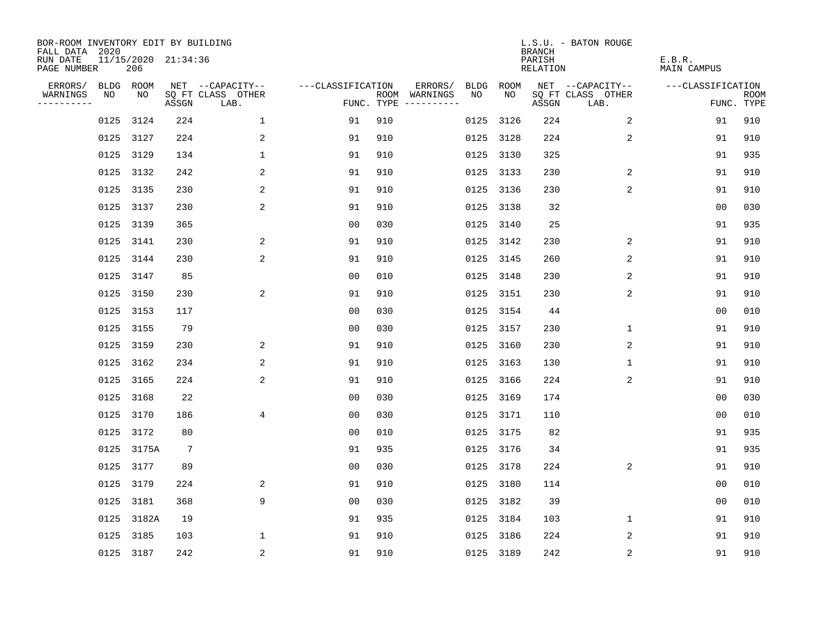| BOR-ROOM INVENTORY EDIT BY BUILDING<br>FALL DATA 2020 |           |                            |                 |                           |                   |     |                                      |             |           | <b>BRANCH</b>             | L.S.U. - BATON ROUGE      |                              |                           |
|-------------------------------------------------------|-----------|----------------------------|-----------------|---------------------------|-------------------|-----|--------------------------------------|-------------|-----------|---------------------------|---------------------------|------------------------------|---------------------------|
| RUN DATE<br>PAGE NUMBER                               |           | 11/15/2020 21:34:36<br>206 |                 |                           |                   |     |                                      |             |           | PARISH<br><b>RELATION</b> |                           | E.B.R.<br><b>MAIN CAMPUS</b> |                           |
| ERRORS/                                               |           | BLDG ROOM                  |                 | NET --CAPACITY--          | ---CLASSIFICATION |     | ERRORS/                              | <b>BLDG</b> | ROOM      |                           | NET --CAPACITY--          | ---CLASSIFICATION            |                           |
| WARNINGS<br>----------                                | NO        | NO                         | ASSGN           | SQ FT CLASS OTHER<br>LAB. |                   |     | ROOM WARNINGS<br>FUNC. TYPE $------$ | NO          | NO        | ASSGN                     | SQ FT CLASS OTHER<br>LAB. |                              | <b>ROOM</b><br>FUNC. TYPE |
|                                                       | 0125      | 3124                       | 224             | $\mathbf{1}$              | 91                | 910 |                                      | 0125        | 3126      | 224                       | 2                         | 91                           | 910                       |
|                                                       | 0125 3127 |                            | 224             | 2                         | 91                | 910 |                                      | 0125        | 3128      | 224                       | 2                         | 91                           | 910                       |
|                                                       | 0125      | 3129                       | 134             | $\mathbf 1$               | 91                | 910 |                                      | 0125        | 3130      | 325                       |                           | 91                           | 935                       |
|                                                       | 0125 3132 |                            | 242             | 2                         | 91                | 910 |                                      |             | 0125 3133 | 230                       | 2                         | 91                           | 910                       |
|                                                       | 0125      | 3135                       | 230             | 2                         | 91                | 910 |                                      |             | 0125 3136 | 230                       | 2                         | 91                           | 910                       |
|                                                       | 0125 3137 |                            | 230             | 2                         | 91                | 910 |                                      |             | 0125 3138 | 32                        |                           | 0 <sub>0</sub>               | 030                       |
|                                                       | 0125      | 3139                       | 365             |                           | 0 <sub>0</sub>    | 030 |                                      | 0125        | 3140      | 25                        |                           | 91                           | 935                       |
|                                                       | 0125 3141 |                            | 230             | 2                         | 91                | 910 |                                      | 0125        | 3142      | 230                       | 2                         | 91                           | 910                       |
|                                                       | 0125      | 3144                       | 230             | 2                         | 91                | 910 |                                      | 0125        | 3145      | 260                       | 2                         | 91                           | 910                       |
|                                                       | 0125 3147 |                            | 85              |                           | 0 <sub>0</sub>    | 010 |                                      | 0125        | 3148      | 230                       | 2                         | 91                           | 910                       |
|                                                       | 0125 3150 |                            | 230             | 2                         | 91                | 910 |                                      | 0125        | 3151      | 230                       | 2                         | 91                           | 910                       |
|                                                       | 0125      | 3153                       | 117             |                           | 0 <sub>0</sub>    | 030 |                                      |             | 0125 3154 | 44                        |                           | 0 <sub>0</sub>               | 010                       |
|                                                       | 0125      | 3155                       | 79              |                           | 0 <sub>0</sub>    | 030 |                                      | 0125        | 3157      | 230                       | $\mathbf 1$               | 91                           | 910                       |
|                                                       | 0125      | 3159                       | 230             | 2                         | 91                | 910 |                                      |             | 0125 3160 | 230                       | 2                         | 91                           | 910                       |
|                                                       | 0125      | 3162                       | 234             | 2                         | 91                | 910 |                                      | 0125        | 3163      | 130                       | 1                         | 91                           | 910                       |
|                                                       | 0125      | 3165                       | 224             | 2                         | 91                | 910 |                                      |             | 0125 3166 | 224                       | 2                         | 91                           | 910                       |
|                                                       | 0125      | 3168                       | 22              |                           | 0 <sub>0</sub>    | 030 |                                      | 0125        | 3169      | 174                       |                           | 0 <sub>0</sub>               | 030                       |
|                                                       | 0125      | 3170                       | 186             | 4                         | 0 <sub>0</sub>    | 030 |                                      |             | 0125 3171 | 110                       |                           | 0 <sub>0</sub>               | 010                       |
|                                                       | 0125 3172 |                            | 80              |                           | 0 <sub>0</sub>    | 010 |                                      |             | 0125 3175 | 82                        |                           | 91                           | 935                       |
|                                                       | 0125      | 3175A                      | $7\phantom{.0}$ |                           | 91                | 935 |                                      | 0125        | 3176      | 34                        |                           | 91                           | 935                       |
|                                                       | 0125 3177 |                            | 89              |                           | 0 <sub>0</sub>    | 030 |                                      |             | 0125 3178 | 224                       | 2                         | 91                           | 910                       |
|                                                       | 0125      | 3179                       | 224             | 2                         | 91                | 910 |                                      | 0125        | 3180      | 114                       |                           | 00                           | 010                       |
|                                                       | 0125 3181 |                            | 368             | 9                         | 0 <sub>0</sub>    | 030 |                                      |             | 0125 3182 | 39                        |                           | 0 <sub>0</sub>               | 010                       |
|                                                       | 0125      | 3182A                      | 19              |                           | 91                | 935 |                                      | 0125        | 3184      | 103                       | $\mathbf 1$               | 91                           | 910                       |
|                                                       | 0125      | 3185                       | 103             | 1                         | 91                | 910 |                                      | 0125        | 3186      | 224                       | 2                         | 91                           | 910                       |
|                                                       | 0125 3187 |                            | 242             | $\overline{c}$            | 91                | 910 |                                      |             | 0125 3189 | 242                       | $\sqrt{2}$                | 91                           | 910                       |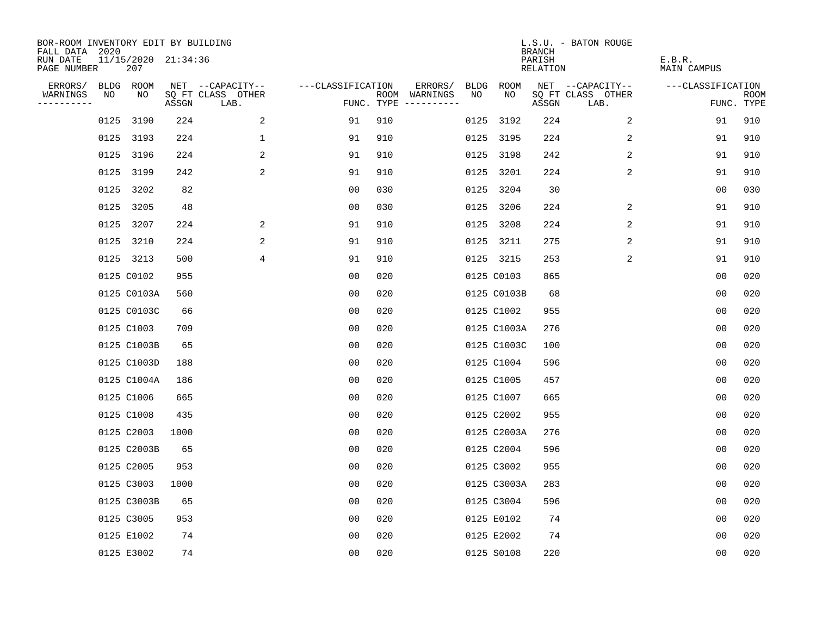| BOR-ROOM INVENTORY EDIT BY BUILDING<br>FALL DATA 2020 |      |                            |       |                           |                   |     |                                      |             |             | <b>BRANCH</b>             | L.S.U. - BATON ROUGE      |                              |                           |
|-------------------------------------------------------|------|----------------------------|-------|---------------------------|-------------------|-----|--------------------------------------|-------------|-------------|---------------------------|---------------------------|------------------------------|---------------------------|
| RUN DATE<br>PAGE NUMBER                               |      | 11/15/2020 21:34:36<br>207 |       |                           |                   |     |                                      |             |             | PARISH<br><b>RELATION</b> |                           | E.B.R.<br><b>MAIN CAMPUS</b> |                           |
| ERRORS/                                               |      | BLDG ROOM                  |       | NET --CAPACITY--          | ---CLASSIFICATION |     | ERRORS/                              | <b>BLDG</b> | ROOM        |                           | NET --CAPACITY--          | ---CLASSIFICATION            |                           |
| WARNINGS<br>----------                                | NO   | NO                         | ASSGN | SQ FT CLASS OTHER<br>LAB. |                   |     | ROOM WARNINGS<br>FUNC. TYPE $------$ | NO          | NO          | ASSGN                     | SQ FT CLASS OTHER<br>LAB. |                              | <b>ROOM</b><br>FUNC. TYPE |
|                                                       | 0125 | 3190                       | 224   | 2                         | 91                | 910 |                                      | 0125        | 3192        | 224                       | 2                         | 91                           | 910                       |
|                                                       |      | 0125 3193                  | 224   | $\mathbf 1$               | 91                | 910 |                                      |             | 0125 3195   | 224                       | 2                         | 91                           | 910                       |
|                                                       | 0125 | 3196                       | 224   | 2                         | 91                | 910 |                                      | 0125        | 3198        | 242                       | 2                         | 91                           | 910                       |
|                                                       |      | 0125 3199                  | 242   | 2                         | 91                | 910 |                                      |             | 0125 3201   | 224                       | 2                         | 91                           | 910                       |
|                                                       | 0125 | 3202                       | 82    |                           | 0 <sub>0</sub>    | 030 |                                      |             | 0125 3204   | 30                        |                           | 00                           | 030                       |
|                                                       |      | 0125 3205                  | 48    |                           | 0 <sub>0</sub>    | 030 |                                      |             | 0125 3206   | 224                       | 2                         | 91                           | 910                       |
|                                                       |      | 0125 3207                  | 224   | 2                         | 91                | 910 |                                      |             | 0125 3208   | 224                       | 2                         | 91                           | 910                       |
|                                                       |      | 0125 3210                  | 224   | 2                         | 91                | 910 |                                      |             | 0125 3211   | 275                       | 2                         | 91                           | 910                       |
|                                                       |      | 0125 3213                  | 500   | 4                         | 91                | 910 |                                      |             | 0125 3215   | 253                       | 2                         | 91                           | 910                       |
|                                                       |      | 0125 C0102                 | 955   |                           | 0 <sub>0</sub>    | 020 |                                      |             | 0125 C0103  | 865                       |                           | 0 <sub>0</sub>               | 020                       |
|                                                       |      | 0125 C0103A                | 560   |                           | 00                | 020 |                                      |             | 0125 C0103B | 68                        |                           | 0 <sub>0</sub>               | 020                       |
|                                                       |      | 0125 C0103C                | 66    |                           | 0 <sub>0</sub>    | 020 |                                      |             | 0125 C1002  | 955                       |                           | 0 <sub>0</sub>               | 020                       |
|                                                       |      | 0125 C1003                 | 709   |                           | 0 <sub>0</sub>    | 020 |                                      |             | 0125 C1003A | 276                       |                           | 0 <sub>0</sub>               | 020                       |
|                                                       |      | 0125 C1003B                | 65    |                           | 0 <sub>0</sub>    | 020 |                                      |             | 0125 C1003C | 100                       |                           | 0 <sub>0</sub>               | 020                       |
|                                                       |      | 0125 C1003D                | 188   |                           | 0 <sub>0</sub>    | 020 |                                      |             | 0125 C1004  | 596                       |                           | 0 <sub>0</sub>               | 020                       |
|                                                       |      | 0125 C1004A                | 186   |                           | 0 <sub>0</sub>    | 020 |                                      |             | 0125 C1005  | 457                       |                           | 0 <sub>0</sub>               | 020                       |
|                                                       |      | 0125 C1006                 | 665   |                           | 0 <sub>0</sub>    | 020 |                                      |             | 0125 C1007  | 665                       |                           | 0 <sub>0</sub>               | 020                       |
|                                                       |      | 0125 C1008                 | 435   |                           | 0 <sub>0</sub>    | 020 |                                      |             | 0125 C2002  | 955                       |                           | 0 <sub>0</sub>               | 020                       |
|                                                       |      | 0125 C2003                 | 1000  |                           | 0 <sub>0</sub>    | 020 |                                      |             | 0125 C2003A | 276                       |                           | 0 <sub>0</sub>               | 020                       |
|                                                       |      | 0125 C2003B                | 65    |                           | 0 <sub>0</sub>    | 020 |                                      |             | 0125 C2004  | 596                       |                           | 0 <sub>0</sub>               | 020                       |
|                                                       |      | 0125 C2005                 | 953   |                           | 0 <sub>0</sub>    | 020 |                                      |             | 0125 C3002  | 955                       |                           | 0 <sub>0</sub>               | 020                       |
|                                                       |      | 0125 C3003                 | 1000  |                           | 0 <sub>0</sub>    | 020 |                                      |             | 0125 C3003A | 283                       |                           | 0 <sub>0</sub>               | 020                       |
|                                                       |      | 0125 C3003B                | 65    |                           | 0 <sub>0</sub>    | 020 |                                      |             | 0125 C3004  | 596                       |                           | 0 <sub>0</sub>               | 020                       |
|                                                       |      | 0125 C3005                 | 953   |                           | 0 <sub>0</sub>    | 020 |                                      |             | 0125 E0102  | 74                        |                           | 0 <sub>0</sub>               | 020                       |
|                                                       |      | 0125 E1002                 | 74    |                           | 0 <sub>0</sub>    | 020 |                                      |             | 0125 E2002  | 74                        |                           | 0 <sub>0</sub>               | 020                       |
|                                                       |      | 0125 E3002                 | 74    |                           | 0 <sub>0</sub>    | 020 |                                      |             | 0125 S0108  | 220                       |                           | 0 <sub>0</sub>               | 020                       |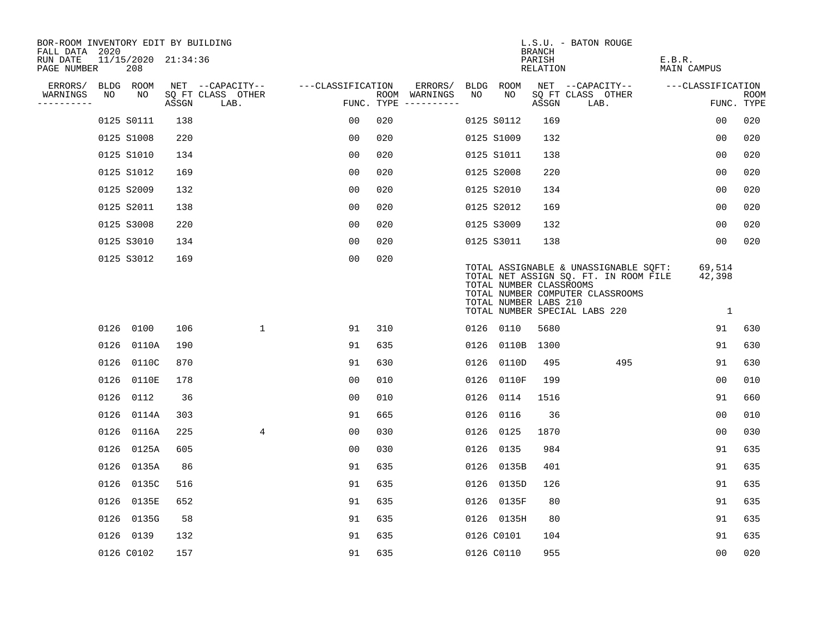| BOR-ROOM INVENTORY EDIT BY BUILDING<br>FALL DATA 2020 |      |            |                     |                           |                   |     |                                      |      |                                                  | <b>BRANCH</b>      | L.S.U. - BATON ROUGE                                                                                                                                |                                    |                           |
|-------------------------------------------------------|------|------------|---------------------|---------------------------|-------------------|-----|--------------------------------------|------|--------------------------------------------------|--------------------|-----------------------------------------------------------------------------------------------------------------------------------------------------|------------------------------------|---------------------------|
| RUN DATE<br>PAGE NUMBER                               |      | 208        | 11/15/2020 21:34:36 |                           |                   |     |                                      |      |                                                  | PARISH<br>RELATION |                                                                                                                                                     | E.B.R.<br><b>MAIN CAMPUS</b>       |                           |
| ERRORS/                                               |      | BLDG ROOM  |                     | NET --CAPACITY--          | ---CLASSIFICATION |     | ERRORS/                              |      | BLDG ROOM                                        |                    | NET --CAPACITY--                                                                                                                                    | ---CLASSIFICATION                  |                           |
| WARNINGS<br>----------                                | NO   | NO         | ASSGN               | SQ FT CLASS OTHER<br>LAB. |                   |     | ROOM WARNINGS<br>FUNC. TYPE $------$ | NO   | NO                                               | ASSGN              | SQ FT CLASS OTHER<br>LAB.                                                                                                                           |                                    | <b>ROOM</b><br>FUNC. TYPE |
|                                                       |      | 0125 S0111 | 138                 |                           | 00                | 020 |                                      |      | 0125 S0112                                       | 169                |                                                                                                                                                     | 0 <sub>0</sub>                     | 020                       |
|                                                       |      | 0125 S1008 | 220                 |                           | 0 <sub>0</sub>    | 020 |                                      |      | 0125 S1009                                       | 132                |                                                                                                                                                     | 0 <sub>0</sub>                     | 020                       |
|                                                       |      | 0125 S1010 | 134                 |                           | 00                | 020 |                                      |      | 0125 S1011                                       | 138                |                                                                                                                                                     | 0 <sub>0</sub>                     | 020                       |
|                                                       |      | 0125 S1012 | 169                 |                           | 0 <sub>0</sub>    | 020 |                                      |      | 0125 S2008                                       | 220                |                                                                                                                                                     | 0 <sub>0</sub>                     | 020                       |
|                                                       |      | 0125 S2009 | 132                 |                           | 0 <sub>0</sub>    | 020 |                                      |      | 0125 S2010                                       | 134                |                                                                                                                                                     | 00                                 | 020                       |
|                                                       |      | 0125 S2011 | 138                 |                           | 0 <sub>0</sub>    | 020 |                                      |      | 0125 S2012                                       | 169                |                                                                                                                                                     | 0 <sub>0</sub>                     | 020                       |
|                                                       |      | 0125 S3008 | 220                 |                           | 00                | 020 |                                      |      | 0125 S3009                                       | 132                |                                                                                                                                                     | 00                                 | 020                       |
|                                                       |      | 0125 S3010 | 134                 |                           | 0 <sub>0</sub>    | 020 |                                      |      | 0125 S3011                                       | 138                |                                                                                                                                                     | 0 <sub>0</sub>                     | 020                       |
|                                                       |      | 0125 S3012 | 169                 |                           | 00                | 020 |                                      |      | TOTAL NUMBER CLASSROOMS<br>TOTAL NUMBER LABS 210 |                    | TOTAL ASSIGNABLE & UNASSIGNABLE SOFT:<br>TOTAL NET ASSIGN SQ. FT. IN ROOM FILE<br>TOTAL NUMBER COMPUTER CLASSROOMS<br>TOTAL NUMBER SPECIAL LABS 220 | 69,514<br>42,398<br>$\overline{1}$ |                           |
|                                                       |      | 0126 0100  | 106                 | $\mathbf 1$               | 91                | 310 |                                      |      | 0126 0110                                        | 5680               |                                                                                                                                                     | 91                                 | 630                       |
|                                                       | 0126 | 0110A      | 190                 |                           | 91                | 635 |                                      |      | 0126 0110B                                       | 1300               |                                                                                                                                                     | 91                                 | 630                       |
|                                                       |      | 0126 0110C | 870                 |                           | 91                | 630 |                                      | 0126 | 0110D                                            | 495                | 495                                                                                                                                                 | 91                                 | 630                       |
|                                                       |      | 0126 0110E | 178                 |                           | 0 <sub>0</sub>    | 010 |                                      |      | 0126 0110F                                       | 199                |                                                                                                                                                     | 00                                 | 010                       |
|                                                       |      | 0126 0112  | 36                  |                           | 0 <sub>0</sub>    | 010 |                                      | 0126 | 0114                                             | 1516               |                                                                                                                                                     | 91                                 | 660                       |
|                                                       | 0126 | 0114A      | 303                 |                           | 91                | 665 |                                      | 0126 | 0116                                             | 36                 |                                                                                                                                                     | 0 <sub>0</sub>                     | 010                       |
|                                                       |      | 0126 0116A | 225                 | 4                         | 0 <sub>0</sub>    | 030 |                                      |      | 0126 0125                                        | 1870               |                                                                                                                                                     | 0 <sub>0</sub>                     | 030                       |
|                                                       |      | 0126 0125A | 605                 |                           | 0 <sub>0</sub>    | 030 |                                      |      | 0126 0135                                        | 984                |                                                                                                                                                     | 91                                 | 635                       |
|                                                       |      | 0126 0135A | 86                  |                           | 91                | 635 |                                      |      | 0126 0135B                                       | 401                |                                                                                                                                                     | 91                                 | 635                       |
|                                                       | 0126 | 0135C      | 516                 |                           | 91                | 635 |                                      |      | 0126 0135D                                       | 126                |                                                                                                                                                     | 91                                 | 635                       |
|                                                       |      | 0126 0135E | 652                 |                           | 91                | 635 |                                      |      | 0126 0135F                                       | 80                 |                                                                                                                                                     | 91                                 | 635                       |
|                                                       |      | 0126 0135G | 58                  |                           | 91                | 635 |                                      |      | 0126 0135H                                       | 80                 |                                                                                                                                                     | 91                                 | 635                       |
|                                                       |      | 0126 0139  | 132                 |                           | 91                | 635 |                                      |      | 0126 C0101                                       | 104                |                                                                                                                                                     | 91                                 | 635                       |
|                                                       |      | 0126 C0102 | 157                 |                           | 91                | 635 |                                      |      | 0126 C0110                                       | 955                |                                                                                                                                                     | 0 <sub>0</sub>                     | 020                       |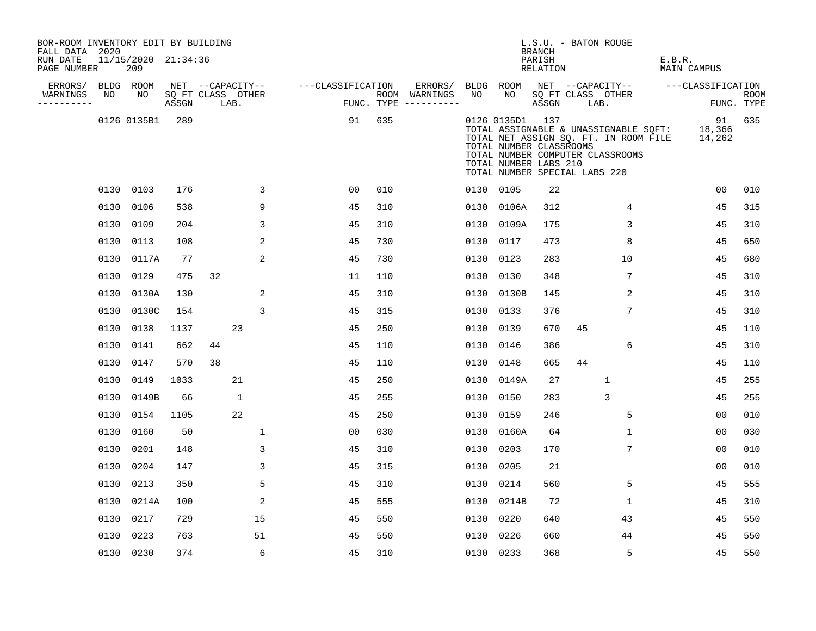| BOR-ROOM INVENTORY EDIT BY BUILDING<br>FALL DATA 2020 |      |                            |                            |    |                  |   |                   |                |     |                                      |      |                                                                                                      | L.S.U. - BATON ROUGE<br><b>BRANCH</b> |    |                                                                                                                    |        |                        |                           |
|-------------------------------------------------------|------|----------------------------|----------------------------|----|------------------|---|-------------------|----------------|-----|--------------------------------------|------|------------------------------------------------------------------------------------------------------|---------------------------------------|----|--------------------------------------------------------------------------------------------------------------------|--------|------------------------|---------------------------|
| RUN DATE<br>PAGE NUMBER                               |      | 11/15/2020 21:34:36<br>209 |                            |    |                  |   |                   |                |     |                                      |      |                                                                                                      | PARISH<br>RELATION                    |    |                                                                                                                    | E.B.R. | MAIN CAMPUS            |                           |
| ERRORS/                                               |      | BLDG ROOM                  |                            |    | NET --CAPACITY-- |   | ---CLASSIFICATION |                |     | ERRORS/                              |      | BLDG ROOM                                                                                            |                                       |    | NET --CAPACITY--                                                                                                   |        | ---CLASSIFICATION      |                           |
| WARNINGS<br>.                                         | NO   | NO                         | SQ FT CLASS OTHER<br>ASSGN |    | LAB.             |   |                   |                |     | ROOM WARNINGS<br>FUNC. TYPE $------$ | NO   | NO                                                                                                   | ASSGN                                 |    | SQ FT CLASS OTHER<br>LAB.                                                                                          |        |                        | <b>ROOM</b><br>FUNC. TYPE |
|                                                       |      | 0126 0135B1                | 289                        |    |                  |   |                   | 91             | 635 |                                      |      | 0126 0135D1 137<br>TOTAL NUMBER CLASSROOMS<br>TOTAL NUMBER LABS 210<br>TOTAL NUMBER SPECIAL LABS 220 |                                       |    | TOTAL ASSIGNABLE & UNASSIGNABLE SQFT:<br>TOTAL NET ASSIGN SQ. FT. IN ROOM FILE<br>TOTAL NUMBER COMPUTER CLASSROOMS |        | 91<br>18,366<br>14,262 | 635                       |
|                                                       |      | 0130 0103                  | 176                        |    |                  | 3 |                   | 00             | 010 |                                      |      | 0130 0105                                                                                            | 22                                    |    |                                                                                                                    |        | 00                     | 010                       |
|                                                       | 0130 | 0106                       | 538                        |    |                  | 9 |                   | 45             | 310 |                                      |      | 0130 0106A                                                                                           | 312                                   |    | 4                                                                                                                  |        | 45                     | 315                       |
|                                                       | 0130 | 0109                       | 204                        |    |                  | 3 |                   | 45             | 310 |                                      |      | 0130 0109A                                                                                           | 175                                   |    | 3                                                                                                                  |        | 45                     | 310                       |
|                                                       | 0130 | 0113                       | 108                        |    |                  | 2 |                   | 45             | 730 |                                      |      | 0130 0117                                                                                            | 473                                   |    | 8                                                                                                                  |        | 45                     | 650                       |
|                                                       | 0130 | 0117A                      | 77                         |    |                  | 2 |                   | 45             | 730 |                                      |      | 0130 0123                                                                                            | 283                                   |    | 10                                                                                                                 |        | 45                     | 680                       |
|                                                       | 0130 | 0129                       | 475                        | 32 |                  |   |                   | 11             | 110 |                                      |      | 0130 0130                                                                                            | 348                                   |    | 7                                                                                                                  |        | 45                     | 310                       |
|                                                       | 0130 | 0130A                      | 130                        |    |                  | 2 |                   | 45             | 310 |                                      |      | 0130 0130B                                                                                           | 145                                   |    | 2                                                                                                                  |        | 45                     | 310                       |
|                                                       | 0130 | 0130C                      | 154                        |    |                  | 3 |                   | 45             | 315 |                                      | 0130 | 0133                                                                                                 | 376                                   |    | 7                                                                                                                  |        | 45                     | 310                       |
|                                                       | 0130 | 0138                       | 1137                       |    | 23               |   |                   | 45             | 250 |                                      | 0130 | 0139                                                                                                 | 670                                   | 45 |                                                                                                                    |        | 45                     | 110                       |
|                                                       | 0130 | 0141                       | 662                        | 44 |                  |   |                   | 45             | 110 |                                      | 0130 | 0146                                                                                                 | 386                                   |    | 6                                                                                                                  |        | 45                     | 310                       |
|                                                       | 0130 | 0147                       | 570                        | 38 |                  |   |                   | 45             | 110 |                                      |      | 0130 0148                                                                                            | 665                                   | 44 |                                                                                                                    |        | 45                     | 110                       |
|                                                       | 0130 | 0149                       | 1033                       |    | 21               |   |                   | 45             | 250 |                                      |      | 0130 0149A                                                                                           | 27                                    |    | $\mathbf{1}$                                                                                                       |        | 45                     | 255                       |
|                                                       | 0130 | 0149B                      | 66                         |    | 1                |   |                   | 45             | 255 |                                      |      | 0130 0150                                                                                            | 283                                   |    | 3                                                                                                                  |        | 45                     | 255                       |
|                                                       | 0130 | 0154                       | 1105                       |    | 22               |   |                   | 45             | 250 |                                      |      | 0130 0159                                                                                            | 246                                   |    | 5                                                                                                                  |        | 0 <sub>0</sub>         | 010                       |
|                                                       | 0130 | 0160                       | 50                         |    |                  | 1 |                   | 0 <sub>0</sub> | 030 |                                      |      | 0130 0160A                                                                                           | 64                                    |    | 1                                                                                                                  |        | 00                     | 030                       |
|                                                       | 0130 | 0201                       | 148                        |    |                  | 3 |                   | 45             | 310 |                                      |      | 0130 0203                                                                                            | 170                                   |    | 7                                                                                                                  |        | 00                     | 010                       |
|                                                       | 0130 | 0204                       | 147                        |    |                  | 3 |                   | 45             | 315 |                                      |      | 0130 0205                                                                                            | 21                                    |    |                                                                                                                    |        | 0 <sub>0</sub>         | 010                       |
|                                                       | 0130 | 0213                       | 350                        |    |                  | 5 |                   | 45             | 310 |                                      |      | 0130 0214                                                                                            | 560                                   |    | 5                                                                                                                  |        | 45                     | 555                       |
|                                                       | 0130 | 0214A                      | 100                        |    |                  | 2 |                   | 45             | 555 |                                      |      | 0130 0214B                                                                                           | 72                                    |    | $\mathbf{1}$                                                                                                       |        | 45                     | 310                       |
|                                                       | 0130 | 0217                       | 729                        |    | 15               |   |                   | 45             | 550 |                                      |      | 0130 0220                                                                                            | 640                                   |    | 43                                                                                                                 |        | 45                     | 550                       |
|                                                       | 0130 | 0223                       | 763                        |    | 51               |   |                   | 45             | 550 |                                      |      | 0130 0226                                                                                            | 660                                   |    | 44                                                                                                                 |        | 45                     | 550                       |
|                                                       |      | 0130 0230                  | 374                        |    |                  | 6 |                   | 45             | 310 |                                      |      | 0130 0233                                                                                            | 368                                   |    | 5                                                                                                                  |        | 45                     | 550                       |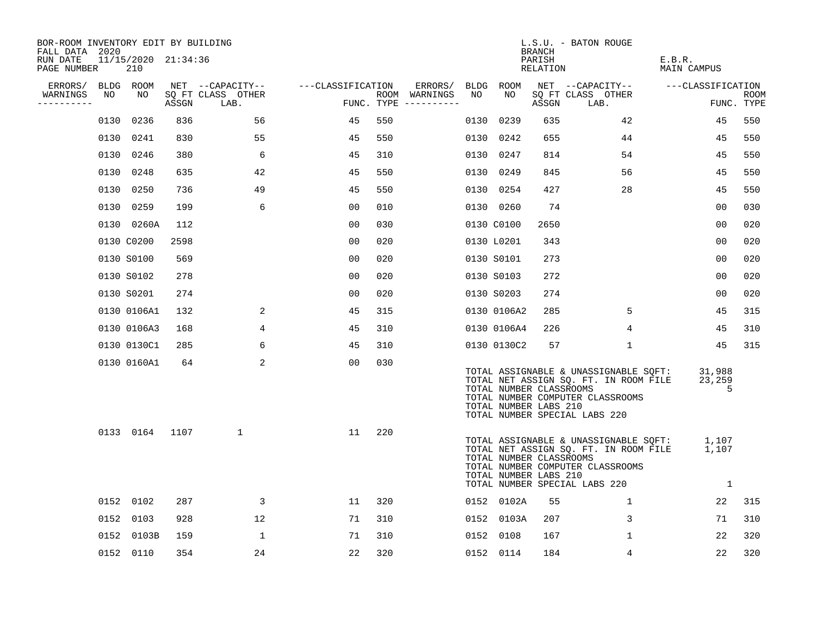| BOR-ROOM INVENTORY EDIT BY BUILDING<br>FALL DATA 2020 |      |                            |       |                           |                   |     |                                      |      |                                                  | BRANCH             | L.S.U. - BATON ROUGE                                                                                                                                |                       |                    |
|-------------------------------------------------------|------|----------------------------|-------|---------------------------|-------------------|-----|--------------------------------------|------|--------------------------------------------------|--------------------|-----------------------------------------------------------------------------------------------------------------------------------------------------|-----------------------|--------------------|
| RUN DATE<br>PAGE NUMBER                               |      | 11/15/2020 21:34:36<br>210 |       |                           |                   |     |                                      |      |                                                  | PARISH<br>RELATION |                                                                                                                                                     | E.B.R.<br>MAIN CAMPUS |                    |
| ERRORS/                                               |      | BLDG ROOM                  |       | NET --CAPACITY--          | ---CLASSIFICATION |     | ERRORS/                              |      | BLDG ROOM                                        |                    | NET --CAPACITY--                                                                                                                                    | ---CLASSIFICATION     |                    |
| WARNINGS<br>----------                                | NO   | NO                         | ASSGN | SQ FT CLASS OTHER<br>LAB. |                   |     | ROOM WARNINGS<br>FUNC. TYPE $------$ | NO   | NO                                               | ASSGN              | SQ FT CLASS OTHER<br>LAB.                                                                                                                           |                       | ROOM<br>FUNC. TYPE |
|                                                       | 0130 | 0236                       | 836   | 56                        | 45                | 550 |                                      | 0130 | 0239                                             | 635                | 42                                                                                                                                                  | 45                    | 550                |
|                                                       | 0130 | 0241                       | 830   | 55                        | 45                | 550 |                                      | 0130 | 0242                                             | 655                | 44                                                                                                                                                  | 45                    | 550                |
|                                                       | 0130 | 0246                       | 380   | 6                         | 45                | 310 |                                      | 0130 | 0247                                             | 814                | 54                                                                                                                                                  | 45                    | 550                |
|                                                       | 0130 | 0248                       | 635   | 42                        | 45                | 550 |                                      |      | 0130 0249                                        | 845                | 56                                                                                                                                                  | 45                    | 550                |
|                                                       | 0130 | 0250                       | 736   | 49                        | 45                | 550 |                                      |      | 0130 0254                                        | 427                | 28                                                                                                                                                  | 45                    | 550                |
|                                                       | 0130 | 0259                       | 199   | 6                         | 0 <sub>0</sub>    | 010 |                                      |      | 0130 0260                                        | 74                 |                                                                                                                                                     | 00                    | 030                |
|                                                       |      | 0130 0260A                 | 112   |                           | 0 <sub>0</sub>    | 030 |                                      |      | 0130 C0100                                       | 2650               |                                                                                                                                                     | 0 <sub>0</sub>        | 020                |
|                                                       |      | 0130 C0200                 | 2598  |                           | 0 <sub>0</sub>    | 020 |                                      |      | 0130 L0201                                       | 343                |                                                                                                                                                     | 0 <sub>0</sub>        | 020                |
|                                                       |      | 0130 S0100                 | 569   |                           | 0 <sub>0</sub>    | 020 |                                      |      | 0130 S0101                                       | 273                |                                                                                                                                                     | 00                    | 020                |
|                                                       |      | 0130 S0102                 | 278   |                           | 00                | 020 |                                      |      | 0130 S0103                                       | 272                |                                                                                                                                                     | 0 <sub>0</sub>        | 020                |
|                                                       |      | 0130 S0201                 | 274   |                           | 0 <sub>0</sub>    | 020 |                                      |      | 0130 S0203                                       | 274                |                                                                                                                                                     | 0 <sub>0</sub>        | 020                |
|                                                       |      | 0130 0106A1                | 132   | 2                         | 45                | 315 |                                      |      | 0130 0106A2                                      | 285                | 5                                                                                                                                                   | 45                    | 315                |
|                                                       |      | 0130 0106A3                | 168   | 4                         | 45                | 310 |                                      |      | 0130 0106A4                                      | 226                | 4                                                                                                                                                   | 45                    | 310                |
|                                                       |      | 0130 0130C1                | 285   | 6                         | 45                | 310 |                                      |      | 0130 0130C2                                      | 57                 | 1                                                                                                                                                   | 45                    | 315                |
|                                                       |      | 0130 0160A1                | 64    | 2                         | 0 <sub>0</sub>    | 030 |                                      |      | TOTAL NUMBER CLASSROOMS<br>TOTAL NUMBER LABS 210 |                    | TOTAL ASSIGNABLE & UNASSIGNABLE SQFT:<br>TOTAL NET ASSIGN SQ. FT. IN ROOM FILE<br>TOTAL NUMBER COMPUTER CLASSROOMS<br>TOTAL NUMBER SPECIAL LABS 220 | 31,988<br>23,259<br>5 |                    |
|                                                       |      | 0133 0164                  | 1107  | 1                         | 11                | 220 |                                      |      | TOTAL NUMBER CLASSROOMS<br>TOTAL NUMBER LABS 210 |                    | TOTAL ASSIGNABLE & UNASSIGNABLE SQFT:<br>TOTAL NET ASSIGN SQ. FT. IN ROOM FILE<br>TOTAL NUMBER COMPUTER CLASSROOMS<br>TOTAL NUMBER SPECIAL LABS 220 | 1,107<br>1,107<br>1   |                    |
|                                                       |      | 0152 0102                  | 287   | 3                         | 11                | 320 |                                      |      | 0152 0102A                                       | 55                 | $\mathbf 1$                                                                                                                                         | 22                    | 315                |
|                                                       | 0152 | 0103                       | 928   | 12                        | 71                | 310 |                                      | 0152 | 0103A                                            | 207                | 3                                                                                                                                                   | 71                    | 310                |
|                                                       |      | 0152 0103B                 | 159   | 1                         | 71                | 310 |                                      | 0152 | 0108                                             | 167                | $\mathbf{1}$                                                                                                                                        | 22                    | 320                |
|                                                       |      | 0152 0110                  | 354   | 24                        | 22                | 320 |                                      |      | 0152 0114                                        | 184                | 4                                                                                                                                                   | 22                    | 320                |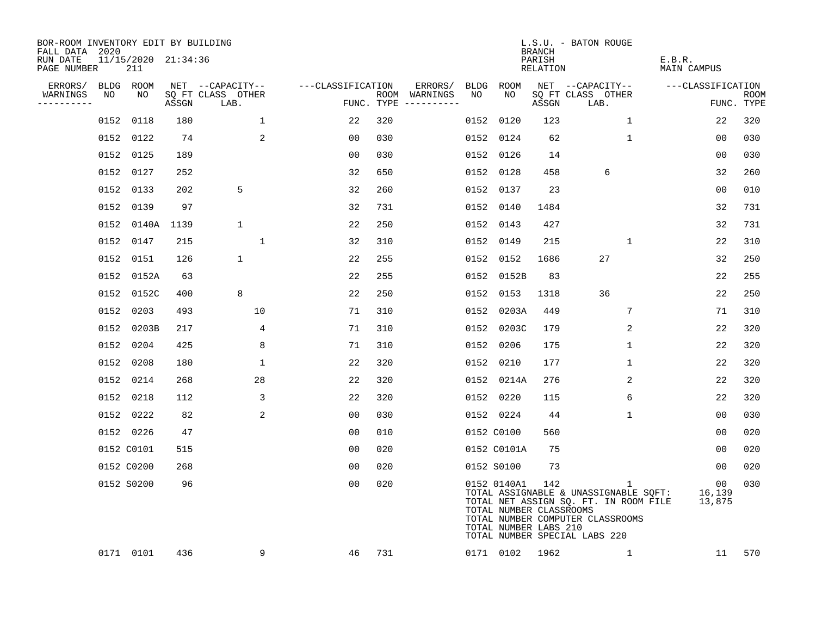| BOR-ROOM INVENTORY EDIT BY BUILDING       |    |                            |       |                           |                   |     |                                      |    |                                                                 | <b>BRANCH</b>      | L.S.U. - BATON ROUGE                                                                                                                                     |                                     |                           |
|-------------------------------------------|----|----------------------------|-------|---------------------------|-------------------|-----|--------------------------------------|----|-----------------------------------------------------------------|--------------------|----------------------------------------------------------------------------------------------------------------------------------------------------------|-------------------------------------|---------------------------|
| FALL DATA 2020<br>RUN DATE<br>PAGE NUMBER |    | 11/15/2020 21:34:36<br>211 |       |                           |                   |     |                                      |    |                                                                 | PARISH<br>RELATION |                                                                                                                                                          | E.B.R.<br>MAIN CAMPUS               |                           |
| ERRORS/                                   |    | BLDG ROOM                  |       | NET --CAPACITY--          | ---CLASSIFICATION |     | ERRORS/                              |    | BLDG ROOM                                                       |                    | NET --CAPACITY--                                                                                                                                         | ---CLASSIFICATION                   |                           |
| WARNINGS<br>----------                    | NO | NO                         | ASSGN | SQ FT CLASS OTHER<br>LAB. |                   |     | ROOM WARNINGS<br>FUNC. TYPE $------$ | NO | NO                                                              | ASSGN              | SQ FT CLASS OTHER<br>LAB.                                                                                                                                |                                     | <b>ROOM</b><br>FUNC. TYPE |
|                                           |    | 0152 0118                  | 180   | 1                         | 22                | 320 |                                      |    | 0152 0120                                                       | 123                | $\mathbf{1}$                                                                                                                                             | 22                                  | 320                       |
|                                           |    | 0152 0122                  | 74    | 2                         | 00                | 030 |                                      |    | 0152 0124                                                       | 62                 | $\mathbf{1}$                                                                                                                                             | 00                                  | 030                       |
|                                           |    | 0152 0125                  | 189   |                           | 0 <sub>0</sub>    | 030 |                                      |    | 0152 0126                                                       | 14                 |                                                                                                                                                          | 00                                  | 030                       |
|                                           |    | 0152 0127                  | 252   |                           | 32                | 650 |                                      |    | 0152 0128                                                       | 458                | 6                                                                                                                                                        | 32                                  | 260                       |
|                                           |    | 0152 0133                  | 202   | 5                         | 32                | 260 |                                      |    | 0152 0137                                                       | 23                 |                                                                                                                                                          | 0 <sub>0</sub>                      | 010                       |
|                                           |    | 0152 0139                  | 97    |                           | 32                | 731 |                                      |    | 0152 0140                                                       | 1484               |                                                                                                                                                          | 32                                  | 731                       |
|                                           |    | 0152 0140A                 | 1139  | 1                         | 22                | 250 |                                      |    | 0152 0143                                                       | 427                |                                                                                                                                                          | 32                                  | 731                       |
|                                           |    | 0152 0147                  | 215   | $\mathbf{1}$              | 32                | 310 |                                      |    | 0152 0149                                                       | 215                | $\mathbf 1$                                                                                                                                              | 22                                  | 310                       |
|                                           |    | 0152 0151                  | 126   | $\mathbf 1$               | 22                | 255 |                                      |    | 0152 0152                                                       | 1686               | 27                                                                                                                                                       | 32                                  | 250                       |
|                                           |    | 0152 0152A                 | 63    |                           | 22                | 255 |                                      |    | 0152 0152B                                                      | 83                 |                                                                                                                                                          | 22                                  | 255                       |
|                                           |    | 0152 0152C                 | 400   | 8                         | 22                | 250 |                                      |    | 0152 0153                                                       | 1318               | 36                                                                                                                                                       | 22                                  | 250                       |
|                                           |    | 0152 0203                  | 493   | 10                        | 71                | 310 |                                      |    | 0152 0203A                                                      | 449                | 7                                                                                                                                                        | 71                                  | 310                       |
|                                           |    | 0152 0203B                 | 217   | 4                         | 71                | 310 |                                      |    | 0152 0203C                                                      | 179                | 2                                                                                                                                                        | 22                                  | 320                       |
|                                           |    | 0152 0204                  | 425   | 8                         | 71                | 310 |                                      |    | 0152 0206                                                       | 175                | $\mathbf 1$                                                                                                                                              | 22                                  | 320                       |
|                                           |    | 0152 0208                  | 180   | $\mathbf 1$               | 22                | 320 |                                      |    | 0152 0210                                                       | 177                | $\mathbf 1$                                                                                                                                              | 22                                  | 320                       |
|                                           |    | 0152 0214                  | 268   | 28                        | 22                | 320 |                                      |    | 0152 0214A                                                      | 276                | 2                                                                                                                                                        | 22                                  | 320                       |
|                                           |    | 0152 0218                  | 112   | 3                         | 22                | 320 |                                      |    | 0152 0220                                                       | 115                | 6                                                                                                                                                        | 22                                  | 320                       |
|                                           |    | 0152 0222                  | 82    | 2                         | 0 <sub>0</sub>    | 030 |                                      |    | 0152 0224                                                       | 44                 | $\mathbf 1$                                                                                                                                              | 0 <sub>0</sub>                      | 030                       |
|                                           |    | 0152 0226                  | 47    |                           | 00                | 010 |                                      |    | 0152 C0100                                                      | 560                |                                                                                                                                                          | 00                                  | 020                       |
|                                           |    | 0152 C0101                 | 515   |                           | 0 <sub>0</sub>    | 020 |                                      |    | 0152 C0101A                                                     | 75                 |                                                                                                                                                          | 0 <sub>0</sub>                      | 020                       |
|                                           |    | 0152 C0200                 | 268   |                           | 0 <sub>0</sub>    | 020 |                                      |    | 0152 S0100                                                      | 73                 |                                                                                                                                                          | $00 \,$                             | 020                       |
|                                           |    | 0152 S0200                 | 96    |                           | 0 <sub>0</sub>    | 020 |                                      |    | 0152 0140A1<br>TOTAL NUMBER CLASSROOMS<br>TOTAL NUMBER LABS 210 | 142                | 1<br>TOTAL ASSIGNABLE & UNASSIGNABLE SQFT:<br>TOTAL NET ASSIGN SQ. FT. IN ROOM FILE<br>TOTAL NUMBER COMPUTER CLASSROOMS<br>TOTAL NUMBER SPECIAL LABS 220 | 00 <sub>o</sub><br>16,139<br>13,875 | 030                       |
|                                           |    | 0171 0101                  | 436   | 9                         | 46                | 731 |                                      |    | 0171 0102                                                       | 1962               | 1                                                                                                                                                        | 11                                  | 570                       |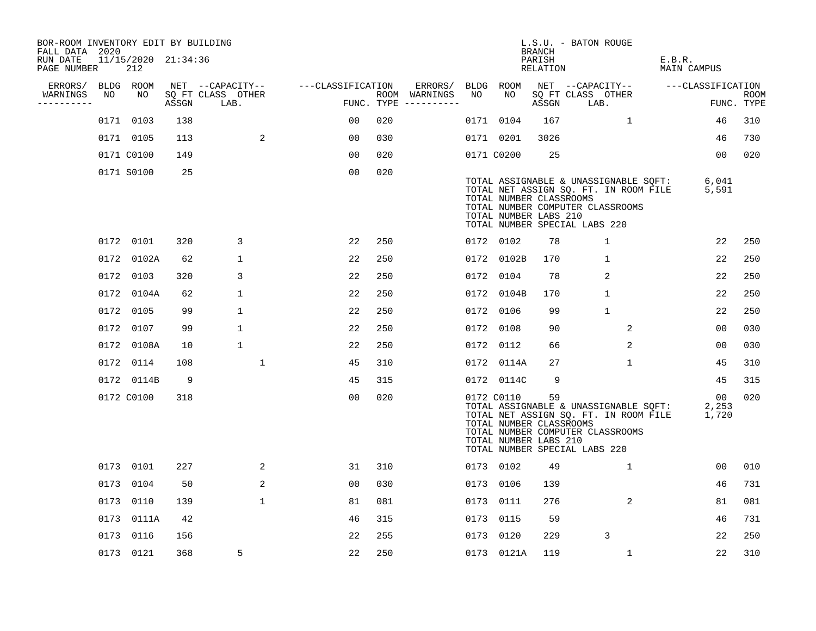| BOR-ROOM INVENTORY EDIT BY BUILDING<br>FALL DATA 2020 |    |                            |       |                           |                   |                |     |                                      |    |            | BRANCH                                                 | L.S.U. - BATON ROUGE          |                                                                                                                    |                       |                      |                           |
|-------------------------------------------------------|----|----------------------------|-------|---------------------------|-------------------|----------------|-----|--------------------------------------|----|------------|--------------------------------------------------------|-------------------------------|--------------------------------------------------------------------------------------------------------------------|-----------------------|----------------------|---------------------------|
| RUN DATE<br>PAGE NUMBER                               |    | 11/15/2020 21:34:36<br>212 |       |                           |                   |                |     |                                      |    |            | PARISH<br>RELATION                                     |                               |                                                                                                                    | E.B.R.<br>MAIN CAMPUS |                      |                           |
| ERRORS/                                               |    | BLDG ROOM                  |       | NET --CAPACITY--          | ---CLASSIFICATION |                |     | ERRORS/                              |    | BLDG ROOM  |                                                        |                               | NET --CAPACITY--                                                                                                   | ---CLASSIFICATION     |                      |                           |
| WARNINGS<br>--------                                  | NO | NO                         | ASSGN | SQ FT CLASS OTHER<br>LAB. |                   |                |     | ROOM WARNINGS<br>FUNC. TYPE $------$ | NO | NO         | ASSGN                                                  | SQ FT CLASS OTHER<br>LAB.     |                                                                                                                    |                       |                      | <b>ROOM</b><br>FUNC. TYPE |
|                                                       |    | 0171 0103                  | 138   |                           |                   | 00             | 020 |                                      |    | 0171 0104  | 167                                                    |                               | $\mathbf{1}$                                                                                                       |                       | 46                   | 310                       |
|                                                       |    | 0171 0105                  | 113   |                           | 2                 | 0 <sub>0</sub> | 030 |                                      |    | 0171 0201  | 3026                                                   |                               |                                                                                                                    |                       | 46                   | 730                       |
|                                                       |    | 0171 C0100                 | 149   |                           |                   | 00             | 020 |                                      |    | 0171 C0200 | 25                                                     |                               |                                                                                                                    |                       | 00 <sub>o</sub>      | 020                       |
|                                                       |    | 0171 S0100                 | 25    |                           |                   | 0 <sub>0</sub> | 020 |                                      |    |            | TOTAL NUMBER CLASSROOMS<br>TOTAL NUMBER LABS 210       | TOTAL NUMBER SPECIAL LABS 220 | TOTAL ASSIGNABLE & UNASSIGNABLE SQFT:<br>TOTAL NET ASSIGN SQ. FT. IN ROOM FILE<br>TOTAL NUMBER COMPUTER CLASSROOMS |                       | 6,041<br>5,591       |                           |
|                                                       |    | 0172 0101                  | 320   | 3                         |                   | 22             | 250 |                                      |    | 0172 0102  | 78                                                     |                               | $\mathbf{1}$                                                                                                       |                       | 22                   | 250                       |
|                                                       |    | 0172 0102A                 | 62    | $\mathbf 1$               |                   | 22             | 250 |                                      |    | 0172 0102B | 170                                                    |                               | $\mathbf{1}$                                                                                                       |                       | 22                   | 250                       |
|                                                       |    | 0172 0103                  | 320   | 3                         |                   | 22             | 250 |                                      |    | 0172 0104  | 78                                                     |                               | $\overline{a}$                                                                                                     |                       | 22                   | 250                       |
|                                                       |    | 0172 0104A                 | 62    | 1                         |                   | 22             | 250 |                                      |    | 0172 0104B | 170                                                    |                               | $\mathbf{1}$                                                                                                       |                       | 22                   | 250                       |
|                                                       |    | 0172 0105                  | 99    | $\mathbf 1$               |                   | 22             | 250 |                                      |    | 0172 0106  | 99                                                     |                               | $\mathbf{1}$                                                                                                       |                       | 22                   | 250                       |
|                                                       |    | 0172 0107                  | 99    | $\mathbf{1}$              |                   | 22             | 250 |                                      |    | 0172 0108  | 90                                                     |                               | 2                                                                                                                  |                       | 0 <sub>0</sub>       | 030                       |
|                                                       |    | 0172 0108A                 | 10    | 1                         |                   | 22             | 250 |                                      |    | 0172 0112  | 66                                                     |                               | 2                                                                                                                  |                       | 00                   | 030                       |
|                                                       |    | 0172 0114                  | 108   |                           | $\mathbf 1$       | 45             | 310 |                                      |    | 0172 0114A | 27                                                     |                               | $\mathbf{1}$                                                                                                       |                       | 45                   | 310                       |
|                                                       |    | 0172 0114B                 | 9     |                           |                   | 45             | 315 |                                      |    | 0172 0114C | 9                                                      |                               |                                                                                                                    |                       | 45                   | 315                       |
|                                                       |    | 0172 C0100                 | 318   |                           |                   | 0 <sub>0</sub> | 020 |                                      |    | 0172 C0110 | 59<br>TOTAL NUMBER CLASSROOMS<br>TOTAL NUMBER LABS 210 | TOTAL NUMBER SPECIAL LABS 220 | TOTAL ASSIGNABLE & UNASSIGNABLE SQFT:<br>TOTAL NET ASSIGN SQ. FT. IN ROOM FILE<br>TOTAL NUMBER COMPUTER CLASSROOMS |                       | 00<br>2,253<br>1,720 | 020                       |
|                                                       |    | 0173 0101                  | 227   |                           | 2                 | 31             | 310 |                                      |    | 0173 0102  | 49                                                     |                               | $\mathbf{1}$                                                                                                       |                       | 00                   | 010                       |
|                                                       |    | 0173 0104                  | 50    |                           | 2                 | 0 <sub>0</sub> | 030 |                                      |    | 0173 0106  | 139                                                    |                               |                                                                                                                    |                       | 46                   | 731                       |
|                                                       |    | 0173 0110                  | 139   |                           | $\mathbf 1$       | 81             | 081 |                                      |    | 0173 0111  | 276                                                    |                               | 2                                                                                                                  |                       | 81                   | 081                       |
|                                                       |    | 0173 0111A                 | 42    |                           |                   | 46             | 315 |                                      |    | 0173 0115  | 59                                                     |                               |                                                                                                                    |                       | 46                   | 731                       |
|                                                       |    | 0173 0116                  | 156   |                           |                   | 22             | 255 |                                      |    | 0173 0120  | 229                                                    |                               | 3                                                                                                                  |                       | 22                   | 250                       |
|                                                       |    | 0173 0121                  | 368   | 5                         |                   | 22             | 250 |                                      |    | 0173 0121A | 119                                                    |                               | $\mathbf{1}$                                                                                                       |                       | 22                   | 310                       |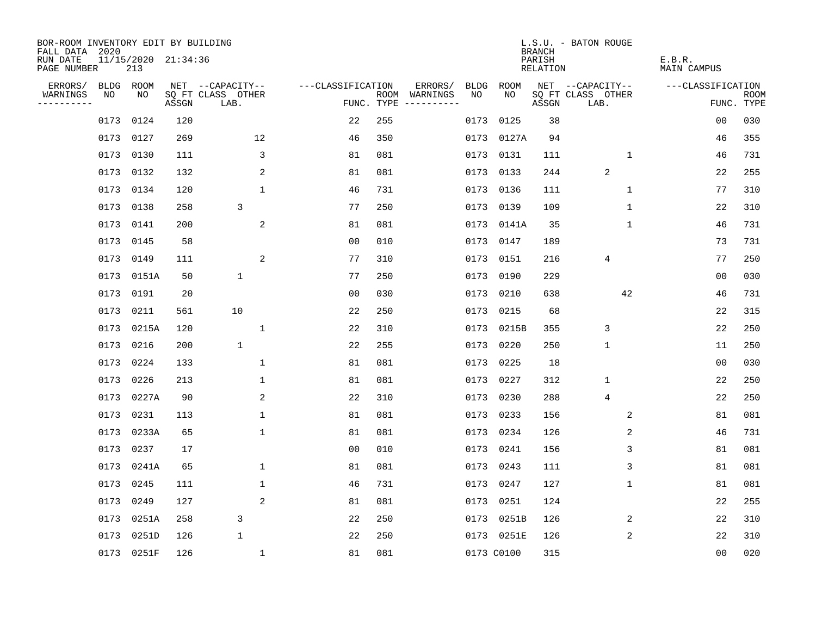| BOR-ROOM INVENTORY EDIT BY BUILDING<br>FALL DATA 2020 |                            |       |                           |                   |            |                                    |             | <b>BRANCH</b>             | L.S.U. - BATON ROUGE      |                              |                           |
|-------------------------------------------------------|----------------------------|-------|---------------------------|-------------------|------------|------------------------------------|-------------|---------------------------|---------------------------|------------------------------|---------------------------|
| RUN DATE<br>PAGE NUMBER                               | 11/15/2020 21:34:36<br>213 |       |                           |                   |            |                                    |             | PARISH<br><b>RELATION</b> |                           | E.B.R.<br><b>MAIN CAMPUS</b> |                           |
| ERRORS/<br>BLDG                                       | ROOM                       |       | NET --CAPACITY--          | ---CLASSIFICATION |            | ERRORS/<br><b>BLDG</b>             | <b>ROOM</b> |                           | NET --CAPACITY--          | ---CLASSIFICATION            |                           |
| WARNINGS<br>NO<br>----------                          | NO                         | ASSGN | SQ FT CLASS OTHER<br>LAB. |                   | FUNC. TYPE | NO<br>ROOM WARNINGS<br>----------- | NO          | ASSGN                     | SQ FT CLASS OTHER<br>LAB. |                              | <b>ROOM</b><br>FUNC. TYPE |
| 0173                                                  | 0124                       | 120   |                           | 22                | 255        | 0173                               | 0125        | 38                        |                           | 0 <sub>0</sub>               | 030                       |
|                                                       | 0173 0127                  | 269   | 12                        | 46                | 350        |                                    | 0173 0127A  | 94                        |                           | 46                           | 355                       |
| 0173                                                  | 0130                       | 111   | 3                         | 81                | 081        |                                    | 0173 0131   | 111                       | $\mathbf 1$               | 46                           | 731                       |
| 0173                                                  | 0132                       | 132   | 2                         | 81                | 081        |                                    | 0173 0133   | 244                       | $\overline{2}$            | 22                           | 255                       |
| 0173                                                  | 0134                       | 120   | $\mathbf{1}$              | 46                | 731        |                                    | 0173 0136   | 111                       | $\mathbf{1}$              | 77                           | 310                       |
|                                                       | 0173 0138                  | 258   | 3                         | 77                | 250        |                                    | 0173 0139   | 109                       | $\mathbf 1$               | 22                           | 310                       |
| 0173                                                  | 0141                       | 200   | $\overline{a}$            | 81                | 081        |                                    | 0173 0141A  | 35                        | $\mathbf{1}$              | 46                           | 731                       |
|                                                       | 0173 0145                  | 58    |                           | 0 <sub>0</sub>    | 010        |                                    | 0173 0147   | 189                       |                           | 73                           | 731                       |
| 0173                                                  | 0149                       | 111   | 2                         | 77                | 310        | 0173                               | 0151        | 216                       | 4                         | 77                           | 250                       |
|                                                       | 0173 0151A                 | 50    | $\mathbf 1$               | 77                | 250        |                                    | 0173 0190   | 229                       |                           | 0 <sub>0</sub>               | 030                       |
| 0173                                                  | 0191                       | 20    |                           | 0 <sub>0</sub>    | 030        | 0173                               | 0210        | 638                       | 42                        | 46                           | 731                       |
|                                                       | 0173 0211                  | 561   | 10                        | 22                | 250        |                                    | 0173 0215   | 68                        |                           | 22                           | 315                       |
| 0173                                                  | 0215A                      | 120   | 1                         | 22                | 310        | 0173                               | 0215B       | 355                       | 3                         | 22                           | 250                       |
|                                                       | 0173 0216                  | 200   | $\mathbf 1$               | 22                | 255        | 0173                               | 0220        | 250                       | 1                         | 11                           | 250                       |
| 0173                                                  | 0224                       | 133   | $\mathbf 1$               | 81                | 081        | 0173                               | 0225        | 18                        |                           | 0 <sub>0</sub>               | 030                       |
| 0173                                                  | 0226                       | 213   | $\mathbf 1$               | 81                | 081        | 0173                               | 0227        | 312                       | 1                         | 22                           | 250                       |
| 0173                                                  | 0227A                      | 90    | 2                         | 22                | 310        | 0173                               | 0230        | 288                       | $\overline{4}$            | 22                           | 250                       |
| 0173                                                  | 0231                       | 113   | $\mathbf{1}$              | 81                | 081        |                                    | 0173 0233   | 156                       | 2                         | 81                           | 081                       |
| 0173                                                  | 0233A                      | 65    | $\mathbf{1}$              | 81                | 081        |                                    | 0173 0234   | 126                       | 2                         | 46                           | 731                       |
| 0173                                                  | 0237                       | 17    |                           | 0 <sub>0</sub>    | 010        | 0173                               | 0241        | 156                       | 3                         | 81                           | 081                       |
| 0173                                                  | 0241A                      | 65    | 1                         | 81                | 081        |                                    | 0173 0243   | 111                       | 3                         | 81                           | 081                       |
| 0173                                                  | 0245                       | 111   | $\mathbf 1$               | 46                | 731        | 0173                               | 0247        | 127                       | $\mathbf 1$               | 81                           | 081                       |
| 0173                                                  | 0249                       | 127   | 2                         | 81                | 081        | 0173                               | 0251        | 124                       |                           | 22                           | 255                       |
| 0173                                                  | 0251A                      | 258   | 3                         | 22                | 250        |                                    | 0173 0251B  | 126                       | 2                         | 22                           | 310                       |
| 0173                                                  | 0251D                      | 126   | 1                         | 22                | 250        |                                    | 0173 0251E  | 126                       | 2                         | 22                           | 310                       |
|                                                       | 0173 0251F                 | 126   | $\mathbf{1}$              | 81                | 081        |                                    | 0173 C0100  | 315                       |                           | 00                           | 020                       |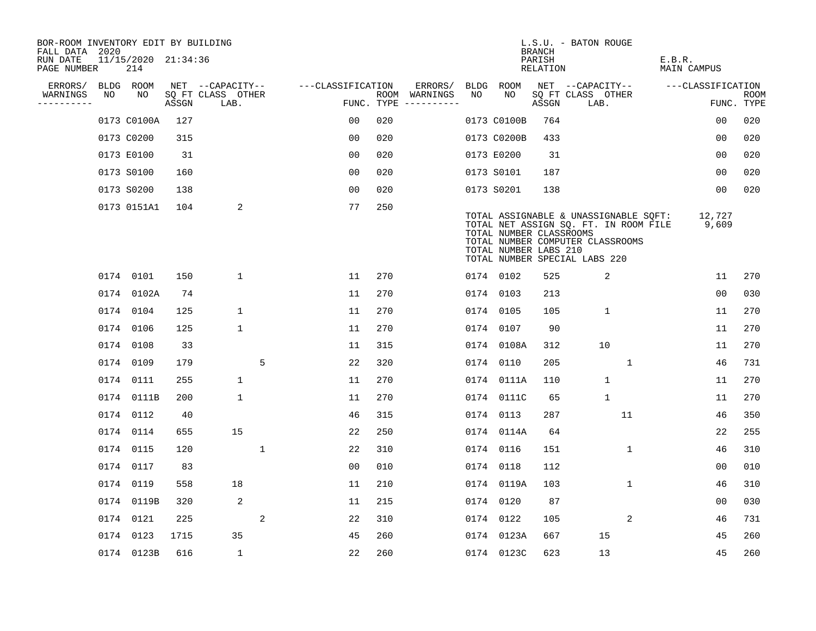| BOR-ROOM INVENTORY EDIT BY BUILDING<br>FALL DATA 2020 |    |                            |       |                           |             |                   |     |                                      |      |                                                  | <b>BRANCH</b>             | L.S.U. - BATON ROUGE                                                                                                                                |              |        |                    |                           |
|-------------------------------------------------------|----|----------------------------|-------|---------------------------|-------------|-------------------|-----|--------------------------------------|------|--------------------------------------------------|---------------------------|-----------------------------------------------------------------------------------------------------------------------------------------------------|--------------|--------|--------------------|---------------------------|
| RUN DATE<br>PAGE NUMBER                               |    | 11/15/2020 21:34:36<br>214 |       |                           |             |                   |     |                                      |      |                                                  | PARISH<br><b>RELATION</b> |                                                                                                                                                     |              | E.B.R. | <b>MAIN CAMPUS</b> |                           |
| ERRORS/                                               |    | BLDG ROOM                  |       | NET --CAPACITY--          |             | ---CLASSIFICATION |     | ERRORS/                              | BLDG | ROOM                                             |                           | NET --CAPACITY--                                                                                                                                    |              |        | ---CLASSIFICATION  |                           |
| WARNINGS<br>----------                                | NO | NO                         | ASSGN | SQ FT CLASS OTHER<br>LAB. |             |                   |     | ROOM WARNINGS<br>FUNC. TYPE $------$ | NO   | NO                                               | ASSGN                     | SQ FT CLASS OTHER<br>LAB.                                                                                                                           |              |        |                    | <b>ROOM</b><br>FUNC. TYPE |
|                                                       |    | 0173 C0100A                | 127   |                           |             | 0 <sub>0</sub>    | 020 |                                      |      | 0173 C0100B                                      | 764                       |                                                                                                                                                     |              |        | 0 <sub>0</sub>     | 020                       |
|                                                       |    | 0173 C0200                 | 315   |                           |             | 0 <sub>0</sub>    | 020 |                                      |      | 0173 C0200B                                      | 433                       |                                                                                                                                                     |              |        | 00                 | 020                       |
|                                                       |    | 0173 E0100                 | 31    |                           |             | 00                | 020 |                                      |      | 0173 E0200                                       | 31                        |                                                                                                                                                     |              |        | 00                 | 020                       |
|                                                       |    | 0173 S0100                 | 160   |                           |             | 0 <sub>0</sub>    | 020 |                                      |      | 0173 S0101                                       | 187                       |                                                                                                                                                     |              |        | 00                 | 020                       |
|                                                       |    | 0173 S0200                 | 138   |                           |             | 0 <sub>0</sub>    | 020 |                                      |      | 0173 S0201                                       | 138                       |                                                                                                                                                     |              |        | 00                 | 020                       |
|                                                       |    | 0173 0151A1                | 104   | 2                         |             | 77                | 250 |                                      |      | TOTAL NUMBER CLASSROOMS<br>TOTAL NUMBER LABS 210 |                           | TOTAL ASSIGNABLE & UNASSIGNABLE SQFT:<br>TOTAL NET ASSIGN SQ. FT. IN ROOM FILE<br>TOTAL NUMBER COMPUTER CLASSROOMS<br>TOTAL NUMBER SPECIAL LABS 220 |              |        | 12,727<br>9,609    |                           |
|                                                       |    | 0174 0101                  | 150   | $\mathbf 1$               |             | 11                | 270 |                                      |      | 0174 0102                                        | 525                       | 2                                                                                                                                                   |              |        | 11                 | 270                       |
|                                                       |    | 0174 0102A                 | 74    |                           |             | 11                | 270 |                                      |      | 0174 0103                                        | 213                       |                                                                                                                                                     |              |        | 0 <sub>0</sub>     | 030                       |
|                                                       |    | 0174 0104                  | 125   | $\mathbf 1$               |             | 11                | 270 |                                      |      | 0174 0105                                        | 105                       | $\mathbf{1}$                                                                                                                                        |              |        | 11                 | 270                       |
|                                                       |    | 0174 0106                  | 125   | $\mathbf 1$               |             | 11                | 270 |                                      |      | 0174 0107                                        | 90                        |                                                                                                                                                     |              |        | 11                 | 270                       |
|                                                       |    | 0174 0108                  | 33    |                           |             | 11                | 315 |                                      |      | 0174 0108A                                       | 312                       | 10                                                                                                                                                  |              |        | 11                 | 270                       |
|                                                       |    | 0174 0109                  | 179   |                           | 5           | 22                | 320 |                                      |      | 0174 0110                                        | 205                       |                                                                                                                                                     | 1            |        | 46                 | 731                       |
|                                                       |    | 0174 0111                  | 255   | $\mathbf 1$               |             | 11                | 270 |                                      |      | 0174 0111A                                       | 110                       | $\mathbf{1}$                                                                                                                                        |              |        | 11                 | 270                       |
|                                                       |    | 0174 0111B                 | 200   | $\mathbf{1}$              |             | 11                | 270 |                                      |      | 0174 0111C                                       | 65                        | $\mathbf{1}$                                                                                                                                        |              |        | 11                 | 270                       |
|                                                       |    | 0174 0112                  | 40    |                           |             | 46                | 315 |                                      |      | 0174 0113                                        | 287                       |                                                                                                                                                     | 11           |        | 46                 | 350                       |
|                                                       |    | 0174 0114                  | 655   | 15                        |             | 22                | 250 |                                      |      | 0174 0114A                                       | 64                        |                                                                                                                                                     |              |        | 22                 | 255                       |
|                                                       |    | 0174 0115                  | 120   |                           | $\mathbf 1$ | 22                | 310 |                                      |      | 0174 0116                                        | 151                       |                                                                                                                                                     | $\mathbf{1}$ |        | 46                 | 310                       |
|                                                       |    | 0174 0117                  | 83    |                           |             | 0 <sub>0</sub>    | 010 |                                      |      | 0174 0118                                        | 112                       |                                                                                                                                                     |              |        | 0 <sub>0</sub>     | 010                       |
|                                                       |    | 0174 0119                  | 558   | 18                        |             | 11                | 210 |                                      |      | 0174 0119A                                       | 103                       |                                                                                                                                                     | 1            |        | 46                 | 310                       |
|                                                       |    | 0174 0119B                 | 320   | 2                         |             | 11                | 215 |                                      |      | 0174 0120                                        | 87                        |                                                                                                                                                     |              |        | 00                 | 030                       |
|                                                       |    | 0174 0121                  | 225   |                           | 2           | 22                | 310 |                                      |      | 0174 0122                                        | 105                       |                                                                                                                                                     | 2            |        | 46                 | 731                       |
|                                                       |    | 0174 0123                  | 1715  | 35                        |             | 45                | 260 |                                      |      | 0174 0123A                                       | 667                       | 15                                                                                                                                                  |              |        | 45                 | 260                       |
|                                                       |    | 0174 0123B                 | 616   | $\mathbf{1}$              |             | 22                | 260 |                                      |      | 0174 0123C                                       | 623                       | 13                                                                                                                                                  |              |        | 45                 | 260                       |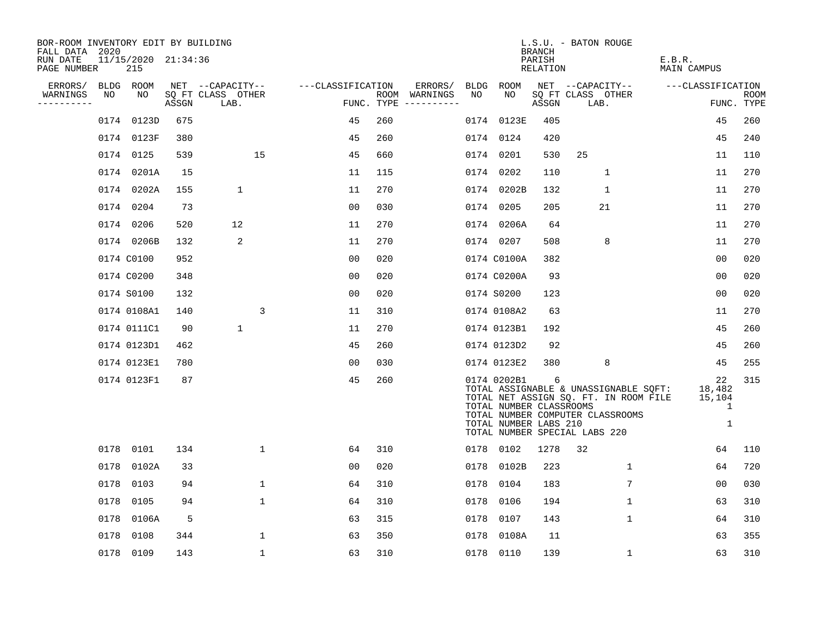| BOR-ROOM INVENTORY EDIT BY BUILDING<br>FALL DATA 2020 |             |                            |       |                           |              |                   |     |                                      |    |                                                                 | <b>BRANCH</b>      | L.S.U. - BATON ROUGE          |                                                                                                                    |                        |                           |
|-------------------------------------------------------|-------------|----------------------------|-------|---------------------------|--------------|-------------------|-----|--------------------------------------|----|-----------------------------------------------------------------|--------------------|-------------------------------|--------------------------------------------------------------------------------------------------------------------|------------------------|---------------------------|
| RUN DATE<br>PAGE NUMBER                               |             | 11/15/2020 21:34:36<br>215 |       |                           |              |                   |     |                                      |    |                                                                 | PARISH<br>RELATION |                               |                                                                                                                    | E.B.R.<br>MAIN CAMPUS  |                           |
| ERRORS/                                               | <b>BLDG</b> | ROOM                       |       | NET --CAPACITY--          |              | ---CLASSIFICATION |     | ERRORS/                              |    | BLDG ROOM                                                       |                    | NET --CAPACITY--              |                                                                                                                    | ---CLASSIFICATION      |                           |
| WARNINGS<br>---------                                 | NO          | NO                         | ASSGN | SQ FT CLASS OTHER<br>LAB. |              |                   |     | ROOM WARNINGS<br>FUNC. TYPE $------$ | NO | NO                                                              | ASSGN              | SQ FT CLASS OTHER<br>LAB.     |                                                                                                                    |                        | <b>ROOM</b><br>FUNC. TYPE |
|                                                       |             | 0174 0123D                 | 675   |                           |              | 45                | 260 |                                      |    | 0174 0123E                                                      | 405                |                               |                                                                                                                    | 45                     | 260                       |
|                                                       |             | 0174 0123F                 | 380   |                           |              | 45                | 260 |                                      |    | 0174 0124                                                       | 420                |                               |                                                                                                                    | 45                     | 240                       |
|                                                       |             | 0174 0125                  | 539   |                           | 15           | 45                | 660 |                                      |    | 0174 0201                                                       | 530                | 25                            |                                                                                                                    | 11                     | 110                       |
|                                                       |             | 0174 0201A                 | 15    |                           |              | 11                | 115 |                                      |    | 0174 0202                                                       | 110                |                               | 1                                                                                                                  | 11                     | 270                       |
|                                                       |             | 0174 0202A                 | 155   | $\mathbf 1$               |              | 11                | 270 |                                      |    | 0174 0202B                                                      | 132                |                               | $\mathbf{1}$                                                                                                       | 11                     | 270                       |
|                                                       |             | 0174 0204                  | 73    |                           |              | 0 <sup>0</sup>    | 030 |                                      |    | 0174 0205                                                       | 205                |                               | 21                                                                                                                 | 11                     | 270                       |
|                                                       |             | 0174 0206                  | 520   | 12                        |              | 11                | 270 |                                      |    | 0174 0206A                                                      | 64                 |                               |                                                                                                                    | 11                     | 270                       |
|                                                       |             | 0174 0206B                 | 132   | 2                         |              | 11                | 270 |                                      |    | 0174 0207                                                       | 508                |                               | 8                                                                                                                  | 11                     | 270                       |
|                                                       |             | 0174 C0100                 | 952   |                           |              | 0 <sub>0</sub>    | 020 |                                      |    | 0174 C0100A                                                     | 382                |                               |                                                                                                                    | 0 <sub>0</sub>         | 020                       |
|                                                       |             | 0174 C0200                 | 348   |                           |              | 00                | 020 |                                      |    | 0174 C0200A                                                     | 93                 |                               |                                                                                                                    | 0 <sub>0</sub>         | 020                       |
|                                                       |             | 0174 S0100                 | 132   |                           |              | 00                | 020 |                                      |    | 0174 S0200                                                      | 123                |                               |                                                                                                                    | 00                     | 020                       |
|                                                       |             | 0174 0108A1                | 140   |                           | 3            | 11                | 310 |                                      |    | 0174 0108A2                                                     | 63                 |                               |                                                                                                                    | 11                     | 270                       |
|                                                       |             | 0174 0111C1                | 90    | $\mathbf{1}$              |              | 11                | 270 |                                      |    | 0174 0123B1                                                     | 192                |                               |                                                                                                                    | 45                     | 260                       |
|                                                       |             | 0174 0123D1                | 462   |                           |              | 45                | 260 |                                      |    | 0174 0123D2                                                     | 92                 |                               |                                                                                                                    | 45                     | 260                       |
|                                                       |             | 0174 0123E1                | 780   |                           |              | 0 <sup>0</sup>    | 030 |                                      |    | 0174 0123E2                                                     | 380                |                               | 8                                                                                                                  | 45                     | 255                       |
|                                                       |             | 0174 0123F1                | 87    |                           |              | 45                | 260 |                                      |    | 0174 0202B1<br>TOTAL NUMBER CLASSROOMS<br>TOTAL NUMBER LABS 210 | 6                  | TOTAL NUMBER SPECIAL LABS 220 | TOTAL ASSIGNABLE & UNASSIGNABLE SQFT:<br>TOTAL NET ASSIGN SQ. FT. IN ROOM FILE<br>TOTAL NUMBER COMPUTER CLASSROOMS | 22<br>18,482<br>15,104 | 315<br>1<br>$\mathbf 1$   |
|                                                       |             | 0178 0101                  | 134   |                           | $\mathbf{1}$ | 64                | 310 |                                      |    | 0178 0102                                                       | 1278               | 32                            |                                                                                                                    | 64                     | 110                       |
|                                                       | 0178        | 0102A                      | 33    |                           |              | 00                | 020 |                                      |    | 0178 0102B                                                      | 223                |                               | $\mathbf{1}$                                                                                                       | 64                     | 720                       |
|                                                       | 0178        | 0103                       | 94    |                           | $\mathbf 1$  | 64                | 310 |                                      |    | 0178 0104                                                       | 183                |                               | 7                                                                                                                  | 00                     | 030                       |
|                                                       | 0178        | 0105                       | 94    |                           | $\mathbf 1$  | 64                | 310 |                                      |    | 0178 0106                                                       | 194                |                               | $\mathbf 1$                                                                                                        | 63                     | 310                       |
|                                                       | 0178        | 0106A                      | 5     |                           |              | 63                | 315 |                                      |    | 0178 0107                                                       | 143                |                               | $\mathbf 1$                                                                                                        | 64                     | 310                       |
|                                                       | 0178        | 0108                       | 344   |                           | $\mathbf{1}$ | 63                | 350 |                                      |    | 0178 0108A                                                      | 11                 |                               |                                                                                                                    | 63                     | 355                       |
|                                                       |             | 0178 0109                  | 143   |                           | $\mathbf 1$  | 63                | 310 |                                      |    | 0178 0110                                                       | 139                |                               | $\mathbf 1$                                                                                                        | 63                     | 310                       |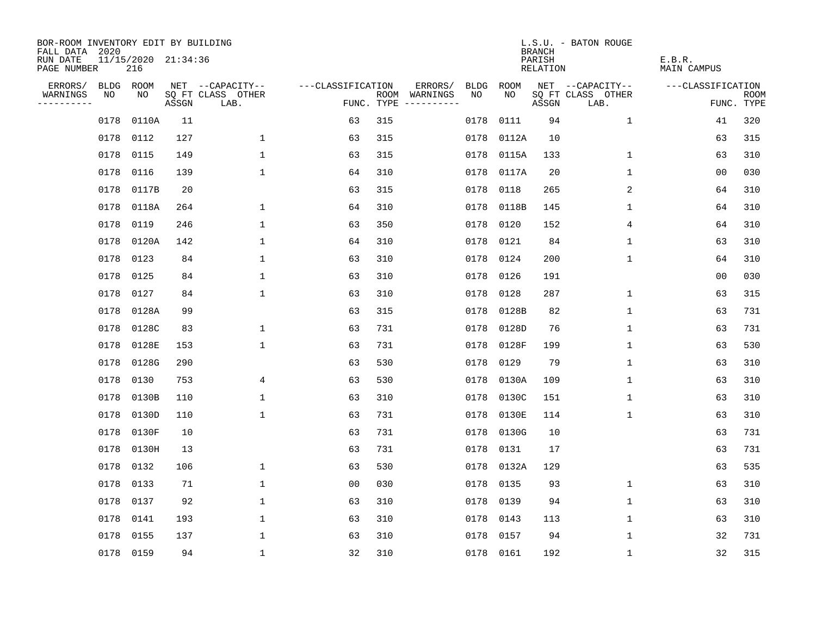| BOR-ROOM INVENTORY EDIT BY BUILDING<br>FALL DATA 2020 |      |                            |       |                           |                   |            |                              |             |           | <b>BRANCH</b>      | L.S.U. - BATON ROUGE      |                       |                           |
|-------------------------------------------------------|------|----------------------------|-------|---------------------------|-------------------|------------|------------------------------|-------------|-----------|--------------------|---------------------------|-----------------------|---------------------------|
| RUN DATE<br>PAGE NUMBER                               |      | 11/15/2020 21:34:36<br>216 |       |                           |                   |            |                              |             |           | PARISH<br>RELATION |                           | E.B.R.<br>MAIN CAMPUS |                           |
| ERRORS/                                               | BLDG | ROOM                       |       | NET --CAPACITY--          | ---CLASSIFICATION |            | ERRORS/                      | <b>BLDG</b> | ROOM      |                    | NET --CAPACITY--          | ---CLASSIFICATION     |                           |
| WARNINGS<br>----------                                | NO   | NO                         | ASSGN | SQ FT CLASS OTHER<br>LAB. |                   | FUNC. TYPE | ROOM WARNINGS<br>----------- | NO.         | NO.       | ASSGN              | SQ FT CLASS OTHER<br>LAB. |                       | <b>ROOM</b><br>FUNC. TYPE |
|                                                       | 0178 | 0110A                      | 11    |                           | 63                | 315        |                              | 0178        | 0111      | 94                 | $\mathbf 1$               | 41                    | 320                       |
|                                                       | 0178 | 0112                       | 127   | $\mathbf 1$               | 63                | 315        |                              | 0178        | 0112A     | 10                 |                           | 63                    | 315                       |
|                                                       | 0178 | 0115                       | 149   | $\mathbf{1}$              | 63                | 315        |                              | 0178        | 0115A     | 133                | $\mathbf 1$               | 63                    | 310                       |
|                                                       | 0178 | 0116                       | 139   | $\mathbf{1}$              | 64                | 310        |                              | 0178        | 0117A     | 20                 | 1                         | 00                    | 030                       |
|                                                       | 0178 | 0117B                      | 20    |                           | 63                | 315        |                              | 0178        | 0118      | 265                | $\overline{c}$            | 64                    | 310                       |
|                                                       |      | 0178 0118A                 | 264   | $\mathbf{1}$              | 64                | 310        |                              | 0178        | 0118B     | 145                | 1                         | 64                    | 310                       |
|                                                       | 0178 | 0119                       | 246   | $\mathbf{1}$              | 63                | 350        |                              | 0178        | 0120      | 152                | 4                         | 64                    | 310                       |
|                                                       | 0178 | 0120A                      | 142   | $\mathbf{1}$              | 64                | 310        |                              | 0178        | 0121      | 84                 | $\mathbf 1$               | 63                    | 310                       |
|                                                       | 0178 | 0123                       | 84    | $\mathbf{1}$              | 63                | 310        |                              | 0178        | 0124      | 200                | $\mathbf{1}$              | 64                    | 310                       |
|                                                       |      | 0178 0125                  | 84    | $\mathbf 1$               | 63                | 310        |                              | 0178        | 0126      | 191                |                           | 00                    | 030                       |
|                                                       | 0178 | 0127                       | 84    | $\mathbf 1$               | 63                | 310        |                              | 0178        | 0128      | 287                | $\mathbf 1$               | 63                    | 315                       |
|                                                       |      | 0178 0128A                 | 99    |                           | 63                | 315        |                              | 0178        | 0128B     | 82                 | $\mathbf 1$               | 63                    | 731                       |
|                                                       | 0178 | 0128C                      | 83    | 1                         | 63                | 731        |                              | 0178        | 0128D     | 76                 | $\mathbf 1$               | 63                    | 731                       |
|                                                       | 0178 | 0128E                      | 153   | $\mathbf 1$               | 63                | 731        |                              | 0178        | 0128F     | 199                | 1                         | 63                    | 530                       |
|                                                       | 0178 | 0128G                      | 290   |                           | 63                | 530        |                              | 0178        | 0129      | 79                 | 1                         | 63                    | 310                       |
|                                                       | 0178 | 0130                       | 753   | 4                         | 63                | 530        |                              | 0178        | 0130A     | 109                | 1                         | 63                    | 310                       |
|                                                       | 0178 | 0130B                      | 110   | $\mathbf 1$               | 63                | 310        |                              | 0178        | 0130C     | 151                | 1                         | 63                    | 310                       |
|                                                       | 0178 | 0130D                      | 110   | $\mathbf{1}$              | 63                | 731        |                              | 0178        | 0130E     | 114                | 1                         | 63                    | 310                       |
|                                                       | 0178 | 0130F                      | 10    |                           | 63                | 731        |                              | 0178        | 0130G     | 10                 |                           | 63                    | 731                       |
|                                                       | 0178 | 0130H                      | 13    |                           | 63                | 731        |                              | 0178        | 0131      | 17                 |                           | 63                    | 731                       |
|                                                       | 0178 | 0132                       | 106   | 1                         | 63                | 530        |                              | 0178        | 0132A     | 129                |                           | 63                    | 535                       |
|                                                       | 0178 | 0133                       | 71    | $\mathbf 1$               | 0 <sub>0</sub>    | 030        |                              | 0178        | 0135      | 93                 | 1                         | 63                    | 310                       |
|                                                       | 0178 | 0137                       | 92    | $\mathbf 1$               | 63                | 310        |                              | 0178        | 0139      | 94                 | 1                         | 63                    | 310                       |
|                                                       | 0178 | 0141                       | 193   | $\mathbf 1$               | 63                | 310        |                              | 0178        | 0143      | 113                | $\mathbf 1$               | 63                    | 310                       |
|                                                       | 0178 | 0155                       | 137   | $\mathbf{1}$              | 63                | 310        |                              | 0178        | 0157      | 94                 | $\mathbf{1}$              | 32                    | 731                       |
|                                                       |      | 0178 0159                  | 94    | $\mathbf{1}$              | 32                | 310        |                              |             | 0178 0161 | 192                | 1                         | 32                    | 315                       |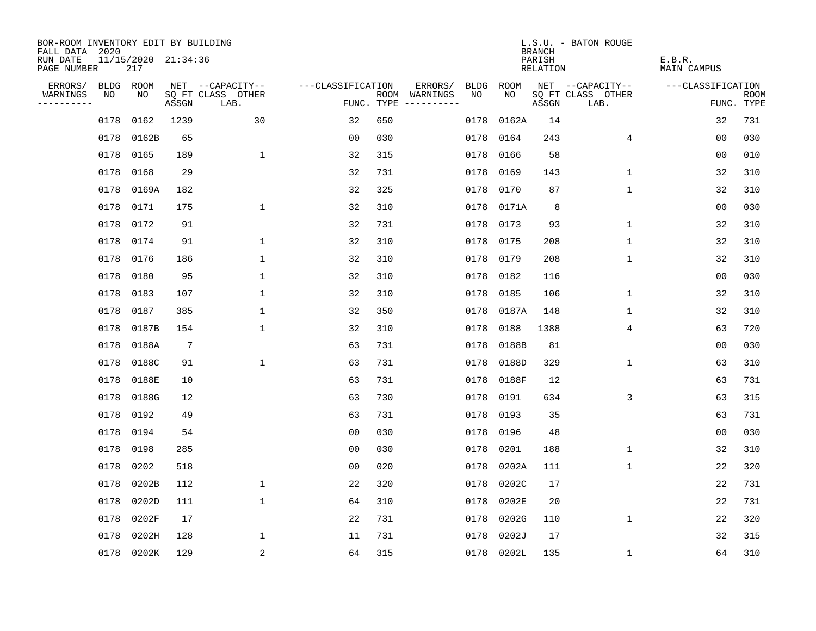| BOR-ROOM INVENTORY EDIT BY BUILDING<br>FALL DATA 2020 |      |                            |                 |                           |                   |      |                                 |           |            | <b>BRANCH</b>      | L.S.U. - BATON ROUGE      |                              |                           |
|-------------------------------------------------------|------|----------------------------|-----------------|---------------------------|-------------------|------|---------------------------------|-----------|------------|--------------------|---------------------------|------------------------------|---------------------------|
| RUN DATE<br>PAGE NUMBER                               |      | 11/15/2020 21:34:36<br>217 |                 |                           |                   |      |                                 |           |            | PARISH<br>RELATION |                           | E.B.R.<br><b>MAIN CAMPUS</b> |                           |
| ERRORS/                                               | BLDG | ROOM                       |                 | NET --CAPACITY--          | ---CLASSIFICATION |      | ERRORS/                         | BLDG      | ROOM       |                    | NET --CAPACITY--          | ---CLASSIFICATION            |                           |
| WARNINGS<br>----------                                | NO   | NO                         | ASSGN           | SQ FT CLASS OTHER<br>LAB. |                   | ROOM | WARNINGS<br>FUNC. TYPE $------$ | NO.       | NO.        | ASSGN              | SQ FT CLASS OTHER<br>LAB. |                              | <b>ROOM</b><br>FUNC. TYPE |
|                                                       | 0178 | 0162                       | 1239            | 30                        | 32                | 650  |                                 | 0178      | 0162A      | 14                 |                           | 32                           | 731                       |
|                                                       | 0178 | 0162B                      | 65              |                           | 0 <sub>0</sub>    | 030  |                                 | 0178      | 0164       | 243                | 4                         | 00                           | 030                       |
|                                                       | 0178 | 0165                       | 189             | $\mathbf 1$               | 32                | 315  |                                 | 0178      | 0166       | 58                 |                           | 0 <sub>0</sub>               | 010                       |
|                                                       | 0178 | 0168                       | 29              |                           | 32                | 731  |                                 | 0178      | 0169       | 143                | 1                         | 32                           | 310                       |
|                                                       | 0178 | 0169A                      | 182             |                           | 32                | 325  |                                 | 0178      | 0170       | 87                 | $\mathbf 1$               | 32                           | 310                       |
|                                                       |      | 0178 0171                  | 175             | $\mathbf{1}$              | 32                | 310  |                                 |           | 0178 0171A | 8                  |                           | 0 <sub>0</sub>               | 030                       |
|                                                       | 0178 | 0172                       | 91              |                           | 32                | 731  |                                 | 0178      | 0173       | 93                 | $\mathbf 1$               | 32                           | 310                       |
|                                                       |      | 0178 0174                  | 91              | $\mathbf 1$               | 32                | 310  |                                 | 0178 0175 |            | 208                | $\mathbf 1$               | 32                           | 310                       |
|                                                       | 0178 | 0176                       | 186             | $\mathbf{1}$              | 32                | 310  |                                 | 0178      | 0179       | 208                | $\mathbf 1$               | 32                           | 310                       |
|                                                       | 0178 | 0180                       | 95              | $\mathbf{1}$              | 32                | 310  |                                 |           | 0178 0182  | 116                |                           | 0 <sub>0</sub>               | 030                       |
|                                                       | 0178 | 0183                       | 107             | 1                         | 32                | 310  |                                 | 0178      | 0185       | 106                | $\mathbf 1$               | 32                           | 310                       |
|                                                       | 0178 | 0187                       | 385             | 1                         | 32                | 350  |                                 | 0178      | 0187A      | 148                | $\mathbf 1$               | 32                           | 310                       |
|                                                       | 0178 | 0187B                      | 154             | $\mathbf 1$               | 32                | 310  |                                 | 0178      | 0188       | 1388               | 4                         | 63                           | 720                       |
|                                                       | 0178 | 0188A                      | $7\phantom{.0}$ |                           | 63                | 731  |                                 | 0178      | 0188B      | 81                 |                           | 0 <sub>0</sub>               | 030                       |
|                                                       | 0178 | 0188C                      | 91              | $\mathbf 1$               | 63                | 731  |                                 | 0178      | 0188D      | 329                | $\mathbf{1}$              | 63                           | 310                       |
|                                                       | 0178 | 0188E                      | 10              |                           | 63                | 731  |                                 | 0178      | 0188F      | 12                 |                           | 63                           | 731                       |
|                                                       | 0178 | 0188G                      | 12              |                           | 63                | 730  |                                 | 0178      | 0191       | 634                | 3                         | 63                           | 315                       |
|                                                       | 0178 | 0192                       | 49              |                           | 63                | 731  |                                 | 0178      | 0193       | 35                 |                           | 63                           | 731                       |
|                                                       | 0178 | 0194                       | 54              |                           | 0 <sub>0</sub>    | 030  |                                 | 0178 0196 |            | 48                 |                           | 00                           | 030                       |
|                                                       | 0178 | 0198                       | 285             |                           | 0 <sub>0</sub>    | 030  |                                 | 0178      | 0201       | 188                | 1                         | 32                           | 310                       |
|                                                       | 0178 | 0202                       | 518             |                           | 0 <sub>0</sub>    | 020  |                                 | 0178      | 0202A      | 111                | 1                         | 22                           | 320                       |
|                                                       | 0178 | 0202B                      | 112             | $\mathbf{1}$              | 22                | 320  |                                 | 0178      | 0202C      | 17                 |                           | 22                           | 731                       |
|                                                       | 0178 | 0202D                      | 111             | 1                         | 64                | 310  |                                 | 0178      | 0202E      | 20                 |                           | 22                           | 731                       |
|                                                       | 0178 | 0202F                      | 17              |                           | 22                | 731  |                                 | 0178      | 0202G      | 110                | $\mathbf 1$               | 22                           | 320                       |
|                                                       | 0178 | 0202H                      | 128             | 1                         | 11                | 731  |                                 | 0178      | 0202J      | 17                 |                           | 32                           | 315                       |
|                                                       |      | 0178 0202K                 | 129             | 2                         | 64                | 315  |                                 |           | 0178 0202L | 135                | $\mathbf 1$               | 64                           | 310                       |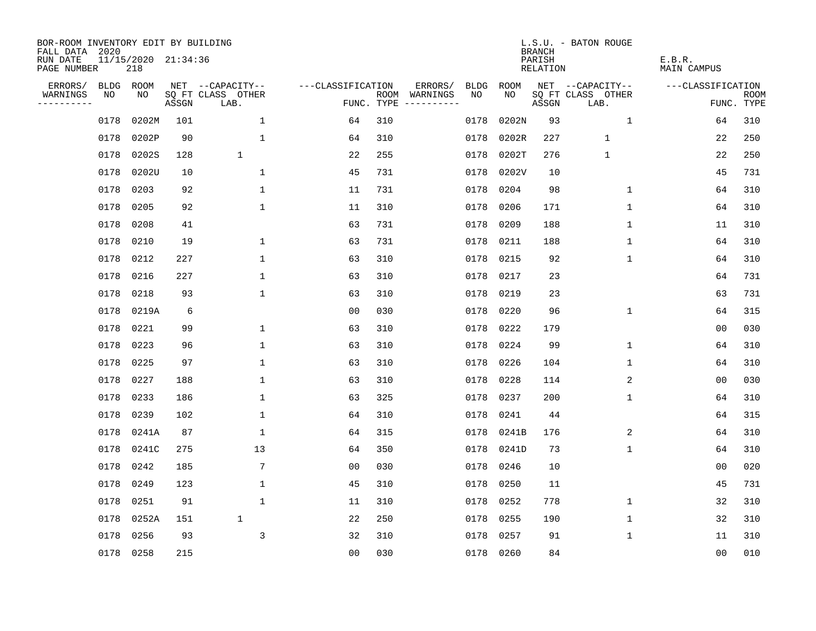| BOR-ROOM INVENTORY EDIT BY BUILDING<br>FALL DATA 2020 |           |                            |       |                           |                   |            |               |             |           | <b>BRANCH</b>      | L.S.U. - BATON ROUGE      |                       |                           |
|-------------------------------------------------------|-----------|----------------------------|-------|---------------------------|-------------------|------------|---------------|-------------|-----------|--------------------|---------------------------|-----------------------|---------------------------|
| RUN DATE<br>PAGE NUMBER                               |           | 11/15/2020 21:34:36<br>218 |       |                           |                   |            |               |             |           | PARISH<br>RELATION |                           | E.B.R.<br>MAIN CAMPUS |                           |
| ERRORS/                                               | BLDG      | ROOM                       |       | NET --CAPACITY--          | ---CLASSIFICATION |            | ERRORS/       | <b>BLDG</b> | ROOM      |                    | NET --CAPACITY--          | ---CLASSIFICATION     |                           |
| WARNINGS<br>----------                                | NO        | NO.                        | ASSGN | SQ FT CLASS OTHER<br>LAB. |                   | FUNC. TYPE | ROOM WARNINGS | NO.         | NO.       | ASSGN              | SQ FT CLASS OTHER<br>LAB. |                       | <b>ROOM</b><br>FUNC. TYPE |
|                                                       | 0178      | 0202M                      | 101   | $\mathbf 1$               | 64                | 310        |               | 0178        | 0202N     | 93                 | $\mathbf{1}$              | 64                    | 310                       |
|                                                       | 0178      | 0202P                      | 90    | $\mathbf 1$               | 64                | 310        |               | 0178        | 0202R     | 227                | $\mathbf{1}$              | 22                    | 250                       |
|                                                       | 0178      | 0202S                      | 128   | $\mathbf{1}$              | 22                | 255        |               | 0178        | 0202T     | 276                | 1                         | 22                    | 250                       |
|                                                       | 0178      | 0202U                      | 10    | $\mathbf{1}$              | 45                | 731        |               | 0178        | 0202V     | 10                 |                           | 45                    | 731                       |
|                                                       | 0178      | 0203                       | 92    | $\mathbf{1}$              | 11                | 731        |               | 0178        | 0204      | 98                 | 1                         | 64                    | 310                       |
|                                                       | 0178      | 0205                       | 92    | $\mathbf 1$               | 11                | 310        |               | 0178        | 0206      | 171                | 1                         | 64                    | 310                       |
|                                                       | 0178      | 0208                       | 41    |                           | 63                | 731        |               | 0178        | 0209      | 188                | $\mathbf 1$               | 11                    | 310                       |
|                                                       | 0178      | 0210                       | 19    | $\mathbf 1$               | 63                | 731        |               | 0178        | 0211      | 188                | 1                         | 64                    | 310                       |
|                                                       | 0178      | 0212                       | 227   | $\mathbf{1}$              | 63                | 310        |               | 0178        | 0215      | 92                 | $\mathbf{1}$              | 64                    | 310                       |
|                                                       | 0178 0216 |                            | 227   | $\mathbf 1$               | 63                | 310        |               | 0178        | 0217      | 23                 |                           | 64                    | 731                       |
|                                                       | 0178      | 0218                       | 93    | $\mathbf 1$               | 63                | 310        |               | 0178        | 0219      | 23                 |                           | 63                    | 731                       |
|                                                       |           | 0178 0219A                 | 6     |                           | 0 <sub>0</sub>    | 030        |               | 0178        | 0220      | 96                 | $\mathbf 1$               | 64                    | 315                       |
|                                                       | 0178      | 0221                       | 99    | $\mathbf 1$               | 63                | 310        |               | 0178        | 0222      | 179                |                           | 0 <sub>0</sub>        | 030                       |
|                                                       | 0178      | 0223                       | 96    | $\mathbf 1$               | 63                | 310        |               | 0178        | 0224      | 99                 | $\mathbf 1$               | 64                    | 310                       |
|                                                       | 0178      | 0225                       | 97    | 1                         | 63                | 310        |               | 0178        | 0226      | 104                | $\mathbf{1}$              | 64                    | 310                       |
|                                                       | 0178      | 0227                       | 188   | 1                         | 63                | 310        |               | 0178        | 0228      | 114                | 2                         | 0 <sub>0</sub>        | 030                       |
|                                                       | 0178      | 0233                       | 186   | $\mathbf 1$               | 63                | 325        |               | 0178        | 0237      | 200                | 1                         | 64                    | 310                       |
|                                                       | 0178      | 0239                       | 102   | $\mathbf 1$               | 64                | 310        |               | 0178        | 0241      | 44                 |                           | 64                    | 315                       |
|                                                       | 0178      | 0241A                      | 87    | $\mathbf 1$               | 64                | 315        |               | 0178        | 0241B     | 176                | 2                         | 64                    | 310                       |
|                                                       | 0178      | 0241C                      | 275   | 13                        | 64                | 350        |               | 0178        | 0241D     | 73                 | $\mathbf{1}$              | 64                    | 310                       |
|                                                       | 0178      | 0242                       | 185   | $7\phantom{.0}$           | 0 <sub>0</sub>    | 030        |               | 0178        | 0246      | 10                 |                           | 0 <sub>0</sub>        | 020                       |
|                                                       | 0178      | 0249                       | 123   | $\mathbf 1$               | 45                | 310        |               | 0178        | 0250      | 11                 |                           | 45                    | 731                       |
|                                                       | 0178      | 0251                       | 91    | 1                         | 11                | 310        |               | 0178        | 0252      | 778                | 1                         | 32                    | 310                       |
|                                                       | 0178      | 0252A                      | 151   | $\mathbf 1$               | 22                | 250        |               | 0178        | 0255      | 190                | 1                         | 32                    | 310                       |
|                                                       | 0178      | 0256                       | 93    | 3                         | 32                | 310        |               | 0178        | 0257      | 91                 | 1                         | 11                    | 310                       |
|                                                       | 0178 0258 |                            | 215   |                           | 0 <sub>0</sub>    | 030        |               |             | 0178 0260 | 84                 |                           | 0 <sub>0</sub>        | 010                       |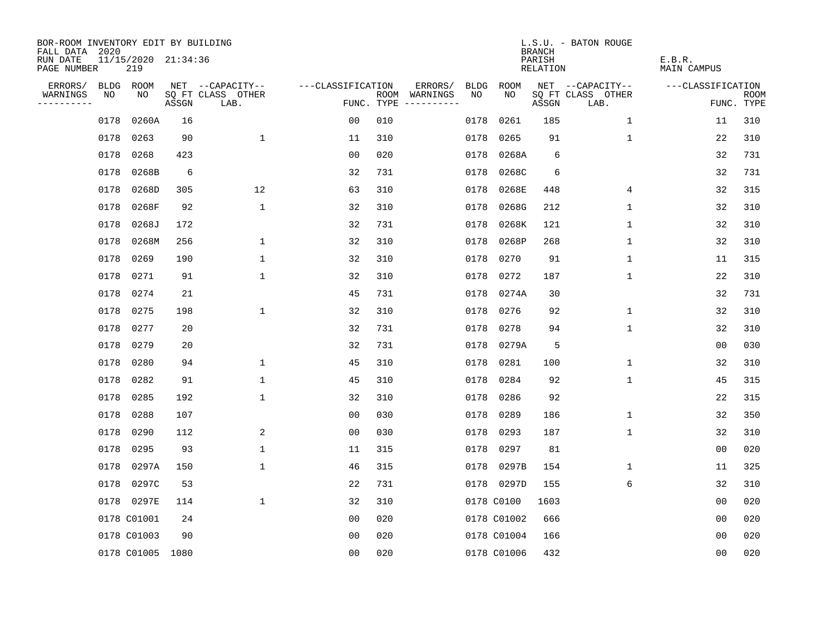| BOR-ROOM INVENTORY EDIT BY BUILDING<br>FALL DATA 2020 |             |                            |       |                           |                   |      |                                 |             |             | <b>BRANCH</b>             | L.S.U. - BATON ROUGE      |                              |                           |
|-------------------------------------------------------|-------------|----------------------------|-------|---------------------------|-------------------|------|---------------------------------|-------------|-------------|---------------------------|---------------------------|------------------------------|---------------------------|
| RUN DATE<br>PAGE NUMBER                               |             | 11/15/2020 21:34:36<br>219 |       |                           |                   |      |                                 |             |             | PARISH<br><b>RELATION</b> |                           | E.B.R.<br><b>MAIN CAMPUS</b> |                           |
| ERRORS/                                               | <b>BLDG</b> | ROOM                       |       | NET --CAPACITY--          | ---CLASSIFICATION |      | ERRORS/                         | <b>BLDG</b> | <b>ROOM</b> |                           | NET --CAPACITY--          | ---CLASSIFICATION            |                           |
| WARNINGS<br>----------                                | NO          | NO                         | ASSGN | SQ FT CLASS OTHER<br>LAB. |                   | ROOM | WARNINGS<br>FUNC. TYPE $------$ | NO          | NO          | ASSGN                     | SQ FT CLASS OTHER<br>LAB. |                              | <b>ROOM</b><br>FUNC. TYPE |
|                                                       | 0178        | 0260A                      | 16    |                           | 0 <sub>0</sub>    | 010  |                                 | 0178        | 0261        | 185                       | $\mathbf 1$               | 11                           | 310                       |
|                                                       | 0178        | 0263                       | 90    | $\mathbf 1$               | 11                | 310  |                                 | 0178        | 0265        | 91                        | 1                         | 22                           | 310                       |
|                                                       | 0178        | 0268                       | 423   |                           | 0 <sub>0</sub>    | 020  |                                 | 0178        | 0268A       | 6                         |                           | 32                           | 731                       |
|                                                       | 0178        | 0268B                      | 6     |                           | 32                | 731  |                                 | 0178        | 0268C       | 6                         |                           | 32                           | 731                       |
|                                                       | 0178        | 0268D                      | 305   | 12                        | 63                | 310  |                                 | 0178        | 0268E       | 448                       | 4                         | 32                           | 315                       |
|                                                       | 0178        | 0268F                      | 92    | $\mathbf 1$               | 32                | 310  |                                 | 0178        | 0268G       | 212                       | 1                         | 32                           | 310                       |
|                                                       | 0178        | 0268J                      | 172   |                           | 32                | 731  |                                 | 0178        | 0268K       | 121                       | $\mathbf{1}$              | 32                           | 310                       |
|                                                       | 0178        | 0268M                      | 256   | $\mathbf{1}$              | 32                | 310  |                                 | 0178        | 0268P       | 268                       | $\mathbf{1}$              | 32                           | 310                       |
|                                                       | 0178        | 0269                       | 190   | $\mathbf{1}$              | 32                | 310  |                                 | 0178        | 0270        | 91                        | $\mathbf{1}$              | 11                           | 315                       |
|                                                       | 0178        | 0271                       | 91    | $\mathbf 1$               | 32                | 310  |                                 | 0178        | 0272        | 187                       | $\mathbf 1$               | 22                           | 310                       |
|                                                       | 0178        | 0274                       | 21    |                           | 45                | 731  |                                 |             | 0178 0274A  | 30                        |                           | 32                           | 731                       |
|                                                       | 0178        | 0275                       | 198   | 1                         | 32                | 310  |                                 | 0178        | 0276        | 92                        | $\mathbf 1$               | 32                           | 310                       |
|                                                       | 0178        | 0277                       | 20    |                           | 32                | 731  |                                 | 0178        | 0278        | 94                        | $\mathbf 1$               | 32                           | 310                       |
|                                                       | 0178        | 0279                       | 20    |                           | 32                | 731  |                                 | 0178        | 0279A       | 5                         |                           | 00                           | 030                       |
|                                                       | 0178        | 0280                       | 94    | $\mathbf{1}$              | 45                | 310  |                                 | 0178        | 0281        | 100                       | $\mathbf{1}$              | 32                           | 310                       |
|                                                       | 0178        | 0282                       | 91    | 1                         | 45                | 310  |                                 | 0178        | 0284        | 92                        | 1                         | 45                           | 315                       |
|                                                       | 0178        | 0285                       | 192   | $\mathbf{1}$              | 32                | 310  |                                 | 0178        | 0286        | 92                        |                           | 22                           | 315                       |
|                                                       | 0178        | 0288                       | 107   |                           | 0 <sub>0</sub>    | 030  |                                 | 0178        | 0289        | 186                       | 1                         | 32                           | 350                       |
|                                                       | 0178        | 0290                       | 112   | 2                         | 0 <sub>0</sub>    | 030  |                                 | 0178        | 0293        | 187                       | 1                         | 32                           | 310                       |
|                                                       | 0178        | 0295                       | 93    | $\mathbf{1}$              | 11                | 315  |                                 | 0178        | 0297        | 81                        |                           | 0 <sub>0</sub>               | 020                       |
|                                                       | 0178        | 0297A                      | 150   | $\mathbf{1}$              | 46                | 315  |                                 | 0178        | 0297B       | 154                       | 1                         | 11                           | 325                       |
|                                                       | 0178        | 0297C                      | 53    |                           | 22                | 731  |                                 |             | 0178 0297D  | 155                       | 6                         | 32                           | 310                       |
|                                                       |             | 0178 0297E                 | 114   | $\mathbf{1}$              | 32                | 310  |                                 |             | 0178 C0100  | 1603                      |                           | 0 <sub>0</sub>               | 020                       |
|                                                       |             | 0178 C01001                | 24    |                           | 0 <sub>0</sub>    | 020  |                                 |             | 0178 C01002 | 666                       |                           | 0 <sub>0</sub>               | 020                       |
|                                                       |             | 0178 C01003                | 90    |                           | 0 <sub>0</sub>    | 020  |                                 |             | 0178 C01004 | 166                       |                           | 0 <sub>0</sub>               | 020                       |
|                                                       |             | 0178 C01005 1080           |       |                           | 0 <sub>0</sub>    | 020  |                                 |             | 0178 C01006 | 432                       |                           | 00                           | 020                       |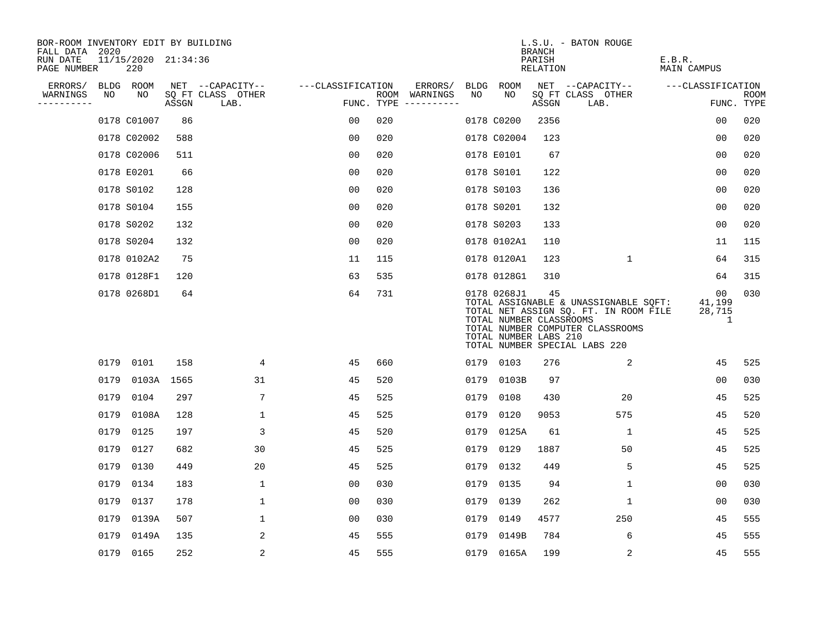| BOR-ROOM INVENTORY EDIT BY BUILDING<br>FALL DATA 2020 |      |                            |       |                           |                   |     |                                      |      |                                                                 | <b>BRANCH</b>      | L.S.U. - BATON ROUGE                                                                                                                                |                                          |                    |
|-------------------------------------------------------|------|----------------------------|-------|---------------------------|-------------------|-----|--------------------------------------|------|-----------------------------------------------------------------|--------------------|-----------------------------------------------------------------------------------------------------------------------------------------------------|------------------------------------------|--------------------|
| RUN DATE<br>PAGE NUMBER                               |      | 11/15/2020 21:34:36<br>220 |       |                           |                   |     |                                      |      |                                                                 | PARISH<br>RELATION |                                                                                                                                                     | E.B.R.<br>MAIN CAMPUS                    |                    |
| ERRORS/                                               |      | BLDG ROOM                  |       | NET --CAPACITY--          | ---CLASSIFICATION |     | ERRORS/                              |      | BLDG ROOM                                                       |                    | NET --CAPACITY--                                                                                                                                    | ---CLASSIFICATION                        |                    |
| WARNINGS<br>----------                                | NO   | NO                         | ASSGN | SQ FT CLASS OTHER<br>LAB. |                   |     | ROOM WARNINGS<br>FUNC. TYPE $------$ | NO   | NO.                                                             | ASSGN              | SQ FT CLASS OTHER<br>LAB.                                                                                                                           |                                          | ROOM<br>FUNC. TYPE |
|                                                       |      | 0178 C01007                | 86    |                           | 0 <sub>0</sub>    | 020 |                                      |      | 0178 C0200                                                      | 2356               |                                                                                                                                                     | 0 <sub>0</sub>                           | 020                |
|                                                       |      | 0178 C02002                | 588   |                           | 0 <sub>0</sub>    | 020 |                                      |      | 0178 C02004                                                     | 123                |                                                                                                                                                     | 0 <sub>0</sub>                           | 020                |
|                                                       |      | 0178 C02006                | 511   |                           | 0 <sub>0</sub>    | 020 |                                      |      | 0178 E0101                                                      | 67                 |                                                                                                                                                     | 0 <sub>0</sub>                           | 020                |
|                                                       |      | 0178 E0201                 | 66    |                           | 0 <sub>0</sub>    | 020 |                                      |      | 0178 S0101                                                      | 122                |                                                                                                                                                     | 00                                       | 020                |
|                                                       |      | 0178 S0102                 | 128   |                           | 0 <sub>0</sub>    | 020 |                                      |      | 0178 S0103                                                      | 136                |                                                                                                                                                     | 00                                       | 020                |
|                                                       |      | 0178 S0104                 | 155   |                           | 0 <sub>0</sub>    | 020 |                                      |      | 0178 S0201                                                      | 132                |                                                                                                                                                     | 0 <sub>0</sub>                           | 020                |
|                                                       |      | 0178 S0202                 | 132   |                           | 0 <sub>0</sub>    | 020 |                                      |      | 0178 S0203                                                      | 133                |                                                                                                                                                     | 00                                       | 020                |
|                                                       |      | 0178 S0204                 | 132   |                           | 0 <sub>0</sub>    | 020 |                                      |      | 0178 0102A1                                                     | 110                |                                                                                                                                                     | 11                                       | 115                |
|                                                       |      | 0178 0102A2                | 75    |                           | 11                | 115 |                                      |      | 0178 0120A1                                                     | 123                | $\mathbf 1$                                                                                                                                         | 64                                       | 315                |
|                                                       |      | 0178 0128F1                | 120   |                           | 63                | 535 |                                      |      | 0178 0128G1                                                     | 310                |                                                                                                                                                     | 64                                       | 315                |
|                                                       |      | 0178 0268D1                | 64    |                           | 64                | 731 |                                      |      | 0178 0268J1<br>TOTAL NUMBER CLASSROOMS<br>TOTAL NUMBER LABS 210 | 45                 | TOTAL ASSIGNABLE & UNASSIGNABLE SQFT:<br>TOTAL NET ASSIGN SQ. FT. IN ROOM FILE<br>TOTAL NUMBER COMPUTER CLASSROOMS<br>TOTAL NUMBER SPECIAL LABS 220 | 00 <sub>o</sub><br>41,199<br>28,715<br>1 | 030                |
|                                                       |      | 0179 0101                  | 158   | 4                         | 45                | 660 |                                      |      | 0179 0103                                                       | 276                | 2                                                                                                                                                   | 45                                       | 525                |
|                                                       | 0179 | 0103A 1565                 |       | 31                        | 45                | 520 |                                      |      | 0179 0103B                                                      | 97                 |                                                                                                                                                     | 00                                       | 030                |
|                                                       | 0179 | 0104                       | 297   | 7                         | 45                | 525 |                                      | 0179 | 0108                                                            | 430                | 20                                                                                                                                                  | 45                                       | 525                |
|                                                       | 0179 | 0108A                      | 128   | $\mathbf{1}$              | 45                | 525 |                                      | 0179 | 0120                                                            | 9053               | 575                                                                                                                                                 | 45                                       | 520                |
|                                                       | 0179 | 0125                       | 197   | 3                         | 45                | 520 |                                      | 0179 | 0125A                                                           | 61                 | $\mathbf{1}$                                                                                                                                        | 45                                       | 525                |
|                                                       | 0179 | 0127                       | 682   | 30                        | 45                | 525 |                                      | 0179 | 0129                                                            | 1887               | 50                                                                                                                                                  | 45                                       | 525                |
|                                                       |      | 0179 0130                  | 449   | 20                        | 45                | 525 |                                      | 0179 | 0132                                                            | 449                | 5                                                                                                                                                   | 45                                       | 525                |
|                                                       | 0179 | 0134                       | 183   | $\mathbf{1}$              | 0 <sub>0</sub>    | 030 |                                      | 0179 | 0135                                                            | 94                 | $\mathbf 1$                                                                                                                                         | 00                                       | 030                |
|                                                       |      | 0179 0137                  | 178   | $\mathbf{1}$              | 00                | 030 |                                      | 0179 | 0139                                                            | 262                | 1                                                                                                                                                   | 00                                       | 030                |
|                                                       |      | 0179 0139A                 | 507   | $\mathbf 1$               | 00                | 030 |                                      | 0179 | 0149                                                            | 4577               | 250                                                                                                                                                 | 45                                       | 555                |
|                                                       | 0179 | 0149A                      | 135   | 2                         | 45                | 555 |                                      | 0179 | 0149B                                                           | 784                | 6                                                                                                                                                   | 45                                       | 555                |
|                                                       |      | 0179 0165                  | 252   | 2                         | 45                | 555 |                                      |      | 0179 0165A                                                      | 199                | 2                                                                                                                                                   | 45                                       | 555                |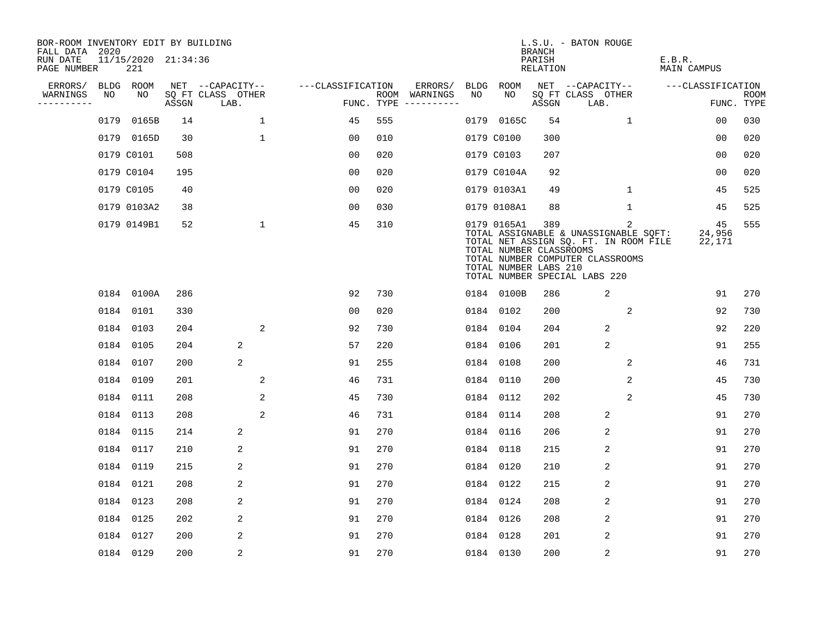| BOR-ROOM INVENTORY EDIT BY BUILDING<br>FALL DATA 2020 |      |                            |       |                           |                    |                                      |     |                                                                 | <b>BRANCH</b>      | L.S.U. - BATON ROUGE                                                                                                                                     |                        |                    |
|-------------------------------------------------------|------|----------------------------|-------|---------------------------|--------------------|--------------------------------------|-----|-----------------------------------------------------------------|--------------------|----------------------------------------------------------------------------------------------------------------------------------------------------------|------------------------|--------------------|
| RUN DATE<br>PAGE NUMBER                               |      | 11/15/2020 21:34:36<br>221 |       |                           |                    |                                      |     |                                                                 | PARISH<br>RELATION |                                                                                                                                                          | E.B.R.<br>MAIN CAMPUS  |                    |
| ERRORS/                                               |      | BLDG ROOM                  |       | NET --CAPACITY--          | ---CLASSIFICATION  | ERRORS/                              |     | BLDG ROOM                                                       |                    | NET --CAPACITY--                                                                                                                                         | ---CLASSIFICATION      |                    |
| WARNINGS<br>----------                                | NO   | NO                         | ASSGN | SQ FT CLASS OTHER<br>LAB. |                    | ROOM WARNINGS<br>FUNC. TYPE $------$ | NO. | NO.                                                             | ASSGN              | SQ FT CLASS OTHER<br>LAB.                                                                                                                                |                        | ROOM<br>FUNC. TYPE |
|                                                       | 0179 | 0165B                      | 14    |                           | $\mathbf{1}$<br>45 | 555                                  |     | 0179 0165C                                                      | 54                 | $\mathbf{1}$                                                                                                                                             | 00                     | 030                |
|                                                       |      | 0179 0165D                 | 30    | $\mathbf{1}$              | 00                 | 010                                  |     | 0179 C0100                                                      | 300                |                                                                                                                                                          | 0 <sub>0</sub>         | 020                |
|                                                       |      | 0179 C0101                 | 508   |                           | 0 <sub>0</sub>     | 020                                  |     | 0179 C0103                                                      | 207                |                                                                                                                                                          | 0 <sub>0</sub>         | 020                |
|                                                       |      | 0179 C0104                 | 195   |                           | 0 <sub>0</sub>     | 020                                  |     | 0179 C0104A                                                     | 92                 |                                                                                                                                                          | 0 <sub>0</sub>         | 020                |
|                                                       |      | 0179 C0105                 | 40    |                           | 0 <sub>0</sub>     | 020                                  |     | 0179 0103A1                                                     | 49                 | $\mathbf{1}$                                                                                                                                             | 45                     | 525                |
|                                                       |      | 0179 0103A2                | 38    |                           | 0 <sub>0</sub>     | 030                                  |     | 0179 0108A1                                                     | 88                 | $\mathbf 1$                                                                                                                                              | 45                     | 525                |
|                                                       |      | 0179 0149B1                | 52    |                           | $\mathbf{1}$<br>45 | 310                                  |     | 0179 0165A1<br>TOTAL NUMBER CLASSROOMS<br>TOTAL NUMBER LABS 210 | 389                | 2<br>TOTAL ASSIGNABLE & UNASSIGNABLE SQFT:<br>TOTAL NET ASSIGN SQ. FT. IN ROOM FILE<br>TOTAL NUMBER COMPUTER CLASSROOMS<br>TOTAL NUMBER SPECIAL LABS 220 | 45<br>24,956<br>22,171 | 555                |
|                                                       |      | 0184 0100A                 | 286   |                           | 92                 | 730                                  |     | 0184 0100B                                                      | 286                | 2                                                                                                                                                        | 91                     | 270                |
|                                                       |      | 0184 0101                  | 330   |                           | 00                 | 020                                  |     | 0184 0102                                                       | 200                | 2                                                                                                                                                        | 92                     | 730                |
|                                                       |      | 0184 0103                  | 204   |                           | 2<br>92            | 730                                  |     | 0184 0104                                                       | 204                | 2                                                                                                                                                        | 92                     | 220                |
|                                                       |      | 0184 0105                  | 204   | 2                         | 57                 | 220                                  |     | 0184 0106                                                       | 201                | 2                                                                                                                                                        | 91                     | 255                |
|                                                       |      | 0184 0107                  | 200   | 2                         | 91                 | 255                                  |     | 0184 0108                                                       | 200                | 2                                                                                                                                                        | 46                     | 731                |
|                                                       |      | 0184 0109                  | 201   |                           | 2<br>46            | 731                                  |     | 0184 0110                                                       | 200                | 2                                                                                                                                                        | 45                     | 730                |
|                                                       |      | 0184 0111                  | 208   |                           | 2<br>45            | 730                                  |     | 0184 0112                                                       | 202                | 2                                                                                                                                                        | 45                     | 730                |
|                                                       |      | 0184 0113                  | 208   |                           | 2<br>46            | 731                                  |     | 0184 0114                                                       | 208                | 2                                                                                                                                                        | 91                     | 270                |
|                                                       |      | 0184 0115                  | 214   | 2                         | 91                 | 270                                  |     | 0184 0116                                                       | 206                | 2                                                                                                                                                        | 91                     | 270                |
|                                                       |      | 0184 0117                  | 210   | 2                         | 91                 | 270                                  |     | 0184 0118                                                       | 215                | 2                                                                                                                                                        | 91                     | 270                |
|                                                       |      | 0184 0119                  | 215   | 2                         | 91                 | 270                                  |     | 0184 0120                                                       | 210                | 2                                                                                                                                                        | 91                     | 270                |
|                                                       |      | 0184 0121                  | 208   | 2                         | 91                 | 270                                  |     | 0184 0122                                                       | 215                | 2                                                                                                                                                        | 91                     | 270                |
|                                                       |      | 0184 0123                  | 208   | 2                         | 91                 | 270                                  |     | 0184 0124                                                       | 208                | 2                                                                                                                                                        | 91                     | 270                |
|                                                       |      | 0184 0125                  | 202   | 2                         | 91                 | 270                                  |     | 0184 0126                                                       | 208                | 2                                                                                                                                                        | 91                     | 270                |
|                                                       |      | 0184 0127                  | 200   | 2                         | 91                 | 270                                  |     | 0184 0128                                                       | 201                | 2                                                                                                                                                        | 91                     | 270                |
|                                                       |      | 0184 0129                  | 200   | $\overline{2}$            | 91                 | 270                                  |     | 0184 0130                                                       | 200                | $\overline{2}$                                                                                                                                           | 91                     | 270                |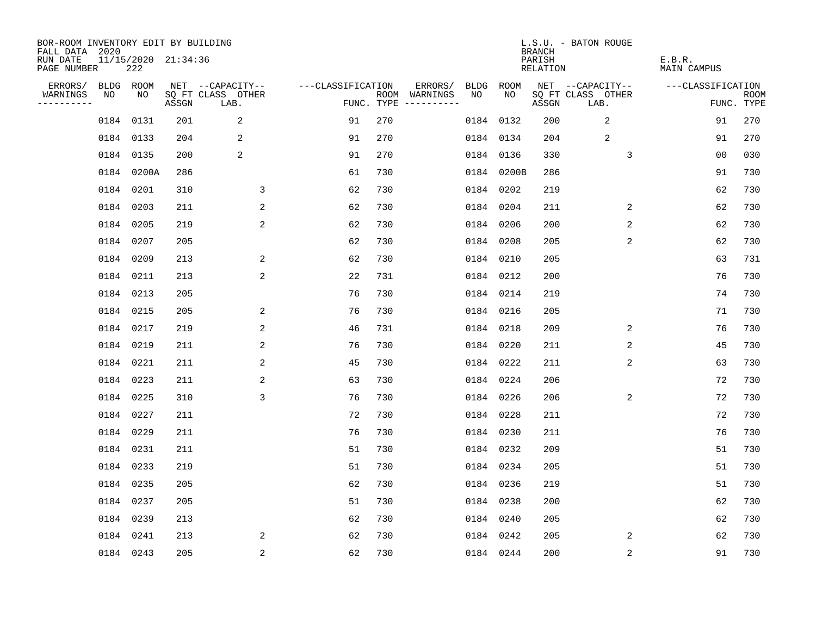| BOR-ROOM INVENTORY EDIT BY BUILDING<br>FALL DATA 2020 |    |                            |       |                           |                   |     |                                      |             |             | <b>BRANCH</b>             | L.S.U. - BATON ROUGE      |                              |                           |
|-------------------------------------------------------|----|----------------------------|-------|---------------------------|-------------------|-----|--------------------------------------|-------------|-------------|---------------------------|---------------------------|------------------------------|---------------------------|
| RUN DATE<br>PAGE NUMBER                               |    | 11/15/2020 21:34:36<br>222 |       |                           |                   |     |                                      |             |             | PARISH<br><b>RELATION</b> |                           | E.B.R.<br><b>MAIN CAMPUS</b> |                           |
| ERRORS/                                               |    | BLDG ROOM                  |       | NET --CAPACITY--          | ---CLASSIFICATION |     | ERRORS/                              | <b>BLDG</b> | <b>ROOM</b> |                           | NET --CAPACITY--          | ---CLASSIFICATION            |                           |
| WARNINGS<br>----------                                | NO | NO                         | ASSGN | SQ FT CLASS OTHER<br>LAB. |                   |     | ROOM WARNINGS<br>FUNC. TYPE $------$ | NO          | NO          | ASSGN                     | SQ FT CLASS OTHER<br>LAB. |                              | <b>ROOM</b><br>FUNC. TYPE |
|                                                       |    | 0184 0131                  | 201   | 2                         | 91                | 270 |                                      |             | 0184 0132   | 200                       | 2                         | 91                           | 270                       |
|                                                       |    | 0184 0133                  | 204   | 2                         | 91                | 270 |                                      |             | 0184 0134   | 204                       | 2                         | 91                           | 270                       |
|                                                       |    | 0184 0135                  | 200   | 2                         | 91                | 270 |                                      |             | 0184 0136   | 330                       | 3                         | 0 <sub>0</sub>               | 030                       |
|                                                       |    | 0184 0200A                 | 286   |                           | 61                | 730 |                                      |             | 0184 0200B  | 286                       |                           | 91                           | 730                       |
|                                                       |    | 0184 0201                  | 310   | 3                         | 62                | 730 |                                      |             | 0184 0202   | 219                       |                           | 62                           | 730                       |
|                                                       |    | 0184 0203                  | 211   | 2                         | 62                | 730 |                                      |             | 0184 0204   | 211                       | 2                         | 62                           | 730                       |
|                                                       |    | 0184 0205                  | 219   | 2                         | 62                | 730 |                                      |             | 0184 0206   | 200                       | 2                         | 62                           | 730                       |
|                                                       |    | 0184 0207                  | 205   |                           | 62                | 730 |                                      |             | 0184 0208   | 205                       | 2                         | 62                           | 730                       |
|                                                       |    | 0184 0209                  | 213   | 2                         | 62                | 730 |                                      |             | 0184 0210   | 205                       |                           | 63                           | 731                       |
|                                                       |    | 0184 0211                  | 213   | 2                         | 22                | 731 |                                      |             | 0184 0212   | 200                       |                           | 76                           | 730                       |
|                                                       |    | 0184 0213                  | 205   |                           | 76                | 730 |                                      |             | 0184 0214   | 219                       |                           | 74                           | 730                       |
|                                                       |    | 0184 0215                  | 205   | 2                         | 76                | 730 |                                      |             | 0184 0216   | 205                       |                           | 71                           | 730                       |
|                                                       |    | 0184 0217                  | 219   | 2                         | 46                | 731 |                                      |             | 0184 0218   | 209                       | 2                         | 76                           | 730                       |
|                                                       |    | 0184 0219                  | 211   | 2                         | 76                | 730 |                                      |             | 0184 0220   | 211                       | 2                         | 45                           | 730                       |
|                                                       |    | 0184 0221                  | 211   | 2                         | 45                | 730 |                                      |             | 0184 0222   | 211                       | 2                         | 63                           | 730                       |
|                                                       |    | 0184 0223                  | 211   | 2                         | 63                | 730 |                                      |             | 0184 0224   | 206                       |                           | 72                           | 730                       |
|                                                       |    | 0184 0225                  | 310   | 3                         | 76                | 730 |                                      |             | 0184 0226   | 206                       | 2                         | 72                           | 730                       |
|                                                       |    | 0184 0227                  | 211   |                           | 72                | 730 |                                      |             | 0184 0228   | 211                       |                           | 72                           | 730                       |
|                                                       |    | 0184 0229                  | 211   |                           | 76                | 730 |                                      |             | 0184 0230   | 211                       |                           | 76                           | 730                       |
|                                                       |    | 0184 0231                  | 211   |                           | 51                | 730 |                                      |             | 0184 0232   | 209                       |                           | 51                           | 730                       |
|                                                       |    | 0184 0233                  | 219   |                           | 51                | 730 |                                      |             | 0184 0234   | 205                       |                           | 51                           | 730                       |
|                                                       |    | 0184 0235                  | 205   |                           | 62                | 730 |                                      |             | 0184 0236   | 219                       |                           | 51                           | 730                       |
|                                                       |    | 0184 0237                  | 205   |                           | 51                | 730 |                                      |             | 0184 0238   | 200                       |                           | 62                           | 730                       |
|                                                       |    | 0184 0239                  | 213   |                           | 62                | 730 |                                      |             | 0184 0240   | 205                       |                           | 62                           | 730                       |
|                                                       |    | 0184 0241                  | 213   | 2                         | 62                | 730 |                                      |             | 0184 0242   | 205                       | 2                         | 62                           | 730                       |
|                                                       |    | 0184 0243                  | 205   | $\overline{c}$            | 62                | 730 |                                      |             | 0184 0244   | 200                       | $\overline{c}$            | 91                           | 730                       |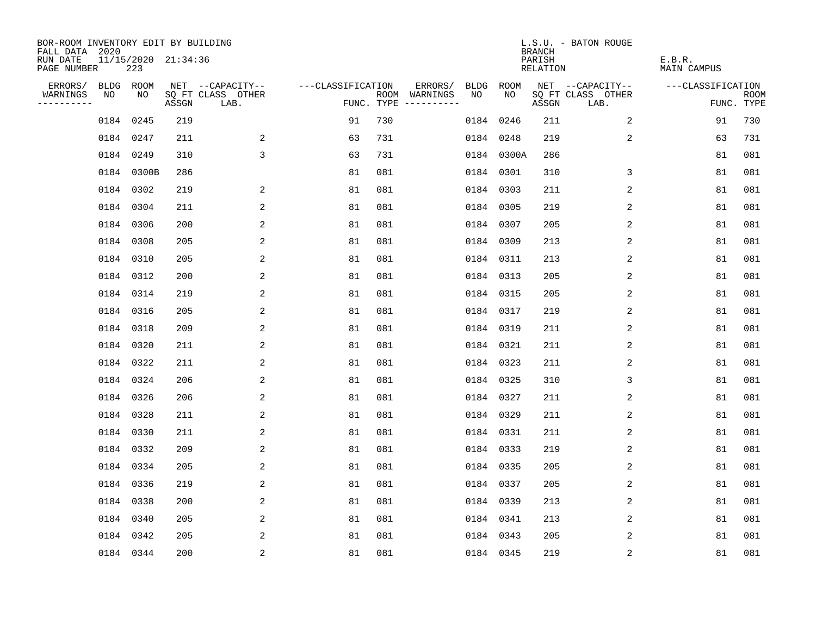| BOR-ROOM INVENTORY EDIT BY BUILDING<br>FALL DATA 2020 |    |                            |       |                           |                   |     |                                      |             |             | <b>BRANCH</b>             | L.S.U. - BATON ROUGE      |                              |                           |
|-------------------------------------------------------|----|----------------------------|-------|---------------------------|-------------------|-----|--------------------------------------|-------------|-------------|---------------------------|---------------------------|------------------------------|---------------------------|
| RUN DATE<br>PAGE NUMBER                               |    | 11/15/2020 21:34:36<br>223 |       |                           |                   |     |                                      |             |             | PARISH<br><b>RELATION</b> |                           | E.B.R.<br><b>MAIN CAMPUS</b> |                           |
| ERRORS/                                               |    | BLDG ROOM                  |       | NET --CAPACITY--          | ---CLASSIFICATION |     | ERRORS/                              | <b>BLDG</b> | <b>ROOM</b> |                           | NET --CAPACITY--          | ---CLASSIFICATION            |                           |
| WARNINGS<br>----------                                | NO | NO                         | ASSGN | SQ FT CLASS OTHER<br>LAB. |                   |     | ROOM WARNINGS<br>FUNC. TYPE $------$ | NO          | NO          | ASSGN                     | SQ FT CLASS OTHER<br>LAB. |                              | <b>ROOM</b><br>FUNC. TYPE |
|                                                       |    | 0184 0245                  | 219   |                           | 91                | 730 |                                      | 0184 0246   |             | 211                       | 2                         | 91                           | 730                       |
|                                                       |    | 0184 0247                  | 211   | 2                         | 63                | 731 |                                      | 0184 0248   |             | 219                       | 2                         | 63                           | 731                       |
|                                                       |    | 0184 0249                  | 310   | 3                         | 63                | 731 |                                      |             | 0184 0300A  | 286                       |                           | 81                           | 081                       |
|                                                       |    | 0184 0300B                 | 286   |                           | 81                | 081 |                                      |             | 0184 0301   | 310                       | 3                         | 81                           | 081                       |
|                                                       |    | 0184 0302                  | 219   | 2                         | 81                | 081 |                                      | 0184 0303   |             | 211                       | 2                         | 81                           | 081                       |
|                                                       |    | 0184 0304                  | 211   | 2                         | 81                | 081 |                                      |             | 0184 0305   | 219                       | 2                         | 81                           | 081                       |
|                                                       |    | 0184 0306                  | 200   | 2                         | 81                | 081 |                                      | 0184 0307   |             | 205                       | 2                         | 81                           | 081                       |
|                                                       |    | 0184 0308                  | 205   | 2                         | 81                | 081 |                                      |             | 0184 0309   | 213                       | 2                         | 81                           | 081                       |
|                                                       |    | 0184 0310                  | 205   | 2                         | 81                | 081 |                                      | 0184 0311   |             | 213                       | 2                         | 81                           | 081                       |
|                                                       |    | 0184 0312                  | 200   | 2                         | 81                | 081 |                                      |             | 0184 0313   | 205                       | 2                         | 81                           | 081                       |
|                                                       |    | 0184 0314                  | 219   | 2                         | 81                | 081 |                                      | 0184 0315   |             | 205                       | 2                         | 81                           | 081                       |
|                                                       |    | 0184 0316                  | 205   | 2                         | 81                | 081 |                                      |             | 0184 0317   | 219                       | 2                         | 81                           | 081                       |
|                                                       |    | 0184 0318                  | 209   | 2                         | 81                | 081 |                                      | 0184 0319   |             | 211                       | 2                         | 81                           | 081                       |
|                                                       |    | 0184 0320                  | 211   | 2                         | 81                | 081 |                                      | 0184 0321   |             | 211                       | 2                         | 81                           | 081                       |
|                                                       |    | 0184 0322                  | 211   | 2                         | 81                | 081 |                                      | 0184 0323   |             | 211                       | 2                         | 81                           | 081                       |
|                                                       |    | 0184 0324                  | 206   | 2                         | 81                | 081 |                                      | 0184 0325   |             | 310                       | 3                         | 81                           | 081                       |
|                                                       |    | 0184 0326                  | 206   | 2                         | 81                | 081 |                                      | 0184 0327   |             | 211                       | 2                         | 81                           | 081                       |
|                                                       |    | 0184 0328                  | 211   | 2                         | 81                | 081 |                                      | 0184 0329   |             | 211                       | 2                         | 81                           | 081                       |
|                                                       |    | 0184 0330                  | 211   | 2                         | 81                | 081 |                                      | 0184 0331   |             | 211                       | 2                         | 81                           | 081                       |
|                                                       |    | 0184 0332                  | 209   | 2                         | 81                | 081 |                                      | 0184 0333   |             | 219                       | 2                         | 81                           | 081                       |
|                                                       |    | 0184 0334                  | 205   | 2                         | 81                | 081 |                                      | 0184 0335   |             | 205                       | 2                         | 81                           | 081                       |
|                                                       |    | 0184 0336                  | 219   | 2                         | 81                | 081 |                                      | 0184 0337   |             | 205                       | 2                         | 81                           | 081                       |
|                                                       |    | 0184 0338                  | 200   | 2                         | 81                | 081 |                                      | 0184 0339   |             | 213                       | 2                         | 81                           | 081                       |
|                                                       |    | 0184 0340                  | 205   | 2                         | 81                | 081 |                                      | 0184 0341   |             | 213                       | 2                         | 81                           | 081                       |
|                                                       |    | 0184 0342                  | 205   | 2                         | 81                | 081 |                                      |             | 0184 0343   | 205                       | 2                         | 81                           | 081                       |
|                                                       |    | 0184 0344                  | 200   | $\overline{c}$            | 81                | 081 |                                      | 0184 0345   |             | 219                       | $\sqrt{2}$                | 81                           | 081                       |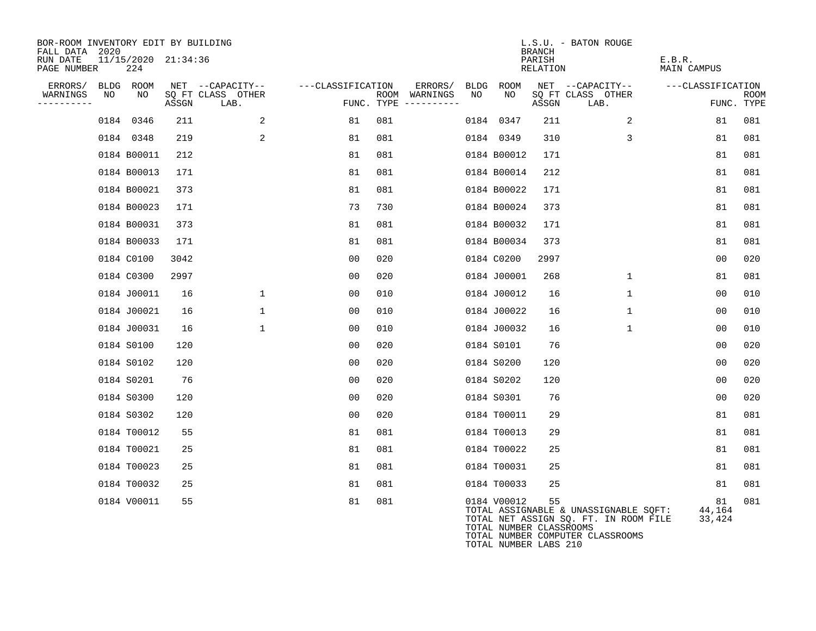| BOR-ROOM INVENTORY EDIT BY BUILDING<br>FALL DATA 2020 |    |                            |       |                           |                   |     |                                      |      |                                                                 | <b>BRANCH</b>      | L.S.U. - BATON ROUGE                                                                                               |                        |                           |
|-------------------------------------------------------|----|----------------------------|-------|---------------------------|-------------------|-----|--------------------------------------|------|-----------------------------------------------------------------|--------------------|--------------------------------------------------------------------------------------------------------------------|------------------------|---------------------------|
| RUN DATE<br>PAGE NUMBER                               |    | 11/15/2020 21:34:36<br>224 |       |                           |                   |     |                                      |      |                                                                 | PARISH<br>RELATION |                                                                                                                    | E.B.R.<br>MAIN CAMPUS  |                           |
| ERRORS/                                               |    | BLDG ROOM                  |       | NET --CAPACITY--          | ---CLASSIFICATION |     | ERRORS/                              | BLDG | ROOM                                                            |                    | NET --CAPACITY--                                                                                                   | ---CLASSIFICATION      |                           |
| WARNINGS<br>----------                                | NO | NO                         | ASSGN | SQ FT CLASS OTHER<br>LAB. |                   |     | ROOM WARNINGS<br>FUNC. TYPE $------$ | NO   | NO                                                              | ASSGN              | SQ FT CLASS OTHER<br>LAB.                                                                                          |                        | <b>ROOM</b><br>FUNC. TYPE |
|                                                       |    | 0184 0346                  | 211   | 2                         | 81                | 081 |                                      |      | 0184 0347                                                       | 211                | 2                                                                                                                  | 81                     | 081                       |
|                                                       |    | 0184 0348                  | 219   | 2                         | 81                | 081 |                                      |      | 0184 0349                                                       | 310                | 3                                                                                                                  | 81                     | 081                       |
|                                                       |    | 0184 B00011                | 212   |                           | 81                | 081 |                                      |      | 0184 B00012                                                     | 171                |                                                                                                                    | 81                     | 081                       |
|                                                       |    | 0184 B00013                | 171   |                           | 81                | 081 |                                      |      | 0184 B00014                                                     | 212                |                                                                                                                    | 81                     | 081                       |
|                                                       |    | 0184 B00021                | 373   |                           | 81                | 081 |                                      |      | 0184 B00022                                                     | 171                |                                                                                                                    | 81                     | 081                       |
|                                                       |    | 0184 B00023                | 171   |                           | 73                | 730 |                                      |      | 0184 B00024                                                     | 373                |                                                                                                                    | 81                     | 081                       |
|                                                       |    | 0184 B00031                | 373   |                           | 81                | 081 |                                      |      | 0184 B00032                                                     | 171                |                                                                                                                    | 81                     | 081                       |
|                                                       |    | 0184 B00033                | 171   |                           | 81                | 081 |                                      |      | 0184 B00034                                                     | 373                |                                                                                                                    | 81                     | 081                       |
|                                                       |    | 0184 C0100                 | 3042  |                           | 0 <sub>0</sub>    | 020 |                                      |      | 0184 C0200                                                      | 2997               |                                                                                                                    | 0 <sub>0</sub>         | 020                       |
|                                                       |    | 0184 C0300                 | 2997  |                           | 00                | 020 |                                      |      | 0184 J00001                                                     | 268                | $\mathbf 1$                                                                                                        | 81                     | 081                       |
|                                                       |    | 0184 J00011                | 16    | $\mathbf 1$               | 00                | 010 |                                      |      | 0184 J00012                                                     | 16                 | $\mathbf 1$                                                                                                        | 0 <sub>0</sub>         | 010                       |
|                                                       |    | 0184 J00021                | 16    | $\mathbf 1$               | 0 <sub>0</sub>    | 010 |                                      |      | 0184 J00022                                                     | 16                 | $\mathbf{1}$                                                                                                       | 0 <sub>0</sub>         | 010                       |
|                                                       |    | 0184 J00031                | 16    | $\mathbf{1}$              | 00                | 010 |                                      |      | 0184 J00032                                                     | 16                 | 1                                                                                                                  | 00                     | 010                       |
|                                                       |    | 0184 S0100                 | 120   |                           | 0 <sub>0</sub>    | 020 |                                      |      | 0184 S0101                                                      | 76                 |                                                                                                                    | 00                     | 020                       |
|                                                       |    | 0184 S0102                 | 120   |                           | 0 <sub>0</sub>    | 020 |                                      |      | 0184 S0200                                                      | 120                |                                                                                                                    | 0 <sub>0</sub>         | 020                       |
|                                                       |    | 0184 S0201                 | 76    |                           | 00                | 020 |                                      |      | 0184 S0202                                                      | 120                |                                                                                                                    | 0 <sub>0</sub>         | 020                       |
|                                                       |    | 0184 S0300                 | 120   |                           | 00                | 020 |                                      |      | 0184 S0301                                                      | 76                 |                                                                                                                    | 00                     | 020                       |
|                                                       |    | 0184 S0302                 | 120   |                           | 00                | 020 |                                      |      | 0184 T00011                                                     | 29                 |                                                                                                                    | 81                     | 081                       |
|                                                       |    | 0184 T00012                | 55    |                           | 81                | 081 |                                      |      | 0184 T00013                                                     | 29                 |                                                                                                                    | 81                     | 081                       |
|                                                       |    | 0184 T00021                | 25    |                           | 81                | 081 |                                      |      | 0184 T00022                                                     | 25                 |                                                                                                                    | 81                     | 081                       |
|                                                       |    | 0184 T00023                | 25    |                           | 81                | 081 |                                      |      | 0184 T00031                                                     | 25                 |                                                                                                                    | 81                     | 081                       |
|                                                       |    | 0184 T00032                | 25    |                           | 81                | 081 |                                      |      | 0184 T00033                                                     | 25                 |                                                                                                                    | 81                     | 081                       |
|                                                       |    | 0184 V00011                | 55    |                           | 81                | 081 |                                      |      | 0184 V00012<br>TOTAL NUMBER CLASSROOMS<br>TOTAL NUMBER LABS 210 | 55                 | TOTAL ASSIGNABLE & UNASSIGNABLE SQFT:<br>TOTAL NET ASSIGN SQ. FT. IN ROOM FILE<br>TOTAL NUMBER COMPUTER CLASSROOMS | 81<br>44,164<br>33,424 | 081                       |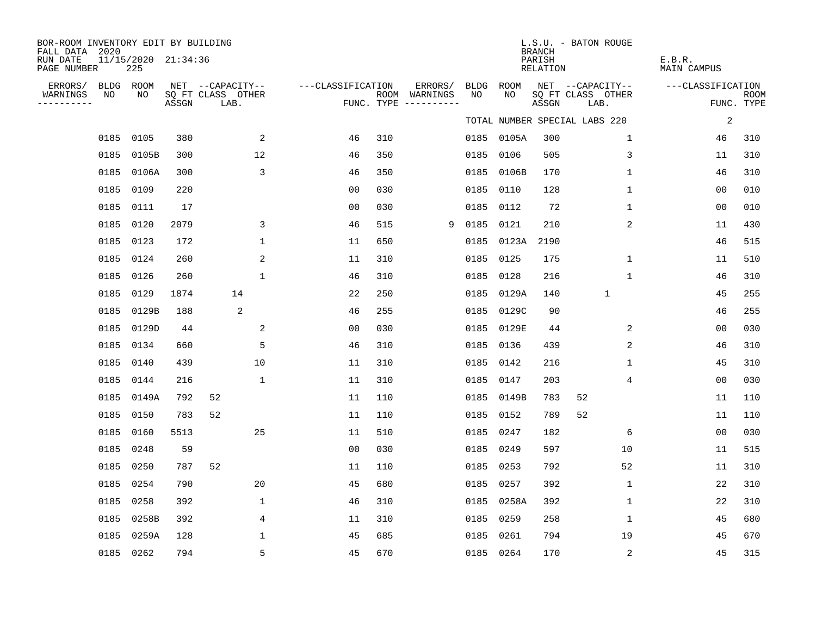| BOR-ROOM INVENTORY EDIT BY BUILDING<br>FALL DATA 2020 |                 |                            |       |                                       |                   |     |                          |            |            | <b>BRANCH</b>      | L.S.U. - BATON ROUGE                  |                              |             |
|-------------------------------------------------------|-----------------|----------------------------|-------|---------------------------------------|-------------------|-----|--------------------------|------------|------------|--------------------|---------------------------------------|------------------------------|-------------|
| RUN DATE<br>PAGE NUMBER                               |                 | 11/15/2020 21:34:36<br>225 |       |                                       |                   |     |                          |            |            | PARISH<br>RELATION |                                       | E.B.R.<br><b>MAIN CAMPUS</b> |             |
| ERRORS/<br>WARNINGS                                   | BLDG ROOM<br>NO | NO                         |       | NET --CAPACITY--<br>SQ FT CLASS OTHER | ---CLASSIFICATION |     | ERRORS/<br>ROOM WARNINGS | BLDG<br>NO | ROOM<br>NO |                    | NET --CAPACITY--<br>SQ FT CLASS OTHER | ---CLASSIFICATION            | <b>ROOM</b> |
| ---------                                             |                 |                            | ASSGN | LAB.                                  |                   |     | FUNC. TYPE $------$      |            |            | ASSGN              | LAB.                                  |                              | FUNC. TYPE  |
|                                                       |                 |                            |       |                                       |                   |     |                          |            |            |                    | TOTAL NUMBER SPECIAL LABS 220         | $\sqrt{2}$                   |             |
|                                                       | 0185 0105       |                            | 380   | 2                                     | 46                | 310 |                          |            | 0185 0105A | 300                | $\mathbf 1$                           | 46                           | 310         |
|                                                       |                 | 0185 0105B                 | 300   | 12                                    | 46                | 350 |                          | 0185       | 0106       | 505                | 3                                     | 11                           | 310         |
|                                                       |                 | 0185 0106A                 | 300   | 3                                     | 46                | 350 |                          |            | 0185 0106B | 170                | $\mathbf{1}$                          | 46                           | 310         |
|                                                       | 0185 0109       |                            | 220   |                                       | 00                | 030 |                          | 0185       | 0110       | 128                | 1                                     | 0 <sub>0</sub>               | 010         |
|                                                       | 0185 0111       |                            | 17    |                                       | 0 <sub>0</sub>    | 030 |                          |            | 0185 0112  | 72                 | $\mathbf 1$                           | 0 <sub>0</sub>               | 010         |
|                                                       | 0185 0120       |                            | 2079  | 3                                     | 46                | 515 | 9                        | 0185       | 0121       | 210                | 2                                     | 11                           | 430         |
|                                                       | 0185 0123       |                            | 172   | $\mathbf{1}$                          | 11                | 650 |                          |            | 0185 0123A | 2190               |                                       | 46                           | 515         |
|                                                       | 0185 0124       |                            | 260   | 2                                     | 11                | 310 |                          | 0185       | 0125       | 175                | $\mathbf 1$                           | 11                           | 510         |
|                                                       | 0185 0126       |                            | 260   | $\mathbf{1}$                          | 46                | 310 |                          | 0185       | 0128       | 216                | 1                                     | 46                           | 310         |
|                                                       | 0185 0129       |                            | 1874  | 14                                    | 22                | 250 |                          |            | 0185 0129A | 140                | $\mathbf{1}$                          | 45                           | 255         |
|                                                       | 0185            | 0129B                      | 188   | 2                                     | 46                | 255 |                          |            | 0185 0129C | 90                 |                                       | 46                           | 255         |
|                                                       |                 | 0185 0129D                 | 44    | 2                                     | 0 <sub>0</sub>    | 030 |                          |            | 0185 0129E | 44                 | 2                                     | 0 <sub>0</sub>               | 030         |
|                                                       | 0185 0134       |                            | 660   | 5                                     | 46                | 310 |                          |            | 0185 0136  | 439                | 2                                     | 46                           | 310         |
|                                                       | 0185 0140       |                            | 439   | 10                                    | 11                | 310 |                          |            | 0185 0142  | 216                | 1                                     | 45                           | 310         |
|                                                       | 0185 0144       |                            | 216   | $\mathbf{1}$                          | 11                | 310 |                          |            | 0185 0147  | 203                | 4                                     | 0 <sub>0</sub>               | 030         |
|                                                       |                 | 0185 0149A                 | 792   | 52                                    | 11                | 110 |                          |            | 0185 0149B | 783                | 52                                    | 11                           | 110         |
|                                                       | 0185 0150       |                            | 783   | 52                                    | 11                | 110 |                          | 0185       | 0152       | 789                | 52                                    | 11                           | 110         |
|                                                       | 0185 0160       |                            | 5513  | 25                                    | 11                | 510 |                          |            | 0185 0247  | 182                | 6                                     | 00                           | 030         |
|                                                       | 0185 0248       |                            | 59    |                                       | 0 <sub>0</sub>    | 030 |                          | 0185       | 0249       | 597                | 10                                    | 11                           | 515         |
|                                                       | 0185 0250       |                            | 787   | 52                                    | 11                | 110 |                          |            | 0185 0253  | 792                | 52                                    | 11                           | 310         |
|                                                       | 0185 0254       |                            | 790   | 20                                    | 45                | 680 |                          | 0185       | 0257       | 392                | $\mathbf{1}$                          | 22                           | 310         |
|                                                       | 0185 0258       |                            | 392   | 1                                     | 46                | 310 |                          |            | 0185 0258A | 392                | $\mathbf{1}$                          | 22                           | 310         |
|                                                       |                 | 0185 0258B                 | 392   | 4                                     | 11                | 310 |                          | 0185       | 0259       | 258                | 1                                     | 45                           | 680         |
|                                                       |                 | 0185 0259A                 | 128   | $\mathbf{1}$                          | 45                | 685 |                          | 0185       | 0261       | 794                | 19                                    | 45                           | 670         |
|                                                       | 0185 0262       |                            | 794   | 5                                     | 45                | 670 |                          |            | 0185 0264  | 170                | 2                                     | 45                           | 315         |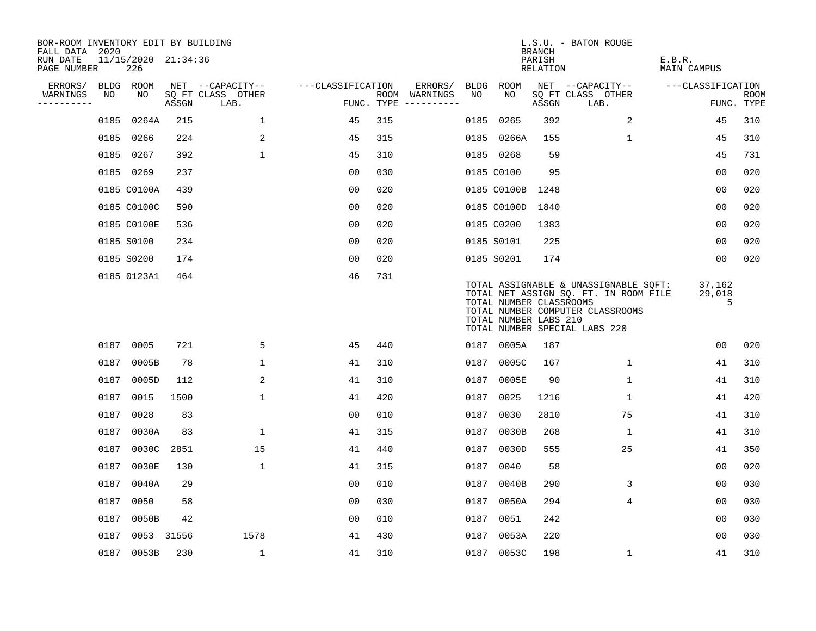| BOR-ROOM INVENTORY EDIT BY BUILDING<br>FALL DATA 2020 |      |                            |       |                           |                   |     |                                      |      |                                                  | <b>BRANCH</b>      | L.S.U. - BATON ROUGE                                                                                                                                |                       |                           |
|-------------------------------------------------------|------|----------------------------|-------|---------------------------|-------------------|-----|--------------------------------------|------|--------------------------------------------------|--------------------|-----------------------------------------------------------------------------------------------------------------------------------------------------|-----------------------|---------------------------|
| RUN DATE<br>PAGE NUMBER                               |      | 11/15/2020 21:34:36<br>226 |       |                           |                   |     |                                      |      |                                                  | PARISH<br>RELATION |                                                                                                                                                     | E.B.R.<br>MAIN CAMPUS |                           |
| ERRORS/                                               |      | BLDG ROOM                  |       | NET --CAPACITY--          | ---CLASSIFICATION |     | ERRORS/                              | BLDG | ROOM                                             |                    | NET --CAPACITY--                                                                                                                                    | ---CLASSIFICATION     |                           |
| WARNINGS<br>----------                                | NO   | NO                         | ASSGN | SQ FT CLASS OTHER<br>LAB. |                   |     | ROOM WARNINGS<br>FUNC. TYPE $------$ | NO.  | NO.                                              | ASSGN              | SQ FT CLASS OTHER<br>LAB.                                                                                                                           |                       | <b>ROOM</b><br>FUNC. TYPE |
|                                                       | 0185 | 0264A                      | 215   | $\mathbf{1}$              | 45                | 315 |                                      | 0185 | 0265                                             | 392                | 2                                                                                                                                                   | 45                    | 310                       |
|                                                       |      | 0185 0266                  | 224   | 2                         | 45                | 315 |                                      |      | 0185 0266A                                       | 155                | $\mathbf 1$                                                                                                                                         | 45                    | 310                       |
|                                                       |      | 0185 0267                  | 392   | $\mathbf{1}$              | 45                | 310 |                                      |      | 0185 0268                                        | 59                 |                                                                                                                                                     | 45                    | 731                       |
|                                                       |      | 0185 0269                  | 237   |                           | 00                | 030 |                                      |      | 0185 C0100                                       | 95                 |                                                                                                                                                     | 0 <sub>0</sub>        | 020                       |
|                                                       |      | 0185 C0100A                | 439   |                           | 00                | 020 |                                      |      | 0185 C0100B                                      | 1248               |                                                                                                                                                     | 0 <sub>0</sub>        | 020                       |
|                                                       |      | 0185 C0100C                | 590   |                           | 0 <sub>0</sub>    | 020 |                                      |      | 0185 C0100D 1840                                 |                    |                                                                                                                                                     | 0 <sub>0</sub>        | 020                       |
|                                                       |      | 0185 C0100E                | 536   |                           | 0 <sub>0</sub>    | 020 |                                      |      | 0185 C0200                                       | 1383               |                                                                                                                                                     | 00                    | 020                       |
|                                                       |      | 0185 S0100                 | 234   |                           | 0 <sub>0</sub>    | 020 |                                      |      | 0185 S0101                                       | 225                |                                                                                                                                                     | 00                    | 020                       |
|                                                       |      | 0185 S0200                 | 174   |                           | 0 <sub>0</sub>    | 020 |                                      |      | 0185 S0201                                       | 174                |                                                                                                                                                     | 0 <sub>0</sub>        | 020                       |
|                                                       |      | 0185 0123A1                | 464   |                           | 46                | 731 |                                      |      | TOTAL NUMBER CLASSROOMS<br>TOTAL NUMBER LABS 210 |                    | TOTAL ASSIGNABLE & UNASSIGNABLE SQFT:<br>TOTAL NET ASSIGN SQ. FT. IN ROOM FILE<br>TOTAL NUMBER COMPUTER CLASSROOMS<br>TOTAL NUMBER SPECIAL LABS 220 | 37,162<br>29,018<br>5 |                           |
|                                                       |      | 0187 0005                  | 721   | 5                         | 45                | 440 |                                      |      | 0187 0005A                                       | 187                |                                                                                                                                                     | 00                    | 020                       |
|                                                       | 0187 | 0005B                      | 78    | $\mathbf 1$               | 41                | 310 |                                      | 0187 | 0005C                                            | 167                | 1                                                                                                                                                   | 41                    | 310                       |
|                                                       | 0187 | 0005D                      | 112   | 2                         | 41                | 310 |                                      | 0187 | 0005E                                            | 90                 | 1                                                                                                                                                   | 41                    | 310                       |
|                                                       | 0187 | 0015                       | 1500  | $\mathbf{1}$              | 41                | 420 |                                      | 0187 | 0025                                             | 1216               | 1                                                                                                                                                   | 41                    | 420                       |
|                                                       | 0187 | 0028                       | 83    |                           | 0 <sub>0</sub>    | 010 |                                      | 0187 | 0030                                             | 2810               | 75                                                                                                                                                  | 41                    | 310                       |
|                                                       | 0187 | 0030A                      | 83    | $\mathbf 1$               | 41                | 315 |                                      | 0187 | 0030B                                            | 268                | 1                                                                                                                                                   | 41                    | 310                       |
|                                                       | 0187 | 0030C                      | 2851  | 15                        | 41                | 440 |                                      | 0187 | 0030D                                            | 555                | 25                                                                                                                                                  | 41                    | 350                       |
|                                                       | 0187 | 0030E                      | 130   | $\mathbf 1$               | 41                | 315 |                                      | 0187 | 0040                                             | 58                 |                                                                                                                                                     | 0 <sub>0</sub>        | 020                       |
|                                                       | 0187 | 0040A                      | 29    |                           | 0 <sub>0</sub>    | 010 |                                      | 0187 | 0040B                                            | 290                | 3                                                                                                                                                   | 0 <sub>0</sub>        | 030                       |
|                                                       | 0187 | 0050                       | 58    |                           | 0 <sub>0</sub>    | 030 |                                      | 0187 | 0050A                                            | 294                | 4                                                                                                                                                   | 0 <sub>0</sub>        | 030                       |
|                                                       | 0187 | 0050B                      | 42    |                           | 0 <sub>0</sub>    | 010 |                                      | 0187 | 0051                                             | 242                |                                                                                                                                                     | 0 <sub>0</sub>        | 030                       |
|                                                       | 0187 | 0053 31556                 |       | 1578                      | 41                | 430 |                                      | 0187 | 0053A                                            | 220                |                                                                                                                                                     | 0 <sub>0</sub>        | 030                       |
|                                                       |      | 0187 0053B                 | 230   | $\mathbf{1}$              | 41                | 310 |                                      |      | 0187 0053C                                       | 198                | $\mathbf{1}$                                                                                                                                        | 41                    | 310                       |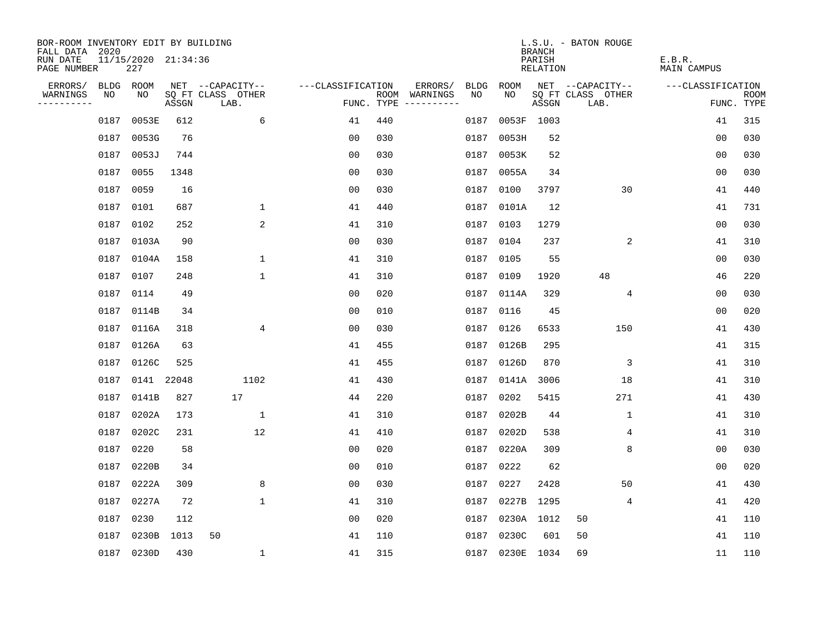| BOR-ROOM INVENTORY EDIT BY BUILDING<br>FALL DATA 2020 |      |                            |       |                           |                   |     |                                      |      |                 | <b>BRANCH</b>      | L.S.U. - BATON ROUGE      |                       |                           |
|-------------------------------------------------------|------|----------------------------|-------|---------------------------|-------------------|-----|--------------------------------------|------|-----------------|--------------------|---------------------------|-----------------------|---------------------------|
| RUN DATE<br>PAGE NUMBER                               |      | 11/15/2020 21:34:36<br>227 |       |                           |                   |     |                                      |      |                 | PARISH<br>RELATION |                           | E.B.R.<br>MAIN CAMPUS |                           |
| ERRORS/                                               | BLDG | ROOM                       |       | NET --CAPACITY--          | ---CLASSIFICATION |     | ERRORS/                              | BLDG | ROOM            |                    | NET --CAPACITY--          | ---CLASSIFICATION     |                           |
| WARNINGS<br>----------                                | NO   | NO.                        | ASSGN | SQ FT CLASS OTHER<br>LAB. |                   |     | ROOM WARNINGS<br>FUNC. TYPE $------$ | NO.  | NO.             | ASSGN              | SQ FT CLASS OTHER<br>LAB. |                       | <b>ROOM</b><br>FUNC. TYPE |
|                                                       | 0187 | 0053E                      | 612   | 6                         | 41                | 440 |                                      | 0187 |                 | 0053F 1003         |                           | 41                    | 315                       |
|                                                       | 0187 | 0053G                      | 76    |                           | 0 <sub>0</sub>    | 030 |                                      | 0187 | 0053H           | 52                 |                           | 0 <sub>0</sub>        | 030                       |
|                                                       | 0187 | 0053J                      | 744   |                           | 0 <sub>0</sub>    | 030 |                                      | 0187 | 0053K           | 52                 |                           | 00                    | 030                       |
|                                                       | 0187 | 0055                       | 1348  |                           | 00                | 030 |                                      | 0187 | 0055A           | 34                 |                           | 0 <sub>0</sub>        | 030                       |
|                                                       | 0187 | 0059                       | 16    |                           | 00                | 030 |                                      | 0187 | 0100            | 3797               | 30                        | 41                    | 440                       |
|                                                       | 0187 | 0101                       | 687   | $\mathbf 1$               | 41                | 440 |                                      | 0187 | 0101A           | 12                 |                           | 41                    | 731                       |
|                                                       | 0187 | 0102                       | 252   | 2                         | 41                | 310 |                                      | 0187 | 0103            | 1279               |                           | 00                    | 030                       |
|                                                       | 0187 | 0103A                      | 90    |                           | 0 <sub>0</sub>    | 030 |                                      | 0187 | 0104            | 237                | 2                         | 41                    | 310                       |
|                                                       | 0187 | 0104A                      | 158   | $\mathbf{1}$              | 41                | 310 |                                      | 0187 | 0105            | 55                 |                           | 0 <sub>0</sub>        | 030                       |
|                                                       | 0187 | 0107                       | 248   | $\mathbf 1$               | 41                | 310 |                                      | 0187 | 0109            | 1920               | 48                        | 46                    | 220                       |
|                                                       | 0187 | 0114                       | 49    |                           | 0 <sub>0</sub>    | 020 |                                      | 0187 | 0114A           | 329                | 4                         | 0 <sub>0</sub>        | 030                       |
|                                                       |      | 0187 0114B                 | 34    |                           | 0 <sub>0</sub>    | 010 |                                      | 0187 | 0116            | 45                 |                           | 0 <sub>0</sub>        | 020                       |
|                                                       | 0187 | 0116A                      | 318   | 4                         | 0 <sub>0</sub>    | 030 |                                      | 0187 | 0126            | 6533               | 150                       | 41                    | 430                       |
|                                                       | 0187 | 0126A                      | 63    |                           | 41                | 455 |                                      | 0187 | 0126B           | 295                |                           | 41                    | 315                       |
|                                                       | 0187 | 0126C                      | 525   |                           | 41                | 455 |                                      | 0187 | 0126D           | 870                | 3                         | 41                    | 310                       |
|                                                       | 0187 | 0141 22048                 |       | 1102                      | 41                | 430 |                                      | 0187 | 0141A           | 3006               | 18                        | 41                    | 310                       |
|                                                       | 0187 | 0141B                      | 827   | 17                        | 44                | 220 |                                      | 0187 | 0202            | 5415               | 271                       | 41                    | 430                       |
|                                                       | 0187 | 0202A                      | 173   | $\mathbf 1$               | 41                | 310 |                                      | 0187 | 0202B           | 44                 | 1                         | 41                    | 310                       |
|                                                       | 0187 | 0202C                      | 231   | 12                        | 41                | 410 |                                      | 0187 | 0202D           | 538                | 4                         | 41                    | 310                       |
|                                                       | 0187 | 0220                       | 58    |                           | 0 <sub>0</sub>    | 020 |                                      | 0187 | 0220A           | 309                | 8                         | 0 <sub>0</sub>        | 030                       |
|                                                       | 0187 | 0220B                      | 34    |                           | 0 <sub>0</sub>    | 010 |                                      | 0187 | 0222            | 62                 |                           | 0 <sub>0</sub>        | 020                       |
|                                                       | 0187 | 0222A                      | 309   | 8                         | 0 <sub>0</sub>    | 030 |                                      | 0187 | 0227            | 2428               | 50                        | 41                    | 430                       |
|                                                       | 0187 | 0227A                      | 72    | $\mathbf 1$               | 41                | 310 |                                      | 0187 | 0227B           | 1295               | 4                         | 41                    | 420                       |
|                                                       | 0187 | 0230                       | 112   |                           | 0 <sub>0</sub>    | 020 |                                      | 0187 | 0230A 1012      |                    | 50                        | 41                    | 110                       |
|                                                       | 0187 | 0230B                      | 1013  | 50                        | 41                | 110 |                                      | 0187 | 0230C           | 601                | 50                        | 41                    | 110                       |
|                                                       |      | 0187 0230D                 | 430   | 1                         | 41                | 315 |                                      |      | 0187 0230E 1034 |                    | 69                        | 11                    | 110                       |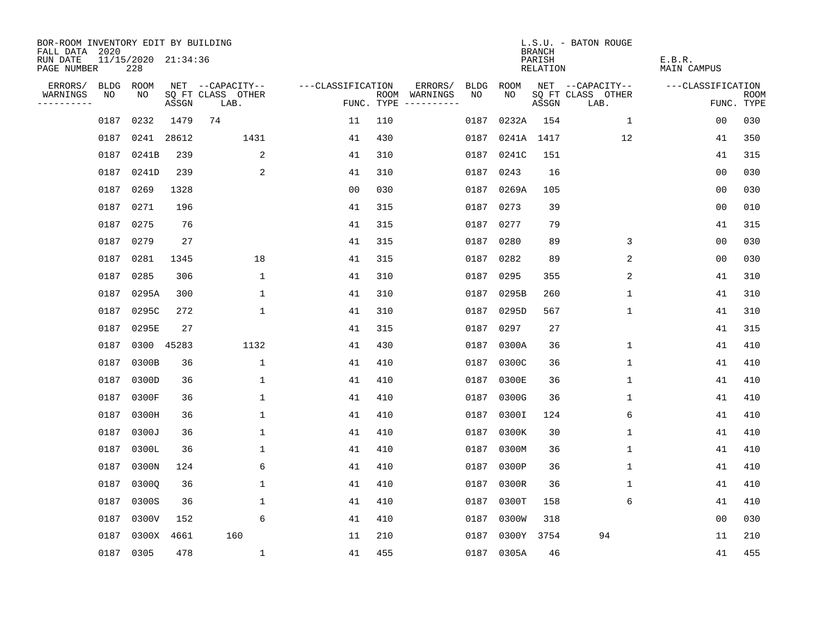| BOR-ROOM INVENTORY EDIT BY BUILDING<br>FALL DATA 2020 |             |                            |       |                           |                   |     |                                      |      |            | <b>BRANCH</b>      | L.S.U. - BATON ROUGE      |                       |                           |
|-------------------------------------------------------|-------------|----------------------------|-------|---------------------------|-------------------|-----|--------------------------------------|------|------------|--------------------|---------------------------|-----------------------|---------------------------|
| RUN DATE<br>PAGE NUMBER                               |             | 11/15/2020 21:34:36<br>228 |       |                           |                   |     |                                      |      |            | PARISH<br>RELATION |                           | E.B.R.<br>MAIN CAMPUS |                           |
| ERRORS/                                               | <b>BLDG</b> | ROOM                       |       | NET --CAPACITY--          | ---CLASSIFICATION |     | ERRORS/                              | BLDG | ROOM       |                    | NET --CAPACITY--          | ---CLASSIFICATION     |                           |
| WARNINGS<br>----------                                | NO          | NO                         | ASSGN | SQ FT CLASS OTHER<br>LAB. |                   |     | ROOM WARNINGS<br>FUNC. TYPE $------$ | NO.  | NO.        | ASSGN              | SQ FT CLASS OTHER<br>LAB. |                       | <b>ROOM</b><br>FUNC. TYPE |
|                                                       | 0187        | 0232                       | 1479  | 74                        | 11                | 110 |                                      | 0187 | 0232A      | 154                | $\mathbf{1}$              | 0 <sub>0</sub>        | 030                       |
|                                                       | 0187        | 0241                       | 28612 | 1431                      | 41                | 430 |                                      | 0187 |            | 0241A 1417         | 12                        | 41                    | 350                       |
|                                                       | 0187        | 0241B                      | 239   | 2                         | 41                | 310 |                                      | 0187 | 0241C      | 151                |                           | 41                    | 315                       |
|                                                       | 0187        | 0241D                      | 239   | 2                         | 41                | 310 |                                      | 0187 | 0243       | 16                 |                           | 0 <sub>0</sub>        | 030                       |
|                                                       | 0187        | 0269                       | 1328  |                           | 0 <sub>0</sub>    | 030 |                                      | 0187 | 0269A      | 105                |                           | 0 <sub>0</sub>        | 030                       |
|                                                       | 0187        | 0271                       | 196   |                           | 41                | 315 |                                      | 0187 | 0273       | 39                 |                           | 0 <sub>0</sub>        | 010                       |
|                                                       | 0187        | 0275                       | 76    |                           | 41                | 315 |                                      | 0187 | 0277       | 79                 |                           | 41                    | 315                       |
|                                                       |             | 0187 0279                  | 27    |                           | 41                | 315 |                                      |      | 0187 0280  | 89                 | 3                         | 0 <sub>0</sub>        | 030                       |
|                                                       | 0187        | 0281                       | 1345  | 18                        | 41                | 315 |                                      | 0187 | 0282       | 89                 | 2                         | 0 <sub>0</sub>        | 030                       |
|                                                       | 0187        | 0285                       | 306   | $\mathbf 1$               | 41                | 310 |                                      | 0187 | 0295       | 355                | 2                         | 41                    | 310                       |
|                                                       | 0187        | 0295A                      | 300   | $\mathbf 1$               | 41                | 310 |                                      | 0187 | 0295B      | 260                | $\mathbf 1$               | 41                    | 310                       |
|                                                       | 0187        | 0295C                      | 272   | $\mathbf{1}$              | 41                | 310 |                                      | 0187 | 0295D      | 567                | $\mathbf 1$               | 41                    | 310                       |
|                                                       | 0187        | 0295E                      | 27    |                           | 41                | 315 |                                      | 0187 | 0297       | 27                 |                           | 41                    | 315                       |
|                                                       | 0187        | 0300 45283                 |       | 1132                      | 41                | 430 |                                      | 0187 | 0300A      | 36                 | $\mathbf 1$               | 41                    | 410                       |
|                                                       | 0187        | 0300B                      | 36    | $\mathbf{1}$              | 41                | 410 |                                      | 0187 | 0300C      | 36                 | $\mathbf{1}$              | 41                    | 410                       |
|                                                       | 0187        | 0300D                      | 36    | $\mathbf 1$               | 41                | 410 |                                      | 0187 | 0300E      | 36                 | 1                         | 41                    | 410                       |
|                                                       | 0187        | 0300F                      | 36    | $\mathbf 1$               | 41                | 410 |                                      | 0187 | 0300G      | 36                 | 1                         | 41                    | 410                       |
|                                                       | 0187        | 0300H                      | 36    | $\mathbf 1$               | 41                | 410 |                                      | 0187 | 0300I      | 124                | 6                         | 41                    | 410                       |
|                                                       | 0187        | 0300J                      | 36    | $\mathbf{1}$              | 41                | 410 |                                      | 0187 | 0300K      | 30                 | 1                         | 41                    | 410                       |
|                                                       | 0187        | 0300L                      | 36    | $\mathbf{1}$              | 41                | 410 |                                      | 0187 | 0300M      | 36                 | 1                         | 41                    | 410                       |
|                                                       | 0187        | 0300N                      | 124   | 6                         | 41                | 410 |                                      | 0187 | 0300P      | 36                 | 1                         | 41                    | 410                       |
|                                                       | 0187        | 03000                      | 36    | $\mathbf 1$               | 41                | 410 |                                      | 0187 | 0300R      | 36                 | 1                         | 41                    | 410                       |
|                                                       | 0187        | 0300S                      | 36    | $\mathbf 1$               | 41                | 410 |                                      | 0187 | 0300T      | 158                | 6                         | 41                    | 410                       |
|                                                       | 0187        | 0300V                      | 152   | 6                         | 41                | 410 |                                      | 0187 | 0300W      | 318                |                           | 0 <sub>0</sub>        | 030                       |
|                                                       | 0187        | 0300X                      | 4661  | 160                       | 11                | 210 |                                      | 0187 | 0300Y      | 3754               | 94                        | 11                    | 210                       |
|                                                       |             | 0187 0305                  | 478   | $\mathbf{1}$              | 41                | 455 |                                      |      | 0187 0305A | 46                 |                           | 41                    | 455                       |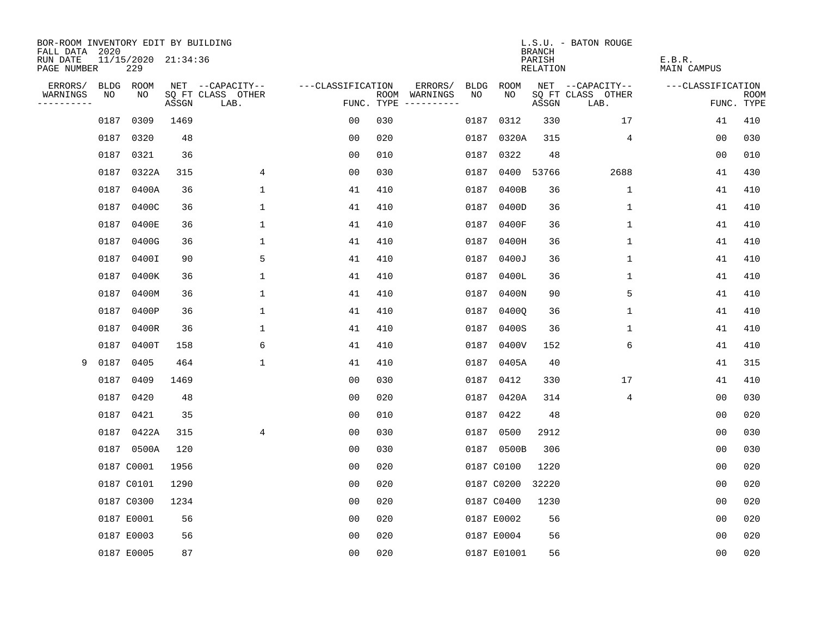| BOR-ROOM INVENTORY EDIT BY BUILDING<br>FALL DATA 2020 |             |                            |       |                           |                   |            |                              |             |             | <b>BRANCH</b>      | L.S.U. - BATON ROUGE      |                       |                           |
|-------------------------------------------------------|-------------|----------------------------|-------|---------------------------|-------------------|------------|------------------------------|-------------|-------------|--------------------|---------------------------|-----------------------|---------------------------|
| RUN DATE<br>PAGE NUMBER                               |             | 11/15/2020 21:34:36<br>229 |       |                           |                   |            |                              |             |             | PARISH<br>RELATION |                           | E.B.R.<br>MAIN CAMPUS |                           |
| ERRORS/                                               | <b>BLDG</b> | ROOM                       |       | NET --CAPACITY--          | ---CLASSIFICATION |            | ERRORS/                      | <b>BLDG</b> | ROOM        |                    | NET --CAPACITY--          | ---CLASSIFICATION     |                           |
| WARNINGS<br>----------                                | NO          | NO                         | ASSGN | SQ FT CLASS OTHER<br>LAB. |                   | FUNC. TYPE | ROOM WARNINGS<br>----------- | NO.         | NO.         | ASSGN              | SQ FT CLASS OTHER<br>LAB. |                       | <b>ROOM</b><br>FUNC. TYPE |
|                                                       | 0187        | 0309                       | 1469  |                           | 00                | 030        |                              | 0187        | 0312        | 330                | 17                        | 41                    | 410                       |
|                                                       | 0187        | 0320                       | 48    |                           | 00                | 020        |                              | 0187        | 0320A       | 315                | 4                         | 0 <sub>0</sub>        | 030                       |
|                                                       | 0187        | 0321                       | 36    |                           | 00                | 010        |                              | 0187        | 0322        | 48                 |                           | 00                    | 010                       |
|                                                       | 0187        | 0322A                      | 315   | 4                         | 00                | 030        |                              | 0187        | 0400 53766  |                    | 2688                      | 41                    | 430                       |
|                                                       | 0187        | 0400A                      | 36    | 1                         | 41                | 410        |                              | 0187        | 0400B       | 36                 | $\mathbf 1$               | 41                    | 410                       |
|                                                       | 0187        | 0400C                      | 36    | 1                         | 41                | 410        |                              |             | 0187 0400D  | 36                 | 1                         | 41                    | 410                       |
|                                                       | 0187        | 0400E                      | 36    | $\mathbf 1$               | 41                | 410        |                              | 0187        | 0400F       | 36                 | $\mathbf{1}$              | 41                    | 410                       |
|                                                       | 0187        | 0400G                      | 36    | 1                         | 41                | 410        |                              |             | 0187 0400H  | 36                 | $\mathbf{1}$              | 41                    | 410                       |
|                                                       | 0187        | 0400I                      | 90    | 5                         | 41                | 410        |                              | 0187        | 0400J       | 36                 | $\mathbf{1}$              | 41                    | 410                       |
|                                                       | 0187        | 0400K                      | 36    | 1                         | 41                | 410        |                              |             | 0187 0400L  | 36                 | 1                         | 41                    | 410                       |
|                                                       | 0187        | 0400M                      | 36    | $\mathbf 1$               | 41                | 410        |                              |             | 0187 0400N  | 90                 | 5                         | 41                    | 410                       |
|                                                       | 0187        | 0400P                      | 36    | 1                         | 41                | 410        |                              |             | 0187 04000  | 36                 | 1                         | 41                    | 410                       |
|                                                       | 0187        | 0400R                      | 36    | $\mathbf 1$               | 41                | 410        |                              | 0187        | 0400S       | 36                 | $\mathbf 1$               | 41                    | 410                       |
|                                                       | 0187        | 0400T                      | 158   | 6                         | 41                | 410        |                              |             | 0187 0400V  | 152                | 6                         | 41                    | 410                       |
| 9                                                     | 0187        | 0405                       | 464   | $\mathbf{1}$              | 41                | 410        |                              |             | 0187 0405A  | 40                 |                           | 41                    | 315                       |
|                                                       | 0187        | 0409                       | 1469  |                           | 0 <sub>0</sub>    | 030        |                              |             | 0187 0412   | 330                | 17                        | 41                    | 410                       |
|                                                       | 0187        | 0420                       | 48    |                           | 0 <sub>0</sub>    | 020        |                              |             | 0187 0420A  | 314                | 4                         | 0 <sub>0</sub>        | 030                       |
|                                                       | 0187        | 0421                       | 35    |                           | 0 <sub>0</sub>    | 010        |                              | 0187        | 0422        | 48                 |                           | 0 <sub>0</sub>        | 020                       |
|                                                       | 0187        | 0422A                      | 315   | 4                         | 0 <sub>0</sub>    | 030        |                              |             | 0187 0500   | 2912               |                           | 0 <sub>0</sub>        | 030                       |
|                                                       |             | 0187 0500A                 | 120   |                           | 0 <sub>0</sub>    | 030        |                              |             | 0187 0500B  | 306                |                           | 0 <sub>0</sub>        | 030                       |
|                                                       |             | 0187 C0001                 | 1956  |                           | 0 <sub>0</sub>    | 020        |                              |             | 0187 C0100  | 1220               |                           | 0 <sub>0</sub>        | 020                       |
|                                                       |             | 0187 C0101                 | 1290  |                           | 0 <sub>0</sub>    | 020        |                              |             | 0187 C0200  | 32220              |                           | 0 <sub>0</sub>        | 020                       |
|                                                       |             | 0187 C0300                 | 1234  |                           | 0 <sub>0</sub>    | 020        |                              |             | 0187 C0400  | 1230               |                           | 0 <sub>0</sub>        | 020                       |
|                                                       |             | 0187 E0001                 | 56    |                           | 00                | 020        |                              |             | 0187 E0002  | 56                 |                           | 0 <sub>0</sub>        | 020                       |
|                                                       |             | 0187 E0003                 | 56    |                           | 0 <sub>0</sub>    | 020        |                              |             | 0187 E0004  | 56                 |                           | 0 <sub>0</sub>        | 020                       |
|                                                       |             | 0187 E0005                 | 87    |                           | 0 <sub>0</sub>    | 020        |                              |             | 0187 E01001 | 56                 |                           | 0 <sub>0</sub>        | 020                       |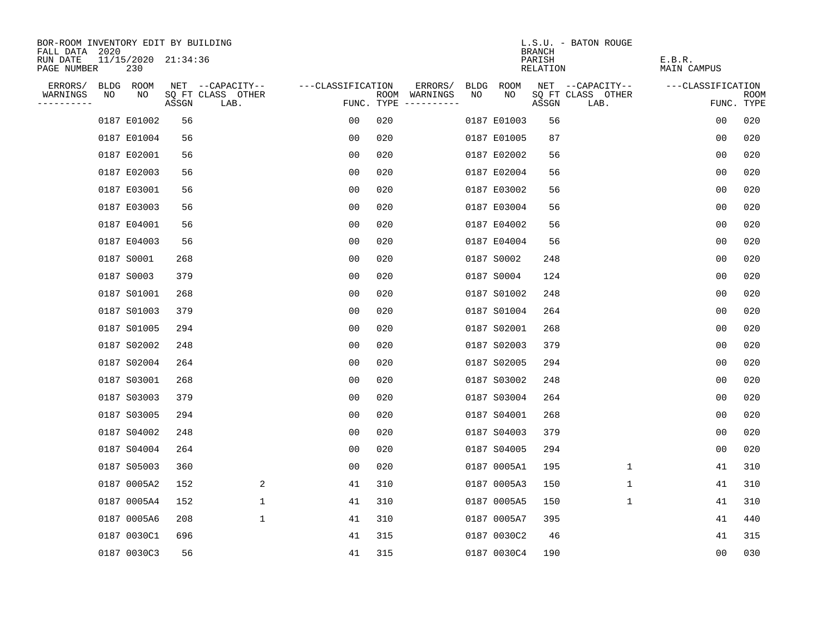| BOR-ROOM INVENTORY EDIT BY BUILDING       |    |                            |       |                           |                   |     |                                      |             |             | <b>BRANCH</b>      | L.S.U. - BATON ROUGE      |                              |                           |
|-------------------------------------------|----|----------------------------|-------|---------------------------|-------------------|-----|--------------------------------------|-------------|-------------|--------------------|---------------------------|------------------------------|---------------------------|
| FALL DATA 2020<br>RUN DATE<br>PAGE NUMBER |    | 11/15/2020 21:34:36<br>230 |       |                           |                   |     |                                      |             |             | PARISH<br>RELATION |                           | E.B.R.<br><b>MAIN CAMPUS</b> |                           |
| ERRORS/                                   |    | BLDG ROOM                  |       | NET --CAPACITY--          | ---CLASSIFICATION |     | ERRORS/                              | <b>BLDG</b> | ROOM        |                    | NET --CAPACITY--          | ---CLASSIFICATION            |                           |
| WARNINGS<br>----------                    | NO | NO                         | ASSGN | SQ FT CLASS OTHER<br>LAB. |                   |     | ROOM WARNINGS<br>FUNC. TYPE $------$ | NO          | NO          | ASSGN              | SQ FT CLASS OTHER<br>LAB. |                              | <b>ROOM</b><br>FUNC. TYPE |
|                                           |    | 0187 E01002                | 56    |                           | 00                | 020 |                                      |             | 0187 E01003 | 56                 |                           | 0 <sub>0</sub>               | 020                       |
|                                           |    | 0187 E01004                | 56    |                           | 0 <sub>0</sub>    | 020 |                                      |             | 0187 E01005 | 87                 |                           | 0 <sub>0</sub>               | 020                       |
|                                           |    | 0187 E02001                | 56    |                           | 0 <sub>0</sub>    | 020 |                                      |             | 0187 E02002 | 56                 |                           | 0 <sub>0</sub>               | 020                       |
|                                           |    | 0187 E02003                | 56    |                           | 0 <sub>0</sub>    | 020 |                                      |             | 0187 E02004 | 56                 |                           | 0 <sub>0</sub>               | 020                       |
|                                           |    | 0187 E03001                | 56    |                           | 0 <sub>0</sub>    | 020 |                                      |             | 0187 E03002 | 56                 |                           | 00                           | 020                       |
|                                           |    | 0187 E03003                | 56    |                           | 00                | 020 |                                      |             | 0187 E03004 | 56                 |                           | 00                           | 020                       |
|                                           |    | 0187 E04001                | 56    |                           | 0 <sub>0</sub>    | 020 |                                      |             | 0187 E04002 | 56                 |                           | 0 <sub>0</sub>               | 020                       |
|                                           |    | 0187 E04003                | 56    |                           | 0 <sub>0</sub>    | 020 |                                      |             | 0187 E04004 | 56                 |                           | 0 <sub>0</sub>               | 020                       |
|                                           |    | 0187 S0001                 | 268   |                           | 0 <sub>0</sub>    | 020 |                                      |             | 0187 S0002  | 248                |                           | 0 <sub>0</sub>               | 020                       |
|                                           |    | 0187 S0003                 | 379   |                           | 0 <sub>0</sub>    | 020 |                                      |             | 0187 S0004  | 124                |                           | 0 <sub>0</sub>               | 020                       |
|                                           |    | 0187 S01001                | 268   |                           | 00                | 020 |                                      |             | 0187 S01002 | 248                |                           | 0 <sub>0</sub>               | 020                       |
|                                           |    | 0187 S01003                | 379   |                           | 0 <sub>0</sub>    | 020 |                                      |             | 0187 S01004 | 264                |                           | 0 <sub>0</sub>               | 020                       |
|                                           |    | 0187 S01005                | 294   |                           | 00                | 020 |                                      |             | 0187 S02001 | 268                |                           | 0 <sub>0</sub>               | 020                       |
|                                           |    | 0187 S02002                | 248   |                           | 0 <sub>0</sub>    | 020 |                                      |             | 0187 S02003 | 379                |                           | 0 <sub>0</sub>               | 020                       |
|                                           |    | 0187 S02004                | 264   |                           | 00                | 020 |                                      |             | 0187 S02005 | 294                |                           | 0 <sub>0</sub>               | 020                       |
|                                           |    | 0187 S03001                | 268   |                           | 0 <sub>0</sub>    | 020 |                                      |             | 0187 S03002 | 248                |                           | 0 <sub>0</sub>               | 020                       |
|                                           |    | 0187 S03003                | 379   |                           | 0 <sub>0</sub>    | 020 |                                      |             | 0187 S03004 | 264                |                           | 0 <sub>0</sub>               | 020                       |
|                                           |    | 0187 S03005                | 294   |                           | 0 <sub>0</sub>    | 020 |                                      |             | 0187 S04001 | 268                |                           | 0 <sub>0</sub>               | 020                       |
|                                           |    | 0187 S04002                | 248   |                           | 0 <sub>0</sub>    | 020 |                                      |             | 0187 S04003 | 379                |                           | 0 <sub>0</sub>               | 020                       |
|                                           |    | 0187 S04004                | 264   |                           | 0 <sub>0</sub>    | 020 |                                      |             | 0187 S04005 | 294                |                           | 0 <sub>0</sub>               | 020                       |
|                                           |    | 0187 S05003                | 360   |                           | 0 <sub>0</sub>    | 020 |                                      |             | 0187 0005A1 | 195                | 1                         | 41                           | 310                       |
|                                           |    | 0187 0005A2                | 152   | 2                         | 41                | 310 |                                      |             | 0187 0005A3 | 150                | 1                         | 41                           | 310                       |
|                                           |    | 0187 0005A4                | 152   | $\mathbf 1$               | 41                | 310 |                                      |             | 0187 0005A5 | 150                | 1                         | 41                           | 310                       |
|                                           |    | 0187 0005A6                | 208   | $\mathbf 1$               | 41                | 310 |                                      |             | 0187 0005A7 | 395                |                           | 41                           | 440                       |
|                                           |    | 0187 0030C1                | 696   |                           | 41                | 315 |                                      |             | 0187 0030C2 | 46                 |                           | 41                           | 315                       |
|                                           |    | 0187 0030C3                | 56    |                           | 41                | 315 |                                      |             | 0187 0030C4 | 190                |                           | 00                           | 030                       |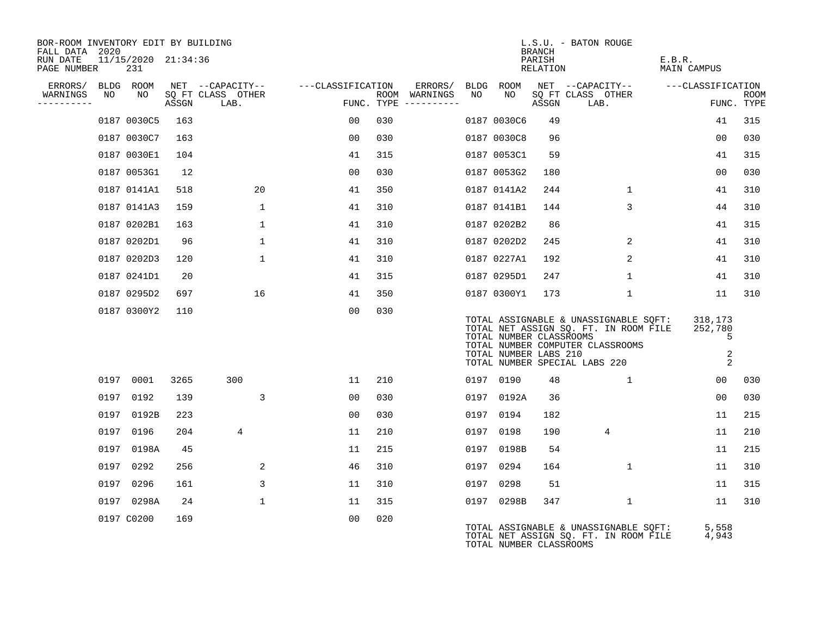| BOR-ROOM INVENTORY EDIT BY BUILDING<br>FALL DATA 2020 |      |                            |       |                           |                                     |     |                                      |    |                                                  | BRANCH             | L.S.U. - BATON ROUGE                                                                                                                                |                                   |                    |
|-------------------------------------------------------|------|----------------------------|-------|---------------------------|-------------------------------------|-----|--------------------------------------|----|--------------------------------------------------|--------------------|-----------------------------------------------------------------------------------------------------------------------------------------------------|-----------------------------------|--------------------|
| RUN DATE<br>PAGE NUMBER                               |      | 11/15/2020 21:34:36<br>231 |       |                           |                                     |     |                                      |    |                                                  | PARISH<br>RELATION |                                                                                                                                                     | E.B.R.<br><b>MAIN CAMPUS</b>      |                    |
| ERRORS/                                               |      | BLDG ROOM                  |       |                           | NET --CAPACITY-- ----CLASSIFICATION |     | ERRORS/                              |    | BLDG ROOM                                        |                    | NET --CAPACITY--                                                                                                                                    | ---CLASSIFICATION                 |                    |
| WARNINGS<br>----------                                | NO   | NO                         | ASSGN | SQ FT CLASS OTHER<br>LAB. |                                     |     | ROOM WARNINGS<br>FUNC. TYPE $------$ | NO | NO                                               | ASSGN              | SQ FT CLASS OTHER<br>LAB.                                                                                                                           |                                   | ROOM<br>FUNC. TYPE |
|                                                       |      | 0187 0030C5                | 163   |                           | 00                                  | 030 |                                      |    | 0187 0030C6                                      | 49                 |                                                                                                                                                     | 41                                | 315                |
|                                                       |      | 0187 0030C7                | 163   |                           | 00                                  | 030 |                                      |    | 0187 0030C8                                      | 96                 |                                                                                                                                                     | 0 <sub>0</sub>                    | 030                |
|                                                       |      | 0187 0030E1                | 104   |                           | 41                                  | 315 |                                      |    | 0187 0053C1                                      | 59                 |                                                                                                                                                     | 41                                | 315                |
|                                                       |      | 0187 0053G1                | 12    |                           | 00                                  | 030 |                                      |    | 0187 0053G2                                      | 180                |                                                                                                                                                     | 00                                | 030                |
|                                                       |      | 0187 0141A1                | 518   | 20                        | 41                                  | 350 |                                      |    | 0187 0141A2                                      | 244                | $\mathbf{1}$                                                                                                                                        | 41                                | 310                |
|                                                       |      | 0187 0141A3                | 159   | $\mathbf{1}$              | 41                                  | 310 |                                      |    | 0187 0141B1                                      | 144                | 3                                                                                                                                                   | 44                                | 310                |
|                                                       |      | 0187 0202B1                | 163   | $\mathbf 1$               | 41                                  | 310 |                                      |    | 0187 0202B2                                      | 86                 |                                                                                                                                                     | 41                                | 315                |
|                                                       |      | 0187 0202D1                | 96    | $\mathbf 1$               | 41                                  | 310 |                                      |    | 0187 0202D2                                      | 245                | $\overline{2}$                                                                                                                                      | 41                                | 310                |
|                                                       |      | 0187 0202D3                | 120   | $\mathbf{1}$              | 41                                  | 310 |                                      |    | 0187 0227A1                                      | 192                | $\overline{2}$                                                                                                                                      | 41                                | 310                |
|                                                       |      | 0187 0241D1                | 20    |                           | 41                                  | 315 |                                      |    | 0187 0295D1                                      | 247                | $\mathbf 1$                                                                                                                                         | 41                                | 310                |
|                                                       |      | 0187 0295D2                | 697   | 16                        | 41                                  | 350 |                                      |    | 0187 0300Y1                                      | 173                | 1                                                                                                                                                   | 11                                | 310                |
|                                                       |      | 0187 0300Y2                | 110   |                           | 0 <sub>0</sub>                      | 030 |                                      |    | TOTAL NUMBER CLASSROOMS<br>TOTAL NUMBER LABS 210 |                    | TOTAL ASSIGNABLE & UNASSIGNABLE SQFT:<br>TOTAL NET ASSIGN SQ. FT. IN ROOM FILE<br>TOTAL NUMBER COMPUTER CLASSROOMS<br>TOTAL NUMBER SPECIAL LABS 220 | 318,173<br>252,780<br>5<br>2<br>2 |                    |
|                                                       |      | 0197 0001                  | 3265  | 300                       | 11                                  | 210 |                                      |    | 0197 0190                                        | 48                 | $\mathbf{1}$                                                                                                                                        | 00                                | 030                |
|                                                       | 0197 | 0192                       | 139   | 3                         | 00                                  | 030 |                                      |    | 0197 0192A                                       | 36                 |                                                                                                                                                     | 00                                | 030                |
|                                                       | 0197 | 0192B                      | 223   |                           | 0 <sub>0</sub>                      | 030 |                                      |    | 0197 0194                                        | 182                |                                                                                                                                                     | 11                                | 215                |
|                                                       | 0197 | 0196                       | 204   | 4                         | 11                                  | 210 |                                      |    | 0197 0198                                        | 190                | 4                                                                                                                                                   | 11                                | 210                |
|                                                       | 0197 | 0198A                      | 45    |                           | 11                                  | 215 |                                      |    | 0197 0198B                                       | 54                 |                                                                                                                                                     | 11                                | 215                |
|                                                       | 0197 | 0292                       | 256   | 2                         | 46                                  | 310 |                                      |    | 0197 0294                                        | 164                | $\mathbf{1}$                                                                                                                                        | 11                                | 310                |
|                                                       | 0197 | 0296                       | 161   | 3                         | 11                                  | 310 |                                      |    | 0197 0298                                        | 51                 |                                                                                                                                                     | 11                                | 315                |
|                                                       |      | 0197 0298A                 | 24    | $\mathbf{1}$              | 11                                  | 315 |                                      |    | 0197 0298B                                       | 347                | 1                                                                                                                                                   | 11                                | 310                |
|                                                       |      | 0197 C0200                 | 169   |                           | 0 <sub>0</sub>                      | 020 |                                      |    | TOTAL NUMBER CLASSROOMS                          |                    | TOTAL ASSIGNABLE & UNASSIGNABLE SQFT:<br>TOTAL NET ASSIGN SQ. FT. IN ROOM FILE                                                                      | 5,558<br>4,943                    |                    |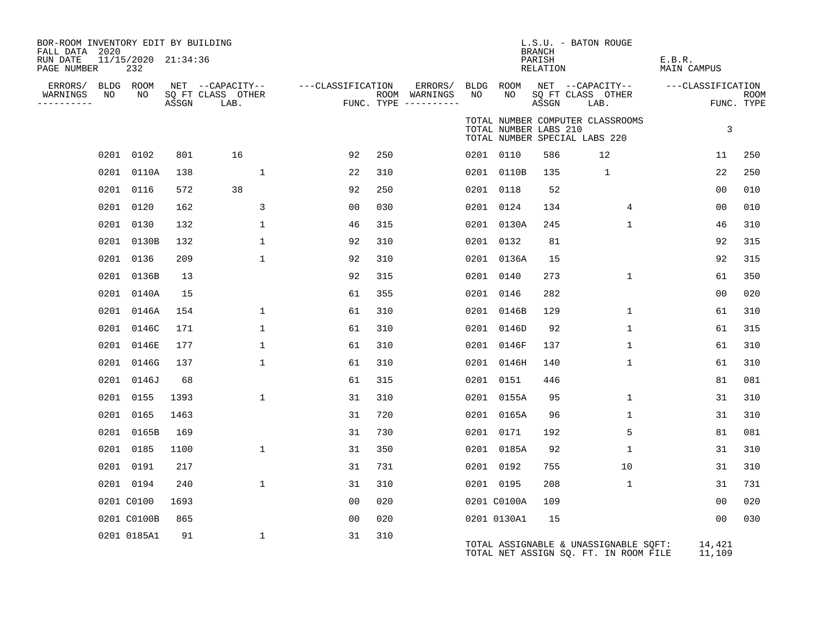| BOR-ROOM INVENTORY EDIT BY BUILDING<br>FALL DATA 2020<br>RUN DATE<br>PAGE NUMBER | 11/15/2020 21:34:36<br>232 |       |                                               |                   |     |                                                 |    |                       | <b>BRANCH</b><br>PARISH<br>RELATION | L.S.U. - BATON ROUGE                                                           | E.B.R.<br><b>MAIN CAMPUS</b> |                           |
|----------------------------------------------------------------------------------|----------------------------|-------|-----------------------------------------------|-------------------|-----|-------------------------------------------------|----|-----------------------|-------------------------------------|--------------------------------------------------------------------------------|------------------------------|---------------------------|
| ERRORS/<br>WARNINGS<br>NO<br>----------                                          | BLDG ROOM<br>NO            | ASSGN | NET --CAPACITY--<br>SQ FT CLASS OTHER<br>LAB. | ---CLASSIFICATION |     | ERRORS/<br>ROOM WARNINGS<br>FUNC. TYPE $------$ | NO | BLDG ROOM<br>NO       | ASSGN                               | NET --CAPACITY--<br>SQ FT CLASS OTHER<br>LAB.                                  | ---CLASSIFICATION            | <b>ROOM</b><br>FUNC. TYPE |
|                                                                                  |                            |       |                                               |                   |     |                                                 |    | TOTAL NUMBER LABS 210 |                                     | TOTAL NUMBER COMPUTER CLASSROOMS<br>TOTAL NUMBER SPECIAL LABS 220              | 3                            |                           |
|                                                                                  | 0201 0102                  | 801   | 16                                            | 92                | 250 |                                                 |    | 0201 0110             | 586                                 | 12                                                                             | 11                           | 250                       |
|                                                                                  | 0201 0110A                 | 138   | $\mathbf{1}$                                  | 22                | 310 |                                                 |    | 0201 0110B            | 135                                 | $\mathbf{1}$                                                                   | 22                           | 250                       |
|                                                                                  | 0201 0116                  | 572   | 38                                            | 92                | 250 |                                                 |    | 0201 0118             | 52                                  |                                                                                | 00                           | 010                       |
|                                                                                  | 0201 0120                  | 162   | 3                                             | 0 <sub>0</sub>    | 030 |                                                 |    | 0201 0124             | 134                                 | 4                                                                              | 00                           | 010                       |
|                                                                                  | 0201 0130                  | 132   | $\mathbf 1$                                   | 46                | 315 |                                                 |    | 0201 0130A            | 245                                 | $\mathbf 1$                                                                    | 46                           | 310                       |
|                                                                                  | 0201 0130B                 | 132   | $\mathbf{1}$                                  | 92                | 310 |                                                 |    | 0201 0132             | 81                                  |                                                                                | 92                           | 315                       |
|                                                                                  | 0201 0136                  | 209   | $\mathbf{1}$                                  | 92                | 310 |                                                 |    | 0201 0136A            | 15                                  |                                                                                | 92                           | 315                       |
|                                                                                  | 0201 0136B                 | 13    |                                               | 92                | 315 |                                                 |    | 0201 0140             | 273                                 | $\mathbf 1$                                                                    | 61                           | 350                       |
|                                                                                  | 0201 0140A                 | 15    |                                               | 61                | 355 |                                                 |    | 0201 0146             | 282                                 |                                                                                | 00                           | 020                       |
|                                                                                  | 0201 0146A                 | 154   | $\mathbf 1$                                   | 61                | 310 |                                                 |    | 0201 0146B            | 129                                 | $\mathbf 1$                                                                    | 61                           | 310                       |
|                                                                                  | 0201 0146C                 | 171   | $\mathbf{1}$                                  | 61                | 310 |                                                 |    | 0201 0146D            | 92                                  | $\mathbf 1$                                                                    | 61                           | 315                       |
|                                                                                  | 0201 0146E                 | 177   | $\mathbf{1}$                                  | 61                | 310 |                                                 |    | 0201 0146F            | 137                                 | $\mathbf 1$                                                                    | 61                           | 310                       |
|                                                                                  | 0201 0146G                 | 137   | $\mathbf 1$                                   | 61                | 310 |                                                 |    | 0201 0146H            | 140                                 | $\mathbf{1}$                                                                   | 61                           | 310                       |
|                                                                                  | 0201 0146J                 | 68    |                                               | 61                | 315 |                                                 |    | 0201 0151             | 446                                 |                                                                                | 81                           | 081                       |
|                                                                                  | 0201 0155                  | 1393  | $\mathbf{1}$                                  | 31                | 310 |                                                 |    | 0201 0155A            | 95                                  | $\mathbf 1$                                                                    | 31                           | 310                       |
|                                                                                  | 0201 0165                  | 1463  |                                               | 31                | 720 |                                                 |    | 0201 0165A            | 96                                  | $\mathbf 1$                                                                    | 31                           | 310                       |
|                                                                                  | 0201 0165B                 | 169   |                                               | 31                | 730 |                                                 |    | 0201 0171             | 192                                 | 5                                                                              | 81                           | 081                       |
|                                                                                  | 0201 0185                  | 1100  | $\mathbf{1}$                                  | 31                | 350 |                                                 |    | 0201 0185A            | 92                                  | $\mathbf 1$                                                                    | 31                           | 310                       |
|                                                                                  | 0201 0191                  | 217   |                                               | 31                | 731 |                                                 |    | 0201 0192             | 755                                 | 10                                                                             | 31                           | 310                       |
|                                                                                  | 0201 0194                  | 240   | $\mathbf{1}$                                  | 31                | 310 |                                                 |    | 0201 0195             | 208                                 | $\mathbf{1}$                                                                   | 31                           | 731                       |
|                                                                                  | 0201 C0100                 | 1693  |                                               | 0 <sub>0</sub>    | 020 |                                                 |    | 0201 C0100A           | 109                                 |                                                                                | 0 <sub>0</sub>               | 020                       |
|                                                                                  | 0201 C0100B                | 865   |                                               | 0 <sub>0</sub>    | 020 |                                                 |    | 0201 0130A1           | 15                                  |                                                                                | 0 <sub>0</sub>               | 030                       |
|                                                                                  | 0201 0185A1                | 91    | $\mathbf{1}$                                  | 31                | 310 |                                                 |    |                       |                                     | TOTAL ASSIGNABLE & UNASSIGNABLE SQFT:<br>TOTAL NET ASSIGN SQ. FT. IN ROOM FILE | 14,421<br>11,109             |                           |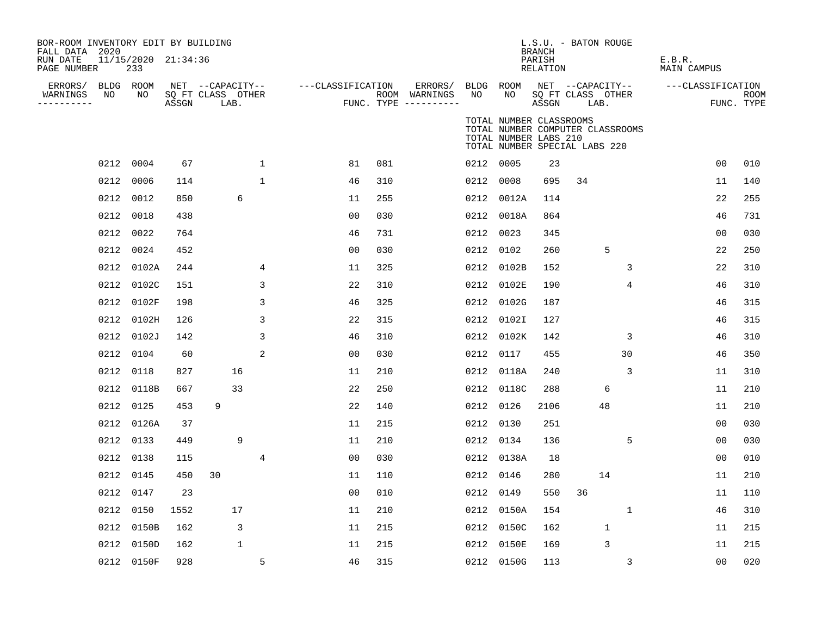| BOR-ROOM INVENTORY EDIT BY BUILDING<br>FALL DATA 2020 |      |                            |       |                                       |              |                   |     |                          |           |                                                  | <b>BRANCH</b>      | L.S.U. - BATON ROUGE          |                                  |                       |                |             |
|-------------------------------------------------------|------|----------------------------|-------|---------------------------------------|--------------|-------------------|-----|--------------------------|-----------|--------------------------------------------------|--------------------|-------------------------------|----------------------------------|-----------------------|----------------|-------------|
| RUN DATE<br>PAGE NUMBER                               |      | 11/15/2020 21:34:36<br>233 |       |                                       |              |                   |     |                          |           |                                                  | PARISH<br>RELATION |                               |                                  | E.B.R.<br>MAIN CAMPUS |                |             |
| ERRORS/<br>WARNINGS                                   | NO   | BLDG ROOM<br>NO            |       | NET --CAPACITY--<br>SQ FT CLASS OTHER |              | ---CLASSIFICATION |     | ERRORS/<br>ROOM WARNINGS | NO        | BLDG ROOM<br>NO                                  |                    | SQ FT CLASS OTHER             | NET --CAPACITY--                 | ---CLASSIFICATION     |                | <b>ROOM</b> |
| ----------                                            |      |                            | ASSGN | LAB.                                  |              |                   |     | FUNC. TYPE ----------    |           |                                                  | ASSGN              | LAB.                          |                                  |                       | FUNC. TYPE     |             |
|                                                       |      |                            |       |                                       |              |                   |     |                          |           | TOTAL NUMBER CLASSROOMS<br>TOTAL NUMBER LABS 210 |                    | TOTAL NUMBER SPECIAL LABS 220 | TOTAL NUMBER COMPUTER CLASSROOMS |                       |                |             |
|                                                       |      | 0212 0004                  | 67    |                                       | $\mathbf{1}$ | 81                | 081 |                          | 0212 0005 |                                                  | 23                 |                               |                                  |                       | 0 <sub>0</sub> | 010         |
|                                                       | 0212 | 0006                       | 114   |                                       | $\mathbf{1}$ | 46                | 310 |                          | 0212 0008 |                                                  | 695                | 34                            |                                  |                       | 11             | 140         |
|                                                       | 0212 | 0012                       | 850   | 6                                     |              | 11                | 255 |                          |           | 0212 0012A                                       | 114                |                               |                                  |                       | 22             | 255         |
|                                                       |      | 0212 0018                  | 438   |                                       |              | 00                | 030 |                          |           | 0212 0018A                                       | 864                |                               |                                  |                       | 46             | 731         |
|                                                       | 0212 | 0022                       | 764   |                                       |              | 46                | 731 |                          | 0212 0023 |                                                  | 345                |                               |                                  |                       | 00             | 030         |
|                                                       |      | 0212 0024                  | 452   |                                       |              | 0 <sub>0</sub>    | 030 |                          |           | 0212 0102                                        | 260                |                               | 5                                |                       | 22             | 250         |
|                                                       |      | 0212 0102A                 | 244   |                                       | 4            | 11                | 325 |                          |           | 0212 0102B                                       | 152                |                               | 3                                |                       | 22             | 310         |
|                                                       |      | 0212 0102C                 | 151   |                                       | 3            | 22                | 310 |                          |           | 0212 0102E                                       | 190                |                               | 4                                |                       | 46             | 310         |
|                                                       | 0212 | 0102F                      | 198   |                                       | 3            | 46                | 325 |                          |           | 0212 0102G                                       | 187                |                               |                                  |                       | 46             | 315         |
|                                                       | 0212 | 0102H                      | 126   |                                       | 3            | 22                | 315 |                          |           | 0212 0102I                                       | 127                |                               |                                  |                       | 46             | 315         |
|                                                       |      | 0212 0102J                 | 142   |                                       | 3            | 46                | 310 |                          |           | 0212 0102K                                       | 142                |                               | 3                                |                       | 46             | 310         |
|                                                       | 0212 | 0104                       | 60    |                                       | 2            | 00                | 030 |                          | 0212 0117 |                                                  | 455                |                               | 30                               |                       | 46             | 350         |
|                                                       |      | 0212 0118                  | 827   | 16                                    |              | 11                | 210 |                          |           | 0212 0118A                                       | 240                |                               | 3                                |                       | 11             | 310         |
|                                                       |      | 0212 0118B                 | 667   | 33                                    |              | 22                | 250 |                          |           | 0212 0118C                                       | 288                |                               | 6                                |                       | 11             | 210         |
|                                                       |      | 0212 0125                  | 453   | 9                                     |              | 22                | 140 |                          | 0212 0126 |                                                  | 2106               |                               | 48                               |                       | 11             | 210         |
|                                                       |      | 0212 0126A                 | 37    |                                       |              | 11                | 215 |                          | 0212 0130 |                                                  | 251                |                               |                                  |                       | 00             | 030         |
|                                                       |      | 0212 0133                  | 449   | 9                                     |              | 11                | 210 |                          |           | 0212 0134                                        | 136                |                               | 5                                |                       | 00             | 030         |
|                                                       |      | 0212 0138                  | 115   |                                       | 4            | 0 <sub>0</sub>    | 030 |                          |           | 0212 0138A                                       | 18                 |                               |                                  |                       | 00             | 010         |
|                                                       | 0212 | 0145                       | 450   | 30                                    |              | 11                | 110 |                          |           | 0212 0146                                        | 280                |                               | 14                               |                       | 11             | 210         |
|                                                       |      | 0212 0147                  | 23    |                                       |              | 00                | 010 |                          | 0212 0149 |                                                  | 550                | 36                            |                                  |                       | 11             | 110         |
|                                                       | 0212 | 0150                       | 1552  | 17                                    |              | 11                | 210 |                          |           | 0212 0150A                                       | 154                |                               | 1                                |                       | 46             | 310         |
|                                                       |      | 0212 0150B                 | 162   | 3                                     |              | 11                | 215 |                          |           | 0212 0150C                                       | 162                |                               | $\mathbf{1}$                     |                       | 11             | 215         |
|                                                       | 0212 | 0150D                      | 162   | 1                                     |              | 11                | 215 |                          |           | 0212 0150E                                       | 169                |                               | 3                                |                       | 11             | 215         |
|                                                       |      | 0212 0150F                 | 928   |                                       | 5            | 46                | 315 |                          |           | 0212 0150G                                       | 113                |                               | 3                                |                       | 0 <sub>0</sub> | 020         |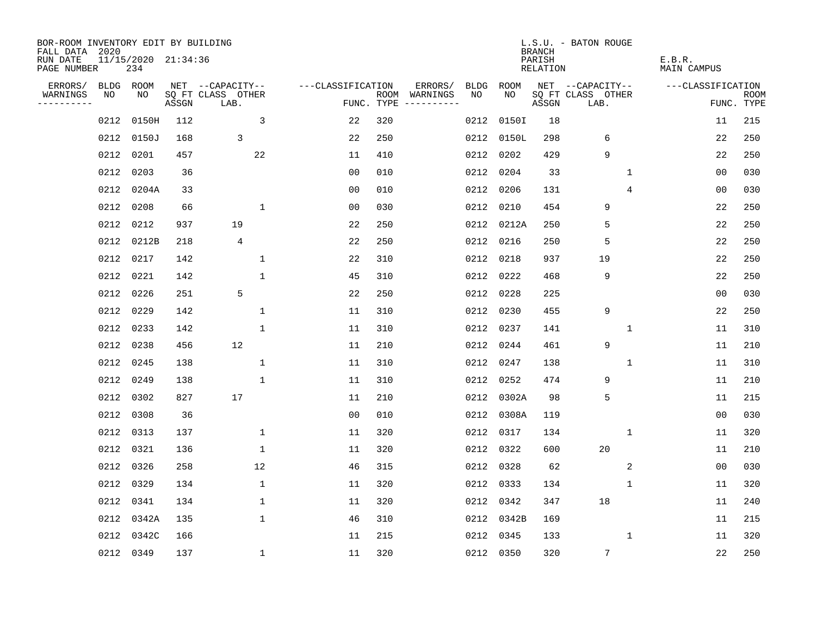| BOR-ROOM INVENTORY EDIT BY BUILDING<br>FALL DATA 2020 |           |                            |       |                           |                   |     |                                      |      |            | <b>BRANCH</b>      | L.S.U. - BATON ROUGE      |             |                       |                           |
|-------------------------------------------------------|-----------|----------------------------|-------|---------------------------|-------------------|-----|--------------------------------------|------|------------|--------------------|---------------------------|-------------|-----------------------|---------------------------|
| RUN DATE<br>PAGE NUMBER                               |           | 11/15/2020 21:34:36<br>234 |       |                           |                   |     |                                      |      |            | PARISH<br>RELATION |                           |             | E.B.R.<br>MAIN CAMPUS |                           |
| ERRORS/                                               |           | BLDG ROOM                  |       | NET --CAPACITY--          | ---CLASSIFICATION |     | ERRORS/                              | BLDG | ROOM       |                    | NET --CAPACITY--          |             | ---CLASSIFICATION     |                           |
| WARNINGS<br>----------                                | NO        | NO                         | ASSGN | SQ FT CLASS OTHER<br>LAB. |                   |     | ROOM WARNINGS<br>FUNC. TYPE $------$ | NO   | NO.        | ASSGN              | SQ FT CLASS OTHER<br>LAB. |             |                       | <b>ROOM</b><br>FUNC. TYPE |
|                                                       | 0212      | 0150H                      | 112   | 3                         | 22                | 320 |                                      | 0212 | 0150I      | 18                 |                           |             | 11                    | 215                       |
|                                                       | 0212      | 0150J                      | 168   | 3                         | 22                | 250 |                                      | 0212 | 0150L      | 298                | 6                         |             | 22                    | 250                       |
|                                                       | 0212      | 0201                       | 457   | 22                        | 11                | 410 |                                      |      | 0212 0202  | 429                | 9                         |             | 22                    | 250                       |
|                                                       | 0212      | 0203                       | 36    |                           | 0 <sub>0</sub>    | 010 |                                      |      | 0212 0204  | 33                 |                           | 1           | 0 <sub>0</sub>        | 030                       |
|                                                       | 0212      | 0204A                      | 33    |                           | 00                | 010 |                                      |      | 0212 0206  | 131                |                           | 4           | 00                    | 030                       |
|                                                       | 0212      | 0208                       | 66    | 1                         | 0 <sub>0</sub>    | 030 |                                      |      | 0212 0210  | 454                | 9                         |             | 22                    | 250                       |
|                                                       | 0212      | 0212                       | 937   | 19                        | 22                | 250 |                                      |      | 0212 0212A | 250                | 5                         |             | 22                    | 250                       |
|                                                       | 0212      | 0212B                      | 218   | $\overline{4}$            | 22                | 250 |                                      |      | 0212 0216  | 250                | 5                         |             | 22                    | 250                       |
|                                                       | 0212      | 0217                       | 142   | $\mathbf{1}$              | 22                | 310 |                                      |      | 0212 0218  | 937                | 19                        |             | 22                    | 250                       |
|                                                       | 0212 0221 |                            | 142   | $\mathbf{1}$              | 45                | 310 |                                      |      | 0212 0222  | 468                | 9                         |             | 22                    | 250                       |
|                                                       | 0212      | 0226                       | 251   | 5                         | 22                | 250 |                                      |      | 0212 0228  | 225                |                           |             | 0 <sub>0</sub>        | 030                       |
|                                                       | 0212 0229 |                            | 142   | 1                         | 11                | 310 |                                      |      | 0212 0230  | 455                | 9                         |             | 22                    | 250                       |
|                                                       | 0212      | 0233                       | 142   | $\mathbf{1}$              | 11                | 310 |                                      |      | 0212 0237  | 141                |                           | 1           | 11                    | 310                       |
|                                                       | 0212      | 0238                       | 456   | 12                        | 11                | 210 |                                      |      | 0212 0244  | 461                | 9                         |             | 11                    | 210                       |
|                                                       | 0212      | 0245                       | 138   | 1                         | 11                | 310 |                                      | 0212 | 0247       | 138                |                           | 1           | 11                    | 310                       |
|                                                       | 0212      | 0249                       | 138   | 1                         | 11                | 310 |                                      |      | 0212 0252  | 474                | 9                         |             | 11                    | 210                       |
|                                                       | 0212      | 0302                       | 827   | 17                        | 11                | 210 |                                      | 0212 | 0302A      | 98                 | 5                         |             | 11                    | 215                       |
|                                                       | 0212      | 0308                       | 36    |                           | 0 <sub>0</sub>    | 010 |                                      |      | 0212 0308A | 119                |                           |             | 0 <sub>0</sub>        | 030                       |
|                                                       | 0212 0313 |                            | 137   | 1                         | 11                | 320 |                                      |      | 0212 0317  | 134                |                           | 1           | 11                    | 320                       |
|                                                       |           | 0212 0321                  | 136   | $\mathbf{1}$              | 11                | 320 |                                      |      | 0212 0322  | 600                | 20                        |             | 11                    | 210                       |
|                                                       | 0212      | 0326                       | 258   | 12                        | 46                | 315 |                                      |      | 0212 0328  | 62                 |                           | 2           | 0 <sub>0</sub>        | 030                       |
|                                                       | 0212      | 0329                       | 134   | $\mathbf 1$               | 11                | 320 |                                      |      | 0212 0333  | 134                |                           | $\mathbf 1$ | 11                    | 320                       |
|                                                       | 0212      | 0341                       | 134   | 1                         | 11                | 320 |                                      |      | 0212 0342  | 347                | 18                        |             | 11                    | 240                       |
|                                                       | 0212      | 0342A                      | 135   | $\mathbf 1$               | 46                | 310 |                                      |      | 0212 0342B | 169                |                           |             | 11                    | 215                       |
|                                                       | 0212      | 0342C                      | 166   |                           | 11                | 215 |                                      |      | 0212 0345  | 133                |                           | 1           | 11                    | 320                       |
|                                                       |           | 0212 0349                  | 137   | $\mathbf{1}$              | 11                | 320 |                                      |      | 0212 0350  | 320                | $\overline{7}$            |             | 22                    | 250                       |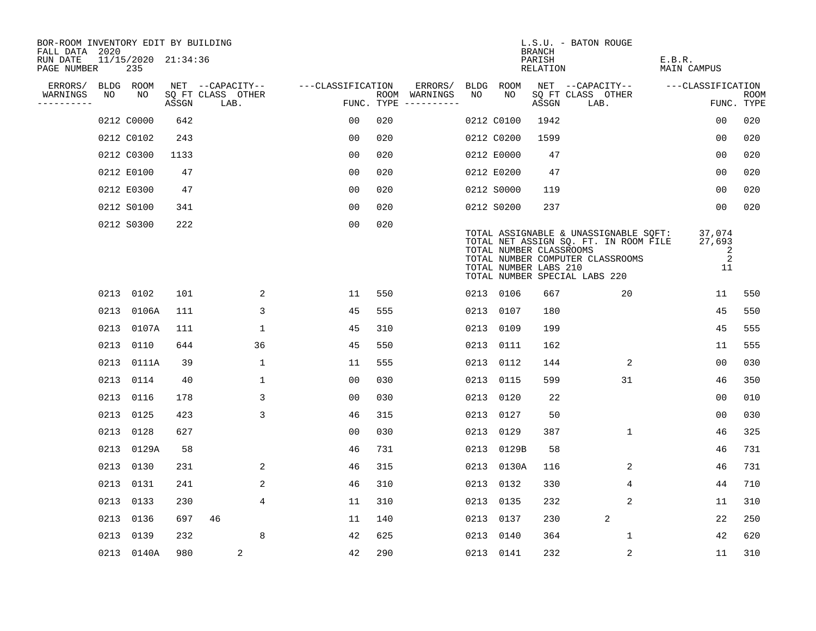| BOR-ROOM INVENTORY EDIT BY BUILDING<br>FALL DATA 2020 |      |            |                     |                           |                   |     |                                      |             |                                                  | <b>BRANCH</b>             | L.S.U. - BATON ROUGE                                                                                                                                |                                  |                           |
|-------------------------------------------------------|------|------------|---------------------|---------------------------|-------------------|-----|--------------------------------------|-------------|--------------------------------------------------|---------------------------|-----------------------------------------------------------------------------------------------------------------------------------------------------|----------------------------------|---------------------------|
| RUN DATE<br>PAGE NUMBER                               |      | 235        | 11/15/2020 21:34:36 |                           |                   |     |                                      |             |                                                  | PARISH<br><b>RELATION</b> |                                                                                                                                                     | E.B.R.<br><b>MAIN CAMPUS</b>     |                           |
| ERRORS/                                               |      | BLDG ROOM  |                     | NET --CAPACITY--          | ---CLASSIFICATION |     | ERRORS/                              | <b>BLDG</b> | ROOM                                             |                           | NET --CAPACITY--                                                                                                                                    | ---CLASSIFICATION                |                           |
| WARNINGS<br>----------                                | NO   | NO         | ASSGN               | SQ FT CLASS OTHER<br>LAB. |                   |     | ROOM WARNINGS<br>FUNC. TYPE $------$ | NO          | NO                                               | ASSGN                     | SQ FT CLASS OTHER<br>LAB.                                                                                                                           |                                  | <b>ROOM</b><br>FUNC. TYPE |
|                                                       |      | 0212 C0000 | 642                 |                           | 00                | 020 |                                      |             | 0212 C0100                                       | 1942                      |                                                                                                                                                     | 0 <sub>0</sub>                   | 020                       |
|                                                       |      | 0212 C0102 | 243                 |                           | 0 <sub>0</sub>    | 020 |                                      |             | 0212 C0200                                       | 1599                      |                                                                                                                                                     | 0 <sub>0</sub>                   | 020                       |
|                                                       |      | 0212 C0300 | 1133                |                           | 0 <sub>0</sub>    | 020 |                                      |             | 0212 E0000                                       | 47                        |                                                                                                                                                     | 00                               | 020                       |
|                                                       |      | 0212 E0100 | 47                  |                           | 0 <sub>0</sub>    | 020 |                                      |             | 0212 E0200                                       | 47                        |                                                                                                                                                     | 0 <sub>0</sub>                   | 020                       |
|                                                       |      | 0212 E0300 | 47                  |                           | 0 <sub>0</sub>    | 020 |                                      |             | 0212 S0000                                       | 119                       |                                                                                                                                                     | 00                               | 020                       |
|                                                       |      | 0212 S0100 | 341                 |                           | 0 <sub>0</sub>    | 020 |                                      |             | 0212 S0200                                       | 237                       |                                                                                                                                                     | 0 <sub>0</sub>                   | 020                       |
|                                                       |      | 0212 S0300 | 222                 |                           | 0 <sub>0</sub>    | 020 |                                      |             | TOTAL NUMBER CLASSROOMS<br>TOTAL NUMBER LABS 210 |                           | TOTAL ASSIGNABLE & UNASSIGNABLE SQFT:<br>TOTAL NET ASSIGN SQ. FT. IN ROOM FILE<br>TOTAL NUMBER COMPUTER CLASSROOMS<br>TOTAL NUMBER SPECIAL LABS 220 | 37,074<br>27,693<br>2<br>2<br>11 |                           |
|                                                       |      | 0213 0102  | 101                 | 2                         | 11                | 550 |                                      |             | 0213 0106                                        | 667                       | 20                                                                                                                                                  | 11                               | 550                       |
|                                                       |      | 0213 0106A | 111                 | 3                         | 45                | 555 |                                      |             | 0213 0107                                        | 180                       |                                                                                                                                                     | 45                               | 550                       |
|                                                       |      | 0213 0107A | 111                 | $\mathbf{1}$              | 45                | 310 |                                      | 0213        | 0109                                             | 199                       |                                                                                                                                                     | 45                               | 555                       |
|                                                       |      | 0213 0110  | 644                 | 36                        | 45                | 550 |                                      |             | 0213 0111                                        | 162                       |                                                                                                                                                     | 11                               | 555                       |
|                                                       |      | 0213 0111A | 39                  | $\mathbf{1}$              | 11                | 555 |                                      | 0213        | 0112                                             | 144                       | 2                                                                                                                                                   | 0 <sub>0</sub>                   | 030                       |
|                                                       |      | 0213 0114  | 40                  | 1                         | 0 <sub>0</sub>    | 030 |                                      | 0213        | 0115                                             | 599                       | 31                                                                                                                                                  | 46                               | 350                       |
|                                                       |      | 0213 0116  | 178                 | 3                         | 0 <sub>0</sub>    | 030 |                                      | 0213        | 0120                                             | 22                        |                                                                                                                                                     | 0 <sub>0</sub>                   | 010                       |
|                                                       |      | 0213 0125  | 423                 | 3                         | 46                | 315 |                                      | 0213        | 0127                                             | 50                        |                                                                                                                                                     | 0 <sub>0</sub>                   | 030                       |
|                                                       |      | 0213 0128  | 627                 |                           | 0 <sub>0</sub>    | 030 |                                      | 0213        | 0129                                             | 387                       | $\mathbf{1}$                                                                                                                                        | 46                               | 325                       |
|                                                       |      | 0213 0129A | 58                  |                           | 46                | 731 |                                      |             | 0213 0129B                                       | 58                        |                                                                                                                                                     | 46                               | 731                       |
|                                                       |      | 0213 0130  | 231                 | 2                         | 46                | 315 |                                      |             | 0213 0130A                                       | 116                       | 2                                                                                                                                                   | 46                               | 731                       |
|                                                       | 0213 | 0131       | 241                 | 2                         | 46                | 310 |                                      | 0213        | 0132                                             | 330                       | 4                                                                                                                                                   | 44                               | 710                       |
|                                                       |      | 0213 0133  | 230                 | 4                         | 11                | 310 |                                      |             | 0213 0135                                        | 232                       | 2                                                                                                                                                   | 11                               | 310                       |
|                                                       |      | 0213 0136  | 697                 | 46                        | 11                | 140 |                                      | 0213        | 0137                                             | 230                       | 2                                                                                                                                                   | 22                               | 250                       |
|                                                       |      | 0213 0139  | 232                 | 8                         | 42                | 625 |                                      |             | 0213 0140                                        | 364                       | $\mathbf 1$                                                                                                                                         | 42                               | 620                       |
|                                                       |      | 0213 0140A | 980                 | 2                         | 42                | 290 |                                      |             | 0213 0141                                        | 232                       | 2                                                                                                                                                   | 11                               | 310                       |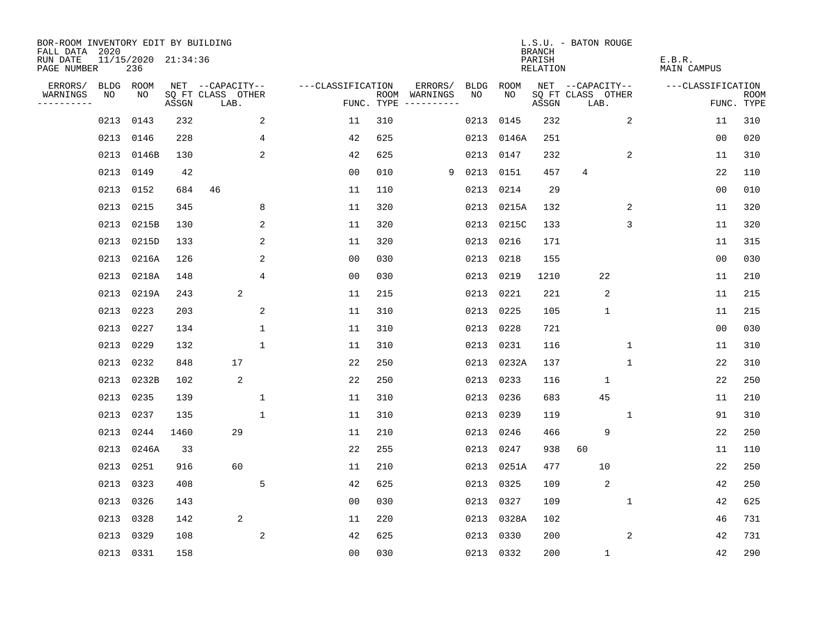| BOR-ROOM INVENTORY EDIT BY BUILDING<br>FALL DATA 2020 |      |                            |       |                           |              |                   |     |                                      |      |            | <b>BRANCH</b>      | L.S.U. - BATON ROUGE      |              |                       |                   |                           |
|-------------------------------------------------------|------|----------------------------|-------|---------------------------|--------------|-------------------|-----|--------------------------------------|------|------------|--------------------|---------------------------|--------------|-----------------------|-------------------|---------------------------|
| RUN DATE<br>PAGE NUMBER                               |      | 11/15/2020 21:34:36<br>236 |       |                           |              |                   |     |                                      |      |            | PARISH<br>RELATION |                           |              | E.B.R.<br>MAIN CAMPUS |                   |                           |
| ERRORS/                                               | BLDG | ROOM                       |       | NET --CAPACITY--          |              | ---CLASSIFICATION |     | ERRORS/                              | BLDG | ROOM       |                    | NET --CAPACITY--          |              |                       | ---CLASSIFICATION |                           |
| WARNINGS<br>----------                                | NO   | NO                         | ASSGN | SQ FT CLASS OTHER<br>LAB. |              |                   |     | ROOM WARNINGS<br>FUNC. TYPE $------$ | NO.  | NO         | ASSGN              | SQ FT CLASS OTHER<br>LAB. |              |                       |                   | <b>ROOM</b><br>FUNC. TYPE |
|                                                       | 0213 | 0143                       | 232   |                           | 2            | 11                | 310 |                                      | 0213 | 0145       | 232                |                           | 2            |                       | 11                | 310                       |
|                                                       | 0213 | 0146                       | 228   |                           | 4            | 42                | 625 |                                      | 0213 | 0146A      | 251                |                           |              |                       | 0 <sub>0</sub>    | 020                       |
|                                                       | 0213 | 0146B                      | 130   |                           | 2            | 42                | 625 |                                      | 0213 | 0147       | 232                |                           | 2            |                       | 11                | 310                       |
|                                                       | 0213 | 0149                       | 42    |                           |              | 0 <sub>0</sub>    | 010 | 9                                    |      | 0213 0151  | 457                | 4                         |              |                       | 22                | 110                       |
|                                                       | 0213 | 0152                       | 684   | 46                        |              | 11                | 110 |                                      | 0213 | 0214       | 29                 |                           |              |                       | 0 <sub>0</sub>    | 010                       |
|                                                       | 0213 | 0215                       | 345   |                           | 8            | 11                | 320 |                                      |      | 0213 0215A | 132                |                           | 2            |                       | 11                | 320                       |
|                                                       | 0213 | 0215B                      | 130   |                           | 2            | 11                | 320 |                                      |      | 0213 0215C | 133                |                           | 3            |                       | 11                | 320                       |
|                                                       | 0213 | 0215D                      | 133   |                           | 2            | 11                | 320 |                                      |      | 0213 0216  | 171                |                           |              |                       | 11                | 315                       |
|                                                       | 0213 | 0216A                      | 126   |                           | 2            | 0 <sub>0</sub>    | 030 |                                      | 0213 | 0218       | 155                |                           |              |                       | 0 <sub>0</sub>    | 030                       |
|                                                       |      | 0213 0218A                 | 148   |                           | 4            | 0 <sub>0</sub>    | 030 |                                      |      | 0213 0219  | 1210               |                           | 22           |                       | 11                | 210                       |
|                                                       |      | 0213 0219A                 | 243   | 2                         |              | 11                | 215 |                                      | 0213 | 0221       | 221                |                           | 2            |                       | 11                | 215                       |
|                                                       |      | 0213 0223                  | 203   |                           | 2            | 11                | 310 |                                      | 0213 | 0225       | 105                |                           | $\mathbf{1}$ |                       | 11                | 215                       |
|                                                       | 0213 | 0227                       | 134   |                           | $\mathbf{1}$ | 11                | 310 |                                      | 0213 | 0228       | 721                |                           |              |                       | 0 <sub>0</sub>    | 030                       |
|                                                       | 0213 | 0229                       | 132   |                           | $\mathbf 1$  | 11                | 310 |                                      |      | 0213 0231  | 116                |                           | $\mathbf 1$  |                       | 11                | 310                       |
|                                                       | 0213 | 0232                       | 848   | 17                        |              | 22                | 250 |                                      | 0213 | 0232A      | 137                |                           | 1            |                       | 22                | 310                       |
|                                                       |      | 0213 0232B                 | 102   | 2                         |              | 22                | 250 |                                      | 0213 | 0233       | 116                |                           | 1            |                       | 22                | 250                       |
|                                                       | 0213 | 0235                       | 139   |                           | 1            | 11                | 310 |                                      | 0213 | 0236       | 683                |                           | 45           |                       | 11                | 210                       |
|                                                       | 0213 | 0237                       | 135   |                           | $\mathbf 1$  | 11                | 310 |                                      | 0213 | 0239       | 119                |                           | 1            |                       | 91                | 310                       |
|                                                       | 0213 | 0244                       | 1460  | 29                        |              | 11                | 210 |                                      | 0213 | 0246       | 466                |                           | 9            |                       | 22                | 250                       |
|                                                       |      | 0213 0246A                 | 33    |                           |              | 22                | 255 |                                      | 0213 | 0247       | 938                | 60                        |              |                       | 11                | 110                       |
|                                                       | 0213 | 0251                       | 916   | 60                        |              | 11                | 210 |                                      | 0213 | 0251A      | 477                |                           | 10           |                       | 22                | 250                       |
|                                                       | 0213 | 0323                       | 408   |                           | 5            | 42                | 625 |                                      | 0213 | 0325       | 109                |                           | 2            |                       | 42                | 250                       |
|                                                       | 0213 | 0326                       | 143   |                           |              | 0 <sub>0</sub>    | 030 |                                      | 0213 | 0327       | 109                |                           | 1            |                       | 42                | 625                       |
|                                                       | 0213 | 0328                       | 142   | 2                         |              | 11                | 220 |                                      |      | 0213 0328A | 102                |                           |              |                       | 46                | 731                       |
|                                                       | 0213 | 0329                       | 108   |                           | 2            | 42                | 625 |                                      | 0213 | 0330       | 200                |                           | 2            |                       | 42                | 731                       |
|                                                       |      | 0213 0331                  | 158   |                           |              | 0 <sub>0</sub>    | 030 |                                      |      | 0213 0332  | 200                |                           | $\mathbf{1}$ |                       | 42                | 290                       |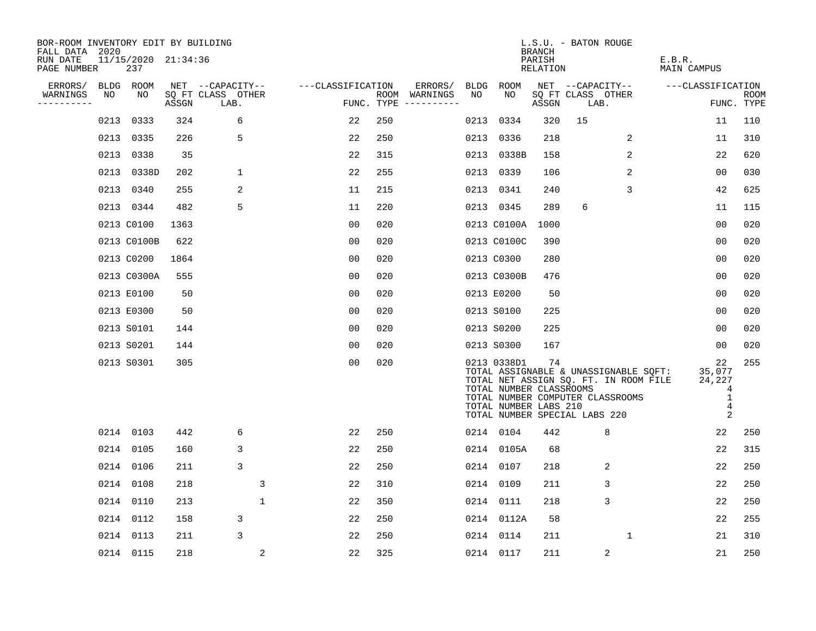| BOR-ROOM INVENTORY EDIT BY BUILDING<br>FALL DATA 2020 |                            |       |                           |                   |     |                                      |      |                                                                                                                                      | <b>BRANCH</b>      | L.S.U. - BATON ROUGE |                   |                                                                                |                                                                      |             |
|-------------------------------------------------------|----------------------------|-------|---------------------------|-------------------|-----|--------------------------------------|------|--------------------------------------------------------------------------------------------------------------------------------------|--------------------|----------------------|-------------------|--------------------------------------------------------------------------------|----------------------------------------------------------------------|-------------|
| RUN DATE<br>PAGE NUMBER                               | 11/15/2020 21:34:36<br>237 |       |                           |                   |     |                                      |      |                                                                                                                                      | PARISH<br>RELATION |                      |                   | E.B.R.<br>MAIN CAMPUS                                                          |                                                                      |             |
| ERRORS/                                               | BLDG ROOM                  |       | NET --CAPACITY--          | ---CLASSIFICATION |     | ERRORS/                              | BLDG | ROOM                                                                                                                                 |                    |                      | NET --CAPACITY--  | ---CLASSIFICATION                                                              |                                                                      |             |
| WARNINGS<br>NO<br>. _ _ _ _ _ _ _ _ _                 | NO                         | ASSGN | SQ FT CLASS OTHER<br>LAB. |                   |     | ROOM WARNINGS<br>FUNC. TYPE $------$ | NO   | NO                                                                                                                                   | ASSGN              | LAB.                 | SQ FT CLASS OTHER |                                                                                | FUNC. TYPE                                                           | <b>ROOM</b> |
| 0213                                                  | 0333                       | 324   | 6                         | 22                | 250 |                                      | 0213 | 0334                                                                                                                                 | 320                | 15                   |                   |                                                                                | 11                                                                   | 110         |
| 0213                                                  | 0335                       | 226   | 5                         | 22                | 250 |                                      |      | 0213 0336                                                                                                                            | 218                |                      | 2                 |                                                                                | 11                                                                   | 310         |
| 0213                                                  | 0338                       | 35    |                           | 22                | 315 |                                      |      | 0213 0338B                                                                                                                           | 158                |                      | 2                 |                                                                                | 22                                                                   | 620         |
| 0213                                                  | 0338D                      | 202   | $\mathbf 1$               | 22                | 255 |                                      |      | 0213 0339                                                                                                                            | 106                |                      | $\overline{2}$    |                                                                                | 00                                                                   | 030         |
| 0213                                                  | 0340                       | 255   | 2                         | 11                | 215 |                                      |      | 0213 0341                                                                                                                            | 240                |                      | 3                 |                                                                                | 42                                                                   | 625         |
|                                                       | 0213 0344                  | 482   | 5                         | 11                | 220 |                                      |      | 0213 0345                                                                                                                            | 289                | 6                    |                   |                                                                                | 11                                                                   | 115         |
|                                                       | 0213 C0100                 | 1363  |                           | 0 <sub>0</sub>    | 020 |                                      |      | 0213 C0100A                                                                                                                          | 1000               |                      |                   |                                                                                | 0 <sub>0</sub>                                                       | 020         |
|                                                       | 0213 C0100B                | 622   |                           | 0 <sub>0</sub>    | 020 |                                      |      | 0213 C0100C                                                                                                                          | 390                |                      |                   |                                                                                | 0 <sub>0</sub>                                                       | 020         |
|                                                       | 0213 C0200                 | 1864  |                           | 0 <sub>0</sub>    | 020 |                                      |      | 0213 C0300                                                                                                                           | 280                |                      |                   |                                                                                | 0 <sub>0</sub>                                                       | 020         |
|                                                       | 0213 C0300A                | 555   |                           | 0 <sub>0</sub>    | 020 |                                      |      | 0213 C0300B                                                                                                                          | 476                |                      |                   |                                                                                | 0 <sub>0</sub>                                                       | 020         |
|                                                       | 0213 E0100                 | 50    |                           | 0 <sub>0</sub>    | 020 |                                      |      | 0213 E0200                                                                                                                           | 50                 |                      |                   |                                                                                | 0 <sub>0</sub>                                                       | 020         |
|                                                       | 0213 E0300                 | 50    |                           | 0 <sub>0</sub>    | 020 |                                      |      | 0213 S0100                                                                                                                           | 225                |                      |                   |                                                                                | 00                                                                   | 020         |
|                                                       | 0213 S0101                 | 144   |                           | 0 <sub>0</sub>    | 020 |                                      |      | 0213 S0200                                                                                                                           | 225                |                      |                   |                                                                                | 0 <sub>0</sub>                                                       | 020         |
|                                                       | 0213 S0201                 | 144   |                           | 0 <sub>0</sub>    | 020 |                                      |      | 0213 S0300                                                                                                                           | 167                |                      |                   |                                                                                | 0 <sub>0</sub>                                                       | 020         |
|                                                       | 0213 S0301                 | 305   |                           | 0 <sub>0</sub>    | 020 |                                      |      | 0213 0338D1<br>TOTAL NUMBER CLASSROOMS<br>TOTAL NUMBER COMPUTER CLASSROOMS<br>TOTAL NUMBER LABS 210<br>TOTAL NUMBER SPECIAL LABS 220 | 74                 |                      |                   | TOTAL ASSIGNABLE & UNASSIGNABLE SQFT:<br>TOTAL NET ASSIGN SQ. FT. IN ROOM FILE | 22<br>35,077<br>24,227<br>4<br>1<br>$\overline{4}$<br>$\overline{2}$ | 255         |
|                                                       | 0214 0103                  | 442   | 6                         | 22                | 250 |                                      |      | 0214 0104                                                                                                                            | 442                |                      | 8                 |                                                                                | 22                                                                   | 250         |
| 0214                                                  | 0105                       | 160   | 3                         | 22                | 250 |                                      |      | 0214 0105A                                                                                                                           | 68                 |                      |                   |                                                                                | 22                                                                   | 315         |
| 0214                                                  | 0106                       | 211   | 3                         | 22                | 250 |                                      |      | 0214 0107                                                                                                                            | 218                |                      | 2                 |                                                                                | 22                                                                   | 250         |
| 0214                                                  | 0108                       | 218   | 3                         | 22                | 310 |                                      | 0214 | 0109                                                                                                                                 | 211                |                      | 3                 |                                                                                | 22                                                                   | 250         |
| 0214                                                  | 0110                       | 213   | $\mathbf{1}$              | 22                | 350 |                                      |      | 0214 0111                                                                                                                            | 218                |                      | 3                 |                                                                                | 22                                                                   | 250         |
| 0214                                                  | 0112                       | 158   | 3                         | 22                | 250 |                                      |      | 0214 0112A                                                                                                                           | 58                 |                      |                   |                                                                                | 22                                                                   | 255         |
| 0214                                                  | 0113                       | 211   | 3                         | 22                | 250 |                                      |      | 0214 0114                                                                                                                            | 211                |                      | $\mathbf{1}$      |                                                                                | 21                                                                   | 310         |
|                                                       | 0214 0115                  | 218   | 2                         | 22                | 325 |                                      |      | 0214 0117                                                                                                                            | 211                |                      | $\sqrt{2}$        |                                                                                | 21                                                                   | 250         |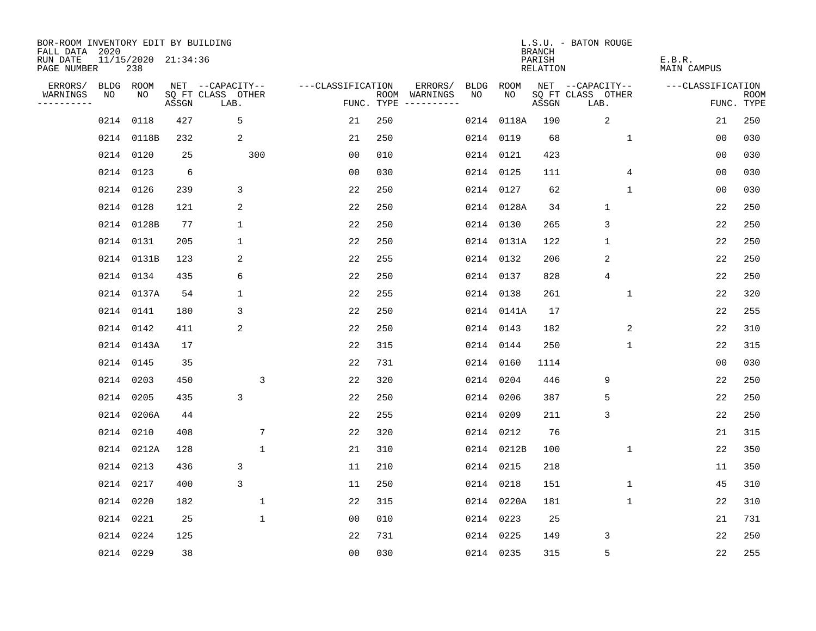| BOR-ROOM INVENTORY EDIT BY BUILDING<br>FALL DATA 2020 |           |                            |       |                           |                   |     |                                      |             |            | <b>BRANCH</b>             | L.S.U. - BATON ROUGE      |                              |                           |
|-------------------------------------------------------|-----------|----------------------------|-------|---------------------------|-------------------|-----|--------------------------------------|-------------|------------|---------------------------|---------------------------|------------------------------|---------------------------|
| RUN DATE<br>PAGE NUMBER                               |           | 11/15/2020 21:34:36<br>238 |       |                           |                   |     |                                      |             |            | PARISH<br><b>RELATION</b> |                           | E.B.R.<br><b>MAIN CAMPUS</b> |                           |
| ERRORS/                                               |           | BLDG ROOM                  |       | NET --CAPACITY--          | ---CLASSIFICATION |     | ERRORS/                              | <b>BLDG</b> | ROOM       |                           | NET --CAPACITY--          | ---CLASSIFICATION            |                           |
| WARNINGS<br>----------                                | NO        | NO                         | ASSGN | SQ FT CLASS OTHER<br>LAB. |                   |     | ROOM WARNINGS<br>FUNC. TYPE $------$ | NO          | NO         | ASSGN                     | SQ FT CLASS OTHER<br>LAB. |                              | <b>ROOM</b><br>FUNC. TYPE |
|                                                       |           | 0214 0118                  | 427   | 5                         | 21                | 250 |                                      |             | 0214 0118A | 190                       | 2                         | 21                           | 250                       |
|                                                       |           | 0214 0118B                 | 232   | 2                         | 21                | 250 |                                      |             | 0214 0119  | 68                        | $\mathbf 1$               | 0 <sub>0</sub>               | 030                       |
|                                                       |           | 0214 0120                  | 25    | 300                       | 0 <sub>0</sub>    | 010 |                                      |             | 0214 0121  | 423                       |                           | 0 <sub>0</sub>               | 030                       |
|                                                       |           | 0214 0123                  | 6     |                           | 0 <sub>0</sub>    | 030 |                                      |             | 0214 0125  | 111                       | 4                         | 0 <sub>0</sub>               | 030                       |
|                                                       |           | 0214 0126                  | 239   | 3                         | 22                | 250 |                                      |             | 0214 0127  | 62                        | $\mathbf{1}$              | 00                           | 030                       |
|                                                       | 0214 0128 |                            | 121   | 2                         | 22                | 250 |                                      |             | 0214 0128A | 34                        | $\mathbf{1}$              | 22                           | 250                       |
|                                                       |           | 0214 0128B                 | 77    | $\mathbf 1$               | 22                | 250 |                                      |             | 0214 0130  | 265                       | 3                         | 22                           | 250                       |
|                                                       |           | 0214 0131                  | 205   | 1                         | 22                | 250 |                                      |             | 0214 0131A | 122                       | $\mathbf 1$               | 22                           | 250                       |
|                                                       |           | 0214 0131B                 | 123   | 2                         | 22                | 255 |                                      |             | 0214 0132  | 206                       | 2                         | 22                           | 250                       |
|                                                       |           | 0214 0134                  | 435   | 6                         | 22                | 250 |                                      |             | 0214 0137  | 828                       | 4                         | 22                           | 250                       |
|                                                       |           | 0214 0137A                 | 54    | $\mathbf 1$               | 22                | 255 |                                      |             | 0214 0138  | 261                       | $\mathbf 1$               | 22                           | 320                       |
|                                                       |           | 0214 0141                  | 180   | 3                         | 22                | 250 |                                      |             | 0214 0141A | 17                        |                           | 22                           | 255                       |
|                                                       |           | 0214 0142                  | 411   | 2                         | 22                | 250 |                                      |             | 0214 0143  | 182                       | 2                         | 22                           | 310                       |
|                                                       |           | 0214 0143A                 | 17    |                           | 22                | 315 |                                      |             | 0214 0144  | 250                       | 1                         | 22                           | 315                       |
|                                                       |           | 0214 0145                  | 35    |                           | 22                | 731 |                                      |             | 0214 0160  | 1114                      |                           | 0 <sub>0</sub>               | 030                       |
|                                                       | 0214 0203 |                            | 450   | 3                         | 22                | 320 |                                      |             | 0214 0204  | 446                       | 9                         | 22                           | 250                       |
|                                                       |           | 0214 0205                  | 435   | 3                         | 22                | 250 |                                      | 0214        | 0206       | 387                       | 5                         | 22                           | 250                       |
|                                                       |           | 0214 0206A                 | 44    |                           | 22                | 255 |                                      |             | 0214 0209  | 211                       | 3                         | 22                           | 250                       |
|                                                       |           | 0214 0210                  | 408   | $7\phantom{.0}$           | 22                | 320 |                                      |             | 0214 0212  | 76                        |                           | 21                           | 315                       |
|                                                       |           | 0214 0212A                 | 128   | $\mathbf{1}$              | 21                | 310 |                                      |             | 0214 0212B | 100                       | 1                         | 22                           | 350                       |
|                                                       |           | 0214 0213                  | 436   | 3                         | 11                | 210 |                                      |             | 0214 0215  | 218                       |                           | 11                           | 350                       |
|                                                       | 0214 0217 |                            | 400   | 3                         | 11                | 250 |                                      |             | 0214 0218  | 151                       | $\mathbf{1}$              | 45                           | 310                       |
|                                                       |           | 0214 0220                  | 182   | $\mathbf{1}$              | 22                | 315 |                                      |             | 0214 0220A | 181                       | 1                         | 22                           | 310                       |
|                                                       |           | 0214 0221                  | 25    | $\mathbf 1$               | 0 <sub>0</sub>    | 010 |                                      |             | 0214 0223  | 25                        |                           | 21                           | 731                       |
|                                                       | 0214 0224 |                            | 125   |                           | 22                | 731 |                                      |             | 0214 0225  | 149                       | 3                         | 22                           | 250                       |
|                                                       | 0214 0229 |                            | 38    |                           | 0 <sub>0</sub>    | 030 |                                      |             | 0214 0235  | 315                       | 5                         | 22                           | 255                       |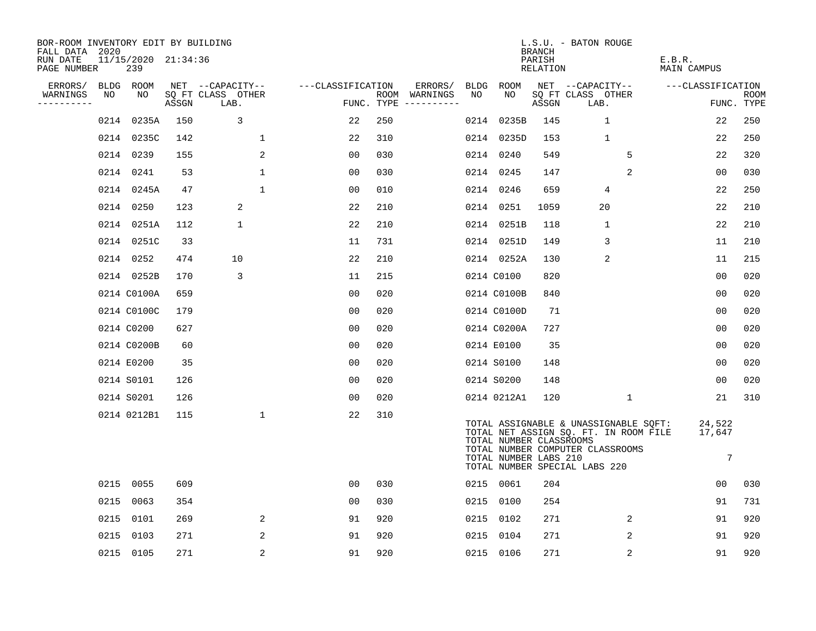| BOR-ROOM INVENTORY EDIT BY BUILDING<br>FALL DATA 2020 |      |                            |       |                           |                   |                |     |                                      |    |                                                  |                              | L.S.U. - BATON ROUGE                                                                                                                                |                       |                       |                           |
|-------------------------------------------------------|------|----------------------------|-------|---------------------------|-------------------|----------------|-----|--------------------------------------|----|--------------------------------------------------|------------------------------|-----------------------------------------------------------------------------------------------------------------------------------------------------|-----------------------|-----------------------|---------------------------|
| RUN DATE<br>PAGE NUMBER                               |      | 11/15/2020 21:34:36<br>239 |       |                           |                   |                |     |                                      |    |                                                  | BRANCH<br>PARISH<br>RELATION |                                                                                                                                                     | E.B.R.<br>MAIN CAMPUS |                       |                           |
| ERRORS/                                               |      | BLDG ROOM                  |       | NET --CAPACITY--          | ---CLASSIFICATION |                |     | ERRORS/                              |    | BLDG ROOM                                        |                              | NET --CAPACITY--                                                                                                                                    | ---CLASSIFICATION     |                       |                           |
| WARNINGS<br>----------                                | NO   | NO                         | ASSGN | SQ FT CLASS OTHER<br>LAB. |                   |                |     | ROOM WARNINGS<br>FUNC. TYPE $------$ | NO | NO                                               | ASSGN                        | SQ FT CLASS OTHER<br>LAB.                                                                                                                           |                       |                       | <b>ROOM</b><br>FUNC. TYPE |
|                                                       |      | 0214 0235A                 | 150   | 3                         |                   | 22             | 250 |                                      |    | 0214 0235B                                       | 145                          | $\mathbf{1}$                                                                                                                                        |                       | 22                    | 250                       |
|                                                       |      | 0214 0235C                 | 142   |                           | $\mathbf 1$       | 22             | 310 |                                      |    | 0214 0235D                                       | 153                          | 1                                                                                                                                                   |                       | 22                    | 250                       |
|                                                       |      | 0214 0239                  | 155   |                           | 2                 | 0 <sub>0</sub> | 030 |                                      |    | 0214 0240                                        | 549                          | 5                                                                                                                                                   |                       | 22                    | 320                       |
|                                                       |      | 0214 0241                  | 53    |                           | 1                 | 00             | 030 |                                      |    | 0214 0245                                        | 147                          | 2                                                                                                                                                   |                       | 0 <sub>0</sub>        | 030                       |
|                                                       |      | 0214 0245A                 | 47    |                           | $\mathbf 1$       | 00             | 010 |                                      |    | 0214 0246                                        | 659                          | 4                                                                                                                                                   |                       | 22                    | 250                       |
|                                                       |      | 0214 0250                  | 123   | 2                         |                   | 22             | 210 |                                      |    | 0214 0251                                        | 1059                         | 20                                                                                                                                                  |                       | 22                    | 210                       |
|                                                       |      | 0214 0251A                 | 112   | $\mathbf 1$               |                   | 22             | 210 |                                      |    | 0214 0251B                                       | 118                          | $\mathbf{1}$                                                                                                                                        |                       | 22                    | 210                       |
|                                                       |      | 0214 0251C                 | 33    |                           |                   | 11             | 731 |                                      |    | 0214 0251D                                       | 149                          | 3                                                                                                                                                   |                       | 11                    | 210                       |
|                                                       |      | 0214 0252                  | 474   | 10                        |                   | 22             | 210 |                                      |    | 0214 0252A                                       | 130                          | 2                                                                                                                                                   |                       | 11                    | 215                       |
|                                                       |      | 0214 0252B                 | 170   | 3                         |                   | 11             | 215 |                                      |    | 0214 C0100                                       | 820                          |                                                                                                                                                     |                       | 0 <sub>0</sub>        | 020                       |
|                                                       |      | 0214 C0100A                | 659   |                           |                   | 00             | 020 |                                      |    | 0214 C0100B                                      | 840                          |                                                                                                                                                     |                       | 00                    | 020                       |
|                                                       |      | 0214 C0100C                | 179   |                           |                   | 0 <sup>0</sup> | 020 |                                      |    | 0214 C0100D                                      | 71                           |                                                                                                                                                     |                       | 00                    | 020                       |
|                                                       |      | 0214 C0200                 | 627   |                           |                   | 00             | 020 |                                      |    | 0214 C0200A                                      | 727                          |                                                                                                                                                     |                       | 00                    | 020                       |
|                                                       |      | 0214 C0200B                | 60    |                           |                   | 00             | 020 |                                      |    | 0214 E0100                                       | 35                           |                                                                                                                                                     |                       | 0 <sub>0</sub>        | 020                       |
|                                                       |      | 0214 E0200                 | 35    |                           |                   | 0 <sub>0</sub> | 020 |                                      |    | 0214 S0100                                       | 148                          |                                                                                                                                                     |                       | 0 <sub>0</sub>        | 020                       |
|                                                       |      | 0214 S0101                 | 126   |                           |                   | 00             | 020 |                                      |    | 0214 S0200                                       | 148                          |                                                                                                                                                     |                       | 00                    | 020                       |
|                                                       |      | 0214 S0201                 | 126   |                           |                   | 00             | 020 |                                      |    | 0214 0212A1                                      | 120                          | $\mathbf 1$                                                                                                                                         |                       | 21                    | 310                       |
|                                                       |      | 0214 0212B1                | 115   |                           | $\mathbf{1}$      | 22             | 310 |                                      |    | TOTAL NUMBER CLASSROOMS<br>TOTAL NUMBER LABS 210 |                              | TOTAL ASSIGNABLE & UNASSIGNABLE SQFT:<br>TOTAL NET ASSIGN SQ. FT. IN ROOM FILE<br>TOTAL NUMBER COMPUTER CLASSROOMS<br>TOTAL NUMBER SPECIAL LABS 220 |                       | 24,522<br>17,647<br>7 |                           |
|                                                       |      | 0215 0055                  | 609   |                           |                   | 00             | 030 |                                      |    | 0215 0061                                        | 204                          |                                                                                                                                                     |                       | 00                    | 030                       |
|                                                       | 0215 | 0063                       | 354   |                           |                   | 00             | 030 |                                      |    | 0215 0100                                        | 254                          |                                                                                                                                                     |                       | 91                    | 731                       |
|                                                       | 0215 | 0101                       | 269   |                           | 2                 | 91             | 920 |                                      |    | 0215 0102                                        | 271                          | 2                                                                                                                                                   |                       | 91                    | 920                       |
|                                                       | 0215 | 0103                       | 271   |                           | 2                 | 91             | 920 |                                      |    | 0215 0104                                        | 271                          | 2                                                                                                                                                   |                       | 91                    | 920                       |
|                                                       |      | 0215 0105                  | 271   |                           | 2                 | 91             | 920 |                                      |    | 0215 0106                                        | 271                          | 2                                                                                                                                                   |                       | 91                    | 920                       |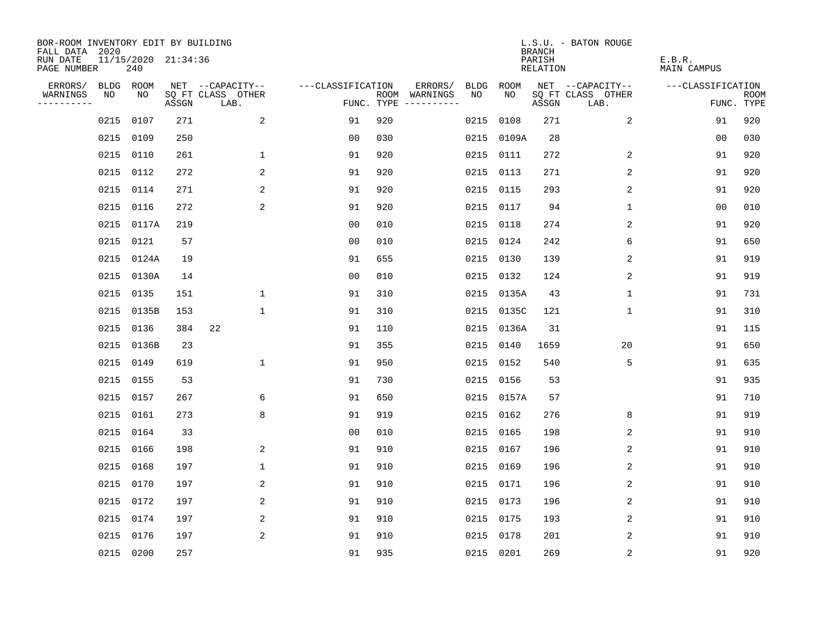| BOR-ROOM INVENTORY EDIT BY BUILDING<br>FALL DATA 2020 |      |            |                     |                           |                   |     |                                      |      |            | <b>BRANCH</b>             | L.S.U. - BATON ROUGE      |                              |                           |
|-------------------------------------------------------|------|------------|---------------------|---------------------------|-------------------|-----|--------------------------------------|------|------------|---------------------------|---------------------------|------------------------------|---------------------------|
| RUN DATE<br>PAGE NUMBER                               |      | 240        | 11/15/2020 21:34:36 |                           |                   |     |                                      |      |            | PARISH<br><b>RELATION</b> |                           | E.B.R.<br><b>MAIN CAMPUS</b> |                           |
| ERRORS/                                               |      | BLDG ROOM  |                     | NET --CAPACITY--          | ---CLASSIFICATION |     | ERRORS/                              | BLDG | ROOM       |                           | NET --CAPACITY--          | ---CLASSIFICATION            |                           |
| WARNINGS<br>----------                                | NO   | NO         | ASSGN               | SQ FT CLASS OTHER<br>LAB. |                   |     | ROOM WARNINGS<br>FUNC. TYPE $------$ | NO   | NO         | ASSGN                     | SQ FT CLASS OTHER<br>LAB. |                              | <b>ROOM</b><br>FUNC. TYPE |
|                                                       | 0215 | 0107       | 271                 | 2                         | 91                | 920 |                                      | 0215 | 0108       | 271                       | 2                         | 91                           | 920                       |
|                                                       | 0215 | 0109       | 250                 |                           | 0 <sub>0</sub>    | 030 |                                      |      | 0215 0109A | 28                        |                           | 00                           | 030                       |
|                                                       | 0215 | 0110       | 261                 | 1                         | 91                | 920 |                                      |      | 0215 0111  | 272                       | 2                         | 91                           | 920                       |
|                                                       | 0215 | 0112       | 272                 | 2                         | 91                | 920 |                                      |      | 0215 0113  | 271                       | 2                         | 91                           | 920                       |
|                                                       | 0215 | 0114       | 271                 | 2                         | 91                | 920 |                                      | 0215 | 0115       | 293                       | 2                         | 91                           | 920                       |
|                                                       | 0215 | 0116       | 272                 | 2                         | 91                | 920 |                                      |      | 0215 0117  | 94                        | 1                         | 00                           | 010                       |
|                                                       |      | 0215 0117A | 219                 |                           | 0 <sub>0</sub>    | 010 |                                      |      | 0215 0118  | 274                       | 2                         | 91                           | 920                       |
|                                                       |      | 0215 0121  | 57                  |                           | 0 <sub>0</sub>    | 010 |                                      |      | 0215 0124  | 242                       | 6                         | 91                           | 650                       |
|                                                       | 0215 | 0124A      | 19                  |                           | 91                | 655 |                                      | 0215 | 0130       | 139                       | 2                         | 91                           | 919                       |
|                                                       | 0215 | 0130A      | 14                  |                           | 0 <sub>0</sub>    | 010 |                                      |      | 0215 0132  | 124                       | 2                         | 91                           | 919                       |
|                                                       | 0215 | 0135       | 151                 | $\mathbf 1$               | 91                | 310 |                                      |      | 0215 0135A | 43                        | 1                         | 91                           | 731                       |
|                                                       | 0215 | 0135B      | 153                 | $\mathbf{1}$              | 91                | 310 |                                      |      | 0215 0135C | 121                       | 1                         | 91                           | 310                       |
|                                                       | 0215 | 0136       | 384                 | 22                        | 91                | 110 |                                      | 0215 | 0136A      | 31                        |                           | 91                           | 115                       |
|                                                       | 0215 | 0136B      | 23                  |                           | 91                | 355 |                                      |      | 0215 0140  | 1659                      | 20                        | 91                           | 650                       |
|                                                       | 0215 | 0149       | 619                 | $\mathbf 1$               | 91                | 950 |                                      |      | 0215 0152  | 540                       | 5                         | 91                           | 635                       |
|                                                       | 0215 | 0155       | 53                  |                           | 91                | 730 |                                      |      | 0215 0156  | 53                        |                           | 91                           | 935                       |
|                                                       | 0215 | 0157       | 267                 | 6                         | 91                | 650 |                                      |      | 0215 0157A | 57                        |                           | 91                           | 710                       |
|                                                       | 0215 | 0161       | 273                 | 8                         | 91                | 919 |                                      |      | 0215 0162  | 276                       | 8                         | 91                           | 919                       |
|                                                       | 0215 | 0164       | 33                  |                           | 0 <sub>0</sub>    | 010 |                                      |      | 0215 0165  | 198                       | 2                         | 91                           | 910                       |
|                                                       | 0215 | 0166       | 198                 | 2                         | 91                | 910 |                                      |      | 0215 0167  | 196                       | 2                         | 91                           | 910                       |
|                                                       | 0215 | 0168       | 197                 | $\mathbf 1$               | 91                | 910 |                                      |      | 0215 0169  | 196                       | 2                         | 91                           | 910                       |
|                                                       | 0215 | 0170       | 197                 | $\overline{c}$            | 91                | 910 |                                      |      | 0215 0171  | 196                       | $\sqrt{2}$                | 91                           | 910                       |
|                                                       |      | 0215 0172  | 197                 | 2                         | 91                | 910 |                                      |      | 0215 0173  | 196                       | 2                         | 91                           | 910                       |
|                                                       | 0215 | 0174       | 197                 | 2                         | 91                | 910 |                                      |      | 0215 0175  | 193                       | 2                         | 91                           | 910                       |
|                                                       | 0215 | 0176       | 197                 | 2                         | 91                | 910 |                                      | 0215 | 0178       | 201                       | 2                         | 91                           | 910                       |
|                                                       |      | 0215 0200  | 257                 |                           | 91                | 935 |                                      |      | 0215 0201  | 269                       | 2                         | 91                           | 920                       |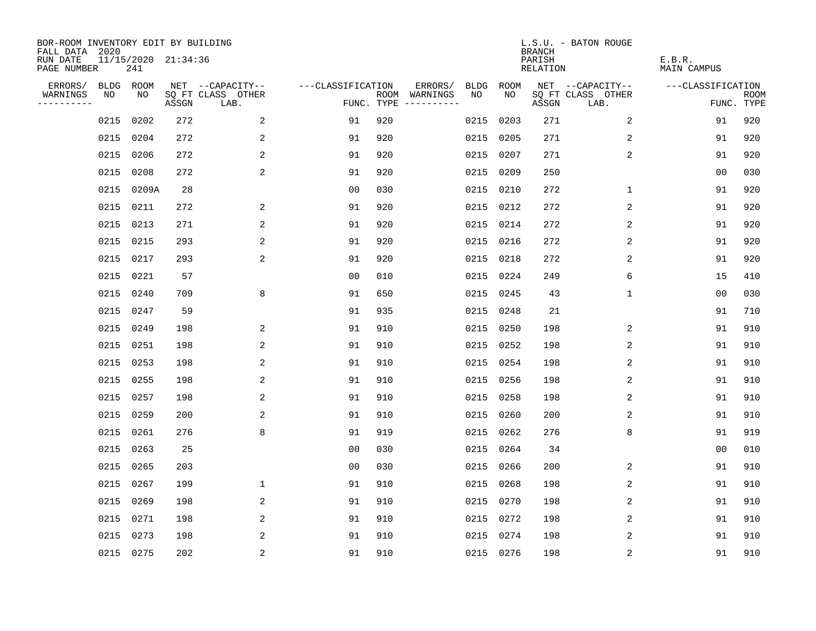| BOR-ROOM INVENTORY EDIT BY BUILDING<br>FALL DATA 2020 |           |           |                     |                           |                   |     |                                      |             |             | <b>BRANCH</b>             | L.S.U. - BATON ROUGE      |                              |                           |
|-------------------------------------------------------|-----------|-----------|---------------------|---------------------------|-------------------|-----|--------------------------------------|-------------|-------------|---------------------------|---------------------------|------------------------------|---------------------------|
| RUN DATE<br>PAGE NUMBER                               |           | 241       | 11/15/2020 21:34:36 |                           |                   |     |                                      |             |             | PARISH<br><b>RELATION</b> |                           | E.B.R.<br><b>MAIN CAMPUS</b> |                           |
| ERRORS/                                               |           | BLDG ROOM |                     | NET --CAPACITY--          | ---CLASSIFICATION |     | ERRORS/                              | <b>BLDG</b> | <b>ROOM</b> |                           | NET --CAPACITY--          | ---CLASSIFICATION            |                           |
| WARNINGS<br>----------                                | NO        | NO        | ASSGN               | SQ FT CLASS OTHER<br>LAB. |                   |     | ROOM WARNINGS<br>FUNC. TYPE $------$ | NO          | NO          | ASSGN                     | SQ FT CLASS OTHER<br>LAB. |                              | <b>ROOM</b><br>FUNC. TYPE |
|                                                       | 0215      | 0202      | 272                 | 2                         | 91                | 920 |                                      | 0215        | 0203        | 271                       | 2                         | 91                           | 920                       |
|                                                       | 0215      | 0204      | 272                 | 2                         | 91                | 920 |                                      | 0215        | 0205        | 271                       | 2                         | 91                           | 920                       |
|                                                       | 0215      | 0206      | 272                 | 2                         | 91                | 920 |                                      |             | 0215 0207   | 271                       | 2                         | 91                           | 920                       |
|                                                       | 0215      | 0208      | 272                 | 2                         | 91                | 920 |                                      |             | 0215 0209   | 250                       |                           | 00                           | 030                       |
|                                                       | 0215      | 0209A     | 28                  |                           | 0 <sub>0</sub>    | 030 |                                      |             | 0215 0210   | 272                       | $\mathbf 1$               | 91                           | 920                       |
|                                                       | 0215 0211 |           | 272                 | 2                         | 91                | 920 |                                      |             | 0215 0212   | 272                       | $\overline{2}$            | 91                           | 920                       |
|                                                       | 0215      | 0213      | 271                 | 2                         | 91                | 920 |                                      |             | 0215 0214   | 272                       | 2                         | 91                           | 920                       |
|                                                       | 0215      | 0215      | 293                 | 2                         | 91                | 920 |                                      |             | 0215 0216   | 272                       | 2                         | 91                           | 920                       |
|                                                       | 0215      | 0217      | 293                 | 2                         | 91                | 920 |                                      | 0215        | 0218        | 272                       | 2                         | 91                           | 920                       |
|                                                       | 0215 0221 |           | 57                  |                           | 0 <sub>0</sub>    | 010 |                                      |             | 0215 0224   | 249                       | 6                         | 15                           | 410                       |
|                                                       | 0215      | 0240      | 709                 | 8                         | 91                | 650 |                                      |             | 0215 0245   | 43                        | $\mathbf 1$               | 0 <sub>0</sub>               | 030                       |
|                                                       | 0215      | 0247      | 59                  |                           | 91                | 935 |                                      |             | 0215 0248   | 21                        |                           | 91                           | 710                       |
|                                                       | 0215      | 0249      | 198                 | 2                         | 91                | 910 |                                      | 0215        | 0250        | 198                       | 2                         | 91                           | 910                       |
|                                                       | 0215      | 0251      | 198                 | 2                         | 91                | 910 |                                      |             | 0215 0252   | 198                       | 2                         | 91                           | 910                       |
|                                                       | 0215      | 0253      | 198                 | 2                         | 91                | 910 |                                      | 0215        | 0254        | 198                       | 2                         | 91                           | 910                       |
|                                                       | 0215      | 0255      | 198                 | 2                         | 91                | 910 |                                      |             | 0215 0256   | 198                       | 2                         | 91                           | 910                       |
|                                                       | 0215      | 0257      | 198                 | 2                         | 91                | 910 |                                      | 0215        | 0258        | 198                       | 2                         | 91                           | 910                       |
|                                                       | 0215      | 0259      | 200                 | 2                         | 91                | 910 |                                      | 0215 0260   |             | 200                       | 2                         | 91                           | 910                       |
|                                                       | 0215      | 0261      | 276                 | 8                         | 91                | 919 |                                      |             | 0215 0262   | 276                       | 8                         | 91                           | 919                       |
|                                                       | 0215      | 0263      | 25                  |                           | 0 <sub>0</sub>    | 030 |                                      |             | 0215 0264   | 34                        |                           | 0 <sub>0</sub>               | 010                       |
|                                                       | 0215      | 0265      | 203                 |                           | 0 <sub>0</sub>    | 030 |                                      | 0215        | 0266        | 200                       | 2                         | 91                           | 910                       |
|                                                       | 0215      | 0267      | 199                 | $\mathbf 1$               | 91                | 910 |                                      | 0215        | 0268        | 198                       | 2                         | 91                           | 910                       |
|                                                       | 0215      | 0269      | 198                 | 2                         | 91                | 910 |                                      |             | 0215 0270   | 198                       | 2                         | 91                           | 910                       |
|                                                       | 0215      | 0271      | 198                 | 2                         | 91                | 910 |                                      |             | 0215 0272   | 198                       | 2                         | 91                           | 910                       |
|                                                       | 0215      | 0273      | 198                 | 2                         | 91                | 910 |                                      |             | 0215 0274   | 198                       | 2                         | 91                           | 910                       |
|                                                       | 0215 0275 |           | 202                 | $\overline{c}$            | 91                | 910 |                                      |             | 0215 0276   | 198                       | $\sqrt{2}$                | 91                           | 910                       |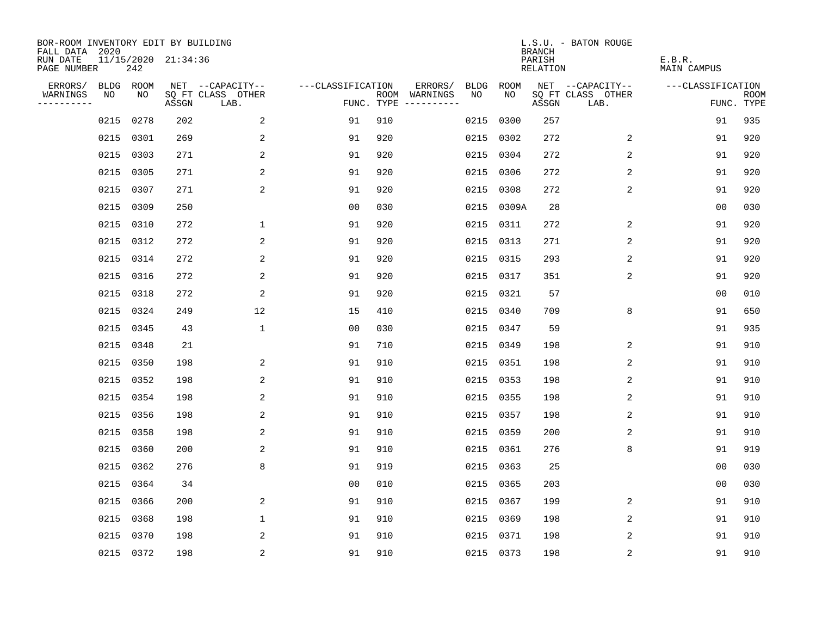| BOR-ROOM INVENTORY EDIT BY BUILDING<br>FALL DATA 2020 |           |      |                     |                           |                   |     |                                      |             |             | <b>BRANCH</b>             | L.S.U. - BATON ROUGE      |                              |                           |
|-------------------------------------------------------|-----------|------|---------------------|---------------------------|-------------------|-----|--------------------------------------|-------------|-------------|---------------------------|---------------------------|------------------------------|---------------------------|
| RUN DATE<br>PAGE NUMBER                               |           | 242  | 11/15/2020 21:34:36 |                           |                   |     |                                      |             |             | PARISH<br><b>RELATION</b> |                           | E.B.R.<br><b>MAIN CAMPUS</b> |                           |
| ERRORS/                                               | BLDG ROOM |      |                     | NET --CAPACITY--          | ---CLASSIFICATION |     | ERRORS/                              | <b>BLDG</b> | <b>ROOM</b> |                           | NET --CAPACITY--          | ---CLASSIFICATION            |                           |
| WARNINGS<br>----------                                | NO        | NO   | ASSGN               | SQ FT CLASS OTHER<br>LAB. |                   |     | ROOM WARNINGS<br>FUNC. TYPE $------$ | NO          | NO          | ASSGN                     | SQ FT CLASS OTHER<br>LAB. |                              | <b>ROOM</b><br>FUNC. TYPE |
|                                                       | 0215      | 0278 | 202                 | 2                         | 91                | 910 |                                      | 0215        | 0300        | 257                       |                           | 91                           | 935                       |
|                                                       | 0215      | 0301 | 269                 | 2                         | 91                | 920 |                                      |             | 0215 0302   | 272                       | 2                         | 91                           | 920                       |
|                                                       | 0215      | 0303 | 271                 | 2                         | 91                | 920 |                                      |             | 0215 0304   | 272                       | 2                         | 91                           | 920                       |
|                                                       | 0215      | 0305 | 271                 | 2                         | 91                | 920 |                                      |             | 0215 0306   | 272                       | 2                         | 91                           | 920                       |
|                                                       | 0215      | 0307 | 271                 | 2                         | 91                | 920 |                                      |             | 0215 0308   | 272                       | 2                         | 91                           | 920                       |
|                                                       | 0215      | 0309 | 250                 |                           | 0 <sub>0</sub>    | 030 |                                      |             | 0215 0309A  | 28                        |                           | 0 <sub>0</sub>               | 030                       |
|                                                       | 0215      | 0310 | 272                 | $\mathbf 1$               | 91                | 920 |                                      |             | 0215 0311   | 272                       | 2                         | 91                           | 920                       |
|                                                       | 0215 0312 |      | 272                 | 2                         | 91                | 920 |                                      |             | 0215 0313   | 271                       | 2                         | 91                           | 920                       |
|                                                       | 0215      | 0314 | 272                 | 2                         | 91                | 920 |                                      |             | 0215 0315   | 293                       | 2                         | 91                           | 920                       |
|                                                       | 0215 0316 |      | 272                 | 2                         | 91                | 920 |                                      |             | 0215 0317   | 351                       | 2                         | 91                           | 920                       |
|                                                       | 0215      | 0318 | 272                 | 2                         | 91                | 920 |                                      |             | 0215 0321   | 57                        |                           | 0 <sub>0</sub>               | 010                       |
|                                                       | 0215 0324 |      | 249                 | 12                        | 15                | 410 |                                      |             | 0215 0340   | 709                       | 8                         | 91                           | 650                       |
|                                                       | 0215      | 0345 | 43                  | $\mathbf{1}$              | 0 <sub>0</sub>    | 030 |                                      |             | 0215 0347   | 59                        |                           | 91                           | 935                       |
|                                                       | 0215      | 0348 | 21                  |                           | 91                | 710 |                                      |             | 0215 0349   | 198                       | 2                         | 91                           | 910                       |
|                                                       | 0215      | 0350 | 198                 | 2                         | 91                | 910 |                                      |             | 0215 0351   | 198                       | 2                         | 91                           | 910                       |
|                                                       | 0215      | 0352 | 198                 | 2                         | 91                | 910 |                                      |             | 0215 0353   | 198                       | 2                         | 91                           | 910                       |
|                                                       | 0215      | 0354 | 198                 | 2                         | 91                | 910 |                                      |             | 0215 0355   | 198                       | 2                         | 91                           | 910                       |
|                                                       | 0215      | 0356 | 198                 | 2                         | 91                | 910 |                                      |             | 0215 0357   | 198                       | 2                         | 91                           | 910                       |
|                                                       | 0215      | 0358 | 198                 | 2                         | 91                | 910 |                                      |             | 0215 0359   | 200                       | 2                         | 91                           | 910                       |
|                                                       | 0215      | 0360 | 200                 | 2                         | 91                | 910 |                                      |             | 0215 0361   | 276                       | 8                         | 91                           | 919                       |
|                                                       | 0215      | 0362 | 276                 | 8                         | 91                | 919 |                                      |             | 0215 0363   | 25                        |                           | 0 <sub>0</sub>               | 030                       |
|                                                       | 0215      | 0364 | 34                  |                           | 0 <sub>0</sub>    | 010 |                                      |             | 0215 0365   | 203                       |                           | 00                           | 030                       |
|                                                       | 0215      | 0366 | 200                 | 2                         | 91                | 910 |                                      |             | 0215 0367   | 199                       | 2                         | 91                           | 910                       |
|                                                       | 0215      | 0368 | 198                 | $\mathbf 1$               | 91                | 910 |                                      |             | 0215 0369   | 198                       | 2                         | 91                           | 910                       |
|                                                       | 0215      | 0370 | 198                 | 2                         | 91                | 910 |                                      |             | 0215 0371   | 198                       | 2                         | 91                           | 910                       |
|                                                       | 0215 0372 |      | 198                 | $\overline{c}$            | 91                | 910 |                                      |             | 0215 0373   | 198                       | $\sqrt{2}$                | 91                           | 910                       |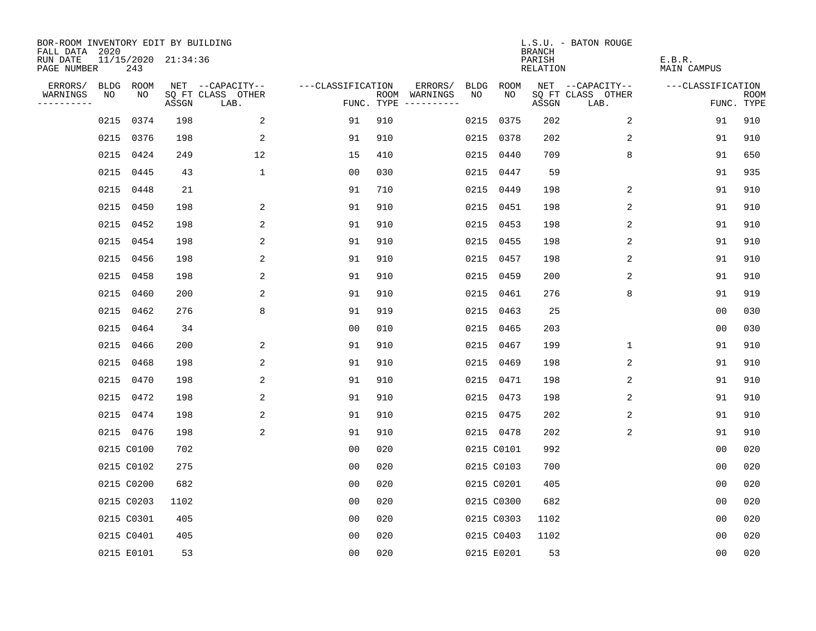| BOR-ROOM INVENTORY EDIT BY BUILDING<br>FALL DATA 2020 |      |            |                     |                           |                   |     |                                      |             |            | <b>BRANCH</b>             | L.S.U. - BATON ROUGE      |                              |                           |
|-------------------------------------------------------|------|------------|---------------------|---------------------------|-------------------|-----|--------------------------------------|-------------|------------|---------------------------|---------------------------|------------------------------|---------------------------|
| RUN DATE<br>PAGE NUMBER                               |      | 243        | 11/15/2020 21:34:36 |                           |                   |     |                                      |             |            | PARISH<br><b>RELATION</b> |                           | E.B.R.<br><b>MAIN CAMPUS</b> |                           |
| ERRORS/                                               |      | BLDG ROOM  |                     | NET --CAPACITY--          | ---CLASSIFICATION |     | ERRORS/                              | <b>BLDG</b> | ROOM       |                           | NET --CAPACITY--          | ---CLASSIFICATION            |                           |
| WARNINGS<br>----------                                | NO   | NO         | ASSGN               | SQ FT CLASS OTHER<br>LAB. |                   |     | ROOM WARNINGS<br>FUNC. TYPE $------$ | NO          | NO         | ASSGN                     | SQ FT CLASS OTHER<br>LAB. |                              | <b>ROOM</b><br>FUNC. TYPE |
|                                                       | 0215 | 0374       | 198                 | 2                         | 91                | 910 |                                      |             | 0215 0375  | 202                       | 2                         | 91                           | 910                       |
|                                                       |      | 0215 0376  | 198                 | 2                         | 91                | 910 |                                      |             | 0215 0378  | 202                       | 2                         | 91                           | 910                       |
|                                                       | 0215 | 0424       | 249                 | 12                        | 15                | 410 |                                      |             | 0215 0440  | 709                       | 8                         | 91                           | 650                       |
|                                                       |      | 0215 0445  | 43                  | $\mathbf 1$               | 0 <sub>0</sub>    | 030 |                                      |             | 0215 0447  | 59                        |                           | 91                           | 935                       |
|                                                       | 0215 | 0448       | 21                  |                           | 91                | 710 |                                      |             | 0215 0449  | 198                       | 2                         | 91                           | 910                       |
|                                                       |      | 0215 0450  | 198                 | 2                         | 91                | 910 |                                      |             | 0215 0451  | 198                       | 2                         | 91                           | 910                       |
|                                                       |      | 0215 0452  | 198                 | 2                         | 91                | 910 |                                      |             | 0215 0453  | 198                       | 2                         | 91                           | 910                       |
|                                                       |      | 0215 0454  | 198                 | 2                         | 91                | 910 |                                      |             | 0215 0455  | 198                       | 2                         | 91                           | 910                       |
|                                                       |      | 0215 0456  | 198                 | 2                         | 91                | 910 |                                      |             | 0215 0457  | 198                       | 2                         | 91                           | 910                       |
|                                                       |      | 0215 0458  | 198                 | 2                         | 91                | 910 |                                      |             | 0215 0459  | 200                       | 2                         | 91                           | 910                       |
|                                                       |      | 0215 0460  | 200                 | 2                         | 91                | 910 |                                      |             | 0215 0461  | 276                       | 8                         | 91                           | 919                       |
|                                                       |      | 0215 0462  | 276                 | 8                         | 91                | 919 |                                      |             | 0215 0463  | 25                        |                           | 0 <sub>0</sub>               | 030                       |
|                                                       | 0215 | 0464       | 34                  |                           | 0 <sub>0</sub>    | 010 |                                      |             | 0215 0465  | 203                       |                           | 0 <sub>0</sub>               | 030                       |
|                                                       |      | 0215 0466  | 200                 | 2                         | 91                | 910 |                                      |             | 0215 0467  | 199                       | 1                         | 91                           | 910                       |
|                                                       | 0215 | 0468       | 198                 | 2                         | 91                | 910 |                                      |             | 0215 0469  | 198                       | 2                         | 91                           | 910                       |
|                                                       |      | 0215 0470  | 198                 | 2                         | 91                | 910 |                                      |             | 0215 0471  | 198                       | 2                         | 91                           | 910                       |
|                                                       |      | 0215 0472  | 198                 | 2                         | 91                | 910 |                                      |             | 0215 0473  | 198                       | 2                         | 91                           | 910                       |
|                                                       |      | 0215 0474  | 198                 | 2                         | 91                | 910 |                                      |             | 0215 0475  | 202                       | 2                         | 91                           | 910                       |
|                                                       |      | 0215 0476  | 198                 | 2                         | 91                | 910 |                                      |             | 0215 0478  | 202                       | 2                         | 91                           | 910                       |
|                                                       |      | 0215 C0100 | 702                 |                           | 0 <sub>0</sub>    | 020 |                                      |             | 0215 C0101 | 992                       |                           | 0 <sub>0</sub>               | 020                       |
|                                                       |      | 0215 C0102 | 275                 |                           | 0 <sub>0</sub>    | 020 |                                      |             | 0215 C0103 | 700                       |                           | 0 <sub>0</sub>               | 020                       |
|                                                       |      | 0215 C0200 | 682                 |                           | 0 <sub>0</sub>    | 020 |                                      |             | 0215 C0201 | 405                       |                           | 0 <sub>0</sub>               | 020                       |
|                                                       |      | 0215 C0203 | 1102                |                           | 0 <sub>0</sub>    | 020 |                                      |             | 0215 C0300 | 682                       |                           | 0 <sub>0</sub>               | 020                       |
|                                                       |      | 0215 C0301 | 405                 |                           | 0 <sub>0</sub>    | 020 |                                      |             | 0215 C0303 | 1102                      |                           | 0 <sub>0</sub>               | 020                       |
|                                                       |      | 0215 C0401 | 405                 |                           | 0 <sub>0</sub>    | 020 |                                      |             | 0215 C0403 | 1102                      |                           | 0 <sub>0</sub>               | 020                       |
|                                                       |      | 0215 E0101 | 53                  |                           | 0 <sub>0</sub>    | 020 |                                      |             | 0215 E0201 | 53                        |                           | 0 <sub>0</sub>               | 020                       |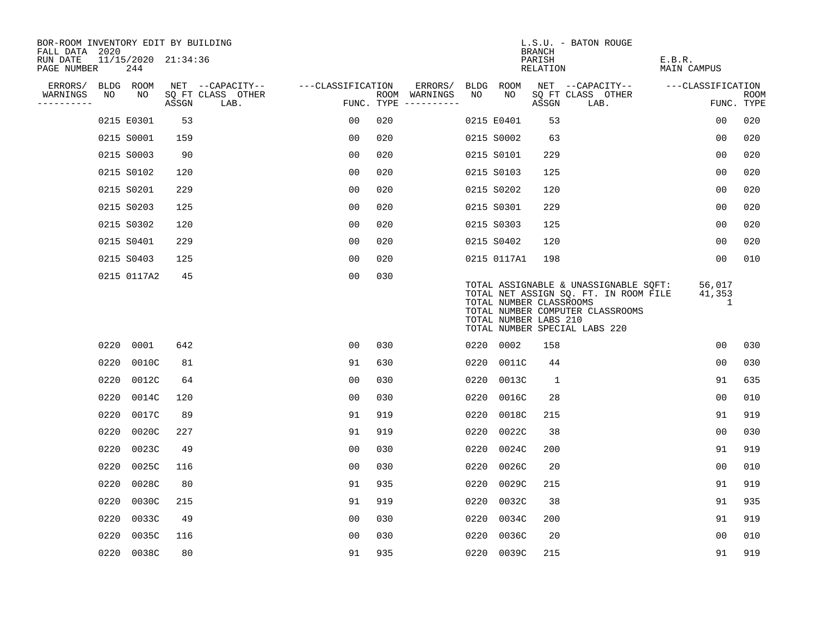| BOR-ROOM INVENTORY EDIT BY BUILDING<br>FALL DATA 2020 |                            |       |                           |                   |                                      |         |      |                                                  | <b>BRANCH</b>      | L.S.U. - BATON ROUGE                                                                                                                                |                              |                           |
|-------------------------------------------------------|----------------------------|-------|---------------------------|-------------------|--------------------------------------|---------|------|--------------------------------------------------|--------------------|-----------------------------------------------------------------------------------------------------------------------------------------------------|------------------------------|---------------------------|
| RUN DATE<br>PAGE NUMBER                               | 11/15/2020 21:34:36<br>244 |       |                           |                   |                                      |         |      |                                                  | PARISH<br>RELATION |                                                                                                                                                     | E.B.R.<br><b>MAIN CAMPUS</b> |                           |
| ERRORS/                                               | BLDG ROOM                  |       | NET --CAPACITY--          | ---CLASSIFICATION |                                      | ERRORS/ |      | BLDG ROOM                                        |                    | NET --CAPACITY--                                                                                                                                    | ---CLASSIFICATION            |                           |
| WARNINGS<br>NO<br>----------                          | NO                         | ASSGN | SQ FT CLASS OTHER<br>LAB. |                   | ROOM WARNINGS<br>FUNC. TYPE $------$ |         | NO   | NO                                               | ASSGN              | SQ FT CLASS OTHER<br>LAB.                                                                                                                           |                              | <b>ROOM</b><br>FUNC. TYPE |
|                                                       | 0215 E0301                 | 53    |                           | 00                | 020                                  |         |      | 0215 E0401                                       | 53                 |                                                                                                                                                     | 0 <sub>0</sub>               | 020                       |
|                                                       | 0215 S0001                 | 159   |                           | 0 <sub>0</sub>    | 020                                  |         |      | 0215 S0002                                       | 63                 |                                                                                                                                                     | 0 <sub>0</sub>               | 020                       |
|                                                       | 0215 S0003                 | 90    |                           | 00                | 020                                  |         |      | 0215 S0101                                       | 229                |                                                                                                                                                     | 0 <sub>0</sub>               | 020                       |
|                                                       | 0215 S0102                 | 120   |                           | 0 <sub>0</sub>    | 020                                  |         |      | 0215 S0103                                       | 125                |                                                                                                                                                     | 0 <sub>0</sub>               | 020                       |
|                                                       | 0215 S0201                 | 229   |                           | 0 <sub>0</sub>    | 020                                  |         |      | 0215 S0202                                       | 120                |                                                                                                                                                     | 00                           | 020                       |
|                                                       | 0215 S0203                 | 125   |                           | 0 <sub>0</sub>    | 020                                  |         |      | 0215 S0301                                       | 229                |                                                                                                                                                     | 0 <sub>0</sub>               | 020                       |
|                                                       | 0215 S0302                 | 120   |                           | 00                | 020                                  |         |      | 0215 S0303                                       | 125                |                                                                                                                                                     | 00                           | 020                       |
|                                                       | 0215 S0401                 | 229   |                           | 0 <sub>0</sub>    | 020                                  |         |      | 0215 S0402                                       | 120                |                                                                                                                                                     | 0 <sub>0</sub>               | 020                       |
|                                                       | 0215 S0403                 | 125   |                           | 0 <sub>0</sub>    | 020                                  |         |      | 0215 0117A1                                      | 198                |                                                                                                                                                     | 0 <sub>0</sub>               | 010                       |
|                                                       | 0215 0117A2                | 45    |                           | 0 <sub>0</sub>    | 030                                  |         |      | TOTAL NUMBER CLASSROOMS<br>TOTAL NUMBER LABS 210 |                    | TOTAL ASSIGNABLE & UNASSIGNABLE SQFT:<br>TOTAL NET ASSIGN SQ. FT. IN ROOM FILE<br>TOTAL NUMBER COMPUTER CLASSROOMS<br>TOTAL NUMBER SPECIAL LABS 220 | 56,017<br>41,353<br>1        |                           |
| 0220                                                  | 0001                       | 642   |                           | 0 <sub>0</sub>    | 030                                  |         | 0220 | 0002                                             | 158                |                                                                                                                                                     | 00                           | 030                       |
| 0220                                                  | 0010C                      | 81    |                           | 91                | 630                                  |         | 0220 | 0011C                                            | 44                 |                                                                                                                                                     | 0 <sub>0</sub>               | 030                       |
| 0220                                                  | 0012C                      | 64    |                           | 0 <sub>0</sub>    | 030                                  |         | 0220 | 0013C                                            | 1                  |                                                                                                                                                     | 91                           | 635                       |
| 0220                                                  | 0014C                      | 120   |                           | 0 <sub>0</sub>    | 030                                  |         | 0220 | 0016C                                            | 28                 |                                                                                                                                                     | 0 <sub>0</sub>               | 010                       |
| 0220                                                  | 0017C                      | 89    |                           | 91                | 919                                  |         | 0220 | 0018C                                            | 215                |                                                                                                                                                     | 91                           | 919                       |
| 0220                                                  | 0020C                      | 227   |                           | 91                | 919                                  |         | 0220 | 0022C                                            | 38                 |                                                                                                                                                     | 0 <sub>0</sub>               | 030                       |
| 0220                                                  | 0023C                      | 49    |                           | 0 <sub>0</sub>    | 030                                  |         | 0220 | 0024C                                            | 200                |                                                                                                                                                     | 91                           | 919                       |
| 0220                                                  | 0025C                      | 116   |                           | 0 <sub>0</sub>    | 030                                  |         | 0220 | 0026C                                            | 20                 |                                                                                                                                                     | 0 <sub>0</sub>               | 010                       |
| 0220                                                  | 0028C                      | 80    |                           | 91                | 935                                  |         | 0220 | 0029C                                            | 215                |                                                                                                                                                     | 91                           | 919                       |
| 0220                                                  | 0030C                      | 215   |                           | 91                | 919                                  |         | 0220 | 0032C                                            | 38                 |                                                                                                                                                     | 91                           | 935                       |
| 0220                                                  | 0033C                      | 49    |                           | 0 <sub>0</sub>    | 030                                  |         | 0220 | 0034C                                            | 200                |                                                                                                                                                     | 91                           | 919                       |
| 0220                                                  | 0035C                      | 116   |                           | 0 <sub>0</sub>    | 030                                  |         | 0220 | 0036C                                            | 20                 |                                                                                                                                                     | 0 <sub>0</sub>               | 010                       |
|                                                       | 0220 0038C                 | 80    |                           | 91                | 935                                  |         |      | 0220 0039C                                       | 215                |                                                                                                                                                     | 91                           | 919                       |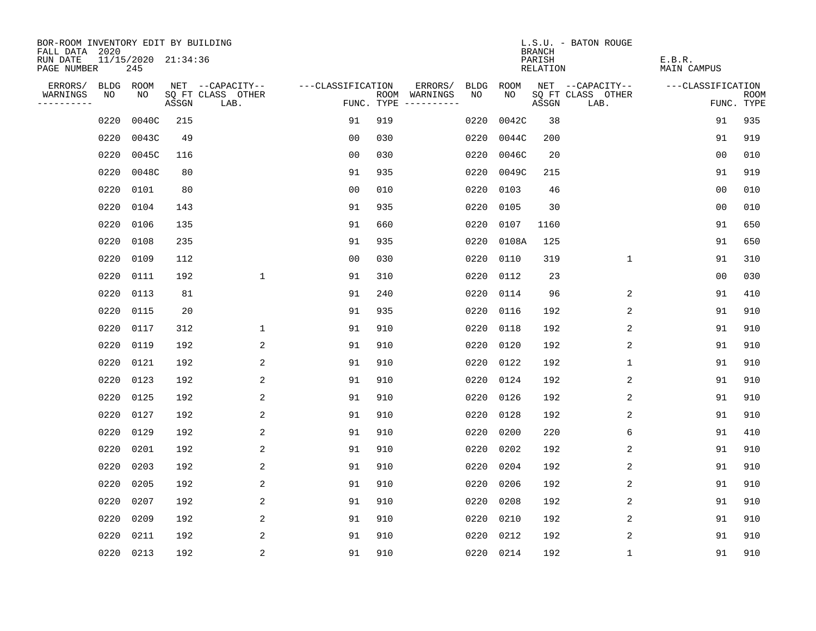| BOR-ROOM INVENTORY EDIT BY BUILDING<br>FALL DATA 2020 |      |                            |       |                           |                   |     |                                      |      |           | <b>BRANCH</b>      | L.S.U. - BATON ROUGE      |                       |                           |
|-------------------------------------------------------|------|----------------------------|-------|---------------------------|-------------------|-----|--------------------------------------|------|-----------|--------------------|---------------------------|-----------------------|---------------------------|
| RUN DATE<br>PAGE NUMBER                               |      | 11/15/2020 21:34:36<br>245 |       |                           |                   |     |                                      |      |           | PARISH<br>RELATION |                           | E.B.R.<br>MAIN CAMPUS |                           |
| ERRORS/                                               |      | BLDG ROOM                  |       | NET --CAPACITY--          | ---CLASSIFICATION |     | ERRORS/                              | BLDG | ROOM      |                    | NET --CAPACITY--          | ---CLASSIFICATION     |                           |
| WARNINGS<br>----------                                | NO   | NO                         | ASSGN | SQ FT CLASS OTHER<br>LAB. |                   |     | ROOM WARNINGS<br>FUNC. TYPE $------$ | NO   | NO.       | ASSGN              | SQ FT CLASS OTHER<br>LAB. |                       | <b>ROOM</b><br>FUNC. TYPE |
|                                                       | 0220 | 0040C                      | 215   |                           | 91                | 919 |                                      | 0220 | 0042C     | 38                 |                           | 91                    | 935                       |
|                                                       | 0220 | 0043C                      | 49    |                           | 0 <sub>0</sub>    | 030 |                                      | 0220 | 0044C     | 200                |                           | 91                    | 919                       |
|                                                       | 0220 | 0045C                      | 116   |                           | 0 <sub>0</sub>    | 030 |                                      | 0220 | 0046C     | 20                 |                           | 0 <sub>0</sub>        | 010                       |
|                                                       | 0220 | 0048C                      | 80    |                           | 91                | 935 |                                      | 0220 | 0049C     | 215                |                           | 91                    | 919                       |
|                                                       | 0220 | 0101                       | 80    |                           | 0 <sub>0</sub>    | 010 |                                      | 0220 | 0103      | 46                 |                           | 0 <sub>0</sub>        | 010                       |
|                                                       | 0220 | 0104                       | 143   |                           | 91                | 935 |                                      | 0220 | 0105      | 30                 |                           | 0 <sub>0</sub>        | 010                       |
|                                                       | 0220 | 0106                       | 135   |                           | 91                | 660 |                                      | 0220 | 0107      | 1160               |                           | 91                    | 650                       |
|                                                       | 0220 | 0108                       | 235   |                           | 91                | 935 |                                      | 0220 | 0108A     | 125                |                           | 91                    | 650                       |
|                                                       | 0220 | 0109                       | 112   |                           | 0 <sub>0</sub>    | 030 |                                      | 0220 | 0110      | 319                | $\mathbf{1}$              | 91                    | 310                       |
|                                                       | 0220 | 0111                       | 192   | $\mathbf 1$               | 91                | 310 |                                      | 0220 | 0112      | 23                 |                           | 0 <sub>0</sub>        | 030                       |
|                                                       | 0220 | 0113                       | 81    |                           | 91                | 240 |                                      | 0220 | 0114      | 96                 | 2                         | 91                    | 410                       |
|                                                       | 0220 | 0115                       | 20    |                           | 91                | 935 |                                      | 0220 | 0116      | 192                | 2                         | 91                    | 910                       |
|                                                       | 0220 | 0117                       | 312   | $\mathbf 1$               | 91                | 910 |                                      | 0220 | 0118      | 192                | 2                         | 91                    | 910                       |
|                                                       | 0220 | 0119                       | 192   | 2                         | 91                | 910 |                                      | 0220 | 0120      | 192                | 2                         | 91                    | 910                       |
|                                                       | 0220 | 0121                       | 192   | 2                         | 91                | 910 |                                      | 0220 | 0122      | 192                | 1                         | 91                    | 910                       |
|                                                       | 0220 | 0123                       | 192   | 2                         | 91                | 910 |                                      | 0220 | 0124      | 192                | $\overline{c}$            | 91                    | 910                       |
|                                                       | 0220 | 0125                       | 192   | 2                         | 91                | 910 |                                      | 0220 | 0126      | 192                | 2                         | 91                    | 910                       |
|                                                       | 0220 | 0127                       | 192   | 2                         | 91                | 910 |                                      | 0220 | 0128      | 192                | 2                         | 91                    | 910                       |
|                                                       | 0220 | 0129                       | 192   | 2                         | 91                | 910 |                                      | 0220 | 0200      | 220                | 6                         | 91                    | 410                       |
|                                                       | 0220 | 0201                       | 192   | 2                         | 91                | 910 |                                      | 0220 | 0202      | 192                | 2                         | 91                    | 910                       |
|                                                       | 0220 | 0203                       | 192   | 2                         | 91                | 910 |                                      | 0220 | 0204      | 192                | 2                         | 91                    | 910                       |
|                                                       | 0220 | 0205                       | 192   | 2                         | 91                | 910 |                                      | 0220 | 0206      | 192                | 2                         | 91                    | 910                       |
|                                                       | 0220 | 0207                       | 192   | 2                         | 91                | 910 |                                      | 0220 | 0208      | 192                | 2                         | 91                    | 910                       |
|                                                       | 0220 | 0209                       | 192   | 2                         | 91                | 910 |                                      | 0220 | 0210      | 192                | $\overline{c}$            | 91                    | 910                       |
|                                                       | 0220 | 0211                       | 192   | 2                         | 91                | 910 |                                      | 0220 | 0212      | 192                | 2                         | 91                    | 910                       |
|                                                       |      | 0220 0213                  | 192   | $\overline{c}$            | 91                | 910 |                                      |      | 0220 0214 | 192                | $\mathbf{1}$              | 91                    | 910                       |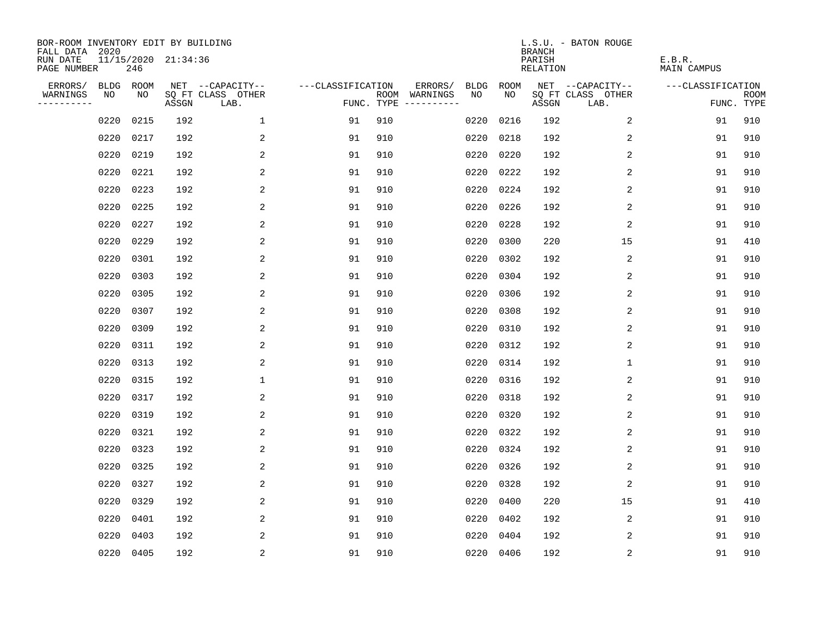| BOR-ROOM INVENTORY EDIT BY BUILDING<br>FALL DATA 2020 |      |           |                     |                           |                   |                                      |         |             |           | <b>BRANCH</b>                   | L.S.U. - BATON ROUGE      |                       |                           |
|-------------------------------------------------------|------|-----------|---------------------|---------------------------|-------------------|--------------------------------------|---------|-------------|-----------|---------------------------------|---------------------------|-----------------------|---------------------------|
| RUN DATE<br>PAGE NUMBER                               |      | 246       | 11/15/2020 21:34:36 |                           |                   |                                      |         |             |           | PARISH<br>RELATION              |                           | E.B.R.<br>MAIN CAMPUS |                           |
| ERRORS/                                               |      | BLDG ROOM |                     | NET --CAPACITY--          | ---CLASSIFICATION |                                      | ERRORS/ | <b>BLDG</b> | ROOM      |                                 | NET --CAPACITY--          | ---CLASSIFICATION     |                           |
| WARNINGS<br>----------                                | NO   | NO        | ASSGN               | SQ FT CLASS OTHER<br>LAB. |                   | ROOM WARNINGS<br>FUNC. TYPE $------$ |         | NO.         | NO.       | $\operatorname{\mathsf{ASSGN}}$ | SQ FT CLASS OTHER<br>LAB. |                       | <b>ROOM</b><br>FUNC. TYPE |
|                                                       | 0220 | 0215      | 192                 | $\mathbf 1$               | 91                | 910                                  |         | 0220        | 0216      | 192                             | 2                         | 91                    | 910                       |
|                                                       | 0220 | 0217      | 192                 | 2                         | 91                | 910                                  |         | 0220        | 0218      | 192                             | 2                         | 91                    | 910                       |
|                                                       | 0220 | 0219      | 192                 | 2                         | 91                | 910                                  |         | 0220        | 0220      | 192                             | 2                         | 91                    | 910                       |
|                                                       | 0220 | 0221      | 192                 | 2                         | 91                | 910                                  |         | 0220        | 0222      | 192                             | 2                         | 91                    | 910                       |
|                                                       | 0220 | 0223      | 192                 | 2                         | 91                | 910                                  |         | 0220        | 0224      | 192                             | $\overline{c}$            | 91                    | 910                       |
|                                                       | 0220 | 0225      | 192                 | 2                         | 91                | 910                                  |         | 0220        | 0226      | 192                             | $\overline{c}$            | 91                    | 910                       |
|                                                       | 0220 | 0227      | 192                 | 2                         | 91                | 910                                  |         | 0220        | 0228      | 192                             | 2                         | 91                    | 910                       |
|                                                       | 0220 | 0229      | 192                 | 2                         | 91                | 910                                  |         | 0220        | 0300      | 220                             | 15                        | 91                    | 410                       |
|                                                       | 0220 | 0301      | 192                 | 2                         | 91                | 910                                  |         | 0220        | 0302      | 192                             | 2                         | 91                    | 910                       |
|                                                       | 0220 | 0303      | 192                 | 2                         | 91                | 910                                  |         | 0220        | 0304      | 192                             | 2                         | 91                    | 910                       |
|                                                       | 0220 | 0305      | 192                 | 2                         | 91                | 910                                  |         | 0220        | 0306      | 192                             | 2                         | 91                    | 910                       |
|                                                       | 0220 | 0307      | 192                 | 2                         | 91                | 910                                  |         | 0220        | 0308      | 192                             | 2                         | 91                    | 910                       |
|                                                       | 0220 | 0309      | 192                 | 2                         | 91                | 910                                  |         | 0220        | 0310      | 192                             | 2                         | 91                    | 910                       |
|                                                       | 0220 | 0311      | 192                 | 2                         | 91                | 910                                  |         | 0220        | 0312      | 192                             | 2                         | 91                    | 910                       |
|                                                       | 0220 | 0313      | 192                 | 2                         | 91                | 910                                  |         | 0220        | 0314      | 192                             | 1                         | 91                    | 910                       |
|                                                       | 0220 | 0315      | 192                 | 1                         | 91                | 910                                  |         | 0220        | 0316      | 192                             | 2                         | 91                    | 910                       |
|                                                       | 0220 | 0317      | 192                 | 2                         | 91                | 910                                  |         | 0220        | 0318      | 192                             | 2                         | 91                    | 910                       |
|                                                       | 0220 | 0319      | 192                 | 2                         | 91                | 910                                  |         | 0220        | 0320      | 192                             | 2                         | 91                    | 910                       |
|                                                       | 0220 | 0321      | 192                 | 2                         | 91                | 910                                  |         | 0220        | 0322      | 192                             | 2                         | 91                    | 910                       |
|                                                       | 0220 | 0323      | 192                 | 2                         | 91                | 910                                  |         | 0220        | 0324      | 192                             | 2                         | 91                    | 910                       |
|                                                       | 0220 | 0325      | 192                 | 2                         | 91                | 910                                  |         | 0220        | 0326      | 192                             | 2                         | 91                    | 910                       |
|                                                       | 0220 | 0327      | 192                 | 2                         | 91                | 910                                  |         | 0220        | 0328      | 192                             | 2                         | 91                    | 910                       |
|                                                       | 0220 | 0329      | 192                 | 2                         | 91                | 910                                  |         | 0220        | 0400      | 220                             | 15                        | 91                    | 410                       |
|                                                       | 0220 | 0401      | 192                 | 2                         | 91                | 910                                  |         | 0220        | 0402      | 192                             | 2                         | 91                    | 910                       |
|                                                       | 0220 | 0403      | 192                 | 2                         | 91                | 910                                  |         | 0220        | 0404      | 192                             | 2                         | 91                    | 910                       |
|                                                       |      | 0220 0405 | 192                 | $\overline{c}$            | 91                | 910                                  |         |             | 0220 0406 | 192                             | $\sqrt{2}$                | 91                    | 910                       |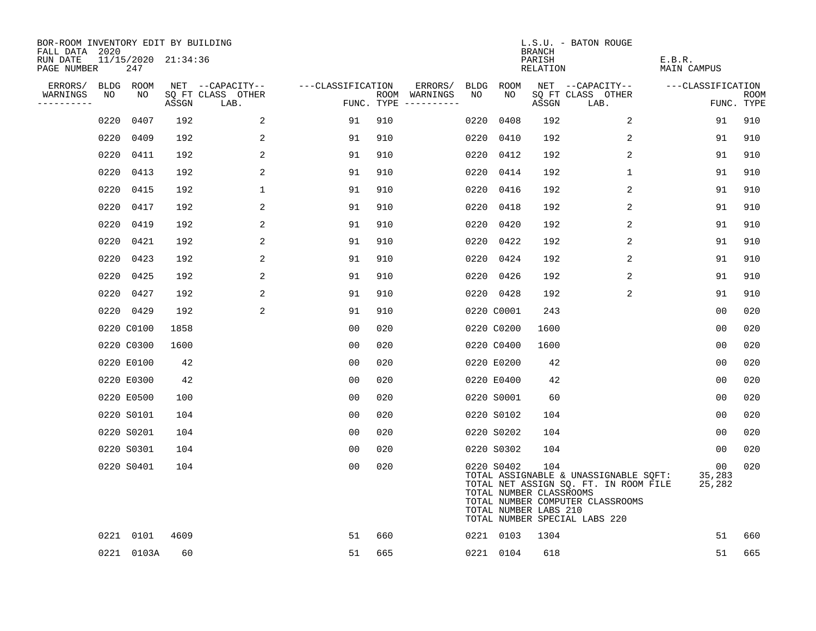| BOR-ROOM INVENTORY EDIT BY BUILDING<br>FALL DATA 2020 |      |                            |       |                           |                   |     |                                      |      |                                                                | <b>BRANCH</b>      | L.S.U. - BATON ROUGE                                                                                                                                |                              |                           |
|-------------------------------------------------------|------|----------------------------|-------|---------------------------|-------------------|-----|--------------------------------------|------|----------------------------------------------------------------|--------------------|-----------------------------------------------------------------------------------------------------------------------------------------------------|------------------------------|---------------------------|
| RUN DATE<br>PAGE NUMBER                               |      | 11/15/2020 21:34:36<br>247 |       |                           |                   |     |                                      |      |                                                                | PARISH<br>RELATION |                                                                                                                                                     | E.B.R.<br><b>MAIN CAMPUS</b> |                           |
| ERRORS/                                               |      | BLDG ROOM                  |       | NET --CAPACITY--          | ---CLASSIFICATION |     | ERRORS/                              | BLDG | ROOM                                                           |                    | NET --CAPACITY--                                                                                                                                    | ---CLASSIFICATION            |                           |
| WARNINGS<br>----------                                | NO   | NO                         | ASSGN | SQ FT CLASS OTHER<br>LAB. |                   |     | ROOM WARNINGS<br>FUNC. TYPE $------$ | NO   | NO                                                             | ASSGN              | SQ FT CLASS OTHER<br>LAB.                                                                                                                           |                              | <b>ROOM</b><br>FUNC. TYPE |
|                                                       | 0220 | 0407                       | 192   | 2                         | 91                | 910 |                                      | 0220 | 0408                                                           | 192                | 2                                                                                                                                                   | 91                           | 910                       |
|                                                       | 0220 | 0409                       | 192   | 2                         | 91                | 910 |                                      |      | 0220 0410                                                      | 192                | 2                                                                                                                                                   | 91                           | 910                       |
|                                                       | 0220 | 0411                       | 192   | 2                         | 91                | 910 |                                      |      | 0220 0412                                                      | 192                | 2                                                                                                                                                   | 91                           | 910                       |
|                                                       | 0220 | 0413                       | 192   | 2                         | 91                | 910 |                                      |      | 0220 0414                                                      | 192                | $\mathbf 1$                                                                                                                                         | 91                           | 910                       |
|                                                       | 0220 | 0415                       | 192   | $\mathbf{1}$              | 91                | 910 |                                      |      | 0220 0416                                                      | 192                | 2                                                                                                                                                   | 91                           | 910                       |
|                                                       |      | 0220 0417                  | 192   | 2                         | 91                | 910 |                                      |      | 0220 0418                                                      | 192                | 2                                                                                                                                                   | 91                           | 910                       |
|                                                       | 0220 | 0419                       | 192   | 2                         | 91                | 910 |                                      |      | 0220 0420                                                      | 192                | 2                                                                                                                                                   | 91                           | 910                       |
|                                                       |      | 0220 0421                  | 192   | 2                         | 91                | 910 |                                      |      | 0220 0422                                                      | 192                | 2                                                                                                                                                   | 91                           | 910                       |
|                                                       | 0220 | 0423                       | 192   | 2                         | 91                | 910 |                                      |      | 0220 0424                                                      | 192                | 2                                                                                                                                                   | 91                           | 910                       |
|                                                       | 0220 | 0425                       | 192   | 2                         | 91                | 910 |                                      |      | 0220 0426                                                      | 192                | 2                                                                                                                                                   | 91                           | 910                       |
|                                                       |      | 0220 0427                  | 192   | 2                         | 91                | 910 |                                      |      | 0220 0428                                                      | 192                | 2                                                                                                                                                   | 91                           | 910                       |
|                                                       |      | 0220 0429                  | 192   | 2                         | 91                | 910 |                                      |      | 0220 C0001                                                     | 243                |                                                                                                                                                     | 0 <sub>0</sub>               | 020                       |
|                                                       |      | 0220 C0100                 | 1858  |                           | 0 <sub>0</sub>    | 020 |                                      |      | 0220 C0200                                                     | 1600               |                                                                                                                                                     | 0 <sub>0</sub>               | 020                       |
|                                                       |      | 0220 C0300                 | 1600  |                           | 00                | 020 |                                      |      | 0220 C0400                                                     | 1600               |                                                                                                                                                     | 0 <sub>0</sub>               | 020                       |
|                                                       |      | 0220 E0100                 | 42    |                           | 0 <sub>0</sub>    | 020 |                                      |      | 0220 E0200                                                     | 42                 |                                                                                                                                                     | 0 <sub>0</sub>               | 020                       |
|                                                       |      | 0220 E0300                 | 42    |                           | 0 <sub>0</sub>    | 020 |                                      |      | 0220 E0400                                                     | 42                 |                                                                                                                                                     | 0 <sub>0</sub>               | 020                       |
|                                                       |      | 0220 E0500                 | 100   |                           | 0 <sub>0</sub>    | 020 |                                      |      | 0220 S0001                                                     | 60                 |                                                                                                                                                     | 0 <sub>0</sub>               | 020                       |
|                                                       |      | 0220 S0101                 | 104   |                           | 0 <sub>0</sub>    | 020 |                                      |      | 0220 S0102                                                     | 104                |                                                                                                                                                     | 00                           | 020                       |
|                                                       |      | 0220 S0201                 | 104   |                           | 0 <sub>0</sub>    | 020 |                                      |      | 0220 S0202                                                     | 104                |                                                                                                                                                     | 0 <sub>0</sub>               | 020                       |
|                                                       |      | 0220 S0301                 | 104   |                           | 0 <sub>0</sub>    | 020 |                                      |      | 0220 S0302                                                     | 104                |                                                                                                                                                     | 00                           | 020                       |
|                                                       |      | 0220 S0401                 | 104   |                           | 0 <sub>0</sub>    | 020 |                                      |      | 0220 S0402<br>TOTAL NUMBER CLASSROOMS<br>TOTAL NUMBER LABS 210 | 104                | TOTAL ASSIGNABLE & UNASSIGNABLE SQFT:<br>TOTAL NET ASSIGN SQ. FT. IN ROOM FILE<br>TOTAL NUMBER COMPUTER CLASSROOMS<br>TOTAL NUMBER SPECIAL LABS 220 | 00<br>35,283<br>25,282       | 020                       |
|                                                       |      | 0221 0101                  | 4609  |                           | 51                | 660 |                                      |      | 0221 0103                                                      | 1304               |                                                                                                                                                     | 51                           | 660                       |
|                                                       |      | 0221 0103A                 | 60    |                           | 51                | 665 |                                      |      | 0221 0104                                                      | 618                |                                                                                                                                                     | 51                           | 665                       |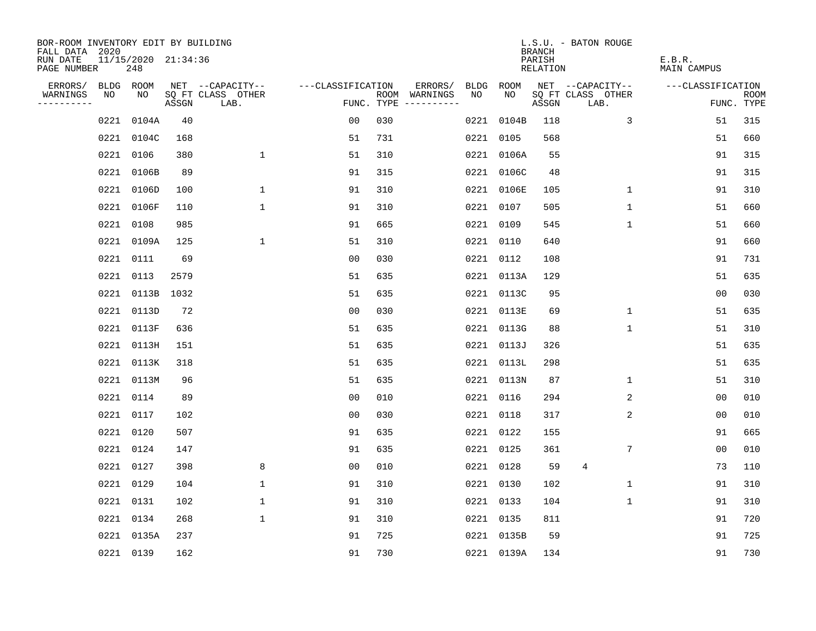| BOR-ROOM INVENTORY EDIT BY BUILDING       |                            |       |                           |                   |     |                                      |     |            | <b>BRANCH</b>      | L.S.U. - BATON ROUGE      |                       |                           |
|-------------------------------------------|----------------------------|-------|---------------------------|-------------------|-----|--------------------------------------|-----|------------|--------------------|---------------------------|-----------------------|---------------------------|
| FALL DATA 2020<br>RUN DATE<br>PAGE NUMBER | 11/15/2020 21:34:36<br>248 |       |                           |                   |     |                                      |     |            | PARISH<br>RELATION |                           | E.B.R.<br>MAIN CAMPUS |                           |
| ERRORS/                                   | BLDG ROOM                  |       | NET --CAPACITY--          | ---CLASSIFICATION |     | ERRORS/                              |     | BLDG ROOM  |                    | NET --CAPACITY--          | ---CLASSIFICATION     |                           |
| WARNINGS<br>NO<br>----------              | NO                         | ASSGN | SQ FT CLASS OTHER<br>LAB. |                   |     | ROOM WARNINGS<br>FUNC. TYPE $------$ | NO. | NO         | ASSGN              | SQ FT CLASS OTHER<br>LAB. |                       | <b>ROOM</b><br>FUNC. TYPE |
| 0221                                      | 0104A                      | 40    |                           | 0 <sub>0</sub>    | 030 |                                      |     | 0221 0104B | 118                | 3                         | 51                    | 315                       |
| 0221                                      | 0104C                      | 168   |                           | 51                | 731 |                                      |     | 0221 0105  | 568                |                           | 51                    | 660                       |
|                                           | 0221 0106                  | 380   | $\mathbf 1$               | 51                | 310 |                                      |     | 0221 0106A | 55                 |                           | 91                    | 315                       |
|                                           | 0221 0106B                 | 89    |                           | 91                | 315 |                                      |     | 0221 0106C | 48                 |                           | 91                    | 315                       |
|                                           | 0221 0106D                 | 100   | $\mathbf{1}$              | 91                | 310 |                                      |     | 0221 0106E | 105                | $\mathbf{1}$              | 91                    | 310                       |
|                                           | 0221 0106F                 | 110   | $\mathbf 1$               | 91                | 310 |                                      |     | 0221 0107  | 505                | $\mathbf 1$               | 51                    | 660                       |
|                                           | 0221 0108                  | 985   |                           | 91                | 665 |                                      |     | 0221 0109  | 545                | $\mathbf{1}$              | 51                    | 660                       |
|                                           | 0221 0109A                 | 125   | $\mathbf 1$               | 51                | 310 |                                      |     | 0221 0110  | 640                |                           | 91                    | 660                       |
|                                           | 0221 0111                  | 69    |                           | 0 <sub>0</sub>    | 030 |                                      |     | 0221 0112  | 108                |                           | 91                    | 731                       |
|                                           | 0221 0113                  | 2579  |                           | 51                | 635 |                                      |     | 0221 0113A | 129                |                           | 51                    | 635                       |
|                                           | 0221 0113B                 | 1032  |                           | 51                | 635 |                                      |     | 0221 0113C | 95                 |                           | 0 <sub>0</sub>        | 030                       |
|                                           | 0221 0113D                 | 72    |                           | 0 <sub>0</sub>    | 030 |                                      |     | 0221 0113E | 69                 | 1                         | 51                    | 635                       |
|                                           | 0221 0113F                 | 636   |                           | 51                | 635 |                                      |     | 0221 0113G | 88                 | $\mathbf 1$               | 51                    | 310                       |
|                                           | 0221 0113H                 | 151   |                           | 51                | 635 |                                      |     | 0221 0113J | 326                |                           | 51                    | 635                       |
|                                           | 0221 0113K                 | 318   |                           | 51                | 635 |                                      |     | 0221 0113L | 298                |                           | 51                    | 635                       |
|                                           | 0221 0113M                 | 96    |                           | 51                | 635 |                                      |     | 0221 0113N | 87                 | $\mathbf 1$               | 51                    | 310                       |
| 0221                                      | 0114                       | 89    |                           | 0 <sub>0</sub>    | 010 |                                      |     | 0221 0116  | 294                | 2                         | 0 <sub>0</sub>        | 010                       |
| 0221                                      | 0117                       | 102   |                           | 0 <sub>0</sub>    | 030 |                                      |     | 0221 0118  | 317                | 2                         | 0 <sub>0</sub>        | 010                       |
| 0221                                      | 0120                       | 507   |                           | 91                | 635 |                                      |     | 0221 0122  | 155                |                           | 91                    | 665                       |
|                                           | 0221 0124                  | 147   |                           | 91                | 635 |                                      |     | 0221 0125  | 361                | 7                         | 0 <sub>0</sub>        | 010                       |
|                                           | 0221 0127                  | 398   | 8                         | 0 <sub>0</sub>    | 010 |                                      |     | 0221 0128  | 59                 | 4                         | 73                    | 110                       |
|                                           | 0221 0129                  | 104   | $\mathbf 1$               | 91                | 310 |                                      |     | 0221 0130  | 102                | $\mathbf 1$               | 91                    | 310                       |
|                                           | 0221 0131                  | 102   | $\mathbf 1$               | 91                | 310 |                                      |     | 0221 0133  | 104                | 1                         | 91                    | 310                       |
|                                           | 0221 0134                  | 268   | $\mathbf 1$               | 91                | 310 |                                      |     | 0221 0135  | 811                |                           | 91                    | 720                       |
|                                           | 0221 0135A                 | 237   |                           | 91                | 725 |                                      |     | 0221 0135B | 59                 |                           | 91                    | 725                       |
|                                           | 0221 0139                  | 162   |                           | 91                | 730 |                                      |     | 0221 0139A | 134                |                           | 91                    | 730                       |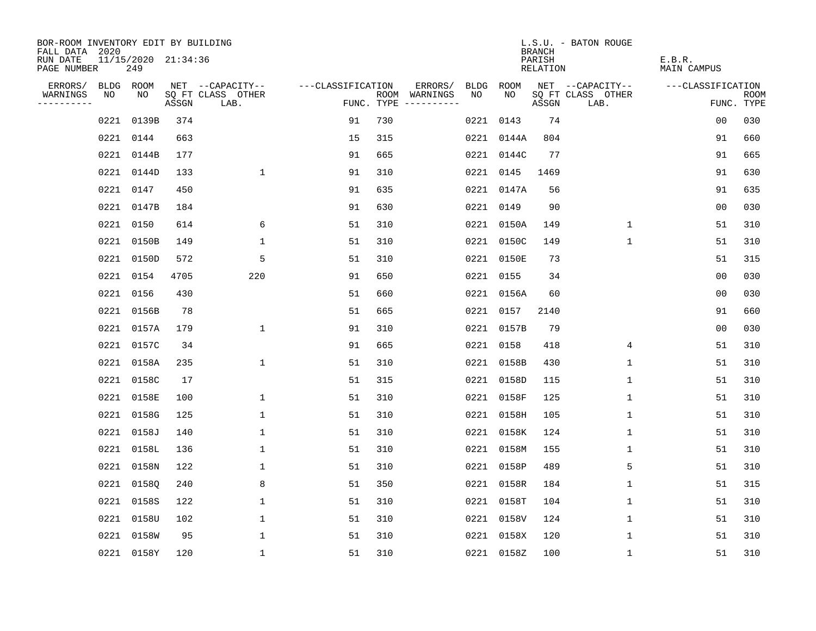| BOR-ROOM INVENTORY EDIT BY BUILDING<br>FALL DATA 2020 |                            |       |                           |                   |     |                                      |      |            | <b>BRANCH</b>      | L.S.U. - BATON ROUGE      |                       |                    |
|-------------------------------------------------------|----------------------------|-------|---------------------------|-------------------|-----|--------------------------------------|------|------------|--------------------|---------------------------|-----------------------|--------------------|
| RUN DATE<br>PAGE NUMBER                               | 11/15/2020 21:34:36<br>249 |       |                           |                   |     |                                      |      |            | PARISH<br>RELATION |                           | E.B.R.<br>MAIN CAMPUS |                    |
| ERRORS/                                               | BLDG ROOM                  |       | NET --CAPACITY--          | ---CLASSIFICATION |     | ERRORS/                              | BLDG | ROOM       |                    | NET --CAPACITY--          | ---CLASSIFICATION     |                    |
| WARNINGS<br>NO<br>----------                          | NO                         | ASSGN | SQ FT CLASS OTHER<br>LAB. |                   |     | ROOM WARNINGS<br>FUNC. TYPE $------$ | NO.  | NO.        | ASSGN              | SQ FT CLASS OTHER<br>LAB. |                       | ROOM<br>FUNC. TYPE |
| 0221                                                  | 0139B                      | 374   |                           | 91                | 730 |                                      |      | 0221 0143  | 74                 |                           | 00                    | 030                |
| 0221                                                  | 0144                       | 663   |                           | 15                | 315 |                                      |      | 0221 0144A | 804                |                           | 91                    | 660                |
|                                                       | 0221 0144B                 | 177   |                           | 91                | 665 |                                      |      | 0221 0144C | 77                 |                           | 91                    | 665                |
|                                                       | 0221 0144D                 | 133   | $\mathbf 1$               | 91                | 310 |                                      |      | 0221 0145  | 1469               |                           | 91                    | 630                |
|                                                       | 0221 0147                  | 450   |                           | 91                | 635 |                                      |      | 0221 0147A | 56                 |                           | 91                    | 635                |
|                                                       | 0221 0147B                 | 184   |                           | 91                | 630 |                                      |      | 0221 0149  | 90                 |                           | 00                    | 030                |
|                                                       | 0221 0150                  | 614   | 6                         | 51                | 310 |                                      |      | 0221 0150A | 149                | 1                         | 51                    | 310                |
|                                                       | 0221 0150B                 | 149   | $\mathbf 1$               | 51                | 310 |                                      |      | 0221 0150C | 149                | 1                         | 51                    | 310                |
|                                                       | 0221 0150D                 | 572   | 5                         | 51                | 310 |                                      |      | 0221 0150E | 73                 |                           | 51                    | 315                |
|                                                       | 0221 0154                  | 4705  | 220                       | 91                | 650 |                                      |      | 0221 0155  | 34                 |                           | 0 <sub>0</sub>        | 030                |
|                                                       | 0221 0156                  | 430   |                           | 51                | 660 |                                      |      | 0221 0156A | 60                 |                           | 0 <sub>0</sub>        | 030                |
|                                                       | 0221 0156B                 | 78    |                           | 51                | 665 |                                      |      | 0221 0157  | 2140               |                           | 91                    | 660                |
| 0221                                                  | 0157A                      | 179   | $\mathbf 1$               | 91                | 310 |                                      |      | 0221 0157B | 79                 |                           | 0 <sub>0</sub>        | 030                |
|                                                       | 0221 0157C                 | 34    |                           | 91                | 665 |                                      |      | 0221 0158  | 418                | 4                         | 51                    | 310                |
|                                                       | 0221 0158A                 | 235   | $\mathbf{1}$              | 51                | 310 |                                      |      | 0221 0158B | 430                | $\mathbf 1$               | 51                    | 310                |
|                                                       | 0221 0158C                 | 17    |                           | 51                | 315 |                                      |      | 0221 0158D | 115                | $\mathbf 1$               | 51                    | 310                |
| 0221                                                  | 0158E                      | 100   | 1                         | 51                | 310 |                                      |      | 0221 0158F | 125                | 1                         | 51                    | 310                |
| 0221                                                  | 0158G                      | 125   | 1                         | 51                | 310 |                                      |      | 0221 0158H | 105                | 1                         | 51                    | 310                |
| 0221                                                  | 0158J                      | 140   | 1                         | 51                | 310 |                                      |      | 0221 0158K | 124                | 1                         | 51                    | 310                |
| 0221                                                  | 0158L                      | 136   | $\mathbf{1}$              | 51                | 310 |                                      |      | 0221 0158M | 155                | 1                         | 51                    | 310                |
| 0221                                                  | 0158N                      | 122   | 1                         | 51                | 310 |                                      |      | 0221 0158P | 489                | 5                         | 51                    | 310                |
| 0221                                                  | 0158Q                      | 240   | 8                         | 51                | 350 |                                      |      | 0221 0158R | 184                | 1                         | 51                    | 315                |
| 0221                                                  | 0158S                      | 122   | 1                         | 51                | 310 |                                      |      | 0221 0158T | 104                | 1                         | 51                    | 310                |
| 0221                                                  | 0158U                      | 102   | $\mathbf 1$               | 51                | 310 |                                      |      | 0221 0158V | 124                | 1                         | 51                    | 310                |
|                                                       | 0221 0158W                 | 95    | 1                         | 51                | 310 |                                      |      | 0221 0158X | 120                | 1                         | 51                    | 310                |
|                                                       | 0221 0158Y                 | 120   | $\mathbf{1}$              | 51                | 310 |                                      |      | 0221 0158Z | 100                | 1                         | 51                    | 310                |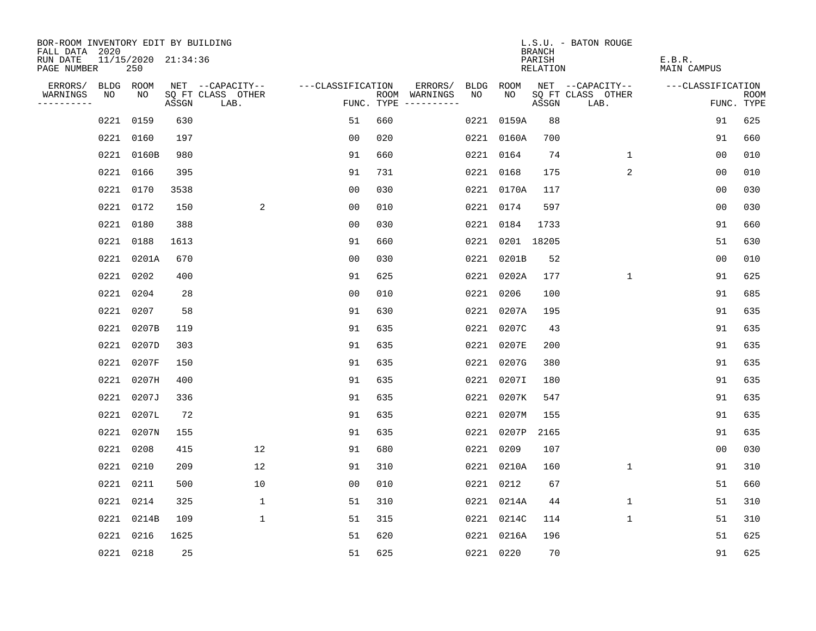| BOR-ROOM INVENTORY EDIT BY BUILDING<br>FALL DATA 2020 |           |                            |       |                           |                   |     |                                      |      |                 | <b>BRANCH</b>             | L.S.U. - BATON ROUGE      |                              |                           |
|-------------------------------------------------------|-----------|----------------------------|-------|---------------------------|-------------------|-----|--------------------------------------|------|-----------------|---------------------------|---------------------------|------------------------------|---------------------------|
| RUN DATE<br>PAGE NUMBER                               |           | 11/15/2020 21:34:36<br>250 |       |                           |                   |     |                                      |      |                 | PARISH<br><b>RELATION</b> |                           | E.B.R.<br><b>MAIN CAMPUS</b> |                           |
| ERRORS/                                               | BLDG ROOM |                            |       | NET --CAPACITY--          | ---CLASSIFICATION |     | ERRORS/                              | BLDG | ROOM            |                           | NET --CAPACITY--          | ---CLASSIFICATION            |                           |
| WARNINGS<br>----------                                | NO        | NO                         | ASSGN | SQ FT CLASS OTHER<br>LAB. |                   |     | ROOM WARNINGS<br>FUNC. TYPE $------$ | NO   | NO              | ASSGN                     | SQ FT CLASS OTHER<br>LAB. |                              | <b>ROOM</b><br>FUNC. TYPE |
|                                                       | 0221 0159 |                            | 630   |                           | 51                | 660 |                                      |      | 0221 0159A      | 88                        |                           | 91                           | 625                       |
|                                                       | 0221 0160 |                            | 197   |                           | 0 <sub>0</sub>    | 020 |                                      |      | 0221 0160A      | 700                       |                           | 91                           | 660                       |
|                                                       |           | 0221 0160B                 | 980   |                           | 91                | 660 |                                      |      | 0221 0164       | 74                        | $\mathbf{1}$              | 00                           | 010                       |
|                                                       | 0221 0166 |                            | 395   |                           | 91                | 731 |                                      |      | 0221 0168       | 175                       | $\overline{2}$            | 00                           | 010                       |
|                                                       | 0221 0170 |                            | 3538  |                           | 0 <sub>0</sub>    | 030 |                                      |      | 0221 0170A      | 117                       |                           | 00                           | 030                       |
|                                                       | 0221 0172 |                            | 150   | 2                         | 0 <sub>0</sub>    | 010 |                                      |      | 0221 0174       | 597                       |                           | 0 <sub>0</sub>               | 030                       |
|                                                       | 0221 0180 |                            | 388   |                           | 0 <sub>0</sub>    | 030 |                                      |      | 0221 0184       | 1733                      |                           | 91                           | 660                       |
|                                                       | 0221 0188 |                            | 1613  |                           | 91                | 660 |                                      |      | 0221 0201 18205 |                           |                           | 51                           | 630                       |
|                                                       |           | 0221 0201A                 | 670   |                           | 0 <sub>0</sub>    | 030 |                                      |      | 0221 0201B      | 52                        |                           | 0 <sub>0</sub>               | 010                       |
|                                                       | 0221 0202 |                            | 400   |                           | 91                | 625 |                                      |      | 0221 0202A      | 177                       | $\mathbf 1$               | 91                           | 625                       |
|                                                       | 0221      | 0204                       | 28    |                           | 0 <sub>0</sub>    | 010 |                                      | 0221 | 0206            | 100                       |                           | 91                           | 685                       |
|                                                       | 0221 0207 |                            | 58    |                           | 91                | 630 |                                      |      | 0221 0207A      | 195                       |                           | 91                           | 635                       |
|                                                       | 0221      | 0207B                      | 119   |                           | 91                | 635 |                                      | 0221 | 0207C           | 43                        |                           | 91                           | 635                       |
|                                                       | 0221      | 0207D                      | 303   |                           | 91                | 635 |                                      |      | 0221 0207E      | 200                       |                           | 91                           | 635                       |
|                                                       | 0221      | 0207F                      | 150   |                           | 91                | 635 |                                      |      | 0221 0207G      | 380                       |                           | 91                           | 635                       |
|                                                       | 0221      | 0207H                      | 400   |                           | 91                | 635 |                                      |      | 0221 0207I      | 180                       |                           | 91                           | 635                       |
|                                                       | 0221      | 0207J                      | 336   |                           | 91                | 635 |                                      |      | 0221 0207K      | 547                       |                           | 91                           | 635                       |
|                                                       | 0221      | 0207L                      | 72    |                           | 91                | 635 |                                      |      | 0221 0207M      | 155                       |                           | 91                           | 635                       |
|                                                       |           | 0221 0207N                 | 155   |                           | 91                | 635 |                                      |      | 0221 0207P      | 2165                      |                           | 91                           | 635                       |
|                                                       | 0221 0208 |                            | 415   | 12                        | 91                | 680 |                                      |      | 0221 0209       | 107                       |                           | 0 <sub>0</sub>               | 030                       |
|                                                       | 0221 0210 |                            | 209   | 12                        | 91                | 310 |                                      |      | 0221 0210A      | 160                       | 1                         | 91                           | 310                       |
|                                                       | 0221 0211 |                            | 500   | 10                        | 00                | 010 |                                      |      | 0221 0212       | 67                        |                           | 51                           | 660                       |
|                                                       | 0221 0214 |                            | 325   | $\mathbf{1}$              | 51                | 310 |                                      |      | 0221 0214A      | 44                        | 1                         | 51                           | 310                       |
|                                                       |           | 0221 0214B                 | 109   | $\mathbf{1}$              | 51                | 315 |                                      |      | 0221 0214C      | 114                       | $\mathbf{1}$              | 51                           | 310                       |
|                                                       | 0221 0216 |                            | 1625  |                           | 51                | 620 |                                      |      | 0221 0216A      | 196                       |                           | 51                           | 625                       |
|                                                       | 0221 0218 |                            | 25    |                           | 51                | 625 |                                      |      | 0221 0220       | 70                        |                           | 91                           | 625                       |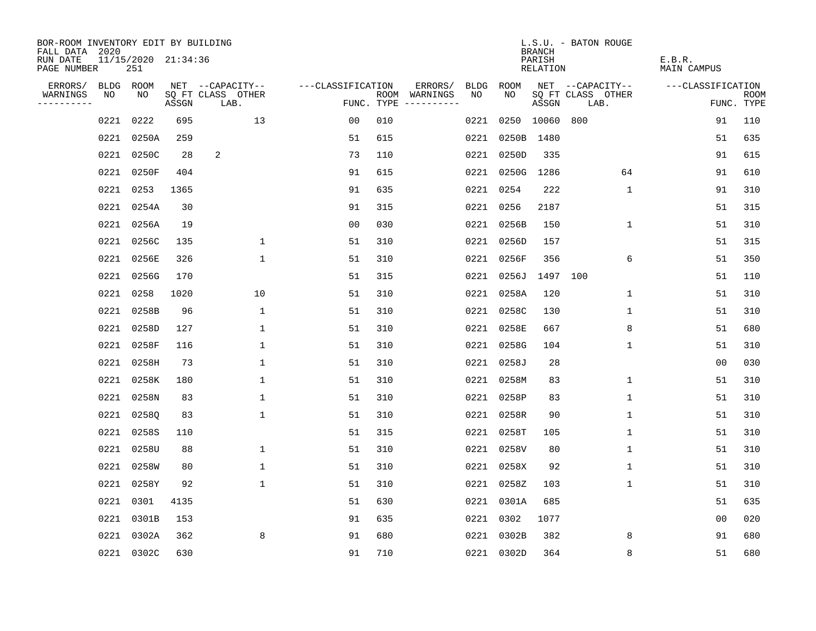| BOR-ROOM INVENTORY EDIT BY BUILDING<br>FALL DATA 2020 |      |                            |       |                           |                   |     |                                      |      |            | <b>BRANCH</b>      | L.S.U. - BATON ROUGE      |                       |                           |
|-------------------------------------------------------|------|----------------------------|-------|---------------------------|-------------------|-----|--------------------------------------|------|------------|--------------------|---------------------------|-----------------------|---------------------------|
| RUN DATE<br>PAGE NUMBER                               |      | 11/15/2020 21:34:36<br>251 |       |                           |                   |     |                                      |      |            | PARISH<br>RELATION |                           | E.B.R.<br>MAIN CAMPUS |                           |
| ERRORS/                                               |      | BLDG ROOM                  |       | NET --CAPACITY--          | ---CLASSIFICATION |     | ERRORS/                              | BLDG | ROOM       |                    | NET --CAPACITY--          | ---CLASSIFICATION     |                           |
| WARNINGS<br>----------                                | NO   | NO                         | ASSGN | SQ FT CLASS OTHER<br>LAB. |                   |     | ROOM WARNINGS<br>FUNC. TYPE $------$ | NO.  | NO         | ASSGN              | SQ FT CLASS OTHER<br>LAB. |                       | <b>ROOM</b><br>FUNC. TYPE |
|                                                       | 0221 | 0222                       | 695   | 13                        | 0 <sub>0</sub>    | 010 |                                      | 0221 |            | 0250 10060         | 800                       | 91                    | 110                       |
|                                                       | 0221 | 0250A                      | 259   |                           | 51                | 615 |                                      | 0221 | 0250B      | 1480               |                           | 51                    | 635                       |
|                                                       |      | 0221 0250C                 | 28    | 2                         | 73                | 110 |                                      |      | 0221 0250D | 335                |                           | 91                    | 615                       |
|                                                       |      | 0221 0250F                 | 404   |                           | 91                | 615 |                                      |      | 0221 0250G | 1286               | 64                        | 91                    | 610                       |
|                                                       |      | 0221 0253                  | 1365  |                           | 91                | 635 |                                      |      | 0221 0254  | 222                | $\mathbf 1$               | 91                    | 310                       |
|                                                       |      | 0221 0254A                 | 30    |                           | 91                | 315 |                                      |      | 0221 0256  | 2187               |                           | 51                    | 315                       |
|                                                       |      | 0221 0256A                 | 19    |                           | 0 <sub>0</sub>    | 030 |                                      |      | 0221 0256B | 150                | $\mathbf 1$               | 51                    | 310                       |
|                                                       |      | 0221 0256C                 | 135   | $\mathbf 1$               | 51                | 310 |                                      |      | 0221 0256D | 157                |                           | 51                    | 315                       |
|                                                       |      | 0221 0256E                 | 326   | $\mathbf{1}$              | 51                | 310 |                                      |      | 0221 0256F | 356                | 6                         | 51                    | 350                       |
|                                                       |      | 0221 0256G                 | 170   |                           | 51                | 315 |                                      |      | 0221 0256J | 1497 100           |                           | 51                    | 110                       |
|                                                       |      | 0221 0258                  | 1020  | 10                        | 51                | 310 |                                      |      | 0221 0258A | 120                | $\mathbf 1$               | 51                    | 310                       |
|                                                       |      | 0221 0258B                 | 96    | $\mathbf 1$               | 51                | 310 |                                      |      | 0221 0258C | 130                | $\mathbf 1$               | 51                    | 310                       |
|                                                       |      | 0221 0258D                 | 127   | $\mathbf 1$               | 51                | 310 |                                      |      | 0221 0258E | 667                | 8                         | 51                    | 680                       |
|                                                       |      | 0221 0258F                 | 116   | $\mathbf 1$               | 51                | 310 |                                      |      | 0221 0258G | 104                | $\mathbf 1$               | 51                    | 310                       |
|                                                       |      | 0221 0258H                 | 73    | 1                         | 51                | 310 |                                      |      | 0221 0258J | 28                 |                           | 00                    | 030                       |
|                                                       |      | 0221 0258K                 | 180   | $\mathbf 1$               | 51                | 310 |                                      |      | 0221 0258M | 83                 | 1                         | 51                    | 310                       |
|                                                       |      | 0221 0258N                 | 83    | $\mathbf 1$               | 51                | 310 |                                      |      | 0221 0258P | 83                 | 1                         | 51                    | 310                       |
|                                                       | 0221 | 02580                      | 83    | $\mathbf{1}$              | 51                | 310 |                                      |      | 0221 0258R | 90                 | 1                         | 51                    | 310                       |
|                                                       | 0221 | 0258S                      | 110   |                           | 51                | 315 |                                      |      | 0221 0258T | 105                | 1                         | 51                    | 310                       |
|                                                       |      | 0221 0258U                 | 88    | $\mathbf{1}$              | 51                | 310 |                                      |      | 0221 0258V | 80                 | 1                         | 51                    | 310                       |
|                                                       | 0221 | 0258W                      | 80    | 1                         | 51                | 310 |                                      |      | 0221 0258X | 92                 | 1                         | 51                    | 310                       |
|                                                       | 0221 | 0258Y                      | 92    | $\mathbf 1$               | 51                | 310 |                                      |      | 0221 0258Z | 103                | $\mathbf 1$               | 51                    | 310                       |
|                                                       | 0221 | 0301                       | 4135  |                           | 51                | 630 |                                      |      | 0221 0301A | 685                |                           | 51                    | 635                       |
|                                                       | 0221 | 0301B                      | 153   |                           | 91                | 635 |                                      |      | 0221 0302  | 1077               |                           | 0 <sub>0</sub>        | 020                       |
|                                                       | 0221 | 0302A                      | 362   | 8                         | 91                | 680 |                                      |      | 0221 0302B | 382                | 8                         | 91                    | 680                       |
|                                                       |      | 0221 0302C                 | 630   |                           | 91                | 710 |                                      |      | 0221 0302D | 364                | 8                         | 51                    | 680                       |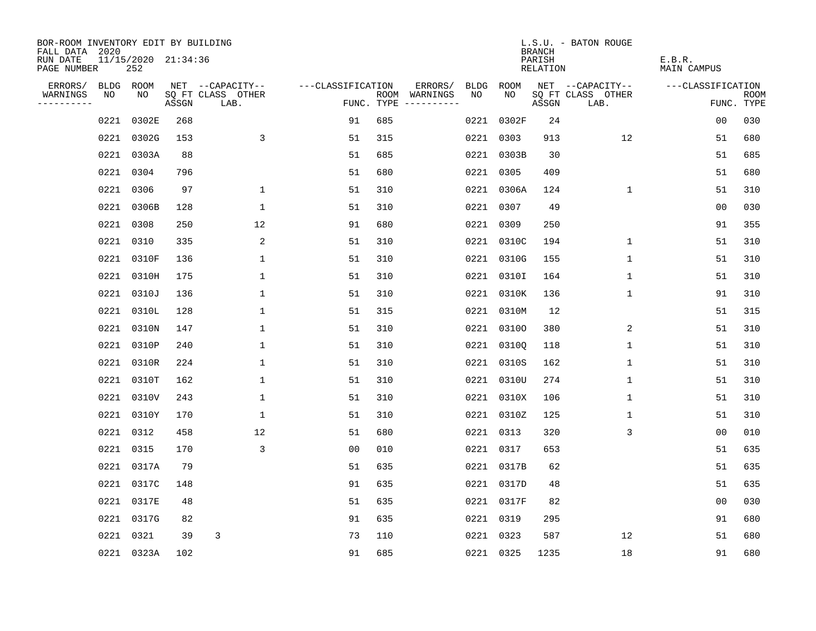| BOR-ROOM INVENTORY EDIT BY BUILDING<br>FALL DATA 2020 |      |                            |       |                           |                   |     |                                      |             |            | <b>BRANCH</b>             | L.S.U. - BATON ROUGE      |                              |                           |
|-------------------------------------------------------|------|----------------------------|-------|---------------------------|-------------------|-----|--------------------------------------|-------------|------------|---------------------------|---------------------------|------------------------------|---------------------------|
| RUN DATE<br>PAGE NUMBER                               |      | 11/15/2020 21:34:36<br>252 |       |                           |                   |     |                                      |             |            | PARISH<br><b>RELATION</b> |                           | E.B.R.<br><b>MAIN CAMPUS</b> |                           |
| ERRORS/                                               |      | BLDG ROOM                  |       | NET --CAPACITY--          | ---CLASSIFICATION |     | ERRORS/                              | <b>BLDG</b> | ROOM       |                           | NET --CAPACITY--          | ---CLASSIFICATION            |                           |
| WARNINGS<br>----------                                | NO   | NO                         | ASSGN | SQ FT CLASS OTHER<br>LAB. |                   |     | ROOM WARNINGS<br>FUNC. TYPE $------$ | NO          | NO         | ASSGN                     | SQ FT CLASS OTHER<br>LAB. |                              | <b>ROOM</b><br>FUNC. TYPE |
|                                                       | 0221 | 0302E                      | 268   |                           | 91                | 685 |                                      |             | 0221 0302F | 24                        |                           | 00                           | 030                       |
|                                                       | 0221 | 0302G                      | 153   | 3                         | 51                | 315 |                                      |             | 0221 0303  | 913                       | 12                        | 51                           | 680                       |
|                                                       |      | 0221 0303A                 | 88    |                           | 51                | 685 |                                      |             | 0221 0303B | 30                        |                           | 51                           | 685                       |
|                                                       | 0221 | 0304                       | 796   |                           | 51                | 680 |                                      |             | 0221 0305  | 409                       |                           | 51                           | 680                       |
|                                                       | 0221 | 0306                       | 97    | $\mathbf 1$               | 51                | 310 |                                      |             | 0221 0306A | 124                       | $\mathbf 1$               | 51                           | 310                       |
|                                                       |      | 0221 0306B                 | 128   | $\mathbf 1$               | 51                | 310 |                                      |             | 0221 0307  | 49                        |                           | 0 <sub>0</sub>               | 030                       |
|                                                       |      | 0221 0308                  | 250   | 12                        | 91                | 680 |                                      |             | 0221 0309  | 250                       |                           | 91                           | 355                       |
|                                                       | 0221 | 0310                       | 335   | 2                         | 51                | 310 |                                      |             | 0221 0310C | 194                       | $\mathbf{1}$              | 51                           | 310                       |
|                                                       | 0221 | 0310F                      | 136   | $\mathbf 1$               | 51                | 310 |                                      |             | 0221 0310G | 155                       | $\mathbf 1$               | 51                           | 310                       |
|                                                       |      | 0221 0310H                 | 175   | 1                         | 51                | 310 |                                      |             | 0221 0310I | 164                       | $\mathbf 1$               | 51                           | 310                       |
|                                                       | 0221 | 0310J                      | 136   | $\mathbf 1$               | 51                | 310 |                                      |             | 0221 0310K | 136                       | $\mathbf 1$               | 91                           | 310                       |
|                                                       | 0221 | 0310L                      | 128   | $\mathbf{1}$              | 51                | 315 |                                      |             | 0221 0310M | 12                        |                           | 51                           | 315                       |
|                                                       | 0221 | 0310N                      | 147   | 1                         | 51                | 310 |                                      |             | 0221 03100 | 380                       | 2                         | 51                           | 310                       |
|                                                       | 0221 | 0310P                      | 240   | 1                         | 51                | 310 |                                      |             | 0221 03100 | 118                       | 1                         | 51                           | 310                       |
|                                                       | 0221 | 0310R                      | 224   | 1                         | 51                | 310 |                                      |             | 0221 0310S | 162                       | 1                         | 51                           | 310                       |
|                                                       | 0221 | 0310T                      | 162   | 1                         | 51                | 310 |                                      |             | 0221 0310U | 274                       | 1                         | 51                           | 310                       |
|                                                       | 0221 | 0310V                      | 243   | 1                         | 51                | 310 |                                      |             | 0221 0310X | 106                       | 1                         | 51                           | 310                       |
|                                                       | 0221 | 0310Y                      | 170   | $\mathbf{1}$              | 51                | 310 |                                      |             | 0221 0310Z | 125                       | 1                         | 51                           | 310                       |
|                                                       | 0221 | 0312                       | 458   | 12                        | 51                | 680 |                                      |             | 0221 0313  | 320                       | 3                         | 0 <sub>0</sub>               | 010                       |
|                                                       | 0221 | 0315                       | 170   | 3                         | 0 <sub>0</sub>    | 010 |                                      |             | 0221 0317  | 653                       |                           | 51                           | 635                       |
|                                                       | 0221 | 0317A                      | 79    |                           | 51                | 635 |                                      |             | 0221 0317B | 62                        |                           | 51                           | 635                       |
|                                                       | 0221 | 0317C                      | 148   |                           | 91                | 635 |                                      |             | 0221 0317D | 48                        |                           | 51                           | 635                       |
|                                                       | 0221 | 0317E                      | 48    |                           | 51                | 635 |                                      |             | 0221 0317F | 82                        |                           | 0 <sub>0</sub>               | 030                       |
|                                                       |      | 0221 0317G                 | 82    |                           | 91                | 635 |                                      |             | 0221 0319  | 295                       |                           | 91                           | 680                       |
|                                                       | 0221 | 0321                       | 39    | 3                         | 73                | 110 |                                      |             | 0221 0323  | 587                       | 12                        | 51                           | 680                       |
|                                                       |      | 0221 0323A                 | 102   |                           | 91                | 685 |                                      |             | 0221 0325  | 1235                      | 18                        | 91                           | 680                       |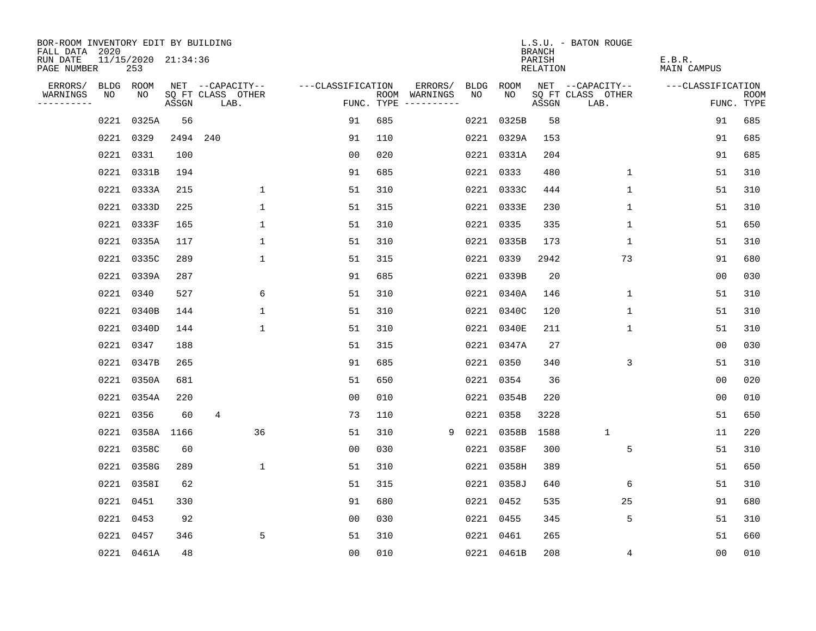| BOR-ROOM INVENTORY EDIT BY BUILDING<br>FALL DATA 2020 |             |                            |            |                           |                   |            |               |      |            | <b>BRANCH</b>      | L.S.U. - BATON ROUGE      |                              |                           |
|-------------------------------------------------------|-------------|----------------------------|------------|---------------------------|-------------------|------------|---------------|------|------------|--------------------|---------------------------|------------------------------|---------------------------|
| RUN DATE<br>PAGE NUMBER                               |             | 11/15/2020 21:34:36<br>253 |            |                           |                   |            |               |      |            | PARISH<br>RELATION |                           | E.B.R.<br><b>MAIN CAMPUS</b> |                           |
| ERRORS/                                               | <b>BLDG</b> | ROOM                       |            | NET --CAPACITY--          | ---CLASSIFICATION |            | ERRORS/       | BLDG | ROOM       |                    | NET --CAPACITY--          | ---CLASSIFICATION            |                           |
| WARNINGS<br>----------                                | NO          | NO                         | ASSGN      | SQ FT CLASS OTHER<br>LAB. |                   | FUNC. TYPE | ROOM WARNINGS | NO   | NO.        | ASSGN              | SQ FT CLASS OTHER<br>LAB. |                              | <b>ROOM</b><br>FUNC. TYPE |
|                                                       | 0221        | 0325A                      | 56         |                           | 91                | 685        |               | 0221 | 0325B      | 58                 |                           | 91                           | 685                       |
|                                                       | 0221        | 0329                       |            | 2494 240                  | 91                | 110        |               |      | 0221 0329A | 153                |                           | 91                           | 685                       |
|                                                       | 0221        | 0331                       | 100        |                           | 0 <sub>0</sub>    | 020        |               |      | 0221 0331A | 204                |                           | 91                           | 685                       |
|                                                       | 0221        | 0331B                      | 194        |                           | 91                | 685        |               |      | 0221 0333  | 480                | 1                         | 51                           | 310                       |
|                                                       | 0221        | 0333A                      | 215        | 1                         | 51                | 310        |               |      | 0221 0333C | 444                | $\mathbf 1$               | 51                           | 310                       |
|                                                       | 0221        | 0333D                      | 225        | $\mathbf 1$               | 51                | 315        |               |      | 0221 0333E | 230                | $\mathbf 1$               | 51                           | 310                       |
|                                                       | 0221        | 0333F                      | 165        | $\mathbf 1$               | 51                | 310        |               |      | 0221 0335  | 335                | $\mathbf 1$               | 51                           | 650                       |
|                                                       | 0221        | 0335A                      | 117        | $\mathbf 1$               | 51                | 310        |               |      | 0221 0335B | 173                | $\mathbf 1$               | 51                           | 310                       |
|                                                       | 0221        | 0335C                      | 289        | $\mathbf{1}$              | 51                | 315        |               |      | 0221 0339  | 2942               | 73                        | 91                           | 680                       |
|                                                       | 0221        | 0339A                      | 287        |                           | 91                | 685        |               |      | 0221 0339B | 20                 |                           | 0 <sub>0</sub>               | 030                       |
|                                                       | 0221        | 0340                       | 527        | 6                         | 51                | 310        |               |      | 0221 0340A | 146                | $\mathbf 1$               | 51                           | 310                       |
|                                                       | 0221        | 0340B                      | 144        | $\mathbf 1$               | 51                | 310        |               |      | 0221 0340C | 120                | $\mathbf 1$               | 51                           | 310                       |
|                                                       | 0221        | 0340D                      | 144        | $\mathbf{1}$              | 51                | 310        |               |      | 0221 0340E | 211                | $\mathbf 1$               | 51                           | 310                       |
|                                                       | 0221        | 0347                       | 188        |                           | 51                | 315        |               |      | 0221 0347A | 27                 |                           | 0 <sub>0</sub>               | 030                       |
|                                                       | 0221        | 0347B                      | 265        |                           | 91                | 685        |               | 0221 | 0350       | 340                | 3                         | 51                           | 310                       |
|                                                       | 0221        | 0350A                      | 681        |                           | 51                | 650        |               | 0221 | 0354       | 36                 |                           | 0 <sub>0</sub>               | 020                       |
|                                                       | 0221        | 0354A                      | 220        |                           | 0 <sub>0</sub>    | 010        |               | 0221 | 0354B      | 220                |                           | 0 <sub>0</sub>               | 010                       |
|                                                       | 0221        | 0356                       | 60         | 4                         | 73                | 110        |               | 0221 | 0358       | 3228               |                           | 51                           | 650                       |
|                                                       | 0221        |                            | 0358A 1166 | 36                        | 51                | 310        | 9             | 0221 | 0358B      | 1588               | $\mathbf{1}$              | 11                           | 220                       |
|                                                       | 0221        | 0358C                      | 60         |                           | 0 <sub>0</sub>    | 030        |               |      | 0221 0358F | 300                | 5                         | 51                           | 310                       |
|                                                       | 0221        | 0358G                      | 289        | $\mathbf{1}$              | 51                | 310        |               |      | 0221 0358H | 389                |                           | 51                           | 650                       |
|                                                       | 0221        | 0358I                      | 62         |                           | 51                | 315        |               |      | 0221 0358J | 640                | 6                         | 51                           | 310                       |
|                                                       | 0221        | 0451                       | 330        |                           | 91                | 680        |               |      | 0221 0452  | 535                | 25                        | 91                           | 680                       |
|                                                       | 0221        | 0453                       | 92         |                           | 0 <sub>0</sub>    | 030        |               |      | 0221 0455  | 345                | 5                         | 51                           | 310                       |
|                                                       | 0221        | 0457                       | 346        | 5                         | 51                | 310        |               |      | 0221 0461  | 265                |                           | 51                           | 660                       |
|                                                       |             | 0221 0461A                 | 48         |                           | 0 <sub>0</sub>    | 010        |               |      | 0221 0461B | 208                | 4                         | 0 <sub>0</sub>               | 010                       |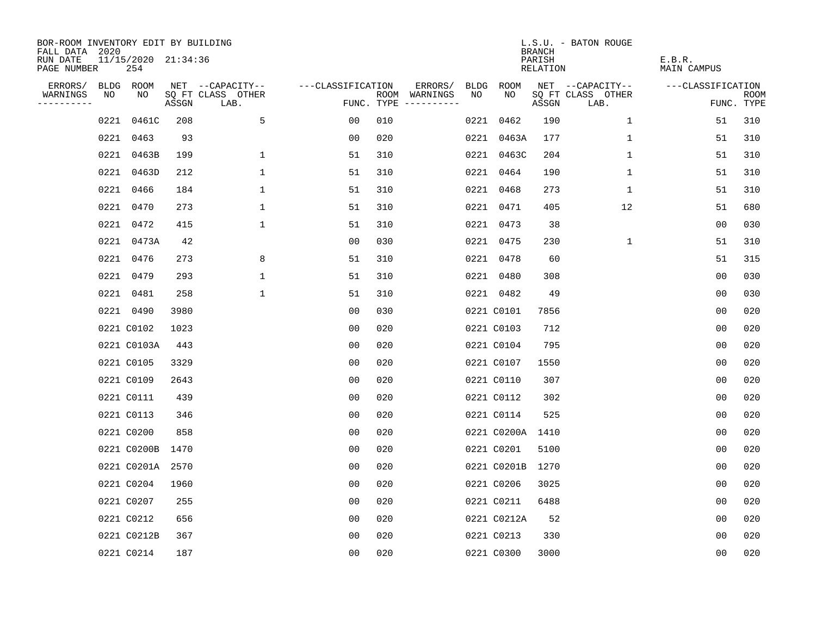| BOR-ROOM INVENTORY EDIT BY BUILDING<br>FALL DATA 2020 |      |                            |       |                           |                   |     |                                      |      |                  | <b>BRANCH</b>             | L.S.U. - BATON ROUGE      |                              |                           |
|-------------------------------------------------------|------|----------------------------|-------|---------------------------|-------------------|-----|--------------------------------------|------|------------------|---------------------------|---------------------------|------------------------------|---------------------------|
| RUN DATE<br>PAGE NUMBER                               |      | 11/15/2020 21:34:36<br>254 |       |                           |                   |     |                                      |      |                  | PARISH<br><b>RELATION</b> |                           | E.B.R.<br><b>MAIN CAMPUS</b> |                           |
| ERRORS/                                               |      | BLDG ROOM                  |       | NET --CAPACITY--          | ---CLASSIFICATION |     | ERRORS/                              | BLDG | ROOM             |                           | NET --CAPACITY--          | ---CLASSIFICATION            |                           |
| WARNINGS<br>----------                                | NO   | NO                         | ASSGN | SQ FT CLASS OTHER<br>LAB. |                   |     | ROOM WARNINGS<br>FUNC. TYPE $------$ | NO   | NO               | ASSGN                     | SQ FT CLASS OTHER<br>LAB. |                              | <b>ROOM</b><br>FUNC. TYPE |
|                                                       | 0221 | 0461C                      | 208   | 5                         | 00                | 010 |                                      |      | 0221 0462        | 190                       | $\mathbf{1}$              | 51                           | 310                       |
|                                                       |      | 0221 0463                  | 93    |                           | 0 <sub>0</sub>    | 020 |                                      |      | 0221 0463A       | 177                       | 1                         | 51                           | 310                       |
|                                                       |      | 0221 0463B                 | 199   | $\mathbf 1$               | 51                | 310 |                                      |      | 0221 0463C       | 204                       | 1                         | 51                           | 310                       |
|                                                       | 0221 | 0463D                      | 212   | $\mathbf 1$               | 51                | 310 |                                      |      | 0221 0464        | 190                       | 1                         | 51                           | 310                       |
|                                                       |      | 0221 0466                  | 184   | $\mathbf 1$               | 51                | 310 |                                      |      | 0221 0468        | 273                       | $\mathbf 1$               | 51                           | 310                       |
|                                                       |      | 0221 0470                  | 273   | $\mathbf{1}$              | 51                | 310 |                                      |      | 0221 0471        | 405                       | 12                        | 51                           | 680                       |
|                                                       |      | 0221 0472                  | 415   | $\mathbf 1$               | 51                | 310 |                                      |      | 0221 0473        | 38                        |                           | 0 <sub>0</sub>               | 030                       |
|                                                       |      | 0221 0473A                 | 42    |                           | 0 <sub>0</sub>    | 030 |                                      |      | 0221 0475        | 230                       | $\mathbf 1$               | 51                           | 310                       |
|                                                       |      | 0221 0476                  | 273   | 8                         | 51                | 310 |                                      |      | 0221 0478        | 60                        |                           | 51                           | 315                       |
|                                                       |      | 0221 0479                  | 293   | $\mathbf{1}$              | 51                | 310 |                                      |      | 0221 0480        | 308                       |                           | 0 <sub>0</sub>               | 030                       |
|                                                       |      | 0221 0481                  | 258   | $\mathbf{1}$              | 51                | 310 |                                      |      | 0221 0482        | 49                        |                           | 0 <sub>0</sub>               | 030                       |
|                                                       |      | 0221 0490                  | 3980  |                           | 0 <sub>0</sub>    | 030 |                                      |      | 0221 C0101       | 7856                      |                           | 0 <sub>0</sub>               | 020                       |
|                                                       |      | 0221 C0102                 | 1023  |                           | 0 <sub>0</sub>    | 020 |                                      |      | 0221 C0103       | 712                       |                           | 0 <sub>0</sub>               | 020                       |
|                                                       |      | 0221 C0103A                | 443   |                           | 0 <sub>0</sub>    | 020 |                                      |      | 0221 C0104       | 795                       |                           | 0 <sub>0</sub>               | 020                       |
|                                                       |      | 0221 C0105                 | 3329  |                           | 0 <sub>0</sub>    | 020 |                                      |      | 0221 C0107       | 1550                      |                           | 0 <sub>0</sub>               | 020                       |
|                                                       |      | 0221 C0109                 | 2643  |                           | 0 <sub>0</sub>    | 020 |                                      |      | 0221 C0110       | 307                       |                           | 0 <sub>0</sub>               | 020                       |
|                                                       |      | 0221 C0111                 | 439   |                           | 0 <sub>0</sub>    | 020 |                                      |      | 0221 C0112       | 302                       |                           | 0 <sub>0</sub>               | 020                       |
|                                                       |      | 0221 C0113                 | 346   |                           | 0 <sub>0</sub>    | 020 |                                      |      | 0221 C0114       | 525                       |                           | 0 <sub>0</sub>               | 020                       |
|                                                       |      | 0221 C0200                 | 858   |                           | 0 <sub>0</sub>    | 020 |                                      |      | 0221 C0200A 1410 |                           |                           | 0 <sub>0</sub>               | 020                       |
|                                                       |      | 0221 C0200B                | 1470  |                           | 0 <sub>0</sub>    | 020 |                                      |      | 0221 C0201       | 5100                      |                           | 0 <sub>0</sub>               | 020                       |
|                                                       |      | 0221 C0201A                | 2570  |                           | 0 <sub>0</sub>    | 020 |                                      |      | 0221 C0201B      | 1270                      |                           | 0 <sub>0</sub>               | 020                       |
|                                                       |      | 0221 C0204                 | 1960  |                           | 0 <sub>0</sub>    | 020 |                                      |      | 0221 C0206       | 3025                      |                           | 0 <sub>0</sub>               | 020                       |
|                                                       |      | 0221 C0207                 | 255   |                           | 0 <sub>0</sub>    | 020 |                                      |      | 0221 C0211       | 6488                      |                           | 0 <sub>0</sub>               | 020                       |
|                                                       |      | 0221 C0212                 | 656   |                           | 0 <sub>0</sub>    | 020 |                                      |      | 0221 C0212A      | 52                        |                           | 0 <sub>0</sub>               | 020                       |
|                                                       |      | 0221 C0212B                | 367   |                           | 0 <sub>0</sub>    | 020 |                                      |      | 0221 C0213       | 330                       |                           | 0 <sub>0</sub>               | 020                       |
|                                                       |      | 0221 C0214                 | 187   |                           | 0 <sub>0</sub>    | 020 |                                      |      | 0221 C0300       | 3000                      |                           | 0 <sub>0</sub>               | 020                       |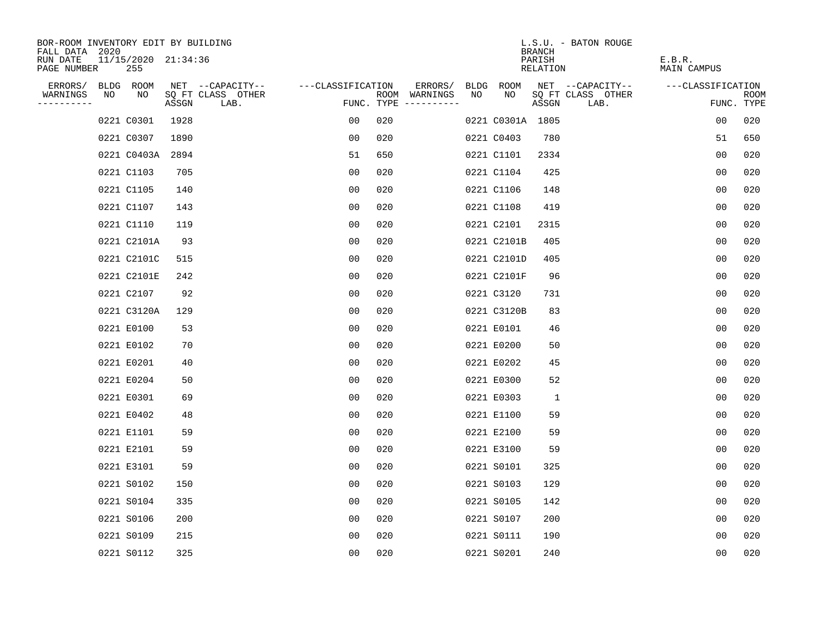| BOR-ROOM INVENTORY EDIT BY BUILDING       |    |                            |       |                           |                   |     |                                      |    |                  | <b>BRANCH</b>      | L.S.U. - BATON ROUGE      |                       |                           |
|-------------------------------------------|----|----------------------------|-------|---------------------------|-------------------|-----|--------------------------------------|----|------------------|--------------------|---------------------------|-----------------------|---------------------------|
| FALL DATA 2020<br>RUN DATE<br>PAGE NUMBER |    | 11/15/2020 21:34:36<br>255 |       |                           |                   |     |                                      |    |                  | PARISH<br>RELATION |                           | E.B.R.<br>MAIN CAMPUS |                           |
| ERRORS/                                   |    | BLDG ROOM                  |       | NET --CAPACITY--          | ---CLASSIFICATION |     | ERRORS/                              |    | BLDG ROOM        |                    | NET --CAPACITY--          | ---CLASSIFICATION     |                           |
| WARNINGS<br>----------                    | NO | NO                         | ASSGN | SQ FT CLASS OTHER<br>LAB. |                   |     | ROOM WARNINGS<br>FUNC. TYPE $------$ | NO | NO.              | ASSGN              | SQ FT CLASS OTHER<br>LAB. |                       | <b>ROOM</b><br>FUNC. TYPE |
|                                           |    | 0221 C0301                 | 1928  |                           | 00                | 020 |                                      |    | 0221 C0301A 1805 |                    |                           | 0 <sub>0</sub>        | 020                       |
|                                           |    | 0221 C0307                 | 1890  |                           | 00                | 020 |                                      |    | 0221 C0403       | 780                |                           | 51                    | 650                       |
|                                           |    | 0221 C0403A                | 2894  |                           | 51                | 650 |                                      |    | 0221 C1101       | 2334               |                           | 0 <sub>0</sub>        | 020                       |
|                                           |    | 0221 C1103                 | 705   |                           | 0 <sub>0</sub>    | 020 |                                      |    | 0221 C1104       | 425                |                           | 0 <sub>0</sub>        | 020                       |
|                                           |    | 0221 C1105                 | 140   |                           | 00                | 020 |                                      |    | 0221 C1106       | 148                |                           | 0 <sub>0</sub>        | 020                       |
|                                           |    | 0221 C1107                 | 143   |                           | 0 <sub>0</sub>    | 020 |                                      |    | 0221 C1108       | 419                |                           | 0 <sub>0</sub>        | 020                       |
|                                           |    | 0221 C1110                 | 119   |                           | 0 <sub>0</sub>    | 020 |                                      |    | 0221 C2101       | 2315               |                           | 00                    | 020                       |
|                                           |    | 0221 C2101A                | 93    |                           | 0 <sub>0</sub>    | 020 |                                      |    | 0221 C2101B      | 405                |                           | 0 <sub>0</sub>        | 020                       |
|                                           |    | 0221 C2101C                | 515   |                           | 0 <sub>0</sub>    | 020 |                                      |    | 0221 C2101D      | 405                |                           | 0 <sub>0</sub>        | 020                       |
|                                           |    | 0221 C2101E                | 242   |                           | 0 <sub>0</sub>    | 020 |                                      |    | 0221 C2101F      | 96                 |                           | 0 <sub>0</sub>        | 020                       |
|                                           |    | 0221 C2107                 | 92    |                           | 00                | 020 |                                      |    | 0221 C3120       | 731                |                           | 0 <sub>0</sub>        | 020                       |
|                                           |    | 0221 C3120A                | 129   |                           | 0 <sub>0</sub>    | 020 |                                      |    | 0221 C3120B      | 83                 |                           | 0 <sub>0</sub>        | 020                       |
|                                           |    | 0221 E0100                 | 53    |                           | 00                | 020 |                                      |    | 0221 E0101       | 46                 |                           | 0 <sub>0</sub>        | 020                       |
|                                           |    | 0221 E0102                 | 70    |                           | 0 <sub>0</sub>    | 020 |                                      |    | 0221 E0200       | 50                 |                           | 0 <sub>0</sub>        | 020                       |
|                                           |    | 0221 E0201                 | 40    |                           | 00                | 020 |                                      |    | 0221 E0202       | 45                 |                           | 00                    | 020                       |
|                                           |    | 0221 E0204                 | 50    |                           | 00                | 020 |                                      |    | 0221 E0300       | 52                 |                           | 0 <sub>0</sub>        | 020                       |
|                                           |    | 0221 E0301                 | 69    |                           | 00                | 020 |                                      |    | 0221 E0303       | $\mathbf{1}$       |                           | 0 <sub>0</sub>        | 020                       |
|                                           |    | 0221 E0402                 | 48    |                           | 0 <sub>0</sub>    | 020 |                                      |    | 0221 E1100       | 59                 |                           | 0 <sub>0</sub>        | 020                       |
|                                           |    | 0221 E1101                 | 59    |                           | 0 <sub>0</sub>    | 020 |                                      |    | 0221 E2100       | 59                 |                           | 0 <sub>0</sub>        | 020                       |
|                                           |    | 0221 E2101                 | 59    |                           | 0 <sub>0</sub>    | 020 |                                      |    | 0221 E3100       | 59                 |                           | 0 <sub>0</sub>        | 020                       |
|                                           |    | 0221 E3101                 | 59    |                           | 0 <sub>0</sub>    | 020 |                                      |    | 0221 S0101       | 325                |                           | 0 <sub>0</sub>        | 020                       |
|                                           |    | 0221 S0102                 | 150   |                           | 0 <sub>0</sub>    | 020 |                                      |    | 0221 S0103       | 129                |                           | 0 <sub>0</sub>        | 020                       |
|                                           |    | 0221 S0104                 | 335   |                           | 0 <sub>0</sub>    | 020 |                                      |    | 0221 S0105       | 142                |                           | 0 <sub>0</sub>        | 020                       |
|                                           |    | 0221 S0106                 | 200   |                           | 0 <sub>0</sub>    | 020 |                                      |    | 0221 S0107       | 200                |                           | 0 <sub>0</sub>        | 020                       |
|                                           |    | 0221 S0109                 | 215   |                           | 0 <sub>0</sub>    | 020 |                                      |    | 0221 S0111       | 190                |                           | 0 <sub>0</sub>        | 020                       |
|                                           |    | 0221 S0112                 | 325   |                           | 0 <sub>0</sub>    | 020 |                                      |    | 0221 S0201       | 240                |                           | 0 <sub>0</sub>        | 020                       |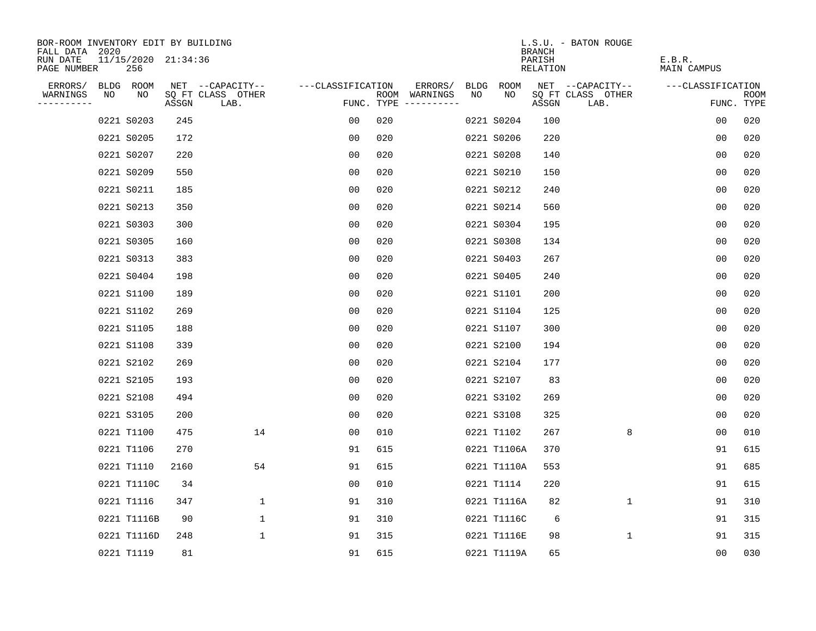| BOR-ROOM INVENTORY EDIT BY BUILDING<br>FALL DATA 2020 |    |                            |       |                           |                   |     |                                      |      |             | <b>BRANCH</b>      | L.S.U. - BATON ROUGE      |                       |                           |
|-------------------------------------------------------|----|----------------------------|-------|---------------------------|-------------------|-----|--------------------------------------|------|-------------|--------------------|---------------------------|-----------------------|---------------------------|
| RUN DATE<br>PAGE NUMBER                               |    | 11/15/2020 21:34:36<br>256 |       |                           |                   |     |                                      |      |             | PARISH<br>RELATION |                           | E.B.R.<br>MAIN CAMPUS |                           |
| ERRORS/                                               |    | BLDG ROOM                  |       | NET --CAPACITY--          | ---CLASSIFICATION |     | ERRORS/                              | BLDG | ROOM        |                    | NET --CAPACITY--          | ---CLASSIFICATION     |                           |
| WARNINGS<br>----------                                | NO | NO                         | ASSGN | SQ FT CLASS OTHER<br>LAB. |                   |     | ROOM WARNINGS<br>FUNC. TYPE $------$ | NO   | NO          | ASSGN              | SQ FT CLASS OTHER<br>LAB. |                       | <b>ROOM</b><br>FUNC. TYPE |
|                                                       |    | 0221 S0203                 | 245   |                           | 00                | 020 |                                      |      | 0221 S0204  | 100                |                           | 0 <sub>0</sub>        | 020                       |
|                                                       |    | 0221 S0205                 | 172   |                           | 0 <sub>0</sub>    | 020 |                                      |      | 0221 S0206  | 220                |                           | 0 <sub>0</sub>        | 020                       |
|                                                       |    | 0221 S0207                 | 220   |                           | 0 <sub>0</sub>    | 020 |                                      |      | 0221 S0208  | 140                |                           | 0 <sub>0</sub>        | 020                       |
|                                                       |    | 0221 S0209                 | 550   |                           | 00                | 020 |                                      |      | 0221 S0210  | 150                |                           | 00                    | 020                       |
|                                                       |    | 0221 S0211                 | 185   |                           | 0 <sub>0</sub>    | 020 |                                      |      | 0221 S0212  | 240                |                           | 00                    | 020                       |
|                                                       |    | 0221 S0213                 | 350   |                           | 0 <sub>0</sub>    | 020 |                                      |      | 0221 S0214  | 560                |                           | 0 <sub>0</sub>        | 020                       |
|                                                       |    | 0221 S0303                 | 300   |                           | 0 <sub>0</sub>    | 020 |                                      |      | 0221 S0304  | 195                |                           | 0 <sub>0</sub>        | 020                       |
|                                                       |    | 0221 S0305                 | 160   |                           | 0 <sub>0</sub>    | 020 |                                      |      | 0221 S0308  | 134                |                           | 0 <sub>0</sub>        | 020                       |
|                                                       |    | 0221 S0313                 | 383   |                           | 0 <sub>0</sub>    | 020 |                                      |      | 0221 S0403  | 267                |                           | 0 <sub>0</sub>        | 020                       |
|                                                       |    | 0221 S0404                 | 198   |                           | 0 <sub>0</sub>    | 020 |                                      |      | 0221 S0405  | 240                |                           | 0 <sub>0</sub>        | 020                       |
|                                                       |    | 0221 S1100                 | 189   |                           | 0 <sub>0</sub>    | 020 |                                      |      | 0221 S1101  | 200                |                           | 0 <sub>0</sub>        | 020                       |
|                                                       |    | 0221 S1102                 | 269   |                           | 0 <sub>0</sub>    | 020 |                                      |      | 0221 S1104  | 125                |                           | 0 <sub>0</sub>        | 020                       |
|                                                       |    | 0221 S1105                 | 188   |                           | 0 <sub>0</sub>    | 020 |                                      |      | 0221 S1107  | 300                |                           | 0 <sub>0</sub>        | 020                       |
|                                                       |    | 0221 S1108                 | 339   |                           | 0 <sub>0</sub>    | 020 |                                      |      | 0221 S2100  | 194                |                           | 0 <sub>0</sub>        | 020                       |
|                                                       |    | 0221 S2102                 | 269   |                           | 00                | 020 |                                      |      | 0221 S2104  | 177                |                           | 00                    | 020                       |
|                                                       |    | 0221 S2105                 | 193   |                           | 0 <sub>0</sub>    | 020 |                                      |      | 0221 S2107  | 83                 |                           | 0 <sub>0</sub>        | 020                       |
|                                                       |    | 0221 S2108                 | 494   |                           | 0 <sub>0</sub>    | 020 |                                      |      | 0221 S3102  | 269                |                           | 0 <sub>0</sub>        | 020                       |
|                                                       |    | 0221 S3105                 | 200   |                           | 0 <sub>0</sub>    | 020 |                                      |      | 0221 S3108  | 325                |                           | 0 <sub>0</sub>        | 020                       |
|                                                       |    | 0221 T1100                 | 475   | 14                        | 0 <sub>0</sub>    | 010 |                                      |      | 0221 T1102  | 267                | 8                         | 0 <sub>0</sub>        | 010                       |
|                                                       |    | 0221 T1106                 | 270   |                           | 91                | 615 |                                      |      | 0221 T1106A | 370                |                           | 91                    | 615                       |
|                                                       |    | 0221 T1110                 | 2160  | 54                        | 91                | 615 |                                      |      | 0221 T1110A | 553                |                           | 91                    | 685                       |
|                                                       |    | 0221 T1110C                | 34    |                           | 0 <sub>0</sub>    | 010 |                                      |      | 0221 T1114  | 220                |                           | 91                    | 615                       |
|                                                       |    | 0221 T1116                 | 347   | $\mathbf 1$               | 91                | 310 |                                      |      | 0221 T1116A | 82                 | $\mathbf 1$               | 91                    | 310                       |
|                                                       |    | 0221 T1116B                | 90    | $\mathbf 1$               | 91                | 310 |                                      |      | 0221 T1116C | 6                  |                           | 91                    | 315                       |
|                                                       |    | 0221 T1116D                | 248   | $\mathbf 1$               | 91                | 315 |                                      |      | 0221 T1116E | 98                 | 1                         | 91                    | 315                       |
|                                                       |    | 0221 T1119                 | 81    |                           | 91                | 615 |                                      |      | 0221 T1119A | 65                 |                           | 0 <sub>0</sub>        | 030                       |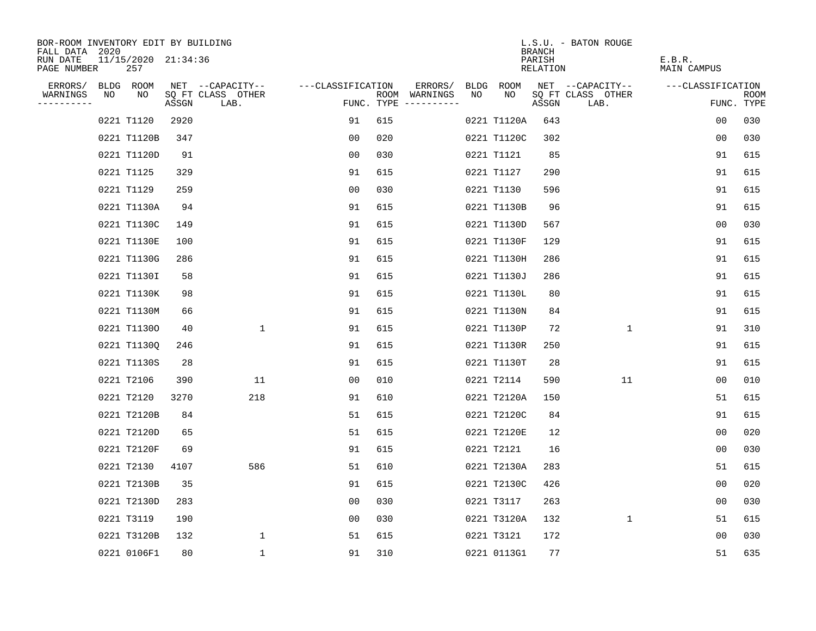| BOR-ROOM INVENTORY EDIT BY BUILDING<br>FALL DATA 2020 |    |                            |       |                           |                   |     |                                      |      |             | <b>BRANCH</b>      | L.S.U. - BATON ROUGE      |                       |                           |
|-------------------------------------------------------|----|----------------------------|-------|---------------------------|-------------------|-----|--------------------------------------|------|-------------|--------------------|---------------------------|-----------------------|---------------------------|
| RUN DATE<br>PAGE NUMBER                               |    | 11/15/2020 21:34:36<br>257 |       |                           |                   |     |                                      |      |             | PARISH<br>RELATION |                           | E.B.R.<br>MAIN CAMPUS |                           |
| ERRORS/                                               |    | BLDG ROOM                  |       | NET --CAPACITY--          | ---CLASSIFICATION |     | ERRORS/                              | BLDG | ROOM        |                    | NET --CAPACITY--          | ---CLASSIFICATION     |                           |
| WARNINGS<br>----------                                | NO | NO                         | ASSGN | SQ FT CLASS OTHER<br>LAB. |                   |     | ROOM WARNINGS<br>FUNC. TYPE $------$ | NO   | NO.         | ASSGN              | SQ FT CLASS OTHER<br>LAB. |                       | <b>ROOM</b><br>FUNC. TYPE |
|                                                       |    | 0221 T1120                 | 2920  |                           | 91                | 615 |                                      |      | 0221 T1120A | 643                |                           | 0 <sub>0</sub>        | 030                       |
|                                                       |    | 0221 T1120B                | 347   |                           | 0 <sub>0</sub>    | 020 |                                      |      | 0221 T1120C | 302                |                           | 0 <sub>0</sub>        | 030                       |
|                                                       |    | 0221 T1120D                | 91    |                           | 0 <sub>0</sub>    | 030 |                                      |      | 0221 T1121  | 85                 |                           | 91                    | 615                       |
|                                                       |    | 0221 T1125                 | 329   |                           | 91                | 615 |                                      |      | 0221 T1127  | 290                |                           | 91                    | 615                       |
|                                                       |    | 0221 T1129                 | 259   |                           | 00                | 030 |                                      |      | 0221 T1130  | 596                |                           | 91                    | 615                       |
|                                                       |    | 0221 T1130A                | 94    |                           | 91                | 615 |                                      |      | 0221 T1130B | 96                 |                           | 91                    | 615                       |
|                                                       |    | 0221 T1130C                | 149   |                           | 91                | 615 |                                      |      | 0221 T1130D | 567                |                           | 0 <sub>0</sub>        | 030                       |
|                                                       |    | 0221 T1130E                | 100   |                           | 91                | 615 |                                      |      | 0221 T1130F | 129                |                           | 91                    | 615                       |
|                                                       |    | 0221 T1130G                | 286   |                           | 91                | 615 |                                      |      | 0221 T1130H | 286                |                           | 91                    | 615                       |
|                                                       |    | 0221 T1130I                | 58    |                           | 91                | 615 |                                      |      | 0221 T1130J | 286                |                           | 91                    | 615                       |
|                                                       |    | 0221 T1130K                | 98    |                           | 91                | 615 |                                      |      | 0221 T1130L | 80                 |                           | 91                    | 615                       |
|                                                       |    | 0221 T1130M                | 66    |                           | 91                | 615 |                                      |      | 0221 T1130N | 84                 |                           | 91                    | 615                       |
|                                                       |    | 0221 T11300                | 40    | $\mathbf{1}$              | 91                | 615 |                                      |      | 0221 T1130P | 72                 | 1                         | 91                    | 310                       |
|                                                       |    | 0221 T1130Q                | 246   |                           | 91                | 615 |                                      |      | 0221 T1130R | 250                |                           | 91                    | 615                       |
|                                                       |    | 0221 T1130S                | 28    |                           | 91                | 615 |                                      |      | 0221 T1130T | 28                 |                           | 91                    | 615                       |
|                                                       |    | 0221 T2106                 | 390   | 11                        | 00                | 010 |                                      |      | 0221 T2114  | 590                | 11                        | 00                    | 010                       |
|                                                       |    | 0221 T2120                 | 3270  | 218                       | 91                | 610 |                                      |      | 0221 T2120A | 150                |                           | 51                    | 615                       |
|                                                       |    | 0221 T2120B                | 84    |                           | 51                | 615 |                                      |      | 0221 T2120C | 84                 |                           | 91                    | 615                       |
|                                                       |    | 0221 T2120D                | 65    |                           | 51                | 615 |                                      |      | 0221 T2120E | 12                 |                           | 0 <sub>0</sub>        | 020                       |
|                                                       |    | 0221 T2120F                | 69    |                           | 91                | 615 |                                      |      | 0221 T2121  | 16                 |                           | 0 <sub>0</sub>        | 030                       |
|                                                       |    | 0221 T2130                 | 4107  | 586                       | 51                | 610 |                                      |      | 0221 T2130A | 283                |                           | 51                    | 615                       |
|                                                       |    | 0221 T2130B                | 35    |                           | 91                | 615 |                                      |      | 0221 T2130C | 426                |                           | 0 <sub>0</sub>        | 020                       |
|                                                       |    | 0221 T2130D                | 283   |                           | 0 <sub>0</sub>    | 030 |                                      |      | 0221 T3117  | 263                |                           | 0 <sub>0</sub>        | 030                       |
|                                                       |    | 0221 T3119                 | 190   |                           | 0 <sub>0</sub>    | 030 |                                      |      | 0221 T3120A | 132                | $\mathbf 1$               | 51                    | 615                       |
|                                                       |    | 0221 T3120B                | 132   | $\mathbf{1}$              | 51                | 615 |                                      |      | 0221 T3121  | 172                |                           | 00                    | 030                       |
|                                                       |    | 0221 0106F1                | 80    | $\mathbf{1}$              | 91                | 310 |                                      |      | 0221 0113G1 | 77                 |                           | 51                    | 635                       |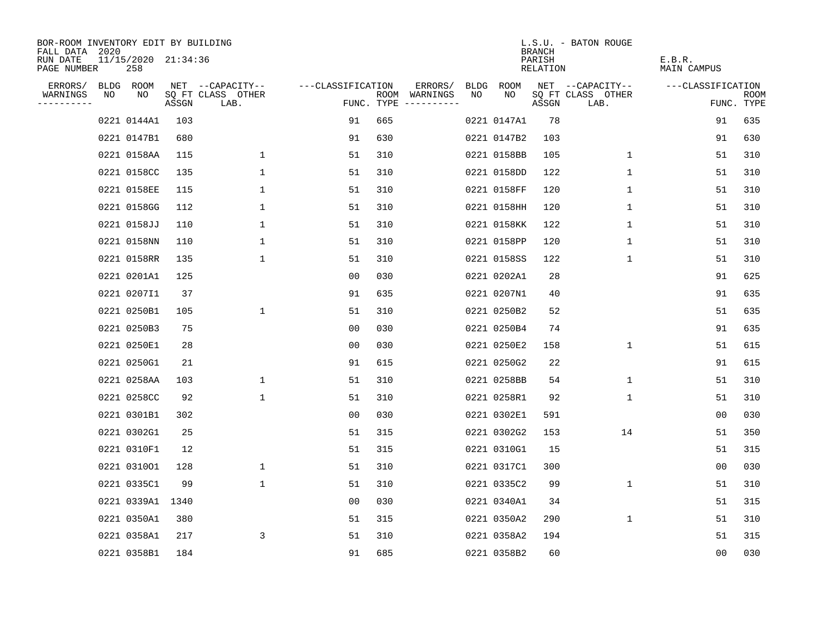| BOR-ROOM INVENTORY EDIT BY BUILDING<br>FALL DATA 2020 |                            |       |                           |                   |     |                                             |             | <b>BRANCH</b>      | L.S.U. - BATON ROUGE      |                       |                    |
|-------------------------------------------------------|----------------------------|-------|---------------------------|-------------------|-----|---------------------------------------------|-------------|--------------------|---------------------------|-----------------------|--------------------|
| RUN DATE<br>PAGE NUMBER                               | 11/15/2020 21:34:36<br>258 |       |                           |                   |     |                                             |             | PARISH<br>RELATION |                           | E.B.R.<br>MAIN CAMPUS |                    |
| ERRORS/                                               | BLDG ROOM                  |       | NET --CAPACITY--          | ---CLASSIFICATION |     | ERRORS/                                     | BLDG ROOM   |                    | NET --CAPACITY--          | ---CLASSIFICATION     |                    |
| WARNINGS<br>NO<br>----------                          | NO                         | ASSGN | SQ FT CLASS OTHER<br>LAB. |                   |     | NO.<br>ROOM WARNINGS<br>FUNC. TYPE $------$ | NO.         | ASSGN              | SQ FT CLASS OTHER<br>LAB. |                       | ROOM<br>FUNC. TYPE |
|                                                       | 0221 0144A1                | 103   |                           | 91                | 665 |                                             | 0221 0147A1 | 78                 |                           | 91                    | 635                |
|                                                       | 0221 0147B1                | 680   |                           | 91                | 630 |                                             | 0221 0147B2 | 103                |                           | 91                    | 630                |
|                                                       | 0221 0158AA                | 115   | $\mathbf{1}$              | 51                | 310 |                                             | 0221 0158BB | 105                | 1                         | 51                    | 310                |
|                                                       | 0221 0158CC                | 135   | $\mathbf 1$               | 51                | 310 |                                             | 0221 0158DD | 122                | 1                         | 51                    | 310                |
|                                                       | 0221 0158EE                | 115   | $\mathbf 1$               | 51                | 310 |                                             | 0221 0158FF | 120                | $\mathbf 1$               | 51                    | 310                |
|                                                       | 0221 0158GG                | 112   | $\mathbf{1}$              | 51                | 310 |                                             | 0221 0158HH | 120                | 1                         | 51                    | 310                |
|                                                       | 0221 0158JJ                | 110   | 1                         | 51                | 310 |                                             | 0221 0158KK | 122                | 1                         | 51                    | 310                |
|                                                       | 0221 0158NN                | 110   | $\mathbf 1$               | 51                | 310 |                                             | 0221 0158PP | 120                | 1                         | 51                    | 310                |
|                                                       | 0221 0158RR                | 135   | $\mathbf{1}$              | 51                | 310 |                                             | 0221 0158SS | 122                | $\mathbf 1$               | 51                    | 310                |
|                                                       | 0221 0201A1                | 125   |                           | 00                | 030 |                                             | 0221 0202A1 | 28                 |                           | 91                    | 625                |
|                                                       | 0221 0207I1                | 37    |                           | 91                | 635 |                                             | 0221 0207N1 | 40                 |                           | 91                    | 635                |
|                                                       | 0221 0250B1                | 105   | $\mathbf 1$               | 51                | 310 |                                             | 0221 0250B2 | 52                 |                           | 51                    | 635                |
|                                                       | 0221 0250B3                | 75    |                           | 0 <sub>0</sub>    | 030 |                                             | 0221 0250B4 | 74                 |                           | 91                    | 635                |
|                                                       | 0221 0250E1                | 28    |                           | 0 <sub>0</sub>    | 030 |                                             | 0221 0250E2 | 158                | $\mathbf{1}$              | 51                    | 615                |
|                                                       | 0221 0250G1                | 21    |                           | 91                | 615 |                                             | 0221 0250G2 | 22                 |                           | 91                    | 615                |
|                                                       | 0221 0258AA                | 103   | 1                         | 51                | 310 |                                             | 0221 0258BB | 54                 | 1                         | 51                    | 310                |
|                                                       | 0221 0258CC                | 92    | $\mathbf 1$               | 51                | 310 |                                             | 0221 0258R1 | 92                 | 1                         | 51                    | 310                |
|                                                       | 0221 0301B1                | 302   |                           | 00                | 030 |                                             | 0221 0302E1 | 591                |                           | 00                    | 030                |
|                                                       | 0221 0302G1                | 25    |                           | 51                | 315 |                                             | 0221 0302G2 | 153                | 14                        | 51                    | 350                |
|                                                       | 0221 0310F1                | 12    |                           | 51                | 315 |                                             | 0221 0310G1 | 15                 |                           | 51                    | 315                |
|                                                       | 0221 031001                | 128   | $\mathbf 1$               | 51                | 310 |                                             | 0221 0317C1 | 300                |                           | 0 <sub>0</sub>        | 030                |
|                                                       | 0221 0335C1                | 99    | $\mathbf{1}$              | 51                | 310 |                                             | 0221 0335C2 | 99                 | 1                         | 51                    | 310                |
|                                                       | 0221 0339A1 1340           |       |                           | 0 <sub>0</sub>    | 030 |                                             | 0221 0340A1 | 34                 |                           | 51                    | 315                |
|                                                       | 0221 0350A1                | 380   |                           | 51                | 315 |                                             | 0221 0350A2 | 290                | $\mathbf{1}$              | 51                    | 310                |
|                                                       | 0221 0358A1                | 217   | 3                         | 51                | 310 |                                             | 0221 0358A2 | 194                |                           | 51                    | 315                |
|                                                       | 0221 0358B1                | 184   |                           | 91                | 685 |                                             | 0221 0358B2 | 60                 |                           | 0 <sub>0</sub>        | 030                |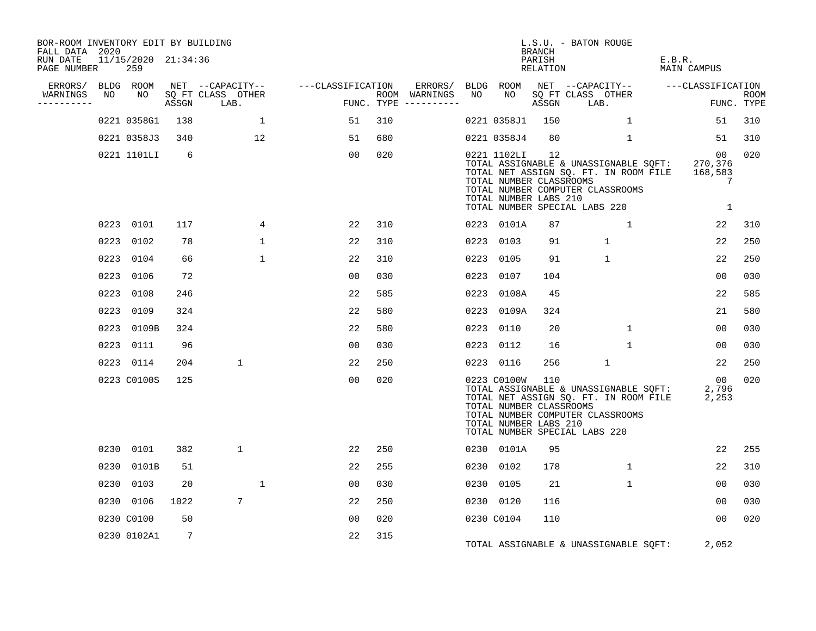| BOR-ROOM INVENTORY EDIT BY BUILDING<br>FALL DATA 2020 |    |                            |      |                                 |                                    |     |                                      |    |                                                                 | <b>BRANCH</b>      | L.S.U. - BATON ROUGE                                                                                                                                            |                                               |                           |
|-------------------------------------------------------|----|----------------------------|------|---------------------------------|------------------------------------|-----|--------------------------------------|----|-----------------------------------------------------------------|--------------------|-----------------------------------------------------------------------------------------------------------------------------------------------------------------|-----------------------------------------------|---------------------------|
| RUN DATE<br>PAGE NUMBER                               |    | 11/15/2020 21:34:36<br>259 |      |                                 |                                    |     |                                      |    |                                                                 | PARISH<br>RELATION |                                                                                                                                                                 | E.B.R.<br>MAIN CAMPUS                         |                           |
| ERRORS/ BLDG ROOM                                     |    |                            |      |                                 | NET --CAPACITY-- ---CLASSIFICATION |     | ERRORS/ BLDG ROOM                    |    |                                                                 |                    |                                                                                                                                                                 |                                               |                           |
| WARNINGS<br>----------                                | NO | NO                         |      | SO FT CLASS OTHER<br>ASSGN LAB. | FUN                                |     | ROOM WARNINGS<br>FUNC. TYPE $------$ | NO | NO                                                              | ASSGN              | SQ FT CLASS OTHER<br>LAB.                                                                                                                                       |                                               | <b>ROOM</b><br>FUNC. TYPE |
|                                                       |    | 0221 0358G1                | 138  |                                 | $\mathbf{1}$<br>51                 | 310 |                                      |    | 0221 0358J1                                                     | 150                | $\mathbf{1}$                                                                                                                                                    | 51                                            | 310                       |
|                                                       |    | 0221 0358J3                | 340  | 12                              | 51                                 | 680 |                                      |    | 0221 0358J4                                                     | 80                 | 1                                                                                                                                                               | 51                                            | 310                       |
|                                                       |    | 0221 1101LI                | -6   |                                 | 00                                 | 020 |                                      |    | 0221 1102LI<br>TOTAL NUMBER CLASSROOMS<br>TOTAL NUMBER LABS 210 | 12                 | TOTAL ASSIGNABLE & UNASSIGNABLE SQFT:<br>TOTAL NET ASSIGN SQ. FT. IN ROOM FILE<br>TOTAL NUMBER COMPUTER CLASSROOMS<br>TOTAL NUMBER SPECIAL LABS 220             | 00<br>270,376<br>168,583<br>7<br>$\mathbf{1}$ | 020                       |
|                                                       |    | 0223 0101                  | 117  |                                 | 22<br>4                            | 310 |                                      |    | 0223 0101A                                                      | 87                 | 1                                                                                                                                                               | 22                                            | 310                       |
|                                                       |    | 0223 0102                  | 78   |                                 | $\mathbf 1$<br>22                  | 310 |                                      |    | 0223 0103                                                       | 91                 | $\mathbf{1}$                                                                                                                                                    | 22                                            | 250                       |
|                                                       |    | 0223 0104                  | 66   |                                 | $\mathbf{1}$<br>22                 | 310 |                                      |    | 0223 0105                                                       | 91                 | $\mathbf{1}$                                                                                                                                                    | 22                                            | 250                       |
|                                                       |    | 0223 0106                  | 72   |                                 | 00                                 | 030 |                                      |    | 0223 0107                                                       | 104                |                                                                                                                                                                 | 00                                            | 030                       |
|                                                       |    | 0223 0108                  | 246  |                                 | 22                                 | 585 |                                      |    | 0223 0108A                                                      | 45                 |                                                                                                                                                                 | 22                                            | 585                       |
|                                                       |    | 0223 0109                  | 324  |                                 | 22                                 | 580 |                                      |    | 0223 0109A                                                      | 324                |                                                                                                                                                                 | 21                                            | 580                       |
|                                                       |    | 0223 0109B                 | 324  |                                 | 22                                 | 580 |                                      |    | 0223 0110                                                       | 20                 | $\mathbf{1}$                                                                                                                                                    | 00                                            | 030                       |
|                                                       |    | 0223 0111                  | 96   |                                 | 00                                 | 030 |                                      |    | 0223 0112                                                       | 16                 | 1                                                                                                                                                               | 00                                            | 030                       |
|                                                       |    | 0223 0114                  | 204  | 1                               | 22                                 | 250 |                                      |    | 0223 0116                                                       | 256                | $\mathbf{1}$                                                                                                                                                    | 22                                            | 250                       |
|                                                       |    | 0223 C0100S                | 125  |                                 | 00                                 | 020 |                                      |    | 0223 C0100W<br>TOTAL NUMBER CLASSROOMS<br>TOTAL NUMBER LABS 210 | 110                | TOTAL ASSIGNABLE & UNASSIGNABLE SQFT: 2,796<br>TOTAL NET ASSIGN SQ. FT. IN ROOM FILE 2,253<br>TOTAL NUMBER COMPUTER CLASSROOMS<br>TOTAL NUMBER SPECIAL LABS 220 | 00                                            | 020                       |
|                                                       |    | 0230 0101                  | 382  | 1                               | 22                                 | 250 |                                      |    | 0230 0101A                                                      | 95                 |                                                                                                                                                                 | 22                                            | 255                       |
|                                                       |    | 0230 0101B                 | 51   |                                 | 22                                 | 255 |                                      |    | 0230 0102                                                       | 178                | $\mathbf{1}$                                                                                                                                                    | 22                                            | 310                       |
|                                                       |    | 0230 0103                  | 20   |                                 | $\mathbf{1}$<br>00                 | 030 |                                      |    | 0230 0105                                                       | 21                 | $\mathbf{1}$                                                                                                                                                    | 00                                            | 030                       |
|                                                       |    | 0230 0106                  | 1022 | 7                               | 22                                 | 250 |                                      |    | 0230 0120                                                       | 116                |                                                                                                                                                                 | 00                                            | 030                       |
|                                                       |    | 0230 C0100                 | 50   |                                 | 00                                 | 020 |                                      |    | 0230 C0104                                                      | 110                |                                                                                                                                                                 | 0 <sub>0</sub>                                | 020                       |
|                                                       |    | 0230 0102A1                | 7    |                                 | 22                                 | 315 |                                      |    |                                                                 |                    | TOTAL ASSIGNABLE & UNASSIGNABLE SQFT:                                                                                                                           | 2,052                                         |                           |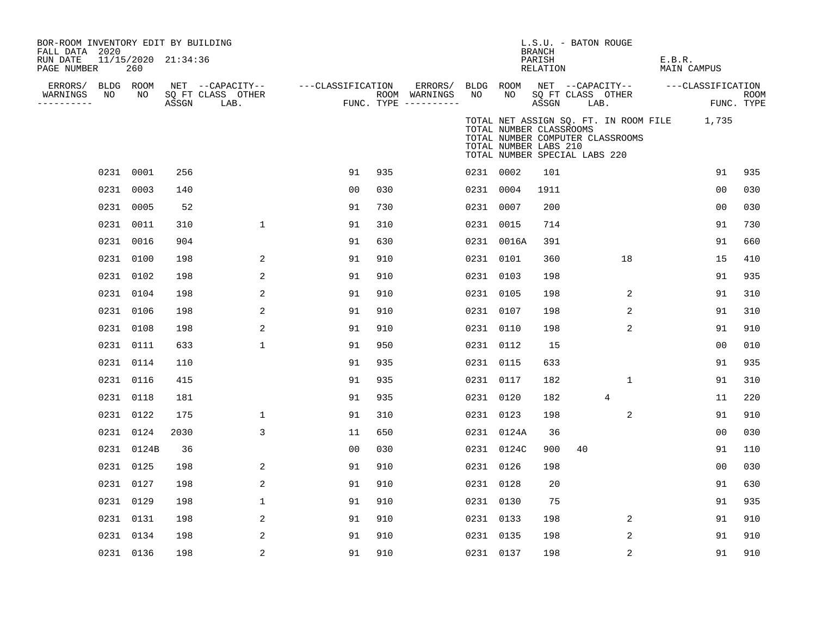| BOR-ROOM INVENTORY EDIT BY BUILDING<br>FALL DATA 2020 |           |                            |       |                           |                   |     |                                      |           |                                                                                   | L.S.U. - BATON ROUGE<br>BRANCH |    |                                  |                                             |                |             |
|-------------------------------------------------------|-----------|----------------------------|-------|---------------------------|-------------------|-----|--------------------------------------|-----------|-----------------------------------------------------------------------------------|--------------------------------|----|----------------------------------|---------------------------------------------|----------------|-------------|
| RUN DATE<br>PAGE NUMBER                               |           | 11/15/2020 21:34:36<br>260 |       |                           |                   |     |                                      |           |                                                                                   | PARISH<br>RELATION             |    |                                  | E.B.R.<br>MAIN CAMPUS                       |                |             |
| ERRORS/                                               | BLDG ROOM |                            |       | NET --CAPACITY--          | ---CLASSIFICATION |     | ERRORS/                              |           | BLDG ROOM                                                                         |                                |    |                                  | NET --CAPACITY-- ---CLASSIFICATION          |                |             |
| WARNINGS<br>----------                                | NO        | NO                         | ASSGN | SQ FT CLASS OTHER<br>LAB. |                   |     | ROOM WARNINGS<br>FUNC. TYPE $------$ | NO        | NO                                                                                | ASSGN LAB.                     |    | SQ FT CLASS OTHER                |                                             | FUNC. TYPE     | <b>ROOM</b> |
|                                                       |           |                            |       |                           |                   |     |                                      |           | TOTAL NUMBER CLASSROOMS<br>TOTAL NUMBER LABS 210<br>TOTAL NUMBER SPECIAL LABS 220 |                                |    | TOTAL NUMBER COMPUTER CLASSROOMS | TOTAL NET ASSIGN SQ. FT. IN ROOM FILE 1,735 |                |             |
|                                                       | 0231 0001 |                            | 256   |                           | 91                | 935 |                                      | 0231 0002 |                                                                                   | 101                            |    |                                  |                                             | 91             | 935         |
|                                                       | 0231 0003 |                            | 140   |                           | 00                | 030 |                                      | 0231 0004 |                                                                                   | 1911                           |    |                                  |                                             | 0 <sub>0</sub> | 030         |
|                                                       | 0231 0005 |                            | 52    |                           | 91                | 730 |                                      | 0231 0007 |                                                                                   | 200                            |    |                                  |                                             | 0 <sub>0</sub> | 030         |
|                                                       | 0231 0011 |                            | 310   | $\mathbf 1$               | 91                | 310 |                                      | 0231 0015 |                                                                                   | 714                            |    |                                  |                                             | 91             | 730         |
|                                                       | 0231 0016 |                            | 904   |                           | 91                | 630 |                                      |           | 0231 0016A                                                                        | 391                            |    |                                  |                                             | 91             | 660         |
|                                                       | 0231 0100 |                            | 198   | 2                         | 91                | 910 |                                      | 0231 0101 |                                                                                   | 360                            |    | 18                               |                                             | 15             | 410         |
|                                                       | 0231 0102 |                            | 198   | 2                         | 91                | 910 |                                      | 0231 0103 |                                                                                   | 198                            |    |                                  |                                             | 91             | 935         |
|                                                       | 0231 0104 |                            | 198   | 2                         | 91                | 910 |                                      | 0231 0105 |                                                                                   | 198                            |    | 2                                |                                             | 91             | 310         |
|                                                       | 0231 0106 |                            | 198   | 2                         | 91                | 910 |                                      | 0231 0107 |                                                                                   | 198                            |    | 2                                |                                             | 91             | 310         |
|                                                       | 0231 0108 |                            | 198   | 2                         | 91                | 910 |                                      | 0231 0110 |                                                                                   | 198                            |    | 2                                |                                             | 91             | 910         |
|                                                       | 0231 0111 |                            | 633   | $\mathbf 1$               | 91                | 950 |                                      | 0231 0112 |                                                                                   | 15                             |    |                                  |                                             | 0 <sub>0</sub> | 010         |
|                                                       | 0231 0114 |                            | 110   |                           | 91                | 935 |                                      | 0231 0115 |                                                                                   | 633                            |    |                                  |                                             | 91             | 935         |
|                                                       | 0231 0116 |                            | 415   |                           | 91                | 935 |                                      | 0231 0117 |                                                                                   | 182                            |    | $\mathbf{1}$                     |                                             | 91             | 310         |
|                                                       | 0231 0118 |                            | 181   |                           | 91                | 935 |                                      | 0231 0120 |                                                                                   | 182                            |    | 4                                |                                             | 11             | 220         |
|                                                       | 0231 0122 |                            | 175   | $\mathbf 1$               | 91                | 310 |                                      | 0231 0123 |                                                                                   | 198                            |    | 2                                |                                             | 91             | 910         |
|                                                       | 0231 0124 |                            | 2030  | 3                         | 11                | 650 |                                      |           | 0231 0124A                                                                        | 36                             |    |                                  |                                             | 0 <sub>0</sub> | 030         |
|                                                       |           | 0231 0124B                 | 36    |                           | 00                | 030 |                                      |           | 0231 0124C                                                                        | 900                            | 40 |                                  |                                             | 91             | 110         |
|                                                       | 0231 0125 |                            | 198   | 2                         | 91                | 910 |                                      | 0231 0126 |                                                                                   | 198                            |    |                                  |                                             | 0 <sub>0</sub> | 030         |
|                                                       | 0231 0127 |                            | 198   | 2                         | 91                | 910 |                                      | 0231 0128 |                                                                                   | 20                             |    |                                  |                                             | 91             | 630         |
|                                                       | 0231 0129 |                            | 198   | $\mathbf 1$               | 91                | 910 |                                      | 0231 0130 |                                                                                   | 75                             |    |                                  |                                             | 91             | 935         |
|                                                       | 0231 0131 |                            | 198   | $\overline{a}$            | 91                | 910 |                                      | 0231 0133 |                                                                                   | 198                            |    | 2                                |                                             | 91             | 910         |
|                                                       | 0231 0134 |                            | 198   | 2                         | 91                | 910 |                                      | 0231 0135 |                                                                                   | 198                            |    | 2                                |                                             | 91             | 910         |
|                                                       |           | 0231 0136                  | 198   | 2                         | 91                | 910 |                                      | 0231 0137 |                                                                                   | 198                            |    | 2                                |                                             | 91             | 910         |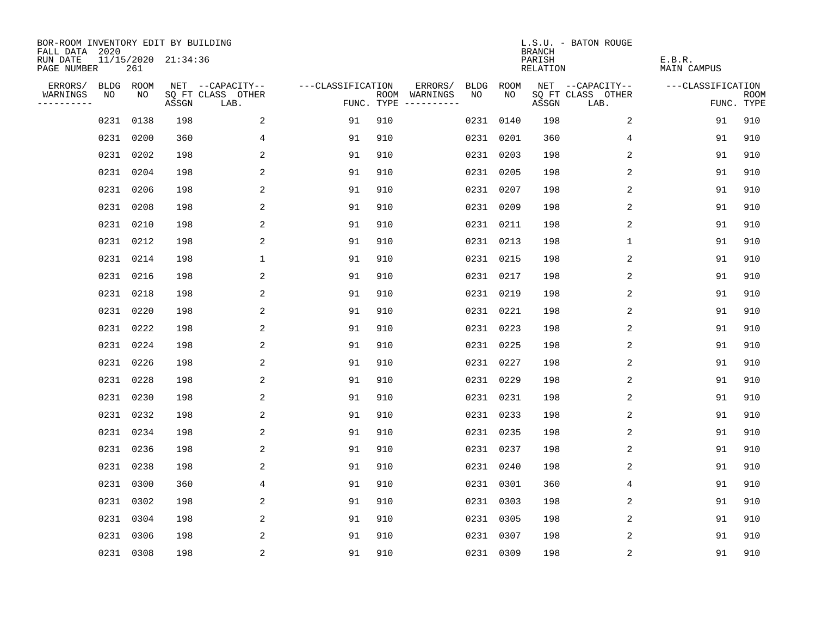| BOR-ROOM INVENTORY EDIT BY BUILDING<br>FALL DATA 2020 |      |           |                     |                           |                   |     |                                            |             |             | <b>BRANCH</b>             | L.S.U. - BATON ROUGE      |                              |                           |
|-------------------------------------------------------|------|-----------|---------------------|---------------------------|-------------------|-----|--------------------------------------------|-------------|-------------|---------------------------|---------------------------|------------------------------|---------------------------|
| RUN DATE<br>PAGE NUMBER                               |      | 261       | 11/15/2020 21:34:36 |                           |                   |     |                                            |             |             | PARISH<br><b>RELATION</b> |                           | E.B.R.<br><b>MAIN CAMPUS</b> |                           |
| ERRORS/                                               |      | BLDG ROOM |                     | NET --CAPACITY--          | ---CLASSIFICATION |     | ERRORS/                                    | <b>BLDG</b> | <b>ROOM</b> |                           | NET --CAPACITY--          | ---CLASSIFICATION            |                           |
| WARNINGS<br>----------                                | NO   | NO        | ASSGN               | SQ FT CLASS OTHER<br>LAB. |                   |     | NO<br>ROOM WARNINGS<br>FUNC. TYPE $------$ |             | NO          | ASSGN                     | SQ FT CLASS OTHER<br>LAB. |                              | <b>ROOM</b><br>FUNC. TYPE |
|                                                       | 0231 | 0138      | 198                 | 2                         | 91                | 910 |                                            | 0231 0140   |             | 198                       | 2                         | 91                           | 910                       |
|                                                       | 0231 | 0200      | 360                 | 4                         | 91                | 910 |                                            | 0231 0201   |             | 360                       | 4                         | 91                           | 910                       |
|                                                       |      | 0231 0202 | 198                 | 2                         | 91                | 910 |                                            | 0231 0203   |             | 198                       | 2                         | 91                           | 910                       |
|                                                       |      | 0231 0204 | 198                 | 2                         | 91                | 910 |                                            | 0231 0205   |             | 198                       | 2                         | 91                           | 910                       |
|                                                       |      | 0231 0206 | 198                 | $\overline{a}$            | 91                | 910 |                                            | 0231 0207   |             | 198                       | $\overline{2}$            | 91                           | 910                       |
|                                                       |      | 0231 0208 | 198                 | 2                         | 91                | 910 |                                            | 0231 0209   |             | 198                       | 2                         | 91                           | 910                       |
|                                                       |      | 0231 0210 | 198                 | 2                         | 91                | 910 |                                            | 0231 0211   |             | 198                       | 2                         | 91                           | 910                       |
|                                                       |      | 0231 0212 | 198                 | 2                         | 91                | 910 |                                            | 0231 0213   |             | 198                       | 1                         | 91                           | 910                       |
|                                                       |      | 0231 0214 | 198                 | $\mathbf 1$               | 91                | 910 |                                            | 0231 0215   |             | 198                       | 2                         | 91                           | 910                       |
|                                                       |      | 0231 0216 | 198                 | 2                         | 91                | 910 |                                            | 0231 0217   |             | 198                       | 2                         | 91                           | 910                       |
|                                                       |      | 0231 0218 | 198                 | 2                         | 91                | 910 |                                            | 0231 0219   |             | 198                       | 2                         | 91                           | 910                       |
|                                                       |      | 0231 0220 | 198                 | 2                         | 91                | 910 |                                            | 0231 0221   |             | 198                       | 2                         | 91                           | 910                       |
|                                                       |      | 0231 0222 | 198                 | 2                         | 91                | 910 |                                            | 0231 0223   |             | 198                       | 2                         | 91                           | 910                       |
|                                                       |      | 0231 0224 | 198                 | 2                         | 91                | 910 |                                            | 0231 0225   |             | 198                       | 2                         | 91                           | 910                       |
|                                                       |      | 0231 0226 | 198                 | 2                         | 91                | 910 |                                            | 0231 0227   |             | 198                       | 2                         | 91                           | 910                       |
|                                                       |      | 0231 0228 | 198                 | 2                         | 91                | 910 |                                            | 0231 0229   |             | 198                       | $\overline{c}$            | 91                           | 910                       |
|                                                       | 0231 | 0230      | 198                 | 2                         | 91                | 910 |                                            | 0231        | 0231        | 198                       | 2                         | 91                           | 910                       |
|                                                       |      | 0231 0232 | 198                 | 2                         | 91                | 910 |                                            | 0231 0233   |             | 198                       | 2                         | 91                           | 910                       |
|                                                       |      | 0231 0234 | 198                 | 2                         | 91                | 910 |                                            | 0231 0235   |             | 198                       | 2                         | 91                           | 910                       |
|                                                       |      | 0231 0236 | 198                 | 2                         | 91                | 910 |                                            | 0231 0237   |             | 198                       | 2                         | 91                           | 910                       |
|                                                       |      | 0231 0238 | 198                 | 2                         | 91                | 910 |                                            | 0231 0240   |             | 198                       | 2                         | 91                           | 910                       |
|                                                       |      | 0231 0300 | 360                 | 4                         | 91                | 910 |                                            | 0231 0301   |             | 360                       | 4                         | 91                           | 910                       |
|                                                       |      | 0231 0302 | 198                 | 2                         | 91                | 910 |                                            | 0231 0303   |             | 198                       | 2                         | 91                           | 910                       |
|                                                       |      | 0231 0304 | 198                 | 2                         | 91                | 910 |                                            | 0231 0305   |             | 198                       | 2                         | 91                           | 910                       |
|                                                       | 0231 | 0306      | 198                 | 2                         | 91                | 910 |                                            | 0231 0307   |             | 198                       | 2                         | 91                           | 910                       |
|                                                       |      | 0231 0308 | 198                 | $\sqrt{2}$                | 91                | 910 |                                            | 0231 0309   |             | 198                       | $\sqrt{2}$                | 91                           | 910                       |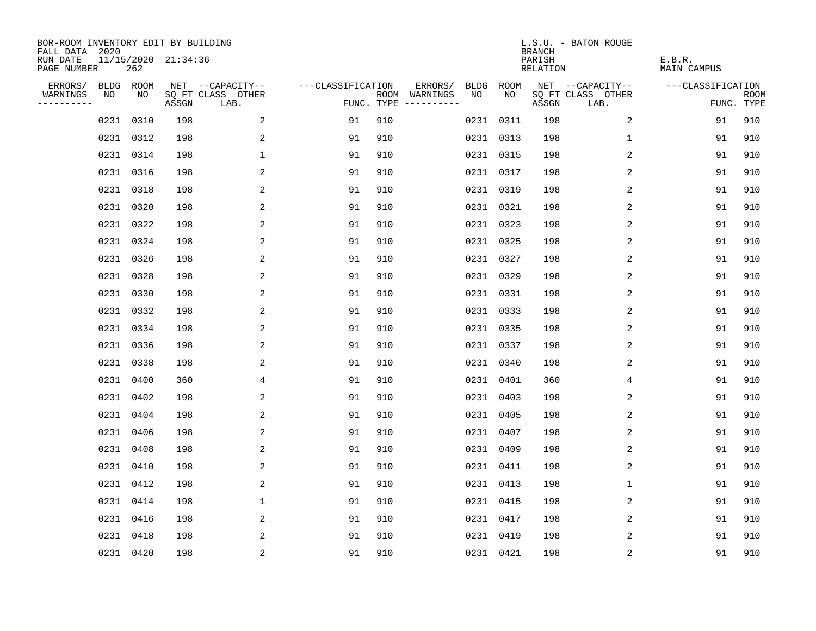| BOR-ROOM INVENTORY EDIT BY BUILDING<br>FALL DATA 2020 |           |      |                     |                           |                   |     |                                      |      |           | <b>BRANCH</b>             | L.S.U. - BATON ROUGE      |                              |                           |
|-------------------------------------------------------|-----------|------|---------------------|---------------------------|-------------------|-----|--------------------------------------|------|-----------|---------------------------|---------------------------|------------------------------|---------------------------|
| RUN DATE<br>PAGE NUMBER                               |           | 262  | 11/15/2020 21:34:36 |                           |                   |     |                                      |      |           | PARISH<br><b>RELATION</b> |                           | E.B.R.<br><b>MAIN CAMPUS</b> |                           |
| ERRORS/                                               | BLDG ROOM |      |                     | NET --CAPACITY--          | ---CLASSIFICATION |     | ERRORS/                              | BLDG | ROOM      |                           | NET --CAPACITY--          | ---CLASSIFICATION            |                           |
| WARNINGS<br>----------                                | NO        | NO   | ASSGN               | SQ FT CLASS OTHER<br>LAB. |                   |     | ROOM WARNINGS<br>FUNC. TYPE $------$ | NO   | NO        | ASSGN                     | SQ FT CLASS OTHER<br>LAB. |                              | <b>ROOM</b><br>FUNC. TYPE |
|                                                       | 0231      | 0310 | 198                 | 2                         | 91                | 910 |                                      |      | 0231 0311 | 198                       | 2                         | 91                           | 910                       |
|                                                       | 0231 0312 |      | 198                 | 2                         | 91                | 910 |                                      |      | 0231 0313 | 198                       | 1                         | 91                           | 910                       |
|                                                       | 0231 0314 |      | 198                 | $\mathbf 1$               | 91                | 910 |                                      |      | 0231 0315 | 198                       | 2                         | 91                           | 910                       |
|                                                       | 0231 0316 |      | 198                 | 2                         | 91                | 910 |                                      |      | 0231 0317 | 198                       | 2                         | 91                           | 910                       |
|                                                       | 0231 0318 |      | 198                 | 2                         | 91                | 910 |                                      |      | 0231 0319 | 198                       | 2                         | 91                           | 910                       |
|                                                       | 0231 0320 |      | 198                 | 2                         | 91                | 910 |                                      |      | 0231 0321 | 198                       | 2                         | 91                           | 910                       |
|                                                       | 0231 0322 |      | 198                 | 2                         | 91                | 910 |                                      |      | 0231 0323 | 198                       | 2                         | 91                           | 910                       |
|                                                       | 0231 0324 |      | 198                 | 2                         | 91                | 910 |                                      |      | 0231 0325 | 198                       | 2                         | 91                           | 910                       |
|                                                       | 0231      | 0326 | 198                 | 2                         | 91                | 910 |                                      |      | 0231 0327 | 198                       | 2                         | 91                           | 910                       |
|                                                       | 0231 0328 |      | 198                 | 2                         | 91                | 910 |                                      |      | 0231 0329 | 198                       | 2                         | 91                           | 910                       |
|                                                       | 0231      | 0330 | 198                 | 2                         | 91                | 910 |                                      |      | 0231 0331 | 198                       | 2                         | 91                           | 910                       |
|                                                       | 0231 0332 |      | 198                 | 2                         | 91                | 910 |                                      |      | 0231 0333 | 198                       | 2                         | 91                           | 910                       |
|                                                       | 0231      | 0334 | 198                 | 2                         | 91                | 910 |                                      |      | 0231 0335 | 198                       | 2                         | 91                           | 910                       |
|                                                       | 0231 0336 |      | 198                 | 2                         | 91                | 910 |                                      |      | 0231 0337 | 198                       | 2                         | 91                           | 910                       |
|                                                       | 0231      | 0338 | 198                 | 2                         | 91                | 910 |                                      |      | 0231 0340 | 198                       | 2                         | 91                           | 910                       |
|                                                       | 0231      | 0400 | 360                 | 4                         | 91                | 910 |                                      |      | 0231 0401 | 360                       | 4                         | 91                           | 910                       |
|                                                       | 0231      | 0402 | 198                 | 2                         | 91                | 910 |                                      |      | 0231 0403 | 198                       | 2                         | 91                           | 910                       |
|                                                       | 0231      | 0404 | 198                 | 2                         | 91                | 910 |                                      |      | 0231 0405 | 198                       | 2                         | 91                           | 910                       |
|                                                       | 0231      | 0406 | 198                 | 2                         | 91                | 910 |                                      |      | 0231 0407 | 198                       | 2                         | 91                           | 910                       |
|                                                       | 0231      | 0408 | 198                 | 2                         | 91                | 910 |                                      |      | 0231 0409 | 198                       | 2                         | 91                           | 910                       |
|                                                       | 0231      | 0410 | 198                 | 2                         | 91                | 910 |                                      |      | 0231 0411 | 198                       | 2                         | 91                           | 910                       |
|                                                       | 0231      | 0412 | 198                 | 2                         | 91                | 910 |                                      |      | 0231 0413 | 198                       | $\mathbf 1$               | 91                           | 910                       |
|                                                       | 0231 0414 |      | 198                 | $\mathbf 1$               | 91                | 910 |                                      |      | 0231 0415 | 198                       | 2                         | 91                           | 910                       |
|                                                       | 0231 0416 |      | 198                 | 2                         | 91                | 910 |                                      |      | 0231 0417 | 198                       | 2                         | 91                           | 910                       |
|                                                       | 0231      | 0418 | 198                 | 2                         | 91                | 910 |                                      |      | 0231 0419 | 198                       | 2                         | 91                           | 910                       |
|                                                       | 0231 0420 |      | 198                 | $\overline{c}$            | 91                | 910 |                                      |      | 0231 0421 | 198                       | $\sqrt{2}$                | 91                           | 910                       |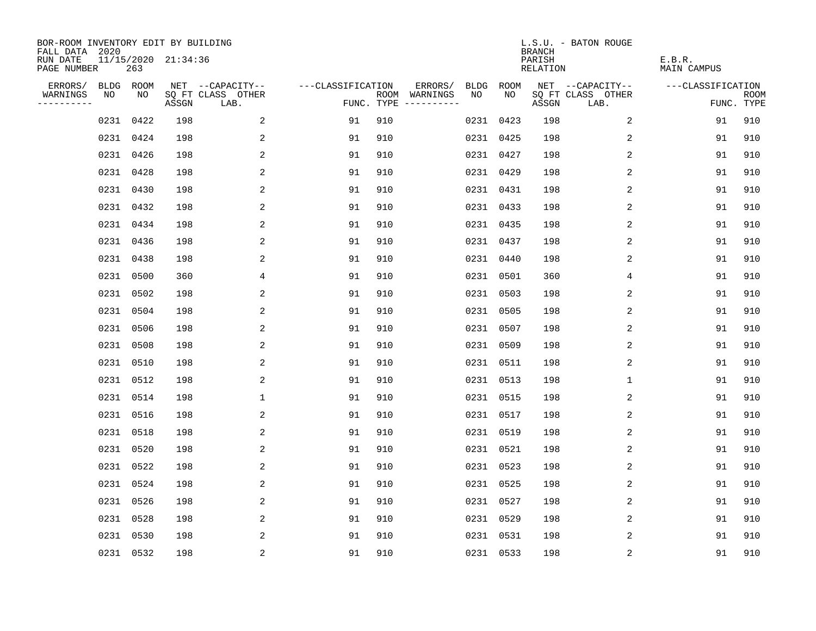| BOR-ROOM INVENTORY EDIT BY BUILDING<br>FALL DATA 2020 |           |      |                     |                           |                   |     |                                      |      |             | <b>BRANCH</b>             | L.S.U. - BATON ROUGE      |                              |                           |
|-------------------------------------------------------|-----------|------|---------------------|---------------------------|-------------------|-----|--------------------------------------|------|-------------|---------------------------|---------------------------|------------------------------|---------------------------|
| RUN DATE<br>PAGE NUMBER                               |           | 263  | 11/15/2020 21:34:36 |                           |                   |     |                                      |      |             | PARISH<br><b>RELATION</b> |                           | E.B.R.<br><b>MAIN CAMPUS</b> |                           |
| ERRORS/                                               | BLDG ROOM |      |                     | NET --CAPACITY--          | ---CLASSIFICATION |     | ERRORS/                              | BLDG | <b>ROOM</b> |                           | NET --CAPACITY--          | ---CLASSIFICATION            |                           |
| WARNINGS<br>----------                                | NO        | NO   | ASSGN               | SQ FT CLASS OTHER<br>LAB. |                   |     | ROOM WARNINGS<br>FUNC. TYPE $------$ | NO   | NO          | ASSGN                     | SQ FT CLASS OTHER<br>LAB. |                              | <b>ROOM</b><br>FUNC. TYPE |
|                                                       | 0231      | 0422 | 198                 | 2                         | 91                | 910 |                                      |      | 0231 0423   | 198                       | 2                         | 91                           | 910                       |
|                                                       | 0231 0424 |      | 198                 | 2                         | 91                | 910 |                                      |      | 0231 0425   | 198                       | 2                         | 91                           | 910                       |
|                                                       | 0231 0426 |      | 198                 | 2                         | 91                | 910 |                                      |      | 0231 0427   | 198                       | 2                         | 91                           | 910                       |
|                                                       | 0231 0428 |      | 198                 | 2                         | 91                | 910 |                                      |      | 0231 0429   | 198                       | 2                         | 91                           | 910                       |
|                                                       | 0231 0430 |      | 198                 | 2                         | 91                | 910 |                                      |      | 0231 0431   | 198                       | 2                         | 91                           | 910                       |
|                                                       | 0231 0432 |      | 198                 | 2                         | 91                | 910 |                                      |      | 0231 0433   | 198                       | 2                         | 91                           | 910                       |
|                                                       | 0231 0434 |      | 198                 | 2                         | 91                | 910 |                                      |      | 0231 0435   | 198                       | 2                         | 91                           | 910                       |
|                                                       | 0231 0436 |      | 198                 | 2                         | 91                | 910 |                                      |      | 0231 0437   | 198                       | 2                         | 91                           | 910                       |
|                                                       | 0231      | 0438 | 198                 | 2                         | 91                | 910 |                                      |      | 0231 0440   | 198                       | 2                         | 91                           | 910                       |
|                                                       | 0231 0500 |      | 360                 | 4                         | 91                | 910 |                                      |      | 0231 0501   | 360                       | 4                         | 91                           | 910                       |
|                                                       | 0231      | 0502 | 198                 | 2                         | 91                | 910 |                                      |      | 0231 0503   | 198                       | 2                         | 91                           | 910                       |
|                                                       | 0231 0504 |      | 198                 | 2                         | 91                | 910 |                                      |      | 0231 0505   | 198                       | 2                         | 91                           | 910                       |
|                                                       | 0231      | 0506 | 198                 | 2                         | 91                | 910 |                                      |      | 0231 0507   | 198                       | 2                         | 91                           | 910                       |
|                                                       | 0231      | 0508 | 198                 | 2                         | 91                | 910 |                                      |      | 0231 0509   | 198                       | 2                         | 91                           | 910                       |
|                                                       | 0231      | 0510 | 198                 | 2                         | 91                | 910 |                                      |      | 0231 0511   | 198                       | 2                         | 91                           | 910                       |
|                                                       | 0231      | 0512 | 198                 | 2                         | 91                | 910 |                                      |      | 0231 0513   | 198                       | 1                         | 91                           | 910                       |
|                                                       | 0231      | 0514 | 198                 | $\mathbf 1$               | 91                | 910 |                                      |      | 0231 0515   | 198                       | 2                         | 91                           | 910                       |
|                                                       | 0231      | 0516 | 198                 | 2                         | 91                | 910 |                                      |      | 0231 0517   | 198                       | 2                         | 91                           | 910                       |
|                                                       | 0231      | 0518 | 198                 | 2                         | 91                | 910 |                                      |      | 0231 0519   | 198                       | 2                         | 91                           | 910                       |
|                                                       | 0231      | 0520 | 198                 | 2                         | 91                | 910 |                                      |      | 0231 0521   | 198                       | 2                         | 91                           | 910                       |
|                                                       | 0231      | 0522 | 198                 | 2                         | 91                | 910 |                                      |      | 0231 0523   | 198                       | 2                         | 91                           | 910                       |
|                                                       | 0231      | 0524 | 198                 | 2                         | 91                | 910 |                                      |      | 0231 0525   | 198                       | 2                         | 91                           | 910                       |
|                                                       | 0231      | 0526 | 198                 | 2                         | 91                | 910 |                                      |      | 0231 0527   | 198                       | 2                         | 91                           | 910                       |
|                                                       | 0231 0528 |      | 198                 | 2                         | 91                | 910 |                                      |      | 0231 0529   | 198                       | 2                         | 91                           | 910                       |
|                                                       | 0231 0530 |      | 198                 | 2                         | 91                | 910 |                                      |      | 0231 0531   | 198                       | 2                         | 91                           | 910                       |
|                                                       | 0231 0532 |      | 198                 | $\overline{c}$            | 91                | 910 |                                      |      | 0231 0533   | 198                       | $\sqrt{2}$                | 91                           | 910                       |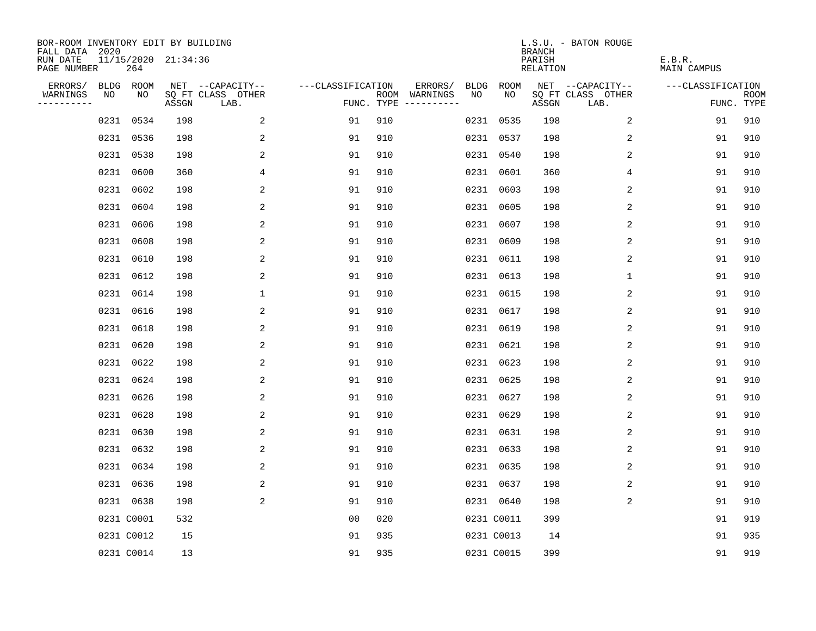| BOR-ROOM INVENTORY EDIT BY BUILDING<br>FALL DATA 2020 |            |      |                     |                           |                   |     |                                            |             | <b>BRANCH</b>             | L.S.U. - BATON ROUGE      |                              |                           |
|-------------------------------------------------------|------------|------|---------------------|---------------------------|-------------------|-----|--------------------------------------------|-------------|---------------------------|---------------------------|------------------------------|---------------------------|
| RUN DATE<br>PAGE NUMBER                               |            | 264  | 11/15/2020 21:34:36 |                           |                   |     |                                            |             | PARISH<br><b>RELATION</b> |                           | E.B.R.<br><b>MAIN CAMPUS</b> |                           |
| ERRORS/                                               | BLDG ROOM  |      |                     | NET --CAPACITY--          | ---CLASSIFICATION |     | ERRORS/<br><b>BLDG</b>                     | <b>ROOM</b> |                           | NET --CAPACITY--          | ---CLASSIFICATION            |                           |
| WARNINGS<br>----------                                | NO         | NO   | ASSGN               | SQ FT CLASS OTHER<br>LAB. |                   |     | NO<br>ROOM WARNINGS<br>FUNC. TYPE $------$ | NO          | ASSGN                     | SQ FT CLASS OTHER<br>LAB. |                              | <b>ROOM</b><br>FUNC. TYPE |
|                                                       | 0231       | 0534 | 198                 | 2                         | 91                | 910 |                                            | 0231 0535   | 198                       | 2                         | 91                           | 910                       |
|                                                       | 0231 0536  |      | 198                 | 2                         | 91                | 910 |                                            | 0231 0537   | 198                       | 2                         | 91                           | 910                       |
|                                                       | 0231 0538  |      | 198                 | 2                         | 91                | 910 |                                            | 0231 0540   | 198                       | 2                         | 91                           | 910                       |
|                                                       | 0231 0600  |      | 360                 | 4                         | 91                | 910 |                                            | 0231 0601   | 360                       | 4                         | 91                           | 910                       |
|                                                       | 0231       | 0602 | 198                 | 2                         | 91                | 910 |                                            | 0231 0603   | 198                       | 2                         | 91                           | 910                       |
|                                                       | 0231 0604  |      | 198                 | 2                         | 91                | 910 |                                            | 0231 0605   | 198                       | 2                         | 91                           | 910                       |
|                                                       | 0231 0606  |      | 198                 | 2                         | 91                | 910 |                                            | 0231 0607   | 198                       | 2                         | 91                           | 910                       |
|                                                       | 0231 0608  |      | 198                 | 2                         | 91                | 910 |                                            | 0231 0609   | 198                       | 2                         | 91                           | 910                       |
|                                                       | 0231 0610  |      | 198                 | 2                         | 91                | 910 |                                            | 0231 0611   | 198                       | 2                         | 91                           | 910                       |
|                                                       | 0231 0612  |      | 198                 | 2                         | 91                | 910 |                                            | 0231 0613   | 198                       | $\mathbf 1$               | 91                           | 910                       |
|                                                       | 0231 0614  |      | 198                 | $\mathbf 1$               | 91                | 910 |                                            | 0231 0615   | 198                       | 2                         | 91                           | 910                       |
|                                                       | 0231 0616  |      | 198                 | 2                         | 91                | 910 |                                            | 0231 0617   | 198                       | 2                         | 91                           | 910                       |
|                                                       | 0231       | 0618 | 198                 | 2                         | 91                | 910 |                                            | 0231 0619   | 198                       | 2                         | 91                           | 910                       |
|                                                       | 0231 0620  |      | 198                 | 2                         | 91                | 910 |                                            | 0231 0621   | 198                       | 2                         | 91                           | 910                       |
|                                                       | 0231 0622  |      | 198                 | 2                         | 91                | 910 | 0231                                       | 0623        | 198                       | 2                         | 91                           | 910                       |
|                                                       | 0231 0624  |      | 198                 | 2                         | 91                | 910 |                                            | 0231 0625   | 198                       | 2                         | 91                           | 910                       |
|                                                       | 0231       | 0626 | 198                 | 2                         | 91                | 910 |                                            | 0231 0627   | 198                       | 2                         | 91                           | 910                       |
|                                                       | 0231 0628  |      | 198                 | 2                         | 91                | 910 |                                            | 0231 0629   | 198                       | 2                         | 91                           | 910                       |
|                                                       | 0231 0630  |      | 198                 | 2                         | 91                | 910 |                                            | 0231 0631   | 198                       | 2                         | 91                           | 910                       |
|                                                       | 0231 0632  |      | 198                 | 2                         | 91                | 910 |                                            | 0231 0633   | 198                       | 2                         | 91                           | 910                       |
|                                                       | 0231 0634  |      | 198                 | 2                         | 91                | 910 |                                            | 0231 0635   | 198                       | 2                         | 91                           | 910                       |
|                                                       | 0231 0636  |      | 198                 | 2                         | 91                | 910 |                                            | 0231 0637   | 198                       | 2                         | 91                           | 910                       |
|                                                       | 0231 0638  |      | 198                 | 2                         | 91                | 910 |                                            | 0231 0640   | 198                       | 2                         | 91                           | 910                       |
|                                                       | 0231 C0001 |      | 532                 |                           | 0 <sub>0</sub>    | 020 |                                            | 0231 C0011  | 399                       |                           | 91                           | 919                       |
|                                                       | 0231 C0012 |      | 15                  |                           | 91                | 935 |                                            | 0231 C0013  | 14                        |                           | 91                           | 935                       |
|                                                       | 0231 C0014 |      | 13                  |                           | 91                | 935 |                                            | 0231 C0015  | 399                       |                           | 91                           | 919                       |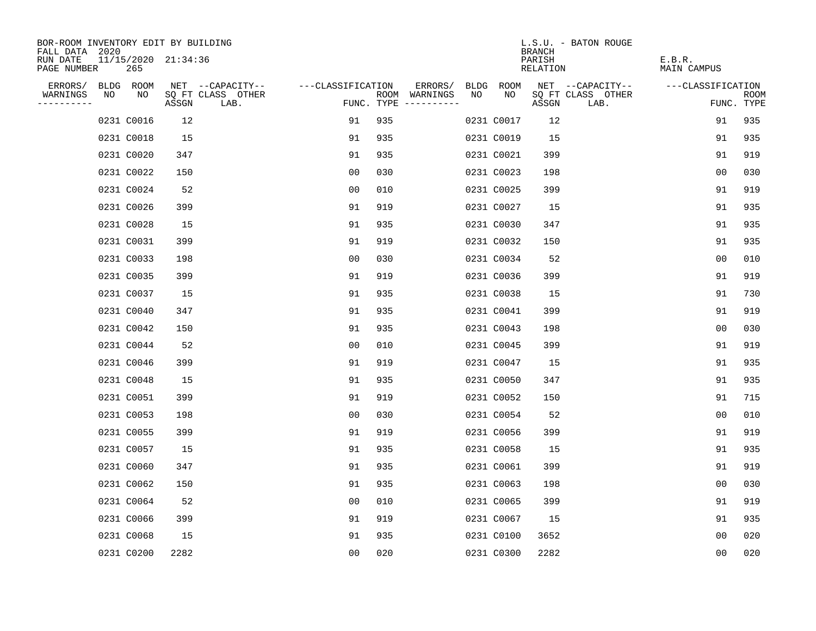| BOR-ROOM INVENTORY EDIT BY BUILDING       |    |                            |       |                           |                   |     |                                      |    |            | <b>BRANCH</b>      | L.S.U. - BATON ROUGE      |                       |                           |
|-------------------------------------------|----|----------------------------|-------|---------------------------|-------------------|-----|--------------------------------------|----|------------|--------------------|---------------------------|-----------------------|---------------------------|
| FALL DATA 2020<br>RUN DATE<br>PAGE NUMBER |    | 11/15/2020 21:34:36<br>265 |       |                           |                   |     |                                      |    |            | PARISH<br>RELATION |                           | E.B.R.<br>MAIN CAMPUS |                           |
| ERRORS/                                   |    | BLDG ROOM                  |       | NET --CAPACITY--          | ---CLASSIFICATION |     | ERRORS/                              |    | BLDG ROOM  |                    | NET --CAPACITY--          | ---CLASSIFICATION     |                           |
| WARNINGS<br>----------                    | NO | NO                         | ASSGN | SQ FT CLASS OTHER<br>LAB. |                   |     | ROOM WARNINGS<br>FUNC. TYPE $------$ | NO | NO.        | ASSGN              | SQ FT CLASS OTHER<br>LAB. |                       | <b>ROOM</b><br>FUNC. TYPE |
|                                           |    | 0231 C0016                 | 12    |                           | 91                | 935 |                                      |    | 0231 C0017 | 12                 |                           | 91                    | 935                       |
|                                           |    | 0231 C0018                 | 15    |                           | 91                | 935 |                                      |    | 0231 C0019 | 15                 |                           | 91                    | 935                       |
|                                           |    | 0231 C0020                 | 347   |                           | 91                | 935 |                                      |    | 0231 C0021 | 399                |                           | 91                    | 919                       |
|                                           |    | 0231 C0022                 | 150   |                           | 0 <sub>0</sub>    | 030 |                                      |    | 0231 C0023 | 198                |                           | 0 <sub>0</sub>        | 030                       |
|                                           |    | 0231 C0024                 | 52    |                           | 00                | 010 |                                      |    | 0231 C0025 | 399                |                           | 91                    | 919                       |
|                                           |    | 0231 C0026                 | 399   |                           | 91                | 919 |                                      |    | 0231 C0027 | 15                 |                           | 91                    | 935                       |
|                                           |    | 0231 C0028                 | 15    |                           | 91                | 935 |                                      |    | 0231 C0030 | 347                |                           | 91                    | 935                       |
|                                           |    | 0231 C0031                 | 399   |                           | 91                | 919 |                                      |    | 0231 C0032 | 150                |                           | 91                    | 935                       |
|                                           |    | 0231 C0033                 | 198   |                           | 0 <sub>0</sub>    | 030 |                                      |    | 0231 C0034 | 52                 |                           | 0 <sub>0</sub>        | 010                       |
|                                           |    | 0231 C0035                 | 399   |                           | 91                | 919 |                                      |    | 0231 C0036 | 399                |                           | 91                    | 919                       |
|                                           |    | 0231 C0037                 | 15    |                           | 91                | 935 |                                      |    | 0231 C0038 | 15                 |                           | 91                    | 730                       |
|                                           |    | 0231 C0040                 | 347   |                           | 91                | 935 |                                      |    | 0231 C0041 | 399                |                           | 91                    | 919                       |
|                                           |    | 0231 C0042                 | 150   |                           | 91                | 935 |                                      |    | 0231 C0043 | 198                |                           | 0 <sub>0</sub>        | 030                       |
|                                           |    | 0231 C0044                 | 52    |                           | 0 <sub>0</sub>    | 010 |                                      |    | 0231 C0045 | 399                |                           | 91                    | 919                       |
|                                           |    | 0231 C0046                 | 399   |                           | 91                | 919 |                                      |    | 0231 C0047 | 15                 |                           | 91                    | 935                       |
|                                           |    | 0231 C0048                 | 15    |                           | 91                | 935 |                                      |    | 0231 C0050 | 347                |                           | 91                    | 935                       |
|                                           |    | 0231 C0051                 | 399   |                           | 91                | 919 |                                      |    | 0231 C0052 | 150                |                           | 91                    | 715                       |
|                                           |    | 0231 C0053                 | 198   |                           | 0 <sub>0</sub>    | 030 |                                      |    | 0231 C0054 | 52                 |                           | 0 <sub>0</sub>        | 010                       |
|                                           |    | 0231 C0055                 | 399   |                           | 91                | 919 |                                      |    | 0231 C0056 | 399                |                           | 91                    | 919                       |
|                                           |    | 0231 C0057                 | 15    |                           | 91                | 935 |                                      |    | 0231 C0058 | 15                 |                           | 91                    | 935                       |
|                                           |    | 0231 C0060                 | 347   |                           | 91                | 935 |                                      |    | 0231 C0061 | 399                |                           | 91                    | 919                       |
|                                           |    | 0231 C0062                 | 150   |                           | 91                | 935 |                                      |    | 0231 C0063 | 198                |                           | 0 <sub>0</sub>        | 030                       |
|                                           |    | 0231 C0064                 | 52    |                           | 0 <sub>0</sub>    | 010 |                                      |    | 0231 C0065 | 399                |                           | 91                    | 919                       |
|                                           |    | 0231 C0066                 | 399   |                           | 91                | 919 |                                      |    | 0231 C0067 | 15                 |                           | 91                    | 935                       |
|                                           |    | 0231 C0068                 | 15    |                           | 91                | 935 |                                      |    | 0231 C0100 | 3652               |                           | 0 <sub>0</sub>        | 020                       |
|                                           |    | 0231 C0200                 | 2282  |                           | 0 <sub>0</sub>    | 020 |                                      |    | 0231 C0300 | 2282               |                           | 0 <sub>0</sub>        | 020                       |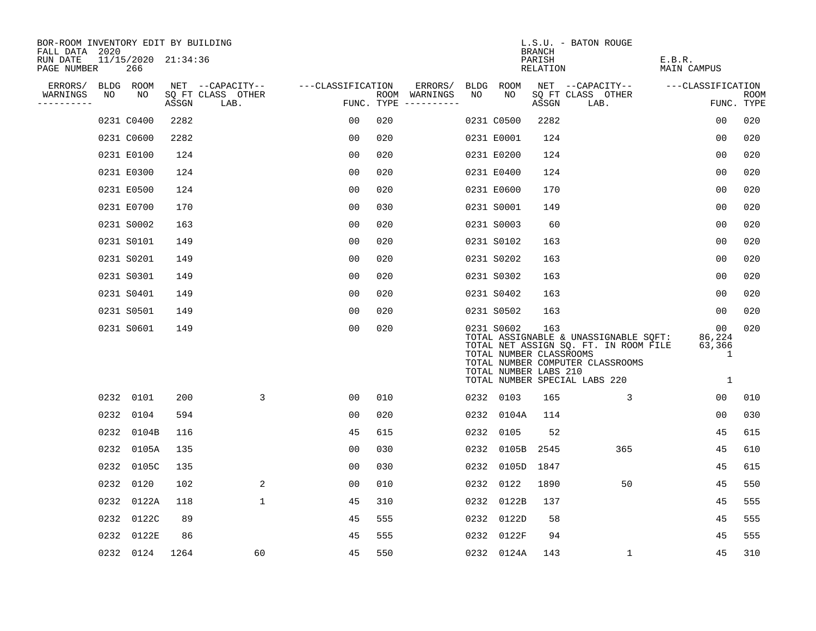| BOR-ROOM INVENTORY EDIT BY BUILDING<br>FALL DATA 2020 |      |                            |       |                           |                   |     |                                      |      |            | BRANCH                                                  | L.S.U. - BATON ROUGE                                                                                                                                |                                             |                           |
|-------------------------------------------------------|------|----------------------------|-------|---------------------------|-------------------|-----|--------------------------------------|------|------------|---------------------------------------------------------|-----------------------------------------------------------------------------------------------------------------------------------------------------|---------------------------------------------|---------------------------|
| RUN DATE<br>PAGE NUMBER                               |      | 11/15/2020 21:34:36<br>266 |       |                           |                   |     |                                      |      |            | PARISH<br>RELATION                                      |                                                                                                                                                     | E.B.R.<br>MAIN CAMPUS                       |                           |
| ERRORS/                                               |      | BLDG ROOM                  |       | NET --CAPACITY--          | ---CLASSIFICATION |     | ERRORS/                              |      | BLDG ROOM  |                                                         | NET --CAPACITY--                                                                                                                                    | ---CLASSIFICATION                           |                           |
| WARNINGS<br>----------                                | NO   | NO                         | ASSGN | SQ FT CLASS OTHER<br>LAB. |                   |     | ROOM WARNINGS<br>FUNC. TYPE $------$ | NO   | NO.        | ASSGN                                                   | SQ FT CLASS OTHER<br>LAB.                                                                                                                           |                                             | <b>ROOM</b><br>FUNC. TYPE |
|                                                       |      | 0231 C0400                 | 2282  |                           | 00                | 020 |                                      |      | 0231 C0500 | 2282                                                    |                                                                                                                                                     | 0 <sub>0</sub>                              | 020                       |
|                                                       |      | 0231 C0600                 | 2282  |                           | 0 <sub>0</sub>    | 020 |                                      |      | 0231 E0001 | 124                                                     |                                                                                                                                                     | 00                                          | 020                       |
|                                                       |      | 0231 E0100                 | 124   |                           | 0 <sub>0</sub>    | 020 |                                      |      | 0231 E0200 | 124                                                     |                                                                                                                                                     | 0 <sub>0</sub>                              | 020                       |
|                                                       |      | 0231 E0300                 | 124   |                           | 0 <sub>0</sub>    | 020 |                                      |      | 0231 E0400 | 124                                                     |                                                                                                                                                     | 0 <sub>0</sub>                              | 020                       |
|                                                       |      | 0231 E0500                 | 124   |                           | 0 <sub>0</sub>    | 020 |                                      |      | 0231 E0600 | 170                                                     |                                                                                                                                                     | 00                                          | 020                       |
|                                                       |      | 0231 E0700                 | 170   |                           | 0 <sub>0</sub>    | 030 |                                      |      | 0231 S0001 | 149                                                     |                                                                                                                                                     | 0 <sub>0</sub>                              | 020                       |
|                                                       |      | 0231 S0002                 | 163   |                           | 0 <sub>0</sub>    | 020 |                                      |      | 0231 S0003 | 60                                                      |                                                                                                                                                     | 0 <sub>0</sub>                              | 020                       |
|                                                       |      | 0231 S0101                 | 149   |                           | 0 <sub>0</sub>    | 020 |                                      |      | 0231 S0102 | 163                                                     |                                                                                                                                                     | 0 <sub>0</sub>                              | 020                       |
|                                                       |      | 0231 S0201                 | 149   |                           | 0 <sub>0</sub>    | 020 |                                      |      | 0231 S0202 | 163                                                     |                                                                                                                                                     | 00                                          | 020                       |
|                                                       |      | 0231 S0301                 | 149   |                           | 0 <sub>0</sub>    | 020 |                                      |      | 0231 S0302 | 163                                                     |                                                                                                                                                     | 0 <sub>0</sub>                              | 020                       |
|                                                       |      | 0231 S0401                 | 149   |                           | 00                | 020 |                                      |      | 0231 S0402 | 163                                                     |                                                                                                                                                     | 00                                          | 020                       |
|                                                       |      | 0231 S0501                 | 149   |                           | 00                | 020 |                                      |      | 0231 S0502 | 163                                                     |                                                                                                                                                     | 00                                          | 020                       |
|                                                       |      | 0231 S0601                 | 149   |                           | 0 <sub>0</sub>    | 020 |                                      |      | 0231 S0602 | 163<br>TOTAL NUMBER CLASSROOMS<br>TOTAL NUMBER LABS 210 | TOTAL ASSIGNABLE & UNASSIGNABLE SQFT:<br>TOTAL NET ASSIGN SQ. FT. IN ROOM FILE<br>TOTAL NUMBER COMPUTER CLASSROOMS<br>TOTAL NUMBER SPECIAL LABS 220 | 00<br>86,224<br>63,366<br>$\mathbf{1}$<br>1 | 020                       |
|                                                       |      | 0232 0101                  | 200   | 3                         | 00                | 010 |                                      |      | 0232 0103  | 165                                                     | 3                                                                                                                                                   | 0 <sub>0</sub>                              | 010                       |
|                                                       | 0232 | 0104                       | 594   |                           | 0 <sub>0</sub>    | 020 |                                      | 0232 | 0104A      | 114                                                     |                                                                                                                                                     | 0 <sub>0</sub>                              | 030                       |
|                                                       | 0232 | 0104B                      | 116   |                           | 45                | 615 |                                      |      | 0232 0105  | 52                                                      |                                                                                                                                                     | 45                                          | 615                       |
|                                                       | 0232 | 0105A                      | 135   |                           | 0 <sub>0</sub>    | 030 |                                      | 0232 | 0105B      | 2545                                                    | 365                                                                                                                                                 | 45                                          | 610                       |
|                                                       | 0232 | 0105C                      | 135   |                           | 0 <sub>0</sub>    | 030 |                                      | 0232 |            | 0105D 1847                                              |                                                                                                                                                     | 45                                          | 615                       |
|                                                       | 0232 | 0120                       | 102   | 2                         | 00                | 010 |                                      | 0232 | 0122       | 1890                                                    | 50                                                                                                                                                  | 45                                          | 550                       |
|                                                       | 0232 | 0122A                      | 118   | $\mathbf 1$               | 45                | 310 |                                      | 0232 | 0122B      | 137                                                     |                                                                                                                                                     | 45                                          | 555                       |
|                                                       | 0232 | 0122C                      | 89    |                           | 45                | 555 |                                      | 0232 | 0122D      | 58                                                      |                                                                                                                                                     | 45                                          | 555                       |
|                                                       | 0232 | 0122E                      | 86    |                           | 45                | 555 |                                      | 0232 | 0122F      | 94                                                      |                                                                                                                                                     | 45                                          | 555                       |
|                                                       |      | 0232 0124                  | 1264  | 60                        | 45                | 550 |                                      |      | 0232 0124A | 143                                                     | $\mathbf{1}$                                                                                                                                        | 45                                          | 310                       |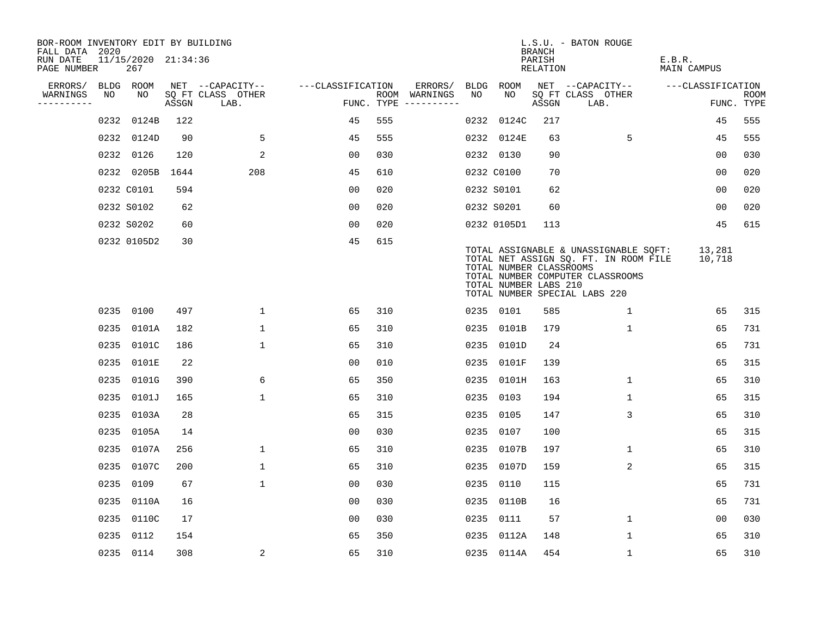| BOR-ROOM INVENTORY EDIT BY BUILDING<br>FALL DATA 2020 |    |                            |       |                           |                   |     |                                      |      |                                                  | <b>BRANCH</b>      | L.S.U. - BATON ROUGE                                                                                                                                |                       |                           |
|-------------------------------------------------------|----|----------------------------|-------|---------------------------|-------------------|-----|--------------------------------------|------|--------------------------------------------------|--------------------|-----------------------------------------------------------------------------------------------------------------------------------------------------|-----------------------|---------------------------|
| RUN DATE<br>PAGE NUMBER                               |    | 11/15/2020 21:34:36<br>267 |       |                           |                   |     |                                      |      |                                                  | PARISH<br>RELATION |                                                                                                                                                     | E.B.R.<br>MAIN CAMPUS |                           |
| ERRORS/                                               |    | BLDG ROOM                  |       | NET --CAPACITY--          | ---CLASSIFICATION |     | ERRORS/                              | BLDG | ROOM                                             |                    | NET --CAPACITY--                                                                                                                                    | ---CLASSIFICATION     |                           |
| WARNINGS<br>----------                                | NO | NO.                        | ASSGN | SQ FT CLASS OTHER<br>LAB. |                   |     | ROOM WARNINGS<br>FUNC. TYPE $------$ | NO   | NO.                                              | ASSGN              | SQ FT CLASS OTHER<br>LAB.                                                                                                                           |                       | <b>ROOM</b><br>FUNC. TYPE |
|                                                       |    | 0232 0124B                 | 122   |                           | 45                | 555 |                                      | 0232 | 0124C                                            | 217                |                                                                                                                                                     | 45                    | 555                       |
|                                                       |    | 0232 0124D                 | 90    | 5                         | 45                | 555 |                                      |      | 0232 0124E                                       | 63                 | 5                                                                                                                                                   | 45                    | 555                       |
|                                                       |    | 0232 0126                  | 120   | 2                         | 0 <sub>0</sub>    | 030 |                                      |      | 0232 0130                                        | 90                 |                                                                                                                                                     | 00                    | 030                       |
|                                                       |    | 0232 0205B 1644            |       | 208                       | 45                | 610 |                                      |      | 0232 C0100                                       | 70                 |                                                                                                                                                     | 0 <sub>0</sub>        | 020                       |
|                                                       |    | 0232 C0101                 | 594   |                           | 00                | 020 |                                      |      | 0232 S0101                                       | 62                 |                                                                                                                                                     | 0 <sub>0</sub>        | 020                       |
|                                                       |    | 0232 S0102                 | 62    |                           | 0 <sub>0</sub>    | 020 |                                      |      | 0232 S0201                                       | 60                 |                                                                                                                                                     | 0 <sub>0</sub>        | 020                       |
|                                                       |    | 0232 S0202                 | 60    |                           | 0 <sub>0</sub>    | 020 |                                      |      | 0232 0105D1                                      | 113                |                                                                                                                                                     | 45                    | 615                       |
|                                                       |    | 0232 0105D2                | 30    |                           | 45                | 615 |                                      |      | TOTAL NUMBER CLASSROOMS<br>TOTAL NUMBER LABS 210 |                    | TOTAL ASSIGNABLE & UNASSIGNABLE SQFT:<br>TOTAL NET ASSIGN SQ. FT. IN ROOM FILE<br>TOTAL NUMBER COMPUTER CLASSROOMS<br>TOTAL NUMBER SPECIAL LABS 220 | 13,281<br>10,718      |                           |
|                                                       |    | 0235 0100                  | 497   | $\mathbf{1}$              | 65                | 310 |                                      |      | 0235 0101                                        | 585                | 1                                                                                                                                                   | 65                    | 315                       |
|                                                       |    | 0235 0101A                 | 182   | $\mathbf{1}$              | 65                | 310 |                                      |      | 0235 0101B                                       | 179                | $\mathbf{1}$                                                                                                                                        | 65                    | 731                       |
|                                                       |    | 0235 0101C                 | 186   | $\mathbf{1}$              | 65                | 310 |                                      |      | 0235 0101D                                       | 24                 |                                                                                                                                                     | 65                    | 731                       |
|                                                       |    | 0235 0101E                 | 22    |                           | 00                | 010 |                                      |      | 0235 0101F                                       | 139                |                                                                                                                                                     | 65                    | 315                       |
|                                                       |    | 0235 0101G                 | 390   | 6                         | 65                | 350 |                                      |      | 0235 0101H                                       | 163                | 1                                                                                                                                                   | 65                    | 310                       |
|                                                       |    | 0235 0101J                 | 165   | $\mathbf{1}$              | 65                | 310 |                                      | 0235 | 0103                                             | 194                | 1                                                                                                                                                   | 65                    | 315                       |
|                                                       |    | 0235 0103A                 | 28    |                           | 65                | 315 |                                      |      | 0235 0105                                        | 147                | 3                                                                                                                                                   | 65                    | 310                       |
|                                                       |    | 0235 0105A                 | 14    |                           | 0 <sub>0</sub>    | 030 |                                      |      | 0235 0107                                        | 100                |                                                                                                                                                     | 65                    | 315                       |
|                                                       |    | 0235 0107A                 | 256   | $\mathbf{1}$              | 65                | 310 |                                      |      | 0235 0107B                                       | 197                | $\mathbf{1}$                                                                                                                                        | 65                    | 310                       |
|                                                       |    | 0235 0107C                 | 200   | 1                         | 65                | 310 |                                      |      | 0235 0107D                                       | 159                | 2                                                                                                                                                   | 65                    | 315                       |
|                                                       |    | 0235 0109                  | 67    | $\mathbf{1}$              | 00                | 030 |                                      | 0235 | 0110                                             | 115                |                                                                                                                                                     | 65                    | 731                       |
|                                                       |    | 0235 0110A                 | 16    |                           | 0 <sub>0</sub>    | 030 |                                      |      | 0235 0110B                                       | 16                 |                                                                                                                                                     | 65                    | 731                       |
|                                                       |    | 0235 0110C                 | 17    |                           | 0 <sub>0</sub>    | 030 |                                      |      | 0235 0111                                        | 57                 | $\mathbf 1$                                                                                                                                         | 0 <sub>0</sub>        | 030                       |
|                                                       |    | 0235 0112                  | 154   |                           | 65                | 350 |                                      |      | 0235 0112A                                       | 148                | $\mathbf{1}$                                                                                                                                        | 65                    | 310                       |
|                                                       |    | 0235 0114                  | 308   | $\overline{\mathbf{c}}$   | 65                | 310 |                                      |      | 0235 0114A                                       | 454                | 1                                                                                                                                                   | 65                    | 310                       |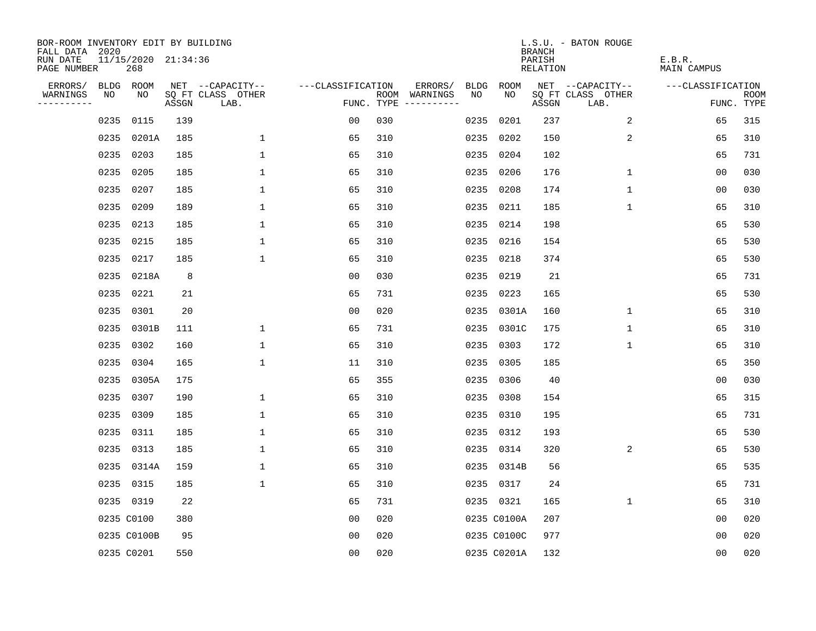| BOR-ROOM INVENTORY EDIT BY BUILDING<br>FALL DATA 2020 |      |                            |       |                           |                   |                                      |      |             | <b>BRANCH</b>      | L.S.U. - BATON ROUGE      |                              |                           |
|-------------------------------------------------------|------|----------------------------|-------|---------------------------|-------------------|--------------------------------------|------|-------------|--------------------|---------------------------|------------------------------|---------------------------|
| RUN DATE<br>PAGE NUMBER                               |      | 11/15/2020 21:34:36<br>268 |       |                           |                   |                                      |      |             | PARISH<br>RELATION |                           | E.B.R.<br><b>MAIN CAMPUS</b> |                           |
| ERRORS/                                               |      | BLDG ROOM                  |       | NET --CAPACITY--          | ---CLASSIFICATION | ERRORS/                              | BLDG | ROOM        |                    | NET --CAPACITY--          | ---CLASSIFICATION            |                           |
| WARNINGS<br>----------                                | NO   | NO                         | ASSGN | SQ FT CLASS OTHER<br>LAB. |                   | ROOM WARNINGS<br>FUNC. TYPE $------$ | NO.  | NO.         | ASSGN              | SQ FT CLASS OTHER<br>LAB. |                              | <b>ROOM</b><br>FUNC. TYPE |
|                                                       | 0235 | 0115                       | 139   |                           | 0 <sub>0</sub>    | 030                                  | 0235 | 0201        | 237                | 2                         | 65                           | 315                       |
|                                                       | 0235 | 0201A                      | 185   | $\mathbf 1$               | 65                | 310                                  | 0235 | 0202        | 150                | 2                         | 65                           | 310                       |
|                                                       | 0235 | 0203                       | 185   | $\mathbf{1}$              | 65                | 310                                  |      | 0235 0204   | 102                |                           | 65                           | 731                       |
|                                                       |      | 0235 0205                  | 185   | $\mathbf{1}$              | 65                | 310                                  |      | 0235 0206   | 176                | $\mathbf 1$               | 00                           | 030                       |
|                                                       | 0235 | 0207                       | 185   | $\mathbf 1$               | 65                | 310                                  |      | 0235 0208   | 174                | $\mathbf 1$               | 0 <sub>0</sub>               | 030                       |
|                                                       | 0235 | 0209                       | 189   | 1                         | 65                | 310                                  |      | 0235 0211   | 185                | $\mathbf{1}$              | 65                           | 310                       |
|                                                       |      | 0235 0213                  | 185   | $\mathbf 1$               | 65                | 310                                  |      | 0235 0214   | 198                |                           | 65                           | 530                       |
|                                                       |      | 0235 0215                  | 185   | $\mathbf 1$               | 65                | 310                                  |      | 0235 0216   | 154                |                           | 65                           | 530                       |
|                                                       | 0235 | 0217                       | 185   | $\mathbf{1}$              | 65                | 310                                  |      | 0235 0218   | 374                |                           | 65                           | 530                       |
|                                                       |      | 0235 0218A                 | 8     |                           | 0 <sub>0</sub>    | 030                                  |      | 0235 0219   | 21                 |                           | 65                           | 731                       |
|                                                       |      | 0235 0221                  | 21    |                           | 65                | 731                                  |      | 0235 0223   | 165                |                           | 65                           | 530                       |
|                                                       |      | 0235 0301                  | 20    |                           | 0 <sub>0</sub>    | 020                                  |      | 0235 0301A  | 160                | $\mathbf{1}$              | 65                           | 310                       |
|                                                       |      | 0235 0301B                 | 111   | $\mathbf 1$               | 65                | 731                                  |      | 0235 0301C  | 175                | $\mathbf 1$               | 65                           | 310                       |
|                                                       |      | 0235 0302                  | 160   | $\mathbf 1$               | 65                | 310                                  |      | 0235 0303   | 172                | $\mathbf 1$               | 65                           | 310                       |
|                                                       |      | 0235 0304                  | 165   | $\mathbf 1$               | 11                | 310                                  |      | 0235 0305   | 185                |                           | 65                           | 350                       |
|                                                       |      | 0235 0305A                 | 175   |                           | 65                | 355                                  |      | 0235 0306   | 40                 |                           | 0 <sub>0</sub>               | 030                       |
|                                                       |      | 0235 0307                  | 190   | $\mathbf 1$               | 65                | 310                                  | 0235 | 0308        | 154                |                           | 65                           | 315                       |
|                                                       |      | 0235 0309                  | 185   | 1                         | 65                | 310                                  |      | 0235 0310   | 195                |                           | 65                           | 731                       |
|                                                       | 0235 | 0311                       | 185   | 1                         | 65                | 310                                  |      | 0235 0312   | 193                |                           | 65                           | 530                       |
|                                                       | 0235 | 0313                       | 185   | 1                         | 65                | 310                                  |      | 0235 0314   | 320                | 2                         | 65                           | 530                       |
|                                                       |      | 0235 0314A                 | 159   | $\mathbf{1}$              | 65                | 310                                  |      | 0235 0314B  | 56                 |                           | 65                           | 535                       |
|                                                       | 0235 | 0315                       | 185   | $\mathbf{1}$              | 65                | 310                                  |      | 0235 0317   | 24                 |                           | 65                           | 731                       |
|                                                       |      | 0235 0319                  | 22    |                           | 65                | 731                                  |      | 0235 0321   | 165                | $\mathbf 1$               | 65                           | 310                       |
|                                                       |      | 0235 C0100                 | 380   |                           | 0 <sub>0</sub>    | 020                                  |      | 0235 C0100A | 207                |                           | 0 <sub>0</sub>               | 020                       |
|                                                       |      | 0235 C0100B                | 95    |                           | 0 <sub>0</sub>    | 020                                  |      | 0235 C0100C | 977                |                           | 0 <sub>0</sub>               | 020                       |
|                                                       |      | 0235 C0201                 | 550   |                           | 0 <sub>0</sub>    | 020                                  |      | 0235 C0201A | 132                |                           | 0 <sub>0</sub>               | 020                       |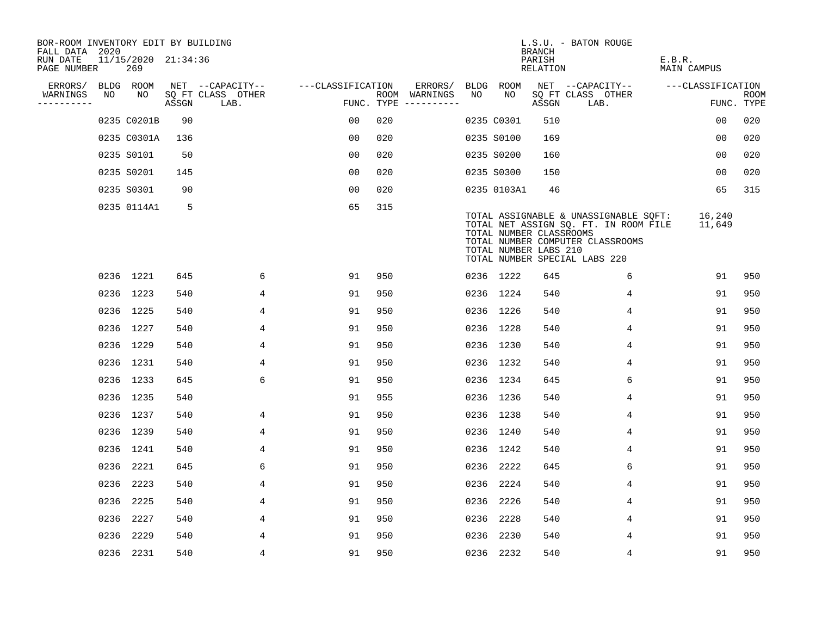| BOR-ROOM INVENTORY EDIT BY BUILDING<br>FALL DATA 2020 |    |                            |       |                           |                   |     |                                      |      |                                                  | <b>BRANCH</b>             | L.S.U. - BATON ROUGE                                                                                                                                |                              |                           |
|-------------------------------------------------------|----|----------------------------|-------|---------------------------|-------------------|-----|--------------------------------------|------|--------------------------------------------------|---------------------------|-----------------------------------------------------------------------------------------------------------------------------------------------------|------------------------------|---------------------------|
| RUN DATE<br>PAGE NUMBER                               |    | 11/15/2020 21:34:36<br>269 |       |                           |                   |     |                                      |      |                                                  | PARISH<br><b>RELATION</b> |                                                                                                                                                     | E.B.R.<br><b>MAIN CAMPUS</b> |                           |
| ERRORS/                                               |    | BLDG ROOM                  |       | NET --CAPACITY--          | ---CLASSIFICATION |     | ERRORS/                              | BLDG | ROOM                                             |                           | NET --CAPACITY--                                                                                                                                    | ---CLASSIFICATION            |                           |
| WARNINGS<br>----------                                | NO | NO                         | ASSGN | SQ FT CLASS OTHER<br>LAB. |                   |     | ROOM WARNINGS<br>FUNC. TYPE $------$ | NO   | NO                                               | ASSGN                     | SQ FT CLASS OTHER<br>LAB.                                                                                                                           |                              | <b>ROOM</b><br>FUNC. TYPE |
|                                                       |    | 0235 C0201B                | 90    |                           | 00                | 020 |                                      |      | 0235 C0301                                       | 510                       |                                                                                                                                                     | 0 <sub>0</sub>               | 020                       |
|                                                       |    | 0235 C0301A                | 136   |                           | 0 <sub>0</sub>    | 020 |                                      |      | 0235 S0100                                       | 169                       |                                                                                                                                                     | 0 <sub>0</sub>               | 020                       |
|                                                       |    | 0235 S0101                 | 50    |                           | 00                | 020 |                                      |      | 0235 S0200                                       | 160                       |                                                                                                                                                     | 00                           | 020                       |
|                                                       |    | 0235 S0201                 | 145   |                           | 0 <sub>0</sub>    | 020 |                                      |      | 0235 S0300                                       | 150                       |                                                                                                                                                     | 00                           | 020                       |
|                                                       |    | 0235 S0301                 | 90    |                           | 0 <sub>0</sub>    | 020 |                                      |      | 0235 0103A1                                      | 46                        |                                                                                                                                                     | 65                           | 315                       |
|                                                       |    | 0235 0114A1                | -5    |                           | 65                | 315 |                                      |      | TOTAL NUMBER CLASSROOMS<br>TOTAL NUMBER LABS 210 |                           | TOTAL ASSIGNABLE & UNASSIGNABLE SQFT:<br>TOTAL NET ASSIGN SQ. FT. IN ROOM FILE<br>TOTAL NUMBER COMPUTER CLASSROOMS<br>TOTAL NUMBER SPECIAL LABS 220 | 16,240<br>11,649             |                           |
|                                                       |    | 0236 1221                  | 645   | 6                         | 91                | 950 |                                      |      | 0236 1222                                        | 645                       | 6                                                                                                                                                   | 91                           | 950                       |
|                                                       |    | 0236 1223                  | 540   | 4                         | 91                | 950 |                                      |      | 0236 1224                                        | 540                       | 4                                                                                                                                                   | 91                           | 950                       |
|                                                       |    | 0236 1225                  | 540   | 4                         | 91                | 950 |                                      |      | 0236 1226                                        | 540                       | 4                                                                                                                                                   | 91                           | 950                       |
|                                                       |    | 0236 1227                  | 540   | 4                         | 91                | 950 |                                      |      | 0236 1228                                        | 540                       | 4                                                                                                                                                   | 91                           | 950                       |
|                                                       |    | 0236 1229                  | 540   | 4                         | 91                | 950 |                                      |      | 0236 1230                                        | 540                       | 4                                                                                                                                                   | 91                           | 950                       |
|                                                       |    | 0236 1231                  | 540   | 4                         | 91                | 950 |                                      |      | 0236 1232                                        | 540                       | 4                                                                                                                                                   | 91                           | 950                       |
|                                                       |    | 0236 1233                  | 645   | 6                         | 91                | 950 |                                      |      | 0236 1234                                        | 645                       | 6                                                                                                                                                   | 91                           | 950                       |
|                                                       |    | 0236 1235                  | 540   |                           | 91                | 955 |                                      |      | 0236 1236                                        | 540                       | 4                                                                                                                                                   | 91                           | 950                       |
|                                                       |    | 0236 1237                  | 540   | 4                         | 91                | 950 |                                      |      | 0236 1238                                        | 540                       | 4                                                                                                                                                   | 91                           | 950                       |
|                                                       |    | 0236 1239                  | 540   | 4                         | 91                | 950 |                                      |      | 0236 1240                                        | 540                       | 4                                                                                                                                                   | 91                           | 950                       |
|                                                       |    | 0236 1241                  | 540   | 4                         | 91                | 950 |                                      |      | 0236 1242                                        | 540                       | 4                                                                                                                                                   | 91                           | 950                       |
|                                                       |    | 0236 2221                  | 645   | 6                         | 91                | 950 |                                      |      | 0236 2222                                        | 645                       | 6                                                                                                                                                   | 91                           | 950                       |
|                                                       |    | 0236 2223                  | 540   | 4                         | 91                | 950 |                                      | 0236 | 2224                                             | 540                       | 4                                                                                                                                                   | 91                           | 950                       |
|                                                       |    | 0236 2225                  | 540   | 4                         | 91                | 950 |                                      | 0236 | 2226                                             | 540                       | 4                                                                                                                                                   | 91                           | 950                       |
|                                                       |    | 0236 2227                  | 540   | 4                         | 91                | 950 |                                      | 0236 | 2228                                             | 540                       | 4                                                                                                                                                   | 91                           | 950                       |
|                                                       |    | 0236 2229                  | 540   | 4                         | 91                | 950 |                                      |      | 0236 2230                                        | 540                       | 4                                                                                                                                                   | 91                           | 950                       |
|                                                       |    | 0236 2231                  | 540   | $\overline{4}$            | 91                | 950 |                                      |      | 0236 2232                                        | 540                       | 4                                                                                                                                                   | 91                           | 950                       |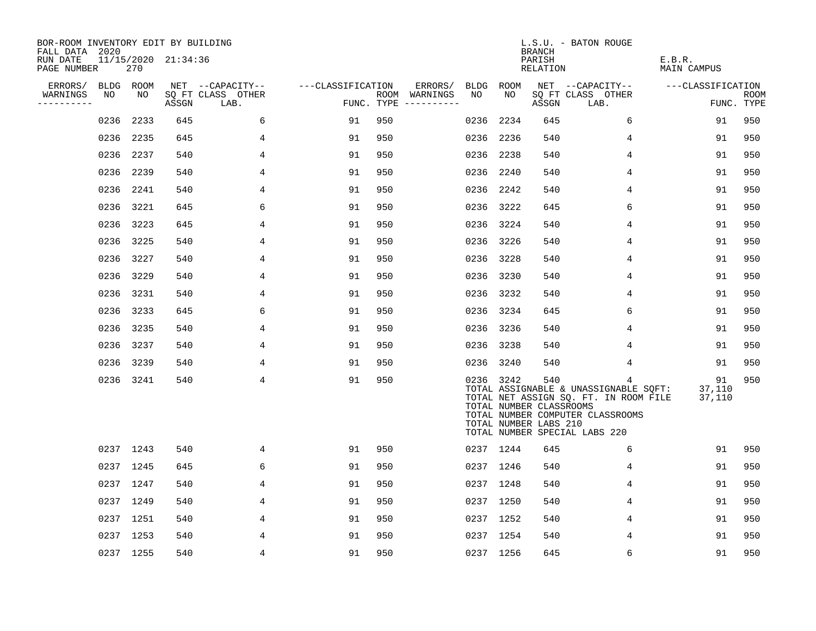| BOR-ROOM INVENTORY EDIT BY BUILDING<br>FALL DATA 2020<br>RUN DATE |                 |           | 11/15/2020 21:34:36 |                           |                   |     |                          |           |                 | <b>BRANCH</b><br>PARISH                                 | L.S.U. - BATON ROUGE                                                                                                                                     | E.B.R.                 |                    |
|-------------------------------------------------------------------|-----------------|-----------|---------------------|---------------------------|-------------------|-----|--------------------------|-----------|-----------------|---------------------------------------------------------|----------------------------------------------------------------------------------------------------------------------------------------------------------|------------------------|--------------------|
| PAGE NUMBER                                                       |                 | 270       |                     |                           |                   |     |                          |           |                 | RELATION                                                |                                                                                                                                                          | <b>MAIN CAMPUS</b>     |                    |
| ERRORS/                                                           | BLDG ROOM<br>NO | NO        |                     | NET --CAPACITY--          | ---CLASSIFICATION |     | ERRORS/<br>ROOM WARNINGS | NO        | BLDG ROOM<br>NO |                                                         | NET --CAPACITY--                                                                                                                                         | ---CLASSIFICATION      |                    |
| WARNINGS<br>----------                                            |                 |           | ASSGN               | SQ FT CLASS OTHER<br>LAB. |                   |     | FUNC. TYPE $------$      |           |                 | ASSGN                                                   | SQ FT CLASS OTHER<br>LAB.                                                                                                                                |                        | ROOM<br>FUNC. TYPE |
|                                                                   | 0236            | 2233      | 645                 | 6                         | 91                | 950 |                          | 0236      | 2234            | 645                                                     | 6                                                                                                                                                        | 91                     | 950                |
|                                                                   | 0236            | 2235      | 645                 | 4                         | 91                | 950 |                          |           | 0236 2236       | 540                                                     | 4                                                                                                                                                        | 91                     | 950                |
|                                                                   | 0236            | 2237      | 540                 | 4                         | 91                | 950 |                          | 0236 2238 |                 | 540                                                     | 4                                                                                                                                                        | 91                     | 950                |
|                                                                   | 0236            | 2239      | 540                 | 4                         | 91                | 950 |                          |           | 0236 2240       | 540                                                     | 4                                                                                                                                                        | 91                     | 950                |
|                                                                   | 0236            | 2241      | 540                 | 4                         | 91                | 950 |                          | 0236      | 2242            | 540                                                     | 4                                                                                                                                                        | 91                     | 950                |
|                                                                   | 0236            | 3221      | 645                 | 6                         | 91                | 950 |                          |           | 0236 3222       | 645                                                     | 6                                                                                                                                                        | 91                     | 950                |
|                                                                   | 0236            | 3223      | 645                 | 4                         | 91                | 950 |                          |           | 0236 3224       | 540                                                     | 4                                                                                                                                                        | 91                     | 950                |
|                                                                   | 0236            | 3225      | 540                 | 4                         | 91                | 950 |                          |           | 0236 3226       | 540                                                     | 4                                                                                                                                                        | 91                     | 950                |
|                                                                   | 0236            | 3227      | 540                 | 4                         | 91                | 950 |                          | 0236      | 3228            | 540                                                     | 4                                                                                                                                                        | 91                     | 950                |
|                                                                   | 0236            | 3229      | 540                 | 4                         | 91                | 950 |                          | 0236 3230 |                 | 540                                                     | 4                                                                                                                                                        | 91                     | 950                |
|                                                                   | 0236            | 3231      | 540                 | 4                         | 91                | 950 |                          | 0236      | 3232            | 540                                                     | 4                                                                                                                                                        | 91                     | 950                |
|                                                                   | 0236            | 3233      | 645                 | 6                         | 91                | 950 |                          |           | 0236 3234       | 645                                                     | 6                                                                                                                                                        | 91                     | 950                |
|                                                                   | 0236            | 3235      | 540                 | 4                         | 91                | 950 |                          | 0236      | 3236            | 540                                                     | 4                                                                                                                                                        | 91                     | 950                |
|                                                                   | 0236            | 3237      | 540                 | 4                         | 91                | 950 |                          | 0236 3238 |                 | 540                                                     | 4                                                                                                                                                        | 91                     | 950                |
|                                                                   | 0236            | 3239      | 540                 | 4                         | 91                | 950 |                          |           | 0236 3240       | 540                                                     | 4                                                                                                                                                        | 91                     | 950                |
|                                                                   |                 | 0236 3241 | 540                 | $\overline{4}$            | 91                | 950 |                          |           | 0236 3242       | 540<br>TOTAL NUMBER CLASSROOMS<br>TOTAL NUMBER LABS 210 | 4<br>TOTAL ASSIGNABLE & UNASSIGNABLE SQFT:<br>TOTAL NET ASSIGN SQ. FT. IN ROOM FILE<br>TOTAL NUMBER COMPUTER CLASSROOMS<br>TOTAL NUMBER SPECIAL LABS 220 | 91<br>37,110<br>37,110 | 950                |
|                                                                   |                 | 0237 1243 | 540                 | 4                         | 91                | 950 |                          |           | 0237 1244       | 645                                                     | 6                                                                                                                                                        | 91                     | 950                |
|                                                                   |                 | 0237 1245 | 645                 | 6                         | 91                | 950 |                          |           | 0237 1246       | 540                                                     | 4                                                                                                                                                        | 91                     | 950                |
|                                                                   |                 | 0237 1247 | 540                 | 4                         | 91                | 950 |                          |           | 0237 1248       | 540                                                     | 4                                                                                                                                                        | 91                     | 950                |
|                                                                   |                 | 0237 1249 | 540                 | 4                         | 91                | 950 |                          |           | 0237 1250       | 540                                                     | 4                                                                                                                                                        | 91                     | 950                |
|                                                                   |                 | 0237 1251 | 540                 | 4                         | 91                | 950 |                          |           | 0237 1252       | 540                                                     | 4                                                                                                                                                        | 91                     | 950                |
|                                                                   |                 | 0237 1253 | 540                 | 4                         | 91                | 950 |                          |           | 0237 1254       | 540                                                     | 4                                                                                                                                                        | 91                     | 950                |
|                                                                   |                 | 0237 1255 | 540                 | 4                         | 91                | 950 |                          |           | 0237 1256       | 645                                                     | 6                                                                                                                                                        | 91                     | 950                |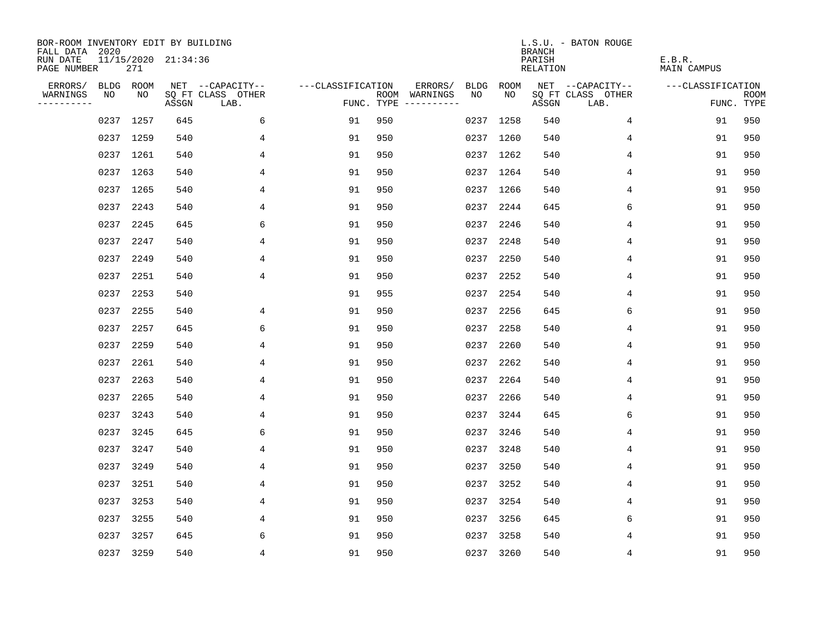| BOR-ROOM INVENTORY EDIT BY BUILDING<br>FALL DATA 2020 |      |           |                     |                           |                   |                                      |                 |             | <b>BRANCH</b>      | L.S.U. - BATON ROUGE      |                              |                           |
|-------------------------------------------------------|------|-----------|---------------------|---------------------------|-------------------|--------------------------------------|-----------------|-------------|--------------------|---------------------------|------------------------------|---------------------------|
| RUN DATE<br>PAGE NUMBER                               |      | 271       | 11/15/2020 21:34:36 |                           |                   |                                      |                 |             | PARISH<br>RELATION |                           | E.B.R.<br><b>MAIN CAMPUS</b> |                           |
| ERRORS/                                               |      | BLDG ROOM |                     | NET --CAPACITY--          | ---CLASSIFICATION |                                      | ERRORS/<br>BLDG | <b>ROOM</b> |                    | NET --CAPACITY--          | ---CLASSIFICATION            |                           |
| WARNINGS<br>----------                                | NO   | NO        | ASSGN               | SQ FT CLASS OTHER<br>LAB. |                   | ROOM WARNINGS<br>FUNC. TYPE $------$ | NO.             | NO.         | ASSGN              | SQ FT CLASS OTHER<br>LAB. |                              | <b>ROOM</b><br>FUNC. TYPE |
|                                                       |      | 0237 1257 | 645                 | 6                         | 91                | 950                                  |                 | 0237 1258   | 540                | $\overline{4}$            | 91                           | 950                       |
|                                                       |      | 0237 1259 | 540                 | 4                         | 91                | 950                                  |                 | 0237 1260   | 540                | 4                         | 91                           | 950                       |
|                                                       |      | 0237 1261 | 540                 | 4                         | 91                | 950                                  |                 | 0237 1262   | 540                | 4                         | 91                           | 950                       |
|                                                       |      | 0237 1263 | 540                 | 4                         | 91                | 950                                  |                 | 0237 1264   | 540                | 4                         | 91                           | 950                       |
|                                                       |      | 0237 1265 | 540                 | 4                         | 91                | 950                                  |                 | 0237 1266   | 540                | 4                         | 91                           | 950                       |
|                                                       | 0237 | 2243      | 540                 | 4                         | 91                | 950                                  |                 | 0237 2244   | 645                | 6                         | 91                           | 950                       |
|                                                       | 0237 | 2245      | 645                 | 6                         | 91                | 950                                  |                 | 0237 2246   | 540                | 4                         | 91                           | 950                       |
|                                                       | 0237 | 2247      | 540                 | 4                         | 91                | 950                                  |                 | 0237 2248   | 540                | 4                         | 91                           | 950                       |
|                                                       | 0237 | 2249      | 540                 | 4                         | 91                | 950                                  | 0237            | 2250        | 540                | 4                         | 91                           | 950                       |
|                                                       | 0237 | 2251      | 540                 | 4                         | 91                | 950                                  | 0237            | 2252        | 540                | 4                         | 91                           | 950                       |
|                                                       | 0237 | 2253      | 540                 |                           | 91                | 955                                  | 0237            | 2254        | 540                | 4                         | 91                           | 950                       |
|                                                       | 0237 | 2255      | 540                 | 4                         | 91                | 950                                  | 0237            | 2256        | 645                | 6                         | 91                           | 950                       |
|                                                       | 0237 | 2257      | 645                 | 6                         | 91                | 950                                  | 0237            | 2258        | 540                | 4                         | 91                           | 950                       |
|                                                       | 0237 | 2259      | 540                 | 4                         | 91                | 950                                  | 0237            | 2260        | 540                | 4                         | 91                           | 950                       |
|                                                       | 0237 | 2261      | 540                 | 4                         | 91                | 950                                  | 0237            | 2262        | 540                | 4                         | 91                           | 950                       |
|                                                       | 0237 | 2263      | 540                 | 4                         | 91                | 950                                  | 0237            | 2264        | 540                | 4                         | 91                           | 950                       |
|                                                       | 0237 | 2265      | 540                 | 4                         | 91                | 950                                  | 0237            | 2266        | 540                | 4                         | 91                           | 950                       |
|                                                       | 0237 | 3243      | 540                 | 4                         | 91                | 950                                  | 0237            | 3244        | 645                | 6                         | 91                           | 950                       |
|                                                       | 0237 | 3245      | 645                 | 6                         | 91                | 950                                  | 0237            | 3246        | 540                | 4                         | 91                           | 950                       |
|                                                       | 0237 | 3247      | 540                 | 4                         | 91                | 950                                  | 0237            | 3248        | 540                | 4                         | 91                           | 950                       |
|                                                       | 0237 | 3249      | 540                 | 4                         | 91                | 950                                  | 0237            | 3250        | 540                | 4                         | 91                           | 950                       |
|                                                       | 0237 | 3251      | 540                 | 4                         | 91                | 950                                  | 0237            | 3252        | 540                | 4                         | 91                           | 950                       |
|                                                       | 0237 | 3253      | 540                 | 4                         | 91                | 950                                  | 0237            | 3254        | 540                | 4                         | 91                           | 950                       |
|                                                       | 0237 | 3255      | 540                 | 4                         | 91                | 950                                  | 0237            | 3256        | 645                | 6                         | 91                           | 950                       |
|                                                       |      | 0237 3257 | 645                 | 6                         | 91                | 950                                  |                 | 0237 3258   | 540                | 4                         | 91                           | 950                       |
|                                                       |      | 0237 3259 | 540                 | $\overline{4}$            | 91                | 950                                  |                 | 0237 3260   | 540                | 4                         | 91                           | 950                       |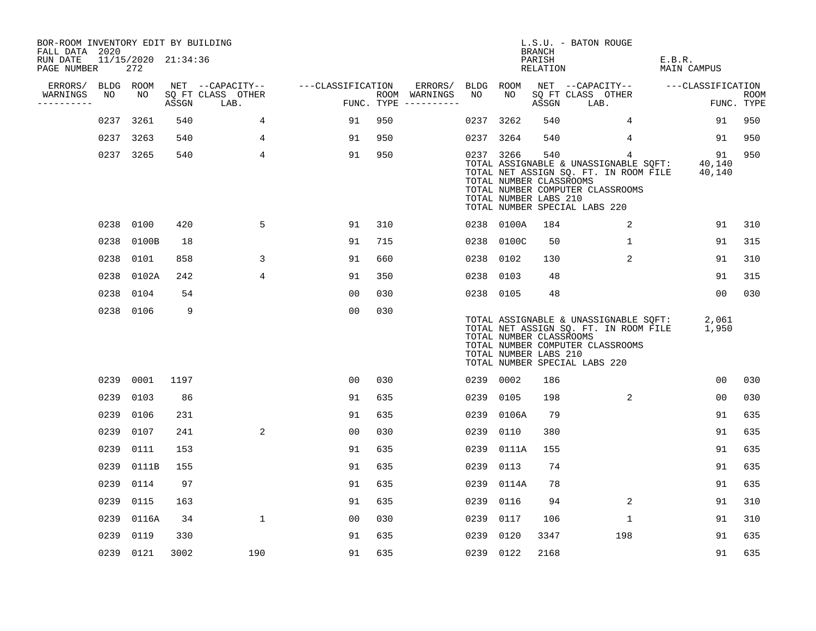| BOR-ROOM INVENTORY EDIT BY BUILDING<br>FALL DATA 2020 |           |                            |       |                           |                   |     |                                      |           |            | BRANCH                                                  | L.S.U. - BATON ROUGE                                                                                                                                     |                        |                           |
|-------------------------------------------------------|-----------|----------------------------|-------|---------------------------|-------------------|-----|--------------------------------------|-----------|------------|---------------------------------------------------------|----------------------------------------------------------------------------------------------------------------------------------------------------------|------------------------|---------------------------|
| RUN DATE<br>PAGE NUMBER                               |           | 11/15/2020 21:34:36<br>272 |       |                           |                   |     |                                      |           |            | PARISH<br>RELATION                                      |                                                                                                                                                          | E.B.R.<br>MAIN CAMPUS  |                           |
| ERRORS/                                               | BLDG ROOM |                            |       | NET --CAPACITY--          | ---CLASSIFICATION |     | ERRORS/                              | BLDG ROOM |            |                                                         | NET --CAPACITY--                                                                                                                                         | ---CLASSIFICATION      |                           |
| WARNINGS<br>----------                                | NO        | NO                         | ASSGN | SQ FT CLASS OTHER<br>LAB. |                   |     | ROOM WARNINGS<br>FUNC. TYPE $------$ | NO        | NO         | ASSGN                                                   | SQ FT CLASS OTHER<br>LAB.                                                                                                                                |                        | <b>ROOM</b><br>FUNC. TYPE |
|                                                       |           | 0237 3261                  | 540   | $\overline{4}$            | 91                | 950 |                                      | 0237      | 3262       | 540                                                     | $\overline{4}$                                                                                                                                           | 91                     | 950                       |
|                                                       | 0237      | 3263                       | 540   | 4                         | 91                | 950 |                                      | 0237 3264 |            | 540                                                     | $\overline{4}$                                                                                                                                           | 91                     | 950                       |
|                                                       |           | 0237 3265                  | 540   | $\overline{4}$            | 91                | 950 |                                      |           | 0237 3266  | 540<br>TOTAL NUMBER CLASSROOMS<br>TOTAL NUMBER LABS 210 | 4<br>TOTAL ASSIGNABLE & UNASSIGNABLE SQFT:<br>TOTAL NET ASSIGN SQ. FT. IN ROOM FILE<br>TOTAL NUMBER COMPUTER CLASSROOMS<br>TOTAL NUMBER SPECIAL LABS 220 | 91<br>40,140<br>40,140 | 950                       |
|                                                       |           | 0238 0100                  | 420   | 5                         | 91                | 310 |                                      |           | 0238 0100A | 184                                                     | $\overline{2}$                                                                                                                                           | 91                     | 310                       |
|                                                       | 0238      | 0100B                      | 18    |                           | 91                | 715 |                                      |           | 0238 0100C | 50                                                      | $\mathbf{1}$                                                                                                                                             | 91                     | 315                       |
|                                                       | 0238      | 0101                       | 858   | 3                         | 91                | 660 |                                      |           | 0238 0102  | 130                                                     | 2                                                                                                                                                        | 91                     | 310                       |
|                                                       |           | 0238 0102A                 | 242   | 4                         | 91                | 350 |                                      |           | 0238 0103  | 48                                                      |                                                                                                                                                          | 91                     | 315                       |
|                                                       |           | 0238 0104                  | 54    |                           | 0 <sub>0</sub>    | 030 |                                      | 0238 0105 |            | 48                                                      |                                                                                                                                                          | 00                     | 030                       |
|                                                       |           | 0238 0106                  | 9     |                           | 0 <sub>0</sub>    | 030 |                                      |           |            | TOTAL NUMBER CLASSROOMS<br>TOTAL NUMBER LABS 210        | TOTAL ASSIGNABLE & UNASSIGNABLE SQFT:<br>TOTAL NET ASSIGN SQ. FT. IN ROOM FILE<br>TOTAL NUMBER COMPUTER CLASSROOMS<br>TOTAL NUMBER SPECIAL LABS 220      | 2,061<br>1,950         |                           |
|                                                       |           | 0239 0001                  | 1197  |                           | 0 <sub>0</sub>    | 030 |                                      | 0239 0002 |            | 186                                                     |                                                                                                                                                          | 00                     | 030                       |
|                                                       | 0239      | 0103                       | 86    |                           | 91                | 635 |                                      |           | 0239 0105  | 198                                                     | 2                                                                                                                                                        | 0 <sub>0</sub>         | 030                       |
|                                                       | 0239      | 0106                       | 231   |                           | 91                | 635 |                                      | 0239      | 0106A      | 79                                                      |                                                                                                                                                          | 91                     | 635                       |
|                                                       | 0239      | 0107                       | 241   | $\overline{a}$            | 0 <sub>0</sub>    | 030 |                                      | 0239      | 0110       | 380                                                     |                                                                                                                                                          | 91                     | 635                       |
|                                                       | 0239      | 0111                       | 153   |                           | 91                | 635 |                                      |           | 0239 0111A | 155                                                     |                                                                                                                                                          | 91                     | 635                       |
|                                                       | 0239      | 0111B                      | 155   |                           | 91                | 635 |                                      | 0239      | 0113       | 74                                                      |                                                                                                                                                          | 91                     | 635                       |
|                                                       | 0239      | 0114                       | 97    |                           | 91                | 635 |                                      |           | 0239 0114A | 78                                                      |                                                                                                                                                          | 91                     | 635                       |
|                                                       | 0239      | 0115                       | 163   |                           | 91                | 635 |                                      |           | 0239 0116  | 94                                                      | 2                                                                                                                                                        | 91                     | 310                       |
|                                                       | 0239      | 0116A                      | 34    | $\mathbf{1}$              | 0 <sub>0</sub>    | 030 |                                      | 0239      | 0117       | 106                                                     | $\mathbf{1}$                                                                                                                                             | 91                     | 310                       |
|                                                       | 0239      | 0119                       | 330   |                           | 91                | 635 |                                      | 0239      | 0120       | 3347                                                    | 198                                                                                                                                                      | 91                     | 635                       |
|                                                       |           | 0239 0121                  | 3002  | 190                       | 91                | 635 |                                      | 0239 0122 |            | 2168                                                    |                                                                                                                                                          | 91                     | 635                       |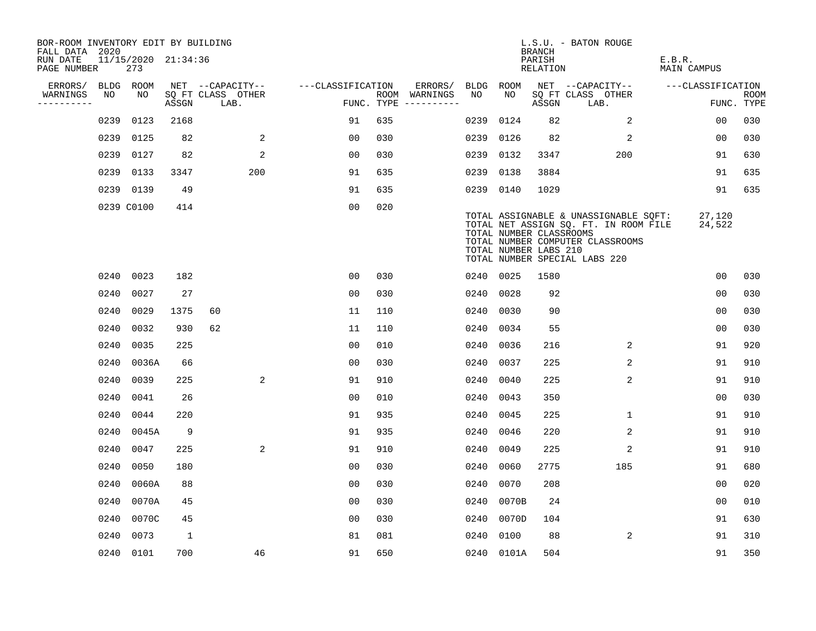| BOR-ROOM INVENTORY EDIT BY BUILDING<br>FALL DATA 2020 |      |                            |       |                           |                   |     |                                      |      |                                                  | BRANCH             | L.S.U. - BATON ROUGE                                                                                                                                |                       |                           |
|-------------------------------------------------------|------|----------------------------|-------|---------------------------|-------------------|-----|--------------------------------------|------|--------------------------------------------------|--------------------|-----------------------------------------------------------------------------------------------------------------------------------------------------|-----------------------|---------------------------|
| RUN DATE<br>PAGE NUMBER                               |      | 11/15/2020 21:34:36<br>273 |       |                           |                   |     |                                      |      |                                                  | PARISH<br>RELATION |                                                                                                                                                     | E.B.R.<br>MAIN CAMPUS |                           |
| ERRORS/                                               |      | BLDG ROOM                  |       | NET --CAPACITY--          | ---CLASSIFICATION |     | ERRORS/                              | BLDG | ROOM                                             |                    | NET --CAPACITY--                                                                                                                                    | ---CLASSIFICATION     |                           |
| WARNINGS<br>----------                                | NO   | NO                         | ASSGN | SQ FT CLASS OTHER<br>LAB. |                   |     | ROOM WARNINGS<br>FUNC. TYPE $------$ | NO   | NO                                               | ASSGN              | SQ FT CLASS OTHER<br>LAB.                                                                                                                           |                       | <b>ROOM</b><br>FUNC. TYPE |
|                                                       | 0239 | 0123                       | 2168  |                           | 91                | 635 |                                      | 0239 | 0124                                             | 82                 | $\overline{2}$                                                                                                                                      | 0 <sub>0</sub>        | 030                       |
|                                                       | 0239 | 0125                       | 82    | 2                         | 0 <sub>0</sub>    | 030 |                                      | 0239 | 0126                                             | 82                 | 2                                                                                                                                                   | 00                    | 030                       |
|                                                       |      | 0239 0127                  | 82    | 2                         | 0 <sub>0</sub>    | 030 |                                      | 0239 | 0132                                             | 3347               | 200                                                                                                                                                 | 91                    | 630                       |
|                                                       |      | 0239 0133                  | 3347  | 200                       | 91                | 635 |                                      | 0239 | 0138                                             | 3884               |                                                                                                                                                     | 91                    | 635                       |
|                                                       |      | 0239 0139                  | 49    |                           | 91                | 635 |                                      | 0239 | 0140                                             | 1029               |                                                                                                                                                     | 91                    | 635                       |
|                                                       |      | 0239 C0100                 | 414   |                           | 0 <sub>0</sub>    | 020 |                                      |      | TOTAL NUMBER CLASSROOMS<br>TOTAL NUMBER LABS 210 |                    | TOTAL ASSIGNABLE & UNASSIGNABLE SQFT:<br>TOTAL NET ASSIGN SQ. FT. IN ROOM FILE<br>TOTAL NUMBER COMPUTER CLASSROOMS<br>TOTAL NUMBER SPECIAL LABS 220 | 27,120<br>24,522      |                           |
|                                                       |      | 0240 0023                  | 182   |                           | 0 <sub>0</sub>    | 030 |                                      |      | 0240 0025                                        | 1580               |                                                                                                                                                     | 0 <sub>0</sub>        | 030                       |
|                                                       | 0240 | 0027                       | 27    |                           | 0 <sub>0</sub>    | 030 |                                      | 0240 | 0028                                             | 92                 |                                                                                                                                                     | 0 <sub>0</sub>        | 030                       |
|                                                       | 0240 | 0029                       | 1375  | 60                        | 11                | 110 |                                      | 0240 | 0030                                             | 90                 |                                                                                                                                                     | 0 <sub>0</sub>        | 030                       |
|                                                       | 0240 | 0032                       | 930   | 62                        | 11                | 110 |                                      | 0240 | 0034                                             | 55                 |                                                                                                                                                     | 0 <sub>0</sub>        | 030                       |
|                                                       | 0240 | 0035                       | 225   |                           | 0 <sub>0</sub>    | 010 |                                      | 0240 | 0036                                             | 216                | 2                                                                                                                                                   | 91                    | 920                       |
|                                                       | 0240 | 0036A                      | 66    |                           | 00                | 030 |                                      | 0240 | 0037                                             | 225                | $\overline{a}$                                                                                                                                      | 91                    | 910                       |
|                                                       | 0240 | 0039                       | 225   | 2                         | 91                | 910 |                                      | 0240 | 0040                                             | 225                | 2                                                                                                                                                   | 91                    | 910                       |
|                                                       | 0240 | 0041                       | 26    |                           | 0 <sub>0</sub>    | 010 |                                      | 0240 | 0043                                             | 350                |                                                                                                                                                     | 00                    | 030                       |
|                                                       | 0240 | 0044                       | 220   |                           | 91                | 935 |                                      | 0240 | 0045                                             | 225                | $\mathbf 1$                                                                                                                                         | 91                    | 910                       |
|                                                       | 0240 | 0045A                      | 9     |                           | 91                | 935 |                                      | 0240 | 0046                                             | 220                | 2                                                                                                                                                   | 91                    | 910                       |
|                                                       | 0240 | 0047                       | 225   | 2                         | 91                | 910 |                                      | 0240 | 0049                                             | 225                | 2                                                                                                                                                   | 91                    | 910                       |
|                                                       | 0240 | 0050                       | 180   |                           | 0 <sub>0</sub>    | 030 |                                      | 0240 | 0060                                             | 2775               | 185                                                                                                                                                 | 91                    | 680                       |
|                                                       | 0240 | 0060A                      | 88    |                           | 0 <sub>0</sub>    | 030 |                                      | 0240 | 0070                                             | 208                |                                                                                                                                                     | 0 <sub>0</sub>        | 020                       |
|                                                       | 0240 | 0070A                      | 45    |                           | 0 <sub>0</sub>    | 030 |                                      | 0240 | 0070B                                            | 24                 |                                                                                                                                                     | 0 <sub>0</sub>        | 010                       |
|                                                       | 0240 | 0070C                      | 45    |                           | 0 <sub>0</sub>    | 030 |                                      | 0240 | 0070D                                            | 104                |                                                                                                                                                     | 91                    | 630                       |
|                                                       | 0240 | 0073                       | 1     |                           | 81                | 081 |                                      | 0240 | 0100                                             | 88                 | 2                                                                                                                                                   | 91                    | 310                       |
|                                                       |      | 0240 0101                  | 700   | 46                        | 91                | 650 |                                      |      | 0240 0101A                                       | 504                |                                                                                                                                                     | 91                    | 350                       |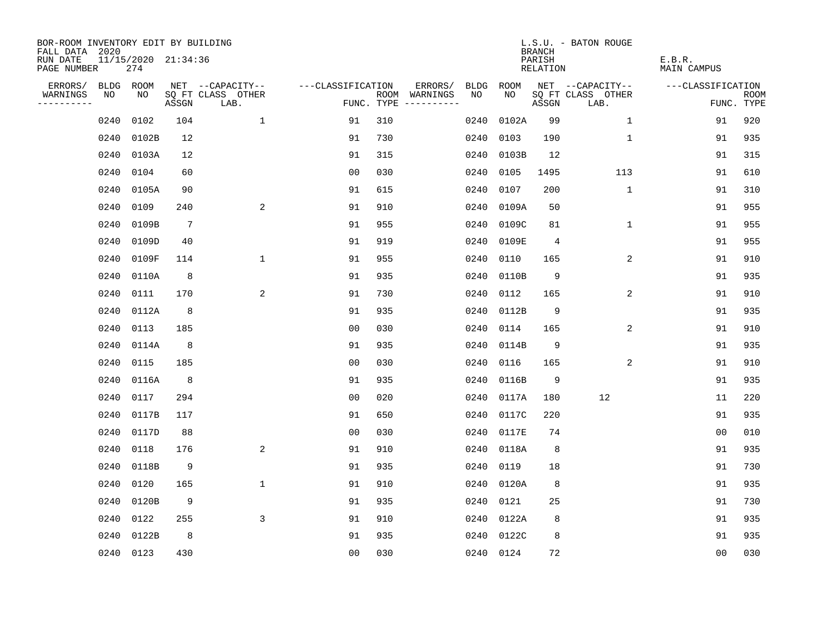| BOR-ROOM INVENTORY EDIT BY BUILDING<br>FALL DATA 2020 |           |                            |                 |                           |                   |     |                                      |             |           | <b>BRANCH</b>             | L.S.U. - BATON ROUGE      |                              |                           |
|-------------------------------------------------------|-----------|----------------------------|-----------------|---------------------------|-------------------|-----|--------------------------------------|-------------|-----------|---------------------------|---------------------------|------------------------------|---------------------------|
| RUN DATE<br>PAGE NUMBER                               |           | 11/15/2020 21:34:36<br>274 |                 |                           |                   |     |                                      |             |           | PARISH<br><b>RELATION</b> |                           | E.B.R.<br><b>MAIN CAMPUS</b> |                           |
| ERRORS/                                               | BLDG ROOM |                            |                 | NET --CAPACITY--          | ---CLASSIFICATION |     | ERRORS/                              | <b>BLDG</b> | ROOM      |                           | NET --CAPACITY--          | ---CLASSIFICATION            |                           |
| WARNINGS<br>----------                                | NO        | NO                         | ASSGN           | SQ FT CLASS OTHER<br>LAB. |                   |     | ROOM WARNINGS<br>FUNC. TYPE $------$ | NO          | NO        | ASSGN                     | SQ FT CLASS OTHER<br>LAB. |                              | <b>ROOM</b><br>FUNC. TYPE |
|                                                       | 0240      | 0102                       | 104             | $\mathbf{1}$              | 91                | 310 |                                      | 0240        | 0102A     | 99                        | 1                         | 91                           | 920                       |
|                                                       | 0240      | 0102B                      | 12              |                           | 91                | 730 |                                      | 0240        | 0103      | 190                       | 1                         | 91                           | 935                       |
|                                                       | 0240      | 0103A                      | 12              |                           | 91                | 315 |                                      | 0240        | 0103B     | 12                        |                           | 91                           | 315                       |
|                                                       | 0240      | 0104                       | 60              |                           | 0 <sub>0</sub>    | 030 |                                      | 0240        | 0105      | 1495                      | 113                       | 91                           | 610                       |
|                                                       | 0240      | 0105A                      | 90              |                           | 91                | 615 |                                      | 0240        | 0107      | 200                       | $\mathbf{1}$              | 91                           | 310                       |
|                                                       | 0240      | 0109                       | 240             | 2                         | 91                | 910 |                                      | 0240        | 0109A     | 50                        |                           | 91                           | 955                       |
|                                                       | 0240      | 0109B                      | $7\phantom{.0}$ |                           | 91                | 955 |                                      | 0240        | 0109C     | 81                        | $\mathbf{1}$              | 91                           | 955                       |
|                                                       | 0240      | 0109D                      | 40              |                           | 91                | 919 |                                      | 0240        | 0109E     | $\overline{4}$            |                           | 91                           | 955                       |
|                                                       | 0240      | 0109F                      | 114             | $\mathbf 1$               | 91                | 955 |                                      | 0240        | 0110      | 165                       | 2                         | 91                           | 910                       |
|                                                       | 0240      | 0110A                      | 8               |                           | 91                | 935 |                                      | 0240        | 0110B     | 9                         |                           | 91                           | 935                       |
|                                                       | 0240      | 0111                       | 170             | 2                         | 91                | 730 |                                      | 0240        | 0112      | 165                       | 2                         | 91                           | 910                       |
|                                                       | 0240      | 0112A                      | 8               |                           | 91                | 935 |                                      | 0240        | 0112B     | 9                         |                           | 91                           | 935                       |
|                                                       | 0240      | 0113                       | 185             |                           | 00                | 030 |                                      | 0240        | 0114      | 165                       | 2                         | 91                           | 910                       |
|                                                       | 0240      | 0114A                      | 8               |                           | 91                | 935 |                                      | 0240        | 0114B     | 9                         |                           | 91                           | 935                       |
|                                                       | 0240      | 0115                       | 185             |                           | 0 <sub>0</sub>    | 030 |                                      | 0240        | 0116      | 165                       | 2                         | 91                           | 910                       |
|                                                       | 0240      | 0116A                      | 8               |                           | 91                | 935 |                                      | 0240        | 0116B     | 9                         |                           | 91                           | 935                       |
|                                                       | 0240      | 0117                       | 294             |                           | 0 <sub>0</sub>    | 020 |                                      | 0240        | 0117A     | 180                       | 12                        | 11                           | 220                       |
|                                                       | 0240      | 0117B                      | 117             |                           | 91                | 650 |                                      | 0240        | 0117C     | 220                       |                           | 91                           | 935                       |
|                                                       | 0240      | 0117D                      | 88              |                           | 0 <sub>0</sub>    | 030 |                                      | 0240        | 0117E     | 74                        |                           | 0 <sub>0</sub>               | 010                       |
|                                                       | 0240      | 0118                       | 176             | 2                         | 91                | 910 |                                      | 0240        | 0118A     | 8                         |                           | 91                           | 935                       |
|                                                       | 0240      | 0118B                      | 9               |                           | 91                | 935 |                                      | 0240        | 0119      | 18                        |                           | 91                           | 730                       |
|                                                       | 0240      | 0120                       | 165             | $\mathbf{1}$              | 91                | 910 |                                      | 0240        | 0120A     | 8                         |                           | 91                           | 935                       |
|                                                       | 0240      | 0120B                      | 9               |                           | 91                | 935 |                                      | 0240        | 0121      | 25                        |                           | 91                           | 730                       |
|                                                       | 0240      | 0122                       | 255             | 3                         | 91                | 910 |                                      | 0240        | 0122A     | 8                         |                           | 91                           | 935                       |
|                                                       | 0240      | 0122B                      | 8               |                           | 91                | 935 |                                      | 0240        | 0122C     | 8                         |                           | 91                           | 935                       |
|                                                       | 0240 0123 |                            | 430             |                           | 0 <sub>0</sub>    | 030 |                                      |             | 0240 0124 | 72                        |                           | 0 <sub>0</sub>               | 030                       |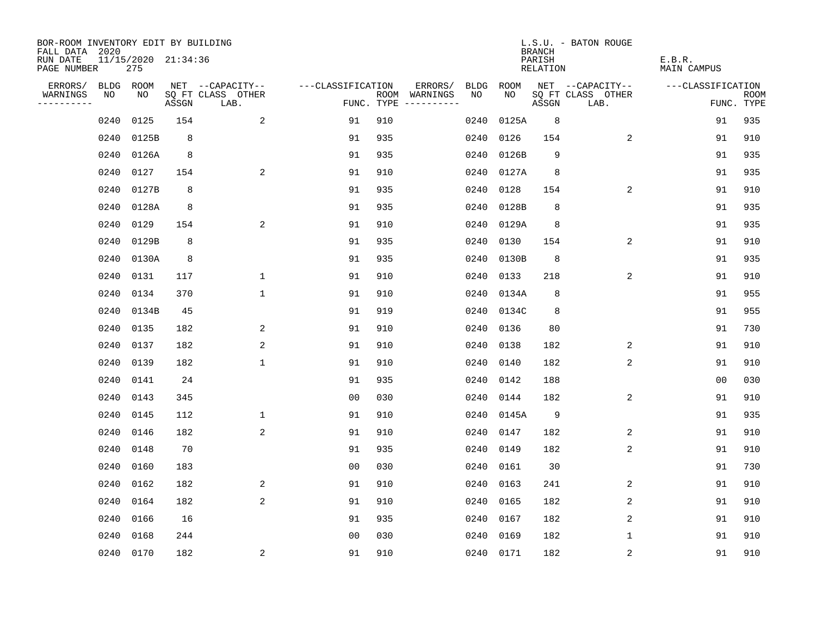| BOR-ROOM INVENTORY EDIT BY BUILDING<br>FALL DATA 2020 |                            |       |                           |                   |     |                                      |      |            | <b>BRANCH</b>      | L.S.U. - BATON ROUGE      |                       |                           |
|-------------------------------------------------------|----------------------------|-------|---------------------------|-------------------|-----|--------------------------------------|------|------------|--------------------|---------------------------|-----------------------|---------------------------|
| RUN DATE<br>PAGE NUMBER                               | 11/15/2020 21:34:36<br>275 |       |                           |                   |     |                                      |      |            | PARISH<br>RELATION |                           | E.B.R.<br>MAIN CAMPUS |                           |
| ERRORS/                                               | BLDG ROOM                  |       | NET --CAPACITY--          | ---CLASSIFICATION |     | ERRORS/                              | BLDG | ROOM       |                    | NET --CAPACITY--          | ---CLASSIFICATION     |                           |
| WARNINGS<br>NO<br>----------                          | NO                         | ASSGN | SQ FT CLASS OTHER<br>LAB. |                   |     | ROOM WARNINGS<br>FUNC. TYPE $------$ | NO.  | NO         | ASSGN              | SQ FT CLASS OTHER<br>LAB. |                       | <b>ROOM</b><br>FUNC. TYPE |
| 0240                                                  | 0125                       | 154   | 2                         | 91                | 910 |                                      | 0240 | 0125A      | 8                  |                           | 91                    | 935                       |
| 0240                                                  | 0125B                      | 8     |                           | 91                | 935 |                                      | 0240 | 0126       | 154                | 2                         | 91                    | 910                       |
| 0240                                                  | 0126A                      | 8     |                           | 91                | 935 |                                      | 0240 | 0126B      | 9                  |                           | 91                    | 935                       |
| 0240                                                  | 0127                       | 154   | 2                         | 91                | 910 |                                      | 0240 | 0127A      | 8                  |                           | 91                    | 935                       |
| 0240                                                  | 0127B                      | 8     |                           | 91                | 935 |                                      | 0240 | 0128       | 154                | 2                         | 91                    | 910                       |
| 0240                                                  | 0128A                      | 8     |                           | 91                | 935 |                                      | 0240 | 0128B      | 8                  |                           | 91                    | 935                       |
| 0240                                                  | 0129                       | 154   | 2                         | 91                | 910 |                                      | 0240 | 0129A      | 8                  |                           | 91                    | 935                       |
| 0240                                                  | 0129B                      | 8     |                           | 91                | 935 |                                      | 0240 | 0130       | 154                | 2                         | 91                    | 910                       |
| 0240                                                  | 0130A                      | 8     |                           | 91                | 935 |                                      | 0240 | 0130B      | 8                  |                           | 91                    | 935                       |
| 0240                                                  | 0131                       | 117   | $\mathbf{1}$              | 91                | 910 |                                      |      | 0240 0133  | 218                | 2                         | 91                    | 910                       |
| 0240                                                  | 0134                       | 370   | $\mathbf{1}$              | 91                | 910 |                                      |      | 0240 0134A | 8                  |                           | 91                    | 955                       |
| 0240                                                  | 0134B                      | 45    |                           | 91                | 919 |                                      |      | 0240 0134C | 8                  |                           | 91                    | 955                       |
| 0240                                                  | 0135                       | 182   | 2                         | 91                | 910 |                                      |      | 0240 0136  | 80                 |                           | 91                    | 730                       |
| 0240                                                  | 0137                       | 182   | 2                         | 91                | 910 |                                      |      | 0240 0138  | 182                | 2                         | 91                    | 910                       |
| 0240                                                  | 0139                       | 182   | $\mathbf{1}$              | 91                | 910 |                                      | 0240 | 0140       | 182                | 2                         | 91                    | 910                       |
| 0240                                                  | 0141                       | 24    |                           | 91                | 935 |                                      |      | 0240 0142  | 188                |                           | 00                    | 030                       |
| 0240                                                  | 0143                       | 345   |                           | 0 <sub>0</sub>    | 030 |                                      | 0240 | 0144       | 182                | $\overline{c}$            | 91                    | 910                       |
| 0240                                                  | 0145                       | 112   | $\mathbf 1$               | 91                | 910 |                                      |      | 0240 0145A | 9                  |                           | 91                    | 935                       |
| 0240                                                  | 0146                       | 182   | 2                         | 91                | 910 |                                      |      | 0240 0147  | 182                | 2                         | 91                    | 910                       |
| 0240                                                  | 0148                       | 70    |                           | 91                | 935 |                                      | 0240 | 0149       | 182                | 2                         | 91                    | 910                       |
| 0240                                                  | 0160                       | 183   |                           | 0 <sub>0</sub>    | 030 |                                      | 0240 | 0161       | 30                 |                           | 91                    | 730                       |
| 0240                                                  | 0162                       | 182   | 2                         | 91                | 910 |                                      | 0240 | 0163       | 241                | 2                         | 91                    | 910                       |
| 0240                                                  | 0164                       | 182   | 2                         | 91                | 910 |                                      | 0240 | 0165       | 182                | 2                         | 91                    | 910                       |
| 0240                                                  | 0166                       | 16    |                           | 91                | 935 |                                      | 0240 | 0167       | 182                | 2                         | 91                    | 910                       |
| 0240                                                  | 0168                       | 244   |                           | 0 <sub>0</sub>    | 030 |                                      | 0240 | 0169       | 182                | 1                         | 91                    | 910                       |
|                                                       | 0240 0170                  | 182   | $\overline{a}$            | 91                | 910 |                                      |      | 0240 0171  | 182                | $\sqrt{2}$                | 91                    | 910                       |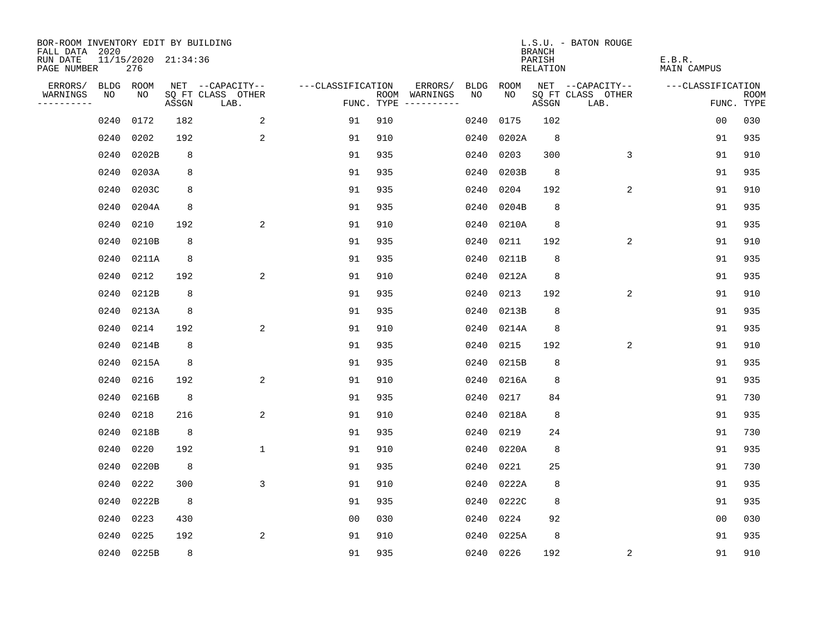| BOR-ROOM INVENTORY EDIT BY BUILDING<br>FALL DATA 2020 |      |                            |       |                           |                   |     |                                      |      |           | <b>BRANCH</b>      | L.S.U. - BATON ROUGE      |                       |                           |
|-------------------------------------------------------|------|----------------------------|-------|---------------------------|-------------------|-----|--------------------------------------|------|-----------|--------------------|---------------------------|-----------------------|---------------------------|
| RUN DATE<br>PAGE NUMBER                               |      | 11/15/2020 21:34:36<br>276 |       |                           |                   |     |                                      |      |           | PARISH<br>RELATION |                           | E.B.R.<br>MAIN CAMPUS |                           |
| ERRORS/                                               | BLDG | ROOM                       |       | NET --CAPACITY--          | ---CLASSIFICATION |     | ERRORS/                              | BLDG | ROOM      |                    | NET --CAPACITY--          | ---CLASSIFICATION     |                           |
| WARNINGS<br>----------                                | NO   | NO                         | ASSGN | SQ FT CLASS OTHER<br>LAB. |                   |     | ROOM WARNINGS<br>FUNC. TYPE $------$ | NO.  | NO        | ASSGN              | SQ FT CLASS OTHER<br>LAB. |                       | <b>ROOM</b><br>FUNC. TYPE |
|                                                       | 0240 | 0172                       | 182   | 2                         | 91                | 910 |                                      | 0240 | 0175      | 102                |                           | 0 <sub>0</sub>        | 030                       |
|                                                       | 0240 | 0202                       | 192   | 2                         | 91                | 910 |                                      | 0240 | 0202A     | 8                  |                           | 91                    | 935                       |
|                                                       | 0240 | 0202B                      | 8     |                           | 91                | 935 |                                      | 0240 | 0203      | 300                | 3                         | 91                    | 910                       |
|                                                       | 0240 | 0203A                      | 8     |                           | 91                | 935 |                                      | 0240 | 0203B     | 8                  |                           | 91                    | 935                       |
|                                                       | 0240 | 0203C                      | 8     |                           | 91                | 935 |                                      | 0240 | 0204      | 192                | 2                         | 91                    | 910                       |
|                                                       | 0240 | 0204A                      | 8     |                           | 91                | 935 |                                      | 0240 | 0204B     | 8                  |                           | 91                    | 935                       |
|                                                       | 0240 | 0210                       | 192   | 2                         | 91                | 910 |                                      | 0240 | 0210A     | 8                  |                           | 91                    | 935                       |
|                                                       | 0240 | 0210B                      | 8     |                           | 91                | 935 |                                      | 0240 | 0211      | 192                | 2                         | 91                    | 910                       |
|                                                       | 0240 | 0211A                      | 8     |                           | 91                | 935 |                                      | 0240 | 0211B     | 8                  |                           | 91                    | 935                       |
|                                                       | 0240 | 0212                       | 192   | 2                         | 91                | 910 |                                      | 0240 | 0212A     | 8                  |                           | 91                    | 935                       |
|                                                       | 0240 | 0212B                      | 8     |                           | 91                | 935 |                                      | 0240 | 0213      | 192                | 2                         | 91                    | 910                       |
|                                                       | 0240 | 0213A                      | 8     |                           | 91                | 935 |                                      | 0240 | 0213B     | 8                  |                           | 91                    | 935                       |
|                                                       | 0240 | 0214                       | 192   | 2                         | 91                | 910 |                                      | 0240 | 0214A     | 8                  |                           | 91                    | 935                       |
|                                                       | 0240 | 0214B                      | 8     |                           | 91                | 935 |                                      | 0240 | 0215      | 192                | 2                         | 91                    | 910                       |
|                                                       | 0240 | 0215A                      | 8     |                           | 91                | 935 |                                      | 0240 | 0215B     | 8                  |                           | 91                    | 935                       |
|                                                       | 0240 | 0216                       | 192   | 2                         | 91                | 910 |                                      | 0240 | 0216A     | 8                  |                           | 91                    | 935                       |
|                                                       | 0240 | 0216B                      | 8     |                           | 91                | 935 |                                      | 0240 | 0217      | 84                 |                           | 91                    | 730                       |
|                                                       | 0240 | 0218                       | 216   | 2                         | 91                | 910 |                                      | 0240 | 0218A     | 8                  |                           | 91                    | 935                       |
|                                                       | 0240 | 0218B                      | 8     |                           | 91                | 935 |                                      | 0240 | 0219      | 24                 |                           | 91                    | 730                       |
|                                                       | 0240 | 0220                       | 192   | $\mathbf{1}$              | 91                | 910 |                                      | 0240 | 0220A     | 8                  |                           | 91                    | 935                       |
|                                                       | 0240 | 0220B                      | 8     |                           | 91                | 935 |                                      | 0240 | 0221      | 25                 |                           | 91                    | 730                       |
|                                                       | 0240 | 0222                       | 300   | 3                         | 91                | 910 |                                      | 0240 | 0222A     | 8                  |                           | 91                    | 935                       |
|                                                       | 0240 | 0222B                      | 8     |                           | 91                | 935 |                                      | 0240 | 0222C     | 8                  |                           | 91                    | 935                       |
|                                                       | 0240 | 0223                       | 430   |                           | 0 <sub>0</sub>    | 030 |                                      | 0240 | 0224      | 92                 |                           | 0 <sub>0</sub>        | 030                       |
|                                                       | 0240 | 0225                       | 192   | 2                         | 91                | 910 |                                      | 0240 | 0225A     | 8                  |                           | 91                    | 935                       |
|                                                       |      | 0240 0225B                 | 8     |                           | 91                | 935 |                                      |      | 0240 0226 | 192                | $\overline{c}$            | 91                    | 910                       |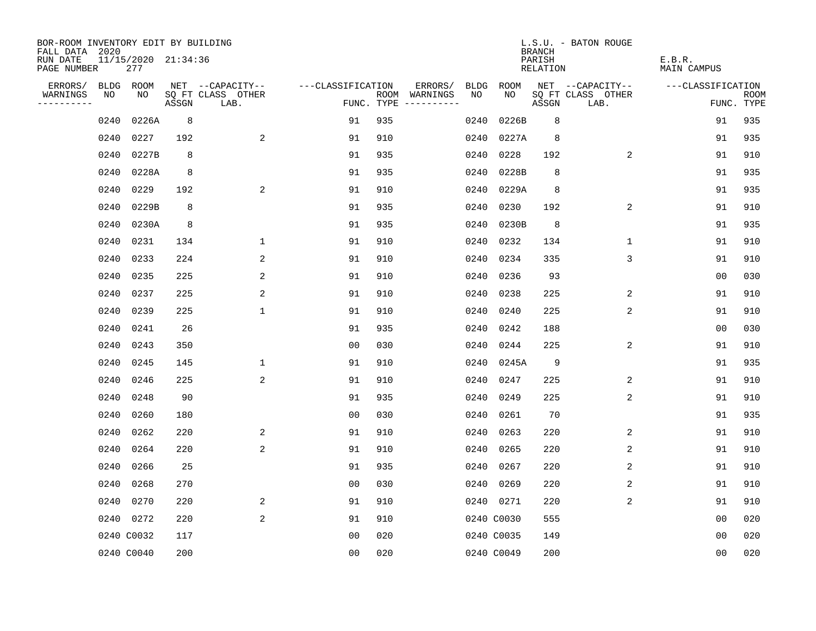| BOR-ROOM INVENTORY EDIT BY BUILDING<br>FALL DATA 2020 |      |                            |       |                           |                   |     |                                      |      |            | <b>BRANCH</b>      | L.S.U. - BATON ROUGE      |                              |                           |
|-------------------------------------------------------|------|----------------------------|-------|---------------------------|-------------------|-----|--------------------------------------|------|------------|--------------------|---------------------------|------------------------------|---------------------------|
| RUN DATE<br>PAGE NUMBER                               |      | 11/15/2020 21:34:36<br>277 |       |                           |                   |     |                                      |      |            | PARISH<br>RELATION |                           | E.B.R.<br><b>MAIN CAMPUS</b> |                           |
| ERRORS/                                               |      | BLDG ROOM                  |       | NET --CAPACITY--          | ---CLASSIFICATION |     | ERRORS/                              | BLDG | ROOM       |                    | NET --CAPACITY--          | ---CLASSIFICATION            |                           |
| WARNINGS<br>----------                                | NO   | NO                         | ASSGN | SQ FT CLASS OTHER<br>LAB. |                   |     | ROOM WARNINGS<br>FUNC. TYPE $------$ | NO.  | NO.        | ASSGN              | SQ FT CLASS OTHER<br>LAB. |                              | <b>ROOM</b><br>FUNC. TYPE |
|                                                       | 0240 | 0226A                      | 8     |                           | 91                | 935 |                                      | 0240 | 0226B      | 8                  |                           | 91                           | 935                       |
|                                                       | 0240 | 0227                       | 192   | 2                         | 91                | 910 |                                      | 0240 | 0227A      | 8                  |                           | 91                           | 935                       |
|                                                       | 0240 | 0227B                      | 8     |                           | 91                | 935 |                                      | 0240 | 0228       | 192                | 2                         | 91                           | 910                       |
|                                                       | 0240 | 0228A                      | 8     |                           | 91                | 935 |                                      | 0240 | 0228B      | 8                  |                           | 91                           | 935                       |
|                                                       | 0240 | 0229                       | 192   | 2                         | 91                | 910 |                                      | 0240 | 0229A      | 8                  |                           | 91                           | 935                       |
|                                                       | 0240 | 0229B                      | 8     |                           | 91                | 935 |                                      | 0240 | 0230       | 192                | 2                         | 91                           | 910                       |
|                                                       | 0240 | 0230A                      | 8     |                           | 91                | 935 |                                      | 0240 | 0230B      | 8                  |                           | 91                           | 935                       |
|                                                       | 0240 | 0231                       | 134   | $\mathbf 1$               | 91                | 910 |                                      | 0240 | 0232       | 134                | $\mathbf{1}$              | 91                           | 910                       |
|                                                       | 0240 | 0233                       | 224   | 2                         | 91                | 910 |                                      | 0240 | 0234       | 335                | $\overline{3}$            | 91                           | 910                       |
|                                                       | 0240 | 0235                       | 225   | 2                         | 91                | 910 |                                      |      | 0240 0236  | 93                 |                           | 0 <sub>0</sub>               | 030                       |
|                                                       | 0240 | 0237                       | 225   | 2                         | 91                | 910 |                                      |      | 0240 0238  | 225                | 2                         | 91                           | 910                       |
|                                                       | 0240 | 0239                       | 225   | $\mathbf{1}$              | 91                | 910 |                                      |      | 0240 0240  | 225                | 2                         | 91                           | 910                       |
|                                                       | 0240 | 0241                       | 26    |                           | 91                | 935 |                                      | 0240 | 0242       | 188                |                           | 0 <sub>0</sub>               | 030                       |
|                                                       | 0240 | 0243                       | 350   |                           | 0 <sub>0</sub>    | 030 |                                      |      | 0240 0244  | 225                | 2                         | 91                           | 910                       |
|                                                       | 0240 | 0245                       | 145   | 1                         | 91                | 910 |                                      |      | 0240 0245A | 9                  |                           | 91                           | 935                       |
|                                                       | 0240 | 0246                       | 225   | 2                         | 91                | 910 |                                      | 0240 | 0247       | 225                | 2                         | 91                           | 910                       |
|                                                       | 0240 | 0248                       | 90    |                           | 91                | 935 |                                      | 0240 | 0249       | 225                | 2                         | 91                           | 910                       |
|                                                       | 0240 | 0260                       | 180   |                           | 0 <sub>0</sub>    | 030 |                                      | 0240 | 0261       | 70                 |                           | 91                           | 935                       |
|                                                       | 0240 | 0262                       | 220   | 2                         | 91                | 910 |                                      | 0240 | 0263       | 220                | 2                         | 91                           | 910                       |
|                                                       | 0240 | 0264                       | 220   | 2                         | 91                | 910 |                                      | 0240 | 0265       | 220                | 2                         | 91                           | 910                       |
|                                                       | 0240 | 0266                       | 25    |                           | 91                | 935 |                                      | 0240 | 0267       | 220                | 2                         | 91                           | 910                       |
|                                                       | 0240 | 0268                       | 270   |                           | 0 <sub>0</sub>    | 030 |                                      | 0240 | 0269       | 220                | 2                         | 91                           | 910                       |
|                                                       | 0240 | 0270                       | 220   | 2                         | 91                | 910 |                                      |      | 0240 0271  | 220                | 2                         | 91                           | 910                       |
|                                                       |      | 0240 0272                  | 220   | 2                         | 91                | 910 |                                      |      | 0240 C0030 | 555                |                           | 0 <sub>0</sub>               | 020                       |
|                                                       |      | 0240 C0032                 | 117   |                           | 0 <sub>0</sub>    | 020 |                                      |      | 0240 C0035 | 149                |                           | 0 <sub>0</sub>               | 020                       |
|                                                       |      | 0240 C0040                 | 200   |                           | 0 <sub>0</sub>    | 020 |                                      |      | 0240 C0049 | 200                |                           | 0 <sub>0</sub>               | 020                       |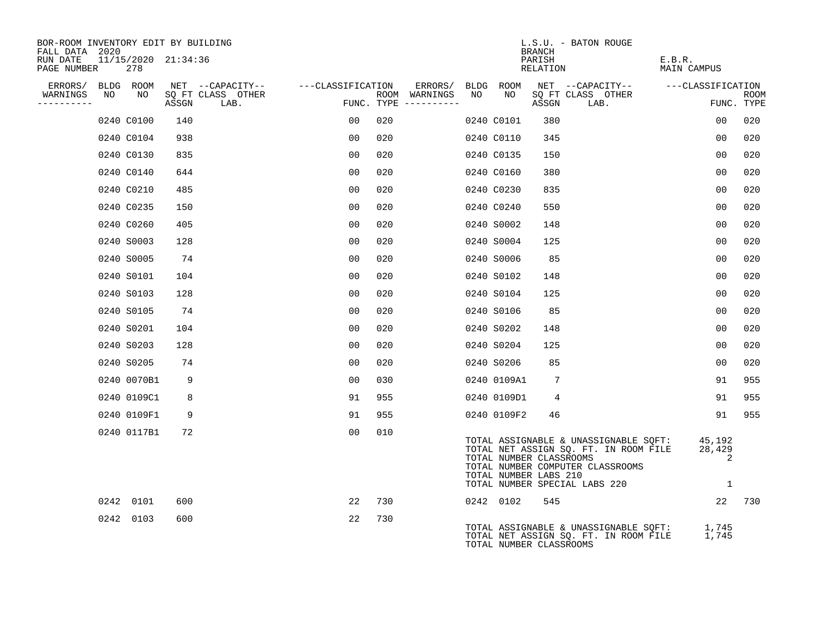| BOR-ROOM INVENTORY EDIT BY BUILDING<br>FALL DATA 2020 |             |                     |                                    |                |                                      |    |                                                  | BRANCH             | L.S.U. - BATON ROUGE                                                                                                                                       |                       |                           |
|-------------------------------------------------------|-------------|---------------------|------------------------------------|----------------|--------------------------------------|----|--------------------------------------------------|--------------------|------------------------------------------------------------------------------------------------------------------------------------------------------------|-----------------------|---------------------------|
| RUN DATE<br>PAGE NUMBER                               | 278         | 11/15/2020 21:34:36 |                                    |                |                                      |    |                                                  | PARISH<br>RELATION |                                                                                                                                                            | E.B.R.<br>MAIN CAMPUS |                           |
| ERRORS/ BLDG ROOM                                     |             |                     | NET --CAPACITY-- ---CLASSIFICATION |                | ERRORS/ BLDG ROOM                    |    |                                                  |                    | NET --CAPACITY-- ---CLASSIFICATION                                                                                                                         |                       |                           |
| WARNINGS<br>NO<br>----------                          | NO          |                     | SQ FT CLASS OTHER<br>ASSGN LAB.    |                | ROOM WARNINGS<br>FUNC. TYPE $------$ | NO | NO                                               | ASSGN              | SQ FT CLASS OTHER<br>LAB.                                                                                                                                  |                       | <b>ROOM</b><br>FUNC. TYPE |
|                                                       | 0240 C0100  | 140                 |                                    | 00             | 020                                  |    | 0240 C0101                                       | 380                |                                                                                                                                                            | 00                    | 020                       |
|                                                       | 0240 C0104  | 938                 |                                    | 0 <sub>0</sub> | 020                                  |    | 0240 C0110                                       | 345                |                                                                                                                                                            | 0 <sub>0</sub>        | 020                       |
|                                                       | 0240 C0130  | 835                 |                                    | 0 <sub>0</sub> | 020                                  |    | 0240 C0135                                       | 150                |                                                                                                                                                            | 0 <sub>0</sub>        | 020                       |
|                                                       | 0240 C0140  | 644                 |                                    | 00             | 020                                  |    | 0240 C0160                                       | 380                |                                                                                                                                                            | 0 <sub>0</sub>        | 020                       |
|                                                       | 0240 C0210  | 485                 |                                    | 00             | 020                                  |    | 0240 C0230                                       | 835                |                                                                                                                                                            | 00                    | 020                       |
|                                                       | 0240 C0235  | 150                 |                                    | 0 <sub>0</sub> | 020                                  |    | 0240 C0240                                       | 550                |                                                                                                                                                            | 0 <sub>0</sub>        | 020                       |
|                                                       | 0240 C0260  | 405                 |                                    | 00             | 020                                  |    | 0240 S0002                                       | 148                |                                                                                                                                                            | 0 <sub>0</sub>        | 020                       |
|                                                       | 0240 S0003  | 128                 |                                    | 0 <sub>0</sub> | 020                                  |    | 0240 S0004                                       | 125                |                                                                                                                                                            | 0 <sub>0</sub>        | 020                       |
|                                                       | 0240 S0005  | 74                  |                                    | 00             | 020                                  |    | 0240 S0006                                       | 85                 |                                                                                                                                                            | 00                    | 020                       |
|                                                       | 0240 S0101  | 104                 |                                    | 00             | 020                                  |    | 0240 S0102                                       | 148                |                                                                                                                                                            | 0 <sub>0</sub>        | 020                       |
|                                                       | 0240 S0103  | 128                 |                                    | 00             | 020                                  |    | 0240 S0104                                       | 125                |                                                                                                                                                            | 00                    | 020                       |
|                                                       | 0240 S0105  | 74                  |                                    | 00             | 020                                  |    | 0240 S0106                                       | 85                 |                                                                                                                                                            | 0 <sub>0</sub>        | 020                       |
|                                                       | 0240 S0201  | 104                 |                                    | 00             | 020                                  |    | 0240 S0202                                       | 148                |                                                                                                                                                            | 00                    | 020                       |
|                                                       | 0240 S0203  | 128                 |                                    | 0 <sub>0</sub> | 020                                  |    | 0240 S0204                                       | 125                |                                                                                                                                                            | 0 <sub>0</sub>        | 020                       |
|                                                       | 0240 S0205  | 74                  |                                    | 00             | 020                                  |    | 0240 S0206                                       | 85                 |                                                                                                                                                            | 00                    | 020                       |
|                                                       | 0240 0070B1 | 9                   |                                    | 00             | 030                                  |    | 0240 0109A1                                      | $7\phantom{.0}$    |                                                                                                                                                            | 91                    | 955                       |
|                                                       | 0240 0109C1 | 8                   |                                    | 91             | 955                                  |    | 0240 0109D1                                      | 4                  |                                                                                                                                                            | 91                    | 955                       |
|                                                       | 0240 0109F1 | 9                   |                                    | 91             | 955                                  |    | 0240 0109F2                                      | 46                 |                                                                                                                                                            | 91                    | 955                       |
|                                                       | 0240 0117B1 | 72                  |                                    | 0 <sub>0</sub> | 010                                  |    | TOTAL NUMBER CLASSROOMS<br>TOTAL NUMBER LABS 210 |                    | TOTAL ASSIGNABLE & UNASSIGNABLE SOFT: 45,192<br>TOTAL NET ASSIGN SQ. FT. IN ROOM FILE<br>TOTAL NUMBER COMPUTER CLASSROOMS<br>TOTAL NUMBER SPECIAL LABS 220 | 28,429<br>2           |                           |
|                                                       | 0242 0101   | 600                 |                                    | 22             | 730                                  |    | 0242 0102                                        | 545                |                                                                                                                                                            | 22                    | 730                       |
|                                                       | 0242 0103   | 600                 |                                    | 22             | 730                                  |    | TOTAL NUMBER CLASSROOMS                          |                    | TOTAL ASSIGNABLE & UNASSIGNABLE SQFT: 1,745<br>TOTAL NET ASSIGN SQ. FT. IN ROOM FILE                                                                       | 1,745                 |                           |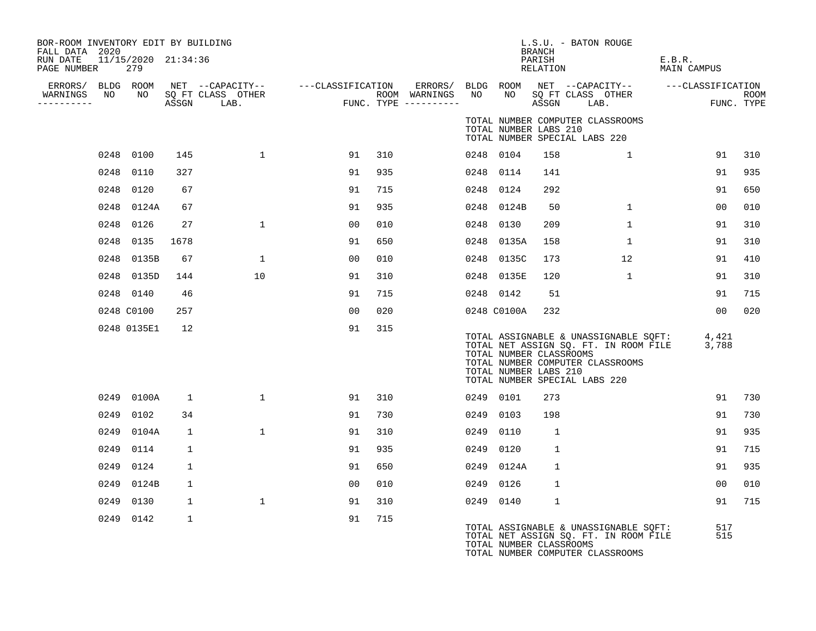| BOR-ROOM INVENTORY EDIT BY BUILDING<br>FALL DATA 2020 |      |             |              |                                                                               |                |     |                                      |    |                 | BRANCH                                           | L.S.U. - BATON ROUGE                                                                                                                                                                                     |                       |                           |
|-------------------------------------------------------|------|-------------|--------------|-------------------------------------------------------------------------------|----------------|-----|--------------------------------------|----|-----------------|--------------------------------------------------|----------------------------------------------------------------------------------------------------------------------------------------------------------------------------------------------------------|-----------------------|---------------------------|
| RUN DATE 11/15/2020 21:34:36<br>PAGE NUMBER           |      | 279         |              |                                                                               |                |     |                                      |    |                 | PARISH<br>RELATION                               |                                                                                                                                                                                                          | E.B.R.<br>MAIN CAMPUS |                           |
| ERRORS/                                               |      | BLDG ROOM   |              | NET --CAPACITY-- ---CLASSIFICATION<br>SO FT CLASS OTHER     ---CLASSIFICATION |                |     |                                      |    |                 |                                                  | ERRORS/ BLDG ROOM NET --CAPACITY--  ---CLASSIFICATION                                                                                                                                                    |                       |                           |
| WARNINGS<br>----------                                | NO   | NO          |              | SQ FT CLASS OTHER<br>ASSGN LAB.                                               |                |     | ROOM WARNINGS<br>FUNC. TYPE $------$ | NO | NO <sub>1</sub> |                                                  | SO FT CLASS OTHER<br>ASSGN LAB.                                                                                                                                                                          |                       | <b>ROOM</b><br>FUNC. TYPE |
|                                                       |      |             |              |                                                                               |                |     |                                      |    |                 | TOTAL NUMBER LABS 210                            | TOTAL NUMBER COMPUTER CLASSROOMS<br>TOTAL NUMBER SPECIAL LABS 220                                                                                                                                        |                       |                           |
|                                                       |      | 0248 0100   | 145          | $\mathbf{1}$                                                                  | 91             | 310 |                                      |    | 0248 0104       | 158                                              | $\mathbf{1}$                                                                                                                                                                                             | 91                    | 310                       |
|                                                       |      | 0248 0110   | 327          |                                                                               | 91             | 935 |                                      |    | 0248 0114       | 141                                              |                                                                                                                                                                                                          | 91                    | 935                       |
|                                                       |      | 0248 0120   | 67           |                                                                               | 91             | 715 |                                      |    | 0248 0124       | 292                                              |                                                                                                                                                                                                          | 91                    | 650                       |
|                                                       |      | 0248 0124A  | 67           |                                                                               | 91             | 935 |                                      |    | 0248 0124B      | 50                                               | $\mathbf{1}$                                                                                                                                                                                             | 0 <sub>0</sub>        | 010                       |
|                                                       |      | 0248 0126   | 27           | $\mathbf{1}$                                                                  | 00             | 010 |                                      |    | 0248 0130       | 209                                              | $\mathbf{1}$                                                                                                                                                                                             | 91                    | 310                       |
|                                                       |      | 0248 0135   | 1678         |                                                                               | 91             | 650 |                                      |    | 0248 0135A      | 158                                              | $\mathbf 1$                                                                                                                                                                                              | 91                    | 310                       |
|                                                       |      | 0248 0135B  | 67           | 1                                                                             | 00             | 010 |                                      |    | 0248 0135C      | 173                                              | 12                                                                                                                                                                                                       | 91                    | 410                       |
|                                                       |      | 0248 0135D  | 144          | 10                                                                            | 91             | 310 |                                      |    | 0248 0135E      | 120                                              | 1                                                                                                                                                                                                        | 91                    | 310                       |
|                                                       |      | 0248 0140   | 46           |                                                                               | 91             | 715 |                                      |    | 0248 0142       | 51                                               |                                                                                                                                                                                                          | 91                    | 715                       |
|                                                       |      | 0248 C0100  | 257          |                                                                               | 00             | 020 |                                      |    | 0248 C0100A     | 232                                              |                                                                                                                                                                                                          | 00                    | 020                       |
|                                                       |      | 0248 0135E1 | 12           |                                                                               | 91             | 315 |                                      |    |                 | TOTAL NUMBER CLASSROOMS<br>TOTAL NUMBER LABS 210 | TOTAL ASSIGNABLE & UNASSIGNABLE SQFT: 4,421<br>TOTAL NET ASSIGN SQ. FT. IN ROOM FILE 3,788<br>TOTAL NET ASSIGN SQ. FT. IN ROOM FILE<br>TOTAL NUMBER COMPUTER CLASSROOMS<br>TOTAL NUMBER SPECIAL LABS 220 |                       |                           |
|                                                       |      | 0249 0100A  | 1            | $\mathbf{1}$                                                                  | 91             | 310 |                                      |    | 0249 0101       | 273                                              |                                                                                                                                                                                                          | 91                    | 730                       |
|                                                       | 0249 | 0102        | 34           |                                                                               | 91             | 730 |                                      |    | 0249 0103       | 198                                              |                                                                                                                                                                                                          | 91                    | 730                       |
|                                                       |      | 0249 0104A  | 1            | $\mathbf{1}$                                                                  | 91             | 310 |                                      |    | 0249 0110       | <sup>1</sup>                                     |                                                                                                                                                                                                          | 91                    | 935                       |
|                                                       | 0249 | 0114        | 1            |                                                                               | 91             | 935 |                                      |    | 0249 0120       | $\mathbf{1}$                                     |                                                                                                                                                                                                          | 91                    | 715                       |
|                                                       | 0249 | 0124        | $\mathbf{1}$ |                                                                               | 91             | 650 |                                      |    | 0249 0124A      | $\mathbf{1}$                                     |                                                                                                                                                                                                          | 91                    | 935                       |
|                                                       | 0249 | 0124B       | $\mathbf{1}$ |                                                                               | 0 <sub>0</sub> | 010 |                                      |    | 0249 0126       | $\mathbf{1}$                                     |                                                                                                                                                                                                          | 0 <sub>0</sub>        | 010                       |
|                                                       | 0249 | 0130        | $\mathbf{1}$ | $\mathbf{1}$                                                                  | 91             | 310 |                                      |    | 0249 0140       | $\mathbf{1}$                                     |                                                                                                                                                                                                          | 91                    | 715                       |
|                                                       |      | 0249 0142   | $\mathbf{1}$ |                                                                               | 91             | 715 |                                      |    |                 | TOTAL NUMBER CLASSROOMS                          | TOTAL ASSIGNABLE & UNASSIGNABLE SQFT:<br>TOTAL NET ASSIGN SQ. FT. IN ROOM FILE<br>TOTAL NUMBER COMPUTER CLASSROOMS                                                                                       | 517<br>515            |                           |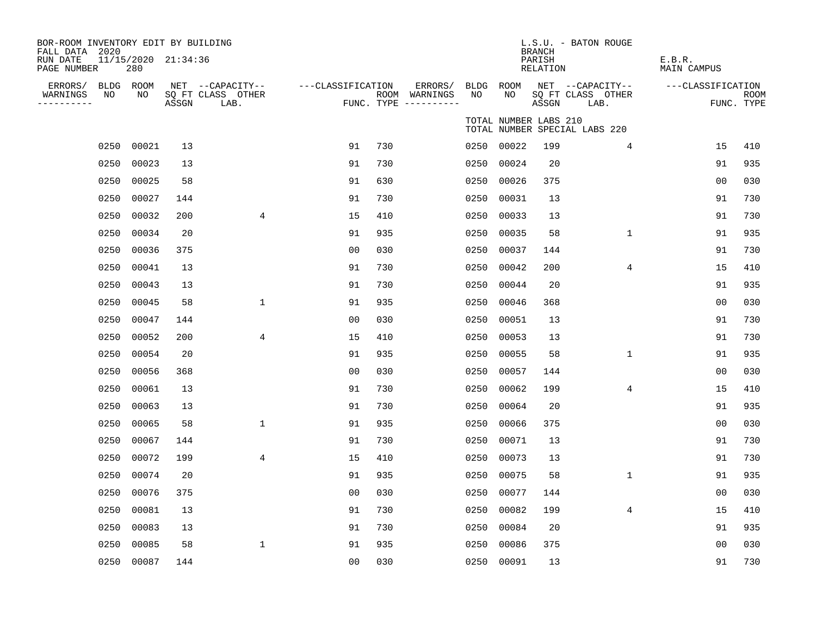| BOR-ROOM INVENTORY EDIT BY BUILDING<br>FALL DATA 2020 |                            |       |                                               |                   |     |                                                           |      |                       | <b>BRANCH</b>      | L.S.U. - BATON ROUGE                          |                       |                           |
|-------------------------------------------------------|----------------------------|-------|-----------------------------------------------|-------------------|-----|-----------------------------------------------------------|------|-----------------------|--------------------|-----------------------------------------------|-----------------------|---------------------------|
| RUN DATE<br>PAGE NUMBER                               | 11/15/2020 21:34:36<br>280 |       |                                               |                   |     |                                                           |      |                       | PARISH<br>RELATION |                                               | E.B.R.<br>MAIN CAMPUS |                           |
| ERRORS/ BLDG ROOM<br>WARNINGS<br>NO<br>----------     | NO                         | ASSGN | NET --CAPACITY--<br>SQ FT CLASS OTHER<br>LAB. | ---CLASSIFICATION |     | ERRORS/ BLDG ROOM<br>ROOM WARNINGS<br>FUNC. TYPE $------$ | NO   | NO.                   | ASSGN              | NET --CAPACITY--<br>SQ FT CLASS OTHER<br>LAB. | ---CLASSIFICATION     | <b>ROOM</b><br>FUNC. TYPE |
|                                                       |                            |       |                                               |                   |     |                                                           |      | TOTAL NUMBER LABS 210 |                    | TOTAL NUMBER SPECIAL LABS 220                 |                       |                           |
|                                                       | 0250 00021                 | 13    |                                               | 91                | 730 |                                                           | 0250 | 00022                 | 199                | 4                                             | 15                    | 410                       |
| 0250                                                  | 00023                      | 13    |                                               | 91                | 730 |                                                           | 0250 | 00024                 | 20                 |                                               | 91                    | 935                       |
| 0250                                                  | 00025                      | 58    |                                               | 91                | 630 |                                                           | 0250 | 00026                 | 375                |                                               | 0 <sub>0</sub>        | 030                       |
| 0250                                                  | 00027                      | 144   |                                               | 91                | 730 |                                                           | 0250 | 00031                 | 13                 |                                               | 91                    | 730                       |
| 0250                                                  | 00032                      | 200   | 4                                             | 15                | 410 |                                                           | 0250 | 00033                 | 13                 |                                               | 91                    | 730                       |
| 0250                                                  | 00034                      | 20    |                                               | 91                | 935 |                                                           | 0250 | 00035                 | 58                 | $\mathbf 1$                                   | 91                    | 935                       |
| 0250                                                  | 00036                      | 375   |                                               | 0 <sub>0</sub>    | 030 |                                                           | 0250 | 00037                 | 144                |                                               | 91                    | 730                       |
| 0250                                                  | 00041                      | 13    |                                               | 91                | 730 |                                                           | 0250 | 00042                 | 200                | 4                                             | 15                    | 410                       |
| 0250                                                  | 00043                      | 13    |                                               | 91                | 730 |                                                           | 0250 | 00044                 | 20                 |                                               | 91                    | 935                       |
| 0250                                                  | 00045                      | 58    | $\mathbf{1}$                                  | 91                | 935 |                                                           | 0250 | 00046                 | 368                |                                               | 0 <sub>0</sub>        | 030                       |
| 0250                                                  | 00047                      | 144   |                                               | 0 <sub>0</sub>    | 030 |                                                           | 0250 | 00051                 | 13                 |                                               | 91                    | 730                       |
| 0250                                                  | 00052                      | 200   | 4                                             | 15                | 410 |                                                           | 0250 | 00053                 | 13                 |                                               | 91                    | 730                       |
| 0250                                                  | 00054                      | 20    |                                               | 91                | 935 |                                                           | 0250 | 00055                 | 58                 | $\mathbf 1$                                   | 91                    | 935                       |
| 0250                                                  | 00056                      | 368   |                                               | 0 <sub>0</sub>    | 030 |                                                           | 0250 | 00057                 | 144                |                                               | 00                    | 030                       |
| 0250                                                  | 00061                      | 13    |                                               | 91                | 730 |                                                           | 0250 | 00062                 | 199                | 4                                             | 15                    | 410                       |
| 0250                                                  | 00063                      | 13    |                                               | 91                | 730 |                                                           | 0250 | 00064                 | 20                 |                                               | 91                    | 935                       |
| 0250                                                  | 00065                      | 58    | $\mathbf{1}$                                  | 91                | 935 |                                                           | 0250 | 00066                 | 375                |                                               | 0 <sub>0</sub>        | 030                       |
| 0250                                                  | 00067                      | 144   |                                               | 91                | 730 |                                                           | 0250 | 00071                 | 13                 |                                               | 91                    | 730                       |
| 0250                                                  | 00072                      | 199   | 4                                             | 15                | 410 |                                                           | 0250 | 00073                 | 13                 |                                               | 91                    | 730                       |
| 0250                                                  | 00074                      | 20    |                                               | 91                | 935 |                                                           | 0250 | 00075                 | 58                 | $\mathbf 1$                                   | 91                    | 935                       |
| 0250                                                  | 00076                      | 375   |                                               | 0 <sub>0</sub>    | 030 |                                                           | 0250 | 00077                 | 144                |                                               | 0 <sub>0</sub>        | 030                       |
| 0250                                                  | 00081                      | 13    |                                               | 91                | 730 |                                                           | 0250 | 00082                 | 199                | 4                                             | 15                    | 410                       |
| 0250                                                  | 00083                      | 13    |                                               | 91                | 730 |                                                           | 0250 | 00084                 | 20                 |                                               | 91                    | 935                       |
| 0250                                                  | 00085                      | 58    | $\mathbf{1}$                                  | 91                | 935 |                                                           | 0250 | 00086                 | 375                |                                               | 0 <sub>0</sub>        | 030                       |
|                                                       | 0250 00087                 | 144   |                                               | 00                | 030 |                                                           | 0250 | 00091                 | 13                 |                                               | 91                    | 730                       |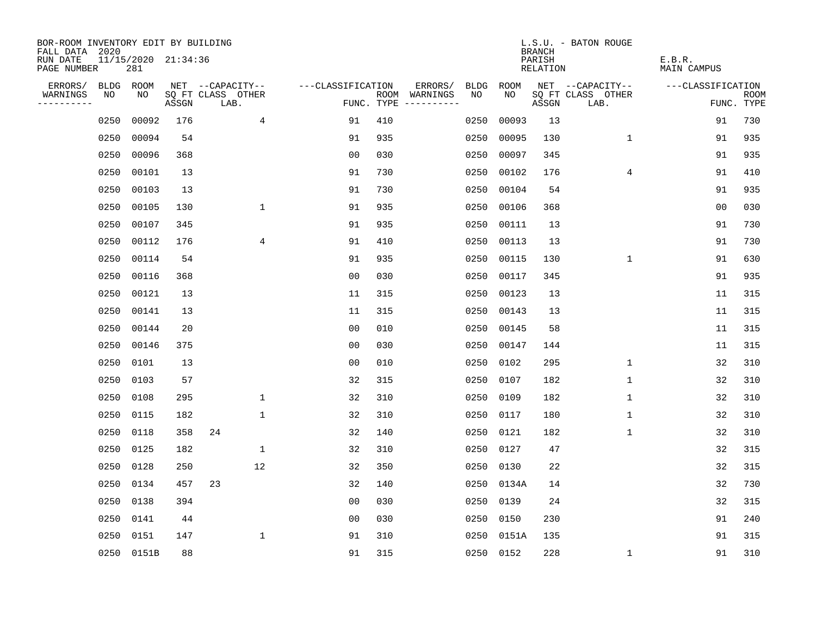| BOR-ROOM INVENTORY EDIT BY BUILDING<br>FALL DATA 2020 |      |                            |       |                           |                   |     |                                      |      |            | <b>BRANCH</b>      | L.S.U. - BATON ROUGE      |                       |                           |
|-------------------------------------------------------|------|----------------------------|-------|---------------------------|-------------------|-----|--------------------------------------|------|------------|--------------------|---------------------------|-----------------------|---------------------------|
| RUN DATE<br>PAGE NUMBER                               |      | 11/15/2020 21:34:36<br>281 |       |                           |                   |     |                                      |      |            | PARISH<br>RELATION |                           | E.B.R.<br>MAIN CAMPUS |                           |
| ERRORS/                                               | BLDG | ROOM                       |       | NET --CAPACITY--          | ---CLASSIFICATION |     | ERRORS/                              | BLDG | ROOM       |                    | NET --CAPACITY--          | ---CLASSIFICATION     |                           |
| WARNINGS<br>----------                                | NO   | NO                         | ASSGN | SQ FT CLASS OTHER<br>LAB. |                   |     | ROOM WARNINGS<br>FUNC. TYPE $------$ | NO.  | NO.        | ASSGN              | SQ FT CLASS OTHER<br>LAB. |                       | <b>ROOM</b><br>FUNC. TYPE |
|                                                       | 0250 | 00092                      | 176   |                           | 4<br>91           | 410 |                                      | 0250 | 00093      | 13                 |                           | 91                    | 730                       |
|                                                       | 0250 | 00094                      | 54    |                           | 91                | 935 |                                      | 0250 | 00095      | 130                | $\mathbf 1$               | 91                    | 935                       |
|                                                       | 0250 | 00096                      | 368   |                           | 0 <sub>0</sub>    | 030 |                                      | 0250 | 00097      | 345                |                           | 91                    | 935                       |
|                                                       | 0250 | 00101                      | 13    |                           | 91                | 730 |                                      | 0250 | 00102      | 176                | 4                         | 91                    | 410                       |
|                                                       | 0250 | 00103                      | 13    |                           | 91                | 730 |                                      | 0250 | 00104      | 54                 |                           | 91                    | 935                       |
|                                                       | 0250 | 00105                      | 130   | $\mathbf 1$               | 91                | 935 |                                      | 0250 | 00106      | 368                |                           | 0 <sub>0</sub>        | 030                       |
|                                                       | 0250 | 00107                      | 345   |                           | 91                | 935 |                                      | 0250 | 00111      | 13                 |                           | 91                    | 730                       |
|                                                       | 0250 | 00112                      | 176   |                           | 4<br>91           | 410 |                                      | 0250 | 00113      | 13                 |                           | 91                    | 730                       |
|                                                       | 0250 | 00114                      | 54    |                           | 91                | 935 |                                      | 0250 | 00115      | 130                | 1                         | 91                    | 630                       |
|                                                       | 0250 | 00116                      | 368   |                           | 0 <sub>0</sub>    | 030 |                                      | 0250 | 00117      | 345                |                           | 91                    | 935                       |
|                                                       | 0250 | 00121                      | 13    |                           | 11                | 315 |                                      | 0250 | 00123      | 13                 |                           | 11                    | 315                       |
|                                                       | 0250 | 00141                      | 13    |                           | 11                | 315 |                                      | 0250 | 00143      | 13                 |                           | 11                    | 315                       |
|                                                       | 0250 | 00144                      | 20    |                           | 0 <sub>0</sub>    | 010 |                                      | 0250 | 00145      | 58                 |                           | 11                    | 315                       |
|                                                       | 0250 | 00146                      | 375   |                           | 0 <sub>0</sub>    | 030 |                                      | 0250 | 00147      | 144                |                           | 11                    | 315                       |
|                                                       | 0250 | 0101                       | 13    |                           | 0 <sub>0</sub>    | 010 |                                      | 0250 | 0102       | 295                | 1                         | 32                    | 310                       |
|                                                       | 0250 | 0103                       | 57    |                           | 32                | 315 |                                      | 0250 | 0107       | 182                | 1                         | 32                    | 310                       |
|                                                       | 0250 | 0108                       | 295   | $\mathbf{1}$              | 32                | 310 |                                      | 0250 | 0109       | 182                | 1                         | 32                    | 310                       |
|                                                       | 0250 | 0115                       | 182   | $\mathbf 1$               | 32                | 310 |                                      | 0250 | 0117       | 180                | 1                         | 32                    | 310                       |
|                                                       | 0250 | 0118                       | 358   | 24                        | 32                | 140 |                                      | 0250 | 0121       | 182                | 1                         | 32                    | 310                       |
|                                                       | 0250 | 0125                       | 182   | $\mathbf 1$               | 32                | 310 |                                      | 0250 | 0127       | 47                 |                           | 32                    | 315                       |
|                                                       | 0250 | 0128                       | 250   | 12                        | 32                | 350 |                                      | 0250 | 0130       | 22                 |                           | 32                    | 315                       |
|                                                       | 0250 | 0134                       | 457   | 23                        | 32                | 140 |                                      | 0250 | 0134A      | 14                 |                           | 32                    | 730                       |
|                                                       | 0250 | 0138                       | 394   |                           | 0 <sub>0</sub>    | 030 |                                      | 0250 | 0139       | 24                 |                           | 32                    | 315                       |
|                                                       | 0250 | 0141                       | 44    |                           | 0 <sub>0</sub>    | 030 |                                      | 0250 | 0150       | 230                |                           | 91                    | 240                       |
|                                                       | 0250 | 0151                       | 147   | $\mathbf{1}$              | 91                | 310 |                                      |      | 0250 0151A | 135                |                           | 91                    | 315                       |
|                                                       |      | 0250 0151B                 | 88    |                           | 91                | 315 |                                      |      | 0250 0152  | 228                | $\mathbf{1}$              | 91                    | 310                       |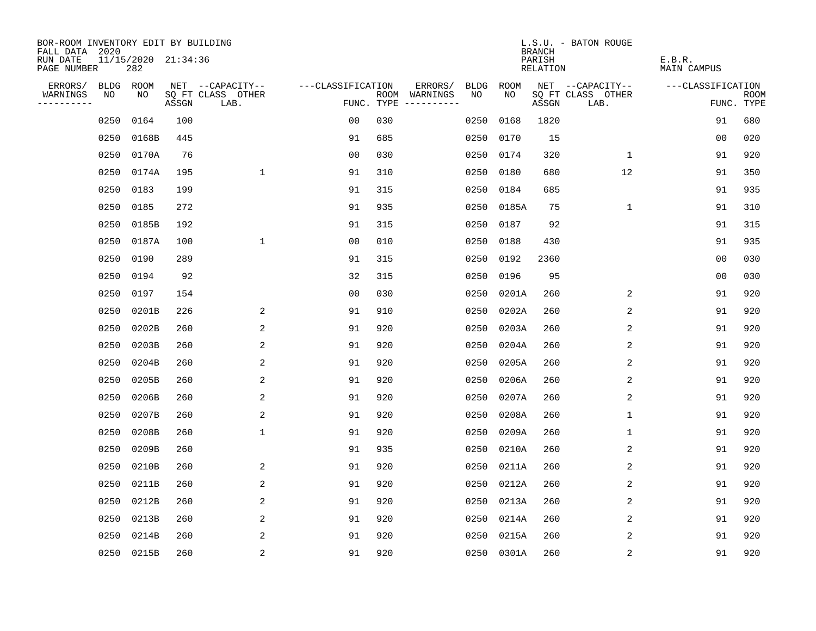| BOR-ROOM INVENTORY EDIT BY BUILDING<br>FALL DATA 2020 |      |                            |       |                           |                   |     |                                      |      |            | <b>BRANCH</b>      | L.S.U. - BATON ROUGE      |                       |                           |
|-------------------------------------------------------|------|----------------------------|-------|---------------------------|-------------------|-----|--------------------------------------|------|------------|--------------------|---------------------------|-----------------------|---------------------------|
| RUN DATE<br>PAGE NUMBER                               |      | 11/15/2020 21:34:36<br>282 |       |                           |                   |     |                                      |      |            | PARISH<br>RELATION |                           | E.B.R.<br>MAIN CAMPUS |                           |
| ERRORS/                                               |      | BLDG ROOM                  |       | NET --CAPACITY--          | ---CLASSIFICATION |     | ERRORS/                              | BLDG | ROOM       |                    | NET --CAPACITY--          | ---CLASSIFICATION     |                           |
| WARNINGS<br>----------                                | NO   | NO                         | ASSGN | SQ FT CLASS OTHER<br>LAB. |                   |     | ROOM WARNINGS<br>FUNC. TYPE $------$ | NO.  | NO.        | ASSGN              | SQ FT CLASS OTHER<br>LAB. |                       | <b>ROOM</b><br>FUNC. TYPE |
|                                                       | 0250 | 0164                       | 100   |                           | 0 <sub>0</sub>    | 030 |                                      | 0250 | 0168       | 1820               |                           | 91                    | 680                       |
|                                                       | 0250 | 0168B                      | 445   |                           | 91                | 685 |                                      | 0250 | 0170       | 15                 |                           | 00                    | 020                       |
|                                                       | 0250 | 0170A                      | 76    |                           | 0 <sub>0</sub>    | 030 |                                      | 0250 | 0174       | 320                | 1                         | 91                    | 920                       |
|                                                       | 0250 | 0174A                      | 195   | $\mathbf{1}$              | 91                | 310 |                                      | 0250 | 0180       | 680                | 12                        | 91                    | 350                       |
|                                                       | 0250 | 0183                       | 199   |                           | 91                | 315 |                                      | 0250 | 0184       | 685                |                           | 91                    | 935                       |
|                                                       | 0250 | 0185                       | 272   |                           | 91                | 935 |                                      |      | 0250 0185A | 75                 | $\mathbf 1$               | 91                    | 310                       |
|                                                       | 0250 | 0185B                      | 192   |                           | 91                | 315 |                                      | 0250 | 0187       | 92                 |                           | 91                    | 315                       |
|                                                       | 0250 | 0187A                      | 100   | $\mathbf 1$               | 0 <sub>0</sub>    | 010 |                                      | 0250 | 0188       | 430                |                           | 91                    | 935                       |
|                                                       | 0250 | 0190                       | 289   |                           | 91                | 315 |                                      | 0250 | 0192       | 2360               |                           | 0 <sub>0</sub>        | 030                       |
|                                                       | 0250 | 0194                       | 92    |                           | 32                | 315 |                                      |      | 0250 0196  | 95                 |                           | 0 <sub>0</sub>        | 030                       |
|                                                       | 0250 | 0197                       | 154   |                           | 00                | 030 |                                      | 0250 | 0201A      | 260                | 2                         | 91                    | 920                       |
|                                                       | 0250 | 0201B                      | 226   | 2                         | 91                | 910 |                                      | 0250 | 0202A      | 260                | 2                         | 91                    | 920                       |
|                                                       | 0250 | 0202B                      | 260   | 2                         | 91                | 920 |                                      | 0250 | 0203A      | 260                | 2                         | 91                    | 920                       |
|                                                       | 0250 | 0203B                      | 260   | 2                         | 91                | 920 |                                      | 0250 | 0204A      | 260                | 2                         | 91                    | 920                       |
|                                                       | 0250 | 0204B                      | 260   | 2                         | 91                | 920 |                                      | 0250 | 0205A      | 260                | 2                         | 91                    | 920                       |
|                                                       | 0250 | 0205B                      | 260   | 2                         | 91                | 920 |                                      | 0250 | 0206A      | 260                | 2                         | 91                    | 920                       |
|                                                       | 0250 | 0206B                      | 260   | 2                         | 91                | 920 |                                      | 0250 | 0207A      | 260                | 2                         | 91                    | 920                       |
|                                                       | 0250 | 0207B                      | 260   | 2                         | 91                | 920 |                                      | 0250 | 0208A      | 260                | 1                         | 91                    | 920                       |
|                                                       | 0250 | 0208B                      | 260   | $\mathbf{1}$              | 91                | 920 |                                      | 0250 | 0209A      | 260                | 1                         | 91                    | 920                       |
|                                                       | 0250 | 0209B                      | 260   |                           | 91                | 935 |                                      | 0250 | 0210A      | 260                | 2                         | 91                    | 920                       |
|                                                       | 0250 | 0210B                      | 260   | 2                         | 91                | 920 |                                      | 0250 | 0211A      | 260                | 2                         | 91                    | 920                       |
|                                                       | 0250 | 0211B                      | 260   | 2                         | 91                | 920 |                                      | 0250 | 0212A      | 260                | 2                         | 91                    | 920                       |
|                                                       | 0250 | 0212B                      | 260   | 2                         | 91                | 920 |                                      | 0250 | 0213A      | 260                | 2                         | 91                    | 920                       |
|                                                       | 0250 | 0213B                      | 260   | 2                         | 91                | 920 |                                      | 0250 | 0214A      | 260                | 2                         | 91                    | 920                       |
|                                                       | 0250 | 0214B                      | 260   | 2                         | 91                | 920 |                                      | 0250 | 0215A      | 260                | 2                         | 91                    | 920                       |
|                                                       |      | 0250 0215B                 | 260   | $\overline{c}$            | 91                | 920 |                                      |      | 0250 0301A | 260                | $\sqrt{2}$                | 91                    | 920                       |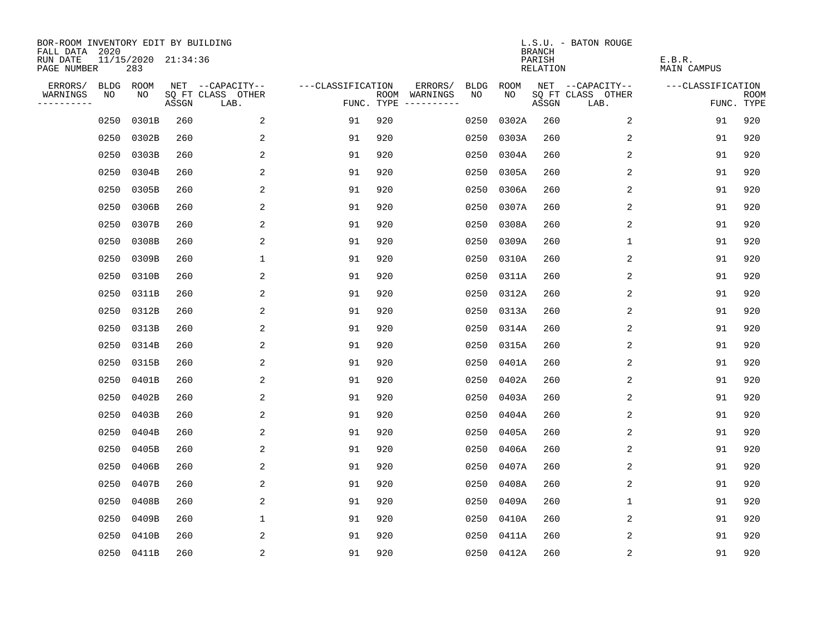| BOR-ROOM INVENTORY EDIT BY BUILDING<br>FALL DATA 2020 |             |                            |       |                           |                   |     |                                      |             |             | <b>BRANCH</b>             | L.S.U. - BATON ROUGE      |                              |                           |
|-------------------------------------------------------|-------------|----------------------------|-------|---------------------------|-------------------|-----|--------------------------------------|-------------|-------------|---------------------------|---------------------------|------------------------------|---------------------------|
| RUN DATE<br>PAGE NUMBER                               |             | 11/15/2020 21:34:36<br>283 |       |                           |                   |     |                                      |             |             | PARISH<br><b>RELATION</b> |                           | E.B.R.<br><b>MAIN CAMPUS</b> |                           |
| ERRORS/                                               | <b>BLDG</b> | ROOM                       |       | NET --CAPACITY--          | ---CLASSIFICATION |     | ERRORS/                              | <b>BLDG</b> | <b>ROOM</b> |                           | NET --CAPACITY--          | ---CLASSIFICATION            |                           |
| WARNINGS<br>----------                                | NO          | NO                         | ASSGN | SQ FT CLASS OTHER<br>LAB. |                   |     | ROOM WARNINGS<br>FUNC. TYPE $------$ | NO          | NO          | ASSGN                     | SQ FT CLASS OTHER<br>LAB. |                              | <b>ROOM</b><br>FUNC. TYPE |
|                                                       | 0250        | 0301B                      | 260   | 2                         | 91                | 920 |                                      | 0250        | 0302A       | 260                       | 2                         | 91                           | 920                       |
|                                                       | 0250        | 0302B                      | 260   | 2                         | 91                | 920 |                                      | 0250        | 0303A       | 260                       | 2                         | 91                           | 920                       |
|                                                       | 0250        | 0303B                      | 260   | 2                         | 91                | 920 |                                      | 0250        | 0304A       | 260                       | 2                         | 91                           | 920                       |
|                                                       | 0250        | 0304B                      | 260   | 2                         | 91                | 920 |                                      | 0250        | 0305A       | 260                       | 2                         | 91                           | 920                       |
|                                                       | 0250        | 0305B                      | 260   | 2                         | 91                | 920 |                                      | 0250        | 0306A       | 260                       | $\overline{2}$            | 91                           | 920                       |
|                                                       | 0250        | 0306B                      | 260   | 2                         | 91                | 920 |                                      | 0250        | 0307A       | 260                       | 2                         | 91                           | 920                       |
|                                                       | 0250        | 0307B                      | 260   | 2                         | 91                | 920 |                                      | 0250        | 0308A       | 260                       | 2                         | 91                           | 920                       |
|                                                       | 0250        | 0308B                      | 260   | 2                         | 91                | 920 |                                      | 0250        | 0309A       | 260                       | 1                         | 91                           | 920                       |
|                                                       | 0250        | 0309B                      | 260   | 1                         | 91                | 920 |                                      | 0250        | 0310A       | 260                       | 2                         | 91                           | 920                       |
|                                                       | 0250        | 0310B                      | 260   | 2                         | 91                | 920 |                                      | 0250        | 0311A       | 260                       | 2                         | 91                           | 920                       |
|                                                       | 0250        | 0311B                      | 260   | 2                         | 91                | 920 |                                      | 0250        | 0312A       | 260                       | 2                         | 91                           | 920                       |
|                                                       | 0250        | 0312B                      | 260   | 2                         | 91                | 920 |                                      | 0250        | 0313A       | 260                       | 2                         | 91                           | 920                       |
|                                                       | 0250        | 0313B                      | 260   | 2                         | 91                | 920 |                                      | 0250        | 0314A       | 260                       | 2                         | 91                           | 920                       |
|                                                       | 0250        | 0314B                      | 260   | 2                         | 91                | 920 |                                      | 0250        | 0315A       | 260                       | 2                         | 91                           | 920                       |
|                                                       | 0250        | 0315B                      | 260   | 2                         | 91                | 920 |                                      | 0250        | 0401A       | 260                       | 2                         | 91                           | 920                       |
|                                                       | 0250        | 0401B                      | 260   | 2                         | 91                | 920 |                                      | 0250        | 0402A       | 260                       | 2                         | 91                           | 920                       |
|                                                       | 0250        | 0402B                      | 260   | 2                         | 91                | 920 |                                      | 0250        | 0403A       | 260                       | 2                         | 91                           | 920                       |
|                                                       | 0250        | 0403B                      | 260   | 2                         | 91                | 920 |                                      | 0250        | 0404A       | 260                       | $\overline{2}$            | 91                           | 920                       |
|                                                       | 0250        | 0404B                      | 260   | 2                         | 91                | 920 |                                      | 0250        | 0405A       | 260                       | 2                         | 91                           | 920                       |
|                                                       | 0250        | 0405B                      | 260   | 2                         | 91                | 920 |                                      | 0250        | 0406A       | 260                       | 2                         | 91                           | 920                       |
|                                                       | 0250        | 0406B                      | 260   | 2                         | 91                | 920 |                                      | 0250        | 0407A       | 260                       | 2                         | 91                           | 920                       |
|                                                       | 0250        | 0407B                      | 260   | 2                         | 91                | 920 |                                      | 0250        | 0408A       | 260                       | 2                         | 91                           | 920                       |
|                                                       | 0250        | 0408B                      | 260   | 2                         | 91                | 920 |                                      | 0250        | 0409A       | 260                       | 1                         | 91                           | 920                       |
|                                                       | 0250        | 0409B                      | 260   | $\mathbf 1$               | 91                | 920 |                                      | 0250        | 0410A       | 260                       | 2                         | 91                           | 920                       |
|                                                       | 0250        | 0410B                      | 260   | 2                         | 91                | 920 |                                      | 0250        | 0411A       | 260                       | 2                         | 91                           | 920                       |
|                                                       |             | 0250 0411B                 | 260   | 2                         | 91                | 920 |                                      |             | 0250 0412A  | 260                       | 2                         | 91                           | 920                       |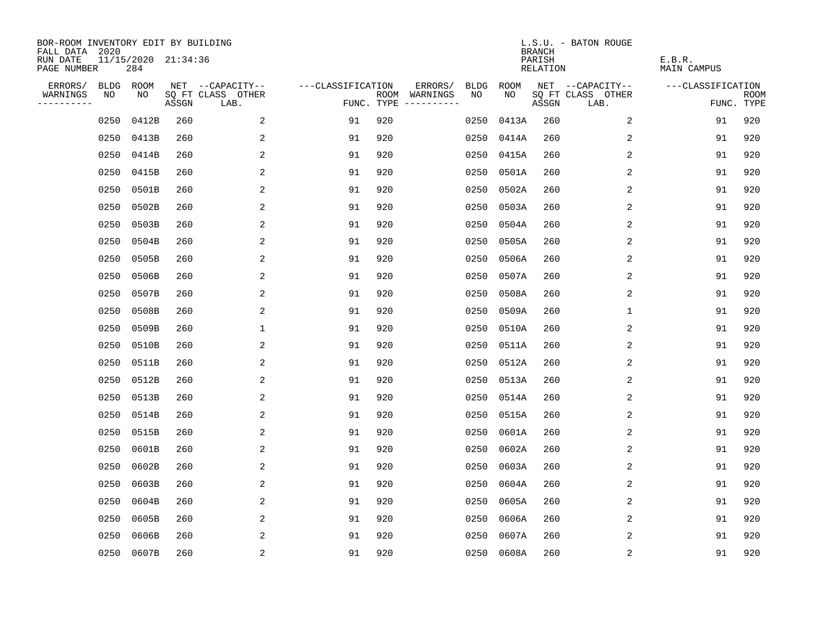| BOR-ROOM INVENTORY EDIT BY BUILDING<br>FALL DATA 2020 |      |                            |       |                           |                   |     |                                      |      |            | <b>BRANCH</b>      | L.S.U. - BATON ROUGE      |                       |                           |
|-------------------------------------------------------|------|----------------------------|-------|---------------------------|-------------------|-----|--------------------------------------|------|------------|--------------------|---------------------------|-----------------------|---------------------------|
| RUN DATE<br>PAGE NUMBER                               |      | 11/15/2020 21:34:36<br>284 |       |                           |                   |     |                                      |      |            | PARISH<br>RELATION |                           | E.B.R.<br>MAIN CAMPUS |                           |
| ERRORS/                                               |      | BLDG ROOM                  |       | NET --CAPACITY--          | ---CLASSIFICATION |     | ERRORS/                              | BLDG | ROOM       |                    | NET --CAPACITY--          | ---CLASSIFICATION     |                           |
| WARNINGS<br>----------                                | NO   | NO                         | ASSGN | SQ FT CLASS OTHER<br>LAB. |                   |     | ROOM WARNINGS<br>FUNC. TYPE $------$ | NO.  | NO.        | ASSGN              | SQ FT CLASS OTHER<br>LAB. |                       | <b>ROOM</b><br>FUNC. TYPE |
|                                                       | 0250 | 0412B                      | 260   | 2                         | 91                | 920 |                                      | 0250 | 0413A      | 260                | 2                         | 91                    | 920                       |
|                                                       | 0250 | 0413B                      | 260   | 2                         | 91                | 920 |                                      | 0250 | 0414A      | 260                | 2                         | 91                    | 920                       |
|                                                       | 0250 | 0414B                      | 260   | $\overline{2}$            | 91                | 920 |                                      | 0250 | 0415A      | 260                | 2                         | 91                    | 920                       |
|                                                       | 0250 | 0415B                      | 260   | 2                         | 91                | 920 |                                      | 0250 | 0501A      | 260                | 2                         | 91                    | 920                       |
|                                                       | 0250 | 0501B                      | 260   | 2                         | 91                | 920 |                                      | 0250 | 0502A      | 260                | 2                         | 91                    | 920                       |
|                                                       | 0250 | 0502B                      | 260   | 2                         | 91                | 920 |                                      | 0250 | 0503A      | 260                | 2                         | 91                    | 920                       |
|                                                       | 0250 | 0503B                      | 260   | 2                         | 91                | 920 |                                      | 0250 | 0504A      | 260                | 2                         | 91                    | 920                       |
|                                                       | 0250 | 0504B                      | 260   | 2                         | 91                | 920 |                                      | 0250 | 0505A      | 260                | 2                         | 91                    | 920                       |
|                                                       | 0250 | 0505B                      | 260   | 2                         | 91                | 920 |                                      | 0250 | 0506A      | 260                | 2                         | 91                    | 920                       |
|                                                       | 0250 | 0506B                      | 260   | 2                         | 91                | 920 |                                      |      | 0250 0507A | 260                | 2                         | 91                    | 920                       |
|                                                       | 0250 | 0507B                      | 260   | 2                         | 91                | 920 |                                      | 0250 | 0508A      | 260                | 2                         | 91                    | 920                       |
|                                                       | 0250 | 0508B                      | 260   | 2                         | 91                | 920 |                                      |      | 0250 0509A | 260                | 1                         | 91                    | 920                       |
|                                                       | 0250 | 0509B                      | 260   | $\mathbf{1}$              | 91                | 920 |                                      | 0250 | 0510A      | 260                | 2                         | 91                    | 920                       |
|                                                       | 0250 | 0510B                      | 260   | 2                         | 91                | 920 |                                      | 0250 | 0511A      | 260                | 2                         | 91                    | 920                       |
|                                                       | 0250 | 0511B                      | 260   | 2                         | 91                | 920 |                                      | 0250 | 0512A      | 260                | 2                         | 91                    | 920                       |
|                                                       | 0250 | 0512B                      | 260   | 2                         | 91                | 920 |                                      | 0250 | 0513A      | 260                | 2                         | 91                    | 920                       |
|                                                       | 0250 | 0513B                      | 260   | 2                         | 91                | 920 |                                      | 0250 | 0514A      | 260                | 2                         | 91                    | 920                       |
|                                                       | 0250 | 0514B                      | 260   | 2                         | 91                | 920 |                                      | 0250 | 0515A      | 260                | 2                         | 91                    | 920                       |
|                                                       | 0250 | 0515B                      | 260   | 2                         | 91                | 920 |                                      | 0250 | 0601A      | 260                | 2                         | 91                    | 920                       |
|                                                       | 0250 | 0601B                      | 260   | $\overline{2}$            | 91                | 920 |                                      | 0250 | 0602A      | 260                | 2                         | 91                    | 920                       |
|                                                       | 0250 | 0602B                      | 260   | 2                         | 91                | 920 |                                      | 0250 | 0603A      | 260                | 2                         | 91                    | 920                       |
|                                                       | 0250 | 0603B                      | 260   | 2                         | 91                | 920 |                                      | 0250 | 0604A      | 260                | 2                         | 91                    | 920                       |
|                                                       | 0250 | 0604B                      | 260   | 2                         | 91                | 920 |                                      | 0250 | 0605A      | 260                | 2                         | 91                    | 920                       |
|                                                       | 0250 | 0605B                      | 260   | 2                         | 91                | 920 |                                      | 0250 | 0606A      | 260                | 2                         | 91                    | 920                       |
|                                                       | 0250 | 0606B                      | 260   | 2                         | 91                | 920 |                                      | 0250 | 0607A      | 260                | 2                         | 91                    | 920                       |
|                                                       |      | 0250 0607B                 | 260   | $\overline{2}$            | 91                | 920 |                                      |      | 0250 0608A | 260                | 2                         | 91                    | 920                       |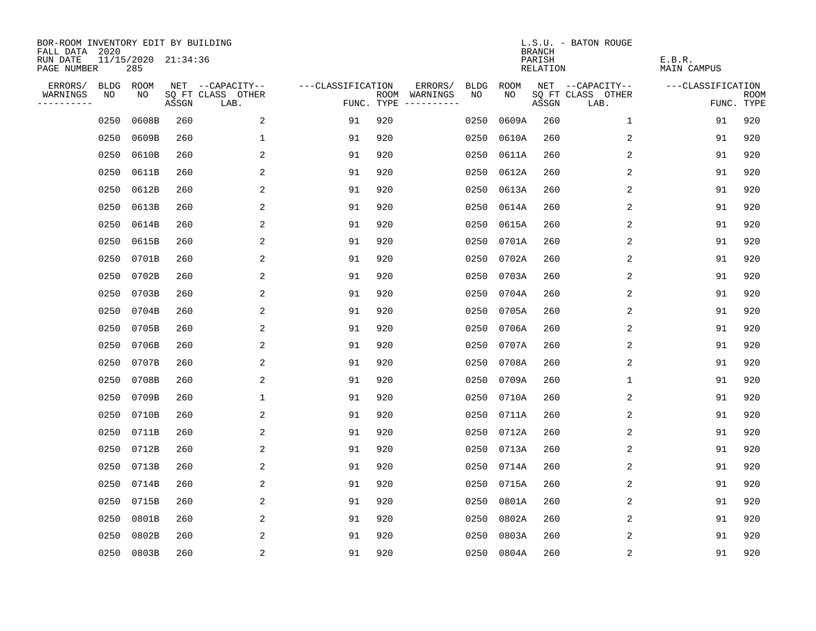| BOR-ROOM INVENTORY EDIT BY BUILDING<br>FALL DATA 2020 |             |                            |       |                           |                   |                                      |                        |            | <b>BRANCH</b>      | L.S.U. - BATON ROUGE      |                       |                           |
|-------------------------------------------------------|-------------|----------------------------|-------|---------------------------|-------------------|--------------------------------------|------------------------|------------|--------------------|---------------------------|-----------------------|---------------------------|
| RUN DATE<br>PAGE NUMBER                               |             | 11/15/2020 21:34:36<br>285 |       |                           |                   |                                      |                        |            | PARISH<br>RELATION |                           | E.B.R.<br>MAIN CAMPUS |                           |
| ERRORS/                                               | <b>BLDG</b> | ROOM                       |       | NET --CAPACITY--          | ---CLASSIFICATION |                                      | ERRORS/<br><b>BLDG</b> | ROOM       |                    | NET --CAPACITY--          | ---CLASSIFICATION     |                           |
| WARNINGS<br>----------                                | NO          | NO                         | ASSGN | SQ FT CLASS OTHER<br>LAB. |                   | ROOM WARNINGS<br>FUNC. TYPE $------$ | NO.                    | NO.        | ASSGN              | SQ FT CLASS OTHER<br>LAB. |                       | <b>ROOM</b><br>FUNC. TYPE |
|                                                       | 0250        | 0608B                      | 260   | 2                         | 91                | 920                                  | 0250                   | 0609A      | 260                | 1                         | 91                    | 920                       |
|                                                       | 0250        | 0609B                      | 260   | 1                         | 91                | 920                                  | 0250                   | 0610A      | 260                | 2                         | 91                    | 920                       |
|                                                       | 0250        | 0610B                      | 260   | $\overline{2}$            | 91                | 920                                  | 0250                   | 0611A      | 260                | 2                         | 91                    | 920                       |
|                                                       | 0250        | 0611B                      | 260   | 2                         | 91                | 920                                  | 0250                   | 0612A      | 260                | 2                         | 91                    | 920                       |
|                                                       | 0250        | 0612B                      | 260   | 2                         | 91                | 920                                  | 0250                   | 0613A      | 260                | 2                         | 91                    | 920                       |
|                                                       | 0250        | 0613B                      | 260   | 2                         | 91                | 920                                  | 0250                   | 0614A      | 260                | 2                         | 91                    | 920                       |
|                                                       | 0250        | 0614B                      | 260   | 2                         | 91                | 920                                  | 0250                   | 0615A      | 260                | 2                         | 91                    | 920                       |
|                                                       | 0250        | 0615B                      | 260   | 2                         | 91                | 920                                  | 0250                   | 0701A      | 260                | 2                         | 91                    | 920                       |
|                                                       | 0250        | 0701B                      | 260   | 2                         | 91                | 920                                  | 0250                   | 0702A      | 260                | 2                         | 91                    | 920                       |
|                                                       | 0250        | 0702B                      | 260   | 2                         | 91                | 920                                  |                        | 0250 0703A | 260                | 2                         | 91                    | 920                       |
|                                                       | 0250        | 0703B                      | 260   | 2                         | 91                | 920                                  |                        | 0250 0704A | 260                | 2                         | 91                    | 920                       |
|                                                       | 0250        | 0704B                      | 260   | 2                         | 91                | 920                                  |                        | 0250 0705A | 260                | 2                         | 91                    | 920                       |
|                                                       | 0250        | 0705B                      | 260   | 2                         | 91                | 920                                  | 0250                   | 0706A      | 260                | 2                         | 91                    | 920                       |
|                                                       | 0250        | 0706B                      | 260   | 2                         | 91                | 920                                  |                        | 0250 0707A | 260                | 2                         | 91                    | 920                       |
|                                                       | 0250        | 0707B                      | 260   | 2                         | 91                | 920                                  | 0250                   | 0708A      | 260                | 2                         | 91                    | 920                       |
|                                                       | 0250        | 0708B                      | 260   | 2                         | 91                | 920                                  | 0250                   | 0709A      | 260                | 1                         | 91                    | 920                       |
|                                                       | 0250        | 0709B                      | 260   | 1                         | 91                | 920                                  | 0250                   | 0710A      | 260                | 2                         | 91                    | 920                       |
|                                                       | 0250        | 0710B                      | 260   | 2                         | 91                | 920                                  | 0250                   | 0711A      | 260                | 2                         | 91                    | 920                       |
|                                                       | 0250        | 0711B                      | 260   | 2                         | 91                | 920                                  | 0250                   | 0712A      | 260                | 2                         | 91                    | 920                       |
|                                                       | 0250        | 0712B                      | 260   | $\overline{2}$            | 91                | 920                                  | 0250                   | 0713A      | 260                | 2                         | 91                    | 920                       |
|                                                       | 0250        | 0713B                      | 260   | 2                         | 91                | 920                                  | 0250                   | 0714A      | 260                | 2                         | 91                    | 920                       |
|                                                       | 0250        | 0714B                      | 260   | 2                         | 91                | 920                                  | 0250                   | 0715A      | 260                | 2                         | 91                    | 920                       |
|                                                       | 0250        | 0715B                      | 260   | 2                         | 91                | 920                                  | 0250                   | 0801A      | 260                | 2                         | 91                    | 920                       |
|                                                       | 0250        | 0801B                      | 260   | 2                         | 91                | 920                                  | 0250                   | 0802A      | 260                | 2                         | 91                    | 920                       |
|                                                       | 0250        | 0802B                      | 260   | 2                         | 91                | 920                                  | 0250                   | 0803A      | 260                | 2                         | 91                    | 920                       |
|                                                       |             | 0250 0803B                 | 260   | $\overline{2}$            | 91                | 920                                  |                        | 0250 0804A | 260                | 2                         | 91                    | 920                       |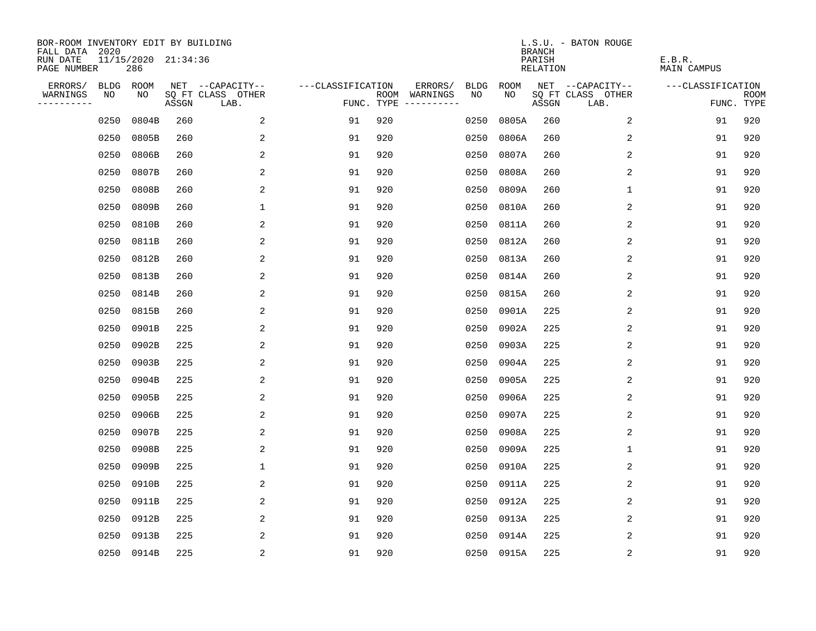| BOR-ROOM INVENTORY EDIT BY BUILDING<br>FALL DATA 2020 |             |                            |       |                           |                   |     |                                      |             |            | <b>BRANCH</b>      | L.S.U. - BATON ROUGE      |                       |                           |
|-------------------------------------------------------|-------------|----------------------------|-------|---------------------------|-------------------|-----|--------------------------------------|-------------|------------|--------------------|---------------------------|-----------------------|---------------------------|
| RUN DATE<br>PAGE NUMBER                               |             | 11/15/2020 21:34:36<br>286 |       |                           |                   |     |                                      |             |            | PARISH<br>RELATION |                           | E.B.R.<br>MAIN CAMPUS |                           |
| ERRORS/                                               | <b>BLDG</b> | ROOM                       |       | NET --CAPACITY--          | ---CLASSIFICATION |     | ERRORS/                              | <b>BLDG</b> | ROOM       |                    | NET --CAPACITY--          | ---CLASSIFICATION     |                           |
| WARNINGS<br>----------                                | NO          | NO                         | ASSGN | SQ FT CLASS OTHER<br>LAB. |                   |     | ROOM WARNINGS<br>FUNC. TYPE $------$ | NO.         | NO.        | ASSGN              | SQ FT CLASS OTHER<br>LAB. |                       | <b>ROOM</b><br>FUNC. TYPE |
|                                                       | 0250        | 0804B                      | 260   | 2                         | 91                | 920 |                                      | 0250        | 0805A      | 260                | 2                         | 91                    | 920                       |
|                                                       | 0250        | 0805B                      | 260   | 2                         | 91                | 920 |                                      | 0250        | 0806A      | 260                | 2                         | 91                    | 920                       |
|                                                       | 0250        | 0806B                      | 260   | 2                         | 91                | 920 |                                      | 0250        | 0807A      | 260                | 2                         | 91                    | 920                       |
|                                                       | 0250        | 0807B                      | 260   | 2                         | 91                | 920 |                                      | 0250        | 0808A      | 260                | 2                         | 91                    | 920                       |
|                                                       | 0250        | 0808B                      | 260   | 2                         | 91                | 920 |                                      | 0250        | 0809A      | 260                | 1                         | 91                    | 920                       |
|                                                       | 0250        | 0809B                      | 260   | $\mathbf 1$               | 91                | 920 |                                      | 0250        | 0810A      | 260                | 2                         | 91                    | 920                       |
|                                                       | 0250        | 0810B                      | 260   | 2                         | 91                | 920 |                                      | 0250        | 0811A      | 260                | 2                         | 91                    | 920                       |
|                                                       | 0250        | 0811B                      | 260   | 2                         | 91                | 920 |                                      | 0250        | 0812A      | 260                | $\overline{2}$            | 91                    | 920                       |
|                                                       | 0250        | 0812B                      | 260   | 2                         | 91                | 920 |                                      | 0250        | 0813A      | 260                | 2                         | 91                    | 920                       |
|                                                       | 0250        | 0813B                      | 260   | 2                         | 91                | 920 |                                      | 0250        | 0814A      | 260                | 2                         | 91                    | 920                       |
|                                                       | 0250        | 0814B                      | 260   | 2                         | 91                | 920 |                                      | 0250        | 0815A      | 260                | 2                         | 91                    | 920                       |
|                                                       | 0250        | 0815B                      | 260   | 2                         | 91                | 920 |                                      | 0250        | 0901A      | 225                | 2                         | 91                    | 920                       |
|                                                       | 0250        | 0901B                      | 225   | 2                         | 91                | 920 |                                      | 0250        | 0902A      | 225                | 2                         | 91                    | 920                       |
|                                                       | 0250        | 0902B                      | 225   | 2                         | 91                | 920 |                                      | 0250        | 0903A      | 225                | 2                         | 91                    | 920                       |
|                                                       | 0250        | 0903B                      | 225   | 2                         | 91                | 920 |                                      | 0250        | 0904A      | 225                | 2                         | 91                    | 920                       |
|                                                       | 0250        | 0904B                      | 225   | 2                         | 91                | 920 |                                      | 0250        | 0905A      | 225                | 2                         | 91                    | 920                       |
|                                                       | 0250        | 0905B                      | 225   | 2                         | 91                | 920 |                                      | 0250        | 0906A      | 225                | 2                         | 91                    | 920                       |
|                                                       | 0250        | 0906B                      | 225   | 2                         | 91                | 920 |                                      | 0250        | 0907A      | 225                | 2                         | 91                    | 920                       |
|                                                       | 0250        | 0907B                      | 225   | 2                         | 91                | 920 |                                      | 0250        | 0908A      | 225                | 2                         | 91                    | 920                       |
|                                                       | 0250        | 0908B                      | 225   | 2                         | 91                | 920 |                                      | 0250        | 0909A      | 225                | 1                         | 91                    | 920                       |
|                                                       | 0250        | 0909B                      | 225   | $\mathbf{1}$              | 91                | 920 |                                      | 0250        | 0910A      | 225                | 2                         | 91                    | 920                       |
|                                                       | 0250        | 0910B                      | 225   | 2                         | 91                | 920 |                                      | 0250        | 0911A      | 225                | 2                         | 91                    | 920                       |
|                                                       | 0250        | 0911B                      | 225   | 2                         | 91                | 920 |                                      | 0250        | 0912A      | 225                | 2                         | 91                    | 920                       |
|                                                       | 0250        | 0912B                      | 225   | 2                         | 91                | 920 |                                      | 0250        | 0913A      | 225                | 2                         | 91                    | 920                       |
|                                                       | 0250        | 0913B                      | 225   | 2                         | 91                | 920 |                                      | 0250        | 0914A      | 225                | 2                         | 91                    | 920                       |
|                                                       |             | 0250 0914B                 | 225   | 2                         | 91                | 920 |                                      |             | 0250 0915A | 225                | 2                         | 91                    | 920                       |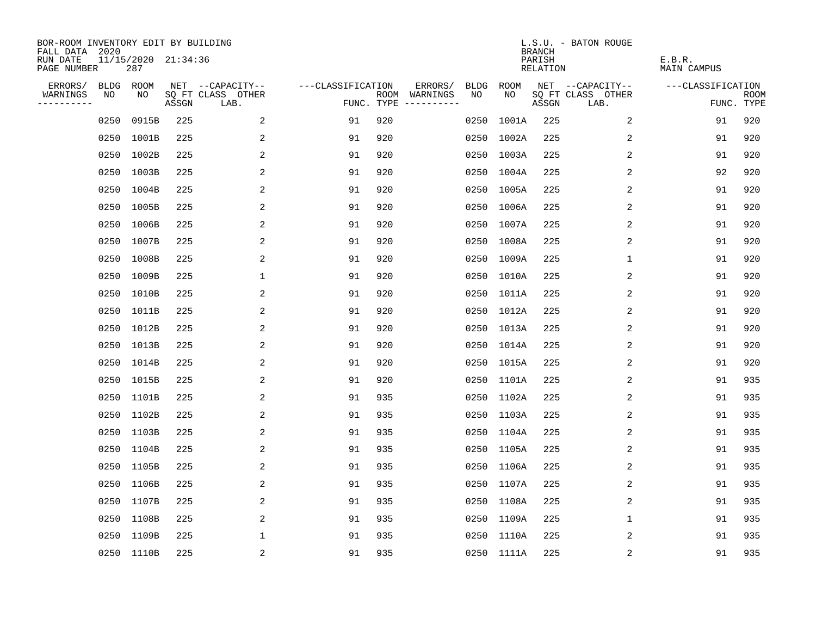| BOR-ROOM INVENTORY EDIT BY BUILDING<br>FALL DATA 2020 |                            |       |                           |                   |            |                              |             |             | <b>BRANCH</b>             | L.S.U. - BATON ROUGE      |                              |                           |
|-------------------------------------------------------|----------------------------|-------|---------------------------|-------------------|------------|------------------------------|-------------|-------------|---------------------------|---------------------------|------------------------------|---------------------------|
| RUN DATE<br>PAGE NUMBER                               | 11/15/2020 21:34:36<br>287 |       |                           |                   |            |                              |             |             | PARISH<br><b>RELATION</b> |                           | E.B.R.<br><b>MAIN CAMPUS</b> |                           |
| ERRORS/<br><b>BLDG</b>                                | ROOM                       |       | NET --CAPACITY--          | ---CLASSIFICATION |            | ERRORS/                      | <b>BLDG</b> | <b>ROOM</b> |                           | NET --CAPACITY--          | ---CLASSIFICATION            |                           |
| NO<br>WARNINGS<br>----------                          | NO.                        | ASSGN | SQ FT CLASS OTHER<br>LAB. |                   | FUNC. TYPE | ROOM WARNINGS<br>----------- | NO          | NO          | ASSGN                     | SQ FT CLASS OTHER<br>LAB. |                              | <b>ROOM</b><br>FUNC. TYPE |
| 0250                                                  | 0915B                      | 225   | 2                         | 91                | 920        |                              | 0250        | 1001A       | 225                       | 2                         | 91                           | 920                       |
| 0250                                                  | 1001B                      | 225   | 2                         | 91                | 920        |                              | 0250        | 1002A       | 225                       | 2                         | 91                           | 920                       |
| 0250                                                  | 1002B                      | 225   | 2                         | 91                | 920        |                              | 0250        | 1003A       | 225                       | 2                         | 91                           | 920                       |
| 0250                                                  | 1003B                      | 225   | 2                         | 91                | 920        |                              |             | 0250 1004A  | 225                       | 2                         | 92                           | 920                       |
| 0250                                                  | 1004B                      | 225   | 2                         | 91                | 920        |                              |             | 0250 1005A  | 225                       | 2                         | 91                           | 920                       |
| 0250                                                  | 1005B                      | 225   | 2                         | 91                | 920        |                              |             | 0250 1006A  | 225                       | 2                         | 91                           | 920                       |
| 0250                                                  | 1006B                      | 225   | $\overline{2}$            | 91                | 920        |                              |             | 0250 1007A  | 225                       | $\overline{2}$            | 91                           | 920                       |
| 0250                                                  | 1007B                      | 225   | 2                         | 91                | 920        |                              |             | 0250 1008A  | 225                       | 2                         | 91                           | 920                       |
| 0250                                                  | 1008B                      | 225   | 2                         | 91                | 920        |                              |             | 0250 1009A  | 225                       | $\mathbf{1}$              | 91                           | 920                       |
|                                                       | 0250 1009B                 | 225   | 1                         | 91                | 920        |                              |             | 0250 1010A  | 225                       | 2                         | 91                           | 920                       |
| 0250                                                  | 1010B                      | 225   | 2                         | 91                | 920        |                              |             | 0250 1011A  | 225                       | 2                         | 91                           | 920                       |
| 0250                                                  | 1011B                      | 225   | 2                         | 91                | 920        |                              |             | 0250 1012A  | 225                       | 2                         | 91                           | 920                       |
| 0250                                                  | 1012B                      | 225   | 2                         | 91                | 920        |                              |             | 0250 1013A  | 225                       | 2                         | 91                           | 920                       |
| 0250                                                  | 1013B                      | 225   | 2                         | 91                | 920        |                              |             | 0250 1014A  | 225                       | 2                         | 91                           | 920                       |
| 0250                                                  | 1014B                      | 225   | 2                         | 91                | 920        |                              |             | 0250 1015A  | 225                       | 2                         | 91                           | 920                       |
| 0250                                                  | 1015B                      | 225   | 2                         | 91                | 920        |                              |             | 0250 1101A  | 225                       | 2                         | 91                           | 935                       |
| 0250                                                  | 1101B                      | 225   | 2                         | 91                | 935        |                              |             | 0250 1102A  | 225                       | 2                         | 91                           | 935                       |
| 0250                                                  | 1102B                      | 225   | 2                         | 91                | 935        |                              |             | 0250 1103A  | 225                       | 2                         | 91                           | 935                       |
|                                                       | 0250 1103B                 | 225   | $\overline{a}$            | 91                | 935        |                              |             | 0250 1104A  | 225                       | 2                         | 91                           | 935                       |
| 0250                                                  | 1104B                      | 225   | 2                         | 91                | 935        |                              |             | 0250 1105A  | 225                       | 2                         | 91                           | 935                       |
| 0250                                                  | 1105B                      | 225   | 2                         | 91                | 935        |                              |             | 0250 1106A  | 225                       | 2                         | 91                           | 935                       |
| 0250                                                  | 1106B                      | 225   | 2                         | 91                | 935        |                              |             | 0250 1107A  | 225                       | 2                         | 91                           | 935                       |
|                                                       | 0250 1107B                 | 225   | 2                         | 91                | 935        |                              |             | 0250 1108A  | 225                       | 2                         | 91                           | 935                       |
| 0250                                                  | 1108B                      | 225   | 2                         | 91                | 935        |                              |             | 0250 1109A  | 225                       | $\mathbf 1$               | 91                           | 935                       |
|                                                       | 0250 1109B                 | 225   | $\mathbf{1}$              | 91                | 935        |                              |             | 0250 1110A  | 225                       | $\overline{2}$            | 91                           | 935                       |
|                                                       | 0250 1110B                 | 225   | $\overline{2}$            | 91                | 935        |                              |             | 0250 1111A  | 225                       | 2                         | 91                           | 935                       |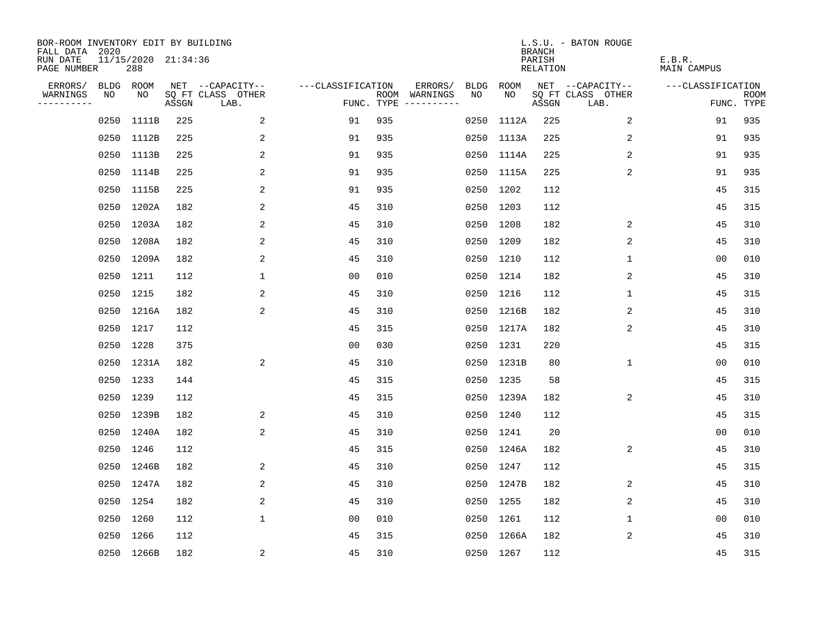| BOR-ROOM INVENTORY EDIT BY BUILDING<br>FALL DATA 2020 |      |                            |       |                           |                   |     |                                      |      |            | <b>BRANCH</b>      | L.S.U. - BATON ROUGE      |                       |                           |
|-------------------------------------------------------|------|----------------------------|-------|---------------------------|-------------------|-----|--------------------------------------|------|------------|--------------------|---------------------------|-----------------------|---------------------------|
| RUN DATE<br>PAGE NUMBER                               |      | 11/15/2020 21:34:36<br>288 |       |                           |                   |     |                                      |      |            | PARISH<br>RELATION |                           | E.B.R.<br>MAIN CAMPUS |                           |
| ERRORS/                                               |      | BLDG ROOM                  |       | NET --CAPACITY--          | ---CLASSIFICATION |     | ERRORS/                              | BLDG | ROOM       |                    | NET --CAPACITY--          | ---CLASSIFICATION     |                           |
| WARNINGS<br>----------                                | NO   | NO.                        | ASSGN | SQ FT CLASS OTHER<br>LAB. |                   |     | ROOM WARNINGS<br>FUNC. TYPE $------$ | NO   | NO.        | ASSGN              | SQ FT CLASS OTHER<br>LAB. |                       | <b>ROOM</b><br>FUNC. TYPE |
|                                                       | 0250 | 1111B                      | 225   | 2                         | 91                | 935 |                                      | 0250 | 1112A      | 225                | 2                         | 91                    | 935                       |
|                                                       |      | 0250 1112B                 | 225   | 2                         | 91                | 935 |                                      |      | 0250 1113A | 225                | 2                         | 91                    | 935                       |
|                                                       |      | 0250 1113B                 | 225   | 2                         | 91                | 935 |                                      |      | 0250 1114A | 225                | 2                         | 91                    | 935                       |
|                                                       |      | 0250 1114B                 | 225   | 2                         | 91                | 935 |                                      |      | 0250 1115A | 225                | 2                         | 91                    | 935                       |
|                                                       |      | 0250 1115B                 | 225   | 2                         | 91                | 935 |                                      |      | 0250 1202  | 112                |                           | 45                    | 315                       |
|                                                       |      | 0250 1202A                 | 182   | 2                         | 45                | 310 |                                      |      | 0250 1203  | 112                |                           | 45                    | 315                       |
|                                                       |      | 0250 1203A                 | 182   | 2                         | 45                | 310 |                                      |      | 0250 1208  | 182                | 2                         | 45                    | 310                       |
|                                                       |      | 0250 1208A                 | 182   | 2                         | 45                | 310 |                                      |      | 0250 1209  | 182                | $\overline{2}$            | 45                    | 310                       |
|                                                       |      | 0250 1209A                 | 182   | 2                         | 45                | 310 |                                      |      | 0250 1210  | 112                | 1                         | 0 <sub>0</sub>        | 010                       |
|                                                       |      | 0250 1211                  | 112   | $\mathbf{1}$              | 0 <sub>0</sub>    | 010 |                                      |      | 0250 1214  | 182                | 2                         | 45                    | 310                       |
|                                                       |      | 0250 1215                  | 182   | 2                         | 45                | 310 |                                      |      | 0250 1216  | 112                | $\mathbf{1}$              | 45                    | 315                       |
|                                                       |      | 0250 1216A                 | 182   | $\overline{a}$            | 45                | 310 |                                      |      | 0250 1216B | 182                | 2                         | 45                    | 310                       |
|                                                       |      | 0250 1217                  | 112   |                           | 45                | 315 |                                      |      | 0250 1217A | 182                | 2                         | 45                    | 310                       |
|                                                       |      | 0250 1228                  | 375   |                           | 00                | 030 |                                      |      | 0250 1231  | 220                |                           | 45                    | 315                       |
|                                                       |      | 0250 1231A                 | 182   | $\overline{a}$            | 45                | 310 |                                      |      | 0250 1231B | 80                 | 1                         | 0 <sub>0</sub>        | 010                       |
|                                                       |      | 0250 1233                  | 144   |                           | 45                | 315 |                                      |      | 0250 1235  | 58                 |                           | 45                    | 315                       |
|                                                       |      | 0250 1239                  | 112   |                           | 45                | 315 |                                      |      | 0250 1239A | 182                | 2                         | 45                    | 310                       |
|                                                       |      | 0250 1239B                 | 182   | 2                         | 45                | 310 |                                      |      | 0250 1240  | 112                |                           | 45                    | 315                       |
|                                                       |      | 0250 1240A                 | 182   | 2                         | 45                | 310 |                                      |      | 0250 1241  | 20                 |                           | 0 <sub>0</sub>        | 010                       |
|                                                       |      | 0250 1246                  | 112   |                           | 45                | 315 |                                      |      | 0250 1246A | 182                | 2                         | 45                    | 310                       |
|                                                       |      | 0250 1246B                 | 182   | 2                         | 45                | 310 |                                      |      | 0250 1247  | 112                |                           | 45                    | 315                       |
|                                                       |      | 0250 1247A                 | 182   | 2                         | 45                | 310 |                                      |      | 0250 1247B | 182                | 2                         | 45                    | 310                       |
|                                                       |      | 0250 1254                  | 182   | 2                         | 45                | 310 |                                      |      | 0250 1255  | 182                | 2                         | 45                    | 310                       |
|                                                       |      | 0250 1260                  | 112   | $\mathbf{1}$              | 00                | 010 |                                      |      | 0250 1261  | 112                | 1                         | 00                    | 010                       |
|                                                       |      | 0250 1266                  | 112   |                           | 45                | 315 |                                      |      | 0250 1266A | 182                | 2                         | 45                    | 310                       |
|                                                       |      | 0250 1266B                 | 182   | $\overline{a}$            | 45                | 310 |                                      |      | 0250 1267  | 112                |                           | 45                    | 315                       |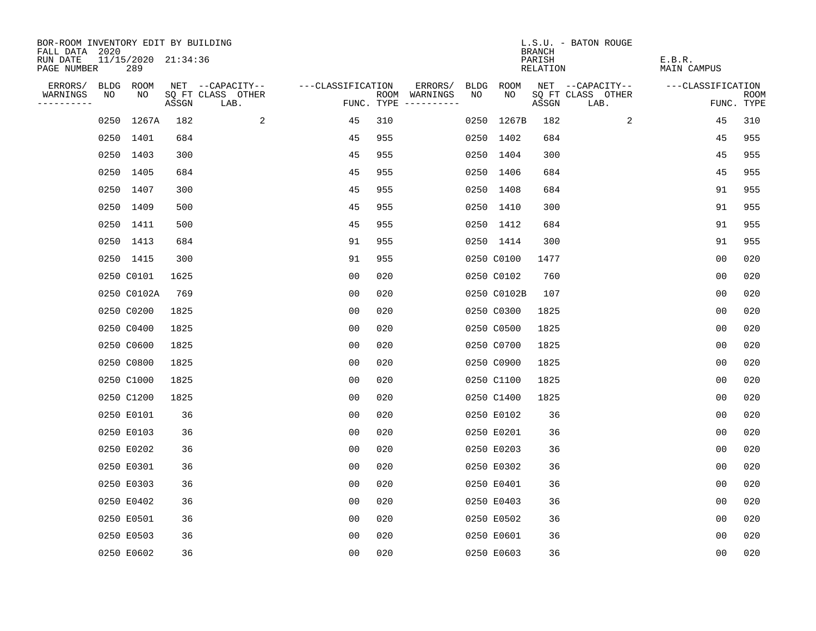| BOR-ROOM INVENTORY EDIT BY BUILDING<br>FALL DATA 2020 |      |                            |       |                           |                   |     |                                      |      |             | <b>BRANCH</b>      | L.S.U. - BATON ROUGE      |                              |                           |
|-------------------------------------------------------|------|----------------------------|-------|---------------------------|-------------------|-----|--------------------------------------|------|-------------|--------------------|---------------------------|------------------------------|---------------------------|
| RUN DATE<br>PAGE NUMBER                               |      | 11/15/2020 21:34:36<br>289 |       |                           |                   |     |                                      |      |             | PARISH<br>RELATION |                           | E.B.R.<br><b>MAIN CAMPUS</b> |                           |
| ERRORS/                                               |      | BLDG ROOM                  |       | NET --CAPACITY--          | ---CLASSIFICATION |     | ERRORS/                              | BLDG | <b>ROOM</b> |                    | NET --CAPACITY--          | ---CLASSIFICATION            |                           |
| WARNINGS<br>----------                                | NO   | NO                         | ASSGN | SQ FT CLASS OTHER<br>LAB. |                   |     | ROOM WARNINGS<br>FUNC. TYPE $------$ | NO   | NO          | ASSGN              | SQ FT CLASS OTHER<br>LAB. |                              | <b>ROOM</b><br>FUNC. TYPE |
|                                                       | 0250 | 1267A                      | 182   | 2                         | 45                | 310 |                                      |      | 0250 1267B  | 182                | 2                         | 45                           | 310                       |
|                                                       |      | 0250 1401                  | 684   |                           | 45                | 955 |                                      |      | 0250 1402   | 684                |                           | 45                           | 955                       |
|                                                       |      | 0250 1403                  | 300   |                           | 45                | 955 |                                      |      | 0250 1404   | 300                |                           | 45                           | 955                       |
|                                                       |      | 0250 1405                  | 684   |                           | 45                | 955 |                                      |      | 0250 1406   | 684                |                           | 45                           | 955                       |
|                                                       |      | 0250 1407                  | 300   |                           | 45                | 955 |                                      |      | 0250 1408   | 684                |                           | 91                           | 955                       |
|                                                       |      | 0250 1409                  | 500   |                           | 45                | 955 |                                      |      | 0250 1410   | 300                |                           | 91                           | 955                       |
|                                                       |      | 0250 1411                  | 500   |                           | 45                | 955 |                                      |      | 0250 1412   | 684                |                           | 91                           | 955                       |
|                                                       |      | 0250 1413                  | 684   |                           | 91                | 955 |                                      |      | 0250 1414   | 300                |                           | 91                           | 955                       |
|                                                       |      | 0250 1415                  | 300   |                           | 91                | 955 |                                      |      | 0250 C0100  | 1477               |                           | 0 <sub>0</sub>               | 020                       |
|                                                       |      | 0250 C0101                 | 1625  |                           | 0 <sub>0</sub>    | 020 |                                      |      | 0250 C0102  | 760                |                           | 0 <sub>0</sub>               | 020                       |
|                                                       |      | 0250 C0102A                | 769   |                           | 00                | 020 |                                      |      | 0250 C0102B | 107                |                           | 0 <sub>0</sub>               | 020                       |
|                                                       |      | 0250 C0200                 | 1825  |                           | 0 <sub>0</sub>    | 020 |                                      |      | 0250 C0300  | 1825               |                           | 0 <sub>0</sub>               | 020                       |
|                                                       |      | 0250 C0400                 | 1825  |                           | 0 <sub>0</sub>    | 020 |                                      |      | 0250 C0500  | 1825               |                           | 0 <sub>0</sub>               | 020                       |
|                                                       |      | 0250 C0600                 | 1825  |                           | 00                | 020 |                                      |      | 0250 C0700  | 1825               |                           | 00                           | 020                       |
|                                                       |      | 0250 C0800                 | 1825  |                           | 0 <sub>0</sub>    | 020 |                                      |      | 0250 C0900  | 1825               |                           | 0 <sub>0</sub>               | 020                       |
|                                                       |      | 0250 C1000                 | 1825  |                           | 0 <sub>0</sub>    | 020 |                                      |      | 0250 C1100  | 1825               |                           | 0 <sub>0</sub>               | 020                       |
|                                                       |      | 0250 C1200                 | 1825  |                           | 0 <sub>0</sub>    | 020 |                                      |      | 0250 C1400  | 1825               |                           | 0 <sub>0</sub>               | 020                       |
|                                                       |      | 0250 E0101                 | 36    |                           | 0 <sub>0</sub>    | 020 |                                      |      | 0250 E0102  | 36                 |                           | 0 <sub>0</sub>               | 020                       |
|                                                       |      | 0250 E0103                 | 36    |                           | 0 <sub>0</sub>    | 020 |                                      |      | 0250 E0201  | 36                 |                           | 0 <sub>0</sub>               | 020                       |
|                                                       |      | 0250 E0202                 | 36    |                           | 0 <sub>0</sub>    | 020 |                                      |      | 0250 E0203  | 36                 |                           | 0 <sub>0</sub>               | 020                       |
|                                                       |      | 0250 E0301                 | 36    |                           | 0 <sub>0</sub>    | 020 |                                      |      | 0250 E0302  | 36                 |                           | 0 <sub>0</sub>               | 020                       |
|                                                       |      | 0250 E0303                 | 36    |                           | 0 <sub>0</sub>    | 020 |                                      |      | 0250 E0401  | 36                 |                           | 0 <sub>0</sub>               | 020                       |
|                                                       |      | 0250 E0402                 | 36    |                           | 0 <sub>0</sub>    | 020 |                                      |      | 0250 E0403  | 36                 |                           | 0 <sub>0</sub>               | 020                       |
|                                                       |      | 0250 E0501                 | 36    |                           | 0 <sub>0</sub>    | 020 |                                      |      | 0250 E0502  | 36                 |                           | 0 <sub>0</sub>               | 020                       |
|                                                       |      | 0250 E0503                 | 36    |                           | 0 <sub>0</sub>    | 020 |                                      |      | 0250 E0601  | 36                 |                           | 0 <sub>0</sub>               | 020                       |
|                                                       |      | 0250 E0602                 | 36    |                           | 0 <sub>0</sub>    | 020 |                                      |      | 0250 E0603  | 36                 |                           | 0 <sub>0</sub>               | 020                       |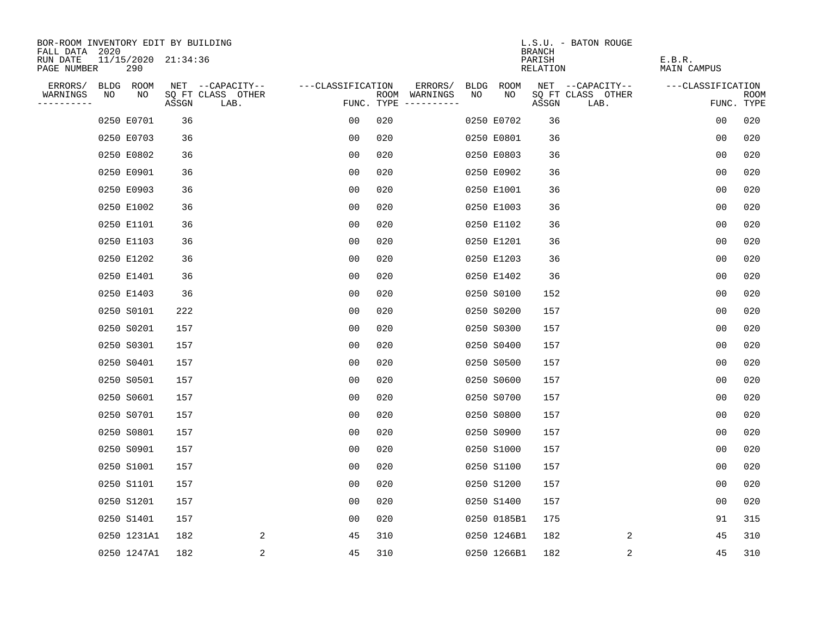| BOR-ROOM INVENTORY EDIT BY BUILDING<br>FALL DATA 2020 |     |       |                           |                   |                                      |    |             | L.S.U. - BATON ROUGE<br><b>BRANCH</b> |                |                       |      |
|-------------------------------------------------------|-----|-------|---------------------------|-------------------|--------------------------------------|----|-------------|---------------------------------------|----------------|-----------------------|------|
| RUN DATE<br>11/15/2020 21:34:36<br>PAGE NUMBER        | 290 |       |                           |                   |                                      |    |             | PARISH<br>RELATION                    |                | E.B.R.<br>MAIN CAMPUS |      |
| ERRORS/<br>BLDG ROOM                                  |     |       | NET --CAPACITY--          | ---CLASSIFICATION | ERRORS/                              |    | BLDG ROOM   | NET --CAPACITY--                      |                | ---CLASSIFICATION     |      |
| WARNINGS<br>NO<br>----------                          | NO  | ASSGN | SQ FT CLASS OTHER<br>LAB. |                   | ROOM WARNINGS<br>FUNC. TYPE $------$ | NO | NO.         | SQ FT CLASS OTHER<br>ASSGN            | LAB.           | FUNC. TYPE            | ROOM |
| 0250 E0701                                            |     | 36    |                           | 00                | 020                                  |    | 0250 E0702  | 36                                    |                | 00                    | 020  |
| 0250 E0703                                            |     | 36    |                           | 0 <sub>0</sub>    | 020                                  |    | 0250 E0801  | 36                                    |                | 0 <sub>0</sub>        | 020  |
| 0250 E0802                                            |     | 36    |                           | 0 <sub>0</sub>    | 020                                  |    | 0250 E0803  | 36                                    |                | 0 <sub>0</sub>        | 020  |
| 0250 E0901                                            |     | 36    |                           | 0 <sub>0</sub>    | 020                                  |    | 0250 E0902  | 36                                    |                | 0 <sub>0</sub>        | 020  |
| 0250 E0903                                            |     | 36    |                           | 0 <sub>0</sub>    | 020                                  |    | 0250 E1001  | 36                                    |                | 0 <sub>0</sub>        | 020  |
| 0250 E1002                                            |     | 36    |                           | 0 <sub>0</sub>    | 020                                  |    | 0250 E1003  | 36                                    |                | 0 <sub>0</sub>        | 020  |
| 0250 E1101                                            |     | 36    |                           | 00                | 020                                  |    | 0250 E1102  | 36                                    |                | 00                    | 020  |
| 0250 E1103                                            |     | 36    |                           | 0 <sub>0</sub>    | 020                                  |    | 0250 E1201  | 36                                    |                | 0 <sub>0</sub>        | 020  |
| 0250 E1202                                            |     | 36    |                           | 0 <sub>0</sub>    | 020                                  |    | 0250 E1203  | 36                                    |                | 00                    | 020  |
| 0250 E1401                                            |     | 36    |                           | 0 <sub>0</sub>    | 020                                  |    | 0250 E1402  | 36                                    |                | 0 <sub>0</sub>        | 020  |
| 0250 E1403                                            |     | 36    |                           | 0 <sub>0</sub>    | 020                                  |    | 0250 S0100  | 152                                   |                | 0 <sub>0</sub>        | 020  |
| 0250 S0101                                            |     | 222   |                           | 0 <sub>0</sub>    | 020                                  |    | 0250 S0200  | 157                                   |                | 0 <sub>0</sub>        | 020  |
| 0250 S0201                                            |     | 157   |                           | 00                | 020                                  |    | 0250 S0300  | 157                                   |                | 0 <sub>0</sub>        | 020  |
| 0250 S0301                                            |     | 157   |                           | 0 <sub>0</sub>    | 020                                  |    | 0250 S0400  | 157                                   |                | 0 <sub>0</sub>        | 020  |
| 0250 S0401                                            |     | 157   |                           | 0 <sub>0</sub>    | 020                                  |    | 0250 S0500  | 157                                   |                | 0 <sub>0</sub>        | 020  |
| 0250 S0501                                            |     | 157   |                           | 0 <sub>0</sub>    | 020                                  |    | 0250 S0600  | 157                                   |                | 0 <sub>0</sub>        | 020  |
| 0250 S0601                                            |     | 157   |                           | 00                | 020                                  |    | 0250 S0700  | 157                                   |                | 0 <sub>0</sub>        | 020  |
| 0250 S0701                                            |     | 157   |                           | 0 <sub>0</sub>    | 020                                  |    | 0250 S0800  | 157                                   |                | 0 <sub>0</sub>        | 020  |
| 0250 S0801                                            |     | 157   |                           | 0 <sub>0</sub>    | 020                                  |    | 0250 S0900  | 157                                   |                | 0 <sub>0</sub>        | 020  |
| 0250 S0901                                            |     | 157   |                           | 0 <sub>0</sub>    | 020                                  |    | 0250 S1000  | 157                                   |                | 00                    | 020  |
| 0250 S1001                                            |     | 157   |                           | 0 <sub>0</sub>    | 020                                  |    | 0250 S1100  | 157                                   |                | 0 <sub>0</sub>        | 020  |
| 0250 S1101                                            |     | 157   |                           | 00                | 020                                  |    | 0250 S1200  | 157                                   |                | 0 <sub>0</sub>        | 020  |
| 0250 S1201                                            |     | 157   |                           | 0 <sub>0</sub>    | 020                                  |    | 0250 S1400  | 157                                   |                | 0 <sub>0</sub>        | 020  |
| 0250 S1401                                            |     | 157   |                           | 0 <sub>0</sub>    | 020                                  |    | 0250 0185B1 | 175                                   |                | 91                    | 315  |
| 0250 1231A1                                           |     | 182   | 2                         | 45                | 310                                  |    | 0250 1246B1 | 182                                   | 2              | 45                    | 310  |
| 0250 1247A1                                           |     | 182   | $\overline{\mathbf{c}}$   | 45                | 310                                  |    | 0250 1266B1 | 182                                   | $\overline{c}$ | 45                    | 310  |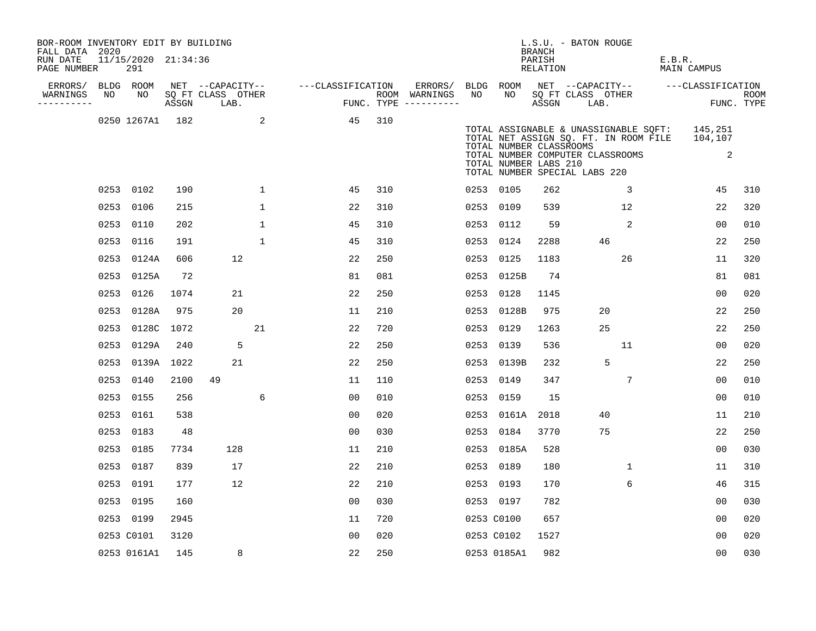| BOR-ROOM INVENTORY EDIT BY BUILDING<br>FALL DATA 2020 |    |                            |      |                                 |              |                   |                                      |      |                                                  | BRANCH             | L.S.U. - BATON ROUGE                                              |                                                                                                |        |                                    |                    |
|-------------------------------------------------------|----|----------------------------|------|---------------------------------|--------------|-------------------|--------------------------------------|------|--------------------------------------------------|--------------------|-------------------------------------------------------------------|------------------------------------------------------------------------------------------------|--------|------------------------------------|--------------------|
| RUN DATE<br>PAGE NUMBER                               |    | 11/15/2020 21:34:36<br>291 |      |                                 |              |                   |                                      |      |                                                  | PARISH<br>RELATION |                                                                   |                                                                                                | E.B.R. | MAIN CAMPUS                        |                    |
| ERRORS/                                               |    | BLDG ROOM                  |      | NET --CAPACITY--                |              | ---CLASSIFICATION | ERRORS/                              |      | BLDG ROOM                                        |                    |                                                                   |                                                                                                |        | NET --CAPACITY-- ---CLASSIFICATION |                    |
| WARNINGS<br>-----------                               | NO | NO                         |      | SQ FT CLASS OTHER<br>ASSGN LAB. |              |                   | ROOM WARNINGS<br>FUNC. TYPE $------$ | NO   | NO                                               | ASSGN              | SQ FT CLASS OTHER<br>LAB.                                         |                                                                                                |        |                                    | ROOM<br>FUNC. TYPE |
|                                                       |    | 0250 1267A1 182            |      |                                 | 2            | 45                | 310                                  |      | TOTAL NUMBER CLASSROOMS<br>TOTAL NUMBER LABS 210 |                    | TOTAL NUMBER COMPUTER CLASSROOMS<br>TOTAL NUMBER SPECIAL LABS 220 | TOTAL ASSIGNABLE & UNASSIGNABLE SOFT: 145,251<br>TOTAL NET ASSIGN SQ. FT. IN ROOM FILE 104,107 |        | 2                                  |                    |
|                                                       |    | 0253 0102                  | 190  |                                 | $\mathbf{1}$ | 45                | 310                                  |      | 0253 0105                                        | 262                |                                                                   | $\overline{3}$                                                                                 |        | 45                                 | 310                |
|                                                       |    | 0253 0106                  | 215  |                                 | $\mathbf{1}$ | 22                | 310                                  |      | 0253 0109                                        | 539                |                                                                   | 12                                                                                             |        | 22                                 | 320                |
|                                                       |    | 0253 0110                  | 202  |                                 | $\mathbf{1}$ | 45                | 310                                  |      | 0253 0112                                        | 59                 |                                                                   | 2                                                                                              |        | 00                                 | 010                |
|                                                       |    | 0253 0116                  | 191  |                                 | $\mathbf{1}$ | 45                | 310                                  |      | 0253 0124                                        | 2288               | 46                                                                |                                                                                                |        | 22                                 | 250                |
|                                                       |    | 0253 0124A                 | 606  | 12                              |              | 22                | 250                                  | 0253 | 0125                                             | 1183               |                                                                   | 26                                                                                             |        | 11                                 | 320                |
|                                                       |    | 0253 0125A                 | 72   |                                 |              | 81                | 081                                  |      | 0253 0125B                                       | 74                 |                                                                   |                                                                                                |        | 81                                 | 081                |
|                                                       |    | 0253 0126                  | 1074 | 21                              |              | 22                | 250                                  |      | 0253 0128                                        | 1145               |                                                                   |                                                                                                |        | 0 <sub>0</sub>                     | 020                |
|                                                       |    | 0253 0128A                 | 975  | 20                              |              | 11                | 210                                  |      | 0253 0128B                                       | 975                | 20                                                                |                                                                                                |        | 22                                 | 250                |
|                                                       |    | 0253 0128C                 | 1072 |                                 | 21           | 22                | 720                                  | 0253 | 0129                                             | 1263               | 25                                                                |                                                                                                |        | 22                                 | 250                |
|                                                       |    | 0253 0129A                 | 240  | 5                               |              | 22                | 250                                  |      | 0253 0139                                        | 536                |                                                                   | 11                                                                                             |        | 0 <sub>0</sub>                     | 020                |
|                                                       |    | 0253 0139A 1022            |      | 21                              |              | 22                | 250                                  |      | 0253 0139B                                       | 232                |                                                                   | 5                                                                                              |        | 22                                 | 250                |
|                                                       |    | 0253 0140                  | 2100 | 49                              |              | 11                | 110                                  |      | 0253 0149                                        | 347                |                                                                   | $7\overline{ }$                                                                                |        | 0 <sub>0</sub>                     | 010                |
|                                                       |    | 0253 0155                  | 256  |                                 | 6            | 0 <sub>0</sub>    | 010                                  |      | 0253 0159                                        | 15                 |                                                                   |                                                                                                |        | 00                                 | 010                |
|                                                       |    | 0253 0161                  | 538  |                                 |              | 0 <sub>0</sub>    | 020                                  |      | 0253 0161A                                       | 2018               | 40                                                                |                                                                                                |        | 11                                 | 210                |
|                                                       |    | 0253 0183                  | 48   |                                 |              | 0 <sub>0</sub>    | 030                                  |      | 0253 0184                                        | 3770               | 75                                                                |                                                                                                |        | 22                                 | 250                |
|                                                       |    | 0253 0185                  | 7734 | 128                             |              | 11                | 210                                  |      | 0253 0185A                                       | 528                |                                                                   |                                                                                                |        | 0 <sub>0</sub>                     | 030                |
|                                                       |    | 0253 0187                  | 839  | 17                              |              | 22                | 210                                  |      | 0253 0189                                        | 180                |                                                                   | 1                                                                                              |        | 11                                 | 310                |
|                                                       |    | 0253 0191                  | 177  | 12                              |              | 22                | 210                                  |      | 0253 0193                                        | 170                |                                                                   | 6                                                                                              |        | 46                                 | 315                |
|                                                       |    | 0253 0195                  | 160  |                                 |              | 00                | 030                                  |      | 0253 0197                                        | 782                |                                                                   |                                                                                                |        | 00                                 | 030                |
|                                                       |    | 0253 0199                  | 2945 |                                 |              | 11                | 720                                  |      | 0253 C0100                                       | 657                |                                                                   |                                                                                                |        | 0 <sub>0</sub>                     | 020                |
|                                                       |    | 0253 C0101                 | 3120 |                                 |              | 0 <sub>0</sub>    | 020                                  |      | 0253 C0102                                       | 1527               |                                                                   |                                                                                                |        | 0 <sub>0</sub>                     | 020                |
|                                                       |    | 0253 0161A1                | 145  | 8                               |              | 22                | 250                                  |      | 0253 0185A1                                      | 982                |                                                                   |                                                                                                |        | 0 <sub>0</sub>                     | 030                |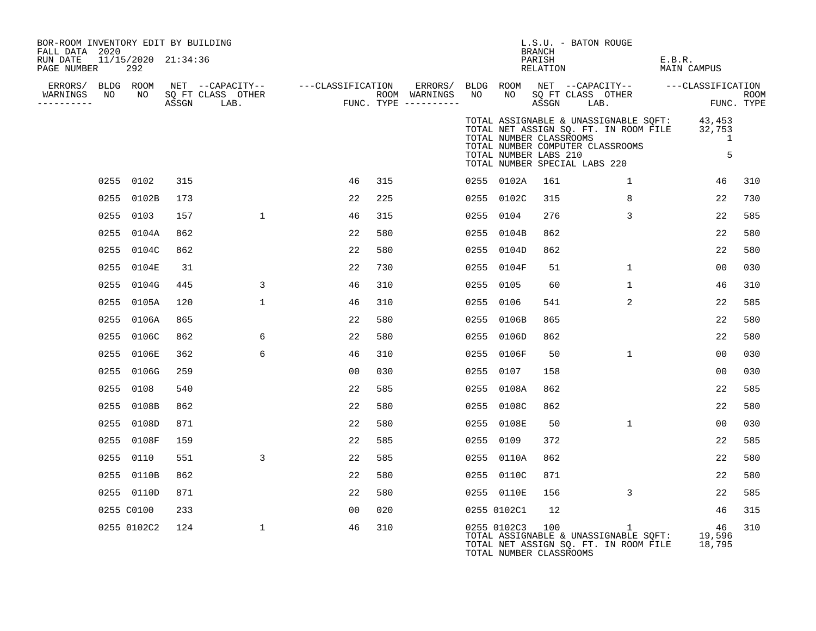| BOR-ROOM INVENTORY EDIT BY BUILDING<br>FALL DATA 2020 |                            |     |              |                                                                                                                                                            |     |      |                                                  | BRANCH             | L.S.U. - BATON ROUGE                                                                                                                                              |                       |             |
|-------------------------------------------------------|----------------------------|-----|--------------|------------------------------------------------------------------------------------------------------------------------------------------------------------|-----|------|--------------------------------------------------|--------------------|-------------------------------------------------------------------------------------------------------------------------------------------------------------------|-----------------------|-------------|
| RUN DATE<br>PAGE NUMBER                               | 11/15/2020 21:34:36<br>292 |     |              |                                                                                                                                                            |     |      |                                                  | PARISH<br>RELATION |                                                                                                                                                                   | E.B.R.<br>MAIN CAMPUS |             |
|                                                       |                            |     |              |                                                                                                                                                            |     |      |                                                  |                    | BLDG ROOM NET --CAPACITY-- ---CLASSIFICATION                                                                                                                      |                       |             |
| WARNINGS<br>----------                                |                            |     |              | ERRORS/ BLDG ROOM NET --CAPACITY-- ---CLASSIFICATION ERRORS/<br>VARNINGS NO NO SQFTCLASS OTHER ROOM WARNINGS<br>--------- ASSGN LAB. FUNC. TYPE ---------- |     | NO   | NO                                               |                    | SQ FT CLASS OTHER<br>ASSGN LAB.                                                                                                                                   | FUNC. TYPE            | <b>ROOM</b> |
|                                                       |                            |     |              |                                                                                                                                                            |     |      | TOTAL NUMBER CLASSROOMS<br>TOTAL NUMBER LABS 210 |                    | TOTAL ASSIGNABLE & UNASSIGNABLE SQFT: 43,453<br>TOTAL NET ASSIGN SQ. FT. IN ROOM FILE 32,753<br>TOTAL NUMBER COMPUTER CLASSROOMS<br>TOTAL NUMBER SPECIAL LABS 220 | 1<br>5                |             |
|                                                       | 0255 0102                  | 315 |              | 46                                                                                                                                                         | 315 |      | 0255 0102A                                       | 161                | $\mathbf{1}$                                                                                                                                                      | 46                    | 310         |
|                                                       | 0255 0102B                 | 173 |              | 22                                                                                                                                                         | 225 |      | 0255 0102C                                       | 315                | 8                                                                                                                                                                 | 22                    | 730         |
|                                                       | 0255 0103                  | 157 | $\mathbf{1}$ | 46                                                                                                                                                         | 315 |      | 0255 0104                                        | 276                | $\mathbf{3}$                                                                                                                                                      | 22                    | 585         |
|                                                       | 0255 0104A                 | 862 |              | 22                                                                                                                                                         | 580 |      | 0255 0104B                                       | 862                |                                                                                                                                                                   | 22                    | 580         |
|                                                       | 0255 0104C                 | 862 |              | 22                                                                                                                                                         | 580 |      | 0255 0104D                                       | 862                |                                                                                                                                                                   | 22                    | 580         |
|                                                       | 0255 0104E                 | 31  |              | 22                                                                                                                                                         | 730 |      | 0255 0104F                                       | 51                 | $\mathbf{1}$                                                                                                                                                      | 00                    | 030         |
|                                                       | 0255 0104G                 | 445 | 3            | 46                                                                                                                                                         | 310 |      | 0255 0105                                        | 60                 | $\mathbf{1}$                                                                                                                                                      | 46                    | 310         |
|                                                       | 0255 0105A                 | 120 | $\mathbf{1}$ | 46                                                                                                                                                         | 310 |      | 0255 0106                                        | 541                | $\overline{2}$                                                                                                                                                    | 22                    | 585         |
|                                                       | 0255 0106A                 | 865 |              | 22                                                                                                                                                         | 580 |      | 0255 0106B                                       | 865                |                                                                                                                                                                   | 22                    | 580         |
|                                                       | 0255 0106C                 | 862 | 6            | 22                                                                                                                                                         | 580 |      | 0255 0106D                                       | 862                |                                                                                                                                                                   | 22                    | 580         |
|                                                       | 0255 0106E                 | 362 | 6            | 46                                                                                                                                                         | 310 |      | 0255 0106F                                       | 50                 | $\mathbf{1}$                                                                                                                                                      | 00                    | 030         |
|                                                       | 0255 0106G                 | 259 |              | 00                                                                                                                                                         | 030 |      | 0255 0107                                        | 158                |                                                                                                                                                                   | 00                    | 030         |
|                                                       | 0255 0108                  | 540 |              | 22                                                                                                                                                         | 585 | 0255 | 0108A                                            | 862                |                                                                                                                                                                   | 22                    | 585         |
|                                                       | 0255 0108B                 | 862 |              | 22                                                                                                                                                         | 580 |      | 0255 0108C                                       | 862                |                                                                                                                                                                   | 22                    | 580         |
|                                                       | 0255 0108D                 | 871 |              | 22                                                                                                                                                         | 580 |      | 0255 0108E                                       | 50                 | $\mathbf{1}$                                                                                                                                                      | 0 <sub>0</sub>        | 030         |
|                                                       | 0255 0108F                 | 159 |              | 22                                                                                                                                                         | 585 |      | 0255 0109                                        | 372                |                                                                                                                                                                   | 22                    | 585         |
|                                                       | 0255 0110                  | 551 | 3            | 22                                                                                                                                                         | 585 |      | 0255 0110A                                       | 862                |                                                                                                                                                                   | 22                    | 580         |
|                                                       | 0255 0110B                 | 862 |              | 22                                                                                                                                                         | 580 |      | 0255 0110C                                       | 871                |                                                                                                                                                                   | 22                    | 580         |
|                                                       | 0255 0110D                 | 871 |              | 22                                                                                                                                                         | 580 |      | 0255 0110E                                       | 156                | 3                                                                                                                                                                 | 22                    | 585         |
|                                                       | 0255 C0100                 | 233 |              | 0 <sub>0</sub>                                                                                                                                             | 020 |      | 0255 0102C1                                      | 12                 |                                                                                                                                                                   | 46                    | 315         |
|                                                       | 0255 0102C2                | 124 | $\mathbf{1}$ | 46                                                                                                                                                         | 310 |      | 0255 0102C3 100<br>TOTAL NUMBER CLASSROOMS       |                    | $\mathbf{1}$<br>TOTAL ASSIGNABLE & UNASSIGNABLE SOFT: 19,596<br>TOTAL NET ASSIGN SQ. FT. IN ROOM FILE                                                             | 46<br>18,795          | 310         |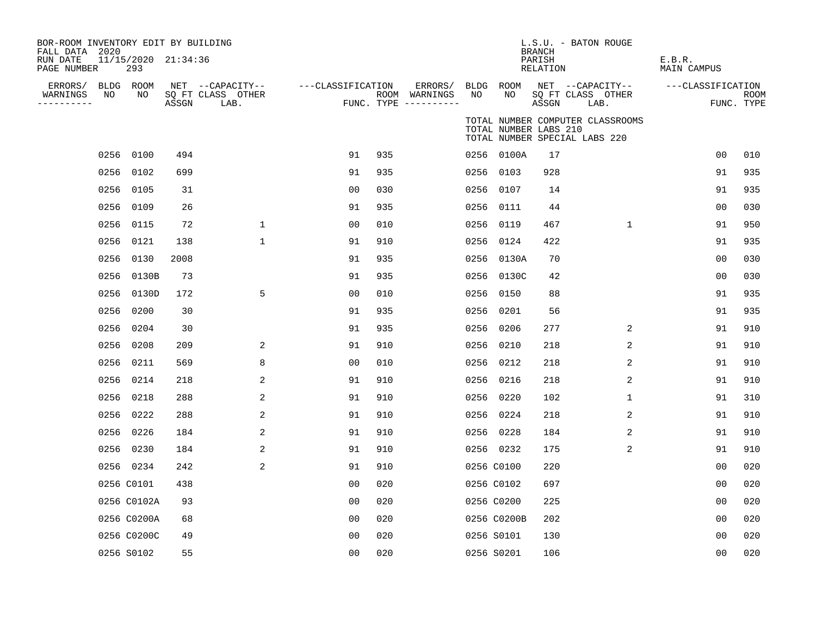| BOR-ROOM INVENTORY EDIT BY BUILDING<br>FALL DATA 2020 |                            |       |                           |                   |     |                                        |      |                       | <b>BRANCH</b>             | L.S.U. - BATON ROUGE                                              |                              |                |                           |
|-------------------------------------------------------|----------------------------|-------|---------------------------|-------------------|-----|----------------------------------------|------|-----------------------|---------------------------|-------------------------------------------------------------------|------------------------------|----------------|---------------------------|
| RUN DATE<br>PAGE NUMBER                               | 11/15/2020 21:34:36<br>293 |       |                           |                   |     |                                        |      |                       | PARISH<br><b>RELATION</b> |                                                                   | E.B.R.<br><b>MAIN CAMPUS</b> |                |                           |
| ERRORS/                                               | BLDG ROOM                  |       | NET --CAPACITY--          | ---CLASSIFICATION |     | ERRORS/                                |      | BLDG ROOM             |                           | NET --CAPACITY--                                                  | ---CLASSIFICATION            |                |                           |
| NO<br>WARNINGS<br>----------                          | NO                         | ASSGN | SQ FT CLASS OTHER<br>LAB. |                   |     | ROOM WARNINGS<br>FUNC. TYPE ---------- | NO   | NO                    | ASSGN                     | SQ FT CLASS OTHER<br>LAB.                                         |                              |                | <b>ROOM</b><br>FUNC. TYPE |
|                                                       |                            |       |                           |                   |     |                                        |      | TOTAL NUMBER LABS 210 |                           | TOTAL NUMBER COMPUTER CLASSROOMS<br>TOTAL NUMBER SPECIAL LABS 220 |                              |                |                           |
|                                                       | 0256 0100                  | 494   |                           | 91                | 935 |                                        |      | 0256 0100A            | 17                        |                                                                   |                              | 0 <sub>0</sub> | 010                       |
|                                                       | 0256 0102                  | 699   |                           | 91                | 935 |                                        |      | 0256 0103             | 928                       |                                                                   |                              | 91             | 935                       |
|                                                       | 0256 0105                  | 31    |                           | 0 <sub>0</sub>    | 030 |                                        |      | 0256 0107             | 14                        |                                                                   |                              | 91             | 935                       |
|                                                       | 0256 0109                  | 26    |                           | 91                | 935 |                                        |      | 0256 0111             | 44                        |                                                                   |                              | 0 <sub>0</sub> | 030                       |
|                                                       | 0256 0115                  | 72    | $\mathbf{1}$              | 0 <sub>0</sub>    | 010 |                                        |      | 0256 0119             | 467                       | $\mathbf{1}$                                                      |                              | 91             | 950                       |
|                                                       | 0256 0121                  | 138   | $\mathbf{1}$              | 91                | 910 |                                        |      | 0256 0124             | 422                       |                                                                   |                              | 91             | 935                       |
|                                                       | 0256 0130                  | 2008  |                           | 91                | 935 |                                        |      | 0256 0130A            | 70                        |                                                                   |                              | 00             | 030                       |
|                                                       | 0256 0130B                 | 73    |                           | 91                | 935 |                                        |      | 0256 0130C            | 42                        |                                                                   |                              | 00             | 030                       |
|                                                       | 0256 0130D                 | 172   | 5                         | 0 <sub>0</sub>    | 010 |                                        | 0256 | 0150                  | 88                        |                                                                   |                              | 91             | 935                       |
| 0256                                                  | 0200                       | 30    |                           | 91                | 935 |                                        | 0256 | 0201                  | 56                        |                                                                   |                              | 91             | 935                       |
| 0256                                                  | 0204                       | 30    |                           | 91                | 935 |                                        | 0256 | 0206                  | 277                       | 2                                                                 |                              | 91             | 910                       |
| 0256                                                  | 0208                       | 209   | 2                         | 91                | 910 |                                        |      | 0256 0210             | 218                       | 2                                                                 |                              | 91             | 910                       |
|                                                       | 0256 0211                  | 569   | 8                         | 0 <sub>0</sub>    | 010 |                                        |      | 0256 0212             | 218                       | 2                                                                 |                              | 91             | 910                       |
| 0256                                                  | 0214                       | 218   | 2                         | 91                | 910 |                                        |      | 0256 0216             | 218                       | 2                                                                 |                              | 91             | 910                       |
|                                                       | 0256 0218                  | 288   | 2                         | 91                | 910 |                                        |      | 0256 0220             | 102                       | 1                                                                 |                              | 91             | 310                       |
| 0256                                                  | 0222                       | 288   | 2                         | 91                | 910 |                                        |      | 0256 0224             | 218                       | $\overline{c}$                                                    |                              | 91             | 910                       |
|                                                       | 0256 0226                  | 184   | 2                         | 91                | 910 |                                        |      | 0256 0228             | 184                       | $\sqrt{2}$                                                        |                              | 91             | 910                       |
|                                                       | 0256 0230                  | 184   | 2                         | 91                | 910 |                                        |      | 0256 0232             | 175                       | 2                                                                 |                              | 91             | 910                       |
|                                                       | 0256 0234                  | 242   | 2                         | 91                | 910 |                                        |      | 0256 C0100            | 220                       |                                                                   |                              | 00             | 020                       |
|                                                       | 0256 C0101                 | 438   |                           | 0 <sub>0</sub>    | 020 |                                        |      | 0256 C0102            | 697                       |                                                                   |                              | 00             | 020                       |
|                                                       | 0256 C0102A                | 93    |                           | 0 <sub>0</sub>    | 020 |                                        |      | 0256 C0200            | 225                       |                                                                   |                              | 0 <sub>0</sub> | 020                       |
|                                                       | 0256 C0200A                | 68    |                           | 0 <sub>0</sub>    | 020 |                                        |      | 0256 C0200B           | 202                       |                                                                   |                              | 0 <sub>0</sub> | 020                       |
|                                                       | 0256 C0200C                | 49    |                           | 0 <sub>0</sub>    | 020 |                                        |      | 0256 S0101            | 130                       |                                                                   |                              | 0 <sub>0</sub> | 020                       |
|                                                       | 0256 S0102                 | 55    |                           | 0 <sub>0</sub>    | 020 |                                        |      | 0256 S0201            | 106                       |                                                                   |                              | 0 <sub>0</sub> | 020                       |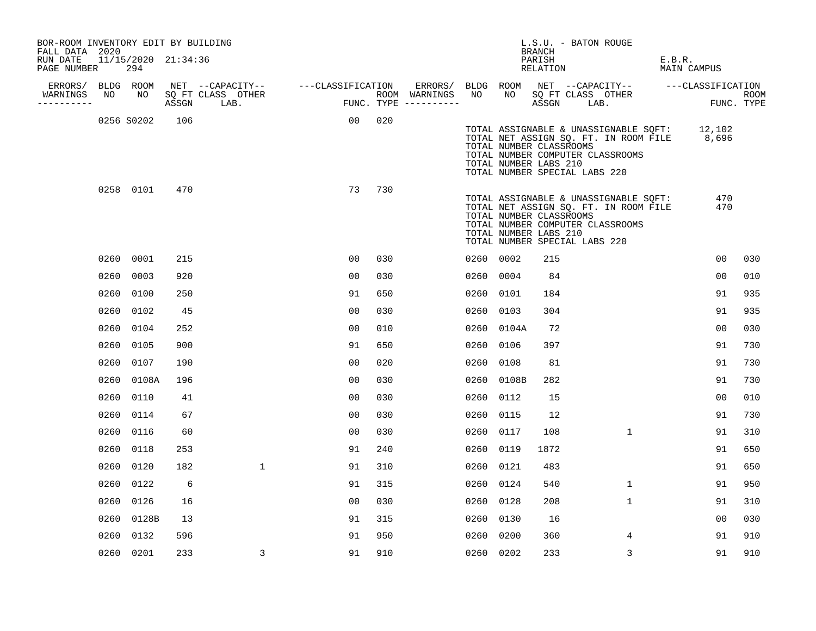| BOR-ROOM INVENTORY EDIT BY BUILDING<br>FALL DATA 2020 |      |                            |     |                                                                                                                    |                |     |           |            | BRANCH                                           | L.S.U. - BATON ROUGE                                                                                                                                             |        |                |                    |
|-------------------------------------------------------|------|----------------------------|-----|--------------------------------------------------------------------------------------------------------------------|----------------|-----|-----------|------------|--------------------------------------------------|------------------------------------------------------------------------------------------------------------------------------------------------------------------|--------|----------------|--------------------|
| RUN DATE<br>PAGE NUMBER                               |      | 11/15/2020 21:34:36<br>294 |     |                                                                                                                    |                |     |           |            | PARISH<br>RELATION                               |                                                                                                                                                                  | E.B.R. | MAIN CAMPUS    |                    |
| ERRORS/                                               |      | BLDG ROOM                  |     |                                                                                                                    |                |     |           |            |                                                  | ERRORS/ BLDG ROOM NET --CAPACITY-- ----CLASSIFICATION                                                                                                            |        |                |                    |
| WARNINGS<br>----------                                | NO   | NO                         |     | NET --CAPACITY-- ----CLASSIFICATION ERRORS/<br>SQ FT CLASS OTHER ROOM WARNINGS<br>ASSGN LAB. FUNC. TYPE ---------- |                |     | NO        | NO         | ASSGN LAB.                                       | SQ FT CLASS OTHER                                                                                                                                                |        |                | ROOM<br>FUNC. TYPE |
|                                                       |      | 0256 S0202                 | 106 |                                                                                                                    | 00             | 020 |           |            | TOTAL NUMBER CLASSROOMS<br>TOTAL NUMBER LABS 210 | TOTAL ASSIGNABLE & UNASSIGNABLE SQFT: 12,102<br>TOTAL NET ASSIGN SQ. FT. IN ROOM FILE 8,696<br>TOTAL NUMBER COMPUTER CLASSROOMS<br>TOTAL NUMBER SPECIAL LABS 220 |        |                |                    |
|                                                       |      | 0258 0101                  | 470 |                                                                                                                    | 73             | 730 |           |            | TOTAL NUMBER CLASSROOMS<br>TOTAL NUMBER LABS 210 | TOTAL ASSIGNABLE & UNASSIGNABLE SQFT:<br>TOTAL NET ASSIGN SQ. FT. IN ROOM FILE<br>TOTAL NUMBER COMPUTER CLASSROOMS<br>TOTAL NUMBER SPECIAL LABS 220              |        | 470<br>470     |                    |
|                                                       |      | 0260 0001                  | 215 |                                                                                                                    | 00             | 030 | 0260 0002 |            | 215                                              |                                                                                                                                                                  |        | 00             | 030                |
|                                                       | 0260 | 0003                       | 920 |                                                                                                                    | 00             | 030 | 0260 0004 |            | 84                                               |                                                                                                                                                                  |        | 0 <sub>0</sub> | 010                |
|                                                       | 0260 | 0100                       | 250 |                                                                                                                    | 91             | 650 | 0260 0101 |            | 184                                              |                                                                                                                                                                  |        | 91             | 935                |
|                                                       | 0260 | 0102                       | 45  |                                                                                                                    | 00             | 030 | 0260 0103 |            | 304                                              |                                                                                                                                                                  |        | 91             | 935                |
|                                                       | 0260 | 0104                       | 252 |                                                                                                                    | 00             | 010 |           | 0260 0104A | 72                                               |                                                                                                                                                                  |        | 0 <sub>0</sub> | 030                |
|                                                       | 0260 | 0105                       | 900 |                                                                                                                    | 91             | 650 | 0260      | 0106       | 397                                              |                                                                                                                                                                  |        | 91             | 730                |
|                                                       | 0260 | 0107                       | 190 |                                                                                                                    | 00             | 020 | 0260 0108 |            | 81                                               |                                                                                                                                                                  |        | 91             | 730                |
|                                                       | 0260 | 0108A                      | 196 |                                                                                                                    | 0 <sub>0</sub> | 030 |           | 0260 0108B | 282                                              |                                                                                                                                                                  |        | 91             | 730                |
|                                                       | 0260 | 0110                       | 41  |                                                                                                                    | 00             | 030 | 0260 0112 |            | 15                                               |                                                                                                                                                                  |        | 00             | 010                |
|                                                       | 0260 | 0114                       | 67  |                                                                                                                    | 00             | 030 | 0260 0115 |            | 12                                               |                                                                                                                                                                  |        | 91             | 730                |
|                                                       |      | 0260 0116                  | 60  |                                                                                                                    | 00             | 030 | 0260 0117 |            | 108                                              | $\mathbf{1}$                                                                                                                                                     |        | 91             | 310                |
|                                                       | 0260 | 0118                       | 253 |                                                                                                                    | 91             | 240 | 0260 0119 |            | 1872                                             |                                                                                                                                                                  |        | 91             | 650                |
|                                                       |      | 0260 0120                  | 182 | $\mathbf{1}$                                                                                                       | 91             | 310 | 0260 0121 |            | 483                                              |                                                                                                                                                                  |        | 91             | 650                |
|                                                       | 0260 | 0122                       | 6   |                                                                                                                    | 91             | 315 | 0260 0124 |            | 540                                              | $\mathbf{1}$                                                                                                                                                     |        | 91             | 950                |
|                                                       |      | 0260 0126                  | 16  |                                                                                                                    | 00             | 030 | 0260 0128 |            | 208                                              | $\mathbf{1}$                                                                                                                                                     |        | 91             | 310                |
|                                                       |      | 0260 0128B                 | 13  |                                                                                                                    | 91             | 315 | 0260 0130 |            | 16                                               |                                                                                                                                                                  |        | 00             | 030                |
|                                                       | 0260 | 0132                       | 596 |                                                                                                                    | 91             | 950 | 0260 0200 |            | 360                                              | 4                                                                                                                                                                |        | 91             | 910                |
|                                                       |      | 0260 0201                  | 233 | 3                                                                                                                  | 91             | 910 | 0260 0202 |            | 233                                              | 3                                                                                                                                                                |        | 91             | 910                |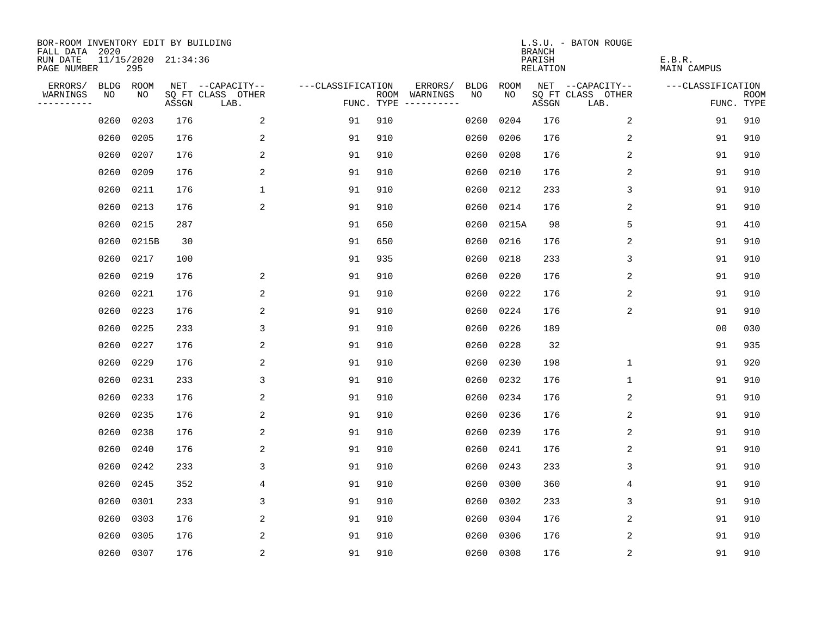| BOR-ROOM INVENTORY EDIT BY BUILDING<br>FALL DATA 2020 |             |                            |       |                           |                   |      |                                 |             |             | <b>BRANCH</b>             | L.S.U. - BATON ROUGE      |                              |                           |
|-------------------------------------------------------|-------------|----------------------------|-------|---------------------------|-------------------|------|---------------------------------|-------------|-------------|---------------------------|---------------------------|------------------------------|---------------------------|
| RUN DATE<br>PAGE NUMBER                               |             | 11/15/2020 21:34:36<br>295 |       |                           |                   |      |                                 |             |             | PARISH<br><b>RELATION</b> |                           | E.B.R.<br><b>MAIN CAMPUS</b> |                           |
| ERRORS/                                               | <b>BLDG</b> | ROOM                       |       | NET --CAPACITY--          | ---CLASSIFICATION |      | ERRORS/                         | <b>BLDG</b> | <b>ROOM</b> |                           | NET --CAPACITY--          | ---CLASSIFICATION            |                           |
| WARNINGS<br>----------                                | NO          | NO                         | ASSGN | SQ FT CLASS OTHER<br>LAB. |                   | ROOM | WARNINGS<br>FUNC. TYPE $------$ | NO          | NO          | ASSGN                     | SQ FT CLASS OTHER<br>LAB. |                              | <b>ROOM</b><br>FUNC. TYPE |
|                                                       | 0260        | 0203                       | 176   | 2                         | 91                | 910  |                                 | 0260        | 0204        | 176                       | 2                         | 91                           | 910                       |
|                                                       | 0260        | 0205                       | 176   | 2                         | 91                | 910  |                                 | 0260        | 0206        | 176                       | 2                         | 91                           | 910                       |
|                                                       | 0260        | 0207                       | 176   | 2                         | 91                | 910  |                                 | 0260        | 0208        | 176                       | $\overline{c}$            | 91                           | 910                       |
|                                                       | 0260        | 0209                       | 176   | 2                         | 91                | 910  |                                 | 0260        | 0210        | 176                       | 2                         | 91                           | 910                       |
|                                                       | 0260        | 0211                       | 176   | $\mathbf 1$               | 91                | 910  |                                 | 0260        | 0212        | 233                       | 3                         | 91                           | 910                       |
|                                                       | 0260        | 0213                       | 176   | 2                         | 91                | 910  |                                 | 0260        | 0214        | 176                       | 2                         | 91                           | 910                       |
|                                                       | 0260        | 0215                       | 287   |                           | 91                | 650  |                                 | 0260        | 0215A       | 98                        | 5                         | 91                           | 410                       |
|                                                       | 0260        | 0215B                      | 30    |                           | 91                | 650  |                                 | 0260        | 0216        | 176                       | $\overline{c}$            | 91                           | 910                       |
|                                                       | 0260        | 0217                       | 100   |                           | 91                | 935  |                                 | 0260        | 0218        | 233                       | 3                         | 91                           | 910                       |
|                                                       | 0260        | 0219                       | 176   | 2                         | 91                | 910  |                                 | 0260        | 0220        | 176                       | 2                         | 91                           | 910                       |
|                                                       | 0260        | 0221                       | 176   | 2                         | 91                | 910  |                                 | 0260        | 0222        | 176                       | 2                         | 91                           | 910                       |
|                                                       | 0260        | 0223                       | 176   | 2                         | 91                | 910  |                                 | 0260        | 0224        | 176                       | 2                         | 91                           | 910                       |
|                                                       | 0260        | 0225                       | 233   | 3                         | 91                | 910  |                                 | 0260        | 0226        | 189                       |                           | 0 <sub>0</sub>               | 030                       |
|                                                       | 0260        | 0227                       | 176   | 2                         | 91                | 910  |                                 | 0260        | 0228        | 32                        |                           | 91                           | 935                       |
|                                                       | 0260        | 0229                       | 176   | 2                         | 91                | 910  |                                 | 0260        | 0230        | 198                       | 1                         | 91                           | 920                       |
|                                                       | 0260        | 0231                       | 233   | 3                         | 91                | 910  |                                 | 0260        | 0232        | 176                       | 1                         | 91                           | 910                       |
|                                                       | 0260        | 0233                       | 176   | 2                         | 91                | 910  |                                 | 0260        | 0234        | 176                       | 2                         | 91                           | 910                       |
|                                                       | 0260        | 0235                       | 176   | 2                         | 91                | 910  |                                 | 0260        | 0236        | 176                       | 2                         | 91                           | 910                       |
|                                                       | 0260        | 0238                       | 176   | 2                         | 91                | 910  |                                 | 0260        | 0239        | 176                       | 2                         | 91                           | 910                       |
|                                                       | 0260        | 0240                       | 176   | 2                         | 91                | 910  |                                 | 0260        | 0241        | 176                       | 2                         | 91                           | 910                       |
|                                                       | 0260        | 0242                       | 233   | 3                         | 91                | 910  |                                 | 0260        | 0243        | 233                       | 3                         | 91                           | 910                       |
|                                                       | 0260        | 0245                       | 352   | 4                         | 91                | 910  |                                 | 0260        | 0300        | 360                       | 4                         | 91                           | 910                       |
|                                                       | 0260        | 0301                       | 233   | 3                         | 91                | 910  |                                 | 0260        | 0302        | 233                       | 3                         | 91                           | 910                       |
|                                                       | 0260        | 0303                       | 176   | 2                         | 91                | 910  |                                 | 0260        | 0304        | 176                       | 2                         | 91                           | 910                       |
|                                                       | 0260        | 0305                       | 176   | 2                         | 91                | 910  |                                 | 0260        | 0306        | 176                       | 2                         | 91                           | 910                       |
|                                                       |             | 0260 0307                  | 176   | $\overline{c}$            | 91                | 910  |                                 |             | 0260 0308   | 176                       | $\sqrt{2}$                | 91                           | 910                       |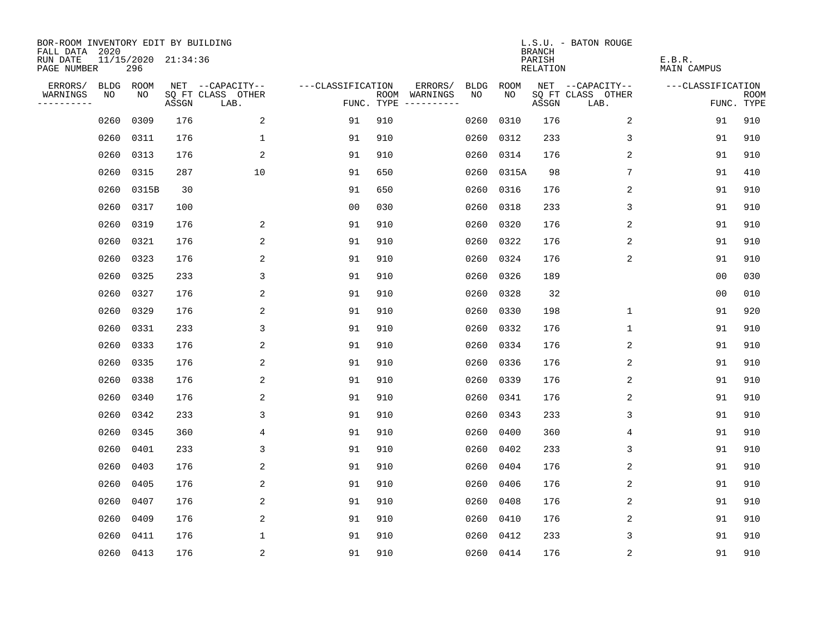| BOR-ROOM INVENTORY EDIT BY BUILDING<br>FALL DATA 2020 |             |       |                     |                           |                   |      |                                 |             |             | <b>BRANCH</b>             | L.S.U. - BATON ROUGE      |                              |                           |
|-------------------------------------------------------|-------------|-------|---------------------|---------------------------|-------------------|------|---------------------------------|-------------|-------------|---------------------------|---------------------------|------------------------------|---------------------------|
| RUN DATE<br>PAGE NUMBER                               |             | 296   | 11/15/2020 21:34:36 |                           |                   |      |                                 |             |             | PARISH<br><b>RELATION</b> |                           | E.B.R.<br><b>MAIN CAMPUS</b> |                           |
| ERRORS/                                               | <b>BLDG</b> | ROOM  |                     | NET --CAPACITY--          | ---CLASSIFICATION |      | ERRORS/                         | <b>BLDG</b> | <b>ROOM</b> |                           | NET --CAPACITY--          | ---CLASSIFICATION            |                           |
| WARNINGS<br>----------                                | NO          | NO    | ASSGN               | SQ FT CLASS OTHER<br>LAB. |                   | ROOM | WARNINGS<br>FUNC. TYPE $------$ | NO          | NO          | ASSGN                     | SQ FT CLASS OTHER<br>LAB. |                              | <b>ROOM</b><br>FUNC. TYPE |
|                                                       | 0260        | 0309  | 176                 | 2                         | 91                | 910  |                                 | 0260        | 0310        | 176                       | 2                         | 91                           | 910                       |
|                                                       | 0260        | 0311  | 176                 | $\mathbf 1$               | 91                | 910  |                                 | 0260        | 0312        | 233                       | 3                         | 91                           | 910                       |
|                                                       | 0260        | 0313  | 176                 | 2                         | 91                | 910  |                                 | 0260        | 0314        | 176                       | 2                         | 91                           | 910                       |
|                                                       | 0260        | 0315  | 287                 | 10                        | 91                | 650  |                                 | 0260        | 0315A       | 98                        | 7                         | 91                           | 410                       |
|                                                       | 0260        | 0315B | 30                  |                           | 91                | 650  |                                 | 0260        | 0316        | 176                       | 2                         | 91                           | 910                       |
|                                                       | 0260        | 0317  | 100                 |                           | 0 <sub>0</sub>    | 030  |                                 | 0260        | 0318        | 233                       | 3                         | 91                           | 910                       |
|                                                       | 0260        | 0319  | 176                 | 2                         | 91                | 910  |                                 | 0260        | 0320        | 176                       | 2                         | 91                           | 910                       |
|                                                       | 0260        | 0321  | 176                 | 2                         | 91                | 910  |                                 | 0260        | 0322        | 176                       | $\overline{c}$            | 91                           | 910                       |
|                                                       | 0260        | 0323  | 176                 | 2                         | 91                | 910  |                                 | 0260        | 0324        | 176                       | 2                         | 91                           | 910                       |
|                                                       | 0260        | 0325  | 233                 | 3                         | 91                | 910  |                                 | 0260        | 0326        | 189                       |                           | 0 <sub>0</sub>               | 030                       |
|                                                       | 0260        | 0327  | 176                 | 2                         | 91                | 910  |                                 | 0260        | 0328        | 32                        |                           | 0 <sub>0</sub>               | 010                       |
|                                                       | 0260        | 0329  | 176                 | 2                         | 91                | 910  |                                 |             | 0260 0330   | 198                       | $\mathbf 1$               | 91                           | 920                       |
|                                                       | 0260        | 0331  | 233                 | 3                         | 91                | 910  |                                 | 0260        | 0332        | 176                       | $\mathbf 1$               | 91                           | 910                       |
|                                                       | 0260        | 0333  | 176                 | 2                         | 91                | 910  |                                 | 0260        | 0334        | 176                       | 2                         | 91                           | 910                       |
|                                                       | 0260        | 0335  | 176                 | 2                         | 91                | 910  |                                 | 0260        | 0336        | 176                       | 2                         | 91                           | 910                       |
|                                                       | 0260        | 0338  | 176                 | 2                         | 91                | 910  |                                 | 0260        | 0339        | 176                       | $\overline{c}$            | 91                           | 910                       |
|                                                       | 0260        | 0340  | 176                 | 2                         | 91                | 910  |                                 | 0260        | 0341        | 176                       | 2                         | 91                           | 910                       |
|                                                       | 0260        | 0342  | 233                 | 3                         | 91                | 910  |                                 | 0260        | 0343        | 233                       | 3                         | 91                           | 910                       |
|                                                       | 0260        | 0345  | 360                 | 4                         | 91                | 910  |                                 | 0260        | 0400        | 360                       | $\overline{4}$            | 91                           | 910                       |
|                                                       | 0260        | 0401  | 233                 | 3                         | 91                | 910  |                                 | 0260        | 0402        | 233                       | 3                         | 91                           | 910                       |
|                                                       | 0260        | 0403  | 176                 | 2                         | 91                | 910  |                                 | 0260        | 0404        | 176                       | 2                         | 91                           | 910                       |
|                                                       | 0260        | 0405  | 176                 | 2                         | 91                | 910  |                                 | 0260        | 0406        | 176                       | 2                         | 91                           | 910                       |
|                                                       | 0260        | 0407  | 176                 | 2                         | 91                | 910  |                                 | 0260        | 0408        | 176                       | 2                         | 91                           | 910                       |
|                                                       | 0260        | 0409  | 176                 | 2                         | 91                | 910  |                                 | 0260        | 0410        | 176                       | 2                         | 91                           | 910                       |
|                                                       | 0260        | 0411  | 176                 | $\mathbf{1}$              | 91                | 910  |                                 | 0260        | 0412        | 233                       | 3                         | 91                           | 910                       |
|                                                       | 0260 0413   |       | 176                 | $\sqrt{2}$                | 91                | 910  |                                 |             | 0260 0414   | 176                       | $\sqrt{2}$                | 91                           | 910                       |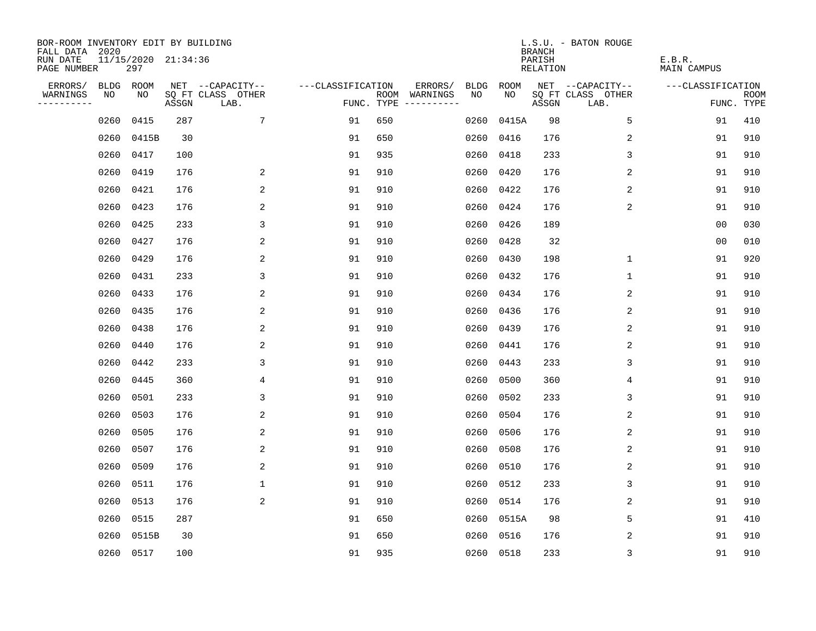| BOR-ROOM INVENTORY EDIT BY BUILDING<br>FALL DATA 2020 |      |                            |       |                           |                   |                                      |         |             |            | <b>BRANCH</b>      | L.S.U. - BATON ROUGE      |                       |                           |
|-------------------------------------------------------|------|----------------------------|-------|---------------------------|-------------------|--------------------------------------|---------|-------------|------------|--------------------|---------------------------|-----------------------|---------------------------|
| RUN DATE<br>PAGE NUMBER                               |      | 11/15/2020 21:34:36<br>297 |       |                           |                   |                                      |         |             |            | PARISH<br>RELATION |                           | E.B.R.<br>MAIN CAMPUS |                           |
| ERRORS/                                               |      | BLDG ROOM                  |       | NET --CAPACITY--          | ---CLASSIFICATION |                                      | ERRORS/ | <b>BLDG</b> | ROOM       |                    | NET --CAPACITY--          | ---CLASSIFICATION     |                           |
| WARNINGS<br>----------                                | NO   | NO                         | ASSGN | SQ FT CLASS OTHER<br>LAB. |                   | ROOM WARNINGS<br>FUNC. TYPE $------$ |         | NO.         | NO.        | ASSGN              | SQ FT CLASS OTHER<br>LAB. |                       | <b>ROOM</b><br>FUNC. TYPE |
|                                                       | 0260 | 0415                       | 287   | 7                         | 91                | 650                                  |         | 0260        | 0415A      | 98                 | 5                         | 91                    | 410                       |
|                                                       | 0260 | 0415B                      | 30    |                           | 91                | 650                                  |         | 0260        | 0416       | 176                | 2                         | 91                    | 910                       |
|                                                       | 0260 | 0417                       | 100   |                           | 91                | 935                                  |         | 0260        | 0418       | 233                | 3                         | 91                    | 910                       |
|                                                       | 0260 | 0419                       | 176   | 2                         | 91                | 910                                  |         | 0260        | 0420       | 176                | 2                         | 91                    | 910                       |
|                                                       | 0260 | 0421                       | 176   | 2                         | 91                | 910                                  |         | 0260        | 0422       | 176                | $\overline{c}$            | 91                    | 910                       |
|                                                       | 0260 | 0423                       | 176   | 2                         | 91                | 910                                  |         | 0260        | 0424       | 176                | 2                         | 91                    | 910                       |
|                                                       | 0260 | 0425                       | 233   | 3                         | 91                | 910                                  |         | 0260        | 0426       | 189                |                           | 0 <sub>0</sub>        | 030                       |
|                                                       | 0260 | 0427                       | 176   | 2                         | 91                | 910                                  |         | 0260        | 0428       | 32                 |                           | 0 <sub>0</sub>        | 010                       |
|                                                       | 0260 | 0429                       | 176   | 2                         | 91                | 910                                  |         | 0260        | 0430       | 198                | $\mathbf{1}$              | 91                    | 920                       |
|                                                       | 0260 | 0431                       | 233   | 3                         | 91                | 910                                  |         |             | 0260 0432  | 176                | $\mathbf 1$               | 91                    | 910                       |
|                                                       | 0260 | 0433                       | 176   | 2                         | 91                | 910                                  |         |             | 0260 0434  | 176                | 2                         | 91                    | 910                       |
|                                                       | 0260 | 0435                       | 176   | 2                         | 91                | 910                                  |         |             | 0260 0436  | 176                | 2                         | 91                    | 910                       |
|                                                       | 0260 | 0438                       | 176   | 2                         | 91                | 910                                  |         | 0260        | 0439       | 176                | 2                         | 91                    | 910                       |
|                                                       | 0260 | 0440                       | 176   | 2                         | 91                | 910                                  |         |             | 0260 0441  | 176                | 2                         | 91                    | 910                       |
|                                                       | 0260 | 0442                       | 233   | 3                         | 91                | 910                                  |         | 0260        | 0443       | 233                | 3                         | 91                    | 910                       |
|                                                       | 0260 | 0445                       | 360   | 4                         | 91                | 910                                  |         | 0260        | 0500       | 360                | 4                         | 91                    | 910                       |
|                                                       | 0260 | 0501                       | 233   | 3                         | 91                | 910                                  |         | 0260        | 0502       | 233                | 3                         | 91                    | 910                       |
|                                                       | 0260 | 0503                       | 176   | 2                         | 91                | 910                                  |         | 0260        | 0504       | 176                | 2                         | 91                    | 910                       |
|                                                       | 0260 | 0505                       | 176   | 2                         | 91                | 910                                  |         | 0260        | 0506       | 176                | 2                         | 91                    | 910                       |
|                                                       | 0260 | 0507                       | 176   | 2                         | 91                | 910                                  |         | 0260        | 0508       | 176                | 2                         | 91                    | 910                       |
|                                                       | 0260 | 0509                       | 176   | 2                         | 91                | 910                                  |         | 0260        | 0510       | 176                | 2                         | 91                    | 910                       |
|                                                       | 0260 | 0511                       | 176   | $\mathbf 1$               | 91                | 910                                  |         | 0260        | 0512       | 233                | 3                         | 91                    | 910                       |
|                                                       | 0260 | 0513                       | 176   | 2                         | 91                | 910                                  |         | 0260        | 0514       | 176                | 2                         | 91                    | 910                       |
|                                                       | 0260 | 0515                       | 287   |                           | 91                | 650                                  |         |             | 0260 0515A | 98                 | 5                         | 91                    | 410                       |
|                                                       | 0260 | 0515B                      | 30    |                           | 91                | 650                                  |         | 0260        | 0516       | 176                | 2                         | 91                    | 910                       |
|                                                       |      | 0260 0517                  | 100   |                           | 91                | 935                                  |         |             | 0260 0518  | 233                | 3                         | 91                    | 910                       |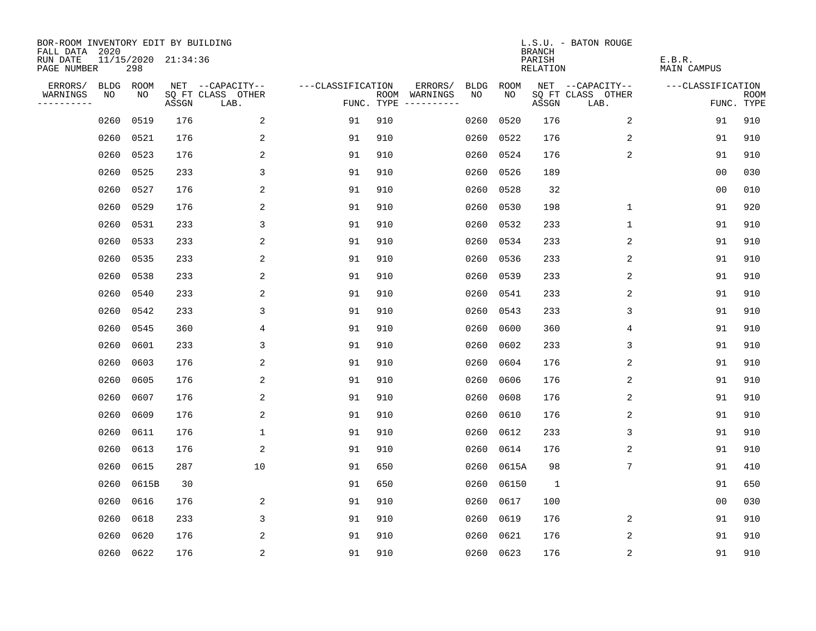| BOR-ROOM INVENTORY EDIT BY BUILDING<br>FALL DATA 2020 |      |           |                     |                           |                   |                                            |             |           | <b>BRANCH</b>      | L.S.U. - BATON ROUGE      |                       |                           |
|-------------------------------------------------------|------|-----------|---------------------|---------------------------|-------------------|--------------------------------------------|-------------|-----------|--------------------|---------------------------|-----------------------|---------------------------|
| RUN DATE<br>PAGE NUMBER                               |      | 298       | 11/15/2020 21:34:36 |                           |                   |                                            |             |           | PARISH<br>RELATION |                           | E.B.R.<br>MAIN CAMPUS |                           |
| ERRORS/                                               | BLDG | ROOM      |                     | NET --CAPACITY--          | ---CLASSIFICATION | ERRORS/                                    | <b>BLDG</b> | ROOM      |                    | NET --CAPACITY--          | ---CLASSIFICATION     |                           |
| WARNINGS<br>----------                                | NO   | NO        | ASSGN               | SQ FT CLASS OTHER<br>LAB. |                   | ROOM WARNINGS<br>FUNC. TYPE<br>----------- | NO.         | NO.       | ASSGN              | SQ FT CLASS OTHER<br>LAB. |                       | <b>ROOM</b><br>FUNC. TYPE |
|                                                       | 0260 | 0519      | 176                 | 2                         | 91                | 910                                        | 0260        | 0520      | 176                | 2                         | 91                    | 910                       |
|                                                       | 0260 | 0521      | 176                 | 2                         | 91                | 910                                        | 0260        | 0522      | 176                | 2                         | 91                    | 910                       |
|                                                       | 0260 | 0523      | 176                 | 2                         | 91                | 910                                        | 0260        | 0524      | 176                | 2                         | 91                    | 910                       |
|                                                       | 0260 | 0525      | 233                 | 3                         | 91                | 910                                        | 0260        | 0526      | 189                |                           | 0 <sub>0</sub>        | 030                       |
|                                                       | 0260 | 0527      | 176                 | 2                         | 91                | 910                                        | 0260        | 0528      | 32                 |                           | 00                    | 010                       |
|                                                       | 0260 | 0529      | 176                 | 2                         | 91                | 910                                        | 0260        | 0530      | 198                | 1                         | 91                    | 920                       |
|                                                       | 0260 | 0531      | 233                 | 3                         | 91                | 910                                        | 0260        | 0532      | 233                | 1                         | 91                    | 910                       |
|                                                       | 0260 | 0533      | 233                 | 2                         | 91                | 910                                        |             | 0260 0534 | 233                | 2                         | 91                    | 910                       |
|                                                       | 0260 | 0535      | 233                 | 2                         | 91                | 910                                        | 0260        | 0536      | 233                | 2                         | 91                    | 910                       |
|                                                       | 0260 | 0538      | 233                 | 2                         | 91                | 910                                        |             | 0260 0539 | 233                | 2                         | 91                    | 910                       |
|                                                       | 0260 | 0540      | 233                 | 2                         | 91                | 910                                        |             | 0260 0541 | 233                | 2                         | 91                    | 910                       |
|                                                       | 0260 | 0542      | 233                 | 3                         | 91                | 910                                        |             | 0260 0543 | 233                | 3                         | 91                    | 910                       |
|                                                       | 0260 | 0545      | 360                 | 4                         | 91                | 910                                        | 0260        | 0600      | 360                | 4                         | 91                    | 910                       |
|                                                       | 0260 | 0601      | 233                 | 3                         | 91                | 910                                        | 0260        | 0602      | 233                | 3                         | 91                    | 910                       |
|                                                       | 0260 | 0603      | 176                 | 2                         | 91                | 910                                        | 0260        | 0604      | 176                | 2                         | 91                    | 910                       |
|                                                       | 0260 | 0605      | 176                 | 2                         | 91                | 910                                        | 0260        | 0606      | 176                | 2                         | 91                    | 910                       |
|                                                       | 0260 | 0607      | 176                 | 2                         | 91                | 910                                        | 0260        | 0608      | 176                | 2                         | 91                    | 910                       |
|                                                       | 0260 | 0609      | 176                 | 2                         | 91                | 910                                        | 0260        | 0610      | 176                | 2                         | 91                    | 910                       |
|                                                       | 0260 | 0611      | 176                 | $\mathbf{1}$              | 91                | 910                                        | 0260        | 0612      | 233                | 3                         | 91                    | 910                       |
|                                                       | 0260 | 0613      | 176                 | 2                         | 91                | 910                                        | 0260        | 0614      | 176                | 2                         | 91                    | 910                       |
|                                                       | 0260 | 0615      | 287                 | 10                        | 91                | 650                                        | 0260        | 0615A     | 98                 | 7                         | 91                    | 410                       |
|                                                       | 0260 | 0615B     | 30                  |                           | 91                | 650                                        | 0260        | 06150     | $\mathbf{1}$       |                           | 91                    | 650                       |
|                                                       | 0260 | 0616      | 176                 | 2                         | 91                | 910                                        | 0260        | 0617      | 100                |                           | 0 <sub>0</sub>        | 030                       |
|                                                       | 0260 | 0618      | 233                 | 3                         | 91                | 910                                        | 0260        | 0619      | 176                | 2                         | 91                    | 910                       |
|                                                       | 0260 | 0620      | 176                 | 2                         | 91                | 910                                        | 0260        | 0621      | 176                | 2                         | 91                    | 910                       |
|                                                       |      | 0260 0622 | 176                 | $\overline{c}$            | 91                | 910                                        |             | 0260 0623 | 176                | $\sqrt{2}$                | 91                    | 910                       |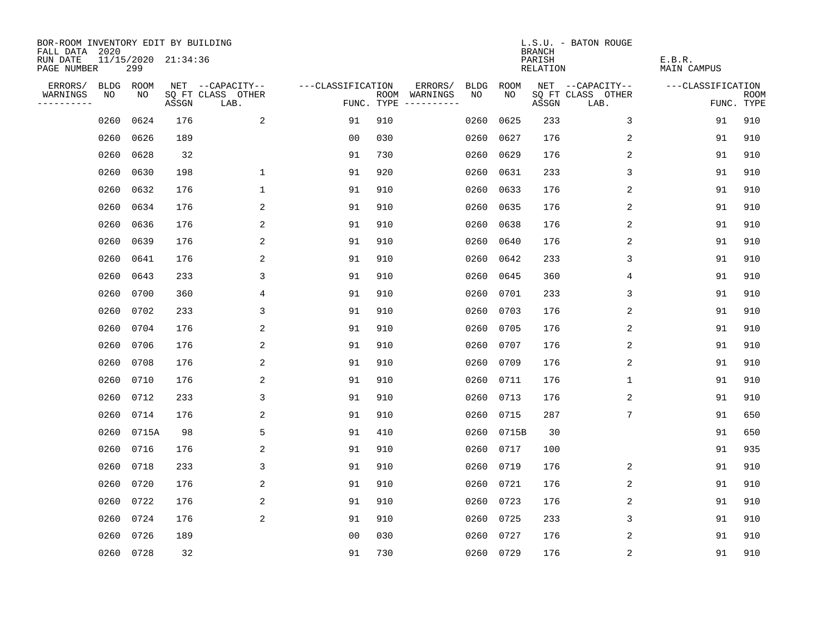| BOR-ROOM INVENTORY EDIT BY BUILDING<br>FALL DATA 2020 |             |       |                     |                           |                   |                    |                         |             |             | <b>BRANCH</b>             | L.S.U. - BATON ROUGE      |                              |                           |
|-------------------------------------------------------|-------------|-------|---------------------|---------------------------|-------------------|--------------------|-------------------------|-------------|-------------|---------------------------|---------------------------|------------------------------|---------------------------|
| RUN DATE<br>PAGE NUMBER                               |             | 299   | 11/15/2020 21:34:36 |                           |                   |                    |                         |             |             | PARISH<br><b>RELATION</b> |                           | E.B.R.<br><b>MAIN CAMPUS</b> |                           |
| ERRORS/                                               | <b>BLDG</b> | ROOM  |                     | NET --CAPACITY--          | ---CLASSIFICATION |                    | ERRORS/                 | <b>BLDG</b> | <b>ROOM</b> |                           | NET --CAPACITY--          | ---CLASSIFICATION            |                           |
| WARNINGS<br>----------                                | NO          | NO    | ASSGN               | SQ FT CLASS OTHER<br>LAB. |                   | ROOM<br>FUNC. TYPE | WARNINGS<br>----------- | NO          | NO          | ASSGN                     | SQ FT CLASS OTHER<br>LAB. |                              | <b>ROOM</b><br>FUNC. TYPE |
|                                                       | 0260        | 0624  | 176                 | 2                         | 91                | 910                |                         | 0260        | 0625        | 233                       | 3                         | 91                           | 910                       |
|                                                       | 0260        | 0626  | 189                 |                           | 0 <sub>0</sub>    | 030                |                         | 0260        | 0627        | 176                       | 2                         | 91                           | 910                       |
|                                                       | 0260        | 0628  | 32                  |                           | 91                | 730                |                         | 0260        | 0629        | 176                       | 2                         | 91                           | 910                       |
|                                                       | 0260        | 0630  | 198                 | 1                         | 91                | 920                |                         | 0260        | 0631        | 233                       | 3                         | 91                           | 910                       |
|                                                       | 0260        | 0632  | 176                 | $\mathbf 1$               | 91                | 910                |                         | 0260        | 0633        | 176                       | $\overline{2}$            | 91                           | 910                       |
|                                                       | 0260        | 0634  | 176                 | 2                         | 91                | 910                |                         | 0260        | 0635        | 176                       | 2                         | 91                           | 910                       |
|                                                       | 0260        | 0636  | 176                 | $\overline{c}$            | 91                | 910                |                         | 0260        | 0638        | 176                       | 2                         | 91                           | 910                       |
|                                                       | 0260        | 0639  | 176                 | 2                         | 91                | 910                |                         | 0260        | 0640        | 176                       | 2                         | 91                           | 910                       |
|                                                       | 0260        | 0641  | 176                 | 2                         | 91                | 910                |                         | 0260        | 0642        | 233                       | 3                         | 91                           | 910                       |
|                                                       | 0260        | 0643  | 233                 | 3                         | 91                | 910                |                         | 0260        | 0645        | 360                       | 4                         | 91                           | 910                       |
|                                                       | 0260        | 0700  | 360                 | 4                         | 91                | 910                |                         | 0260        | 0701        | 233                       | 3                         | 91                           | 910                       |
|                                                       | 0260        | 0702  | 233                 | 3                         | 91                | 910                |                         |             | 0260 0703   | 176                       | 2                         | 91                           | 910                       |
|                                                       | 0260        | 0704  | 176                 | 2                         | 91                | 910                |                         | 0260        | 0705        | 176                       | 2                         | 91                           | 910                       |
|                                                       | 0260        | 0706  | 176                 | 2                         | 91                | 910                |                         | 0260        | 0707        | 176                       | 2                         | 91                           | 910                       |
|                                                       | 0260        | 0708  | 176                 | 2                         | 91                | 910                |                         | 0260        | 0709        | 176                       | 2                         | 91                           | 910                       |
|                                                       | 0260        | 0710  | 176                 | 2                         | 91                | 910                |                         | 0260        | 0711        | 176                       | 1                         | 91                           | 910                       |
|                                                       | 0260        | 0712  | 233                 | 3                         | 91                | 910                |                         | 0260        | 0713        | 176                       | 2                         | 91                           | 910                       |
|                                                       | 0260        | 0714  | 176                 | 2                         | 91                | 910                |                         | 0260        | 0715        | 287                       | 7                         | 91                           | 650                       |
|                                                       | 0260        | 0715A | 98                  | 5                         | 91                | 410                |                         | 0260        | 0715B       | 30                        |                           | 91                           | 650                       |
|                                                       | 0260        | 0716  | 176                 | 2                         | 91                | 910                |                         | 0260        | 0717        | 100                       |                           | 91                           | 935                       |
|                                                       | 0260        | 0718  | 233                 | 3                         | 91                | 910                |                         | 0260        | 0719        | 176                       | 2                         | 91                           | 910                       |
|                                                       | 0260        | 0720  | 176                 | 2                         | 91                | 910                |                         | 0260        | 0721        | 176                       | 2                         | 91                           | 910                       |
|                                                       | 0260        | 0722  | 176                 | 2                         | 91                | 910                |                         | 0260        | 0723        | 176                       | 2                         | 91                           | 910                       |
|                                                       | 0260        | 0724  | 176                 | 2                         | 91                | 910                |                         | 0260        | 0725        | 233                       | 3                         | 91                           | 910                       |
|                                                       | 0260        | 0726  | 189                 |                           | 0 <sub>0</sub>    | 030                |                         | 0260        | 0727        | 176                       | 2                         | 91                           | 910                       |
|                                                       | 0260 0728   |       | 32                  |                           | 91                | 730                |                         |             | 0260 0729   | 176                       | $\sqrt{2}$                | 91                           | 910                       |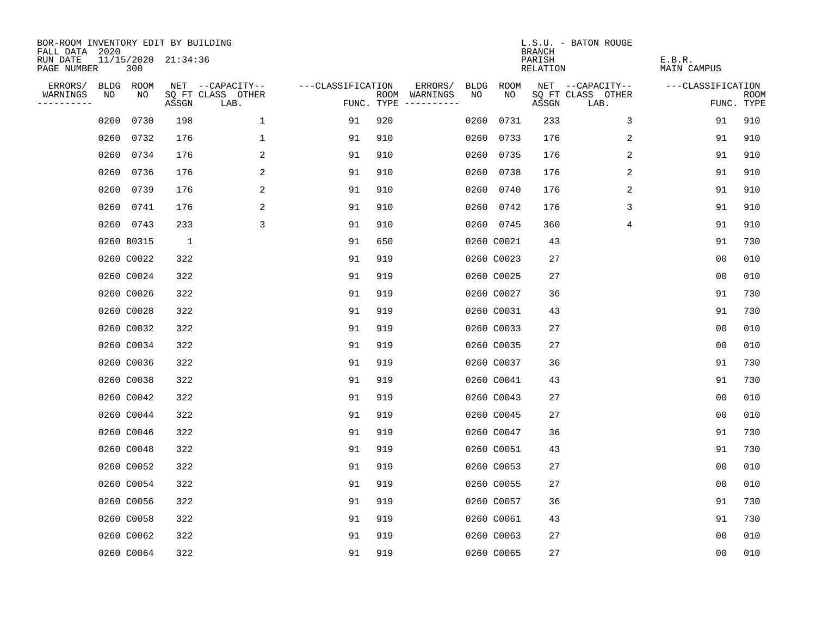| BOR-ROOM INVENTORY EDIT BY BUILDING<br>FALL DATA 2020 |      |                            |              |                           |                   |     |                                      |      |             | <b>BRANCH</b>             | L.S.U. - BATON ROUGE      |                              |                           |
|-------------------------------------------------------|------|----------------------------|--------------|---------------------------|-------------------|-----|--------------------------------------|------|-------------|---------------------------|---------------------------|------------------------------|---------------------------|
| RUN DATE<br>PAGE NUMBER                               |      | 11/15/2020 21:34:36<br>300 |              |                           |                   |     |                                      |      |             | PARISH<br><b>RELATION</b> |                           | E.B.R.<br><b>MAIN CAMPUS</b> |                           |
| ERRORS/                                               |      | BLDG ROOM                  |              | NET --CAPACITY--          | ---CLASSIFICATION |     | ERRORS/                              | BLDG | <b>ROOM</b> |                           | NET --CAPACITY--          | ---CLASSIFICATION            |                           |
| WARNINGS<br>----------                                | NO   | NO                         | ASSGN        | SQ FT CLASS OTHER<br>LAB. |                   |     | ROOM WARNINGS<br>FUNC. TYPE $------$ | NO   | NO          | ASSGN                     | SQ FT CLASS OTHER<br>LAB. |                              | <b>ROOM</b><br>FUNC. TYPE |
|                                                       | 0260 | 0730                       | 198          | $\mathbf{1}$              | 91                | 920 |                                      | 0260 | 0731        | 233                       | 3                         | 91                           | 910                       |
|                                                       | 0260 | 0732                       | 176          | $\mathbf 1$               | 91                | 910 |                                      |      | 0260 0733   | 176                       | 2                         | 91                           | 910                       |
|                                                       | 0260 | 0734                       | 176          | 2                         | 91                | 910 |                                      |      | 0260 0735   | 176                       | 2                         | 91                           | 910                       |
|                                                       | 0260 | 0736                       | 176          | 2                         | 91                | 910 |                                      |      | 0260 0738   | 176                       | 2                         | 91                           | 910                       |
|                                                       | 0260 | 0739                       | 176          | 2                         | 91                | 910 |                                      |      | 0260 0740   | 176                       | 2                         | 91                           | 910                       |
|                                                       |      | 0260 0741                  | 176          | 2                         | 91                | 910 |                                      |      | 0260 0742   | 176                       | 3                         | 91                           | 910                       |
|                                                       |      | 0260 0743                  | 233          | 3                         | 91                | 910 |                                      |      | 0260 0745   | 360                       | $\overline{4}$            | 91                           | 910                       |
|                                                       |      | 0260 B0315                 | <sup>1</sup> |                           | 91                | 650 |                                      |      | 0260 C0021  | 43                        |                           | 91                           | 730                       |
|                                                       |      | 0260 C0022                 | 322          |                           | 91                | 919 |                                      |      | 0260 C0023  | 27                        |                           | 0 <sub>0</sub>               | 010                       |
|                                                       |      | 0260 C0024                 | 322          |                           | 91                | 919 |                                      |      | 0260 C0025  | 27                        |                           | 0 <sub>0</sub>               | 010                       |
|                                                       |      | 0260 C0026                 | 322          |                           | 91                | 919 |                                      |      | 0260 C0027  | 36                        |                           | 91                           | 730                       |
|                                                       |      | 0260 C0028                 | 322          |                           | 91                | 919 |                                      |      | 0260 C0031  | 43                        |                           | 91                           | 730                       |
|                                                       |      | 0260 C0032                 | 322          |                           | 91                | 919 |                                      |      | 0260 C0033  | 27                        |                           | 0 <sub>0</sub>               | 010                       |
|                                                       |      | 0260 C0034                 | 322          |                           | 91                | 919 |                                      |      | 0260 C0035  | 27                        |                           | 0 <sub>0</sub>               | 010                       |
|                                                       |      | 0260 C0036                 | 322          |                           | 91                | 919 |                                      |      | 0260 C0037  | 36                        |                           | 91                           | 730                       |
|                                                       |      | 0260 C0038                 | 322          |                           | 91                | 919 |                                      |      | 0260 C0041  | 43                        |                           | 91                           | 730                       |
|                                                       |      | 0260 C0042                 | 322          |                           | 91                | 919 |                                      |      | 0260 C0043  | 27                        |                           | 0 <sub>0</sub>               | 010                       |
|                                                       |      | 0260 C0044                 | 322          |                           | 91                | 919 |                                      |      | 0260 C0045  | 27                        |                           | 0 <sub>0</sub>               | 010                       |
|                                                       |      | 0260 C0046                 | 322          |                           | 91                | 919 |                                      |      | 0260 C0047  | 36                        |                           | 91                           | 730                       |
|                                                       |      | 0260 C0048                 | 322          |                           | 91                | 919 |                                      |      | 0260 C0051  | 43                        |                           | 91                           | 730                       |
|                                                       |      | 0260 C0052                 | 322          |                           | 91                | 919 |                                      |      | 0260 C0053  | 27                        |                           | 0 <sub>0</sub>               | 010                       |
|                                                       |      | 0260 C0054                 | 322          |                           | 91                | 919 |                                      |      | 0260 C0055  | 27                        |                           | 00                           | 010                       |
|                                                       |      | 0260 C0056                 | 322          |                           | 91                | 919 |                                      |      | 0260 C0057  | 36                        |                           | 91                           | 730                       |
|                                                       |      | 0260 C0058                 | 322          |                           | 91                | 919 |                                      |      | 0260 C0061  | 43                        |                           | 91                           | 730                       |
|                                                       |      | 0260 C0062                 | 322          |                           | 91                | 919 |                                      |      | 0260 C0063  | 27                        |                           | 0 <sub>0</sub>               | 010                       |
|                                                       |      | 0260 C0064                 | 322          |                           | 91                | 919 |                                      |      | 0260 C0065  | 27                        |                           | 0 <sub>0</sub>               | 010                       |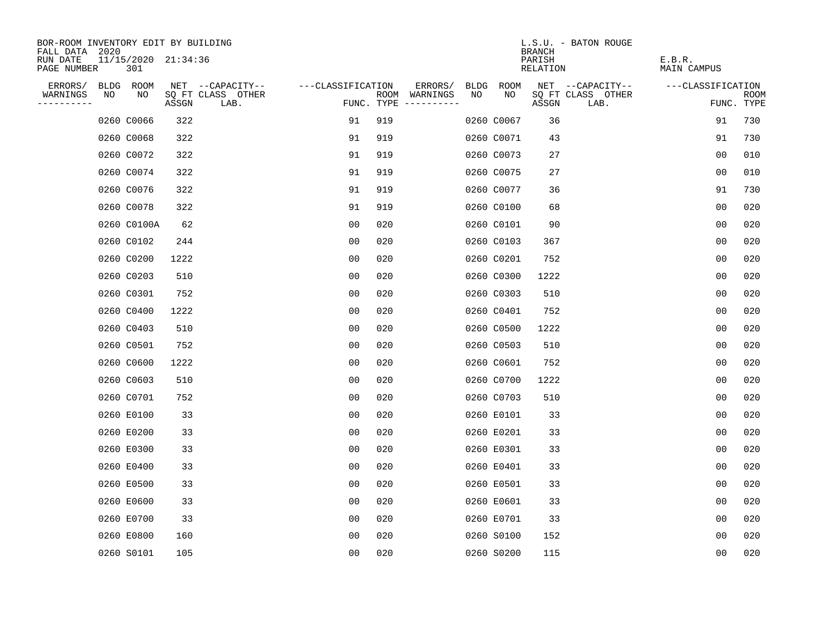| BOR-ROOM INVENTORY EDIT BY BUILDING       |                            |       |                           |                   |     |                                      |    |            | <b>BRANCH</b>      | L.S.U. - BATON ROUGE      |                       |                           |
|-------------------------------------------|----------------------------|-------|---------------------------|-------------------|-----|--------------------------------------|----|------------|--------------------|---------------------------|-----------------------|---------------------------|
| FALL DATA 2020<br>RUN DATE<br>PAGE NUMBER | 11/15/2020 21:34:36<br>301 |       |                           |                   |     |                                      |    |            | PARISH<br>RELATION |                           | E.B.R.<br>MAIN CAMPUS |                           |
| ERRORS/                                   | BLDG ROOM                  |       | NET --CAPACITY--          | ---CLASSIFICATION |     | ERRORS/                              |    | BLDG ROOM  |                    | NET --CAPACITY--          | ---CLASSIFICATION     |                           |
| WARNINGS<br>NO<br>----------              | NO                         | ASSGN | SQ FT CLASS OTHER<br>LAB. |                   |     | ROOM WARNINGS<br>FUNC. TYPE $------$ | NO | NO         | ASSGN              | SQ FT CLASS OTHER<br>LAB. |                       | <b>ROOM</b><br>FUNC. TYPE |
|                                           | 0260 C0066                 | 322   |                           | 91                | 919 |                                      |    | 0260 C0067 | 36                 |                           | 91                    | 730                       |
|                                           | 0260 C0068                 | 322   |                           | 91                | 919 |                                      |    | 0260 C0071 | 43                 |                           | 91                    | 730                       |
|                                           | 0260 C0072                 | 322   |                           | 91                | 919 |                                      |    | 0260 C0073 | 27                 |                           | 0 <sub>0</sub>        | 010                       |
|                                           | 0260 C0074                 | 322   |                           | 91                | 919 |                                      |    | 0260 C0075 | 27                 |                           | 0 <sub>0</sub>        | 010                       |
|                                           | 0260 C0076                 | 322   |                           | 91                | 919 |                                      |    | 0260 C0077 | 36                 |                           | 91                    | 730                       |
|                                           | 0260 C0078                 | 322   |                           | 91                | 919 |                                      |    | 0260 C0100 | 68                 |                           | 0 <sub>0</sub>        | 020                       |
|                                           | 0260 C0100A                | 62    |                           | 0 <sub>0</sub>    | 020 |                                      |    | 0260 C0101 | 90                 |                           | 0 <sub>0</sub>        | 020                       |
|                                           | 0260 C0102                 | 244   |                           | 0 <sub>0</sub>    | 020 |                                      |    | 0260 C0103 | 367                |                           | 0 <sub>0</sub>        | 020                       |
|                                           | 0260 C0200                 | 1222  |                           | 0 <sub>0</sub>    | 020 |                                      |    | 0260 C0201 | 752                |                           | 0 <sub>0</sub>        | 020                       |
|                                           | 0260 C0203                 | 510   |                           | 0 <sub>0</sub>    | 020 |                                      |    | 0260 C0300 | 1222               |                           | 0 <sub>0</sub>        | 020                       |
|                                           | 0260 C0301                 | 752   |                           | 00                | 020 |                                      |    | 0260 C0303 | 510                |                           | 0 <sub>0</sub>        | 020                       |
|                                           | 0260 C0400                 | 1222  |                           | 0 <sub>0</sub>    | 020 |                                      |    | 0260 C0401 | 752                |                           | 0 <sub>0</sub>        | 020                       |
|                                           | 0260 C0403                 | 510   |                           | 0 <sub>0</sub>    | 020 |                                      |    | 0260 C0500 | 1222               |                           | 0 <sub>0</sub>        | 020                       |
|                                           | 0260 C0501                 | 752   |                           | 0 <sub>0</sub>    | 020 |                                      |    | 0260 C0503 | 510                |                           | 0 <sub>0</sub>        | 020                       |
|                                           | 0260 C0600                 | 1222  |                           | 00                | 020 |                                      |    | 0260 C0601 | 752                |                           | 00                    | 020                       |
|                                           | 0260 C0603                 | 510   |                           | 0 <sub>0</sub>    | 020 |                                      |    | 0260 C0700 | 1222               |                           | 0 <sub>0</sub>        | 020                       |
|                                           | 0260 C0701                 | 752   |                           | 0 <sub>0</sub>    | 020 |                                      |    | 0260 C0703 | 510                |                           | 0 <sub>0</sub>        | 020                       |
|                                           | 0260 E0100                 | 33    |                           | 0 <sub>0</sub>    | 020 |                                      |    | 0260 E0101 | 33                 |                           | 0 <sub>0</sub>        | 020                       |
|                                           | 0260 E0200                 | 33    |                           | 0 <sub>0</sub>    | 020 |                                      |    | 0260 E0201 | 33                 |                           | 0 <sub>0</sub>        | 020                       |
|                                           | 0260 E0300                 | 33    |                           | 0 <sub>0</sub>    | 020 |                                      |    | 0260 E0301 | 33                 |                           | 0 <sub>0</sub>        | 020                       |
|                                           | 0260 E0400                 | 33    |                           | 0 <sub>0</sub>    | 020 |                                      |    | 0260 E0401 | 33                 |                           | 0 <sub>0</sub>        | 020                       |
|                                           | 0260 E0500                 | 33    |                           | 0 <sub>0</sub>    | 020 |                                      |    | 0260 E0501 | 33                 |                           | 0 <sub>0</sub>        | 020                       |
|                                           | 0260 E0600                 | 33    |                           | 0 <sub>0</sub>    | 020 |                                      |    | 0260 E0601 | 33                 |                           | 0 <sub>0</sub>        | 020                       |
|                                           | 0260 E0700                 | 33    |                           | 0 <sub>0</sub>    | 020 |                                      |    | 0260 E0701 | 33                 |                           | 0 <sub>0</sub>        | 020                       |
|                                           | 0260 E0800                 | 160   |                           | 0 <sub>0</sub>    | 020 |                                      |    | 0260 S0100 | 152                |                           | 0 <sub>0</sub>        | 020                       |
|                                           | 0260 S0101                 | 105   |                           | 0 <sub>0</sub>    | 020 |                                      |    | 0260 S0200 | 115                |                           | 0 <sub>0</sub>        | 020                       |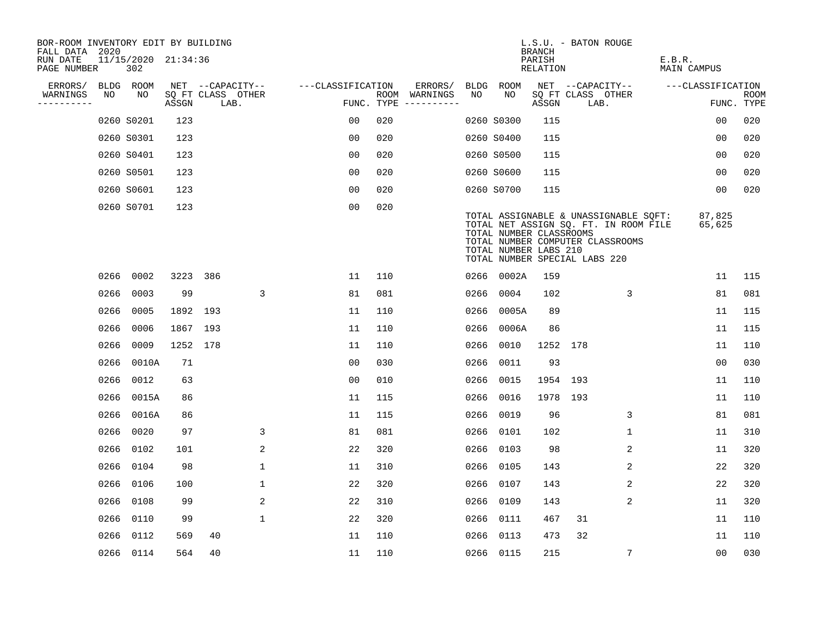| BOR-ROOM INVENTORY EDIT BY BUILDING<br>FALL DATA 2020 |      |                            |          |                           |              |                   |     |                                      |      |                                                  | <b>BRANCH</b>             | L.S.U. - BATON ROUGE                                                                                                                                |                              |                           |
|-------------------------------------------------------|------|----------------------------|----------|---------------------------|--------------|-------------------|-----|--------------------------------------|------|--------------------------------------------------|---------------------------|-----------------------------------------------------------------------------------------------------------------------------------------------------|------------------------------|---------------------------|
| RUN DATE<br>PAGE NUMBER                               |      | 11/15/2020 21:34:36<br>302 |          |                           |              |                   |     |                                      |      |                                                  | PARISH<br><b>RELATION</b> |                                                                                                                                                     | E.B.R.<br><b>MAIN CAMPUS</b> |                           |
| ERRORS/                                               |      | BLDG ROOM                  |          | NET --CAPACITY--          |              | ---CLASSIFICATION |     | ERRORS/                              | BLDG | <b>ROOM</b>                                      |                           | NET --CAPACITY--                                                                                                                                    | ---CLASSIFICATION            |                           |
| WARNINGS<br>----------                                | NO   | NO                         | ASSGN    | SQ FT CLASS OTHER<br>LAB. |              |                   |     | ROOM WARNINGS<br>FUNC. TYPE $------$ | NO   | NO                                               | ASSGN                     | SQ FT CLASS OTHER<br>LAB.                                                                                                                           |                              | <b>ROOM</b><br>FUNC. TYPE |
|                                                       |      | 0260 S0201                 | 123      |                           |              | 0 <sub>0</sub>    | 020 |                                      |      | 0260 S0300                                       | 115                       |                                                                                                                                                     | 0 <sub>0</sub>               | 020                       |
|                                                       |      | 0260 S0301                 | 123      |                           |              | 0 <sub>0</sub>    | 020 |                                      |      | 0260 S0400                                       | 115                       |                                                                                                                                                     | 00                           | 020                       |
|                                                       |      | 0260 S0401                 | 123      |                           |              | 00                | 020 |                                      |      | 0260 S0500                                       | 115                       |                                                                                                                                                     | 00                           | 020                       |
|                                                       |      | 0260 S0501                 | 123      |                           |              | 0 <sub>0</sub>    | 020 |                                      |      | 0260 S0600                                       | 115                       |                                                                                                                                                     | 00                           | 020                       |
|                                                       |      | 0260 S0601                 | 123      |                           |              | 0 <sub>0</sub>    | 020 |                                      |      | 0260 S0700                                       | 115                       |                                                                                                                                                     | 00                           | 020                       |
|                                                       |      | 0260 S0701                 | 123      |                           |              | 0 <sub>0</sub>    | 020 |                                      |      | TOTAL NUMBER CLASSROOMS<br>TOTAL NUMBER LABS 210 |                           | TOTAL ASSIGNABLE & UNASSIGNABLE SQFT:<br>TOTAL NET ASSIGN SQ. FT. IN ROOM FILE<br>TOTAL NUMBER COMPUTER CLASSROOMS<br>TOTAL NUMBER SPECIAL LABS 220 | 87,825<br>65,625             |                           |
|                                                       | 0266 | 0002                       | 3223 386 |                           |              | 11                | 110 |                                      |      | 0266 0002A                                       | 159                       |                                                                                                                                                     | 11                           | 115                       |
|                                                       | 0266 | 0003                       | 99       |                           | 3            | 81                | 081 |                                      | 0266 | 0004                                             | 102                       | 3                                                                                                                                                   | 81                           | 081                       |
|                                                       | 0266 | 0005                       | 1892 193 |                           |              | 11                | 110 |                                      | 0266 | 0005A                                            | 89                        |                                                                                                                                                     | 11                           | 115                       |
|                                                       | 0266 | 0006                       | 1867 193 |                           |              | 11                | 110 |                                      | 0266 | 0006A                                            | 86                        |                                                                                                                                                     | 11                           | 115                       |
|                                                       | 0266 | 0009                       | 1252 178 |                           |              | 11                | 110 |                                      | 0266 | 0010                                             | 1252                      | 178                                                                                                                                                 | 11                           | 110                       |
|                                                       | 0266 | 0010A                      | 71       |                           |              | 0 <sub>0</sub>    | 030 |                                      | 0266 | 0011                                             | 93                        |                                                                                                                                                     | 0 <sub>0</sub>               | 030                       |
|                                                       | 0266 | 0012                       | 63       |                           |              | 0 <sub>0</sub>    | 010 |                                      | 0266 | 0015                                             | 1954 193                  |                                                                                                                                                     | 11                           | 110                       |
|                                                       | 0266 | 0015A                      | 86       |                           |              | 11                | 115 |                                      | 0266 | 0016                                             | 1978 193                  |                                                                                                                                                     | 11                           | 110                       |
|                                                       | 0266 | 0016A                      | 86       |                           |              | 11                | 115 |                                      | 0266 | 0019                                             | 96                        | 3                                                                                                                                                   | 81                           | 081                       |
|                                                       | 0266 | 0020                       | 97       |                           | 3            | 81                | 081 |                                      | 0266 | 0101                                             | 102                       | 1                                                                                                                                                   | 11                           | 310                       |
|                                                       | 0266 | 0102                       | 101      |                           | 2            | 22                | 320 |                                      | 0266 | 0103                                             | 98                        | 2                                                                                                                                                   | 11                           | 320                       |
|                                                       | 0266 | 0104                       | 98       |                           | $\mathbf 1$  | 11                | 310 |                                      | 0266 | 0105                                             | 143                       | 2                                                                                                                                                   | 22                           | 320                       |
|                                                       | 0266 | 0106                       | 100      |                           | $\mathbf{1}$ | 22                | 320 |                                      | 0266 | 0107                                             | 143                       | $\overline{c}$                                                                                                                                      | 22                           | 320                       |
|                                                       |      | 0266 0108                  | 99       |                           | 2            | 22                | 310 |                                      |      | 0266 0109                                        | 143                       | 2                                                                                                                                                   | 11                           | 320                       |
|                                                       | 0266 | 0110                       | 99       |                           | $\mathbf 1$  | 22                | 320 |                                      | 0266 | 0111                                             | 467                       | 31                                                                                                                                                  | 11                           | 110                       |
|                                                       | 0266 | 0112                       | 569      | 40                        |              | 11                | 110 |                                      | 0266 | 0113                                             | 473                       | 32                                                                                                                                                  | 11                           | 110                       |
|                                                       |      | 0266 0114                  | 564      | 40                        |              | 11                | 110 |                                      |      | 0266 0115                                        | 215                       | 7                                                                                                                                                   | 0 <sub>0</sub>               | 030                       |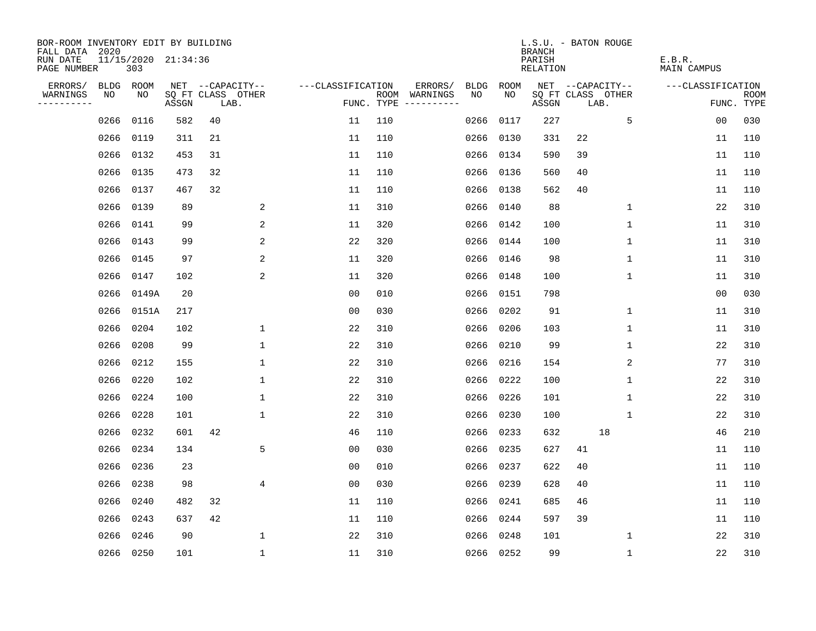| BOR-ROOM INVENTORY EDIT BY BUILDING<br>FALL DATA 2020 |      |            |                     |      |                   |                   |            |                              |             |           | L.S.U. - BATON ROUGE<br><b>BRANCH</b> |      |                   |                              |                   |                           |
|-------------------------------------------------------|------|------------|---------------------|------|-------------------|-------------------|------------|------------------------------|-------------|-----------|---------------------------------------|------|-------------------|------------------------------|-------------------|---------------------------|
| RUN DATE<br>PAGE NUMBER                               |      | 303        | 11/15/2020 21:34:36 |      |                   |                   |            |                              |             |           | PARISH<br><b>RELATION</b>             |      |                   | E.B.R.<br><b>MAIN CAMPUS</b> |                   |                           |
| ERRORS/                                               | BLDG | ROOM       |                     |      | NET --CAPACITY--  | ---CLASSIFICATION |            | ERRORS/                      | <b>BLDG</b> | ROOM      |                                       |      | NET --CAPACITY--  |                              | ---CLASSIFICATION |                           |
| WARNINGS<br>----------                                | NO   | NO         | ASSGN               | LAB. | SQ FT CLASS OTHER |                   | FUNC. TYPE | ROOM WARNINGS<br>----------- | NO.         | NO.       | ASSGN                                 | LAB. | SQ FT CLASS OTHER |                              |                   | <b>ROOM</b><br>FUNC. TYPE |
|                                                       | 0266 | 0116       | 582                 | 40   |                   | 11                | 110        |                              | 0266        | 0117      | 227                                   |      | 5                 |                              | 0 <sub>0</sub>    | 030                       |
|                                                       | 0266 | 0119       | 311                 | 21   |                   | 11                | 110        |                              | 0266        | 0130      | 331                                   | 22   |                   |                              | 11                | 110                       |
|                                                       | 0266 | 0132       | 453                 | 31   |                   | 11                | 110        |                              | 0266        | 0134      | 590                                   | 39   |                   |                              | 11                | 110                       |
|                                                       | 0266 | 0135       | 473                 | 32   |                   | 11                | 110        |                              | 0266        | 0136      | 560                                   | 40   |                   |                              | 11                | 110                       |
|                                                       | 0266 | 0137       | 467                 | 32   |                   | 11                | 110        |                              | 0266        | 0138      | 562                                   | 40   |                   |                              | 11                | 110                       |
|                                                       |      | 0266 0139  | 89                  |      | 2                 | 11                | 310        |                              | 0266        | 0140      | 88                                    |      | 1                 |                              | 22                | 310                       |
|                                                       | 0266 | 0141       | 99                  |      | 2                 | 11                | 320        |                              | 0266        | 0142      | 100                                   |      | 1                 |                              | 11                | 310                       |
|                                                       |      | 0266 0143  | 99                  |      | 2                 | 22                | 320        |                              | 0266        | 0144      | 100                                   |      | 1                 |                              | 11                | 310                       |
|                                                       | 0266 | 0145       | 97                  |      | 2                 | 11                | 320        |                              | 0266        | 0146      | 98                                    |      | $\mathbf{1}$      |                              | 11                | 310                       |
|                                                       |      | 0266 0147  | 102                 |      | 2                 | 11                | 320        |                              | 0266        | 0148      | 100                                   |      | $\mathbf{1}$      |                              | 11                | 310                       |
|                                                       |      | 0266 0149A | 20                  |      |                   | 0 <sub>0</sub>    | 010        |                              | 0266        | 0151      | 798                                   |      |                   |                              | 0 <sub>0</sub>    | 030                       |
|                                                       |      | 0266 0151A | 217                 |      |                   | 0 <sub>0</sub>    | 030        |                              | 0266        | 0202      | 91                                    |      | $\mathbf{1}$      |                              | 11                | 310                       |
|                                                       | 0266 | 0204       | 102                 |      | $\mathbf 1$       | 22                | 310        |                              | 0266        | 0206      | 103                                   |      | $\mathbf 1$       |                              | 11                | 310                       |
|                                                       | 0266 | 0208       | 99                  |      | $\mathbf 1$       | 22                | 310        |                              | 0266        | 0210      | 99                                    |      | $\mathbf 1$       |                              | 22                | 310                       |
|                                                       |      | 0266 0212  | 155                 |      | $\mathbf 1$       | 22                | 310        |                              | 0266        | 0216      | 154                                   |      | 2                 |                              | 77                | 310                       |
|                                                       |      | 0266 0220  | 102                 |      | $\mathbf 1$       | 22                | 310        |                              | 0266        | 0222      | 100                                   |      | 1                 |                              | 22                | 310                       |
|                                                       | 0266 | 0224       | 100                 |      | $\mathbf 1$       | 22                | 310        |                              | 0266        | 0226      | 101                                   |      | 1                 |                              | 22                | 310                       |
|                                                       |      | 0266 0228  | 101                 |      | $\mathbf{1}$      | 22                | 310        |                              | 0266        | 0230      | 100                                   |      | 1                 |                              | 22                | 310                       |
|                                                       | 0266 | 0232       | 601                 | 42   |                   | 46                | 110        |                              | 0266        | 0233      | 632                                   |      | 18                |                              | 46                | 210                       |
|                                                       | 0266 | 0234       | 134                 |      | 5                 | 0 <sub>0</sub>    | 030        |                              | 0266        | 0235      | 627                                   | 41   |                   |                              | 11                | 110                       |
|                                                       | 0266 | 0236       | 23                  |      |                   | 0 <sub>0</sub>    | 010        |                              | 0266        | 0237      | 622                                   | 40   |                   |                              | 11                | 110                       |
|                                                       | 0266 | 0238       | 98                  |      | 4                 | 0 <sub>0</sub>    | 030        |                              | 0266        | 0239      | 628                                   | 40   |                   |                              | 11                | 110                       |
|                                                       | 0266 | 0240       | 482                 | 32   |                   | 11                | 110        |                              | 0266        | 0241      | 685                                   | 46   |                   |                              | 11                | 110                       |
|                                                       | 0266 | 0243       | 637                 | 42   |                   | 11                | 110        |                              | 0266        | 0244      | 597                                   | 39   |                   |                              | 11                | 110                       |
|                                                       | 0266 | 0246       | 90                  |      | $\mathbf{1}$      | 22                | 310        |                              | 0266        | 0248      | 101                                   |      | 1                 |                              | 22                | 310                       |
|                                                       |      | 0266 0250  | 101                 |      | $\mathbf 1$       | 11                | 310        |                              |             | 0266 0252 | 99                                    |      | 1                 |                              | 22                | 310                       |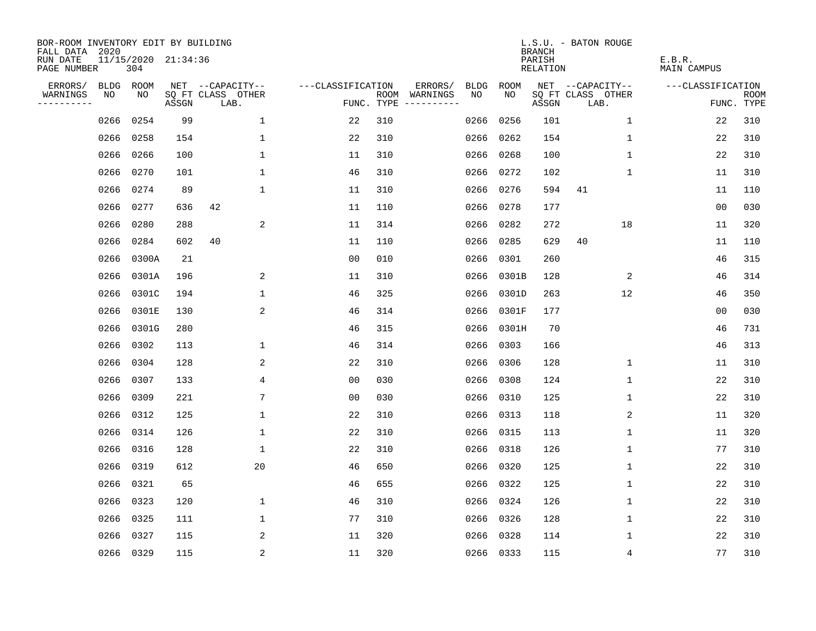| BOR-ROOM INVENTORY EDIT BY BUILDING<br>FALL DATA 2020 |           |                            |       |                           |                   |     |                                      |             |             | <b>BRANCH</b>             | L.S.U. - BATON ROUGE      |                              |                           |
|-------------------------------------------------------|-----------|----------------------------|-------|---------------------------|-------------------|-----|--------------------------------------|-------------|-------------|---------------------------|---------------------------|------------------------------|---------------------------|
| RUN DATE<br>PAGE NUMBER                               |           | 11/15/2020 21:34:36<br>304 |       |                           |                   |     |                                      |             |             | PARISH<br><b>RELATION</b> |                           | E.B.R.<br><b>MAIN CAMPUS</b> |                           |
| ERRORS/                                               | BLDG ROOM |                            |       | NET --CAPACITY--          | ---CLASSIFICATION |     | ERRORS/                              | <b>BLDG</b> | <b>ROOM</b> |                           | NET --CAPACITY--          | ---CLASSIFICATION            |                           |
| WARNINGS<br>----------                                | NO        | NO                         | ASSGN | SQ FT CLASS OTHER<br>LAB. |                   |     | ROOM WARNINGS<br>FUNC. TYPE $------$ | NO          | NO          | ASSGN                     | SQ FT CLASS OTHER<br>LAB. |                              | <b>ROOM</b><br>FUNC. TYPE |
|                                                       | 0266      | 0254                       | 99    | $\mathbf 1$               | 22                | 310 |                                      | 0266        | 0256        | 101                       | $\mathbf 1$               | 22                           | 310                       |
|                                                       | 0266      | 0258                       | 154   | $\mathbf 1$               | 22                | 310 |                                      | 0266        | 0262        | 154                       | 1                         | 22                           | 310                       |
|                                                       | 0266      | 0266                       | 100   | $\mathbf{1}$              | 11                | 310 |                                      | 0266        | 0268        | 100                       | 1                         | 22                           | 310                       |
|                                                       | 0266      | 0270                       | 101   | 1                         | 46                | 310 |                                      |             | 0266 0272   | 102                       | 1                         | 11                           | 310                       |
|                                                       | 0266      | 0274                       | 89    | $\mathbf{1}$              | 11                | 310 |                                      |             | 0266 0276   | 594                       | 41                        | 11                           | 110                       |
|                                                       | 0266      | 0277                       | 636   | 42                        | 11                | 110 |                                      |             | 0266 0278   | 177                       |                           | 0 <sub>0</sub>               | 030                       |
|                                                       | 0266      | 0280                       | 288   | 2                         | 11                | 314 |                                      | 0266        | 0282        | 272                       | 18                        | 11                           | 320                       |
|                                                       | 0266      | 0284                       | 602   | 40                        | 11                | 110 |                                      |             | 0266 0285   | 629                       | 40                        | 11                           | 110                       |
|                                                       | 0266      | 0300A                      | 21    |                           | 0 <sub>0</sub>    | 010 |                                      | 0266        | 0301        | 260                       |                           | 46                           | 315                       |
|                                                       | 0266      | 0301A                      | 196   | 2                         | 11                | 310 |                                      | 0266        | 0301B       | 128                       | 2                         | 46                           | 314                       |
|                                                       | 0266      | 0301C                      | 194   | $\mathbf 1$               | 46                | 325 |                                      | 0266        | 0301D       | 263                       | 12                        | 46                           | 350                       |
|                                                       | 0266      | 0301E                      | 130   | 2                         | 46                | 314 |                                      |             | 0266 0301F  | 177                       |                           | 0 <sub>0</sub>               | 030                       |
|                                                       | 0266      | 0301G                      | 280   |                           | 46                | 315 |                                      | 0266        | 0301H       | 70                        |                           | 46                           | 731                       |
|                                                       | 0266      | 0302                       | 113   | 1                         | 46                | 314 |                                      | 0266        | 0303        | 166                       |                           | 46                           | 313                       |
|                                                       | 0266      | 0304                       | 128   | 2                         | 22                | 310 |                                      | 0266        | 0306        | 128                       | 1                         | 11                           | 310                       |
|                                                       | 0266      | 0307                       | 133   | 4                         | 0 <sub>0</sub>    | 030 |                                      | 0266        | 0308        | 124                       | $\mathbf 1$               | 22                           | 310                       |
|                                                       | 0266      | 0309                       | 221   | 7                         | 0 <sub>0</sub>    | 030 |                                      | 0266        | 0310        | 125                       | 1                         | 22                           | 310                       |
|                                                       | 0266      | 0312                       | 125   | $\mathbf 1$               | 22                | 310 |                                      | 0266        | 0313        | 118                       | 2                         | 11                           | 320                       |
|                                                       | 0266      | 0314                       | 126   | 1                         | 22                | 310 |                                      | 0266        | 0315        | 113                       | 1                         | 11                           | 320                       |
|                                                       | 0266      | 0316                       | 128   | $\mathbf{1}$              | 22                | 310 |                                      | 0266        | 0318        | 126                       | $\mathbf 1$               | 77                           | 310                       |
|                                                       | 0266      | 0319                       | 612   | 20                        | 46                | 650 |                                      |             | 0266 0320   | 125                       | 1                         | 22                           | 310                       |
|                                                       | 0266      | 0321                       | 65    |                           | 46                | 655 |                                      | 0266        | 0322        | 125                       | 1                         | 22                           | 310                       |
|                                                       | 0266 0323 |                            | 120   | 1                         | 46                | 310 |                                      |             | 0266 0324   | 126                       | 1                         | 22                           | 310                       |
|                                                       | 0266      | 0325                       | 111   | $\mathbf 1$               | 77                | 310 |                                      |             | 0266 0326   | 128                       | 1                         | 22                           | 310                       |
|                                                       | 0266      | 0327                       | 115   | 2                         | 11                | 320 |                                      |             | 0266 0328   | 114                       | 1                         | 22                           | 310                       |
|                                                       |           | 0266 0329                  | 115   | 2                         | 11                | 320 |                                      |             | 0266 0333   | 115                       | $\overline{4}$            | 77                           | 310                       |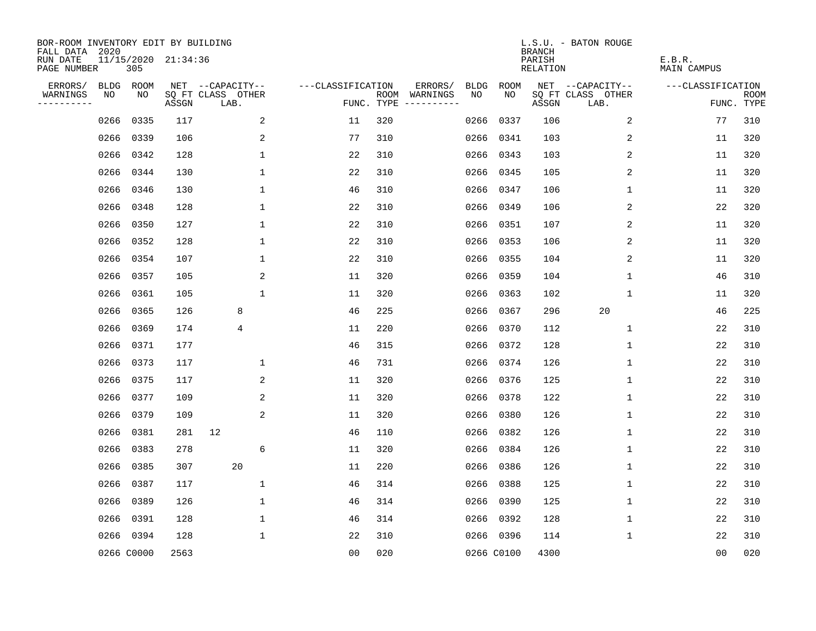| BOR-ROOM INVENTORY EDIT BY BUILDING<br>FALL DATA 2020 |                            |       |                           |                   |            |                                   |             | <b>BRANCH</b>             | L.S.U. - BATON ROUGE      |                              |                           |
|-------------------------------------------------------|----------------------------|-------|---------------------------|-------------------|------------|-----------------------------------|-------------|---------------------------|---------------------------|------------------------------|---------------------------|
| RUN DATE<br>PAGE NUMBER                               | 11/15/2020 21:34:36<br>305 |       |                           |                   |            |                                   |             | PARISH<br><b>RELATION</b> |                           | E.B.R.<br><b>MAIN CAMPUS</b> |                           |
| ERRORS/                                               | ROOM<br>BLDG               |       | NET --CAPACITY--          | ---CLASSIFICATION |            | ERRORS/<br><b>BLDG</b>            | <b>ROOM</b> |                           | NET --CAPACITY--          | ---CLASSIFICATION            |                           |
| NO<br>WARNINGS<br>----------                          | NO                         | ASSGN | SQ FT CLASS OTHER<br>LAB. |                   | FUNC. TYPE | NO<br>ROOM WARNINGS<br>---------- | NO          | ASSGN                     | SQ FT CLASS OTHER<br>LAB. |                              | <b>ROOM</b><br>FUNC. TYPE |
| 0266                                                  | 0335                       | 117   | 2                         | 11                | 320        | 0266                              | 0337        | 106                       | 2                         | 77                           | 310                       |
|                                                       | 0266<br>0339               | 106   | 2                         | 77                | 310        | 0266                              | 0341        | 103                       | 2                         | 11                           | 320                       |
|                                                       | 0266<br>0342               | 128   | $\mathbf 1$               | 22                | 310        | 0266                              | 0343        | 103                       | 2                         | 11                           | 320                       |
|                                                       | 0266 0344                  | 130   | $\mathbf 1$               | 22                | 310        | 0266                              | 0345        | 105                       | 2                         | 11                           | 320                       |
| 0266                                                  | 0346                       | 130   | $\mathbf{1}$              | 46                | 310        | 0266                              | 0347        | 106                       | 1                         | 11                           | 320                       |
|                                                       | 0266 0348                  | 128   | $\mathbf{1}$              | 22                | 310        | 0266                              | 0349        | 106                       | 2                         | 22                           | 320                       |
|                                                       | 0266<br>0350               | 127   | $\mathbf 1$               | 22                | 310        | 0266                              | 0351        | 107                       | 2                         | 11                           | 320                       |
|                                                       | 0266 0352                  | 128   | $\mathbf 1$               | 22                | 310        | 0266                              | 0353        | 106                       | 2                         | 11                           | 320                       |
|                                                       | 0266<br>0354               | 107   | $\mathbf 1$               | 22                | 310        | 0266                              | 0355        | 104                       | 2                         | 11                           | 320                       |
|                                                       | 0266 0357                  | 105   | 2                         | 11                | 320        | 0266                              | 0359        | 104                       | $\mathbf 1$               | 46                           | 310                       |
|                                                       | 0266 0361                  | 105   | $\mathbf{1}$              | 11                | 320        | 0266                              | 0363        | 102                       | $\mathbf 1$               | 11                           | 320                       |
|                                                       | 0266 0365                  | 126   | 8                         | 46                | 225        | 0266                              | 0367        | 296                       | 20                        | 46                           | 225                       |
|                                                       | 0266<br>0369               | 174   | 4                         | 11                | 220        | 0266                              | 0370        | 112                       | $\mathbf 1$               | 22                           | 310                       |
|                                                       | 0266 0371                  | 177   |                           | 46                | 315        | 0266                              | 0372        | 128                       | 1                         | 22                           | 310                       |
|                                                       | 0373<br>0266               | 117   | 1                         | 46                | 731        | 0266                              | 0374        | 126                       | 1                         | 22                           | 310                       |
|                                                       | 0266<br>0375               | 117   | 2                         | 11                | 320        | 0266                              | 0376        | 125                       | 1                         | 22                           | 310                       |
| 0266                                                  | 0377                       | 109   | 2                         | 11                | 320        | 0266                              | 0378        | 122                       | 1                         | 22                           | 310                       |
| 0266                                                  | 0379                       | 109   | 2                         | 11                | 320        | 0266                              | 0380        | 126                       | 1                         | 22                           | 310                       |
|                                                       | 0381<br>0266               | 281   | 12                        | 46                | 110        | 0266                              | 0382        | 126                       | 1                         | 22                           | 310                       |
| 0266                                                  | 0383                       | 278   | 6                         | 11                | 320        | 0266                              | 0384        | 126                       | 1                         | 22                           | 310                       |
| 0266                                                  | 0385                       | 307   | 20                        | 11                | 220        | 0266                              | 0386        | 126                       | 1                         | 22                           | 310                       |
| 0266                                                  | 0387                       | 117   | $\mathbf 1$               | 46                | 314        | 0266                              | 0388        | 125                       | 1                         | 22                           | 310                       |
|                                                       | 0266<br>0389               | 126   | 1                         | 46                | 314        | 0266                              | 0390        | 125                       | 1                         | 22                           | 310                       |
|                                                       | 0266<br>0391               | 128   | $\mathbf 1$               | 46                | 314        | 0266                              | 0392        | 128                       | 1                         | 22                           | 310                       |
|                                                       | 0266 0394                  | 128   | $\mathbf{1}$              | 22                | 310        |                                   | 0266 0396   | 114                       | 1                         | 22                           | 310                       |
|                                                       | 0266 C0000                 | 2563  |                           | 0 <sub>0</sub>    | 020        |                                   | 0266 C0100  | 4300                      |                           | 00                           | 020                       |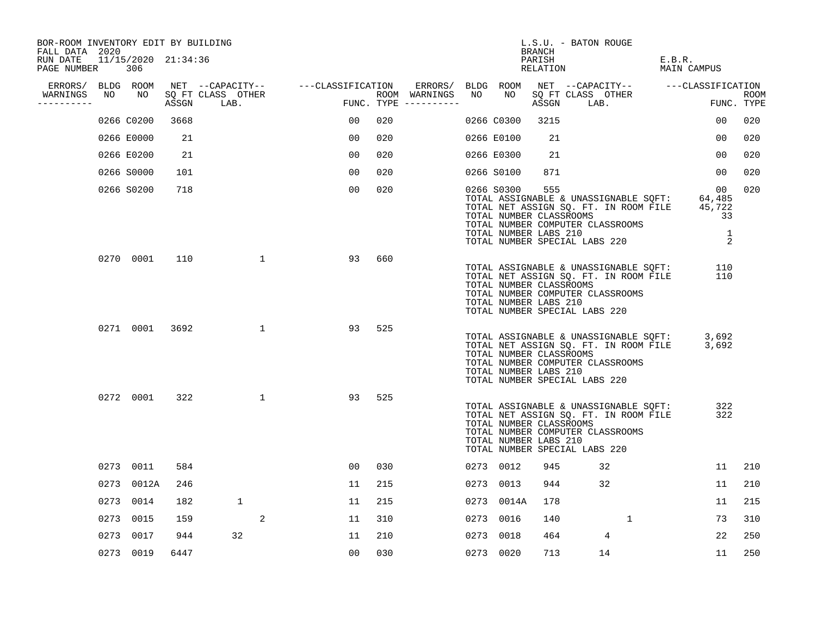| PAGE NUMBER | 306                  |                                                                                                                                                                                                       |                                  |                                                            |                                                                |     |                                     |               |                                      |                                                                                                                                                        |                                | E.B.R.<br>MAIN CAMPUS                                                                                                                                                                                                                                                                                                                                                                                                                                                                                                                                                   |                                                                                                                                                                                                                                                                                                                                                                                                                                                                     |
|-------------|----------------------|-------------------------------------------------------------------------------------------------------------------------------------------------------------------------------------------------------|----------------------------------|------------------------------------------------------------|----------------------------------------------------------------|-----|-------------------------------------|---------------|--------------------------------------|--------------------------------------------------------------------------------------------------------------------------------------------------------|--------------------------------|-------------------------------------------------------------------------------------------------------------------------------------------------------------------------------------------------------------------------------------------------------------------------------------------------------------------------------------------------------------------------------------------------------------------------------------------------------------------------------------------------------------------------------------------------------------------------|---------------------------------------------------------------------------------------------------------------------------------------------------------------------------------------------------------------------------------------------------------------------------------------------------------------------------------------------------------------------------------------------------------------------------------------------------------------------|
|             |                      |                                                                                                                                                                                                       |                                  |                                                            |                                                                |     |                                     |               |                                      |                                                                                                                                                        |                                |                                                                                                                                                                                                                                                                                                                                                                                                                                                                                                                                                                         |                                                                                                                                                                                                                                                                                                                                                                                                                                                                     |
| ----------  |                      |                                                                                                                                                                                                       |                                  |                                                            |                                                                |     |                                     |               |                                      |                                                                                                                                                        |                                |                                                                                                                                                                                                                                                                                                                                                                                                                                                                                                                                                                         | <b>ROOM</b><br>FUNC. TYPE                                                                                                                                                                                                                                                                                                                                                                                                                                           |
|             |                      | 3668                                                                                                                                                                                                  |                                  |                                                            | 00                                                             | 020 |                                     |               |                                      | 3215                                                                                                                                                   |                                | 00                                                                                                                                                                                                                                                                                                                                                                                                                                                                                                                                                                      | 020                                                                                                                                                                                                                                                                                                                                                                                                                                                                 |
|             |                      | 21                                                                                                                                                                                                    |                                  |                                                            | 00                                                             | 020 |                                     |               |                                      | 21                                                                                                                                                     |                                | 00                                                                                                                                                                                                                                                                                                                                                                                                                                                                                                                                                                      | 020                                                                                                                                                                                                                                                                                                                                                                                                                                                                 |
|             |                      | 21                                                                                                                                                                                                    |                                  |                                                            | 00                                                             | 020 |                                     |               |                                      | 21                                                                                                                                                     |                                | 00                                                                                                                                                                                                                                                                                                                                                                                                                                                                                                                                                                      | 020                                                                                                                                                                                                                                                                                                                                                                                                                                                                 |
|             |                      | 101                                                                                                                                                                                                   |                                  |                                                            | 0 <sub>0</sub>                                                 | 020 |                                     |               |                                      | 871                                                                                                                                                    |                                | 0 <sub>0</sub>                                                                                                                                                                                                                                                                                                                                                                                                                                                                                                                                                          | 020                                                                                                                                                                                                                                                                                                                                                                                                                                                                 |
|             |                      | 718                                                                                                                                                                                                   |                                  |                                                            | 00                                                             | 020 |                                     |               |                                      | 555                                                                                                                                                    |                                |                                                                                                                                                                                                                                                                                                                                                                                                                                                                                                                                                                         | 020                                                                                                                                                                                                                                                                                                                                                                                                                                                                 |
|             |                      |                                                                                                                                                                                                       |                                  |                                                            | 93                                                             | 660 |                                     |               |                                      |                                                                                                                                                        |                                |                                                                                                                                                                                                                                                                                                                                                                                                                                                                                                                                                                         |                                                                                                                                                                                                                                                                                                                                                                                                                                                                     |
|             |                      |                                                                                                                                                                                                       |                                  |                                                            | 93                                                             | 525 |                                     |               |                                      |                                                                                                                                                        |                                |                                                                                                                                                                                                                                                                                                                                                                                                                                                                                                                                                                         |                                                                                                                                                                                                                                                                                                                                                                                                                                                                     |
|             |                      |                                                                                                                                                                                                       |                                  |                                                            | 93                                                             | 525 |                                     |               |                                      |                                                                                                                                                        |                                |                                                                                                                                                                                                                                                                                                                                                                                                                                                                                                                                                                         |                                                                                                                                                                                                                                                                                                                                                                                                                                                                     |
|             |                      | 584                                                                                                                                                                                                   |                                  |                                                            | 00                                                             | 030 |                                     |               |                                      | 945                                                                                                                                                    | 32                             | 11                                                                                                                                                                                                                                                                                                                                                                                                                                                                                                                                                                      | 210                                                                                                                                                                                                                                                                                                                                                                                                                                                                 |
|             |                      | 246                                                                                                                                                                                                   |                                  |                                                            | 11                                                             | 215 |                                     |               |                                      | 944                                                                                                                                                    | 32                             | 11                                                                                                                                                                                                                                                                                                                                                                                                                                                                                                                                                                      | 210                                                                                                                                                                                                                                                                                                                                                                                                                                                                 |
|             |                      | 182                                                                                                                                                                                                   | 1                                |                                                            | 11                                                             | 215 |                                     |               |                                      | 178                                                                                                                                                    |                                | 11                                                                                                                                                                                                                                                                                                                                                                                                                                                                                                                                                                      | 215                                                                                                                                                                                                                                                                                                                                                                                                                                                                 |
|             |                      | 159                                                                                                                                                                                                   |                                  |                                                            | 11                                                             | 310 |                                     |               |                                      | 140                                                                                                                                                    | 1                              | 73                                                                                                                                                                                                                                                                                                                                                                                                                                                                                                                                                                      | 310                                                                                                                                                                                                                                                                                                                                                                                                                                                                 |
|             |                      | 944                                                                                                                                                                                                   | 32                               |                                                            | 11                                                             | 210 |                                     |               |                                      | 464                                                                                                                                                    | 4                              | 22                                                                                                                                                                                                                                                                                                                                                                                                                                                                                                                                                                      | 250                                                                                                                                                                                                                                                                                                                                                                                                                                                                 |
|             |                      | 6447                                                                                                                                                                                                  |                                  |                                                            | 0 <sub>0</sub>                                                 | 030 |                                     |               |                                      | 713                                                                                                                                                    | 14                             | 11                                                                                                                                                                                                                                                                                                                                                                                                                                                                                                                                                                      | 250                                                                                                                                                                                                                                                                                                                                                                                                                                                                 |
|             | FALL DATA 2020<br>NO | ERRORS/ BLDG ROOM<br>NO<br>0266 C0200<br>0266 E0000<br>0266 E0200<br>0266 S0000<br>0266 S0200<br>0270 0001<br>0271 0001<br>0272 0001<br>0273 0011<br>0273 0014<br>0273 0015<br>0273 0017<br>0273 0019 | 110<br>3692<br>322<br>0273 0012A | BOR-ROOM INVENTORY EDIT BY BUILDING<br>11/15/2020 21:34:36 | SQ FT CLASS OTHER<br>ASSGN LAB.<br>1<br>$\mathbf{1}$<br>1<br>2 |     | NET --CAPACITY-- ----CLASSIFICATION | ROOM WARNINGS | ERRORS/<br>NO<br>FUNC. TYPE $------$ | BLDG ROOM<br>NO<br>0266 C0300<br>0266 E0100<br>0266 E0300<br>0266 S0100<br>0266 S0300<br>0273 0012<br>0273 0013<br>0273 0016<br>0273 0018<br>0273 0020 | BRANCH<br>PARISH<br>0273 0014A | L.S.U. - BATON ROUGE<br>RELATION<br>SQ FT CLASS OTHER<br>ASSGN LAB.<br>TOTAL NUMBER CLASSROOMS<br>TOTAL NUMBER COMPUTER CLASSROOMS<br>TOTAL NUMBER LABS 210<br>TOTAL NUMBER SPECIAL LABS 220<br>TOTAL NUMBER CLASSROOMS<br>TOTAL NUMBER COMPUTER CLASSROOMS<br>TOTAL NUMBER LABS 210<br>TOTAL NUMBER SPECIAL LABS 220<br>TOTAL NUMBER CLASSROOMS<br>TOTAL NUMBER COMPUTER CLASSROOMS<br>TOTAL NUMBER LABS 210<br>TOTAL NUMBER SPECIAL LABS 220<br>TOTAL NUMBER CLASSROOMS<br>TOTAL NUMBER COMPUTER CLASSROOMS<br>TOTAL NUMBER LABS 210<br>TOTAL NUMBER SPECIAL LABS 220 | NET --CAPACITY-- ---CLASSIFICATION<br>00 <sup>o</sup><br>TOTAL ASSIGNABLE & UNASSIGNABLE SQFT: 64,485<br>TOTAL NET ASSIGN SQ. FT. IN ROOM FILE 45,722<br>33<br>1<br>2<br>110<br>TOTAL ASSIGNABLE & UNASSIGNABLE SQFT:<br>TOTAL NET ASSIGN SQ. FT. IN ROOM FILE<br>110<br>TOTAL ASSIGNABLE & UNASSIGNABLE SQFT: 3,692<br>TOTAL NET ASSIGN SQ. FT. IN ROOM FILE 3,692<br>322<br>TOTAL ASSIGNABLE & UNASSIGNABLE SQFT:<br>TOTAL NET ASSIGN SQ. FT. IN ROOM FILE<br>322 |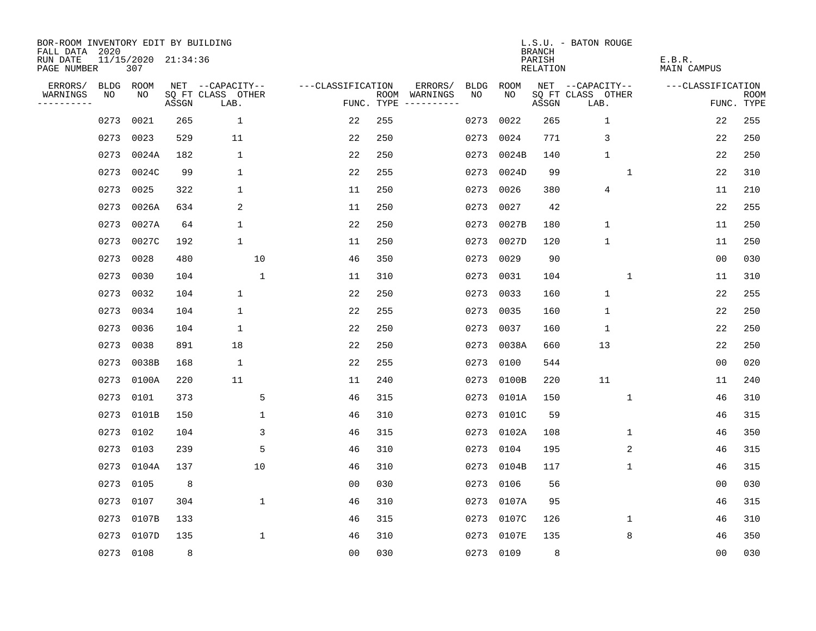| BOR-ROOM INVENTORY EDIT BY BUILDING<br>FALL DATA 2020 |      |                            |       |                           |                   |     |                                      |             |            | <b>BRANCH</b>      | L.S.U. - BATON ROUGE      |                       |                           |
|-------------------------------------------------------|------|----------------------------|-------|---------------------------|-------------------|-----|--------------------------------------|-------------|------------|--------------------|---------------------------|-----------------------|---------------------------|
| RUN DATE<br>PAGE NUMBER                               |      | 11/15/2020 21:34:36<br>307 |       |                           |                   |     |                                      |             |            | PARISH<br>RELATION |                           | E.B.R.<br>MAIN CAMPUS |                           |
| ERRORS/                                               | BLDG | ROOM                       |       | NET --CAPACITY--          | ---CLASSIFICATION |     | ERRORS/                              | <b>BLDG</b> | ROOM       |                    | NET --CAPACITY--          | ---CLASSIFICATION     |                           |
| WARNINGS<br>----------                                | NO   | NO                         | ASSGN | SQ FT CLASS OTHER<br>LAB. |                   |     | ROOM WARNINGS<br>FUNC. TYPE $------$ | NO.         | NO.        | ASSGN              | SQ FT CLASS OTHER<br>LAB. |                       | <b>ROOM</b><br>FUNC. TYPE |
|                                                       | 0273 | 0021                       | 265   | $\mathbf{1}$              | 22                | 255 |                                      | 0273        | 0022       | 265                | $\mathbf 1$               | 22                    | 255                       |
|                                                       | 0273 | 0023                       | 529   | 11                        | 22                | 250 |                                      | 0273        | 0024       | 771                | 3                         | 22                    | 250                       |
|                                                       | 0273 | 0024A                      | 182   | 1                         | 22                | 250 |                                      | 0273        | 0024B      | 140                | 1                         | 22                    | 250                       |
|                                                       | 0273 | 0024C                      | 99    | 1                         | 22                | 255 |                                      | 0273        | 0024D      | 99                 | $\mathbf{1}$              | 22                    | 310                       |
|                                                       | 0273 | 0025                       | 322   | 1                         | 11                | 250 |                                      | 0273        | 0026       | 380                | 4                         | 11                    | 210                       |
|                                                       | 0273 | 0026A                      | 634   | 2                         | 11                | 250 |                                      | 0273        | 0027       | 42                 |                           | 22                    | 255                       |
|                                                       | 0273 | 0027A                      | 64    | $\mathbf{1}$              | 22                | 250 |                                      |             | 0273 0027B | 180                | $\mathbf{1}$              | 11                    | 250                       |
|                                                       | 0273 | 0027C                      | 192   | $\mathbf 1$               | 11                | 250 |                                      |             | 0273 0027D | 120                | $\mathbf{1}$              | 11                    | 250                       |
|                                                       | 0273 | 0028                       | 480   | 10                        | 46                | 350 |                                      | 0273        | 0029       | 90                 |                           | 0 <sub>0</sub>        | 030                       |
|                                                       | 0273 | 0030                       | 104   | 1                         | 11                | 310 |                                      | 0273        | 0031       | 104                | 1                         | 11                    | 310                       |
|                                                       | 0273 | 0032                       | 104   | $\mathbf 1$               | 22                | 250 |                                      | 0273        | 0033       | 160                | $\mathbf{1}$              | 22                    | 255                       |
|                                                       | 0273 | 0034                       | 104   | 1                         | 22                | 255 |                                      | 0273        | 0035       | 160                | $1\,$                     | 22                    | 250                       |
|                                                       | 0273 | 0036                       | 104   | $\mathbf 1$               | 22                | 250 |                                      | 0273        | 0037       | 160                | $\mathbf 1$               | 22                    | 250                       |
|                                                       | 0273 | 0038                       | 891   | 18                        | 22                | 250 |                                      | 0273        | 0038A      | 660                | 13                        | 22                    | 250                       |
|                                                       | 0273 | 0038B                      | 168   | 1                         | 22                | 255 |                                      | 0273        | 0100       | 544                |                           | 0 <sub>0</sub>        | 020                       |
|                                                       | 0273 | 0100A                      | 220   | 11                        | 11                | 240 |                                      | 0273        | 0100B      | 220                | 11                        | 11                    | 240                       |
|                                                       | 0273 | 0101                       | 373   | 5                         | 46                | 315 |                                      | 0273        | 0101A      | 150                | $\mathbf{1}$              | 46                    | 310                       |
|                                                       | 0273 | 0101B                      | 150   | $\mathbf 1$               | 46                | 310 |                                      | 0273        | 0101C      | 59                 |                           | 46                    | 315                       |
|                                                       | 0273 | 0102                       | 104   | 3                         | 46                | 315 |                                      | 0273        | 0102A      | 108                | 1                         | 46                    | 350                       |
|                                                       | 0273 | 0103                       | 239   | 5                         | 46                | 310 |                                      | 0273        | 0104       | 195                | 2                         | 46                    | 315                       |
|                                                       | 0273 | 0104A                      | 137   | 10                        | 46                | 310 |                                      | 0273        | 0104B      | 117                | 1                         | 46                    | 315                       |
|                                                       | 0273 | 0105                       | 8     |                           | 0 <sub>0</sub>    | 030 |                                      | 0273        | 0106       | 56                 |                           | 00                    | 030                       |
|                                                       | 0273 | 0107                       | 304   | $\mathbf 1$               | 46                | 310 |                                      | 0273        | 0107A      | 95                 |                           | 46                    | 315                       |
|                                                       | 0273 | 0107B                      | 133   |                           | 46                | 315 |                                      | 0273        | 0107C      | 126                | 1                         | 46                    | 310                       |
|                                                       | 0273 | 0107D                      | 135   | $\mathbf 1$               | 46                | 310 |                                      |             | 0273 0107E | 135                | 8                         | 46                    | 350                       |
|                                                       |      | 0273 0108                  | 8     |                           | 0 <sub>0</sub>    | 030 |                                      |             | 0273 0109  | 8                  |                           | 0 <sub>0</sub>        | 030                       |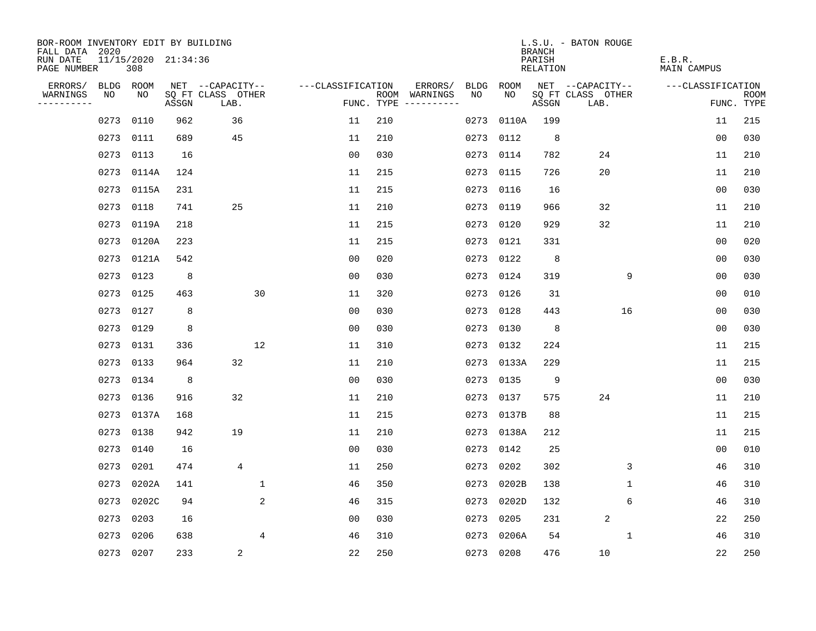| BOR-ROOM INVENTORY EDIT BY BUILDING<br>FALL DATA 2020 |            |       |                     |                           |              |                   |            |                              |      |            | <b>BRANCH</b>             | L.S.U. - BATON ROUGE      |                              |                           |
|-------------------------------------------------------|------------|-------|---------------------|---------------------------|--------------|-------------------|------------|------------------------------|------|------------|---------------------------|---------------------------|------------------------------|---------------------------|
| RUN DATE<br>PAGE NUMBER                               |            | 308   | 11/15/2020 21:34:36 |                           |              |                   |            |                              |      |            | PARISH<br><b>RELATION</b> |                           | E.B.R.<br><b>MAIN CAMPUS</b> |                           |
| ERRORS/                                               | BLDG ROOM  |       |                     | NET --CAPACITY--          |              | ---CLASSIFICATION |            | ERRORS/                      | BLDG | ROOM       |                           | NET --CAPACITY--          | ---CLASSIFICATION            |                           |
| WARNINGS<br>----------                                | NO         | NO    | ASSGN               | SQ FT CLASS OTHER<br>LAB. |              |                   | FUNC. TYPE | ROOM WARNINGS<br>----------- | NO   | NO         | ASSGN                     | SQ FT CLASS OTHER<br>LAB. |                              | <b>ROOM</b><br>FUNC. TYPE |
|                                                       | 0273       | 0110  | 962                 | 36                        |              | 11                | 210        |                              | 0273 | 0110A      | 199                       |                           | 11                           | 215                       |
|                                                       | 0273       | 0111  | 689                 | 45                        |              | 11                | 210        |                              | 0273 | 0112       | 8                         |                           | 0 <sub>0</sub>               | 030                       |
|                                                       | 0273       | 0113  | 16                  |                           |              | 00                | 030        |                              | 0273 | 0114       | 782                       | 24                        | 11                           | 210                       |
|                                                       | 0273       | 0114A | 124                 |                           |              | 11                | 215        |                              |      | 0273 0115  | 726                       | 20                        | 11                           | 210                       |
|                                                       | 0273       | 0115A | 231                 |                           |              | 11                | 215        |                              | 0273 | 0116       | 16                        |                           | 0 <sub>0</sub>               | 030                       |
|                                                       | 0273 0118  |       | 741                 | 25                        |              | 11                | 210        |                              |      | 0273 0119  | 966                       | 32                        | 11                           | 210                       |
|                                                       | 0273       | 0119A | 218                 |                           |              | 11                | 215        |                              | 0273 | 0120       | 929                       | 32                        | 11                           | 210                       |
|                                                       | 0273 0120A |       | 223                 |                           |              | 11                | 215        |                              |      | 0273 0121  | 331                       |                           | 0 <sub>0</sub>               | 020                       |
|                                                       | 0273       | 0121A | 542                 |                           |              | 0 <sub>0</sub>    | 020        |                              | 0273 | 0122       | 8                         |                           | 0 <sub>0</sub>               | 030                       |
|                                                       | 0273       | 0123  | 8                   |                           |              | 0 <sub>0</sub>    | 030        |                              |      | 0273 0124  | 319                       | 9                         | 0 <sub>0</sub>               | 030                       |
|                                                       | 0273       | 0125  | 463                 |                           | 30           | 11                | 320        |                              | 0273 | 0126       | 31                        |                           | 0 <sub>0</sub>               | 010                       |
|                                                       | 0273       | 0127  | 8                   |                           |              | 0 <sub>0</sub>    | 030        |                              | 0273 | 0128       | 443                       | 16                        | 0 <sub>0</sub>               | 030                       |
|                                                       | 0273       | 0129  | 8                   |                           |              | 0 <sub>0</sub>    | 030        |                              | 0273 | 0130       | 8                         |                           | 0 <sub>0</sub>               | 030                       |
|                                                       | 0273       | 0131  | 336                 |                           | 12           | 11                | 310        |                              |      | 0273 0132  | 224                       |                           | 11                           | 215                       |
|                                                       | 0273       | 0133  | 964                 | 32                        |              | 11                | 210        |                              |      | 0273 0133A | 229                       |                           | 11                           | 215                       |
|                                                       | 0273       | 0134  | 8                   |                           |              | 0 <sub>0</sub>    | 030        |                              | 0273 | 0135       | 9                         |                           | 0 <sub>0</sub>               | 030                       |
|                                                       | 0273       | 0136  | 916                 | 32                        |              | 11                | 210        |                              |      | 0273 0137  | 575                       | 24                        | 11                           | 210                       |
|                                                       | 0273       | 0137A | 168                 |                           |              | 11                | 215        |                              | 0273 | 0137B      | 88                        |                           | 11                           | 215                       |
|                                                       | 0273       | 0138  | 942                 | 19                        |              | 11                | 210        |                              |      | 0273 0138A | 212                       |                           | 11                           | 215                       |
|                                                       | 0273       | 0140  | 16                  |                           |              | 0 <sub>0</sub>    | 030        |                              |      | 0273 0142  | 25                        |                           | 0 <sub>0</sub>               | 010                       |
|                                                       | 0273       | 0201  | 474                 | 4                         |              | 11                | 250        |                              | 0273 | 0202       | 302                       | 3                         | 46                           | 310                       |
|                                                       | 0273       | 0202A | 141                 |                           | $\mathbf{1}$ | 46                | 350        |                              | 0273 | 0202B      | 138                       | 1                         | 46                           | 310                       |
|                                                       | 0273       | 0202C | 94                  |                           | 2            | 46                | 315        |                              |      | 0273 0202D | 132                       | 6                         | 46                           | 310                       |
|                                                       | 0273       | 0203  | 16                  |                           |              | 0 <sub>0</sub>    | 030        |                              | 0273 | 0205       | 231                       | 2                         | 22                           | 250                       |
|                                                       | 0273       | 0206  | 638                 |                           | 4            | 46                | 310        |                              | 0273 | 0206A      | 54                        | $\mathbf{1}$              | 46                           | 310                       |
|                                                       | 0273 0207  |       | 233                 | 2                         |              | 22                | 250        |                              |      | 0273 0208  | 476                       | 10                        | 22                           | 250                       |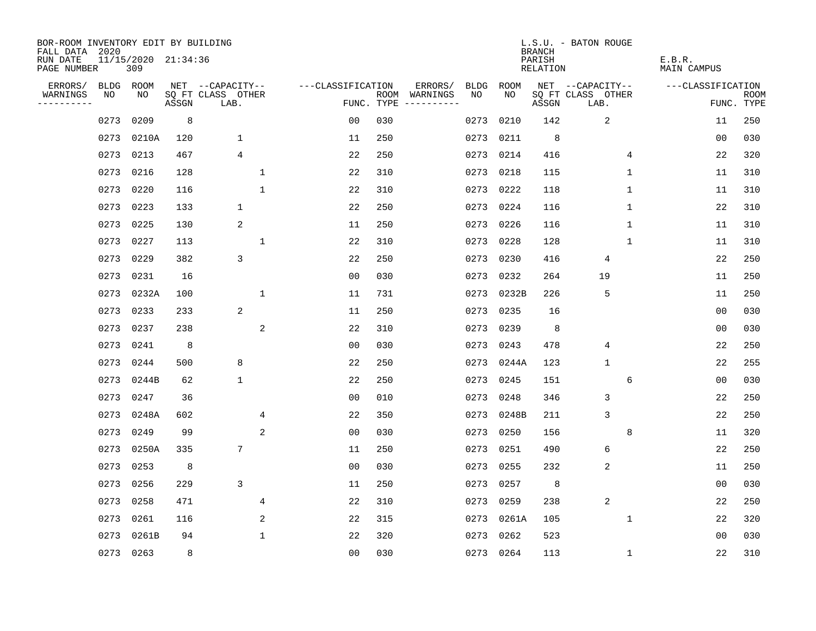| BOR-ROOM INVENTORY EDIT BY BUILDING<br>FALL DATA 2020 |             |                            |       |                           |                   |                    |                                                                                                             |             |           | <b>BRANCH</b>                   | L.S.U. - BATON ROUGE      |                              |                           |
|-------------------------------------------------------|-------------|----------------------------|-------|---------------------------|-------------------|--------------------|-------------------------------------------------------------------------------------------------------------|-------------|-----------|---------------------------------|---------------------------|------------------------------|---------------------------|
| RUN DATE<br>PAGE NUMBER                               |             | 11/15/2020 21:34:36<br>309 |       |                           |                   |                    |                                                                                                             |             |           | PARISH<br><b>RELATION</b>       |                           | E.B.R.<br><b>MAIN CAMPUS</b> |                           |
| ERRORS/                                               | <b>BLDG</b> | ROOM                       |       | NET --CAPACITY--          | ---CLASSIFICATION |                    | ERRORS/                                                                                                     | <b>BLDG</b> | ROOM      |                                 | NET --CAPACITY--          | ---CLASSIFICATION            |                           |
| WARNINGS<br>. <u>.</u>                                | NO          | NO                         | ASSGN | SQ FT CLASS OTHER<br>LAB. |                   | ROOM<br>FUNC. TYPE | WARNINGS<br>$\begin{tabular}{cccccc} - & - & - & - & - & - & - \\ & - & - & - & - & - & - \\ \end{tabular}$ | NO          | NO.       | $\operatorname{\mathsf{ASSGN}}$ | SQ FT CLASS OTHER<br>LAB. |                              | <b>ROOM</b><br>FUNC. TYPE |
|                                                       | 0273        | 0209                       | 8     |                           | 0 <sub>0</sub>    | 030                |                                                                                                             | 0273        | 0210      | 142                             | 2                         | 11                           | 250                       |
|                                                       | 0273        | 0210A                      | 120   | 1                         | 11                | 250                |                                                                                                             | 0273        | 0211      | 8                               |                           | 0 <sub>0</sub>               | 030                       |
|                                                       | 0273        | 0213                       | 467   | $\overline{4}$            | 22                | 250                |                                                                                                             | 0273        | 0214      | 416                             | 4                         | 22                           | 320                       |
|                                                       | 0273        | 0216                       | 128   | $\mathbf{1}$              | 22                | 310                |                                                                                                             | 0273        | 0218      | 115                             | $\mathbf{1}$              | 11                           | 310                       |
|                                                       | 0273        | 0220                       | 116   | $\mathbf{1}$              | 22                | 310                |                                                                                                             | 0273        | 0222      | 118                             | $\mathbf 1$               | 11                           | 310                       |
|                                                       | 0273        | 0223                       | 133   | 1                         | 22                | 250                |                                                                                                             | 0273        | 0224      | 116                             | 1                         | 22                           | 310                       |
|                                                       | 0273        | 0225                       | 130   | 2                         | 11                | 250                |                                                                                                             |             | 0273 0226 | 116                             | $\mathbf 1$               | 11                           | 310                       |
|                                                       | 0273        | 0227                       | 113   | $\mathbf{1}$              | 22                | 310                |                                                                                                             |             | 0273 0228 | 128                             | 1                         | 11                           | 310                       |
|                                                       | 0273        | 0229                       | 382   | 3                         | 22                | 250                |                                                                                                             | 0273        | 0230      | 416                             | 4                         | 22                           | 250                       |
|                                                       | 0273        | 0231                       | 16    |                           | 0 <sub>0</sub>    | 030                |                                                                                                             |             | 0273 0232 | 264                             | 19                        | 11                           | 250                       |
|                                                       | 0273        | 0232A                      | 100   | $\mathbf{1}$              | 11                | 731                |                                                                                                             | 0273        | 0232B     | 226                             | 5                         | 11                           | 250                       |
|                                                       | 0273        | 0233                       | 233   | 2                         | 11                | 250                |                                                                                                             | 0273        | 0235      | 16                              |                           | 0 <sub>0</sub>               | 030                       |
|                                                       | 0273        | 0237                       | 238   | 2                         | 22                | 310                |                                                                                                             | 0273        | 0239      | 8                               |                           | 0 <sub>0</sub>               | 030                       |
|                                                       | 0273        | 0241                       | 8     |                           | 0 <sub>0</sub>    | 030                |                                                                                                             | 0273        | 0243      | 478                             | 4                         | 22                           | 250                       |
|                                                       | 0273        | 0244                       | 500   | 8                         | 22                | 250                |                                                                                                             | 0273        | 0244A     | 123                             | $\mathbf{1}$              | 22                           | 255                       |
|                                                       | 0273        | 0244B                      | 62    | $\mathbf 1$               | 22                | 250                |                                                                                                             | 0273        | 0245      | 151                             | 6                         | 0 <sub>0</sub>               | 030                       |
|                                                       | 0273        | 0247                       | 36    |                           | 0 <sub>0</sub>    | 010                |                                                                                                             | 0273        | 0248      | 346                             | 3                         | 22                           | 250                       |
|                                                       | 0273        | 0248A                      | 602   | 4                         | 22                | 350                |                                                                                                             | 0273        | 0248B     | 211                             | $\mathsf 3$               | 22                           | 250                       |
|                                                       | 0273        | 0249                       | 99    | 2                         | 00                | 030                |                                                                                                             | 0273        | 0250      | 156                             | 8                         | 11                           | 320                       |
|                                                       | 0273        | 0250A                      | 335   | 7                         | 11                | 250                |                                                                                                             | 0273        | 0251      | 490                             | 6                         | 22                           | 250                       |
|                                                       | 0273        | 0253                       | 8     |                           | 0 <sub>0</sub>    | 030                |                                                                                                             | 0273        | 0255      | 232                             | $\overline{2}$            | 11                           | 250                       |
|                                                       | 0273        | 0256                       | 229   | 3                         | 11                | 250                |                                                                                                             | 0273        | 0257      | 8                               |                           | 0 <sub>0</sub>               | 030                       |
|                                                       | 0273        | 0258                       | 471   | 4                         | 22                | 310                |                                                                                                             | 0273        | 0259      | 238                             | $\overline{2}$            | 22                           | 250                       |
|                                                       | 0273        | 0261                       | 116   | 2                         | 22                | 315                |                                                                                                             | 0273        | 0261A     | 105                             | $\mathbf 1$               | 22                           | 320                       |
|                                                       | 0273        | 0261B                      | 94    | 1                         | 22                | 320                |                                                                                                             | 0273        | 0262      | 523                             |                           | 00                           | 030                       |
|                                                       |             | 0273 0263                  | 8     |                           | 00                | 030                |                                                                                                             |             | 0273 0264 | 113                             | 1                         | 22                           | 310                       |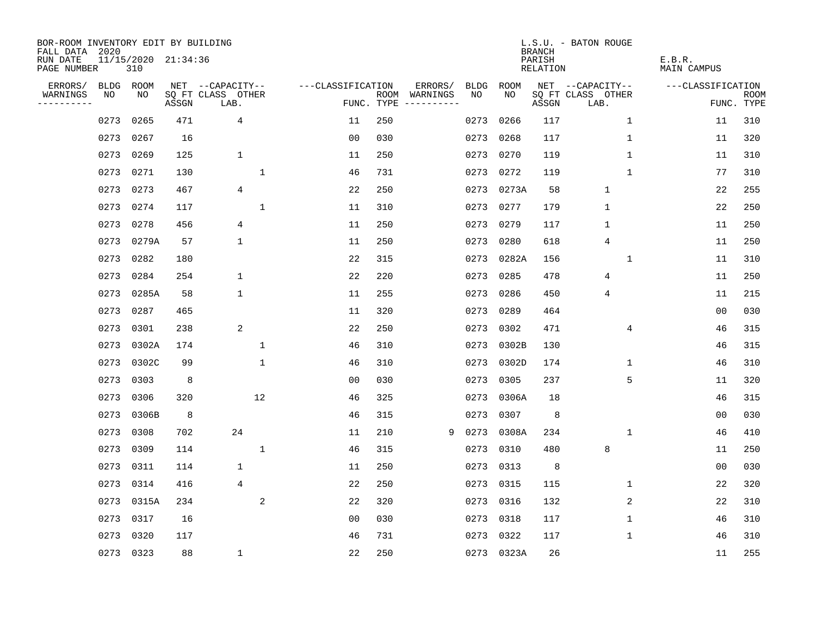| BOR-ROOM INVENTORY EDIT BY BUILDING<br>FALL DATA 2020 |      |                            |       |                           |                   |            |                              |             |            | <b>BRANCH</b>      | L.S.U. - BATON ROUGE      |                       |                           |
|-------------------------------------------------------|------|----------------------------|-------|---------------------------|-------------------|------------|------------------------------|-------------|------------|--------------------|---------------------------|-----------------------|---------------------------|
| RUN DATE<br>PAGE NUMBER                               |      | 11/15/2020 21:34:36<br>310 |       |                           |                   |            |                              |             |            | PARISH<br>RELATION |                           | E.B.R.<br>MAIN CAMPUS |                           |
| ERRORS/                                               | BLDG | ROOM                       |       | NET --CAPACITY--          | ---CLASSIFICATION |            | ERRORS/                      | <b>BLDG</b> | ROOM       |                    | NET --CAPACITY--          | ---CLASSIFICATION     |                           |
| WARNINGS<br>----------                                | NO   | NO                         | ASSGN | SQ FT CLASS OTHER<br>LAB. |                   | FUNC. TYPE | ROOM WARNINGS<br>----------- | NO.         | NO.        | ASSGN              | SQ FT CLASS OTHER<br>LAB. |                       | <b>ROOM</b><br>FUNC. TYPE |
|                                                       | 0273 | 0265                       | 471   | 4                         | 11                | 250        |                              | 0273        | 0266       | 117                | $\mathbf 1$               | 11                    | 310                       |
|                                                       | 0273 | 0267                       | 16    |                           | 0 <sub>0</sub>    | 030        |                              | 0273        | 0268       | 117                | 1                         | 11                    | 320                       |
|                                                       | 0273 | 0269                       | 125   | $\mathbf{1}$              | 11                | 250        |                              | 0273        | 0270       | 119                | 1                         | 11                    | 310                       |
|                                                       | 0273 | 0271                       | 130   | $\mathbf{1}$              | 46                | 731        |                              | 0273        | 0272       | 119                | 1                         | 77                    | 310                       |
|                                                       | 0273 | 0273                       | 467   | 4                         | 22                | 250        |                              |             | 0273 0273A | 58                 | 1                         | 22                    | 255                       |
|                                                       | 0273 | 0274                       | 117   | $\mathbf 1$               | 11                | 310        |                              |             | 0273 0277  | 179                | $\mathbf 1$               | 22                    | 250                       |
|                                                       | 0273 | 0278                       | 456   | $\overline{4}$            | 11                | 250        |                              |             | 0273 0279  | 117                | $\mathbf{1}$              | 11                    | 250                       |
|                                                       | 0273 | 0279A                      | 57    | $\mathbf 1$               | 11                | 250        |                              |             | 0273 0280  | 618                | 4                         | 11                    | 250                       |
|                                                       | 0273 | 0282                       | 180   |                           | 22                | 315        |                              | 0273        | 0282A      | 156                | $\mathbf{1}$              | 11                    | 310                       |
|                                                       | 0273 | 0284                       | 254   | $\mathbf 1$               | 22                | 220        |                              | 0273        | 0285       | 478                | 4                         | 11                    | 250                       |
|                                                       | 0273 | 0285A                      | 58    | $\mathbf 1$               | 11                | 255        |                              | 0273        | 0286       | 450                | 4                         | 11                    | 215                       |
|                                                       | 0273 | 0287                       | 465   |                           | 11                | 320        |                              | 0273        | 0289       | 464                |                           | 0 <sub>0</sub>        | 030                       |
|                                                       | 0273 | 0301                       | 238   | 2                         | 22                | 250        |                              | 0273        | 0302       | 471                | 4                         | 46                    | 315                       |
|                                                       | 0273 | 0302A                      | 174   | 1                         | 46                | 310        |                              | 0273        | 0302B      | 130                |                           | 46                    | 315                       |
|                                                       | 0273 | 0302C                      | 99    | $\mathbf{1}$              | 46                | 310        |                              | 0273        | 0302D      | 174                | 1                         | 46                    | 310                       |
|                                                       | 0273 | 0303                       | 8     |                           | 00                | 030        |                              | 0273        | 0305       | 237                | 5                         | 11                    | 320                       |
|                                                       | 0273 | 0306                       | 320   | 12                        | 46                | 325        |                              | 0273        | 0306A      | 18                 |                           | 46                    | 315                       |
|                                                       | 0273 | 0306B                      | 8     |                           | 46                | 315        |                              | 0273        | 0307       | 8                  |                           | 00                    | 030                       |
|                                                       | 0273 | 0308                       | 702   | 24                        | 11                | 210        | 9                            | 0273        | 0308A      | 234                | 1                         | 46                    | 410                       |
|                                                       | 0273 | 0309                       | 114   | $\mathbf{1}$              | 46                | 315        |                              | 0273        | 0310       | 480                | 8                         | 11                    | 250                       |
|                                                       | 0273 | 0311                       | 114   | 1                         | 11                | 250        |                              | 0273        | 0313       | 8                  |                           | 0 <sub>0</sub>        | 030                       |
|                                                       | 0273 | 0314                       | 416   | 4                         | 22                | 250        |                              | 0273        | 0315       | 115                | 1                         | 22                    | 320                       |
|                                                       | 0273 | 0315A                      | 234   | 2                         | 22                | 320        |                              | 0273        | 0316       | 132                | 2                         | 22                    | 310                       |
|                                                       | 0273 | 0317                       | 16    |                           | 0 <sub>0</sub>    | 030        |                              | 0273        | 0318       | 117                | 1                         | 46                    | 310                       |
|                                                       | 0273 | 0320                       | 117   |                           | 46                | 731        |                              | 0273        | 0322       | 117                | 1                         | 46                    | 310                       |
|                                                       |      | 0273 0323                  | 88    | 1                         | 22                | 250        |                              |             | 0273 0323A | 26                 |                           | 11                    | 255                       |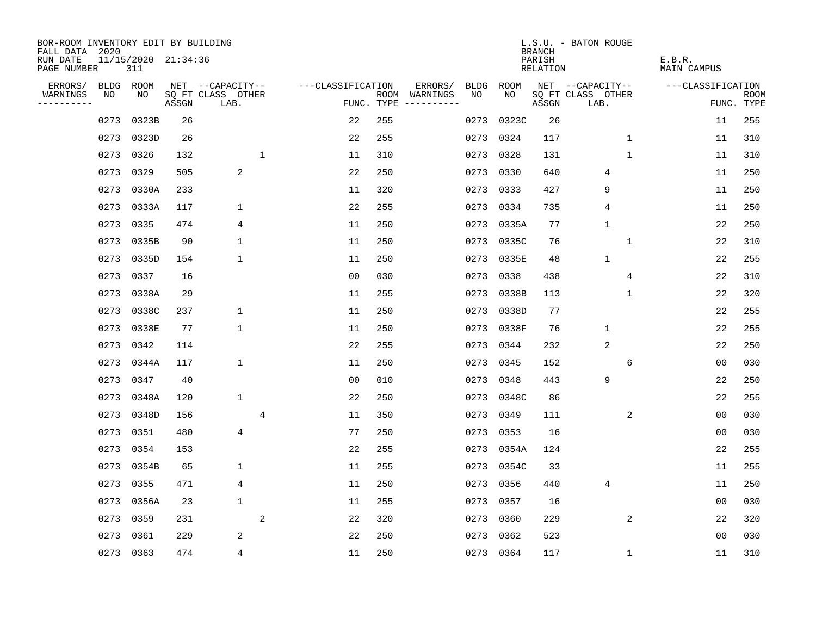| BOR-ROOM INVENTORY EDIT BY BUILDING       |      |                            |       |                           |              |                   |     |                                      |             |            | <b>BRANCH</b>      | L.S.U. - BATON ROUGE      |              |                       |                           |
|-------------------------------------------|------|----------------------------|-------|---------------------------|--------------|-------------------|-----|--------------------------------------|-------------|------------|--------------------|---------------------------|--------------|-----------------------|---------------------------|
| FALL DATA 2020<br>RUN DATE<br>PAGE NUMBER |      | 11/15/2020 21:34:36<br>311 |       |                           |              |                   |     |                                      |             |            | PARISH<br>RELATION |                           |              | E.B.R.<br>MAIN CAMPUS |                           |
| ERRORS/                                   |      | BLDG ROOM                  |       | NET --CAPACITY--          |              | ---CLASSIFICATION |     | ERRORS/                              | <b>BLDG</b> | ROOM       |                    | NET --CAPACITY--          |              | ---CLASSIFICATION     |                           |
| WARNINGS<br>----------                    | NO   | NO                         | ASSGN | SQ FT CLASS OTHER<br>LAB. |              |                   |     | ROOM WARNINGS<br>FUNC. TYPE $------$ | NO.         | NO.        | ASSGN              | SQ FT CLASS OTHER<br>LAB. |              |                       | <b>ROOM</b><br>FUNC. TYPE |
|                                           | 0273 | 0323B                      | 26    |                           |              | 22                | 255 |                                      | 0273        | 0323C      | 26                 |                           |              | 11                    | 255                       |
|                                           | 0273 | 0323D                      | 26    |                           |              | 22                | 255 |                                      |             | 0273 0324  | 117                |                           | $\mathbf 1$  | 11                    | 310                       |
|                                           | 0273 | 0326                       | 132   |                           | $\mathbf{1}$ | 11                | 310 |                                      |             | 0273 0328  | 131                |                           | $\mathbf{1}$ | 11                    | 310                       |
|                                           | 0273 | 0329                       | 505   | 2                         |              | 22                | 250 |                                      |             | 0273 0330  | 640                | 4                         |              | 11                    | 250                       |
|                                           | 0273 | 0330A                      | 233   |                           |              | 11                | 320 |                                      |             | 0273 0333  | 427                | 9                         |              | 11                    | 250                       |
|                                           | 0273 | 0333A                      | 117   | $\mathbf 1$               |              | 22                | 255 |                                      |             | 0273 0334  | 735                | 4                         |              | 11                    | 250                       |
|                                           | 0273 | 0335                       | 474   | 4                         |              | 11                | 250 |                                      |             | 0273 0335A | 77                 | $\mathbf 1$               |              | 22                    | 250                       |
|                                           | 0273 | 0335B                      | 90    | 1                         |              | 11                | 250 |                                      |             | 0273 0335C | 76                 |                           | $\mathbf{1}$ | 22                    | 310                       |
|                                           | 0273 | 0335D                      | 154   | $\mathbf{1}$              |              | 11                | 250 |                                      |             | 0273 0335E | 48                 | $\mathbf{1}$              |              | 22                    | 255                       |
|                                           |      | 0273 0337                  | 16    |                           |              | 0 <sub>0</sub>    | 030 |                                      |             | 0273 0338  | 438                |                           | 4            | 22                    | 310                       |
|                                           | 0273 | 0338A                      | 29    |                           |              | 11                | 255 |                                      |             | 0273 0338B | 113                |                           | $\mathbf 1$  | 22                    | 320                       |
|                                           | 0273 | 0338C                      | 237   | $\mathbf 1$               |              | 11                | 250 |                                      |             | 0273 0338D | 77                 |                           |              | 22                    | 255                       |
|                                           | 0273 | 0338E                      | 77    | $\mathbf 1$               |              | 11                | 250 |                                      |             | 0273 0338F | 76                 | $\mathbf{1}$              |              | 22                    | 255                       |
|                                           | 0273 | 0342                       | 114   |                           |              | 22                | 255 |                                      |             | 0273 0344  | 232                | 2                         |              | 22                    | 250                       |
|                                           | 0273 | 0344A                      | 117   | $\mathbf 1$               |              | 11                | 250 |                                      |             | 0273 0345  | 152                |                           | 6            | 00                    | 030                       |
|                                           | 0273 | 0347                       | 40    |                           |              | 0 <sub>0</sub>    | 010 |                                      |             | 0273 0348  | 443                | 9                         |              | 22                    | 250                       |
|                                           | 0273 | 0348A                      | 120   | $\mathbf{1}$              |              | 22                | 250 |                                      |             | 0273 0348C | 86                 |                           |              | 22                    | 255                       |
|                                           | 0273 | 0348D                      | 156   |                           | 4            | 11                | 350 |                                      |             | 0273 0349  | 111                |                           | 2            | 00                    | 030                       |
|                                           | 0273 | 0351                       | 480   | $\overline{4}$            |              | 77                | 250 |                                      |             | 0273 0353  | 16                 |                           |              | 0 <sub>0</sub>        | 030                       |
|                                           | 0273 | 0354                       | 153   |                           |              | 22                | 255 |                                      |             | 0273 0354A | 124                |                           |              | 22                    | 255                       |
|                                           | 0273 | 0354B                      | 65    | 1                         |              | 11                | 255 |                                      |             | 0273 0354C | 33                 |                           |              | 11                    | 255                       |
|                                           | 0273 | 0355                       | 471   | 4                         |              | 11                | 250 |                                      |             | 0273 0356  | 440                | 4                         |              | 11                    | 250                       |
|                                           | 0273 | 0356A                      | 23    | $\mathbf 1$               |              | 11                | 255 |                                      |             | 0273 0357  | 16                 |                           |              | 0 <sub>0</sub>        | 030                       |
|                                           | 0273 | 0359                       | 231   |                           | 2            | 22                | 320 |                                      |             | 0273 0360  | 229                |                           | 2            | 22                    | 320                       |
|                                           | 0273 | 0361                       | 229   | 2                         |              | 22                | 250 |                                      |             | 0273 0362  | 523                |                           |              | 0 <sub>0</sub>        | 030                       |
|                                           |      | 0273 0363                  | 474   | $\overline{4}$            |              | 11                | 250 |                                      |             | 0273 0364  | 117                |                           | 1            | 11                    | 310                       |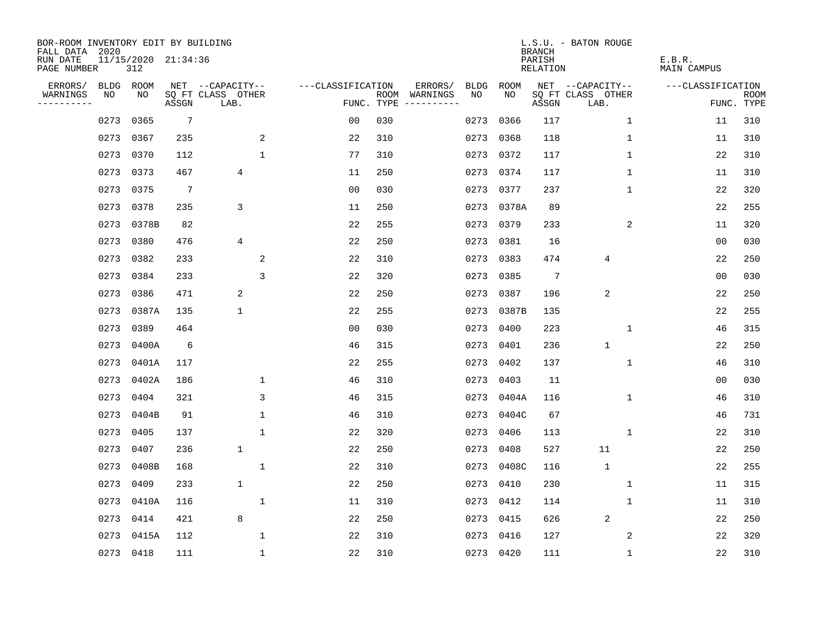| BOR-ROOM INVENTORY EDIT BY BUILDING<br>FALL DATA 2020 |      |                            |                 |                           |              |                   |            |                              |             |            | <b>BRANCH</b>      | L.S.U. - BATON ROUGE      |                       |                   |                           |
|-------------------------------------------------------|------|----------------------------|-----------------|---------------------------|--------------|-------------------|------------|------------------------------|-------------|------------|--------------------|---------------------------|-----------------------|-------------------|---------------------------|
| RUN DATE<br>PAGE NUMBER                               |      | 11/15/2020 21:34:36<br>312 |                 |                           |              |                   |            |                              |             |            | PARISH<br>RELATION |                           | E.B.R.<br>MAIN CAMPUS |                   |                           |
| ERRORS/                                               | BLDG | ROOM                       |                 | NET --CAPACITY--          |              | ---CLASSIFICATION |            | ERRORS/                      | <b>BLDG</b> | ROOM       |                    | NET --CAPACITY--          |                       | ---CLASSIFICATION |                           |
| WARNINGS<br>----------                                | NO   | NO                         | ASSGN           | SQ FT CLASS OTHER<br>LAB. |              |                   | FUNC. TYPE | ROOM WARNINGS<br>----------- | NO.         | NO.        | ASSGN              | SQ FT CLASS OTHER<br>LAB. |                       |                   | <b>ROOM</b><br>FUNC. TYPE |
|                                                       | 0273 | 0365                       | $7\phantom{.0}$ |                           |              | 0 <sub>0</sub>    | 030        |                              | 0273        | 0366       | 117                | $\mathbf 1$               |                       | 11                | 310                       |
|                                                       | 0273 | 0367                       | 235             |                           | 2            | 22                | 310        |                              | 0273        | 0368       | 118                | 1                         |                       | 11                | 310                       |
|                                                       | 0273 | 0370                       | 112             |                           | $\mathbf{1}$ | 77                | 310        |                              | 0273        | 0372       | 117                | 1                         |                       | 22                | 310                       |
|                                                       | 0273 | 0373                       | 467             | $\overline{4}$            |              | 11                | 250        |                              |             | 0273 0374  | 117                | 1                         |                       | 11                | 310                       |
|                                                       | 0273 | 0375                       | $7\phantom{.0}$ |                           |              | 0 <sub>0</sub>    | 030        |                              |             | 0273 0377  | 237                | 1                         |                       | 22                | 320                       |
|                                                       | 0273 | 0378                       | 235             | 3                         |              | 11                | 250        |                              |             | 0273 0378A | 89                 |                           |                       | 22                | 255                       |
|                                                       | 0273 | 0378B                      | 82              |                           |              | 22                | 255        |                              |             | 0273 0379  | 233                | 2                         |                       | 11                | 320                       |
|                                                       | 0273 | 0380                       | 476             | 4                         |              | 22                | 250        |                              |             | 0273 0381  | 16                 |                           |                       | 0 <sub>0</sub>    | 030                       |
|                                                       | 0273 | 0382                       | 233             |                           | 2            | 22                | 310        |                              | 0273        | 0383       | 474                | $\overline{4}$            |                       | 22                | 250                       |
|                                                       | 0273 | 0384                       | 233             |                           | 3            | 22                | 320        |                              |             | 0273 0385  | $\overline{7}$     |                           |                       | 0 <sub>0</sub>    | 030                       |
|                                                       | 0273 | 0386                       | 471             | 2                         |              | 22                | 250        |                              | 0273        | 0387       | 196                | 2                         |                       | 22                | 250                       |
|                                                       | 0273 | 0387A                      | 135             | $\mathbf 1$               |              | 22                | 255        |                              |             | 0273 0387B | 135                |                           |                       | 22                | 255                       |
|                                                       | 0273 | 0389                       | 464             |                           |              | 0 <sub>0</sub>    | 030        |                              | 0273        | 0400       | 223                | $\mathbf 1$               |                       | 46                | 315                       |
|                                                       | 0273 | 0400A                      | 6               |                           |              | 46                | 315        |                              | 0273        | 0401       | 236                | $\mathbf{1}$              |                       | 22                | 250                       |
|                                                       | 0273 | 0401A                      | 117             |                           |              | 22                | 255        |                              | 0273        | 0402       | 137                | 1                         |                       | 46                | 310                       |
|                                                       | 0273 | 0402A                      | 186             |                           | 1            | 46                | 310        |                              | 0273        | 0403       | 11                 |                           |                       | 00                | 030                       |
|                                                       | 0273 | 0404                       | 321             |                           | 3            | 46                | 315        |                              | 0273        | 0404A      | 116                | 1                         |                       | 46                | 310                       |
|                                                       | 0273 | 0404B                      | 91              |                           | $\mathbf 1$  | 46                | 310        |                              | 0273        | 0404C      | 67                 |                           |                       | 46                | 731                       |
|                                                       | 0273 | 0405                       | 137             |                           | $\mathbf{1}$ | 22                | 320        |                              | 0273        | 0406       | 113                | 1                         |                       | 22                | 310                       |
|                                                       | 0273 | 0407                       | 236             | $\mathbf{1}$              |              | 22                | 250        |                              | 0273        | 0408       | 527                | 11                        |                       | 22                | 250                       |
|                                                       | 0273 | 0408B                      | 168             |                           | $\mathbf{1}$ | 22                | 310        |                              | 0273        | 0408C      | 116                | $\mathbf{1}$              |                       | 22                | 255                       |
|                                                       | 0273 | 0409                       | 233             | $\mathbf 1$               |              | 22                | 250        |                              | 0273        | 0410       | 230                | $\mathbf 1$               |                       | 11                | 315                       |
|                                                       | 0273 | 0410A                      | 116             |                           | $\mathbf 1$  | 11                | 310        |                              | 0273        | 0412       | 114                | 1                         |                       | 11                | 310                       |
|                                                       | 0273 | 0414                       | 421             | 8                         |              | 22                | 250        |                              | 0273        | 0415       | 626                | 2                         |                       | 22                | 250                       |
|                                                       | 0273 | 0415A                      | 112             |                           | 1            | 22                | 310        |                              | 0273        | 0416       | 127                | 2                         |                       | 22                | 320                       |
|                                                       |      | 0273 0418                  | 111             |                           | $\mathbf{1}$ | 22                | 310        |                              |             | 0273 0420  | 111                | $\mathbf{1}$              |                       | 22                | 310                       |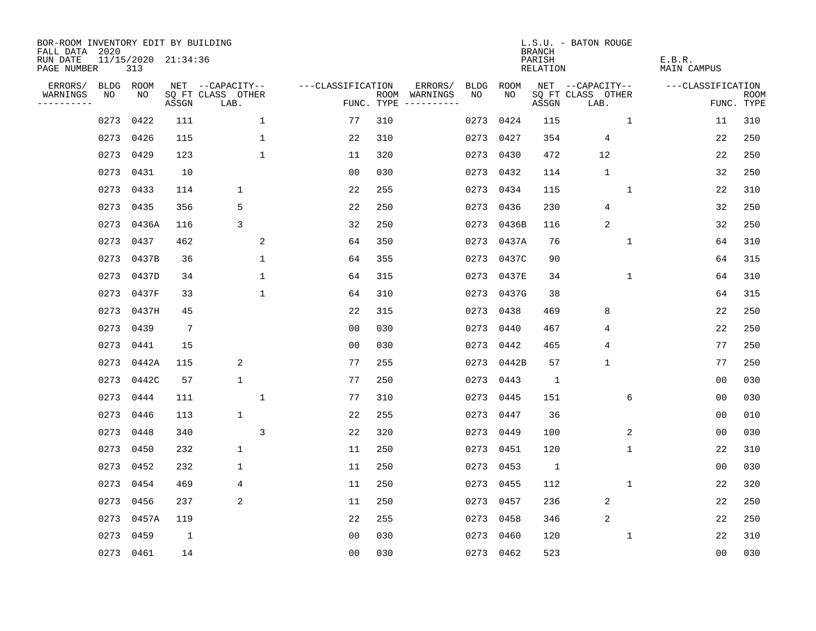| BOR-ROOM INVENTORY EDIT BY BUILDING<br>FALL DATA 2020 |                            |                 |                           |                   |     |                                            |             | <b>BRANCH</b>             | L.S.U. - BATON ROUGE      |                              |                           |
|-------------------------------------------------------|----------------------------|-----------------|---------------------------|-------------------|-----|--------------------------------------------|-------------|---------------------------|---------------------------|------------------------------|---------------------------|
| RUN DATE<br>PAGE NUMBER                               | 11/15/2020 21:34:36<br>313 |                 |                           |                   |     |                                            |             | PARISH<br><b>RELATION</b> |                           | E.B.R.<br><b>MAIN CAMPUS</b> |                           |
| ERRORS/                                               | BLDG ROOM                  |                 | NET --CAPACITY--          | ---CLASSIFICATION |     | ERRORS/<br><b>BLDG</b>                     | <b>ROOM</b> |                           | NET --CAPACITY--          | ---CLASSIFICATION            |                           |
| WARNINGS<br>NO<br>----------                          | NO                         | ASSGN           | SQ FT CLASS OTHER<br>LAB. |                   |     | ROOM WARNINGS<br>NO<br>FUNC. TYPE $------$ | NO          | ASSGN                     | SQ FT CLASS OTHER<br>LAB. |                              | <b>ROOM</b><br>FUNC. TYPE |
|                                                       | 0422<br>0273               | 111             | $\mathbf{1}$              | 77                | 310 | 0273                                       | 0424        | 115                       | $\mathbf 1$               | 11                           | 310                       |
|                                                       | 0273<br>0426               | 115             | $\mathbf 1$               | 22                | 310 |                                            | 0273 0427   | 354                       | 4                         | 22                           | 250                       |
|                                                       | 0273<br>0429               | 123             | $\mathbf 1$               | 11                | 320 |                                            | 0273 0430   | 472                       | 12                        | 22                           | 250                       |
|                                                       | 0273<br>0431               | 10              |                           | 0 <sub>0</sub>    | 030 |                                            | 0273 0432   | 114                       | $\mathbf{1}$              | 32                           | 250                       |
|                                                       | 0273<br>0433               | 114             | $\mathbf 1$               | 22                | 255 |                                            | 0273 0434   | 115                       | $\mathbf{1}$              | 22                           | 310                       |
|                                                       | 0273<br>0435               | 356             | 5                         | 22                | 250 |                                            | 0273 0436   | 230                       | 4                         | 32                           | 250                       |
|                                                       | 0273<br>0436A              | 116             | 3                         | 32                | 250 |                                            | 0273 0436B  | 116                       | $\overline{2}$            | 32                           | 250                       |
|                                                       | 0273<br>0437               | 462             | 2                         | 64                | 350 |                                            | 0273 0437A  | 76                        | $\mathbf 1$               | 64                           | 310                       |
|                                                       | 0273<br>0437B              | 36              | $\mathbf 1$               | 64                | 355 |                                            | 0273 0437C  | 90                        |                           | 64                           | 315                       |
|                                                       | 0273 0437D                 | 34              | $\mathbf{1}$              | 64                | 315 |                                            | 0273 0437E  | 34                        | $\mathbf{1}$              | 64                           | 310                       |
|                                                       | 0273 0437F                 | 33              | $\mathbf{1}$              | 64                | 310 |                                            | 0273 0437G  | 38                        |                           | 64                           | 315                       |
|                                                       | 0273 0437H                 | 45              |                           | 22                | 315 |                                            | 0273 0438   | 469                       | 8                         | 22                           | 250                       |
|                                                       | 0273<br>0439               | $7\phantom{.0}$ |                           | 0 <sub>0</sub>    | 030 | 0273                                       | 0440        | 467                       | 4                         | 22                           | 250                       |
|                                                       | 0273<br>0441               | 15              |                           | 0 <sub>0</sub>    | 030 | 0273                                       | 0442        | 465                       | 4                         | 77                           | 250                       |
|                                                       | 0273<br>0442A              | 115             | 2                         | 77                | 255 | 0273                                       | 0442B       | 57                        | $\mathbf{1}$              | 77                           | 250                       |
|                                                       | 0273<br>0442C              | 57              | $\mathbf 1$               | 77                | 250 |                                            | 0273 0443   | $\mathbf 1$               |                           | 0 <sub>0</sub>               | 030                       |
|                                                       | 0273<br>0444               | 111             | $\mathbf{1}$              | 77                | 310 | 0273                                       | 0445        | 151                       | 6                         | 0 <sub>0</sub>               | 030                       |
|                                                       | 0273<br>0446               | 113             | $\mathbf{1}$              | 22                | 255 |                                            | 0273 0447   | 36                        |                           | 0 <sub>0</sub>               | 010                       |
|                                                       | 0273<br>0448               | 340             | 3                         | 22                | 320 |                                            | 0273 0449   | 100                       | 2                         | 0 <sub>0</sub>               | 030                       |
|                                                       | 0273<br>0450               | 232             | $\mathbf 1$               | 11                | 250 | 0273                                       | 0451        | 120                       | $\mathbf{1}$              | 22                           | 310                       |
|                                                       | 0273<br>0452               | 232             | 1                         | 11                | 250 | 0273                                       | 0453        | 1                         |                           | 0 <sub>0</sub>               | 030                       |
|                                                       | 0273<br>0454               | 469             | 4                         | 11                | 250 | 0273                                       | 0455        | 112                       | 1                         | 22                           | 320                       |
|                                                       | 0273<br>0456               | 237             | 2                         | 11                | 250 |                                            | 0273 0457   | 236                       | 2                         | 22                           | 250                       |
|                                                       | 0273<br>0457A              | 119             |                           | 22                | 255 |                                            | 0273 0458   | 346                       | $\overline{2}$            | 22                           | 250                       |
|                                                       | 0273<br>0459               | 1               |                           | 0 <sub>0</sub>    | 030 | 0273                                       | 0460        | 120                       | 1                         | 22                           | 310                       |
|                                                       | 0273 0461                  | 14              |                           | 0 <sub>0</sub>    | 030 |                                            | 0273 0462   | 523                       |                           | 00                           | 030                       |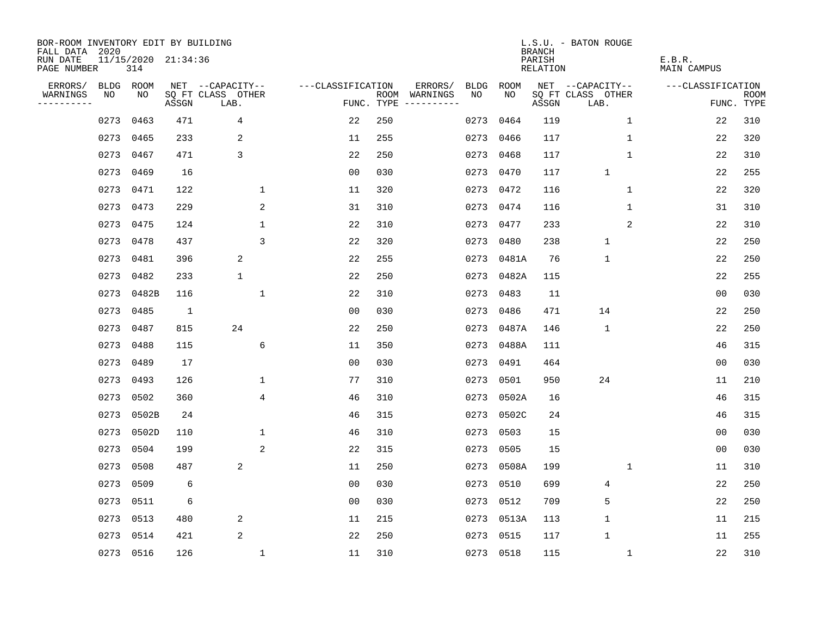| BOR-ROOM INVENTORY EDIT BY BUILDING<br>FALL DATA 2020 |      |           |                     |                           |                   |            |               |             |            | <b>BRANCH</b>      | L.S.U. - BATON ROUGE      |                       |                |                           |
|-------------------------------------------------------|------|-----------|---------------------|---------------------------|-------------------|------------|---------------|-------------|------------|--------------------|---------------------------|-----------------------|----------------|---------------------------|
| RUN DATE<br>PAGE NUMBER                               |      | 314       | 11/15/2020 21:34:36 |                           |                   |            |               |             |            | PARISH<br>RELATION |                           | E.B.R.<br>MAIN CAMPUS |                |                           |
| ERRORS/                                               | BLDG | ROOM      |                     | NET --CAPACITY--          | ---CLASSIFICATION |            | ERRORS/       | <b>BLDG</b> | ROOM       |                    | NET --CAPACITY--          | ---CLASSIFICATION     |                |                           |
| WARNINGS<br>----------                                | NO   | NO        | ASSGN               | SQ FT CLASS OTHER<br>LAB. |                   | FUNC. TYPE | ROOM WARNINGS | NO.         | NO         | ASSGN              | SQ FT CLASS OTHER<br>LAB. |                       |                | <b>ROOM</b><br>FUNC. TYPE |
|                                                       | 0273 | 0463      | 471                 | 4                         | 22                | 250        |               | 0273        | 0464       | 119                |                           | $\mathbf 1$           | 22             | 310                       |
|                                                       | 0273 | 0465      | 233                 | 2                         | 11                | 255        |               | 0273        | 0466       | 117                | 1                         |                       | 22             | 320                       |
|                                                       | 0273 | 0467      | 471                 | 3                         | 22                | 250        |               | 0273        | 0468       | 117                |                           | $\mathbf 1$           | 22             | 310                       |
|                                                       | 0273 | 0469      | 16                  |                           | 0 <sub>0</sub>    | 030        |               |             | 0273 0470  | 117                | $\mathbf{1}$              |                       | 22             | 255                       |
|                                                       | 0273 | 0471      | 122                 | $\mathbf{1}$              | 11                | 320        |               |             | 0273 0472  | 116                |                           | $\mathbf 1$           | 22             | 320                       |
|                                                       | 0273 | 0473      | 229                 | 2                         | 31                | 310        |               |             | 0273 0474  | 116                | 1                         |                       | 31             | 310                       |
|                                                       | 0273 | 0475      | 124                 | $\mathbf{1}$              | 22                | 310        |               |             | 0273 0477  | 233                |                           | 2                     | 22             | 310                       |
|                                                       | 0273 | 0478      | 437                 | $\overline{3}$            | 22                | 320        |               |             | 0273 0480  | 238                | $\mathbf{1}$              |                       | 22             | 250                       |
|                                                       | 0273 | 0481      | 396                 | 2                         | 22                | 255        |               | 0273        | 0481A      | 76                 | $\mathbf{1}$              |                       | 22             | 250                       |
|                                                       | 0273 | 0482      | 233                 | 1                         | 22                | 250        |               |             | 0273 0482A | 115                |                           |                       | 22             | 255                       |
|                                                       | 0273 | 0482B     | 116                 | 1                         | 22                | 310        |               | 0273        | 0483       | 11                 |                           |                       | 0 <sub>0</sub> | 030                       |
|                                                       |      | 0273 0485 | $\mathbf{1}$        |                           | 0 <sub>0</sub>    | 030        |               | 0273        | 0486       | 471                | 14                        |                       | 22             | 250                       |
|                                                       | 0273 | 0487      | 815                 | 24                        | 22                | 250        |               | 0273        | 0487A      | 146                | $\mathbf{1}$              |                       | 22             | 250                       |
|                                                       | 0273 | 0488      | 115                 | 6                         | 11                | 350        |               |             | 0273 0488A | 111                |                           |                       | 46             | 315                       |
|                                                       | 0273 | 0489      | 17                  |                           | 00                | 030        |               | 0273        | 0491       | 464                |                           |                       | 0 <sub>0</sub> | 030                       |
|                                                       | 0273 | 0493      | 126                 | 1                         | 77                | 310        |               | 0273        | 0501       | 950                | 24                        |                       | 11             | 210                       |
|                                                       | 0273 | 0502      | 360                 | 4                         | 46                | 310        |               | 0273        | 0502A      | 16                 |                           |                       | 46             | 315                       |
|                                                       | 0273 | 0502B     | 24                  |                           | 46                | 315        |               |             | 0273 0502C | 24                 |                           |                       | 46             | 315                       |
|                                                       | 0273 | 0502D     | 110                 | $\mathbf 1$               | 46                | 310        |               | 0273        | 0503       | 15                 |                           |                       | 0 <sub>0</sub> | 030                       |
|                                                       | 0273 | 0504      | 199                 | 2                         | 22                | 315        |               | 0273        | 0505       | 15                 |                           |                       | 0 <sub>0</sub> | 030                       |
|                                                       | 0273 | 0508      | 487                 | 2                         | 11                | 250        |               | 0273        | 0508A      | 199                | 1                         |                       | 11             | 310                       |
|                                                       | 0273 | 0509      | 6                   |                           | 0 <sub>0</sub>    | 030        |               | 0273        | 0510       | 699                | 4                         |                       | 22             | 250                       |
|                                                       | 0273 | 0511      | 6                   |                           | 0 <sub>0</sub>    | 030        |               |             | 0273 0512  | 709                | 5                         |                       | 22             | 250                       |
|                                                       | 0273 | 0513      | 480                 | 2                         | 11                | 215        |               |             | 0273 0513A | 113                | $\mathbf 1$               |                       | 11             | 215                       |
|                                                       | 0273 | 0514      | 421                 | 2                         | 22                | 250        |               |             | 0273 0515  | 117                | $\mathbf{1}$              |                       | 11             | 255                       |
|                                                       |      | 0273 0516 | 126                 | $\mathbf{1}$              | 11                | 310        |               |             | 0273 0518  | 115                |                           | $\mathbf{1}$          | 22             | 310                       |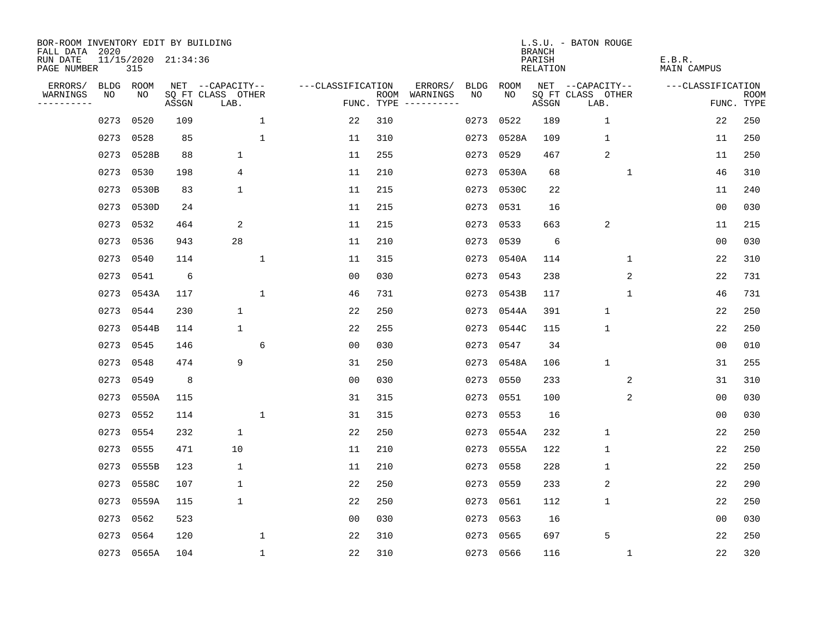| BOR-ROOM INVENTORY EDIT BY BUILDING<br>FALL DATA 2020 |      |                            |       |                           |              |                   |            |                              |             |             | <b>BRANCH</b>             | L.S.U. - BATON ROUGE      |   |                              |                           |
|-------------------------------------------------------|------|----------------------------|-------|---------------------------|--------------|-------------------|------------|------------------------------|-------------|-------------|---------------------------|---------------------------|---|------------------------------|---------------------------|
| RUN DATE<br>PAGE NUMBER                               |      | 11/15/2020 21:34:36<br>315 |       |                           |              |                   |            |                              |             |             | PARISH<br><b>RELATION</b> |                           |   | E.B.R.<br><b>MAIN CAMPUS</b> |                           |
| ERRORS/                                               | BLDG | ROOM                       |       | NET --CAPACITY--          |              | ---CLASSIFICATION |            | ERRORS/                      | <b>BLDG</b> | <b>ROOM</b> |                           | NET --CAPACITY--          |   | ---CLASSIFICATION            |                           |
| WARNINGS<br>----------                                | NO   | NO                         | ASSGN | SQ FT CLASS OTHER<br>LAB. |              |                   | FUNC. TYPE | ROOM WARNINGS<br>----------- | NO          | NO          | ASSGN                     | SQ FT CLASS OTHER<br>LAB. |   |                              | <b>ROOM</b><br>FUNC. TYPE |
|                                                       | 0273 | 0520                       | 109   |                           | 1            | 22                | 310        |                              | 0273        | 0522        | 189                       | 1                         |   | 22                           | 250                       |
|                                                       | 0273 | 0528                       | 85    |                           | 1            | 11                | 310        |                              | 0273        | 0528A       | 109                       | $\mathbf 1$               |   | 11                           | 250                       |
|                                                       | 0273 | 0528B                      | 88    | $\mathbf 1$               |              | 11                | 255        |                              | 0273        | 0529        | 467                       | $\overline{2}$            |   | 11                           | 250                       |
|                                                       | 0273 | 0530                       | 198   | 4                         |              | 11                | 210        |                              |             | 0273 0530A  | 68                        | $\mathbf 1$               |   | 46                           | 310                       |
|                                                       | 0273 | 0530B                      | 83    | $\mathbf 1$               |              | 11                | 215        |                              |             | 0273 0530C  | 22                        |                           |   | 11                           | 240                       |
|                                                       | 0273 | 0530D                      | 24    |                           |              | 11                | 215        |                              |             | 0273 0531   | 16                        |                           |   | 0 <sub>0</sub>               | 030                       |
|                                                       | 0273 | 0532                       | 464   | 2                         |              | 11                | 215        |                              |             | 0273 0533   | 663                       | $\overline{2}$            |   | 11                           | 215                       |
|                                                       | 0273 | 0536                       | 943   | 28                        |              | 11                | 210        |                              |             | 0273 0539   | 6                         |                           |   | 0 <sub>0</sub>               | 030                       |
|                                                       | 0273 | 0540                       | 114   |                           | $\mathbf{1}$ | 11                | 315        |                              | 0273        | 0540A       | 114                       | $\mathbf 1$               |   | 22                           | 310                       |
|                                                       | 0273 | 0541                       | 6     |                           |              | 0 <sub>0</sub>    | 030        |                              |             | 0273 0543   | 238                       |                           | 2 | 22                           | 731                       |
|                                                       |      | 0273 0543A                 | 117   |                           | $\mathbf 1$  | 46                | 731        |                              |             | 0273 0543B  | 117                       | $\mathbf 1$               |   | 46                           | 731                       |
|                                                       | 0273 | 0544                       | 230   | $\mathbf 1$               |              | 22                | 250        |                              |             | 0273 0544A  | 391                       | $\mathbf{1}$              |   | 22                           | 250                       |
|                                                       | 0273 | 0544B                      | 114   | 1                         |              | 22                | 255        |                              | 0273        | 0544C       | 115                       | $\mathbf 1$               |   | 22                           | 250                       |
|                                                       | 0273 | 0545                       | 146   |                           | 6            | 0 <sub>0</sub>    | 030        |                              |             | 0273 0547   | 34                        |                           |   | 0 <sub>0</sub>               | 010                       |
|                                                       | 0273 | 0548                       | 474   | 9                         |              | 31                | 250        |                              | 0273        | 0548A       | 106                       | $\mathbf{1}$              |   | 31                           | 255                       |
|                                                       | 0273 | 0549                       | 8     |                           |              | 0 <sub>0</sub>    | 030        |                              | 0273        | 0550        | 233                       |                           | 2 | 31                           | 310                       |
|                                                       | 0273 | 0550A                      | 115   |                           |              | 31                | 315        |                              | 0273        | 0551        | 100                       |                           | 2 | 0 <sub>0</sub>               | 030                       |
|                                                       | 0273 | 0552                       | 114   |                           | $\mathbf{1}$ | 31                | 315        |                              | 0273        | 0553        | 16                        |                           |   | 00                           | 030                       |
|                                                       | 0273 | 0554                       | 232   | $\mathbf 1$               |              | 22                | 250        |                              |             | 0273 0554A  | 232                       | $\mathbf{1}$              |   | 22                           | 250                       |
|                                                       | 0273 | 0555                       | 471   | 10                        |              | 11                | 210        |                              | 0273        | 0555A       | 122                       | $\mathbf{1}$              |   | 22                           | 250                       |
|                                                       | 0273 | 0555B                      | 123   | 1                         |              | 11                | 210        |                              | 0273        | 0558        | 228                       | $\mathbf 1$               |   | 22                           | 250                       |
|                                                       | 0273 | 0558C                      | 107   | $\mathbf 1$               |              | 22                | 250        |                              | 0273        | 0559        | 233                       | 2                         |   | 22                           | 290                       |
|                                                       | 0273 | 0559A                      | 115   | $\mathbf 1$               |              | 22                | 250        |                              | 0273        | 0561        | 112                       | $\mathbf 1$               |   | 22                           | 250                       |
|                                                       | 0273 | 0562                       | 523   |                           |              | 0 <sub>0</sub>    | 030        |                              | 0273        | 0563        | 16                        |                           |   | 0 <sub>0</sub>               | 030                       |
|                                                       | 0273 | 0564                       | 120   |                           | $\mathbf 1$  | 22                | 310        |                              | 0273        | 0565        | 697                       | 5                         |   | 22                           | 250                       |
|                                                       |      | 0273 0565A                 | 104   |                           | $\mathbf{1}$ | 22                | 310        |                              |             | 0273 0566   | 116                       | 1                         |   | 22                           | 320                       |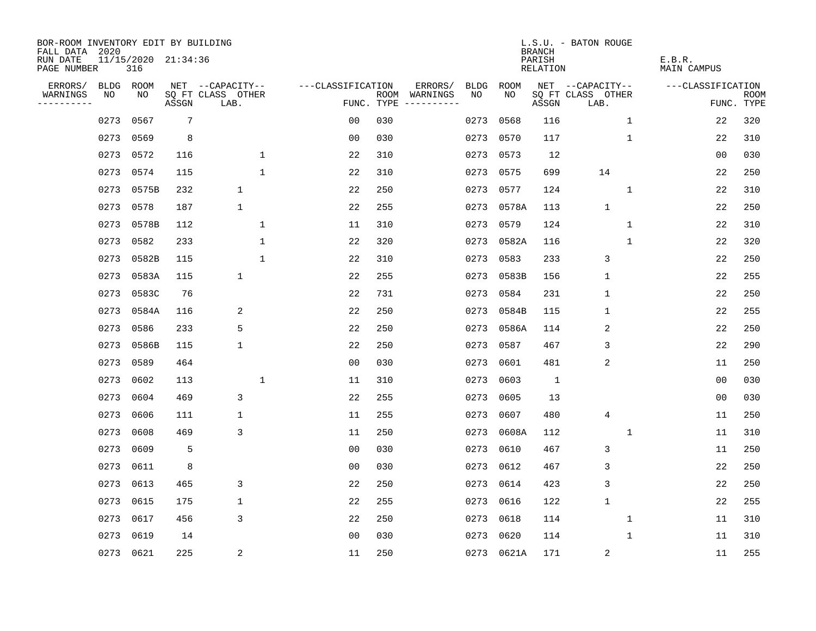| BOR-ROOM INVENTORY EDIT BY BUILDING<br>FALL DATA 2020 |      |                            |       |                           |                   |            |                              |             |            | <b>BRANCH</b>      | L.S.U. - BATON ROUGE      |              |                       |                           |
|-------------------------------------------------------|------|----------------------------|-------|---------------------------|-------------------|------------|------------------------------|-------------|------------|--------------------|---------------------------|--------------|-----------------------|---------------------------|
| RUN DATE<br>PAGE NUMBER                               |      | 11/15/2020 21:34:36<br>316 |       |                           |                   |            |                              |             |            | PARISH<br>RELATION |                           |              | E.B.R.<br>MAIN CAMPUS |                           |
| ERRORS/                                               | BLDG | ROOM                       |       | NET --CAPACITY--          | ---CLASSIFICATION |            | ERRORS/                      | <b>BLDG</b> | ROOM       |                    | NET --CAPACITY--          |              | ---CLASSIFICATION     |                           |
| WARNINGS<br>- - - - - - - - - -                       | NO   | NO                         | ASSGN | SQ FT CLASS OTHER<br>LAB. |                   | FUNC. TYPE | ROOM WARNINGS<br>----------- | NO.         | NO         | ASSGN              | SQ FT CLASS OTHER<br>LAB. |              |                       | <b>ROOM</b><br>FUNC. TYPE |
|                                                       | 0273 | 0567                       | 7     |                           | 0 <sub>0</sub>    | 030        |                              | 0273        | 0568       | 116                |                           | $\mathbf 1$  | 22                    | 320                       |
|                                                       | 0273 | 0569                       | 8     |                           | 0 <sub>0</sub>    | 030        |                              | 0273        | 0570       | 117                |                           | 1            | 22                    | 310                       |
|                                                       | 0273 | 0572                       | 116   | $\mathbf 1$               | 22                | 310        |                              | 0273        | 0573       | 12                 |                           |              | 00                    | 030                       |
|                                                       | 0273 | 0574                       | 115   | $\mathbf{1}$              | 22                | 310        |                              |             | 0273 0575  | 699                | 14                        |              | 22                    | 250                       |
|                                                       | 0273 | 0575B                      | 232   | 1                         | 22                | 250        |                              |             | 0273 0577  | 124                |                           | 1            | 22                    | 310                       |
|                                                       | 0273 | 0578                       | 187   | 1                         | 22                | 255        |                              |             | 0273 0578A | 113                | $\mathbf{1}$              |              | 22                    | 250                       |
|                                                       | 0273 | 0578B                      | 112   | $\mathbf{1}$              | 11                | 310        |                              |             | 0273 0579  | 124                |                           | $\mathbf 1$  | 22                    | 310                       |
|                                                       | 0273 | 0582                       | 233   | $\mathbf 1$               | 22                | 320        |                              |             | 0273 0582A | 116                |                           | $\mathbf 1$  | 22                    | 320                       |
|                                                       | 0273 | 0582B                      | 115   | $\mathbf{1}$              | 22                | 310        |                              | 0273        | 0583       | 233                | 3                         |              | 22                    | 250                       |
|                                                       | 0273 | 0583A                      | 115   | $\mathbf 1$               | 22                | 255        |                              |             | 0273 0583B | 156                | $\mathbf 1$               |              | 22                    | 255                       |
|                                                       | 0273 | 0583C                      | 76    |                           | 22                | 731        |                              | 0273        | 0584       | 231                | $\mathbf 1$               |              | 22                    | 250                       |
|                                                       | 0273 | 0584A                      | 116   | 2                         | 22                | 250        |                              | 0273        | 0584B      | 115                | $\mathbf 1$               |              | 22                    | 255                       |
|                                                       | 0273 | 0586                       | 233   | 5                         | 22                | 250        |                              | 0273        | 0586A      | 114                | $\overline{2}$            |              | 22                    | 250                       |
|                                                       | 0273 | 0586B                      | 115   | 1                         | 22                | 250        |                              | 0273        | 0587       | 467                | 3                         |              | 22                    | 290                       |
|                                                       | 0273 | 0589                       | 464   |                           | 0 <sub>0</sub>    | 030        |                              | 0273        | 0601       | 481                | $\sqrt{2}$                |              | 11                    | 250                       |
|                                                       | 0273 | 0602                       | 113   | 1                         | 11                | 310        |                              | 0273        | 0603       | 1                  |                           |              | 0 <sub>0</sub>        | 030                       |
|                                                       | 0273 | 0604                       | 469   | 3                         | 22                | 255        |                              | 0273        | 0605       | 13                 |                           |              | 0 <sub>0</sub>        | 030                       |
|                                                       | 0273 | 0606                       | 111   | 1                         | 11                | 255        |                              | 0273        | 0607       | 480                | 4                         |              | 11                    | 250                       |
|                                                       | 0273 | 0608                       | 469   | 3                         | 11                | 250        |                              | 0273        | 0608A      | 112                |                           | 1            | 11                    | 310                       |
|                                                       | 0273 | 0609                       | 5     |                           | 0 <sub>0</sub>    | 030        |                              | 0273        | 0610       | 467                | 3                         |              | 11                    | 250                       |
|                                                       | 0273 | 0611                       | 8     |                           | 0 <sub>0</sub>    | 030        |                              | 0273        | 0612       | 467                | 3                         |              | 22                    | 250                       |
|                                                       | 0273 | 0613                       | 465   | 3                         | 22                | 250        |                              | 0273        | 0614       | 423                | 3                         |              | 22                    | 250                       |
|                                                       | 0273 | 0615                       | 175   | 1                         | 22                | 255        |                              | 0273        | 0616       | 122                | $\mathbf{1}$              |              | 22                    | 255                       |
|                                                       | 0273 | 0617                       | 456   | 3                         | 22                | 250        |                              | 0273        | 0618       | 114                |                           | 1            | 11                    | 310                       |
|                                                       | 0273 | 0619                       | 14    |                           | 0 <sub>0</sub>    | 030        |                              | 0273        | 0620       | 114                |                           | $\mathbf{1}$ | 11                    | 310                       |
|                                                       |      | 0273 0621                  | 225   | 2                         | 11                | 250        |                              |             | 0273 0621A | 171                | $\sqrt{2}$                |              | 11                    | 255                       |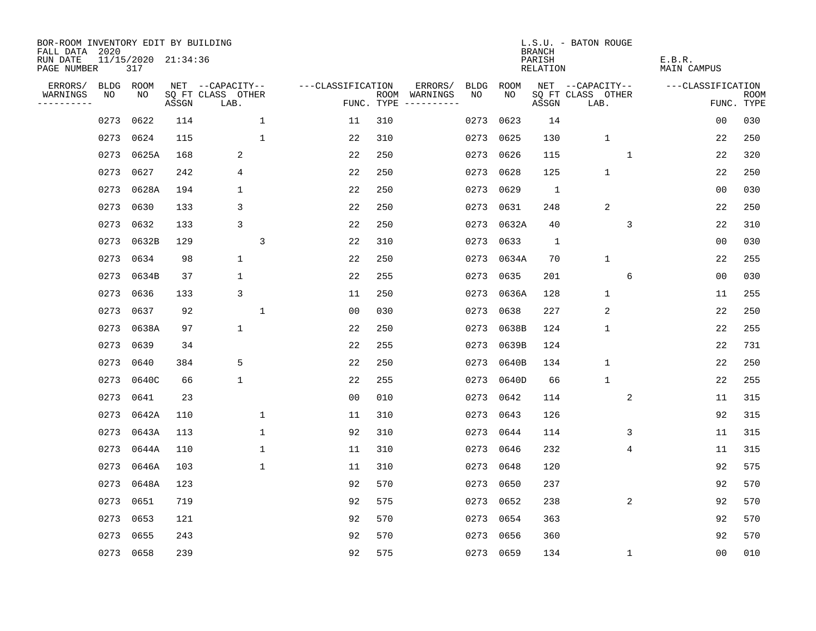| BOR-ROOM INVENTORY EDIT BY BUILDING<br>FALL DATA 2020 |           |                            |       |                           |                |                   |     |                                      |             |            | <b>BRANCH</b>             | L.S.U. - BATON ROUGE      |             |                              |                           |
|-------------------------------------------------------|-----------|----------------------------|-------|---------------------------|----------------|-------------------|-----|--------------------------------------|-------------|------------|---------------------------|---------------------------|-------------|------------------------------|---------------------------|
| RUN DATE<br>PAGE NUMBER                               |           | 11/15/2020 21:34:36<br>317 |       |                           |                |                   |     |                                      |             |            | PARISH<br><b>RELATION</b> |                           |             | E.B.R.<br><b>MAIN CAMPUS</b> |                           |
| ERRORS/                                               | BLDG ROOM |                            |       | NET --CAPACITY--          |                | ---CLASSIFICATION |     | ERRORS/                              | <b>BLDG</b> | ROOM       |                           | NET --CAPACITY--          |             | ---CLASSIFICATION            |                           |
| WARNINGS<br>----------                                | NO        | NO                         | ASSGN | SQ FT CLASS OTHER<br>LAB. |                |                   |     | ROOM WARNINGS<br>FUNC. TYPE $------$ | NO          | NO         | ASSGN                     | SQ FT CLASS OTHER<br>LAB. |             |                              | <b>ROOM</b><br>FUNC. TYPE |
|                                                       | 0273      | 0622                       | 114   |                           | $\mathbf 1$    | 11                | 310 |                                      | 0273        | 0623       | 14                        |                           |             | 00                           | 030                       |
|                                                       | 0273      | 0624                       | 115   |                           | $\mathbf{1}$   | 22                | 310 |                                      | 0273 0625   |            | 130                       | $\mathbf{1}$              |             | 22                           | 250                       |
|                                                       | 0273      | 0625A                      | 168   | 2                         |                | 22                | 250 |                                      | 0273 0626   |            | 115                       |                           | 1           | 22                           | 320                       |
|                                                       | 0273      | 0627                       | 242   | 4                         |                | 22                | 250 |                                      |             | 0273 0628  | 125                       | $\mathbf 1$               |             | 22                           | 250                       |
|                                                       | 0273      | 0628A                      | 194   | $\mathbf 1$               |                | 22                | 250 |                                      |             | 0273 0629  | $\mathbf{1}$              |                           |             | 00                           | 030                       |
|                                                       | 0273      | 0630                       | 133   | 3                         |                | 22                | 250 |                                      |             | 0273 0631  | 248                       | 2                         |             | 22                           | 250                       |
|                                                       | 0273      | 0632                       | 133   | 3                         |                | 22                | 250 |                                      |             | 0273 0632A | 40                        |                           | 3           | 22                           | 310                       |
|                                                       | 0273      | 0632B                      | 129   |                           | $\overline{3}$ | 22                | 310 |                                      |             | 0273 0633  | $\mathbf{1}$              |                           |             | 0 <sub>0</sub>               | 030                       |
|                                                       | 0273      | 0634                       | 98    | $\mathbf 1$               |                | 22                | 250 |                                      |             | 0273 0634A | 70                        | 1                         |             | 22                           | 255                       |
|                                                       | 0273      | 0634B                      | 37    | $\mathbf 1$               |                | 22                | 255 |                                      |             | 0273 0635  | 201                       |                           | 6           | 0 <sub>0</sub>               | 030                       |
|                                                       | 0273      | 0636                       | 133   | 3                         |                | 11                | 250 |                                      |             | 0273 0636A | 128                       | $\mathbf{1}$              |             | 11                           | 255                       |
|                                                       | 0273      | 0637                       | 92    |                           | $\mathbf{1}$   | 0 <sub>0</sub>    | 030 |                                      | 0273        | 0638       | 227                       | 2                         |             | 22                           | 250                       |
|                                                       | 0273      | 0638A                      | 97    | $\mathbf{1}$              |                | 22                | 250 |                                      | 0273        | 0638B      | 124                       | $\mathbf 1$               |             | 22                           | 255                       |
|                                                       | 0273      | 0639                       | 34    |                           |                | 22                | 255 |                                      |             | 0273 0639B | 124                       |                           |             | 22                           | 731                       |
|                                                       | 0273      | 0640                       | 384   | 5                         |                | 22                | 250 |                                      |             | 0273 0640B | 134                       | $\mathbf{1}$              |             | 22                           | 250                       |
|                                                       | 0273      | 0640C                      | 66    | $\mathbf 1$               |                | 22                | 255 |                                      |             | 0273 0640D | 66                        | $\mathbf{1}$              |             | 22                           | 255                       |
|                                                       | 0273      | 0641                       | 23    |                           |                | 0 <sub>0</sub>    | 010 |                                      |             | 0273 0642  | 114                       |                           | 2           | 11                           | 315                       |
|                                                       | 0273      | 0642A                      | 110   |                           | 1              | 11                | 310 |                                      |             | 0273 0643  | 126                       |                           |             | 92                           | 315                       |
|                                                       | 0273      | 0643A                      | 113   |                           | 1              | 92                | 310 |                                      |             | 0273 0644  | 114                       |                           | 3           | 11                           | 315                       |
|                                                       | 0273      | 0644A                      | 110   |                           | $\mathbf 1$    | 11                | 310 |                                      | 0273 0646   |            | 232                       |                           | 4           | 11                           | 315                       |
|                                                       | 0273      | 0646A                      | 103   |                           | $\mathbf{1}$   | 11                | 310 |                                      |             | 0273 0648  | 120                       |                           |             | 92                           | 575                       |
|                                                       | 0273      | 0648A                      | 123   |                           |                | 92                | 570 |                                      | 0273 0650   |            | 237                       |                           |             | 92                           | 570                       |
|                                                       | 0273      | 0651                       | 719   |                           |                | 92                | 575 |                                      |             | 0273 0652  | 238                       |                           | 2           | 92                           | 570                       |
|                                                       | 0273      | 0653                       | 121   |                           |                | 92                | 570 |                                      |             | 0273 0654  | 363                       |                           |             | 92                           | 570                       |
|                                                       | 0273      | 0655                       | 243   |                           |                | 92                | 570 |                                      |             | 0273 0656  | 360                       |                           |             | 92                           | 570                       |
|                                                       | 0273 0658 |                            | 239   |                           |                | 92                | 575 |                                      |             | 0273 0659  | 134                       |                           | $\mathbf 1$ | 0 <sub>0</sub>               | 010                       |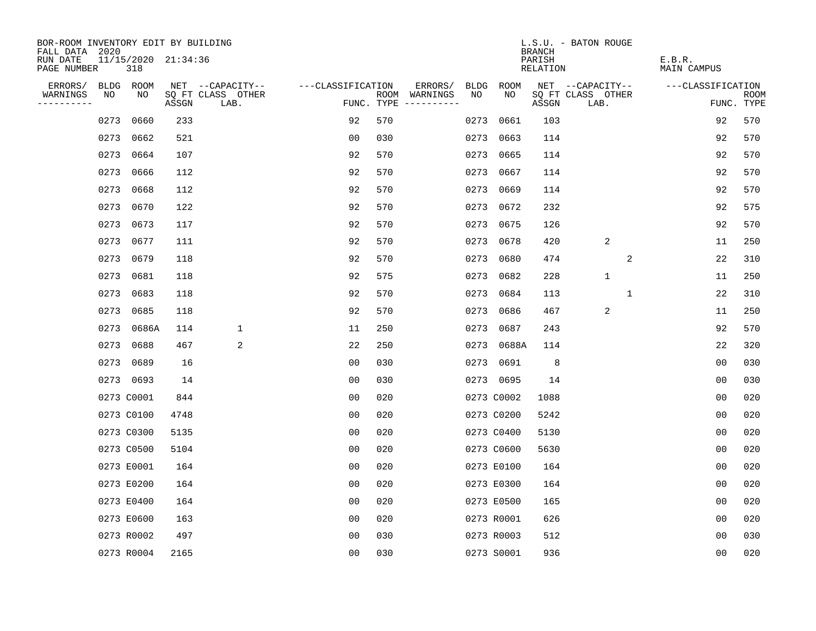| BOR-ROOM INVENTORY EDIT BY BUILDING       |      |                            |       |                           |                   |     |                                      |      |             | <b>BRANCH</b>      | L.S.U. - BATON ROUGE      |              |                       |                   |                           |
|-------------------------------------------|------|----------------------------|-------|---------------------------|-------------------|-----|--------------------------------------|------|-------------|--------------------|---------------------------|--------------|-----------------------|-------------------|---------------------------|
| FALL DATA 2020<br>RUN DATE<br>PAGE NUMBER |      | 11/15/2020 21:34:36<br>318 |       |                           |                   |     |                                      |      |             | PARISH<br>RELATION |                           |              | E.B.R.<br>MAIN CAMPUS |                   |                           |
| ERRORS/                                   |      | BLDG ROOM                  |       | NET --CAPACITY--          | ---CLASSIFICATION |     | ERRORS/                              | BLDG | <b>ROOM</b> |                    | NET --CAPACITY--          |              |                       | ---CLASSIFICATION |                           |
| WARNINGS<br>----------                    | NO   | NO                         | ASSGN | SQ FT CLASS OTHER<br>LAB. |                   |     | ROOM WARNINGS<br>FUNC. TYPE $------$ | NO.  | NO.         | ASSGN              | SQ FT CLASS OTHER<br>LAB. |              |                       |                   | <b>ROOM</b><br>FUNC. TYPE |
|                                           | 0273 | 0660                       | 233   |                           | 92                | 570 |                                      | 0273 | 0661        | 103                |                           |              |                       | 92                | 570                       |
|                                           | 0273 | 0662                       | 521   |                           | 00                | 030 |                                      |      | 0273 0663   | 114                |                           |              |                       | 92                | 570                       |
|                                           | 0273 | 0664                       | 107   |                           | 92                | 570 |                                      |      | 0273 0665   | 114                |                           |              |                       | 92                | 570                       |
|                                           | 0273 | 0666                       | 112   |                           | 92                | 570 |                                      |      | 0273 0667   | 114                |                           |              |                       | 92                | 570                       |
|                                           | 0273 | 0668                       | 112   |                           | 92                | 570 |                                      |      | 0273 0669   | 114                |                           |              |                       | 92                | 570                       |
|                                           | 0273 | 0670                       | 122   |                           | 92                | 570 |                                      |      | 0273 0672   | 232                |                           |              |                       | 92                | 575                       |
|                                           | 0273 | 0673                       | 117   |                           | 92                | 570 |                                      |      | 0273 0675   | 126                |                           |              |                       | 92                | 570                       |
|                                           |      | 0273 0677                  | 111   |                           | 92                | 570 |                                      |      | 0273 0678   | 420                | $\sqrt{2}$                |              |                       | 11                | 250                       |
|                                           | 0273 | 0679                       | 118   |                           | 92                | 570 |                                      |      | 0273 0680   | 474                |                           | 2            |                       | 22                | 310                       |
|                                           | 0273 | 0681                       | 118   |                           | 92                | 575 |                                      |      | 0273 0682   | 228                | $\mathbf{1}$              |              |                       | 11                | 250                       |
|                                           | 0273 | 0683                       | 118   |                           | 92                | 570 |                                      |      | 0273 0684   | 113                |                           | $\mathbf{1}$ |                       | 22                | 310                       |
|                                           | 0273 | 0685                       | 118   |                           | 92                | 570 |                                      |      | 0273 0686   | 467                | $\overline{2}$            |              |                       | 11                | 250                       |
|                                           | 0273 | 0686A                      | 114   | $\mathbf 1$               | 11                | 250 |                                      |      | 0273 0687   | 243                |                           |              |                       | 92                | 570                       |
|                                           | 0273 | 0688                       | 467   | 2                         | 22                | 250 |                                      |      | 0273 0688A  | 114                |                           |              |                       | 22                | 320                       |
|                                           | 0273 | 0689                       | 16    |                           | 0 <sub>0</sub>    | 030 |                                      |      | 0273 0691   | 8                  |                           |              |                       | 0 <sub>0</sub>    | 030                       |
|                                           |      | 0273 0693                  | 14    |                           | 0 <sub>0</sub>    | 030 |                                      |      | 0273 0695   | 14                 |                           |              |                       | 0 <sub>0</sub>    | 030                       |
|                                           |      | 0273 C0001                 | 844   |                           | 0 <sub>0</sub>    | 020 |                                      |      | 0273 C0002  | 1088               |                           |              |                       | 0 <sub>0</sub>    | 020                       |
|                                           |      | 0273 C0100                 | 4748  |                           | 0 <sub>0</sub>    | 020 |                                      |      | 0273 C0200  | 5242               |                           |              |                       | 0 <sub>0</sub>    | 020                       |
|                                           |      | 0273 C0300                 | 5135  |                           | 0 <sub>0</sub>    | 020 |                                      |      | 0273 C0400  | 5130               |                           |              |                       | 0 <sub>0</sub>    | 020                       |
|                                           |      | 0273 C0500                 | 5104  |                           | 0 <sub>0</sub>    | 020 |                                      |      | 0273 C0600  | 5630               |                           |              |                       | 0 <sub>0</sub>    | 020                       |
|                                           |      | 0273 E0001                 | 164   |                           | 0 <sub>0</sub>    | 020 |                                      |      | 0273 E0100  | 164                |                           |              |                       | 0 <sub>0</sub>    | 020                       |
|                                           |      | 0273 E0200                 | 164   |                           | 0 <sub>0</sub>    | 020 |                                      |      | 0273 E0300  | 164                |                           |              |                       | 0 <sub>0</sub>    | 020                       |
|                                           |      | 0273 E0400                 | 164   |                           | 0 <sub>0</sub>    | 020 |                                      |      | 0273 E0500  | 165                |                           |              |                       | 0 <sub>0</sub>    | 020                       |
|                                           |      | 0273 E0600                 | 163   |                           | 0 <sub>0</sub>    | 020 |                                      |      | 0273 R0001  | 626                |                           |              |                       | 00                | 020                       |
|                                           |      | 0273 R0002                 | 497   |                           | 0 <sub>0</sub>    | 030 |                                      |      | 0273 R0003  | 512                |                           |              |                       | 0 <sub>0</sub>    | 030                       |
|                                           |      | 0273 R0004                 | 2165  |                           | 0 <sub>0</sub>    | 030 |                                      |      | 0273 S0001  | 936                |                           |              |                       | 0 <sub>0</sub>    | 020                       |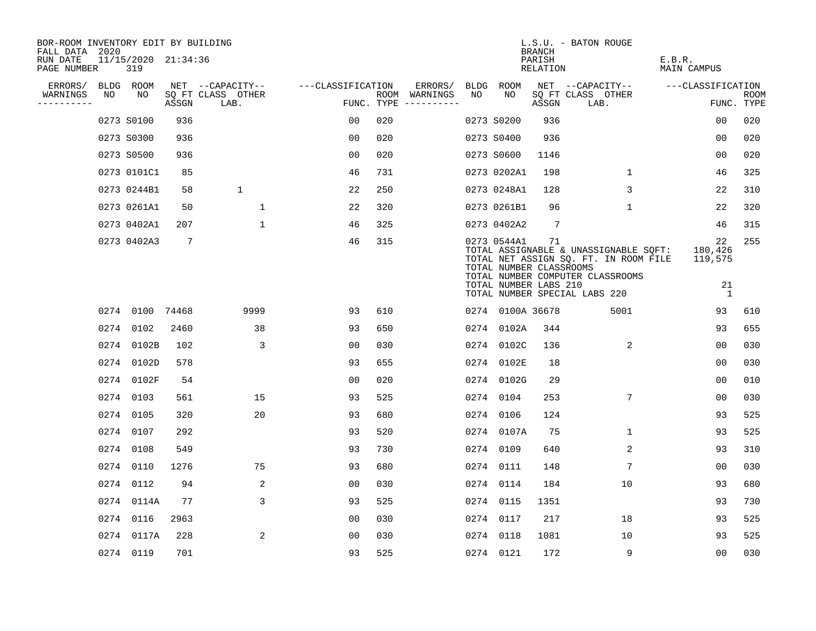| BOR-ROOM INVENTORY EDIT BY BUILDING<br>FALL DATA 2020 |    |                            |                 |                           |                   |     |                                      |     |                                                                 | <b>BRANCH</b>      | L.S.U. - BATON ROUGE                                                                                                                                |                                     |                    |
|-------------------------------------------------------|----|----------------------------|-----------------|---------------------------|-------------------|-----|--------------------------------------|-----|-----------------------------------------------------------------|--------------------|-----------------------------------------------------------------------------------------------------------------------------------------------------|-------------------------------------|--------------------|
| RUN DATE<br>PAGE NUMBER                               |    | 11/15/2020 21:34:36<br>319 |                 |                           |                   |     |                                      |     |                                                                 | PARISH<br>RELATION |                                                                                                                                                     | E.B.R.<br>MAIN CAMPUS               |                    |
| ERRORS/                                               |    | BLDG ROOM                  |                 | NET --CAPACITY--          | ---CLASSIFICATION |     | ERRORS/                              |     | BLDG ROOM                                                       |                    | NET --CAPACITY--                                                                                                                                    | ---CLASSIFICATION                   |                    |
| WARNINGS<br>----------                                | NO | NO                         | ASSGN           | SQ FT CLASS OTHER<br>LAB. |                   |     | ROOM WARNINGS<br>FUNC. TYPE $------$ | NO. | NO.                                                             | ASSGN              | SQ FT CLASS OTHER<br>LAB.                                                                                                                           |                                     | ROOM<br>FUNC. TYPE |
|                                                       |    | 0273 S0100                 | 936             |                           | 00                | 020 |                                      |     | 0273 S0200                                                      | 936                |                                                                                                                                                     | 00                                  | 020                |
|                                                       |    | 0273 S0300                 | 936             |                           | 00                | 020 |                                      |     | 0273 S0400                                                      | 936                |                                                                                                                                                     | 00                                  | 020                |
|                                                       |    | 0273 S0500                 | 936             |                           | 00                | 020 |                                      |     | 0273 S0600                                                      | 1146               |                                                                                                                                                     | 0 <sub>0</sub>                      | 020                |
|                                                       |    | 0273 0101C1                | 85              |                           | 46                | 731 |                                      |     | 0273 0202A1                                                     | 198                | $\mathbf{1}$                                                                                                                                        | 46                                  | 325                |
|                                                       |    | 0273 0244B1                | 58              | $\mathbf 1$               | 22                | 250 |                                      |     | 0273 0248A1                                                     | 128                | 3                                                                                                                                                   | 22                                  | 310                |
|                                                       |    | 0273 0261A1                | 50              | $\mathbf{1}$              | 22                | 320 |                                      |     | 0273 0261B1                                                     | 96                 | $\mathbf{1}$                                                                                                                                        | 22                                  | 320                |
|                                                       |    | 0273 0402A1                | 207             | $\mathbf{1}$              | 46                | 325 |                                      |     | 0273 0402A2                                                     | 7                  |                                                                                                                                                     | 46                                  | 315                |
|                                                       |    | 0273 0402A3                | $7\overline{ }$ |                           | 46                | 315 |                                      |     | 0273 0544A1<br>TOTAL NUMBER CLASSROOMS<br>TOTAL NUMBER LABS 210 | 71                 | TOTAL ASSIGNABLE & UNASSIGNABLE SQFT:<br>TOTAL NET ASSIGN SQ. FT. IN ROOM FILE<br>TOTAL NUMBER COMPUTER CLASSROOMS<br>TOTAL NUMBER SPECIAL LABS 220 | 22<br>180,426<br>119,575<br>21<br>1 | 255                |
|                                                       |    | 0274 0100 74468            |                 | 9999                      | 93                | 610 |                                      |     | 0274 0100A 36678                                                |                    | 5001                                                                                                                                                | 93                                  | 610                |
|                                                       |    | 0274 0102                  | 2460            | 38                        | 93                | 650 |                                      |     | 0274 0102A                                                      | 344                |                                                                                                                                                     | 93                                  | 655                |
|                                                       |    | 0274 0102B                 | 102             | 3                         | 0 <sub>0</sub>    | 030 |                                      |     | 0274 0102C                                                      | 136                | 2                                                                                                                                                   | 00                                  | 030                |
|                                                       |    | 0274 0102D                 | 578             |                           | 93                | 655 |                                      |     | 0274 0102E                                                      | 18                 |                                                                                                                                                     | 0 <sub>0</sub>                      | 030                |
|                                                       |    | 0274 0102F                 | 54              |                           | 0 <sub>0</sub>    | 020 |                                      |     | 0274 0102G                                                      | 29                 |                                                                                                                                                     | 00                                  | 010                |
|                                                       |    | 0274 0103                  | 561             | 15                        | 93                | 525 |                                      |     | 0274 0104                                                       | 253                | 7                                                                                                                                                   | 00                                  | 030                |
|                                                       |    | 0274 0105                  | 320             | 20                        | 93                | 680 |                                      |     | 0274 0106                                                       | 124                |                                                                                                                                                     | 93                                  | 525                |
|                                                       |    | 0274 0107                  | 292             |                           | 93                | 520 |                                      |     | 0274 0107A                                                      | 75                 | 1                                                                                                                                                   | 93                                  | 525                |
|                                                       |    | 0274 0108                  | 549             |                           | 93                | 730 |                                      |     | 0274 0109                                                       | 640                | 2                                                                                                                                                   | 93                                  | 310                |
|                                                       |    | 0274 0110                  | 1276            | 75                        | 93                | 680 |                                      |     | 0274 0111                                                       | 148                | 7                                                                                                                                                   | 0 <sub>0</sub>                      | 030                |
|                                                       |    | 0274 0112                  | 94              | 2                         | 0 <sub>0</sub>    | 030 |                                      |     | 0274 0114                                                       | 184                | 10                                                                                                                                                  | 93                                  | 680                |
|                                                       |    | 0274 0114A                 | 77              | 3                         | 93                | 525 |                                      |     | 0274 0115                                                       | 1351               |                                                                                                                                                     | 93                                  | 730                |
|                                                       |    | 0274 0116                  | 2963            |                           | 0 <sub>0</sub>    | 030 |                                      |     | 0274 0117                                                       | 217                | 18                                                                                                                                                  | 93                                  | 525                |
|                                                       |    | 0274 0117A                 | 228             | 2                         | 0 <sub>0</sub>    | 030 |                                      |     | 0274 0118                                                       | 1081               | 10                                                                                                                                                  | 93                                  | 525                |
|                                                       |    | 0274 0119                  | 701             |                           | 93                | 525 |                                      |     | 0274 0121                                                       | 172                | 9                                                                                                                                                   | 0 <sub>0</sub>                      | 030                |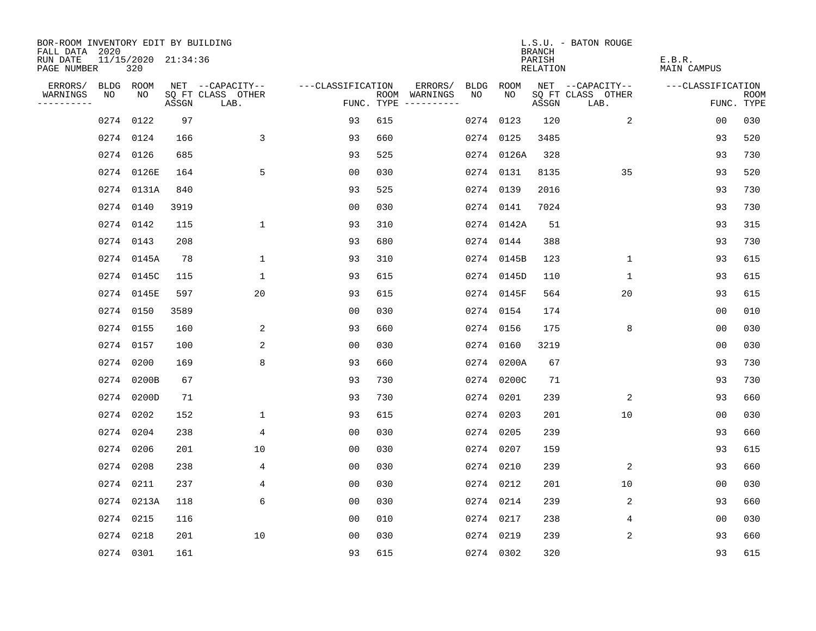| BOR-ROOM INVENTORY EDIT BY BUILDING       |           |                            |       |                           |                   |     |                                      |      |            | <b>BRANCH</b>      | L.S.U. - BATON ROUGE      |                       |                           |
|-------------------------------------------|-----------|----------------------------|-------|---------------------------|-------------------|-----|--------------------------------------|------|------------|--------------------|---------------------------|-----------------------|---------------------------|
| FALL DATA 2020<br>RUN DATE<br>PAGE NUMBER |           | 11/15/2020 21:34:36<br>320 |       |                           |                   |     |                                      |      |            | PARISH<br>RELATION |                           | E.B.R.<br>MAIN CAMPUS |                           |
| ERRORS/                                   | BLDG ROOM |                            |       | NET --CAPACITY--          | ---CLASSIFICATION |     | ERRORS/                              | BLDG | ROOM       |                    | NET --CAPACITY--          | ---CLASSIFICATION     |                           |
| WARNINGS<br>----------                    | NO        | NO                         | ASSGN | SQ FT CLASS OTHER<br>LAB. |                   |     | ROOM WARNINGS<br>FUNC. TYPE $------$ | NO.  | NO.        | ASSGN              | SQ FT CLASS OTHER<br>LAB. |                       | <b>ROOM</b><br>FUNC. TYPE |
|                                           |           | 0274 0122                  | 97    |                           | 93                | 615 |                                      | 0274 | 0123       | 120                | 2                         | 0 <sub>0</sub>        | 030                       |
|                                           |           | 0274 0124                  | 166   | 3                         | 93                | 660 |                                      |      | 0274 0125  | 3485               |                           | 93                    | 520                       |
|                                           |           | 0274 0126                  | 685   |                           | 93                | 525 |                                      |      | 0274 0126A | 328                |                           | 93                    | 730                       |
|                                           |           | 0274 0126E                 | 164   | 5                         | 0 <sub>0</sub>    | 030 |                                      |      | 0274 0131  | 8135               | 35                        | 93                    | 520                       |
|                                           |           | 0274 0131A                 | 840   |                           | 93                | 525 |                                      |      | 0274 0139  | 2016               |                           | 93                    | 730                       |
|                                           | 0274 0140 |                            | 3919  |                           | 0 <sub>0</sub>    | 030 |                                      |      | 0274 0141  | 7024               |                           | 93                    | 730                       |
|                                           |           | 0274 0142                  | 115   | $\mathbf{1}$              | 93                | 310 |                                      |      | 0274 0142A | 51                 |                           | 93                    | 315                       |
|                                           | 0274 0143 |                            | 208   |                           | 93                | 680 |                                      |      | 0274 0144  | 388                |                           | 93                    | 730                       |
|                                           |           | 0274 0145A                 | 78    | $\mathbf 1$               | 93                | 310 |                                      |      | 0274 0145B | 123                | $\mathbf 1$               | 93                    | 615                       |
|                                           |           | 0274 0145C                 | 115   | $\mathbf 1$               | 93                | 615 |                                      |      | 0274 0145D | 110                | $\mathbf 1$               | 93                    | 615                       |
|                                           |           | 0274 0145E                 | 597   | 20                        | 93                | 615 |                                      |      | 0274 0145F | 564                | 20                        | 93                    | 615                       |
|                                           | 0274 0150 |                            | 3589  |                           | 00                | 030 |                                      |      | 0274 0154  | 174                |                           | 0 <sub>0</sub>        | 010                       |
|                                           | 0274 0155 |                            | 160   | 2                         | 93                | 660 |                                      |      | 0274 0156  | 175                | 8                         | 0 <sub>0</sub>        | 030                       |
|                                           | 0274 0157 |                            | 100   | 2                         | 00                | 030 |                                      |      | 0274 0160  | 3219               |                           | 0 <sub>0</sub>        | 030                       |
|                                           | 0274 0200 |                            | 169   | 8                         | 93                | 660 |                                      | 0274 | 0200A      | 67                 |                           | 93                    | 730                       |
|                                           |           | 0274 0200B                 | 67    |                           | 93                | 730 |                                      | 0274 | 0200C      | 71                 |                           | 93                    | 730                       |
|                                           |           | 0274 0200D                 | 71    |                           | 93                | 730 |                                      | 0274 | 0201       | 239                | 2                         | 93                    | 660                       |
|                                           |           | 0274 0202                  | 152   | $\mathbf 1$               | 93                | 615 |                                      |      | 0274 0203  | 201                | 10                        | 0 <sub>0</sub>        | 030                       |
|                                           | 0274 0204 |                            | 238   | 4                         | 0 <sub>0</sub>    | 030 |                                      |      | 0274 0205  | 239                |                           | 93                    | 660                       |
|                                           | 0274 0206 |                            | 201   | 10                        | 0 <sub>0</sub>    | 030 |                                      |      | 0274 0207  | 159                |                           | 93                    | 615                       |
|                                           | 0274 0208 |                            | 238   | 4                         | 0 <sub>0</sub>    | 030 |                                      |      | 0274 0210  | 239                | 2                         | 93                    | 660                       |
|                                           | 0274 0211 |                            | 237   | 4                         | 00                | 030 |                                      |      | 0274 0212  | 201                | 10                        | 00                    | 030                       |
|                                           |           | 0274 0213A                 | 118   | 6                         | 0 <sub>0</sub>    | 030 |                                      |      | 0274 0214  | 239                | 2                         | 93                    | 660                       |
|                                           | 0274 0215 |                            | 116   |                           | 0 <sub>0</sub>    | 010 |                                      |      | 0274 0217  | 238                | 4                         | 00                    | 030                       |
|                                           | 0274 0218 |                            | 201   | 10                        | 0 <sub>0</sub>    | 030 |                                      |      | 0274 0219  | 239                | 2                         | 93                    | 660                       |
|                                           | 0274 0301 |                            | 161   |                           | 93                | 615 |                                      |      | 0274 0302  | 320                |                           | 93                    | 615                       |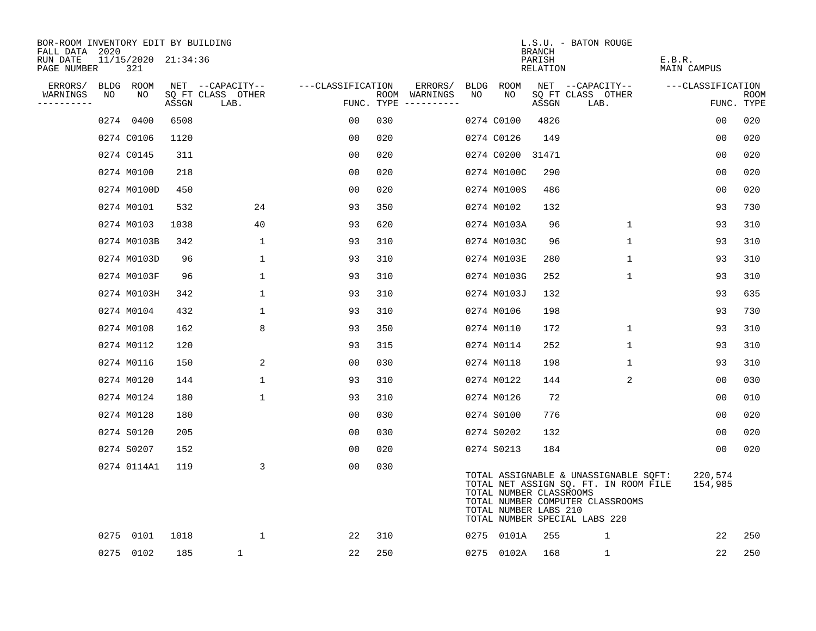| BOR-ROOM INVENTORY EDIT BY BUILDING<br>FALL DATA 2020 |    |                            |       |                           |                   |     |                                      |    |                                                  | <b>BRANCH</b>      | L.S.U. - BATON ROUGE                                                                                                                                |                              |                           |
|-------------------------------------------------------|----|----------------------------|-------|---------------------------|-------------------|-----|--------------------------------------|----|--------------------------------------------------|--------------------|-----------------------------------------------------------------------------------------------------------------------------------------------------|------------------------------|---------------------------|
| RUN DATE<br>PAGE NUMBER                               |    | 11/15/2020 21:34:36<br>321 |       |                           |                   |     |                                      |    |                                                  | PARISH<br>RELATION |                                                                                                                                                     | E.B.R.<br><b>MAIN CAMPUS</b> |                           |
| ERRORS/                                               |    | BLDG ROOM                  |       | NET --CAPACITY--          | ---CLASSIFICATION |     | ERRORS/                              |    | BLDG ROOM                                        |                    | NET --CAPACITY--                                                                                                                                    | ---CLASSIFICATION            |                           |
| WARNINGS                                              | NO | NO                         | ASSGN | SQ FT CLASS OTHER<br>LAB. |                   |     | ROOM WARNINGS<br>FUNC. TYPE $------$ | NO | NO                                               | ASSGN              | SQ FT CLASS OTHER<br>LAB.                                                                                                                           |                              | <b>ROOM</b><br>FUNC. TYPE |
|                                                       |    | 0274 0400                  | 6508  |                           | 00                | 030 |                                      |    | 0274 C0100                                       | 4826               |                                                                                                                                                     | 0 <sub>0</sub>               | 020                       |
|                                                       |    | 0274 C0106                 | 1120  |                           | 00                | 020 |                                      |    | 0274 C0126                                       | 149                |                                                                                                                                                     | 00                           | 020                       |
|                                                       |    | 0274 C0145                 | 311   |                           | 00                | 020 |                                      |    | 0274 C0200                                       | 31471              |                                                                                                                                                     | 0 <sub>0</sub>               | 020                       |
|                                                       |    | 0274 M0100                 | 218   |                           | 0 <sub>0</sub>    | 020 |                                      |    | 0274 M0100C                                      | 290                |                                                                                                                                                     | 0 <sub>0</sub>               | 020                       |
|                                                       |    | 0274 M0100D                | 450   |                           | 0 <sub>0</sub>    | 020 |                                      |    | 0274 M0100S                                      | 486                |                                                                                                                                                     | 0 <sub>0</sub>               | 020                       |
|                                                       |    | 0274 M0101                 | 532   | 24                        | 93                | 350 |                                      |    | 0274 M0102                                       | 132                |                                                                                                                                                     | 93                           | 730                       |
|                                                       |    | 0274 M0103                 | 1038  | 40                        | 93                | 620 |                                      |    | 0274 M0103A                                      | 96                 | $\mathbf 1$                                                                                                                                         | 93                           | 310                       |
|                                                       |    | 0274 M0103B                | 342   | $\mathbf 1$               | 93                | 310 |                                      |    | 0274 M0103C                                      | 96                 | $\mathbf{1}$                                                                                                                                        | 93                           | 310                       |
|                                                       |    | 0274 M0103D                | 96    | $\mathbf{1}$              | 93                | 310 |                                      |    | 0274 M0103E                                      | 280                | $\mathbf{1}$                                                                                                                                        | 93                           | 310                       |
|                                                       |    | 0274 M0103F                | 96    | $\mathbf 1$               | 93                | 310 |                                      |    | 0274 M0103G                                      | 252                | $\mathbf 1$                                                                                                                                         | 93                           | 310                       |
|                                                       |    | 0274 M0103H                | 342   | $\mathbf{1}$              | 93                | 310 |                                      |    | 0274 M0103J                                      | 132                |                                                                                                                                                     | 93                           | 635                       |
|                                                       |    | 0274 M0104                 | 432   | 1                         | 93                | 310 |                                      |    | 0274 M0106                                       | 198                |                                                                                                                                                     | 93                           | 730                       |
|                                                       |    | 0274 M0108                 | 162   | 8                         | 93                | 350 |                                      |    | 0274 M0110                                       | 172                | $\mathbf 1$                                                                                                                                         | 93                           | 310                       |
|                                                       |    | 0274 M0112                 | 120   |                           | 93                | 315 |                                      |    | 0274 M0114                                       | 252                | $\mathbf{1}$                                                                                                                                        | 93                           | 310                       |
|                                                       |    | 0274 M0116                 | 150   | 2                         | 00                | 030 |                                      |    | 0274 M0118                                       | 198                | 1                                                                                                                                                   | 93                           | 310                       |
|                                                       |    | 0274 M0120                 | 144   | $\mathbf{1}$              | 93                | 310 |                                      |    | 0274 M0122                                       | 144                | 2                                                                                                                                                   | 0 <sub>0</sub>               | 030                       |
|                                                       |    | 0274 M0124                 | 180   | $\mathbf{1}$              | 93                | 310 |                                      |    | 0274 M0126                                       | 72                 |                                                                                                                                                     | 00                           | 010                       |
|                                                       |    | 0274 M0128                 | 180   |                           | 0 <sub>0</sub>    | 030 |                                      |    | 0274 S0100                                       | 776                |                                                                                                                                                     | 0 <sub>0</sub>               | 020                       |
|                                                       |    | 0274 S0120                 | 205   |                           | 0 <sub>0</sub>    | 030 |                                      |    | 0274 S0202                                       | 132                |                                                                                                                                                     | 0 <sub>0</sub>               | 020                       |
|                                                       |    | 0274 S0207                 | 152   |                           | 00                | 020 |                                      |    | 0274 S0213                                       | 184                |                                                                                                                                                     | 00                           | 020                       |
|                                                       |    | 0274 0114A1                | 119   | 3                         | 0 <sub>0</sub>    | 030 |                                      |    | TOTAL NUMBER CLASSROOMS<br>TOTAL NUMBER LABS 210 |                    | TOTAL ASSIGNABLE & UNASSIGNABLE SQFT:<br>TOTAL NET ASSIGN SQ. FT. IN ROOM FILE<br>TOTAL NUMBER COMPUTER CLASSROOMS<br>TOTAL NUMBER SPECIAL LABS 220 | 220,574<br>154,985           |                           |
|                                                       |    | 0275 0101                  | 1018  | $\mathbf 1$               | 22                | 310 |                                      |    | 0275 0101A                                       | 255                | $\mathbf{1}$                                                                                                                                        | 22                           | 250                       |
|                                                       |    | 0275 0102                  | 185   | 1                         | 22                | 250 |                                      |    | 0275 0102A                                       | 168                | $\mathbf{1}$                                                                                                                                        | 22                           | 250                       |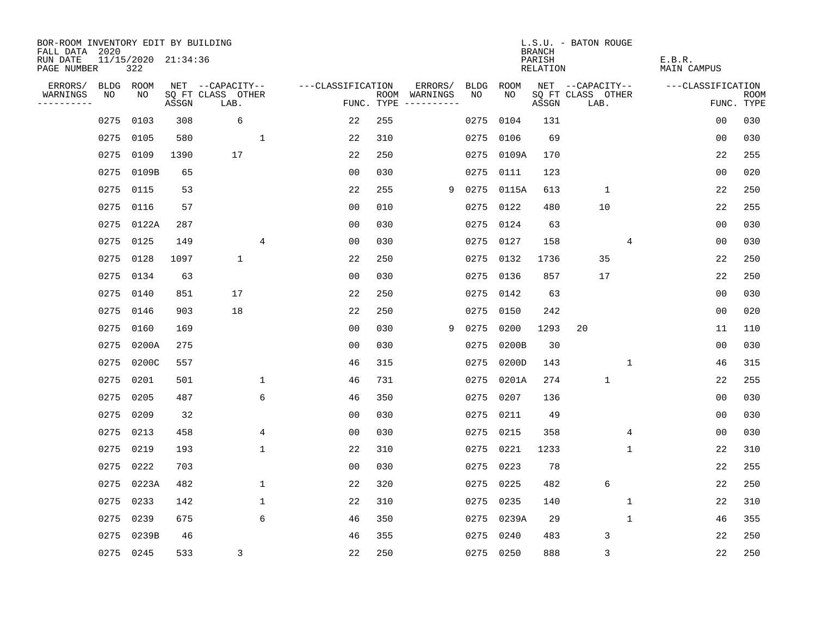| BOR-ROOM INVENTORY EDIT BY BUILDING<br>FALL DATA 2020 |      |                            |       |                           |                |                   |     |                                      |      |           | <b>BRANCH</b>      | L.S.U. - BATON ROUGE      |   |                       |                |                           |
|-------------------------------------------------------|------|----------------------------|-------|---------------------------|----------------|-------------------|-----|--------------------------------------|------|-----------|--------------------|---------------------------|---|-----------------------|----------------|---------------------------|
| RUN DATE<br>PAGE NUMBER                               |      | 11/15/2020 21:34:36<br>322 |       |                           |                |                   |     |                                      |      |           | PARISH<br>RELATION |                           |   | E.B.R.<br>MAIN CAMPUS |                |                           |
| ERRORS/                                               | BLDG | ROOM                       |       | NET --CAPACITY--          |                | ---CLASSIFICATION |     | ERRORS/                              | BLDG | ROOM      |                    | NET --CAPACITY--          |   | ---CLASSIFICATION     |                |                           |
| WARNINGS<br>----------                                | NO   | NO                         | ASSGN | SQ FT CLASS OTHER<br>LAB. |                |                   |     | ROOM WARNINGS<br>FUNC. TYPE $------$ | NO.  | NO.       | ASSGN              | SQ FT CLASS OTHER<br>LAB. |   |                       |                | <b>ROOM</b><br>FUNC. TYPE |
|                                                       | 0275 | 0103                       | 308   | 6                         |                | 22                | 255 |                                      | 0275 | 0104      | 131                |                           |   |                       | 0 <sub>0</sub> | 030                       |
|                                                       | 0275 | 0105                       | 580   |                           | 1              | 22                | 310 |                                      | 0275 | 0106      | 69                 |                           |   |                       | 0 <sub>0</sub> | 030                       |
|                                                       | 0275 | 0109                       | 1390  | 17                        |                | 22                | 250 |                                      | 0275 | 0109A     | 170                |                           |   |                       | 22             | 255                       |
|                                                       | 0275 | 0109B                      | 65    |                           |                | 0 <sub>0</sub>    | 030 |                                      | 0275 | 0111      | 123                |                           |   |                       | 0 <sub>0</sub> | 020                       |
|                                                       | 0275 | 0115                       | 53    |                           |                | 22                | 255 | 9                                    | 0275 | 0115A     | 613                | $\mathbf{1}$              |   |                       | 22             | 250                       |
|                                                       | 0275 | 0116                       | 57    |                           |                | 0 <sub>0</sub>    | 010 |                                      | 0275 | 0122      | 480                | 10                        |   |                       | 22             | 255                       |
|                                                       |      | 0275 0122A                 | 287   |                           |                | 0 <sub>0</sub>    | 030 |                                      | 0275 | 0124      | 63                 |                           |   |                       | 00             | 030                       |
|                                                       | 0275 | 0125                       | 149   |                           | 4              | 0 <sub>0</sub>    | 030 |                                      | 0275 | 0127      | 158                |                           | 4 |                       | 00             | 030                       |
|                                                       | 0275 | 0128                       | 1097  | $\mathbf{1}$              |                | 22                | 250 |                                      | 0275 | 0132      | 1736               | 35                        |   |                       | 22             | 250                       |
|                                                       |      | 0275 0134                  | 63    |                           |                | 0 <sub>0</sub>    | 030 |                                      | 0275 | 0136      | 857                | 17                        |   |                       | 22             | 250                       |
|                                                       |      | 0275 0140                  | 851   | 17                        |                | 22                | 250 |                                      | 0275 | 0142      | 63                 |                           |   |                       | 0 <sub>0</sub> | 030                       |
|                                                       |      | 0275 0146                  | 903   | 18                        |                | 22                | 250 |                                      | 0275 | 0150      | 242                |                           |   |                       | 0 <sub>0</sub> | 020                       |
|                                                       | 0275 | 0160                       | 169   |                           |                | 0 <sub>0</sub>    | 030 | 9                                    | 0275 | 0200      | 1293               | 20                        |   |                       | 11             | 110                       |
|                                                       | 0275 | 0200A                      | 275   |                           |                | 0 <sub>0</sub>    | 030 |                                      | 0275 | 0200B     | 30                 |                           |   |                       | 0 <sub>0</sub> | 030                       |
|                                                       | 0275 | 0200C                      | 557   |                           |                | 46                | 315 |                                      | 0275 | 0200D     | 143                |                           | 1 |                       | 46             | 315                       |
|                                                       | 0275 | 0201                       | 501   |                           | 1              | 46                | 731 |                                      | 0275 | 0201A     | 274                | $\mathbf{1}$              |   |                       | 22             | 255                       |
|                                                       | 0275 | 0205                       | 487   |                           | 6              | 46                | 350 |                                      | 0275 | 0207      | 136                |                           |   |                       | 0 <sub>0</sub> | 030                       |
|                                                       | 0275 | 0209                       | 32    |                           |                | 0 <sub>0</sub>    | 030 |                                      | 0275 | 0211      | 49                 |                           |   |                       | 00             | 030                       |
|                                                       | 0275 | 0213                       | 458   |                           | $\overline{4}$ | 0 <sub>0</sub>    | 030 |                                      | 0275 | 0215      | 358                |                           | 4 |                       | 0 <sub>0</sub> | 030                       |
|                                                       | 0275 | 0219                       | 193   |                           | $\mathbf{1}$   | 22                | 310 |                                      | 0275 | 0221      | 1233               |                           | 1 |                       | 22             | 310                       |
|                                                       | 0275 | 0222                       | 703   |                           |                | 0 <sub>0</sub>    | 030 |                                      | 0275 | 0223      | 78                 |                           |   |                       | 22             | 255                       |
|                                                       | 0275 | 0223A                      | 482   |                           | $\mathbf 1$    | 22                | 320 |                                      | 0275 | 0225      | 482                | 6                         |   |                       | 22             | 250                       |
|                                                       | 0275 | 0233                       | 142   |                           | $\mathbf 1$    | 22                | 310 |                                      | 0275 | 0235      | 140                |                           | 1 |                       | 22             | 310                       |
|                                                       | 0275 | 0239                       | 675   |                           | 6              | 46                | 350 |                                      | 0275 | 0239A     | 29                 |                           | 1 |                       | 46             | 355                       |
|                                                       | 0275 | 0239B                      | 46    |                           |                | 46                | 355 |                                      | 0275 | 0240      | 483                | 3                         |   |                       | 22             | 250                       |
|                                                       |      | 0275 0245                  | 533   | 3                         |                | 22                | 250 |                                      |      | 0275 0250 | 888                | 3                         |   |                       | 22             | 250                       |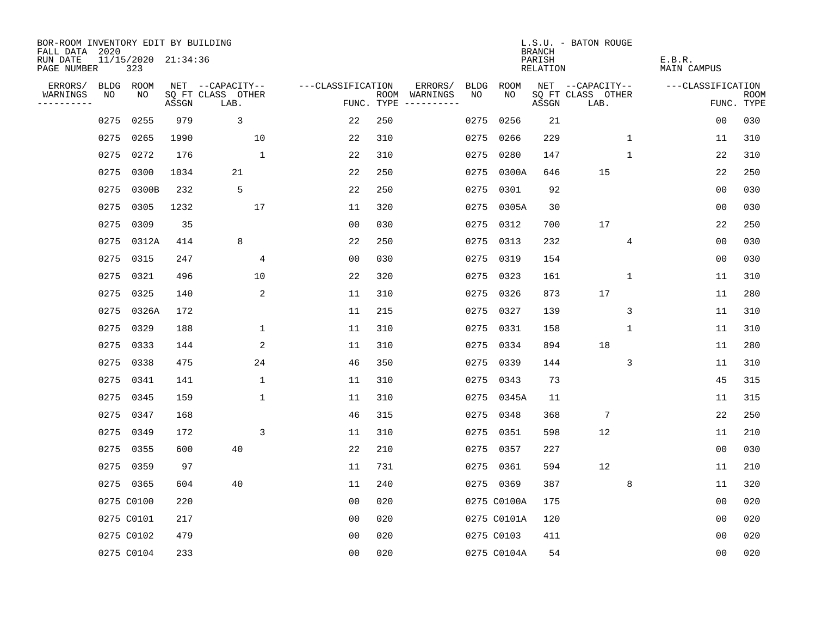| BOR-ROOM INVENTORY EDIT BY BUILDING       |      |                            |       |                           |                   |            |                              |             |             | <b>BRANCH</b>      | L.S.U. - BATON ROUGE      |   |                       |                           |
|-------------------------------------------|------|----------------------------|-------|---------------------------|-------------------|------------|------------------------------|-------------|-------------|--------------------|---------------------------|---|-----------------------|---------------------------|
| FALL DATA 2020<br>RUN DATE<br>PAGE NUMBER |      | 11/15/2020 21:34:36<br>323 |       |                           |                   |            |                              |             |             | PARISH<br>RELATION |                           |   | E.B.R.<br>MAIN CAMPUS |                           |
| ERRORS/                                   | BLDG | ROOM                       |       | NET --CAPACITY--          | ---CLASSIFICATION |            | ERRORS/                      | <b>BLDG</b> | ROOM        |                    | NET --CAPACITY--          |   | ---CLASSIFICATION     |                           |
| WARNINGS<br>----------                    | NO   | NO                         | ASSGN | SQ FT CLASS OTHER<br>LAB. |                   | FUNC. TYPE | ROOM WARNINGS<br>----------- | NO          | NO.         | ASSGN              | SQ FT CLASS OTHER<br>LAB. |   |                       | <b>ROOM</b><br>FUNC. TYPE |
|                                           | 0275 | 0255                       | 979   | 3                         | 22                | 250        |                              | 0275        | 0256        | 21                 |                           |   | 0 <sub>0</sub>        | 030                       |
|                                           | 0275 | 0265                       | 1990  | 10                        | 22                | 310        |                              | 0275        | 0266        | 229                | $\mathbf{1}$              |   | 11                    | 310                       |
|                                           | 0275 | 0272                       | 176   | $\mathbf{1}$              | 22                | 310        |                              | 0275        | 0280        | 147                | $\mathbf{1}$              |   | 22                    | 310                       |
|                                           | 0275 | 0300                       | 1034  | 21                        | 22                | 250        |                              | 0275        | 0300A       | 646                | 15                        |   | 22                    | 250                       |
|                                           | 0275 | 0300B                      | 232   | 5                         | 22                | 250        |                              | 0275        | 0301        | 92                 |                           |   | 0 <sub>0</sub>        | 030                       |
|                                           | 0275 | 0305                       | 1232  | 17                        | 11                | 320        |                              |             | 0275 0305A  | 30                 |                           |   | 0 <sub>0</sub>        | 030                       |
|                                           | 0275 | 0309                       | 35    |                           | 0 <sub>0</sub>    | 030        |                              | 0275        | 0312        | 700                | 17                        |   | 22                    | 250                       |
|                                           | 0275 | 0312A                      | 414   | 8                         | 22                | 250        |                              |             | 0275 0313   | 232                | 4                         |   | 0 <sub>0</sub>        | 030                       |
|                                           |      | 0275 0315                  | 247   | $\overline{4}$            | 0 <sub>0</sub>    | 030        |                              | 0275        | 0319        | 154                |                           |   | 0 <sub>0</sub>        | 030                       |
|                                           |      | 0275 0321                  | 496   | 10                        | 22                | 320        |                              |             | 0275 0323   | 161                | 1                         |   | 11                    | 310                       |
|                                           |      | 0275 0325                  | 140   | 2                         | 11                | 310        |                              | 0275        | 0326        | 873                | 17                        |   | 11                    | 280                       |
|                                           |      | 0275 0326A                 | 172   |                           | 11                | 215        |                              |             | 0275 0327   | 139                |                           | 3 | 11                    | 310                       |
|                                           |      | 0275 0329                  | 188   | $\mathbf 1$               | 11                | 310        |                              | 0275        | 0331        | 158                | $\mathbf{1}$              |   | 11                    | 310                       |
|                                           |      | 0275 0333                  | 144   | 2                         | 11                | 310        |                              |             | 0275 0334   | 894                | 18                        |   | 11                    | 280                       |
|                                           |      | 0275 0338                  | 475   | 24                        | 46                | 350        |                              | 0275        | 0339        | 144                |                           | 3 | 11                    | 310                       |
|                                           | 0275 | 0341                       | 141   | 1                         | 11                | 310        |                              |             | 0275 0343   | 73                 |                           |   | 45                    | 315                       |
|                                           | 0275 | 0345                       | 159   | $\mathbf{1}$              | 11                | 310        |                              | 0275        | 0345A       | 11                 |                           |   | 11                    | 315                       |
|                                           | 0275 | 0347                       | 168   |                           | 46                | 315        |                              |             | 0275 0348   | 368                | 7                         |   | 22                    | 250                       |
|                                           |      | 0275 0349                  | 172   | 3                         | 11                | 310        |                              |             | 0275 0351   | 598                | 12                        |   | 11                    | 210                       |
|                                           | 0275 | 0355                       | 600   | 40                        | 22                | 210        |                              | 0275        | 0357        | 227                |                           |   | 0 <sub>0</sub>        | 030                       |
|                                           |      | 0275 0359                  | 97    |                           | 11                | 731        |                              |             | 0275 0361   | 594                | 12                        |   | 11                    | 210                       |
|                                           |      | 0275 0365                  | 604   | 40                        | 11                | 240        |                              |             | 0275 0369   | 387                | 8                         |   | 11                    | 320                       |
|                                           |      | 0275 C0100                 | 220   |                           | 0 <sub>0</sub>    | 020        |                              |             | 0275 C0100A | 175                |                           |   | 0 <sub>0</sub>        | 020                       |
|                                           |      | 0275 C0101                 | 217   |                           | 0 <sub>0</sub>    | 020        |                              |             | 0275 C0101A | 120                |                           |   | 0 <sub>0</sub>        | 020                       |
|                                           |      | 0275 C0102                 | 479   |                           | 0 <sub>0</sub>    | 020        |                              |             | 0275 C0103  | 411                |                           |   | 0 <sub>0</sub>        | 020                       |
|                                           |      | 0275 C0104                 | 233   |                           | 0 <sub>0</sub>    | 020        |                              |             | 0275 C0104A | 54                 |                           |   | 0 <sub>0</sub>        | 020                       |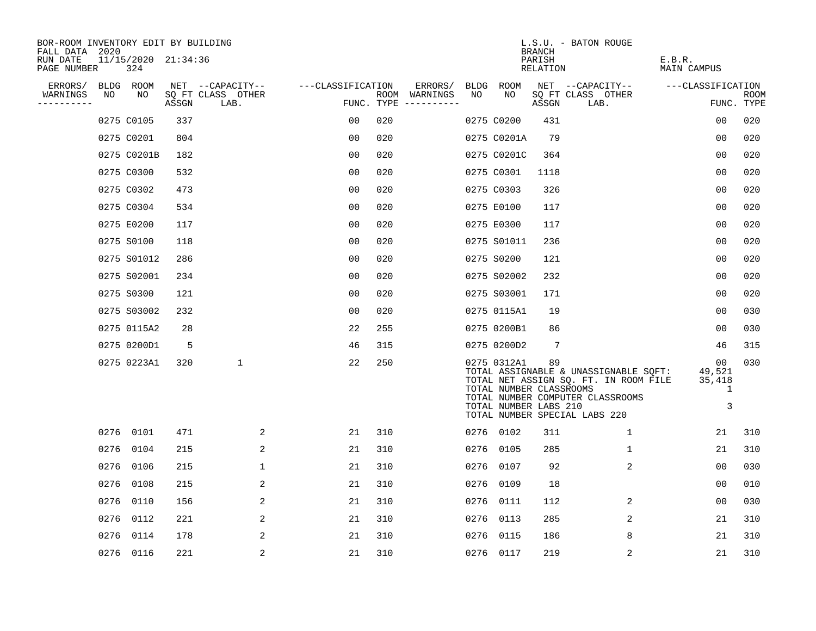| BOR-ROOM INVENTORY EDIT BY BUILDING<br>FALL DATA 2020 |      |                            |       |                           |                   |     |                                      |      |                                                                 | <b>BRANCH</b>      | L.S.U. - BATON ROUGE                                                                                                                                |                                  |                           |
|-------------------------------------------------------|------|----------------------------|-------|---------------------------|-------------------|-----|--------------------------------------|------|-----------------------------------------------------------------|--------------------|-----------------------------------------------------------------------------------------------------------------------------------------------------|----------------------------------|---------------------------|
| RUN DATE<br>PAGE NUMBER                               |      | 11/15/2020 21:34:36<br>324 |       |                           |                   |     |                                      |      |                                                                 | PARISH<br>RELATION |                                                                                                                                                     | E.B.R.<br>MAIN CAMPUS            |                           |
| ERRORS/                                               |      | BLDG ROOM                  |       | NET --CAPACITY--          | ---CLASSIFICATION |     | ERRORS/                              | BLDG | ROOM                                                            |                    | NET --CAPACITY--                                                                                                                                    | ---CLASSIFICATION                |                           |
| WARNINGS<br>----------                                | NO   | NO                         | ASSGN | SQ FT CLASS OTHER<br>LAB. |                   |     | ROOM WARNINGS<br>FUNC. TYPE $------$ | NO.  | NO.                                                             | ASSGN              | SQ FT CLASS OTHER<br>LAB.                                                                                                                           |                                  | <b>ROOM</b><br>FUNC. TYPE |
|                                                       |      | 0275 C0105                 | 337   |                           | 00                | 020 |                                      |      | 0275 C0200                                                      | 431                |                                                                                                                                                     | 0 <sub>0</sub>                   | 020                       |
|                                                       |      | 0275 C0201                 | 804   |                           | 0 <sub>0</sub>    | 020 |                                      |      | 0275 C0201A                                                     | 79                 |                                                                                                                                                     | 00                               | 020                       |
|                                                       |      | 0275 C0201B                | 182   |                           | 0 <sub>0</sub>    | 020 |                                      |      | 0275 C0201C                                                     | 364                |                                                                                                                                                     | 00                               | 020                       |
|                                                       |      | 0275 C0300                 | 532   |                           | 0 <sub>0</sub>    | 020 |                                      |      | 0275 C0301                                                      | 1118               |                                                                                                                                                     | 0 <sub>0</sub>                   | 020                       |
|                                                       |      | 0275 C0302                 | 473   |                           | 0 <sub>0</sub>    | 020 |                                      |      | 0275 C0303                                                      | 326                |                                                                                                                                                     | 00                               | 020                       |
|                                                       |      | 0275 C0304                 | 534   |                           | 0 <sub>0</sub>    | 020 |                                      |      | 0275 E0100                                                      | 117                |                                                                                                                                                     | 0 <sub>0</sub>                   | 020                       |
|                                                       |      | 0275 E0200                 | 117   |                           | 0 <sub>0</sub>    | 020 |                                      |      | 0275 E0300                                                      | 117                |                                                                                                                                                     | 00                               | 020                       |
|                                                       |      | 0275 S0100                 | 118   |                           | 0 <sub>0</sub>    | 020 |                                      |      | 0275 S01011                                                     | 236                |                                                                                                                                                     | 0 <sub>0</sub>                   | 020                       |
|                                                       |      | 0275 S01012                | 286   |                           | 0 <sub>0</sub>    | 020 |                                      |      | 0275 S0200                                                      | 121                |                                                                                                                                                     | 0 <sub>0</sub>                   | 020                       |
|                                                       |      | 0275 S02001                | 234   |                           | 0 <sub>0</sub>    | 020 |                                      |      | 0275 S02002                                                     | 232                |                                                                                                                                                     | 0 <sub>0</sub>                   | 020                       |
|                                                       |      | 0275 S0300                 | 121   |                           | 00                | 020 |                                      |      | 0275 S03001                                                     | 171                |                                                                                                                                                     | 00                               | 020                       |
|                                                       |      | 0275 S03002                | 232   |                           | 0 <sub>0</sub>    | 020 |                                      |      | 0275 0115A1                                                     | 19                 |                                                                                                                                                     | 0 <sub>0</sub>                   | 030                       |
|                                                       |      | 0275 0115A2                | 28    |                           | 22                | 255 |                                      |      | 0275 0200B1                                                     | 86                 |                                                                                                                                                     | 00                               | 030                       |
|                                                       |      | 0275 0200D1                | 5     |                           | 46                | 315 |                                      |      | 0275 0200D2                                                     | $7\phantom{.0}$    |                                                                                                                                                     | 46                               | 315                       |
|                                                       |      | 0275 0223A1                | 320   | 1                         | 22                | 250 |                                      |      | 0275 0312A1<br>TOTAL NUMBER CLASSROOMS<br>TOTAL NUMBER LABS 210 | 89                 | TOTAL ASSIGNABLE & UNASSIGNABLE SQFT:<br>TOTAL NET ASSIGN SQ. FT. IN ROOM FILE<br>TOTAL NUMBER COMPUTER CLASSROOMS<br>TOTAL NUMBER SPECIAL LABS 220 | 00<br>49,521<br>35,418<br>1<br>3 | 030                       |
|                                                       |      | 0276 0101                  | 471   | 2                         | 21                | 310 |                                      |      | 0276 0102                                                       | 311                | 1                                                                                                                                                   | 21                               | 310                       |
|                                                       |      | 0276 0104                  | 215   | 2                         | 21                | 310 |                                      |      | 0276 0105                                                       | 285                | $\mathbf 1$                                                                                                                                         | 21                               | 310                       |
|                                                       |      | 0276 0106                  | 215   | $\mathbf 1$               | 21                | 310 |                                      |      | 0276 0107                                                       | 92                 | 2                                                                                                                                                   | 0 <sub>0</sub>                   | 030                       |
|                                                       | 0276 | 0108                       | 215   | 2                         | 21                | 310 |                                      | 0276 | 0109                                                            | 18                 |                                                                                                                                                     | 0 <sub>0</sub>                   | 010                       |
|                                                       |      | 0276 0110                  | 156   | 2                         | 21                | 310 |                                      | 0276 | 0111                                                            | 112                | 2                                                                                                                                                   | 0 <sub>0</sub>                   | 030                       |
|                                                       |      | 0276 0112                  | 221   | 2                         | 21                | 310 |                                      | 0276 | 0113                                                            | 285                | 2                                                                                                                                                   | 21                               | 310                       |
|                                                       |      | 0276 0114                  | 178   | 2                         | 21                | 310 |                                      | 0276 | 0115                                                            | 186                | 8                                                                                                                                                   | 21                               | 310                       |
|                                                       |      | 0276 0116                  | 221   | 2                         | 21                | 310 |                                      |      | 0276 0117                                                       | 219                | 2                                                                                                                                                   | 21                               | 310                       |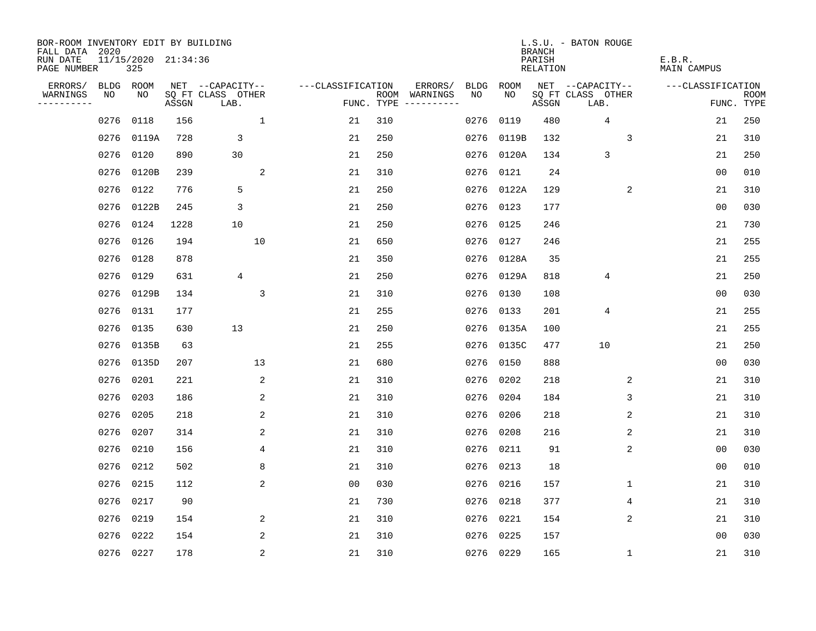| BOR-ROOM INVENTORY EDIT BY BUILDING<br>FALL DATA 2020 |           |                            |       |                           |                         |                   |     |                              |             |           | <b>BRANCH</b>             | L.S.U. - BATON ROUGE      |              |                              |                           |
|-------------------------------------------------------|-----------|----------------------------|-------|---------------------------|-------------------------|-------------------|-----|------------------------------|-------------|-----------|---------------------------|---------------------------|--------------|------------------------------|---------------------------|
| RUN DATE<br>PAGE NUMBER                               |           | 11/15/2020 21:34:36<br>325 |       |                           |                         |                   |     |                              |             |           | PARISH<br><b>RELATION</b> |                           |              | E.B.R.<br><b>MAIN CAMPUS</b> |                           |
| ERRORS/                                               | BLDG ROOM |                            |       | NET --CAPACITY--          |                         | ---CLASSIFICATION |     | ERRORS/                      | <b>BLDG</b> | ROOM      |                           | NET --CAPACITY--          |              | ---CLASSIFICATION            |                           |
| WARNINGS<br>----------                                | NO        | NO                         | ASSGN | SQ FT CLASS OTHER<br>LAB. |                         | FUNC. TYPE        |     | ROOM WARNINGS<br>----------- | NO          | NO        | ASSGN                     | SQ FT CLASS OTHER<br>LAB. |              |                              | <b>ROOM</b><br>FUNC. TYPE |
|                                                       | 0276      | 0118                       | 156   |                           | $\mathbf{1}$            | 21                | 310 |                              | 0276        | 0119      | 480                       | 4                         |              | 21                           | 250                       |
|                                                       |           | 0276 0119A                 | 728   | 3                         |                         | 21                | 250 |                              | 0276        | 0119B     | 132                       |                           | 3            | 21                           | 310                       |
|                                                       | 0276      | 0120                       | 890   | 30                        |                         | 21                | 250 |                              | 0276        | 0120A     | 134                       | 3                         |              | 21                           | 250                       |
|                                                       |           | 0276 0120B                 | 239   |                           | 2                       | 21                | 310 |                              | 0276        | 0121      | 24                        |                           |              | 0 <sub>0</sub>               | 010                       |
|                                                       | 0276      | 0122                       | 776   | 5                         |                         | 21                | 250 |                              | 0276        | 0122A     | 129                       |                           | 2            | 21                           | 310                       |
|                                                       |           | 0276 0122B                 | 245   | 3                         |                         | 21                | 250 |                              |             | 0276 0123 | 177                       |                           |              | 0 <sub>0</sub>               | 030                       |
|                                                       | 0276 0124 |                            | 1228  | 10                        |                         | 21                | 250 |                              | 0276        | 0125      | 246                       |                           |              | 21                           | 730                       |
|                                                       | 0276 0126 |                            | 194   | 10                        |                         | 21                | 650 |                              | 0276        | 0127      | 246                       |                           |              | 21                           | 255                       |
|                                                       | 0276 0128 |                            | 878   |                           |                         | 21                | 350 |                              | 0276        | 0128A     | 35                        |                           |              | 21                           | 255                       |
|                                                       | 0276 0129 |                            | 631   | 4                         |                         | 21                | 250 |                              | 0276        | 0129A     | 818                       | 4                         |              | 21                           | 250                       |
|                                                       |           | 0276 0129B                 | 134   |                           | 3                       | 21                | 310 |                              | 0276        | 0130      | 108                       |                           |              | 0 <sub>0</sub>               | 030                       |
|                                                       | 0276 0131 |                            | 177   |                           |                         | 21                | 255 |                              | 0276        | 0133      | 201                       | 4                         |              | 21                           | 255                       |
|                                                       | 0276      | 0135                       | 630   | 13                        |                         | 21                | 250 |                              | 0276        | 0135A     | 100                       |                           |              | 21                           | 255                       |
|                                                       | 0276      | 0135B                      | 63    |                           |                         | 21                | 255 |                              | 0276        | 0135C     | 477                       | 10                        |              | 21                           | 250                       |
|                                                       |           | 0276 0135D                 | 207   | 13                        |                         | 21                | 680 |                              | 0276        | 0150      | 888                       |                           |              | 0 <sub>0</sub>               | 030                       |
|                                                       | 0276      | 0201                       | 221   |                           | 2                       | 21                | 310 |                              | 0276        | 0202      | 218                       |                           | 2            | 21                           | 310                       |
|                                                       | 0276      | 0203                       | 186   |                           | $\overline{a}$          | 21                | 310 |                              | 0276        | 0204      | 184                       |                           | 3            | 21                           | 310                       |
|                                                       | 0276      | 0205                       | 218   |                           | 2                       | 21                | 310 |                              | 0276        | 0206      | 218                       |                           | 2            | 21                           | 310                       |
|                                                       | 0276 0207 |                            | 314   |                           | 2                       | 21                | 310 |                              | 0276        | 0208      | 216                       |                           | 2            | 21                           | 310                       |
|                                                       | 0276      | 0210                       | 156   |                           | 4                       | 21                | 310 |                              | 0276        | 0211      | 91                        |                           | 2            | 0 <sub>0</sub>               | 030                       |
|                                                       | 0276 0212 |                            | 502   |                           | 8                       | 21                | 310 |                              | 0276        | 0213      | 18                        |                           |              | 0 <sub>0</sub>               | 010                       |
|                                                       | 0276      | 0215                       | 112   |                           | $\overline{\mathbf{c}}$ | 00                | 030 |                              | 0276        | 0216      | 157                       |                           | 1            | 21                           | 310                       |
|                                                       | 0276 0217 |                            | 90    |                           |                         | 21                | 730 |                              | 0276        | 0218      | 377                       |                           | 4            | 21                           | 310                       |
|                                                       | 0276      | 0219                       | 154   |                           | 2                       | 21                | 310 |                              | 0276        | 0221      | 154                       |                           | 2            | 21                           | 310                       |
|                                                       | 0276      | 0222                       | 154   |                           | 2                       | 21                | 310 |                              | 0276        | 0225      | 157                       |                           |              | 0 <sub>0</sub>               | 030                       |
|                                                       | 0276 0227 |                            | 178   |                           | $\overline{2}$          | 21                | 310 |                              |             | 0276 0229 | 165                       |                           | $\mathbf{1}$ | 21                           | 310                       |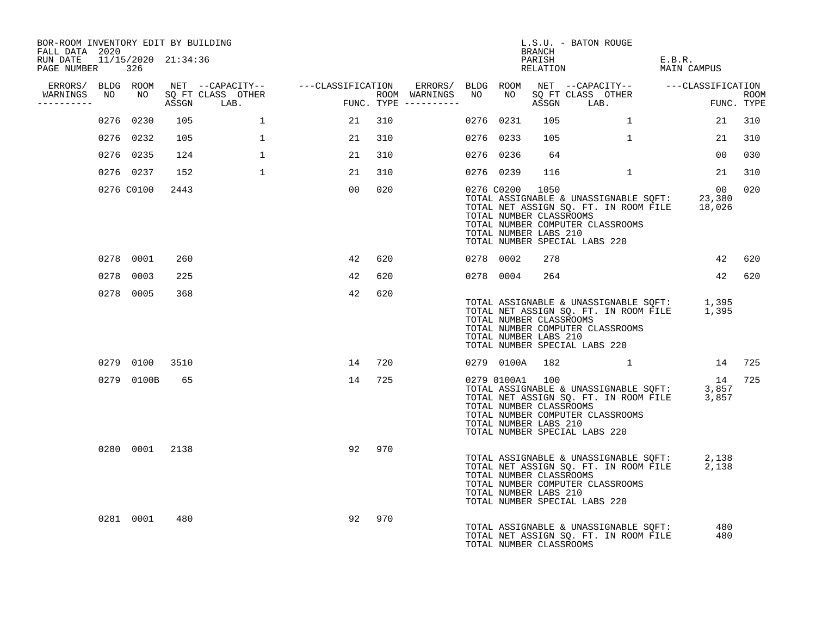| BOR-ROOM INVENTORY EDIT BY BUILDING<br>FALL DATA 2020 |                |      |              |                                                                                                                                                                                                                                   |        |                        |                                                                     | BRANCH | L.S.U. - BATON ROUGE                                                                                                                                                             |                       |        |
|-------------------------------------------------------|----------------|------|--------------|-----------------------------------------------------------------------------------------------------------------------------------------------------------------------------------------------------------------------------------|--------|------------------------|---------------------------------------------------------------------|--------|----------------------------------------------------------------------------------------------------------------------------------------------------------------------------------|-----------------------|--------|
| RUN DATE 11/15/2020 21:34:36<br>PAGE NUMBER 326       |                |      |              |                                                                                                                                                                                                                                   |        |                        |                                                                     |        | PARISH<br>RELATION                                                                                                                                                               | E.B.R.<br>MAIN CAMPUS |        |
|                                                       |                |      |              | ERRORS/ BLDG ROOM NET --CAPACITY--    ---CLASSIFICATION ERRORS/ BLDG ROOM NET --CAPACITY--   ---CLASSIFICATION<br>WARNINGS NO NO SQ FT CLASS OTHER                      ROOM WARNINGS NO NO SQ FT CLASS OTHER                ROOM |        |                        |                                                                     |        |                                                                                                                                                                                  |                       |        |
| WARNINGS<br>----------                                |                |      | ASSGN LAB.   | FUNG                                                                                                                                                                                                                              |        | $FUNC. TYPE ---------$ |                                                                     |        | ASSGN LAB.                                                                                                                                                                       | ROOM<br>FUNC. TYPE    |        |
|                                                       | 0276 0230      | 105  | $\mathbf{1}$ | 21                                                                                                                                                                                                                                | 310    |                        | 0276 0231                                                           | 105    | 1                                                                                                                                                                                | 21                    | 310    |
|                                                       | 0276 0232      | 105  | $\mathbf{1}$ | 21                                                                                                                                                                                                                                | 310    |                        | 0276 0233                                                           | 105    | $\mathbf{1}$                                                                                                                                                                     | 21                    | 310    |
|                                                       | 0276 0235      | 124  | $\mathbf{1}$ | 21                                                                                                                                                                                                                                | 310    |                        | 0276 0236                                                           | 64     |                                                                                                                                                                                  | 00 <sub>o</sub>       | 030    |
|                                                       | 0276 0237      | 152  | $\mathbf{1}$ | 21                                                                                                                                                                                                                                | 310    |                        | 0276 0239                                                           | 116    | $\mathbf{1}$                                                                                                                                                                     | 21                    | 310    |
|                                                       | 0276 C0100     | 2443 |              | 00                                                                                                                                                                                                                                | 020    |                        | 0276 C0200 1050<br>TOTAL NUMBER CLASSROOMS<br>TOTAL NUMBER LABS 210 |        | 00 00<br>TOTAL ASSIGNABLE & UNASSIGNABLE SQFT: 23,380<br>TOTAL NET ASSIGN SQ. FT. IN ROOM FILE 18,026<br>TOTAL NUMBER COMPUTER CLASSROOMS<br>TOTAL NUMBER SPECIAL LABS 220       | 00                    | 020    |
|                                                       | 0278 0001      | 260  |              | 42                                                                                                                                                                                                                                | 620    |                        | 0278 0002                                                           | 278    |                                                                                                                                                                                  | 42                    | 620    |
|                                                       | 0278 0003      | 225  |              | 42                                                                                                                                                                                                                                | 620    |                        | 0278 0004                                                           | 264    |                                                                                                                                                                                  |                       | 42 620 |
|                                                       | 0278 0005      | 368  |              | 42                                                                                                                                                                                                                                | 620    |                        | TOTAL NUMBER CLASSROOMS<br>TOTAL NUMBER LABS 210                    |        | TOTAL ASSIGNABLE & UNASSIGNABLE SQFT: 1,395<br>TOTAL NET ASSIGN SQ. FT. IN ROOM FILE 1,395<br>TOTAL NUMBER COMPUTER CLASSROOMS<br>TOTAL NUMBER SPECIAL LABS 220                  |                       |        |
|                                                       | 0279 0100 3510 |      |              |                                                                                                                                                                                                                                   | 14 720 |                        |                                                                     |        | 0279 0100A 182 1 14 725                                                                                                                                                          |                       |        |
|                                                       | 0279 0100B     | 65   |              |                                                                                                                                                                                                                                   | 14 725 |                        | 0279 0100A1 100<br>TOTAL NUMBER CLASSROOMS<br>TOTAL NUMBER LABS 210 |        | <sup>14</sup><br>TOTAL ASSIGNABLE & UNASSIGNABLE SQFT: 3,857<br>TOTAL NET ASSIGN SQ. FT. IN ROOM FILE 3,857<br>TOTAL NUMBER COMPUTER CLASSROOMS<br>TOTAL NUMBER SPECIAL LABS 220 | 14 725                |        |
|                                                       | 0280 0001      | 2138 |              |                                                                                                                                                                                                                                   | 92 970 |                        | TOTAL NUMBER CLASSROOMS<br>TOTAL NUMBER LABS 210                    |        | TOTAL ASSIGNABLE & UNASSIGNABLE SQFT: 2,138<br>TOTAL NET ASSIGN SQ. FT. IN ROOM FILE 2,138<br>TOTAL NUMBER COMPUTER CLASSROOMS<br>TOTAL NUMBER SPECIAL LABS 220                  |                       |        |
|                                                       | 0281 0001      | 480  |              | 92                                                                                                                                                                                                                                | 970    |                        | TOTAL NUMBER CLASSROOMS                                             |        | TOTAL ASSIGNABLE & UNASSIGNABLE SQFT:<br>TOTAL NET ASSIGN SQ. FT. IN ROOM FILE                                                                                                   | 480<br>480            |        |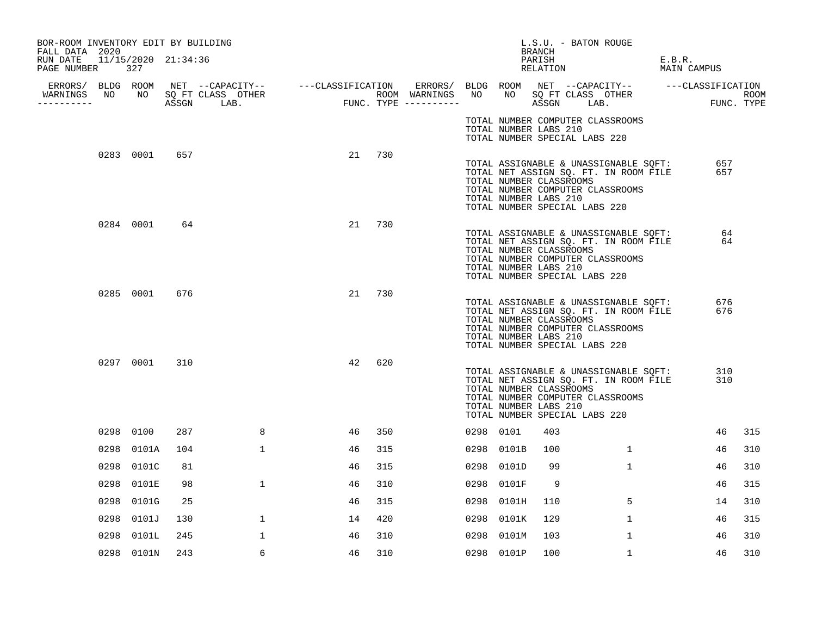| BOR-ROOM INVENTORY EDIT BY BUILDING<br>FALL DATA 2020 |      |              |     |              |    |     |           |                                                  | BRANCH             | L.S.U. - BATON ROUGE          |                                                                                                                    |                       |            |      |
|-------------------------------------------------------|------|--------------|-----|--------------|----|-----|-----------|--------------------------------------------------|--------------------|-------------------------------|--------------------------------------------------------------------------------------------------------------------|-----------------------|------------|------|
| RUN DATE 11/15/2020 21:34:36<br>PAGE NUMBER 327       |      |              |     |              |    |     |           |                                                  | PARISH<br>RELATION |                               |                                                                                                                    | E.B.R.<br>MAIN CAMPUS |            |      |
|                                                       |      |              |     |              |    |     |           |                                                  |                    |                               |                                                                                                                    |                       |            |      |
| WARNINGS NO NO SQ FT CLASS OTHER<br>----------        |      |              |     |              |    |     |           |                                                  |                    |                               |                                                                                                                    |                       | FUNC. TYPE | ROOM |
|                                                       |      |              |     |              |    |     |           | TOTAL NUMBER LABS 210                            |                    | TOTAL NUMBER SPECIAL LABS 220 | TOTAL NUMBER COMPUTER CLASSROOMS                                                                                   |                       |            |      |
|                                                       |      | 0283 0001    | 657 |              | 21 | 730 |           | TOTAL NUMBER CLASSROOMS<br>TOTAL NUMBER LABS 210 |                    | TOTAL NUMBER SPECIAL LABS 220 | TOTAL ASSIGNABLE & UNASSIGNABLE SQFT:<br>TOTAL NET ASSIGN SQ. FT. IN ROOM FILE<br>TOTAL NUMBER COMPUTER CLASSROOMS |                       | 657<br>657 |      |
|                                                       |      | 0284 0001 64 |     |              | 21 | 730 |           | TOTAL NUMBER CLASSROOMS<br>TOTAL NUMBER LABS 210 |                    | TOTAL NUMBER SPECIAL LABS 220 | TOTAL ASSIGNABLE & UNASSIGNABLE SQFT:<br>TOTAL NET ASSIGN SQ. FT. IN ROOM FILE<br>TOTAL NUMBER COMPUTER CLASSROOMS |                       | 64<br>64   |      |
|                                                       |      | 0285 0001    | 676 |              | 21 | 730 |           | TOTAL NUMBER CLASSROOMS<br>TOTAL NUMBER LABS 210 |                    | TOTAL NUMBER SPECIAL LABS 220 | TOTAL ASSIGNABLE & UNASSIGNABLE SQFT:<br>TOTAL NET ASSIGN SQ. FT. IN ROOM FILE<br>TOTAL NUMBER COMPUTER CLASSROOMS |                       | 676<br>676 |      |
|                                                       |      | 0297 0001    | 310 |              | 42 | 620 |           | TOTAL NUMBER CLASSROOMS<br>TOTAL NUMBER LABS 210 |                    | TOTAL NUMBER SPECIAL LABS 220 | TOTAL ASSIGNABLE & UNASSIGNABLE SQFT:<br>TOTAL NET ASSIGN SQ. FT. IN ROOM FILE<br>TOTAL NUMBER COMPUTER CLASSROOMS |                       | 310<br>310 |      |
|                                                       |      | 0298 0100    | 287 | 8            | 46 | 350 | 0298 0101 |                                                  | 403                |                               |                                                                                                                    |                       | 46         | 315  |
|                                                       |      | 0298 0101A   | 104 | $\mathbf{1}$ | 46 | 315 |           | 0298 0101B                                       | 100                |                               | $\mathbf{1}$                                                                                                       |                       | 46         | 310  |
|                                                       |      | 0298 0101C   | 81  |              | 46 | 315 |           | 0298 0101D                                       | 99                 |                               | $\mathbf{1}$                                                                                                       |                       | 46         | 310  |
|                                                       |      | 0298 0101E   | 98  | 1            | 46 | 310 |           | 0298 0101F                                       | 9                  |                               |                                                                                                                    |                       | 46         | 315  |
|                                                       |      | 0298 0101G   | 25  |              | 46 | 315 |           | 0298 0101H                                       | 110                |                               | 5                                                                                                                  |                       | 14         | 310  |
|                                                       | 0298 | 0101J        | 130 | $\mathbf{1}$ | 14 | 420 |           | 0298 0101K                                       | 129                |                               | $\mathbf{1}$                                                                                                       |                       | 46         | 315  |
|                                                       | 0298 | 0101L        | 245 | $\mathbf{1}$ | 46 | 310 |           | 0298 0101M                                       | 103                |                               | $\mathbf{1}$                                                                                                       |                       | 46         | 310  |
|                                                       |      | 0298 0101N   | 243 | 6            | 46 | 310 |           | 0298 0101P                                       | 100                |                               | $\mathbf{1}$                                                                                                       |                       | 46         | 310  |
|                                                       |      |              |     |              |    |     |           |                                                  |                    |                               |                                                                                                                    |                       |            |      |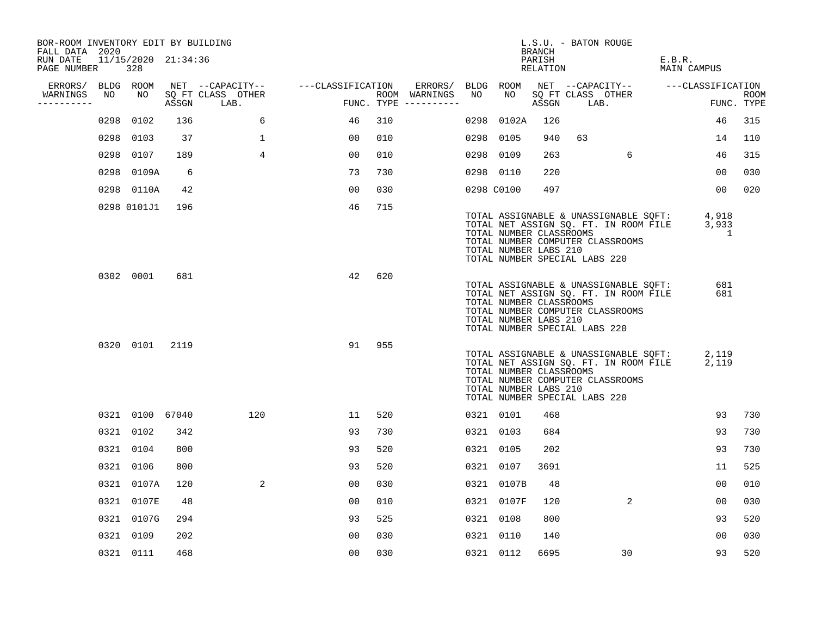| BOR-ROOM INVENTORY EDIT BY BUILDING<br>FALL DATA 2020 |      |                            |       |                           |                   |     |                                      |      |                                                                                   | <b>BRANCH</b>      |    | L.S.U. - BATON ROUGE                                                                                               |        |                                    |                           |
|-------------------------------------------------------|------|----------------------------|-------|---------------------------|-------------------|-----|--------------------------------------|------|-----------------------------------------------------------------------------------|--------------------|----|--------------------------------------------------------------------------------------------------------------------|--------|------------------------------------|---------------------------|
| RUN DATE<br>PAGE NUMBER                               |      | 11/15/2020 21:34:36<br>328 |       |                           |                   |     |                                      |      |                                                                                   | PARISH<br>RELATION |    |                                                                                                                    | E.B.R. | MAIN CAMPUS                        |                           |
| ERRORS/                                               |      | BLDG ROOM                  |       | NET --CAPACITY--          | ---CLASSIFICATION |     | ERRORS/                              |      | BLDG ROOM                                                                         |                    |    |                                                                                                                    |        | NET --CAPACITY-- ---CLASSIFICATION |                           |
| WARNINGS<br>----------                                | NO   | NO                         | ASSGN | SQ FT CLASS OTHER<br>LAB. |                   |     | ROOM WARNINGS<br>FUNC. TYPE $------$ | NO   | NO                                                                                | ASSGN              |    | SQ FT CLASS OTHER<br>LAB.                                                                                          |        |                                    | <b>ROOM</b><br>FUNC. TYPE |
|                                                       | 0298 | 0102                       | 136   | 6                         | 46                | 310 |                                      | 0298 | 0102A                                                                             | 126                |    |                                                                                                                    |        | 46                                 | 315                       |
|                                                       |      | 0298 0103                  | 37    | $\mathbf{1}$              | 00                | 010 |                                      |      | 0298 0105                                                                         | 940                | 63 |                                                                                                                    |        | 14                                 | 110                       |
|                                                       |      | 0298 0107                  | 189   | $\overline{4}$            | 00                | 010 |                                      |      | 0298 0109                                                                         | 263                |    | 6                                                                                                                  |        | 46                                 | 315                       |
|                                                       |      | 0298 0109A                 | 6     |                           | 73                | 730 |                                      |      | 0298 0110                                                                         | 220                |    |                                                                                                                    |        | 00                                 | 030                       |
|                                                       |      | 0298 0110A                 | 42    |                           | 00                | 030 |                                      |      | 0298 C0100                                                                        | 497                |    |                                                                                                                    |        | 0 <sub>0</sub>                     | 020                       |
|                                                       |      | 0298 0101J1                | 196   |                           | 46                | 715 |                                      |      | TOTAL NUMBER CLASSROOMS<br>TOTAL NUMBER LABS 210<br>TOTAL NUMBER SPECIAL LABS 220 |                    |    | TOTAL ASSIGNABLE & UNASSIGNABLE SQFT:<br>TOTAL NET ASSIGN SQ. FT. IN ROOM FILE<br>TOTAL NUMBER COMPUTER CLASSROOMS |        | 4,918<br>3,933<br>1                |                           |
|                                                       |      | 0302 0001                  | 681   |                           | 42                | 620 |                                      |      | TOTAL NUMBER CLASSROOMS<br>TOTAL NUMBER LABS 210<br>TOTAL NUMBER SPECIAL LABS 220 |                    |    | TOTAL ASSIGNABLE & UNASSIGNABLE SOFT:<br>TOTAL NET ASSIGN SQ. FT. IN ROOM FILE<br>TOTAL NUMBER COMPUTER CLASSROOMS |        | 681<br>681                         |                           |
|                                                       |      | 0320 0101                  | 2119  |                           | 91                | 955 |                                      |      | TOTAL NUMBER CLASSROOMS<br>TOTAL NUMBER LABS 210<br>TOTAL NUMBER SPECIAL LABS 220 |                    |    | TOTAL ASSIGNABLE & UNASSIGNABLE SQFT:<br>TOTAL NET ASSIGN SQ. FT. IN ROOM FILE<br>TOTAL NUMBER COMPUTER CLASSROOMS |        | 2,119<br>2,119                     |                           |
|                                                       |      | 0321 0100 67040            |       | 120                       | 11                | 520 |                                      |      | 0321 0101                                                                         | 468                |    |                                                                                                                    |        | 93                                 | 730                       |
|                                                       |      | 0321 0102                  | 342   |                           | 93                | 730 |                                      |      | 0321 0103                                                                         | 684                |    |                                                                                                                    |        | 93                                 | 730                       |
|                                                       |      | 0321 0104                  | 800   |                           | 93                | 520 |                                      |      | 0321 0105                                                                         | 202                |    |                                                                                                                    |        | 93                                 | 730                       |
|                                                       |      | 0321 0106                  | 800   |                           | 93                | 520 |                                      |      | 0321 0107                                                                         | 3691               |    |                                                                                                                    |        | 11                                 | 525                       |
|                                                       |      | 0321 0107A                 | 120   | 2                         | 00                | 030 |                                      |      | 0321 0107B                                                                        | 48                 |    |                                                                                                                    |        | 00                                 | 010                       |
|                                                       |      | 0321 0107E                 | 48    |                           | 00                | 010 |                                      |      | 0321 0107F                                                                        | 120                |    | $\overline{a}$                                                                                                     |        | 00                                 | 030                       |
|                                                       |      | 0321 0107G                 | 294   |                           | 93                | 525 |                                      |      | 0321 0108                                                                         | 800                |    |                                                                                                                    |        | 93                                 | 520                       |
|                                                       |      | 0321 0109                  | 202   |                           | 0 <sub>0</sub>    | 030 |                                      |      | 0321 0110                                                                         | 140                |    |                                                                                                                    |        | 00                                 | 030                       |
|                                                       |      | 0321 0111                  | 468   |                           | 0 <sub>0</sub>    | 030 |                                      |      | 0321 0112                                                                         | 6695               |    | 30                                                                                                                 |        | 93                                 | 520                       |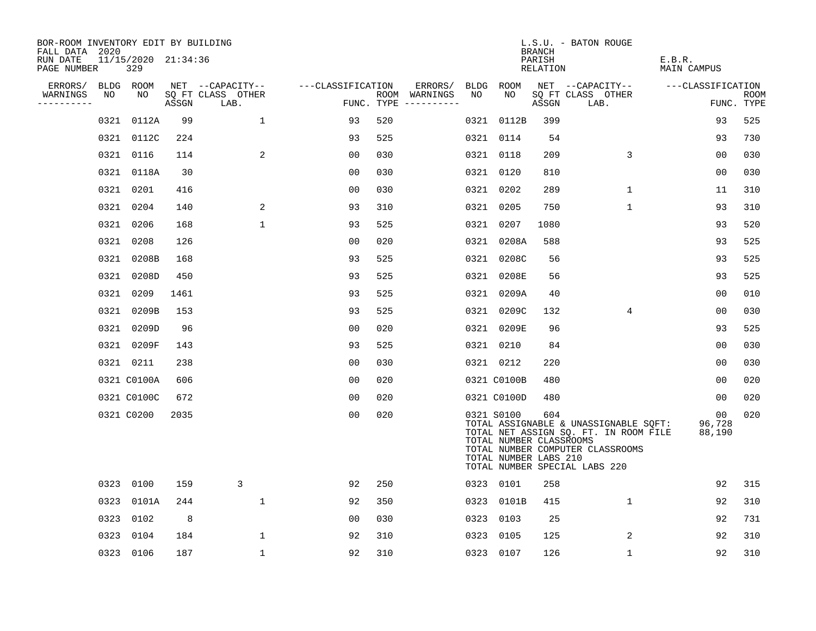| BOR-ROOM INVENTORY EDIT BY BUILDING<br>FALL DATA 2020 |      |                            |       |                           |                   |     |                                      |    |                                                                | BRANCH             | L.S.U. - BATON ROUGE                                                                                                                                |                                     |                           |
|-------------------------------------------------------|------|----------------------------|-------|---------------------------|-------------------|-----|--------------------------------------|----|----------------------------------------------------------------|--------------------|-----------------------------------------------------------------------------------------------------------------------------------------------------|-------------------------------------|---------------------------|
| RUN DATE<br>PAGE NUMBER                               |      | 11/15/2020 21:34:36<br>329 |       |                           |                   |     |                                      |    |                                                                | PARISH<br>RELATION |                                                                                                                                                     | E.B.R.<br>MAIN CAMPUS               |                           |
| ERRORS/                                               |      | BLDG ROOM                  |       | NET --CAPACITY--          | ---CLASSIFICATION |     | ERRORS/                              |    | BLDG ROOM                                                      |                    | NET --CAPACITY--                                                                                                                                    | ---CLASSIFICATION                   |                           |
| WARNINGS<br>----------                                | NO   | NO                         | ASSGN | SQ FT CLASS OTHER<br>LAB. |                   |     | ROOM WARNINGS<br>FUNC. TYPE $------$ | NO | NO                                                             | ASSGN              | SQ FT CLASS OTHER<br>LAB.                                                                                                                           |                                     | <b>ROOM</b><br>FUNC. TYPE |
|                                                       |      | 0321 0112A                 | 99    | $\mathbf{1}$              | 93                | 520 |                                      |    | 0321 0112B                                                     | 399                |                                                                                                                                                     | 93                                  | 525                       |
|                                                       |      | 0321 0112C                 | 224   |                           | 93                | 525 |                                      |    | 0321 0114                                                      | 54                 |                                                                                                                                                     | 93                                  | 730                       |
|                                                       |      | 0321 0116                  | 114   | $\overline{2}$            | 0 <sub>0</sub>    | 030 |                                      |    | 0321 0118                                                      | 209                | 3                                                                                                                                                   | 0 <sub>0</sub>                      | 030                       |
|                                                       |      | 0321 0118A                 | 30    |                           | 0 <sub>0</sub>    | 030 |                                      |    | 0321 0120                                                      | 810                |                                                                                                                                                     | 0 <sub>0</sub>                      | 030                       |
|                                                       |      | 0321 0201                  | 416   |                           | 0 <sub>0</sub>    | 030 |                                      |    | 0321 0202                                                      | 289                | $\mathbf 1$                                                                                                                                         | 11                                  | 310                       |
|                                                       |      | 0321 0204                  | 140   | 2                         | 93                | 310 |                                      |    | 0321 0205                                                      | 750                | $\mathbf{1}$                                                                                                                                        | 93                                  | 310                       |
|                                                       |      | 0321 0206                  | 168   | $\mathbf{1}$              | 93                | 525 |                                      |    | 0321 0207                                                      | 1080               |                                                                                                                                                     | 93                                  | 520                       |
|                                                       |      | 0321 0208                  | 126   |                           | 0 <sub>0</sub>    | 020 |                                      |    | 0321 0208A                                                     | 588                |                                                                                                                                                     | 93                                  | 525                       |
|                                                       |      | 0321 0208B                 | 168   |                           | 93                | 525 |                                      |    | 0321 0208C                                                     | 56                 |                                                                                                                                                     | 93                                  | 525                       |
|                                                       |      | 0321 0208D                 | 450   |                           | 93                | 525 |                                      |    | 0321 0208E                                                     | 56                 |                                                                                                                                                     | 93                                  | 525                       |
|                                                       |      | 0321 0209                  | 1461  |                           | 93                | 525 |                                      |    | 0321 0209A                                                     | 40                 |                                                                                                                                                     | 0 <sub>0</sub>                      | 010                       |
|                                                       |      | 0321 0209B                 | 153   |                           | 93                | 525 |                                      |    | 0321 0209C                                                     | 132                | 4                                                                                                                                                   | 00                                  | 030                       |
|                                                       |      | 0321 0209D                 | 96    |                           | 0 <sub>0</sub>    | 020 |                                      |    | 0321 0209E                                                     | 96                 |                                                                                                                                                     | 93                                  | 525                       |
|                                                       |      | 0321 0209F                 | 143   |                           | 93                | 525 |                                      |    | 0321 0210                                                      | 84                 |                                                                                                                                                     | 0 <sub>0</sub>                      | 030                       |
|                                                       |      | 0321 0211                  | 238   |                           | 0 <sub>0</sub>    | 030 |                                      |    | 0321 0212                                                      | 220                |                                                                                                                                                     | 0 <sub>0</sub>                      | 030                       |
|                                                       |      | 0321 C0100A                | 606   |                           | 0 <sub>0</sub>    | 020 |                                      |    | 0321 C0100B                                                    | 480                |                                                                                                                                                     | 00                                  | 020                       |
|                                                       |      | 0321 C0100C                | 672   |                           | 0 <sub>0</sub>    | 020 |                                      |    | 0321 C0100D                                                    | 480                |                                                                                                                                                     | 00                                  | 020                       |
|                                                       |      | 0321 C0200                 | 2035  |                           | 0 <sub>0</sub>    | 020 |                                      |    | 0321 S0100<br>TOTAL NUMBER CLASSROOMS<br>TOTAL NUMBER LABS 210 | 604                | TOTAL ASSIGNABLE & UNASSIGNABLE SQFT:<br>TOTAL NET ASSIGN SQ. FT. IN ROOM FILE<br>TOTAL NUMBER COMPUTER CLASSROOMS<br>TOTAL NUMBER SPECIAL LABS 220 | 00 <sub>o</sub><br>96,728<br>88,190 | 020                       |
|                                                       |      | 0323 0100                  | 159   | 3                         | 92                | 250 |                                      |    | 0323 0101                                                      | 258                |                                                                                                                                                     | 92                                  | 315                       |
|                                                       |      | 0323 0101A                 | 244   | $\mathbf{1}$              | 92                | 350 |                                      |    | 0323 0101B                                                     | 415                | $\mathbf{1}$                                                                                                                                        | 92                                  | 310                       |
|                                                       |      | 0323 0102                  | 8     |                           | 0 <sub>0</sub>    | 030 |                                      |    | 0323 0103                                                      | 25                 |                                                                                                                                                     | 92                                  | 731                       |
|                                                       | 0323 | 0104                       | 184   | 1                         | 92                | 310 |                                      |    | 0323 0105                                                      | 125                | 2                                                                                                                                                   | 92                                  | 310                       |
|                                                       |      | 0323 0106                  | 187   | $\mathbf{1}$              | 92                | 310 |                                      |    | 0323 0107                                                      | 126                | $\mathbf 1$                                                                                                                                         | 92                                  | 310                       |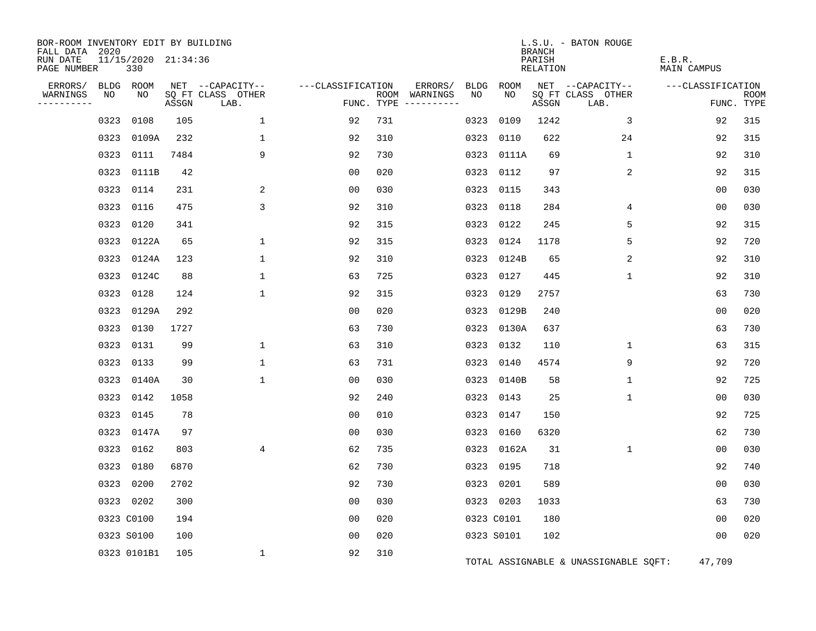| BOR-ROOM INVENTORY EDIT BY BUILDING<br>FALL DATA 2020 |      |                            |            |                                               |                   |            |                          |                   |            | <b>BRANCH</b>             | L.S.U. - BATON ROUGE                          |                              |                    |
|-------------------------------------------------------|------|----------------------------|------------|-----------------------------------------------|-------------------|------------|--------------------------|-------------------|------------|---------------------------|-----------------------------------------------|------------------------------|--------------------|
| RUN DATE<br>PAGE NUMBER                               |      | 11/15/2020 21:34:36<br>330 |            |                                               |                   |            |                          |                   |            | PARISH<br><b>RELATION</b> |                                               | E.B.R.<br><b>MAIN CAMPUS</b> |                    |
| ERRORS/<br>WARNINGS<br>---------                      | NO   | BLDG ROOM<br>NO            | ASSGN      | NET --CAPACITY--<br>SQ FT CLASS OTHER<br>LAB. | ---CLASSIFICATION | FUNC. TYPE | ERRORS/<br>ROOM WARNINGS | <b>BLDG</b><br>NO | ROOM<br>NO | ASSGN                     | NET --CAPACITY--<br>SQ FT CLASS OTHER<br>LAB. | ---CLASSIFICATION            | ROOM<br>FUNC. TYPE |
|                                                       |      |                            |            |                                               |                   |            |                          |                   |            |                           |                                               |                              |                    |
|                                                       | 0323 | 0108                       | 105        | $\mathbf{1}$                                  | 92                | 731        |                          | 0323              | 0109       | 1242                      | 3                                             | 92                           | 315                |
|                                                       | 0323 | 0109A                      | 232        | $\mathbf 1$                                   | 92                | 310        |                          | 0323              | 0110       | 622                       | 24                                            | 92                           | 315                |
|                                                       | 0323 | 0111                       | 7484       | 9                                             | 92                | 730        |                          |                   | 0323 0111A | 69                        | $\mathbf 1$                                   | 92                           | 310                |
|                                                       | 0323 | 0111B                      | 42         |                                               | 00                | 020<br>030 |                          | 0323              | 0112       | 97                        | 2                                             | 92<br>0 <sub>0</sub>         | 315<br>030         |
|                                                       | 0323 | 0114                       | 231<br>475 | 2<br>3                                        | 0 <sub>0</sub>    |            |                          | 0323              | 0115       | 343                       |                                               |                              | 030                |
|                                                       | 0323 | 0116                       |            |                                               | 92                | 310        |                          | 0323              | 0118       | 284                       | 4<br>5                                        | 00                           |                    |
|                                                       | 0323 | 0120                       | 341        |                                               | 92                | 315        |                          |                   | 0323 0122  | 245                       | 5                                             | 92                           | 315                |
|                                                       | 0323 | 0122A                      | 65         | $\mathbf 1$                                   | 92                | 315        |                          |                   | 0323 0124  | 1178                      |                                               | 92                           | 720                |
|                                                       | 0323 | 0124A                      | 123<br>88  | 1<br>$\mathbf{1}$                             | 92                | 310<br>725 |                          |                   | 0323 0124B | 65                        | 2<br>$\mathbf{1}$                             | 92<br>92                     | 310<br>310         |
|                                                       | 0323 | 0124C                      |            |                                               | 63                |            |                          |                   | 0323 0127  | 445                       |                                               |                              |                    |
|                                                       | 0323 | 0128                       | 124        | $\mathbf{1}$                                  | 92                | 315        |                          |                   | 0323 0129  | 2757                      |                                               | 63                           | 730                |
|                                                       | 0323 | 0129A                      | 292        |                                               | 0 <sub>0</sub>    | 020        |                          |                   | 0323 0129B | 240                       |                                               | 0 <sub>0</sub>               | 020                |
|                                                       | 0323 | 0130                       | 1727       |                                               | 63                | 730        |                          |                   | 0323 0130A | 637                       |                                               | 63                           | 730                |
|                                                       | 0323 | 0131                       | 99         | 1                                             | 63                | 310        |                          | 0323              | 0132       | 110                       | 1                                             | 63                           | 315                |
|                                                       | 0323 | 0133                       | 99         | $\mathbf{1}$                                  | 63                | 731        |                          | 0323              | 0140       | 4574                      | 9                                             | 92                           | 720                |
|                                                       | 0323 | 0140A                      | 30         | $\mathbf{1}$                                  | 0 <sub>0</sub>    | 030        |                          |                   | 0323 0140B | 58                        | 1                                             | 92                           | 725                |
|                                                       | 0323 | 0142                       | 1058       |                                               | 92                | 240        |                          |                   | 0323 0143  | 25                        | 1                                             | 0 <sub>0</sub>               | 030                |
|                                                       | 0323 | 0145                       | 78         |                                               | 0 <sub>0</sub>    | 010        |                          |                   | 0323 0147  | 150                       |                                               | 92                           | 725                |
|                                                       | 0323 | 0147A                      | 97         |                                               | 0 <sub>0</sub>    | 030        |                          |                   | 0323 0160  | 6320                      |                                               | 62                           | 730                |
|                                                       | 0323 | 0162                       | 803        | 4                                             | 62                | 735        |                          |                   | 0323 0162A | 31                        | $\mathbf 1$                                   | 00                           | 030                |
|                                                       | 0323 | 0180                       | 6870       |                                               | 62                | 730        |                          |                   | 0323 0195  | 718                       |                                               | 92                           | 740                |
|                                                       | 0323 | 0200                       | 2702       |                                               | 92                | 730        |                          |                   | 0323 0201  | 589                       |                                               | 0 <sub>0</sub>               | 030                |
|                                                       |      | 0323 0202                  | 300        |                                               | 0 <sub>0</sub>    | 030        |                          |                   | 0323 0203  | 1033                      |                                               | 63                           | 730                |
|                                                       |      | 0323 C0100                 | 194        |                                               | 00                | 020        |                          |                   | 0323 C0101 | 180                       |                                               | 0 <sub>0</sub>               | 020                |
|                                                       |      | 0323 S0100                 | 100        |                                               | 0 <sub>0</sub>    | 020        |                          |                   | 0323 S0101 | 102                       |                                               | 00                           | 020                |
|                                                       |      | 0323 0101B1                | 105        | $\mathbf 1$                                   | 92                | 310        |                          |                   |            |                           | TOTAL ASSIGNABLE & UNASSIGNABLE SQFT:         | 47,709                       |                    |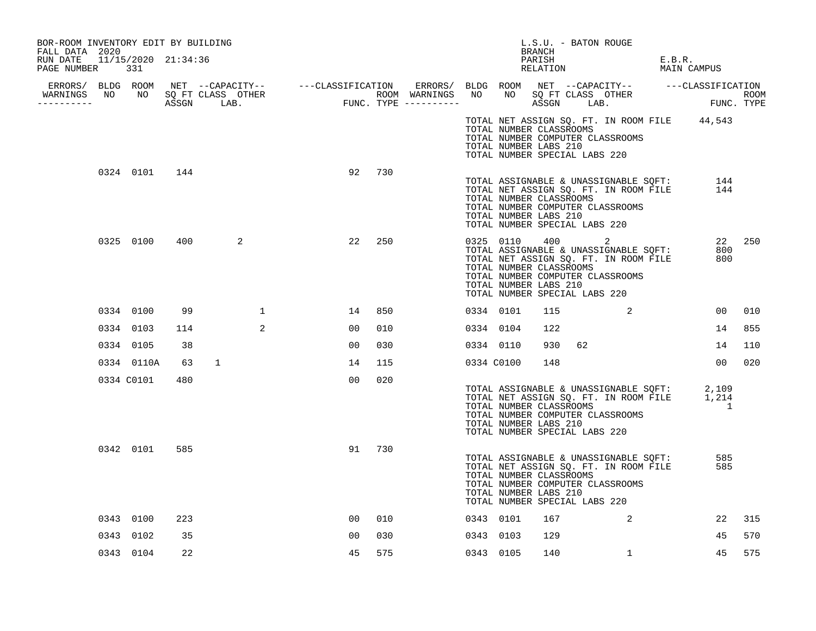| BOR-ROOM INVENTORY EDIT BY BUILDING<br>FALL DATA 2020 |            |               |              |   |        |     |  |                                                                                   | BRANCH |    | L.S.U. - BATON ROUGE                                                                                               |        |                                                                                                                   |        |
|-------------------------------------------------------|------------|---------------|--------------|---|--------|-----|--|-----------------------------------------------------------------------------------|--------|----|--------------------------------------------------------------------------------------------------------------------|--------|-------------------------------------------------------------------------------------------------------------------|--------|
| RUN DATE 11/15/2020 21:34:36<br>PAGE NUMBER 331       |            |               |              |   |        |     |  |                                                                                   | PARISH |    | RELATION                                                                                                           | E.B.R. | MAIN CAMPUS                                                                                                       |        |
|                                                       |            |               |              |   |        |     |  |                                                                                   |        |    |                                                                                                                    |        |                                                                                                                   |        |
| WARNINGS NO NO SQ FT CLASS OTHER<br>----------        |            |               |              |   |        |     |  |                                                                                   |        |    |                                                                                                                    |        |                                                                                                                   |        |
|                                                       |            |               |              |   |        |     |  | TOTAL NUMBER CLASSROOMS<br>TOTAL NUMBER LABS 210<br>TOTAL NUMBER SPECIAL LABS 220 |        |    | TOTAL NUMBER COMPUTER CLASSROOMS                                                                                   |        | TOTAL NET ASSIGN SQ. FT. IN ROOM FILE 44,543                                                                      |        |
|                                                       |            | 0324 0101 144 |              |   | 92     | 730 |  | TOTAL NUMBER CLASSROOMS<br>TOTAL NUMBER LABS 210<br>TOTAL NUMBER SPECIAL LABS 220 |        |    | TOTAL NUMBER COMPUTER CLASSROOMS                                                                                   |        | LOIAL ASSIGNABLE & UNASSIGNABLE SQFT: 144<br>TOTAL NET ASSIGN SQ. FT. IN ROOM FILE 144<br>TOTAL NUMBER CLASSPOOMS |        |
|                                                       | 0325 0100  | 400           | 2            |   | 22     | 250 |  | TOTAL NUMBER CLASSROOMS<br>TOTAL NUMBER LABS 210<br>TOTAL NUMBER SPECIAL LABS 220 |        |    | TOTAL NET ASSIGN SQ. FT. IN ROOM FILE<br>TOTAL NUMBER COMPUTER CLASSROOMS                                          |        | 0325 0110 400 2<br>TOTAL ASSIGNABLE & UNASSIGNABLE SQFT: 800<br>800                                               | 22 250 |
|                                                       | 0334 0100  | 99            |              | 1 | 14     | 850 |  | 0334 0101                                                                         | 115    |    | $\overline{\mathbf{a}}$                                                                                            |        | 00                                                                                                                | 010    |
|                                                       | 0334 0103  | 114           |              | 2 | 00     | 010 |  | 0334 0104                                                                         | 122    |    |                                                                                                                    |        | 14                                                                                                                | 855    |
|                                                       | 0334 0105  | 38            |              |   | 00     | 030 |  | 0334 0110                                                                         | 930    | 62 |                                                                                                                    |        | 14                                                                                                                | 110    |
|                                                       | 0334 0110A | 63            | $\mathbf{1}$ |   | 14     | 115 |  | 0334 C0100                                                                        | 148    |    |                                                                                                                    |        | 00 <sub>o</sub>                                                                                                   | 020    |
|                                                       | 0334 C0101 | 480           |              |   | 00     | 020 |  | TOTAL NUMBER CLASSROOMS<br>TOTAL NUMBER LABS 210<br>TOTAL NUMBER SPECIAL LABS 220 |        |    | TOTAL NUMBER COMPUTER CLASSROOMS                                                                                   |        | TOTAL ASSIGNABLE & UNASSIGNABLE SQFT: 2,109<br>TOTAL NET ASSIGN SQ. FT. IN ROOM FILE 1,214<br>$\sim$ 1            |        |
|                                                       | 0342 0101  | 585           |              |   | 91 730 |     |  | TOTAL NUMBER CLASSROOMS<br>TOTAL NUMBER LABS 210<br>TOTAL NUMBER SPECIAL LABS 220 |        |    | TOTAL ASSIGNABLE & UNASSIGNABLE SQFT:<br>TOTAL NET ASSIGN SQ. FT. IN ROOM FILE<br>TOTAL NUMBER COMPUTER CLASSROOMS |        | 585<br>585                                                                                                        |        |
|                                                       | 0343 0100  | 223           |              |   | 00     | 010 |  | 0343 0101                                                                         | 167    |    | $\sim$ 2                                                                                                           |        | 22                                                                                                                | 315    |
|                                                       | 0343 0102  | 35            |              |   | 00     | 030 |  | 0343 0103                                                                         | 129    |    |                                                                                                                    |        | 45                                                                                                                | 570    |
|                                                       | 0343 0104  | 22            |              |   | 45     | 575 |  | 0343 0105                                                                         | 140    |    | $\mathbf{1}$                                                                                                       |        | 45                                                                                                                | 575    |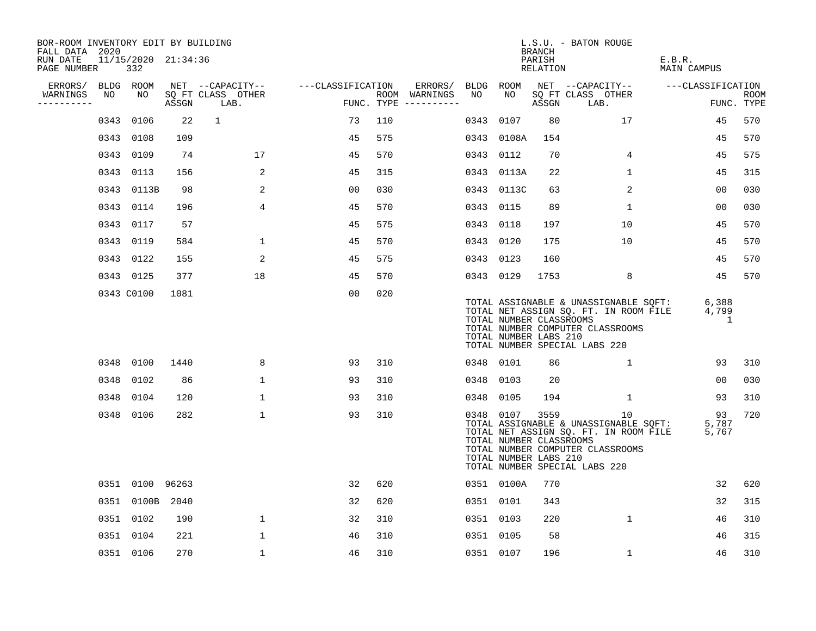| BOR-ROOM INVENTORY EDIT BY BUILDING<br>FALL DATA 2020 |      |                            |       |                           |                   |     |                                        |           |            | BRANCH                                                   | L.S.U. - BATON ROUGE                                                                                                                                      |                       |                           |
|-------------------------------------------------------|------|----------------------------|-------|---------------------------|-------------------|-----|----------------------------------------|-----------|------------|----------------------------------------------------------|-----------------------------------------------------------------------------------------------------------------------------------------------------------|-----------------------|---------------------------|
| RUN DATE<br>PAGE NUMBER                               |      | 11/15/2020 21:34:36<br>332 |       |                           |                   |     |                                        |           |            | PARISH<br>RELATION                                       |                                                                                                                                                           | E.B.R.<br>MAIN CAMPUS |                           |
| ERRORS/                                               |      | BLDG ROOM                  |       | NET --CAPACITY--          | ---CLASSIFICATION |     | ERRORS/                                | BLDG ROOM |            |                                                          | NET --CAPACITY--                                                                                                                                          | ---CLASSIFICATION     |                           |
| WARNINGS<br>----------                                | NO   | NO                         | ASSGN | SQ FT CLASS OTHER<br>LAB. |                   |     | ROOM WARNINGS<br>FUNC. TYPE ---------- | NO        | NO         | ASSGN                                                    | SQ FT CLASS OTHER<br>LAB.                                                                                                                                 |                       | <b>ROOM</b><br>FUNC. TYPE |
|                                                       |      | 0343 0106                  | 22    | $\mathbf{1}$              | 73                | 110 |                                        |           | 0343 0107  | 80                                                       | 17                                                                                                                                                        | 45                    | 570                       |
|                                                       |      | 0343 0108                  | 109   |                           | 45                | 575 |                                        |           | 0343 0108A | 154                                                      |                                                                                                                                                           | 45                    | 570                       |
|                                                       |      | 0343 0109                  | 74    | 17                        | 45                | 570 |                                        | 0343 0112 |            | 70                                                       | 4                                                                                                                                                         | 45                    | 575                       |
|                                                       |      | 0343 0113                  | 156   | 2                         | 45                | 315 |                                        |           | 0343 0113A | 22                                                       | $\mathbf 1$                                                                                                                                               | 45                    | 315                       |
|                                                       |      | 0343 0113B                 | 98    | 2                         | 00                | 030 |                                        |           | 0343 0113C | 63                                                       | 2                                                                                                                                                         | 00                    | 030                       |
|                                                       |      | 0343 0114                  | 196   | $\overline{4}$            | 45                | 570 |                                        | 0343 0115 |            | 89                                                       | $\mathbf{1}$                                                                                                                                              | 00                    | 030                       |
|                                                       |      | 0343 0117                  | 57    |                           | 45                | 575 |                                        | 0343 0118 |            | 197                                                      | 10                                                                                                                                                        | 45                    | 570                       |
|                                                       |      | 0343 0119                  | 584   | $\mathbf{1}$              | 45                | 570 |                                        | 0343 0120 |            | 175                                                      | 10                                                                                                                                                        | 45                    | 570                       |
|                                                       |      | 0343 0122                  | 155   | 2                         | 45                | 575 |                                        | 0343 0123 |            | 160                                                      |                                                                                                                                                           | 45                    | 570                       |
|                                                       |      | 0343 0125                  | 377   | 18                        | 45                | 570 |                                        | 0343 0129 |            | 1753                                                     | 8                                                                                                                                                         | 45                    | 570                       |
|                                                       |      | 0343 C0100                 | 1081  |                           | 0 <sub>0</sub>    | 020 |                                        |           |            | TOTAL NUMBER CLASSROOMS<br>TOTAL NUMBER LABS 210         | TOTAL ASSIGNABLE & UNASSIGNABLE SQFT:<br>TOTAL NET ASSIGN SQ. FT. IN ROOM FILE<br>TOTAL NUMBER COMPUTER CLASSROOMS<br>TOTAL NUMBER SPECIAL LABS 220       | 6,388<br>4,799<br>1   |                           |
|                                                       |      | 0348 0100                  | 1440  | 8                         | 93                | 310 |                                        | 0348 0101 |            | 86                                                       | 1                                                                                                                                                         | 93                    | 310                       |
|                                                       |      | 0348 0102                  | 86    | $\mathbf 1$               | 93                | 310 |                                        | 0348 0103 |            | 20                                                       |                                                                                                                                                           | 0 <sub>0</sub>        | 030                       |
|                                                       | 0348 | 0104                       | 120   | $\mathbf{1}$              | 93                | 310 |                                        | 0348 0105 |            | 194                                                      | 1                                                                                                                                                         | 93                    | 310                       |
|                                                       |      | 0348 0106                  | 282   | $\mathbf 1$               | 93                | 310 |                                        |           | 0348 0107  | 3559<br>TOTAL NUMBER CLASSROOMS<br>TOTAL NUMBER LABS 210 | 10<br>TOTAL ASSIGNABLE & UNASSIGNABLE SQFT:<br>TOTAL NET ASSIGN SQ. FT. IN ROOM FILE<br>TOTAL NUMBER COMPUTER CLASSROOMS<br>TOTAL NUMBER SPECIAL LABS 220 | 93<br>5,787<br>5,767  | 720                       |
|                                                       |      | 0351 0100 96263            |       |                           | 32                | 620 |                                        |           | 0351 0100A | 770                                                      |                                                                                                                                                           | 32                    | 620                       |
|                                                       |      | 0351 0100B 2040            |       |                           | 32                | 620 |                                        | 0351 0101 |            | 343                                                      |                                                                                                                                                           | 32                    | 315                       |
|                                                       |      | 0351 0102                  | 190   | $\mathbf{1}$              | 32                | 310 |                                        | 0351 0103 |            | 220                                                      | $\mathbf{1}$                                                                                                                                              | 46                    | 310                       |
|                                                       |      | 0351 0104                  | 221   | 1                         | 46                | 310 |                                        | 0351 0105 |            | 58                                                       |                                                                                                                                                           | 46                    | 315                       |
|                                                       |      | 0351 0106                  | 270   | $\mathbf 1$               | 46                | 310 |                                        | 0351 0107 |            | 196                                                      | $\mathbf{1}$                                                                                                                                              | 46                    | 310                       |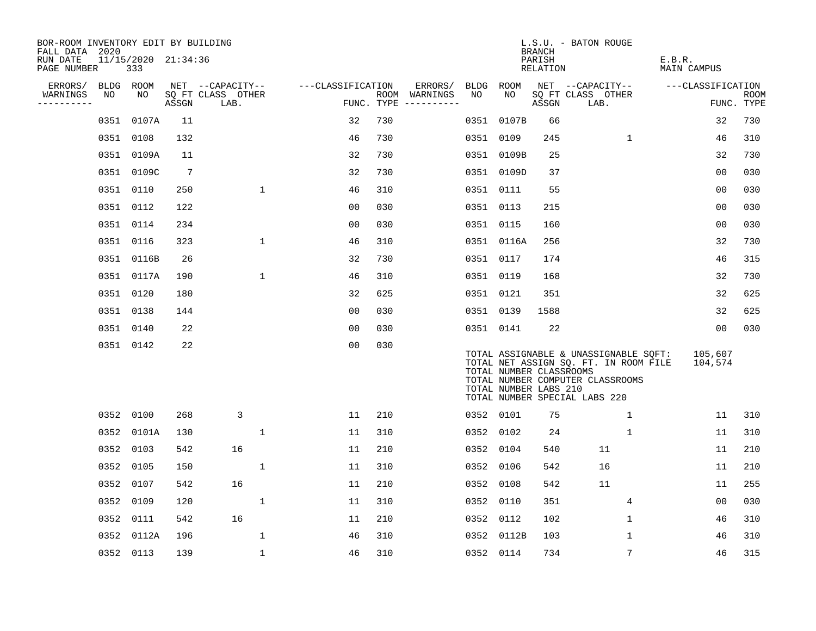| BOR-ROOM INVENTORY EDIT BY BUILDING<br>FALL DATA 2020 |      |                            |                 |                           |                   |     |                                      |           |                                                  | BRANCH             | L.S.U. - BATON ROUGE                                                                                                                                |                       |                           |
|-------------------------------------------------------|------|----------------------------|-----------------|---------------------------|-------------------|-----|--------------------------------------|-----------|--------------------------------------------------|--------------------|-----------------------------------------------------------------------------------------------------------------------------------------------------|-----------------------|---------------------------|
| RUN DATE<br>PAGE NUMBER                               |      | 11/15/2020 21:34:36<br>333 |                 |                           |                   |     |                                      |           |                                                  | PARISH<br>RELATION |                                                                                                                                                     | E.B.R.<br>MAIN CAMPUS |                           |
| ERRORS/                                               |      | BLDG ROOM                  |                 | NET --CAPACITY--          | ---CLASSIFICATION |     | ERRORS/                              | BLDG ROOM |                                                  |                    | NET --CAPACITY--                                                                                                                                    | ---CLASSIFICATION     |                           |
| WARNINGS<br>----------                                | NO   | NO                         | ASSGN           | SQ FT CLASS OTHER<br>LAB. |                   |     | ROOM WARNINGS<br>FUNC. TYPE $------$ | NO        | NO                                               | ASSGN              | SQ FT CLASS OTHER<br>LAB.                                                                                                                           |                       | <b>ROOM</b><br>FUNC. TYPE |
|                                                       | 0351 | 0107A                      | 11              |                           | 32                | 730 |                                      | 0351      | 0107B                                            | 66                 |                                                                                                                                                     | 32                    | 730                       |
|                                                       | 0351 | 0108                       | 132             |                           | 46                | 730 |                                      | 0351      | 0109                                             | 245                | $\mathbf{1}$                                                                                                                                        | 46                    | 310                       |
|                                                       |      | 0351 0109A                 | 11              |                           | 32                | 730 |                                      |           | 0351 0109B                                       | 25                 |                                                                                                                                                     | 32                    | 730                       |
|                                                       |      | 0351 0109C                 | $7\phantom{.0}$ |                           | 32                | 730 |                                      |           | 0351 0109D                                       | 37                 |                                                                                                                                                     | 0 <sub>0</sub>        | 030                       |
|                                                       |      | 0351 0110                  | 250             | $\mathbf{1}$              | 46                | 310 |                                      | 0351 0111 |                                                  | 55                 |                                                                                                                                                     | 00                    | 030                       |
|                                                       |      | 0351 0112                  | 122             |                           | 0 <sub>0</sub>    | 030 |                                      | 0351 0113 |                                                  | 215                |                                                                                                                                                     | 0 <sub>0</sub>        | 030                       |
|                                                       |      | 0351 0114                  | 234             |                           | 0 <sub>0</sub>    | 030 |                                      | 0351 0115 |                                                  | 160                |                                                                                                                                                     | 0 <sub>0</sub>        | 030                       |
|                                                       |      | 0351 0116                  | 323             | $\mathbf{1}$              | 46                | 310 |                                      |           | 0351 0116A                                       | 256                |                                                                                                                                                     | 32                    | 730                       |
|                                                       | 0351 | 0116B                      | 26              |                           | 32                | 730 |                                      | 0351 0117 |                                                  | 174                |                                                                                                                                                     | 46                    | 315                       |
|                                                       |      | 0351 0117A                 | 190             | $\mathbf 1$               | 46                | 310 |                                      | 0351 0119 |                                                  | 168                |                                                                                                                                                     | 32                    | 730                       |
|                                                       |      | 0351 0120                  | 180             |                           | 32                | 625 |                                      | 0351 0121 |                                                  | 351                |                                                                                                                                                     | 32                    | 625                       |
|                                                       |      | 0351 0138                  | 144             |                           | 0 <sub>0</sub>    | 030 |                                      | 0351 0139 |                                                  | 1588               |                                                                                                                                                     | 32                    | 625                       |
|                                                       | 0351 | 0140                       | 22              |                           | 0 <sub>0</sub>    | 030 |                                      | 0351 0141 |                                                  | 22                 |                                                                                                                                                     | 0 <sub>0</sub>        | 030                       |
|                                                       |      | 0351 0142                  | 22              |                           | 0 <sub>0</sub>    | 030 |                                      |           | TOTAL NUMBER CLASSROOMS<br>TOTAL NUMBER LABS 210 |                    | TOTAL ASSIGNABLE & UNASSIGNABLE SOFT:<br>TOTAL NET ASSIGN SQ. FT. IN ROOM FILE<br>TOTAL NUMBER COMPUTER CLASSROOMS<br>TOTAL NUMBER SPECIAL LABS 220 | 105,607<br>104,574    |                           |
|                                                       |      | 0352 0100                  | 268             | 3                         | 11                | 210 |                                      | 0352 0101 |                                                  | 75                 | $\mathbf 1$                                                                                                                                         | 11                    | 310                       |
|                                                       | 0352 | 0101A                      | 130             | $\mathbf{1}$              | 11                | 310 |                                      | 0352 0102 |                                                  | 24                 | $\mathbf 1$                                                                                                                                         | 11                    | 310                       |
|                                                       | 0352 | 0103                       | 542             | 16                        | 11                | 210 |                                      | 0352      | 0104                                             | 540                | 11                                                                                                                                                  | 11                    | 210                       |
|                                                       | 0352 | 0105                       | 150             | $\mathbf{1}$              | 11                | 310 |                                      | 0352      | 0106                                             | 542                | 16                                                                                                                                                  | 11                    | 210                       |
|                                                       | 0352 | 0107                       | 542             | 16                        | 11                | 210 |                                      | 0352      | 0108                                             | 542                | 11                                                                                                                                                  | 11                    | 255                       |
|                                                       | 0352 | 0109                       | 120             | $\mathbf{1}$              | 11                | 310 |                                      | 0352      | 0110                                             | 351                | 4                                                                                                                                                   | 0 <sub>0</sub>        | 030                       |
|                                                       | 0352 | 0111                       | 542             | 16                        | 11                | 210 |                                      | 0352      | 0112                                             | 102                | 1                                                                                                                                                   | 46                    | 310                       |
|                                                       | 0352 | 0112A                      | 196             | 1                         | 46                | 310 |                                      | 0352      | 0112B                                            | 103                | 1                                                                                                                                                   | 46                    | 310                       |
|                                                       |      | 0352 0113                  | 139             | 1                         | 46                | 310 |                                      | 0352 0114 |                                                  | 734                | 7                                                                                                                                                   | 46                    | 315                       |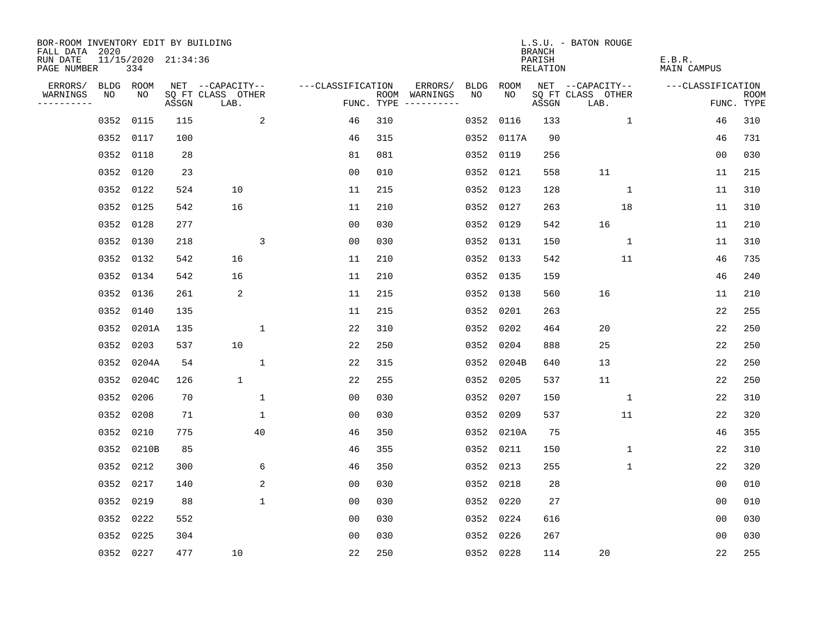| BOR-ROOM INVENTORY EDIT BY BUILDING<br>FALL DATA 2020 |           |            |                     |                           |                   |     |                                      |      |           | <b>BRANCH</b>      | L.S.U. - BATON ROUGE      |                       |                           |
|-------------------------------------------------------|-----------|------------|---------------------|---------------------------|-------------------|-----|--------------------------------------|------|-----------|--------------------|---------------------------|-----------------------|---------------------------|
| RUN DATE<br>PAGE NUMBER                               |           | 334        | 11/15/2020 21:34:36 |                           |                   |     |                                      |      |           | PARISH<br>RELATION |                           | E.B.R.<br>MAIN CAMPUS |                           |
| ERRORS/                                               | BLDG ROOM |            |                     | NET --CAPACITY--          | ---CLASSIFICATION |     | ERRORS/                              | BLDG | ROOM      |                    | NET --CAPACITY--          | ---CLASSIFICATION     |                           |
| WARNINGS<br>----------                                | NO        | NO         | ASSGN               | SQ FT CLASS OTHER<br>LAB. |                   |     | ROOM WARNINGS<br>FUNC. TYPE $------$ | NO.  | NO        | ASSGN              | SQ FT CLASS OTHER<br>LAB. |                       | <b>ROOM</b><br>FUNC. TYPE |
|                                                       | 0352      | 0115       | 115                 | 2                         | 46                | 310 |                                      | 0352 | 0116      | 133                | $\mathbf{1}$              | 46                    | 310                       |
|                                                       | 0352 0117 |            | 100                 |                           | 46                | 315 |                                      | 0352 | 0117A     | 90                 |                           | 46                    | 731                       |
|                                                       | 0352 0118 |            | 28                  |                           | 81                | 081 |                                      | 0352 | 0119      | 256                |                           | 00                    | 030                       |
|                                                       | 0352 0120 |            | 23                  |                           | 0 <sub>0</sub>    | 010 |                                      | 0352 | 0121      | 558                | 11                        | 11                    | 215                       |
|                                                       | 0352 0122 |            | 524                 | 10                        | 11                | 215 |                                      | 0352 | 0123      | 128                | $\mathbf{1}$              | 11                    | 310                       |
|                                                       | 0352 0125 |            | 542                 | 16                        | 11                | 210 |                                      |      | 0352 0127 | 263                | 18                        | 11                    | 310                       |
|                                                       | 0352 0128 |            | 277                 |                           | 0 <sub>0</sub>    | 030 |                                      | 0352 | 0129      | 542                | 16                        | 11                    | 210                       |
|                                                       | 0352 0130 |            | 218                 | 3                         | 0 <sub>0</sub>    | 030 |                                      |      | 0352 0131 | 150                | $\mathbf{1}$              | 11                    | 310                       |
|                                                       | 0352 0132 |            | 542                 | 16                        | 11                | 210 |                                      | 0352 | 0133      | 542                | 11                        | 46                    | 735                       |
|                                                       | 0352 0134 |            | 542                 | 16                        | 11                | 210 |                                      |      | 0352 0135 | 159                |                           | 46                    | 240                       |
|                                                       | 0352 0136 |            | 261                 | 2                         | 11                | 215 |                                      | 0352 | 0138      | 560                | 16                        | 11                    | 210                       |
|                                                       | 0352 0140 |            | 135                 |                           | 11                | 215 |                                      | 0352 | 0201      | 263                |                           | 22                    | 255                       |
|                                                       |           | 0352 0201A | 135                 | $\mathbf 1$               | 22                | 310 |                                      | 0352 | 0202      | 464                | 20                        | 22                    | 250                       |
|                                                       | 0352 0203 |            | 537                 | 10                        | 22                | 250 |                                      | 0352 | 0204      | 888                | 25                        | 22                    | 250                       |
|                                                       |           | 0352 0204A | 54                  | 1                         | 22                | 315 |                                      | 0352 | 0204B     | 640                | 13                        | 22                    | 250                       |
|                                                       |           | 0352 0204C | 126                 | $\mathbf{1}$              | 22                | 255 |                                      | 0352 | 0205      | 537                | 11                        | 22                    | 250                       |
|                                                       | 0352      | 0206       | 70                  | $\mathbf{1}$              | 0 <sub>0</sub>    | 030 |                                      | 0352 | 0207      | 150                | 1                         | 22                    | 310                       |
|                                                       | 0352      | 0208       | 71                  | $\mathbf 1$               | 00                | 030 |                                      | 0352 | 0209      | 537                | 11                        | 22                    | 320                       |
|                                                       | 0352 0210 |            | 775                 | 40                        | 46                | 350 |                                      | 0352 | 0210A     | 75                 |                           | 46                    | 355                       |
|                                                       |           | 0352 0210B | 85                  |                           | 46                | 355 |                                      | 0352 | 0211      | 150                | 1                         | 22                    | 310                       |
|                                                       | 0352 0212 |            | 300                 | 6                         | 46                | 350 |                                      | 0352 | 0213      | 255                | 1                         | 22                    | 320                       |
|                                                       | 0352      | 0217       | 140                 | $\overline{\mathbf{c}}$   | 0 <sub>0</sub>    | 030 |                                      | 0352 | 0218      | 28                 |                           | 00                    | 010                       |
|                                                       | 0352 0219 |            | 88                  | $\mathbf 1$               | 0 <sub>0</sub>    | 030 |                                      | 0352 | 0220      | 27                 |                           | 0 <sub>0</sub>        | 010                       |
|                                                       | 0352 0222 |            | 552                 |                           | 0 <sub>0</sub>    | 030 |                                      |      | 0352 0224 | 616                |                           | 0 <sub>0</sub>        | 030                       |
|                                                       | 0352 0225 |            | 304                 |                           | 0 <sub>0</sub>    | 030 |                                      | 0352 | 0226      | 267                |                           | 0 <sub>0</sub>        | 030                       |
|                                                       | 0352 0227 |            | 477                 | 10                        | 22                | 250 |                                      |      | 0352 0228 | 114                | 20                        | 22                    | 255                       |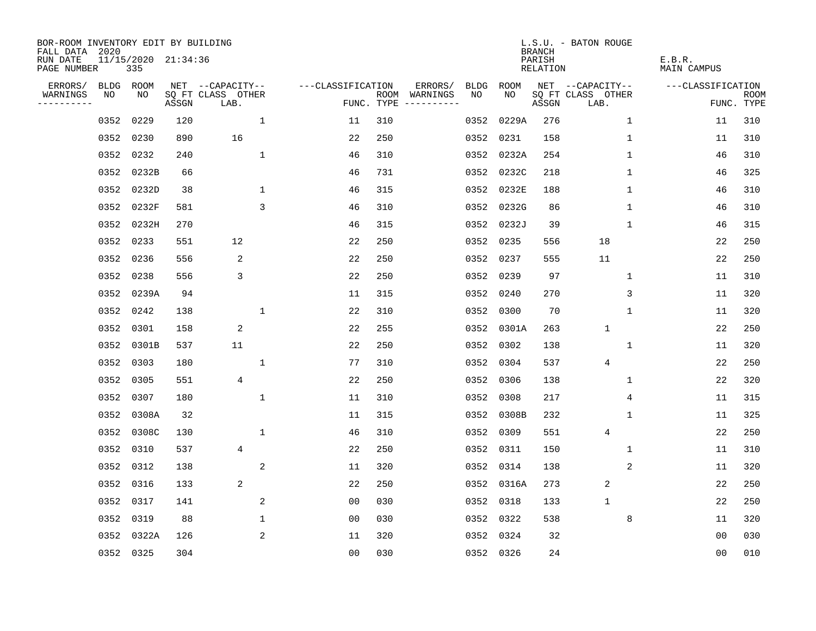| BOR-ROOM INVENTORY EDIT BY BUILDING<br>FALL DATA 2020 |      |                            |       |                           |                               |     |                                      |      |            | <b>BRANCH</b>      | L.S.U. - BATON ROUGE      |                       |                           |
|-------------------------------------------------------|------|----------------------------|-------|---------------------------|-------------------------------|-----|--------------------------------------|------|------------|--------------------|---------------------------|-----------------------|---------------------------|
| RUN DATE<br>PAGE NUMBER                               |      | 11/15/2020 21:34:36<br>335 |       |                           |                               |     |                                      |      |            | PARISH<br>RELATION |                           | E.B.R.<br>MAIN CAMPUS |                           |
| ERRORS/                                               |      | BLDG ROOM                  |       | NET --CAPACITY--          | ---CLASSIFICATION             |     | ERRORS/                              | BLDG | ROOM       |                    | NET --CAPACITY--          | ---CLASSIFICATION     |                           |
| WARNINGS<br>----------                                | NO   | NO                         | ASSGN | SQ FT CLASS OTHER<br>LAB. |                               |     | ROOM WARNINGS<br>FUNC. TYPE $------$ | NO.  | NO.        | ASSGN              | SQ FT CLASS OTHER<br>LAB. |                       | <b>ROOM</b><br>FUNC. TYPE |
|                                                       | 0352 | 0229                       | 120   |                           | $\mathbf 1$<br>11             | 310 |                                      | 0352 | 0229A      | 276                | $\mathbf 1$               | 11                    | 310                       |
|                                                       | 0352 | 0230                       | 890   | 16                        | 22                            | 250 |                                      | 0352 | 0231       | 158                | 1                         | 11                    | 310                       |
|                                                       | 0352 | 0232                       | 240   |                           | $\mathbf{1}$<br>46            | 310 |                                      | 0352 | 0232A      | 254                | 1                         | 46                    | 310                       |
|                                                       |      | 0352 0232B                 | 66    |                           | 46                            | 731 |                                      | 0352 | 0232C      | 218                | 1                         | 46                    | 325                       |
|                                                       | 0352 | 0232D                      | 38    |                           | $\mathbf 1$<br>46             | 315 |                                      | 0352 | 0232E      | 188                | 1                         | 46                    | 310                       |
|                                                       |      | 0352 0232F                 | 581   |                           | 3<br>46                       | 310 |                                      |      | 0352 0232G | 86                 | 1                         | 46                    | 310                       |
|                                                       |      | 0352 0232H                 | 270   |                           | 46                            | 315 |                                      |      | 0352 0232J | 39                 | $\mathbf 1$               | 46                    | 315                       |
|                                                       |      | 0352 0233                  | 551   | 12                        | 22                            | 250 |                                      |      | 0352 0235  | 556                | 18                        | 22                    | 250                       |
|                                                       |      | 0352 0236                  | 556   | 2                         | 22                            | 250 |                                      | 0352 | 0237       | 555                | 11                        | 22                    | 250                       |
|                                                       |      | 0352 0238                  | 556   | 3                         | 22                            | 250 |                                      | 0352 | 0239       | 97                 | 1                         | 11                    | 310                       |
|                                                       |      | 0352 0239A                 | 94    |                           | 11                            | 315 |                                      | 0352 | 0240       | 270                | 3                         | 11                    | 320                       |
|                                                       |      | 0352 0242                  | 138   |                           | $\mathbf{1}$<br>22            | 310 |                                      | 0352 | 0300       | 70                 | $\mathbf{1}$              | 11                    | 320                       |
|                                                       | 0352 | 0301                       | 158   | 2                         | 22                            | 255 |                                      | 0352 | 0301A      | 263                | $\mathbf{1}$              | 22                    | 250                       |
|                                                       |      | 0352 0301B                 | 537   | 11                        | 22                            | 250 |                                      | 0352 | 0302       | 138                | 1                         | 11                    | 320                       |
|                                                       | 0352 | 0303                       | 180   |                           | 1<br>77                       | 310 |                                      | 0352 | 0304       | 537                | 4                         | 22                    | 250                       |
|                                                       |      | 0352 0305                  | 551   | $\overline{4}$            | 22                            | 250 |                                      | 0352 | 0306       | 138                | 1                         | 22                    | 320                       |
|                                                       | 0352 | 0307                       | 180   |                           | $\mathbf{1}$<br>11            | 310 |                                      | 0352 | 0308       | 217                | 4                         | 11                    | 315                       |
|                                                       |      | 0352 0308A                 | 32    |                           | 11                            | 315 |                                      | 0352 | 0308B      | 232                | 1                         | 11                    | 325                       |
|                                                       |      | 0352 0308C                 | 130   |                           | 1<br>46                       | 310 |                                      | 0352 | 0309       | 551                | $\overline{4}$            | 22                    | 250                       |
|                                                       | 0352 | 0310                       | 537   | 4                         | 22                            | 250 |                                      | 0352 | 0311       | 150                | 1                         | 11                    | 310                       |
|                                                       |      | 0352 0312                  | 138   |                           | 2<br>11                       | 320 |                                      | 0352 | 0314       | 138                | 2                         | 11                    | 320                       |
|                                                       | 0352 | 0316                       | 133   | 2                         | 22                            | 250 |                                      | 0352 | 0316A      | 273                | 2                         | 22                    | 250                       |
|                                                       |      | 0352 0317                  | 141   |                           | 2<br>0 <sub>0</sub>           | 030 |                                      | 0352 | 0318       | 133                | $\mathbf{1}$              | 22                    | 250                       |
|                                                       |      | 0352 0319                  | 88    |                           | $\mathbf 1$<br>0 <sub>0</sub> | 030 |                                      |      | 0352 0322  | 538                | 8                         | 11                    | 320                       |
|                                                       |      | 0352 0322A                 | 126   |                           | 2<br>11                       | 320 |                                      |      | 0352 0324  | 32                 |                           | 0 <sub>0</sub>        | 030                       |
|                                                       |      | 0352 0325                  | 304   |                           | 0 <sub>0</sub>                | 030 |                                      |      | 0352 0326  | 24                 |                           | 0 <sub>0</sub>        | 010                       |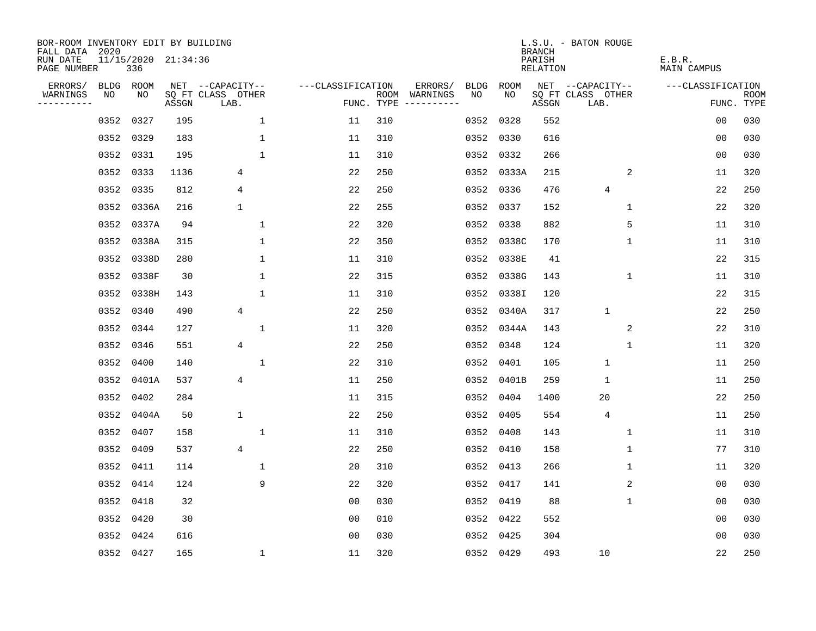| BOR-ROOM INVENTORY EDIT BY BUILDING<br>FALL DATA 2020 |           |                            |       |                           |                   |     |                                      |      |            | <b>BRANCH</b>             | L.S.U. - BATON ROUGE      |                              |                           |
|-------------------------------------------------------|-----------|----------------------------|-------|---------------------------|-------------------|-----|--------------------------------------|------|------------|---------------------------|---------------------------|------------------------------|---------------------------|
| RUN DATE<br>PAGE NUMBER                               |           | 11/15/2020 21:34:36<br>336 |       |                           |                   |     |                                      |      |            | PARISH<br><b>RELATION</b> |                           | E.B.R.<br><b>MAIN CAMPUS</b> |                           |
| ERRORS/                                               | BLDG ROOM |                            |       | NET --CAPACITY--          | ---CLASSIFICATION |     | ERRORS/                              | BLDG | ROOM       |                           | NET --CAPACITY--          | ---CLASSIFICATION            |                           |
| WARNINGS<br>----------                                | NO        | NO                         | ASSGN | SQ FT CLASS OTHER<br>LAB. |                   |     | ROOM WARNINGS<br>FUNC. TYPE $------$ | NO   | NO         | ASSGN                     | SQ FT CLASS OTHER<br>LAB. |                              | <b>ROOM</b><br>FUNC. TYPE |
|                                                       | 0352      | 0327                       | 195   | $\mathbf{1}$              | 11                | 310 |                                      | 0352 | 0328       | 552                       |                           | 0 <sub>0</sub>               | 030                       |
|                                                       | 0352 0329 |                            | 183   | $\mathbf 1$               | 11                | 310 |                                      | 0352 | 0330       | 616                       |                           | 0 <sub>0</sub>               | 030                       |
|                                                       | 0352      | 0331                       | 195   | $\mathbf{1}$              | 11                | 310 |                                      | 0352 | 0332       | 266                       |                           | 00                           | 030                       |
|                                                       | 0352 0333 |                            | 1136  | 4                         | 22                | 250 |                                      |      | 0352 0333A | 215                       | 2                         | 11                           | 320                       |
|                                                       | 0352 0335 |                            | 812   | 4                         | 22                | 250 |                                      | 0352 | 0336       | 476                       | 4                         | 22                           | 250                       |
|                                                       |           | 0352 0336A                 | 216   | $\mathbf{1}$              | 22                | 255 |                                      |      | 0352 0337  | 152                       | $\mathbf{1}$              | 22                           | 320                       |
|                                                       |           | 0352 0337A                 | 94    | $\mathbf{1}$              | 22                | 320 |                                      | 0352 | 0338       | 882                       | 5                         | 11                           | 310                       |
|                                                       |           | 0352 0338A                 | 315   | $\mathbf{1}$              | 22                | 350 |                                      |      | 0352 0338C | 170                       | $\mathbf{1}$              | 11                           | 310                       |
|                                                       |           | 0352 0338D                 | 280   | $\mathbf 1$               | 11                | 310 |                                      | 0352 | 0338E      | 41                        |                           | 22                           | 315                       |
|                                                       |           | 0352 0338F                 | 30    | $\mathbf 1$               | 22                | 315 |                                      | 0352 | 0338G      | 143                       | $\mathbf 1$               | 11                           | 310                       |
|                                                       |           | 0352 0338H                 | 143   | $\mathbf{1}$              | 11                | 310 |                                      | 0352 | 0338I      | 120                       |                           | 22                           | 315                       |
|                                                       | 0352 0340 |                            | 490   | 4                         | 22                | 250 |                                      | 0352 | 0340A      | 317                       | $\mathbf{1}$              | 22                           | 250                       |
|                                                       | 0352      | 0344                       | 127   | 1                         | 11                | 320 |                                      | 0352 | 0344A      | 143                       | 2                         | 22                           | 310                       |
|                                                       | 0352      | 0346                       | 551   | 4                         | 22                | 250 |                                      | 0352 | 0348       | 124                       | 1                         | 11                           | 320                       |
|                                                       | 0352      | 0400                       | 140   | 1                         | 22                | 310 |                                      | 0352 | 0401       | 105                       | $\mathbf{1}$              | 11                           | 250                       |
|                                                       |           | 0352 0401A                 | 537   | 4                         | 11                | 250 |                                      | 0352 | 0401B      | 259                       | $\mathbf{1}$              | 11                           | 250                       |
|                                                       | 0352      | 0402                       | 284   |                           | 11                | 315 |                                      | 0352 | 0404       | 1400                      | 20                        | 22                           | 250                       |
|                                                       | 0352      | 0404A                      | 50    | $\mathbf 1$               | 22                | 250 |                                      | 0352 | 0405       | 554                       | 4                         | 11                           | 250                       |
|                                                       | 0352 0407 |                            | 158   | 1                         | 11                | 310 |                                      | 0352 | 0408       | 143                       | 1                         | 11                           | 310                       |
|                                                       | 0352      | 0409                       | 537   | 4                         | 22                | 250 |                                      |      | 0352 0410  | 158                       | $\mathbf 1$               | 77                           | 310                       |
|                                                       | 0352 0411 |                            | 114   | 1                         | 20                | 310 |                                      | 0352 | 0413       | 266                       | 1                         | 11                           | 320                       |
|                                                       | 0352      | 0414                       | 124   | 9                         | 22                | 320 |                                      | 0352 | 0417       | 141                       | 2                         | 0 <sub>0</sub>               | 030                       |
|                                                       | 0352 0418 |                            | 32    |                           | 0 <sub>0</sub>    | 030 |                                      | 0352 | 0419       | 88                        | 1                         | 00                           | 030                       |
|                                                       | 0352 0420 |                            | 30    |                           | 0 <sub>0</sub>    | 010 |                                      | 0352 | 0422       | 552                       |                           | 0 <sub>0</sub>               | 030                       |
|                                                       | 0352 0424 |                            | 616   |                           | 0 <sub>0</sub>    | 030 |                                      | 0352 | 0425       | 304                       |                           | 0 <sub>0</sub>               | 030                       |
|                                                       | 0352 0427 |                            | 165   | $\mathbf 1$               | 11                | 320 |                                      |      | 0352 0429  | 493                       | 10                        | 22                           | 250                       |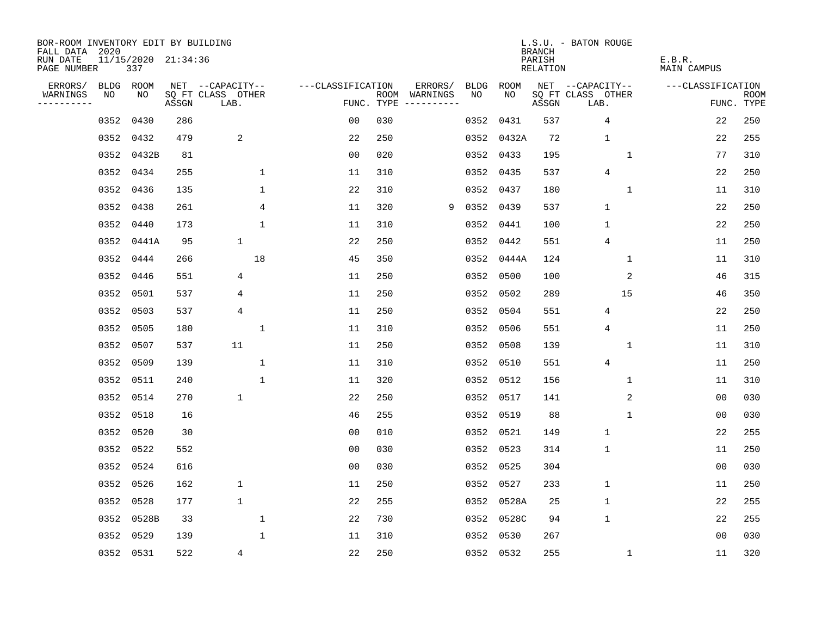| BOR-ROOM INVENTORY EDIT BY BUILDING<br>FALL DATA 2020 |             |                            |       |                           |              |                   |      |          |             |           | <b>BRANCH</b>             | L.S.U. - BATON ROUGE      |                              |                           |
|-------------------------------------------------------|-------------|----------------------------|-------|---------------------------|--------------|-------------------|------|----------|-------------|-----------|---------------------------|---------------------------|------------------------------|---------------------------|
| RUN DATE<br>PAGE NUMBER                               |             | 11/15/2020 21:34:36<br>337 |       |                           |              |                   |      |          |             |           | PARISH<br><b>RELATION</b> |                           | E.B.R.<br><b>MAIN CAMPUS</b> |                           |
| ERRORS/                                               | <b>BLDG</b> | ROOM                       |       | NET --CAPACITY--          |              | ---CLASSIFICATION |      | ERRORS/  | <b>BLDG</b> | ROOM      |                           | NET --CAPACITY--          | ---CLASSIFICATION            |                           |
| WARNINGS<br>. <u>.</u> .                              | NO          | NO                         | ASSGN | SQ FT CLASS OTHER<br>LAB. |              | FUNC. TYPE        | ROOM | WARNINGS | NO          | NO        | ASSGN                     | SQ FT CLASS OTHER<br>LAB. |                              | <b>ROOM</b><br>FUNC. TYPE |
|                                                       | 0352        | 0430                       | 286   |                           |              | 0 <sub>0</sub>    | 030  |          | 0352        | 0431      | 537                       | 4                         | 22                           | 250                       |
|                                                       | 0352        | 0432                       | 479   | 2                         |              | 22                | 250  |          | 0352        | 0432A     | 72                        | $\mathbf{1}$              | 22                           | 255                       |
|                                                       | 0352        | 0432B                      | 81    |                           |              | 0 <sub>0</sub>    | 020  |          | 0352        | 0433      | 195                       | 1                         | 77                           | 310                       |
|                                                       | 0352        | 0434                       | 255   |                           | 1            | 11                | 310  |          | 0352        | 0435      | 537                       | $\overline{4}$            | 22                           | 250                       |
|                                                       | 0352        | 0436                       | 135   |                           | $\mathbf 1$  | 22                | 310  |          | 0352        | 0437      | 180                       | $\mathbf{1}$              | 11                           | 310                       |
|                                                       | 0352        | 0438                       | 261   |                           | 4            | 11                | 320  | 9        |             | 0352 0439 | 537                       | $\mathbf{1}$              | 22                           | 250                       |
|                                                       | 0352        | 0440                       | 173   |                           | $\mathbf{1}$ | 11                | 310  |          |             | 0352 0441 | 100                       | $\mathbf{1}$              | 22                           | 250                       |
|                                                       | 0352        | 0441A                      | 95    | $\mathbf{1}$              |              | 22                | 250  |          | 0352        | 0442      | 551                       | 4                         | 11                           | 250                       |
|                                                       | 0352        | 0444                       | 266   |                           | 18           | 45                | 350  |          | 0352        | 0444A     | 124                       | 1                         | 11                           | 310                       |
|                                                       | 0352        | 0446                       | 551   | 4                         |              | 11                | 250  |          | 0352        | 0500      | 100                       | 2                         | 46                           | 315                       |
|                                                       | 0352        | 0501                       | 537   | 4                         |              | 11                | 250  |          | 0352        | 0502      | 289                       | 15                        | 46                           | 350                       |
|                                                       | 0352        | 0503                       | 537   | 4                         |              | 11                | 250  |          | 0352        | 0504      | 551                       | 4                         | 22                           | 250                       |
|                                                       | 0352        | 0505                       | 180   |                           | 1            | 11                | 310  |          | 0352        | 0506      | 551                       | $\overline{4}$            | 11                           | 250                       |
|                                                       | 0352        | 0507                       | 537   | 11                        |              | 11                | 250  |          | 0352        | 0508      | 139                       | 1                         | 11                           | 310                       |
|                                                       | 0352        | 0509                       | 139   |                           | 1            | 11                | 310  |          | 0352        | 0510      | 551                       | $\overline{4}$            | 11                           | 250                       |
|                                                       | 0352        | 0511                       | 240   |                           | 1            | 11                | 320  |          | 0352        | 0512      | 156                       | 1                         | 11                           | 310                       |
|                                                       | 0352        | 0514                       | 270   | 1                         |              | 22                | 250  |          | 0352        | 0517      | 141                       | 2                         | 0 <sub>0</sub>               | 030                       |
|                                                       | 0352        | 0518                       | 16    |                           |              | 46                | 255  |          | 0352        | 0519      | 88                        | 1                         | 0 <sub>0</sub>               | 030                       |
|                                                       | 0352        | 0520                       | 30    |                           |              | 0 <sub>0</sub>    | 010  |          | 0352        | 0521      | 149                       | $\mathbf{1}$              | 22                           | 255                       |
|                                                       | 0352        | 0522                       | 552   |                           |              | 0 <sub>0</sub>    | 030  |          | 0352        | 0523      | 314                       | $\mathbf{1}$              | 11                           | 250                       |
|                                                       | 0352        | 0524                       | 616   |                           |              | 0 <sub>0</sub>    | 030  |          | 0352        | 0525      | 304                       |                           | 0 <sub>0</sub>               | 030                       |
|                                                       | 0352        | 0526                       | 162   | 1                         |              | 11                | 250  |          | 0352        | 0527      | 233                       | $\mathbf{1}$              | 11                           | 250                       |
|                                                       | 0352        | 0528                       | 177   | $\mathbf 1$               |              | 22                | 255  |          | 0352        | 0528A     | 25                        | $\mathbf{1}$              | 22                           | 255                       |
|                                                       | 0352        | 0528B                      | 33    |                           | $\mathbf{1}$ | 22                | 730  |          | 0352        | 0528C     | 94                        | $\mathbf{1}$              | 22                           | 255                       |
|                                                       | 0352        | 0529                       | 139   |                           | $\mathbf 1$  | 11                | 310  |          | 0352        | 0530      | 267                       |                           | 0 <sub>0</sub>               | 030                       |
|                                                       |             | 0352 0531                  | 522   | 4                         |              | 22                | 250  |          |             | 0352 0532 | 255                       | 1                         | 11                           | 320                       |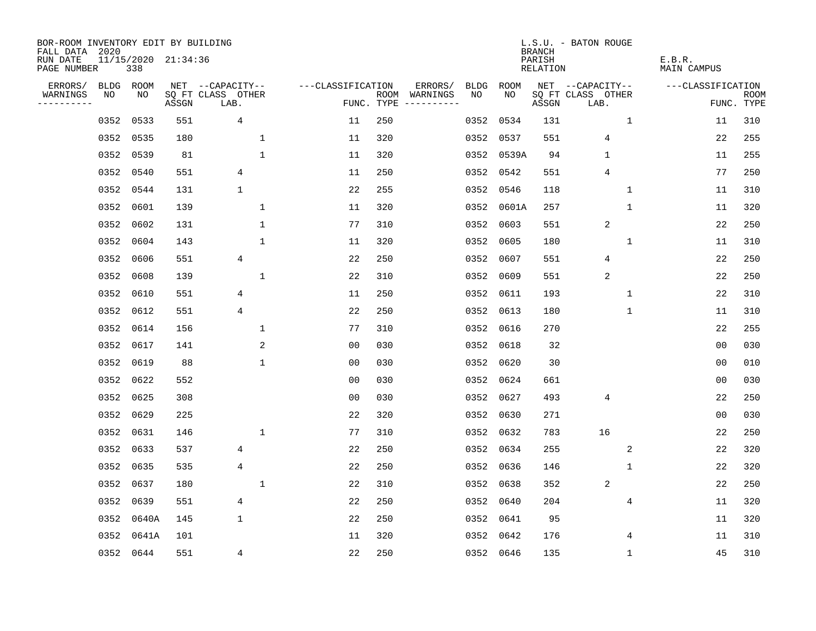| BOR-ROOM INVENTORY EDIT BY BUILDING<br>FALL DATA 2020 |           |                            |       |                           |                   |            |                                    |             | <b>BRANCH</b>             | L.S.U. - BATON ROUGE      |                              |                           |
|-------------------------------------------------------|-----------|----------------------------|-------|---------------------------|-------------------|------------|------------------------------------|-------------|---------------------------|---------------------------|------------------------------|---------------------------|
| RUN DATE<br>PAGE NUMBER                               |           | 11/15/2020 21:34:36<br>338 |       |                           |                   |            |                                    |             | PARISH<br><b>RELATION</b> |                           | E.B.R.<br><b>MAIN CAMPUS</b> |                           |
| ERRORS/                                               | BLDG ROOM |                            |       | NET --CAPACITY--          | ---CLASSIFICATION |            | ERRORS/<br><b>BLDG</b>             | <b>ROOM</b> |                           | NET --CAPACITY--          | ---CLASSIFICATION            |                           |
| WARNINGS<br>----------                                | NO        | NO                         | ASSGN | SQ FT CLASS OTHER<br>LAB. |                   | FUNC. TYPE | NO<br>ROOM WARNINGS<br>----------- | NO          | ASSGN                     | SQ FT CLASS OTHER<br>LAB. |                              | <b>ROOM</b><br>FUNC. TYPE |
|                                                       | 0352      | 0533                       | 551   | 4                         | 11                | 250        | 0352                               | 0534        | 131                       | $\mathbf 1$               | 11                           | 310                       |
|                                                       | 0352      | 0535                       | 180   | 1                         | 11                | 320        | 0352                               | 0537        | 551                       | 4                         | 22                           | 255                       |
|                                                       | 0352      | 0539                       | 81    | $\mathbf 1$               | 11                | 320        | 0352                               | 0539A       | 94                        | $\mathbf 1$               | 11                           | 255                       |
|                                                       | 0352      | 0540                       | 551   | 4                         | 11                | 250        |                                    | 0352 0542   | 551                       | 4                         | 77                           | 250                       |
|                                                       | 0352      | 0544                       | 131   | $\mathbf 1$               | 22                | 255        |                                    | 0352 0546   | 118                       | $\mathbf{1}$              | 11                           | 310                       |
|                                                       | 0352      | 0601                       | 139   | $\mathbf 1$               | 11                | 320        |                                    | 0352 0601A  | 257                       | $\mathbf{1}$              | 11                           | 320                       |
|                                                       | 0352      | 0602                       | 131   | $\mathbf 1$               | 77                | 310        | 0352                               | 0603        | 551                       | $\sqrt{2}$                | 22                           | 250                       |
|                                                       | 0352      | 0604                       | 143   | $\mathbf{1}$              | 11                | 320        | 0352                               | 0605        | 180                       | $\mathbf 1$               | 11                           | 310                       |
|                                                       | 0352      | 0606                       | 551   | 4                         | 22                | 250        | 0352                               | 0607        | 551                       | 4                         | 22                           | 250                       |
|                                                       | 0352      | 0608                       | 139   | $\mathbf{1}$              | 22                | 310        | 0352                               | 0609        | 551                       | 2                         | 22                           | 250                       |
|                                                       | 0352      | 0610                       | 551   | $\overline{4}$            | 11                | 250        | 0352                               | 0611        | 193                       | $\mathbf 1$               | 22                           | 310                       |
|                                                       | 0352 0612 |                            | 551   | $\overline{4}$            | 22                | 250        | 0352                               | 0613        | 180                       | $\mathbf{1}$              | 11                           | 310                       |
|                                                       | 0352      | 0614                       | 156   | 1                         | 77                | 310        | 0352                               | 0616        | 270                       |                           | 22                           | 255                       |
|                                                       | 0352      | 0617                       | 141   | $\sqrt{2}$                | 0 <sub>0</sub>    | 030        | 0352                               | 0618        | 32                        |                           | 0 <sub>0</sub>               | 030                       |
|                                                       | 0352      | 0619                       | 88    | $\mathbf 1$               | 00                | 030        | 0352                               | 0620        | 30                        |                           | 0 <sub>0</sub>               | 010                       |
|                                                       | 0352      | 0622                       | 552   |                           | 0 <sub>0</sub>    | 030        | 0352                               | 0624        | 661                       |                           | 0 <sub>0</sub>               | 030                       |
|                                                       | 0352      | 0625                       | 308   |                           | 0 <sub>0</sub>    | 030        | 0352                               | 0627        | 493                       | $\overline{4}$            | 22                           | 250                       |
|                                                       | 0352      | 0629                       | 225   |                           | 22                | 320        | 0352                               | 0630        | 271                       |                           | 0 <sub>0</sub>               | 030                       |
|                                                       | 0352      | 0631                       | 146   | $\mathbf{1}$              | 77                | 310        | 0352                               | 0632        | 783                       | 16                        | 22                           | 250                       |
|                                                       | 0352      | 0633                       | 537   | 4                         | 22                | 250        | 0352                               | 0634        | 255                       | 2                         | 22                           | 320                       |
|                                                       | 0352      | 0635                       | 535   | 4                         | 22                | 250        | 0352                               | 0636        | 146                       | 1                         | 22                           | 320                       |
|                                                       | 0352      | 0637                       | 180   | $\mathbf 1$               | 22                | 310        | 0352                               | 0638        | 352                       | 2                         | 22                           | 250                       |
|                                                       | 0352      | 0639                       | 551   | 4                         | 22                | 250        | 0352                               | 0640        | 204                       | 4                         | 11                           | 320                       |
|                                                       | 0352      | 0640A                      | 145   | 1                         | 22                | 250        | 0352                               | 0641        | 95                        |                           | 11                           | 320                       |
|                                                       | 0352      | 0641A                      | 101   |                           | 11                | 320        | 0352                               | 0642        | 176                       | 4                         | 11                           | 310                       |
|                                                       | 0352 0644 |                            | 551   | 4                         | 22                | 250        |                                    | 0352 0646   | 135                       | 1                         | 45                           | 310                       |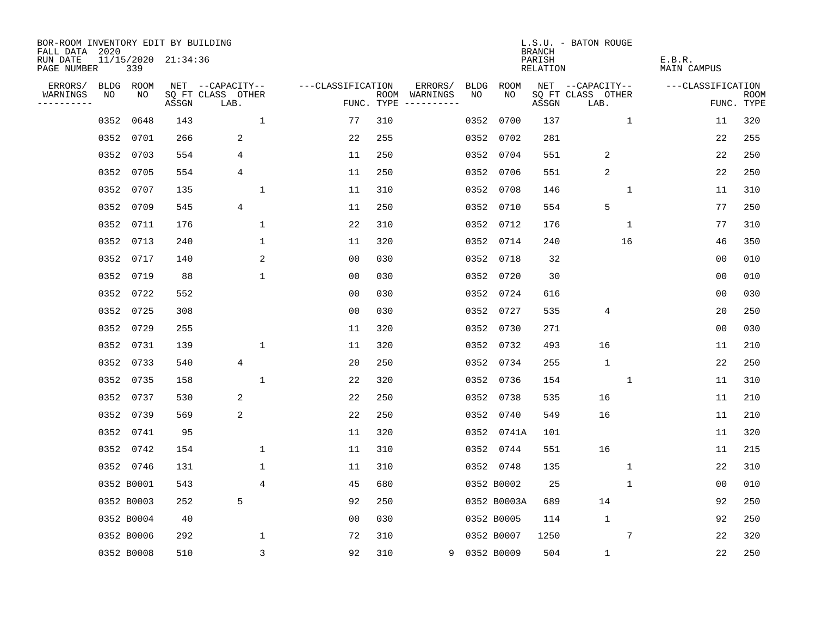| BOR-ROOM INVENTORY EDIT BY BUILDING<br>FALL DATA 2020 |             |            |                     |                           |                   |                    |                        |             |             | <b>BRANCH</b>                   | L.S.U. - BATON ROUGE      |                       |                           |
|-------------------------------------------------------|-------------|------------|---------------------|---------------------------|-------------------|--------------------|------------------------|-------------|-------------|---------------------------------|---------------------------|-----------------------|---------------------------|
| RUN DATE<br>PAGE NUMBER                               |             | 339        | 11/15/2020 21:34:36 |                           |                   |                    |                        |             |             | PARISH<br>RELATION              |                           | E.B.R.<br>MAIN CAMPUS |                           |
| ERRORS/                                               | <b>BLDG</b> | ROOM       |                     | NET --CAPACITY--          | ---CLASSIFICATION |                    | ERRORS/                | <b>BLDG</b> | <b>ROOM</b> |                                 | NET --CAPACITY--          | ---CLASSIFICATION     |                           |
| WARNINGS<br>. <u>.</u>                                | NO          | NO         | ASSGN               | SQ FT CLASS OTHER<br>LAB. |                   | ROOM<br>FUNC. TYPE | WARNINGS<br>---------- | NO.         | NO.         | $\operatorname{\mathsf{ASSGN}}$ | SQ FT CLASS OTHER<br>LAB. |                       | <b>ROOM</b><br>FUNC. TYPE |
|                                                       | 0352        | 0648       | 143                 | $\mathbf 1$               | 77                | 310                |                        | 0352        | 0700        | 137                             | $\mathbf{1}$              | 11                    | 320                       |
|                                                       | 0352        | 0701       | 266                 | 2                         | 22                | 255                |                        | 0352        | 0702        | 281                             |                           | 22                    | 255                       |
|                                                       | 0352        | 0703       | 554                 | 4                         | 11                | 250                |                        | 0352        | 0704        | 551                             | 2                         | 22                    | 250                       |
|                                                       | 0352        | 0705       | 554                 | 4                         | 11                | 250                |                        | 0352        | 0706        | 551                             | $\overline{2}$            | 22                    | 250                       |
|                                                       | 0352        | 0707       | 135                 | 1                         | 11                | 310                |                        | 0352        | 0708        | 146                             | 1                         | 11                    | 310                       |
|                                                       | 0352        | 0709       | 545                 | 4                         | 11                | 250                |                        | 0352        | 0710        | 554                             | 5                         | 77                    | 250                       |
|                                                       | 0352        | 0711       | 176                 | $\mathbf 1$               | 22                | 310                |                        |             | 0352 0712   | 176                             | $\mathbf 1$               | 77                    | 310                       |
|                                                       | 0352        | 0713       | 240                 | 1                         | 11                | 320                |                        |             | 0352 0714   | 240                             | 16                        | 46                    | 350                       |
|                                                       | 0352        | 0717       | 140                 | 2                         | 0 <sub>0</sub>    | 030                |                        | 0352        | 0718        | 32                              |                           | 0 <sub>0</sub>        | 010                       |
|                                                       | 0352        | 0719       | 88                  | 1                         | 0 <sub>0</sub>    | 030                |                        | 0352        | 0720        | 30                              |                           | 0 <sub>0</sub>        | 010                       |
|                                                       | 0352        | 0722       | 552                 |                           | 0 <sub>0</sub>    | 030                |                        | 0352        | 0724        | 616                             |                           | 0 <sub>0</sub>        | 030                       |
|                                                       | 0352        | 0725       | 308                 |                           | 0 <sub>0</sub>    | 030                |                        | 0352        | 0727        | 535                             | 4                         | 20                    | 250                       |
|                                                       | 0352        | 0729       | 255                 |                           | 11                | 320                |                        | 0352        | 0730        | 271                             |                           | 0 <sub>0</sub>        | 030                       |
|                                                       | 0352        | 0731       | 139                 | 1                         | 11                | 320                |                        | 0352        | 0732        | 493                             | 16                        | 11                    | 210                       |
|                                                       | 0352        | 0733       | 540                 | $\overline{4}$            | 20                | 250                |                        | 0352        | 0734        | 255                             | $\mathbf{1}$              | 22                    | 250                       |
|                                                       | 0352        | 0735       | 158                 | 1                         | 22                | 320                |                        | 0352        | 0736        | 154                             | $\mathbf 1$               | 11                    | 310                       |
|                                                       | 0352        | 0737       | 530                 | 2                         | 22                | 250                |                        | 0352        | 0738        | 535                             | 16                        | 11                    | 210                       |
|                                                       | 0352        | 0739       | 569                 | 2                         | 22                | 250                |                        | 0352        | 0740        | 549                             | 16                        | 11                    | 210                       |
|                                                       | 0352        | 0741       | 95                  |                           | 11                | 320                |                        |             | 0352 0741A  | 101                             |                           | 11                    | 320                       |
|                                                       | 0352        | 0742       | 154                 | $\mathbf{1}$              | 11                | 310                |                        |             | 0352 0744   | 551                             | 16                        | 11                    | 215                       |
|                                                       |             | 0352 0746  | 131                 | 1                         | 11                | 310                |                        |             | 0352 0748   | 135                             | 1                         | 22                    | 310                       |
|                                                       |             | 0352 B0001 | 543                 | 4                         | 45                | 680                |                        |             | 0352 B0002  | 25                              | $\mathbf 1$               | 0 <sub>0</sub>        | 010                       |
|                                                       |             | 0352 B0003 | 252                 | 5                         | 92                | 250                |                        |             | 0352 B0003A | 689                             | 14                        | 92                    | 250                       |
|                                                       |             | 0352 B0004 | 40                  |                           | 0 <sub>0</sub>    | 030                |                        |             | 0352 B0005  | 114                             | $\mathbf{1}$              | 92                    | 250                       |
|                                                       |             | 0352 B0006 | 292                 | 1                         | 72                | 310                |                        |             | 0352 B0007  | 1250                            | 7                         | 22                    | 320                       |
|                                                       |             | 0352 B0008 | 510                 | 3                         | 92                | 310                | 9                      |             | 0352 B0009  | 504                             | $\mathbf{1}$              | 22                    | 250                       |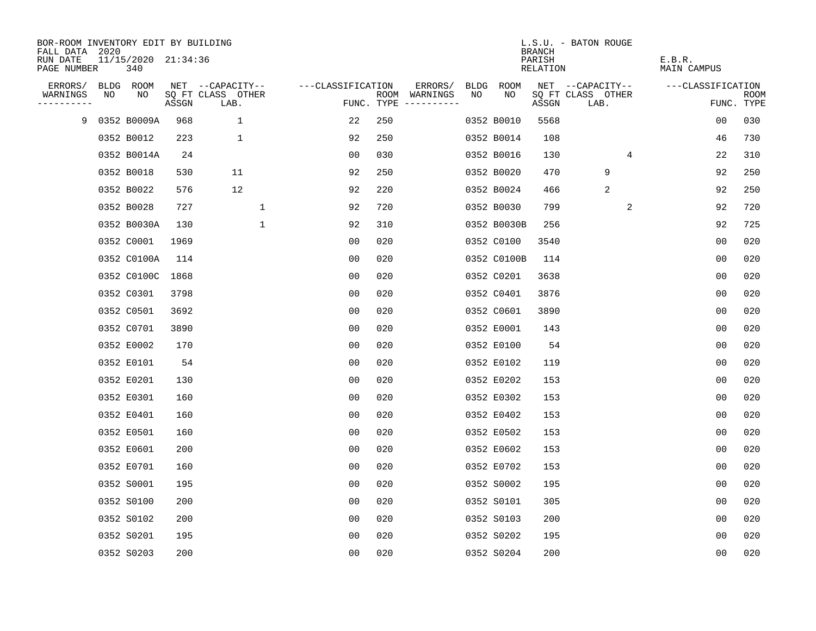| BOR-ROOM INVENTORY EDIT BY BUILDING       |    |                            |       |                           |                   |     |                                      |      |             |                                     | L.S.U. - BATON ROUGE      |                       |                           |
|-------------------------------------------|----|----------------------------|-------|---------------------------|-------------------|-----|--------------------------------------|------|-------------|-------------------------------------|---------------------------|-----------------------|---------------------------|
| FALL DATA 2020<br>RUN DATE<br>PAGE NUMBER |    | 11/15/2020 21:34:36<br>340 |       |                           |                   |     |                                      |      |             | <b>BRANCH</b><br>PARISH<br>RELATION |                           | E.B.R.<br>MAIN CAMPUS |                           |
| ERRORS/                                   |    | BLDG ROOM                  |       | NET --CAPACITY--          | ---CLASSIFICATION |     | ERRORS/                              | BLDG | ROOM        |                                     | NET --CAPACITY--          | ---CLASSIFICATION     |                           |
| WARNINGS<br>----------                    | NO | NO.                        | ASSGN | SQ FT CLASS OTHER<br>LAB. |                   |     | ROOM WARNINGS<br>FUNC. TYPE $------$ | NO   | NO.         | ASSGN                               | SQ FT CLASS OTHER<br>LAB. |                       | <b>ROOM</b><br>FUNC. TYPE |
| 9                                         |    | 0352 B0009A                | 968   | 1                         | 22                | 250 |                                      |      | 0352 B0010  | 5568                                |                           | 0 <sub>0</sub>        | 030                       |
|                                           |    | 0352 B0012                 | 223   | 1                         | 92                | 250 |                                      |      | 0352 B0014  | 108                                 |                           | 46                    | 730                       |
|                                           |    | 0352 B0014A                | 24    |                           | 00                | 030 |                                      |      | 0352 B0016  | 130                                 | $\overline{4}$            | 22                    | 310                       |
|                                           |    | 0352 B0018                 | 530   | 11                        | 92                | 250 |                                      |      | 0352 B0020  | 470                                 | 9                         | 92                    | 250                       |
|                                           |    | 0352 B0022                 | 576   | 12                        | 92                | 220 |                                      |      | 0352 B0024  | 466                                 | 2                         | 92                    | 250                       |
|                                           |    | 0352 B0028                 | 727   | 1                         | 92                | 720 |                                      |      | 0352 B0030  | 799                                 | 2                         | 92                    | 720                       |
|                                           |    | 0352 B0030A                | 130   | $\mathbf{1}$              | 92                | 310 |                                      |      | 0352 B0030B | 256                                 |                           | 92                    | 725                       |
|                                           |    | 0352 C0001                 | 1969  |                           | 0 <sub>0</sub>    | 020 |                                      |      | 0352 C0100  | 3540                                |                           | 0 <sub>0</sub>        | 020                       |
|                                           |    | 0352 C0100A                | 114   |                           | 0 <sub>0</sub>    | 020 |                                      |      | 0352 C0100B | 114                                 |                           | 0 <sub>0</sub>        | 020                       |
|                                           |    | 0352 C0100C                | 1868  |                           | 0 <sub>0</sub>    | 020 |                                      |      | 0352 C0201  | 3638                                |                           | 0 <sub>0</sub>        | 020                       |
|                                           |    | 0352 C0301                 | 3798  |                           | 00                | 020 |                                      |      | 0352 C0401  | 3876                                |                           | 0 <sub>0</sub>        | 020                       |
|                                           |    | 0352 C0501                 | 3692  |                           | 0 <sub>0</sub>    | 020 |                                      |      | 0352 C0601  | 3890                                |                           | 0 <sub>0</sub>        | 020                       |
|                                           |    | 0352 C0701                 | 3890  |                           | 0 <sub>0</sub>    | 020 |                                      |      | 0352 E0001  | 143                                 |                           | 0 <sub>0</sub>        | 020                       |
|                                           |    | 0352 E0002                 | 170   |                           | 0 <sub>0</sub>    | 020 |                                      |      | 0352 E0100  | 54                                  |                           | 0 <sub>0</sub>        | 020                       |
|                                           |    | 0352 E0101                 | 54    |                           | 00                | 020 |                                      |      | 0352 E0102  | 119                                 |                           | 00                    | 020                       |
|                                           |    | 0352 E0201                 | 130   |                           | 0 <sub>0</sub>    | 020 |                                      |      | 0352 E0202  | 153                                 |                           | 0 <sub>0</sub>        | 020                       |
|                                           |    | 0352 E0301                 | 160   |                           | 0 <sub>0</sub>    | 020 |                                      |      | 0352 E0302  | 153                                 |                           | 0 <sub>0</sub>        | 020                       |
|                                           |    | 0352 E0401                 | 160   |                           | 0 <sub>0</sub>    | 020 |                                      |      | 0352 E0402  | 153                                 |                           | 0 <sub>0</sub>        | 020                       |
|                                           |    | 0352 E0501                 | 160   |                           | 0 <sub>0</sub>    | 020 |                                      |      | 0352 E0502  | 153                                 |                           | 0 <sub>0</sub>        | 020                       |
|                                           |    | 0352 E0601                 | 200   |                           | 0 <sub>0</sub>    | 020 |                                      |      | 0352 E0602  | 153                                 |                           | 0 <sub>0</sub>        | 020                       |
|                                           |    | 0352 E0701                 | 160   |                           | 0 <sub>0</sub>    | 020 |                                      |      | 0352 E0702  | 153                                 |                           | 0 <sub>0</sub>        | 020                       |
|                                           |    | 0352 S0001                 | 195   |                           | 0 <sub>0</sub>    | 020 |                                      |      | 0352 S0002  | 195                                 |                           | 0 <sub>0</sub>        | 020                       |
|                                           |    | 0352 S0100                 | 200   |                           | 00                | 020 |                                      |      | 0352 S0101  | 305                                 |                           | 0 <sub>0</sub>        | 020                       |
|                                           |    | 0352 S0102                 | 200   |                           | 0 <sub>0</sub>    | 020 |                                      |      | 0352 S0103  | 200                                 |                           | 0 <sub>0</sub>        | 020                       |
|                                           |    | 0352 S0201                 | 195   |                           | 0 <sub>0</sub>    | 020 |                                      |      | 0352 S0202  | 195                                 |                           | 0 <sub>0</sub>        | 020                       |
|                                           |    | 0352 S0203                 | 200   |                           | 0 <sub>0</sub>    | 020 |                                      |      | 0352 S0204  | 200                                 |                           | 0 <sub>0</sub>        | 020                       |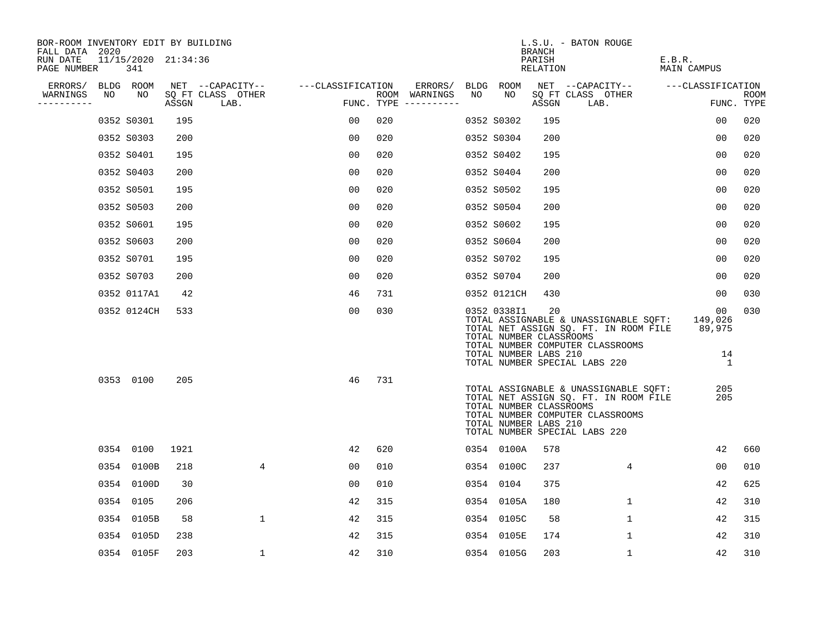| BOR-ROOM INVENTORY EDIT BY BUILDING<br>FALL DATA 2020 |      |                            |       |                           |                   |     |                                      |    |                                                                 | BRANCH             | L.S.U. - BATON ROUGE                                                                                                                                       |                                                    |                    |
|-------------------------------------------------------|------|----------------------------|-------|---------------------------|-------------------|-----|--------------------------------------|----|-----------------------------------------------------------------|--------------------|------------------------------------------------------------------------------------------------------------------------------------------------------------|----------------------------------------------------|--------------------|
| RUN DATE<br>PAGE NUMBER                               |      | 11/15/2020 21:34:36<br>341 |       |                           |                   |     |                                      |    |                                                                 | PARISH<br>RELATION |                                                                                                                                                            | E.B.R.<br>MAIN CAMPUS                              |                    |
| ERRORS/                                               |      | BLDG ROOM                  |       | NET --CAPACITY--          | ---CLASSIFICATION |     | ERRORS/                              |    | BLDG ROOM                                                       |                    | NET --CAPACITY--                                                                                                                                           | ---CLASSIFICATION                                  |                    |
| WARNINGS<br>----------                                | NO   | NO                         | ASSGN | SQ FT CLASS OTHER<br>LAB. |                   |     | ROOM WARNINGS<br>FUNC. TYPE $------$ | NO | NO                                                              | ASSGN              | SQ FT CLASS OTHER<br>LAB.                                                                                                                                  |                                                    | ROOM<br>FUNC. TYPE |
|                                                       |      | 0352 S0301                 | 195   |                           | 00                | 020 |                                      |    | 0352 S0302                                                      | 195                |                                                                                                                                                            | 00                                                 | 020                |
|                                                       |      | 0352 S0303                 | 200   |                           | 00                | 020 |                                      |    | 0352 S0304                                                      | 200                |                                                                                                                                                            | 0 <sub>0</sub>                                     | 020                |
|                                                       |      | 0352 S0401                 | 195   |                           | 00                | 020 |                                      |    | 0352 S0402                                                      | 195                |                                                                                                                                                            | 00                                                 | 020                |
|                                                       |      | 0352 S0403                 | 200   |                           | 0 <sub>0</sub>    | 020 |                                      |    | 0352 S0404                                                      | 200                |                                                                                                                                                            | 0 <sub>0</sub>                                     | 020                |
|                                                       |      | 0352 S0501                 | 195   |                           | 0 <sub>0</sub>    | 020 |                                      |    | 0352 S0502                                                      | 195                |                                                                                                                                                            | 00                                                 | 020                |
|                                                       |      | 0352 S0503                 | 200   |                           | 0 <sub>0</sub>    | 020 |                                      |    | 0352 S0504                                                      | 200                |                                                                                                                                                            | 0 <sub>0</sub>                                     | 020                |
|                                                       |      | 0352 S0601                 | 195   |                           | 00                | 020 |                                      |    | 0352 S0602                                                      | 195                |                                                                                                                                                            | 00                                                 | 020                |
|                                                       |      | 0352 S0603                 | 200   |                           | 0 <sub>0</sub>    | 020 |                                      |    | 0352 S0604                                                      | 200                |                                                                                                                                                            | 00                                                 | 020                |
|                                                       |      | 0352 S0701                 | 195   |                           | 00                | 020 |                                      |    | 0352 S0702                                                      | 195                |                                                                                                                                                            | 00                                                 | 020                |
|                                                       |      | 0352 S0703                 | 200   |                           | 00                | 020 |                                      |    | 0352 S0704                                                      | 200                |                                                                                                                                                            | 00                                                 | 020                |
|                                                       |      | 0352 0117A1                | 42    |                           | 46                | 731 |                                      |    | 0352 0121CH                                                     | 430                |                                                                                                                                                            | 00                                                 | 030                |
|                                                       |      | 0352 0124CH                | 533   |                           | 0 <sub>0</sub>    | 030 |                                      |    | 0352 0338I1<br>TOTAL NUMBER CLASSROOMS<br>TOTAL NUMBER LABS 210 | 20                 | TOTAL ASSIGNABLE & UNASSIGNABLE SQFT:<br>TOTAL NET ASSIGN SQ. FT. IN ROOM FILE 89,975<br>TOTAL NUMBER COMPUTER CLASSROOMS<br>TOTAL NUMBER SPECIAL LABS 220 | 00 <sub>o</sub><br>149,026<br>14<br>$\overline{1}$ | 030                |
|                                                       |      | 0353 0100                  | 205   |                           | 46                | 731 |                                      |    | TOTAL NUMBER CLASSROOMS<br>TOTAL NUMBER LABS 210                |                    | TOTAL ASSIGNABLE & UNASSIGNABLE SQFT:<br>TOTAL NET ASSIGN SQ. FT. IN ROOM FILE<br>TOTAL NUMBER COMPUTER CLASSROOMS<br>TOTAL NUMBER SPECIAL LABS 220        | 205<br>205                                         |                    |
|                                                       |      | 0354 0100                  | 1921  |                           | 42                | 620 |                                      |    | 0354 0100A                                                      | 578                |                                                                                                                                                            | 42                                                 | 660                |
|                                                       | 0354 | 0100B                      | 218   | $\overline{4}$            | 0 <sub>0</sub>    | 010 |                                      |    | 0354 0100C                                                      | 237                | 4                                                                                                                                                          | 00                                                 | 010                |
|                                                       | 0354 | 0100D                      | 30    |                           | 00                | 010 |                                      |    | 0354 0104                                                       | 375                |                                                                                                                                                            | 42                                                 | 625                |
|                                                       | 0354 | 0105                       | 206   |                           | 42                | 315 |                                      |    | 0354 0105A                                                      | 180                | $\mathbf 1$                                                                                                                                                | 42                                                 | 310                |
|                                                       | 0354 | 0105B                      | 58    | $\mathbf{1}$              | 42                | 315 |                                      |    | 0354 0105C                                                      | 58                 | $\mathbf 1$                                                                                                                                                | 42                                                 | 315                |
|                                                       | 0354 | 0105D                      | 238   |                           | 42                | 315 |                                      |    | 0354 0105E                                                      | 174                | $\mathbf{1}$                                                                                                                                               | 42                                                 | 310                |
|                                                       |      | 0354 0105F                 | 203   | 1                         | 42                | 310 |                                      |    | 0354 0105G                                                      | 203                | 1                                                                                                                                                          | 42                                                 | 310                |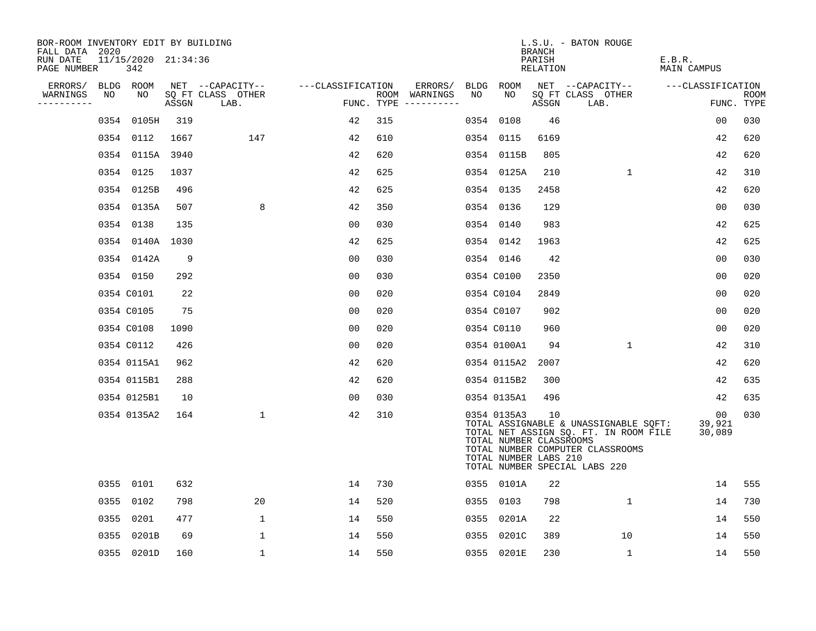| BOR-ROOM INVENTORY EDIT BY BUILDING<br>FALL DATA 2020 |    |                            |       |                           |                   |     |                                        |    |                                                                 | BRANCH             | L.S.U. - BATON ROUGE                                                                                                                                |                                     |                           |
|-------------------------------------------------------|----|----------------------------|-------|---------------------------|-------------------|-----|----------------------------------------|----|-----------------------------------------------------------------|--------------------|-----------------------------------------------------------------------------------------------------------------------------------------------------|-------------------------------------|---------------------------|
| RUN DATE<br>PAGE NUMBER                               |    | 11/15/2020 21:34:36<br>342 |       |                           |                   |     |                                        |    |                                                                 | PARISH<br>RELATION |                                                                                                                                                     | E.B.R.<br>MAIN CAMPUS               |                           |
| ERRORS/                                               |    | BLDG ROOM                  |       | NET --CAPACITY--          | ---CLASSIFICATION |     | ERRORS/                                |    | BLDG ROOM                                                       |                    | NET --CAPACITY--                                                                                                                                    | ---CLASSIFICATION                   |                           |
| WARNINGS                                              | NO | NO                         | ASSGN | SQ FT CLASS OTHER<br>LAB. |                   |     | ROOM WARNINGS<br>FUNC. TYPE ---------- | NO | NO                                                              | ASSGN              | SQ FT CLASS OTHER<br>LAB.                                                                                                                           |                                     | <b>ROOM</b><br>FUNC. TYPE |
|                                                       |    | 0354 0105H                 | 319   |                           | 42                | 315 |                                        |    | 0354 0108                                                       | 46                 |                                                                                                                                                     | 00                                  | 030                       |
|                                                       |    | 0354 0112                  | 1667  | 147                       | 42                | 610 |                                        |    | 0354 0115                                                       | 6169               |                                                                                                                                                     | 42                                  | 620                       |
|                                                       |    | 0354 0115A 3940            |       |                           | 42                | 620 |                                        |    | 0354 0115B                                                      | 805                |                                                                                                                                                     | 42                                  | 620                       |
|                                                       |    | 0354 0125                  | 1037  |                           | 42                | 625 |                                        |    | 0354 0125A                                                      | 210                | $\mathbf{1}$                                                                                                                                        | 42                                  | 310                       |
|                                                       |    | 0354 0125B                 | 496   |                           | 42                | 625 |                                        |    | 0354 0135                                                       | 2458               |                                                                                                                                                     | 42                                  | 620                       |
|                                                       |    | 0354 0135A                 | 507   | 8                         | 42                | 350 |                                        |    | 0354 0136                                                       | 129                |                                                                                                                                                     | 0 <sub>0</sub>                      | 030                       |
|                                                       |    | 0354 0138                  | 135   |                           | 0 <sub>0</sub>    | 030 |                                        |    | 0354 0140                                                       | 983                |                                                                                                                                                     | 42                                  | 625                       |
|                                                       |    | 0354 0140A 1030            |       |                           | 42                | 625 |                                        |    | 0354 0142                                                       | 1963               |                                                                                                                                                     | 42                                  | 625                       |
|                                                       |    | 0354 0142A                 | 9     |                           | 0 <sub>0</sub>    | 030 |                                        |    | 0354 0146                                                       | 42                 |                                                                                                                                                     | 0 <sub>0</sub>                      | 030                       |
|                                                       |    | 0354 0150                  | 292   |                           | 0 <sub>0</sub>    | 030 |                                        |    | 0354 C0100                                                      | 2350               |                                                                                                                                                     | 0 <sub>0</sub>                      | 020                       |
|                                                       |    | 0354 C0101                 | 22    |                           | 0 <sub>0</sub>    | 020 |                                        |    | 0354 C0104                                                      | 2849               |                                                                                                                                                     | 0 <sub>0</sub>                      | 020                       |
|                                                       |    | 0354 C0105                 | 75    |                           | 0 <sub>0</sub>    | 020 |                                        |    | 0354 C0107                                                      | 902                |                                                                                                                                                     | 00                                  | 020                       |
|                                                       |    | 0354 C0108                 | 1090  |                           | 0 <sub>0</sub>    | 020 |                                        |    | 0354 C0110                                                      | 960                |                                                                                                                                                     | 0 <sub>0</sub>                      | 020                       |
|                                                       |    | 0354 C0112                 | 426   |                           | 0 <sub>0</sub>    | 020 |                                        |    | 0354 0100A1                                                     | 94                 | $\mathbf{1}$                                                                                                                                        | 42                                  | 310                       |
|                                                       |    | 0354 0115A1                | 962   |                           | 42                | 620 |                                        |    | 0354 0115A2                                                     | 2007               |                                                                                                                                                     | 42                                  | 620                       |
|                                                       |    | 0354 0115B1                | 288   |                           | 42                | 620 |                                        |    | 0354 0115B2                                                     | 300                |                                                                                                                                                     | 42                                  | 635                       |
|                                                       |    | 0354 0125B1                | 10    |                           | 0 <sub>0</sub>    | 030 |                                        |    | 0354 0135A1                                                     | 496                |                                                                                                                                                     | 42                                  | 635                       |
|                                                       |    | 0354 0135A2                | 164   | $\mathbf{1}$              | 42                | 310 |                                        |    | 0354 0135A3<br>TOTAL NUMBER CLASSROOMS<br>TOTAL NUMBER LABS 210 | 10                 | TOTAL ASSIGNABLE & UNASSIGNABLE SQFT:<br>TOTAL NET ASSIGN SQ. FT. IN ROOM FILE<br>TOTAL NUMBER COMPUTER CLASSROOMS<br>TOTAL NUMBER SPECIAL LABS 220 | 00 <sub>o</sub><br>39,921<br>30,089 | 030                       |
|                                                       |    | 0355 0101                  | 632   |                           | 14                | 730 |                                        |    | 0355 0101A                                                      | 22                 |                                                                                                                                                     | 14                                  | 555                       |
|                                                       |    | 0355 0102                  | 798   | 20                        | 14                | 520 |                                        |    | 0355 0103                                                       | 798                | 1                                                                                                                                                   | 14                                  | 730                       |
|                                                       |    | 0355 0201                  | 477   | $\mathbf{1}$              | 14                | 550 |                                        |    | 0355 0201A                                                      | 22                 |                                                                                                                                                     | 14                                  | 550                       |
|                                                       |    | 0355 0201B                 | 69    | 1                         | 14                | 550 |                                        |    | 0355 0201C                                                      | 389                | 10                                                                                                                                                  | 14                                  | 550                       |
|                                                       |    | 0355 0201D                 | 160   | $\mathbf{1}$              | 14                | 550 |                                        |    | 0355 0201E                                                      | 230                | $\mathbf{1}$                                                                                                                                        | 14                                  | 550                       |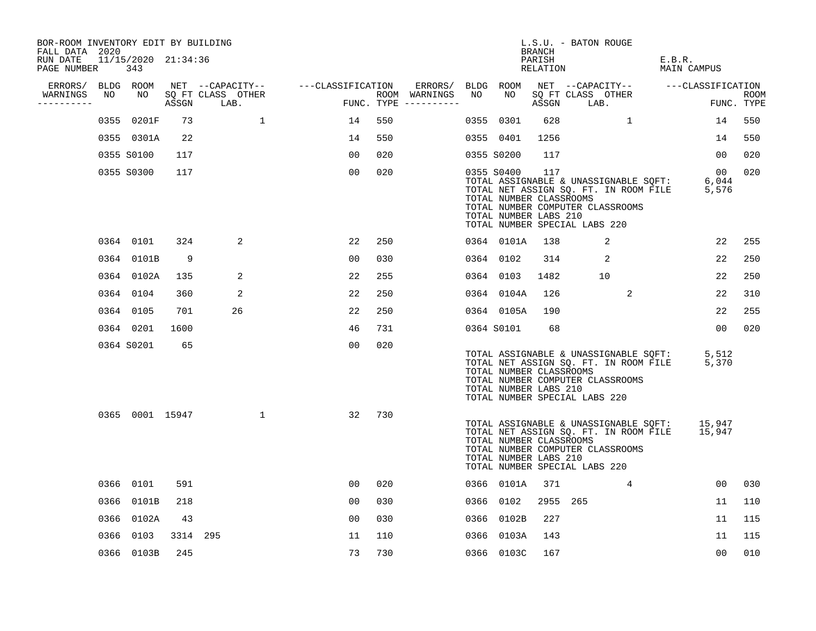| BOR-ROOM INVENTORY EDIT BY BUILDING<br>FALL DATA 2020 |    |                            |          |                                 |              |                                     |     |                                      |    |                                                                | BRANCH             | L.S.U. - BATON ROUGE                                                                                       |                |                                                                                              |                 |             |
|-------------------------------------------------------|----|----------------------------|----------|---------------------------------|--------------|-------------------------------------|-----|--------------------------------------|----|----------------------------------------------------------------|--------------------|------------------------------------------------------------------------------------------------------------|----------------|----------------------------------------------------------------------------------------------|-----------------|-------------|
| RUN DATE<br>PAGE NUMBER                               |    | 11/15/2020 21:34:36<br>343 |          |                                 |              |                                     |     |                                      |    |                                                                | PARISH<br>RELATION |                                                                                                            |                | E.B.R.<br>MAIN CAMPUS                                                                        |                 |             |
| ERRORS/ BLDG ROOM                                     |    |                            |          |                                 |              | NET --CAPACITY-- ----CLASSIFICATION |     | ERRORS/                              |    | BLDG ROOM                                                      |                    |                                                                                                            |                | NET --CAPACITY-- ---CLASSIFICATION                                                           |                 |             |
| WARNINGS<br>----------                                | NO | NO                         |          | SQ FT CLASS OTHER<br>ASSGN LAB. |              |                                     |     | ROOM WARNINGS<br>FUNC. TYPE $------$ | NO | NO.                                                            | ASSGN              | SQ FT CLASS OTHER<br>LAB.                                                                                  |                |                                                                                              | FUNC. TYPE      | <b>ROOM</b> |
|                                                       |    | 0355 0201F                 | 73       |                                 | $\mathbf{1}$ | 14                                  | 550 |                                      |    | 0355 0301                                                      | 628                |                                                                                                            | 1              |                                                                                              | 14              | 550         |
|                                                       |    | 0355 0301A                 | 22       |                                 |              | 14                                  | 550 |                                      |    | 0355 0401                                                      | 1256               |                                                                                                            |                |                                                                                              | 14              | 550         |
|                                                       |    | 0355 S0100                 | 117      |                                 |              | 00                                  | 020 |                                      |    | 0355 S0200                                                     | 117                |                                                                                                            |                |                                                                                              | 00              | 020         |
|                                                       |    | 0355 S0300                 | 117      |                                 |              | 0 <sub>0</sub>                      | 020 |                                      |    | 0355 S0400<br>TOTAL NUMBER CLASSROOMS<br>TOTAL NUMBER LABS 210 | 117                | TOTAL ASSIGNABLE & UNASSIGNABLE SOFT:<br>TOTAL NUMBER COMPUTER CLASSROOMS<br>TOTAL NUMBER SPECIAL LABS 220 |                | TOTAL NET ASSIGN SQ. FT. IN ROOM FILE 5,576                                                  | 00<br>6,044     | 020         |
|                                                       |    | 0364 0101                  | 324      | 2                               |              | 22                                  | 250 |                                      |    | 0364 0101A                                                     | 138                |                                                                                                            | 2              |                                                                                              | 22              | 255         |
|                                                       |    | 0364 0101B                 | 9        |                                 |              | 00                                  | 030 |                                      |    | 0364 0102                                                      | 314                |                                                                                                            | $\overline{a}$ |                                                                                              | 22              | 250         |
|                                                       |    | 0364 0102A                 | 135      | 2                               |              | 22                                  | 255 |                                      |    | 0364 0103                                                      | 1482               |                                                                                                            | 10             |                                                                                              | 22              | 250         |
|                                                       |    | 0364 0104                  | 360      | 2                               |              | 22                                  | 250 |                                      |    | 0364 0104A                                                     | 126                |                                                                                                            | 2              |                                                                                              | 22              | 310         |
|                                                       |    | 0364 0105                  | 701      | 26                              |              | 22                                  | 250 |                                      |    | 0364 0105A                                                     | 190                |                                                                                                            |                |                                                                                              | 22              | 255         |
|                                                       |    | 0364 0201                  | 1600     |                                 |              | 46                                  | 731 |                                      |    | 0364 S0101                                                     | 68                 |                                                                                                            |                |                                                                                              | 0 <sub>0</sub>  | 020         |
|                                                       |    | 0364 S0201                 | 65       |                                 |              | 0 <sub>0</sub>                      | 020 |                                      |    | TOTAL NUMBER CLASSROOMS<br>TOTAL NUMBER LABS 210               |                    | TOTAL NUMBER COMPUTER CLASSROOMS<br>TOTAL NUMBER SPECIAL LABS 220                                          |                | TOTAL ASSIGNABLE & UNASSIGNABLE SQFT:<br>TOTAL NET ASSIGN SQ. FT. IN ROOM FILE               | 5,512<br>5,370  |             |
|                                                       |    |                            |          | 0365 0001 15947                 | $\mathbf{1}$ | 32                                  | 730 |                                      |    | TOTAL NUMBER CLASSROOMS<br>TOTAL NUMBER LABS 210               |                    | TOTAL NUMBER COMPUTER CLASSROOMS<br>TOTAL NUMBER SPECIAL LABS 220                                          |                | TOTAL ASSIGNABLE & UNASSIGNABLE SQFT: 15,947<br>TOTAL NET ASSIGN SQ. FT. IN ROOM FILE 15,947 |                 |             |
|                                                       |    | 0366 0101                  | 591      |                                 |              | 00                                  | 020 |                                      |    | 0366 0101A                                                     | 371                |                                                                                                            | 4              |                                                                                              | 00 <sub>o</sub> | 030         |
|                                                       |    | 0366 0101B                 | 218      |                                 |              | 0 <sub>0</sub>                      | 030 |                                      |    | 0366 0102                                                      | 2955 265           |                                                                                                            |                |                                                                                              | 11              | 110         |
|                                                       |    | 0366 0102A                 | 43       |                                 |              | 00                                  | 030 |                                      |    | 0366 0102B                                                     | 227                |                                                                                                            |                |                                                                                              | 11              | 115         |
|                                                       |    | 0366 0103                  | 3314 295 |                                 |              | 11                                  | 110 |                                      |    | 0366 0103A                                                     | 143                |                                                                                                            |                |                                                                                              | 11              | 115         |
|                                                       |    | 0366 0103B                 | 245      |                                 |              | 73                                  | 730 |                                      |    | 0366 0103C                                                     | 167                |                                                                                                            |                |                                                                                              | 00              | 010         |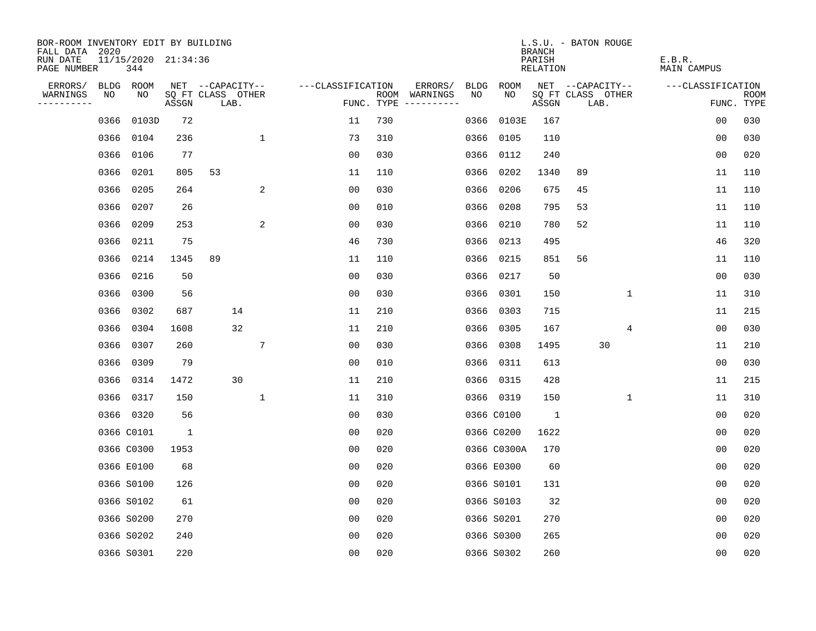| BOR-ROOM INVENTORY EDIT BY BUILDING<br>FALL DATA 2020 |                            |              |                           |                   |     |                                             |             | <b>BRANCH</b>      | L.S.U. - BATON ROUGE      |              |                       |                    |
|-------------------------------------------------------|----------------------------|--------------|---------------------------|-------------------|-----|---------------------------------------------|-------------|--------------------|---------------------------|--------------|-----------------------|--------------------|
| RUN DATE<br>PAGE NUMBER                               | 11/15/2020 21:34:36<br>344 |              |                           |                   |     |                                             |             | PARISH<br>RELATION |                           |              | E.B.R.<br>MAIN CAMPUS |                    |
| ERRORS/                                               | BLDG ROOM                  |              | NET --CAPACITY--          | ---CLASSIFICATION |     | ERRORS/<br>BLDG                             | ROOM        |                    | NET --CAPACITY--          |              | ---CLASSIFICATION     |                    |
| WARNINGS<br>NO<br>----------                          | NO                         | ASSGN        | SQ FT CLASS OTHER<br>LAB. |                   |     | NO.<br>ROOM WARNINGS<br>FUNC. TYPE $------$ | NO          | ASSGN              | SQ FT CLASS OTHER<br>LAB. |              |                       | ROOM<br>FUNC. TYPE |
| 0366                                                  | 0103D                      | 72           |                           | 11                | 730 | 0366                                        | 0103E       | 167                |                           |              | 00                    | 030                |
| 0366                                                  | 0104                       | 236          | $\mathbf{1}$              | 73                | 310 | 0366                                        | 0105        | 110                |                           |              | 0 <sub>0</sub>        | 030                |
| 0366                                                  | 0106                       | 77           |                           | 0 <sub>0</sub>    | 030 | 0366                                        | 0112        | 240                |                           |              | 0 <sub>0</sub>        | 020                |
| 0366                                                  | 0201                       | 805          | 53                        | 11                | 110 | 0366                                        | 0202        | 1340               | 89                        |              | 11                    | 110                |
| 0366                                                  | 0205                       | 264          | 2                         | 0 <sub>0</sub>    | 030 | 0366                                        | 0206        | 675                | 45                        |              | 11                    | 110                |
|                                                       | 0366 0207                  | 26           |                           | 0 <sub>0</sub>    | 010 | 0366                                        | 0208        | 795                | 53                        |              | 11                    | 110                |
|                                                       | 0366 0209                  | 253          | 2                         | 0 <sub>0</sub>    | 030 | 0366                                        | 0210        | 780                | 52                        |              | 11                    | 110                |
|                                                       | 0366 0211                  | 75           |                           | 46                | 730 | 0366                                        | 0213        | 495                |                           |              | 46                    | 320                |
| 0366                                                  | 0214                       | 1345         | 89                        | 11                | 110 | 0366                                        | 0215        | 851                | 56                        |              | 11                    | 110                |
|                                                       | 0366 0216                  | 50           |                           | 0 <sub>0</sub>    | 030 |                                             | 0366 0217   | 50                 |                           |              | 0 <sub>0</sub>        | 030                |
|                                                       | 0366 0300                  | 56           |                           | 0 <sub>0</sub>    | 030 | 0366                                        | 0301        | 150                |                           | $\mathbf{1}$ | 11                    | 310                |
|                                                       | 0366 0302                  | 687          | 14                        | 11                | 210 | 0366                                        | 0303        | 715                |                           |              | 11                    | 215                |
|                                                       | 0366 0304                  | 1608         | 32                        | 11                | 210 | 0366                                        | 0305        | 167                |                           | 4            | 0 <sub>0</sub>        | 030                |
|                                                       | 0366 0307                  | 260          | 7                         | 0 <sub>0</sub>    | 030 |                                             | 0366 0308   | 1495               |                           | 30           | 11                    | 210                |
|                                                       | 0366 0309                  | 79           |                           | 0 <sub>0</sub>    | 010 | 0366                                        | 0311        | 613                |                           |              | 00                    | 030                |
|                                                       | 0366 0314                  | 1472         | 30                        | 11                | 210 |                                             | 0366 0315   | 428                |                           |              | 11                    | 215                |
|                                                       | 0366 0317                  | 150          | $\mathbf{1}$              | 11                | 310 |                                             | 0366 0319   | 150                |                           | 1            | 11                    | 310                |
|                                                       | 0366 0320                  | 56           |                           | 0 <sub>0</sub>    | 030 |                                             | 0366 C0100  | 1                  |                           |              | 0 <sub>0</sub>        | 020                |
|                                                       | 0366 C0101                 | $\mathbf{1}$ |                           | 0 <sub>0</sub>    | 020 |                                             | 0366 C0200  | 1622               |                           |              | 0 <sub>0</sub>        | 020                |
|                                                       | 0366 C0300                 | 1953         |                           | 0 <sub>0</sub>    | 020 |                                             | 0366 C0300A | 170                |                           |              | 00                    | 020                |
|                                                       | 0366 E0100                 | 68           |                           | 0 <sub>0</sub>    | 020 |                                             | 0366 E0300  | 60                 |                           |              | 0 <sub>0</sub>        | 020                |
|                                                       | 0366 S0100                 | 126          |                           | 0 <sub>0</sub>    | 020 |                                             | 0366 S0101  | 131                |                           |              | 0 <sub>0</sub>        | 020                |
|                                                       | 0366 S0102                 | 61           |                           | 0 <sub>0</sub>    | 020 |                                             | 0366 S0103  | 32                 |                           |              | 0 <sub>0</sub>        | 020                |
|                                                       | 0366 S0200                 | 270          |                           | 0 <sub>0</sub>    | 020 |                                             | 0366 S0201  | 270                |                           |              | 0 <sub>0</sub>        | 020                |
|                                                       | 0366 S0202                 | 240          |                           | 0 <sub>0</sub>    | 020 |                                             | 0366 S0300  | 265                |                           |              | 0 <sub>0</sub>        | 020                |
|                                                       | 0366 S0301                 | 220          |                           | 0 <sub>0</sub>    | 020 |                                             | 0366 S0302  | 260                |                           |              | 0 <sub>0</sub>        | 020                |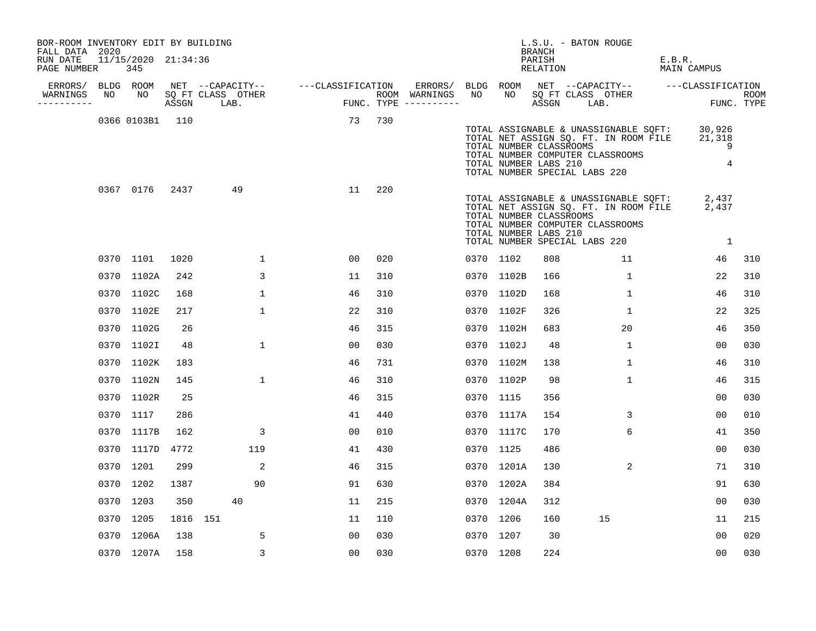| BOR-ROOM INVENTORY EDIT BY BUILDING<br>FALL DATA 2020 |    |                            |          |                   |                                                                                                                    |     |           |            | BRANCH                                           | L.S.U. - BATON ROUGE                                                                                                                                              |                       |                    |
|-------------------------------------------------------|----|----------------------------|----------|-------------------|--------------------------------------------------------------------------------------------------------------------|-----|-----------|------------|--------------------------------------------------|-------------------------------------------------------------------------------------------------------------------------------------------------------------------|-----------------------|--------------------|
| RUN DATE<br>PAGE NUMBER                               |    | 11/15/2020 21:34:36<br>345 |          |                   |                                                                                                                    |     |           |            | PARISH<br>RELATION                               |                                                                                                                                                                   | E.B.R.<br>MAIN CAMPUS |                    |
| ERRORS/                                               |    | BLDG ROOM                  |          |                   |                                                                                                                    |     |           |            |                                                  | ERRORS/ BLDG ROOM NET --CAPACITY-- ----CLASSIFICATION                                                                                                             |                       |                    |
| WARNINGS<br>----------                                | NO | NO                         |          | SQ FT CLASS OTHER | NET --CAPACITY-- ----CLASSIFICATION ERRORS/<br>SQ FT CLASS OTHER ROOM WARNINGS<br>ASSGN LAB. FUNC. TYPE ---------- |     | NO        | NO         | ASSGN LAB.                                       | SQ FT CLASS OTHER                                                                                                                                                 |                       | ROOM<br>FUNC. TYPE |
|                                                       |    | 0366 0103B1 110            |          |                   | 73 730                                                                                                             |     |           |            | TOTAL NUMBER CLASSROOMS<br>TOTAL NUMBER LABS 210 | TOTAL ASSIGNABLE & UNASSIGNABLE SQFT: 30,926<br>TOTAL NET ASSIGN SQ. FT. IN ROOM FILE 21,318<br>TOTAL NUMBER COMPUTER CLASSROOMS<br>TOTAL NUMBER SPECIAL LABS 220 | 9<br>$\overline{4}$   |                    |
|                                                       |    | 0367 0176                  | 2437     | 49                | 11                                                                                                                 | 220 |           |            | TOTAL NUMBER CLASSROOMS<br>TOTAL NUMBER LABS 210 | TOTAL ASSIGNABLE & UNASSIGNABLE SQFT: 2,437<br>TOTAL NET ASSIGN SQ. FT. IN ROOM FILE 2,437<br>TOTAL NUMBER COMPUTER CLASSROOMS<br>TOTAL NUMBER SPECIAL LABS 220   | $\mathbf{1}$          |                    |
|                                                       |    | 0370 1101                  | 1020     | $\mathbf{1}$      | 00                                                                                                                 | 020 | 0370 1102 |            | 808                                              | 11                                                                                                                                                                | 46                    | 310                |
|                                                       |    | 0370 1102A                 | 242      | 3                 | 11                                                                                                                 | 310 |           | 0370 1102B | 166                                              | $\mathbf{1}$                                                                                                                                                      | 22                    | 310                |
|                                                       |    | 0370 1102C                 | 168      | $\mathbf{1}$      | 46                                                                                                                 | 310 |           | 0370 1102D | 168                                              | $\mathbf{1}$                                                                                                                                                      | 46                    | 310                |
|                                                       |    | 0370 1102E                 | 217      | $\mathbf{1}$      | 22                                                                                                                 | 310 |           | 0370 1102F | 326                                              | $\mathbf{1}$                                                                                                                                                      | 22                    | 325                |
|                                                       |    | 0370 1102G                 | 26       |                   | 46                                                                                                                 | 315 |           | 0370 1102H | 683                                              | 20                                                                                                                                                                | 46                    | 350                |
|                                                       |    | 0370 1102I                 | 48       | 1                 | 00                                                                                                                 | 030 |           | 0370 1102J | 48                                               | $\mathbf{1}$                                                                                                                                                      | 00                    | 030                |
|                                                       |    | 0370 1102K                 | 183      |                   | 46                                                                                                                 | 731 |           | 0370 1102M | 138                                              | $\mathbf{1}$                                                                                                                                                      | 46                    | 310                |
|                                                       |    | 0370 1102N                 | 145      | $\mathbf{1}$      | 46                                                                                                                 | 310 |           | 0370 1102P | 98                                               | $\mathbf{1}$                                                                                                                                                      | 46                    | 315                |
|                                                       |    | 0370 1102R                 | 25       |                   | 46                                                                                                                 | 315 | 0370 1115 |            | 356                                              |                                                                                                                                                                   | 00                    | 030                |
|                                                       |    | 0370 1117                  | 286      |                   | 41                                                                                                                 | 440 |           | 0370 1117A | 154                                              | 3                                                                                                                                                                 | 00                    | 010                |
|                                                       |    | 0370 1117B                 | 162      | 3                 | 00                                                                                                                 | 010 |           | 0370 1117C | 170                                              | 6                                                                                                                                                                 | 41                    | 350                |
|                                                       |    | 0370 1117D                 | 4772     | 119               | 41                                                                                                                 | 430 | 0370 1125 |            | 486                                              |                                                                                                                                                                   | 00                    | 030                |
|                                                       |    | 0370 1201                  | 299      | 2                 | 46                                                                                                                 | 315 |           | 0370 1201A | 130                                              | 2                                                                                                                                                                 | 71                    | 310                |
|                                                       |    | 0370 1202                  | 1387     | 90                | 91                                                                                                                 | 630 |           | 0370 1202A | 384                                              |                                                                                                                                                                   | 91                    | 630                |
|                                                       |    | 0370 1203                  | 350      | 40                | 11                                                                                                                 | 215 |           | 0370 1204A | 312                                              |                                                                                                                                                                   | 00                    | 030                |
|                                                       |    | 0370 1205                  | 1816 151 |                   | 11                                                                                                                 | 110 | 0370 1206 |            | 160                                              | 15                                                                                                                                                                | 11                    | 215                |
|                                                       |    | 0370 1206A                 | 138      | 5                 | 00                                                                                                                 | 030 | 0370 1207 |            | 30                                               |                                                                                                                                                                   | 00                    | 020                |
|                                                       |    | 0370 1207A                 | 158      | 3                 | 00                                                                                                                 | 030 | 0370 1208 |            | 224                                              |                                                                                                                                                                   | 00                    | 030                |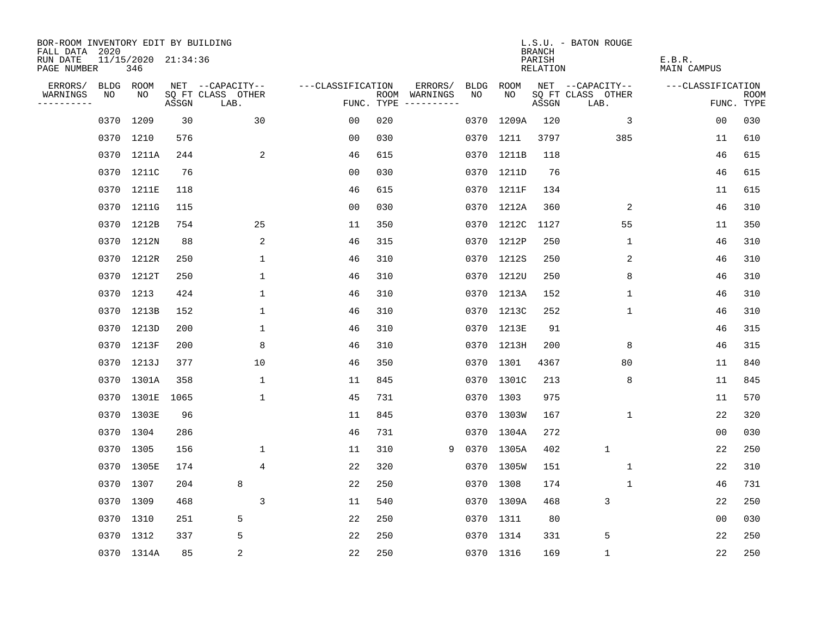| BOR-ROOM INVENTORY EDIT BY BUILDING<br>FALL DATA 2020 |      |                            |       |                           |                   |     |                                      |      |            | <b>BRANCH</b>      | L.S.U. - BATON ROUGE      |                       |                           |
|-------------------------------------------------------|------|----------------------------|-------|---------------------------|-------------------|-----|--------------------------------------|------|------------|--------------------|---------------------------|-----------------------|---------------------------|
| RUN DATE<br>PAGE NUMBER                               |      | 11/15/2020 21:34:36<br>346 |       |                           |                   |     |                                      |      |            | PARISH<br>RELATION |                           | E.B.R.<br>MAIN CAMPUS |                           |
| ERRORS/                                               | BLDG | ROOM                       |       | NET --CAPACITY--          | ---CLASSIFICATION |     | ERRORS/                              | BLDG | ROOM       |                    | NET --CAPACITY--          | ---CLASSIFICATION     |                           |
| WARNINGS<br>----------                                | NO   | NO                         | ASSGN | SQ FT CLASS OTHER<br>LAB. |                   |     | ROOM WARNINGS<br>FUNC. TYPE $------$ | NO.  | NO.        | ASSGN              | SQ FT CLASS OTHER<br>LAB. |                       | <b>ROOM</b><br>FUNC. TYPE |
|                                                       |      | 0370 1209                  | 30    | 30                        | 0 <sub>0</sub>    | 020 |                                      | 0370 | 1209A      | 120                | 3                         | 0 <sub>0</sub>        | 030                       |
|                                                       |      | 0370 1210                  | 576   |                           | 0 <sub>0</sub>    | 030 |                                      |      | 0370 1211  | 3797               | 385                       | 11                    | 610                       |
|                                                       |      | 0370 1211A                 | 244   | 2                         | 46                | 615 |                                      |      | 0370 1211B | 118                |                           | 46                    | 615                       |
|                                                       |      | 0370 1211C                 | 76    |                           | 00                | 030 |                                      |      | 0370 1211D | 76                 |                           | 46                    | 615                       |
|                                                       |      | 0370 1211E                 | 118   |                           | 46                | 615 |                                      |      | 0370 1211F | 134                |                           | 11                    | 615                       |
|                                                       |      | 0370 1211G                 | 115   |                           | 0 <sub>0</sub>    | 030 |                                      |      | 0370 1212A | 360                | 2                         | 46                    | 310                       |
|                                                       |      | 0370 1212B                 | 754   | 25                        | 11                | 350 |                                      |      | 0370 1212C | 1127               | 55                        | 11                    | 350                       |
|                                                       |      | 0370 1212N                 | 88    | 2                         | 46                | 315 |                                      |      | 0370 1212P | 250                | 1                         | 46                    | 310                       |
|                                                       |      | 0370 1212R                 | 250   | $\mathbf{1}$              | 46                | 310 |                                      |      | 0370 1212S | 250                | 2                         | 46                    | 310                       |
|                                                       |      | 0370 1212T                 | 250   | $\mathbf 1$               | 46                | 310 |                                      |      | 0370 1212U | 250                | 8                         | 46                    | 310                       |
|                                                       |      | 0370 1213                  | 424   | 1                         | 46                | 310 |                                      |      | 0370 1213A | 152                | 1                         | 46                    | 310                       |
|                                                       |      | 0370 1213B                 | 152   | $\mathbf 1$               | 46                | 310 |                                      |      | 0370 1213C | 252                | 1                         | 46                    | 310                       |
|                                                       |      | 0370 1213D                 | 200   | 1                         | 46                | 310 |                                      |      | 0370 1213E | 91                 |                           | 46                    | 315                       |
|                                                       |      | 0370 1213F                 | 200   | 8                         | 46                | 310 |                                      |      | 0370 1213H | 200                | 8                         | 46                    | 315                       |
|                                                       |      | 0370 1213J                 | 377   | 10                        | 46                | 350 |                                      |      | 0370 1301  | 4367               | 80                        | 11                    | 840                       |
|                                                       |      | 0370 1301A                 | 358   | 1                         | 11                | 845 |                                      |      | 0370 1301C | 213                | 8                         | 11                    | 845                       |
|                                                       | 0370 | 1301E                      | 1065  | $\mathbf{1}$              | 45                | 731 |                                      |      | 0370 1303  | 975                |                           | 11                    | 570                       |
|                                                       |      | 0370 1303E                 | 96    |                           | 11                | 845 |                                      |      | 0370 1303W | 167                | 1                         | 22                    | 320                       |
|                                                       |      | 0370 1304                  | 286   |                           | 46                | 731 |                                      |      | 0370 1304A | 272                |                           | 0 <sub>0</sub>        | 030                       |
|                                                       |      | 0370 1305                  | 156   | $\mathbf{1}$              | 11                | 310 | 9                                    |      | 0370 1305A | 402                | $\mathbf{1}$              | 22                    | 250                       |
|                                                       |      | 0370 1305E                 | 174   | 4                         | 22                | 320 |                                      |      | 0370 1305W | 151                | 1                         | 22                    | 310                       |
|                                                       |      | 0370 1307                  | 204   | 8                         | 22                | 250 |                                      |      | 0370 1308  | 174                | 1                         | 46                    | 731                       |
|                                                       |      | 0370 1309                  | 468   | 3                         | 11                | 540 |                                      |      | 0370 1309A | 468                | 3                         | 22                    | 250                       |
|                                                       |      | 0370 1310                  | 251   | 5                         | 22                | 250 |                                      |      | 0370 1311  | 80                 |                           | 0 <sub>0</sub>        | 030                       |
|                                                       |      | 0370 1312                  | 337   | 5                         | 22                | 250 |                                      |      | 0370 1314  | 331                | 5                         | 22                    | 250                       |
|                                                       |      | 0370 1314A                 | 85    | 2                         | 22                | 250 |                                      |      | 0370 1316  | 169                | $\mathbf{1}$              | 22                    | 250                       |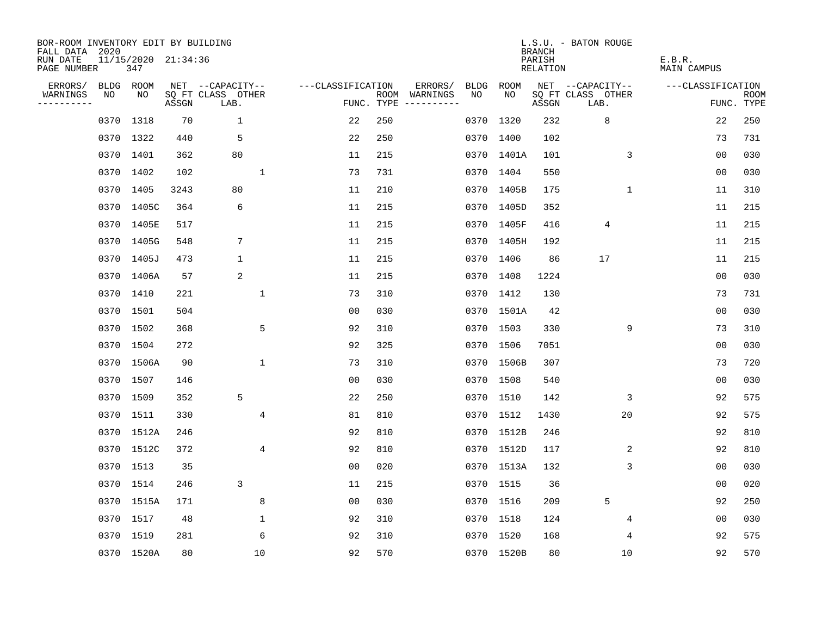| BOR-ROOM INVENTORY EDIT BY BUILDING       |      |                            |       |                           |                |                   |     |                                      |             |            | <b>BRANCH</b>      | L.S.U. - BATON ROUGE      |                       |                           |
|-------------------------------------------|------|----------------------------|-------|---------------------------|----------------|-------------------|-----|--------------------------------------|-------------|------------|--------------------|---------------------------|-----------------------|---------------------------|
| FALL DATA 2020<br>RUN DATE<br>PAGE NUMBER |      | 11/15/2020 21:34:36<br>347 |       |                           |                |                   |     |                                      |             |            | PARISH<br>RELATION |                           | E.B.R.<br>MAIN CAMPUS |                           |
| ERRORS/                                   |      | BLDG ROOM                  |       | NET --CAPACITY--          |                | ---CLASSIFICATION |     | ERRORS/                              | <b>BLDG</b> | ROOM       |                    | NET --CAPACITY--          | ---CLASSIFICATION     |                           |
| WARNINGS<br>----------                    | NO   | NO                         | ASSGN | SQ FT CLASS OTHER<br>LAB. |                |                   |     | ROOM WARNINGS<br>FUNC. TYPE $------$ | NO.         | NO.        | ASSGN              | SQ FT CLASS OTHER<br>LAB. |                       | <b>ROOM</b><br>FUNC. TYPE |
|                                           | 0370 | 1318                       | 70    | $\mathbf 1$               |                | 22                | 250 |                                      |             | 0370 1320  | 232                | 8                         | 22                    | 250                       |
|                                           |      | 0370 1322                  | 440   | 5                         |                | 22                | 250 |                                      |             | 0370 1400  | 102                |                           | 73                    | 731                       |
|                                           | 0370 | 1401                       | 362   | 80                        |                | 11                | 215 |                                      |             | 0370 1401A | 101                | 3                         | 0 <sub>0</sub>        | 030                       |
|                                           |      | 0370 1402                  | 102   |                           | $\mathbf{1}$   | 73                | 731 |                                      |             | 0370 1404  | 550                |                           | 00                    | 030                       |
|                                           | 0370 | 1405                       | 3243  | 80                        |                | 11                | 210 |                                      |             | 0370 1405B | 175                | 1                         | 11                    | 310                       |
|                                           |      | 0370 1405C                 | 364   | 6                         |                | 11                | 215 |                                      |             | 0370 1405D | 352                |                           | 11                    | 215                       |
|                                           | 0370 | 1405E                      | 517   |                           |                | 11                | 215 |                                      |             | 0370 1405F | 416                | 4                         | 11                    | 215                       |
|                                           |      | 0370 1405G                 | 548   | $\overline{7}$            |                | 11                | 215 |                                      |             | 0370 1405H | 192                |                           | 11                    | 215                       |
|                                           | 0370 | 1405J                      | 473   | $\mathbf 1$               |                | 11                | 215 |                                      |             | 0370 1406  | 86                 | 17                        | 11                    | 215                       |
|                                           |      | 0370 1406A                 | 57    | 2                         |                | 11                | 215 |                                      |             | 0370 1408  | 1224               |                           | 0 <sub>0</sub>        | 030                       |
|                                           |      | 0370 1410                  | 221   |                           | 1              | 73                | 310 |                                      |             | 0370 1412  | 130                |                           | 73                    | 731                       |
|                                           |      | 0370 1501                  | 504   |                           |                | 0 <sub>0</sub>    | 030 |                                      |             | 0370 1501A | 42                 |                           | 0 <sub>0</sub>        | 030                       |
|                                           |      | 0370 1502                  | 368   |                           | 5              | 92                | 310 |                                      |             | 0370 1503  | 330                | 9                         | 73                    | 310                       |
|                                           |      | 0370 1504                  | 272   |                           |                | 92                | 325 |                                      |             | 0370 1506  | 7051               |                           | 0 <sub>0</sub>        | 030                       |
|                                           |      | 0370 1506A                 | 90    |                           | $\mathbf{1}$   | 73                | 310 |                                      |             | 0370 1506B | 307                |                           | 73                    | 720                       |
|                                           |      | 0370 1507                  | 146   |                           |                | 00                | 030 |                                      |             | 0370 1508  | 540                |                           | 0 <sub>0</sub>        | 030                       |
|                                           | 0370 | 1509                       | 352   | 5                         |                | 22                | 250 |                                      |             | 0370 1510  | 142                | 3                         | 92                    | 575                       |
|                                           | 0370 | 1511                       | 330   |                           | 4              | 81                | 810 |                                      |             | 0370 1512  | 1430               | 20                        | 92                    | 575                       |
|                                           |      | 0370 1512A                 | 246   |                           |                | 92                | 810 |                                      |             | 0370 1512B | 246                |                           | 92                    | 810                       |
|                                           | 0370 | 1512C                      | 372   |                           | $\overline{4}$ | 92                | 810 |                                      |             | 0370 1512D | 117                | 2                         | 92                    | 810                       |
|                                           |      | 0370 1513                  | 35    |                           |                | 0 <sub>0</sub>    | 020 |                                      |             | 0370 1513A | 132                | 3                         | 0 <sub>0</sub>        | 030                       |
|                                           | 0370 | 1514                       | 246   | 3                         |                | 11                | 215 |                                      |             | 0370 1515  | 36                 |                           | 00                    | 020                       |
|                                           |      | 0370 1515A                 | 171   |                           | 8              | 0 <sub>0</sub>    | 030 |                                      |             | 0370 1516  | 209                | 5                         | 92                    | 250                       |
|                                           | 0370 | 1517                       | 48    |                           | $\mathbf 1$    | 92                | 310 |                                      |             | 0370 1518  | 124                | 4                         | 0 <sub>0</sub>        | 030                       |
|                                           |      | 0370 1519                  | 281   |                           | 6              | 92                | 310 |                                      |             | 0370 1520  | 168                | 4                         | 92                    | 575                       |
|                                           |      | 0370 1520A                 | 80    |                           | 10             | 92                | 570 |                                      |             | 0370 1520B | 80                 | 10                        | 92                    | 570                       |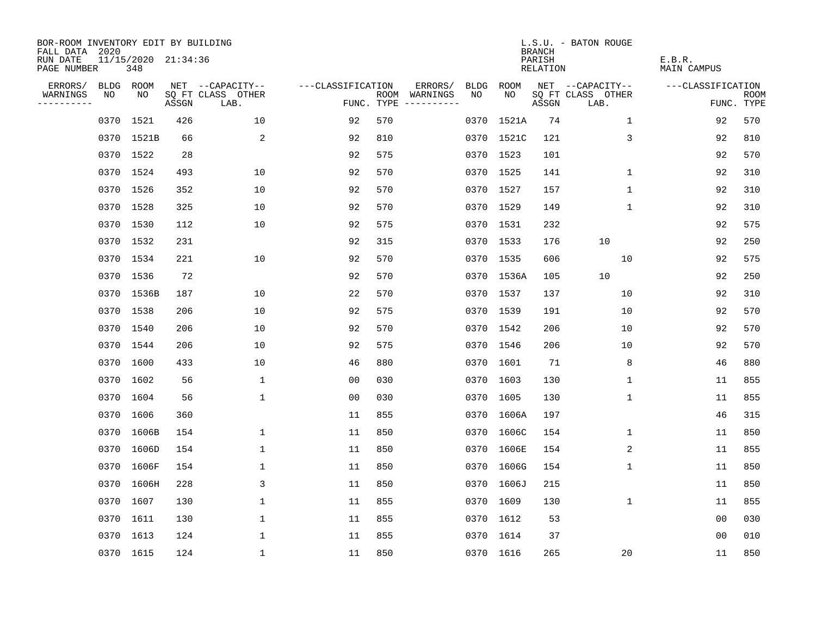| BOR-ROOM INVENTORY EDIT BY BUILDING<br>FALL DATA 2020 |      |                            |       |                           |                   |      |                                 |      |            | <b>BRANCH</b>      | L.S.U. - BATON ROUGE      |              |                       |                           |
|-------------------------------------------------------|------|----------------------------|-------|---------------------------|-------------------|------|---------------------------------|------|------------|--------------------|---------------------------|--------------|-----------------------|---------------------------|
| RUN DATE<br>PAGE NUMBER                               |      | 11/15/2020 21:34:36<br>348 |       |                           |                   |      |                                 |      |            | PARISH<br>RELATION |                           |              | E.B.R.<br>MAIN CAMPUS |                           |
| ERRORS/                                               |      | BLDG ROOM                  |       | NET --CAPACITY--          | ---CLASSIFICATION |      | ERRORS/                         | BLDG | ROOM       |                    | NET --CAPACITY--          |              | ---CLASSIFICATION     |                           |
| WARNINGS<br>----------                                | NO   | NO                         | ASSGN | SQ FT CLASS OTHER<br>LAB. |                   | ROOM | WARNINGS<br>FUNC. TYPE $------$ | NO.  | NO.        | ASSGN              | SQ FT CLASS OTHER<br>LAB. |              |                       | <b>ROOM</b><br>FUNC. TYPE |
|                                                       | 0370 | 1521                       | 426   | 10                        | 92                | 570  |                                 |      | 0370 1521A | 74                 |                           | $\mathbf{1}$ | 92                    | 570                       |
|                                                       |      | 0370 1521B                 | 66    | 2                         | 92                | 810  |                                 |      | 0370 1521C | 121                |                           | 3            | 92                    | 810                       |
|                                                       |      | 0370 1522                  | 28    |                           | 92                | 575  |                                 |      | 0370 1523  | 101                |                           |              | 92                    | 570                       |
|                                                       |      | 0370 1524                  | 493   | 10                        | 92                | 570  |                                 |      | 0370 1525  | 141                |                           | 1            | 92                    | 310                       |
|                                                       |      | 0370 1526                  | 352   | 10                        | 92                | 570  |                                 |      | 0370 1527  | 157                |                           | $\mathbf 1$  | 92                    | 310                       |
|                                                       |      | 0370 1528                  | 325   | 10                        | 92                | 570  |                                 |      | 0370 1529  | 149                |                           | $\mathbf{1}$ | 92                    | 310                       |
|                                                       |      | 0370 1530                  | 112   | 10                        | 92                | 575  |                                 |      | 0370 1531  | 232                |                           |              | 92                    | 575                       |
|                                                       |      | 0370 1532                  | 231   |                           | 92                | 315  |                                 |      | 0370 1533  | 176                | 10                        |              | 92                    | 250                       |
|                                                       |      | 0370 1534                  | 221   | 10                        | 92                | 570  |                                 |      | 0370 1535  | 606                |                           | 10           | 92                    | 575                       |
|                                                       |      | 0370 1536                  | 72    |                           | 92                | 570  |                                 |      | 0370 1536A | 105                | 10                        |              | 92                    | 250                       |
|                                                       |      | 0370 1536B                 | 187   | 10                        | 22                | 570  |                                 |      | 0370 1537  | 137                |                           | 10           | 92                    | 310                       |
|                                                       |      | 0370 1538                  | 206   | 10                        | 92                | 575  |                                 |      | 0370 1539  | 191                |                           | 10           | 92                    | 570                       |
|                                                       | 0370 | 1540                       | 206   | 10                        | 92                | 570  |                                 |      | 0370 1542  | 206                |                           | 10           | 92                    | 570                       |
|                                                       | 0370 | 1544                       | 206   | 10                        | 92                | 575  |                                 |      | 0370 1546  | 206                |                           | 10           | 92                    | 570                       |
|                                                       | 0370 | 1600                       | 433   | 10                        | 46                | 880  |                                 |      | 0370 1601  | 71                 |                           | 8            | 46                    | 880                       |
|                                                       | 0370 | 1602                       | 56    | 1                         | 0 <sub>0</sub>    | 030  |                                 |      | 0370 1603  | 130                |                           | 1            | 11                    | 855                       |
|                                                       |      | 0370 1604                  | 56    | $\mathbf{1}$              | 0 <sub>0</sub>    | 030  |                                 |      | 0370 1605  | 130                |                           | 1            | 11                    | 855                       |
|                                                       | 0370 | 1606                       | 360   |                           | 11                | 855  |                                 |      | 0370 1606A | 197                |                           |              | 46                    | 315                       |
|                                                       |      | 0370 1606B                 | 154   | 1                         | 11                | 850  |                                 |      | 0370 1606C | 154                |                           | 1            | 11                    | 850                       |
|                                                       | 0370 | 1606D                      | 154   | $\mathbf 1$               | 11                | 850  |                                 |      | 0370 1606E | 154                |                           | 2            | 11                    | 855                       |
|                                                       |      | 0370 1606F                 | 154   | 1                         | 11                | 850  |                                 |      | 0370 1606G | 154                |                           | 1            | 11                    | 850                       |
|                                                       | 0370 | 1606H                      | 228   | 3                         | 11                | 850  |                                 |      | 0370 1606J | 215                |                           |              | 11                    | 850                       |
|                                                       |      | 0370 1607                  | 130   | 1                         | 11                | 855  |                                 |      | 0370 1609  | 130                |                           | 1            | 11                    | 855                       |
|                                                       | 0370 | 1611                       | 130   | $\mathbf 1$               | 11                | 855  |                                 |      | 0370 1612  | 53                 |                           |              | 00                    | 030                       |
|                                                       |      | 0370 1613                  | 124   | $\mathbf{1}$              | 11                | 855  |                                 |      | 0370 1614  | 37                 |                           |              | 0 <sub>0</sub>        | 010                       |
|                                                       |      | 0370 1615                  | 124   | $\mathbf 1$               | 11                | 850  |                                 |      | 0370 1616  | 265                |                           | 20           | 11                    | 850                       |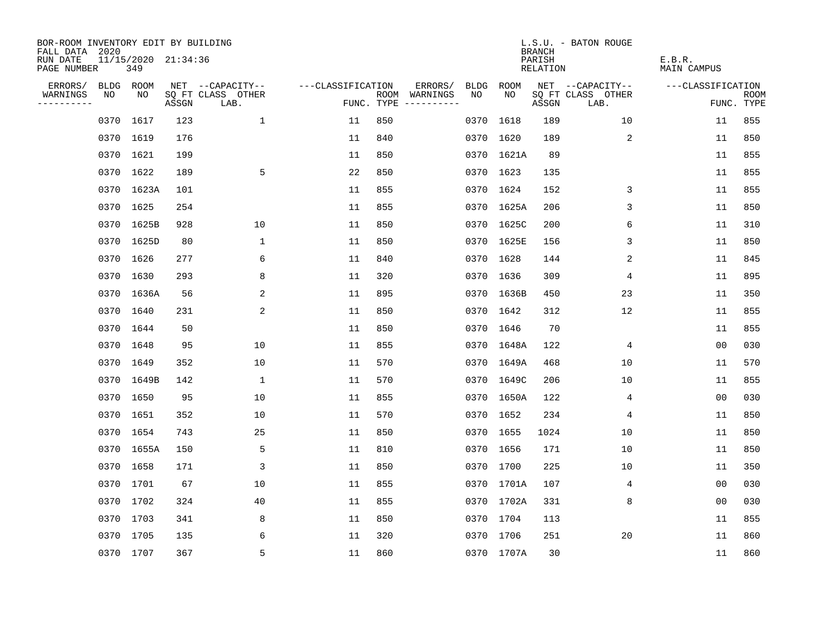| BOR-ROOM INVENTORY EDIT BY BUILDING<br>FALL DATA 2020 |      |                            |       |                           |                   |     |                                      |      |             | <b>BRANCH</b>      | L.S.U. - BATON ROUGE      |                       |                           |
|-------------------------------------------------------|------|----------------------------|-------|---------------------------|-------------------|-----|--------------------------------------|------|-------------|--------------------|---------------------------|-----------------------|---------------------------|
| RUN DATE<br>PAGE NUMBER                               |      | 11/15/2020 21:34:36<br>349 |       |                           |                   |     |                                      |      |             | PARISH<br>RELATION |                           | E.B.R.<br>MAIN CAMPUS |                           |
| ERRORS/                                               |      | BLDG ROOM                  |       | NET --CAPACITY--          | ---CLASSIFICATION |     | ERRORS/                              | BLDG | <b>ROOM</b> |                    | NET --CAPACITY--          | ---CLASSIFICATION     |                           |
| WARNINGS<br>----------                                | NO   | NO                         | ASSGN | SQ FT CLASS OTHER<br>LAB. |                   |     | ROOM WARNINGS<br>FUNC. TYPE $------$ | NO.  | NO.         | ASSGN              | SQ FT CLASS OTHER<br>LAB. |                       | <b>ROOM</b><br>FUNC. TYPE |
|                                                       | 0370 | 1617                       | 123   | $\mathbf{1}$              | 11                | 850 |                                      |      | 0370 1618   | 189                | 10                        | 11                    | 855                       |
|                                                       |      | 0370 1619                  | 176   |                           | 11                | 840 |                                      |      | 0370 1620   | 189                | 2                         | 11                    | 850                       |
|                                                       |      | 0370 1621                  | 199   |                           | 11                | 850 |                                      |      | 0370 1621A  | 89                 |                           | 11                    | 855                       |
|                                                       |      | 0370 1622                  | 189   | 5                         | 22                | 850 |                                      |      | 0370 1623   | 135                |                           | 11                    | 855                       |
|                                                       | 0370 | 1623A                      | 101   |                           | 11                | 855 |                                      |      | 0370 1624   | 152                | 3                         | 11                    | 855                       |
|                                                       |      | 0370 1625                  | 254   |                           | 11                | 855 |                                      |      | 0370 1625A  | 206                | 3                         | 11                    | 850                       |
|                                                       | 0370 | 1625B                      | 928   | 10                        | 11                | 850 |                                      |      | 0370 1625C  | 200                | 6                         | 11                    | 310                       |
|                                                       |      | 0370 1625D                 | 80    | $\mathbf 1$               | 11                | 850 |                                      |      | 0370 1625E  | 156                | 3                         | 11                    | 850                       |
|                                                       |      | 0370 1626                  | 277   | 6                         | 11                | 840 |                                      |      | 0370 1628   | 144                | 2                         | 11                    | 845                       |
|                                                       |      | 0370 1630                  | 293   | 8                         | 11                | 320 |                                      |      | 0370 1636   | 309                | 4                         | 11                    | 895                       |
|                                                       |      | 0370 1636A                 | 56    | 2                         | 11                | 895 |                                      |      | 0370 1636B  | 450                | 23                        | 11                    | 350                       |
|                                                       |      | 0370 1640                  | 231   | 2                         | 11                | 850 |                                      |      | 0370 1642   | 312                | 12                        | 11                    | 855                       |
|                                                       | 0370 | 1644                       | 50    |                           | 11                | 850 |                                      |      | 0370 1646   | 70                 |                           | 11                    | 855                       |
|                                                       |      | 0370 1648                  | 95    | 10                        | 11                | 855 |                                      |      | 0370 1648A  | 122                | 4                         | 0 <sub>0</sub>        | 030                       |
|                                                       | 0370 | 1649                       | 352   | 10                        | 11                | 570 |                                      |      | 0370 1649A  | 468                | 10                        | 11                    | 570                       |
|                                                       | 0370 | 1649B                      | 142   | 1                         | 11                | 570 |                                      |      | 0370 1649C  | 206                | 10                        | 11                    | 855                       |
|                                                       | 0370 | 1650                       | 95    | 10                        | 11                | 855 |                                      |      | 0370 1650A  | 122                | 4                         | 0 <sub>0</sub>        | 030                       |
|                                                       | 0370 | 1651                       | 352   | 10                        | 11                | 570 |                                      |      | 0370 1652   | 234                | 4                         | 11                    | 850                       |
|                                                       |      | 0370 1654                  | 743   | 25                        | 11                | 850 |                                      |      | 0370 1655   | 1024               | 10                        | 11                    | 850                       |
|                                                       | 0370 | 1655A                      | 150   | 5                         | 11                | 810 |                                      |      | 0370 1656   | 171                | 10                        | 11                    | 850                       |
|                                                       |      | 0370 1658                  | 171   | 3                         | 11                | 850 |                                      |      | 0370 1700   | 225                | 10                        | 11                    | 350                       |
|                                                       | 0370 | 1701                       | 67    | 10                        | 11                | 855 |                                      |      | 0370 1701A  | 107                | 4                         | 0 <sub>0</sub>        | 030                       |
|                                                       |      | 0370 1702                  | 324   | 40                        | 11                | 855 |                                      |      | 0370 1702A  | 331                | 8                         | 0 <sub>0</sub>        | 030                       |
|                                                       |      | 0370 1703                  | 341   | 8                         | 11                | 850 |                                      |      | 0370 1704   | 113                |                           | 11                    | 855                       |
|                                                       |      | 0370 1705                  | 135   | 6                         | 11                | 320 |                                      |      | 0370 1706   | 251                | 20                        | 11                    | 860                       |
|                                                       |      | 0370 1707                  | 367   | 5                         | 11                | 860 |                                      |      | 0370 1707A  | 30                 |                           | 11                    | 860                       |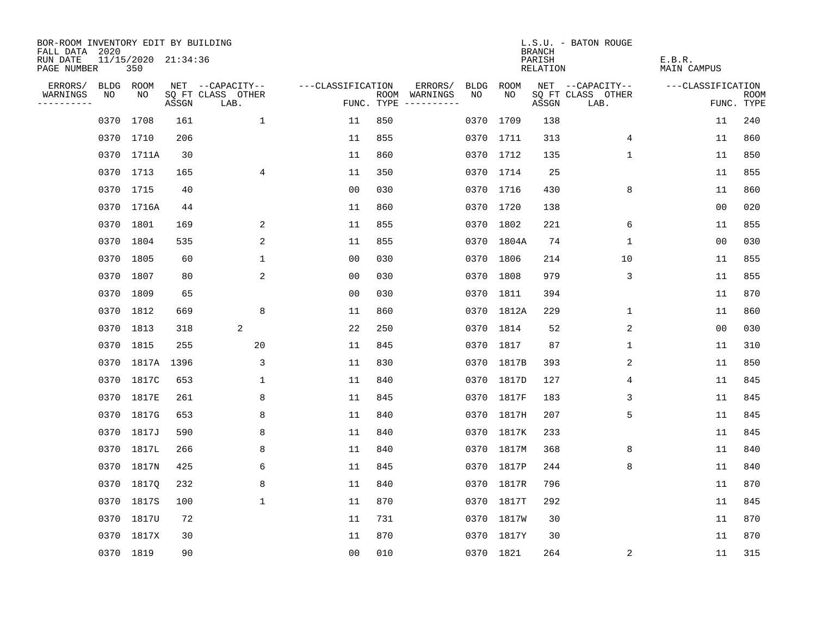| BOR-ROOM INVENTORY EDIT BY BUILDING       |      |                            |       |                           |                   |     |                                      |             |            | <b>BRANCH</b>      | L.S.U. - BATON ROUGE      |                       |                           |
|-------------------------------------------|------|----------------------------|-------|---------------------------|-------------------|-----|--------------------------------------|-------------|------------|--------------------|---------------------------|-----------------------|---------------------------|
| FALL DATA 2020<br>RUN DATE<br>PAGE NUMBER |      | 11/15/2020 21:34:36<br>350 |       |                           |                   |     |                                      |             |            | PARISH<br>RELATION |                           | E.B.R.<br>MAIN CAMPUS |                           |
| ERRORS/                                   |      | BLDG ROOM                  |       | NET --CAPACITY--          | ---CLASSIFICATION |     | ERRORS/                              | <b>BLDG</b> | ROOM       |                    | NET --CAPACITY--          | ---CLASSIFICATION     |                           |
| WARNINGS<br>----------                    | NO   | NO                         | ASSGN | SQ FT CLASS OTHER<br>LAB. |                   |     | ROOM WARNINGS<br>FUNC. TYPE $------$ | NO.         | NO.        | ASSGN              | SQ FT CLASS OTHER<br>LAB. |                       | <b>ROOM</b><br>FUNC. TYPE |
|                                           | 0370 | 1708                       | 161   | $\mathbf{1}$              | 11                | 850 |                                      |             | 0370 1709  | 138                |                           | 11                    | 240                       |
|                                           |      | 0370 1710                  | 206   |                           | 11                | 855 |                                      |             | 0370 1711  | 313                | 4                         | 11                    | 860                       |
|                                           |      | 0370 1711A                 | 30    |                           | 11                | 860 |                                      |             | 0370 1712  | 135                | $\mathbf 1$               | 11                    | 850                       |
|                                           |      | 0370 1713                  | 165   | 4                         | 11                | 350 |                                      |             | 0370 1714  | 25                 |                           | 11                    | 855                       |
|                                           |      | 0370 1715                  | 40    |                           | 0 <sub>0</sub>    | 030 |                                      |             | 0370 1716  | 430                | 8                         | 11                    | 860                       |
|                                           |      | 0370 1716A                 | 44    |                           | 11                | 860 |                                      |             | 0370 1720  | 138                |                           | 0 <sub>0</sub>        | 020                       |
|                                           |      | 0370 1801                  | 169   | 2                         | 11                | 855 |                                      |             | 0370 1802  | 221                | 6                         | 11                    | 855                       |
|                                           |      | 0370 1804                  | 535   | 2                         | 11                | 855 |                                      |             | 0370 1804A | 74                 | 1                         | 00                    | 030                       |
|                                           | 0370 | 1805                       | 60    | $\mathbf{1}$              | 0 <sub>0</sub>    | 030 |                                      |             | 0370 1806  | 214                | 10                        | 11                    | 855                       |
|                                           |      | 0370 1807                  | 80    | 2                         | 0 <sub>0</sub>    | 030 |                                      |             | 0370 1808  | 979                | 3                         | 11                    | 855                       |
|                                           |      | 0370 1809                  | 65    |                           | 0 <sub>0</sub>    | 030 |                                      |             | 0370 1811  | 394                |                           | 11                    | 870                       |
|                                           |      | 0370 1812                  | 669   | 8                         | 11                | 860 |                                      |             | 0370 1812A | 229                | 1                         | 11                    | 860                       |
|                                           |      | 0370 1813                  | 318   | 2                         | 22                | 250 |                                      |             | 0370 1814  | 52                 | 2                         | 0 <sub>0</sub>        | 030                       |
|                                           |      | 0370 1815                  | 255   | 20                        | 11                | 845 |                                      |             | 0370 1817  | 87                 | $\mathbf 1$               | 11                    | 310                       |
|                                           | 0370 | 1817A                      | 1396  | 3                         | 11                | 830 |                                      |             | 0370 1817B | 393                | 2                         | 11                    | 850                       |
|                                           | 0370 | 1817C                      | 653   | 1                         | 11                | 840 |                                      |             | 0370 1817D | 127                | 4                         | 11                    | 845                       |
|                                           | 0370 | 1817E                      | 261   | 8                         | 11                | 845 |                                      |             | 0370 1817F | 183                | 3                         | 11                    | 845                       |
|                                           | 0370 | 1817G                      | 653   | 8                         | 11                | 840 |                                      |             | 0370 1817H | 207                | 5                         | 11                    | 845                       |
|                                           | 0370 | 1817J                      | 590   | 8                         | 11                | 840 |                                      |             | 0370 1817K | 233                |                           | 11                    | 845                       |
|                                           | 0370 | 1817L                      | 266   | 8                         | 11                | 840 |                                      |             | 0370 1817M | 368                | 8                         | 11                    | 840                       |
|                                           |      | 0370 1817N                 | 425   | 6                         | 11                | 845 |                                      |             | 0370 1817P | 244                | 8                         | 11                    | 840                       |
|                                           | 0370 | 1817Q                      | 232   | 8                         | 11                | 840 |                                      |             | 0370 1817R | 796                |                           | 11                    | 870                       |
|                                           | 0370 | 1817S                      | 100   | $\mathbf{1}$              | 11                | 870 |                                      |             | 0370 1817T | 292                |                           | 11                    | 845                       |
|                                           | 0370 | 1817U                      | 72    |                           | 11                | 731 |                                      |             | 0370 1817W | 30                 |                           | 11                    | 870                       |
|                                           |      | 0370 1817X                 | 30    |                           | 11                | 870 |                                      |             | 0370 1817Y | 30                 |                           | 11                    | 870                       |
|                                           |      | 0370 1819                  | 90    |                           | 0 <sub>0</sub>    | 010 |                                      |             | 0370 1821  | 264                | 2                         | 11                    | 315                       |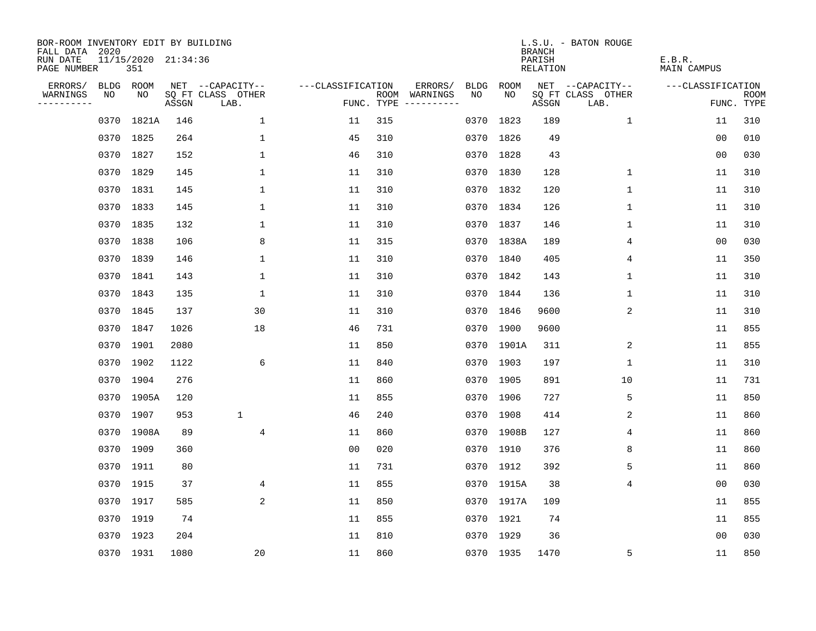| BOR-ROOM INVENTORY EDIT BY BUILDING<br>FALL DATA 2020 |           |                            |       |                           |                   |     |                                      |      |            | <b>BRANCH</b>             | L.S.U. - BATON ROUGE      |                              |                           |
|-------------------------------------------------------|-----------|----------------------------|-------|---------------------------|-------------------|-----|--------------------------------------|------|------------|---------------------------|---------------------------|------------------------------|---------------------------|
| RUN DATE<br>PAGE NUMBER                               |           | 11/15/2020 21:34:36<br>351 |       |                           |                   |     |                                      |      |            | PARISH<br><b>RELATION</b> |                           | E.B.R.<br><b>MAIN CAMPUS</b> |                           |
| ERRORS/                                               |           | BLDG ROOM                  |       | NET --CAPACITY--          | ---CLASSIFICATION |     | ERRORS/                              | BLDG | ROOM       |                           | NET --CAPACITY--          | ---CLASSIFICATION            |                           |
| WARNINGS<br>----------                                | NO        | NO                         | ASSGN | SQ FT CLASS OTHER<br>LAB. |                   |     | ROOM WARNINGS<br>FUNC. TYPE $------$ | NO.  | NO.        | ASSGN                     | SQ FT CLASS OTHER<br>LAB. |                              | <b>ROOM</b><br>FUNC. TYPE |
|                                                       | 0370      | 1821A                      | 146   | $\mathbf 1$               | 11                | 315 |                                      | 0370 | 1823       | 189                       | $\mathbf 1$               | 11                           | 310                       |
|                                                       |           | 0370 1825                  | 264   | 1                         | 45                | 310 |                                      |      | 0370 1826  | 49                        |                           | 0 <sub>0</sub>               | 010                       |
|                                                       |           | 0370 1827                  | 152   | $\mathbf{1}$              | 46                | 310 |                                      |      | 0370 1828  | 43                        |                           | 0 <sub>0</sub>               | 030                       |
|                                                       |           | 0370 1829                  | 145   | $\mathbf 1$               | 11                | 310 |                                      |      | 0370 1830  | 128                       | $\mathbf 1$               | 11                           | 310                       |
|                                                       |           | 0370 1831                  | 145   | $\mathbf 1$               | 11                | 310 |                                      |      | 0370 1832  | 120                       | $\mathbf 1$               | 11                           | 310                       |
|                                                       |           | 0370 1833                  | 145   | $\mathbf{1}$              | 11                | 310 |                                      |      | 0370 1834  | 126                       | 1                         | 11                           | 310                       |
|                                                       |           | 0370 1835                  | 132   | $\mathbf 1$               | 11                | 310 |                                      |      | 0370 1837  | 146                       | 1                         | 11                           | 310                       |
|                                                       |           | 0370 1838                  | 106   | 8                         | 11                | 315 |                                      |      | 0370 1838A | 189                       | 4                         | 0 <sub>0</sub>               | 030                       |
|                                                       |           | 0370 1839                  | 146   | $\mathbf{1}$              | 11                | 310 |                                      |      | 0370 1840  | 405                       | 4                         | 11                           | 350                       |
|                                                       |           | 0370 1841                  | 143   | $\mathbf 1$               | 11                | 310 |                                      |      | 0370 1842  | 143                       | 1                         | 11                           | 310                       |
|                                                       |           | 0370 1843                  | 135   | $\mathbf{1}$              | 11                | 310 |                                      |      | 0370 1844  | 136                       | $\mathbf{1}$              | 11                           | 310                       |
|                                                       |           | 0370 1845                  | 137   | 30                        | 11                | 310 |                                      |      | 0370 1846  | 9600                      | 2                         | 11                           | 310                       |
|                                                       |           | 0370 1847                  | 1026  | 18                        | 46                | 731 |                                      |      | 0370 1900  | 9600                      |                           | 11                           | 855                       |
|                                                       |           | 0370 1901                  | 2080  |                           | 11                | 850 |                                      |      | 0370 1901A | 311                       | 2                         | 11                           | 855                       |
|                                                       |           | 0370 1902                  | 1122  | 6                         | 11                | 840 |                                      |      | 0370 1903  | 197                       | $\mathbf 1$               | 11                           | 310                       |
|                                                       |           | 0370 1904                  | 276   |                           | 11                | 860 |                                      |      | 0370 1905  | 891                       | 10                        | 11                           | 731                       |
|                                                       |           | 0370 1905A                 | 120   |                           | 11                | 855 |                                      |      | 0370 1906  | 727                       | 5                         | 11                           | 850                       |
|                                                       |           | 0370 1907                  | 953   | $\mathbf 1$               | 46                | 240 |                                      |      | 0370 1908  | 414                       | 2                         | 11                           | 860                       |
|                                                       |           | 0370 1908A                 | 89    | $\overline{4}$            | 11                | 860 |                                      |      | 0370 1908B | 127                       | 4                         | 11                           | 860                       |
|                                                       |           | 0370 1909                  | 360   |                           | 0 <sub>0</sub>    | 020 |                                      |      | 0370 1910  | 376                       | 8                         | 11                           | 860                       |
|                                                       | 0370 1911 |                            | 80    |                           | 11                | 731 |                                      |      | 0370 1912  | 392                       | 5                         | 11                           | 860                       |
|                                                       |           | 0370 1915                  | 37    | 4                         | 11                | 855 |                                      |      | 0370 1915A | 38                        | $\overline{4}$            | 0 <sub>0</sub>               | 030                       |
|                                                       |           | 0370 1917                  | 585   | 2                         | 11                | 850 |                                      |      | 0370 1917A | 109                       |                           | 11                           | 855                       |
|                                                       |           | 0370 1919                  | 74    |                           | 11                | 855 |                                      |      | 0370 1921  | 74                        |                           | 11                           | 855                       |
|                                                       |           | 0370 1923                  | 204   |                           | 11                | 810 |                                      |      | 0370 1929  | 36                        |                           | 00                           | 030                       |
|                                                       |           | 0370 1931                  | 1080  | 20                        | 11                | 860 |                                      |      | 0370 1935  | 1470                      | 5                         | 11                           | 850                       |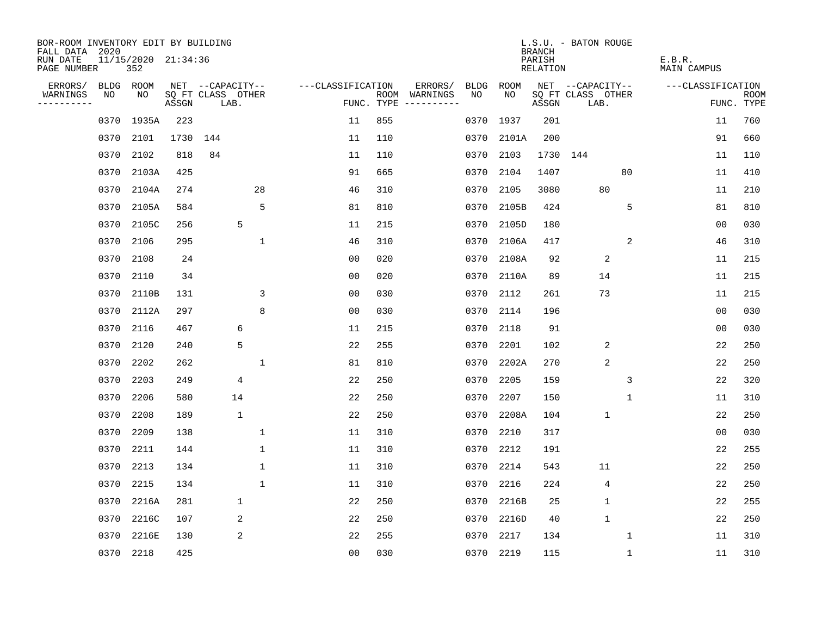| BOR-ROOM INVENTORY EDIT BY BUILDING<br>FALL DATA 2020 |           |                            |       |                           |                  |                   |            |                              |      |           | <b>BRANCH</b>             | L.S.U. - BATON ROUGE      |    |                              |                |                           |
|-------------------------------------------------------|-----------|----------------------------|-------|---------------------------|------------------|-------------------|------------|------------------------------|------|-----------|---------------------------|---------------------------|----|------------------------------|----------------|---------------------------|
| RUN DATE<br>PAGE NUMBER                               |           | 11/15/2020 21:34:36<br>352 |       |                           |                  |                   |            |                              |      |           | PARISH<br><b>RELATION</b> |                           |    | E.B.R.<br><b>MAIN CAMPUS</b> |                |                           |
| ERRORS/                                               | BLDG      | ROOM                       |       |                           | NET --CAPACITY-- | ---CLASSIFICATION |            | ERRORS/                      | BLDG | ROOM      |                           | NET --CAPACITY--          |    | ---CLASSIFICATION            |                |                           |
| WARNINGS<br>----------                                | NO        | NO                         | ASSGN | SQ FT CLASS OTHER<br>LAB. |                  |                   | FUNC. TYPE | ROOM WARNINGS<br>----------- | NO.  | NO.       | ASSGN                     | SQ FT CLASS OTHER<br>LAB. |    |                              |                | <b>ROOM</b><br>FUNC. TYPE |
|                                                       | 0370      | 1935A                      | 223   |                           |                  | 11                | 855        |                              | 0370 | 1937      | 201                       |                           |    |                              | 11             | 760                       |
|                                                       | 0370      | 2101                       | 1730  | 144                       |                  | 11                | 110        |                              | 0370 | 2101A     | 200                       |                           |    |                              | 91             | 660                       |
|                                                       | 0370      | 2102                       | 818   | 84                        |                  | 11                | 110        |                              | 0370 | 2103      | 1730 144                  |                           |    |                              | 11             | 110                       |
|                                                       | 0370      | 2103A                      | 425   |                           |                  | 91                | 665        |                              | 0370 | 2104      | 1407                      |                           | 80 |                              | 11             | 410                       |
|                                                       | 0370      | 2104A                      | 274   |                           | 28               | 46                | 310        |                              | 0370 | 2105      | 3080                      | 80                        |    |                              | 11             | 210                       |
|                                                       | 0370      | 2105A                      | 584   |                           | 5                | 81                | 810        |                              | 0370 | 2105B     | 424                       |                           | 5  |                              | 81             | 810                       |
|                                                       | 0370      | 2105C                      | 256   |                           | 5                | 11                | 215        |                              | 0370 | 2105D     | 180                       |                           |    |                              | 00             | 030                       |
|                                                       | 0370      | 2106                       | 295   |                           | $\mathbf 1$      | 46                | 310        |                              | 0370 | 2106A     | 417                       |                           | 2  |                              | 46             | 310                       |
|                                                       | 0370      | 2108                       | 24    |                           |                  | 0 <sub>0</sub>    | 020        |                              | 0370 | 2108A     | 92                        | 2                         |    |                              | 11             | 215                       |
|                                                       | 0370      | 2110                       | 34    |                           |                  | 0 <sub>0</sub>    | 020        |                              | 0370 | 2110A     | 89                        | 14                        |    |                              | 11             | 215                       |
|                                                       | 0370      | 2110B                      | 131   |                           | 3                | 0 <sub>0</sub>    | 030        |                              | 0370 | 2112      | 261                       | 73                        |    |                              | 11             | 215                       |
|                                                       | 0370      | 2112A                      | 297   |                           | 8                | 0 <sub>0</sub>    | 030        |                              | 0370 | 2114      | 196                       |                           |    |                              | 0 <sub>0</sub> | 030                       |
|                                                       | 0370      | 2116                       | 467   |                           | 6                | 11                | 215        |                              | 0370 | 2118      | 91                        |                           |    |                              | 0 <sub>0</sub> | 030                       |
|                                                       | 0370      | 2120                       | 240   |                           | 5                | 22                | 255        |                              | 0370 | 2201      | 102                       | 2                         |    |                              | 22             | 250                       |
|                                                       | 0370      | 2202                       | 262   |                           | 1                | 81                | 810        |                              | 0370 | 2202A     | 270                       | $\overline{2}$            |    |                              | 22             | 250                       |
|                                                       | 0370      | 2203                       | 249   |                           | 4                | 22                | 250        |                              | 0370 | 2205      | 159                       |                           | 3  |                              | 22             | 320                       |
|                                                       | 0370      | 2206                       | 580   |                           | 14               | 22                | 250        |                              | 0370 | 2207      | 150                       |                           | 1  |                              | 11             | 310                       |
|                                                       | 0370      | 2208                       | 189   |                           | 1                | 22                | 250        |                              | 0370 | 2208A     | 104                       | 1                         |    |                              | 22             | 250                       |
|                                                       | 0370      | 2209                       | 138   |                           | $\mathbf{1}$     | 11                | 310        |                              | 0370 | 2210      | 317                       |                           |    |                              | 0 <sub>0</sub> | 030                       |
|                                                       | 0370      | 2211                       | 144   |                           | 1                | 11                | 310        |                              | 0370 | 2212      | 191                       |                           |    |                              | 22             | 255                       |
|                                                       | 0370      | 2213                       | 134   |                           | $\mathbf 1$      | 11                | 310        |                              | 0370 | 2214      | 543                       | 11                        |    |                              | 22             | 250                       |
|                                                       | 0370      | 2215                       | 134   |                           | $\mathbf{1}$     | 11                | 310        |                              | 0370 | 2216      | 224                       | 4                         |    |                              | 22             | 250                       |
|                                                       | 0370      | 2216A                      | 281   |                           | $\mathbf 1$      | 22                | 250        |                              | 0370 | 2216B     | 25                        | $\mathbf{1}$              |    |                              | 22             | 255                       |
|                                                       | 0370      | 2216C                      | 107   |                           | 2                | 22                | 250        |                              | 0370 | 2216D     | 40                        | $\mathbf{1}$              |    |                              | 22             | 250                       |
|                                                       | 0370      | 2216E                      | 130   |                           | 2                | 22                | 255        |                              | 0370 | 2217      | 134                       |                           | 1  |                              | 11             | 310                       |
|                                                       | 0370 2218 |                            | 425   |                           |                  | 0 <sub>0</sub>    | 030        |                              |      | 0370 2219 | 115                       |                           | 1  |                              | 11             | 310                       |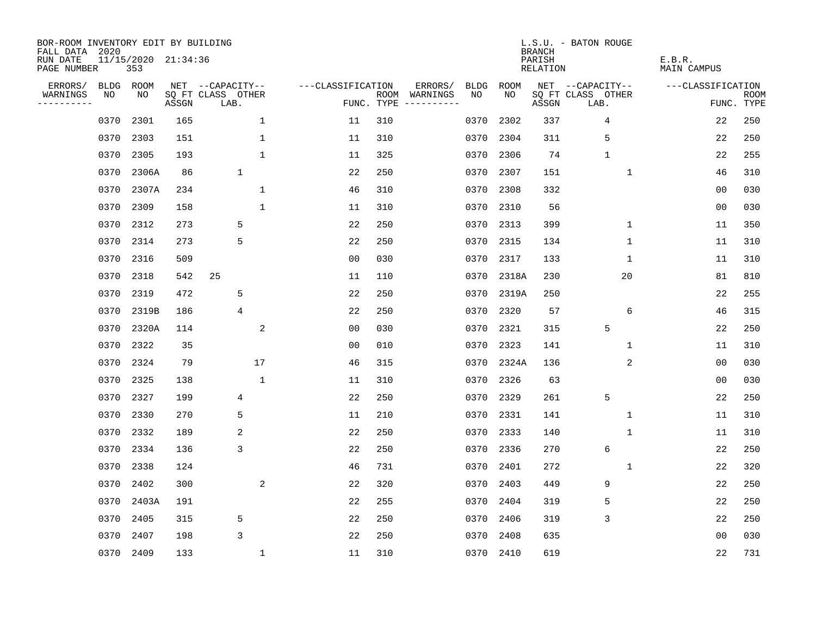| BOR-ROOM INVENTORY EDIT BY BUILDING<br>FALL DATA 2020 |                            |       |                           |                   |                    |                                                                                                                                                                                                                                                                                                                                                                                                                                                                                                                            |             | <b>BRANCH</b>             | L.S.U. - BATON ROUGE      |                              |                           |
|-------------------------------------------------------|----------------------------|-------|---------------------------|-------------------|--------------------|----------------------------------------------------------------------------------------------------------------------------------------------------------------------------------------------------------------------------------------------------------------------------------------------------------------------------------------------------------------------------------------------------------------------------------------------------------------------------------------------------------------------------|-------------|---------------------------|---------------------------|------------------------------|---------------------------|
| RUN DATE<br>PAGE NUMBER                               | 11/15/2020 21:34:36<br>353 |       |                           |                   |                    |                                                                                                                                                                                                                                                                                                                                                                                                                                                                                                                            |             | PARISH<br><b>RELATION</b> |                           | E.B.R.<br><b>MAIN CAMPUS</b> |                           |
| ERRORS/<br>BLDG                                       | ROOM                       |       | NET --CAPACITY--          | ---CLASSIFICATION |                    | ERRORS/<br><b>BLDG</b>                                                                                                                                                                                                                                                                                                                                                                                                                                                                                                     | <b>ROOM</b> |                           | NET --CAPACITY--          | ---CLASSIFICATION            |                           |
| WARNINGS<br>NO<br>----------                          | NO                         | ASSGN | SQ FT CLASS OTHER<br>LAB. |                   | ROOM<br>FUNC. TYPE | NO<br>WARNINGS<br>$\begin{tabular}{ccccccccc} \multicolumn{2}{c }{\multicolumn{2}{c }{\multicolumn{2}{c }{\multicolumn{2}{c}}{\multicolumn{2}{c}}{\multicolumn{2}{c}}{\multicolumn{2}{c}}{\multicolumn{2}{c}}{\multicolumn{2}{c}}{\multicolumn{2}{c}}{\multicolumn{2}{c}}{\multicolumn{2}{c}}{\multicolumn{2}{c}}{\multicolumn{2}{c}}{\multicolumn{2}{c}}{\multicolumn{2}{c}}{\multicolumn{2}{c}}{\multicolumn{2}{c}}{\multicolumn{2}{c}}{\multicolumn{2}{c}}{\multicolumn{2}{c}}{\multicolumn{2}{c}}{\multicolumn{2}{c}}$ | NO          | ASSGN                     | SQ FT CLASS OTHER<br>LAB. |                              | <b>ROOM</b><br>FUNC. TYPE |
| 0370                                                  | 2301                       | 165   | 1                         | 11                | 310                | 0370                                                                                                                                                                                                                                                                                                                                                                                                                                                                                                                       | 2302        | 337                       | 4                         | 22                           | 250                       |
| 0370                                                  | 2303                       | 151   | $\mathbf 1$               | 11                | 310                | 0370                                                                                                                                                                                                                                                                                                                                                                                                                                                                                                                       | 2304        | 311                       | 5                         | 22                           | 250                       |
| 0370                                                  | 2305                       | 193   | $\mathbf{1}$              | 11                | 325                | 0370                                                                                                                                                                                                                                                                                                                                                                                                                                                                                                                       | 2306        | 74                        | $\mathbf 1$               | 22                           | 255                       |
| 0370                                                  | 2306A                      | 86    | $\mathbf 1$               | 22                | 250                | 0370                                                                                                                                                                                                                                                                                                                                                                                                                                                                                                                       | 2307        | 151                       | $\mathbf{1}$              | 46                           | 310                       |
| 0370                                                  | 2307A                      | 234   | $\mathbf 1$               | 46                | 310                | 0370                                                                                                                                                                                                                                                                                                                                                                                                                                                                                                                       | 2308        | 332                       |                           | 00                           | 030                       |
| 0370                                                  | 2309                       | 158   | $\mathbf 1$               | 11                | 310                | 0370                                                                                                                                                                                                                                                                                                                                                                                                                                                                                                                       | 2310        | 56                        |                           | 0 <sub>0</sub>               | 030                       |
| 0370                                                  | 2312                       | 273   | 5                         | 22                | 250                | 0370                                                                                                                                                                                                                                                                                                                                                                                                                                                                                                                       | 2313        | 399                       | $\mathbf 1$               | 11                           | 350                       |
| 0370                                                  | 2314                       | 273   | 5                         | 22                | 250                | 0370                                                                                                                                                                                                                                                                                                                                                                                                                                                                                                                       | 2315        | 134                       | $\mathbf{1}$              | 11                           | 310                       |
| 0370                                                  | 2316                       | 509   |                           | 0 <sub>0</sub>    | 030                | 0370                                                                                                                                                                                                                                                                                                                                                                                                                                                                                                                       | 2317        | 133                       | $\mathbf 1$               | 11                           | 310                       |
| 0370                                                  | 2318                       | 542   | 25                        | 11                | 110                | 0370                                                                                                                                                                                                                                                                                                                                                                                                                                                                                                                       | 2318A       | 230                       | 20                        | 81                           | 810                       |
| 0370                                                  | 2319                       | 472   | 5                         | 22                | 250                | 0370                                                                                                                                                                                                                                                                                                                                                                                                                                                                                                                       | 2319A       | 250                       |                           | 22                           | 255                       |
| 0370                                                  | 2319B                      | 186   | 4                         | 22                | 250                | 0370                                                                                                                                                                                                                                                                                                                                                                                                                                                                                                                       | 2320        | 57                        | 6                         | 46                           | 315                       |
| 0370                                                  | 2320A                      | 114   | 2                         | 0 <sub>0</sub>    | 030                | 0370                                                                                                                                                                                                                                                                                                                                                                                                                                                                                                                       | 2321        | 315                       | 5                         | 22                           | 250                       |
| 0370                                                  | 2322                       | 35    |                           | 0 <sub>0</sub>    | 010                | 0370                                                                                                                                                                                                                                                                                                                                                                                                                                                                                                                       | 2323        | 141                       | 1                         | 11                           | 310                       |
| 0370                                                  | 2324                       | 79    | 17                        | 46                | 315                | 0370                                                                                                                                                                                                                                                                                                                                                                                                                                                                                                                       | 2324A       | 136                       | 2                         | 0 <sub>0</sub>               | 030                       |
| 0370                                                  | 2325                       | 138   | $\mathbf{1}$              | 11                | 310                | 0370                                                                                                                                                                                                                                                                                                                                                                                                                                                                                                                       | 2326        | 63                        |                           | 0 <sub>0</sub>               | 030                       |
| 0370                                                  | 2327                       | 199   | 4                         | 22                | 250                | 0370                                                                                                                                                                                                                                                                                                                                                                                                                                                                                                                       | 2329        | 261                       | 5                         | 22                           | 250                       |
| 0370                                                  | 2330                       | 270   | 5                         | 11                | 210                | 0370                                                                                                                                                                                                                                                                                                                                                                                                                                                                                                                       | 2331        | 141                       | 1                         | 11                           | 310                       |
| 0370                                                  | 2332                       | 189   | 2                         | 22                | 250                | 0370                                                                                                                                                                                                                                                                                                                                                                                                                                                                                                                       | 2333        | 140                       | 1                         | 11                           | 310                       |
| 0370                                                  | 2334                       | 136   | 3                         | 22                | 250                | 0370                                                                                                                                                                                                                                                                                                                                                                                                                                                                                                                       | 2336        | 270                       | 6                         | 22                           | 250                       |
| 0370                                                  | 2338                       | 124   |                           | 46                | 731                | 0370                                                                                                                                                                                                                                                                                                                                                                                                                                                                                                                       | 2401        | 272                       | $\mathbf{1}$              | 22                           | 320                       |
| 0370                                                  | 2402                       | 300   | 2                         | 22                | 320                | 0370                                                                                                                                                                                                                                                                                                                                                                                                                                                                                                                       | 2403        | 449                       | 9                         | 22                           | 250                       |
| 0370                                                  | 2403A                      | 191   |                           | 22                | 255                | 0370                                                                                                                                                                                                                                                                                                                                                                                                                                                                                                                       | 2404        | 319                       | 5                         | 22                           | 250                       |
| 0370                                                  | 2405                       | 315   | 5                         | 22                | 250                | 0370                                                                                                                                                                                                                                                                                                                                                                                                                                                                                                                       | 2406        | 319                       | 3                         | 22                           | 250                       |
| 0370                                                  | 2407                       | 198   | 3                         | 22                | 250                | 0370                                                                                                                                                                                                                                                                                                                                                                                                                                                                                                                       | 2408        | 635                       |                           | 0 <sub>0</sub>               | 030                       |
| 0370                                                  | 2409                       | 133   | $\mathbf{1}$              | 11                | 310                |                                                                                                                                                                                                                                                                                                                                                                                                                                                                                                                            | 0370 2410   | 619                       |                           | 22                           | 731                       |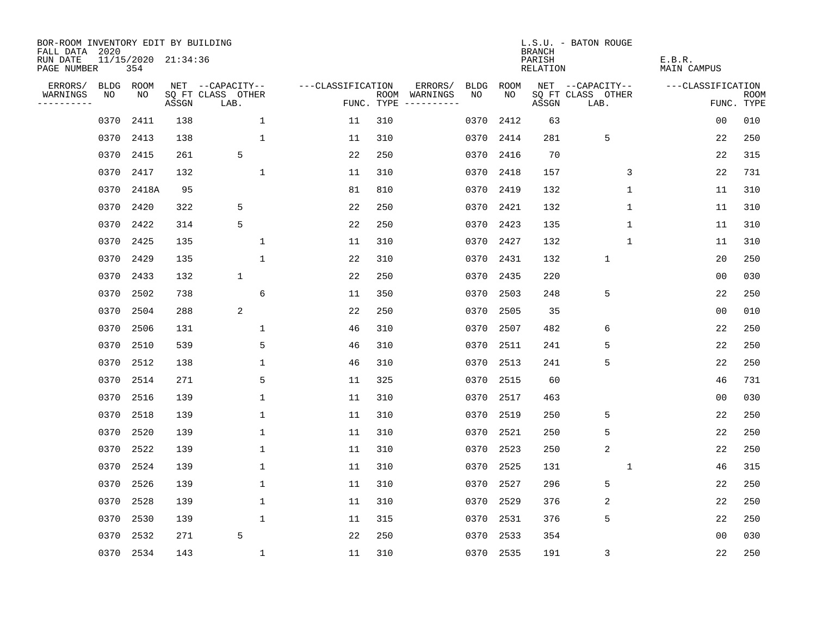| BOR-ROOM INVENTORY EDIT BY BUILDING<br>FALL DATA 2020 |      |           |                     |                           |                   |            |               |             |           | <b>BRANCH</b>      | L.S.U. - BATON ROUGE      |                       |                           |
|-------------------------------------------------------|------|-----------|---------------------|---------------------------|-------------------|------------|---------------|-------------|-----------|--------------------|---------------------------|-----------------------|---------------------------|
| RUN DATE<br>PAGE NUMBER                               |      | 354       | 11/15/2020 21:34:36 |                           |                   |            |               |             |           | PARISH<br>RELATION |                           | E.B.R.<br>MAIN CAMPUS |                           |
| ERRORS/                                               | BLDG | ROOM      |                     | NET --CAPACITY--          | ---CLASSIFICATION |            | ERRORS/       | <b>BLDG</b> | ROOM      |                    | NET --CAPACITY--          | ---CLASSIFICATION     |                           |
| WARNINGS<br>----------                                | NO   | NO        | ASSGN               | SQ FT CLASS OTHER<br>LAB. |                   | FUNC. TYPE | ROOM WARNINGS | NO.         | NO.       | ASSGN              | SQ FT CLASS OTHER<br>LAB. |                       | <b>ROOM</b><br>FUNC. TYPE |
|                                                       | 0370 | 2411      | 138                 | $\mathbf 1$               | 11                | 310        |               | 0370        | 2412      | 63                 |                           | 0 <sub>0</sub>        | 010                       |
|                                                       | 0370 | 2413      | 138                 | $\mathbf 1$               | 11                | 310        |               | 0370        | 2414      | 281                | 5                         | 22                    | 250                       |
|                                                       | 0370 | 2415      | 261                 | 5                         | 22                | 250        |               | 0370        | 2416      | 70                 |                           | 22                    | 315                       |
|                                                       | 0370 | 2417      | 132                 | $\mathbf{1}$              | 11                | 310        |               | 0370        | 2418      | 157                | 3                         | 22                    | 731                       |
|                                                       | 0370 | 2418A     | 95                  |                           | 81                | 810        |               | 0370        | 2419      | 132                | 1                         | 11                    | 310                       |
|                                                       | 0370 | 2420      | 322                 | 5                         | 22                | 250        |               | 0370        | 2421      | 132                | 1                         | 11                    | 310                       |
|                                                       | 0370 | 2422      | 314                 | 5                         | 22                | 250        |               | 0370        | 2423      | 135                | $\mathbf{1}$              | 11                    | 310                       |
|                                                       | 0370 | 2425      | 135                 | $\mathbf{1}$              | 11                | 310        |               |             | 0370 2427 | 132                | $\mathbf{1}$              | 11                    | 310                       |
|                                                       | 0370 | 2429      | 135                 | $\mathbf{1}$              | 22                | 310        |               | 0370        | 2431      | 132                | $\mathbf{1}$              | 20                    | 250                       |
|                                                       | 0370 | 2433      | 132                 | $\mathbf 1$               | 22                | 250        |               | 0370        | 2435      | 220                |                           | 0 <sub>0</sub>        | 030                       |
|                                                       | 0370 | 2502      | 738                 | 6                         | 11                | 350        |               | 0370        | 2503      | 248                | 5                         | 22                    | 250                       |
|                                                       | 0370 | 2504      | 288                 | 2                         | 22                | 250        |               | 0370        | 2505      | 35                 |                           | 0 <sub>0</sub>        | 010                       |
|                                                       | 0370 | 2506      | 131                 | 1                         | 46                | 310        |               | 0370        | 2507      | 482                | 6                         | 22                    | 250                       |
|                                                       | 0370 | 2510      | 539                 | 5                         | 46                | 310        |               | 0370        | 2511      | 241                | 5                         | 22                    | 250                       |
|                                                       | 0370 | 2512      | 138                 | 1                         | 46                | 310        |               | 0370        | 2513      | 241                | 5                         | 22                    | 250                       |
|                                                       | 0370 | 2514      | 271                 | 5                         | 11                | 325        |               | 0370        | 2515      | 60                 |                           | 46                    | 731                       |
|                                                       | 0370 | 2516      | 139                 | $\mathbf 1$               | 11                | 310        |               | 0370        | 2517      | 463                |                           | 0 <sub>0</sub>        | 030                       |
|                                                       | 0370 | 2518      | 139                 | $\mathbf 1$               | 11                | 310        |               | 0370        | 2519      | 250                | 5                         | 22                    | 250                       |
|                                                       | 0370 | 2520      | 139                 | $\mathbf 1$               | 11                | 310        |               | 0370        | 2521      | 250                | 5                         | 22                    | 250                       |
|                                                       | 0370 | 2522      | 139                 | $\mathbf{1}$              | 11                | 310        |               | 0370        | 2523      | 250                | 2                         | 22                    | 250                       |
|                                                       | 0370 | 2524      | 139                 | 1                         | 11                | 310        |               | 0370        | 2525      | 131                | 1                         | 46                    | 315                       |
|                                                       | 0370 | 2526      | 139                 | $\mathbf 1$               | 11                | 310        |               | 0370        | 2527      | 296                | 5                         | 22                    | 250                       |
|                                                       | 0370 | 2528      | 139                 | 1                         | 11                | 310        |               | 0370        | 2529      | 376                | 2                         | 22                    | 250                       |
|                                                       | 0370 | 2530      | 139                 | $\mathbf 1$               | 11                | 315        |               | 0370        | 2531      | 376                | 5                         | 22                    | 250                       |
|                                                       | 0370 | 2532      | 271                 | 5                         | 22                | 250        |               | 0370        | 2533      | 354                |                           | 0 <sub>0</sub>        | 030                       |
|                                                       |      | 0370 2534 | 143                 | $\mathbf{1}$              | 11                | 310        |               |             | 0370 2535 | 191                | 3                         | 22                    | 250                       |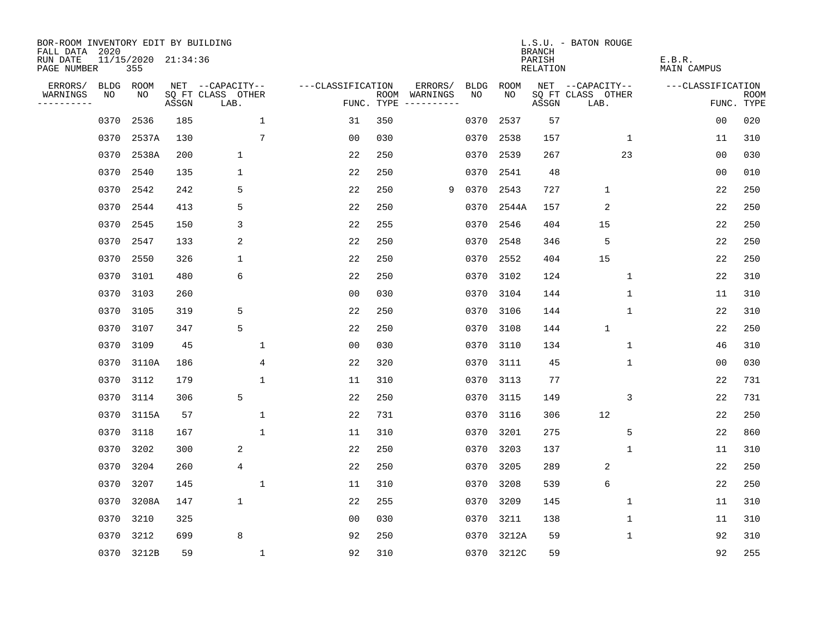| BOR-ROOM INVENTORY EDIT BY BUILDING<br>FALL DATA 2020 |      |                            |       |                           |                   |                    |                         |             |             | <b>BRANCH</b>             | L.S.U. - BATON ROUGE      |                              |                           |
|-------------------------------------------------------|------|----------------------------|-------|---------------------------|-------------------|--------------------|-------------------------|-------------|-------------|---------------------------|---------------------------|------------------------------|---------------------------|
| RUN DATE<br>PAGE NUMBER                               |      | 11/15/2020 21:34:36<br>355 |       |                           |                   |                    |                         |             |             | PARISH<br><b>RELATION</b> |                           | E.B.R.<br><b>MAIN CAMPUS</b> |                           |
| ERRORS/                                               | BLDG | ROOM                       |       | NET --CAPACITY--          | ---CLASSIFICATION |                    | ERRORS/                 | <b>BLDG</b> | <b>ROOM</b> |                           | NET --CAPACITY--          | ---CLASSIFICATION            |                           |
| WARNINGS<br>----------                                | NO   | NO                         | ASSGN | SQ FT CLASS OTHER<br>LAB. |                   | ROOM<br>FUNC. TYPE | WARNINGS<br>----------- | NO          | NO          | ASSGN                     | SQ FT CLASS OTHER<br>LAB. |                              | <b>ROOM</b><br>FUNC. TYPE |
|                                                       | 0370 | 2536                       | 185   | 1                         | 31                | 350                |                         | 0370        | 2537        | 57                        |                           | 0 <sub>0</sub>               | 020                       |
|                                                       | 0370 | 2537A                      | 130   | $7\phantom{.0}$           | 0 <sub>0</sub>    | 030                |                         | 0370        | 2538        | 157                       | 1                         | 11                           | 310                       |
|                                                       | 0370 | 2538A                      | 200   | $\mathbf 1$               | 22                | 250                |                         | 0370        | 2539        | 267                       | 23                        | 0 <sub>0</sub>               | 030                       |
|                                                       | 0370 | 2540                       | 135   | 1                         | 22                | 250                |                         |             | 0370 2541   | 48                        |                           | 0 <sub>0</sub>               | 010                       |
|                                                       | 0370 | 2542                       | 242   | 5                         | 22                | 250                | 9                       | 0370        | 2543        | 727                       | $\mathbf{1}$              | 22                           | 250                       |
|                                                       | 0370 | 2544                       | 413   | 5                         | 22                | 250                |                         |             | 0370 2544A  | 157                       | $\overline{2}$            | 22                           | 250                       |
|                                                       | 0370 | 2545                       | 150   | 3                         | 22                | 255                |                         | 0370        | 2546        | 404                       | 15                        | 22                           | 250                       |
|                                                       | 0370 | 2547                       | 133   | 2                         | 22                | 250                |                         | 0370        | 2548        | 346                       | 5                         | 22                           | 250                       |
|                                                       | 0370 | 2550                       | 326   | 1                         | 22                | 250                |                         | 0370        | 2552        | 404                       | 15                        | 22                           | 250                       |
|                                                       | 0370 | 3101                       | 480   | 6                         | 22                | 250                |                         | 0370        | 3102        | 124                       | $\mathbf{1}$              | 22                           | 310                       |
|                                                       | 0370 | 3103                       | 260   |                           | 0 <sub>0</sub>    | 030                |                         | 0370        | 3104        | 144                       | $\mathbf 1$               | 11                           | 310                       |
|                                                       | 0370 | 3105                       | 319   | 5                         | 22                | 250                |                         | 0370        | 3106        | 144                       | $\mathbf{1}$              | 22                           | 310                       |
|                                                       | 0370 | 3107                       | 347   | 5                         | 22                | 250                |                         | 0370        | 3108        | 144                       | $\mathbf{1}$              | 22                           | 250                       |
|                                                       | 0370 | 3109                       | 45    | 1                         | 0 <sub>0</sub>    | 030                |                         | 0370        | 3110        | 134                       | $\mathbf 1$               | 46                           | 310                       |
|                                                       | 0370 | 3110A                      | 186   | 4                         | 22                | 320                |                         | 0370        | 3111        | 45                        | 1                         | 0 <sub>0</sub>               | 030                       |
|                                                       | 0370 | 3112                       | 179   | $\mathbf 1$               | 11                | 310                |                         | 0370        | 3113        | 77                        |                           | 22                           | 731                       |
|                                                       | 0370 | 3114                       | 306   | 5                         | 22                | 250                |                         | 0370        | 3115        | 149                       | 3                         | 22                           | 731                       |
|                                                       | 0370 | 3115A                      | 57    | $\mathbf 1$               | 22                | 731                |                         | 0370        | 3116        | 306                       | 12                        | 22                           | 250                       |
|                                                       | 0370 | 3118                       | 167   | $\mathbf{1}$              | 11                | 310                |                         | 0370        | 3201        | 275                       | 5                         | 22                           | 860                       |
|                                                       | 0370 | 3202                       | 300   | 2                         | 22                | 250                |                         | 0370        | 3203        | 137                       | $\mathbf{1}$              | 11                           | 310                       |
|                                                       | 0370 | 3204                       | 260   | 4                         | 22                | 250                |                         | 0370        | 3205        | 289                       | $\overline{2}$            | 22                           | 250                       |
|                                                       | 0370 | 3207                       | 145   | $\mathbf 1$               | 11                | 310                |                         | 0370        | 3208        | 539                       | 6                         | 22                           | 250                       |
|                                                       | 0370 | 3208A                      | 147   | $\mathbf 1$               | 22                | 255                |                         | 0370        | 3209        | 145                       | 1                         | 11                           | 310                       |
|                                                       | 0370 | 3210                       | 325   |                           | 0 <sub>0</sub>    | 030                |                         | 0370        | 3211        | 138                       | 1                         | 11                           | 310                       |
|                                                       | 0370 | 3212                       | 699   | 8                         | 92                | 250                |                         | 0370        | 3212A       | 59                        | 1                         | 92                           | 310                       |
|                                                       |      | 0370 3212B                 | 59    | $\mathbf{1}$              | 92                | 310                |                         |             | 0370 3212C  | 59                        |                           | 92                           | 255                       |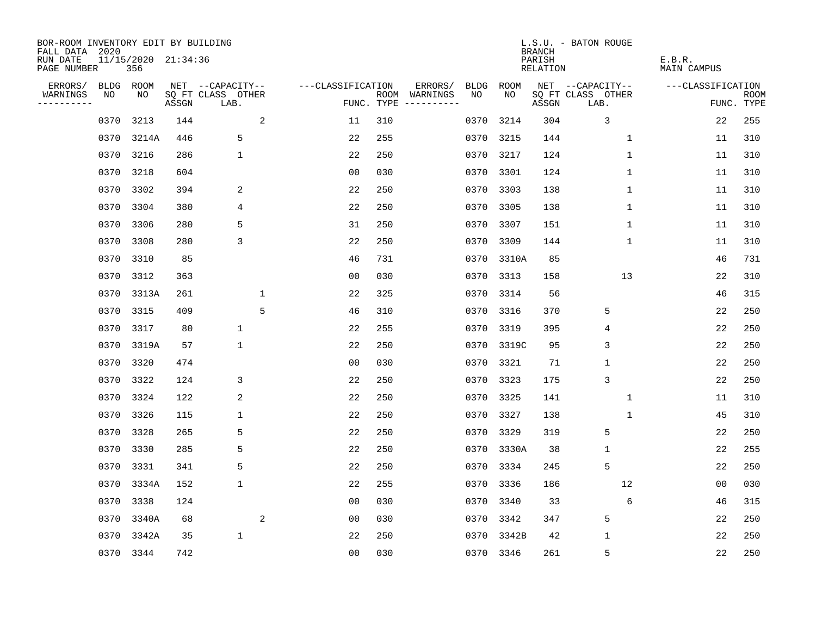| BOR-ROOM INVENTORY EDIT BY BUILDING<br>FALL DATA 2020<br>RUN DATE |                   | 11/15/2020 21:34:36 |       |                                       |   |                   |            |                          |                   |            | <b>BRANCH</b><br>PARISH | L.S.U. - BATON ROUGE                  | E.B.R.             |             |
|-------------------------------------------------------------------|-------------------|---------------------|-------|---------------------------------------|---|-------------------|------------|--------------------------|-------------------|------------|-------------------------|---------------------------------------|--------------------|-------------|
| PAGE NUMBER                                                       |                   | 356                 |       |                                       |   |                   |            |                          |                   |            | <b>RELATION</b>         |                                       | <b>MAIN CAMPUS</b> |             |
| ERRORS/<br>WARNINGS                                               | <b>BLDG</b><br>NO | ROOM<br>NO          |       | NET --CAPACITY--<br>SQ FT CLASS OTHER |   | ---CLASSIFICATION |            | ERRORS/<br>ROOM WARNINGS | <b>BLDG</b><br>NO | ROOM<br>NO |                         | NET --CAPACITY--<br>SQ FT CLASS OTHER | ---CLASSIFICATION  | <b>ROOM</b> |
| .                                                                 |                   |                     | ASSGN | LAB.                                  |   |                   | FUNC. TYPE | $-- - - - - - - - -$     |                   |            | ASSGN                   | LAB.                                  |                    | FUNC. TYPE  |
|                                                                   | 0370              | 3213                | 144   |                                       | 2 | 11                | 310        |                          | 0370              | 3214       | 304                     | 3                                     | 22                 | 255         |
|                                                                   | 0370              | 3214A               | 446   | 5                                     |   | 22                | 255        |                          | 0370              | 3215       | 144                     | 1                                     | 11                 | 310         |
|                                                                   | 0370              | 3216                | 286   | $\mathbf 1$                           |   | 22                | 250        |                          | 0370              | 3217       | 124                     | $\mathbf 1$                           | 11                 | 310         |
|                                                                   | 0370              | 3218                | 604   |                                       |   | 0 <sub>0</sub>    | 030        |                          | 0370              | 3301       | 124                     | 1                                     | 11                 | 310         |
|                                                                   | 0370              | 3302                | 394   | 2                                     |   | 22                | 250        |                          | 0370              | 3303       | 138                     | $\mathbf{1}$                          | 11                 | 310         |
|                                                                   | 0370              | 3304                | 380   | 4                                     |   | 22                | 250        |                          |                   | 0370 3305  | 138                     | $\mathbf{1}$                          | 11                 | 310         |
|                                                                   | 0370              | 3306                | 280   | 5                                     |   | 31                | 250        |                          | 0370              | 3307       | 151                     | $\mathbf{1}$                          | 11                 | 310         |
|                                                                   | 0370              | 3308                | 280   | 3                                     |   | 22                | 250        |                          | 0370              | 3309       | 144                     | 1                                     | 11                 | 310         |
|                                                                   | 0370              | 3310                | 85    |                                       |   | 46                | 731        |                          | 0370              | 3310A      | 85                      |                                       | 46                 | 731         |
|                                                                   | 0370              | 3312                | 363   |                                       |   | 0 <sub>0</sub>    | 030        |                          | 0370              | 3313       | 158                     | 13                                    | 22                 | 310         |
|                                                                   | 0370              | 3313A               | 261   |                                       | 1 | 22                | 325        |                          | 0370              | 3314       | 56                      |                                       | 46                 | 315         |
|                                                                   | 0370              | 3315                | 409   |                                       | 5 | 46                | 310        |                          | 0370              | 3316       | 370                     | 5                                     | 22                 | 250         |
|                                                                   | 0370              | 3317                | 80    | $\mathbf{1}$                          |   | 22                | 255        |                          | 0370              | 3319       | 395                     | 4                                     | 22                 | 250         |
|                                                                   | 0370              | 3319A               | 57    | $\mathbf 1$                           |   | 22                | 250        |                          | 0370              | 3319C      | 95                      | 3                                     | 22                 | 250         |
|                                                                   | 0370              | 3320                | 474   |                                       |   | 0 <sub>0</sub>    | 030        |                          | 0370              | 3321       | 71                      | $\mathbf 1$                           | 22                 | 250         |
|                                                                   | 0370              | 3322                | 124   | 3                                     |   | 22                | 250        |                          | 0370              | 3323       | 175                     | 3                                     | 22                 | 250         |
|                                                                   | 0370              | 3324                | 122   | 2                                     |   | 22                | 250        |                          | 0370              | 3325       | 141                     | 1                                     | 11                 | 310         |
|                                                                   | 0370              | 3326                | 115   | 1                                     |   | 22                | 250        |                          | 0370              | 3327       | 138                     | 1                                     | 45                 | 310         |
|                                                                   | 0370              | 3328                | 265   | 5                                     |   | 22                | 250        |                          | 0370              | 3329       | 319                     | 5                                     | 22                 | 250         |
|                                                                   | 0370              | 3330                | 285   | 5                                     |   | 22                | 250        |                          | 0370              | 3330A      | 38                      | $\mathbf{1}$                          | 22                 | 255         |
|                                                                   | 0370              | 3331                | 341   | 5                                     |   | 22                | 250        |                          | 0370              | 3334       | 245                     | 5                                     | 22                 | 250         |
|                                                                   | 0370              | 3334A               | 152   | $\mathbf 1$                           |   | 22                | 255        |                          | 0370              | 3336       | 186                     | 12                                    | 00                 | 030         |
|                                                                   | 0370              | 3338                | 124   |                                       |   | 0 <sub>0</sub>    | 030        |                          | 0370              | 3340       | 33                      | 6                                     | 46                 | 315         |
|                                                                   | 0370              | 3340A               | 68    |                                       | 2 | 0 <sub>0</sub>    | 030        |                          | 0370              | 3342       | 347                     | 5                                     | 22                 | 250         |
|                                                                   | 0370              | 3342A               | 35    | $\mathbf 1$                           |   | 22                | 250        |                          | 0370              | 3342B      | 42                      | $\mathbf 1$                           | 22                 | 250         |
|                                                                   |                   | 0370 3344           | 742   |                                       |   | 00                | 030        |                          |                   | 0370 3346  | 261                     | 5                                     | 22                 | 250         |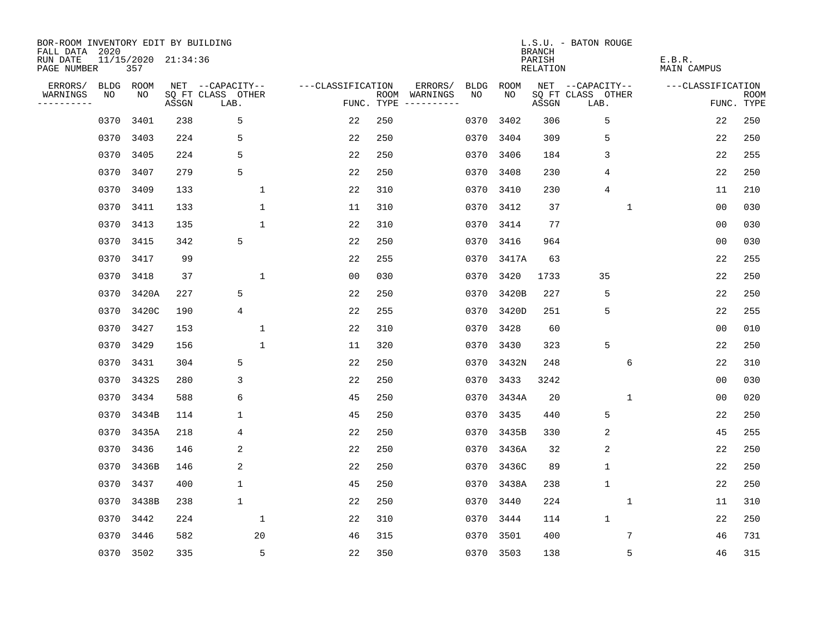| BOR-ROOM INVENTORY EDIT BY BUILDING<br>FALL DATA 2020 |                            |       |                           |                   |            |                                    |             | <b>BRANCH</b>             | L.S.U. - BATON ROUGE      |                              |                           |
|-------------------------------------------------------|----------------------------|-------|---------------------------|-------------------|------------|------------------------------------|-------------|---------------------------|---------------------------|------------------------------|---------------------------|
| RUN DATE<br>PAGE NUMBER                               | 11/15/2020 21:34:36<br>357 |       |                           |                   |            |                                    |             | PARISH<br><b>RELATION</b> |                           | E.B.R.<br><b>MAIN CAMPUS</b> |                           |
| ERRORS/<br>BLDG                                       | ROOM                       |       | NET --CAPACITY--          | ---CLASSIFICATION |            | ERRORS/<br><b>BLDG</b>             | <b>ROOM</b> |                           | NET --CAPACITY--          | ---CLASSIFICATION            |                           |
| NO<br>WARNINGS<br>----------                          | NO                         | ASSGN | SQ FT CLASS OTHER<br>LAB. |                   | FUNC. TYPE | NO<br>ROOM WARNINGS<br>----------- | NO          | ASSGN                     | SQ FT CLASS OTHER<br>LAB. |                              | <b>ROOM</b><br>FUNC. TYPE |
| 0370                                                  | 3401                       | 238   | 5                         | 22                | 250        | 0370                               | 3402        | 306                       | 5                         | 22                           | 250                       |
| 0370                                                  | 3403                       | 224   | 5                         | 22                | 250        | 0370                               | 3404        | 309                       | 5                         | 22                           | 250                       |
| 0370                                                  | 3405                       | 224   | 5                         | 22                | 250        | 0370                               | 3406        | 184                       | 3                         | 22                           | 255                       |
| 0370                                                  | 3407                       | 279   | 5                         | 22                | 250        | 0370                               | 3408        | 230                       | 4                         | 22                           | 250                       |
| 0370                                                  | 3409                       | 133   | $\mathbf{1}$              | 22                | 310        | 0370                               | 3410        | 230                       | 4                         | 11                           | 210                       |
| 0370                                                  | 3411                       | 133   | $\mathbf 1$               | 11                | 310        |                                    | 0370 3412   | 37                        | $\mathbf{1}$              | 00                           | 030                       |
| 0370                                                  | 3413                       | 135   | $\mathbf{1}$              | 22                | 310        | 0370                               | 3414        | 77                        |                           | 0 <sub>0</sub>               | 030                       |
| 0370                                                  | 3415                       | 342   | 5                         | 22                | 250        | 0370                               | 3416        | 964                       |                           | 0 <sub>0</sub>               | 030                       |
| 0370                                                  | 3417                       | 99    |                           | 22                | 255        | 0370                               | 3417A       | 63                        |                           | 22                           | 255                       |
| 0370                                                  | 3418                       | 37    | $\mathbf 1$               | 0 <sub>0</sub>    | 030        | 0370                               | 3420        | 1733                      | 35                        | 22                           | 250                       |
| 0370                                                  | 3420A                      | 227   | 5                         | 22                | 250        | 0370                               | 3420B       | 227                       | 5                         | 22                           | 250                       |
| 0370                                                  | 3420C                      | 190   | $\overline{4}$            | 22                | 255        | 0370                               | 3420D       | 251                       | 5                         | 22                           | 255                       |
| 0370                                                  | 3427                       | 153   | 1                         | 22                | 310        | 0370                               | 3428        | 60                        |                           | 0 <sub>0</sub>               | 010                       |
| 0370                                                  | 3429                       | 156   | 1                         | 11                | 320        | 0370                               | 3430        | 323                       | 5                         | 22                           | 250                       |
| 0370                                                  | 3431                       | 304   | 5                         | 22                | 250        | 0370                               | 3432N       | 248                       | 6                         | 22                           | 310                       |
| 0370                                                  | 3432S                      | 280   | 3                         | 22                | 250        | 0370                               | 3433        | 3242                      |                           | 0 <sub>0</sub>               | 030                       |
| 0370                                                  | 3434                       | 588   | 6                         | 45                | 250        | 0370                               | 3434A       | 20                        | $\mathbf{1}$              | 0 <sub>0</sub>               | 020                       |
| 0370                                                  | 3434B                      | 114   | 1                         | 45                | 250        | 0370                               | 3435        | 440                       | 5                         | 22                           | 250                       |
| 0370                                                  | 3435A                      | 218   | 4                         | 22                | 250        | 0370                               | 3435B       | 330                       | 2                         | 45                           | 255                       |
| 0370                                                  | 3436                       | 146   | 2                         | 22                | 250        | 0370                               | 3436A       | 32                        | $\overline{2}$            | 22                           | 250                       |
| 0370                                                  | 3436B                      | 146   | 2                         | 22                | 250        | 0370                               | 3436C       | 89                        | $\mathbf 1$               | 22                           | 250                       |
| 0370                                                  | 3437                       | 400   | 1                         | 45                | 250        | 0370                               | 3438A       | 238                       | $\mathbf{1}$              | 22                           | 250                       |
| 0370                                                  | 3438B                      | 238   | $\mathbf 1$               | 22                | 250        | 0370                               | 3440        | 224                       | 1                         | 11                           | 310                       |
| 0370                                                  | 3442                       | 224   | $\mathbf 1$               | 22                | 310        | 0370                               | 3444        | 114                       | $\mathbf{1}$              | 22                           | 250                       |
| 0370                                                  | 3446                       | 582   | 20                        | 46                | 315        | 0370                               | 3501        | 400                       | 7                         | 46                           | 731                       |
|                                                       | 0370 3502                  | 335   | 5                         | 22                | 350        |                                    | 0370 3503   | 138                       | 5                         | 46                           | 315                       |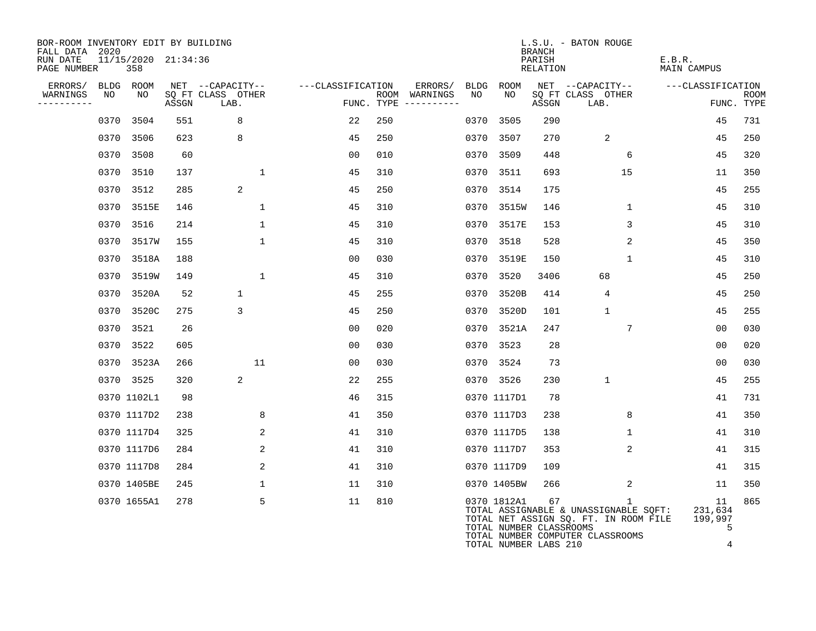| BOR-ROOM INVENTORY EDIT BY BUILDING<br>FALL DATA 2020 |      |                            |       |                           |                   |                                            |             |                                                                 | <b>BRANCH</b>      | L.S.U. - BATON ROUGE                                                                                                               |                                    |                           |
|-------------------------------------------------------|------|----------------------------|-------|---------------------------|-------------------|--------------------------------------------|-------------|-----------------------------------------------------------------|--------------------|------------------------------------------------------------------------------------------------------------------------------------|------------------------------------|---------------------------|
| RUN DATE<br>PAGE NUMBER                               |      | 11/15/2020 21:34:36<br>358 |       |                           |                   |                                            |             |                                                                 | PARISH<br>RELATION |                                                                                                                                    | E.B.R.<br>MAIN CAMPUS              |                           |
| ERRORS/                                               |      | BLDG ROOM                  |       | NET --CAPACITY--          | ---CLASSIFICATION | ERRORS/                                    | <b>BLDG</b> | ROOM                                                            |                    | NET --CAPACITY--                                                                                                                   | ---CLASSIFICATION                  |                           |
| WARNINGS<br>----------                                | NO   | NO                         | ASSGN | SQ FT CLASS OTHER<br>LAB. |                   | ROOM WARNINGS<br>FUNC. TYPE<br>----------- | NO          | NO                                                              | ASSGN              | SQ FT CLASS OTHER<br>LAB.                                                                                                          |                                    | <b>ROOM</b><br>FUNC. TYPE |
|                                                       | 0370 | 3504                       | 551   | 8                         | 22                | 250                                        | 0370        | 3505                                                            | 290                |                                                                                                                                    | 45                                 | 731                       |
|                                                       |      | 0370 3506                  | 623   | 8                         | 45                | 250                                        | 0370        | 3507                                                            | 270                | 2                                                                                                                                  | 45                                 | 250                       |
|                                                       |      | 0370 3508                  | 60    |                           | 00                | 010                                        | 0370        | 3509                                                            | 448                | 6                                                                                                                                  | 45                                 | 320                       |
|                                                       |      | 0370 3510                  | 137   | $\mathbf{1}$              | 45                | 310                                        | 0370        | 3511                                                            | 693                | 15                                                                                                                                 | 11                                 | 350                       |
|                                                       |      | 0370 3512                  | 285   | 2                         | 45                | 250                                        |             | 0370 3514                                                       | 175                |                                                                                                                                    | 45                                 | 255                       |
|                                                       |      | 0370 3515E                 | 146   | $\mathbf{1}$              | 45                | 310                                        |             | 0370 3515W                                                      | 146                | $\mathbf 1$                                                                                                                        | 45                                 | 310                       |
|                                                       |      | 0370 3516                  | 214   | $\mathbf{1}$              | 45                | 310                                        |             | 0370 3517E                                                      | 153                | 3                                                                                                                                  | 45                                 | 310                       |
|                                                       |      | 0370 3517W                 | 155   | $\mathbf{1}$              | 45                | 310                                        | 0370        | 3518                                                            | 528                | $\mathbf{2}$                                                                                                                       | 45                                 | 350                       |
|                                                       |      | 0370 3518A                 | 188   |                           | 0 <sub>0</sub>    | 030                                        |             | 0370 3519E                                                      | 150                | $\mathbf{1}$                                                                                                                       | 45                                 | 310                       |
|                                                       |      | 0370 3519W                 | 149   | $\mathbf{1}$              | 45                | 310                                        | 0370        | 3520                                                            | 3406               | 68                                                                                                                                 | 45                                 | 250                       |
|                                                       |      | 0370 3520A                 | 52    | $\mathbf{1}$              | 45                | 255                                        |             | 0370 3520B                                                      | 414                | 4                                                                                                                                  | 45                                 | 250                       |
|                                                       |      | 0370 3520C                 | 275   | 3                         | 45                | 250                                        | 0370        | 3520D                                                           | 101                | $\mathbf{1}$                                                                                                                       | 45                                 | 255                       |
|                                                       |      | 0370 3521                  | 26    |                           | 0 <sub>0</sub>    | 020                                        |             | 0370 3521A                                                      | 247                | 7                                                                                                                                  | 0 <sub>0</sub>                     | 030                       |
|                                                       |      | 0370 3522                  | 605   |                           | 0 <sub>0</sub>    | 030                                        |             | 0370 3523                                                       | 28                 |                                                                                                                                    | 0 <sub>0</sub>                     | 020                       |
|                                                       |      | 0370 3523A                 | 266   | 11                        | 00                | 030                                        |             | 0370 3524                                                       | 73                 |                                                                                                                                    | 0 <sub>0</sub>                     | 030                       |
|                                                       |      | 0370 3525                  | 320   | 2                         | 22                | 255                                        |             | 0370 3526                                                       | 230                | $\mathbf{1}$                                                                                                                       | 45                                 | 255                       |
|                                                       |      | 0370 1102L1                | 98    |                           | 46                | 315                                        |             | 0370 1117D1                                                     | 78                 |                                                                                                                                    | 41                                 | 731                       |
|                                                       |      | 0370 1117D2                | 238   | 8                         | 41                | 350                                        |             | 0370 1117D3                                                     | 238                | 8                                                                                                                                  | 41                                 | 350                       |
|                                                       |      | 0370 1117D4                | 325   | 2                         | 41                | 310                                        |             | 0370 1117D5                                                     | 138                | $\mathbf{1}$                                                                                                                       | 41                                 | 310                       |
|                                                       |      | 0370 1117D6                | 284   | 2                         | 41                | 310                                        |             | 0370 1117D7                                                     | 353                | 2                                                                                                                                  | 41                                 | 315                       |
|                                                       |      | 0370 1117D8                | 284   | 2                         | 41                | 310                                        |             | 0370 1117D9                                                     | 109                |                                                                                                                                    | 41                                 | 315                       |
|                                                       |      | 0370 1405BE                | 245   | 1                         | 11                | 310                                        |             | 0370 1405BW                                                     | 266                | 2                                                                                                                                  | 11                                 | 350                       |
|                                                       |      | 0370 1655A1                | 278   | 5                         | 11                | 810                                        |             | 0370 1812A1<br>TOTAL NUMBER CLASSROOMS<br>TOTAL NUMBER LABS 210 | 67                 | $\mathbf{1}$<br>TOTAL ASSIGNABLE & UNASSIGNABLE SQFT:<br>TOTAL NET ASSIGN SQ. FT. IN ROOM FILE<br>TOTAL NUMBER COMPUTER CLASSROOMS | 11<br>231,634<br>199,997<br>5<br>4 | 865                       |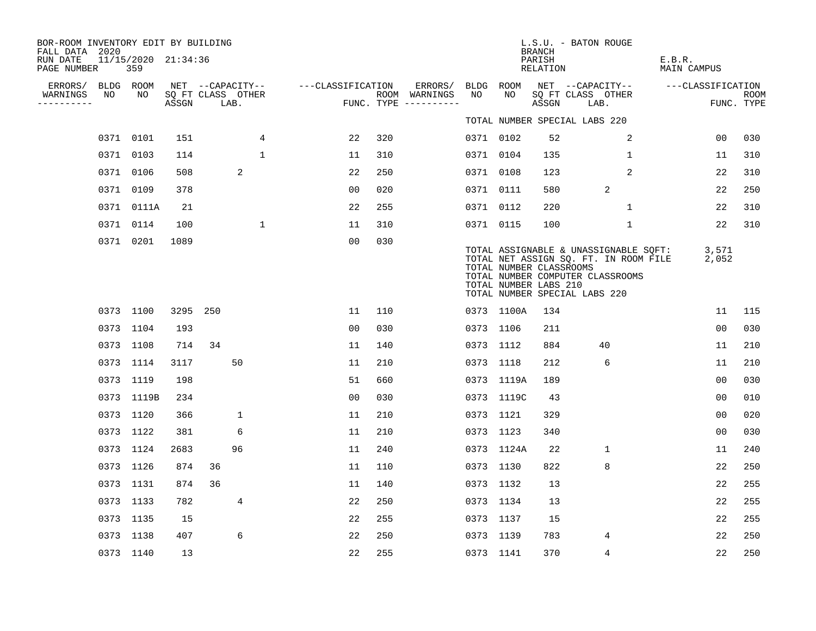| BOR-ROOM INVENTORY EDIT BY BUILDING       |           |                            |          |                           |              |                   |     |                                      |           |            | <b>BRANCH</b>                                    | L.S.U. - BATON ROUGE                                                                                                                                |                       |                    |
|-------------------------------------------|-----------|----------------------------|----------|---------------------------|--------------|-------------------|-----|--------------------------------------|-----------|------------|--------------------------------------------------|-----------------------------------------------------------------------------------------------------------------------------------------------------|-----------------------|--------------------|
| FALL DATA 2020<br>RUN DATE<br>PAGE NUMBER |           | 11/15/2020 21:34:36<br>359 |          |                           |              |                   |     |                                      |           |            | PARISH<br>RELATION                               |                                                                                                                                                     | E.B.R.<br>MAIN CAMPUS |                    |
| ERRORS/                                   |           | BLDG ROOM                  |          | NET --CAPACITY--          |              | ---CLASSIFICATION |     | ERRORS/                              | BLDG ROOM |            |                                                  | NET --CAPACITY--                                                                                                                                    | ---CLASSIFICATION     |                    |
| WARNINGS<br>----------                    | NO        | NO.                        | ASSGN    | SQ FT CLASS OTHER<br>LAB. |              |                   |     | ROOM WARNINGS<br>FUNC. TYPE $------$ | NO        | NO.        | ASSGN                                            | SQ FT CLASS OTHER<br>LAB.                                                                                                                           |                       | ROOM<br>FUNC. TYPE |
|                                           |           |                            |          |                           |              |                   |     |                                      |           |            |                                                  | TOTAL NUMBER SPECIAL LABS 220                                                                                                                       |                       |                    |
|                                           | 0371 0101 |                            | 151      |                           | 4            | 22                | 320 |                                      | 0371 0102 |            | 52                                               | 2                                                                                                                                                   | 00                    | 030                |
|                                           | 0371 0103 |                            | 114      |                           | $\mathbf{1}$ | 11                | 310 |                                      | 0371 0104 |            | 135                                              | 1                                                                                                                                                   | 11                    | 310                |
|                                           | 0371 0106 |                            | 508      |                           | 2            | 22                | 250 |                                      | 0371 0108 |            | 123                                              | 2                                                                                                                                                   | 22                    | 310                |
|                                           | 0371 0109 |                            | 378      |                           |              | 0 <sub>0</sub>    | 020 |                                      | 0371 0111 |            | 580                                              | 2                                                                                                                                                   | 22                    | 250                |
|                                           |           | 0371 0111A                 | 21       |                           |              | 22                | 255 |                                      | 0371 0112 |            | 220                                              | $\mathbf{1}$                                                                                                                                        | 22                    | 310                |
|                                           |           | 0371 0114                  | 100      |                           | $\mathbf 1$  | 11                | 310 |                                      | 0371 0115 |            | 100                                              | $\mathbf{1}$                                                                                                                                        | 22                    | 310                |
|                                           |           | 0371 0201                  | 1089     |                           |              | 0 <sub>0</sub>    | 030 |                                      |           |            | TOTAL NUMBER CLASSROOMS<br>TOTAL NUMBER LABS 210 | TOTAL ASSIGNABLE & UNASSIGNABLE SQFT:<br>TOTAL NET ASSIGN SQ. FT. IN ROOM FILE<br>TOTAL NUMBER COMPUTER CLASSROOMS<br>TOTAL NUMBER SPECIAL LABS 220 | 3,571<br>2,052        |                    |
|                                           |           | 0373 1100                  | 3295 250 |                           |              | 11                | 110 |                                      |           | 0373 1100A | 134                                              |                                                                                                                                                     | 11                    | 115                |
|                                           | 0373 1104 |                            | 193      |                           |              | 00                | 030 |                                      | 0373 1106 |            | 211                                              |                                                                                                                                                     | 0 <sub>0</sub>        | 030                |
|                                           | 0373 1108 |                            | 714      | 34                        |              | 11                | 140 |                                      | 0373 1112 |            | 884                                              | 40                                                                                                                                                  | 11                    | 210                |
|                                           | 0373 1114 |                            | 3117     |                           | 50           | 11                | 210 |                                      | 0373 1118 |            | 212                                              | 6                                                                                                                                                   | 11                    | 210                |
|                                           | 0373 1119 |                            | 198      |                           |              | 51                | 660 |                                      |           | 0373 1119A | 189                                              |                                                                                                                                                     | 00                    | 030                |
|                                           |           | 0373 1119B                 | 234      |                           |              | 0 <sub>0</sub>    | 030 |                                      |           | 0373 1119C | 43                                               |                                                                                                                                                     | 0 <sub>0</sub>        | 010                |
|                                           | 0373 1120 |                            | 366      |                           | $\mathbf 1$  | 11                | 210 |                                      | 0373 1121 |            | 329                                              |                                                                                                                                                     | 0 <sub>0</sub>        | 020                |
|                                           | 0373 1122 |                            | 381      |                           | 6            | 11                | 210 |                                      | 0373 1123 |            | 340                                              |                                                                                                                                                     | 0 <sub>0</sub>        | 030                |
|                                           |           | 0373 1124                  | 2683     |                           | 96           | 11                | 240 |                                      |           | 0373 1124A | 22                                               | 1                                                                                                                                                   | 11                    | 240                |
|                                           | 0373 1126 |                            | 874      | 36                        |              | 11                | 110 |                                      | 0373 1130 |            | 822                                              | 8                                                                                                                                                   | 22                    | 250                |
|                                           | 0373 1131 |                            | 874      | 36                        |              | 11                | 140 |                                      | 0373 1132 |            | 13                                               |                                                                                                                                                     | 22                    | 255                |
|                                           | 0373 1133 |                            | 782      |                           | 4            | 22                | 250 |                                      | 0373 1134 |            | 13                                               |                                                                                                                                                     | 22                    | 255                |
|                                           | 0373 1135 |                            | 15       |                           |              | 22                | 255 |                                      | 0373 1137 |            | 15                                               |                                                                                                                                                     | 22                    | 255                |
|                                           | 0373 1138 |                            | 407      |                           | 6            | 22                | 250 |                                      | 0373 1139 |            | 783                                              | 4                                                                                                                                                   | 22                    | 250                |
|                                           | 0373 1140 |                            | 13       |                           |              | 22                | 255 |                                      | 0373 1141 |            | 370                                              | 4                                                                                                                                                   | 22                    | 250                |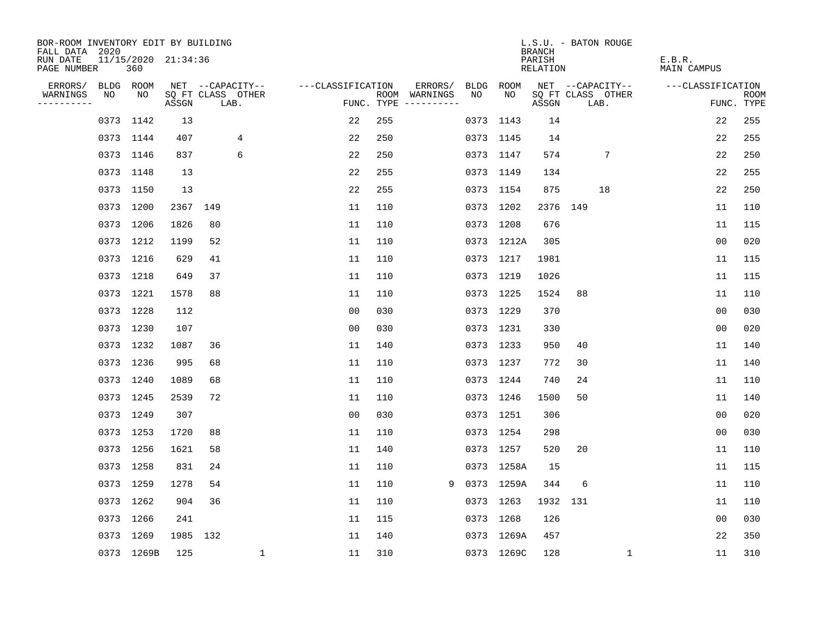| BOR-ROOM INVENTORY EDIT BY BUILDING<br>FALL DATA 2020 |           |                            |       |                           |                    |     |                                      |      |            | <b>BRANCH</b>      | L.S.U. - BATON ROUGE      |                       |                           |
|-------------------------------------------------------|-----------|----------------------------|-------|---------------------------|--------------------|-----|--------------------------------------|------|------------|--------------------|---------------------------|-----------------------|---------------------------|
| RUN DATE<br>PAGE NUMBER                               |           | 11/15/2020 21:34:36<br>360 |       |                           |                    |     |                                      |      |            | PARISH<br>RELATION |                           | E.B.R.<br>MAIN CAMPUS |                           |
| ERRORS/                                               | BLDG ROOM |                            |       | NET --CAPACITY--          | ---CLASSIFICATION  |     | ERRORS/                              | BLDG | ROOM       |                    | NET --CAPACITY--          | ---CLASSIFICATION     |                           |
| WARNINGS<br>----------                                | NO        | NO                         | ASSGN | SQ FT CLASS OTHER<br>LAB. |                    |     | ROOM WARNINGS<br>FUNC. TYPE $------$ | NO.  | NO         | ASSGN              | SQ FT CLASS OTHER<br>LAB. |                       | <b>ROOM</b><br>FUNC. TYPE |
|                                                       | 0373 1142 |                            | 13    |                           | 22                 | 255 |                                      |      | 0373 1143  | 14                 |                           | 22                    | 255                       |
|                                                       | 0373 1144 |                            | 407   | 4                         | 22                 | 250 |                                      |      | 0373 1145  | 14                 |                           | 22                    | 255                       |
|                                                       | 0373 1146 |                            | 837   | 6                         | 22                 | 250 |                                      |      | 0373 1147  | 574                | 7                         | 22                    | 250                       |
|                                                       | 0373 1148 |                            | 13    |                           | 22                 | 255 |                                      |      | 0373 1149  | 134                |                           | 22                    | 255                       |
|                                                       | 0373 1150 |                            | 13    |                           | 22                 | 255 |                                      |      | 0373 1154  | 875                | 18                        | 22                    | 250                       |
|                                                       | 0373 1200 |                            | 2367  | 149                       | 11                 | 110 |                                      |      | 0373 1202  |                    | 2376 149                  | 11                    | 110                       |
|                                                       | 0373 1206 |                            | 1826  | 80                        | 11                 | 110 |                                      |      | 0373 1208  | 676                |                           | 11                    | 115                       |
|                                                       | 0373 1212 |                            | 1199  | 52                        | 11                 | 110 |                                      |      | 0373 1212A | 305                |                           | 0 <sub>0</sub>        | 020                       |
|                                                       | 0373 1216 |                            | 629   | 41                        | 11                 | 110 |                                      |      | 0373 1217  | 1981               |                           | 11                    | 115                       |
|                                                       | 0373 1218 |                            | 649   | 37                        | 11                 | 110 |                                      |      | 0373 1219  | 1026               |                           | 11                    | 115                       |
|                                                       | 0373 1221 |                            | 1578  | 88                        | 11                 | 110 |                                      |      | 0373 1225  | 1524               | 88                        | 11                    | 110                       |
|                                                       | 0373 1228 |                            | 112   |                           | 0 <sub>0</sub>     | 030 |                                      |      | 0373 1229  | 370                |                           | 0 <sub>0</sub>        | 030                       |
|                                                       | 0373 1230 |                            | 107   |                           | 0 <sub>0</sub>     | 030 |                                      |      | 0373 1231  | 330                |                           | 0 <sub>0</sub>        | 020                       |
|                                                       | 0373 1232 |                            | 1087  | 36                        | 11                 | 140 |                                      |      | 0373 1233  | 950                | 40                        | 11                    | 140                       |
|                                                       | 0373 1236 |                            | 995   | 68                        | 11                 | 110 |                                      |      | 0373 1237  | 772                | 30                        | 11                    | 140                       |
|                                                       | 0373 1240 |                            | 1089  | 68                        | 11                 | 110 |                                      |      | 0373 1244  | 740                | 24                        | 11                    | 110                       |
|                                                       | 0373 1245 |                            | 2539  | 72                        | 11                 | 110 |                                      |      | 0373 1246  | 1500               | 50                        | 11                    | 140                       |
|                                                       | 0373 1249 |                            | 307   |                           | 0 <sub>0</sub>     | 030 |                                      |      | 0373 1251  | 306                |                           | 0 <sub>0</sub>        | 020                       |
|                                                       | 0373 1253 |                            | 1720  | 88                        | 11                 | 110 |                                      |      | 0373 1254  | 298                |                           | 0 <sub>0</sub>        | 030                       |
|                                                       | 0373 1256 |                            | 1621  | 58                        | 11                 | 140 |                                      |      | 0373 1257  | 520                | 20                        | 11                    | 110                       |
|                                                       | 0373 1258 |                            | 831   | 24                        | 11                 | 110 |                                      |      | 0373 1258A | 15                 |                           | 11                    | 115                       |
|                                                       | 0373 1259 |                            | 1278  | 54                        | 11                 | 110 | 9                                    |      | 0373 1259A | 344                | 6                         | 11                    | 110                       |
|                                                       | 0373 1262 |                            | 904   | 36                        | 11                 | 110 |                                      |      | 0373 1263  | 1932 131           |                           | 11                    | 110                       |
|                                                       | 0373 1266 |                            | 241   |                           | 11                 | 115 |                                      |      | 0373 1268  | 126                |                           | 0 <sub>0</sub>        | 030                       |
|                                                       | 0373 1269 |                            | 1985  | 132                       | 11                 | 140 |                                      |      | 0373 1269A | 457                |                           | 22                    | 350                       |
|                                                       |           | 0373 1269B                 | 125   |                           | $\mathbf{1}$<br>11 | 310 |                                      |      | 0373 1269C | 128                | $\mathbf{1}$              | 11                    | 310                       |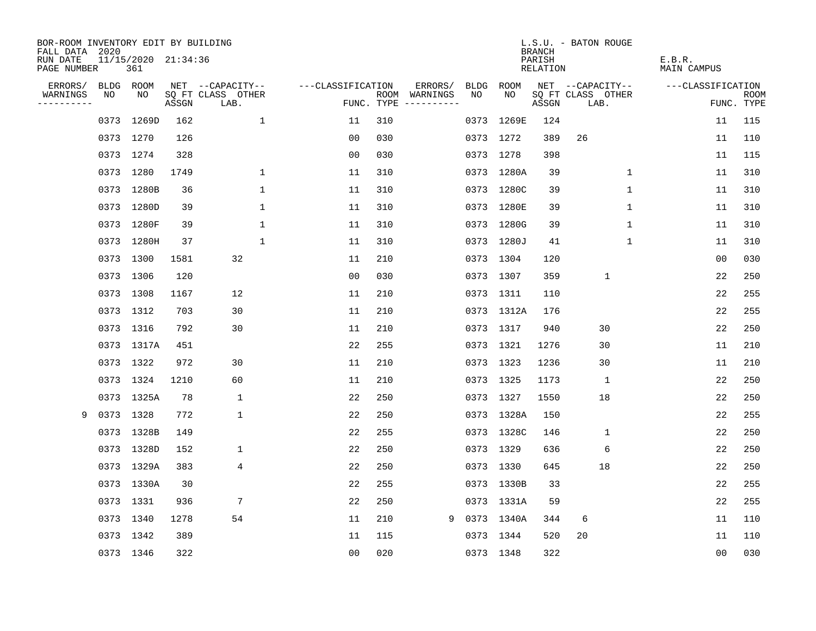| BOR-ROOM INVENTORY EDIT BY BUILDING<br>FALL DATA 2020 |      |                            |       |                           |                   |                    |          |             |            | <b>BRANCH</b>      | L.S.U. - BATON ROUGE      |                       |                           |
|-------------------------------------------------------|------|----------------------------|-------|---------------------------|-------------------|--------------------|----------|-------------|------------|--------------------|---------------------------|-----------------------|---------------------------|
| RUN DATE<br>PAGE NUMBER                               |      | 11/15/2020 21:34:36<br>361 |       |                           |                   |                    |          |             |            | PARISH<br>RELATION |                           | E.B.R.<br>MAIN CAMPUS |                           |
| ERRORS/                                               |      | BLDG ROOM                  |       | NET --CAPACITY--          | ---CLASSIFICATION |                    | ERRORS/  | <b>BLDG</b> | ROOM       |                    | NET --CAPACITY--          | ---CLASSIFICATION     |                           |
| WARNINGS<br>----------                                | NO   | NO.                        | ASSGN | SQ FT CLASS OTHER<br>LAB. |                   | ROOM<br>FUNC. TYPE | WARNINGS | NO          | NO.        | ASSGN              | SQ FT CLASS OTHER<br>LAB. |                       | <b>ROOM</b><br>FUNC. TYPE |
|                                                       | 0373 | 1269D                      | 162   | $\mathbf{1}$              | 11                | 310                |          |             | 0373 1269E | 124                |                           | 11                    | 115                       |
|                                                       |      | 0373 1270                  | 126   |                           | 0 <sub>0</sub>    | 030                |          |             | 0373 1272  | 389                | 26                        | 11                    | 110                       |
|                                                       |      | 0373 1274                  | 328   |                           | 0 <sub>0</sub>    | 030                |          |             | 0373 1278  | 398                |                           | 11                    | 115                       |
|                                                       |      | 0373 1280                  | 1749  | 1                         | 11                | 310                |          |             | 0373 1280A | 39                 | 1                         | 11                    | 310                       |
|                                                       |      | 0373 1280B                 | 36    | 1                         | 11                | 310                |          |             | 0373 1280C | 39                 | $\mathbf 1$               | 11                    | 310                       |
|                                                       |      | 0373 1280D                 | 39    | 1                         | 11                | 310                |          |             | 0373 1280E | 39                 | 1                         | 11                    | 310                       |
|                                                       |      | 0373 1280F                 | 39    | $\mathbf{1}$              | 11                | 310                |          |             | 0373 1280G | 39                 | $\mathbf 1$               | 11                    | 310                       |
|                                                       |      | 0373 1280H                 | 37    | $\mathbf{1}$              | 11                | 310                |          |             | 0373 1280J | 41                 | $\mathbf{1}$              | 11                    | 310                       |
|                                                       |      | 0373 1300                  | 1581  | 32                        | 11                | 210                |          |             | 0373 1304  | 120                |                           | 0 <sub>0</sub>        | 030                       |
|                                                       |      | 0373 1306                  | 120   |                           | 0 <sub>0</sub>    | 030                |          |             | 0373 1307  | 359                | $\mathbf{1}$              | 22                    | 250                       |
|                                                       |      | 0373 1308                  | 1167  | 12                        | 11                | 210                |          |             | 0373 1311  | 110                |                           | 22                    | 255                       |
|                                                       |      | 0373 1312                  | 703   | 30                        | 11                | 210                |          |             | 0373 1312A | 176                |                           | 22                    | 255                       |
|                                                       |      | 0373 1316                  | 792   | 30                        | 11                | 210                |          |             | 0373 1317  | 940                | 30                        | 22                    | 250                       |
|                                                       |      | 0373 1317A                 | 451   |                           | 22                | 255                |          |             | 0373 1321  | 1276               | 30                        | 11                    | 210                       |
|                                                       |      | 0373 1322                  | 972   | 30                        | 11                | 210                |          |             | 0373 1323  | 1236               | 30                        | 11                    | 210                       |
|                                                       |      | 0373 1324                  | 1210  | 60                        | 11                | 210                |          |             | 0373 1325  | 1173               | 1                         | 22                    | 250                       |
|                                                       |      | 0373 1325A                 | 78    | 1                         | 22                | 250                |          |             | 0373 1327  | 1550               | 18                        | 22                    | 250                       |
| 9                                                     |      | 0373 1328                  | 772   | 1                         | 22                | 250                |          |             | 0373 1328A | 150                |                           | 22                    | 255                       |
|                                                       |      | 0373 1328B                 | 149   |                           | 22                | 255                |          |             | 0373 1328C | 146                | 1                         | 22                    | 250                       |
|                                                       |      | 0373 1328D                 | 152   | $\mathbf 1$               | 22                | 250                |          |             | 0373 1329  | 636                | 6                         | 22                    | 250                       |
|                                                       |      | 0373 1329A                 | 383   | 4                         | 22                | 250                |          |             | 0373 1330  | 645                | 18                        | 22                    | 250                       |
|                                                       |      | 0373 1330A                 | 30    |                           | 22                | 255                |          |             | 0373 1330B | 33                 |                           | 22                    | 255                       |
|                                                       |      | 0373 1331                  | 936   | 7                         | 22                | 250                |          |             | 0373 1331A | 59                 |                           | 22                    | 255                       |
|                                                       |      | 0373 1340                  | 1278  | 54                        | 11                | 210                | 9        |             | 0373 1340A | 344                | 6                         | 11                    | 110                       |
|                                                       |      | 0373 1342                  | 389   |                           | 11                | 115                |          |             | 0373 1344  | 520                | 20                        | 11                    | 110                       |
|                                                       |      | 0373 1346                  | 322   |                           | 0 <sub>0</sub>    | 020                |          |             | 0373 1348  | 322                |                           | 0 <sub>0</sub>        | 030                       |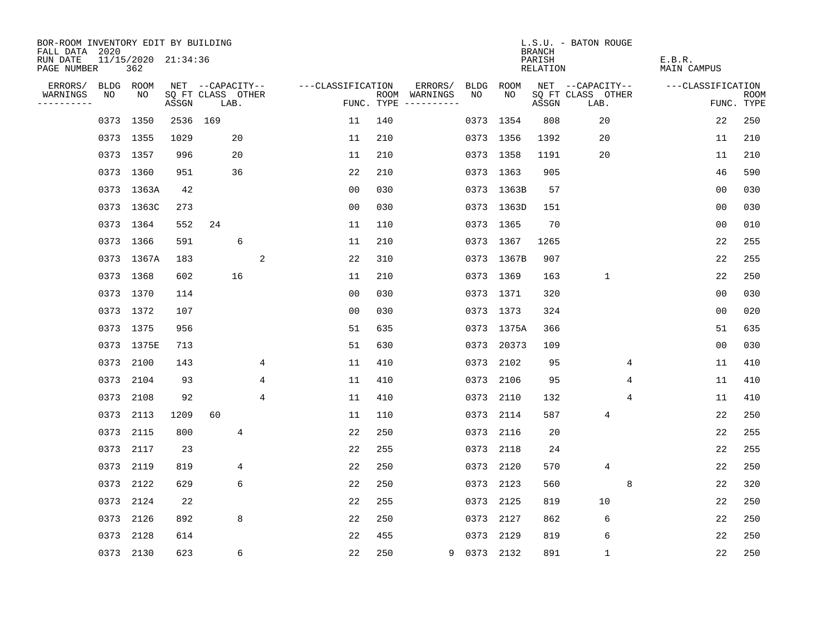| BOR-ROOM INVENTORY EDIT BY BUILDING<br>FALL DATA 2020 |           |                            |                            |                  |      |   |                   |     |                                      |             |            | <b>BRANCH</b>             | L.S.U. - BATON ROUGE      |   |                              |                |                           |
|-------------------------------------------------------|-----------|----------------------------|----------------------------|------------------|------|---|-------------------|-----|--------------------------------------|-------------|------------|---------------------------|---------------------------|---|------------------------------|----------------|---------------------------|
| RUN DATE<br>PAGE NUMBER                               |           | 11/15/2020 21:34:36<br>362 |                            |                  |      |   |                   |     |                                      |             |            | PARISH<br><b>RELATION</b> |                           |   | E.B.R.<br><b>MAIN CAMPUS</b> |                |                           |
| ERRORS/                                               | BLDG ROOM |                            |                            | NET --CAPACITY-- |      |   | ---CLASSIFICATION |     | ERRORS/                              | BLDG        | ROOM       |                           | NET --CAPACITY--          |   | ---CLASSIFICATION            |                |                           |
| WARNINGS<br>----------                                | NO        | NO                         | SQ FT CLASS OTHER<br>ASSGN |                  | LAB. |   |                   |     | ROOM WARNINGS<br>FUNC. TYPE $------$ | NO          | NO         | ASSGN                     | SQ FT CLASS OTHER<br>LAB. |   |                              |                | <b>ROOM</b><br>FUNC. TYPE |
|                                                       | 0373 1350 |                            | 2536                       | 169              |      |   | 11                | 140 |                                      |             | 0373 1354  | 808                       | 20                        |   |                              | 22             | 250                       |
|                                                       | 0373 1355 |                            | 1029                       |                  | 20   |   | 11                | 210 |                                      |             | 0373 1356  | 1392                      | 20                        |   |                              | 11             | 210                       |
|                                                       | 0373 1357 |                            | 996                        |                  | 20   |   | 11                | 210 |                                      |             | 0373 1358  | 1191                      | 20                        |   |                              | 11             | 210                       |
|                                                       | 0373 1360 |                            | 951                        |                  | 36   |   | 22                | 210 |                                      |             | 0373 1363  | 905                       |                           |   |                              | 46             | 590                       |
|                                                       |           | 0373 1363A                 | 42                         |                  |      |   | 0 <sub>0</sub>    | 030 |                                      |             | 0373 1363B | 57                        |                           |   |                              | 0 <sub>0</sub> | 030                       |
|                                                       |           | 0373 1363C                 | 273                        |                  |      |   | 0 <sub>0</sub>    | 030 |                                      |             | 0373 1363D | 151                       |                           |   |                              | 0 <sub>0</sub> | 030                       |
|                                                       | 0373 1364 |                            | 552                        | 24               |      |   | 11                | 110 |                                      |             | 0373 1365  | 70                        |                           |   |                              | 0 <sub>0</sub> | 010                       |
|                                                       | 0373 1366 |                            | 591                        |                  | 6    |   | 11                | 210 |                                      |             | 0373 1367  | 1265                      |                           |   |                              | 22             | 255                       |
|                                                       |           | 0373 1367A                 | 183                        |                  |      | 2 | 22                | 310 |                                      |             | 0373 1367B | 907                       |                           |   |                              | 22             | 255                       |
|                                                       | 0373 1368 |                            | 602                        |                  | 16   |   | 11                | 210 |                                      |             | 0373 1369  | 163                       | $\mathbf 1$               |   |                              | 22             | 250                       |
|                                                       | 0373 1370 |                            | 114                        |                  |      |   | 0 <sub>0</sub>    | 030 |                                      |             | 0373 1371  | 320                       |                           |   |                              | 0 <sub>0</sub> | 030                       |
|                                                       | 0373 1372 |                            | 107                        |                  |      |   | 0 <sub>0</sub>    | 030 |                                      |             | 0373 1373  | 324                       |                           |   |                              | 00             | 020                       |
|                                                       | 0373 1375 |                            | 956                        |                  |      |   | 51                | 635 |                                      |             | 0373 1375A | 366                       |                           |   |                              | 51             | 635                       |
|                                                       |           | 0373 1375E                 | 713                        |                  |      |   | 51                | 630 |                                      |             | 0373 20373 | 109                       |                           |   |                              | 0 <sub>0</sub> | 030                       |
|                                                       | 0373      | 2100                       | 143                        |                  |      | 4 | 11                | 410 |                                      |             | 0373 2102  | 95                        |                           | 4 |                              | 11             | 410                       |
|                                                       | 0373      | 2104                       | 93                         |                  |      | 4 | 11                | 410 |                                      | 0373        | 2106       | 95                        |                           | 4 |                              | 11             | 410                       |
|                                                       | 0373      | 2108                       | 92                         |                  |      | 4 | 11                | 410 |                                      | 0373        | 2110       | 132                       |                           | 4 |                              | 11             | 410                       |
|                                                       | 0373      | 2113                       | 1209                       | 60               |      |   | 11                | 110 |                                      | 0373        | 2114       | 587                       | 4                         |   |                              | 22             | 250                       |
|                                                       | 0373 2115 |                            | 800                        |                  | 4    |   | 22                | 250 |                                      |             | 0373 2116  | 20                        |                           |   |                              | 22             | 255                       |
|                                                       | 0373      | 2117                       | 23                         |                  |      |   | 22                | 255 |                                      | 0373        | 2118       | 24                        |                           |   |                              | 22             | 255                       |
|                                                       | 0373 2119 |                            | 819                        |                  | 4    |   | 22                | 250 |                                      | 0373        | 2120       | 570                       | 4                         |   |                              | 22             | 250                       |
|                                                       | 0373      | 2122                       | 629                        |                  | 6    |   | 22                | 250 |                                      | 0373        | 2123       | 560                       |                           | 8 |                              | 22             | 320                       |
|                                                       | 0373 2124 |                            | 22                         |                  |      |   | 22                | 255 |                                      |             | 0373 2125  | 819                       | 10                        |   |                              | 22             | 250                       |
|                                                       | 0373      | 2126                       | 892                        |                  | 8    |   | 22                | 250 |                                      | 0373        | 2127       | 862                       | 6                         |   |                              | 22             | 250                       |
|                                                       | 0373      | 2128                       | 614                        |                  |      |   | 22                | 455 |                                      |             | 0373 2129  | 819                       | 6                         |   |                              | 22             | 250                       |
|                                                       | 0373 2130 |                            | 623                        |                  | 6    |   | 22                | 250 |                                      | 9 0373 2132 |            | 891                       | $\mathbf{1}$              |   |                              | 22             | 250                       |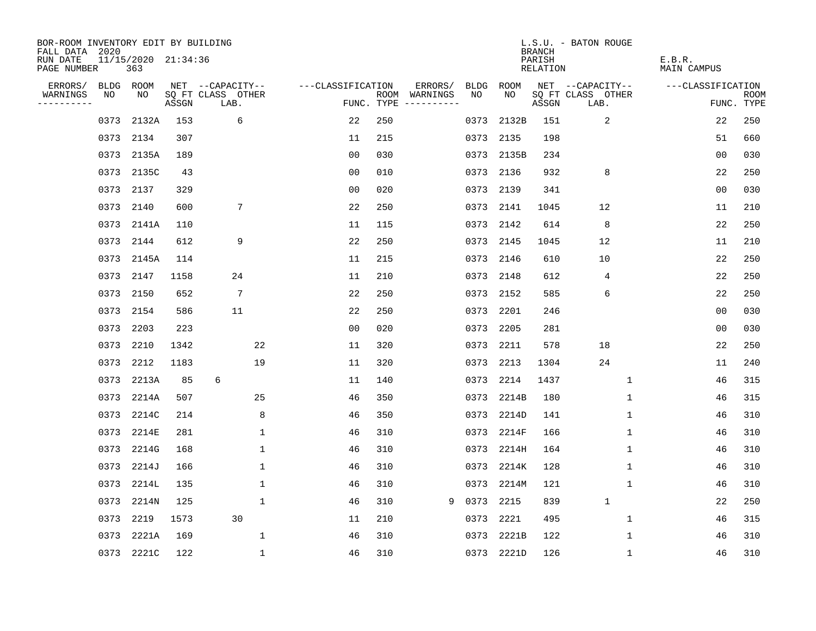| BOR-ROOM INVENTORY EDIT BY BUILDING<br>FALL DATA 2020 |      |                            |       |                           |                   |     |                                      |           |            | <b>BRANCH</b>      | L.S.U. - BATON ROUGE      |                       |                           |
|-------------------------------------------------------|------|----------------------------|-------|---------------------------|-------------------|-----|--------------------------------------|-----------|------------|--------------------|---------------------------|-----------------------|---------------------------|
| RUN DATE<br>PAGE NUMBER                               |      | 11/15/2020 21:34:36<br>363 |       |                           |                   |     |                                      |           |            | PARISH<br>RELATION |                           | E.B.R.<br>MAIN CAMPUS |                           |
| ERRORS/                                               |      | BLDG ROOM                  |       | NET --CAPACITY--          | ---CLASSIFICATION |     | ERRORS/                              | BLDG      | ROOM       |                    | NET --CAPACITY--          | ---CLASSIFICATION     |                           |
| WARNINGS<br>----------                                | NO   | NO                         | ASSGN | SQ FT CLASS OTHER<br>LAB. |                   |     | ROOM WARNINGS<br>FUNC. TYPE $------$ | NO.       | NO.        | ASSGN              | SQ FT CLASS OTHER<br>LAB. |                       | <b>ROOM</b><br>FUNC. TYPE |
|                                                       | 0373 | 2132A                      | 153   | 6                         | 22                | 250 |                                      | 0373      | 2132B      | 151                | 2                         | 22                    | 250                       |
|                                                       |      | 0373 2134                  | 307   |                           | 11                | 215 |                                      |           | 0373 2135  | 198                |                           | 51                    | 660                       |
|                                                       |      | 0373 2135A                 | 189   |                           | 0 <sub>0</sub>    | 030 |                                      |           | 0373 2135B | 234                |                           | 00                    | 030                       |
|                                                       |      | 0373 2135C                 | 43    |                           | 0 <sub>0</sub>    | 010 |                                      |           | 0373 2136  | 932                | 8                         | 22                    | 250                       |
|                                                       | 0373 | 2137                       | 329   |                           | 0 <sub>0</sub>    | 020 |                                      | 0373      | 2139       | 341                |                           | 00                    | 030                       |
|                                                       |      | 0373 2140                  | 600   | 7                         | 22                | 250 |                                      |           | 0373 2141  | 1045               | 12                        | 11                    | 210                       |
|                                                       |      | 0373 2141A                 | 110   |                           | 11                | 115 |                                      |           | 0373 2142  | 614                | 8                         | 22                    | 250                       |
|                                                       |      | 0373 2144                  | 612   | 9                         | 22                | 250 |                                      |           | 0373 2145  | 1045               | 12                        | 11                    | 210                       |
|                                                       | 0373 | 2145A                      | 114   |                           | 11                | 215 |                                      |           | 0373 2146  | 610                | 10                        | 22                    | 250                       |
|                                                       |      | 0373 2147                  | 1158  | 24                        | 11                | 210 |                                      |           | 0373 2148  | 612                | 4                         | 22                    | 250                       |
|                                                       | 0373 | 2150                       | 652   | 7                         | 22                | 250 |                                      |           | 0373 2152  | 585                | 6                         | 22                    | 250                       |
|                                                       |      | 0373 2154                  | 586   | 11                        | 22                | 250 |                                      |           | 0373 2201  | 246                |                           | 0 <sub>0</sub>        | 030                       |
|                                                       | 0373 | 2203                       | 223   |                           | 0 <sub>0</sub>    | 020 |                                      | 0373      | 2205       | 281                |                           | 0 <sub>0</sub>        | 030                       |
|                                                       | 0373 | 2210                       | 1342  | 22                        | 11                | 320 |                                      |           | 0373 2211  | 578                | 18                        | 22                    | 250                       |
|                                                       | 0373 | 2212                       | 1183  | 19                        | 11                | 320 |                                      | 0373      | 2213       | 1304               | 24                        | 11                    | 240                       |
|                                                       | 0373 | 2213A                      | 85    | 6                         | 11                | 140 |                                      |           | 0373 2214  | 1437               | 1                         | 46                    | 315                       |
|                                                       | 0373 | 2214A                      | 507   | 25                        | 46                | 350 |                                      |           | 0373 2214B | 180                | 1                         | 46                    | 315                       |
|                                                       | 0373 | 2214C                      | 214   | 8                         | 46                | 350 |                                      |           | 0373 2214D | 141                | 1                         | 46                    | 310                       |
|                                                       | 0373 | 2214E                      | 281   | 1                         | 46                | 310 |                                      |           | 0373 2214F | 166                | 1                         | 46                    | 310                       |
|                                                       | 0373 | 2214G                      | 168   | 1                         | 46                | 310 |                                      | 0373      | 2214H      | 164                | $\mathbf 1$               | 46                    | 310                       |
|                                                       |      | 0373 2214J                 | 166   | 1                         | 46                | 310 |                                      |           | 0373 2214K | 128                | 1                         | 46                    | 310                       |
|                                                       | 0373 | 2214L                      | 135   | $\mathbf 1$               | 46                | 310 |                                      |           | 0373 2214M | 121                | 1                         | 46                    | 310                       |
|                                                       |      | 0373 2214N                 | 125   | $\mathbf 1$               | 46                | 310 | 9                                    | 0373 2215 |            | 839                | $\mathbf{1}$              | 22                    | 250                       |
|                                                       | 0373 | 2219                       | 1573  | 30                        | 11                | 210 |                                      | 0373      | 2221       | 495                | $\mathbf 1$               | 46                    | 315                       |
|                                                       | 0373 | 2221A                      | 169   | $\mathbf{1}$              | 46                | 310 |                                      |           | 0373 2221B | 122                | $\mathbf 1$               | 46                    | 310                       |
|                                                       |      | 0373 2221C                 | 122   | $\mathbf{1}$              | 46                | 310 |                                      |           | 0373 2221D | 126                | $\mathbf{1}$              | 46                    | 310                       |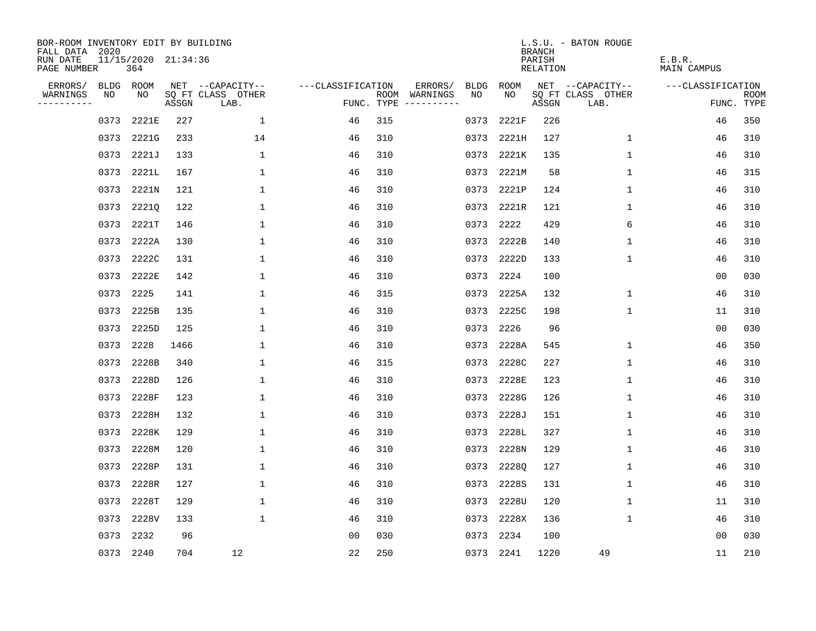| BOR-ROOM INVENTORY EDIT BY BUILDING<br>FALL DATA 2020 |                            |       |                           |                   |     |                                            |             | <b>BRANCH</b>             | L.S.U. - BATON ROUGE      |                              |                           |
|-------------------------------------------------------|----------------------------|-------|---------------------------|-------------------|-----|--------------------------------------------|-------------|---------------------------|---------------------------|------------------------------|---------------------------|
| RUN DATE<br>PAGE NUMBER                               | 11/15/2020 21:34:36<br>364 |       |                           |                   |     |                                            |             | PARISH<br><b>RELATION</b> |                           | E.B.R.<br><b>MAIN CAMPUS</b> |                           |
| ERRORS/<br>BLDG                                       | ROOM                       |       | NET --CAPACITY--          | ---CLASSIFICATION |     | ERRORS/<br><b>BLDG</b>                     | <b>ROOM</b> |                           | NET --CAPACITY--          | ---CLASSIFICATION            |                           |
| NO<br>WARNINGS<br>----------                          | NO                         | ASSGN | SQ FT CLASS OTHER<br>LAB. |                   |     | NO<br>ROOM WARNINGS<br>FUNC. TYPE $------$ | NO          | ASSGN                     | SQ FT CLASS OTHER<br>LAB. |                              | <b>ROOM</b><br>FUNC. TYPE |
| 0373                                                  | 2221E                      | 227   | 1                         | 46                | 315 | 0373                                       | 2221F       | 226                       |                           | 46                           | 350                       |
| 0373                                                  | 2221G                      | 233   | 14                        | 46                | 310 | 0373                                       | 2221H       | 127                       | 1                         | 46                           | 310                       |
| 0373                                                  | 2221J                      | 133   | $\mathbf 1$               | 46                | 310 | 0373                                       | 2221K       | 135                       | 1                         | 46                           | 310                       |
| 0373                                                  | 2221L                      | 167   | 1                         | 46                | 310 |                                            | 0373 2221M  | 58                        | $\mathbf 1$               | 46                           | 315                       |
| 0373                                                  | 2221N                      | 121   | $\mathbf{1}$              | 46                | 310 |                                            | 0373 2221P  | 124                       | $\mathbf{1}$              | 46                           | 310                       |
| 0373                                                  | 2221Q                      | 122   | $\mathbf{1}$              | 46                | 310 |                                            | 0373 2221R  | 121                       | 1                         | 46                           | 310                       |
| 0373                                                  | 2221T                      | 146   | $\mathbf 1$               | 46                | 310 | 0373                                       | 2222        | 429                       | 6                         | 46                           | 310                       |
| 0373                                                  | 2222A                      | 130   | $\mathbf 1$               | 46                | 310 | 0373                                       | 2222B       | 140                       | $\mathbf 1$               | 46                           | 310                       |
| 0373                                                  | 2222C                      | 131   | 1                         | 46                | 310 | 0373                                       | 2222D       | 133                       | 1                         | 46                           | 310                       |
| 0373                                                  | 2222E                      | 142   | $\mathbf{1}$              | 46                | 310 | 0373                                       | 2224        | 100                       |                           | 00                           | 030                       |
| 0373                                                  | 2225                       | 141   | $\mathbf{1}$              | 46                | 315 | 0373                                       | 2225A       | 132                       | $\mathbf 1$               | 46                           | 310                       |
| 0373                                                  | 2225B                      | 135   | $\mathbf 1$               | 46                | 310 | 0373                                       | 2225C       | 198                       | $\mathbf{1}$              | 11                           | 310                       |
| 0373                                                  | 2225D                      | 125   | $\mathbf 1$               | 46                | 310 | 0373                                       | 2226        | 96                        |                           | 0 <sub>0</sub>               | 030                       |
| 0373                                                  | 2228                       | 1466  | 1                         | 46                | 310 | 0373                                       | 2228A       | 545                       | 1                         | 46                           | 350                       |
| 0373                                                  | 2228B                      | 340   | 1                         | 46                | 315 | 0373                                       | 2228C       | 227                       | 1                         | 46                           | 310                       |
| 0373                                                  | 2228D                      | 126   | 1                         | 46                | 310 | 0373                                       | 2228E       | 123                       | 1                         | 46                           | 310                       |
| 0373                                                  | 2228F                      | 123   | $\mathbf{1}$              | 46                | 310 | 0373                                       | 2228G       | 126                       | 1                         | 46                           | 310                       |
| 0373                                                  | 2228H                      | 132   | $\mathbf{1}$              | 46                | 310 | 0373                                       | 2228J       | 151                       | 1                         | 46                           | 310                       |
| 0373                                                  | 2228K                      | 129   | $\mathbf{1}$              | 46                | 310 | 0373                                       | 2228L       | 327                       | 1                         | 46                           | 310                       |
| 0373                                                  | 2228M                      | 120   | $\mathbf 1$               | 46                | 310 | 0373                                       | 2228N       | 129                       | 1                         | 46                           | 310                       |
| 0373                                                  | 2228P                      | 131   | $\mathbf 1$               | 46                | 310 | 0373                                       | 2228Q       | 127                       | 1                         | 46                           | 310                       |
| 0373                                                  | 2228R                      | 127   | $\mathbf 1$               | 46                | 310 | 0373                                       | 2228S       | 131                       | 1                         | 46                           | 310                       |
| 0373                                                  | 2228T                      | 129   | $\mathbf 1$               | 46                | 310 | 0373                                       | 2228U       | 120                       | 1                         | 11                           | 310                       |
| 0373                                                  | 2228V                      | 133   | $\mathbf{1}$              | 46                | 310 | 0373                                       | 2228X       | 136                       | $\mathbf 1$               | 46                           | 310                       |
| 0373                                                  | 2232                       | 96    |                           | 0 <sub>0</sub>    | 030 | 0373                                       | 2234        | 100                       |                           | 0 <sub>0</sub>               | 030                       |
|                                                       | 0373 2240                  | 704   | 12                        | 22                | 250 |                                            | 0373 2241   | 1220                      | 49                        | 11                           | 210                       |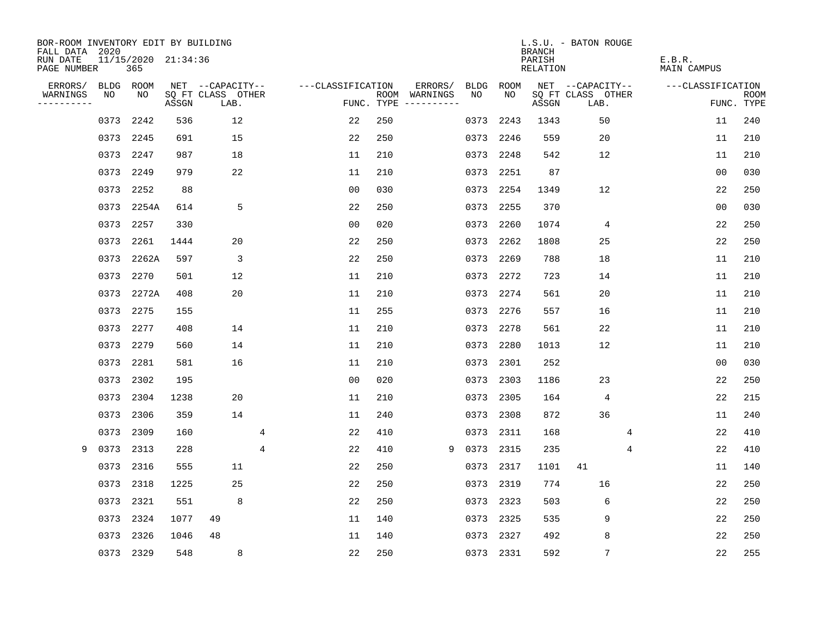| BOR-ROOM INVENTORY EDIT BY BUILDING<br>FALL DATA 2020 |             |                            |       |                           |                   |            |                              |             |           | <b>BRANCH</b>      | L.S.U. - BATON ROUGE      |   |                       |                           |
|-------------------------------------------------------|-------------|----------------------------|-------|---------------------------|-------------------|------------|------------------------------|-------------|-----------|--------------------|---------------------------|---|-----------------------|---------------------------|
| RUN DATE<br>PAGE NUMBER                               |             | 11/15/2020 21:34:36<br>365 |       |                           |                   |            |                              |             |           | PARISH<br>RELATION |                           |   | E.B.R.<br>MAIN CAMPUS |                           |
| ERRORS/                                               | <b>BLDG</b> | ROOM                       |       | NET --CAPACITY--          | ---CLASSIFICATION |            | ERRORS/                      | <b>BLDG</b> | ROOM      |                    | NET --CAPACITY--          |   | ---CLASSIFICATION     |                           |
| WARNINGS<br>----------                                | NO          | NO                         | ASSGN | SQ FT CLASS OTHER<br>LAB. |                   | FUNC. TYPE | ROOM WARNINGS<br>----------- | NO.         | NO.       | ASSGN              | SQ FT CLASS OTHER<br>LAB. |   |                       | <b>ROOM</b><br>FUNC. TYPE |
|                                                       | 0373        | 2242                       | 536   | 12                        | 22                | 250        |                              | 0373        | 2243      | 1343               | 50                        |   | 11                    | 240                       |
|                                                       | 0373        | 2245                       | 691   | 15                        | 22                | 250        |                              | 0373        | 2246      | 559                | 20                        |   | 11                    | 210                       |
|                                                       | 0373        | 2247                       | 987   | 18                        | 11                | 210        |                              | 0373        | 2248      | 542                | 12                        |   | 11                    | 210                       |
|                                                       | 0373        | 2249                       | 979   | 22                        | 11                | 210        |                              |             | 0373 2251 | 87                 |                           |   | 0 <sub>0</sub>        | 030                       |
|                                                       | 0373        | 2252                       | 88    |                           | 0 <sub>0</sub>    | 030        |                              | 0373        | 2254      | 1349               | 12                        |   | 22                    | 250                       |
|                                                       | 0373        | 2254A                      | 614   | 5                         | 22                | 250        |                              |             | 0373 2255 | 370                |                           |   | 00                    | 030                       |
|                                                       | 0373        | 2257                       | 330   |                           | 0 <sub>0</sub>    | 020        |                              | 0373        | 2260      | 1074               | 4                         |   | 22                    | 250                       |
|                                                       | 0373        | 2261                       | 1444  | 20                        | 22                | 250        |                              | 0373        | 2262      | 1808               | 25                        |   | 22                    | 250                       |
|                                                       | 0373        | 2262A                      | 597   | 3                         | 22                | 250        |                              | 0373        | 2269      | 788                | 18                        |   | 11                    | 210                       |
|                                                       | 0373        | 2270                       | 501   | 12                        | 11                | 210        |                              |             | 0373 2272 | 723                | 14                        |   | 11                    | 210                       |
|                                                       | 0373        | 2272A                      | 408   | 20                        | 11                | 210        |                              | 0373        | 2274      | 561                | 20                        |   | 11                    | 210                       |
|                                                       | 0373        | 2275                       | 155   |                           | 11                | 255        |                              |             | 0373 2276 | 557                | 16                        |   | 11                    | 210                       |
|                                                       | 0373        | 2277                       | 408   | 14                        | 11                | 210        |                              | 0373        | 2278      | 561                | 22                        |   | 11                    | 210                       |
|                                                       | 0373        | 2279                       | 560   | 14                        | 11                | 210        |                              | 0373        | 2280      | 1013               | 12                        |   | 11                    | 210                       |
|                                                       | 0373        | 2281                       | 581   | 16                        | 11                | 210        |                              | 0373        | 2301      | 252                |                           |   | 0 <sub>0</sub>        | 030                       |
|                                                       | 0373        | 2302                       | 195   |                           | 0 <sub>0</sub>    | 020        |                              | 0373        | 2303      | 1186               | 23                        |   | 22                    | 250                       |
|                                                       | 0373        | 2304                       | 1238  | 20                        | 11                | 210        |                              | 0373        | 2305      | 164                | 4                         |   | 22                    | 215                       |
|                                                       | 0373        | 2306                       | 359   | 14                        | 11                | 240        |                              | 0373        | 2308      | 872                | 36                        |   | 11                    | 240                       |
|                                                       | 0373        | 2309                       | 160   |                           | 4<br>22           | 410        |                              | 0373        | 2311      | 168                |                           | 4 | 22                    | 410                       |
| 9                                                     | 0373        | 2313                       | 228   |                           | 4<br>22           | 410        | 9                            | 0373        | 2315      | 235                |                           | 4 | 22                    | 410                       |
|                                                       | 0373        | 2316                       | 555   | 11                        | 22                | 250        |                              | 0373        | 2317      | 1101               | 41                        |   | 11                    | 140                       |
|                                                       | 0373        | 2318                       | 1225  | 25                        | 22                | 250        |                              | 0373        | 2319      | 774                | 16                        |   | 22                    | 250                       |
|                                                       | 0373        | 2321                       | 551   | 8                         | 22                | 250        |                              |             | 0373 2323 | 503                | 6                         |   | 22                    | 250                       |
|                                                       | 0373        | 2324                       | 1077  | 49                        | 11                | 140        |                              |             | 0373 2325 | 535                | 9                         |   | 22                    | 250                       |
|                                                       | 0373        | 2326                       | 1046  | 48                        | 11                | 140        |                              |             | 0373 2327 | 492                | 8                         |   | 22                    | 250                       |
|                                                       |             | 0373 2329                  | 548   | 8                         | 22                | 250        |                              |             | 0373 2331 | 592                | $\overline{7}$            |   | 22                    | 255                       |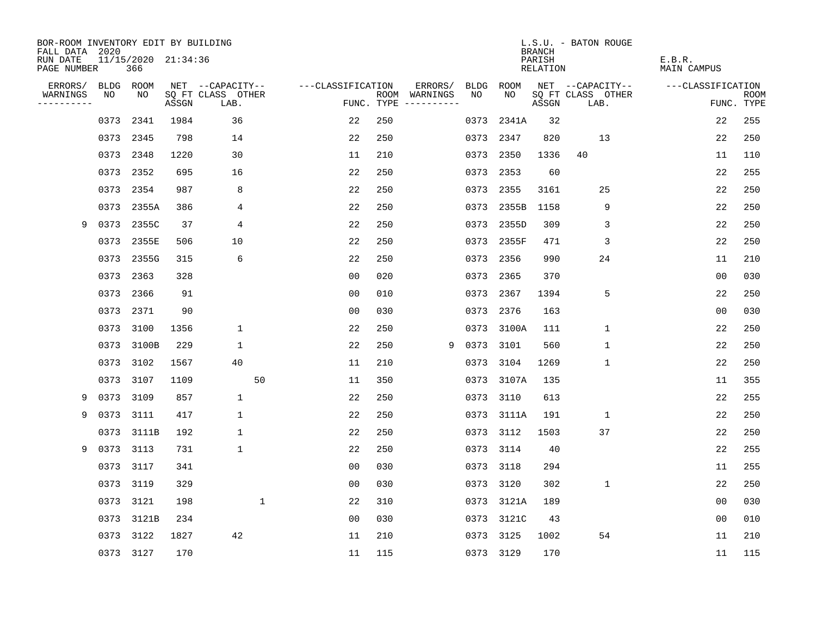| BOR-ROOM INVENTORY EDIT BY BUILDING<br>FALL DATA 2020 |           |                            |       |                           |                    |     |                                      |             |            | <b>BRANCH</b>             | L.S.U. - BATON ROUGE      |                              |                           |
|-------------------------------------------------------|-----------|----------------------------|-------|---------------------------|--------------------|-----|--------------------------------------|-------------|------------|---------------------------|---------------------------|------------------------------|---------------------------|
| RUN DATE<br>PAGE NUMBER                               |           | 11/15/2020 21:34:36<br>366 |       |                           |                    |     |                                      |             |            | PARISH<br><b>RELATION</b> |                           | E.B.R.<br><b>MAIN CAMPUS</b> |                           |
| ERRORS/                                               |           | BLDG ROOM                  |       | NET --CAPACITY--          | ---CLASSIFICATION  |     | ERRORS/                              | <b>BLDG</b> | ROOM       |                           | NET --CAPACITY--          | ---CLASSIFICATION            |                           |
| WARNINGS<br>----------                                | NO        | NO                         | ASSGN | SQ FT CLASS OTHER<br>LAB. |                    |     | ROOM WARNINGS<br>FUNC. TYPE $------$ | NO          | NO         | ASSGN                     | SQ FT CLASS OTHER<br>LAB. |                              | <b>ROOM</b><br>FUNC. TYPE |
|                                                       | 0373      | 2341                       | 1984  | 36                        | 22                 | 250 |                                      | 0373        | 2341A      | 32                        |                           | 22                           | 255                       |
|                                                       | 0373 2345 |                            | 798   | 14                        | 22                 | 250 |                                      |             | 0373 2347  | 820                       | 13                        | 22                           | 250                       |
|                                                       | 0373      | 2348                       | 1220  | 30                        | 11                 | 210 |                                      | 0373        | 2350       | 1336                      | 40                        | 11                           | 110                       |
|                                                       | 0373      | 2352                       | 695   | 16                        | 22                 | 250 |                                      |             | 0373 2353  | 60                        |                           | 22                           | 255                       |
|                                                       | 0373      | 2354                       | 987   | 8                         | 22                 | 250 |                                      |             | 0373 2355  | 3161                      | 25                        | 22                           | 250                       |
|                                                       |           | 0373 2355A                 | 386   | 4                         | 22                 | 250 |                                      |             | 0373 2355B | 1158                      | 9                         | 22                           | 250                       |
| 9                                                     |           | 0373 2355C                 | 37    | 4                         | 22                 | 250 |                                      |             | 0373 2355D | 309                       | 3                         | 22                           | 250                       |
|                                                       |           | 0373 2355E                 | 506   | 10                        | 22                 | 250 |                                      |             | 0373 2355F | 471                       | 3                         | 22                           | 250                       |
|                                                       | 0373      | 2355G                      | 315   | 6                         | 22                 | 250 |                                      | 0373        | 2356       | 990                       | 24                        | 11                           | 210                       |
|                                                       | 0373      | 2363                       | 328   |                           | 0 <sub>0</sub>     | 020 |                                      |             | 0373 2365  | 370                       |                           | 0 <sub>0</sub>               | 030                       |
|                                                       | 0373      | 2366                       | 91    |                           | 0 <sub>0</sub>     | 010 |                                      | 0373        | 2367       | 1394                      | 5                         | 22                           | 250                       |
|                                                       | 0373 2371 |                            | 90    |                           | 0 <sub>0</sub>     | 030 |                                      |             | 0373 2376  | 163                       |                           | 0 <sub>0</sub>               | 030                       |
|                                                       | 0373      | 3100                       | 1356  | $\mathbf 1$               | 22                 | 250 |                                      | 0373        | 3100A      | 111                       | $\mathbf 1$               | 22                           | 250                       |
|                                                       | 0373      | 3100B                      | 229   | 1                         | 22                 | 250 | 9                                    |             | 0373 3101  | 560                       | $\mathbf 1$               | 22                           | 250                       |
|                                                       | 0373      | 3102                       | 1567  | 40                        | 11                 | 210 |                                      | 0373        | 3104       | 1269                      | $\mathbf{1}$              | 22                           | 250                       |
|                                                       | 0373      | 3107                       | 1109  |                           | 50<br>11           | 350 |                                      |             | 0373 3107A | 135                       |                           | 11                           | 355                       |
| 9                                                     | 0373      | 3109                       | 857   | $\mathbf 1$               | 22                 | 250 |                                      | 0373        | 3110       | 613                       |                           | 22                           | 255                       |
| 9                                                     | 0373      | 3111                       | 417   | $\mathbf 1$               | 22                 | 250 |                                      |             | 0373 3111A | 191                       | $\mathbf{1}$              | 22                           | 250                       |
|                                                       |           | 0373 3111B                 | 192   | $\mathbf 1$               | 22                 | 250 |                                      | 0373        | 3112       | 1503                      | 37                        | 22                           | 250                       |
| 9                                                     | 0373      | 3113                       | 731   | $\mathbf 1$               | 22                 | 250 |                                      | 0373        | 3114       | 40                        |                           | 22                           | 255                       |
|                                                       | 0373      | 3117                       | 341   |                           | 0 <sub>0</sub>     | 030 |                                      | 0373        | 3118       | 294                       |                           | 11                           | 255                       |
|                                                       | 0373      | 3119                       | 329   |                           | 0 <sub>0</sub>     | 030 |                                      | 0373        | 3120       | 302                       | $\mathbf 1$               | 22                           | 250                       |
|                                                       |           | 0373 3121                  | 198   |                           | $\mathbf{1}$<br>22 | 310 |                                      |             | 0373 3121A | 189                       |                           | 0 <sub>0</sub>               | 030                       |
|                                                       | 0373      | 3121B                      | 234   |                           | 0 <sub>0</sub>     | 030 |                                      | 0373        | 3121C      | 43                        |                           | 0 <sub>0</sub>               | 010                       |
|                                                       | 0373      | 3122                       | 1827  | 42                        | 11                 | 210 |                                      | 0373        | 3125       | 1002                      | 54                        | 11                           | 210                       |
|                                                       |           | 0373 3127                  | 170   |                           | 11                 | 115 |                                      |             | 0373 3129  | 170                       |                           | 11                           | 115                       |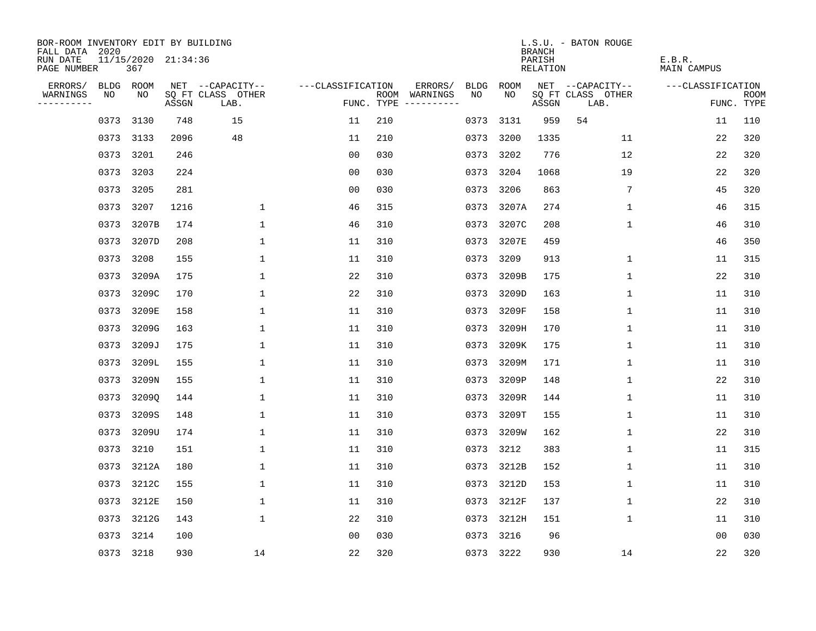| BOR-ROOM INVENTORY EDIT BY BUILDING<br>FALL DATA 2020 |           |                            |       |                           |                   |     |                                      |             |            | <b>BRANCH</b>             | L.S.U. - BATON ROUGE      |                              |                           |
|-------------------------------------------------------|-----------|----------------------------|-------|---------------------------|-------------------|-----|--------------------------------------|-------------|------------|---------------------------|---------------------------|------------------------------|---------------------------|
| RUN DATE<br>PAGE NUMBER                               |           | 11/15/2020 21:34:36<br>367 |       |                           |                   |     |                                      |             |            | PARISH<br><b>RELATION</b> |                           | E.B.R.<br><b>MAIN CAMPUS</b> |                           |
| ERRORS/                                               |           | BLDG ROOM                  |       | NET --CAPACITY--          | ---CLASSIFICATION |     | ERRORS/                              | <b>BLDG</b> | ROOM       |                           | NET --CAPACITY--          | ---CLASSIFICATION            |                           |
| WARNINGS<br>----------                                | NO        | NO                         | ASSGN | SQ FT CLASS OTHER<br>LAB. |                   |     | ROOM WARNINGS<br>FUNC. TYPE $------$ | NO          | NO         | ASSGN                     | SQ FT CLASS OTHER<br>LAB. |                              | <b>ROOM</b><br>FUNC. TYPE |
|                                                       | 0373      | 3130                       | 748   | 15                        | 11                | 210 |                                      | 0373        | 3131       | 959                       | 54                        | 11                           | 110                       |
|                                                       | 0373 3133 |                            | 2096  | 48                        | 11                | 210 |                                      | 0373        | 3200       | 1335                      | 11                        | 22                           | 320                       |
|                                                       | 0373      | 3201                       | 246   |                           | 00                | 030 |                                      | 0373        | 3202       | 776                       | 12                        | 22                           | 320                       |
|                                                       | 0373 3203 |                            | 224   |                           | 0 <sub>0</sub>    | 030 |                                      | 0373        | 3204       | 1068                      | 19                        | 22                           | 320                       |
|                                                       | 0373      | 3205                       | 281   |                           | 0 <sub>0</sub>    | 030 |                                      | 0373        | 3206       | 863                       | 7                         | 45                           | 320                       |
|                                                       | 0373 3207 |                            | 1216  | 1                         | 46                | 315 |                                      |             | 0373 3207A | 274                       | 1                         | 46                           | 315                       |
|                                                       | 0373      | 3207B                      | 174   | $\mathbf{1}$              | 46                | 310 |                                      | 0373        | 3207C      | 208                       | $\mathbf{1}$              | 46                           | 310                       |
|                                                       | 0373      | 3207D                      | 208   | $\mathbf{1}$              | 11                | 310 |                                      | 0373        | 3207E      | 459                       |                           | 46                           | 350                       |
|                                                       | 0373      | 3208                       | 155   | 1                         | 11                | 310 |                                      | 0373        | 3209       | 913                       | 1                         | 11                           | 315                       |
|                                                       | 0373      | 3209A                      | 175   | 1                         | 22                | 310 |                                      | 0373        | 3209B      | 175                       | $\mathbf 1$               | 22                           | 310                       |
|                                                       | 0373      | 3209C                      | 170   | 1                         | 22                | 310 |                                      | 0373        | 3209D      | 163                       | 1                         | 11                           | 310                       |
|                                                       | 0373      | 3209E                      | 158   | 1                         | 11                | 310 |                                      | 0373        | 3209F      | 158                       | 1                         | 11                           | 310                       |
|                                                       | 0373      | 3209G                      | 163   | 1                         | 11                | 310 |                                      | 0373        | 3209H      | 170                       | 1                         | 11                           | 310                       |
|                                                       | 0373      | 3209J                      | 175   | 1                         | 11                | 310 |                                      | 0373        | 3209K      | 175                       | 1                         | 11                           | 310                       |
|                                                       | 0373      | 3209L                      | 155   | 1                         | 11                | 310 |                                      | 0373        | 3209M      | 171                       | 1                         | 11                           | 310                       |
|                                                       | 0373      | 3209N                      | 155   | 1                         | 11                | 310 |                                      | 0373        | 3209P      | 148                       | 1                         | 22                           | 310                       |
|                                                       | 0373      | 32090                      | 144   | $\mathbf{1}$              | 11                | 310 |                                      | 0373        | 3209R      | 144                       | 1                         | 11                           | 310                       |
|                                                       | 0373      | 3209S                      | 148   | 1                         | 11                | 310 |                                      | 0373        | 3209T      | 155                       | 1                         | 11                           | 310                       |
|                                                       | 0373      | 3209U                      | 174   | 1                         | 11                | 310 |                                      | 0373        | 3209W      | 162                       | 1                         | 22                           | 310                       |
|                                                       | 0373      | 3210                       | 151   | $\mathbf{1}$              | 11                | 310 |                                      | 0373        | 3212       | 383                       | $\mathbf 1$               | 11                           | 315                       |
|                                                       | 0373      | 3212A                      | 180   | 1                         | 11                | 310 |                                      |             | 0373 3212B | 152                       | 1                         | 11                           | 310                       |
|                                                       | 0373      | 3212C                      | 155   | $\mathbf{1}$              | 11                | 310 |                                      | 0373        | 3212D      | 153                       | 1                         | 11                           | 310                       |
|                                                       |           | 0373 3212E                 | 150   | 1                         | 11                | 310 |                                      |             | 0373 3212F | 137                       | 1                         | 22                           | 310                       |
|                                                       | 0373      | 3212G                      | 143   | $\mathbf 1$               | 22                | 310 |                                      |             | 0373 3212H | 151                       | 1                         | 11                           | 310                       |
|                                                       | 0373      | 3214                       | 100   |                           | 0 <sub>0</sub>    | 030 |                                      | 0373        | 3216       | 96                        |                           | 0 <sub>0</sub>               | 030                       |
|                                                       | 0373 3218 |                            | 930   | 14                        | 22                | 320 |                                      |             | 0373 3222  | 930                       | 14                        | 22                           | 320                       |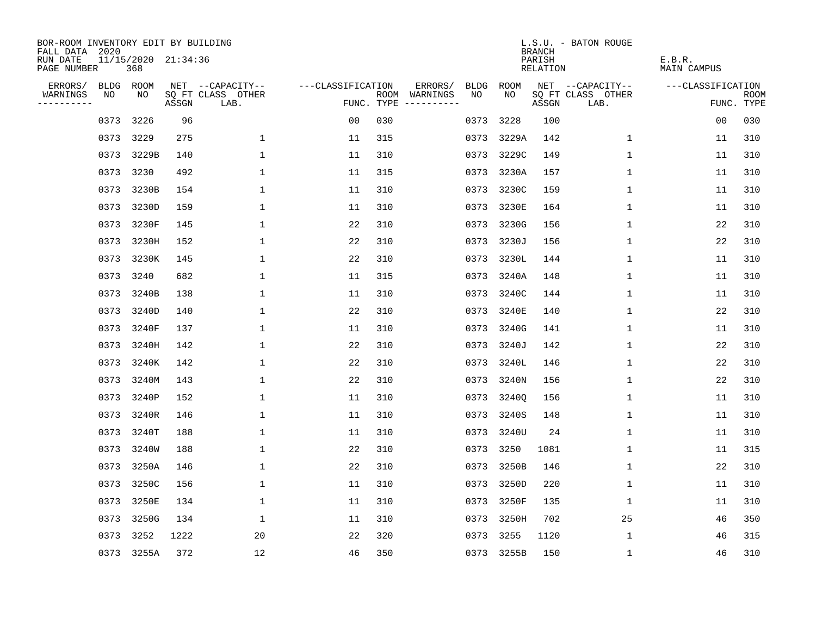| BOR-ROOM INVENTORY EDIT BY BUILDING<br>FALL DATA 2020 |      |                            |       |                           |                   |     |                                      |      |            | <b>BRANCH</b>      | L.S.U. - BATON ROUGE      |                       |                           |
|-------------------------------------------------------|------|----------------------------|-------|---------------------------|-------------------|-----|--------------------------------------|------|------------|--------------------|---------------------------|-----------------------|---------------------------|
| RUN DATE<br>PAGE NUMBER                               |      | 11/15/2020 21:34:36<br>368 |       |                           |                   |     |                                      |      |            | PARISH<br>RELATION |                           | E.B.R.<br>MAIN CAMPUS |                           |
| ERRORS/                                               |      | BLDG ROOM                  |       | NET --CAPACITY--          | ---CLASSIFICATION |     | ERRORS/                              | BLDG | ROOM       |                    | NET --CAPACITY--          | ---CLASSIFICATION     |                           |
| WARNINGS<br>----------                                | NO   | NO                         | ASSGN | SQ FT CLASS OTHER<br>LAB. |                   |     | ROOM WARNINGS<br>FUNC. TYPE $------$ | NO.  | NO.        | ASSGN              | SQ FT CLASS OTHER<br>LAB. |                       | <b>ROOM</b><br>FUNC. TYPE |
|                                                       | 0373 | 3226                       | 96    |                           | 0 <sub>0</sub>    | 030 |                                      | 0373 | 3228       | 100                |                           | 0 <sub>0</sub>        | 030                       |
|                                                       | 0373 | 3229                       | 275   | 1                         | 11                | 315 |                                      | 0373 | 3229A      | 142                | 1                         | 11                    | 310                       |
|                                                       | 0373 | 3229B                      | 140   | $\mathbf{1}$              | 11                | 310 |                                      | 0373 | 3229C      | 149                | $\mathbf 1$               | 11                    | 310                       |
|                                                       |      | 0373 3230                  | 492   | 1                         | 11                | 315 |                                      | 0373 | 3230A      | 157                | 1                         | 11                    | 310                       |
|                                                       | 0373 | 3230B                      | 154   | $\mathbf 1$               | 11                | 310 |                                      | 0373 | 3230C      | 159                | 1                         | 11                    | 310                       |
|                                                       | 0373 | 3230D                      | 159   | $\mathbf 1$               | 11                | 310 |                                      |      | 0373 3230E | 164                | 1                         | 11                    | 310                       |
|                                                       | 0373 | 3230F                      | 145   | $\mathbf 1$               | 22                | 310 |                                      |      | 0373 3230G | 156                | $\mathbf 1$               | 22                    | 310                       |
|                                                       | 0373 | 3230H                      | 152   | 1                         | 22                | 310 |                                      |      | 0373 3230J | 156                | $\mathbf 1$               | 22                    | 310                       |
|                                                       | 0373 | 3230K                      | 145   | $\mathbf{1}$              | 22                | 310 |                                      | 0373 | 3230L      | 144                | $\mathbf{1}$              | 11                    | 310                       |
|                                                       |      | 0373 3240                  | 682   | 1                         | 11                | 315 |                                      |      | 0373 3240A | 148                | 1                         | 11                    | 310                       |
|                                                       | 0373 | 3240B                      | 138   | 1                         | 11                | 310 |                                      |      | 0373 3240C | 144                | $\mathbf 1$               | 11                    | 310                       |
|                                                       | 0373 | 3240D                      | 140   | 1                         | 22                | 310 |                                      |      | 0373 3240E | 140                | 1                         | 22                    | 310                       |
|                                                       | 0373 | 3240F                      | 137   | $\mathbf{1}$              | 11                | 310 |                                      | 0373 | 3240G      | 141                | $\mathbf 1$               | 11                    | 310                       |
|                                                       | 0373 | 3240H                      | 142   | 1                         | 22                | 310 |                                      | 0373 | 3240J      | 142                | 1                         | 22                    | 310                       |
|                                                       |      | 0373 3240K                 | 142   | 1                         | 22                | 310 |                                      | 0373 | 3240L      | 146                | 1                         | 22                    | 310                       |
|                                                       | 0373 | 3240M                      | 143   | 1                         | 22                | 310 |                                      | 0373 | 3240N      | 156                | 1                         | 22                    | 310                       |
|                                                       | 0373 | 3240P                      | 152   | 1                         | 11                | 310 |                                      | 0373 | 3240Q      | 156                | 1                         | 11                    | 310                       |
|                                                       | 0373 | 3240R                      | 146   | 1                         | 11                | 310 |                                      |      | 0373 3240S | 148                | 1                         | 11                    | 310                       |
|                                                       |      | 0373 3240T                 | 188   | 1                         | 11                | 310 |                                      |      | 0373 3240U | 24                 | 1                         | 11                    | 310                       |
|                                                       | 0373 | 3240W                      | 188   | 1                         | 22                | 310 |                                      | 0373 | 3250       | 1081               | 1                         | 11                    | 315                       |
|                                                       | 0373 | 3250A                      | 146   | 1                         | 22                | 310 |                                      | 0373 | 3250B      | 146                | 1                         | 22                    | 310                       |
|                                                       | 0373 | 3250C                      | 156   | 1                         | 11                | 310 |                                      | 0373 | 3250D      | 220                | 1                         | 11                    | 310                       |
|                                                       | 0373 | 3250E                      | 134   | 1                         | 11                | 310 |                                      | 0373 | 3250F      | 135                | 1                         | 11                    | 310                       |
|                                                       | 0373 | 3250G                      | 134   | $\mathbf 1$               | 11                | 310 |                                      | 0373 | 3250H      | 702                | 25                        | 46                    | 350                       |
|                                                       | 0373 | 3252                       | 1222  | 20                        | 22                | 320 |                                      | 0373 | 3255       | 1120               | 1                         | 46                    | 315                       |
|                                                       |      | 0373 3255A                 | 372   | 12                        | 46                | 350 |                                      |      | 0373 3255B | 150                | 1                         | 46                    | 310                       |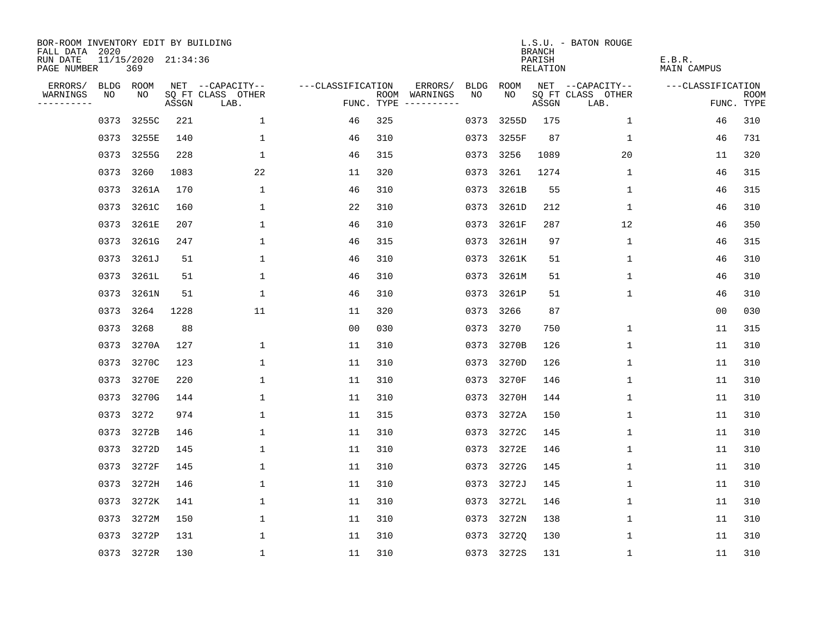| BOR-ROOM INVENTORY EDIT BY BUILDING<br>FALL DATA 2020 |      |                            |       |                           |                   |     |                                      |      |            | <b>BRANCH</b>      | L.S.U. - BATON ROUGE      |                       |                           |
|-------------------------------------------------------|------|----------------------------|-------|---------------------------|-------------------|-----|--------------------------------------|------|------------|--------------------|---------------------------|-----------------------|---------------------------|
| RUN DATE<br>PAGE NUMBER                               |      | 11/15/2020 21:34:36<br>369 |       |                           |                   |     |                                      |      |            | PARISH<br>RELATION |                           | E.B.R.<br>MAIN CAMPUS |                           |
| ERRORS/                                               |      | BLDG ROOM                  |       | NET --CAPACITY--          | ---CLASSIFICATION |     | ERRORS/                              | BLDG | ROOM       |                    | NET --CAPACITY--          | ---CLASSIFICATION     |                           |
| WARNINGS<br>----------                                | NO   | NO                         | ASSGN | SQ FT CLASS OTHER<br>LAB. |                   |     | ROOM WARNINGS<br>FUNC. TYPE $------$ | NO.  | NO.        | ASSGN              | SQ FT CLASS OTHER<br>LAB. |                       | <b>ROOM</b><br>FUNC. TYPE |
|                                                       | 0373 | 3255C                      | 221   | $\mathbf 1$               | 46                | 325 |                                      | 0373 | 3255D      | 175                | 1                         | 46                    | 310                       |
|                                                       | 0373 | 3255E                      | 140   | 1                         | 46                | 310 |                                      | 0373 | 3255F      | 87                 | 1                         | 46                    | 731                       |
|                                                       | 0373 | 3255G                      | 228   | $\mathbf{1}$              | 46                | 315 |                                      | 0373 | 3256       | 1089               | 20                        | 11                    | 320                       |
|                                                       | 0373 | 3260                       | 1083  | 22                        | 11                | 320 |                                      | 0373 | 3261       | 1274               | 1                         | 46                    | 315                       |
|                                                       | 0373 | 3261A                      | 170   | 1                         | 46                | 310 |                                      | 0373 | 3261B      | 55                 | 1                         | 46                    | 315                       |
|                                                       | 0373 | 3261C                      | 160   | $\mathbf 1$               | 22                | 310 |                                      |      | 0373 3261D | 212                | 1                         | 46                    | 310                       |
|                                                       | 0373 | 3261E                      | 207   | $\mathbf 1$               | 46                | 310 |                                      |      | 0373 3261F | 287                | 12                        | 46                    | 350                       |
|                                                       | 0373 | 3261G                      | 247   | $\mathbf{1}$              | 46                | 315 |                                      |      | 0373 3261H | 97                 | 1                         | 46                    | 315                       |
|                                                       | 0373 | 3261J                      | 51    | $\mathbf{1}$              | 46                | 310 |                                      | 0373 | 3261K      | 51                 | $\mathbf{1}$              | 46                    | 310                       |
|                                                       |      | 0373 3261L                 | 51    | 1                         | 46                | 310 |                                      |      | 0373 3261M | 51                 | 1                         | 46                    | 310                       |
|                                                       |      | 0373 3261N                 | 51    | 1                         | 46                | 310 |                                      | 0373 | 3261P      | 51                 | $\mathbf 1$               | 46                    | 310                       |
|                                                       | 0373 | 3264                       | 1228  | 11                        | 11                | 320 |                                      | 0373 | 3266       | 87                 |                           | 0 <sub>0</sub>        | 030                       |
|                                                       | 0373 | 3268                       | 88    |                           | 0 <sub>0</sub>    | 030 |                                      | 0373 | 3270       | 750                | $\mathbf 1$               | 11                    | 315                       |
|                                                       | 0373 | 3270A                      | 127   | 1                         | 11                | 310 |                                      |      | 0373 3270B | 126                | $\mathbf 1$               | 11                    | 310                       |
|                                                       | 0373 | 3270C                      | 123   | 1                         | 11                | 310 |                                      | 0373 | 3270D      | 126                | 1                         | 11                    | 310                       |
|                                                       | 0373 | 3270E                      | 220   | 1                         | 11                | 310 |                                      |      | 0373 3270F | 146                | 1                         | 11                    | 310                       |
|                                                       | 0373 | 3270G                      | 144   | 1                         | 11                | 310 |                                      | 0373 | 3270H      | 144                | 1                         | 11                    | 310                       |
|                                                       | 0373 | 3272                       | 974   | 1                         | 11                | 315 |                                      |      | 0373 3272A | 150                | 1                         | 11                    | 310                       |
|                                                       |      | 0373 3272B                 | 146   | 1                         | 11                | 310 |                                      |      | 0373 3272C | 145                | 1                         | 11                    | 310                       |
|                                                       | 0373 | 3272D                      | 145   | 1                         | 11                | 310 |                                      |      | 0373 3272E | 146                | $\mathbf 1$               | 11                    | 310                       |
|                                                       | 0373 | 3272F                      | 145   | 1                         | 11                | 310 |                                      |      | 0373 3272G | 145                | 1                         | 11                    | 310                       |
|                                                       | 0373 | 3272H                      | 146   | 1                         | 11                | 310 |                                      | 0373 | 3272J      | 145                | 1                         | 11                    | 310                       |
|                                                       |      | 0373 3272K                 | 141   | 1                         | 11                | 310 |                                      |      | 0373 3272L | 146                | 1                         | 11                    | 310                       |
|                                                       | 0373 | 3272M                      | 150   | $\mathbf 1$               | 11                | 310 |                                      |      | 0373 3272N | 138                | 1                         | 11                    | 310                       |
|                                                       | 0373 | 3272P                      | 131   | 1                         | 11                | 310 |                                      | 0373 | 32720      | 130                | 1                         | 11                    | 310                       |
|                                                       |      | 0373 3272R                 | 130   | $\mathbf{1}$              | 11                | 310 |                                      |      | 0373 3272S | 131                | 1                         | 11                    | 310                       |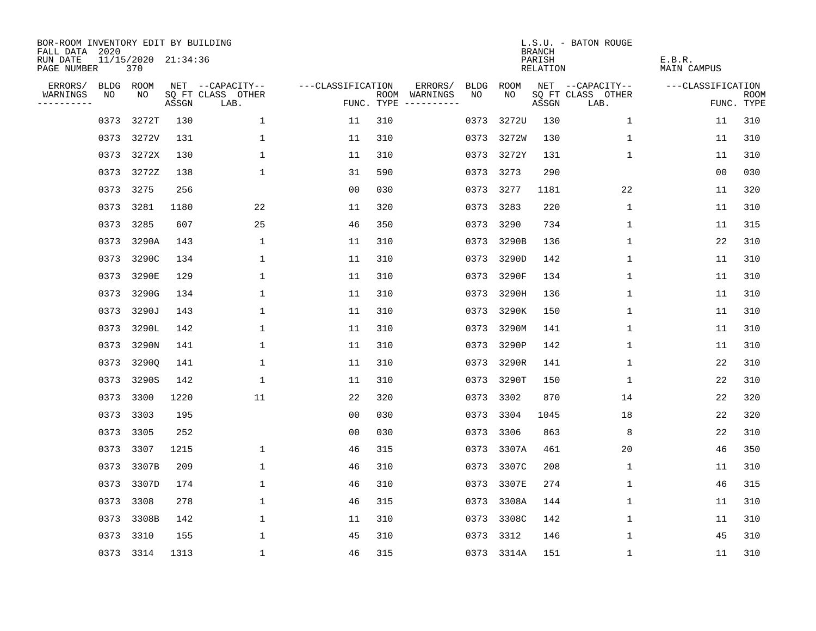| BOR-ROOM INVENTORY EDIT BY BUILDING<br>FALL DATA 2020 |                            |       |                           |                   |     |                                            |               | <b>BRANCH</b>             | L.S.U. - BATON ROUGE      |                              |                           |
|-------------------------------------------------------|----------------------------|-------|---------------------------|-------------------|-----|--------------------------------------------|---------------|---------------------------|---------------------------|------------------------------|---------------------------|
| RUN DATE<br>PAGE NUMBER                               | 11/15/2020 21:34:36<br>370 |       |                           |                   |     |                                            |               | PARISH<br><b>RELATION</b> |                           | E.B.R.<br><b>MAIN CAMPUS</b> |                           |
| ERRORS/                                               | BLDG ROOM                  |       | NET --CAPACITY--          | ---CLASSIFICATION |     | ERRORS/<br><b>BLDG</b>                     | ROOM          |                           | NET --CAPACITY--          | ---CLASSIFICATION            |                           |
| WARNINGS<br>----------                                | NO<br>NO                   | ASSGN | SQ FT CLASS OTHER<br>LAB. |                   |     | NO<br>ROOM WARNINGS<br>FUNC. TYPE $------$ | NO            | ASSGN                     | SQ FT CLASS OTHER<br>LAB. |                              | <b>ROOM</b><br>FUNC. TYPE |
|                                                       | 3272T<br>0373              | 130   | 1                         | 11                | 310 | 0373                                       | 3272U         | 130                       | $\mathbf 1$               | 11                           | 310                       |
|                                                       | 0373<br>3272V              | 131   | 1                         | 11                | 310 |                                            | 0373 3272W    | 130                       | 1                         | 11                           | 310                       |
|                                                       | 0373<br>3272X              | 130   | $\mathbf 1$               | 11                | 310 |                                            | 0373 3272Y    | 131                       | 1                         | 11                           | 310                       |
|                                                       | 0373 3272Z                 | 138   | $\mathbf{1}$              | 31                | 590 |                                            | 0373 3273     | 290                       |                           | 00                           | 030                       |
|                                                       | 3275<br>0373               | 256   |                           | 0 <sub>0</sub>    | 030 |                                            | 0373 3277     | 1181                      | 22                        | 11                           | 320                       |
|                                                       | 0373 3281                  | 1180  | 22                        | 11                | 320 |                                            | 0373 3283     | 220                       | $\mathbf 1$               | 11                           | 310                       |
|                                                       | 0373<br>3285               | 607   | 25                        | 46                | 350 |                                            | 0373 3290     | 734                       | $\mathbf{1}$              | 11                           | 315                       |
|                                                       | 0373 3290A                 | 143   | 1                         | 11                | 310 |                                            | 0373 3290B    | 136                       | 1                         | 22                           | 310                       |
|                                                       | 0373<br>3290C              | 134   | 1                         | 11                | 310 | 0373                                       | 3290D         | 142                       | 1                         | 11                           | 310                       |
|                                                       | 0373<br>3290E              | 129   | 1                         | 11                | 310 |                                            | 0373<br>3290F | 134                       | $\mathbf 1$               | 11                           | 310                       |
|                                                       | 0373<br>3290G              | 134   | 1                         | 11                | 310 | 0373                                       | 3290H         | 136                       | $\mathbf 1$               | 11                           | 310                       |
|                                                       | 3290J<br>0373              | 143   | $\mathbf{1}$              | 11                | 310 |                                            | 3290K<br>0373 | 150                       | $\mathbf 1$               | 11                           | 310                       |
|                                                       | 0373<br>3290L              | 142   | 1                         | 11                | 310 | 0373                                       | 3290M         | 141                       | 1                         | 11                           | 310                       |
|                                                       | 3290N<br>0373              | 141   | 1                         | 11                | 310 |                                            | 0373<br>3290P | 142                       | 1                         | 11                           | 310                       |
|                                                       | 3290Q<br>0373              | 141   | 1                         | 11                | 310 | 0373                                       | 3290R         | 141                       | 1                         | 22                           | 310                       |
|                                                       | 0373<br>3290S              | 142   | 1                         | 11                | 310 |                                            | 0373<br>3290T | 150                       | 1                         | 22                           | 310                       |
|                                                       | 3300<br>0373               | 1220  | 11                        | 22                | 320 |                                            | 0373<br>3302  | 870                       | 14                        | 22                           | 320                       |
|                                                       | 0373<br>3303               | 195   |                           | 0 <sub>0</sub>    | 030 |                                            | 3304<br>0373  | 1045                      | 18                        | 22                           | 320                       |
|                                                       | 3305<br>0373               | 252   |                           | 0 <sub>0</sub>    | 030 |                                            | 3306<br>0373  | 863                       | 8                         | 22                           | 310                       |
|                                                       | 0373<br>3307               | 1215  | 1                         | 46                | 315 | 0373                                       | 3307A         | 461                       | 20                        | 46                           | 350                       |
|                                                       | 0373<br>3307B              | 209   | 1                         | 46                | 310 |                                            | 0373 3307C    | 208                       | 1                         | 11                           | 310                       |
|                                                       | 0373<br>3307D              | 174   | $\mathbf 1$               | 46                | 310 | 0373                                       | 3307E         | 274                       | 1                         | 46                           | 315                       |
|                                                       | 3308<br>0373               | 278   | 1                         | 46                | 315 |                                            | 0373 3308A    | 144                       | 1                         | 11                           | 310                       |
|                                                       | 0373<br>3308B              | 142   | $\mathbf 1$               | 11                | 310 |                                            | 0373<br>3308C | 142                       | $\mathbf 1$               | 11                           | 310                       |
|                                                       | 0373<br>3310               | 155   | 1                         | 45                | 310 |                                            | 0373<br>3312  | 146                       | $\mathbf{1}$              | 45                           | 310                       |
|                                                       | 0373 3314                  | 1313  | $\mathbf{1}$              | 46                | 315 |                                            | 0373 3314A    | 151                       | 1                         | 11                           | 310                       |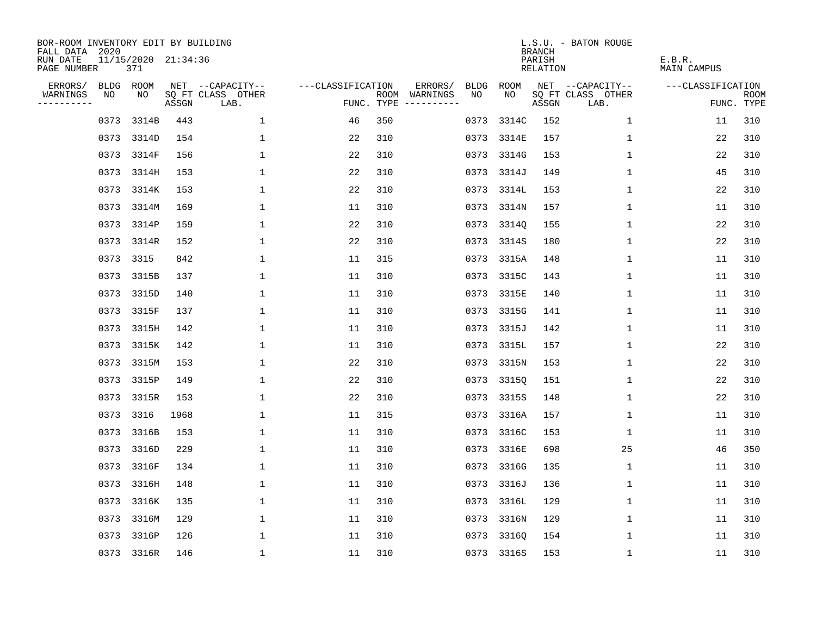| BOR-ROOM INVENTORY EDIT BY BUILDING<br>FALL DATA 2020 |      |                            |       |                           |                   |     |                                      |      |            | <b>BRANCH</b>      | L.S.U. - BATON ROUGE      |                       |                           |
|-------------------------------------------------------|------|----------------------------|-------|---------------------------|-------------------|-----|--------------------------------------|------|------------|--------------------|---------------------------|-----------------------|---------------------------|
| RUN DATE<br>PAGE NUMBER                               |      | 11/15/2020 21:34:36<br>371 |       |                           |                   |     |                                      |      |            | PARISH<br>RELATION |                           | E.B.R.<br>MAIN CAMPUS |                           |
| ERRORS/                                               | BLDG | ROOM                       |       | NET --CAPACITY--          | ---CLASSIFICATION |     | ERRORS/                              | BLDG | ROOM       |                    | NET --CAPACITY--          | ---CLASSIFICATION     |                           |
| WARNINGS<br>----------                                | NO   | NO.                        | ASSGN | SQ FT CLASS OTHER<br>LAB. |                   |     | ROOM WARNINGS<br>FUNC. TYPE $------$ | NO   | NO.        | ASSGN              | SQ FT CLASS OTHER<br>LAB. |                       | <b>ROOM</b><br>FUNC. TYPE |
|                                                       | 0373 | 3314B                      | 443   | $\mathbf 1$               | 46                | 350 |                                      | 0373 | 3314C      | 152                | 1                         | 11                    | 310                       |
|                                                       |      | 0373 3314D                 | 154   | $\mathbf{1}$              | 22                | 310 |                                      |      | 0373 3314E | 157                | 1                         | 22                    | 310                       |
|                                                       |      | 0373 3314F                 | 156   | $\mathbf{1}$              | 22                | 310 |                                      |      | 0373 3314G | 153                | 1                         | 22                    | 310                       |
|                                                       |      | 0373 3314H                 | 153   | 1                         | 22                | 310 |                                      |      | 0373 3314J | 149                | $\mathbf{1}$              | 45                    | 310                       |
|                                                       |      | 0373 3314K                 | 153   | 1                         | 22                | 310 |                                      |      | 0373 3314L | 153                | 1                         | 22                    | 310                       |
|                                                       |      | 0373 3314M                 | 169   | 1                         | 11                | 310 |                                      |      | 0373 3314N | 157                | 1                         | 11                    | 310                       |
|                                                       |      | 0373 3314P                 | 159   | $\mathbf{1}$              | 22                | 310 |                                      |      | 0373 33140 | 155                | $\mathbf 1$               | 22                    | 310                       |
|                                                       |      | 0373 3314R                 | 152   | $\mathbf{1}$              | 22                | 310 |                                      |      | 0373 3314S | 180                | $\mathbf 1$               | 22                    | 310                       |
|                                                       |      | 0373 3315                  | 842   | $\mathbf{1}$              | 11                | 315 |                                      |      | 0373 3315A | 148                | $\mathbf{1}$              | 11                    | 310                       |
|                                                       |      | 0373 3315B                 | 137   | 1                         | 11                | 310 |                                      |      | 0373 3315C | 143                | 1                         | 11                    | 310                       |
|                                                       |      | 0373 3315D                 | 140   | $\mathbf{1}$              | 11                | 310 |                                      |      | 0373 3315E | 140                | $\mathbf 1$               | 11                    | 310                       |
|                                                       |      | 0373 3315F                 | 137   | $\mathbf{1}$              | 11                | 310 |                                      |      | 0373 3315G | 141                | 1                         | 11                    | 310                       |
|                                                       |      | 0373 3315H                 | 142   | $\mathbf{1}$              | 11                | 310 |                                      | 0373 | 3315J      | 142                | $\mathbf{1}$              | 11                    | 310                       |
|                                                       |      | 0373 3315K                 | 142   | $\mathbf{1}$              | 11                | 310 |                                      | 0373 | 3315L      | 157                | $\mathbf{1}$              | 22                    | 310                       |
|                                                       |      | 0373 3315M                 | 153   | 1                         | 22                | 310 |                                      | 0373 | 3315N      | 153                | 1                         | 22                    | 310                       |
|                                                       |      | 0373 3315P                 | 149   | 1                         | 22                | 310 |                                      | 0373 | 3315Q      | 151                | 1                         | 22                    | 310                       |
|                                                       |      | 0373 3315R                 | 153   | 1                         | 22                | 310 |                                      | 0373 | 3315S      | 148                | 1                         | 22                    | 310                       |
|                                                       |      | 0373 3316                  | 1968  | $\mathbf{1}$              | 11                | 315 |                                      | 0373 | 3316A      | 157                | 1                         | 11                    | 310                       |
|                                                       |      | 0373 3316B                 | 153   | 1                         | 11                | 310 |                                      |      | 0373 3316C | 153                | $\mathbf 1$               | 11                    | 310                       |
|                                                       |      | 0373 3316D                 | 229   | $\mathbf{1}$              | 11                | 310 |                                      | 0373 | 3316E      | 698                | 25                        | 46                    | 350                       |
|                                                       |      | 0373 3316F                 | 134   | 1                         | 11                | 310 |                                      |      | 0373 3316G | 135                | 1                         | 11                    | 310                       |
|                                                       | 0373 | 3316H                      | 148   | 1                         | 11                | 310 |                                      | 0373 | 3316J      | 136                | 1                         | 11                    | 310                       |
|                                                       |      | 0373 3316K                 | 135   | 1                         | 11                | 310 |                                      |      | 0373 3316L | 129                | 1                         | 11                    | 310                       |
|                                                       | 0373 | 3316M                      | 129   | 1                         | 11                | 310 |                                      | 0373 | 3316N      | 129                | 1                         | 11                    | 310                       |
|                                                       |      | 0373 3316P                 | 126   | $\mathbf{1}$              | 11                | 310 |                                      | 0373 | 33160      | 154                | 1                         | 11                    | 310                       |
|                                                       |      | 0373 3316R                 | 146   | $\mathbf{1}$              | 11                | 310 |                                      |      | 0373 3316S | 153                | 1                         | 11                    | 310                       |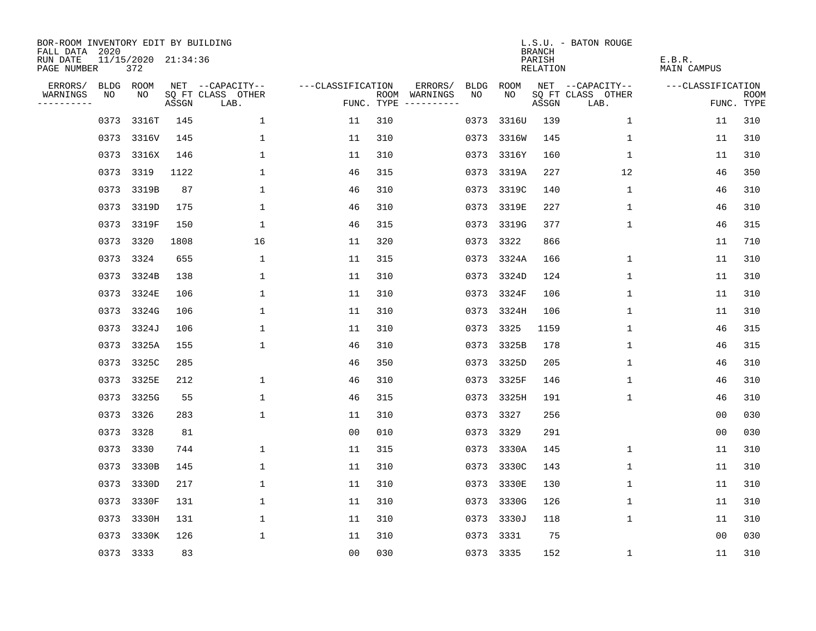| BOR-ROOM INVENTORY EDIT BY BUILDING<br>FALL DATA 2020 |      |                            |       |                           |                   |     |                                      |      |            | <b>BRANCH</b>      | L.S.U. - BATON ROUGE      |                              |                           |
|-------------------------------------------------------|------|----------------------------|-------|---------------------------|-------------------|-----|--------------------------------------|------|------------|--------------------|---------------------------|------------------------------|---------------------------|
| RUN DATE<br>PAGE NUMBER                               |      | 11/15/2020 21:34:36<br>372 |       |                           |                   |     |                                      |      |            | PARISH<br>RELATION |                           | E.B.R.<br><b>MAIN CAMPUS</b> |                           |
| ERRORS/                                               |      | BLDG ROOM                  |       | NET --CAPACITY--          | ---CLASSIFICATION |     | ERRORS/                              | BLDG | ROOM       |                    | NET --CAPACITY--          | ---CLASSIFICATION            |                           |
| WARNINGS<br>----------                                | NO   | NO                         | ASSGN | SQ FT CLASS OTHER<br>LAB. |                   |     | ROOM WARNINGS<br>FUNC. TYPE $------$ | NO.  | NO.        | ASSGN              | SQ FT CLASS OTHER<br>LAB. |                              | <b>ROOM</b><br>FUNC. TYPE |
|                                                       | 0373 | 3316T                      | 145   | $\mathbf 1$               | 11                | 310 |                                      | 0373 | 3316U      | 139                | 1                         | 11                           | 310                       |
|                                                       | 0373 | 3316V                      | 145   | 1                         | 11                | 310 |                                      |      | 0373 3316W | 145                | 1                         | 11                           | 310                       |
|                                                       | 0373 | 3316X                      | 146   | $\mathbf{1}$              | 11                | 310 |                                      |      | 0373 3316Y | 160                | $\mathbf 1$               | 11                           | 310                       |
|                                                       |      | 0373 3319                  | 1122  | 1                         | 46                | 315 |                                      |      | 0373 3319A | 227                | 12                        | 46                           | 350                       |
|                                                       | 0373 | 3319B                      | 87    | $\mathbf 1$               | 46                | 310 |                                      |      | 0373 3319C | 140                | 1                         | 46                           | 310                       |
|                                                       |      | 0373 3319D                 | 175   | $\mathbf 1$               | 46                | 310 |                                      |      | 0373 3319E | 227                | 1                         | 46                           | 310                       |
|                                                       |      | 0373 3319F                 | 150   | $\mathbf{1}$              | 46                | 315 |                                      |      | 0373 3319G | 377                | 1                         | 46                           | 315                       |
|                                                       |      | 0373 3320                  | 1808  | 16                        | 11                | 320 |                                      |      | 0373 3322  | 866                |                           | 11                           | 710                       |
|                                                       | 0373 | 3324                       | 655   | $\mathbf{1}$              | 11                | 315 |                                      |      | 0373 3324A | 166                | $\mathbf{1}$              | 11                           | 310                       |
|                                                       |      | 0373 3324B                 | 138   | 1                         | 11                | 310 |                                      |      | 0373 3324D | 124                | 1                         | 11                           | 310                       |
|                                                       |      | 0373 3324E                 | 106   | $\mathbf 1$               | 11                | 310 |                                      |      | 0373 3324F | 106                | $\mathbf 1$               | 11                           | 310                       |
|                                                       |      | 0373 3324G                 | 106   | 1                         | 11                | 310 |                                      |      | 0373 3324H | 106                | 1                         | 11                           | 310                       |
|                                                       | 0373 | 3324J                      | 106   | $\mathbf{1}$              | 11                | 310 |                                      | 0373 | 3325       | 1159               | $\mathbf 1$               | 46                           | 315                       |
|                                                       | 0373 | 3325A                      | 155   | $\mathbf 1$               | 46                | 310 |                                      |      | 0373 3325B | 178                | $\mathbf 1$               | 46                           | 315                       |
|                                                       |      | 0373 3325C                 | 285   |                           | 46                | 350 |                                      | 0373 | 3325D      | 205                | 1                         | 46                           | 310                       |
|                                                       | 0373 | 3325E                      | 212   | 1                         | 46                | 310 |                                      |      | 0373 3325F | 146                | 1                         | 46                           | 310                       |
|                                                       |      | 0373 3325G                 | 55    | 1                         | 46                | 315 |                                      |      | 0373 3325H | 191                | 1                         | 46                           | 310                       |
|                                                       | 0373 | 3326                       | 283   | $\mathbf 1$               | 11                | 310 |                                      |      | 0373 3327  | 256                |                           | 0 <sub>0</sub>               | 030                       |
|                                                       |      | 0373 3328                  | 81    |                           | 0 <sub>0</sub>    | 010 |                                      |      | 0373 3329  | 291                |                           | 0 <sub>0</sub>               | 030                       |
|                                                       | 0373 | 3330                       | 744   | $\mathbf{1}$              | 11                | 315 |                                      |      | 0373 3330A | 145                | $\mathbf 1$               | 11                           | 310                       |
|                                                       |      | 0373 3330B                 | 145   | $\mathbf 1$               | 11                | 310 |                                      |      | 0373 3330C | 143                | 1                         | 11                           | 310                       |
|                                                       | 0373 | 3330D                      | 217   | $\mathbf 1$               | 11                | 310 |                                      |      | 0373 3330E | 130                | 1                         | 11                           | 310                       |
|                                                       |      | 0373 3330F                 | 131   | 1                         | 11                | 310 |                                      |      | 0373 3330G | 126                | 1                         | 11                           | 310                       |
|                                                       | 0373 | 3330H                      | 131   | $\mathbf 1$               | 11                | 310 |                                      |      | 0373 3330J | 118                | 1                         | 11                           | 310                       |
|                                                       | 0373 | 3330K                      | 126   | $\mathbf{1}$              | 11                | 310 |                                      |      | 0373 3331  | 75                 |                           | 0 <sub>0</sub>               | 030                       |
|                                                       |      | 0373 3333                  | 83    |                           | 0 <sub>0</sub>    | 030 |                                      |      | 0373 3335  | 152                | 1                         | 11                           | 310                       |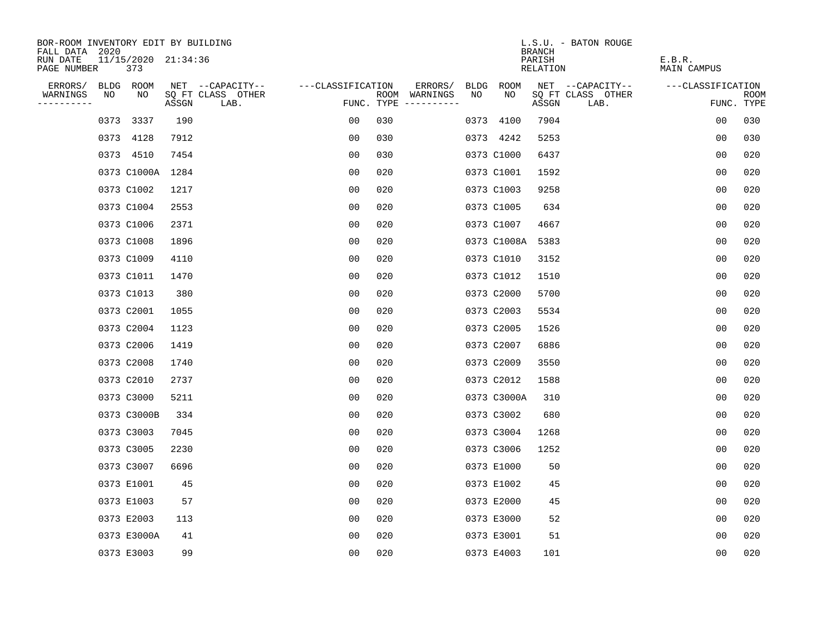| BOR-ROOM INVENTORY EDIT BY BUILDING       |             |     |                     |                           |                   |     |                                      |      |             | <b>BRANCH</b>      | L.S.U. - BATON ROUGE      |                       |                           |
|-------------------------------------------|-------------|-----|---------------------|---------------------------|-------------------|-----|--------------------------------------|------|-------------|--------------------|---------------------------|-----------------------|---------------------------|
| FALL DATA 2020<br>RUN DATE<br>PAGE NUMBER |             | 373 | 11/15/2020 21:34:36 |                           |                   |     |                                      |      |             | PARISH<br>RELATION |                           | E.B.R.<br>MAIN CAMPUS |                           |
| ERRORS/                                   | BLDG ROOM   |     |                     | NET --CAPACITY--          | ---CLASSIFICATION |     | ERRORS/                              | BLDG | ROOM        |                    | NET --CAPACITY--          | ---CLASSIFICATION     |                           |
| WARNINGS<br>----------                    | NO          | NO  | ASSGN               | SQ FT CLASS OTHER<br>LAB. |                   |     | ROOM WARNINGS<br>FUNC. TYPE $------$ | NO   | NO.         | ASSGN              | SQ FT CLASS OTHER<br>LAB. |                       | <b>ROOM</b><br>FUNC. TYPE |
|                                           | 0373 3337   |     | 190                 |                           | 0 <sub>0</sub>    | 030 |                                      |      | 0373 4100   | 7904               |                           | 0 <sub>0</sub>        | 030                       |
|                                           | 0373 4128   |     | 7912                |                           | 0 <sub>0</sub>    | 030 |                                      |      | 0373 4242   | 5253               |                           | 0 <sub>0</sub>        | 030                       |
|                                           | 0373 4510   |     | 7454                |                           | 0 <sub>0</sub>    | 030 |                                      |      | 0373 C1000  | 6437               |                           | 00                    | 020                       |
|                                           |             |     | 0373 C1000A 1284    |                           | 00                | 020 |                                      |      | 0373 C1001  | 1592               |                           | 00                    | 020                       |
|                                           | 0373 C1002  |     | 1217                |                           | 00                | 020 |                                      |      | 0373 C1003  | 9258               |                           | 0 <sub>0</sub>        | 020                       |
|                                           | 0373 C1004  |     | 2553                |                           | 0 <sub>0</sub>    | 020 |                                      |      | 0373 C1005  | 634                |                           | 0 <sub>0</sub>        | 020                       |
|                                           | 0373 C1006  |     | 2371                |                           | 0 <sub>0</sub>    | 020 |                                      |      | 0373 C1007  | 4667               |                           | 00                    | 020                       |
|                                           | 0373 C1008  |     | 1896                |                           | 0 <sub>0</sub>    | 020 |                                      |      | 0373 C1008A | 5383               |                           | 0 <sub>0</sub>        | 020                       |
|                                           | 0373 C1009  |     | 4110                |                           | 0 <sub>0</sub>    | 020 |                                      |      | 0373 C1010  | 3152               |                           | 0 <sub>0</sub>        | 020                       |
|                                           | 0373 C1011  |     | 1470                |                           | 0 <sub>0</sub>    | 020 |                                      |      | 0373 C1012  | 1510               |                           | 0 <sub>0</sub>        | 020                       |
|                                           | 0373 C1013  |     | 380                 |                           | 00                | 020 |                                      |      | 0373 C2000  | 5700               |                           | 0 <sub>0</sub>        | 020                       |
|                                           | 0373 C2001  |     | 1055                |                           | 0 <sub>0</sub>    | 020 |                                      |      | 0373 C2003  | 5534               |                           | 0 <sub>0</sub>        | 020                       |
|                                           | 0373 C2004  |     | 1123                |                           | 0 <sub>0</sub>    | 020 |                                      |      | 0373 C2005  | 1526               |                           | 0 <sub>0</sub>        | 020                       |
|                                           | 0373 C2006  |     | 1419                |                           | 0 <sub>0</sub>    | 020 |                                      |      | 0373 C2007  | 6886               |                           | 0 <sub>0</sub>        | 020                       |
|                                           | 0373 C2008  |     | 1740                |                           | 00                | 020 |                                      |      | 0373 C2009  | 3550               |                           | 00                    | 020                       |
|                                           | 0373 C2010  |     | 2737                |                           | 00                | 020 |                                      |      | 0373 C2012  | 1588               |                           | 0 <sub>0</sub>        | 020                       |
|                                           | 0373 C3000  |     | 5211                |                           | 0 <sub>0</sub>    | 020 |                                      |      | 0373 C3000A | 310                |                           | 0 <sub>0</sub>        | 020                       |
|                                           | 0373 C3000B |     | 334                 |                           | 0 <sub>0</sub>    | 020 |                                      |      | 0373 C3002  | 680                |                           | 0 <sub>0</sub>        | 020                       |
|                                           | 0373 C3003  |     | 7045                |                           | 0 <sub>0</sub>    | 020 |                                      |      | 0373 C3004  | 1268               |                           | 0 <sub>0</sub>        | 020                       |
|                                           | 0373 C3005  |     | 2230                |                           | 0 <sub>0</sub>    | 020 |                                      |      | 0373 C3006  | 1252               |                           | 0 <sub>0</sub>        | 020                       |
|                                           | 0373 C3007  |     | 6696                |                           | 0 <sub>0</sub>    | 020 |                                      |      | 0373 E1000  | 50                 |                           | 0 <sub>0</sub>        | 020                       |
|                                           | 0373 E1001  |     | 45                  |                           | 0 <sub>0</sub>    | 020 |                                      |      | 0373 E1002  | 45                 |                           | 0 <sub>0</sub>        | 020                       |
|                                           | 0373 E1003  |     | 57                  |                           | 0 <sub>0</sub>    | 020 |                                      |      | 0373 E2000  | 45                 |                           | 0 <sub>0</sub>        | 020                       |
|                                           | 0373 E2003  |     | 113                 |                           | 0 <sub>0</sub>    | 020 |                                      |      | 0373 E3000  | 52                 |                           | 0 <sub>0</sub>        | 020                       |
|                                           | 0373 E3000A |     | 41                  |                           | 0 <sub>0</sub>    | 020 |                                      |      | 0373 E3001  | 51                 |                           | 0 <sub>0</sub>        | 020                       |
|                                           | 0373 E3003  |     | 99                  |                           | 0 <sub>0</sub>    | 020 |                                      |      | 0373 E4003  | 101                |                           | 0 <sub>0</sub>        | 020                       |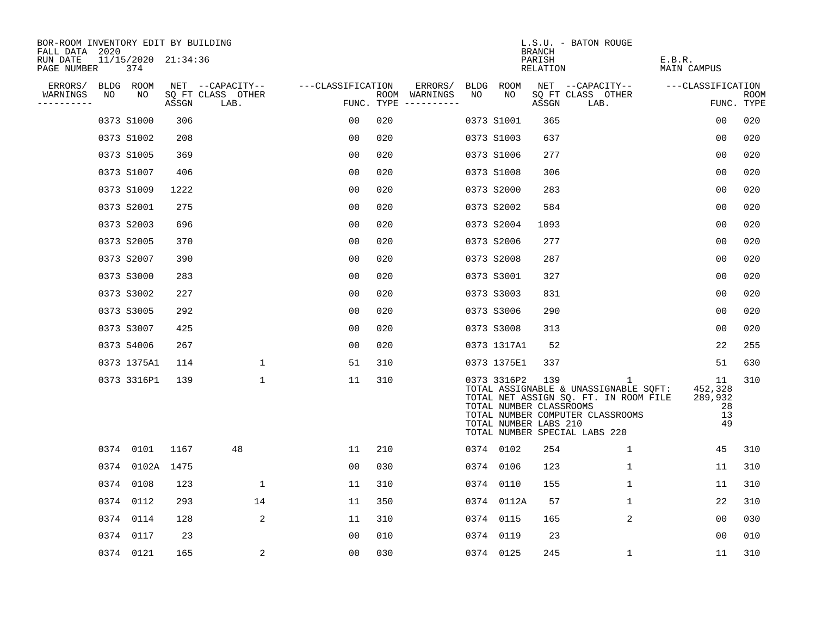| BOR-ROOM INVENTORY EDIT BY BUILDING<br>FALL DATA 2020 |      |                            |       |                           |                   |     |                                      |      |             | <b>BRANCH</b>                                           | L.S.U. - BATON ROUGE                                                                                                                                     |                                            |                           |
|-------------------------------------------------------|------|----------------------------|-------|---------------------------|-------------------|-----|--------------------------------------|------|-------------|---------------------------------------------------------|----------------------------------------------------------------------------------------------------------------------------------------------------------|--------------------------------------------|---------------------------|
| RUN DATE<br>PAGE NUMBER                               |      | 11/15/2020 21:34:36<br>374 |       |                           |                   |     |                                      |      |             | PARISH<br>RELATION                                      |                                                                                                                                                          | E.B.R.<br>MAIN CAMPUS                      |                           |
| ERRORS/                                               |      | BLDG ROOM                  |       | NET --CAPACITY--          | ---CLASSIFICATION |     | ERRORS/                              |      | BLDG ROOM   |                                                         | NET --CAPACITY--                                                                                                                                         | ---CLASSIFICATION                          |                           |
| WARNINGS<br>----------                                | NO   | NO                         | ASSGN | SQ FT CLASS OTHER<br>LAB. |                   |     | ROOM WARNINGS<br>FUNC. TYPE $------$ | NO   | NO.         | ASSGN                                                   | SQ FT CLASS OTHER<br>LAB.                                                                                                                                |                                            | <b>ROOM</b><br>FUNC. TYPE |
|                                                       |      | 0373 S1000                 | 306   |                           | 0 <sub>0</sub>    | 020 |                                      |      | 0373 S1001  | 365                                                     |                                                                                                                                                          | 0 <sub>0</sub>                             | 020                       |
|                                                       |      | 0373 S1002                 | 208   |                           | 0 <sub>0</sub>    | 020 |                                      |      | 0373 S1003  | 637                                                     |                                                                                                                                                          | 0 <sub>0</sub>                             | 020                       |
|                                                       |      | 0373 S1005                 | 369   |                           | 0 <sub>0</sub>    | 020 |                                      |      | 0373 S1006  | 277                                                     |                                                                                                                                                          | 0 <sub>0</sub>                             | 020                       |
|                                                       |      | 0373 S1007                 | 406   |                           | 0 <sub>0</sub>    | 020 |                                      |      | 0373 S1008  | 306                                                     |                                                                                                                                                          | 0 <sub>0</sub>                             | 020                       |
|                                                       |      | 0373 S1009                 | 1222  |                           | 0 <sub>0</sub>    | 020 |                                      |      | 0373 S2000  | 283                                                     |                                                                                                                                                          | 00                                         | 020                       |
|                                                       |      | 0373 S2001                 | 275   |                           | 0 <sub>0</sub>    | 020 |                                      |      | 0373 S2002  | 584                                                     |                                                                                                                                                          | 0 <sub>0</sub>                             | 020                       |
|                                                       |      | 0373 S2003                 | 696   |                           | 0 <sub>0</sub>    | 020 |                                      |      | 0373 S2004  | 1093                                                    |                                                                                                                                                          | 0 <sub>0</sub>                             | 020                       |
|                                                       |      | 0373 S2005                 | 370   |                           | 0 <sub>0</sub>    | 020 |                                      |      | 0373 S2006  | 277                                                     |                                                                                                                                                          | 0 <sub>0</sub>                             | 020                       |
|                                                       |      | 0373 S2007                 | 390   |                           | 0 <sub>0</sub>    | 020 |                                      |      | 0373 S2008  | 287                                                     |                                                                                                                                                          | 00                                         | 020                       |
|                                                       |      | 0373 S3000                 | 283   |                           | 0 <sub>0</sub>    | 020 |                                      |      | 0373 S3001  | 327                                                     |                                                                                                                                                          | 0 <sub>0</sub>                             | 020                       |
|                                                       |      | 0373 S3002                 | 227   |                           | 00                | 020 |                                      |      | 0373 S3003  | 831                                                     |                                                                                                                                                          | 00                                         | 020                       |
|                                                       |      | 0373 S3005                 | 292   |                           | 00                | 020 |                                      |      | 0373 S3006  | 290                                                     |                                                                                                                                                          | 0 <sub>0</sub>                             | 020                       |
|                                                       |      | 0373 S3007                 | 425   |                           | 0 <sub>0</sub>    | 020 |                                      |      | 0373 S3008  | 313                                                     |                                                                                                                                                          | 0 <sub>0</sub>                             | 020                       |
|                                                       |      | 0373 S4006                 | 267   |                           | 00                | 020 |                                      |      | 0373 1317A1 | 52                                                      |                                                                                                                                                          | 22                                         | 255                       |
|                                                       |      | 0373 1375A1                | 114   | 1                         | 51                | 310 |                                      |      | 0373 1375E1 | 337                                                     |                                                                                                                                                          | 51                                         | 630                       |
|                                                       |      | 0373 3316P1                | 139   | $\mathbf{1}$              | 11                | 310 |                                      |      | 0373 3316P2 | 139<br>TOTAL NUMBER CLASSROOMS<br>TOTAL NUMBER LABS 210 | 1<br>TOTAL ASSIGNABLE & UNASSIGNABLE SQFT:<br>TOTAL NET ASSIGN SQ. FT. IN ROOM FILE<br>TOTAL NUMBER COMPUTER CLASSROOMS<br>TOTAL NUMBER SPECIAL LABS 220 | 11<br>452,328<br>289,932<br>28<br>13<br>49 | 310                       |
|                                                       |      | 0374 0101                  | 1167  | 48                        | 11                | 210 |                                      |      | 0374 0102   | 254                                                     | $\mathbf 1$                                                                                                                                              | 45                                         | 310                       |
|                                                       | 0374 | 0102A 1475                 |       |                           | 0 <sub>0</sub>    | 030 |                                      |      | 0374 0106   | 123                                                     | $\mathbf 1$                                                                                                                                              | 11                                         | 310                       |
|                                                       | 0374 | 0108                       | 123   | 1                         | 11                | 310 |                                      |      | 0374 0110   | 155                                                     | $\mathbf{1}$                                                                                                                                             | 11                                         | 310                       |
|                                                       | 0374 | 0112                       | 293   | 14                        | 11                | 350 |                                      |      | 0374 0112A  | 57                                                      | $\mathbf 1$                                                                                                                                              | 22                                         | 310                       |
|                                                       | 0374 | 0114                       | 128   | 2                         | 11                | 310 |                                      | 0374 | 0115        | 165                                                     | 2                                                                                                                                                        | 00                                         | 030                       |
|                                                       | 0374 | 0117                       | 23    |                           | 00                | 010 |                                      |      | 0374 0119   | 23                                                      |                                                                                                                                                          | 00                                         | 010                       |
|                                                       |      | 0374 0121                  | 165   | 2                         | 0 <sub>0</sub>    | 030 |                                      |      | 0374 0125   | 245                                                     | 1                                                                                                                                                        | 11                                         | 310                       |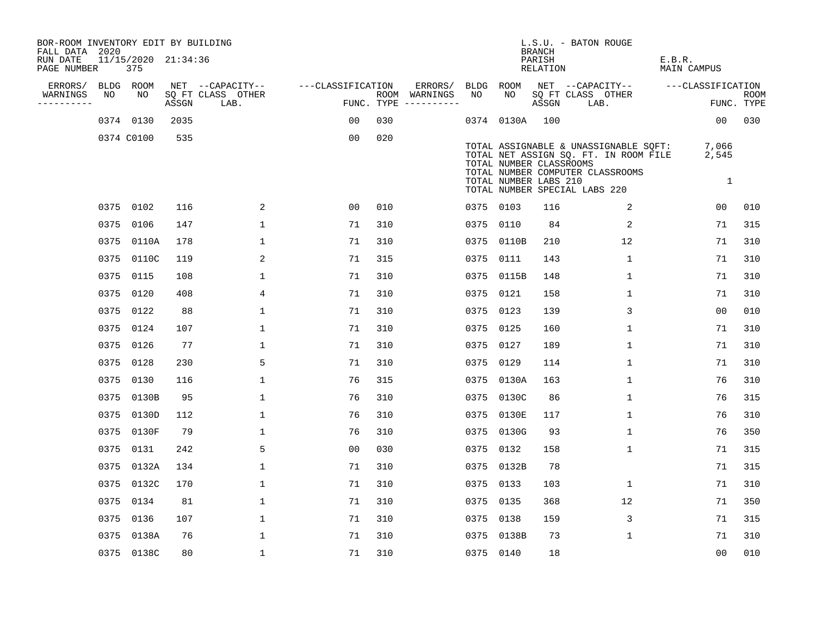| BOR-ROOM INVENTORY EDIT BY BUILDING<br>FALL DATA 2020 |                            |       |                           |                   |                                      |           |                | <b>BRANCH</b>                                    | L.S.U. - BATON ROUGE                                                                                                                                |                       |                           |
|-------------------------------------------------------|----------------------------|-------|---------------------------|-------------------|--------------------------------------|-----------|----------------|--------------------------------------------------|-----------------------------------------------------------------------------------------------------------------------------------------------------|-----------------------|---------------------------|
| RUN DATE<br>PAGE NUMBER                               | 11/15/2020 21:34:36<br>375 |       |                           |                   |                                      |           |                | PARISH<br>RELATION                               |                                                                                                                                                     | E.B.R.<br>MAIN CAMPUS |                           |
| ERRORS/                                               | BLDG ROOM                  |       | NET --CAPACITY--          | ---CLASSIFICATION | ERRORS/                              | BLDG      | ROOM           |                                                  | NET --CAPACITY--                                                                                                                                    | ---CLASSIFICATION     |                           |
| WARNINGS<br>NO<br>----------                          | NO                         | ASSGN | SQ FT CLASS OTHER<br>LAB. |                   | ROOM WARNINGS<br>FUNC. TYPE $------$ | NO        | NO             | ASSGN                                            | SQ FT CLASS OTHER<br>LAB.                                                                                                                           |                       | <b>ROOM</b><br>FUNC. TYPE |
|                                                       | 0374 0130                  | 2035  |                           | 0 <sub>0</sub>    | 030                                  |           | 0374 0130A 100 |                                                  |                                                                                                                                                     | 00                    | 030                       |
|                                                       | 0374 C0100                 | 535   |                           | 00                | 020                                  |           |                | TOTAL NUMBER CLASSROOMS<br>TOTAL NUMBER LABS 210 | TOTAL ASSIGNABLE & UNASSIGNABLE SOFT:<br>TOTAL NET ASSIGN SQ. FT. IN ROOM FILE<br>TOTAL NUMBER COMPUTER CLASSROOMS<br>TOTAL NUMBER SPECIAL LABS 220 | 7,066<br>2,545<br>1   |                           |
|                                                       | 0375 0102                  | 116   | 2                         | 0 <sub>0</sub>    | 010                                  |           | 0375 0103      | 116                                              | 2                                                                                                                                                   | 00                    | 010                       |
|                                                       | 0375 0106                  | 147   | $\mathbf{1}$              | 71                | 310                                  |           | 0375 0110      | 84                                               | 2                                                                                                                                                   | 71                    | 315                       |
|                                                       | 0375 0110A                 | 178   | $\mathbf{1}$              | 71                | 310                                  |           | 0375 0110B     | 210                                              | 12                                                                                                                                                  | 71                    | 310                       |
|                                                       | 0375 0110C                 | 119   | 2                         | 71                | 315                                  |           | 0375 0111      | 143                                              | 1                                                                                                                                                   | 71                    | 310                       |
|                                                       | 0375 0115                  | 108   | $\mathbf{1}$              | 71                | 310                                  |           | 0375 0115B     | 148                                              | $\mathbf{1}$                                                                                                                                        | 71                    | 310                       |
|                                                       | 0375 0120                  | 408   | 4                         | 71                | 310                                  | 0375 0121 |                | 158                                              | $\mathbf 1$                                                                                                                                         | 71                    | 310                       |
|                                                       | 0375 0122                  | 88    | $\mathbf{1}$              | 71                | 310                                  |           | 0375 0123      | 139                                              | 3                                                                                                                                                   | 0 <sub>0</sub>        | 010                       |
|                                                       | 0375 0124                  | 107   | $\mathbf 1$               | 71                | 310                                  |           | 0375 0125      | 160                                              | $\mathbf 1$                                                                                                                                         | 71                    | 310                       |
|                                                       | 0375 0126                  | 77    | $\mathbf 1$               | 71                | 310                                  |           | 0375 0127      | 189                                              | 1                                                                                                                                                   | 71                    | 310                       |
|                                                       | 0375 0128                  | 230   | 5                         | 71                | 310                                  |           | 0375 0129      | 114                                              | 1                                                                                                                                                   | 71                    | 310                       |
| 0375                                                  | 0130                       | 116   | $\mathbf 1$               | 76                | 315                                  |           | 0375 0130A     | 163                                              | 1                                                                                                                                                   | 76                    | 310                       |
|                                                       | 0375 0130B                 | 95    | $\mathbf{1}$              | 76                | 310                                  |           | 0375 0130C     | 86                                               | 1                                                                                                                                                   | 76                    | 315                       |
| 0375                                                  | 0130D                      | 112   | $\mathbf{1}$              | 76                | 310                                  |           | 0375 0130E     | 117                                              | $\mathbf 1$                                                                                                                                         | 76                    | 310                       |
|                                                       | 0375 0130F                 | 79    | $\mathbf{1}$              | 76                | 310                                  |           | 0375 0130G     | 93                                               | 1                                                                                                                                                   | 76                    | 350                       |
| 0375                                                  | 0131                       | 242   | 5                         | 0 <sub>0</sub>    | 030                                  |           | 0375 0132      | 158                                              | 1                                                                                                                                                   | 71                    | 315                       |
|                                                       | 0375 0132A                 | 134   | $\mathbf 1$               | 71                | 310                                  |           | 0375 0132B     | 78                                               |                                                                                                                                                     | 71                    | 315                       |
| 0375                                                  | 0132C                      | 170   | $\mathbf{1}$              | 71                | 310                                  |           | 0375 0133      | 103                                              | $\mathbf{1}$                                                                                                                                        | 71                    | 310                       |
|                                                       | 0375 0134                  | 81    | 1                         | 71                | 310                                  |           | 0375 0135      | 368                                              | 12                                                                                                                                                  | 71                    | 350                       |
|                                                       | 0375 0136                  | 107   | $\mathbf 1$               | 71                | 310                                  |           | 0375 0138      | 159                                              | 3                                                                                                                                                   | 71                    | 315                       |
|                                                       | 0375 0138A                 | 76    | $\mathbf{1}$              | 71                | 310                                  |           | 0375 0138B     | 73                                               | $\mathbf 1$                                                                                                                                         | 71                    | 310                       |
|                                                       | 0375 0138C                 | 80    | $\mathbf{1}$              | 71                | 310                                  | 0375 0140 |                | 18                                               |                                                                                                                                                     | 0 <sub>0</sub>        | 010                       |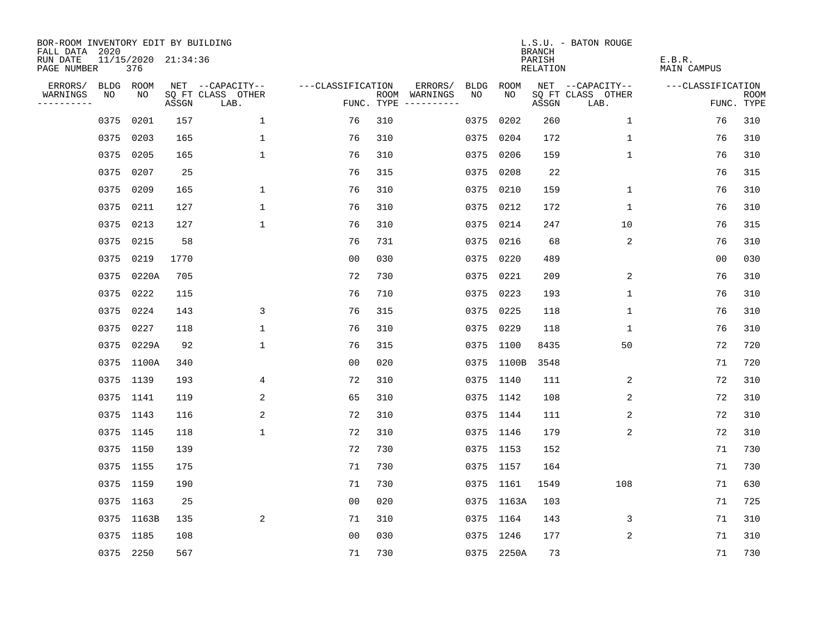| BOR-ROOM INVENTORY EDIT BY BUILDING<br>FALL DATA 2020 |                            |       |                           |                   |     |                                      |             |             | <b>BRANCH</b>             | L.S.U. - BATON ROUGE      |                              |                           |
|-------------------------------------------------------|----------------------------|-------|---------------------------|-------------------|-----|--------------------------------------|-------------|-------------|---------------------------|---------------------------|------------------------------|---------------------------|
| RUN DATE<br>PAGE NUMBER                               | 11/15/2020 21:34:36<br>376 |       |                           |                   |     |                                      |             |             | PARISH<br><b>RELATION</b> |                           | E.B.R.<br><b>MAIN CAMPUS</b> |                           |
| ERRORS/                                               | BLDG ROOM                  |       | NET --CAPACITY--          | ---CLASSIFICATION |     | ERRORS/                              | <b>BLDG</b> | <b>ROOM</b> |                           | NET --CAPACITY--          | ---CLASSIFICATION            |                           |
| WARNINGS<br>NO<br>----------                          | NO                         | ASSGN | SQ FT CLASS OTHER<br>LAB. |                   |     | ROOM WARNINGS<br>FUNC. TYPE $------$ | NO          | NO          | ASSGN                     | SQ FT CLASS OTHER<br>LAB. |                              | <b>ROOM</b><br>FUNC. TYPE |
| 0375                                                  | 0201                       | 157   | 1                         | 76                | 310 |                                      | 0375        | 0202        | 260                       | 1                         | 76                           | 310                       |
| 0375                                                  | 0203                       | 165   | $\mathbf 1$               | 76                | 310 |                                      |             | 0375 0204   | 172                       | $\mathbf 1$               | 76                           | 310                       |
| 0375                                                  | 0205                       | 165   | $\mathbf 1$               | 76                | 310 |                                      |             | 0375 0206   | 159                       | $\mathbf 1$               | 76                           | 310                       |
| 0375                                                  | 0207                       | 25    |                           | 76                | 315 |                                      |             | 0375 0208   | 22                        |                           | 76                           | 315                       |
| 0375                                                  | 0209                       | 165   | $\mathbf{1}$              | 76                | 310 |                                      |             | 0375 0210   | 159                       | $\mathbf 1$               | 76                           | 310                       |
| 0375                                                  | 0211                       | 127   | $\mathbf{1}$              | 76                | 310 |                                      |             | 0375 0212   | 172                       | $\mathbf 1$               | 76                           | 310                       |
| 0375                                                  | 0213                       | 127   | $\mathbf{1}$              | 76                | 310 |                                      |             | 0375 0214   | 247                       | 10                        | 76                           | 315                       |
| 0375                                                  | 0215                       | 58    |                           | 76                | 731 |                                      |             | 0375 0216   | 68                        | 2                         | 76                           | 310                       |
| 0375                                                  | 0219                       | 1770  |                           | 0 <sub>0</sub>    | 030 |                                      |             | 0375 0220   | 489                       |                           | 0 <sub>0</sub>               | 030                       |
| 0375                                                  | 0220A                      | 705   |                           | 72                | 730 |                                      |             | 0375 0221   | 209                       | 2                         | 76                           | 310                       |
|                                                       | 0375 0222                  | 115   |                           | 76                | 710 |                                      |             | 0375 0223   | 193                       | $\mathbf 1$               | 76                           | 310                       |
| 0375                                                  | 0224                       | 143   | 3                         | 76                | 315 |                                      |             | 0375 0225   | 118                       | $\mathbf 1$               | 76                           | 310                       |
| 0375                                                  | 0227                       | 118   | $\mathbf 1$               | 76                | 310 |                                      |             | 0375 0229   | 118                       | 1                         | 76                           | 310                       |
|                                                       | 0375 0229A                 | 92    | 1                         | 76                | 315 |                                      |             | 0375 1100   | 8435                      | 50                        | 72                           | 720                       |
|                                                       | 0375 1100A                 | 340   |                           | 0 <sub>0</sub>    | 020 |                                      |             | 0375 1100B  | 3548                      |                           | 71                           | 720                       |
|                                                       | 0375 1139                  | 193   | 4                         | 72                | 310 |                                      |             | 0375 1140   | 111                       | 2                         | 72                           | 310                       |
|                                                       | 0375 1141                  | 119   | 2                         | 65                | 310 |                                      |             | 0375 1142   | 108                       | 2                         | 72                           | 310                       |
|                                                       | 0375 1143                  | 116   | 2                         | 72                | 310 |                                      |             | 0375 1144   | 111                       | 2                         | 72                           | 310                       |
|                                                       | 0375 1145                  | 118   | $\mathbf{1}$              | 72                | 310 |                                      |             | 0375 1146   | 179                       | 2                         | 72                           | 310                       |
|                                                       | 0375 1150                  | 139   |                           | 72                | 730 |                                      |             | 0375 1153   | 152                       |                           | 71                           | 730                       |
|                                                       | 0375 1155                  | 175   |                           | 71                | 730 |                                      |             | 0375 1157   | 164                       |                           | 71                           | 730                       |
|                                                       | 0375 1159                  | 190   |                           | 71                | 730 |                                      |             | 0375 1161   | 1549                      | 108                       | 71                           | 630                       |
|                                                       | 0375 1163                  | 25    |                           | 0 <sub>0</sub>    | 020 |                                      |             | 0375 1163A  | 103                       |                           | 71                           | 725                       |
|                                                       | 0375 1163B                 | 135   | 2                         | 71                | 310 |                                      |             | 0375 1164   | 143                       | 3                         | 71                           | 310                       |
|                                                       | 0375 1185                  | 108   |                           | 0 <sub>0</sub>    | 030 |                                      |             | 0375 1246   | 177                       | 2                         | 71                           | 310                       |
|                                                       | 0375 2250                  | 567   |                           | 71                | 730 |                                      |             | 0375 2250A  | 73                        |                           | 71                           | 730                       |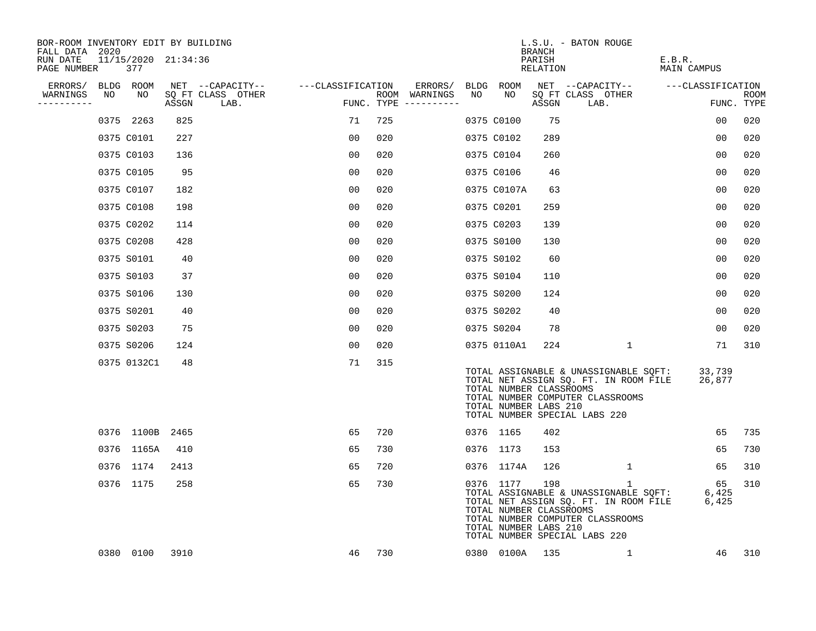| BOR-ROOM INVENTORY EDIT BY BUILDING<br>FALL DATA 2020 |    |                            |       |                           |                   |     |                                        |    |                                                               | BRANCH             | L.S.U. - BATON ROUGE                                                                                                                                     |                       |                    |
|-------------------------------------------------------|----|----------------------------|-------|---------------------------|-------------------|-----|----------------------------------------|----|---------------------------------------------------------------|--------------------|----------------------------------------------------------------------------------------------------------------------------------------------------------|-----------------------|--------------------|
| RUN DATE<br>PAGE NUMBER                               |    | 11/15/2020 21:34:36<br>377 |       |                           |                   |     |                                        |    |                                                               | PARISH<br>RELATION |                                                                                                                                                          | E.B.R.<br>MAIN CAMPUS |                    |
| ERRORS/                                               |    | BLDG ROOM                  |       | NET --CAPACITY--          | ---CLASSIFICATION |     | ERRORS/                                |    | BLDG ROOM                                                     |                    | NET --CAPACITY--                                                                                                                                         | ---CLASSIFICATION     |                    |
| WARNINGS<br>---------                                 | NO | NO                         | ASSGN | SQ FT CLASS OTHER<br>LAB. |                   |     | ROOM WARNINGS<br>FUNC. TYPE ---------- | NO | NO                                                            | ASSGN              | SQ FT CLASS OTHER<br>LAB.                                                                                                                                |                       | ROOM<br>FUNC. TYPE |
|                                                       |    | 0375 2263                  | 825   |                           | 71                | 725 |                                        |    | 0375 C0100                                                    | 75                 |                                                                                                                                                          | 00                    | 020                |
|                                                       |    | 0375 C0101                 | 227   |                           | 00                | 020 |                                        |    | 0375 C0102                                                    | 289                |                                                                                                                                                          | 00                    | 020                |
|                                                       |    | 0375 C0103                 | 136   |                           | 00                | 020 |                                        |    | 0375 C0104                                                    | 260                |                                                                                                                                                          | 0 <sub>0</sub>        | 020                |
|                                                       |    | 0375 C0105                 | 95    |                           | 0 <sub>0</sub>    | 020 |                                        |    | 0375 C0106                                                    | 46                 |                                                                                                                                                          | 0 <sub>0</sub>        | 020                |
|                                                       |    | 0375 C0107                 | 182   |                           | 0 <sub>0</sub>    | 020 |                                        |    | 0375 C0107A                                                   | 63                 |                                                                                                                                                          | 0 <sub>0</sub>        | 020                |
|                                                       |    | 0375 C0108                 | 198   |                           | 0 <sub>0</sub>    | 020 |                                        |    | 0375 C0201                                                    | 259                |                                                                                                                                                          | 0 <sub>0</sub>        | 020                |
|                                                       |    | 0375 C0202                 | 114   |                           | 00                | 020 |                                        |    | 0375 C0203                                                    | 139                |                                                                                                                                                          | 0 <sub>0</sub>        | 020                |
|                                                       |    | 0375 C0208                 | 428   |                           | 0 <sub>0</sub>    | 020 |                                        |    | 0375 S0100                                                    | 130                |                                                                                                                                                          | 0 <sub>0</sub>        | 020                |
|                                                       |    | 0375 S0101                 | 40    |                           | 0 <sub>0</sub>    | 020 |                                        |    | 0375 S0102                                                    | 60                 |                                                                                                                                                          | 00                    | 020                |
|                                                       |    | 0375 S0103                 | 37    |                           | 0 <sub>0</sub>    | 020 |                                        |    | 0375 S0104                                                    | 110                |                                                                                                                                                          | 00                    | 020                |
|                                                       |    | 0375 S0106                 | 130   |                           | 0 <sub>0</sub>    | 020 |                                        |    | 0375 S0200                                                    | 124                |                                                                                                                                                          | 0 <sub>0</sub>        | 020                |
|                                                       |    | 0375 S0201                 | 40    |                           | 0 <sub>0</sub>    | 020 |                                        |    | 0375 S0202                                                    | 40                 |                                                                                                                                                          | 0 <sub>0</sub>        | 020                |
|                                                       |    | 0375 S0203                 | 75    |                           | 00                | 020 |                                        |    | 0375 S0204                                                    | 78                 |                                                                                                                                                          | 00                    | 020                |
|                                                       |    | 0375 S0206                 | 124   |                           | 00                | 020 |                                        |    | 0375 0110A1                                                   | 224                | $\mathbf{1}$                                                                                                                                             | 71                    | 310                |
|                                                       |    | 0375 0132C1                | 48    |                           | 71                | 315 |                                        |    | TOTAL NUMBER CLASSROOMS<br>TOTAL NUMBER LABS 210              |                    | TOTAL ASSIGNABLE & UNASSIGNABLE SQFT:<br>TOTAL NET ASSIGN SQ. FT. IN ROOM FILE<br>TOTAL NUMBER COMPUTER CLASSROOMS<br>TOTAL NUMBER SPECIAL LABS 220      | 33,739<br>26,877      |                    |
|                                                       |    | 0376 1100B 2465            |       |                           | 65                | 720 |                                        |    | 0376 1165                                                     | 402                |                                                                                                                                                          | 65                    | 735                |
|                                                       |    | 0376 1165A                 | 410   |                           | 65                | 730 |                                        |    | 0376 1173                                                     | 153                |                                                                                                                                                          | 65                    | 730                |
|                                                       |    | 0376 1174                  | 2413  |                           | 65                | 720 |                                        |    | 0376 1174A                                                    | 126                | 1                                                                                                                                                        | 65                    | 310                |
|                                                       |    | 0376 1175                  | 258   |                           | 65                | 730 |                                        |    | 0376 1177<br>TOTAL NUMBER CLASSROOMS<br>TOTAL NUMBER LABS 210 | 198                | 1<br>TOTAL ASSIGNABLE & UNASSIGNABLE SQFT:<br>TOTAL NET ASSIGN SQ. FT. IN ROOM FILE<br>TOTAL NUMBER COMPUTER CLASSROOMS<br>TOTAL NUMBER SPECIAL LABS 220 | 65<br>6,425<br>6,425  | 310                |
|                                                       |    | 0380 0100                  | 3910  |                           | 46                | 730 |                                        |    | 0380 0100A 135                                                |                    | $\mathbf{1}$                                                                                                                                             | 46                    | 310                |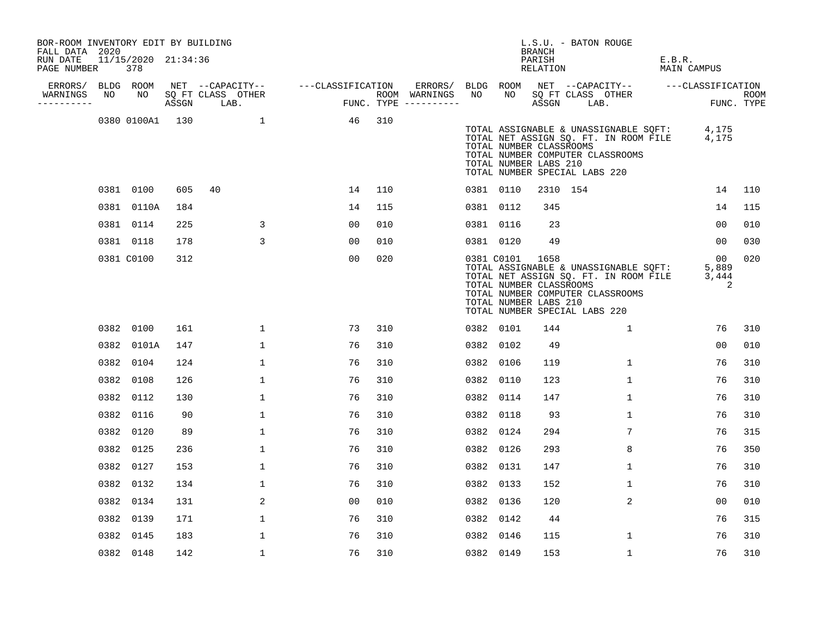| BOR-ROOM INVENTORY EDIT BY BUILDING<br>FALL DATA 2020 |    |                            |     |                                    |                                                       |     |           |            | BRANCH                                                   | L.S.U. - BATON ROUGE                                                                                                                                            |                       |     |
|-------------------------------------------------------|----|----------------------------|-----|------------------------------------|-------------------------------------------------------|-----|-----------|------------|----------------------------------------------------------|-----------------------------------------------------------------------------------------------------------------------------------------------------------------|-----------------------|-----|
| RUN DATE<br>PAGE NUMBER                               |    | 11/15/2020 21:34:36<br>378 |     |                                    |                                                       |     |           |            | PARISH<br>RELATION                                       |                                                                                                                                                                 | E.B.R.<br>MAIN CAMPUS |     |
|                                                       |    |                            |     |                                    | ERRORS/ BLDG ROOM NET --CAPACITY-- ----CLASSIFICATION |     |           |            |                                                          | ERRORS/ BLDG ROOM NET --CAPACITY--  ---CLASSIFICATION                                                                                                           |                       |     |
| WARNINGS<br>----------                                | NO |                            |     | NO SQ FT CLASS OTHER<br>ASSGN LAB. | ROOM WARNINGS<br>FUNC. TYPE ---------                 |     | NO        | NO         | ASSGN LAB.                                               | SQ FT CLASS OTHER                                                                                                                                               | ROOM<br>FUNC. TYPE    |     |
|                                                       |    | 0380 0100A1 130            |     | $\sim$ 1                           | 46                                                    | 310 |           |            | TOTAL NUMBER CLASSROOMS<br>TOTAL NUMBER LABS 210         | TOTAL ASSIGNABLE & UNASSIGNABLE SQFT: 4,175<br>TOTAL NET ASSIGN SQ. FT. IN ROOM FILE 4,175<br>TOTAL NUMBER COMPUTER CLASSROOMS<br>TOTAL NUMBER SPECIAL LABS 220 |                       |     |
|                                                       |    | 0381 0100                  | 605 | 40                                 | 14                                                    | 110 | 0381 0110 |            | 2310 154                                                 |                                                                                                                                                                 | 14                    | 110 |
|                                                       |    | 0381 0110A                 | 184 |                                    | 14                                                    | 115 |           | 0381 0112  | 345                                                      |                                                                                                                                                                 | 14                    | 115 |
|                                                       |    | 0381 0114                  | 225 | $\mathsf{3}$                       | 0 <sub>0</sub>                                        | 010 | 0381 0116 |            | 23                                                       |                                                                                                                                                                 | 0 <sub>0</sub>        | 010 |
|                                                       |    | 0381 0118                  | 178 | 3                                  | 00                                                    | 010 |           | 0381 0120  | 49                                                       |                                                                                                                                                                 | 00                    | 030 |
|                                                       |    | 0381 C0100                 | 312 |                                    | 0 <sub>0</sub>                                        | 020 |           | 0381 C0101 | 1658<br>TOTAL NUMBER CLASSROOMS<br>TOTAL NUMBER LABS 210 | TOTAL ASSIGNABLE & UNASSIGNABLE SQFT:<br>TOTAL NET ASSIGN SQ. FT. IN ROOM FILE 3,444<br>TOTAL NUMBER COMPUTER CLASSROOMS<br>TOTAL NUMBER SPECIAL LABS 220       | 00<br>5,889<br>2      | 020 |
|                                                       |    | 0382 0100                  | 161 | 1                                  | 73                                                    | 310 | 0382 0101 |            | 144                                                      | $\mathbf{1}$                                                                                                                                                    | 76                    | 310 |
|                                                       |    | 0382 0101A                 | 147 | $\mathbf{1}$                       | 76                                                    | 310 | 0382 0102 |            | 49                                                       |                                                                                                                                                                 | 00                    | 010 |
|                                                       |    | 0382 0104                  | 124 | 1                                  | 76                                                    | 310 | 0382 0106 |            | 119                                                      | 1                                                                                                                                                               | 76                    | 310 |
|                                                       |    | 0382 0108                  | 126 | $\mathbf 1$                        | 76                                                    | 310 | 0382 0110 |            | 123                                                      | 1                                                                                                                                                               | 76                    | 310 |
|                                                       |    | 0382 0112                  | 130 | $\mathbf 1$                        | 76                                                    | 310 | 0382 0114 |            | 147                                                      | $\mathbf{1}$                                                                                                                                                    | 76                    | 310 |
|                                                       |    | 0382 0116                  | 90  | $\mathbf 1$                        | 76                                                    | 310 | 0382 0118 |            | 93                                                       | $\mathbf 1$                                                                                                                                                     | 76                    | 310 |
|                                                       |    | 0382 0120                  | 89  | 1                                  | 76                                                    | 310 | 0382 0124 |            | 294                                                      | 7                                                                                                                                                               | 76                    | 315 |
|                                                       |    | 0382 0125                  | 236 | $\mathbf{1}$                       | 76                                                    | 310 | 0382 0126 |            | 293                                                      | 8                                                                                                                                                               | 76                    | 350 |
|                                                       |    | 0382 0127                  | 153 | $\mathbf 1$                        | 76                                                    | 310 | 0382 0131 |            | 147                                                      | $\mathbf{1}$                                                                                                                                                    | 76                    | 310 |
|                                                       |    | 0382 0132                  | 134 | $\mathbf{1}$                       | 76                                                    | 310 | 0382 0133 |            | 152                                                      | $\mathbf{1}$                                                                                                                                                    | 76                    | 310 |
|                                                       |    | 0382 0134                  | 131 | 2                                  | 00                                                    | 010 | 0382 0136 |            | 120                                                      | 2                                                                                                                                                               | 0 <sub>0</sub>        | 010 |
|                                                       |    | 0382 0139                  | 171 | $\mathbf 1$                        | 76                                                    | 310 | 0382 0142 |            | 44                                                       |                                                                                                                                                                 | 76                    | 315 |
|                                                       |    | 0382 0145                  | 183 | $\mathbf{1}$                       | 76                                                    | 310 | 0382 0146 |            | 115                                                      | $\mathbf{1}$                                                                                                                                                    | 76                    | 310 |
|                                                       |    | 0382 0148                  | 142 | 1                                  | 76                                                    | 310 | 0382 0149 |            | 153                                                      | 1                                                                                                                                                               | 76                    | 310 |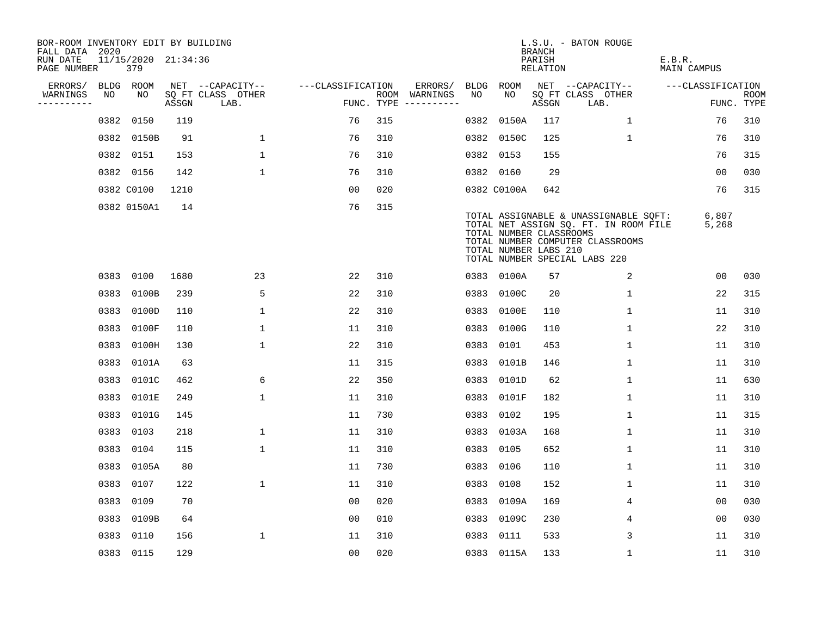| BOR-ROOM INVENTORY EDIT BY BUILDING<br>FALL DATA 2020 |      |                            |       |                           |                   |     |                                      |      |                                                  | <b>BRANCH</b>             | L.S.U. - BATON ROUGE                                                                                                                                |                              |                           |
|-------------------------------------------------------|------|----------------------------|-------|---------------------------|-------------------|-----|--------------------------------------|------|--------------------------------------------------|---------------------------|-----------------------------------------------------------------------------------------------------------------------------------------------------|------------------------------|---------------------------|
| RUN DATE<br>PAGE NUMBER                               |      | 11/15/2020 21:34:36<br>379 |       |                           |                   |     |                                      |      |                                                  | PARISH<br><b>RELATION</b> |                                                                                                                                                     | E.B.R.<br><b>MAIN CAMPUS</b> |                           |
| ERRORS/                                               |      | BLDG ROOM                  |       | NET --CAPACITY--          | ---CLASSIFICATION |     | ERRORS/                              | BLDG | ROOM                                             |                           | NET --CAPACITY--                                                                                                                                    | ---CLASSIFICATION            |                           |
| WARNINGS<br>----------                                | NO   | NO                         | ASSGN | SQ FT CLASS OTHER<br>LAB. |                   |     | ROOM WARNINGS<br>FUNC. TYPE $------$ | NO   | NO                                               | ASSGN                     | SQ FT CLASS OTHER<br>LAB.                                                                                                                           |                              | <b>ROOM</b><br>FUNC. TYPE |
|                                                       | 0382 | 0150                       | 119   |                           | 76                | 315 |                                      | 0382 | 0150A                                            | 117                       | $\mathbf{1}$                                                                                                                                        | 76                           | 310                       |
|                                                       |      | 0382 0150B                 | 91    | $\mathbf 1$               | 76                | 310 |                                      |      | 0382 0150C                                       | 125                       | 1                                                                                                                                                   | 76                           | 310                       |
|                                                       |      | 0382 0151                  | 153   | $\mathbf 1$               | 76                | 310 |                                      |      | 0382 0153                                        | 155                       |                                                                                                                                                     | 76                           | 315                       |
|                                                       |      | 0382 0156                  | 142   | $\mathbf 1$               | 76                | 310 |                                      |      | 0382 0160                                        | 29                        |                                                                                                                                                     | 00                           | 030                       |
|                                                       |      | 0382 C0100                 | 1210  |                           | 0 <sub>0</sub>    | 020 |                                      |      | 0382 C0100A                                      | 642                       |                                                                                                                                                     | 76                           | 315                       |
|                                                       |      | 0382 0150A1                | 14    |                           | 76                | 315 |                                      |      | TOTAL NUMBER CLASSROOMS<br>TOTAL NUMBER LABS 210 |                           | TOTAL ASSIGNABLE & UNASSIGNABLE SQFT:<br>TOTAL NET ASSIGN SQ. FT. IN ROOM FILE<br>TOTAL NUMBER COMPUTER CLASSROOMS<br>TOTAL NUMBER SPECIAL LABS 220 | 6,807<br>5,268               |                           |
|                                                       |      | 0383 0100                  | 1680  | 23                        | 22                | 310 |                                      |      | 0383 0100A                                       | 57                        | 2                                                                                                                                                   | 00                           | 030                       |
|                                                       | 0383 | 0100B                      | 239   | 5                         | 22                | 310 |                                      |      | 0383 0100C                                       | 20                        | $\mathbf 1$                                                                                                                                         | 22                           | 315                       |
|                                                       | 0383 | 0100D                      | 110   | $\mathbf 1$               | 22                | 310 |                                      |      | 0383 0100E                                       | 110                       | $\mathbf{1}$                                                                                                                                        | 11                           | 310                       |
|                                                       | 0383 | 0100F                      | 110   | $\mathbf 1$               | 11                | 310 |                                      |      | 0383 0100G                                       | 110                       | $\mathbf 1$                                                                                                                                         | 22                           | 310                       |
|                                                       | 0383 | 0100H                      | 130   | $\mathbf 1$               | 22                | 310 |                                      |      | 0383 0101                                        | 453                       | $\mathbf 1$                                                                                                                                         | 11                           | 310                       |
|                                                       |      | 0383 0101A                 | 63    |                           | 11                | 315 |                                      |      | 0383 0101B                                       | 146                       | $\mathbf 1$                                                                                                                                         | 11                           | 310                       |
|                                                       |      | 0383 0101C                 | 462   | 6                         | 22                | 350 |                                      |      | 0383 0101D                                       | 62                        | 1                                                                                                                                                   | 11                           | 630                       |
|                                                       |      | 0383 0101E                 | 249   | $\mathbf{1}$              | 11                | 310 |                                      | 0383 | 0101F                                            | 182                       | 1                                                                                                                                                   | 11                           | 310                       |
|                                                       |      | 0383 0101G                 | 145   |                           | 11                | 730 |                                      |      | 0383 0102                                        | 195                       | 1                                                                                                                                                   | 11                           | 315                       |
|                                                       |      | 0383 0103                  | 218   | $\mathbf 1$               | 11                | 310 |                                      |      | 0383 0103A                                       | 168                       | 1                                                                                                                                                   | 11                           | 310                       |
|                                                       |      | 0383 0104                  | 115   | $\mathbf{1}$              | 11                | 310 |                                      |      | 0383 0105                                        | 652                       | 1                                                                                                                                                   | 11                           | 310                       |
|                                                       |      | 0383 0105A                 | 80    |                           | 11                | 730 |                                      |      | 0383 0106                                        | 110                       | 1                                                                                                                                                   | 11                           | 310                       |
|                                                       |      | 0383 0107                  | 122   | $\mathbf{1}$              | 11                | 310 |                                      |      | 0383 0108                                        | 152                       | 1                                                                                                                                                   | 11                           | 310                       |
|                                                       | 0383 | 0109                       | 70    |                           | 0 <sub>0</sub>    | 020 |                                      |      | 0383 0109A                                       | 169                       | 4                                                                                                                                                   | 00                           | 030                       |
|                                                       |      | 0383 0109B                 | 64    |                           | 0 <sub>0</sub>    | 010 |                                      |      | 0383 0109C                                       | 230                       | 4                                                                                                                                                   | 0 <sub>0</sub>               | 030                       |
|                                                       | 0383 | 0110                       | 156   | $\mathbf{1}$              | 11                | 310 |                                      |      | 0383 0111                                        | 533                       | 3                                                                                                                                                   | 11                           | 310                       |
|                                                       |      | 0383 0115                  | 129   |                           | 0 <sub>0</sub>    | 020 |                                      |      | 0383 0115A                                       | 133                       | 1                                                                                                                                                   | 11                           | 310                       |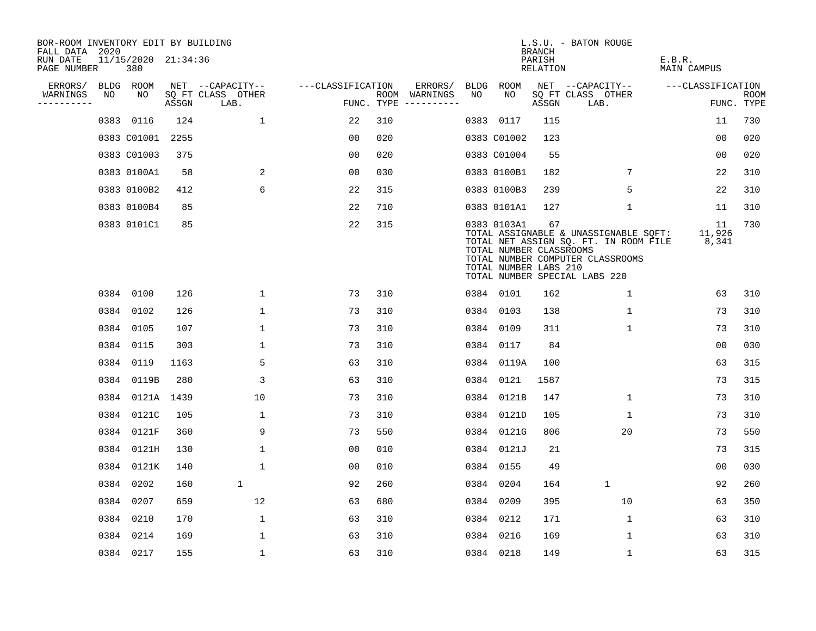| BOR-ROOM INVENTORY EDIT BY BUILDING<br>FALL DATA 2020 |    |                            |       |                           |                   |     |                                      |      |                                                                 | <b>BRANCH</b>      | L.S.U. - BATON ROUGE                                                                                                                                |                              |                    |
|-------------------------------------------------------|----|----------------------------|-------|---------------------------|-------------------|-----|--------------------------------------|------|-----------------------------------------------------------------|--------------------|-----------------------------------------------------------------------------------------------------------------------------------------------------|------------------------------|--------------------|
| RUN DATE<br>PAGE NUMBER                               |    | 11/15/2020 21:34:36<br>380 |       |                           |                   |     |                                      |      |                                                                 | PARISH<br>RELATION |                                                                                                                                                     | E.B.R.<br><b>MAIN CAMPUS</b> |                    |
| ERRORS/                                               |    | BLDG ROOM                  |       | NET --CAPACITY--          | ---CLASSIFICATION |     | ERRORS/                              | BLDG | ROOM                                                            |                    | NET --CAPACITY--                                                                                                                                    | ---CLASSIFICATION            |                    |
| WARNINGS<br>----------                                | NO | NO                         | ASSGN | SQ FT CLASS OTHER<br>LAB. |                   |     | ROOM WARNINGS<br>FUNC. TYPE $------$ | NO   | NO.                                                             | ASSGN              | SQ FT CLASS OTHER<br>LAB.                                                                                                                           |                              | ROOM<br>FUNC. TYPE |
|                                                       |    | 0383 0116                  | 124   | 1                         | 22                | 310 |                                      |      | 0383 0117                                                       | 115                |                                                                                                                                                     | 11                           | 730                |
|                                                       |    | 0383 C01001                | 2255  |                           | 00                | 020 |                                      |      | 0383 C01002                                                     | 123                |                                                                                                                                                     | 0 <sub>0</sub>               | 020                |
|                                                       |    | 0383 C01003                | 375   |                           | 0 <sub>0</sub>    | 020 |                                      |      | 0383 C01004                                                     | 55                 |                                                                                                                                                     | 0 <sub>0</sub>               | 020                |
|                                                       |    | 0383 0100A1                | 58    | 2                         | 0 <sub>0</sub>    | 030 |                                      |      | 0383 0100B1                                                     | 182                | 7                                                                                                                                                   | 22                           | 310                |
|                                                       |    | 0383 0100B2                | 412   | 6                         | 22                | 315 |                                      |      | 0383 0100B3                                                     | 239                | 5                                                                                                                                                   | 22                           | 310                |
|                                                       |    | 0383 0100B4                | 85    |                           | 22                | 710 |                                      |      | 0383 0101A1                                                     | 127                | 1                                                                                                                                                   | 11                           | 310                |
|                                                       |    | 0383 0101C1                | 85    |                           | 22                | 315 |                                      |      | 0383 0103A1<br>TOTAL NUMBER CLASSROOMS<br>TOTAL NUMBER LABS 210 | 67                 | TOTAL ASSIGNABLE & UNASSIGNABLE SQFT:<br>TOTAL NET ASSIGN SQ. FT. IN ROOM FILE<br>TOTAL NUMBER COMPUTER CLASSROOMS<br>TOTAL NUMBER SPECIAL LABS 220 | 11<br>11,926<br>8,341        | 730                |
|                                                       |    | 0384 0100                  | 126   | $\mathbf 1$               | 73                | 310 |                                      |      | 0384 0101                                                       | 162                | 1                                                                                                                                                   | 63                           | 310                |
|                                                       |    | 0384 0102                  | 126   | $\mathbf{1}$              | 73                | 310 |                                      |      | 0384 0103                                                       | 138                | 1                                                                                                                                                   | 73                           | 310                |
|                                                       |    | 0384 0105                  | 107   | $\mathbf{1}$              | 73                | 310 |                                      | 0384 | 0109                                                            | 311                | $\mathbf{1}$                                                                                                                                        | 73                           | 310                |
|                                                       |    | 0384 0115                  | 303   | $\mathbf{1}$              | 73                | 310 |                                      |      | 0384 0117                                                       | 84                 |                                                                                                                                                     | 0 <sub>0</sub>               | 030                |
|                                                       |    | 0384 0119                  | 1163  | 5                         | 63                | 310 |                                      |      | 0384 0119A                                                      | 100                |                                                                                                                                                     | 63                           | 315                |
|                                                       |    | 0384 0119B                 | 280   | 3                         | 63                | 310 |                                      | 0384 | 0121                                                            | 1587               |                                                                                                                                                     | 73                           | 315                |
|                                                       |    | 0384 0121A 1439            |       | 10                        | 73                | 310 |                                      |      | 0384 0121B                                                      | 147                | $\mathbf{1}$                                                                                                                                        | 73                           | 310                |
|                                                       |    | 0384 0121C                 | 105   | $\mathbf{1}$              | 73                | 310 |                                      |      | 0384 0121D                                                      | 105                | $\mathbf{1}$                                                                                                                                        | 73                           | 310                |
|                                                       |    | 0384 0121F                 | 360   | 9                         | 73                | 550 |                                      |      | 0384 0121G                                                      | 806                | 20                                                                                                                                                  | 73                           | 550                |
|                                                       |    | 0384 0121H                 | 130   | $\mathbf{1}$              | 00                | 010 |                                      |      | 0384 0121J                                                      | 21                 |                                                                                                                                                     | 73                           | 315                |
|                                                       |    | 0384 0121K                 | 140   | $\mathbf{1}$              | 0 <sub>0</sub>    | 010 |                                      |      | 0384 0155                                                       | 49                 |                                                                                                                                                     | 0 <sub>0</sub>               | 030                |
|                                                       |    | 0384 0202                  | 160   | 1                         | 92                | 260 |                                      | 0384 | 0204                                                            | 164                | $\mathbf{1}$                                                                                                                                        | 92                           | 260                |
|                                                       |    | 0384 0207                  | 659   | 12                        | 63                | 680 |                                      |      | 0384 0209                                                       | 395                | 10                                                                                                                                                  | 63                           | 350                |
|                                                       |    | 0384 0210                  | 170   | $\mathbf 1$               | 63                | 310 |                                      |      | 0384 0212                                                       | 171                | $\mathbf 1$                                                                                                                                         | 63                           | 310                |
|                                                       |    | 0384 0214                  | 169   | $\mathbf{1}$              | 63                | 310 |                                      |      | 0384 0216                                                       | 169                | $\mathbf{1}$                                                                                                                                        | 63                           | 310                |
|                                                       |    | 0384 0217                  | 155   | $\mathbf{1}$              | 63                | 310 |                                      |      | 0384 0218                                                       | 149                | $\mathbf{1}$                                                                                                                                        | 63                           | 315                |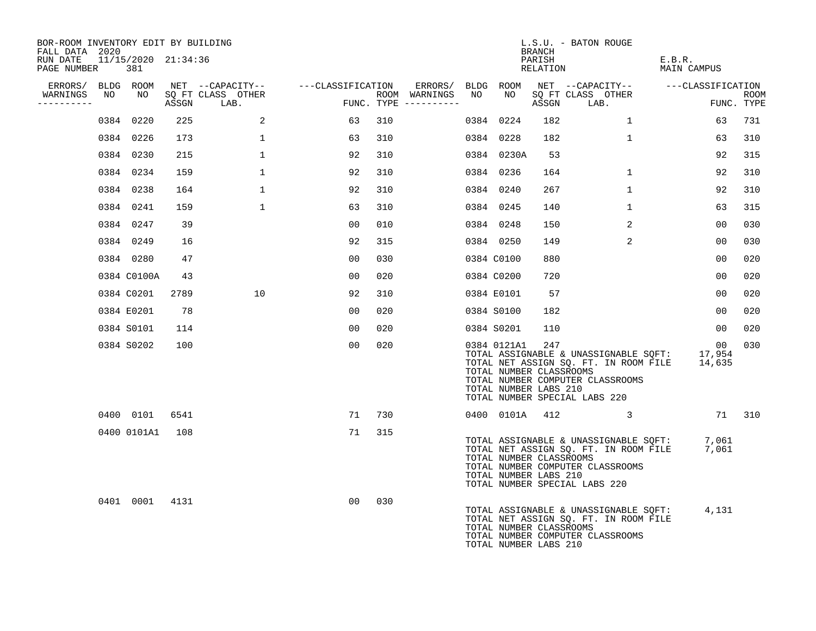| BOR-ROOM INVENTORY EDIT BY BUILDING<br>FALL DATA 2020 |    |                            |      |                                 |                                    |                                      |    |                                                                 | <b>BRANCH</b>      | L.S.U. - BATON ROUGE                                                                                                                                       |                           |                    |
|-------------------------------------------------------|----|----------------------------|------|---------------------------------|------------------------------------|--------------------------------------|----|-----------------------------------------------------------------|--------------------|------------------------------------------------------------------------------------------------------------------------------------------------------------|---------------------------|--------------------|
| RUN DATE<br>PAGE NUMBER                               |    | 11/15/2020 21:34:36<br>381 |      |                                 |                                    |                                      |    |                                                                 | PARISH<br>RELATION |                                                                                                                                                            | E.B.R.<br>MAIN CAMPUS     |                    |
| ERRORS/ BLDG ROOM                                     |    |                            |      |                                 | NET --CAPACITY-- ---CLASSIFICATION | ERRORS/ BLDG ROOM                    |    |                                                                 |                    | NET --CAPACITY-- ---CLASSIFICATION                                                                                                                         |                           |                    |
| WARNINGS<br>---------                                 | NO | NO                         |      | SQ FT CLASS OTHER<br>ASSGN LAB. |                                    | ROOM WARNINGS<br>FUNC. TYPE $------$ | NO | NO                                                              | ASSGN              | SQ FT CLASS OTHER<br>LAB.                                                                                                                                  |                           | ROOM<br>FUNC. TYPE |
|                                                       |    | 0384 0220                  | 225  | 2                               | 63                                 | 310                                  |    | 0384 0224                                                       | 182                | $\mathbf{1}$                                                                                                                                               | 63                        | 731                |
|                                                       |    | 0384 0226                  | 173  | $\mathbf 1$                     | 63                                 | 310                                  |    | 0384 0228                                                       | 182                | $\mathbf 1$                                                                                                                                                | 63                        | 310                |
|                                                       |    | 0384 0230                  | 215  | 1                               | 92                                 | 310                                  |    | 0384 0230A                                                      | 53                 |                                                                                                                                                            | 92                        | 315                |
|                                                       |    | 0384 0234                  | 159  | $\mathbf{1}$                    | 92                                 | 310                                  |    | 0384 0236                                                       | 164                | $\mathbf{1}$                                                                                                                                               | 92                        | 310                |
|                                                       |    | 0384 0238                  | 164  | $\mathbf{1}$                    | 92                                 | 310                                  |    | 0384 0240                                                       | 267                | $\mathbf{1}$                                                                                                                                               | 92                        | 310                |
|                                                       |    | 0384 0241                  | 159  | $\mathbf{1}$                    | 63                                 | 310                                  |    | 0384 0245                                                       | 140                | $\mathbf{1}$                                                                                                                                               | 63                        | 315                |
|                                                       |    | 0384 0247                  | 39   |                                 | 00                                 | 010                                  |    | 0384 0248                                                       | 150                | 2                                                                                                                                                          | 0 <sub>0</sub>            | 030                |
|                                                       |    | 0384 0249                  | 16   |                                 | 92                                 | 315                                  |    | 0384 0250                                                       | 149                | 2                                                                                                                                                          | 0 <sub>0</sub>            | 030                |
|                                                       |    | 0384 0280                  | 47   |                                 | 00                                 | 030                                  |    | 0384 C0100                                                      | 880                |                                                                                                                                                            | 00                        | 020                |
|                                                       |    | 0384 C0100A                | 43   |                                 | 00                                 | 020                                  |    | 0384 C0200                                                      | 720                |                                                                                                                                                            | 0 <sub>0</sub>            | 020                |
|                                                       |    | 0384 C0201                 | 2789 | 10                              | 92                                 | 310                                  |    | 0384 E0101                                                      | 57                 |                                                                                                                                                            | 0 <sub>0</sub>            | 020                |
|                                                       |    | 0384 E0201                 | 78   |                                 | 00                                 | 020                                  |    | 0384 S0100                                                      | 182                |                                                                                                                                                            | 0 <sub>0</sub>            | 020                |
|                                                       |    | 0384 S0101                 | 114  |                                 | 00                                 | 020                                  |    | 0384 S0201                                                      | 110                |                                                                                                                                                            | 00                        | 020                |
|                                                       |    | 0384 S0202                 | 100  |                                 | 00                                 | 020                                  |    | 0384 0121A1<br>TOTAL NUMBER CLASSROOMS<br>TOTAL NUMBER LABS 210 | 247                | TOTAL ASSIGNABLE & UNASSIGNABLE SQFT: 17,954<br>TOTAL NET ASSIGN SQ. FT. IN ROOM FILE<br>TOTAL NUMBER COMPUTER CLASSROOMS<br>TOTAL NUMBER SPECIAL LABS 220 | 00 <sub>o</sub><br>14,635 | 030                |
|                                                       |    | 0400 0101                  | 6541 |                                 | 71                                 | 730                                  |    | 0400 0101A 412                                                  |                    | $\sim$ 3                                                                                                                                                   |                           | 71 310             |
|                                                       |    | 0400 0101A1                | 108  |                                 | 71                                 | 315                                  |    | TOTAL NUMBER CLASSROOMS<br>TOTAL NUMBER LABS 210                |                    | TOTAL ASSIGNABLE & UNASSIGNABLE SQFT:<br>TOTAL NET ASSIGN SQ. FT. IN ROOM FILE<br>TOTAL NUMBER COMPUTER CLASSROOMS<br>TOTAL NUMBER SPECIAL LABS 220        | 7,061<br>7,061            |                    |
|                                                       |    | 0401 0001 4131             |      |                                 | 00                                 | 030                                  |    | TOTAL NUMBER CLASSROOMS<br>TOTAL NUMBER LABS 210                |                    | TOTAL ASSIGNABLE & UNASSIGNABLE SQFT:<br>TOTAL NET ASSIGN SQ. FT. IN ROOM FILE<br>TOTAL NUMBER COMPUTER CLASSROOMS                                         | 4,131                     |                    |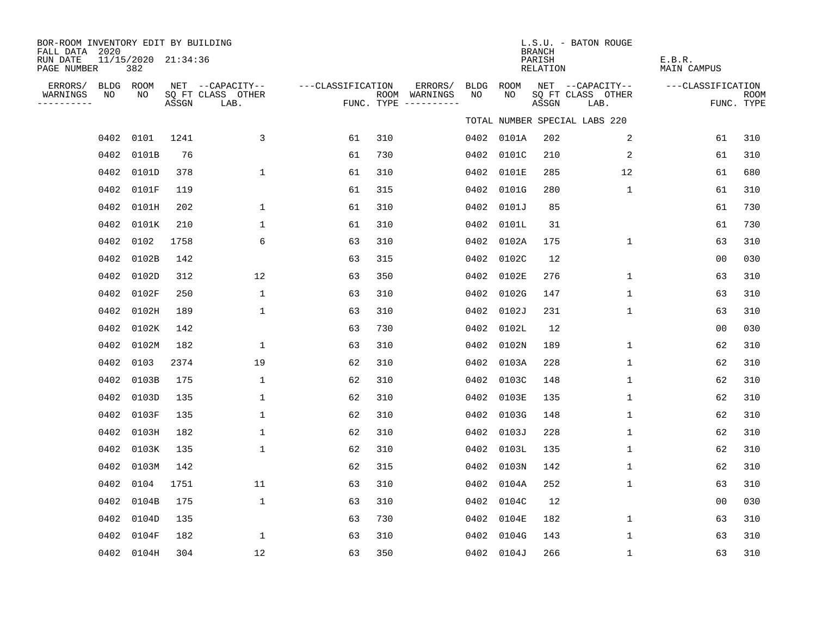| BOR-ROOM INVENTORY EDIT BY BUILDING<br>FALL DATA 2020 |                 |                            |       |                                       |                   |     |                          |                   |            | <b>BRANCH</b>             | L.S.U. - BATON ROUGE                  |                              |             |
|-------------------------------------------------------|-----------------|----------------------------|-------|---------------------------------------|-------------------|-----|--------------------------|-------------------|------------|---------------------------|---------------------------------------|------------------------------|-------------|
| RUN DATE<br>PAGE NUMBER                               |                 | 11/15/2020 21:34:36<br>382 |       |                                       |                   |     |                          |                   |            | PARISH<br><b>RELATION</b> |                                       | E.B.R.<br><b>MAIN CAMPUS</b> |             |
| ERRORS/<br>WARNINGS                                   | BLDG ROOM<br>NO | NO                         |       | NET --CAPACITY--<br>SQ FT CLASS OTHER | ---CLASSIFICATION |     | ERRORS/<br>ROOM WARNINGS | <b>BLDG</b><br>NO | ROOM<br>NO |                           | NET --CAPACITY--<br>SQ FT CLASS OTHER | ---CLASSIFICATION            | <b>ROOM</b> |
| ----------                                            |                 |                            | ASSGN | LAB.                                  |                   |     | FUNC. TYPE ----------    |                   |            | ASSGN                     | LAB.                                  |                              | FUNC. TYPE  |
|                                                       |                 |                            |       |                                       |                   |     |                          |                   |            |                           | TOTAL NUMBER SPECIAL LABS 220         |                              |             |
|                                                       | 0402 0101       |                            | 1241  | 3                                     | 61                | 310 |                          |                   | 0402 0101A | 202                       | 2                                     | 61                           | 310         |
|                                                       |                 | 0402 0101B                 | 76    |                                       | 61                | 730 |                          | 0402              | 0101C      | 210                       | $\sqrt{2}$                            | 61                           | 310         |
|                                                       |                 | 0402 0101D                 | 378   | 1                                     | 61                | 310 |                          | 0402              | 0101E      | 285                       | 12                                    | 61                           | 680         |
|                                                       |                 | 0402 0101F                 | 119   |                                       | 61                | 315 |                          | 0402              | 0101G      | 280                       | $\mathbf 1$                           | 61                           | 310         |
|                                                       |                 | 0402 0101H                 | 202   | 1                                     | 61                | 310 |                          | 0402              | 0101J      | 85                        |                                       | 61                           | 730         |
|                                                       |                 | 0402 0101K                 | 210   | $\mathbf{1}$                          | 61                | 310 |                          | 0402              | 0101L      | 31                        |                                       | 61                           | 730         |
|                                                       |                 | 0402 0102                  | 1758  | 6                                     | 63                | 310 |                          | 0402              | 0102A      | 175                       | $\mathbf 1$                           | 63                           | 310         |
|                                                       | 0402            | 0102B                      | 142   |                                       | 63                | 315 |                          | 0402              | 0102C      | 12                        |                                       | 0 <sub>0</sub>               | 030         |
|                                                       | 0402            | 0102D                      | 312   | 12                                    | 63                | 350 |                          | 0402              | 0102E      | 276                       | 1                                     | 63                           | 310         |
|                                                       | 0402            | 0102F                      | 250   | $\mathbf{1}$                          | 63                | 310 |                          | 0402              | 0102G      | 147                       | $\mathbf{1}$                          | 63                           | 310         |
|                                                       |                 | 0402 0102H                 | 189   | $\mathbf{1}$                          | 63                | 310 |                          | 0402              | 0102J      | 231                       | 1                                     | 63                           | 310         |
|                                                       |                 | 0402 0102K                 | 142   |                                       | 63                | 730 |                          | 0402              | 0102L      | 12                        |                                       | 0 <sub>0</sub>               | 030         |
|                                                       |                 | 0402 0102M                 | 182   | 1                                     | 63                | 310 |                          | 0402              | 0102N      | 189                       | $\mathbf{1}$                          | 62                           | 310         |
|                                                       | 0402 0103       |                            | 2374  | 19                                    | 62                | 310 |                          |                   | 0402 0103A | 228                       | $\mathbf{1}$                          | 62                           | 310         |
|                                                       |                 | 0402 0103B                 | 175   | 1                                     | 62                | 310 |                          | 0402              | 0103C      | 148                       | 1                                     | 62                           | 310         |
|                                                       |                 | 0402 0103D                 | 135   | 1                                     | 62                | 310 |                          |                   | 0402 0103E | 135                       | 1                                     | 62                           | 310         |
|                                                       | 0402            | 0103F                      | 135   | 1                                     | 62                | 310 |                          | 0402              | 0103G      | 148                       | $\mathbf 1$                           | 62                           | 310         |
|                                                       |                 | 0402 0103H                 | 182   | 1                                     | 62                | 310 |                          |                   | 0402 0103J | 228                       | $\mathbf 1$                           | 62                           | 310         |
|                                                       | 0402            | 0103K                      | 135   | 1                                     | 62                | 310 |                          | 0402              | 0103L      | 135                       | 1                                     | 62                           | 310         |
|                                                       |                 | 0402 0103M                 | 142   |                                       | 62                | 315 |                          | 0402              | 0103N      | 142                       | $\mathbf 1$                           | 62                           | 310         |
|                                                       |                 | 0402 0104                  | 1751  | 11                                    | 63                | 310 |                          | 0402              | 0104A      | 252                       | $\mathbf{1}$                          | 63                           | 310         |
|                                                       |                 | 0402 0104B                 | 175   | $\mathbf{1}$                          | 63                | 310 |                          | 0402              | 0104C      | 12                        |                                       | 0 <sub>0</sub>               | 030         |
|                                                       |                 | 0402 0104D                 | 135   |                                       | 63                | 730 |                          | 0402              | 0104E      | 182                       | $\mathbf{1}$                          | 63                           | 310         |
|                                                       | 0402            | 0104F                      | 182   | 1                                     | 63                | 310 |                          | 0402              | 0104G      | 143                       | 1                                     | 63                           | 310         |
|                                                       |                 | 0402 0104H                 | 304   | 12                                    | 63                | 350 |                          |                   | 0402 0104J | 266                       | $\mathbf 1$                           | 63                           | 310         |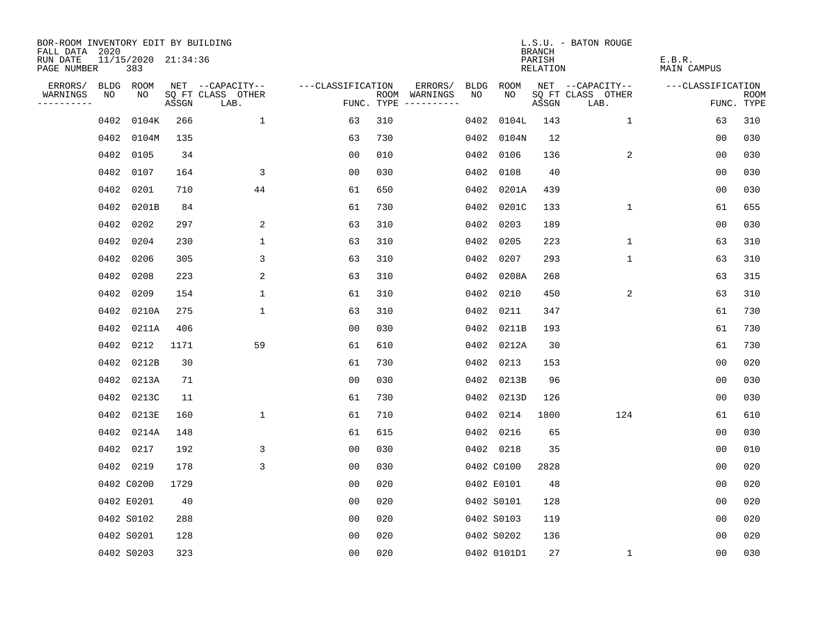| BOR-ROOM INVENTORY EDIT BY BUILDING<br>FALL DATA 2020 |      |                            |       |                           |                   |                                      |                 |             | <b>BRANCH</b>      | L.S.U. - BATON ROUGE      |                              |                           |
|-------------------------------------------------------|------|----------------------------|-------|---------------------------|-------------------|--------------------------------------|-----------------|-------------|--------------------|---------------------------|------------------------------|---------------------------|
| RUN DATE<br>PAGE NUMBER                               |      | 11/15/2020 21:34:36<br>383 |       |                           |                   |                                      |                 |             | PARISH<br>RELATION |                           | E.B.R.<br><b>MAIN CAMPUS</b> |                           |
| ERRORS/                                               |      | BLDG ROOM                  |       | NET --CAPACITY--          | ---CLASSIFICATION |                                      | ERRORS/<br>BLDG | ROOM        |                    | NET --CAPACITY--          | ---CLASSIFICATION            |                           |
| WARNINGS<br>----------                                | NO   | NO                         | ASSGN | SQ FT CLASS OTHER<br>LAB. |                   | ROOM WARNINGS<br>FUNC. TYPE $------$ | NO.             | NO.         | ASSGN              | SQ FT CLASS OTHER<br>LAB. |                              | <b>ROOM</b><br>FUNC. TYPE |
|                                                       | 0402 | 0104K                      | 266   | $\mathbf{1}$              | 63                | 310                                  | 0402            | 0104L       | 143                | $\mathbf{1}$              | 63                           | 310                       |
|                                                       | 0402 | 0104M                      | 135   |                           | 63                | 730                                  |                 | 0402 0104N  | 12                 |                           | 00                           | 030                       |
|                                                       | 0402 | 0105                       | 34    |                           | 0 <sub>0</sub>    | 010                                  |                 | 0402 0106   | 136                | 2                         | 00                           | 030                       |
|                                                       | 0402 | 0107                       | 164   | 3                         | 0 <sub>0</sub>    | 030                                  |                 | 0402 0108   | 40                 |                           | 0 <sub>0</sub>               | 030                       |
|                                                       | 0402 | 0201                       | 710   | 44                        | 61                | 650                                  |                 | 0402 0201A  | 439                |                           | 00                           | 030                       |
|                                                       | 0402 | 0201B                      | 84    |                           | 61                | 730                                  |                 | 0402 0201C  | 133                | $\mathbf 1$               | 61                           | 655                       |
|                                                       |      | 0402 0202                  | 297   | 2                         | 63                | 310                                  |                 | 0402 0203   | 189                |                           | 00                           | 030                       |
|                                                       |      | 0402 0204                  | 230   | $\mathbf{1}$              | 63                | 310                                  |                 | 0402 0205   | 223                | $\mathbf 1$               | 63                           | 310                       |
|                                                       | 0402 | 0206                       | 305   | 3                         | 63                | 310                                  | 0402            | 0207        | 293                | $\mathbf 1$               | 63                           | 310                       |
|                                                       |      | 0402 0208                  | 223   | 2                         | 63                | 310                                  |                 | 0402 0208A  | 268                |                           | 63                           | 315                       |
|                                                       | 0402 | 0209                       | 154   | $\mathbf{1}$              | 61                | 310                                  |                 | 0402 0210   | 450                | 2                         | 63                           | 310                       |
|                                                       |      | 0402 0210A                 | 275   | $\mathbf{1}$              | 63                | 310                                  |                 | 0402 0211   | 347                |                           | 61                           | 730                       |
|                                                       | 0402 | 0211A                      | 406   |                           | 0 <sub>0</sub>    | 030                                  |                 | 0402 0211B  | 193                |                           | 61                           | 730                       |
|                                                       | 0402 | 0212                       | 1171  | 59                        | 61                | 610                                  |                 | 0402 0212A  | 30                 |                           | 61                           | 730                       |
|                                                       | 0402 | 0212B                      | 30    |                           | 61                | 730                                  | 0402            | 0213        | 153                |                           | 0 <sub>0</sub>               | 020                       |
|                                                       | 0402 | 0213A                      | 71    |                           | 0 <sub>0</sub>    | 030                                  |                 | 0402 0213B  | 96                 |                           | 0 <sub>0</sub>               | 030                       |
|                                                       |      | 0402 0213C                 | 11    |                           | 61                | 730                                  |                 | 0402 0213D  | 126                |                           | 0 <sub>0</sub>               | 030                       |
|                                                       | 0402 | 0213E                      | 160   | $\mathbf 1$               | 61                | 710                                  |                 | 0402 0214   | 1800               | 124                       | 61                           | 610                       |
|                                                       |      | 0402 0214A                 | 148   |                           | 61                | 615                                  |                 | 0402 0216   | 65                 |                           | 0 <sub>0</sub>               | 030                       |
|                                                       |      | 0402 0217                  | 192   | 3                         | 0 <sub>0</sub>    | 030                                  |                 | 0402 0218   | 35                 |                           | 0 <sub>0</sub>               | 010                       |
|                                                       |      | 0402 0219                  | 178   | 3                         | 0 <sub>0</sub>    | 030                                  |                 | 0402 C0100  | 2828               |                           | 0 <sub>0</sub>               | 020                       |
|                                                       |      | 0402 C0200                 | 1729  |                           | 00                | 020                                  |                 | 0402 E0101  | 48                 |                           | 0 <sub>0</sub>               | 020                       |
|                                                       |      | 0402 E0201                 | 40    |                           | 0 <sub>0</sub>    | 020                                  |                 | 0402 S0101  | 128                |                           | 0 <sub>0</sub>               | 020                       |
|                                                       |      | 0402 S0102                 | 288   |                           | 0 <sub>0</sub>    | 020                                  |                 | 0402 S0103  | 119                |                           | 00                           | 020                       |
|                                                       |      | 0402 S0201                 | 128   |                           | 0 <sub>0</sub>    | 020                                  |                 | 0402 S0202  | 136                |                           | 0 <sub>0</sub>               | 020                       |
|                                                       |      | 0402 S0203                 | 323   |                           | 0 <sub>0</sub>    | 020                                  |                 | 0402 0101D1 | 27                 | $\mathbf{1}$              | 0 <sub>0</sub>               | 030                       |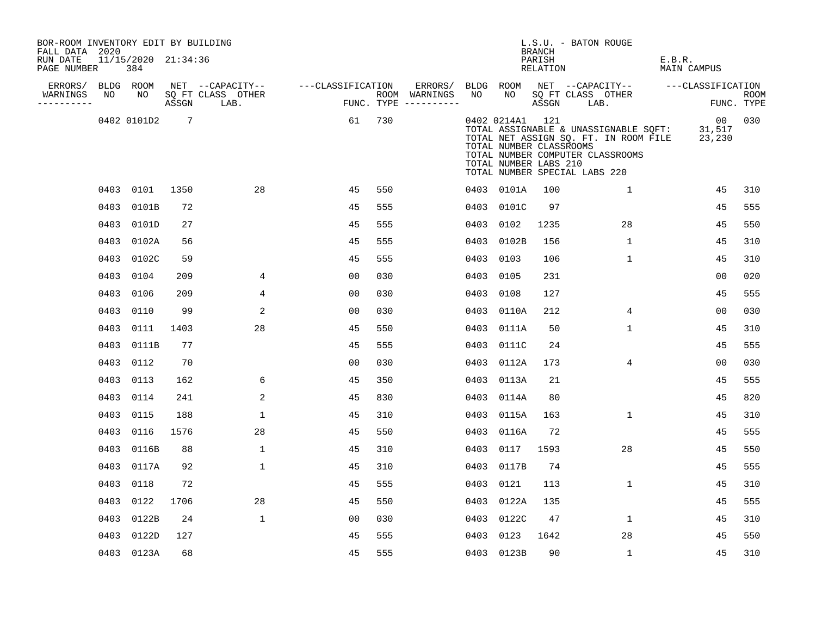| BOR-ROOM INVENTORY EDIT BY BUILDING<br>FALL DATA 2020 |      |                            |      |                                 |                   |     |                                      |      |                                                                     | BRANCH             | L.S.U. - BATON ROUGE                                                                                                                                |                        |                           |
|-------------------------------------------------------|------|----------------------------|------|---------------------------------|-------------------|-----|--------------------------------------|------|---------------------------------------------------------------------|--------------------|-----------------------------------------------------------------------------------------------------------------------------------------------------|------------------------|---------------------------|
| RUN DATE<br>PAGE NUMBER                               |      | 11/15/2020 21:34:36<br>384 |      |                                 |                   |     |                                      |      |                                                                     | PARISH<br>RELATION |                                                                                                                                                     | E.B.R.<br>MAIN CAMPUS  |                           |
| ERRORS/                                               |      | BLDG ROOM                  |      | NET --CAPACITY--                | ---CLASSIFICATION |     | ERRORS/                              |      |                                                                     |                    | BLDG ROOM NET --CAPACITY-- ---CLASSIFICATION                                                                                                        |                        |                           |
| WARNINGS<br>-----------                               | NO   | NO                         |      | SQ FT CLASS OTHER<br>ASSGN LAB. |                   |     | ROOM WARNINGS<br>FUNC. TYPE $------$ | NO   | NO <sub>1</sub>                                                     |                    | SQ FT CLASS OTHER<br>ASSGN LAB.                                                                                                                     |                        | <b>ROOM</b><br>FUNC. TYPE |
|                                                       |      | 0402 0101D2 7              |      |                                 | 61                | 730 |                                      |      | 0402 0214A1 121<br>TOTAL NUMBER CLASSROOMS<br>TOTAL NUMBER LABS 210 |                    | TOTAL ASSIGNABLE & UNASSIGNABLE SQFT:<br>TOTAL NET ASSIGN SQ. FT. IN ROOM FILE<br>TOTAL NUMBER COMPUTER CLASSROOMS<br>TOTAL NUMBER SPECIAL LABS 220 | 00<br>31,517<br>23,230 | 030                       |
|                                                       |      | 0403 0101                  | 1350 | 28                              | 45                | 550 |                                      |      | 0403 0101A                                                          | 100                | $\mathbf{1}$                                                                                                                                        | 45                     | 310                       |
|                                                       | 0403 | 0101B                      | 72   |                                 | 45                | 555 |                                      |      | 0403 0101C                                                          | 97                 |                                                                                                                                                     | 45                     | 555                       |
|                                                       | 0403 | 0101D                      | 27   |                                 | 45                | 555 |                                      |      | 0403 0102                                                           | 1235               | 28                                                                                                                                                  | 45                     | 550                       |
|                                                       | 0403 | 0102A                      | 56   |                                 | 45                | 555 |                                      |      | 0403 0102B                                                          | 156                | $\mathbf 1$                                                                                                                                         | 45                     | 310                       |
|                                                       | 0403 | 0102C                      | 59   |                                 | 45                | 555 |                                      | 0403 | 0103                                                                | 106                | $\mathbf{1}$                                                                                                                                        | 45                     | 310                       |
|                                                       | 0403 | 0104                       | 209  | 4                               | 0 <sub>0</sub>    | 030 |                                      |      | 0403 0105                                                           | 231                |                                                                                                                                                     | 00                     | 020                       |
|                                                       | 0403 | 0106                       | 209  | 4                               | 00                | 030 |                                      | 0403 | 0108                                                                | 127                |                                                                                                                                                     | 45                     | 555                       |
|                                                       | 0403 | 0110                       | 99   | 2                               | 0 <sub>0</sub>    | 030 |                                      |      | 0403 0110A                                                          | 212                | 4                                                                                                                                                   | 0 <sub>0</sub>         | 030                       |
|                                                       | 0403 | 0111                       | 1403 | 28                              | 45                | 550 |                                      |      | 0403 0111A                                                          | 50                 | $\mathbf 1$                                                                                                                                         | 45                     | 310                       |
|                                                       | 0403 | 0111B                      | 77   |                                 | 45                | 555 |                                      |      | 0403 0111C                                                          | 24                 |                                                                                                                                                     | 45                     | 555                       |
|                                                       |      | 0403 0112                  | 70   |                                 | 0 <sub>0</sub>    | 030 |                                      |      | 0403 0112A                                                          | 173                | 4                                                                                                                                                   | 0 <sub>0</sub>         | 030                       |
|                                                       |      | 0403 0113                  | 162  | 6                               | 45                | 350 |                                      |      | 0403 0113A                                                          | 21                 |                                                                                                                                                     | 45                     | 555                       |
|                                                       | 0403 | 0114                       | 241  | 2                               | 45                | 830 |                                      |      | 0403 0114A                                                          | 80                 |                                                                                                                                                     | 45                     | 820                       |
|                                                       | 0403 | 0115                       | 188  | $\mathbf 1$                     | 45                | 310 |                                      |      | 0403 0115A                                                          | 163                | $\mathbf{1}$                                                                                                                                        | 45                     | 310                       |
|                                                       |      | 0403 0116                  | 1576 | 28                              | 45                | 550 |                                      |      | 0403 0116A                                                          | 72                 |                                                                                                                                                     | 45                     | 555                       |
|                                                       | 0403 | 0116B                      | 88   | $\mathbf{1}$                    | 45                | 310 |                                      |      | 0403 0117                                                           | 1593               | 28                                                                                                                                                  | 45                     | 550                       |
|                                                       | 0403 | 0117A                      | 92   | $\mathbf{1}$                    | 45                | 310 |                                      |      | 0403 0117B                                                          | 74                 |                                                                                                                                                     | 45                     | 555                       |
|                                                       | 0403 | 0118                       | 72   |                                 | 45                | 555 |                                      |      | 0403 0121                                                           | 113                | $\mathbf{1}$                                                                                                                                        | 45                     | 310                       |
|                                                       | 0403 | 0122                       | 1706 | 28                              | 45                | 550 |                                      |      | 0403 0122A                                                          | 135                |                                                                                                                                                     | 45                     | 555                       |
|                                                       | 0403 | 0122B                      | 24   | $\mathbf{1}$                    | 0 <sub>0</sub>    | 030 |                                      | 0403 | 0122C                                                               | 47                 | 1                                                                                                                                                   | 45                     | 310                       |
|                                                       | 0403 | 0122D                      | 127  |                                 | 45                | 555 |                                      | 0403 | 0123                                                                | 1642               | 28                                                                                                                                                  | 45                     | 550                       |
|                                                       |      | 0403 0123A                 | 68   |                                 | 45                | 555 |                                      |      | 0403 0123B                                                          | 90                 | $\mathbf{1}$                                                                                                                                        | 45                     | 310                       |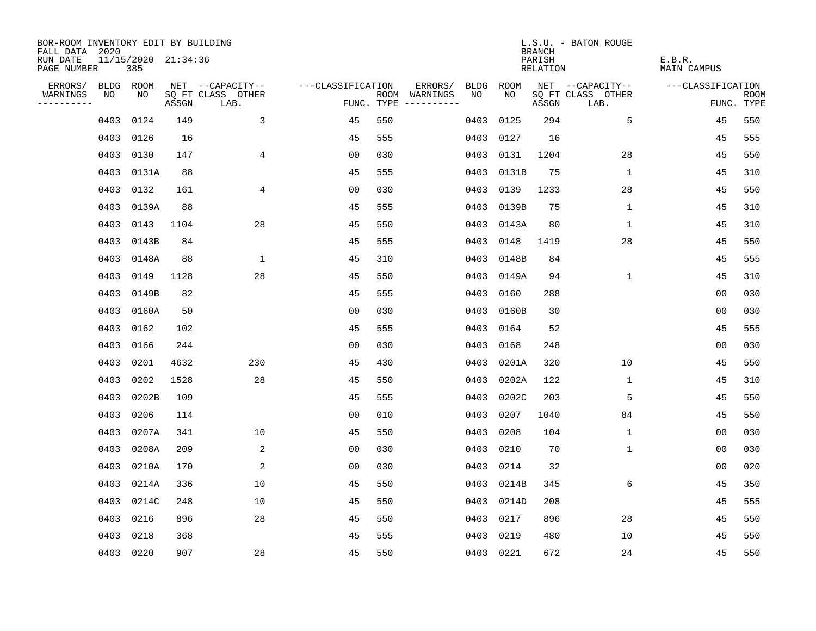| BOR-ROOM INVENTORY EDIT BY BUILDING<br>FALL DATA 2020 |           |                            |       |                           |                   |     |                                      |      |            | <b>BRANCH</b>      | L.S.U. - BATON ROUGE      |                       |                           |
|-------------------------------------------------------|-----------|----------------------------|-------|---------------------------|-------------------|-----|--------------------------------------|------|------------|--------------------|---------------------------|-----------------------|---------------------------|
| RUN DATE<br>PAGE NUMBER                               |           | 11/15/2020 21:34:36<br>385 |       |                           |                   |     |                                      |      |            | PARISH<br>RELATION |                           | E.B.R.<br>MAIN CAMPUS |                           |
| ERRORS/                                               | BLDG ROOM |                            |       | NET --CAPACITY--          | ---CLASSIFICATION |     | ERRORS/                              | BLDG | ROOM       |                    | NET --CAPACITY--          | ---CLASSIFICATION     |                           |
| WARNINGS<br>----------                                | NO        | NO                         | ASSGN | SQ FT CLASS OTHER<br>LAB. |                   |     | ROOM WARNINGS<br>FUNC. TYPE $------$ | NO.  | NO         | ASSGN              | SQ FT CLASS OTHER<br>LAB. |                       | <b>ROOM</b><br>FUNC. TYPE |
|                                                       | 0403      | 0124                       | 149   | 3                         | 45                | 550 |                                      | 0403 | 0125       | 294                | 5                         | 45                    | 550                       |
|                                                       | 0403      | 0126                       | 16    |                           | 45                | 555 |                                      | 0403 | 0127       | 16                 |                           | 45                    | 555                       |
|                                                       | 0403      | 0130                       | 147   | 4                         | 0 <sub>0</sub>    | 030 |                                      | 0403 | 0131       | 1204               | 28                        | 45                    | 550                       |
|                                                       |           | 0403 0131A                 | 88    |                           | 45                | 555 |                                      | 0403 | 0131B      | 75                 | 1                         | 45                    | 310                       |
|                                                       | 0403      | 0132                       | 161   | 4                         | 0 <sub>0</sub>    | 030 |                                      | 0403 | 0139       | 1233               | 28                        | 45                    | 550                       |
|                                                       |           | 0403 0139A                 | 88    |                           | 45                | 555 |                                      |      | 0403 0139B | 75                 | 1                         | 45                    | 310                       |
|                                                       | 0403      | 0143                       | 1104  | 28                        | 45                | 550 |                                      |      | 0403 0143A | 80                 | $\mathbf{1}$              | 45                    | 310                       |
|                                                       |           | 0403 0143B                 | 84    |                           | 45                | 555 |                                      | 0403 | 0148       | 1419               | 28                        | 45                    | 550                       |
|                                                       | 0403      | 0148A                      | 88    | $\mathbf 1$               | 45                | 310 |                                      | 0403 | 0148B      | 84                 |                           | 45                    | 555                       |
|                                                       |           | 0403 0149                  | 1128  | 28                        | 45                | 550 |                                      |      | 0403 0149A | 94                 | $\mathbf{1}$              | 45                    | 310                       |
|                                                       | 0403      | 0149B                      | 82    |                           | 45                | 555 |                                      | 0403 | 0160       | 288                |                           | 0 <sub>0</sub>        | 030                       |
|                                                       |           | 0403 0160A                 | 50    |                           | 0 <sub>0</sub>    | 030 |                                      |      | 0403 0160B | 30                 |                           | 0 <sub>0</sub>        | 030                       |
|                                                       | 0403      | 0162                       | 102   |                           | 45                | 555 |                                      | 0403 | 0164       | 52                 |                           | 45                    | 555                       |
|                                                       | 0403      | 0166                       | 244   |                           | 0 <sub>0</sub>    | 030 |                                      | 0403 | 0168       | 248                |                           | 00                    | 030                       |
|                                                       | 0403      | 0201                       | 4632  | 230                       | 45                | 430 |                                      | 0403 | 0201A      | 320                | 10                        | 45                    | 550                       |
|                                                       | 0403      | 0202                       | 1528  | 28                        | 45                | 550 |                                      | 0403 | 0202A      | 122                | 1                         | 45                    | 310                       |
|                                                       | 0403      | 0202B                      | 109   |                           | 45                | 555 |                                      | 0403 | 0202C      | 203                | 5                         | 45                    | 550                       |
|                                                       | 0403      | 0206                       | 114   |                           | 0 <sub>0</sub>    | 010 |                                      | 0403 | 0207       | 1040               | 84                        | 45                    | 550                       |
|                                                       | 0403      | 0207A                      | 341   | 10                        | 45                | 550 |                                      | 0403 | 0208       | 104                | 1                         | 00                    | 030                       |
|                                                       | 0403      | 0208A                      | 209   | 2                         | 0 <sub>0</sub>    | 030 |                                      | 0403 | 0210       | 70                 | $\mathbf 1$               | 0 <sub>0</sub>        | 030                       |
|                                                       | 0403      | 0210A                      | 170   | 2                         | 0 <sub>0</sub>    | 030 |                                      | 0403 | 0214       | 32                 |                           | 0 <sub>0</sub>        | 020                       |
|                                                       | 0403      | 0214A                      | 336   | 10                        | 45                | 550 |                                      | 0403 | 0214B      | 345                | 6                         | 45                    | 350                       |
|                                                       |           | 0403 0214C                 | 248   | 10                        | 45                | 550 |                                      |      | 0403 0214D | 208                |                           | 45                    | 555                       |
|                                                       | 0403      | 0216                       | 896   | 28                        | 45                | 550 |                                      | 0403 | 0217       | 896                | 28                        | 45                    | 550                       |
|                                                       | 0403      | 0218                       | 368   |                           | 45                | 555 |                                      |      | 0403 0219  | 480                | 10                        | 45                    | 550                       |
|                                                       | 0403 0220 |                            | 907   | 28                        | 45                | 550 |                                      |      | 0403 0221  | 672                | 24                        | 45                    | 550                       |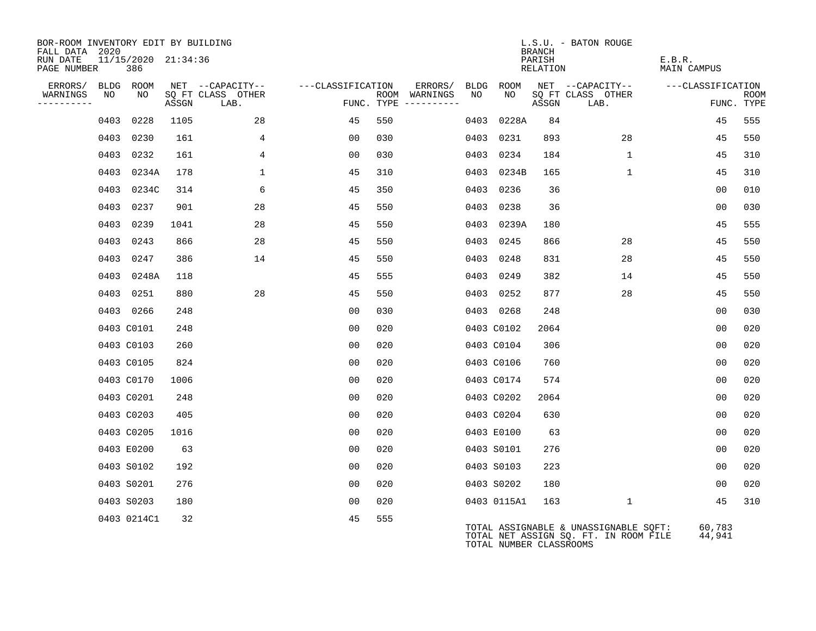| BOR-ROOM INVENTORY EDIT BY BUILDING<br>FALL DATA 2020 |                            |       |                           |                   |                                      |      |                         | <b>BRANCH</b>      | L.S.U. - BATON ROUGE                                                           |                              |                           |
|-------------------------------------------------------|----------------------------|-------|---------------------------|-------------------|--------------------------------------|------|-------------------------|--------------------|--------------------------------------------------------------------------------|------------------------------|---------------------------|
| RUN DATE<br>PAGE NUMBER                               | 11/15/2020 21:34:36<br>386 |       |                           |                   |                                      |      |                         | PARISH<br>RELATION |                                                                                | E.B.R.<br><b>MAIN CAMPUS</b> |                           |
| ERRORS/                                               | BLDG ROOM                  |       | NET --CAPACITY--          | ---CLASSIFICATION | ERRORS/                              | BLDG | ROOM                    |                    | NET --CAPACITY--                                                               | ---CLASSIFICATION            |                           |
| WARNINGS<br>NO<br>----------                          | NO                         | ASSGN | SQ FT CLASS OTHER<br>LAB. |                   | ROOM WARNINGS<br>FUNC. TYPE $------$ | NO   | NO                      | ASSGN              | SQ FT CLASS OTHER<br>LAB.                                                      |                              | <b>ROOM</b><br>FUNC. TYPE |
|                                                       | 0403 0228                  | 1105  | 28                        | 45                | 550                                  |      | 0403 0228A              | 84                 |                                                                                | 45                           | 555                       |
|                                                       | 0403 0230                  | 161   | $\overline{4}$            | 00                | 030                                  |      | 0403 0231               | 893                | 28                                                                             | 45                           | 550                       |
|                                                       | 0403 0232                  | 161   | $\overline{4}$            | 0 <sub>0</sub>    | 030                                  |      | 0403 0234               | 184                | $\mathbf{1}$                                                                   | 45                           | 310                       |
|                                                       | 0403 0234A                 | 178   | $\mathbf{1}$              | 45                | 310                                  |      | 0403 0234B              | 165                | $\mathbf{1}$                                                                   | 45                           | 310                       |
|                                                       | 0403 0234C                 | 314   | 6                         | 45                | 350                                  |      | 0403 0236               | 36                 |                                                                                | 0 <sub>0</sub>               | 010                       |
|                                                       | 0403 0237                  | 901   | 28                        | 45                | 550                                  |      | 0403 0238               | 36                 |                                                                                | 00                           | 030                       |
|                                                       | 0403 0239                  | 1041  | 28                        | 45                | 550                                  |      | 0403 0239A              | 180                |                                                                                | 45                           | 555                       |
|                                                       | 0403 0243                  | 866   | 28                        | 45                | 550                                  |      | 0403 0245               | 866                | 28                                                                             | 45                           | 550                       |
|                                                       | 0403 0247                  | 386   | 14                        | 45                | 550                                  |      | 0403 0248               | 831                | 28                                                                             | 45                           | 550                       |
|                                                       | 0403 0248A                 | 118   |                           | 45                | 555                                  |      | 0403 0249               | 382                | 14                                                                             | 45                           | 550                       |
|                                                       | 0403 0251                  | 880   | 28                        | 45                | 550                                  |      | 0403 0252               | 877                | 28                                                                             | 45                           | 550                       |
|                                                       | 0403 0266                  | 248   |                           | 0 <sub>0</sub>    | 030                                  |      | 0403 0268               | 248                |                                                                                | 0 <sub>0</sub>               | 030                       |
|                                                       | 0403 C0101                 | 248   |                           | 0 <sub>0</sub>    | 020                                  |      | 0403 C0102              | 2064               |                                                                                | 00                           | 020                       |
|                                                       | 0403 C0103                 | 260   |                           | 00                | 020                                  |      | 0403 C0104              | 306                |                                                                                | 00                           | 020                       |
|                                                       | 0403 C0105                 | 824   |                           | 0 <sub>0</sub>    | 020                                  |      | 0403 C0106              | 760                |                                                                                | 0 <sub>0</sub>               | 020                       |
|                                                       | 0403 C0170                 | 1006  |                           | 00                | 020                                  |      | 0403 C0174              | 574                |                                                                                | 0 <sub>0</sub>               | 020                       |
|                                                       | 0403 C0201                 | 248   |                           | 00                | 020                                  |      | 0403 C0202              | 2064               |                                                                                | 00                           | 020                       |
|                                                       | 0403 C0203                 | 405   |                           | 00                | 020                                  |      | 0403 C0204              | 630                |                                                                                | 0 <sub>0</sub>               | 020                       |
|                                                       | 0403 C0205                 | 1016  |                           | 0 <sub>0</sub>    | 020                                  |      | 0403 E0100              | 63                 |                                                                                | 0 <sub>0</sub>               | 020                       |
|                                                       | 0403 E0200                 | 63    |                           | 0 <sub>0</sub>    | 020                                  |      | 0403 S0101              | 276                |                                                                                | 00                           | 020                       |
|                                                       | 0403 S0102                 | 192   |                           | 00                | 020                                  |      | 0403 S0103              | 223                |                                                                                | 0 <sub>0</sub>               | 020                       |
|                                                       | 0403 S0201                 | 276   |                           | 0 <sub>0</sub>    | 020                                  |      | 0403 S0202              | 180                |                                                                                | 0 <sub>0</sub>               | 020                       |
|                                                       | 0403 S0203                 | 180   |                           | 0 <sub>0</sub>    | 020                                  |      | 0403 0115A1             | 163                | $\mathbf{1}$                                                                   | 45                           | 310                       |
|                                                       | 0403 0214C1                | 32    |                           | 45                | 555                                  |      | TOTAL NUMBER CLASSROOMS |                    | TOTAL ASSIGNABLE & UNASSIGNABLE SQFT:<br>TOTAL NET ASSIGN SQ. FT. IN ROOM FILE | 60,783<br>44,941             |                           |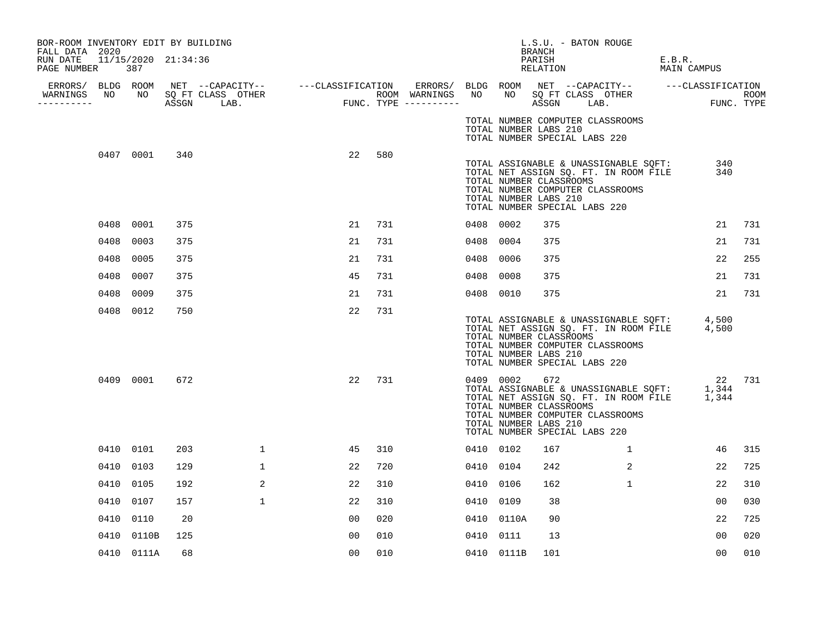| BOR-ROOM INVENTORY EDIT BY BUILDING<br>FALL DATA 2020 |      |            |     |                                  |    |     |           |            | BRANCH                                                  | L.S.U. - BATON ROUGE                                                                                                                                                  |                       |                           |
|-------------------------------------------------------|------|------------|-----|----------------------------------|----|-----|-----------|------------|---------------------------------------------------------|-----------------------------------------------------------------------------------------------------------------------------------------------------------------------|-----------------------|---------------------------|
| RUN DATE 11/15/2020 21:34:36<br>PAGE NUMBER           |      | 387        |     |                                  |    |     |           |            | PARISH<br>RELATION                                      |                                                                                                                                                                       | E.B.R.<br>MAIN CAMPUS |                           |
| ----------                                            |      |            |     | WARNINGS NO NO SQ FT CLASS OTHER |    |     |           |            |                                                         |                                                                                                                                                                       |                       | <b>ROOM</b><br>FUNC. TYPE |
|                                                       |      |            |     |                                  |    |     |           |            | TOTAL NUMBER LABS 210                                   | TOTAL NUMBER COMPUTER CLASSROOMS<br>TOTAL NUMBER SPECIAL LABS 220                                                                                                     |                       |                           |
|                                                       |      | 0407 0001  | 340 |                                  | 22 | 580 |           |            | TOTAL NUMBER CLASSROOMS<br>TOTAL NUMBER LABS 210        | TOTAL ASSIGNABLE & UNASSIGNABLE SQFT:<br>TOTAL NET ASSIGN SQ. FT. IN ROOM FILE<br>TOTAL NUMBER COMPUTER CLASSROOMS<br>TOTAL NUMBER SPECIAL LABS 220                   | 340<br>340            |                           |
|                                                       |      | 0408 0001  | 375 |                                  | 21 | 731 | 0408 0002 |            | 375                                                     |                                                                                                                                                                       | 21                    | 731                       |
|                                                       |      | 0408 0003  | 375 |                                  | 21 | 731 | 0408 0004 |            | 375                                                     |                                                                                                                                                                       | 21                    | 731                       |
|                                                       | 0408 | 0005       | 375 |                                  | 21 | 731 | 0408 0006 |            | 375                                                     |                                                                                                                                                                       | 22                    | 255                       |
|                                                       |      | 0408 0007  | 375 |                                  | 45 | 731 | 0408 0008 |            | 375                                                     |                                                                                                                                                                       | 21                    | 731                       |
|                                                       |      | 0408 0009  | 375 |                                  | 21 | 731 | 0408 0010 |            | 375                                                     |                                                                                                                                                                       | 21                    | 731                       |
|                                                       |      | 0408 0012  | 750 |                                  | 22 | 731 |           |            | TOTAL NUMBER CLASSROOMS<br>TOTAL NUMBER LABS 210        | TOTAL ASSIGNABLE & UNASSIGNABLE SQFT: 4,500<br>TOTAL NET ASSIGN SQ. FT. IN ROOM FILE 4,500<br>TOTAL NUMBER COMPUTER CLASSROOMS<br>TOTAL NUMBER SPECIAL LABS 220       |                       |                           |
|                                                       |      | 0409 0001  | 672 |                                  | 22 | 731 |           | 0409 0002  | 672<br>TOTAL NUMBER CLASSROOMS<br>TOTAL NUMBER LABS 210 | 22<br>TOTAL ASSIGNABLE & UNASSIGNABLE SQFT: 1,344<br>TOTAL NET ASSIGN SQ. FT. IN ROOM FILE 1,344<br>TOTAL NUMBER COMPUTER CLASSROOMS<br>TOTAL NUMBER SPECIAL LABS 220 | 22 731                |                           |
|                                                       |      | 0410 0101  | 203 | $\mathbf{1}$                     | 45 | 310 | 0410 0102 |            | 167                                                     | 1                                                                                                                                                                     | 46                    | 315                       |
|                                                       |      | 0410 0103  | 129 | $\mathbf{1}$                     | 22 | 720 | 0410 0104 |            | 242                                                     | $\overline{2}$                                                                                                                                                        | 22                    | 725                       |
|                                                       |      | 0410 0105  | 192 | 2                                | 22 | 310 | 0410 0106 |            | 162                                                     | $\mathbf{1}$                                                                                                                                                          | 22                    | 310                       |
|                                                       |      | 0410 0107  | 157 | $\mathbf{1}$                     | 22 | 310 | 0410 0109 |            | 38                                                      |                                                                                                                                                                       | 0 <sup>0</sup>        | 030                       |
|                                                       |      | 0410 0110  | 20  |                                  | 00 | 020 |           | 0410 0110A | 90                                                      |                                                                                                                                                                       | 22                    | 725                       |
|                                                       |      | 0410 0110B | 125 |                                  | 00 | 010 | 0410 0111 |            | 13                                                      |                                                                                                                                                                       | 0 <sup>0</sup>        | 020                       |
|                                                       |      | 0410 0111A | 68  |                                  | 00 | 010 |           | 0410 0111B | 101                                                     |                                                                                                                                                                       | 0 <sub>0</sub>        | 010                       |
|                                                       |      |            |     |                                  |    |     |           |            |                                                         |                                                                                                                                                                       |                       |                           |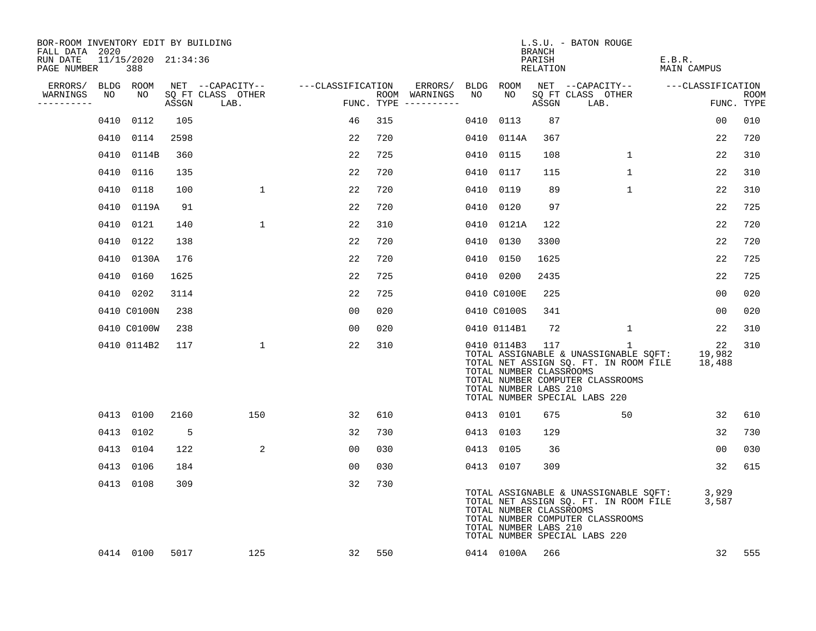| BOR-ROOM INVENTORY EDIT BY BUILDING<br>FALL DATA 2020 |      |                            |       |                           |                                    |     |                                        |      |                                                                     | BRANCH             | L.S.U. - BATON ROUGE                                                                                                                                                |                                                      |                    |
|-------------------------------------------------------|------|----------------------------|-------|---------------------------|------------------------------------|-----|----------------------------------------|------|---------------------------------------------------------------------|--------------------|---------------------------------------------------------------------------------------------------------------------------------------------------------------------|------------------------------------------------------|--------------------|
| RUN DATE<br>PAGE NUMBER                               |      | 11/15/2020 21:34:36<br>388 |       |                           |                                    |     |                                        |      |                                                                     | PARISH<br>RELATION |                                                                                                                                                                     | E.B.R.<br>MAIN CAMPUS                                |                    |
| ERRORS/                                               |      | BLDG ROOM                  |       |                           | NET --CAPACITY-- ---CLASSIFICATION |     | ERRORS/                                |      | BLDG ROOM                                                           |                    |                                                                                                                                                                     | NET --CAPACITY-- ---CLASSIFICATION                   |                    |
| WARNINGS<br>----------                                | NO   | NO                         | ASSGN | SQ FT CLASS OTHER<br>LAB. |                                    |     | ROOM WARNINGS<br>FUNC. TYPE ---------- | NO   | NO                                                                  | ASSGN              | SQ FT CLASS OTHER<br>LAB.                                                                                                                                           |                                                      | ROOM<br>FUNC. TYPE |
|                                                       |      | 0410 0112                  | 105   |                           | 46                                 | 315 |                                        | 0410 | 0113                                                                | 87                 |                                                                                                                                                                     | 00                                                   | 010                |
|                                                       |      | 0410 0114                  | 2598  |                           | 22                                 | 720 |                                        |      | 0410 0114A                                                          | 367                |                                                                                                                                                                     | 22                                                   | 720                |
|                                                       | 0410 | 0114B                      | 360   |                           | 22                                 | 725 |                                        | 0410 | 0115                                                                | 108                | $\mathbf{1}$                                                                                                                                                        | 22                                                   | 310                |
|                                                       | 0410 | 0116                       | 135   |                           | 22                                 | 720 |                                        | 0410 | 0117                                                                | 115                | $\mathbf{1}$                                                                                                                                                        | 22                                                   | 310                |
|                                                       | 0410 | 0118                       | 100   | $\mathbf{1}$              | 22                                 | 720 |                                        | 0410 | 0119                                                                | 89                 | $\mathbf 1$                                                                                                                                                         | 22                                                   | 310                |
|                                                       |      | 0410 0119A                 | 91    |                           | 22                                 | 720 |                                        | 0410 | 0120                                                                | 97                 |                                                                                                                                                                     | 22                                                   | 725                |
|                                                       |      | 0410 0121                  | 140   | $\mathbf{1}$              | 22                                 | 310 |                                        |      | 0410 0121A                                                          | 122                |                                                                                                                                                                     | 22                                                   | 720                |
|                                                       | 0410 | 0122                       | 138   |                           | 22                                 | 720 |                                        | 0410 | 0130                                                                | 3300               |                                                                                                                                                                     | 22                                                   | 720                |
|                                                       | 0410 | 0130A                      | 176   |                           | 22                                 | 720 |                                        | 0410 | 0150                                                                | 1625               |                                                                                                                                                                     | 22                                                   | 725                |
|                                                       |      | 0410 0160                  | 1625  |                           | 22                                 | 725 |                                        |      | 0410 0200                                                           | 2435               |                                                                                                                                                                     | 22                                                   | 725                |
|                                                       |      | 0410 0202                  | 3114  |                           | 22                                 | 725 |                                        |      | 0410 C0100E                                                         | 225                |                                                                                                                                                                     | 00                                                   | 020                |
|                                                       |      | 0410 C0100N                | 238   |                           | 00                                 | 020 |                                        |      | 0410 C0100S                                                         | 341                |                                                                                                                                                                     | 00                                                   | 020                |
|                                                       |      | 0410 C0100W                | 238   |                           | 00                                 | 020 |                                        |      | 0410 0114B1                                                         | 72                 | $\mathbf 1$                                                                                                                                                         | 22                                                   | 310                |
|                                                       |      | 0410 0114B2                | 117   | $\mathbf{1}$              | 22                                 | 310 |                                        |      | 0410 0114B3 117<br>TOTAL NUMBER CLASSROOMS<br>TOTAL NUMBER LABS 210 |                    | $\mathbf{1}$<br>TOTAL ASSIGNABLE & UNASSIGNABLE SQFT:<br>TOTAL NET ASSIGN SQ. FT. IN ROOM FILE<br>TOTAL NUMBER COMPUTER CLASSROOMS<br>TOTAL NUMBER SPECIAL LABS 220 | 22<br>19,982<br>18,488                               | 310                |
|                                                       |      | 0413 0100                  | 2160  | 150                       | 32                                 | 610 |                                        |      | 0413 0101                                                           | 675                | 50                                                                                                                                                                  | 32                                                   | 610                |
|                                                       | 0413 | 0102                       | -5    |                           | 32                                 | 730 |                                        |      | 0413 0103                                                           | 129                |                                                                                                                                                                     | 32                                                   | 730                |
|                                                       |      | 0413 0104                  | 122   | 2                         | 00                                 | 030 |                                        |      | 0413 0105                                                           | 36                 |                                                                                                                                                                     | 00                                                   | 030                |
|                                                       | 0413 | 0106                       | 184   |                           | 00                                 | 030 |                                        |      | 0413 0107                                                           | 309                |                                                                                                                                                                     | 32                                                   | 615                |
|                                                       |      | 0413 0108                  | 309   |                           | 32                                 | 730 |                                        |      | TOTAL NUMBER CLASSROOMS<br>TOTAL NUMBER LABS 210                    |                    | TOTAL NET ASSIGN SQ. FT. IN ROOM FILE<br>TOTAL NUMBER COMPUTER CLASSROOMS<br>TOTAL NUMBER SPECIAL LABS 220                                                          | TOTAL ASSIGNABLE & UNASSIGNABLE SQFT: 3,929<br>3,587 |                    |
|                                                       |      | 0414 0100                  | 5017  | 125                       | 32                                 | 550 |                                        |      | 0414 0100A                                                          | 266                |                                                                                                                                                                     | 32                                                   | 555                |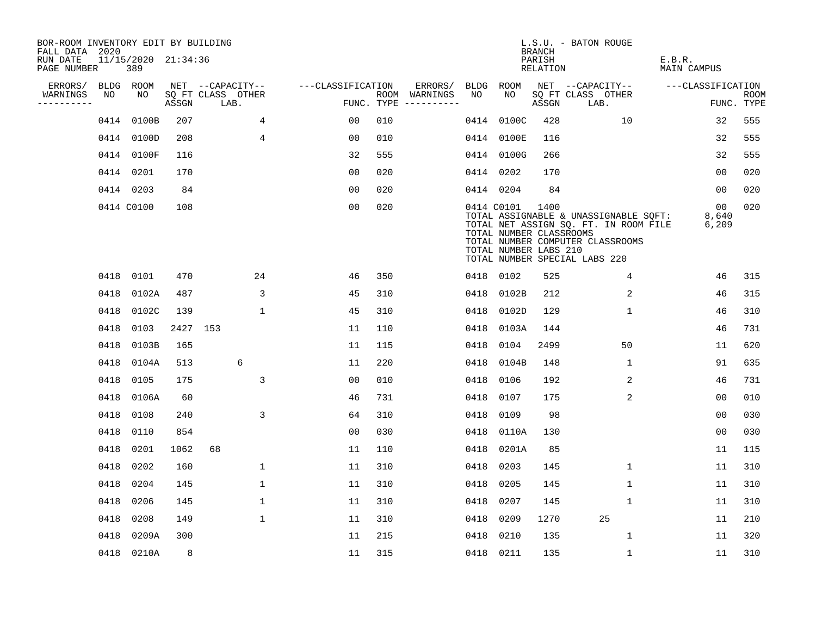| BOR-ROOM INVENTORY EDIT BY BUILDING<br>FALL DATA 2020 |      |                            |          |                           |                   |     |                                      |      |                                                                | <b>BRANCH</b>             | L.S.U. - BATON ROUGE                                                                                                                                |                              |                           |
|-------------------------------------------------------|------|----------------------------|----------|---------------------------|-------------------|-----|--------------------------------------|------|----------------------------------------------------------------|---------------------------|-----------------------------------------------------------------------------------------------------------------------------------------------------|------------------------------|---------------------------|
| RUN DATE<br>PAGE NUMBER                               |      | 11/15/2020 21:34:36<br>389 |          |                           |                   |     |                                      |      |                                                                | PARISH<br><b>RELATION</b> |                                                                                                                                                     | E.B.R.<br><b>MAIN CAMPUS</b> |                           |
| ERRORS/                                               |      | BLDG ROOM                  |          | NET --CAPACITY--          | ---CLASSIFICATION |     | ERRORS/                              | BLDG | <b>ROOM</b>                                                    |                           | NET --CAPACITY--                                                                                                                                    | ---CLASSIFICATION            |                           |
| WARNINGS<br>----------                                | NO   | NO                         | ASSGN    | SQ FT CLASS OTHER<br>LAB. |                   |     | ROOM WARNINGS<br>FUNC. TYPE $------$ | NO   | NO                                                             | ASSGN                     | SQ FT CLASS OTHER<br>LAB.                                                                                                                           |                              | <b>ROOM</b><br>FUNC. TYPE |
|                                                       |      | 0414 0100B                 | 207      | 4                         | 0 <sub>0</sub>    | 010 |                                      |      | 0414 0100C                                                     | 428                       | 10                                                                                                                                                  | 32                           | 555                       |
|                                                       |      | 0414 0100D                 | 208      | 4                         | 0 <sub>0</sub>    | 010 |                                      |      | 0414 0100E                                                     | 116                       |                                                                                                                                                     | 32                           | 555                       |
|                                                       |      | 0414 0100F                 | 116      |                           | 32                | 555 |                                      |      | 0414 0100G                                                     | 266                       |                                                                                                                                                     | 32                           | 555                       |
|                                                       |      | 0414 0201                  | 170      |                           | 0 <sub>0</sub>    | 020 |                                      |      | 0414 0202                                                      | 170                       |                                                                                                                                                     | 00                           | 020                       |
|                                                       |      | 0414 0203                  | 84       |                           | 0 <sub>0</sub>    | 020 |                                      |      | 0414 0204                                                      | 84                        |                                                                                                                                                     | 0 <sub>0</sub>               | 020                       |
|                                                       |      | 0414 C0100                 | 108      |                           | 0 <sub>0</sub>    | 020 |                                      |      | 0414 C0101<br>TOTAL NUMBER CLASSROOMS<br>TOTAL NUMBER LABS 210 | 1400                      | TOTAL ASSIGNABLE & UNASSIGNABLE SQFT:<br>TOTAL NET ASSIGN SQ. FT. IN ROOM FILE<br>TOTAL NUMBER COMPUTER CLASSROOMS<br>TOTAL NUMBER SPECIAL LABS 220 | 00<br>8,640<br>6,209         | 020                       |
|                                                       |      | 0418 0101                  | 470      | 24                        | 46                | 350 |                                      |      | 0418 0102                                                      | 525                       | 4                                                                                                                                                   | 46                           | 315                       |
|                                                       | 0418 | 0102A                      | 487      | 3                         | 45                | 310 |                                      |      | 0418 0102B                                                     | 212                       | 2                                                                                                                                                   | 46                           | 315                       |
|                                                       | 0418 | 0102C                      | 139      | $\mathbf{1}$              | 45                | 310 |                                      |      | 0418 0102D                                                     | 129                       | $\mathbf{1}$                                                                                                                                        | 46                           | 310                       |
|                                                       | 0418 | 0103                       | 2427 153 |                           | 11                | 110 |                                      | 0418 | 0103A                                                          | 144                       |                                                                                                                                                     | 46                           | 731                       |
|                                                       | 0418 | 0103B                      | 165      |                           | 11                | 115 |                                      | 0418 | 0104                                                           | 2499                      | 50                                                                                                                                                  | 11                           | 620                       |
|                                                       | 0418 | 0104A                      | 513      | 6                         | 11                | 220 |                                      | 0418 | 0104B                                                          | 148                       | 1                                                                                                                                                   | 91                           | 635                       |
|                                                       | 0418 | 0105                       | 175      | 3                         | 0 <sub>0</sub>    | 010 |                                      | 0418 | 0106                                                           | 192                       | 2                                                                                                                                                   | 46                           | 731                       |
|                                                       | 0418 | 0106A                      | 60       |                           | 46                | 731 |                                      | 0418 | 0107                                                           | 175                       | 2                                                                                                                                                   | 00                           | 010                       |
|                                                       | 0418 | 0108                       | 240      | 3                         | 64                | 310 |                                      | 0418 | 0109                                                           | 98                        |                                                                                                                                                     | 0 <sub>0</sub>               | 030                       |
|                                                       | 0418 | 0110                       | 854      |                           | 0 <sub>0</sub>    | 030 |                                      | 0418 | 0110A                                                          | 130                       |                                                                                                                                                     | 0 <sub>0</sub>               | 030                       |
|                                                       | 0418 | 0201                       | 1062     | 68                        | 11                | 110 |                                      | 0418 | 0201A                                                          | 85                        |                                                                                                                                                     | 11                           | 115                       |
|                                                       | 0418 | 0202                       | 160      | $\mathbf 1$               | 11                | 310 |                                      | 0418 | 0203                                                           | 145                       | $\mathbf 1$                                                                                                                                         | 11                           | 310                       |
|                                                       | 0418 | 0204                       | 145      | $\mathbf 1$               | 11                | 310 |                                      | 0418 | 0205                                                           | 145                       | $\mathbf{1}$                                                                                                                                        | 11                           | 310                       |
|                                                       | 0418 | 0206                       | 145      | $\mathbf{1}$              | 11                | 310 |                                      | 0418 | 0207                                                           | 145                       | 1                                                                                                                                                   | 11                           | 310                       |
|                                                       | 0418 | 0208                       | 149      | $\mathbf{1}$              | 11                | 310 |                                      | 0418 | 0209                                                           | 1270                      | 25                                                                                                                                                  | 11                           | 210                       |
|                                                       | 0418 | 0209A                      | 300      |                           | 11                | 215 |                                      | 0418 | 0210                                                           | 135                       | 1                                                                                                                                                   | 11                           | 320                       |
|                                                       |      | 0418 0210A                 | 8        |                           | 11                | 315 |                                      |      | 0418 0211                                                      | 135                       | 1                                                                                                                                                   | 11                           | 310                       |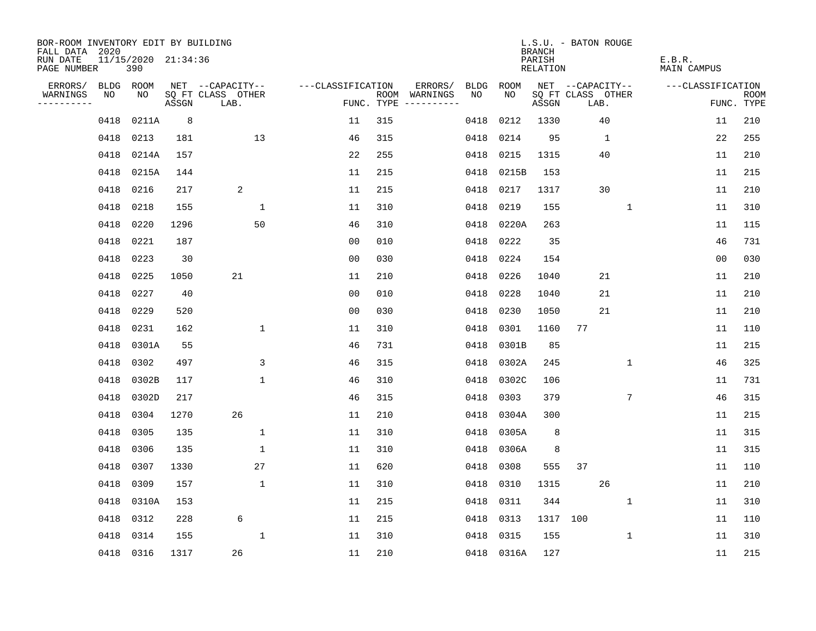| BOR-ROOM INVENTORY EDIT BY BUILDING<br>FALL DATA 2020 |             |                            |       |                           |                   |     |               |             |            | <b>BRANCH</b>             | L.S.U. - BATON ROUGE      |              |              |                              |                |                           |
|-------------------------------------------------------|-------------|----------------------------|-------|---------------------------|-------------------|-----|---------------|-------------|------------|---------------------------|---------------------------|--------------|--------------|------------------------------|----------------|---------------------------|
| RUN DATE<br>PAGE NUMBER                               |             | 11/15/2020 21:34:36<br>390 |       |                           |                   |     |               |             |            | PARISH<br><b>RELATION</b> |                           |              |              | E.B.R.<br><b>MAIN CAMPUS</b> |                |                           |
| ERRORS/                                               | <b>BLDG</b> | ROOM                       |       | NET --CAPACITY--          | ---CLASSIFICATION |     | ERRORS/       | <b>BLDG</b> | ROOM       |                           | NET --CAPACITY--          |              |              | ---CLASSIFICATION            |                |                           |
| WARNINGS<br>- - - - - - - - - -                       | NO          | NO                         | ASSGN | SQ FT CLASS OTHER<br>LAB. | FUNC. TYPE        |     | ROOM WARNINGS | NO          | NO.        | ASSGN                     | SQ FT CLASS OTHER<br>LAB. |              |              |                              |                | <b>ROOM</b><br>FUNC. TYPE |
|                                                       | 0418        | 0211A                      | 8     |                           | 11                | 315 |               | 0418        | 0212       | 1330                      |                           | 40           |              |                              | 11             | 210                       |
|                                                       | 0418        | 0213                       | 181   | 13                        | 46                | 315 |               | 0418        | 0214       | 95                        |                           | $\mathbf{1}$ |              |                              | 22             | 255                       |
|                                                       | 0418        | 0214A                      | 157   |                           | 22                | 255 |               | 0418        | 0215       | 1315                      |                           | 40           |              |                              | 11             | 210                       |
|                                                       | 0418        | 0215A                      | 144   |                           | 11                | 215 |               | 0418        | 0215B      | 153                       |                           |              |              |                              | 11             | 215                       |
|                                                       | 0418        | 0216                       | 217   | 2                         | 11                | 215 |               | 0418        | 0217       | 1317                      |                           | 30           |              |                              | 11             | 210                       |
|                                                       | 0418        | 0218                       | 155   | 1                         | 11                | 310 |               | 0418        | 0219       | 155                       |                           |              | $\mathbf{1}$ |                              | 11             | 310                       |
|                                                       | 0418        | 0220                       | 1296  | 50                        | 46                | 310 |               | 0418        | 0220A      | 263                       |                           |              |              |                              | 11             | 115                       |
|                                                       | 0418        | 0221                       | 187   |                           | 00                | 010 |               | 0418        | 0222       | 35                        |                           |              |              |                              | 46             | 731                       |
|                                                       | 0418        | 0223                       | 30    |                           | 0 <sub>0</sub>    | 030 |               | 0418        | 0224       | 154                       |                           |              |              |                              | 0 <sub>0</sub> | 030                       |
|                                                       | 0418        | 0225                       | 1050  | 21                        | 11                | 210 |               | 0418        | 0226       | 1040                      |                           | 21           |              |                              | 11             | 210                       |
|                                                       | 0418        | 0227                       | 40    |                           | 0 <sub>0</sub>    | 010 |               | 0418        | 0228       | 1040                      |                           | 21           |              |                              | 11             | 210                       |
|                                                       | 0418        | 0229                       | 520   |                           | 0 <sub>0</sub>    | 030 |               | 0418        | 0230       | 1050                      |                           | 21           |              |                              | 11             | 210                       |
|                                                       | 0418        | 0231                       | 162   | $\mathbf{1}$              | 11                | 310 |               | 0418        | 0301       | 1160                      | 77                        |              |              |                              | 11             | 110                       |
|                                                       | 0418        | 0301A                      | 55    |                           | 46                | 731 |               | 0418        | 0301B      | 85                        |                           |              |              |                              | 11             | 215                       |
|                                                       | 0418        | 0302                       | 497   | 3                         | 46                | 315 |               | 0418        | 0302A      | 245                       |                           |              | $\mathbf{1}$ |                              | 46             | 325                       |
|                                                       | 0418        | 0302B                      | 117   | $\mathbf 1$               | 46                | 310 |               | 0418        | 0302C      | 106                       |                           |              |              |                              | 11             | 731                       |
|                                                       | 0418        | 0302D                      | 217   |                           | 46                | 315 |               | 0418        | 0303       | 379                       |                           |              | 7            |                              | 46             | 315                       |
|                                                       | 0418        | 0304                       | 1270  | 26                        | 11                | 210 |               | 0418        | 0304A      | 300                       |                           |              |              |                              | 11             | 215                       |
|                                                       | 0418        | 0305                       | 135   | 1                         | 11                | 310 |               | 0418        | 0305A      | 8                         |                           |              |              |                              | 11             | 315                       |
|                                                       | 0418        | 0306                       | 135   | 1                         | 11                | 310 |               | 0418        | 0306A      | 8                         |                           |              |              |                              | 11             | 315                       |
|                                                       | 0418        | 0307                       | 1330  | 27                        | 11                | 620 |               | 0418        | 0308       | 555                       | 37                        |              |              |                              | 11             | 110                       |
|                                                       | 0418        | 0309                       | 157   | $\mathbf{1}$              | 11                | 310 |               | 0418        | 0310       | 1315                      |                           | 26           |              |                              | 11             | 210                       |
|                                                       | 0418        | 0310A                      | 153   |                           | 11                | 215 |               | 0418        | 0311       | 344                       |                           |              | 1            |                              | 11             | 310                       |
|                                                       | 0418        | 0312                       | 228   | 6                         | 11                | 215 |               | 0418        | 0313       | 1317                      | 100                       |              |              |                              | 11             | 110                       |
|                                                       | 0418        | 0314                       | 155   | 1                         | 11                | 310 |               | 0418        | 0315       | 155                       |                           |              | 1            |                              | 11             | 310                       |
|                                                       |             | 0418 0316                  | 1317  | 26                        | 11                | 210 |               |             | 0418 0316A | 127                       |                           |              |              |                              | 11             | 215                       |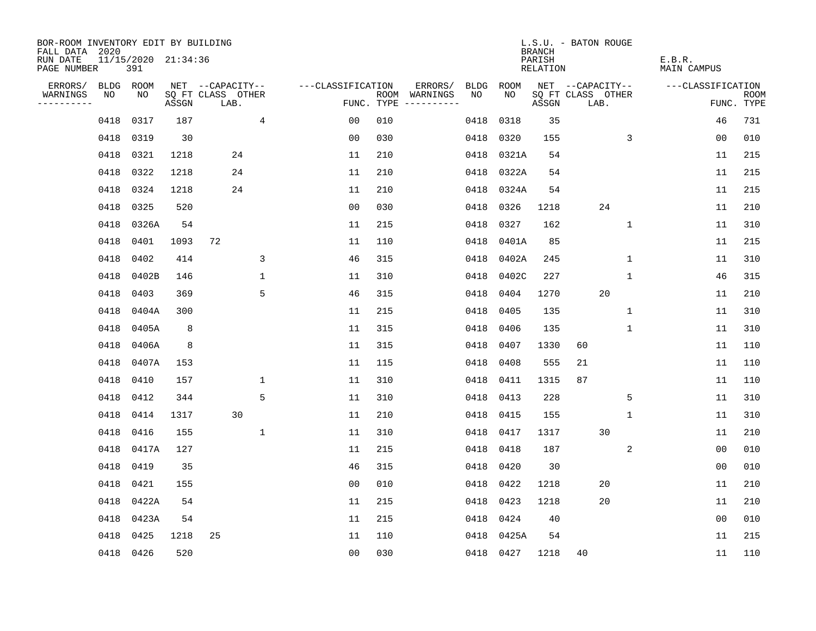| BOR-ROOM INVENTORY EDIT BY BUILDING<br>FALL DATA 2020 |           |                            |       |                           |              |                   |     |                                      |           |       | <b>BRANCH</b>             | L.S.U. - BATON ROUGE      |              |                              |                           |
|-------------------------------------------------------|-----------|----------------------------|-------|---------------------------|--------------|-------------------|-----|--------------------------------------|-----------|-------|---------------------------|---------------------------|--------------|------------------------------|---------------------------|
| RUN DATE<br>PAGE NUMBER                               |           | 11/15/2020 21:34:36<br>391 |       |                           |              |                   |     |                                      |           |       | PARISH<br><b>RELATION</b> |                           |              | E.B.R.<br><b>MAIN CAMPUS</b> |                           |
| ERRORS/                                               |           | BLDG ROOM                  |       | NET --CAPACITY--          |              | ---CLASSIFICATION |     | ERRORS/                              | BLDG      | ROOM  |                           | NET --CAPACITY--          |              | ---CLASSIFICATION            |                           |
| WARNINGS<br>----------                                | NO        | NO                         | ASSGN | SQ FT CLASS OTHER<br>LAB. |              |                   |     | ROOM WARNINGS<br>FUNC. TYPE $------$ | NO        | NO    | ASSGN                     | SQ FT CLASS OTHER<br>LAB. |              |                              | <b>ROOM</b><br>FUNC. TYPE |
|                                                       | 0418      | 0317                       | 187   |                           | 4            | 00                | 010 |                                      | 0418      | 0318  | 35                        |                           |              | 46                           | 731                       |
|                                                       | 0418      | 0319                       | 30    |                           |              | 0 <sub>0</sub>    | 030 |                                      | 0418      | 0320  | 155                       |                           | 3            | 0 <sub>0</sub>               | 010                       |
|                                                       | 0418      | 0321                       | 1218  | 24                        |              | 11                | 210 |                                      | 0418      | 0321A | 54                        |                           |              | 11                           | 215                       |
|                                                       | 0418      | 0322                       | 1218  | 24                        |              | 11                | 210 |                                      | 0418      | 0322A | 54                        |                           |              | 11                           | 215                       |
|                                                       | 0418      | 0324                       | 1218  | 24                        |              | 11                | 210 |                                      | 0418      | 0324A | 54                        |                           |              | 11                           | 215                       |
|                                                       | 0418 0325 |                            | 520   |                           |              | 0 <sub>0</sub>    | 030 |                                      | 0418      | 0326  | 1218                      | 24                        |              | 11                           | 210                       |
|                                                       | 0418      | 0326A                      | 54    |                           |              | 11                | 215 |                                      | 0418      | 0327  | 162                       |                           | $\mathbf{1}$ | 11                           | 310                       |
|                                                       | 0418      | 0401                       | 1093  | 72                        |              | 11                | 110 |                                      | 0418      | 0401A | 85                        |                           |              | 11                           | 215                       |
|                                                       | 0418      | 0402                       | 414   |                           | 3            | 46                | 315 |                                      | 0418      | 0402A | 245                       |                           | $\mathbf 1$  | 11                           | 310                       |
|                                                       | 0418      | 0402B                      | 146   |                           | $\mathbf 1$  | 11                | 310 |                                      | 0418      | 0402C | 227                       |                           | $\mathbf 1$  | 46                           | 315                       |
|                                                       | 0418      | 0403                       | 369   |                           | 5            | 46                | 315 |                                      | 0418      | 0404  | 1270                      | 20                        |              | 11                           | 210                       |
|                                                       | 0418      | 0404A                      | 300   |                           |              | 11                | 215 |                                      | 0418      | 0405  | 135                       |                           | $\mathbf 1$  | 11                           | 310                       |
|                                                       | 0418      | 0405A                      | 8     |                           |              | 11                | 315 |                                      | 0418      | 0406  | 135                       |                           | 1            | 11                           | 310                       |
|                                                       | 0418      | 0406A                      | 8     |                           |              | 11                | 315 |                                      | 0418      | 0407  | 1330                      | 60                        |              | 11                           | 110                       |
|                                                       | 0418      | 0407A                      | 153   |                           |              | 11                | 115 |                                      | 0418      | 0408  | 555                       | 21                        |              | 11                           | 110                       |
|                                                       | 0418      | 0410                       | 157   |                           | $\mathbf 1$  | 11                | 310 |                                      | 0418      | 0411  | 1315                      | 87                        |              | 11                           | 110                       |
|                                                       | 0418      | 0412                       | 344   |                           | 5            | 11                | 310 |                                      | 0418      | 0413  | 228                       |                           | 5            | 11                           | 310                       |
|                                                       | 0418      | 0414                       | 1317  | 30                        |              | 11                | 210 |                                      | 0418      | 0415  | 155                       |                           | 1            | 11                           | 310                       |
|                                                       | 0418      | 0416                       | 155   |                           | $\mathbf{1}$ | 11                | 310 |                                      | 0418      | 0417  | 1317                      | 30                        |              | 11                           | 210                       |
|                                                       | 0418      | 0417A                      | 127   |                           |              | 11                | 215 |                                      | 0418      | 0418  | 187                       |                           | 2            | 0 <sub>0</sub>               | 010                       |
|                                                       | 0418      | 0419                       | 35    |                           |              | 46                | 315 |                                      | 0418      | 0420  | 30                        |                           |              | 0 <sub>0</sub>               | 010                       |
|                                                       | 0418      | 0421                       | 155   |                           |              | 0 <sub>0</sub>    | 010 |                                      | 0418      | 0422  | 1218                      | 20                        |              | 11                           | 210                       |
|                                                       |           | 0418 0422A                 | 54    |                           |              | 11                | 215 |                                      | 0418      | 0423  | 1218                      | 20                        |              | 11                           | 210                       |
|                                                       | 0418      | 0423A                      | 54    |                           |              | 11                | 215 |                                      | 0418      | 0424  | 40                        |                           |              | 0 <sub>0</sub>               | 010                       |
|                                                       | 0418      | 0425                       | 1218  | 25                        |              | 11                | 110 |                                      | 0418      | 0425A | 54                        |                           |              | 11                           | 215                       |
|                                                       | 0418 0426 |                            | 520   |                           |              | 0 <sub>0</sub>    | 030 |                                      | 0418 0427 |       | 1218                      | 40                        |              | 11                           | 110                       |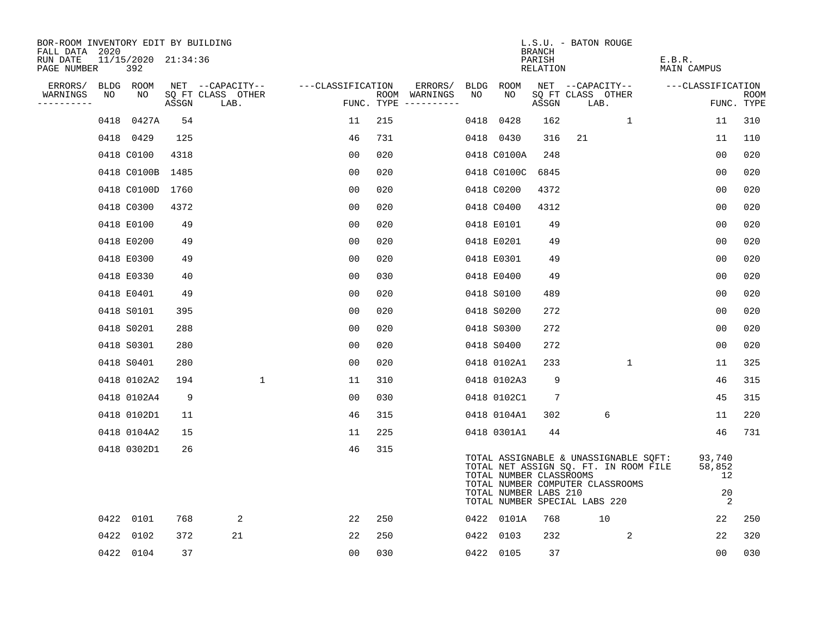| BOR-ROOM INVENTORY EDIT BY BUILDING<br>FALL DATA 2020 |                            |       |                           |              |                   |     |                                      |      |                                                                                                                                                                                                         |                              | L.S.U. - BATON ROUGE |      |              |                       |                                                |      |
|-------------------------------------------------------|----------------------------|-------|---------------------------|--------------|-------------------|-----|--------------------------------------|------|---------------------------------------------------------------------------------------------------------------------------------------------------------------------------------------------------------|------------------------------|----------------------|------|--------------|-----------------------|------------------------------------------------|------|
| RUN DATE<br>PAGE NUMBER                               | 11/15/2020 21:34:36<br>392 |       |                           |              |                   |     |                                      |      |                                                                                                                                                                                                         | BRANCH<br>PARISH<br>RELATION |                      |      |              | E.B.R.<br>MAIN CAMPUS |                                                |      |
| ERRORS/                                               | BLDG ROOM                  |       | NET --CAPACITY--          |              | ---CLASSIFICATION |     | ERRORS/                              |      | BLDG ROOM                                                                                                                                                                                               |                              | NET --CAPACITY--     |      |              | ---CLASSIFICATION     |                                                |      |
| WARNINGS<br>NO<br>----------                          | NO                         | ASSGN | SQ FT CLASS OTHER<br>LAB. |              |                   |     | ROOM WARNINGS<br>FUNC. TYPE $------$ | NO   | NO                                                                                                                                                                                                      | ASSGN                        | SQ FT CLASS OTHER    | LAB. |              |                       | FUNC. TYPE                                     | ROOM |
|                                                       | 0427A<br>0418              |       | 54                        |              | 11                | 215 |                                      | 0418 | 0428                                                                                                                                                                                                    | 162                          |                      |      | $\mathbf{1}$ |                       | 11                                             | 310  |
|                                                       | 0418 0429                  | 125   |                           |              | 46                | 731 |                                      |      | 0418 0430                                                                                                                                                                                               | 316                          | 21                   |      |              |                       | 11                                             | 110  |
|                                                       | 0418 C0100                 | 4318  |                           |              | 00                | 020 |                                      |      | 0418 C0100A                                                                                                                                                                                             | 248                          |                      |      |              |                       | 00                                             | 020  |
|                                                       | 0418 C0100B 1485           |       |                           |              | 0 <sub>0</sub>    | 020 |                                      |      | 0418 C0100C                                                                                                                                                                                             | 6845                         |                      |      |              |                       | 00                                             | 020  |
|                                                       | 0418 C0100D                | 1760  |                           |              | 00                | 020 |                                      |      | 0418 C0200                                                                                                                                                                                              | 4372                         |                      |      |              |                       | 0 <sub>0</sub>                                 | 020  |
|                                                       | 0418 C0300                 | 4372  |                           |              | 0 <sub>0</sub>    | 020 |                                      |      | 0418 C0400                                                                                                                                                                                              | 4312                         |                      |      |              |                       | 0 <sub>0</sub>                                 | 020  |
|                                                       | 0418 E0100                 |       | 49                        |              | 0 <sub>0</sub>    | 020 |                                      |      | 0418 E0101                                                                                                                                                                                              | 49                           |                      |      |              |                       | 00                                             | 020  |
|                                                       | 0418 E0200                 |       | 49                        |              | 0 <sub>0</sub>    | 020 |                                      |      | 0418 E0201                                                                                                                                                                                              | 49                           |                      |      |              |                       | 0 <sub>0</sub>                                 | 020  |
|                                                       | 0418 E0300                 |       | 49                        |              | 0 <sub>0</sub>    | 020 |                                      |      | 0418 E0301                                                                                                                                                                                              | 49                           |                      |      |              |                       | 0 <sub>0</sub>                                 | 020  |
|                                                       | 0418 E0330                 |       | 40                        |              | 0 <sub>0</sub>    | 030 |                                      |      | 0418 E0400                                                                                                                                                                                              | 49                           |                      |      |              |                       | 0 <sub>0</sub>                                 | 020  |
|                                                       | 0418 E0401                 |       | 49                        |              | 0 <sub>0</sub>    | 020 |                                      |      | 0418 S0100                                                                                                                                                                                              | 489                          |                      |      |              |                       | 0 <sub>0</sub>                                 | 020  |
|                                                       | 0418 S0101                 | 395   |                           |              | 0 <sub>0</sub>    | 020 |                                      |      | 0418 S0200                                                                                                                                                                                              | 272                          |                      |      |              |                       | 0 <sub>0</sub>                                 | 020  |
|                                                       | 0418 S0201                 | 288   |                           |              | 0 <sub>0</sub>    | 020 |                                      |      | 0418 S0300                                                                                                                                                                                              | 272                          |                      |      |              |                       | 00                                             | 020  |
|                                                       | 0418 S0301                 | 280   |                           |              | 0 <sub>0</sub>    | 020 |                                      |      | 0418 S0400                                                                                                                                                                                              | 272                          |                      |      |              |                       | 0 <sub>0</sub>                                 | 020  |
|                                                       | 0418 S0401                 | 280   |                           |              | 0 <sub>0</sub>    | 020 |                                      |      | 0418 0102A1                                                                                                                                                                                             | 233                          |                      |      | $\mathbf{1}$ |                       | 11                                             | 325  |
|                                                       | 0418 0102A2                | 194   |                           | $\mathbf{1}$ | 11                | 310 |                                      |      | 0418 0102A3                                                                                                                                                                                             | 9                            |                      |      |              |                       | 46                                             | 315  |
|                                                       | 0418 0102A4                |       | 9                         |              | 0 <sub>0</sub>    | 030 |                                      |      | 0418 0102C1                                                                                                                                                                                             | 7                            |                      |      |              |                       | 45                                             | 315  |
|                                                       | 0418 0102D1                |       | 11                        |              | 46                | 315 |                                      |      | 0418 0104A1                                                                                                                                                                                             | 302                          |                      | 6    |              |                       | 11                                             | 220  |
|                                                       | 0418 0104A2                |       | 15                        |              | 11                | 225 |                                      |      | 0418 0301A1                                                                                                                                                                                             | 44                           |                      |      |              |                       | 46                                             | 731  |
|                                                       | 0418 0302D1                |       | 26                        |              | 46                | 315 |                                      |      | TOTAL ASSIGNABLE & UNASSIGNABLE SOFT:<br>TOTAL NET ASSIGN SQ. FT. IN ROOM FILE<br>TOTAL NUMBER CLASSROOMS<br>TOTAL NUMBER COMPUTER CLASSROOMS<br>TOTAL NUMBER LABS 210<br>TOTAL NUMBER SPECIAL LABS 220 |                              |                      |      |              |                       | 93,740<br>58,852<br>12<br>20<br>$\overline{2}$ |      |
|                                                       | 0422 0101                  | 768   | 2                         |              | 22                | 250 |                                      |      | 0422 0101A                                                                                                                                                                                              | 768                          |                      | 10   |              |                       | 22                                             | 250  |
|                                                       | 0422<br>0102               | 372   | 21                        |              | 22                | 250 |                                      |      | 0422 0103                                                                                                                                                                                               | 232                          |                      |      | 2            |                       | 22                                             | 320  |
|                                                       | 0422 0104                  |       | 37                        |              | 0 <sub>0</sub>    | 030 |                                      |      | 0422 0105                                                                                                                                                                                               | 37                           |                      |      |              |                       | 0 <sub>0</sub>                                 | 030  |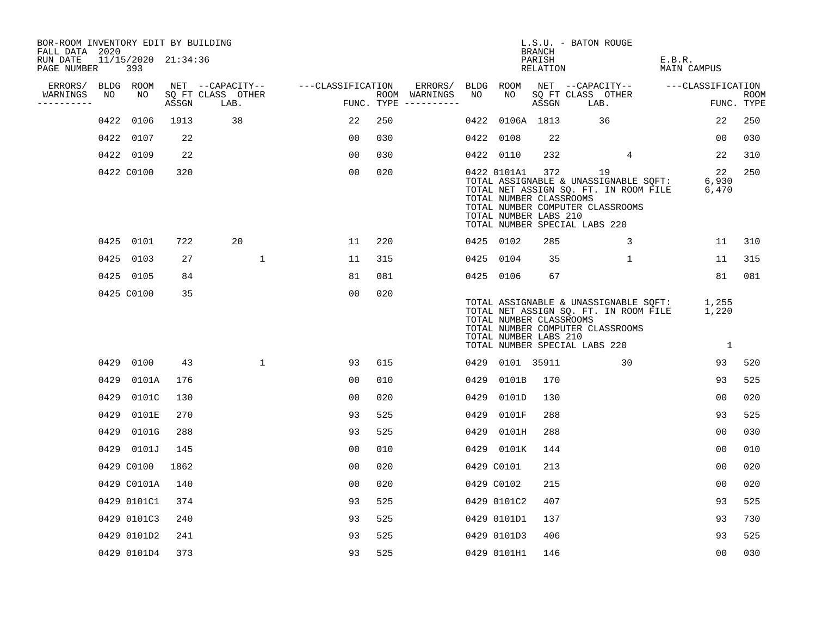| BOR-ROOM INVENTORY EDIT BY BUILDING<br>FALL DATA 2020 |      |                            |       |                                    |              |                |     |                                      |      |                                                                 | BRANCH             | L.S.U. - BATON ROUGE          |                                                                                                                                      |                       |                |                           |
|-------------------------------------------------------|------|----------------------------|-------|------------------------------------|--------------|----------------|-----|--------------------------------------|------|-----------------------------------------------------------------|--------------------|-------------------------------|--------------------------------------------------------------------------------------------------------------------------------------|-----------------------|----------------|---------------------------|
| RUN DATE<br>PAGE NUMBER                               |      | 11/15/2020 21:34:36<br>393 |       |                                    |              |                |     |                                      |      |                                                                 | PARISH<br>RELATION |                               |                                                                                                                                      | E.B.R.<br>MAIN CAMPUS |                |                           |
| ERRORS/                                               |      | BLDG ROOM                  |       | NET --CAPACITY-- ---CLASSIFICATION |              |                |     | ERRORS/                              |      | BLDG ROOM                                                       |                    |                               | NET --CAPACITY-- ---CLASSIFICATION                                                                                                   |                       |                |                           |
| WARNINGS<br>----------                                | NO   | NO                         | ASSGN | SQ FT CLASS OTHER<br>LAB.          |              |                |     | ROOM WARNINGS<br>FUNC. TYPE $------$ | NO   | NO                                                              | ASSGN              | LAB.                          | SQ FT CLASS OTHER                                                                                                                    |                       |                | <b>ROOM</b><br>FUNC. TYPE |
|                                                       | 0422 | 0106                       | 1913  | 38                                 |              | 22             | 250 |                                      | 0422 |                                                                 | 0106A 1813         |                               | 36                                                                                                                                   |                       | 22             | 250                       |
|                                                       |      | 0422 0107                  | 22    |                                    |              | 00             | 030 |                                      |      | 0422 0108                                                       | 22                 |                               |                                                                                                                                      |                       | 00             | 030                       |
|                                                       |      | 0422 0109                  | 22    |                                    |              | 0 <sub>0</sub> | 030 |                                      |      | 0422 0110                                                       | 232                |                               | 4                                                                                                                                    |                       | 22             | 310                       |
|                                                       |      | 0422 C0100                 | 320   |                                    |              | 00             | 020 |                                      |      | 0422 0101A1<br>TOTAL NUMBER CLASSROOMS<br>TOTAL NUMBER LABS 210 | 372                | TOTAL NUMBER SPECIAL LABS 220 | 19<br>TOTAL ASSIGNABLE & UNASSIGNABLE SQFT: 6,930<br>TOTAL NET ASSIGN SQ. FT. IN ROOM FILE 6,470<br>TOTAL NUMBER COMPUTER CLASSROOMS |                       | 22             | 250                       |
|                                                       |      | 0425 0101                  | 722   | 20                                 |              | 11             | 220 |                                      |      | 0425 0102                                                       | 285                |                               | 3                                                                                                                                    |                       | 11             | 310                       |
|                                                       |      | 0425 0103                  | 27    |                                    | $\mathbf{1}$ | 11             | 315 |                                      |      | 0425 0104                                                       | 35                 |                               | $\mathbf{1}$                                                                                                                         |                       | 11             | 315                       |
|                                                       |      | 0425 0105                  | 84    |                                    |              | 81             | 081 |                                      |      | 0425 0106                                                       | 67                 |                               |                                                                                                                                      |                       | 81             | 081                       |
|                                                       |      | 0425 C0100                 | 35    |                                    |              | 00             | 020 |                                      |      | TOTAL NUMBER CLASSROOMS<br>TOTAL NUMBER LABS 210                |                    | TOTAL NUMBER SPECIAL LABS 220 | TOTAL ASSIGNABLE & UNASSIGNABLE SQFT: 1,255<br>TOTAL NET ASSIGN SQ. FT. IN ROOM FILE 1,220<br>TOTAL NUMBER COMPUTER CLASSROOMS       |                       | $\overline{1}$ |                           |
|                                                       | 0429 | 0100                       | 43    |                                    | $\mathbf{1}$ | 93             | 615 |                                      |      | 0429 0101 35911                                                 |                    |                               | 30                                                                                                                                   |                       | 93             | 520                       |
|                                                       | 0429 | 0101A                      | 176   |                                    |              | 0 <sub>0</sub> | 010 |                                      | 0429 | 0101B                                                           | 170                |                               |                                                                                                                                      |                       | 93             | 525                       |
|                                                       | 0429 | 0101C                      | 130   |                                    |              | 0 <sub>0</sub> | 020 |                                      | 0429 | 0101D                                                           | 130                |                               |                                                                                                                                      |                       | 0 <sub>0</sub> | 020                       |
|                                                       | 0429 | 0101E                      | 270   |                                    |              | 93             | 525 |                                      | 0429 | 0101F                                                           | 288                |                               |                                                                                                                                      |                       | 93             | 525                       |
|                                                       | 0429 | 0101G                      | 288   |                                    |              | 93             | 525 |                                      |      | 0429 0101H                                                      | 288                |                               |                                                                                                                                      |                       | 0 <sub>0</sub> | 030                       |
|                                                       |      | 0429 0101J                 | 145   |                                    |              | 00             | 010 |                                      |      | 0429 0101K                                                      | 144                |                               |                                                                                                                                      |                       | 00             | 010                       |
|                                                       |      | 0429 C0100                 | 1862  |                                    |              | 0 <sub>0</sub> | 020 |                                      |      | 0429 C0101                                                      | 213                |                               |                                                                                                                                      |                       | 0 <sub>0</sub> | 020                       |
|                                                       |      | 0429 C0101A                | 140   |                                    |              | 0 <sub>0</sub> | 020 |                                      |      | 0429 C0102                                                      | 215                |                               |                                                                                                                                      |                       | 00             | 020                       |
|                                                       |      | 0429 0101C1                | 374   |                                    |              | 93             | 525 |                                      |      | 0429 0101C2                                                     | 407                |                               |                                                                                                                                      |                       | 93             | 525                       |
|                                                       |      | 0429 0101C3                | 240   |                                    |              | 93             | 525 |                                      |      | 0429 0101D1                                                     | 137                |                               |                                                                                                                                      |                       | 93             | 730                       |
|                                                       |      | 0429 0101D2                | 241   |                                    |              | 93             | 525 |                                      |      | 0429 0101D3                                                     | 406                |                               |                                                                                                                                      |                       | 93             | 525                       |
|                                                       |      | 0429 0101D4                | 373   |                                    |              | 93             | 525 |                                      |      | 0429 0101H1                                                     | 146                |                               |                                                                                                                                      |                       | 00             | 030                       |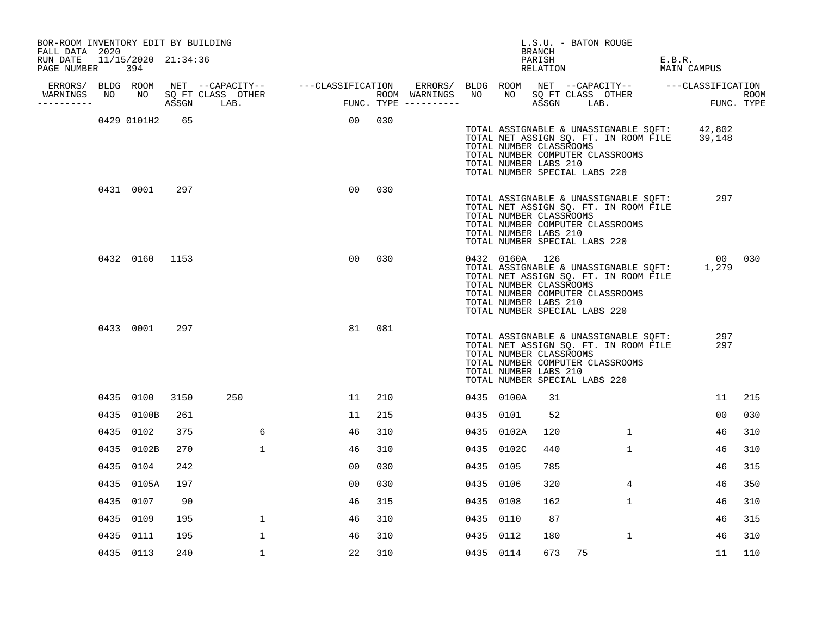| BOR-ROOM INVENTORY EDIT BY BUILDING<br>FALL DATA 2020 |                     |      |              |        |     |                                                                                                            |           |                                                                    | BRANCH             | L.S.U. - BATON ROUGE          |                                                                                                                                  |        |                 |     |
|-------------------------------------------------------|---------------------|------|--------------|--------|-----|------------------------------------------------------------------------------------------------------------|-----------|--------------------------------------------------------------------|--------------------|-------------------------------|----------------------------------------------------------------------------------------------------------------------------------|--------|-----------------|-----|
| RUN DATE<br>PAGE NUMBER 394                           | 11/15/2020 21:34:36 |      |              |        |     |                                                                                                            |           |                                                                    | PARISH<br>RELATION |                               |                                                                                                                                  | E.B.R. | MAIN CAMPUS     |     |
|                                                       |                     |      |              |        |     |                                                                                                            |           |                                                                    |                    |                               |                                                                                                                                  |        |                 |     |
| WARNINGS NO NO SQ FT CLASS OTHER                      |                     |      |              |        |     | ERRORS BUDG ROOM ARE AND THE SALE OF THE SALE OF THE ROOM WARNINGS NO NO SQ FT CLASS OTHER SALE PUNC. TYPE |           |                                                                    |                    |                               |                                                                                                                                  |        |                 |     |
|                                                       | 0429 0101H2         | 65   |              | 00 030 |     |                                                                                                            |           | TOTAL NUMBER CLASSROOMS<br>TOTAL NUMBER LABS 210                   |                    | TOTAL NUMBER SPECIAL LABS 220 | TOTAL ASSIGNABLE & UNASSIGNABLE SQFT: 42,802<br>TOTAL NET ASSIGN SQ. FT. IN ROOM FILE 39,148<br>TOTAL NUMBER COMPUTER CLASSROOMS |        |                 |     |
|                                                       | 0431 0001           | 297  |              | 00     | 030 |                                                                                                            |           | TOTAL NUMBER CLASSROOMS<br>TOTAL NUMBER LABS 210                   |                    | TOTAL NUMBER SPECIAL LABS 220 | TOTAL ASSIGNABLE & UNASSIGNABLE SQFT:<br>TOTAL NET ASSIGN SQ. FT. IN ROOM FILE<br>TOTAL NUMBER COMPUTER CLASSROOMS               |        | 297             |     |
|                                                       | 0432 0160 1153      |      |              | 00     | 030 |                                                                                                            |           | 0432 0160A 126<br>TOTAL NUMBER CLASSROOMS<br>TOTAL NUMBER LABS 210 |                    | TOTAL NUMBER SPECIAL LABS 220 | TOTAL ASSIGNABLE & UNASSIGNABLE SQFT:<br>TOTAL NET ASSIGN SQ. FT. IN ROOM FILE<br>TOTAL NUMBER COMPUTER CLASSROOMS               |        | 00 030<br>1,279 |     |
|                                                       | 0433 0001           | 297  |              | 81     | 081 |                                                                                                            |           | TOTAL NUMBER CLASSROOMS<br>TOTAL NUMBER LABS 210                   |                    | TOTAL NUMBER SPECIAL LABS 220 | TOTAL ASSIGNABLE & UNASSIGNABLE SQFT:<br>TOTAL NET ASSIGN SQ. FT. IN ROOM FILE<br>TOTAL NUMBER COMPUTER CLASSROOMS               |        | 297<br>297      |     |
|                                                       | 0435 0100           | 3150 | 250          | 11     | 210 |                                                                                                            |           | 0435 0100A                                                         | 31                 |                               |                                                                                                                                  |        | 11              | 215 |
|                                                       | 0435 0100B          | 261  |              | 11     | 215 |                                                                                                            |           | 0435 0101                                                          | 52                 |                               |                                                                                                                                  |        | 00              | 030 |
|                                                       | 0435 0102           | 375  | 6            | 46     | 310 |                                                                                                            |           | 0435 0102A                                                         | 120                |                               | 1                                                                                                                                |        | 46              | 310 |
|                                                       | 0435 0102B          | 270  | $\mathbf{1}$ | 46     | 310 |                                                                                                            |           | 0435 0102C                                                         | 440                |                               | $\mathbf{1}$                                                                                                                     |        | 46              | 310 |
|                                                       | 0435 0104           | 242  |              | 00     | 030 |                                                                                                            | 0435 0105 |                                                                    | 785                |                               |                                                                                                                                  |        | 46              | 315 |
|                                                       | 0435 0105A          | 197  |              | 00     | 030 |                                                                                                            | 0435 0106 |                                                                    | 320                |                               | $4^{\circ}$                                                                                                                      |        | 46              | 350 |
|                                                       | 0435 0107           | 90   |              | 46     | 315 |                                                                                                            | 0435 0108 |                                                                    | 162                |                               | $\mathbf{1}$                                                                                                                     |        | 46              | 310 |
|                                                       | 0435 0109           | 195  | $\mathbf{1}$ | 46     | 310 |                                                                                                            | 0435 0110 |                                                                    | 87                 |                               |                                                                                                                                  |        | 46              | 315 |
|                                                       | 0435 0111           | 195  | $\mathbf{1}$ | 46     | 310 |                                                                                                            | 0435 0112 |                                                                    | 180                |                               | 1                                                                                                                                |        | 46              | 310 |
|                                                       | 0435 0113           | 240  | 1            | 22     | 310 |                                                                                                            |           | 0435 0114                                                          | 673                | 75                            |                                                                                                                                  |        | 11              | 110 |
|                                                       |                     |      |              |        |     |                                                                                                            |           |                                                                    |                    |                               |                                                                                                                                  |        |                 |     |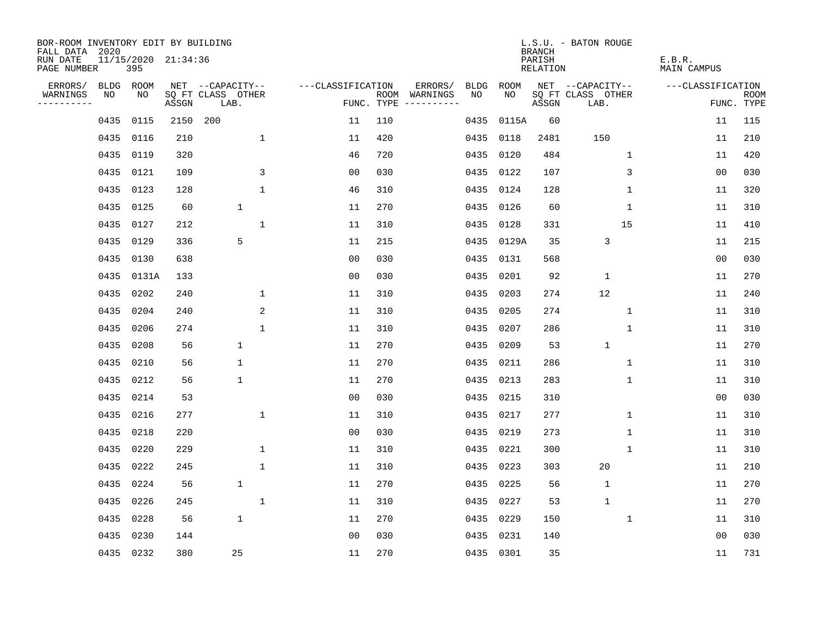| BOR-ROOM INVENTORY EDIT BY BUILDING<br>FALL DATA 2020 |      |            |                     |                           |              |                   |     |                                      |      |           | <b>BRANCH</b>      | L.S.U. - BATON ROUGE      |                       |                |                           |
|-------------------------------------------------------|------|------------|---------------------|---------------------------|--------------|-------------------|-----|--------------------------------------|------|-----------|--------------------|---------------------------|-----------------------|----------------|---------------------------|
| RUN DATE<br>PAGE NUMBER                               |      | 395        | 11/15/2020 21:34:36 |                           |              |                   |     |                                      |      |           | PARISH<br>RELATION |                           | E.B.R.<br>MAIN CAMPUS |                |                           |
| ERRORS/                                               | BLDG | ROOM       |                     | NET --CAPACITY--          |              | ---CLASSIFICATION |     | ERRORS/                              | BLDG | ROOM      |                    | NET --CAPACITY--          | ---CLASSIFICATION     |                |                           |
| WARNINGS<br>----------                                | NO   | NO         | ASSGN               | SQ FT CLASS OTHER<br>LAB. |              |                   |     | ROOM WARNINGS<br>FUNC. TYPE $------$ | NO.  | NO.       | ASSGN              | SQ FT CLASS OTHER<br>LAB. |                       |                | <b>ROOM</b><br>FUNC. TYPE |
|                                                       | 0435 | 0115       | 2150                | 200                       |              | 11                | 110 |                                      | 0435 | 0115A     | 60                 |                           |                       | 11             | 115                       |
|                                                       | 0435 | 0116       | 210                 |                           | $\mathbf 1$  | 11                | 420 |                                      | 0435 | 0118      | 2481               | 150                       |                       | 11             | 210                       |
|                                                       | 0435 | 0119       | 320                 |                           |              | 46                | 720 |                                      | 0435 | 0120      | 484                | 1                         |                       | 11             | 420                       |
|                                                       |      | 0435 0121  | 109                 |                           | 3            | 0 <sub>0</sub>    | 030 |                                      | 0435 | 0122      | 107                | 3                         |                       | 0 <sub>0</sub> | 030                       |
|                                                       | 0435 | 0123       | 128                 |                           | $\mathbf 1$  | 46                | 310 |                                      | 0435 | 0124      | 128                | 1                         |                       | 11             | 320                       |
|                                                       |      | 0435 0125  | 60                  | $\mathbf{1}$              |              | 11                | 270 |                                      |      | 0435 0126 | 60                 | 1                         |                       | 11             | 310                       |
|                                                       |      | 0435 0127  | 212                 |                           | $\mathbf 1$  | 11                | 310 |                                      | 0435 | 0128      | 331                | 15                        |                       | 11             | 410                       |
|                                                       |      | 0435 0129  | 336                 | 5                         |              | 11                | 215 |                                      | 0435 | 0129A     | 35                 | $\mathsf 3$               |                       | 11             | 215                       |
|                                                       | 0435 | 0130       | 638                 |                           |              | 0 <sub>0</sub>    | 030 |                                      | 0435 | 0131      | 568                |                           |                       | 0 <sub>0</sub> | 030                       |
|                                                       |      | 0435 0131A | 133                 |                           |              | 0 <sub>0</sub>    | 030 |                                      | 0435 | 0201      | 92                 | $\mathbf{1}$              |                       | 11             | 270                       |
|                                                       | 0435 | 0202       | 240                 |                           | $\mathbf 1$  | 11                | 310 |                                      | 0435 | 0203      | 274                | 12                        |                       | 11             | 240                       |
|                                                       |      | 0435 0204  | 240                 |                           | 2            | 11                | 310 |                                      | 0435 | 0205      | 274                | $\mathbf{1}$              |                       | 11             | 310                       |
|                                                       | 0435 | 0206       | 274                 |                           | $\mathbf 1$  | 11                | 310 |                                      | 0435 | 0207      | 286                | $\mathbf 1$               |                       | 11             | 310                       |
|                                                       | 0435 | 0208       | 56                  | 1                         |              | 11                | 270 |                                      | 0435 | 0209      | 53                 | $\mathbf{1}$              |                       | 11             | 270                       |
|                                                       | 0435 | 0210       | 56                  | $\mathbf 1$               |              | 11                | 270 |                                      | 0435 | 0211      | 286                | 1                         |                       | 11             | 310                       |
|                                                       | 0435 | 0212       | 56                  | $\mathbf 1$               |              | 11                | 270 |                                      | 0435 | 0213      | 283                | 1                         |                       | 11             | 310                       |
|                                                       | 0435 | 0214       | 53                  |                           |              | 0 <sub>0</sub>    | 030 |                                      | 0435 | 0215      | 310                |                           |                       | 0 <sub>0</sub> | 030                       |
|                                                       | 0435 | 0216       | 277                 |                           | $\mathbf 1$  | 11                | 310 |                                      | 0435 | 0217      | 277                | 1                         |                       | 11             | 310                       |
|                                                       | 0435 | 0218       | 220                 |                           |              | 0 <sub>0</sub>    | 030 |                                      | 0435 | 0219      | 273                | 1                         |                       | 11             | 310                       |
|                                                       | 0435 | 0220       | 229                 |                           | $\mathbf 1$  | 11                | 310 |                                      | 0435 | 0221      | 300                | 1                         |                       | 11             | 310                       |
|                                                       | 0435 | 0222       | 245                 |                           | $\mathbf{1}$ | 11                | 310 |                                      | 0435 | 0223      | 303                | 20                        |                       | 11             | 210                       |
|                                                       | 0435 | 0224       | 56                  | $\mathbf{1}$              |              | 11                | 270 |                                      | 0435 | 0225      | 56                 | 1                         |                       | 11             | 270                       |
|                                                       | 0435 | 0226       | 245                 |                           | 1            | 11                | 310 |                                      | 0435 | 0227      | 53                 | $\mathbf{1}$              |                       | 11             | 270                       |
|                                                       | 0435 | 0228       | 56                  | $\mathbf 1$               |              | 11                | 270 |                                      | 0435 | 0229      | 150                | $\mathbf 1$               |                       | 11             | 310                       |
|                                                       | 0435 | 0230       | 144                 |                           |              | 0 <sub>0</sub>    | 030 |                                      |      | 0435 0231 | 140                |                           |                       | 0 <sub>0</sub> | 030                       |
|                                                       |      | 0435 0232  | 380                 | 25                        |              | 11                | 270 |                                      |      | 0435 0301 | 35                 |                           |                       | 11             | 731                       |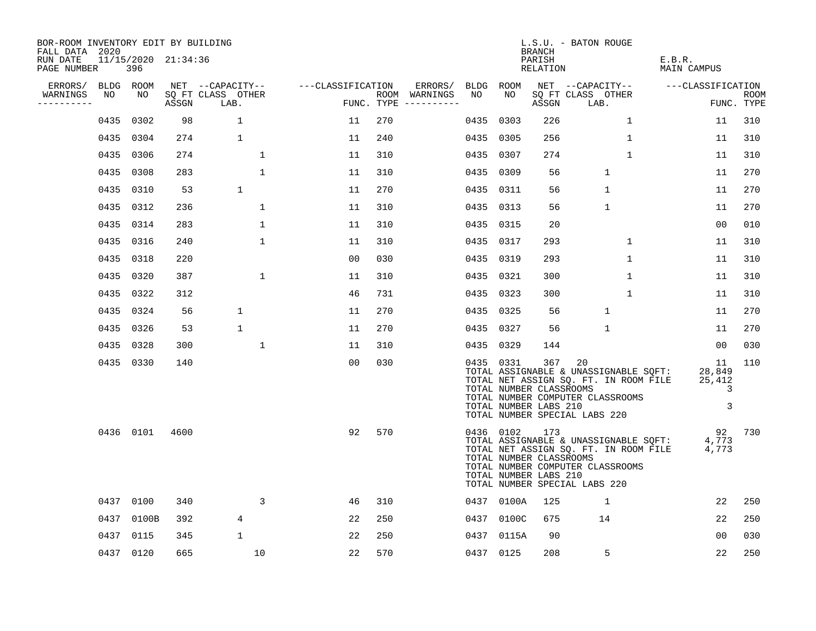| BOR-ROOM INVENTORY EDIT BY BUILDING<br>FALL DATA 2020 |           |           |                     |                           |                   |     |                                      |           |            | BRANCH                                                  | L.S.U. - BATON ROUGE                                                                                                                                      |                                    |                           |
|-------------------------------------------------------|-----------|-----------|---------------------|---------------------------|-------------------|-----|--------------------------------------|-----------|------------|---------------------------------------------------------|-----------------------------------------------------------------------------------------------------------------------------------------------------------|------------------------------------|---------------------------|
| RUN DATE<br>PAGE NUMBER                               |           | 396       | 11/15/2020 21:34:36 |                           |                   |     |                                      |           |            | PARISH<br>RELATION                                      |                                                                                                                                                           | E.B.R.<br>MAIN CAMPUS              |                           |
| ERRORS/                                               | BLDG ROOM |           |                     | NET --CAPACITY--          | ---CLASSIFICATION |     | ERRORS/                              |           | BLDG ROOM  |                                                         | NET --CAPACITY--                                                                                                                                          | ---CLASSIFICATION                  |                           |
| WARNINGS<br>----------                                | NO        | NO        | ASSGN               | SQ FT CLASS OTHER<br>LAB. |                   |     | ROOM WARNINGS<br>FUNC. TYPE $------$ | NO        | NO         | ASSGN                                                   | SQ FT CLASS OTHER<br>LAB.                                                                                                                                 |                                    | <b>ROOM</b><br>FUNC. TYPE |
|                                                       | 0435      | 0302      | 98                  | $\mathbf 1$               | 11                | 270 |                                      | 0435      | 0303       | 226                                                     | $\mathbf{1}$                                                                                                                                              | 11                                 | 310                       |
|                                                       |           | 0435 0304 | 274                 | $\mathbf 1$               | 11                | 240 |                                      |           | 0435 0305  | 256                                                     | $\mathbf 1$                                                                                                                                               | 11                                 | 310                       |
|                                                       | 0435 0306 |           | 274                 | $\mathbf 1$               | 11                | 310 |                                      | 0435      | 0307       | 274                                                     | $\mathbf{1}$                                                                                                                                              | 11                                 | 310                       |
|                                                       | 0435      | 0308      | 283                 | $\mathbf{1}$              | 11                | 310 |                                      | 0435 0309 |            | 56                                                      | $\mathbf{1}$                                                                                                                                              | 11                                 | 270                       |
|                                                       | 0435 0310 |           | 53                  | $\mathbf 1$               | 11                | 270 |                                      | 0435 0311 |            | 56                                                      | $\mathbf{1}$                                                                                                                                              | 11                                 | 270                       |
|                                                       |           | 0435 0312 | 236                 | $\mathbf{1}$              | 11                | 310 |                                      | 0435 0313 |            | 56                                                      | $\mathbf{1}$                                                                                                                                              | 11                                 | 270                       |
|                                                       |           | 0435 0314 | 283                 | $\mathbf 1$               | 11                | 310 |                                      | 0435 0315 |            | 20                                                      |                                                                                                                                                           | 00                                 | 010                       |
|                                                       | 0435 0316 |           | 240                 | $\mathbf{1}$              | 11                | 310 |                                      | 0435 0317 |            | 293                                                     | $\mathbf{1}$                                                                                                                                              | 11                                 | 310                       |
|                                                       | 0435 0318 |           | 220                 |                           | 0 <sub>0</sub>    | 030 |                                      | 0435 0319 |            | 293                                                     | $\mathbf 1$                                                                                                                                               | 11                                 | 310                       |
|                                                       | 0435 0320 |           | 387                 | $\mathbf 1$               | 11                | 310 |                                      | 0435 0321 |            | 300                                                     | $\mathbf 1$                                                                                                                                               | 11                                 | 310                       |
|                                                       |           | 0435 0322 | 312                 |                           | 46                | 731 |                                      | 0435 0323 |            | 300                                                     | $\mathbf 1$                                                                                                                                               | 11                                 | 310                       |
|                                                       | 0435 0324 |           | 56                  | $\mathbf{1}$              | 11                | 270 |                                      |           | 0435 0325  | 56                                                      | $\mathbf{1}$                                                                                                                                              | 11                                 | 270                       |
|                                                       |           | 0435 0326 | 53                  | $\mathbf 1$               | 11                | 270 |                                      | 0435 0327 |            | 56                                                      | $\mathbf{1}$                                                                                                                                              | 11                                 | 270                       |
|                                                       | 0435 0328 |           | 300                 | 1                         | 11                | 310 |                                      | 0435      | 0329       | 144                                                     |                                                                                                                                                           | 00                                 | 030                       |
|                                                       | 0435 0330 |           | 140                 |                           | 0 <sub>0</sub>    | 030 |                                      |           | 0435 0331  | 367<br>TOTAL NUMBER CLASSROOMS<br>TOTAL NUMBER LABS 210 | 20<br>TOTAL ASSIGNABLE & UNASSIGNABLE SQFT:<br>TOTAL NET ASSIGN SQ. FT. IN ROOM FILE<br>TOTAL NUMBER COMPUTER CLASSROOMS<br>TOTAL NUMBER SPECIAL LABS 220 | - 11<br>28,849<br>25,412<br>3<br>3 | 110                       |
|                                                       |           | 0436 0101 | 4600                |                           | 92                | 570 |                                      |           | 0436 0102  | 173<br>TOTAL NUMBER CLASSROOMS<br>TOTAL NUMBER LABS 210 | TOTAL ASSIGNABLE & UNASSIGNABLE SQFT:<br>TOTAL NET ASSIGN SQ. FT. IN ROOM FILE<br>TOTAL NUMBER COMPUTER CLASSROOMS<br>TOTAL NUMBER SPECIAL LABS 220       | 92<br>4,773<br>4,773               | 730                       |
|                                                       |           | 0437 0100 | 340                 | 3                         | 46                | 310 |                                      |           | 0437 0100A | 125                                                     | $\mathbf{1}$                                                                                                                                              | 22                                 | 250                       |
|                                                       | 0437      | 0100B     | 392                 | $\overline{4}$            | 22                | 250 |                                      |           | 0437 0100C | 675                                                     | 14                                                                                                                                                        | 22                                 | 250                       |
|                                                       | 0437 0115 |           | 345                 | $\mathbf 1$               | 22                | 250 |                                      |           | 0437 0115A | 90                                                      |                                                                                                                                                           | 0 <sub>0</sub>                     | 030                       |
|                                                       | 0437 0120 |           | 665                 | 10                        | 22                | 570 |                                      |           | 0437 0125  | 208                                                     | 5                                                                                                                                                         | 22                                 | 250                       |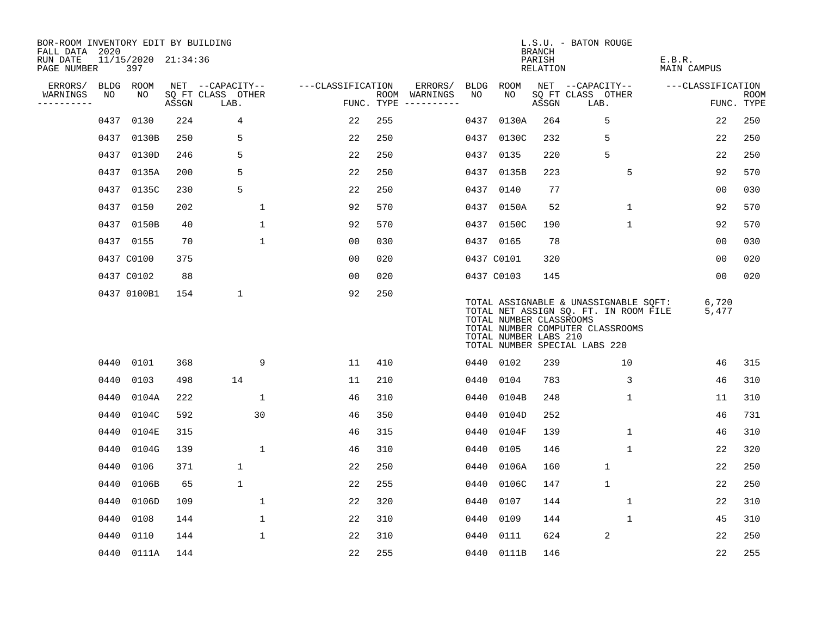| BOR-ROOM INVENTORY EDIT BY BUILDING<br>FALL DATA 2020 |      |                            |       |                           |                   |     |                                      |             |                                                  | <b>BRANCH</b>      | L.S.U. - BATON ROUGE                                                                                                                                |                       |                           |
|-------------------------------------------------------|------|----------------------------|-------|---------------------------|-------------------|-----|--------------------------------------|-------------|--------------------------------------------------|--------------------|-----------------------------------------------------------------------------------------------------------------------------------------------------|-----------------------|---------------------------|
| RUN DATE<br>PAGE NUMBER                               |      | 11/15/2020 21:34:36<br>397 |       |                           |                   |     |                                      |             |                                                  | PARISH<br>RELATION |                                                                                                                                                     | E.B.R.<br>MAIN CAMPUS |                           |
| ERRORS/                                               |      | BLDG ROOM                  |       | NET --CAPACITY--          | ---CLASSIFICATION |     | ERRORS/                              | <b>BLDG</b> | ROOM                                             |                    | NET --CAPACITY--                                                                                                                                    | ---CLASSIFICATION     |                           |
| WARNINGS<br>----------                                | NO   | NO.                        | ASSGN | SQ FT CLASS OTHER<br>LAB. |                   |     | ROOM WARNINGS<br>FUNC. TYPE $------$ | NO          | NO.                                              | ASSGN              | SQ FT CLASS OTHER<br>LAB.                                                                                                                           |                       | <b>ROOM</b><br>FUNC. TYPE |
|                                                       | 0437 | 0130                       | 224   | 4                         | 22                | 255 |                                      | 0437        | 0130A                                            | 264                | 5                                                                                                                                                   | 22                    | 250                       |
|                                                       | 0437 | 0130B                      | 250   | 5                         | 22                | 250 |                                      | 0437        | 0130C                                            | 232                | 5                                                                                                                                                   | 22                    | 250                       |
|                                                       |      | 0437 0130D                 | 246   | 5                         | 22                | 250 |                                      | 0437        | 0135                                             | 220                | 5                                                                                                                                                   | 22                    | 250                       |
|                                                       | 0437 | 0135A                      | 200   | 5                         | 22                | 250 |                                      |             | 0437 0135B                                       | 223                | 5                                                                                                                                                   | 92                    | 570                       |
|                                                       | 0437 | 0135C                      | 230   | 5                         | 22                | 250 |                                      |             | 0437 0140                                        | 77                 |                                                                                                                                                     | 0 <sub>0</sub>        | 030                       |
|                                                       |      | 0437 0150                  | 202   | 1                         | 92                | 570 |                                      |             | 0437 0150A                                       | 52                 | $\mathbf 1$                                                                                                                                         | 92                    | 570                       |
|                                                       |      | 0437 0150B                 | 40    | $\mathbf{1}$              | 92                | 570 |                                      |             | 0437 0150C                                       | 190                | $\mathbf{1}$                                                                                                                                        | 92                    | 570                       |
|                                                       |      | 0437 0155                  | 70    | $\mathbf{1}$              | 00                | 030 |                                      |             | 0437 0165                                        | 78                 |                                                                                                                                                     | 00                    | 030                       |
|                                                       |      | 0437 C0100                 | 375   |                           | 0 <sub>0</sub>    | 020 |                                      |             | 0437 C0101                                       | 320                |                                                                                                                                                     | 0 <sub>0</sub>        | 020                       |
|                                                       |      | 0437 C0102                 | 88    |                           | 0 <sub>0</sub>    | 020 |                                      |             | 0437 C0103                                       | 145                |                                                                                                                                                     | 00                    | 020                       |
|                                                       |      | 0437 0100B1                | 154   | $\mathbf 1$               | 92                | 250 |                                      |             | TOTAL NUMBER CLASSROOMS<br>TOTAL NUMBER LABS 210 |                    | TOTAL ASSIGNABLE & UNASSIGNABLE SQFT:<br>TOTAL NET ASSIGN SQ. FT. IN ROOM FILE<br>TOTAL NUMBER COMPUTER CLASSROOMS<br>TOTAL NUMBER SPECIAL LABS 220 | 6,720<br>5,477        |                           |
|                                                       |      | 0440 0101                  | 368   | 9                         | 11                | 410 |                                      |             | 0440 0102                                        | 239                | 10                                                                                                                                                  | 46                    | 315                       |
|                                                       | 0440 | 0103                       | 498   | 14                        | 11                | 210 |                                      | 0440        | 0104                                             | 783                | 3                                                                                                                                                   | 46                    | 310                       |
|                                                       | 0440 | 0104A                      | 222   | 1                         | 46                | 310 |                                      | 0440        | 0104B                                            | 248                | 1                                                                                                                                                   | 11                    | 310                       |
|                                                       | 0440 | 0104C                      | 592   | 30                        | 46                | 350 |                                      | 0440        | 0104D                                            | 252                |                                                                                                                                                     | 46                    | 731                       |
|                                                       | 0440 | 0104E                      | 315   |                           | 46                | 315 |                                      | 0440        | 0104F                                            | 139                | $\mathbf 1$                                                                                                                                         | 46                    | 310                       |
|                                                       | 0440 | 0104G                      | 139   | $\mathbf{1}$              | 46                | 310 |                                      | 0440        | 0105                                             | 146                | $\mathbf{1}$                                                                                                                                        | 22                    | 320                       |
|                                                       | 0440 | 0106                       | 371   | $\mathbf 1$               | 22                | 250 |                                      | 0440        | 0106A                                            | 160                | $\mathbf{1}$                                                                                                                                        | 22                    | 250                       |
|                                                       | 0440 | 0106B                      | 65    | $\mathbf 1$               | 22                | 255 |                                      | 0440        | 0106C                                            | 147                | $\mathbf{1}$                                                                                                                                        | 22                    | 250                       |
|                                                       | 0440 | 0106D                      | 109   | 1                         | 22                | 320 |                                      | 0440        | 0107                                             | 144                | $\mathbf 1$                                                                                                                                         | 22                    | 310                       |
|                                                       | 0440 | 0108                       | 144   | 1                         | 22                | 310 |                                      | 0440        | 0109                                             | 144                | $\mathbf 1$                                                                                                                                         | 45                    | 310                       |
|                                                       | 0440 | 0110                       | 144   | $\mathbf{1}$              | 22                | 310 |                                      | 0440        | 0111                                             | 624                | 2                                                                                                                                                   | 22                    | 250                       |
|                                                       |      | 0440 0111A                 | 144   |                           | 22                | 255 |                                      |             | 0440 0111B                                       | 146                |                                                                                                                                                     | 22                    | 255                       |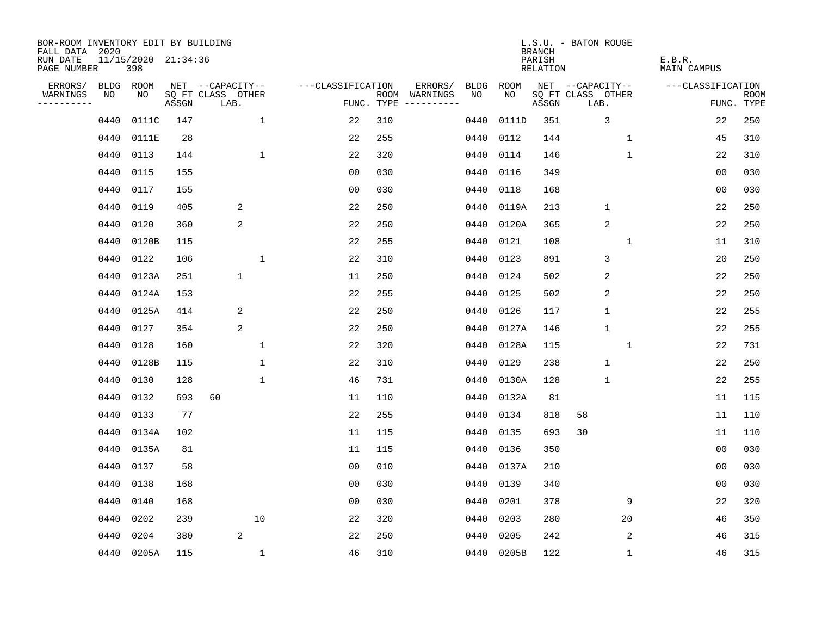| BOR-ROOM INVENTORY EDIT BY BUILDING<br>FALL DATA 2020 |      |                            |       |                           |                    |                                      |      |            | <b>BRANCH</b>      | L.S.U. - BATON ROUGE      |                              |                           |
|-------------------------------------------------------|------|----------------------------|-------|---------------------------|--------------------|--------------------------------------|------|------------|--------------------|---------------------------|------------------------------|---------------------------|
| RUN DATE<br>PAGE NUMBER                               |      | 11/15/2020 21:34:36<br>398 |       |                           |                    |                                      |      |            | PARISH<br>RELATION |                           | E.B.R.<br><b>MAIN CAMPUS</b> |                           |
| ERRORS/                                               |      | BLDG ROOM                  |       | NET --CAPACITY--          | ---CLASSIFICATION  | ERRORS/                              | BLDG | ROOM       |                    | NET --CAPACITY--          | ---CLASSIFICATION            |                           |
| WARNINGS<br>----------                                | NO   | NO                         | ASSGN | SQ FT CLASS OTHER<br>LAB. |                    | ROOM WARNINGS<br>FUNC. TYPE $------$ | NO.  | NO.        | ASSGN              | SQ FT CLASS OTHER<br>LAB. |                              | <b>ROOM</b><br>FUNC. TYPE |
|                                                       | 0440 | 0111C                      | 147   |                           | $\mathbf{1}$<br>22 | 310                                  | 0440 | 0111D      | 351                | 3                         | 22                           | 250                       |
|                                                       | 0440 | 0111E                      | 28    |                           | 22                 | 255                                  | 0440 | 0112       | 144                | $\mathbf 1$               | 45                           | 310                       |
|                                                       | 0440 | 0113                       | 144   |                           | $\mathbf{1}$<br>22 | 320                                  | 0440 | 0114       | 146                | $\mathbf 1$               | 22                           | 310                       |
|                                                       | 0440 | 0115                       | 155   |                           | 0 <sub>0</sub>     | 030                                  | 0440 | 0116       | 349                |                           | 0 <sub>0</sub>               | 030                       |
|                                                       | 0440 | 0117                       | 155   |                           | 00                 | 030                                  | 0440 | 0118       | 168                |                           | 00                           | 030                       |
|                                                       | 0440 | 0119                       | 405   | 2                         | 22                 | 250                                  | 0440 | 0119A      | 213                | $\mathbf 1$               | 22                           | 250                       |
|                                                       | 0440 | 0120                       | 360   | 2                         | 22                 | 250                                  | 0440 | 0120A      | 365                | $\overline{2}$            | 22                           | 250                       |
|                                                       | 0440 | 0120B                      | 115   |                           | 22                 | 255                                  | 0440 | 0121       | 108                | $\mathbf{1}$              | 11                           | 310                       |
|                                                       | 0440 | 0122                       | 106   |                           | $\mathbf{1}$<br>22 | 310                                  | 0440 | 0123       | 891                | 3                         | 20                           | 250                       |
|                                                       | 0440 | 0123A                      | 251   | $\mathbf 1$               | 11                 | 250                                  |      | 0440 0124  | 502                | 2                         | 22                           | 250                       |
|                                                       | 0440 | 0124A                      | 153   |                           | 22                 | 255                                  | 0440 | 0125       | 502                | 2                         | 22                           | 250                       |
|                                                       | 0440 | 0125A                      | 414   | 2                         | 22                 | 250                                  |      | 0440 0126  | 117                | $\mathbf{1}$              | 22                           | 255                       |
|                                                       | 0440 | 0127                       | 354   | 2                         | 22                 | 250                                  | 0440 | 0127A      | 146                | $\mathbf{1}$              | 22                           | 255                       |
|                                                       | 0440 | 0128                       | 160   |                           | 1<br>22            | 320                                  | 0440 | 0128A      | 115                | $\mathbf 1$               | 22                           | 731                       |
|                                                       | 0440 | 0128B                      | 115   |                           | 1<br>22            | 310                                  | 0440 | 0129       | 238                | $1\,$                     | 22                           | 250                       |
|                                                       | 0440 | 0130                       | 128   |                           | 1<br>46            | 731                                  | 0440 | 0130A      | 128                | $\mathbf 1$               | 22                           | 255                       |
|                                                       | 0440 | 0132                       | 693   | 60                        | 11                 | 110                                  | 0440 | 0132A      | 81                 |                           | 11                           | 115                       |
|                                                       | 0440 | 0133                       | 77    |                           | 22                 | 255                                  | 0440 | 0134       | 818                | 58                        | 11                           | 110                       |
|                                                       | 0440 | 0134A                      | 102   |                           | 11                 | 115                                  | 0440 | 0135       | 693                | 30                        | 11                           | 110                       |
|                                                       | 0440 | 0135A                      | 81    |                           | 11                 | 115                                  | 0440 | 0136       | 350                |                           | 0 <sub>0</sub>               | 030                       |
|                                                       | 0440 | 0137                       | 58    |                           | 0 <sub>0</sub>     | 010                                  | 0440 | 0137A      | 210                |                           | 0 <sub>0</sub>               | 030                       |
|                                                       | 0440 | 0138                       | 168   |                           | 0 <sub>0</sub>     | 030                                  | 0440 | 0139       | 340                |                           | 0 <sub>0</sub>               | 030                       |
|                                                       | 0440 | 0140                       | 168   |                           | 0 <sub>0</sub>     | 030                                  | 0440 | 0201       | 378                | 9                         | 22                           | 320                       |
|                                                       | 0440 | 0202                       | 239   | 10                        | 22                 | 320                                  | 0440 | 0203       | 280                | 20                        | 46                           | 350                       |
|                                                       | 0440 | 0204                       | 380   | 2                         | 22                 | 250                                  | 0440 | 0205       | 242                | 2                         | 46                           | 315                       |
|                                                       |      | 0440 0205A                 | 115   |                           | $\mathbf{1}$<br>46 | 310                                  |      | 0440 0205B | 122                | $\mathbf 1$               | 46                           | 315                       |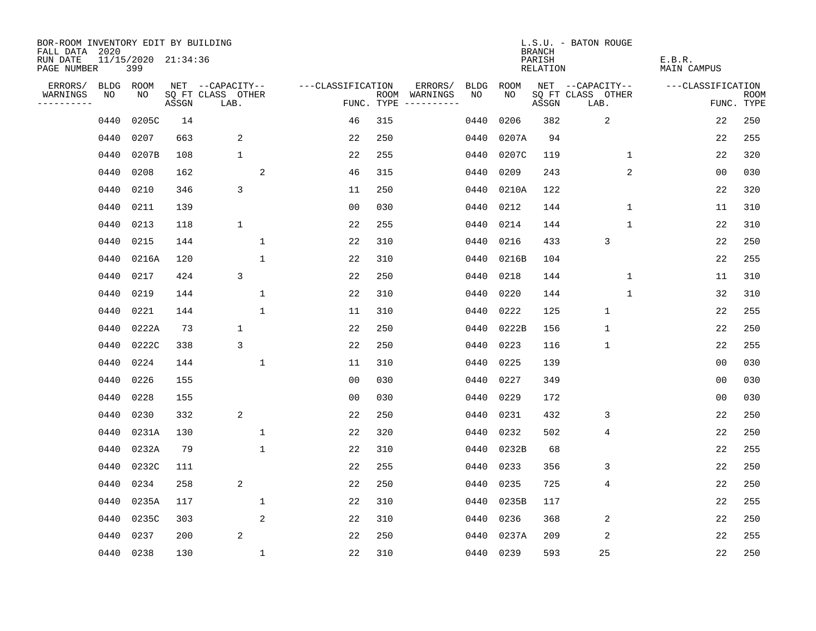| BOR-ROOM INVENTORY EDIT BY BUILDING<br>FALL DATA 2020 |           |                            |       |                           |                   |            |                                    |             | <b>BRANCH</b>             | L.S.U. - BATON ROUGE      |                              |                           |
|-------------------------------------------------------|-----------|----------------------------|-------|---------------------------|-------------------|------------|------------------------------------|-------------|---------------------------|---------------------------|------------------------------|---------------------------|
| RUN DATE<br>PAGE NUMBER                               |           | 11/15/2020 21:34:36<br>399 |       |                           |                   |            |                                    |             | PARISH<br><b>RELATION</b> |                           | E.B.R.<br><b>MAIN CAMPUS</b> |                           |
| ERRORS/                                               | BLDG      | ROOM                       |       | NET --CAPACITY--          | ---CLASSIFICATION |            | ERRORS/<br><b>BLDG</b>             | <b>ROOM</b> |                           | NET --CAPACITY--          | ---CLASSIFICATION            |                           |
| WARNINGS<br>----------                                | NO        | NO                         | ASSGN | SQ FT CLASS OTHER<br>LAB. |                   | FUNC. TYPE | NO<br>ROOM WARNINGS<br>----------- | NO          | ASSGN                     | SQ FT CLASS OTHER<br>LAB. |                              | <b>ROOM</b><br>FUNC. TYPE |
|                                                       | 0440      | 0205C                      | 14    |                           | 46                | 315        | 0440                               | 0206        | 382                       | $\overline{2}$            | 22                           | 250                       |
|                                                       | 0440      | 0207                       | 663   | 2                         | 22                | 250        | 0440                               | 0207A       | 94                        |                           | 22                           | 255                       |
|                                                       | 0440      | 0207B                      | 108   | $\mathbf 1$               | 22                | 255        | 0440                               | 0207C       | 119                       | 1                         | 22                           | 320                       |
|                                                       | 0440      | 0208                       | 162   | 2                         | 46                | 315        | 0440                               | 0209        | 243                       | 2                         | 0 <sub>0</sub>               | 030                       |
|                                                       | 0440      | 0210                       | 346   | 3                         | 11                | 250        | 0440                               | 0210A       | 122                       |                           | 22                           | 320                       |
|                                                       | 0440      | 0211                       | 139   |                           | 0 <sub>0</sub>    | 030        | 0440                               | 0212        | 144                       | $\mathbf 1$               | 11                           | 310                       |
|                                                       | 0440      | 0213                       | 118   | $\mathbf 1$               | 22                | 255        | 0440                               | 0214        | 144                       | $\mathbf{1}$              | 22                           | 310                       |
|                                                       | 0440      | 0215                       | 144   | $\mathbf{1}$              | 22                | 310        | 0440                               | 0216        | 433                       | 3                         | 22                           | 250                       |
|                                                       | 0440      | 0216A                      | 120   | $\mathbf 1$               | 22                | 310        | 0440                               | 0216B       | 104                       |                           | 22                           | 255                       |
|                                                       | 0440      | 0217                       | 424   | 3                         | 22                | 250        | 0440                               | 0218        | 144                       | $\mathbf{1}$              | 11                           | 310                       |
|                                                       | 0440      | 0219                       | 144   | $\mathbf 1$               | 22                | 310        | 0440                               | 0220        | 144                       | $\mathbf{1}$              | 32                           | 310                       |
|                                                       | 0440      | 0221                       | 144   | $\mathbf{1}$              | 11                | 310        | 0440                               | 0222        | 125                       | $\mathbf{1}$              | 22                           | 255                       |
|                                                       | 0440      | 0222A                      | 73    | $\mathbf 1$               | 22                | 250        | 0440                               | 0222B       | 156                       | $\mathbf{1}$              | 22                           | 250                       |
|                                                       | 0440      | 0222C                      | 338   | 3                         | 22                | 250        | 0440                               | 0223        | 116                       | 1                         | 22                           | 255                       |
|                                                       | 0440      | 0224                       | 144   | 1                         | 11                | 310        | 0440                               | 0225        | 139                       |                           | 0 <sub>0</sub>               | 030                       |
|                                                       | 0440      | 0226                       | 155   |                           | 0 <sub>0</sub>    | 030        | 0440                               | 0227        | 349                       |                           | 0 <sub>0</sub>               | 030                       |
|                                                       | 0440      | 0228                       | 155   |                           | 0 <sub>0</sub>    | 030        | 0440                               | 0229        | 172                       |                           | 0 <sub>0</sub>               | 030                       |
|                                                       | 0440      | 0230                       | 332   | 2                         | 22                | 250        | 0440                               | 0231        | 432                       | 3                         | 22                           | 250                       |
|                                                       | 0440      | 0231A                      | 130   | $\mathbf 1$               | 22                | 320        | 0440                               | 0232        | 502                       | $\overline{4}$            | 22                           | 250                       |
|                                                       | 0440      | 0232A                      | 79    | $\mathbf 1$               | 22                | 310        | 0440                               | 0232B       | 68                        |                           | 22                           | 255                       |
|                                                       | 0440      | 0232C                      | 111   |                           | 22                | 255        | 0440                               | 0233        | 356                       | 3                         | 22                           | 250                       |
|                                                       | 0440      | 0234                       | 258   | 2                         | 22                | 250        | 0440                               | 0235        | 725                       | $\overline{4}$            | 22                           | 250                       |
|                                                       | 0440      | 0235A                      | 117   | 1                         | 22                | 310        | 0440                               | 0235B       | 117                       |                           | 22                           | 255                       |
|                                                       | 0440      | 0235C                      | 303   | 2                         | 22                | 310        | 0440                               | 0236        | 368                       | $\overline{2}$            | 22                           | 250                       |
|                                                       | 0440      | 0237                       | 200   | 2                         | 22                | 250        | 0440                               | 0237A       | 209                       | $\overline{2}$            | 22                           | 255                       |
|                                                       | 0440 0238 |                            | 130   | $\mathbf{1}$              | 22                | 310        | 0440                               | 0239        | 593                       | 25                        | 22                           | 250                       |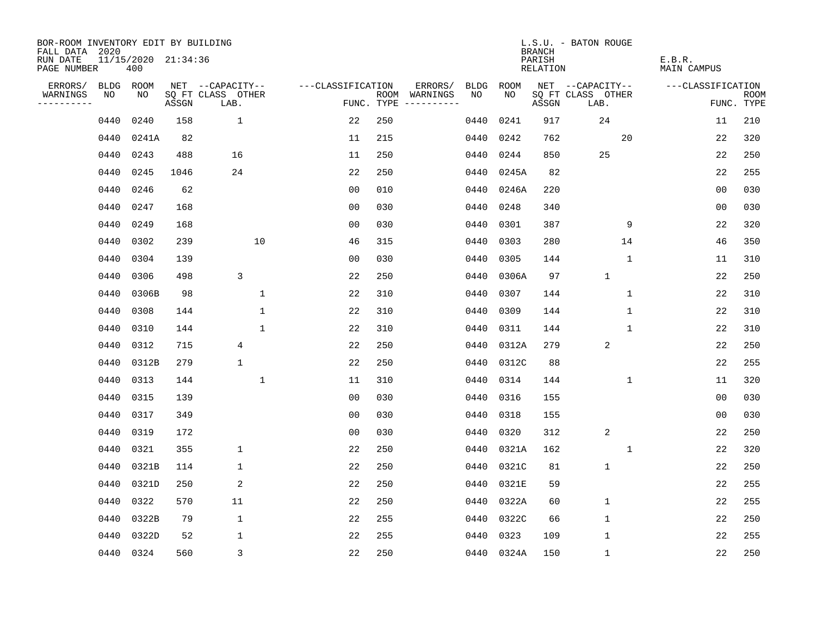| BOR-ROOM INVENTORY EDIT BY BUILDING<br>FALL DATA 2020 |           |       |                     |                           |                   |     |                                      |             |            | <b>BRANCH</b>             | L.S.U. - BATON ROUGE      |                              |                           |
|-------------------------------------------------------|-----------|-------|---------------------|---------------------------|-------------------|-----|--------------------------------------|-------------|------------|---------------------------|---------------------------|------------------------------|---------------------------|
| RUN DATE<br>PAGE NUMBER                               |           | 400   | 11/15/2020 21:34:36 |                           |                   |     |                                      |             |            | PARISH<br><b>RELATION</b> |                           | E.B.R.<br><b>MAIN CAMPUS</b> |                           |
| ERRORS/                                               | BLDG ROOM |       |                     | NET --CAPACITY--          | ---CLASSIFICATION |     | ERRORS/                              | <b>BLDG</b> | ROOM       |                           | NET --CAPACITY--          | ---CLASSIFICATION            |                           |
| WARNINGS<br>----------                                | NO        | NO    | ASSGN               | SQ FT CLASS OTHER<br>LAB. |                   |     | ROOM WARNINGS<br>FUNC. TYPE $------$ | NO          | NO         | ASSGN                     | SQ FT CLASS OTHER<br>LAB. |                              | <b>ROOM</b><br>FUNC. TYPE |
|                                                       | 0440      | 0240  | 158                 | $\mathbf 1$               | 22                | 250 |                                      | 0440        | 0241       | 917                       | 24                        | 11                           | 210                       |
|                                                       | 0440      | 0241A | 82                  |                           | 11                | 215 |                                      | 0440        | 0242       | 762                       | 20                        | 22                           | 320                       |
|                                                       | 0440      | 0243  | 488                 | 16                        | 11                | 250 |                                      | 0440        | 0244       | 850                       | 25                        | 22                           | 250                       |
|                                                       | 0440      | 0245  | 1046                | 24                        | 22                | 250 |                                      | 0440        | 0245A      | 82                        |                           | 22                           | 255                       |
|                                                       | 0440      | 0246  | 62                  |                           | 0 <sub>0</sub>    | 010 |                                      | 0440        | 0246A      | 220                       |                           | 0 <sub>0</sub>               | 030                       |
|                                                       | 0440      | 0247  | 168                 |                           | 0 <sub>0</sub>    | 030 |                                      | 0440        | 0248       | 340                       |                           | 00                           | 030                       |
|                                                       | 0440      | 0249  | 168                 |                           | 0 <sub>0</sub>    | 030 |                                      | 0440        | 0301       | 387                       | 9                         | 22                           | 320                       |
|                                                       | 0440      | 0302  | 239                 | 10                        | 46                | 315 |                                      | 0440        | 0303       | 280                       | 14                        | 46                           | 350                       |
|                                                       | 0440      | 0304  | 139                 |                           | 0 <sub>0</sub>    | 030 |                                      | 0440        | 0305       | 144                       | $\mathbf 1$               | 11                           | 310                       |
|                                                       | 0440      | 0306  | 498                 | 3                         | 22                | 250 |                                      |             | 0440 0306A | 97                        | $\mathbf{1}$              | 22                           | 250                       |
|                                                       | 0440      | 0306B | 98                  | 1                         | 22                | 310 |                                      | 0440        | 0307       | 144                       | $\mathbf 1$               | 22                           | 310                       |
|                                                       | 0440      | 0308  | 144                 | $\mathbf{1}$              | 22                | 310 |                                      | 0440        | 0309       | 144                       | 1                         | 22                           | 310                       |
|                                                       | 0440      | 0310  | 144                 | 1                         | 22                | 310 |                                      | 0440        | 0311       | 144                       | 1                         | 22                           | 310                       |
|                                                       | 0440      | 0312  | 715                 | 4                         | 22                | 250 |                                      | 0440        | 0312A      | 279                       | 2                         | 22                           | 250                       |
|                                                       | 0440      | 0312B | 279                 | $\mathbf{1}$              | 22                | 250 |                                      | 0440        | 0312C      | 88                        |                           | 22                           | 255                       |
|                                                       | 0440      | 0313  | 144                 | $\mathbf{1}$              | 11                | 310 |                                      | 0440        | 0314       | 144                       | 1                         | 11                           | 320                       |
|                                                       | 0440      | 0315  | 139                 |                           | 0 <sub>0</sub>    | 030 |                                      | 0440        | 0316       | 155                       |                           | 0 <sub>0</sub>               | 030                       |
|                                                       | 0440      | 0317  | 349                 |                           | 0 <sub>0</sub>    | 030 |                                      | 0440        | 0318       | 155                       |                           | 00                           | 030                       |
|                                                       | 0440      | 0319  | 172                 |                           | 0 <sub>0</sub>    | 030 |                                      | 0440        | 0320       | 312                       | $\overline{2}$            | 22                           | 250                       |
|                                                       | 0440      | 0321  | 355                 | $\mathbf 1$               | 22                | 250 |                                      | 0440        | 0321A      | 162                       | $\mathbf 1$               | 22                           | 320                       |
|                                                       | 0440      | 0321B | 114                 | $\mathbf 1$               | 22                | 250 |                                      | 0440        | 0321C      | 81                        | $\mathbf 1$               | 22                           | 250                       |
|                                                       | 0440      | 0321D | 250                 | $\overline{c}$            | 22                | 250 |                                      | 0440        | 0321E      | 59                        |                           | 22                           | 255                       |
|                                                       | 0440      | 0322  | 570                 | 11                        | 22                | 250 |                                      | 0440        | 0322A      | 60                        | 1                         | 22                           | 255                       |
|                                                       | 0440      | 0322B | 79                  | $\mathbf{1}$              | 22                | 255 |                                      | 0440        | 0322C      | 66                        | $\mathbf{1}$              | 22                           | 250                       |
|                                                       | 0440      | 0322D | 52                  | 1                         | 22                | 255 |                                      | 0440        | 0323       | 109                       | $\mathbf{1}$              | 22                           | 255                       |
|                                                       | 0440 0324 |       | 560                 | 3                         | 22                | 250 |                                      |             | 0440 0324A | 150                       | $\mathbf{1}$              | 22                           | 250                       |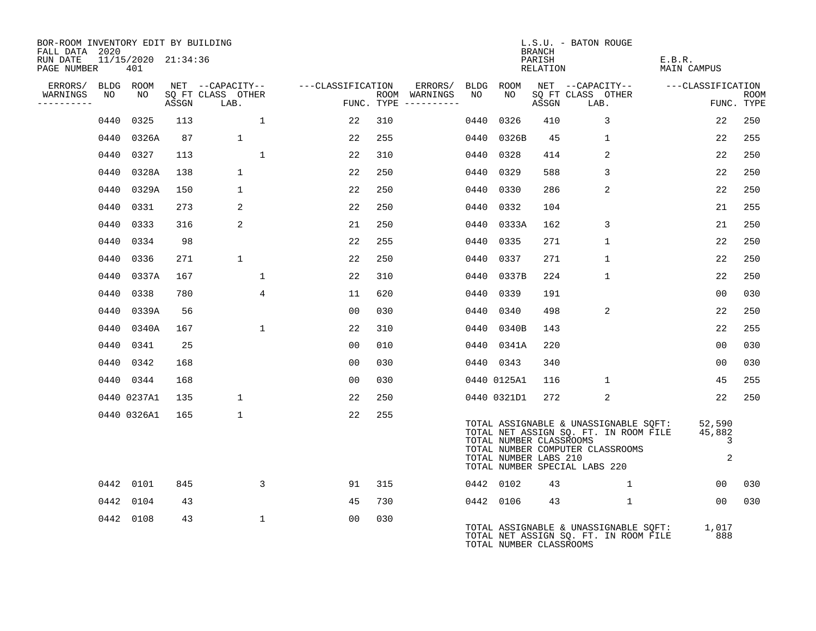| BOR-ROOM INVENTORY EDIT BY BUILDING<br>FALL DATA 2020 |                            |       |                           |                                    |     |                                      |      |                                                  | BRANCH             | L.S.U. - BATON ROUGE          |                                                                                                                    |                       |                            |             |
|-------------------------------------------------------|----------------------------|-------|---------------------------|------------------------------------|-----|--------------------------------------|------|--------------------------------------------------|--------------------|-------------------------------|--------------------------------------------------------------------------------------------------------------------|-----------------------|----------------------------|-------------|
| RUN DATE<br>PAGE NUMBER                               | 11/15/2020 21:34:36<br>401 |       |                           |                                    |     |                                      |      |                                                  | PARISH<br>RELATION |                               |                                                                                                                    | E.B.R.<br>MAIN CAMPUS |                            |             |
| ERRORS/ BLDG ROOM                                     |                            |       |                           | NET --CAPACITY-- ---CLASSIFICATION |     | ERRORS/ BLDG ROOM                    |      |                                                  |                    |                               | NET --CAPACITY--                                                                                                   | ---CLASSIFICATION     |                            |             |
| WARNINGS<br>NO<br>----------                          | NO                         | ASSGN | SQ FT CLASS OTHER<br>LAB. |                                    |     | ROOM WARNINGS<br>FUNC. TYPE $------$ | NO   | NO                                               | ASSGN              | LAB.                          | SQ FT CLASS OTHER                                                                                                  |                       | FUNC. TYPE                 | <b>ROOM</b> |
| 0440                                                  | 0325                       | 113   | $\mathbf{1}$              | 22                                 | 310 |                                      | 0440 | 0326                                             | 410                |                               | 3                                                                                                                  |                       | 22                         | 250         |
|                                                       | 0440 0326A                 | 87    | $\mathbf{1}$              | 22                                 | 255 |                                      |      | 0440 0326B                                       | 45                 |                               | $\mathbf{1}$                                                                                                       |                       | 22                         | 255         |
|                                                       | 0440 0327                  | 113   | $\mathbf{1}$              | 22                                 | 310 |                                      | 0440 | 0328                                             | 414                |                               | 2                                                                                                                  |                       | 22                         | 250         |
| 0440                                                  | 0328A                      | 138   | $\mathbf{1}$              | 22                                 | 250 |                                      | 0440 | 0329                                             | 588                |                               | 3                                                                                                                  |                       | 22                         | 250         |
|                                                       | 0440 0329A                 | 150   | $\mathbf 1$               | 22                                 | 250 |                                      | 0440 | 0330                                             | 286                |                               | 2                                                                                                                  |                       | 22                         | 250         |
|                                                       | 0440 0331                  | 273   | 2                         | 22                                 | 250 |                                      | 0440 | 0332                                             | 104                |                               |                                                                                                                    |                       | 21                         | 255         |
|                                                       | 0440 0333                  | 316   | 2                         | 21                                 | 250 |                                      |      | 0440 0333A                                       | 162                |                               | 3                                                                                                                  |                       | 21                         | 250         |
|                                                       | 0440 0334                  | 98    |                           | 22                                 | 255 |                                      | 0440 | 0335                                             | 271                |                               | $\mathbf{1}$                                                                                                       |                       | 22                         | 250         |
|                                                       | 0440 0336                  | 271   | $\mathbf{1}$              | 22                                 | 250 |                                      | 0440 | 0337                                             | 271                |                               | $\mathbf{1}$                                                                                                       |                       | 22                         | 250         |
|                                                       | 0440 0337A                 | 167   | $\mathbf{1}$              | 22                                 | 310 |                                      | 0440 | 0337B                                            | 224                |                               | $\mathbf{1}$                                                                                                       |                       | 22                         | 250         |
| 0440                                                  | 0338                       | 780   | $\overline{4}$            | 11                                 | 620 |                                      | 0440 | 0339                                             | 191                |                               |                                                                                                                    |                       | 0 <sub>0</sub>             | 030         |
| 0440                                                  | 0339A                      | 56    |                           | 0 <sub>0</sub>                     | 030 |                                      | 0440 | 0340                                             | 498                |                               | 2                                                                                                                  |                       | 22                         | 250         |
|                                                       | 0440 0340A                 | 167   | $\mathbf{1}$              | 22                                 | 310 |                                      |      | 0440 0340B                                       | 143                |                               |                                                                                                                    |                       | 22                         | 255         |
|                                                       | 0440 0341                  | 25    |                           | 00                                 | 010 |                                      |      | 0440 0341A                                       | 220                |                               |                                                                                                                    |                       | 00                         | 030         |
|                                                       | 0440 0342                  | 168   |                           | 0 <sub>0</sub>                     | 030 |                                      |      | 0440 0343                                        | 340                |                               |                                                                                                                    |                       | 00                         | 030         |
|                                                       | 0440 0344                  | 168   |                           | 00                                 | 030 |                                      |      | 0440 0125A1                                      | 116                |                               | 1                                                                                                                  |                       | 45                         | 255         |
|                                                       | 0440 0237A1                | 135   | $\mathbf 1$               | 22                                 | 250 |                                      |      | 0440 0321D1                                      | 272                |                               | 2                                                                                                                  |                       | 22                         | 250         |
|                                                       | 0440 0326A1                | 165   | $\mathbf{1}$              | 22                                 | 255 |                                      |      | TOTAL NUMBER CLASSROOMS<br>TOTAL NUMBER LABS 210 |                    | TOTAL NUMBER SPECIAL LABS 220 | TOTAL ASSIGNABLE & UNASSIGNABLE SQFT:<br>TOTAL NET ASSIGN SQ. FT. IN ROOM FILE<br>TOTAL NUMBER COMPUTER CLASSROOMS |                       | 52,590<br>45,882<br>3<br>2 |             |
|                                                       | 0442 0101                  | 845   | 3                         | 91                                 | 315 |                                      |      | 0442 0102                                        | 43                 |                               | $\mathbf{1}$                                                                                                       |                       | 00                         | 030         |
|                                                       | 0442 0104                  | 43    |                           | 45                                 | 730 |                                      |      | 0442 0106                                        | 43                 |                               | $\mathbf{1}$                                                                                                       |                       | 0 <sub>0</sub>             | 030         |
|                                                       | 0442 0108                  | 43    | $\mathbf{1}$              | 0 <sub>0</sub>                     | 030 |                                      |      | TOTAL NUMBER CLASSROOMS                          |                    |                               | TOTAL ASSIGNABLE & UNASSIGNABLE SQFT:<br>TOTAL NET ASSIGN SQ. FT. IN ROOM FILE                                     |                       | 1,017<br>888               |             |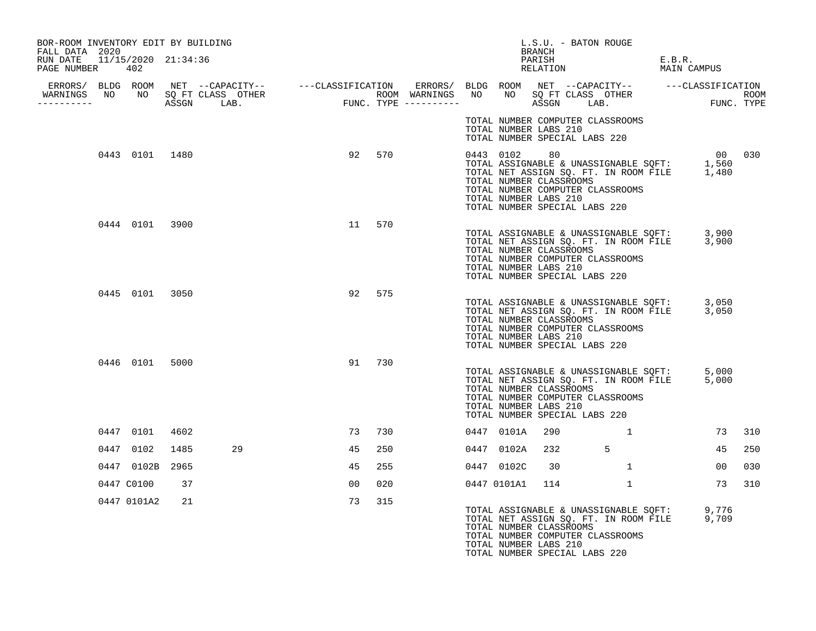| BOR-ROOM INVENTORY EDIT BY BUILDING<br>FALL DATA 2020 |                 |      |    |                |        |  |            | L.S.U. - BATON ROUGE<br>BRANCH                                                          |                                                                                                                                |                       |        |     |
|-------------------------------------------------------|-----------------|------|----|----------------|--------|--|------------|-----------------------------------------------------------------------------------------|--------------------------------------------------------------------------------------------------------------------------------|-----------------------|--------|-----|
| RUN DATE 11/15/2020 21:34:36<br>PAGE NUMBER 402       |                 |      |    |                |        |  |            | PARISH                                                                                  | RELATION                                                                                                                       | E.B.R.<br>MAIN CAMPUS |        |     |
|                                                       |                 |      |    |                |        |  |            |                                                                                         |                                                                                                                                |                       |        |     |
| -----------                                           |                 |      |    |                |        |  |            |                                                                                         |                                                                                                                                |                       |        |     |
|                                                       |                 |      |    |                |        |  |            | TOTAL NUMBER LABS 210<br>TOTAL NUMBER SPECIAL LABS 220                                  | TOTAL NUMBER COMPUTER CLASSROOMS                                                                                               |                       |        |     |
|                                                       | 0443 0101 1480  |      |    | 92             | 570    |  | 0443 0102  | 80<br>TOTAL NUMBER CLASSROOMS<br>TOTAL NUMBER LABS 210<br>TOTAL NUMBER SPECIAL LABS 220 | TOTAL ASSIGNABLE & UNASSIGNABLE SQFT: 1,560<br>TOTAL NET ASSIGN SQ. FT. IN ROOM FILE 1,480<br>TOTAL NUMBER COMPUTER CLASSROOMS |                       | 00 030 |     |
|                                                       | 0444 0101 3900  |      |    | 11 570         |        |  |            | TOTAL NUMBER CLASSROOMS<br>TOTAL NUMBER LABS 210<br>TOTAL NUMBER SPECIAL LABS 220       | TOTAL ASSIGNABLE & UNASSIGNABLE SQFT: 3,900<br>TOTAL NET ASSIGN SQ. FT. IN ROOM FILE 3,900<br>TOTAL NUMBER COMPUTER CLASSROOMS |                       |        |     |
|                                                       | 0445 0101 3050  |      |    | 92             | 575    |  |            | TOTAL NUMBER CLASSROOMS<br>TOTAL NUMBER LABS 210<br>TOTAL NUMBER SPECIAL LABS 220       | TOTAL ASSIGNABLE & UNASSIGNABLE SQFT: 3,050<br>TOTAL NET ASSIGN SQ. FT. IN ROOM FILE 3,050<br>TOTAL NUMBER COMPUTER CLASSROOMS |                       |        |     |
|                                                       | 0446 0101 5000  |      |    |                | 91 730 |  |            | TOTAL NUMBER CLASSROOMS<br>TOTAL NUMBER LABS 210<br>TOTAL NUMBER SPECIAL LABS 220       | TOTAL ASSIGNABLE & UNASSIGNABLE SQFT: 5,000<br>TOTAL NET ASSIGN SQ. FT. IN ROOM FILE 5,000<br>TOTAL NUMBER COMPUTER CLASSROOMS |                       |        |     |
|                                                       | 0447 0101       | 4602 |    |                | 73 730 |  | 0447 0101A | 290                                                                                     | . The contract of $\mathbf{1}$ and $\mathbf{1}$                                                                                |                       | 73     | 310 |
|                                                       | 0447 0102       | 1485 | 29 | 45             | 250    |  | 0447 0102A | 232                                                                                     | $5^{\circ}$                                                                                                                    |                       | 45     | 250 |
|                                                       | 0447 0102B 2965 |      |    | 45             | 255    |  | 0447 0102C | 30                                                                                      | 1                                                                                                                              |                       | 00     | 030 |
|                                                       | 0447 C0100      | 37   |    | 0 <sub>0</sub> | 020    |  |            | 0447 0101A1 114                                                                         | $\mathbf{1}$                                                                                                                   |                       | 73     | 310 |
|                                                       | 0447 0101A2     | 21   |    | 73             | 315    |  |            | TOTAL NUMBER CLASSROOMS<br>TOTAL NUMBER LABS 210<br>TOTAL NUMBER SPECIAL LABS 220       | TOTAL ASSIGNABLE & UNASSIGNABLE SQFT: 9,776<br>TOTAL NET ASSIGN SQ. FT. IN ROOM FILE 9,709<br>TOTAL NUMBER COMPUTER CLASSROOMS |                       |        |     |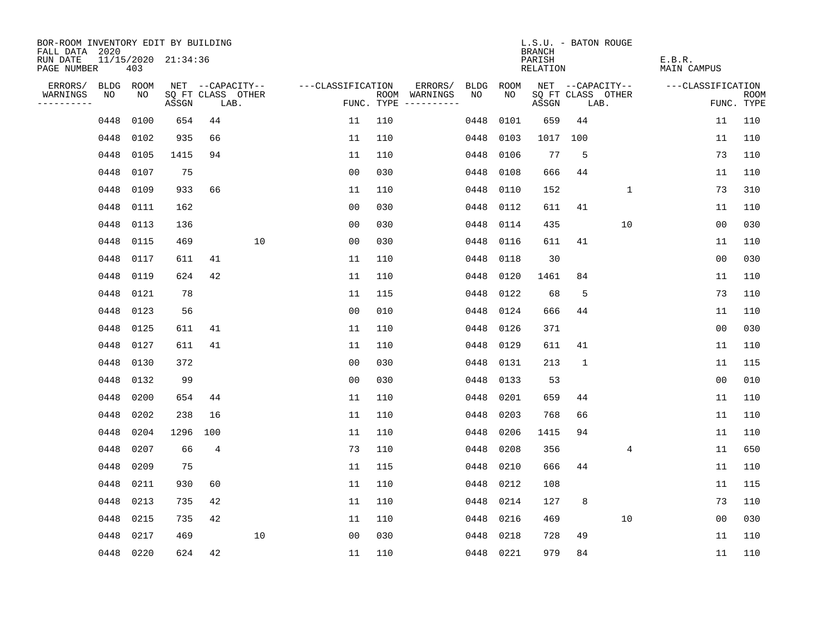| BOR-ROOM INVENTORY EDIT BY BUILDING<br>FALL DATA 2020 |           |      |                     |                           |    |                   |     |                                      |             |             | L.S.U. - BATON ROUGE<br><b>BRANCH</b> |              |                           |                              |                |                           |
|-------------------------------------------------------|-----------|------|---------------------|---------------------------|----|-------------------|-----|--------------------------------------|-------------|-------------|---------------------------------------|--------------|---------------------------|------------------------------|----------------|---------------------------|
| RUN DATE<br>PAGE NUMBER                               |           | 403  | 11/15/2020 21:34:36 |                           |    |                   |     |                                      |             |             | PARISH<br><b>RELATION</b>             |              |                           | E.B.R.<br><b>MAIN CAMPUS</b> |                |                           |
| ERRORS/                                               | BLDG      | ROOM |                     | NET --CAPACITY--          |    | ---CLASSIFICATION |     | ERRORS/                              | <b>BLDG</b> | <b>ROOM</b> |                                       |              | NET --CAPACITY--          | ---CLASSIFICATION            |                |                           |
| WARNINGS<br>----------                                | NO        | NO   | ASSGN               | SQ FT CLASS OTHER<br>LAB. |    |                   |     | ROOM WARNINGS<br>FUNC. TYPE $------$ | NO          | NO          | ASSGN                                 |              | SQ FT CLASS OTHER<br>LAB. |                              |                | <b>ROOM</b><br>FUNC. TYPE |
|                                                       | 0448      | 0100 | 654                 | 44                        |    | 11                | 110 |                                      | 0448        | 0101        | 659                                   | 44           |                           |                              | 11             | 110                       |
|                                                       | 0448      | 0102 | 935                 | 66                        |    | 11                | 110 |                                      | 0448        | 0103        | 1017                                  | 100          |                           |                              | 11             | 110                       |
|                                                       | 0448      | 0105 | 1415                | 94                        |    | 11                | 110 |                                      | 0448        | 0106        | 77                                    | 5            |                           |                              | 73             | 110                       |
|                                                       | 0448      | 0107 | 75                  |                           |    | 0 <sub>0</sub>    | 030 |                                      | 0448        | 0108        | 666                                   | 44           |                           |                              | 11             | 110                       |
|                                                       | 0448      | 0109 | 933                 | 66                        |    | 11                | 110 |                                      | 0448        | 0110        | 152                                   |              | 1                         |                              | 73             | 310                       |
|                                                       | 0448      | 0111 | 162                 |                           |    | 0 <sub>0</sub>    | 030 |                                      | 0448        | 0112        | 611                                   | 41           |                           |                              | 11             | 110                       |
|                                                       | 0448      | 0113 | 136                 |                           |    | 0 <sub>0</sub>    | 030 |                                      | 0448        | 0114        | 435                                   |              | 10                        |                              | 00             | 030                       |
|                                                       | 0448      | 0115 | 469                 |                           | 10 | 0 <sub>0</sub>    | 030 |                                      | 0448        | 0116        | 611                                   | 41           |                           |                              | 11             | 110                       |
|                                                       | 0448      | 0117 | 611                 | 41                        |    | 11                | 110 |                                      | 0448        | 0118        | 30                                    |              |                           |                              | 0 <sub>0</sub> | 030                       |
|                                                       | 0448      | 0119 | 624                 | 42                        |    | 11                | 110 |                                      | 0448        | 0120        | 1461                                  | 84           |                           |                              | 11             | 110                       |
|                                                       | 0448      | 0121 | 78                  |                           |    | 11                | 115 |                                      | 0448        | 0122        | 68                                    | 5            |                           |                              | 73             | 110                       |
|                                                       | 0448      | 0123 | 56                  |                           |    | 0 <sub>0</sub>    | 010 |                                      | 0448        | 0124        | 666                                   | 44           |                           |                              | 11             | 110                       |
|                                                       | 0448      | 0125 | 611                 | 41                        |    | 11                | 110 |                                      | 0448        | 0126        | 371                                   |              |                           |                              | 0 <sub>0</sub> | 030                       |
|                                                       | 0448      | 0127 | 611                 | 41                        |    | 11                | 110 |                                      | 0448        | 0129        | 611                                   | 41           |                           |                              | 11             | 110                       |
|                                                       | 0448      | 0130 | 372                 |                           |    | 0 <sub>0</sub>    | 030 |                                      | 0448        | 0131        | 213                                   | $\mathbf{1}$ |                           |                              | 11             | 115                       |
|                                                       | 0448      | 0132 | 99                  |                           |    | 00                | 030 |                                      | 0448        | 0133        | 53                                    |              |                           |                              | 00             | 010                       |
|                                                       | 0448      | 0200 | 654                 | 44                        |    | 11                | 110 |                                      | 0448        | 0201        | 659                                   | 44           |                           |                              | 11             | 110                       |
|                                                       | 0448      | 0202 | 238                 | 16                        |    | 11                | 110 |                                      | 0448        | 0203        | 768                                   | 66           |                           |                              | 11             | 110                       |
|                                                       | 0448      | 0204 | 1296                | 100                       |    | 11                | 110 |                                      | 0448        | 0206        | 1415                                  | 94           |                           |                              | 11             | 110                       |
|                                                       | 0448      | 0207 | 66                  | $\overline{4}$            |    | 73                | 110 |                                      | 0448        | 0208        | 356                                   |              | 4                         |                              | 11             | 650                       |
|                                                       | 0448      | 0209 | 75                  |                           |    | 11                | 115 |                                      | 0448        | 0210        | 666                                   | 44           |                           |                              | 11             | 110                       |
|                                                       | 0448      | 0211 | 930                 | 60                        |    | 11                | 110 |                                      | 0448        | 0212        | 108                                   |              |                           |                              | 11             | 115                       |
|                                                       | 0448      | 0213 | 735                 | 42                        |    | 11                | 110 |                                      | 0448        | 0214        | 127                                   | 8            |                           |                              | 73             | 110                       |
|                                                       | 0448      | 0215 | 735                 | 42                        |    | 11                | 110 |                                      | 0448        | 0216        | 469                                   |              | 10                        |                              | 0 <sub>0</sub> | 030                       |
|                                                       | 0448      | 0217 | 469                 |                           | 10 | 0 <sub>0</sub>    | 030 |                                      | 0448        | 0218        | 728                                   | 49           |                           |                              | 11             | 110                       |
|                                                       | 0448 0220 |      | 624                 | 42                        |    | 11                | 110 |                                      | 0448 0221   |             | 979                                   | 84           |                           |                              | 11             | 110                       |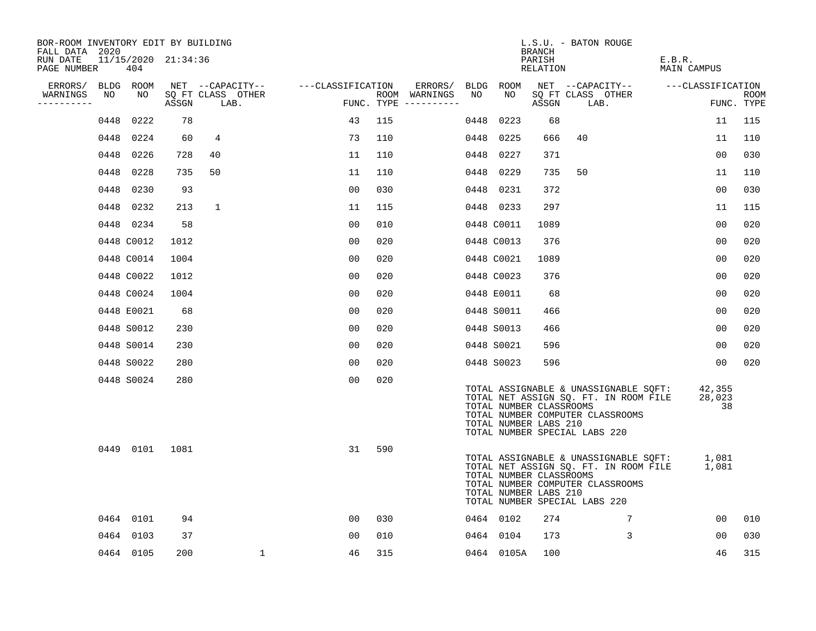| BOR-ROOM INVENTORY EDIT BY BUILDING<br>FALL DATA 2020 |      |                            |       |                           |                   |     |                                      |      |            | BRANCH                                           | L.S.U. - BATON ROUGE                                                                                                                                |                        |                    |
|-------------------------------------------------------|------|----------------------------|-------|---------------------------|-------------------|-----|--------------------------------------|------|------------|--------------------------------------------------|-----------------------------------------------------------------------------------------------------------------------------------------------------|------------------------|--------------------|
| RUN DATE<br>PAGE NUMBER                               |      | 11/15/2020 21:34:36<br>404 |       |                           |                   |     |                                      |      |            | PARISH<br>RELATION                               |                                                                                                                                                     | E.B.R.<br>MAIN CAMPUS  |                    |
| ERRORS/                                               |      | BLDG ROOM                  |       | NET --CAPACITY--          | ---CLASSIFICATION |     | ERRORS/                              |      | BLDG ROOM  |                                                  | NET --CAPACITY--                                                                                                                                    | ---CLASSIFICATION      |                    |
| WARNINGS<br>----------                                | NO   | NO                         | ASSGN | SQ FT CLASS OTHER<br>LAB. |                   |     | ROOM WARNINGS<br>FUNC. TYPE $------$ | NO   | NO.        | ASSGN                                            | SO FT CLASS OTHER<br>LAB.                                                                                                                           |                        | ROOM<br>FUNC. TYPE |
|                                                       | 0448 | 0222                       | 78    |                           | 43                | 115 |                                      | 0448 | 0223       | 68                                               |                                                                                                                                                     | 11                     | 115                |
|                                                       | 0448 | 0224                       | 60    | 4                         | 73                | 110 |                                      | 0448 | 0225       | 666                                              | 40                                                                                                                                                  | 11                     | 110                |
|                                                       | 0448 | 0226                       | 728   | 40                        | 11                | 110 |                                      | 0448 | 0227       | 371                                              |                                                                                                                                                     | 00                     | 030                |
|                                                       | 0448 | 0228                       | 735   | 50                        | 11                | 110 |                                      | 0448 | 0229       | 735                                              | 50                                                                                                                                                  | 11                     | 110                |
|                                                       | 0448 | 0230                       | 93    |                           | 00                | 030 |                                      |      | 0448 0231  | 372                                              |                                                                                                                                                     | 00                     | 030                |
|                                                       | 0448 | 0232                       | 213   | $\mathbf{1}$              | 11                | 115 |                                      |      | 0448 0233  | 297                                              |                                                                                                                                                     | 11                     | 115                |
|                                                       |      | 0448 0234                  | 58    |                           | 0 <sub>0</sub>    | 010 |                                      |      | 0448 C0011 | 1089                                             |                                                                                                                                                     | 00                     | 020                |
|                                                       |      | 0448 C0012                 | 1012  |                           | 0 <sub>0</sub>    | 020 |                                      |      | 0448 C0013 | 376                                              |                                                                                                                                                     | 00                     | 020                |
|                                                       |      | 0448 C0014                 | 1004  |                           | 0 <sub>0</sub>    | 020 |                                      |      | 0448 C0021 | 1089                                             |                                                                                                                                                     | 0 <sub>0</sub>         | 020                |
|                                                       |      | 0448 C0022                 | 1012  |                           | 0 <sub>0</sub>    | 020 |                                      |      | 0448 C0023 | 376                                              |                                                                                                                                                     | 0 <sub>0</sub>         | 020                |
|                                                       |      | 0448 C0024                 | 1004  |                           | 00                | 020 |                                      |      | 0448 E0011 | 68                                               |                                                                                                                                                     | 00                     | 020                |
|                                                       |      | 0448 E0021                 | 68    |                           | 0 <sub>0</sub>    | 020 |                                      |      | 0448 S0011 | 466                                              |                                                                                                                                                     | 00                     | 020                |
|                                                       |      | 0448 S0012                 | 230   |                           | 00                | 020 |                                      |      | 0448 S0013 | 466                                              |                                                                                                                                                     | 00                     | 020                |
|                                                       |      | 0448 S0014                 | 230   |                           | 0 <sub>0</sub>    | 020 |                                      |      | 0448 S0021 | 596                                              |                                                                                                                                                     | 00                     | 020                |
|                                                       |      | 0448 S0022                 | 280   |                           | 0 <sub>0</sub>    | 020 |                                      |      | 0448 S0023 | 596                                              |                                                                                                                                                     | 00                     | 020                |
|                                                       |      | 0448 S0024                 | 280   |                           | 0 <sub>0</sub>    | 020 |                                      |      |            | TOTAL NUMBER CLASSROOMS<br>TOTAL NUMBER LABS 210 | TOTAL ASSIGNABLE & UNASSIGNABLE SQFT:<br>TOTAL NET ASSIGN SQ. FT. IN ROOM FILE<br>TOTAL NUMBER COMPUTER CLASSROOMS<br>TOTAL NUMBER SPECIAL LABS 220 | 42,355<br>28,023<br>38 |                    |
|                                                       |      | 0449 0101                  | 1081  |                           | 31                | 590 |                                      |      |            | TOTAL NUMBER CLASSROOMS<br>TOTAL NUMBER LABS 210 | TOTAL ASSIGNABLE & UNASSIGNABLE SQFT:<br>TOTAL NET ASSIGN SQ. FT. IN ROOM FILE<br>TOTAL NUMBER COMPUTER CLASSROOMS<br>TOTAL NUMBER SPECIAL LABS 220 | 1,081<br>1,081         |                    |
|                                                       |      | 0464 0101                  | 94    |                           | 00                | 030 |                                      |      | 0464 0102  | 274                                              | 7                                                                                                                                                   | 00                     | 010                |
|                                                       | 0464 | 0103                       | 37    |                           | 0 <sub>0</sub>    | 010 |                                      |      | 0464 0104  | 173                                              | 3                                                                                                                                                   | 00                     | 030                |
|                                                       |      | 0464 0105                  | 200   | $\mathbf 1$               | 46                | 315 |                                      |      | 0464 0105A | 100                                              |                                                                                                                                                     | 46                     | 315                |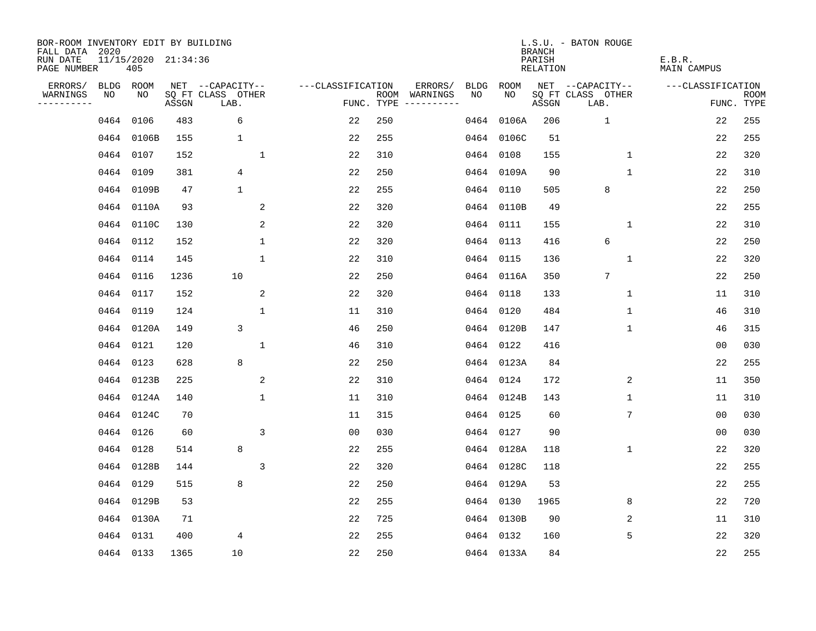| BOR-ROOM INVENTORY EDIT BY BUILDING<br>FALL DATA 2020 |           |                            |       |                           |                     |     |                                            |             | <b>BRANCH</b>             | L.S.U. - BATON ROUGE      |                              |                           |
|-------------------------------------------------------|-----------|----------------------------|-------|---------------------------|---------------------|-----|--------------------------------------------|-------------|---------------------------|---------------------------|------------------------------|---------------------------|
| RUN DATE<br>PAGE NUMBER                               |           | 11/15/2020 21:34:36<br>405 |       |                           |                     |     |                                            |             | PARISH<br><b>RELATION</b> |                           | E.B.R.<br><b>MAIN CAMPUS</b> |                           |
| ERRORS/                                               | BLDG ROOM |                            |       | NET --CAPACITY--          | ---CLASSIFICATION   |     | ERRORS/<br><b>BLDG</b>                     | <b>ROOM</b> |                           | NET --CAPACITY--          | ---CLASSIFICATION            |                           |
| WARNINGS<br>----------                                | NO        | NO                         | ASSGN | SQ FT CLASS OTHER<br>LAB. |                     |     | ROOM WARNINGS<br>NO<br>FUNC. TYPE $------$ | NO.         | ASSGN                     | SQ FT CLASS OTHER<br>LAB. |                              | <b>ROOM</b><br>FUNC. TYPE |
|                                                       | 0464 0106 |                            | 483   | 6                         | 22                  | 250 | 0464                                       | 0106A       | 206                       | $\mathbf{1}$              | 22                           | 255                       |
|                                                       |           | 0464 0106B                 | 155   | 1                         | 22                  | 255 |                                            | 0464 0106C  | 51                        |                           | 22                           | 255                       |
|                                                       | 0464 0107 |                            | 152   |                           | $\mathbf{1}$<br>22  | 310 | 0464                                       | 0108        | 155                       | $\mathbf 1$               | 22                           | 320                       |
|                                                       | 0464 0109 |                            | 381   | 4                         | 22                  | 250 | 0464                                       | 0109A       | 90                        | $\mathbf{1}$              | 22                           | 310                       |
|                                                       |           | 0464 0109B                 | 47    | $\mathbf{1}$              | 22                  | 255 | 0464                                       | 0110        | 505                       | 8                         | 22                           | 250                       |
|                                                       |           | 0464 0110A                 | 93    |                           | $\sqrt{2}$<br>22    | 320 |                                            | 0464 0110B  | 49                        |                           | 22                           | 255                       |
|                                                       |           | 0464 0110C                 | 130   |                           | 2<br>22             | 320 |                                            | 0464 0111   | 155                       | $\mathbf 1$               | 22                           | 310                       |
|                                                       | 0464 0112 |                            | 152   |                           | $\mathbf{1}$<br>22  | 320 |                                            | 0464 0113   | 416                       | 6                         | 22                           | 250                       |
|                                                       | 0464 0114 |                            | 145   |                           | $\mathbf{1}$<br>22  | 310 | 0464                                       | 0115        | 136                       | 1                         | 22                           | 320                       |
|                                                       | 0464 0116 |                            | 1236  | 10                        | 22                  | 250 |                                            | 0464 0116A  | 350                       | 7                         | 22                           | 250                       |
|                                                       | 0464 0117 |                            | 152   |                           | 2<br>22             | 320 | 0464                                       | 0118        | 133                       | $\mathbf 1$               | 11                           | 310                       |
|                                                       | 0464 0119 |                            | 124   |                           | $\mathbf{1}$<br>11  | 310 |                                            | 0464 0120   | 484                       | 1                         | 46                           | 310                       |
|                                                       |           | 0464 0120A                 | 149   | 3                         | 46                  | 250 | 0464                                       | 0120B       | 147                       | $\mathbf 1$               | 46                           | 315                       |
|                                                       | 0464 0121 |                            | 120   |                           | 1<br>46             | 310 |                                            | 0464 0122   | 416                       |                           | 0 <sub>0</sub>               | 030                       |
|                                                       | 0464 0123 |                            | 628   | 8                         | 22                  | 250 | 0464                                       | 0123A       | 84                        |                           | 22                           | 255                       |
|                                                       |           | 0464 0123B                 | 225   |                           | 2<br>22             | 310 | 0464                                       | 0124        | 172                       | 2                         | 11                           | 350                       |
|                                                       |           | 0464 0124A                 | 140   |                           | $\mathbf{1}$<br>11  | 310 | 0464                                       | 0124B       | 143                       | 1                         | 11                           | 310                       |
|                                                       |           | 0464 0124C                 | 70    |                           | 11                  | 315 | 0464                                       | 0125        | 60                        | 7                         | 00                           | 030                       |
|                                                       | 0464 0126 |                            | 60    |                           | 3<br>0 <sub>0</sub> | 030 | 0464                                       | 0127        | 90                        |                           | 0 <sub>0</sub>               | 030                       |
|                                                       | 0464 0128 |                            | 514   | 8                         | 22                  | 255 |                                            | 0464 0128A  | 118                       | 1                         | 22                           | 320                       |
|                                                       |           | 0464 0128B                 | 144   |                           | 3<br>22             | 320 |                                            | 0464 0128C  | 118                       |                           | 22                           | 255                       |
|                                                       | 0464 0129 |                            | 515   | 8                         | 22                  | 250 | 0464                                       | 0129A       | 53                        |                           | 22                           | 255                       |
|                                                       |           | 0464 0129B                 | 53    |                           | 22                  | 255 |                                            | 0464 0130   | 1965                      | 8                         | 22                           | 720                       |
|                                                       |           | 0464 0130A                 | 71    |                           | 22                  | 725 | 0464                                       | 0130B       | 90                        | 2                         | 11                           | 310                       |
|                                                       | 0464 0131 |                            | 400   | 4                         | 22                  | 255 |                                            | 0464 0132   | 160                       | 5                         | 22                           | 320                       |
|                                                       | 0464 0133 |                            | 1365  | 10                        | 22                  | 250 |                                            | 0464 0133A  | 84                        |                           | 22                           | 255                       |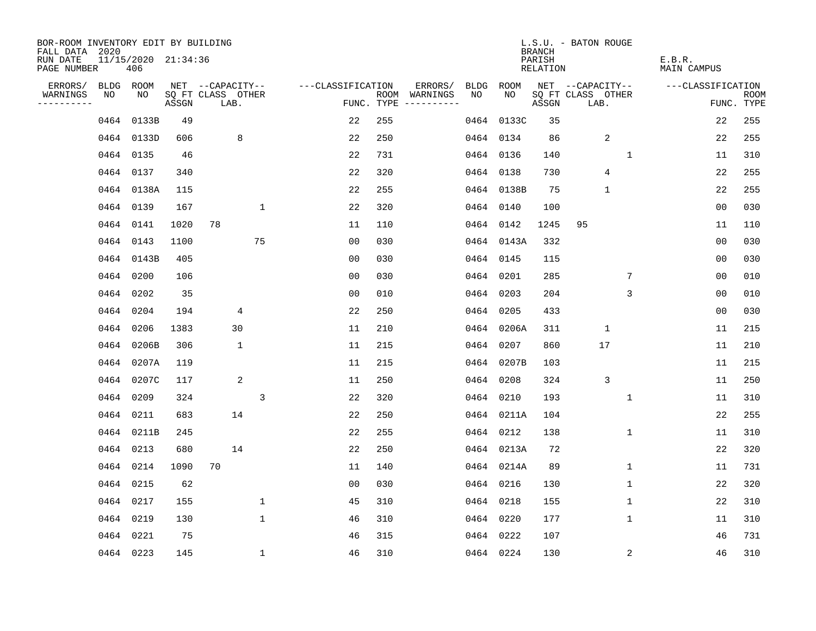| BOR-ROOM INVENTORY EDIT BY BUILDING<br>FALL DATA 2020 |           |                            |       |                           |              |                   |     |                                      |      |            | <b>BRANCH</b>             | L.S.U. - BATON ROUGE      |              |                              |                |                           |
|-------------------------------------------------------|-----------|----------------------------|-------|---------------------------|--------------|-------------------|-----|--------------------------------------|------|------------|---------------------------|---------------------------|--------------|------------------------------|----------------|---------------------------|
| RUN DATE<br>PAGE NUMBER                               |           | 11/15/2020 21:34:36<br>406 |       |                           |              |                   |     |                                      |      |            | PARISH<br><b>RELATION</b> |                           |              | E.B.R.<br><b>MAIN CAMPUS</b> |                |                           |
| ERRORS/                                               | BLDG ROOM |                            |       | NET --CAPACITY--          |              | ---CLASSIFICATION |     | ERRORS/                              | BLDG | ROOM       |                           | NET --CAPACITY--          |              | ---CLASSIFICATION            |                |                           |
| WARNINGS<br>----------                                | NO        | NO                         | ASSGN | SQ FT CLASS OTHER<br>LAB. |              |                   |     | ROOM WARNINGS<br>FUNC. TYPE $------$ | NO   | NO         | ASSGN                     | SQ FT CLASS OTHER<br>LAB. |              |                              |                | <b>ROOM</b><br>FUNC. TYPE |
|                                                       |           | 0464 0133B                 | 49    |                           |              | 22                | 255 |                                      |      | 0464 0133C | 35                        |                           |              |                              | 22             | 255                       |
|                                                       |           | 0464 0133D                 | 606   | 8                         |              | 22                | 250 |                                      |      | 0464 0134  | 86                        | $\overline{2}$            |              |                              | 22             | 255                       |
|                                                       | 0464 0135 |                            | 46    |                           |              | 22                | 731 |                                      |      | 0464 0136  | 140                       |                           | 1            |                              | 11             | 310                       |
|                                                       | 0464 0137 |                            | 340   |                           |              | 22                | 320 |                                      |      | 0464 0138  | 730                       | 4                         |              |                              | 22             | 255                       |
|                                                       |           | 0464 0138A                 | 115   |                           |              | 22                | 255 |                                      |      | 0464 0138B | 75                        | $\mathbf{1}$              |              |                              | 22             | 255                       |
|                                                       | 0464 0139 |                            | 167   |                           | $\mathbf{1}$ | 22                | 320 |                                      |      | 0464 0140  | 100                       |                           |              |                              | 0 <sub>0</sub> | 030                       |
|                                                       | 0464 0141 |                            | 1020  | 78                        |              | 11                | 110 |                                      |      | 0464 0142  | 1245                      | 95                        |              |                              | 11             | 110                       |
|                                                       | 0464 0143 |                            | 1100  |                           | 75           | 0 <sub>0</sub>    | 030 |                                      |      | 0464 0143A | 332                       |                           |              |                              | 0 <sub>0</sub> | 030                       |
|                                                       |           | 0464 0143B                 | 405   |                           |              | 00                | 030 |                                      |      | 0464 0145  | 115                       |                           |              |                              | 0 <sub>0</sub> | 030                       |
|                                                       | 0464 0200 |                            | 106   |                           |              | 0 <sub>0</sub>    | 030 |                                      |      | 0464 0201  | 285                       |                           | 7            |                              | 0 <sub>0</sub> | 010                       |
|                                                       | 0464 0202 |                            | 35    |                           |              | 0 <sub>0</sub>    | 010 |                                      |      | 0464 0203  | 204                       |                           | 3            |                              | 0 <sub>0</sub> | 010                       |
|                                                       | 0464 0204 |                            | 194   | 4                         |              | 22                | 250 |                                      |      | 0464 0205  | 433                       |                           |              |                              | 0 <sub>0</sub> | 030                       |
|                                                       | 0464      | 0206                       | 1383  | 30                        |              | 11                | 210 |                                      | 0464 | 0206A      | 311                       | $\mathbf{1}$              |              |                              | 11             | 215                       |
|                                                       |           | 0464 0206B                 | 306   | $\mathbf 1$               |              | 11                | 215 |                                      |      | 0464 0207  | 860                       | 17                        |              |                              | 11             | 210                       |
|                                                       |           | 0464 0207A                 | 119   |                           |              | 11                | 215 |                                      |      | 0464 0207B | 103                       |                           |              |                              | 11             | 215                       |
|                                                       |           | 0464 0207C                 | 117   | 2                         |              | 11                | 250 |                                      |      | 0464 0208  | 324                       | 3                         |              |                              | 11             | 250                       |
|                                                       | 0464 0209 |                            | 324   |                           | 3            | 22                | 320 |                                      |      | 0464 0210  | 193                       |                           | $\mathbf 1$  |                              | 11             | 310                       |
|                                                       | 0464 0211 |                            | 683   | 14                        |              | 22                | 250 |                                      |      | 0464 0211A | 104                       |                           |              |                              | 22             | 255                       |
|                                                       |           | 0464 0211B                 | 245   |                           |              | 22                | 255 |                                      |      | 0464 0212  | 138                       |                           | 1            |                              | 11             | 310                       |
|                                                       | 0464 0213 |                            | 680   | 14                        |              | 22                | 250 |                                      |      | 0464 0213A | 72                        |                           |              |                              | 22             | 320                       |
|                                                       | 0464 0214 |                            | 1090  | 70                        |              | 11                | 140 |                                      |      | 0464 0214A | 89                        |                           | 1            |                              | 11             | 731                       |
|                                                       | 0464 0215 |                            | 62    |                           |              | 00                | 030 |                                      |      | 0464 0216  | 130                       |                           | 1            |                              | 22             | 320                       |
|                                                       | 0464 0217 |                            | 155   |                           | 1            | 45                | 310 |                                      |      | 0464 0218  | 155                       |                           | 1            |                              | 22             | 310                       |
|                                                       | 0464 0219 |                            | 130   |                           | $\mathbf{1}$ | 46                | 310 |                                      |      | 0464 0220  | 177                       |                           | $\mathbf{1}$ |                              | 11             | 310                       |
|                                                       | 0464 0221 |                            | 75    |                           |              | 46                | 315 |                                      |      | 0464 0222  | 107                       |                           |              |                              | 46             | 731                       |
|                                                       | 0464 0223 |                            | 145   |                           | $\mathbf{1}$ | 46                | 310 |                                      |      | 0464 0224  | 130                       |                           | 2            |                              | 46             | 310                       |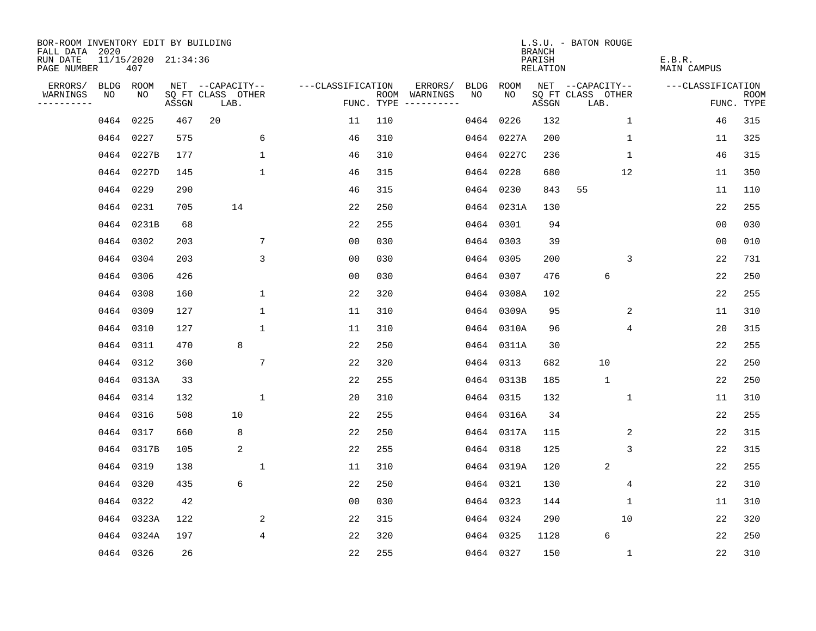| BOR-ROOM INVENTORY EDIT BY BUILDING<br>FALL DATA 2020<br>RUN DATE |                   | 11/15/2020 21:34:36 |       |                                       |                   |            |                                               |            | <b>BRANCH</b><br>PARISH | L.S.U. - BATON ROUGE                  | E.B.R.             |             |
|-------------------------------------------------------------------|-------------------|---------------------|-------|---------------------------------------|-------------------|------------|-----------------------------------------------|------------|-------------------------|---------------------------------------|--------------------|-------------|
| PAGE NUMBER                                                       |                   | 407                 |       |                                       |                   |            |                                               |            | <b>RELATION</b>         |                                       | <b>MAIN CAMPUS</b> |             |
| ERRORS/<br>WARNINGS                                               | <b>BLDG</b><br>NO | ROOM<br>NO          |       | NET --CAPACITY--<br>SQ FT CLASS OTHER | ---CLASSIFICATION |            | ERRORS/<br><b>BLDG</b><br>NO<br>ROOM WARNINGS | ROOM<br>NO |                         | NET --CAPACITY--<br>SQ FT CLASS OTHER | ---CLASSIFICATION  | <b>ROOM</b> |
| .                                                                 |                   |                     | ASSGN | LAB.                                  |                   | FUNC. TYPE | $-- - - - - - - -$                            |            | ASSGN                   | LAB.                                  |                    | FUNC. TYPE  |
|                                                                   | 0464              | 0225                | 467   | 20                                    | 11                | 110        | 0464                                          | 0226       | 132                     | $\mathbf 1$                           | 46                 | 315         |
|                                                                   | 0464              | 0227                | 575   | 6                                     | 46                | 310        |                                               | 0464 0227A | 200                     | 1                                     | 11                 | 325         |
|                                                                   | 0464              | 0227B               | 177   | $\mathbf 1$                           | 46                | 310        |                                               | 0464 0227C | 236                     | $\mathbf 1$                           | 46                 | 315         |
|                                                                   | 0464              | 0227D               | 145   | $\mathbf{1}$                          | 46                | 315        | 0464                                          | 0228       | 680                     | 12                                    | 11                 | 350         |
|                                                                   | 0464              | 0229                | 290   |                                       | 46                | 315        | 0464                                          | 0230       | 843                     | 55                                    | 11                 | 110         |
|                                                                   | 0464              | 0231                | 705   | 14                                    | 22                | 250        |                                               | 0464 0231A | 130                     |                                       | 22                 | 255         |
|                                                                   | 0464              | 0231B               | 68    |                                       | 22                | 255        |                                               | 0464 0301  | 94                      |                                       | 0 <sub>0</sub>     | 030         |
|                                                                   | 0464              | 0302                | 203   | 7                                     | 0 <sub>0</sub>    | 030        |                                               | 0464 0303  | 39                      |                                       | 0 <sub>0</sub>     | 010         |
|                                                                   | 0464              | 0304                | 203   | 3                                     | 0 <sub>0</sub>    | 030        | 0464                                          | 0305       | 200                     | 3                                     | 22                 | 731         |
|                                                                   | 0464              | 0306                | 426   |                                       | 0 <sub>0</sub>    | 030        |                                               | 0464 0307  | 476                     | 6                                     | 22                 | 250         |
|                                                                   | 0464              | 0308                | 160   | 1                                     | 22                | 320        |                                               | 0464 0308A | 102                     |                                       | 22                 | 255         |
|                                                                   | 0464              | 0309                | 127   | $\mathbf{1}$                          | 11                | 310        |                                               | 0464 0309A | 95                      | 2                                     | 11                 | 310         |
|                                                                   | 0464              | 0310                | 127   | 1                                     | 11                | 310        | 0464                                          | 0310A      | 96                      | 4                                     | 20                 | 315         |
|                                                                   | 0464              | 0311                | 470   | 8                                     | 22                | 250        | 0464                                          | 0311A      | 30                      |                                       | 22                 | 255         |
|                                                                   | 0464              | 0312                | 360   | 7                                     | 22                | 320        | 0464                                          | 0313       | 682                     | 10                                    | 22                 | 250         |
|                                                                   | 0464              | 0313A               | 33    |                                       | 22                | 255        | 0464                                          | 0313B      | 185                     | $\mathbf{1}$                          | 22                 | 250         |
|                                                                   | 0464              | 0314                | 132   | $\mathbf{1}$                          | 20                | 310        | 0464                                          | 0315       | 132                     | 1                                     | 11                 | 310         |
|                                                                   | 0464              | 0316                | 508   | 10                                    | 22                | 255        | 0464                                          | 0316A      | 34                      |                                       | 22                 | 255         |
|                                                                   | 0464              | 0317                | 660   | 8                                     | 22                | 250        |                                               | 0464 0317A | 115                     | $\overline{2}$                        | 22                 | 315         |
|                                                                   | 0464              | 0317B               | 105   | 2                                     | 22                | 255        |                                               | 0464 0318  | 125                     | 3                                     | 22                 | 315         |
|                                                                   | 0464              | 0319                | 138   | 1                                     | 11                | 310        |                                               | 0464 0319A | 120                     | $\overline{2}$                        | 22                 | 255         |
|                                                                   | 0464              | 0320                | 435   | 6                                     | 22                | 250        | 0464                                          | 0321       | 130                     | 4                                     | 22                 | 310         |
|                                                                   | 0464              | 0322                | 42    |                                       | 0 <sub>0</sub>    | 030        |                                               | 0464 0323  | 144                     | 1                                     | 11                 | 310         |
|                                                                   | 0464              | 0323A               | 122   | 2                                     | 22                | 315        |                                               | 0464 0324  | 290                     | 10                                    | 22                 | 320         |
|                                                                   | 0464              | 0324A               | 197   | 4                                     | 22                | 320        |                                               | 0464 0325  | 1128                    | 6                                     | 22                 | 250         |
|                                                                   |                   | 0464 0326           | 26    |                                       | 22                | 255        |                                               | 0464 0327  | 150                     | $\mathbf 1$                           | 22                 | 310         |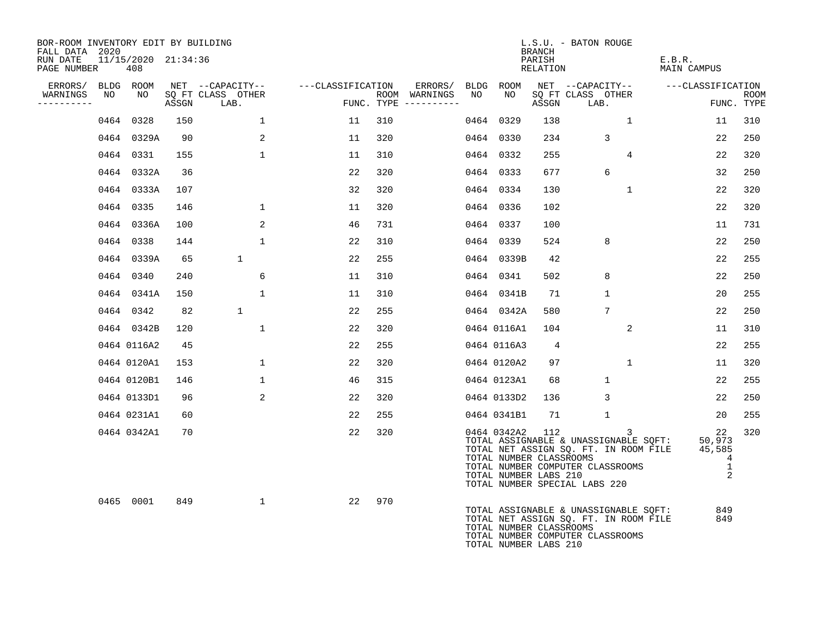| BOR-ROOM INVENTORY EDIT BY BUILDING<br>FALL DATA 2020 |                            |       |                           |                   |     |                                      |      |                                                                 | <b>BRANCH</b>      | L.S.U. - BATON ROUGE                                                                                                                                     |                       |                                                             |                    |
|-------------------------------------------------------|----------------------------|-------|---------------------------|-------------------|-----|--------------------------------------|------|-----------------------------------------------------------------|--------------------|----------------------------------------------------------------------------------------------------------------------------------------------------------|-----------------------|-------------------------------------------------------------|--------------------|
| RUN DATE<br>PAGE NUMBER                               | 11/15/2020 21:34:36<br>408 |       |                           |                   |     |                                      |      |                                                                 | PARISH<br>RELATION |                                                                                                                                                          | E.B.R.<br>MAIN CAMPUS |                                                             |                    |
| ERRORS/                                               | BLDG ROOM                  |       | NET --CAPACITY--          | ---CLASSIFICATION |     | ERRORS/                              | BLDG | ROOM                                                            |                    | NET --CAPACITY--                                                                                                                                         | ---CLASSIFICATION     |                                                             |                    |
| WARNINGS<br>NO<br>----------                          | NO                         | ASSGN | SO FT CLASS OTHER<br>LAB. |                   |     | ROOM WARNINGS<br>FUNC. TYPE $------$ | NO   | NO.                                                             | ASSGN              | SO FT CLASS OTHER<br>LAB.                                                                                                                                |                       |                                                             | ROOM<br>FUNC. TYPE |
| 0464                                                  | 0328                       | 150   | 1                         | 11                | 310 |                                      | 0464 | 0329                                                            | 138                | 1                                                                                                                                                        |                       | 11                                                          | 310                |
|                                                       | 0464 0329A                 | 90    | 2                         | 11                | 320 |                                      |      | 0464 0330                                                       | 234                | 3                                                                                                                                                        |                       | 22                                                          | 250                |
|                                                       | 0464 0331                  | 155   | $\mathbf{1}$              | 11                | 310 |                                      | 0464 | 0332                                                            | 255                | $\overline{4}$                                                                                                                                           |                       | 22                                                          | 320                |
|                                                       | 0464 0332A                 | 36    |                           | 22                | 320 |                                      |      | 0464 0333                                                       | 677                | 6                                                                                                                                                        |                       | 32                                                          | 250                |
|                                                       | 0464 0333A                 | 107   |                           | 32                | 320 |                                      |      | 0464 0334                                                       | 130                | $\mathbf{1}$                                                                                                                                             |                       | 22                                                          | 320                |
|                                                       | 0464 0335                  | 146   | $\mathbf{1}$              | 11                | 320 |                                      |      | 0464 0336                                                       | 102                |                                                                                                                                                          |                       | 22                                                          | 320                |
|                                                       | 0464 0336A                 | 100   | 2                         | 46                | 731 |                                      |      | 0464 0337                                                       | 100                |                                                                                                                                                          |                       | 11                                                          | 731                |
|                                                       | 0464 0338                  | 144   | 1                         | 22                | 310 |                                      | 0464 | 0339                                                            | 524                | 8                                                                                                                                                        |                       | 22                                                          | 250                |
|                                                       | 0464 0339A                 | 65    | $\mathbf{1}$              | 22                | 255 |                                      |      | 0464 0339B                                                      | 42                 |                                                                                                                                                          |                       | 22                                                          | 255                |
|                                                       | 0464 0340                  | 240   | 6                         | 11                | 310 |                                      |      | 0464 0341                                                       | 502                | 8                                                                                                                                                        |                       | 22                                                          | 250                |
|                                                       | 0464 0341A                 | 150   | $\mathbf{1}$              | 11                | 310 |                                      |      | 0464 0341B                                                      | 71                 | $\mathbf{1}$                                                                                                                                             |                       | 20                                                          | 255                |
|                                                       | 0464 0342                  | 82    | $\mathbf{1}$              | 22                | 255 |                                      |      | 0464 0342A                                                      | 580                | $7\phantom{.0}$                                                                                                                                          |                       | 22                                                          | 250                |
|                                                       | 0464 0342B                 | 120   | $\mathbf{1}$              | 22                | 320 |                                      |      | 0464 0116A1                                                     | 104                | 2                                                                                                                                                        |                       | 11                                                          | 310                |
|                                                       | 0464 0116A2                | 45    |                           | 22                | 255 |                                      |      | 0464 0116A3                                                     | 4                  |                                                                                                                                                          |                       | 22                                                          | 255                |
|                                                       | 0464 0120A1                | 153   | 1                         | 22                | 320 |                                      |      | 0464 0120A2                                                     | 97                 | 1                                                                                                                                                        |                       | 11                                                          | 320                |
|                                                       | 0464 0120B1                | 146   | $\mathbf{1}$              | 46                | 315 |                                      |      | 0464 0123A1                                                     | 68                 | $\mathbf{1}$                                                                                                                                             |                       | 22                                                          | 255                |
|                                                       | 0464 0133D1                | 96    | 2                         | 22                | 320 |                                      |      | 0464 0133D2                                                     | 136                | 3                                                                                                                                                        |                       | 22                                                          | 250                |
|                                                       | 0464 0231A1                | 60    |                           | 22                | 255 |                                      |      | 0464 0341B1                                                     | 71                 | $\mathbf{1}$                                                                                                                                             |                       | 20                                                          | 255                |
|                                                       | 0464 0342A1                | 70    |                           | 22                | 320 |                                      |      | 0464 0342A2<br>TOTAL NUMBER CLASSROOMS<br>TOTAL NUMBER LABS 210 | 112                | 3<br>TOTAL ASSIGNABLE & UNASSIGNABLE SQFT:<br>TOTAL NET ASSIGN SQ. FT. IN ROOM FILE<br>TOTAL NUMBER COMPUTER CLASSROOMS<br>TOTAL NUMBER SPECIAL LABS 220 |                       | 22<br>50,973<br>45,585<br>4<br>$\mathbf{1}$<br>$\mathbf{2}$ | 320                |
|                                                       | 0465 0001                  | 849   | $\mathbf{1}$              | 22                | 970 |                                      |      | TOTAL NUMBER CLASSROOMS<br>TOTAL NUMBER LABS 210                |                    | TOTAL ASSIGNABLE & UNASSIGNABLE SQFT:<br>TOTAL NET ASSIGN SQ. FT. IN ROOM FILE<br>TOTAL NUMBER COMPUTER CLASSROOMS                                       |                       | 849<br>849                                                  |                    |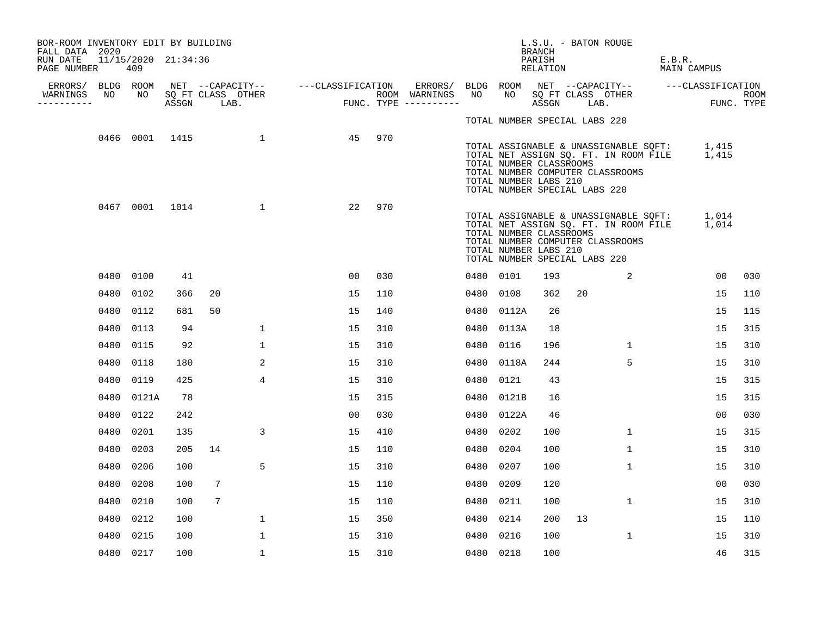| BOR-ROOM INVENTORY EDIT BY BUILDING<br>FALL DATA 2020 |      |                            |     |                |                   |                                                       |     |                                                                        |           |                                                                                   | L.S.U. - BATON ROUGE<br>BRANCH |    |                                  |        |                                                                                            |     |
|-------------------------------------------------------|------|----------------------------|-----|----------------|-------------------|-------------------------------------------------------|-----|------------------------------------------------------------------------|-----------|-----------------------------------------------------------------------------------|--------------------------------|----|----------------------------------|--------|--------------------------------------------------------------------------------------------|-----|
| RUN DATE<br>PAGE NUMBER                               |      | 11/15/2020 21:34:36<br>409 |     |                |                   |                                                       |     |                                                                        |           |                                                                                   | PARISH<br>RELATION             |    |                                  | E.B.R. | MAIN CAMPUS                                                                                |     |
| WARNINGS                                              | NO   | NO                         |     |                | SQ FT CLASS OTHER | ERRORS/ BLDG ROOM NET --CAPACITY-- ----CLASSIFICATION |     | ERRORS/ BLDG ROOM NET --CAPACITY--  ---CLASSIFICATION<br>ROOM WARNINGS | NO        |                                                                                   |                                |    | NO SQ FT CLASS OTHER             |        |                                                                                            |     |
| ----------                                            |      |                            |     | ASSGN LAB.     |                   | <b>FUN</b>                                            |     | FUNC. TYPE $------$                                                    |           |                                                                                   | ASSGN LAB.                     |    |                                  |        | ROOM<br>FUNC. TYPE                                                                         |     |
|                                                       |      |                            |     |                |                   |                                                       |     |                                                                        |           | TOTAL NUMBER SPECIAL LABS 220                                                     |                                |    |                                  |        |                                                                                            |     |
|                                                       |      |                            |     | 0466 0001 1415 | $\overline{1}$    | 45                                                    | 970 |                                                                        |           | TOTAL NUMBER CLASSROOMS<br>TOTAL NUMBER LABS 210<br>TOTAL NUMBER SPECIAL LABS 220 |                                |    | TOTAL NUMBER COMPUTER CLASSROOMS |        | TOTAL ASSIGNABLE & UNASSIGNABLE SQFT: 1,415<br>TOTAL NET ASSIGN SQ. FT. IN ROOM FILE 1,415 |     |
|                                                       |      |                            |     | 0467 0001 1014 | $\mathbf{1}$      | 22                                                    | 970 |                                                                        |           | TOTAL NUMBER CLASSROOMS<br>TOTAL NUMBER LABS 210<br>TOTAL NUMBER SPECIAL LABS 220 |                                |    | TOTAL NUMBER COMPUTER CLASSROOMS |        | TOTAL ASSIGNABLE & UNASSIGNABLE SQFT: 1,014<br>TOTAL NET ASSIGN SQ. FT. IN ROOM FILE 1,014 |     |
|                                                       |      | 0480 0100                  | 41  |                |                   | 00                                                    | 030 |                                                                        | 0480 0101 |                                                                                   | 193                            |    | 2                                |        | 00                                                                                         | 030 |
|                                                       |      | 0480 0102                  | 366 | 20             |                   | 15                                                    | 110 |                                                                        | 0480 0108 |                                                                                   | 362                            | 20 |                                  |        | 15                                                                                         | 110 |
|                                                       |      | 0480 0112                  | 681 | 50             |                   | 15                                                    | 140 |                                                                        |           | 0480 0112A                                                                        | 26                             |    |                                  |        | 15                                                                                         | 115 |
|                                                       | 0480 | 0113                       | 94  |                | $\mathbf{1}$      | 15                                                    | 310 |                                                                        |           | 0480 0113A                                                                        | 18                             |    |                                  |        | 15                                                                                         | 315 |
|                                                       | 0480 | 0115                       | 92  |                | $\mathbf{1}$      | 15                                                    | 310 |                                                                        | 0480      | 0116                                                                              | 196                            |    | $\mathbf{1}$                     |        | 15                                                                                         | 310 |
|                                                       | 0480 | 0118                       | 180 |                | 2                 | 15                                                    | 310 |                                                                        |           | 0480 0118A                                                                        | 244                            |    | 5                                |        | 15                                                                                         | 310 |
|                                                       | 0480 | 0119                       | 425 |                | $\overline{4}$    | 15                                                    | 310 |                                                                        | 0480 0121 |                                                                                   | 43                             |    |                                  |        | 15                                                                                         | 315 |
|                                                       | 0480 | 0121A                      | 78  |                |                   | 15                                                    | 315 |                                                                        |           | 0480 0121B                                                                        | 16                             |    |                                  |        | 15                                                                                         | 315 |
|                                                       | 0480 | 0122                       | 242 |                |                   | 0 <sub>0</sub>                                        | 030 |                                                                        |           | 0480 0122A                                                                        | 46                             |    |                                  |        | 0 <sub>0</sub>                                                                             | 030 |
|                                                       | 0480 | 0201                       | 135 |                | 3                 | 15                                                    | 410 |                                                                        | 0480 0202 |                                                                                   | 100                            |    | $\mathbf{1}$                     |        | 15                                                                                         | 315 |
|                                                       | 0480 | 0203                       | 205 | 14             |                   | 15                                                    | 110 |                                                                        | 0480 0204 |                                                                                   | 100                            |    | $\mathbf{1}$                     |        | 15                                                                                         | 310 |
|                                                       | 0480 | 0206                       | 100 |                | 5                 | 15                                                    | 310 |                                                                        | 0480 0207 |                                                                                   | 100                            |    | $\mathbf{1}$                     |        | 15                                                                                         | 310 |
|                                                       | 0480 | 0208                       | 100 | 7              |                   | 15                                                    | 110 |                                                                        | 0480 0209 |                                                                                   | 120                            |    |                                  |        | 0 <sub>0</sub>                                                                             | 030 |
|                                                       |      | 0480 0210                  | 100 | 7              |                   | 15                                                    | 110 |                                                                        | 0480 0211 |                                                                                   | 100                            |    | $\mathbf{1}$                     |        | 15                                                                                         | 310 |
|                                                       | 0480 | 0212                       | 100 |                | $\mathbf{1}$      | 15                                                    | 350 |                                                                        | 0480 0214 |                                                                                   | 200                            | 13 |                                  |        | 15                                                                                         | 110 |
|                                                       | 0480 | 0215                       | 100 |                | $\mathbf 1$       | 15                                                    | 310 |                                                                        | 0480 0216 |                                                                                   | 100                            |    | $\mathbf{1}$                     |        | 15                                                                                         | 310 |
|                                                       |      | 0480 0217                  | 100 |                | $\mathbf{1}$      | 15                                                    | 310 |                                                                        | 0480 0218 |                                                                                   | 100                            |    |                                  |        | 46                                                                                         | 315 |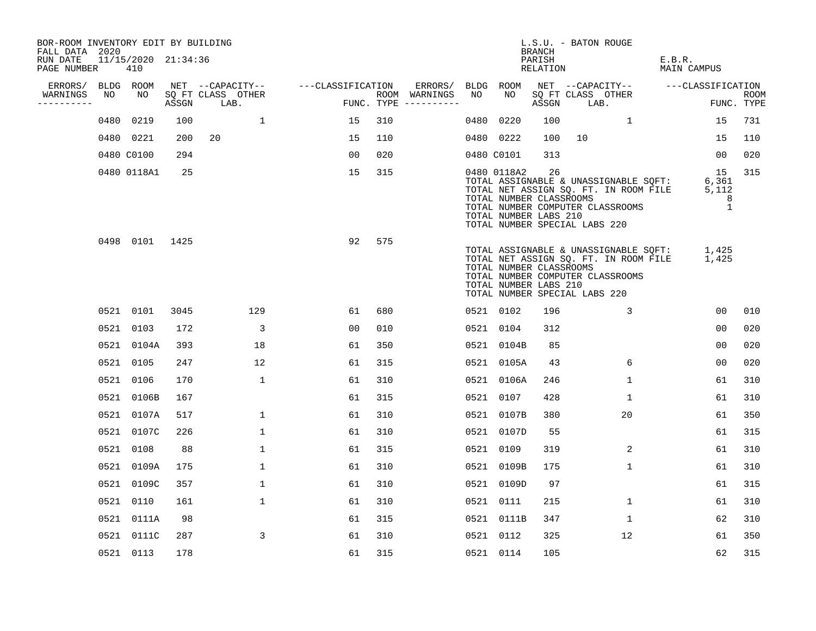| BOR-ROOM INVENTORY EDIT BY BUILDING<br>FALL DATA 2020 |    |                            |      |                                 |              |                   |                |     |                                      |    |                                                                                                  | BRANCH             |      | L.S.U. - BATON ROUGE             |                                                                                                                         |                           |
|-------------------------------------------------------|----|----------------------------|------|---------------------------------|--------------|-------------------|----------------|-----|--------------------------------------|----|--------------------------------------------------------------------------------------------------|--------------------|------|----------------------------------|-------------------------------------------------------------------------------------------------------------------------|---------------------------|
| RUN DATE<br>PAGE NUMBER                               |    | 11/15/2020 21:34:36<br>410 |      |                                 |              |                   |                |     |                                      |    |                                                                                                  | PARISH<br>RELATION |      |                                  | E.B.R.<br>MAIN CAMPUS                                                                                                   |                           |
| ERRORS/ BLDG ROOM                                     |    |                            |      | NET --CAPACITY--                |              | ---CLASSIFICATION |                |     | ERRORS/ BLDG ROOM                    |    |                                                                                                  |                    |      |                                  | NET --CAPACITY-- ---CLASSIFICATION                                                                                      |                           |
| WARNINGS<br>----------                                | NO | NO                         |      | SQ FT CLASS OTHER<br>ASSGN LAB. |              |                   |                |     | ROOM WARNINGS<br>FUNC. TYPE $------$ | NO | NO                                                                                               | ASSGN              | LAB. | SQ FT CLASS OTHER                |                                                                                                                         | <b>ROOM</b><br>FUNC. TYPE |
|                                                       |    | 0480 0219                  | 100  |                                 | 1            |                   | 15             | 310 |                                      |    | 0480 0220                                                                                        | 100                |      | 1                                | 15                                                                                                                      | 731                       |
|                                                       |    | 0480 0221                  | 200  | 20                              |              |                   | 15             | 110 |                                      |    | 0480 0222                                                                                        | 100                | 10   |                                  | 15                                                                                                                      | 110                       |
|                                                       |    | 0480 C0100                 | 294  |                                 |              |                   | 00             | 020 |                                      |    | 0480 C0101                                                                                       | 313                |      |                                  | 00                                                                                                                      | 020                       |
|                                                       |    | 0480 0118A1                | 25   |                                 |              |                   | 15             | 315 |                                      |    | 0480 0118A2<br>TOTAL NUMBER CLASSROOMS<br>TOTAL NUMBER LABS 210<br>TOTAL NUMBER SPECIAL LABS 220 | 26                 |      | TOTAL NUMBER COMPUTER CLASSROOMS | 15<br>TOTAL ASSIGNABLE & UNASSIGNABLE SQFT: 6,361<br>TOTAL NET ASSIGN SQ. FT. IN ROOM FILE 5,112<br>8<br>$\overline{1}$ | 315                       |
|                                                       |    | 0498 0101 1425             |      |                                 |              |                   | 92             | 575 |                                      |    | TOTAL NUMBER CLASSROOMS<br>TOTAL NUMBER LABS 210<br>TOTAL NUMBER SPECIAL LABS 220                |                    |      | TOTAL NUMBER COMPUTER CLASSROOMS | TOTAL ASSIGNABLE & UNASSIGNABLE SQFT: 1,425<br>TOTAL NET ASSIGN SQ. FT. IN ROOM FILE 1,425                              |                           |
|                                                       |    | 0521 0101                  | 3045 |                                 | 129          |                   | 61             | 680 |                                      |    | 0521 0102                                                                                        | 196                |      | $\mathbf{3}$                     | 0 <sub>0</sub>                                                                                                          | 010                       |
|                                                       |    | 0521 0103                  | 172  |                                 | 3            |                   | 0 <sub>0</sub> | 010 |                                      |    | 0521 0104                                                                                        | 312                |      |                                  | 0 <sub>0</sub>                                                                                                          | 020                       |
|                                                       |    | 0521 0104A                 | 393  |                                 | 18           |                   | 61             | 350 |                                      |    | 0521 0104B                                                                                       | 85                 |      |                                  | 0 <sub>0</sub>                                                                                                          | 020                       |
|                                                       |    | 0521 0105                  | 247  |                                 | 12           |                   | 61             | 315 |                                      |    | 0521 0105A                                                                                       | 43                 |      | 6                                | 0 <sub>0</sub>                                                                                                          | 020                       |
|                                                       |    | 0521 0106                  | 170  |                                 | $\mathbf{1}$ |                   | 61             | 310 |                                      |    | 0521 0106A                                                                                       | 246                |      | $\mathbf 1$                      | 61                                                                                                                      | 310                       |
|                                                       |    | 0521 0106B                 | 167  |                                 |              |                   | 61             | 315 |                                      |    | 0521 0107                                                                                        | 428                |      | 1                                | 61                                                                                                                      | 310                       |
|                                                       |    | 0521 0107A                 | 517  |                                 | 1            |                   | 61             | 310 |                                      |    | 0521 0107B                                                                                       | 380                |      | 20                               | 61                                                                                                                      | 350                       |
|                                                       |    | 0521 0107C                 | 226  |                                 | $\mathbf 1$  |                   | 61             | 310 |                                      |    | 0521 0107D                                                                                       | 55                 |      |                                  | 61                                                                                                                      | 315                       |
|                                                       |    | 0521 0108                  | 88   |                                 | $\mathbf 1$  |                   | 61             | 315 |                                      |    | 0521 0109                                                                                        | 319                |      | 2                                | 61                                                                                                                      | 310                       |
|                                                       |    | 0521 0109A                 | 175  |                                 | $\mathbf 1$  |                   | 61             | 310 |                                      |    | 0521 0109B                                                                                       | 175                |      | $\mathbf 1$                      | 61                                                                                                                      | 310                       |
|                                                       |    | 0521 0109C                 | 357  |                                 | $\mathbf{1}$ |                   | 61             | 310 |                                      |    | 0521 0109D                                                                                       | 97                 |      |                                  | 61                                                                                                                      | 315                       |
|                                                       |    | 0521 0110                  | 161  |                                 | $\mathbf{1}$ |                   | 61             | 310 |                                      |    | 0521 0111                                                                                        | 215                |      | $\mathbf{1}$                     | 61                                                                                                                      | 310                       |
|                                                       |    | 0521 0111A                 | 98   |                                 |              |                   | 61             | 315 |                                      |    | 0521 0111B                                                                                       | 347                |      | $\mathbf 1$                      | 62                                                                                                                      | 310                       |
|                                                       |    | 0521 0111C                 | 287  |                                 | 3            |                   | 61             | 310 |                                      |    | 0521 0112                                                                                        | 325                |      | 12                               | 61                                                                                                                      | 350                       |
|                                                       |    | 0521 0113                  | 178  |                                 |              |                   | 61             | 315 |                                      |    | 0521 0114                                                                                        | 105                |      |                                  | 62                                                                                                                      | 315                       |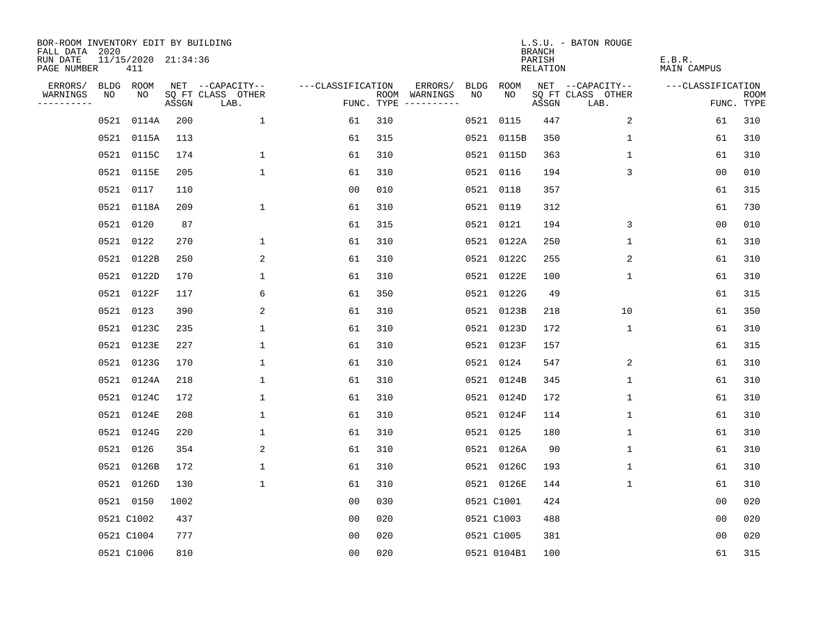| BOR-ROOM INVENTORY EDIT BY BUILDING<br>FALL DATA 2020 |      |                            |       |                           |                   |     |                                      |      |             | <b>BRANCH</b>             | L.S.U. - BATON ROUGE      |                              |                           |
|-------------------------------------------------------|------|----------------------------|-------|---------------------------|-------------------|-----|--------------------------------------|------|-------------|---------------------------|---------------------------|------------------------------|---------------------------|
| RUN DATE<br>PAGE NUMBER                               |      | 11/15/2020 21:34:36<br>411 |       |                           |                   |     |                                      |      |             | PARISH<br><b>RELATION</b> |                           | E.B.R.<br><b>MAIN CAMPUS</b> |                           |
| ERRORS/                                               |      | BLDG ROOM                  |       | NET --CAPACITY--          | ---CLASSIFICATION |     | ERRORS/                              | BLDG | ROOM        |                           | NET --CAPACITY--          | ---CLASSIFICATION            |                           |
| WARNINGS<br>----------                                | NO   | NO                         | ASSGN | SQ FT CLASS OTHER<br>LAB. |                   |     | ROOM WARNINGS<br>FUNC. TYPE $------$ | NO   | NO          | ASSGN                     | SQ FT CLASS OTHER<br>LAB. |                              | <b>ROOM</b><br>FUNC. TYPE |
|                                                       | 0521 | 0114A                      | 200   | $\mathbf{1}$              | 61                | 310 |                                      |      | 0521 0115   | 447                       | 2                         | 61                           | 310                       |
|                                                       |      | 0521 0115A                 | 113   |                           | 61                | 315 |                                      |      | 0521 0115B  | 350                       | 1                         | 61                           | 310                       |
|                                                       |      | 0521 0115C                 | 174   | $\mathbf 1$               | 61                | 310 |                                      |      | 0521 0115D  | 363                       | 1                         | 61                           | 310                       |
|                                                       |      | 0521 0115E                 | 205   | $\mathbf{1}$              | 61                | 310 |                                      |      | 0521 0116   | 194                       | 3                         | 00                           | 010                       |
|                                                       | 0521 | 0117                       | 110   |                           | 0 <sub>0</sub>    | 010 |                                      |      | 0521 0118   | 357                       |                           | 61                           | 315                       |
|                                                       |      | 0521 0118A                 | 209   | $\mathbf{1}$              | 61                | 310 |                                      |      | 0521 0119   | 312                       |                           | 61                           | 730                       |
|                                                       |      | 0521 0120                  | 87    |                           | 61                | 315 |                                      |      | 0521 0121   | 194                       | 3                         | 0 <sub>0</sub>               | 010                       |
|                                                       |      | 0521 0122                  | 270   | 1                         | 61                | 310 |                                      |      | 0521 0122A  | 250                       | $\mathbf{1}$              | 61                           | 310                       |
|                                                       | 0521 | 0122B                      | 250   | 2                         | 61                | 310 |                                      |      | 0521 0122C  | 255                       | 2                         | 61                           | 310                       |
|                                                       |      | 0521 0122D                 | 170   | $\mathbf 1$               | 61                | 310 |                                      |      | 0521 0122E  | 100                       | $\mathbf 1$               | 61                           | 310                       |
|                                                       |      | 0521 0122F                 | 117   | 6                         | 61                | 350 |                                      |      | 0521 0122G  | 49                        |                           | 61                           | 315                       |
|                                                       |      | 0521 0123                  | 390   | 2                         | 61                | 310 |                                      |      | 0521 0123B  | 218                       | 10                        | 61                           | 350                       |
|                                                       | 0521 | 0123C                      | 235   | 1                         | 61                | 310 |                                      |      | 0521 0123D  | 172                       | $\mathbf 1$               | 61                           | 310                       |
|                                                       | 0521 | 0123E                      | 227   | 1                         | 61                | 310 |                                      |      | 0521 0123F  | 157                       |                           | 61                           | 315                       |
|                                                       |      | 0521 0123G                 | 170   | $\mathbf{1}$              | 61                | 310 |                                      |      | 0521 0124   | 547                       | 2                         | 61                           | 310                       |
|                                                       | 0521 | 0124A                      | 218   | 1                         | 61                | 310 |                                      |      | 0521 0124B  | 345                       | 1                         | 61                           | 310                       |
|                                                       | 0521 | 0124C                      | 172   | 1                         | 61                | 310 |                                      |      | 0521 0124D  | 172                       | 1                         | 61                           | 310                       |
|                                                       | 0521 | 0124E                      | 208   | 1                         | 61                | 310 |                                      |      | 0521 0124F  | 114                       | 1                         | 61                           | 310                       |
|                                                       | 0521 | 0124G                      | 220   | 1                         | 61                | 310 |                                      |      | 0521 0125   | 180                       | 1                         | 61                           | 310                       |
|                                                       | 0521 | 0126                       | 354   | 2                         | 61                | 310 |                                      |      | 0521 0126A  | 90                        | 1                         | 61                           | 310                       |
|                                                       | 0521 | 0126B                      | 172   | $\mathbf 1$               | 61                | 310 |                                      |      | 0521 0126C  | 193                       | 1                         | 61                           | 310                       |
|                                                       |      | 0521 0126D                 | 130   | $\mathbf{1}$              | 61                | 310 |                                      |      | 0521 0126E  | 144                       | 1                         | 61                           | 310                       |
|                                                       |      | 0521 0150                  | 1002  |                           | 0 <sub>0</sub>    | 030 |                                      |      | 0521 C1001  | 424                       |                           | 0 <sub>0</sub>               | 020                       |
|                                                       |      | 0521 C1002                 | 437   |                           | 0 <sub>0</sub>    | 020 |                                      |      | 0521 C1003  | 488                       |                           | 0 <sub>0</sub>               | 020                       |
|                                                       |      | 0521 C1004                 | 777   |                           | 0 <sub>0</sub>    | 020 |                                      |      | 0521 C1005  | 381                       |                           | 0 <sub>0</sub>               | 020                       |
|                                                       |      | 0521 C1006                 | 810   |                           | 0 <sub>0</sub>    | 020 |                                      |      | 0521 0104B1 | 100                       |                           | 61                           | 315                       |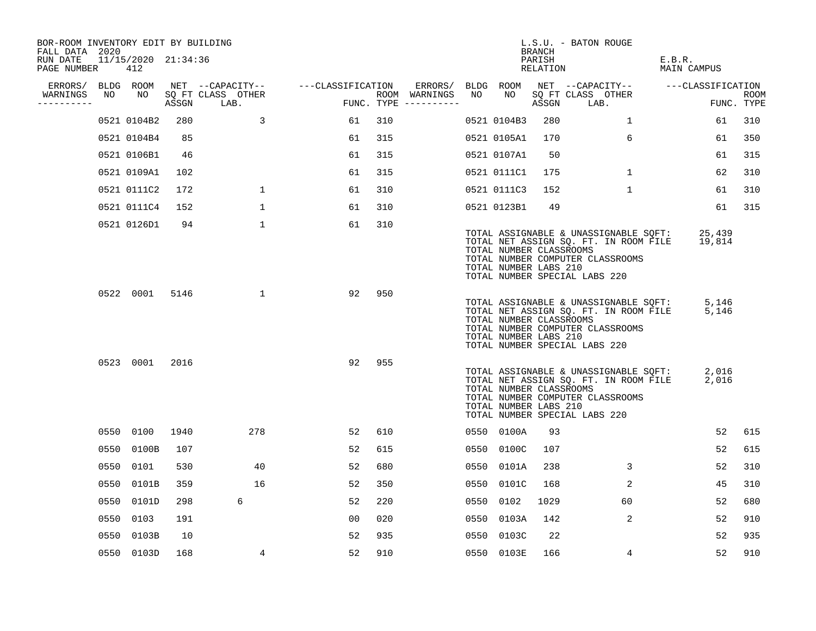| BOR-ROOM INVENTORY EDIT BY BUILDING<br>FALL DATA 2020 |      |                            |       |                           |                   |     |                                      |      |                                                  | BRANCH             | L.S.U. - BATON ROUGE                                                                                                                                |                       |                    |
|-------------------------------------------------------|------|----------------------------|-------|---------------------------|-------------------|-----|--------------------------------------|------|--------------------------------------------------|--------------------|-----------------------------------------------------------------------------------------------------------------------------------------------------|-----------------------|--------------------|
| RUN DATE<br>PAGE NUMBER                               |      | 11/15/2020 21:34:36<br>412 |       |                           |                   |     |                                      |      |                                                  | PARISH<br>RELATION |                                                                                                                                                     | E.B.R.<br>MAIN CAMPUS |                    |
| ERRORS/                                               |      | BLDG ROOM                  |       | NET --CAPACITY--          | ---CLASSIFICATION |     | ERRORS/                              |      | BLDG ROOM                                        |                    | NET --CAPACITY--                                                                                                                                    | ---CLASSIFICATION     |                    |
| WARNINGS<br>-----------                               | NO   | NO                         | ASSGN | SQ FT CLASS OTHER<br>LAB. |                   |     | ROOM WARNINGS<br>FUNC. TYPE $------$ | NO   | NO                                               | ASSGN              | SQ FT CLASS OTHER<br>LAB.                                                                                                                           |                       | ROOM<br>FUNC. TYPE |
|                                                       |      | 0521 0104B2                | 280   | 3                         | 61                | 310 |                                      |      | 0521 0104B3                                      | 280                | $\mathbf{1}$                                                                                                                                        | 61                    | 310                |
|                                                       |      | 0521 0104B4                | 85    |                           | 61                | 315 |                                      |      | 0521 0105A1                                      | 170                | 6                                                                                                                                                   | 61                    | 350                |
|                                                       |      | 0521 0106B1                | 46    |                           | 61                | 315 |                                      |      | 0521 0107A1                                      | 50                 |                                                                                                                                                     | 61                    | 315                |
|                                                       |      | 0521 0109A1                | 102   |                           | 61                | 315 |                                      |      | 0521 0111C1                                      | 175                | $\mathbf{1}$                                                                                                                                        | 62                    | 310                |
|                                                       |      | 0521 0111C2                | 172   | $\mathbf 1$               | 61                | 310 |                                      |      | 0521 0111C3                                      | 152                | $\mathbf{1}$                                                                                                                                        | 61                    | 310                |
|                                                       |      | 0521 0111C4                | 152   | $\mathbf{1}$              | 61                | 310 |                                      |      | 0521 0123B1                                      | 49                 |                                                                                                                                                     | 61                    | 315                |
|                                                       |      | 0521 0126D1                | 94    | $\mathbf{1}$              | 61                | 310 |                                      |      | TOTAL NUMBER CLASSROOMS<br>TOTAL NUMBER LABS 210 |                    | TOTAL ASSIGNABLE & UNASSIGNABLE SQFT:<br>TOTAL NET ASSIGN SQ. FT. IN ROOM FILE<br>TOTAL NUMBER COMPUTER CLASSROOMS<br>TOTAL NUMBER SPECIAL LABS 220 | 25,439<br>19,814      |                    |
|                                                       |      | 0522 0001                  | 5146  | $\mathbf 1$               | 92                | 950 |                                      |      | TOTAL NUMBER CLASSROOMS<br>TOTAL NUMBER LABS 210 |                    | TOTAL ASSIGNABLE & UNASSIGNABLE SQFT:<br>TOTAL NET ASSIGN SQ. FT. IN ROOM FILE<br>TOTAL NUMBER COMPUTER CLASSROOMS<br>TOTAL NUMBER SPECIAL LABS 220 | 5,146<br>5,146        |                    |
|                                                       |      | 0523 0001                  | 2016  |                           | 92                | 955 |                                      |      | TOTAL NUMBER CLASSROOMS<br>TOTAL NUMBER LABS 210 |                    | TOTAL ASSIGNABLE & UNASSIGNABLE SQFT:<br>TOTAL NET ASSIGN SQ. FT. IN ROOM FILE<br>TOTAL NUMBER COMPUTER CLASSROOMS<br>TOTAL NUMBER SPECIAL LABS 220 | 2,016<br>2,016        |                    |
|                                                       |      | 0550 0100                  | 1940  | 278                       | 52                | 610 |                                      |      | 0550 0100A                                       | 93                 |                                                                                                                                                     | 52                    | 615                |
|                                                       |      | 0550 0100B                 | 107   |                           | 52                | 615 |                                      | 0550 | 0100C                                            | 107                |                                                                                                                                                     | 52                    | 615                |
|                                                       |      | 0550 0101                  | 530   | 40                        | 52                | 680 |                                      | 0550 | 0101A                                            | 238                | 3                                                                                                                                                   | 52                    | 310                |
|                                                       | 0550 | 0101B                      | 359   | 16                        | 52                | 350 |                                      | 0550 | 0101C                                            | 168                | 2                                                                                                                                                   | 45                    | 310                |
|                                                       |      | 0550 0101D                 | 298   | 6                         | 52                | 220 |                                      | 0550 | 0102                                             | 1029               | 60                                                                                                                                                  | 52                    | 680                |
|                                                       | 0550 | 0103                       | 191   |                           | 0 <sub>0</sub>    | 020 |                                      | 0550 | 0103A                                            | 142                | 2                                                                                                                                                   | 52                    | 910                |
|                                                       | 0550 | 0103B                      | 10    |                           | 52                | 935 |                                      | 0550 | 0103C                                            | 22                 |                                                                                                                                                     | 52                    | 935                |
|                                                       |      | 0550 0103D                 | 168   | 4                         | 52                | 910 |                                      |      | 0550 0103E                                       | 166                | 4                                                                                                                                                   | 52                    | 910                |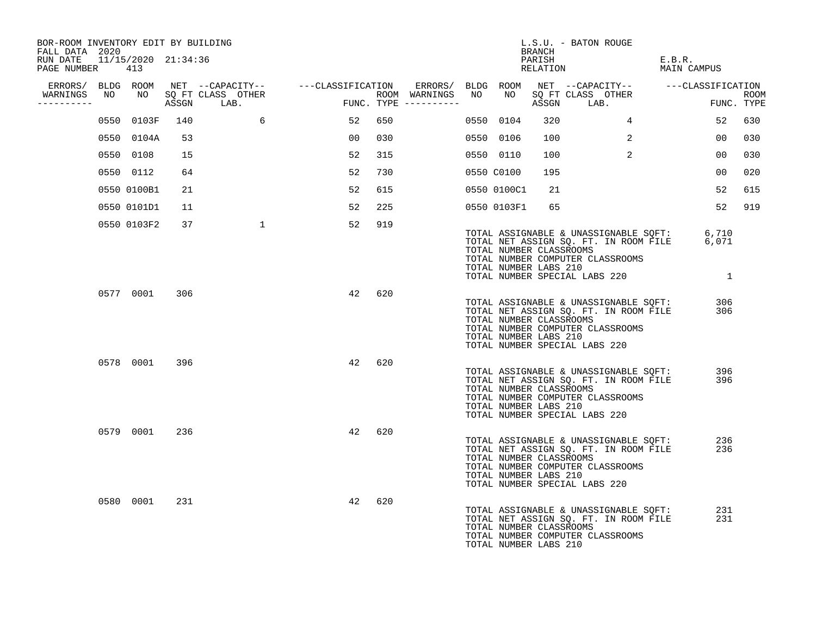| BOR-ROOM INVENTORY EDIT BY BUILDING<br>FALL DATA 2020 |    |             |     |                                    |            |     |                                            |                                                  | BRANCH             | L.S.U. - BATON ROUGE                                                                                                                                            |                       |                           |
|-------------------------------------------------------|----|-------------|-----|------------------------------------|------------|-----|--------------------------------------------|--------------------------------------------------|--------------------|-----------------------------------------------------------------------------------------------------------------------------------------------------------------|-----------------------|---------------------------|
| RUN DATE 11/15/2020 21:34:36<br>PAGE NUMBER           |    | 413         |     |                                    |            |     |                                            |                                                  | PARISH<br>RELATION |                                                                                                                                                                 | E.B.R.<br>MAIN CAMPUS |                           |
|                                                       |    |             |     |                                    |            |     |                                            |                                                  |                    | ERRORS/ BLDG ROOM NET --CAPACITY-- - ---CLASSIFICATION ERRORS/ BLDG ROOM NET --CAPACITY-- - ---CLASSIFICATION                                                   |                       |                           |
| WARNINGS<br>----------                                | NO |             |     | NO SQ FT CLASS OTHER<br>ASSGN LAB. | <b>FUN</b> |     | ROOM WARNINGS NO<br>$FUNC. TYPE ---------$ | NO                                               |                    | SQ FT CLASS OTHER<br>ASSGN LAB.                                                                                                                                 |                       | <b>ROOM</b><br>FUNC. TYPE |
|                                                       |    | 0550 0103F  | 140 | 6                                  | 52         | 650 |                                            | 0550 0104                                        | 320                | 4                                                                                                                                                               | 52                    | 630                       |
|                                                       |    | 0550 0104A  | 53  |                                    | 00         | 030 |                                            | 0550 0106                                        | 100                | 2                                                                                                                                                               | 00                    | 030                       |
|                                                       |    | 0550 0108   | 15  |                                    | 52         | 315 |                                            | 0550 0110                                        | 100                | $\overline{a}$                                                                                                                                                  | 00                    | 030                       |
|                                                       |    | 0550 0112   | 64  |                                    | 52         | 730 |                                            | 0550 C0100                                       | 195                |                                                                                                                                                                 | 00                    | 020                       |
|                                                       |    | 0550 0100B1 | 21  |                                    | 52         | 615 |                                            | 0550 0100C1                                      | 21                 |                                                                                                                                                                 | 52                    | 615                       |
|                                                       |    | 0550 0101D1 | 11  |                                    | 52         | 225 |                                            | 0550 0103F1                                      | 65                 |                                                                                                                                                                 | 52                    | 919                       |
|                                                       |    | 0550 0103F2 | 37  | $\mathbf{1}$                       | 52         | 919 |                                            | TOTAL NUMBER CLASSROOMS<br>TOTAL NUMBER LABS 210 |                    | TOTAL ASSIGNABLE & UNASSIGNABLE SQFT: 6,710<br>TOTAL NET ASSIGN SQ. FT. IN ROOM FILE 6,071<br>TOTAL NUMBER COMPUTER CLASSROOMS<br>TOTAL NUMBER SPECIAL LABS 220 | $\overline{1}$        |                           |
|                                                       |    | 0577 0001   | 306 |                                    | 42         | 620 |                                            | TOTAL NUMBER CLASSROOMS<br>TOTAL NUMBER LABS 210 |                    | TOTAL ASSIGNABLE & UNASSIGNABLE SQFT:<br>TOTAL NET ASSIGN SQ. FT. IN ROOM FILE<br>TOTAL NUMBER COMPUTER CLASSROOMS<br>TOTAL NUMBER SPECIAL LABS 220             | 306<br>306            |                           |
|                                                       |    | 0578 0001   | 396 |                                    | 42         | 620 |                                            | TOTAL NUMBER CLASSROOMS<br>TOTAL NUMBER LABS 210 |                    | TOTAL ASSIGNABLE & UNASSIGNABLE SQFT:<br>TOTAL NET ASSIGN SQ. FT. IN ROOM FILE<br>TOTAL NUMBER COMPUTER CLASSROOMS<br>TOTAL NUMBER SPECIAL LABS 220             | 396<br>396            |                           |
|                                                       |    | 0579 0001   | 236 |                                    | 42         | 620 |                                            | TOTAL NUMBER CLASSROOMS<br>TOTAL NUMBER LABS 210 |                    | TOTAL ASSIGNABLE & UNASSIGNABLE SQFT:<br>TOTAL NET ASSIGN SQ. FT. IN ROOM FILE<br>TOTAL NUMBER COMPUTER CLASSROOMS<br>TOTAL NUMBER SPECIAL LABS 220             | 236<br>236            |                           |
|                                                       |    | 0580 0001   | 231 |                                    | 42         | 620 |                                            | TOTAL NUMBER CLASSROOMS<br>TOTAL NUMBER LABS 210 |                    | TOTAL ASSIGNABLE & UNASSIGNABLE SQFT:<br>TOTAL NET ASSIGN SQ. FT. IN ROOM FILE<br>TOTAL NUMBER COMPUTER CLASSROOMS                                              | 231<br>231            |                           |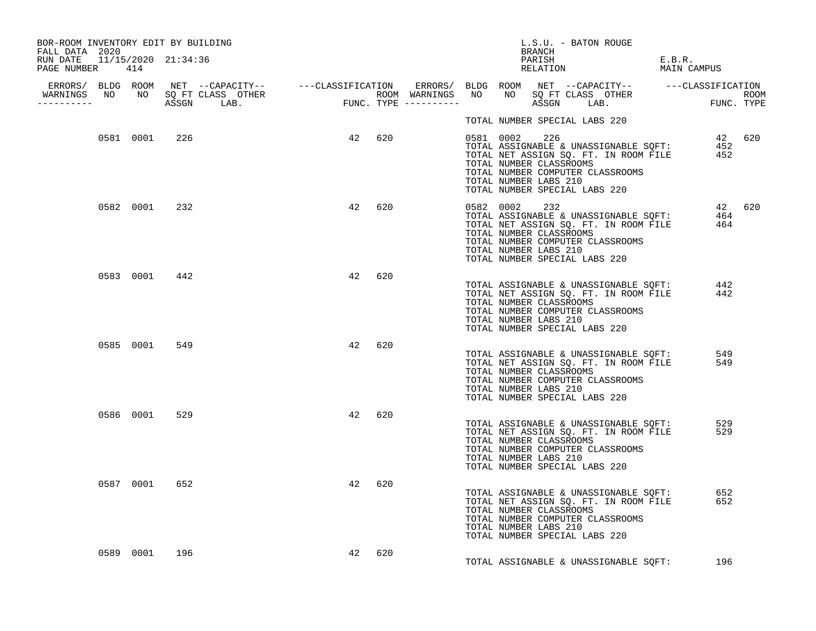| BOR-ROOM INVENTORY EDIT BY BUILDING<br>FALL DATA 2020 |               |               |        |        |        |  |                                                                                                    | L.S.U. - BATON ROUGE<br>BRANCH |  |                                  |                                                                                                                                 |        |
|-------------------------------------------------------|---------------|---------------|--------|--------|--------|--|----------------------------------------------------------------------------------------------------|--------------------------------|--|----------------------------------|---------------------------------------------------------------------------------------------------------------------------------|--------|
| RUN DATE 11/15/2020 21:34:36<br>PAGE NUMBER 414       |               |               |        |        |        |  |                                                                                                    |                                |  | PARISH<br>PARISH<br>RELATION     | E.B.R.<br>MAIN CAMPUS                                                                                                           |        |
|                                                       |               |               |        |        |        |  |                                                                                                    |                                |  |                                  |                                                                                                                                 |        |
|                                                       |               |               |        |        |        |  | TOTAL NUMBER SPECIAL LABS 220                                                                      |                                |  |                                  |                                                                                                                                 |        |
|                                                       |               | 0581 0001 226 | 42 620 |        |        |  | TOTAL NUMBER LABS 210<br>TOTAL NUMBER SPECIAL LABS 220                                             |                                |  | TOTAL NUMBER COMPUTER CLASSROOMS | 220 42 620<br>TOTAL ASSIGNABLE & UNASSIGNABLE SQFT: 452<br>TOTAL NET ASSIGN SQ. FT. IN ROOM FILE 452<br>TOTAL NUMBER CLASSROOMS |        |
|                                                       |               | 0582 0001 232 |        |        | 42 620 |  | 0582 0002 232<br>TOTAL NUMBER CLASSROOMS<br>TOTAL NUMBER LABS 210<br>TOTAL NUMBER SPECIAL LABS 220 |                                |  | TOTAL NUMBER COMPUTER CLASSROOMS | TOTAL ASSIGNABLE & UNASSIGNABLE SQFT: 464<br>TOTAL NET ASSIGN SQ. FT. IN ROOM FILE 464                                          | 42 620 |
|                                                       |               | 0583 0001 442 |        | 42 620 |        |  | TOTAL NUMBER CLASSROOMS<br>TOTAL NUMBER LABS 210<br>TOTAL NUMBER SPECIAL LABS 220                  |                                |  | TOTAL NUMBER COMPUTER CLASSROOMS | TOTAL ASSIGNABLE & UNASSIGNABLE SQFT: 442<br>TOTAL NET ASSIGN SQ. FT. IN ROOM FILE 442                                          |        |
|                                                       |               | 0585 0001 549 |        | 42     | 620    |  | TOTAL NUMBER CLASSROOMS<br>TOTAL NUMBER LABS 210<br>TOTAL NUMBER SPECIAL LABS 220                  |                                |  | TOTAL NUMBER COMPUTER CLASSROOMS | TOTAL ASSIGNABLE & UNASSIGNABLE SQFT: 549<br>TOTAL NET ASSIGN SQ. FT. IN ROOM FILE 549                                          |        |
|                                                       |               | 0586 0001 529 |        | 42     | 620    |  | TOTAL NUMBER CLASSROOMS<br>TOTAL NUMBER LABS 210<br>TOTAL NUMBER SPECIAL LABS 220                  |                                |  | TOTAL NUMBER COMPUTER CLASSROOMS | TOTAL ASSIGNABLE & UNASSIGNABLE SQFT: 529<br>TOTAL NET ASSIGN SQ. FT. IN ROOM FILE 529                                          |        |
|                                                       |               | 0587 0001 652 |        | 42     | 620    |  | TOTAL NUMBER CLASSROOMS<br>TOTAL NUMBER LABS 210<br>TOTAL NUMBER SPECIAL LABS 220                  |                                |  | TOTAL NUMBER COMPUTER CLASSROOMS | TOTAL ASSIGNABLE & UNASSIGNABLE SQFT: 652<br>TOTAL NET ASSIGN SQ. FT. IN ROOM FILE 652                                          |        |
|                                                       | 0589 0001 196 |               |        | 42     | 620    |  |                                                                                                    |                                |  |                                  | TOTAL ASSIGNABLE & UNASSIGNABLE SQFT: 196                                                                                       |        |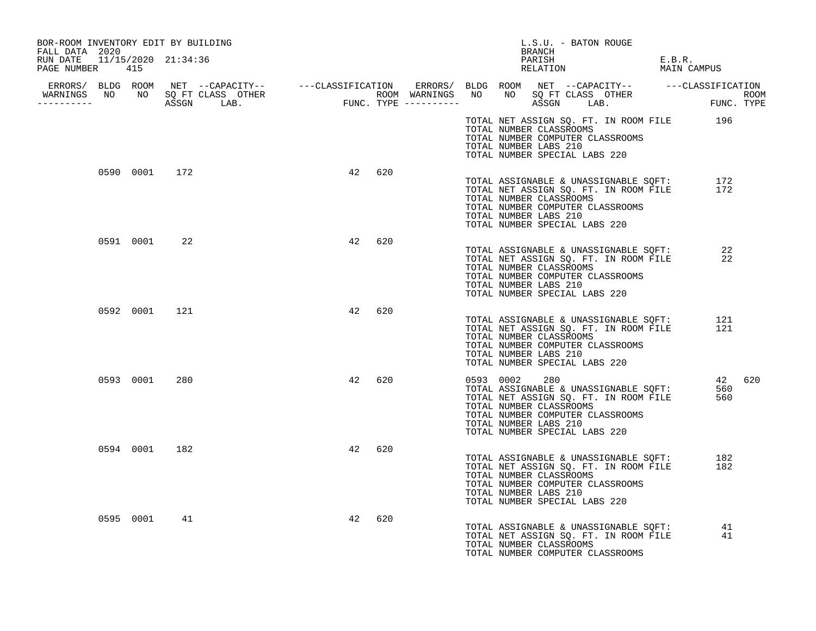| BOR-ROOM INVENTORY EDIT BY BUILDING<br>FALL DATA 2020 |           |               |                                                                                                                                                                                                                                      |    |     |               | L.S.U. - BATON ROUGE<br>BRANCH                                                    |                                                                                                                            |                       |        |
|-------------------------------------------------------|-----------|---------------|--------------------------------------------------------------------------------------------------------------------------------------------------------------------------------------------------------------------------------------|----|-----|---------------|-----------------------------------------------------------------------------------|----------------------------------------------------------------------------------------------------------------------------|-----------------------|--------|
| RUN DATE 11/15/2020 21:34:36<br>PAGE NUMBER 415       |           |               |                                                                                                                                                                                                                                      |    |     |               | PARISH<br>RELATION                                                                |                                                                                                                            | E.B.R.<br>MAIN CAMPUS |        |
|                                                       |           |               |                                                                                                                                                                                                                                      |    |     |               |                                                                                   |                                                                                                                            |                       |        |
|                                                       |           |               | ERRORS/ BLDG ROOM NET --CAPACITY-- ----CLASSIFICATION ERRORS/ BLDG ROOM NET --CAPACITY-- -----CLASSIFICATION<br>WARNINGS NO NO SQFTCLASS OTHER ROOM WARNINGS NO NO SQFTCLASS OTHER ROOM<br>----------- ASSGN LAB. FUNC.TYPE -------- |    |     |               |                                                                                   |                                                                                                                            |                       |        |
|                                                       |           |               |                                                                                                                                                                                                                                      |    |     |               | TOTAL NUMBER CLASSROOMS<br>TOTAL NUMBER LABS 210<br>TOTAL NUMBER SPECIAL LABS 220 | TOTAL NET ASSIGN SQ. FT. IN ROOM FILE 196<br>TOTAL NUMBER COMPUTER CLASSROOMS                                              |                       |        |
|                                                       |           | 0590 0001 172 |                                                                                                                                                                                                                                      | 42 | 620 |               | TOTAL NUMBER CLASSROOMS<br>TOTAL NUMBER LABS 210<br>TOTAL NUMBER SPECIAL LABS 220 | TOTAL ASSIGNABLE & UNASSIGNABLE SQFT: 172<br>TOTAL NET ASSIGN SQ. FT. IN ROOM FILE 172<br>TOTAL NUMBER COMPUTER CLASSROOMS |                       |        |
|                                                       |           | 0591 0001 22  |                                                                                                                                                                                                                                      | 42 | 620 |               | TOTAL NUMBER CLASSROOMS<br>TOTAL NUMBER LABS 210<br>TOTAL NUMBER SPECIAL LABS 220 | TOTAL ASSIGNABLE & UNASSIGNABLE SQFT: 22<br>TOTAL NET ASSIGN SQ. FT. IN ROOM FILE<br>TOTAL NUMBER COMPUTER CLASSROOMS      | 22                    |        |
|                                                       |           | 0592 0001 121 |                                                                                                                                                                                                                                      | 42 | 620 |               | TOTAL NUMBER CLASSROOMS<br>TOTAL NUMBER LABS 210<br>TOTAL NUMBER SPECIAL LABS 220 | TOTAL ASSIGNABLE & UNASSIGNABLE SOFT:<br>TOTAL NET ASSIGN SQ. FT. IN ROOM FILE<br>TOTAL NUMBER COMPUTER CLASSROOMS         | 121<br>121            |        |
|                                                       | 0593 0001 | 280           |                                                                                                                                                                                                                                      | 42 | 620 | 0593 0002 280 | TOTAL NUMBER CLASSROOMS<br>TOTAL NUMBER LABS 210<br>TOTAL NUMBER SPECIAL LABS 220 | TOTAL ASSIGNABLE & UNASSIGNABLE SQFT:<br>TOTAL NET ASSIGN SQ. FT. IN ROOM FILE<br>TOTAL NUMBER COMPUTER CLASSROOMS         | 560<br>560            | 42 620 |
|                                                       |           | 0594 0001 182 |                                                                                                                                                                                                                                      | 42 | 620 |               | TOTAL NUMBER CLASSROOMS<br>TOTAL NUMBER LABS 210<br>TOTAL NUMBER SPECIAL LABS 220 | TOTAL ASSIGNABLE & UNASSIGNABLE SOFT:<br>TOTAL NET ASSIGN SQ. FT. IN ROOM FILE<br>TOTAL NUMBER COMPUTER CLASSROOMS         | 182<br>182            |        |
|                                                       | 0595 0001 | 41            |                                                                                                                                                                                                                                      | 42 | 620 |               | TOTAL NUMBER CLASSROOMS                                                           | TOTAL ASSIGNABLE & UNASSIGNABLE SQFT:<br>TOTAL NET ASSIGN SQ. FT. IN ROOM FILE<br>TOTAL NUMBER COMPUTER CLASSROOMS         | 41<br>41              |        |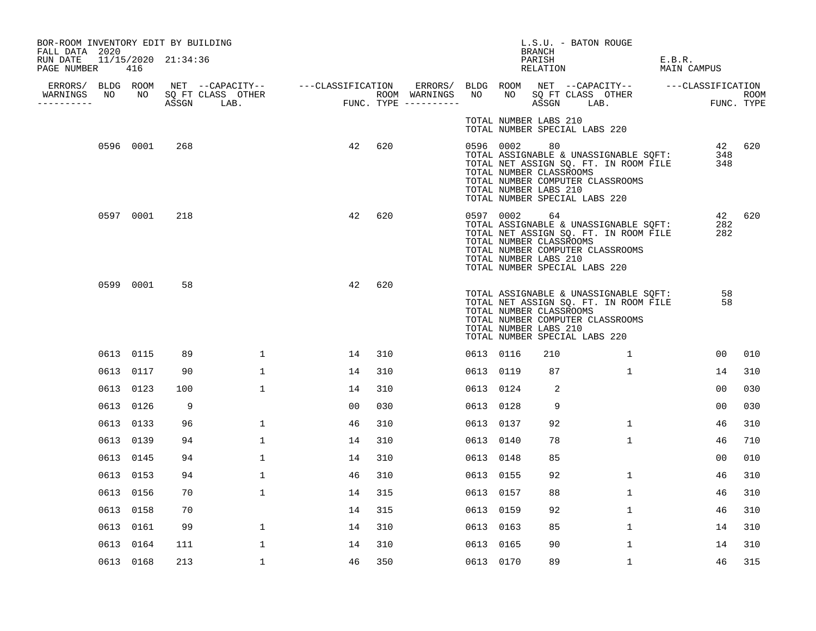| BOR-ROOM INVENTORY EDIT BY BUILDING<br>FALL DATA 2020 |           |     |                                                                                                                                       |       |     |                     |           | L.S.U. - BATON ROUGE<br>BRANCH                                                          |                                                                                                                                                             |                       |                      |        |
|-------------------------------------------------------|-----------|-----|---------------------------------------------------------------------------------------------------------------------------------------|-------|-----|---------------------|-----------|-----------------------------------------------------------------------------------------|-------------------------------------------------------------------------------------------------------------------------------------------------------------|-----------------------|----------------------|--------|
| RUN DATE 11/15/2020 21:34:36<br>PAGE NUMBER           | 416       |     |                                                                                                                                       |       |     |                     |           | PARISH<br>RELATION                                                                      |                                                                                                                                                             | E.B.R.<br>MAIN CAMPUS |                      |        |
| WARNINGS<br>NO                                        |           |     | ERRORS/ BLDG ROOM NET --CAPACITY-- - ---CLASSIFICATION ERRORS/ BLDG ROOM NET --CAPACITY-- - ---CLASSIFICATION<br>NO SQ FT CLASS OTHER |       |     | ROOM WARNINGS NO    |           |                                                                                         |                                                                                                                                                             |                       |                      |        |
| -----------                                           |           |     | ASSGN LAB.                                                                                                                            | FUNC. |     | FUNC. TYPE $------$ |           |                                                                                         | NO SQ FT CLASS OTHER FUNC. TYPE                                                                                                                             |                       |                      |        |
|                                                       |           |     |                                                                                                                                       |       |     |                     |           | TOTAL NUMBER LABS 210<br>TOTAL NUMBER SPECIAL LABS 220                                  |                                                                                                                                                             |                       |                      |        |
|                                                       | 0596 0001 | 268 |                                                                                                                                       | 42    | 620 |                     | 0596 0002 | 80<br>TOTAL NUMBER CLASSROOMS<br>TOTAL NUMBER LABS 210<br>TOTAL NUMBER SPECIAL LABS 220 | TOTAL ASSIGNABLE & UNASSIGNABLE SQFT:<br>TOTAL ASSIGNABLE & UNASSIGNABLE SQFT:<br>TOTAL NET ASSIGN SQ. FT. IN ROOM FILE<br>TOTAL NUMBER COMPUTER CLASSROOMS |                       | 42 620<br>348<br>348 |        |
|                                                       | 0597 0001 | 218 |                                                                                                                                       | 42    | 620 |                     | 0597 0002 | 64<br>TOTAL NUMBER CLASSROOMS<br>TOTAL NUMBER LABS 210<br>TOTAL NUMBER SPECIAL LABS 220 | TOTAL ASSIGNABLE & UNASSIGNABLE SQFT:<br>TOTAL NET ASSIGN SQ. FT. IN ROOM FILE<br>TOTAL NUMBER COMPUTER CLASSROOMS                                          |                       | 282<br>282           | 42 620 |
|                                                       | 0599 0001 | 58  |                                                                                                                                       | 42    | 620 |                     |           | TOTAL NUMBER CLASSROOMS<br>TOTAL NUMBER LABS 210<br>TOTAL NUMBER SPECIAL LABS 220       | TOTAL ASSIGNABLE & UNASSIGNABLE SQFT:<br>TOTAL NET ASSIGN SQ. FT. IN ROOM FILE<br>TOTAL NUMBER COMPUTER CLASSROOMS                                          |                       | 58<br>58             |        |
|                                                       | 0613 0115 | 89  | 1                                                                                                                                     | 14    | 310 |                     | 0613 0116 | 210                                                                                     | $\overline{1}$                                                                                                                                              |                       | 00                   | 010    |
|                                                       | 0613 0117 | 90  | $\mathbf{1}$                                                                                                                          | 14    | 310 |                     | 0613 0119 | 87                                                                                      | $\mathbf{1}$                                                                                                                                                |                       | 14                   | 310    |
|                                                       | 0613 0123 | 100 | $\mathbf{1}$                                                                                                                          | 14    | 310 |                     | 0613 0124 | 2                                                                                       |                                                                                                                                                             |                       | 0 <sub>0</sub>       | 030    |
|                                                       | 0613 0126 | 9   |                                                                                                                                       | 00    | 030 |                     | 0613 0128 | 9                                                                                       |                                                                                                                                                             |                       | 00                   | 030    |
|                                                       | 0613 0133 | 96  | $\mathbf 1$                                                                                                                           | 46    | 310 |                     | 0613 0137 | 92                                                                                      | $\mathbf{1}$                                                                                                                                                |                       | 46                   | 310    |
|                                                       | 0613 0139 | 94  | $\mathbf{1}$                                                                                                                          | 14    | 310 |                     | 0613 0140 | 78                                                                                      | $\mathbf{1}$                                                                                                                                                |                       | 46                   | 710    |
|                                                       | 0613 0145 | 94  | 1                                                                                                                                     | 14    | 310 |                     | 0613 0148 | 85                                                                                      |                                                                                                                                                             |                       | 0 <sub>0</sub>       | 010    |
|                                                       | 0613 0153 | 94  | $\mathbf 1$                                                                                                                           | 46    | 310 |                     | 0613 0155 | 92                                                                                      | $\mathbf{1}$                                                                                                                                                |                       | 46                   | 310    |
|                                                       | 0613 0156 | 70  | $\mathbf{1}$                                                                                                                          | 14    | 315 |                     | 0613 0157 | 88                                                                                      | $\mathbf{1}$                                                                                                                                                |                       | 46                   | 310    |
|                                                       | 0613 0158 | 70  |                                                                                                                                       | 14    | 315 |                     | 0613 0159 | 92                                                                                      | $\mathbf{1}$                                                                                                                                                |                       | 46                   | 310    |
|                                                       | 0613 0161 | 99  | 1                                                                                                                                     | 14    | 310 |                     | 0613 0163 | 85                                                                                      | 1                                                                                                                                                           |                       | 14                   | 310    |
|                                                       | 0613 0164 | 111 | 1                                                                                                                                     | 14    | 310 |                     | 0613 0165 | 90                                                                                      | $\mathbf 1$                                                                                                                                                 |                       | 14                   | 310    |
|                                                       | 0613 0168 | 213 | $\mathbf{1}$                                                                                                                          | 46    | 350 |                     | 0613 0170 | 89                                                                                      | $\mathbf{1}$                                                                                                                                                |                       | 46                   | 315    |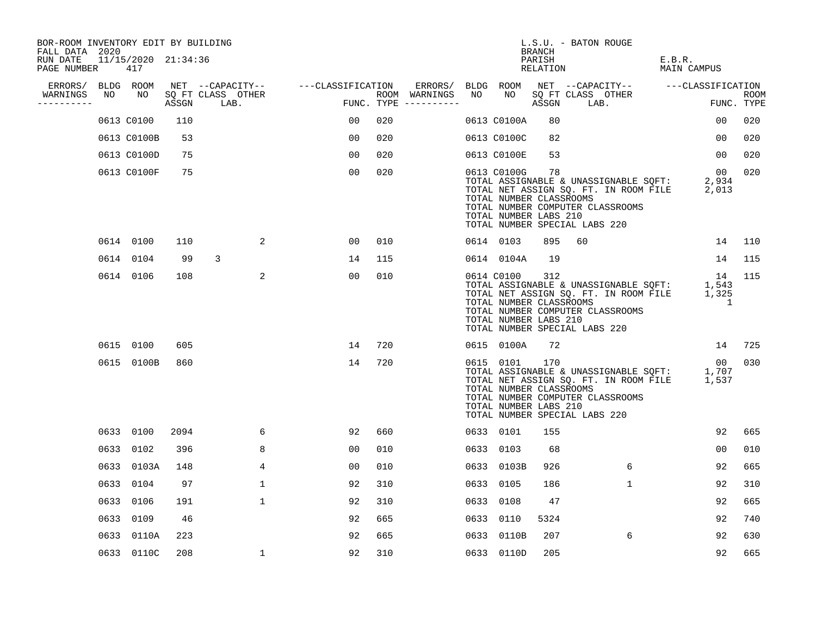| BOR-ROOM INVENTORY EDIT BY BUILDING<br>FALL DATA 2020 |      |                            |       |                           |                                    |     |                                      |      |                                                                 | BRANCH             | L.S.U. - BATON ROUGE                                                                                                                                            |                           |                           |
|-------------------------------------------------------|------|----------------------------|-------|---------------------------|------------------------------------|-----|--------------------------------------|------|-----------------------------------------------------------------|--------------------|-----------------------------------------------------------------------------------------------------------------------------------------------------------------|---------------------------|---------------------------|
| RUN DATE<br>PAGE NUMBER                               |      | 11/15/2020 21:34:36<br>417 |       |                           |                                    |     |                                      |      |                                                                 | PARISH<br>RELATION |                                                                                                                                                                 | E.B.R.<br>MAIN CAMPUS     |                           |
| ERRORS/                                               |      | BLDG ROOM                  |       |                           | NET --CAPACITY-- ---CLASSIFICATION |     | ERRORS/                              |      | BLDG ROOM                                                       |                    | NET --CAPACITY-- ---CLASSIFICATION                                                                                                                              |                           |                           |
| WARNINGS<br>----------                                | NO   | NO                         | ASSGN | SQ FT CLASS OTHER<br>LAB. |                                    |     | ROOM WARNINGS<br>FUNC. TYPE $------$ | NO   | NO                                                              | ASSGN              | SQ FT CLASS OTHER<br>LAB.                                                                                                                                       |                           | <b>ROOM</b><br>FUNC. TYPE |
|                                                       |      | 0613 C0100                 | 110   |                           | 00                                 | 020 |                                      |      | 0613 C0100A                                                     | 80                 |                                                                                                                                                                 | 00                        | 020                       |
|                                                       |      | 0613 C0100B                | 53    |                           | 00                                 | 020 |                                      |      | 0613 C0100C                                                     | 82                 |                                                                                                                                                                 | 00                        | 020                       |
|                                                       |      | 0613 C0100D                | 75    |                           | 00                                 | 020 |                                      |      | 0613 C0100E                                                     | 53                 |                                                                                                                                                                 | 00                        | 020                       |
|                                                       |      | 0613 C0100F                | 75    |                           | 0 <sub>0</sub>                     | 020 |                                      |      | 0613 C0100G<br>TOTAL NUMBER CLASSROOMS<br>TOTAL NUMBER LABS 210 | 78                 | TOTAL ASSIGNABLE & UNASSIGNABLE SQFT:<br>TOTAL NET ASSIGN SQ. FT. IN ROOM FILE<br>TOTAL NUMBER COMPUTER CLASSROOMS<br>TOTAL NUMBER SPECIAL LABS 220             | 00<br>2,934<br>2,013      | 020                       |
|                                                       |      | 0614 0100                  | 110   | 2                         | 00                                 | 010 |                                      |      | 0614 0103                                                       | 895                | 60                                                                                                                                                              | 14                        | 110                       |
|                                                       | 0614 | 0104                       | 99    | 3                         | 14                                 | 115 |                                      |      | 0614 0104A                                                      | 19                 |                                                                                                                                                                 | 14                        | 115                       |
|                                                       |      | 0614 0106                  | 108   | 2                         | 00                                 | 010 |                                      |      | 0614 C0100<br>TOTAL NUMBER CLASSROOMS<br>TOTAL NUMBER LABS 210  | 312                | TOTAL ASSIGNABLE & UNASSIGNABLE SQFT:<br>TOTAL NET ASSIGN SQ. FT. IN ROOM FILE<br>TOTAL NUMBER COMPUTER CLASSROOMS<br>TOTAL NUMBER SPECIAL LABS 220             | 14<br>1,543<br>1,325<br>1 | 115                       |
|                                                       |      | 0615 0100                  | 605   |                           | 14                                 | 720 |                                      |      | 0615 0100A                                                      | 72                 |                                                                                                                                                                 | 14                        | 725                       |
|                                                       |      | 0615 0100B                 | 860   |                           | 14                                 | 720 |                                      |      | 0615 0101<br>TOTAL NUMBER CLASSROOMS<br>TOTAL NUMBER LABS 210   | 170                | TOTAL ASSIGNABLE & UNASSIGNABLE SQFT: 1,707<br>TOTAL NET ASSIGN SQ. FT. IN ROOM FILE 1,537<br>TOTAL NUMBER COMPUTER CLASSROOMS<br>TOTAL NUMBER SPECIAL LABS 220 | 00                        | 030                       |
|                                                       |      | 0633 0100                  | 2094  | 6                         | 92                                 | 660 |                                      |      | 0633 0101                                                       | 155                |                                                                                                                                                                 | 92                        | 665                       |
|                                                       | 0633 | 0102                       | 396   | 8                         | 00                                 | 010 |                                      |      | 0633 0103                                                       | 68                 |                                                                                                                                                                 | 0 <sub>0</sub>            | 010                       |
|                                                       | 0633 | 0103A                      | 148   | 4                         | 0 <sub>0</sub>                     | 010 |                                      |      | 0633 0103B                                                      | 926                | 6                                                                                                                                                               | 92                        | 665                       |
|                                                       | 0633 | 0104                       | 97    | $\mathbf{1}$              | 92                                 | 310 |                                      | 0633 | 0105                                                            | 186                | $\mathbf{1}$                                                                                                                                                    | 92                        | 310                       |
|                                                       | 0633 | 0106                       | 191   | $\mathbf 1$               | 92                                 | 310 |                                      | 0633 | 0108                                                            | 47                 |                                                                                                                                                                 | 92                        | 665                       |
|                                                       | 0633 | 0109                       | 46    |                           | 92                                 | 665 |                                      | 0633 | 0110                                                            | 5324               |                                                                                                                                                                 | 92                        | 740                       |
|                                                       | 0633 | 0110A                      | 223   |                           | 92                                 | 665 |                                      |      | 0633 0110B                                                      | 207                | 6                                                                                                                                                               | 92                        | 630                       |
|                                                       |      | 0633 0110C                 | 208   | 1                         | 92                                 | 310 |                                      |      | 0633 0110D                                                      | 205                |                                                                                                                                                                 | 92                        | 665                       |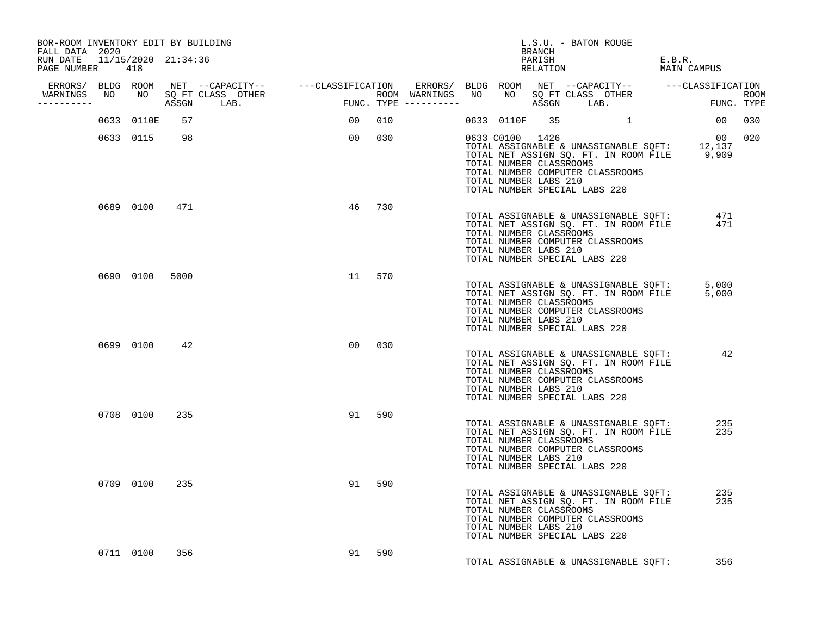| BOR-ROOM INVENTORY EDIT BY BUILDING<br>FALL DATA 2020 |                |     |                                  |                |        |                                                                     | BRANCH | L.S.U. - BATON ROUGE                                                                                                                                                                   |                       |  |
|-------------------------------------------------------|----------------|-----|----------------------------------|----------------|--------|---------------------------------------------------------------------|--------|----------------------------------------------------------------------------------------------------------------------------------------------------------------------------------------|-----------------------|--|
| RUN DATE 11/15/2020 21:34:36<br>PAGE NUMBER 418       |                |     |                                  |                |        |                                                                     |        | PARISH<br>RELATION                                                                                                                                                                     | E.B.R.<br>MAIN CAMPUS |  |
|                                                       |                |     |                                  |                |        |                                                                     |        |                                                                                                                                                                                        |                       |  |
| -----------                                           |                |     | WARNINGS NO NO SQ FT CLASS OTHER |                |        |                                                                     |        |                                                                                                                                                                                        |                       |  |
|                                                       | 0633 0110E     | 57  |                                  |                | 00 010 |                                                                     |        | 0633 0110F 35 1                                                                                                                                                                        | 00 030                |  |
|                                                       | 0633 0115      | 98  |                                  |                | 00 030 | 0633 C0100 1426<br>TOTAL NUMBER CLASSROOMS<br>TOTAL NUMBER LABS 210 |        | 00 0033 COLOO 1426<br>TOTAL ASSIGNABLE & UNASSIGNABLE SQFT: 12,137<br>TOTAL NET ASSIGN SQ. FT. IN ROOM FILE 9,909<br>TOTAL NUMBER COMPUTER CLASSROOMS<br>TOTAL NUMBER SPECIAL LABS 220 | 00 020                |  |
|                                                       | 0689 0100      | 471 |                                  | 46             | 730    | TOTAL NUMBER CLASSROOMS<br>TOTAL NUMBER LABS 210                    |        | TOTAL ASSIGNABLE & UNASSIGNABLE SQFT: 471<br>TOTAL NET ASSIGN SQ. FT. IN ROOM FILE<br>TOTAL NUMBER COMPUTER CLASSROOMS<br>TOTAL NUMBER SPECIAL LABS 220                                | 471                   |  |
|                                                       | 0690 0100 5000 |     |                                  |                | 11 570 | TOTAL NUMBER CLASSROOMS<br>TOTAL NUMBER LABS 210                    |        | TOTAL ASSIGNABLE & UNASSIGNABLE SQFT: 5,000<br>TOTAL NET ASSIGN SQ. FT. IN ROOM FILE 5,000<br>TOTAL NUMBER COMPUTER CLASSROOMS<br>TOTAL NUMBER SPECIAL LABS 220                        |                       |  |
|                                                       | 0699 0100      | 42  |                                  | 0 <sub>0</sub> | 0.30   | TOTAL NUMBER CLASSROOMS<br>TOTAL NUMBER LABS 210                    |        | TOTAL ASSIGNABLE & UNASSIGNABLE SQFT:<br>TOTAL NET ASSIGN SQ. FT. IN ROOM FILE<br>TOTAL NUMBER COMPUTER CLASSROOMS<br>TOTAL NUMBER SPECIAL LABS 220                                    | 42                    |  |
|                                                       | 0708 0100      | 235 |                                  | 91             | 590    | TOTAL NUMBER CLASSROOMS<br>TOTAL NUMBER LABS 210                    |        | TOTAL ASSIGNABLE & UNASSIGNABLE SQFT:<br>TOTAL NET ASSIGN SQ. FT. IN ROOM FILE<br>TOTAL NUMBER COMPUTER CLASSROOMS<br>TOTAL NUMBER SPECIAL LABS 220                                    | 235<br>235            |  |
|                                                       | 0709 0100      | 235 |                                  | 91             | 590    | TOTAL NUMBER CLASSROOMS<br>TOTAL NUMBER LABS 210                    |        | TOTAL ASSIGNABLE & UNASSIGNABLE SQFT:<br>TOTAL NET ASSIGN SQ. FT. IN ROOM FILE<br>TOTAL NUMBER COMPUTER CLASSROOMS<br>TOTAL NUMBER SPECIAL LABS 220                                    | 235<br>235            |  |
|                                                       | 0711 0100      | 356 |                                  | 91             | 590    |                                                                     |        | TOTAL ASSIGNABLE & UNASSIGNABLE SQFT:                                                                                                                                                  | 356                   |  |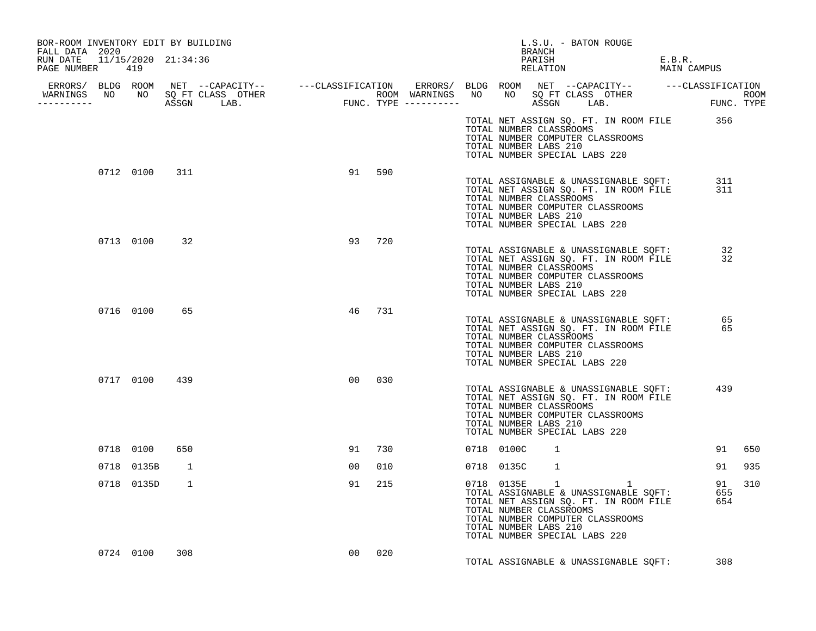| BOR-ROOM INVENTORY EDIT BY BUILDING<br>FALL DATA 2020                                                                                                                                                                                |              |               |                 |        |     |  |                                                                                                                                                                | BRANCH         |  | L.S.U. - BATON ROUGE |                                                                                                            |            |     |
|--------------------------------------------------------------------------------------------------------------------------------------------------------------------------------------------------------------------------------------|--------------|---------------|-----------------|--------|-----|--|----------------------------------------------------------------------------------------------------------------------------------------------------------------|----------------|--|----------------------|------------------------------------------------------------------------------------------------------------|------------|-----|
| RUN DATE 11/15/2020 21:34:36<br>PAGE NUMBER 419                                                                                                                                                                                      |              |               |                 |        |     |  |                                                                                                                                                                |                |  | PARISH<br>RELATION   | E.B.R.<br>MAIN CAMPUS                                                                                      |            |     |
|                                                                                                                                                                                                                                      |              |               |                 |        |     |  |                                                                                                                                                                |                |  |                      |                                                                                                            |            |     |
| ERRORS/ BLDG ROOM NET --CAPACITY-- ----CLASSIFICATION ERRORS/ BLDG ROOM NET --CAPACITY-- -----CLASSIFICATION<br>WARNINGS NO NO SQFTCLASS OTHER ROOM WARNINGS NO NO SQFTCLASS OTHER ROOM<br>----------- ASSGN LAB. FUNC.TYPE -------- |              |               |                 |        |     |  |                                                                                                                                                                |                |  |                      |                                                                                                            |            |     |
|                                                                                                                                                                                                                                      |              |               |                 |        |     |  | TOTAL NUMBER CLASSROOMS<br>TOTAL NUMBER COMPUTER CLASSROOMS<br>TOTAL NUMBER LABS 210<br>TOTAL NUMBER SPECIAL LABS 220                                          |                |  |                      | TOTAL NET ASSIGN SQ. FT. IN ROOM FILE 356                                                                  |            |     |
|                                                                                                                                                                                                                                      |              | 0712 0100 311 |                 | 91     | 590 |  | TOTAL NET ASSIGN SQ. FT. IN ROOM FILE<br>TOTAL NUMBER CLASSROOMS<br>TOTAL NUMBER COMPUTER CLASSROOMS<br>TOTAL NUMBER LABS 210<br>TOTAL NUMBER SPECIAL LABS 220 |                |  |                      | TOTAL ASSIGNABLE & UNASSIGNABLE SQFT:<br>TOTAL NET ASSIGN SO. FT. IN ROOM FILE                             | 311<br>311 |     |
|                                                                                                                                                                                                                                      | 0713 0100 32 |               | 93              | 720    |     |  | TOTAL NUMBER CLASSROOMS<br>TOTAL NUMBER COMPUTER CLASSROOMS<br>TOTAL NUMBER LABS 210<br>TOTAL NUMBER SPECIAL LABS 220                                          |                |  |                      | TOTAL ASSIGNABLE & UNASSIGNABLE SQFT: 32<br>TOTAL NET ASSIGN SQ. FT. IN ROOM FILE 32                       |            |     |
|                                                                                                                                                                                                                                      | 0716 0100    | 65            |                 | 46 731 |     |  | TOTAL NUMBER CLASSROOMS<br>TOTAL NUMBER COMPUTER CLASSROOMS<br>TOTAL NUMBER LABS 210<br>TOTAL NUMBER SPECIAL LABS 220                                          |                |  |                      | TOTAL ASSIGNABLE & UNASSIGNABLE SQFT: 65<br>TOTAL NET ASSIGN SQ. FT. IN ROOM FILE 65                       |            |     |
|                                                                                                                                                                                                                                      | 0717 0100    | 439           | 00              |        | 030 |  | TOTAL NET ASSIGN SQ. FT. IN ROOM FILE<br>TOTAL NUMBER CLASSROOMS<br>TOTAL NUMBER COMPUTER CLASSROOMS<br>TOTAL NUMBER LABS 210<br>TOTAL NUMBER SPECIAL LABS 220 |                |  |                      | TOTAL ASSIGNABLE & UNASSIGNABLE SQFT:                                                                      | 439        |     |
|                                                                                                                                                                                                                                      | 0718 0100    | 650           | 91              | 730    |     |  | 0718 0100C                                                                                                                                                     | $\overline{1}$ |  |                      |                                                                                                            | 91 650     |     |
|                                                                                                                                                                                                                                      | 0718 0135B   | 1             | 00 <sub>o</sub> |        | 010 |  | 0718 0135C                                                                                                                                                     | 1              |  |                      |                                                                                                            | 91 935     |     |
|                                                                                                                                                                                                                                      | 0718 0135D   | 1             | 91              |        | 215 |  | TOTAL NET ASSIGN SQ. FT. IN ROOM FILE<br>TOTAL NUMBER CLASSROOMS<br>TOTAL NUMBER COMPUTER CLASSROOMS<br>TOTAL NUMBER LABS 210<br>TOTAL NUMBER SPECIAL LABS 220 |                |  |                      | 0718 0135E 1 1 1<br>TOTAL ASSIGNABLE & UNASSIGNABLE SQFT: 655<br>TOTAL NET ASSIGN SQ. FT. IN ROOM FILE 654 | 91         | 310 |
|                                                                                                                                                                                                                                      | 0724 0100    | 308           | 00              |        | 020 |  |                                                                                                                                                                |                |  |                      | TOTAL ASSIGNABLE & UNASSIGNABLE SQFT: 308                                                                  |            |     |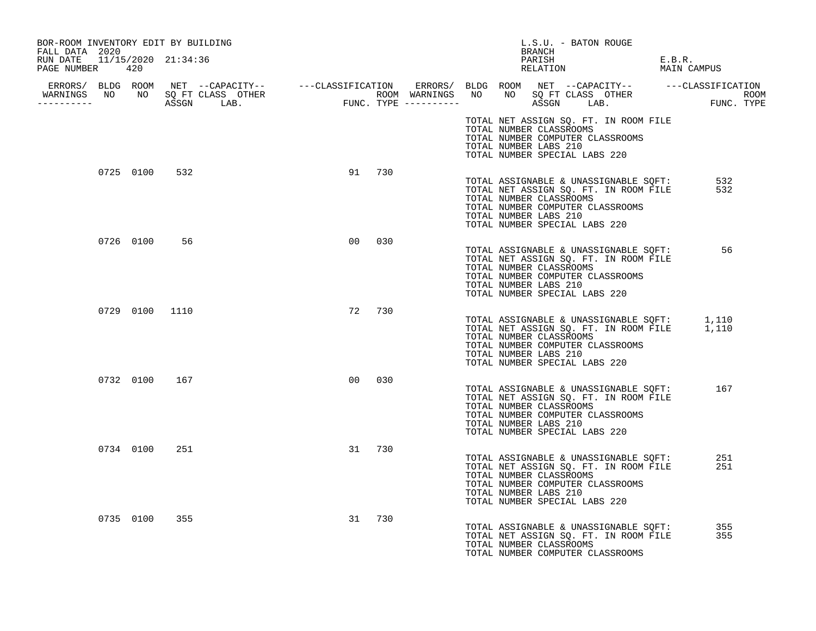| BOR-ROOM INVENTORY EDIT BY BUILDING<br>FALL DATA 2020 |           |                                  |                |        |                       | L.S.U. - BATON ROUGE<br>BRANCH                                                                                                                                                             |                       |
|-------------------------------------------------------|-----------|----------------------------------|----------------|--------|-----------------------|--------------------------------------------------------------------------------------------------------------------------------------------------------------------------------------------|-----------------------|
| RUN DATE 11/15/2020 21:34:36<br>PAGE NUMBER 420       |           |                                  |                |        |                       | PARISH<br>RELATION                                                                                                                                                                         | E.B.R.<br>MAIN CAMPUS |
| -----------                                           |           | WARNINGS NO NO SQ FT CLASS OTHER |                |        |                       |                                                                                                                                                                                            |                       |
|                                                       |           |                                  |                |        | TOTAL NUMBER LABS 210 | TOTAL NET ASSIGN SQ. FT. IN ROOM FILE<br>TOTAL NUMBER CLASSROOMS<br>TOTAL NUMBER COMPUTER CLASSROOMS<br>TOTAL NUMBER SPECIAL LABS 220                                                      |                       |
|                                                       | 0725 0100 | 532                              |                | 91 730 | TOTAL NUMBER LABS 210 | TOTAL ASSIGNABLE & UNASSIGNABLE SQFT:<br>TOTAL NET ASSIGN SQ. FT. IN ROOM FILE<br>TOTAL NUMBER CLASSROOMS<br>TOTAL NUMBER COMPUTER CLASSROOMS<br>TOTAL NUMBER SPECIAL LABS 220             | 532<br>532            |
|                                                       |           | 0726 0100 56                     | 0 <sub>0</sub> | 030    | TOTAL NUMBER LABS 210 | TOTAL ASSIGNABLE & UNASSIGNABLE SQFT:<br>TOTAL NET ASSIGN SQ. FT. IN ROOM FILE<br>TOTAL NUMBER CLASSROOMS<br>TOTAL NUMBER COMPUTER CLASSROOMS<br>TOTAL NUMBER SPECIAL LABS 220             | 56                    |
|                                                       |           | 0729 0100 1110                   |                | 72 730 | TOTAL NUMBER LABS 210 | TOTAL ASSIGNABLE & UNASSIGNABLE SQFT: 1,110<br>TOTAL NET ASSIGN SQ. FT. IN ROOM FILE 1,110<br>TOTAL NUMBER CLASSROOMS<br>TOTAL NUMBER COMPUTER CLASSROOMS<br>TOTAL NUMBER SPECIAL LABS 220 |                       |
|                                                       |           | 0732 0100 167                    | 00             | 030    | TOTAL NUMBER LABS 210 | TOTAL ASSIGNABLE & UNASSIGNABLE SOFT:<br>TOTAL NET ASSIGN SQ. FT. IN ROOM FILE<br>TOTAL NUMBER CLASSROOMS<br>TOTAL NUMBER COMPUTER CLASSROOMS<br>TOTAL NUMBER SPECIAL LABS 220             | 167                   |
|                                                       | 0734 0100 | 251                              |                | 31 730 | TOTAL NUMBER LABS 210 | TOTAL ASSIGNABLE & UNASSIGNABLE SQFT:<br>TOTAL NET ASSIGN SQ. FT. IN ROOM FILE<br>TOTAL NUMBER CLASSROOMS<br>TOTAL NUMBER COMPUTER CLASSROOMS<br>TOTAL NUMBER SPECIAL LABS 220             | 251<br>251            |
|                                                       | 0735 0100 | 355                              |                | 31 730 |                       | TOTAL ASSIGNABLE & UNASSIGNABLE SQFT:<br>TOTAL NET ASSIGN SQ. FT. IN ROOM FILE<br>TOTAL NUMBER CLASSROOMS<br>TOTAL NUMBER COMPUTER CLASSROOMS                                              | 355<br>355            |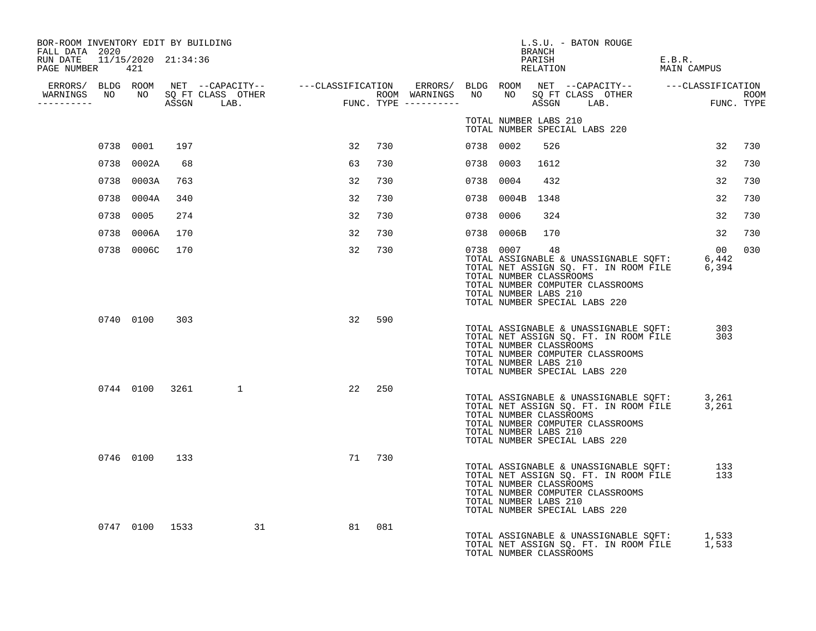| BOR-ROOM INVENTORY EDIT BY BUILDING<br>FALL DATA 2020 |            |     |                      |        |     |           |                 | BRANCH                                                 | L.S.U. - BATON ROUGE                                                                                                                                                                       |                       |            |     |
|-------------------------------------------------------|------------|-----|----------------------|--------|-----|-----------|-----------------|--------------------------------------------------------|--------------------------------------------------------------------------------------------------------------------------------------------------------------------------------------------|-----------------------|------------|-----|
| RUN DATE 11/15/2020 21:34:36<br>PAGE NUMBER 421       |            |     |                      |        |     |           |                 |                                                        | PARISH<br>RELATION                                                                                                                                                                         | E.B.R.<br>MAIN CAMPUS |            |     |
| WARNINGS NO NO SOFT CLASS OTHER                       |            |     |                      |        |     |           |                 |                                                        |                                                                                                                                                                                            |                       |            |     |
| ----------                                            |            |     |                      |        |     |           |                 |                                                        |                                                                                                                                                                                            |                       |            |     |
|                                                       |            |     |                      |        |     |           |                 | TOTAL NUMBER LABS 210                                  | TOTAL NUMBER SPECIAL LABS 220                                                                                                                                                              |                       |            |     |
|                                                       | 0738 0001  | 197 |                      | 32     | 730 | 0738 0002 |                 | 526                                                    |                                                                                                                                                                                            |                       | 32         | 730 |
|                                                       | 0738 0002A | 68  |                      | 63     | 730 | 0738 0003 |                 | 1612                                                   |                                                                                                                                                                                            |                       | 32         | 730 |
|                                                       | 0738 0003A | 763 |                      | 32     | 730 | 0738      | 0004            | 432                                                    |                                                                                                                                                                                            |                       | 32         | 730 |
|                                                       | 0738 0004A | 340 |                      | 32     | 730 |           | 0738 0004B 1348 |                                                        |                                                                                                                                                                                            |                       | 32         | 730 |
|                                                       | 0738 0005  | 274 |                      | 32     | 730 | 0738      | 0006            | 324                                                    |                                                                                                                                                                                            |                       | 32         | 730 |
|                                                       | 0738 0006A | 170 |                      | 32     | 730 |           | 0738 0006B      | 170                                                    |                                                                                                                                                                                            |                       | 32         | 730 |
|                                                       | 0738 0006C | 170 |                      | 32     | 730 | 0738 0007 |                 | 48<br>TOTAL NUMBER CLASSROOMS<br>TOTAL NUMBER LABS 210 | TOTAL ASSIGNABLE & UNASSIGNABLE SQFT: 6,442<br>TOTAL NET ASSIGN SQ. FT. IN ROOM FILE 6,394<br>TOTAL NUMBER COMPUTER CLASSROOMS<br>TOTAL NUMBER SPECIAL LABS 220                            |                       | 00         | 030 |
|                                                       | 0740 0100  | 303 |                      | 32     | 590 |           |                 | TOTAL NUMBER CLASSROOMS<br>TOTAL NUMBER LABS 210       | TOTAL ASSIGNABLE & UNASSIGNABLE SQFT:<br>TOTAL NET ASSIGN SQ. FT. IN ROOM FILE<br>TOTAL NUMBER COMPUTER CLASSROOMS<br>TOTAL NUMBER SPECIAL LABS 220                                        |                       | 303<br>303 |     |
|                                                       |            |     | 0744 0100 3261 1     | 22     | 250 |           |                 | TOTAL NUMBER CLASSROOMS<br>TOTAL NUMBER LABS 210       | TOTAL ASSIGNABLE & UNASSIGNABLE SQFT: 3,261<br>TOTAL NET ASSIGN SQ. FT. IN ROOM FILE 3,261<br>TOTAL NUMBER COMPUTER CLASSROOMS<br>TOTAL NUMBER SPECIAL LABS 220                            |                       |            |     |
|                                                       | 0746 0100  | 133 |                      | 71 730 |     |           |                 | TOTAL NUMBER CLASSROOMS<br>TOTAL NUMBER LABS 210       | TOTAL ASSIGNABLE & UNASSIGNABLE SQFT:<br>TOTAL NET ASSIGN SO FT IN ROOM FILE<br>TOTAL NET ASSIGN SQ. FT. IN ROOM FILE<br>TOTAL NUMBER COMPUTER CLASSROOMS<br>TOTAL NUMBER SPECIAL LABS 220 |                       | 133<br>133 |     |
|                                                       |            |     | 0747 0100 1533<br>31 | 81     | 081 |           |                 | TOTAL NUMBER CLASSROOMS                                | TOTAL ASSIGNABLE & UNASSIGNABLE SQFT: 1,533<br>TOTAL NET ASSIGN SQ. FT. IN ROOM FILE 1,533                                                                                                 |                       |            |     |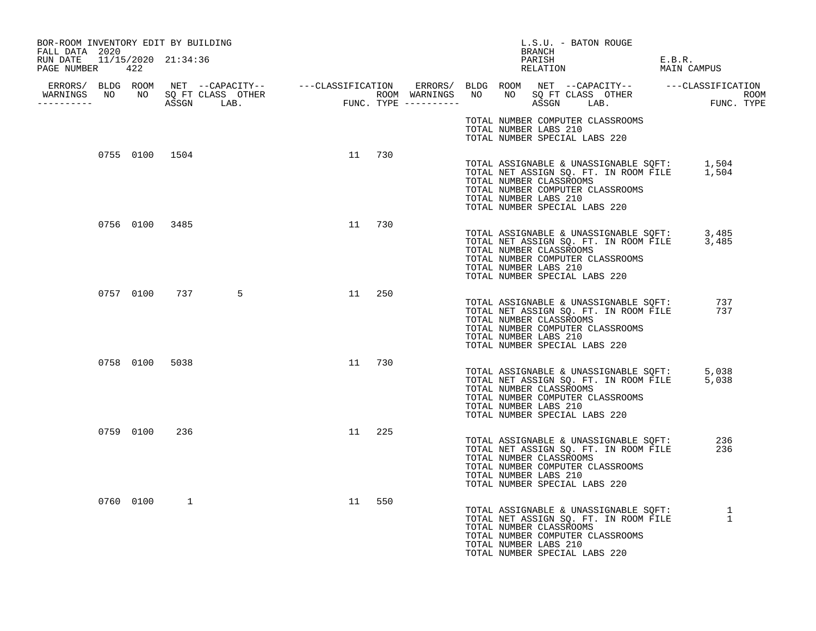| BOR-ROOM INVENTORY EDIT BY BUILDING<br>FALL DATA 2020 |                |               |                |    |        | BRANCH                                                                            | L.S.U. - BATON ROUGE                                                                                                                                        |                       |
|-------------------------------------------------------|----------------|---------------|----------------|----|--------|-----------------------------------------------------------------------------------|-------------------------------------------------------------------------------------------------------------------------------------------------------------|-----------------------|
| RUN DATE 11/15/2020 21:34:36<br>PAGE NUMBER 422       |                |               |                |    |        | PARISH<br>RELATION                                                                |                                                                                                                                                             | E.B.R.<br>MAIN CAMPUS |
| WARNINGS NO NO SQ FT CLASS OTHER<br>-----------       |                |               |                |    |        |                                                                                   |                                                                                                                                                             |                       |
|                                                       |                |               |                |    |        | TOTAL NUMBER LABS 210<br>TOTAL NUMBER SPECIAL LABS 220                            | TOTAL NUMBER COMPUTER CLASSROOMS                                                                                                                            |                       |
|                                                       |                |               | 0755 0100 1504 |    | 11 730 | TOTAL NUMBER CLASSROOMS<br>TOTAL NUMBER LABS 210<br>TOTAL NUMBER SPECIAL LABS 220 | TOTAL ASSIGNABLE & UNASSIGNABLE SQFT: 1,504<br>TOTAL NET ASSIGN SQ. FT. IN ROOM FILE 1,504<br>TOTAL NUMBER COMPUTER CLASSROOMS                              |                       |
|                                                       | 0756 0100 3485 |               |                |    | 11 730 | TOTAL NUMBER CLASSROOMS<br>TOTAL NUMBER LABS 210<br>TOTAL NUMBER SPECIAL LABS 220 | TOTAL ASSIGNABLE & UNASSIGNABLE SQFT: 3,485<br>TOTAL NET ASSIGN SQ. FT. IN ROOM FILE 3,485<br>TOTAL NUMBER COMPUTER CLASSROOMS                              |                       |
|                                                       |                | 0757 0100 737 | $\overline{5}$ |    | 11 250 | TOTAL NUMBER CLASSROOMS<br>TOTAL NUMBER LABS 210<br>TOTAL NUMBER SPECIAL LABS 220 | TOTAL ASSIGNABLE & UNASSIGNABLE SQFT:<br>TOTAL NET ASSIGN SQ. FT. IN ROOM FILE<br>TOTAL NUMBER COMPUTER CLASSROOMS                                          | 737<br>737            |
|                                                       | 0758 0100 5038 |               |                |    | 11 730 | TOTAL NUMBER CLASSROOMS<br>TOTAL NUMBER LABS 210<br>TOTAL NUMBER SPECIAL LABS 220 | TOTAL ASSIGNABLE & UNASSIGNABLE SQFT: 5,038<br>TOTAL NET ASSIGN SQ. FT. IN ROOM FILE 5,038<br>TOTAL NUMBER COMPUTER CLASSROOMS                              |                       |
|                                                       | 0759 0100      | 236           |                |    | 11 225 | TOTAL NUMBER CLASSROOMS<br>TOTAL NUMBER LABS 210<br>TOTAL NUMBER SPECIAL LABS 220 | TOTAL ASSIGNABLE & UNASSIGNABLE SQFT:<br>TOTAL NET ASSIGN SQ. FT. IN ROOM FILE<br>TOTAL NUMBER COMPUTER CLASSROOMS                                          | 236<br>236            |
|                                                       | 0760 0100      | $\mathbf{1}$  |                | 11 | 550    | TOTAL NUMBER CLASSROOMS<br>TOTAL NUMBER LABS 210<br>TOTAL NUMBER SPECIAL LABS 220 | TOTAL ASSIGNABLE & UNASSIGNABLE SQFT:<br>TOTAL NET ASSIGN SO. FT. IN ROOM FILE<br>TOTAL NET ASSIGN SQ. FT. IN ROOM FILE<br>TOTAL NUMBER COMPUTER CLASSROOMS | 1<br>1                |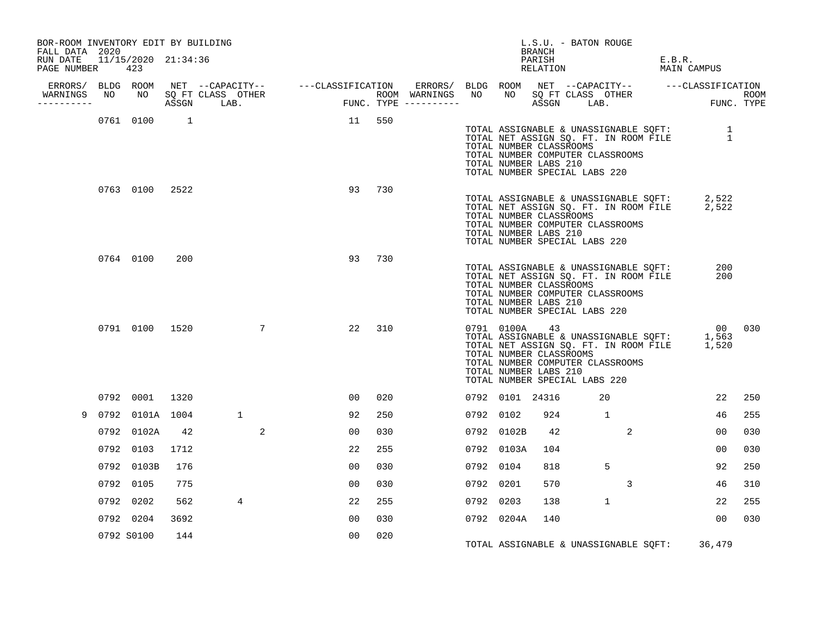| BOR-ROOM INVENTORY EDIT BY BUILDING<br>FALL DATA 2020 |                            |      |              |                |                |        |           |                                                                                                    | BRANCH             | L.S.U. - BATON ROUGE |                                                                                                                    |        |                                                                                                            |     |
|-------------------------------------------------------|----------------------------|------|--------------|----------------|----------------|--------|-----------|----------------------------------------------------------------------------------------------------|--------------------|----------------------|--------------------------------------------------------------------------------------------------------------------|--------|------------------------------------------------------------------------------------------------------------|-----|
| RUN DATE<br>PAGE NUMBER                               | 11/15/2020 21:34:36<br>423 |      |              |                |                |        |           |                                                                                                    | PARISH<br>RELATION |                      |                                                                                                                    | E.B.R. | MAIN CAMPUS                                                                                                |     |
| ----------                                            |                            |      |              |                |                |        |           |                                                                                                    |                    |                      |                                                                                                                    |        |                                                                                                            |     |
|                                                       | 0761 0100 1                |      |              |                | 11 550         |        |           | TOTAL NUMBER CLASSROOMS<br>TOTAL NUMBER LABS 210<br>TOTAL NUMBER SPECIAL LABS 220                  |                    |                      | TOTAL NUMBER COMPUTER CLASSROOMS                                                                                   |        | TOTAL ASSIGNABLE & UNASSIGNABLE SQFT: 1<br>TOTAL NET ASSIGN SQ. FT. IN ROOM FILE 1                         |     |
|                                                       | 0763 0100 2522             |      |              |                | 93             | 730    |           | TOTAL NUMBER CLASSROOMS<br>TOTAL NUMBER LABS 210<br>TOTAL NUMBER SPECIAL LABS 220                  |                    |                      | TOTAL NUMBER COMPUTER CLASSROOMS                                                                                   |        | TOTAL ASSIGNABLE & UNASSIGNABLE SQFT: 2,522<br>TOTAL NET ASSIGN SQ. FT. IN ROOM FILE 2,522                 |     |
|                                                       | 0764 0100                  | 200  |              |                |                | 93 730 |           | TOTAL NUMBER CLASSROOMS<br>TOTAL NUMBER LABS 210<br>TOTAL NUMBER SPECIAL LABS 220                  |                    |                      | TOTAL ASSIGNABLE & UNASSIGNABLE SQFT:<br>TOTAL NET ASSIGN SQ. FT. IN ROOM FILE<br>TOTAL NUMBER COMPUTER CLASSROOMS |        | 200<br>200                                                                                                 |     |
|                                                       | 0791 0100 1520             |      |              | $\overline{7}$ | 22             | 310    |           | 0791 0100A 43<br>TOTAL NUMBER CLASSROOMS<br>TOTAL NUMBER LABS 210<br>TOTAL NUMBER SPECIAL LABS 220 |                    |                      | TOTAL NUMBER COMPUTER CLASSROOMS                                                                                   |        | 00 030<br>00<br>TOTAL ASSIGNABLE & UNASSIGNABLE SQFT: 1,563<br>TOTAL NET ASSIGN SQ. FT. IN ROOM FILE 1,520 |     |
|                                                       | 0792 0001                  | 1320 |              |                | 0 <sub>0</sub> | 020    |           | 0792 0101 24316                                                                                    |                    |                      | 20                                                                                                                 |        | 22                                                                                                         | 250 |
|                                                       | 0792 0101A 1004            |      | $\mathbf{1}$ |                | 92             | 250    | 0792 0102 |                                                                                                    | 924                | $\sim$ $\sim$ 1      |                                                                                                                    |        | 46                                                                                                         | 255 |
|                                                       | 0792 0102A                 | 42   |              | 2              | 0 <sub>0</sub> | 030    |           | 0792 0102B                                                                                         | 42                 |                      | 2                                                                                                                  |        | 00                                                                                                         | 030 |
|                                                       | 0792 0103                  | 1712 |              |                | 22             | 255    |           | 0792 0103A                                                                                         | 104                |                      |                                                                                                                    |        | 00                                                                                                         | 030 |
|                                                       | 0792 0103B                 | 176  |              |                | 0 <sub>0</sub> | 030    | 0792 0104 |                                                                                                    | 818                |                      | 5                                                                                                                  |        | 92                                                                                                         | 250 |
|                                                       | 0792 0105                  | 775  |              |                | 0 <sub>0</sub> | 030    | 0792 0201 |                                                                                                    | 570                |                      | 3                                                                                                                  |        | 46                                                                                                         | 310 |
|                                                       | 0792 0202                  | 562  | 4            |                | 22             | 255    | 0792 0203 |                                                                                                    | 138                |                      | $\mathbf{1}$                                                                                                       |        | 22                                                                                                         | 255 |
|                                                       | 0792 0204                  | 3692 |              |                | 00             | 030    |           | 0792 0204A                                                                                         | 140                |                      |                                                                                                                    |        | 00                                                                                                         | 030 |
|                                                       | 0792 S0100                 | 144  |              |                | 0 <sub>0</sub> | 020    |           |                                                                                                    |                    |                      | TOTAL ASSIGNABLE & UNASSIGNABLE SQFT:                                                                              |        | 36,479                                                                                                     |     |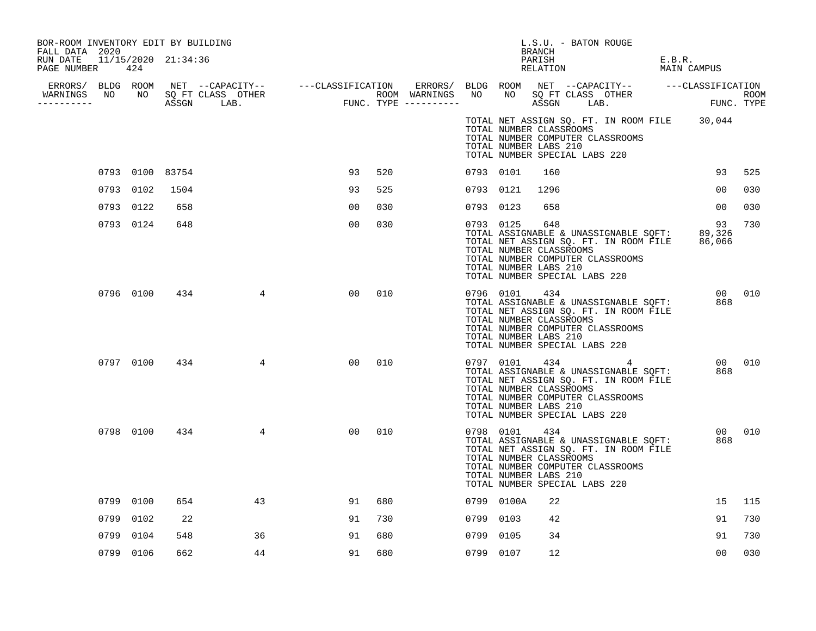| BOR-ROOM INVENTORY EDIT BY BUILDING<br>FALL DATA 2020 |      |           |                 |                 |    |     |           |                                                                   | BRANCH | L.S.U. - BATON ROUGE                                     |                                                                                                                    |                                                                                              |     |        |
|-------------------------------------------------------|------|-----------|-----------------|-----------------|----|-----|-----------|-------------------------------------------------------------------|--------|----------------------------------------------------------|--------------------------------------------------------------------------------------------------------------------|----------------------------------------------------------------------------------------------|-----|--------|
| RUN DATE 11/15/2020 21:34:36<br>PAGE NUMBER           |      | 424       |                 |                 |    |     |           |                                                                   | PARISH |                                                          | RELATION                                                                                                           | E.B.R.<br>MAIN CAMPUS                                                                        |     |        |
|                                                       |      |           |                 |                 |    |     |           |                                                                   |        |                                                          |                                                                                                                    |                                                                                              |     |        |
| -----------                                           |      |           |                 |                 |    |     |           |                                                                   |        |                                                          |                                                                                                                    |                                                                                              |     |        |
|                                                       |      |           |                 |                 |    |     |           | TOTAL NUMBER LABS 210                                             |        | TOTAL NUMBER CLASSROOMS<br>TOTAL NUMBER SPECIAL LABS 220 | TOTAL NUMBER COMPUTER CLASSROOMS                                                                                   | TOTAL NET ASSIGN SQ. FT. IN ROOM FILE 30,044                                                 |     |        |
|                                                       |      |           | 0793 0100 83754 |                 | 93 | 520 | 0793 0101 |                                                                   | 160    |                                                          |                                                                                                                    |                                                                                              | 93  | 525    |
|                                                       |      | 0793 0102 | 1504            |                 | 93 | 525 | 0793 0121 |                                                                   | 1296   |                                                          |                                                                                                                    |                                                                                              | 00  | 030    |
|                                                       |      | 0793 0122 | 658             |                 | 00 | 030 | 0793 0123 |                                                                   | 658    |                                                          |                                                                                                                    |                                                                                              | 00  | 030    |
|                                                       |      | 0793 0124 | 648             |                 | 00 | 030 | 0793 0125 | TOTAL NUMBER CLASSROOMS<br>TOTAL NUMBER LABS 210                  | 648    | TOTAL NUMBER SPECIAL LABS 220                            | TOTAL NUMBER COMPUTER CLASSROOMS                                                                                   | TOTAL ASSIGNABLE & UNASSIGNABLE SQFT: 89,326<br>TOTAL NET ASSIGN SQ. FT. IN ROOM FILE 86,066 | 93  | 730    |
|                                                       |      | 0796 0100 | 434             | $\overline{4}$  | 00 | 010 | 0796 0101 | TOTAL NUMBER CLASSROOMS<br>TOTAL NUMBER LABS 210                  | 434    | TOTAL NUMBER SPECIAL LABS 220                            | TOTAL ASSIGNABLE & UNASSIGNABLE SQFT:<br>TOTAL NET ASSIGN SQ. FT. IN ROOM FILE<br>TOTAL NUMBER COMPUTER CLASSROOMS |                                                                                              | 868 | 00 010 |
|                                                       |      | 0797 0100 | 434             | $\overline{4}$  | 00 | 010 |           | 0797 0101<br>TOTAL NUMBER CLASSROOMS<br>TOTAL NUMBER LABS 210     |        | TOTAL NUMBER SPECIAL LABS 220                            | TOTAL ASSIGNABLE & UNASSIGNABLE SOFT:<br>TOTAL NET ASSIGN SQ. FT. IN ROOM FILE<br>TOTAL NUMBER COMPUTER CLASSROOMS |                                                                                              | 868 | 00 010 |
|                                                       |      | 0798 0100 | 434             | $4\overline{ }$ | 00 | 010 |           | 0798 0101 434<br>TOTAL NUMBER CLASSROOMS<br>TOTAL NUMBER LABS 210 |        | TOTAL NUMBER SPECIAL LABS 220                            | TOTAL ASSIGNABLE & UNASSIGNABLE SQFT:<br>TOTAL NET ASSIGN SQ. FT. IN ROOM FILE<br>TOTAL NUMBER COMPUTER CLASSROOMS |                                                                                              | 868 | 00 010 |
|                                                       |      | 0799 0100 | 654             | 43              | 91 | 680 |           | 0799 0100A                                                        | 22     |                                                          |                                                                                                                    |                                                                                              | 15  | 115    |
|                                                       | 0799 | 0102      | 22              |                 | 91 | 730 | 0799 0103 |                                                                   | 42     |                                                          |                                                                                                                    |                                                                                              | 91  | 730    |
|                                                       | 0799 | 0104      | 548             | 36              | 91 | 680 | 0799      | 0105                                                              | 34     |                                                          |                                                                                                                    |                                                                                              | 91  | 730    |
|                                                       |      | 0799 0106 | 662             | 44              | 91 | 680 | 0799 0107 |                                                                   | 12     |                                                          |                                                                                                                    |                                                                                              | 00  | 030    |
|                                                       |      |           |                 |                 |    |     |           |                                                                   |        |                                                          |                                                                                                                    |                                                                                              |     |        |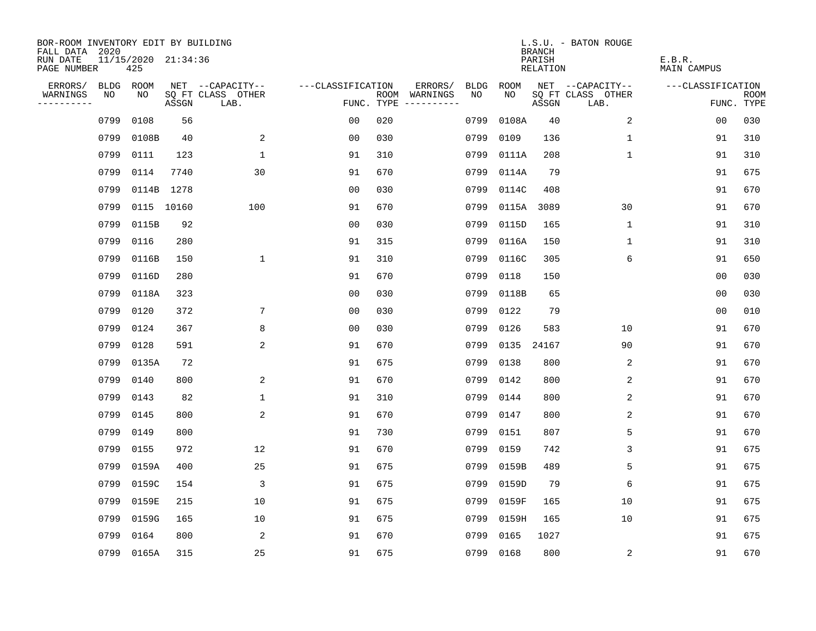| BOR-ROOM INVENTORY EDIT BY BUILDING       |             |                            |       |                           |                   |     |                                      |             |           | <b>BRANCH</b>      | L.S.U. - BATON ROUGE      |                              |                           |
|-------------------------------------------|-------------|----------------------------|-------|---------------------------|-------------------|-----|--------------------------------------|-------------|-----------|--------------------|---------------------------|------------------------------|---------------------------|
| FALL DATA 2020<br>RUN DATE<br>PAGE NUMBER |             | 11/15/2020 21:34:36<br>425 |       |                           |                   |     |                                      |             |           | PARISH<br>RELATION |                           | E.B.R.<br><b>MAIN CAMPUS</b> |                           |
| ERRORS/                                   | <b>BLDG</b> | ROOM                       |       | NET --CAPACITY--          | ---CLASSIFICATION |     | ERRORS/                              | <b>BLDG</b> | ROOM      |                    | NET --CAPACITY--          | ---CLASSIFICATION            |                           |
| WARNINGS<br>----------                    | NO          | NO                         | ASSGN | SQ FT CLASS OTHER<br>LAB. |                   |     | ROOM WARNINGS<br>FUNC. TYPE $------$ | NO.         | NO.       | ASSGN              | SQ FT CLASS OTHER<br>LAB. |                              | <b>ROOM</b><br>FUNC. TYPE |
|                                           | 0799        | 0108                       | 56    |                           | 0 <sub>0</sub>    | 020 |                                      | 0799        | 0108A     | 40                 | 2                         | 0 <sub>0</sub>               | 030                       |
|                                           | 0799        | 0108B                      | 40    | 2                         | 0 <sub>0</sub>    | 030 |                                      | 0799        | 0109      | 136                | 1                         | 91                           | 310                       |
|                                           | 0799        | 0111                       | 123   | $\mathbf{1}$              | 91                | 310 |                                      | 0799        | 0111A     | 208                | 1                         | 91                           | 310                       |
|                                           | 0799        | 0114                       | 7740  | 30                        | 91                | 670 |                                      | 0799        | 0114A     | 79                 |                           | 91                           | 675                       |
|                                           | 0799        | 0114B                      | 1278  |                           | 0 <sub>0</sub>    | 030 |                                      | 0799        | 0114C     | 408                |                           | 91                           | 670                       |
|                                           | 0799        | 0115 10160                 |       | 100                       | 91                | 670 |                                      | 0799        | 0115A     | 3089               | 30                        | 91                           | 670                       |
|                                           | 0799        | 0115B                      | 92    |                           | 0 <sub>0</sub>    | 030 |                                      | 0799        | 0115D     | 165                | $\mathbf 1$               | 91                           | 310                       |
|                                           | 0799        | 0116                       | 280   |                           | 91                | 315 |                                      | 0799        | 0116A     | 150                | 1                         | 91                           | 310                       |
|                                           | 0799        | 0116B                      | 150   | $\mathbf 1$               | 91                | 310 |                                      | 0799        | 0116C     | 305                | 6                         | 91                           | 650                       |
|                                           | 0799        | 0116D                      | 280   |                           | 91                | 670 |                                      | 0799        | 0118      | 150                |                           | 00                           | 030                       |
|                                           | 0799        | 0118A                      | 323   |                           | 0 <sub>0</sub>    | 030 |                                      | 0799        | 0118B     | 65                 |                           | 0 <sub>0</sub>               | 030                       |
|                                           | 0799        | 0120                       | 372   | 7                         | 0 <sub>0</sub>    | 030 |                                      | 0799        | 0122      | 79                 |                           | 0 <sub>0</sub>               | 010                       |
|                                           | 0799        | 0124                       | 367   | 8                         | 0 <sub>0</sub>    | 030 |                                      | 0799        | 0126      | 583                | 10                        | 91                           | 670                       |
|                                           | 0799        | 0128                       | 591   | 2                         | 91                | 670 |                                      | 0799        | 0135      | 24167              | 90                        | 91                           | 670                       |
|                                           | 0799        | 0135A                      | 72    |                           | 91                | 675 |                                      | 0799        | 0138      | 800                | 2                         | 91                           | 670                       |
|                                           | 0799        | 0140                       | 800   | 2                         | 91                | 670 |                                      | 0799        | 0142      | 800                | 2                         | 91                           | 670                       |
|                                           | 0799        | 0143                       | 82    | 1                         | 91                | 310 |                                      | 0799        | 0144      | 800                | 2                         | 91                           | 670                       |
|                                           | 0799        | 0145                       | 800   | 2                         | 91                | 670 |                                      | 0799        | 0147      | 800                | 2                         | 91                           | 670                       |
|                                           | 0799        | 0149                       | 800   |                           | 91                | 730 |                                      | 0799        | 0151      | 807                | 5                         | 91                           | 670                       |
|                                           | 0799        | 0155                       | 972   | 12                        | 91                | 670 |                                      | 0799        | 0159      | 742                | 3                         | 91                           | 675                       |
|                                           | 0799        | 0159A                      | 400   | 25                        | 91                | 675 |                                      | 0799        | 0159B     | 489                | 5                         | 91                           | 675                       |
|                                           | 0799        | 0159C                      | 154   | 3                         | 91                | 675 |                                      | 0799        | 0159D     | 79                 | 6                         | 91                           | 675                       |
|                                           | 0799        | 0159E                      | 215   | 10                        | 91                | 675 |                                      | 0799        | 0159F     | 165                | 10                        | 91                           | 675                       |
|                                           | 0799        | 0159G                      | 165   | 10                        | 91                | 675 |                                      | 0799        | 0159H     | 165                | 10                        | 91                           | 675                       |
|                                           | 0799        | 0164                       | 800   | 2                         | 91                | 670 |                                      | 0799        | 0165      | 1027               |                           | 91                           | 675                       |
|                                           |             | 0799 0165A                 | 315   | 25                        | 91                | 675 |                                      |             | 0799 0168 | 800                | 2                         | 91                           | 670                       |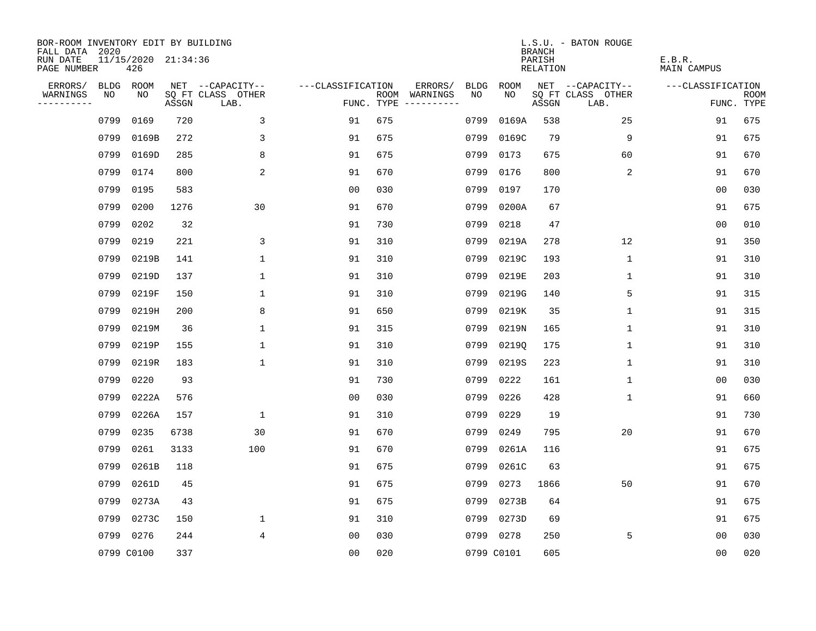| BOR-ROOM INVENTORY EDIT BY BUILDING<br>FALL DATA 2020 |      |                            |       |                           |                   |            |                                    |             | <b>BRANCH</b>             | L.S.U. - BATON ROUGE      |                              |                           |
|-------------------------------------------------------|------|----------------------------|-------|---------------------------|-------------------|------------|------------------------------------|-------------|---------------------------|---------------------------|------------------------------|---------------------------|
| RUN DATE<br>PAGE NUMBER                               |      | 11/15/2020 21:34:36<br>426 |       |                           |                   |            |                                    |             | PARISH<br><b>RELATION</b> |                           | E.B.R.<br><b>MAIN CAMPUS</b> |                           |
| ERRORS/                                               | BLDG | ROOM                       |       | NET --CAPACITY--          | ---CLASSIFICATION |            | ERRORS/<br><b>BLDG</b>             | <b>ROOM</b> |                           | NET --CAPACITY--          | ---CLASSIFICATION            |                           |
| WARNINGS<br>----------                                | NO   | NO                         | ASSGN | SQ FT CLASS OTHER<br>LAB. |                   | FUNC. TYPE | NO<br>ROOM WARNINGS<br>----------- | NO          | ASSGN                     | SQ FT CLASS OTHER<br>LAB. |                              | <b>ROOM</b><br>FUNC. TYPE |
|                                                       | 0799 | 0169                       | 720   | 3                         | 91                | 675        | 0799                               | 0169A       | 538                       | 25                        | 91                           | 675                       |
|                                                       | 0799 | 0169B                      | 272   | 3                         | 91                | 675        | 0799                               | 0169C       | 79                        | 9                         | 91                           | 675                       |
|                                                       | 0799 | 0169D                      | 285   | 8                         | 91                | 675        | 0799                               | 0173        | 675                       | 60                        | 91                           | 670                       |
|                                                       | 0799 | 0174                       | 800   | 2                         | 91                | 670        | 0799                               | 0176        | 800                       | 2                         | 91                           | 670                       |
|                                                       | 0799 | 0195                       | 583   |                           | 0 <sub>0</sub>    | 030        | 0799                               | 0197        | 170                       |                           | 00                           | 030                       |
|                                                       | 0799 | 0200                       | 1276  | 30                        | 91                | 670        | 0799                               | 0200A       | 67                        |                           | 91                           | 675                       |
|                                                       | 0799 | 0202                       | 32    |                           | 91                | 730        | 0799                               | 0218        | 47                        |                           | 0 <sub>0</sub>               | 010                       |
|                                                       | 0799 | 0219                       | 221   | 3                         | 91                | 310        | 0799                               | 0219A       | 278                       | 12                        | 91                           | 350                       |
|                                                       | 0799 | 0219B                      | 141   | $\mathbf{1}$              | 91                | 310        | 0799                               | 0219C       | 193                       | $\mathbf{1}$              | 91                           | 310                       |
|                                                       | 0799 | 0219D                      | 137   | $\mathbf 1$               | 91                | 310        | 0799                               | 0219E       | 203                       | 1                         | 91                           | 310                       |
|                                                       | 0799 | 0219F                      | 150   | $\mathbf 1$               | 91                | 310        | 0799                               | 0219G       | 140                       | 5                         | 91                           | 315                       |
|                                                       | 0799 | 0219H                      | 200   | 8                         | 91                | 650        | 0799                               | 0219K       | 35                        | $\mathbf{1}$              | 91                           | 315                       |
|                                                       | 0799 | 0219M                      | 36    | 1                         | 91                | 315        | 0799                               | 0219N       | 165                       | $\mathbf{1}$              | 91                           | 310                       |
|                                                       | 0799 | 0219P                      | 155   | $\mathbf 1$               | 91                | 310        | 0799                               | 02190       | 175                       | 1                         | 91                           | 310                       |
|                                                       | 0799 | 0219R                      | 183   | $\mathbf{1}$              | 91                | 310        | 0799                               | 0219S       | 223                       | 1                         | 91                           | 310                       |
|                                                       | 0799 | 0220                       | 93    |                           | 91                | 730        | 0799                               | 0222        | 161                       | 1                         | 00                           | 030                       |
|                                                       | 0799 | 0222A                      | 576   |                           | 0 <sub>0</sub>    | 030        | 0799                               | 0226        | 428                       | 1                         | 91                           | 660                       |
|                                                       | 0799 | 0226A                      | 157   | 1                         | 91                | 310        | 0799                               | 0229        | 19                        |                           | 91                           | 730                       |
|                                                       | 0799 | 0235                       | 6738  | 30                        | 91                | 670        | 0799                               | 0249        | 795                       | 20                        | 91                           | 670                       |
|                                                       | 0799 | 0261                       | 3133  | 100                       | 91                | 670        | 0799                               | 0261A       | 116                       |                           | 91                           | 675                       |
|                                                       | 0799 | 0261B                      | 118   |                           | 91                | 675        | 0799                               | 0261C       | 63                        |                           | 91                           | 675                       |
|                                                       | 0799 | 0261D                      | 45    |                           | 91                | 675        | 0799                               | 0273        | 1866                      | 50                        | 91                           | 670                       |
|                                                       | 0799 | 0273A                      | 43    |                           | 91                | 675        | 0799                               | 0273B       | 64                        |                           | 91                           | 675                       |
|                                                       | 0799 | 0273C                      | 150   | $\mathbf 1$               | 91                | 310        | 0799                               | 0273D       | 69                        |                           | 91                           | 675                       |
|                                                       | 0799 | 0276                       | 244   | 4                         | 0 <sub>0</sub>    | 030        | 0799                               | 0278        | 250                       | 5                         | 00                           | 030                       |
|                                                       |      | 0799 C0100                 | 337   |                           | 0 <sub>0</sub>    | 020        |                                    | 0799 C0101  | 605                       |                           | 0 <sub>0</sub>               | 020                       |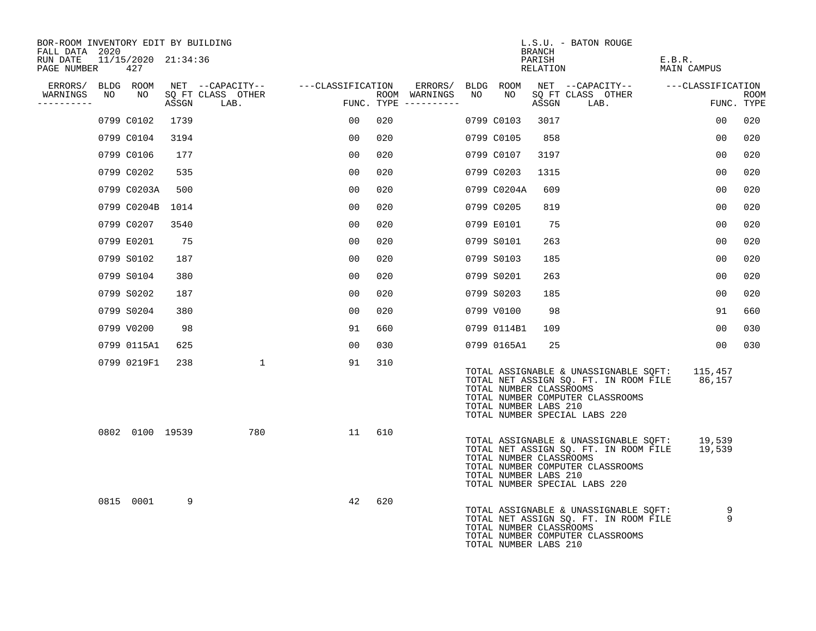| BOR-ROOM INVENTORY EDIT BY BUILDING<br>FALL DATA 2020 |    |                            |       |                                    |    |                                      |             | BRANCH                                                                            | L.S.U. - BATON ROUGE                                                                                                              |                       |                    |
|-------------------------------------------------------|----|----------------------------|-------|------------------------------------|----|--------------------------------------|-------------|-----------------------------------------------------------------------------------|-----------------------------------------------------------------------------------------------------------------------------------|-----------------------|--------------------|
| RUN DATE<br>PAGE NUMBER                               |    | 11/15/2020 21:34:36<br>427 |       |                                    |    |                                      |             | PARISH<br>RELATION                                                                |                                                                                                                                   | E.B.R.<br>MAIN CAMPUS |                    |
| ERRORS/                                               |    | BLDG ROOM                  |       | NET --CAPACITY-- ---CLASSIFICATION |    | ERRORS/                              | BLDG ROOM   |                                                                                   | NET --CAPACITY-- ---CLASSIFICATION                                                                                                |                       |                    |
| WARNINGS<br>----------                                | NO | NO                         | ASSGN | SQ FT CLASS OTHER<br>LAB.          |    | ROOM WARNINGS<br>FUNC. TYPE $------$ | NO          | NO<br>ASSGN                                                                       | SQ FT CLASS OTHER<br>LAB.                                                                                                         |                       | ROOM<br>FUNC. TYPE |
|                                                       |    | 0799 C0102                 | 1739  |                                    | 00 | 020                                  | 0799 C0103  | 3017                                                                              |                                                                                                                                   | 00                    | 020                |
|                                                       |    | 0799 C0104                 | 3194  |                                    | 00 | 020                                  | 0799 C0105  | 858                                                                               |                                                                                                                                   | 0 <sub>0</sub>        | 020                |
|                                                       |    | 0799 C0106                 | 177   |                                    | 00 | 020                                  | 0799 C0107  | 3197                                                                              |                                                                                                                                   | 00                    | 020                |
|                                                       |    | 0799 C0202                 | 535   |                                    | 00 | 020                                  | 0799 C0203  | 1315                                                                              |                                                                                                                                   | 0 <sub>0</sub>        | 020                |
|                                                       |    | 0799 C0203A                | 500   |                                    | 00 | 020                                  | 0799 C0204A | 609                                                                               |                                                                                                                                   | 00                    | 020                |
|                                                       |    | 0799 C0204B                | 1014  |                                    | 00 | 020                                  | 0799 C0205  | 819                                                                               |                                                                                                                                   | 0 <sub>0</sub>        | 020                |
|                                                       |    | 0799 C0207                 | 3540  |                                    | 00 | 020                                  | 0799 E0101  | 75                                                                                |                                                                                                                                   | 0 <sub>0</sub>        | 020                |
|                                                       |    | 0799 E0201                 | 75    |                                    | 00 | 020                                  | 0799 S0101  | 263                                                                               |                                                                                                                                   | 00                    | 020                |
|                                                       |    | 0799 S0102                 | 187   |                                    | 00 | 020                                  | 0799 S0103  | 185                                                                               |                                                                                                                                   | 00                    | 020                |
|                                                       |    | 0799 S0104                 | 380   |                                    | 00 | 020                                  | 0799 S0201  | 263                                                                               |                                                                                                                                   | 0 <sub>0</sub>        | 020                |
|                                                       |    | 0799 S0202                 | 187   |                                    | 00 | 020                                  | 0799 S0203  | 185                                                                               |                                                                                                                                   | 0 <sub>0</sub>        | 020                |
|                                                       |    | 0799 S0204                 | 380   |                                    | 00 | 020                                  | 0799 V0100  | 98                                                                                |                                                                                                                                   | 91                    | 660                |
|                                                       |    | 0799 V0200                 | 98    |                                    | 91 | 660                                  | 0799 0114B1 | 109                                                                               |                                                                                                                                   | 0 <sub>0</sub>        | 030                |
|                                                       |    | 0799 0115A1                | 625   |                                    | 00 | 030                                  | 0799 0165A1 | 25                                                                                |                                                                                                                                   | 0 <sub>0</sub>        | 030                |
|                                                       |    | 0799 0219F1                | 238   | $\mathbf{1}$                       | 91 | 310                                  |             | TOTAL NUMBER CLASSROOMS<br>TOTAL NUMBER LABS 210<br>TOTAL NUMBER SPECIAL LABS 220 | TOTAL ASSIGNABLE & UNASSIGNABLE SQFT: 115,457<br>TOTAL NET ASSIGN SQ. FT. IN ROOM FILE 86,157<br>TOTAL NUMBER COMPUTER CLASSROOMS |                       |                    |
|                                                       |    | 0802 0100 19539            |       | 780                                | 11 | 610                                  |             | TOTAL NUMBER CLASSROOMS<br>TOTAL NUMBER LABS 210<br>TOTAL NUMBER SPECIAL LABS 220 | TOTAL ASSIGNABLE & UNASSIGNABLE SQFT: 19,539<br>TOTAL NET ASSIGN SQ. FT. IN ROOM FILE<br>TOTAL NUMBER COMPUTER CLASSROOMS         | 19,539                |                    |
|                                                       |    | 0815 0001                  | 9     |                                    | 42 | 620                                  |             | TOTAL NUMBER CLASSROOMS<br>TOTAL NUMBER LABS 210                                  | TOTAL ASSIGNABLE & UNASSIGNABLE SQFT:<br>TOTAL NET ASSIGN SQ. FT. IN ROOM FILE<br>TOTAL NUMBER COMPUTER CLASSROOMS                | 9<br>9                |                    |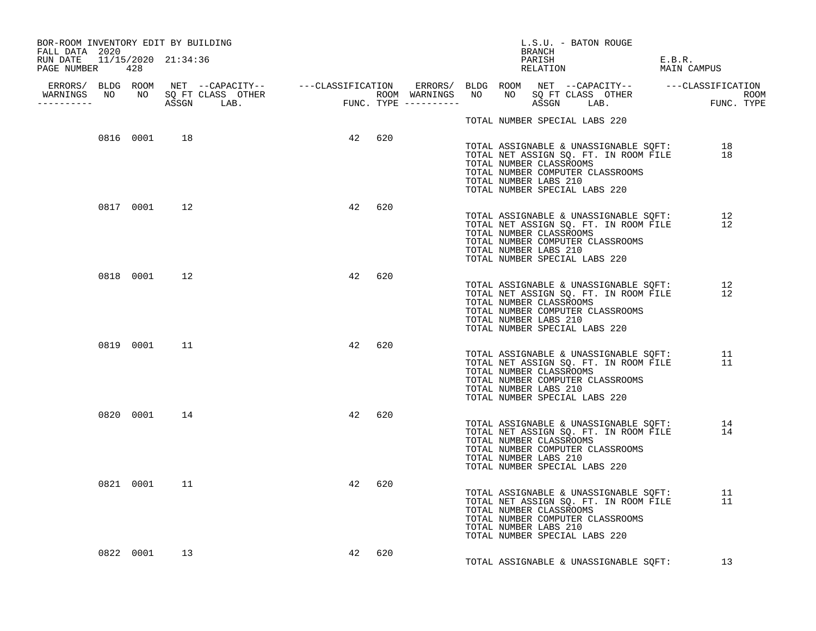| BOR-ROOM INVENTORY EDIT BY BUILDING<br>FALL DATA 2020 |              |    |    |        |  |                                                  | BRANCH | L.S.U. - BATON ROUGE          |                                                                           |        |                                                                                      |  |
|-------------------------------------------------------|--------------|----|----|--------|--|--------------------------------------------------|--------|-------------------------------|---------------------------------------------------------------------------|--------|--------------------------------------------------------------------------------------|--|
| RUN DATE  11/15/2020  21:34:36<br>PAGE NUMBER 428     |              |    |    |        |  |                                                  |        | PARISH<br>RELATION            |                                                                           | E.B.R. | MAIN CAMPUS                                                                          |  |
| -----------                                           |              |    |    |        |  |                                                  |        |                               |                                                                           |        |                                                                                      |  |
|                                                       |              |    |    |        |  |                                                  |        | TOTAL NUMBER SPECIAL LABS 220 |                                                                           |        |                                                                                      |  |
|                                                       | 0816 0001 18 |    |    | 42 620 |  | TOTAL NUMBER CLASSROOMS<br>TOTAL NUMBER LABS 210 |        | TOTAL NUMBER SPECIAL LABS 220 | TOTAL NET ASSIGN SQ. FT. IN ROOM FILE<br>TOTAL NUMBER COMPUTER CLASSROOMS |        | TOTAL ASSIGNABLE & UNASSIGNABLE SQFT: 18<br>18                                       |  |
|                                                       | 0817 0001 12 |    | 42 | 620    |  | TOTAL NUMBER CLASSROOMS<br>TOTAL NUMBER LABS 210 |        | TOTAL NUMBER SPECIAL LABS 220 | TOTAL NUMBER COMPUTER CLASSROOMS                                          |        | TOTAL ASSIGNABLE & UNASSIGNABLE SQFT: 12<br>TOTAL NET ASSIGN SQ. FT. IN ROOM FILE 12 |  |
|                                                       | 0818 0001 12 |    |    | 42 620 |  | TOTAL NUMBER CLASSROOMS<br>TOTAL NUMBER LABS 210 |        | TOTAL NUMBER SPECIAL LABS 220 | TOTAL ASSIGNABLE & UNASSIGNABLE SOFT:<br>TOTAL NUMBER COMPUTER CLASSROOMS |        | 12<br>TOTAL NET ASSIGN SQ. FT. IN ROOM FILE 12                                       |  |
|                                                       | 0819 0001 11 |    | 42 | 620    |  | TOTAL NUMBER CLASSROOMS<br>TOTAL NUMBER LABS 210 |        | TOTAL NUMBER SPECIAL LABS 220 | TOTAL NUMBER COMPUTER CLASSROOMS                                          |        | TOTAL ASSIGNABLE & UNASSIGNABLE SQFT: 11<br>TOTAL NET ASSIGN SQ. FT. IN ROOM FILE 11 |  |
|                                                       | 0820 0001 14 |    | 42 | 620    |  | TOTAL NUMBER CLASSROOMS<br>TOTAL NUMBER LABS 210 |        | TOTAL NUMBER SPECIAL LABS 220 | TOTAL NUMBER COMPUTER CLASSROOMS                                          |        | TOTAL ASSIGNABLE & UNASSIGNABLE SQFT: 14<br>TOTAL NET ASSIGN SQ. FT. IN ROOM FILE 14 |  |
|                                                       | 0821 0001 11 |    | 42 | 620    |  | TOTAL NUMBER CLASSROOMS<br>TOTAL NUMBER LABS 210 |        | TOTAL NUMBER SPECIAL LABS 220 | TOTAL NUMBER COMPUTER CLASSROOMS                                          |        | TOTAL ASSIGNABLE & UNASSIGNABLE SQFT: 11<br>TOTAL NET ASSIGN SQ. FT. IN ROOM FILE 11 |  |
|                                                       | 0822 0001    | 13 | 42 | 620    |  |                                                  |        |                               |                                                                           |        | TOTAL ASSIGNABLE & UNASSIGNABLE SQFT: 13                                             |  |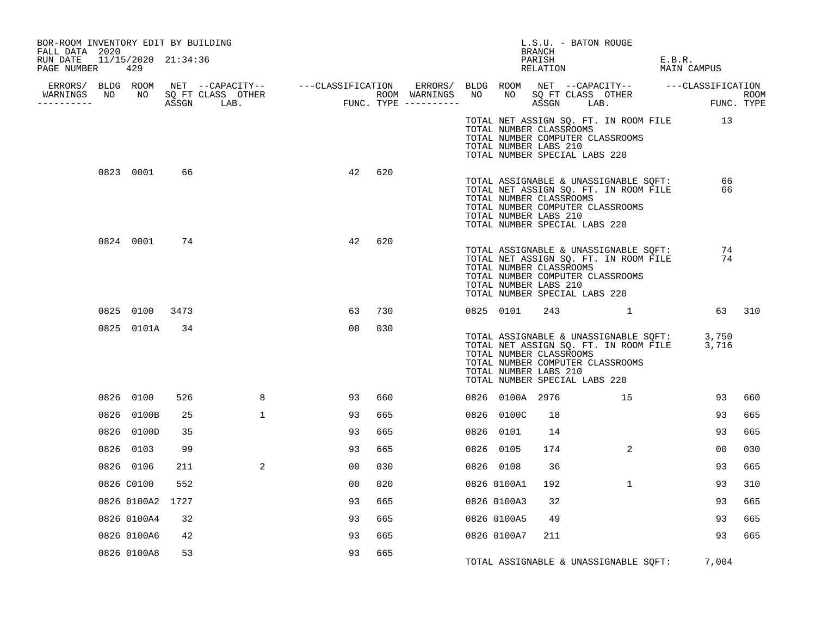| BOR-ROOM INVENTORY EDIT BY BUILDING<br>FALL DATA 2020 |              |      |              |    |     |                                                                                                                                                                                                                                      |           |                                                                                   | BRANCH             | L.S.U. - BATON ROUGE |                                                                                                                                |        |             |      |
|-------------------------------------------------------|--------------|------|--------------|----|-----|--------------------------------------------------------------------------------------------------------------------------------------------------------------------------------------------------------------------------------------|-----------|-----------------------------------------------------------------------------------|--------------------|----------------------|--------------------------------------------------------------------------------------------------------------------------------|--------|-------------|------|
| RUN DATE 11/15/2020 21:34:36<br>PAGE NUMBER 429       |              |      |              |    |     |                                                                                                                                                                                                                                      |           |                                                                                   | PARISH<br>RELATION |                      |                                                                                                                                | E.B.R. | MAIN CAMPUS |      |
|                                                       |              |      |              |    |     |                                                                                                                                                                                                                                      |           |                                                                                   |                    |                      |                                                                                                                                |        |             |      |
| WARNINGS NO NO SQ FT CLASS OTHER<br>-----------       |              |      |              |    |     | ERRORS/ BLDG ROOM NET --CAPACITY-- ----CLASSIFICATION ERRORS/ BLDG ROOM NET --CAPACITY-- -----CLASSIFICATION<br>NARNINGS NO NO SQFTCLASS OTHER ROOM WARNINGS NO NO SQFTCLASS OTHER ROOM<br>--------- ASSGN LAB. FUNC.TYPE ---------- |           |                                                                                   |                    |                      |                                                                                                                                |        |             | ROOM |
|                                                       |              |      |              |    |     |                                                                                                                                                                                                                                      |           | TOTAL NUMBER CLASSROOMS<br>TOTAL NUMBER LABS 210<br>TOTAL NUMBER SPECIAL LABS 220 |                    |                      | TOTAL NET ASSIGN SQ. FT. IN ROOM FILE 13<br>TOTAL NUMBER COMPUTER CLASSROOMS                                                   |        |             |      |
|                                                       | 0823 0001    | 66   |              | 42 | 620 |                                                                                                                                                                                                                                      |           | TOTAL NUMBER CLASSROOMS<br>TOTAL NUMBER LABS 210<br>TOTAL NUMBER SPECIAL LABS 220 |                    |                      | TOTAL ASSIGNABLE & UNASSIGNABLE SQFT:<br>TOTAL NET ASSIGN SQ. FT. IN ROOM FILE<br>TOTAL NUMBER COMPUTER CLASSROOMS             |        | 66<br>66    |      |
|                                                       | 0824 0001 74 |      |              | 42 | 620 |                                                                                                                                                                                                                                      |           | TOTAL NUMBER CLASSROOMS<br>TOTAL NUMBER LABS 210<br>TOTAL NUMBER SPECIAL LABS 220 |                    |                      | TOTAL ASSIGNABLE & UNASSIGNABLE SQFT: 74<br>TOTAL NET ASSIGN SQ. FT. IN ROOM FILE 74<br>TOTAL NUMBER COMPUTER CLASSROOMS       |        |             |      |
|                                                       | 0825 0100    | 3473 |              | 63 | 730 |                                                                                                                                                                                                                                      |           | 0825 0101                                                                         |                    |                      | 243 1                                                                                                                          |        | 63 310      |      |
|                                                       | 0825 0101A   | 34   |              | 00 | 030 |                                                                                                                                                                                                                                      |           | TOTAL NUMBER CLASSROOMS<br>TOTAL NUMBER LABS 210<br>TOTAL NUMBER SPECIAL LABS 220 |                    |                      | TOTAL ASSIGNABLE & UNASSIGNABLE SQFT: 3,750<br>TOTAL NET ASSIGN SQ. FT. IN ROOM FILE 3,716<br>TOTAL NUMBER COMPUTER CLASSROOMS |        |             |      |
|                                                       | 0826 0100    | 526  | 8            | 93 | 660 |                                                                                                                                                                                                                                      |           | 0826 0100A 2976                                                                   |                    |                      | 15                                                                                                                             |        | 93          | 660  |
|                                                       | 0826 0100B   | 25   | $\mathbf{1}$ | 93 | 665 |                                                                                                                                                                                                                                      |           | 0826 0100C                                                                        | 18                 |                      |                                                                                                                                |        | 93          | 665  |
|                                                       | 0826 0100D   | 35   |              | 93 | 665 |                                                                                                                                                                                                                                      |           | 0826 0101                                                                         | 14                 |                      |                                                                                                                                |        | 93          | 665  |
|                                                       | 0826 0103    | 99   |              | 93 | 665 |                                                                                                                                                                                                                                      | 0826 0105 |                                                                                   | 174                |                      | 2                                                                                                                              |        | 00          | 030  |
|                                                       | 0826 0106    | 211  | 2            | 00 | 030 |                                                                                                                                                                                                                                      | 0826 0108 |                                                                                   | 36                 |                      |                                                                                                                                |        | 93          | 665  |
|                                                       | 0826 C0100   | 552  |              | 00 | 020 |                                                                                                                                                                                                                                      |           | 0826 0100A1                                                                       | 192                |                      | $\mathbf{1}$                                                                                                                   |        | 93          | 310  |
|                                                       | 0826 0100A2  | 1727 |              | 93 | 665 |                                                                                                                                                                                                                                      |           | 0826 0100A3                                                                       | 32                 |                      |                                                                                                                                |        | 93          | 665  |
|                                                       | 0826 0100A4  | 32   |              | 93 | 665 |                                                                                                                                                                                                                                      |           | 0826 0100A5                                                                       | 49                 |                      |                                                                                                                                |        | 93          | 665  |
|                                                       | 0826 0100A6  | 42   |              | 93 | 665 |                                                                                                                                                                                                                                      |           | 0826 0100A7                                                                       | 211                |                      |                                                                                                                                |        | 93          | 665  |
|                                                       | 0826 0100A8  | 53   |              | 93 | 665 |                                                                                                                                                                                                                                      |           |                                                                                   |                    |                      | TOTAL ASSIGNABLE & UNASSIGNABLE SQFT: 7,004                                                                                    |        |             |      |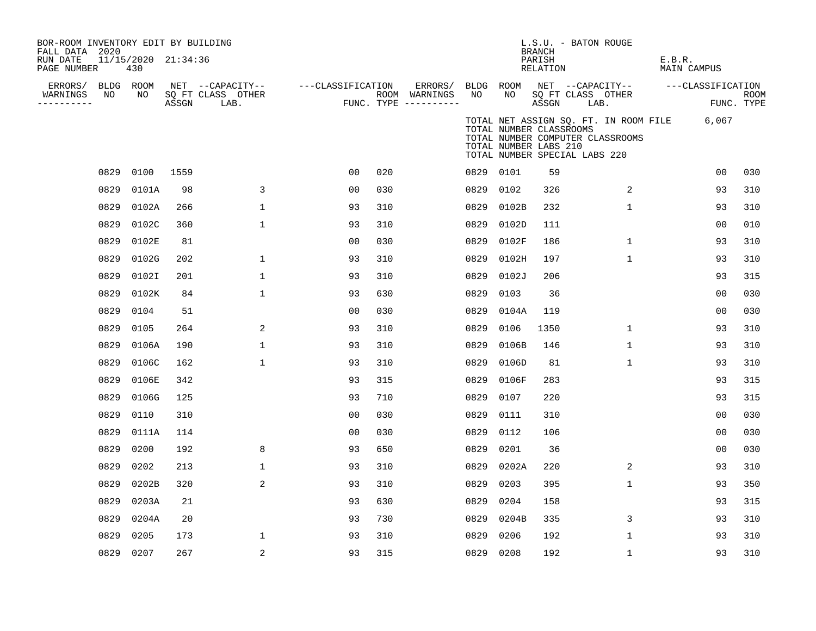| BOR-ROOM INVENTORY EDIT BY BUILDING<br>FALL DATA 2020 |      |                            |       |                           |                   |     |                                      |           |                                                                                   | <b>BRANCH</b>      | L.S.U. - BATON ROUGE      |                                                                           |        |                   |                           |
|-------------------------------------------------------|------|----------------------------|-------|---------------------------|-------------------|-----|--------------------------------------|-----------|-----------------------------------------------------------------------------------|--------------------|---------------------------|---------------------------------------------------------------------------|--------|-------------------|---------------------------|
| RUN DATE<br>PAGE NUMBER                               |      | 11/15/2020 21:34:36<br>430 |       |                           |                   |     |                                      |           |                                                                                   | PARISH<br>RELATION |                           |                                                                           | E.B.R. | MAIN CAMPUS       |                           |
| ERRORS/                                               |      | BLDG ROOM                  |       | NET --CAPACITY--          | ---CLASSIFICATION |     | ERRORS/                              | BLDG ROOM |                                                                                   |                    |                           | NET --CAPACITY--                                                          |        | ---CLASSIFICATION |                           |
| WARNINGS<br>----------                                | NO   | NO                         | ASSGN | SQ FT CLASS OTHER<br>LAB. |                   |     | ROOM WARNINGS<br>FUNC. TYPE $------$ | NO        | NO                                                                                | ASSGN              | SQ FT CLASS OTHER<br>LAB. |                                                                           |        |                   | <b>ROOM</b><br>FUNC. TYPE |
|                                                       |      |                            |       |                           |                   |     |                                      |           | TOTAL NUMBER CLASSROOMS<br>TOTAL NUMBER LABS 210<br>TOTAL NUMBER SPECIAL LABS 220 |                    |                           | TOTAL NET ASSIGN SQ. FT. IN ROOM FILE<br>TOTAL NUMBER COMPUTER CLASSROOMS |        | 6,067             |                           |
|                                                       | 0829 | 0100                       | 1559  |                           | 0 <sub>0</sub>    | 020 |                                      | 0829 0101 |                                                                                   | 59                 |                           |                                                                           |        | 0 <sub>0</sub>    | 030                       |
|                                                       | 0829 | 0101A                      | 98    | 3                         | 0 <sub>0</sub>    | 030 |                                      | 0829      | 0102                                                                              | 326                |                           | 2                                                                         |        | 93                | 310                       |
|                                                       | 0829 | 0102A                      | 266   | $\mathbf 1$               | 93                | 310 |                                      | 0829      | 0102B                                                                             | 232                |                           | 1                                                                         |        | 93                | 310                       |
|                                                       | 0829 | 0102C                      | 360   | $\mathbf 1$               | 93                | 310 |                                      | 0829      | 0102D                                                                             | 111                |                           |                                                                           |        | 0 <sub>0</sub>    | 010                       |
|                                                       | 0829 | 0102E                      | 81    |                           | 0 <sub>0</sub>    | 030 |                                      | 0829      | 0102F                                                                             | 186                |                           | $\mathbf{1}$                                                              |        | 93                | 310                       |
|                                                       | 0829 | 0102G                      | 202   | 1                         | 93                | 310 |                                      | 0829      | 0102H                                                                             | 197                |                           | 1                                                                         |        | 93                | 310                       |
|                                                       | 0829 | 0102I                      | 201   | $\mathbf 1$               | 93                | 310 |                                      | 0829      | 0102J                                                                             | 206                |                           |                                                                           |        | 93                | 315                       |
|                                                       | 0829 | 0102K                      | 84    | $\mathbf 1$               | 93                | 630 |                                      | 0829      | 0103                                                                              | 36                 |                           |                                                                           |        | 0 <sub>0</sub>    | 030                       |
|                                                       | 0829 | 0104                       | 51    |                           | 0 <sub>0</sub>    | 030 |                                      | 0829      | 0104A                                                                             | 119                |                           |                                                                           |        | 0 <sub>0</sub>    | 030                       |
|                                                       | 0829 | 0105                       | 264   | $\overline{2}$            | 93                | 310 |                                      | 0829      | 0106                                                                              | 1350               |                           | $\mathbf{1}$                                                              |        | 93                | 310                       |
|                                                       | 0829 | 0106A                      | 190   | $\mathbf 1$               | 93                | 310 |                                      | 0829      | 0106B                                                                             | 146                |                           | $\mathbf{1}$                                                              |        | 93                | 310                       |
|                                                       | 0829 | 0106C                      | 162   | 1                         | 93                | 310 |                                      | 0829      | 0106D                                                                             | 81                 |                           | 1                                                                         |        | 93                | 310                       |
|                                                       | 0829 | 0106E                      | 342   |                           | 93                | 315 |                                      | 0829      | 0106F                                                                             | 283                |                           |                                                                           |        | 93                | 315                       |
|                                                       | 0829 | 0106G                      | 125   |                           | 93                | 710 |                                      | 0829      | 0107                                                                              | 220                |                           |                                                                           |        | 93                | 315                       |
|                                                       | 0829 | 0110                       | 310   |                           | 00                | 030 |                                      | 0829      | 0111                                                                              | 310                |                           |                                                                           |        | 0 <sub>0</sub>    | 030                       |
|                                                       | 0829 | 0111A                      | 114   |                           | 0 <sub>0</sub>    | 030 |                                      | 0829      | 0112                                                                              | 106                |                           |                                                                           |        | 0 <sub>0</sub>    | 030                       |
|                                                       | 0829 | 0200                       | 192   | 8                         | 93                | 650 |                                      | 0829      | 0201                                                                              | 36                 |                           |                                                                           |        | 0 <sup>0</sup>    | 030                       |
|                                                       | 0829 | 0202                       | 213   | 1                         | 93                | 310 |                                      | 0829      | 0202A                                                                             | 220                |                           | 2                                                                         |        | 93                | 310                       |
|                                                       | 0829 | 0202B                      | 320   | 2                         | 93                | 310 |                                      | 0829      | 0203                                                                              | 395                |                           | $\mathbf{1}$                                                              |        | 93                | 350                       |
|                                                       | 0829 | 0203A                      | 21    |                           | 93                | 630 |                                      | 0829      | 0204                                                                              | 158                |                           |                                                                           |        | 93                | 315                       |
|                                                       | 0829 | 0204A                      | 20    |                           | 93                | 730 |                                      | 0829      | 0204B                                                                             | 335                |                           | 3                                                                         |        | 93                | 310                       |
|                                                       | 0829 | 0205                       | 173   | 1                         | 93                | 310 |                                      | 0829      | 0206                                                                              | 192                |                           | 1                                                                         |        | 93                | 310                       |
|                                                       |      | 0829 0207                  | 267   | 2                         | 93                | 315 |                                      | 0829 0208 |                                                                                   | 192                |                           | 1                                                                         |        | 93                | 310                       |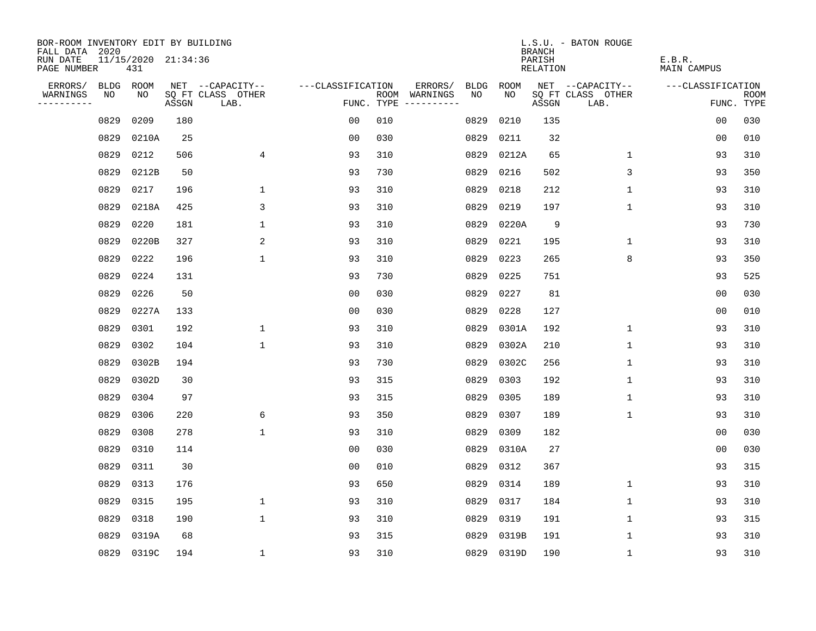| BOR-ROOM INVENTORY EDIT BY BUILDING<br>FALL DATA 2020 |      |                            |       |                           |                   |            |                                        |      |       | <b>BRANCH</b>             | L.S.U. - BATON ROUGE      |                              |                           |
|-------------------------------------------------------|------|----------------------------|-------|---------------------------|-------------------|------------|----------------------------------------|------|-------|---------------------------|---------------------------|------------------------------|---------------------------|
| RUN DATE<br>PAGE NUMBER                               |      | 11/15/2020 21:34:36<br>431 |       |                           |                   |            |                                        |      |       | PARISH<br><b>RELATION</b> |                           | E.B.R.<br><b>MAIN CAMPUS</b> |                           |
| ERRORS/                                               | BLDG | ROOM                       |       | NET --CAPACITY--          | ---CLASSIFICATION |            | ERRORS/                                | BLDG | ROOM  |                           | NET --CAPACITY--          | ---CLASSIFICATION            |                           |
| WARNINGS<br>----------                                | NO   | NO                         | ASSGN | SQ FT CLASS OTHER<br>LAB. |                   | FUNC. TYPE | ROOM WARNINGS<br>$- - - - - - - - - -$ | NO.  | NO.   | ASSGN                     | SQ FT CLASS OTHER<br>LAB. |                              | <b>ROOM</b><br>FUNC. TYPE |
|                                                       | 0829 | 0209                       | 180   |                           | 0 <sub>0</sub>    | 010        |                                        | 0829 | 0210  | 135                       |                           | 0 <sub>0</sub>               | 030                       |
|                                                       | 0829 | 0210A                      | 25    |                           | 0 <sub>0</sub>    | 030        |                                        | 0829 | 0211  | 32                        |                           | 00                           | 010                       |
|                                                       | 0829 | 0212                       | 506   | $\overline{4}$            | 93                | 310        |                                        | 0829 | 0212A | 65                        | $\mathbf 1$               | 93                           | 310                       |
|                                                       | 0829 | 0212B                      | 50    |                           | 93                | 730        |                                        | 0829 | 0216  | 502                       | 3                         | 93                           | 350                       |
|                                                       | 0829 | 0217                       | 196   | $\mathbf 1$               | 93                | 310        |                                        | 0829 | 0218  | 212                       | $\mathbf{1}$              | 93                           | 310                       |
|                                                       | 0829 | 0218A                      | 425   | 3                         | 93                | 310        |                                        | 0829 | 0219  | 197                       | $\mathbf{1}$              | 93                           | 310                       |
|                                                       | 0829 | 0220                       | 181   | $\mathbf 1$               | 93                | 310        |                                        | 0829 | 0220A | 9                         |                           | 93                           | 730                       |
|                                                       | 0829 | 0220B                      | 327   | 2                         | 93                | 310        |                                        | 0829 | 0221  | 195                       | 1                         | 93                           | 310                       |
|                                                       | 0829 | 0222                       | 196   | $\mathbf{1}$              | 93                | 310        |                                        | 0829 | 0223  | 265                       | 8                         | 93                           | 350                       |
|                                                       | 0829 | 0224                       | 131   |                           | 93                | 730        |                                        | 0829 | 0225  | 751                       |                           | 93                           | 525                       |
|                                                       | 0829 | 0226                       | 50    |                           | 0 <sub>0</sub>    | 030        |                                        | 0829 | 0227  | 81                        |                           | 0 <sub>0</sub>               | 030                       |
|                                                       | 0829 | 0227A                      | 133   |                           | 0 <sub>0</sub>    | 030        |                                        | 0829 | 0228  | 127                       |                           | 0 <sub>0</sub>               | 010                       |
|                                                       | 0829 | 0301                       | 192   | $\mathbf 1$               | 93                | 310        |                                        | 0829 | 0301A | 192                       | $\mathbf 1$               | 93                           | 310                       |
|                                                       | 0829 | 0302                       | 104   | $\mathbf 1$               | 93                | 310        |                                        | 0829 | 0302A | 210                       | $\mathbf 1$               | 93                           | 310                       |
|                                                       | 0829 | 0302B                      | 194   |                           | 93                | 730        |                                        | 0829 | 0302C | 256                       | $\mathbf{1}$              | 93                           | 310                       |
|                                                       | 0829 | 0302D                      | 30    |                           | 93                | 315        |                                        | 0829 | 0303  | 192                       | $\mathbf{1}$              | 93                           | 310                       |
|                                                       | 0829 | 0304                       | 97    |                           | 93                | 315        |                                        | 0829 | 0305  | 189                       | $\mathbf{1}$              | 93                           | 310                       |
|                                                       | 0829 | 0306                       | 220   | 6                         | 93                | 350        |                                        | 0829 | 0307  | 189                       | 1                         | 93                           | 310                       |
|                                                       | 0829 | 0308                       | 278   | $\mathbf{1}$              | 93                | 310        |                                        | 0829 | 0309  | 182                       |                           | 0 <sub>0</sub>               | 030                       |
|                                                       | 0829 | 0310                       | 114   |                           | 0 <sub>0</sub>    | 030        |                                        | 0829 | 0310A | 27                        |                           | 0 <sub>0</sub>               | 030                       |
|                                                       | 0829 | 0311                       | 30    |                           | 0 <sub>0</sub>    | 010        |                                        | 0829 | 0312  | 367                       |                           | 93                           | 315                       |
|                                                       | 0829 | 0313                       | 176   |                           | 93                | 650        |                                        | 0829 | 0314  | 189                       | $\mathbf 1$               | 93                           | 310                       |
|                                                       | 0829 | 0315                       | 195   | $\mathbf 1$               | 93                | 310        |                                        | 0829 | 0317  | 184                       | 1                         | 93                           | 310                       |
|                                                       | 0829 | 0318                       | 190   | $\mathbf{1}$              | 93                | 310        |                                        | 0829 | 0319  | 191                       | $\mathbf 1$               | 93                           | 315                       |
|                                                       | 0829 | 0319A                      | 68    |                           | 93                | 315        |                                        | 0829 | 0319B | 191                       | 1                         | 93                           | 310                       |
|                                                       |      | 0829 0319C                 | 194   | $\mathbf 1$               | 93                | 310        |                                        | 0829 | 0319D | 190                       | 1                         | 93                           | 310                       |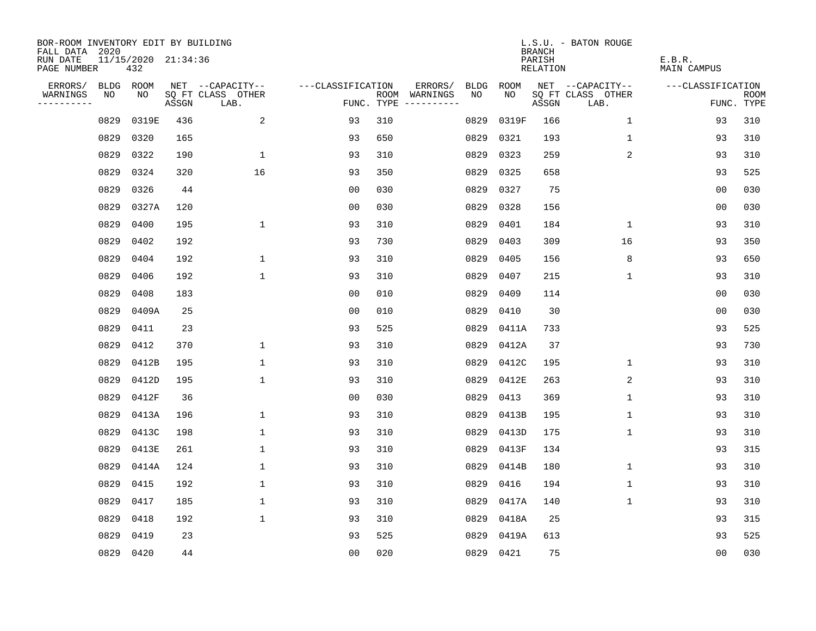| BOR-ROOM INVENTORY EDIT BY BUILDING<br>FALL DATA 2020 |           |                            |       |                           |                   |     |                                      |             |           | <b>BRANCH</b>             | L.S.U. - BATON ROUGE      |                              |                           |
|-------------------------------------------------------|-----------|----------------------------|-------|---------------------------|-------------------|-----|--------------------------------------|-------------|-----------|---------------------------|---------------------------|------------------------------|---------------------------|
| RUN DATE<br>PAGE NUMBER                               |           | 11/15/2020 21:34:36<br>432 |       |                           |                   |     |                                      |             |           | PARISH<br><b>RELATION</b> |                           | E.B.R.<br><b>MAIN CAMPUS</b> |                           |
| ERRORS/                                               | BLDG ROOM |                            |       | NET --CAPACITY--          | ---CLASSIFICATION |     | ERRORS/                              | <b>BLDG</b> | ROOM      |                           | NET --CAPACITY--          | ---CLASSIFICATION            |                           |
| WARNINGS<br>----------                                | NO        | NO                         | ASSGN | SQ FT CLASS OTHER<br>LAB. |                   |     | ROOM WARNINGS<br>FUNC. TYPE $------$ | NO          | NO        | ASSGN                     | SQ FT CLASS OTHER<br>LAB. |                              | <b>ROOM</b><br>FUNC. TYPE |
|                                                       | 0829      | 0319E                      | 436   | 2                         | 93                | 310 |                                      | 0829        | 0319F     | 166                       | $\mathbf 1$               | 93                           | 310                       |
|                                                       | 0829      | 0320                       | 165   |                           | 93                | 650 |                                      | 0829        | 0321      | 193                       | $\mathbf 1$               | 93                           | 310                       |
|                                                       | 0829      | 0322                       | 190   | $\mathbf{1}$              | 93                | 310 |                                      | 0829        | 0323      | 259                       | 2                         | 93                           | 310                       |
|                                                       | 0829      | 0324                       | 320   | 16                        | 93                | 350 |                                      | 0829        | 0325      | 658                       |                           | 93                           | 525                       |
|                                                       | 0829      | 0326                       | 44    |                           | 0 <sub>0</sub>    | 030 |                                      | 0829        | 0327      | 75                        |                           | 00                           | 030                       |
|                                                       | 0829      | 0327A                      | 120   |                           | 0 <sub>0</sub>    | 030 |                                      | 0829        | 0328      | 156                       |                           | 00                           | 030                       |
|                                                       | 0829      | 0400                       | 195   | $\mathbf{1}$              | 93                | 310 |                                      | 0829        | 0401      | 184                       | $\mathbf{1}$              | 93                           | 310                       |
|                                                       | 0829      | 0402                       | 192   |                           | 93                | 730 |                                      | 0829        | 0403      | 309                       | 16                        | 93                           | 350                       |
|                                                       | 0829      | 0404                       | 192   | $\mathbf 1$               | 93                | 310 |                                      | 0829        | 0405      | 156                       | 8                         | 93                           | 650                       |
|                                                       | 0829      | 0406                       | 192   | $\mathbf{1}$              | 93                | 310 |                                      | 0829        | 0407      | 215                       | $\mathbf 1$               | 93                           | 310                       |
|                                                       | 0829      | 0408                       | 183   |                           | 0 <sub>0</sub>    | 010 |                                      | 0829        | 0409      | 114                       |                           | 0 <sub>0</sub>               | 030                       |
|                                                       | 0829      | 0409A                      | 25    |                           | 0 <sub>0</sub>    | 010 |                                      | 0829        | 0410      | 30                        |                           | 00                           | 030                       |
|                                                       | 0829      | 0411                       | 23    |                           | 93                | 525 |                                      | 0829        | 0411A     | 733                       |                           | 93                           | 525                       |
|                                                       | 0829      | 0412                       | 370   | $\mathbf 1$               | 93                | 310 |                                      | 0829        | 0412A     | 37                        |                           | 93                           | 730                       |
|                                                       | 0829      | 0412B                      | 195   | $\mathbf{1}$              | 93                | 310 |                                      | 0829        | 0412C     | 195                       | $\mathbf 1$               | 93                           | 310                       |
|                                                       | 0829      | 0412D                      | 195   | $\mathbf{1}$              | 93                | 310 |                                      | 0829        | 0412E     | 263                       | 2                         | 93                           | 310                       |
|                                                       | 0829      | 0412F                      | 36    |                           | 0 <sub>0</sub>    | 030 |                                      | 0829        | 0413      | 369                       | 1                         | 93                           | 310                       |
|                                                       | 0829      | 0413A                      | 196   | $\mathbf 1$               | 93                | 310 |                                      | 0829        | 0413B     | 195                       | $\mathbf 1$               | 93                           | 310                       |
|                                                       | 0829      | 0413C                      | 198   | 1                         | 93                | 310 |                                      | 0829        | 0413D     | 175                       | 1                         | 93                           | 310                       |
|                                                       | 0829      | 0413E                      | 261   | $\mathbf{1}$              | 93                | 310 |                                      | 0829        | 0413F     | 134                       |                           | 93                           | 315                       |
|                                                       | 0829      | 0414A                      | 124   | $\mathbf 1$               | 93                | 310 |                                      | 0829        | 0414B     | 180                       | 1                         | 93                           | 310                       |
|                                                       | 0829      | 0415                       | 192   | $\mathbf{1}$              | 93                | 310 |                                      | 0829        | 0416      | 194                       | $\mathbf{1}$              | 93                           | 310                       |
|                                                       | 0829      | 0417                       | 185   | $\mathbf 1$               | 93                | 310 |                                      | 0829        | 0417A     | 140                       | 1                         | 93                           | 310                       |
|                                                       | 0829      | 0418                       | 192   | $\mathbf{1}$              | 93                | 310 |                                      | 0829        | 0418A     | 25                        |                           | 93                           | 315                       |
|                                                       | 0829      | 0419                       | 23    |                           | 93                | 525 |                                      | 0829        | 0419A     | 613                       |                           | 93                           | 525                       |
|                                                       | 0829 0420 |                            | 44    |                           | 0 <sub>0</sub>    | 020 |                                      |             | 0829 0421 | 75                        |                           | 0 <sub>0</sub>               | 030                       |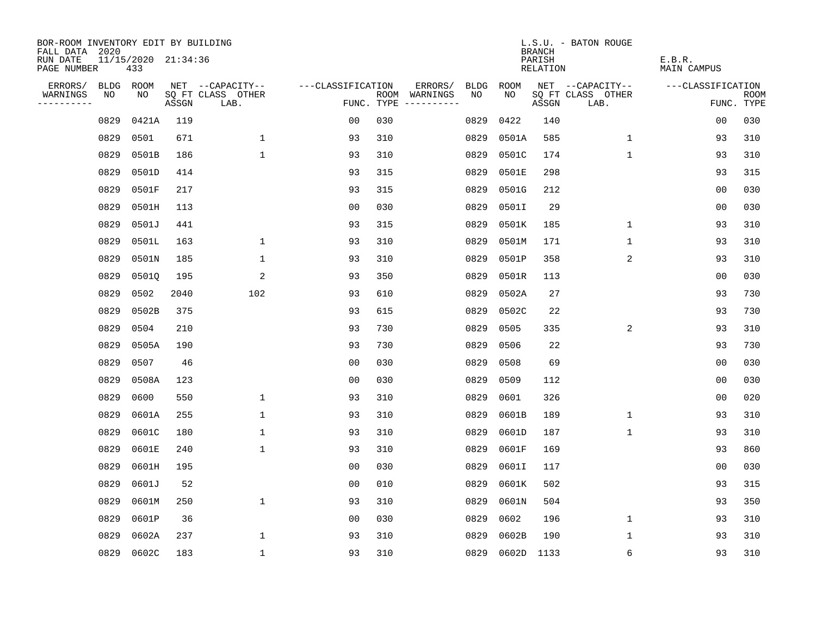| BOR-ROOM INVENTORY EDIT BY BUILDING<br>FALL DATA 2020 |      |                            |       |                           |                   |                                      |         |      |            | <b>BRANCH</b>      | L.S.U. - BATON ROUGE      |                              |                           |
|-------------------------------------------------------|------|----------------------------|-------|---------------------------|-------------------|--------------------------------------|---------|------|------------|--------------------|---------------------------|------------------------------|---------------------------|
| RUN DATE<br>PAGE NUMBER                               |      | 11/15/2020 21:34:36<br>433 |       |                           |                   |                                      |         |      |            | PARISH<br>RELATION |                           | E.B.R.<br><b>MAIN CAMPUS</b> |                           |
| ERRORS/                                               |      | BLDG ROOM                  |       | NET --CAPACITY--          | ---CLASSIFICATION |                                      | ERRORS/ | BLDG | ROOM       |                    | NET --CAPACITY--          | ---CLASSIFICATION            |                           |
| WARNINGS<br>----------                                | NO   | NO                         | ASSGN | SQ FT CLASS OTHER<br>LAB. |                   | ROOM WARNINGS<br>FUNC. TYPE $------$ |         | NO.  | NO.        | ASSGN              | SQ FT CLASS OTHER<br>LAB. |                              | <b>ROOM</b><br>FUNC. TYPE |
|                                                       | 0829 | 0421A                      | 119   |                           | 0 <sub>0</sub>    | 030                                  |         | 0829 | 0422       | 140                |                           | 0 <sub>0</sub>               | 030                       |
|                                                       | 0829 | 0501                       | 671   | $\mathbf 1$               | 93                | 310                                  |         | 0829 | 0501A      | 585                | $\mathbf 1$               | 93                           | 310                       |
|                                                       | 0829 | 0501B                      | 186   | $\mathbf{1}$              | 93                | 310                                  |         | 0829 | 0501C      | 174                | $\mathbf 1$               | 93                           | 310                       |
|                                                       | 0829 | 0501D                      | 414   |                           | 93                | 315                                  |         | 0829 | 0501E      | 298                |                           | 93                           | 315                       |
|                                                       | 0829 | 0501F                      | 217   |                           | 93                | 315                                  |         | 0829 | 0501G      | 212                |                           | 00                           | 030                       |
|                                                       | 0829 | 0501H                      | 113   |                           | 0 <sub>0</sub>    | 030                                  |         | 0829 | 0501I      | 29                 |                           | 00                           | 030                       |
|                                                       | 0829 | 0501J                      | 441   |                           | 93                | 315                                  |         | 0829 | 0501K      | 185                | $\mathbf 1$               | 93                           | 310                       |
|                                                       | 0829 | 0501L                      | 163   | $\mathbf{1}$              | 93                | 310                                  |         | 0829 | 0501M      | 171                | $\mathbf{1}$              | 93                           | 310                       |
|                                                       | 0829 | 0501N                      | 185   | $\mathbf{1}$              | 93                | 310                                  |         | 0829 | 0501P      | 358                | 2                         | 93                           | 310                       |
|                                                       | 0829 | 0501Q                      | 195   | 2                         | 93                | 350                                  |         | 0829 | 0501R      | 113                |                           | 00                           | 030                       |
|                                                       | 0829 | 0502                       | 2040  | 102                       | 93                | 610                                  |         | 0829 | 0502A      | 27                 |                           | 93                           | 730                       |
|                                                       | 0829 | 0502B                      | 375   |                           | 93                | 615                                  |         | 0829 | 0502C      | 22                 |                           | 93                           | 730                       |
|                                                       | 0829 | 0504                       | 210   |                           | 93                | 730                                  |         | 0829 | 0505       | 335                | 2                         | 93                           | 310                       |
|                                                       | 0829 | 0505A                      | 190   |                           | 93                | 730                                  |         | 0829 | 0506       | 22                 |                           | 93                           | 730                       |
|                                                       | 0829 | 0507                       | 46    |                           | 00                | 030                                  |         | 0829 | 0508       | 69                 |                           | 00                           | 030                       |
|                                                       | 0829 | 0508A                      | 123   |                           | 0 <sub>0</sub>    | 030                                  |         | 0829 | 0509       | 112                |                           | 0 <sub>0</sub>               | 030                       |
|                                                       | 0829 | 0600                       | 550   | $\mathbf 1$               | 93                | 310                                  |         | 0829 | 0601       | 326                |                           | 0 <sub>0</sub>               | 020                       |
|                                                       | 0829 | 0601A                      | 255   | $\mathbf{1}$              | 93                | 310                                  |         | 0829 | 0601B      | 189                | $\mathbf 1$               | 93                           | 310                       |
|                                                       | 0829 | 0601C                      | 180   | $\mathbf{1}$              | 93                | 310                                  |         | 0829 | 0601D      | 187                | 1                         | 93                           | 310                       |
|                                                       | 0829 | 0601E                      | 240   | $\mathbf{1}$              | 93                | 310                                  |         | 0829 | 0601F      | 169                |                           | 93                           | 860                       |
|                                                       | 0829 | 0601H                      | 195   |                           | 0 <sub>0</sub>    | 030                                  |         | 0829 | 0601I      | 117                |                           | 0 <sub>0</sub>               | 030                       |
|                                                       | 0829 | 0601J                      | 52    |                           | 0 <sub>0</sub>    | 010                                  |         | 0829 | 0601K      | 502                |                           | 93                           | 315                       |
|                                                       | 0829 | 0601M                      | 250   | $\mathbf{1}$              | 93                | 310                                  |         | 0829 | 0601N      | 504                |                           | 93                           | 350                       |
|                                                       | 0829 | 0601P                      | 36    |                           | 0 <sub>0</sub>    | 030                                  |         | 0829 | 0602       | 196                | $\mathbf 1$               | 93                           | 310                       |
|                                                       | 0829 | 0602A                      | 237   | 1                         | 93                | 310                                  |         | 0829 | 0602B      | 190                | 1                         | 93                           | 310                       |
|                                                       | 0829 | 0602C                      | 183   | $\mathbf{1}$              | 93                | 310                                  |         |      | 0829 0602D | 1133               | 6                         | 93                           | 310                       |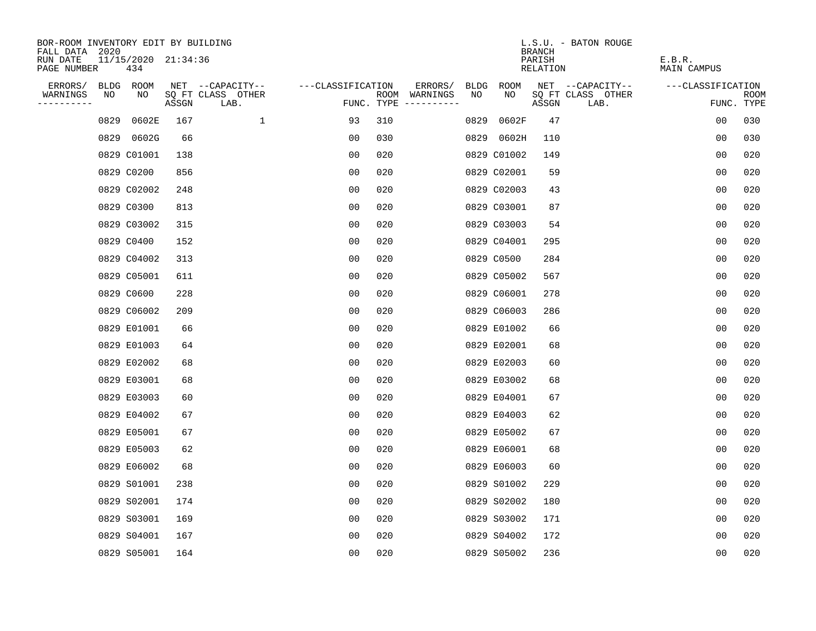| BOR-ROOM INVENTORY EDIT BY BUILDING<br>FALL DATA 2020 |                            |       |                           |                   |     |                                      |             |             | <b>BRANCH</b>      | L.S.U. - BATON ROUGE      |                              |                           |
|-------------------------------------------------------|----------------------------|-------|---------------------------|-------------------|-----|--------------------------------------|-------------|-------------|--------------------|---------------------------|------------------------------|---------------------------|
| RUN DATE<br>PAGE NUMBER                               | 11/15/2020 21:34:36<br>434 |       |                           |                   |     |                                      |             |             | PARISH<br>RELATION |                           | E.B.R.<br><b>MAIN CAMPUS</b> |                           |
| ERRORS/                                               | BLDG ROOM                  |       | NET --CAPACITY--          | ---CLASSIFICATION |     | ERRORS/                              | <b>BLDG</b> | <b>ROOM</b> |                    | NET --CAPACITY--          | ---CLASSIFICATION            |                           |
| WARNINGS<br>NO<br>----------                          | NO                         | ASSGN | SQ FT CLASS OTHER<br>LAB. |                   |     | ROOM WARNINGS<br>FUNC. TYPE $------$ | NO          | NO          | ASSGN              | SQ FT CLASS OTHER<br>LAB. |                              | <b>ROOM</b><br>FUNC. TYPE |
| 0829                                                  | 0602E                      | 167   | $\mathbf{1}$              | 93                | 310 |                                      | 0829        | 0602F       | 47                 |                           | 0 <sub>0</sub>               | 030                       |
| 0829                                                  | 0602G                      | 66    |                           | 00                | 030 |                                      |             | 0829 0602H  | 110                |                           | 0 <sub>0</sub>               | 030                       |
|                                                       | 0829 C01001                | 138   |                           | 0 <sub>0</sub>    | 020 |                                      |             | 0829 C01002 | 149                |                           | 0 <sub>0</sub>               | 020                       |
|                                                       | 0829 C0200                 | 856   |                           | 0 <sub>0</sub>    | 020 |                                      |             | 0829 C02001 | 59                 |                           | 00                           | 020                       |
|                                                       | 0829 C02002                | 248   |                           | 0 <sub>0</sub>    | 020 |                                      |             | 0829 C02003 | 43                 |                           | 0 <sub>0</sub>               | 020                       |
|                                                       | 0829 C0300                 | 813   |                           | 0 <sub>0</sub>    | 020 |                                      |             | 0829 C03001 | 87                 |                           | 0 <sub>0</sub>               | 020                       |
|                                                       | 0829 C03002                | 315   |                           | 0 <sub>0</sub>    | 020 |                                      |             | 0829 C03003 | 54                 |                           | 0 <sub>0</sub>               | 020                       |
|                                                       | 0829 C0400                 | 152   |                           | 0 <sub>0</sub>    | 020 |                                      |             | 0829 C04001 | 295                |                           | 0 <sub>0</sub>               | 020                       |
|                                                       | 0829 C04002                | 313   |                           | 0 <sub>0</sub>    | 020 |                                      |             | 0829 C0500  | 284                |                           | 0 <sub>0</sub>               | 020                       |
|                                                       | 0829 C05001                | 611   |                           | 0 <sub>0</sub>    | 020 |                                      |             | 0829 C05002 | 567                |                           | 0 <sub>0</sub>               | 020                       |
|                                                       | 0829 C0600                 | 228   |                           | 0 <sub>0</sub>    | 020 |                                      |             | 0829 C06001 | 278                |                           | 0 <sub>0</sub>               | 020                       |
|                                                       | 0829 C06002                | 209   |                           | 0 <sub>0</sub>    | 020 |                                      |             | 0829 C06003 | 286                |                           | 0 <sub>0</sub>               | 020                       |
|                                                       | 0829 E01001                | 66    |                           | 00                | 020 |                                      |             | 0829 E01002 | 66                 |                           | 0 <sub>0</sub>               | 020                       |
|                                                       | 0829 E01003                | 64    |                           | 00                | 020 |                                      |             | 0829 E02001 | 68                 |                           | 0 <sub>0</sub>               | 020                       |
|                                                       | 0829 E02002                | 68    |                           | 00                | 020 |                                      |             | 0829 E02003 | 60                 |                           | 0 <sub>0</sub>               | 020                       |
|                                                       | 0829 E03001                | 68    |                           | 0 <sub>0</sub>    | 020 |                                      |             | 0829 E03002 | 68                 |                           | 0 <sub>0</sub>               | 020                       |
|                                                       | 0829 E03003                | 60    |                           | 0 <sub>0</sub>    | 020 |                                      |             | 0829 E04001 | 67                 |                           | 0 <sub>0</sub>               | 020                       |
|                                                       | 0829 E04002                | 67    |                           | 0 <sub>0</sub>    | 020 |                                      |             | 0829 E04003 | 62                 |                           | 0 <sub>0</sub>               | 020                       |
|                                                       | 0829 E05001                | 67    |                           | 0 <sub>0</sub>    | 020 |                                      |             | 0829 E05002 | 67                 |                           | 0 <sub>0</sub>               | 020                       |
|                                                       | 0829 E05003                | 62    |                           | 0 <sub>0</sub>    | 020 |                                      |             | 0829 E06001 | 68                 |                           | 0 <sub>0</sub>               | 020                       |
|                                                       | 0829 E06002                | 68    |                           | 0 <sub>0</sub>    | 020 |                                      |             | 0829 E06003 | 60                 |                           | 0 <sub>0</sub>               | 020                       |
|                                                       | 0829 S01001                | 238   |                           | 0 <sub>0</sub>    | 020 |                                      |             | 0829 S01002 | 229                |                           | 0 <sub>0</sub>               | 020                       |
|                                                       | 0829 S02001                | 174   |                           | 0 <sub>0</sub>    | 020 |                                      |             | 0829 S02002 | 180                |                           | 0 <sub>0</sub>               | 020                       |
|                                                       | 0829 S03001                | 169   |                           | 0 <sub>0</sub>    | 020 |                                      |             | 0829 S03002 | 171                |                           | 0 <sub>0</sub>               | 020                       |
|                                                       | 0829 S04001                | 167   |                           | 0 <sub>0</sub>    | 020 |                                      |             | 0829 S04002 | 172                |                           | 0 <sub>0</sub>               | 020                       |
|                                                       | 0829 S05001                | 164   |                           | 0 <sub>0</sub>    | 020 |                                      |             | 0829 S05002 | 236                |                           | 0 <sub>0</sub>               | 020                       |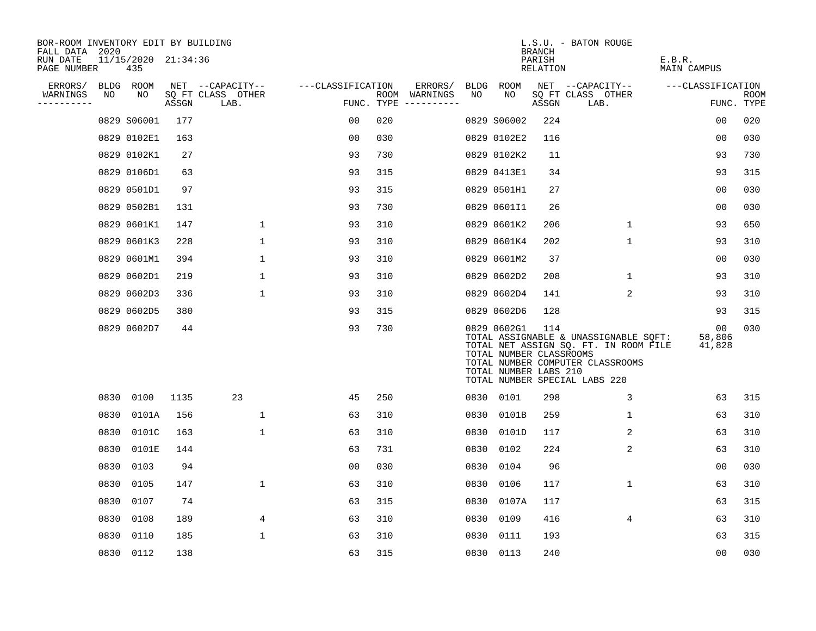| BOR-ROOM INVENTORY EDIT BY BUILDING<br>FALL DATA 2020 |      |                                |       |                           |                   |                                      |      |                                                                 | <b>BRANCH</b>             | L.S.U. - BATON ROUGE                                                                                                                                |                              |                           |
|-------------------------------------------------------|------|--------------------------------|-------|---------------------------|-------------------|--------------------------------------|------|-----------------------------------------------------------------|---------------------------|-----------------------------------------------------------------------------------------------------------------------------------------------------|------------------------------|---------------------------|
| RUN DATE<br>PAGE NUMBER                               |      | $11/15/2020$ $21:34:36$<br>435 |       |                           |                   |                                      |      |                                                                 | PARISH<br><b>RELATION</b> |                                                                                                                                                     | E.B.R.<br><b>MAIN CAMPUS</b> |                           |
| ERRORS/                                               |      | BLDG ROOM                      |       | NET --CAPACITY--          | ---CLASSIFICATION | ERRORS/                              |      | BLDG ROOM                                                       |                           | NET --CAPACITY--                                                                                                                                    | ---CLASSIFICATION            |                           |
| WARNINGS<br>----------                                | NO   | NO                             | ASSGN | SQ FT CLASS OTHER<br>LAB. |                   | ROOM WARNINGS<br>FUNC. TYPE $------$ | NO   | NO                                                              | ASSGN                     | SQ FT CLASS OTHER<br>LAB.                                                                                                                           |                              | <b>ROOM</b><br>FUNC. TYPE |
|                                                       |      | 0829 S06001                    | 177   |                           | 00                | 020                                  |      | 0829 S06002                                                     | 224                       |                                                                                                                                                     | 00                           | 020                       |
|                                                       |      | 0829 0102E1                    | 163   |                           | 0 <sub>0</sub>    | 030                                  |      | 0829 0102E2                                                     | 116                       |                                                                                                                                                     | 0 <sub>0</sub>               | 030                       |
|                                                       |      | 0829 0102K1                    | 27    |                           | 93                | 730                                  |      | 0829 0102K2                                                     | 11                        |                                                                                                                                                     | 93                           | 730                       |
|                                                       |      | 0829 0106D1                    | 63    |                           | 93                | 315                                  |      | 0829 0413E1                                                     | 34                        |                                                                                                                                                     | 93                           | 315                       |
|                                                       |      | 0829 0501D1                    | 97    |                           | 93                | 315                                  |      | 0829 0501H1                                                     | 27                        |                                                                                                                                                     | 0 <sub>0</sub>               | 030                       |
|                                                       |      | 0829 0502B1                    | 131   |                           | 93                | 730                                  |      | 0829 0601I1                                                     | 26                        |                                                                                                                                                     | 0 <sub>0</sub>               | 030                       |
|                                                       |      | 0829 0601K1                    | 147   | $\mathbf{1}$              | 93                | 310                                  |      | 0829 0601K2                                                     | 206                       | $\mathbf{1}$                                                                                                                                        | 93                           | 650                       |
|                                                       |      | 0829 0601K3                    | 228   | $\mathbf{1}$              | 93                | 310                                  |      | 0829 0601K4                                                     | 202                       | $\mathbf{1}$                                                                                                                                        | 93                           | 310                       |
|                                                       |      | 0829 0601M1                    | 394   | $\mathbf{1}$              | 93                | 310                                  |      | 0829 0601M2                                                     | 37                        |                                                                                                                                                     | 0 <sub>0</sub>               | 030                       |
|                                                       |      | 0829 0602D1                    | 219   | 1                         | 93                | 310                                  |      | 0829 0602D2                                                     | 208                       | 1                                                                                                                                                   | 93                           | 310                       |
|                                                       |      | 0829 0602D3                    | 336   | $\mathbf{1}$              | 93                | 310                                  |      | 0829 0602D4                                                     | 141                       | $\overline{2}$                                                                                                                                      | 93                           | 310                       |
|                                                       |      | 0829 0602D5                    | 380   |                           | 93                | 315                                  |      | 0829 0602D6                                                     | 128                       |                                                                                                                                                     | 93                           | 315                       |
|                                                       |      | 0829 0602D7                    | 44    |                           | 93                | 730                                  |      | 0829 0602G1<br>TOTAL NUMBER CLASSROOMS<br>TOTAL NUMBER LABS 210 | 114                       | TOTAL ASSIGNABLE & UNASSIGNABLE SQFT:<br>TOTAL NET ASSIGN SQ. FT. IN ROOM FILE<br>TOTAL NUMBER COMPUTER CLASSROOMS<br>TOTAL NUMBER SPECIAL LABS 220 | 00<br>58,806<br>41,828       | 030                       |
|                                                       | 0830 | 0100                           | 1135  | 23                        | 45                | 250                                  |      | 0830 0101                                                       | 298                       | 3                                                                                                                                                   | 63                           | 315                       |
|                                                       | 0830 | 0101A                          | 156   | $\mathbf 1$               | 63                | 310                                  | 0830 | 0101B                                                           | 259                       | 1                                                                                                                                                   | 63                           | 310                       |
|                                                       | 0830 | 0101C                          | 163   | $\mathbf{1}$              | 63                | 310                                  | 0830 | 0101D                                                           | 117                       | 2                                                                                                                                                   | 63                           | 310                       |
|                                                       | 0830 | 0101E                          | 144   |                           | 63                | 731                                  | 0830 | 0102                                                            | 224                       | $\overline{a}$                                                                                                                                      | 63                           | 310                       |
|                                                       | 0830 | 0103                           | 94    |                           | 0 <sub>0</sub>    | 030                                  | 0830 | 0104                                                            | 96                        |                                                                                                                                                     | 00                           | 030                       |
|                                                       | 0830 | 0105                           | 147   | $\mathbf{1}$              | 63                | 310                                  | 0830 | 0106                                                            | 117                       | $\mathbf{1}$                                                                                                                                        | 63                           | 310                       |
|                                                       | 0830 | 0107                           | 74    |                           | 63                | 315                                  |      | 0830 0107A                                                      | 117                       |                                                                                                                                                     | 63                           | 315                       |
|                                                       | 0830 | 0108                           | 189   | 4                         | 63                | 310                                  | 0830 | 0109                                                            | 416                       | 4                                                                                                                                                   | 63                           | 310                       |
|                                                       | 0830 | 0110                           | 185   | $\mathbf{1}$              | 63                | 310                                  | 0830 | 0111                                                            | 193                       |                                                                                                                                                     | 63                           | 315                       |
|                                                       |      | 0830 0112                      | 138   |                           | 63                | 315                                  |      | 0830 0113                                                       | 240                       |                                                                                                                                                     | 0 <sub>0</sub>               | 030                       |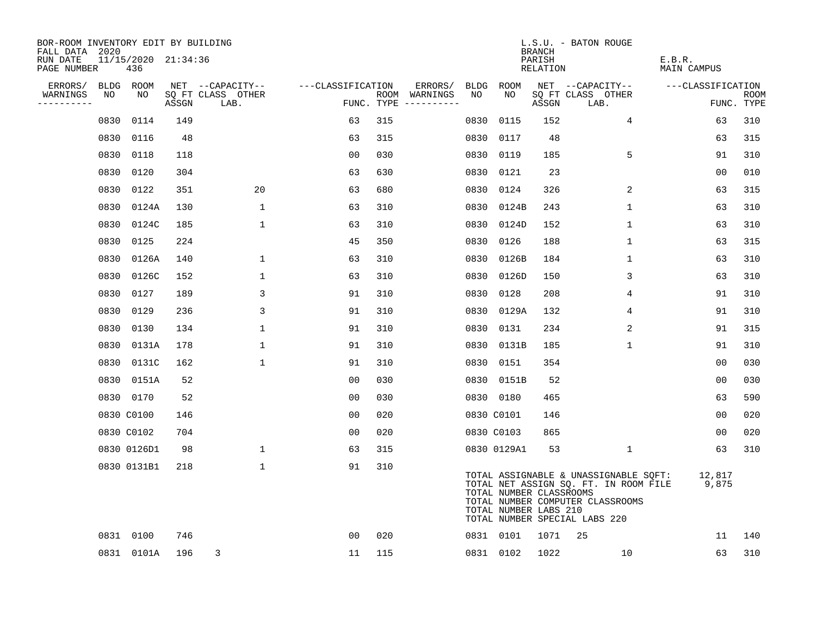| BOR-ROOM INVENTORY EDIT BY BUILDING<br>FALL DATA 2020 |      |                            |       |                           |                   |     |                                      |      |                                                  | BRANCH             | L.S.U. - BATON ROUGE                                                                                                                                |                       |                           |
|-------------------------------------------------------|------|----------------------------|-------|---------------------------|-------------------|-----|--------------------------------------|------|--------------------------------------------------|--------------------|-----------------------------------------------------------------------------------------------------------------------------------------------------|-----------------------|---------------------------|
| RUN DATE<br>PAGE NUMBER                               |      | 11/15/2020 21:34:36<br>436 |       |                           |                   |     |                                      |      |                                                  | PARISH<br>RELATION |                                                                                                                                                     | E.B.R.<br>MAIN CAMPUS |                           |
| ERRORS/                                               |      | BLDG ROOM                  |       | NET --CAPACITY--          | ---CLASSIFICATION |     | ERRORS/                              |      | BLDG ROOM                                        |                    | NET --CAPACITY--                                                                                                                                    | ---CLASSIFICATION     |                           |
| WARNINGS<br>----------                                | NO   | NO                         | ASSGN | SQ FT CLASS OTHER<br>LAB. |                   |     | ROOM WARNINGS<br>FUNC. TYPE $------$ | NO   | NO.                                              | ASSGN              | SQ FT CLASS OTHER<br>LAB.                                                                                                                           |                       | <b>ROOM</b><br>FUNC. TYPE |
|                                                       | 0830 | 0114                       | 149   |                           | 63                | 315 |                                      | 0830 | 0115                                             | 152                | $\overline{4}$                                                                                                                                      | 63                    | 310                       |
|                                                       | 0830 | 0116                       | 48    |                           | 63                | 315 |                                      | 0830 | 0117                                             | 48                 |                                                                                                                                                     | 63                    | 315                       |
|                                                       | 0830 | 0118                       | 118   |                           | 0 <sub>0</sub>    | 030 |                                      | 0830 | 0119                                             | 185                | 5                                                                                                                                                   | 91                    | 310                       |
|                                                       | 0830 | 0120                       | 304   |                           | 63                | 630 |                                      | 0830 | 0121                                             | 23                 |                                                                                                                                                     | 00                    | 010                       |
|                                                       | 0830 | 0122                       | 351   | 20                        | 63                | 680 |                                      | 0830 | 0124                                             | 326                | 2                                                                                                                                                   | 63                    | 315                       |
|                                                       | 0830 | 0124A                      | 130   | $\mathbf{1}$              | 63                | 310 |                                      | 0830 | 0124B                                            | 243                | $\mathbf{1}$                                                                                                                                        | 63                    | 310                       |
|                                                       | 0830 | 0124C                      | 185   | $\mathbf{1}$              | 63                | 310 |                                      | 0830 | 0124D                                            | 152                | $\mathbf{1}$                                                                                                                                        | 63                    | 310                       |
|                                                       | 0830 | 0125                       | 224   |                           | 45                | 350 |                                      | 0830 | 0126                                             | 188                | $\mathbf 1$                                                                                                                                         | 63                    | 315                       |
|                                                       | 0830 | 0126A                      | 140   | $\mathbf{1}$              | 63                | 310 |                                      | 0830 | 0126B                                            | 184                | $\mathbf 1$                                                                                                                                         | 63                    | 310                       |
|                                                       | 0830 | 0126C                      | 152   | 1                         | 63                | 310 |                                      | 0830 | 0126D                                            | 150                | 3                                                                                                                                                   | 63                    | 310                       |
|                                                       | 0830 | 0127                       | 189   | 3                         | 91                | 310 |                                      | 0830 | 0128                                             | 208                | 4                                                                                                                                                   | 91                    | 310                       |
|                                                       | 0830 | 0129                       | 236   | 3                         | 91                | 310 |                                      | 0830 | 0129A                                            | 132                | 4                                                                                                                                                   | 91                    | 310                       |
|                                                       | 0830 | 0130                       | 134   | 1                         | 91                | 310 |                                      | 0830 | 0131                                             | 234                | 2                                                                                                                                                   | 91                    | 315                       |
|                                                       | 0830 | 0131A                      | 178   | $\mathbf 1$               | 91                | 310 |                                      | 0830 | 0131B                                            | 185                | $\mathbf 1$                                                                                                                                         | 91                    | 310                       |
|                                                       | 0830 | 0131C                      | 162   | $\mathbf{1}$              | 91                | 310 |                                      | 0830 | 0151                                             | 354                |                                                                                                                                                     | 00                    | 030                       |
|                                                       | 0830 | 0151A                      | 52    |                           | 0 <sub>0</sub>    | 030 |                                      |      | 0830 0151B                                       | 52                 |                                                                                                                                                     | 0 <sub>0</sub>        | 030                       |
|                                                       |      | 0830 0170                  | 52    |                           | 0 <sub>0</sub>    | 030 |                                      |      | 0830 0180                                        | 465                |                                                                                                                                                     | 63                    | 590                       |
|                                                       |      | 0830 C0100                 | 146   |                           | 00                | 020 |                                      |      | 0830 C0101                                       | 146                |                                                                                                                                                     | 0 <sub>0</sub>        | 020                       |
|                                                       |      | 0830 C0102                 | 704   |                           | 0 <sub>0</sub>    | 020 |                                      |      | 0830 C0103                                       | 865                |                                                                                                                                                     | 0 <sub>0</sub>        | 020                       |
|                                                       |      | 0830 0126D1                | 98    | $\mathbf{1}$              | 63                | 315 |                                      |      | 0830 0129A1                                      | 53                 | $\mathbf{1}$                                                                                                                                        | 63                    | 310                       |
|                                                       |      | 0830 0131B1                | 218   | $\mathbf 1$               | 91                | 310 |                                      |      | TOTAL NUMBER CLASSROOMS<br>TOTAL NUMBER LABS 210 |                    | TOTAL ASSIGNABLE & UNASSIGNABLE SQFT:<br>TOTAL NET ASSIGN SQ. FT. IN ROOM FILE<br>TOTAL NUMBER COMPUTER CLASSROOMS<br>TOTAL NUMBER SPECIAL LABS 220 | 12,817<br>9,875       |                           |
|                                                       |      | 0831 0100                  | 746   |                           | 0 <sub>0</sub>    | 020 |                                      |      | 0831 0101                                        | 1071               | 25                                                                                                                                                  | 11                    | 140                       |
|                                                       |      | 0831 0101A                 | 196   | 3                         | 11                | 115 |                                      |      | 0831 0102                                        | 1022               | 10                                                                                                                                                  | 63                    | 310                       |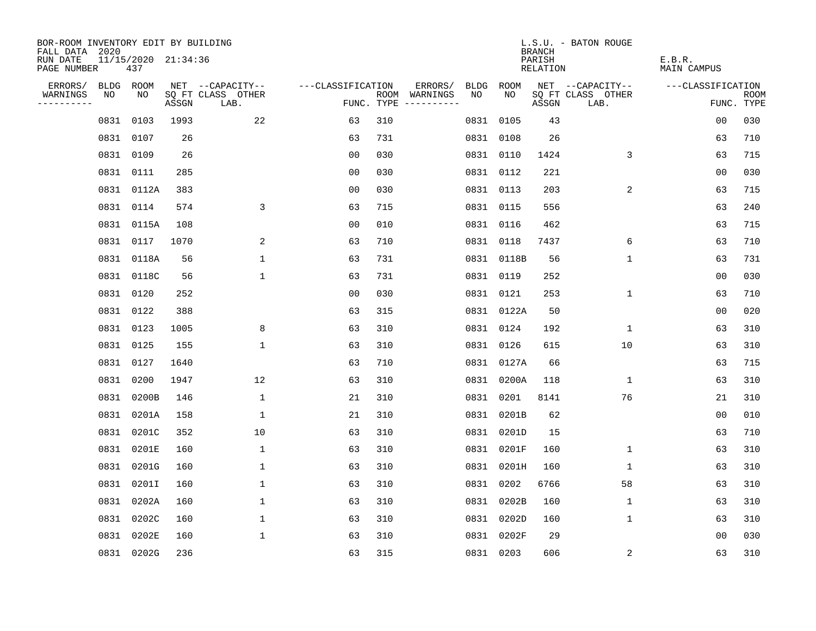| BOR-ROOM INVENTORY EDIT BY BUILDING       |      |                            |       |                           |                   |     |                                      |      |            | <b>BRANCH</b>      | L.S.U. - BATON ROUGE      |                              |                           |
|-------------------------------------------|------|----------------------------|-------|---------------------------|-------------------|-----|--------------------------------------|------|------------|--------------------|---------------------------|------------------------------|---------------------------|
| FALL DATA 2020<br>RUN DATE<br>PAGE NUMBER |      | 11/15/2020 21:34:36<br>437 |       |                           |                   |     |                                      |      |            | PARISH<br>RELATION |                           | E.B.R.<br><b>MAIN CAMPUS</b> |                           |
| ERRORS/                                   |      | BLDG ROOM                  |       | NET --CAPACITY--          | ---CLASSIFICATION |     | ERRORS/                              | BLDG | ROOM       |                    | NET --CAPACITY--          | ---CLASSIFICATION            |                           |
| WARNINGS<br>----------                    | NO   | NO                         | ASSGN | SQ FT CLASS OTHER<br>LAB. |                   |     | ROOM WARNINGS<br>FUNC. TYPE $------$ | NO.  | NO.        | ASSGN              | SQ FT CLASS OTHER<br>LAB. |                              | <b>ROOM</b><br>FUNC. TYPE |
|                                           | 0831 | 0103                       | 1993  | 22                        | 63                | 310 |                                      |      | 0831 0105  | 43                 |                           | 0 <sub>0</sub>               | 030                       |
|                                           | 0831 | 0107                       | 26    |                           | 63                | 731 |                                      |      | 0831 0108  | 26                 |                           | 63                           | 710                       |
|                                           |      | 0831 0109                  | 26    |                           | 0 <sub>0</sub>    | 030 |                                      |      | 0831 0110  | 1424               | 3                         | 63                           | 715                       |
|                                           |      | 0831 0111                  | 285   |                           | 00                | 030 |                                      |      | 0831 0112  | 221                |                           | 00                           | 030                       |
|                                           |      | 0831 0112A                 | 383   |                           | 00                | 030 |                                      |      | 0831 0113  | 203                | 2                         | 63                           | 715                       |
|                                           |      | 0831 0114                  | 574   | 3                         | 63                | 715 |                                      |      | 0831 0115  | 556                |                           | 63                           | 240                       |
|                                           |      | 0831 0115A                 | 108   |                           | 0 <sub>0</sub>    | 010 |                                      |      | 0831 0116  | 462                |                           | 63                           | 715                       |
|                                           |      | 0831 0117                  | 1070  | 2                         | 63                | 710 |                                      |      | 0831 0118  | 7437               | 6                         | 63                           | 710                       |
|                                           |      | 0831 0118A                 | 56    | $\mathbf{1}$              | 63                | 731 |                                      |      | 0831 0118B | 56                 | $\mathbf{1}$              | 63                           | 731                       |
|                                           |      | 0831 0118C                 | 56    | $\mathbf 1$               | 63                | 731 |                                      |      | 0831 0119  | 252                |                           | 00                           | 030                       |
|                                           |      | 0831 0120                  | 252   |                           | 00                | 030 |                                      |      | 0831 0121  | 253                | $\mathbf 1$               | 63                           | 710                       |
|                                           |      | 0831 0122                  | 388   |                           | 63                | 315 |                                      |      | 0831 0122A | 50                 |                           | 0 <sub>0</sub>               | 020                       |
|                                           | 0831 | 0123                       | 1005  | 8                         | 63                | 310 |                                      |      | 0831 0124  | 192                | $\mathbf{1}$              | 63                           | 310                       |
|                                           |      | 0831 0125                  | 155   | $\mathbf 1$               | 63                | 310 |                                      |      | 0831 0126  | 615                | 10                        | 63                           | 310                       |
|                                           | 0831 | 0127                       | 1640  |                           | 63                | 710 |                                      |      | 0831 0127A | 66                 |                           | 63                           | 715                       |
|                                           | 0831 | 0200                       | 1947  | 12                        | 63                | 310 |                                      |      | 0831 0200A | 118                | $\mathbf{1}$              | 63                           | 310                       |
|                                           | 0831 | 0200B                      | 146   | 1                         | 21                | 310 |                                      | 0831 | 0201       | 8141               | 76                        | 21                           | 310                       |
|                                           | 0831 | 0201A                      | 158   | 1                         | 21                | 310 |                                      |      | 0831 0201B | 62                 |                           | 00                           | 010                       |
|                                           | 0831 | 0201C                      | 352   | 10                        | 63                | 310 |                                      |      | 0831 0201D | 15                 |                           | 63                           | 710                       |
|                                           | 0831 | 0201E                      | 160   | $\mathbf{1}$              | 63                | 310 |                                      |      | 0831 0201F | 160                | $\mathbf 1$               | 63                           | 310                       |
|                                           | 0831 | 0201G                      | 160   | $\mathbf 1$               | 63                | 310 |                                      |      | 0831 0201H | 160                | 1                         | 63                           | 310                       |
|                                           | 0831 | 0201I                      | 160   | $\mathbf 1$               | 63                | 310 |                                      |      | 0831 0202  | 6766               | 58                        | 63                           | 310                       |
|                                           | 0831 | 0202A                      | 160   | 1                         | 63                | 310 |                                      |      | 0831 0202B | 160                | 1                         | 63                           | 310                       |
|                                           | 0831 | 0202C                      | 160   | $\mathbf 1$               | 63                | 310 |                                      |      | 0831 0202D | 160                | 1                         | 63                           | 310                       |
|                                           | 0831 | 0202E                      | 160   | $\mathbf{1}$              | 63                | 310 |                                      |      | 0831 0202F | 29                 |                           | 0 <sub>0</sub>               | 030                       |
|                                           |      | 0831 0202G                 | 236   |                           | 63                | 315 |                                      |      | 0831 0203  | 606                | 2                         | 63                           | 310                       |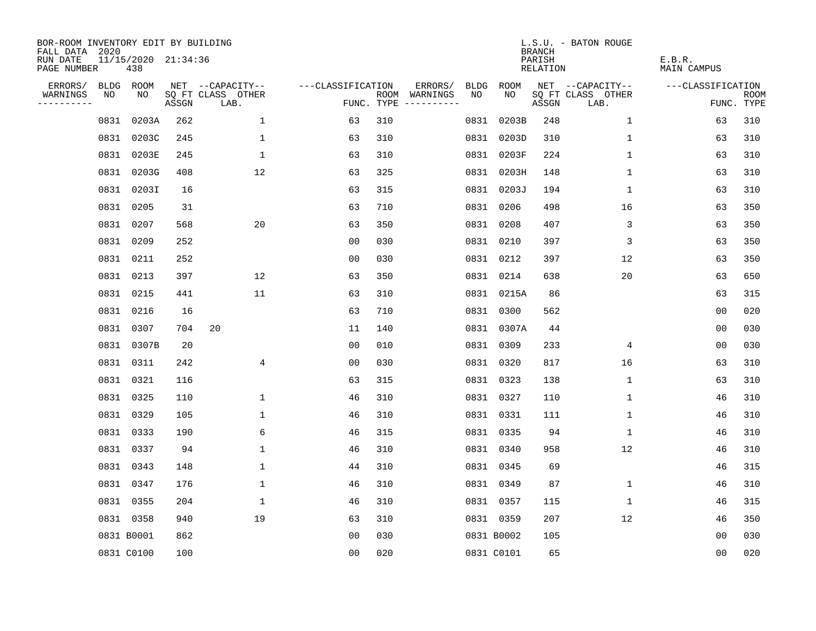| BOR-ROOM INVENTORY EDIT BY BUILDING<br>FALL DATA 2020 |            |                            |       |                           |                   |     |                                            |             | <b>BRANCH</b>             | L.S.U. - BATON ROUGE      |                              |                           |
|-------------------------------------------------------|------------|----------------------------|-------|---------------------------|-------------------|-----|--------------------------------------------|-------------|---------------------------|---------------------------|------------------------------|---------------------------|
| RUN DATE<br>PAGE NUMBER                               |            | 11/15/2020 21:34:36<br>438 |       |                           |                   |     |                                            |             | PARISH<br><b>RELATION</b> |                           | E.B.R.<br><b>MAIN CAMPUS</b> |                           |
| ERRORS/                                               |            | BLDG ROOM                  |       | NET --CAPACITY--          | ---CLASSIFICATION |     | ERRORS/<br><b>BLDG</b>                     | <b>ROOM</b> |                           | NET --CAPACITY--          | ---CLASSIFICATION            |                           |
| WARNINGS<br>----------                                | NO         | NO                         | ASSGN | SQ FT CLASS OTHER<br>LAB. |                   |     | NO<br>ROOM WARNINGS<br>FUNC. TYPE $------$ | NO          | ASSGN                     | SQ FT CLASS OTHER<br>LAB. |                              | <b>ROOM</b><br>FUNC. TYPE |
|                                                       | 0831       | 0203A                      | 262   | $\mathbf{1}$              | 63                | 310 | 0831                                       | 0203B       | 248                       | 1                         | 63                           | 310                       |
|                                                       | 0831       | 0203C                      | 245   | $\mathbf 1$               | 63                | 310 |                                            | 0831 0203D  | 310                       | $\mathbf 1$               | 63                           | 310                       |
|                                                       |            | 0831 0203E                 | 245   | $\mathbf 1$               | 63                | 310 |                                            | 0831 0203F  | 224                       | 1                         | 63                           | 310                       |
|                                                       |            | 0831 0203G                 | 408   | 12                        | 63                | 325 |                                            | 0831 0203H  | 148                       | $\mathbf 1$               | 63                           | 310                       |
|                                                       |            | 0831 0203I                 | 16    |                           | 63                | 315 |                                            | 0831 0203J  | 194                       | $\mathbf 1$               | 63                           | 310                       |
|                                                       |            | 0831 0205                  | 31    |                           | 63                | 710 |                                            | 0831 0206   | 498                       | 16                        | 63                           | 350                       |
|                                                       |            | 0831 0207                  | 568   | 20                        | 63                | 350 |                                            | 0831 0208   | 407                       | 3                         | 63                           | 350                       |
|                                                       |            | 0831 0209                  | 252   |                           | 0 <sub>0</sub>    | 030 |                                            | 0831 0210   | 397                       | 3                         | 63                           | 350                       |
|                                                       |            | 0831 0211                  | 252   |                           | 0 <sub>0</sub>    | 030 |                                            | 0831 0212   | 397                       | 12                        | 63                           | 350                       |
|                                                       |            | 0831 0213                  | 397   | 12                        | 63                | 350 |                                            | 0831 0214   | 638                       | 20                        | 63                           | 650                       |
|                                                       |            | 0831 0215                  | 441   | 11                        | 63                | 310 |                                            | 0831 0215A  | 86                        |                           | 63                           | 315                       |
|                                                       |            | 0831 0216                  | 16    |                           | 63                | 710 |                                            | 0831 0300   | 562                       |                           | 0 <sub>0</sub>               | 020                       |
|                                                       |            | 0831 0307                  | 704   | 20                        | 11                | 140 |                                            | 0831 0307A  | 44                        |                           | 0 <sub>0</sub>               | 030                       |
|                                                       |            | 0831 0307B                 | 20    |                           | 0 <sub>0</sub>    | 010 |                                            | 0831 0309   | 233                       | 4                         | 0 <sub>0</sub>               | 030                       |
|                                                       |            | 0831 0311                  | 242   | $\overline{4}$            | 0 <sub>0</sub>    | 030 |                                            | 0831 0320   | 817                       | 16                        | 63                           | 310                       |
|                                                       |            | 0831 0321                  | 116   |                           | 63                | 315 |                                            | 0831 0323   | 138                       | 1                         | 63                           | 310                       |
|                                                       |            | 0831 0325                  | 110   | $\mathbf 1$               | 46                | 310 |                                            | 0831 0327   | 110                       | 1                         | 46                           | 310                       |
|                                                       |            | 0831 0329                  | 105   | $\mathbf{1}$              | 46                | 310 |                                            | 0831 0331   | 111                       | 1                         | 46                           | 310                       |
|                                                       |            | 0831 0333                  | 190   | 6                         | 46                | 315 |                                            | 0831 0335   | 94                        | 1                         | 46                           | 310                       |
|                                                       |            | 0831 0337                  | 94    | $\mathbf 1$               | 46                | 310 |                                            | 0831 0340   | 958                       | 12                        | 46                           | 310                       |
|                                                       |            | 0831 0343                  | 148   | $\mathbf{1}$              | 44                | 310 |                                            | 0831 0345   | 69                        |                           | 46                           | 315                       |
|                                                       |            | 0831 0347                  | 176   | $\mathbf 1$               | 46                | 310 |                                            | 0831 0349   | 87                        | 1                         | 46                           | 310                       |
|                                                       |            | 0831 0355                  | 204   | $\mathbf 1$               | 46                | 310 |                                            | 0831 0357   | 115                       | 1                         | 46                           | 315                       |
|                                                       |            | 0831 0358                  | 940   | 19                        | 63                | 310 |                                            | 0831 0359   | 207                       | 12                        | 46                           | 350                       |
|                                                       | 0831 B0001 |                            | 862   |                           | 0 <sub>0</sub>    | 030 |                                            | 0831 B0002  | 105                       |                           | 0 <sub>0</sub>               | 030                       |
|                                                       |            | 0831 C0100                 | 100   |                           | 0 <sub>0</sub>    | 020 |                                            | 0831 C0101  | 65                        |                           | 0 <sub>0</sub>               | 020                       |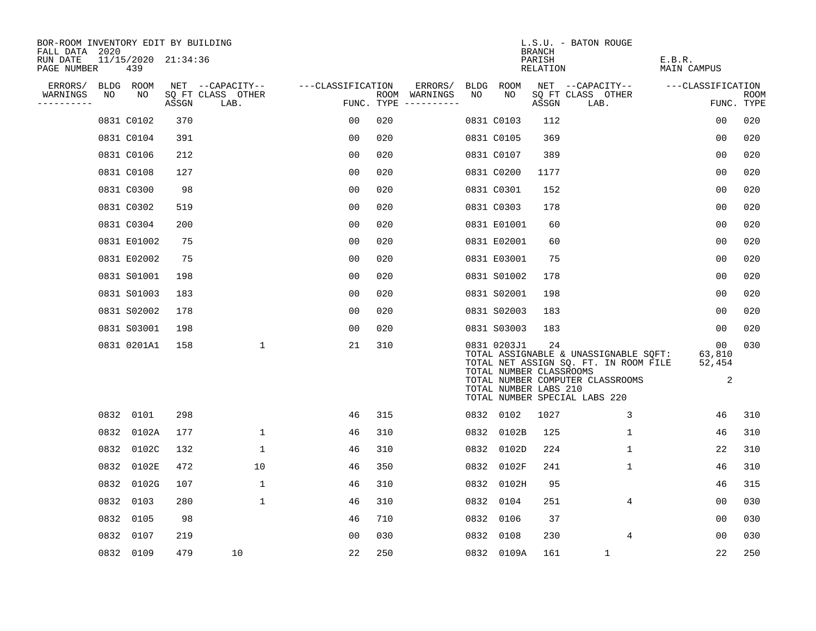| BOR-ROOM INVENTORY EDIT BY BUILDING<br>FALL DATA 2020 |      |                            |       |                           |                   |     |                                      |      |                                                                 | <b>BRANCH</b>      | L.S.U. - BATON ROUGE                                                                                                                                |                             |                           |
|-------------------------------------------------------|------|----------------------------|-------|---------------------------|-------------------|-----|--------------------------------------|------|-----------------------------------------------------------------|--------------------|-----------------------------------------------------------------------------------------------------------------------------------------------------|-----------------------------|---------------------------|
| RUN DATE<br>PAGE NUMBER                               |      | 11/15/2020 21:34:36<br>439 |       |                           |                   |     |                                      |      |                                                                 | PARISH<br>RELATION |                                                                                                                                                     | E.B.R.<br>MAIN CAMPUS       |                           |
| ERRORS/                                               |      | BLDG ROOM                  |       | NET --CAPACITY--          | ---CLASSIFICATION |     | ERRORS/                              |      | BLDG ROOM                                                       |                    | NET --CAPACITY--                                                                                                                                    | ---CLASSIFICATION           |                           |
| WARNINGS<br>----------                                | NO   | NO                         | ASSGN | SQ FT CLASS OTHER<br>LAB. |                   |     | ROOM WARNINGS<br>FUNC. TYPE $------$ | NO.  | NO.                                                             | ASSGN              | SQ FT CLASS OTHER<br>LAB.                                                                                                                           |                             | <b>ROOM</b><br>FUNC. TYPE |
|                                                       |      | 0831 C0102                 | 370   |                           | 0 <sub>0</sub>    | 020 |                                      |      | 0831 C0103                                                      | 112                |                                                                                                                                                     | 0 <sub>0</sub>              | 020                       |
|                                                       |      | 0831 C0104                 | 391   |                           | 00                | 020 |                                      |      | 0831 C0105                                                      | 369                |                                                                                                                                                     | 0 <sub>0</sub>              | 020                       |
|                                                       |      | 0831 C0106                 | 212   |                           | 0 <sub>0</sub>    | 020 |                                      |      | 0831 C0107                                                      | 389                |                                                                                                                                                     | 0 <sub>0</sub>              | 020                       |
|                                                       |      | 0831 C0108                 | 127   |                           | 0 <sub>0</sub>    | 020 |                                      |      | 0831 C0200                                                      | 1177               |                                                                                                                                                     | 0 <sub>0</sub>              | 020                       |
|                                                       |      | 0831 C0300                 | 98    |                           | 0 <sub>0</sub>    | 020 |                                      |      | 0831 C0301                                                      | 152                |                                                                                                                                                     | 00                          | 020                       |
|                                                       |      | 0831 C0302                 | 519   |                           | 0 <sub>0</sub>    | 020 |                                      |      | 0831 C0303                                                      | 178                |                                                                                                                                                     | 0 <sub>0</sub>              | 020                       |
|                                                       |      | 0831 C0304                 | 200   |                           | 0 <sub>0</sub>    | 020 |                                      |      | 0831 E01001                                                     | 60                 |                                                                                                                                                     | 0 <sub>0</sub>              | 020                       |
|                                                       |      | 0831 E01002                | 75    |                           | 0 <sub>0</sub>    | 020 |                                      |      | 0831 E02001                                                     | 60                 |                                                                                                                                                     | 0 <sub>0</sub>              | 020                       |
|                                                       |      | 0831 E02002                | 75    |                           | 00                | 020 |                                      |      | 0831 E03001                                                     | 75                 |                                                                                                                                                     | 0 <sub>0</sub>              | 020                       |
|                                                       |      | 0831 S01001                | 198   |                           | 00                | 020 |                                      |      | 0831 S01002                                                     | 178                |                                                                                                                                                     | 0 <sub>0</sub>              | 020                       |
|                                                       |      | 0831 S01003                | 183   |                           | 0 <sub>0</sub>    | 020 |                                      |      | 0831 S02001                                                     | 198                |                                                                                                                                                     | 0 <sub>0</sub>              | 020                       |
|                                                       |      | 0831 S02002                | 178   |                           | 0 <sub>0</sub>    | 020 |                                      |      | 0831 S02003                                                     | 183                |                                                                                                                                                     | 00                          | 020                       |
|                                                       |      | 0831 S03001                | 198   |                           | 0 <sub>0</sub>    | 020 |                                      |      | 0831 S03003                                                     | 183                |                                                                                                                                                     | 00                          | 020                       |
|                                                       |      | 0831 0201A1                | 158   | $\mathbf{1}$              | 21                | 310 |                                      |      | 0831 0203J1<br>TOTAL NUMBER CLASSROOMS<br>TOTAL NUMBER LABS 210 | 24                 | TOTAL ASSIGNABLE & UNASSIGNABLE SQFT:<br>TOTAL NET ASSIGN SQ. FT. IN ROOM FILE<br>TOTAL NUMBER COMPUTER CLASSROOMS<br>TOTAL NUMBER SPECIAL LABS 220 | 00<br>63,810<br>52,454<br>2 | 030                       |
|                                                       |      | 0832 0101                  | 298   |                           | 46                | 315 |                                      |      | 0832 0102                                                       | 1027               | 3                                                                                                                                                   | 46                          | 310                       |
|                                                       | 0832 | 0102A                      | 177   | $\mathbf 1$               | 46                | 310 |                                      | 0832 | 0102B                                                           | 125                | 1                                                                                                                                                   | 46                          | 310                       |
|                                                       | 0832 | 0102C                      | 132   | $\mathbf 1$               | 46                | 310 |                                      | 0832 | 0102D                                                           | 224                | $\mathbf 1$                                                                                                                                         | 22                          | 310                       |
|                                                       | 0832 | 0102E                      | 472   | 10                        | 46                | 350 |                                      | 0832 | 0102F                                                           | 241                | 1                                                                                                                                                   | 46                          | 310                       |
|                                                       | 0832 | 0102G                      | 107   | 1                         | 46                | 310 |                                      | 0832 | 0102H                                                           | 95                 |                                                                                                                                                     | 46                          | 315                       |
|                                                       | 0832 | 0103                       | 280   | $\mathbf 1$               | 46                | 310 |                                      | 0832 | 0104                                                            | 251                | 4                                                                                                                                                   | 0 <sub>0</sub>              | 030                       |
|                                                       | 0832 | 0105                       | 98    |                           | 46                | 710 |                                      | 0832 | 0106                                                            | 37                 |                                                                                                                                                     | 00                          | 030                       |
|                                                       | 0832 | 0107                       | 219   |                           | 0 <sub>0</sub>    | 030 |                                      | 0832 | 0108                                                            | 230                | 4                                                                                                                                                   | 0 <sub>0</sub>              | 030                       |
|                                                       |      | 0832 0109                  | 479   | 10                        | 22                | 250 |                                      |      | 0832 0109A                                                      | 161                | $\mathbf{1}$                                                                                                                                        | 22                          | 250                       |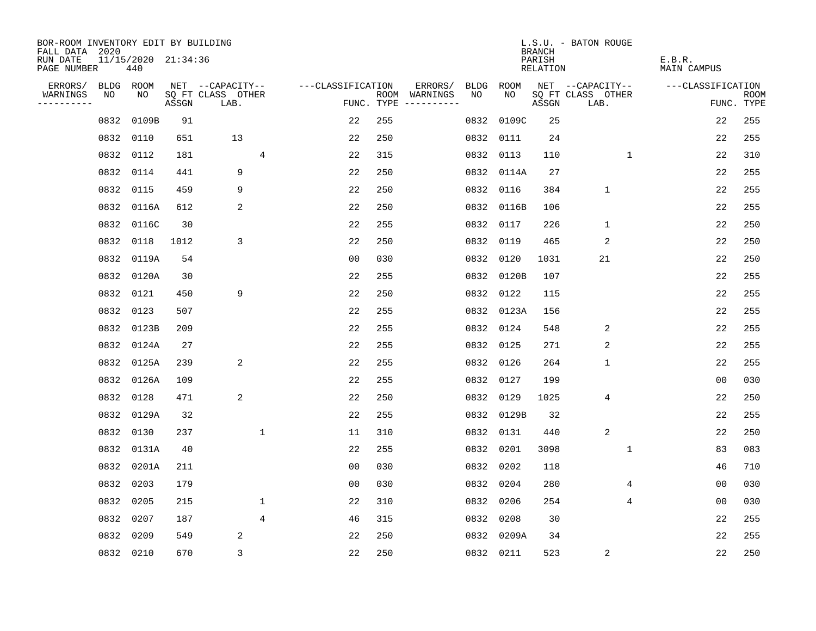| BOR-ROOM INVENTORY EDIT BY BUILDING<br>FALL DATA 2020 |           |            |                     |                           |                |                   |     |                                      |           |            | <b>BRANCH</b>             | L.S.U. - BATON ROUGE      |                              |                |                           |
|-------------------------------------------------------|-----------|------------|---------------------|---------------------------|----------------|-------------------|-----|--------------------------------------|-----------|------------|---------------------------|---------------------------|------------------------------|----------------|---------------------------|
| RUN DATE<br>PAGE NUMBER                               |           | 440        | 11/15/2020 21:34:36 |                           |                |                   |     |                                      |           |            | PARISH<br><b>RELATION</b> |                           | E.B.R.<br><b>MAIN CAMPUS</b> |                |                           |
| ERRORS/                                               | BLDG ROOM |            |                     | NET --CAPACITY--          |                | ---CLASSIFICATION |     | ERRORS/                              | BLDG      | ROOM       |                           | NET --CAPACITY--          | ---CLASSIFICATION            |                |                           |
| WARNINGS<br>----------                                | NO        | NO         | ASSGN               | SQ FT CLASS OTHER<br>LAB. |                |                   |     | ROOM WARNINGS<br>FUNC. TYPE $------$ | NO        | NO         | ASSGN                     | SQ FT CLASS OTHER<br>LAB. |                              |                | <b>ROOM</b><br>FUNC. TYPE |
|                                                       | 0832      | 0109B      | 91                  |                           |                | 22                | 255 |                                      | 0832      | 0109C      | 25                        |                           |                              | 22             | 255                       |
|                                                       | 0832      | 0110       | 651                 | 13                        |                | 22                | 250 |                                      | 0832 0111 |            | 24                        |                           |                              | 22             | 255                       |
|                                                       | 0832      | 0112       | 181                 |                           | $\overline{4}$ | 22                | 315 |                                      |           | 0832 0113  | 110                       | 1                         |                              | 22             | 310                       |
|                                                       | 0832      | 0114       | 441                 | 9                         |                | 22                | 250 |                                      |           | 0832 0114A | 27                        |                           |                              | 22             | 255                       |
|                                                       | 0832      | 0115       | 459                 | 9                         |                | 22                | 250 |                                      |           | 0832 0116  | 384                       | $\mathbf 1$               |                              | 22             | 255                       |
|                                                       | 0832      | 0116A      | 612                 | 2                         |                | 22                | 250 |                                      |           | 0832 0116B | 106                       |                           |                              | 22             | 255                       |
|                                                       |           | 0832 0116C | 30                  |                           |                | 22                | 255 |                                      |           | 0832 0117  | 226                       | $\mathbf{1}$              |                              | 22             | 250                       |
|                                                       | 0832      | 0118       | 1012                | 3                         |                | 22                | 250 |                                      | 0832 0119 |            | 465                       | 2                         |                              | 22             | 250                       |
|                                                       | 0832      | 0119A      | 54                  |                           |                | 0 <sub>0</sub>    | 030 |                                      | 0832      | 0120       | 1031                      | 21                        |                              | 22             | 250                       |
|                                                       |           | 0832 0120A | 30                  |                           |                | 22                | 255 |                                      |           | 0832 0120B | 107                       |                           |                              | 22             | 255                       |
|                                                       | 0832      | 0121       | 450                 | 9                         |                | 22                | 250 |                                      | 0832      | 0122       | 115                       |                           |                              | 22             | 255                       |
|                                                       | 0832      | 0123       | 507                 |                           |                | 22                | 255 |                                      |           | 0832 0123A | 156                       |                           |                              | 22             | 255                       |
|                                                       | 0832      | 0123B      | 209                 |                           |                | 22                | 255 |                                      | 0832      | 0124       | 548                       | 2                         |                              | 22             | 255                       |
|                                                       | 0832      | 0124A      | 27                  |                           |                | 22                | 255 |                                      | 0832 0125 |            | 271                       | 2                         |                              | 22             | 255                       |
|                                                       |           | 0832 0125A | 239                 | 2                         |                | 22                | 255 |                                      | 0832 0126 |            | 264                       | $\mathbf{1}$              |                              | 22             | 255                       |
|                                                       | 0832      | 0126A      | 109                 |                           |                | 22                | 255 |                                      | 0832 0127 |            | 199                       |                           |                              | 0 <sub>0</sub> | 030                       |
|                                                       | 0832      | 0128       | 471                 | 2                         |                | 22                | 250 |                                      | 0832 0129 |            | 1025                      | $\overline{4}$            |                              | 22             | 250                       |
|                                                       | 0832      | 0129A      | 32                  |                           |                | 22                | 255 |                                      |           | 0832 0129B | 32                        |                           |                              | 22             | 255                       |
|                                                       | 0832 0130 |            | 237                 |                           | 1              | 11                | 310 |                                      | 0832 0131 |            | 440                       | 2                         |                              | 22             | 250                       |
|                                                       | 0832      | 0131A      | 40                  |                           |                | 22                | 255 |                                      | 0832 0201 |            | 3098                      | $\mathbf 1$               |                              | 83             | 083                       |
|                                                       | 0832      | 0201A      | 211                 |                           |                | 0 <sub>0</sub>    | 030 |                                      |           | 0832 0202  | 118                       |                           |                              | 46             | 710                       |
|                                                       | 0832      | 0203       | 179                 |                           |                | 00                | 030 |                                      | 0832 0204 |            | 280                       | 4                         |                              | 00             | 030                       |
|                                                       | 0832      | 0205       | 215                 |                           | 1              | 22                | 310 |                                      | 0832 0206 |            | 254                       | 4                         |                              | 00             | 030                       |
|                                                       | 0832      | 0207       | 187                 |                           | 4              | 46                | 315 |                                      | 0832 0208 |            | 30                        |                           |                              | 22             | 255                       |
|                                                       | 0832      | 0209       | 549                 | 2                         |                | 22                | 250 |                                      |           | 0832 0209A | 34                        |                           |                              | 22             | 255                       |
|                                                       | 0832 0210 |            | 670                 | 3                         |                | 22                | 250 |                                      | 0832 0211 |            | 523                       | 2                         |                              | 22             | 250                       |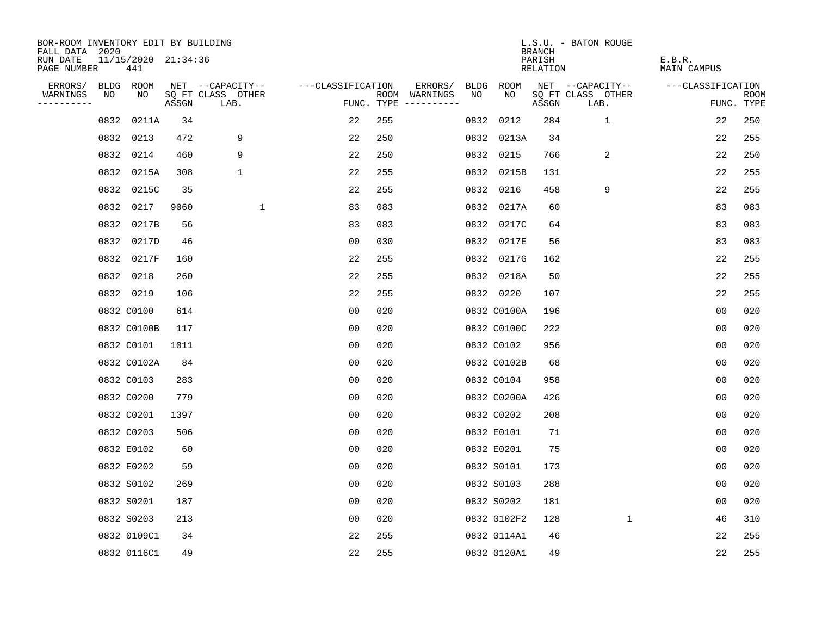| BOR-ROOM INVENTORY EDIT BY BUILDING<br>FALL DATA 2020 |                            |       |                           |                   |     |                                      |             |             | <b>BRANCH</b>      | L.S.U. - BATON ROUGE      |                              |                |                           |
|-------------------------------------------------------|----------------------------|-------|---------------------------|-------------------|-----|--------------------------------------|-------------|-------------|--------------------|---------------------------|------------------------------|----------------|---------------------------|
| RUN DATE<br>PAGE NUMBER                               | 11/15/2020 21:34:36<br>441 |       |                           |                   |     |                                      |             |             | PARISH<br>RELATION |                           | E.B.R.<br><b>MAIN CAMPUS</b> |                |                           |
| ERRORS/                                               | BLDG ROOM                  |       | NET --CAPACITY--          | ---CLASSIFICATION |     | ERRORS/                              | <b>BLDG</b> | <b>ROOM</b> |                    | NET --CAPACITY--          | ---CLASSIFICATION            |                |                           |
| WARNINGS<br>NO<br>----------                          | NO                         | ASSGN | SQ FT CLASS OTHER<br>LAB. |                   |     | ROOM WARNINGS<br>FUNC. TYPE $------$ | NO          | NO          | ASSGN              | SQ FT CLASS OTHER<br>LAB. |                              |                | <b>ROOM</b><br>FUNC. TYPE |
| 0832                                                  | 0211A                      | 34    |                           | 22                | 255 |                                      | 0832        | 0212        | 284                | $\mathbf{1}$              |                              | 22             | 250                       |
|                                                       | 0832 0213                  | 472   | 9                         | 22                | 250 |                                      |             | 0832 0213A  | 34                 |                           |                              | 22             | 255                       |
|                                                       | 0832 0214                  | 460   | 9                         | 22                | 250 |                                      |             | 0832 0215   | 766                | 2                         |                              | 22             | 250                       |
|                                                       | 0832 0215A                 | 308   | $\mathbf 1$               | 22                | 255 |                                      |             | 0832 0215B  | 131                |                           |                              | 22             | 255                       |
|                                                       | 0832 0215C                 | 35    |                           | 22                | 255 |                                      |             | 0832 0216   | 458                | 9                         |                              | 22             | 255                       |
|                                                       | 0832 0217                  | 9060  | $\mathbf{1}$              | 83                | 083 |                                      |             | 0832 0217A  | 60                 |                           |                              | 83             | 083                       |
|                                                       | 0832 0217B                 | 56    |                           | 83                | 083 |                                      |             | 0832 0217C  | 64                 |                           |                              | 83             | 083                       |
|                                                       | 0832 0217D                 | 46    |                           | 0 <sub>0</sub>    | 030 |                                      |             | 0832 0217E  | 56                 |                           |                              | 83             | 083                       |
|                                                       | 0832 0217F                 | 160   |                           | 22                | 255 |                                      |             | 0832 0217G  | 162                |                           |                              | 22             | 255                       |
|                                                       | 0832 0218                  | 260   |                           | 22                | 255 |                                      |             | 0832 0218A  | 50                 |                           |                              | 22             | 255                       |
|                                                       | 0832 0219                  | 106   |                           | 22                | 255 |                                      |             | 0832 0220   | 107                |                           |                              | 22             | 255                       |
|                                                       | 0832 C0100                 | 614   |                           | 0 <sub>0</sub>    | 020 |                                      |             | 0832 C0100A | 196                |                           |                              | 0 <sub>0</sub> | 020                       |
|                                                       | 0832 C0100B                | 117   |                           | 0 <sub>0</sub>    | 020 |                                      |             | 0832 C0100C | 222                |                           |                              | 0 <sub>0</sub> | 020                       |
|                                                       | 0832 C0101                 | 1011  |                           | 00                | 020 |                                      |             | 0832 C0102  | 956                |                           |                              | 0 <sub>0</sub> | 020                       |
|                                                       | 0832 C0102A                | 84    |                           | 00                | 020 |                                      |             | 0832 C0102B | 68                 |                           |                              | 0 <sub>0</sub> | 020                       |
|                                                       | 0832 C0103                 | 283   |                           | 0 <sub>0</sub>    | 020 |                                      |             | 0832 C0104  | 958                |                           |                              | 0 <sub>0</sub> | 020                       |
|                                                       | 0832 C0200                 | 779   |                           | 0 <sub>0</sub>    | 020 |                                      |             | 0832 C0200A | 426                |                           |                              | 0 <sub>0</sub> | 020                       |
|                                                       | 0832 C0201                 | 1397  |                           | 0 <sub>0</sub>    | 020 |                                      |             | 0832 C0202  | 208                |                           |                              | 0 <sub>0</sub> | 020                       |
|                                                       | 0832 C0203                 | 506   |                           | 0 <sub>0</sub>    | 020 |                                      |             | 0832 E0101  | 71                 |                           |                              | 0 <sub>0</sub> | 020                       |
|                                                       | 0832 E0102                 | 60    |                           | 0 <sub>0</sub>    | 020 |                                      |             | 0832 E0201  | 75                 |                           |                              | 0 <sub>0</sub> | 020                       |
|                                                       | 0832 E0202                 | 59    |                           | 0 <sub>0</sub>    | 020 |                                      |             | 0832 S0101  | 173                |                           |                              | 0 <sub>0</sub> | 020                       |
|                                                       | 0832 S0102                 | 269   |                           | 0 <sub>0</sub>    | 020 |                                      |             | 0832 S0103  | 288                |                           |                              | 0 <sub>0</sub> | 020                       |
|                                                       | 0832 S0201                 | 187   |                           | 0 <sub>0</sub>    | 020 |                                      |             | 0832 S0202  | 181                |                           |                              | 0 <sub>0</sub> | 020                       |
|                                                       | 0832 S0203                 | 213   |                           | 0 <sub>0</sub>    | 020 |                                      |             | 0832 0102F2 | 128                | $\mathbf{1}$              |                              | 46             | 310                       |
|                                                       | 0832 0109C1                | 34    |                           | 22                | 255 |                                      |             | 0832 0114A1 | 46                 |                           |                              | 22             | 255                       |
|                                                       | 0832 0116C1                | 49    |                           | 22                | 255 |                                      |             | 0832 0120A1 | 49                 |                           |                              | 22             | 255                       |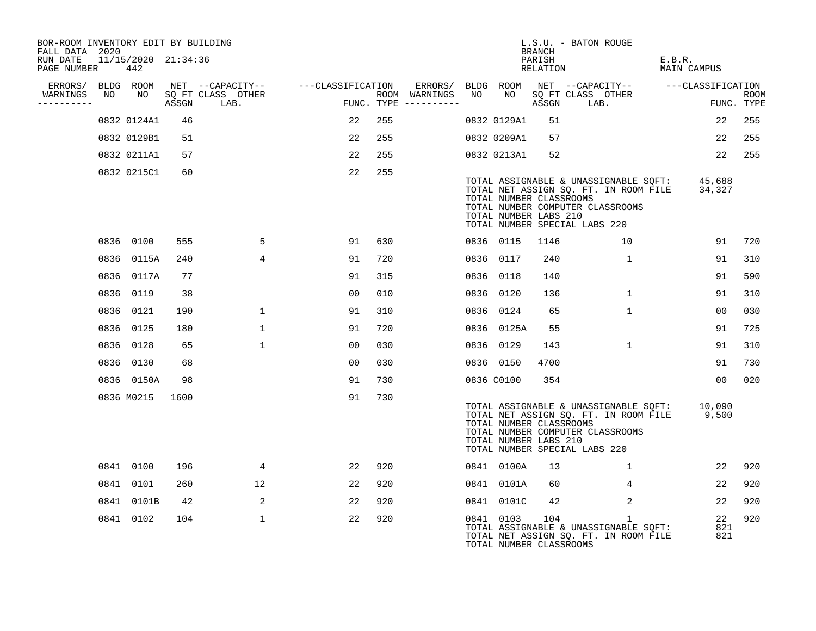| BOR-ROOM INVENTORY EDIT BY BUILDING<br>FALL DATA 2020 |    |                            |       |                           |                                    |     |                                                           |    |             | <b>BRANCH</b>                                    | L.S.U. - BATON ROUGE                                                                                                                                             |                       |                           |
|-------------------------------------------------------|----|----------------------------|-------|---------------------------|------------------------------------|-----|-----------------------------------------------------------|----|-------------|--------------------------------------------------|------------------------------------------------------------------------------------------------------------------------------------------------------------------|-----------------------|---------------------------|
| RUN DATE<br>PAGE NUMBER                               |    | 11/15/2020 21:34:36<br>442 |       |                           |                                    |     |                                                           |    |             | PARISH<br>RELATION                               |                                                                                                                                                                  | E.B.R.<br>MAIN CAMPUS |                           |
| ERRORS/ BLDG ROOM<br>WARNINGS<br>----------           | NO | NO                         | ASSGN | SQ FT CLASS OTHER<br>LAB. | NET --CAPACITY-- ---CLASSIFICATION |     | ERRORS/ BLDG ROOM<br>ROOM WARNINGS<br>FUNC. TYPE $------$ | NO |             | ASSGN                                            | NET --CAPACITY-- ---CLASSIFICATION<br>NO SQ FT CLASS OTHER<br>LAB.                                                                                               |                       | <b>ROOM</b><br>FUNC. TYPE |
|                                                       |    | 0832 0124A1                | 46    |                           | 22                                 | 255 |                                                           |    | 0832 0129A1 | 51                                               |                                                                                                                                                                  | 22                    | 255                       |
|                                                       |    | 0832 0129B1                | 51    |                           | 22                                 | 255 |                                                           |    | 0832 0209A1 | 57                                               |                                                                                                                                                                  | 22                    | 255                       |
|                                                       |    | 0832 0211A1                | 57    |                           | 22                                 | 255 |                                                           |    | 0832 0213A1 | 52                                               |                                                                                                                                                                  | 22                    | 255                       |
|                                                       |    | 0832 0215C1                | 60    |                           | 22                                 | 255 |                                                           |    |             | TOTAL NUMBER CLASSROOMS<br>TOTAL NUMBER LABS 210 | TOTAL ASSIGNABLE & UNASSIGNABLE SQFT:<br>TOTAL NET ASSIGN SQ. FT. IN ROOM FILE<br>TOTAL NUMBER COMPUTER CLASSROOMS<br>TOTAL NUMBER SPECIAL LABS 220              | 45,688<br>34,327      |                           |
|                                                       |    | 0836 0100                  | 555   | 5                         | 91                                 | 630 |                                                           |    | 0836 0115   | 1146                                             | 10                                                                                                                                                               | 91                    | 720                       |
|                                                       |    | 0836 0115A                 | 240   | $\overline{4}$            | 91                                 | 720 |                                                           |    | 0836 0117   | 240                                              | 1                                                                                                                                                                | 91                    | 310                       |
|                                                       |    | 0836 0117A                 | 77    |                           | 91                                 | 315 |                                                           |    | 0836 0118   | 140                                              |                                                                                                                                                                  | 91                    | 590                       |
|                                                       |    | 0836 0119                  | 38    |                           | 0 <sub>0</sub>                     | 010 |                                                           |    | 0836 0120   | 136                                              | $\mathbf{1}$                                                                                                                                                     | 91                    | 310                       |
|                                                       |    | 0836 0121                  | 190   | 1                         | 91                                 | 310 |                                                           |    | 0836 0124   | 65                                               | $\mathbf{1}$                                                                                                                                                     | 00                    | 030                       |
|                                                       |    | 0836 0125                  | 180   | $\mathbf 1$               | 91                                 | 720 |                                                           |    | 0836 0125A  | 55                                               |                                                                                                                                                                  | 91                    | 725                       |
|                                                       |    | 0836 0128                  | 65    | $\mathbf{1}$              | 00                                 | 030 |                                                           |    | 0836 0129   | 143                                              | $\mathbf{1}$                                                                                                                                                     | 91                    | 310                       |
|                                                       |    | 0836 0130                  | 68    |                           | 00                                 | 030 |                                                           |    | 0836 0150   | 4700                                             |                                                                                                                                                                  | 91                    | 730                       |
|                                                       |    | 0836 0150A                 | 98    |                           | 91                                 | 730 |                                                           |    | 0836 C0100  | 354                                              |                                                                                                                                                                  | 0 <sup>0</sup>        | 020                       |
|                                                       |    | 0836 M0215                 | 1600  |                           | 91                                 | 730 |                                                           |    |             | TOTAL NUMBER CLASSROOMS<br>TOTAL NUMBER LABS 210 | TOTAL ASSIGNABLE & UNASSIGNABLE SQFT: 10,090<br>TOTAL NET ASSIGN SQ. FT. IN ROOM FILE 9,500<br>TOTAL NUMBER COMPUTER CLASSROOMS<br>TOTAL NUMBER SPECIAL LABS 220 |                       |                           |
|                                                       |    | 0841 0100                  | 196   | $4\overline{ }$           | 22                                 | 920 |                                                           |    | 0841 0100A  | 13                                               | $\mathbf{1}$                                                                                                                                                     | 22                    | 920                       |
|                                                       |    | 0841 0101                  | 260   | 12                        | 22                                 | 920 |                                                           |    | 0841 0101A  | 60                                               | 4                                                                                                                                                                | 22                    | 920                       |
|                                                       |    | 0841 0101B                 | 42    | 2                         | 22                                 | 920 |                                                           |    | 0841 0101C  | 42                                               | 2                                                                                                                                                                | 22                    | 920                       |
|                                                       |    | 0841 0102                  | 104   | $\mathbf{1}$              | 22                                 | 920 |                                                           |    | 0841 0103   | 104<br>TOTAL NUMBER CLASSROOMS                   | $\mathbf{1}$<br>TOTAL ASSIGNABLE & UNASSIGNABLE SQFT:<br>TOTAL NET ASSIGN SQ. FT. IN ROOM FILE                                                                   | 22<br>821<br>821      | 920                       |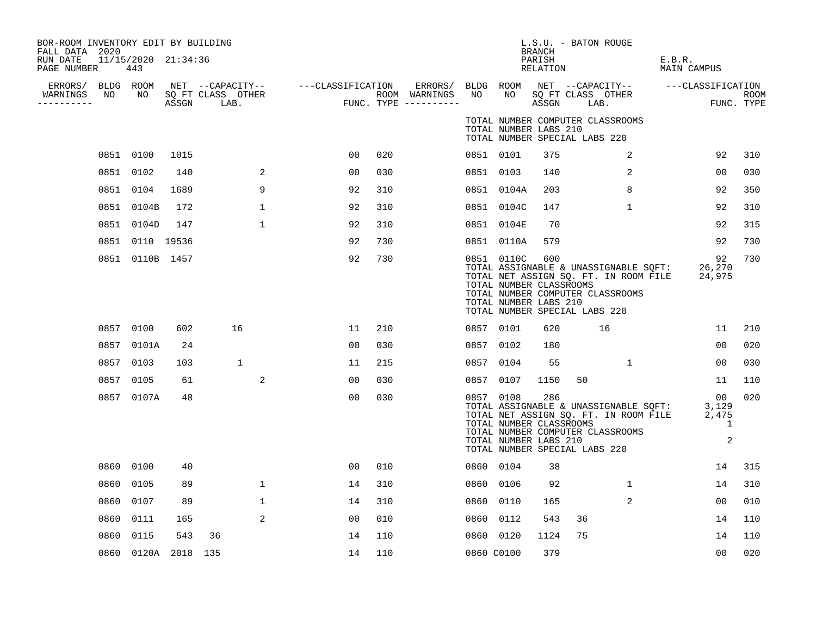| BOR-ROOM INVENTORY EDIT BY BUILDING<br>FALL DATA 2020 |      |                            |          |                                    |                                                         |     |                                      |            |                                                                | BRANCH             | L.S.U. - BATON ROUGE                                                                                                                                      |                                             |                    |
|-------------------------------------------------------|------|----------------------------|----------|------------------------------------|---------------------------------------------------------|-----|--------------------------------------|------------|----------------------------------------------------------------|--------------------|-----------------------------------------------------------------------------------------------------------------------------------------------------------|---------------------------------------------|--------------------|
| RUN DATE<br>PAGE NUMBER                               |      | 11/15/2020 21:34:36<br>443 |          |                                    |                                                         |     |                                      |            |                                                                | PARISH<br>RELATION |                                                                                                                                                           | E.B.R.<br>MAIN CAMPUS                       |                    |
| ERRORS/ BLDG ROOM                                     |      |                            |          |                                    | NET --CAPACITY--    ---CLASSIFICATION ERRORS/ BLDG ROOM |     |                                      |            |                                                                |                    | NET --CAPACITY-- ---CLASSIFICATION                                                                                                                        |                                             |                    |
| WARNINGS<br>-----------                               | NO   |                            |          | NO SQ FT CLASS OTHER<br>ASSGN LAB. | FUNC                                                    |     | ROOM WARNINGS<br>FUNC. TYPE $------$ | NO         | NO                                                             |                    | SQ FT CLASS OTHER<br>ASSGN LAB.                                                                                                                           |                                             | ROOM<br>FUNC. TYPE |
|                                                       |      |                            |          |                                    |                                                         |     |                                      |            | TOTAL NUMBER LABS 210                                          |                    | TOTAL NUMBER COMPUTER CLASSROOMS<br>TOTAL NUMBER SPECIAL LABS 220                                                                                         |                                             |                    |
|                                                       |      | 0851 0100                  | 1015     |                                    | 00                                                      | 020 |                                      | 0851 0101  |                                                                | 375                | 2                                                                                                                                                         | 92                                          | 310                |
|                                                       |      | 0851 0102                  | 140      | 2                                  | 0 <sub>0</sub>                                          | 030 |                                      | 0851 0103  |                                                                | 140                | 2                                                                                                                                                         | 0 <sub>0</sub>                              | 030                |
|                                                       |      | 0851 0104                  | 1689     | 9                                  | 92                                                      | 310 |                                      |            | 0851 0104A                                                     | 203                | 8                                                                                                                                                         | 92                                          | 350                |
|                                                       |      | 0851 0104B                 | 172      | $\mathbf{1}$                       | 92                                                      | 310 |                                      |            | 0851 0104C                                                     | 147                | $\mathbf{1}$                                                                                                                                              | 92                                          | 310                |
|                                                       |      | 0851 0104D                 | 147      | $\mathbf{1}$                       | 92                                                      | 310 |                                      |            | 0851 0104E                                                     | 70                 |                                                                                                                                                           | 92                                          | 315                |
|                                                       |      | 0851 0110 19536            |          |                                    | 92                                                      | 730 |                                      |            | 0851 0110A                                                     | 579                |                                                                                                                                                           | 92                                          | 730                |
|                                                       |      | 0851 0110B 1457            |          |                                    | 92                                                      | 730 |                                      |            | 0851 0110C<br>TOTAL NUMBER CLASSROOMS<br>TOTAL NUMBER LABS 210 | 600                | TOTAL ASSIGNABLE & UNASSIGNABLE SQFT:<br>TOTAL NET ASSIGN SQ. FT. IN ROOM FILE<br>TOTAL NUMBER COMPUTER CLASSROOMS<br>TOTAL NUMBER SPECIAL LABS 220       | 92<br>26,270<br>24,975                      | 730                |
|                                                       |      | 0857 0100                  | 602      | 16                                 | 11                                                      | 210 |                                      | 0857 0101  |                                                                | 620                | 16                                                                                                                                                        | 11                                          | 210                |
|                                                       |      | 0857 0101A                 | 24       |                                    | 00                                                      | 030 |                                      |            | 0857 0102                                                      | 180                |                                                                                                                                                           | 0 <sup>0</sup>                              | 020                |
|                                                       |      | 0857 0103                  | 103      | $\mathbf{1}$                       | 11                                                      | 215 |                                      |            | 0857 0104                                                      | 55                 | 1                                                                                                                                                         | 00                                          | 030                |
|                                                       |      | 0857 0105                  | 61       | 2                                  | 00                                                      | 030 |                                      | 0857 0107  |                                                                | 1150               | 50                                                                                                                                                        | 11                                          | 110                |
|                                                       |      | 0857 0107A                 | 48       |                                    | 0 <sub>0</sub>                                          | 030 |                                      | 0857 0108  | TOTAL NUMBER CLASSROOMS<br>TOTAL NUMBER LABS 210               | 286                | TOTAL ASSIGNABLE & UNASSIGNABLE SOFT:<br>TOTAL NET ASSIGN SQ. FT. IN ROOM FILE 2,475<br>TOTAL NUMBER COMPUTER CLASSROOMS<br>TOTAL NUMBER SPECIAL LABS 220 | 00 <sup>o</sup><br>3,129<br>1<br>$\sqrt{2}$ | 020                |
|                                                       |      | 0860 0100                  | 40       |                                    | 0 <sub>0</sub>                                          | 010 |                                      | 0860 0104  |                                                                | 38                 |                                                                                                                                                           | 14                                          | 315                |
|                                                       | 0860 | 0105                       | 89       | $\mathbf 1$                        | 14                                                      | 310 |                                      |            | 0860 0106                                                      | 92                 | $\mathbf{1}$                                                                                                                                              | 14                                          | 310                |
|                                                       | 0860 | 0107                       | 89       | $\mathbf 1$                        | 14                                                      | 310 |                                      | 0860 0110  |                                                                | 165                | 2                                                                                                                                                         | 0 <sup>0</sup>                              | 010                |
|                                                       | 0860 | 0111                       | 165      | $\overline{2}$                     | 00                                                      | 010 |                                      | 0860 0112  |                                                                | 543                | 36                                                                                                                                                        | 14                                          | 110                |
|                                                       | 0860 | 0115                       | 543      | 36                                 | 14                                                      | 110 |                                      | 0860 0120  |                                                                | 1124               | 75                                                                                                                                                        | 14                                          | 110                |
|                                                       |      | 0860 0120A                 | 2018 135 |                                    | 14                                                      | 110 |                                      | 0860 C0100 |                                                                | 379                |                                                                                                                                                           | 00                                          | 020                |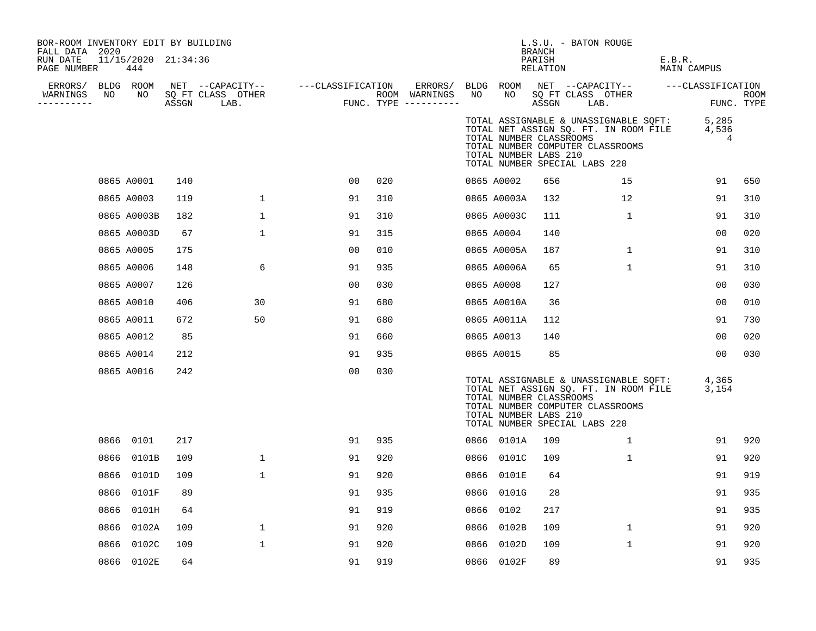| BOR-ROOM INVENTORY EDIT BY BUILDING<br>FALL DATA 2020 |      |                            |     |                                                     |                   |     |                                                             |    |                                                  | <b>BRANCH</b>      | L.S.U. - BATON ROUGE                                                                                                                                |                       |                    |
|-------------------------------------------------------|------|----------------------------|-----|-----------------------------------------------------|-------------------|-----|-------------------------------------------------------------|----|--------------------------------------------------|--------------------|-----------------------------------------------------------------------------------------------------------------------------------------------------|-----------------------|--------------------|
| RUN DATE<br>PAGE NUMBER                               |      | 11/15/2020 21:34:36<br>444 |     |                                                     |                   |     |                                                             |    |                                                  | PARISH<br>RELATION |                                                                                                                                                     | E.B.R.<br>MAIN CAMPUS |                    |
| ERRORS/<br>WARNINGS<br>----------                     | NO   | BLDG ROOM<br>NO            |     | NET --CAPACITY--<br>SQ FT CLASS OTHER<br>ASSGN LAB. | ---CLASSIFICATION |     | ERRORS/ BLDG ROOM<br>ROOM WARNINGS<br>FUNC. TYPE ---------- | NO | NO                                               | ASSGN              | NET --CAPACITY--<br>SQ FT CLASS OTHER<br>LAB.                                                                                                       | ---CLASSIFICATION     | ROOM<br>FUNC. TYPE |
|                                                       |      |                            |     |                                                     |                   |     |                                                             |    | TOTAL NUMBER CLASSROOMS<br>TOTAL NUMBER LABS 210 |                    | TOTAL ASSIGNABLE & UNASSIGNABLE SQFT:<br>TOTAL NET ASSIGN SQ. FT. IN ROOM FILE<br>TOTAL NUMBER COMPUTER CLASSROOMS<br>TOTAL NUMBER SPECIAL LABS 220 | 5,285<br>4,536<br>4   |                    |
|                                                       |      | 0865 A0001                 | 140 |                                                     | 0 <sub>0</sub>    | 020 |                                                             |    | 0865 A0002                                       | 656                | 15                                                                                                                                                  | 91                    | 650                |
|                                                       |      | 0865 A0003                 | 119 | $\mathbf{1}$                                        | 91                | 310 |                                                             |    | 0865 A0003A                                      | 132                | 12                                                                                                                                                  | 91                    | 310                |
|                                                       |      | 0865 A0003B                | 182 | $\mathbf{1}$                                        | 91                | 310 |                                                             |    | 0865 A0003C                                      | 111                | $\mathbf{1}$                                                                                                                                        | 91                    | 310                |
|                                                       |      | 0865 A0003D                | 67  | $\mathbf 1$                                         | 91                | 315 |                                                             |    | 0865 A0004                                       | 140                |                                                                                                                                                     | 0 <sub>0</sub>        | 020                |
|                                                       |      | 0865 A0005                 | 175 |                                                     | 00                | 010 |                                                             |    | 0865 A0005A                                      | 187                | $\mathbf{1}$                                                                                                                                        | 91                    | 310                |
|                                                       |      | 0865 A0006                 | 148 | 6                                                   | 91                | 935 |                                                             |    | 0865 A0006A                                      | 65                 | $\mathbf 1$                                                                                                                                         | 91                    | 310                |
|                                                       |      | 0865 A0007                 | 126 |                                                     | 00                | 030 |                                                             |    | 0865 A0008                                       | 127                |                                                                                                                                                     | 00                    | 030                |
|                                                       |      | 0865 A0010                 | 406 | 30                                                  | 91                | 680 |                                                             |    | 0865 A0010A                                      | 36                 |                                                                                                                                                     | 00                    | 010                |
|                                                       |      | 0865 A0011                 | 672 | 50                                                  | 91                | 680 |                                                             |    | 0865 A0011A                                      | 112                |                                                                                                                                                     | 91                    | 730                |
|                                                       |      | 0865 A0012                 | 85  |                                                     | 91                | 660 |                                                             |    | 0865 A0013                                       | 140                |                                                                                                                                                     | 00                    | 020                |
|                                                       |      | 0865 A0014                 | 212 |                                                     | 91                | 935 |                                                             |    | 0865 A0015                                       | 85                 |                                                                                                                                                     | 00                    | 030                |
|                                                       |      | 0865 A0016                 | 242 |                                                     | 0 <sub>0</sub>    | 030 |                                                             |    | TOTAL NUMBER CLASSROOMS<br>TOTAL NUMBER LABS 210 |                    | TOTAL ASSIGNABLE & UNASSIGNABLE SQFT:<br>TOTAL NET ASSIGN SQ. FT. IN ROOM FILE<br>TOTAL NUMBER COMPUTER CLASSROOMS<br>TOTAL NUMBER SPECIAL LABS 220 | 4,365<br>3,154        |                    |
|                                                       |      | 0866 0101                  | 217 |                                                     | 91                | 935 |                                                             |    | 0866 0101A                                       | 109                | $\mathbf{1}$                                                                                                                                        | 91                    | 920                |
|                                                       |      | 0866 0101B                 | 109 | $\mathbf 1$                                         | 91                | 920 |                                                             |    | 0866 0101C                                       | 109                | $\mathbf{1}$                                                                                                                                        | 91                    | 920                |
|                                                       | 0866 | 0101D                      | 109 | $\mathbf 1$                                         | 91                | 920 |                                                             |    | 0866 0101E                                       | 64                 |                                                                                                                                                     | 91                    | 919                |
|                                                       | 0866 | 0101F                      | 89  |                                                     | 91                | 935 |                                                             |    | 0866 0101G                                       | 28                 |                                                                                                                                                     | 91                    | 935                |
|                                                       | 0866 | 0101H                      | 64  |                                                     | 91                | 919 |                                                             |    | 0866 0102                                        | 217                |                                                                                                                                                     | 91                    | 935                |
|                                                       | 0866 | 0102A                      | 109 | $\mathbf{1}$                                        | 91                | 920 |                                                             |    | 0866 0102B                                       | 109                | $\mathbf{1}$                                                                                                                                        | 91                    | 920                |
|                                                       | 0866 | 0102C                      | 109 | $\mathbf 1$                                         | 91                | 920 |                                                             |    | 0866 0102D                                       | 109                | $\mathbf 1$                                                                                                                                         | 91                    | 920                |
|                                                       |      | 0866 0102E                 | 64  |                                                     | 91                | 919 |                                                             |    | 0866 0102F                                       | 89                 |                                                                                                                                                     | 91                    | 935                |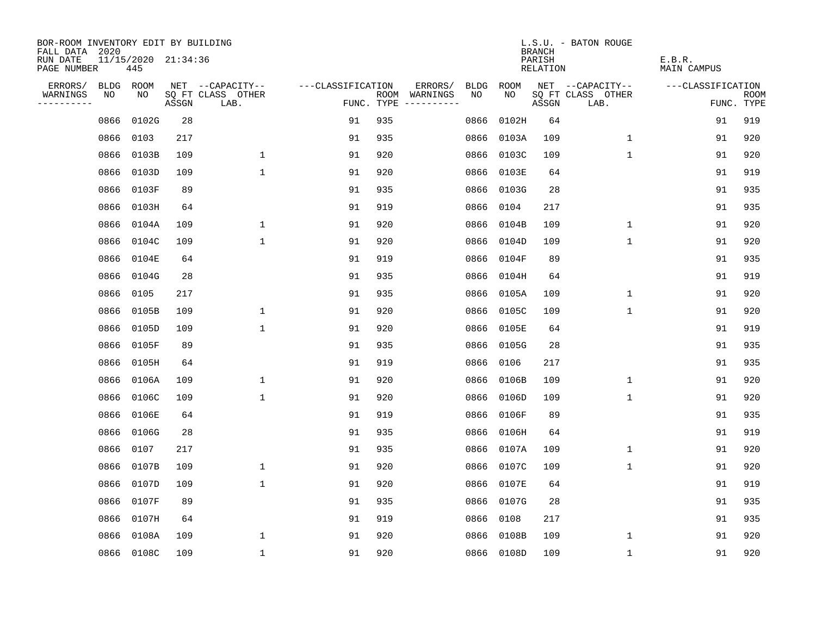| BOR-ROOM INVENTORY EDIT BY BUILDING       |      |                            |       |                           |                   |                                      |                        |            | <b>BRANCH</b>      | L.S.U. - BATON ROUGE      |                       |                           |
|-------------------------------------------|------|----------------------------|-------|---------------------------|-------------------|--------------------------------------|------------------------|------------|--------------------|---------------------------|-----------------------|---------------------------|
| FALL DATA 2020<br>RUN DATE<br>PAGE NUMBER |      | 11/15/2020 21:34:36<br>445 |       |                           |                   |                                      |                        |            | PARISH<br>RELATION |                           | E.B.R.<br>MAIN CAMPUS |                           |
| ERRORS/                                   |      | BLDG ROOM                  |       | NET --CAPACITY--          | ---CLASSIFICATION |                                      | ERRORS/<br><b>BLDG</b> | ROOM       |                    | NET --CAPACITY--          | ---CLASSIFICATION     |                           |
| WARNINGS<br>----------                    | NO   | NO                         | ASSGN | SQ FT CLASS OTHER<br>LAB. |                   | ROOM WARNINGS<br>FUNC. TYPE $------$ | NO.                    | NO.        | ASSGN              | SQ FT CLASS OTHER<br>LAB. |                       | <b>ROOM</b><br>FUNC. TYPE |
|                                           | 0866 | 0102G                      | 28    |                           | 91                | 935                                  | 0866                   | 0102H      | 64                 |                           | 91                    | 919                       |
|                                           | 0866 | 0103                       | 217   |                           | 91                | 935                                  | 0866                   | 0103A      | 109                | $\mathbf 1$               | 91                    | 920                       |
|                                           | 0866 | 0103B                      | 109   | $\mathbf 1$               | 91                | 920                                  | 0866                   | 0103C      | 109                | $\mathbf 1$               | 91                    | 920                       |
|                                           | 0866 | 0103D                      | 109   | $\mathbf{1}$              | 91                | 920                                  | 0866                   | 0103E      | 64                 |                           | 91                    | 919                       |
|                                           | 0866 | 0103F                      | 89    |                           | 91                | 935                                  | 0866                   | 0103G      | 28                 |                           | 91                    | 935                       |
|                                           | 0866 | 0103H                      | 64    |                           | 91                | 919                                  | 0866                   | 0104       | 217                |                           | 91                    | 935                       |
|                                           | 0866 | 0104A                      | 109   | $\mathbf{1}$              | 91                | 920                                  | 0866                   | 0104B      | 109                | $\mathbf 1$               | 91                    | 920                       |
|                                           | 0866 | 0104C                      | 109   | $\mathbf{1}$              | 91                | 920                                  |                        | 0866 0104D | 109                | $\mathbf{1}$              | 91                    | 920                       |
|                                           | 0866 | 0104E                      | 64    |                           | 91                | 919                                  | 0866                   | 0104F      | 89                 |                           | 91                    | 935                       |
|                                           | 0866 | 0104G                      | 28    |                           | 91                | 935                                  |                        | 0866 0104H | 64                 |                           | 91                    | 919                       |
|                                           | 0866 | 0105                       | 217   |                           | 91                | 935                                  | 0866                   | 0105A      | 109                | $\mathbf 1$               | 91                    | 920                       |
|                                           | 0866 | 0105B                      | 109   | 1                         | 91                | 920                                  |                        | 0866 0105C | 109                | $\mathbf 1$               | 91                    | 920                       |
|                                           | 0866 | 0105D                      | 109   | $\mathbf{1}$              | 91                | 920                                  | 0866                   | 0105E      | 64                 |                           | 91                    | 919                       |
|                                           | 0866 | 0105F                      | 89    |                           | 91                | 935                                  |                        | 0866 0105G | 28                 |                           | 91                    | 935                       |
|                                           | 0866 | 0105H                      | 64    |                           | 91                | 919                                  | 0866                   | 0106       | 217                |                           | 91                    | 935                       |
|                                           | 0866 | 0106A                      | 109   | 1                         | 91                | 920                                  | 0866                   | 0106B      | 109                | 1                         | 91                    | 920                       |
|                                           | 0866 | 0106C                      | 109   | $\mathbf{1}$              | 91                | 920                                  | 0866                   | 0106D      | 109                | 1                         | 91                    | 920                       |
|                                           | 0866 | 0106E                      | 64    |                           | 91                | 919                                  | 0866                   | 0106F      | 89                 |                           | 91                    | 935                       |
|                                           | 0866 | 0106G                      | 28    |                           | 91                | 935                                  | 0866                   | 0106H      | 64                 |                           | 91                    | 919                       |
|                                           | 0866 | 0107                       | 217   |                           | 91                | 935                                  | 0866                   | 0107A      | 109                | $\mathbf 1$               | 91                    | 920                       |
|                                           | 0866 | 0107B                      | 109   | $\mathbf 1$               | 91                | 920                                  | 0866                   | 0107C      | 109                | 1                         | 91                    | 920                       |
|                                           | 0866 | 0107D                      | 109   | $\mathbf 1$               | 91                | 920                                  | 0866                   | 0107E      | 64                 |                           | 91                    | 919                       |
|                                           | 0866 | 0107F                      | 89    |                           | 91                | 935                                  | 0866                   | 0107G      | 28                 |                           | 91                    | 935                       |
|                                           | 0866 | 0107H                      | 64    |                           | 91                | 919                                  | 0866                   | 0108       | 217                |                           | 91                    | 935                       |
|                                           | 0866 | 0108A                      | 109   | 1                         | 91                | 920                                  | 0866                   | 0108B      | 109                | 1                         | 91                    | 920                       |
|                                           |      | 0866 0108C                 | 109   | $\mathbf{1}$              | 91                | 920                                  |                        | 0866 0108D | 109                | 1                         | 91                    | 920                       |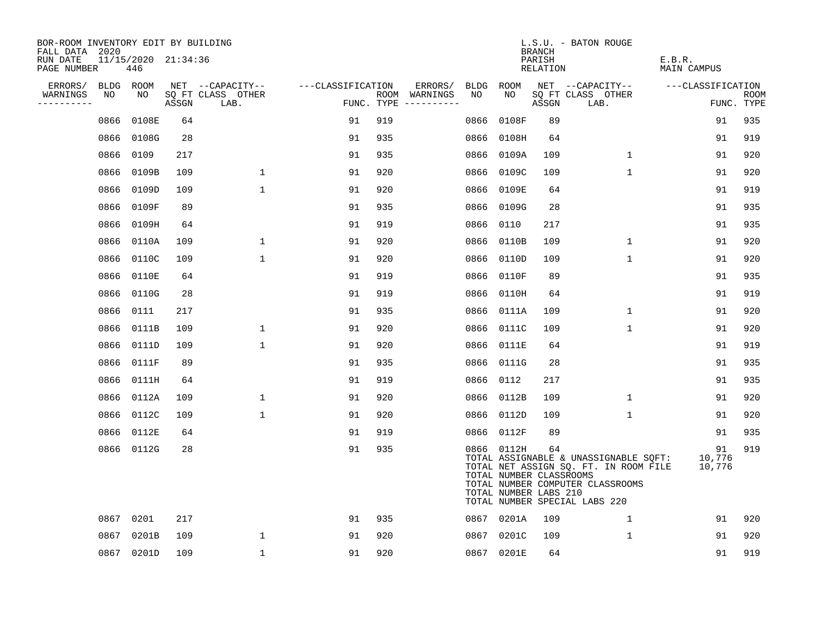| BOR-ROOM INVENTORY EDIT BY BUILDING<br>FALL DATA 2020 |                            |       |                           |                   |     |                                      |      |                                                                | <b>BRANCH</b>      | L.S.U. - BATON ROUGE                                                                                                                                |                        |                    |
|-------------------------------------------------------|----------------------------|-------|---------------------------|-------------------|-----|--------------------------------------|------|----------------------------------------------------------------|--------------------|-----------------------------------------------------------------------------------------------------------------------------------------------------|------------------------|--------------------|
| RUN DATE<br>PAGE NUMBER                               | 11/15/2020 21:34:36<br>446 |       |                           |                   |     |                                      |      |                                                                | PARISH<br>RELATION |                                                                                                                                                     | E.B.R.<br>MAIN CAMPUS  |                    |
| ERRORS/                                               | BLDG ROOM                  |       | NET --CAPACITY--          | ---CLASSIFICATION |     | ERRORS/                              |      | BLDG ROOM                                                      |                    | NET --CAPACITY--                                                                                                                                    | ---CLASSIFICATION      |                    |
| WARNINGS<br>NO<br>----------                          | NO.                        | ASSGN | SQ FT CLASS OTHER<br>LAB. |                   |     | ROOM WARNINGS<br>FUNC. TYPE $------$ | NO.  | NO                                                             | ASSGN              | SQ FT CLASS OTHER<br>LAB.                                                                                                                           |                        | ROOM<br>FUNC. TYPE |
| 0866                                                  | 0108E                      | 64    |                           | 91                | 919 |                                      | 0866 | 0108F                                                          | 89                 |                                                                                                                                                     | 91                     | 935                |
| 0866                                                  | 0108G                      | 28    |                           | 91                | 935 |                                      | 0866 | 0108H                                                          | 64                 |                                                                                                                                                     | 91                     | 919                |
| 0866                                                  | 0109                       | 217   |                           | 91                | 935 |                                      | 0866 | 0109A                                                          | 109                | 1                                                                                                                                                   | 91                     | 920                |
| 0866                                                  | 0109B                      | 109   | $\mathbf 1$               | 91                | 920 |                                      | 0866 | 0109C                                                          | 109                | $\mathbf 1$                                                                                                                                         | 91                     | 920                |
| 0866                                                  | 0109D                      | 109   | $\mathbf{1}$              | 91                | 920 |                                      | 0866 | 0109E                                                          | 64                 |                                                                                                                                                     | 91                     | 919                |
| 0866                                                  | 0109F                      | 89    |                           | 91                | 935 |                                      | 0866 | 0109G                                                          | 28                 |                                                                                                                                                     | 91                     | 935                |
| 0866                                                  | 0109H                      | 64    |                           | 91                | 919 |                                      | 0866 | 0110                                                           | 217                |                                                                                                                                                     | 91                     | 935                |
| 0866                                                  | 0110A                      | 109   | $\mathbf{1}$              | 91                | 920 |                                      | 0866 | 0110B                                                          | 109                | $\mathbf{1}$                                                                                                                                        | 91                     | 920                |
| 0866                                                  | 0110C                      | 109   | $\mathbf{1}$              | 91                | 920 |                                      | 0866 | 0110D                                                          | 109                | $\mathbf{1}$                                                                                                                                        | 91                     | 920                |
| 0866                                                  | 0110E                      | 64    |                           | 91                | 919 |                                      | 0866 | 0110F                                                          | 89                 |                                                                                                                                                     | 91                     | 935                |
| 0866                                                  | 0110G                      | 28    |                           | 91                | 919 |                                      | 0866 | 0110H                                                          | 64                 |                                                                                                                                                     | 91                     | 919                |
| 0866                                                  | 0111                       | 217   |                           | 91                | 935 |                                      | 0866 | 0111A                                                          | 109                | $\mathbf 1$                                                                                                                                         | 91                     | 920                |
| 0866                                                  | 0111B                      | 109   | $\mathbf{1}$              | 91                | 920 |                                      | 0866 | 0111C                                                          | 109                | $\mathbf{1}$                                                                                                                                        | 91                     | 920                |
| 0866                                                  | 0111D                      | 109   | $\mathbf{1}$              | 91                | 920 |                                      | 0866 | 0111E                                                          | 64                 |                                                                                                                                                     | 91                     | 919                |
| 0866                                                  | 0111F                      | 89    |                           | 91                | 935 |                                      | 0866 | 0111G                                                          | 28                 |                                                                                                                                                     | 91                     | 935                |
| 0866                                                  | 0111H                      | 64    |                           | 91                | 919 |                                      | 0866 | 0112                                                           | 217                |                                                                                                                                                     | 91                     | 935                |
| 0866                                                  | 0112A                      | 109   | 1                         | 91                | 920 |                                      | 0866 | 0112B                                                          | 109                | $\mathbf 1$                                                                                                                                         | 91                     | 920                |
| 0866                                                  | 0112C                      | 109   | $\mathbf{1}$              | 91                | 920 |                                      | 0866 | 0112D                                                          | 109                | $\mathbf{1}$                                                                                                                                        | 91                     | 920                |
| 0866                                                  | 0112E                      | 64    |                           | 91                | 919 |                                      |      | 0866 0112F                                                     | 89                 |                                                                                                                                                     | 91                     | 935                |
| 0866                                                  | 0112G                      | 28    |                           | 91                | 935 |                                      |      | 0866 0112H<br>TOTAL NUMBER CLASSROOMS<br>TOTAL NUMBER LABS 210 | 64                 | TOTAL ASSIGNABLE & UNASSIGNABLE SQFT:<br>TOTAL NET ASSIGN SQ. FT. IN ROOM FILE<br>TOTAL NUMBER COMPUTER CLASSROOMS<br>TOTAL NUMBER SPECIAL LABS 220 | 91<br>10,776<br>10,776 | 919                |
| 0867                                                  | 0201                       | 217   |                           | 91                | 935 |                                      |      | 0867 0201A                                                     | 109                | $\mathbf{1}$                                                                                                                                        | 91                     | 920                |
| 0867                                                  | 0201B                      | 109   | 1                         | 91                | 920 |                                      |      | 0867 0201C                                                     | 109                | $\mathbf 1$                                                                                                                                         | 91                     | 920                |
| 0867                                                  | 0201D                      | 109   | $\mathbf{1}$              | 91                | 920 |                                      |      | 0867 0201E                                                     | 64                 |                                                                                                                                                     | 91                     | 919                |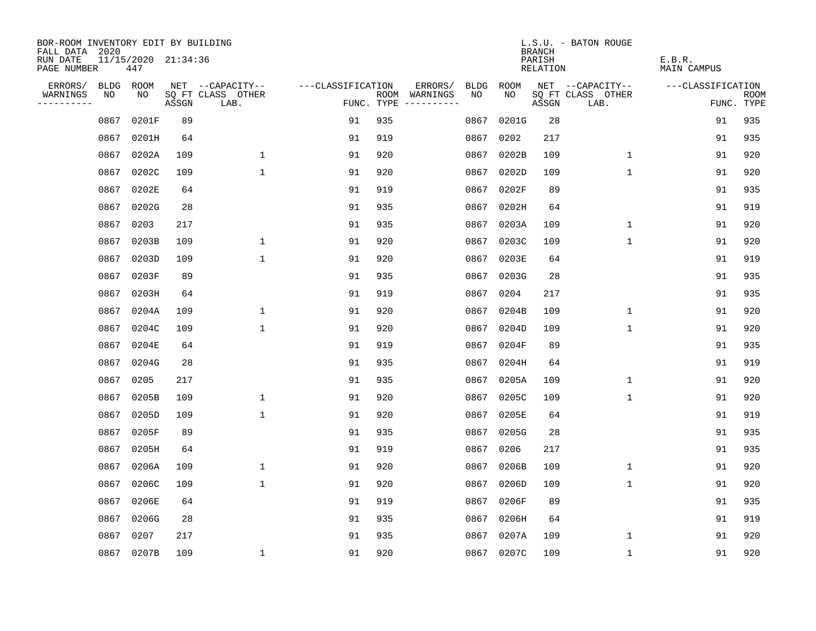| BOR-ROOM INVENTORY EDIT BY BUILDING<br>FALL DATA 2020 |             |                            |       |                           |                   |     |                                      |             |            | <b>BRANCH</b>             | L.S.U. - BATON ROUGE      |                              |                           |
|-------------------------------------------------------|-------------|----------------------------|-------|---------------------------|-------------------|-----|--------------------------------------|-------------|------------|---------------------------|---------------------------|------------------------------|---------------------------|
| RUN DATE<br>PAGE NUMBER                               |             | 11/15/2020 21:34:36<br>447 |       |                           |                   |     |                                      |             |            | PARISH<br><b>RELATION</b> |                           | E.B.R.<br><b>MAIN CAMPUS</b> |                           |
| ERRORS/                                               | <b>BLDG</b> | ROOM                       |       | NET --CAPACITY--          | ---CLASSIFICATION |     | ERRORS/                              | <b>BLDG</b> | ROOM       |                           | NET --CAPACITY--          | ---CLASSIFICATION            |                           |
| WARNINGS<br>----------                                | NO          | NO                         | ASSGN | SQ FT CLASS OTHER<br>LAB. |                   |     | ROOM WARNINGS<br>FUNC. TYPE $------$ | NO          | NO         | ASSGN                     | SQ FT CLASS OTHER<br>LAB. |                              | <b>ROOM</b><br>FUNC. TYPE |
|                                                       | 0867        | 0201F                      | 89    |                           | 91                | 935 |                                      | 0867        | 0201G      | 28                        |                           | 91                           | 935                       |
|                                                       | 0867        | 0201H                      | 64    |                           | 91                | 919 |                                      | 0867        | 0202       | 217                       |                           | 91                           | 935                       |
|                                                       | 0867        | 0202A                      | 109   | $\mathbf 1$               | 91                | 920 |                                      | 0867        | 0202B      | 109                       | $\mathbf 1$               | 91                           | 920                       |
|                                                       | 0867        | 0202C                      | 109   | $\mathbf{1}$              | 91                | 920 |                                      |             | 0867 0202D | 109                       | $\mathbf{1}$              | 91                           | 920                       |
|                                                       | 0867        | 0202E                      | 64    |                           | 91                | 919 |                                      | 0867        | 0202F      | 89                        |                           | 91                           | 935                       |
|                                                       | 0867        | 0202G                      | 28    |                           | 91                | 935 |                                      |             | 0867 0202H | 64                        |                           | 91                           | 919                       |
|                                                       | 0867        | 0203                       | 217   |                           | 91                | 935 |                                      |             | 0867 0203A | 109                       | $\mathbf 1$               | 91                           | 920                       |
|                                                       | 0867        | 0203B                      | 109   | 1                         | 91                | 920 |                                      |             | 0867 0203C | 109                       | $\mathbf{1}$              | 91                           | 920                       |
|                                                       | 0867        | 0203D                      | 109   | $\mathbf{1}$              | 91                | 920 |                                      | 0867        | 0203E      | 64                        |                           | 91                           | 919                       |
|                                                       | 0867        | 0203F                      | 89    |                           | 91                | 935 |                                      |             | 0867 0203G | 28                        |                           | 91                           | 935                       |
|                                                       | 0867        | 0203H                      | 64    |                           | 91                | 919 |                                      | 0867        | 0204       | 217                       |                           | 91                           | 935                       |
|                                                       | 0867        | 0204A                      | 109   | 1                         | 91                | 920 |                                      |             | 0867 0204B | 109                       | $\mathbf{1}$              | 91                           | 920                       |
|                                                       | 0867        | 0204C                      | 109   | $\mathbf{1}$              | 91                | 920 |                                      | 0867        | 0204D      | 109                       | $\mathbf 1$               | 91                           | 920                       |
|                                                       | 0867        | 0204E                      | 64    |                           | 91                | 919 |                                      | 0867        | 0204F      | 89                        |                           | 91                           | 935                       |
|                                                       | 0867        | 0204G                      | 28    |                           | 91                | 935 |                                      | 0867        | 0204H      | 64                        |                           | 91                           | 919                       |
|                                                       | 0867        | 0205                       | 217   |                           | 91                | 935 |                                      | 0867        | 0205A      | 109                       | 1                         | 91                           | 920                       |
|                                                       | 0867        | 0205B                      | 109   | $\mathbf 1$               | 91                | 920 |                                      | 0867        | 0205C      | 109                       | 1                         | 91                           | 920                       |
|                                                       | 0867        | 0205D                      | 109   | $\mathbf{1}$              | 91                | 920 |                                      | 0867        | 0205E      | 64                        |                           | 91                           | 919                       |
|                                                       | 0867        | 0205F                      | 89    |                           | 91                | 935 |                                      | 0867        | 0205G      | 28                        |                           | 91                           | 935                       |
|                                                       | 0867        | 0205H                      | 64    |                           | 91                | 919 |                                      | 0867        | 0206       | 217                       |                           | 91                           | 935                       |
|                                                       | 0867        | 0206A                      | 109   | 1                         | 91                | 920 |                                      | 0867        | 0206B      | 109                       | 1                         | 91                           | 920                       |
|                                                       | 0867        | 0206C                      | 109   | $\mathbf{1}$              | 91                | 920 |                                      | 0867        | 0206D      | 109                       | $\mathbf 1$               | 91                           | 920                       |
|                                                       | 0867        | 0206E                      | 64    |                           | 91                | 919 |                                      | 0867        | 0206F      | 89                        |                           | 91                           | 935                       |
|                                                       | 0867        | 0206G                      | 28    |                           | 91                | 935 |                                      | 0867        | 0206H      | 64                        |                           | 91                           | 919                       |
|                                                       | 0867        | 0207                       | 217   |                           | 91                | 935 |                                      | 0867        | 0207A      | 109                       | 1                         | 91                           | 920                       |
|                                                       |             | 0867 0207B                 | 109   | 1                         | 91                | 920 |                                      |             | 0867 0207C | 109                       | $\mathbf 1$               | 91                           | 920                       |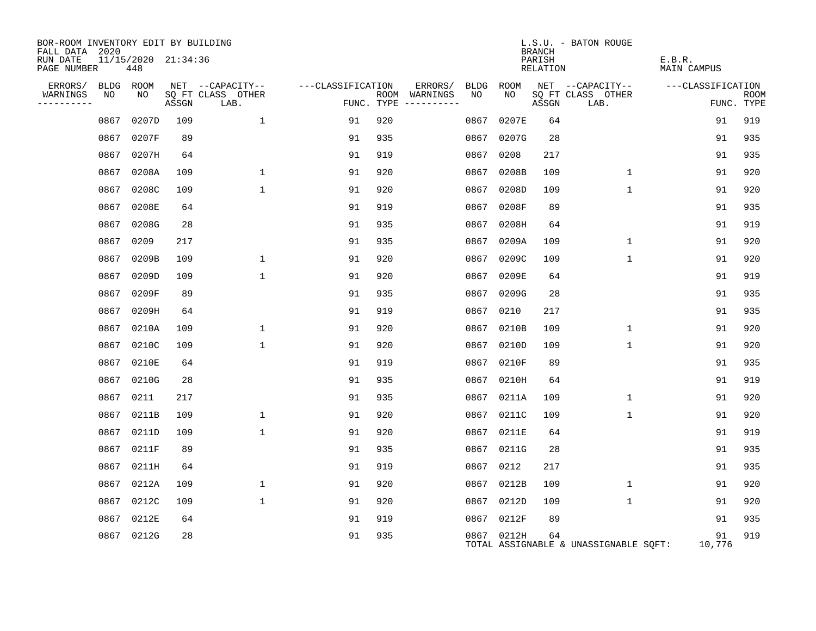| BOR-ROOM INVENTORY EDIT BY BUILDING<br>FALL DATA 2020 |                            |       |                           |                   |                                      |                 |            | <b>BRANCH</b>      | L.S.U. - BATON ROUGE                  |                              |                           |
|-------------------------------------------------------|----------------------------|-------|---------------------------|-------------------|--------------------------------------|-----------------|------------|--------------------|---------------------------------------|------------------------------|---------------------------|
| RUN DATE<br>PAGE NUMBER                               | 11/15/2020 21:34:36<br>448 |       |                           |                   |                                      |                 |            | PARISH<br>RELATION |                                       | E.B.R.<br><b>MAIN CAMPUS</b> |                           |
| ERRORS/                                               | BLDG ROOM                  |       | NET --CAPACITY--          | ---CLASSIFICATION |                                      | ERRORS/<br>BLDG | ROOM       |                    | NET --CAPACITY--                      | ---CLASSIFICATION            |                           |
| WARNINGS<br>NO<br>----------                          | NO                         | ASSGN | SQ FT CLASS OTHER<br>LAB. |                   | ROOM WARNINGS<br>FUNC. TYPE $------$ | NO              | NO         | ASSGN              | SQ FT CLASS OTHER<br>LAB.             |                              | <b>ROOM</b><br>FUNC. TYPE |
|                                                       | 0867 0207D                 | 109   | $\mathbf 1$               | 91                | 920                                  | 0867            | 0207E      | 64                 |                                       | 91                           | 919                       |
|                                                       | 0867 0207F                 | 89    |                           | 91                | 935                                  | 0867            | 0207G      | 28                 |                                       | 91                           | 935                       |
|                                                       | 0867 0207H                 | 64    |                           | 91                | 919                                  | 0867 0208       |            | 217                |                                       | 91                           | 935                       |
|                                                       | 0867 0208A                 | 109   | $\mathbf 1$               | 91                | 920                                  | 0867            | 0208B      | 109                | $\mathbf 1$                           | 91                           | 920                       |
|                                                       | 0867 0208C                 | 109   | $\mathbf{1}$              | 91                | 920                                  | 0867            | 0208D      | 109                | $\mathbf{1}$                          | 91                           | 920                       |
|                                                       | 0867 0208E                 | 64    |                           | 91                | 919                                  | 0867            | 0208F      | 89                 |                                       | 91                           | 935                       |
|                                                       | 0867 0208G                 | 28    |                           | 91                | 935                                  | 0867            | 0208H      | 64                 |                                       | 91                           | 919                       |
|                                                       | 0209<br>0867               | 217   |                           | 91                | 935                                  | 0867            | 0209A      | 109                | $\mathbf{1}$                          | 91                           | 920                       |
|                                                       | 0867<br>0209B              | 109   | 1                         | 91                | 920                                  | 0867            | 0209C      | 109                | $\mathbf{1}$                          | 91                           | 920                       |
|                                                       | 0867 0209D                 | 109   | $\mathbf{1}$              | 91                | 920                                  | 0867            | 0209E      | 64                 |                                       | 91                           | 919                       |
|                                                       | 0867<br>0209F              | 89    |                           | 91                | 935                                  | 0867            | 0209G      | 28                 |                                       | 91                           | 935                       |
|                                                       | 0867<br>0209H              | 64    |                           | 91                | 919                                  | 0867            | 0210       | 217                |                                       | 91                           | 935                       |
|                                                       | 0867 0210A                 | 109   | $\mathbf{1}$              | 91                | 920                                  | 0867            | 0210B      | 109                | $\mathbf{1}$                          | 91                           | 920                       |
|                                                       | 0867 0210C                 | 109   | $\mathbf{1}$              | 91                | 920                                  | 0867            | 0210D      | 109                | $\mathbf{1}$                          | 91                           | 920                       |
|                                                       | 0867 0210E                 | 64    |                           | 91                | 919                                  | 0867            | 0210F      | 89                 |                                       | 91                           | 935                       |
|                                                       | 0867 0210G                 | 28    |                           | 91                | 935                                  | 0867            | 0210H      | 64                 |                                       | 91                           | 919                       |
|                                                       | 0867 0211                  | 217   |                           | 91                | 935                                  | 0867            | 0211A      | 109                | $\mathbf{1}$                          | 91                           | 920                       |
|                                                       | 0867 0211B                 | 109   | $\mathbf{1}$              | 91                | 920                                  |                 | 0867 0211C | 109                | $\mathbf{1}$                          | 91                           | 920                       |
|                                                       | 0867 0211D                 | 109   | $\mathbf{1}$              | 91                | 920                                  | 0867            | 0211E      | 64                 |                                       | 91                           | 919                       |
|                                                       | 0867 0211F                 | 89    |                           | 91                | 935                                  |                 | 0867 0211G | 28                 |                                       | 91                           | 935                       |
|                                                       | 0867 0211H                 | 64    |                           | 91                | 919                                  | 0867            | 0212       | 217                |                                       | 91                           | 935                       |
|                                                       | 0867 0212A                 | 109   | $\mathbf{1}$              | 91                | 920                                  |                 | 0867 0212B | 109                | $\mathbf 1$                           | 91                           | 920                       |
|                                                       | 0867 0212C                 | 109   | $\mathbf{1}$              | 91                | 920                                  | 0867            | 0212D      | 109                | $\mathbf{1}$                          | 91                           | 920                       |
|                                                       | 0867 0212E                 | 64    |                           | 91                | 919                                  |                 | 0867 0212F | 89                 |                                       | 91                           | 935                       |
|                                                       | 0867 0212G                 | 28    |                           | 91                | 935                                  |                 | 0867 0212H | 64                 | TOTAL ASSIGNABLE & UNASSIGNABLE SQFT: | 91<br>10,776                 | 919                       |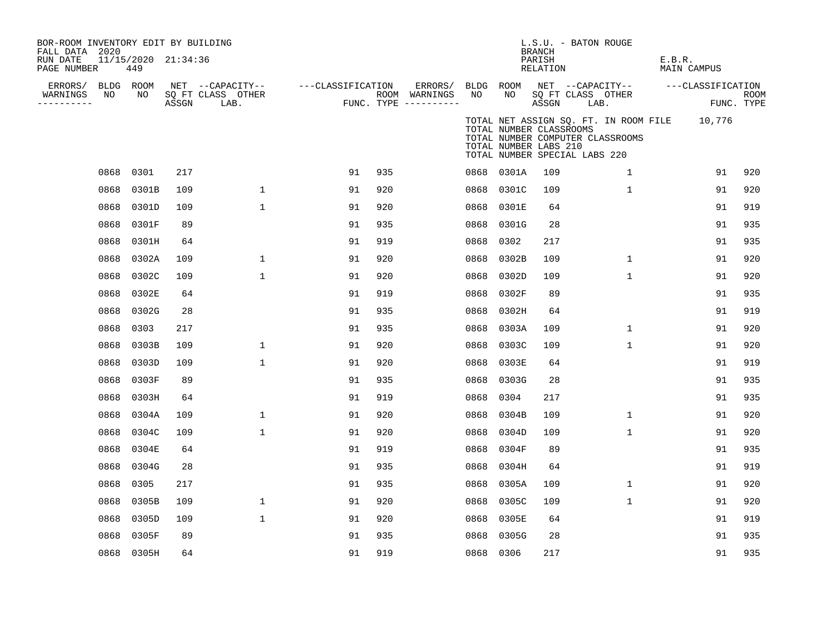| BOR-ROOM INVENTORY EDIT BY BUILDING<br>FALL DATA 2020 |      |                            |       |                           |                   |     |                                      |      |                                                                                   | <b>BRANCH</b>      | L.S.U. - BATON ROUGE      |                                  |        |                                              |                    |
|-------------------------------------------------------|------|----------------------------|-------|---------------------------|-------------------|-----|--------------------------------------|------|-----------------------------------------------------------------------------------|--------------------|---------------------------|----------------------------------|--------|----------------------------------------------|--------------------|
| RUN DATE<br>PAGE NUMBER                               |      | 11/15/2020 21:34:36<br>449 |       |                           |                   |     |                                      |      |                                                                                   | PARISH<br>RELATION |                           |                                  | E.B.R. | MAIN CAMPUS                                  |                    |
| ERRORS/                                               |      | BLDG ROOM                  |       | NET --CAPACITY--          | ---CLASSIFICATION |     | ERRORS/                              |      | BLDG ROOM                                                                         |                    |                           | NET --CAPACITY--                 |        | ---CLASSIFICATION                            |                    |
| WARNINGS<br>----------                                | NO   | NO                         | ASSGN | SQ FT CLASS OTHER<br>LAB. |                   |     | ROOM WARNINGS<br>FUNC. TYPE $------$ | NO   | NO                                                                                | ASSGN              | SQ FT CLASS OTHER<br>LAB. |                                  |        |                                              | ROOM<br>FUNC. TYPE |
|                                                       |      |                            |       |                           |                   |     |                                      |      | TOTAL NUMBER CLASSROOMS<br>TOTAL NUMBER LABS 210<br>TOTAL NUMBER SPECIAL LABS 220 |                    |                           | TOTAL NUMBER COMPUTER CLASSROOMS |        | TOTAL NET ASSIGN SQ. FT. IN ROOM FILE 10,776 |                    |
|                                                       | 0868 | 0301                       | 217   |                           | 91                | 935 |                                      |      | 0868 0301A                                                                        | 109                |                           | 1                                |        | 91                                           | 920                |
|                                                       | 0868 | 0301B                      | 109   | $\mathbf 1$               | 91                | 920 |                                      |      | 0868 0301C                                                                        | 109                |                           | $\mathbf{1}$                     |        | 91                                           | 920                |
|                                                       | 0868 | 0301D                      | 109   | 1                         | 91                | 920 |                                      |      | 0868 0301E                                                                        | 64                 |                           |                                  |        | 91                                           | 919                |
|                                                       | 0868 | 0301F                      | 89    |                           | 91                | 935 |                                      |      | 0868 0301G                                                                        | 28                 |                           |                                  |        | 91                                           | 935                |
|                                                       | 0868 | 0301H                      | 64    |                           | 91                | 919 |                                      | 0868 | 0302                                                                              | 217                |                           |                                  |        | 91                                           | 935                |
|                                                       | 0868 | 0302A                      | 109   | 1                         | 91                | 920 |                                      | 0868 | 0302B                                                                             | 109                |                           | 1                                |        | 91                                           | 920                |
|                                                       | 0868 | 0302C                      | 109   | 1                         | 91                | 920 |                                      | 0868 | 0302D                                                                             | 109                |                           | $\mathbf 1$                      |        | 91                                           | 920                |
|                                                       | 0868 | 0302E                      | 64    |                           | 91                | 919 |                                      | 0868 | 0302F                                                                             | 89                 |                           |                                  |        | 91                                           | 935                |
|                                                       | 0868 | 0302G                      | 28    |                           | 91                | 935 |                                      | 0868 | 0302H                                                                             | 64                 |                           |                                  |        | 91                                           | 919                |
|                                                       | 0868 | 0303                       | 217   |                           | 91                | 935 |                                      | 0868 | 0303A                                                                             | 109                |                           | $\mathbf{1}$                     |        | 91                                           | 920                |
|                                                       | 0868 | 0303B                      | 109   | $\mathbf 1$               | 91                | 920 |                                      | 0868 | 0303C                                                                             | 109                |                           | $\mathbf{1}$                     |        | 91                                           | 920                |
|                                                       | 0868 | 0303D                      | 109   | 1                         | 91                | 920 |                                      | 0868 | 0303E                                                                             | 64                 |                           |                                  |        | 91                                           | 919                |
|                                                       | 0868 | 0303F                      | 89    |                           | 91                | 935 |                                      | 0868 | 0303G                                                                             | 28                 |                           |                                  |        | 91                                           | 935                |
|                                                       | 0868 | 0303H                      | 64    |                           | 91                | 919 |                                      | 0868 | 0304                                                                              | 217                |                           |                                  |        | 91                                           | 935                |
|                                                       | 0868 | 0304A                      | 109   | $\mathbf{1}$              | 91                | 920 |                                      | 0868 | 0304B                                                                             | 109                |                           | 1                                |        | 91                                           | 920                |
|                                                       | 0868 | 0304C                      | 109   | $\mathbf{1}$              | 91                | 920 |                                      |      | 0868 0304D                                                                        | 109                |                           | $\mathbf{1}$                     |        | 91                                           | 920                |
|                                                       | 0868 | 0304E                      | 64    |                           | 91                | 919 |                                      |      | 0868 0304F                                                                        | 89                 |                           |                                  |        | 91                                           | 935                |
|                                                       | 0868 | 0304G                      | 28    |                           | 91                | 935 |                                      |      | 0868 0304H                                                                        | 64                 |                           |                                  |        | 91                                           | 919                |
|                                                       | 0868 | 0305                       | 217   |                           | 91                | 935 |                                      | 0868 | 0305A                                                                             | 109                |                           | $\mathbf{1}$                     |        | 91                                           | 920                |
|                                                       | 0868 | 0305B                      | 109   | 1                         | 91                | 920 |                                      |      | 0868 0305C                                                                        | 109                |                           | 1                                |        | 91                                           | 920                |
|                                                       | 0868 | 0305D                      | 109   | $\mathbf 1$               | 91                | 920 |                                      |      | 0868 0305E                                                                        | 64                 |                           |                                  |        | 91                                           | 919                |
|                                                       | 0868 | 0305F                      | 89    |                           | 91                | 935 |                                      | 0868 | 0305G                                                                             | 28                 |                           |                                  |        | 91                                           | 935                |
|                                                       |      | 0868 0305H                 | 64    |                           | 91                | 919 |                                      |      | 0868 0306                                                                         | 217                |                           |                                  |        | 91                                           | 935                |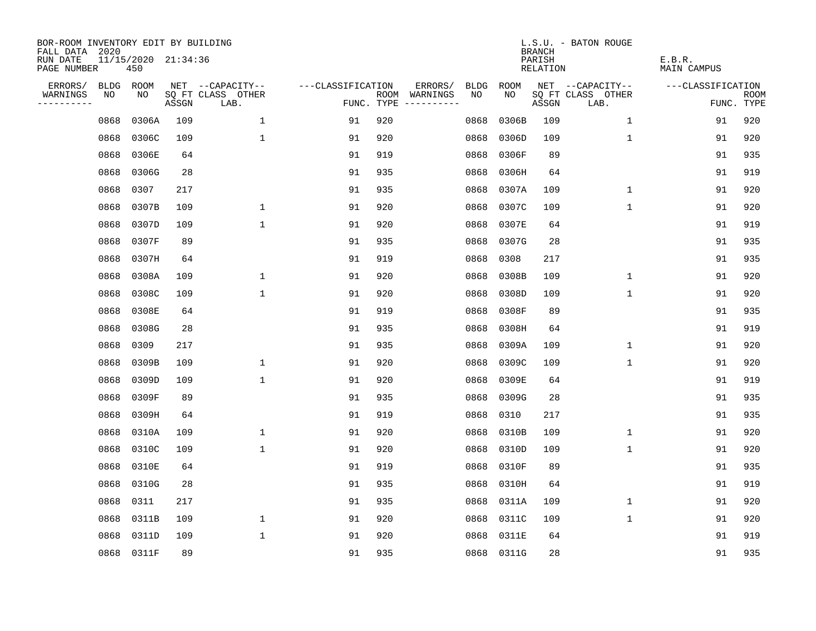| BOR-ROOM INVENTORY EDIT BY BUILDING<br>FALL DATA 2020 |      |                            |       |                           |                   |            |                                    |             | <b>BRANCH</b>             | L.S.U. - BATON ROUGE      |                              |                           |
|-------------------------------------------------------|------|----------------------------|-------|---------------------------|-------------------|------------|------------------------------------|-------------|---------------------------|---------------------------|------------------------------|---------------------------|
| RUN DATE<br>PAGE NUMBER                               |      | 11/15/2020 21:34:36<br>450 |       |                           |                   |            |                                    |             | PARISH<br><b>RELATION</b> |                           | E.B.R.<br><b>MAIN CAMPUS</b> |                           |
| ERRORS/                                               | BLDG | ROOM                       |       | NET --CAPACITY--          | ---CLASSIFICATION |            | ERRORS/<br><b>BLDG</b>             | <b>ROOM</b> |                           | NET --CAPACITY--          | ---CLASSIFICATION            |                           |
| WARNINGS<br>----------                                | NO   | NO                         | ASSGN | SQ FT CLASS OTHER<br>LAB. |                   | FUNC. TYPE | NO<br>ROOM WARNINGS<br>----------- | NO          | ASSGN                     | SQ FT CLASS OTHER<br>LAB. |                              | <b>ROOM</b><br>FUNC. TYPE |
|                                                       | 0868 | 0306A                      | 109   | 1                         | 91                | 920        | 0868                               | 0306B       | 109                       | 1                         | 91                           | 920                       |
|                                                       | 0868 | 0306C                      | 109   | $\mathbf 1$               | 91                | 920        | 0868                               | 0306D       | 109                       | 1                         | 91                           | 920                       |
|                                                       | 0868 | 0306E                      | 64    |                           | 91                | 919        | 0868                               | 0306F       | 89                        |                           | 91                           | 935                       |
|                                                       | 0868 | 0306G                      | 28    |                           | 91                | 935        | 0868                               | 0306H       | 64                        |                           | 91                           | 919                       |
|                                                       | 0868 | 0307                       | 217   |                           | 91                | 935        | 0868                               | 0307A       | 109                       | $\mathbf 1$               | 91                           | 920                       |
|                                                       | 0868 | 0307B                      | 109   | $\mathbf{1}$              | 91                | 920        | 0868                               | 0307C       | 109                       | $\mathbf{1}$              | 91                           | 920                       |
|                                                       | 0868 | 0307D                      | 109   | $\mathbf{1}$              | 91                | 920        | 0868                               | 0307E       | 64                        |                           | 91                           | 919                       |
|                                                       | 0868 | 0307F                      | 89    |                           | 91                | 935        | 0868                               | 0307G       | 28                        |                           | 91                           | 935                       |
|                                                       | 0868 | 0307H                      | 64    |                           | 91                | 919        | 0868                               | 0308        | 217                       |                           | 91                           | 935                       |
|                                                       | 0868 | 0308A                      | 109   | $\mathbf 1$               | 91                | 920        | 0868                               | 0308B       | 109                       | $\mathbf{1}$              | 91                           | 920                       |
|                                                       | 0868 | 0308C                      | 109   | $\mathbf{1}$              | 91                | 920        | 0868                               | 0308D       | 109                       | $\mathbf 1$               | 91                           | 920                       |
|                                                       | 0868 | 0308E                      | 64    |                           | 91                | 919        | 0868                               | 0308F       | 89                        |                           | 91                           | 935                       |
|                                                       | 0868 | 0308G                      | 28    |                           | 91                | 935        | 0868                               | 0308H       | 64                        |                           | 91                           | 919                       |
|                                                       | 0868 | 0309                       | 217   |                           | 91                | 935        | 0868                               | 0309A       | 109                       | 1                         | 91                           | 920                       |
|                                                       | 0868 | 0309B                      | 109   | $\mathbf 1$               | 91                | 920        | 0868                               | 0309C       | 109                       | 1                         | 91                           | 920                       |
|                                                       | 0868 | 0309D                      | 109   | $\mathbf{1}$              | 91                | 920        | 0868                               | 0309E       | 64                        |                           | 91                           | 919                       |
|                                                       | 0868 | 0309F                      | 89    |                           | 91                | 935        | 0868                               | 0309G       | 28                        |                           | 91                           | 935                       |
|                                                       | 0868 | 0309H                      | 64    |                           | 91                | 919        | 0868                               | 0310        | 217                       |                           | 91                           | 935                       |
|                                                       | 0868 | 0310A                      | 109   | $\mathbf{1}$              | 91                | 920        | 0868                               | 0310B       | 109                       | 1                         | 91                           | 920                       |
|                                                       | 0868 | 0310C                      | 109   | $\mathbf 1$               | 91                | 920        | 0868                               | 0310D       | 109                       | 1                         | 91                           | 920                       |
|                                                       | 0868 | 0310E                      | 64    |                           | 91                | 919        | 0868                               | 0310F       | 89                        |                           | 91                           | 935                       |
|                                                       | 0868 | 0310G                      | 28    |                           | 91                | 935        | 0868                               | 0310H       | 64                        |                           | 91                           | 919                       |
|                                                       | 0868 | 0311                       | 217   |                           | 91                | 935        | 0868                               | 0311A       | 109                       | 1                         | 91                           | 920                       |
|                                                       | 0868 | 0311B                      | 109   | $\mathbf 1$               | 91                | 920        | 0868                               | 0311C       | 109                       | $\mathbf 1$               | 91                           | 920                       |
|                                                       | 0868 | 0311D                      | 109   | $\mathbf{1}$              | 91                | 920        | 0868                               | 0311E       | 64                        |                           | 91                           | 919                       |
|                                                       |      | 0868 0311F                 | 89    |                           | 91                | 935        |                                    | 0868 0311G  | 28                        |                           | 91                           | 935                       |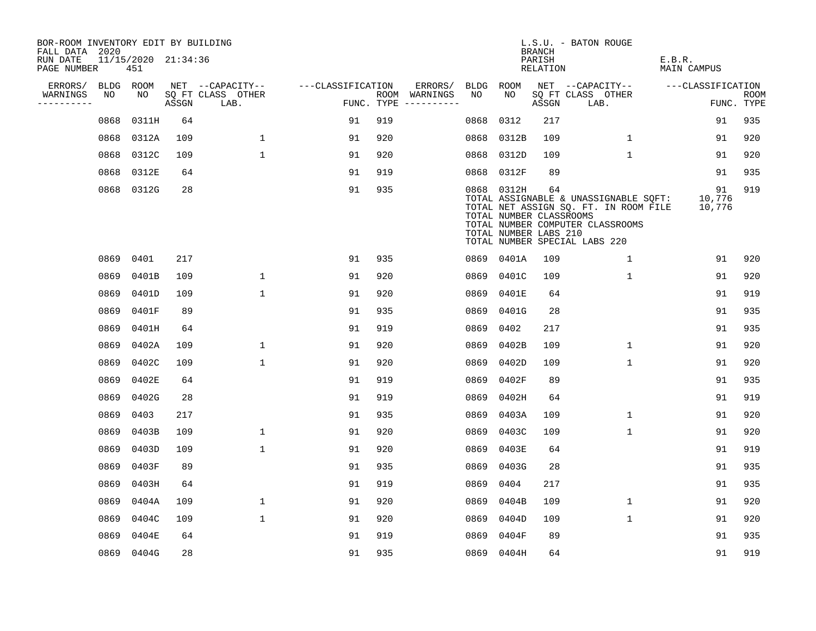| BOR-ROOM INVENTORY EDIT BY BUILDING<br>FALL DATA 2020 |      |                            |       |                           |                   |            |               |      |                                                                | BRANCH             | L.S.U. - BATON ROUGE                                                                                                                                |                              |                    |
|-------------------------------------------------------|------|----------------------------|-------|---------------------------|-------------------|------------|---------------|------|----------------------------------------------------------------|--------------------|-----------------------------------------------------------------------------------------------------------------------------------------------------|------------------------------|--------------------|
| RUN DATE<br>PAGE NUMBER                               |      | 11/15/2020 21:34:36<br>451 |       |                           |                   |            |               |      |                                                                | PARISH<br>RELATION |                                                                                                                                                     | E.B.R.<br><b>MAIN CAMPUS</b> |                    |
| ERRORS/                                               |      | BLDG ROOM                  |       | NET --CAPACITY--          | ---CLASSIFICATION |            | ERRORS/       | BLDG | ROOM                                                           |                    | NET --CAPACITY--                                                                                                                                    | ---CLASSIFICATION            |                    |
| WARNINGS<br>----------                                | NO   | NO                         | ASSGN | SQ FT CLASS OTHER<br>LAB. |                   | FUNC. TYPE | ROOM WARNINGS | NO   | NO.                                                            | ASSGN              | SQ FT CLASS OTHER<br>LAB.                                                                                                                           |                              | ROOM<br>FUNC. TYPE |
|                                                       | 0868 | 0311H                      | 64    |                           | 91                | 919        |               | 0868 | 0312                                                           | 217                |                                                                                                                                                     | 91                           | 935                |
|                                                       | 0868 | 0312A                      | 109   | 1                         | 91                | 920        |               | 0868 | 0312B                                                          | 109                | $\mathbf{1}$                                                                                                                                        | 91                           | 920                |
|                                                       | 0868 | 0312C                      | 109   | $\mathbf{1}$              | 91                | 920        |               | 0868 | 0312D                                                          | 109                | $\mathbf{1}$                                                                                                                                        | 91                           | 920                |
|                                                       | 0868 | 0312E                      | 64    |                           | 91                | 919        |               |      | 0868 0312F                                                     | 89                 |                                                                                                                                                     | 91                           | 935                |
|                                                       |      | 0868 0312G                 | 28    |                           | 91                | 935        |               |      | 0868 0312H<br>TOTAL NUMBER CLASSROOMS<br>TOTAL NUMBER LABS 210 | 64                 | TOTAL ASSIGNABLE & UNASSIGNABLE SQFT:<br>TOTAL NET ASSIGN SQ. FT. IN ROOM FILE<br>TOTAL NUMBER COMPUTER CLASSROOMS<br>TOTAL NUMBER SPECIAL LABS 220 | 91<br>10,776<br>10,776       | 919                |
|                                                       | 0869 | 0401                       | 217   |                           | 91                | 935        |               |      | 0869 0401A                                                     | 109                | $\mathbf{1}$                                                                                                                                        | 91                           | 920                |
|                                                       | 0869 | 0401B                      | 109   | $\mathbf{1}$              | 91                | 920        |               | 0869 | 0401C                                                          | 109                | $\mathbf{1}$                                                                                                                                        | 91                           | 920                |
|                                                       | 0869 | 0401D                      | 109   | $\mathbf{1}$              | 91                | 920        |               | 0869 | 0401E                                                          | 64                 |                                                                                                                                                     | 91                           | 919                |
|                                                       | 0869 | 0401F                      | 89    |                           | 91                | 935        |               | 0869 | 0401G                                                          | 28                 |                                                                                                                                                     | 91                           | 935                |
|                                                       | 0869 | 0401H                      | 64    |                           | 91                | 919        |               | 0869 | 0402                                                           | 217                |                                                                                                                                                     | 91                           | 935                |
|                                                       | 0869 | 0402A                      | 109   | $\mathbf{1}$              | 91                | 920        |               | 0869 | 0402B                                                          | 109                | $\mathbf{1}$                                                                                                                                        | 91                           | 920                |
|                                                       | 0869 | 0402C                      | 109   | $\mathbf{1}$              | 91                | 920        |               | 0869 | 0402D                                                          | 109                | $\mathbf{1}$                                                                                                                                        | 91                           | 920                |
|                                                       | 0869 | 0402E                      | 64    |                           | 91                | 919        |               | 0869 | 0402F                                                          | 89                 |                                                                                                                                                     | 91                           | 935                |
|                                                       | 0869 | 0402G                      | 28    |                           | 91                | 919        |               | 0869 | 0402H                                                          | 64                 |                                                                                                                                                     | 91                           | 919                |
|                                                       | 0869 | 0403                       | 217   |                           | 91                | 935        |               | 0869 | 0403A                                                          | 109                | $\mathbf 1$                                                                                                                                         | 91                           | 920                |
|                                                       | 0869 | 0403B                      | 109   | 1                         | 91                | 920        |               | 0869 | 0403C                                                          | 109                | 1                                                                                                                                                   | 91                           | 920                |
|                                                       | 0869 | 0403D                      | 109   | $\mathbf{1}$              | 91                | 920        |               | 0869 | 0403E                                                          | 64                 |                                                                                                                                                     | 91                           | 919                |
|                                                       | 0869 | 0403F                      | 89    |                           | 91                | 935        |               | 0869 | 0403G                                                          | 28                 |                                                                                                                                                     | 91                           | 935                |
|                                                       | 0869 | 0403H                      | 64    |                           | 91                | 919        |               | 0869 | 0404                                                           | 217                |                                                                                                                                                     | 91                           | 935                |
|                                                       | 0869 | 0404A                      | 109   | 1                         | 91                | 920        |               | 0869 | 0404B                                                          | 109                | 1                                                                                                                                                   | 91                           | 920                |
|                                                       | 0869 | 0404C                      | 109   | $\mathbf{1}$              | 91                | 920        |               | 0869 | 0404D                                                          | 109                | $\mathbf{1}$                                                                                                                                        | 91                           | 920                |
|                                                       | 0869 | 0404E                      | 64    |                           | 91                | 919        |               | 0869 | 0404F                                                          | 89                 |                                                                                                                                                     | 91                           | 935                |
|                                                       |      | 0869 0404G                 | 28    |                           | 91                | 935        |               |      | 0869 0404H                                                     | 64                 |                                                                                                                                                     | 91                           | 919                |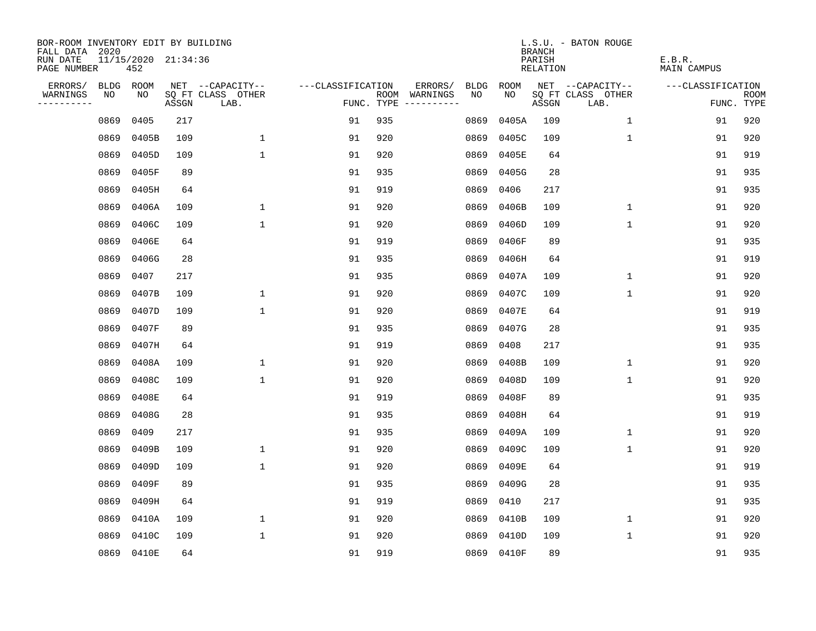| BOR-ROOM INVENTORY EDIT BY BUILDING<br>FALL DATA 2020 |           |                            |       |                           |                   |     |                                      |             |             | <b>BRANCH</b>             | L.S.U. - BATON ROUGE      |                              |                           |
|-------------------------------------------------------|-----------|----------------------------|-------|---------------------------|-------------------|-----|--------------------------------------|-------------|-------------|---------------------------|---------------------------|------------------------------|---------------------------|
| RUN DATE<br>PAGE NUMBER                               |           | 11/15/2020 21:34:36<br>452 |       |                           |                   |     |                                      |             |             | PARISH<br><b>RELATION</b> |                           | E.B.R.<br><b>MAIN CAMPUS</b> |                           |
| ERRORS/                                               | BLDG ROOM |                            |       | NET --CAPACITY--          | ---CLASSIFICATION |     | ERRORS/                              | <b>BLDG</b> | <b>ROOM</b> |                           | NET --CAPACITY--          | ---CLASSIFICATION            |                           |
| WARNINGS<br>----------                                | NO        | NO                         | ASSGN | SQ FT CLASS OTHER<br>LAB. |                   |     | ROOM WARNINGS<br>FUNC. TYPE $------$ | NO          | NO          | ASSGN                     | SQ FT CLASS OTHER<br>LAB. |                              | <b>ROOM</b><br>FUNC. TYPE |
|                                                       | 0869      | 0405                       | 217   |                           | 91                | 935 |                                      | 0869        | 0405A       | 109                       | 1                         | 91                           | 920                       |
|                                                       | 0869      | 0405B                      | 109   | $\mathbf 1$               | 91                | 920 |                                      | 0869        | 0405C       | 109                       | $\mathbf 1$               | 91                           | 920                       |
|                                                       | 0869      | 0405D                      | 109   | $\mathbf 1$               | 91                | 920 |                                      | 0869        | 0405E       | 64                        |                           | 91                           | 919                       |
|                                                       | 0869      | 0405F                      | 89    |                           | 91                | 935 |                                      | 0869        | 0405G       | 28                        |                           | 91                           | 935                       |
|                                                       | 0869      | 0405H                      | 64    |                           | 91                | 919 |                                      | 0869        | 0406        | 217                       |                           | 91                           | 935                       |
|                                                       | 0869      | 0406A                      | 109   | $\mathbf{1}$              | 91                | 920 |                                      | 0869        | 0406B       | 109                       | $\mathbf 1$               | 91                           | 920                       |
|                                                       | 0869      | 0406C                      | 109   | $\mathbf{1}$              | 91                | 920 |                                      | 0869        | 0406D       | 109                       | $\mathbf{1}$              | 91                           | 920                       |
|                                                       | 0869      | 0406E                      | 64    |                           | 91                | 919 |                                      | 0869        | 0406F       | 89                        |                           | 91                           | 935                       |
|                                                       | 0869      | 0406G                      | 28    |                           | 91                | 935 |                                      | 0869        | 0406H       | 64                        |                           | 91                           | 919                       |
|                                                       | 0869      | 0407                       | 217   |                           | 91                | 935 |                                      | 0869        | 0407A       | 109                       | $\mathbf{1}$              | 91                           | 920                       |
|                                                       | 0869      | 0407B                      | 109   | $\mathbf 1$               | 91                | 920 |                                      | 0869        | 0407C       | 109                       | $\mathbf{1}$              | 91                           | 920                       |
|                                                       | 0869      | 0407D                      | 109   | $\mathbf{1}$              | 91                | 920 |                                      | 0869        | 0407E       | 64                        |                           | 91                           | 919                       |
|                                                       | 0869      | 0407F                      | 89    |                           | 91                | 935 |                                      | 0869        | 0407G       | 28                        |                           | 91                           | 935                       |
|                                                       | 0869      | 0407H                      | 64    |                           | 91                | 919 |                                      | 0869        | 0408        | 217                       |                           | 91                           | 935                       |
|                                                       | 0869      | 0408A                      | 109   | $\mathbf 1$               | 91                | 920 |                                      | 0869        | 0408B       | 109                       | $\mathbf 1$               | 91                           | 920                       |
|                                                       | 0869      | 0408C                      | 109   | $\mathbf 1$               | 91                | 920 |                                      | 0869        | 0408D       | 109                       | $\mathbf 1$               | 91                           | 920                       |
|                                                       | 0869      | 0408E                      | 64    |                           | 91                | 919 |                                      | 0869        | 0408F       | 89                        |                           | 91                           | 935                       |
|                                                       | 0869      | 0408G                      | 28    |                           | 91                | 935 |                                      | 0869        | 0408H       | 64                        |                           | 91                           | 919                       |
|                                                       | 0869      | 0409                       | 217   |                           | 91                | 935 |                                      | 0869        | 0409A       | 109                       | $\mathbf{1}$              | 91                           | 920                       |
|                                                       | 0869      | 0409B                      | 109   | $\mathbf 1$               | 91                | 920 |                                      | 0869        | 0409C       | 109                       | $\mathbf 1$               | 91                           | 920                       |
|                                                       | 0869      | 0409D                      | 109   | $\mathbf 1$               | 91                | 920 |                                      | 0869        | 0409E       | 64                        |                           | 91                           | 919                       |
|                                                       | 0869      | 0409F                      | 89    |                           | 91                | 935 |                                      | 0869        | 0409G       | 28                        |                           | 91                           | 935                       |
|                                                       | 0869      | 0409H                      | 64    |                           | 91                | 919 |                                      | 0869        | 0410        | 217                       |                           | 91                           | 935                       |
|                                                       | 0869      | 0410A                      | 109   | $\mathbf 1$               | 91                | 920 |                                      | 0869        | 0410B       | 109                       | $\mathbf 1$               | 91                           | 920                       |
|                                                       | 0869      | 0410C                      | 109   | $\mathbf{1}$              | 91                | 920 |                                      | 0869        | 0410D       | 109                       | 1                         | 91                           | 920                       |
|                                                       |           | 0869 0410E                 | 64    |                           | 91                | 919 |                                      |             | 0869 0410F  | 89                        |                           | 91                           | 935                       |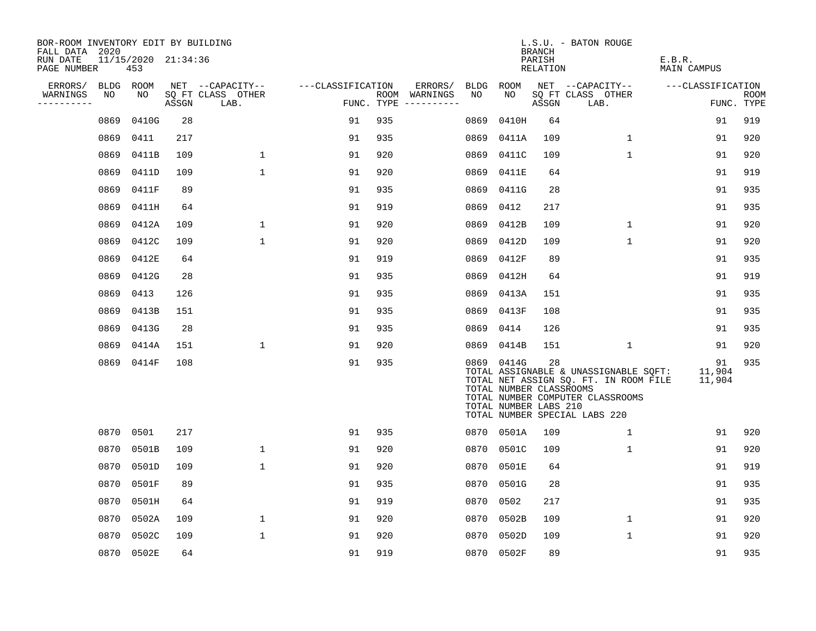| BOR-ROOM INVENTORY EDIT BY BUILDING<br>FALL DATA 2020 |             |                            |       |                           |                   |     |                                      |           |                                                                | <b>BRANCH</b>      | L.S.U. - BATON ROUGE                                                                                                                                |                        |                           |
|-------------------------------------------------------|-------------|----------------------------|-------|---------------------------|-------------------|-----|--------------------------------------|-----------|----------------------------------------------------------------|--------------------|-----------------------------------------------------------------------------------------------------------------------------------------------------|------------------------|---------------------------|
| RUN DATE<br>PAGE NUMBER                               |             | 11/15/2020 21:34:36<br>453 |       |                           |                   |     |                                      |           |                                                                | PARISH<br>RELATION |                                                                                                                                                     | E.B.R.<br>MAIN CAMPUS  |                           |
| ERRORS/                                               | <b>BLDG</b> | ROOM                       |       | NET --CAPACITY--          | ---CLASSIFICATION |     | ERRORS/                              | BLDG      | ROOM                                                           |                    | NET --CAPACITY--                                                                                                                                    | ---CLASSIFICATION      |                           |
| WARNINGS<br>----------                                | NO          | NO                         | ASSGN | SQ FT CLASS OTHER<br>LAB. |                   |     | ROOM WARNINGS<br>FUNC. TYPE $------$ | NO        | NO                                                             | ASSGN              | SQ FT CLASS OTHER<br>LAB.                                                                                                                           |                        | <b>ROOM</b><br>FUNC. TYPE |
|                                                       | 0869        | 0410G                      | 28    |                           | 91                | 935 |                                      | 0869      | 0410H                                                          | 64                 |                                                                                                                                                     | 91                     | 919                       |
|                                                       | 0869        | 0411                       | 217   |                           | 91                | 935 |                                      | 0869      | 0411A                                                          | 109                | $\mathbf 1$                                                                                                                                         | 91                     | 920                       |
|                                                       | 0869        | 0411B                      | 109   | $\mathbf{1}$              | 91                | 920 |                                      | 0869      | 0411C                                                          | 109                | $\mathbf{1}$                                                                                                                                        | 91                     | 920                       |
|                                                       | 0869        | 0411D                      | 109   | $\mathbf{1}$              | 91                | 920 |                                      | 0869      | 0411E                                                          | 64                 |                                                                                                                                                     | 91                     | 919                       |
|                                                       | 0869        | 0411F                      | 89    |                           | 91                | 935 |                                      |           | 0869 0411G                                                     | 28                 |                                                                                                                                                     | 91                     | 935                       |
|                                                       | 0869        | 0411H                      | 64    |                           | 91                | 919 |                                      | 0869 0412 |                                                                | 217                |                                                                                                                                                     | 91                     | 935                       |
|                                                       | 0869        | 0412A                      | 109   | 1                         | 91                | 920 |                                      |           | 0869 0412B                                                     | 109                | $\mathbf{1}$                                                                                                                                        | 91                     | 920                       |
|                                                       | 0869        | 0412C                      | 109   | $\mathbf{1}$              | 91                | 920 |                                      |           | 0869 0412D                                                     | 109                | $\mathbf 1$                                                                                                                                         | 91                     | 920                       |
|                                                       | 0869        | 0412E                      | 64    |                           | 91                | 919 |                                      |           | 0869 0412F                                                     | 89                 |                                                                                                                                                     | 91                     | 935                       |
|                                                       | 0869        | 0412G                      | 28    |                           | 91                | 935 |                                      | 0869      | 0412H                                                          | 64                 |                                                                                                                                                     | 91                     | 919                       |
|                                                       | 0869        | 0413                       | 126   |                           | 91                | 935 |                                      |           | 0869 0413A                                                     | 151                |                                                                                                                                                     | 91                     | 935                       |
|                                                       | 0869        | 0413B                      | 151   |                           | 91                | 935 |                                      |           | 0869 0413F                                                     | 108                |                                                                                                                                                     | 91                     | 935                       |
|                                                       | 0869        | 0413G                      | 28    |                           | 91                | 935 |                                      | 0869      | 0414                                                           | 126                |                                                                                                                                                     | 91                     | 935                       |
|                                                       | 0869        | 0414A                      | 151   | $\mathbf{1}$              | 91                | 920 |                                      | 0869      | 0414B                                                          | 151                | $\mathbf{1}$                                                                                                                                        | 91                     | 920                       |
|                                                       |             | 0869 0414F                 | 108   |                           | 91                | 935 |                                      |           | 0869 0414G<br>TOTAL NUMBER CLASSROOMS<br>TOTAL NUMBER LABS 210 | 28                 | TOTAL ASSIGNABLE & UNASSIGNABLE SOFT:<br>TOTAL NET ASSIGN SQ. FT. IN ROOM FILE<br>TOTAL NUMBER COMPUTER CLASSROOMS<br>TOTAL NUMBER SPECIAL LABS 220 | 91<br>11,904<br>11,904 | 935                       |
|                                                       |             | 0870 0501                  | 217   |                           | 91                | 935 |                                      |           | 0870 0501A                                                     | 109                | 1                                                                                                                                                   | 91                     | 920                       |
|                                                       | 0870        | 0501B                      | 109   | $\mathbf{1}$              | 91                | 920 |                                      |           | 0870 0501C                                                     | 109                | $\mathbf{1}$                                                                                                                                        | 91                     | 920                       |
|                                                       | 0870        | 0501D                      | 109   | $\mathbf{1}$              | 91                | 920 |                                      |           | 0870 0501E                                                     | 64                 |                                                                                                                                                     | 91                     | 919                       |
|                                                       | 0870        | 0501F                      | 89    |                           | 91                | 935 |                                      |           | 0870 0501G                                                     | 28                 |                                                                                                                                                     | 91                     | 935                       |
|                                                       | 0870        | 0501H                      | 64    |                           | 91                | 919 |                                      | 0870 0502 |                                                                | 217                |                                                                                                                                                     | 91                     | 935                       |
|                                                       | 0870        | 0502A                      | 109   | $\mathbf 1$               | 91                | 920 |                                      |           | 0870 0502B                                                     | 109                | $\mathbf 1$                                                                                                                                         | 91                     | 920                       |
|                                                       | 0870        | 0502C                      | 109   | $\mathbf{1}$              | 91                | 920 |                                      | 0870      | 0502D                                                          | 109                | $\mathbf{1}$                                                                                                                                        | 91                     | 920                       |
|                                                       |             | 0870 0502E                 | 64    |                           | 91                | 919 |                                      |           | 0870 0502F                                                     | 89                 |                                                                                                                                                     | 91                     | 935                       |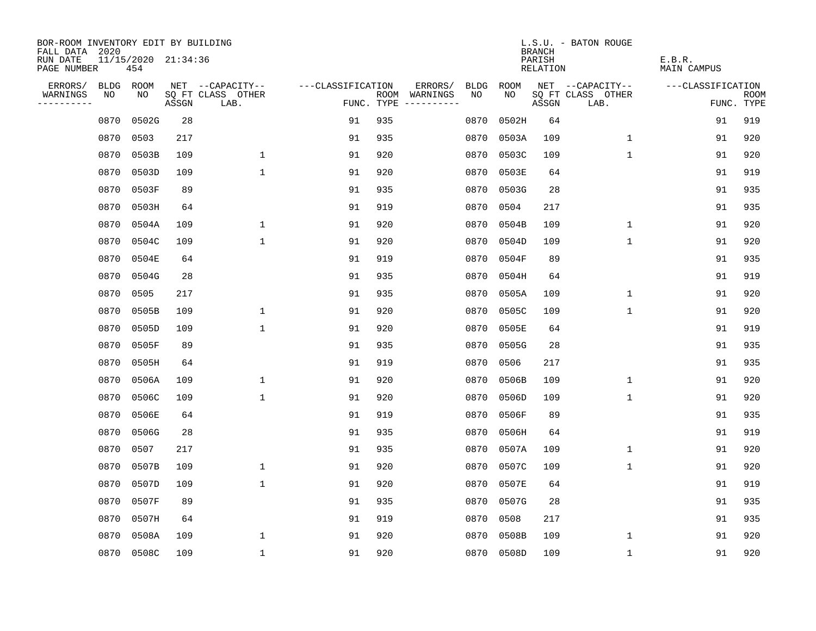| BOR-ROOM INVENTORY EDIT BY BUILDING       |      |                            |       |                           |                   |     |                                      |      |            | <b>BRANCH</b>      | L.S.U. - BATON ROUGE      |                              |                           |
|-------------------------------------------|------|----------------------------|-------|---------------------------|-------------------|-----|--------------------------------------|------|------------|--------------------|---------------------------|------------------------------|---------------------------|
| FALL DATA 2020<br>RUN DATE<br>PAGE NUMBER |      | 11/15/2020 21:34:36<br>454 |       |                           |                   |     |                                      |      |            | PARISH<br>RELATION |                           | E.B.R.<br><b>MAIN CAMPUS</b> |                           |
| ERRORS/                                   | BLDG | ROOM                       |       | NET --CAPACITY--          | ---CLASSIFICATION |     | ERRORS/                              | BLDG | ROOM       |                    | NET --CAPACITY--          | ---CLASSIFICATION            |                           |
| WARNINGS<br>----------                    | NO   | NO                         | ASSGN | SQ FT CLASS OTHER<br>LAB. |                   |     | ROOM WARNINGS<br>FUNC. TYPE $------$ | NO.  | NO.        | ASSGN              | SQ FT CLASS OTHER<br>LAB. |                              | <b>ROOM</b><br>FUNC. TYPE |
|                                           | 0870 | 0502G                      | 28    |                           | 91                | 935 |                                      | 0870 | 0502H      | 64                 |                           | 91                           | 919                       |
|                                           | 0870 | 0503                       | 217   |                           | 91                | 935 |                                      | 0870 | 0503A      | 109                | $\mathbf 1$               | 91                           | 920                       |
|                                           | 0870 | 0503B                      | 109   | $\mathbf{1}$              | 91                | 920 |                                      |      | 0870 0503C | 109                | $\mathbf 1$               | 91                           | 920                       |
|                                           | 0870 | 0503D                      | 109   | $\mathbf{1}$              | 91                | 920 |                                      |      | 0870 0503E | 64                 |                           | 91                           | 919                       |
|                                           | 0870 | 0503F                      | 89    |                           | 91                | 935 |                                      |      | 0870 0503G | 28                 |                           | 91                           | 935                       |
|                                           | 0870 | 0503H                      | 64    |                           | 91                | 919 |                                      |      | 0870 0504  | 217                |                           | 91                           | 935                       |
|                                           | 0870 | 0504A                      | 109   | $\mathbf 1$               | 91                | 920 |                                      |      | 0870 0504B | 109                | $\mathbf 1$               | 91                           | 920                       |
|                                           | 0870 | 0504C                      | 109   | $\mathbf{1}$              | 91                | 920 |                                      |      | 0870 0504D | 109                | $\mathbf{1}$              | 91                           | 920                       |
|                                           | 0870 | 0504E                      | 64    |                           | 91                | 919 |                                      |      | 0870 0504F | 89                 |                           | 91                           | 935                       |
|                                           | 0870 | 0504G                      | 28    |                           | 91                | 935 |                                      |      | 0870 0504H | 64                 |                           | 91                           | 919                       |
|                                           | 0870 | 0505                       | 217   |                           | 91                | 935 |                                      |      | 0870 0505A | 109                | $\mathbf 1$               | 91                           | 920                       |
|                                           | 0870 | 0505B                      | 109   | 1                         | 91                | 920 |                                      |      | 0870 0505C | 109                | $\mathbf 1$               | 91                           | 920                       |
|                                           | 0870 | 0505D                      | 109   | $\mathbf{1}$              | 91                | 920 |                                      |      | 0870 0505E | 64                 |                           | 91                           | 919                       |
|                                           | 0870 | 0505F                      | 89    |                           | 91                | 935 |                                      |      | 0870 0505G | 28                 |                           | 91                           | 935                       |
|                                           | 0870 | 0505H                      | 64    |                           | 91                | 919 |                                      | 0870 | 0506       | 217                |                           | 91                           | 935                       |
|                                           | 0870 | 0506A                      | 109   | 1                         | 91                | 920 |                                      | 0870 | 0506B      | 109                | 1                         | 91                           | 920                       |
|                                           | 0870 | 0506C                      | 109   | $\mathbf{1}$              | 91                | 920 |                                      | 0870 | 0506D      | 109                | 1                         | 91                           | 920                       |
|                                           | 0870 | 0506E                      | 64    |                           | 91                | 919 |                                      | 0870 | 0506F      | 89                 |                           | 91                           | 935                       |
|                                           | 0870 | 0506G                      | 28    |                           | 91                | 935 |                                      | 0870 | 0506H      | 64                 |                           | 91                           | 919                       |
|                                           | 0870 | 0507                       | 217   |                           | 91                | 935 |                                      | 0870 | 0507A      | 109                | $\mathbf 1$               | 91                           | 920                       |
|                                           | 0870 | 0507B                      | 109   | $\mathbf 1$               | 91                | 920 |                                      | 0870 | 0507C      | 109                | 1                         | 91                           | 920                       |
|                                           | 0870 | 0507D                      | 109   | $\mathbf 1$               | 91                | 920 |                                      | 0870 | 0507E      | 64                 |                           | 91                           | 919                       |
|                                           | 0870 | 0507F                      | 89    |                           | 91                | 935 |                                      |      | 0870 0507G | 28                 |                           | 91                           | 935                       |
|                                           | 0870 | 0507H                      | 64    |                           | 91                | 919 |                                      |      | 0870 0508  | 217                |                           | 91                           | 935                       |
|                                           | 0870 | 0508A                      | 109   | 1                         | 91                | 920 |                                      |      | 0870 0508B | 109                | 1                         | 91                           | 920                       |
|                                           |      | 0870 0508C                 | 109   | $\mathbf{1}$              | 91                | 920 |                                      |      | 0870 0508D | 109                | 1                         | 91                           | 920                       |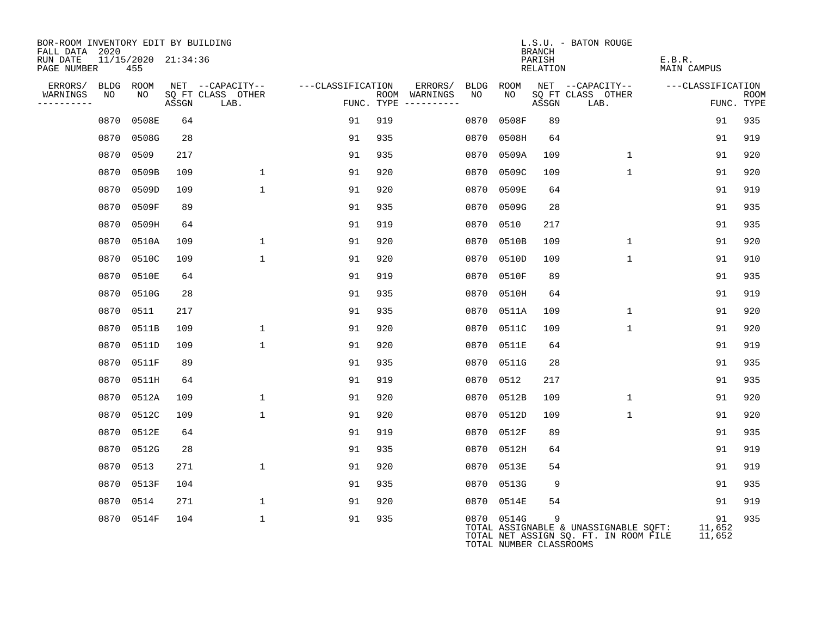| BOR-ROOM INVENTORY EDIT BY BUILDING<br>FALL DATA 2020 |           |            |                     |                           |                   |                                      |         |                                       | <b>BRANCH</b>      | L.S.U. - BATON ROUGE                                                           |                        |                           |
|-------------------------------------------------------|-----------|------------|---------------------|---------------------------|-------------------|--------------------------------------|---------|---------------------------------------|--------------------|--------------------------------------------------------------------------------|------------------------|---------------------------|
| RUN DATE<br>PAGE NUMBER                               |           | 455        | 11/15/2020 21:34:36 |                           |                   |                                      |         |                                       | PARISH<br>RELATION |                                                                                | E.B.R.<br>MAIN CAMPUS  |                           |
| ERRORS/                                               |           | BLDG ROOM  |                     | NET --CAPACITY--          | ---CLASSIFICATION |                                      | ERRORS/ | BLDG ROOM                             |                    | NET --CAPACITY--                                                               | ---CLASSIFICATION      |                           |
| WARNINGS<br>-----------                               | NO        | NO         | ASSGN               | SO FT CLASS OTHER<br>LAB. |                   | ROOM WARNINGS<br>FUNC. TYPE $------$ | NO      | NO.                                   | ASSGN              | SQ FT CLASS OTHER<br>LAB.                                                      |                        | <b>ROOM</b><br>FUNC. TYPE |
|                                                       | 0870      | 0508E      | 64                  |                           | 91                | 919                                  | 0870    | 0508F                                 | 89                 |                                                                                | 91                     | 935                       |
|                                                       |           | 0870 0508G | 28                  |                           | 91                | 935                                  | 0870    | 0508H                                 | 64                 |                                                                                | 91                     | 919                       |
|                                                       | 0870      | 0509       | 217                 |                           | 91                | 935                                  |         | 0870 0509A                            | 109                | $\mathbf{1}$                                                                   | 91                     | 920                       |
|                                                       | 0870      | 0509B      | 109                 | $\mathbf{1}$              | 91                | 920                                  | 0870    | 0509C                                 | 109                | $\mathbf{1}$                                                                   | 91                     | 920                       |
|                                                       | 0870      | 0509D      | 109                 | $\mathbf{1}$              | 91                | 920                                  |         | 0870 0509E                            | 64                 |                                                                                | 91                     | 919                       |
|                                                       | 0870      | 0509F      | 89                  |                           | 91                | 935                                  |         | 0870 0509G                            | 28                 |                                                                                | 91                     | 935                       |
|                                                       | 0870      | 0509H      | 64                  |                           | 91                | 919                                  |         | 0870 0510                             | 217                |                                                                                | 91                     | 935                       |
|                                                       | 0870      | 0510A      | 109                 | $\mathbf{1}$              | 91                | 920                                  | 0870    | 0510B                                 | 109                | $\mathbf{1}$                                                                   | 91                     | 920                       |
|                                                       | 0870      | 0510C      | 109                 | $\mathbf{1}$              | 91                | 920                                  |         | 0870 0510D                            | 109                | $\mathbf{1}$                                                                   | 91                     | 910                       |
|                                                       | 0870      | 0510E      | 64                  |                           | 91                | 919                                  | 0870    | 0510F                                 | 89                 |                                                                                | 91                     | 935                       |
|                                                       | 0870      | 0510G      | 28                  |                           | 91                | 935                                  |         | 0870 0510H                            | 64                 |                                                                                | 91                     | 919                       |
|                                                       | 0870      | 0511       | 217                 |                           | 91                | 935                                  | 0870    | 0511A                                 | 109                | $\mathbf{1}$                                                                   | 91                     | 920                       |
|                                                       | 0870      | 0511B      | 109                 | $\mathbf{1}$              | 91                | 920                                  | 0870    | 0511C                                 | 109                | $\mathbf{1}$                                                                   | 91                     | 920                       |
|                                                       | 0870      | 0511D      | 109                 | $\mathbf{1}$              | 91                | 920                                  | 0870    | 0511E                                 | 64                 |                                                                                | 91                     | 919                       |
|                                                       | 0870      | 0511F      | 89                  |                           | 91                | 935                                  | 0870    | 0511G                                 | 28                 |                                                                                | 91                     | 935                       |
|                                                       | 0870      | 0511H      | 64                  |                           | 91                | 919                                  | 0870    | 0512                                  | 217                |                                                                                | 91                     | 935                       |
|                                                       |           | 0870 0512A | 109                 | $\mathbf{1}$              | 91                | 920                                  |         | 0870 0512B                            | 109                | $\mathbf{1}$                                                                   | 91                     | 920                       |
|                                                       |           | 0870 0512C | 109                 | $\mathbf 1$               | 91                | 920                                  |         | 0870 0512D                            | 109                | $\mathbf{1}$                                                                   | 91                     | 920                       |
|                                                       |           | 0870 0512E | 64                  |                           | 91                | 919                                  |         | 0870 0512F                            | 89                 |                                                                                | 91                     | 935                       |
|                                                       |           | 0870 0512G | 28                  |                           | 91                | 935                                  |         | 0870 0512H                            | 64                 |                                                                                | 91                     | 919                       |
|                                                       | 0870 0513 |            | 271                 | $\mathbf{1}$              | 91                | 920                                  |         | 0870 0513E                            | 54                 |                                                                                | 91                     | 919                       |
|                                                       |           | 0870 0513F | 104                 |                           | 91                | 935                                  |         | 0870 0513G                            | 9                  |                                                                                | 91                     | 935                       |
|                                                       | 0870      | 0514       | 271                 | $\mathbf{1}$              | 91                | 920                                  |         | 0870 0514E                            | 54                 |                                                                                | 91                     | 919                       |
|                                                       |           | 0870 0514F | 104                 | $\mathbf 1$               | 91                | 935                                  |         | 0870 0514G<br>TOTAL NUMBER CLASSROOMS | 9                  | TOTAL ASSIGNABLE & UNASSIGNABLE SQFT:<br>TOTAL NET ASSIGN SQ. FT. IN ROOM FILE | 91<br>11,652<br>11,652 | 935                       |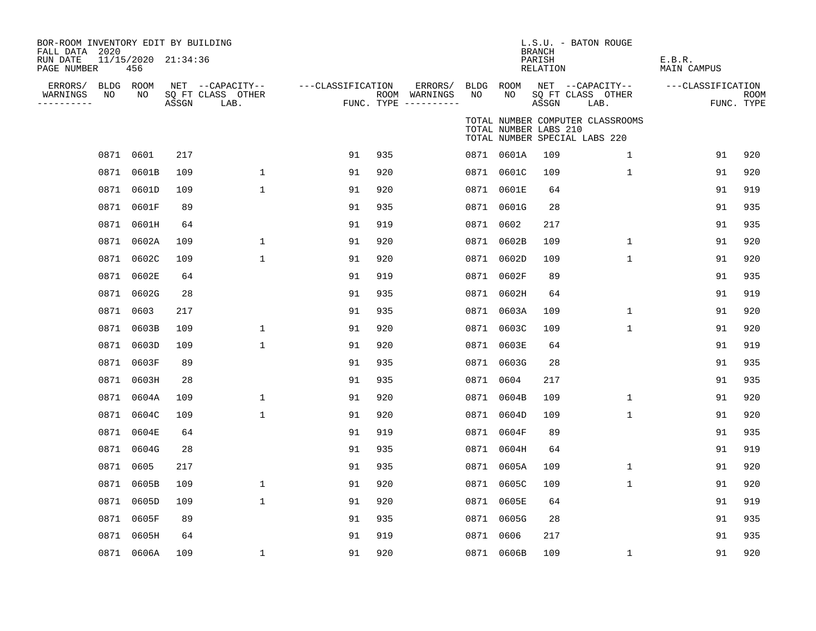| BOR-ROOM INVENTORY EDIT BY BUILDING<br>FALL DATA 2020<br>RUN DATE<br>PAGE NUMBER | 11/15/2020 21:34:36<br>456 |       |                                               |                   |     |                                                           |    |                       | <b>BRANCH</b><br>PARISH<br>RELATION | L.S.U. - BATON ROUGE                                              | E.B.R.<br>MAIN CAMPUS |                           |
|----------------------------------------------------------------------------------|----------------------------|-------|-----------------------------------------------|-------------------|-----|-----------------------------------------------------------|----|-----------------------|-------------------------------------|-------------------------------------------------------------------|-----------------------|---------------------------|
| ERRORS/ BLDG ROOM<br>NO<br>WARNINGS<br>. <u>.</u> .                              | NO                         | ASSGN | NET --CAPACITY--<br>SQ FT CLASS OTHER<br>LAB. | ---CLASSIFICATION |     | ERRORS/ BLDG ROOM<br>ROOM WARNINGS<br>FUNC. TYPE $------$ | NO | NO                    | ASSGN                               | NET --CAPACITY--<br>SQ FT CLASS OTHER<br>LAB.                     | ---CLASSIFICATION     | <b>ROOM</b><br>FUNC. TYPE |
|                                                                                  |                            |       |                                               |                   |     |                                                           |    | TOTAL NUMBER LABS 210 |                                     | TOTAL NUMBER COMPUTER CLASSROOMS<br>TOTAL NUMBER SPECIAL LABS 220 |                       |                           |
|                                                                                  | 0871 0601                  | 217   |                                               | 91                | 935 |                                                           |    | 0871 0601A            | 109                                 | $\mathbf{1}$                                                      | 91                    | 920                       |
|                                                                                  | 0871 0601B                 | 109   | $\mathbf 1$                                   | 91                | 920 |                                                           |    | 0871 0601C            | 109                                 | $\mathbf{1}$                                                      | 91                    | 920                       |
|                                                                                  | 0871 0601D                 | 109   | $\mathbf 1$                                   | 91                | 920 |                                                           |    | 0871 0601E            | 64                                  |                                                                   | 91                    | 919                       |
|                                                                                  | 0871 0601F                 | 89    |                                               | 91                | 935 |                                                           |    | 0871 0601G            | 28                                  |                                                                   | 91                    | 935                       |
|                                                                                  | 0871 0601H                 | 64    |                                               | 91                | 919 |                                                           |    | 0871 0602             | 217                                 |                                                                   | 91                    | 935                       |
|                                                                                  | 0871 0602A                 | 109   | $\mathbf 1$                                   | 91                | 920 |                                                           |    | 0871 0602B            | 109                                 | $\mathbf{1}$                                                      | 91                    | 920                       |
| 0871                                                                             | 0602C                      | 109   | $\mathbf{1}$                                  | 91                | 920 |                                                           |    | 0871 0602D            | 109                                 | $\mathbf 1$                                                       | 91                    | 920                       |
|                                                                                  | 0871 0602E                 | 64    |                                               | 91                | 919 |                                                           |    | 0871 0602F            | 89                                  |                                                                   | 91                    | 935                       |
|                                                                                  | 0871 0602G                 | 28    |                                               | 91                | 935 |                                                           |    | 0871 0602H            | 64                                  |                                                                   | 91                    | 919                       |
|                                                                                  | 0871 0603                  | 217   |                                               | 91                | 935 |                                                           |    | 0871 0603A            | 109                                 | $\mathbf 1$                                                       | 91                    | 920                       |
| 0871                                                                             | 0603B                      | 109   | $\mathbf{1}$                                  | 91                | 920 |                                                           |    | 0871 0603C            | 109                                 | $\mathbf{1}$                                                      | 91                    | 920                       |
|                                                                                  | 0871 0603D                 | 109   | $\mathbf{1}$                                  | 91                | 920 |                                                           |    | 0871 0603E            | 64                                  |                                                                   | 91                    | 919                       |
|                                                                                  | 0871 0603F                 | 89    |                                               | 91                | 935 |                                                           |    | 0871 0603G            | 28                                  |                                                                   | 91                    | 935                       |
|                                                                                  | 0871 0603H                 | 28    |                                               | 91                | 935 |                                                           |    | 0871 0604             | 217                                 |                                                                   | 91                    | 935                       |
|                                                                                  | 0871 0604A                 | 109   | $\mathbf 1$                                   | 91                | 920 |                                                           |    | 0871 0604B            | 109                                 | $\mathbf 1$                                                       | 91                    | 920                       |
|                                                                                  | 0871 0604C                 | 109   | $\mathbf{1}$                                  | 91                | 920 |                                                           |    | 0871 0604D            | 109                                 | $\mathbf{1}$                                                      | 91                    | 920                       |
|                                                                                  | 0871 0604E                 | 64    |                                               | 91                | 919 |                                                           |    | 0871 0604F            | 89                                  |                                                                   | 91                    | 935                       |
|                                                                                  | 0871 0604G                 | 28    |                                               | 91                | 935 |                                                           |    | 0871 0604H            | 64                                  |                                                                   | 91                    | 919                       |
|                                                                                  | 0871 0605                  | 217   |                                               | 91                | 935 |                                                           |    | 0871 0605A            | 109                                 | $\mathbf 1$                                                       | 91                    | 920                       |
|                                                                                  | 0871 0605B                 | 109   | $\mathbf{1}$                                  | 91                | 920 |                                                           |    | 0871 0605C            | 109                                 | $\mathbf{1}$                                                      | 91                    | 920                       |
|                                                                                  | 0871 0605D                 | 109   | $\mathbf{1}$                                  | 91                | 920 |                                                           |    | 0871 0605E            | 64                                  |                                                                   | 91                    | 919                       |
|                                                                                  | 0871 0605F                 | 89    |                                               | 91                | 935 |                                                           |    | 0871 0605G            | 28                                  |                                                                   | 91                    | 935                       |
|                                                                                  | 0871 0605H                 | 64    |                                               | 91                | 919 |                                                           |    | 0871 0606             | 217                                 |                                                                   | 91                    | 935                       |
|                                                                                  | 0871 0606A                 | 109   | $\mathbf{1}$                                  | 91                | 920 |                                                           |    | 0871 0606B            | 109                                 | $\mathbf 1$                                                       | 91                    | 920                       |
|                                                                                  |                            |       |                                               |                   |     |                                                           |    |                       |                                     |                                                                   |                       |                           |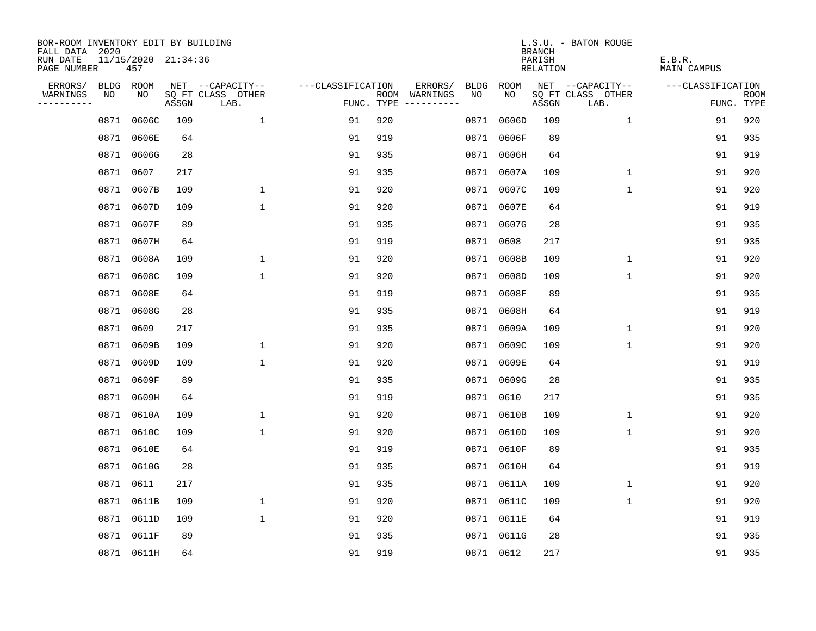| BOR-ROOM INVENTORY EDIT BY BUILDING<br>FALL DATA 2020 |                            |       |                           |                   |     |                                             |            | <b>BRANCH</b>      | L.S.U. - BATON ROUGE      |                       |                           |
|-------------------------------------------------------|----------------------------|-------|---------------------------|-------------------|-----|---------------------------------------------|------------|--------------------|---------------------------|-----------------------|---------------------------|
| RUN DATE<br>PAGE NUMBER                               | 11/15/2020 21:34:36<br>457 |       |                           |                   |     |                                             |            | PARISH<br>RELATION |                           | E.B.R.<br>MAIN CAMPUS |                           |
| ERRORS/                                               | BLDG ROOM                  |       | NET --CAPACITY--          | ---CLASSIFICATION |     | ERRORS/<br>BLDG                             | ROOM       |                    | NET --CAPACITY--          | ---CLASSIFICATION     |                           |
| WARNINGS<br>NO<br>----------                          | NO                         | ASSGN | SQ FT CLASS OTHER<br>LAB. |                   |     | ROOM WARNINGS<br>NO.<br>FUNC. TYPE $------$ | NO.        | ASSGN              | SQ FT CLASS OTHER<br>LAB. |                       | <b>ROOM</b><br>FUNC. TYPE |
| 0871                                                  | 0606C                      | 109   | $\mathbf{1}$              | 91                | 920 | 0871                                        | 0606D      | 109                | 1                         | 91                    | 920                       |
| 0871                                                  | 0606E                      | 64    |                           | 91                | 919 |                                             | 0871 0606F | 89                 |                           | 91                    | 935                       |
| 0871                                                  | 0606G                      | 28    |                           | 91                | 935 |                                             | 0871 0606H | 64                 |                           | 91                    | 919                       |
| 0871                                                  | 0607                       | 217   |                           | 91                | 935 |                                             | 0871 0607A | 109                | $\mathbf 1$               | 91                    | 920                       |
| 0871                                                  | 0607B                      | 109   | $\mathbf{1}$              | 91                | 920 |                                             | 0871 0607C | 109                | $\mathbf{1}$              | 91                    | 920                       |
| 0871                                                  | 0607D                      | 109   | $\mathbf{1}$              | 91                | 920 |                                             | 0871 0607E | 64                 |                           | 91                    | 919                       |
| 0871                                                  | 0607F                      | 89    |                           | 91                | 935 |                                             | 0871 0607G | 28                 |                           | 91                    | 935                       |
| 0871                                                  | 0607H                      | 64    |                           | 91                | 919 |                                             | 0871 0608  | 217                |                           | 91                    | 935                       |
| 0871                                                  | 0608A                      | 109   | $\mathbf 1$               | 91                | 920 |                                             | 0871 0608B | 109                | $\mathbf{1}$              | 91                    | 920                       |
| 0871                                                  | 0608C                      | 109   | $\mathbf{1}$              | 91                | 920 |                                             | 0871 0608D | 109                | $\mathbf{1}$              | 91                    | 920                       |
| 0871                                                  | 0608E                      | 64    |                           | 91                | 919 |                                             | 0871 0608F | 89                 |                           | 91                    | 935                       |
|                                                       | 0871 0608G                 | 28    |                           | 91                | 935 |                                             | 0871 0608H | 64                 |                           | 91                    | 919                       |
| 0871                                                  | 0609                       | 217   |                           | 91                | 935 |                                             | 0871 0609A | 109                | $\mathbf{1}$              | 91                    | 920                       |
| 0871                                                  | 0609B                      | 109   | 1                         | 91                | 920 |                                             | 0871 0609C | 109                | 1                         | 91                    | 920                       |
| 0871                                                  | 0609D                      | 109   | $\mathbf 1$               | 91                | 920 |                                             | 0871 0609E | 64                 |                           | 91                    | 919                       |
| 0871                                                  | 0609F                      | 89    |                           | 91                | 935 |                                             | 0871 0609G | 28                 |                           | 91                    | 935                       |
| 0871                                                  | 0609H                      | 64    |                           | 91                | 919 |                                             | 0871 0610  | 217                |                           | 91                    | 935                       |
| 0871                                                  | 0610A                      | 109   | $\mathbf{1}$              | 91                | 920 |                                             | 0871 0610B | 109                | 1                         | 91                    | 920                       |
| 0871                                                  | 0610C                      | 109   | $\mathbf{1}$              | 91                | 920 |                                             | 0871 0610D | 109                | $\mathbf{1}$              | 91                    | 920                       |
| 0871                                                  | 0610E                      | 64    |                           | 91                | 919 |                                             | 0871 0610F | 89                 |                           | 91                    | 935                       |
| 0871                                                  | 0610G                      | 28    |                           | 91                | 935 |                                             | 0871 0610H | 64                 |                           | 91                    | 919                       |
| 0871                                                  | 0611                       | 217   |                           | 91                | 935 |                                             | 0871 0611A | 109                | 1                         | 91                    | 920                       |
|                                                       | 0871 0611B                 | 109   | $\mathbf 1$               | 91                | 920 |                                             | 0871 0611C | 109                | 1                         | 91                    | 920                       |
|                                                       | 0871 0611D                 | 109   | $\mathbf{1}$              | 91                | 920 |                                             | 0871 0611E | 64                 |                           | 91                    | 919                       |
|                                                       | 0871 0611F                 | 89    |                           | 91                | 935 |                                             | 0871 0611G | 28                 |                           | 91                    | 935                       |
|                                                       | 0871 0611H                 | 64    |                           | 91                | 919 |                                             | 0871 0612  | 217                |                           | 91                    | 935                       |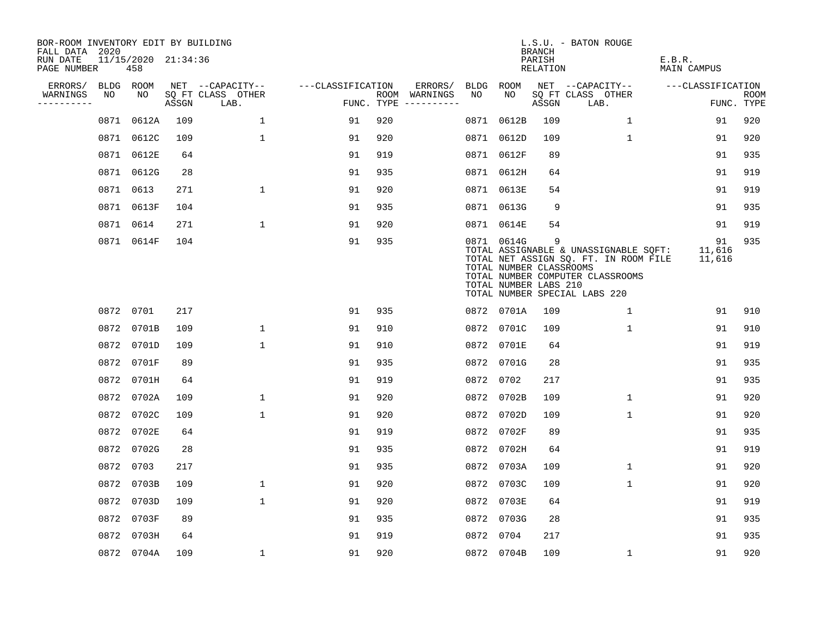| BOR-ROOM INVENTORY EDIT BY BUILDING<br>FALL DATA 2020 |      |                            |       |                           |                   |     |                                      |      |                                                                | <b>BRANCH</b>      | L.S.U. - BATON ROUGE                                                                                                                                |                        |                           |
|-------------------------------------------------------|------|----------------------------|-------|---------------------------|-------------------|-----|--------------------------------------|------|----------------------------------------------------------------|--------------------|-----------------------------------------------------------------------------------------------------------------------------------------------------|------------------------|---------------------------|
| RUN DATE<br>PAGE NUMBER                               |      | 11/15/2020 21:34:36<br>458 |       |                           |                   |     |                                      |      |                                                                | PARISH<br>RELATION |                                                                                                                                                     | E.B.R.<br>MAIN CAMPUS  |                           |
| ERRORS/                                               |      | BLDG ROOM                  |       | NET --CAPACITY--          | ---CLASSIFICATION |     | ERRORS/                              | BLDG | ROOM                                                           |                    | NET --CAPACITY--                                                                                                                                    | ---CLASSIFICATION      |                           |
| WARNINGS<br>----------                                | NO   | NO                         | ASSGN | SQ FT CLASS OTHER<br>LAB. |                   |     | ROOM WARNINGS<br>FUNC. TYPE $------$ | NO   | NO                                                             | ASSGN              | SQ FT CLASS OTHER<br>LAB.                                                                                                                           |                        | <b>ROOM</b><br>FUNC. TYPE |
|                                                       | 0871 | 0612A                      | 109   | $\mathbf{1}$              | 91                | 920 |                                      | 0871 | 0612B                                                          | 109                | 1                                                                                                                                                   | 91                     | 920                       |
|                                                       |      | 0871 0612C                 | 109   | $\mathbf{1}$              | 91                | 920 |                                      |      | 0871 0612D                                                     | 109                | $\mathbf{1}$                                                                                                                                        | 91                     | 920                       |
|                                                       |      | 0871 0612E                 | 64    |                           | 91                | 919 |                                      |      | 0871 0612F                                                     | 89                 |                                                                                                                                                     | 91                     | 935                       |
|                                                       |      | 0871 0612G                 | 28    |                           | 91                | 935 |                                      |      | 0871 0612H                                                     | 64                 |                                                                                                                                                     | 91                     | 919                       |
|                                                       |      | 0871 0613                  | 271   | $\mathbf 1$               | 91                | 920 |                                      |      | 0871 0613E                                                     | 54                 |                                                                                                                                                     | 91                     | 919                       |
|                                                       |      | 0871 0613F                 | 104   |                           | 91                | 935 |                                      |      | 0871 0613G                                                     | 9                  |                                                                                                                                                     | 91                     | 935                       |
|                                                       |      | 0871 0614                  | 271   | $\mathbf{1}$              | 91                | 920 |                                      |      | 0871 0614E                                                     | 54                 |                                                                                                                                                     | 91                     | 919                       |
|                                                       |      | 0871 0614F                 | 104   |                           | 91                | 935 |                                      |      | 0871 0614G<br>TOTAL NUMBER CLASSROOMS<br>TOTAL NUMBER LABS 210 | 9                  | TOTAL ASSIGNABLE & UNASSIGNABLE SQFT:<br>TOTAL NET ASSIGN SQ. FT. IN ROOM FILE<br>TOTAL NUMBER COMPUTER CLASSROOMS<br>TOTAL NUMBER SPECIAL LABS 220 | 91<br>11,616<br>11,616 | 935                       |
|                                                       |      | 0872 0701                  | 217   |                           | 91                | 935 |                                      |      | 0872 0701A                                                     | 109                | 1                                                                                                                                                   | 91                     | 910                       |
|                                                       |      | 0872 0701B                 | 109   | $\mathbf{1}$              | 91                | 910 |                                      |      | 0872 0701C                                                     | 109                | $\mathbf{1}$                                                                                                                                        | 91                     | 910                       |
|                                                       |      | 0872 0701D                 | 109   | $\mathbf{1}$              | 91                | 910 |                                      |      | 0872 0701E                                                     | 64                 |                                                                                                                                                     | 91                     | 919                       |
|                                                       |      | 0872 0701F                 | 89    |                           | 91                | 935 |                                      |      | 0872 0701G                                                     | 28                 |                                                                                                                                                     | 91                     | 935                       |
|                                                       |      | 0872 0701H                 | 64    |                           | 91                | 919 |                                      |      | 0872 0702                                                      | 217                |                                                                                                                                                     | 91                     | 935                       |
|                                                       |      | 0872 0702A                 | 109   | 1                         | 91                | 920 |                                      |      | 0872 0702B                                                     | 109                | $\mathbf{1}$                                                                                                                                        | 91                     | 920                       |
|                                                       |      | 0872 0702C                 | 109   | $\mathbf{1}$              | 91                | 920 |                                      |      | 0872 0702D                                                     | 109                | $\mathbf{1}$                                                                                                                                        | 91                     | 920                       |
|                                                       |      | 0872 0702E                 | 64    |                           | 91                | 919 |                                      |      | 0872 0702F                                                     | 89                 |                                                                                                                                                     | 91                     | 935                       |
|                                                       |      | 0872 0702G                 | 28    |                           | 91                | 935 |                                      |      | 0872 0702H                                                     | 64                 |                                                                                                                                                     | 91                     | 919                       |
|                                                       |      | 0872 0703                  | 217   |                           | 91                | 935 |                                      |      | 0872 0703A                                                     | 109                | 1                                                                                                                                                   | 91                     | 920                       |
|                                                       |      | 0872 0703B                 | 109   | $\mathbf 1$               | 91                | 920 |                                      |      | 0872 0703C                                                     | 109                | $\mathbf{1}$                                                                                                                                        | 91                     | 920                       |
|                                                       |      | 0872 0703D                 | 109   | $\mathbf{1}$              | 91                | 920 |                                      |      | 0872 0703E                                                     | 64                 |                                                                                                                                                     | 91                     | 919                       |
|                                                       |      | 0872 0703F                 | 89    |                           | 91                | 935 |                                      |      | 0872 0703G                                                     | 28                 |                                                                                                                                                     | 91                     | 935                       |
|                                                       |      | 0872 0703H                 | 64    |                           | 91                | 919 |                                      |      | 0872 0704                                                      | 217                |                                                                                                                                                     | 91                     | 935                       |
|                                                       |      | 0872 0704A                 | 109   | $\mathbf 1$               | 91                | 920 |                                      |      | 0872 0704B                                                     | 109                | $\mathbf 1$                                                                                                                                         | 91                     | 920                       |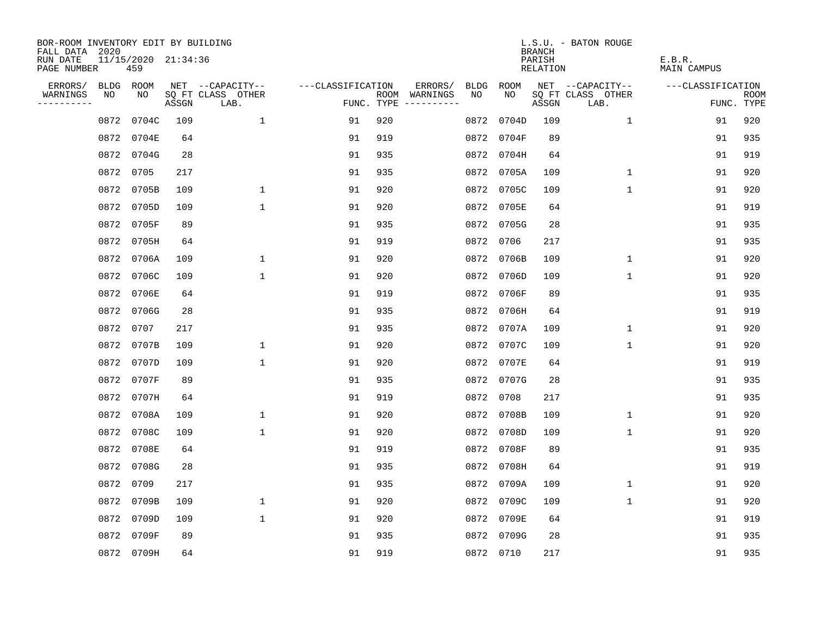| BOR-ROOM INVENTORY EDIT BY BUILDING<br>FALL DATA 2020 |      |                            |       |                           |                   |     |                                      |      |            | <b>BRANCH</b>      | L.S.U. - BATON ROUGE      |                              |                           |
|-------------------------------------------------------|------|----------------------------|-------|---------------------------|-------------------|-----|--------------------------------------|------|------------|--------------------|---------------------------|------------------------------|---------------------------|
| RUN DATE<br>PAGE NUMBER                               |      | 11/15/2020 21:34:36<br>459 |       |                           |                   |     |                                      |      |            | PARISH<br>RELATION |                           | E.B.R.<br><b>MAIN CAMPUS</b> |                           |
| ERRORS/                                               |      | BLDG ROOM                  |       | NET --CAPACITY--          | ---CLASSIFICATION |     | ERRORS/                              | BLDG | ROOM       |                    | NET --CAPACITY--          | ---CLASSIFICATION            |                           |
| WARNINGS<br>----------                                | NO   | NO                         | ASSGN | SQ FT CLASS OTHER<br>LAB. |                   |     | ROOM WARNINGS<br>FUNC. TYPE $------$ | NO.  | NO.        | ASSGN              | SQ FT CLASS OTHER<br>LAB. |                              | <b>ROOM</b><br>FUNC. TYPE |
|                                                       | 0872 | 0704C                      | 109   | $\mathbf{1}$              | 91                | 920 |                                      | 0872 | 0704D      | 109                | 1                         | 91                           | 920                       |
|                                                       | 0872 | 0704E                      | 64    |                           | 91                | 919 |                                      |      | 0872 0704F | 89                 |                           | 91                           | 935                       |
|                                                       |      | 0872 0704G                 | 28    |                           | 91                | 935 |                                      |      | 0872 0704H | 64                 |                           | 91                           | 919                       |
|                                                       | 0872 | 0705                       | 217   |                           | 91                | 935 |                                      |      | 0872 0705A | 109                | 1                         | 91                           | 920                       |
|                                                       | 0872 | 0705B                      | 109   | $\mathbf 1$               | 91                | 920 |                                      |      | 0872 0705C | 109                | $\mathbf{1}$              | 91                           | 920                       |
|                                                       | 0872 | 0705D                      | 109   | $\mathbf 1$               | 91                | 920 |                                      |      | 0872 0705E | 64                 |                           | 91                           | 919                       |
|                                                       | 0872 | 0705F                      | 89    |                           | 91                | 935 |                                      |      | 0872 0705G | 28                 |                           | 91                           | 935                       |
|                                                       | 0872 | 0705H                      | 64    |                           | 91                | 919 |                                      |      | 0872 0706  | 217                |                           | 91                           | 935                       |
|                                                       | 0872 | 0706A                      | 109   | $\mathbf{1}$              | 91                | 920 |                                      |      | 0872 0706B | 109                | $\mathbf{1}$              | 91                           | 920                       |
|                                                       | 0872 | 0706C                      | 109   | $\mathbf 1$               | 91                | 920 |                                      |      | 0872 0706D | 109                | $\mathbf 1$               | 91                           | 920                       |
|                                                       | 0872 | 0706E                      | 64    |                           | 91                | 919 |                                      |      | 0872 0706F | 89                 |                           | 91                           | 935                       |
|                                                       | 0872 | 0706G                      | 28    |                           | 91                | 935 |                                      |      | 0872 0706H | 64                 |                           | 91                           | 919                       |
|                                                       | 0872 | 0707                       | 217   |                           | 91                | 935 |                                      |      | 0872 0707A | 109                | $\mathbf{1}$              | 91                           | 920                       |
|                                                       | 0872 | 0707B                      | 109   | $\mathbf{1}$              | 91                | 920 |                                      |      | 0872 0707C | 109                | $\mathbf 1$               | 91                           | 920                       |
|                                                       | 0872 | 0707D                      | 109   | $\mathbf{1}$              | 91                | 920 |                                      |      | 0872 0707E | 64                 |                           | 91                           | 919                       |
|                                                       | 0872 | 0707F                      | 89    |                           | 91                | 935 |                                      |      | 0872 0707G | 28                 |                           | 91                           | 935                       |
|                                                       | 0872 | 0707H                      | 64    |                           | 91                | 919 |                                      |      | 0872 0708  | 217                |                           | 91                           | 935                       |
|                                                       | 0872 | 0708A                      | 109   | $\mathbf 1$               | 91                | 920 |                                      |      | 0872 0708B | 109                | $\mathbf 1$               | 91                           | 920                       |
|                                                       |      | 0872 0708C                 | 109   | $\mathbf{1}$              | 91                | 920 |                                      |      | 0872 0708D | 109                | 1                         | 91                           | 920                       |
|                                                       | 0872 | 0708E                      | 64    |                           | 91                | 919 |                                      |      | 0872 0708F | 89                 |                           | 91                           | 935                       |
|                                                       |      | 0872 0708G                 | 28    |                           | 91                | 935 |                                      |      | 0872 0708H | 64                 |                           | 91                           | 919                       |
|                                                       | 0872 | 0709                       | 217   |                           | 91                | 935 |                                      |      | 0872 0709A | 109                | $\mathbf 1$               | 91                           | 920                       |
|                                                       | 0872 | 0709B                      | 109   | 1                         | 91                | 920 |                                      |      | 0872 0709C | 109                | 1                         | 91                           | 920                       |
|                                                       | 0872 | 0709D                      | 109   | $\mathbf{1}$              | 91                | 920 |                                      |      | 0872 0709E | 64                 |                           | 91                           | 919                       |
|                                                       | 0872 | 0709F                      | 89    |                           | 91                | 935 |                                      |      | 0872 0709G | 28                 |                           | 91                           | 935                       |
|                                                       |      | 0872 0709H                 | 64    |                           | 91                | 919 |                                      |      | 0872 0710  | 217                |                           | 91                           | 935                       |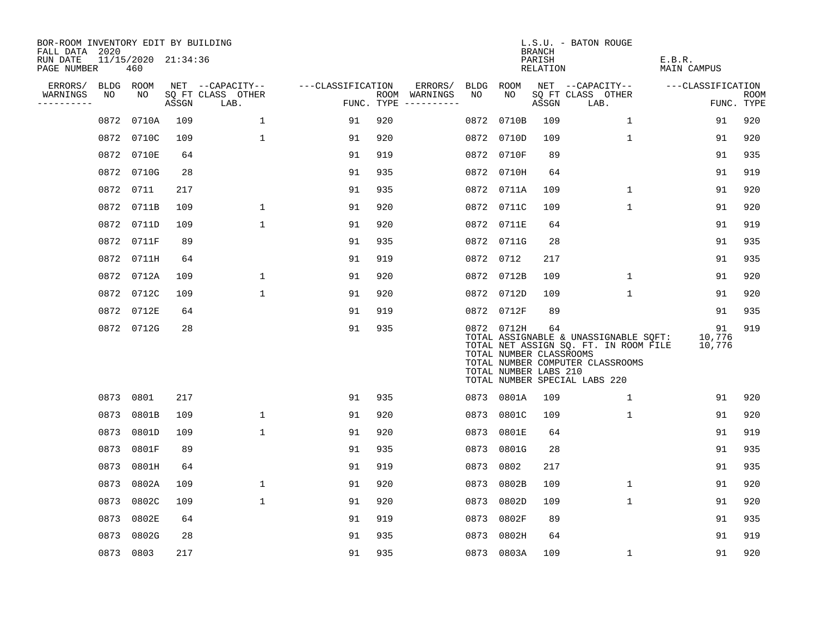| BOR-ROOM INVENTORY EDIT BY BUILDING<br>FALL DATA 2020 |           |                            |       |                           |                   |     |                                      |      |                                                                | <b>BRANCH</b>      | L.S.U. - BATON ROUGE                                                                                                                                |                        |                           |
|-------------------------------------------------------|-----------|----------------------------|-------|---------------------------|-------------------|-----|--------------------------------------|------|----------------------------------------------------------------|--------------------|-----------------------------------------------------------------------------------------------------------------------------------------------------|------------------------|---------------------------|
| RUN DATE<br>PAGE NUMBER                               |           | 11/15/2020 21:34:36<br>460 |       |                           |                   |     |                                      |      |                                                                | PARISH<br>RELATION |                                                                                                                                                     | E.B.R.<br>MAIN CAMPUS  |                           |
| ERRORS/                                               | BLDG ROOM |                            |       | NET --CAPACITY--          | ---CLASSIFICATION |     | ERRORS/                              | BLDG | ROOM                                                           |                    | NET --CAPACITY--                                                                                                                                    | ---CLASSIFICATION      |                           |
| WARNINGS<br>----------                                | NO        | NO                         | ASSGN | SQ FT CLASS OTHER<br>LAB. |                   |     | ROOM WARNINGS<br>FUNC. TYPE $------$ | NO.  | NO.                                                            | ASSGN              | SQ FT CLASS OTHER<br>LAB.                                                                                                                           |                        | <b>ROOM</b><br>FUNC. TYPE |
|                                                       | 0872      | 0710A                      | 109   | $\mathbf{1}$              | 91                | 920 |                                      | 0872 | 0710B                                                          | 109                | $\mathbf 1$                                                                                                                                         | 91                     | 920                       |
|                                                       |           | 0872 0710C                 | 109   | 1                         | 91                | 920 |                                      |      | 0872 0710D                                                     | 109                | 1                                                                                                                                                   | 91                     | 920                       |
|                                                       |           | 0872 0710E                 | 64    |                           | 91                | 919 |                                      |      | 0872 0710F                                                     | 89                 |                                                                                                                                                     | 91                     | 935                       |
|                                                       |           | 0872 0710G                 | 28    |                           | 91                | 935 |                                      |      | 0872 0710H                                                     | 64                 |                                                                                                                                                     | 91                     | 919                       |
|                                                       |           | 0872 0711                  | 217   |                           | 91                | 935 |                                      |      | 0872 0711A                                                     | 109                | 1                                                                                                                                                   | 91                     | 920                       |
|                                                       |           | 0872 0711B                 | 109   | $\mathbf 1$               | 91                | 920 |                                      |      | 0872 0711C                                                     | 109                | $\mathbf{1}$                                                                                                                                        | 91                     | 920                       |
|                                                       |           | 0872 0711D                 | 109   | $\mathbf{1}$              | 91                | 920 |                                      |      | 0872 0711E                                                     | 64                 |                                                                                                                                                     | 91                     | 919                       |
|                                                       |           | 0872 0711F                 | 89    |                           | 91                | 935 |                                      |      | 0872 0711G                                                     | 28                 |                                                                                                                                                     | 91                     | 935                       |
|                                                       |           | 0872 0711H                 | 64    |                           | 91                | 919 |                                      | 0872 | 0712                                                           | 217                |                                                                                                                                                     | 91                     | 935                       |
|                                                       |           | 0872 0712A                 | 109   | 1                         | 91                | 920 |                                      |      | 0872 0712B                                                     | 109                | $\mathbf{1}$                                                                                                                                        | 91                     | 920                       |
|                                                       |           | 0872 0712C                 | 109   | $\mathbf{1}$              | 91                | 920 |                                      |      | 0872 0712D                                                     | 109                | 1                                                                                                                                                   | 91                     | 920                       |
|                                                       |           | 0872 0712E                 | 64    |                           | 91                | 919 |                                      |      | 0872 0712F                                                     | 89                 |                                                                                                                                                     | 91                     | 935                       |
|                                                       |           | 0872 0712G                 | 28    |                           | 91                | 935 |                                      |      | 0872 0712H<br>TOTAL NUMBER CLASSROOMS<br>TOTAL NUMBER LABS 210 | 64                 | TOTAL ASSIGNABLE & UNASSIGNABLE SQFT:<br>TOTAL NET ASSIGN SQ. FT. IN ROOM FILE<br>TOTAL NUMBER COMPUTER CLASSROOMS<br>TOTAL NUMBER SPECIAL LABS 220 | 91<br>10,776<br>10,776 | 919                       |
|                                                       | 0873 0801 |                            | 217   |                           | 91                | 935 |                                      |      | 0873 0801A                                                     | 109                | 1                                                                                                                                                   | 91                     | 920                       |
|                                                       | 0873      | 0801B                      | 109   | $\mathbf{1}$              | 91                | 920 |                                      |      | 0873 0801C                                                     | 109                | $\mathbf 1$                                                                                                                                         | 91                     | 920                       |
|                                                       | 0873      | 0801D                      | 109   | $\mathbf{1}$              | 91                | 920 |                                      |      | 0873 0801E                                                     | 64                 |                                                                                                                                                     | 91                     | 919                       |
|                                                       | 0873      | 0801F                      | 89    |                           | 91                | 935 |                                      |      | 0873 0801G                                                     | 28                 |                                                                                                                                                     | 91                     | 935                       |
|                                                       | 0873      | 0801H                      | 64    |                           | 91                | 919 |                                      | 0873 | 0802                                                           | 217                |                                                                                                                                                     | 91                     | 935                       |
|                                                       | 0873      | 0802A                      | 109   | $\mathbf 1$               | 91                | 920 |                                      | 0873 | 0802B                                                          | 109                | $\mathbf 1$                                                                                                                                         | 91                     | 920                       |
|                                                       | 0873      | 0802C                      | 109   | $\mathbf 1$               | 91                | 920 |                                      | 0873 | 0802D                                                          | 109                | $\mathbf 1$                                                                                                                                         | 91                     | 920                       |
|                                                       | 0873      | 0802E                      | 64    |                           | 91                | 919 |                                      | 0873 | 0802F                                                          | 89                 |                                                                                                                                                     | 91                     | 935                       |
|                                                       | 0873      | 0802G                      | 28    |                           | 91                | 935 |                                      | 0873 | 0802H                                                          | 64                 |                                                                                                                                                     | 91                     | 919                       |
|                                                       |           | 0873 0803                  | 217   |                           | 91                | 935 |                                      |      | 0873 0803A                                                     | 109                | 1                                                                                                                                                   | 91                     | 920                       |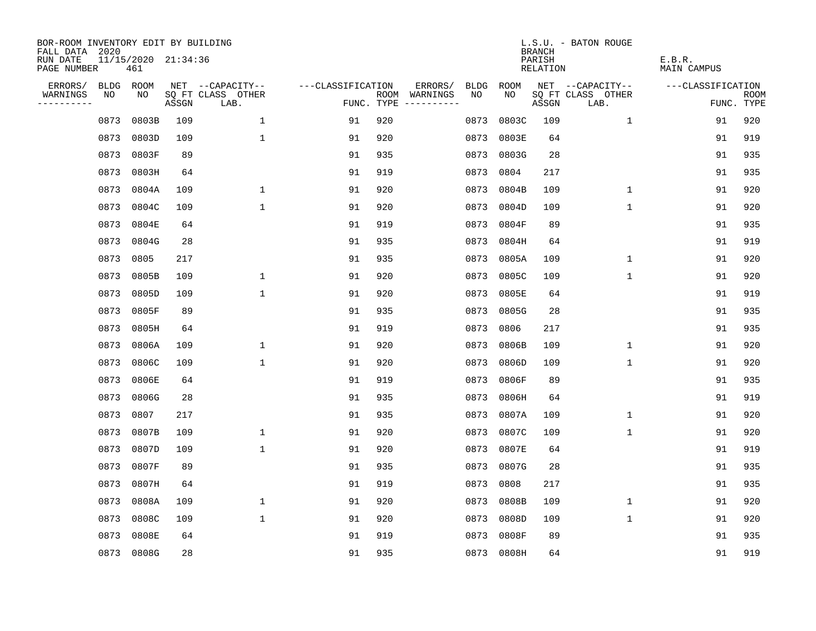| BOR-ROOM INVENTORY EDIT BY BUILDING<br>FALL DATA 2020 |      |                            |       |                           |                   |     |                                      |      |            | <b>BRANCH</b>      | L.S.U. - BATON ROUGE      |                              |                           |
|-------------------------------------------------------|------|----------------------------|-------|---------------------------|-------------------|-----|--------------------------------------|------|------------|--------------------|---------------------------|------------------------------|---------------------------|
| RUN DATE<br>PAGE NUMBER                               |      | 11/15/2020 21:34:36<br>461 |       |                           |                   |     |                                      |      |            | PARISH<br>RELATION |                           | E.B.R.<br><b>MAIN CAMPUS</b> |                           |
| ERRORS/                                               | BLDG | ROOM                       |       | NET --CAPACITY--          | ---CLASSIFICATION |     | ERRORS/                              | BLDG | ROOM       |                    | NET --CAPACITY--          | ---CLASSIFICATION            |                           |
| WARNINGS<br>----------                                | NO   | NO                         | ASSGN | SQ FT CLASS OTHER<br>LAB. |                   |     | ROOM WARNINGS<br>FUNC. TYPE $------$ | NO.  | NO.        | ASSGN              | SQ FT CLASS OTHER<br>LAB. |                              | <b>ROOM</b><br>FUNC. TYPE |
|                                                       | 0873 | 0803B                      | 109   | $\mathbf{1}$              | 91                | 920 |                                      | 0873 | 0803C      | 109                | 1                         | 91                           | 920                       |
|                                                       | 0873 | 0803D                      | 109   | $\mathbf{1}$              | 91                | 920 |                                      | 0873 | 0803E      | 64                 |                           | 91                           | 919                       |
|                                                       | 0873 | 0803F                      | 89    |                           | 91                | 935 |                                      |      | 0873 0803G | 28                 |                           | 91                           | 935                       |
|                                                       | 0873 | 0803H                      | 64    |                           | 91                | 919 |                                      | 0873 | 0804       | 217                |                           | 91                           | 935                       |
|                                                       | 0873 | 0804A                      | 109   | $\mathbf 1$               | 91                | 920 |                                      | 0873 | 0804B      | 109                | $\mathbf 1$               | 91                           | 920                       |
|                                                       | 0873 | 0804C                      | 109   | $\mathbf{1}$              | 91                | 920 |                                      |      | 0873 0804D | 109                | $\mathbf{1}$              | 91                           | 920                       |
|                                                       | 0873 | 0804E                      | 64    |                           | 91                | 919 |                                      |      | 0873 0804F | 89                 |                           | 91                           | 935                       |
|                                                       | 0873 | 0804G                      | 28    |                           | 91                | 935 |                                      |      | 0873 0804H | 64                 |                           | 91                           | 919                       |
|                                                       | 0873 | 0805                       | 217   |                           | 91                | 935 |                                      |      | 0873 0805A | 109                | $\mathbf 1$               | 91                           | 920                       |
|                                                       | 0873 | 0805B                      | 109   | 1                         | 91                | 920 |                                      |      | 0873 0805C | 109                | $\mathbf 1$               | 91                           | 920                       |
|                                                       | 0873 | 0805D                      | 109   | $\mathbf{1}$              | 91                | 920 |                                      |      | 0873 0805E | 64                 |                           | 91                           | 919                       |
|                                                       | 0873 | 0805F                      | 89    |                           | 91                | 935 |                                      |      | 0873 0805G | 28                 |                           | 91                           | 935                       |
|                                                       | 0873 | 0805H                      | 64    |                           | 91                | 919 |                                      | 0873 | 0806       | 217                |                           | 91                           | 935                       |
|                                                       | 0873 | 0806A                      | 109   | $\mathbf 1$               | 91                | 920 |                                      | 0873 | 0806B      | 109                | 1                         | 91                           | 920                       |
|                                                       | 0873 | 0806C                      | 109   | 1                         | 91                | 920 |                                      | 0873 | 0806D      | 109                | 1                         | 91                           | 920                       |
|                                                       | 0873 | 0806E                      | 64    |                           | 91                | 919 |                                      | 0873 | 0806F      | 89                 |                           | 91                           | 935                       |
|                                                       | 0873 | 0806G                      | 28    |                           | 91                | 935 |                                      | 0873 | 0806H      | 64                 |                           | 91                           | 919                       |
|                                                       | 0873 | 0807                       | 217   |                           | 91                | 935 |                                      | 0873 | 0807A      | 109                | 1                         | 91                           | 920                       |
|                                                       | 0873 | 0807B                      | 109   | $\mathbf 1$               | 91                | 920 |                                      |      | 0873 0807C | 109                | 1                         | 91                           | 920                       |
|                                                       | 0873 | 0807D                      | 109   | $\mathbf{1}$              | 91                | 920 |                                      |      | 0873 0807E | 64                 |                           | 91                           | 919                       |
|                                                       | 0873 | 0807F                      | 89    |                           | 91                | 935 |                                      |      | 0873 0807G | 28                 |                           | 91                           | 935                       |
|                                                       | 0873 | 0807H                      | 64    |                           | 91                | 919 |                                      | 0873 | 0808       | 217                |                           | 91                           | 935                       |
|                                                       | 0873 | 0808A                      | 109   | $\mathbf 1$               | 91                | 920 |                                      |      | 0873 0808B | 109                | 1                         | 91                           | 920                       |
|                                                       | 0873 | 0808C                      | 109   | $\mathbf{1}$              | 91                | 920 |                                      |      | 0873 0808D | 109                | $\mathbf{1}$              | 91                           | 920                       |
|                                                       | 0873 | 0808E                      | 64    |                           | 91                | 919 |                                      |      | 0873 0808F | 89                 |                           | 91                           | 935                       |
|                                                       |      | 0873 0808G                 | 28    |                           | 91                | 935 |                                      |      | 0873 0808H | 64                 |                           | 91                           | 919                       |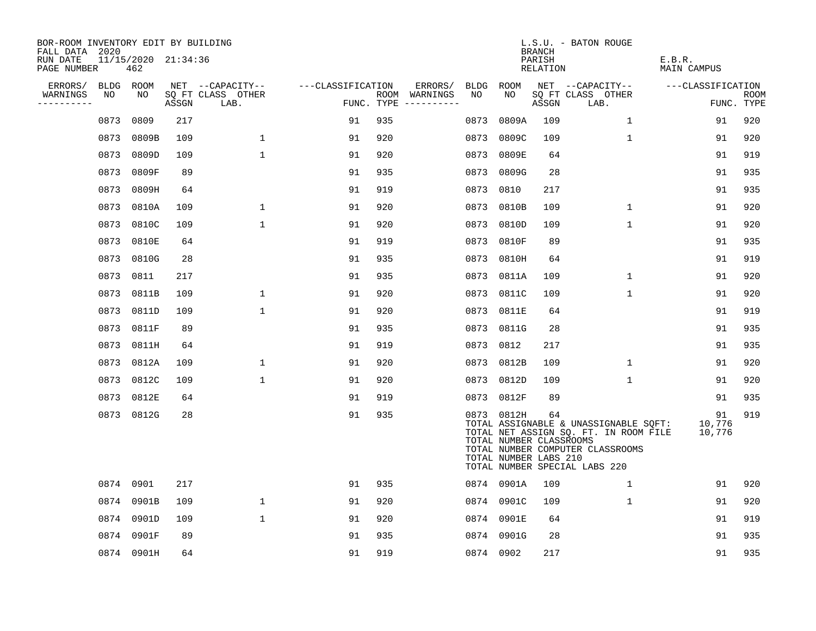| BOR-ROOM INVENTORY EDIT BY BUILDING<br>FALL DATA 2020 |           |                            |       |                           |                   |     |                                      |           |                                                                | <b>BRANCH</b>      | L.S.U. - BATON ROUGE                                                                                                                                |                        |                           |
|-------------------------------------------------------|-----------|----------------------------|-------|---------------------------|-------------------|-----|--------------------------------------|-----------|----------------------------------------------------------------|--------------------|-----------------------------------------------------------------------------------------------------------------------------------------------------|------------------------|---------------------------|
| RUN DATE<br>PAGE NUMBER                               |           | 11/15/2020 21:34:36<br>462 |       |                           |                   |     |                                      |           |                                                                | PARISH<br>RELATION |                                                                                                                                                     | E.B.R.<br>MAIN CAMPUS  |                           |
| ERRORS/                                               | BLDG ROOM |                            |       | NET --CAPACITY--          | ---CLASSIFICATION |     | ERRORS/                              | BLDG      | ROOM                                                           |                    | NET --CAPACITY--                                                                                                                                    | ---CLASSIFICATION      |                           |
| WARNINGS<br>-----------                               | NO        | NO                         | ASSGN | SQ FT CLASS OTHER<br>LAB. |                   |     | ROOM WARNINGS<br>FUNC. TYPE $------$ | NO        | NO                                                             | ASSGN              | SQ FT CLASS OTHER<br>LAB.                                                                                                                           |                        | <b>ROOM</b><br>FUNC. TYPE |
|                                                       | 0873      | 0809                       | 217   |                           | 91                | 935 |                                      | 0873      | 0809A                                                          | 109                | $\mathbf{1}$                                                                                                                                        | 91                     | 920                       |
|                                                       | 0873      | 0809B                      | 109   | $\mathbf 1$               | 91                | 920 |                                      | 0873      | 0809C                                                          | 109                | $\mathbf 1$                                                                                                                                         | 91                     | 920                       |
|                                                       | 0873      | 0809D                      | 109   | $\mathbf{1}$              | 91                | 920 |                                      | 0873      | 0809E                                                          | 64                 |                                                                                                                                                     | 91                     | 919                       |
|                                                       | 0873      | 0809F                      | 89    |                           | 91                | 935 |                                      |           | 0873 0809G                                                     | 28                 |                                                                                                                                                     | 91                     | 935                       |
|                                                       | 0873      | 0809H                      | 64    |                           | 91                | 919 |                                      | 0873      | 0810                                                           | 217                |                                                                                                                                                     | 91                     | 935                       |
|                                                       | 0873      | 0810A                      | 109   | $\mathbf{1}$              | 91                | 920 |                                      |           | 0873 0810B                                                     | 109                | $\mathbf{1}$                                                                                                                                        | 91                     | 920                       |
|                                                       | 0873      | 0810C                      | 109   | $\mathbf 1$               | 91                | 920 |                                      | 0873      | 0810D                                                          | 109                | $\mathbf 1$                                                                                                                                         | 91                     | 920                       |
|                                                       | 0873      | 0810E                      | 64    |                           | 91                | 919 |                                      |           | 0873 0810F                                                     | 89                 |                                                                                                                                                     | 91                     | 935                       |
|                                                       | 0873      | 0810G                      | 28    |                           | 91                | 935 |                                      | 0873      | 0810H                                                          | 64                 |                                                                                                                                                     | 91                     | 919                       |
|                                                       | 0873      | 0811                       | 217   |                           | 91                | 935 |                                      | 0873      | 0811A                                                          | 109                | $\mathbf{1}$                                                                                                                                        | 91                     | 920                       |
|                                                       | 0873      | 0811B                      | 109   | 1                         | 91                | 920 |                                      | 0873      | 0811C                                                          | 109                | 1                                                                                                                                                   | 91                     | 920                       |
|                                                       | 0873      | 0811D                      | 109   | $\mathbf 1$               | 91                | 920 |                                      |           | 0873 0811E                                                     | 64                 |                                                                                                                                                     | 91                     | 919                       |
|                                                       | 0873      | 0811F                      | 89    |                           | 91                | 935 |                                      | 0873      | 0811G                                                          | 28                 |                                                                                                                                                     | 91                     | 935                       |
|                                                       | 0873      | 0811H                      | 64    |                           | 91                | 919 |                                      | 0873      | 0812                                                           | 217                |                                                                                                                                                     | 91                     | 935                       |
|                                                       | 0873      | 0812A                      | 109   | $\mathbf{1}$              | 91                | 920 |                                      |           | 0873 0812B                                                     | 109                | $\mathbf{1}$                                                                                                                                        | 91                     | 920                       |
|                                                       | 0873      | 0812C                      | 109   | $\mathbf 1$               | 91                | 920 |                                      |           | 0873 0812D                                                     | 109                | 1                                                                                                                                                   | 91                     | 920                       |
|                                                       | 0873      | 0812E                      | 64    |                           | 91                | 919 |                                      |           | 0873 0812F                                                     | 89                 |                                                                                                                                                     | 91                     | 935                       |
|                                                       | 0873      | 0812G                      | 28    |                           | 91                | 935 |                                      |           | 0873 0812H<br>TOTAL NUMBER CLASSROOMS<br>TOTAL NUMBER LABS 210 | 64                 | TOTAL ASSIGNABLE & UNASSIGNABLE SQFT:<br>TOTAL NET ASSIGN SQ. FT. IN ROOM FILE<br>TOTAL NUMBER COMPUTER CLASSROOMS<br>TOTAL NUMBER SPECIAL LABS 220 | 91<br>10,776<br>10,776 | 919                       |
|                                                       | 0874      | 0901                       | 217   |                           | 91                | 935 |                                      |           | 0874 0901A                                                     | 109                | $\mathbf{1}$                                                                                                                                        | 91                     | 920                       |
|                                                       | 0874      | 0901B                      | 109   | $\mathbf 1$               | 91                | 920 |                                      |           | 0874 0901C                                                     | 109                | $\mathbf 1$                                                                                                                                         | 91                     | 920                       |
|                                                       | 0874      | 0901D                      | 109   | $\mathbf{1}$              | 91                | 920 |                                      |           | 0874 0901E                                                     | 64                 |                                                                                                                                                     | 91                     | 919                       |
|                                                       | 0874      | 0901F                      | 89    |                           | 91                | 935 |                                      |           | 0874 0901G                                                     | 28                 |                                                                                                                                                     | 91                     | 935                       |
|                                                       |           | 0874 0901H                 | 64    |                           | 91                | 919 |                                      | 0874 0902 |                                                                | 217                |                                                                                                                                                     | 91                     | 935                       |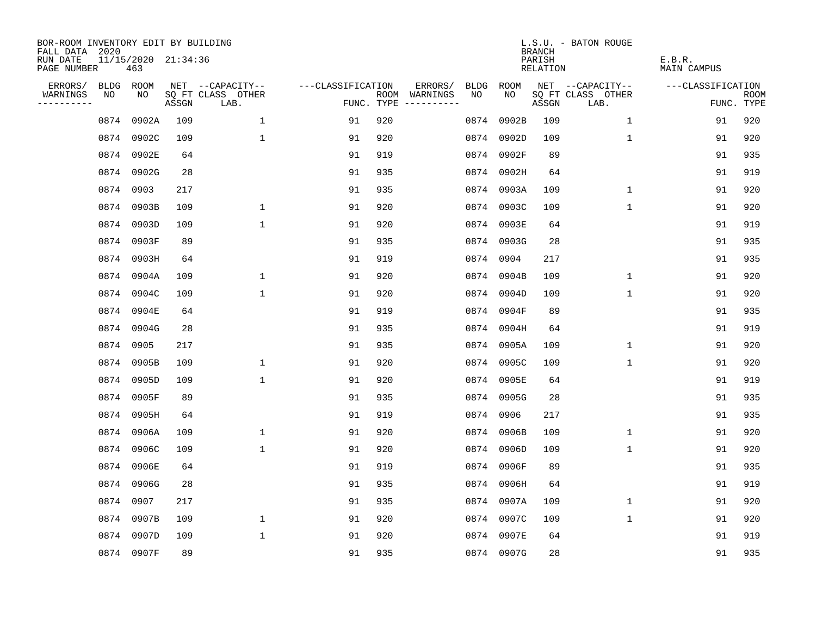| BOR-ROOM INVENTORY EDIT BY BUILDING<br>FALL DATA 2020 |           |                            |       |                           |                   |            |               |      |            | <b>BRANCH</b>             | L.S.U. - BATON ROUGE      |                              |                           |
|-------------------------------------------------------|-----------|----------------------------|-------|---------------------------|-------------------|------------|---------------|------|------------|---------------------------|---------------------------|------------------------------|---------------------------|
| RUN DATE<br>PAGE NUMBER                               |           | 11/15/2020 21:34:36<br>463 |       |                           |                   |            |               |      |            | PARISH<br><b>RELATION</b> |                           | E.B.R.<br><b>MAIN CAMPUS</b> |                           |
| ERRORS/                                               | BLDG ROOM |                            |       | NET --CAPACITY--          | ---CLASSIFICATION |            | ERRORS/       | BLDG | ROOM       |                           | NET --CAPACITY--          | ---CLASSIFICATION            |                           |
| WARNINGS<br>----------                                | NO        | NO                         | ASSGN | SQ FT CLASS OTHER<br>LAB. |                   | FUNC. TYPE | ROOM WARNINGS | NO   | NO         | ASSGN                     | SQ FT CLASS OTHER<br>LAB. |                              | <b>ROOM</b><br>FUNC. TYPE |
|                                                       | 0874      | 0902A                      | 109   | $\mathbf{1}$              | 91                | 920        |               | 0874 | 0902B      | 109                       | $\mathbf 1$               | 91                           | 920                       |
|                                                       | 0874      | 0902C                      | 109   | $\mathbf{1}$              | 91                | 920        |               |      | 0874 0902D | 109                       | $\mathbf 1$               | 91                           | 920                       |
|                                                       |           | 0874 0902E                 | 64    |                           | 91                | 919        |               |      | 0874 0902F | 89                        |                           | 91                           | 935                       |
|                                                       |           | 0874 0902G                 | 28    |                           | 91                | 935        |               |      | 0874 0902H | 64                        |                           | 91                           | 919                       |
|                                                       |           | 0874 0903                  | 217   |                           | 91                | 935        |               |      | 0874 0903A | 109                       | $\mathbf 1$               | 91                           | 920                       |
|                                                       |           | 0874 0903B                 | 109   | $\mathbf 1$               | 91                | 920        |               |      | 0874 0903C | 109                       | $\mathbf{1}$              | 91                           | 920                       |
|                                                       |           | 0874 0903D                 | 109   | $\mathbf{1}$              | 91                | 920        |               |      | 0874 0903E | 64                        |                           | 91                           | 919                       |
|                                                       |           | 0874 0903F                 | 89    |                           | 91                | 935        |               |      | 0874 0903G | 28                        |                           | 91                           | 935                       |
|                                                       |           | 0874 0903H                 | 64    |                           | 91                | 919        |               | 0874 | 0904       | 217                       |                           | 91                           | 935                       |
|                                                       |           | 0874 0904A                 | 109   | $\mathbf 1$               | 91                | 920        |               |      | 0874 0904B | 109                       | $\mathbf 1$               | 91                           | 920                       |
|                                                       |           | 0874 0904C                 | 109   | $\mathbf{1}$              | 91                | 920        |               |      | 0874 0904D | 109                       | $\mathbf 1$               | 91                           | 920                       |
|                                                       |           | 0874 0904E                 | 64    |                           | 91                | 919        |               |      | 0874 0904F | 89                        |                           | 91                           | 935                       |
|                                                       | 0874      | 0904G                      | 28    |                           | 91                | 935        |               | 0874 | 0904H      | 64                        |                           | 91                           | 919                       |
|                                                       | 0874 0905 |                            | 217   |                           | 91                | 935        |               | 0874 | 0905A      | 109                       | 1                         | 91                           | 920                       |
|                                                       |           | 0874 0905B                 | 109   | $\mathbf{1}$              | 91                | 920        |               |      | 0874 0905C | 109                       | 1                         | 91                           | 920                       |
|                                                       |           | 0874 0905D                 | 109   | $\mathbf{1}$              | 91                | 920        |               |      | 0874 0905E | 64                        |                           | 91                           | 919                       |
|                                                       | 0874      | 0905F                      | 89    |                           | 91                | 935        |               |      | 0874 0905G | 28                        |                           | 91                           | 935                       |
|                                                       |           | 0874 0905H                 | 64    |                           | 91                | 919        |               | 0874 | 0906       | 217                       |                           | 91                           | 935                       |
|                                                       |           | 0874 0906A                 | 109   | $\mathbf 1$               | 91                | 920        |               |      | 0874 0906B | 109                       | 1                         | 91                           | 920                       |
|                                                       |           | 0874 0906C                 | 109   | $\mathbf{1}$              | 91                | 920        |               |      | 0874 0906D | 109                       | $\mathbf 1$               | 91                           | 920                       |
|                                                       | 0874      | 0906E                      | 64    |                           | 91                | 919        |               |      | 0874 0906F | 89                        |                           | 91                           | 935                       |
|                                                       |           | 0874 0906G                 | 28    |                           | 91                | 935        |               |      | 0874 0906H | 64                        |                           | 91                           | 919                       |
|                                                       |           | 0874 0907                  | 217   |                           | 91                | 935        |               |      | 0874 0907A | 109                       | 1                         | 91                           | 920                       |
|                                                       |           | 0874 0907B                 | 109   | $\mathbf 1$               | 91                | 920        |               |      | 0874 0907C | 109                       | $\mathbf{1}$              | 91                           | 920                       |
|                                                       | 0874      | 0907D                      | 109   | $\mathbf{1}$              | 91                | 920        |               |      | 0874 0907E | 64                        |                           | 91                           | 919                       |
|                                                       |           | 0874 0907F                 | 89    |                           | 91                | 935        |               |      | 0874 0907G | 28                        |                           | 91                           | 935                       |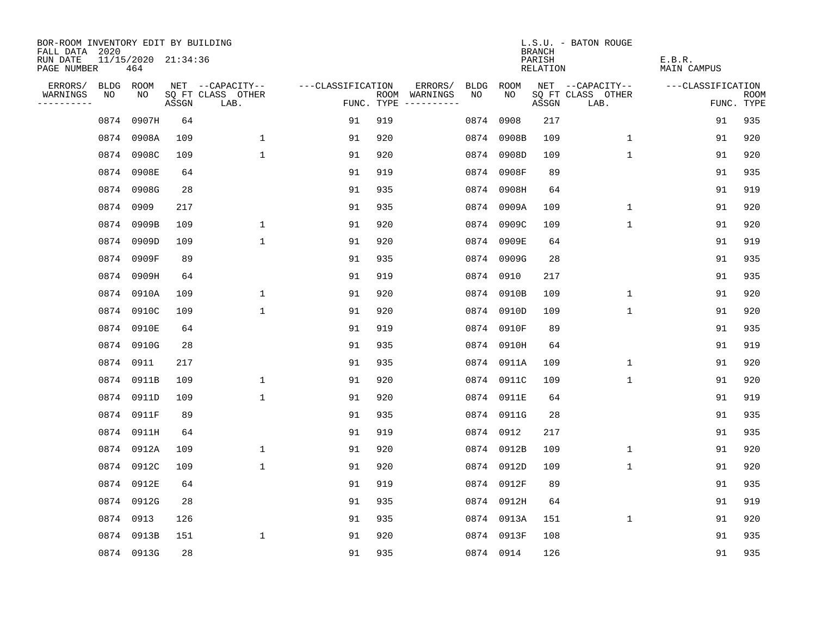| BOR-ROOM INVENTORY EDIT BY BUILDING<br>FALL DATA 2020 |      |                            |       |                           |                   |     |                                      |             |            | <b>BRANCH</b>             | L.S.U. - BATON ROUGE      |                              |                           |
|-------------------------------------------------------|------|----------------------------|-------|---------------------------|-------------------|-----|--------------------------------------|-------------|------------|---------------------------|---------------------------|------------------------------|---------------------------|
| RUN DATE<br>PAGE NUMBER                               |      | 11/15/2020 21:34:36<br>464 |       |                           |                   |     |                                      |             |            | PARISH<br><b>RELATION</b> |                           | E.B.R.<br><b>MAIN CAMPUS</b> |                           |
| ERRORS/                                               |      | BLDG ROOM                  |       | NET --CAPACITY--          | ---CLASSIFICATION |     | ERRORS/                              | <b>BLDG</b> | ROOM       |                           | NET --CAPACITY--          | ---CLASSIFICATION            |                           |
| WARNINGS<br>----------                                | NO   | NO                         | ASSGN | SQ FT CLASS OTHER<br>LAB. |                   |     | ROOM WARNINGS<br>FUNC. TYPE $------$ | NO          | NO         | ASSGN                     | SQ FT CLASS OTHER<br>LAB. |                              | <b>ROOM</b><br>FUNC. TYPE |
|                                                       | 0874 | 0907H                      | 64    |                           | 91                | 919 |                                      |             | 0874 0908  | 217                       |                           | 91                           | 935                       |
|                                                       |      | 0874 0908A                 | 109   | $\mathbf 1$               | 91                | 920 |                                      |             | 0874 0908B | 109                       | 1                         | 91                           | 920                       |
|                                                       |      | 0874 0908C                 | 109   | $\mathbf 1$               | 91                | 920 |                                      |             | 0874 0908D | 109                       | $\mathbf 1$               | 91                           | 920                       |
|                                                       | 0874 | 0908E                      | 64    |                           | 91                | 919 |                                      |             | 0874 0908F | 89                        |                           | 91                           | 935                       |
|                                                       |      | 0874 0908G                 | 28    |                           | 91                | 935 |                                      |             | 0874 0908H | 64                        |                           | 91                           | 919                       |
|                                                       |      | 0874 0909                  | 217   |                           | 91                | 935 |                                      |             | 0874 0909A | 109                       | $\mathbf{1}$              | 91                           | 920                       |
|                                                       |      | 0874 0909B                 | 109   | $\mathbf 1$               | 91                | 920 |                                      |             | 0874 0909C | 109                       | $\mathbf{1}$              | 91                           | 920                       |
|                                                       |      | 0874 0909D                 | 109   | $\mathbf 1$               | 91                | 920 |                                      |             | 0874 0909E | 64                        |                           | 91                           | 919                       |
|                                                       |      | 0874 0909F                 | 89    |                           | 91                | 935 |                                      |             | 0874 0909G | 28                        |                           | 91                           | 935                       |
|                                                       |      | 0874 0909H                 | 64    |                           | 91                | 919 |                                      |             | 0874 0910  | 217                       |                           | 91                           | 935                       |
|                                                       |      | 0874 0910A                 | 109   | $\mathbf 1$               | 91                | 920 |                                      |             | 0874 0910B | 109                       | $\mathbf 1$               | 91                           | 920                       |
|                                                       |      | 0874 0910C                 | 109   | $\mathbf{1}$              | 91                | 920 |                                      |             | 0874 0910D | 109                       | $\mathbf{1}$              | 91                           | 920                       |
|                                                       |      | 0874 0910E                 | 64    |                           | 91                | 919 |                                      |             | 0874 0910F | 89                        |                           | 91                           | 935                       |
|                                                       |      | 0874 0910G                 | 28    |                           | 91                | 935 |                                      |             | 0874 0910H | 64                        |                           | 91                           | 919                       |
|                                                       |      | 0874 0911                  | 217   |                           | 91                | 935 |                                      |             | 0874 0911A | 109                       | 1                         | 91                           | 920                       |
|                                                       |      | 0874 0911B                 | 109   | $\mathbf 1$               | 91                | 920 |                                      |             | 0874 0911C | 109                       | $\mathbf 1$               | 91                           | 920                       |
|                                                       | 0874 | 0911D                      | 109   | $\mathbf{1}$              | 91                | 920 |                                      |             | 0874 0911E | 64                        |                           | 91                           | 919                       |
|                                                       |      | 0874 0911F                 | 89    |                           | 91                | 935 |                                      |             | 0874 0911G | 28                        |                           | 91                           | 935                       |
|                                                       |      | 0874 0911H                 | 64    |                           | 91                | 919 |                                      |             | 0874 0912  | 217                       |                           | 91                           | 935                       |
|                                                       |      | 0874 0912A                 | 109   | $\mathbf 1$               | 91                | 920 |                                      |             | 0874 0912B | 109                       | 1                         | 91                           | 920                       |
|                                                       |      | 0874 0912C                 | 109   | $\mathbf 1$               | 91                | 920 |                                      |             | 0874 0912D | 109                       | 1                         | 91                           | 920                       |
|                                                       |      | 0874 0912E                 | 64    |                           | 91                | 919 |                                      |             | 0874 0912F | 89                        |                           | 91                           | 935                       |
|                                                       |      | 0874 0912G                 | 28    |                           | 91                | 935 |                                      |             | 0874 0912H | 64                        |                           | 91                           | 919                       |
|                                                       |      | 0874 0913                  | 126   |                           | 91                | 935 |                                      |             | 0874 0913A | 151                       | $\mathbf{1}$              | 91                           | 920                       |
|                                                       |      | 0874 0913B                 | 151   | $\mathbf 1$               | 91                | 920 |                                      |             | 0874 0913F | 108                       |                           | 91                           | 935                       |
|                                                       |      | 0874 0913G                 | 28    |                           | 91                | 935 |                                      |             | 0874 0914  | 126                       |                           | 91                           | 935                       |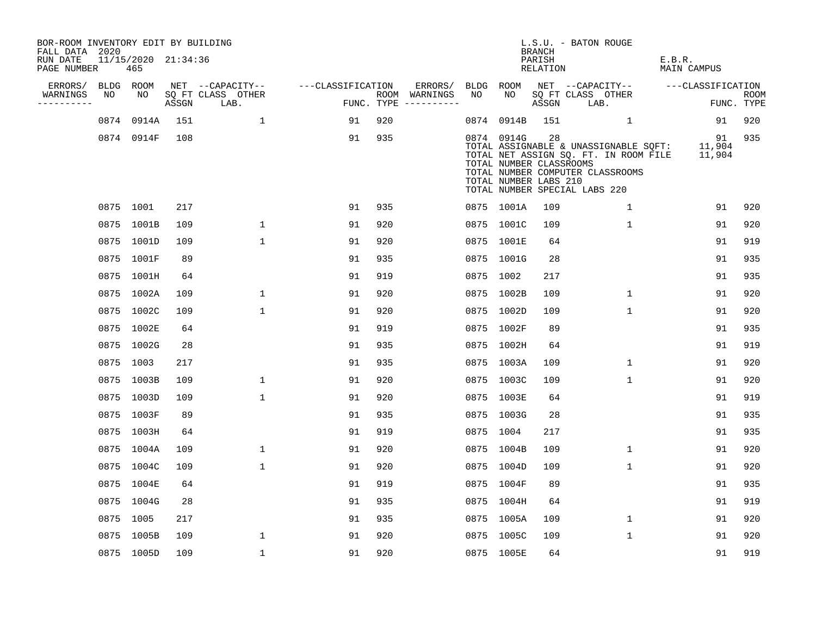| BOR-ROOM INVENTORY EDIT BY BUILDING<br>FALL DATA 2020 |                            |       |                           |                   |                                      |           |                                                                | <b>BRANCH</b>      | L.S.U. - BATON ROUGE                                                                                                                                       |                       |                           |
|-------------------------------------------------------|----------------------------|-------|---------------------------|-------------------|--------------------------------------|-----------|----------------------------------------------------------------|--------------------|------------------------------------------------------------------------------------------------------------------------------------------------------------|-----------------------|---------------------------|
| RUN DATE<br>PAGE NUMBER                               | 11/15/2020 21:34:36<br>465 |       |                           |                   |                                      |           |                                                                | PARISH<br>RELATION |                                                                                                                                                            | E.B.R.<br>MAIN CAMPUS |                           |
| ERRORS/                                               | BLDG ROOM                  |       | NET --CAPACITY--          | ---CLASSIFICATION | ERRORS/                              | BLDG ROOM |                                                                |                    | NET --CAPACITY--                                                                                                                                           | ---CLASSIFICATION     |                           |
| WARNINGS<br>NO<br>----------                          | NO                         | ASSGN | SQ FT CLASS OTHER<br>LAB. |                   | ROOM WARNINGS<br>FUNC. TYPE $------$ | NO        | NO                                                             | ASSGN              | SQ FT CLASS OTHER<br>LAB.                                                                                                                                  |                       | <b>ROOM</b><br>FUNC. TYPE |
|                                                       | 0874 0914A                 | 151   | $\overline{1}$            | 91                | 920                                  | 0874      |                                                                | 0914B 151          | 1                                                                                                                                                          | 91                    | 920                       |
|                                                       | 0874 0914F                 | 108   |                           | 91                | 935                                  |           | 0874 0914G<br>TOTAL NUMBER CLASSROOMS<br>TOTAL NUMBER LABS 210 | 28                 | TOTAL ASSIGNABLE & UNASSIGNABLE SQFT: 11,904<br>TOTAL NET ASSIGN SQ. FT. IN ROOM FILE<br>TOTAL NUMBER COMPUTER CLASSROOMS<br>TOTAL NUMBER SPECIAL LABS 220 | 91<br>11,904          | 935                       |
|                                                       | 0875 1001                  | 217   |                           | 91                | 935                                  |           | 0875 1001A                                                     | 109                | 1                                                                                                                                                          | 91                    | 920                       |
|                                                       | 0875 1001B                 | 109   | $\mathbf{1}$              | 91                | 920                                  |           | 0875 1001C                                                     | 109                | $\mathbf{1}$                                                                                                                                               | 91                    | 920                       |
|                                                       | 0875 1001D                 | 109   | $\mathbf{1}$              | 91                | 920                                  |           | 0875 1001E                                                     | 64                 |                                                                                                                                                            | 91                    | 919                       |
|                                                       | 0875 1001F                 | 89    |                           | 91                | 935                                  |           | 0875 1001G                                                     | 28                 |                                                                                                                                                            | 91                    | 935                       |
|                                                       | 0875 1001H                 | 64    |                           | 91                | 919                                  | 0875 1002 |                                                                | 217                |                                                                                                                                                            | 91                    | 935                       |
|                                                       | 0875 1002A                 | 109   | $\mathbf{1}$              | 91                | 920                                  |           | 0875 1002B                                                     | 109                | $\mathbf{1}$                                                                                                                                               | 91                    | 920                       |
|                                                       | 0875 1002C                 | 109   | $\mathbf{1}$              | 91                | 920                                  |           | 0875 1002D                                                     | 109                | $\mathbf{1}$                                                                                                                                               | 91                    | 920                       |
|                                                       | 0875 1002E                 | 64    |                           | 91                | 919                                  |           | 0875 1002F                                                     | 89                 |                                                                                                                                                            | 91                    | 935                       |
|                                                       | 0875 1002G                 | 28    |                           | 91                | 935                                  |           | 0875 1002H                                                     | 64                 |                                                                                                                                                            | 91                    | 919                       |
|                                                       | 0875 1003                  | 217   |                           | 91                | 935                                  |           | 0875 1003A                                                     | 109                | $\mathbf{1}$                                                                                                                                               | 91                    | 920                       |
|                                                       | 0875 1003B                 | 109   | 1                         | 91                | 920                                  |           | 0875 1003C                                                     | 109                | 1                                                                                                                                                          | 91                    | 920                       |
|                                                       | 0875 1003D                 | 109   | $\mathbf{1}$              | 91                | 920                                  |           | 0875 1003E                                                     | 64                 |                                                                                                                                                            | 91                    | 919                       |
|                                                       | 0875 1003F                 | 89    |                           | 91                | 935                                  |           | 0875 1003G                                                     | 28                 |                                                                                                                                                            | 91                    | 935                       |
|                                                       | 0875 1003H                 | 64    |                           | 91                | 919                                  | 0875 1004 |                                                                | 217                |                                                                                                                                                            | 91                    | 935                       |
|                                                       | 0875 1004A                 | 109   | $\mathbf 1$               | 91                | 920                                  |           | 0875 1004B                                                     | 109                | $\mathbf 1$                                                                                                                                                | 91                    | 920                       |
|                                                       | 0875 1004C                 | 109   | $\mathbf 1$               | 91                | 920                                  |           | 0875 1004D                                                     | 109                | $\mathbf 1$                                                                                                                                                | 91                    | 920                       |
|                                                       | 0875 1004E                 | 64    |                           | 91                | 919                                  |           | 0875 1004F                                                     | 89                 |                                                                                                                                                            | 91                    | 935                       |
|                                                       | 0875 1004G                 | 28    |                           | 91                | 935                                  |           | 0875 1004H                                                     | 64                 |                                                                                                                                                            | 91                    | 919                       |
|                                                       | 0875 1005                  | 217   |                           | 91                | 935                                  |           | 0875 1005A                                                     | 109                | 1                                                                                                                                                          | 91                    | 920                       |
|                                                       | 0875 1005B                 | 109   | $\mathbf{1}$              | 91                | 920                                  |           | 0875 1005C                                                     | 109                | $\mathbf{1}$                                                                                                                                               | 91                    | 920                       |
|                                                       | 0875 1005D                 | 109   | $\mathbf{1}$              | 91                | 920                                  |           | 0875 1005E                                                     | 64                 |                                                                                                                                                            | 91                    | 919                       |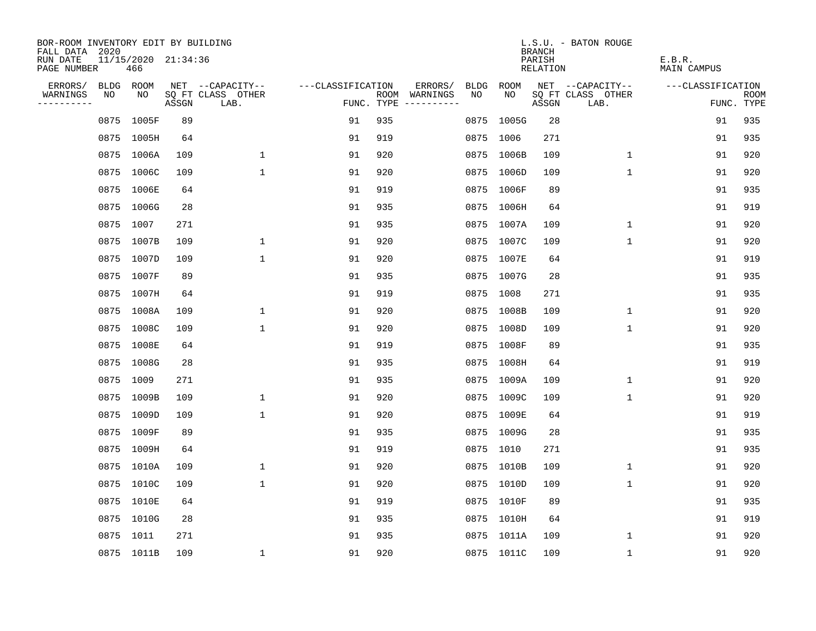| BOR-ROOM INVENTORY EDIT BY BUILDING<br>FALL DATA 2020 |           |            |                     |                           |                   |     |                                      |             |            | <b>BRANCH</b>             | L.S.U. - BATON ROUGE      |                              |                           |
|-------------------------------------------------------|-----------|------------|---------------------|---------------------------|-------------------|-----|--------------------------------------|-------------|------------|---------------------------|---------------------------|------------------------------|---------------------------|
| RUN DATE<br>PAGE NUMBER                               |           | 466        | 11/15/2020 21:34:36 |                           |                   |     |                                      |             |            | PARISH<br><b>RELATION</b> |                           | E.B.R.<br><b>MAIN CAMPUS</b> |                           |
| ERRORS/                                               | BLDG ROOM |            |                     | NET --CAPACITY--          | ---CLASSIFICATION |     | ERRORS/                              | <b>BLDG</b> | ROOM       |                           | NET --CAPACITY--          | ---CLASSIFICATION            |                           |
| WARNINGS<br>----------                                | NO        | NO         | ASSGN               | SQ FT CLASS OTHER<br>LAB. |                   |     | ROOM WARNINGS<br>FUNC. TYPE $------$ | NO          | NO         | ASSGN                     | SQ FT CLASS OTHER<br>LAB. |                              | <b>ROOM</b><br>FUNC. TYPE |
|                                                       | 0875      | 1005F      | 89                  |                           | 91                | 935 |                                      | 0875        | 1005G      | 28                        |                           | 91                           | 935                       |
|                                                       |           | 0875 1005H | 64                  |                           | 91                | 919 |                                      | 0875 1006   |            | 271                       |                           | 91                           | 935                       |
|                                                       |           | 0875 1006A | 109                 | $\mathbf 1$               | 91                | 920 |                                      |             | 0875 1006B | 109                       | $\mathbf 1$               | 91                           | 920                       |
|                                                       |           | 0875 1006C | 109                 | $\mathbf{1}$              | 91                | 920 |                                      |             | 0875 1006D | 109                       | 1                         | 91                           | 920                       |
|                                                       | 0875      | 1006E      | 64                  |                           | 91                | 919 |                                      |             | 0875 1006F | 89                        |                           | 91                           | 935                       |
|                                                       |           | 0875 1006G | 28                  |                           | 91                | 935 |                                      |             | 0875 1006H | 64                        |                           | 91                           | 919                       |
|                                                       | 0875 1007 |            | 271                 |                           | 91                | 935 |                                      |             | 0875 1007A | 109                       | $\mathbf 1$               | 91                           | 920                       |
|                                                       |           | 0875 1007B | 109                 | 1                         | 91                | 920 |                                      |             | 0875 1007C | 109                       | $\mathbf 1$               | 91                           | 920                       |
|                                                       |           | 0875 1007D | 109                 | $\mathbf{1}$              | 91                | 920 |                                      |             | 0875 1007E | 64                        |                           | 91                           | 919                       |
|                                                       |           | 0875 1007F | 89                  |                           | 91                | 935 |                                      |             | 0875 1007G | 28                        |                           | 91                           | 935                       |
|                                                       |           | 0875 1007H | 64                  |                           | 91                | 919 |                                      |             | 0875 1008  | 271                       |                           | 91                           | 935                       |
|                                                       |           | 0875 1008A | 109                 | 1                         | 91                | 920 |                                      |             | 0875 1008B | 109                       | $\mathbf{1}$              | 91                           | 920                       |
|                                                       |           | 0875 1008C | 109                 | 1                         | 91                | 920 |                                      |             | 0875 1008D | 109                       | $\mathbf 1$               | 91                           | 920                       |
|                                                       |           | 0875 1008E | 64                  |                           | 91                | 919 |                                      |             | 0875 1008F | 89                        |                           | 91                           | 935                       |
|                                                       |           | 0875 1008G | 28                  |                           | 91                | 935 |                                      |             | 0875 1008H | 64                        |                           | 91                           | 919                       |
|                                                       | 0875      | 1009       | 271                 |                           | 91                | 935 |                                      |             | 0875 1009A | 109                       | 1                         | 91                           | 920                       |
|                                                       | 0875      | 1009B      | 109                 | 1                         | 91                | 920 |                                      |             | 0875 1009C | 109                       | 1                         | 91                           | 920                       |
|                                                       | 0875      | 1009D      | 109                 | $\mathbf{1}$              | 91                | 920 |                                      |             | 0875 1009E | 64                        |                           | 91                           | 919                       |
|                                                       |           | 0875 1009F | 89                  |                           | 91                | 935 |                                      |             | 0875 1009G | 28                        |                           | 91                           | 935                       |
|                                                       |           | 0875 1009H | 64                  |                           | 91                | 919 |                                      |             | 0875 1010  | 271                       |                           | 91                           | 935                       |
|                                                       |           | 0875 1010A | 109                 | 1                         | 91                | 920 |                                      |             | 0875 1010B | 109                       | 1                         | 91                           | 920                       |
|                                                       | 0875      | 1010C      | 109                 | $\mathbf{1}$              | 91                | 920 |                                      |             | 0875 1010D | 109                       | $\mathbf 1$               | 91                           | 920                       |
|                                                       |           | 0875 1010E | 64                  |                           | 91                | 919 |                                      |             | 0875 1010F | 89                        |                           | 91                           | 935                       |
|                                                       |           | 0875 1010G | 28                  |                           | 91                | 935 |                                      |             | 0875 1010H | 64                        |                           | 91                           | 919                       |
|                                                       | 0875 1011 |            | 271                 |                           | 91                | 935 |                                      |             | 0875 1011A | 109                       | 1                         | 91                           | 920                       |
|                                                       |           | 0875 1011B | 109                 | 1                         | 91                | 920 |                                      |             | 0875 1011C | 109                       | 1                         | 91                           | 920                       |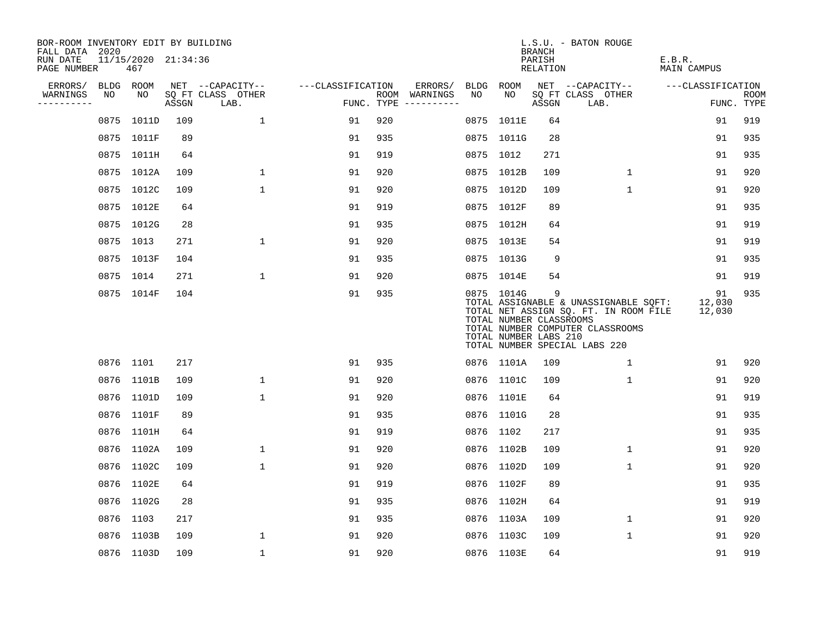| BOR-ROOM INVENTORY EDIT BY BUILDING<br>FALL DATA 2020 |           |                            |       |                           |                   |     |                                      |      |                                                                | <b>BRANCH</b>      | L.S.U. - BATON ROUGE                                                                                                                                |                        |                           |
|-------------------------------------------------------|-----------|----------------------------|-------|---------------------------|-------------------|-----|--------------------------------------|------|----------------------------------------------------------------|--------------------|-----------------------------------------------------------------------------------------------------------------------------------------------------|------------------------|---------------------------|
| RUN DATE<br>PAGE NUMBER                               |           | 11/15/2020 21:34:36<br>467 |       |                           |                   |     |                                      |      |                                                                | PARISH<br>RELATION |                                                                                                                                                     | E.B.R.<br>MAIN CAMPUS  |                           |
| ERRORS/                                               |           | BLDG ROOM                  |       | NET --CAPACITY--          | ---CLASSIFICATION |     | ERRORS/                              | BLDG | ROOM                                                           |                    | NET --CAPACITY--                                                                                                                                    | ---CLASSIFICATION      |                           |
| WARNINGS<br>-----------                               | NO        | NO                         | ASSGN | SQ FT CLASS OTHER<br>LAB. |                   |     | ROOM WARNINGS<br>FUNC. TYPE $------$ | NO   | NO.                                                            | ASSGN              | SQ FT CLASS OTHER<br>LAB.                                                                                                                           |                        | <b>ROOM</b><br>FUNC. TYPE |
|                                                       | 0875      | 1011D                      | 109   | $\mathbf{1}$              | 91                | 920 |                                      |      | 0875 1011E                                                     | 64                 |                                                                                                                                                     | 91                     | 919                       |
|                                                       |           | 0875 1011F                 | 89    |                           | 91                | 935 |                                      |      | 0875 1011G                                                     | 28                 |                                                                                                                                                     | 91                     | 935                       |
|                                                       |           | 0875 1011H                 | 64    |                           | 91                | 919 |                                      |      | 0875 1012                                                      | 271                |                                                                                                                                                     | 91                     | 935                       |
|                                                       |           | 0875 1012A                 | 109   | $\mathbf 1$               | 91                | 920 |                                      |      | 0875 1012B                                                     | 109                | $\mathbf 1$                                                                                                                                         | 91                     | 920                       |
|                                                       |           | 0875 1012C                 | 109   | $\mathbf 1$               | 91                | 920 |                                      |      | 0875 1012D                                                     | 109                | $\mathbf{1}$                                                                                                                                        | 91                     | 920                       |
|                                                       |           | 0875 1012E                 | 64    |                           | 91                | 919 |                                      |      | 0875 1012F                                                     | 89                 |                                                                                                                                                     | 91                     | 935                       |
|                                                       |           | 0875 1012G                 | 28    |                           | 91                | 935 |                                      |      | 0875 1012H                                                     | 64                 |                                                                                                                                                     | 91                     | 919                       |
|                                                       | 0875 1013 |                            | 271   | $\mathbf{1}$              | 91                | 920 |                                      |      | 0875 1013E                                                     | 54                 |                                                                                                                                                     | 91                     | 919                       |
|                                                       |           | 0875 1013F                 | 104   |                           | 91                | 935 |                                      |      | 0875 1013G                                                     | 9                  |                                                                                                                                                     | 91                     | 935                       |
|                                                       | 0875 1014 |                            | 271   | $\mathbf{1}$              | 91                | 920 |                                      |      | 0875 1014E                                                     | 54                 |                                                                                                                                                     | 91                     | 919                       |
|                                                       |           | 0875 1014F                 | 104   |                           | 91                | 935 |                                      |      | 0875 1014G<br>TOTAL NUMBER CLASSROOMS<br>TOTAL NUMBER LABS 210 | 9                  | TOTAL ASSIGNABLE & UNASSIGNABLE SQFT:<br>TOTAL NET ASSIGN SQ. FT. IN ROOM FILE<br>TOTAL NUMBER COMPUTER CLASSROOMS<br>TOTAL NUMBER SPECIAL LABS 220 | 91<br>12,030<br>12,030 | 935                       |
|                                                       | 0876 1101 |                            | 217   |                           | 91                | 935 |                                      |      | 0876 1101A                                                     | 109                | 1                                                                                                                                                   | 91                     | 920                       |
|                                                       |           | 0876 1101B                 | 109   | 1                         | 91                | 920 |                                      |      | 0876 1101C                                                     | 109                | $\mathbf{1}$                                                                                                                                        | 91                     | 920                       |
|                                                       |           | 0876 1101D                 | 109   | $\mathbf{1}$              | 91                | 920 |                                      |      | 0876 1101E                                                     | 64                 |                                                                                                                                                     | 91                     | 919                       |
|                                                       |           | 0876 1101F                 | 89    |                           | 91                | 935 |                                      |      | 0876 1101G                                                     | 28                 |                                                                                                                                                     | 91                     | 935                       |
|                                                       |           | 0876 1101H                 | 64    |                           | 91                | 919 |                                      |      | 0876 1102                                                      | 217                |                                                                                                                                                     | 91                     | 935                       |
|                                                       |           | 0876 1102A                 | 109   | $\mathbf 1$               | 91                | 920 |                                      |      | 0876 1102B                                                     | 109                | 1                                                                                                                                                   | 91                     | 920                       |
|                                                       |           | 0876 1102C                 | 109   | $\mathbf 1$               | 91                | 920 |                                      |      | 0876 1102D                                                     | 109                | $\mathbf 1$                                                                                                                                         | 91                     | 920                       |
|                                                       |           | 0876 1102E                 | 64    |                           | 91                | 919 |                                      |      | 0876 1102F                                                     | 89                 |                                                                                                                                                     | 91                     | 935                       |
|                                                       |           | 0876 1102G                 | 28    |                           | 91                | 935 |                                      |      | 0876 1102H                                                     | 64                 |                                                                                                                                                     | 91                     | 919                       |
|                                                       | 0876 1103 |                            | 217   |                           | 91                | 935 |                                      |      | 0876 1103A                                                     | 109                | $\mathbf 1$                                                                                                                                         | 91                     | 920                       |
|                                                       |           | 0876 1103B                 | 109   | $\mathbf{1}$              | 91                | 920 |                                      |      | 0876 1103C                                                     | 109                | $\mathbf{1}$                                                                                                                                        | 91                     | 920                       |
|                                                       |           | 0876 1103D                 | 109   | $\mathbf{1}$              | 91                | 920 |                                      |      | 0876 1103E                                                     | 64                 |                                                                                                                                                     | 91                     | 919                       |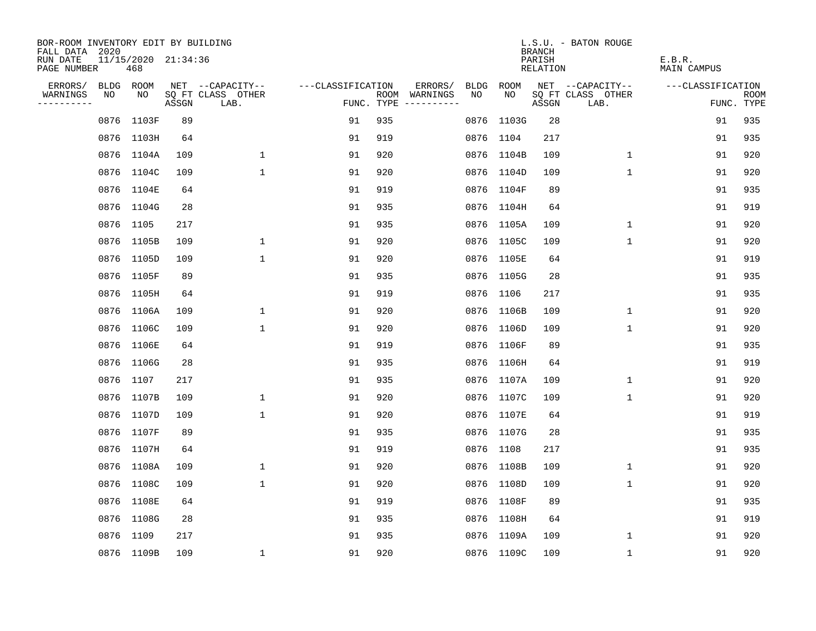| BOR-ROOM INVENTORY EDIT BY BUILDING<br>FALL DATA 2020 |      |                            |       |                           |                   |     |                                      |             |            | <b>BRANCH</b>      | L.S.U. - BATON ROUGE      |                       |                           |
|-------------------------------------------------------|------|----------------------------|-------|---------------------------|-------------------|-----|--------------------------------------|-------------|------------|--------------------|---------------------------|-----------------------|---------------------------|
| RUN DATE<br>PAGE NUMBER                               |      | 11/15/2020 21:34:36<br>468 |       |                           |                   |     |                                      |             |            | PARISH<br>RELATION |                           | E.B.R.<br>MAIN CAMPUS |                           |
| ERRORS/                                               |      | BLDG ROOM                  |       | NET --CAPACITY--          | ---CLASSIFICATION |     | ERRORS/                              | <b>BLDG</b> | ROOM       |                    | NET --CAPACITY--          | ---CLASSIFICATION     |                           |
| WARNINGS<br>----------                                | NO   | NO                         | ASSGN | SQ FT CLASS OTHER<br>LAB. |                   |     | ROOM WARNINGS<br>FUNC. TYPE $------$ | NO.         | NO.        | ASSGN              | SQ FT CLASS OTHER<br>LAB. |                       | <b>ROOM</b><br>FUNC. TYPE |
|                                                       | 0876 | 1103F                      | 89    |                           | 91                | 935 |                                      |             | 0876 1103G | 28                 |                           | 91                    | 935                       |
|                                                       |      | 0876 1103H                 | 64    |                           | 91                | 919 |                                      |             | 0876 1104  | 217                |                           | 91                    | 935                       |
|                                                       |      | 0876 1104A                 | 109   | $\mathbf{1}$              | 91                | 920 |                                      |             | 0876 1104B | 109                | $\mathbf{1}$              | 91                    | 920                       |
|                                                       |      | 0876 1104C                 | 109   | $\mathbf{1}$              | 91                | 920 |                                      |             | 0876 1104D | 109                | 1                         | 91                    | 920                       |
|                                                       |      | 0876 1104E                 | 64    |                           | 91                | 919 |                                      |             | 0876 1104F | 89                 |                           | 91                    | 935                       |
|                                                       |      | 0876 1104G                 | 28    |                           | 91                | 935 |                                      |             | 0876 1104H | 64                 |                           | 91                    | 919                       |
|                                                       |      | 0876 1105                  | 217   |                           | 91                | 935 |                                      |             | 0876 1105A | 109                | $\mathbf 1$               | 91                    | 920                       |
|                                                       |      | 0876 1105B                 | 109   | $\mathbf 1$               | 91                | 920 |                                      |             | 0876 1105C | 109                | $\mathbf{1}$              | 91                    | 920                       |
|                                                       |      | 0876 1105D                 | 109   | $\mathbf{1}$              | 91                | 920 |                                      |             | 0876 1105E | 64                 |                           | 91                    | 919                       |
|                                                       |      | 0876 1105F                 | 89    |                           | 91                | 935 |                                      |             | 0876 1105G | 28                 |                           | 91                    | 935                       |
|                                                       |      | 0876 1105H                 | 64    |                           | 91                | 919 |                                      |             | 0876 1106  | 217                |                           | 91                    | 935                       |
|                                                       |      | 0876 1106A                 | 109   | 1                         | 91                | 920 |                                      |             | 0876 1106B | 109                | $\mathbf 1$               | 91                    | 920                       |
|                                                       |      | 0876 1106C                 | 109   | $\mathbf{1}$              | 91                | 920 |                                      |             | 0876 1106D | 109                | $\mathbf 1$               | 91                    | 920                       |
|                                                       |      | 0876 1106E                 | 64    |                           | 91                | 919 |                                      |             | 0876 1106F | 89                 |                           | 91                    | 935                       |
|                                                       |      | 0876 1106G                 | 28    |                           | 91                | 935 |                                      |             | 0876 1106H | 64                 |                           | 91                    | 919                       |
|                                                       |      | 0876 1107                  | 217   |                           | 91                | 935 |                                      |             | 0876 1107A | 109                | 1                         | 91                    | 920                       |
|                                                       |      | 0876 1107B                 | 109   | 1                         | 91                | 920 |                                      |             | 0876 1107C | 109                | 1                         | 91                    | 920                       |
|                                                       |      | 0876 1107D                 | 109   | $\mathbf{1}$              | 91                | 920 |                                      |             | 0876 1107E | 64                 |                           | 91                    | 919                       |
|                                                       |      | 0876 1107F                 | 89    |                           | 91                | 935 |                                      |             | 0876 1107G | 28                 |                           | 91                    | 935                       |
|                                                       |      | 0876 1107H                 | 64    |                           | 91                | 919 |                                      |             | 0876 1108  | 217                |                           | 91                    | 935                       |
|                                                       |      | 0876 1108A                 | 109   | 1                         | 91                | 920 |                                      |             | 0876 1108B | 109                | 1                         | 91                    | 920                       |
|                                                       | 0876 | 1108C                      | 109   | $\mathbf 1$               | 91                | 920 |                                      |             | 0876 1108D | 109                | $\mathbf 1$               | 91                    | 920                       |
|                                                       |      | 0876 1108E                 | 64    |                           | 91                | 919 |                                      |             | 0876 1108F | 89                 |                           | 91                    | 935                       |
|                                                       |      | 0876 1108G                 | 28    |                           | 91                | 935 |                                      |             | 0876 1108H | 64                 |                           | 91                    | 919                       |
|                                                       |      | 0876 1109                  | 217   |                           | 91                | 935 |                                      |             | 0876 1109A | 109                | 1                         | 91                    | 920                       |
|                                                       |      | 0876 1109B                 | 109   | $\mathbf{1}$              | 91                | 920 |                                      |             | 0876 1109C | 109                | 1                         | 91                    | 920                       |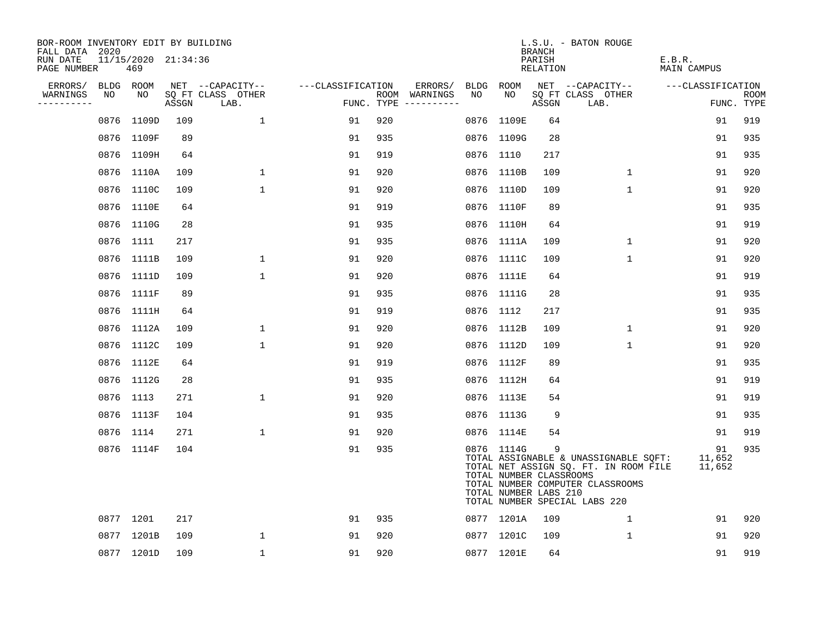| BOR-ROOM INVENTORY EDIT BY BUILDING<br>FALL DATA 2020 |                            |       |                           |                   |     |                                      |    |                                                                | <b>BRANCH</b>      | L.S.U. - BATON ROUGE                                                                                                                                |                        |                    |
|-------------------------------------------------------|----------------------------|-------|---------------------------|-------------------|-----|--------------------------------------|----|----------------------------------------------------------------|--------------------|-----------------------------------------------------------------------------------------------------------------------------------------------------|------------------------|--------------------|
| RUN DATE<br>PAGE NUMBER                               | 11/15/2020 21:34:36<br>469 |       |                           |                   |     |                                      |    |                                                                | PARISH<br>RELATION |                                                                                                                                                     | E.B.R.<br>MAIN CAMPUS  |                    |
| ERRORS/                                               | BLDG ROOM                  |       | NET --CAPACITY--          | ---CLASSIFICATION |     | ERRORS/                              |    | BLDG ROOM                                                      |                    | NET --CAPACITY--                                                                                                                                    | ---CLASSIFICATION      |                    |
| WARNINGS<br>NO<br>----------                          | NO                         | ASSGN | SQ FT CLASS OTHER<br>LAB. |                   |     | ROOM WARNINGS<br>FUNC. TYPE $------$ | NO | NO                                                             | ASSGN              | SQ FT CLASS OTHER<br>LAB.                                                                                                                           |                        | ROOM<br>FUNC. TYPE |
| 0876                                                  | 1109D                      | 109   | $\mathbf{1}$              | 91                | 920 |                                      |    | 0876 1109E                                                     | 64                 |                                                                                                                                                     | 91                     | 919                |
|                                                       | 0876 1109F                 | 89    |                           | 91                | 935 |                                      |    | 0876 1109G                                                     | 28                 |                                                                                                                                                     | 91                     | 935                |
|                                                       | 0876 1109H                 | 64    |                           | 91                | 919 |                                      |    | 0876 1110                                                      | 217                |                                                                                                                                                     | 91                     | 935                |
|                                                       | 0876 1110A                 | 109   | $\mathbf 1$               | 91                | 920 |                                      |    | 0876 1110B                                                     | 109                | $\mathbf 1$                                                                                                                                         | 91                     | 920                |
|                                                       | 0876 1110C                 | 109   | $\mathbf{1}$              | 91                | 920 |                                      |    | 0876 1110D                                                     | 109                | $\mathbf 1$                                                                                                                                         | 91                     | 920                |
|                                                       | 0876 1110E                 | 64    |                           | 91                | 919 |                                      |    | 0876 1110F                                                     | 89                 |                                                                                                                                                     | 91                     | 935                |
|                                                       | 0876 1110G                 | 28    |                           | 91                | 935 |                                      |    | 0876 1110H                                                     | 64                 |                                                                                                                                                     | 91                     | 919                |
|                                                       | 0876 1111                  | 217   |                           | 91                | 935 |                                      |    | 0876 1111A                                                     | 109                | $\mathbf 1$                                                                                                                                         | 91                     | 920                |
|                                                       | 0876 1111B                 | 109   | $\mathbf 1$               | 91                | 920 |                                      |    | 0876 1111C                                                     | 109                | $\mathbf{1}$                                                                                                                                        | 91                     | 920                |
|                                                       | 0876 1111D                 | 109   | $\mathbf{1}$              | 91                | 920 |                                      |    | 0876 1111E                                                     | 64                 |                                                                                                                                                     | 91                     | 919                |
|                                                       | 0876 1111F                 | 89    |                           | 91                | 935 |                                      |    | 0876 1111G                                                     | 28                 |                                                                                                                                                     | 91                     | 935                |
|                                                       | 0876 1111H                 | 64    |                           | 91                | 919 |                                      |    | 0876 1112                                                      | 217                |                                                                                                                                                     | 91                     | 935                |
|                                                       | 0876 1112A                 | 109   | $\mathbf 1$               | 91                | 920 |                                      |    | 0876 1112B                                                     | 109                | $\mathbf 1$                                                                                                                                         | 91                     | 920                |
|                                                       | 0876 1112C                 | 109   | $\mathbf 1$               | 91                | 920 |                                      |    | 0876 1112D                                                     | 109                | $\mathbf 1$                                                                                                                                         | 91                     | 920                |
|                                                       | 0876 1112E                 | 64    |                           | 91                | 919 |                                      |    | 0876 1112F                                                     | 89                 |                                                                                                                                                     | 91                     | 935                |
|                                                       | 0876 1112G                 | 28    |                           | 91                | 935 |                                      |    | 0876 1112H                                                     | 64                 |                                                                                                                                                     | 91                     | 919                |
|                                                       | 0876 1113                  | 271   | 1                         | 91                | 920 |                                      |    | 0876 1113E                                                     | 54                 |                                                                                                                                                     | 91                     | 919                |
|                                                       | 0876 1113F                 | 104   |                           | 91                | 935 |                                      |    | 0876 1113G                                                     | 9                  |                                                                                                                                                     | 91                     | 935                |
|                                                       | 0876 1114                  | 271   | $\mathbf{1}$              | 91                | 920 |                                      |    | 0876 1114E                                                     | 54                 |                                                                                                                                                     | 91                     | 919                |
|                                                       | 0876 1114F                 | 104   |                           | 91                | 935 |                                      |    | 0876 1114G<br>TOTAL NUMBER CLASSROOMS<br>TOTAL NUMBER LABS 210 | 9                  | TOTAL ASSIGNABLE & UNASSIGNABLE SQFT:<br>TOTAL NET ASSIGN SQ. FT. IN ROOM FILE<br>TOTAL NUMBER COMPUTER CLASSROOMS<br>TOTAL NUMBER SPECIAL LABS 220 | 91<br>11,652<br>11,652 | 935                |
|                                                       | 0877 1201                  | 217   |                           | 91                | 935 |                                      |    | 0877 1201A                                                     | 109                | 1                                                                                                                                                   | 91                     | 920                |
|                                                       | 0877 1201B                 | 109   | $\mathbf{1}$              | 91                | 920 |                                      |    | 0877 1201C                                                     | 109                | $\mathbf 1$                                                                                                                                         | 91                     | 920                |
|                                                       | 0877 1201D                 | 109   | $\mathbf{1}$              | 91                | 920 |                                      |    | 0877 1201E                                                     | 64                 |                                                                                                                                                     | 91                     | 919                |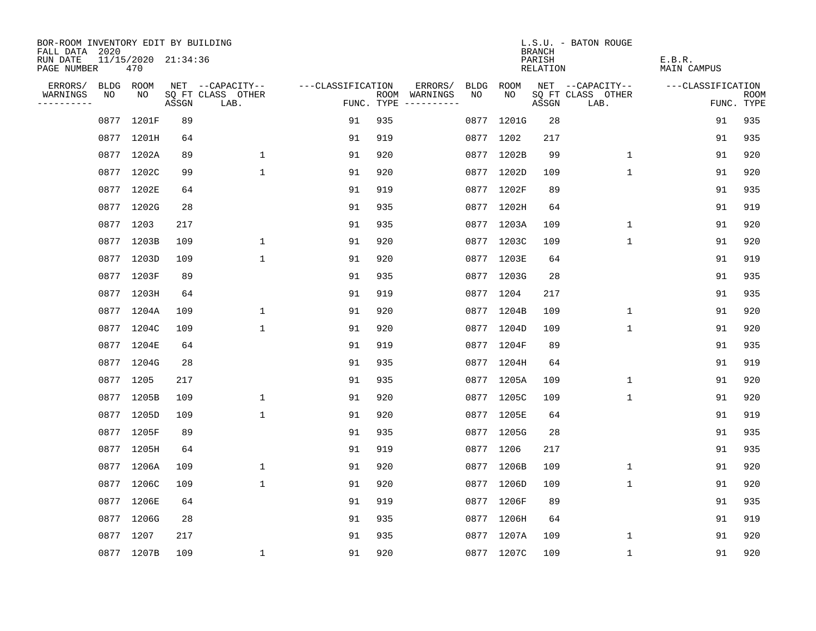| BOR-ROOM INVENTORY EDIT BY BUILDING<br>FALL DATA 2020 |      |                            |       |                           |                   |     |                                      |      |            | <b>BRANCH</b>      | L.S.U. - BATON ROUGE      |                       |                           |
|-------------------------------------------------------|------|----------------------------|-------|---------------------------|-------------------|-----|--------------------------------------|------|------------|--------------------|---------------------------|-----------------------|---------------------------|
| RUN DATE<br>PAGE NUMBER                               |      | 11/15/2020 21:34:36<br>470 |       |                           |                   |     |                                      |      |            | PARISH<br>RELATION |                           | E.B.R.<br>MAIN CAMPUS |                           |
| ERRORS/                                               |      | BLDG ROOM                  |       | NET --CAPACITY--          | ---CLASSIFICATION |     | ERRORS/                              | BLDG | ROOM       |                    | NET --CAPACITY--          | ---CLASSIFICATION     |                           |
| WARNINGS<br>----------                                | NO   | NO                         | ASSGN | SQ FT CLASS OTHER<br>LAB. |                   |     | ROOM WARNINGS<br>FUNC. TYPE $------$ | NO.  | NO.        | ASSGN              | SQ FT CLASS OTHER<br>LAB. |                       | <b>ROOM</b><br>FUNC. TYPE |
|                                                       | 0877 | 1201F                      | 89    |                           | 91                | 935 |                                      |      | 0877 1201G | 28                 |                           | 91                    | 935                       |
|                                                       |      | 0877 1201H                 | 64    |                           | 91                | 919 |                                      |      | 0877 1202  | 217                |                           | 91                    | 935                       |
|                                                       |      | 0877 1202A                 | 89    | $\mathbf{1}$              | 91                | 920 |                                      |      | 0877 1202B | 99                 | $\mathbf{1}$              | 91                    | 920                       |
|                                                       |      | 0877 1202C                 | 99    | $\mathbf{1}$              | 91                | 920 |                                      |      | 0877 1202D | 109                | $\mathbf{1}$              | 91                    | 920                       |
|                                                       |      | 0877 1202E                 | 64    |                           | 91                | 919 |                                      |      | 0877 1202F | 89                 |                           | 91                    | 935                       |
|                                                       |      | 0877 1202G                 | 28    |                           | 91                | 935 |                                      |      | 0877 1202H | 64                 |                           | 91                    | 919                       |
|                                                       |      | 0877 1203                  | 217   |                           | 91                | 935 |                                      |      | 0877 1203A | 109                | $\mathbf 1$               | 91                    | 920                       |
|                                                       |      | 0877 1203B                 | 109   | $\mathbf 1$               | 91                | 920 |                                      |      | 0877 1203C | 109                | $\mathbf{1}$              | 91                    | 920                       |
|                                                       |      | 0877 1203D                 | 109   | $\mathbf{1}$              | 91                | 920 |                                      |      | 0877 1203E | 64                 |                           | 91                    | 919                       |
|                                                       |      | 0877 1203F                 | 89    |                           | 91                | 935 |                                      |      | 0877 1203G | 28                 |                           | 91                    | 935                       |
|                                                       |      | 0877 1203H                 | 64    |                           | 91                | 919 |                                      |      | 0877 1204  | 217                |                           | 91                    | 935                       |
|                                                       |      | 0877 1204A                 | 109   | 1                         | 91                | 920 |                                      |      | 0877 1204B | 109                | $\mathbf 1$               | 91                    | 920                       |
|                                                       |      | 0877 1204C                 | 109   | $\mathbf{1}$              | 91                | 920 |                                      |      | 0877 1204D | 109                | $\mathbf{1}$              | 91                    | 920                       |
|                                                       |      | 0877 1204E                 | 64    |                           | 91                | 919 |                                      |      | 0877 1204F | 89                 |                           | 91                    | 935                       |
|                                                       |      | 0877 1204G                 | 28    |                           | 91                | 935 |                                      |      | 0877 1204H | 64                 |                           | 91                    | 919                       |
|                                                       |      | 0877 1205                  | 217   |                           | 91                | 935 |                                      |      | 0877 1205A | 109                | 1                         | 91                    | 920                       |
|                                                       |      | 0877 1205B                 | 109   | $\mathbf 1$               | 91                | 920 |                                      |      | 0877 1205C | 109                | 1                         | 91                    | 920                       |
|                                                       |      | 0877 1205D                 | 109   | $\mathbf{1}$              | 91                | 920 |                                      |      | 0877 1205E | 64                 |                           | 91                    | 919                       |
|                                                       |      | 0877 1205F                 | 89    |                           | 91                | 935 |                                      |      | 0877 1205G | 28                 |                           | 91                    | 935                       |
|                                                       |      | 0877 1205H                 | 64    |                           | 91                | 919 |                                      |      | 0877 1206  | 217                |                           | 91                    | 935                       |
|                                                       |      | 0877 1206A                 | 109   | $\mathbf 1$               | 91                | 920 |                                      |      | 0877 1206B | 109                | 1                         | 91                    | 920                       |
|                                                       | 0877 | 1206C                      | 109   | $\mathbf 1$               | 91                | 920 |                                      |      | 0877 1206D | 109                | $\mathbf 1$               | 91                    | 920                       |
|                                                       |      | 0877 1206E                 | 64    |                           | 91                | 919 |                                      |      | 0877 1206F | 89                 |                           | 91                    | 935                       |
|                                                       | 0877 | 1206G                      | 28    |                           | 91                | 935 |                                      |      | 0877 1206H | 64                 |                           | 91                    | 919                       |
|                                                       |      | 0877 1207                  | 217   |                           | 91                | 935 |                                      |      | 0877 1207A | 109                | 1                         | 91                    | 920                       |
|                                                       |      | 0877 1207B                 | 109   | $\mathbf{1}$              | 91                | 920 |                                      |      | 0877 1207C | 109                | 1                         | 91                    | 920                       |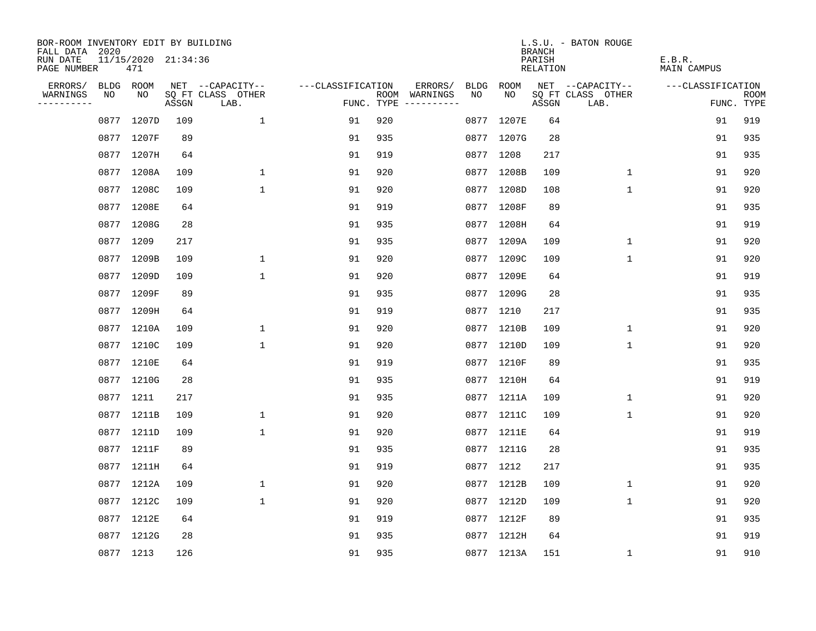| BOR-ROOM INVENTORY EDIT BY BUILDING       |      |                            |       |                           |                   |     |                                      |      |            | <b>BRANCH</b>      | L.S.U. - BATON ROUGE      |                       |                           |
|-------------------------------------------|------|----------------------------|-------|---------------------------|-------------------|-----|--------------------------------------|------|------------|--------------------|---------------------------|-----------------------|---------------------------|
| FALL DATA 2020<br>RUN DATE<br>PAGE NUMBER |      | 11/15/2020 21:34:36<br>471 |       |                           |                   |     |                                      |      |            | PARISH<br>RELATION |                           | E.B.R.<br>MAIN CAMPUS |                           |
| ERRORS/                                   | BLDG | ROOM                       |       | NET --CAPACITY--          | ---CLASSIFICATION |     | ERRORS/                              | BLDG | ROOM       |                    | NET --CAPACITY--          | ---CLASSIFICATION     |                           |
| WARNINGS<br>----------                    | NO   | NO.                        | ASSGN | SQ FT CLASS OTHER<br>LAB. |                   |     | ROOM WARNINGS<br>FUNC. TYPE $------$ | NO   | NO.        | ASSGN              | SQ FT CLASS OTHER<br>LAB. |                       | <b>ROOM</b><br>FUNC. TYPE |
|                                           | 0877 | 1207D                      | 109   | 1                         | 91                | 920 |                                      |      | 0877 1207E | 64                 |                           | 91                    | 919                       |
|                                           |      | 0877 1207F                 | 89    |                           | 91                | 935 |                                      |      | 0877 1207G | 28                 |                           | 91                    | 935                       |
|                                           |      | 0877 1207H                 | 64    |                           | 91                | 919 |                                      |      | 0877 1208  | 217                |                           | 91                    | 935                       |
|                                           |      | 0877 1208A                 | 109   | 1                         | 91                | 920 |                                      |      | 0877 1208B | 109                | 1                         | 91                    | 920                       |
|                                           |      | 0877 1208C                 | 109   | $\mathbf 1$               | 91                | 920 |                                      |      | 0877 1208D | 108                | $\mathbf 1$               | 91                    | 920                       |
|                                           |      | 0877 1208E                 | 64    |                           | 91                | 919 |                                      |      | 0877 1208F | 89                 |                           | 91                    | 935                       |
|                                           |      | 0877 1208G                 | 28    |                           | 91                | 935 |                                      |      | 0877 1208H | 64                 |                           | 91                    | 919                       |
|                                           |      | 0877 1209                  | 217   |                           | 91                | 935 |                                      |      | 0877 1209A | 109                | $\mathbf{1}$              | 91                    | 920                       |
|                                           |      | 0877 1209B                 | 109   | $\mathbf{1}$              | 91                | 920 |                                      |      | 0877 1209C | 109                | $\mathbf{1}$              | 91                    | 920                       |
|                                           |      | 0877 1209D                 | 109   | $\mathbf 1$               | 91                | 920 |                                      |      | 0877 1209E | 64                 |                           | 91                    | 919                       |
|                                           |      | 0877 1209F                 | 89    |                           | 91                | 935 |                                      |      | 0877 1209G | 28                 |                           | 91                    | 935                       |
|                                           |      | 0877 1209H                 | 64    |                           | 91                | 919 |                                      |      | 0877 1210  | 217                |                           | 91                    | 935                       |
|                                           |      | 0877 1210A                 | 109   | $\mathbf{1}$              | 91                | 920 |                                      |      | 0877 1210B | 109                | $\mathbf{1}$              | 91                    | 920                       |
|                                           |      | 0877 1210C                 | 109   | $\mathbf{1}$              | 91                | 920 |                                      |      | 0877 1210D | 109                | $\mathbf{1}$              | 91                    | 920                       |
|                                           |      | 0877 1210E                 | 64    |                           | 91                | 919 |                                      |      | 0877 1210F | 89                 |                           | 91                    | 935                       |
|                                           |      | 0877 1210G                 | 28    |                           | 91                | 935 |                                      |      | 0877 1210H | 64                 |                           | 91                    | 919                       |
|                                           |      | 0877 1211                  | 217   |                           | 91                | 935 |                                      |      | 0877 1211A | 109                | 1                         | 91                    | 920                       |
|                                           |      | 0877 1211B                 | 109   | $\mathbf{1}$              | 91                | 920 |                                      |      | 0877 1211C | 109                | $\mathbf{1}$              | 91                    | 920                       |
|                                           |      | 0877 1211D                 | 109   | $\mathbf{1}$              | 91                | 920 |                                      |      | 0877 1211E | 64                 |                           | 91                    | 919                       |
|                                           |      | 0877 1211F                 | 89    |                           | 91                | 935 |                                      |      | 0877 1211G | 28                 |                           | 91                    | 935                       |
|                                           |      | 0877 1211H                 | 64    |                           | 91                | 919 |                                      |      | 0877 1212  | 217                |                           | 91                    | 935                       |
|                                           |      | 0877 1212A                 | 109   | $\mathbf 1$               | 91                | 920 |                                      |      | 0877 1212B | 109                | $\mathbf 1$               | 91                    | 920                       |
|                                           |      | 0877 1212C                 | 109   | $\mathbf{1}$              | 91                | 920 |                                      |      | 0877 1212D | 109                | $\mathbf{1}$              | 91                    | 920                       |
|                                           |      | 0877 1212E                 | 64    |                           | 91                | 919 |                                      |      | 0877 1212F | 89                 |                           | 91                    | 935                       |
|                                           |      | 0877 1212G                 | 28    |                           | 91                | 935 |                                      |      | 0877 1212H | 64                 |                           | 91                    | 919                       |
|                                           |      | 0877 1213                  | 126   |                           | 91                | 935 |                                      |      | 0877 1213A | 151                | 1                         | 91                    | 910                       |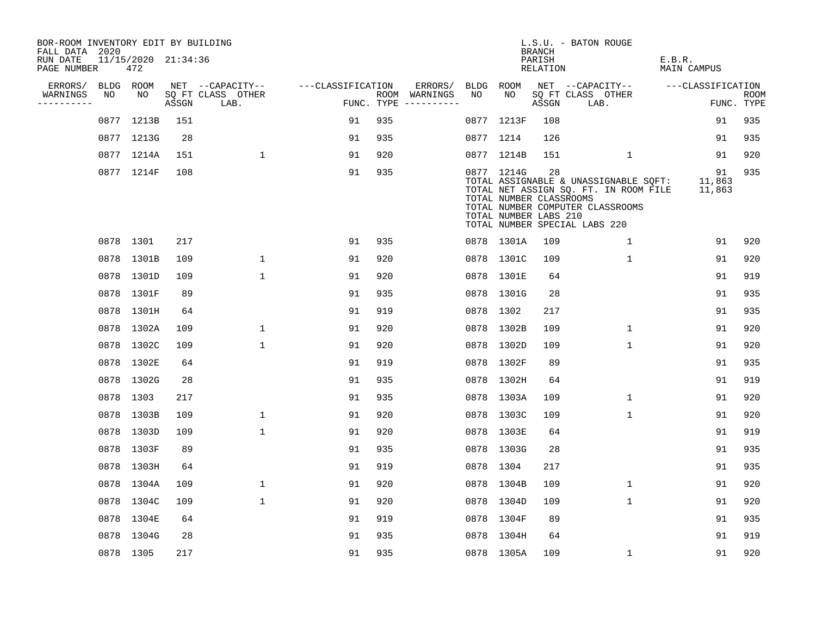| BOR-ROOM INVENTORY EDIT BY BUILDING<br>FALL DATA 2020 |    |                            |       |                           |                   |     |                                      |    |                                                                | BRANCH             | L.S.U. - BATON ROUGE                                                                                                                                |                              |                    |
|-------------------------------------------------------|----|----------------------------|-------|---------------------------|-------------------|-----|--------------------------------------|----|----------------------------------------------------------------|--------------------|-----------------------------------------------------------------------------------------------------------------------------------------------------|------------------------------|--------------------|
| RUN DATE<br>PAGE NUMBER                               |    | 11/15/2020 21:34:36<br>472 |       |                           |                   |     |                                      |    |                                                                | PARISH<br>RELATION |                                                                                                                                                     | E.B.R.<br><b>MAIN CAMPUS</b> |                    |
| ERRORS/                                               |    | BLDG ROOM                  |       | NET --CAPACITY--          | ---CLASSIFICATION |     | ERRORS/                              |    | BLDG ROOM                                                      |                    | NET --CAPACITY--                                                                                                                                    | ---CLASSIFICATION            |                    |
| WARNINGS<br>----------                                | NO | NO                         | ASSGN | SQ FT CLASS OTHER<br>LAB. |                   |     | ROOM WARNINGS<br>FUNC. TYPE $------$ | NO | NO.                                                            | ASSGN              | SQ FT CLASS OTHER<br>LAB.                                                                                                                           |                              | ROOM<br>FUNC. TYPE |
|                                                       |    | 0877 1213B                 | 151   |                           | 91                | 935 |                                      |    | 0877 1213F                                                     | 108                |                                                                                                                                                     | 91                           | 935                |
|                                                       |    | 0877 1213G                 | 28    |                           | 91                | 935 |                                      |    | 0877 1214                                                      | 126                |                                                                                                                                                     | 91                           | 935                |
|                                                       |    | 0877 1214A                 | 151   | $\mathbf{1}$              | 91                | 920 |                                      |    | 0877 1214B                                                     | 151                | $\mathbf{1}$                                                                                                                                        | 91                           | 920                |
|                                                       |    | 0877 1214F                 | 108   |                           | 91                | 935 |                                      |    | 0877 1214G<br>TOTAL NUMBER CLASSROOMS<br>TOTAL NUMBER LABS 210 | 28                 | TOTAL ASSIGNABLE & UNASSIGNABLE SQFT:<br>TOTAL NET ASSIGN SQ. FT. IN ROOM FILE<br>TOTAL NUMBER COMPUTER CLASSROOMS<br>TOTAL NUMBER SPECIAL LABS 220 | 91<br>11,863<br>11,863       | 935                |
|                                                       |    | 0878 1301                  | 217   |                           | 91                | 935 |                                      |    | 0878 1301A                                                     | 109                | $\mathbf{1}$                                                                                                                                        | 91                           | 920                |
|                                                       |    | 0878 1301B                 | 109   | $\mathbf{1}$              | 91                | 920 |                                      |    | 0878 1301C                                                     | 109                | $\mathbf{1}$                                                                                                                                        | 91                           | 920                |
|                                                       |    | 0878 1301D                 | 109   | $\mathbf{1}$              | 91                | 920 |                                      |    | 0878 1301E                                                     | 64                 |                                                                                                                                                     | 91                           | 919                |
|                                                       |    | 0878 1301F                 | 89    |                           | 91                | 935 |                                      |    | 0878 1301G                                                     | 28                 |                                                                                                                                                     | 91                           | 935                |
|                                                       |    | 0878 1301H                 | 64    |                           | 91                | 919 |                                      |    | 0878 1302                                                      | 217                |                                                                                                                                                     | 91                           | 935                |
|                                                       |    | 0878 1302A                 | 109   | $\mathbf{1}$              | 91                | 920 |                                      |    | 0878 1302B                                                     | 109                | $\mathbf{1}$                                                                                                                                        | 91                           | 920                |
|                                                       |    | 0878 1302C                 | 109   | $\mathbf{1}$              | 91                | 920 |                                      |    | 0878 1302D                                                     | 109                | $\mathbf 1$                                                                                                                                         | 91                           | 920                |
|                                                       |    | 0878 1302E                 | 64    |                           | 91                | 919 |                                      |    | 0878 1302F                                                     | 89                 |                                                                                                                                                     | 91                           | 935                |
|                                                       |    | 0878 1302G                 | 28    |                           | 91                | 935 |                                      |    | 0878 1302H                                                     | 64                 |                                                                                                                                                     | 91                           | 919                |
|                                                       |    | 0878 1303                  | 217   |                           | 91                | 935 |                                      |    | 0878 1303A                                                     | 109                | $\mathbf{1}$                                                                                                                                        | 91                           | 920                |
|                                                       |    | 0878 1303B                 | 109   | $\mathbf{1}$              | 91                | 920 |                                      |    | 0878 1303C                                                     | 109                | $\mathbf 1$                                                                                                                                         | 91                           | 920                |
|                                                       |    | 0878 1303D                 | 109   | $\mathbf{1}$              | 91                | 920 |                                      |    | 0878 1303E                                                     | 64                 |                                                                                                                                                     | 91                           | 919                |
|                                                       |    | 0878 1303F                 | 89    |                           | 91                | 935 |                                      |    | 0878 1303G                                                     | 28                 |                                                                                                                                                     | 91                           | 935                |
|                                                       |    | 0878 1303H                 | 64    |                           | 91                | 919 |                                      |    | 0878 1304                                                      | 217                |                                                                                                                                                     | 91                           | 935                |
|                                                       |    | 0878 1304A                 | 109   | $\mathbf{1}$              | 91                | 920 |                                      |    | 0878 1304B                                                     | 109                | $\mathbf{1}$                                                                                                                                        | 91                           | 920                |
|                                                       |    | 0878 1304C                 | 109   | 1                         | 91                | 920 |                                      |    | 0878 1304D                                                     | 109                | 1                                                                                                                                                   | 91                           | 920                |
|                                                       |    | 0878 1304E                 | 64    |                           | 91                | 919 |                                      |    | 0878 1304F                                                     | 89                 |                                                                                                                                                     | 91                           | 935                |
|                                                       |    | 0878 1304G                 | 28    |                           | 91                | 935 |                                      |    | 0878 1304H                                                     | 64                 |                                                                                                                                                     | 91                           | 919                |
|                                                       |    | 0878 1305                  | 217   |                           | 91                | 935 |                                      |    | 0878 1305A                                                     | 109                | $\mathbf 1$                                                                                                                                         | 91                           | 920                |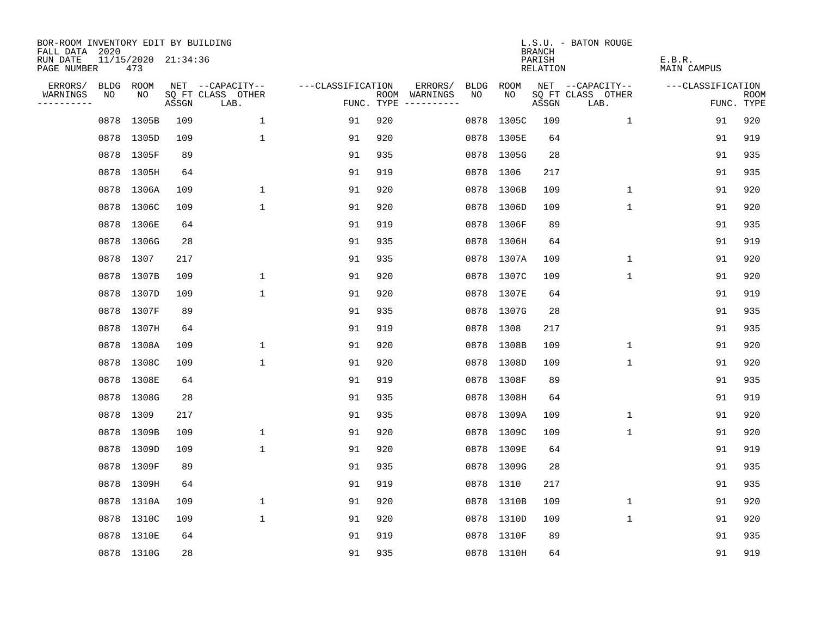| BOR-ROOM INVENTORY EDIT BY BUILDING<br>FALL DATA 2020 |      |                            |       |                           |                   |     |                                      |             |            | <b>BRANCH</b>      | L.S.U. - BATON ROUGE      |                       |                           |
|-------------------------------------------------------|------|----------------------------|-------|---------------------------|-------------------|-----|--------------------------------------|-------------|------------|--------------------|---------------------------|-----------------------|---------------------------|
| RUN DATE<br>PAGE NUMBER                               |      | 11/15/2020 21:34:36<br>473 |       |                           |                   |     |                                      |             |            | PARISH<br>RELATION |                           | E.B.R.<br>MAIN CAMPUS |                           |
| ERRORS/                                               |      | BLDG ROOM                  |       | NET --CAPACITY--          | ---CLASSIFICATION |     | ERRORS/                              | <b>BLDG</b> | ROOM       |                    | NET --CAPACITY--          | ---CLASSIFICATION     |                           |
| WARNINGS<br>----------                                | NO   | NO                         | ASSGN | SQ FT CLASS OTHER<br>LAB. |                   |     | ROOM WARNINGS<br>FUNC. TYPE $------$ | NO.         | NO.        | ASSGN              | SQ FT CLASS OTHER<br>LAB. |                       | <b>ROOM</b><br>FUNC. TYPE |
|                                                       | 0878 | 1305B                      | 109   | $\mathbf{1}$              | 91                | 920 |                                      | 0878        | 1305C      | 109                | 1                         | 91                    | 920                       |
|                                                       |      | 0878 1305D                 | 109   | $\mathbf{1}$              | 91                | 920 |                                      |             | 0878 1305E | 64                 |                           | 91                    | 919                       |
|                                                       | 0878 | 1305F                      | 89    |                           | 91                | 935 |                                      |             | 0878 1305G | 28                 |                           | 91                    | 935                       |
|                                                       |      | 0878 1305H                 | 64    |                           | 91                | 919 |                                      |             | 0878 1306  | 217                |                           | 91                    | 935                       |
|                                                       |      | 0878 1306A                 | 109   | $\mathbf 1$               | 91                | 920 |                                      |             | 0878 1306B | 109                | 1                         | 91                    | 920                       |
|                                                       |      | 0878 1306C                 | 109   | $\mathbf{1}$              | 91                | 920 |                                      |             | 0878 1306D | 109                | $\mathbf 1$               | 91                    | 920                       |
|                                                       |      | 0878 1306E                 | 64    |                           | 91                | 919 |                                      |             | 0878 1306F | 89                 |                           | 91                    | 935                       |
|                                                       |      | 0878 1306G                 | 28    |                           | 91                | 935 |                                      |             | 0878 1306H | 64                 |                           | 91                    | 919                       |
|                                                       |      | 0878 1307                  | 217   |                           | 91                | 935 |                                      |             | 0878 1307A | 109                | $\mathbf 1$               | 91                    | 920                       |
|                                                       |      | 0878 1307B                 | 109   | 1                         | 91                | 920 |                                      |             | 0878 1307C | 109                | $\mathbf 1$               | 91                    | 920                       |
|                                                       |      | 0878 1307D                 | 109   | $\mathbf{1}$              | 91                | 920 |                                      |             | 0878 1307E | 64                 |                           | 91                    | 919                       |
|                                                       |      | 0878 1307F                 | 89    |                           | 91                | 935 |                                      |             | 0878 1307G | 28                 |                           | 91                    | 935                       |
|                                                       |      | 0878 1307H                 | 64    |                           | 91                | 919 |                                      | 0878        | 1308       | 217                |                           | 91                    | 935                       |
|                                                       |      | 0878 1308A                 | 109   | 1                         | 91                | 920 |                                      |             | 0878 1308B | 109                | 1                         | 91                    | 920                       |
|                                                       |      | 0878 1308C                 | 109   | 1                         | 91                | 920 |                                      |             | 0878 1308D | 109                | 1                         | 91                    | 920                       |
|                                                       |      | 0878 1308E                 | 64    |                           | 91                | 919 |                                      |             | 0878 1308F | 89                 |                           | 91                    | 935                       |
|                                                       |      | 0878 1308G                 | 28    |                           | 91                | 935 |                                      |             | 0878 1308H | 64                 |                           | 91                    | 919                       |
|                                                       |      | 0878 1309                  | 217   |                           | 91                | 935 |                                      |             | 0878 1309A | 109                | 1                         | 91                    | 920                       |
|                                                       |      | 0878 1309B                 | 109   | $\mathbf 1$               | 91                | 920 |                                      |             | 0878 1309C | 109                | 1                         | 91                    | 920                       |
|                                                       | 0878 | 1309D                      | 109   | $\mathbf{1}$              | 91                | 920 |                                      |             | 0878 1309E | 64                 |                           | 91                    | 919                       |
|                                                       |      | 0878 1309F                 | 89    |                           | 91                | 935 |                                      |             | 0878 1309G | 28                 |                           | 91                    | 935                       |
|                                                       | 0878 | 1309H                      | 64    |                           | 91                | 919 |                                      |             | 0878 1310  | 217                |                           | 91                    | 935                       |
|                                                       |      | 0878 1310A                 | 109   | 1                         | 91                | 920 |                                      |             | 0878 1310B | 109                | 1                         | 91                    | 920                       |
|                                                       |      | 0878 1310C                 | 109   | $\mathbf{1}$              | 91                | 920 |                                      |             | 0878 1310D | 109                | $\mathbf{1}$              | 91                    | 920                       |
|                                                       |      | 0878 1310E                 | 64    |                           | 91                | 919 |                                      |             | 0878 1310F | 89                 |                           | 91                    | 935                       |
|                                                       |      | 0878 1310G                 | 28    |                           | 91                | 935 |                                      |             | 0878 1310H | 64                 |                           | 91                    | 919                       |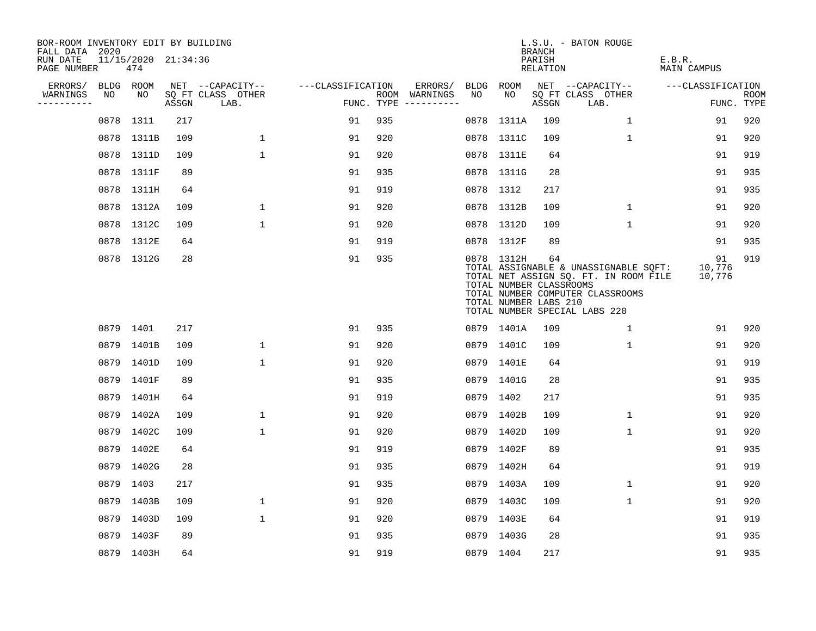| BOR-ROOM INVENTORY EDIT BY BUILDING<br>FALL DATA 2020 |           |                            |       |                           |                   |     |                                      |      |                                                                | <b>BRANCH</b>             | L.S.U. - BATON ROUGE                                                                                                                                |                              |                           |
|-------------------------------------------------------|-----------|----------------------------|-------|---------------------------|-------------------|-----|--------------------------------------|------|----------------------------------------------------------------|---------------------------|-----------------------------------------------------------------------------------------------------------------------------------------------------|------------------------------|---------------------------|
| RUN DATE<br>PAGE NUMBER                               |           | 11/15/2020 21:34:36<br>474 |       |                           |                   |     |                                      |      |                                                                | PARISH<br><b>RELATION</b> |                                                                                                                                                     | E.B.R.<br><b>MAIN CAMPUS</b> |                           |
| ERRORS/                                               | BLDG ROOM |                            |       | NET --CAPACITY--          | ---CLASSIFICATION |     | ERRORS/                              | BLDG | ROOM                                                           |                           | NET --CAPACITY--                                                                                                                                    | ---CLASSIFICATION            |                           |
| WARNINGS<br>----------                                | NO        | NO                         | ASSGN | SQ FT CLASS OTHER<br>LAB. |                   |     | ROOM WARNINGS<br>FUNC. TYPE $------$ | NO   | NO                                                             | ASSGN                     | SQ FT CLASS OTHER<br>LAB.                                                                                                                           |                              | <b>ROOM</b><br>FUNC. TYPE |
|                                                       | 0878      | 1311                       | 217   |                           | 91                | 935 |                                      | 0878 | 1311A                                                          | 109                       | $\mathbf 1$                                                                                                                                         | 91                           | 920                       |
|                                                       |           | 0878 1311B                 | 109   | $\mathbf{1}$              | 91                | 920 |                                      |      | 0878 1311C                                                     | 109                       | $\mathbf{1}$                                                                                                                                        | 91                           | 920                       |
|                                                       |           | 0878 1311D                 | 109   | $\mathbf{1}$              | 91                | 920 |                                      |      | 0878 1311E                                                     | 64                        |                                                                                                                                                     | 91                           | 919                       |
|                                                       |           | 0878 1311F                 | 89    |                           | 91                | 935 |                                      |      | 0878 1311G                                                     | 28                        |                                                                                                                                                     | 91                           | 935                       |
|                                                       |           | 0878 1311H                 | 64    |                           | 91                | 919 |                                      |      | 0878 1312                                                      | 217                       |                                                                                                                                                     | 91                           | 935                       |
|                                                       |           | 0878 1312A                 | 109   | $\mathbf{1}$              | 91                | 920 |                                      |      | 0878 1312B                                                     | 109                       | $\mathbf{1}$                                                                                                                                        | 91                           | 920                       |
|                                                       |           | 0878 1312C                 | 109   | $\mathbf{1}$              | 91                | 920 |                                      |      | 0878 1312D                                                     | 109                       | $\mathbf{1}$                                                                                                                                        | 91                           | 920                       |
|                                                       |           | 0878 1312E                 | 64    |                           | 91                | 919 |                                      |      | 0878 1312F                                                     | 89                        |                                                                                                                                                     | 91                           | 935                       |
|                                                       |           | 0878 1312G                 | 28    |                           | 91                | 935 |                                      |      | 0878 1312H<br>TOTAL NUMBER CLASSROOMS<br>TOTAL NUMBER LABS 210 | 64                        | TOTAL ASSIGNABLE & UNASSIGNABLE SOFT:<br>TOTAL NET ASSIGN SQ. FT. IN ROOM FILE<br>TOTAL NUMBER COMPUTER CLASSROOMS<br>TOTAL NUMBER SPECIAL LABS 220 | 91<br>10,776<br>10,776       | 919                       |
|                                                       | 0879 1401 |                            | 217   |                           | 91                | 935 |                                      |      | 0879 1401A                                                     | 109                       | 1                                                                                                                                                   | 91                           | 920                       |
|                                                       |           | 0879 1401B                 | 109   | $\mathbf 1$               | 91                | 920 |                                      |      | 0879 1401C                                                     | 109                       | 1                                                                                                                                                   | 91                           | 920                       |
|                                                       |           | 0879 1401D                 | 109   | $\mathbf{1}$              | 91                | 920 |                                      |      | 0879 1401E                                                     | 64                        |                                                                                                                                                     | 91                           | 919                       |
|                                                       | 0879      | 1401F                      | 89    |                           | 91                | 935 |                                      |      | 0879 1401G                                                     | 28                        |                                                                                                                                                     | 91                           | 935                       |
|                                                       |           | 0879 1401H                 | 64    |                           | 91                | 919 |                                      |      | 0879 1402                                                      | 217                       |                                                                                                                                                     | 91                           | 935                       |
|                                                       | 0879      | 1402A                      | 109   | $\mathbf 1$               | 91                | 920 |                                      |      | 0879 1402B                                                     | 109                       | 1                                                                                                                                                   | 91                           | 920                       |
|                                                       |           | 0879 1402C                 | 109   | $\mathbf 1$               | 91                | 920 |                                      |      | 0879 1402D                                                     | 109                       | 1                                                                                                                                                   | 91                           | 920                       |
|                                                       | 0879      | 1402E                      | 64    |                           | 91                | 919 |                                      |      | 0879 1402F                                                     | 89                        |                                                                                                                                                     | 91                           | 935                       |
|                                                       |           | 0879 1402G                 | 28    |                           | 91                | 935 |                                      |      | 0879 1402H                                                     | 64                        |                                                                                                                                                     | 91                           | 919                       |
|                                                       | 0879      | 1403                       | 217   |                           | 91                | 935 |                                      |      | 0879 1403A                                                     | 109                       | $\mathbf{1}$                                                                                                                                        | 91                           | 920                       |
|                                                       |           | 0879 1403B                 | 109   | $\mathbf 1$               | 91                | 920 |                                      |      | 0879 1403C                                                     | 109                       | 1                                                                                                                                                   | 91                           | 920                       |
|                                                       |           | 0879 1403D                 | 109   | $\mathbf{1}$              | 91                | 920 |                                      |      | 0879 1403E                                                     | 64                        |                                                                                                                                                     | 91                           | 919                       |
|                                                       | 0879      | 1403F                      | 89    |                           | 91                | 935 |                                      |      | 0879 1403G                                                     | 28                        |                                                                                                                                                     | 91                           | 935                       |
|                                                       |           | 0879 1403H                 | 64    |                           | 91                | 919 |                                      |      | 0879 1404                                                      | 217                       |                                                                                                                                                     | 91                           | 935                       |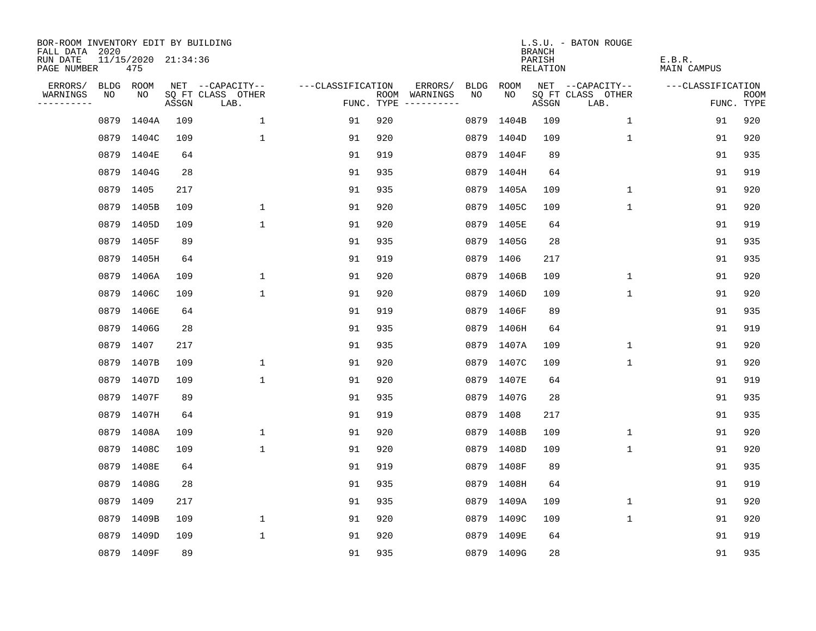| BOR-ROOM INVENTORY EDIT BY BUILDING<br>FALL DATA 2020 |      |                            |       |                           |                   |     |                                      |      |            | <b>BRANCH</b>      | L.S.U. - BATON ROUGE      |                       |                           |
|-------------------------------------------------------|------|----------------------------|-------|---------------------------|-------------------|-----|--------------------------------------|------|------------|--------------------|---------------------------|-----------------------|---------------------------|
| RUN DATE<br>PAGE NUMBER                               |      | 11/15/2020 21:34:36<br>475 |       |                           |                   |     |                                      |      |            | PARISH<br>RELATION |                           | E.B.R.<br>MAIN CAMPUS |                           |
| ERRORS/                                               |      | BLDG ROOM                  |       | NET --CAPACITY--          | ---CLASSIFICATION |     | ERRORS/                              | BLDG | ROOM       |                    | NET --CAPACITY--          | ---CLASSIFICATION     |                           |
| WARNINGS<br>----------                                | NO   | NO                         | ASSGN | SQ FT CLASS OTHER<br>LAB. |                   |     | ROOM WARNINGS<br>FUNC. TYPE $------$ | NO.  | NO         | ASSGN              | SQ FT CLASS OTHER<br>LAB. |                       | <b>ROOM</b><br>FUNC. TYPE |
|                                                       | 0879 | 1404A                      | 109   | $\mathbf{1}$              | 91                | 920 |                                      | 0879 | 1404B      | 109                | $\mathbf{1}$              | 91                    | 920                       |
|                                                       |      | 0879 1404C                 | 109   | $\mathbf{1}$              | 91                | 920 |                                      |      | 0879 1404D | 109                | 1                         | 91                    | 920                       |
|                                                       |      | 0879 1404E                 | 64    |                           | 91                | 919 |                                      |      | 0879 1404F | 89                 |                           | 91                    | 935                       |
|                                                       |      | 0879 1404G                 | 28    |                           | 91                | 935 |                                      |      | 0879 1404H | 64                 |                           | 91                    | 919                       |
|                                                       |      | 0879 1405                  | 217   |                           | 91                | 935 |                                      |      | 0879 1405A | 109                | $\mathbf 1$               | 91                    | 920                       |
|                                                       |      | 0879 1405B                 | 109   | $\mathbf 1$               | 91                | 920 |                                      |      | 0879 1405C | 109                | $\mathbf{1}$              | 91                    | 920                       |
|                                                       |      | 0879 1405D                 | 109   | $\mathbf{1}$              | 91                | 920 |                                      |      | 0879 1405E | 64                 |                           | 91                    | 919                       |
|                                                       |      | 0879 1405F                 | 89    |                           | 91                | 935 |                                      |      | 0879 1405G | 28                 |                           | 91                    | 935                       |
|                                                       |      | 0879 1405H                 | 64    |                           | 91                | 919 |                                      |      | 0879 1406  | 217                |                           | 91                    | 935                       |
|                                                       |      | 0879 1406A                 | 109   | 1                         | 91                | 920 |                                      |      | 0879 1406B | 109                | $\mathbf 1$               | 91                    | 920                       |
|                                                       |      | 0879 1406C                 | 109   | $\mathbf{1}$              | 91                | 920 |                                      |      | 0879 1406D | 109                | $\mathbf 1$               | 91                    | 920                       |
|                                                       |      | 0879 1406E                 | 64    |                           | 91                | 919 |                                      |      | 0879 1406F | 89                 |                           | 91                    | 935                       |
|                                                       |      | 0879 1406G                 | 28    |                           | 91                | 935 |                                      |      | 0879 1406H | 64                 |                           | 91                    | 919                       |
|                                                       |      | 0879 1407                  | 217   |                           | 91                | 935 |                                      |      | 0879 1407A | 109                | 1                         | 91                    | 920                       |
|                                                       |      | 0879 1407B                 | 109   | $\mathbf 1$               | 91                | 920 |                                      |      | 0879 1407C | 109                | 1                         | 91                    | 920                       |
|                                                       |      | 0879 1407D                 | 109   | $\mathbf{1}$              | 91                | 920 |                                      |      | 0879 1407E | 64                 |                           | 91                    | 919                       |
|                                                       |      | 0879 1407F                 | 89    |                           | 91                | 935 |                                      |      | 0879 1407G | 28                 |                           | 91                    | 935                       |
|                                                       |      | 0879 1407H                 | 64    |                           | 91                | 919 |                                      |      | 0879 1408  | 217                |                           | 91                    | 935                       |
|                                                       |      | 0879 1408A                 | 109   | $\mathbf 1$               | 91                | 920 |                                      |      | 0879 1408B | 109                | $\mathbf 1$               | 91                    | 920                       |
|                                                       |      | 0879 1408C                 | 109   | $\mathbf 1$               | 91                | 920 |                                      |      | 0879 1408D | 109                | $\mathbf 1$               | 91                    | 920                       |
|                                                       |      | 0879 1408E                 | 64    |                           | 91                | 919 |                                      |      | 0879 1408F | 89                 |                           | 91                    | 935                       |
|                                                       |      | 0879 1408G                 | 28    |                           | 91                | 935 |                                      |      | 0879 1408H | 64                 |                           | 91                    | 919                       |
|                                                       |      | 0879 1409                  | 217   |                           | 91                | 935 |                                      |      | 0879 1409A | 109                | 1                         | 91                    | 920                       |
|                                                       |      | 0879 1409B                 | 109   | $\mathbf 1$               | 91                | 920 |                                      |      | 0879 1409C | 109                | $\mathbf 1$               | 91                    | 920                       |
|                                                       |      | 0879 1409D                 | 109   | $\mathbf{1}$              | 91                | 920 |                                      |      | 0879 1409E | 64                 |                           | 91                    | 919                       |
|                                                       |      | 0879 1409F                 | 89    |                           | 91                | 935 |                                      |      | 0879 1409G | 28                 |                           | 91                    | 935                       |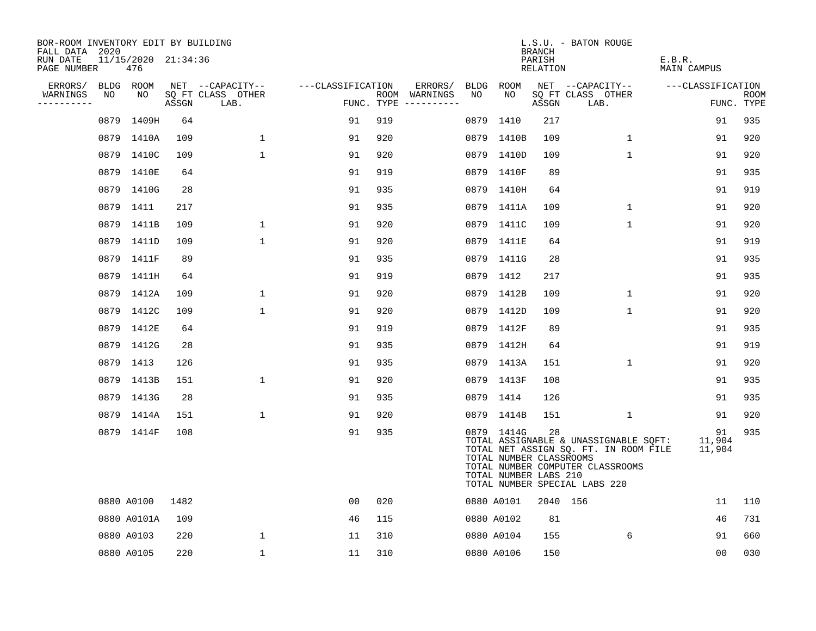| BOR-ROOM INVENTORY EDIT BY BUILDING<br>FALL DATA 2020 |                            |       |                           |                   |     |                                      |            |                                                                | <b>BRANCH</b>      | L.S.U. - BATON ROUGE                                                                                                                                |                        |                           |
|-------------------------------------------------------|----------------------------|-------|---------------------------|-------------------|-----|--------------------------------------|------------|----------------------------------------------------------------|--------------------|-----------------------------------------------------------------------------------------------------------------------------------------------------|------------------------|---------------------------|
| RUN DATE<br>PAGE NUMBER                               | 11/15/2020 21:34:36<br>476 |       |                           |                   |     |                                      |            |                                                                | PARISH<br>RELATION |                                                                                                                                                     | E.B.R.<br>MAIN CAMPUS  |                           |
| ERRORS/                                               | BLDG ROOM                  |       | NET --CAPACITY--          | ---CLASSIFICATION |     | ERRORS/                              | BLDG ROOM  |                                                                |                    | NET --CAPACITY--                                                                                                                                    | ---CLASSIFICATION      |                           |
| WARNINGS<br>NO<br>----------                          | NO                         | ASSGN | SQ FT CLASS OTHER<br>LAB. |                   |     | ROOM WARNINGS<br>FUNC. TYPE $------$ | NO.        | NO                                                             | ASSGN              | SQ FT CLASS OTHER<br>LAB.                                                                                                                           |                        | <b>ROOM</b><br>FUNC. TYPE |
|                                                       | 0879 1409H                 | 64    |                           | 91                | 919 |                                      |            | 0879 1410                                                      | 217                |                                                                                                                                                     | 91                     | 935                       |
|                                                       | 0879 1410A                 | 109   | 1                         | 91                | 920 |                                      |            | 0879 1410B                                                     | 109                | 1                                                                                                                                                   | 91                     | 920                       |
|                                                       | 0879 1410C                 | 109   | $\mathbf{1}$              | 91                | 920 |                                      |            | 0879 1410D                                                     | 109                | $\mathbf 1$                                                                                                                                         | 91                     | 920                       |
|                                                       | 0879 1410E                 | 64    |                           | 91                | 919 |                                      |            | 0879 1410F                                                     | 89                 |                                                                                                                                                     | 91                     | 935                       |
|                                                       | 0879 1410G                 | 28    |                           | 91                | 935 |                                      |            | 0879 1410H                                                     | 64                 |                                                                                                                                                     | 91                     | 919                       |
|                                                       | 0879 1411                  | 217   |                           | 91                | 935 |                                      |            | 0879 1411A                                                     | 109                | 1                                                                                                                                                   | 91                     | 920                       |
|                                                       | 0879 1411B                 | 109   | $\mathbf{1}$              | 91                | 920 |                                      |            | 0879 1411C                                                     | 109                | $\mathbf 1$                                                                                                                                         | 91                     | 920                       |
|                                                       | 0879 1411D                 | 109   | $\mathbf{1}$              | 91                | 920 |                                      |            | 0879 1411E                                                     | 64                 |                                                                                                                                                     | 91                     | 919                       |
|                                                       | 0879 1411F                 | 89    |                           | 91                | 935 |                                      |            | 0879 1411G                                                     | 28                 |                                                                                                                                                     | 91                     | 935                       |
|                                                       | 0879 1411H                 | 64    |                           | 91                | 919 |                                      |            | 0879 1412                                                      | 217                |                                                                                                                                                     | 91                     | 935                       |
|                                                       | 0879 1412A                 | 109   | $\mathbf 1$               | 91                | 920 |                                      |            | 0879 1412B                                                     | 109                | $\mathbf{1}$                                                                                                                                        | 91                     | 920                       |
|                                                       | 0879 1412C                 | 109   | $\mathbf{1}$              | 91                | 920 |                                      |            | 0879 1412D                                                     | 109                | $\mathbf 1$                                                                                                                                         | 91                     | 920                       |
|                                                       | 0879 1412E                 | 64    |                           | 91                | 919 |                                      |            | 0879 1412F                                                     | 89                 |                                                                                                                                                     | 91                     | 935                       |
|                                                       | 0879 1412G                 | 28    |                           | 91                | 935 |                                      |            | 0879 1412H                                                     | 64                 |                                                                                                                                                     | 91                     | 919                       |
|                                                       | 0879 1413                  | 126   |                           | 91                | 935 |                                      |            | 0879 1413A                                                     | 151                | $\mathbf{1}$                                                                                                                                        | 91                     | 920                       |
|                                                       | 0879 1413B                 | 151   | $\mathbf{1}$              | 91                | 920 |                                      |            | 0879 1413F                                                     | 108                |                                                                                                                                                     | 91                     | 935                       |
|                                                       | 0879 1413G                 | 28    |                           | 91                | 935 |                                      |            | 0879 1414                                                      | 126                |                                                                                                                                                     | 91                     | 935                       |
|                                                       | 0879 1414A                 | 151   | $\mathbf{1}$              | 91                | 920 |                                      |            | 0879 1414B                                                     | 151                | $\mathbf{1}$                                                                                                                                        | 91                     | 920                       |
|                                                       | 0879 1414F                 | 108   |                           | 91                | 935 |                                      |            | 0879 1414G<br>TOTAL NUMBER CLASSROOMS<br>TOTAL NUMBER LABS 210 | 28                 | TOTAL ASSIGNABLE & UNASSIGNABLE SQFT:<br>TOTAL NET ASSIGN SQ. FT. IN ROOM FILE<br>TOTAL NUMBER COMPUTER CLASSROOMS<br>TOTAL NUMBER SPECIAL LABS 220 | 91<br>11,904<br>11,904 | 935                       |
|                                                       | 0880 A0100                 | 1482  |                           | 00                | 020 |                                      |            | 0880 A0101                                                     | 2040 156           |                                                                                                                                                     | 11                     | 110                       |
|                                                       | 0880 A0101A                | 109   |                           | 46                | 115 |                                      | 0880 A0102 |                                                                | 81                 |                                                                                                                                                     | 46                     | 731                       |
|                                                       | 0880 A0103                 | 220   | 1                         | 11                | 310 |                                      |            | 0880 A0104                                                     | 155                | 6                                                                                                                                                   | 91                     | 660                       |
|                                                       | 0880 A0105                 | 220   | $\mathbf{1}$              | 11                | 310 |                                      | 0880 A0106 |                                                                | 150                |                                                                                                                                                     | 0 <sub>0</sub>         | 030                       |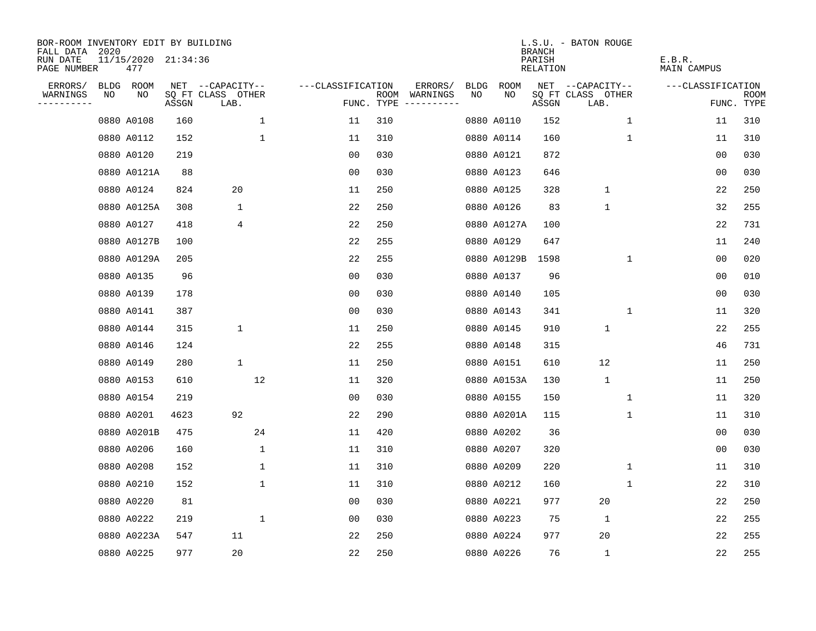| BOR-ROOM INVENTORY EDIT BY BUILDING<br>FALL DATA 2020 |    |                            |       |                           |             |                   |                    |                        |             |             | <b>BRANCH</b>      | L.S.U. - BATON ROUGE      |                       |                           |
|-------------------------------------------------------|----|----------------------------|-------|---------------------------|-------------|-------------------|--------------------|------------------------|-------------|-------------|--------------------|---------------------------|-----------------------|---------------------------|
| RUN DATE<br>PAGE NUMBER                               |    | 11/15/2020 21:34:36<br>477 |       |                           |             |                   |                    |                        |             |             | PARISH<br>RELATION |                           | E.B.R.<br>MAIN CAMPUS |                           |
| ERRORS/                                               |    | BLDG ROOM                  |       | NET --CAPACITY--          |             | ---CLASSIFICATION |                    | ERRORS/                | <b>BLDG</b> | <b>ROOM</b> |                    | NET --CAPACITY--          | ---CLASSIFICATION     |                           |
| WARNINGS<br>$- - - - - - -$                           | NO | NO                         | ASSGN | SQ FT CLASS OTHER<br>LAB. |             |                   | ROOM<br>FUNC. TYPE | WARNINGS<br>---------- | NO          | NO.         | ASSGN              | SQ FT CLASS OTHER<br>LAB. |                       | <b>ROOM</b><br>FUNC. TYPE |
|                                                       |    | 0880 A0108                 | 160   |                           | $\mathbf 1$ | 11                | 310                |                        |             | 0880 A0110  | 152                | $\mathbf{1}$              | 11                    | 310                       |
|                                                       |    | 0880 A0112                 | 152   |                           | $\mathbf 1$ | 11                | 310                |                        |             | 0880 A0114  | 160                | $\mathbf 1$               | 11                    | 310                       |
|                                                       |    | 0880 A0120                 | 219   |                           |             | 0 <sub>0</sub>    | 030                |                        |             | 0880 A0121  | 872                |                           | 00                    | 030                       |
|                                                       |    | 0880 A0121A                | 88    |                           |             | 00                | 030                |                        |             | 0880 A0123  | 646                |                           | 0 <sub>0</sub>        | 030                       |
|                                                       |    | 0880 A0124                 | 824   | 20                        |             | 11                | 250                |                        |             | 0880 A0125  | 328                | $\mathbf 1$               | 22                    | 250                       |
|                                                       |    | 0880 A0125A                | 308   | 1                         |             | 22                | 250                |                        |             | 0880 A0126  | 83                 | $\mathbf{1}$              | 32                    | 255                       |
|                                                       |    | 0880 A0127                 | 418   | 4                         |             | 22                | 250                |                        |             | 0880 A0127A | 100                |                           | 22                    | 731                       |
|                                                       |    | 0880 A0127B                | 100   |                           |             | 22                | 255                |                        |             | 0880 A0129  | 647                |                           | 11                    | 240                       |
|                                                       |    | 0880 A0129A                | 205   |                           |             | 22                | 255                |                        |             | 0880 A0129B | 1598               | $\mathbf 1$               | 0 <sub>0</sub>        | 020                       |
|                                                       |    | 0880 A0135                 | 96    |                           |             | 0 <sub>0</sub>    | 030                |                        |             | 0880 A0137  | 96                 |                           | 0 <sub>0</sub>        | 010                       |
|                                                       |    | 0880 A0139                 | 178   |                           |             | 0 <sub>0</sub>    | 030                |                        |             | 0880 A0140  | 105                |                           | 0 <sub>0</sub>        | 030                       |
|                                                       |    | 0880 A0141                 | 387   |                           |             | 0 <sub>0</sub>    | 030                |                        |             | 0880 A0143  | 341                | 1                         | 11                    | 320                       |
|                                                       |    | 0880 A0144                 | 315   | $\mathbf 1$               |             | 11                | 250                |                        |             | 0880 A0145  | 910                | $\mathbf{1}$              | 22                    | 255                       |
|                                                       |    | 0880 A0146                 | 124   |                           |             | 22                | 255                |                        |             | 0880 A0148  | 315                |                           | 46                    | 731                       |
|                                                       |    | 0880 A0149                 | 280   | $\mathbf 1$               |             | 11                | 250                |                        |             | 0880 A0151  | 610                | 12                        | 11                    | 250                       |
|                                                       |    | 0880 A0153                 | 610   |                           | 12          | 11                | 320                |                        |             | 0880 A0153A | 130                | $\mathbf{1}$              | 11                    | 250                       |
|                                                       |    | 0880 A0154                 | 219   |                           |             | 00                | 030                |                        |             | 0880 A0155  | 150                | 1                         | 11                    | 320                       |
|                                                       |    | 0880 A0201                 | 4623  | 92                        |             | 22                | 290                |                        |             | 0880 A0201A | 115                | 1                         | 11                    | 310                       |
|                                                       |    | 0880 A0201B                | 475   |                           | 24          | 11                | 420                |                        |             | 0880 A0202  | 36                 |                           | 0 <sub>0</sub>        | 030                       |
|                                                       |    | 0880 A0206                 | 160   |                           | $\mathbf 1$ | 11                | 310                |                        |             | 0880 A0207  | 320                |                           | 0 <sub>0</sub>        | 030                       |
|                                                       |    | 0880 A0208                 | 152   |                           | 1           | 11                | 310                |                        |             | 0880 A0209  | 220                | $\mathbf 1$               | 11                    | 310                       |
|                                                       |    | 0880 A0210                 | 152   |                           | 1           | 11                | 310                |                        |             | 0880 A0212  | 160                | 1                         | 22                    | 310                       |
|                                                       |    | 0880 A0220                 | 81    |                           |             | 0 <sub>0</sub>    | 030                |                        |             | 0880 A0221  | 977                | 20                        | 22                    | 250                       |
|                                                       |    | 0880 A0222                 | 219   |                           | $\mathbf 1$ | 00                | 030                |                        |             | 0880 A0223  | 75                 | $\mathbf{1}$              | 22                    | 255                       |
|                                                       |    | 0880 A0223A                | 547   | 11                        |             | 22                | 250                |                        |             | 0880 A0224  | 977                | 20                        | 22                    | 255                       |
|                                                       |    | 0880 A0225                 | 977   | 20                        |             | 22                | 250                |                        |             | 0880 A0226  | 76                 | $\mathbf{1}$              | 22                    | 255                       |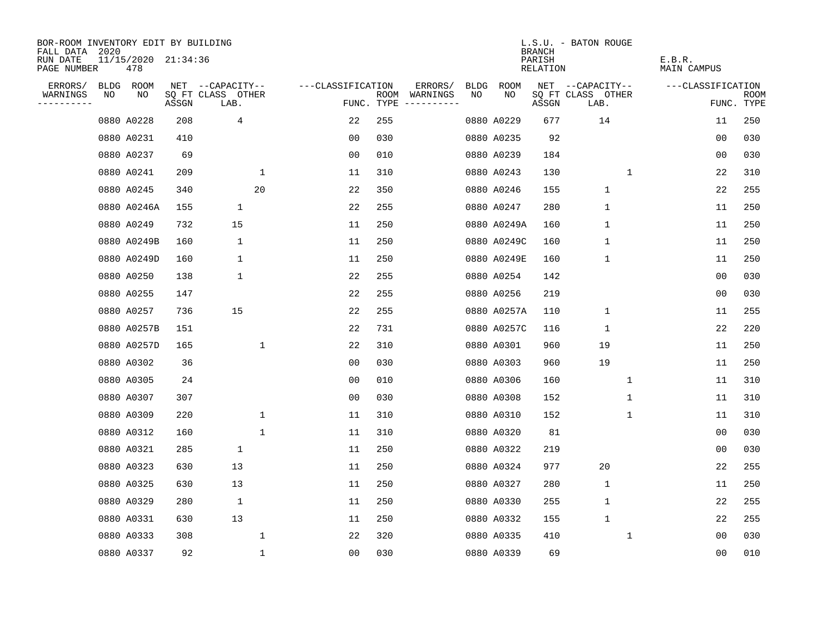| BOR-ROOM INVENTORY EDIT BY BUILDING<br>FALL DATA 2020 |    |                            |       |                           |              |                   |     |                                      |      |             | <b>BRANCH</b>      | L.S.U. - BATON ROUGE      |             |                       |                |                    |
|-------------------------------------------------------|----|----------------------------|-------|---------------------------|--------------|-------------------|-----|--------------------------------------|------|-------------|--------------------|---------------------------|-------------|-----------------------|----------------|--------------------|
| RUN DATE<br>PAGE NUMBER                               |    | 11/15/2020 21:34:36<br>478 |       |                           |              |                   |     |                                      |      |             | PARISH<br>RELATION |                           |             | E.B.R.<br>MAIN CAMPUS |                |                    |
| ERRORS/                                               |    | BLDG ROOM                  |       | NET --CAPACITY--          |              | ---CLASSIFICATION |     | ERRORS/                              | BLDG | ROOM        |                    | NET --CAPACITY--          |             | ---CLASSIFICATION     |                |                    |
| WARNINGS<br>----------                                | NO | NO                         | ASSGN | SQ FT CLASS OTHER<br>LAB. |              |                   |     | ROOM WARNINGS<br>FUNC. TYPE $------$ | NO   | NO          | ASSGN              | SQ FT CLASS OTHER<br>LAB. |             |                       |                | ROOM<br>FUNC. TYPE |
|                                                       |    | 0880 A0228                 | 208   | 4                         |              | 22                | 255 |                                      |      | 0880 A0229  | 677                | 14                        |             |                       | 11             | 250                |
|                                                       |    | 0880 A0231                 | 410   |                           |              | 00                | 030 |                                      |      | 0880 A0235  | 92                 |                           |             |                       | 00             | 030                |
|                                                       |    | 0880 A0237                 | 69    |                           |              | 0 <sub>0</sub>    | 010 |                                      |      | 0880 A0239  | 184                |                           |             |                       | 0 <sub>0</sub> | 030                |
|                                                       |    | 0880 A0241                 | 209   |                           | 1            | 11                | 310 |                                      |      | 0880 A0243  | 130                |                           | 1           |                       | 22             | 310                |
|                                                       |    | 0880 A0245                 | 340   |                           | 20           | 22                | 350 |                                      |      | 0880 A0246  | 155                | $\mathbf{1}$              |             |                       | 22             | 255                |
|                                                       |    | 0880 A0246A                | 155   | $\mathbf 1$               |              | 22                | 255 |                                      |      | 0880 A0247  | 280                | $\mathbf 1$               |             |                       | 11             | 250                |
|                                                       |    | 0880 A0249                 | 732   | 15                        |              | 11                | 250 |                                      |      | 0880 A0249A | 160                | 1                         |             |                       | 11             | 250                |
|                                                       |    | 0880 A0249B                | 160   | 1                         |              | 11                | 250 |                                      |      | 0880 A0249C | 160                | 1                         |             |                       | 11             | 250                |
|                                                       |    | 0880 A0249D                | 160   | $\mathbf{1}$              |              | 11                | 250 |                                      |      | 0880 A0249E | 160                | 1                         |             |                       | 11             | 250                |
|                                                       |    | 0880 A0250                 | 138   | 1                         |              | 22                | 255 |                                      |      | 0880 A0254  | 142                |                           |             |                       | 0 <sub>0</sub> | 030                |
|                                                       |    | 0880 A0255                 | 147   |                           |              | 22                | 255 |                                      |      | 0880 A0256  | 219                |                           |             |                       | 0 <sub>0</sub> | 030                |
|                                                       |    | 0880 A0257                 | 736   | 15                        |              | 22                | 255 |                                      |      | 0880 A0257A | 110                | $\mathbf 1$               |             |                       | 11             | 255                |
|                                                       |    | 0880 A0257B                | 151   |                           |              | 22                | 731 |                                      |      | 0880 A0257C | 116                | $\mathbf{1}$              |             |                       | 22             | 220                |
|                                                       |    | 0880 A0257D                | 165   |                           | $\mathbf{1}$ | 22                | 310 |                                      |      | 0880 A0301  | 960                | 19                        |             |                       | 11             | 250                |
|                                                       |    | 0880 A0302                 | 36    |                           |              | 0 <sub>0</sub>    | 030 |                                      |      | 0880 A0303  | 960                | 19                        |             |                       | 11             | 250                |
|                                                       |    | 0880 A0305                 | 24    |                           |              | 0 <sub>0</sub>    | 010 |                                      |      | 0880 A0306  | 160                |                           | $\mathbf 1$ |                       | 11             | 310                |
|                                                       |    | 0880 A0307                 | 307   |                           |              | 0 <sub>0</sub>    | 030 |                                      |      | 0880 A0308  | 152                |                           | 1           |                       | 11             | 310                |
|                                                       |    | 0880 A0309                 | 220   |                           | $\mathbf{1}$ | 11                | 310 |                                      |      | 0880 A0310  | 152                |                           | 1           |                       | 11             | 310                |
|                                                       |    | 0880 A0312                 | 160   |                           | $\mathbf 1$  | 11                | 310 |                                      |      | 0880 A0320  | 81                 |                           |             |                       | 0 <sub>0</sub> | 030                |
|                                                       |    | 0880 A0321                 | 285   | $\mathbf{1}$              |              | 11                | 250 |                                      |      | 0880 A0322  | 219                |                           |             |                       | 0 <sub>0</sub> | 030                |
|                                                       |    | 0880 A0323                 | 630   | 13                        |              | 11                | 250 |                                      |      | 0880 A0324  | 977                | 20                        |             |                       | 22             | 255                |
|                                                       |    | 0880 A0325                 | 630   | 13                        |              | 11                | 250 |                                      |      | 0880 A0327  | 280                | 1                         |             |                       | 11             | 250                |
|                                                       |    | 0880 A0329                 | 280   | $\mathbf 1$               |              | 11                | 250 |                                      |      | 0880 A0330  | 255                | $\mathbf 1$               |             |                       | 22             | 255                |
|                                                       |    | 0880 A0331                 | 630   | 13                        |              | 11                | 250 |                                      |      | 0880 A0332  | 155                | $\mathbf 1$               |             |                       | 22             | 255                |
|                                                       |    | 0880 A0333                 | 308   |                           | $\mathbf 1$  | 22                | 320 |                                      |      | 0880 A0335  | 410                |                           | 1           |                       | 0 <sub>0</sub> | 030                |
|                                                       |    | 0880 A0337                 | 92    |                           | $\mathbf{1}$ | 0 <sub>0</sub>    | 030 |                                      |      | 0880 A0339  | 69                 |                           |             |                       | 0 <sub>0</sub> | 010                |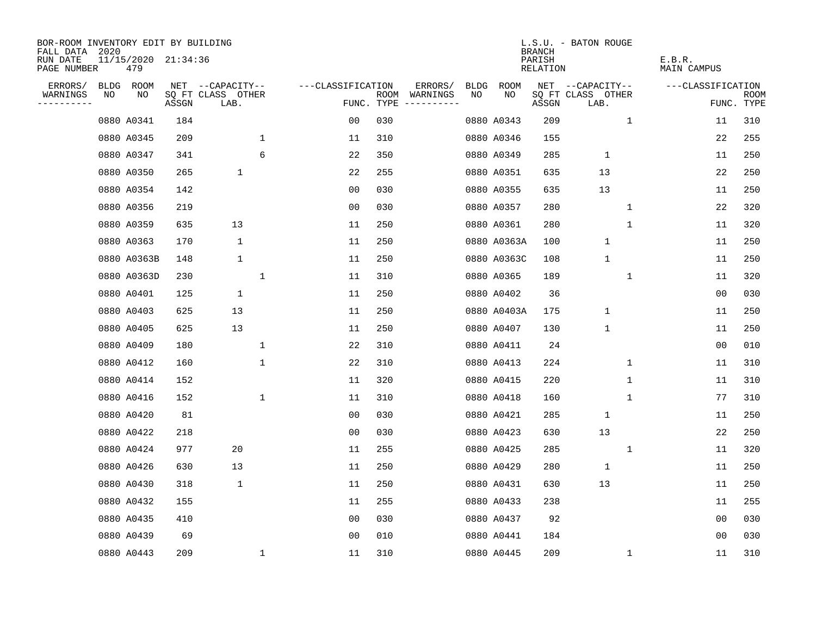| BOR-ROOM INVENTORY EDIT BY BUILDING<br>FALL DATA 2020 |    |                            |       |                           |              |                   |                    |                         |             |             | <b>BRANCH</b>      | L.S.U. - BATON ROUGE      |              |                       |                           |
|-------------------------------------------------------|----|----------------------------|-------|---------------------------|--------------|-------------------|--------------------|-------------------------|-------------|-------------|--------------------|---------------------------|--------------|-----------------------|---------------------------|
| RUN DATE<br>PAGE NUMBER                               |    | 11/15/2020 21:34:36<br>479 |       |                           |              |                   |                    |                         |             |             | PARISH<br>RELATION |                           |              | E.B.R.<br>MAIN CAMPUS |                           |
| ERRORS/                                               |    | BLDG ROOM                  |       | NET --CAPACITY--          |              | ---CLASSIFICATION |                    | ERRORS/                 | <b>BLDG</b> | <b>ROOM</b> |                    | NET --CAPACITY--          |              | ---CLASSIFICATION     |                           |
| WARNINGS<br>--------                                  | NO | NO                         | ASSGN | SQ FT CLASS OTHER<br>LAB. |              |                   | ROOM<br>FUNC. TYPE | WARNINGS<br>----------- | NO.         | NO          | ASSGN              | SQ FT CLASS OTHER<br>LAB. |              |                       | <b>ROOM</b><br>FUNC. TYPE |
|                                                       |    | 0880 A0341                 | 184   |                           |              | 00                | 030                |                         |             | 0880 A0343  | 209                |                           | $\mathbf{1}$ | 11                    | 310                       |
|                                                       |    | 0880 A0345                 | 209   |                           | $\mathbf 1$  | 11                | 310                |                         |             | 0880 A0346  | 155                |                           |              | 22                    | 255                       |
|                                                       |    | 0880 A0347                 | 341   |                           | 6            | 22                | 350                |                         |             | 0880 A0349  | 285                | $\mathbf{1}$              |              | 11                    | 250                       |
|                                                       |    | 0880 A0350                 | 265   | $\mathbf{1}$              |              | 22                | 255                |                         |             | 0880 A0351  | 635                | 13                        |              | 22                    | 250                       |
|                                                       |    | 0880 A0354                 | 142   |                           |              | 0 <sub>0</sub>    | 030                |                         |             | 0880 A0355  | 635                | 13                        |              | 11                    | 250                       |
|                                                       |    | 0880 A0356                 | 219   |                           |              | 0 <sub>0</sub>    | 030                |                         |             | 0880 A0357  | 280                |                           | 1            | 22                    | 320                       |
|                                                       |    | 0880 A0359                 | 635   | 13                        |              | 11                | 250                |                         |             | 0880 A0361  | 280                |                           | $\mathbf 1$  | 11                    | 320                       |
|                                                       |    | 0880 A0363                 | 170   | 1                         |              | 11                | 250                |                         |             | 0880 A0363A | 100                | $\mathbf{1}$              |              | 11                    | 250                       |
|                                                       |    | 0880 A0363B                | 148   | $\mathbf 1$               |              | 11                | 250                |                         |             | 0880 A0363C | 108                | $\mathbf{1}$              |              | 11                    | 250                       |
|                                                       |    | 0880 A0363D                | 230   |                           | 1            | 11                | 310                |                         |             | 0880 A0365  | 189                |                           | $\mathbf 1$  | 11                    | 320                       |
|                                                       |    | 0880 A0401                 | 125   | $\mathbf{1}$              |              | 11                | 250                |                         |             | 0880 A0402  | 36                 |                           |              | 0 <sub>0</sub>        | 030                       |
|                                                       |    | 0880 A0403                 | 625   | 13                        |              | 11                | 250                |                         |             | 0880 A0403A | 175                | $\mathbf{1}$              |              | 11                    | 250                       |
|                                                       |    | 0880 A0405                 | 625   | 13                        |              | 11                | 250                |                         |             | 0880 A0407  | 130                | $1\,$                     |              | 11                    | 250                       |
|                                                       |    | 0880 A0409                 | 180   |                           | $\mathbf 1$  | 22                | 310                |                         |             | 0880 A0411  | 24                 |                           |              | 0 <sub>0</sub>        | 010                       |
|                                                       |    | 0880 A0412                 | 160   |                           | $\mathbf{1}$ | 22                | 310                |                         |             | 0880 A0413  | 224                |                           | 1            | 11                    | 310                       |
|                                                       |    | 0880 A0414                 | 152   |                           |              | 11                | 320                |                         |             | 0880 A0415  | 220                |                           | 1            | 11                    | 310                       |
|                                                       |    | 0880 A0416                 | 152   |                           | $\mathbf 1$  | 11                | 310                |                         |             | 0880 A0418  | 160                |                           | 1            | 77                    | 310                       |
|                                                       |    | 0880 A0420                 | 81    |                           |              | 0 <sub>0</sub>    | 030                |                         |             | 0880 A0421  | 285                | 1                         |              | 11                    | 250                       |
|                                                       |    | 0880 A0422                 | 218   |                           |              | 0 <sub>0</sub>    | 030                |                         |             | 0880 A0423  | 630                | 13                        |              | 22                    | 250                       |
|                                                       |    | 0880 A0424                 | 977   | 20                        |              | 11                | 255                |                         |             | 0880 A0425  | 285                |                           | $\mathbf{1}$ | 11                    | 320                       |
|                                                       |    | 0880 A0426                 | 630   | 13                        |              | 11                | 250                |                         |             | 0880 A0429  | 280                | $\mathbf{1}$              |              | 11                    | 250                       |
|                                                       |    | 0880 A0430                 | 318   | $\mathbf 1$               |              | 11                | 250                |                         |             | 0880 A0431  | 630                | 13                        |              | 11                    | 250                       |
|                                                       |    | 0880 A0432                 | 155   |                           |              | 11                | 255                |                         |             | 0880 A0433  | 238                |                           |              | 11                    | 255                       |
|                                                       |    | 0880 A0435                 | 410   |                           |              | 0 <sub>0</sub>    | 030                |                         |             | 0880 A0437  | 92                 |                           |              | 0 <sub>0</sub>        | 030                       |
|                                                       |    | 0880 A0439                 | 69    |                           |              | 0 <sub>0</sub>    | 010                |                         |             | 0880 A0441  | 184                |                           |              | 0 <sub>0</sub>        | 030                       |
|                                                       |    | 0880 A0443                 | 209   |                           | 1            | 11                | 310                |                         |             | 0880 A0445  | 209                |                           | $\mathbf{1}$ | 11                    | 310                       |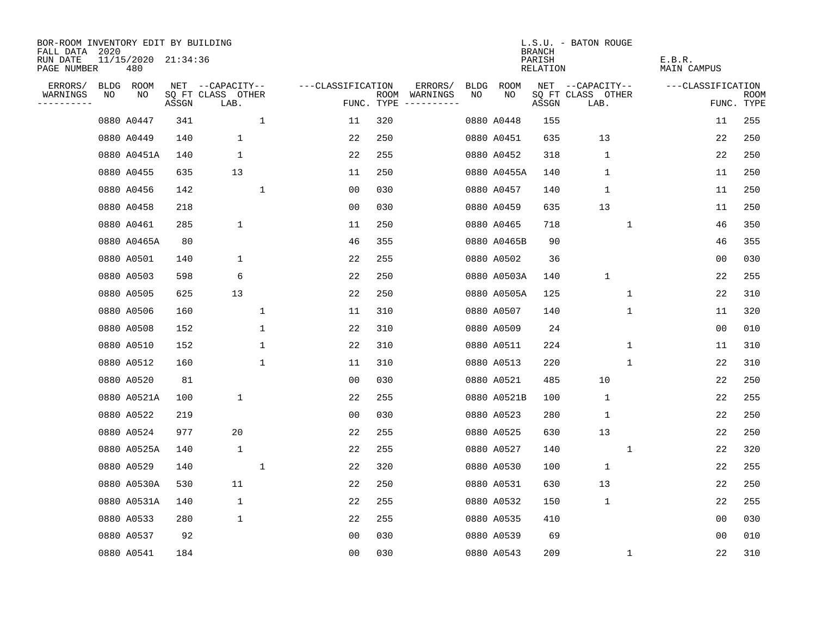| BOR-ROOM INVENTORY EDIT BY BUILDING<br>FALL DATA 2020 |    |                            |       |                           |              |                   |                    |                         |             |             | <b>BRANCH</b>      | L.S.U. - BATON ROUGE      |              |                       |                           |
|-------------------------------------------------------|----|----------------------------|-------|---------------------------|--------------|-------------------|--------------------|-------------------------|-------------|-------------|--------------------|---------------------------|--------------|-----------------------|---------------------------|
| RUN DATE<br>PAGE NUMBER                               |    | 11/15/2020 21:34:36<br>480 |       |                           |              |                   |                    |                         |             |             | PARISH<br>RELATION |                           |              | E.B.R.<br>MAIN CAMPUS |                           |
| ERRORS/                                               |    | BLDG ROOM                  |       | NET --CAPACITY--          |              | ---CLASSIFICATION |                    | ERRORS/                 | <b>BLDG</b> | <b>ROOM</b> |                    | NET --CAPACITY--          |              | ---CLASSIFICATION     |                           |
| WARNINGS<br>. <u>.</u> .                              | NO | NO                         | ASSGN | SQ FT CLASS OTHER<br>LAB. |              |                   | ROOM<br>FUNC. TYPE | WARNINGS<br>----------- | NO          | NO          | ASSGN              | SQ FT CLASS OTHER<br>LAB. |              |                       | <b>ROOM</b><br>FUNC. TYPE |
|                                                       |    | 0880 A0447                 | 341   |                           | 1            | 11                | 320                |                         |             | 0880 A0448  | 155                |                           |              | 11                    | 255                       |
|                                                       |    | 0880 A0449                 | 140   | $\mathbf 1$               |              | 22                | 250                |                         |             | 0880 A0451  | 635                | 13                        |              | 22                    | 250                       |
|                                                       |    | 0880 A0451A                | 140   | $\mathbf 1$               |              | 22                | 255                |                         |             | 0880 A0452  | 318                | $\mathbf 1$               |              | 22                    | 250                       |
|                                                       |    | 0880 A0455                 | 635   | 13                        |              | 11                | 250                |                         |             | 0880 A0455A | 140                | $\mathbf 1$               |              | 11                    | 250                       |
|                                                       |    | 0880 A0456                 | 142   |                           | $\mathbf{1}$ | 0 <sub>0</sub>    | 030                |                         |             | 0880 A0457  | 140                | $\mathbf{1}$              |              | 11                    | 250                       |
|                                                       |    | 0880 A0458                 | 218   |                           |              | 00                | 030                |                         |             | 0880 A0459  | 635                | 13                        |              | 11                    | 250                       |
|                                                       |    | 0880 A0461                 | 285   | $\mathbf 1$               |              | 11                | 250                |                         |             | 0880 A0465  | 718                |                           | $\mathbf 1$  | 46                    | 350                       |
|                                                       |    | 0880 A0465A                | 80    |                           |              | 46                | 355                |                         |             | 0880 A0465B | 90                 |                           |              | 46                    | 355                       |
|                                                       |    | 0880 A0501                 | 140   | $\mathbf{1}$              |              | 22                | 255                |                         |             | 0880 A0502  | 36                 |                           |              | 0 <sub>0</sub>        | 030                       |
|                                                       |    | 0880 A0503                 | 598   | 6                         |              | 22                | 250                |                         |             | 0880 A0503A | 140                | $\mathbf 1$               |              | 22                    | 255                       |
|                                                       |    | 0880 A0505                 | 625   | 13                        |              | 22                | 250                |                         |             | 0880 A0505A | 125                |                           | $\mathbf 1$  | 22                    | 310                       |
|                                                       |    | 0880 A0506                 | 160   |                           | 1            | 11                | 310                |                         |             | 0880 A0507  | 140                |                           | $\mathbf 1$  | 11                    | 320                       |
|                                                       |    | 0880 A0508                 | 152   |                           | $\mathbf{1}$ | 22                | 310                |                         |             | 0880 A0509  | 24                 |                           |              | 0 <sub>0</sub>        | 010                       |
|                                                       |    | 0880 A0510                 | 152   |                           | $\mathbf{1}$ | 22                | 310                |                         |             | 0880 A0511  | 224                |                           | 1            | 11                    | 310                       |
|                                                       |    | 0880 A0512                 | 160   |                           | 1            | 11                | 310                |                         |             | 0880 A0513  | 220                |                           | 1            | 22                    | 310                       |
|                                                       |    | 0880 A0520                 | 81    |                           |              | 0 <sub>0</sub>    | 030                |                         |             | 0880 A0521  | 485                | 10                        |              | 22                    | 250                       |
|                                                       |    | 0880 A0521A                | 100   | $\mathbf 1$               |              | 22                | 255                |                         |             | 0880 A0521B | 100                | $\mathbf{1}$              |              | 22                    | 255                       |
|                                                       |    | 0880 A0522                 | 219   |                           |              | 0 <sub>0</sub>    | 030                |                         |             | 0880 A0523  | 280                | $\mathbf 1$               |              | 22                    | 250                       |
|                                                       |    | 0880 A0524                 | 977   | 20                        |              | 22                | 255                |                         |             | 0880 A0525  | 630                | 13                        |              | 22                    | 250                       |
|                                                       |    | 0880 A0525A                | 140   | $\mathbf{1}$              |              | 22                | 255                |                         |             | 0880 A0527  | 140                |                           | $\mathbf{1}$ | 22                    | 320                       |
|                                                       |    | 0880 A0529                 | 140   |                           | 1            | 22                | 320                |                         |             | 0880 A0530  | 100                | $\mathbf{1}$              |              | 22                    | 255                       |
|                                                       |    | 0880 A0530A                | 530   | 11                        |              | 22                | 250                |                         |             | 0880 A0531  | 630                | 13                        |              | 22                    | 250                       |
|                                                       |    | 0880 A0531A                | 140   | $\mathbf 1$               |              | 22                | 255                |                         |             | 0880 A0532  | 150                | $\mathbf 1$               |              | 22                    | 255                       |
|                                                       |    | 0880 A0533                 | 280   | 1                         |              | 22                | 255                |                         |             | 0880 A0535  | 410                |                           |              | 0 <sub>0</sub>        | 030                       |
|                                                       |    | 0880 A0537                 | 92    |                           |              | 0 <sub>0</sub>    | 030                |                         |             | 0880 A0539  | 69                 |                           |              | 0 <sub>0</sub>        | 010                       |
|                                                       |    | 0880 A0541                 | 184   |                           |              | 0 <sub>0</sub>    | 030                |                         |             | 0880 A0543  | 209                |                           | $\mathbf{1}$ | 22                    | 310                       |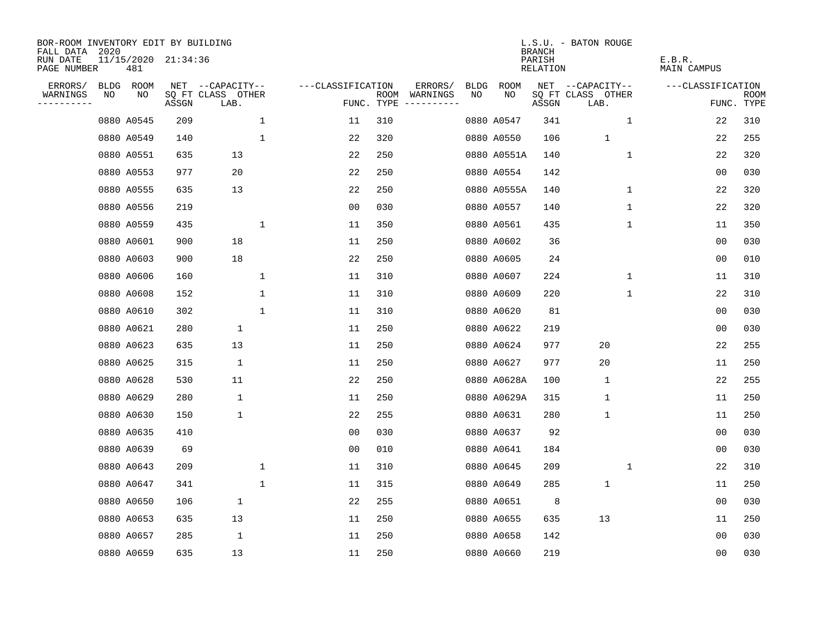| BOR-ROOM INVENTORY EDIT BY BUILDING<br>FALL DATA 2020 |    |                            |       |                           |                    |                    |                                                                                                                                                                                                                                                                                                                                                                                                                                                                                                                      |             |             | <b>BRANCH</b>      | L.S.U. - BATON ROUGE      |              |                   |                           |
|-------------------------------------------------------|----|----------------------------|-------|---------------------------|--------------------|--------------------|----------------------------------------------------------------------------------------------------------------------------------------------------------------------------------------------------------------------------------------------------------------------------------------------------------------------------------------------------------------------------------------------------------------------------------------------------------------------------------------------------------------------|-------------|-------------|--------------------|---------------------------|--------------|-------------------|---------------------------|
| RUN DATE<br>PAGE NUMBER                               |    | 11/15/2020 21:34:36<br>481 |       |                           |                    |                    |                                                                                                                                                                                                                                                                                                                                                                                                                                                                                                                      |             |             | PARISH<br>RELATION |                           | E.B.R.       | MAIN CAMPUS       |                           |
| ERRORS/                                               |    | BLDG ROOM                  |       | NET --CAPACITY--          | ---CLASSIFICATION  |                    | ERRORS/                                                                                                                                                                                                                                                                                                                                                                                                                                                                                                              | <b>BLDG</b> | <b>ROOM</b> |                    | NET --CAPACITY--          |              | ---CLASSIFICATION |                           |
| WARNINGS<br>. <u>.</u> .                              | NO | NO                         | ASSGN | SQ FT CLASS OTHER<br>LAB. |                    | ROOM<br>FUNC. TYPE | WARNINGS<br>$\begin{tabular}{ccccccccc} \multicolumn{2}{c }{\multicolumn{2}{c }{\multicolumn{2}{c }{\multicolumn{2}{c}}{\multicolumn{2}{c}}{\multicolumn{2}{c}}{\multicolumn{2}{c}}{\multicolumn{2}{c}}{\multicolumn{2}{c}}{\multicolumn{2}{c}}{\multicolumn{2}{c}}{\multicolumn{2}{c}}{\multicolumn{2}{c}}{\multicolumn{2}{c}}{\multicolumn{2}{c}}{\multicolumn{2}{c}}{\multicolumn{2}{c}}{\multicolumn{2}{c}}{\multicolumn{2}{c}}{\multicolumn{2}{c}}{\multicolumn{2}{c}}{\multicolumn{2}{c}}{\multicolumn{2}{c}}$ | NO          | NO          | ASSGN              | SQ FT CLASS OTHER<br>LAB. |              |                   | <b>ROOM</b><br>FUNC. TYPE |
|                                                       |    | 0880 A0545                 | 209   |                           | $\mathbf{1}$<br>11 | 310                |                                                                                                                                                                                                                                                                                                                                                                                                                                                                                                                      |             | 0880 A0547  | 341                |                           | $\mathbf{1}$ | 22                | 310                       |
|                                                       |    | 0880 A0549                 | 140   |                           | $\mathbf 1$<br>22  | 320                |                                                                                                                                                                                                                                                                                                                                                                                                                                                                                                                      |             | 0880 A0550  | 106                | $\mathbf{1}$              |              | 22                | 255                       |
|                                                       |    | 0880 A0551                 | 635   | 13                        | 22                 | 250                |                                                                                                                                                                                                                                                                                                                                                                                                                                                                                                                      |             | 0880 A0551A | 140                |                           | 1            | 22                | 320                       |
|                                                       |    | 0880 A0553                 | 977   | 20                        | 22                 | 250                |                                                                                                                                                                                                                                                                                                                                                                                                                                                                                                                      |             | 0880 A0554  | 142                |                           |              | 0 <sub>0</sub>    | 030                       |
|                                                       |    | 0880 A0555                 | 635   | 13                        | 22                 | 250                |                                                                                                                                                                                                                                                                                                                                                                                                                                                                                                                      |             | 0880 A0555A | 140                |                           | $\mathbf 1$  | 22                | 320                       |
|                                                       |    | 0880 A0556                 | 219   |                           | 00                 | 030                |                                                                                                                                                                                                                                                                                                                                                                                                                                                                                                                      |             | 0880 A0557  | 140                |                           | 1            | 22                | 320                       |
|                                                       |    | 0880 A0559                 | 435   | 1                         | 11                 | 350                |                                                                                                                                                                                                                                                                                                                                                                                                                                                                                                                      |             | 0880 A0561  | 435                |                           | $\mathbf 1$  | 11                | 350                       |
|                                                       |    | 0880 A0601                 | 900   | 18                        | 11                 | 250                |                                                                                                                                                                                                                                                                                                                                                                                                                                                                                                                      |             | 0880 A0602  | 36                 |                           |              | 0 <sub>0</sub>    | 030                       |
|                                                       |    | 0880 A0603                 | 900   | 18                        | 22                 | 250                |                                                                                                                                                                                                                                                                                                                                                                                                                                                                                                                      |             | 0880 A0605  | 24                 |                           |              | 0 <sub>0</sub>    | 010                       |
|                                                       |    | 0880 A0606                 | 160   |                           | $\mathbf 1$<br>11  | 310                |                                                                                                                                                                                                                                                                                                                                                                                                                                                                                                                      |             | 0880 A0607  | 224                |                           | $\mathbf 1$  | 11                | 310                       |
|                                                       |    | 0880 A0608                 | 152   |                           | $\mathbf 1$<br>11  | 310                |                                                                                                                                                                                                                                                                                                                                                                                                                                                                                                                      |             | 0880 A0609  | 220                |                           | $\mathbf 1$  | 22                | 310                       |
|                                                       |    | 0880 A0610                 | 302   |                           | $\mathbf{1}$<br>11 | 310                |                                                                                                                                                                                                                                                                                                                                                                                                                                                                                                                      |             | 0880 A0620  | 81                 |                           |              | 0 <sub>0</sub>    | 030                       |
|                                                       |    | 0880 A0621                 | 280   | $\mathbf 1$               | 11                 | 250                |                                                                                                                                                                                                                                                                                                                                                                                                                                                                                                                      |             | 0880 A0622  | 219                |                           |              | 0 <sub>0</sub>    | 030                       |
|                                                       |    | 0880 A0623                 | 635   | 13                        | 11                 | 250                |                                                                                                                                                                                                                                                                                                                                                                                                                                                                                                                      |             | 0880 A0624  | 977                | 20                        |              | 22                | 255                       |
|                                                       |    | 0880 A0625                 | 315   | 1                         | 11                 | 250                |                                                                                                                                                                                                                                                                                                                                                                                                                                                                                                                      |             | 0880 A0627  | 977                | 20                        |              | 11                | 250                       |
|                                                       |    | 0880 A0628                 | 530   | 11                        | 22                 | 250                |                                                                                                                                                                                                                                                                                                                                                                                                                                                                                                                      |             | 0880 A0628A | 100                | 1                         |              | 22                | 255                       |
|                                                       |    | 0880 A0629                 | 280   | $\mathbf 1$               | 11                 | 250                |                                                                                                                                                                                                                                                                                                                                                                                                                                                                                                                      |             | 0880 A0629A | 315                | $\mathbf{1}$              |              | 11                | 250                       |
|                                                       |    | 0880 A0630                 | 150   | 1                         | 22                 | 255                |                                                                                                                                                                                                                                                                                                                                                                                                                                                                                                                      |             | 0880 A0631  | 280                | $\mathbf 1$               |              | 11                | 250                       |
|                                                       |    | 0880 A0635                 | 410   |                           | 0 <sub>0</sub>     | 030                |                                                                                                                                                                                                                                                                                                                                                                                                                                                                                                                      |             | 0880 A0637  | 92                 |                           |              | 0 <sub>0</sub>    | 030                       |
|                                                       |    | 0880 A0639                 | 69    |                           | 0 <sub>0</sub>     | 010                |                                                                                                                                                                                                                                                                                                                                                                                                                                                                                                                      |             | 0880 A0641  | 184                |                           |              | 0 <sub>0</sub>    | 030                       |
|                                                       |    | 0880 A0643                 | 209   |                           | $\mathbf{1}$<br>11 | 310                |                                                                                                                                                                                                                                                                                                                                                                                                                                                                                                                      |             | 0880 A0645  | 209                | 1                         |              | 22                | 310                       |
|                                                       |    | 0880 A0647                 | 341   |                           | $\mathbf 1$<br>11  | 315                |                                                                                                                                                                                                                                                                                                                                                                                                                                                                                                                      |             | 0880 A0649  | 285                | $\mathbf{1}$              |              | 11                | 250                       |
|                                                       |    | 0880 A0650                 | 106   | $\mathbf 1$               | 22                 | 255                |                                                                                                                                                                                                                                                                                                                                                                                                                                                                                                                      |             | 0880 A0651  | 8                  |                           |              | 0 <sub>0</sub>    | 030                       |
|                                                       |    | 0880 A0653                 | 635   | 13                        | 11                 | 250                |                                                                                                                                                                                                                                                                                                                                                                                                                                                                                                                      |             | 0880 A0655  | 635                | 13                        |              | 11                | 250                       |
|                                                       |    | 0880 A0657                 | 285   | 1                         | 11                 | 250                |                                                                                                                                                                                                                                                                                                                                                                                                                                                                                                                      |             | 0880 A0658  | 142                |                           |              | 0 <sub>0</sub>    | 030                       |
|                                                       |    | 0880 A0659                 | 635   | 13                        | 11                 | 250                |                                                                                                                                                                                                                                                                                                                                                                                                                                                                                                                      |             | 0880 A0660  | 219                |                           |              | 00                | 030                       |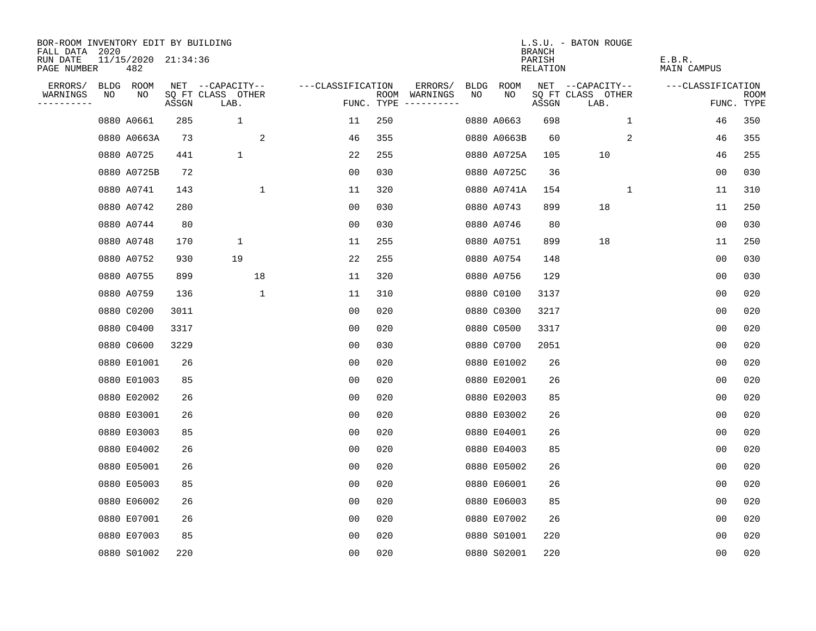| BOR-ROOM INVENTORY EDIT BY BUILDING<br>FALL DATA 2020 |    |                            |       |                           |             |                   |     |                                      |      |             | <b>BRANCH</b>                   | L.S.U. - BATON ROUGE      |              |                       |                           |
|-------------------------------------------------------|----|----------------------------|-------|---------------------------|-------------|-------------------|-----|--------------------------------------|------|-------------|---------------------------------|---------------------------|--------------|-----------------------|---------------------------|
| RUN DATE<br>PAGE NUMBER                               |    | 11/15/2020 21:34:36<br>482 |       |                           |             |                   |     |                                      |      |             | PARISH<br>RELATION              |                           |              | E.B.R.<br>MAIN CAMPUS |                           |
| ERRORS/                                               |    | BLDG ROOM                  |       | NET --CAPACITY--          |             | ---CLASSIFICATION |     | ERRORS/                              | BLDG | <b>ROOM</b> |                                 | NET --CAPACITY--          |              | ---CLASSIFICATION     |                           |
| WARNINGS<br>----------                                | NO | NO                         | ASSGN | SQ FT CLASS OTHER<br>LAB. |             |                   |     | ROOM WARNINGS<br>FUNC. TYPE $------$ | NO   | NO          | $\operatorname{\mathsf{ASSGN}}$ | SQ FT CLASS OTHER<br>LAB. |              |                       | <b>ROOM</b><br>FUNC. TYPE |
|                                                       |    | 0880 A0661                 | 285   | 1                         |             | 11                | 250 |                                      |      | 0880 A0663  | 698                             |                           | $\mathbf{1}$ | 46                    | 350                       |
|                                                       |    | 0880 A0663A                | 73    |                           | 2           | 46                | 355 |                                      |      | 0880 A0663B | 60                              |                           | 2            | 46                    | 355                       |
|                                                       |    | 0880 A0725                 | 441   | 1                         |             | 22                | 255 |                                      |      | 0880 A0725A | 105                             | 10                        |              | 46                    | 255                       |
|                                                       |    | 0880 A0725B                | 72    |                           |             | 00                | 030 |                                      |      | 0880 A0725C | 36                              |                           |              | 00                    | 030                       |
|                                                       |    | 0880 A0741                 | 143   |                           | 1           | 11                | 320 |                                      |      | 0880 A0741A | 154                             |                           | 1            | 11                    | 310                       |
|                                                       |    | 0880 A0742                 | 280   |                           |             | 0 <sub>0</sub>    | 030 |                                      |      | 0880 A0743  | 899                             | 18                        |              | 11                    | 250                       |
|                                                       |    | 0880 A0744                 | 80    |                           |             | 0 <sub>0</sub>    | 030 |                                      |      | 0880 A0746  | 80                              |                           |              | 0 <sub>0</sub>        | 030                       |
|                                                       |    | 0880 A0748                 | 170   | $\mathbf 1$               |             | 11                | 255 |                                      |      | 0880 A0751  | 899                             | 18                        |              | 11                    | 250                       |
|                                                       |    | 0880 A0752                 | 930   | 19                        |             | 22                | 255 |                                      |      | 0880 A0754  | 148                             |                           |              | 0 <sub>0</sub>        | 030                       |
|                                                       |    | 0880 A0755                 | 899   |                           | 18          | 11                | 320 |                                      |      | 0880 A0756  | 129                             |                           |              | 0 <sub>0</sub>        | 030                       |
|                                                       |    | 0880 A0759                 | 136   |                           | $\mathbf 1$ | 11                | 310 |                                      |      | 0880 C0100  | 3137                            |                           |              | 0 <sub>0</sub>        | 020                       |
|                                                       |    | 0880 C0200                 | 3011  |                           |             | 0 <sub>0</sub>    | 020 |                                      |      | 0880 C0300  | 3217                            |                           |              | 0 <sub>0</sub>        | 020                       |
|                                                       |    | 0880 C0400                 | 3317  |                           |             | 0 <sub>0</sub>    | 020 |                                      |      | 0880 C0500  | 3317                            |                           |              | 0 <sub>0</sub>        | 020                       |
|                                                       |    | 0880 C0600                 | 3229  |                           |             | 0 <sub>0</sub>    | 030 |                                      |      | 0880 C0700  | 2051                            |                           |              | 0 <sub>0</sub>        | 020                       |
|                                                       |    | 0880 E01001                | 26    |                           |             | 00                | 020 |                                      |      | 0880 E01002 | 26                              |                           |              | 00                    | 020                       |
|                                                       |    | 0880 E01003                | 85    |                           |             | 00                | 020 |                                      |      | 0880 E02001 | 26                              |                           |              | 0 <sub>0</sub>        | 020                       |
|                                                       |    | 0880 E02002                | 26    |                           |             | 0 <sub>0</sub>    | 020 |                                      |      | 0880 E02003 | 85                              |                           |              | 0 <sub>0</sub>        | 020                       |
|                                                       |    | 0880 E03001                | 26    |                           |             | 0 <sub>0</sub>    | 020 |                                      |      | 0880 E03002 | 26                              |                           |              | 0 <sub>0</sub>        | 020                       |
|                                                       |    | 0880 E03003                | 85    |                           |             | 0 <sub>0</sub>    | 020 |                                      |      | 0880 E04001 | 26                              |                           |              | 0 <sub>0</sub>        | 020                       |
|                                                       |    | 0880 E04002                | 26    |                           |             | 0 <sub>0</sub>    | 020 |                                      |      | 0880 E04003 | 85                              |                           |              | 0 <sub>0</sub>        | 020                       |
|                                                       |    | 0880 E05001                | 26    |                           |             | 0 <sub>0</sub>    | 020 |                                      |      | 0880 E05002 | 26                              |                           |              | 0 <sub>0</sub>        | 020                       |
|                                                       |    | 0880 E05003                | 85    |                           |             | 0 <sub>0</sub>    | 020 |                                      |      | 0880 E06001 | 26                              |                           |              | 0 <sub>0</sub>        | 020                       |
|                                                       |    | 0880 E06002                | 26    |                           |             | 0 <sub>0</sub>    | 020 |                                      |      | 0880 E06003 | 85                              |                           |              | 0 <sub>0</sub>        | 020                       |
|                                                       |    | 0880 E07001                | 26    |                           |             | 0 <sub>0</sub>    | 020 |                                      |      | 0880 E07002 | 26                              |                           |              | 0 <sub>0</sub>        | 020                       |
|                                                       |    | 0880 E07003                | 85    |                           |             | 0 <sub>0</sub>    | 020 |                                      |      | 0880 S01001 | 220                             |                           |              | 0 <sub>0</sub>        | 020                       |
|                                                       |    | 0880 S01002                | 220   |                           |             | 0 <sub>0</sub>    | 020 |                                      |      | 0880 S02001 | 220                             |                           |              | 0 <sub>0</sub>        | 020                       |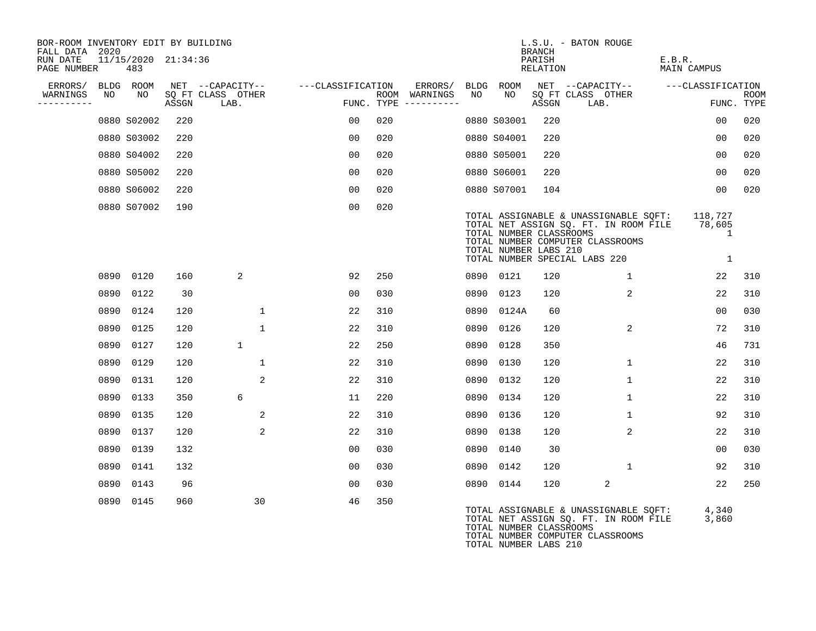| BOR-ROOM INVENTORY EDIT BY BUILDING<br>FALL DATA 2020 |      |                            |       |                                               |                |                   |                    |                          |      |                                                  | <b>BRANCH</b>      | L.S.U. - BATON ROUGE                                                                                                                                |                                       |                           |
|-------------------------------------------------------|------|----------------------------|-------|-----------------------------------------------|----------------|-------------------|--------------------|--------------------------|------|--------------------------------------------------|--------------------|-----------------------------------------------------------------------------------------------------------------------------------------------------|---------------------------------------|---------------------------|
| RUN DATE<br>PAGE NUMBER                               |      | 11/15/2020 21:34:36<br>483 |       |                                               |                |                   |                    |                          |      |                                                  | PARISH<br>RELATION |                                                                                                                                                     | E.B.R.<br><b>MAIN CAMPUS</b>          |                           |
| ERRORS/<br>WARNINGS<br>----------                     | NO   | BLDG ROOM<br>NO.           | ASSGN | NET --CAPACITY--<br>SO FT CLASS OTHER<br>LAB. |                | ---CLASSIFICATION | ROOM<br>FUNC. TYPE | ERRORS/ BLDG<br>WARNINGS | NO.  | ROOM<br>NO.                                      | ASSGN              | NET --CAPACITY--<br>SO FT CLASS OTHER<br>LAB.                                                                                                       | ---CLASSIFICATION                     | <b>ROOM</b><br>FUNC. TYPE |
|                                                       |      | 0880 S02002                | 220   |                                               |                | 00                | 020                |                          |      | 0880 S03001                                      | 220                |                                                                                                                                                     | 00                                    | 020                       |
|                                                       |      | 0880 S03002                | 220   |                                               |                | 00                | 020                |                          |      | 0880 S04001                                      | 220                |                                                                                                                                                     | 0 <sub>0</sub>                        | 020                       |
|                                                       |      | 0880 S04002                | 220   |                                               |                | 00                | 020                |                          |      | 0880 S05001                                      | 220                |                                                                                                                                                     | 0 <sub>0</sub>                        | 020                       |
|                                                       |      | 0880 S05002                | 220   |                                               |                | 00                | 020                |                          |      | 0880 S06001                                      | 220                |                                                                                                                                                     | 0 <sub>0</sub>                        | 020                       |
|                                                       |      | 0880 S06002                | 220   |                                               |                | 00                | 020                |                          |      | 0880 S07001                                      | 104                |                                                                                                                                                     | 0 <sub>0</sub>                        | 020                       |
|                                                       |      | 0880 S07002                | 190   |                                               |                | 0 <sub>0</sub>    | 020                |                          |      | TOTAL NUMBER CLASSROOMS<br>TOTAL NUMBER LABS 210 |                    | TOTAL ASSIGNABLE & UNASSIGNABLE SQFT:<br>TOTAL NET ASSIGN SQ. FT. IN ROOM FILE<br>TOTAL NUMBER COMPUTER CLASSROOMS<br>TOTAL NUMBER SPECIAL LABS 220 | 118,727<br>78,605<br>$\mathbf 1$<br>1 |                           |
|                                                       |      | 0890 0120                  | 160   | $\overline{a}$                                |                | 92                | 250                |                          |      | 0890 0121                                        | 120                | $\mathbf{1}$                                                                                                                                        | 22                                    | 310                       |
|                                                       | 0890 | 0122                       | 30    |                                               |                | 00                | 030                |                          | 0890 | 0123                                             | 120                | 2                                                                                                                                                   | 22                                    | 310                       |
|                                                       |      | 0890 0124                  | 120   |                                               | 1              | 22                | 310                |                          | 0890 | 0124A                                            | 60                 |                                                                                                                                                     | 0 <sub>0</sub>                        | 030                       |
|                                                       | 0890 | 0125                       | 120   |                                               | 1              | 22                | 310                |                          | 0890 | 0126                                             | 120                | 2                                                                                                                                                   | 72                                    | 310                       |
|                                                       | 0890 | 0127                       | 120   | 1                                             |                | 22                | 250                |                          | 0890 | 0128                                             | 350                |                                                                                                                                                     | 46                                    | 731                       |
|                                                       |      | 0890 0129                  | 120   |                                               | $\mathbf{1}$   | 22                | 310                |                          | 0890 | 0130                                             | 120                | $\mathbf{1}$                                                                                                                                        | 22                                    | 310                       |
|                                                       | 0890 | 0131                       | 120   |                                               | 2              | 22                | 310                |                          | 0890 | 0132                                             | 120                | $\mathbf{1}$                                                                                                                                        | 22                                    | 310                       |
|                                                       | 0890 | 0133                       | 350   | 6                                             |                | 11                | 220                |                          | 0890 | 0134                                             | 120                | $\mathbf 1$                                                                                                                                         | 22                                    | 310                       |
|                                                       |      | 0890 0135                  | 120   |                                               | $\overline{2}$ | 22                | 310                |                          | 0890 | 0136                                             | 120                | 1                                                                                                                                                   | 92                                    | 310                       |
|                                                       | 0890 | 0137                       | 120   |                                               | $\overline{2}$ | 22                | 310                |                          | 0890 | 0138                                             | 120                | $\overline{a}$                                                                                                                                      | 22                                    | 310                       |
|                                                       | 0890 | 0139                       | 132   |                                               |                | 00                | 030                |                          | 0890 | 0140                                             | 30                 |                                                                                                                                                     | 0 <sub>0</sub>                        | 030                       |
|                                                       |      | 0890 0141                  | 132   |                                               |                | 00                | 030                |                          | 0890 | 0142                                             | 120                | $\mathbf{1}$                                                                                                                                        | 92                                    | 310                       |
|                                                       | 0890 | 0143                       | 96    |                                               |                | 00                | 030                |                          | 0890 | 0144                                             | 120                | 2                                                                                                                                                   | 22                                    | 250                       |
|                                                       | 0890 | 0145                       | 960   |                                               | 30             | 46                | 350                |                          |      |                                                  |                    | TOTAL ASSIGNABLE & UNASSIGNABLE SQFT:<br>TOTAL NET ASSIGN SO. FT. IN ROOM FILE                                                                      | 4,340<br>3.860                        |                           |

TOTAL NET ASSIGN SQ. FT. IN ROOM FILE 3,860 TOTAL NUMBER CLASSROOMS TOTAL NUMBER COMPUTER CLASSROOMS TOTAL NUMBER LABS 210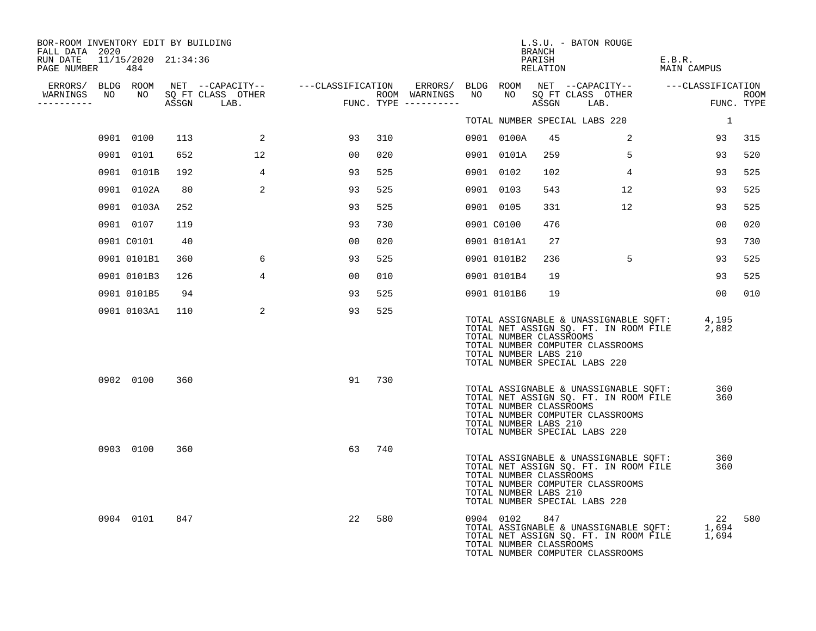| BOR-ROOM INVENTORY EDIT BY BUILDING<br>FALL DATA 2020<br>RUN DATE 11/15/2020 21:34:36<br>PAGE NUMBER | 484         |     |                                    |                                                                                                                        |     |                                         |                                                  | <b>BRANCH</b><br>PARISH<br>RELATION | L.S.U. - BATON ROUGE                                                                                                                                      | E.B.R.<br><b>MAIN CAMPUS</b> |                    |
|------------------------------------------------------------------------------------------------------|-------------|-----|------------------------------------|------------------------------------------------------------------------------------------------------------------------|-----|-----------------------------------------|--------------------------------------------------|-------------------------------------|-----------------------------------------------------------------------------------------------------------------------------------------------------------|------------------------------|--------------------|
| WARNINGS NO<br>-----------                                                                           |             |     | NO SQ FT CLASS OTHER<br>ASSGN LAB. | ERRORS/ BLDG ROOM NET --CAPACITY-- - ---CLASSIFICATION ERRORS/ BLDG ROOM NET --CAPACITY-- - ---CLASSIFICATION<br>FUNC. |     | ROOM WARNINGS NO<br>FUNC. TYPE $------$ | NO                                               |                                     | NET --CARRICALER<br>SQ FT CLASS OTHER                                                                                                                     |                              | ROOM<br>FUNC. TYPE |
|                                                                                                      |             |     |                                    |                                                                                                                        |     |                                         |                                                  |                                     | TOTAL NUMBER SPECIAL LABS 220                                                                                                                             | $\overline{1}$               |                    |
|                                                                                                      | 0901 0100   | 113 | 2                                  | 93                                                                                                                     | 310 |                                         | 0901 0100A                                       | 45                                  | 2                                                                                                                                                         | 93                           | 315                |
|                                                                                                      | 0901 0101   | 652 | 12                                 | 00                                                                                                                     | 020 |                                         | 0901 0101A                                       | 259                                 | $5^{\circ}$                                                                                                                                               | 93                           | 520                |
|                                                                                                      | 0901 0101B  | 192 | $4\overline{ }$                    | 93                                                                                                                     | 525 |                                         | 0901 0102                                        | 102                                 | $4\overline{ }$                                                                                                                                           | 93                           | 525                |
|                                                                                                      | 0901 0102A  | 80  | 2                                  | 93                                                                                                                     | 525 |                                         | 0901 0103                                        | 543                                 | 12                                                                                                                                                        | 93                           | 525                |
|                                                                                                      | 0901 0103A  | 252 |                                    | 93                                                                                                                     | 525 |                                         | 0901 0105                                        | 331                                 | 12                                                                                                                                                        | 93                           | 525                |
|                                                                                                      | 0901 0107   | 119 |                                    | 93                                                                                                                     | 730 |                                         | 0901 C0100                                       | 476                                 |                                                                                                                                                           | 00                           | 020                |
|                                                                                                      | 0901 C0101  | 40  |                                    | 00                                                                                                                     | 020 |                                         | 0901 0101A1                                      | 27                                  |                                                                                                                                                           | 93                           | 730                |
|                                                                                                      | 0901 0101B1 | 360 | 6                                  | 93                                                                                                                     | 525 |                                         | 0901 0101B2                                      | 236                                 | 5                                                                                                                                                         | 93                           | 525                |
|                                                                                                      | 0901 0101B3 | 126 | $\overline{4}$                     | 00 <sup>o</sup>                                                                                                        | 010 |                                         | 0901 0101B4                                      | 19                                  |                                                                                                                                                           | 93                           | 525                |
|                                                                                                      | 0901 0101B5 | 94  |                                    | 93                                                                                                                     | 525 |                                         | 0901 0101B6                                      | 19                                  |                                                                                                                                                           | 00 <sub>o</sub>              | 010                |
|                                                                                                      | 0901 0103A1 | 110 | 2                                  | 93                                                                                                                     | 525 |                                         | TOTAL NUMBER CLASSROOMS<br>TOTAL NUMBER LABS 210 |                                     | TOTAL ASSIGNABLE & UNASSIGNABLE SQFT: 4,195<br>TOTAL NET ASSIGN SQ. FT. IN ROOM FILE<br>TOTAL NUMBER COMPUTER CLASSROOMS<br>TOTAL NUMBER SPECIAL LABS 220 | 2,882                        |                    |
|                                                                                                      | 0902 0100   | 360 |                                    | 91                                                                                                                     | 730 |                                         | TOTAL NUMBER CLASSROOMS<br>TOTAL NUMBER LABS 210 |                                     | TOTAL ASSIGNABLE & UNASSIGNABLE SQFT:<br>TOTAL NET ASSIGN SQ. FT. IN ROOM FILE<br>TOTAL NUMBER COMPUTER CLASSROOMS<br>TOTAL NUMBER SPECIAL LABS 220       | 360<br>360                   |                    |
|                                                                                                      | 0903 0100   | 360 |                                    | 63                                                                                                                     | 740 |                                         | TOTAL NUMBER CLASSROOMS<br>TOTAL NUMBER LABS 210 |                                     | TOTAL ASSIGNABLE & UNASSIGNABLE SQFT:<br>TOTAL NET ASSIGN SQ. FT. IN ROOM FILE<br>TOTAL NUMBER COMPUTER CLASSROOMS<br>TOTAL NUMBER SPECIAL LABS 220       | 360<br>360                   |                    |
|                                                                                                      | 0904 0101   | 847 |                                    | 22                                                                                                                     | 580 |                                         | 0904 0102<br>TOTAL NUMBER CLASSROOMS             | 847                                 | TOTAL ASSIGNABLE & UNASSIGNABLE SQFT:<br>TOTAL NET ASSIGN SQ. FT. IN ROOM FILE<br>TOTAL NUMBER COMPUTER CLASSROOMS                                        | 22<br>1,694<br>1,694         | 580                |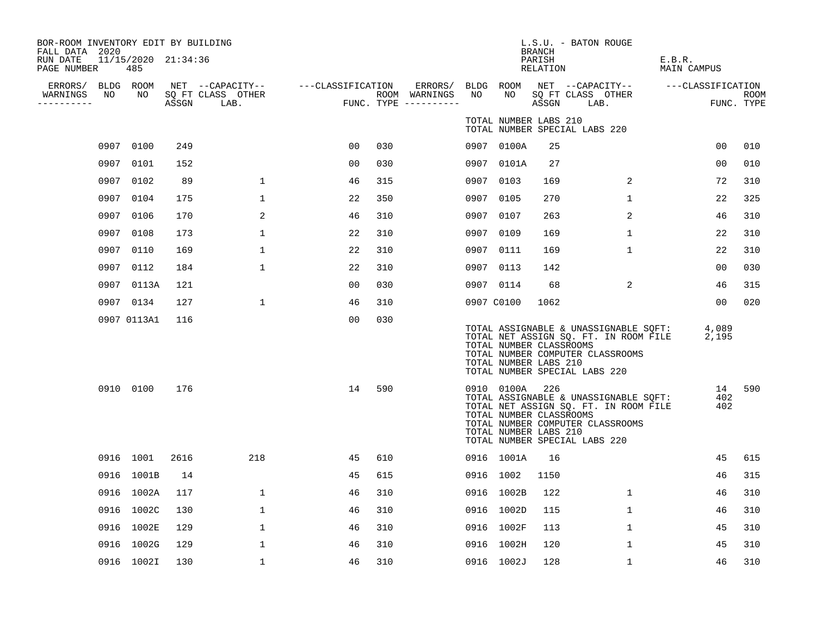| BOR-ROOM INVENTORY EDIT BY BUILDING<br>FALL DATA 2020<br>RUN DATE<br>PAGE NUMBER |      | 11/15/2020 21:34:36<br>485 |      |                                                                                         |                |      |                                      |      |                                                                    | <b>BRANCH</b><br>PARISH<br>RELATION | L.S.U. - BATON ROUGE                                                                                                                                      | E.B.R.<br>MAIN CAMPUS |                    |
|----------------------------------------------------------------------------------|------|----------------------------|------|-----------------------------------------------------------------------------------------|----------------|------|--------------------------------------|------|--------------------------------------------------------------------|-------------------------------------|-----------------------------------------------------------------------------------------------------------------------------------------------------------|-----------------------|--------------------|
| WARNINGS<br>----------                                                           | NO   | NO                         |      | ERRORS/ BLDG ROOM NET --CAPACITY-- ---CLASSIFICATION<br>SQ FT CLASS OTHER<br>ASSGN LAB. | FUNC.          |      | ROOM WARNINGS<br>FUNC. TYPE $------$ | NO   | NO                                                                 | ASSGN                               | ERRORS/ BLDG ROOM NET --CAPACITY--  ---CLASSIFICATION<br>SQ FT CLASS OTHER<br>LAB.                                                                        |                       | ROOM<br>FUNC. TYPE |
|                                                                                  |      |                            |      |                                                                                         |                |      |                                      |      | TOTAL NUMBER LABS 210                                              |                                     | TOTAL NUMBER SPECIAL LABS 220                                                                                                                             |                       |                    |
|                                                                                  |      | 0907 0100                  | 249  |                                                                                         | 0 <sub>0</sub> | 030  |                                      |      | 0907 0100A                                                         | 25                                  |                                                                                                                                                           | 0 <sub>0</sub>        | 010                |
|                                                                                  | 0907 | 0101                       | 152  |                                                                                         | 0 <sub>0</sub> | 030  |                                      |      | 0907 0101A                                                         | 27                                  |                                                                                                                                                           | 00                    | 010                |
|                                                                                  | 0907 | 0102                       | 89   | $\mathbf{1}$                                                                            | 46             | 315  |                                      |      | 0907 0103                                                          | 169                                 | 2                                                                                                                                                         | 72                    | 310                |
|                                                                                  | 0907 | 0104                       | 175  | $\mathbf 1$                                                                             | 22             | 350  |                                      | 0907 | 0105                                                               | 270                                 | $\mathbf{1}$                                                                                                                                              | 22                    | 325                |
|                                                                                  | 0907 | 0106                       | 170  | 2                                                                                       | 46             | 310  |                                      | 0907 | 0107                                                               | 263                                 | 2                                                                                                                                                         | 46                    | 310                |
|                                                                                  | 0907 | 0108                       | 173  | 1                                                                                       | 22             | 310  |                                      | 0907 | 0109                                                               | 169                                 | 1                                                                                                                                                         | 22                    | 310                |
|                                                                                  | 0907 | 0110                       | 169  | 1                                                                                       | 22             | 310  |                                      | 0907 | 0111                                                               | 169                                 | 1                                                                                                                                                         | 22                    | 310                |
|                                                                                  | 0907 | 0112                       | 184  | $\mathbf 1$                                                                             | 22             | 310  |                                      |      | 0907 0113                                                          | 142                                 |                                                                                                                                                           | 0 <sub>0</sub>        | 030                |
|                                                                                  |      | 0907 0113A                 | 121  |                                                                                         | 00             | 0.30 |                                      |      | 0907 0114                                                          | 68                                  | $\overline{2}$                                                                                                                                            | 46                    | 315                |
|                                                                                  |      | 0907 0134                  | 127  | $\mathbf{1}$                                                                            | 46             | 310  |                                      |      | 0907 C0100                                                         | 1062                                |                                                                                                                                                           | 00                    | 020                |
|                                                                                  |      | 0907 0113A1                | 116  |                                                                                         | 00             | 030  |                                      |      | TOTAL NUMBER CLASSROOMS<br>TOTAL NUMBER LABS 210                   |                                     | TOTAL ASSIGNABLE & UNASSIGNABLE SQFT:<br>TOTAL NET ASSIGN SQ. FT. IN ROOM FILE 2,195<br>TOTAL NUMBER COMPUTER CLASSROOMS<br>TOTAL NUMBER SPECIAL LABS 220 | 4,089                 |                    |
|                                                                                  |      | 0910 0100                  | 176  |                                                                                         | 14             | 590  |                                      |      | 0910 0100A 226<br>TOTAL NUMBER CLASSROOMS<br>TOTAL NUMBER LABS 210 |                                     | TOTAL ASSIGNABLE & UNASSIGNABLE SQFT:<br>TOTAL NET ASSIGN SQ. FT. IN ROOM FILE<br>TOTAL NUMBER COMPUTER CLASSROOMS<br>TOTAL NUMBER SPECIAL LABS 220       | 402<br>402            | 14 590             |
|                                                                                  |      | 0916 1001                  | 2616 | 218                                                                                     | 45             | 610  |                                      |      | 0916 1001A                                                         | 16                                  |                                                                                                                                                           | 45                    | 615                |
|                                                                                  |      | 0916 1001B                 | 14   |                                                                                         | 45             | 615  |                                      |      | 0916 1002                                                          | 1150                                |                                                                                                                                                           | 46                    | 315                |
|                                                                                  |      | 0916 1002A                 | 117  | $\mathbf{1}$                                                                            | 46             | 310  |                                      |      | 0916 1002B                                                         | 122                                 | $\mathbf{1}$                                                                                                                                              | 46                    | 310                |
|                                                                                  |      | 0916 1002C                 | 130  | $\mathbf 1$                                                                             | 46             | 310  |                                      |      | 0916 1002D                                                         | 115                                 | $\mathbf{1}$                                                                                                                                              | 46                    | 310                |
|                                                                                  |      | 0916 1002E                 | 129  | $\mathbf 1$                                                                             | 46             | 310  |                                      |      | 0916 1002F                                                         | 113                                 | $\mathbf 1$                                                                                                                                               | 45                    | 310                |
|                                                                                  |      | 0916 1002G                 | 129  | 1                                                                                       | 46             | 310  |                                      |      | 0916 1002H                                                         | 120                                 | $\mathbf 1$                                                                                                                                               | 45                    | 310                |
|                                                                                  |      | 0916 1002I                 | 130  | $\mathbf{1}$                                                                            | 46             | 310  |                                      |      | 0916 1002J                                                         | 128                                 | $\mathbf{1}$                                                                                                                                              | 46                    | 310                |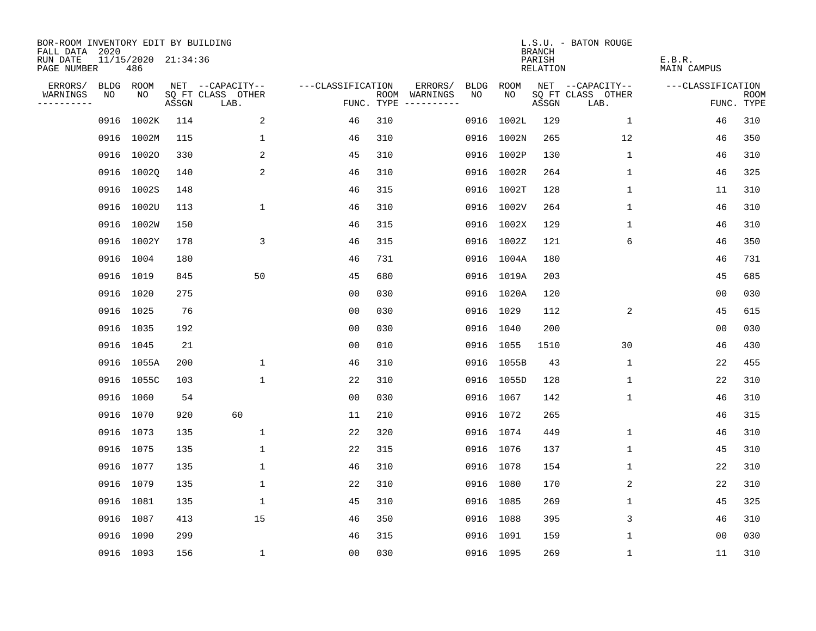| BOR-ROOM INVENTORY EDIT BY BUILDING<br>FALL DATA 2020 |           |                            |       |                           |                   |     |                                      |             |             | <b>BRANCH</b>             | L.S.U. - BATON ROUGE      |                              |                           |
|-------------------------------------------------------|-----------|----------------------------|-------|---------------------------|-------------------|-----|--------------------------------------|-------------|-------------|---------------------------|---------------------------|------------------------------|---------------------------|
| RUN DATE<br>PAGE NUMBER                               |           | 11/15/2020 21:34:36<br>486 |       |                           |                   |     |                                      |             |             | PARISH<br><b>RELATION</b> |                           | E.B.R.<br><b>MAIN CAMPUS</b> |                           |
| ERRORS/                                               | BLDG ROOM |                            |       | NET --CAPACITY--          | ---CLASSIFICATION |     | ERRORS/                              | <b>BLDG</b> | <b>ROOM</b> |                           | NET --CAPACITY--          | ---CLASSIFICATION            |                           |
| WARNINGS<br>----------                                | NO        | NO                         | ASSGN | SQ FT CLASS OTHER<br>LAB. |                   |     | ROOM WARNINGS<br>FUNC. TYPE $------$ | NO          | NO          | ASSGN                     | SQ FT CLASS OTHER<br>LAB. |                              | <b>ROOM</b><br>FUNC. TYPE |
|                                                       | 0916      | 1002K                      | 114   | 2                         | 46                | 310 |                                      | 0916        | 1002L       | 129                       | $\mathbf{1}$              | 46                           | 310                       |
|                                                       |           | 0916 1002M                 | 115   | $\mathbf 1$               | 46                | 310 |                                      |             | 0916 1002N  | 265                       | 12                        | 46                           | 350                       |
|                                                       |           | 0916 10020                 | 330   | 2                         | 45                | 310 |                                      |             | 0916 1002P  | 130                       | 1                         | 46                           | 310                       |
|                                                       |           | 0916 10020                 | 140   | 2                         | 46                | 310 |                                      |             | 0916 1002R  | 264                       | 1                         | 46                           | 325                       |
|                                                       |           | 0916 1002S                 | 148   |                           | 46                | 315 |                                      |             | 0916 1002T  | 128                       | 1                         | 11                           | 310                       |
|                                                       |           | 0916 1002U                 | 113   | $\mathbf{1}$              | 46                | 310 |                                      |             | 0916 1002V  | 264                       | $\mathbf{1}$              | 46                           | 310                       |
|                                                       |           | 0916 1002W                 | 150   |                           | 46                | 315 |                                      |             | 0916 1002X  | 129                       | $\mathbf 1$               | 46                           | 310                       |
|                                                       |           | 0916 1002Y                 | 178   | 3                         | 46                | 315 |                                      |             | 0916 1002Z  | 121                       | 6                         | 46                           | 350                       |
|                                                       |           | 0916 1004                  | 180   |                           | 46                | 731 |                                      | 0916        | 1004A       | 180                       |                           | 46                           | 731                       |
|                                                       | 0916 1019 |                            | 845   | 50                        | 45                | 680 |                                      |             | 0916 1019A  | 203                       |                           | 45                           | 685                       |
|                                                       |           | 0916 1020                  | 275   |                           | 0 <sub>0</sub>    | 030 |                                      |             | 0916 1020A  | 120                       |                           | 0 <sub>0</sub>               | 030                       |
|                                                       | 0916 1025 |                            | 76    |                           | 0 <sub>0</sub>    | 030 |                                      |             | 0916 1029   | 112                       | 2                         | 45                           | 615                       |
|                                                       | 0916 1035 |                            | 192   |                           | 0 <sub>0</sub>    | 030 |                                      | 0916        | 1040        | 200                       |                           | 0 <sub>0</sub>               | 030                       |
|                                                       | 0916 1045 |                            | 21    |                           | 00                | 010 |                                      |             | 0916 1055   | 1510                      | 30                        | 46                           | 430                       |
|                                                       |           | 0916 1055A                 | 200   | $\mathbf 1$               | 46                | 310 |                                      |             | 0916 1055B  | 43                        | 1                         | 22                           | 455                       |
|                                                       |           | 0916 1055C                 | 103   | $\mathbf 1$               | 22                | 310 |                                      |             | 0916 1055D  | 128                       | 1                         | 22                           | 310                       |
|                                                       | 0916 1060 |                            | 54    |                           | 0 <sub>0</sub>    | 030 |                                      |             | 0916 1067   | 142                       | 1                         | 46                           | 310                       |
|                                                       | 0916 1070 |                            | 920   | 60                        | 11                | 210 |                                      |             | 0916 1072   | 265                       |                           | 46                           | 315                       |
|                                                       | 0916 1073 |                            | 135   | $\mathbf{1}$              | 22                | 320 |                                      |             | 0916 1074   | 449                       | 1                         | 46                           | 310                       |
|                                                       | 0916 1075 |                            | 135   | $\mathbf 1$               | 22                | 315 |                                      |             | 0916 1076   | 137                       | 1                         | 45                           | 310                       |
|                                                       | 0916 1077 |                            | 135   | 1                         | 46                | 310 |                                      |             | 0916 1078   | 154                       | 1                         | 22                           | 310                       |
|                                                       | 0916 1079 |                            | 135   | $\mathbf 1$               | 22                | 310 |                                      |             | 0916 1080   | 170                       | 2                         | 22                           | 310                       |
|                                                       | 0916 1081 |                            | 135   | 1                         | 45                | 310 |                                      |             | 0916 1085   | 269                       | 1                         | 45                           | 325                       |
|                                                       | 0916 1087 |                            | 413   | 15                        | 46                | 350 |                                      |             | 0916 1088   | 395                       | 3                         | 46                           | 310                       |
|                                                       | 0916 1090 |                            | 299   |                           | 46                | 315 |                                      |             | 0916 1091   | 159                       | 1                         | 0 <sub>0</sub>               | 030                       |
|                                                       | 0916 1093 |                            | 156   | 1                         | 0 <sub>0</sub>    | 030 |                                      |             | 0916 1095   | 269                       | 1                         | 11                           | 310                       |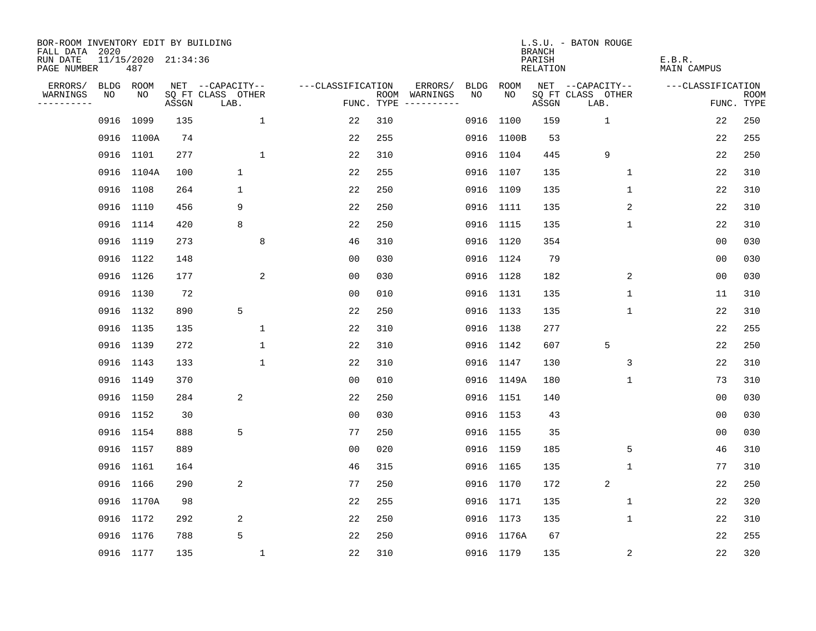| BOR-ROOM INVENTORY EDIT BY BUILDING<br>FALL DATA 2020 |           |            |                     |                           |                   |      |                                 |             |             | <b>BRANCH</b>             | L.S.U. - BATON ROUGE      |                              |                           |
|-------------------------------------------------------|-----------|------------|---------------------|---------------------------|-------------------|------|---------------------------------|-------------|-------------|---------------------------|---------------------------|------------------------------|---------------------------|
| RUN DATE<br>PAGE NUMBER                               |           | 487        | 11/15/2020 21:34:36 |                           |                   |      |                                 |             |             | PARISH<br><b>RELATION</b> |                           | E.B.R.<br><b>MAIN CAMPUS</b> |                           |
| ERRORS/                                               | BLDG ROOM |            |                     | NET --CAPACITY--          | ---CLASSIFICATION |      | ERRORS/                         | <b>BLDG</b> | <b>ROOM</b> |                           | NET --CAPACITY--          | ---CLASSIFICATION            |                           |
| WARNINGS<br>----------                                | NO        | NO         | ASSGN               | SQ FT CLASS OTHER<br>LAB. |                   | ROOM | WARNINGS<br>FUNC. TYPE $------$ | NO          | NO          | ASSGN                     | SQ FT CLASS OTHER<br>LAB. |                              | <b>ROOM</b><br>FUNC. TYPE |
|                                                       | 0916      | 1099       | 135                 | 1                         | 22                | 310  |                                 | 0916        | 1100        | 159                       | 1                         | 22                           | 250                       |
|                                                       |           | 0916 1100A | 74                  |                           | 22                | 255  |                                 |             | 0916 1100B  | 53                        |                           | 22                           | 255                       |
|                                                       | 0916 1101 |            | 277                 | $\mathbf{1}$              | 22                | 310  |                                 |             | 0916 1104   | 445                       | 9                         | 22                           | 250                       |
|                                                       |           | 0916 1104A | 100                 | $\mathbf{1}$              | 22                | 255  |                                 |             | 0916 1107   | 135                       | 1                         | 22                           | 310                       |
|                                                       | 0916 1108 |            | 264                 | $\mathbf 1$               | 22                | 250  |                                 |             | 0916 1109   | 135                       | $\mathbf{1}$              | 22                           | 310                       |
|                                                       | 0916 1110 |            | 456                 | 9                         | 22                | 250  |                                 |             | 0916 1111   | 135                       | 2                         | 22                           | 310                       |
|                                                       | 0916 1114 |            | 420                 | 8                         | 22                | 250  |                                 |             | 0916 1115   | 135                       | $\mathbf 1$               | 22                           | 310                       |
|                                                       | 0916 1119 |            | 273                 | 8                         | 46                | 310  |                                 |             | 0916 1120   | 354                       |                           | 0 <sub>0</sub>               | 030                       |
|                                                       | 0916 1122 |            | 148                 |                           | 0 <sub>0</sub>    | 030  |                                 |             | 0916 1124   | 79                        |                           | 0 <sub>0</sub>               | 030                       |
|                                                       | 0916 1126 |            | 177                 | 2                         | 0 <sub>0</sub>    | 030  |                                 |             | 0916 1128   | 182                       | 2                         | 0 <sub>0</sub>               | 030                       |
|                                                       | 0916 1130 |            | 72                  |                           | 0 <sub>0</sub>    | 010  |                                 |             | 0916 1131   | 135                       | $\mathbf 1$               | 11                           | 310                       |
|                                                       | 0916 1132 |            | 890                 | 5                         | 22                | 250  |                                 |             | 0916 1133   | 135                       | $\mathbf 1$               | 22                           | 310                       |
|                                                       | 0916 1135 |            | 135                 | 1                         | 22                | 310  |                                 |             | 0916 1138   | 277                       |                           | 22                           | 255                       |
|                                                       | 0916 1139 |            | 272                 | 1                         | 22                | 310  |                                 |             | 0916 1142   | 607                       | 5                         | 22                           | 250                       |
|                                                       | 0916 1143 |            | 133                 | $\mathbf{1}$              | 22                | 310  |                                 |             | 0916 1147   | 130                       | 3                         | 22                           | 310                       |
|                                                       | 0916 1149 |            | 370                 |                           | 0 <sub>0</sub>    | 010  |                                 |             | 0916 1149A  | 180                       | 1                         | 73                           | 310                       |
|                                                       | 0916 1150 |            | 284                 | 2                         | 22                | 250  |                                 |             | 0916 1151   | 140                       |                           | 0 <sub>0</sub>               | 030                       |
|                                                       | 0916 1152 |            | 30                  |                           | 0 <sub>0</sub>    | 030  |                                 |             | 0916 1153   | 43                        |                           | 0 <sub>0</sub>               | 030                       |
|                                                       | 0916 1154 |            | 888                 | 5                         | 77                | 250  |                                 |             | 0916 1155   | 35                        |                           | 0 <sub>0</sub>               | 030                       |
|                                                       | 0916 1157 |            | 889                 |                           | 0 <sub>0</sub>    | 020  |                                 |             | 0916 1159   | 185                       | 5                         | 46                           | 310                       |
|                                                       | 0916 1161 |            | 164                 |                           | 46                | 315  |                                 |             | 0916 1165   | 135                       | 1                         | 77                           | 310                       |
|                                                       | 0916 1166 |            | 290                 | 2                         | 77                | 250  |                                 |             | 0916 1170   | 172                       | 2                         | 22                           | 250                       |
|                                                       |           | 0916 1170A | 98                  |                           | 22                | 255  |                                 |             | 0916 1171   | 135                       | 1                         | 22                           | 320                       |
|                                                       | 0916 1172 |            | 292                 | 2                         | 22                | 250  |                                 |             | 0916 1173   | 135                       | $\mathbf 1$               | 22                           | 310                       |
|                                                       | 0916 1176 |            | 788                 | 5                         | 22                | 250  |                                 |             | 0916 1176A  | 67                        |                           | 22                           | 255                       |
|                                                       | 0916 1177 |            | 135                 | 1                         | 22                | 310  |                                 |             | 0916 1179   | 135                       | 2                         | 22                           | 320                       |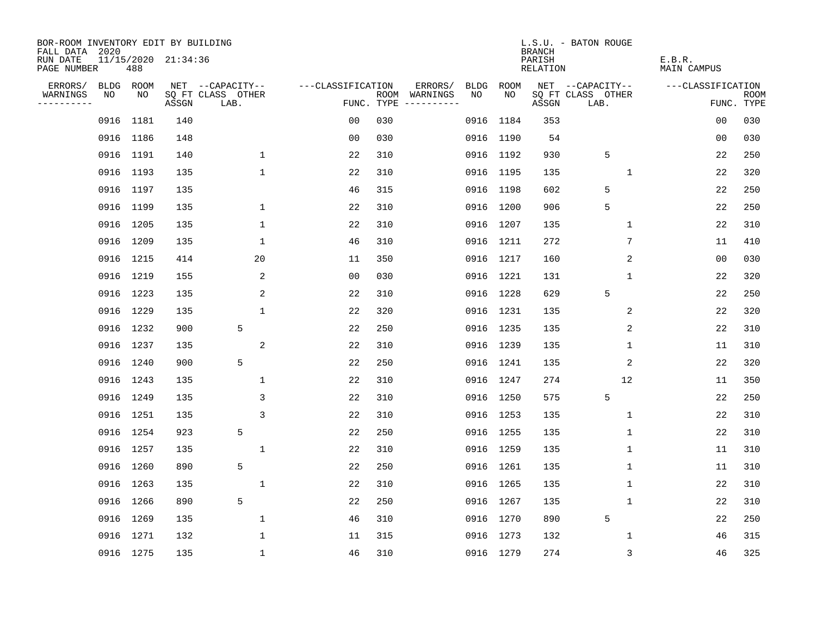| BOR-ROOM INVENTORY EDIT BY BUILDING<br>FALL DATA 2020 |      |           |                     |                           |                   |            |                              |             |           | <b>BRANCH</b>                   | L.S.U. - BATON ROUGE      |                       |                           |
|-------------------------------------------------------|------|-----------|---------------------|---------------------------|-------------------|------------|------------------------------|-------------|-----------|---------------------------------|---------------------------|-----------------------|---------------------------|
| RUN DATE<br>PAGE NUMBER                               |      | 488       | 11/15/2020 21:34:36 |                           |                   |            |                              |             |           | PARISH<br>RELATION              |                           | E.B.R.<br>MAIN CAMPUS |                           |
| ERRORS/                                               | BLDG | ROOM      |                     | NET --CAPACITY--          | ---CLASSIFICATION |            | ERRORS/                      | <b>BLDG</b> | ROOM      |                                 | NET --CAPACITY--          | ---CLASSIFICATION     |                           |
| WARNINGS<br>----------                                | NO   | NO        | ASSGN               | SQ FT CLASS OTHER<br>LAB. |                   | FUNC. TYPE | ROOM WARNINGS<br>----------- | NO.         | NO.       | $\operatorname{\mathsf{ASSGN}}$ | SQ FT CLASS OTHER<br>LAB. |                       | <b>ROOM</b><br>FUNC. TYPE |
|                                                       |      | 0916 1181 | 140                 |                           | 0 <sub>0</sub>    | 030        |                              | 0916        | 1184      | 353                             |                           | 0 <sub>0</sub>        | 030                       |
|                                                       |      | 0916 1186 | 148                 |                           | 0 <sub>0</sub>    | 030        |                              |             | 0916 1190 | 54                              |                           | 00                    | 030                       |
|                                                       |      | 0916 1191 | 140                 | $\mathbf{1}$              | 22                | 310        |                              |             | 0916 1192 | 930                             | 5                         | 22                    | 250                       |
|                                                       |      | 0916 1193 | 135                 | $\mathbf 1$               | 22                | 310        |                              |             | 0916 1195 | 135                             | 1                         | 22                    | 320                       |
|                                                       |      | 0916 1197 | 135                 |                           | 46                | 315        |                              |             | 0916 1198 | 602                             | 5                         | 22                    | 250                       |
|                                                       |      | 0916 1199 | 135                 | $\mathbf 1$               | 22                | 310        |                              |             | 0916 1200 | 906                             | 5                         | 22                    | 250                       |
|                                                       |      | 0916 1205 | 135                 | $\mathbf{1}$              | 22                | 310        |                              |             | 0916 1207 | 135                             | $\mathbf 1$               | 22                    | 310                       |
|                                                       |      | 0916 1209 | 135                 | $\mathbf 1$               | 46                | 310        |                              |             | 0916 1211 | 272                             | 7                         | 11                    | 410                       |
|                                                       |      | 0916 1215 | 414                 | 20                        | 11                | 350        |                              |             | 0916 1217 | 160                             | 2                         | 0 <sub>0</sub>        | 030                       |
|                                                       |      | 0916 1219 | 155                 | 2                         | 0 <sub>0</sub>    | 030        |                              |             | 0916 1221 | 131                             | 1                         | 22                    | 320                       |
|                                                       |      | 0916 1223 | 135                 | 2                         | 22                | 310        |                              |             | 0916 1228 | 629                             | 5                         | 22                    | 250                       |
|                                                       |      | 0916 1229 | 135                 | $\mathbf{1}$              | 22                | 320        |                              |             | 0916 1231 | 135                             | 2                         | 22                    | 320                       |
|                                                       |      | 0916 1232 | 900                 | 5                         | 22                | 250        |                              |             | 0916 1235 | 135                             | 2                         | 22                    | 310                       |
|                                                       |      | 0916 1237 | 135                 | $\sqrt{2}$                | 22                | 310        |                              |             | 0916 1239 | 135                             | 1                         | 11                    | 310                       |
|                                                       |      | 0916 1240 | 900                 | 5                         | 22                | 250        |                              |             | 0916 1241 | 135                             | 2                         | 22                    | 320                       |
|                                                       |      | 0916 1243 | 135                 | 1                         | 22                | 310        |                              |             | 0916 1247 | 274                             | 12                        | 11                    | 350                       |
|                                                       |      | 0916 1249 | 135                 | 3                         | 22                | 310        |                              |             | 0916 1250 | 575                             | 5                         | 22                    | 250                       |
|                                                       |      | 0916 1251 | 135                 | 3                         | 22                | 310        |                              |             | 0916 1253 | 135                             | 1                         | 22                    | 310                       |
|                                                       |      | 0916 1254 | 923                 | 5                         | 22                | 250        |                              |             | 0916 1255 | 135                             | 1                         | 22                    | 310                       |
|                                                       |      | 0916 1257 | 135                 | $\mathbf 1$               | 22                | 310        |                              |             | 0916 1259 | 135                             | 1                         | 11                    | 310                       |
|                                                       |      | 0916 1260 | 890                 | 5                         | 22                | 250        |                              |             | 0916 1261 | 135                             | 1                         | 11                    | 310                       |
|                                                       |      | 0916 1263 | 135                 | 1                         | 22                | 310        |                              |             | 0916 1265 | 135                             | 1                         | 22                    | 310                       |
|                                                       |      | 0916 1266 | 890                 | 5                         | 22                | 250        |                              |             | 0916 1267 | 135                             | 1                         | 22                    | 310                       |
|                                                       |      | 0916 1269 | 135                 | $\mathbf 1$               | 46                | 310        |                              |             | 0916 1270 | 890                             | 5                         | 22                    | 250                       |
|                                                       |      | 0916 1271 | 132                 | 1                         | 11                | 315        |                              |             | 0916 1273 | 132                             | 1                         | 46                    | 315                       |
|                                                       |      | 0916 1275 | 135                 | $\mathbf{1}$              | 46                | 310        |                              |             | 0916 1279 | 274                             | 3                         | 46                    | 325                       |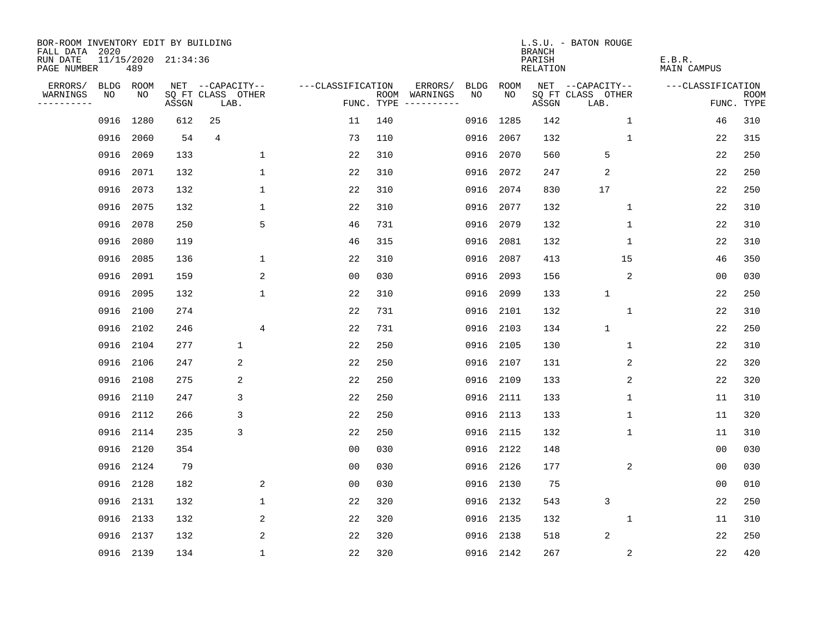| BOR-ROOM INVENTORY EDIT BY BUILDING<br>FALL DATA 2020 |           |           |                     |                           |                     |      |                                       |             | <b>BRANCH</b>             | L.S.U. - BATON ROUGE      |                              |                           |
|-------------------------------------------------------|-----------|-----------|---------------------|---------------------------|---------------------|------|---------------------------------------|-------------|---------------------------|---------------------------|------------------------------|---------------------------|
| RUN DATE<br>PAGE NUMBER                               |           | 489       | 11/15/2020 21:34:36 |                           |                     |      |                                       |             | PARISH<br><b>RELATION</b> |                           | E.B.R.<br><b>MAIN CAMPUS</b> |                           |
| ERRORS/                                               |           | BLDG ROOM |                     | NET --CAPACITY--          | ---CLASSIFICATION   |      | ERRORS/<br><b>BLDG</b>                | <b>ROOM</b> |                           | NET --CAPACITY--          | ---CLASSIFICATION            |                           |
| WARNINGS<br>----------                                | NO        | NO        | ASSGN               | SQ FT CLASS OTHER<br>LAB. |                     | ROOM | NO<br>WARNINGS<br>FUNC. TYPE $------$ | NO          | ASSGN                     | SQ FT CLASS OTHER<br>LAB. |                              | <b>ROOM</b><br>FUNC. TYPE |
|                                                       | 0916      | 1280      | 612                 | 25                        | 11                  | 140  | 0916                                  | 1285        | 142                       | $\mathbf 1$               | 46                           | 310                       |
|                                                       | 0916      | 2060      | 54                  | 4                         | 73                  | 110  | 0916                                  | 2067        | 132                       | 1                         | 22                           | 315                       |
|                                                       | 0916      | 2069      | 133                 |                           | $\mathbf 1$<br>22   | 310  | 0916                                  | 2070        | 560                       | 5                         | 22                           | 250                       |
|                                                       | 0916      | 2071      | 132                 |                           | $\mathbf{1}$<br>22  | 310  | 0916                                  | 2072        | 247                       | $\overline{2}$            | 22                           | 250                       |
|                                                       | 0916      | 2073      | 132                 |                           | $\mathbf{1}$<br>22  | 310  | 0916                                  | 2074        | 830                       | 17                        | 22                           | 250                       |
|                                                       | 0916      | 2075      | 132                 |                           | $\mathbf{1}$<br>22  | 310  | 0916                                  | 2077        | 132                       | $\mathbf 1$               | 22                           | 310                       |
|                                                       | 0916      | 2078      | 250                 |                           | 5<br>46             | 731  | 0916                                  | 2079        | 132                       | $\mathbf 1$               | 22                           | 310                       |
|                                                       | 0916      | 2080      | 119                 |                           | 46                  | 315  | 0916                                  | 2081        | 132                       | 1                         | 22                           | 310                       |
|                                                       | 0916      | 2085      | 136                 |                           | 1<br>22             | 310  | 0916                                  | 2087        | 413                       | 15                        | 46                           | 350                       |
|                                                       | 0916      | 2091      | 159                 |                           | 2<br>0 <sub>0</sub> | 030  | 0916                                  | 2093        | 156                       | 2                         | 00                           | 030                       |
|                                                       | 0916      | 2095      | 132                 |                           | $\mathbf{1}$<br>22  | 310  | 0916                                  | 2099        | 133                       | $\mathbf{1}$              | 22                           | 250                       |
|                                                       | 0916 2100 |           | 274                 |                           | 22                  | 731  | 0916                                  | 2101        | 132                       | $\mathbf{1}$              | 22                           | 310                       |
|                                                       | 0916      | 2102      | 246                 |                           | 4<br>22             | 731  | 0916                                  | 2103        | 134                       | $\mathbf{1}$              | 22                           | 250                       |
|                                                       | 0916 2104 |           | 277                 | $\mathbf 1$               | 22                  | 250  | 0916                                  | 2105        | 130                       | 1                         | 22                           | 310                       |
|                                                       | 0916      | 2106      | 247                 | 2                         | 22                  | 250  | 0916                                  | 2107        | 131                       | 2                         | 22                           | 320                       |
|                                                       | 0916      | 2108      | 275                 | 2                         | 22                  | 250  | 0916                                  | 2109        | 133                       | 2                         | 22                           | 320                       |
|                                                       | 0916      | 2110      | 247                 | 3                         | 22                  | 250  | 0916                                  | 2111        | 133                       | 1                         | 11                           | 310                       |
|                                                       | 0916      | 2112      | 266                 | 3                         | 22                  | 250  | 0916                                  | 2113        | 133                       | 1                         | 11                           | 320                       |
|                                                       | 0916 2114 |           | 235                 | 3                         | 22                  | 250  | 0916                                  | 2115        | 132                       | 1                         | 11                           | 310                       |
|                                                       | 0916      | 2120      | 354                 |                           | 0 <sub>0</sub>      | 030  | 0916                                  | 2122        | 148                       |                           | 0 <sub>0</sub>               | 030                       |
|                                                       | 0916      | 2124      | 79                  |                           | 0 <sub>0</sub>      | 030  | 0916                                  | 2126        | 177                       | 2                         | 0 <sub>0</sub>               | 030                       |
|                                                       | 0916      | 2128      | 182                 |                           | 2<br>0 <sub>0</sub> | 030  | 0916                                  | 2130        | 75                        |                           | 00                           | 010                       |
|                                                       | 0916 2131 |           | 132                 |                           | $\mathbf 1$<br>22   | 320  | 0916                                  | 2132        | 543                       | 3                         | 22                           | 250                       |
|                                                       | 0916      | 2133      | 132                 |                           | 2<br>22             | 320  | 0916                                  | 2135        | 132                       | 1                         | 11                           | 310                       |
|                                                       | 0916 2137 |           | 132                 |                           | 2<br>22             | 320  | 0916                                  | 2138        | 518                       | $\overline{2}$            | 22                           | 250                       |
|                                                       | 0916 2139 |           | 134                 |                           | $\mathbf{1}$<br>22  | 320  |                                       | 0916 2142   | 267                       | $\overline{c}$            | 22                           | 420                       |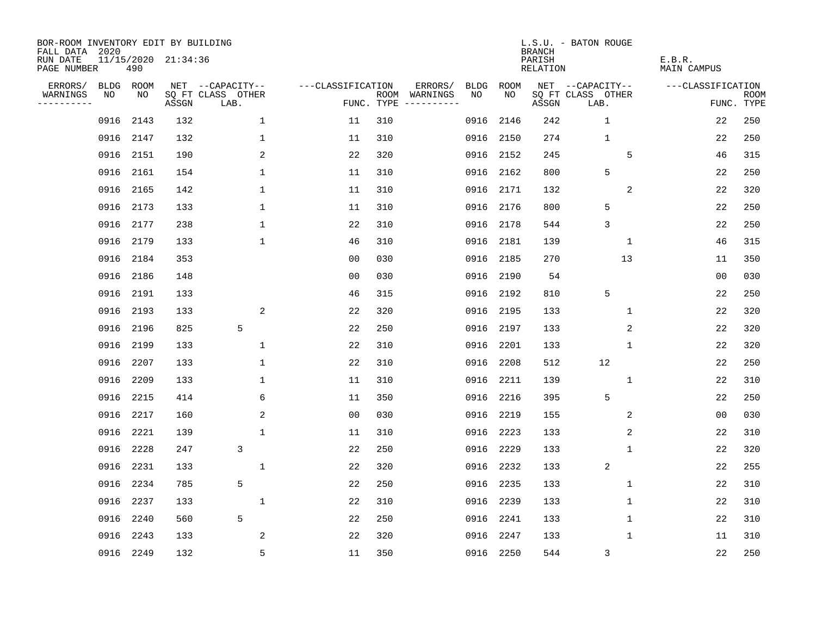| BOR-ROOM INVENTORY EDIT BY BUILDING<br>FALL DATA 2020 |           |      |                     |                           |                   |                    |                         |             |             | <b>BRANCH</b>             | L.S.U. - BATON ROUGE      |                              |                           |
|-------------------------------------------------------|-----------|------|---------------------|---------------------------|-------------------|--------------------|-------------------------|-------------|-------------|---------------------------|---------------------------|------------------------------|---------------------------|
| RUN DATE<br>PAGE NUMBER                               |           | 490  | 11/15/2020 21:34:36 |                           |                   |                    |                         |             |             | PARISH<br><b>RELATION</b> |                           | E.B.R.<br><b>MAIN CAMPUS</b> |                           |
| ERRORS/                                               | BLDG ROOM |      |                     | NET --CAPACITY--          | ---CLASSIFICATION |                    | ERRORS/                 | <b>BLDG</b> | <b>ROOM</b> |                           | NET --CAPACITY--          | ---CLASSIFICATION            |                           |
| WARNINGS<br>----------                                | NO        | NO   | ASSGN               | SQ FT CLASS OTHER<br>LAB. |                   | ROOM<br>FUNC. TYPE | WARNINGS<br>----------- | NO          | NO          | ASSGN                     | SQ FT CLASS OTHER<br>LAB. |                              | <b>ROOM</b><br>FUNC. TYPE |
|                                                       | 0916      | 2143 | 132                 | 1                         | 11                | 310                |                         | 0916        | 2146        | 242                       | $\mathbf 1$               | 22                           | 250                       |
|                                                       | 0916 2147 |      | 132                 | $\mathbf 1$               | 11                | 310                |                         | 0916        | 2150        | 274                       | $\mathbf{1}$              | 22                           | 250                       |
|                                                       | 0916      | 2151 | 190                 | 2                         | 22                | 320                |                         | 0916        | 2152        | 245                       | 5                         | 46                           | 315                       |
|                                                       | 0916      | 2161 | 154                 | $\mathbf 1$               | 11                | 310                |                         | 0916        | 2162        | 800                       | 5                         | 22                           | 250                       |
|                                                       | 0916      | 2165 | 142                 | $\mathbf 1$               | 11                | 310                |                         | 0916        | 2171        | 132                       | 2                         | 22                           | 320                       |
|                                                       | 0916 2173 |      | 133                 | $\mathbf{1}$              | 11                | 310                |                         |             | 0916 2176   | 800                       | 5                         | 22                           | 250                       |
|                                                       | 0916      | 2177 | 238                 | $\mathbf{1}$              | 22                | 310                |                         | 0916        | 2178        | 544                       | 3                         | 22                           | 250                       |
|                                                       | 0916 2179 |      | 133                 | $\mathbf{1}$              | 46                | 310                |                         | 0916        | 2181        | 139                       | $\mathbf{1}$              | 46                           | 315                       |
|                                                       | 0916      | 2184 | 353                 |                           | 00                | 030                |                         | 0916        | 2185        | 270                       | 13                        | 11                           | 350                       |
|                                                       | 0916 2186 |      | 148                 |                           | 0 <sub>0</sub>    | 030                |                         |             | 0916 2190   | 54                        |                           | 0 <sub>0</sub>               | 030                       |
|                                                       | 0916      | 2191 | 133                 |                           | 46                | 315                |                         | 0916        | 2192        | 810                       | 5                         | 22                           | 250                       |
|                                                       | 0916 2193 |      | 133                 | 2                         | 22                | 320                |                         | 0916        | 2195        | 133                       | 1                         | 22                           | 320                       |
|                                                       | 0916      | 2196 | 825                 | 5                         | 22                | 250                |                         | 0916        | 2197        | 133                       | 2                         | 22                           | 320                       |
|                                                       | 0916      | 2199 | 133                 | 1                         | 22                | 310                |                         | 0916        | 2201        | 133                       | 1                         | 22                           | 320                       |
|                                                       | 0916      | 2207 | 133                 | 1                         | 22                | 310                |                         | 0916        | 2208        | 512                       | 12                        | 22                           | 250                       |
|                                                       | 0916      | 2209 | 133                 | 1                         | 11                | 310                |                         | 0916        | 2211        | 139                       | 1                         | 22                           | 310                       |
|                                                       | 0916      | 2215 | 414                 | 6                         | 11                | 350                |                         | 0916        | 2216        | 395                       | 5                         | 22                           | 250                       |
|                                                       | 0916      | 2217 | 160                 | 2                         | 0 <sub>0</sub>    | 030                |                         | 0916        | 2219        | 155                       | 2                         | 00                           | 030                       |
|                                                       | 0916      | 2221 | 139                 | $\mathbf{1}$              | 11                | 310                |                         | 0916        | 2223        | 133                       | 2                         | 22                           | 310                       |
|                                                       | 0916      | 2228 | 247                 | 3                         | 22                | 250                |                         | 0916        | 2229        | 133                       | $\mathbf 1$               | 22                           | 320                       |
|                                                       | 0916      | 2231 | 133                 | $\mathbf{1}$              | 22                | 320                |                         | 0916        | 2232        | 133                       | $\overline{2}$            | 22                           | 255                       |
|                                                       | 0916      | 2234 | 785                 | 5                         | 22                | 250                |                         | 0916        | 2235        | 133                       | 1                         | 22                           | 310                       |
|                                                       | 0916 2237 |      | 133                 | $\mathbf{1}$              | 22                | 310                |                         | 0916        | 2239        | 133                       | 1                         | 22                           | 310                       |
|                                                       | 0916      | 2240 | 560                 | 5                         | 22                | 250                |                         | 0916        | 2241        | 133                       | 1                         | 22                           | 310                       |
|                                                       | 0916      | 2243 | 133                 | 2                         | 22                | 320                |                         | 0916        | 2247        | 133                       | 1                         | 11                           | 310                       |
|                                                       | 0916 2249 |      | 132                 | 5                         | 11                | 350                |                         |             | 0916 2250   | 544                       | 3                         | 22                           | 250                       |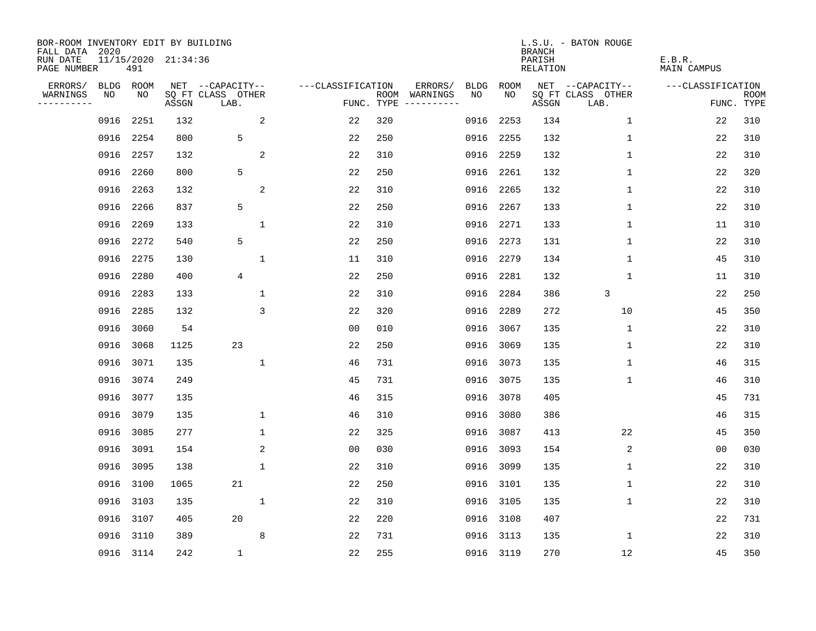| BOR-ROOM INVENTORY EDIT BY BUILDING<br>FALL DATA 2020 |             |           |                     |                           |                   |            |                              |             |           | <b>BRANCH</b>                   | L.S.U. - BATON ROUGE      |                       |                           |
|-------------------------------------------------------|-------------|-----------|---------------------|---------------------------|-------------------|------------|------------------------------|-------------|-----------|---------------------------------|---------------------------|-----------------------|---------------------------|
| RUN DATE<br>PAGE NUMBER                               |             | 491       | 11/15/2020 21:34:36 |                           |                   |            |                              |             |           | PARISH<br>RELATION              |                           | E.B.R.<br>MAIN CAMPUS |                           |
| ERRORS/                                               | <b>BLDG</b> | ROOM      |                     | NET --CAPACITY--          | ---CLASSIFICATION |            | ERRORS/                      | <b>BLDG</b> | ROOM      |                                 | NET --CAPACITY--          | ---CLASSIFICATION     |                           |
| WARNINGS<br>----------                                | NO          | NO        | ASSGN               | SQ FT CLASS OTHER<br>LAB. |                   | FUNC. TYPE | ROOM WARNINGS<br>----------- | NO.         | NO.       | $\operatorname{\mathsf{ASSGN}}$ | SQ FT CLASS OTHER<br>LAB. |                       | <b>ROOM</b><br>FUNC. TYPE |
|                                                       | 0916        | 2251      | 132                 | 2                         | 22                | 320        |                              | 0916        | 2253      | 134                             | $\mathbf 1$               | 22                    | 310                       |
|                                                       | 0916        | 2254      | 800                 | 5                         | 22                | 250        |                              | 0916        | 2255      | 132                             | 1                         | 22                    | 310                       |
|                                                       | 0916        | 2257      | 132                 | 2                         | 22                | 310        |                              | 0916        | 2259      | 132                             | $\mathbf 1$               | 22                    | 310                       |
|                                                       | 0916        | 2260      | 800                 | 5                         | 22                | 250        |                              | 0916        | 2261      | 132                             | 1                         | 22                    | 320                       |
|                                                       | 0916        | 2263      | 132                 | $\sqrt{2}$                | 22                | 310        |                              | 0916        | 2265      | 132                             | 1                         | 22                    | 310                       |
|                                                       | 0916        | 2266      | 837                 | 5                         | 22                | 250        |                              | 0916        | 2267      | 133                             | 1                         | 22                    | 310                       |
|                                                       | 0916        | 2269      | 133                 | $\mathbf 1$               | 22                | 310        |                              | 0916        | 2271      | 133                             | 1                         | 11                    | 310                       |
|                                                       | 0916        | 2272      | 540                 | 5                         | 22                | 250        |                              | 0916        | 2273      | 131                             | 1                         | 22                    | 310                       |
|                                                       | 0916        | 2275      | 130                 | $\mathbf{1}$              | 11                | 310        |                              | 0916        | 2279      | 134                             | $\mathbf{1}$              | 45                    | 310                       |
|                                                       | 0916        | 2280      | 400                 | 4                         | 22                | 250        |                              | 0916        | 2281      | 132                             | 1                         | 11                    | 310                       |
|                                                       | 0916        | 2283      | 133                 | 1                         | 22                | 310        |                              | 0916        | 2284      | 386                             | 3                         | 22                    | 250                       |
|                                                       | 0916        | 2285      | 132                 | 3                         | 22                | 320        |                              | 0916        | 2289      | 272                             | 10                        | 45                    | 350                       |
|                                                       | 0916        | 3060      | 54                  |                           | 0 <sub>0</sub>    | 010        |                              | 0916        | 3067      | 135                             | $\mathbf 1$               | 22                    | 310                       |
|                                                       | 0916        | 3068      | 1125                | 23                        | 22                | 250        |                              | 0916        | 3069      | 135                             | 1                         | 22                    | 310                       |
|                                                       | 0916        | 3071      | 135                 | $\mathbf{1}$              | 46                | 731        |                              | 0916        | 3073      | 135                             | 1                         | 46                    | 315                       |
|                                                       | 0916        | 3074      | 249                 |                           | 45                | 731        |                              | 0916        | 3075      | 135                             | 1                         | 46                    | 310                       |
|                                                       | 0916        | 3077      | 135                 |                           | 46                | 315        |                              | 0916        | 3078      | 405                             |                           | 45                    | 731                       |
|                                                       | 0916        | 3079      | 135                 | $\mathbf 1$               | 46                | 310        |                              | 0916        | 3080      | 386                             |                           | 46                    | 315                       |
|                                                       | 0916        | 3085      | 277                 | $\mathbf{1}$              | 22                | 325        |                              | 0916        | 3087      | 413                             | 22                        | 45                    | 350                       |
|                                                       | 0916        | 3091      | 154                 | 2                         | 0 <sub>0</sub>    | 030        |                              | 0916        | 3093      | 154                             | 2                         | 0 <sub>0</sub>        | 030                       |
|                                                       | 0916        | 3095      | 138                 | $\mathbf 1$               | 22                | 310        |                              | 0916        | 3099      | 135                             | 1                         | 22                    | 310                       |
|                                                       | 0916        | 3100      | 1065                | 21                        | 22                | 250        |                              | 0916        | 3101      | 135                             | 1                         | 22                    | 310                       |
|                                                       | 0916        | 3103      | 135                 | $\mathbf 1$               | 22                | 310        |                              | 0916        | 3105      | 135                             | 1                         | 22                    | 310                       |
|                                                       | 0916        | 3107      | 405                 | 20                        | 22                | 220        |                              | 0916        | 3108      | 407                             |                           | 22                    | 731                       |
|                                                       | 0916        | 3110      | 389                 | 8                         | 22                | 731        |                              | 0916        | 3113      | 135                             | 1                         | 22                    | 310                       |
|                                                       |             | 0916 3114 | 242                 | $\mathbf{1}$              | 22                | 255        |                              |             | 0916 3119 | 270                             | 12                        | 45                    | 350                       |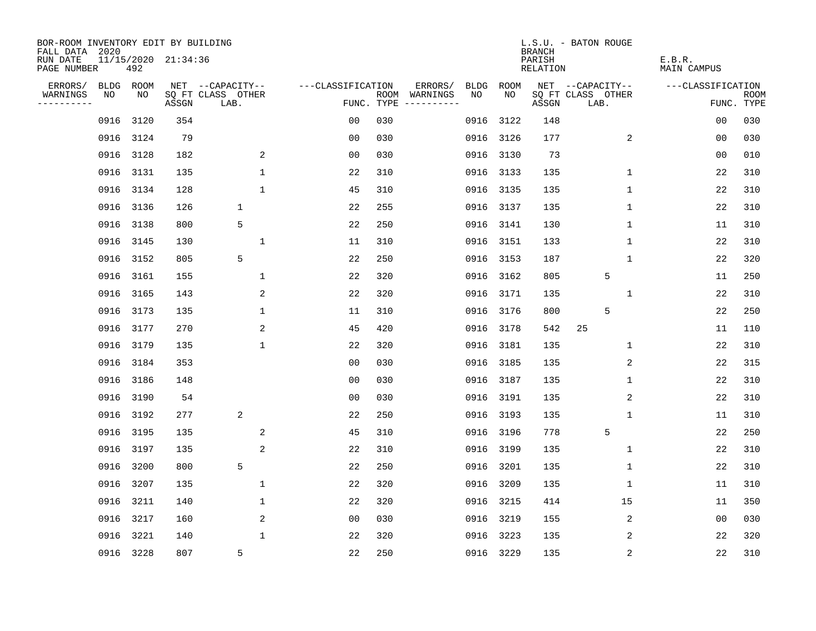| BOR-ROOM INVENTORY EDIT BY BUILDING<br>FALL DATA 2020 |      |           |                     |                           |                   |            |                              |             |           | <b>BRANCH</b>      | L.S.U. - BATON ROUGE      |                       |                           |
|-------------------------------------------------------|------|-----------|---------------------|---------------------------|-------------------|------------|------------------------------|-------------|-----------|--------------------|---------------------------|-----------------------|---------------------------|
| RUN DATE<br>PAGE NUMBER                               |      | 492       | 11/15/2020 21:34:36 |                           |                   |            |                              |             |           | PARISH<br>RELATION |                           | E.B.R.<br>MAIN CAMPUS |                           |
| ERRORS/                                               | BLDG | ROOM      |                     | NET --CAPACITY--          | ---CLASSIFICATION |            | ERRORS/                      | <b>BLDG</b> | ROOM      |                    | NET --CAPACITY--          | ---CLASSIFICATION     |                           |
| WARNINGS<br>----------                                | NO   | NO        | ASSGN               | SQ FT CLASS OTHER<br>LAB. |                   | FUNC. TYPE | ROOM WARNINGS<br>----------- | NO.         | NO.       | ASSGN              | SQ FT CLASS OTHER<br>LAB. |                       | <b>ROOM</b><br>FUNC. TYPE |
|                                                       | 0916 | 3120      | 354                 |                           | 0 <sub>0</sub>    | 030        |                              | 0916        | 3122      | 148                |                           | 0 <sub>0</sub>        | 030                       |
|                                                       |      | 0916 3124 | 79                  |                           | 0 <sub>0</sub>    | 030        |                              | 0916        | 3126      | 177                | 2                         | 0 <sub>0</sub>        | 030                       |
|                                                       | 0916 | 3128      | 182                 | 2                         | 0 <sub>0</sub>    | 030        |                              | 0916        | 3130      | 73                 |                           | 0 <sub>0</sub>        | 010                       |
|                                                       |      | 0916 3131 | 135                 | $\mathbf{1}$              | 22                | 310        |                              | 0916        | 3133      | 135                | 1                         | 22                    | 310                       |
|                                                       | 0916 | 3134      | 128                 | $\mathbf 1$               | 45                | 310        |                              | 0916        | 3135      | 135                | 1                         | 22                    | 310                       |
|                                                       |      | 0916 3136 | 126                 | 1                         | 22                | 255        |                              |             | 0916 3137 | 135                | 1                         | 22                    | 310                       |
|                                                       | 0916 | 3138      | 800                 | 5                         | 22                | 250        |                              |             | 0916 3141 | 130                | 1                         | 11                    | 310                       |
|                                                       | 0916 | 3145      | 130                 | $1\,$                     | 11                | 310        |                              |             | 0916 3151 | 133                | 1                         | 22                    | 310                       |
|                                                       | 0916 | 3152      | 805                 | 5                         | 22                | 250        |                              | 0916        | 3153      | 187                | $\mathbf{1}$              | 22                    | 320                       |
|                                                       |      | 0916 3161 | 155                 | 1                         | 22                | 320        |                              | 0916        | 3162      | 805                | 5                         | 11                    | 250                       |
|                                                       | 0916 | 3165      | 143                 | 2                         | 22                | 320        |                              | 0916        | 3171      | 135                | $\mathbf 1$               | 22                    | 310                       |
|                                                       |      | 0916 3173 | 135                 | $\mathbf 1$               | 11                | 310        |                              | 0916        | 3176      | 800                | 5                         | 22                    | 250                       |
|                                                       | 0916 | 3177      | 270                 | 2                         | 45                | 420        |                              | 0916        | 3178      | 542                | 25                        | 11                    | 110                       |
|                                                       |      | 0916 3179 | 135                 | $\mathbf{1}$              | 22                | 320        |                              | 0916        | 3181      | 135                | $\mathbf 1$               | 22                    | 310                       |
|                                                       | 0916 | 3184      | 353                 |                           | 0 <sub>0</sub>    | 030        |                              | 0916        | 3185      | 135                | 2                         | 22                    | 315                       |
|                                                       |      | 0916 3186 | 148                 |                           | 0 <sub>0</sub>    | 030        |                              | 0916        | 3187      | 135                | 1                         | 22                    | 310                       |
|                                                       | 0916 | 3190      | 54                  |                           | 0 <sub>0</sub>    | 030        |                              | 0916        | 3191      | 135                | 2                         | 22                    | 310                       |
|                                                       |      | 0916 3192 | 277                 | 2                         | 22                | 250        |                              | 0916        | 3193      | 135                | 1                         | 11                    | 310                       |
|                                                       |      | 0916 3195 | 135                 | 2                         | 45                | 310        |                              | 0916        | 3196      | 778                | 5                         | 22                    | 250                       |
|                                                       | 0916 | 3197      | 135                 | 2                         | 22                | 310        |                              | 0916        | 3199      | 135                | 1                         | 22                    | 310                       |
|                                                       | 0916 | 3200      | 800                 | 5                         | 22                | 250        |                              | 0916        | 3201      | 135                | 1                         | 22                    | 310                       |
|                                                       | 0916 | 3207      | 135                 | $\mathbf 1$               | 22                | 320        |                              | 0916        | 3209      | 135                | 1                         | 11                    | 310                       |
|                                                       | 0916 | 3211      | 140                 | 1                         | 22                | 320        |                              | 0916        | 3215      | 414                | 15                        | 11                    | 350                       |
|                                                       | 0916 | 3217      | 160                 | 2                         | 0 <sub>0</sub>    | 030        |                              | 0916        | 3219      | 155                | $\overline{c}$            | 0 <sub>0</sub>        | 030                       |
|                                                       | 0916 | 3221      | 140                 | $\mathbf{1}$              | 22                | 320        |                              | 0916        | 3223      | 135                | 2                         | 22                    | 320                       |
|                                                       |      | 0916 3228 | 807                 | 5                         | 22                | 250        |                              |             | 0916 3229 | 135                | $\sqrt{2}$                | 22                    | 310                       |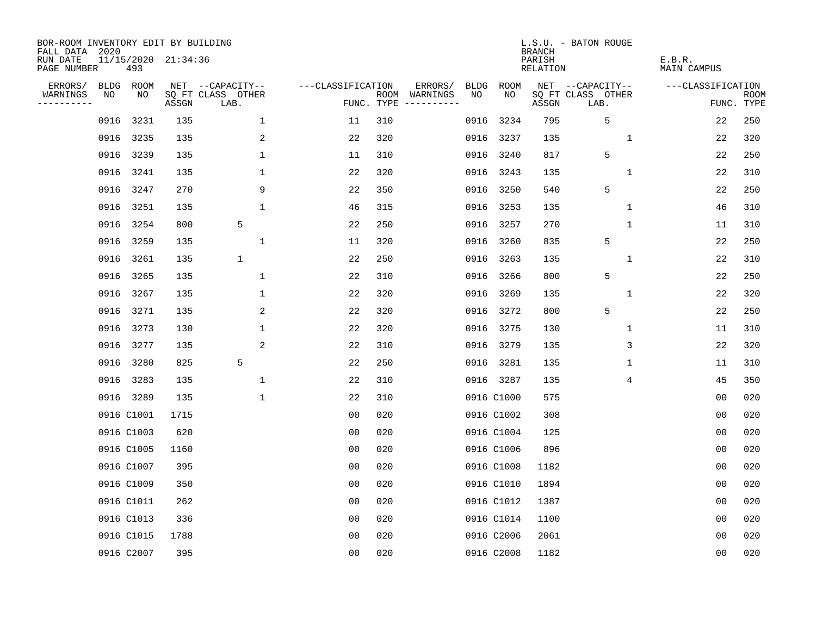| BOR-ROOM INVENTORY EDIT BY BUILDING<br>FALL DATA 2020 |      |            |                     |                           |                   |      |                                 |             |             | <b>BRANCH</b>             | L.S.U. - BATON ROUGE      |                              |                           |
|-------------------------------------------------------|------|------------|---------------------|---------------------------|-------------------|------|---------------------------------|-------------|-------------|---------------------------|---------------------------|------------------------------|---------------------------|
| RUN DATE<br>PAGE NUMBER                               |      | 493        | 11/15/2020 21:34:36 |                           |                   |      |                                 |             |             | PARISH<br><b>RELATION</b> |                           | E.B.R.<br><b>MAIN CAMPUS</b> |                           |
| ERRORS/                                               |      | BLDG ROOM  |                     | NET --CAPACITY--          | ---CLASSIFICATION |      | ERRORS/                         | <b>BLDG</b> | <b>ROOM</b> |                           | NET --CAPACITY--          | ---CLASSIFICATION            |                           |
| WARNINGS<br>----------                                | NO   | NO         | ASSGN               | SQ FT CLASS OTHER<br>LAB. |                   | ROOM | WARNINGS<br>FUNC. TYPE $------$ | NO          | NO          | ASSGN                     | SQ FT CLASS OTHER<br>LAB. |                              | <b>ROOM</b><br>FUNC. TYPE |
|                                                       | 0916 | 3231       | 135                 | $\mathbf{1}$              | 11                | 310  |                                 | 0916        | 3234        | 795                       | 5                         | 22                           | 250                       |
|                                                       |      | 0916 3235  | 135                 | 2                         | 22                | 320  |                                 | 0916        | 3237        | 135                       | 1                         | 22                           | 320                       |
|                                                       | 0916 | 3239       | 135                 | $\mathbf 1$               | 11                | 310  |                                 | 0916        | 3240        | 817                       | 5                         | 22                           | 250                       |
|                                                       |      | 0916 3241  | 135                 | 1                         | 22                | 320  |                                 |             | 0916 3243   | 135                       | $\mathbf 1$               | 22                           | 310                       |
|                                                       | 0916 | 3247       | 270                 | 9                         | 22                | 350  |                                 | 0916        | 3250        | 540                       | 5                         | 22                           | 250                       |
|                                                       |      | 0916 3251  | 135                 | $\mathbf{1}$              | 46                | 315  |                                 |             | 0916 3253   | 135                       | $\mathbf 1$               | 46                           | 310                       |
|                                                       | 0916 | 3254       | 800                 | 5                         | 22                | 250  |                                 | 0916        | 3257        | 270                       | $\mathbf{1}$              | 11                           | 310                       |
|                                                       |      | 0916 3259  | 135                 | $\mathbf{1}$              | 11                | 320  |                                 | 0916        | 3260        | 835                       | 5                         | 22                           | 250                       |
|                                                       | 0916 | 3261       | 135                 | $\mathbf 1$               | 22                | 250  |                                 | 0916        | 3263        | 135                       | $\mathbf 1$               | 22                           | 310                       |
|                                                       |      | 0916 3265  | 135                 | $\mathbf{1}$              | 22                | 310  |                                 | 0916        | 3266        | 800                       | 5                         | 22                           | 250                       |
|                                                       |      | 0916 3267  | 135                 | $\mathbf 1$               | 22                | 320  |                                 | 0916        | 3269        | 135                       | $\mathbf 1$               | 22                           | 320                       |
|                                                       |      | 0916 3271  | 135                 | 2                         | 22                | 320  |                                 | 0916        | 3272        | 800                       | 5                         | 22                           | 250                       |
|                                                       | 0916 | 3273       | 130                 | $\mathbf 1$               | 22                | 320  |                                 | 0916        | 3275        | 130                       | 1                         | 11                           | 310                       |
|                                                       |      | 0916 3277  | 135                 | $\overline{c}$            | 22                | 310  |                                 |             | 0916 3279   | 135                       | 3                         | 22                           | 320                       |
|                                                       | 0916 | 3280       | 825                 | 5                         | 22                | 250  |                                 | 0916        | 3281        | 135                       | 1                         | 11                           | 310                       |
|                                                       |      | 0916 3283  | 135                 | 1                         | 22                | 310  |                                 |             | 0916 3287   | 135                       | 4                         | 45                           | 350                       |
|                                                       |      | 0916 3289  | 135                 | $\mathbf{1}$              | 22                | 310  |                                 |             | 0916 C1000  | 575                       |                           | 0 <sub>0</sub>               | 020                       |
|                                                       |      | 0916 C1001 | 1715                |                           | 0 <sub>0</sub>    | 020  |                                 |             | 0916 C1002  | 308                       |                           | 0 <sub>0</sub>               | 020                       |
|                                                       |      | 0916 C1003 | 620                 |                           | 0 <sub>0</sub>    | 020  |                                 |             | 0916 C1004  | 125                       |                           | 0 <sub>0</sub>               | 020                       |
|                                                       |      | 0916 C1005 | 1160                |                           | 0 <sub>0</sub>    | 020  |                                 |             | 0916 C1006  | 896                       |                           | 0 <sub>0</sub>               | 020                       |
|                                                       |      | 0916 C1007 | 395                 |                           | 0 <sub>0</sub>    | 020  |                                 |             | 0916 C1008  | 1182                      |                           | 0 <sub>0</sub>               | 020                       |
|                                                       |      | 0916 C1009 | 350                 |                           | 0 <sub>0</sub>    | 020  |                                 |             | 0916 C1010  | 1894                      |                           | 0 <sub>0</sub>               | 020                       |
|                                                       |      | 0916 C1011 | 262                 |                           | 0 <sub>0</sub>    | 020  |                                 |             | 0916 C1012  | 1387                      |                           | 0 <sub>0</sub>               | 020                       |
|                                                       |      | 0916 C1013 | 336                 |                           | 0 <sub>0</sub>    | 020  |                                 |             | 0916 C1014  | 1100                      |                           | 0 <sub>0</sub>               | 020                       |
|                                                       |      | 0916 C1015 | 1788                |                           | 0 <sub>0</sub>    | 020  |                                 |             | 0916 C2006  | 2061                      |                           | 0 <sub>0</sub>               | 020                       |
|                                                       |      | 0916 C2007 | 395                 |                           | 0 <sub>0</sub>    | 020  |                                 |             | 0916 C2008  | 1182                      |                           | 00                           | 020                       |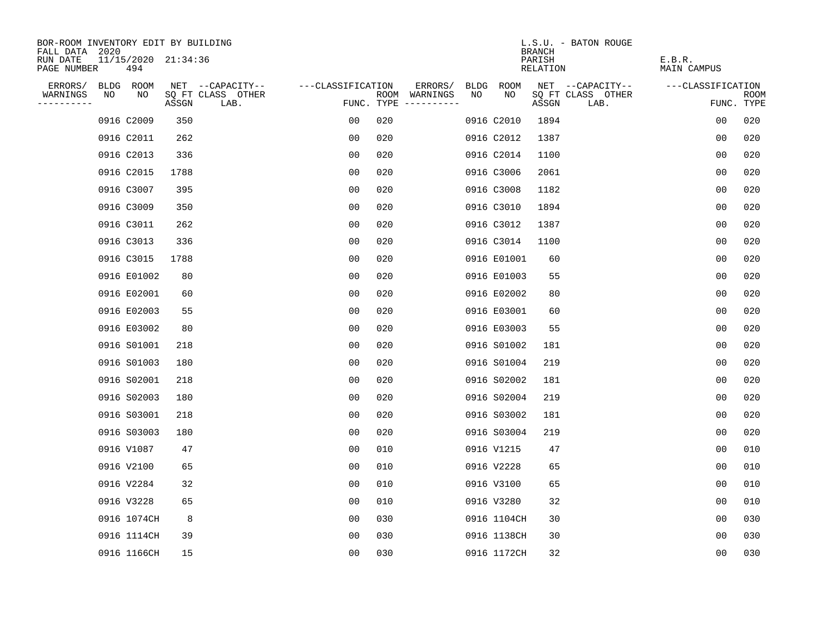| BOR-ROOM INVENTORY EDIT BY BUILDING       |    |             |                     |                           |                   |     |                                      |      |             | <b>BRANCH</b>      | L.S.U. - BATON ROUGE      |                       |                           |
|-------------------------------------------|----|-------------|---------------------|---------------------------|-------------------|-----|--------------------------------------|------|-------------|--------------------|---------------------------|-----------------------|---------------------------|
| FALL DATA 2020<br>RUN DATE<br>PAGE NUMBER |    | 494         | 11/15/2020 21:34:36 |                           |                   |     |                                      |      |             | PARISH<br>RELATION |                           | E.B.R.<br>MAIN CAMPUS |                           |
| ERRORS/                                   |    | BLDG ROOM   |                     | NET --CAPACITY--          | ---CLASSIFICATION |     | ERRORS/                              | BLDG | ROOM        |                    | NET --CAPACITY--          | ---CLASSIFICATION     |                           |
| WARNINGS<br>----------                    | NO | NO          | ASSGN               | SQ FT CLASS OTHER<br>LAB. |                   |     | ROOM WARNINGS<br>FUNC. TYPE $------$ | NO   | NO          | ASSGN              | SQ FT CLASS OTHER<br>LAB. |                       | <b>ROOM</b><br>FUNC. TYPE |
|                                           |    | 0916 C2009  | 350                 |                           | 0 <sub>0</sub>    | 020 |                                      |      | 0916 C2010  | 1894               |                           | 0 <sub>0</sub>        | 020                       |
|                                           |    | 0916 C2011  | 262                 |                           | 0 <sub>0</sub>    | 020 |                                      |      | 0916 C2012  | 1387               |                           | 0 <sub>0</sub>        | 020                       |
|                                           |    | 0916 C2013  | 336                 |                           | 0 <sub>0</sub>    | 020 |                                      |      | 0916 C2014  | 1100               |                           | 00                    | 020                       |
|                                           |    | 0916 C2015  | 1788                |                           | 00                | 020 |                                      |      | 0916 C3006  | 2061               |                           | 00                    | 020                       |
|                                           |    | 0916 C3007  | 395                 |                           | 00                | 020 |                                      |      | 0916 C3008  | 1182               |                           | 00                    | 020                       |
|                                           |    | 0916 C3009  | 350                 |                           | 0 <sub>0</sub>    | 020 |                                      |      | 0916 C3010  | 1894               |                           | 0 <sub>0</sub>        | 020                       |
|                                           |    | 0916 C3011  | 262                 |                           | 0 <sub>0</sub>    | 020 |                                      |      | 0916 C3012  | 1387               |                           | 0 <sub>0</sub>        | 020                       |
|                                           |    | 0916 C3013  | 336                 |                           | 0 <sub>0</sub>    | 020 |                                      |      | 0916 C3014  | 1100               |                           | 0 <sub>0</sub>        | 020                       |
|                                           |    | 0916 C3015  | 1788                |                           | 0 <sub>0</sub>    | 020 |                                      |      | 0916 E01001 | 60                 |                           | 0 <sub>0</sub>        | 020                       |
|                                           |    | 0916 E01002 | 80                  |                           | 0 <sub>0</sub>    | 020 |                                      |      | 0916 E01003 | 55                 |                           | 0 <sub>0</sub>        | 020                       |
|                                           |    | 0916 E02001 | 60                  |                           | 00                | 020 |                                      |      | 0916 E02002 | 80                 |                           | 0 <sub>0</sub>        | 020                       |
|                                           |    | 0916 E02003 | 55                  |                           | 0 <sub>0</sub>    | 020 |                                      |      | 0916 E03001 | 60                 |                           | 0 <sub>0</sub>        | 020                       |
|                                           |    | 0916 E03002 | 80                  |                           | 0 <sub>0</sub>    | 020 |                                      |      | 0916 E03003 | 55                 |                           | 0 <sub>0</sub>        | 020                       |
|                                           |    | 0916 S01001 | 218                 |                           | 0 <sub>0</sub>    | 020 |                                      |      | 0916 S01002 | 181                |                           | 0 <sub>0</sub>        | 020                       |
|                                           |    | 0916 S01003 | 180                 |                           | 00                | 020 |                                      |      | 0916 S01004 | 219                |                           | 00                    | 020                       |
|                                           |    | 0916 S02001 | 218                 |                           | 00                | 020 |                                      |      | 0916 S02002 | 181                |                           | 0 <sub>0</sub>        | 020                       |
|                                           |    | 0916 S02003 | 180                 |                           | 00                | 020 |                                      |      | 0916 S02004 | 219                |                           | 0 <sub>0</sub>        | 020                       |
|                                           |    | 0916 S03001 | 218                 |                           | 0 <sub>0</sub>    | 020 |                                      |      | 0916 S03002 | 181                |                           | 0 <sub>0</sub>        | 020                       |
|                                           |    | 0916 S03003 | 180                 |                           | 0 <sub>0</sub>    | 020 |                                      |      | 0916 S03004 | 219                |                           | 0 <sub>0</sub>        | 020                       |
|                                           |    | 0916 V1087  | 47                  |                           | 0 <sub>0</sub>    | 010 |                                      |      | 0916 V1215  | 47                 |                           | 00                    | 010                       |
|                                           |    | 0916 V2100  | 65                  |                           | 0 <sub>0</sub>    | 010 |                                      |      | 0916 V2228  | 65                 |                           | 0 <sub>0</sub>        | 010                       |
|                                           |    | 0916 V2284  | 32                  |                           | 00                | 010 |                                      |      | 0916 V3100  | 65                 |                           | 0 <sub>0</sub>        | 010                       |
|                                           |    | 0916 V3228  | 65                  |                           | 0 <sub>0</sub>    | 010 |                                      |      | 0916 V3280  | 32                 |                           | 0 <sub>0</sub>        | 010                       |
|                                           |    | 0916 1074CH | 8                   |                           | 0 <sub>0</sub>    | 030 |                                      |      | 0916 1104CH | 30                 |                           | 0 <sub>0</sub>        | 030                       |
|                                           |    | 0916 1114CH | 39                  |                           | 0 <sub>0</sub>    | 030 |                                      |      | 0916 1138CH | 30                 |                           | 0 <sub>0</sub>        | 030                       |
|                                           |    | 0916 1166CH | 15                  |                           | 0 <sub>0</sub>    | 030 |                                      |      | 0916 1172CH | 32                 |                           | 0 <sub>0</sub>        | 030                       |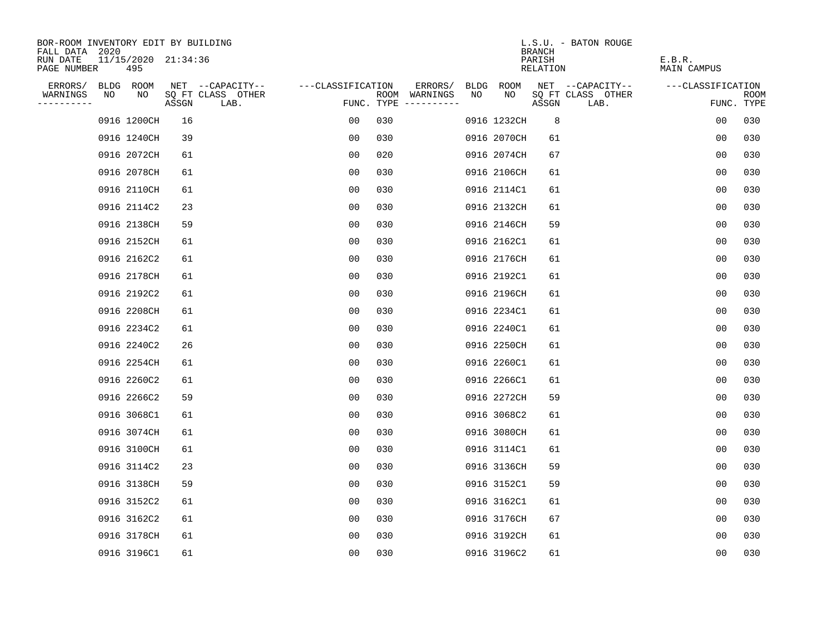| BOR-ROOM INVENTORY EDIT BY BUILDING<br>FALL DATA 2020 |    |                            |       |                           |                   |     |                                      |    |             | <b>BRANCH</b>      | L.S.U. - BATON ROUGE      |                       |                           |
|-------------------------------------------------------|----|----------------------------|-------|---------------------------|-------------------|-----|--------------------------------------|----|-------------|--------------------|---------------------------|-----------------------|---------------------------|
| RUN DATE<br>PAGE NUMBER                               |    | 11/15/2020 21:34:36<br>495 |       |                           |                   |     |                                      |    |             | PARISH<br>RELATION |                           | E.B.R.<br>MAIN CAMPUS |                           |
| ERRORS/                                               |    | BLDG ROOM                  |       | NET --CAPACITY--          | ---CLASSIFICATION |     | ERRORS/                              |    | BLDG ROOM   |                    | NET --CAPACITY--          | ---CLASSIFICATION     |                           |
| WARNINGS<br>----------                                | NO | NO                         | ASSGN | SQ FT CLASS OTHER<br>LAB. |                   |     | ROOM WARNINGS<br>FUNC. TYPE $------$ | NO | NO          | ASSGN              | SQ FT CLASS OTHER<br>LAB. |                       | <b>ROOM</b><br>FUNC. TYPE |
|                                                       |    | 0916 1200CH                | 16    |                           | 0 <sub>0</sub>    | 030 |                                      |    | 0916 1232CH | 8                  |                           | 0 <sub>0</sub>        | 030                       |
|                                                       |    | 0916 1240CH                | 39    |                           | 00                | 030 |                                      |    | 0916 2070CH | 61                 |                           | 0 <sub>0</sub>        | 030                       |
|                                                       |    | 0916 2072CH                | 61    |                           | 0 <sub>0</sub>    | 020 |                                      |    | 0916 2074CH | 67                 |                           | 00                    | 030                       |
|                                                       |    | 0916 2078CH                | 61    |                           | 00                | 030 |                                      |    | 0916 2106CH | 61                 |                           | 00                    | 030                       |
|                                                       |    | 0916 2110CH                | 61    |                           | 00                | 030 |                                      |    | 0916 2114C1 | 61                 |                           | 00                    | 030                       |
|                                                       |    | 0916 2114C2                | 23    |                           | 0 <sub>0</sub>    | 030 |                                      |    | 0916 2132CH | 61                 |                           | 0 <sub>0</sub>        | 030                       |
|                                                       |    | 0916 2138CH                | 59    |                           | 0 <sub>0</sub>    | 030 |                                      |    | 0916 2146CH | 59                 |                           | 0 <sub>0</sub>        | 030                       |
|                                                       |    | 0916 2152CH                | 61    |                           | 0 <sub>0</sub>    | 030 |                                      |    | 0916 2162C1 | 61                 |                           | 0 <sub>0</sub>        | 030                       |
|                                                       |    | 0916 2162C2                | 61    |                           | 0 <sub>0</sub>    | 030 |                                      |    | 0916 2176CH | 61                 |                           | 0 <sub>0</sub>        | 030                       |
|                                                       |    | 0916 2178CH                | 61    |                           | 0 <sub>0</sub>    | 030 |                                      |    | 0916 2192C1 | 61                 |                           | 0 <sub>0</sub>        | 030                       |
|                                                       |    | 0916 2192C2                | 61    |                           | 00                | 030 |                                      |    | 0916 2196CH | 61                 |                           | 0 <sub>0</sub>        | 030                       |
|                                                       |    | 0916 2208CH                | 61    |                           | 0 <sub>0</sub>    | 030 |                                      |    | 0916 2234C1 | 61                 |                           | 0 <sub>0</sub>        | 030                       |
|                                                       |    | 0916 2234C2                | 61    |                           | 0 <sub>0</sub>    | 030 |                                      |    | 0916 2240C1 | 61                 |                           | 0 <sub>0</sub>        | 030                       |
|                                                       |    | 0916 2240C2                | 26    |                           | 0 <sub>0</sub>    | 030 |                                      |    | 0916 2250CH | 61                 |                           | 0 <sub>0</sub>        | 030                       |
|                                                       |    | 0916 2254CH                | 61    |                           | 00                | 030 |                                      |    | 0916 2260C1 | 61                 |                           | 00                    | 030                       |
|                                                       |    | 0916 2260C2                | 61    |                           | 00                | 030 |                                      |    | 0916 2266C1 | 61                 |                           | 0 <sub>0</sub>        | 030                       |
|                                                       |    | 0916 2266C2                | 59    |                           | 00                | 030 |                                      |    | 0916 2272CH | 59                 |                           | 0 <sub>0</sub>        | 030                       |
|                                                       |    | 0916 3068C1                | 61    |                           | 0 <sub>0</sub>    | 030 |                                      |    | 0916 3068C2 | 61                 |                           | 0 <sub>0</sub>        | 030                       |
|                                                       |    | 0916 3074CH                | 61    |                           | 0 <sub>0</sub>    | 030 |                                      |    | 0916 3080CH | 61                 |                           | 0 <sub>0</sub>        | 030                       |
|                                                       |    | 0916 3100CH                | 61    |                           | 0 <sub>0</sub>    | 030 |                                      |    | 0916 3114C1 | 61                 |                           | 00                    | 030                       |
|                                                       |    | 0916 3114C2                | 23    |                           | 0 <sub>0</sub>    | 030 |                                      |    | 0916 3136CH | 59                 |                           | 0 <sub>0</sub>        | 030                       |
|                                                       |    | 0916 3138CH                | 59    |                           | 00                | 030 |                                      |    | 0916 3152C1 | 59                 |                           | 0 <sub>0</sub>        | 030                       |
|                                                       |    | 0916 3152C2                | 61    |                           | 0 <sub>0</sub>    | 030 |                                      |    | 0916 3162C1 | 61                 |                           | 0 <sub>0</sub>        | 030                       |
|                                                       |    | 0916 3162C2                | 61    |                           | 0 <sub>0</sub>    | 030 |                                      |    | 0916 3176CH | 67                 |                           | 0 <sub>0</sub>        | 030                       |
|                                                       |    | 0916 3178CH                | 61    |                           | 0 <sub>0</sub>    | 030 |                                      |    | 0916 3192CH | 61                 |                           | 0 <sub>0</sub>        | 030                       |
|                                                       |    | 0916 3196C1                | 61    |                           | 0 <sub>0</sub>    | 030 |                                      |    | 0916 3196C2 | 61                 |                           | 0 <sub>0</sub>        | 030                       |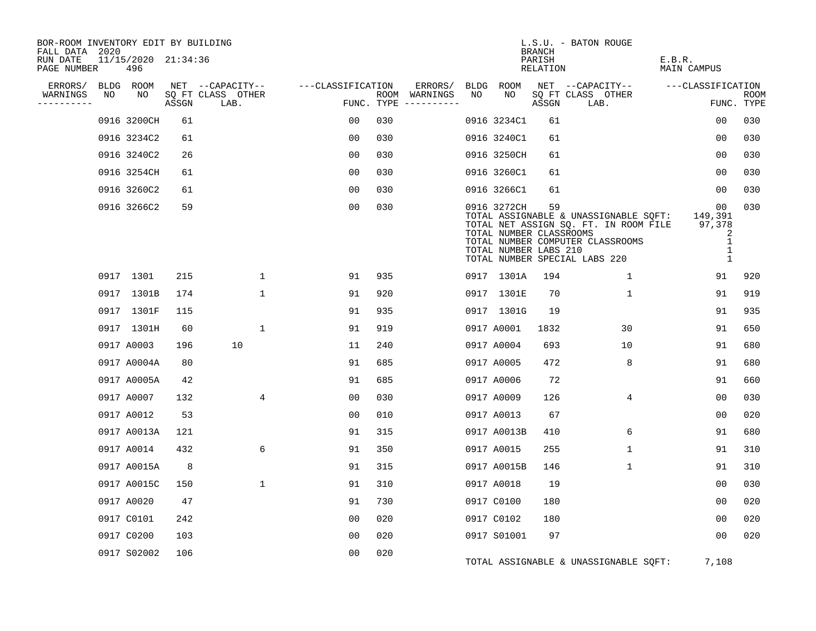| BOR-ROOM INVENTORY EDIT BY BUILDING<br>FALL DATA 2020<br>RUN DATE |    | 11/15/2020 21:34:36 |       |                                       |                   |     |                          |            |                                                                 | <b>BRANCH</b><br>PARISH | L.S.U. - BATON ROUGE                                                                                                                                | E.B.R.                                                 |            |
|-------------------------------------------------------------------|----|---------------------|-------|---------------------------------------|-------------------|-----|--------------------------|------------|-----------------------------------------------------------------|-------------------------|-----------------------------------------------------------------------------------------------------------------------------------------------------|--------------------------------------------------------|------------|
| PAGE NUMBER                                                       |    | 496                 |       |                                       |                   |     |                          |            |                                                                 | <b>RELATION</b>         |                                                                                                                                                     | <b>MAIN CAMPUS</b>                                     |            |
| ERRORS/<br>WARNINGS                                               | NO | BLDG ROOM<br>NO     |       | NET --CAPACITY--<br>SQ FT CLASS OTHER | ---CLASSIFICATION |     | ERRORS/<br>ROOM WARNINGS | BLDG<br>NO | ROOM<br>NO                                                      |                         | NET --CAPACITY--<br>SQ FT CLASS OTHER                                                                                                               | ---CLASSIFICATION                                      | ROOM       |
| . _ _ _ _ _ _ _ _                                                 |    |                     | ASSGN | LAB.                                  | FUNC. TYPE        |     | -----------              |            |                                                                 | ASSGN                   | LAB.                                                                                                                                                |                                                        | FUNC. TYPE |
|                                                                   |    | 0916 3200CH         | 61    |                                       | 00                | 030 |                          |            | 0916 3234C1                                                     | 61                      |                                                                                                                                                     | 00                                                     | 030        |
|                                                                   |    | 0916 3234C2         | 61    |                                       | 0 <sub>0</sub>    | 030 |                          |            | 0916 3240C1                                                     | 61                      |                                                                                                                                                     | 0 <sub>0</sub>                                         | 030        |
|                                                                   |    | 0916 3240C2         | 26    |                                       | 00                | 030 |                          |            | 0916 3250CH                                                     | 61                      |                                                                                                                                                     | 0 <sub>0</sub>                                         | 030        |
|                                                                   |    | 0916 3254CH         | 61    |                                       | 0 <sub>0</sub>    | 030 |                          |            | 0916 3260C1                                                     | 61                      |                                                                                                                                                     | 00                                                     | 030        |
|                                                                   |    | 0916 3260C2         | 61    |                                       | 0 <sub>0</sub>    | 030 |                          |            | 0916 3266C1                                                     | 61                      |                                                                                                                                                     | 00                                                     | 030        |
|                                                                   |    | 0916 3266C2         | 59    |                                       | 0 <sub>0</sub>    | 030 |                          |            | 0916 3272CH<br>TOTAL NUMBER CLASSROOMS<br>TOTAL NUMBER LABS 210 | 59                      | TOTAL ASSIGNABLE & UNASSIGNABLE SQFT:<br>TOTAL NET ASSIGN SQ. FT. IN ROOM FILE<br>TOTAL NUMBER COMPUTER CLASSROOMS<br>TOTAL NUMBER SPECIAL LABS 220 | 00<br>149,391<br>97,378<br>2<br>1<br>1<br>$\mathbf{1}$ | 030        |
|                                                                   |    | 0917 1301           | 215   | 1                                     | 91                | 935 |                          |            | 0917 1301A                                                      | 194                     | 1                                                                                                                                                   | 91                                                     | 920        |
|                                                                   |    | 0917 1301B          | 174   | $\mathbf 1$                           | 91                | 920 |                          |            | 0917 1301E                                                      | 70                      | $\mathbf 1$                                                                                                                                         | 91                                                     | 919        |
|                                                                   |    | 0917 1301F          | 115   |                                       | 91                | 935 |                          |            | 0917 1301G                                                      | 19                      |                                                                                                                                                     | 91                                                     | 935        |
|                                                                   |    | 0917 1301H          | 60    | $\mathbf{1}$                          | 91                | 919 |                          |            | 0917 A0001                                                      | 1832                    | 30                                                                                                                                                  | 91                                                     | 650        |
|                                                                   |    | 0917 A0003          | 196   | 10                                    | 11                | 240 |                          |            | 0917 A0004                                                      | 693                     | 10                                                                                                                                                  | 91                                                     | 680        |
|                                                                   |    | 0917 A0004A         | 80    |                                       | 91                | 685 |                          |            | 0917 A0005                                                      | 472                     | 8                                                                                                                                                   | 91                                                     | 680        |
|                                                                   |    | 0917 A0005A         | 42    |                                       | 91                | 685 |                          |            | 0917 A0006                                                      | 72                      |                                                                                                                                                     | 91                                                     | 660        |
|                                                                   |    | 0917 A0007          | 132   | 4                                     | 0 <sub>0</sub>    | 030 |                          |            | 0917 A0009                                                      | 126                     | 4                                                                                                                                                   | 0 <sub>0</sub>                                         | 030        |
|                                                                   |    | 0917 A0012          | 53    |                                       | 00                | 010 |                          |            | 0917 A0013                                                      | 67                      |                                                                                                                                                     | 00                                                     | 020        |
|                                                                   |    | 0917 A0013A         | 121   |                                       | 91                | 315 |                          |            | 0917 A0013B                                                     | 410                     | 6                                                                                                                                                   | 91                                                     | 680        |
|                                                                   |    | 0917 A0014          | 432   | 6                                     | 91                | 350 |                          |            | 0917 A0015                                                      | 255                     | $\mathbf{1}$                                                                                                                                        | 91                                                     | 310        |
|                                                                   |    | 0917 A0015A         | 8     |                                       | 91                | 315 |                          |            | 0917 A0015B                                                     | 146                     | $\mathbf 1$                                                                                                                                         | 91                                                     | 310        |
|                                                                   |    | 0917 A0015C         | 150   | $\mathbf{1}$                          | 91                | 310 |                          |            | 0917 A0018                                                      | 19                      |                                                                                                                                                     | 00                                                     | 030        |
|                                                                   |    | 0917 A0020          | 47    |                                       | 91                | 730 |                          |            | 0917 C0100                                                      | 180                     |                                                                                                                                                     | 0 <sub>0</sub>                                         | 020        |
|                                                                   |    | 0917 C0101          | 242   |                                       | 00                | 020 |                          |            | 0917 C0102                                                      | 180                     |                                                                                                                                                     | 00                                                     | 020        |
|                                                                   |    | 0917 C0200          | 103   |                                       | 0 <sub>0</sub>    | 020 |                          |            | 0917 S01001                                                     | 97                      |                                                                                                                                                     | 00                                                     | 020        |
|                                                                   |    | 0917 S02002         | 106   |                                       | 0 <sub>0</sub>    | 020 |                          |            |                                                                 |                         | TOTAL ASSIGNABLE & UNASSIGNABLE SQFT:                                                                                                               | 7,108                                                  |            |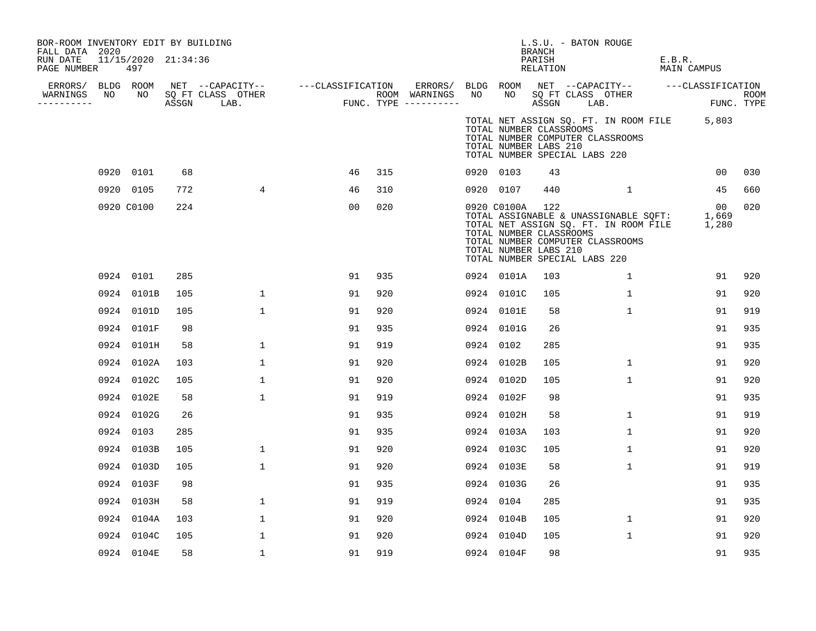| BOR-ROOM INVENTORY EDIT BY BUILDING<br>FALL DATA 2020 |                            |     |                |                                                                                                                                                            |     |                                                       |                 | L.S.U. - BATON ROUGE<br>BRANCH                                                    |                                                                                                                                                   |        |                    |     |
|-------------------------------------------------------|----------------------------|-----|----------------|------------------------------------------------------------------------------------------------------------------------------------------------------------|-----|-------------------------------------------------------|-----------------|-----------------------------------------------------------------------------------|---------------------------------------------------------------------------------------------------------------------------------------------------|--------|--------------------|-----|
| RUN DATE<br>PAGE NUMBER                               | 11/15/2020 21:34:36<br>497 |     |                |                                                                                                                                                            |     |                                                       |                 | PARISH<br>RELATION                                                                |                                                                                                                                                   | E.B.R. | MAIN CAMPUS        |     |
|                                                       |                            |     |                | ERRORS/ BLDG ROOM NET --CAPACITY-- ---CLASSIFICATION ERRORS/<br>WARNINGS NO NO SQFTCLASS OTHER ROOM WARNINGS<br>--------- ASSGN LAB. FUNC. TYPE ---------- |     | ERRORS/ BLDG ROOM NET --CAPACITY--  ---CLASSIFICATION |                 |                                                                                   |                                                                                                                                                   |        |                    |     |
| WARNINGS<br>----------                                |                            |     |                |                                                                                                                                                            |     | ROOM WARNINGS NO                                      |                 |                                                                                   | NO SQ FT CLASS OTHER<br>ASSGN LAB.                                                                                                                |        | ROOM<br>FUNC. TYPE |     |
|                                                       |                            |     |                |                                                                                                                                                            |     |                                                       |                 | TOTAL NUMBER CLASSROOMS<br>TOTAL NUMBER LABS 210<br>TOTAL NUMBER SPECIAL LABS 220 | TOTAL NET ASSIGN SQ. FT. IN ROOM FILE 5,803<br>TOTAL NUMBER COMPUTER CLASSROOMS                                                                   |        |                    |     |
|                                                       | 0920 0101                  | 68  |                | 46                                                                                                                                                         | 315 |                                                       | 0920 0103       | 43                                                                                |                                                                                                                                                   |        | 00                 | 030 |
|                                                       | 0920 0105                  | 772 | $\overline{4}$ | 46                                                                                                                                                         | 310 |                                                       | 0920 0107       | 440                                                                               | 1                                                                                                                                                 |        | 45                 | 660 |
|                                                       | 0920 C0100                 | 224 |                | 00                                                                                                                                                         | 020 |                                                       | 0920 C0100A 122 | TOTAL NUMBER CLASSROOMS<br>TOTAL NUMBER LABS 210<br>TOTAL NUMBER SPECIAL LABS 220 | 0920 COTOOA 122<br>TOTAL ASSIGNABLE & UNASSIGNABLE SQFT: 1,669<br>TOTAL NET ASSIGN SQ. FT. IN ROOM FILE 1,280<br>TOTAL NUMBER COMPUTER CLASSROOMS |        | 00                 | 020 |
|                                                       | 0924 0101                  | 285 |                | 91                                                                                                                                                         | 935 |                                                       | 0924 0101A      | 103                                                                               | $\mathbf{1}$                                                                                                                                      |        | 91                 | 920 |
|                                                       | 0924 0101B                 | 105 | $\mathbf 1$    | 91                                                                                                                                                         | 920 |                                                       | 0924 0101C      | 105                                                                               | 1                                                                                                                                                 |        | 91                 | 920 |
|                                                       | 0924 0101D                 | 105 | $\mathbf{1}$   | 91                                                                                                                                                         | 920 |                                                       | 0924 0101E      | 58                                                                                | $\mathbf{1}$                                                                                                                                      |        | 91                 | 919 |
|                                                       | 0924 0101F                 | 98  |                | 91                                                                                                                                                         | 935 |                                                       | 0924 0101G      | 26                                                                                |                                                                                                                                                   |        | 91                 | 935 |
|                                                       | 0924 0101H                 | 58  | $\mathbf{1}$   | 91                                                                                                                                                         | 919 |                                                       | 0924 0102       | 285                                                                               |                                                                                                                                                   |        | 91                 | 935 |
|                                                       | 0924 0102A                 | 103 | $\mathbf 1$    | 91                                                                                                                                                         | 920 |                                                       | 0924 0102B      | 105                                                                               | $\mathbf{1}$                                                                                                                                      |        | 91                 | 920 |
|                                                       | 0924 0102C                 | 105 | $\mathbf{1}$   | 91                                                                                                                                                         | 920 |                                                       | 0924 0102D      | 105                                                                               | $\mathbf{1}$                                                                                                                                      |        | 91                 | 920 |
|                                                       | 0924 0102E                 | 58  | $\mathbf 1$    | 91                                                                                                                                                         | 919 |                                                       | 0924 0102F      | 98                                                                                |                                                                                                                                                   |        | 91                 | 935 |
|                                                       | 0924 0102G                 | 26  |                | 91                                                                                                                                                         | 935 |                                                       | 0924 0102H      | 58                                                                                | 1                                                                                                                                                 |        | 91                 | 919 |
|                                                       | 0924 0103                  | 285 |                | 91                                                                                                                                                         | 935 |                                                       | 0924 0103A      | 103                                                                               | $\mathbf{1}$                                                                                                                                      |        | 91                 | 920 |
|                                                       | 0924 0103B                 | 105 | $\mathbf{1}$   | 91                                                                                                                                                         | 920 |                                                       | 0924 0103C      | 105                                                                               | $\mathbf 1$                                                                                                                                       |        | 91                 | 920 |
|                                                       | 0924 0103D                 | 105 | $\mathbf{1}$   | 91                                                                                                                                                         | 920 |                                                       | 0924 0103E      | 58                                                                                | $\mathbf{1}$                                                                                                                                      |        | 91                 | 919 |
|                                                       | 0924 0103F                 | 98  |                | 91                                                                                                                                                         | 935 |                                                       | 0924 0103G      | 26                                                                                |                                                                                                                                                   |        | 91                 | 935 |
|                                                       | 0924 0103H                 | 58  | $\mathbf 1$    | 91                                                                                                                                                         | 919 |                                                       | 0924 0104       | 285                                                                               |                                                                                                                                                   |        | 91                 | 935 |
|                                                       | 0924 0104A                 | 103 | $\mathbf 1$    | 91                                                                                                                                                         | 920 |                                                       | 0924 0104B      | 105                                                                               | $\mathbf{1}$                                                                                                                                      |        | 91                 | 920 |
|                                                       | 0924 0104C                 | 105 | $\mathbf{1}$   | 91                                                                                                                                                         | 920 |                                                       | 0924 0104D      | 105                                                                               | $\mathbf{1}$                                                                                                                                      |        | 91                 | 920 |
|                                                       | 0924 0104E                 | 58  | $\mathbf 1$    | 91                                                                                                                                                         | 919 |                                                       | 0924 0104F      | 98                                                                                |                                                                                                                                                   |        | 91                 | 935 |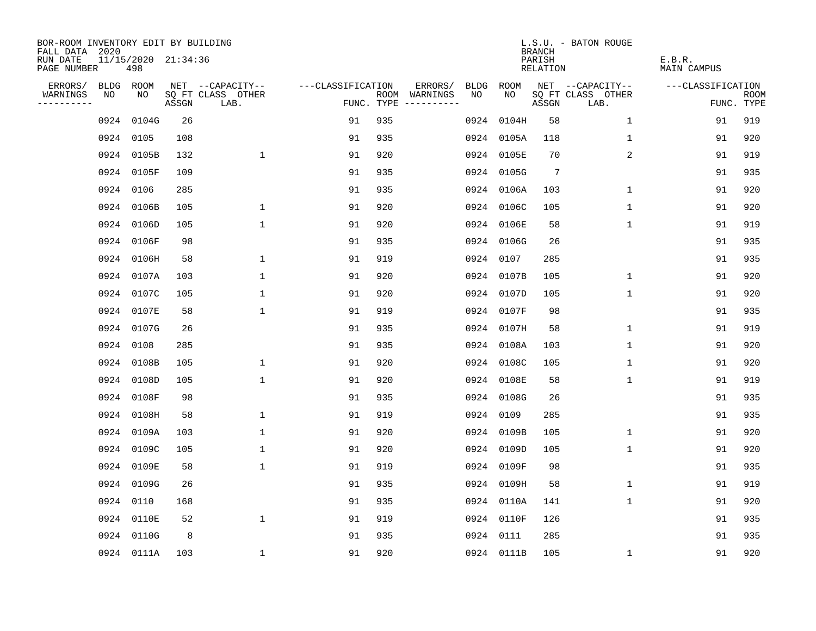| BOR-ROOM INVENTORY EDIT BY BUILDING<br>FALL DATA 2020 |           |                            |       |                           |                   |     |                                      |      |            | <b>BRANCH</b>      | L.S.U. - BATON ROUGE      |                       |                           |
|-------------------------------------------------------|-----------|----------------------------|-------|---------------------------|-------------------|-----|--------------------------------------|------|------------|--------------------|---------------------------|-----------------------|---------------------------|
| RUN DATE<br>PAGE NUMBER                               |           | 11/15/2020 21:34:36<br>498 |       |                           |                   |     |                                      |      |            | PARISH<br>RELATION |                           | E.B.R.<br>MAIN CAMPUS |                           |
| ERRORS/                                               | BLDG ROOM |                            |       | NET --CAPACITY--          | ---CLASSIFICATION |     | ERRORS/                              | BLDG | ROOM       |                    | NET --CAPACITY--          | ---CLASSIFICATION     |                           |
| WARNINGS<br>----------                                | NO        | NO                         | ASSGN | SQ FT CLASS OTHER<br>LAB. |                   |     | ROOM WARNINGS<br>FUNC. TYPE $------$ | NO.  | NO         | ASSGN              | SQ FT CLASS OTHER<br>LAB. |                       | <b>ROOM</b><br>FUNC. TYPE |
|                                                       |           | 0924 0104G                 | 26    |                           | 91                | 935 |                                      | 0924 | 0104H      | 58                 | $\mathbf 1$               | 91                    | 919                       |
|                                                       |           | 0924 0105                  | 108   |                           | 91                | 935 |                                      |      | 0924 0105A | 118                | 1                         | 91                    | 920                       |
|                                                       |           | 0924 0105B                 | 132   | $\mathbf{1}$              | 91                | 920 |                                      |      | 0924 0105E | 70                 | 2                         | 91                    | 919                       |
|                                                       |           | 0924 0105F                 | 109   |                           | 91                | 935 |                                      |      | 0924 0105G | $7\phantom{.0}$    |                           | 91                    | 935                       |
|                                                       |           | 0924 0106                  | 285   |                           | 91                | 935 |                                      |      | 0924 0106A | 103                | 1                         | 91                    | 920                       |
|                                                       |           | 0924 0106B                 | 105   | 1                         | 91                | 920 |                                      |      | 0924 0106C | 105                | 1                         | 91                    | 920                       |
|                                                       |           | 0924 0106D                 | 105   | $\mathbf{1}$              | 91                | 920 |                                      |      | 0924 0106E | 58                 | $\mathbf{1}$              | 91                    | 919                       |
|                                                       |           | 0924 0106F                 | 98    |                           | 91                | 935 |                                      |      | 0924 0106G | 26                 |                           | 91                    | 935                       |
|                                                       |           | 0924 0106H                 | 58    | $\mathbf{1}$              | 91                | 919 |                                      |      | 0924 0107  | 285                |                           | 91                    | 935                       |
|                                                       |           | 0924 0107A                 | 103   | $\mathbf 1$               | 91                | 920 |                                      |      | 0924 0107B | 105                | $\mathbf 1$               | 91                    | 920                       |
|                                                       |           | 0924 0107C                 | 105   | $\mathbf 1$               | 91                | 920 |                                      |      | 0924 0107D | 105                | $\mathbf 1$               | 91                    | 920                       |
|                                                       |           | 0924 0107E                 | 58    | $\mathbf{1}$              | 91                | 919 |                                      |      | 0924 0107F | 98                 |                           | 91                    | 935                       |
|                                                       |           | 0924 0107G                 | 26    |                           | 91                | 935 |                                      | 0924 | 0107H      | 58                 | $\mathbf 1$               | 91                    | 919                       |
|                                                       |           | 0924 0108                  | 285   |                           | 91                | 935 |                                      |      | 0924 0108A | 103                | 1                         | 91                    | 920                       |
|                                                       |           | 0924 0108B                 | 105   | 1                         | 91                | 920 |                                      | 0924 | 0108C      | 105                | 1                         | 91                    | 920                       |
|                                                       |           | 0924 0108D                 | 105   | $\mathbf 1$               | 91                | 920 |                                      |      | 0924 0108E | 58                 | 1                         | 91                    | 919                       |
|                                                       |           | 0924 0108F                 | 98    |                           | 91                | 935 |                                      | 0924 | 0108G      | 26                 |                           | 91                    | 935                       |
|                                                       |           | 0924 0108H                 | 58    | $\mathbf 1$               | 91                | 919 |                                      | 0924 | 0109       | 285                |                           | 91                    | 935                       |
|                                                       |           | 0924 0109A                 | 103   | $\mathbf{1}$              | 91                | 920 |                                      |      | 0924 0109B | 105                | 1                         | 91                    | 920                       |
|                                                       |           | 0924 0109C                 | 105   | $\mathbf{1}$              | 91                | 920 |                                      |      | 0924 0109D | 105                | $\mathbf 1$               | 91                    | 920                       |
|                                                       |           | 0924 0109E                 | 58    | $\mathbf 1$               | 91                | 919 |                                      |      | 0924 0109F | 98                 |                           | 91                    | 935                       |
|                                                       |           | 0924 0109G                 | 26    |                           | 91                | 935 |                                      |      | 0924 0109H | 58                 | 1                         | 91                    | 919                       |
|                                                       |           | 0924 0110                  | 168   |                           | 91                | 935 |                                      |      | 0924 0110A | 141                | 1                         | 91                    | 920                       |
|                                                       |           | 0924 0110E                 | 52    | $\mathbf 1$               | 91                | 919 |                                      |      | 0924 0110F | 126                |                           | 91                    | 935                       |
|                                                       |           | 0924 0110G                 | 8     |                           | 91                | 935 |                                      |      | 0924 0111  | 285                |                           | 91                    | 935                       |
|                                                       |           | 0924 0111A                 | 103   | $\mathbf{1}$              | 91                | 920 |                                      |      | 0924 0111B | 105                | 1                         | 91                    | 920                       |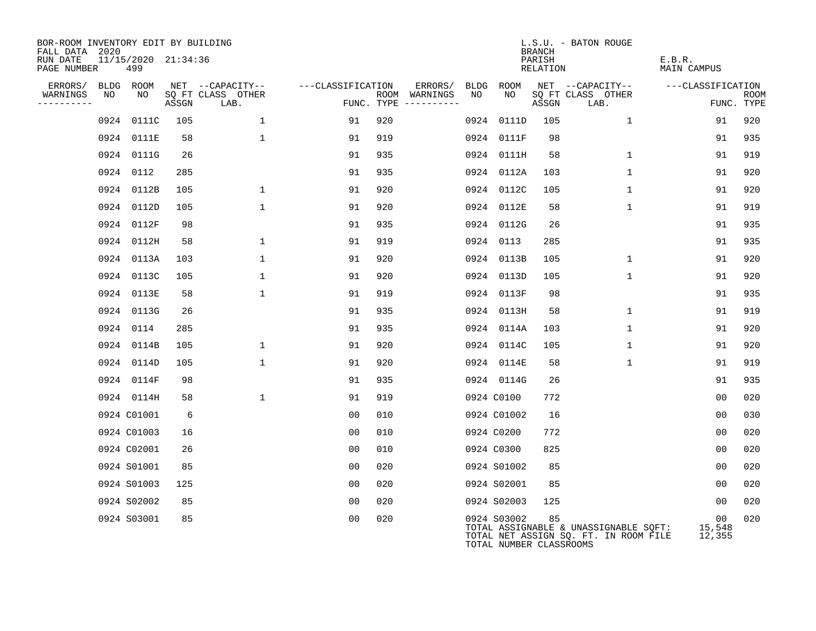| BOR-ROOM INVENTORY EDIT BY BUILDING<br>FALL DATA 2020 |    |                            |       |                           |                   |                                        |                 |                                        | <b>BRANCH</b>      | L.S.U. - BATON ROUGE                                                           |                                     |                           |
|-------------------------------------------------------|----|----------------------------|-------|---------------------------|-------------------|----------------------------------------|-----------------|----------------------------------------|--------------------|--------------------------------------------------------------------------------|-------------------------------------|---------------------------|
| RUN DATE<br>PAGE NUMBER                               |    | 11/15/2020 21:34:36<br>499 |       |                           |                   |                                        |                 |                                        | PARISH<br>RELATION |                                                                                | E.B.R.<br><b>MAIN CAMPUS</b>        |                           |
| ERRORS/                                               |    | BLDG ROOM                  |       | NET --CAPACITY--          | ---CLASSIFICATION |                                        | ERRORS/<br>BLDG | ROOM                                   |                    | NET --CAPACITY--                                                               | ---CLASSIFICATION                   |                           |
| WARNINGS<br>----------                                | NO | NO                         | ASSGN | SQ FT CLASS OTHER<br>LAB. |                   | ROOM WARNINGS<br>FUNC. TYPE ---------- | NO              | NO                                     | ASSGN              | SQ FT CLASS OTHER<br>LAB.                                                      |                                     | <b>ROOM</b><br>FUNC. TYPE |
|                                                       |    | 0924 0111C                 | 105   | $\mathbf{1}$              | 91                | 920                                    | 0924            | 0111D                                  | 105                | 1                                                                              | 91                                  | 920                       |
|                                                       |    | 0924 0111E                 | 58    | $\mathbf{1}$              | 91                | 919                                    | 0924            | 0111F                                  | 98                 |                                                                                | 91                                  | 935                       |
|                                                       |    | 0924 0111G                 | 26    |                           | 91                | 935                                    |                 | 0924 0111H                             | 58                 | $\mathbf 1$                                                                    | 91                                  | 919                       |
|                                                       |    | 0924 0112                  | 285   |                           | 91                | 935                                    | 0924            | 0112A                                  | 103                | $\mathbf{1}$                                                                   | 91                                  | 920                       |
|                                                       |    | 0924 0112B                 | 105   | $\mathbf 1$               | 91                | 920                                    |                 | 0924 0112C                             | 105                | $\mathbf{1}$                                                                   | 91                                  | 920                       |
|                                                       |    | 0924 0112D                 | 105   | $\mathbf{1}$              | 91                | 920                                    |                 | 0924 0112E                             | 58                 | $\mathbf{1}$                                                                   | 91                                  | 919                       |
|                                                       |    | 0924 0112F                 | 98    |                           | 91                | 935                                    |                 | 0924 0112G                             | 26                 |                                                                                | 91                                  | 935                       |
|                                                       |    | 0924 0112H                 | 58    | $\mathbf 1$               | 91                | 919                                    |                 | 0924 0113                              | 285                |                                                                                | 91                                  | 935                       |
|                                                       |    | 0924 0113A                 | 103   | $\mathbf{1}$              | 91                | 920                                    |                 | 0924 0113B                             | 105                | $\mathbf{1}$                                                                   | 91                                  | 920                       |
|                                                       |    | 0924 0113C                 | 105   | $\mathbf 1$               | 91                | 920                                    |                 | 0924 0113D                             | 105                | $\mathbf{1}$                                                                   | 91                                  | 920                       |
|                                                       |    | 0924 0113E                 | 58    | $\mathbf{1}$              | 91                | 919                                    |                 | 0924 0113F                             | 98                 |                                                                                | 91                                  | 935                       |
|                                                       |    | 0924 0113G                 | 26    |                           | 91                | 935                                    |                 | 0924 0113H                             | 58                 | $\mathbf{1}$                                                                   | 91                                  | 919                       |
|                                                       |    | 0924 0114                  | 285   |                           | 91                | 935                                    |                 | 0924 0114A                             | 103                | $\mathbf{1}$                                                                   | 91                                  | 920                       |
|                                                       |    | 0924 0114B                 | 105   | $\mathbf{1}$              | 91                | 920                                    |                 | 0924 0114C                             | 105                | $\mathbf{1}$                                                                   | 91                                  | 920                       |
|                                                       |    | 0924 0114D                 | 105   | $\mathbf{1}$              | 91                | 920                                    |                 | 0924 0114E                             | 58                 | $\mathbf{1}$                                                                   | 91                                  | 919                       |
|                                                       |    | 0924 0114F                 | 98    |                           | 91                | 935                                    |                 | 0924 0114G                             | 26                 |                                                                                | 91                                  | 935                       |
|                                                       |    | 0924 0114H                 | 58    | $\mathbf{1}$              | 91                | 919                                    |                 | 0924 C0100                             | 772                |                                                                                | 0 <sub>0</sub>                      | 020                       |
|                                                       |    | 0924 C01001                | 6     |                           | 00                | 010                                    |                 | 0924 C01002                            | 16                 |                                                                                | 0 <sub>0</sub>                      | 030                       |
|                                                       |    | 0924 C01003                | 16    |                           | 0 <sub>0</sub>    | 010                                    |                 | 0924 C0200                             | 772                |                                                                                | 0 <sub>0</sub>                      | 020                       |
|                                                       |    | 0924 C02001                | 26    |                           | 00                | 010                                    |                 | 0924 C0300                             | 825                |                                                                                | 00                                  | 020                       |
|                                                       |    | 0924 S01001                | 85    |                           | 0 <sub>0</sub>    | 020                                    |                 | 0924 S01002                            | 85                 |                                                                                | 0 <sub>0</sub>                      | 020                       |
|                                                       |    | 0924 S01003                | 125   |                           | 00                | 020                                    |                 | 0924 S02001                            | 85                 |                                                                                | 00                                  | 020                       |
|                                                       |    | 0924 S02002                | 85    |                           | 0 <sub>0</sub>    | 020                                    |                 | 0924 S02003                            | 125                |                                                                                | 0 <sub>0</sub>                      | 020                       |
|                                                       |    | 0924 S03001                | 85    |                           | 0 <sub>0</sub>    | 020                                    |                 | 0924 S03002<br>TOTAL NUMBER CLASSROOMS | 85                 | TOTAL ASSIGNABLE & UNASSIGNABLE SQFT:<br>TOTAL NET ASSIGN SQ. FT. IN ROOM FILE | 00 <sub>o</sub><br>15,548<br>12,355 | 020                       |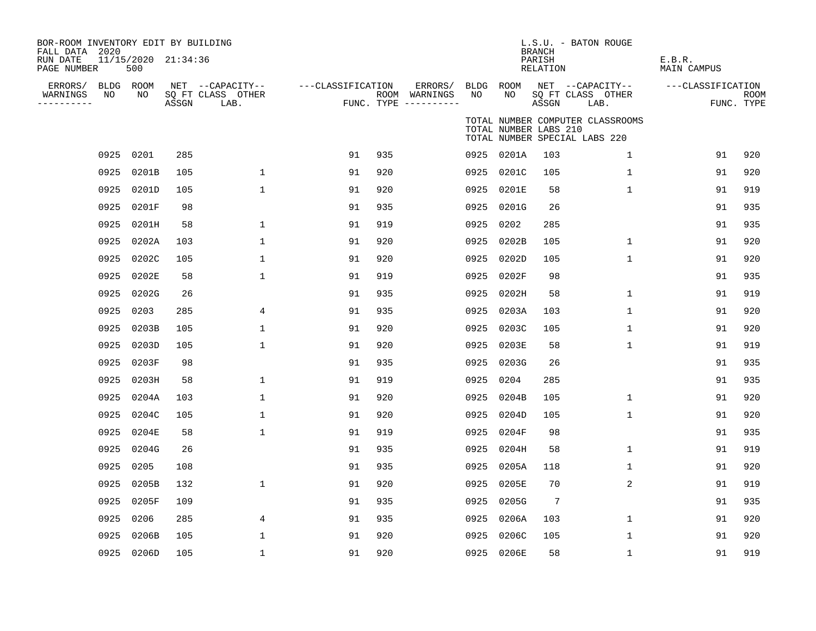| BOR-ROOM INVENTORY EDIT BY BUILDING<br>FALL DATA 2020 |           |                            |       |                           |                   |     |                                        |      |                       | <b>BRANCH</b>             | L.S.U. - BATON ROUGE                                              |                              |                           |
|-------------------------------------------------------|-----------|----------------------------|-------|---------------------------|-------------------|-----|----------------------------------------|------|-----------------------|---------------------------|-------------------------------------------------------------------|------------------------------|---------------------------|
| RUN DATE<br>PAGE NUMBER                               |           | 11/15/2020 21:34:36<br>500 |       |                           |                   |     |                                        |      |                       | PARISH<br><b>RELATION</b> |                                                                   | E.B.R.<br><b>MAIN CAMPUS</b> |                           |
| ERRORS/                                               | BLDG ROOM |                            |       | NET --CAPACITY--          | ---CLASSIFICATION |     | ERRORS/                                |      | BLDG ROOM             |                           | NET --CAPACITY--                                                  | ---CLASSIFICATION            |                           |
| WARNINGS<br>----------                                | NO        | NO                         | ASSGN | SQ FT CLASS OTHER<br>LAB. |                   |     | ROOM WARNINGS<br>FUNC. TYPE ---------- | NO   | NO                    | ASSGN                     | SQ FT CLASS OTHER<br>LAB.                                         |                              | <b>ROOM</b><br>FUNC. TYPE |
|                                                       |           |                            |       |                           |                   |     |                                        |      | TOTAL NUMBER LABS 210 |                           | TOTAL NUMBER COMPUTER CLASSROOMS<br>TOTAL NUMBER SPECIAL LABS 220 |                              |                           |
|                                                       | 0925 0201 |                            | 285   |                           | 91                | 935 |                                        |      | 0925 0201A            | 103                       | $\mathbf{1}$                                                      | 91                           | 920                       |
|                                                       | 0925      | 0201B                      | 105   | $\mathbf 1$               | 91                | 920 |                                        | 0925 | 0201C                 | 105                       | $\mathbf 1$                                                       | 91                           | 920                       |
|                                                       | 0925      | 0201D                      | 105   | $\mathbf{1}$              | 91                | 920 |                                        |      | 0925 0201E            | 58                        | $\mathbf{1}$                                                      | 91                           | 919                       |
|                                                       | 0925      | 0201F                      | 98    |                           | 91                | 935 |                                        |      | 0925 0201G            | 26                        |                                                                   | 91                           | 935                       |
|                                                       | 0925      | 0201H                      | 58    | 1                         | 91                | 919 |                                        | 0925 | 0202                  | 285                       |                                                                   | 91                           | 935                       |
|                                                       | 0925      | 0202A                      | 103   | 1                         | 91                | 920 |                                        | 0925 | 0202B                 | 105                       | $\mathbf 1$                                                       | 91                           | 920                       |
|                                                       | 0925      | 0202C                      | 105   | 1                         | 91                | 920 |                                        | 0925 | 0202D                 | 105                       | $\mathbf 1$                                                       | 91                           | 920                       |
|                                                       | 0925      | 0202E                      | 58    | $\mathbf 1$               | 91                | 919 |                                        | 0925 | 0202F                 | 98                        |                                                                   | 91                           | 935                       |
|                                                       | 0925      | 0202G                      | 26    |                           | 91                | 935 |                                        | 0925 | 0202H                 | 58                        | $\mathbf 1$                                                       | 91                           | 919                       |
|                                                       | 0925      | 0203                       | 285   | 4                         | 91                | 935 |                                        | 0925 | 0203A                 | 103                       | $\mathbf 1$                                                       | 91                           | 920                       |
|                                                       | 0925      | 0203B                      | 105   | 1                         | 91                | 920 |                                        | 0925 | 0203C                 | 105                       | $\mathbf 1$                                                       | 91                           | 920                       |
|                                                       | 0925      | 0203D                      | 105   | $\mathbf 1$               | 91                | 920 |                                        | 0925 | 0203E                 | 58                        | $\mathbf 1$                                                       | 91                           | 919                       |
|                                                       | 0925      | 0203F                      | 98    |                           | 91                | 935 |                                        | 0925 | 0203G                 | 26                        |                                                                   | 91                           | 935                       |
|                                                       | 0925      | 0203H                      | 58    | 1                         | 91                | 919 |                                        | 0925 | 0204                  | 285                       |                                                                   | 91                           | 935                       |
|                                                       | 0925      | 0204A                      | 103   | $\mathbf 1$               | 91                | 920 |                                        | 0925 | 0204B                 | 105                       | $\mathbf 1$                                                       | 91                           | 920                       |
|                                                       | 0925      | 0204C                      | 105   | $\mathbf{1}$              | 91                | 920 |                                        | 0925 | 0204D                 | 105                       | $\mathbf 1$                                                       | 91                           | 920                       |
|                                                       | 0925      | 0204E                      | 58    | $\mathbf{1}$              | 91                | 919 |                                        | 0925 | 0204F                 | 98                        |                                                                   | 91                           | 935                       |
|                                                       | 0925      | 0204G                      | 26    |                           | 91                | 935 |                                        | 0925 | 0204H                 | 58                        | $\mathbf 1$                                                       | 91                           | 919                       |
|                                                       | 0925      | 0205                       | 108   |                           | 91                | 935 |                                        | 0925 | 0205A                 | 118                       | $\mathbf 1$                                                       | 91                           | 920                       |
|                                                       | 0925      | 0205B                      | 132   | $\mathbf{1}$              | 91                | 920 |                                        | 0925 | 0205E                 | 70                        | 2                                                                 | 91                           | 919                       |
|                                                       | 0925      | 0205F                      | 109   |                           | 91                | 935 |                                        | 0925 | 0205G                 | $7\phantom{.0}$           |                                                                   | 91                           | 935                       |
|                                                       | 0925      | 0206                       | 285   | 4                         | 91                | 935 |                                        | 0925 | 0206A                 | 103                       | 1                                                                 | 91                           | 920                       |
|                                                       | 0925      | 0206B                      | 105   | 1                         | 91                | 920 |                                        | 0925 | 0206C                 | 105                       | $\mathbf 1$                                                       | 91                           | 920                       |
|                                                       |           | 0925 0206D                 | 105   | $\mathbf{1}$              | 91                | 920 |                                        |      | 0925 0206E            | 58                        | $\mathbf 1$                                                       | 91                           | 919                       |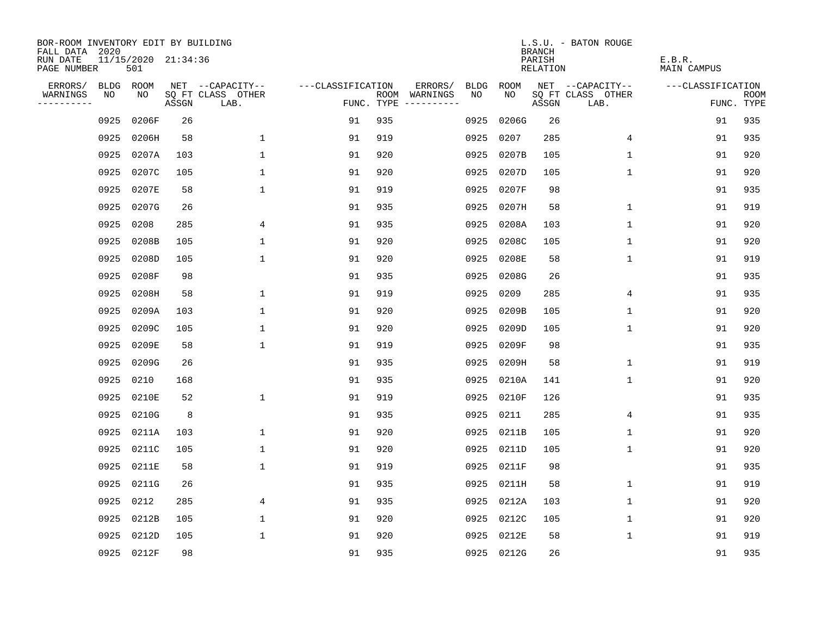| BOR-ROOM INVENTORY EDIT BY BUILDING<br>FALL DATA 2020 |             |                            |       |                           |                   |     |                                      |             |             | <b>BRANCH</b>             | L.S.U. - BATON ROUGE      |                              |                           |
|-------------------------------------------------------|-------------|----------------------------|-------|---------------------------|-------------------|-----|--------------------------------------|-------------|-------------|---------------------------|---------------------------|------------------------------|---------------------------|
| RUN DATE<br>PAGE NUMBER                               |             | 11/15/2020 21:34:36<br>501 |       |                           |                   |     |                                      |             |             | PARISH<br><b>RELATION</b> |                           | E.B.R.<br><b>MAIN CAMPUS</b> |                           |
| ERRORS/                                               | <b>BLDG</b> | ROOM                       |       | NET --CAPACITY--          | ---CLASSIFICATION |     | ERRORS/                              | <b>BLDG</b> | <b>ROOM</b> |                           | NET --CAPACITY--          | ---CLASSIFICATION            |                           |
| WARNINGS<br>----------                                | NO          | NO                         | ASSGN | SQ FT CLASS OTHER<br>LAB. |                   |     | ROOM WARNINGS<br>FUNC. TYPE $------$ | NO          | NO          | ASSGN                     | SQ FT CLASS OTHER<br>LAB. |                              | <b>ROOM</b><br>FUNC. TYPE |
|                                                       | 0925        | 0206F                      | 26    |                           | 91                | 935 |                                      | 0925        | 0206G       | 26                        |                           | 91                           | 935                       |
|                                                       | 0925        | 0206H                      | 58    | $\mathbf 1$               | 91                | 919 |                                      | 0925        | 0207        | 285                       | 4                         | 91                           | 935                       |
|                                                       | 0925        | 0207A                      | 103   | $\mathbf 1$               | 91                | 920 |                                      | 0925        | 0207B       | 105                       | $\mathbf 1$               | 91                           | 920                       |
|                                                       | 0925        | 0207C                      | 105   | $\mathbf{1}$              | 91                | 920 |                                      | 0925        | 0207D       | 105                       | $\mathbf 1$               | 91                           | 920                       |
|                                                       | 0925        | 0207E                      | 58    | $\mathbf{1}$              | 91                | 919 |                                      | 0925        | 0207F       | 98                        |                           | 91                           | 935                       |
|                                                       | 0925        | 0207G                      | 26    |                           | 91                | 935 |                                      |             | 0925 0207H  | 58                        | $\mathbf 1$               | 91                           | 919                       |
|                                                       | 0925        | 0208                       | 285   | 4                         | 91                | 935 |                                      |             | 0925 0208A  | 103                       | $\mathbf{1}$              | 91                           | 920                       |
|                                                       | 0925        | 0208B                      | 105   | $\mathbf 1$               | 91                | 920 |                                      | 0925        | 0208C       | 105                       | 1                         | 91                           | 920                       |
|                                                       | 0925        | 0208D                      | 105   | $\mathbf{1}$              | 91                | 920 |                                      | 0925        | 0208E       | 58                        | $\mathbf 1$               | 91                           | 919                       |
|                                                       | 0925        | 0208F                      | 98    |                           | 91                | 935 |                                      | 0925        | 0208G       | 26                        |                           | 91                           | 935                       |
|                                                       | 0925        | 0208H                      | 58    | 1                         | 91                | 919 |                                      | 0925        | 0209        | 285                       | 4                         | 91                           | 935                       |
|                                                       | 0925        | 0209A                      | 103   | $\mathbf{1}$              | 91                | 920 |                                      | 0925        | 0209B       | 105                       | $\mathbf 1$               | 91                           | 920                       |
|                                                       | 0925        | 0209C                      | 105   | 1                         | 91                | 920 |                                      | 0925        | 0209D       | 105                       | $\mathbf 1$               | 91                           | 920                       |
|                                                       | 0925        | 0209E                      | 58    | 1                         | 91                | 919 |                                      | 0925        | 0209F       | 98                        |                           | 91                           | 935                       |
|                                                       | 0925        | 0209G                      | 26    |                           | 91                | 935 |                                      | 0925        | 0209H       | 58                        | 1                         | 91                           | 919                       |
|                                                       | 0925        | 0210                       | 168   |                           | 91                | 935 |                                      |             | 0925 0210A  | 141                       | 1                         | 91                           | 920                       |
|                                                       | 0925        | 0210E                      | 52    | $\mathbf 1$               | 91                | 919 |                                      | 0925        | 0210F       | 126                       |                           | 91                           | 935                       |
|                                                       | 0925        | 0210G                      | 8     |                           | 91                | 935 |                                      | 0925        | 0211        | 285                       | 4                         | 91                           | 935                       |
|                                                       | 0925        | 0211A                      | 103   | 1                         | 91                | 920 |                                      | 0925        | 0211B       | 105                       | 1                         | 91                           | 920                       |
|                                                       | 0925        | 0211C                      | 105   | $\mathbf 1$               | 91                | 920 |                                      | 0925        | 0211D       | 105                       | $\mathbf{1}$              | 91                           | 920                       |
|                                                       | 0925        | 0211E                      | 58    | $\mathbf 1$               | 91                | 919 |                                      | 0925        | 0211F       | 98                        |                           | 91                           | 935                       |
|                                                       | 0925        | 0211G                      | 26    |                           | 91                | 935 |                                      | 0925        | 0211H       | 58                        | $\mathbf 1$               | 91                           | 919                       |
|                                                       | 0925        | 0212                       | 285   | 4                         | 91                | 935 |                                      | 0925        | 0212A       | 103                       | 1                         | 91                           | 920                       |
|                                                       | 0925        | 0212B                      | 105   | $\mathbf 1$               | 91                | 920 |                                      |             | 0925 0212C  | 105                       | $\mathbf 1$               | 91                           | 920                       |
|                                                       | 0925        | 0212D                      | 105   | $\mathbf{1}$              | 91                | 920 |                                      | 0925        | 0212E       | 58                        | 1                         | 91                           | 919                       |
|                                                       |             | 0925 0212F                 | 98    |                           | 91                | 935 |                                      |             | 0925 0212G  | 26                        |                           | 91                           | 935                       |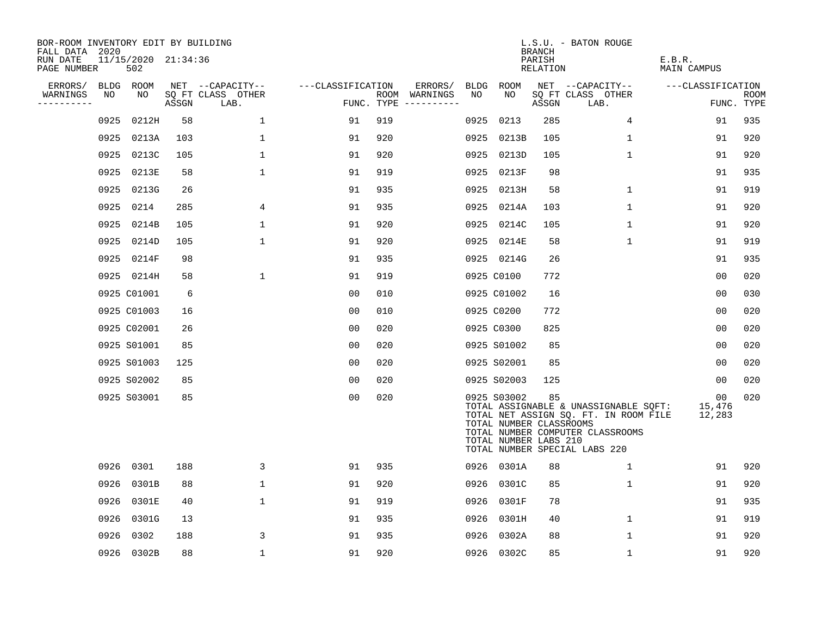| BOR-ROOM INVENTORY EDIT BY BUILDING<br>FALL DATA 2020 |      |                            |       |                           |                   |     |                                      |      |                                                                 | <b>BRANCH</b>      | L.S.U. - BATON ROUGE                                                                                                                                |                        |                    |
|-------------------------------------------------------|------|----------------------------|-------|---------------------------|-------------------|-----|--------------------------------------|------|-----------------------------------------------------------------|--------------------|-----------------------------------------------------------------------------------------------------------------------------------------------------|------------------------|--------------------|
| RUN DATE<br>PAGE NUMBER                               |      | 11/15/2020 21:34:36<br>502 |       |                           |                   |     |                                      |      |                                                                 | PARISH<br>RELATION |                                                                                                                                                     | E.B.R.<br>MAIN CAMPUS  |                    |
| ERRORS/                                               |      | BLDG ROOM                  |       | NET --CAPACITY--          | ---CLASSIFICATION |     | ERRORS/                              | BLDG | ROOM                                                            |                    | NET --CAPACITY--                                                                                                                                    | ---CLASSIFICATION      |                    |
| WARNINGS<br>----------                                | NO   | NO                         | ASSGN | SQ FT CLASS OTHER<br>LAB. |                   |     | ROOM WARNINGS<br>FUNC. TYPE $------$ | NO   | NO.                                                             | ASSGN              | SQ FT CLASS OTHER<br>LAB.                                                                                                                           |                        | ROOM<br>FUNC. TYPE |
|                                                       | 0925 | 0212H                      | 58    | $\mathbf{1}$              | 91                | 919 |                                      | 0925 | 0213                                                            | 285                | $\overline{4}$                                                                                                                                      | 91                     | 935                |
|                                                       | 0925 | 0213A                      | 103   | 1                         | 91                | 920 |                                      | 0925 | 0213B                                                           | 105                | 1                                                                                                                                                   | 91                     | 920                |
|                                                       | 0925 | 0213C                      | 105   | 1                         | 91                | 920 |                                      | 0925 | 0213D                                                           | 105                | $\mathbf{1}$                                                                                                                                        | 91                     | 920                |
|                                                       | 0925 | 0213E                      | 58    | $\mathbf{1}$              | 91                | 919 |                                      | 0925 | 0213F                                                           | 98                 |                                                                                                                                                     | 91                     | 935                |
|                                                       | 0925 | 0213G                      | 26    |                           | 91                | 935 |                                      |      | 0925 0213H                                                      | 58                 | $\mathbf 1$                                                                                                                                         | 91                     | 919                |
|                                                       | 0925 | 0214                       | 285   | 4                         | 91                | 935 |                                      |      | 0925 0214A                                                      | 103                | $\mathbf{1}$                                                                                                                                        | 91                     | 920                |
|                                                       | 0925 | 0214B                      | 105   | $\mathbf{1}$              | 91                | 920 |                                      |      | 0925 0214C                                                      | 105                | $\mathbf 1$                                                                                                                                         | 91                     | 920                |
|                                                       | 0925 | 0214D                      | 105   | $\mathbf{1}$              | 91                | 920 |                                      |      | 0925 0214E                                                      | 58                 | $\mathbf 1$                                                                                                                                         | 91                     | 919                |
|                                                       | 0925 | 0214F                      | 98    |                           | 91                | 935 |                                      |      | 0925 0214G                                                      | 26                 |                                                                                                                                                     | 91                     | 935                |
|                                                       |      | 0925 0214H                 | 58    | $\mathbf{1}$              | 91                | 919 |                                      |      | 0925 C0100                                                      | 772                |                                                                                                                                                     | 0 <sub>0</sub>         | 020                |
|                                                       |      | 0925 C01001                | 6     |                           | 00                | 010 |                                      |      | 0925 C01002                                                     | 16                 |                                                                                                                                                     | 0 <sub>0</sub>         | 030                |
|                                                       |      | 0925 C01003                | 16    |                           | 0 <sub>0</sub>    | 010 |                                      |      | 0925 C0200                                                      | 772                |                                                                                                                                                     | 0 <sub>0</sub>         | 020                |
|                                                       |      | 0925 C02001                | 26    |                           | 0 <sub>0</sub>    | 020 |                                      |      | 0925 C0300                                                      | 825                |                                                                                                                                                     | 0 <sub>0</sub>         | 020                |
|                                                       |      | 0925 S01001                | 85    |                           | 0 <sub>0</sub>    | 020 |                                      |      | 0925 S01002                                                     | 85                 |                                                                                                                                                     | 00                     | 020                |
|                                                       |      | 0925 S01003                | 125   |                           | 00                | 020 |                                      |      | 0925 S02001                                                     | 85                 |                                                                                                                                                     | 00                     | 020                |
|                                                       |      | 0925 S02002                | 85    |                           | 0 <sub>0</sub>    | 020 |                                      |      | 0925 S02003                                                     | 125                |                                                                                                                                                     | 00                     | 020                |
|                                                       |      | 0925 S03001                | 85    |                           | 0 <sub>0</sub>    | 020 |                                      |      | 0925 S03002<br>TOTAL NUMBER CLASSROOMS<br>TOTAL NUMBER LABS 210 | 85                 | TOTAL ASSIGNABLE & UNASSIGNABLE SQFT:<br>TOTAL NET ASSIGN SQ. FT. IN ROOM FILE<br>TOTAL NUMBER COMPUTER CLASSROOMS<br>TOTAL NUMBER SPECIAL LABS 220 | 00<br>15,476<br>12,283 | 020                |
|                                                       | 0926 | 0301                       | 188   | 3                         | 91                | 935 |                                      |      | 0926 0301A                                                      | 88                 | 1                                                                                                                                                   | 91                     | 920                |
|                                                       | 0926 | 0301B                      | 88    | $\mathbf 1$               | 91                | 920 |                                      |      | 0926 0301C                                                      | 85                 | $\mathbf 1$                                                                                                                                         | 91                     | 920                |
|                                                       | 0926 | 0301E                      | 40    | 1                         | 91                | 919 |                                      |      | 0926 0301F                                                      | 78                 |                                                                                                                                                     | 91                     | 935                |
|                                                       | 0926 | 0301G                      | 13    |                           | 91                | 935 |                                      |      | 0926 0301H                                                      | 40                 | $\mathbf 1$                                                                                                                                         | 91                     | 919                |
|                                                       | 0926 | 0302                       | 188   | 3                         | 91                | 935 |                                      | 0926 | 0302A                                                           | 88                 | $\mathbf 1$                                                                                                                                         | 91                     | 920                |
|                                                       |      | 0926 0302B                 | 88    | $\mathbf 1$               | 91                | 920 |                                      |      | 0926 0302C                                                      | 85                 | $\mathbf{1}$                                                                                                                                        | 91                     | 920                |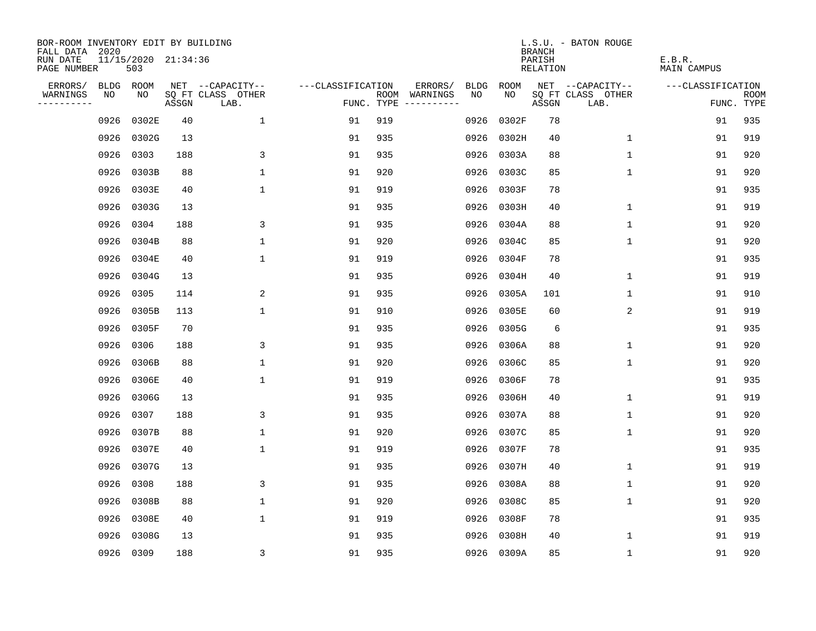| BOR-ROOM INVENTORY EDIT BY BUILDING<br>FALL DATA 2020 |      |                            |       |                           |                   |     |                                      |             |            | <b>BRANCH</b>      | L.S.U. - BATON ROUGE      |                              |                           |
|-------------------------------------------------------|------|----------------------------|-------|---------------------------|-------------------|-----|--------------------------------------|-------------|------------|--------------------|---------------------------|------------------------------|---------------------------|
| RUN DATE<br>PAGE NUMBER                               |      | 11/15/2020 21:34:36<br>503 |       |                           |                   |     |                                      |             |            | PARISH<br>RELATION |                           | E.B.R.<br><b>MAIN CAMPUS</b> |                           |
| ERRORS/                                               |      | BLDG ROOM                  |       | NET --CAPACITY--          | ---CLASSIFICATION |     | ERRORS/                              | <b>BLDG</b> | ROOM       |                    | NET --CAPACITY--          | ---CLASSIFICATION            |                           |
| WARNINGS<br>----------                                | NO   | NO                         | ASSGN | SQ FT CLASS OTHER<br>LAB. |                   |     | ROOM WARNINGS<br>FUNC. TYPE $------$ | NO.         | NO.        | ASSGN              | SQ FT CLASS OTHER<br>LAB. |                              | <b>ROOM</b><br>FUNC. TYPE |
|                                                       | 0926 | 0302E                      | 40    | $\mathbf{1}$              | 91                | 919 |                                      | 0926        | 0302F      | 78                 |                           | 91                           | 935                       |
|                                                       | 0926 | 0302G                      | 13    |                           | 91                | 935 |                                      | 0926        | 0302H      | 40                 | $\mathbf 1$               | 91                           | 919                       |
|                                                       | 0926 | 0303                       | 188   | 3                         | 91                | 935 |                                      | 0926        | 0303A      | 88                 | 1                         | 91                           | 920                       |
|                                                       | 0926 | 0303B                      | 88    | $\mathbf 1$               | 91                | 920 |                                      |             | 0926 0303C | 85                 | 1                         | 91                           | 920                       |
|                                                       | 0926 | 0303E                      | 40    | $\mathbf{1}$              | 91                | 919 |                                      | 0926        | 0303F      | 78                 |                           | 91                           | 935                       |
|                                                       | 0926 | 0303G                      | 13    |                           | 91                | 935 |                                      |             | 0926 0303H | 40                 | $\mathbf 1$               | 91                           | 919                       |
|                                                       | 0926 | 0304                       | 188   | 3                         | 91                | 935 |                                      |             | 0926 0304A | 88                 | $\mathbf{1}$              | 91                           | 920                       |
|                                                       | 0926 | 0304B                      | 88    | $\mathbf 1$               | 91                | 920 |                                      |             | 0926 0304C | 85                 | $\mathbf 1$               | 91                           | 920                       |
|                                                       | 0926 | 0304E                      | 40    | $\mathbf 1$               | 91                | 919 |                                      | 0926        | 0304F      | 78                 |                           | 91                           | 935                       |
|                                                       | 0926 | 0304G                      | 13    |                           | 91                | 935 |                                      | 0926        | 0304H      | 40                 | $\mathbf 1$               | 91                           | 919                       |
|                                                       | 0926 | 0305                       | 114   | 2                         | 91                | 935 |                                      | 0926        | 0305A      | 101                | $\mathbf 1$               | 91                           | 910                       |
|                                                       | 0926 | 0305B                      | 113   | $\mathbf{1}$              | 91                | 910 |                                      |             | 0926 0305E | 60                 | 2                         | 91                           | 919                       |
|                                                       | 0926 | 0305F                      | 70    |                           | 91                | 935 |                                      | 0926        | 0305G      | 6                  |                           | 91                           | 935                       |
|                                                       | 0926 | 0306                       | 188   | 3                         | 91                | 935 |                                      | 0926        | 0306A      | 88                 | 1                         | 91                           | 920                       |
|                                                       | 0926 | 0306B                      | 88    | 1                         | 91                | 920 |                                      | 0926        | 0306C      | 85                 | 1                         | 91                           | 920                       |
|                                                       | 0926 | 0306E                      | 40    | $\mathbf{1}$              | 91                | 919 |                                      |             | 0926 0306F | 78                 |                           | 91                           | 935                       |
|                                                       | 0926 | 0306G                      | 13    |                           | 91                | 935 |                                      | 0926        | 0306H      | 40                 | 1                         | 91                           | 919                       |
|                                                       | 0926 | 0307                       | 188   | 3                         | 91                | 935 |                                      | 0926        | 0307A      | 88                 | 1                         | 91                           | 920                       |
|                                                       | 0926 | 0307B                      | 88    | $\mathbf 1$               | 91                | 920 |                                      | 0926        | 0307C      | 85                 | 1                         | 91                           | 920                       |
|                                                       | 0926 | 0307E                      | 40    | $\mathbf 1$               | 91                | 919 |                                      | 0926        | 0307F      | 78                 |                           | 91                           | 935                       |
|                                                       | 0926 | 0307G                      | 13    |                           | 91                | 935 |                                      | 0926        | 0307H      | 40                 | 1                         | 91                           | 919                       |
|                                                       | 0926 | 0308                       | 188   | 3                         | 91                | 935 |                                      | 0926        | 0308A      | 88                 | 1                         | 91                           | 920                       |
|                                                       | 0926 | 0308B                      | 88    | $\mathbf 1$               | 91                | 920 |                                      | 0926        | 0308C      | 85                 | 1                         | 91                           | 920                       |
|                                                       | 0926 | 0308E                      | 40    | $\mathbf{1}$              | 91                | 919 |                                      |             | 0926 0308F | 78                 |                           | 91                           | 935                       |
|                                                       | 0926 | 0308G                      | 13    |                           | 91                | 935 |                                      |             | 0926 0308H | 40                 | 1                         | 91                           | 919                       |
|                                                       |      | 0926 0309                  | 188   | 3                         | 91                | 935 |                                      |             | 0926 0309A | 85                 | $\mathbf{1}$              | 91                           | 920                       |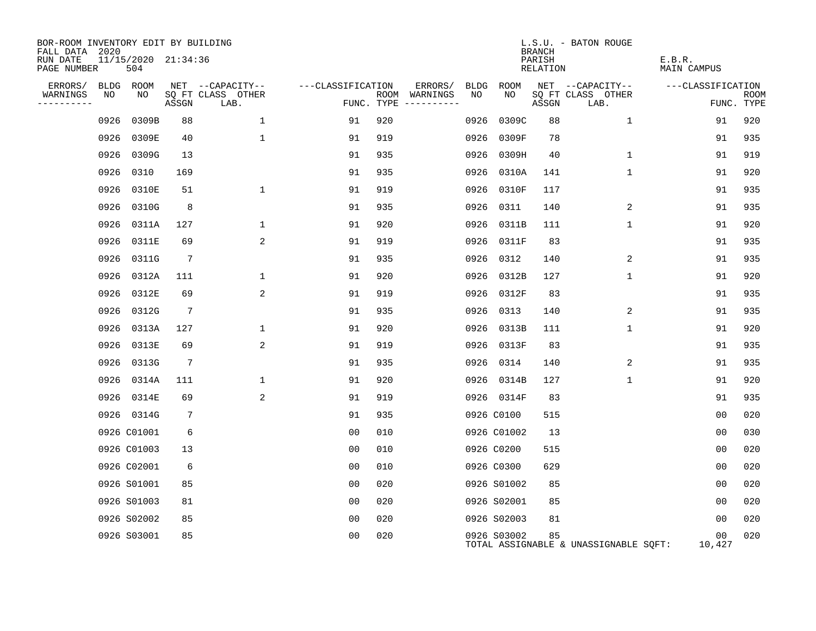| BOR-ROOM INVENTORY EDIT BY BUILDING<br>FALL DATA 2020 |      |                            |                 |                           |                   |                                      |      |             | <b>BRANCH</b>      | L.S.U. - BATON ROUGE                  |                       |                           |
|-------------------------------------------------------|------|----------------------------|-----------------|---------------------------|-------------------|--------------------------------------|------|-------------|--------------------|---------------------------------------|-----------------------|---------------------------|
| RUN DATE<br>PAGE NUMBER                               |      | 11/15/2020 21:34:36<br>504 |                 |                           |                   |                                      |      |             | PARISH<br>RELATION |                                       | E.B.R.<br>MAIN CAMPUS |                           |
| ERRORS/                                               |      | BLDG ROOM                  |                 | NET --CAPACITY--          | ---CLASSIFICATION | ERRORS/                              | BLDG | ROOM        |                    | NET --CAPACITY--                      | ---CLASSIFICATION     |                           |
| WARNINGS<br>----------                                | NO   | NO                         | ASSGN           | SQ FT CLASS OTHER<br>LAB. |                   | ROOM WARNINGS<br>FUNC. TYPE $------$ | NO   | NO          | ASSGN              | SQ FT CLASS OTHER<br>LAB.             |                       | <b>ROOM</b><br>FUNC. TYPE |
|                                                       | 0926 | 0309B                      | 88              | $\mathbf 1$               | 91                | 920                                  | 0926 | 0309C       | 88                 | $\mathbf{1}$                          | 91                    | 920                       |
|                                                       |      | 0926 0309E                 | 40              | $\mathbf{1}$              | 91                | 919                                  | 0926 | 0309F       | 78                 |                                       | 91                    | 935                       |
|                                                       |      | 0926 0309G                 | 13              |                           | 91                | 935                                  | 0926 | 0309H       | 40                 | $\mathbf 1$                           | 91                    | 919                       |
|                                                       |      | 0926 0310                  | 169             |                           | 91                | 935                                  | 0926 | 0310A       | 141                | $\mathbf{1}$                          | 91                    | 920                       |
|                                                       |      | 0926 0310E                 | 51              | $\mathbf{1}$              | 91                | 919                                  | 0926 | 0310F       | 117                |                                       | 91                    | 935                       |
|                                                       |      | 0926 0310G                 | 8               |                           | 91                | 935                                  | 0926 | 0311        | 140                | 2                                     | 91                    | 935                       |
|                                                       |      | 0926 0311A                 | 127             | 1                         | 91                | 920                                  |      | 0926 0311B  | 111                | $\mathbf{1}$                          | 91                    | 920                       |
|                                                       | 0926 | 0311E                      | 69              | $\overline{a}$            | 91                | 919                                  | 0926 | 0311F       | 83                 |                                       | 91                    | 935                       |
|                                                       |      | 0926 0311G                 | $7\phantom{.0}$ |                           | 91                | 935                                  |      | 0926 0312   | 140                | 2                                     | 91                    | 935                       |
|                                                       | 0926 | 0312A                      | 111             | 1                         | 91                | 920                                  | 0926 | 0312B       | 127                | $\mathbf 1$                           | 91                    | 920                       |
|                                                       | 0926 | 0312E                      | 69              | $\overline{a}$            | 91                | 919                                  |      | 0926 0312F  | 83                 |                                       | 91                    | 935                       |
|                                                       | 0926 | 0312G                      | 7               |                           | 91                | 935                                  | 0926 | 0313        | 140                | 2                                     | 91                    | 935                       |
|                                                       | 0926 | 0313A                      | 127             | $\mathbf{1}$              | 91                | 920                                  | 0926 | 0313B       | 111                | $\mathbf{1}$                          | 91                    | 920                       |
|                                                       | 0926 | 0313E                      | 69              | 2                         | 91                | 919                                  |      | 0926 0313F  | 83                 |                                       | 91                    | 935                       |
|                                                       |      | 0926 0313G                 | $7\phantom{.0}$ |                           | 91                | 935                                  |      | 0926 0314   | 140                | 2                                     | 91                    | 935                       |
|                                                       | 0926 | 0314A                      | 111             | $\mathbf{1}$              | 91                | 920                                  |      | 0926 0314B  | 127                | $\mathbf{1}$                          | 91                    | 920                       |
|                                                       |      | 0926 0314E                 | 69              | 2                         | 91                | 919                                  |      | 0926 0314F  | 83                 |                                       | 91                    | 935                       |
|                                                       |      | 0926 0314G                 | $7\phantom{.0}$ |                           | 91                | 935                                  |      | 0926 C0100  | 515                |                                       | 0 <sub>0</sub>        | 020                       |
|                                                       |      | 0926 C01001                | 6               |                           | 0 <sub>0</sub>    | 010                                  |      | 0926 C01002 | 13                 |                                       | 0 <sub>0</sub>        | 030                       |
|                                                       |      | 0926 C01003                | 13              |                           | 0 <sub>0</sub>    | 010                                  |      | 0926 C0200  | 515                |                                       | 0 <sub>0</sub>        | 020                       |
|                                                       |      | 0926 C02001                | 6               |                           | 0 <sub>0</sub>    | 010                                  |      | 0926 C0300  | 629                |                                       | 0 <sub>0</sub>        | 020                       |
|                                                       |      | 0926 S01001                | 85              |                           | 0 <sub>0</sub>    | 020                                  |      | 0926 S01002 | 85                 |                                       | 00                    | 020                       |
|                                                       |      | 0926 S01003                | 81              |                           | 00                | 020                                  |      | 0926 S02001 | 85                 |                                       | 0 <sub>0</sub>        | 020                       |
|                                                       |      | 0926 S02002                | 85              |                           | 00                | 020                                  |      | 0926 S02003 | 81                 |                                       | 0 <sub>0</sub>        | 020                       |
|                                                       |      | 0926 S03001                | 85              |                           | 0 <sub>0</sub>    | 020                                  |      | 0926 S03002 | 85                 | TOTAL ASSIGNABLE & UNASSIGNABLE SQFT: | 00<br>10,427          | 020                       |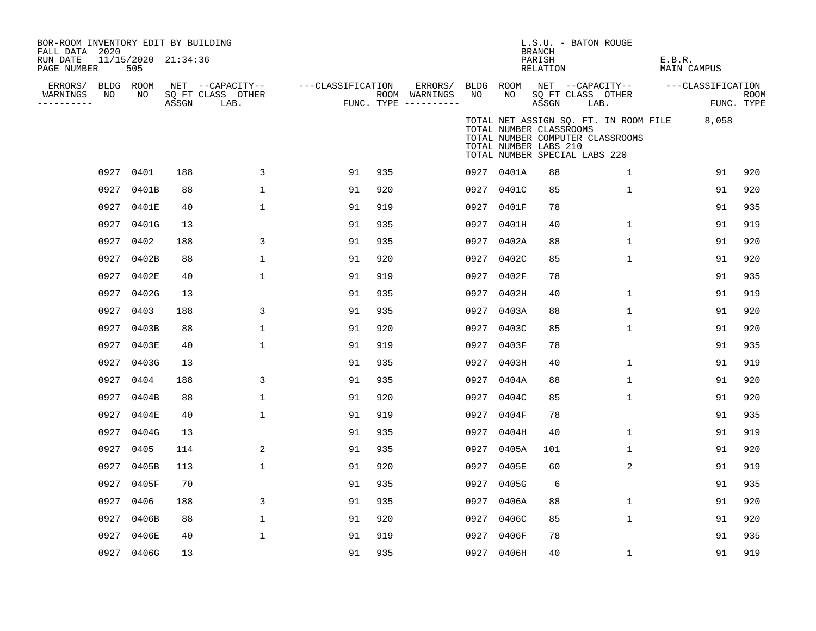| BOR-ROOM INVENTORY EDIT BY BUILDING<br>FALL DATA 2020 |      |                            |       |                           |                   |     |                                      |      |                                                                                   | L.S.U. - BATON ROUGE<br><b>BRANCH</b> |      |                                  |        |                                             |             |
|-------------------------------------------------------|------|----------------------------|-------|---------------------------|-------------------|-----|--------------------------------------|------|-----------------------------------------------------------------------------------|---------------------------------------|------|----------------------------------|--------|---------------------------------------------|-------------|
| RUN DATE<br>PAGE NUMBER                               |      | 11/15/2020 21:34:36<br>505 |       |                           |                   |     |                                      |      |                                                                                   | PARISH<br>RELATION                    |      |                                  | E.B.R. | MAIN CAMPUS                                 |             |
| ERRORS/                                               |      | BLDG ROOM                  |       | NET --CAPACITY--          | ---CLASSIFICATION |     | ERRORS/                              |      | BLDG ROOM                                                                         |                                       |      | NET --CAPACITY--                 |        | ---CLASSIFICATION                           |             |
| WARNINGS<br>----------                                | NO   | NO                         | ASSGN | SQ FT CLASS OTHER<br>LAB. |                   |     | ROOM WARNINGS<br>FUNC. TYPE $------$ | NO   | NO                                                                                | ASSGN                                 | LAB. | SQ FT CLASS OTHER                |        | FUNC. TYPE                                  | <b>ROOM</b> |
|                                                       |      |                            |       |                           |                   |     |                                      |      | TOTAL NUMBER CLASSROOMS<br>TOTAL NUMBER LABS 210<br>TOTAL NUMBER SPECIAL LABS 220 |                                       |      | TOTAL NUMBER COMPUTER CLASSROOMS |        | TOTAL NET ASSIGN SQ. FT. IN ROOM FILE 8,058 |             |
|                                                       |      | 0927 0401                  | 188   | 3                         | 91                | 935 |                                      |      | 0927 0401A                                                                        | 88                                    |      | $\mathbf{1}$                     |        | 91                                          | 920         |
|                                                       | 0927 | 0401B                      | 88    | $\mathbf{1}$              | 91                | 920 |                                      |      | 0927 0401C                                                                        | 85                                    |      | $\mathbf{1}$                     |        | 91                                          | 920         |
|                                                       | 0927 | 0401E                      | 40    | 1                         | 91                | 919 |                                      |      | 0927 0401F                                                                        | 78                                    |      |                                  |        | 91                                          | 935         |
|                                                       | 0927 | 0401G                      | 13    |                           | 91                | 935 |                                      |      | 0927 0401H                                                                        | 40                                    |      | 1                                |        | 91                                          | 919         |
|                                                       | 0927 | 0402                       | 188   | 3                         | 91                | 935 |                                      |      | 0927 0402A                                                                        | 88                                    |      | $\mathbf{1}$                     |        | 91                                          | 920         |
|                                                       | 0927 | 0402B                      | 88    | 1                         | 91                | 920 |                                      |      | 0927 0402C                                                                        | 85                                    |      | 1                                |        | 91                                          | 920         |
|                                                       | 0927 | 0402E                      | 40    | 1                         | 91                | 919 |                                      |      | 0927 0402F                                                                        | 78                                    |      |                                  |        | 91                                          | 935         |
|                                                       | 0927 | 0402G                      | 13    |                           | 91                | 935 |                                      |      | 0927 0402H                                                                        | 40                                    |      | $\mathbf{1}$                     |        | 91                                          | 919         |
|                                                       | 0927 | 0403                       | 188   | 3                         | 91                | 935 |                                      |      | 0927 0403A                                                                        | 88                                    |      | $\mathbf{1}$                     |        | 91                                          | 920         |
|                                                       | 0927 | 0403B                      | 88    | 1                         | 91                | 920 |                                      |      | 0927 0403C                                                                        | 85                                    |      | $\mathbf{1}$                     |        | 91                                          | 920         |
|                                                       | 0927 | 0403E                      | 40    | $\mathbf 1$               | 91                | 919 |                                      |      | 0927 0403F                                                                        | 78                                    |      |                                  |        | 91                                          | 935         |
|                                                       | 0927 | 0403G                      | 13    |                           | 91                | 935 |                                      |      | 0927 0403H                                                                        | 40                                    |      | $\mathbf{1}$                     |        | 91                                          | 919         |
|                                                       | 0927 | 0404                       | 188   | 3                         | 91                | 935 |                                      |      | 0927 0404A                                                                        | 88                                    |      | $\mathbf{1}$                     |        | 91                                          | 920         |
|                                                       | 0927 | 0404B                      | 88    | 1                         | 91                | 920 |                                      |      | 0927 0404C                                                                        | 85                                    |      | $\mathbf{1}$                     |        | 91                                          | 920         |
|                                                       | 0927 | 0404E                      | 40    | $\mathbf{1}$              | 91                | 919 |                                      |      | 0927 0404F                                                                        | 78                                    |      |                                  |        | 91                                          | 935         |
|                                                       | 0927 | 0404G                      | 13    |                           | 91                | 935 |                                      |      | 0927 0404H                                                                        | 40                                    |      | $\mathbf{1}$                     |        | 91                                          | 919         |
|                                                       | 0927 | 0405                       | 114   | 2                         | 91                | 935 |                                      |      | 0927 0405A                                                                        | 101                                   |      | $\mathbf{1}$                     |        | 91                                          | 920         |
|                                                       | 0927 | 0405B                      | 113   | $\mathbf{1}$              | 91                | 920 |                                      |      | 0927 0405E                                                                        | 60                                    |      | 2                                |        | 91                                          | 919         |
|                                                       | 0927 | 0405F                      | 70    |                           | 91                | 935 |                                      |      | 0927 0405G                                                                        | 6                                     |      |                                  |        | 91                                          | 935         |
|                                                       | 0927 | 0406                       | 188   | 3                         | 91                | 935 |                                      |      | 0927 0406A                                                                        | 88                                    |      | $\mathbf{1}$                     |        | 91                                          | 920         |
|                                                       | 0927 | 0406B                      | 88    | 1                         | 91                | 920 |                                      |      | 0927 0406C                                                                        | 85                                    |      | $\mathbf{1}$                     |        | 91                                          | 920         |
|                                                       | 0927 | 0406E                      | 40    | 1                         | 91                | 919 |                                      | 0927 | 0406F                                                                             | 78                                    |      |                                  |        | 91                                          | 935         |
|                                                       |      | 0927 0406G                 | 13    |                           | 91                | 935 |                                      |      | 0927 0406H                                                                        | 40                                    |      | 1                                |        | 91                                          | 919         |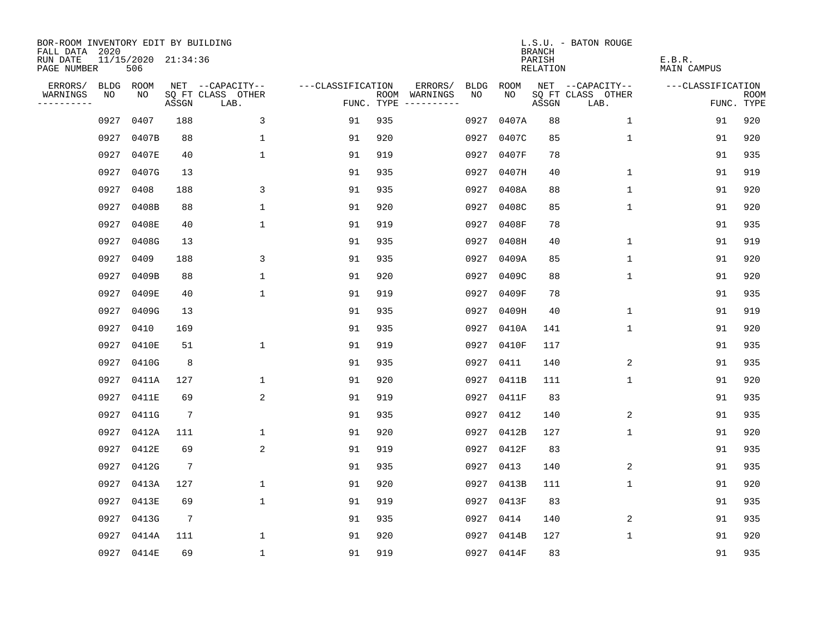| BOR-ROOM INVENTORY EDIT BY BUILDING<br>FALL DATA 2020 |           |                            |                 |                           |                   |     |                                      |             |            | <b>BRANCH</b>             | L.S.U. - BATON ROUGE      |                              |                           |
|-------------------------------------------------------|-----------|----------------------------|-----------------|---------------------------|-------------------|-----|--------------------------------------|-------------|------------|---------------------------|---------------------------|------------------------------|---------------------------|
| RUN DATE<br>PAGE NUMBER                               |           | 11/15/2020 21:34:36<br>506 |                 |                           |                   |     |                                      |             |            | PARISH<br><b>RELATION</b> |                           | E.B.R.<br><b>MAIN CAMPUS</b> |                           |
| ERRORS/                                               | BLDG ROOM |                            |                 | NET --CAPACITY--          | ---CLASSIFICATION |     | ERRORS/                              | <b>BLDG</b> | ROOM       |                           | NET --CAPACITY--          | ---CLASSIFICATION            |                           |
| WARNINGS<br>----------                                | NO        | NO                         | ASSGN           | SQ FT CLASS OTHER<br>LAB. |                   |     | ROOM WARNINGS<br>FUNC. TYPE $------$ | NO          | NO         | ASSGN                     | SQ FT CLASS OTHER<br>LAB. |                              | <b>ROOM</b><br>FUNC. TYPE |
|                                                       | 0927      | 0407                       | 188             | 3                         | 91                | 935 |                                      | 0927        | 0407A      | 88                        | 1                         | 91                           | 920                       |
|                                                       | 0927      | 0407B                      | 88              | $\mathbf 1$               | 91                | 920 |                                      |             | 0927 0407C | 85                        | $\mathbf 1$               | 91                           | 920                       |
|                                                       | 0927      | 0407E                      | 40              | $\mathbf 1$               | 91                | 919 |                                      |             | 0927 0407F | 78                        |                           | 91                           | 935                       |
|                                                       | 0927      | 0407G                      | 13              |                           | 91                | 935 |                                      |             | 0927 0407H | 40                        | 1                         | 91                           | 919                       |
|                                                       | 0927      | 0408                       | 188             | 3                         | 91                | 935 |                                      |             | 0927 0408A | 88                        | $\mathbf{1}$              | 91                           | 920                       |
|                                                       | 0927      | 0408B                      | 88              | $\mathbf{1}$              | 91                | 920 |                                      |             | 0927 0408C | 85                        | $\mathbf{1}$              | 91                           | 920                       |
|                                                       | 0927      | 0408E                      | 40              | $\mathbf{1}$              | 91                | 919 |                                      |             | 0927 0408F | 78                        |                           | 91                           | 935                       |
|                                                       | 0927      | 0408G                      | 13              |                           | 91                | 935 |                                      |             | 0927 0408H | 40                        | $\mathbf 1$               | 91                           | 919                       |
|                                                       | 0927      | 0409                       | 188             | 3                         | 91                | 935 |                                      |             | 0927 0409A | 85                        | $\mathbf 1$               | 91                           | 920                       |
|                                                       | 0927      | 0409B                      | 88              | $\mathbf{1}$              | 91                | 920 |                                      |             | 0927 0409C | 88                        | $\mathbf 1$               | 91                           | 920                       |
|                                                       | 0927      | 0409E                      | 40              | $\mathbf{1}$              | 91                | 919 |                                      |             | 0927 0409F | 78                        |                           | 91                           | 935                       |
|                                                       | 0927      | 0409G                      | 13              |                           | 91                | 935 |                                      |             | 0927 0409H | 40                        | $\mathbf 1$               | 91                           | 919                       |
|                                                       | 0927      | 0410                       | 169             |                           | 91                | 935 |                                      | 0927        | 0410A      | 141                       | $\mathbf 1$               | 91                           | 920                       |
|                                                       | 0927      | 0410E                      | 51              | 1                         | 91                | 919 |                                      | 0927        | 0410F      | 117                       |                           | 91                           | 935                       |
|                                                       | 0927      | 0410G                      | 8               |                           | 91                | 935 |                                      | 0927        | 0411       | 140                       | 2                         | 91                           | 935                       |
|                                                       | 0927      | 0411A                      | 127             | 1                         | 91                | 920 |                                      |             | 0927 0411B | 111                       | $\mathbf 1$               | 91                           | 920                       |
|                                                       | 0927      | 0411E                      | 69              | 2                         | 91                | 919 |                                      | 0927        | 0411F      | 83                        |                           | 91                           | 935                       |
|                                                       | 0927      | 0411G                      | $7\phantom{.0}$ |                           | 91                | 935 |                                      | 0927        | 0412       | 140                       | 2                         | 91                           | 935                       |
|                                                       | 0927      | 0412A                      | 111             | $\mathbf{1}$              | 91                | 920 |                                      |             | 0927 0412B | 127                       | 1                         | 91                           | 920                       |
|                                                       | 0927      | 0412E                      | 69              | 2                         | 91                | 919 |                                      | 0927        | 0412F      | 83                        |                           | 91                           | 935                       |
|                                                       | 0927      | 0412G                      | $7\phantom{.0}$ |                           | 91                | 935 |                                      | 0927        | 0413       | 140                       | 2                         | 91                           | 935                       |
|                                                       | 0927      | 0413A                      | 127             | $\mathbf 1$               | 91                | 920 |                                      | 0927        | 0413B      | 111                       | $\mathbf 1$               | 91                           | 920                       |
|                                                       | 0927      | 0413E                      | 69              | $\mathbf{1}$              | 91                | 919 |                                      |             | 0927 0413F | 83                        |                           | 91                           | 935                       |
|                                                       | 0927      | 0413G                      | $7\phantom{.0}$ |                           | 91                | 935 |                                      |             | 0927 0414  | 140                       | 2                         | 91                           | 935                       |
|                                                       | 0927      | 0414A                      | 111             | $\mathbf{1}$              | 91                | 920 |                                      |             | 0927 0414B | 127                       | 1                         | 91                           | 920                       |
|                                                       |           | 0927 0414E                 | 69              | $\mathbf{1}$              | 91                | 919 |                                      |             | 0927 0414F | 83                        |                           | 91                           | 935                       |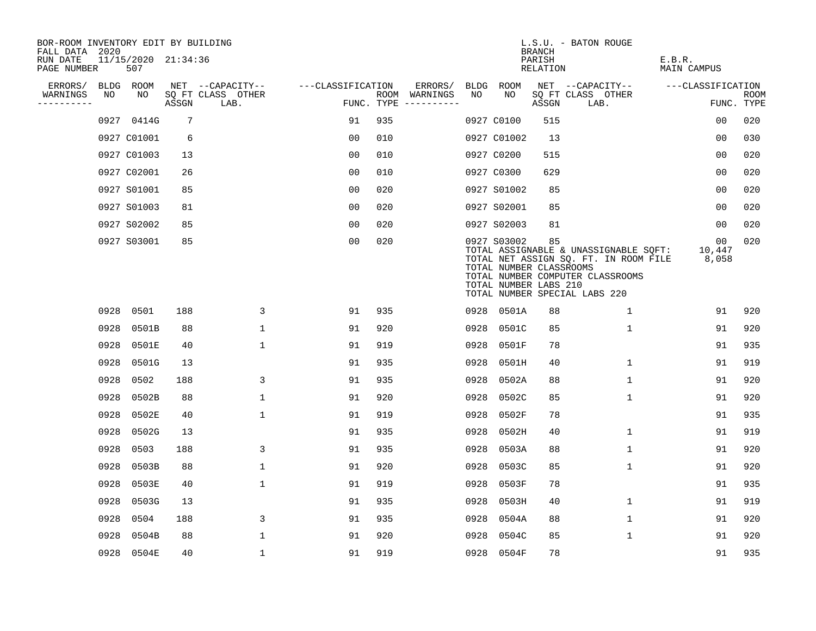| BOR-ROOM INVENTORY EDIT BY BUILDING<br>FALL DATA 2020 |                            |       |                           |                   |     |                                      |      |                                                                 | <b>BRANCH</b>      | L.S.U. - BATON ROUGE                                                                                                                                |                       |                           |
|-------------------------------------------------------|----------------------------|-------|---------------------------|-------------------|-----|--------------------------------------|------|-----------------------------------------------------------------|--------------------|-----------------------------------------------------------------------------------------------------------------------------------------------------|-----------------------|---------------------------|
| RUN DATE<br>PAGE NUMBER                               | 11/15/2020 21:34:36<br>507 |       |                           |                   |     |                                      |      |                                                                 | PARISH<br>RELATION |                                                                                                                                                     | E.B.R.<br>MAIN CAMPUS |                           |
| ERRORS/                                               | BLDG ROOM                  |       | NET --CAPACITY--          | ---CLASSIFICATION |     | ERRORS/                              |      | BLDG ROOM                                                       |                    | NET --CAPACITY--                                                                                                                                    | ---CLASSIFICATION     |                           |
| WARNINGS<br>NO.<br>----------                         | NO                         | ASSGN | SQ FT CLASS OTHER<br>LAB. |                   |     | ROOM WARNINGS<br>FUNC. TYPE $------$ | NO   | NO                                                              | ASSGN              | SQ FT CLASS OTHER<br>LAB.                                                                                                                           |                       | <b>ROOM</b><br>FUNC. TYPE |
|                                                       | 0927 0414G                 | 7     |                           | 91                | 935 |                                      |      | 0927 C0100                                                      | 515                |                                                                                                                                                     | 0 <sub>0</sub>        | 020                       |
|                                                       | 0927 C01001                | 6     |                           | 00                | 010 |                                      |      | 0927 C01002                                                     | 13                 |                                                                                                                                                     | 0 <sub>0</sub>        | 030                       |
|                                                       | 0927 C01003                | 13    |                           | 0 <sub>0</sub>    | 010 |                                      |      | 0927 C0200                                                      | 515                |                                                                                                                                                     | 0 <sub>0</sub>        | 020                       |
|                                                       | 0927 C02001                | 26    |                           | 0 <sub>0</sub>    | 010 |                                      |      | 0927 C0300                                                      | 629                |                                                                                                                                                     | 00                    | 020                       |
|                                                       | 0927 S01001                | 85    |                           | 00                | 020 |                                      |      | 0927 S01002                                                     | 85                 |                                                                                                                                                     | 0 <sub>0</sub>        | 020                       |
|                                                       | 0927 S01003                | 81    |                           | 0 <sub>0</sub>    | 020 |                                      |      | 0927 S02001                                                     | 85                 |                                                                                                                                                     | 0 <sub>0</sub>        | 020                       |
|                                                       | 0927 S02002                | 85    |                           | 0 <sub>0</sub>    | 020 |                                      |      | 0927 S02003                                                     | 81                 |                                                                                                                                                     | 00                    | 020                       |
|                                                       | 0927 S03001                | 85    |                           | 0 <sub>0</sub>    | 020 |                                      |      | 0927 S03002<br>TOTAL NUMBER CLASSROOMS<br>TOTAL NUMBER LABS 210 | 85                 | TOTAL ASSIGNABLE & UNASSIGNABLE SQFT:<br>TOTAL NET ASSIGN SQ. FT. IN ROOM FILE<br>TOTAL NUMBER COMPUTER CLASSROOMS<br>TOTAL NUMBER SPECIAL LABS 220 | 00<br>10,447<br>8,058 | 020                       |
| 0928                                                  | 0501                       | 188   | 3                         | 91                | 935 |                                      |      | 0928 0501A                                                      | 88                 | $\mathbf{1}$                                                                                                                                        | 91                    | 920                       |
| 0928                                                  | 0501B                      | 88    | $\mathbf 1$               | 91                | 920 |                                      | 0928 | 0501C                                                           | 85                 | $\mathbf{1}$                                                                                                                                        | 91                    | 920                       |
| 0928                                                  | 0501E                      | 40    | $\mathbf{1}$              | 91                | 919 |                                      | 0928 | 0501F                                                           | 78                 |                                                                                                                                                     | 91                    | 935                       |
| 0928                                                  | 0501G                      | 13    |                           | 91                | 935 |                                      | 0928 | 0501H                                                           | 40                 | $\mathbf{1}$                                                                                                                                        | 91                    | 919                       |
| 0928                                                  | 0502                       | 188   | 3                         | 91                | 935 |                                      | 0928 | 0502A                                                           | 88                 | 1                                                                                                                                                   | 91                    | 920                       |
| 0928                                                  | 0502B                      | 88    | $\mathbf{1}$              | 91                | 920 |                                      | 0928 | 0502C                                                           | 85                 | $\mathbf 1$                                                                                                                                         | 91                    | 920                       |
| 0928                                                  | 0502E                      | 40    | $\mathbf{1}$              | 91                | 919 |                                      | 0928 | 0502F                                                           | 78                 |                                                                                                                                                     | 91                    | 935                       |
| 0928                                                  | 0502G                      | 13    |                           | 91                | 935 |                                      | 0928 | 0502H                                                           | 40                 | $\mathbf{1}$                                                                                                                                        | 91                    | 919                       |
| 0928                                                  | 0503                       | 188   | 3                         | 91                | 935 |                                      | 0928 | 0503A                                                           | 88                 | $\mathbf 1$                                                                                                                                         | 91                    | 920                       |
| 0928                                                  | 0503B                      | 88    | $\mathbf 1$               | 91                | 920 |                                      | 0928 | 0503C                                                           | 85                 | $\mathbf 1$                                                                                                                                         | 91                    | 920                       |
| 0928                                                  | 0503E                      | 40    | $\mathbf{1}$              | 91                | 919 |                                      | 0928 | 0503F                                                           | 78                 |                                                                                                                                                     | 91                    | 935                       |
| 0928                                                  | 0503G                      | 13    |                           | 91                | 935 |                                      | 0928 | 0503H                                                           | 40                 | 1                                                                                                                                                   | 91                    | 919                       |
| 0928                                                  | 0504                       | 188   | 3                         | 91                | 935 |                                      | 0928 | 0504A                                                           | 88                 | $\mathbf 1$                                                                                                                                         | 91                    | 920                       |
| 0928                                                  | 0504B                      | 88    | $\mathbf{1}$              | 91                | 920 |                                      | 0928 | 0504C                                                           | 85                 | $\mathbf{1}$                                                                                                                                        | 91                    | 920                       |
|                                                       | 0928 0504E                 | 40    | $\mathbf{1}$              | 91                | 919 |                                      |      | 0928 0504F                                                      | 78                 |                                                                                                                                                     | 91                    | 935                       |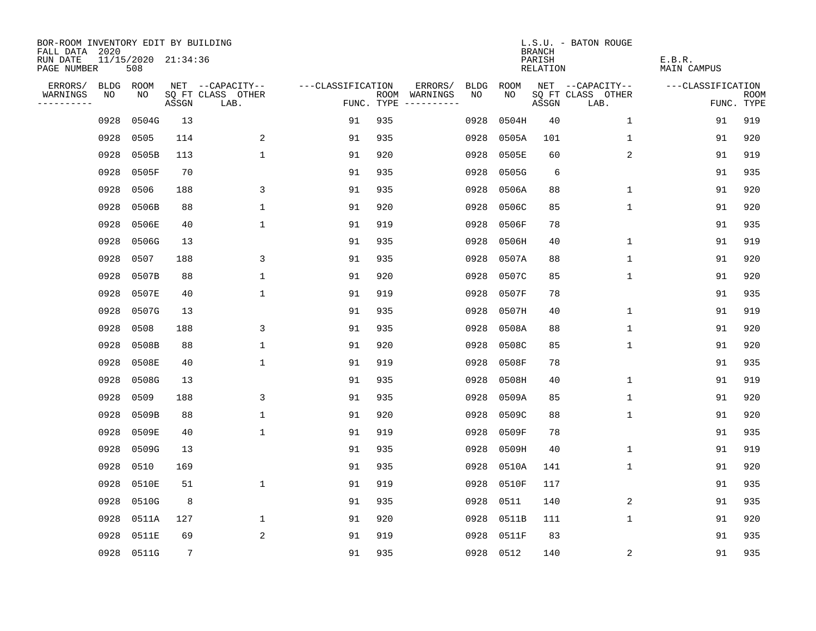| BOR-ROOM INVENTORY EDIT BY BUILDING<br>FALL DATA 2020 |      |                            |                 |                           |                   |            |                                    |             | <b>BRANCH</b>             | L.S.U. - BATON ROUGE      |                              |                           |
|-------------------------------------------------------|------|----------------------------|-----------------|---------------------------|-------------------|------------|------------------------------------|-------------|---------------------------|---------------------------|------------------------------|---------------------------|
| RUN DATE<br>PAGE NUMBER                               |      | 11/15/2020 21:34:36<br>508 |                 |                           |                   |            |                                    |             | PARISH<br><b>RELATION</b> |                           | E.B.R.<br><b>MAIN CAMPUS</b> |                           |
| ERRORS/                                               | BLDG | ROOM                       |                 | NET --CAPACITY--          | ---CLASSIFICATION |            | ERRORS/<br><b>BLDG</b>             | <b>ROOM</b> |                           | NET --CAPACITY--          | ---CLASSIFICATION            |                           |
| WARNINGS<br>----------                                | NO   | NO                         | ASSGN           | SQ FT CLASS OTHER<br>LAB. |                   | FUNC. TYPE | NO<br>ROOM WARNINGS<br>----------- | NO          | ASSGN                     | SQ FT CLASS OTHER<br>LAB. |                              | <b>ROOM</b><br>FUNC. TYPE |
|                                                       | 0928 | 0504G                      | 13              |                           | 91                | 935        | 0928                               | 0504H       | 40                        | $\mathbf 1$               | 91                           | 919                       |
|                                                       | 0928 | 0505                       | 114             | 2                         | 91                | 935        | 0928                               | 0505A       | 101                       | 1                         | 91                           | 920                       |
|                                                       | 0928 | 0505B                      | 113             | $\mathbf 1$               | 91                | 920        | 0928                               | 0505E       | 60                        | 2                         | 91                           | 919                       |
|                                                       | 0928 | 0505F                      | 70              |                           | 91                | 935        | 0928                               | 0505G       | 6                         |                           | 91                           | 935                       |
|                                                       | 0928 | 0506                       | 188             | 3                         | 91                | 935        | 0928                               | 0506A       | 88                        | $\mathbf 1$               | 91                           | 920                       |
|                                                       | 0928 | 0506B                      | 88              | $\mathbf{1}$              | 91                | 920        | 0928                               | 0506C       | 85                        | $\mathbf 1$               | 91                           | 920                       |
|                                                       | 0928 | 0506E                      | 40              | $\mathbf 1$               | 91                | 919        | 0928                               | 0506F       | 78                        |                           | 91                           | 935                       |
|                                                       | 0928 | 0506G                      | 13              |                           | 91                | 935        | 0928                               | 0506H       | 40                        | $\mathbf 1$               | 91                           | 919                       |
|                                                       | 0928 | 0507                       | 188             | 3                         | 91                | 935        | 0928                               | 0507A       | 88                        | $\mathbf 1$               | 91                           | 920                       |
|                                                       | 0928 | 0507B                      | 88              | $\mathbf{1}$              | 91                | 920        | 0928                               | 0507C       | 85                        | $\mathbf 1$               | 91                           | 920                       |
|                                                       | 0928 | 0507E                      | 40              | $\mathbf{1}$              | 91                | 919        | 0928                               | 0507F       | 78                        |                           | 91                           | 935                       |
|                                                       | 0928 | 0507G                      | 13              |                           | 91                | 935        | 0928                               | 0507H       | 40                        | $\mathbf 1$               | 91                           | 919                       |
|                                                       | 0928 | 0508                       | 188             | 3                         | 91                | 935        | 0928                               | 0508A       | 88                        | $\mathbf 1$               | 91                           | 920                       |
|                                                       | 0928 | 0508B                      | 88              | $\mathbf 1$               | 91                | 920        | 0928                               | 0508C       | 85                        | 1                         | 91                           | 920                       |
|                                                       | 0928 | 0508E                      | 40              | $\mathbf 1$               | 91                | 919        | 0928                               | 0508F       | 78                        |                           | 91                           | 935                       |
|                                                       | 0928 | 0508G                      | 13              |                           | 91                | 935        | 0928                               | 0508H       | 40                        | 1                         | 91                           | 919                       |
|                                                       | 0928 | 0509                       | 188             | 3                         | 91                | 935        | 0928                               | 0509A       | 85                        | 1                         | 91                           | 920                       |
|                                                       | 0928 | 0509B                      | 88              | $\mathbf{1}$              | 91                | 920        | 0928                               | 0509C       | 88                        | 1                         | 91                           | 920                       |
|                                                       | 0928 | 0509E                      | 40              | $\mathbf{1}$              | 91                | 919        | 0928                               | 0509F       | 78                        |                           | 91                           | 935                       |
|                                                       | 0928 | 0509G                      | 13              |                           | 91                | 935        | 0928                               | 0509H       | 40                        | 1                         | 91                           | 919                       |
|                                                       | 0928 | 0510                       | 169             |                           | 91                | 935        | 0928                               | 0510A       | 141                       | 1                         | 91                           | 920                       |
|                                                       | 0928 | 0510E                      | 51              | $\mathbf 1$               | 91                | 919        | 0928                               | 0510F       | 117                       |                           | 91                           | 935                       |
|                                                       | 0928 | 0510G                      | 8               |                           | 91                | 935        | 0928                               | 0511        | 140                       | 2                         | 91                           | 935                       |
|                                                       | 0928 | 0511A                      | 127             | $\mathbf 1$               | 91                | 920        | 0928                               | 0511B       | 111                       | $\mathbf 1$               | 91                           | 920                       |
|                                                       | 0928 | 0511E                      | 69              | 2                         | 91                | 919        | 0928                               | 0511F       | 83                        |                           | 91                           | 935                       |
|                                                       |      | 0928 0511G                 | $7\phantom{.0}$ |                           | 91                | 935        |                                    | 0928 0512   | 140                       | 2                         | 91                           | 935                       |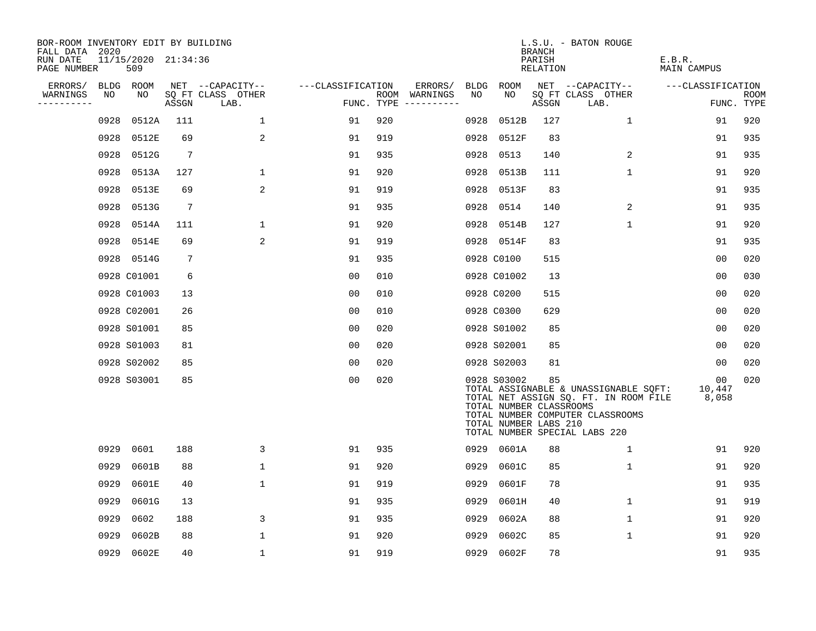| BOR-ROOM INVENTORY EDIT BY BUILDING<br>FALL DATA 2020 |             |                            |                 |                           |                   |     |               |             |                                                                 | <b>BRANCH</b>      | L.S.U. - BATON ROUGE                                                                                                                                |                       |                           |
|-------------------------------------------------------|-------------|----------------------------|-----------------|---------------------------|-------------------|-----|---------------|-------------|-----------------------------------------------------------------|--------------------|-----------------------------------------------------------------------------------------------------------------------------------------------------|-----------------------|---------------------------|
| RUN DATE<br>PAGE NUMBER                               |             | 11/15/2020 21:34:36<br>509 |                 |                           |                   |     |               |             |                                                                 | PARISH<br>RELATION |                                                                                                                                                     | E.B.R.<br>MAIN CAMPUS |                           |
| ERRORS/                                               | <b>BLDG</b> | ROOM                       |                 | NET --CAPACITY--          | ---CLASSIFICATION |     | ERRORS/       | <b>BLDG</b> | ROOM                                                            |                    | NET --CAPACITY--                                                                                                                                    | ---CLASSIFICATION     |                           |
| WARNINGS<br>----------                                | NO          | NO                         | ASSGN           | SQ FT CLASS OTHER<br>LAB. | FUNC. TYPE        |     | ROOM WARNINGS | NO          | NO                                                              | ASSGN              | SQ FT CLASS OTHER<br>LAB.                                                                                                                           |                       | <b>ROOM</b><br>FUNC. TYPE |
|                                                       | 0928        | 0512A                      | 111             | $\mathbf{1}$              | 91                | 920 |               | 0928        | 0512B                                                           | 127                | 1                                                                                                                                                   | 91                    | 920                       |
|                                                       | 0928        | 0512E                      | 69              | 2                         | 91                | 919 |               | 0928        | 0512F                                                           | 83                 |                                                                                                                                                     | 91                    | 935                       |
|                                                       | 0928        | 0512G                      | $7\phantom{.0}$ |                           | 91                | 935 |               | 0928        | 0513                                                            | 140                | $\overline{2}$                                                                                                                                      | 91                    | 935                       |
|                                                       | 0928        | 0513A                      | 127             | 1                         | 91                | 920 |               | 0928        | 0513B                                                           | 111                | $\mathbf{1}$                                                                                                                                        | 91                    | 920                       |
|                                                       | 0928        | 0513E                      | 69              | 2                         | 91                | 919 |               | 0928        | 0513F                                                           | 83                 |                                                                                                                                                     | 91                    | 935                       |
|                                                       | 0928        | 0513G                      | $7\phantom{.0}$ |                           | 91                | 935 |               | 0928        | 0514                                                            | 140                | $\overline{2}$                                                                                                                                      | 91                    | 935                       |
|                                                       | 0928        | 0514A                      | 111             | $\mathbf 1$               | 91                | 920 |               | 0928        | 0514B                                                           | 127                | $\mathbf 1$                                                                                                                                         | 91                    | 920                       |
|                                                       | 0928        | 0514E                      | 69              | 2                         | 91                | 919 |               |             | 0928 0514F                                                      | 83                 |                                                                                                                                                     | 91                    | 935                       |
|                                                       | 0928        | 0514G                      | 7               |                           | 91                | 935 |               |             | 0928 C0100                                                      | 515                |                                                                                                                                                     | 0 <sub>0</sub>        | 020                       |
|                                                       |             | 0928 C01001                | 6               |                           | 00                | 010 |               |             | 0928 C01002                                                     | 13                 |                                                                                                                                                     | 00                    | 030                       |
|                                                       |             | 0928 C01003                | 13              |                           | 0 <sub>0</sub>    | 010 |               |             | 0928 C0200                                                      | 515                |                                                                                                                                                     | 0 <sub>0</sub>        | 020                       |
|                                                       |             | 0928 C02001                | 26              |                           | 0 <sub>0</sub>    | 010 |               |             | 0928 C0300                                                      | 629                |                                                                                                                                                     | 00                    | 020                       |
|                                                       |             | 0928 S01001                | 85              |                           | 00                | 020 |               |             | 0928 S01002                                                     | 85                 |                                                                                                                                                     | 0 <sub>0</sub>        | 020                       |
|                                                       |             | 0928 S01003                | 81              |                           | 0 <sub>0</sub>    | 020 |               |             | 0928 S02001                                                     | 85                 |                                                                                                                                                     | 0 <sub>0</sub>        | 020                       |
|                                                       |             | 0928 S02002                | 85              |                           | 0 <sub>0</sub>    | 020 |               |             | 0928 S02003                                                     | 81                 |                                                                                                                                                     | 00                    | 020                       |
|                                                       |             | 0928 S03001                | 85              |                           | 0 <sub>0</sub>    | 020 |               |             | 0928 S03002<br>TOTAL NUMBER CLASSROOMS<br>TOTAL NUMBER LABS 210 | 85                 | TOTAL ASSIGNABLE & UNASSIGNABLE SQFT:<br>TOTAL NET ASSIGN SQ. FT. IN ROOM FILE<br>TOTAL NUMBER COMPUTER CLASSROOMS<br>TOTAL NUMBER SPECIAL LABS 220 | 00<br>10,447<br>8,058 | 020                       |
|                                                       | 0929        | 0601                       | 188             | 3                         | 91                | 935 |               |             | 0929 0601A                                                      | 88                 | $\mathbf 1$                                                                                                                                         | 91                    | 920                       |
|                                                       | 0929        | 0601B                      | 88              | $\mathbf 1$               | 91                | 920 |               | 0929        | 0601C                                                           | 85                 | $\mathbf{1}$                                                                                                                                        | 91                    | 920                       |
|                                                       | 0929        | 0601E                      | 40              | $\mathbf 1$               | 91                | 919 |               | 0929        | 0601F                                                           | 78                 |                                                                                                                                                     | 91                    | 935                       |
|                                                       | 0929        | 0601G                      | 13              |                           | 91                | 935 |               | 0929        | 0601H                                                           | 40                 | $\mathbf 1$                                                                                                                                         | 91                    | 919                       |
|                                                       | 0929        | 0602                       | 188             | 3                         | 91                | 935 |               | 0929        | 0602A                                                           | 88                 | $\mathbf 1$                                                                                                                                         | 91                    | 920                       |
|                                                       | 0929        | 0602B                      | 88              | 1                         | 91                | 920 |               | 0929        | 0602C                                                           | 85                 | 1                                                                                                                                                   | 91                    | 920                       |
|                                                       | 0929        | 0602E                      | 40              | 1                         | 91                | 919 |               | 0929        | 0602F                                                           | 78                 |                                                                                                                                                     | 91                    | 935                       |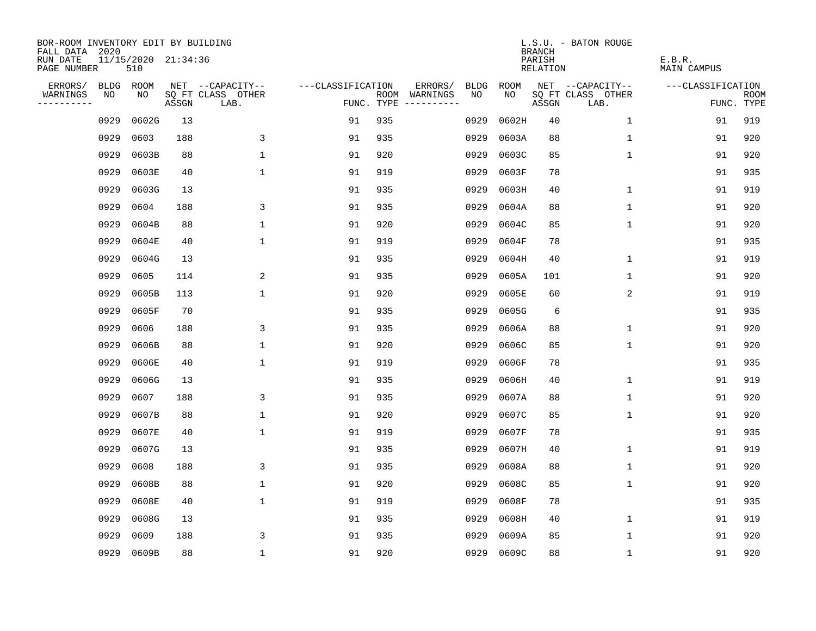| BOR-ROOM INVENTORY EDIT BY BUILDING<br>FALL DATA 2020 |             |                            |       |                           |                   |     |                                      |             |             | <b>BRANCH</b>             | L.S.U. - BATON ROUGE      |                              |                           |
|-------------------------------------------------------|-------------|----------------------------|-------|---------------------------|-------------------|-----|--------------------------------------|-------------|-------------|---------------------------|---------------------------|------------------------------|---------------------------|
| RUN DATE<br>PAGE NUMBER                               |             | 11/15/2020 21:34:36<br>510 |       |                           |                   |     |                                      |             |             | PARISH<br><b>RELATION</b> |                           | E.B.R.<br><b>MAIN CAMPUS</b> |                           |
| ERRORS/                                               | <b>BLDG</b> | ROOM                       |       | NET --CAPACITY--          | ---CLASSIFICATION |     | ERRORS/                              | <b>BLDG</b> | <b>ROOM</b> |                           | NET --CAPACITY--          | ---CLASSIFICATION            |                           |
| WARNINGS<br>----------                                | NO          | NO                         | ASSGN | SQ FT CLASS OTHER<br>LAB. |                   |     | ROOM WARNINGS<br>FUNC. TYPE $------$ | NO          | NO          | ASSGN                     | SQ FT CLASS OTHER<br>LAB. |                              | <b>ROOM</b><br>FUNC. TYPE |
|                                                       | 0929        | 0602G                      | 13    |                           | 91                | 935 |                                      | 0929        | 0602H       | 40                        | $\mathbf 1$               | 91                           | 919                       |
|                                                       | 0929        | 0603                       | 188   | 3                         | 91                | 935 |                                      | 0929        | 0603A       | 88                        | $\mathbf 1$               | 91                           | 920                       |
|                                                       | 0929        | 0603B                      | 88    | $\mathbf 1$               | 91                | 920 |                                      | 0929        | 0603C       | 85                        | $\mathbf 1$               | 91                           | 920                       |
|                                                       | 0929        | 0603E                      | 40    | $\mathbf 1$               | 91                | 919 |                                      | 0929        | 0603F       | 78                        |                           | 91                           | 935                       |
|                                                       | 0929        | 0603G                      | 13    |                           | 91                | 935 |                                      | 0929        | 0603H       | 40                        | $\mathbf 1$               | 91                           | 919                       |
|                                                       | 0929        | 0604                       | 188   | 3                         | 91                | 935 |                                      | 0929        | 0604A       | 88                        | $\mathbf 1$               | 91                           | 920                       |
|                                                       | 0929        | 0604B                      | 88    | $\mathbf{1}$              | 91                | 920 |                                      | 0929        | 0604C       | 85                        | $\mathbf{1}$              | 91                           | 920                       |
|                                                       | 0929        | 0604E                      | 40    | $\mathbf 1$               | 91                | 919 |                                      | 0929        | 0604F       | 78                        |                           | 91                           | 935                       |
|                                                       | 0929        | 0604G                      | 13    |                           | 91                | 935 |                                      | 0929        | 0604H       | 40                        | $\mathbf 1$               | 91                           | 919                       |
|                                                       | 0929        | 0605                       | 114   | 2                         | 91                | 935 |                                      | 0929        | 0605A       | 101                       | $\mathbf 1$               | 91                           | 920                       |
|                                                       | 0929        | 0605B                      | 113   | $\mathbf 1$               | 91                | 920 |                                      | 0929        | 0605E       | 60                        | 2                         | 91                           | 919                       |
|                                                       | 0929        | 0605F                      | 70    |                           | 91                | 935 |                                      | 0929        | 0605G       | 6                         |                           | 91                           | 935                       |
|                                                       | 0929        | 0606                       | 188   | 3                         | 91                | 935 |                                      | 0929        | 0606A       | 88                        | $\mathbf 1$               | 91                           | 920                       |
|                                                       | 0929        | 0606B                      | 88    | 1                         | 91                | 920 |                                      | 0929        | 0606C       | 85                        | 1                         | 91                           | 920                       |
|                                                       | 0929        | 0606E                      | 40    | $\mathbf 1$               | 91                | 919 |                                      | 0929        | 0606F       | 78                        |                           | 91                           | 935                       |
|                                                       | 0929        | 0606G                      | 13    |                           | 91                | 935 |                                      | 0929        | 0606H       | 40                        | 1                         | 91                           | 919                       |
|                                                       | 0929        | 0607                       | 188   | 3                         | 91                | 935 |                                      | 0929        | 0607A       | 88                        | 1                         | 91                           | 920                       |
|                                                       | 0929        | 0607B                      | 88    | $\mathbf{1}$              | 91                | 920 |                                      | 0929        | 0607C       | 85                        | 1                         | 91                           | 920                       |
|                                                       | 0929        | 0607E                      | 40    | $\mathbf{1}$              | 91                | 919 |                                      | 0929        | 0607F       | 78                        |                           | 91                           | 935                       |
|                                                       | 0929        | 0607G                      | 13    |                           | 91                | 935 |                                      | 0929        | 0607H       | 40                        | 1                         | 91                           | 919                       |
|                                                       | 0929        | 0608                       | 188   | 3                         | 91                | 935 |                                      | 0929        | 0608A       | 88                        | 1                         | 91                           | 920                       |
|                                                       | 0929        | 0608B                      | 88    | $\mathbf 1$               | 91                | 920 |                                      | 0929        | 0608C       | 85                        | $\mathbf 1$               | 91                           | 920                       |
|                                                       | 0929        | 0608E                      | 40    | $\mathbf 1$               | 91                | 919 |                                      | 0929        | 0608F       | 78                        |                           | 91                           | 935                       |
|                                                       | 0929        | 0608G                      | 13    |                           | 91                | 935 |                                      | 0929        | 0608H       | 40                        | $\mathbf 1$               | 91                           | 919                       |
|                                                       | 0929        | 0609                       | 188   | 3                         | 91                | 935 |                                      | 0929        | 0609A       | 85                        | 1                         | 91                           | 920                       |
|                                                       | 0929        | 0609B                      | 88    | $\mathbf{1}$              | 91                | 920 |                                      | 0929        | 0609C       | 88                        | 1                         | 91                           | 920                       |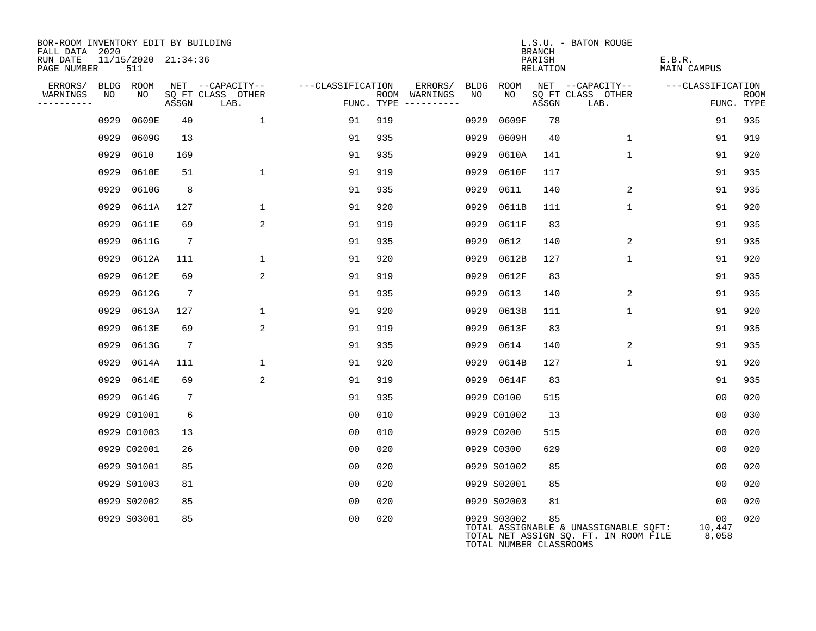| BOR-ROOM INVENTORY EDIT BY BUILDING<br>FALL DATA 2020 |      |                            |                 |                           |                   |                                        |         |      |                                        | <b>BRANCH</b>      | L.S.U. - BATON ROUGE                                                           |                                    |                           |
|-------------------------------------------------------|------|----------------------------|-----------------|---------------------------|-------------------|----------------------------------------|---------|------|----------------------------------------|--------------------|--------------------------------------------------------------------------------|------------------------------------|---------------------------|
| RUN DATE<br>PAGE NUMBER                               |      | 11/15/2020 21:34:36<br>511 |                 |                           |                   |                                        |         |      |                                        | PARISH<br>RELATION |                                                                                | E.B.R.<br><b>MAIN CAMPUS</b>       |                           |
| ERRORS/                                               |      | BLDG ROOM                  |                 | NET --CAPACITY--          | ---CLASSIFICATION |                                        | ERRORS/ | BLDG | ROOM                                   |                    | NET --CAPACITY--                                                               | ---CLASSIFICATION                  |                           |
| WARNINGS<br>---------                                 | NO   | NO                         | ASSGN           | SQ FT CLASS OTHER<br>LAB. |                   | ROOM WARNINGS<br>FUNC. TYPE ---------- |         | NO   | NO                                     | ASSGN              | SQ FT CLASS OTHER<br>LAB.                                                      |                                    | <b>ROOM</b><br>FUNC. TYPE |
|                                                       | 0929 | 0609E                      | 40              | $\mathbf 1$               | 91                | 919                                    |         | 0929 | 0609F                                  | 78                 |                                                                                | 91                                 | 935                       |
|                                                       | 0929 | 0609G                      | 13              |                           | 91                | 935                                    |         | 0929 | 0609H                                  | 40                 | $\mathbf{1}$                                                                   | 91                                 | 919                       |
|                                                       | 0929 | 0610                       | 169             |                           | 91                | 935                                    |         | 0929 | 0610A                                  | 141                | $\mathbf{1}$                                                                   | 91                                 | 920                       |
|                                                       | 0929 | 0610E                      | 51              | $\mathbf{1}$              | 91                | 919                                    |         | 0929 | 0610F                                  | 117                |                                                                                | 91                                 | 935                       |
|                                                       | 0929 | 0610G                      | 8               |                           | 91                | 935                                    |         | 0929 | 0611                                   | 140                | 2                                                                              | 91                                 | 935                       |
|                                                       | 0929 | 0611A                      | 127             | $\mathbf{1}$              | 91                | 920                                    |         | 0929 | 0611B                                  | 111                | $\mathbf{1}$                                                                   | 91                                 | 920                       |
|                                                       | 0929 | 0611E                      | 69              | 2                         | 91                | 919                                    |         | 0929 | 0611F                                  | 83                 |                                                                                | 91                                 | 935                       |
|                                                       | 0929 | 0611G                      | $7\phantom{.0}$ |                           | 91                | 935                                    |         | 0929 | 0612                                   | 140                | 2                                                                              | 91                                 | 935                       |
|                                                       | 0929 | 0612A                      | 111             | $\mathbf{1}$              | 91                | 920                                    |         | 0929 | 0612B                                  | 127                | $\mathbf{1}$                                                                   | 91                                 | 920                       |
|                                                       | 0929 | 0612E                      | 69              | 2                         | 91                | 919                                    |         | 0929 | 0612F                                  | 83                 |                                                                                | 91                                 | 935                       |
|                                                       | 0929 | 0612G                      | 7               |                           | 91                | 935                                    |         | 0929 | 0613                                   | 140                | 2                                                                              | 91                                 | 935                       |
|                                                       | 0929 | 0613A                      | 127             | $\mathbf 1$               | 91                | 920                                    |         | 0929 | 0613B                                  | 111                | $\mathbf{1}$                                                                   | 91                                 | 920                       |
|                                                       | 0929 | 0613E                      | 69              | 2                         | 91                | 919                                    |         | 0929 | 0613F                                  | 83                 |                                                                                | 91                                 | 935                       |
|                                                       | 0929 | 0613G                      | $7\phantom{.0}$ |                           | 91                | 935                                    |         | 0929 | 0614                                   | 140                | 2                                                                              | 91                                 | 935                       |
|                                                       | 0929 | 0614A                      | 111             | 1                         | 91                | 920                                    |         | 0929 | 0614B                                  | 127                | $\mathbf{1}$                                                                   | 91                                 | 920                       |
|                                                       | 0929 | 0614E                      | 69              | $\overline{a}$            | 91                | 919                                    |         |      | 0929 0614F                             | 83                 |                                                                                | 91                                 | 935                       |
|                                                       |      | 0929 0614G                 | 7               |                           | 91                | 935                                    |         |      | 0929 C0100                             | 515                |                                                                                | 0 <sub>0</sub>                     | 020                       |
|                                                       |      | 0929 C01001                | 6               |                           | 00                | 010                                    |         |      | 0929 C01002                            | 13                 |                                                                                | 0 <sub>0</sub>                     | 030                       |
|                                                       |      | 0929 C01003                | 13              |                           | 0 <sub>0</sub>    | 010                                    |         |      | 0929 C0200                             | 515                |                                                                                | 0 <sub>0</sub>                     | 020                       |
|                                                       |      | 0929 C02001                | 26              |                           | 00                | 020                                    |         |      | 0929 C0300                             | 629                |                                                                                | 0 <sub>0</sub>                     | 020                       |
|                                                       |      | 0929 S01001                | 85              |                           | 0 <sub>0</sub>    | 020                                    |         |      | 0929 S01002                            | 85                 |                                                                                | 0 <sub>0</sub>                     | 020                       |
|                                                       |      | 0929 S01003                | 81              |                           | 0 <sub>0</sub>    | 020                                    |         |      | 0929 S02001                            | 85                 |                                                                                | 00                                 | 020                       |
|                                                       |      | 0929 S02002                | 85              |                           | 0 <sub>0</sub>    | 020                                    |         |      | 0929 S02003                            | 81                 |                                                                                | 0 <sub>0</sub>                     | 020                       |
|                                                       |      | 0929 S03001                | 85              |                           | 0 <sub>0</sub>    | 020                                    |         |      | 0929 S03002<br>TOTAL NUMBER CLASSROOMS | 85                 | TOTAL ASSIGNABLE & UNASSIGNABLE SQFT:<br>TOTAL NET ASSIGN SQ. FT. IN ROOM FILE | 00 <sub>o</sub><br>10,447<br>8,058 | 020                       |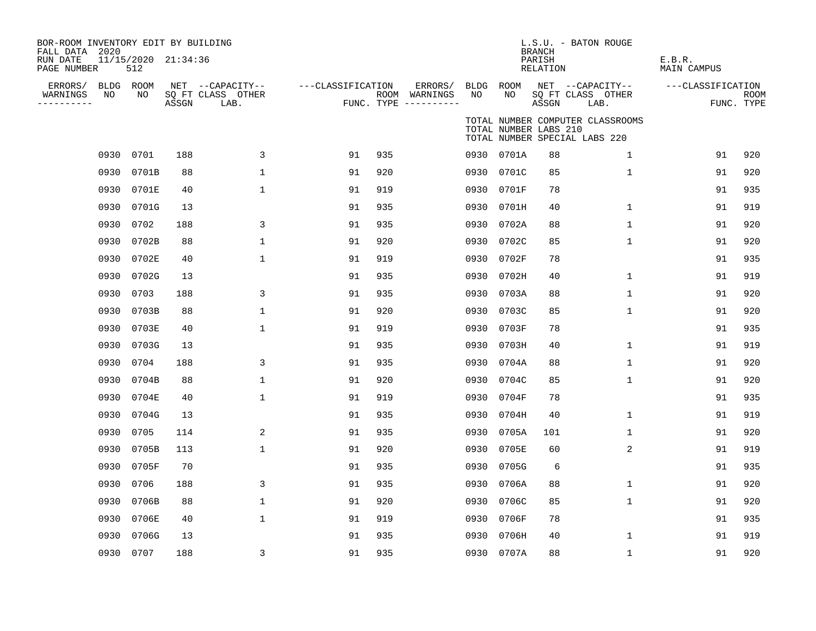| BOR-ROOM INVENTORY EDIT BY BUILDING<br>FALL DATA 2020<br>RUN DATE<br>PAGE NUMBER |      | 11/15/2020 21:34:36<br>512 |       |                                               |                   |     |                                                 |      |                       | <b>BRANCH</b><br>PARISH<br>RELATION | L.S.U. - BATON ROUGE                                              | E.B.R.<br><b>MAIN CAMPUS</b> |                           |
|----------------------------------------------------------------------------------|------|----------------------------|-------|-----------------------------------------------|-------------------|-----|-------------------------------------------------|------|-----------------------|-------------------------------------|-------------------------------------------------------------------|------------------------------|---------------------------|
| ERRORS/<br>WARNINGS<br>. _ _ _ _ _ _ _ _ _                                       | NO   | BLDG ROOM<br>NO            | ASSGN | NET --CAPACITY--<br>SQ FT CLASS OTHER<br>LAB. | ---CLASSIFICATION |     | ERRORS/<br>ROOM WARNINGS<br>FUNC. TYPE $------$ | NO   | BLDG ROOM<br>NO       | ASSGN                               | NET --CAPACITY--<br>SQ FT CLASS OTHER<br>LAB.                     | ---CLASSIFICATION            | <b>ROOM</b><br>FUNC. TYPE |
|                                                                                  |      |                            |       |                                               |                   |     |                                                 |      | TOTAL NUMBER LABS 210 |                                     | TOTAL NUMBER COMPUTER CLASSROOMS<br>TOTAL NUMBER SPECIAL LABS 220 |                              |                           |
|                                                                                  | 0930 | 0701                       | 188   | 3                                             | 91                | 935 |                                                 |      | 0930 0701A            | 88                                  | 1                                                                 | 91                           | 920                       |
|                                                                                  | 0930 | 0701B                      | 88    | $\mathbf{1}$                                  | 91                | 920 |                                                 |      | 0930 0701C            | 85                                  | $\mathbf{1}$                                                      | 91                           | 920                       |
|                                                                                  | 0930 | 0701E                      | 40    | 1                                             | 91                | 919 |                                                 |      | 0930 0701F            | 78                                  |                                                                   | 91                           | 935                       |
|                                                                                  | 0930 | 0701G                      | 13    |                                               | 91                | 935 |                                                 |      | 0930 0701H            | 40                                  | $\mathbf 1$                                                       | 91                           | 919                       |
|                                                                                  | 0930 | 0702                       | 188   | 3                                             | 91                | 935 |                                                 |      | 0930 0702A            | 88                                  | $\mathbf 1$                                                       | 91                           | 920                       |
|                                                                                  | 0930 | 0702B                      | 88    | $\mathbf 1$                                   | 91                | 920 |                                                 | 0930 | 0702C                 | 85                                  | $\mathbf{1}$                                                      | 91                           | 920                       |
|                                                                                  | 0930 | 0702E                      | 40    | $\mathbf{1}$                                  | 91                | 919 |                                                 | 0930 | 0702F                 | 78                                  |                                                                   | 91                           | 935                       |
|                                                                                  | 0930 | 0702G                      | 13    |                                               | 91                | 935 |                                                 | 0930 | 0702H                 | 40                                  | $\mathbf 1$                                                       | 91                           | 919                       |
|                                                                                  | 0930 | 0703                       | 188   | 3                                             | 91                | 935 |                                                 | 0930 | 0703A                 | 88                                  | $\mathbf 1$                                                       | 91                           | 920                       |
|                                                                                  | 0930 | 0703B                      | 88    | $\mathbf 1$                                   | 91                | 920 |                                                 |      | 0930 0703C            | 85                                  | $\mathbf{1}$                                                      | 91                           | 920                       |
|                                                                                  | 0930 | 0703E                      | 40    | $\mathbf{1}$                                  | 91                | 919 |                                                 | 0930 | 0703F                 | 78                                  |                                                                   | 91                           | 935                       |
|                                                                                  | 0930 | 0703G                      | 13    |                                               | 91                | 935 |                                                 | 0930 | 0703H                 | 40                                  | 1                                                                 | 91                           | 919                       |
|                                                                                  | 0930 | 0704                       | 188   | 3                                             | 91                | 935 |                                                 |      | 0930 0704A            | 88                                  | 1                                                                 | 91                           | 920                       |
|                                                                                  | 0930 | 0704B                      | 88    | $\mathbf{1}$                                  | 91                | 920 |                                                 | 0930 | 0704C                 | 85                                  | $\mathbf{1}$                                                      | 91                           | 920                       |
|                                                                                  | 0930 | 0704E                      | 40    | $\mathbf 1$                                   | 91                | 919 |                                                 |      | 0930 0704F            | 78                                  |                                                                   | 91                           | 935                       |
|                                                                                  | 0930 | 0704G                      | 13    |                                               | 91                | 935 |                                                 | 0930 | 0704H                 | 40                                  | $\mathbf{1}$                                                      | 91                           | 919                       |
|                                                                                  | 0930 | 0705                       | 114   | 2                                             | 91                | 935 |                                                 |      | 0930 0705A            | 101                                 | $\mathbf{1}$                                                      | 91                           | 920                       |
|                                                                                  | 0930 | 0705B                      | 113   | $\mathbf{1}$                                  | 91                | 920 |                                                 | 0930 | 0705E                 | 60                                  | 2                                                                 | 91                           | 919                       |
|                                                                                  | 0930 | 0705F                      | 70    |                                               | 91                | 935 |                                                 |      | 0930 0705G            | 6                                   |                                                                   | 91                           | 935                       |
|                                                                                  | 0930 | 0706                       | 188   | 3                                             | 91                | 935 |                                                 |      | 0930 0706A            | 88                                  | $\mathbf{1}$                                                      | 91                           | 920                       |
|                                                                                  | 0930 | 0706B                      | 88    | $\mathbf{1}$                                  | 91                | 920 |                                                 |      | 0930 0706C            | 85                                  | $\mathbf{1}$                                                      | 91                           | 920                       |
|                                                                                  | 0930 | 0706E                      | 40    | 1                                             | 91                | 919 |                                                 |      | 0930 0706F            | 78                                  |                                                                   | 91                           | 935                       |
|                                                                                  | 0930 | 0706G                      | 13    |                                               | 91                | 935 |                                                 |      | 0930 0706H            | 40                                  | $\mathbf 1$                                                       | 91                           | 919                       |
|                                                                                  |      | 0930 0707                  | 188   | 3                                             | 91                | 935 |                                                 |      | 0930 0707A            | 88                                  | $\mathbf 1$                                                       | 91                           | 920                       |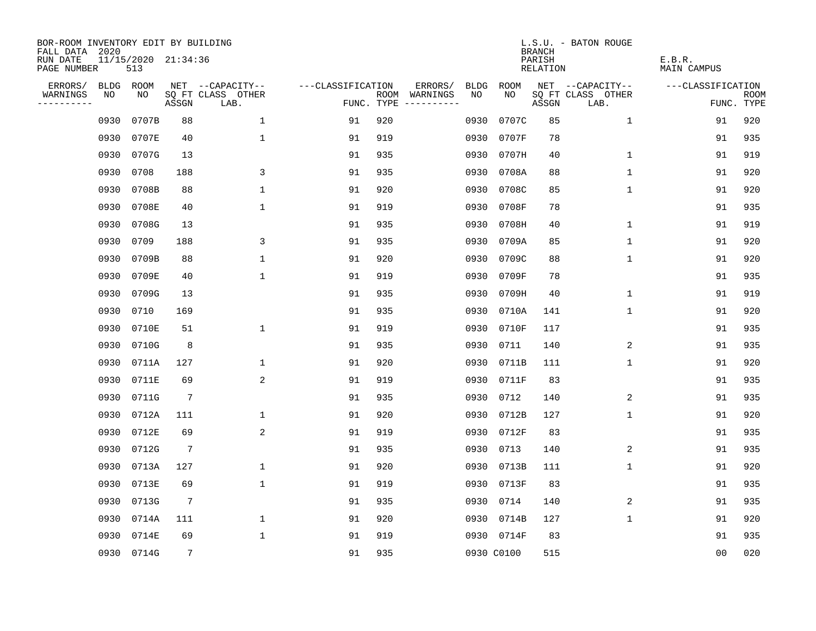| BOR-ROOM INVENTORY EDIT BY BUILDING<br>FALL DATA 2020 |             |                            |                 |                           |                   |     |                                      |             |            | <b>BRANCH</b>      | L.S.U. - BATON ROUGE      |                       |                           |
|-------------------------------------------------------|-------------|----------------------------|-----------------|---------------------------|-------------------|-----|--------------------------------------|-------------|------------|--------------------|---------------------------|-----------------------|---------------------------|
| RUN DATE<br>PAGE NUMBER                               |             | 11/15/2020 21:34:36<br>513 |                 |                           |                   |     |                                      |             |            | PARISH<br>RELATION |                           | E.B.R.<br>MAIN CAMPUS |                           |
| ERRORS/                                               | <b>BLDG</b> | ROOM                       |                 | NET --CAPACITY--          | ---CLASSIFICATION |     | ERRORS/                              | <b>BLDG</b> | ROOM       |                    | NET --CAPACITY--          | ---CLASSIFICATION     |                           |
| WARNINGS<br>----------                                | NO          | NO                         | ASSGN           | SQ FT CLASS OTHER<br>LAB. |                   |     | ROOM WARNINGS<br>FUNC. TYPE $------$ | NO.         | NO.        | ASSGN              | SQ FT CLASS OTHER<br>LAB. |                       | <b>ROOM</b><br>FUNC. TYPE |
|                                                       | 0930        | 0707B                      | 88              | $\mathbf 1$               | 91                | 920 |                                      | 0930        | 0707C      | 85                 | 1                         | 91                    | 920                       |
|                                                       | 0930        | 0707E                      | 40              | $\mathbf{1}$              | 91                | 919 |                                      | 0930        | 0707F      | 78                 |                           | 91                    | 935                       |
|                                                       | 0930        | 0707G                      | 13              |                           | 91                | 935 |                                      | 0930        | 0707H      | 40                 | $\mathbf 1$               | 91                    | 919                       |
|                                                       | 0930        | 0708                       | 188             | 3                         | 91                | 935 |                                      | 0930        | 0708A      | 88                 | 1                         | 91                    | 920                       |
|                                                       | 0930        | 0708B                      | 88              | 1                         | 91                | 920 |                                      | 0930        | 0708C      | 85                 | 1                         | 91                    | 920                       |
|                                                       | 0930        | 0708E                      | 40              | $\mathbf 1$               | 91                | 919 |                                      | 0930        | 0708F      | 78                 |                           | 91                    | 935                       |
|                                                       | 0930        | 0708G                      | 13              |                           | 91                | 935 |                                      | 0930        | 0708H      | 40                 | $\mathbf 1$               | 91                    | 919                       |
|                                                       | 0930        | 0709                       | 188             | 3                         | 91                | 935 |                                      |             | 0930 0709A | 85                 | $\mathbf 1$               | 91                    | 920                       |
|                                                       | 0930        | 0709B                      | 88              | $\mathbf{1}$              | 91                | 920 |                                      |             | 0930 0709C | 88                 | $\mathbf{1}$              | 91                    | 920                       |
|                                                       | 0930        | 0709E                      | 40              | 1                         | 91                | 919 |                                      |             | 0930 0709F | 78                 |                           | 91                    | 935                       |
|                                                       | 0930        | 0709G                      | 13              |                           | 91                | 935 |                                      |             | 0930 0709H | 40                 | $\mathbf 1$               | 91                    | 919                       |
|                                                       | 0930        | 0710                       | 169             |                           | 91                | 935 |                                      |             | 0930 0710A | 141                | $\mathbf 1$               | 91                    | 920                       |
|                                                       | 0930        | 0710E                      | 51              | $\mathbf 1$               | 91                | 919 |                                      |             | 0930 0710F | 117                |                           | 91                    | 935                       |
|                                                       | 0930        | 0710G                      | 8               |                           | 91                | 935 |                                      |             | 0930 0711  | 140                | 2                         | 91                    | 935                       |
|                                                       | 0930        | 0711A                      | 127             | 1                         | 91                | 920 |                                      | 0930        | 0711B      | 111                | 1                         | 91                    | 920                       |
|                                                       | 0930        | 0711E                      | 69              | 2                         | 91                | 919 |                                      | 0930        | 0711F      | 83                 |                           | 91                    | 935                       |
|                                                       | 0930        | 0711G                      | $7\phantom{.0}$ |                           | 91                | 935 |                                      | 0930        | 0712       | 140                | 2                         | 91                    | 935                       |
|                                                       | 0930        | 0712A                      | 111             | $\mathbf 1$               | 91                | 920 |                                      | 0930        | 0712B      | 127                | 1                         | 91                    | 920                       |
|                                                       | 0930        | 0712E                      | 69              | 2                         | 91                | 919 |                                      |             | 0930 0712F | 83                 |                           | 91                    | 935                       |
|                                                       | 0930        | 0712G                      | $7\phantom{.0}$ |                           | 91                | 935 |                                      | 0930        | 0713       | 140                | 2                         | 91                    | 935                       |
|                                                       | 0930        | 0713A                      | 127             | $\mathbf 1$               | 91                | 920 |                                      |             | 0930 0713B | 111                | 1                         | 91                    | 920                       |
|                                                       | 0930        | 0713E                      | 69              | $\mathbf 1$               | 91                | 919 |                                      | 0930        | 0713F      | 83                 |                           | 91                    | 935                       |
|                                                       | 0930        | 0713G                      | $7\phantom{.0}$ |                           | 91                | 935 |                                      | 0930        | 0714       | 140                | 2                         | 91                    | 935                       |
|                                                       | 0930        | 0714A                      | 111             | $\mathbf 1$               | 91                | 920 |                                      |             | 0930 0714B | 127                | $\mathbf{1}$              | 91                    | 920                       |
|                                                       | 0930        | 0714E                      | 69              | $\mathbf{1}$              | 91                | 919 |                                      |             | 0930 0714F | 83                 |                           | 91                    | 935                       |
|                                                       |             | 0930 0714G                 | $7\overline{ }$ |                           | 91                | 935 |                                      |             | 0930 C0100 | 515                |                           | 0 <sub>0</sub>        | 020                       |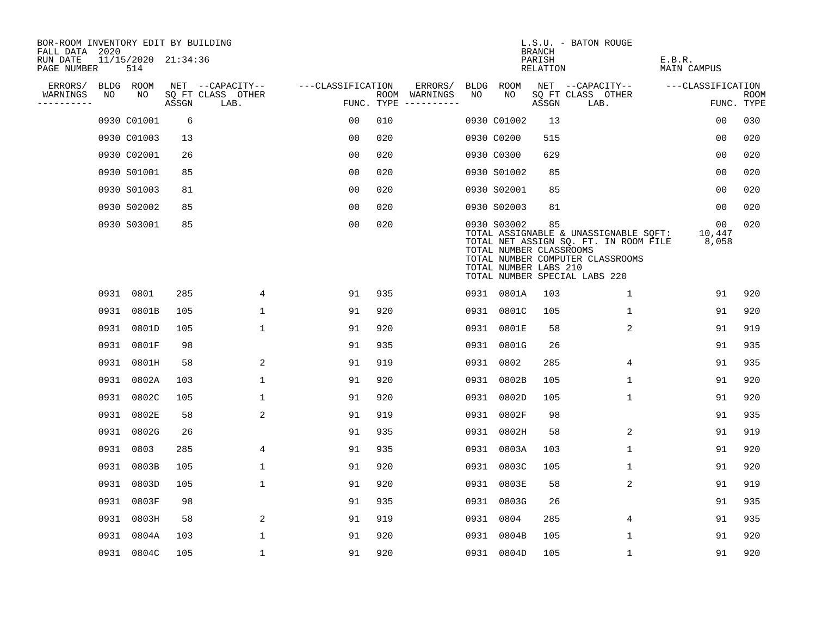| BOR-ROOM INVENTORY EDIT BY BUILDING<br>FALL DATA 2020 |      |                            |       |                           |                   |            |                              |      |                                                                 | <b>BRANCH</b>      | L.S.U. - BATON ROUGE                                                                                                                                |                       |                           |
|-------------------------------------------------------|------|----------------------------|-------|---------------------------|-------------------|------------|------------------------------|------|-----------------------------------------------------------------|--------------------|-----------------------------------------------------------------------------------------------------------------------------------------------------|-----------------------|---------------------------|
| RUN DATE<br>PAGE NUMBER                               |      | 11/15/2020 21:34:36<br>514 |       |                           |                   |            |                              |      |                                                                 | PARISH<br>RELATION |                                                                                                                                                     | E.B.R.<br>MAIN CAMPUS |                           |
| ERRORS/                                               |      | BLDG ROOM                  |       | NET --CAPACITY--          | ---CLASSIFICATION |            | ERRORS/                      | BLDG | ROOM                                                            |                    | NET --CAPACITY--                                                                                                                                    | ---CLASSIFICATION     |                           |
| WARNINGS<br>----------                                | NO   | NO.                        | ASSGN | SQ FT CLASS OTHER<br>LAB. |                   | FUNC. TYPE | ROOM WARNINGS<br>----------- | NO   | NO.                                                             | ASSGN              | SQ FT CLASS OTHER<br>LAB.                                                                                                                           |                       | <b>ROOM</b><br>FUNC. TYPE |
|                                                       |      | 0930 C01001                | 6     |                           | 0 <sub>0</sub>    | 010        |                              |      | 0930 C01002                                                     | 13                 |                                                                                                                                                     | 0 <sub>0</sub>        | 030                       |
|                                                       |      | 0930 C01003                | 13    |                           | 0 <sub>0</sub>    | 020        |                              |      | 0930 C0200                                                      | 515                |                                                                                                                                                     | 0 <sub>0</sub>        | 020                       |
|                                                       |      | 0930 C02001                | 26    |                           | 0 <sub>0</sub>    | 020        |                              |      | 0930 C0300                                                      | 629                |                                                                                                                                                     | 0 <sub>0</sub>        | 020                       |
|                                                       |      | 0930 S01001                | 85    |                           | 0 <sub>0</sub>    | 020        |                              |      | 0930 S01002                                                     | 85                 |                                                                                                                                                     | 0 <sub>0</sub>        | 020                       |
|                                                       |      | 0930 S01003                | 81    |                           | 0 <sub>0</sub>    | 020        |                              |      | 0930 S02001                                                     | 85                 |                                                                                                                                                     | 0 <sub>0</sub>        | 020                       |
|                                                       |      | 0930 S02002                | 85    |                           | 0 <sub>0</sub>    | 020        |                              |      | 0930 S02003                                                     | 81                 |                                                                                                                                                     | 0 <sub>0</sub>        | 020                       |
|                                                       |      | 0930 S03001                | 85    |                           | 0 <sub>0</sub>    | 020        |                              |      | 0930 S03002<br>TOTAL NUMBER CLASSROOMS<br>TOTAL NUMBER LABS 210 | 85                 | TOTAL ASSIGNABLE & UNASSIGNABLE SQFT:<br>TOTAL NET ASSIGN SQ. FT. IN ROOM FILE<br>TOTAL NUMBER COMPUTER CLASSROOMS<br>TOTAL NUMBER SPECIAL LABS 220 | 00<br>10,447<br>8,058 | 020                       |
|                                                       |      | 0931 0801                  | 285   | 4                         | 91                | 935        |                              |      | 0931 0801A                                                      | 103                | $\mathbf 1$                                                                                                                                         | 91                    | 920                       |
|                                                       |      | 0931 0801B                 | 105   | $\mathbf{1}$              | 91                | 920        |                              | 0931 | 0801C                                                           | 105                | $\mathbf{1}$                                                                                                                                        | 91                    | 920                       |
|                                                       | 0931 | 0801D                      | 105   | $\mathbf 1$               | 91                | 920        |                              | 0931 | 0801E                                                           | 58                 | 2                                                                                                                                                   | 91                    | 919                       |
|                                                       | 0931 | 0801F                      | 98    |                           | 91                | 935        |                              | 0931 | 0801G                                                           | 26                 |                                                                                                                                                     | 91                    | 935                       |
|                                                       | 0931 | 0801H                      | 58    | 2                         | 91                | 919        |                              | 0931 | 0802                                                            | 285                | 4                                                                                                                                                   | 91                    | 935                       |
|                                                       | 0931 | 0802A                      | 103   | $\mathbf{1}$              | 91                | 920        |                              | 0931 | 0802B                                                           | 105                | $\mathbf 1$                                                                                                                                         | 91                    | 920                       |
|                                                       | 0931 | 0802C                      | 105   | 1                         | 91                | 920        |                              | 0931 | 0802D                                                           | 105                | 1                                                                                                                                                   | 91                    | 920                       |
|                                                       | 0931 | 0802E                      | 58    | 2                         | 91                | 919        |                              | 0931 | 0802F                                                           | 98                 |                                                                                                                                                     | 91                    | 935                       |
|                                                       | 0931 | 0802G                      | 26    |                           | 91                | 935        |                              | 0931 | 0802H                                                           | 58                 | 2                                                                                                                                                   | 91                    | 919                       |
|                                                       | 0931 | 0803                       | 285   | 4                         | 91                | 935        |                              | 0931 | 0803A                                                           | 103                | $\mathbf 1$                                                                                                                                         | 91                    | 920                       |
|                                                       | 0931 | 0803B                      | 105   | $\mathbf{1}$              | 91                | 920        |                              | 0931 | 0803C                                                           | 105                | $\mathbf 1$                                                                                                                                         | 91                    | 920                       |
|                                                       | 0931 | 0803D                      | 105   | $\mathbf{1}$              | 91                | 920        |                              | 0931 | 0803E                                                           | 58                 | 2                                                                                                                                                   | 91                    | 919                       |
|                                                       |      | 0931 0803F                 | 98    |                           | 91                | 935        |                              |      | 0931 0803G                                                      | 26                 |                                                                                                                                                     | 91                    | 935                       |
|                                                       |      | 0931 0803H                 | 58    | 2                         | 91                | 919        |                              |      | 0931 0804                                                       | 285                | 4                                                                                                                                                   | 91                    | 935                       |
|                                                       | 0931 | 0804A                      | 103   | $\mathbf{1}$              | 91                | 920        |                              |      | 0931 0804B                                                      | 105                | 1                                                                                                                                                   | 91                    | 920                       |
|                                                       |      | 0931 0804C                 | 105   | $\mathbf{1}$              | 91                | 920        |                              |      | 0931 0804D                                                      | 105                | $\mathbf{1}$                                                                                                                                        | 91                    | 920                       |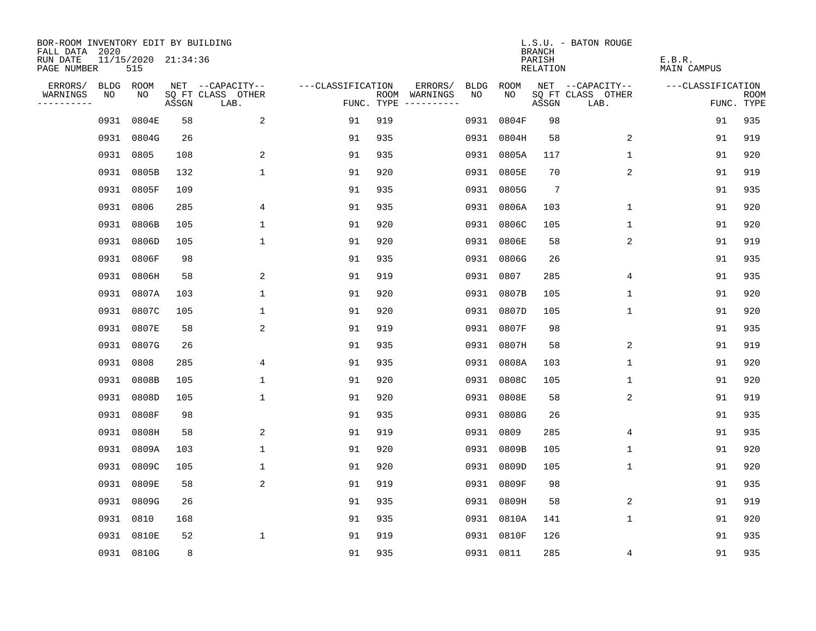| BOR-ROOM INVENTORY EDIT BY BUILDING<br>FALL DATA 2020 |           |                            |       |                           |                   |     |                                      |      |            | <b>BRANCH</b>      | L.S.U. - BATON ROUGE      |                       |                           |
|-------------------------------------------------------|-----------|----------------------------|-------|---------------------------|-------------------|-----|--------------------------------------|------|------------|--------------------|---------------------------|-----------------------|---------------------------|
| RUN DATE<br>PAGE NUMBER                               |           | 11/15/2020 21:34:36<br>515 |       |                           |                   |     |                                      |      |            | PARISH<br>RELATION |                           | E.B.R.<br>MAIN CAMPUS |                           |
| ERRORS/                                               | BLDG ROOM |                            |       | NET --CAPACITY--          | ---CLASSIFICATION |     | ERRORS/                              | BLDG | ROOM       |                    | NET --CAPACITY--          | ---CLASSIFICATION     |                           |
| WARNINGS<br>----------                                | NO        | NO.                        | ASSGN | SQ FT CLASS OTHER<br>LAB. |                   |     | ROOM WARNINGS<br>FUNC. TYPE $------$ | NO.  | NO         | ASSGN              | SQ FT CLASS OTHER<br>LAB. |                       | <b>ROOM</b><br>FUNC. TYPE |
|                                                       | 0931      | 0804E                      | 58    | 2                         | 91                | 919 |                                      | 0931 | 0804F      | 98                 |                           | 91                    | 935                       |
|                                                       | 0931      | 0804G                      | 26    |                           | 91                | 935 |                                      |      | 0931 0804H | 58                 | 2                         | 91                    | 919                       |
|                                                       |           | 0931 0805                  | 108   | 2                         | 91                | 935 |                                      |      | 0931 0805A | 117                | $\mathbf 1$               | 91                    | 920                       |
|                                                       | 0931      | 0805B                      | 132   | $\mathbf{1}$              | 91                | 920 |                                      |      | 0931 0805E | 70                 | 2                         | 91                    | 919                       |
|                                                       | 0931      | 0805F                      | 109   |                           | 91                | 935 |                                      |      | 0931 0805G | 7                  |                           | 91                    | 935                       |
|                                                       | 0931      | 0806                       | 285   | 4                         | 91                | 935 |                                      |      | 0931 0806A | 103                | 1                         | 91                    | 920                       |
|                                                       |           | 0931 0806B                 | 105   | $\mathbf{1}$              | 91                | 920 |                                      |      | 0931 0806C | 105                | $\mathbf 1$               | 91                    | 920                       |
|                                                       | 0931      | 0806D                      | 105   | $\mathbf{1}$              | 91                | 920 |                                      |      | 0931 0806E | 58                 | 2                         | 91                    | 919                       |
|                                                       | 0931      | 0806F                      | 98    |                           | 91                | 935 |                                      |      | 0931 0806G | 26                 |                           | 91                    | 935                       |
|                                                       |           | 0931 0806H                 | 58    | 2                         | 91                | 919 |                                      |      | 0931 0807  | 285                | 4                         | 91                    | 935                       |
|                                                       |           | 0931 0807A                 | 103   | $\mathbf 1$               | 91                | 920 |                                      |      | 0931 0807B | 105                | $\mathbf 1$               | 91                    | 920                       |
|                                                       |           | 0931 0807C                 | 105   | $\mathbf 1$               | 91                | 920 |                                      |      | 0931 0807D | 105                | $\mathbf 1$               | 91                    | 920                       |
|                                                       | 0931      | 0807E                      | 58    | 2                         | 91                | 919 |                                      |      | 0931 0807F | 98                 |                           | 91                    | 935                       |
|                                                       |           | 0931 0807G                 | 26    |                           | 91                | 935 |                                      |      | 0931 0807H | 58                 | 2                         | 91                    | 919                       |
|                                                       | 0931      | 0808                       | 285   | 4                         | 91                | 935 |                                      |      | 0931 0808A | 103                | 1                         | 91                    | 920                       |
|                                                       |           | 0931 0808B                 | 105   | $\mathbf 1$               | 91                | 920 |                                      | 0931 | 0808C      | 105                | 1                         | 91                    | 920                       |
|                                                       | 0931      | 0808D                      | 105   | $\mathbf 1$               | 91                | 920 |                                      | 0931 | 0808E      | 58                 | 2                         | 91                    | 919                       |
|                                                       | 0931      | 0808F                      | 98    |                           | 91                | 935 |                                      | 0931 | 0808G      | 26                 |                           | 91                    | 935                       |
|                                                       | 0931      | 0808H                      | 58    | 2                         | 91                | 919 |                                      | 0931 | 0809       | 285                | 4                         | 91                    | 935                       |
|                                                       |           | 0931 0809A                 | 103   | $\mathbf{1}$              | 91                | 920 |                                      |      | 0931 0809B | 105                | 1                         | 91                    | 920                       |
|                                                       | 0931      | 0809C                      | 105   | 1                         | 91                | 920 |                                      |      | 0931 0809D | 105                | 1                         | 91                    | 920                       |
|                                                       | 0931      | 0809E                      | 58    | 2                         | 91                | 919 |                                      |      | 0931 0809F | 98                 |                           | 91                    | 935                       |
|                                                       | 0931      | 0809G                      | 26    |                           | 91                | 935 |                                      |      | 0931 0809H | 58                 | 2                         | 91                    | 919                       |
|                                                       | 0931      | 0810                       | 168   |                           | 91                | 935 |                                      |      | 0931 0810A | 141                | $\mathbf 1$               | 91                    | 920                       |
|                                                       | 0931      | 0810E                      | 52    | $\mathbf 1$               | 91                | 919 |                                      |      | 0931 0810F | 126                |                           | 91                    | 935                       |
|                                                       |           | 0931 0810G                 | 8     |                           | 91                | 935 |                                      |      | 0931 0811  | 285                | 4                         | 91                    | 935                       |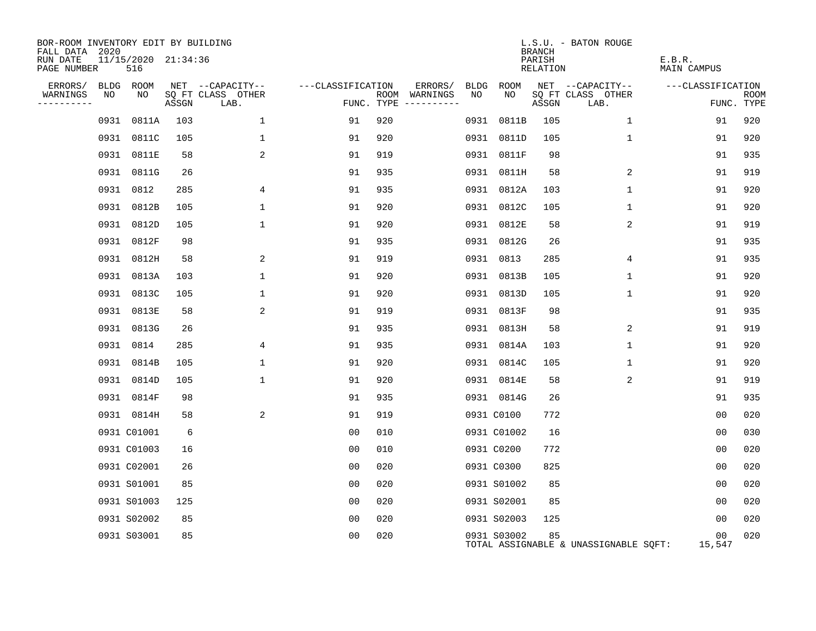| BOR-ROOM INVENTORY EDIT BY BUILDING<br>FALL DATA 2020 |      |                                |       |                           |                   |                                      |      |             | <b>BRANCH</b>      | L.S.U. - BATON ROUGE                  |                       |                           |
|-------------------------------------------------------|------|--------------------------------|-------|---------------------------|-------------------|--------------------------------------|------|-------------|--------------------|---------------------------------------|-----------------------|---------------------------|
| RUN DATE<br>PAGE NUMBER                               |      | $11/15/2020$ $21:34:36$<br>516 |       |                           |                   |                                      |      |             | PARISH<br>RELATION |                                       | E.B.R.<br>MAIN CAMPUS |                           |
| ERRORS/                                               |      | BLDG ROOM                      |       | NET --CAPACITY--          | ---CLASSIFICATION | ERRORS/                              | BLDG | ROOM        |                    | NET --CAPACITY--                      | ---CLASSIFICATION     |                           |
| WARNINGS<br>----------                                | NO   | NO                             | ASSGN | SQ FT CLASS OTHER<br>LAB. |                   | ROOM WARNINGS<br>FUNC. TYPE $------$ | NO   | NO.         | ASSGN              | SQ FT CLASS OTHER<br>LAB.             |                       | <b>ROOM</b><br>FUNC. TYPE |
|                                                       | 0931 | 0811A                          | 103   | 1                         | 91                | 920                                  |      | 0931 0811B  | 105                | $\mathbf{1}$                          | 91                    | 920                       |
|                                                       |      | 0931 0811C                     | 105   | $\mathbf{1}$              | 91                | 920                                  |      | 0931 0811D  | 105                | $\mathbf{1}$                          | 91                    | 920                       |
|                                                       |      | 0931 0811E                     | 58    | 2                         | 91                | 919                                  |      | 0931 0811F  | 98                 |                                       | 91                    | 935                       |
|                                                       |      | 0931 0811G                     | 26    |                           | 91                | 935                                  |      | 0931 0811H  | 58                 | 2                                     | 91                    | 919                       |
|                                                       |      | 0931 0812                      | 285   | 4                         | 91                | 935                                  |      | 0931 0812A  | 103                | $\mathbf{1}$                          | 91                    | 920                       |
|                                                       |      | 0931 0812B                     | 105   | $\mathbf{1}$              | 91                | 920                                  |      | 0931 0812C  | 105                | $\mathbf 1$                           | 91                    | 920                       |
|                                                       |      | 0931 0812D                     | 105   | $\mathbf 1$               | 91                | 920                                  |      | 0931 0812E  | 58                 | 2                                     | 91                    | 919                       |
|                                                       | 0931 | 0812F                          | 98    |                           | 91                | 935                                  |      | 0931 0812G  | 26                 |                                       | 91                    | 935                       |
|                                                       |      | 0931 0812H                     | 58    | 2                         | 91                | 919                                  |      | 0931 0813   | 285                | 4                                     | 91                    | 935                       |
|                                                       |      | 0931 0813A                     | 103   | $\mathbf{1}$              | 91                | 920                                  |      | 0931 0813B  | 105                | $\mathbf 1$                           | 91                    | 920                       |
|                                                       |      | 0931 0813C                     | 105   | $\mathbf{1}$              | 91                | 920                                  |      | 0931 0813D  | 105                | 1                                     | 91                    | 920                       |
|                                                       | 0931 | 0813E                          | 58    | 2                         | 91                | 919                                  |      | 0931 0813F  | 98                 |                                       | 91                    | 935                       |
|                                                       | 0931 | 0813G                          | 26    |                           | 91                | 935                                  |      | 0931 0813H  | 58                 | 2                                     | 91                    | 919                       |
|                                                       | 0931 | 0814                           | 285   | 4                         | 91                | 935                                  |      | 0931 0814A  | 103                | $\mathbf{1}$                          | 91                    | 920                       |
|                                                       | 0931 | 0814B                          | 105   | $\mathbf{1}$              | 91                | 920                                  |      | 0931 0814C  | 105                | 1                                     | 91                    | 920                       |
|                                                       | 0931 | 0814D                          | 105   | $\mathbf{1}$              | 91                | 920                                  |      | 0931 0814E  | 58                 | 2                                     | 91                    | 919                       |
|                                                       |      | 0931 0814F                     | 98    |                           | 91                | 935                                  |      | 0931 0814G  | 26                 |                                       | 91                    | 935                       |
|                                                       |      | 0931 0814H                     | 58    | 2                         | 91                | 919                                  |      | 0931 C0100  | 772                |                                       | 00                    | 020                       |
|                                                       |      | 0931 C01001                    | 6     |                           | 0 <sub>0</sub>    | 010                                  |      | 0931 C01002 | 16                 |                                       | 00                    | 030                       |
|                                                       |      | 0931 C01003                    | 16    |                           | 0 <sub>0</sub>    | 010                                  |      | 0931 C0200  | 772                |                                       | 0 <sub>0</sub>        | 020                       |
|                                                       |      | 0931 C02001                    | 26    |                           | 0 <sub>0</sub>    | 020                                  |      | 0931 C0300  | 825                |                                       | 00                    | 020                       |
|                                                       |      | 0931 S01001                    | 85    |                           | 0 <sub>0</sub>    | 020                                  |      | 0931 S01002 | 85                 |                                       | 0 <sub>0</sub>        | 020                       |
|                                                       |      | 0931 S01003                    | 125   |                           | 00                | 020                                  |      | 0931 S02001 | 85                 |                                       | 0 <sub>0</sub>        | 020                       |
|                                                       |      | 0931 S02002                    | 85    |                           | 0 <sub>0</sub>    | 020                                  |      | 0931 S02003 | 125                |                                       | 00                    | 020                       |
|                                                       |      | 0931 S03001                    | 85    |                           | 0 <sub>0</sub>    | 020                                  |      | 0931 S03002 | 85                 | TOTAL ASSIGNABLE & UNASSIGNABLE SQFT: | 00<br>15,547          | 020                       |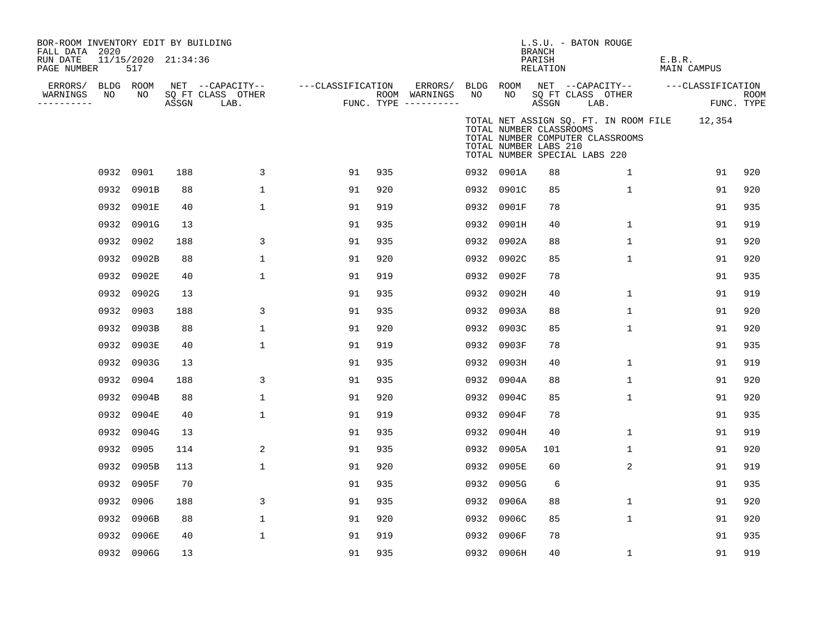| BOR-ROOM INVENTORY EDIT BY BUILDING<br>FALL DATA 2020 |      |                            |       |                           |                   |     |                                      |    |                                                                                   | <b>BRANCH</b>      | L.S.U. - BATON ROUGE |                                  |        |                                              |                           |
|-------------------------------------------------------|------|----------------------------|-------|---------------------------|-------------------|-----|--------------------------------------|----|-----------------------------------------------------------------------------------|--------------------|----------------------|----------------------------------|--------|----------------------------------------------|---------------------------|
| RUN DATE<br>PAGE NUMBER                               |      | 11/15/2020 21:34:36<br>517 |       |                           |                   |     |                                      |    |                                                                                   | PARISH<br>RELATION |                      |                                  | E.B.R. | MAIN CAMPUS                                  |                           |
| ERRORS/                                               |      | BLDG ROOM                  |       | NET --CAPACITY--          | ---CLASSIFICATION |     | ERRORS/                              |    | BLDG ROOM                                                                         |                    |                      | NET --CAPACITY--                 |        | ---CLASSIFICATION                            |                           |
| WARNINGS<br>----------                                | NO   | NO                         | ASSGN | SQ FT CLASS OTHER<br>LAB. |                   |     | ROOM WARNINGS<br>FUNC. TYPE $------$ | NO | NO                                                                                | ASSGN              | LAB.                 | SQ FT CLASS OTHER                |        |                                              | <b>ROOM</b><br>FUNC. TYPE |
|                                                       |      |                            |       |                           |                   |     |                                      |    | TOTAL NUMBER CLASSROOMS<br>TOTAL NUMBER LABS 210<br>TOTAL NUMBER SPECIAL LABS 220 |                    |                      | TOTAL NUMBER COMPUTER CLASSROOMS |        | TOTAL NET ASSIGN SQ. FT. IN ROOM FILE 12,354 |                           |
|                                                       |      | 0932 0901                  | 188   | 3                         | 91                | 935 |                                      |    | 0932 0901A                                                                        | 88                 |                      | $\mathbf{1}$                     |        | 91                                           | 920                       |
|                                                       | 0932 | 0901B                      | 88    | $\mathbf{1}$              | 91                | 920 |                                      |    | 0932 0901C                                                                        | 85                 |                      | $\mathbf{1}$                     |        | 91                                           | 920                       |
|                                                       |      | 0932 0901E                 | 40    | 1                         | 91                | 919 |                                      |    | 0932 0901F                                                                        | 78                 |                      |                                  |        | 91                                           | 935                       |
|                                                       |      | 0932 0901G                 | 13    |                           | 91                | 935 |                                      |    | 0932 0901H                                                                        | 40                 |                      | 1                                |        | 91                                           | 919                       |
|                                                       | 0932 | 0902                       | 188   | 3                         | 91                | 935 |                                      |    | 0932 0902A                                                                        | 88                 |                      | $\mathbf{1}$                     |        | 91                                           | 920                       |
|                                                       | 0932 | 0902B                      | 88    | 1                         | 91                | 920 |                                      |    | 0932 0902C                                                                        | 85                 |                      | 1                                |        | 91                                           | 920                       |
|                                                       |      | 0932 0902E                 | 40    | 1                         | 91                | 919 |                                      |    | 0932 0902F                                                                        | 78                 |                      |                                  |        | 91                                           | 935                       |
|                                                       |      | 0932 0902G                 | 13    |                           | 91                | 935 |                                      |    | 0932 0902H                                                                        | 40                 |                      | 1                                |        | 91                                           | 919                       |
|                                                       |      | 0932 0903                  | 188   | 3                         | 91                | 935 |                                      |    | 0932 0903A                                                                        | 88                 |                      | 1                                |        | 91                                           | 920                       |
|                                                       |      | 0932 0903B                 | 88    | 1                         | 91                | 920 |                                      |    | 0932 0903C                                                                        | 85                 |                      | 1                                |        | 91                                           | 920                       |
|                                                       |      | 0932 0903E                 | 40    | 1                         | 91                | 919 |                                      |    | 0932 0903F                                                                        | 78                 |                      |                                  |        | 91                                           | 935                       |
|                                                       |      | 0932 0903G                 | 13    |                           | 91                | 935 |                                      |    | 0932 0903H                                                                        | 40                 |                      | 1                                |        | 91                                           | 919                       |
|                                                       |      | 0932 0904                  | 188   | 3                         | 91                | 935 |                                      |    | 0932 0904A                                                                        | 88                 |                      | $\mathbf{1}$                     |        | 91                                           | 920                       |
|                                                       | 0932 | 0904B                      | 88    | 1                         | 91                | 920 |                                      |    | 0932 0904C                                                                        | 85                 |                      | $\mathbf{1}$                     |        | 91                                           | 920                       |
|                                                       | 0932 | 0904E                      | 40    | $\mathbf{1}$              | 91                | 919 |                                      |    | 0932 0904F                                                                        | 78                 |                      |                                  |        | 91                                           | 935                       |
|                                                       | 0932 | 0904G                      | 13    |                           | 91                | 935 |                                      |    | 0932 0904H                                                                        | 40                 |                      | $\mathbf{1}$                     |        | 91                                           | 919                       |
|                                                       | 0932 | 0905                       | 114   | 2                         | 91                | 935 |                                      |    | 0932 0905A                                                                        | 101                |                      | $\mathbf{1}$                     |        | 91                                           | 920                       |
|                                                       | 0932 | 0905B                      | 113   | $\mathbf{1}$              | 91                | 920 |                                      |    | 0932 0905E                                                                        | 60                 |                      | 2                                |        | 91                                           | 919                       |
|                                                       | 0932 | 0905F                      | 70    |                           | 91                | 935 |                                      |    | 0932 0905G                                                                        | 6                  |                      |                                  |        | 91                                           | 935                       |
|                                                       | 0932 | 0906                       | 188   | 3                         | 91                | 935 |                                      |    | 0932 0906A                                                                        | 88                 |                      | $\mathbf{1}$                     |        | 91                                           | 920                       |
|                                                       | 0932 | 0906B                      | 88    | 1                         | 91                | 920 |                                      |    | 0932 0906C                                                                        | 85                 |                      | 1                                |        | 91                                           | 920                       |
|                                                       | 0932 | 0906E                      | 40    | 1                         | 91                | 919 |                                      |    | 0932 0906F                                                                        | 78                 |                      |                                  |        | 91                                           | 935                       |
|                                                       |      | 0932 0906G                 | 13    |                           | 91                | 935 |                                      |    | 0932 0906H                                                                        | 40                 |                      | 1                                |        | 91                                           | 919                       |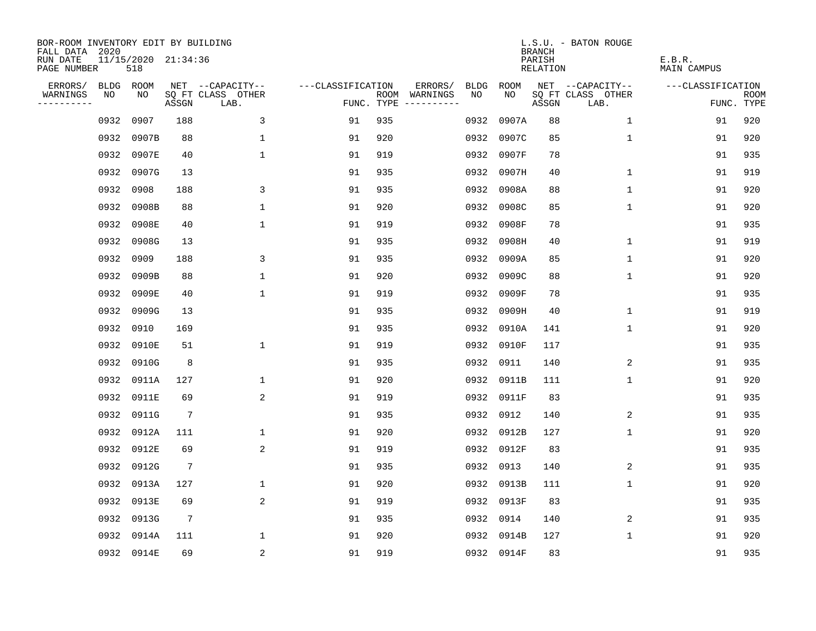| BOR-ROOM INVENTORY EDIT BY BUILDING<br>FALL DATA 2020 |      |                            |                 |                           |                   |     |                                      |      |            | <b>BRANCH</b>      | L.S.U. - BATON ROUGE      |                       |                           |
|-------------------------------------------------------|------|----------------------------|-----------------|---------------------------|-------------------|-----|--------------------------------------|------|------------|--------------------|---------------------------|-----------------------|---------------------------|
| RUN DATE<br>PAGE NUMBER                               |      | 11/15/2020 21:34:36<br>518 |                 |                           |                   |     |                                      |      |            | PARISH<br>RELATION |                           | E.B.R.<br>MAIN CAMPUS |                           |
| ERRORS/                                               |      | BLDG ROOM                  |                 | NET --CAPACITY--          | ---CLASSIFICATION |     | ERRORS/                              | BLDG | ROOM       |                    | NET --CAPACITY--          | ---CLASSIFICATION     |                           |
| WARNINGS<br>----------                                | NO   | NO                         | ASSGN           | SQ FT CLASS OTHER<br>LAB. |                   |     | ROOM WARNINGS<br>FUNC. TYPE $------$ | NO.  | NO.        | ASSGN              | SQ FT CLASS OTHER<br>LAB. |                       | <b>ROOM</b><br>FUNC. TYPE |
|                                                       | 0932 | 0907                       | 188             | 3                         | 91                | 935 |                                      | 0932 | 0907A      | 88                 | $\mathbf{1}$              | 91                    | 920                       |
|                                                       | 0932 | 0907B                      | 88              | $\mathbf{1}$              | 91                | 920 |                                      | 0932 | 0907C      | 85                 | 1                         | 91                    | 920                       |
|                                                       | 0932 | 0907E                      | 40              | $\mathbf{1}$              | 91                | 919 |                                      |      | 0932 0907F | 78                 |                           | 91                    | 935                       |
|                                                       | 0932 | 0907G                      | 13              |                           | 91                | 935 |                                      |      | 0932 0907H | 40                 | 1                         | 91                    | 919                       |
|                                                       | 0932 | 0908                       | 188             | 3                         | 91                | 935 |                                      |      | 0932 0908A | 88                 | 1                         | 91                    | 920                       |
|                                                       | 0932 | 0908B                      | 88              | $\mathbf 1$               | 91                | 920 |                                      |      | 0932 0908C | 85                 | $\mathbf 1$               | 91                    | 920                       |
|                                                       | 0932 | 0908E                      | 40              | $\mathbf{1}$              | 91                | 919 |                                      |      | 0932 0908F | 78                 |                           | 91                    | 935                       |
|                                                       | 0932 | 0908G                      | 13              |                           | 91                | 935 |                                      |      | 0932 0908H | 40                 | $\mathbf 1$               | 91                    | 919                       |
|                                                       | 0932 | 0909                       | 188             | 3                         | 91                | 935 |                                      | 0932 | 0909A      | 85                 | $\mathbf 1$               | 91                    | 920                       |
|                                                       | 0932 | 0909B                      | 88              | $\mathbf{1}$              | 91                | 920 |                                      | 0932 | 0909C      | 88                 | $\mathbf 1$               | 91                    | 920                       |
|                                                       | 0932 | 0909E                      | 40              | $\mathbf{1}$              | 91                | 919 |                                      | 0932 | 0909F      | 78                 |                           | 91                    | 935                       |
|                                                       | 0932 | 0909G                      | 13              |                           | 91                | 935 |                                      |      | 0932 0909H | 40                 | 1                         | 91                    | 919                       |
|                                                       | 0932 | 0910                       | 169             |                           | 91                | 935 |                                      | 0932 | 0910A      | 141                | $\mathbf 1$               | 91                    | 920                       |
|                                                       | 0932 | 0910E                      | 51              | $\mathbf 1$               | 91                | 919 |                                      | 0932 | 0910F      | 117                |                           | 91                    | 935                       |
|                                                       | 0932 | 0910G                      | 8               |                           | 91                | 935 |                                      | 0932 | 0911       | 140                | 2                         | 91                    | 935                       |
|                                                       | 0932 | 0911A                      | 127             | $\mathbf{1}$              | 91                | 920 |                                      |      | 0932 0911B | 111                | $\mathbf{1}$              | 91                    | 920                       |
|                                                       | 0932 | 0911E                      | 69              | $\overline{c}$            | 91                | 919 |                                      |      | 0932 0911F | 83                 |                           | 91                    | 935                       |
|                                                       | 0932 | 0911G                      | $7\phantom{.0}$ |                           | 91                | 935 |                                      | 0932 | 0912       | 140                | 2                         | 91                    | 935                       |
|                                                       |      | 0932 0912A                 | 111             | $\mathbf 1$               | 91                | 920 |                                      |      | 0932 0912B | 127                | 1                         | 91                    | 920                       |
|                                                       | 0932 | 0912E                      | 69              | 2                         | 91                | 919 |                                      |      | 0932 0912F | 83                 |                           | 91                    | 935                       |
|                                                       | 0932 | 0912G                      | $7\phantom{.0}$ |                           | 91                | 935 |                                      |      | 0932 0913  | 140                | 2                         | 91                    | 935                       |
|                                                       | 0932 | 0913A                      | 127             | $\mathbf 1$               | 91                | 920 |                                      |      | 0932 0913B | 111                | $\mathbf 1$               | 91                    | 920                       |
|                                                       | 0932 | 0913E                      | 69              | 2                         | 91                | 919 |                                      |      | 0932 0913F | 83                 |                           | 91                    | 935                       |
|                                                       | 0932 | 0913G                      | $7\phantom{.0}$ |                           | 91                | 935 |                                      |      | 0932 0914  | 140                | 2                         | 91                    | 935                       |
|                                                       | 0932 | 0914A                      | 111             | 1                         | 91                | 920 |                                      |      | 0932 0914B | 127                | 1                         | 91                    | 920                       |
|                                                       |      | 0932 0914E                 | 69              | 2                         | 91                | 919 |                                      |      | 0932 0914F | 83                 |                           | 91                    | 935                       |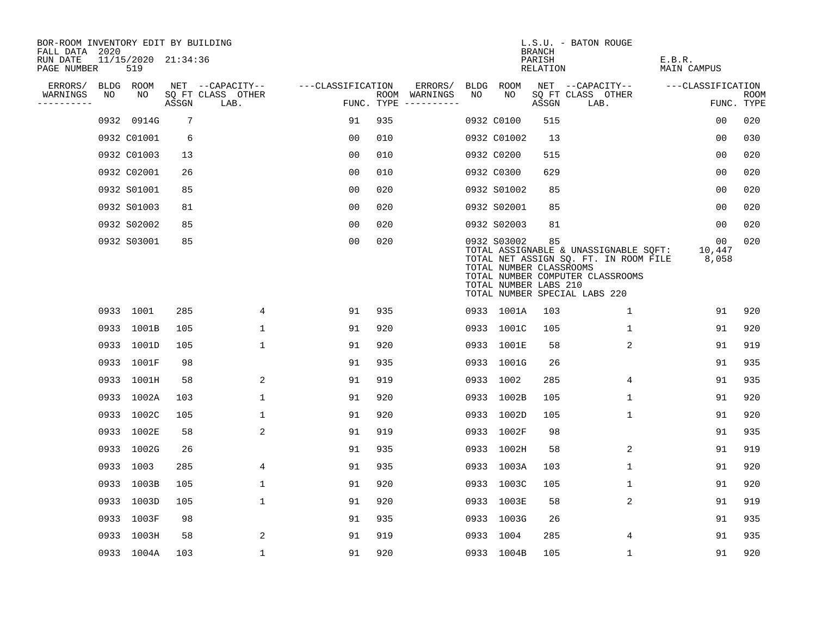| BOR-ROOM INVENTORY EDIT BY BUILDING<br>FALL DATA 2020 |             |    |                     |                           |                   |     |                                      |    |                                                                 |                              | L.S.U. - BATON ROUGE                                                                                                                                |                       |                    |
|-------------------------------------------------------|-------------|----|---------------------|---------------------------|-------------------|-----|--------------------------------------|----|-----------------------------------------------------------------|------------------------------|-----------------------------------------------------------------------------------------------------------------------------------------------------|-----------------------|--------------------|
| RUN DATE<br>PAGE NUMBER                               | 519         |    | 11/15/2020 21:34:36 |                           |                   |     |                                      |    |                                                                 | BRANCH<br>PARISH<br>RELATION |                                                                                                                                                     | E.B.R.<br>MAIN CAMPUS |                    |
| ERRORS/                                               | BLDG ROOM   |    |                     | NET --CAPACITY--          | ---CLASSIFICATION |     | ERRORS/                              |    | BLDG ROOM                                                       |                              | NET --CAPACITY--                                                                                                                                    | ---CLASSIFICATION     |                    |
| WARNINGS<br>NO.<br>----------                         |             | NO | ASSGN               | SQ FT CLASS OTHER<br>LAB. |                   |     | ROOM WARNINGS<br>FUNC. TYPE $------$ | NO | NO                                                              | ASSGN                        | SQ FT CLASS OTHER<br>LAB.                                                                                                                           |                       | ROOM<br>FUNC. TYPE |
|                                                       | 0932 0914G  |    | 7                   |                           | 91                | 935 |                                      |    | 0932 C0100                                                      | 515                          |                                                                                                                                                     | 0 <sub>0</sub>        | 020                |
|                                                       | 0932 C01001 |    | 6                   |                           | 0 <sub>0</sub>    | 010 |                                      |    | 0932 C01002                                                     | 13                           |                                                                                                                                                     | 0 <sub>0</sub>        | 030                |
|                                                       | 0932 C01003 |    | 13                  |                           | 0 <sub>0</sub>    | 010 |                                      |    | 0932 C0200                                                      | 515                          |                                                                                                                                                     | 0 <sub>0</sub>        | 020                |
|                                                       | 0932 C02001 |    | 26                  |                           | 0 <sub>0</sub>    | 010 |                                      |    | 0932 C0300                                                      | 629                          |                                                                                                                                                     | 00                    | 020                |
|                                                       | 0932 S01001 |    | 85                  |                           | 00                | 020 |                                      |    | 0932 S01002                                                     | 85                           |                                                                                                                                                     | 00                    | 020                |
|                                                       | 0932 S01003 |    | 81                  |                           | 0 <sub>0</sub>    | 020 |                                      |    | 0932 S02001                                                     | 85                           |                                                                                                                                                     | 0 <sub>0</sub>        | 020                |
|                                                       | 0932 S02002 |    | 85                  |                           | 0 <sub>0</sub>    | 020 |                                      |    | 0932 S02003                                                     | 81                           |                                                                                                                                                     | 00                    | 020                |
|                                                       | 0932 S03001 |    | 85                  |                           | 0 <sub>0</sub>    | 020 |                                      |    | 0932 S03002<br>TOTAL NUMBER CLASSROOMS<br>TOTAL NUMBER LABS 210 | 85                           | TOTAL ASSIGNABLE & UNASSIGNABLE SQFT:<br>TOTAL NET ASSIGN SQ. FT. IN ROOM FILE<br>TOTAL NUMBER COMPUTER CLASSROOMS<br>TOTAL NUMBER SPECIAL LABS 220 | 00<br>10,447<br>8,058 | 020                |
|                                                       | 0933 1001   |    | 285                 | 4                         | 91                | 935 |                                      |    | 0933 1001A                                                      | 103                          | $\mathbf{1}$                                                                                                                                        | 91                    | 920                |
|                                                       | 0933 1001B  |    | 105                 | $\mathbf 1$               | 91                | 920 |                                      |    | 0933 1001C                                                      | 105                          | $\mathbf{1}$                                                                                                                                        | 91                    | 920                |
|                                                       | 0933 1001D  |    | 105                 | $\mathbf 1$               | 91                | 920 |                                      |    | 0933 1001E                                                      | 58                           | 2                                                                                                                                                   | 91                    | 919                |
|                                                       | 0933 1001F  |    | 98                  |                           | 91                | 935 |                                      |    | 0933 1001G                                                      | 26                           |                                                                                                                                                     | 91                    | 935                |
|                                                       | 0933 1001H  |    | 58                  | 2                         | 91                | 919 |                                      |    | 0933 1002                                                       | 285                          | 4                                                                                                                                                   | 91                    | 935                |
|                                                       | 0933 1002A  |    | 103                 | $\mathbf{1}$              | 91                | 920 |                                      |    | 0933 1002B                                                      | 105                          | 1                                                                                                                                                   | 91                    | 920                |
|                                                       | 0933 1002C  |    | 105                 | $\mathbf{1}$              | 91                | 920 |                                      |    | 0933 1002D                                                      | 105                          | $\mathbf{1}$                                                                                                                                        | 91                    | 920                |
|                                                       | 0933 1002E  |    | 58                  | 2                         | 91                | 919 |                                      |    | 0933 1002F                                                      | 98                           |                                                                                                                                                     | 91                    | 935                |
|                                                       | 0933 1002G  |    | 26                  |                           | 91                | 935 |                                      |    | 0933 1002H                                                      | 58                           | 2                                                                                                                                                   | 91                    | 919                |
|                                                       | 0933 1003   |    | 285                 | 4                         | 91                | 935 |                                      |    | 0933 1003A                                                      | 103                          | $\mathbf 1$                                                                                                                                         | 91                    | 920                |
|                                                       | 0933 1003B  |    | 105                 | $\mathbf{1}$              | 91                | 920 |                                      |    | 0933 1003C                                                      | 105                          | $\mathbf{1}$                                                                                                                                        | 91                    | 920                |
|                                                       | 0933 1003D  |    | 105                 | 1                         | 91                | 920 |                                      |    | 0933 1003E                                                      | 58                           | 2                                                                                                                                                   | 91                    | 919                |
|                                                       | 0933 1003F  |    | 98                  |                           | 91                | 935 |                                      |    | 0933 1003G                                                      | 26                           |                                                                                                                                                     | 91                    | 935                |
|                                                       | 0933 1003H  |    | 58                  | 2                         | 91                | 919 |                                      |    | 0933 1004                                                       | 285                          | 4                                                                                                                                                   | 91                    | 935                |
|                                                       | 0933 1004A  |    | 103                 | $\mathbf{1}$              | 91                | 920 |                                      |    | 0933 1004B                                                      | 105                          | $\mathbf 1$                                                                                                                                         | 91                    | 920                |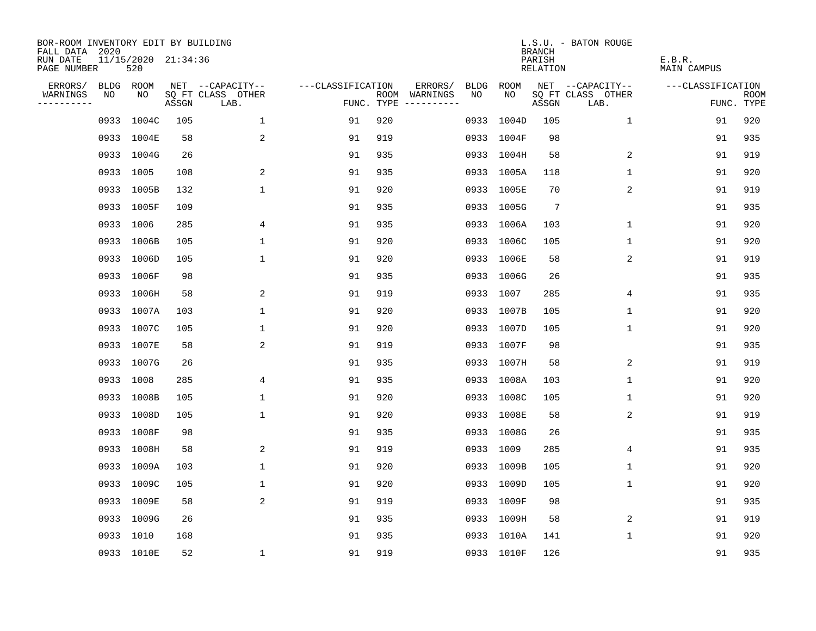| BOR-ROOM INVENTORY EDIT BY BUILDING<br>FALL DATA 2020 |           |                            |       |                           |                   |     |                                      |             |             | <b>BRANCH</b>             | L.S.U. - BATON ROUGE      |                              |                           |
|-------------------------------------------------------|-----------|----------------------------|-------|---------------------------|-------------------|-----|--------------------------------------|-------------|-------------|---------------------------|---------------------------|------------------------------|---------------------------|
| RUN DATE<br>PAGE NUMBER                               |           | 11/15/2020 21:34:36<br>520 |       |                           |                   |     |                                      |             |             | PARISH<br><b>RELATION</b> |                           | E.B.R.<br><b>MAIN CAMPUS</b> |                           |
| ERRORS/                                               | BLDG ROOM |                            |       | NET --CAPACITY--          | ---CLASSIFICATION |     | ERRORS/                              | <b>BLDG</b> | <b>ROOM</b> |                           | NET --CAPACITY--          | ---CLASSIFICATION            |                           |
| WARNINGS<br>----------                                | NO        | NO                         | ASSGN | SQ FT CLASS OTHER<br>LAB. |                   |     | ROOM WARNINGS<br>FUNC. TYPE $------$ | NO          | NO          | ASSGN                     | SQ FT CLASS OTHER<br>LAB. |                              | <b>ROOM</b><br>FUNC. TYPE |
|                                                       | 0933      | 1004C                      | 105   | $\mathbf 1$               | 91                | 920 |                                      | 0933        | 1004D       | 105                       | $\mathbf 1$               | 91                           | 920                       |
|                                                       |           | 0933 1004E                 | 58    | 2                         | 91                | 919 |                                      |             | 0933 1004F  | 98                        |                           | 91                           | 935                       |
|                                                       |           | 0933 1004G                 | 26    |                           | 91                | 935 |                                      |             | 0933 1004H  | 58                        | 2                         | 91                           | 919                       |
|                                                       | 0933 1005 |                            | 108   | 2                         | 91                | 935 |                                      |             | 0933 1005A  | 118                       | $\mathbf 1$               | 91                           | 920                       |
|                                                       |           | 0933 1005B                 | 132   | $\mathbf 1$               | 91                | 920 |                                      |             | 0933 1005E  | 70                        | 2                         | 91                           | 919                       |
|                                                       |           | 0933 1005F                 | 109   |                           | 91                | 935 |                                      |             | 0933 1005G  | $7\phantom{.0}$           |                           | 91                           | 935                       |
|                                                       | 0933 1006 |                            | 285   | 4                         | 91                | 935 |                                      |             | 0933 1006A  | 103                       | $\mathbf 1$               | 91                           | 920                       |
|                                                       |           | 0933 1006B                 | 105   | $\mathbf{1}$              | 91                | 920 |                                      |             | 0933 1006C  | 105                       | 1                         | 91                           | 920                       |
|                                                       |           | 0933 1006D                 | 105   | $\mathbf{1}$              | 91                | 920 |                                      |             | 0933 1006E  | 58                        | 2                         | 91                           | 919                       |
|                                                       |           | 0933 1006F                 | 98    |                           | 91                | 935 |                                      |             | 0933 1006G  | 26                        |                           | 91                           | 935                       |
|                                                       |           | 0933 1006H                 | 58    | 2                         | 91                | 919 |                                      |             | 0933 1007   | 285                       | 4                         | 91                           | 935                       |
|                                                       |           | 0933 1007A                 | 103   | $\mathbf{1}$              | 91                | 920 |                                      |             | 0933 1007B  | 105                       | $\mathbf 1$               | 91                           | 920                       |
|                                                       |           | 0933 1007C                 | 105   | 1                         | 91                | 920 |                                      |             | 0933 1007D  | 105                       | $\mathbf 1$               | 91                           | 920                       |
|                                                       |           | 0933 1007E                 | 58    | $\overline{c}$            | 91                | 919 |                                      |             | 0933 1007F  | 98                        |                           | 91                           | 935                       |
|                                                       |           | 0933 1007G                 | 26    |                           | 91                | 935 |                                      |             | 0933 1007H  | 58                        | 2                         | 91                           | 919                       |
|                                                       | 0933 1008 |                            | 285   | 4                         | 91                | 935 |                                      |             | 0933 1008A  | 103                       | 1                         | 91                           | 920                       |
|                                                       |           | 0933 1008B                 | 105   | 1                         | 91                | 920 |                                      |             | 0933 1008C  | 105                       | 1                         | 91                           | 920                       |
|                                                       |           | 0933 1008D                 | 105   | $\mathbf 1$               | 91                | 920 |                                      |             | 0933 1008E  | 58                        | 2                         | 91                           | 919                       |
|                                                       |           | 0933 1008F                 | 98    |                           | 91                | 935 |                                      |             | 0933 1008G  | 26                        |                           | 91                           | 935                       |
|                                                       |           | 0933 1008H                 | 58    | 2                         | 91                | 919 |                                      |             | 0933 1009   | 285                       | 4                         | 91                           | 935                       |
|                                                       |           | 0933 1009A                 | 103   | $\mathbf 1$               | 91                | 920 |                                      |             | 0933 1009B  | 105                       | 1                         | 91                           | 920                       |
|                                                       | 0933      | 1009C                      | 105   | $\mathbf 1$               | 91                | 920 |                                      |             | 0933 1009D  | 105                       | 1                         | 91                           | 920                       |
|                                                       |           | 0933 1009E                 | 58    | 2                         | 91                | 919 |                                      |             | 0933 1009F  | 98                        |                           | 91                           | 935                       |
|                                                       |           | 0933 1009G                 | 26    |                           | 91                | 935 |                                      |             | 0933 1009H  | 58                        | 2                         | 91                           | 919                       |
|                                                       | 0933 1010 |                            | 168   |                           | 91                | 935 |                                      |             | 0933 1010A  | 141                       | 1                         | 91                           | 920                       |
|                                                       |           | 0933 1010E                 | 52    | 1                         | 91                | 919 |                                      |             | 0933 1010F  | 126                       |                           | 91                           | 935                       |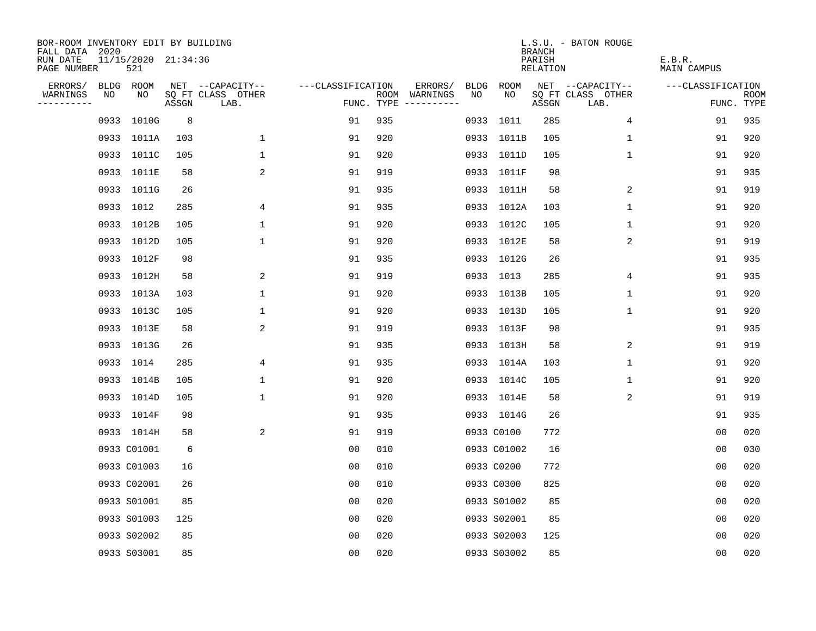| BOR-ROOM INVENTORY EDIT BY BUILDING<br>FALL DATA 2020 |                            |       |                           |                   |     |                                            |             |             | <b>BRANCH</b>             | L.S.U. - BATON ROUGE      |                              |                           |
|-------------------------------------------------------|----------------------------|-------|---------------------------|-------------------|-----|--------------------------------------------|-------------|-------------|---------------------------|---------------------------|------------------------------|---------------------------|
| RUN DATE<br>PAGE NUMBER                               | 11/15/2020 21:34:36<br>521 |       |                           |                   |     |                                            |             |             | PARISH<br><b>RELATION</b> |                           | E.B.R.<br><b>MAIN CAMPUS</b> |                           |
| ERRORS/                                               | BLDG ROOM                  |       | NET --CAPACITY--          | ---CLASSIFICATION |     | ERRORS/                                    | <b>BLDG</b> | <b>ROOM</b> |                           | NET --CAPACITY--          | ---CLASSIFICATION            |                           |
| NO<br>WARNINGS<br>----------                          | NO                         | ASSGN | SQ FT CLASS OTHER<br>LAB. |                   |     | ROOM WARNINGS<br>NO<br>FUNC. TYPE $------$ |             | NO          | ASSGN                     | SQ FT CLASS OTHER<br>LAB. |                              | <b>ROOM</b><br>FUNC. TYPE |
|                                                       | 0933 1010G                 | 8     |                           | 91                | 935 |                                            |             | 0933 1011   | 285                       | $\overline{4}$            | 91                           | 935                       |
|                                                       | 0933 1011A                 | 103   | 1                         | 91                | 920 |                                            |             | 0933 1011B  | 105                       | 1                         | 91                           | 920                       |
|                                                       | 0933 1011C                 | 105   | $\mathbf 1$               | 91                | 920 |                                            |             | 0933 1011D  | 105                       | 1                         | 91                           | 920                       |
|                                                       | 0933 1011E                 | 58    | 2                         | 91                | 919 |                                            |             | 0933 1011F  | 98                        |                           | 91                           | 935                       |
|                                                       | 0933 1011G                 | 26    |                           | 91                | 935 |                                            |             | 0933 1011H  | 58                        | 2                         | 91                           | 919                       |
|                                                       | 0933 1012                  | 285   | 4                         | 91                | 935 |                                            |             | 0933 1012A  | 103                       | $\mathbf{1}$              | 91                           | 920                       |
|                                                       | 0933 1012B                 | 105   | $\mathbf 1$               | 91                | 920 |                                            |             | 0933 1012C  | 105                       | $\mathbf{1}$              | 91                           | 920                       |
|                                                       | 0933 1012D                 | 105   | $\mathbf 1$               | 91                | 920 |                                            |             | 0933 1012E  | 58                        | 2                         | 91                           | 919                       |
|                                                       | 0933 1012F                 | 98    |                           | 91                | 935 |                                            |             | 0933 1012G  | 26                        |                           | 91                           | 935                       |
|                                                       | 0933 1012H                 | 58    | 2                         | 91                | 919 |                                            |             | 0933 1013   | 285                       | 4                         | 91                           | 935                       |
|                                                       | 0933 1013A                 | 103   | $\mathbf 1$               | 91                | 920 |                                            |             | 0933 1013B  | 105                       | $\mathbf 1$               | 91                           | 920                       |
|                                                       | 0933 1013C                 | 105   | $\mathbf{1}$              | 91                | 920 |                                            |             | 0933 1013D  | 105                       | $\mathbf 1$               | 91                           | 920                       |
|                                                       | 0933 1013E                 | 58    | 2                         | 91                | 919 |                                            |             | 0933 1013F  | 98                        |                           | 91                           | 935                       |
|                                                       | 0933 1013G                 | 26    |                           | 91                | 935 |                                            |             | 0933 1013H  | 58                        | 2                         | 91                           | 919                       |
|                                                       | 0933 1014                  | 285   | 4                         | 91                | 935 |                                            |             | 0933 1014A  | 103                       | 1                         | 91                           | 920                       |
|                                                       | 0933 1014B                 | 105   | $\mathbf 1$               | 91                | 920 |                                            |             | 0933 1014C  | 105                       | 1                         | 91                           | 920                       |
|                                                       | 0933 1014D                 | 105   | $\mathbf{1}$              | 91                | 920 |                                            |             | 0933 1014E  | 58                        | 2                         | 91                           | 919                       |
|                                                       | 0933 1014F                 | 98    |                           | 91                | 935 |                                            |             | 0933 1014G  | 26                        |                           | 91                           | 935                       |
|                                                       | 0933 1014H                 | 58    | 2                         | 91                | 919 |                                            |             | 0933 C0100  | 772                       |                           | 0 <sub>0</sub>               | 020                       |
|                                                       | 0933 C01001                | 6     |                           | 0 <sub>0</sub>    | 010 |                                            |             | 0933 C01002 | 16                        |                           | 0 <sub>0</sub>               | 030                       |
|                                                       | 0933 C01003                | 16    |                           | 0 <sub>0</sub>    | 010 |                                            |             | 0933 C0200  | 772                       |                           | 0 <sub>0</sub>               | 020                       |
|                                                       | 0933 C02001                | 26    |                           | 0 <sub>0</sub>    | 010 |                                            |             | 0933 C0300  | 825                       |                           | 0 <sub>0</sub>               | 020                       |
|                                                       | 0933 S01001                | 85    |                           | 0 <sub>0</sub>    | 020 |                                            |             | 0933 S01002 | 85                        |                           | 0 <sub>0</sub>               | 020                       |
|                                                       | 0933 S01003                | 125   |                           | 0 <sub>0</sub>    | 020 |                                            |             | 0933 S02001 | 85                        |                           | 0 <sub>0</sub>               | 020                       |
|                                                       | 0933 S02002                | 85    |                           | 0 <sub>0</sub>    | 020 |                                            |             | 0933 S02003 | 125                       |                           | 0 <sub>0</sub>               | 020                       |
|                                                       | 0933 S03001                | 85    |                           | 0 <sub>0</sub>    | 020 |                                            |             | 0933 S03002 | 85                        |                           | 0 <sub>0</sub>               | 020                       |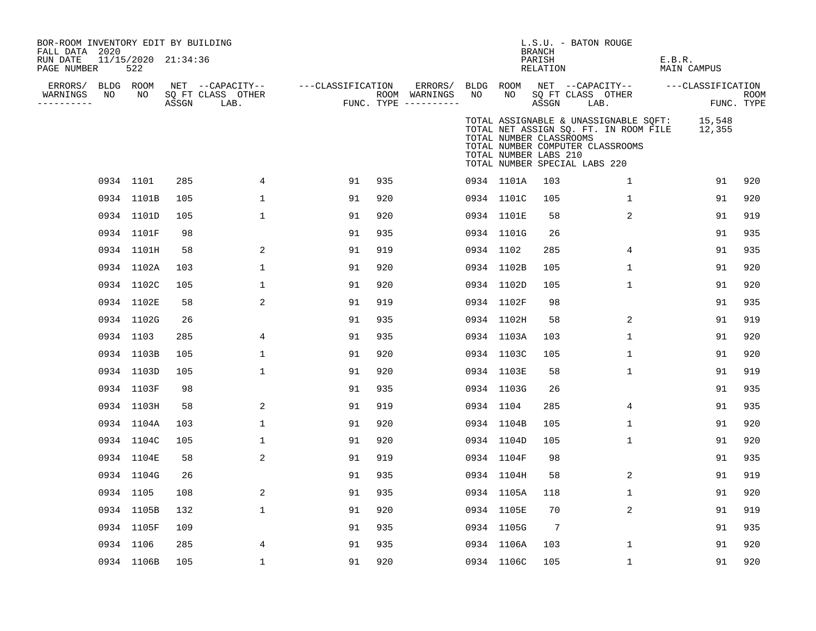| BOR-ROOM INVENTORY EDIT BY BUILDING<br>FALL DATA 2020<br>RUN DATE<br>PAGE NUMBER |    | 11/15/2020 21:34:36<br>522 |       |                                               |                   |     |                                                 |    |                                                  | BRANCH<br>PARISH<br>RELATION | L.S.U. - BATON ROUGE                                                                                                                                       | E.B.R.<br>MAIN CAMPUS |                    |
|----------------------------------------------------------------------------------|----|----------------------------|-------|-----------------------------------------------|-------------------|-----|-------------------------------------------------|----|--------------------------------------------------|------------------------------|------------------------------------------------------------------------------------------------------------------------------------------------------------|-----------------------|--------------------|
| ERRORS/ BLDG ROOM<br>WARNINGS<br>----------                                      | NO | NO                         | ASSGN | NET --CAPACITY--<br>SQ FT CLASS OTHER<br>LAB. | ---CLASSIFICATION |     | ERRORS/<br>ROOM WARNINGS<br>FUNC. TYPE $------$ | NO | NO.                                              | ASSGN                        | BLDG ROOM NET --CAPACITY--<br>SQ FT CLASS OTHER<br>LAB.                                                                                                    | ---CLASSIFICATION     | ROOM<br>FUNC. TYPE |
|                                                                                  |    |                            |       |                                               |                   |     |                                                 |    | TOTAL NUMBER CLASSROOMS<br>TOTAL NUMBER LABS 210 |                              | TOTAL ASSIGNABLE & UNASSIGNABLE SOFT: 15,548<br>TOTAL NET ASSIGN SQ. FT. IN ROOM FILE<br>TOTAL NUMBER COMPUTER CLASSROOMS<br>TOTAL NUMBER SPECIAL LABS 220 | 12,355                |                    |
|                                                                                  |    | 0934 1101                  | 285   | 4                                             | 91                | 935 |                                                 |    | 0934 1101A                                       | 103                          | $\mathbf{1}$                                                                                                                                               | 91                    | 920                |
|                                                                                  |    | 0934 1101B                 | 105   | $\mathbf 1$                                   | 91                | 920 |                                                 |    | 0934 1101C                                       | 105                          | $\mathbf{1}$                                                                                                                                               | 91                    | 920                |
|                                                                                  |    | 0934 1101D                 | 105   | $\mathbf 1$                                   | 91                | 920 |                                                 |    | 0934 1101E                                       | 58                           | $\overline{2}$                                                                                                                                             | 91                    | 919                |
|                                                                                  |    | 0934 1101F                 | 98    |                                               | 91                | 935 |                                                 |    | 0934 1101G                                       | 26                           |                                                                                                                                                            | 91                    | 935                |
|                                                                                  |    | 0934 1101H                 | 58    | 2                                             | 91                | 919 |                                                 |    | 0934 1102                                        | 285                          | 4                                                                                                                                                          | 91                    | 935                |
|                                                                                  |    | 0934 1102A                 | 103   | 1                                             | 91                | 920 |                                                 |    | 0934 1102B                                       | 105                          | 1                                                                                                                                                          | 91                    | 920                |
|                                                                                  |    | 0934 1102C                 | 105   | 1                                             | 91                | 920 |                                                 |    | 0934 1102D                                       | 105                          | 1                                                                                                                                                          | 91                    | 920                |
|                                                                                  |    | 0934 1102E                 | 58    | 2                                             | 91                | 919 |                                                 |    | 0934 1102F                                       | 98                           |                                                                                                                                                            | 91                    | 935                |
|                                                                                  |    | 0934 1102G                 | 26    |                                               | 91                | 935 |                                                 |    | 0934 1102H                                       | 58                           | 2                                                                                                                                                          | 91                    | 919                |
|                                                                                  |    | 0934 1103                  | 285   | 4                                             | 91                | 935 |                                                 |    | 0934 1103A                                       | 103                          | $\mathbf 1$                                                                                                                                                | 91                    | 920                |
|                                                                                  |    | 0934 1103B                 | 105   | 1                                             | 91                | 920 |                                                 |    | 0934 1103C                                       | 105                          | 1                                                                                                                                                          | 91                    | 920                |
|                                                                                  |    | 0934 1103D                 | 105   | $\mathbf 1$                                   | 91                | 920 |                                                 |    | 0934 1103E                                       | 58                           | 1                                                                                                                                                          | 91                    | 919                |
|                                                                                  |    | 0934 1103F                 | 98    |                                               | 91                | 935 |                                                 |    | 0934 1103G                                       | 26                           |                                                                                                                                                            | 91                    | 935                |
|                                                                                  |    | 0934 1103H                 | 58    | 2                                             | 91                | 919 |                                                 |    | 0934 1104                                        | 285                          | 4                                                                                                                                                          | 91                    | 935                |
|                                                                                  |    | 0934 1104A                 | 103   | $\mathbf 1$                                   | 91                | 920 |                                                 |    | 0934 1104B                                       | 105                          | $\mathbf 1$                                                                                                                                                | 91                    | 920                |
|                                                                                  |    | 0934 1104C                 | 105   | $\mathbf 1$                                   | 91                | 920 |                                                 |    | 0934 1104D                                       | 105                          | $\mathbf{1}$                                                                                                                                               | 91                    | 920                |
|                                                                                  |    | 0934 1104E                 | 58    | 2                                             | 91                | 919 |                                                 |    | 0934 1104F                                       | 98                           |                                                                                                                                                            | 91                    | 935                |
|                                                                                  |    | 0934 1104G                 | 26    |                                               | 91                | 935 |                                                 |    | 0934 1104H                                       | 58                           | 2                                                                                                                                                          | 91                    | 919                |
|                                                                                  |    | 0934 1105                  | 108   | 2                                             | 91                | 935 |                                                 |    | 0934 1105A                                       | 118                          | 1                                                                                                                                                          | 91                    | 920                |
|                                                                                  |    | 0934 1105B                 | 132   | 1                                             | 91                | 920 |                                                 |    | 0934 1105E                                       | 70                           | 2                                                                                                                                                          | 91                    | 919                |
|                                                                                  |    | 0934 1105F                 | 109   |                                               | 91                | 935 |                                                 |    | 0934 1105G                                       | $7\phantom{.0}$              |                                                                                                                                                            | 91                    | 935                |
|                                                                                  |    | 0934 1106                  | 285   | 4                                             | 91                | 935 |                                                 |    | 0934 1106A                                       | 103                          | 1                                                                                                                                                          | 91                    | 920                |
|                                                                                  |    | 0934 1106B                 | 105   | 1                                             | 91                | 920 |                                                 |    | 0934 1106C                                       | 105                          | $\mathbf 1$                                                                                                                                                | 91                    | 920                |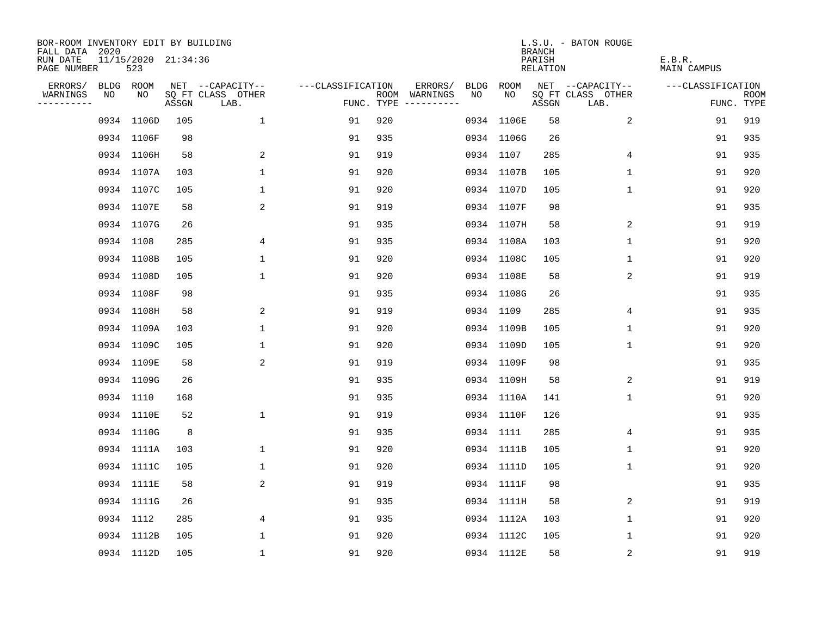| BOR-ROOM INVENTORY EDIT BY BUILDING<br>FALL DATA 2020 |                            |       |                           |                   |     |                                      |      |            | <b>BRANCH</b>      | L.S.U. - BATON ROUGE      |                       |                    |
|-------------------------------------------------------|----------------------------|-------|---------------------------|-------------------|-----|--------------------------------------|------|------------|--------------------|---------------------------|-----------------------|--------------------|
| RUN DATE<br>PAGE NUMBER                               | 11/15/2020 21:34:36<br>523 |       |                           |                   |     |                                      |      |            | PARISH<br>RELATION |                           | E.B.R.<br>MAIN CAMPUS |                    |
| ERRORS/                                               | BLDG ROOM                  |       | NET --CAPACITY--          | ---CLASSIFICATION |     | ERRORS/                              | BLDG | ROOM       |                    | NET --CAPACITY--          | ---CLASSIFICATION     |                    |
| WARNINGS<br>NO<br>----------                          | NO                         | ASSGN | SQ FT CLASS OTHER<br>LAB. |                   |     | ROOM WARNINGS<br>FUNC. TYPE $------$ | NO   | NO.        | ASSGN              | SQ FT CLASS OTHER<br>LAB. |                       | ROOM<br>FUNC. TYPE |
|                                                       | 0934 1106D                 | 105   | $\mathbf 1$               | 91                | 920 |                                      |      | 0934 1106E | 58                 | 2                         | 91                    | 919                |
|                                                       | 0934 1106F                 | 98    |                           | 91                | 935 |                                      |      | 0934 1106G | 26                 |                           | 91                    | 935                |
|                                                       | 0934 1106H                 | 58    | 2                         | 91                | 919 |                                      |      | 0934 1107  | 285                | 4                         | 91                    | 935                |
|                                                       | 0934 1107A                 | 103   | $\mathbf{1}$              | 91                | 920 |                                      |      | 0934 1107B | 105                | 1                         | 91                    | 920                |
|                                                       | 0934 1107C                 | 105   | $\mathbf{1}$              | 91                | 920 |                                      |      | 0934 1107D | 105                | $\mathbf{1}$              | 91                    | 920                |
|                                                       | 0934 1107E                 | 58    | 2                         | 91                | 919 |                                      |      | 0934 1107F | 98                 |                           | 91                    | 935                |
|                                                       | 0934 1107G                 | 26    |                           | 91                | 935 |                                      |      | 0934 1107H | 58                 | 2                         | 91                    | 919                |
|                                                       | 0934 1108                  | 285   | 4                         | 91                | 935 |                                      |      | 0934 1108A | 103                | 1                         | 91                    | 920                |
|                                                       | 0934 1108B                 | 105   | $\mathbf{1}$              | 91                | 920 |                                      |      | 0934 1108C | 105                | $\mathbf{1}$              | 91                    | 920                |
|                                                       | 0934 1108D                 | 105   | $\mathbf{1}$              | 91                | 920 |                                      |      | 0934 1108E | 58                 | 2                         | 91                    | 919                |
|                                                       | 0934 1108F                 | 98    |                           | 91                | 935 |                                      |      | 0934 1108G | 26                 |                           | 91                    | 935                |
|                                                       | 0934 1108H                 | 58    | 2                         | 91                | 919 |                                      |      | 0934 1109  | 285                | 4                         | 91                    | 935                |
|                                                       | 0934 1109A                 | 103   | $\mathbf 1$               | 91                | 920 |                                      |      | 0934 1109B | 105                | $\mathbf 1$               | 91                    | 920                |
|                                                       | 0934 1109C                 | 105   | $\mathbf{1}$              | 91                | 920 |                                      |      | 0934 1109D | 105                | $\mathbf 1$               | 91                    | 920                |
|                                                       | 0934 1109E                 | 58    | 2                         | 91                | 919 |                                      |      | 0934 1109F | 98                 |                           | 91                    | 935                |
|                                                       | 0934 1109G                 | 26    |                           | 91                | 935 |                                      |      | 0934 1109H | 58                 | 2                         | 91                    | 919                |
|                                                       | 0934 1110                  | 168   |                           | 91                | 935 |                                      |      | 0934 1110A | 141                | 1                         | 91                    | 920                |
|                                                       | 0934 1110E                 | 52    | 1                         | 91                | 919 |                                      |      | 0934 1110F | 126                |                           | 91                    | 935                |
|                                                       | 0934 1110G                 | 8     |                           | 91                | 935 |                                      |      | 0934 1111  | 285                | 4                         | 91                    | 935                |
|                                                       | 0934 1111A                 | 103   | 1                         | 91                | 920 |                                      |      | 0934 1111B | 105                | 1                         | 91                    | 920                |
|                                                       | 0934 1111C                 | 105   | 1                         | 91                | 920 |                                      |      | 0934 1111D | 105                | 1                         | 91                    | 920                |
|                                                       | 0934 1111E                 | 58    | 2                         | 91                | 919 |                                      |      | 0934 1111F | 98                 |                           | 91                    | 935                |
|                                                       | 0934 1111G                 | 26    |                           | 91                | 935 |                                      |      | 0934 1111H | 58                 | 2                         | 91                    | 919                |
|                                                       | 0934 1112                  | 285   | 4                         | 91                | 935 |                                      |      | 0934 1112A | 103                | 1                         | 91                    | 920                |
|                                                       | 0934 1112B                 | 105   | $\mathbf{1}$              | 91                | 920 |                                      |      | 0934 1112C | 105                | 1                         | 91                    | 920                |
|                                                       | 0934 1112D                 | 105   | 1                         | 91                | 920 |                                      |      | 0934 1112E | 58                 | $\sqrt{2}$                | 91                    | 919                |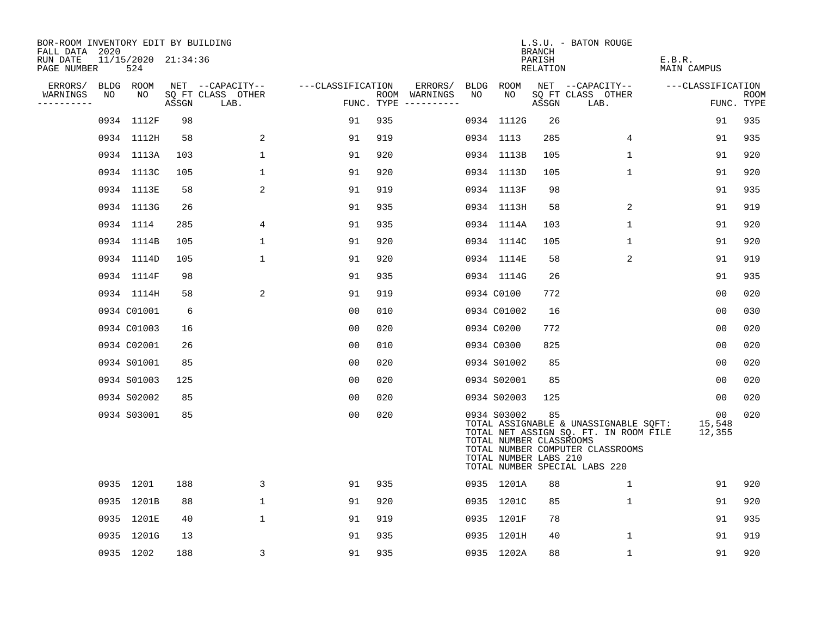| BOR-ROOM INVENTORY EDIT BY BUILDING<br>FALL DATA 2020 |                            |       |                           |                   |     |                                      |    |                                                                 | BRANCH             | L.S.U. - BATON ROUGE                                                                                                                                |                                     |                           |
|-------------------------------------------------------|----------------------------|-------|---------------------------|-------------------|-----|--------------------------------------|----|-----------------------------------------------------------------|--------------------|-----------------------------------------------------------------------------------------------------------------------------------------------------|-------------------------------------|---------------------------|
| RUN DATE<br>PAGE NUMBER                               | 11/15/2020 21:34:36<br>524 |       |                           |                   |     |                                      |    |                                                                 | PARISH<br>RELATION |                                                                                                                                                     | E.B.R.<br>MAIN CAMPUS               |                           |
| ERRORS/                                               | BLDG ROOM                  |       | NET --CAPACITY--          | ---CLASSIFICATION |     | ERRORS/                              |    | BLDG ROOM                                                       |                    | NET --CAPACITY--                                                                                                                                    | ---CLASSIFICATION                   |                           |
| WARNINGS<br>NO<br>----------                          | NO                         | ASSGN | SQ FT CLASS OTHER<br>LAB. |                   |     | ROOM WARNINGS<br>FUNC. TYPE $------$ | NO | NO                                                              | ASSGN              | SQ FT CLASS OTHER<br>LAB.                                                                                                                           |                                     | <b>ROOM</b><br>FUNC. TYPE |
|                                                       | 0934 1112F                 | 98    |                           | 91                | 935 |                                      |    | 0934 1112G                                                      | 26                 |                                                                                                                                                     | 91                                  | 935                       |
|                                                       | 0934 1112H                 | 58    | 2                         | 91                | 919 |                                      |    | 0934 1113                                                       | 285                | 4                                                                                                                                                   | 91                                  | 935                       |
|                                                       | 0934 1113A                 | 103   | 1                         | 91                | 920 |                                      |    | 0934 1113B                                                      | 105                | $\mathbf{1}$                                                                                                                                        | 91                                  | 920                       |
|                                                       | 0934 1113C                 | 105   | 1                         | 91                | 920 |                                      |    | 0934 1113D                                                      | 105                | 1                                                                                                                                                   | 91                                  | 920                       |
|                                                       | 0934 1113E                 | 58    | 2                         | 91                | 919 |                                      |    | 0934 1113F                                                      | 98                 |                                                                                                                                                     | 91                                  | 935                       |
|                                                       | 0934 1113G                 | 26    |                           | 91                | 935 |                                      |    | 0934 1113H                                                      | 58                 | $\overline{2}$                                                                                                                                      | 91                                  | 919                       |
|                                                       | 0934 1114                  | 285   | 4                         | 91                | 935 |                                      |    | 0934 1114A                                                      | 103                | $\mathbf 1$                                                                                                                                         | 91                                  | 920                       |
|                                                       | 0934 1114B                 | 105   | $\mathbf{1}$              | 91                | 920 |                                      |    | 0934 1114C                                                      | 105                | $\mathbf{1}$                                                                                                                                        | 91                                  | 920                       |
|                                                       | 0934 1114D                 | 105   | $\mathbf{1}$              | 91                | 920 |                                      |    | 0934 1114E                                                      | 58                 | $\overline{2}$                                                                                                                                      | 91                                  | 919                       |
|                                                       | 0934 1114F                 | 98    |                           | 91                | 935 |                                      |    | 0934 1114G                                                      | 26                 |                                                                                                                                                     | 91                                  | 935                       |
|                                                       | 0934 1114H                 | 58    | 2                         | 91                | 919 |                                      |    | 0934 C0100                                                      | 772                |                                                                                                                                                     | 0 <sub>0</sub>                      | 020                       |
|                                                       | 0934 C01001                | 6     |                           | 0 <sub>0</sub>    | 010 |                                      |    | 0934 C01002                                                     | 16                 |                                                                                                                                                     | 00                                  | 030                       |
|                                                       | 0934 C01003                | 16    |                           | 0 <sub>0</sub>    | 020 |                                      |    | 0934 C0200                                                      | 772                |                                                                                                                                                     | 00                                  | 020                       |
|                                                       | 0934 C02001                | 26    |                           | 0 <sub>0</sub>    | 010 |                                      |    | 0934 C0300                                                      | 825                |                                                                                                                                                     | 00                                  | 020                       |
|                                                       | 0934 S01001                | 85    |                           | 0 <sub>0</sub>    | 020 |                                      |    | 0934 S01002                                                     | 85                 |                                                                                                                                                     | 00                                  | 020                       |
|                                                       | 0934 S01003                | 125   |                           | 0 <sub>0</sub>    | 020 |                                      |    | 0934 S02001                                                     | 85                 |                                                                                                                                                     | 00                                  | 020                       |
|                                                       | 0934 S02002                | 85    |                           | 0 <sub>0</sub>    | 020 |                                      |    | 0934 S02003                                                     | 125                |                                                                                                                                                     | 00                                  | 020                       |
|                                                       | 0934 S03001                | 85    |                           | 0 <sub>0</sub>    | 020 |                                      |    | 0934 S03002<br>TOTAL NUMBER CLASSROOMS<br>TOTAL NUMBER LABS 210 | 85                 | TOTAL ASSIGNABLE & UNASSIGNABLE SOFT:<br>TOTAL NET ASSIGN SQ. FT. IN ROOM FILE<br>TOTAL NUMBER COMPUTER CLASSROOMS<br>TOTAL NUMBER SPECIAL LABS 220 | 00 <sub>o</sub><br>15,548<br>12,355 | 020                       |
|                                                       | 0935 1201                  | 188   | 3                         | 91                | 935 |                                      |    | 0935 1201A                                                      | 88                 | $\mathbf 1$                                                                                                                                         | 91                                  | 920                       |
|                                                       | 0935 1201B                 | 88    | $\mathbf 1$               | 91                | 920 |                                      |    | 0935 1201C                                                      | 85                 | $\mathbf 1$                                                                                                                                         | 91                                  | 920                       |
|                                                       | 0935 1201E                 | 40    | $\mathbf 1$               | 91                | 919 |                                      |    | 0935 1201F                                                      | 78                 |                                                                                                                                                     | 91                                  | 935                       |
|                                                       | 0935 1201G                 | 13    |                           | 91                | 935 |                                      |    | 0935 1201H                                                      | 40                 | $\mathbf{1}$                                                                                                                                        | 91                                  | 919                       |
|                                                       | 0935 1202                  | 188   | 3                         | 91                | 935 |                                      |    | 0935 1202A                                                      | 88                 | $\mathbf 1$                                                                                                                                         | 91                                  | 920                       |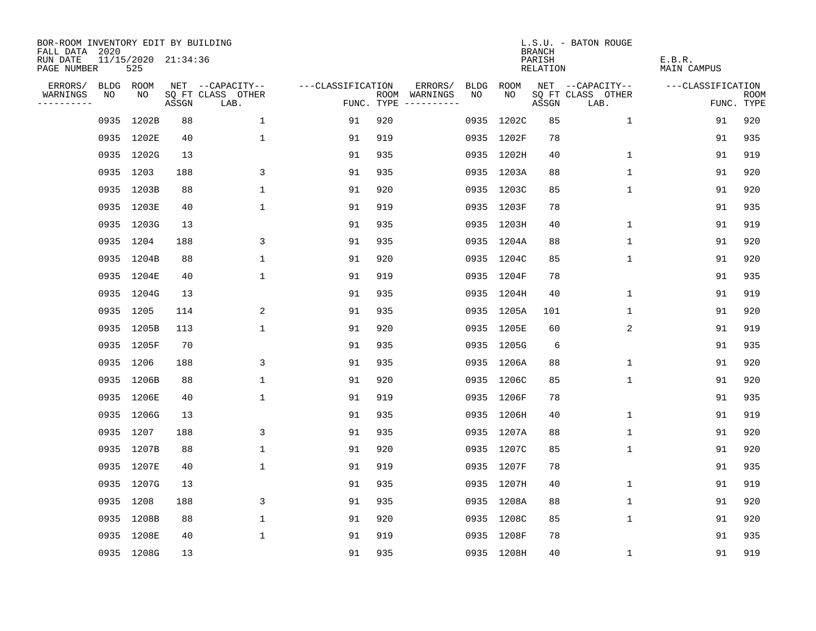| BOR-ROOM INVENTORY EDIT BY BUILDING<br>FALL DATA 2020 |      |                            |       |                           |                   |     |                                      |      |            | <b>BRANCH</b>      | L.S.U. - BATON ROUGE      |                       |                           |
|-------------------------------------------------------|------|----------------------------|-------|---------------------------|-------------------|-----|--------------------------------------|------|------------|--------------------|---------------------------|-----------------------|---------------------------|
| RUN DATE<br>PAGE NUMBER                               |      | 11/15/2020 21:34:36<br>525 |       |                           |                   |     |                                      |      |            | PARISH<br>RELATION |                           | E.B.R.<br>MAIN CAMPUS |                           |
| ERRORS/                                               |      | BLDG ROOM                  |       | NET --CAPACITY--          | ---CLASSIFICATION |     | ERRORS/                              | BLDG | ROOM       |                    | NET --CAPACITY--          | ---CLASSIFICATION     |                           |
| WARNINGS<br>----------                                | NO   | NO                         | ASSGN | SQ FT CLASS OTHER<br>LAB. |                   |     | ROOM WARNINGS<br>FUNC. TYPE $------$ | NO.  | NO.        | ASSGN              | SQ FT CLASS OTHER<br>LAB. |                       | <b>ROOM</b><br>FUNC. TYPE |
|                                                       | 0935 | 1202B                      | 88    | $\mathbf 1$               | 91                | 920 |                                      |      | 0935 1202C | 85                 | $\mathbf{1}$              | 91                    | 920                       |
|                                                       |      | 0935 1202E                 | 40    | $\mathbf{1}$              | 91                | 919 |                                      |      | 0935 1202F | 78                 |                           | 91                    | 935                       |
|                                                       |      | 0935 1202G                 | 13    |                           | 91                | 935 |                                      |      | 0935 1202H | 40                 | $\mathbf{1}$              | 91                    | 919                       |
|                                                       |      | 0935 1203                  | 188   | 3                         | 91                | 935 |                                      |      | 0935 1203A | 88                 | 1                         | 91                    | 920                       |
|                                                       |      | 0935 1203B                 | 88    | $\mathbf 1$               | 91                | 920 |                                      |      | 0935 1203C | 85                 | 1                         | 91                    | 920                       |
|                                                       |      | 0935 1203E                 | 40    | $\mathbf 1$               | 91                | 919 |                                      |      | 0935 1203F | 78                 |                           | 91                    | 935                       |
|                                                       |      | 0935 1203G                 | 13    |                           | 91                | 935 |                                      |      | 0935 1203H | 40                 | $\mathbf 1$               | 91                    | 919                       |
|                                                       |      | 0935 1204                  | 188   | 3                         | 91                | 935 |                                      |      | 0935 1204A | 88                 | 1                         | 91                    | 920                       |
|                                                       |      | 0935 1204B                 | 88    | $\mathbf{1}$              | 91                | 920 |                                      |      | 0935 1204C | 85                 | $\mathbf{1}$              | 91                    | 920                       |
|                                                       |      | 0935 1204E                 | 40    | $\mathbf 1$               | 91                | 919 |                                      |      | 0935 1204F | 78                 |                           | 91                    | 935                       |
|                                                       |      | 0935 1204G                 | 13    |                           | 91                | 935 |                                      |      | 0935 1204H | 40                 | $\mathbf 1$               | 91                    | 919                       |
|                                                       |      | 0935 1205                  | 114   | 2                         | 91                | 935 |                                      |      | 0935 1205A | 101                | $\mathbf 1$               | 91                    | 920                       |
|                                                       |      | 0935 1205B                 | 113   | $\mathbf{1}$              | 91                | 920 |                                      |      | 0935 1205E | 60                 | 2                         | 91                    | 919                       |
|                                                       |      | 0935 1205F                 | 70    |                           | 91                | 935 |                                      |      | 0935 1205G | 6                  |                           | 91                    | 935                       |
|                                                       |      | 0935 1206                  | 188   | 3                         | 91                | 935 |                                      |      | 0935 1206A | 88                 | 1                         | 91                    | 920                       |
|                                                       |      | 0935 1206B                 | 88    | $\mathbf 1$               | 91                | 920 |                                      |      | 0935 1206C | 85                 | 1                         | 91                    | 920                       |
|                                                       |      | 0935 1206E                 | 40    | $\mathbf 1$               | 91                | 919 |                                      |      | 0935 1206F | 78                 |                           | 91                    | 935                       |
|                                                       |      | 0935 1206G                 | 13    |                           | 91                | 935 |                                      |      | 0935 1206H | 40                 | 1                         | 91                    | 919                       |
|                                                       |      | 0935 1207                  | 188   | 3                         | 91                | 935 |                                      |      | 0935 1207A | 88                 | 1                         | 91                    | 920                       |
|                                                       |      | 0935 1207B                 | 88    | $\mathbf{1}$              | 91                | 920 |                                      |      | 0935 1207C | 85                 | 1                         | 91                    | 920                       |
|                                                       |      | 0935 1207E                 | 40    | $\mathbf 1$               | 91                | 919 |                                      |      | 0935 1207F | 78                 |                           | 91                    | 935                       |
|                                                       |      | 0935 1207G                 | 13    |                           | 91                | 935 |                                      |      | 0935 1207H | 40                 | 1                         | 91                    | 919                       |
|                                                       |      | 0935 1208                  | 188   | 3                         | 91                | 935 |                                      |      | 0935 1208A | 88                 | 1                         | 91                    | 920                       |
|                                                       |      | 0935 1208B                 | 88    | $\mathbf 1$               | 91                | 920 |                                      |      | 0935 1208C | 85                 | 1                         | 91                    | 920                       |
|                                                       |      | 0935 1208E                 | 40    | $\mathbf{1}$              | 91                | 919 |                                      |      | 0935 1208F | 78                 |                           | 91                    | 935                       |
|                                                       |      | 0935 1208G                 | 13    |                           | 91                | 935 |                                      |      | 0935 1208H | 40                 | 1                         | 91                    | 919                       |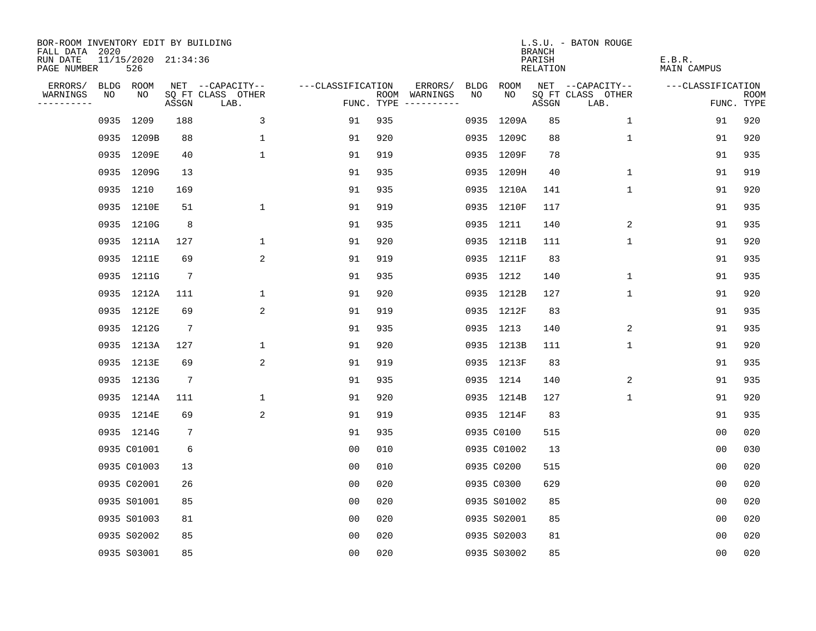| BOR-ROOM INVENTORY EDIT BY BUILDING<br>FALL DATA 2020 |      |                            |                 |                           |                   |     |                                      |             |             | <b>BRANCH</b>             | L.S.U. - BATON ROUGE      |                              |                           |
|-------------------------------------------------------|------|----------------------------|-----------------|---------------------------|-------------------|-----|--------------------------------------|-------------|-------------|---------------------------|---------------------------|------------------------------|---------------------------|
| RUN DATE<br>PAGE NUMBER                               |      | 11/15/2020 21:34:36<br>526 |                 |                           |                   |     |                                      |             |             | PARISH<br><b>RELATION</b> |                           | E.B.R.<br><b>MAIN CAMPUS</b> |                           |
| ERRORS/                                               |      | BLDG ROOM                  |                 | NET --CAPACITY--          | ---CLASSIFICATION |     | ERRORS/                              | <b>BLDG</b> | <b>ROOM</b> |                           | NET --CAPACITY--          | ---CLASSIFICATION            |                           |
| WARNINGS<br>----------                                | NO   | NO                         | ASSGN           | SQ FT CLASS OTHER<br>LAB. |                   |     | ROOM WARNINGS<br>FUNC. TYPE $------$ | NO          | NO          | ASSGN                     | SQ FT CLASS OTHER<br>LAB. |                              | <b>ROOM</b><br>FUNC. TYPE |
|                                                       | 0935 | 1209                       | 188             | 3                         | 91                | 935 |                                      |             | 0935 1209A  | 85                        | 1                         | 91                           | 920                       |
|                                                       |      | 0935 1209B                 | 88              | $\mathbf 1$               | 91                | 920 |                                      |             | 0935 1209C  | 88                        | 1                         | 91                           | 920                       |
|                                                       |      | 0935 1209E                 | 40              | $\mathbf 1$               | 91                | 919 |                                      |             | 0935 1209F  | 78                        |                           | 91                           | 935                       |
|                                                       |      | 0935 1209G                 | 13              |                           | 91                | 935 |                                      |             | 0935 1209H  | 40                        | 1                         | 91                           | 919                       |
|                                                       |      | 0935 1210                  | 169             |                           | 91                | 935 |                                      |             | 0935 1210A  | 141                       | $\mathbf{1}$              | 91                           | 920                       |
|                                                       |      | 0935 1210E                 | 51              | $\mathbf 1$               | 91                | 919 |                                      |             | 0935 1210F  | 117                       |                           | 91                           | 935                       |
|                                                       |      | 0935 1210G                 | 8               |                           | 91                | 935 |                                      |             | 0935 1211   | 140                       | 2                         | 91                           | 935                       |
|                                                       |      | 0935 1211A                 | 127             | $\mathbf 1$               | 91                | 920 |                                      |             | 0935 1211B  | 111                       | $\mathbf 1$               | 91                           | 920                       |
|                                                       |      | 0935 1211E                 | 69              | 2                         | 91                | 919 |                                      |             | 0935 1211F  | 83                        |                           | 91                           | 935                       |
|                                                       |      | 0935 1211G                 | $7\phantom{.0}$ |                           | 91                | 935 |                                      |             | 0935 1212   | 140                       | $\mathbf{1}$              | 91                           | 935                       |
|                                                       |      | 0935 1212A                 | 111             | $\mathbf 1$               | 91                | 920 |                                      |             | 0935 1212B  | 127                       | $\mathbf{1}$              | 91                           | 920                       |
|                                                       |      | 0935 1212E                 | 69              | 2                         | 91                | 919 |                                      |             | 0935 1212F  | 83                        |                           | 91                           | 935                       |
|                                                       |      | 0935 1212G                 | 7               |                           | 91                | 935 |                                      |             | 0935 1213   | 140                       | 2                         | 91                           | 935                       |
|                                                       |      | 0935 1213A                 | 127             | 1                         | 91                | 920 |                                      |             | 0935 1213B  | 111                       | 1                         | 91                           | 920                       |
|                                                       |      | 0935 1213E                 | 69              | 2                         | 91                | 919 |                                      |             | 0935 1213F  | 83                        |                           | 91                           | 935                       |
|                                                       |      | 0935 1213G                 | $7\phantom{.0}$ |                           | 91                | 935 |                                      |             | 0935 1214   | 140                       | 2                         | 91                           | 935                       |
|                                                       |      | 0935 1214A                 | 111             | $\mathbf{1}$              | 91                | 920 |                                      |             | 0935 1214B  | 127                       | 1                         | 91                           | 920                       |
|                                                       |      | 0935 1214E                 | 69              | 2                         | 91                | 919 |                                      |             | 0935 1214F  | 83                        |                           | 91                           | 935                       |
|                                                       |      | 0935 1214G                 | 7               |                           | 91                | 935 |                                      |             | 0935 C0100  | 515                       |                           | 0 <sub>0</sub>               | 020                       |
|                                                       |      | 0935 C01001                | 6               |                           | 0 <sub>0</sub>    | 010 |                                      |             | 0935 C01002 | 13                        |                           | 0 <sub>0</sub>               | 030                       |
|                                                       |      | 0935 C01003                | 13              |                           | 0 <sub>0</sub>    | 010 |                                      |             | 0935 C0200  | 515                       |                           | 0 <sub>0</sub>               | 020                       |
|                                                       |      | 0935 C02001                | 26              |                           | 0 <sub>0</sub>    | 020 |                                      |             | 0935 C0300  | 629                       |                           | 0 <sub>0</sub>               | 020                       |
|                                                       |      | 0935 S01001                | 85              |                           | 0 <sub>0</sub>    | 020 |                                      |             | 0935 S01002 | 85                        |                           | 0 <sub>0</sub>               | 020                       |
|                                                       |      | 0935 S01003                | 81              |                           | 0 <sub>0</sub>    | 020 |                                      |             | 0935 S02001 | 85                        |                           | 0 <sub>0</sub>               | 020                       |
|                                                       |      | 0935 S02002                | 85              |                           | 0 <sub>0</sub>    | 020 |                                      |             | 0935 S02003 | 81                        |                           | 0 <sub>0</sub>               | 020                       |
|                                                       |      | 0935 S03001                | 85              |                           | 0 <sub>0</sub>    | 020 |                                      |             | 0935 S03002 | 85                        |                           | 0 <sub>0</sub>               | 020                       |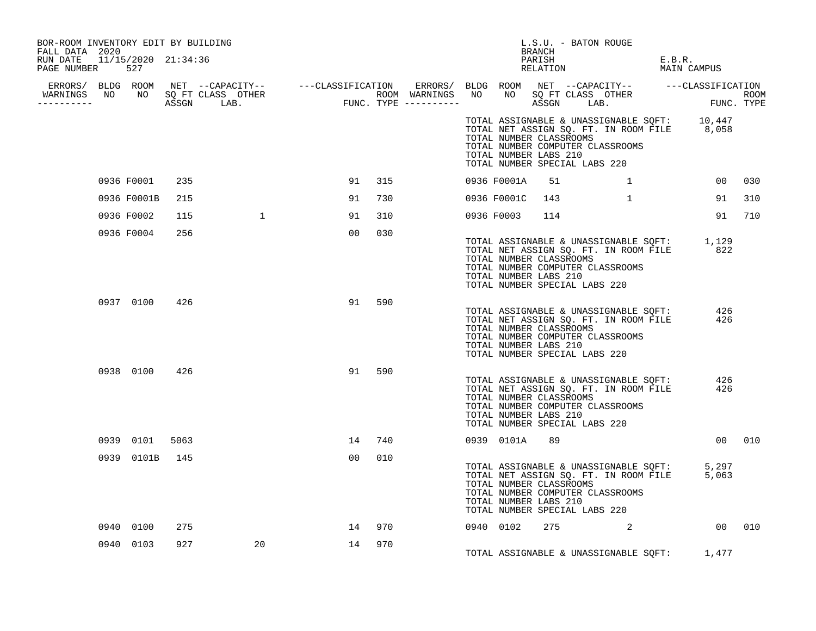| BOR-ROOM INVENTORY EDIT BY BUILDING<br>FALL DATA 2020<br>RUN DATE 11/15/2020 21:34:36 |                |      |                |                                                                                                                                                                                                                                      |        |  |               | BRANCH<br>PARISH                                 | L.S.U. - BATON ROUGE                                                                                                                                             | E.B.R.                  |        |
|---------------------------------------------------------------------------------------|----------------|------|----------------|--------------------------------------------------------------------------------------------------------------------------------------------------------------------------------------------------------------------------------------|--------|--|---------------|--------------------------------------------------|------------------------------------------------------------------------------------------------------------------------------------------------------------------|-------------------------|--------|
| PAGE NUMBER 527                                                                       |                |      |                |                                                                                                                                                                                                                                      |        |  |               |                                                  | RELATION                                                                                                                                                         | MAIN CAMPUS             |        |
|                                                                                       |                |      |                |                                                                                                                                                                                                                                      |        |  |               |                                                  |                                                                                                                                                                  |                         |        |
|                                                                                       |                |      |                | ERRORS/ BLDG ROOM NET --CAPACITY-- ----CLASSIFICATION ERRORS/ BLDG ROOM NET --CAPACITY-- -----CLASSIFICATION<br>WARNINGS NO NO SQFTCLASS OTHER ROOM WARNINGS NO NO SQFTCLASS OTHER ROOM<br>----------- ASSGN LAB. FUNC.TYPE -------- |        |  |               |                                                  |                                                                                                                                                                  |                         |        |
|                                                                                       |                |      |                |                                                                                                                                                                                                                                      |        |  |               | TOTAL NUMBER CLASSROOMS<br>TOTAL NUMBER LABS 210 | TOTAL ASSIGNABLE & UNASSIGNABLE SQFT: 10,447<br>TOTAL NET ASSIGN SQ. FT. IN ROOM FILE 8,058<br>TOTAL NUMBER COMPUTER CLASSROOMS<br>TOTAL NUMBER SPECIAL LABS 220 |                         |        |
|                                                                                       | 0936 F0001     | 235  |                |                                                                                                                                                                                                                                      | 91 315 |  | 0936 F0001A   | 51                                               |                                                                                                                                                                  | 00                      | 030    |
|                                                                                       | 0936 F0001B    | 215  |                | 91                                                                                                                                                                                                                                   | 730    |  |               | 0936 F0001C 143                                  |                                                                                                                                                                  | $1 \qquad \qquad$<br>91 | 310    |
|                                                                                       | 0936 F0002     | 115  | $\overline{1}$ | 91                                                                                                                                                                                                                                   | 310    |  | 0936 F0003    | 114                                              |                                                                                                                                                                  | 91                      | 710    |
|                                                                                       | 0936 F0004     | 256  |                | 00                                                                                                                                                                                                                                   | 030    |  |               | TOTAL NUMBER CLASSROOMS<br>TOTAL NUMBER LABS 210 | TOTAL ASSIGNABLE & UNASSIGNABLE SQFT: $1,129$<br>TOTAL NET ASSIGN SQ. FT. IN ROOM FILE 622<br>TOTAL NUMBER COMPUTER CLASSROOMS<br>TOTAL NUMBER SPECIAL LABS 220  |                         |        |
|                                                                                       | 0937 0100 426  |      |                | 91                                                                                                                                                                                                                                   | 590    |  |               | TOTAL NUMBER CLASSROOMS<br>TOTAL NUMBER LABS 210 | TOTAL ASSIGNABLE & UNASSIGNABLE SQFT: 426<br>TOTAL NET ASSIGN SQ. FT. IN ROOM FILE<br>TOTAL NUMBER COMPUTER CLASSROOMS<br>TOTAL NUMBER SPECIAL LABS 220          | 426                     |        |
|                                                                                       | 0938 0100 426  |      |                | 91                                                                                                                                                                                                                                   | 590    |  |               | TOTAL NUMBER CLASSROOMS<br>TOTAL NUMBER LABS 210 | TOTAL ASSIGNABLE & UNASSIGNABLE SQFT:<br>TOTAL NET ASSIGN SQ. FT. IN ROOM FILE<br>TOTAL NUMBER COMPUTER CLASSROOMS<br>TOTAL NUMBER SPECIAL LABS 220              | 426<br>426              |        |
|                                                                                       | 0939 0101      | 5063 |                |                                                                                                                                                                                                                                      | 14 740 |  | 0939 0101A 89 |                                                  |                                                                                                                                                                  |                         | 00 010 |
|                                                                                       | 0939 0101B 145 |      |                | 00                                                                                                                                                                                                                                   | 010    |  |               | TOTAL NUMBER CLASSROOMS<br>TOTAL NUMBER LABS 210 | TOTAL ASSIGNABLE & UNASSIGNABLE SQFT: 5,297<br>TOTAL NET ASSIGN SQ. FT. IN ROOM FILE 5,063<br>TOTAL NUMBER COMPUTER CLASSROOMS<br>TOTAL NUMBER SPECIAL LABS 220  |                         |        |
|                                                                                       | 0940 0100      | 275  |                | 14                                                                                                                                                                                                                                   | 970    |  | 0940 0102     |                                                  | 275 2 00 010                                                                                                                                                     |                         |        |
|                                                                                       | 0940 0103      | 927  | 20             |                                                                                                                                                                                                                                      | 14 970 |  |               |                                                  | TOTAL ASSIGNABLE & UNASSIGNABLE SQFT: 1,477                                                                                                                      |                         |        |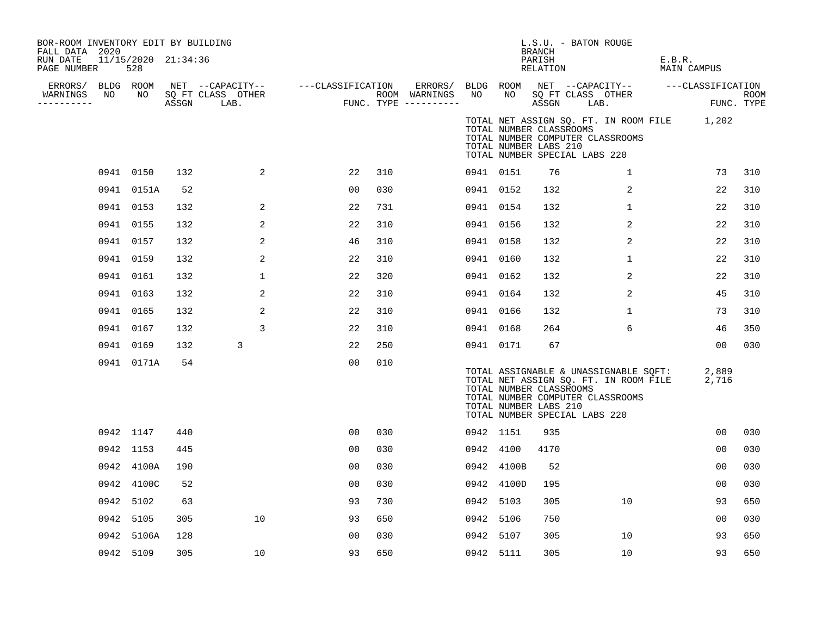| BOR-ROOM INVENTORY EDIT BY BUILDING<br>FALL DATA 2020<br>RUN DATE |    | 11/15/2020 21:34:36 |     |                                                          |                                       |     |         |           |                                                  | <b>BRANCH</b><br>PARISH | L.S.U. - BATON ROUGE          |                                  | E.B.R.                                                                         |                |      |
|-------------------------------------------------------------------|----|---------------------|-----|----------------------------------------------------------|---------------------------------------|-----|---------|-----------|--------------------------------------------------|-------------------------|-------------------------------|----------------------------------|--------------------------------------------------------------------------------|----------------|------|
| PAGE NUMBER                                                       |    | 528                 |     |                                                          |                                       |     |         |           |                                                  | RELATION                |                               |                                  | MAIN CAMPUS                                                                    |                |      |
| ERRORS/ BLDG ROOM<br>WARNINGS                                     | NO | NO 11               |     | NET --CAPACITY-- ----CLASSIFICATION<br>SQ FT CLASS OTHER |                                       |     | ERRORS/ | NO        | NO                                               |                         | SQ FT CLASS OTHER             |                                  | BLDG ROOM NET --CAPACITY-- ---CLASSIFICATION                                   |                | ROOM |
| ----------                                                        |    |                     |     | ASSGN LAB.                                               | ROOM WARNINGS<br>FUNC. TYPE --------- |     |         |           |                                                  | ASSGN                   | LAB.                          |                                  |                                                                                | FUNC. TYPE     |      |
|                                                                   |    |                     |     |                                                          |                                       |     |         |           | TOTAL NUMBER CLASSROOMS<br>TOTAL NUMBER LABS 210 |                         | TOTAL NUMBER SPECIAL LABS 220 | TOTAL NUMBER COMPUTER CLASSROOMS | TOTAL NET ASSIGN SQ. FT. IN ROOM FILE 1,202                                    |                |      |
|                                                                   |    | 0941 0150           | 132 | 2                                                        | 22                                    | 310 |         | 0941 0151 |                                                  | 76                      |                               | $\mathbf{1}$                     |                                                                                | 73             | 310  |
|                                                                   |    | 0941 0151A          | 52  |                                                          | 00                                    | 030 |         | 0941 0152 |                                                  | 132                     |                               | 2                                |                                                                                | 22             | 310  |
|                                                                   |    | 0941 0153           | 132 | 2                                                        | 22                                    | 731 |         | 0941 0154 |                                                  | 132                     |                               | $\mathbf 1$                      |                                                                                | 22             | 310  |
|                                                                   |    | 0941 0155           | 132 | 2                                                        | 22                                    | 310 |         | 0941 0156 |                                                  | 132                     |                               | 2                                |                                                                                | 22             | 310  |
|                                                                   |    | 0941 0157           | 132 | 2                                                        | 46                                    | 310 |         | 0941 0158 |                                                  | 132                     |                               | 2                                |                                                                                | 22             | 310  |
|                                                                   |    | 0941 0159           | 132 | 2                                                        | 22                                    | 310 |         | 0941 0160 |                                                  | 132                     |                               | $\mathbf 1$                      |                                                                                | 22             | 310  |
|                                                                   |    | 0941 0161           | 132 | $\mathbf{1}$                                             | 22                                    | 320 |         | 0941 0162 |                                                  | 132                     |                               | 2                                |                                                                                | 22             | 310  |
|                                                                   |    | 0941 0163           | 132 | 2                                                        | 22                                    | 310 |         | 0941 0164 |                                                  | 132                     |                               | 2                                |                                                                                | 45             | 310  |
|                                                                   |    | 0941 0165           | 132 | 2                                                        | 22                                    | 310 |         | 0941 0166 |                                                  | 132                     |                               | $\mathbf{1}$                     |                                                                                | 73             | 310  |
|                                                                   |    | 0941 0167           | 132 | 3                                                        | 22                                    | 310 |         | 0941 0168 |                                                  | 264                     |                               | 6                                |                                                                                | 46             | 350  |
|                                                                   |    | 0941 0169           | 132 | 3                                                        | 22                                    | 250 |         | 0941 0171 |                                                  | 67                      |                               |                                  |                                                                                | 00             | 030  |
|                                                                   |    | 0941 0171A          | 54  |                                                          | 0 <sub>0</sub>                        | 010 |         |           | TOTAL NUMBER CLASSROOMS<br>TOTAL NUMBER LABS 210 |                         | TOTAL NUMBER SPECIAL LABS 220 | TOTAL NUMBER COMPUTER CLASSROOMS | TOTAL ASSIGNABLE & UNASSIGNABLE SQFT:<br>TOTAL NET ASSIGN SQ. FT. IN ROOM FILE | 2,889<br>2,716 |      |
|                                                                   |    | 0942 1147           | 440 |                                                          | 00                                    | 030 |         | 0942 1151 |                                                  | 935                     |                               |                                  |                                                                                | 00             | 030  |
|                                                                   |    | 0942 1153           | 445 |                                                          | 00                                    | 030 |         | 0942 4100 |                                                  | 4170                    |                               |                                  |                                                                                | 00             | 030  |
|                                                                   |    | 0942 4100A          | 190 |                                                          | 00                                    | 030 |         |           | 0942 4100B                                       | 52                      |                               |                                  |                                                                                | 00             | 030  |
|                                                                   |    | 0942 4100C          | 52  |                                                          | 00                                    | 030 |         |           | 0942 4100D                                       | 195                     |                               |                                  |                                                                                | 00             | 030  |
|                                                                   |    | 0942 5102           | 63  |                                                          | 93                                    | 730 |         | 0942 5103 |                                                  | 305                     |                               | 10                               |                                                                                | 93             | 650  |
|                                                                   |    | 0942 5105           | 305 | 10                                                       | 93                                    | 650 |         | 0942 5106 |                                                  | 750                     |                               |                                  |                                                                                | 00             | 030  |
|                                                                   |    | 0942 5106A          | 128 |                                                          | 00                                    | 030 |         | 0942 5107 |                                                  | 305                     |                               | 10                               |                                                                                | 93             | 650  |
|                                                                   |    | 0942 5109           | 305 | 10                                                       | 93                                    | 650 |         | 0942 5111 |                                                  | 305                     |                               | 10                               |                                                                                | 93             | 650  |
|                                                                   |    |                     |     |                                                          |                                       |     |         |           |                                                  |                         |                               |                                  |                                                                                |                |      |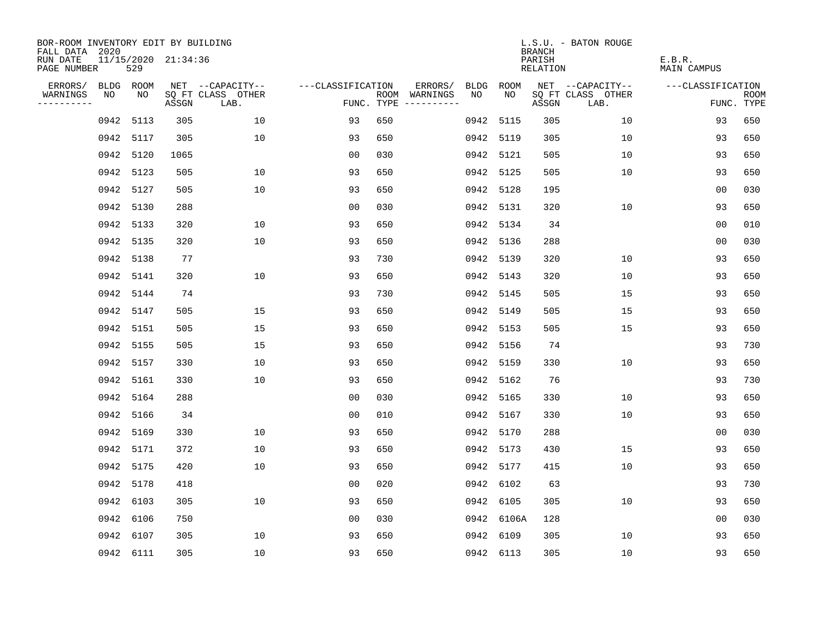| BOR-ROOM INVENTORY EDIT BY BUILDING<br>FALL DATA 2020 |           |           |                     |                           |                   |                                      |      |             | <b>BRANCH</b>      | L.S.U. - BATON ROUGE      |                       |                           |
|-------------------------------------------------------|-----------|-----------|---------------------|---------------------------|-------------------|--------------------------------------|------|-------------|--------------------|---------------------------|-----------------------|---------------------------|
| RUN DATE<br>PAGE NUMBER                               |           | 529       | 11/15/2020 21:34:36 |                           |                   |                                      |      |             | PARISH<br>RELATION |                           | E.B.R.<br>MAIN CAMPUS |                           |
| ERRORS/                                               |           | BLDG ROOM |                     | NET --CAPACITY--          | ---CLASSIFICATION | ERRORS/                              | BLDG | <b>ROOM</b> |                    | NET --CAPACITY--          | ---CLASSIFICATION     |                           |
| WARNINGS<br>----------                                | NO        | NO        | ASSGN               | SQ FT CLASS OTHER<br>LAB. |                   | ROOM WARNINGS<br>FUNC. TYPE $------$ | NO.  | NO.         | ASSGN              | SQ FT CLASS OTHER<br>LAB. |                       | <b>ROOM</b><br>FUNC. TYPE |
|                                                       | 0942      | 5113      | 305                 | 10                        | 93                | 650                                  | 0942 | 5115        | 305                | 10                        | 93                    | 650                       |
|                                                       | 0942 5117 |           | 305                 | 10                        | 93                | 650                                  | 0942 | 5119        | 305                | 10                        | 93                    | 650                       |
|                                                       |           | 0942 5120 | 1065                |                           | 0 <sub>0</sub>    | 030                                  | 0942 | 5121        | 505                | 10                        | 93                    | 650                       |
|                                                       | 0942      | 5123      | 505                 | 10                        | 93                | 650                                  | 0942 | 5125        | 505                | 10                        | 93                    | 650                       |
|                                                       | 0942      | 5127      | 505                 | 10                        | 93                | 650                                  | 0942 | 5128        | 195                |                           | 00                    | 030                       |
|                                                       | 0942      | 5130      | 288                 |                           | 0 <sub>0</sub>    | 030                                  | 0942 | 5131        | 320                | 10                        | 93                    | 650                       |
|                                                       | 0942      | 5133      | 320                 | 10                        | 93                | 650                                  | 0942 | 5134        | 34                 |                           | 00                    | 010                       |
|                                                       | 0942 5135 |           | 320                 | 10                        | 93                | 650                                  | 0942 | 5136        | 288                |                           | 0 <sub>0</sub>        | 030                       |
|                                                       | 0942      | 5138      | 77                  |                           | 93                | 730                                  | 0942 | 5139        | 320                | 10                        | 93                    | 650                       |
|                                                       |           | 0942 5141 | 320                 | 10                        | 93                | 650                                  | 0942 | 5143        | 320                | 10                        | 93                    | 650                       |
|                                                       |           | 0942 5144 | 74                  |                           | 93                | 730                                  | 0942 | 5145        | 505                | 15                        | 93                    | 650                       |
|                                                       |           | 0942 5147 | 505                 | 15                        | 93                | 650                                  | 0942 | 5149        | 505                | 15                        | 93                    | 650                       |
|                                                       | 0942      | 5151      | 505                 | 15                        | 93                | 650                                  | 0942 | 5153        | 505                | 15                        | 93                    | 650                       |
|                                                       | 0942      | 5155      | 505                 | 15                        | 93                | 650                                  | 0942 | 5156        | 74                 |                           | 93                    | 730                       |
|                                                       |           | 0942 5157 | 330                 | 10                        | 93                | 650                                  | 0942 | 5159        | 330                | 10                        | 93                    | 650                       |
|                                                       | 0942 5161 |           | 330                 | 10                        | 93                | 650                                  | 0942 | 5162        | 76                 |                           | 93                    | 730                       |
|                                                       | 0942 5164 |           | 288                 |                           | 0 <sub>0</sub>    | 030                                  | 0942 | 5165        | 330                | 10                        | 93                    | 650                       |
|                                                       |           | 0942 5166 | 34                  |                           | 0 <sub>0</sub>    | 010                                  |      | 0942 5167   | 330                | 10                        | 93                    | 650                       |
|                                                       |           | 0942 5169 | 330                 | 10                        | 93                | 650                                  |      | 0942 5170   | 288                |                           | 0 <sub>0</sub>        | 030                       |
|                                                       |           | 0942 5171 | 372                 | 10                        | 93                | 650                                  | 0942 | 5173        | 430                | 15                        | 93                    | 650                       |
|                                                       | 0942 5175 |           | 420                 | 10                        | 93                | 650                                  |      | 0942 5177   | 415                | 10                        | 93                    | 650                       |
|                                                       | 0942 5178 |           | 418                 |                           | 0 <sub>0</sub>    | 020                                  |      | 0942 6102   | 63                 |                           | 93                    | 730                       |
|                                                       | 0942 6103 |           | 305                 | 10                        | 93                | 650                                  |      | 0942 6105   | 305                | 10                        | 93                    | 650                       |
|                                                       | 0942      | 6106      | 750                 |                           | 0 <sub>0</sub>    | 030                                  |      | 0942 6106A  | 128                |                           | 00                    | 030                       |
|                                                       | 0942      | 6107      | 305                 | 10                        | 93                | 650                                  |      | 0942 6109   | 305                | 10                        | 93                    | 650                       |
|                                                       |           | 0942 6111 | 305                 | 10                        | 93                | 650                                  |      | 0942 6113   | 305                | 10                        | 93                    | 650                       |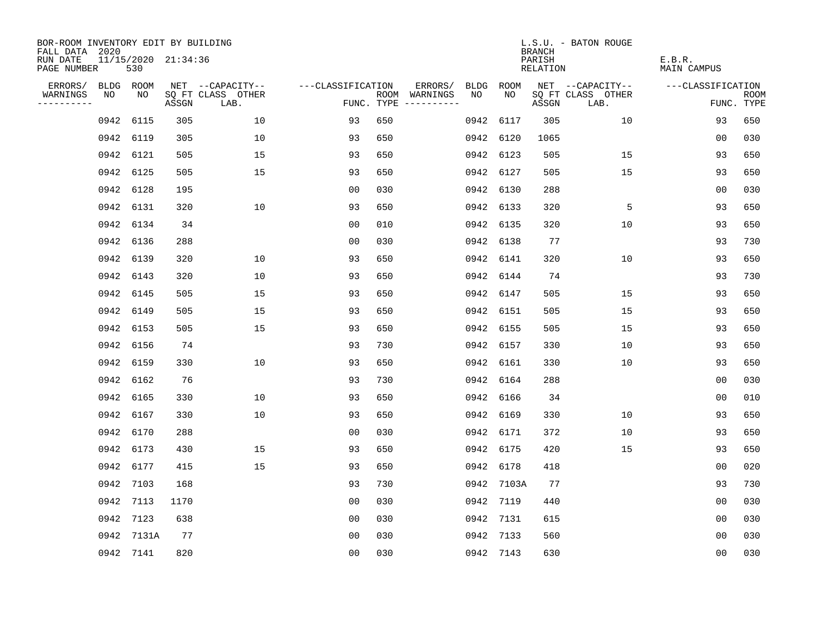| BOR-ROOM INVENTORY EDIT BY BUILDING       |           |                            |       |                           |                   |                                      |      |            | <b>BRANCH</b>      | L.S.U. - BATON ROUGE      |                       |                           |
|-------------------------------------------|-----------|----------------------------|-------|---------------------------|-------------------|--------------------------------------|------|------------|--------------------|---------------------------|-----------------------|---------------------------|
| FALL DATA 2020<br>RUN DATE<br>PAGE NUMBER |           | 11/15/2020 21:34:36<br>530 |       |                           |                   |                                      |      |            | PARISH<br>RELATION |                           | E.B.R.<br>MAIN CAMPUS |                           |
| ERRORS/                                   |           | BLDG ROOM                  |       | NET --CAPACITY--          | ---CLASSIFICATION | ERRORS/                              | BLDG | ROOM       |                    | NET --CAPACITY--          | ---CLASSIFICATION     |                           |
| WARNINGS<br>----------                    | NO        | NO                         | ASSGN | SQ FT CLASS OTHER<br>LAB. |                   | ROOM WARNINGS<br>FUNC. TYPE $------$ | NO.  | NO.        | ASSGN              | SQ FT CLASS OTHER<br>LAB. |                       | <b>ROOM</b><br>FUNC. TYPE |
|                                           | 0942      | 6115                       | 305   | 10                        | 93                | 650                                  | 0942 | 6117       | 305                | 10                        | 93                    | 650                       |
|                                           | 0942 6119 |                            | 305   | 10                        | 93                | 650                                  |      | 0942 6120  | 1065               |                           | 0 <sub>0</sub>        | 030                       |
|                                           | 0942 6121 |                            | 505   | 15                        | 93                | 650                                  |      | 0942 6123  | 505                | 15                        | 93                    | 650                       |
|                                           | 0942 6125 |                            | 505   | 15                        | 93                | 650                                  |      | 0942 6127  | 505                | 15                        | 93                    | 650                       |
|                                           | 0942      | 6128                       | 195   |                           | 0 <sub>0</sub>    | 030                                  |      | 0942 6130  | 288                |                           | 00                    | 030                       |
|                                           | 0942 6131 |                            | 320   | 10                        | 93                | 650                                  |      | 0942 6133  | 320                | 5                         | 93                    | 650                       |
|                                           | 0942 6134 |                            | 34    |                           | 0 <sub>0</sub>    | 010                                  |      | 0942 6135  | 320                | 10                        | 93                    | 650                       |
|                                           | 0942 6136 |                            | 288   |                           | 0 <sub>0</sub>    | 030                                  |      | 0942 6138  | 77                 |                           | 93                    | 730                       |
|                                           | 0942 6139 |                            | 320   | 10                        | 93                | 650                                  |      | 0942 6141  | 320                | 10                        | 93                    | 650                       |
|                                           | 0942 6143 |                            | 320   | 10                        | 93                | 650                                  |      | 0942 6144  | 74                 |                           | 93                    | 730                       |
|                                           | 0942 6145 |                            | 505   | 15                        | 93                | 650                                  |      | 0942 6147  | 505                | 15                        | 93                    | 650                       |
|                                           | 0942 6149 |                            | 505   | 15                        | 93                | 650                                  |      | 0942 6151  | 505                | 15                        | 93                    | 650                       |
|                                           | 0942 6153 |                            | 505   | 15                        | 93                | 650                                  |      | 0942 6155  | 505                | 15                        | 93                    | 650                       |
|                                           | 0942      | 6156                       | 74    |                           | 93                | 730                                  |      | 0942 6157  | 330                | 10                        | 93                    | 650                       |
|                                           | 0942 6159 |                            | 330   | 10                        | 93                | 650                                  |      | 0942 6161  | 330                | 10                        | 93                    | 650                       |
|                                           | 0942 6162 |                            | 76    |                           | 93                | 730                                  |      | 0942 6164  | 288                |                           | 0 <sub>0</sub>        | 030                       |
|                                           | 0942 6165 |                            | 330   | 10                        | 93                | 650                                  |      | 0942 6166  | 34                 |                           | 0 <sub>0</sub>        | 010                       |
|                                           | 0942 6167 |                            | 330   | 10                        | 93                | 650                                  |      | 0942 6169  | 330                | 10                        | 93                    | 650                       |
|                                           | 0942 6170 |                            | 288   |                           | 0 <sub>0</sub>    | 030                                  |      | 0942 6171  | 372                | 10                        | 93                    | 650                       |
|                                           | 0942 6173 |                            | 430   | 15                        | 93                | 650                                  |      | 0942 6175  | 420                | 15                        | 93                    | 650                       |
|                                           | 0942 6177 |                            | 415   | 15                        | 93                | 650                                  |      | 0942 6178  | 418                |                           | 0 <sub>0</sub>        | 020                       |
|                                           | 0942 7103 |                            | 168   |                           | 93                | 730                                  |      | 0942 7103A | 77                 |                           | 93                    | 730                       |
|                                           | 0942 7113 |                            | 1170  |                           | 0 <sub>0</sub>    | 030                                  |      | 0942 7119  | 440                |                           | 0 <sub>0</sub>        | 030                       |
|                                           | 0942 7123 |                            | 638   |                           | 0 <sub>0</sub>    | 030                                  |      | 0942 7131  | 615                |                           | 00                    | 030                       |
|                                           |           | 0942 7131A                 | 77    |                           | 0 <sub>0</sub>    | 030                                  |      | 0942 7133  | 560                |                           | 0 <sub>0</sub>        | 030                       |
|                                           |           | 0942 7141                  | 820   |                           | 0 <sub>0</sub>    | 030                                  |      | 0942 7143  | 630                |                           | 0 <sub>0</sub>        | 030                       |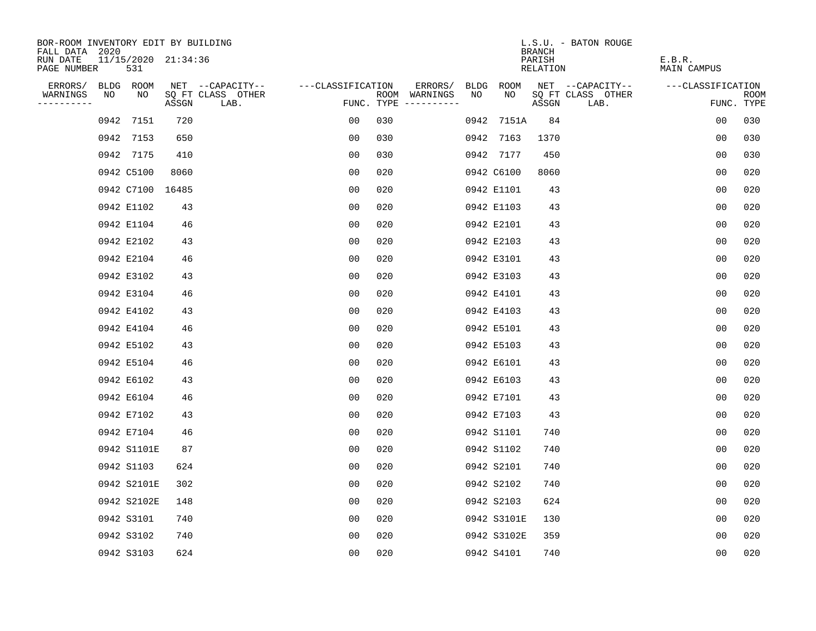| BOR-ROOM INVENTORY EDIT BY BUILDING       |    |             |                     |                           |                   |     |                                      |      |             | <b>BRANCH</b>      | L.S.U. - BATON ROUGE      |                       |                           |
|-------------------------------------------|----|-------------|---------------------|---------------------------|-------------------|-----|--------------------------------------|------|-------------|--------------------|---------------------------|-----------------------|---------------------------|
| FALL DATA 2020<br>RUN DATE<br>PAGE NUMBER |    | 531         | 11/15/2020 21:34:36 |                           |                   |     |                                      |      |             | PARISH<br>RELATION |                           | E.B.R.<br>MAIN CAMPUS |                           |
| ERRORS/                                   |    | BLDG ROOM   |                     | NET --CAPACITY--          | ---CLASSIFICATION |     | ERRORS/                              | BLDG | ROOM        |                    | NET --CAPACITY--          | ---CLASSIFICATION     |                           |
| WARNINGS<br>----------                    | NO | NO          | ASSGN               | SQ FT CLASS OTHER<br>LAB. |                   |     | ROOM WARNINGS<br>FUNC. TYPE $------$ | NO   | NO.         | ASSGN              | SQ FT CLASS OTHER<br>LAB. |                       | <b>ROOM</b><br>FUNC. TYPE |
|                                           |    | 0942 7151   | 720                 |                           | 00                | 030 |                                      |      | 0942 7151A  | 84                 |                           | 0 <sub>0</sub>        | 030                       |
|                                           |    | 0942 7153   | 650                 |                           | 00                | 030 |                                      |      | 0942 7163   | 1370               |                           | 0 <sub>0</sub>        | 030                       |
|                                           |    | 0942 7175   | 410                 |                           | 00                | 030 |                                      |      | 0942 7177   | 450                |                           | 0 <sub>0</sub>        | 030                       |
|                                           |    | 0942 C5100  | 8060                |                           | 00                | 020 |                                      |      | 0942 C6100  | 8060               |                           | 0 <sub>0</sub>        | 020                       |
|                                           |    |             | 0942 C7100 16485    |                           | 00                | 020 |                                      |      | 0942 E1101  | 43                 |                           | 0 <sub>0</sub>        | 020                       |
|                                           |    | 0942 E1102  | 43                  |                           | 0 <sub>0</sub>    | 020 |                                      |      | 0942 E1103  | 43                 |                           | 0 <sub>0</sub>        | 020                       |
|                                           |    | 0942 E1104  | 46                  |                           | 0 <sub>0</sub>    | 020 |                                      |      | 0942 E2101  | 43                 |                           | 00                    | 020                       |
|                                           |    | 0942 E2102  | 43                  |                           | 0 <sub>0</sub>    | 020 |                                      |      | 0942 E2103  | 43                 |                           | 0 <sub>0</sub>        | 020                       |
|                                           |    | 0942 E2104  | 46                  |                           | 0 <sub>0</sub>    | 020 |                                      |      | 0942 E3101  | 43                 |                           | 0 <sub>0</sub>        | 020                       |
|                                           |    | 0942 E3102  | 43                  |                           | 0 <sub>0</sub>    | 020 |                                      |      | 0942 E3103  | 43                 |                           | 0 <sub>0</sub>        | 020                       |
|                                           |    | 0942 E3104  | 46                  |                           | 00                | 020 |                                      |      | 0942 E4101  | 43                 |                           | 0 <sub>0</sub>        | 020                       |
|                                           |    | 0942 E4102  | 43                  |                           | 0 <sub>0</sub>    | 020 |                                      |      | 0942 E4103  | 43                 |                           | 0 <sub>0</sub>        | 020                       |
|                                           |    | 0942 E4104  | 46                  |                           | 00                | 020 |                                      |      | 0942 E5101  | 43                 |                           | 0 <sub>0</sub>        | 020                       |
|                                           |    | 0942 E5102  | 43                  |                           | 0 <sub>0</sub>    | 020 |                                      |      | 0942 E5103  | 43                 |                           | 0 <sub>0</sub>        | 020                       |
|                                           |    | 0942 E5104  | 46                  |                           | 00                | 020 |                                      |      | 0942 E6101  | 43                 |                           | 00                    | 020                       |
|                                           |    | 0942 E6102  | 43                  |                           | 0 <sub>0</sub>    | 020 |                                      |      | 0942 E6103  | 43                 |                           | 0 <sub>0</sub>        | 020                       |
|                                           |    | 0942 E6104  | 46                  |                           | 0 <sub>0</sub>    | 020 |                                      |      | 0942 E7101  | 43                 |                           | 0 <sub>0</sub>        | 020                       |
|                                           |    | 0942 E7102  | 43                  |                           | 0 <sub>0</sub>    | 020 |                                      |      | 0942 E7103  | 43                 |                           | 0 <sub>0</sub>        | 020                       |
|                                           |    | 0942 E7104  | 46                  |                           | 0 <sub>0</sub>    | 020 |                                      |      | 0942 S1101  | 740                |                           | 0 <sub>0</sub>        | 020                       |
|                                           |    | 0942 S1101E | 87                  |                           | 0 <sub>0</sub>    | 020 |                                      |      | 0942 S1102  | 740                |                           | 0 <sub>0</sub>        | 020                       |
|                                           |    | 0942 S1103  | 624                 |                           | 0 <sub>0</sub>    | 020 |                                      |      | 0942 S2101  | 740                |                           | 0 <sub>0</sub>        | 020                       |
|                                           |    | 0942 S2101E | 302                 |                           | 0 <sub>0</sub>    | 020 |                                      |      | 0942 S2102  | 740                |                           | 0 <sub>0</sub>        | 020                       |
|                                           |    | 0942 S2102E | 148                 |                           | 0 <sub>0</sub>    | 020 |                                      |      | 0942 S2103  | 624                |                           | 0 <sub>0</sub>        | 020                       |
|                                           |    | 0942 S3101  | 740                 |                           | 0 <sub>0</sub>    | 020 |                                      |      | 0942 S3101E | 130                |                           | 0 <sub>0</sub>        | 020                       |
|                                           |    | 0942 S3102  | 740                 |                           | 0 <sub>0</sub>    | 020 |                                      |      | 0942 S3102E | 359                |                           | 0 <sub>0</sub>        | 020                       |
|                                           |    | 0942 S3103  | 624                 |                           | 0 <sub>0</sub>    | 020 |                                      |      | 0942 S4101  | 740                |                           | 0 <sub>0</sub>        | 020                       |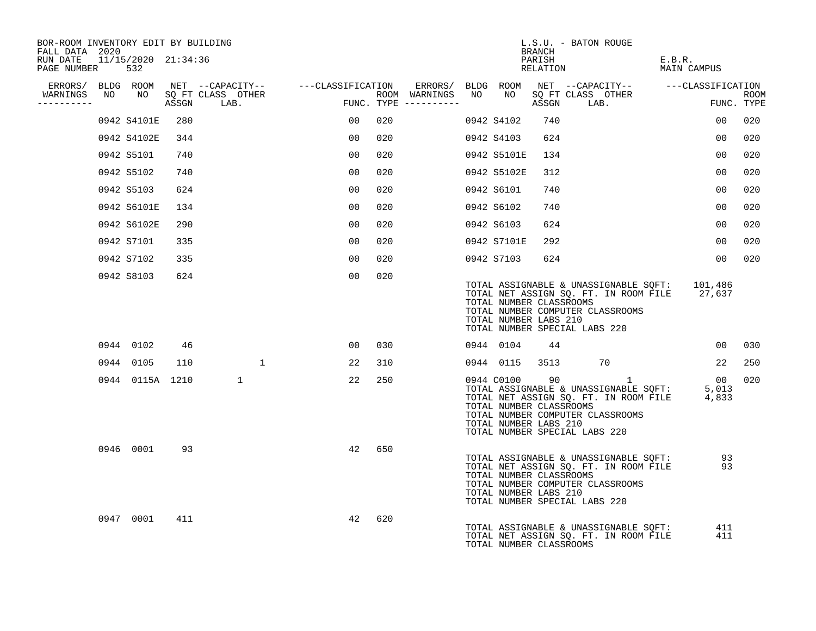| BOR-ROOM INVENTORY EDIT BY BUILDING<br>FALL DATA 2020 |                 |     |                                      |              |                                                       |     |                                            |                                                  | BRANCH             | L.S.U. - BATON ROUGE                                                                                                                                                                       |                       |                           |
|-------------------------------------------------------|-----------------|-----|--------------------------------------|--------------|-------------------------------------------------------|-----|--------------------------------------------|--------------------------------------------------|--------------------|--------------------------------------------------------------------------------------------------------------------------------------------------------------------------------------------|-----------------------|---------------------------|
| RUN DATE 11/15/2020 21:34:36<br>PAGE NUMBER 532       |                 |     |                                      |              |                                                       |     |                                            |                                                  | PARISH<br>RELATION |                                                                                                                                                                                            | E.B.R.<br>MAIN CAMPUS |                           |
|                                                       |                 |     |                                      |              | ERRORS/ BLDG ROOM NET --CAPACITY-- ----CLASSIFICATION |     |                                            |                                                  |                    | ERRORS/ BLDG ROOM NET --CAPACITY-- ----CLASSIFICATION                                                                                                                                      |                       |                           |
| WARNINGS<br>----------                                |                 |     | NO NO SOFT CLASS OTHER<br>ASSGN LAB. |              | $\overline{r}$                                        |     | ROOM WARNINGS NO<br>$FUNC. TYPE$ --------- | NO <sub>1</sub>                                  |                    | SQ FT CLASS OTHER<br>ASSGN LAB.                                                                                                                                                            |                       | <b>ROOM</b><br>FUNC. TYPE |
|                                                       | 0942 S4101E     | 280 |                                      |              | 00 <sub>o</sub>                                       | 020 |                                            | 0942 S4102                                       | 740                |                                                                                                                                                                                            | 00                    | 020                       |
|                                                       | 0942 S4102E     | 344 |                                      |              | 00                                                    | 020 |                                            | 0942 S4103                                       | 624                |                                                                                                                                                                                            | 00                    | 020                       |
|                                                       | 0942 S5101      | 740 |                                      |              | 0 <sub>0</sub>                                        | 020 |                                            | 0942 S5101E                                      | 134                |                                                                                                                                                                                            | 0 <sub>0</sub>        | 020                       |
|                                                       | 0942 S5102      | 740 |                                      |              | 00                                                    | 020 |                                            | 0942 S5102E                                      | 312                |                                                                                                                                                                                            | 0 <sub>0</sub>        | 020                       |
|                                                       | 0942 S5103      | 624 |                                      |              | 0 <sub>0</sub>                                        | 020 |                                            | 0942 S6101                                       | 740                |                                                                                                                                                                                            | 00                    | 020                       |
|                                                       | 0942 S6101E     | 134 |                                      |              | 00                                                    | 020 |                                            | 0942 S6102                                       | 740                |                                                                                                                                                                                            | 0 <sub>0</sub>        | 020                       |
|                                                       | 0942 S6102E     | 290 |                                      |              | 00                                                    | 020 |                                            | 0942 S6103                                       | 624                |                                                                                                                                                                                            | 00                    | 020                       |
|                                                       | 0942 S7101      | 335 |                                      |              | 00                                                    | 020 |                                            | 0942 S7101E                                      | 292                |                                                                                                                                                                                            | 00                    | 020                       |
|                                                       | 0942 S7102      | 335 |                                      |              | 00 <sub>o</sub>                                       | 020 |                                            | 0942 S7103                                       | 624                |                                                                                                                                                                                            | 00 <sub>o</sub>       | 020                       |
|                                                       | 0942 S8103      | 624 |                                      |              | 00                                                    | 020 |                                            | TOTAL NUMBER CLASSROOMS<br>TOTAL NUMBER LABS 210 |                    | TOTAL ASSIGNABLE & UNASSIGNABLE SQFT: 101,486<br>TOTAL NET ASSIGN SQ. FT. IN ROOM FILE 27,637<br>TOTAL NUMBER COMPUTER CLASSROOMS<br>TOTAL NUMBER SPECIAL LABS 220                         |                       |                           |
|                                                       | 0944 0102       | 46  |                                      |              | 00 <sup>o</sup>                                       | 030 |                                            | 0944 0104                                        | 44                 |                                                                                                                                                                                            | 0 <sub>0</sub>        | 030                       |
|                                                       | 0944 0105       | 110 |                                      | $\mathbf{1}$ | 22                                                    | 310 |                                            | 0944 0115 3513                                   |                    | 70                                                                                                                                                                                         | 22                    | 250                       |
|                                                       | 0944 0115A 1210 |     |                                      | $\mathbf{1}$ | 22                                                    | 250 |                                            | TOTAL NUMBER CLASSROOMS<br>TOTAL NUMBER LABS 210 |                    | 0944 C0100 90 1<br>0013<br>TOTAL ASSIGNABLE & UNASSIGNABLE SQFT: 5,013<br>TOTAL NET ASSIGN SQ. FT. IN ROOM FILE 4,833<br>TOTAL NUMBER COMPUTER CLASSROOMS<br>TOTAL NUMBER SPECIAL LABS 220 | 00                    | 020                       |
|                                                       | 0946 0001       | 93  |                                      |              | 42                                                    | 650 |                                            | TOTAL NUMBER CLASSROOMS<br>TOTAL NUMBER LABS 210 |                    | TOTAL ASSIGNABLE & UNASSIGNABLE SQFT: 93<br>TOTAL NET ASSIGN SQ. FT. IN ROOM FILE<br>TOTAL NUMBER COMPUTER CLASSROOMS<br>TOTAL NUMBER SPECIAL LABS 220                                     | 93                    |                           |
|                                                       | 0947 0001       | 411 |                                      |              | 42                                                    | 620 |                                            | TOTAL NUMBER CLASSROOMS                          |                    | TOTAL ASSIGNABLE & UNASSIGNABLE SOFT:<br>TOTAL NET ASSIGN SQ. FT. IN ROOM FILE                                                                                                             | 411<br>411            |                           |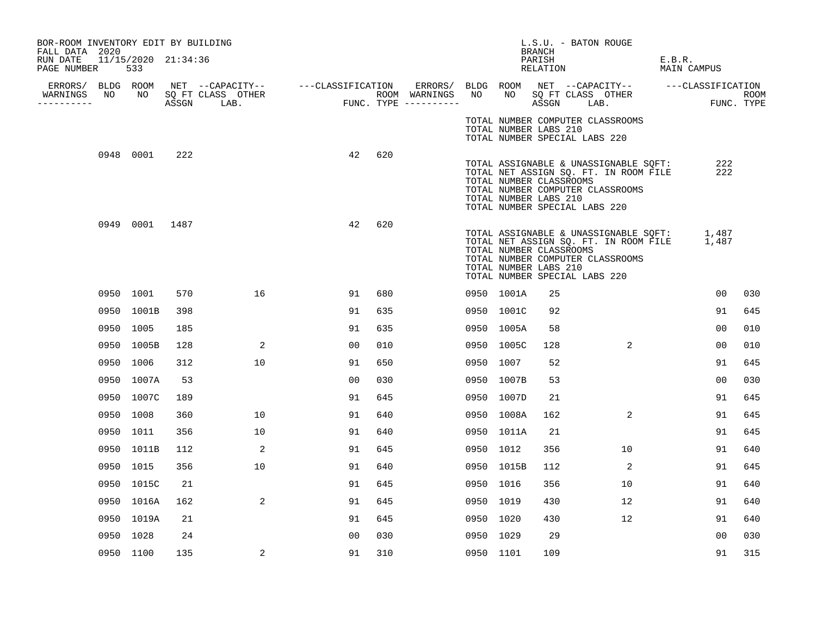| BOR-ROOM INVENTORY EDIT BY BUILDING<br>FALL DATA 2020 |                |            |                         |                                                                                                              |                |     |                  |           |                                                                                   | L.S.U. - BATON ROUGE<br><b>BRANCH</b> |                                                                                                                          |        |                |            |
|-------------------------------------------------------|----------------|------------|-------------------------|--------------------------------------------------------------------------------------------------------------|----------------|-----|------------------|-----------|-----------------------------------------------------------------------------------|---------------------------------------|--------------------------------------------------------------------------------------------------------------------------|--------|----------------|------------|
| RUN DATE 11/15/2020 21:34:36<br>PAGE NUMBER           | 533            |            |                         |                                                                                                              |                |     |                  |           |                                                                                   | PARISH<br>RELATION                    |                                                                                                                          | E.B.R. | MAIN CAMPUS    |            |
| WARNINGS                                              |                |            | NO NO SQ FT CLASS OTHER | ERRORS/ BLDG ROOM NET --CAPACITY-- ----CLASSIFICATION ERRORS/ BLDG ROOM NET --CAPACITY-- -----CLASSIFICATION |                |     | ROOM WARNINGS NO |           |                                                                                   |                                       | NO SQ FT CLASS OTHER                                                                                                     |        |                | ROOM       |
| ----------                                            |                | ASSGN LAB. |                         | ROOM WARNINGS<br>FUNC. TYPE ---------                                                                        |                |     |                  |           |                                                                                   |                                       | ASSGN LAB.                                                                                                               |        |                | FUNC. TYPE |
|                                                       |                |            |                         |                                                                                                              |                |     |                  |           | TOTAL NUMBER LABS 210<br>TOTAL NUMBER SPECIAL LABS 220                            |                                       | TOTAL NUMBER COMPUTER CLASSROOMS                                                                                         |        |                |            |
|                                                       | 0948 0001      | 222        |                         |                                                                                                              | 42             | 620 |                  |           |                                                                                   |                                       | TOTAL ASSIGNABLE & UNASSIGNABLE SQFT:                                                                                    |        | 222            |            |
|                                                       |                |            |                         |                                                                                                              |                |     |                  |           | TOTAL NUMBER CLASSROOMS<br>TOTAL NUMBER LABS 210<br>TOTAL NUMBER SPECIAL LABS 220 |                                       | TOTAL NET ASSIGN SQ. FT. IN ROOM FILE<br>TOTAL NUMBER COMPUTER CLASSROOMS                                                |        | 222            |            |
|                                                       | 0949 0001 1487 |            |                         |                                                                                                              | 42             | 620 |                  |           | TOTAL NUMBER CLASSROOMS<br>TOTAL NUMBER LABS 210<br>TOTAL NUMBER SPECIAL LABS 220 |                                       | TOTAL ASSIGNABLE & UNASSIGNABLE SQFT:<br>TOTAL NET ASSIGN SQ. FT. IN ROOM FILE 1,487<br>TOTAL NUMBER COMPUTER CLASSROOMS |        | 1,487          |            |
|                                                       | 0950 1001      | 570        | 16                      |                                                                                                              | 91             | 680 |                  |           | 0950 1001A                                                                        | 25                                    |                                                                                                                          |        | 00             | 030        |
|                                                       | 0950 1001B     | 398        |                         |                                                                                                              | 91             | 635 |                  |           | 0950 1001C                                                                        | 92                                    |                                                                                                                          |        | 91             | 645        |
|                                                       | 0950 1005      | 185        |                         |                                                                                                              | 91             | 635 |                  |           | 0950 1005A                                                                        | 58                                    |                                                                                                                          |        | 0 <sub>0</sub> | 010        |
|                                                       | 0950 1005B     | 128        | 2                       |                                                                                                              | 00             | 010 |                  |           | 0950 1005C                                                                        | 128                                   | 2                                                                                                                        |        | 0 <sub>0</sub> | 010        |
|                                                       | 0950 1006      | 312        | 10                      |                                                                                                              | 91             | 650 |                  | 0950 1007 |                                                                                   | 52                                    |                                                                                                                          |        | 91             | 645        |
|                                                       | 0950 1007A     | 53         |                         |                                                                                                              | 0 <sub>0</sub> | 030 |                  |           | 0950 1007B                                                                        | 53                                    |                                                                                                                          |        | 0 <sub>0</sub> | 030        |
|                                                       | 0950 1007C     | 189        |                         |                                                                                                              | 91             | 645 |                  |           | 0950 1007D                                                                        | 21                                    |                                                                                                                          |        | 91             | 645        |
|                                                       | 0950 1008      | 360        | 10                      |                                                                                                              | 91             | 640 |                  |           | 0950 1008A                                                                        | 162                                   | 2                                                                                                                        |        | 91             | 645        |
|                                                       | 0950 1011      | 356        | 10                      |                                                                                                              | 91             | 640 |                  |           | 0950 1011A                                                                        | 21                                    |                                                                                                                          |        | 91             | 645        |
|                                                       | 0950 1011B     | 112        | 2                       |                                                                                                              | 91             | 645 |                  | 0950 1012 |                                                                                   | 356                                   | 10                                                                                                                       |        | 91             | 640        |
|                                                       | 0950 1015      | 356        | 10                      |                                                                                                              | 91             | 640 |                  |           | 0950 1015B                                                                        | 112                                   | 2                                                                                                                        |        | 91             | 645        |
|                                                       | 0950 1015C     | 21         |                         |                                                                                                              | 91             | 645 |                  | 0950 1016 |                                                                                   | 356                                   | 10                                                                                                                       |        | 91             | 640        |
|                                                       | 0950 1016A     | 162        | 2                       |                                                                                                              | 91             | 645 |                  | 0950 1019 |                                                                                   | 430                                   | $12 \overline{ }$                                                                                                        |        | 91             | 640        |
|                                                       | 0950 1019A     | 21         |                         |                                                                                                              | 91             | 645 |                  | 0950 1020 |                                                                                   | 430                                   | 12                                                                                                                       |        | 91             | 640        |
|                                                       | 0950 1028      | 24         |                         |                                                                                                              | 00             | 030 |                  | 0950 1029 |                                                                                   | 29                                    |                                                                                                                          |        | 00             | 030        |
|                                                       | 0950 1100      | 135        | 2                       |                                                                                                              | 91             | 310 |                  | 0950 1101 |                                                                                   | 109                                   |                                                                                                                          |        | 91             | 315        |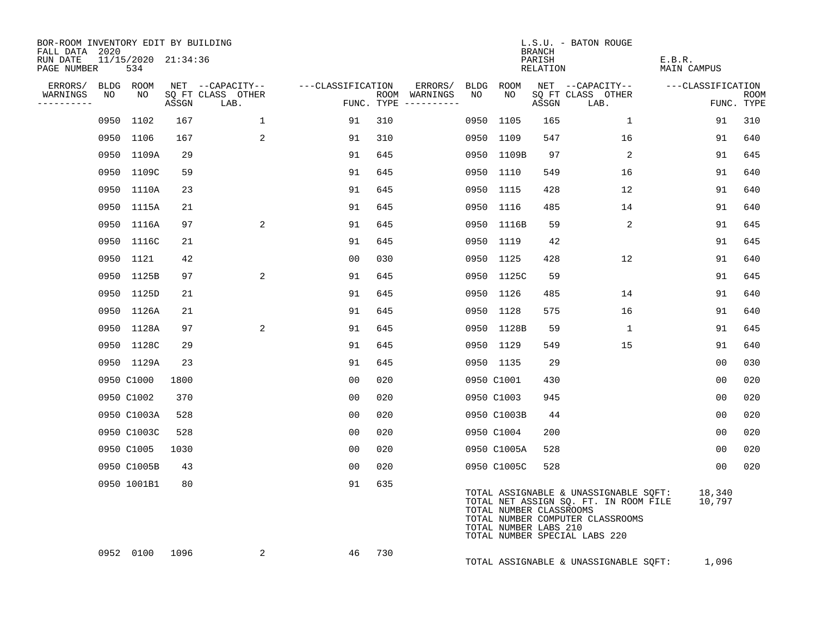| BOR-ROOM INVENTORY EDIT BY BUILDING<br>FALL DATA 2020 |    |                            |       |                                               |                   |     |                                                 |            |                                                  | <b>BRANCH</b>      | L.S.U. - BATON ROUGE                                                                                                                                |                              |                           |
|-------------------------------------------------------|----|----------------------------|-------|-----------------------------------------------|-------------------|-----|-------------------------------------------------|------------|--------------------------------------------------|--------------------|-----------------------------------------------------------------------------------------------------------------------------------------------------|------------------------------|---------------------------|
| RUN DATE<br>PAGE NUMBER                               |    | 11/15/2020 21:34:36<br>534 |       |                                               |                   |     |                                                 |            |                                                  | PARISH<br>RELATION |                                                                                                                                                     | E.B.R.<br><b>MAIN CAMPUS</b> |                           |
| ERRORS/<br>WARNINGS<br>----------                     | NO | BLDG ROOM<br>NO            | ASSGN | NET --CAPACITY--<br>SQ FT CLASS OTHER<br>LAB. | ---CLASSIFICATION |     | ERRORS/<br>ROOM WARNINGS<br>FUNC. TYPE $------$ | BLDG<br>NO | ROOM<br>NO                                       | ASSGN              | NET --CAPACITY--<br>SQ FT CLASS OTHER<br>LAB.                                                                                                       | ---CLASSIFICATION            | <b>ROOM</b><br>FUNC. TYPE |
|                                                       |    | 0950 1102                  | 167   | $\mathbf{1}$                                  | 91                | 310 |                                                 |            | 0950 1105                                        | 165                | <sup>1</sup>                                                                                                                                        | 91                           | 310                       |
|                                                       |    | 0950 1106                  | 167   | 2                                             | 91                | 310 |                                                 |            | 0950 1109                                        | 547                | 16                                                                                                                                                  | 91                           | 640                       |
|                                                       |    | 0950 1109A                 | 29    |                                               | 91                | 645 |                                                 |            | 0950 1109B                                       | 97                 | 2                                                                                                                                                   | 91                           | 645                       |
|                                                       |    | 0950 1109C                 | 59    |                                               | 91                | 645 |                                                 |            | 0950 1110                                        | 549                | 16                                                                                                                                                  | 91                           | 640                       |
|                                                       |    | 0950 1110A                 | 23    |                                               | 91                | 645 |                                                 |            | 0950 1115                                        | 428                | 12                                                                                                                                                  | 91                           | 640                       |
|                                                       |    | 0950 1115A                 | 21    |                                               | 91                | 645 |                                                 |            | 0950 1116                                        | 485                | 14                                                                                                                                                  | 91                           | 640                       |
|                                                       |    | 0950 1116A                 | 97    | 2                                             | 91                | 645 |                                                 |            | 0950 1116B                                       | 59                 | 2                                                                                                                                                   | 91                           | 645                       |
|                                                       |    | 0950 1116C                 | 21    |                                               | 91                | 645 |                                                 |            | 0950 1119                                        | 42                 |                                                                                                                                                     | 91                           | 645                       |
|                                                       |    | 0950 1121                  | 42    |                                               | 0 <sub>0</sub>    | 030 |                                                 |            | 0950 1125                                        | 428                | 12                                                                                                                                                  | 91                           | 640                       |
|                                                       |    | 0950 1125B                 | 97    | 2                                             | 91                | 645 |                                                 |            | 0950 1125C                                       | 59                 |                                                                                                                                                     | 91                           | 645                       |
|                                                       |    | 0950 1125D                 | 21    |                                               | 91                | 645 |                                                 |            | 0950 1126                                        | 485                | 14                                                                                                                                                  | 91                           | 640                       |
|                                                       |    | 0950 1126A                 | 21    |                                               | 91                | 645 |                                                 |            | 0950 1128                                        | 575                | 16                                                                                                                                                  | 91                           | 640                       |
|                                                       |    | 0950 1128A                 | 97    | 2                                             | 91                | 645 |                                                 |            | 0950 1128B                                       | 59                 | 1                                                                                                                                                   | 91                           | 645                       |
|                                                       |    | 0950 1128C                 | 29    |                                               | 91                | 645 |                                                 |            | 0950 1129                                        | 549                | 15                                                                                                                                                  | 91                           | 640                       |
|                                                       |    | 0950 1129A                 | 23    |                                               | 91                | 645 |                                                 |            | 0950 1135                                        | 29                 |                                                                                                                                                     | 00                           | 030                       |
|                                                       |    | 0950 C1000                 | 1800  |                                               | 0 <sub>0</sub>    | 020 |                                                 |            | 0950 C1001                                       | 430                |                                                                                                                                                     | 0 <sub>0</sub>               | 020                       |
|                                                       |    | 0950 C1002                 | 370   |                                               | 0 <sub>0</sub>    | 020 |                                                 |            | 0950 C1003                                       | 945                |                                                                                                                                                     | 0 <sub>0</sub>               | 020                       |
|                                                       |    | 0950 C1003A                | 528   |                                               | 0 <sub>0</sub>    | 020 |                                                 |            | 0950 C1003B                                      | 44                 |                                                                                                                                                     | 00                           | 020                       |
|                                                       |    | 0950 C1003C                | 528   |                                               | 00                | 020 |                                                 |            | 0950 C1004                                       | 200                |                                                                                                                                                     | 00                           | 020                       |
|                                                       |    | 0950 C1005                 | 1030  |                                               | 0 <sub>0</sub>    | 020 |                                                 |            | 0950 C1005A                                      | 528                |                                                                                                                                                     | 00                           | 020                       |
|                                                       |    | 0950 C1005B                | 43    |                                               | 00                | 020 |                                                 |            | 0950 C1005C                                      | 528                |                                                                                                                                                     | 0 <sub>0</sub>               | 020                       |
|                                                       |    | 0950 1001B1                | 80    |                                               | 91                | 635 |                                                 |            | TOTAL NUMBER CLASSROOMS<br>TOTAL NUMBER LABS 210 |                    | TOTAL ASSIGNABLE & UNASSIGNABLE SQFT:<br>TOTAL NET ASSIGN SQ. FT. IN ROOM FILE<br>TOTAL NUMBER COMPUTER CLASSROOMS<br>TOTAL NUMBER SPECIAL LABS 220 | 18,340<br>10,797             |                           |
|                                                       |    | 0952 0100                  | 1096  | 2                                             | 46                | 730 |                                                 |            |                                                  |                    | TOTAL ASSIGNABLE & UNASSIGNABLE SQFT:                                                                                                               | 1,096                        |                           |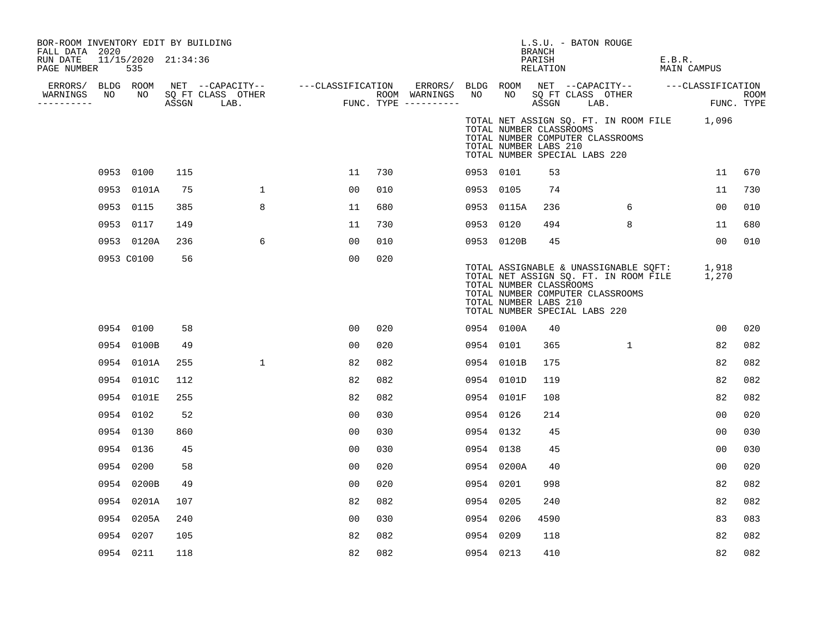| BOR-ROOM INVENTORY EDIT BY BUILDING<br>FALL DATA 2020 |                            |     |                                                                                                                                                                                                                                      |                |     |           |            | BRANCH                                                                            | L.S.U. - BATON ROUGE             |                                                                                            |            |
|-------------------------------------------------------|----------------------------|-----|--------------------------------------------------------------------------------------------------------------------------------------------------------------------------------------------------------------------------------------|----------------|-----|-----------|------------|-----------------------------------------------------------------------------------|----------------------------------|--------------------------------------------------------------------------------------------|------------|
| RUN DATE<br>PAGE NUMBER                               | 11/15/2020 21:34:36<br>535 |     |                                                                                                                                                                                                                                      |                |     |           |            | PARISH<br>RELATION                                                                |                                  | E.B.R.<br>MAIN CAMPUS                                                                      |            |
|                                                       |                            |     |                                                                                                                                                                                                                                      |                |     |           |            |                                                                                   |                                  |                                                                                            |            |
| WARNINGS<br>----------                                |                            |     | ERRORS/ BLDG ROOM NET --CAPACITY-- ----CLASSIFICATION ERRORS/ BLDG ROOM NET --CAPACITY-- -----CLASSIFICATION<br>NARNINGS NO NO SQFTCLASS OTHER ROOM WARNINGS NO NO SQFTCLASS OTHER ROOM<br>--------- ASSGN LAB. FUNC.TYPE ---------- |                |     |           |            |                                                                                   |                                  |                                                                                            | FUNC. TYPE |
|                                                       |                            |     |                                                                                                                                                                                                                                      |                |     |           |            | TOTAL NUMBER CLASSROOMS<br>TOTAL NUMBER LABS 210<br>TOTAL NUMBER SPECIAL LABS 220 | TOTAL NUMBER COMPUTER CLASSROOMS | TOTAL NET ASSIGN SQ. FT. IN ROOM FILE 1,096                                                |            |
|                                                       | 0953 0100                  | 115 |                                                                                                                                                                                                                                      | 11             | 730 | 0953 0101 |            | 53                                                                                |                                  | 11                                                                                         | 670        |
|                                                       | 0953 0101A                 | 75  | $\mathbf{1}$                                                                                                                                                                                                                         | 0 <sub>0</sub> | 010 | 0953 0105 |            | 74                                                                                |                                  | 11                                                                                         | 730        |
|                                                       | 0953 0115                  | 385 | 8                                                                                                                                                                                                                                    | 11             | 680 |           | 0953 0115A | 236                                                                               | 6                                | 00                                                                                         | 010        |
|                                                       | 0953 0117                  | 149 |                                                                                                                                                                                                                                      | 11             | 730 | 0953 0120 |            | 494                                                                               | 8                                | 11                                                                                         | 680        |
|                                                       | 0953 0120A                 | 236 | 6                                                                                                                                                                                                                                    | 0 <sub>0</sub> | 010 |           | 0953 0120B | 45                                                                                |                                  | 0 <sub>0</sub>                                                                             | 010        |
|                                                       | 0953 C0100                 | 56  |                                                                                                                                                                                                                                      | 00             | 020 |           |            | TOTAL NUMBER CLASSROOMS<br>TOTAL NUMBER LABS 210<br>TOTAL NUMBER SPECIAL LABS 220 | TOTAL NUMBER COMPUTER CLASSROOMS | TOTAL ASSIGNABLE & UNASSIGNABLE SOFT: 1,918<br>TOTAL NET ASSIGN SQ. FT. IN ROOM FILE 1,270 |            |
|                                                       | 0954 0100                  | 58  |                                                                                                                                                                                                                                      | 0 <sub>0</sub> | 020 |           | 0954 0100A | 40                                                                                |                                  | 0 <sub>0</sub>                                                                             | 020        |
|                                                       | 0954 0100B                 | 49  |                                                                                                                                                                                                                                      | 0 <sub>0</sub> | 020 | 0954 0101 |            | 365                                                                               | 1                                | 82                                                                                         | 082        |
|                                                       | 0954 0101A                 | 255 | $\mathbf{1}$                                                                                                                                                                                                                         | 82             | 082 |           | 0954 0101B | 175                                                                               |                                  | 82                                                                                         | 082        |
|                                                       | 0954 0101C                 | 112 |                                                                                                                                                                                                                                      | 82             | 082 |           | 0954 0101D | 119                                                                               |                                  | 82                                                                                         | 082        |
|                                                       | 0954 0101E                 | 255 |                                                                                                                                                                                                                                      | 82             | 082 |           | 0954 0101F | 108                                                                               |                                  | 82                                                                                         | 082        |
|                                                       | 0954 0102                  | 52  |                                                                                                                                                                                                                                      | 00             | 030 | 0954 0126 |            | 214                                                                               |                                  | 0 <sub>0</sub>                                                                             | 020        |
|                                                       | 0954 0130                  | 860 |                                                                                                                                                                                                                                      | 0 <sub>0</sub> | 030 | 0954 0132 |            | 45                                                                                |                                  | 00                                                                                         | 030        |
|                                                       | 0954 0136                  | 45  |                                                                                                                                                                                                                                      | 00             | 030 | 0954 0138 |            | 45                                                                                |                                  | 00                                                                                         | 030        |
|                                                       | 0954 0200                  | 58  |                                                                                                                                                                                                                                      | 0 <sub>0</sub> | 020 |           | 0954 0200A | 40                                                                                |                                  | 00                                                                                         | 020        |
|                                                       | 0954 0200B                 | 49  |                                                                                                                                                                                                                                      | 0 <sub>0</sub> | 020 | 0954 0201 |            | 998                                                                               |                                  | 82                                                                                         | 082        |
|                                                       | 0954 0201A                 | 107 |                                                                                                                                                                                                                                      | 82             | 082 | 0954 0205 |            | 240                                                                               |                                  | 82                                                                                         | 082        |
|                                                       | 0954 0205A                 | 240 |                                                                                                                                                                                                                                      | 0 <sub>0</sub> | 030 | 0954 0206 |            | 4590                                                                              |                                  | 83                                                                                         | 083        |
| 0954                                                  | 0207                       | 105 |                                                                                                                                                                                                                                      | 82             | 082 | 0954 0209 |            | 118                                                                               |                                  | 82                                                                                         | 082        |
|                                                       | 0954 0211                  | 118 |                                                                                                                                                                                                                                      | 82             | 082 | 0954 0213 |            | 410                                                                               |                                  | 82                                                                                         | 082        |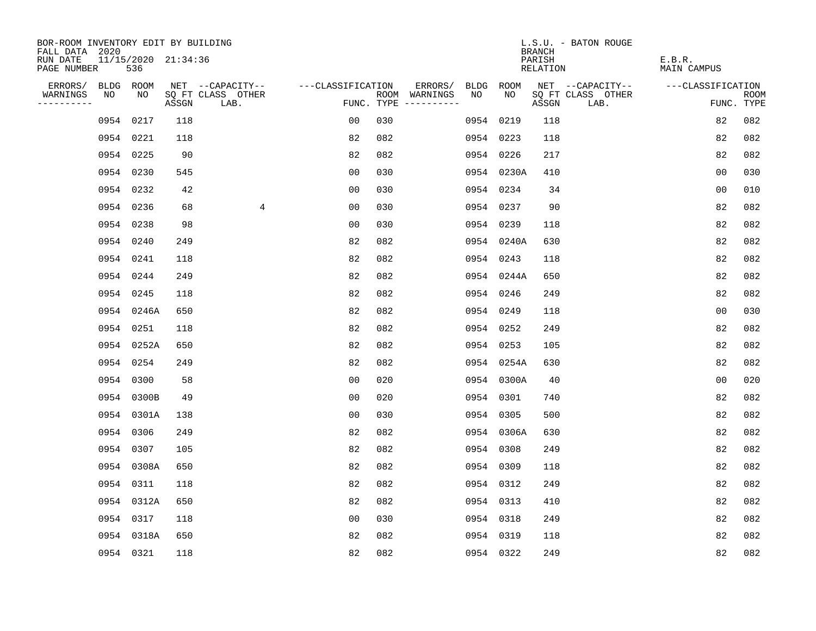| BOR-ROOM INVENTORY EDIT BY BUILDING       |    |            |                     |                           |                   |                                      |    |            | L.S.U. - BATON ROUGE<br><b>BRANCH</b> |                       |                           |
|-------------------------------------------|----|------------|---------------------|---------------------------|-------------------|--------------------------------------|----|------------|---------------------------------------|-----------------------|---------------------------|
| FALL DATA 2020<br>RUN DATE<br>PAGE NUMBER |    | 536        | 11/15/2020 21:34:36 |                           |                   |                                      |    |            | PARISH<br>RELATION                    | E.B.R.<br>MAIN CAMPUS |                           |
| ERRORS/                                   |    | BLDG ROOM  |                     | NET --CAPACITY--          | ---CLASSIFICATION | ERRORS/                              |    | BLDG ROOM  | NET --CAPACITY--                      | ---CLASSIFICATION     |                           |
| WARNINGS<br>----------                    | NO | NO         | ASSGN               | SQ FT CLASS OTHER<br>LAB. |                   | ROOM WARNINGS<br>FUNC. TYPE $------$ | NO | NO         | SQ FT CLASS OTHER<br>ASSGN<br>LAB.    |                       | <b>ROOM</b><br>FUNC. TYPE |
|                                           |    | 0954 0217  | 118                 |                           | 00                | 030                                  |    | 0954 0219  | 118                                   | 82                    | 082                       |
|                                           |    | 0954 0221  | 118                 |                           | 82                | 082                                  |    | 0954 0223  | 118                                   | 82                    | 082                       |
|                                           |    | 0954 0225  | 90                  |                           | 82                | 082                                  |    | 0954 0226  | 217                                   | 82                    | 082                       |
|                                           |    | 0954 0230  | 545                 |                           | 0 <sub>0</sub>    | 030                                  |    | 0954 0230A | 410                                   | 0 <sub>0</sub>        | 030                       |
|                                           |    | 0954 0232  | 42                  |                           | 00                | 030                                  |    | 0954 0234  | 34                                    | 0 <sub>0</sub>        | 010                       |
|                                           |    | 0954 0236  | 68                  | 4                         | 0 <sub>0</sub>    | 030                                  |    | 0954 0237  | 90                                    | 82                    | 082                       |
|                                           |    | 0954 0238  | 98                  |                           | 00                | 030                                  |    | 0954 0239  | 118                                   | 82                    | 082                       |
|                                           |    | 0954 0240  | 249                 |                           | 82                | 082                                  |    | 0954 0240A | 630                                   | 82                    | 082                       |
|                                           |    | 0954 0241  | 118                 |                           | 82                | 082                                  |    | 0954 0243  | 118                                   | 82                    | 082                       |
|                                           |    | 0954 0244  | 249                 |                           | 82                | 082                                  |    | 0954 0244A | 650                                   | 82                    | 082                       |
|                                           |    | 0954 0245  | 118                 |                           | 82                | 082                                  |    | 0954 0246  | 249                                   | 82                    | 082                       |
|                                           |    | 0954 0246A | 650                 |                           | 82                | 082                                  |    | 0954 0249  | 118                                   | 0 <sub>0</sub>        | 030                       |
|                                           |    | 0954 0251  | 118                 |                           | 82                | 082                                  |    | 0954 0252  | 249                                   | 82                    | 082                       |
|                                           |    | 0954 0252A | 650                 |                           | 82                | 082                                  |    | 0954 0253  | 105                                   | 82                    | 082                       |
|                                           |    | 0954 0254  | 249                 |                           | 82                | 082                                  |    | 0954 0254A | 630                                   | 82                    | 082                       |
|                                           |    | 0954 0300  | 58                  |                           | 0 <sub>0</sub>    | 020                                  |    | 0954 0300A | 40                                    | 0 <sub>0</sub>        | 020                       |
|                                           |    | 0954 0300B | 49                  |                           | 0 <sub>0</sub>    | 020                                  |    | 0954 0301  | 740                                   | 82                    | 082                       |
|                                           |    | 0954 0301A | 138                 |                           | 0 <sub>0</sub>    | 030                                  |    | 0954 0305  | 500                                   | 82                    | 082                       |
|                                           |    | 0954 0306  | 249                 |                           | 82                | 082                                  |    | 0954 0306A | 630                                   | 82                    | 082                       |
|                                           |    | 0954 0307  | 105                 |                           | 82                | 082                                  |    | 0954 0308  | 249                                   | 82                    | 082                       |
|                                           |    | 0954 0308A | 650                 |                           | 82                | 082                                  |    | 0954 0309  | 118                                   | 82                    | 082                       |
|                                           |    | 0954 0311  | 118                 |                           | 82                | 082                                  |    | 0954 0312  | 249                                   | 82                    | 082                       |
|                                           |    | 0954 0312A | 650                 |                           | 82                | 082                                  |    | 0954 0313  | 410                                   | 82                    | 082                       |
|                                           |    | 0954 0317  | 118                 |                           | 00                | 030                                  |    | 0954 0318  | 249                                   | 82                    | 082                       |
|                                           |    | 0954 0318A | 650                 |                           | 82                | 082                                  |    | 0954 0319  | 118                                   | 82                    | 082                       |
|                                           |    | 0954 0321  | 118                 |                           | 82                | 082                                  |    | 0954 0322  | 249                                   | 82                    | 082                       |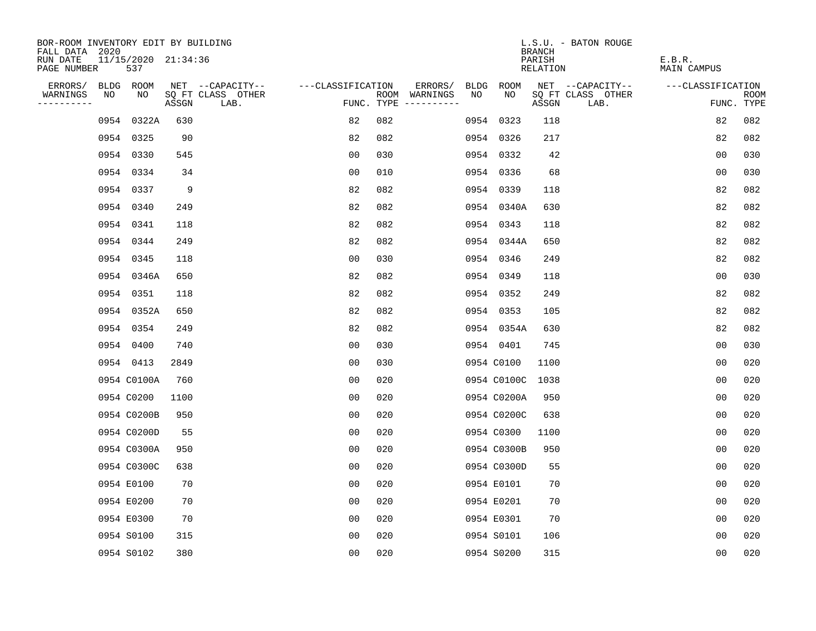| BOR-ROOM INVENTORY EDIT BY BUILDING<br>FALL DATA 2020 |                            |       |                           |                   |     |                                      |      |             | <b>BRANCH</b>      | L.S.U. - BATON ROUGE      |                              |                |                           |
|-------------------------------------------------------|----------------------------|-------|---------------------------|-------------------|-----|--------------------------------------|------|-------------|--------------------|---------------------------|------------------------------|----------------|---------------------------|
| RUN DATE<br>PAGE NUMBER                               | 11/15/2020 21:34:36<br>537 |       |                           |                   |     |                                      |      |             | PARISH<br>RELATION |                           | E.B.R.<br><b>MAIN CAMPUS</b> |                |                           |
| ERRORS/                                               | BLDG ROOM                  |       | NET --CAPACITY--          | ---CLASSIFICATION |     | ERRORS/                              | BLDG | <b>ROOM</b> |                    | NET --CAPACITY--          | ---CLASSIFICATION            |                |                           |
| WARNINGS<br>NO<br>----------                          | NO                         | ASSGN | SQ FT CLASS OTHER<br>LAB. |                   |     | ROOM WARNINGS<br>FUNC. TYPE $------$ | NO   | NO          | ASSGN              | SQ FT CLASS OTHER<br>LAB. |                              |                | <b>ROOM</b><br>FUNC. TYPE |
|                                                       | 0954 0322A                 | 630   |                           | 82                | 082 |                                      |      | 0954 0323   | 118                |                           |                              | 82             | 082                       |
|                                                       | 0954 0325                  | 90    |                           | 82                | 082 |                                      |      | 0954 0326   | 217                |                           |                              | 82             | 082                       |
|                                                       | 0954 0330                  | 545   |                           | 00                | 030 |                                      |      | 0954 0332   | 42                 |                           |                              | 0 <sub>0</sub> | 030                       |
|                                                       | 0954 0334                  | 34    |                           | 0 <sub>0</sub>    | 010 |                                      |      | 0954 0336   | 68                 |                           |                              | 0 <sub>0</sub> | 030                       |
|                                                       | 0954 0337                  | 9     |                           | 82                | 082 |                                      |      | 0954 0339   | 118                |                           |                              | 82             | 082                       |
|                                                       | 0954 0340                  | 249   |                           | 82                | 082 |                                      |      | 0954 0340A  | 630                |                           |                              | 82             | 082                       |
|                                                       | 0954 0341                  | 118   |                           | 82                | 082 |                                      |      | 0954 0343   | 118                |                           |                              | 82             | 082                       |
|                                                       | 0954 0344                  | 249   |                           | 82                | 082 |                                      |      | 0954 0344A  | 650                |                           |                              | 82             | 082                       |
|                                                       | 0954 0345                  | 118   |                           | 00                | 030 |                                      |      | 0954 0346   | 249                |                           |                              | 82             | 082                       |
|                                                       | 0954 0346A                 | 650   |                           | 82                | 082 |                                      |      | 0954 0349   | 118                |                           |                              | 0 <sub>0</sub> | 030                       |
|                                                       | 0954 0351                  | 118   |                           | 82                | 082 |                                      |      | 0954 0352   | 249                |                           |                              | 82             | 082                       |
|                                                       | 0954 0352A                 | 650   |                           | 82                | 082 |                                      |      | 0954 0353   | 105                |                           |                              | 82             | 082                       |
|                                                       | 0954 0354                  | 249   |                           | 82                | 082 |                                      |      | 0954 0354A  | 630                |                           |                              | 82             | 082                       |
|                                                       | 0954 0400                  | 740   |                           | 00                | 030 |                                      |      | 0954 0401   | 745                |                           |                              | 0 <sub>0</sub> | 030                       |
|                                                       | 0954 0413                  | 2849  |                           | 0 <sub>0</sub>    | 030 |                                      |      | 0954 C0100  | 1100               |                           |                              | 0 <sub>0</sub> | 020                       |
|                                                       | 0954 C0100A                | 760   |                           | 0 <sub>0</sub>    | 020 |                                      |      | 0954 C0100C | 1038               |                           |                              | 0 <sub>0</sub> | 020                       |
|                                                       | 0954 C0200                 | 1100  |                           | 0 <sub>0</sub>    | 020 |                                      |      | 0954 C0200A | 950                |                           |                              | 0 <sub>0</sub> | 020                       |
|                                                       | 0954 C0200B                | 950   |                           | 0 <sub>0</sub>    | 020 |                                      |      | 0954 C0200C | 638                |                           |                              | 0 <sub>0</sub> | 020                       |
|                                                       | 0954 C0200D                | 55    |                           | 0 <sub>0</sub>    | 020 |                                      |      | 0954 C0300  | 1100               |                           |                              | 0 <sub>0</sub> | 020                       |
|                                                       | 0954 C0300A                | 950   |                           | 0 <sub>0</sub>    | 020 |                                      |      | 0954 C0300B | 950                |                           |                              | 0 <sub>0</sub> | 020                       |
|                                                       | 0954 C0300C                | 638   |                           | 0 <sub>0</sub>    | 020 |                                      |      | 0954 C0300D | 55                 |                           |                              | 0 <sub>0</sub> | 020                       |
|                                                       | 0954 E0100                 | 70    |                           | 0 <sub>0</sub>    | 020 |                                      |      | 0954 E0101  | 70                 |                           |                              | 0 <sub>0</sub> | 020                       |
|                                                       | 0954 E0200                 | 70    |                           | 0 <sub>0</sub>    | 020 |                                      |      | 0954 E0201  | 70                 |                           |                              | 0 <sub>0</sub> | 020                       |
|                                                       | 0954 E0300                 | 70    |                           | 0 <sub>0</sub>    | 020 |                                      |      | 0954 E0301  | 70                 |                           |                              | 0 <sub>0</sub> | 020                       |
|                                                       | 0954 S0100                 | 315   |                           | 0 <sub>0</sub>    | 020 |                                      |      | 0954 S0101  | 106                |                           |                              | 0 <sub>0</sub> | 020                       |
|                                                       | 0954 S0102                 | 380   |                           | 0 <sub>0</sub>    | 020 |                                      |      | 0954 S0200  | 315                |                           |                              | 0 <sub>0</sub> | 020                       |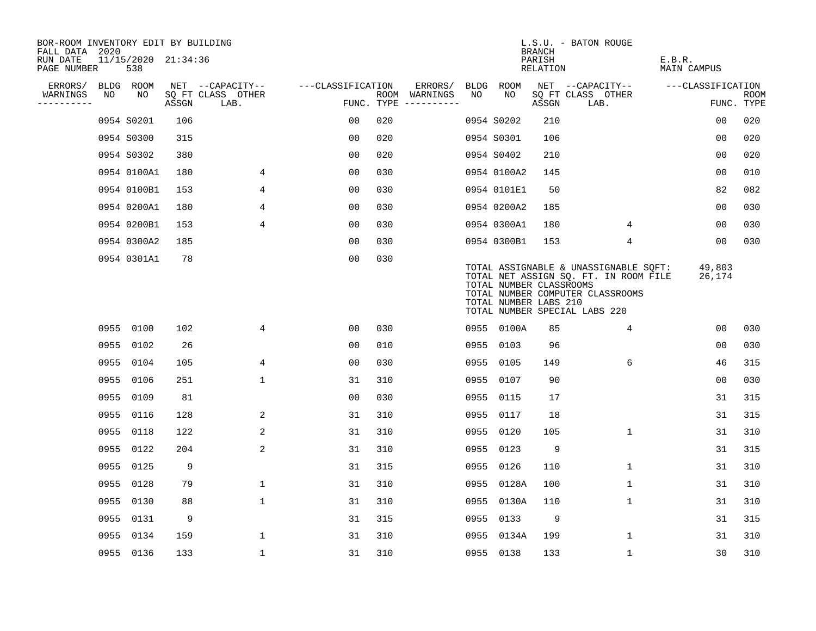| BOR-ROOM INVENTORY EDIT BY BUILDING<br>FALL DATA 2020 |      |                            |       |                           |                   |     |                                      |      |                                                  | <b>BRANCH</b>      | L.S.U. - BATON ROUGE                                                                                                                                |                       |                    |
|-------------------------------------------------------|------|----------------------------|-------|---------------------------|-------------------|-----|--------------------------------------|------|--------------------------------------------------|--------------------|-----------------------------------------------------------------------------------------------------------------------------------------------------|-----------------------|--------------------|
| RUN DATE<br>PAGE NUMBER                               |      | 11/15/2020 21:34:36<br>538 |       |                           |                   |     |                                      |      |                                                  | PARISH<br>RELATION |                                                                                                                                                     | E.B.R.<br>MAIN CAMPUS |                    |
| ERRORS/                                               |      | BLDG ROOM                  |       | NET --CAPACITY--          | ---CLASSIFICATION |     | ERRORS/                              |      | BLDG ROOM                                        |                    | NET --CAPACITY--                                                                                                                                    | ---CLASSIFICATION     |                    |
| WARNINGS<br>----------                                | NO   | NO                         | ASSGN | SQ FT CLASS OTHER<br>LAB. |                   |     | ROOM WARNINGS<br>FUNC. TYPE $------$ | NO.  | NO.                                              | ASSGN              | SQ FT CLASS OTHER<br>LAB.                                                                                                                           |                       | ROOM<br>FUNC. TYPE |
|                                                       |      | 0954 S0201                 | 106   |                           | 0 <sub>0</sub>    | 020 |                                      |      | 0954 S0202                                       | 210                |                                                                                                                                                     | 00                    | 020                |
|                                                       |      | 0954 S0300                 | 315   |                           | 0 <sub>0</sub>    | 020 |                                      |      | 0954 S0301                                       | 106                |                                                                                                                                                     | 0 <sub>0</sub>        | 020                |
|                                                       |      | 0954 S0302                 | 380   |                           | 0 <sub>0</sub>    | 020 |                                      |      | 0954 S0402                                       | 210                |                                                                                                                                                     | 0 <sub>0</sub>        | 020                |
|                                                       |      | 0954 0100A1                | 180   | 4                         | 0 <sub>0</sub>    | 030 |                                      |      | 0954 0100A2                                      | 145                |                                                                                                                                                     | 0 <sub>0</sub>        | 010                |
|                                                       |      | 0954 0100B1                | 153   | 4                         | 0 <sub>0</sub>    | 030 |                                      |      | 0954 0101E1                                      | 50                 |                                                                                                                                                     | 82                    | 082                |
|                                                       |      | 0954 0200A1                | 180   | 4                         | 0 <sub>0</sub>    | 030 |                                      |      | 0954 0200A2                                      | 185                |                                                                                                                                                     | 0 <sub>0</sub>        | 030                |
|                                                       |      | 0954 0200B1                | 153   | $\overline{4}$            | 00                | 030 |                                      |      | 0954 0300A1                                      | 180                | 4                                                                                                                                                   | 00                    | 030                |
|                                                       |      | 0954 0300A2                | 185   |                           | 0 <sub>0</sub>    | 030 |                                      |      | 0954 0300B1                                      | 153                | 4                                                                                                                                                   | 00                    | 030                |
|                                                       |      | 0954 0301A1                | 78    |                           | 00                | 030 |                                      |      | TOTAL NUMBER CLASSROOMS<br>TOTAL NUMBER LABS 210 |                    | TOTAL ASSIGNABLE & UNASSIGNABLE SQFT:<br>TOTAL NET ASSIGN SQ. FT. IN ROOM FILE<br>TOTAL NUMBER COMPUTER CLASSROOMS<br>TOTAL NUMBER SPECIAL LABS 220 | 49,803<br>26,174      |                    |
|                                                       |      | 0955 0100                  | 102   | 4                         | 00                | 030 |                                      |      | 0955 0100A                                       | 85                 | $\overline{4}$                                                                                                                                      | 00                    | 030                |
|                                                       |      | 0955 0102                  | 26    |                           | 0 <sub>0</sub>    | 010 |                                      |      | 0955 0103                                        | 96                 |                                                                                                                                                     | 0 <sub>0</sub>        | 030                |
|                                                       |      | 0955 0104                  | 105   | 4                         | 0 <sub>0</sub>    | 030 |                                      |      | 0955 0105                                        | 149                | 6                                                                                                                                                   | 46                    | 315                |
|                                                       |      | 0955 0106                  | 251   | $\mathbf{1}$              | 31                | 310 |                                      |      | 0955 0107                                        | 90                 |                                                                                                                                                     | 00                    | 030                |
|                                                       | 0955 | 0109                       | 81    |                           | 0 <sub>0</sub>    | 030 |                                      | 0955 | 0115                                             | 17                 |                                                                                                                                                     | 31                    | 315                |
|                                                       |      | 0955 0116                  | 128   | 2                         | 31                | 310 |                                      |      | 0955 0117                                        | 18                 |                                                                                                                                                     | 31                    | 315                |
|                                                       |      | 0955 0118                  | 122   | 2                         | 31                | 310 |                                      |      | 0955 0120                                        | 105                | $\mathbf 1$                                                                                                                                         | 31                    | 310                |
|                                                       |      | 0955 0122                  | 204   | 2                         | 31                | 310 |                                      |      | 0955 0123                                        | 9                  |                                                                                                                                                     | 31                    | 315                |
|                                                       |      | 0955 0125                  | 9     |                           | 31                | 315 |                                      |      | 0955 0126                                        | 110                | 1                                                                                                                                                   | 31                    | 310                |
|                                                       |      | 0955 0128                  | 79    | $\mathbf 1$               | 31                | 310 |                                      |      | 0955 0128A                                       | 100                | $\mathbf{1}$                                                                                                                                        | 31                    | 310                |
|                                                       |      | 0955 0130                  | 88    | $\mathbf 1$               | 31                | 310 |                                      |      | 0955 0130A                                       | 110                | 1                                                                                                                                                   | 31                    | 310                |
|                                                       |      | 0955 0131                  | 9     |                           | 31                | 315 |                                      |      | 0955 0133                                        | 9                  |                                                                                                                                                     | 31                    | 315                |
|                                                       |      | 0955 0134                  | 159   | $\mathbf{1}$              | 31                | 310 |                                      |      | 0955 0134A                                       | 199                | 1                                                                                                                                                   | 31                    | 310                |
|                                                       |      | 0955 0136                  | 133   | $\mathbf{1}$              | 31                | 310 |                                      |      | 0955 0138                                        | 133                | $\mathbf{1}$                                                                                                                                        | 30                    | 310                |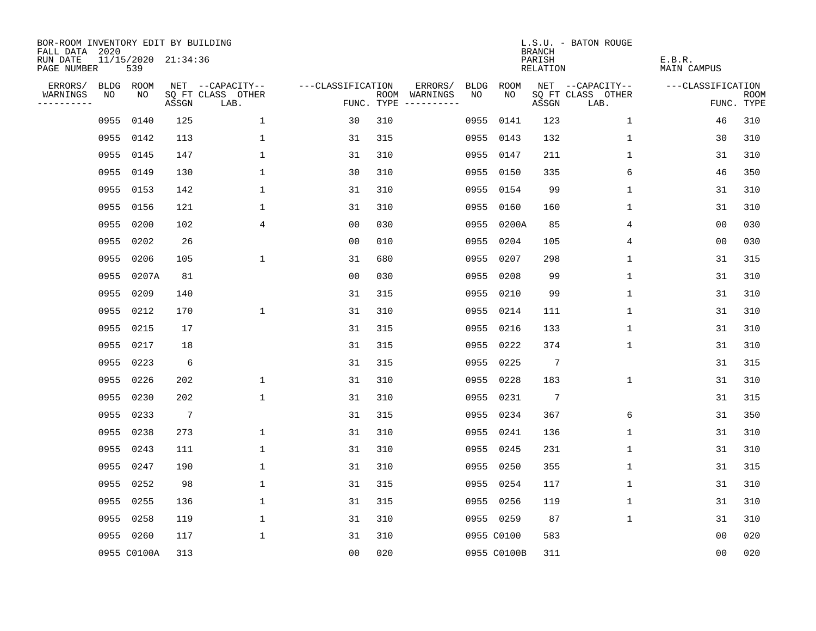| BOR-ROOM INVENTORY EDIT BY BUILDING<br>FALL DATA 2020 |      |                            |                 |                           |                   |     |                                            |             | <b>BRANCH</b>             | L.S.U. - BATON ROUGE      |                              |                           |
|-------------------------------------------------------|------|----------------------------|-----------------|---------------------------|-------------------|-----|--------------------------------------------|-------------|---------------------------|---------------------------|------------------------------|---------------------------|
| RUN DATE<br>PAGE NUMBER                               |      | 11/15/2020 21:34:36<br>539 |                 |                           |                   |     |                                            |             | PARISH<br><b>RELATION</b> |                           | E.B.R.<br><b>MAIN CAMPUS</b> |                           |
| ERRORS/                                               |      | BLDG ROOM                  |                 | NET --CAPACITY--          | ---CLASSIFICATION |     | ERRORS/<br><b>BLDG</b>                     | <b>ROOM</b> |                           | NET --CAPACITY--          | ---CLASSIFICATION            |                           |
| WARNINGS<br>----------                                | NO   | NO                         | ASSGN           | SQ FT CLASS OTHER<br>LAB. |                   |     | ROOM WARNINGS<br>NO<br>FUNC. TYPE $------$ | NO          | ASSGN                     | SQ FT CLASS OTHER<br>LAB. |                              | <b>ROOM</b><br>FUNC. TYPE |
|                                                       | 0955 | 0140                       | 125             | 1                         | 30                | 310 | 0955                                       | 0141        | 123                       | $\mathbf 1$               | 46                           | 310                       |
|                                                       | 0955 | 0142                       | 113             | $\mathbf 1$               | 31                | 315 | 0955                                       | 0143        | 132                       | 1                         | 30                           | 310                       |
|                                                       | 0955 | 0145                       | 147             | $\mathbf 1$               | 31                | 310 | 0955                                       | 0147        | 211                       | 1                         | 31                           | 310                       |
|                                                       |      | 0955 0149                  | 130             | $\mathbf 1$               | 30                | 310 |                                            | 0955 0150   | 335                       | 6                         | 46                           | 350                       |
|                                                       | 0955 | 0153                       | 142             | $\mathbf{1}$              | 31                | 310 | 0955                                       | 0154        | 99                        | $\mathbf 1$               | 31                           | 310                       |
|                                                       |      | 0955 0156                  | 121             | $\mathbf{1}$              | 31                | 310 |                                            | 0955 0160   | 160                       | $\mathbf{1}$              | 31                           | 310                       |
|                                                       | 0955 | 0200                       | 102             | 4                         | 0 <sub>0</sub>    | 030 | 0955                                       | 0200A       | 85                        | 4                         | 0 <sub>0</sub>               | 030                       |
|                                                       |      | 0955 0202                  | 26              |                           | 0 <sub>0</sub>    | 010 | 0955                                       | 0204        | 105                       | 4                         | 0 <sub>0</sub>               | 030                       |
|                                                       | 0955 | 0206                       | 105             | 1                         | 31                | 680 | 0955                                       | 0207        | 298                       | $\mathbf 1$               | 31                           | 315                       |
|                                                       |      | 0955 0207A                 | 81              |                           | 0 <sub>0</sub>    | 030 | 0955                                       | 0208        | 99                        | $\mathbf 1$               | 31                           | 310                       |
|                                                       |      | 0955 0209                  | 140             |                           | 31                | 315 | 0955                                       | 0210        | 99                        | $\mathbf 1$               | 31                           | 310                       |
|                                                       |      | 0955 0212                  | 170             | $\mathbf{1}$              | 31                | 310 |                                            | 0955 0214   | 111                       | $\mathbf 1$               | 31                           | 310                       |
|                                                       | 0955 | 0215                       | 17              |                           | 31                | 315 | 0955                                       | 0216        | 133                       | $\mathbf 1$               | 31                           | 310                       |
|                                                       |      | 0955 0217                  | 18              |                           | 31                | 315 | 0955                                       | 0222        | 374                       | 1                         | 31                           | 310                       |
|                                                       | 0955 | 0223                       | 6               |                           | 31                | 315 | 0955                                       | 0225        | $7\phantom{.0}$           |                           | 31                           | 315                       |
|                                                       |      | 0955 0226                  | 202             | $\mathbf 1$               | 31                | 310 | 0955                                       | 0228        | 183                       | 1                         | 31                           | 310                       |
|                                                       | 0955 | 0230                       | 202             | $\mathbf{1}$              | 31                | 310 | 0955                                       | 0231        | $7\phantom{.0}$           |                           | 31                           | 315                       |
|                                                       | 0955 | 0233                       | $7\phantom{.0}$ |                           | 31                | 315 | 0955                                       | 0234        | 367                       | 6                         | 31                           | 350                       |
|                                                       | 0955 | 0238                       | 273             | $\mathbf{1}$              | 31                | 310 | 0955                                       | 0241        | 136                       | 1                         | 31                           | 310                       |
|                                                       | 0955 | 0243                       | 111             | $\mathbf 1$               | 31                | 310 | 0955                                       | 0245        | 231                       | 1                         | 31                           | 310                       |
|                                                       | 0955 | 0247                       | 190             | $\mathbf 1$               | 31                | 310 | 0955                                       | 0250        | 355                       | 1                         | 31                           | 315                       |
|                                                       | 0955 | 0252                       | 98              | $\mathbf 1$               | 31                | 315 | 0955                                       | 0254        | 117                       | 1                         | 31                           | 310                       |
|                                                       | 0955 | 0255                       | 136             | $\mathbf 1$               | 31                | 315 | 0955                                       | 0256        | 119                       | 1                         | 31                           | 310                       |
|                                                       | 0955 | 0258                       | 119             | $\mathbf 1$               | 31                | 310 |                                            | 0955 0259   | 87                        | $\mathbf 1$               | 31                           | 310                       |
|                                                       |      | 0955 0260                  | 117             | $\mathbf{1}$              | 31                | 310 |                                            | 0955 C0100  | 583                       |                           | 0 <sub>0</sub>               | 020                       |
|                                                       |      | 0955 C0100A                | 313             |                           | 0 <sub>0</sub>    | 020 |                                            | 0955 C0100B | 311                       |                           | 00                           | 020                       |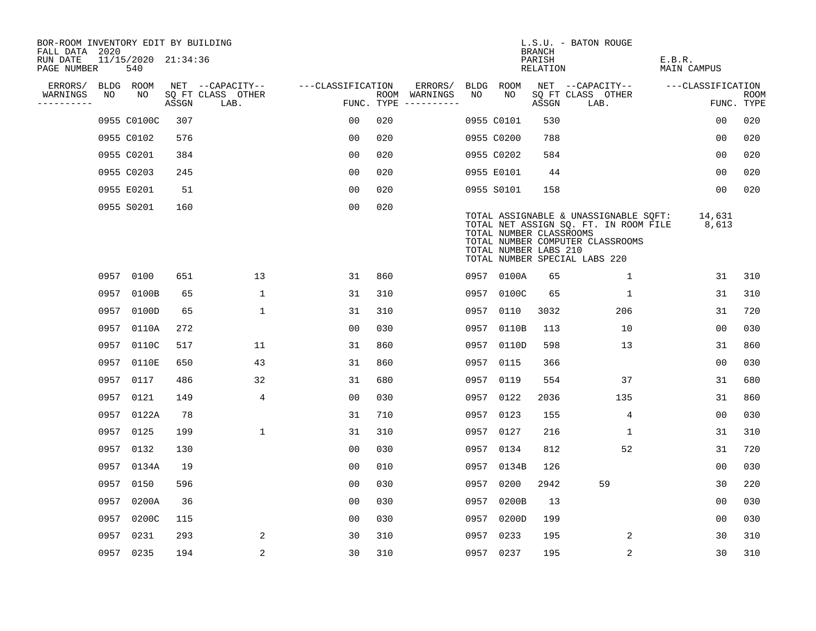| BOR-ROOM INVENTORY EDIT BY BUILDING       |      |                            |       |                           |                   |     |                                      |      |                                                  | <b>BRANCH</b>      | L.S.U. - BATON ROUGE                                                                                                                                |                              |                           |
|-------------------------------------------|------|----------------------------|-------|---------------------------|-------------------|-----|--------------------------------------|------|--------------------------------------------------|--------------------|-----------------------------------------------------------------------------------------------------------------------------------------------------|------------------------------|---------------------------|
| FALL DATA 2020<br>RUN DATE<br>PAGE NUMBER |      | 11/15/2020 21:34:36<br>540 |       |                           |                   |     |                                      |      |                                                  | PARISH<br>RELATION |                                                                                                                                                     | E.B.R.<br><b>MAIN CAMPUS</b> |                           |
| ERRORS/                                   |      | BLDG ROOM                  |       | NET --CAPACITY--          | ---CLASSIFICATION |     | ERRORS/                              | BLDG | ROOM                                             |                    | NET --CAPACITY--                                                                                                                                    | ---CLASSIFICATION            |                           |
| WARNINGS<br>----------                    | NO   | NO                         | ASSGN | SQ FT CLASS OTHER<br>LAB. |                   |     | ROOM WARNINGS<br>FUNC. TYPE $------$ | NO.  | NO.                                              | ASSGN              | SQ FT CLASS OTHER<br>LAB.                                                                                                                           |                              | <b>ROOM</b><br>FUNC. TYPE |
|                                           |      | 0955 C0100C                | 307   |                           | 0 <sub>0</sub>    | 020 |                                      |      | 0955 C0101                                       | 530                |                                                                                                                                                     | 00                           | 020                       |
|                                           |      | 0955 C0102                 | 576   |                           | 0 <sub>0</sub>    | 020 |                                      |      | 0955 C0200                                       | 788                |                                                                                                                                                     | 00                           | 020                       |
|                                           |      | 0955 C0201                 | 384   |                           | 0 <sub>0</sub>    | 020 |                                      |      | 0955 C0202                                       | 584                |                                                                                                                                                     | 00                           | 020                       |
|                                           |      | 0955 C0203                 | 245   |                           | 0 <sub>0</sub>    | 020 |                                      |      | 0955 E0101                                       | 44                 |                                                                                                                                                     | 0 <sub>0</sub>               | 020                       |
|                                           |      | 0955 E0201                 | 51    |                           | 0 <sub>0</sub>    | 020 |                                      |      | 0955 S0101                                       | 158                |                                                                                                                                                     | 00                           | 020                       |
|                                           |      | 0955 S0201                 | 160   |                           | 0 <sub>0</sub>    | 020 |                                      |      | TOTAL NUMBER CLASSROOMS<br>TOTAL NUMBER LABS 210 |                    | TOTAL ASSIGNABLE & UNASSIGNABLE SQFT:<br>TOTAL NET ASSIGN SQ. FT. IN ROOM FILE<br>TOTAL NUMBER COMPUTER CLASSROOMS<br>TOTAL NUMBER SPECIAL LABS 220 | 14,631<br>8,613              |                           |
|                                           |      | 0957 0100                  | 651   | 13                        | 31                | 860 |                                      |      | 0957 0100A                                       | 65                 | 1                                                                                                                                                   | 31                           | 310                       |
|                                           |      | 0957 0100B                 | 65    | $\mathbf{1}$              | 31                | 310 |                                      |      | 0957 0100C                                       | 65                 | 1                                                                                                                                                   | 31                           | 310                       |
|                                           |      | 0957 0100D                 | 65    | $\mathbf{1}$              | 31                | 310 |                                      |      | 0957 0110                                        | 3032               | 206                                                                                                                                                 | 31                           | 720                       |
|                                           | 0957 | 0110A                      | 272   |                           | 0 <sub>0</sub>    | 030 |                                      | 0957 | 0110B                                            | 113                | 10                                                                                                                                                  | 0 <sub>0</sub>               | 030                       |
|                                           | 0957 | 0110C                      | 517   | 11                        | 31                | 860 |                                      |      | 0957 0110D                                       | 598                | 13                                                                                                                                                  | 31                           | 860                       |
|                                           | 0957 | 0110E                      | 650   | 43                        | 31                | 860 |                                      | 0957 | 0115                                             | 366                |                                                                                                                                                     | 0 <sub>0</sub>               | 030                       |
|                                           | 0957 | 0117                       | 486   | 32                        | 31                | 680 |                                      | 0957 | 0119                                             | 554                | 37                                                                                                                                                  | 31                           | 680                       |
|                                           | 0957 | 0121                       | 149   | 4                         | 0 <sub>0</sub>    | 030 |                                      | 0957 | 0122                                             | 2036               | 135                                                                                                                                                 | 31                           | 860                       |
|                                           | 0957 | 0122A                      | 78    |                           | 31                | 710 |                                      | 0957 | 0123                                             | 155                | $\overline{4}$                                                                                                                                      | 0 <sub>0</sub>               | 030                       |
|                                           |      | 0957 0125                  | 199   | $\mathbf{1}$              | 31                | 310 |                                      |      | 0957 0127                                        | 216                | 1                                                                                                                                                   | 31                           | 310                       |
|                                           |      | 0957 0132                  | 130   |                           | 0 <sub>0</sub>    | 030 |                                      |      | 0957 0134                                        | 812                | 52                                                                                                                                                  | 31                           | 720                       |
|                                           | 0957 | 0134A                      | 19    |                           | 0 <sub>0</sub>    | 010 |                                      |      | 0957 0134B                                       | 126                |                                                                                                                                                     | 0 <sub>0</sub>               | 030                       |
|                                           | 0957 | 0150                       | 596   |                           | 0 <sub>0</sub>    | 030 |                                      | 0957 | 0200                                             | 2942               | 59                                                                                                                                                  | 30                           | 220                       |
|                                           | 0957 | 0200A                      | 36    |                           | 0 <sub>0</sub>    | 030 |                                      |      | 0957 0200B                                       | 13                 |                                                                                                                                                     | 0 <sub>0</sub>               | 030                       |
|                                           | 0957 | 0200C                      | 115   |                           | 0 <sub>0</sub>    | 030 |                                      |      | 0957 0200D                                       | 199                |                                                                                                                                                     | 00                           | 030                       |
|                                           | 0957 | 0231                       | 293   | 2                         | 30                | 310 |                                      |      | 0957 0233                                        | 195                | 2                                                                                                                                                   | 30                           | 310                       |
|                                           |      | 0957 0235                  | 194   | 2                         | 30                | 310 |                                      |      | 0957 0237                                        | 195                | 2                                                                                                                                                   | 30                           | 310                       |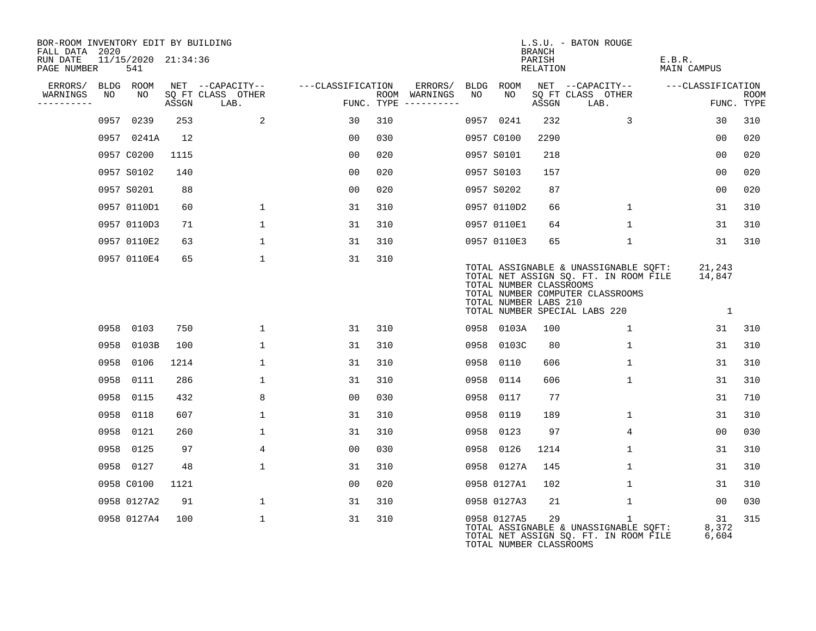| BOR-ROOM INVENTORY EDIT BY BUILDING<br>FALL DATA 2020 |                            |       |                                       |                   |     |                          |             |                                                  | <b>BRANCH</b>      | L.S.U. - BATON ROUGE                                                                                                                                |                              |             |
|-------------------------------------------------------|----------------------------|-------|---------------------------------------|-------------------|-----|--------------------------|-------------|--------------------------------------------------|--------------------|-----------------------------------------------------------------------------------------------------------------------------------------------------|------------------------------|-------------|
| RUN DATE<br>PAGE NUMBER                               | 11/15/2020 21:34:36<br>541 |       |                                       |                   |     |                          |             |                                                  | PARISH<br>RELATION |                                                                                                                                                     | E.B.R.<br><b>MAIN CAMPUS</b> |             |
| ERRORS/<br>BLDG<br>WARNINGS<br>NO                     | ROOM<br>NO                 |       | NET --CAPACITY--<br>SQ FT CLASS OTHER | ---CLASSIFICATION |     | ERRORS/<br>ROOM WARNINGS | BLDG<br>NO. | ROOM<br>NO.                                      |                    | NET --CAPACITY--<br>SQ FT CLASS OTHER                                                                                                               | ---CLASSIFICATION            | <b>ROOM</b> |
| ----------                                            |                            | ASSGN | LAB.                                  |                   |     | FUNC. TYPE $------$      |             |                                                  | ASSGN              | LAB.                                                                                                                                                |                              | FUNC. TYPE  |
|                                                       | 0957 0239                  | 253   | 2                                     | 30                | 310 |                          |             | 0957 0241                                        | 232                | 3                                                                                                                                                   | 30                           | 310         |
|                                                       | 0957 0241A                 | 12    |                                       | 0 <sub>0</sub>    | 030 |                          |             | 0957 C0100                                       | 2290               |                                                                                                                                                     | 0 <sub>0</sub>               | 020         |
|                                                       | 0957 C0200                 | 1115  |                                       | 0 <sub>0</sub>    | 020 |                          |             | 0957 S0101                                       | 218                |                                                                                                                                                     | 0 <sub>0</sub>               | 020         |
|                                                       | 0957 S0102                 | 140   |                                       | 0 <sub>0</sub>    | 020 |                          |             | 0957 S0103                                       | 157                |                                                                                                                                                     | 0 <sub>0</sub>               | 020         |
|                                                       | 0957 S0201                 | 88    |                                       | 0 <sub>0</sub>    | 020 |                          |             | 0957 S0202                                       | 87                 |                                                                                                                                                     | 0 <sub>0</sub>               | 020         |
|                                                       | 0957 0110D1                | 60    | $\mathbf 1$                           | 31                | 310 |                          |             | 0957 0110D2                                      | 66                 | $\mathbf{1}$                                                                                                                                        | 31                           | 310         |
|                                                       | 0957 0110D3                | 71    | $\mathbf{1}$                          | 31                | 310 |                          |             | 0957 0110E1                                      | 64                 | $\mathbf{1}$                                                                                                                                        | 31                           | 310         |
|                                                       | 0957 0110E2                | 63    | $\mathbf{1}$                          | 31                | 310 |                          |             | 0957 0110E3                                      | 65                 | 1                                                                                                                                                   | 31                           | 310         |
|                                                       | 0957 0110E4                | 65    | $\mathbf{1}$                          | 31                | 310 |                          |             | TOTAL NUMBER CLASSROOMS<br>TOTAL NUMBER LABS 210 |                    | TOTAL ASSIGNABLE & UNASSIGNABLE SQFT:<br>TOTAL NET ASSIGN SQ. FT. IN ROOM FILE<br>TOTAL NUMBER COMPUTER CLASSROOMS<br>TOTAL NUMBER SPECIAL LABS 220 | 21,243<br>14,847<br>1        |             |
|                                                       | 0958 0103                  | 750   | $\mathbf{1}$                          | 31                | 310 |                          |             | 0958 0103A                                       | 100                | $\mathbf{1}$                                                                                                                                        | 31                           | 310         |
| 0958                                                  | 0103B                      | 100   | $\mathbf 1$                           | 31                | 310 |                          | 0958        | 0103C                                            | 80                 | $\mathbf 1$                                                                                                                                         | 31                           | 310         |
| 0958                                                  | 0106                       | 1214  | $\mathbf{1}$                          | 31                | 310 |                          | 0958        | 0110                                             | 606                | $\mathbf{1}$                                                                                                                                        | 31                           | 310         |
|                                                       | 0958 0111                  | 286   | $\mathbf{1}$                          | 31                | 310 |                          | 0958        | 0114                                             | 606                | $\mathbf{1}$                                                                                                                                        | 31                           | 310         |
|                                                       | 0958 0115                  | 432   | 8                                     | 0 <sub>0</sub>    | 030 |                          | 0958        | 0117                                             | 77                 |                                                                                                                                                     | 31                           | 710         |
|                                                       | 0958 0118                  | 607   | $\mathbf 1$                           | 31                | 310 |                          | 0958        | 0119                                             | 189                | $\mathbf 1$                                                                                                                                         | 31                           | 310         |
| 0958                                                  | 0121                       | 260   | $\mathbf{1}$                          | 31                | 310 |                          | 0958        | 0123                                             | 97                 | 4                                                                                                                                                   | 0 <sub>0</sub>               | 030         |
|                                                       | 0958 0125                  | 97    | 4                                     | 0 <sub>0</sub>    | 030 |                          | 0958        | 0126                                             | 1214               | 1                                                                                                                                                   | 31                           | 310         |
|                                                       | 0958 0127                  | 48    | 1                                     | 31                | 310 |                          |             | 0958 0127A                                       | 145                | $\mathbf{1}$                                                                                                                                        | 31                           | 310         |
|                                                       | 0958 C0100                 | 1121  |                                       | 0 <sub>0</sub>    | 020 |                          |             | 0958 0127A1                                      | 102                | $\mathbf 1$                                                                                                                                         | 31                           | 310         |
|                                                       | 0958 0127A2                | 91    | $\mathbf{1}$                          | 31                | 310 |                          |             | 0958 0127A3                                      | 21                 | $\mathbf{1}$                                                                                                                                        | 0 <sub>0</sub>               | 030         |
|                                                       | 0958 0127A4                | 100   | $\mathbf{1}$                          | 31                | 310 |                          |             | 0958 0127A5<br>TOTAL NUMBER CLASSROOMS           | 29                 | 1<br>TOTAL ASSIGNABLE & UNASSIGNABLE SQFT:<br>TOTAL NET ASSIGN SQ. FT. IN ROOM FILE                                                                 | 31<br>8,372<br>6,604         | 315         |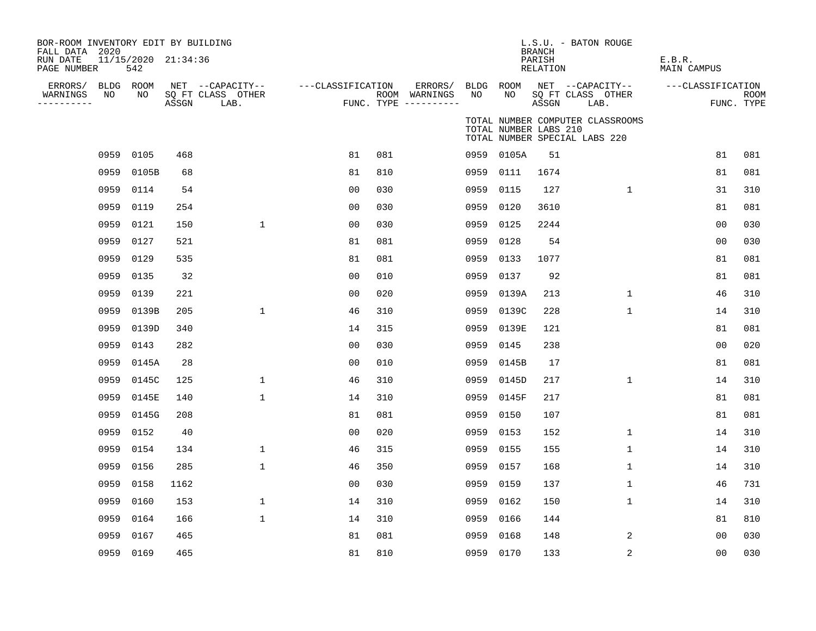| BOR-ROOM INVENTORY EDIT BY BUILDING<br>FALL DATA 2020 |           |                            |       |                           |                   |     |                                      |           |                       | <b>BRANCH</b>             | L.S.U. - BATON ROUGE                                              |                              |                |                           |
|-------------------------------------------------------|-----------|----------------------------|-------|---------------------------|-------------------|-----|--------------------------------------|-----------|-----------------------|---------------------------|-------------------------------------------------------------------|------------------------------|----------------|---------------------------|
| RUN DATE<br>PAGE NUMBER                               |           | 11/15/2020 21:34:36<br>542 |       |                           |                   |     |                                      |           |                       | PARISH<br><b>RELATION</b> |                                                                   | E.B.R.<br><b>MAIN CAMPUS</b> |                |                           |
| ERRORS/ BLDG ROOM                                     |           |                            |       | NET --CAPACITY--          | ---CLASSIFICATION |     | ERRORS/                              | BLDG ROOM |                       |                           | NET --CAPACITY--                                                  | ---CLASSIFICATION            |                |                           |
| WARNINGS<br>-----------                               | NO        | NO                         | ASSGN | SQ FT CLASS OTHER<br>LAB. |                   |     | ROOM WARNINGS<br>FUNC. TYPE $------$ | NO        | NO.                   | ASSGN                     | SQ FT CLASS OTHER<br>LAB.                                         |                              |                | <b>ROOM</b><br>FUNC. TYPE |
|                                                       |           |                            |       |                           |                   |     |                                      |           | TOTAL NUMBER LABS 210 |                           | TOTAL NUMBER COMPUTER CLASSROOMS<br>TOTAL NUMBER SPECIAL LABS 220 |                              |                |                           |
|                                                       | 0959      | 0105                       | 468   |                           | 81                | 081 |                                      |           | 0959 0105A            | 51                        |                                                                   |                              | 81             | 081                       |
|                                                       | 0959      | 0105B                      | 68    |                           | 81                | 810 |                                      |           | 0959 0111             | 1674                      |                                                                   |                              | 81             | 081                       |
|                                                       | 0959      | 0114                       | 54    |                           | 0 <sub>0</sub>    | 030 |                                      |           | 0959 0115             | 127                       | $\mathbf{1}$                                                      |                              | 31             | 310                       |
|                                                       | 0959      | 0119                       | 254   |                           | 0 <sub>0</sub>    | 030 |                                      |           | 0959 0120             | 3610                      |                                                                   |                              | 81             | 081                       |
|                                                       | 0959      | 0121                       | 150   | $\mathbf{1}$              | 00                | 030 |                                      | 0959      | 0125                  | 2244                      |                                                                   |                              | 0 <sub>0</sub> | 030                       |
|                                                       | 0959      | 0127                       | 521   |                           | 81                | 081 |                                      | 0959      | 0128                  | 54                        |                                                                   |                              | 0 <sub>0</sub> | 030                       |
|                                                       | 0959      | 0129                       | 535   |                           | 81                | 081 |                                      | 0959      | 0133                  | 1077                      |                                                                   |                              | 81             | 081                       |
|                                                       | 0959      | 0135                       | 32    |                           | 0 <sub>0</sub>    | 010 |                                      | 0959      | 0137                  | 92                        |                                                                   |                              | 81             | 081                       |
|                                                       | 0959      | 0139                       | 221   |                           | 0 <sub>0</sub>    | 020 |                                      |           | 0959 0139A            | 213                       | $\mathbf{1}$                                                      |                              | 46             | 310                       |
|                                                       | 0959      | 0139B                      | 205   | $\mathbf 1$               | 46                | 310 |                                      | 0959      | 0139C                 | 228                       | $\mathbf{1}$                                                      |                              | 14             | 310                       |
|                                                       | 0959      | 0139D                      | 340   |                           | 14                | 315 |                                      |           | 0959 0139E            | 121                       |                                                                   |                              | 81             | 081                       |
|                                                       | 0959      | 0143                       | 282   |                           | 0 <sub>0</sub>    | 030 |                                      | 0959      | 0145                  | 238                       |                                                                   |                              | 0 <sub>0</sub> | 020                       |
|                                                       | 0959      | 0145A                      | 28    |                           | 0 <sub>0</sub>    | 010 |                                      |           | 0959 0145B            | 17                        |                                                                   |                              | 81             | 081                       |
|                                                       | 0959      | 0145C                      | 125   | $\mathbf 1$               | 46                | 310 |                                      | 0959      | 0145D                 | 217                       | $\mathbf{1}$                                                      |                              | 14             | 310                       |
|                                                       | 0959      | 0145E                      | 140   | $\mathbf 1$               | 14                | 310 |                                      | 0959      | 0145F                 | 217                       |                                                                   |                              | 81             | 081                       |
|                                                       | 0959      | 0145G                      | 208   |                           | 81                | 081 |                                      | 0959      | 0150                  | 107                       |                                                                   |                              | 81             | 081                       |
|                                                       | 0959      | 0152                       | 40    |                           | 0 <sub>0</sub>    | 020 |                                      |           | 0959 0153             | 152                       | $\mathbf{1}$                                                      |                              | 14             | 310                       |
|                                                       | 0959      | 0154                       | 134   | $\mathbf 1$               | 46                | 315 |                                      |           | 0959 0155             | 155                       | $\mathbf{1}$                                                      |                              | 14             | 310                       |
|                                                       | 0959      | 0156                       | 285   | $\mathbf 1$               | 46                | 350 |                                      |           | 0959 0157             | 168                       | $\mathbf{1}$                                                      |                              | 14             | 310                       |
|                                                       | 0959      | 0158                       | 1162  |                           | 0 <sub>0</sub>    | 030 |                                      | 0959 0159 |                       | 137                       | $\mathbf{1}$                                                      |                              | 46             | 731                       |
|                                                       | 0959      | 0160                       | 153   | $\mathbf 1$               | 14                | 310 |                                      |           | 0959 0162             | 150                       | $\mathbf{1}$                                                      |                              | 14             | 310                       |
|                                                       | 0959      | 0164                       | 166   | $\mathbf{1}$              | 14                | 310 |                                      |           | 0959 0166             | 144                       |                                                                   |                              | 81             | 810                       |
|                                                       | 0959      | 0167                       | 465   |                           | 81                | 081 |                                      | 0959      | 0168                  | 148                       | 2                                                                 |                              | 00             | 030                       |
|                                                       | 0959 0169 |                            | 465   |                           | 81                | 810 |                                      | 0959 0170 |                       | 133                       | 2                                                                 |                              | 00             | 030                       |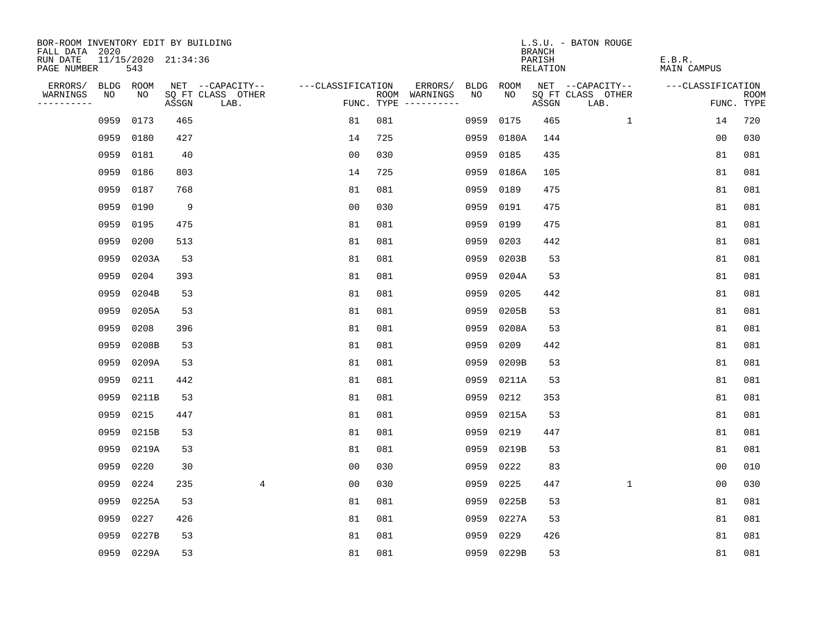| BOR-ROOM INVENTORY EDIT BY BUILDING<br>FALL DATA 2020 |                            |       |                           |                   |                                      |                        |            | <b>BRANCH</b>             | L.S.U. - BATON ROUGE      |                              |                           |
|-------------------------------------------------------|----------------------------|-------|---------------------------|-------------------|--------------------------------------|------------------------|------------|---------------------------|---------------------------|------------------------------|---------------------------|
| RUN DATE<br>PAGE NUMBER                               | 11/15/2020 21:34:36<br>543 |       |                           |                   |                                      |                        |            | PARISH<br><b>RELATION</b> |                           | E.B.R.<br><b>MAIN CAMPUS</b> |                           |
| ERRORS/                                               | BLDG ROOM                  |       | NET --CAPACITY--          | ---CLASSIFICATION |                                      | ERRORS/<br><b>BLDG</b> | ROOM       |                           | NET --CAPACITY--          | ---CLASSIFICATION            |                           |
| WARNINGS<br>NO<br>----------                          | NO                         | ASSGN | SQ FT CLASS OTHER<br>LAB. |                   | ROOM WARNINGS<br>FUNC. TYPE $------$ | NO                     | NO         | ASSGN                     | SQ FT CLASS OTHER<br>LAB. |                              | <b>ROOM</b><br>FUNC. TYPE |
| 0959                                                  | 0173                       | 465   |                           | 81                | 081                                  | 0959                   | 0175       | 465                       | $\mathbf{1}$              | 14                           | 720                       |
| 0959                                                  | 0180                       | 427   |                           | 14                | 725                                  | 0959                   | 0180A      | 144                       |                           | 0 <sub>0</sub>               | 030                       |
| 0959                                                  | 0181                       | 40    |                           | 0 <sub>0</sub>    | 030                                  | 0959                   | 0185       | 435                       |                           | 81                           | 081                       |
| 0959                                                  | 0186                       | 803   |                           | 14                | 725                                  | 0959                   | 0186A      | 105                       |                           | 81                           | 081                       |
| 0959                                                  | 0187                       | 768   |                           | 81                | 081                                  | 0959                   | 0189       | 475                       |                           | 81                           | 081                       |
| 0959                                                  | 0190                       | 9     |                           | 0 <sub>0</sub>    | 030                                  | 0959 0191              |            | 475                       |                           | 81                           | 081                       |
| 0959                                                  | 0195                       | 475   |                           | 81                | 081                                  | 0959                   | 0199       | 475                       |                           | 81                           | 081                       |
| 0959                                                  | 0200                       | 513   |                           | 81                | 081                                  | 0959 0203              |            | 442                       |                           | 81                           | 081                       |
| 0959                                                  | 0203A                      | 53    |                           | 81                | 081                                  | 0959                   | 0203B      | 53                        |                           | 81                           | 081                       |
| 0959                                                  | 0204                       | 393   |                           | 81                | 081                                  | 0959                   | 0204A      | 53                        |                           | 81                           | 081                       |
| 0959                                                  | 0204B                      | 53    |                           | 81                | 081                                  | 0959                   | 0205       | 442                       |                           | 81                           | 081                       |
| 0959                                                  | 0205A                      | 53    |                           | 81                | 081                                  | 0959                   | 0205B      | 53                        |                           | 81                           | 081                       |
| 0959                                                  | 0208                       | 396   |                           | 81                | 081                                  | 0959                   | 0208A      | 53                        |                           | 81                           | 081                       |
| 0959                                                  | 0208B                      | 53    |                           | 81                | 081                                  | 0959                   | 0209       | 442                       |                           | 81                           | 081                       |
| 0959                                                  | 0209A                      | 53    |                           | 81                | 081                                  | 0959                   | 0209B      | 53                        |                           | 81                           | 081                       |
| 0959                                                  | 0211                       | 442   |                           | 81                | 081                                  | 0959                   | 0211A      | 53                        |                           | 81                           | 081                       |
| 0959                                                  | 0211B                      | 53    |                           | 81                | 081                                  | 0959                   | 0212       | 353                       |                           | 81                           | 081                       |
| 0959                                                  | 0215                       | 447   |                           | 81                | 081                                  | 0959                   | 0215A      | 53                        |                           | 81                           | 081                       |
| 0959                                                  | 0215B                      | 53    |                           | 81                | 081                                  | 0959                   | 0219       | 447                       |                           | 81                           | 081                       |
| 0959                                                  | 0219A                      | 53    |                           | 81                | 081                                  | 0959                   | 0219B      | 53                        |                           | 81                           | 081                       |
| 0959                                                  | 0220                       | 30    |                           | 0 <sub>0</sub>    | 030                                  | 0959                   | 0222       | 83                        |                           | 0 <sub>0</sub>               | 010                       |
| 0959                                                  | 0224                       | 235   | $\overline{4}$            | 0 <sub>0</sub>    | 030                                  | 0959                   | 0225       | 447                       | $\mathbf{1}$              | 0 <sub>0</sub>               | 030                       |
| 0959                                                  | 0225A                      | 53    |                           | 81                | 081                                  | 0959                   | 0225B      | 53                        |                           | 81                           | 081                       |
| 0959                                                  | 0227                       | 426   |                           | 81                | 081                                  | 0959                   | 0227A      | 53                        |                           | 81                           | 081                       |
| 0959                                                  | 0227B                      | 53    |                           | 81                | 081                                  | 0959                   | 0229       | 426                       |                           | 81                           | 081                       |
|                                                       | 0959 0229A                 | 53    |                           | 81                | 081                                  |                        | 0959 0229B | 53                        |                           | 81                           | 081                       |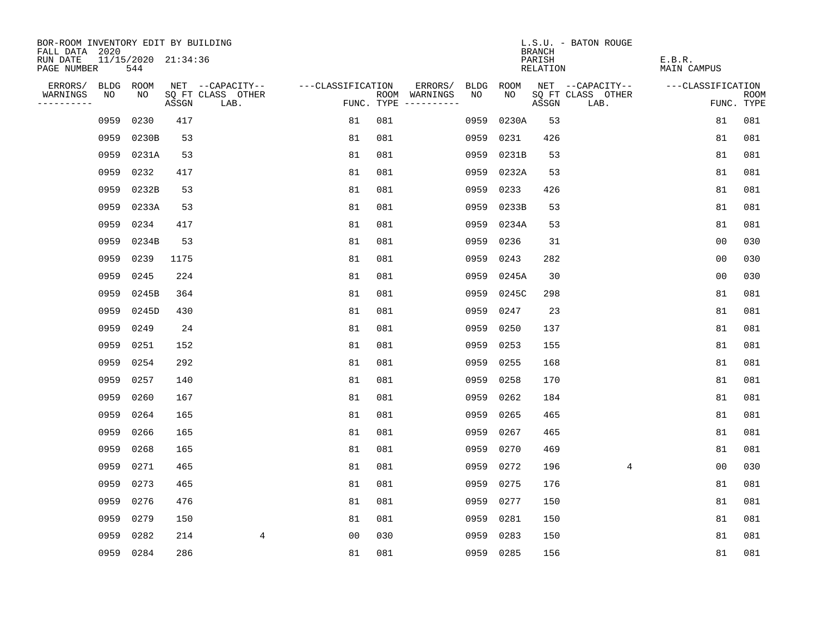| BOR-ROOM INVENTORY EDIT BY BUILDING       |      |                            |       |                           |                   |     |                                      |           |            | <b>BRANCH</b>      | L.S.U. - BATON ROUGE      |                              |                           |
|-------------------------------------------|------|----------------------------|-------|---------------------------|-------------------|-----|--------------------------------------|-----------|------------|--------------------|---------------------------|------------------------------|---------------------------|
| FALL DATA 2020<br>RUN DATE<br>PAGE NUMBER |      | 11/15/2020 21:34:36<br>544 |       |                           |                   |     |                                      |           |            | PARISH<br>RELATION |                           | E.B.R.<br><b>MAIN CAMPUS</b> |                           |
| ERRORS/                                   |      | BLDG ROOM                  |       | NET --CAPACITY--          | ---CLASSIFICATION |     | ERRORS/                              | BLDG      | ROOM       |                    | NET --CAPACITY--          | ---CLASSIFICATION            |                           |
| WARNINGS<br>----------                    | NO   | NO                         | ASSGN | SQ FT CLASS OTHER<br>LAB. |                   |     | ROOM WARNINGS<br>FUNC. TYPE $------$ | NO.       | NO.        | ASSGN              | SQ FT CLASS OTHER<br>LAB. |                              | <b>ROOM</b><br>FUNC. TYPE |
|                                           | 0959 | 0230                       | 417   |                           | 81                | 081 |                                      | 0959      | 0230A      | 53                 |                           | 81                           | 081                       |
|                                           | 0959 | 0230B                      | 53    |                           | 81                | 081 |                                      | 0959      | 0231       | 426                |                           | 81                           | 081                       |
|                                           | 0959 | 0231A                      | 53    |                           | 81                | 081 |                                      | 0959      | 0231B      | 53                 |                           | 81                           | 081                       |
|                                           | 0959 | 0232                       | 417   |                           | 81                | 081 |                                      | 0959      | 0232A      | 53                 |                           | 81                           | 081                       |
|                                           | 0959 | 0232B                      | 53    |                           | 81                | 081 |                                      | 0959      | 0233       | 426                |                           | 81                           | 081                       |
|                                           | 0959 | 0233A                      | 53    |                           | 81                | 081 |                                      |           | 0959 0233B | 53                 |                           | 81                           | 081                       |
|                                           | 0959 | 0234                       | 417   |                           | 81                | 081 |                                      |           | 0959 0234A | 53                 |                           | 81                           | 081                       |
|                                           | 0959 | 0234B                      | 53    |                           | 81                | 081 |                                      |           | 0959 0236  | 31                 |                           | 0 <sub>0</sub>               | 030                       |
|                                           | 0959 | 0239                       | 1175  |                           | 81                | 081 |                                      | 0959      | 0243       | 282                |                           | 0 <sub>0</sub>               | 030                       |
|                                           | 0959 | 0245                       | 224   |                           | 81                | 081 |                                      |           | 0959 0245A | 30                 |                           | 0 <sub>0</sub>               | 030                       |
|                                           | 0959 | 0245B                      | 364   |                           | 81                | 081 |                                      |           | 0959 0245C | 298                |                           | 81                           | 081                       |
|                                           | 0959 | 0245D                      | 430   |                           | 81                | 081 |                                      |           | 0959 0247  | 23                 |                           | 81                           | 081                       |
|                                           | 0959 | 0249                       | 24    |                           | 81                | 081 |                                      | 0959      | 0250       | 137                |                           | 81                           | 081                       |
|                                           | 0959 | 0251                       | 152   |                           | 81                | 081 |                                      | 0959      | 0253       | 155                |                           | 81                           | 081                       |
|                                           | 0959 | 0254                       | 292   |                           | 81                | 081 |                                      | 0959      | 0255       | 168                |                           | 81                           | 081                       |
|                                           | 0959 | 0257                       | 140   |                           | 81                | 081 |                                      | 0959      | 0258       | 170                |                           | 81                           | 081                       |
|                                           | 0959 | 0260                       | 167   |                           | 81                | 081 |                                      | 0959      | 0262       | 184                |                           | 81                           | 081                       |
|                                           | 0959 | 0264                       | 165   |                           | 81                | 081 |                                      | 0959      | 0265       | 465                |                           | 81                           | 081                       |
|                                           | 0959 | 0266                       | 165   |                           | 81                | 081 |                                      | 0959      | 0267       | 465                |                           | 81                           | 081                       |
|                                           | 0959 | 0268                       | 165   |                           | 81                | 081 |                                      | 0959      | 0270       | 469                |                           | 81                           | 081                       |
|                                           | 0959 | 0271                       | 465   |                           | 81                | 081 |                                      | 0959      | 0272       | 196                | 4                         | 0 <sub>0</sub>               | 030                       |
|                                           | 0959 | 0273                       | 465   |                           | 81                | 081 |                                      | 0959      | 0275       | 176                |                           | 81                           | 081                       |
|                                           | 0959 | 0276                       | 476   |                           | 81                | 081 |                                      | 0959      | 0277       | 150                |                           | 81                           | 081                       |
|                                           | 0959 | 0279                       | 150   |                           | 81                | 081 |                                      | 0959      | 0281       | 150                |                           | 81                           | 081                       |
|                                           | 0959 | 0282                       | 214   | 4                         | 0 <sub>0</sub>    | 030 |                                      | 0959      | 0283       | 150                |                           | 81                           | 081                       |
|                                           |      | 0959 0284                  | 286   |                           | 81                | 081 |                                      | 0959 0285 |            | 156                |                           | 81                           | 081                       |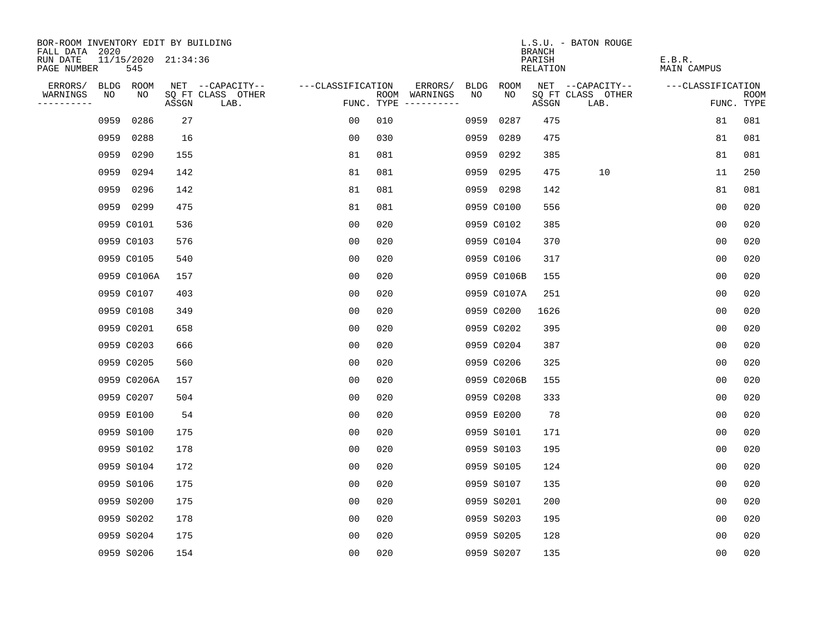| BOR-ROOM INVENTORY EDIT BY BUILDING       |      |                            |       |                           |                   |     |                                      |      |             | <b>BRANCH</b>      | L.S.U. - BATON ROUGE      |                       |                           |
|-------------------------------------------|------|----------------------------|-------|---------------------------|-------------------|-----|--------------------------------------|------|-------------|--------------------|---------------------------|-----------------------|---------------------------|
| FALL DATA 2020<br>RUN DATE<br>PAGE NUMBER |      | 11/15/2020 21:34:36<br>545 |       |                           |                   |     |                                      |      |             | PARISH<br>RELATION |                           | E.B.R.<br>MAIN CAMPUS |                           |
| ERRORS/                                   |      | BLDG ROOM                  |       | NET --CAPACITY--          | ---CLASSIFICATION |     | ERRORS/                              | BLDG | ROOM        |                    | NET --CAPACITY--          | ---CLASSIFICATION     |                           |
| WARNINGS<br>----------                    | NO   | NO                         | ASSGN | SQ FT CLASS OTHER<br>LAB. |                   |     | ROOM WARNINGS<br>FUNC. TYPE $------$ | NO   | NO.         | ASSGN              | SQ FT CLASS OTHER<br>LAB. |                       | <b>ROOM</b><br>FUNC. TYPE |
|                                           | 0959 | 0286                       | 27    |                           | 0 <sub>0</sub>    | 010 |                                      | 0959 | 0287        | 475                |                           | 81                    | 081                       |
|                                           | 0959 | 0288                       | 16    |                           | 0 <sub>0</sub>    | 030 |                                      | 0959 | 0289        | 475                |                           | 81                    | 081                       |
|                                           | 0959 | 0290                       | 155   |                           | 81                | 081 |                                      | 0959 | 0292        | 385                |                           | 81                    | 081                       |
|                                           | 0959 | 0294                       | 142   |                           | 81                | 081 |                                      | 0959 | 0295        | 475                | 10                        | 11                    | 250                       |
|                                           | 0959 | 0296                       | 142   |                           | 81                | 081 |                                      |      | 0959 0298   | 142                |                           | 81                    | 081                       |
|                                           |      | 0959 0299                  | 475   |                           | 81                | 081 |                                      |      | 0959 C0100  | 556                |                           | 0 <sub>0</sub>        | 020                       |
|                                           |      | 0959 C0101                 | 536   |                           | 0 <sub>0</sub>    | 020 |                                      |      | 0959 C0102  | 385                |                           | 0 <sub>0</sub>        | 020                       |
|                                           |      | 0959 C0103                 | 576   |                           | 0 <sub>0</sub>    | 020 |                                      |      | 0959 C0104  | 370                |                           | 0 <sub>0</sub>        | 020                       |
|                                           |      | 0959 C0105                 | 540   |                           | 0 <sub>0</sub>    | 020 |                                      |      | 0959 C0106  | 317                |                           | 0 <sub>0</sub>        | 020                       |
|                                           |      | 0959 C0106A                | 157   |                           | 0 <sub>0</sub>    | 020 |                                      |      | 0959 C0106B | 155                |                           | 0 <sub>0</sub>        | 020                       |
|                                           |      | 0959 C0107                 | 403   |                           | 00                | 020 |                                      |      | 0959 C0107A | 251                |                           | 0 <sub>0</sub>        | 020                       |
|                                           |      | 0959 C0108                 | 349   |                           | 0 <sub>0</sub>    | 020 |                                      |      | 0959 C0200  | 1626               |                           | 0 <sub>0</sub>        | 020                       |
|                                           |      | 0959 C0201                 | 658   |                           | 0 <sub>0</sub>    | 020 |                                      |      | 0959 C0202  | 395                |                           | 0 <sub>0</sub>        | 020                       |
|                                           |      | 0959 C0203                 | 666   |                           | 0 <sub>0</sub>    | 020 |                                      |      | 0959 C0204  | 387                |                           | 0 <sub>0</sub>        | 020                       |
|                                           |      | 0959 C0205                 | 560   |                           | 00                | 020 |                                      |      | 0959 C0206  | 325                |                           | 00                    | 020                       |
|                                           |      | 0959 C0206A                | 157   |                           | 00                | 020 |                                      |      | 0959 C0206B | 155                |                           | 0 <sub>0</sub>        | 020                       |
|                                           |      | 0959 C0207                 | 504   |                           | 0 <sub>0</sub>    | 020 |                                      |      | 0959 C0208  | 333                |                           | 0 <sub>0</sub>        | 020                       |
|                                           |      | 0959 E0100                 | 54    |                           | 0 <sub>0</sub>    | 020 |                                      |      | 0959 E0200  | 78                 |                           | 0 <sub>0</sub>        | 020                       |
|                                           |      | 0959 S0100                 | 175   |                           | 0 <sub>0</sub>    | 020 |                                      |      | 0959 S0101  | 171                |                           | 0 <sub>0</sub>        | 020                       |
|                                           |      | 0959 S0102                 | 178   |                           | 0 <sub>0</sub>    | 020 |                                      |      | 0959 S0103  | 195                |                           | 0 <sub>0</sub>        | 020                       |
|                                           |      | 0959 S0104                 | 172   |                           | 0 <sub>0</sub>    | 020 |                                      |      | 0959 S0105  | 124                |                           | 0 <sub>0</sub>        | 020                       |
|                                           |      | 0959 S0106                 | 175   |                           | 0 <sub>0</sub>    | 020 |                                      |      | 0959 S0107  | 135                |                           | 0 <sub>0</sub>        | 020                       |
|                                           |      | 0959 S0200                 | 175   |                           | 0 <sub>0</sub>    | 020 |                                      |      | 0959 S0201  | 200                |                           | 0 <sub>0</sub>        | 020                       |
|                                           |      | 0959 S0202                 | 178   |                           | 0 <sub>0</sub>    | 020 |                                      |      | 0959 S0203  | 195                |                           | 0 <sub>0</sub>        | 020                       |
|                                           |      | 0959 S0204                 | 175   |                           | 0 <sub>0</sub>    | 020 |                                      |      | 0959 S0205  | 128                |                           | 0 <sub>0</sub>        | 020                       |
|                                           |      | 0959 S0206                 | 154   |                           | 0 <sub>0</sub>    | 020 |                                      |      | 0959 S0207  | 135                |                           | 0 <sub>0</sub>        | 020                       |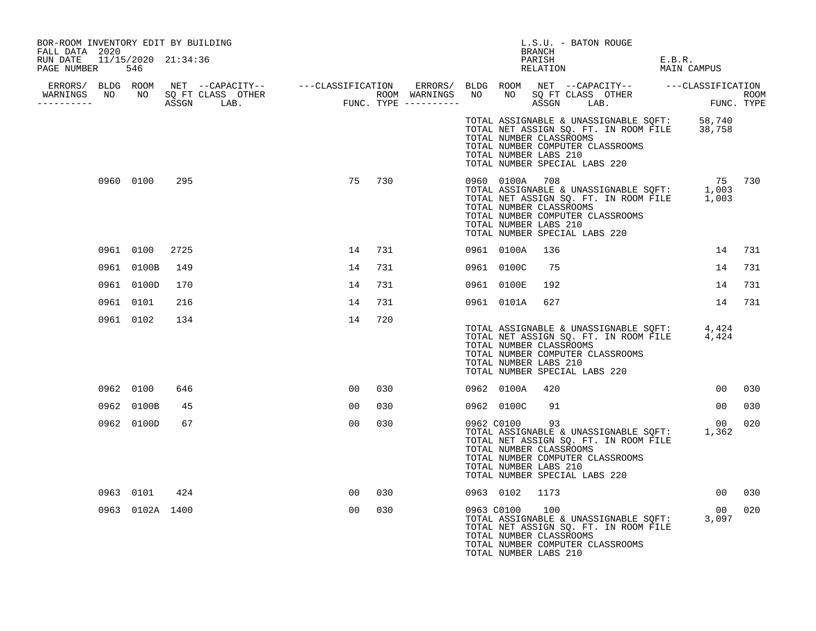| BOR-ROOM INVENTORY EDIT BY BUILDING<br>FALL DATA 2020 |           |                 |      |  |                 |        |  |                                                                                                 | BRANCH | L.S.U. - BATON ROUGE                                                      |                                                                                                                                 |     |
|-------------------------------------------------------|-----------|-----------------|------|--|-----------------|--------|--|-------------------------------------------------------------------------------------------------|--------|---------------------------------------------------------------------------|---------------------------------------------------------------------------------------------------------------------------------|-----|
| RUN DATE 11/15/2020 21:34:36<br>PAGE NUMBER 546       |           |                 |      |  |                 |        |  |                                                                                                 | PARISH | PARISH<br>RELATION                                                        | E.B.R.<br>MAIN CAMPUS                                                                                                           |     |
|                                                       |           |                 |      |  |                 |        |  |                                                                                                 |        |                                                                           |                                                                                                                                 |     |
| -----------                                           |           |                 |      |  |                 |        |  |                                                                                                 |        |                                                                           |                                                                                                                                 |     |
|                                                       |           |                 |      |  |                 |        |  | TOTAL NUMBER CLASSROOMS<br>TOTAL NUMBER LABS 210<br>TOTAL NUMBER SPECIAL LABS 220               |        | TOTAL NUMBER COMPUTER CLASSROOMS                                          | TOTAL ASSIGNABLE & UNASSIGNABLE SQFT: 58,740<br>TOTAL NET ASSIGN SQ. FT. IN ROOM FILE 38,758                                    |     |
|                                                       |           | 0960 0100       | 295  |  |                 | 75 730 |  | TOTAL NUMBER LABS 210<br>TOTAL NUMBER SPECIAL LABS 220                                          |        | TOTAL NUMBER COMPUTER CLASSROOMS                                          | 75 730<br>TOTAL ASSIGNABLE & UNASSIGNABLE SQFT: 1,003<br>TOTAL NET ASSIGN SQ. FT. IN ROOM FILE 1,003<br>TOTAL NUMBER CLASSROOMS |     |
|                                                       |           | 0961 0100       | 2725 |  | 14              | 731    |  | 0961 0100A                                                                                      | 136    |                                                                           | 14                                                                                                                              | 731 |
|                                                       |           | 0961 0100B      | 149  |  | 14              | 731    |  | 0961 0100C                                                                                      | 75     |                                                                           | 14                                                                                                                              | 731 |
|                                                       |           | 0961 0100D      | 170  |  | 14              | 731    |  | 0961 0100E                                                                                      | 192    |                                                                           | 14                                                                                                                              | 731 |
|                                                       | 0961 0101 |                 | 216  |  | 14              | 731    |  | 0961 0101A 627                                                                                  |        |                                                                           | 14                                                                                                                              | 731 |
|                                                       |           | 0961 0102       | 134  |  | 14              | 720    |  | TOTAL NUMBER CLASSROOMS<br>TOTAL NUMBER LABS 210<br>TOTAL NUMBER SPECIAL LABS 220               |        | TOTAL NUMBER COMPUTER CLASSROOMS                                          | TOTAL ASSIGNABLE & UNASSIGNABLE SQFT: 4,424<br>TOTAL NET ASSIGN SQ. FT. IN ROOM FILE 4,424                                      |     |
|                                                       |           | 0962 0100       | 646  |  | 00 <sup>o</sup> | 030    |  | 0962 0100A                                                                                      | 420    |                                                                           | 00                                                                                                                              | 030 |
|                                                       |           | 0962 0100B      | 45   |  | 00              | 030    |  | 0962 0100C                                                                                      | 91     |                                                                           | 00 <sup>o</sup>                                                                                                                 | 030 |
|                                                       |           | 0962 0100D      | 67   |  | 00              | 030    |  | 0962 C0100<br>TOTAL NUMBER CLASSROOMS<br>TOTAL NUMBER LABS 210<br>TOTAL NUMBER SPECIAL LABS 220 | 93     | TOTAL NET ASSIGN SQ. FT. IN ROOM FILE<br>TOTAL NUMBER COMPUTER CLASSROOMS | 00<br>TOTAL ASSIGNABLE & UNASSIGNABLE SQFT: 1,362                                                                               | 020 |
|                                                       |           | 0963 0101       | 424  |  | 00              | 030    |  | 0963 0102 1173                                                                                  |        |                                                                           | 00 <sup>o</sup>                                                                                                                 | 030 |
|                                                       |           | 0963 0102A 1400 |      |  | 0 <sub>0</sub>  | 030    |  | 0963 C0100<br>TOTAL NUMBER CLASSROOMS<br>TOTAL NUMBER LABS 210                                  | 100    | TOTAL NET ASSIGN SQ. FT. IN ROOM FILE<br>TOTAL NUMBER COMPUTER CLASSROOMS | 0 <sub>0</sub><br>TOTAL ASSIGNABLE & UNASSIGNABLE SQFT: 3,097                                                                   | 020 |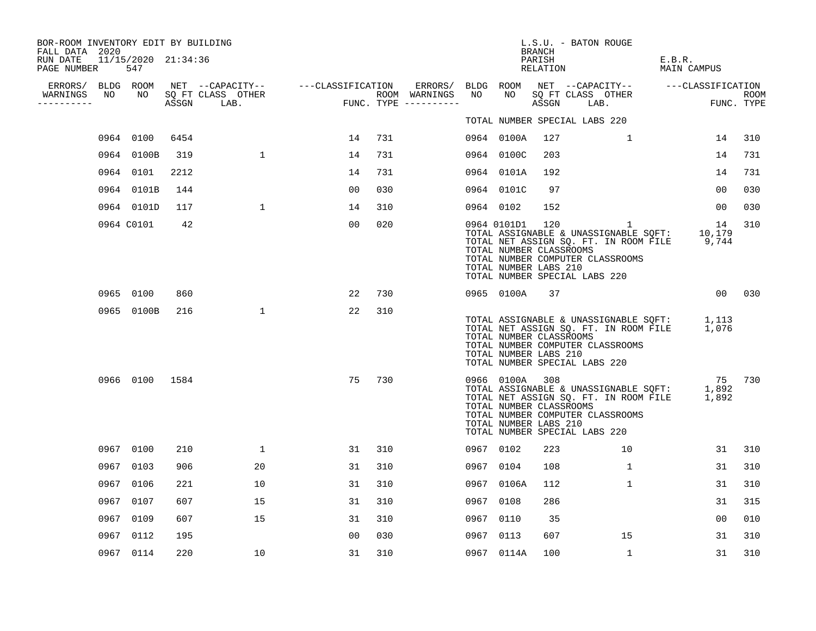| BOR-ROOM INVENTORY EDIT BY BUILDING<br>FALL DATA 2020 |      |                            |      |                                 |                                               |     |                                      |           |                                                                     | BRANCH             | L.S.U. - BATON ROUGE                                                                                                                                                               |                       |                    |
|-------------------------------------------------------|------|----------------------------|------|---------------------------------|-----------------------------------------------|-----|--------------------------------------|-----------|---------------------------------------------------------------------|--------------------|------------------------------------------------------------------------------------------------------------------------------------------------------------------------------------|-----------------------|--------------------|
| RUN DATE<br>PAGE NUMBER                               |      | 11/15/2020 21:34:36<br>547 |      |                                 |                                               |     |                                      |           |                                                                     | PARISH<br>RELATION |                                                                                                                                                                                    | E.B.R.<br>MAIN CAMPUS |                    |
| ERRORS/                                               |      | BLDG ROOM                  |      |                                 | NET --CAPACITY--    ---CLASSIFICATION ERRORS/ |     |                                      | BLDG ROOM |                                                                     |                    | NET --CAPACITY-- ---CLASSIFICATION                                                                                                                                                 |                       |                    |
| WARNINGS<br>----------                                | NO   | NO                         |      | SQ FT CLASS OTHER<br>ASSGN LAB. | FUN                                           |     | ROOM WARNINGS<br>FUNC. TYPE $------$ | NO        | NO                                                                  | ASSGN              | SQ FT CLASS OTHER<br>LAB.                                                                                                                                                          |                       | ROOM<br>FUNC. TYPE |
|                                                       |      |                            |      |                                 |                                               |     |                                      |           |                                                                     |                    | TOTAL NUMBER SPECIAL LABS 220                                                                                                                                                      |                       |                    |
|                                                       |      | 0964 0100                  | 6454 |                                 | 14                                            | 731 |                                      |           | 0964 0100A                                                          | 127                | 1                                                                                                                                                                                  | 14                    | 310                |
|                                                       |      | 0964 0100B                 | 319  | $\mathbf{1}$                    | 14                                            | 731 |                                      |           | 0964 0100C                                                          | 203                |                                                                                                                                                                                    | 14                    | 731                |
|                                                       | 0964 | 0101                       | 2212 |                                 | 14                                            | 731 |                                      |           | 0964 0101A                                                          | 192                |                                                                                                                                                                                    | 14                    | 731                |
|                                                       | 0964 | 0101B                      | 144  |                                 | 0 <sub>0</sub>                                | 030 |                                      |           | 0964 0101C                                                          | 97                 |                                                                                                                                                                                    | 0 <sub>0</sub>        | 030                |
|                                                       |      | 0964 0101D                 | 117  | $\mathbf{1}$                    | 14                                            | 310 |                                      | 0964 0102 |                                                                     | 152                |                                                                                                                                                                                    | 00                    | 030                |
|                                                       |      | 0964 C0101                 | 42   |                                 | 0 <sub>0</sub>                                | 020 |                                      |           | 0964 0101D1 120<br>TOTAL NUMBER CLASSROOMS<br>TOTAL NUMBER LABS 210 |                    | $\overline{1}$<br>TOTAL ASSIGNABLE & UNASSIGNABLE SQFT: 10,179<br>TOTAL NET ASSIGN SQ. FT. IN ROOM FILE 9,744<br>TOTAL NUMBER COMPUTER CLASSROOMS<br>TOTAL NUMBER SPECIAL LABS 220 | 14                    | 310                |
|                                                       |      | 0965 0100                  | 860  |                                 | 22                                            | 730 |                                      |           | 0965 0100A                                                          | 37                 |                                                                                                                                                                                    |                       | 00 030             |
|                                                       |      | 0965 0100B                 | 216  | $\mathbf{1}$                    | 22                                            | 310 |                                      |           | TOTAL NUMBER CLASSROOMS<br>TOTAL NUMBER LABS 210                    |                    | TOTAL ASSIGNABLE & UNASSIGNABLE SQFT: 1,113<br>TOTAL NET ASSIGN SQ. FT. IN ROOM FILE 1,076<br>TOTAL NUMBER COMPUTER CLASSROOMS<br>TOTAL NUMBER SPECIAL LABS 220                    |                       |                    |
|                                                       |      | 0966 0100                  | 1584 |                                 | 75                                            | 730 |                                      |           | 0966 0100A 308<br>TOTAL NUMBER CLASSROOMS<br>TOTAL NUMBER LABS 210  |                    | TOTAL ASSIGNABLE & UNASSIGNABLE SQFT: 1,892<br>TOTAL NET ASSIGN SQ. FT. IN ROOM FILE<br>TOTAL NUMBER COMPUTER CLASSROOMS<br>TOTAL NUMBER SPECIAL LABS 220                          | 75 730<br>1,892       |                    |
|                                                       |      | 0967 0100                  | 210  | $\mathbf{1}$                    | 31                                            | 310 |                                      | 0967 0102 |                                                                     | 223                | 10                                                                                                                                                                                 | 31                    | 310                |
|                                                       |      | 0967 0103                  | 906  | 20                              | 31                                            | 310 |                                      | 0967 0104 |                                                                     | 108                | 1                                                                                                                                                                                  | 31                    | 310                |
|                                                       | 0967 | 0106                       | 221  | 10                              | 31                                            | 310 |                                      | 0967      | 0106A                                                               | 112                | $\mathbf 1$                                                                                                                                                                        | 31                    | 310                |
|                                                       | 0967 | 0107                       | 607  | 15                              | 31                                            | 310 |                                      | 0967      | 0108                                                                | 286                |                                                                                                                                                                                    | 31                    | 315                |
|                                                       | 0967 | 0109                       | 607  | 15                              | 31                                            | 310 |                                      | 0967      | 0110                                                                | - 35               |                                                                                                                                                                                    | 0 <sub>0</sub>        | 010                |
|                                                       | 0967 | 0112                       | 195  |                                 | 0 <sub>0</sub>                                | 030 |                                      | 0967      | 0113                                                                | 607                | 15                                                                                                                                                                                 | 31                    | 310                |
|                                                       |      | 0967 0114                  | 220  | 10                              | 31                                            | 310 |                                      |           | 0967 0114A                                                          | 100                | $\mathbf{1}$                                                                                                                                                                       | 31                    | 310                |
|                                                       |      |                            |      |                                 |                                               |     |                                      |           |                                                                     |                    |                                                                                                                                                                                    |                       |                    |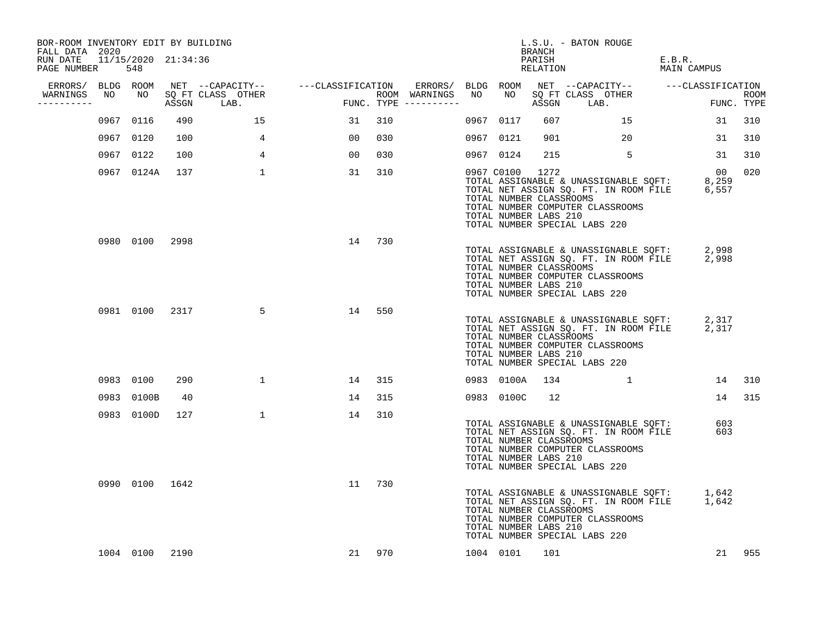| BOR-ROOM INVENTORY EDIT BY BUILDING<br>FALL DATA 2020 |                |      |                                 |                                    |        |                                         |                                                                | BRANCH             | L.S.U. - BATON ROUGE                                                                                                                                            |                       |                    |
|-------------------------------------------------------|----------------|------|---------------------------------|------------------------------------|--------|-----------------------------------------|----------------------------------------------------------------|--------------------|-----------------------------------------------------------------------------------------------------------------------------------------------------------------|-----------------------|--------------------|
| RUN DATE 11/15/2020 21:34:36<br>PAGE NUMBER           | 548            |      |                                 |                                    |        |                                         |                                                                | PARISH<br>RELATION |                                                                                                                                                                 | E.B.R.<br>MAIN CAMPUS |                    |
| ERRORS/ BLDG ROOM                                     |                |      |                                 | NET --CAPACITY-- ---CLASSIFICATION |        |                                         |                                                                |                    |                                                                                                                                                                 |                       |                    |
| WARNINGS<br>----------                                | NO NO          |      | SQ FT CLASS OTHER<br>ASSGN LAB. | <b>FUN</b>                         |        | ROOM WARNINGS NO<br>FUNC. TYPE $------$ |                                                                |                    | ASSGN LAB.                                                                                                                                                      | <b>EXECUTE:</b>       | ROOM<br>FUNC. TYPE |
|                                                       | 0967 0116      | 490  | 15                              | 31                                 | 310    |                                         | 0967 0117                                                      | 607                | 15                                                                                                                                                              | 31                    | 310                |
|                                                       | 0967 0120      | 100  | 4                               | 00 <sup>o</sup>                    | 030    |                                         | 0967 0121                                                      | 901                | 20                                                                                                                                                              | 31                    | 310                |
|                                                       | 0967 0122      | 100  | $4\overline{ }$                 | 00                                 | 030    |                                         | 0967 0124                                                      | 215                | $\sim$ 5                                                                                                                                                        | 31                    | 310                |
|                                                       | 0967 0124A     | 137  | $\mathbf{1}$                    | 31                                 | 310    |                                         | 0967 C0100<br>TOTAL NUMBER CLASSROOMS<br>TOTAL NUMBER LABS 210 | 1272               | TOTAL ASSIGNABLE & UNASSIGNABLE SQFT: 8,259<br>TOTAL NET ASSIGN SQ. FT. IN ROOM FILE 6,557<br>TOTAL NUMBER COMPUTER CLASSROOMS<br>TOTAL NUMBER SPECIAL LABS 220 | $\overline{00}$       | 020                |
|                                                       | 0980 0100 2998 |      |                                 |                                    | 14 730 |                                         | TOTAL NUMBER CLASSROOMS<br>TOTAL NUMBER LABS 210               |                    | TOTAL ASSIGNABLE & UNASSIGNABLE SQFT: 2,998<br>TOTAL NET ASSIGN SQ. FT. IN ROOM FILE 2,998<br>TOTAL NUMBER COMPUTER CLASSROOMS<br>TOTAL NUMBER SPECIAL LABS 220 |                       |                    |
|                                                       | 0981 0100 2317 |      | 5                               | 14                                 | 550    |                                         | TOTAL NUMBER CLASSROOMS<br>TOTAL NUMBER LABS 210               |                    | TOTAL ASSIGNABLE & UNASSIGNABLE SQFT: 2,317<br>TOTAL NET ASSIGN SQ. FT. IN ROOM FILE 2,317<br>TOTAL NUMBER COMPUTER CLASSROOMS<br>TOTAL NUMBER SPECIAL LABS 220 |                       |                    |
|                                                       | 0983 0100      | 290  | 1                               | 14                                 | 315    |                                         | 0983 0100A                                                     | 134                | . The contract of $\mathbf{1}$ is the contract of the contract of $\mathbf{1}$                                                                                  |                       | 14 310             |
|                                                       | 0983 0100B     | 40   |                                 | 14                                 | 315    |                                         | 0983 0100C                                                     | 12                 |                                                                                                                                                                 | 14                    | 315                |
|                                                       | 0983 0100D     | 127  | $\mathbf{1}$                    | 14                                 | 310    |                                         | TOTAL NUMBER CLASSROOMS<br>TOTAL NUMBER LABS 210               |                    | TOTAL ASSIGNABLE & UNASSIGNABLE SQFT: 603<br>TOTAL NET ASSIGN SQ. FT. IN ROOM FILE<br>TOTAL NUMBER COMPUTER CLASSROOMS<br>TOTAL NUMBER SPECIAL LABS 220         | 603                   |                    |
|                                                       | 0990 0100 1642 |      |                                 | 11                                 | 730    |                                         | TOTAL NUMBER CLASSROOMS<br>TOTAL NUMBER LABS 210               |                    | TOTAL ASSIGNABLE & UNASSIGNABLE SQFT: 1,642<br>TOTAL NET ASSIGN SQ. FT. IN ROOM FILE 1,642<br>TOTAL NUMBER COMPUTER CLASSROOMS<br>TOTAL NUMBER SPECIAL LABS 220 |                       |                    |
|                                                       | 1004 0100      | 2190 |                                 |                                    | 21 970 |                                         | 1004 0101                                                      | 101                |                                                                                                                                                                 |                       | 21 955             |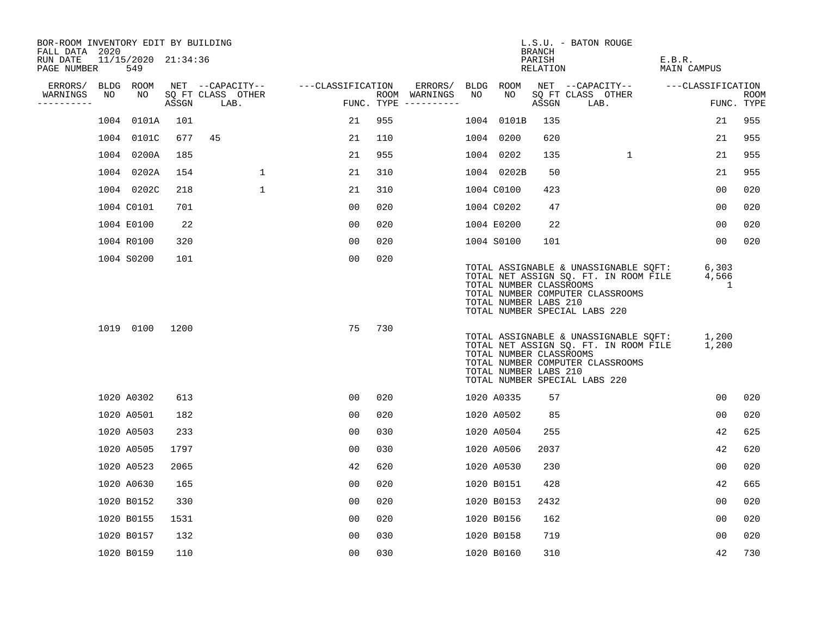| BOR-ROOM INVENTORY EDIT BY BUILDING<br>FALL DATA 2020 |    |                            |       |                           |                   |     |                                      |    |                                                  | <b>BRANCH</b>      | L.S.U. - BATON ROUGE                                                                                                                                |                       |                |                           |
|-------------------------------------------------------|----|----------------------------|-------|---------------------------|-------------------|-----|--------------------------------------|----|--------------------------------------------------|--------------------|-----------------------------------------------------------------------------------------------------------------------------------------------------|-----------------------|----------------|---------------------------|
| RUN DATE<br>PAGE NUMBER                               |    | 11/15/2020 21:34:36<br>549 |       |                           |                   |     |                                      |    |                                                  | PARISH<br>RELATION |                                                                                                                                                     | E.B.R.<br>MAIN CAMPUS |                |                           |
| ERRORS/                                               |    | BLDG ROOM                  |       | NET --CAPACITY--          | ---CLASSIFICATION |     | ERRORS/                              |    | BLDG ROOM                                        |                    | NET --CAPACITY--                                                                                                                                    | ---CLASSIFICATION     |                |                           |
| WARNINGS<br>----------                                | NO | NO                         | ASSGN | SQ FT CLASS OTHER<br>LAB. |                   |     | ROOM WARNINGS<br>FUNC. TYPE $------$ | NO | NO                                               | ASSGN              | SQ FT CLASS OTHER<br>LAB.                                                                                                                           |                       |                | <b>ROOM</b><br>FUNC. TYPE |
|                                                       |    | 1004 0101A                 | 101   |                           | 21                | 955 |                                      |    | 1004 0101B                                       | 135                |                                                                                                                                                     |                       | 21             | 955                       |
|                                                       |    | 1004 0101C                 | 677   | 45                        | 21                | 110 |                                      |    | 1004 0200                                        | 620                |                                                                                                                                                     |                       | 21             | 955                       |
|                                                       |    | 1004 0200A                 | 185   |                           | 21                | 955 |                                      |    | 1004 0202                                        | 135                | $\mathbf{1}$                                                                                                                                        |                       | 21             | 955                       |
|                                                       |    | 1004 0202A                 | 154   | $\mathbf{1}$              | 21                | 310 |                                      |    | 1004 0202B                                       | 50                 |                                                                                                                                                     |                       | 21             | 955                       |
|                                                       |    | 1004 0202C                 | 218   | $\mathbf{1}$              | 21                | 310 |                                      |    | 1004 C0100                                       | 423                |                                                                                                                                                     |                       | 0 <sub>0</sub> | 020                       |
|                                                       |    | 1004 C0101                 | 701   |                           | 00                | 020 |                                      |    | 1004 C0202                                       | 47                 |                                                                                                                                                     |                       | 0 <sub>0</sub> | 020                       |
|                                                       |    | 1004 E0100                 | 22    |                           | 00                | 020 |                                      |    | 1004 E0200                                       | 22                 |                                                                                                                                                     |                       | 00             | 020                       |
|                                                       |    | 1004 R0100                 | 320   |                           | 0 <sub>0</sub>    | 020 |                                      |    | 1004 S0100                                       | 101                |                                                                                                                                                     |                       | 00             | 020                       |
|                                                       |    | 1004 S0200                 | 101   |                           | 0 <sub>0</sub>    | 020 |                                      |    | TOTAL NUMBER CLASSROOMS<br>TOTAL NUMBER LABS 210 |                    | TOTAL ASSIGNABLE & UNASSIGNABLE SQFT:<br>TOTAL NET ASSIGN SQ. FT. IN ROOM FILE<br>TOTAL NUMBER COMPUTER CLASSROOMS<br>TOTAL NUMBER SPECIAL LABS 220 | 6,303<br>4,566        | 1              |                           |
|                                                       |    | 1019 0100                  | 1200  |                           | 75                | 730 |                                      |    | TOTAL NUMBER CLASSROOMS<br>TOTAL NUMBER LABS 210 |                    | TOTAL ASSIGNABLE & UNASSIGNABLE SOFT:<br>TOTAL NET ASSIGN SQ. FT. IN ROOM FILE<br>TOTAL NUMBER COMPUTER CLASSROOMS<br>TOTAL NUMBER SPECIAL LABS 220 | 1,200<br>1,200        |                |                           |
|                                                       |    | 1020 A0302                 | 613   |                           | 00                | 020 |                                      |    | 1020 A0335                                       | 57                 |                                                                                                                                                     |                       | 0 <sub>0</sub> | 020                       |
|                                                       |    | 1020 A0501                 | 182   |                           | 00                | 020 |                                      |    | 1020 A0502                                       | 85                 |                                                                                                                                                     |                       | 0 <sub>0</sub> | 020                       |
|                                                       |    | 1020 A0503                 | 233   |                           | 0 <sub>0</sub>    | 030 |                                      |    | 1020 A0504                                       | 255                |                                                                                                                                                     |                       | 42             | 625                       |
|                                                       |    | 1020 A0505                 | 1797  |                           | 00                | 030 |                                      |    | 1020 A0506                                       | 2037               |                                                                                                                                                     |                       | 42             | 620                       |
|                                                       |    | 1020 A0523                 | 2065  |                           | 42                | 620 |                                      |    | 1020 A0530                                       | 230                |                                                                                                                                                     |                       | 0 <sub>0</sub> | 020                       |
|                                                       |    | 1020 A0630                 | 165   |                           | 00                | 020 |                                      |    | 1020 B0151                                       | 428                |                                                                                                                                                     |                       | 42             | 665                       |
|                                                       |    | 1020 B0152                 | 330   |                           | 00                | 020 |                                      |    | 1020 B0153                                       | 2432               |                                                                                                                                                     |                       | 00             | 020                       |
|                                                       |    | 1020 B0155                 | 1531  |                           | 0 <sub>0</sub>    | 020 |                                      |    | 1020 B0156                                       | 162                |                                                                                                                                                     |                       | 0 <sub>0</sub> | 020                       |
|                                                       |    | 1020 B0157                 | 132   |                           | 0 <sub>0</sub>    | 030 |                                      |    | 1020 B0158                                       | 719                |                                                                                                                                                     |                       | 00             | 020                       |
|                                                       |    | 1020 B0159                 | 110   |                           | 0 <sub>0</sub>    | 030 |                                      |    | 1020 B0160                                       | 310                |                                                                                                                                                     |                       | 42             | 730                       |
|                                                       |    |                            |       |                           |                   |     |                                      |    |                                                  |                    |                                                                                                                                                     |                       |                |                           |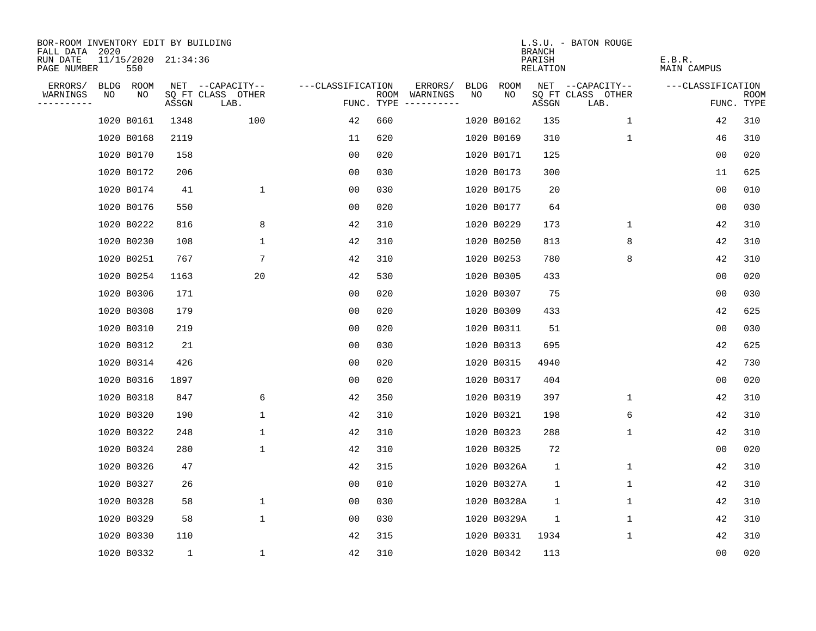| BOR-ROOM INVENTORY EDIT BY BUILDING<br>FALL DATA 2020 |                            |              |                           |                   |     |                                             |             | <b>BRANCH</b>      | L.S.U. - BATON ROUGE      |                       |                    |
|-------------------------------------------------------|----------------------------|--------------|---------------------------|-------------------|-----|---------------------------------------------|-------------|--------------------|---------------------------|-----------------------|--------------------|
| RUN DATE<br>PAGE NUMBER                               | 11/15/2020 21:34:36<br>550 |              |                           |                   |     |                                             |             | PARISH<br>RELATION |                           | E.B.R.<br>MAIN CAMPUS |                    |
| ERRORS/                                               | BLDG ROOM                  |              | NET --CAPACITY--          | ---CLASSIFICATION |     | ERRORS/<br>BLDG                             | ROOM        |                    | NET --CAPACITY--          | ---CLASSIFICATION     |                    |
| NO<br>WARNINGS<br>----------                          | NO                         | ASSGN        | SQ FT CLASS OTHER<br>LAB. |                   |     | NO.<br>ROOM WARNINGS<br>FUNC. TYPE $------$ | NO          | ASSGN              | SQ FT CLASS OTHER<br>LAB. |                       | ROOM<br>FUNC. TYPE |
|                                                       | 1020 B0161                 | 1348         | 100                       | 42                | 660 |                                             | 1020 B0162  | 135                | $\mathbf{1}$              | 42                    | 310                |
|                                                       | 1020 B0168                 | 2119         |                           | 11                | 620 |                                             | 1020 B0169  | 310                | 1                         | 46                    | 310                |
|                                                       | 1020 B0170                 | 158          |                           | 0 <sub>0</sub>    | 020 |                                             | 1020 B0171  | 125                |                           | 0 <sub>0</sub>        | 020                |
|                                                       | 1020 B0172                 | 206          |                           | 0 <sub>0</sub>    | 030 |                                             | 1020 B0173  | 300                |                           | 11                    | 625                |
|                                                       | 1020 B0174                 | 41           | $\mathbf{1}$              | 0 <sub>0</sub>    | 030 |                                             | 1020 B0175  | 20                 |                           | 00                    | 010                |
|                                                       | 1020 B0176                 | 550          |                           | 00                | 020 |                                             | 1020 B0177  | 64                 |                           | 00                    | 030                |
|                                                       | 1020 B0222                 | 816          | 8                         | 42                | 310 |                                             | 1020 B0229  | 173                | 1                         | 42                    | 310                |
|                                                       | 1020 B0230                 | 108          | $\mathbf{1}$              | 42                | 310 |                                             | 1020 B0250  | 813                | 8                         | 42                    | 310                |
|                                                       | 1020 B0251                 | 767          | 7                         | 42                | 310 |                                             | 1020 B0253  | 780                | 8                         | 42                    | 310                |
|                                                       | 1020 B0254                 | 1163         | 20                        | 42                | 530 |                                             | 1020 B0305  | 433                |                           | 0 <sub>0</sub>        | 020                |
|                                                       | 1020 B0306                 | 171          |                           | 0 <sub>0</sub>    | 020 |                                             | 1020 B0307  | 75                 |                           | 0 <sub>0</sub>        | 030                |
|                                                       | 1020 B0308                 | 179          |                           | 0 <sub>0</sub>    | 020 |                                             | 1020 B0309  | 433                |                           | 42                    | 625                |
|                                                       | 1020 B0310                 | 219          |                           | 0 <sub>0</sub>    | 020 |                                             | 1020 B0311  | 51                 |                           | 0 <sub>0</sub>        | 030                |
|                                                       | 1020 B0312                 | 21           |                           | 0 <sub>0</sub>    | 030 |                                             | 1020 B0313  | 695                |                           | 42                    | 625                |
|                                                       | 1020 B0314                 | 426          |                           | 0 <sub>0</sub>    | 020 |                                             | 1020 B0315  | 4940               |                           | 42                    | 730                |
|                                                       | 1020 B0316                 | 1897         |                           | 0 <sub>0</sub>    | 020 |                                             | 1020 B0317  | 404                |                           | 0 <sub>0</sub>        | 020                |
|                                                       | 1020 B0318                 | 847          | 6                         | 42                | 350 |                                             | 1020 B0319  | 397                | 1                         | 42                    | 310                |
|                                                       | 1020 B0320                 | 190          | $\mathbf{1}$              | 42                | 310 |                                             | 1020 B0321  | 198                | 6                         | 42                    | 310                |
|                                                       | 1020 B0322                 | 248          | 1                         | 42                | 310 |                                             | 1020 B0323  | 288                | 1                         | 42                    | 310                |
|                                                       | 1020 B0324                 | 280          | $\mathbf 1$               | 42                | 310 |                                             | 1020 B0325  | 72                 |                           | 0 <sub>0</sub>        | 020                |
|                                                       | 1020 B0326                 | 47           |                           | 42                | 315 |                                             | 1020 B0326A | $\mathbf 1$        | 1                         | 42                    | 310                |
|                                                       | 1020 B0327                 | 26           |                           | 0 <sub>0</sub>    | 010 |                                             | 1020 B0327A | 1                  | 1                         | 42                    | 310                |
|                                                       | 1020 B0328                 | 58           | $\mathbf 1$               | 00                | 030 |                                             | 1020 B0328A | 1                  | 1                         | 42                    | 310                |
|                                                       | 1020 B0329                 | 58           | $\mathbf 1$               | 00                | 030 |                                             | 1020 B0329A | $\mathbf 1$        | 1                         | 42                    | 310                |
|                                                       | 1020 B0330                 | 110          |                           | 42                | 315 |                                             | 1020 B0331  | 1934               | 1                         | 42                    | 310                |
|                                                       | 1020 B0332                 | $\mathbf{1}$ | $\mathbf{1}$              | 42                | 310 |                                             | 1020 B0342  | 113                |                           | 0 <sub>0</sub>        | 020                |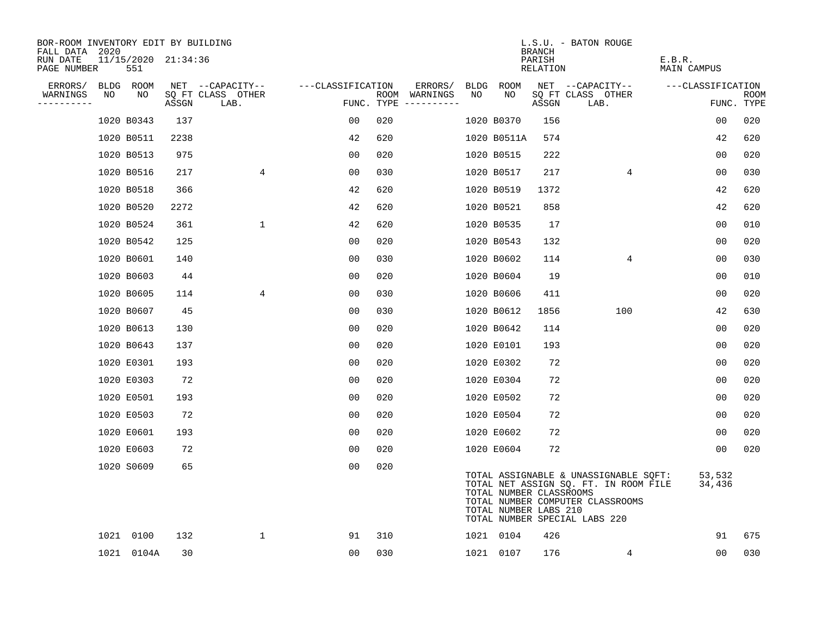| BOR-ROOM INVENTORY EDIT BY BUILDING<br>FALL DATA 2020 |            |                     |       |                           |                   |     |                                      |      |                                                  | <b>BRANCH</b>      | L.S.U. - BATON ROUGE                                                                                                                                |                       |                           |
|-------------------------------------------------------|------------|---------------------|-------|---------------------------|-------------------|-----|--------------------------------------|------|--------------------------------------------------|--------------------|-----------------------------------------------------------------------------------------------------------------------------------------------------|-----------------------|---------------------------|
| RUN DATE<br>PAGE NUMBER                               | 551        | 11/15/2020 21:34:36 |       |                           |                   |     |                                      |      |                                                  | PARISH<br>RELATION |                                                                                                                                                     | E.B.R.<br>MAIN CAMPUS |                           |
| ERRORS/                                               | BLDG ROOM  |                     |       | NET --CAPACITY--          | ---CLASSIFICATION |     | ERRORS/                              | BLDG | ROOM                                             |                    | NET --CAPACITY--                                                                                                                                    | ---CLASSIFICATION     |                           |
| WARNINGS<br>NO<br>----------                          | NO         |                     | ASSGN | SQ FT CLASS OTHER<br>LAB. |                   |     | ROOM WARNINGS<br>FUNC. TYPE $------$ | NO   | NO                                               | ASSGN              | SQ FT CLASS OTHER<br>LAB.                                                                                                                           |                       | <b>ROOM</b><br>FUNC. TYPE |
|                                                       | 1020 B0343 |                     | 137   |                           | 00                | 020 |                                      |      | 1020 B0370                                       | 156                |                                                                                                                                                     | 0 <sub>0</sub>        | 020                       |
|                                                       | 1020 B0511 |                     | 2238  |                           | 42                | 620 |                                      |      | 1020 B0511A                                      | 574                |                                                                                                                                                     | 42                    | 620                       |
|                                                       | 1020 B0513 |                     | 975   |                           | 0 <sub>0</sub>    | 020 |                                      |      | 1020 B0515                                       | 222                |                                                                                                                                                     | 0 <sub>0</sub>        | 020                       |
|                                                       | 1020 B0516 |                     | 217   | 4                         | 00                | 030 |                                      |      | 1020 B0517                                       | 217                | 4                                                                                                                                                   | 0 <sub>0</sub>        | 030                       |
|                                                       | 1020 B0518 |                     | 366   |                           | 42                | 620 |                                      |      | 1020 B0519                                       | 1372               |                                                                                                                                                     | 42                    | 620                       |
|                                                       | 1020 B0520 |                     | 2272  |                           | 42                | 620 |                                      |      | 1020 B0521                                       | 858                |                                                                                                                                                     | 42                    | 620                       |
|                                                       | 1020 B0524 |                     | 361   | $\mathbf 1$               | 42                | 620 |                                      |      | 1020 B0535                                       | 17                 |                                                                                                                                                     | 0 <sub>0</sub>        | 010                       |
|                                                       | 1020 B0542 |                     | 125   |                           | 00                | 020 |                                      |      | 1020 B0543                                       | 132                |                                                                                                                                                     | 0 <sub>0</sub>        | 020                       |
|                                                       | 1020 B0601 |                     | 140   |                           | 00                | 030 |                                      |      | 1020 B0602                                       | 114                | $\overline{4}$                                                                                                                                      | 0 <sub>0</sub>        | 030                       |
|                                                       | 1020 B0603 |                     | 44    |                           | 0 <sub>0</sub>    | 020 |                                      |      | 1020 B0604                                       | 19                 |                                                                                                                                                     | 0 <sub>0</sub>        | 010                       |
|                                                       | 1020 B0605 |                     | 114   | 4                         | 00                | 030 |                                      |      | 1020 B0606                                       | 411                |                                                                                                                                                     | 0 <sub>0</sub>        | 020                       |
|                                                       | 1020 B0607 |                     | 45    |                           | 0 <sub>0</sub>    | 030 |                                      |      | 1020 B0612                                       | 1856               | 100                                                                                                                                                 | 42                    | 630                       |
|                                                       | 1020 B0613 |                     | 130   |                           | 00                | 020 |                                      |      | 1020 B0642                                       | 114                |                                                                                                                                                     | 0 <sub>0</sub>        | 020                       |
|                                                       | 1020 B0643 |                     | 137   |                           | 0 <sub>0</sub>    | 020 |                                      |      | 1020 E0101                                       | 193                |                                                                                                                                                     | 0 <sub>0</sub>        | 020                       |
|                                                       | 1020 E0301 |                     | 193   |                           | 0 <sub>0</sub>    | 020 |                                      |      | 1020 E0302                                       | 72                 |                                                                                                                                                     | 0 <sub>0</sub>        | 020                       |
|                                                       | 1020 E0303 |                     | 72    |                           | 0 <sub>0</sub>    | 020 |                                      |      | 1020 E0304                                       | 72                 |                                                                                                                                                     | 0 <sub>0</sub>        | 020                       |
|                                                       | 1020 E0501 |                     | 193   |                           | 0 <sub>0</sub>    | 020 |                                      |      | 1020 E0502                                       | 72                 |                                                                                                                                                     | 0 <sub>0</sub>        | 020                       |
|                                                       | 1020 E0503 |                     | 72    |                           | 0 <sub>0</sub>    | 020 |                                      |      | 1020 E0504                                       | 72                 |                                                                                                                                                     | 00                    | 020                       |
|                                                       | 1020 E0601 |                     | 193   |                           | 00                | 020 |                                      |      | 1020 E0602                                       | 72                 |                                                                                                                                                     | 0 <sub>0</sub>        | 020                       |
|                                                       | 1020 E0603 |                     | 72    |                           | 0 <sub>0</sub>    | 020 |                                      |      | 1020 E0604                                       | 72                 |                                                                                                                                                     | 00                    | 020                       |
|                                                       | 1020 S0609 |                     | 65    |                           | 0 <sub>0</sub>    | 020 |                                      |      | TOTAL NUMBER CLASSROOMS<br>TOTAL NUMBER LABS 210 |                    | TOTAL ASSIGNABLE & UNASSIGNABLE SQFT:<br>TOTAL NET ASSIGN SQ. FT. IN ROOM FILE<br>TOTAL NUMBER COMPUTER CLASSROOMS<br>TOTAL NUMBER SPECIAL LABS 220 | 53,532<br>34,436      |                           |
|                                                       | 1021 0100  |                     | 132   | $\mathbf 1$               | 91                | 310 |                                      |      | 1021 0104                                        | 426                |                                                                                                                                                     | 91                    | 675                       |
|                                                       | 1021 0104A |                     | 30    |                           | 00                | 030 |                                      |      | 1021 0107                                        | 176                | 4                                                                                                                                                   | 00                    | 030                       |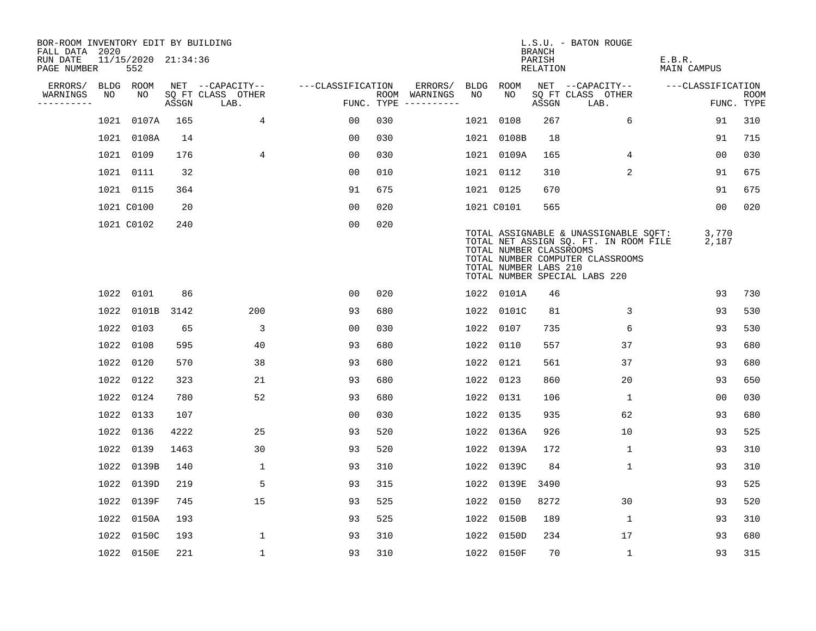| BOR-ROOM INVENTORY EDIT BY BUILDING<br>FALL DATA 2020 |      |                            |       |                           |                   |     |                                      |      |                                                  | <b>BRANCH</b>      | L.S.U. - BATON ROUGE                                                                                                                                |                              |                           |
|-------------------------------------------------------|------|----------------------------|-------|---------------------------|-------------------|-----|--------------------------------------|------|--------------------------------------------------|--------------------|-----------------------------------------------------------------------------------------------------------------------------------------------------|------------------------------|---------------------------|
| RUN DATE<br>PAGE NUMBER                               |      | 11/15/2020 21:34:36<br>552 |       |                           |                   |     |                                      |      |                                                  | PARISH<br>RELATION |                                                                                                                                                     | E.B.R.<br><b>MAIN CAMPUS</b> |                           |
| ERRORS/                                               |      | BLDG ROOM                  |       | NET --CAPACITY--          | ---CLASSIFICATION |     | ERRORS/                              | BLDG | ROOM                                             |                    | NET --CAPACITY--                                                                                                                                    | ---CLASSIFICATION            |                           |
| WARNINGS<br>----------                                | NO   | NO.                        | ASSGN | SQ FT CLASS OTHER<br>LAB. |                   |     | ROOM WARNINGS<br>FUNC. TYPE $------$ | NO   | NO.                                              | ASSGN              | SQ FT CLASS OTHER<br>LAB.                                                                                                                           |                              | <b>ROOM</b><br>FUNC. TYPE |
|                                                       | 1021 | 0107A                      | 165   | 4                         | 0 <sub>0</sub>    | 030 |                                      | 1021 | 0108                                             | 267                | 6                                                                                                                                                   | 91                           | 310                       |
|                                                       |      | 1021 0108A                 | 14    |                           | 00                | 030 |                                      |      | 1021 0108B                                       | 18                 |                                                                                                                                                     | 91                           | 715                       |
|                                                       |      | 1021 0109                  | 176   | 4                         | 0 <sub>0</sub>    | 030 |                                      |      | 1021 0109A                                       | 165                | 4                                                                                                                                                   | 0 <sub>0</sub>               | 030                       |
|                                                       |      | 1021 0111                  | 32    |                           | 0 <sub>0</sub>    | 010 |                                      |      | 1021 0112                                        | 310                | 2                                                                                                                                                   | 91                           | 675                       |
|                                                       |      | 1021 0115                  | 364   |                           | 91                | 675 |                                      |      | 1021 0125                                        | 670                |                                                                                                                                                     | 91                           | 675                       |
|                                                       |      | 1021 C0100                 | 20    |                           | 0 <sub>0</sub>    | 020 |                                      |      | 1021 C0101                                       | 565                |                                                                                                                                                     | 0 <sub>0</sub>               | 020                       |
|                                                       |      | 1021 C0102                 | 240   |                           | 0 <sub>0</sub>    | 020 |                                      |      | TOTAL NUMBER CLASSROOMS<br>TOTAL NUMBER LABS 210 |                    | TOTAL ASSIGNABLE & UNASSIGNABLE SQFT:<br>TOTAL NET ASSIGN SQ. FT. IN ROOM FILE<br>TOTAL NUMBER COMPUTER CLASSROOMS<br>TOTAL NUMBER SPECIAL LABS 220 | 3,770<br>2,187               |                           |
|                                                       |      | 1022 0101                  | 86    |                           | 00                | 020 |                                      |      | 1022 0101A                                       | 46                 |                                                                                                                                                     | 93                           | 730                       |
|                                                       |      | 1022 0101B                 | 3142  | 200                       | 93                | 680 |                                      |      | 1022 0101C                                       | 81                 | 3                                                                                                                                                   | 93                           | 530                       |
|                                                       |      | 1022 0103                  | 65    | 3                         | 0 <sub>0</sub>    | 030 |                                      | 1022 | 0107                                             | 735                | 6                                                                                                                                                   | 93                           | 530                       |
|                                                       |      | 1022 0108                  | 595   | 40                        | 93                | 680 |                                      |      | 1022 0110                                        | 557                | 37                                                                                                                                                  | 93                           | 680                       |
|                                                       |      | 1022 0120                  | 570   | 38                        | 93                | 680 |                                      |      | 1022 0121                                        | 561                | 37                                                                                                                                                  | 93                           | 680                       |
|                                                       |      | 1022 0122                  | 323   | 21                        | 93                | 680 |                                      |      | 1022 0123                                        | 860                | 20                                                                                                                                                  | 93                           | 650                       |
|                                                       |      | 1022 0124                  | 780   | 52                        | 93                | 680 |                                      |      | 1022 0131                                        | 106                | 1                                                                                                                                                   | 0 <sub>0</sub>               | 030                       |
|                                                       |      | 1022 0133                  | 107   |                           | 0 <sub>0</sub>    | 030 |                                      | 1022 | 0135                                             | 935                | 62                                                                                                                                                  | 93                           | 680                       |
|                                                       |      | 1022 0136                  | 4222  | 25                        | 93                | 520 |                                      |      | 1022 0136A                                       | 926                | 10                                                                                                                                                  | 93                           | 525                       |
|                                                       |      | 1022 0139                  | 1463  | 30                        | 93                | 520 |                                      |      | 1022 0139A                                       | 172                | $\mathbf 1$                                                                                                                                         | 93                           | 310                       |
|                                                       |      | 1022 0139B                 | 140   | 1                         | 93                | 310 |                                      |      | 1022 0139C                                       | 84                 | $\mathbf 1$                                                                                                                                         | 93                           | 310                       |
|                                                       | 1022 | 0139D                      | 219   | 5                         | 93                | 315 |                                      | 1022 | 0139E                                            | 3490               |                                                                                                                                                     | 93                           | 525                       |
|                                                       |      | 1022 0139F                 | 745   | 15                        | 93                | 525 |                                      |      | 1022 0150                                        | 8272               | 30                                                                                                                                                  | 93                           | 520                       |
|                                                       |      | 1022 0150A                 | 193   |                           | 93                | 525 |                                      | 1022 | 0150B                                            | 189                | $\mathbf 1$                                                                                                                                         | 93                           | 310                       |
|                                                       |      | 1022 0150C                 | 193   | $\mathbf{1}$              | 93                | 310 |                                      |      | 1022 0150D                                       | 234                | 17                                                                                                                                                  | 93                           | 680                       |
|                                                       |      | 1022 0150E                 | 221   | $\mathbf{1}$              | 93                | 310 |                                      |      | 1022 0150F                                       | 70                 | $\mathbf{1}$                                                                                                                                        | 93                           | 315                       |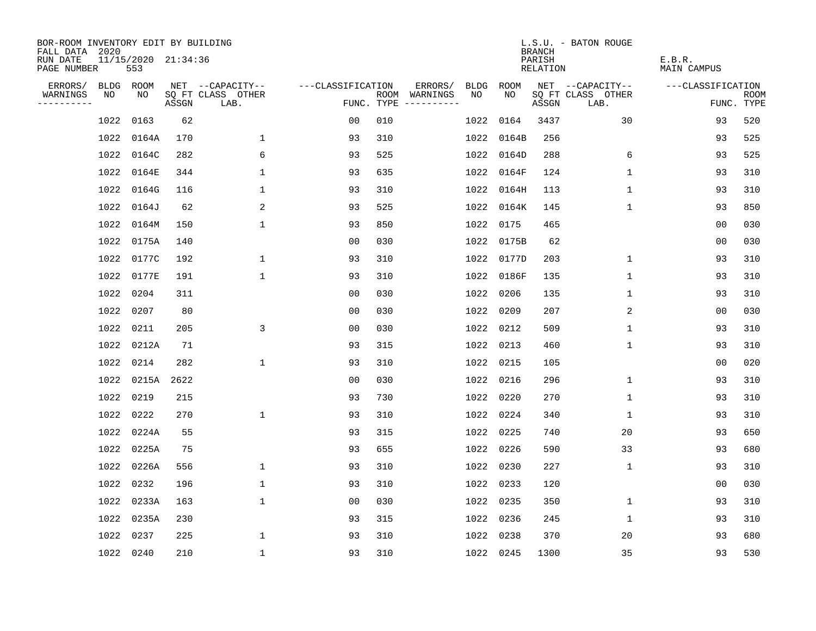| BOR-ROOM INVENTORY EDIT BY BUILDING       |      |                            |       |                           |                   |     |                                      |      |            | <b>BRANCH</b>      | L.S.U. - BATON ROUGE      |                              |                           |
|-------------------------------------------|------|----------------------------|-------|---------------------------|-------------------|-----|--------------------------------------|------|------------|--------------------|---------------------------|------------------------------|---------------------------|
| FALL DATA 2020<br>RUN DATE<br>PAGE NUMBER |      | 11/15/2020 21:34:36<br>553 |       |                           |                   |     |                                      |      |            | PARISH<br>RELATION |                           | E.B.R.<br><b>MAIN CAMPUS</b> |                           |
| ERRORS/                                   |      | BLDG ROOM                  |       | NET --CAPACITY--          | ---CLASSIFICATION |     | ERRORS/                              | BLDG | ROOM       |                    | NET --CAPACITY--          | ---CLASSIFICATION            |                           |
| WARNINGS<br>----------                    | NO   | NO.                        | ASSGN | SQ FT CLASS OTHER<br>LAB. |                   |     | ROOM WARNINGS<br>FUNC. TYPE $------$ | NO   | NO.        | ASSGN              | SQ FT CLASS OTHER<br>LAB. |                              | <b>ROOM</b><br>FUNC. TYPE |
|                                           | 1022 | 0163                       | 62    |                           | 0 <sub>0</sub>    | 010 |                                      | 1022 | 0164       | 3437               | 30                        | 93                           | 520                       |
|                                           |      | 1022 0164A                 | 170   | $\mathbf{1}$              | 93                | 310 |                                      | 1022 | 0164B      | 256                |                           | 93                           | 525                       |
|                                           |      | 1022 0164C                 | 282   | 6                         | 93                | 525 |                                      | 1022 | 0164D      | 288                | 6                         | 93                           | 525                       |
|                                           |      | 1022 0164E                 | 344   | 1                         | 93                | 635 |                                      |      | 1022 0164F | 124                | 1                         | 93                           | 310                       |
|                                           | 1022 | 0164G                      | 116   | 1                         | 93                | 310 |                                      |      | 1022 0164H | 113                | 1                         | 93                           | 310                       |
|                                           |      | 1022 0164J                 | 62    | 2                         | 93                | 525 |                                      |      | 1022 0164K | 145                | $\mathbf{1}$              | 93                           | 850                       |
|                                           |      | 1022 0164M                 | 150   | $\mathbf{1}$              | 93                | 850 |                                      | 1022 | 0175       | 465                |                           | 0 <sub>0</sub>               | 030                       |
|                                           |      | 1022 0175A                 | 140   |                           | 0 <sub>0</sub>    | 030 |                                      |      | 1022 0175B | 62                 |                           | 0 <sub>0</sub>               | 030                       |
|                                           |      | 1022 0177C                 | 192   | $\mathbf{1}$              | 93                | 310 |                                      | 1022 | 0177D      | 203                | $\mathbf{1}$              | 93                           | 310                       |
|                                           |      | 1022 0177E                 | 191   | $\mathbf{1}$              | 93                | 310 |                                      |      | 1022 0186F | 135                | $\mathbf 1$               | 93                           | 310                       |
|                                           |      | 1022 0204                  | 311   |                           | 0 <sub>0</sub>    | 030 |                                      | 1022 | 0206       | 135                | $\mathbf 1$               | 93                           | 310                       |
|                                           |      | 1022 0207                  | 80    |                           | 0 <sub>0</sub>    | 030 |                                      | 1022 | 0209       | 207                | 2                         | 0 <sub>0</sub>               | 030                       |
|                                           |      | 1022 0211                  | 205   | 3                         | 0 <sub>0</sub>    | 030 |                                      | 1022 | 0212       | 509                | $\mathbf{1}$              | 93                           | 310                       |
|                                           |      | 1022 0212A                 | 71    |                           | 93                | 315 |                                      |      | 1022 0213  | 460                | $\mathbf{1}$              | 93                           | 310                       |
|                                           |      | 1022 0214                  | 282   | 1                         | 93                | 310 |                                      | 1022 | 0215       | 105                |                           | 00                           | 020                       |
|                                           |      | 1022 0215A                 | 2622  |                           | 00                | 030 |                                      |      | 1022 0216  | 296                | 1                         | 93                           | 310                       |
|                                           | 1022 | 0219                       | 215   |                           | 93                | 730 |                                      | 1022 | 0220       | 270                | 1                         | 93                           | 310                       |
|                                           | 1022 | 0222                       | 270   | $\mathbf{1}$              | 93                | 310 |                                      |      | 1022 0224  | 340                | 1                         | 93                           | 310                       |
|                                           |      | 1022 0224A                 | 55    |                           | 93                | 315 |                                      |      | 1022 0225  | 740                | 20                        | 93                           | 650                       |
|                                           |      | 1022 0225A                 | 75    |                           | 93                | 655 |                                      |      | 1022 0226  | 590                | 33                        | 93                           | 680                       |
|                                           |      | 1022 0226A                 | 556   | 1                         | 93                | 310 |                                      |      | 1022 0230  | 227                | $\mathbf 1$               | 93                           | 310                       |
|                                           |      | 1022 0232                  | 196   | $\mathbf 1$               | 93                | 310 |                                      | 1022 | 0233       | 120                |                           | 0 <sub>0</sub>               | 030                       |
|                                           |      | 1022 0233A                 | 163   | $\mathbf{1}$              | 0 <sub>0</sub>    | 030 |                                      | 1022 | 0235       | 350                | $\mathbf 1$               | 93                           | 310                       |
|                                           |      | 1022 0235A                 | 230   |                           | 93                | 315 |                                      |      | 1022 0236  | 245                | $\mathbf 1$               | 93                           | 310                       |
|                                           |      | 1022 0237                  | 225   | $\mathbf{1}$              | 93                | 310 |                                      | 1022 | 0238       | 370                | 20                        | 93                           | 680                       |
|                                           |      | 1022 0240                  | 210   | $\mathbf{1}$              | 93                | 310 |                                      |      | 1022 0245  | 1300               | 35                        | 93                           | 530                       |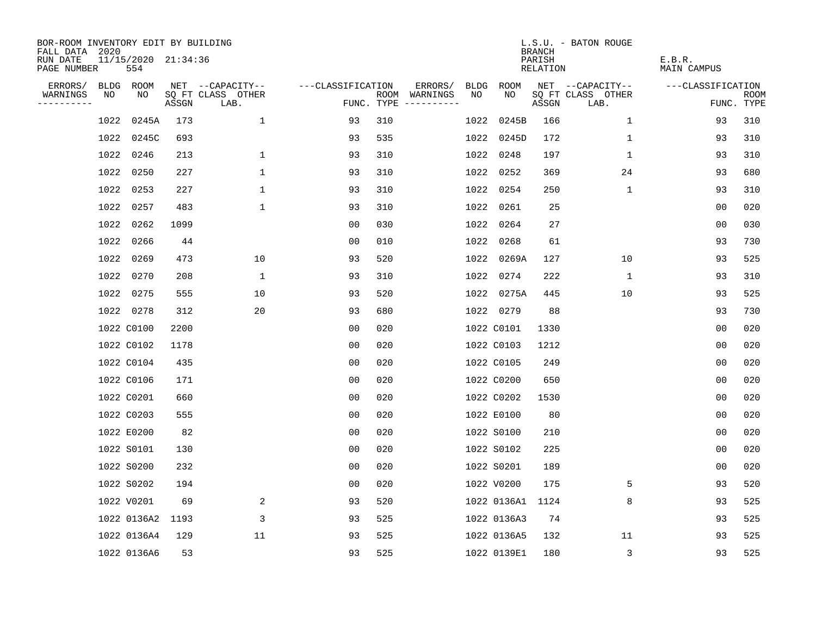| BOR-ROOM INVENTORY EDIT BY BUILDING<br>FALL DATA 2020 |                            |       |                           |                   |     |                                            |             | <b>BRANCH</b>      | L.S.U. - BATON ROUGE      |                              |                           |
|-------------------------------------------------------|----------------------------|-------|---------------------------|-------------------|-----|--------------------------------------------|-------------|--------------------|---------------------------|------------------------------|---------------------------|
| RUN DATE<br>PAGE NUMBER                               | 11/15/2020 21:34:36<br>554 |       |                           |                   |     |                                            |             | PARISH<br>RELATION |                           | E.B.R.<br><b>MAIN CAMPUS</b> |                           |
| ERRORS/                                               | BLDG ROOM                  |       | NET --CAPACITY--          | ---CLASSIFICATION |     | ERRORS/<br><b>BLDG</b>                     | <b>ROOM</b> |                    | NET --CAPACITY--          | ---CLASSIFICATION            |                           |
| WARNINGS<br>----------                                | NO<br>NO                   | ASSGN | SQ FT CLASS OTHER<br>LAB. |                   |     | ROOM WARNINGS<br>NO<br>FUNC. TYPE $------$ | NO          | ASSGN              | SQ FT CLASS OTHER<br>LAB. |                              | <b>ROOM</b><br>FUNC. TYPE |
|                                                       | 0245A<br>1022              | 173   | $\mathbf{1}$              | 93                | 310 | 1022                                       | 0245B       | 166                | $\mathbf{1}$              | 93                           | 310                       |
|                                                       | 1022 0245C                 | 693   |                           | 93                | 535 | 1022                                       | 0245D       | 172                | 1                         | 93                           | 310                       |
|                                                       | 1022<br>0246               | 213   | $\mathbf{1}$              | 93                | 310 | 1022                                       | 0248        | 197                | $\mathbf 1$               | 93                           | 310                       |
|                                                       | 1022 0250                  | 227   | $\mathbf 1$               | 93                | 310 |                                            | 1022 0252   | 369                | 24                        | 93                           | 680                       |
|                                                       | 1022<br>0253               | 227   | $\mathbf 1$               | 93                | 310 |                                            | 1022 0254   | 250                | $\mathbf{1}$              | 93                           | 310                       |
|                                                       | 1022 0257                  | 483   | $\mathbf{1}$              | 93                | 310 |                                            | 1022 0261   | 25                 |                           | 0 <sub>0</sub>               | 020                       |
|                                                       | 1022 0262                  | 1099  |                           | 0 <sub>0</sub>    | 030 |                                            | 1022 0264   | 27                 |                           | 00                           | 030                       |
|                                                       | 1022 0266                  | 44    |                           | 0 <sub>0</sub>    | 010 |                                            | 1022 0268   | 61                 |                           | 93                           | 730                       |
|                                                       | 1022 0269                  | 473   | 10                        | 93                | 520 | 1022                                       | 0269A       | 127                | 10                        | 93                           | 525                       |
|                                                       | 1022 0270                  | 208   | $\mathbf 1$               | 93                | 310 |                                            | 1022 0274   | 222                | $\mathbf{1}$              | 93                           | 310                       |
|                                                       | 1022 0275                  | 555   | 10                        | 93                | 520 |                                            | 1022 0275A  | 445                | 10                        | 93                           | 525                       |
|                                                       | 1022 0278                  | 312   | 20                        | 93                | 680 |                                            | 1022 0279   | 88                 |                           | 93                           | 730                       |
|                                                       | 1022 C0100                 | 2200  |                           | 0 <sub>0</sub>    | 020 |                                            | 1022 C0101  | 1330               |                           | 0 <sub>0</sub>               | 020                       |
|                                                       | 1022 C0102                 | 1178  |                           | 0 <sub>0</sub>    | 020 |                                            | 1022 C0103  | 1212               |                           | 0 <sub>0</sub>               | 020                       |
|                                                       | 1022 C0104                 | 435   |                           | 0 <sub>0</sub>    | 020 |                                            | 1022 C0105  | 249                |                           | 0 <sub>0</sub>               | 020                       |
|                                                       | 1022 C0106                 | 171   |                           | 00                | 020 |                                            | 1022 C0200  | 650                |                           | 00                           | 020                       |
|                                                       | 1022 C0201                 | 660   |                           | 0 <sub>0</sub>    | 020 |                                            | 1022 C0202  | 1530               |                           | 0 <sub>0</sub>               | 020                       |
|                                                       | 1022 C0203                 | 555   |                           | 0 <sub>0</sub>    | 020 |                                            | 1022 E0100  | 80                 |                           | 0 <sub>0</sub>               | 020                       |
|                                                       | 1022 E0200                 | 82    |                           | 0 <sub>0</sub>    | 020 |                                            | 1022 S0100  | 210                |                           | 0 <sub>0</sub>               | 020                       |
|                                                       | 1022 S0101                 | 130   |                           | 0 <sub>0</sub>    | 020 |                                            | 1022 S0102  | 225                |                           | 0 <sub>0</sub>               | 020                       |
|                                                       | 1022 S0200                 | 232   |                           | 0 <sub>0</sub>    | 020 |                                            | 1022 S0201  | 189                |                           | 0 <sub>0</sub>               | 020                       |
|                                                       | 1022 S0202                 | 194   |                           | 0 <sub>0</sub>    | 020 |                                            | 1022 V0200  | 175                | 5                         | 93                           | 520                       |
|                                                       | 1022 V0201                 | 69    | 2                         | 93                | 520 |                                            | 1022 0136A1 | 1124               | 8                         | 93                           | 525                       |
|                                                       | 1022 0136A2                | 1193  | 3                         | 93                | 525 |                                            | 1022 0136A3 | 74                 |                           | 93                           | 525                       |
|                                                       | 1022 0136A4                | 129   | 11                        | 93                | 525 |                                            | 1022 0136A5 | 132                | 11                        | 93                           | 525                       |
|                                                       | 1022 0136A6                | 53    |                           | 93                | 525 |                                            | 1022 0139E1 | 180                | 3                         | 93                           | 525                       |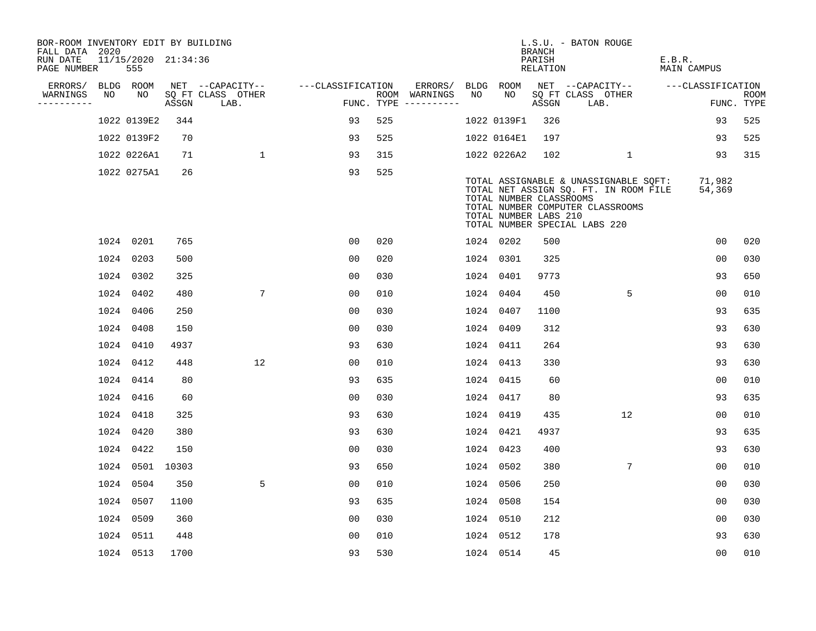| BOR-ROOM INVENTORY EDIT BY BUILDING<br>FALL DATA 2020 |    |                            |       |                           |                   |     |                                      |    |                                                  | BRANCH             | L.S.U. - BATON ROUGE                                                                                                                                |                       |                           |
|-------------------------------------------------------|----|----------------------------|-------|---------------------------|-------------------|-----|--------------------------------------|----|--------------------------------------------------|--------------------|-----------------------------------------------------------------------------------------------------------------------------------------------------|-----------------------|---------------------------|
| RUN DATE<br>PAGE NUMBER                               |    | 11/15/2020 21:34:36<br>555 |       |                           |                   |     |                                      |    |                                                  | PARISH<br>RELATION |                                                                                                                                                     | E.B.R.<br>MAIN CAMPUS |                           |
| ERRORS/                                               |    | BLDG ROOM                  |       | NET --CAPACITY--          | ---CLASSIFICATION |     | ERRORS/                              |    | BLDG ROOM                                        |                    | NET --CAPACITY-- ---CLASSIFICATION                                                                                                                  |                       |                           |
| WARNINGS<br>----------                                | NO | NO                         | ASSGN | SQ FT CLASS OTHER<br>LAB. |                   |     | ROOM WARNINGS<br>FUNC. TYPE $------$ | NO | NO                                               | ASSGN              | SQ FT CLASS OTHER<br>LAB.                                                                                                                           |                       | <b>ROOM</b><br>FUNC. TYPE |
|                                                       |    | 1022 0139E2                | 344   |                           | 93                | 525 |                                      |    | 1022 0139F1                                      | 326                |                                                                                                                                                     | 93                    | 525                       |
|                                                       |    | 1022 0139F2                | 70    |                           | 93                | 525 |                                      |    | 1022 0164E1                                      | 197                |                                                                                                                                                     | 93                    | 525                       |
|                                                       |    | 1022 0226A1                | 71    | $\mathbf{1}$              | 93                | 315 |                                      |    | 1022 0226A2                                      | 102                | $\mathbf{1}$                                                                                                                                        | 93                    | 315                       |
|                                                       |    | 1022 0275A1                | 26    |                           | 93                | 525 |                                      |    | TOTAL NUMBER CLASSROOMS<br>TOTAL NUMBER LABS 210 |                    | TOTAL ASSIGNABLE & UNASSIGNABLE SOFT:<br>TOTAL NET ASSIGN SQ. FT. IN ROOM FILE<br>TOTAL NUMBER COMPUTER CLASSROOMS<br>TOTAL NUMBER SPECIAL LABS 220 | 71,982<br>54,369      |                           |
|                                                       |    | 1024 0201                  | 765   |                           | 0 <sub>0</sub>    | 020 |                                      |    | 1024 0202                                        | 500                |                                                                                                                                                     | 0 <sub>0</sub>        | 020                       |
|                                                       |    | 1024 0203                  | 500   |                           | 0 <sub>0</sub>    | 020 |                                      |    | 1024 0301                                        | 325                |                                                                                                                                                     | 0 <sub>0</sub>        | 030                       |
|                                                       |    | 1024 0302                  | 325   |                           | 0 <sub>0</sub>    | 030 |                                      |    | 1024 0401                                        | 9773               |                                                                                                                                                     | 93                    | 650                       |
|                                                       |    | 1024 0402                  | 480   | $7\overline{ }$           | 00                | 010 |                                      |    | 1024 0404                                        | 450                | 5                                                                                                                                                   | 00                    | 010                       |
|                                                       |    | 1024 0406                  | 250   |                           | 0 <sub>0</sub>    | 030 |                                      |    | 1024 0407                                        | 1100               |                                                                                                                                                     | 93                    | 635                       |
|                                                       |    | 1024 0408                  | 150   |                           | 0 <sub>0</sub>    | 030 |                                      |    | 1024 0409                                        | 312                |                                                                                                                                                     | 93                    | 630                       |
|                                                       |    | 1024 0410                  | 4937  |                           | 93                | 630 |                                      |    | 1024 0411                                        | 264                |                                                                                                                                                     | 93                    | 630                       |
|                                                       |    | 1024 0412                  | 448   | 12                        | 00                | 010 |                                      |    | 1024 0413                                        | 330                |                                                                                                                                                     | 93                    | 630                       |
|                                                       |    | 1024 0414                  | 80    |                           | 93                | 635 |                                      |    | 1024 0415                                        | 60                 |                                                                                                                                                     | 0 <sub>0</sub>        | 010                       |
|                                                       |    | 1024 0416                  | 60    |                           | 0 <sub>0</sub>    | 030 |                                      |    | 1024 0417                                        | 80                 |                                                                                                                                                     | 93                    | 635                       |
|                                                       |    | 1024 0418                  | 325   |                           | 93                | 630 |                                      |    | 1024 0419                                        | 435                | 12                                                                                                                                                  | 0 <sub>0</sub>        | 010                       |
|                                                       |    | 1024 0420                  | 380   |                           | 93                | 630 |                                      |    | 1024 0421                                        | 4937               |                                                                                                                                                     | 93                    | 635                       |
|                                                       |    | 1024 0422                  | 150   |                           | 0 <sub>0</sub>    | 030 |                                      |    | 1024 0423                                        | 400                |                                                                                                                                                     | 93                    | 630                       |
|                                                       |    | 1024 0501 10303            |       |                           | 93                | 650 |                                      |    | 1024 0502                                        | 380                | 7                                                                                                                                                   | 0 <sub>0</sub>        | 010                       |
|                                                       |    | 1024 0504                  | 350   | 5                         | 0 <sub>0</sub>    | 010 |                                      |    | 1024 0506                                        | 250                |                                                                                                                                                     | 0 <sub>0</sub>        | 030                       |
|                                                       |    | 1024 0507                  | 1100  |                           | 93                | 635 |                                      |    | 1024 0508                                        | 154                |                                                                                                                                                     | 0 <sub>0</sub>        | 030                       |
|                                                       |    | 1024 0509                  | 360   |                           | 0 <sub>0</sub>    | 030 |                                      |    | 1024 0510                                        | 212                |                                                                                                                                                     | 0 <sub>0</sub>        | 030                       |
|                                                       |    | 1024 0511                  | 448   |                           | 0 <sub>0</sub>    | 010 |                                      |    | 1024 0512                                        | 178                |                                                                                                                                                     | 93                    | 630                       |
|                                                       |    | 1024 0513                  | 1700  |                           | 93                | 530 |                                      |    | 1024 0514                                        | 45                 |                                                                                                                                                     | 0 <sub>0</sub>        | 010                       |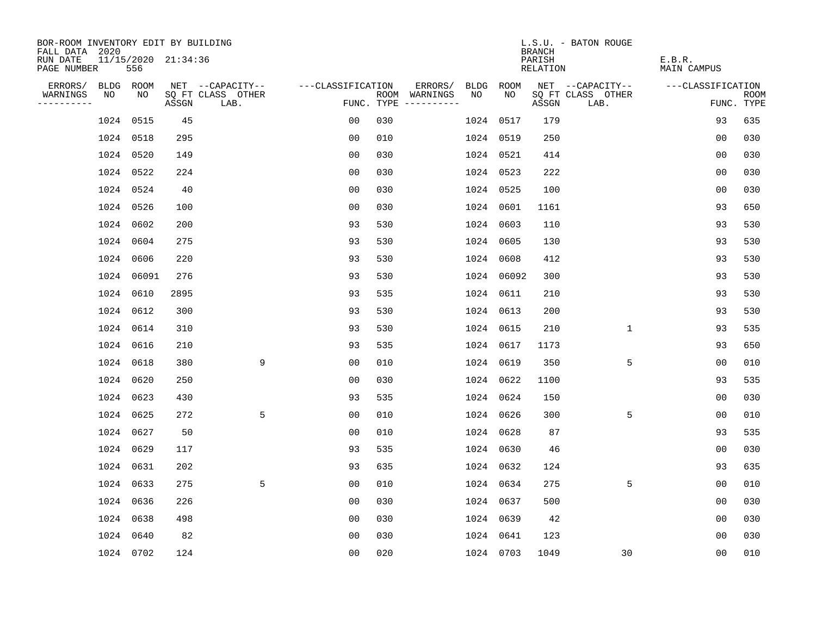| BOR-ROOM INVENTORY EDIT BY BUILDING<br>FALL DATA 2020 |                            |       |                           |                   |     |                                      |      |             | <b>BRANCH</b>             | L.S.U. - BATON ROUGE      |                              |                           |
|-------------------------------------------------------|----------------------------|-------|---------------------------|-------------------|-----|--------------------------------------|------|-------------|---------------------------|---------------------------|------------------------------|---------------------------|
| RUN DATE<br>PAGE NUMBER                               | 11/15/2020 21:34:36<br>556 |       |                           |                   |     |                                      |      |             | PARISH<br><b>RELATION</b> |                           | E.B.R.<br><b>MAIN CAMPUS</b> |                           |
| ERRORS/                                               | BLDG ROOM                  |       | NET --CAPACITY--          | ---CLASSIFICATION |     | ERRORS/                              | BLDG | <b>ROOM</b> |                           | NET --CAPACITY--          | ---CLASSIFICATION            |                           |
| WARNINGS<br>NO<br>----------                          | NO                         | ASSGN | SQ FT CLASS OTHER<br>LAB. |                   |     | ROOM WARNINGS<br>FUNC. TYPE $------$ | NO   | NO          | ASSGN                     | SQ FT CLASS OTHER<br>LAB. |                              | <b>ROOM</b><br>FUNC. TYPE |
|                                                       | 1024 0515                  | 45    |                           | 00                | 030 |                                      |      | 1024 0517   | 179                       |                           | 93                           | 635                       |
|                                                       | 1024 0518                  | 295   |                           | 0 <sub>0</sub>    | 010 |                                      |      | 1024 0519   | 250                       |                           | 0 <sub>0</sub>               | 030                       |
|                                                       | 1024 0520                  | 149   |                           | 0 <sub>0</sub>    | 030 |                                      |      | 1024 0521   | 414                       |                           | 0 <sub>0</sub>               | 030                       |
|                                                       | 1024 0522                  | 224   |                           | 0 <sub>0</sub>    | 030 |                                      |      | 1024 0523   | 222                       |                           | 0 <sub>0</sub>               | 030                       |
|                                                       | 1024 0524                  | 40    |                           | 0 <sub>0</sub>    | 030 |                                      |      | 1024 0525   | 100                       |                           | 0 <sub>0</sub>               | 030                       |
|                                                       | 1024 0526                  | 100   |                           | 0 <sub>0</sub>    | 030 |                                      |      | 1024 0601   | 1161                      |                           | 93                           | 650                       |
|                                                       | 1024 0602                  | 200   |                           | 93                | 530 |                                      |      | 1024 0603   | 110                       |                           | 93                           | 530                       |
|                                                       | 1024 0604                  | 275   |                           | 93                | 530 |                                      |      | 1024 0605   | 130                       |                           | 93                           | 530                       |
|                                                       | 1024 0606                  | 220   |                           | 93                | 530 |                                      |      | 1024 0608   | 412                       |                           | 93                           | 530                       |
|                                                       | 1024 06091                 | 276   |                           | 93                | 530 |                                      |      | 1024 06092  | 300                       |                           | 93                           | 530                       |
|                                                       | 1024 0610                  | 2895  |                           | 93                | 535 |                                      |      | 1024 0611   | 210                       |                           | 93                           | 530                       |
|                                                       | 1024 0612                  | 300   |                           | 93                | 530 |                                      |      | 1024 0613   | 200                       |                           | 93                           | 530                       |
|                                                       | 1024 0614                  | 310   |                           | 93                | 530 |                                      |      | 1024 0615   | 210                       | $\mathbf 1$               | 93                           | 535                       |
|                                                       | 1024 0616                  | 210   |                           | 93                | 535 |                                      |      | 1024 0617   | 1173                      |                           | 93                           | 650                       |
|                                                       | 1024 0618                  | 380   | 9                         | 0 <sub>0</sub>    | 010 |                                      |      | 1024 0619   | 350                       | 5                         | 0 <sub>0</sub>               | 010                       |
|                                                       | 1024 0620                  | 250   |                           | 0 <sub>0</sub>    | 030 |                                      |      | 1024 0622   | 1100                      |                           | 93                           | 535                       |
| 1024                                                  | 0623                       | 430   |                           | 93                | 535 |                                      |      | 1024 0624   | 150                       |                           | 0 <sub>0</sub>               | 030                       |
|                                                       | 1024 0625                  | 272   | 5                         | 0 <sub>0</sub>    | 010 |                                      |      | 1024 0626   | 300                       | 5                         | 0 <sub>0</sub>               | 010                       |
|                                                       | 1024 0627                  | 50    |                           | 0 <sub>0</sub>    | 010 |                                      |      | 1024 0628   | 87                        |                           | 93                           | 535                       |
|                                                       | 1024 0629                  | 117   |                           | 93                | 535 |                                      |      | 1024 0630   | 46                        |                           | 0 <sub>0</sub>               | 030                       |
|                                                       | 1024 0631                  | 202   |                           | 93                | 635 |                                      |      | 1024 0632   | 124                       |                           | 93                           | 635                       |
|                                                       | 1024 0633                  | 275   | 5                         | 0 <sub>0</sub>    | 010 |                                      |      | 1024 0634   | 275                       | 5                         | 0 <sub>0</sub>               | 010                       |
|                                                       | 1024 0636                  | 226   |                           | 0 <sub>0</sub>    | 030 |                                      |      | 1024 0637   | 500                       |                           | 0 <sub>0</sub>               | 030                       |
|                                                       | 1024 0638                  | 498   |                           | 0 <sub>0</sub>    | 030 |                                      |      | 1024 0639   | 42                        |                           | 0 <sub>0</sub>               | 030                       |
|                                                       | 1024 0640                  | 82    |                           | 0 <sub>0</sub>    | 030 |                                      |      | 1024 0641   | 123                       |                           | 0 <sub>0</sub>               | 030                       |
|                                                       | 1024 0702                  | 124   |                           | 0 <sub>0</sub>    | 020 |                                      |      | 1024 0703   | 1049                      | 30                        | 00                           | 010                       |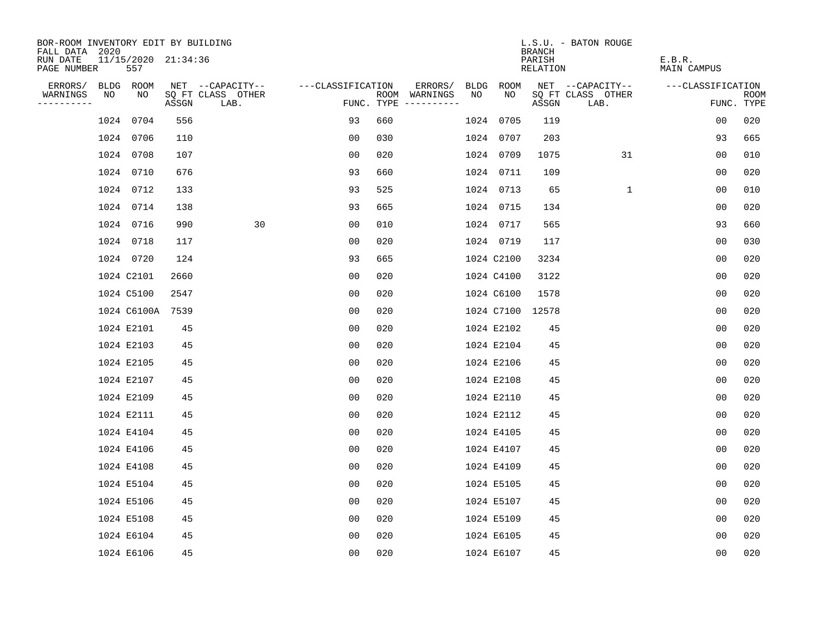| BOR-ROOM INVENTORY EDIT BY BUILDING       |    |                            |       |                           |                   |     |                                      |      |                  | <b>BRANCH</b>      | L.S.U. - BATON ROUGE      |                       |                           |
|-------------------------------------------|----|----------------------------|-------|---------------------------|-------------------|-----|--------------------------------------|------|------------------|--------------------|---------------------------|-----------------------|---------------------------|
| FALL DATA 2020<br>RUN DATE<br>PAGE NUMBER |    | 11/15/2020 21:34:36<br>557 |       |                           |                   |     |                                      |      |                  | PARISH<br>RELATION |                           | E.B.R.<br>MAIN CAMPUS |                           |
| ERRORS/                                   |    | BLDG ROOM                  |       | NET --CAPACITY--          | ---CLASSIFICATION |     | ERRORS/                              | BLDG | ROOM             |                    | NET --CAPACITY--          | ---CLASSIFICATION     |                           |
| WARNINGS<br>----------                    | NO | NO                         | ASSGN | SQ FT CLASS OTHER<br>LAB. |                   |     | ROOM WARNINGS<br>FUNC. TYPE $------$ | NO   | NO.              | ASSGN              | SQ FT CLASS OTHER<br>LAB. |                       | <b>ROOM</b><br>FUNC. TYPE |
|                                           |    | 1024 0704                  | 556   |                           | 93                | 660 |                                      |      | 1024 0705        | 119                |                           | 0 <sub>0</sub>        | 020                       |
|                                           |    | 1024 0706                  | 110   |                           | 00                | 030 |                                      |      | 1024 0707        | 203                |                           | 93                    | 665                       |
|                                           |    | 1024 0708                  | 107   |                           | 00                | 020 |                                      |      | 1024 0709        | 1075               | 31                        | 00                    | 010                       |
|                                           |    | 1024 0710                  | 676   |                           | 93                | 660 |                                      |      | 1024 0711        | 109                |                           | 00                    | 020                       |
|                                           |    | 1024 0712                  | 133   |                           | 93                | 525 |                                      |      | 1024 0713        | 65                 | $\mathbf 1$               | 00                    | 010                       |
|                                           |    | 1024 0714                  | 138   |                           | 93                | 665 |                                      |      | 1024 0715        | 134                |                           | 00                    | 020                       |
|                                           |    | 1024 0716                  | 990   | 30                        | 00                | 010 |                                      |      | 1024 0717        | 565                |                           | 93                    | 660                       |
|                                           |    | 1024 0718                  | 117   |                           | 0 <sub>0</sub>    | 020 |                                      |      | 1024 0719        | 117                |                           | 0 <sub>0</sub>        | 030                       |
|                                           |    | 1024 0720                  | 124   |                           | 93                | 665 |                                      |      | 1024 C2100       | 3234               |                           | 0 <sub>0</sub>        | 020                       |
|                                           |    | 1024 C2101                 | 2660  |                           | 0 <sub>0</sub>    | 020 |                                      |      | 1024 C4100       | 3122               |                           | 0 <sub>0</sub>        | 020                       |
|                                           |    | 1024 C5100                 | 2547  |                           | 00                | 020 |                                      |      | 1024 C6100       | 1578               |                           | 0 <sub>0</sub>        | 020                       |
|                                           |    | 1024 C6100A 7539           |       |                           | 00                | 020 |                                      |      | 1024 C7100 12578 |                    |                           | 00                    | 020                       |
|                                           |    | 1024 E2101                 | 45    |                           | 00                | 020 |                                      |      | 1024 E2102       | 45                 |                           | 0 <sub>0</sub>        | 020                       |
|                                           |    | 1024 E2103                 | 45    |                           | 00                | 020 |                                      |      | 1024 E2104       | 45                 |                           | 0 <sub>0</sub>        | 020                       |
|                                           |    | 1024 E2105                 | 45    |                           | 0 <sub>0</sub>    | 020 |                                      |      | 1024 E2106       | 45                 |                           | 0 <sub>0</sub>        | 020                       |
|                                           |    | 1024 E2107                 | 45    |                           | 0 <sub>0</sub>    | 020 |                                      |      | 1024 E2108       | 45                 |                           | 0 <sub>0</sub>        | 020                       |
|                                           |    | 1024 E2109                 | 45    |                           | 00                | 020 |                                      |      | 1024 E2110       | 45                 |                           | 0 <sub>0</sub>        | 020                       |
|                                           |    | 1024 E2111                 | 45    |                           | 0 <sub>0</sub>    | 020 |                                      |      | 1024 E2112       | 45                 |                           | 0 <sub>0</sub>        | 020                       |
|                                           |    | 1024 E4104                 | 45    |                           | 0 <sub>0</sub>    | 020 |                                      |      | 1024 E4105       | 45                 |                           | 0 <sub>0</sub>        | 020                       |
|                                           |    | 1024 E4106                 | 45    |                           | 0 <sub>0</sub>    | 020 |                                      |      | 1024 E4107       | 45                 |                           | 0 <sub>0</sub>        | 020                       |
|                                           |    | 1024 E4108                 | 45    |                           | 0 <sub>0</sub>    | 020 |                                      |      | 1024 E4109       | 45                 |                           | 0 <sub>0</sub>        | 020                       |
|                                           |    | 1024 E5104                 | 45    |                           | 00                | 020 |                                      |      | 1024 E5105       | 45                 |                           | 0 <sub>0</sub>        | 020                       |
|                                           |    | 1024 E5106                 | 45    |                           | 0 <sub>0</sub>    | 020 |                                      |      | 1024 E5107       | 45                 |                           | 0 <sub>0</sub>        | 020                       |
|                                           |    | 1024 E5108                 | 45    |                           | 0 <sub>0</sub>    | 020 |                                      |      | 1024 E5109       | 45                 |                           | 00                    | 020                       |
|                                           |    | 1024 E6104                 | 45    |                           | 0 <sub>0</sub>    | 020 |                                      |      | 1024 E6105       | 45                 |                           | 0 <sub>0</sub>        | 020                       |
|                                           |    | 1024 E6106                 | 45    |                           | 0 <sub>0</sub>    | 020 |                                      |      | 1024 E6107       | 45                 |                           | 0 <sub>0</sub>        | 020                       |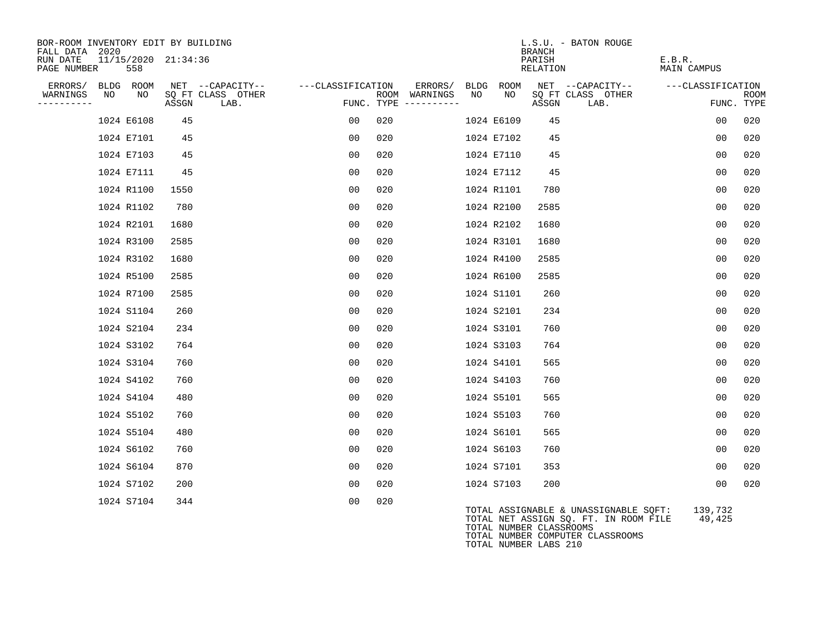| BOR-ROOM INVENTORY EDIT BY BUILDING<br>FALL DATA 2020 |     |                     |                                               |                   |      |                                            |            |            | <b>BRANCH</b>      | L.S.U. - BATON ROUGE                                                           |                       |                           |
|-------------------------------------------------------|-----|---------------------|-----------------------------------------------|-------------------|------|--------------------------------------------|------------|------------|--------------------|--------------------------------------------------------------------------------|-----------------------|---------------------------|
| RUN DATE<br>PAGE NUMBER                               | 558 | 11/15/2020 21:34:36 |                                               |                   |      |                                            |            |            | PARISH<br>RELATION |                                                                                | E.B.R.<br>MAIN CAMPUS |                           |
| BLDG ROOM<br>ERRORS/<br>NO<br>WARNINGS<br>----------  | NO  | ASSGN               | NET --CAPACITY--<br>SQ FT CLASS OTHER<br>LAB. | ---CLASSIFICATION | ROOM | ERRORS/<br>WARNINGS<br>FUNC. TYPE $------$ | BLDG<br>NO | ROOM<br>NO | ASSGN              | NET --CAPACITY--<br>SQ FT CLASS OTHER<br>LAB.                                  | ---CLASSIFICATION     | <b>ROOM</b><br>FUNC. TYPE |
| 1024 E6108                                            |     | 45                  |                                               | 00                | 020  |                                            |            | 1024 E6109 | 45                 |                                                                                | 0 <sub>0</sub>        | 020                       |
| 1024 E7101                                            |     | 45                  |                                               | 00                | 020  |                                            |            | 1024 E7102 | 45                 |                                                                                | 0 <sub>0</sub>        | 020                       |
| 1024 E7103                                            |     | 45                  |                                               | 00                | 020  |                                            |            | 1024 E7110 | 45                 |                                                                                | 0 <sub>0</sub>        | 020                       |
| 1024 E7111                                            |     | 45                  |                                               | 00                | 020  |                                            |            | 1024 E7112 | 45                 |                                                                                | 00                    | 020                       |
| 1024 R1100                                            |     | 1550                |                                               | 00                | 020  |                                            |            | 1024 R1101 | 780                |                                                                                | 0 <sub>0</sub>        | 020                       |
| 1024 R1102                                            |     | 780                 |                                               | 00                | 020  |                                            |            | 1024 R2100 | 2585               |                                                                                | 0 <sub>0</sub>        | 020                       |
| 1024 R2101                                            |     | 1680                |                                               | 00                | 020  |                                            |            | 1024 R2102 | 1680               |                                                                                | 0 <sub>0</sub>        | 020                       |
| 1024 R3100                                            |     | 2585                |                                               | 00                | 020  |                                            |            | 1024 R3101 | 1680               |                                                                                | 0 <sub>0</sub>        | 020                       |
| 1024 R3102                                            |     | 1680                |                                               | 00                | 020  |                                            |            | 1024 R4100 | 2585               |                                                                                | 0 <sub>0</sub>        | 020                       |
| 1024 R5100                                            |     | 2585                |                                               | 00                | 020  |                                            |            | 1024 R6100 | 2585               |                                                                                | 0 <sub>0</sub>        | 020                       |
| 1024 R7100                                            |     | 2585                |                                               | 00                | 020  |                                            |            | 1024 S1101 | 260                |                                                                                | 0 <sub>0</sub>        | 020                       |
| 1024 S1104                                            |     | 260                 |                                               | 00                | 020  |                                            |            | 1024 S2101 | 234                |                                                                                | 0 <sub>0</sub>        | 020                       |
| 1024 S2104                                            |     | 234                 |                                               | 00                | 020  |                                            |            | 1024 S3101 | 760                |                                                                                | 0 <sub>0</sub>        | 020                       |
| 1024 S3102                                            |     | 764                 |                                               | 00                | 020  |                                            |            | 1024 S3103 | 764                |                                                                                | 0 <sub>0</sub>        | 020                       |
| 1024 S3104                                            |     | 760                 |                                               | 00                | 020  |                                            |            | 1024 S4101 | 565                |                                                                                | 0 <sub>0</sub>        | 020                       |
| 1024 S4102                                            |     | 760                 |                                               | 00                | 020  |                                            |            | 1024 S4103 | 760                |                                                                                | 0 <sub>0</sub>        | 020                       |
| 1024 S4104                                            |     | 480                 |                                               | 00                | 020  |                                            |            | 1024 S5101 | 565                |                                                                                | 0 <sub>0</sub>        | 020                       |
| 1024 S5102                                            |     | 760                 |                                               | 00                | 020  |                                            |            | 1024 S5103 | 760                |                                                                                | 0 <sub>0</sub>        | 020                       |
| 1024 S5104                                            |     | 480                 |                                               | 00                | 020  |                                            |            | 1024 S6101 | 565                |                                                                                | 0 <sub>0</sub>        | 020                       |
| 1024 S6102                                            |     | 760                 |                                               | 00                | 020  |                                            |            | 1024 S6103 | 760                |                                                                                | 0 <sub>0</sub>        | 020                       |
| 1024 S6104                                            |     | 870                 |                                               | 00                | 020  |                                            |            | 1024 S7101 | 353                |                                                                                | 0 <sub>0</sub>        | 020                       |
| 1024 S7102                                            |     | 200                 |                                               | 00                | 020  |                                            |            | 1024 S7103 | 200                |                                                                                | 0 <sub>0</sub>        | 020                       |
| 1024 S7104                                            |     | 344                 |                                               | 0 <sub>0</sub>    | 020  |                                            |            | ---------  |                    | TOTAL ASSIGNABLE & UNASSIGNABLE SQFT:<br>TOTAL NET ASSIGN SQ. FT. IN ROOM FILE | 139,732<br>49,425     |                           |

TOTAL NUMBER CLASSROOMS TOTAL NUMBER COMPUTER CLASSROOMS TOTAL NUMBER LABS 210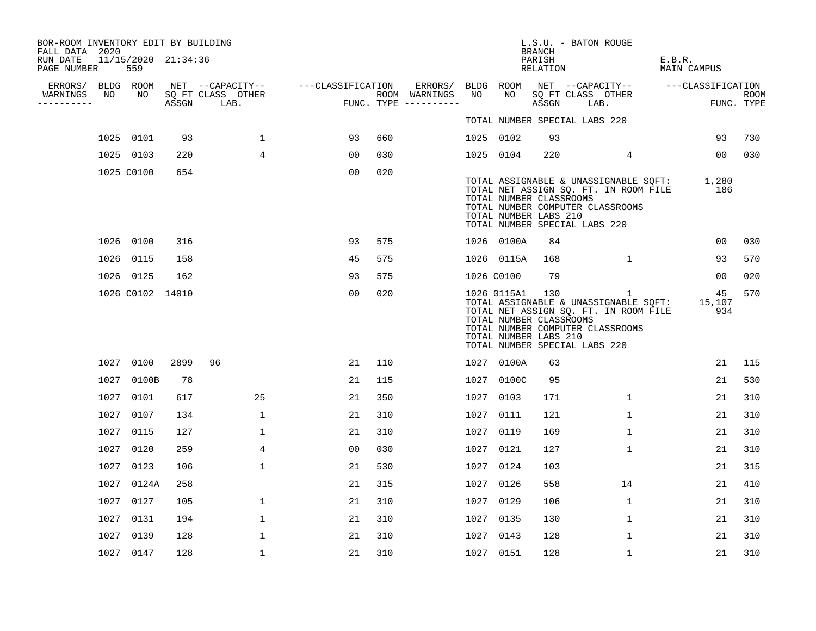| BOR-ROOM INVENTORY EDIT BY BUILDING<br>FALL DATA 2020 |      |                            |      |                                 |                                    |     |                                      |            |            | BRANCH                                                              | L.S.U. - BATON ROUGE                                                                                                                                            |        |                 |                    |
|-------------------------------------------------------|------|----------------------------|------|---------------------------------|------------------------------------|-----|--------------------------------------|------------|------------|---------------------------------------------------------------------|-----------------------------------------------------------------------------------------------------------------------------------------------------------------|--------|-----------------|--------------------|
| RUN DATE<br>PAGE NUMBER                               |      | 11/15/2020 21:34:36<br>559 |      |                                 |                                    |     |                                      |            |            | PARISH<br>RELATION                                                  |                                                                                                                                                                 | E.B.R. | MAIN CAMPUS     |                    |
| ERRORS/                                               |      | BLDG ROOM                  |      |                                 | NET --CAPACITY-- ---CLASSIFICATION |     | ERRORS/                              |            | BLDG ROOM  |                                                                     | NET --CAPACITY-- ---CLASSIFICATION                                                                                                                              |        |                 |                    |
| WARNINGS<br>----------                                | NO   | NO                         |      | SQ FT CLASS OTHER<br>ASSGN LAB. |                                    |     | ROOM WARNINGS<br>FUNC. TYPE $------$ | NO         | NO.        | ASSGN                                                               | SQ FT CLASS OTHER<br>LAB.                                                                                                                                       |        |                 | ROOM<br>FUNC. TYPE |
|                                                       |      |                            |      |                                 |                                    |     |                                      |            |            |                                                                     | TOTAL NUMBER SPECIAL LABS 220                                                                                                                                   |        |                 |                    |
|                                                       |      | 1025 0101                  | 93   | $\mathbf{1}$                    | 93                                 | 660 |                                      | 1025 0102  |            | 93                                                                  |                                                                                                                                                                 |        | 93              | 730                |
|                                                       |      | 1025 0103                  | 220  | 4                               | 00                                 | 030 |                                      | 1025 0104  |            | 220                                                                 | $4\overline{ }$                                                                                                                                                 |        | 00 <sub>o</sub> | 030                |
|                                                       |      | 1025 C0100                 | 654  |                                 | 0 <sub>0</sub>                     | 020 |                                      |            |            | TOTAL NUMBER CLASSROOMS<br>TOTAL NUMBER LABS 210                    | TOTAL ASSIGNABLE & UNASSIGNABLE SQFT: 1,280<br>TOTAL NET ASSIGN SQ. FT. IN ROOM FILE<br>TOTAL NUMBER COMPUTER CLASSROOMS<br>TOTAL NUMBER SPECIAL LABS 220       |        | 186             |                    |
|                                                       |      | 1026 0100                  | 316  |                                 | 93                                 | 575 |                                      |            | 1026 0100A | 84                                                                  |                                                                                                                                                                 |        | 00              | 030                |
|                                                       |      | 1026 0115                  | 158  |                                 | 45                                 | 575 |                                      |            | 1026 0115A | 168                                                                 | 1                                                                                                                                                               |        | 93              | 570                |
|                                                       |      | 1026 0125                  | 162  |                                 | 93                                 | 575 |                                      | 1026 C0100 |            | 79                                                                  |                                                                                                                                                                 |        | 00              | 020                |
|                                                       |      | 1026 C0102 14010           |      |                                 | 00                                 | 020 |                                      |            |            | 1026 0115A1 130<br>TOTAL NUMBER CLASSROOMS<br>TOTAL NUMBER LABS 210 | 1<br>TOTAL ASSIGNABLE & UNASSIGNABLE SQFT: 15,107<br>TOTAL NET ASSIGN SQ. FT. IN ROOM FILE<br>TOTAL NUMBER COMPUTER CLASSROOMS<br>TOTAL NUMBER SPECIAL LABS 220 |        | 45<br>934       | 570                |
|                                                       | 1027 | 0100                       | 2899 | 96                              | 21                                 | 110 |                                      |            | 1027 0100A | 63                                                                  |                                                                                                                                                                 |        | 21              | 115                |
|                                                       | 1027 | 0100B                      | 78   |                                 | 21                                 | 115 |                                      |            | 1027 0100C | 95                                                                  |                                                                                                                                                                 |        | 21              | 530                |
|                                                       | 1027 | 0101                       | 617  | 25                              | 21                                 | 350 |                                      | 1027       | 0103       | 171                                                                 | $\mathbf{1}$                                                                                                                                                    |        | 21              | 310                |
|                                                       | 1027 | 0107                       | 134  | $\mathbf{1}$                    | 21                                 | 310 |                                      | 1027       | 0111       | 121                                                                 | $\mathbf 1$                                                                                                                                                     |        | 21              | 310                |
|                                                       | 1027 | 0115                       | 127  | 1                               | 21                                 | 310 |                                      | 1027 0119  |            | 169                                                                 | $\mathbf 1$                                                                                                                                                     |        | 21              | 310                |
|                                                       | 1027 | 0120                       | 259  | $\overline{4}$                  | 0 <sub>0</sub>                     | 030 |                                      | 1027 0121  |            | 127                                                                 | $\mathbf{1}$                                                                                                                                                    |        | 21              | 310                |
|                                                       | 1027 | 0123                       | 106  | $\mathbf 1$                     | 21                                 | 530 |                                      | 1027 0124  |            | 103                                                                 |                                                                                                                                                                 |        | 21              | 315                |
|                                                       | 1027 | 0124A                      | 258  |                                 | 21                                 | 315 |                                      | 1027       | 0126       | 558                                                                 | 14                                                                                                                                                              |        | 21              | 410                |
|                                                       | 1027 | 0127                       | 105  | 1                               | 21                                 | 310 |                                      | 1027 0129  |            | 106                                                                 | $\mathbf{1}$                                                                                                                                                    |        | 21              | 310                |
|                                                       | 1027 | 0131                       | 194  | 1                               | 21                                 | 310 |                                      | 1027       | 0135       | 130                                                                 | 1                                                                                                                                                               |        | 21              | 310                |
|                                                       | 1027 | 0139                       | 128  | $\mathbf{1}$                    | 21                                 | 310 |                                      | 1027 0143  |            | 128                                                                 | 1                                                                                                                                                               |        | 21              | 310                |
|                                                       |      | 1027 0147                  | 128  | 1                               | 21                                 | 310 |                                      | 1027 0151  |            | 128                                                                 | 1                                                                                                                                                               |        | 21              | 310                |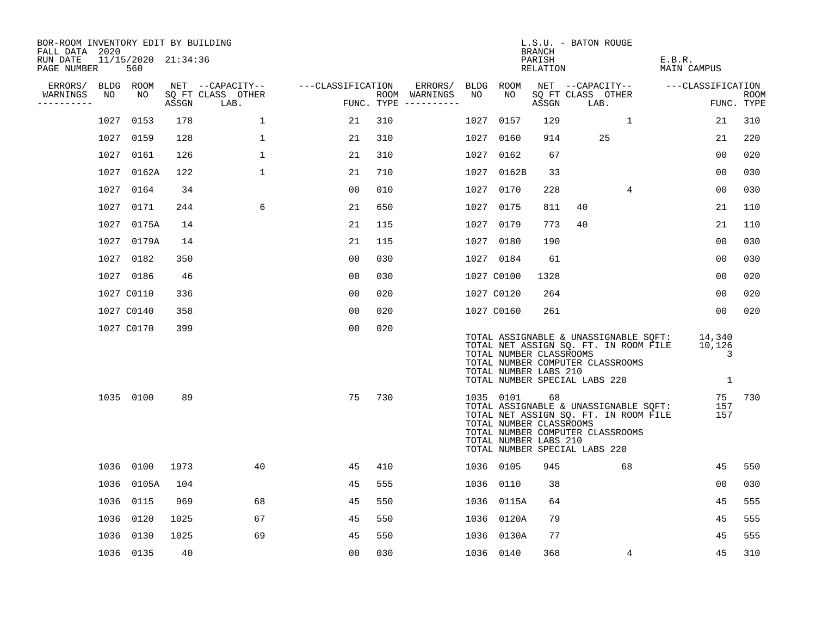| BOR-ROOM INVENTORY EDIT BY BUILDING<br>FALL DATA 2020 |      |                            |       |                           |                   |     |                                      |      |                                                               | <b>BRANCH</b>      | L.S.U. - BATON ROUGE                                                                                                                                |    |                       |                                       |                    |
|-------------------------------------------------------|------|----------------------------|-------|---------------------------|-------------------|-----|--------------------------------------|------|---------------------------------------------------------------|--------------------|-----------------------------------------------------------------------------------------------------------------------------------------------------|----|-----------------------|---------------------------------------|--------------------|
| RUN DATE<br>PAGE NUMBER                               |      | 11/15/2020 21:34:36<br>560 |       |                           |                   |     |                                      |      |                                                               | PARISH<br>RELATION |                                                                                                                                                     |    | E.B.R.<br>MAIN CAMPUS |                                       |                    |
| ERRORS/                                               |      | BLDG ROOM                  |       | NET --CAPACITY--          | ---CLASSIFICATION |     | ERRORS/                              |      | BLDG ROOM                                                     |                    | NET --CAPACITY--                                                                                                                                    |    | ---CLASSIFICATION     |                                       |                    |
| WARNINGS<br>-----------                               | NO   | NO                         | ASSGN | SQ FT CLASS OTHER<br>LAB. |                   |     | ROOM WARNINGS<br>FUNC. TYPE $------$ | NO   | NO                                                            | ASSGN              | SQ FT CLASS OTHER<br>LAB.                                                                                                                           |    |                       |                                       | ROOM<br>FUNC. TYPE |
|                                                       | 1027 | 0153                       | 178   | $\mathbf{1}$              | 21                | 310 |                                      | 1027 | 0157                                                          | 129                |                                                                                                                                                     | 1  |                       | 21                                    | 310                |
|                                                       | 1027 | 0159                       | 128   | 1                         | 21                | 310 |                                      |      | 1027 0160                                                     | 914                | 25                                                                                                                                                  |    |                       | 21                                    | 220                |
|                                                       | 1027 | 0161                       | 126   | $\mathbf{1}$              | 21                | 310 |                                      |      | 1027 0162                                                     | 67                 |                                                                                                                                                     |    |                       | 00                                    | 020                |
|                                                       | 1027 | 0162A                      | 122   | $\mathbf 1$               | 21                | 710 |                                      |      | 1027 0162B                                                    | 33                 |                                                                                                                                                     |    |                       | 0 <sub>0</sub>                        | 030                |
|                                                       | 1027 | 0164                       | 34    |                           | 0 <sub>0</sub>    | 010 |                                      | 1027 | 0170                                                          | 228                |                                                                                                                                                     | 4  |                       | 0 <sub>0</sub>                        | 030                |
|                                                       | 1027 | 0171                       | 244   | 6                         | 21                | 650 |                                      |      | 1027 0175                                                     | 811                | 40                                                                                                                                                  |    |                       | 21                                    | 110                |
|                                                       | 1027 | 0175A                      | 14    |                           | 21                | 115 |                                      | 1027 | 0179                                                          | 773                | 40                                                                                                                                                  |    |                       | 21                                    | 110                |
|                                                       |      | 1027 0179A                 | 14    |                           | 21                | 115 |                                      |      | 1027 0180                                                     | 190                |                                                                                                                                                     |    |                       | 00                                    | 030                |
|                                                       | 1027 | 0182                       | 350   |                           | 0 <sub>0</sub>    | 030 |                                      |      | 1027 0184                                                     | 61                 |                                                                                                                                                     |    |                       | 0 <sub>0</sub>                        | 030                |
|                                                       |      | 1027 0186                  | 46    |                           | 0 <sub>0</sub>    | 030 |                                      |      | 1027 C0100                                                    | 1328               |                                                                                                                                                     |    |                       | 00                                    | 020                |
|                                                       |      | 1027 C0110                 | 336   |                           | 0 <sub>0</sub>    | 020 |                                      |      | 1027 C0120                                                    | 264                |                                                                                                                                                     |    |                       | 0 <sub>0</sub>                        | 020                |
|                                                       |      | 1027 C0140                 | 358   |                           | 0 <sub>0</sub>    | 020 |                                      |      | 1027 C0160                                                    | 261                |                                                                                                                                                     |    |                       | 00                                    | 020                |
|                                                       |      | 1027 C0170                 | 399   |                           | 0 <sub>0</sub>    | 020 |                                      |      | TOTAL NUMBER CLASSROOMS<br>TOTAL NUMBER LABS 210              |                    | TOTAL ASSIGNABLE & UNASSIGNABLE SQFT:<br>TOTAL NET ASSIGN SQ. FT. IN ROOM FILE<br>TOTAL NUMBER COMPUTER CLASSROOMS<br>TOTAL NUMBER SPECIAL LABS 220 |    |                       | 14,340<br>10,126<br>3<br>$\mathbf{1}$ |                    |
|                                                       |      | 1035 0100                  | 89    |                           | 75                | 730 |                                      |      | 1035 0101<br>TOTAL NUMBER CLASSROOMS<br>TOTAL NUMBER LABS 210 | 68                 | TOTAL ASSIGNABLE & UNASSIGNABLE SQFT:<br>TOTAL NET ASSIGN SQ. FT. IN ROOM FILE<br>TOTAL NUMBER COMPUTER CLASSROOMS<br>TOTAL NUMBER SPECIAL LABS 220 |    |                       | 75<br>157<br>157                      | 730                |
|                                                       |      | 1036 0100                  | 1973  | 40                        | 45                | 410 |                                      |      | 1036 0105                                                     | 945                |                                                                                                                                                     | 68 |                       | 45                                    | 550                |
|                                                       | 1036 | 0105A                      | 104   |                           | 45                | 555 |                                      | 1036 | 0110                                                          | 38                 |                                                                                                                                                     |    |                       | 00                                    | 030                |
|                                                       | 1036 | 0115                       | 969   | 68                        | 45                | 550 |                                      |      | 1036 0115A                                                    | 64                 |                                                                                                                                                     |    |                       | 45                                    | 555                |
|                                                       | 1036 | 0120                       | 1025  | 67                        | 45                | 550 |                                      |      | 1036 0120A                                                    | 79                 |                                                                                                                                                     |    |                       | 45                                    | 555                |
|                                                       | 1036 | 0130                       | 1025  | 69                        | 45                | 550 |                                      |      | 1036 0130A                                                    | 77                 |                                                                                                                                                     |    |                       | 45                                    | 555                |
|                                                       |      | 1036 0135                  | 40    |                           | 0 <sub>0</sub>    | 030 |                                      |      | 1036 0140                                                     | 368                |                                                                                                                                                     | 4  |                       | 45                                    | 310                |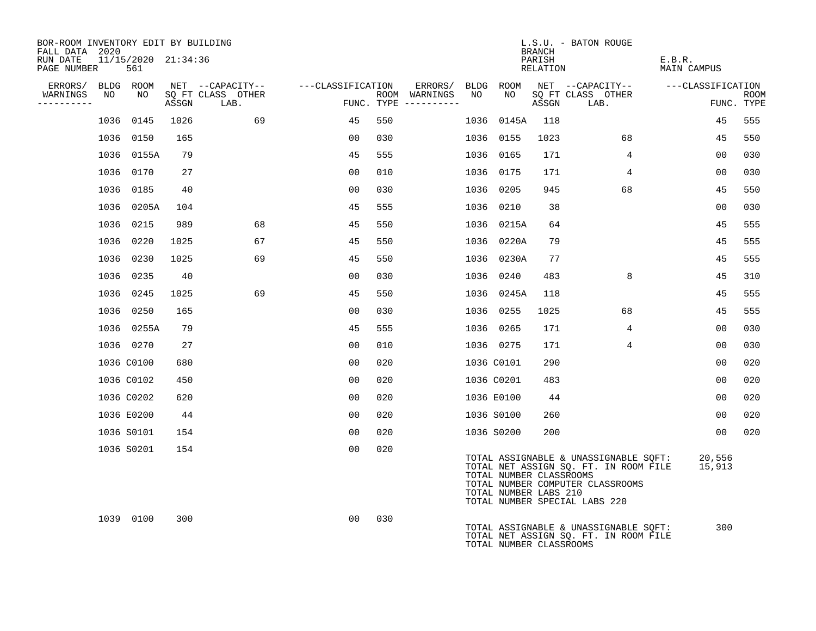| BOR-ROOM INVENTORY EDIT BY BUILDING<br>FALL DATA 2020 |                            |       |                           |                                     |     |                                      |      |                                                  | <b>BRANCH</b>      | L.S.U. - BATON ROUGE                                                                                                                                |                              |                           |
|-------------------------------------------------------|----------------------------|-------|---------------------------|-------------------------------------|-----|--------------------------------------|------|--------------------------------------------------|--------------------|-----------------------------------------------------------------------------------------------------------------------------------------------------|------------------------------|---------------------------|
| RUN DATE<br>PAGE NUMBER                               | 11/15/2020 21:34:36<br>561 |       |                           |                                     |     |                                      |      |                                                  | PARISH<br>RELATION |                                                                                                                                                     | E.B.R.<br><b>MAIN CAMPUS</b> |                           |
| ERRORS/ BLDG ROOM                                     |                            |       |                           | NET --CAPACITY-- ----CLASSIFICATION |     | ERRORS/ BLDG                         |      | ROOM                                             |                    | NET --CAPACITY--                                                                                                                                    | ---CLASSIFICATION            |                           |
| WARNINGS<br>NO<br>----------                          | NO                         | ASSGN | SQ FT CLASS OTHER<br>LAB. |                                     |     | ROOM WARNINGS<br>FUNC. TYPE $------$ | NO   | NO                                               | ASSGN              | SQ FT CLASS OTHER<br>LAB.                                                                                                                           |                              | <b>ROOM</b><br>FUNC. TYPE |
|                                                       | 1036 0145                  | 1026  | 69                        | 45                                  | 550 |                                      | 1036 | 0145A                                            | 118                |                                                                                                                                                     | 45                           | 555                       |
|                                                       | 1036 0150                  | 165   |                           | 00                                  | 030 |                                      | 1036 | 0155                                             | 1023               | 68                                                                                                                                                  | 45                           | 550                       |
|                                                       | 1036 0155A                 | 79    |                           | 45                                  | 555 |                                      |      | 1036 0165                                        | 171                | 4                                                                                                                                                   | 00                           | 030                       |
|                                                       | 1036 0170                  | 27    |                           | 00                                  | 010 |                                      | 1036 | 0175                                             | 171                | $\overline{4}$                                                                                                                                      | 00                           | 030                       |
|                                                       | 1036 0185                  | 40    |                           | 0 <sub>0</sub>                      | 030 |                                      |      | 1036 0205                                        | 945                | 68                                                                                                                                                  | 45                           | 550                       |
|                                                       | 1036 0205A                 | 104   |                           | 45                                  | 555 |                                      | 1036 | 0210                                             | 38                 |                                                                                                                                                     | 00                           | 030                       |
|                                                       | 1036 0215                  | 989   | 68                        | 45                                  | 550 |                                      |      | 1036 0215A                                       | 64                 |                                                                                                                                                     | 45                           | 555                       |
|                                                       | 1036 0220                  | 1025  | 67                        | 45                                  | 550 |                                      |      | 1036 0220A                                       | 79                 |                                                                                                                                                     | 45                           | 555                       |
|                                                       | 1036 0230                  | 1025  | 69                        | 45                                  | 550 |                                      |      | 1036 0230A                                       | 77                 |                                                                                                                                                     | 45                           | 555                       |
|                                                       | 1036 0235                  | 40    |                           | 00                                  | 030 |                                      |      | 1036 0240                                        | 483                | 8                                                                                                                                                   | 45                           | 310                       |
|                                                       | 1036 0245                  | 1025  | 69                        | 45                                  | 550 |                                      |      | 1036 0245A                                       | 118                |                                                                                                                                                     | 45                           | 555                       |
|                                                       | 1036 0250                  | 165   |                           | 00                                  | 030 |                                      |      | 1036 0255                                        | 1025               | 68                                                                                                                                                  | 45                           | 555                       |
|                                                       | 1036 0255A                 | 79    |                           | 45                                  | 555 |                                      |      | 1036 0265                                        | 171                | $\overline{4}$                                                                                                                                      | 00                           | 030                       |
|                                                       | 1036 0270                  | 27    |                           | 00                                  | 010 |                                      |      | 1036 0275                                        | 171                | $\overline{4}$                                                                                                                                      | 00                           | 030                       |
|                                                       | 1036 C0100                 | 680   |                           | 00                                  | 020 |                                      |      | 1036 C0101                                       | 290                |                                                                                                                                                     | 00                           | 020                       |
|                                                       | 1036 C0102                 | 450   |                           | 0 <sub>0</sub>                      | 020 |                                      |      | 1036 C0201                                       | 483                |                                                                                                                                                     | 00                           | 020                       |
|                                                       | 1036 C0202                 | 620   |                           | 00                                  | 020 |                                      |      | 1036 E0100                                       | 44                 |                                                                                                                                                     | 00                           | 020                       |
|                                                       | 1036 E0200                 | 44    |                           | 0 <sub>0</sub>                      | 020 |                                      |      | 1036 S0100                                       | 260                |                                                                                                                                                     | 00                           | 020                       |
|                                                       | 1036 S0101                 | 154   |                           | 0 <sub>0</sub>                      | 020 |                                      |      | 1036 S0200                                       | 200                |                                                                                                                                                     | 00                           | 020                       |
|                                                       | 1036 S0201                 | 154   |                           | 00                                  | 020 |                                      |      | TOTAL NUMBER CLASSROOMS<br>TOTAL NUMBER LABS 210 |                    | TOTAL ASSIGNABLE & UNASSIGNABLE SQFT:<br>TOTAL NET ASSIGN SQ. FT. IN ROOM FILE<br>TOTAL NUMBER COMPUTER CLASSROOMS<br>TOTAL NUMBER SPECIAL LABS 220 | 20,556<br>15,913             |                           |
|                                                       | 1039 0100                  | 300   |                           | 0 <sub>0</sub>                      | 030 |                                      |      | TOTAL NUMBER CLASSROOMS                          |                    | TOTAL ASSIGNABLE & UNASSIGNABLE SQFT:<br>TOTAL NET ASSIGN SQ. FT. IN ROOM FILE                                                                      | 300                          |                           |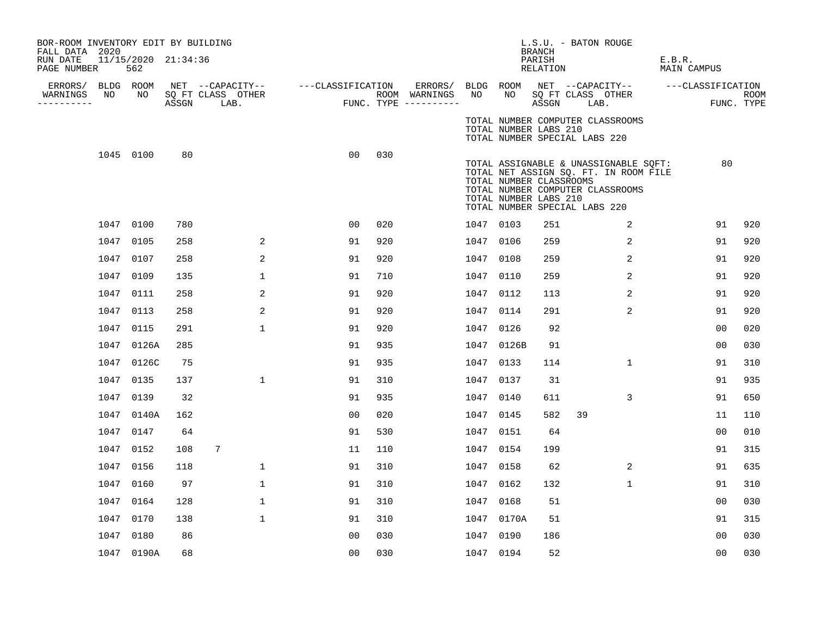| PAGE NUMBER |                      |                                                                                                                                                                                                                                                             |                                                      |                                                                          |                                                                                                                                 |     |                                    |               |                                        |                                                                                                                                                                                                                                                                             |                         |                                                                                       | E.B.R.                                                                                                                                                                                                                          |                                                                                |                                  |
|-------------|----------------------|-------------------------------------------------------------------------------------------------------------------------------------------------------------------------------------------------------------------------------------------------------------|------------------------------------------------------|--------------------------------------------------------------------------|---------------------------------------------------------------------------------------------------------------------------------|-----|------------------------------------|---------------|----------------------------------------|-----------------------------------------------------------------------------------------------------------------------------------------------------------------------------------------------------------------------------------------------------------------------------|-------------------------|---------------------------------------------------------------------------------------|---------------------------------------------------------------------------------------------------------------------------------------------------------------------------------------------------------------------------------|--------------------------------------------------------------------------------|----------------------------------|
|             |                      |                                                                                                                                                                                                                                                             |                                                      |                                                                          |                                                                                                                                 |     |                                    |               |                                        |                                                                                                                                                                                                                                                                             |                         |                                                                                       |                                                                                                                                                                                                                                 |                                                                                | ROOM                             |
|             |                      |                                                                                                                                                                                                                                                             |                                                      |                                                                          |                                                                                                                                 |     |                                    |               |                                        |                                                                                                                                                                                                                                                                             |                         |                                                                                       |                                                                                                                                                                                                                                 | FUNC. TYPE                                                                     |                                  |
|             |                      |                                                                                                                                                                                                                                                             |                                                      |                                                                          |                                                                                                                                 |     |                                    |               |                                        |                                                                                                                                                                                                                                                                             |                         |                                                                                       |                                                                                                                                                                                                                                 |                                                                                |                                  |
|             |                      | 80                                                                                                                                                                                                                                                          |                                                      |                                                                          | 0 <sub>0</sub>                                                                                                                  | 030 |                                    |               |                                        |                                                                                                                                                                                                                                                                             |                         |                                                                                       |                                                                                                                                                                                                                                 | 80                                                                             |                                  |
|             |                      | 780                                                                                                                                                                                                                                                         |                                                      |                                                                          | 00                                                                                                                              | 020 |                                    |               |                                        | 251                                                                                                                                                                                                                                                                         |                         | 2                                                                                     |                                                                                                                                                                                                                                 | 91                                                                             | 920                              |
|             |                      | 258                                                                                                                                                                                                                                                         |                                                      |                                                                          | 91                                                                                                                              | 920 |                                    |               |                                        | 259                                                                                                                                                                                                                                                                         |                         | 2                                                                                     |                                                                                                                                                                                                                                 | 91                                                                             | 920                              |
|             |                      | 258                                                                                                                                                                                                                                                         |                                                      |                                                                          | 91                                                                                                                              | 920 |                                    |               |                                        | 259                                                                                                                                                                                                                                                                         |                         | 2                                                                                     |                                                                                                                                                                                                                                 | 91                                                                             | 920                              |
|             |                      | 135                                                                                                                                                                                                                                                         |                                                      |                                                                          | 91                                                                                                                              | 710 |                                    |               |                                        | 259                                                                                                                                                                                                                                                                         |                         | 2                                                                                     |                                                                                                                                                                                                                                 | 91                                                                             | 920                              |
|             |                      | 258                                                                                                                                                                                                                                                         |                                                      |                                                                          | 91                                                                                                                              | 920 |                                    |               |                                        | 113                                                                                                                                                                                                                                                                         |                         | 2                                                                                     |                                                                                                                                                                                                                                 | 91                                                                             | 920                              |
|             |                      | 258                                                                                                                                                                                                                                                         |                                                      |                                                                          | 91                                                                                                                              | 920 |                                    |               |                                        | 291                                                                                                                                                                                                                                                                         |                         | 2                                                                                     |                                                                                                                                                                                                                                 | 91                                                                             | 920                              |
|             |                      | 291                                                                                                                                                                                                                                                         |                                                      |                                                                          | 91                                                                                                                              | 920 |                                    |               |                                        | 92                                                                                                                                                                                                                                                                          |                         |                                                                                       |                                                                                                                                                                                                                                 | 0 <sub>0</sub>                                                                 | 020                              |
|             |                      | 285                                                                                                                                                                                                                                                         |                                                      |                                                                          | 91                                                                                                                              | 935 |                                    |               |                                        | 91                                                                                                                                                                                                                                                                          |                         |                                                                                       |                                                                                                                                                                                                                                 | 00                                                                             | 030                              |
|             |                      | 75                                                                                                                                                                                                                                                          |                                                      |                                                                          | 91                                                                                                                              | 935 |                                    |               |                                        | 114                                                                                                                                                                                                                                                                         |                         | $\mathbf{1}$                                                                          |                                                                                                                                                                                                                                 | 91                                                                             | 310                              |
|             |                      | 137                                                                                                                                                                                                                                                         |                                                      |                                                                          | 91                                                                                                                              | 310 |                                    |               |                                        | 31                                                                                                                                                                                                                                                                          |                         |                                                                                       |                                                                                                                                                                                                                                 | 91                                                                             | 935                              |
|             |                      | 32                                                                                                                                                                                                                                                          |                                                      |                                                                          | 91                                                                                                                              | 935 |                                    |               |                                        | 611                                                                                                                                                                                                                                                                         |                         | 3                                                                                     |                                                                                                                                                                                                                                 | 91                                                                             | 650                              |
|             |                      | 162                                                                                                                                                                                                                                                         |                                                      |                                                                          | 0 <sub>0</sub>                                                                                                                  | 020 |                                    |               |                                        | 582                                                                                                                                                                                                                                                                         | 39                      |                                                                                       |                                                                                                                                                                                                                                 | 11                                                                             | 110                              |
|             |                      | 64                                                                                                                                                                                                                                                          |                                                      |                                                                          | 91                                                                                                                              | 530 |                                    |               |                                        | 64                                                                                                                                                                                                                                                                          |                         |                                                                                       |                                                                                                                                                                                                                                 | 00                                                                             | 010                              |
|             |                      | 108                                                                                                                                                                                                                                                         | 7                                                    |                                                                          | 11                                                                                                                              | 110 |                                    |               |                                        | 199                                                                                                                                                                                                                                                                         |                         |                                                                                       |                                                                                                                                                                                                                                 | 91                                                                             | 315                              |
|             |                      | 118                                                                                                                                                                                                                                                         |                                                      |                                                                          | 91                                                                                                                              | 310 |                                    |               |                                        | 62                                                                                                                                                                                                                                                                          |                         | 2                                                                                     |                                                                                                                                                                                                                                 | 91                                                                             | 635                              |
|             |                      | 97                                                                                                                                                                                                                                                          |                                                      |                                                                          | 91                                                                                                                              | 310 |                                    |               |                                        | 132                                                                                                                                                                                                                                                                         |                         | $\mathbf 1$                                                                           |                                                                                                                                                                                                                                 | 91                                                                             | 310                              |
|             |                      | 128                                                                                                                                                                                                                                                         |                                                      |                                                                          | 91                                                                                                                              | 310 |                                    |               |                                        | 51                                                                                                                                                                                                                                                                          |                         |                                                                                       |                                                                                                                                                                                                                                 | 00                                                                             | 030                              |
|             |                      | 138                                                                                                                                                                                                                                                         |                                                      |                                                                          | 91                                                                                                                              | 310 |                                    |               |                                        | 51                                                                                                                                                                                                                                                                          |                         |                                                                                       |                                                                                                                                                                                                                                 | 91                                                                             | 315                              |
|             |                      | 86                                                                                                                                                                                                                                                          |                                                      |                                                                          | 0 <sub>0</sub>                                                                                                                  | 030 |                                    |               |                                        | 186                                                                                                                                                                                                                                                                         |                         |                                                                                       |                                                                                                                                                                                                                                 | 00                                                                             | 030                              |
|             |                      | 68                                                                                                                                                                                                                                                          |                                                      |                                                                          | 00                                                                                                                              | 030 |                                    |               |                                        | 52                                                                                                                                                                                                                                                                          |                         |                                                                                       |                                                                                                                                                                                                                                 | 00                                                                             | 030                              |
|             | FALL DATA 2020<br>NO | 562<br>ERRORS/ BLDG ROOM<br>NO<br>1045 0100<br>1047 0100<br>1047 0105<br>1047 0107<br>1047 0109<br>1047 0111<br>1047 0113<br>1047 0115<br>1047 0135<br>1047 0139<br>1047 0147<br>1047 0152<br>1047 0156<br>1047 0160<br>1047 0164<br>1047 0170<br>1047 0180 | 1047 0126A<br>1047 0126C<br>1047 0140A<br>1047 0190A | BOR-ROOM INVENTORY EDIT BY BUILDING<br>11/15/2020 21:34:36<br>ASSGN LAB. | SQ FT CLASS OTHER<br>2<br>2<br>1<br>2<br>2<br>1<br>$\mathbf{1}$<br>$\mathbf{1}$<br>$\mathbf{1}$<br>$\mathbf{1}$<br>$\mathbf{1}$ |     | NET --CAPACITY-- ---CLASSIFICATION | ROOM WARNINGS | ERRORS/<br>NO<br>FUNC. TYPE ---------- | NO 11<br>1047 0103<br>1047 0106<br>1047 0108<br>1047 0110<br>1047 0112<br>1047 0114<br>1047 0126<br>1047 0126B<br>1047 0133<br>1047 0137<br>1047 0140<br>1047 0145<br>1047 0151<br>1047 0154<br>1047 0158<br>1047 0162<br>1047 0168<br>1047 0170A<br>1047 0190<br>1047 0194 | <b>BRANCH</b><br>PARISH | RELATION<br>TOTAL NUMBER LABS 210<br>TOTAL NUMBER CLASSROOMS<br>TOTAL NUMBER LABS 210 | L.S.U. - BATON ROUGE<br>BLDG ROOM NET --CAPACITY--<br>SQ FT CLASS OTHER<br>ASSGN LAB.<br>TOTAL NUMBER COMPUTER CLASSROOMS<br>TOTAL NUMBER SPECIAL LABS 220<br>TOTAL NUMBER COMPUTER CLASSROOMS<br>TOTAL NUMBER SPECIAL LABS 220 | TOTAL ASSIGNABLE & UNASSIGNABLE SQFT:<br>TOTAL NET ASSIGN SQ. FT. IN ROOM FILE | MAIN CAMPUS<br>---CLASSIFICATION |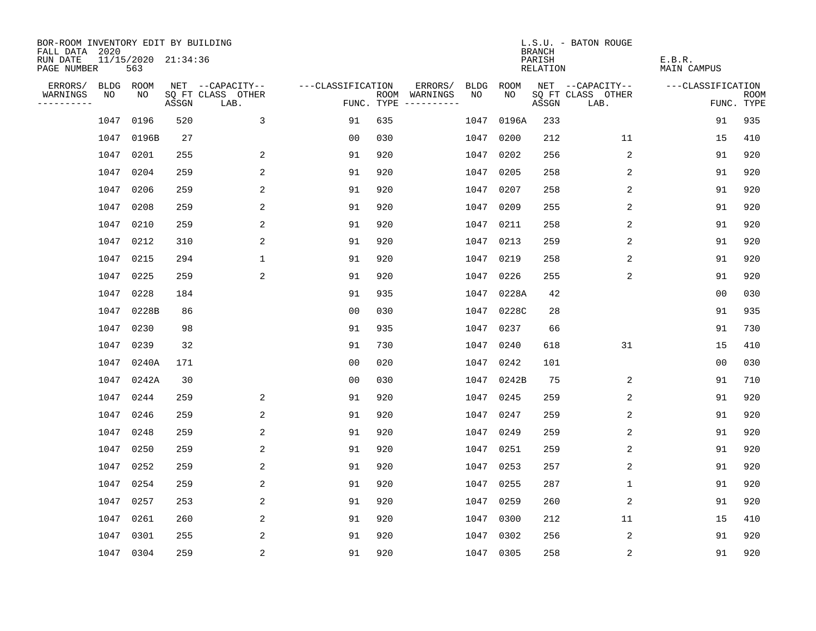| BOR-ROOM INVENTORY EDIT BY BUILDING<br>FALL DATA 2020 |      |                            |       |                           |                   |     |                                      |      |            | <b>BRANCH</b>      | L.S.U. - BATON ROUGE      |                              |                           |
|-------------------------------------------------------|------|----------------------------|-------|---------------------------|-------------------|-----|--------------------------------------|------|------------|--------------------|---------------------------|------------------------------|---------------------------|
| RUN DATE<br>PAGE NUMBER                               |      | 11/15/2020 21:34:36<br>563 |       |                           |                   |     |                                      |      |            | PARISH<br>RELATION |                           | E.B.R.<br><b>MAIN CAMPUS</b> |                           |
| ERRORS/                                               |      | BLDG ROOM                  |       | NET --CAPACITY--          | ---CLASSIFICATION |     | ERRORS/                              | BLDG | ROOM       |                    | NET --CAPACITY--          | ---CLASSIFICATION            |                           |
| WARNINGS<br>----------                                | NO   | NO                         | ASSGN | SQ FT CLASS OTHER<br>LAB. |                   |     | ROOM WARNINGS<br>FUNC. TYPE $------$ | NO.  | NO.        | ASSGN              | SQ FT CLASS OTHER<br>LAB. |                              | <b>ROOM</b><br>FUNC. TYPE |
|                                                       | 1047 | 0196                       | 520   | 3                         | 91                | 635 |                                      | 1047 | 0196A      | 233                |                           | 91                           | 935                       |
|                                                       | 1047 | 0196B                      | 27    |                           | 0 <sub>0</sub>    | 030 |                                      | 1047 | 0200       | 212                | 11                        | 15                           | 410                       |
|                                                       | 1047 | 0201                       | 255   | 2                         | 91                | 920 |                                      | 1047 | 0202       | 256                | 2                         | 91                           | 920                       |
|                                                       | 1047 | 0204                       | 259   | 2                         | 91                | 920 |                                      | 1047 | 0205       | 258                | 2                         | 91                           | 920                       |
|                                                       | 1047 | 0206                       | 259   | 2                         | 91                | 920 |                                      | 1047 | 0207       | 258                | 2                         | 91                           | 920                       |
|                                                       | 1047 | 0208                       | 259   | 2                         | 91                | 920 |                                      |      | 1047 0209  | 255                | 2                         | 91                           | 920                       |
|                                                       | 1047 | 0210                       | 259   | 2                         | 91                | 920 |                                      |      | 1047 0211  | 258                | 2                         | 91                           | 920                       |
|                                                       | 1047 | 0212                       | 310   | $\overline{c}$            | 91                | 920 |                                      |      | 1047 0213  | 259                | $\overline{2}$            | 91                           | 920                       |
|                                                       | 1047 | 0215                       | 294   | $\mathbf 1$               | 91                | 920 |                                      | 1047 | 0219       | 258                | 2                         | 91                           | 920                       |
|                                                       | 1047 | 0225                       | 259   | 2                         | 91                | 920 |                                      |      | 1047 0226  | 255                | 2                         | 91                           | 920                       |
|                                                       | 1047 | 0228                       | 184   |                           | 91                | 935 |                                      |      | 1047 0228A | 42                 |                           | 0 <sub>0</sub>               | 030                       |
|                                                       | 1047 | 0228B                      | 86    |                           | 0 <sub>0</sub>    | 030 |                                      |      | 1047 0228C | 28                 |                           | 91                           | 935                       |
|                                                       | 1047 | 0230                       | 98    |                           | 91                | 935 |                                      | 1047 | 0237       | 66                 |                           | 91                           | 730                       |
|                                                       | 1047 | 0239                       | 32    |                           | 91                | 730 |                                      | 1047 | 0240       | 618                | 31                        | 15                           | 410                       |
|                                                       | 1047 | 0240A                      | 171   |                           | 0 <sub>0</sub>    | 020 |                                      | 1047 | 0242       | 101                |                           | 0 <sub>0</sub>               | 030                       |
|                                                       | 1047 | 0242A                      | 30    |                           | 0 <sub>0</sub>    | 030 |                                      | 1047 | 0242B      | 75                 | 2                         | 91                           | 710                       |
|                                                       | 1047 | 0244                       | 259   | 2                         | 91                | 920 |                                      | 1047 | 0245       | 259                | 2                         | 91                           | 920                       |
|                                                       | 1047 | 0246                       | 259   | 2                         | 91                | 920 |                                      | 1047 | 0247       | 259                | 2                         | 91                           | 920                       |
|                                                       | 1047 | 0248                       | 259   | 2                         | 91                | 920 |                                      | 1047 | 0249       | 259                | 2                         | 91                           | 920                       |
|                                                       | 1047 | 0250                       | 259   | 2                         | 91                | 920 |                                      | 1047 | 0251       | 259                | 2                         | 91                           | 920                       |
|                                                       | 1047 | 0252                       | 259   | 2                         | 91                | 920 |                                      | 1047 | 0253       | 257                | 2                         | 91                           | 920                       |
|                                                       | 1047 | 0254                       | 259   | 2                         | 91                | 920 |                                      | 1047 | 0255       | 287                | 1                         | 91                           | 920                       |
|                                                       | 1047 | 0257                       | 253   | 2                         | 91                | 920 |                                      |      | 1047 0259  | 260                | 2                         | 91                           | 920                       |
|                                                       | 1047 | 0261                       | 260   | 2                         | 91                | 920 |                                      | 1047 | 0300       | 212                | 11                        | 15                           | 410                       |
|                                                       | 1047 | 0301                       | 255   | 2                         | 91                | 920 |                                      |      | 1047 0302  | 256                | 2                         | 91                           | 920                       |
|                                                       |      | 1047 0304                  | 259   | 2                         | 91                | 920 |                                      |      | 1047 0305  | 258                | 2                         | 91                           | 920                       |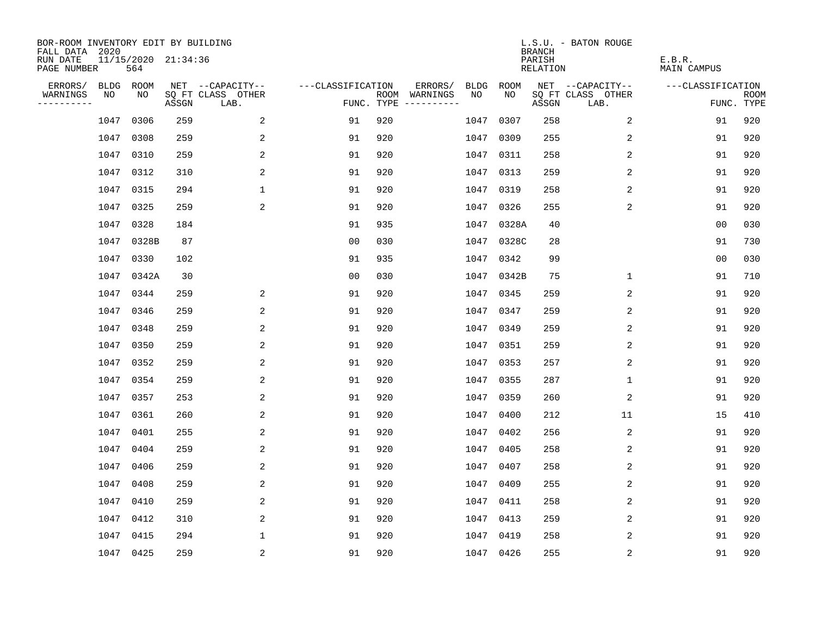| BOR-ROOM INVENTORY EDIT BY BUILDING<br>FALL DATA 2020 |           |                            |       |                           |                   |     |                                      |             |            | <b>BRANCH</b>             | L.S.U. - BATON ROUGE      |                              |                           |
|-------------------------------------------------------|-----------|----------------------------|-------|---------------------------|-------------------|-----|--------------------------------------|-------------|------------|---------------------------|---------------------------|------------------------------|---------------------------|
| RUN DATE<br>PAGE NUMBER                               |           | 11/15/2020 21:34:36<br>564 |       |                           |                   |     |                                      |             |            | PARISH<br><b>RELATION</b> |                           | E.B.R.<br><b>MAIN CAMPUS</b> |                           |
| ERRORS/                                               | BLDG ROOM |                            |       | NET --CAPACITY--          | ---CLASSIFICATION |     | ERRORS/                              | <b>BLDG</b> | ROOM       |                           | NET --CAPACITY--          | ---CLASSIFICATION            |                           |
| WARNINGS<br>----------                                | NO        | NO                         | ASSGN | SQ FT CLASS OTHER<br>LAB. |                   |     | ROOM WARNINGS<br>FUNC. TYPE $------$ | NO          | NO         | ASSGN                     | SQ FT CLASS OTHER<br>LAB. |                              | <b>ROOM</b><br>FUNC. TYPE |
|                                                       | 1047      | 0306                       | 259   | 2                         | 91                | 920 |                                      | 1047        | 0307       | 258                       | 2                         | 91                           | 920                       |
|                                                       | 1047      | 0308                       | 259   | 2                         | 91                | 920 |                                      |             | 1047 0309  | 255                       | 2                         | 91                           | 920                       |
|                                                       | 1047      | 0310                       | 259   | 2                         | 91                | 920 |                                      |             | 1047 0311  | 258                       | 2                         | 91                           | 920                       |
|                                                       | 1047      | 0312                       | 310   | 2                         | 91                | 920 |                                      |             | 1047 0313  | 259                       | 2                         | 91                           | 920                       |
|                                                       | 1047      | 0315                       | 294   | $\mathbf{1}$              | 91                | 920 |                                      |             | 1047 0319  | 258                       | 2                         | 91                           | 920                       |
|                                                       | 1047      | 0325                       | 259   | 2                         | 91                | 920 |                                      |             | 1047 0326  | 255                       | 2                         | 91                           | 920                       |
|                                                       | 1047      | 0328                       | 184   |                           | 91                | 935 |                                      |             | 1047 0328A | 40                        |                           | 0 <sub>0</sub>               | 030                       |
|                                                       | 1047      | 0328B                      | 87    |                           | 0 <sub>0</sub>    | 030 |                                      |             | 1047 0328C | 28                        |                           | 91                           | 730                       |
|                                                       | 1047      | 0330                       | 102   |                           | 91                | 935 |                                      |             | 1047 0342  | 99                        |                           | 0 <sub>0</sub>               | 030                       |
|                                                       | 1047      | 0342A                      | 30    |                           | 0 <sub>0</sub>    | 030 |                                      |             | 1047 0342B | 75                        | $\mathbf{1}$              | 91                           | 710                       |
|                                                       | 1047      | 0344                       | 259   | 2                         | 91                | 920 |                                      |             | 1047 0345  | 259                       | 2                         | 91                           | 920                       |
|                                                       | 1047      | 0346                       | 259   | 2                         | 91                | 920 |                                      |             | 1047 0347  | 259                       | 2                         | 91                           | 920                       |
|                                                       | 1047      | 0348                       | 259   | 2                         | 91                | 920 |                                      | 1047        | 0349       | 259                       | 2                         | 91                           | 920                       |
|                                                       | 1047      | 0350                       | 259   | 2                         | 91                | 920 |                                      |             | 1047 0351  | 259                       | 2                         | 91                           | 920                       |
|                                                       | 1047      | 0352                       | 259   | 2                         | 91                | 920 |                                      | 1047        | 0353       | 257                       | 2                         | 91                           | 920                       |
|                                                       | 1047      | 0354                       | 259   | 2                         | 91                | 920 |                                      | 1047        | 0355       | 287                       | $\mathbf{1}$              | 91                           | 920                       |
|                                                       | 1047      | 0357                       | 253   | 2                         | 91                | 920 |                                      | 1047        | 0359       | 260                       | 2                         | 91                           | 920                       |
|                                                       | 1047      | 0361                       | 260   | 2                         | 91                | 920 |                                      | 1047        | 0400       | 212                       | 11                        | 15                           | 410                       |
|                                                       | 1047      | 0401                       | 255   | 2                         | 91                | 920 |                                      | 1047        | 0402       | 256                       | 2                         | 91                           | 920                       |
|                                                       | 1047      | 0404                       | 259   | 2                         | 91                | 920 |                                      | 1047        | 0405       | 258                       | 2                         | 91                           | 920                       |
|                                                       | 1047      | 0406                       | 259   | 2                         | 91                | 920 |                                      | 1047 0407   |            | 258                       | 2                         | 91                           | 920                       |
|                                                       | 1047      | 0408                       | 259   | 2                         | 91                | 920 |                                      | 1047        | 0409       | 255                       | 2                         | 91                           | 920                       |
|                                                       | 1047      | 0410                       | 259   | 2                         | 91                | 920 |                                      |             | 1047 0411  | 258                       | 2                         | 91                           | 920                       |
|                                                       | 1047      | 0412                       | 310   | 2                         | 91                | 920 |                                      |             | 1047 0413  | 259                       | 2                         | 91                           | 920                       |
|                                                       | 1047      | 0415                       | 294   | 1                         | 91                | 920 |                                      |             | 1047 0419  | 258                       | 2                         | 91                           | 920                       |
|                                                       | 1047 0425 |                            | 259   | 2                         | 91                | 920 |                                      |             | 1047 0426  | 255                       | 2                         | 91                           | 920                       |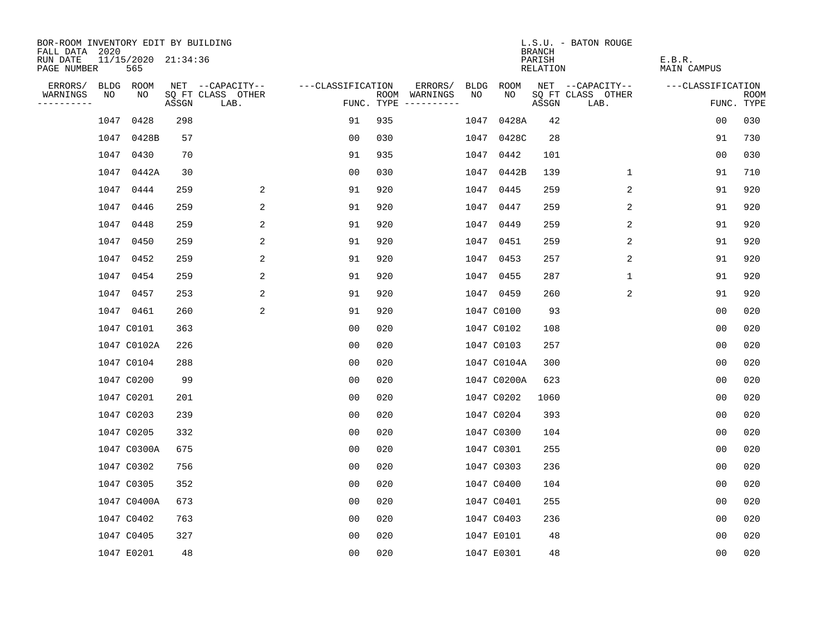| BOR-ROOM INVENTORY EDIT BY BUILDING<br>FALL DATA 2020 |      |                            |       |                           |                   |     |                                      |      |             | <b>BRANCH</b>      | L.S.U. - BATON ROUGE      |                       |                           |
|-------------------------------------------------------|------|----------------------------|-------|---------------------------|-------------------|-----|--------------------------------------|------|-------------|--------------------|---------------------------|-----------------------|---------------------------|
| RUN DATE<br>PAGE NUMBER                               |      | 11/15/2020 21:34:36<br>565 |       |                           |                   |     |                                      |      |             | PARISH<br>RELATION |                           | E.B.R.<br>MAIN CAMPUS |                           |
| ERRORS/                                               |      | BLDG ROOM                  |       | NET --CAPACITY--          | ---CLASSIFICATION |     | ERRORS/                              | BLDG | ROOM        |                    | NET --CAPACITY--          | ---CLASSIFICATION     |                           |
| WARNINGS<br>----------                                | NO   | NO                         | ASSGN | SQ FT CLASS OTHER<br>LAB. |                   |     | ROOM WARNINGS<br>FUNC. TYPE $------$ | NO.  | NO.         | ASSGN              | SQ FT CLASS OTHER<br>LAB. |                       | <b>ROOM</b><br>FUNC. TYPE |
|                                                       | 1047 | 0428                       | 298   |                           | 91                | 935 |                                      | 1047 | 0428A       | 42                 |                           | 0 <sub>0</sub>        | 030                       |
|                                                       | 1047 | 0428B                      | 57    |                           | 0 <sub>0</sub>    | 030 |                                      | 1047 | 0428C       | 28                 |                           | 91                    | 730                       |
|                                                       | 1047 | 0430                       | 70    |                           | 91                | 935 |                                      | 1047 | 0442        | 101                |                           | 00                    | 030                       |
|                                                       | 1047 | 0442A                      | 30    |                           | 00                | 030 |                                      |      | 1047 0442B  | 139                | 1                         | 91                    | 710                       |
|                                                       | 1047 | 0444                       | 259   | 2                         | 91                | 920 |                                      | 1047 | 0445        | 259                | 2                         | 91                    | 920                       |
|                                                       |      | 1047 0446                  | 259   | 2                         | 91                | 920 |                                      |      | 1047 0447   | 259                | 2                         | 91                    | 920                       |
|                                                       | 1047 | 0448                       | 259   | 2                         | 91                | 920 |                                      |      | 1047 0449   | 259                | 2                         | 91                    | 920                       |
|                                                       |      | 1047 0450                  | 259   | 2                         | 91                | 920 |                                      |      | 1047 0451   | 259                | 2                         | 91                    | 920                       |
|                                                       | 1047 | 0452                       | 259   | 2                         | 91                | 920 |                                      |      | 1047 0453   | 257                | 2                         | 91                    | 920                       |
|                                                       |      | 1047 0454                  | 259   | 2                         | 91                | 920 |                                      |      | 1047 0455   | 287                | $\mathbf 1$               | 91                    | 920                       |
|                                                       |      | 1047 0457                  | 253   | 2                         | 91                | 920 |                                      |      | 1047 0459   | 260                | 2                         | 91                    | 920                       |
|                                                       |      | 1047 0461                  | 260   | 2                         | 91                | 920 |                                      |      | 1047 C0100  | 93                 |                           | 0 <sub>0</sub>        | 020                       |
|                                                       |      | 1047 C0101                 | 363   |                           | 0 <sub>0</sub>    | 020 |                                      |      | 1047 C0102  | 108                |                           | 0 <sub>0</sub>        | 020                       |
|                                                       |      | 1047 C0102A                | 226   |                           | 0 <sub>0</sub>    | 020 |                                      |      | 1047 C0103  | 257                |                           | 0 <sub>0</sub>        | 020                       |
|                                                       |      | 1047 C0104                 | 288   |                           | 00                | 020 |                                      |      | 1047 C0104A | 300                |                           | 00                    | 020                       |
|                                                       |      | 1047 C0200                 | 99    |                           | 00                | 020 |                                      |      | 1047 C0200A | 623                |                           | 00                    | 020                       |
|                                                       |      | 1047 C0201                 | 201   |                           | 0 <sub>0</sub>    | 020 |                                      |      | 1047 C0202  | 1060               |                           | 0 <sub>0</sub>        | 020                       |
|                                                       |      | 1047 C0203                 | 239   |                           | 0 <sub>0</sub>    | 020 |                                      |      | 1047 C0204  | 393                |                           | 0 <sub>0</sub>        | 020                       |
|                                                       |      | 1047 C0205                 | 332   |                           | 0 <sub>0</sub>    | 020 |                                      |      | 1047 C0300  | 104                |                           | 00                    | 020                       |
|                                                       |      | 1047 C0300A                | 675   |                           | 0 <sub>0</sub>    | 020 |                                      |      | 1047 C0301  | 255                |                           | 0 <sub>0</sub>        | 020                       |
|                                                       |      | 1047 C0302                 | 756   |                           | 0 <sub>0</sub>    | 020 |                                      |      | 1047 C0303  | 236                |                           | 0 <sub>0</sub>        | 020                       |
|                                                       |      | 1047 C0305                 | 352   |                           | 0 <sub>0</sub>    | 020 |                                      |      | 1047 C0400  | 104                |                           | 0 <sub>0</sub>        | 020                       |
|                                                       |      | 1047 C0400A                | 673   |                           | 0 <sub>0</sub>    | 020 |                                      |      | 1047 C0401  | 255                |                           | 0 <sub>0</sub>        | 020                       |
|                                                       |      | 1047 C0402                 | 763   |                           | 0 <sub>0</sub>    | 020 |                                      |      | 1047 C0403  | 236                |                           | 0 <sub>0</sub>        | 020                       |
|                                                       |      | 1047 C0405                 | 327   |                           | 0 <sub>0</sub>    | 020 |                                      |      | 1047 E0101  | 48                 |                           | 0 <sub>0</sub>        | 020                       |
|                                                       |      | 1047 E0201                 | 48    |                           | 0 <sub>0</sub>    | 020 |                                      |      | 1047 E0301  | 48                 |                           | 0 <sub>0</sub>        | 020                       |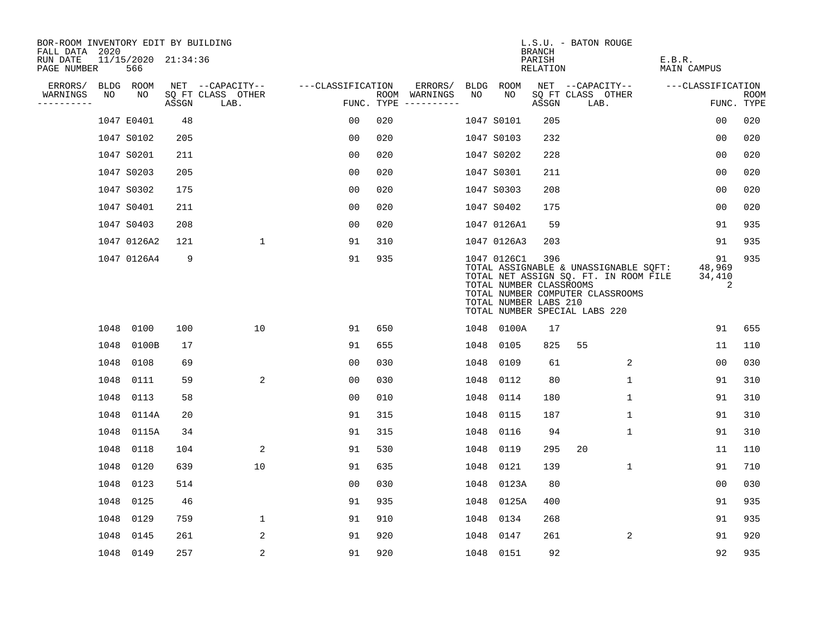| BOR-ROOM INVENTORY EDIT BY BUILDING       |      |                            |       |                           |                   |     |                                      |      |                                                                                                  | <b>BRANCH</b>      |    | L.S.U. - BATON ROUGE                                                                                               |                       |                             |                           |
|-------------------------------------------|------|----------------------------|-------|---------------------------|-------------------|-----|--------------------------------------|------|--------------------------------------------------------------------------------------------------|--------------------|----|--------------------------------------------------------------------------------------------------------------------|-----------------------|-----------------------------|---------------------------|
| FALL DATA 2020<br>RUN DATE<br>PAGE NUMBER |      | 11/15/2020 21:34:36<br>566 |       |                           |                   |     |                                      |      |                                                                                                  | PARISH<br>RELATION |    |                                                                                                                    | E.B.R.<br>MAIN CAMPUS |                             |                           |
| ERRORS/                                   |      | BLDG ROOM                  |       | NET --CAPACITY--          | ---CLASSIFICATION |     | ERRORS/                              |      | BLDG ROOM                                                                                        |                    |    | NET --CAPACITY--                                                                                                   | ---CLASSIFICATION     |                             |                           |
| WARNINGS<br>----------                    | NO   | NO                         | ASSGN | SQ FT CLASS OTHER<br>LAB. |                   |     | ROOM WARNINGS<br>FUNC. TYPE $------$ | NO.  | NO.                                                                                              | ASSGN              |    | SQ FT CLASS OTHER<br>LAB.                                                                                          |                       |                             | <b>ROOM</b><br>FUNC. TYPE |
|                                           |      | 1047 E0401                 | 48    |                           | 0 <sub>0</sub>    | 020 |                                      |      | 1047 S0101                                                                                       | 205                |    |                                                                                                                    |                       | 0 <sub>0</sub>              | 020                       |
|                                           |      | 1047 S0102                 | 205   |                           | 0 <sub>0</sub>    | 020 |                                      |      | 1047 S0103                                                                                       | 232                |    |                                                                                                                    |                       | 0 <sub>0</sub>              | 020                       |
|                                           |      | 1047 S0201                 | 211   |                           | 0 <sub>0</sub>    | 020 |                                      |      | 1047 S0202                                                                                       | 228                |    |                                                                                                                    |                       | 0 <sub>0</sub>              | 020                       |
|                                           |      | 1047 S0203                 | 205   |                           | 00                | 020 |                                      |      | 1047 S0301                                                                                       | 211                |    |                                                                                                                    |                       | 0 <sub>0</sub>              | 020                       |
|                                           |      | 1047 S0302                 | 175   |                           | 00                | 020 |                                      |      | 1047 S0303                                                                                       | 208                |    |                                                                                                                    |                       | 0 <sub>0</sub>              | 020                       |
|                                           |      | 1047 S0401                 | 211   |                           | 0 <sub>0</sub>    | 020 |                                      |      | 1047 S0402                                                                                       | 175                |    |                                                                                                                    |                       | 0 <sub>0</sub>              | 020                       |
|                                           |      | 1047 S0403                 | 208   |                           | 0 <sub>0</sub>    | 020 |                                      |      | 1047 0126A1                                                                                      | 59                 |    |                                                                                                                    |                       | 91                          | 935                       |
|                                           |      | 1047 0126A2                | 121   | $\mathbf{1}$              | 91                | 310 |                                      |      | 1047 0126A3                                                                                      | 203                |    |                                                                                                                    |                       | 91                          | 935                       |
|                                           |      | 1047 0126A4                | 9     |                           | 91                | 935 |                                      |      | 1047 0126C1<br>TOTAL NUMBER CLASSROOMS<br>TOTAL NUMBER LABS 210<br>TOTAL NUMBER SPECIAL LABS 220 | 396                |    | TOTAL ASSIGNABLE & UNASSIGNABLE SQFT:<br>TOTAL NET ASSIGN SQ. FT. IN ROOM FILE<br>TOTAL NUMBER COMPUTER CLASSROOMS |                       | 91<br>48,969<br>34,410<br>2 | 935                       |
|                                           |      | 1048 0100                  | 100   | 10                        | 91                | 650 |                                      |      | 1048 0100A                                                                                       | 17                 |    |                                                                                                                    |                       | 91                          | 655                       |
|                                           | 1048 | 0100B                      | 17    |                           | 91                | 655 |                                      |      | 1048 0105                                                                                        | 825                | 55 |                                                                                                                    |                       | 11                          | 110                       |
|                                           | 1048 | 0108                       | 69    |                           | 00                | 030 |                                      | 1048 | 0109                                                                                             | 61                 |    | 2                                                                                                                  |                       | 00                          | 030                       |
|                                           | 1048 | 0111                       | 59    | 2                         | 00                | 030 |                                      | 1048 | 0112                                                                                             | 80                 |    | 1                                                                                                                  |                       | 91                          | 310                       |
|                                           | 1048 | 0113                       | 58    |                           | 0 <sub>0</sub>    | 010 |                                      | 1048 | 0114                                                                                             | 180                |    | 1                                                                                                                  |                       | 91                          | 310                       |
|                                           | 1048 | 0114A                      | 20    |                           | 91                | 315 |                                      | 1048 | 0115                                                                                             | 187                |    | $\mathbf 1$                                                                                                        |                       | 91                          | 310                       |
|                                           |      | 1048 0115A                 | 34    |                           | 91                | 315 |                                      | 1048 | 0116                                                                                             | 94                 |    | 1                                                                                                                  |                       | 91                          | 310                       |
|                                           | 1048 | 0118                       | 104   | 2                         | 91                | 530 |                                      | 1048 | 0119                                                                                             | 295                | 20 |                                                                                                                    |                       | 11                          | 110                       |
|                                           | 1048 | 0120                       | 639   | 10                        | 91                | 635 |                                      | 1048 | 0121                                                                                             | 139                |    | $\mathbf 1$                                                                                                        |                       | 91                          | 710                       |
|                                           | 1048 | 0123                       | 514   |                           | 0 <sub>0</sub>    | 030 |                                      | 1048 | 0123A                                                                                            | 80                 |    |                                                                                                                    |                       | 0 <sub>0</sub>              | 030                       |
|                                           | 1048 | 0125                       | 46    |                           | 91                | 935 |                                      | 1048 | 0125A                                                                                            | 400                |    |                                                                                                                    |                       | 91                          | 935                       |
|                                           | 1048 | 0129                       | 759   | $\mathbf 1$               | 91                | 910 |                                      | 1048 | 0134                                                                                             | 268                |    |                                                                                                                    |                       | 91                          | 935                       |
|                                           | 1048 | 0145                       | 261   | 2                         | 91                | 920 |                                      |      | 1048 0147                                                                                        | 261                |    | 2                                                                                                                  |                       | 91                          | 920                       |
|                                           |      | 1048 0149                  | 257   | 2                         | 91                | 920 |                                      |      | 1048 0151                                                                                        | 92                 |    |                                                                                                                    |                       | 92                          | 935                       |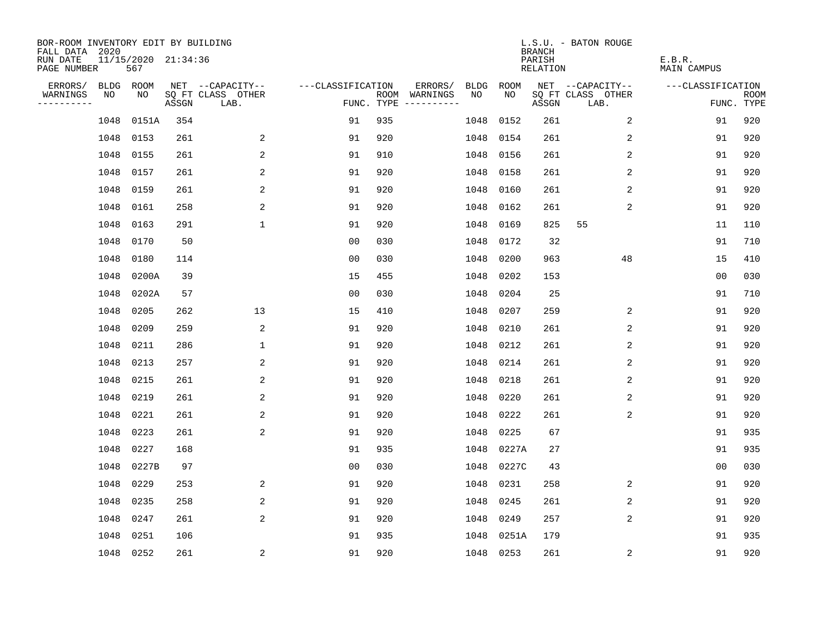| BOR-ROOM INVENTORY EDIT BY BUILDING<br>FALL DATA 2020 |           |                            |       |                           |                   |     |                                            |           | <b>BRANCH</b>             | L.S.U. - BATON ROUGE      |                              |                           |
|-------------------------------------------------------|-----------|----------------------------|-------|---------------------------|-------------------|-----|--------------------------------------------|-----------|---------------------------|---------------------------|------------------------------|---------------------------|
| RUN DATE<br>PAGE NUMBER                               |           | 11/15/2020 21:34:36<br>567 |       |                           |                   |     |                                            |           | PARISH<br><b>RELATION</b> |                           | E.B.R.<br><b>MAIN CAMPUS</b> |                           |
| ERRORS/                                               | BLDG ROOM |                            |       | NET --CAPACITY--          | ---CLASSIFICATION |     | ERRORS/<br><b>BLDG</b>                     | ROOM      |                           | NET --CAPACITY--          | ---CLASSIFICATION            |                           |
| WARNINGS<br>----------                                | NO        | NO                         | ASSGN | SQ FT CLASS OTHER<br>LAB. |                   |     | NO<br>ROOM WARNINGS<br>FUNC. TYPE $------$ | NO        | ASSGN                     | SQ FT CLASS OTHER<br>LAB. |                              | <b>ROOM</b><br>FUNC. TYPE |
|                                                       | 1048      | 0151A                      | 354   |                           | 91                | 935 | 1048                                       | 0152      | 261                       | 2                         | 91                           | 920                       |
|                                                       | 1048      | 0153                       | 261   | 2                         | 91                | 920 | 1048                                       | 0154      | 261                       | 2                         | 91                           | 920                       |
|                                                       | 1048      | 0155                       | 261   | 2                         | 91                | 910 | 1048                                       | 0156      | 261                       | 2                         | 91                           | 920                       |
|                                                       | 1048      | 0157                       | 261   | 2                         | 91                | 920 | 1048                                       | 0158      | 261                       | 2                         | 91                           | 920                       |
|                                                       | 1048      | 0159                       | 261   | 2                         | 91                | 920 | 1048                                       | 0160      | 261                       | 2                         | 91                           | 920                       |
|                                                       | 1048      | 0161                       | 258   | 2                         | 91                | 920 | 1048                                       | 0162      | 261                       | 2                         | 91                           | 920                       |
|                                                       | 1048      | 0163                       | 291   | $\mathbf{1}$              | 91                | 920 | 1048                                       | 0169      | 825                       | 55                        | 11                           | 110                       |
|                                                       | 1048      | 0170                       | 50    |                           | 0 <sub>0</sub>    | 030 | 1048                                       | 0172      | 32                        |                           | 91                           | 710                       |
|                                                       | 1048      | 0180                       | 114   |                           | 0 <sub>0</sub>    | 030 | 1048                                       | 0200      | 963                       | 48                        | 15                           | 410                       |
|                                                       | 1048      | 0200A                      | 39    |                           | 15                | 455 | 1048                                       | 0202      | 153                       |                           | 0 <sub>0</sub>               | 030                       |
|                                                       | 1048      | 0202A                      | 57    |                           | 0 <sub>0</sub>    | 030 | 1048                                       | 0204      | 25                        |                           | 91                           | 710                       |
|                                                       | 1048      | 0205                       | 262   | 13                        | 15                | 410 | 1048                                       | 0207      | 259                       | 2                         | 91                           | 920                       |
|                                                       | 1048      | 0209                       | 259   | $\overline{c}$            | 91                | 920 | 1048                                       | 0210      | 261                       | 2                         | 91                           | 920                       |
|                                                       | 1048      | 0211                       | 286   | 1                         | 91                | 920 | 1048                                       | 0212      | 261                       | 2                         | 91                           | 920                       |
|                                                       | 1048      | 0213                       | 257   | 2                         | 91                | 920 | 1048                                       | 0214      | 261                       | 2                         | 91                           | 920                       |
|                                                       | 1048      | 0215                       | 261   | 2                         | 91                | 920 | 1048                                       | 0218      | 261                       | 2                         | 91                           | 920                       |
|                                                       | 1048      | 0219                       | 261   | 2                         | 91                | 920 | 1048                                       | 0220      | 261                       | 2                         | 91                           | 920                       |
|                                                       | 1048      | 0221                       | 261   | 2                         | 91                | 920 | 1048                                       | 0222      | 261                       | 2                         | 91                           | 920                       |
|                                                       | 1048      | 0223                       | 261   | 2                         | 91                | 920 | 1048                                       | 0225      | 67                        |                           | 91                           | 935                       |
|                                                       | 1048      | 0227                       | 168   |                           | 91                | 935 | 1048                                       | 0227A     | 27                        |                           | 91                           | 935                       |
|                                                       | 1048      | 0227B                      | 97    |                           | 0 <sub>0</sub>    | 030 | 1048                                       | 0227C     | 43                        |                           | 0 <sub>0</sub>               | 030                       |
|                                                       | 1048      | 0229                       | 253   | 2                         | 91                | 920 | 1048                                       | 0231      | 258                       | 2                         | 91                           | 920                       |
|                                                       | 1048      | 0235                       | 258   | 2                         | 91                | 920 | 1048                                       | 0245      | 261                       | 2                         | 91                           | 920                       |
|                                                       | 1048      | 0247                       | 261   | 2                         | 91                | 920 | 1048                                       | 0249      | 257                       | 2                         | 91                           | 920                       |
|                                                       | 1048      | 0251                       | 106   |                           | 91                | 935 | 1048                                       | 0251A     | 179                       |                           | 91                           | 935                       |
|                                                       | 1048 0252 |                            | 261   | $\overline{c}$            | 91                | 920 |                                            | 1048 0253 | 261                       | $\overline{c}$            | 91                           | 920                       |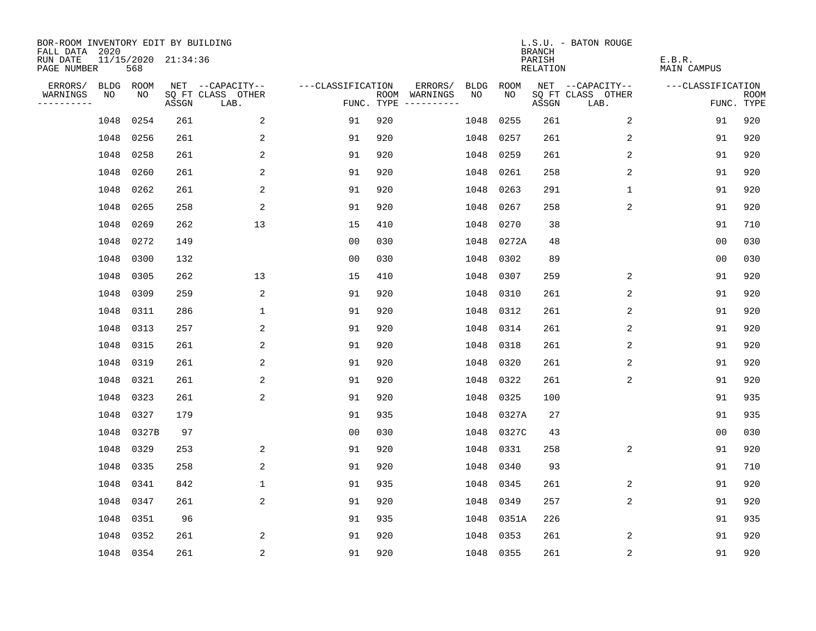| BOR-ROOM INVENTORY EDIT BY BUILDING<br>FALL DATA 2020 |           |                            |       |                           |                   |            |                                        |             |             | <b>BRANCH</b>             | L.S.U. - BATON ROUGE      |                              |                           |
|-------------------------------------------------------|-----------|----------------------------|-------|---------------------------|-------------------|------------|----------------------------------------|-------------|-------------|---------------------------|---------------------------|------------------------------|---------------------------|
| RUN DATE<br>PAGE NUMBER                               |           | 11/15/2020 21:34:36<br>568 |       |                           |                   |            |                                        |             |             | PARISH<br><b>RELATION</b> |                           | E.B.R.<br><b>MAIN CAMPUS</b> |                           |
| ERRORS/                                               | BLDG ROOM |                            |       | NET --CAPACITY--          | ---CLASSIFICATION |            | ERRORS/                                | <b>BLDG</b> | <b>ROOM</b> |                           | NET --CAPACITY--          | ---CLASSIFICATION            |                           |
| WARNINGS<br>----------                                | NO        | NO                         | ASSGN | SQ FT CLASS OTHER<br>LAB. |                   | FUNC. TYPE | ROOM WARNINGS<br>$- - - - - - - - - -$ | NO          | NO          | ASSGN                     | SQ FT CLASS OTHER<br>LAB. |                              | <b>ROOM</b><br>FUNC. TYPE |
|                                                       | 1048      | 0254                       | 261   | 2                         | 91                | 920        |                                        | 1048        | 0255        | 261                       | 2                         | 91                           | 920                       |
|                                                       | 1048      | 0256                       | 261   | 2                         | 91                | 920        |                                        | 1048        | 0257        | 261                       | 2                         | 91                           | 920                       |
|                                                       | 1048      | 0258                       | 261   | 2                         | 91                | 920        |                                        | 1048        | 0259        | 261                       | 2                         | 91                           | 920                       |
|                                                       | 1048      | 0260                       | 261   | 2                         | 91                | 920        |                                        | 1048        | 0261        | 258                       | 2                         | 91                           | 920                       |
|                                                       | 1048      | 0262                       | 261   | 2                         | 91                | 920        |                                        | 1048        | 0263        | 291                       | $\mathbf{1}$              | 91                           | 920                       |
|                                                       | 1048      | 0265                       | 258   | $\sqrt{2}$                | 91                | 920        |                                        | 1048        | 0267        | 258                       | 2                         | 91                           | 920                       |
|                                                       | 1048      | 0269                       | 262   | 13                        | 15                | 410        |                                        | 1048        | 0270        | 38                        |                           | 91                           | 710                       |
|                                                       | 1048      | 0272                       | 149   |                           | 0 <sub>0</sub>    | 030        |                                        | 1048        | 0272A       | 48                        |                           | 0 <sub>0</sub>               | 030                       |
|                                                       | 1048      | 0300                       | 132   |                           | 0 <sub>0</sub>    | 030        |                                        | 1048        | 0302        | 89                        |                           | 0 <sub>0</sub>               | 030                       |
|                                                       | 1048      | 0305                       | 262   | 13                        | 15                | 410        |                                        | 1048        | 0307        | 259                       | 2                         | 91                           | 920                       |
|                                                       | 1048      | 0309                       | 259   | 2                         | 91                | 920        |                                        | 1048        | 0310        | 261                       | 2                         | 91                           | 920                       |
|                                                       | 1048      | 0311                       | 286   | $\mathbf{1}$              | 91                | 920        |                                        | 1048        | 0312        | 261                       | 2                         | 91                           | 920                       |
|                                                       | 1048      | 0313                       | 257   | 2                         | 91                | 920        |                                        | 1048        | 0314        | 261                       | 2                         | 91                           | 920                       |
|                                                       | 1048      | 0315                       | 261   | $\overline{\mathbf{c}}$   | 91                | 920        |                                        | 1048        | 0318        | 261                       | 2                         | 91                           | 920                       |
|                                                       | 1048      | 0319                       | 261   | 2                         | 91                | 920        |                                        | 1048        | 0320        | 261                       | 2                         | 91                           | 920                       |
|                                                       | 1048      | 0321                       | 261   | 2                         | 91                | 920        |                                        | 1048        | 0322        | 261                       | 2                         | 91                           | 920                       |
|                                                       | 1048      | 0323                       | 261   | 2                         | 91                | 920        |                                        | 1048        | 0325        | 100                       |                           | 91                           | 935                       |
|                                                       | 1048      | 0327                       | 179   |                           | 91                | 935        |                                        | 1048        | 0327A       | 27                        |                           | 91                           | 935                       |
|                                                       | 1048      | 0327B                      | 97    |                           | 0 <sub>0</sub>    | 030        |                                        | 1048        | 0327C       | 43                        |                           | 0 <sub>0</sub>               | 030                       |
|                                                       | 1048      | 0329                       | 253   | 2                         | 91                | 920        |                                        | 1048        | 0331        | 258                       | 2                         | 91                           | 920                       |
|                                                       | 1048      | 0335                       | 258   | 2                         | 91                | 920        |                                        | 1048        | 0340        | 93                        |                           | 91                           | 710                       |
|                                                       | 1048      | 0341                       | 842   | $\mathbf 1$               | 91                | 935        |                                        | 1048        | 0345        | 261                       | 2                         | 91                           | 920                       |
|                                                       | 1048      | 0347                       | 261   | 2                         | 91                | 920        |                                        | 1048        | 0349        | 257                       | 2                         | 91                           | 920                       |
|                                                       | 1048      | 0351                       | 96    |                           | 91                | 935        |                                        | 1048        | 0351A       | 226                       |                           | 91                           | 935                       |
|                                                       | 1048      | 0352                       | 261   | 2                         | 91                | 920        |                                        | 1048        | 0353        | 261                       | 2                         | 91                           | 920                       |
|                                                       | 1048 0354 |                            | 261   | $\sqrt{2}$                | 91                | 920        |                                        |             | 1048 0355   | 261                       | $\overline{c}$            | 91                           | 920                       |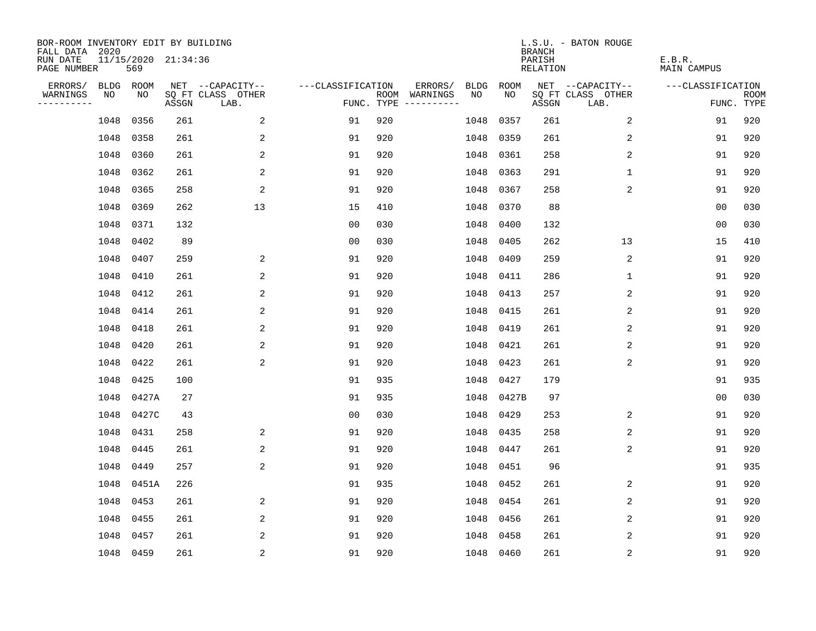| BOR-ROOM INVENTORY EDIT BY BUILDING<br>FALL DATA 2020 |           |       |                     |                           |                   |     |                                      |             |           | <b>BRANCH</b>             | L.S.U. - BATON ROUGE      |                              |                           |
|-------------------------------------------------------|-----------|-------|---------------------|---------------------------|-------------------|-----|--------------------------------------|-------------|-----------|---------------------------|---------------------------|------------------------------|---------------------------|
| RUN DATE<br>PAGE NUMBER                               |           | 569   | 11/15/2020 21:34:36 |                           |                   |     |                                      |             |           | PARISH<br><b>RELATION</b> |                           | E.B.R.<br><b>MAIN CAMPUS</b> |                           |
| ERRORS/                                               | BLDG ROOM |       |                     | NET --CAPACITY--          | ---CLASSIFICATION |     | ERRORS/                              | <b>BLDG</b> | ROOM      |                           | NET --CAPACITY--          | ---CLASSIFICATION            |                           |
| WARNINGS<br>----------                                | NO        | NO    | ASSGN               | SQ FT CLASS OTHER<br>LAB. |                   |     | ROOM WARNINGS<br>FUNC. TYPE $------$ | NO          | NO        | ASSGN                     | SQ FT CLASS OTHER<br>LAB. |                              | <b>ROOM</b><br>FUNC. TYPE |
|                                                       | 1048      | 0356  | 261                 | 2                         | 91                | 920 |                                      | 1048        | 0357      | 261                       | 2                         | 91                           | 920                       |
|                                                       | 1048      | 0358  | 261                 | 2                         | 91                | 920 |                                      | 1048        | 0359      | 261                       | 2                         | 91                           | 920                       |
|                                                       | 1048      | 0360  | 261                 | 2                         | 91                | 920 |                                      | 1048        | 0361      | 258                       | 2                         | 91                           | 920                       |
|                                                       | 1048      | 0362  | 261                 | 2                         | 91                | 920 |                                      | 1048        | 0363      | 291                       | $\mathbf 1$               | 91                           | 920                       |
|                                                       | 1048      | 0365  | 258                 | $\overline{c}$            | 91                | 920 |                                      | 1048        | 0367      | 258                       | 2                         | 91                           | 920                       |
|                                                       | 1048      | 0369  | 262                 | 13                        | 15                | 410 |                                      |             | 1048 0370 | 88                        |                           | 00                           | 030                       |
|                                                       | 1048      | 0371  | 132                 |                           | 0 <sub>0</sub>    | 030 |                                      | 1048        | 0400      | 132                       |                           | 0 <sub>0</sub>               | 030                       |
|                                                       | 1048      | 0402  | 89                  |                           | 0 <sub>0</sub>    | 030 |                                      | 1048        | 0405      | 262                       | 13                        | 15                           | 410                       |
|                                                       | 1048      | 0407  | 259                 | 2                         | 91                | 920 |                                      | 1048        | 0409      | 259                       | 2                         | 91                           | 920                       |
|                                                       | 1048      | 0410  | 261                 | 2                         | 91                | 920 |                                      | 1048        | 0411      | 286                       | 1                         | 91                           | 920                       |
|                                                       | 1048      | 0412  | 261                 | 2                         | 91                | 920 |                                      | 1048        | 0413      | 257                       | 2                         | 91                           | 920                       |
|                                                       | 1048      | 0414  | 261                 | 2                         | 91                | 920 |                                      | 1048        | 0415      | 261                       | 2                         | 91                           | 920                       |
|                                                       | 1048      | 0418  | 261                 | 2                         | 91                | 920 |                                      | 1048        | 0419      | 261                       | 2                         | 91                           | 920                       |
|                                                       | 1048      | 0420  | 261                 | 2                         | 91                | 920 |                                      | 1048        | 0421      | 261                       | 2                         | 91                           | 920                       |
|                                                       | 1048      | 0422  | 261                 | 2                         | 91                | 920 |                                      | 1048        | 0423      | 261                       | 2                         | 91                           | 920                       |
|                                                       | 1048      | 0425  | 100                 |                           | 91                | 935 |                                      | 1048        | 0427      | 179                       |                           | 91                           | 935                       |
|                                                       | 1048      | 0427A | 27                  |                           | 91                | 935 |                                      | 1048        | 0427B     | 97                        |                           | 0 <sub>0</sub>               | 030                       |
|                                                       | 1048      | 0427C | 43                  |                           | 0 <sub>0</sub>    | 030 |                                      | 1048        | 0429      | 253                       | 2                         | 91                           | 920                       |
|                                                       | 1048      | 0431  | 258                 | 2                         | 91                | 920 |                                      | 1048        | 0435      | 258                       | 2                         | 91                           | 920                       |
|                                                       | 1048      | 0445  | 261                 | 2                         | 91                | 920 |                                      | 1048        | 0447      | 261                       | 2                         | 91                           | 920                       |
|                                                       | 1048      | 0449  | 257                 | 2                         | 91                | 920 |                                      | 1048        | 0451      | 96                        |                           | 91                           | 935                       |
|                                                       | 1048      | 0451A | 226                 |                           | 91                | 935 |                                      | 1048        | 0452      | 261                       | 2                         | 91                           | 920                       |
|                                                       | 1048      | 0453  | 261                 | 2                         | 91                | 920 |                                      | 1048        | 0454      | 261                       | 2                         | 91                           | 920                       |
|                                                       | 1048      | 0455  | 261                 | 2                         | 91                | 920 |                                      | 1048        | 0456      | 261                       | 2                         | 91                           | 920                       |
|                                                       | 1048      | 0457  | 261                 | 2                         | 91                | 920 |                                      | 1048        | 0458      | 261                       | 2                         | 91                           | 920                       |
|                                                       | 1048 0459 |       | 261                 | 2                         | 91                | 920 |                                      |             | 1048 0460 | 261                       | 2                         | 91                           | 920                       |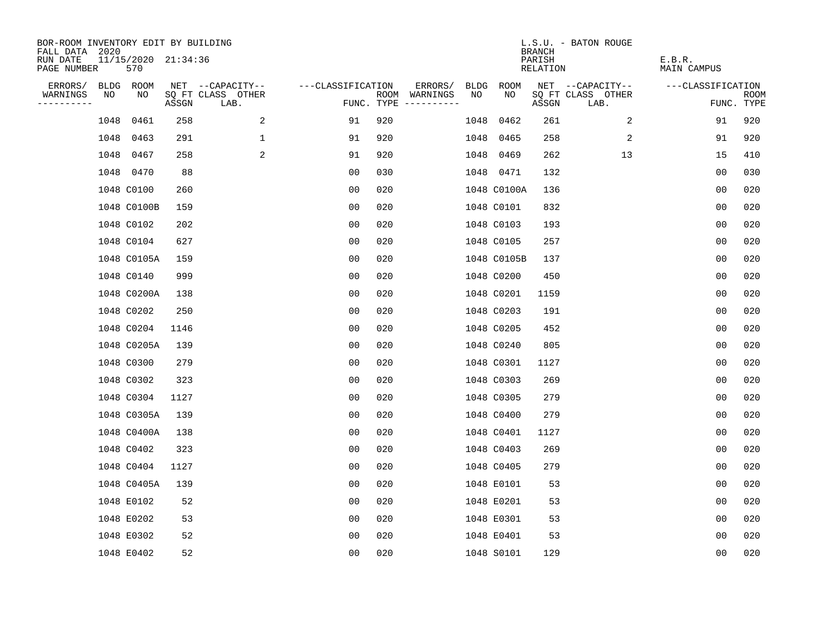| BOR-ROOM INVENTORY EDIT BY BUILDING<br>FALL DATA 2020 |      |                            |       |                           |                   |     |                                      |      |             | <b>BRANCH</b>             | L.S.U. - BATON ROUGE      |                              |                           |
|-------------------------------------------------------|------|----------------------------|-------|---------------------------|-------------------|-----|--------------------------------------|------|-------------|---------------------------|---------------------------|------------------------------|---------------------------|
| RUN DATE<br>PAGE NUMBER                               |      | 11/15/2020 21:34:36<br>570 |       |                           |                   |     |                                      |      |             | PARISH<br><b>RELATION</b> |                           | E.B.R.<br><b>MAIN CAMPUS</b> |                           |
| ERRORS/                                               |      | BLDG ROOM                  |       | NET --CAPACITY--          | ---CLASSIFICATION |     | ERRORS/                              | BLDG | ROOM        |                           | NET --CAPACITY--          | ---CLASSIFICATION            |                           |
| WARNINGS<br>----------                                | NO   | NO                         | ASSGN | SQ FT CLASS OTHER<br>LAB. |                   |     | ROOM WARNINGS<br>FUNC. TYPE $------$ | NO   | NO          | ASSGN                     | SQ FT CLASS OTHER<br>LAB. |                              | <b>ROOM</b><br>FUNC. TYPE |
|                                                       | 1048 | 0461                       | 258   | 2                         | 91                | 920 |                                      | 1048 | 0462        | 261                       | 2                         | 91                           | 920                       |
|                                                       | 1048 | 0463                       | 291   | $\mathbf{1}$              | 91                | 920 |                                      |      | 1048 0465   | 258                       | 2                         | 91                           | 920                       |
|                                                       | 1048 | 0467                       | 258   | 2                         | 91                | 920 |                                      |      | 1048 0469   | 262                       | 13                        | 15                           | 410                       |
|                                                       |      | 1048 0470                  | 88    |                           | 0 <sub>0</sub>    | 030 |                                      |      | 1048 0471   | 132                       |                           | 00                           | 030                       |
|                                                       |      | 1048 C0100                 | 260   |                           | 0 <sub>0</sub>    | 020 |                                      |      | 1048 C0100A | 136                       |                           | 0 <sub>0</sub>               | 020                       |
|                                                       |      | 1048 C0100B                | 159   |                           | 0 <sub>0</sub>    | 020 |                                      |      | 1048 C0101  | 832                       |                           | 0 <sub>0</sub>               | 020                       |
|                                                       |      | 1048 C0102                 | 202   |                           | 0 <sub>0</sub>    | 020 |                                      |      | 1048 C0103  | 193                       |                           | 0 <sub>0</sub>               | 020                       |
|                                                       |      | 1048 C0104                 | 627   |                           | 0 <sub>0</sub>    | 020 |                                      |      | 1048 C0105  | 257                       |                           | 0 <sub>0</sub>               | 020                       |
|                                                       |      | 1048 C0105A                | 159   |                           | 00                | 020 |                                      |      | 1048 C0105B | 137                       |                           | 0 <sub>0</sub>               | 020                       |
|                                                       |      | 1048 C0140                 | 999   |                           | 0 <sub>0</sub>    | 020 |                                      |      | 1048 C0200  | 450                       |                           | 0 <sub>0</sub>               | 020                       |
|                                                       |      | 1048 C0200A                | 138   |                           | 0 <sub>0</sub>    | 020 |                                      |      | 1048 C0201  | 1159                      |                           | 0 <sub>0</sub>               | 020                       |
|                                                       |      | 1048 C0202                 | 250   |                           | 0 <sub>0</sub>    | 020 |                                      |      | 1048 C0203  | 191                       |                           | 0 <sub>0</sub>               | 020                       |
|                                                       |      | 1048 C0204                 | 1146  |                           | 00                | 020 |                                      |      | 1048 C0205  | 452                       |                           | 00                           | 020                       |
|                                                       |      | 1048 C0205A                | 139   |                           | 00                | 020 |                                      |      | 1048 C0240  | 805                       |                           | 0 <sub>0</sub>               | 020                       |
|                                                       |      | 1048 C0300                 | 279   |                           | 0 <sub>0</sub>    | 020 |                                      |      | 1048 C0301  | 1127                      |                           | 0 <sub>0</sub>               | 020                       |
|                                                       |      | 1048 C0302                 | 323   |                           | 0 <sub>0</sub>    | 020 |                                      |      | 1048 C0303  | 269                       |                           | 0 <sub>0</sub>               | 020                       |
|                                                       |      | 1048 C0304                 | 1127  |                           | 0 <sub>0</sub>    | 020 |                                      |      | 1048 C0305  | 279                       |                           | 0 <sub>0</sub>               | 020                       |
|                                                       |      | 1048 C0305A                | 139   |                           | 00                | 020 |                                      |      | 1048 C0400  | 279                       |                           | 0 <sub>0</sub>               | 020                       |
|                                                       |      | 1048 C0400A                | 138   |                           | 0 <sub>0</sub>    | 020 |                                      |      | 1048 C0401  | 1127                      |                           | 0 <sub>0</sub>               | 020                       |
|                                                       |      | 1048 C0402                 | 323   |                           | 0 <sub>0</sub>    | 020 |                                      |      | 1048 C0403  | 269                       |                           | 0 <sub>0</sub>               | 020                       |
|                                                       |      | 1048 C0404                 | 1127  |                           | 0 <sub>0</sub>    | 020 |                                      |      | 1048 C0405  | 279                       |                           | 0 <sub>0</sub>               | 020                       |
|                                                       |      | 1048 C0405A                | 139   |                           | 00                | 020 |                                      |      | 1048 E0101  | 53                        |                           | 00                           | 020                       |
|                                                       |      | 1048 E0102                 | 52    |                           | 00                | 020 |                                      |      | 1048 E0201  | 53                        |                           | 0 <sub>0</sub>               | 020                       |
|                                                       |      | 1048 E0202                 | 53    |                           | 0 <sub>0</sub>    | 020 |                                      |      | 1048 E0301  | 53                        |                           | 0 <sub>0</sub>               | 020                       |
|                                                       |      | 1048 E0302                 | 52    |                           | 0 <sub>0</sub>    | 020 |                                      |      | 1048 E0401  | 53                        |                           | 0 <sub>0</sub>               | 020                       |
|                                                       |      | 1048 E0402                 | 52    |                           | 0 <sub>0</sub>    | 020 |                                      |      | 1048 S0101  | 129                       |                           | 0 <sub>0</sub>               | 020                       |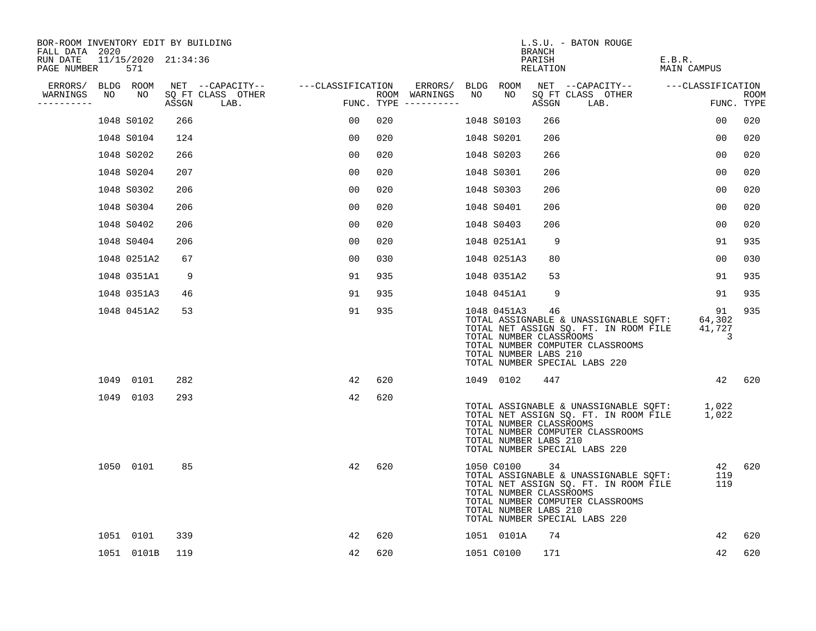| BOR-ROOM INVENTORY EDIT BY BUILDING<br>FALL DATA 2020 |    |                            |       |                                    |    |     |                                      |    |                                                                 | BRANCH             | L.S.U. - BATON ROUGE                                                                                                                                            |                                          |                    |
|-------------------------------------------------------|----|----------------------------|-------|------------------------------------|----|-----|--------------------------------------|----|-----------------------------------------------------------------|--------------------|-----------------------------------------------------------------------------------------------------------------------------------------------------------------|------------------------------------------|--------------------|
| RUN DATE<br>PAGE NUMBER                               |    | 11/15/2020 21:34:36<br>571 |       |                                    |    |     |                                      |    |                                                                 | PARISH<br>RELATION |                                                                                                                                                                 | E.B.R.<br>MAIN CAMPUS                    |                    |
| ERRORS/ BLDG ROOM                                     |    |                            |       | NET --CAPACITY-- ---CLASSIFICATION |    |     | ERRORS/                              |    | BLDG ROOM                                                       |                    | NET --CAPACITY-- ----CLASSIFICATION                                                                                                                             |                                          |                    |
| WARNINGS<br>----------                                | NO | NO                         | ASSGN | SQ FT CLASS OTHER<br>LAB.          |    |     | ROOM WARNINGS<br>FUNC. TYPE $------$ | NO | NO                                                              | ASSGN              | SQ FT CLASS OTHER<br>LAB.                                                                                                                                       |                                          | ROOM<br>FUNC. TYPE |
|                                                       |    | 1048 S0102                 | 266   |                                    | 00 | 020 |                                      |    | 1048 S0103                                                      | 266                |                                                                                                                                                                 | 0 <sub>0</sub>                           | 020                |
|                                                       |    | 1048 S0104                 | 124   |                                    | 00 | 020 |                                      |    | 1048 S0201                                                      | 206                |                                                                                                                                                                 | 0 <sub>0</sub>                           | 020                |
|                                                       |    | 1048 S0202                 | 266   |                                    | 00 | 020 |                                      |    | 1048 S0203                                                      | 266                |                                                                                                                                                                 | 0 <sub>0</sub>                           | 020                |
|                                                       |    | 1048 S0204                 | 207   |                                    | 00 | 020 |                                      |    | 1048 S0301                                                      | 206                |                                                                                                                                                                 | 00                                       | 020                |
|                                                       |    | 1048 S0302                 | 206   |                                    | 00 | 020 |                                      |    | 1048 S0303                                                      | 206                |                                                                                                                                                                 | 0 <sub>0</sub>                           | 020                |
|                                                       |    | 1048 S0304                 | 206   |                                    | 00 | 020 |                                      |    | 1048 S0401                                                      | 206                |                                                                                                                                                                 | 00                                       | 020                |
|                                                       |    | 1048 S0402                 | 206   |                                    | 00 | 020 |                                      |    | 1048 S0403                                                      | 206                |                                                                                                                                                                 | 0 <sub>0</sub>                           | 020                |
|                                                       |    | 1048 S0404                 | 206   |                                    | 00 | 020 |                                      |    | 1048 0251A1                                                     | 9                  |                                                                                                                                                                 | 91                                       | 935                |
|                                                       |    | 1048 0251A2                | 67    |                                    | 00 | 030 |                                      |    | 1048 0251A3                                                     | 80                 |                                                                                                                                                                 | 0 <sub>0</sub>                           | 030                |
|                                                       |    | 1048 0351A1                | 9     |                                    | 91 | 935 |                                      |    | 1048 0351A2                                                     | 53                 |                                                                                                                                                                 | 91                                       | 935                |
|                                                       |    | 1048 0351A3                | 46    |                                    | 91 | 935 |                                      |    | 1048 0451A1                                                     | 9                  |                                                                                                                                                                 | 91                                       | 935                |
|                                                       |    | 1048 0451A2                | 53    |                                    | 91 | 935 |                                      |    | 1048 0451A3<br>TOTAL NUMBER CLASSROOMS<br>TOTAL NUMBER LABS 210 | 46                 | TOTAL ASSIGNABLE & UNASSIGNABLE SQFT:<br>TOTAL NET ASSIGN SQ. FT. IN ROOM FILE<br>TOTAL NUMBER COMPUTER CLASSROOMS<br>TOTAL NUMBER SPECIAL LABS 220             | 91<br>64,302<br>41,727<br>$\overline{3}$ | 935                |
|                                                       |    | 1049 0101                  | 282   |                                    | 42 | 620 |                                      |    | 1049 0102                                                       | 447                |                                                                                                                                                                 |                                          | 42 620             |
|                                                       |    | 1049 0103                  | 293   |                                    | 42 | 620 |                                      |    | TOTAL NUMBER CLASSROOMS<br>TOTAL NUMBER LABS 210                |                    | TOTAL ASSIGNABLE & UNASSIGNABLE SQFT: 1,022<br>TOTAL NET ASSIGN SO. FT. IN ROOM FILE 1,022<br>TOTAL NUMBER COMPUTER CLASSROOMS<br>TOTAL NUMBER SPECIAL LABS 220 |                                          |                    |
|                                                       |    | 1050 0101                  | 85    |                                    | 42 | 620 |                                      |    | 1050 C0100<br>TOTAL NUMBER CLASSROOMS<br>TOTAL NUMBER LABS 210  | 34                 | TOTAL ASSIGNABLE & UNASSIGNABLE SQFT:<br>TOTAL NET ASSIGN SQ. FT. IN ROOM FILE<br>TOTAL NUMBER COMPUTER CLASSROOMS<br>TOTAL NUMBER SPECIAL LABS 220             | 42<br>119<br>119                         | 620                |
|                                                       |    | 1051 0101                  | 339   |                                    | 42 | 620 |                                      |    | 1051 0101A                                                      | 74                 |                                                                                                                                                                 | 42                                       | 620                |
|                                                       |    | 1051 0101B                 | 119   |                                    | 42 | 620 |                                      |    | 1051 C0100                                                      | 171                |                                                                                                                                                                 | 42                                       | 620                |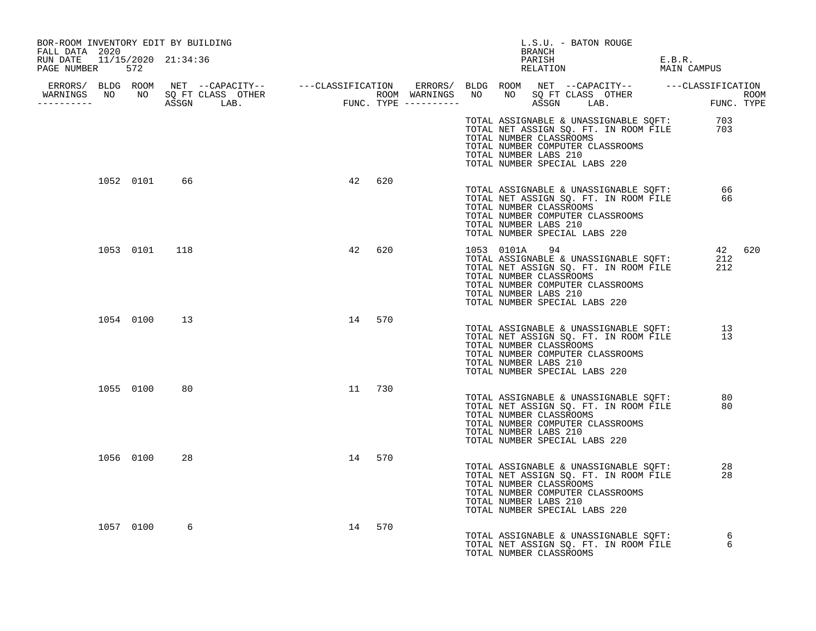| BOR-ROOM INVENTORY EDIT BY BUILDING<br>FALL DATA 2020 |           |               |                                                                                                                                                                                                                                      |        |               | L.S.U. - BATON ROUGE<br>BRANCH                                                                                                                                                                                               |                       |        |
|-------------------------------------------------------|-----------|---------------|--------------------------------------------------------------------------------------------------------------------------------------------------------------------------------------------------------------------------------------|--------|---------------|------------------------------------------------------------------------------------------------------------------------------------------------------------------------------------------------------------------------------|-----------------------|--------|
| RUN DATE 11/15/2020 21:34:36<br>PAGE NUMBER 572       |           |               |                                                                                                                                                                                                                                      |        |               | PARISH<br>RELATION                                                                                                                                                                                                           | E.B.R.<br>MAIN CAMPUS |        |
|                                                       |           |               |                                                                                                                                                                                                                                      |        |               |                                                                                                                                                                                                                              |                       |        |
|                                                       |           |               | ERRORS/ BLDG ROOM NET --CAPACITY-- ----CLASSIFICATION ERRORS/ BLDG ROOM NET --CAPACITY-- -----CLASSIFICATION<br>WARNINGS NO NO SQFTCLASS OTHER ROOM WARNINGS NO NO SQFTCLASS OTHER ROOM<br>----------- ASSGN LAB. FUNC.TYPE -------- |        |               |                                                                                                                                                                                                                              |                       |        |
|                                                       |           |               |                                                                                                                                                                                                                                      |        |               | TOTAL ASSIGNABLE & UNASSIGNABLE SQFT: 703<br>TOTAL NET ASSIGN SQ. FT. IN ROOM FILE 703<br>TOTAL NUMBER CLASSROOMS<br>TOTAL NUMBER COMPUTER CLASSROOMS<br>TOTAL NUMBER LABS 210<br>TOTAL NUMBER SPECIAL LABS 220              |                       |        |
|                                                       |           | 1052 0101 66  | 42                                                                                                                                                                                                                                   | 620    |               | TOTAL ASSIGNABLE & UNASSIGNABLE SQFT: 66<br>TOTAL NET ASSIGN SQ. FT. IN ROOM FILE 66<br>TOTAL NUMBER CLASSROOMS<br>TOTAL NUMBER COMPUTER CLASSROOMS<br>TOTAL NUMBER LABS 210<br>TOTAL NUMBER SPECIAL LABS 220                |                       |        |
|                                                       |           | 1053 0101 118 |                                                                                                                                                                                                                                      | 42 620 | 1053 0101A 94 | 1053 - 0101A - 94<br>TOTAL ASSIGNABLE & UNASSIGNABLE SQFT:<br>TOTAL NET ASSIGN SQ. FT. IN ROOM FILE<br>TOTAL NUMBER CLASSROOMS<br>TOTAL NUMBER COMPUTER CLASSROOMS<br>TOTAL NUMBER LABS 210<br>TOTAL NUMBER SPECIAL LABS 220 | 212<br>212            | 42 620 |
|                                                       |           | 1054 0100 13  |                                                                                                                                                                                                                                      | 14 570 |               | TOTAL ASSIGNABLE & UNASSIGNABLE SQFT: 13<br>TOTAL NET ASSIGN SQ. FT. IN ROOM FILE 13<br>TOTAL NUMBER CLASSROOMS<br>TOTAL NUMBER COMPUTER CLASSROOMS<br>TOTAL NUMBER LABS 210<br>TOTAL NUMBER SPECIAL LABS 220                |                       |        |
|                                                       | 1055 0100 | 80            |                                                                                                                                                                                                                                      | 11 730 |               | TOTAL ASSIGNABLE & UNASSIGNABLE SQFT:<br>TOTAL NET ASSIGN SQ. FT. IN ROOM FILE<br>TOTAL NUMBER CLASSROOMS<br>TOTAL NUMBER COMPUTER CLASSROOMS<br>TOTAL NUMBER LABS 210<br>TOTAL NUMBER SPECIAL LABS 220                      | 80<br>80              |        |
|                                                       | 1056 0100 | 28            |                                                                                                                                                                                                                                      | 14 570 |               | TOTAL ASSIGNABLE & UNASSIGNABLE SQFT:<br>TOTAL NET ASSIGN SQ. FT. IN ROOM FILE<br>TOTAL NUMBER CLASSROOMS<br>TOTAL NUMBER COMPUTER CLASSROOMS<br>TOTAL NUMBER LABS 210<br>TOTAL NUMBER SPECIAL LABS 220                      | 28<br>28              |        |
|                                                       | 1057 0100 | 6             |                                                                                                                                                                                                                                      | 14 570 |               | TOTAL ASSIGNABLE & UNASSIGNABLE SQFT:<br>TOTAL NUMBER CLASSROOMS                                                                                                                                                             | 6                     |        |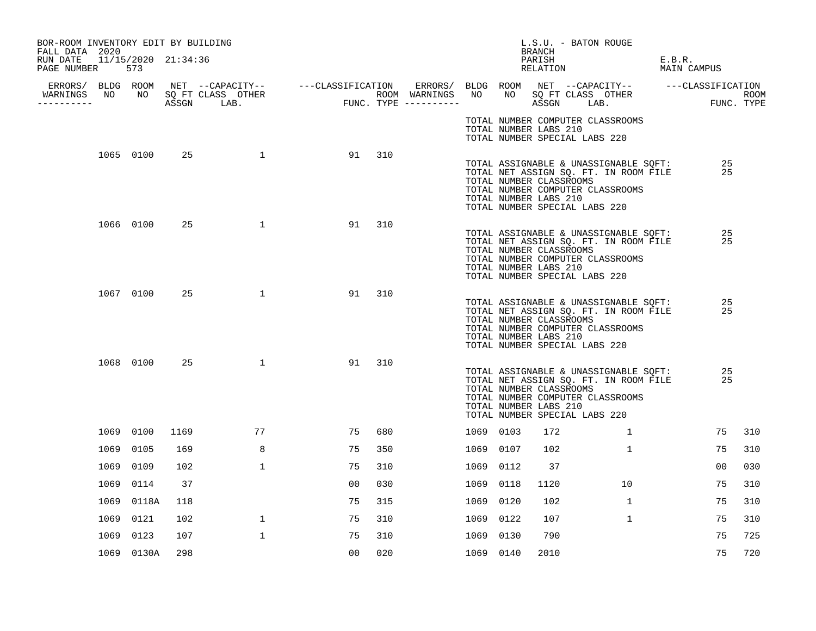| BOR-ROOM INVENTORY EDIT BY BUILDING<br>FALL DATA 2020 |            |      |                                                                                                                                         |                                           |        |           |      | BRANCH                                           | L.S.U. - BATON ROUGE                                                                                                                                |                       |             |
|-------------------------------------------------------|------------|------|-----------------------------------------------------------------------------------------------------------------------------------------|-------------------------------------------|--------|-----------|------|--------------------------------------------------|-----------------------------------------------------------------------------------------------------------------------------------------------------|-----------------------|-------------|
| RUN DATE 11/15/2020 21:34:36<br>PAGE NUMBER           | 573        |      |                                                                                                                                         |                                           |        |           |      | PARISH<br>RELATION                               |                                                                                                                                                     | E.B.R.<br>MAIN CAMPUS |             |
| WARNINGS                                              |            |      | ERRORS/ BLDG ROOM NET --CAPACITY-- ----CLASSIFICATION ERRORS/ BLDG ROOM NET --CAPACITY-- -----CLASSIFICATION<br>NO NO SQ FT CLASS OTHER |                                           |        |           |      |                                                  | NO SQ FT CLASS OTHER                                                                                                                                |                       | <b>ROOM</b> |
| ----------                                            |            |      | ASSGN LAB.                                                                                                                              | ROOM WARNINGS NO<br>FUNC. TYPE ---------- |        |           |      |                                                  | ASSGN LAB.                                                                                                                                          |                       | FUNC. TYPE  |
|                                                       |            |      |                                                                                                                                         |                                           |        |           |      | TOTAL NUMBER LABS 210                            | TOTAL NUMBER COMPUTER CLASSROOMS<br>TOTAL NUMBER SPECIAL LABS 220                                                                                   |                       |             |
|                                                       | 1065 0100  | 25   | $\sim$ 1                                                                                                                                |                                           | 91 310 |           |      | TOTAL NUMBER CLASSROOMS<br>TOTAL NUMBER LABS 210 | TOTAL ASSIGNABLE & UNASSIGNABLE SQFT:<br>TOTAL NET ASSIGN SQ. FT. IN ROOM FILE<br>TOTAL NUMBER COMPUTER CLASSROOMS<br>TOTAL NUMBER SPECIAL LABS 220 | 25<br>25              |             |
|                                                       | 1066 0100  | 25   | $\mathbf{1}$                                                                                                                            | 91                                        | 310    |           |      | TOTAL NUMBER CLASSROOMS<br>TOTAL NUMBER LABS 210 | TOTAL ASSIGNABLE & UNASSIGNABLE SQFT:<br>TOTAL NET ASSIGN SQ. FT. IN ROOM FILE<br>TOTAL NUMBER COMPUTER CLASSROOMS<br>TOTAL NUMBER SPECIAL LABS 220 | 25<br>25              |             |
|                                                       | 1067 0100  | 25   | $\mathbf{1}$                                                                                                                            | 91                                        | 310    |           |      | TOTAL NUMBER CLASSROOMS<br>TOTAL NUMBER LABS 210 | TOTAL ASSIGNABLE & UNASSIGNABLE SQFT:<br>TOTAL NET ASSIGN SQ. FT. IN ROOM FILE<br>TOTAL NUMBER COMPUTER CLASSROOMS<br>TOTAL NUMBER SPECIAL LABS 220 | 25<br>25              |             |
|                                                       | 1068 0100  | 25   | $\mathbf{1}$                                                                                                                            | 91                                        | 310    |           |      | TOTAL NUMBER CLASSROOMS<br>TOTAL NUMBER LABS 210 | TOTAL ASSIGNABLE & UNASSIGNABLE SQFT:<br>TOTAL NET ASSIGN SQ. FT. IN ROOM FILE<br>TOTAL NUMBER COMPUTER CLASSROOMS<br>TOTAL NUMBER SPECIAL LABS 220 | 25<br>25              |             |
|                                                       | 1069 0100  | 1169 | 77                                                                                                                                      | 75                                        | 680    | 1069 0103 |      | 172                                              | $\mathbf{1}$                                                                                                                                        | 75                    | 310         |
|                                                       | 1069 0105  | 169  | 8                                                                                                                                       | 75                                        | 350    | 1069 0107 |      | 102                                              | $\mathbf{1}$                                                                                                                                        | 75                    | 310         |
|                                                       | 1069 0109  | 102  | $\mathbf{1}$                                                                                                                            | 75                                        | 310    | 1069 0112 |      | 37                                               |                                                                                                                                                     | 00                    | 030         |
|                                                       | 1069 0114  | 37   |                                                                                                                                         | 0 <sub>0</sub>                            | 030    | 1069      | 0118 | 1120                                             | 10                                                                                                                                                  | 75                    | 310         |
|                                                       | 1069 0118A | 118  |                                                                                                                                         | 75                                        | 315    | 1069 0120 |      | 102                                              | $\mathbf{1}$                                                                                                                                        | 75                    | 310         |
|                                                       | 1069 0121  | 102  | $\mathbf{1}$                                                                                                                            | 75                                        | 310    | 1069 0122 |      | 107                                              | $\mathbf{1}$                                                                                                                                        | 75                    | 310         |
|                                                       | 1069 0123  | 107  | $\mathbf{1}$                                                                                                                            | 75                                        | 310    | 1069 0130 |      | 790                                              |                                                                                                                                                     | 75                    | 725         |
|                                                       | 1069 0130A | 298  |                                                                                                                                         | 0 <sub>0</sub>                            | 020    | 1069 0140 |      | 2010                                             |                                                                                                                                                     | 75                    | 720         |
|                                                       |            |      |                                                                                                                                         |                                           |        |           |      |                                                  |                                                                                                                                                     |                       |             |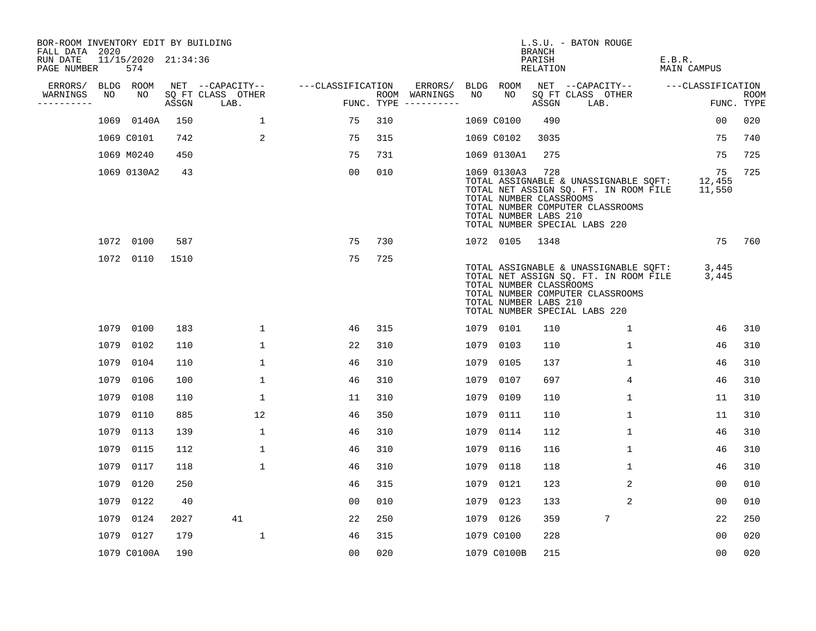| BOR-ROOM INVENTORY EDIT BY BUILDING<br>FALL DATA 2020 |      |                            |      |                                 |                   |     |                                      |      |             | <b>BRANCH</b>                                           | L.S.U. - BATON ROUGE                                                                                                                                |                        |                    |
|-------------------------------------------------------|------|----------------------------|------|---------------------------------|-------------------|-----|--------------------------------------|------|-------------|---------------------------------------------------------|-----------------------------------------------------------------------------------------------------------------------------------------------------|------------------------|--------------------|
| RUN DATE<br>PAGE NUMBER                               |      | 11/15/2020 21:34:36<br>574 |      |                                 |                   |     |                                      |      |             | PARISH<br>RELATION                                      |                                                                                                                                                     | E.B.R.<br>MAIN CAMPUS  |                    |
| ERRORS/                                               |      | BLDG ROOM                  |      | NET --CAPACITY--                | ---CLASSIFICATION |     | ERRORS/                              |      | BLDG ROOM   |                                                         | NET --CAPACITY--                                                                                                                                    | ---CLASSIFICATION      |                    |
| WARNINGS<br>----------                                | NO   | NO                         |      | SQ FT CLASS OTHER<br>ASSGN LAB. |                   |     | ROOM WARNINGS<br>FUNC. TYPE $------$ | NO   | NO          | ASSGN                                                   | SQ FT CLASS OTHER<br>LAB.                                                                                                                           |                        | ROOM<br>FUNC. TYPE |
|                                                       |      | 1069 0140A                 | 150  | $\mathbf{1}$                    | 75                | 310 |                                      |      | 1069 C0100  | 490                                                     |                                                                                                                                                     | 00                     | 020                |
|                                                       |      | 1069 C0101                 | 742  | 2                               | 75                | 315 |                                      |      | 1069 C0102  | 3035                                                    |                                                                                                                                                     | 75                     | 740                |
|                                                       |      | 1069 M0240                 | 450  |                                 | 75                | 731 |                                      |      | 1069 0130A1 | 275                                                     |                                                                                                                                                     | 75                     | 725                |
|                                                       |      | 1069 0130A2                | 43   |                                 | 00                | 010 |                                      |      | 1069 0130A3 | 728<br>TOTAL NUMBER CLASSROOMS<br>TOTAL NUMBER LABS 210 | TOTAL ASSIGNABLE & UNASSIGNABLE SOFT:<br>TOTAL NET ASSIGN SQ. FT. IN ROOM FILE<br>TOTAL NUMBER COMPUTER CLASSROOMS<br>TOTAL NUMBER SPECIAL LABS 220 | 75<br>12,455<br>11,550 | 725                |
|                                                       |      | 1072 0100                  | 587  |                                 | 75                | 730 |                                      |      | 1072 0105   | 1348                                                    |                                                                                                                                                     | 75                     | 760                |
|                                                       |      | 1072 0110                  | 1510 |                                 | 75                | 725 |                                      |      |             | TOTAL NUMBER CLASSROOMS<br>TOTAL NUMBER LABS 210        | TOTAL ASSIGNABLE & UNASSIGNABLE SQFT:<br>TOTAL NET ASSIGN SQ. FT. IN ROOM FILE<br>TOTAL NUMBER COMPUTER CLASSROOMS<br>TOTAL NUMBER SPECIAL LABS 220 | 3,445<br>3,445         |                    |
|                                                       |      | 1079 0100                  | 183  | $\mathbf 1$                     | 46                | 315 |                                      |      | 1079 0101   | 110                                                     | $\mathbf{1}$                                                                                                                                        | 46                     | 310                |
|                                                       |      | 1079 0102                  | 110  | $\mathbf 1$                     | 22                | 310 |                                      |      | 1079 0103   | 110                                                     | $\mathbf 1$                                                                                                                                         | 46                     | 310                |
|                                                       |      | 1079 0104                  | 110  | $\mathbf{1}$                    | 46                | 310 |                                      |      | 1079 0105   | 137                                                     | $\mathbf{1}$                                                                                                                                        | 46                     | 310                |
|                                                       |      | 1079 0106                  | 100  | $\mathbf{1}$                    | 46                | 310 |                                      |      | 1079 0107   | 697                                                     | 4                                                                                                                                                   | 46                     | 310                |
|                                                       | 1079 | 0108                       | 110  | 1                               | 11                | 310 |                                      | 1079 | 0109        | 110                                                     | 1                                                                                                                                                   | 11                     | 310                |
|                                                       | 1079 | 0110                       | 885  | 12                              | 46                | 350 |                                      |      | 1079 0111   | 110                                                     | 1                                                                                                                                                   | 11                     | 310                |
|                                                       | 1079 | 0113                       | 139  | $\mathbf{1}$                    | 46                | 310 |                                      |      | 1079 0114   | 112                                                     | 1                                                                                                                                                   | 46                     | 310                |
|                                                       | 1079 | 0115                       | 112  | $\mathbf{1}$                    | 46                | 310 |                                      |      | 1079 0116   | 116                                                     | $\mathbf{1}$                                                                                                                                        | 46                     | 310                |
|                                                       |      | 1079 0117                  | 118  | $\mathbf{1}$                    | 46                | 310 |                                      |      | 1079 0118   | 118                                                     | 1                                                                                                                                                   | 46                     | 310                |
|                                                       | 1079 | 0120                       | 250  |                                 | 46                | 315 |                                      |      | 1079 0121   | 123                                                     | 2                                                                                                                                                   | 0 <sub>0</sub>         | 010                |
|                                                       |      | 1079 0122                  | 40   |                                 | 00                | 010 |                                      |      | 1079 0123   | 133                                                     | 2                                                                                                                                                   | 00                     | 010                |
|                                                       |      | 1079 0124                  | 2027 | 41                              | 22                | 250 |                                      |      | 1079 0126   | 359                                                     | 7                                                                                                                                                   | 22                     | 250                |
|                                                       |      | 1079 0127                  | 179  | $\mathbf{1}$                    | 46                | 315 |                                      |      | 1079 C0100  | 228                                                     |                                                                                                                                                     | 00                     | 020                |
|                                                       |      | 1079 C0100A                | 190  |                                 | 0 <sub>0</sub>    | 020 |                                      |      | 1079 C0100B | 215                                                     |                                                                                                                                                     | 0 <sub>0</sub>         | 020                |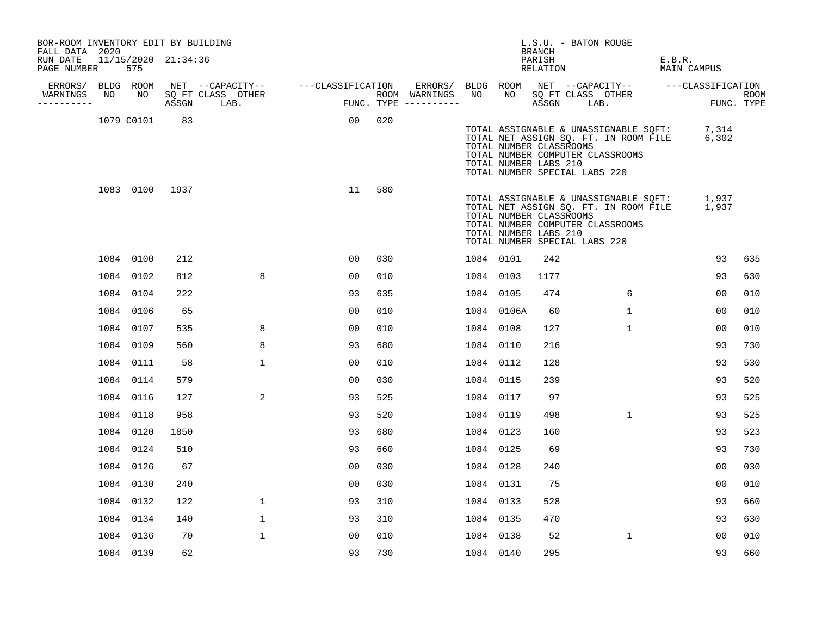| BOR-ROOM INVENTORY EDIT BY BUILDING<br>FALL DATA 2020 |    |                            |      |                                    |                                       |     |         |           |            | BRANCH                                                                            | L.S.U. - BATON ROUGE                                                                                                           |                       |                    |
|-------------------------------------------------------|----|----------------------------|------|------------------------------------|---------------------------------------|-----|---------|-----------|------------|-----------------------------------------------------------------------------------|--------------------------------------------------------------------------------------------------------------------------------|-----------------------|--------------------|
| RUN DATE<br>PAGE NUMBER                               |    | 11/15/2020 21:34:36<br>575 |      |                                    |                                       |     |         |           |            | PARISH<br>RELATION                                                                |                                                                                                                                | E.B.R.<br>MAIN CAMPUS |                    |
| ERRORS/ BLDG ROOM                                     |    |                            |      |                                    | NET --CAPACITY-- ---CLASSIFICATION    |     | ERRORS/ |           |            |                                                                                   | BLDG ROOM NET --CAPACITY-- ---CLASSIFICATION                                                                                   |                       |                    |
| WARNINGS<br>----------                                | NO |                            |      | NO SQ FT CLASS OTHER<br>ASSGN LAB. | ROOM WARNINGS<br>FUNC. TYPE --------- |     |         | NO        | NO         | ASSGN LAB.                                                                        | SQ FT CLASS OTHER                                                                                                              |                       | ROOM<br>FUNC. TYPE |
|                                                       |    | 1079 C0101                 | 83   |                                    | 00                                    | 020 |         |           |            | TOTAL NUMBER CLASSROOMS<br>TOTAL NUMBER LABS 210<br>TOTAL NUMBER SPECIAL LABS 220 | TOTAL ASSIGNABLE & UNASSIGNABLE SQFT: 7,314<br>TOTAL NET ASSIGN SQ. FT. IN ROOM FILE 6,302<br>TOTAL NUMBER COMPUTER CLASSROOMS |                       |                    |
|                                                       |    | 1083 0100 1937             |      |                                    | 11                                    | 580 |         |           |            | TOTAL NUMBER CLASSROOMS<br>TOTAL NUMBER LABS 210<br>TOTAL NUMBER SPECIAL LABS 220 | TOTAL ASSIGNABLE & UNASSIGNABLE SQFT: 1,937<br>TOTAL NET ASSIGN SQ. FT. IN ROOM FILE 1,937<br>TOTAL NUMBER COMPUTER CLASSROOMS |                       |                    |
|                                                       |    | 1084 0100                  | 212  |                                    | 0 <sub>0</sub>                        | 030 |         |           | 1084 0101  | 242                                                                               |                                                                                                                                | 93                    | 635                |
|                                                       |    | 1084 0102                  | 812  | 8                                  | 0 <sub>0</sub>                        | 010 |         |           | 1084 0103  | 1177                                                                              |                                                                                                                                | 93                    | 630                |
|                                                       |    | 1084 0104                  | 222  |                                    | 93                                    | 635 |         |           | 1084 0105  | 474                                                                               | 6                                                                                                                              | 0 <sub>0</sub>        | 010                |
|                                                       |    | 1084 0106                  | 65   |                                    | 0 <sub>0</sub>                        | 010 |         |           | 1084 0106A | 60                                                                                | $\mathbf{1}$                                                                                                                   | 0 <sub>0</sub>        | 010                |
|                                                       |    | 1084 0107                  | 535  | 8                                  | 0 <sub>0</sub>                        | 010 |         | 1084 0108 |            | 127                                                                               | $\mathbf{1}$                                                                                                                   | 00                    | 010                |
|                                                       |    | 1084 0109                  | 560  | 8                                  | 93                                    | 680 |         | 1084 0110 |            | 216                                                                               |                                                                                                                                | 93                    | 730                |
|                                                       |    | 1084 0111                  | 58   | $\mathbf{1}$                       | 00                                    | 010 |         |           | 1084 0112  | 128                                                                               |                                                                                                                                | 93                    | 530                |
|                                                       |    | 1084 0114                  | 579  |                                    | 0 <sub>0</sub>                        | 030 |         | 1084 0115 |            | 239                                                                               |                                                                                                                                | 93                    | 520                |
|                                                       |    | 1084 0116                  | 127  | 2                                  | 93                                    | 525 |         | 1084 0117 |            | 97                                                                                |                                                                                                                                | 93                    | 525                |
|                                                       |    | 1084 0118                  | 958  |                                    | 93                                    | 520 |         | 1084 0119 |            | 498                                                                               | $\mathbf{1}$                                                                                                                   | 93                    | 525                |
|                                                       |    | 1084 0120                  | 1850 |                                    | 93                                    | 680 |         | 1084 0123 |            | 160                                                                               |                                                                                                                                | 93                    | 523                |
|                                                       |    | 1084 0124                  | 510  |                                    | 93                                    | 660 |         | 1084 0125 |            | 69                                                                                |                                                                                                                                | 93                    | 730                |
|                                                       |    | 1084 0126                  | 67   |                                    | 0 <sub>0</sub>                        | 030 |         | 1084 0128 |            | 240                                                                               |                                                                                                                                | 0 <sub>0</sub>        | 030                |
|                                                       |    | 1084 0130                  | 240  |                                    | 0 <sub>0</sub>                        | 030 |         | 1084 0131 |            | 75                                                                                |                                                                                                                                | 00                    | 010                |
|                                                       |    | 1084 0132                  | 122  | $\mathbf 1$                        | 93                                    | 310 |         | 1084 0133 |            | 528                                                                               |                                                                                                                                | 93                    | 660                |
|                                                       |    | 1084 0134                  | 140  | $\mathbf{1}$                       | 93                                    | 310 |         |           | 1084 0135  | 470                                                                               |                                                                                                                                | 93                    | 630                |
|                                                       |    | 1084 0136                  | 70   | $\mathbf{1}$                       | 0 <sub>0</sub>                        | 010 |         | 1084 0138 |            | 52                                                                                | $\mathbf{1}$                                                                                                                   | 00                    | 010                |
|                                                       |    | 1084 0139                  | 62   |                                    | 93                                    | 730 |         | 1084 0140 |            | 295                                                                               |                                                                                                                                | 93                    | 660                |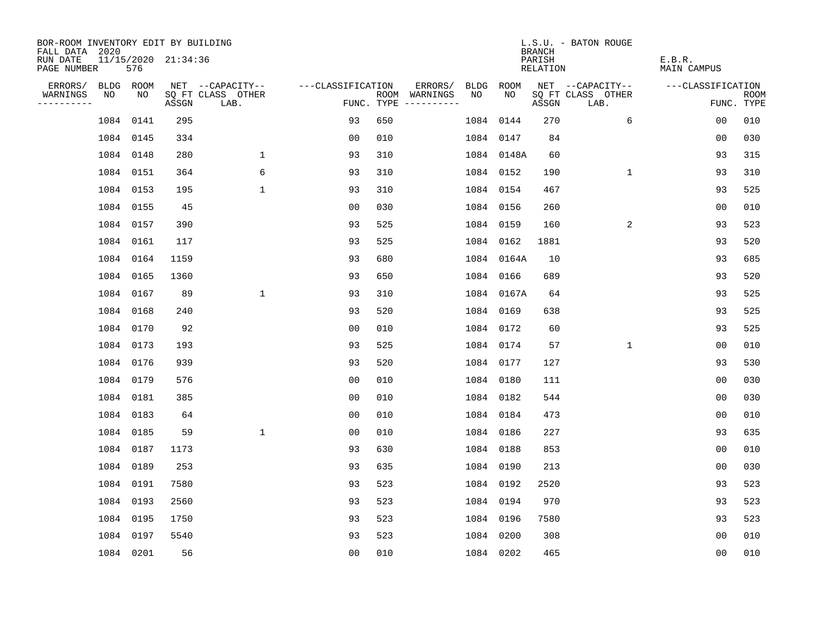| BOR-ROOM INVENTORY EDIT BY BUILDING<br>FALL DATA 2020 |    |           |                     |                           |                   |     |                                      |           |            | <b>BRANCH</b>             | L.S.U. - BATON ROUGE      |                              |                           |
|-------------------------------------------------------|----|-----------|---------------------|---------------------------|-------------------|-----|--------------------------------------|-----------|------------|---------------------------|---------------------------|------------------------------|---------------------------|
| RUN DATE<br>PAGE NUMBER                               |    | 576       | 11/15/2020 21:34:36 |                           |                   |     |                                      |           |            | PARISH<br><b>RELATION</b> |                           | E.B.R.<br><b>MAIN CAMPUS</b> |                           |
| ERRORS/                                               |    | BLDG ROOM |                     | NET --CAPACITY--          | ---CLASSIFICATION |     | ERRORS/                              | BLDG      | ROOM       |                           | NET --CAPACITY--          | ---CLASSIFICATION            |                           |
| WARNINGS<br>-----------                               | NO | NO        | ASSGN               | SQ FT CLASS OTHER<br>LAB. |                   |     | ROOM WARNINGS<br>FUNC. TYPE $------$ | NO        | NO         | ASSGN                     | SQ FT CLASS OTHER<br>LAB. |                              | <b>ROOM</b><br>FUNC. TYPE |
|                                                       |    | 1084 0141 | 295                 |                           | 93                | 650 |                                      | 1084      | 0144       | 270                       | 6                         | 0 <sub>0</sub>               | 010                       |
|                                                       |    | 1084 0145 | 334                 |                           | 0 <sub>0</sub>    | 010 |                                      | 1084 0147 |            | 84                        |                           | 00                           | 030                       |
|                                                       |    | 1084 0148 | 280                 | $\mathbf{1}$              | 93                | 310 |                                      |           | 1084 0148A | 60                        |                           | 93                           | 315                       |
|                                                       |    | 1084 0151 | 364                 | 6                         | 93                | 310 |                                      | 1084 0152 |            | 190                       | $\mathbf{1}$              | 93                           | 310                       |
|                                                       |    | 1084 0153 | 195                 | $\mathbf 1$               | 93                | 310 |                                      | 1084 0154 |            | 467                       |                           | 93                           | 525                       |
|                                                       |    | 1084 0155 | 45                  |                           | 0 <sub>0</sub>    | 030 |                                      | 1084 0156 |            | 260                       |                           | 0 <sub>0</sub>               | 010                       |
|                                                       |    | 1084 0157 | 390                 |                           | 93                | 525 |                                      | 1084 0159 |            | 160                       | 2                         | 93                           | 523                       |
|                                                       |    | 1084 0161 | 117                 |                           | 93                | 525 |                                      | 1084 0162 |            | 1881                      |                           | 93                           | 520                       |
|                                                       |    | 1084 0164 | 1159                |                           | 93                | 680 |                                      |           | 1084 0164A | 10                        |                           | 93                           | 685                       |
|                                                       |    | 1084 0165 | 1360                |                           | 93                | 650 |                                      | 1084 0166 |            | 689                       |                           | 93                           | 520                       |
|                                                       |    | 1084 0167 | 89                  | $\mathbf{1}$              | 93                | 310 |                                      |           | 1084 0167A | 64                        |                           | 93                           | 525                       |
|                                                       |    | 1084 0168 | 240                 |                           | 93                | 520 |                                      | 1084 0169 |            | 638                       |                           | 93                           | 525                       |
|                                                       |    | 1084 0170 | 92                  |                           | 0 <sub>0</sub>    | 010 |                                      | 1084      | 0172       | 60                        |                           | 93                           | 525                       |
|                                                       |    | 1084 0173 | 193                 |                           | 93                | 525 |                                      | 1084 0174 |            | 57                        | $\mathbf 1$               | 0 <sub>0</sub>               | 010                       |
|                                                       |    | 1084 0176 | 939                 |                           | 93                | 520 |                                      | 1084 0177 |            | 127                       |                           | 93                           | 530                       |
|                                                       |    | 1084 0179 | 576                 |                           | 0 <sub>0</sub>    | 010 |                                      | 1084 0180 |            | 111                       |                           | 00                           | 030                       |
|                                                       |    | 1084 0181 | 385                 |                           | 0 <sub>0</sub>    | 010 |                                      | 1084 0182 |            | 544                       |                           | 0 <sub>0</sub>               | 030                       |
|                                                       |    | 1084 0183 | 64                  |                           | 0 <sub>0</sub>    | 010 |                                      | 1084 0184 |            | 473                       |                           | 0 <sub>0</sub>               | 010                       |
|                                                       |    | 1084 0185 | 59                  | $\mathbf{1}$              | 0 <sub>0</sub>    | 010 |                                      | 1084 0186 |            | 227                       |                           | 93                           | 635                       |
|                                                       |    | 1084 0187 | 1173                |                           | 93                | 630 |                                      | 1084 0188 |            | 853                       |                           | 0 <sub>0</sub>               | 010                       |
|                                                       |    | 1084 0189 | 253                 |                           | 93                | 635 |                                      | 1084 0190 |            | 213                       |                           | 0 <sub>0</sub>               | 030                       |
|                                                       |    | 1084 0191 | 7580                |                           | 93                | 523 |                                      | 1084 0192 |            | 2520                      |                           | 93                           | 523                       |
|                                                       |    | 1084 0193 | 2560                |                           | 93                | 523 |                                      | 1084 0194 |            | 970                       |                           | 93                           | 523                       |
|                                                       |    | 1084 0195 | 1750                |                           | 93                | 523 |                                      | 1084 0196 |            | 7580                      |                           | 93                           | 523                       |
|                                                       |    | 1084 0197 | 5540                |                           | 93                | 523 |                                      | 1084 0200 |            | 308                       |                           | 0 <sub>0</sub>               | 010                       |
|                                                       |    | 1084 0201 | 56                  |                           | 0 <sub>0</sub>    | 010 |                                      | 1084 0202 |            | 465                       |                           | 0 <sub>0</sub>               | 010                       |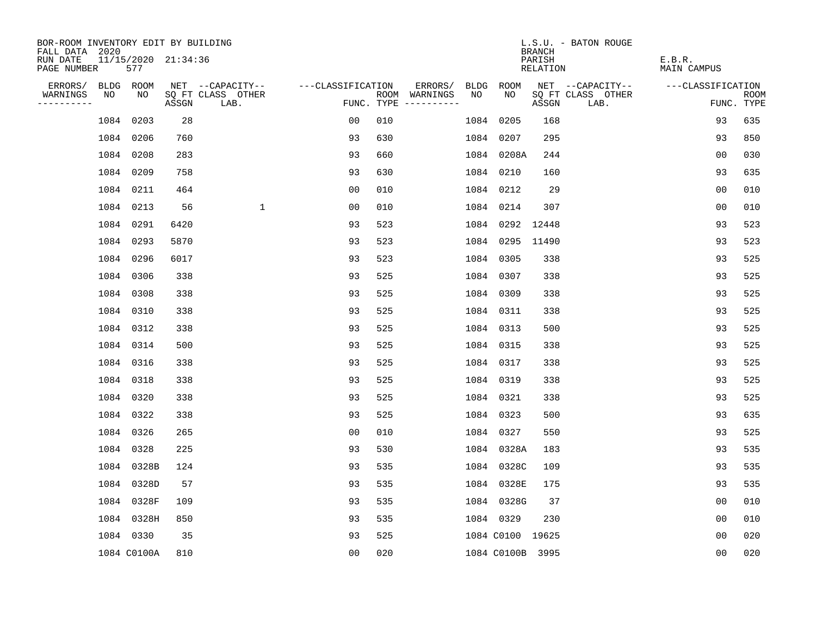| BOR-ROOM INVENTORY EDIT BY BUILDING<br>FALL DATA 2020 |             |                     |                           |                   |     |                                      |      |                  | <b>BRANCH</b>             | L.S.U. - BATON ROUGE      |                              |                           |
|-------------------------------------------------------|-------------|---------------------|---------------------------|-------------------|-----|--------------------------------------|------|------------------|---------------------------|---------------------------|------------------------------|---------------------------|
| RUN DATE<br>PAGE NUMBER                               | 577         | 11/15/2020 21:34:36 |                           |                   |     |                                      |      |                  | PARISH<br><b>RELATION</b> |                           | E.B.R.<br><b>MAIN CAMPUS</b> |                           |
| ERRORS/                                               | BLDG ROOM   |                     | NET --CAPACITY--          | ---CLASSIFICATION |     | ERRORS/                              | BLDG | <b>ROOM</b>      |                           | NET --CAPACITY--          | ---CLASSIFICATION            |                           |
| WARNINGS<br>NO<br>----------                          | NO          | ASSGN               | SQ FT CLASS OTHER<br>LAB. |                   |     | ROOM WARNINGS<br>FUNC. TYPE $------$ | NO   | NO               | ASSGN                     | SQ FT CLASS OTHER<br>LAB. |                              | <b>ROOM</b><br>FUNC. TYPE |
|                                                       | 1084 0203   | 28                  |                           | 00                | 010 |                                      |      | 1084 0205        | 168                       |                           | 93                           | 635                       |
|                                                       | 1084 0206   | 760                 |                           | 93                | 630 |                                      |      | 1084 0207        | 295                       |                           | 93                           | 850                       |
|                                                       | 1084 0208   | 283                 |                           | 93                | 660 |                                      |      | 1084 0208A       | 244                       |                           | 0 <sub>0</sub>               | 030                       |
|                                                       | 1084 0209   | 758                 |                           | 93                | 630 |                                      |      | 1084 0210        | 160                       |                           | 93                           | 635                       |
|                                                       | 1084 0211   | 464                 |                           | 0 <sub>0</sub>    | 010 |                                      |      | 1084 0212        | 29                        |                           | 0 <sub>0</sub>               | 010                       |
|                                                       | 1084 0213   | 56                  | $\mathbf 1$               | 00                | 010 |                                      |      | 1084 0214        | 307                       |                           | 0 <sub>0</sub>               | 010                       |
|                                                       | 1084 0291   | 6420                |                           | 93                | 523 |                                      |      | 1084 0292        | 12448                     |                           | 93                           | 523                       |
|                                                       | 1084 0293   | 5870                |                           | 93                | 523 |                                      |      | 1084 0295 11490  |                           |                           | 93                           | 523                       |
|                                                       | 1084 0296   | 6017                |                           | 93                | 523 |                                      |      | 1084 0305        | 338                       |                           | 93                           | 525                       |
|                                                       | 1084 0306   | 338                 |                           | 93                | 525 |                                      |      | 1084 0307        | 338                       |                           | 93                           | 525                       |
|                                                       | 1084 0308   | 338                 |                           | 93                | 525 |                                      |      | 1084 0309        | 338                       |                           | 93                           | 525                       |
|                                                       | 1084 0310   | 338                 |                           | 93                | 525 |                                      |      | 1084 0311        | 338                       |                           | 93                           | 525                       |
|                                                       | 1084 0312   | 338                 |                           | 93                | 525 |                                      |      | 1084 0313        | 500                       |                           | 93                           | 525                       |
|                                                       | 1084 0314   | 500                 |                           | 93                | 525 |                                      |      | 1084 0315        | 338                       |                           | 93                           | 525                       |
|                                                       | 1084 0316   | 338                 |                           | 93                | 525 |                                      |      | 1084 0317        | 338                       |                           | 93                           | 525                       |
|                                                       | 1084 0318   | 338                 |                           | 93                | 525 |                                      |      | 1084 0319        | 338                       |                           | 93                           | 525                       |
|                                                       | 1084 0320   | 338                 |                           | 93                | 525 |                                      |      | 1084 0321        | 338                       |                           | 93                           | 525                       |
|                                                       | 1084 0322   | 338                 |                           | 93                | 525 |                                      |      | 1084 0323        | 500                       |                           | 93                           | 635                       |
|                                                       | 1084 0326   | 265                 |                           | 0 <sub>0</sub>    | 010 |                                      |      | 1084 0327        | 550                       |                           | 93                           | 525                       |
|                                                       | 1084 0328   | 225                 |                           | 93                | 530 |                                      |      | 1084 0328A       | 183                       |                           | 93                           | 535                       |
|                                                       | 1084 0328B  | 124                 |                           | 93                | 535 |                                      |      | 1084 0328C       | 109                       |                           | 93                           | 535                       |
|                                                       | 1084 0328D  | 57                  |                           | 93                | 535 |                                      |      | 1084 0328E       | 175                       |                           | 93                           | 535                       |
|                                                       | 1084 0328F  | 109                 |                           | 93                | 535 |                                      |      | 1084 0328G       | 37                        |                           | 0 <sub>0</sub>               | 010                       |
|                                                       | 1084 0328H  | 850                 |                           | 93                | 535 |                                      |      | 1084 0329        | 230                       |                           | 0 <sub>0</sub>               | 010                       |
|                                                       | 1084 0330   | 35                  |                           | 93                | 525 |                                      |      | 1084 C0100 19625 |                           |                           | 0 <sub>0</sub>               | 020                       |
|                                                       | 1084 C0100A | 810                 |                           | 0 <sub>0</sub>    | 020 |                                      |      | 1084 C0100B 3995 |                           |                           | 0 <sub>0</sub>               | 020                       |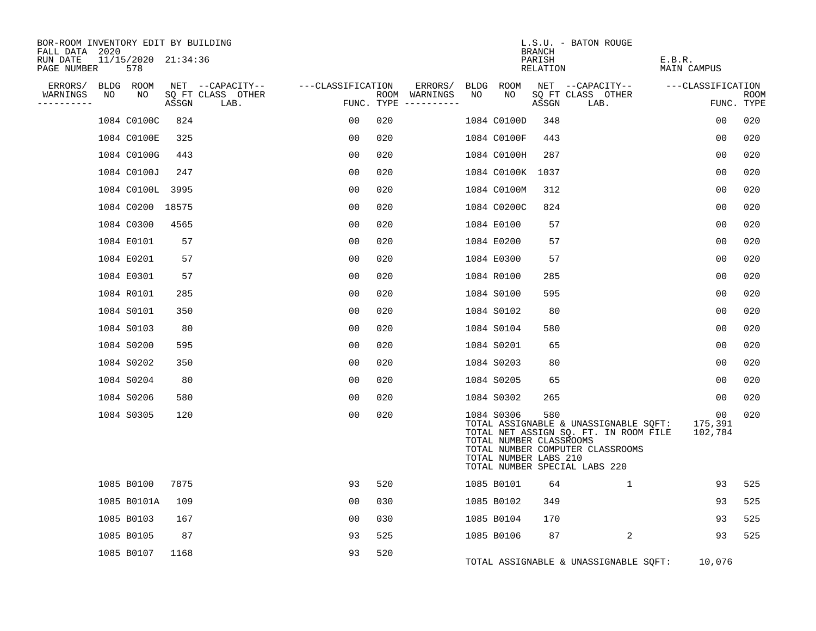| BOR-ROOM INVENTORY EDIT BY BUILDING<br>FALL DATA 2020 |                            |       |                           |                   |                             |    |                                                                | BRANCH             | L.S.U. - BATON ROUGE                                                                                                                                |                                      |                    |
|-------------------------------------------------------|----------------------------|-------|---------------------------|-------------------|-----------------------------|----|----------------------------------------------------------------|--------------------|-----------------------------------------------------------------------------------------------------------------------------------------------------|--------------------------------------|--------------------|
| RUN DATE<br>PAGE NUMBER                               | 11/15/2020 21:34:36<br>578 |       |                           |                   |                             |    |                                                                | PARISH<br>RELATION |                                                                                                                                                     | E.B.R.<br>MAIN CAMPUS                |                    |
| ERRORS/                                               | BLDG ROOM                  |       | NET --CAPACITY--          | ---CLASSIFICATION | ERRORS/                     |    | BLDG ROOM                                                      |                    | NET --CAPACITY--                                                                                                                                    | ---CLASSIFICATION                    |                    |
| WARNINGS<br>NO<br>----------                          | NO                         | ASSGN | SQ FT CLASS OTHER<br>LAB. |                   | ROOM WARNINGS<br>FUNC. TYPE | NO | NO                                                             | ASSGN              | SQ FT CLASS OTHER<br>LAB.                                                                                                                           |                                      | ROOM<br>FUNC. TYPE |
|                                                       | 1084 C0100C                | 824   |                           | 00                | 020                         |    | 1084 C0100D                                                    | 348                |                                                                                                                                                     | 0 <sub>0</sub>                       | 020                |
|                                                       | 1084 C0100E                | 325   |                           | 0 <sub>0</sub>    | 020                         |    | 1084 C0100F                                                    | 443                |                                                                                                                                                     | 0 <sub>0</sub>                       | 020                |
|                                                       | 1084 C0100G                | 443   |                           | 00                | 020                         |    | 1084 C0100H                                                    | 287                |                                                                                                                                                     | 0 <sub>0</sub>                       | 020                |
|                                                       | 1084 C0100J                | 247   |                           | 0 <sub>0</sub>    | 020                         |    | 1084 C0100K 1037                                               |                    |                                                                                                                                                     | 00                                   | 020                |
|                                                       | 1084 C0100L 3995           |       |                           | 0 <sub>0</sub>    | 020                         |    | 1084 C0100M                                                    | 312                |                                                                                                                                                     | 00                                   | 020                |
|                                                       | 1084 C0200                 | 18575 |                           | 0 <sub>0</sub>    | 020                         |    | 1084 C0200C                                                    | 824                |                                                                                                                                                     | 0 <sub>0</sub>                       | 020                |
|                                                       | 1084 C0300                 | 4565  |                           | 0 <sub>0</sub>    | 020                         |    | 1084 E0100                                                     | 57                 |                                                                                                                                                     | 0 <sub>0</sub>                       | 020                |
|                                                       | 1084 E0101                 | 57    |                           | 0 <sub>0</sub>    | 020                         |    | 1084 E0200                                                     | 57                 |                                                                                                                                                     | 00                                   | 020                |
|                                                       | 1084 E0201                 | 57    |                           | 0 <sub>0</sub>    | 020                         |    | 1084 E0300                                                     | 57                 |                                                                                                                                                     | 0 <sub>0</sub>                       | 020                |
|                                                       | 1084 E0301                 | 57    |                           | 00                | 020                         |    | 1084 R0100                                                     | 285                |                                                                                                                                                     | 0 <sub>0</sub>                       | 020                |
|                                                       | 1084 R0101                 | 285   |                           | 00                | 020                         |    | 1084 S0100                                                     | 595                |                                                                                                                                                     | 00                                   | 020                |
|                                                       | 1084 S0101                 | 350   |                           | 0 <sub>0</sub>    | 020                         |    | 1084 S0102                                                     | 80                 |                                                                                                                                                     | 0 <sub>0</sub>                       | 020                |
|                                                       | 1084 S0103                 | 80    |                           | 0 <sub>0</sub>    | 020                         |    | 1084 S0104                                                     | 580                |                                                                                                                                                     | 0 <sub>0</sub>                       | 020                |
|                                                       | 1084 S0200                 | 595   |                           | 0 <sub>0</sub>    | 020                         |    | 1084 S0201                                                     | 65                 |                                                                                                                                                     | 00                                   | 020                |
|                                                       | 1084 S0202                 | 350   |                           | 0 <sub>0</sub>    | 020                         |    | 1084 S0203                                                     | 80                 |                                                                                                                                                     | 00                                   | 020                |
|                                                       | 1084 S0204                 | 80    |                           | 0 <sub>0</sub>    | 020                         |    | 1084 S0205                                                     | 65                 |                                                                                                                                                     | 00                                   | 020                |
|                                                       | 1084 S0206                 | 580   |                           | 00                | 020                         |    | 1084 S0302                                                     | 265                |                                                                                                                                                     | 00                                   | 020                |
|                                                       | 1084 S0305                 | 120   |                           | 0 <sub>0</sub>    | 020                         |    | 1084 S0306<br>TOTAL NUMBER CLASSROOMS<br>TOTAL NUMBER LABS 210 | 580                | TOTAL ASSIGNABLE & UNASSIGNABLE SQFT:<br>TOTAL NET ASSIGN SQ. FT. IN ROOM FILE<br>TOTAL NUMBER COMPUTER CLASSROOMS<br>TOTAL NUMBER SPECIAL LABS 220 | 0 <sub>0</sub><br>175,391<br>102,784 | 020                |
|                                                       | 1085 B0100                 | 7875  |                           | 93                | 520                         |    | 1085 B0101                                                     | 64                 | $\mathbf{1}$                                                                                                                                        | 93                                   | 525                |
|                                                       | 1085 B0101A                | 109   |                           | 0 <sub>0</sub>    | 030                         |    | 1085 B0102                                                     | 349                |                                                                                                                                                     | 93                                   | 525                |
|                                                       | 1085 B0103                 | 167   |                           | 0 <sub>0</sub>    | 030                         |    | 1085 B0104                                                     | 170                |                                                                                                                                                     | 93                                   | 525                |
|                                                       | 1085 B0105                 | 87    |                           | 93                | 525                         |    | 1085 B0106                                                     | 87                 | 2                                                                                                                                                   | 93                                   | 525                |
|                                                       | 1085 B0107                 | 1168  |                           | 93                | 520                         |    |                                                                |                    | TOTAL ASSIGNABLE & UNASSIGNABLE SQFT:                                                                                                               | 10,076                               |                    |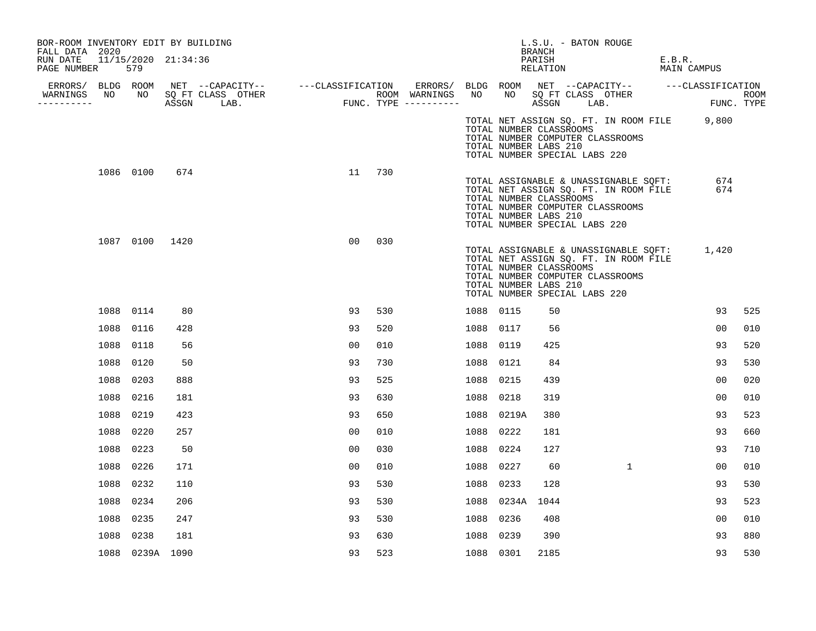| BOR-ROOM INVENTORY EDIT BY BUILDING<br>FALL DATA 2020 |                            |     |  |                |     |           |                                                                                                                                                                | L.S.U. - BATON ROUGE<br>BRANCH |  |              |                                                     |     |
|-------------------------------------------------------|----------------------------|-----|--|----------------|-----|-----------|----------------------------------------------------------------------------------------------------------------------------------------------------------------|--------------------------------|--|--------------|-----------------------------------------------------|-----|
| RUN DATE<br>PAGE NUMBER                               | 11/15/2020 21:34:36<br>579 |     |  |                |     |           |                                                                                                                                                                | PARISH<br>RELATION             |  |              | E.B.R.<br>MAIN CAMPUS                               |     |
|                                                       |                            |     |  |                |     |           |                                                                                                                                                                |                                |  |              |                                                     |     |
| WARNINGS<br>----------                                |                            |     |  |                |     |           |                                                                                                                                                                |                                |  |              | ROOM<br>FUNC. TYPE                                  |     |
|                                                       |                            |     |  |                |     |           | TOTAL NUMBER CLASSROOMS<br>TOTAL NUMBER COMPUTER CLASSROOMS<br>TOTAL NUMBER LABS 210<br>TOTAL NUMBER SPECIAL LABS 220                                          |                                |  |              | TOTAL NET ASSIGN SQ. FT. IN ROOM FILE 9,800         |     |
|                                                       | 1086 0100                  | 674 |  | 11             | 730 |           | TOTAL ASSIGNABLE & UNASSIGNABLE SQFT:<br>TOTAL NUMBER CLASSROOMS<br>TOTAL NUMBER COMPUTER CLASSROOMS<br>TOTAL NUMBER LABS 210<br>TOTAL NUMBER SPECIAL LABS 220 |                                |  |              | 674<br>TOTAL NET ASSIGN SQ. FT. IN ROOM FILE<br>674 |     |
|                                                       | 1087 0100 1420             |     |  | 00             | 030 |           | TOTAL NET ASSIGN SQ. FT. IN ROOM FILE<br>TOTAL NUMBER CLASSROOMS<br>TOTAL NUMBER COMPUTER CLASSROOMS<br>TOTAL NUMBER LABS 210<br>TOTAL NUMBER SPECIAL LABS 220 |                                |  |              | TOTAL ASSIGNABLE & UNASSIGNABLE SQFT: 1,420         |     |
|                                                       | 1088 0114                  | 80  |  | 93             | 530 | 1088 0115 |                                                                                                                                                                | 50                             |  |              | 93                                                  | 525 |
|                                                       | 1088 0116                  | 428 |  | 93             | 520 | 1088 0117 |                                                                                                                                                                | 56                             |  |              | 00                                                  | 010 |
|                                                       | 1088 0118                  | 56  |  | 0 <sub>0</sub> | 010 | 1088 0119 |                                                                                                                                                                | 425                            |  |              | 93                                                  | 520 |
|                                                       | 1088<br>0120               | 50  |  | 93             | 730 | 1088 0121 |                                                                                                                                                                | 84                             |  |              | 93                                                  | 530 |
| 1088                                                  | 0203                       | 888 |  | 93             | 525 | 1088 0215 |                                                                                                                                                                | 439                            |  |              | 00                                                  | 020 |
| 1088                                                  | 0216                       | 181 |  | 93             | 630 | 1088      | 0218                                                                                                                                                           | 319                            |  |              | 0 <sub>0</sub>                                      | 010 |
| 1088                                                  | 0219                       | 423 |  | 93             | 650 |           | 1088 0219A                                                                                                                                                     | 380                            |  |              | 93                                                  | 523 |
|                                                       | 1088<br>0220               | 257 |  | 00             | 010 | 1088 0222 |                                                                                                                                                                | 181                            |  |              | 93                                                  | 660 |
| 1088                                                  | 0223                       | 50  |  | 00             | 030 | 1088 0224 |                                                                                                                                                                | 127                            |  |              | 93                                                  | 710 |
| 1088                                                  | 0226                       | 171 |  | 00             | 010 | 1088 0227 |                                                                                                                                                                | 60                             |  | $\mathbf{1}$ | 00                                                  | 010 |
| 1088                                                  | 0232                       | 110 |  | 93             | 530 | 1088 0233 |                                                                                                                                                                | 128                            |  |              | 93                                                  | 530 |
|                                                       | 1088<br>0234               | 206 |  | 93             | 530 |           | 1088 0234A                                                                                                                                                     | 1044                           |  |              | 93                                                  | 523 |
|                                                       | 1088<br>0235               | 247 |  | 93             | 530 | 1088 0236 |                                                                                                                                                                | 408                            |  |              | 00                                                  | 010 |
| 1088                                                  | 0238                       | 181 |  | 93             | 630 | 1088 0239 |                                                                                                                                                                | 390                            |  |              | 93                                                  | 880 |
|                                                       | 1088 0239A 1090            |     |  | 93             | 523 | 1088 0301 |                                                                                                                                                                | 2185                           |  |              | 93                                                  | 530 |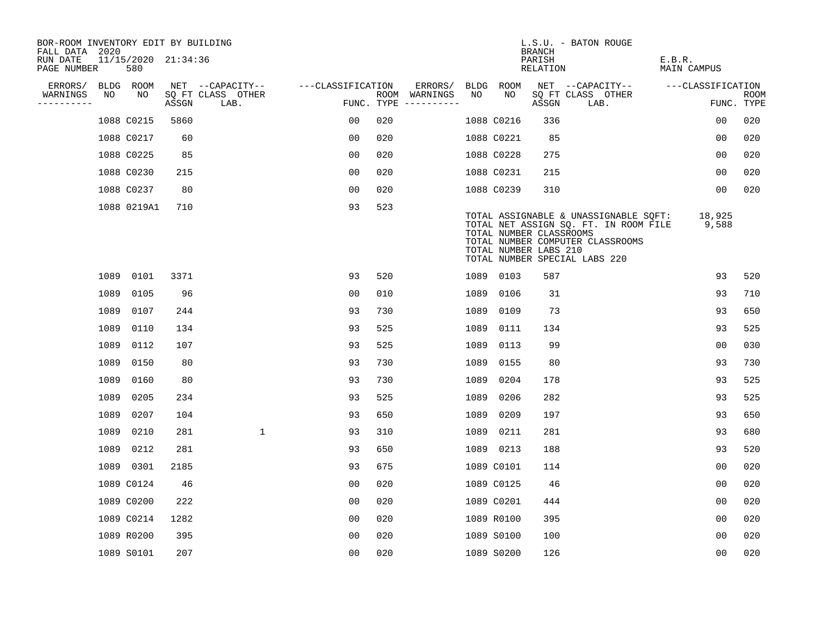| BOR-ROOM INVENTORY EDIT BY BUILDING<br>FALL DATA 2020 |      |                            |       |                           |                   |     |                                      |      |                                                  | <b>BRANCH</b>      | L.S.U. - BATON ROUGE                                                                                                                                |                              |                           |
|-------------------------------------------------------|------|----------------------------|-------|---------------------------|-------------------|-----|--------------------------------------|------|--------------------------------------------------|--------------------|-----------------------------------------------------------------------------------------------------------------------------------------------------|------------------------------|---------------------------|
| RUN DATE<br>PAGE NUMBER                               |      | 11/15/2020 21:34:36<br>580 |       |                           |                   |     |                                      |      |                                                  | PARISH<br>RELATION |                                                                                                                                                     | E.B.R.<br><b>MAIN CAMPUS</b> |                           |
| ERRORS/                                               |      | BLDG ROOM                  |       | NET --CAPACITY--          | ---CLASSIFICATION |     | ERRORS/                              | BLDG | ROOM                                             |                    | NET --CAPACITY--                                                                                                                                    | ---CLASSIFICATION            |                           |
| WARNINGS<br>----------                                | NO   | NO                         | ASSGN | SQ FT CLASS OTHER<br>LAB. |                   |     | ROOM WARNINGS<br>FUNC. TYPE $------$ | NO   | NO                                               | ASSGN              | SQ FT CLASS OTHER<br>LAB.                                                                                                                           |                              | <b>ROOM</b><br>FUNC. TYPE |
|                                                       |      | 1088 C0215                 | 5860  |                           | 00                | 020 |                                      |      | 1088 C0216                                       | 336                |                                                                                                                                                     | 0 <sub>0</sub>               | 020                       |
|                                                       |      | 1088 C0217                 | 60    |                           | 0 <sub>0</sub>    | 020 |                                      |      | 1088 C0221                                       | 85                 |                                                                                                                                                     | 00                           | 020                       |
|                                                       |      | 1088 C0225                 | 85    |                           | 00                | 020 |                                      |      | 1088 C0228                                       | 275                |                                                                                                                                                     | 00                           | 020                       |
|                                                       |      | 1088 C0230                 | 215   |                           | 0 <sub>0</sub>    | 020 |                                      |      | 1088 C0231                                       | 215                |                                                                                                                                                     | 00                           | 020                       |
|                                                       |      | 1088 C0237                 | 80    |                           | 0 <sub>0</sub>    | 020 |                                      |      | 1088 C0239                                       | 310                |                                                                                                                                                     | 00                           | 020                       |
|                                                       |      | 1088 0219A1                | 710   |                           | 93                | 523 |                                      |      | TOTAL NUMBER CLASSROOMS<br>TOTAL NUMBER LABS 210 |                    | TOTAL ASSIGNABLE & UNASSIGNABLE SQFT:<br>TOTAL NET ASSIGN SQ. FT. IN ROOM FILE<br>TOTAL NUMBER COMPUTER CLASSROOMS<br>TOTAL NUMBER SPECIAL LABS 220 | 18,925<br>9,588              |                           |
|                                                       |      | 1089 0101                  | 3371  |                           | 93                | 520 |                                      |      | 1089 0103                                        | 587                |                                                                                                                                                     | 93                           | 520                       |
|                                                       | 1089 | 0105                       | 96    |                           | 0 <sub>0</sub>    | 010 |                                      | 1089 | 0106                                             | 31                 |                                                                                                                                                     | 93                           | 710                       |
|                                                       | 1089 | 0107                       | 244   |                           | 93                | 730 |                                      | 1089 | 0109                                             | 73                 |                                                                                                                                                     | 93                           | 650                       |
|                                                       | 1089 | 0110                       | 134   |                           | 93                | 525 |                                      | 1089 | 0111                                             | 134                |                                                                                                                                                     | 93                           | 525                       |
|                                                       | 1089 | 0112                       | 107   |                           | 93                | 525 |                                      | 1089 | 0113                                             | 99                 |                                                                                                                                                     | 0 <sub>0</sub>               | 030                       |
|                                                       | 1089 | 0150                       | 80    |                           | 93                | 730 |                                      |      | 1089 0155                                        | 80                 |                                                                                                                                                     | 93                           | 730                       |
|                                                       | 1089 | 0160                       | 80    |                           | 93                | 730 |                                      | 1089 | 0204                                             | 178                |                                                                                                                                                     | 93                           | 525                       |
|                                                       | 1089 | 0205                       | 234   |                           | 93                | 525 |                                      | 1089 | 0206                                             | 282                |                                                                                                                                                     | 93                           | 525                       |
|                                                       | 1089 | 0207                       | 104   |                           | 93                | 650 |                                      | 1089 | 0209                                             | 197                |                                                                                                                                                     | 93                           | 650                       |
|                                                       | 1089 | 0210                       | 281   | $\mathbf 1$               | 93                | 310 |                                      |      | 1089 0211                                        | 281                |                                                                                                                                                     | 93                           | 680                       |
|                                                       | 1089 | 0212                       | 281   |                           | 93                | 650 |                                      |      | 1089 0213                                        | 188                |                                                                                                                                                     | 93                           | 520                       |
|                                                       |      | 1089 0301                  | 2185  |                           | 93                | 675 |                                      |      | 1089 C0101                                       | 114                |                                                                                                                                                     | 0 <sub>0</sub>               | 020                       |
|                                                       |      | 1089 C0124                 | 46    |                           | 00                | 020 |                                      |      | 1089 C0125                                       | 46                 |                                                                                                                                                     | 0 <sub>0</sub>               | 020                       |
|                                                       |      | 1089 C0200                 | 222   |                           | 00                | 020 |                                      |      | 1089 C0201                                       | 444                |                                                                                                                                                     | 0 <sub>0</sub>               | 020                       |
|                                                       |      | 1089 C0214                 | 1282  |                           | 0 <sub>0</sub>    | 020 |                                      |      | 1089 R0100                                       | 395                |                                                                                                                                                     | 0 <sub>0</sub>               | 020                       |
|                                                       |      | 1089 R0200                 | 395   |                           | 0 <sub>0</sub>    | 020 |                                      |      | 1089 S0100                                       | 100                |                                                                                                                                                     | 0 <sub>0</sub>               | 020                       |
|                                                       |      | 1089 S0101                 | 207   |                           | 0 <sub>0</sub>    | 020 |                                      |      | 1089 S0200                                       | 126                |                                                                                                                                                     | 0 <sub>0</sub>               | 020                       |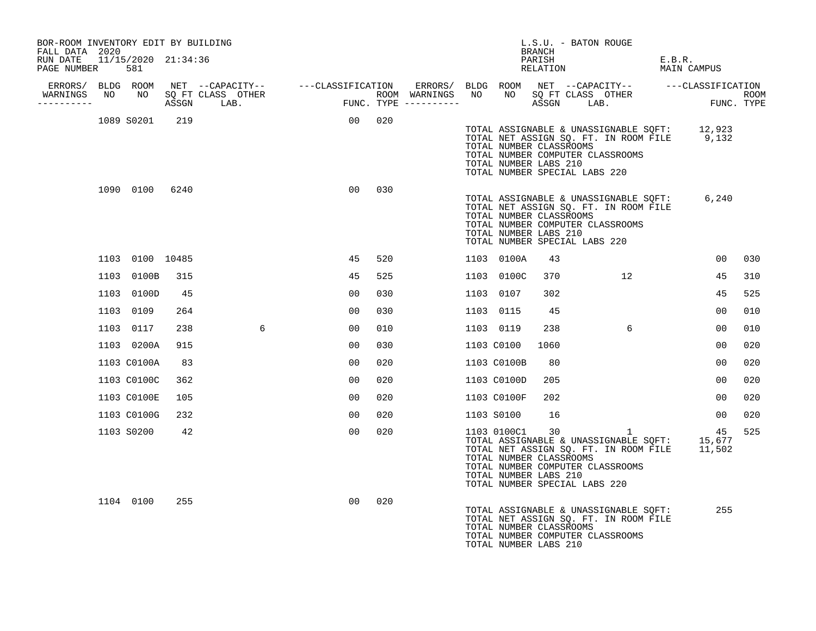| BOR-ROOM INVENTORY EDIT BY BUILDING<br>FALL DATA 2020               |                            |       |                                                                                                     |                 |        |                                         |                                                                                                  | BRANCH | L.S.U. - BATON ROUGE |                                                                                                                                                 |                       |                                  |      |
|---------------------------------------------------------------------|----------------------------|-------|-----------------------------------------------------------------------------------------------------|-----------------|--------|-----------------------------------------|--------------------------------------------------------------------------------------------------|--------|----------------------|-------------------------------------------------------------------------------------------------------------------------------------------------|-----------------------|----------------------------------|------|
| RUN DATE<br>PAGE NUMBER                                             | 11/15/2020 21:34:36<br>581 |       |                                                                                                     |                 |        |                                         |                                                                                                  | PARISH | RELATION             |                                                                                                                                                 | E.B.R.<br>MAIN CAMPUS |                                  |      |
| ERRORS/ BLDG ROOM<br>WARNINGS NO NO SQ FT CLASS OTHER<br>---------- |                            | ASSGN | NET --CAPACITY--   ---CLASSIFICATION ERRORS/ BLDG ROOM NET --CAPACITY--   ---CLASSIFICATION<br>LAB. | FUNC.           |        | ROOM WARNINGS NO<br>FUNC. TYPE $------$ |                                                                                                  |        | ASSGN LAB.           | NO SQ FT CLASS OTHER                                                                                                                            |                       | $\texttt{FUNC}\,.$<br>FUNC. TYPE | ROOM |
|                                                                     | 1089 S0201                 | 219   |                                                                                                     |                 | 00 020 |                                         | TOTAL NUMBER CLASSROOMS<br>TOTAL NUMBER LABS 210<br>TOTAL NUMBER SPECIAL LABS 220                |        |                      | TOTAL ASSIGNABLE & UNASSIGNABLE SQFT: 12,923<br>TOTAL NET ASSIGN SQ. FT. IN ROOM FILE 9,132<br>TOTAL NUMBER COMPUTER CLASSROOMS                 |                       |                                  |      |
|                                                                     | 1090 0100 6240             |       |                                                                                                     | 00 <sup>o</sup> | 030    |                                         | TOTAL NUMBER CLASSROOMS<br>TOTAL NUMBER LABS 210<br>TOTAL NUMBER SPECIAL LABS 220                |        |                      | TOTAL ASSIGNABLE & UNASSIGNABLE SQFT:<br>TOTAL NET ASSIGN SQ. FT. IN ROOM FILE<br>TOTAL NUMBER COMPUTER CLASSROOMS                              |                       | 6,240                            |      |
|                                                                     | 1103 0100 10485            |       |                                                                                                     | 45              | 520    |                                         | 1103 0100A                                                                                       | 43     |                      |                                                                                                                                                 |                       | 00 <sup>o</sup>                  | 030  |
|                                                                     | 1103 0100B                 | 315   |                                                                                                     | 45              | 525    |                                         | 1103 0100C                                                                                       | 370    |                      | 12                                                                                                                                              |                       | 45                               | 310  |
|                                                                     | 1103 0100D                 | 45    |                                                                                                     | 00              | 030    |                                         | 1103 0107                                                                                        | 302    |                      |                                                                                                                                                 |                       | 45                               | 525  |
|                                                                     | 1103 0109                  | 264   |                                                                                                     | 00              | 030    |                                         | 1103 0115                                                                                        | 45     |                      |                                                                                                                                                 |                       | 00                               | 010  |
|                                                                     | 1103 0117                  | 238   | 6                                                                                                   | 0 <sub>0</sub>  | 010    |                                         | 1103 0119                                                                                        | 238    |                      | $6\overline{6}$                                                                                                                                 |                       | 00                               | 010  |
|                                                                     | 1103 0200A                 | 915   |                                                                                                     | 0 <sub>0</sub>  | 030    |                                         | 1103 C0100                                                                                       | 1060   |                      |                                                                                                                                                 |                       | 0 <sub>0</sub>                   | 020  |
|                                                                     | 1103 C0100A                | 83    |                                                                                                     | 00              | 020    |                                         | 1103 C0100B                                                                                      | 80     |                      |                                                                                                                                                 |                       | 0 <sub>0</sub>                   | 020  |
|                                                                     | 1103 C0100C                | 362   |                                                                                                     | 00              | 020    |                                         | 1103 C0100D                                                                                      | 205    |                      |                                                                                                                                                 |                       | 00                               | 020  |
|                                                                     | 1103 C0100E                | 105   |                                                                                                     | 00              | 020    |                                         | 1103 C0100F                                                                                      | 202    |                      |                                                                                                                                                 |                       | 00                               | 020  |
|                                                                     | 1103 C0100G                | 232   |                                                                                                     | 00              | 020    |                                         | 1103 S0100                                                                                       | 16     |                      |                                                                                                                                                 |                       | 00                               | 020  |
|                                                                     | 1103 S0200                 | 42    |                                                                                                     | 00              | 020    |                                         | 1103 0100C1<br>TOTAL NUMBER CLASSROOMS<br>TOTAL NUMBER LABS 210<br>TOTAL NUMBER SPECIAL LABS 220 | 30     |                      | $1 \quad 1$<br>TOTAL ASSIGNABLE & UNASSIGNABLE SQFT: 15,677<br>TOTAL NET ASSIGN SQ. FT. IN ROOM FILE 11,502<br>TOTAL NUMBER COMPUTER CLASSROOMS |                       | 45                               | 525  |
|                                                                     | 1104 0100                  | 255   |                                                                                                     | 00 <sup>o</sup> | 020    |                                         | TOTAL NUMBER CLASSROOMS<br>TOTAL NUMBER LABS 210                                                 |        |                      | TOTAL ASSIGNABLE & UNASSIGNABLE SQFT:<br>TOTAL NET ASSIGN SQ. FT. IN ROOM FILE<br>TOTAL NUMBER COMPUTER CLASSROOMS                              |                       | 255                              |      |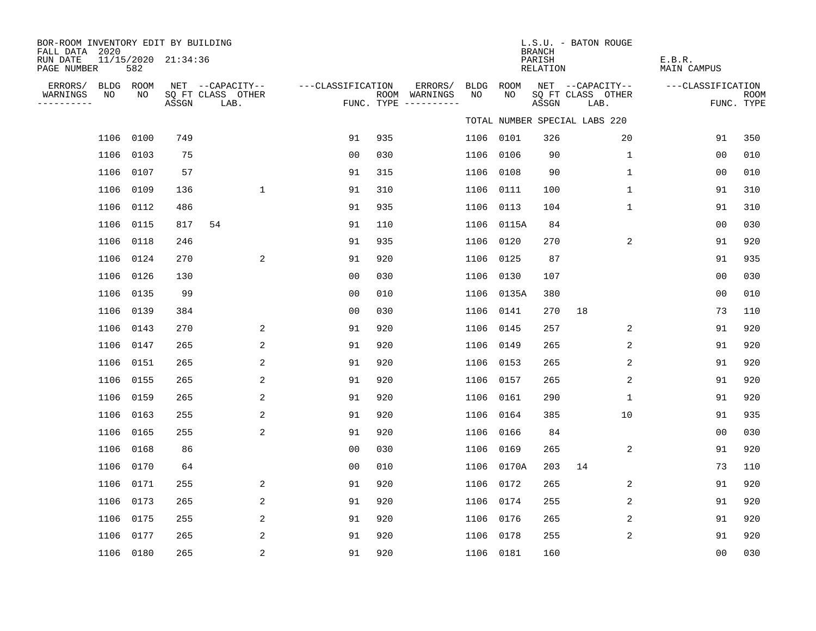| BOR-ROOM INVENTORY EDIT BY BUILDING<br>FALL DATA 2020 |           |                     |                           |                   |     |                                      |             |             | <b>BRANCH</b>             | L.S.U. - BATON ROUGE          |                              |                           |
|-------------------------------------------------------|-----------|---------------------|---------------------------|-------------------|-----|--------------------------------------|-------------|-------------|---------------------------|-------------------------------|------------------------------|---------------------------|
| RUN DATE<br>PAGE NUMBER                               | 582       | 11/15/2020 21:34:36 |                           |                   |     |                                      |             |             | PARISH<br><b>RELATION</b> |                               | E.B.R.<br><b>MAIN CAMPUS</b> |                           |
| ERRORS/                                               | BLDG ROOM |                     | NET --CAPACITY--          | ---CLASSIFICATION |     | ERRORS/                              | <b>BLDG</b> | <b>ROOM</b> |                           | NET --CAPACITY--              | ---CLASSIFICATION            |                           |
| NO<br>WARNINGS<br>----------                          | NO        | ASSGN               | SQ FT CLASS OTHER<br>LAB. |                   |     | ROOM WARNINGS<br>FUNC. TYPE $------$ | NO          | NO          | ASSGN                     | SQ FT CLASS OTHER<br>LAB.     |                              | <b>ROOM</b><br>FUNC. TYPE |
|                                                       |           |                     |                           |                   |     |                                      |             |             |                           | TOTAL NUMBER SPECIAL LABS 220 |                              |                           |
| 1106                                                  | 0100      | 749                 |                           | 91                | 935 |                                      | 1106        | 0101        | 326                       | 20                            | 91                           | 350                       |
| 1106                                                  | 0103      | 75                  |                           | 0 <sub>0</sub>    | 030 |                                      | 1106        | 0106        | 90                        | $\mathbf 1$                   | 0 <sub>0</sub>               | 010                       |
| 1106                                                  | 0107      | 57                  |                           | 91                | 315 |                                      | 1106        | 0108        | 90                        | $\mathbf{1}$                  | 00                           | 010                       |
| 1106                                                  | 0109      | 136                 | $\mathbf{1}$              | 91                | 310 |                                      | 1106        | 0111        | 100                       | $\mathbf 1$                   | 91                           | 310                       |
| 1106                                                  | 0112      | 486                 |                           | 91                | 935 |                                      | 1106        | 0113        | 104                       | $\mathbf 1$                   | 91                           | 310                       |
| 1106                                                  | 0115      | 817                 | 54                        | 91                | 110 |                                      | 1106        | 0115A       | 84                        |                               | 0 <sub>0</sub>               | 030                       |
| 1106                                                  | 0118      | 246                 |                           | 91                | 935 |                                      | 1106        | 0120        | 270                       | 2                             | 91                           | 920                       |
| 1106                                                  | 0124      | 270                 | 2                         | 91                | 920 |                                      | 1106        | 0125        | 87                        |                               | 91                           | 935                       |
| 1106                                                  | 0126      | 130                 |                           | 0 <sub>0</sub>    | 030 |                                      | 1106        | 0130        | 107                       |                               | 0 <sub>0</sub>               | 030                       |
| 1106                                                  | 0135      | 99                  |                           | 0 <sub>0</sub>    | 010 |                                      | 1106        | 0135A       | 380                       |                               | 0 <sub>0</sub>               | 010                       |
| 1106                                                  | 0139      | 384                 |                           | 0 <sub>0</sub>    | 030 |                                      | 1106        | 0141        | 270                       | 18                            | 73                           | 110                       |
| 1106                                                  | 0143      | 270                 | 2                         | 91                | 920 |                                      | 1106        | 0145        | 257                       | 2                             | 91                           | 920                       |
| 1106                                                  | 0147      | 265                 | 2                         | 91                | 920 |                                      | 1106        | 0149        | 265                       | 2                             | 91                           | 920                       |
| 1106                                                  | 0151      | 265                 | 2                         | 91                | 920 |                                      | 1106        | 0153        | 265                       | 2                             | 91                           | 920                       |
| 1106                                                  | 0155      | 265                 | 2                         | 91                | 920 |                                      | 1106        | 0157        | 265                       | 2                             | 91                           | 920                       |
| 1106                                                  | 0159      | 265                 | 2                         | 91                | 920 |                                      | 1106        | 0161        | 290                       | $\mathbf{1}$                  | 91                           | 920                       |
| 1106                                                  | 0163      | 255                 | $\overline{2}$            | 91                | 920 |                                      | 1106        | 0164        | 385                       | 10                            | 91                           | 935                       |
| 1106                                                  | 0165      | 255                 | 2                         | 91                | 920 |                                      | 1106        | 0166        | 84                        |                               | 0 <sub>0</sub>               | 030                       |
| 1106                                                  | 0168      | 86                  |                           | 0 <sub>0</sub>    | 030 |                                      | 1106        | 0169        | 265                       | 2                             | 91                           | 920                       |
| 1106                                                  | 0170      | 64                  |                           | 0 <sub>0</sub>    | 010 |                                      | 1106        | 0170A       | 203                       | 14                            | 73                           | 110                       |
| 1106                                                  | 0171      | 255                 | 2                         | 91                | 920 |                                      | 1106        | 0172        | 265                       | 2                             | 91                           | 920                       |
| 1106                                                  | 0173      | 265                 | 2                         | 91                | 920 |                                      | 1106        | 0174        | 255                       | $\overline{2}$                | 91                           | 920                       |
| 1106                                                  | 0175      | 255                 | 2                         | 91                | 920 |                                      | 1106        | 0176        | 265                       | 2                             | 91                           | 920                       |
| 1106                                                  | 0177      | 265                 | 2                         | 91                | 920 |                                      | 1106        | 0178        | 255                       | 2                             | 91                           | 920                       |
|                                                       | 1106 0180 | 265                 | 2                         | 91                | 920 |                                      |             | 1106 0181   | 160                       |                               | 0 <sub>0</sub>               | 030                       |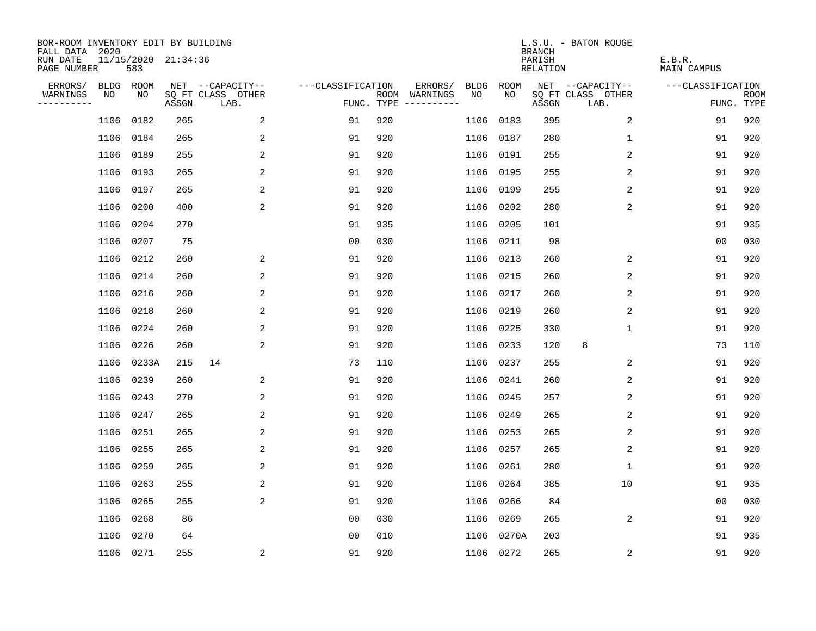| BOR-ROOM INVENTORY EDIT BY BUILDING<br>FALL DATA 2020 |           |       |                     |                           |                   |     |                                      |             |             | <b>BRANCH</b>             | L.S.U. - BATON ROUGE      |                              |                           |
|-------------------------------------------------------|-----------|-------|---------------------|---------------------------|-------------------|-----|--------------------------------------|-------------|-------------|---------------------------|---------------------------|------------------------------|---------------------------|
| RUN DATE<br>PAGE NUMBER                               |           | 583   | 11/15/2020 21:34:36 |                           |                   |     |                                      |             |             | PARISH<br><b>RELATION</b> |                           | E.B.R.<br><b>MAIN CAMPUS</b> |                           |
| ERRORS/                                               | BLDG ROOM |       |                     | NET --CAPACITY--          | ---CLASSIFICATION |     | ERRORS/                              | <b>BLDG</b> | <b>ROOM</b> |                           | NET --CAPACITY--          | ---CLASSIFICATION            |                           |
| WARNINGS<br>----------                                | NO        | NO    | ASSGN               | SQ FT CLASS OTHER<br>LAB. |                   |     | ROOM WARNINGS<br>FUNC. TYPE $------$ | NO          | NO          | ASSGN                     | SQ FT CLASS OTHER<br>LAB. |                              | <b>ROOM</b><br>FUNC. TYPE |
|                                                       | 1106      | 0182  | 265                 | 2                         | 91                | 920 |                                      | 1106        | 0183        | 395                       | 2                         | 91                           | 920                       |
|                                                       | 1106      | 0184  | 265                 | 2                         | 91                | 920 |                                      |             | 1106 0187   | 280                       | 1                         | 91                           | 920                       |
|                                                       | 1106      | 0189  | 255                 | 2                         | 91                | 920 |                                      | 1106        | 0191        | 255                       | 2                         | 91                           | 920                       |
|                                                       | 1106      | 0193  | 265                 | 2                         | 91                | 920 |                                      |             | 1106 0195   | 255                       | 2                         | 91                           | 920                       |
|                                                       | 1106      | 0197  | 265                 | $\overline{c}$            | 91                | 920 |                                      |             | 1106 0199   | 255                       | 2                         | 91                           | 920                       |
|                                                       | 1106      | 0200  | 400                 | 2                         | 91                | 920 |                                      |             | 1106 0202   | 280                       | 2                         | 91                           | 920                       |
|                                                       | 1106      | 0204  | 270                 |                           | 91                | 935 |                                      | 1106        | 0205        | 101                       |                           | 91                           | 935                       |
|                                                       | 1106      | 0207  | 75                  |                           | 0 <sub>0</sub>    | 030 |                                      |             | 1106 0211   | 98                        |                           | 0 <sub>0</sub>               | 030                       |
|                                                       | 1106      | 0212  | 260                 | 2                         | 91                | 920 |                                      | 1106        | 0213        | 260                       | 2                         | 91                           | 920                       |
|                                                       | 1106      | 0214  | 260                 | 2                         | 91                | 920 |                                      |             | 1106 0215   | 260                       | 2                         | 91                           | 920                       |
|                                                       | 1106      | 0216  | 260                 | 2                         | 91                | 920 |                                      | 1106        | 0217        | 260                       | 2                         | 91                           | 920                       |
|                                                       | 1106      | 0218  | 260                 | 2                         | 91                | 920 |                                      |             | 1106 0219   | 260                       | 2                         | 91                           | 920                       |
|                                                       | 1106      | 0224  | 260                 | 2                         | 91                | 920 |                                      | 1106        | 0225        | 330                       | $\mathbf 1$               | 91                           | 920                       |
|                                                       | 1106      | 0226  | 260                 | 2                         | 91                | 920 |                                      | 1106        | 0233        | 120                       | 8                         | 73                           | 110                       |
|                                                       | 1106      | 0233A | 215                 | 14                        | 73                | 110 |                                      | 1106        | 0237        | 255                       | 2                         | 91                           | 920                       |
|                                                       | 1106      | 0239  | 260                 | 2                         | 91                | 920 |                                      |             | 1106 0241   | 260                       | 2                         | 91                           | 920                       |
|                                                       | 1106      | 0243  | 270                 | 2                         | 91                | 920 |                                      | 1106        | 0245        | 257                       | 2                         | 91                           | 920                       |
|                                                       | 1106      | 0247  | 265                 | 2                         | 91                | 920 |                                      | 1106        | 0249        | 265                       | 2                         | 91                           | 920                       |
|                                                       | 1106      | 0251  | 265                 | 2                         | 91                | 920 |                                      | 1106        | 0253        | 265                       | 2                         | 91                           | 920                       |
|                                                       | 1106      | 0255  | 265                 | 2                         | 91                | 920 |                                      | 1106        | 0257        | 265                       | 2                         | 91                           | 920                       |
|                                                       | 1106      | 0259  | 265                 | 2                         | 91                | 920 |                                      | 1106        | 0261        | 280                       | 1                         | 91                           | 920                       |
|                                                       | 1106      | 0263  | 255                 | 2                         | 91                | 920 |                                      | 1106        | 0264        | 385                       | 10                        | 91                           | 935                       |
|                                                       | 1106      | 0265  | 255                 | 2                         | 91                | 920 |                                      | 1106        | 0266        | 84                        |                           | 00                           | 030                       |
|                                                       | 1106      | 0268  | 86                  |                           | 0 <sub>0</sub>    | 030 |                                      | 1106        | 0269        | 265                       | 2                         | 91                           | 920                       |
|                                                       | 1106      | 0270  | 64                  |                           | 0 <sub>0</sub>    | 010 |                                      |             | 1106 0270A  | 203                       |                           | 91                           | 935                       |
|                                                       | 1106 0271 |       | 255                 | 2                         | 91                | 920 |                                      |             | 1106 0272   | 265                       | 2                         | 91                           | 920                       |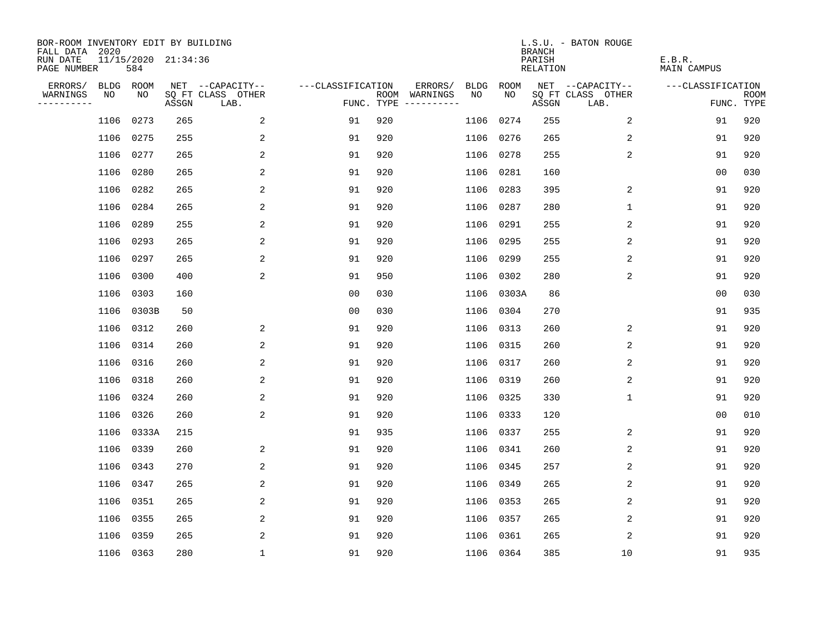| BOR-ROOM INVENTORY EDIT BY BUILDING<br>FALL DATA 2020 |           |           |                     |                           |                   |     |                                      |             |             | <b>BRANCH</b>             | L.S.U. - BATON ROUGE      |                              |                           |
|-------------------------------------------------------|-----------|-----------|---------------------|---------------------------|-------------------|-----|--------------------------------------|-------------|-------------|---------------------------|---------------------------|------------------------------|---------------------------|
| RUN DATE<br>PAGE NUMBER                               |           | 584       | 11/15/2020 21:34:36 |                           |                   |     |                                      |             |             | PARISH<br><b>RELATION</b> |                           | E.B.R.<br><b>MAIN CAMPUS</b> |                           |
| ERRORS/                                               |           | BLDG ROOM |                     | NET --CAPACITY--          | ---CLASSIFICATION |     | ERRORS/                              | <b>BLDG</b> | <b>ROOM</b> |                           | NET --CAPACITY--          | ---CLASSIFICATION            |                           |
| WARNINGS<br>----------                                | NO        | NO        | ASSGN               | SQ FT CLASS OTHER<br>LAB. |                   |     | ROOM WARNINGS<br>FUNC. TYPE $------$ | NO          | NO          | ASSGN                     | SQ FT CLASS OTHER<br>LAB. |                              | <b>ROOM</b><br>FUNC. TYPE |
|                                                       | 1106      | 0273      | 265                 | 2                         | 91                | 920 |                                      | 1106        | 0274        | 255                       | 2                         | 91                           | 920                       |
|                                                       | 1106      | 0275      | 255                 | 2                         | 91                | 920 |                                      | 1106        | 0276        | 265                       | 2                         | 91                           | 920                       |
|                                                       | 1106      | 0277      | 265                 | 2                         | 91                | 920 |                                      | 1106        | 0278        | 255                       | 2                         | 91                           | 920                       |
|                                                       | 1106      | 0280      | 265                 | 2                         | 91                | 920 |                                      |             | 1106 0281   | 160                       |                           | 00                           | 030                       |
|                                                       | 1106      | 0282      | 265                 | 2                         | 91                | 920 |                                      | 1106        | 0283        | 395                       | 2                         | 91                           | 920                       |
|                                                       | 1106      | 0284      | 265                 | 2                         | 91                | 920 |                                      |             | 1106 0287   | 280                       | $\mathbf{1}$              | 91                           | 920                       |
|                                                       | 1106      | 0289      | 255                 | 2                         | 91                | 920 |                                      |             | 1106 0291   | 255                       | 2                         | 91                           | 920                       |
|                                                       | 1106      | 0293      | 265                 | 2                         | 91                | 920 |                                      |             | 1106 0295   | 255                       | 2                         | 91                           | 920                       |
|                                                       | 1106      | 0297      | 265                 | 2                         | 91                | 920 |                                      | 1106        | 0299        | 255                       | 2                         | 91                           | 920                       |
|                                                       | 1106      | 0300      | 400                 | 2                         | 91                | 950 |                                      | 1106        | 0302        | 280                       | 2                         | 91                           | 920                       |
|                                                       | 1106      | 0303      | 160                 |                           | 0 <sub>0</sub>    | 030 |                                      | 1106        | 0303A       | 86                        |                           | 0 <sub>0</sub>               | 030                       |
|                                                       | 1106      | 0303B     | 50                  |                           | 0 <sub>0</sub>    | 030 |                                      | 1106        | 0304        | 270                       |                           | 91                           | 935                       |
|                                                       | 1106      | 0312      | 260                 | 2                         | 91                | 920 |                                      | 1106        | 0313        | 260                       | 2                         | 91                           | 920                       |
|                                                       | 1106      | 0314      | 260                 | 2                         | 91                | 920 |                                      | 1106        | 0315        | 260                       | 2                         | 91                           | 920                       |
|                                                       | 1106      | 0316      | 260                 | 2                         | 91                | 920 |                                      | 1106        | 0317        | 260                       | 2                         | 91                           | 920                       |
|                                                       | 1106      | 0318      | 260                 | 2                         | 91                | 920 |                                      | 1106        | 0319        | 260                       | 2                         | 91                           | 920                       |
|                                                       | 1106      | 0324      | 260                 | 2                         | 91                | 920 |                                      | 1106        | 0325        | 330                       | 1                         | 91                           | 920                       |
|                                                       | 1106      | 0326      | 260                 | 2                         | 91                | 920 |                                      |             | 1106 0333   | 120                       |                           | 0 <sub>0</sub>               | 010                       |
|                                                       | 1106      | 0333A     | 215                 |                           | 91                | 935 |                                      |             | 1106 0337   | 255                       | 2                         | 91                           | 920                       |
|                                                       | 1106      | 0339      | 260                 | 2                         | 91                | 920 |                                      | 1106 0341   |             | 260                       | 2                         | 91                           | 920                       |
|                                                       | 1106      | 0343      | 270                 | 2                         | 91                | 920 |                                      |             | 1106 0345   | 257                       | 2                         | 91                           | 920                       |
|                                                       | 1106      | 0347      | 265                 | 2                         | 91                | 920 |                                      | 1106        | 0349        | 265                       | 2                         | 91                           | 920                       |
|                                                       | 1106      | 0351      | 265                 | 2                         | 91                | 920 |                                      | 1106        | 0353        | 265                       | 2                         | 91                           | 920                       |
|                                                       | 1106      | 0355      | 265                 | 2                         | 91                | 920 |                                      |             | 1106 0357   | 265                       | 2                         | 91                           | 920                       |
|                                                       | 1106      | 0359      | 265                 | 2                         | 91                | 920 |                                      |             | 1106 0361   | 265                       | 2                         | 91                           | 920                       |
|                                                       | 1106 0363 |           | 280                 | $\mathbf{1}$              | 91                | 920 |                                      |             | 1106 0364   | 385                       | 10                        | 91                           | 935                       |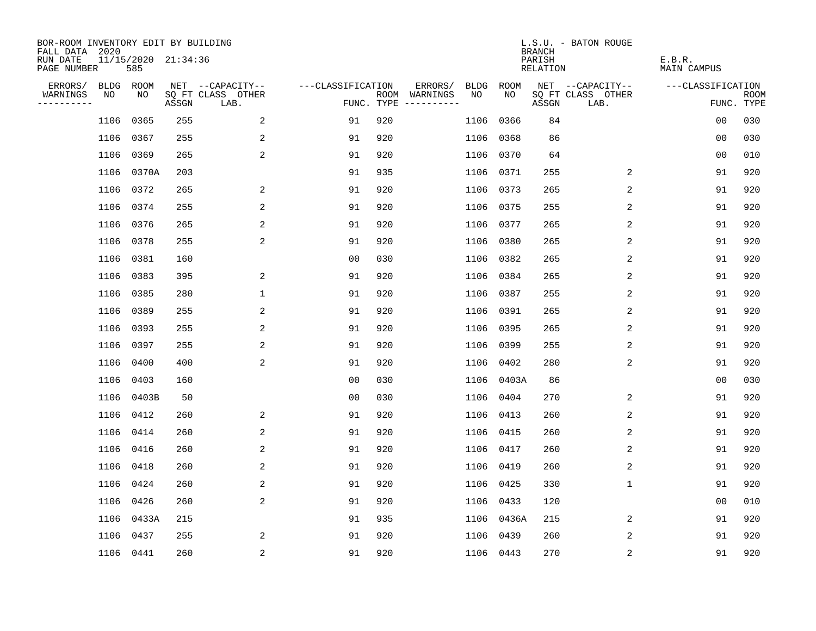| BOR-ROOM INVENTORY EDIT BY BUILDING<br>FALL DATA 2020 |           |                            |       |                           |                   |            |               |           |       | <b>BRANCH</b>      | L.S.U. - BATON ROUGE      |                       |                           |
|-------------------------------------------------------|-----------|----------------------------|-------|---------------------------|-------------------|------------|---------------|-----------|-------|--------------------|---------------------------|-----------------------|---------------------------|
| RUN DATE<br>PAGE NUMBER                               |           | 11/15/2020 21:34:36<br>585 |       |                           |                   |            |               |           |       | PARISH<br>RELATION |                           | E.B.R.<br>MAIN CAMPUS |                           |
| ERRORS/                                               | BLDG      | ROOM                       |       | NET --CAPACITY--          | ---CLASSIFICATION |            | ERRORS/       | BLDG      | ROOM  |                    | NET --CAPACITY--          | ---CLASSIFICATION     |                           |
| WARNINGS<br>----------                                | NO        | NO                         | ASSGN | SQ FT CLASS OTHER<br>LAB. |                   | FUNC. TYPE | ROOM WARNINGS | NO.       | NO.   | ASSGN              | SQ FT CLASS OTHER<br>LAB. |                       | <b>ROOM</b><br>FUNC. TYPE |
|                                                       | 1106      | 0365                       | 255   | 2                         | 91                | 920        |               | 1106      | 0366  | 84                 |                           | 0 <sub>0</sub>        | 030                       |
|                                                       | 1106      | 0367                       | 255   | 2                         | 91                | 920        |               | 1106      | 0368  | 86                 |                           | 0 <sub>0</sub>        | 030                       |
|                                                       | 1106      | 0369                       | 265   | 2                         | 91                | 920        |               | 1106      | 0370  | 64                 |                           | 0 <sub>0</sub>        | 010                       |
|                                                       |           | 1106 0370A                 | 203   |                           | 91                | 935        |               | 1106      | 0371  | 255                | 2                         | 91                    | 920                       |
|                                                       | 1106      | 0372                       | 265   | 2                         | 91                | 920        |               | 1106      | 0373  | 265                | 2                         | 91                    | 920                       |
|                                                       | 1106 0374 |                            | 255   | 2                         | 91                | 920        |               | 1106      | 0375  | 255                | 2                         | 91                    | 920                       |
|                                                       | 1106      | 0376                       | 265   | 2                         | 91                | 920        |               | 1106      | 0377  | 265                | 2                         | 91                    | 920                       |
|                                                       |           | 1106 0378                  | 255   | 2                         | 91                | 920        |               | 1106      | 0380  | 265                | 2                         | 91                    | 920                       |
|                                                       | 1106      | 0381                       | 160   |                           | 0 <sub>0</sub>    | 030        |               | 1106      | 0382  | 265                | 2                         | 91                    | 920                       |
|                                                       | 1106 0383 |                            | 395   | 2                         | 91                | 920        |               | 1106      | 0384  | 265                | 2                         | 91                    | 920                       |
|                                                       | 1106      | 0385                       | 280   | $\mathbf 1$               | 91                | 920        |               | 1106      | 0387  | 255                | 2                         | 91                    | 920                       |
|                                                       | 1106 0389 |                            | 255   | 2                         | 91                | 920        |               | 1106      | 0391  | 265                | 2                         | 91                    | 920                       |
|                                                       | 1106      | 0393                       | 255   | 2                         | 91                | 920        |               | 1106      | 0395  | 265                | 2                         | 91                    | 920                       |
|                                                       |           | 1106 0397                  | 255   | 2                         | 91                | 920        |               | 1106      | 0399  | 255                | 2                         | 91                    | 920                       |
|                                                       | 1106      | 0400                       | 400   | 2                         | 91                | 920        |               | 1106      | 0402  | 280                | 2                         | 91                    | 920                       |
|                                                       | 1106      | 0403                       | 160   |                           | 0 <sub>0</sub>    | 030        |               | 1106      | 0403A | 86                 |                           | 0 <sub>0</sub>        | 030                       |
|                                                       | 1106      | 0403B                      | 50    |                           | 0 <sub>0</sub>    | 030        |               | 1106      | 0404  | 270                | 2                         | 91                    | 920                       |
|                                                       |           | 1106 0412                  | 260   | 2                         | 91                | 920        |               | 1106      | 0413  | 260                | 2                         | 91                    | 920                       |
|                                                       | 1106      | 0414                       | 260   | 2                         | 91                | 920        |               | 1106      | 0415  | 260                | 2                         | 91                    | 920                       |
|                                                       | 1106      | 0416                       | 260   | 2                         | 91                | 920        |               | 1106      | 0417  | 260                | 2                         | 91                    | 920                       |
|                                                       | 1106      | 0418                       | 260   | 2                         | 91                | 920        |               | 1106      | 0419  | 260                | 2                         | 91                    | 920                       |
|                                                       | 1106      | 0424                       | 260   | 2                         | 91                | 920        |               | 1106      | 0425  | 330                | $\mathbf 1$               | 91                    | 920                       |
|                                                       | 1106      | 0426                       | 260   | 2                         | 91                | 920        |               | 1106      | 0433  | 120                |                           | 0 <sub>0</sub>        | 010                       |
|                                                       | 1106      | 0433A                      | 215   |                           | 91                | 935        |               | 1106      | 0436A | 215                | 2                         | 91                    | 920                       |
|                                                       | 1106      | 0437                       | 255   | 2                         | 91                | 920        |               | 1106      | 0439  | 260                | 2                         | 91                    | 920                       |
|                                                       |           | 1106 0441                  | 260   | $\overline{a}$            | 91                | 920        |               | 1106 0443 |       | 270                | $\sqrt{2}$                | 91                    | 920                       |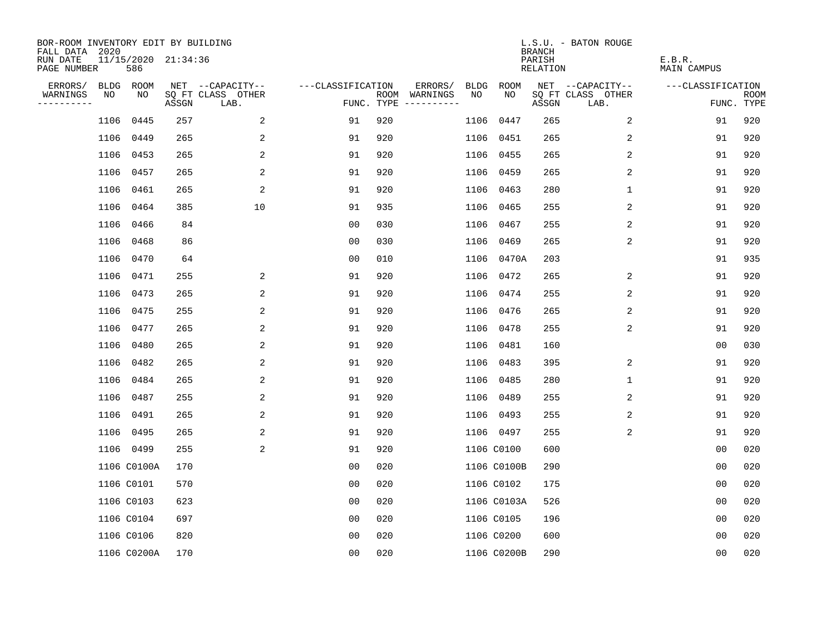| BOR-ROOM INVENTORY EDIT BY BUILDING<br>FALL DATA 2020 |                            |       |                           |                   |     |                                      |             |             | <b>BRANCH</b>             | L.S.U. - BATON ROUGE      |                              |                           |
|-------------------------------------------------------|----------------------------|-------|---------------------------|-------------------|-----|--------------------------------------|-------------|-------------|---------------------------|---------------------------|------------------------------|---------------------------|
| RUN DATE<br>PAGE NUMBER                               | 11/15/2020 21:34:36<br>586 |       |                           |                   |     |                                      |             |             | PARISH<br><b>RELATION</b> |                           | E.B.R.<br><b>MAIN CAMPUS</b> |                           |
| ERRORS/                                               | BLDG ROOM                  |       | NET --CAPACITY--          | ---CLASSIFICATION |     | ERRORS/                              | <b>BLDG</b> | <b>ROOM</b> |                           | NET --CAPACITY--          | ---CLASSIFICATION            |                           |
| NO<br>WARNINGS<br>----------                          | NO                         | ASSGN | SQ FT CLASS OTHER<br>LAB. |                   |     | ROOM WARNINGS<br>FUNC. TYPE $------$ | NO          | NO          | ASSGN                     | SQ FT CLASS OTHER<br>LAB. |                              | <b>ROOM</b><br>FUNC. TYPE |
| 1106                                                  | 0445                       | 257   | 2                         | 91                | 920 |                                      | 1106        | 0447        | 265                       | 2                         | 91                           | 920                       |
|                                                       | 1106<br>0449               | 265   | 2                         | 91                | 920 |                                      | 1106        | 0451        | 265                       | 2                         | 91                           | 920                       |
| 1106                                                  | 0453                       | 265   | 2                         | 91                | 920 |                                      | 1106        | 0455        | 265                       | 2                         | 91                           | 920                       |
|                                                       | 1106 0457                  | 265   | 2                         | 91                | 920 |                                      | 1106        | 0459        | 265                       | 2                         | 91                           | 920                       |
| 1106                                                  | 0461                       | 265   | 2                         | 91                | 920 |                                      | 1106        | 0463        | 280                       | $\mathbf 1$               | 91                           | 920                       |
|                                                       | 1106 0464                  | 385   | 10                        | 91                | 935 |                                      |             | 1106 0465   | 255                       | 2                         | 91                           | 920                       |
| 1106                                                  | 0466                       | 84    |                           | 0 <sub>0</sub>    | 030 |                                      |             | 1106 0467   | 255                       | 2                         | 91                           | 920                       |
|                                                       | 1106 0468                  | 86    |                           | 0 <sub>0</sub>    | 030 |                                      | 1106        | 0469        | 265                       | 2                         | 91                           | 920                       |
|                                                       | 1106<br>0470               | 64    |                           | 0 <sub>0</sub>    | 010 |                                      | 1106        | 0470A       | 203                       |                           | 91                           | 935                       |
|                                                       | 1106 0471                  | 255   | 2                         | 91                | 920 |                                      | 1106        | 0472        | 265                       | 2                         | 91                           | 920                       |
|                                                       | 1106 0473                  | 265   | 2                         | 91                | 920 |                                      | 1106        | 0474        | 255                       | 2                         | 91                           | 920                       |
|                                                       | 1106 0475                  | 255   | 2                         | 91                | 920 |                                      | 1106        | 0476        | 265                       | 2                         | 91                           | 920                       |
| 1106                                                  | 0477                       | 265   | 2                         | 91                | 920 |                                      | 1106        | 0478        | 255                       | 2                         | 91                           | 920                       |
|                                                       | 1106 0480                  | 265   | 2                         | 91                | 920 |                                      | 1106        | 0481        | 160                       |                           | 00                           | 030                       |
|                                                       | 1106<br>0482               | 265   | 2                         | 91                | 920 |                                      | 1106        | 0483        | 395                       | 2                         | 91                           | 920                       |
|                                                       | 1106<br>0484               | 265   | 2                         | 91                | 920 |                                      | 1106        | 0485        | 280                       | 1                         | 91                           | 920                       |
| 1106                                                  | 0487                       | 255   | 2                         | 91                | 920 |                                      | 1106        | 0489        | 255                       | 2                         | 91                           | 920                       |
| 1106                                                  | 0491                       | 265   | 2                         | 91                | 920 |                                      | 1106        | 0493        | 255                       | 2                         | 91                           | 920                       |
|                                                       | 1106 0495                  | 265   | 2                         | 91                | 920 |                                      |             | 1106 0497   | 255                       | 2                         | 91                           | 920                       |
|                                                       | 1106 0499                  | 255   | $\overline{a}$            | 91                | 920 |                                      |             | 1106 C0100  | 600                       |                           | 0 <sub>0</sub>               | 020                       |
|                                                       | 1106 C0100A                | 170   |                           | 0 <sub>0</sub>    | 020 |                                      |             | 1106 C0100B | 290                       |                           | 0 <sub>0</sub>               | 020                       |
|                                                       | 1106 C0101                 | 570   |                           | 0 <sub>0</sub>    | 020 |                                      |             | 1106 C0102  | 175                       |                           | 0 <sub>0</sub>               | 020                       |
|                                                       | 1106 C0103                 | 623   |                           | 0 <sub>0</sub>    | 020 |                                      |             | 1106 C0103A | 526                       |                           | 0 <sub>0</sub>               | 020                       |
|                                                       | 1106 C0104                 | 697   |                           | 0 <sub>0</sub>    | 020 |                                      |             | 1106 C0105  | 196                       |                           | 0 <sub>0</sub>               | 020                       |
|                                                       | 1106 C0106                 | 820   |                           | 0 <sub>0</sub>    | 020 |                                      |             | 1106 C0200  | 600                       |                           | 0 <sub>0</sub>               | 020                       |
|                                                       | 1106 C0200A                | 170   |                           | 0 <sub>0</sub>    | 020 |                                      |             | 1106 C0200B | 290                       |                           | 00                           | 020                       |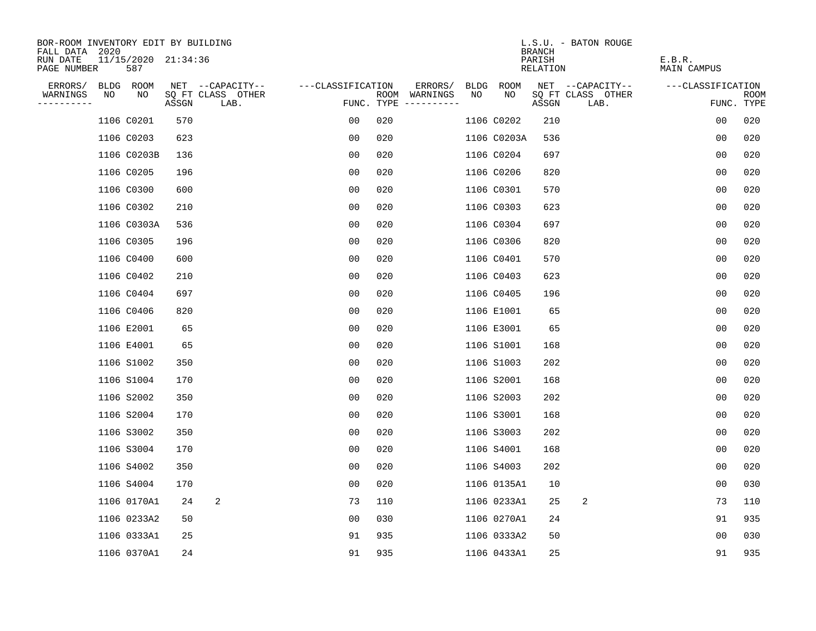| BOR-ROOM INVENTORY EDIT BY BUILDING                              |     |       |                           |                   |                                      |         |             |             |                                     | L.S.U. - BATON ROUGE      |                              |                           |
|------------------------------------------------------------------|-----|-------|---------------------------|-------------------|--------------------------------------|---------|-------------|-------------|-------------------------------------|---------------------------|------------------------------|---------------------------|
| FALL DATA 2020<br>11/15/2020 21:34:36<br>RUN DATE<br>PAGE NUMBER | 587 |       |                           |                   |                                      |         |             |             | <b>BRANCH</b><br>PARISH<br>RELATION |                           | E.B.R.<br><b>MAIN CAMPUS</b> |                           |
| ERRORS/<br>BLDG ROOM                                             |     |       | NET --CAPACITY--          | ---CLASSIFICATION |                                      | ERRORS/ | <b>BLDG</b> | <b>ROOM</b> |                                     | NET --CAPACITY--          | ---CLASSIFICATION            |                           |
| WARNINGS<br>NO<br>----------                                     | NO  | ASSGN | SQ FT CLASS OTHER<br>LAB. |                   | ROOM WARNINGS<br>FUNC. TYPE $------$ | NO      |             | NO          | ASSGN                               | SQ FT CLASS OTHER<br>LAB. |                              | <b>ROOM</b><br>FUNC. TYPE |
| 1106 C0201                                                       |     | 570   |                           | 00                | 020                                  |         |             | 1106 C0202  | 210                                 |                           | 0 <sub>0</sub>               | 020                       |
| 1106 C0203                                                       |     | 623   |                           | 0 <sub>0</sub>    | 020                                  |         |             | 1106 C0203A | 536                                 |                           | 0 <sub>0</sub>               | 020                       |
| 1106 C0203B                                                      |     | 136   |                           | 0 <sub>0</sub>    | 020                                  |         |             | 1106 C0204  | 697                                 |                           | 0 <sub>0</sub>               | 020                       |
| 1106 C0205                                                       |     | 196   |                           | 0 <sub>0</sub>    | 020                                  |         |             | 1106 C0206  | 820                                 |                           | 0 <sub>0</sub>               | 020                       |
| 1106 C0300                                                       |     | 600   |                           | 0 <sub>0</sub>    | 020                                  |         |             | 1106 C0301  | 570                                 |                           | 00                           | 020                       |
| 1106 C0302                                                       |     | 210   |                           | 0 <sub>0</sub>    | 020                                  |         |             | 1106 C0303  | 623                                 |                           | 0 <sub>0</sub>               | 020                       |
| 1106 C0303A                                                      |     | 536   |                           | 0 <sub>0</sub>    | 020                                  |         |             | 1106 C0304  | 697                                 |                           | 0 <sub>0</sub>               | 020                       |
| 1106 C0305                                                       |     | 196   |                           | 0 <sub>0</sub>    | 020                                  |         |             | 1106 C0306  | 820                                 |                           | 0 <sub>0</sub>               | 020                       |
| 1106 C0400                                                       |     | 600   |                           | 0 <sub>0</sub>    | 020                                  |         |             | 1106 C0401  | 570                                 |                           | 0 <sub>0</sub>               | 020                       |
| 1106 C0402                                                       |     | 210   |                           | 0 <sub>0</sub>    | 020                                  |         |             | 1106 C0403  | 623                                 |                           | 0 <sub>0</sub>               | 020                       |
| 1106 C0404                                                       |     | 697   |                           | 00                | 020                                  |         |             | 1106 C0405  | 196                                 |                           | 0 <sub>0</sub>               | 020                       |
| 1106 C0406                                                       |     | 820   |                           | 0 <sub>0</sub>    | 020                                  |         |             | 1106 E1001  | 65                                  |                           | 0 <sub>0</sub>               | 020                       |
| 1106 E2001                                                       |     | 65    |                           | 00                | 020                                  |         |             | 1106 E3001  | 65                                  |                           | 0 <sub>0</sub>               | 020                       |
| 1106 E4001                                                       |     | 65    |                           | 00                | 020                                  |         |             | 1106 S1001  | 168                                 |                           | 0 <sub>0</sub>               | 020                       |
| 1106 S1002                                                       |     | 350   |                           | 00                | 020                                  |         |             | 1106 S1003  | 202                                 |                           | 0 <sub>0</sub>               | 020                       |
| 1106 S1004                                                       |     | 170   |                           | 0 <sub>0</sub>    | 020                                  |         |             | 1106 S2001  | 168                                 |                           | 0 <sub>0</sub>               | 020                       |
| 1106 S2002                                                       |     | 350   |                           | 0 <sub>0</sub>    | 020                                  |         |             | 1106 S2003  | 202                                 |                           | 0 <sub>0</sub>               | 020                       |
| 1106 S2004                                                       |     | 170   |                           | 0 <sub>0</sub>    | 020                                  |         |             | 1106 S3001  | 168                                 |                           | 0 <sub>0</sub>               | 020                       |
| 1106 S3002                                                       |     | 350   |                           | 0 <sub>0</sub>    | 020                                  |         |             | 1106 S3003  | 202                                 |                           | 0 <sub>0</sub>               | 020                       |
| 1106 S3004                                                       |     | 170   |                           | 00                | 020                                  |         |             | 1106 S4001  | 168                                 |                           | 0 <sub>0</sub>               | 020                       |
| 1106 S4002                                                       |     | 350   |                           | 0 <sub>0</sub>    | 020                                  |         |             | 1106 S4003  | 202                                 |                           | 0 <sub>0</sub>               | 020                       |
| 1106 S4004                                                       |     | 170   |                           | 0 <sub>0</sub>    | 020                                  |         |             | 1106 0135A1 | 10                                  |                           | 0 <sub>0</sub>               | 030                       |
| 1106 0170A1                                                      |     | 24    | 2                         | 73                | 110                                  |         |             | 1106 0233A1 | 25                                  | 2                         | 73                           | 110                       |
| 1106 0233A2                                                      |     | 50    |                           | 0 <sub>0</sub>    | 030                                  |         |             | 1106 0270A1 | 24                                  |                           | 91                           | 935                       |
| 1106 0333A1                                                      |     | 25    |                           | 91                | 935                                  |         |             | 1106 0333A2 | 50                                  |                           | 0 <sub>0</sub>               | 030                       |
| 1106 0370A1                                                      |     | 24    |                           | 91                | 935                                  |         |             | 1106 0433A1 | 25                                  |                           | 91                           | 935                       |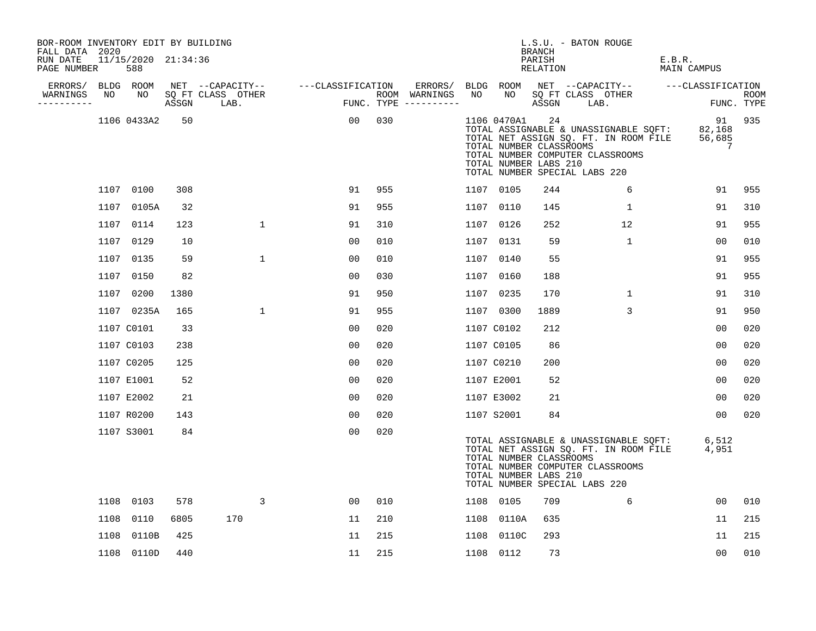| BOR-ROOM INVENTORY EDIT BY BUILDING<br>FALL DATA 2020<br>RUN DATE |      | 11/15/2020 21:34:36 |       |                                       |                   |     |                          |      |                 | <b>BRANCH</b><br>PARISH                                | L.S.U. - BATON ROUGE                                                                                                                                | E.B.R.                      |            |
|-------------------------------------------------------------------|------|---------------------|-------|---------------------------------------|-------------------|-----|--------------------------|------|-----------------|--------------------------------------------------------|-----------------------------------------------------------------------------------------------------------------------------------------------------|-----------------------------|------------|
| PAGE NUMBER                                                       |      | 588                 |       |                                       |                   |     |                          |      |                 | RELATION                                               |                                                                                                                                                     | MAIN CAMPUS                 |            |
| ERRORS/<br>WARNINGS                                               | NO   | BLDG ROOM<br>NO     |       | NET --CAPACITY--<br>SQ FT CLASS OTHER | ---CLASSIFICATION |     | ERRORS/<br>ROOM WARNINGS | NO   | BLDG ROOM<br>NO |                                                        | NET --CAPACITY--<br>SQ FT CLASS OTHER                                                                                                               | ---CLASSIFICATION           | ROOM       |
| ----------                                                        |      |                     | ASSGN | LAB.                                  |                   |     | FUNC. TYPE $------$      |      |                 | ASSGN                                                  | LAB.                                                                                                                                                |                             | FUNC. TYPE |
|                                                                   |      | 1106 0433A2         | 50    |                                       | 00                | 030 |                          |      | 1106 0470A1     | 24<br>TOTAL NUMBER CLASSROOMS<br>TOTAL NUMBER LABS 210 | TOTAL ASSIGNABLE & UNASSIGNABLE SQFT:<br>TOTAL NET ASSIGN SQ. FT. IN ROOM FILE<br>TOTAL NUMBER COMPUTER CLASSROOMS<br>TOTAL NUMBER SPECIAL LABS 220 | 91<br>82,168<br>56,685<br>7 | 935        |
|                                                                   |      | 1107 0100           | 308   |                                       | 91                | 955 |                          |      | 1107 0105       | 244                                                    | 6                                                                                                                                                   | 91                          | 955        |
|                                                                   |      | 1107 0105A          | 32    |                                       | 91                | 955 |                          |      | 1107 0110       | 145                                                    | 1                                                                                                                                                   | 91                          | 310        |
|                                                                   |      | 1107 0114           | 123   | $\mathbf{1}$                          | 91                | 310 |                          | 1107 | 0126            | 252                                                    | 12                                                                                                                                                  | 91                          | 955        |
|                                                                   |      | 1107 0129           | 10    |                                       | 00                | 010 |                          |      | 1107 0131       | 59                                                     | $\mathbf{1}$                                                                                                                                        | 00                          | 010        |
|                                                                   | 1107 | 0135                | 59    | $\mathbf 1$                           | 0 <sub>0</sub>    | 010 |                          | 1107 | 0140            | 55                                                     |                                                                                                                                                     | 91                          | 955        |
|                                                                   |      | 1107 0150           | 82    |                                       | 0 <sub>0</sub>    | 030 |                          | 1107 | 0160            | 188                                                    |                                                                                                                                                     | 91                          | 955        |
|                                                                   | 1107 | 0200                | 1380  |                                       | 91                | 950 |                          |      | 1107 0235       | 170                                                    | $\mathbf{1}$                                                                                                                                        | 91                          | 310        |
|                                                                   |      | 1107 0235A          | 165   | $\mathbf{1}$                          | 91                | 955 |                          |      | 1107 0300       | 1889                                                   | 3                                                                                                                                                   | 91                          | 950        |
|                                                                   |      | 1107 C0101          | 33    |                                       | 0 <sub>0</sub>    | 020 |                          |      | 1107 C0102      | 212                                                    |                                                                                                                                                     | 0 <sub>0</sub>              | 020        |
|                                                                   |      | 1107 C0103          | 238   |                                       | 0 <sub>0</sub>    | 020 |                          |      | 1107 C0105      | 86                                                     |                                                                                                                                                     | 00                          | 020        |
|                                                                   |      | 1107 C0205          | 125   |                                       | 0 <sub>0</sub>    | 020 |                          |      | 1107 C0210      | 200                                                    |                                                                                                                                                     | 00                          | 020        |
|                                                                   |      | 1107 E1001          | 52    |                                       | 0 <sub>0</sub>    | 020 |                          |      | 1107 E2001      | 52                                                     |                                                                                                                                                     | 0 <sub>0</sub>              | 020        |
|                                                                   |      | 1107 E2002          | 21    |                                       | 0 <sub>0</sub>    | 020 |                          |      | 1107 E3002      | 21                                                     |                                                                                                                                                     | 00                          | 020        |
|                                                                   |      | 1107 R0200          | 143   |                                       | 0 <sub>0</sub>    | 020 |                          |      | 1107 S2001      | 84                                                     |                                                                                                                                                     | 0 <sub>0</sub>              | 020        |
|                                                                   |      | 1107 S3001          | 84    |                                       | 0 <sub>0</sub>    | 020 |                          |      |                 | TOTAL NUMBER CLASSROOMS<br>TOTAL NUMBER LABS 210       | TOTAL ASSIGNABLE & UNASSIGNABLE SQFT:<br>TOTAL NET ASSIGN SQ. FT. IN ROOM FILE<br>TOTAL NUMBER COMPUTER CLASSROOMS<br>TOTAL NUMBER SPECIAL LABS 220 | 6,512<br>4,951              |            |
|                                                                   |      | 1108 0103           | 578   | 3                                     | 0 <sub>0</sub>    | 010 |                          |      | 1108 0105       | 709                                                    | 6                                                                                                                                                   | 00                          | 010        |
|                                                                   | 1108 | 0110                | 6805  | 170                                   | 11                | 210 |                          | 1108 | 0110A           | 635                                                    |                                                                                                                                                     | 11                          | 215        |
|                                                                   | 1108 | 0110B               | 425   |                                       | 11                | 215 |                          | 1108 | 0110C           | 293                                                    |                                                                                                                                                     | 11                          | 215        |
|                                                                   |      | 1108 0110D          | 440   |                                       | 11                | 215 |                          |      | 1108 0112       | 73                                                     |                                                                                                                                                     | 0 <sub>0</sub>              | 010        |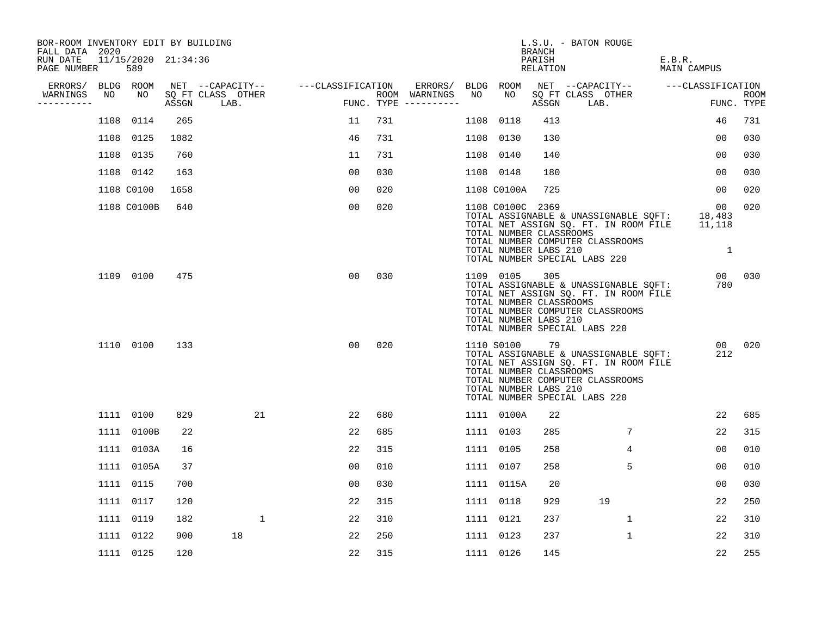| BOR-ROOM INVENTORY EDIT BY BUILDING<br>FALL DATA 2020 |      |                            |       |                           |                   |     |                                      |      |                                                                      | BRANCH             | L.S.U. - BATON ROUGE                                                                                                                                |                             |                           |
|-------------------------------------------------------|------|----------------------------|-------|---------------------------|-------------------|-----|--------------------------------------|------|----------------------------------------------------------------------|--------------------|-----------------------------------------------------------------------------------------------------------------------------------------------------|-----------------------------|---------------------------|
| RUN DATE<br>PAGE NUMBER                               |      | 11/15/2020 21:34:36<br>589 |       |                           |                   |     |                                      |      |                                                                      | PARISH<br>RELATION |                                                                                                                                                     | E.B.R.<br>MAIN CAMPUS       |                           |
| ERRORS/                                               |      | BLDG ROOM                  |       | NET --CAPACITY--          | ---CLASSIFICATION |     | ERRORS/                              |      | BLDG ROOM                                                            |                    | NET --CAPACITY--                                                                                                                                    | ---CLASSIFICATION           |                           |
| WARNINGS<br>----------                                | NO   | NO                         | ASSGN | SQ FT CLASS OTHER<br>LAB. |                   |     | ROOM WARNINGS<br>FUNC. TYPE $------$ | NO   | NO                                                                   | ASSGN              | SQ FT CLASS OTHER<br>LAB.                                                                                                                           |                             | <b>ROOM</b><br>FUNC. TYPE |
|                                                       | 1108 | 0114                       | 265   |                           | 11                | 731 |                                      | 1108 | 0118                                                                 | 413                |                                                                                                                                                     | 46                          | 731                       |
|                                                       |      | 1108 0125                  | 1082  |                           | 46                | 731 |                                      | 1108 | 0130                                                                 | 130                |                                                                                                                                                     | 00                          | 030                       |
|                                                       |      | 1108 0135                  | 760   |                           | 11                | 731 |                                      | 1108 | 0140                                                                 | 140                |                                                                                                                                                     | 00                          | 030                       |
|                                                       |      | 1108 0142                  | 163   |                           | 0 <sub>0</sub>    | 030 |                                      |      | 1108 0148                                                            | 180                |                                                                                                                                                     | 00                          | 030                       |
|                                                       |      | 1108 C0100                 | 1658  |                           | 0 <sub>0</sub>    | 020 |                                      |      | 1108 C0100A                                                          | 725                |                                                                                                                                                     | 00                          | 020                       |
|                                                       |      | 1108 C0100B                | 640   |                           | 0 <sub>0</sub>    | 020 |                                      |      | 1108 C0100C 2369<br>TOTAL NUMBER CLASSROOMS<br>TOTAL NUMBER LABS 210 |                    | TOTAL ASSIGNABLE & UNASSIGNABLE SQFT:<br>TOTAL NET ASSIGN SQ. FT. IN ROOM FILE<br>TOTAL NUMBER COMPUTER CLASSROOMS<br>TOTAL NUMBER SPECIAL LABS 220 | 00<br>18,483<br>11,118<br>1 | 020                       |
|                                                       |      | 1109 0100                  | 475   |                           | 0 <sub>0</sub>    | 030 |                                      |      | 1109 0105<br>TOTAL NUMBER CLASSROOMS<br>TOTAL NUMBER LABS 210        | 305                | TOTAL ASSIGNABLE & UNASSIGNABLE SQFT:<br>TOTAL NET ASSIGN SQ. FT. IN ROOM FILE<br>TOTAL NUMBER COMPUTER CLASSROOMS<br>TOTAL NUMBER SPECIAL LABS 220 | 00 <sup>1</sup><br>780      | 030                       |
|                                                       |      | 1110 0100                  | 133   |                           | 0 <sub>0</sub>    | 020 |                                      |      | 1110 S0100<br>TOTAL NUMBER CLASSROOMS<br>TOTAL NUMBER LABS 210       | 79                 | TOTAL ASSIGNABLE & UNASSIGNABLE SQFT:<br>TOTAL NET ASSIGN SQ. FT. IN ROOM FILE<br>TOTAL NUMBER COMPUTER CLASSROOMS<br>TOTAL NUMBER SPECIAL LABS 220 | 00 <sup>1</sup><br>212      | 020                       |
|                                                       |      | 1111 0100                  | 829   | 21                        | 22                | 680 |                                      |      | 1111 0100A                                                           | 22                 |                                                                                                                                                     | 22                          | 685                       |
|                                                       |      | 1111 0100B                 | 22    |                           | 22                | 685 |                                      |      | 1111 0103                                                            | 285                | 7                                                                                                                                                   | 22                          | 315                       |
|                                                       |      | 1111 0103A                 | 16    |                           | 22                | 315 |                                      |      | 1111 0105                                                            | 258                | 4                                                                                                                                                   | 0 <sub>0</sub>              | 010                       |
|                                                       |      | 1111 0105A                 | 37    |                           | 0 <sub>0</sub>    | 010 |                                      |      | 1111 0107                                                            | 258                | 5                                                                                                                                                   | 00                          | 010                       |
|                                                       |      | 1111 0115                  | 700   |                           | 0 <sub>0</sub>    | 030 |                                      |      | 1111 0115A                                                           | 20                 |                                                                                                                                                     | 00                          | 030                       |
|                                                       |      | 1111 0117                  | 120   |                           | 22                | 315 |                                      |      | 1111 0118                                                            | 929                | 19                                                                                                                                                  | 22                          | 250                       |
|                                                       |      | 1111 0119                  | 182   | 1                         | 22                | 310 |                                      |      | 1111 0121                                                            | 237                | 1                                                                                                                                                   | 22                          | 310                       |
|                                                       |      | 1111 0122                  | 900   | 18                        | 22                | 250 |                                      |      | 1111 0123                                                            | 237                | $\mathbf 1$                                                                                                                                         | 22                          | 310                       |
|                                                       |      | 1111 0125                  | 120   |                           | 22                | 315 |                                      |      | 1111 0126                                                            | 145                |                                                                                                                                                     | 22                          | 255                       |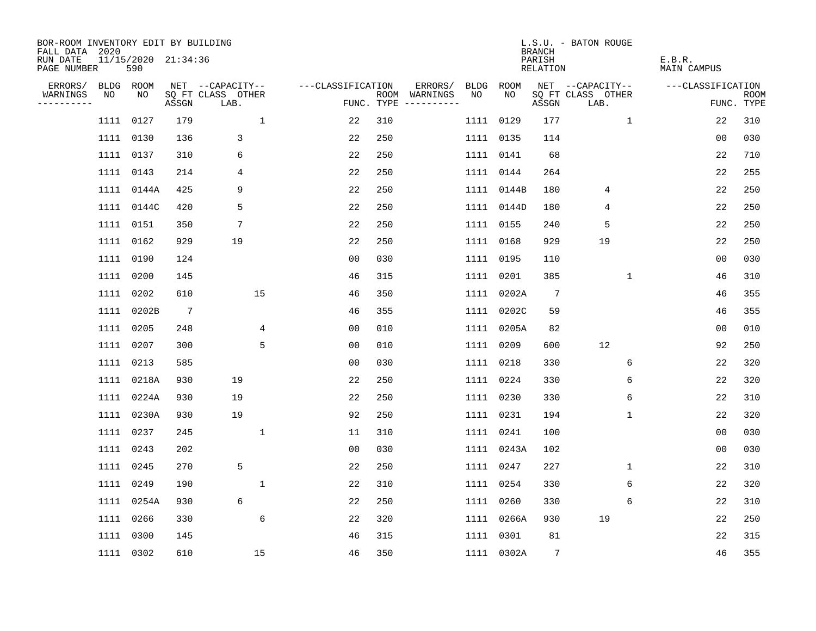| BOR-ROOM INVENTORY EDIT BY BUILDING<br>FALL DATA 2020 |           |                            |                 |                           |                   |     |                                      |           |            | <b>BRANCH</b>      | L.S.U. - BATON ROUGE      |                       |                           |
|-------------------------------------------------------|-----------|----------------------------|-----------------|---------------------------|-------------------|-----|--------------------------------------|-----------|------------|--------------------|---------------------------|-----------------------|---------------------------|
| RUN DATE<br>PAGE NUMBER                               |           | 11/15/2020 21:34:36<br>590 |                 |                           |                   |     |                                      |           |            | PARISH<br>RELATION |                           | E.B.R.<br>MAIN CAMPUS |                           |
| ERRORS/                                               | BLDG ROOM |                            |                 | NET --CAPACITY--          | ---CLASSIFICATION |     | ERRORS/                              | BLDG      | ROOM       |                    | NET --CAPACITY--          | ---CLASSIFICATION     |                           |
| WARNINGS<br>----------                                | NO        | NO                         | ASSGN           | SQ FT CLASS OTHER<br>LAB. |                   |     | ROOM WARNINGS<br>FUNC. TYPE $------$ | NO.       | NO         | ASSGN              | SQ FT CLASS OTHER<br>LAB. |                       | <b>ROOM</b><br>FUNC. TYPE |
|                                                       | 1111 0127 |                            | 179             | $\mathbf 1$               | 22                | 310 |                                      | 1111 0129 |            | 177                | $\mathbf{1}$              | 22                    | 310                       |
|                                                       | 1111 0130 |                            | 136             | 3                         | 22                | 250 |                                      | 1111 0135 |            | 114                |                           | 0 <sub>0</sub>        | 030                       |
|                                                       | 1111 0137 |                            | 310             | 6                         | 22                | 250 |                                      | 1111 0141 |            | 68                 |                           | 22                    | 710                       |
|                                                       | 1111 0143 |                            | 214             | 4                         | 22                | 250 |                                      | 1111 0144 |            | 264                |                           | 22                    | 255                       |
|                                                       |           | 1111 0144A                 | 425             | 9                         | 22                | 250 |                                      |           | 1111 0144B | 180                | 4                         | 22                    | 250                       |
|                                                       |           | 1111 0144C                 | 420             | 5                         | 22                | 250 |                                      |           | 1111 0144D | 180                | 4                         | 22                    | 250                       |
|                                                       | 1111 0151 |                            | 350             | 7                         | 22                | 250 |                                      | 1111 0155 |            | 240                | 5                         | 22                    | 250                       |
|                                                       | 1111 0162 |                            | 929             | 19                        | 22                | 250 |                                      |           | 1111 0168  | 929                | 19                        | 22                    | 250                       |
|                                                       | 1111 0190 |                            | 124             |                           | 0 <sub>0</sub>    | 030 |                                      | 1111 0195 |            | 110                |                           | 0 <sub>0</sub>        | 030                       |
|                                                       | 1111 0200 |                            | 145             |                           | 46                | 315 |                                      | 1111 0201 |            | 385                | $\mathbf 1$               | 46                    | 310                       |
|                                                       | 1111 0202 |                            | 610             | 15                        | 46                | 350 |                                      |           | 1111 0202A | $7\phantom{.0}$    |                           | 46                    | 355                       |
|                                                       |           | 1111 0202B                 | $7\overline{ }$ |                           | 46                | 355 |                                      |           | 1111 0202C | 59                 |                           | 46                    | 355                       |
|                                                       | 1111 0205 |                            | 248             | 4                         | 0 <sub>0</sub>    | 010 |                                      |           | 1111 0205A | 82                 |                           | 0 <sub>0</sub>        | 010                       |
|                                                       | 1111 0207 |                            | 300             | 5                         | 0 <sub>0</sub>    | 010 |                                      | 1111 0209 |            | 600                | 12                        | 92                    | 250                       |
|                                                       | 1111 0213 |                            | 585             |                           | 0 <sub>0</sub>    | 030 |                                      | 1111      | 0218       | 330                | 6                         | 22                    | 320                       |
|                                                       |           | 1111 0218A                 | 930             | 19                        | 22                | 250 |                                      | 1111 0224 |            | 330                | 6                         | 22                    | 320                       |
|                                                       |           | 1111 0224A                 | 930             | 19                        | 22                | 250 |                                      | 1111 0230 |            | 330                | 6                         | 22                    | 310                       |
|                                                       |           | 1111 0230A                 | 930             | 19                        | 92                | 250 |                                      | 1111 0231 |            | 194                | 1                         | 22                    | 320                       |
|                                                       | 1111 0237 |                            | 245             | $\mathbf{1}$              | 11                | 310 |                                      | 1111 0241 |            | 100                |                           | 0 <sub>0</sub>        | 030                       |
|                                                       | 1111 0243 |                            | 202             |                           | 0 <sub>0</sub>    | 030 |                                      |           | 1111 0243A | 102                |                           | 0 <sub>0</sub>        | 030                       |
|                                                       | 1111 0245 |                            | 270             | 5                         | 22                | 250 |                                      | 1111 0247 |            | 227                | 1                         | 22                    | 310                       |
|                                                       | 1111 0249 |                            | 190             | 1                         | 22                | 310 |                                      | 1111 0254 |            | 330                | 6                         | 22                    | 320                       |
|                                                       |           | 1111 0254A                 | 930             | 6                         | 22                | 250 |                                      | 1111 0260 |            | 330                | 6                         | 22                    | 310                       |
|                                                       | 1111 0266 |                            | 330             | 6                         | 22                | 320 |                                      |           | 1111 0266A | 930                | 19                        | 22                    | 250                       |
|                                                       | 1111 0300 |                            | 145             |                           | 46                | 315 |                                      | 1111 0301 |            | 81                 |                           | 22                    | 315                       |
|                                                       | 1111 0302 |                            | 610             | 15                        | 46                | 350 |                                      |           | 1111 0302A | $7\phantom{.0}$    |                           | 46                    | 355                       |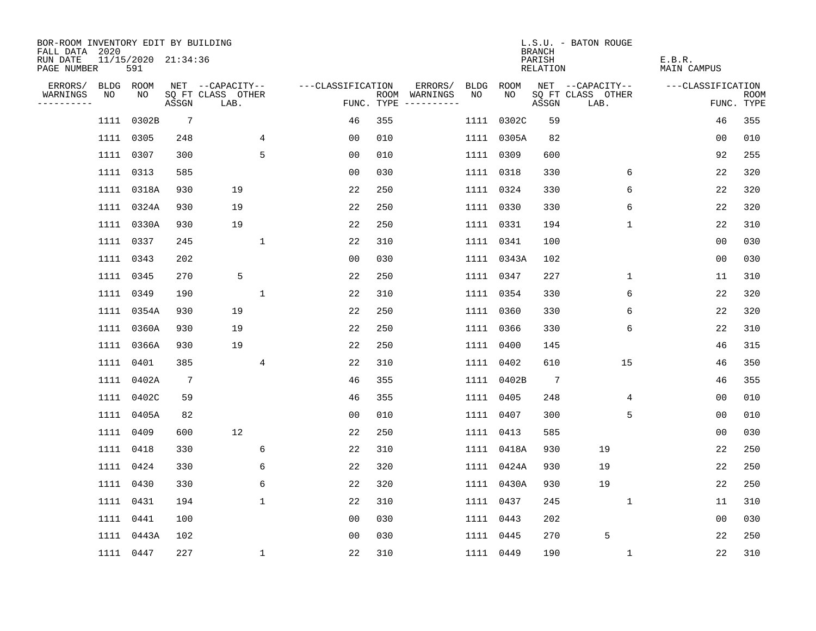| BOR-ROOM INVENTORY EDIT BY BUILDING<br>FALL DATA 2020 |           |                            |                 |                           |                   |     |                                      |      |            | <b>BRANCH</b>      | L.S.U. - BATON ROUGE      |                       |                           |
|-------------------------------------------------------|-----------|----------------------------|-----------------|---------------------------|-------------------|-----|--------------------------------------|------|------------|--------------------|---------------------------|-----------------------|---------------------------|
| RUN DATE<br>PAGE NUMBER                               |           | 11/15/2020 21:34:36<br>591 |                 |                           |                   |     |                                      |      |            | PARISH<br>RELATION |                           | E.B.R.<br>MAIN CAMPUS |                           |
| ERRORS/                                               | BLDG ROOM |                            |                 | NET --CAPACITY--          | ---CLASSIFICATION |     | ERRORS/                              | BLDG | ROOM       |                    | NET --CAPACITY--          | ---CLASSIFICATION     |                           |
| WARNINGS<br>----------                                | NO        | NO                         | ASSGN           | SQ FT CLASS OTHER<br>LAB. |                   |     | ROOM WARNINGS<br>FUNC. TYPE $------$ | NO.  | NO         | ASSGN              | SQ FT CLASS OTHER<br>LAB. |                       | <b>ROOM</b><br>FUNC. TYPE |
|                                                       |           | 1111 0302B                 | $7\overline{ }$ |                           | 46                | 355 |                                      |      | 1111 0302C | 59                 |                           | 46                    | 355                       |
|                                                       | 1111 0305 |                            | 248             | 4                         | 0 <sub>0</sub>    | 010 |                                      |      | 1111 0305A | 82                 |                           | 0 <sub>0</sub>        | 010                       |
|                                                       | 1111 0307 |                            | 300             | 5                         | 0 <sub>0</sub>    | 010 |                                      |      | 1111 0309  | 600                |                           | 92                    | 255                       |
|                                                       | 1111 0313 |                            | 585             |                           | 00                | 030 |                                      |      | 1111 0318  | 330                | 6                         | 22                    | 320                       |
|                                                       |           | 1111 0318A                 | 930             | 19                        | 22                | 250 |                                      |      | 1111 0324  | 330                | 6                         | 22                    | 320                       |
|                                                       |           | 1111 0324A                 | 930             | 19                        | 22                | 250 |                                      |      | 1111 0330  | 330                | 6                         | 22                    | 320                       |
|                                                       |           | 1111 0330A                 | 930             | 19                        | 22                | 250 |                                      |      | 1111 0331  | 194                | 1                         | 22                    | 310                       |
|                                                       | 1111 0337 |                            | 245             | $\mathbf 1$               | 22                | 310 |                                      |      | 1111 0341  | 100                |                           | 00                    | 030                       |
|                                                       | 1111 0343 |                            | 202             |                           | 0 <sub>0</sub>    | 030 |                                      |      | 1111 0343A | 102                |                           | 0 <sub>0</sub>        | 030                       |
|                                                       | 1111 0345 |                            | 270             | 5                         | 22                | 250 |                                      |      | 1111 0347  | 227                | $\mathbf 1$               | 11                    | 310                       |
|                                                       | 1111 0349 |                            | 190             | 1                         | 22                | 310 |                                      |      | 1111 0354  | 330                | 6                         | 22                    | 320                       |
|                                                       |           | 1111 0354A                 | 930             | 19                        | 22                | 250 |                                      |      | 1111 0360  | 330                | 6                         | 22                    | 320                       |
|                                                       |           | 1111 0360A                 | 930             | 19                        | 22                | 250 |                                      |      | 1111 0366  | 330                | 6                         | 22                    | 310                       |
|                                                       |           | 1111 0366A                 | 930             | 19                        | 22                | 250 |                                      |      | 1111 0400  | 145                |                           | 46                    | 315                       |
|                                                       | 1111 0401 |                            | 385             | $\overline{4}$            | 22                | 310 |                                      |      | 1111 0402  | 610                | 15                        | 46                    | 350                       |
|                                                       |           | 1111 0402A                 | 7               |                           | 46                | 355 |                                      |      | 1111 0402B | 7                  |                           | 46                    | 355                       |
|                                                       |           | 1111 0402C                 | 59              |                           | 46                | 355 |                                      | 1111 | 0405       | 248                | 4                         | 0 <sub>0</sub>        | 010                       |
|                                                       |           | 1111 0405A                 | 82              |                           | 0 <sub>0</sub>    | 010 |                                      |      | 1111 0407  | 300                | 5                         | 0 <sub>0</sub>        | 010                       |
|                                                       | 1111 0409 |                            | 600             | 12                        | 22                | 250 |                                      |      | 1111 0413  | 585                |                           | 0 <sub>0</sub>        | 030                       |
|                                                       | 1111 0418 |                            | 330             | 6                         | 22                | 310 |                                      |      | 1111 0418A | 930                | 19                        | 22                    | 250                       |
|                                                       | 1111 0424 |                            | 330             | 6                         | 22                | 320 |                                      |      | 1111 0424A | 930                | 19                        | 22                    | 250                       |
|                                                       | 1111 0430 |                            | 330             | 6                         | 22                | 320 |                                      |      | 1111 0430A | 930                | 19                        | 22                    | 250                       |
|                                                       | 1111 0431 |                            | 194             | $\mathbf 1$               | 22                | 310 |                                      |      | 1111 0437  | 245                | 1                         | 11                    | 310                       |
|                                                       | 1111 0441 |                            | 100             |                           | 0 <sub>0</sub>    | 030 |                                      |      | 1111 0443  | 202                |                           | 0 <sub>0</sub>        | 030                       |
|                                                       |           | 1111 0443A                 | 102             |                           | 0 <sub>0</sub>    | 030 |                                      |      | 1111 0445  | 270                | 5                         | 22                    | 250                       |
|                                                       |           | 1111 0447                  | 227             | 1                         | 22                | 310 |                                      |      | 1111 0449  | 190                | 1                         | 22                    | 310                       |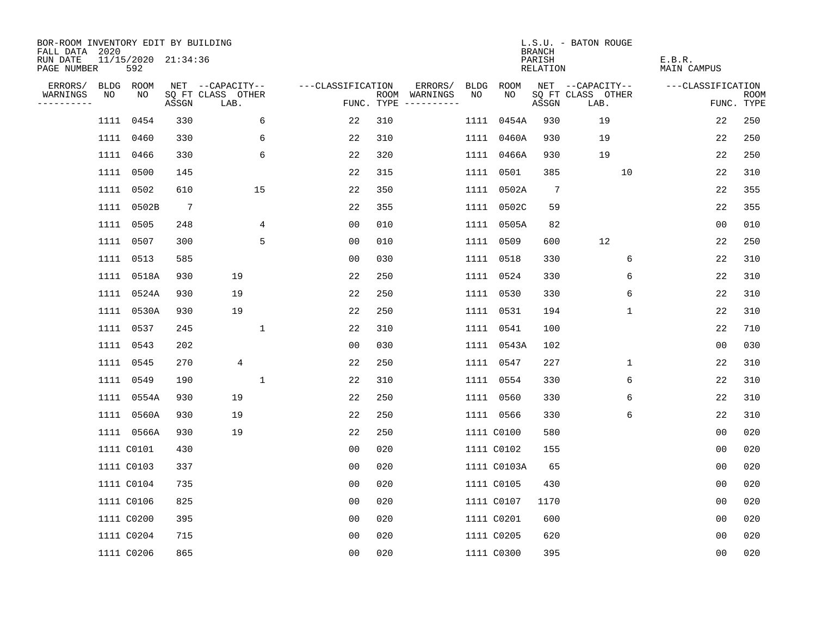| BOR-ROOM INVENTORY EDIT BY BUILDING<br>FALL DATA 2020 |      |                            |                 |                           |                   |     |                                      |      |             | <b>BRANCH</b>      | L.S.U. - BATON ROUGE      |                              |                    |
|-------------------------------------------------------|------|----------------------------|-----------------|---------------------------|-------------------|-----|--------------------------------------|------|-------------|--------------------|---------------------------|------------------------------|--------------------|
| RUN DATE<br>PAGE NUMBER                               |      | 11/15/2020 21:34:36<br>592 |                 |                           |                   |     |                                      |      |             | PARISH<br>RELATION |                           | E.B.R.<br><b>MAIN CAMPUS</b> |                    |
| ERRORS/                                               |      | BLDG ROOM                  |                 | NET --CAPACITY--          | ---CLASSIFICATION |     | ERRORS/                              | BLDG | ROOM        |                    | NET --CAPACITY--          | ---CLASSIFICATION            |                    |
| WARNINGS<br>----------                                | NO   | NO                         | ASSGN           | SQ FT CLASS OTHER<br>LAB. |                   |     | ROOM WARNINGS<br>FUNC. TYPE $------$ | NO.  | NO.         | ASSGN              | SQ FT CLASS OTHER<br>LAB. |                              | ROOM<br>FUNC. TYPE |
|                                                       | 1111 | 0454                       | 330             | 6                         | 22                | 310 |                                      |      | 1111 0454A  | 930                | 19                        | 22                           | 250                |
|                                                       |      | 1111 0460                  | 330             | 6                         | 22                | 310 |                                      |      | 1111 0460A  | 930                | 19                        | 22                           | 250                |
|                                                       |      | 1111 0466                  | 330             | 6                         | 22                | 320 |                                      |      | 1111 0466A  | 930                | 19                        | 22                           | 250                |
|                                                       |      | 1111 0500                  | 145             |                           | 22                | 315 |                                      |      | 1111 0501   | 385                | 10                        | 22                           | 310                |
|                                                       |      | 1111 0502                  | 610             | 15                        | 22                | 350 |                                      |      | 1111 0502A  | $7\phantom{.0}$    |                           | 22                           | 355                |
|                                                       |      | 1111 0502B                 | $7\phantom{.0}$ |                           | 22                | 355 |                                      |      | 1111 0502C  | 59                 |                           | 22                           | 355                |
|                                                       |      | 1111 0505                  | 248             | 4                         | 00                | 010 |                                      |      | 1111 0505A  | 82                 |                           | 0 <sub>0</sub>               | 010                |
|                                                       |      | 1111 0507                  | 300             | 5                         | 0 <sub>0</sub>    | 010 |                                      |      | 1111 0509   | 600                | 12                        | 22                           | 250                |
|                                                       | 1111 | 0513                       | 585             |                           | 00                | 030 |                                      |      | 1111 0518   | 330                | 6                         | 22                           | 310                |
|                                                       |      | 1111 0518A                 | 930             | 19                        | 22                | 250 |                                      |      | 1111 0524   | 330                | 6                         | 22                           | 310                |
|                                                       |      | 1111 0524A                 | 930             | 19                        | 22                | 250 |                                      |      | 1111 0530   | 330                | 6                         | 22                           | 310                |
|                                                       |      | 1111 0530A                 | 930             | 19                        | 22                | 250 |                                      |      | 1111 0531   | 194                | $\mathbf 1$               | 22                           | 310                |
|                                                       | 1111 | 0537                       | 245             | $\mathbf{1}$              | 22                | 310 |                                      |      | 1111 0541   | 100                |                           | 22                           | 710                |
|                                                       | 1111 | 0543                       | 202             |                           | 0 <sub>0</sub>    | 030 |                                      |      | 1111 0543A  | 102                |                           | 0 <sub>0</sub>               | 030                |
|                                                       | 1111 | 0545                       | 270             | 4                         | 22                | 250 |                                      |      | 1111 0547   | 227                | 1                         | 22                           | 310                |
|                                                       | 1111 | 0549                       | 190             | $\mathbf{1}$              | 22                | 310 |                                      |      | 1111 0554   | 330                | 6                         | 22                           | 310                |
|                                                       | 1111 | 0554A                      | 930             | 19                        | 22                | 250 |                                      |      | 1111 0560   | 330                | 6                         | 22                           | 310                |
|                                                       |      | 1111 0560A                 | 930             | 19                        | 22                | 250 |                                      |      | 1111 0566   | 330                | 6                         | 22                           | 310                |
|                                                       |      | 1111 0566A                 | 930             | 19                        | 22                | 250 |                                      |      | 1111 C0100  | 580                |                           | 00                           | 020                |
|                                                       |      | 1111 C0101                 | 430             |                           | 0 <sub>0</sub>    | 020 |                                      |      | 1111 C0102  | 155                |                           | 0 <sub>0</sub>               | 020                |
|                                                       |      | 1111 C0103                 | 337             |                           | 0 <sub>0</sub>    | 020 |                                      |      | 1111 C0103A | 65                 |                           | 0 <sub>0</sub>               | 020                |
|                                                       |      | 1111 C0104                 | 735             |                           | 0 <sub>0</sub>    | 020 |                                      |      | 1111 C0105  | 430                |                           | 00                           | 020                |
|                                                       |      | 1111 C0106                 | 825             |                           | 00                | 020 |                                      |      | 1111 C0107  | 1170               |                           | 00                           | 020                |
|                                                       |      | 1111 C0200                 | 395             |                           | 0 <sub>0</sub>    | 020 |                                      |      | 1111 C0201  | 600                |                           | 00                           | 020                |
|                                                       |      | 1111 C0204                 | 715             |                           | 0 <sub>0</sub>    | 020 |                                      |      | 1111 C0205  | 620                |                           | 0 <sub>0</sub>               | 020                |
|                                                       |      | 1111 C0206                 | 865             |                           | 0 <sub>0</sub>    | 020 |                                      |      | 1111 C0300  | 395                |                           | 0 <sub>0</sub>               | 020                |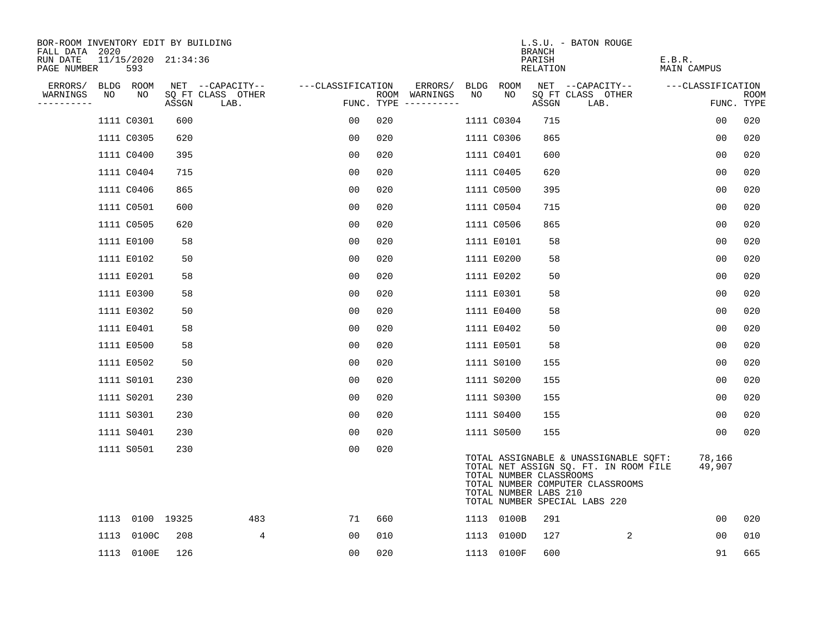| BOR-ROOM INVENTORY EDIT BY BUILDING<br>FALL DATA 2020 |                            |       |                           |                   |     |                                      |      |            | <b>BRANCH</b>                                    | L.S.U. - BATON ROUGE                                                                                                                                |                       |                           |
|-------------------------------------------------------|----------------------------|-------|---------------------------|-------------------|-----|--------------------------------------|------|------------|--------------------------------------------------|-----------------------------------------------------------------------------------------------------------------------------------------------------|-----------------------|---------------------------|
| RUN DATE<br>PAGE NUMBER                               | 11/15/2020 21:34:36<br>593 |       |                           |                   |     |                                      |      |            | PARISH<br>RELATION                               |                                                                                                                                                     | E.B.R.<br>MAIN CAMPUS |                           |
| ERRORS/                                               | BLDG ROOM                  |       | NET --CAPACITY--          | ---CLASSIFICATION |     | ERRORS/                              |      | BLDG ROOM  |                                                  | NET --CAPACITY--                                                                                                                                    | ---CLASSIFICATION     |                           |
| WARNINGS<br>NO<br>----------                          | NO                         | ASSGN | SQ FT CLASS OTHER<br>LAB. |                   |     | ROOM WARNINGS<br>FUNC. TYPE $------$ | NO   | NO.        | ASSGN                                            | SQ FT CLASS OTHER<br>LAB.                                                                                                                           |                       | <b>ROOM</b><br>FUNC. TYPE |
|                                                       | 1111 C0301                 | 600   |                           | 0 <sub>0</sub>    | 020 |                                      |      | 1111 C0304 | 715                                              |                                                                                                                                                     | 0 <sub>0</sub>        | 020                       |
|                                                       | 1111 C0305                 | 620   |                           | 0 <sub>0</sub>    | 020 |                                      |      | 1111 C0306 | 865                                              |                                                                                                                                                     | 0 <sub>0</sub>        | 020                       |
|                                                       | 1111 C0400                 | 395   |                           | 0 <sub>0</sub>    | 020 |                                      |      | 1111 C0401 | 600                                              |                                                                                                                                                     | 00                    | 020                       |
|                                                       | 1111 C0404                 | 715   |                           | 0 <sub>0</sub>    | 020 |                                      |      | 1111 C0405 | 620                                              |                                                                                                                                                     | 0 <sub>0</sub>        | 020                       |
|                                                       | 1111 C0406                 | 865   |                           | 0 <sub>0</sub>    | 020 |                                      |      | 1111 C0500 | 395                                              |                                                                                                                                                     | 00                    | 020                       |
|                                                       | 1111 C0501                 | 600   |                           | 0 <sub>0</sub>    | 020 |                                      |      | 1111 C0504 | 715                                              |                                                                                                                                                     | 0 <sub>0</sub>        | 020                       |
|                                                       | 1111 C0505                 | 620   |                           | 0 <sub>0</sub>    | 020 |                                      |      | 1111 C0506 | 865                                              |                                                                                                                                                     | 0 <sub>0</sub>        | 020                       |
|                                                       | 1111 E0100                 | 58    |                           | 0 <sub>0</sub>    | 020 |                                      |      | 1111 E0101 | 58                                               |                                                                                                                                                     | 0 <sub>0</sub>        | 020                       |
|                                                       | 1111 E0102                 | 50    |                           | 0 <sub>0</sub>    | 020 |                                      |      | 1111 E0200 | 58                                               |                                                                                                                                                     | 0 <sub>0</sub>        | 020                       |
|                                                       | 1111 E0201                 | 58    |                           | 0 <sub>0</sub>    | 020 |                                      |      | 1111 E0202 | 50                                               |                                                                                                                                                     | 0 <sub>0</sub>        | 020                       |
|                                                       | 1111 E0300                 | 58    |                           | 0 <sub>0</sub>    | 020 |                                      |      | 1111 E0301 | 58                                               |                                                                                                                                                     | 0 <sub>0</sub>        | 020                       |
|                                                       | 1111 E0302                 | 50    |                           | 0 <sub>0</sub>    | 020 |                                      |      | 1111 E0400 | 58                                               |                                                                                                                                                     | 00                    | 020                       |
|                                                       | 1111 E0401                 | 58    |                           | 0 <sub>0</sub>    | 020 |                                      |      | 1111 E0402 | 50                                               |                                                                                                                                                     | 0 <sub>0</sub>        | 020                       |
|                                                       | 1111 E0500                 | 58    |                           | 0 <sub>0</sub>    | 020 |                                      |      | 1111 E0501 | 58                                               |                                                                                                                                                     | 0 <sub>0</sub>        | 020                       |
|                                                       | 1111 E0502                 | 50    |                           | 0 <sub>0</sub>    | 020 |                                      |      | 1111 S0100 | 155                                              |                                                                                                                                                     | 0 <sub>0</sub>        | 020                       |
|                                                       | 1111 S0101                 | 230   |                           | 0 <sub>0</sub>    | 020 |                                      |      | 1111 S0200 | 155                                              |                                                                                                                                                     | 0 <sub>0</sub>        | 020                       |
|                                                       | 1111 S0201                 | 230   |                           | 0 <sub>0</sub>    | 020 |                                      |      | 1111 S0300 | 155                                              |                                                                                                                                                     | 0 <sub>0</sub>        | 020                       |
|                                                       | 1111 S0301                 | 230   |                           | 0 <sub>0</sub>    | 020 |                                      |      | 1111 S0400 | 155                                              |                                                                                                                                                     | 00                    | 020                       |
|                                                       | 1111 S0401                 | 230   |                           | 00                | 020 |                                      |      | 1111 S0500 | 155                                              |                                                                                                                                                     | 0 <sub>0</sub>        | 020                       |
|                                                       | 1111 S0501                 | 230   |                           | 0 <sub>0</sub>    | 020 |                                      |      |            | TOTAL NUMBER CLASSROOMS<br>TOTAL NUMBER LABS 210 | TOTAL ASSIGNABLE & UNASSIGNABLE SQFT:<br>TOTAL NET ASSIGN SQ. FT. IN ROOM FILE<br>TOTAL NUMBER COMPUTER CLASSROOMS<br>TOTAL NUMBER SPECIAL LABS 220 | 78,166<br>49,907      |                           |
|                                                       | 1113 0100 19325            |       | 483                       | 71                | 660 |                                      |      | 1113 0100B | 291                                              |                                                                                                                                                     | 0 <sub>0</sub>        | 020                       |
| 1113                                                  | 0100C                      | 208   | 4                         | 0 <sub>0</sub>    | 010 |                                      | 1113 | 0100D      | 127                                              | 2                                                                                                                                                   | 00                    | 010                       |
|                                                       | 1113 0100E                 | 126   |                           | 00                | 020 |                                      |      | 1113 0100F | 600                                              |                                                                                                                                                     | 91                    | 665                       |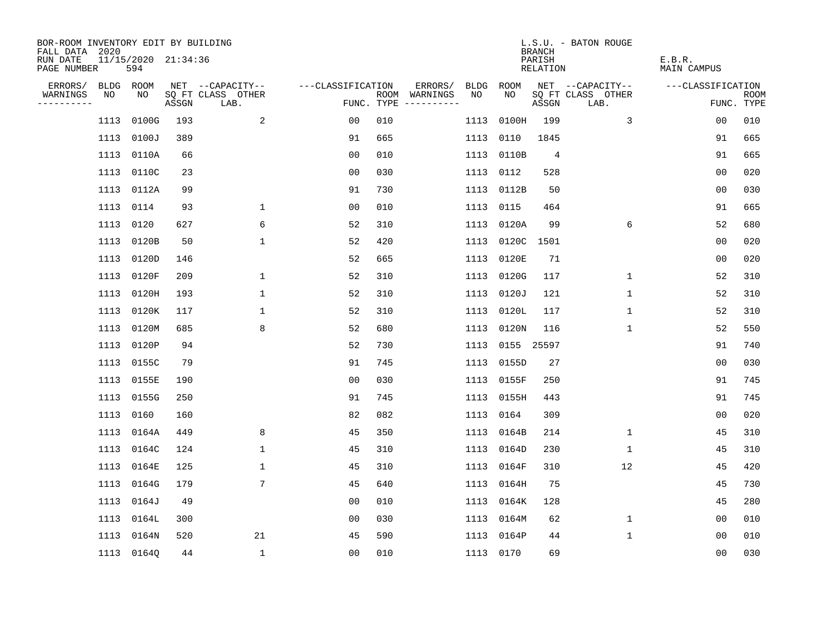| BOR-ROOM INVENTORY EDIT BY BUILDING<br>FALL DATA 2020 |      |                            |       |                           |                   |     |                                      |      |                 | <b>BRANCH</b>      | L.S.U. - BATON ROUGE      |                              |                           |
|-------------------------------------------------------|------|----------------------------|-------|---------------------------|-------------------|-----|--------------------------------------|------|-----------------|--------------------|---------------------------|------------------------------|---------------------------|
| RUN DATE<br>PAGE NUMBER                               |      | 11/15/2020 21:34:36<br>594 |       |                           |                   |     |                                      |      |                 | PARISH<br>RELATION |                           | E.B.R.<br><b>MAIN CAMPUS</b> |                           |
| ERRORS/                                               |      | BLDG ROOM                  |       | NET --CAPACITY--          | ---CLASSIFICATION |     | ERRORS/                              | BLDG | ROOM            |                    | NET --CAPACITY--          | ---CLASSIFICATION            |                           |
| WARNINGS<br>----------                                | NO   | NO                         | ASSGN | SQ FT CLASS OTHER<br>LAB. |                   |     | ROOM WARNINGS<br>FUNC. TYPE $------$ | NO.  | NO.             | ASSGN              | SQ FT CLASS OTHER<br>LAB. |                              | <b>ROOM</b><br>FUNC. TYPE |
|                                                       | 1113 | 0100G                      | 193   | 2                         | 0 <sub>0</sub>    | 010 |                                      | 1113 | 0100H           | 199                | 3                         | 0 <sub>0</sub>               | 010                       |
|                                                       | 1113 | 0100J                      | 389   |                           | 91                | 665 |                                      | 1113 | 0110            | 1845               |                           | 91                           | 665                       |
|                                                       | 1113 | 0110A                      | 66    |                           | 0 <sub>0</sub>    | 010 |                                      |      | 1113 0110B      | 4                  |                           | 91                           | 665                       |
|                                                       |      | 1113 0110C                 | 23    |                           | 00                | 030 |                                      |      | 1113 0112       | 528                |                           | 0 <sub>0</sub>               | 020                       |
|                                                       |      | 1113 0112A                 | 99    |                           | 91                | 730 |                                      |      | 1113 0112B      | 50                 |                           | 0 <sub>0</sub>               | 030                       |
|                                                       |      | 1113 0114                  | 93    | $\mathbf 1$               | 0 <sub>0</sub>    | 010 |                                      |      | 1113 0115       | 464                |                           | 91                           | 665                       |
|                                                       |      | 1113 0120                  | 627   | 6                         | 52                | 310 |                                      |      | 1113 0120A      | 99                 | 6                         | 52                           | 680                       |
|                                                       |      | 1113 0120B                 | 50    | $\mathbf{1}$              | 52                | 420 |                                      |      | 1113 0120C 1501 |                    |                           | 0 <sub>0</sub>               | 020                       |
|                                                       | 1113 | 0120D                      | 146   |                           | 52                | 665 |                                      | 1113 | 0120E           | 71                 |                           | 0 <sub>0</sub>               | 020                       |
|                                                       |      | 1113 0120F                 | 209   | 1                         | 52                | 310 |                                      |      | 1113 0120G      | 117                | $\mathbf 1$               | 52                           | 310                       |
|                                                       |      | 1113 0120H                 | 193   | $\mathbf{1}$              | 52                | 310 |                                      |      | 1113 0120J      | 121                | $\mathbf 1$               | 52                           | 310                       |
|                                                       | 1113 | 0120K                      | 117   | 1                         | 52                | 310 |                                      |      | 1113 0120L      | 117                | 1                         | 52                           | 310                       |
|                                                       | 1113 | 0120M                      | 685   | 8                         | 52                | 680 |                                      |      | 1113 0120N      | 116                | $\mathbf 1$               | 52                           | 550                       |
|                                                       |      | 1113 0120P                 | 94    |                           | 52                | 730 |                                      |      | 1113 0155 25597 |                    |                           | 91                           | 740                       |
|                                                       |      | 1113 0155C                 | 79    |                           | 91                | 745 |                                      |      | 1113 0155D      | 27                 |                           | 00                           | 030                       |
|                                                       |      | 1113 0155E                 | 190   |                           | 00                | 030 |                                      |      | 1113 0155F      | 250                |                           | 91                           | 745                       |
|                                                       |      | 1113 0155G                 | 250   |                           | 91                | 745 |                                      |      | 1113 0155H      | 443                |                           | 91                           | 745                       |
|                                                       |      | 1113 0160                  | 160   |                           | 82                | 082 |                                      |      | 1113 0164       | 309                |                           | 00                           | 020                       |
|                                                       |      | 1113 0164A                 | 449   | 8                         | 45                | 350 |                                      |      | 1113 0164B      | 214                | $\mathbf 1$               | 45                           | 310                       |
|                                                       |      | 1113 0164C                 | 124   | $\mathbf{1}$              | 45                | 310 |                                      |      | 1113 0164D      | 230                | 1                         | 45                           | 310                       |
|                                                       | 1113 | 0164E                      | 125   | $\mathbf 1$               | 45                | 310 |                                      |      | 1113 0164F      | 310                | 12                        | 45                           | 420                       |
|                                                       | 1113 | 0164G                      | 179   | $7\phantom{.0}$           | 45                | 640 |                                      |      | 1113 0164H      | 75                 |                           | 45                           | 730                       |
|                                                       |      | 1113 0164J                 | 49    |                           | 0 <sub>0</sub>    | 010 |                                      |      | 1113 0164K      | 128                |                           | 45                           | 280                       |
|                                                       |      | 1113 0164L                 | 300   |                           | 0 <sub>0</sub>    | 030 |                                      |      | 1113 0164M      | 62                 | 1                         | 0 <sub>0</sub>               | 010                       |
|                                                       |      | 1113 0164N                 | 520   | 21                        | 45                | 590 |                                      |      | 1113 0164P      | 44                 | 1                         | 0 <sub>0</sub>               | 010                       |
|                                                       |      | 1113 0164Q                 | 44    | $\mathbf{1}$              | 0 <sub>0</sub>    | 010 |                                      |      | 1113 0170       | 69                 |                           | 0 <sub>0</sub>               | 030                       |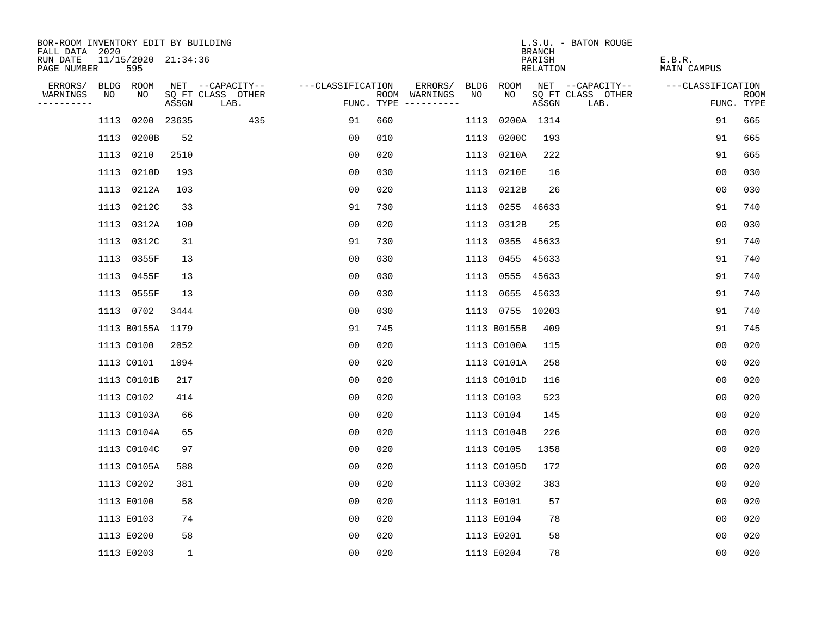| BOR-ROOM INVENTORY EDIT BY BUILDING<br>FALL DATA 2020 |      |                            |              |                           |                   |     |                                      |      |                 | <b>BRANCH</b>      | L.S.U. - BATON ROUGE      |                              |                           |
|-------------------------------------------------------|------|----------------------------|--------------|---------------------------|-------------------|-----|--------------------------------------|------|-----------------|--------------------|---------------------------|------------------------------|---------------------------|
| RUN DATE<br>PAGE NUMBER                               |      | 11/15/2020 21:34:36<br>595 |              |                           |                   |     |                                      |      |                 | PARISH<br>RELATION |                           | E.B.R.<br><b>MAIN CAMPUS</b> |                           |
| ERRORS/                                               |      | BLDG ROOM                  |              | NET --CAPACITY--          | ---CLASSIFICATION |     | ERRORS/                              | BLDG | ROOM            |                    | NET --CAPACITY--          | ---CLASSIFICATION            |                           |
| WARNINGS<br>----------                                | NO   | NO                         | ASSGN        | SQ FT CLASS OTHER<br>LAB. |                   |     | ROOM WARNINGS<br>FUNC. TYPE $------$ | NO.  | NO.             | ASSGN              | SQ FT CLASS OTHER<br>LAB. |                              | <b>ROOM</b><br>FUNC. TYPE |
|                                                       | 1113 |                            | 0200 23635   | 435                       | 91                | 660 |                                      | 1113 |                 | 0200A 1314         |                           | 91                           | 665                       |
|                                                       | 1113 | 0200B                      | 52           |                           | 0 <sub>0</sub>    | 010 |                                      | 1113 | 0200C           | 193                |                           | 91                           | 665                       |
|                                                       | 1113 | 0210                       | 2510         |                           | 0 <sub>0</sub>    | 020 |                                      |      | 1113 0210A      | 222                |                           | 91                           | 665                       |
|                                                       |      | 1113 0210D                 | 193          |                           | 00                | 030 |                                      |      | 1113 0210E      | 16                 |                           | 0 <sub>0</sub>               | 030                       |
|                                                       | 1113 | 0212A                      | 103          |                           | 00                | 020 |                                      |      | 1113 0212B      | 26                 |                           | 0 <sub>0</sub>               | 030                       |
|                                                       |      | 1113 0212C                 | 33           |                           | 91                | 730 |                                      |      | 1113 0255 46633 |                    |                           | 91                           | 740                       |
|                                                       |      | 1113 0312A                 | 100          |                           | 0 <sub>0</sub>    | 020 |                                      |      | 1113 0312B      | 25                 |                           | 0 <sub>0</sub>               | 030                       |
|                                                       |      | 1113 0312C                 | 31           |                           | 91                | 730 |                                      |      | 1113 0355 45633 |                    |                           | 91                           | 740                       |
|                                                       |      | 1113 0355F                 | 13           |                           | 0 <sub>0</sub>    | 030 |                                      |      | 1113 0455 45633 |                    |                           | 91                           | 740                       |
|                                                       |      | 1113 0455F                 | 13           |                           | 0 <sub>0</sub>    | 030 |                                      |      | 1113 0555 45633 |                    |                           | 91                           | 740                       |
|                                                       |      | 1113 0555F                 | 13           |                           | 00                | 030 |                                      |      | 1113 0655 45633 |                    |                           | 91                           | 740                       |
|                                                       |      | 1113 0702                  | 3444         |                           | 00                | 030 |                                      |      | 1113 0755 10203 |                    |                           | 91                           | 740                       |
|                                                       |      | 1113 B0155A                | 1179         |                           | 91                | 745 |                                      |      | 1113 B0155B     | 409                |                           | 91                           | 745                       |
|                                                       |      | 1113 C0100                 | 2052         |                           | 00                | 020 |                                      |      | 1113 C0100A     | 115                |                           | 0 <sub>0</sub>               | 020                       |
|                                                       |      | 1113 C0101                 | 1094         |                           | 0 <sub>0</sub>    | 020 |                                      |      | 1113 C0101A     | 258                |                           | 0 <sub>0</sub>               | 020                       |
|                                                       |      | 1113 C0101B                | 217          |                           | 0 <sub>0</sub>    | 020 |                                      |      | 1113 C0101D     | 116                |                           | 00                           | 020                       |
|                                                       |      | 1113 C0102                 | 414          |                           | 00                | 020 |                                      |      | 1113 C0103      | 523                |                           | 0 <sub>0</sub>               | 020                       |
|                                                       |      | 1113 C0103A                | 66           |                           | 00                | 020 |                                      |      | 1113 C0104      | 145                |                           | 0 <sub>0</sub>               | 020                       |
|                                                       |      | 1113 C0104A                | 65           |                           | 0 <sub>0</sub>    | 020 |                                      |      | 1113 C0104B     | 226                |                           | 0 <sub>0</sub>               | 020                       |
|                                                       |      | 1113 C0104C                | 97           |                           | 0 <sub>0</sub>    | 020 |                                      |      | 1113 C0105      | 1358               |                           | 0 <sub>0</sub>               | 020                       |
|                                                       |      | 1113 C0105A                | 588          |                           | 0 <sub>0</sub>    | 020 |                                      |      | 1113 C0105D     | 172                |                           | 0 <sub>0</sub>               | 020                       |
|                                                       |      | 1113 C0202                 | 381          |                           | 00                | 020 |                                      |      | 1113 C0302      | 383                |                           | 0 <sub>0</sub>               | 020                       |
|                                                       |      | 1113 E0100                 | 58           |                           | 0 <sub>0</sub>    | 020 |                                      |      | 1113 E0101      | 57                 |                           | 0 <sub>0</sub>               | 020                       |
|                                                       |      | 1113 E0103                 | 74           |                           | 0 <sub>0</sub>    | 020 |                                      |      | 1113 E0104      | 78                 |                           | 00                           | 020                       |
|                                                       |      | 1113 E0200                 | 58           |                           | 0 <sub>0</sub>    | 020 |                                      |      | 1113 E0201      | 58                 |                           | 0 <sub>0</sub>               | 020                       |
|                                                       |      | 1113 E0203                 | $\mathbf{1}$ |                           | 0 <sub>0</sub>    | 020 |                                      |      | 1113 E0204      | 78                 |                           | 0 <sub>0</sub>               | 020                       |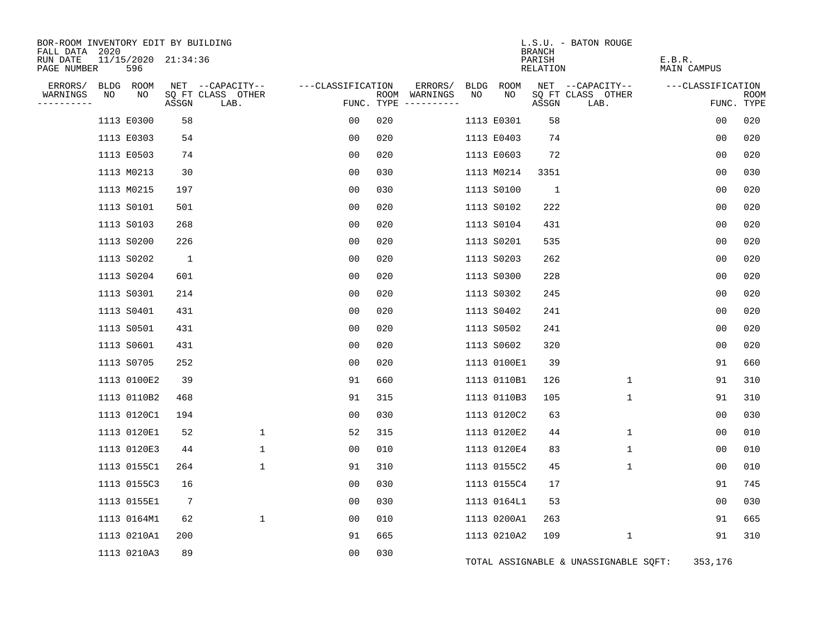| BOR-ROOM INVENTORY EDIT BY BUILDING<br>FALL DATA 2020 |    |                            |                 |                           |                   |     |                              |      |             | <b>BRANCH</b>             | L.S.U. - BATON ROUGE                  |                       |                    |
|-------------------------------------------------------|----|----------------------------|-----------------|---------------------------|-------------------|-----|------------------------------|------|-------------|---------------------------|---------------------------------------|-----------------------|--------------------|
| RUN DATE<br>PAGE NUMBER                               |    | 11/15/2020 21:34:36<br>596 |                 |                           |                   |     |                              |      |             | PARISH<br><b>RELATION</b> |                                       | E.B.R.<br>MAIN CAMPUS |                    |
| ERRORS/                                               |    | BLDG ROOM                  |                 | NET --CAPACITY--          | ---CLASSIFICATION |     | ERRORS/                      | BLDG | ROOM        |                           | NET --CAPACITY--                      | ---CLASSIFICATION     |                    |
| WARNINGS<br>---------                                 | NO | NO                         | ASSGN           | SQ FT CLASS OTHER<br>LAB. | FUNC. TYPE        |     | ROOM WARNINGS<br>----------- | NO   | NO          | ASSGN                     | SQ FT CLASS OTHER<br>LAB.             |                       | ROOM<br>FUNC. TYPE |
|                                                       |    | 1113 E0300                 | 58              |                           | 00                | 020 |                              |      | 1113 E0301  | 58                        |                                       | 0 <sub>0</sub>        | 020                |
|                                                       |    | 1113 E0303                 | 54              |                           | 00                | 020 |                              |      | 1113 E0403  | 74                        |                                       | 0 <sub>0</sub>        | 020                |
|                                                       |    | 1113 E0503                 | 74              |                           | 0 <sub>0</sub>    | 020 |                              |      | 1113 E0603  | 72                        |                                       | 0 <sub>0</sub>        | 020                |
|                                                       |    | 1113 M0213                 | 30              |                           | 00                | 030 |                              |      | 1113 M0214  | 3351                      |                                       | 0 <sub>0</sub>        | 030                |
|                                                       |    | 1113 M0215                 | 197             |                           | 0 <sub>0</sub>    | 030 |                              |      | 1113 S0100  | $\mathbf{1}$              |                                       | 00                    | 020                |
|                                                       |    | 1113 S0101                 | 501             |                           | 00                | 020 |                              |      | 1113 S0102  | 222                       |                                       | 0 <sub>0</sub>        | 020                |
|                                                       |    | 1113 S0103                 | 268             |                           | 00                | 020 |                              |      | 1113 S0104  | 431                       |                                       | 0 <sub>0</sub>        | 020                |
|                                                       |    | 1113 S0200                 | 226             |                           | 0 <sub>0</sub>    | 020 |                              |      | 1113 S0201  | 535                       |                                       | 0 <sub>0</sub>        | 020                |
|                                                       |    | 1113 S0202                 | <sup>1</sup>    |                           | 00                | 020 |                              |      | 1113 S0203  | 262                       |                                       | 0 <sub>0</sub>        | 020                |
|                                                       |    | 1113 S0204                 | 601             |                           | 0 <sub>0</sub>    | 020 |                              |      | 1113 S0300  | 228                       |                                       | 00                    | 020                |
|                                                       |    | 1113 S0301                 | 214             |                           | 0 <sub>0</sub>    | 020 |                              |      | 1113 S0302  | 245                       |                                       | 0 <sub>0</sub>        | 020                |
|                                                       |    | 1113 S0401                 | 431             |                           | 0 <sub>0</sub>    | 020 |                              |      | 1113 S0402  | 241                       |                                       | 0 <sub>0</sub>        | 020                |
|                                                       |    | 1113 S0501                 | 431             |                           | 0 <sub>0</sub>    | 020 |                              |      | 1113 S0502  | 241                       |                                       | 00                    | 020                |
|                                                       |    | 1113 S0601                 | 431             |                           | 00                | 020 |                              |      | 1113 S0602  | 320                       |                                       | 0 <sub>0</sub>        | 020                |
|                                                       |    | 1113 S0705                 | 252             |                           | 00                | 020 |                              |      | 1113 0100E1 | 39                        |                                       | 91                    | 660                |
|                                                       |    | 1113 0100E2                | 39              |                           | 91                | 660 |                              |      | 1113 0110B1 | 126                       | $\mathbf{1}$                          | 91                    | 310                |
|                                                       |    | 1113 0110B2                | 468             |                           | 91                | 315 |                              |      | 1113 0110B3 | 105                       | $\mathbf 1$                           | 91                    | 310                |
|                                                       |    | 1113 0120C1                | 194             |                           | 0 <sub>0</sub>    | 030 |                              |      | 1113 0120C2 | 63                        |                                       | 00                    | 030                |
|                                                       |    | 1113 0120E1                | 52              | $\mathbf 1$               | 52                | 315 |                              |      | 1113 0120E2 | 44                        | $\mathbf 1$                           | 00                    | 010                |
|                                                       |    | 1113 0120E3                | 44              | 1                         | 00                | 010 |                              |      | 1113 0120E4 | 83                        | 1                                     | 00                    | 010                |
|                                                       |    | 1113 0155C1                | 264             | $\mathbf{1}$              | 91                | 310 |                              |      | 1113 0155C2 | 45                        | $\mathbf{1}$                          | 00                    | 010                |
|                                                       |    | 1113 0155C3                | 16              |                           | 0 <sub>0</sub>    | 030 |                              |      | 1113 0155C4 | 17                        |                                       | 91                    | 745                |
|                                                       |    | 1113 0155E1                | $7\phantom{.0}$ |                           | 00                | 030 |                              |      | 1113 0164L1 | 53                        |                                       | 0 <sub>0</sub>        | 030                |
|                                                       |    | 1113 0164M1                | 62              | 1                         | 00                | 010 |                              |      | 1113 0200A1 | 263                       |                                       | 91                    | 665                |
|                                                       |    | 1113 0210A1                | 200             |                           | 91                | 665 |                              |      | 1113 0210A2 | 109                       | 1                                     | 91                    | 310                |
|                                                       |    | 1113 0210A3                | 89              |                           | 0 <sub>0</sub>    | 030 |                              |      |             |                           | TOTAL ASSIGNABLE & UNASSIGNABLE SOFT: | 353,176               |                    |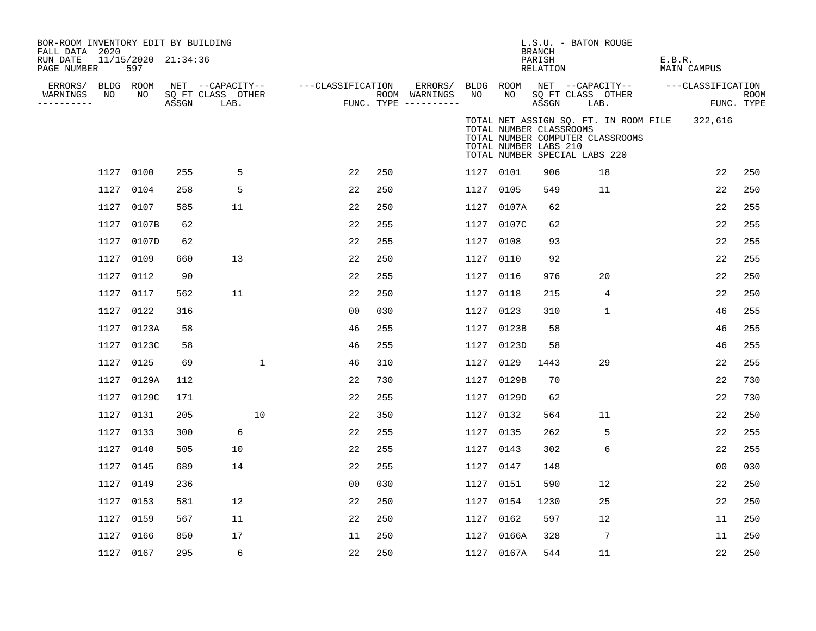| BOR-ROOM INVENTORY EDIT BY BUILDING<br>FALL DATA 2020<br>RUN DATE<br>PAGE NUMBER |                 | 11/15/2020 21:34:36<br>597 |       |                                               |    |                   |                |     |                                                 |                 |                                                                                   | <b>BRANCH</b><br>PARISH<br>RELATION | L.S.U. - BATON ROUGE      |                                  | E.B.R. | MAIN CAMPUS                                   |                    |
|----------------------------------------------------------------------------------|-----------------|----------------------------|-------|-----------------------------------------------|----|-------------------|----------------|-----|-------------------------------------------------|-----------------|-----------------------------------------------------------------------------------|-------------------------------------|---------------------------|----------------------------------|--------|-----------------------------------------------|--------------------|
| ERRORS/<br>WARNINGS<br>----------                                                | BLDG ROOM<br>NO | NO                         | ASSGN | NET --CAPACITY--<br>SQ FT CLASS OTHER<br>LAB. |    | ---CLASSIFICATION |                |     | ERRORS/<br>ROOM WARNINGS<br>FUNC. TYPE $------$ | BLDG ROOM<br>NO | NO                                                                                | ASSGN                               | SO FT CLASS OTHER<br>LAB. | NET --CAPACITY--                 |        | ---CLASSIFICATION                             | ROOM<br>FUNC. TYPE |
|                                                                                  |                 |                            |       |                                               |    |                   |                |     |                                                 |                 | TOTAL NUMBER CLASSROOMS<br>TOTAL NUMBER LABS 210<br>TOTAL NUMBER SPECIAL LABS 220 |                                     |                           | TOTAL NUMBER COMPUTER CLASSROOMS |        | TOTAL NET ASSIGN SQ. FT. IN ROOM FILE 322,616 |                    |
|                                                                                  | 1127 0100       |                            | 255   | 5                                             |    |                   | 22             | 250 |                                                 | 1127 0101       |                                                                                   | 906                                 |                           | 18                               |        | 22                                            | 250                |
|                                                                                  | 1127            | 0104                       | 258   | 5                                             |    |                   | 22             | 250 |                                                 | 1127 0105       |                                                                                   | 549                                 |                           | 11                               |        | 22                                            | 250                |
|                                                                                  | 1127            | 0107                       | 585   | 11                                            |    |                   | 22             | 250 |                                                 |                 | 1127 0107A                                                                        | 62                                  |                           |                                  |        | 22                                            | 255                |
|                                                                                  | 1127            | 0107B                      | 62    |                                               |    |                   | 22             | 255 |                                                 |                 | 1127 0107C                                                                        | 62                                  |                           |                                  |        | 22                                            | 255                |
|                                                                                  | 1127            | 0107D                      | 62    |                                               |    |                   | 22             | 255 |                                                 | 1127 0108       |                                                                                   | 93                                  |                           |                                  |        | 22                                            | 255                |
|                                                                                  | 1127            | 0109                       | 660   | 13                                            |    |                   | 22             | 250 |                                                 | 1127 0110       |                                                                                   | 92                                  |                           |                                  |        | 22                                            | 255                |
|                                                                                  | 1127 0112       |                            | 90    |                                               |    |                   | 22             | 255 |                                                 | 1127 0116       |                                                                                   | 976                                 |                           | 20                               |        | 22                                            | 250                |
|                                                                                  | 1127            | 0117                       | 562   | 11                                            |    |                   | 22             | 250 |                                                 | 1127 0118       |                                                                                   | 215                                 |                           | 4                                |        | 22                                            | 250                |
|                                                                                  | 1127            | 0122                       | 316   |                                               |    |                   | 0 <sub>0</sub> | 030 |                                                 | 1127 0123       |                                                                                   | 310                                 |                           | $\mathbf{1}$                     |        | 46                                            | 255                |
|                                                                                  | 1127            | 0123A                      | 58    |                                               |    |                   | 46             | 255 |                                                 |                 | 1127 0123B                                                                        | 58                                  |                           |                                  |        | 46                                            | 255                |
|                                                                                  | 1127            | 0123C                      | 58    |                                               |    |                   | 46             | 255 |                                                 |                 | 1127 0123D                                                                        | 58                                  |                           |                                  |        | 46                                            | 255                |
|                                                                                  | 1127            | 0125                       | 69    |                                               | 1  |                   | 46             | 310 |                                                 | 1127 0129       |                                                                                   | 1443                                |                           | 29                               |        | 22                                            | 255                |
|                                                                                  | 1127            | 0129A                      | 112   |                                               |    |                   | 22             | 730 |                                                 | 1127            | 0129B                                                                             | 70                                  |                           |                                  |        | 22                                            | 730                |
|                                                                                  | 1127            | 0129C                      | 171   |                                               |    |                   | 22             | 255 |                                                 |                 | 1127 0129D                                                                        | 62                                  |                           |                                  |        | 22                                            | 730                |
|                                                                                  | 1127            | 0131                       | 205   |                                               | 10 |                   | 22             | 350 |                                                 | 1127 0132       |                                                                                   | 564                                 |                           | 11                               |        | 22                                            | 250                |
|                                                                                  | 1127 0133       |                            | 300   | 6                                             |    |                   | 22             | 255 |                                                 | 1127 0135       |                                                                                   | 262                                 |                           | 5                                |        | 22                                            | 255                |
|                                                                                  | 1127            | 0140                       | 505   | 10                                            |    |                   | 22             | 255 |                                                 | 1127 0143       |                                                                                   | 302                                 |                           | 6                                |        | 22                                            | 255                |
|                                                                                  | 1127            | 0145                       | 689   | 14                                            |    |                   | 22             | 255 |                                                 | 1127 0147       |                                                                                   | 148                                 |                           |                                  |        | 0 <sub>0</sub>                                | 030                |
|                                                                                  | 1127            | 0149                       | 236   |                                               |    |                   | 0 <sub>0</sub> | 030 |                                                 | 1127 0151       |                                                                                   | 590                                 |                           | 12                               |        | 22                                            | 250                |
|                                                                                  | 1127            | 0153                       | 581   | 12                                            |    |                   | 22             | 250 |                                                 | 1127 0154       |                                                                                   | 1230                                |                           | 25                               |        | 22                                            | 250                |
|                                                                                  | 1127            | 0159                       | 567   | 11                                            |    |                   | 22             | 250 |                                                 | 1127 0162       |                                                                                   | 597                                 |                           | 12                               |        | 11                                            | 250                |
|                                                                                  | 1127            | 0166                       | 850   | 17                                            |    |                   | 11             | 250 |                                                 |                 | 1127 0166A                                                                        | 328                                 |                           | 7                                |        | 11                                            | 250                |
|                                                                                  | 1127 0167       |                            | 295   | 6                                             |    |                   | 22             | 250 |                                                 |                 | 1127 0167A                                                                        | 544                                 |                           | 11                               |        | 22                                            | 250                |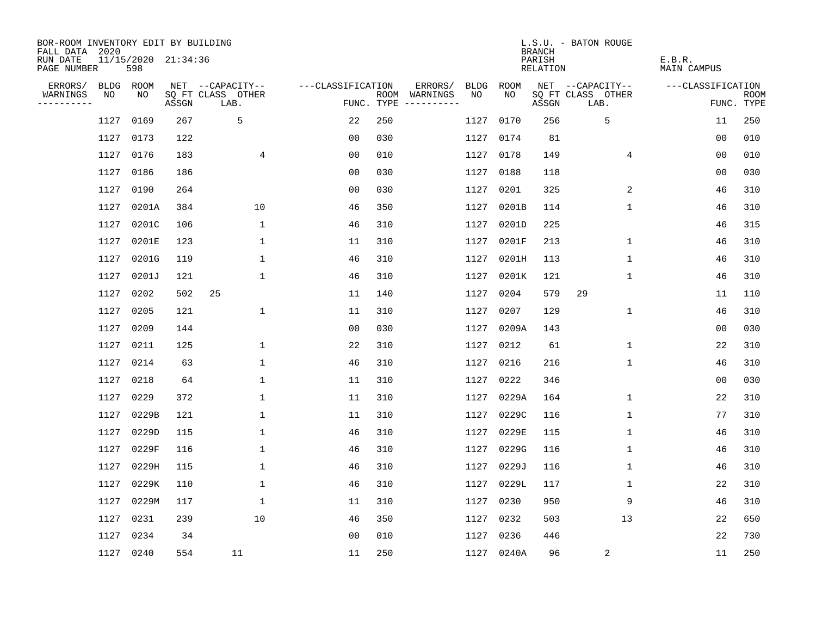| BOR-ROOM INVENTORY EDIT BY BUILDING<br>FALL DATA 2020 |             |                            |       |                           |                   |                    |                                                                                                             |             |             | <b>BRANCH</b>      | L.S.U. - BATON ROUGE      |                       |                           |
|-------------------------------------------------------|-------------|----------------------------|-------|---------------------------|-------------------|--------------------|-------------------------------------------------------------------------------------------------------------|-------------|-------------|--------------------|---------------------------|-----------------------|---------------------------|
| RUN DATE<br>PAGE NUMBER                               |             | 11/15/2020 21:34:36<br>598 |       |                           |                   |                    |                                                                                                             |             |             | PARISH<br>RELATION |                           | E.B.R.<br>MAIN CAMPUS |                           |
| ERRORS/                                               | <b>BLDG</b> | ROOM                       |       | NET --CAPACITY--          | ---CLASSIFICATION |                    | ERRORS/                                                                                                     | <b>BLDG</b> | <b>ROOM</b> |                    | NET --CAPACITY--          | ---CLASSIFICATION     |                           |
| WARNINGS<br>----------                                | NO          | NO                         | ASSGN | SQ FT CLASS OTHER<br>LAB. |                   | ROOM<br>FUNC. TYPE | WARNINGS<br>$\begin{tabular}{cccccc} - & - & - & - & - & - & - \\ & - & - & - & - & - & - \\ \end{tabular}$ | NO          | NO.         | ASSGN              | SQ FT CLASS OTHER<br>LAB. |                       | <b>ROOM</b><br>FUNC. TYPE |
|                                                       | 1127        | 0169                       | 267   | 5                         | 22                | 250                |                                                                                                             | 1127        | 0170        | 256                | 5                         | 11                    | 250                       |
|                                                       | 1127        | 0173                       | 122   |                           | 0 <sub>0</sub>    | 030                |                                                                                                             | 1127        | 0174        | 81                 |                           | 0 <sub>0</sub>        | 010                       |
|                                                       | 1127        | 0176                       | 183   | $\overline{4}$            | 0 <sub>0</sub>    | 010                |                                                                                                             | 1127        | 0178        | 149                | 4                         | 0 <sub>0</sub>        | 010                       |
|                                                       | 1127        | 0186                       | 186   |                           | 00                | 030                |                                                                                                             | 1127        | 0188        | 118                |                           | 00                    | 030                       |
|                                                       | 1127        | 0190                       | 264   |                           | 00                | 030                |                                                                                                             | 1127        | 0201        | 325                | 2                         | 46                    | 310                       |
|                                                       | 1127        | 0201A                      | 384   | 10                        | 46                | 350                |                                                                                                             | 1127        | 0201B       | 114                | $\mathbf 1$               | 46                    | 310                       |
|                                                       | 1127        | 0201C                      | 106   | $\mathbf{1}$              | 46                | 310                |                                                                                                             | 1127        | 0201D       | 225                |                           | 46                    | 315                       |
|                                                       | 1127        | 0201E                      | 123   | 1                         | 11                | 310                |                                                                                                             | 1127        | 0201F       | 213                | $\mathbf 1$               | 46                    | 310                       |
|                                                       | 1127        | 0201G                      | 119   | $\mathbf{1}$              | 46                | 310                |                                                                                                             | 1127        | 0201H       | 113                | $\mathbf{1}$              | 46                    | 310                       |
|                                                       | 1127        | 0201J                      | 121   | 1                         | 46                | 310                |                                                                                                             | 1127        | 0201K       | 121                | $\mathbf 1$               | 46                    | 310                       |
|                                                       | 1127        | 0202                       | 502   | 25                        | 11                | 140                |                                                                                                             | 1127        | 0204        | 579                | 29                        | 11                    | 110                       |
|                                                       | 1127        | 0205                       | 121   | 1                         | 11                | 310                |                                                                                                             | 1127        | 0207        | 129                | $\mathbf 1$               | 46                    | 310                       |
|                                                       | 1127        | 0209                       | 144   |                           | 0 <sub>0</sub>    | 030                |                                                                                                             | 1127        | 0209A       | 143                |                           | 0 <sub>0</sub>        | 030                       |
|                                                       | 1127        | 0211                       | 125   | 1                         | 22                | 310                |                                                                                                             | 1127        | 0212        | 61                 | $\mathbf 1$               | 22                    | 310                       |
|                                                       | 1127        | 0214                       | 63    | 1                         | 46                | 310                |                                                                                                             | 1127        | 0216        | 216                | $\mathbf{1}$              | 46                    | 310                       |
|                                                       | 1127        | 0218                       | 64    | 1                         | 11                | 310                |                                                                                                             | 1127        | 0222        | 346                |                           | 0 <sub>0</sub>        | 030                       |
|                                                       | 1127        | 0229                       | 372   | 1                         | 11                | 310                |                                                                                                             | 1127        | 0229A       | 164                | 1                         | 22                    | 310                       |
|                                                       | 1127        | 0229B                      | 121   | 1                         | 11                | 310                |                                                                                                             | 1127        | 0229C       | 116                | 1                         | 77                    | 310                       |
|                                                       | 1127        | 0229D                      | 115   | $\mathbf 1$               | 46                | 310                |                                                                                                             | 1127        | 0229E       | 115                | 1                         | 46                    | 310                       |
|                                                       | 1127        | 0229F                      | 116   | $\mathbf 1$               | 46                | 310                |                                                                                                             | 1127        | 0229G       | 116                | 1                         | 46                    | 310                       |
|                                                       | 1127        | 0229H                      | 115   | 1                         | 46                | 310                |                                                                                                             | 1127        | 0229J       | 116                | 1                         | 46                    | 310                       |
|                                                       | 1127        | 0229K                      | 110   | 1                         | 46                | 310                |                                                                                                             | 1127        | 0229L       | 117                | 1                         | 22                    | 310                       |
|                                                       | 1127        | 0229M                      | 117   | 1                         | 11                | 310                |                                                                                                             | 1127        | 0230        | 950                | 9                         | 46                    | 310                       |
|                                                       | 1127        | 0231                       | 239   | 10                        | 46                | 350                |                                                                                                             | 1127        | 0232        | 503                | 13                        | 22                    | 650                       |
|                                                       | 1127        | 0234                       | 34    |                           | 0 <sub>0</sub>    | 010                |                                                                                                             | 1127        | 0236        | 446                |                           | 22                    | 730                       |
|                                                       | 1127        | 0240                       | 554   | 11                        | 11                | 250                |                                                                                                             |             | 1127 0240A  | 96                 | $\sqrt{2}$                | 11                    | 250                       |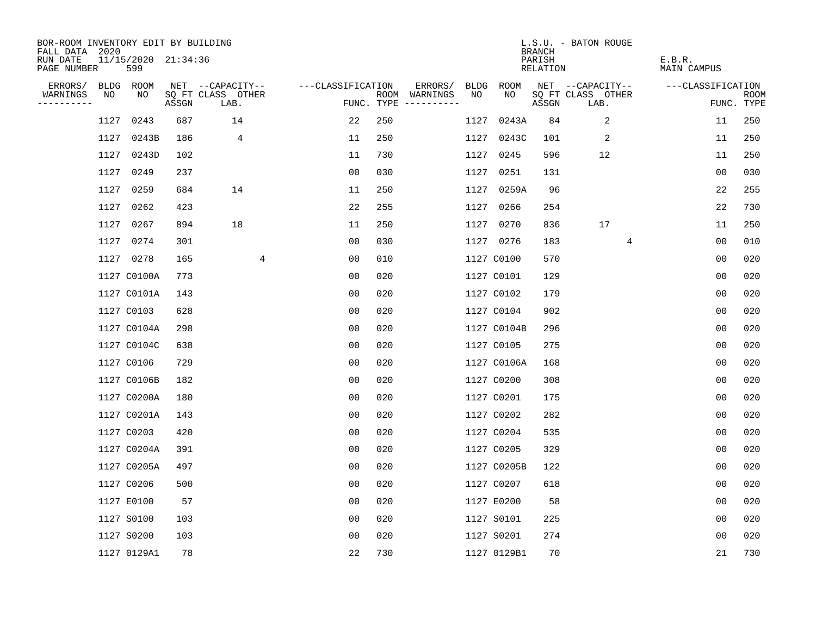| BOR-ROOM INVENTORY EDIT BY BUILDING<br>FALL DATA 2020 |      |                            |       |                           |                   |     |                                      |             |             | <b>BRANCH</b>      | L.S.U. - BATON ROUGE      |                              |                           |
|-------------------------------------------------------|------|----------------------------|-------|---------------------------|-------------------|-----|--------------------------------------|-------------|-------------|--------------------|---------------------------|------------------------------|---------------------------|
| RUN DATE<br>PAGE NUMBER                               |      | 11/15/2020 21:34:36<br>599 |       |                           |                   |     |                                      |             |             | PARISH<br>RELATION |                           | E.B.R.<br><b>MAIN CAMPUS</b> |                           |
| ERRORS/                                               |      | BLDG ROOM                  |       | NET --CAPACITY--          | ---CLASSIFICATION |     | ERRORS/                              | <b>BLDG</b> | <b>ROOM</b> |                    | NET --CAPACITY--          | ---CLASSIFICATION            |                           |
| WARNINGS<br>----------                                | NO   | NO                         | ASSGN | SQ FT CLASS OTHER<br>LAB. |                   |     | ROOM WARNINGS<br>FUNC. TYPE $------$ | NO          | NO          | ASSGN              | SQ FT CLASS OTHER<br>LAB. |                              | <b>ROOM</b><br>FUNC. TYPE |
|                                                       | 1127 | 0243                       | 687   | 14                        | 22                | 250 |                                      | 1127        | 0243A       | 84                 | 2                         | 11                           | 250                       |
|                                                       | 1127 | 0243B                      | 186   | 4                         | 11                | 250 |                                      |             | 1127 0243C  | 101                | 2                         | 11                           | 250                       |
|                                                       | 1127 | 0243D                      | 102   |                           | 11                | 730 |                                      |             | 1127 0245   | 596                | 12                        | 11                           | 250                       |
|                                                       | 1127 | 0249                       | 237   |                           | 0 <sub>0</sub>    | 030 |                                      |             | 1127 0251   | 131                |                           | 0 <sub>0</sub>               | 030                       |
|                                                       | 1127 | 0259                       | 684   | 14                        | 11                | 250 |                                      |             | 1127 0259A  | 96                 |                           | 22                           | 255                       |
|                                                       | 1127 | 0262                       | 423   |                           | 22                | 255 |                                      |             | 1127 0266   | 254                |                           | 22                           | 730                       |
|                                                       | 1127 | 0267                       | 894   | 18                        | 11                | 250 |                                      |             | 1127 0270   | 836                | 17                        | 11                           | 250                       |
|                                                       |      | 1127 0274                  | 301   |                           | 0 <sub>0</sub>    | 030 |                                      |             | 1127 0276   | 183                | 4                         | 0 <sub>0</sub>               | 010                       |
|                                                       |      | 1127 0278                  | 165   | 4                         | 0 <sub>0</sub>    | 010 |                                      |             | 1127 C0100  | 570                |                           | 0 <sub>0</sub>               | 020                       |
|                                                       |      | 1127 C0100A                | 773   |                           | 0 <sub>0</sub>    | 020 |                                      |             | 1127 C0101  | 129                |                           | 0 <sub>0</sub>               | 020                       |
|                                                       |      | 1127 C0101A                | 143   |                           | 00                | 020 |                                      |             | 1127 C0102  | 179                |                           | 0 <sub>0</sub>               | 020                       |
|                                                       |      | 1127 C0103                 | 628   |                           | 0 <sub>0</sub>    | 020 |                                      |             | 1127 C0104  | 902                |                           | 0 <sub>0</sub>               | 020                       |
|                                                       |      | 1127 C0104A                | 298   |                           | 00                | 020 |                                      |             | 1127 C0104B | 296                |                           | 0 <sub>0</sub>               | 020                       |
|                                                       |      | 1127 C0104C                | 638   |                           | 0 <sub>0</sub>    | 020 |                                      |             | 1127 C0105  | 275                |                           | 0 <sub>0</sub>               | 020                       |
|                                                       |      | 1127 C0106                 | 729   |                           | 0 <sub>0</sub>    | 020 |                                      |             | 1127 C0106A | 168                |                           | 0 <sub>0</sub>               | 020                       |
|                                                       |      | 1127 C0106B                | 182   |                           | 0 <sub>0</sub>    | 020 |                                      |             | 1127 C0200  | 308                |                           | 0 <sub>0</sub>               | 020                       |
|                                                       |      | 1127 C0200A                | 180   |                           | 0 <sub>0</sub>    | 020 |                                      |             | 1127 C0201  | 175                |                           | 0 <sub>0</sub>               | 020                       |
|                                                       |      | 1127 C0201A                | 143   |                           | 0 <sub>0</sub>    | 020 |                                      |             | 1127 C0202  | 282                |                           | 0 <sub>0</sub>               | 020                       |
|                                                       |      | 1127 C0203                 | 420   |                           | 0 <sub>0</sub>    | 020 |                                      |             | 1127 C0204  | 535                |                           | 0 <sub>0</sub>               | 020                       |
|                                                       |      | 1127 C0204A                | 391   |                           | 0 <sub>0</sub>    | 020 |                                      |             | 1127 C0205  | 329                |                           | 0 <sub>0</sub>               | 020                       |
|                                                       |      | 1127 C0205A                | 497   |                           | 0 <sub>0</sub>    | 020 |                                      |             | 1127 C0205B | 122                |                           | 0 <sub>0</sub>               | 020                       |
|                                                       |      | 1127 C0206                 | 500   |                           | 0 <sub>0</sub>    | 020 |                                      |             | 1127 C0207  | 618                |                           | 0 <sub>0</sub>               | 020                       |
|                                                       |      | 1127 E0100                 | 57    |                           | 0 <sub>0</sub>    | 020 |                                      |             | 1127 E0200  | 58                 |                           | 0 <sub>0</sub>               | 020                       |
|                                                       |      | 1127 S0100                 | 103   |                           | 0 <sub>0</sub>    | 020 |                                      |             | 1127 S0101  | 225                |                           | 0 <sub>0</sub>               | 020                       |
|                                                       |      | 1127 S0200                 | 103   |                           | 0 <sub>0</sub>    | 020 |                                      |             | 1127 S0201  | 274                |                           | 0 <sub>0</sub>               | 020                       |
|                                                       |      | 1127 0129A1                | 78    |                           | 22                | 730 |                                      |             | 1127 0129B1 | 70                 |                           | 21                           | 730                       |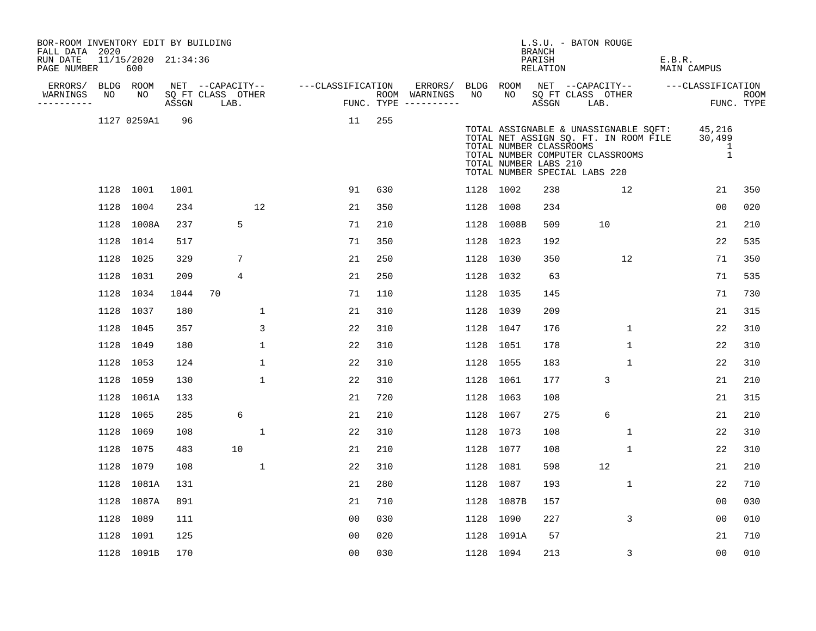| PAGE NUMBER                       |      | 600             | 11/15/2020 21:34:36 |                                               |              |                   |     |                                                 |           |                 | <b>BRANCH</b><br>PARISH<br>RELATION              |                               |                                                                                                                    | E.B.R.<br>MAIN CAMPUS |                             |                    |
|-----------------------------------|------|-----------------|---------------------|-----------------------------------------------|--------------|-------------------|-----|-------------------------------------------------|-----------|-----------------|--------------------------------------------------|-------------------------------|--------------------------------------------------------------------------------------------------------------------|-----------------------|-----------------------------|--------------------|
| ERRORS/<br>WARNINGS<br>---------- | NO   | BLDG ROOM<br>NO | ASSGN               | NET --CAPACITY--<br>SQ FT CLASS OTHER<br>LAB. |              | ---CLASSIFICATION |     | ERRORS/<br>ROOM WARNINGS<br>FUNC. TYPE $------$ | NO        | BLDG ROOM<br>NO | ASSGN                                            | SO FT CLASS OTHER<br>LAB.     | NET --CAPACITY-- ----CLASSIFICATION                                                                                |                       |                             | ROOM<br>FUNC. TYPE |
|                                   |      | 1127 0259A1     | 96                  |                                               |              | 11                | 255 |                                                 |           |                 | TOTAL NUMBER CLASSROOMS<br>TOTAL NUMBER LABS 210 | TOTAL NUMBER SPECIAL LABS 220 | TOTAL ASSIGNABLE & UNASSIGNABLE SQFT:<br>TOTAL NET ASSIGN SQ. FT. IN ROOM FILE<br>TOTAL NUMBER COMPUTER CLASSROOMS |                       | 45,216<br>30,499<br>-1<br>1 |                    |
|                                   |      | 1128 1001       | 1001                |                                               |              | 91                | 630 |                                                 | 1128 1002 |                 | 238                                              |                               | 12                                                                                                                 |                       | 21                          | 350                |
|                                   | 1128 | 1004            | 234                 |                                               | 12           | 21                | 350 |                                                 | 1128 1008 |                 | 234                                              |                               |                                                                                                                    |                       | 0 <sub>0</sub>              | 020                |
|                                   |      | 1128 1008A      | 237                 | 5                                             |              | 71                | 210 |                                                 |           | 1128 1008B      | 509                                              |                               | 10                                                                                                                 |                       | 21                          | 210                |
|                                   |      | 1128 1014       | 517                 |                                               |              | 71                | 350 |                                                 | 1128 1023 |                 | 192                                              |                               |                                                                                                                    |                       | 22                          | 535                |
|                                   | 1128 | 1025            | 329                 | 7                                             |              | 21                | 250 |                                                 | 1128 1030 |                 | 350                                              |                               | 12                                                                                                                 |                       | 71                          | 350                |
|                                   | 1128 | 1031            | 209                 | 4                                             |              | 21                | 250 |                                                 |           | 1128 1032       | 63                                               |                               |                                                                                                                    |                       | 71                          | 535                |
|                                   |      | 1128 1034       | 1044                | 70                                            |              | 71                | 110 |                                                 | 1128 1035 |                 | 145                                              |                               |                                                                                                                    |                       | 71                          | 730                |
|                                   | 1128 | 1037            | 180                 |                                               | 1            | 21                | 310 |                                                 | 1128 1039 |                 | 209                                              |                               |                                                                                                                    |                       | 21                          | 315                |
|                                   | 1128 | 1045            | 357                 |                                               | 3            | 22                | 310 |                                                 | 1128 1047 |                 | 176                                              |                               | $\mathbf 1$                                                                                                        |                       | 22                          | 310                |
|                                   |      | 1128 1049       | 180                 |                                               | $\mathbf 1$  | 22                | 310 |                                                 | 1128 1051 |                 | 178                                              |                               | $\mathbf 1$                                                                                                        |                       | 22                          | 310                |
|                                   |      | 1128 1053       | 124                 |                                               | $\mathbf 1$  | 22                | 310 |                                                 | 1128 1055 |                 | 183                                              |                               | 1                                                                                                                  |                       | 22                          | 310                |
|                                   | 1128 | 1059            | 130                 |                                               | $\mathbf{1}$ | 22                | 310 |                                                 | 1128 1061 |                 | 177                                              |                               | 3                                                                                                                  |                       | 21                          | 210                |
|                                   | 1128 | 1061A           | 133                 |                                               |              | 21                | 720 |                                                 | 1128 1063 |                 | 108                                              |                               |                                                                                                                    |                       | 21                          | 315                |
|                                   | 1128 | 1065            | 285                 | 6                                             |              | 21                | 210 |                                                 | 1128 1067 |                 | 275                                              |                               | 6                                                                                                                  |                       | 21                          | 210                |
|                                   |      | 1128 1069       | 108                 |                                               | 1            | 22                | 310 |                                                 | 1128 1073 |                 | 108                                              |                               | $\mathbf{1}$                                                                                                       |                       | 22                          | 310                |
|                                   | 1128 | 1075            | 483                 | 10                                            |              | 21                | 210 |                                                 | 1128 1077 |                 | 108                                              |                               | $\mathbf{1}$                                                                                                       |                       | 22                          | 310                |
|                                   | 1128 | 1079            | 108                 |                                               | $\mathbf 1$  | 22                | 310 |                                                 | 1128 1081 |                 | 598                                              |                               | 12                                                                                                                 |                       | 21                          | 210                |
|                                   | 1128 | 1081A           | 131                 |                                               |              | 21                | 280 |                                                 | 1128 1087 |                 | 193                                              |                               | $\mathbf{1}$                                                                                                       |                       | 22                          | 710                |
|                                   | 1128 | 1087A           | 891                 |                                               |              | 21                | 710 |                                                 |           | 1128 1087B      | 157                                              |                               |                                                                                                                    |                       | 00                          | 030                |
|                                   | 1128 | 1089            | 111                 |                                               |              | 0 <sub>0</sub>    | 030 |                                                 | 1128 1090 |                 | 227                                              |                               | 3                                                                                                                  |                       | 00                          | 010                |
|                                   | 1128 | 1091            | 125                 |                                               |              | 0 <sub>0</sub>    | 020 |                                                 |           | 1128 1091A      | 57                                               |                               |                                                                                                                    |                       | 21                          | 710                |
|                                   |      | 1128 1091B      | 170                 |                                               |              | 0 <sub>0</sub>    | 030 |                                                 | 1128 1094 |                 | 213                                              |                               | 3                                                                                                                  |                       | 00                          | 010                |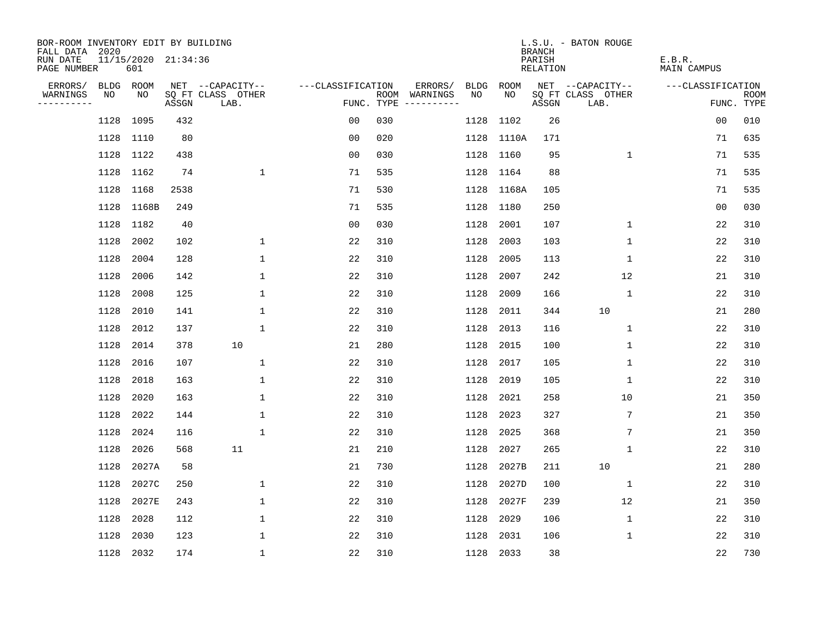| BOR-ROOM INVENTORY EDIT BY BUILDING<br>FALL DATA 2020 |      |                            |       |                           |                   |                                               |                        |            | <b>BRANCH</b>      | L.S.U. - BATON ROUGE      |                       |                           |
|-------------------------------------------------------|------|----------------------------|-------|---------------------------|-------------------|-----------------------------------------------|------------------------|------------|--------------------|---------------------------|-----------------------|---------------------------|
| RUN DATE<br>PAGE NUMBER                               |      | 11/15/2020 21:34:36<br>601 |       |                           |                   |                                               |                        |            | PARISH<br>RELATION |                           | E.B.R.<br>MAIN CAMPUS |                           |
| ERRORS/                                               |      | BLDG ROOM                  |       | NET --CAPACITY--          | ---CLASSIFICATION |                                               | ERRORS/<br><b>BLDG</b> | ROOM       |                    | NET --CAPACITY--          | ---CLASSIFICATION     |                           |
| WARNINGS<br>----------                                | NO   | NO                         | ASSGN | SQ FT CLASS OTHER<br>LAB. |                   | WARNINGS<br>ROOM<br>FUNC. TYPE<br>----------- | NO.                    | NO.        | ASSGN              | SQ FT CLASS OTHER<br>LAB. |                       | <b>ROOM</b><br>FUNC. TYPE |
|                                                       | 1128 | 1095                       | 432   |                           | 0 <sub>0</sub>    | 030                                           | 1128                   | 1102       | 26                 |                           | 0 <sub>0</sub>        | 010                       |
|                                                       | 1128 | 1110                       | 80    |                           | 00                | 020                                           | 1128                   | 1110A      | 171                |                           | 71                    | 635                       |
|                                                       | 1128 | 1122                       | 438   |                           | 0 <sub>0</sub>    | 030                                           | 1128                   | 1160       | 95                 | 1                         | 71                    | 535                       |
|                                                       |      | 1128 1162                  | 74    | $\mathbf 1$               | 71                | 535                                           |                        | 1128 1164  | 88                 |                           | 71                    | 535                       |
|                                                       | 1128 | 1168                       | 2538  |                           | 71                | 530                                           |                        | 1128 1168A | 105                |                           | 71                    | 535                       |
|                                                       |      | 1128 1168B                 | 249   |                           | 71                | 535                                           | 1128                   | 1180       | 250                |                           | 00                    | 030                       |
|                                                       | 1128 | 1182                       | 40    |                           | 0 <sub>0</sub>    | 030                                           | 1128                   | 2001       | 107                | $\mathbf 1$               | 22                    | 310                       |
|                                                       | 1128 | 2002                       | 102   | 1                         | 22                | 310                                           | 1128                   | 2003       | 103                | 1                         | 22                    | 310                       |
|                                                       | 1128 | 2004                       | 128   | $\mathbf{1}$              | 22                | 310                                           | 1128                   | 2005       | 113                | $\mathbf 1$               | 22                    | 310                       |
|                                                       | 1128 | 2006                       | 142   | $\mathbf{1}$              | 22                | 310                                           | 1128                   | 2007       | 242                | 12                        | 21                    | 310                       |
|                                                       | 1128 | 2008                       | 125   | 1                         | 22                | 310                                           | 1128                   | 2009       | 166                | $\mathbf 1$               | 22                    | 310                       |
|                                                       | 1128 | 2010                       | 141   | 1                         | 22                | 310                                           | 1128                   | 2011       | 344                | 10                        | 21                    | 280                       |
|                                                       | 1128 | 2012                       | 137   | $\mathbf 1$               | 22                | 310                                           | 1128                   | 2013       | 116                | $\mathbf 1$               | 22                    | 310                       |
|                                                       | 1128 | 2014                       | 378   | 10                        | 21                | 280                                           | 1128                   | 2015       | 100                | 1                         | 22                    | 310                       |
|                                                       | 1128 | 2016                       | 107   | 1                         | 22                | 310                                           | 1128                   | 2017       | 105                | 1                         | 22                    | 310                       |
|                                                       | 1128 | 2018                       | 163   | 1                         | 22                | 310                                           | 1128                   | 2019       | 105                | 1                         | 22                    | 310                       |
|                                                       | 1128 | 2020                       | 163   | $\mathbf{1}$              | 22                | 310                                           | 1128                   | 2021       | 258                | 10                        | 21                    | 350                       |
|                                                       | 1128 | 2022                       | 144   | $\mathbf{1}$              | 22                | 310                                           | 1128                   | 2023       | 327                | 7                         | 21                    | 350                       |
|                                                       | 1128 | 2024                       | 116   | $\mathbf{1}$              | 22                | 310                                           | 1128                   | 2025       | 368                | 7                         | 21                    | 350                       |
|                                                       | 1128 | 2026                       | 568   | 11                        | 21                | 210                                           | 1128                   | 2027       | 265                | $\mathbf 1$               | 22                    | 310                       |
|                                                       | 1128 | 2027A                      | 58    |                           | 21                | 730                                           | 1128                   | 2027B      | 211                | 10                        | 21                    | 280                       |
|                                                       | 1128 | 2027C                      | 250   | $\mathbf 1$               | 22                | 310                                           | 1128                   | 2027D      | 100                | $\mathbf 1$               | 22                    | 310                       |
|                                                       | 1128 | 2027E                      | 243   | 1                         | 22                | 310                                           | 1128                   | 2027F      | 239                | 12                        | 21                    | 350                       |
|                                                       | 1128 | 2028                       | 112   | $\mathbf 1$               | 22                | 310                                           | 1128                   | 2029       | 106                | $\mathbf{1}$              | 22                    | 310                       |
|                                                       | 1128 | 2030                       | 123   | 1                         | 22                | 310                                           | 1128                   | 2031       | 106                | 1                         | 22                    | 310                       |
|                                                       |      | 1128 2032                  | 174   | $\mathbf 1$               | 22                | 310                                           |                        | 1128 2033  | 38                 |                           | 22                    | 730                       |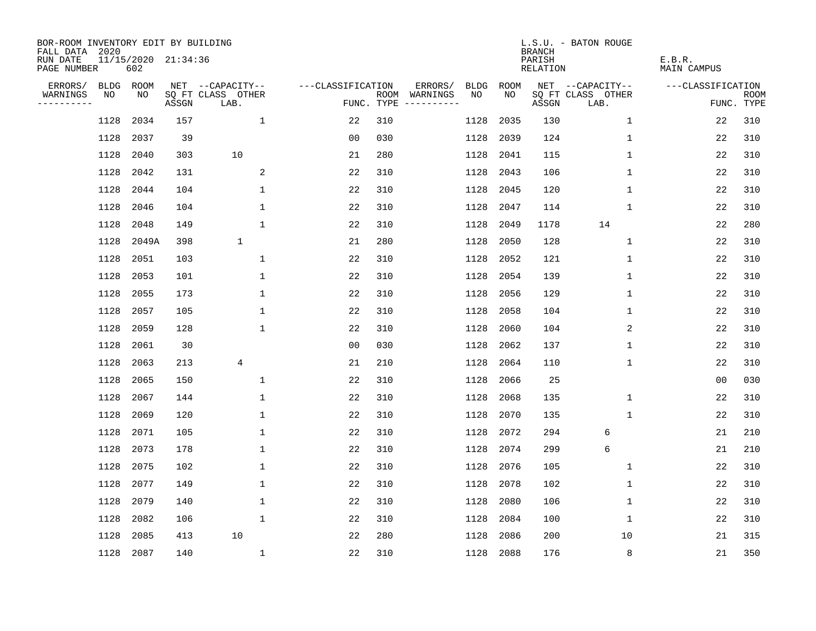| BOR-ROOM INVENTORY EDIT BY BUILDING<br>FALL DATA 2020 |      |                            |       |                           |                   |                    |                               |             | <b>BRANCH</b>             | L.S.U. - BATON ROUGE      |                              |                           |
|-------------------------------------------------------|------|----------------------------|-------|---------------------------|-------------------|--------------------|-------------------------------|-------------|---------------------------|---------------------------|------------------------------|---------------------------|
| RUN DATE<br>PAGE NUMBER                               |      | 11/15/2020 21:34:36<br>602 |       |                           |                   |                    |                               |             | PARISH<br><b>RELATION</b> |                           | E.B.R.<br><b>MAIN CAMPUS</b> |                           |
| ERRORS/                                               |      | BLDG ROOM                  |       | NET --CAPACITY--          | ---CLASSIFICATION |                    | ERRORS/<br><b>BLDG</b>        | <b>ROOM</b> |                           | NET --CAPACITY--          | ---CLASSIFICATION            |                           |
| WARNINGS<br>----------                                | NO   | NO                         | ASSGN | SQ FT CLASS OTHER<br>LAB. |                   | ROOM<br>FUNC. TYPE | WARNINGS<br>NO<br>----------- | NO          | ASSGN                     | SQ FT CLASS OTHER<br>LAB. |                              | <b>ROOM</b><br>FUNC. TYPE |
|                                                       | 1128 | 2034                       | 157   | $\mathbf{1}$              | 22                | 310                | 1128                          | 2035        | 130                       | $\mathbf 1$               | 22                           | 310                       |
|                                                       | 1128 | 2037                       | 39    |                           | 0 <sub>0</sub>    | 030                | 1128                          | 2039        | 124                       | 1                         | 22                           | 310                       |
|                                                       | 1128 | 2040                       | 303   | 10                        | 21                | 280                | 1128                          | 2041        | 115                       | $\mathbf 1$               | 22                           | 310                       |
|                                                       | 1128 | 2042                       | 131   | 2                         | 22                | 310                | 1128                          | 2043        | 106                       | 1                         | 22                           | 310                       |
|                                                       | 1128 | 2044                       | 104   | $\mathbf 1$               | 22                | 310                | 1128                          | 2045        | 120                       | $\mathbf{1}$              | 22                           | 310                       |
|                                                       | 1128 | 2046                       | 104   | $\mathbf{1}$              | 22                | 310                | 1128                          | 2047        | 114                       | $\mathbf{1}$              | 22                           | 310                       |
|                                                       | 1128 | 2048                       | 149   | $\mathbf{1}$              | 22                | 310                | 1128                          | 2049        | 1178                      | 14                        | 22                           | 280                       |
|                                                       | 1128 | 2049A                      | 398   | $\mathbf{1}$              | 21                | 280                | 1128                          | 2050        | 128                       | $\mathbf 1$               | 22                           | 310                       |
|                                                       | 1128 | 2051                       | 103   | $\mathbf{1}$              | 22                | 310                | 1128                          | 2052        | 121                       | $\mathbf 1$               | 22                           | 310                       |
|                                                       | 1128 | 2053                       | 101   | $\mathbf{1}$              | 22                | 310                | 1128                          | 2054        | 139                       | $\mathbf 1$               | 22                           | 310                       |
|                                                       | 1128 | 2055                       | 173   | $\mathbf{1}$              | 22                | 310                | 1128                          | 2056        | 129                       | $\mathbf 1$               | 22                           | 310                       |
|                                                       | 1128 | 2057                       | 105   | $\mathbf{1}$              | 22                | 310                | 1128                          | 2058        | 104                       | 1                         | 22                           | 310                       |
|                                                       | 1128 | 2059                       | 128   | $\mathbf{1}$              | 22                | 310                | 1128                          | 2060        | 104                       | 2                         | 22                           | 310                       |
|                                                       | 1128 | 2061                       | 30    |                           | 00                | 030                | 1128                          | 2062        | 137                       | 1                         | 22                           | 310                       |
|                                                       | 1128 | 2063                       | 213   | 4                         | 21                | 210                | 1128                          | 2064        | 110                       | 1                         | 22                           | 310                       |
|                                                       | 1128 | 2065                       | 150   | 1                         | 22                | 310                | 1128                          | 2066        | 25                        |                           | 0 <sub>0</sub>               | 030                       |
|                                                       | 1128 | 2067                       | 144   | 1                         | 22                | 310                | 1128                          | 2068        | 135                       | 1                         | 22                           | 310                       |
|                                                       | 1128 | 2069                       | 120   | $\mathbf{1}$              | 22                | 310                | 1128                          | 2070        | 135                       | $\mathbf 1$               | 22                           | 310                       |
|                                                       | 1128 | 2071                       | 105   | 1                         | 22                | 310                | 1128                          | 2072        | 294                       | 6                         | 21                           | 210                       |
|                                                       | 1128 | 2073                       | 178   | $\mathbf 1$               | 22                | 310                | 1128                          | 2074        | 299                       | 6                         | 21                           | 210                       |
|                                                       | 1128 | 2075                       | 102   | 1                         | 22                | 310                | 1128                          | 2076        | 105                       | 1                         | 22                           | 310                       |
|                                                       | 1128 | 2077                       | 149   | $\mathbf 1$               | 22                | 310                | 1128                          | 2078        | 102                       | $\mathbf 1$               | 22                           | 310                       |
|                                                       | 1128 | 2079                       | 140   | 1                         | 22                | 310                | 1128                          | 2080        | 106                       | 1                         | 22                           | 310                       |
|                                                       | 1128 | 2082                       | 106   | $\mathbf 1$               | 22                | 310                | 1128                          | 2084        | 100                       | 1                         | 22                           | 310                       |
|                                                       | 1128 | 2085                       | 413   | 10                        | 22                | 280                | 1128                          | 2086        | 200                       | 10                        | 21                           | 315                       |
|                                                       |      | 1128 2087                  | 140   | $\mathbf{1}$              | 22                | 310                | 1128                          | 2088        | 176                       | 8                         | 21                           | 350                       |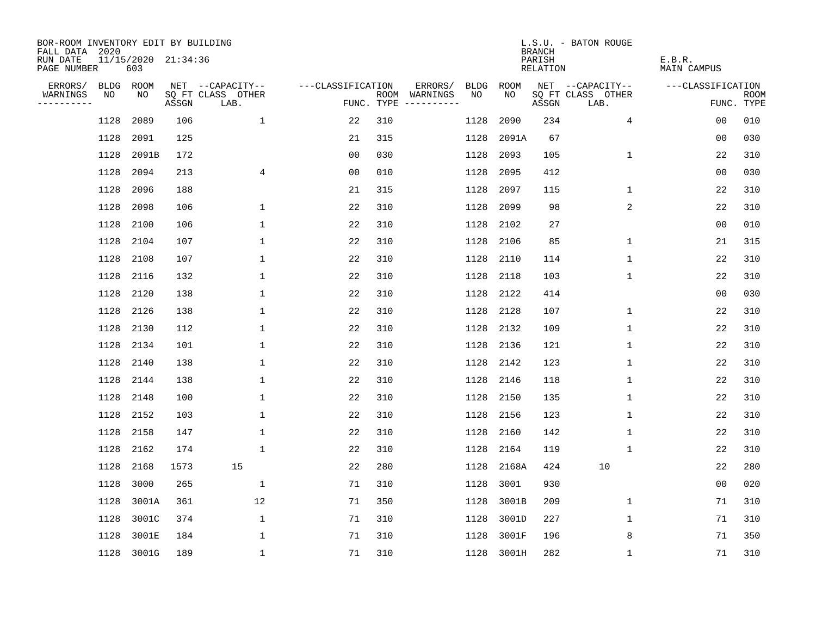| BOR-ROOM INVENTORY EDIT BY BUILDING<br>FALL DATA 2020 |      |                            |       |                           |                   |     |                                      |             |            | <b>BRANCH</b>                   | L.S.U. - BATON ROUGE      |                       |                           |
|-------------------------------------------------------|------|----------------------------|-------|---------------------------|-------------------|-----|--------------------------------------|-------------|------------|---------------------------------|---------------------------|-----------------------|---------------------------|
| RUN DATE<br>PAGE NUMBER                               |      | 11/15/2020 21:34:36<br>603 |       |                           |                   |     |                                      |             |            | PARISH<br>RELATION              |                           | E.B.R.<br>MAIN CAMPUS |                           |
| ERRORS/                                               |      | BLDG ROOM                  |       | NET --CAPACITY--          | ---CLASSIFICATION |     | ERRORS/                              | <b>BLDG</b> | ROOM       |                                 | NET --CAPACITY--          | ---CLASSIFICATION     |                           |
| WARNINGS<br>----------                                | NO   | NO                         | ASSGN | SQ FT CLASS OTHER<br>LAB. |                   |     | ROOM WARNINGS<br>FUNC. TYPE $------$ | NO.         | NO.        | $\operatorname{\mathsf{ASSGN}}$ | SQ FT CLASS OTHER<br>LAB. |                       | <b>ROOM</b><br>FUNC. TYPE |
|                                                       | 1128 | 2089                       | 106   | $\mathbf{1}$              | 22                | 310 |                                      | 1128        | 2090       | 234                             | 4                         | 0 <sub>0</sub>        | 010                       |
|                                                       | 1128 | 2091                       | 125   |                           | 21                | 315 |                                      | 1128        | 2091A      | 67                              |                           | 00                    | 030                       |
|                                                       | 1128 | 2091B                      | 172   |                           | 0 <sub>0</sub>    | 030 |                                      | 1128        | 2093       | 105                             | $\mathbf 1$               | 22                    | 310                       |
|                                                       | 1128 | 2094                       | 213   | 4                         | 00                | 010 |                                      | 1128        | 2095       | 412                             |                           | 00                    | 030                       |
|                                                       | 1128 | 2096                       | 188   |                           | 21                | 315 |                                      | 1128        | 2097       | 115                             | 1                         | 22                    | 310                       |
|                                                       | 1128 | 2098                       | 106   | $\mathbf 1$               | 22                | 310 |                                      | 1128        | 2099       | 98                              | 2                         | 22                    | 310                       |
|                                                       | 1128 | 2100                       | 106   | $\mathbf 1$               | 22                | 310 |                                      | 1128        | 2102       | 27                              |                           | 0 <sub>0</sub>        | 010                       |
|                                                       | 1128 | 2104                       | 107   | $\mathbf 1$               | 22                | 310 |                                      | 1128        | 2106       | 85                              | $\mathbf{1}$              | 21                    | 315                       |
|                                                       | 1128 | 2108                       | 107   | $\mathbf{1}$              | 22                | 310 |                                      | 1128        | 2110       | 114                             | $\mathbf{1}$              | 22                    | 310                       |
|                                                       | 1128 | 2116                       | 132   | 1                         | 22                | 310 |                                      | 1128        | 2118       | 103                             | $\mathbf 1$               | 22                    | 310                       |
|                                                       | 1128 | 2120                       | 138   | $\mathbf 1$               | 22                | 310 |                                      | 1128        | 2122       | 414                             |                           | 0 <sub>0</sub>        | 030                       |
|                                                       | 1128 | 2126                       | 138   | 1                         | 22                | 310 |                                      | 1128        | 2128       | 107                             | 1                         | 22                    | 310                       |
|                                                       | 1128 | 2130                       | 112   | $\mathbf{1}$              | 22                | 310 |                                      | 1128        | 2132       | 109                             | $\mathbf 1$               | 22                    | 310                       |
|                                                       | 1128 | 2134                       | 101   | 1                         | 22                | 310 |                                      | 1128        | 2136       | 121                             | $\mathbf 1$               | 22                    | 310                       |
|                                                       | 1128 | 2140                       | 138   | 1                         | 22                | 310 |                                      | 1128        | 2142       | 123                             | 1                         | 22                    | 310                       |
|                                                       | 1128 | 2144                       | 138   | 1                         | 22                | 310 |                                      | 1128        | 2146       | 118                             | 1                         | 22                    | 310                       |
|                                                       | 1128 | 2148                       | 100   | 1                         | 22                | 310 |                                      | 1128        | 2150       | 135                             | 1                         | 22                    | 310                       |
|                                                       | 1128 | 2152                       | 103   | 1                         | 22                | 310 |                                      | 1128        | 2156       | 123                             | 1                         | 22                    | 310                       |
|                                                       | 1128 | 2158                       | 147   | 1                         | 22                | 310 |                                      | 1128        | 2160       | 142                             | 1                         | 22                    | 310                       |
|                                                       | 1128 | 2162                       | 174   | $\mathbf{1}$              | 22                | 310 |                                      | 1128        | 2164       | 119                             | 1                         | 22                    | 310                       |
|                                                       | 1128 | 2168                       | 1573  | 15                        | 22                | 280 |                                      | 1128        | 2168A      | 424                             | 10                        | 22                    | 280                       |
|                                                       | 1128 | 3000                       | 265   | 1                         | 71                | 310 |                                      | 1128        | 3001       | 930                             |                           | 00                    | 020                       |
|                                                       | 1128 | 3001A                      | 361   | 12                        | 71                | 350 |                                      | 1128        | 3001B      | 209                             | 1                         | 71                    | 310                       |
|                                                       | 1128 | 3001C                      | 374   | $\mathbf 1$               | 71                | 310 |                                      | 1128        | 3001D      | 227                             | 1                         | 71                    | 310                       |
|                                                       | 1128 | 3001E                      | 184   | 1                         | 71                | 310 |                                      | 1128        | 3001F      | 196                             | 8                         | 71                    | 350                       |
|                                                       |      | 1128 3001G                 | 189   | $\mathbf{1}$              | 71                | 310 |                                      |             | 1128 3001H | 282                             | 1                         | 71                    | 310                       |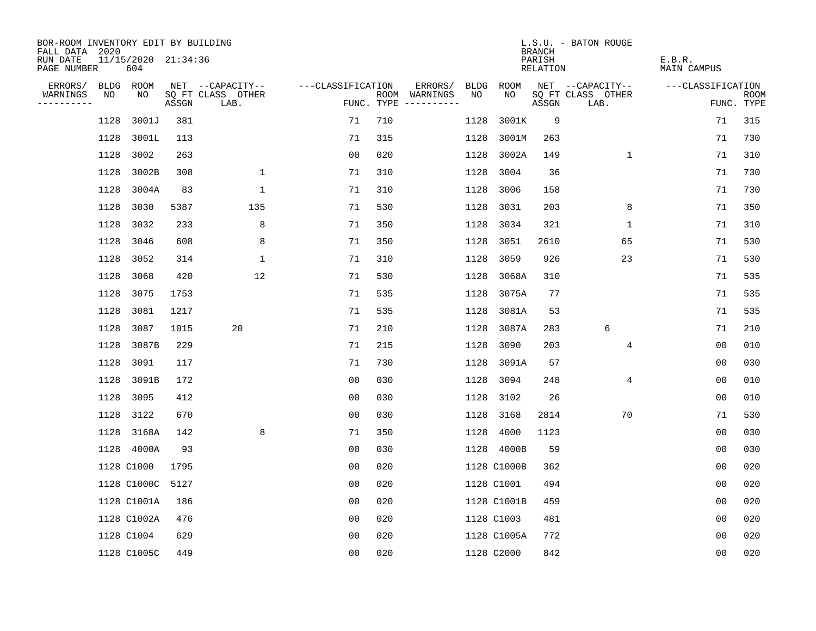| BOR-ROOM INVENTORY EDIT BY BUILDING<br>FALL DATA 2020 |      |                            |       |                           |                   |     |                                      |      |             | <b>BRANCH</b>      | L.S.U. - BATON ROUGE      |                       |                    |
|-------------------------------------------------------|------|----------------------------|-------|---------------------------|-------------------|-----|--------------------------------------|------|-------------|--------------------|---------------------------|-----------------------|--------------------|
| RUN DATE<br>PAGE NUMBER                               |      | 11/15/2020 21:34:36<br>604 |       |                           |                   |     |                                      |      |             | PARISH<br>RELATION |                           | E.B.R.<br>MAIN CAMPUS |                    |
| ERRORS/                                               |      | BLDG ROOM                  |       | NET --CAPACITY--          | ---CLASSIFICATION |     | ERRORS/                              | BLDG | ROOM        |                    | NET --CAPACITY--          | ---CLASSIFICATION     |                    |
| WARNINGS<br>----------                                | NO   | NO                         | ASSGN | SQ FT CLASS OTHER<br>LAB. |                   |     | ROOM WARNINGS<br>FUNC. TYPE $------$ | NO.  | NO.         | ASSGN              | SQ FT CLASS OTHER<br>LAB. |                       | ROOM<br>FUNC. TYPE |
|                                                       | 1128 | 3001J                      | 381   |                           | 71                | 710 |                                      | 1128 | 3001K       | 9                  |                           | 71                    | 315                |
|                                                       | 1128 | 3001L                      | 113   |                           | 71                | 315 |                                      | 1128 | 3001M       | 263                |                           | 71                    | 730                |
|                                                       | 1128 | 3002                       | 263   |                           | 0 <sub>0</sub>    | 020 |                                      | 1128 | 3002A       | 149                | $\mathbf 1$               | 71                    | 310                |
|                                                       | 1128 | 3002B                      | 308   | $\mathbf 1$               | 71                | 310 |                                      | 1128 | 3004        | 36                 |                           | 71                    | 730                |
|                                                       | 1128 | 3004A                      | 83    | $\mathbf 1$               | 71                | 310 |                                      | 1128 | 3006        | 158                |                           | 71                    | 730                |
|                                                       | 1128 | 3030                       | 5387  | 135                       | 71                | 530 |                                      | 1128 | 3031        | 203                | 8                         | 71                    | 350                |
|                                                       | 1128 | 3032                       | 233   | 8                         | 71                | 350 |                                      | 1128 | 3034        | 321                | $\mathbf 1$               | 71                    | 310                |
|                                                       | 1128 | 3046                       | 608   | 8                         | 71                | 350 |                                      | 1128 | 3051        | 2610               | 65                        | 71                    | 530                |
|                                                       | 1128 | 3052                       | 314   | $\mathbf{1}$              | 71                | 310 |                                      | 1128 | 3059        | 926                | 23                        | 71                    | 530                |
|                                                       | 1128 | 3068                       | 420   | 12                        | 71                | 530 |                                      | 1128 | 3068A       | 310                |                           | 71                    | 535                |
|                                                       | 1128 | 3075                       | 1753  |                           | 71                | 535 |                                      | 1128 | 3075A       | 77                 |                           | 71                    | 535                |
|                                                       | 1128 | 3081                       | 1217  |                           | 71                | 535 |                                      | 1128 | 3081A       | 53                 |                           | 71                    | 535                |
|                                                       | 1128 | 3087                       | 1015  | 20                        | 71                | 210 |                                      | 1128 | 3087A       | 283                | 6                         | 71                    | 210                |
|                                                       | 1128 | 3087B                      | 229   |                           | 71                | 215 |                                      | 1128 | 3090        | 203                | 4                         | 0 <sub>0</sub>        | 010                |
|                                                       | 1128 | 3091                       | 117   |                           | 71                | 730 |                                      | 1128 | 3091A       | 57                 |                           | 0 <sub>0</sub>        | 030                |
|                                                       | 1128 | 3091B                      | 172   |                           | 0 <sub>0</sub>    | 030 |                                      | 1128 | 3094        | 248                | 4                         | 0 <sub>0</sub>        | 010                |
|                                                       | 1128 | 3095                       | 412   |                           | 0 <sub>0</sub>    | 030 |                                      | 1128 | 3102        | 26                 |                           | 00                    | 010                |
|                                                       | 1128 | 3122                       | 670   |                           | 0 <sub>0</sub>    | 030 |                                      | 1128 | 3168        | 2814               | 70                        | 71                    | 530                |
|                                                       |      | 1128 3168A                 | 142   | 8                         | 71                | 350 |                                      | 1128 | 4000        | 1123               |                           | 00                    | 030                |
|                                                       |      | 1128 4000A                 | 93    |                           | 0 <sub>0</sub>    | 030 |                                      | 1128 | 4000B       | 59                 |                           | 0 <sub>0</sub>        | 030                |
|                                                       |      | 1128 C1000                 | 1795  |                           | 0 <sub>0</sub>    | 020 |                                      |      | 1128 C1000B | 362                |                           | 0 <sub>0</sub>        | 020                |
|                                                       |      | 1128 C1000C                | 5127  |                           | 0 <sub>0</sub>    | 020 |                                      |      | 1128 C1001  | 494                |                           | 00                    | 020                |
|                                                       |      | 1128 C1001A                | 186   |                           | 00                | 020 |                                      |      | 1128 C1001B | 459                |                           | 0 <sub>0</sub>        | 020                |
|                                                       |      | 1128 C1002A                | 476   |                           | 0 <sub>0</sub>    | 020 |                                      |      | 1128 C1003  | 481                |                           | 0 <sub>0</sub>        | 020                |
|                                                       |      | 1128 C1004                 | 629   |                           | 0 <sub>0</sub>    | 020 |                                      |      | 1128 C1005A | 772                |                           | 0 <sub>0</sub>        | 020                |
|                                                       |      | 1128 C1005C                | 449   |                           | 0 <sub>0</sub>    | 020 |                                      |      | 1128 C2000  | 842                |                           | 0 <sub>0</sub>        | 020                |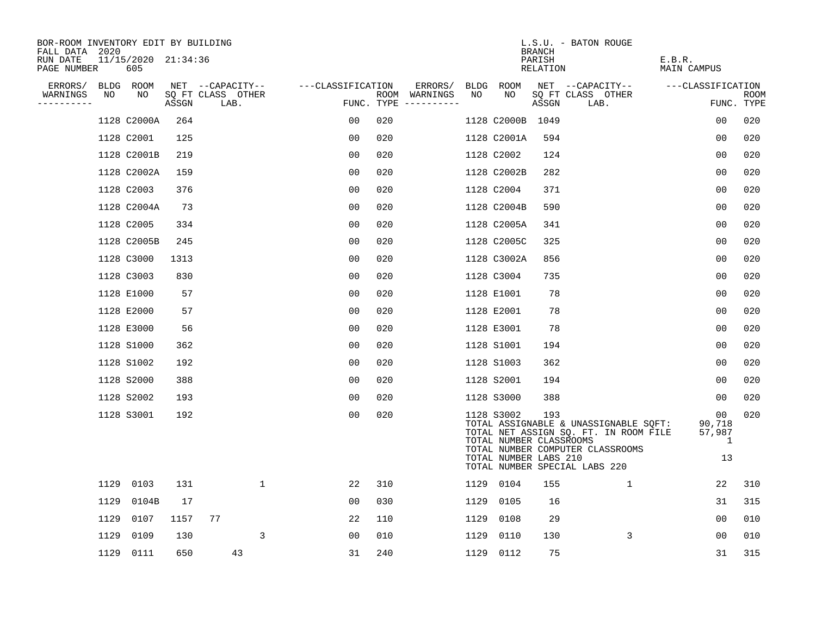| BOR-ROOM INVENTORY EDIT BY BUILDING<br>FALL DATA 2020 |      |                            |       |                           |                   |     |                                      |      |                                                                | <b>BRANCH</b>      | L.S.U. - BATON ROUGE                                                                                                                                |                                   |                           |
|-------------------------------------------------------|------|----------------------------|-------|---------------------------|-------------------|-----|--------------------------------------|------|----------------------------------------------------------------|--------------------|-----------------------------------------------------------------------------------------------------------------------------------------------------|-----------------------------------|---------------------------|
| RUN DATE<br>PAGE NUMBER                               |      | 11/15/2020 21:34:36<br>605 |       |                           |                   |     |                                      |      |                                                                | PARISH<br>RELATION |                                                                                                                                                     | E.B.R.<br>MAIN CAMPUS             |                           |
| ERRORS/                                               |      | BLDG ROOM                  |       | NET --CAPACITY--          | ---CLASSIFICATION |     | ERRORS/                              |      | BLDG ROOM<br>NO.                                               |                    | NET --CAPACITY--                                                                                                                                    | ---CLASSIFICATION                 |                           |
| WARNINGS<br>--------                                  | NO   | NO                         | ASSGN | SQ FT CLASS OTHER<br>LAB. |                   |     | ROOM WARNINGS<br>FUNC. TYPE $------$ | NO   |                                                                | ASSGN              | SQ FT CLASS OTHER<br>LAB.                                                                                                                           |                                   | <b>ROOM</b><br>FUNC. TYPE |
|                                                       |      | 1128 C2000A                | 264   |                           | 00                | 020 |                                      |      | 1128 C2000B 1049                                               |                    |                                                                                                                                                     | 00                                | 020                       |
|                                                       |      | 1128 C2001                 | 125   |                           | 0 <sub>0</sub>    | 020 |                                      |      | 1128 C2001A                                                    | 594                |                                                                                                                                                     | 0 <sub>0</sub>                    | 020                       |
|                                                       |      | 1128 C2001B                | 219   |                           | 0 <sub>0</sub>    | 020 |                                      |      | 1128 C2002                                                     | 124                |                                                                                                                                                     | 0 <sub>0</sub>                    | 020                       |
|                                                       |      | 1128 C2002A                | 159   |                           | 0 <sub>0</sub>    | 020 |                                      |      | 1128 C2002B                                                    | 282                |                                                                                                                                                     | 0 <sub>0</sub>                    | 020                       |
|                                                       |      | 1128 C2003                 | 376   |                           | 0 <sub>0</sub>    | 020 |                                      |      | 1128 C2004                                                     | 371                |                                                                                                                                                     | 00                                | 020                       |
|                                                       |      | 1128 C2004A                | 73    |                           | 0 <sub>0</sub>    | 020 |                                      |      | 1128 C2004B                                                    | 590                |                                                                                                                                                     | 0 <sub>0</sub>                    | 020                       |
|                                                       |      | 1128 C2005                 | 334   |                           | 0 <sub>0</sub>    | 020 |                                      |      | 1128 C2005A                                                    | 341                |                                                                                                                                                     | 00                                | 020                       |
|                                                       |      | 1128 C2005B                | 245   |                           | 0 <sub>0</sub>    | 020 |                                      |      | 1128 C2005C                                                    | 325                |                                                                                                                                                     | 0 <sub>0</sub>                    | 020                       |
|                                                       |      | 1128 C3000                 | 1313  |                           | 0 <sub>0</sub>    | 020 |                                      |      | 1128 C3002A                                                    | 856                |                                                                                                                                                     | 0 <sub>0</sub>                    | 020                       |
|                                                       |      | 1128 C3003                 | 830   |                           | 0 <sub>0</sub>    | 020 |                                      |      | 1128 C3004                                                     | 735                |                                                                                                                                                     | 0 <sub>0</sub>                    | 020                       |
|                                                       |      | 1128 E1000                 | 57    |                           | 0 <sub>0</sub>    | 020 |                                      |      | 1128 E1001                                                     | 78                 |                                                                                                                                                     | 0 <sub>0</sub>                    | 020                       |
|                                                       |      | 1128 E2000                 | 57    |                           | 0 <sub>0</sub>    | 020 |                                      |      | 1128 E2001                                                     | 78                 |                                                                                                                                                     | 0 <sub>0</sub>                    | 020                       |
|                                                       |      | 1128 E3000                 | 56    |                           | 0 <sub>0</sub>    | 020 |                                      |      | 1128 E3001                                                     | 78                 |                                                                                                                                                     | 0 <sub>0</sub>                    | 020                       |
|                                                       |      | 1128 S1000                 | 362   |                           | 00                | 020 |                                      |      | 1128 S1001                                                     | 194                |                                                                                                                                                     | 0 <sub>0</sub>                    | 020                       |
|                                                       |      | 1128 S1002                 | 192   |                           | 0 <sub>0</sub>    | 020 |                                      |      | 1128 S1003                                                     | 362                |                                                                                                                                                     | 0 <sub>0</sub>                    | 020                       |
|                                                       |      | 1128 S2000                 | 388   |                           | 0 <sub>0</sub>    | 020 |                                      |      | 1128 S2001                                                     | 194                |                                                                                                                                                     | 00                                | 020                       |
|                                                       |      | 1128 S2002                 | 193   |                           | 0 <sub>0</sub>    | 020 |                                      |      | 1128 S3000                                                     | 388                |                                                                                                                                                     | 00                                | 020                       |
|                                                       |      | 1128 S3001                 | 192   |                           | 0 <sub>0</sub>    | 020 |                                      |      | 1128 S3002<br>TOTAL NUMBER CLASSROOMS<br>TOTAL NUMBER LABS 210 | 193                | TOTAL ASSIGNABLE & UNASSIGNABLE SQFT:<br>TOTAL NET ASSIGN SQ. FT. IN ROOM FILE<br>TOTAL NUMBER COMPUTER CLASSROOMS<br>TOTAL NUMBER SPECIAL LABS 220 | 00<br>90,718<br>57,987<br>1<br>13 | 020                       |
|                                                       |      | 1129 0103                  | 131   | $\mathbf{1}$              | 22                | 310 |                                      |      | 1129 0104                                                      | 155                | $\mathbf{1}$                                                                                                                                        | 22                                | 310                       |
|                                                       | 1129 | 0104B                      | 17    |                           | 00                | 030 |                                      |      | 1129 0105                                                      | 16                 |                                                                                                                                                     | 31                                | 315                       |
|                                                       | 1129 | 0107                       | 1157  | 77                        | 22                | 110 |                                      | 1129 | 0108                                                           | 29                 |                                                                                                                                                     | 0 <sub>0</sub>                    | 010                       |
|                                                       | 1129 | 0109                       | 130   | 3                         | 0 <sub>0</sub>    | 010 |                                      | 1129 | 0110                                                           | 130                | 3                                                                                                                                                   | 00                                | 010                       |
|                                                       |      | 1129 0111                  | 650   | 43                        | 31                | 240 |                                      |      | 1129 0112                                                      | 75                 |                                                                                                                                                     | 31                                | 315                       |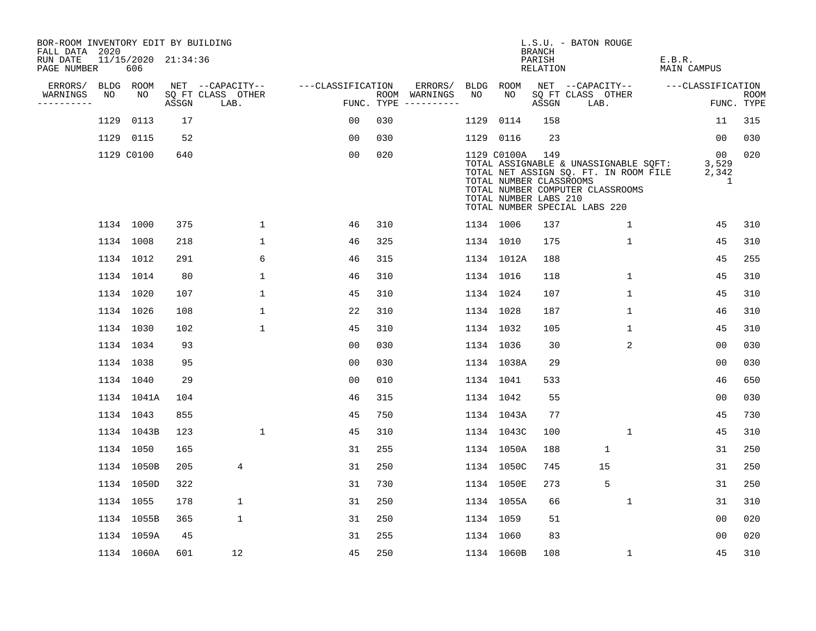| BOR-ROOM INVENTORY EDIT BY BUILDING<br>FALL DATA 2020 |      |                            |       |                           |                   |     |                                      |             |             | <b>BRANCH</b>                                           | L.S.U. - BATON ROUGE                                                                                                                                |                                |                           |
|-------------------------------------------------------|------|----------------------------|-------|---------------------------|-------------------|-----|--------------------------------------|-------------|-------------|---------------------------------------------------------|-----------------------------------------------------------------------------------------------------------------------------------------------------|--------------------------------|---------------------------|
| RUN DATE<br>PAGE NUMBER                               |      | 11/15/2020 21:34:36<br>606 |       |                           |                   |     |                                      |             |             | PARISH<br><b>RELATION</b>                               |                                                                                                                                                     | E.B.R.<br><b>MAIN CAMPUS</b>   |                           |
| ERRORS/                                               |      | BLDG ROOM                  |       | NET --CAPACITY--          | ---CLASSIFICATION |     | ERRORS/                              | <b>BLDG</b> | <b>ROOM</b> |                                                         | NET --CAPACITY--                                                                                                                                    | ---CLASSIFICATION              |                           |
| WARNINGS<br>----------                                | NO   | NO                         | ASSGN | SQ FT CLASS OTHER<br>LAB. |                   |     | ROOM WARNINGS<br>FUNC. TYPE $------$ | NO          | NO.         | ASSGN                                                   | SQ FT CLASS OTHER<br>LAB.                                                                                                                           |                                | <b>ROOM</b><br>FUNC. TYPE |
|                                                       | 1129 | 0113                       | 17    |                           | 00                | 030 |                                      | 1129        | 0114        | 158                                                     |                                                                                                                                                     | 11                             | 315                       |
|                                                       |      | 1129 0115                  | 52    |                           | 0 <sub>0</sub>    | 030 |                                      |             | 1129 0116   | 23                                                      |                                                                                                                                                     | 00                             | 030                       |
|                                                       |      | 1129 C0100                 | 640   |                           | 0 <sub>0</sub>    | 020 |                                      |             | 1129 C0100A | 149<br>TOTAL NUMBER CLASSROOMS<br>TOTAL NUMBER LABS 210 | TOTAL ASSIGNABLE & UNASSIGNABLE SQFT:<br>TOTAL NET ASSIGN SQ. FT. IN ROOM FILE<br>TOTAL NUMBER COMPUTER CLASSROOMS<br>TOTAL NUMBER SPECIAL LABS 220 | $00 \,$<br>3,529<br>2,342<br>1 | 020                       |
|                                                       |      | 1134 1000                  | 375   | $\mathbf{1}$              | 46                | 310 |                                      |             | 1134 1006   | 137                                                     | $\mathbf 1$                                                                                                                                         | 45                             | 310                       |
|                                                       |      | 1134 1008                  | 218   | $\mathbf 1$               | 46                | 325 |                                      |             | 1134 1010   | 175                                                     | $\mathbf 1$                                                                                                                                         | 45                             | 310                       |
|                                                       |      | 1134 1012                  | 291   | 6                         | 46                | 315 |                                      |             | 1134 1012A  | 188                                                     |                                                                                                                                                     | 45                             | 255                       |
|                                                       |      | 1134 1014                  | 80    | $\mathbf{1}$              | 46                | 310 |                                      |             | 1134 1016   | 118                                                     | $\mathbf{1}$                                                                                                                                        | 45                             | 310                       |
|                                                       |      | 1134 1020                  | 107   | $\mathbf{1}$              | 45                | 310 |                                      |             | 1134 1024   | 107                                                     | $\mathbf 1$                                                                                                                                         | 45                             | 310                       |
|                                                       |      | 1134 1026                  | 108   | $\mathbf{1}$              | 22                | 310 |                                      |             | 1134 1028   | 187                                                     | $\mathbf 1$                                                                                                                                         | 46                             | 310                       |
|                                                       |      | 1134 1030                  | 102   | $\mathbf 1$               | 45                | 310 |                                      |             | 1134 1032   | 105                                                     | 1                                                                                                                                                   | 45                             | 310                       |
|                                                       |      | 1134 1034                  | 93    |                           | 00                | 030 |                                      |             | 1134 1036   | 30                                                      | 2                                                                                                                                                   | 00                             | 030                       |
|                                                       |      | 1134 1038                  | 95    |                           | 0 <sub>0</sub>    | 030 |                                      |             | 1134 1038A  | 29                                                      |                                                                                                                                                     | 0 <sub>0</sub>                 | 030                       |
|                                                       |      | 1134 1040                  | 29    |                           | 0 <sub>0</sub>    | 010 |                                      |             | 1134 1041   | 533                                                     |                                                                                                                                                     | 46                             | 650                       |
|                                                       |      | 1134 1041A                 | 104   |                           | 46                | 315 |                                      |             | 1134 1042   | 55                                                      |                                                                                                                                                     | 0 <sub>0</sub>                 | 030                       |
|                                                       |      | 1134 1043                  | 855   |                           | 45                | 750 |                                      |             | 1134 1043A  | 77                                                      |                                                                                                                                                     | 45                             | 730                       |
|                                                       |      | 1134 1043B                 | 123   | $\mathbf{1}$              | 45                | 310 |                                      |             | 1134 1043C  | 100                                                     | $\mathbf{1}$                                                                                                                                        | 45                             | 310                       |
|                                                       |      | 1134 1050                  | 165   |                           | 31                | 255 |                                      |             | 1134 1050A  | 188                                                     | 1                                                                                                                                                   | 31                             | 250                       |
|                                                       |      | 1134 1050B                 | 205   | 4                         | 31                | 250 |                                      |             | 1134 1050C  | 745                                                     | 15                                                                                                                                                  | 31                             | 250                       |
|                                                       |      | 1134 1050D                 | 322   |                           | 31                | 730 |                                      |             | 1134 1050E  | 273                                                     | 5                                                                                                                                                   | 31                             | 250                       |
|                                                       |      | 1134 1055                  | 178   | $\mathbf 1$               | 31                | 250 |                                      |             | 1134 1055A  | 66                                                      | $\mathbf 1$                                                                                                                                         | 31                             | 310                       |
|                                                       |      | 1134 1055B                 | 365   | 1                         | 31                | 250 |                                      |             | 1134 1059   | 51                                                      |                                                                                                                                                     | 0 <sub>0</sub>                 | 020                       |
|                                                       |      | 1134 1059A                 | 45    |                           | 31                | 255 |                                      |             | 1134 1060   | 83                                                      |                                                                                                                                                     | 0 <sub>0</sub>                 | 020                       |
|                                                       |      | 1134 1060A                 | 601   | 12                        | 45                | 250 |                                      |             | 1134 1060B  | 108                                                     | $\mathbf{1}$                                                                                                                                        | 45                             | 310                       |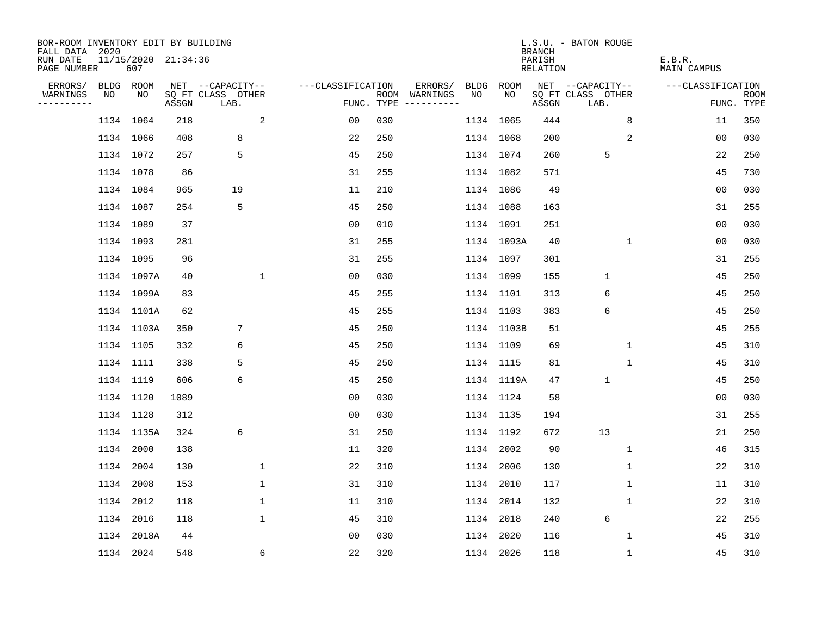| BOR-ROOM INVENTORY EDIT BY BUILDING<br>FALL DATA 2020 |    |                            |       |                           |             |                   |     |                                      |           |            | <b>BRANCH</b>      | L.S.U. - BATON ROUGE      |              |                       |                    |
|-------------------------------------------------------|----|----------------------------|-------|---------------------------|-------------|-------------------|-----|--------------------------------------|-----------|------------|--------------------|---------------------------|--------------|-----------------------|--------------------|
| RUN DATE<br>PAGE NUMBER                               |    | 11/15/2020 21:34:36<br>607 |       |                           |             |                   |     |                                      |           |            | PARISH<br>RELATION |                           |              | E.B.R.<br>MAIN CAMPUS |                    |
| ERRORS/                                               |    | BLDG ROOM                  |       | NET --CAPACITY--          |             | ---CLASSIFICATION |     | ERRORS/                              | BLDG      | ROOM       |                    | NET --CAPACITY--          |              | ---CLASSIFICATION     |                    |
| WARNINGS<br>----------                                | NO | NO                         | ASSGN | SQ FT CLASS OTHER<br>LAB. |             |                   |     | ROOM WARNINGS<br>FUNC. TYPE $------$ | NO.       | NO         | ASSGN              | SQ FT CLASS OTHER<br>LAB. |              |                       | ROOM<br>FUNC. TYPE |
|                                                       |    | 1134 1064                  | 218   |                           | 2           | 00                | 030 |                                      |           | 1134 1065  | 444                |                           | 8            | 11                    | 350                |
|                                                       |    | 1134 1066                  | 408   | 8                         |             | 22                | 250 |                                      |           | 1134 1068  | 200                |                           | 2            | 0 <sub>0</sub>        | 030                |
|                                                       |    | 1134 1072                  | 257   | 5                         |             | 45                | 250 |                                      | 1134 1074 |            | 260                | 5                         |              | 22                    | 250                |
|                                                       |    | 1134 1078                  | 86    |                           |             | 31                | 255 |                                      |           | 1134 1082  | 571                |                           |              | 45                    | 730                |
|                                                       |    | 1134 1084                  | 965   | 19                        |             | 11                | 210 |                                      |           | 1134 1086  | 49                 |                           |              | 0 <sub>0</sub>        | 030                |
|                                                       |    | 1134 1087                  | 254   | 5                         |             | 45                | 250 |                                      |           | 1134 1088  | 163                |                           |              | 31                    | 255                |
|                                                       |    | 1134 1089                  | 37    |                           |             | 00                | 010 |                                      |           | 1134 1091  | 251                |                           |              | 0 <sub>0</sub>        | 030                |
|                                                       |    | 1134 1093                  | 281   |                           |             | 31                | 255 |                                      |           | 1134 1093A | 40                 |                           | $\mathbf{1}$ | 0 <sub>0</sub>        | 030                |
|                                                       |    | 1134 1095                  | 96    |                           |             | 31                | 255 |                                      |           | 1134 1097  | 301                |                           |              | 31                    | 255                |
|                                                       |    | 1134 1097A                 | 40    |                           | $\mathbf 1$ | 00                | 030 |                                      |           | 1134 1099  | 155                | $\mathbf{1}$              |              | 45                    | 250                |
|                                                       |    | 1134 1099A                 | 83    |                           |             | 45                | 255 |                                      |           | 1134 1101  | 313                | 6                         |              | 45                    | 250                |
|                                                       |    | 1134 1101A                 | 62    |                           |             | 45                | 255 |                                      |           | 1134 1103  | 383                | 6                         |              | 45                    | 250                |
|                                                       |    | 1134 1103A                 | 350   | 7                         |             | 45                | 250 |                                      |           | 1134 1103B | 51                 |                           |              | 45                    | 255                |
|                                                       |    | 1134 1105                  | 332   | 6                         |             | 45                | 250 |                                      | 1134 1109 |            | 69                 |                           | 1            | 45                    | 310                |
|                                                       |    | 1134 1111                  | 338   | 5                         |             | 45                | 250 |                                      |           | 1134 1115  | 81                 |                           | 1            | 45                    | 310                |
|                                                       |    | 1134 1119                  | 606   | 6                         |             | 45                | 250 |                                      |           | 1134 1119A | 47                 | $\mathbf{1}$              |              | 45                    | 250                |
|                                                       |    | 1134 1120                  | 1089  |                           |             | 0 <sub>0</sub>    | 030 |                                      |           | 1134 1124  | 58                 |                           |              | 0 <sub>0</sub>        | 030                |
|                                                       |    | 1134 1128                  | 312   |                           |             | 0 <sub>0</sub>    | 030 |                                      |           | 1134 1135  | 194                |                           |              | 31                    | 255                |
|                                                       |    | 1134 1135A                 | 324   | 6                         |             | 31                | 250 |                                      |           | 1134 1192  | 672                | 13                        |              | 21                    | 250                |
|                                                       |    | 1134 2000                  | 138   |                           |             | 11                | 320 |                                      |           | 1134 2002  | 90                 |                           | 1            | 46                    | 315                |
|                                                       |    | 1134 2004                  | 130   |                           | 1           | 22                | 310 |                                      |           | 1134 2006  | 130                |                           | 1            | 22                    | 310                |
|                                                       |    | 1134 2008                  | 153   |                           | $\mathbf 1$ | 31                | 310 |                                      |           | 1134 2010  | 117                |                           | 1            | 11                    | 310                |
|                                                       |    | 1134 2012                  | 118   |                           | $\mathbf 1$ | 11                | 310 |                                      |           | 1134 2014  | 132                |                           | 1            | 22                    | 310                |
|                                                       |    | 1134 2016                  | 118   |                           | $\mathbf 1$ | 45                | 310 |                                      | 1134 2018 |            | 240                | 6                         |              | 22                    | 255                |
|                                                       |    | 1134 2018A                 | 44    |                           |             | 0 <sub>0</sub>    | 030 |                                      |           | 1134 2020  | 116                |                           | 1            | 45                    | 310                |
|                                                       |    | 1134 2024                  | 548   |                           | 6           | 22                | 320 |                                      | 1134 2026 |            | 118                |                           | $\mathbf 1$  | 45                    | 310                |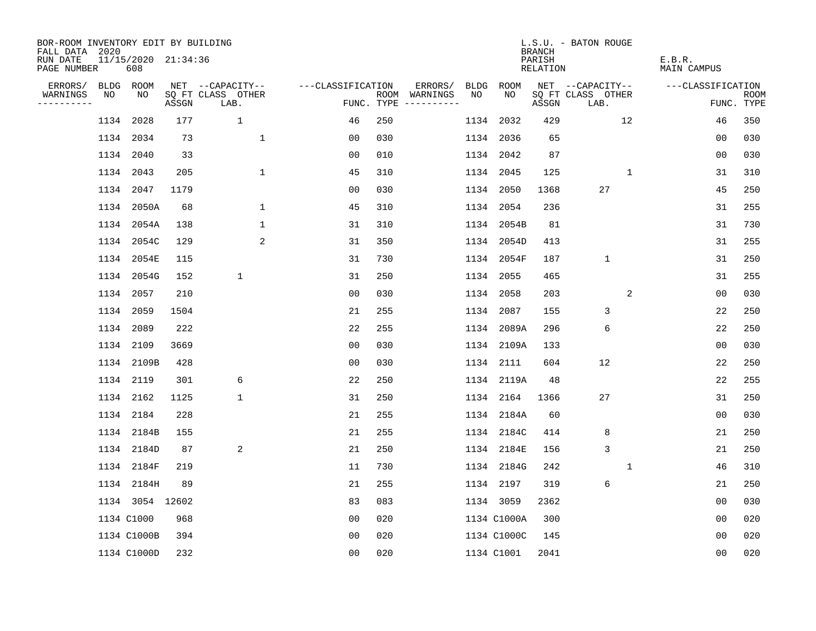| BOR-ROOM INVENTORY EDIT BY BUILDING<br>FALL DATA 2020 |                            |       |                           |                   |     |                                            |      |             | <b>BRANCH</b>             | L.S.U. - BATON ROUGE      |              |                              |                           |
|-------------------------------------------------------|----------------------------|-------|---------------------------|-------------------|-----|--------------------------------------------|------|-------------|---------------------------|---------------------------|--------------|------------------------------|---------------------------|
| RUN DATE<br>PAGE NUMBER                               | 11/15/2020 21:34:36<br>608 |       |                           |                   |     |                                            |      |             | PARISH<br><b>RELATION</b> |                           |              | E.B.R.<br><b>MAIN CAMPUS</b> |                           |
| ERRORS/                                               | BLDG ROOM                  |       | NET --CAPACITY--          | ---CLASSIFICATION |     | ERRORS/<br>BLDG                            |      | <b>ROOM</b> |                           | NET --CAPACITY--          |              | ---CLASSIFICATION            |                           |
| WARNINGS<br>NO<br>----------                          | NO                         | ASSGN | SQ FT CLASS OTHER<br>LAB. |                   |     | NO<br>ROOM WARNINGS<br>FUNC. TYPE $------$ |      | NO          | ASSGN                     | SQ FT CLASS OTHER<br>LAB. |              |                              | <b>ROOM</b><br>FUNC. TYPE |
|                                                       | 1134 2028                  | 177   | $\mathbf 1$               | 46                | 250 |                                            |      | 1134 2032   | 429                       |                           | 12           | 46                           | 350                       |
|                                                       | 1134 2034                  | 73    | $\mathbf 1$               | 0 <sub>0</sub>    | 030 |                                            |      | 1134 2036   | 65                        |                           |              | 0 <sub>0</sub>               | 030                       |
|                                                       | 1134 2040                  | 33    |                           | 0 <sub>0</sub>    | 010 |                                            |      | 1134 2042   | 87                        |                           |              | 0 <sub>0</sub>               | 030                       |
|                                                       | 1134 2043                  | 205   | $\mathbf 1$               | 45                | 310 |                                            |      | 1134 2045   | 125                       |                           | $\mathbf{1}$ | 31                           | 310                       |
|                                                       | 1134 2047                  | 1179  |                           | 0 <sub>0</sub>    | 030 |                                            |      | 1134 2050   | 1368                      | 27                        |              | 45                           | 250                       |
|                                                       | 1134 2050A                 | 68    | $\mathbf 1$               | 45                | 310 |                                            |      | 1134 2054   | 236                       |                           |              | 31                           | 255                       |
|                                                       | 1134 2054A                 | 138   | $\mathbf 1$               | 31                | 310 |                                            |      | 1134 2054B  | 81                        |                           |              | 31                           | 730                       |
|                                                       | 1134 2054C                 | 129   | 2                         | 31                | 350 |                                            |      | 1134 2054D  | 413                       |                           |              | 31                           | 255                       |
|                                                       | 1134 2054E                 | 115   |                           | 31                | 730 |                                            |      | 1134 2054F  | 187                       | $\mathbf 1$               |              | 31                           | 250                       |
|                                                       | 1134 2054G                 | 152   | $\mathbf 1$               | 31                | 250 |                                            |      | 1134 2055   | 465                       |                           |              | 31                           | 255                       |
|                                                       | 1134 2057                  | 210   |                           | 00                | 030 |                                            | 1134 | 2058        | 203                       |                           | 2            | 0 <sub>0</sub>               | 030                       |
|                                                       | 1134 2059                  | 1504  |                           | 21                | 255 |                                            |      | 1134 2087   | 155                       | 3                         |              | 22                           | 250                       |
|                                                       | 1134 2089                  | 222   |                           | 22                | 255 |                                            |      | 1134 2089A  | 296                       | 6                         |              | 22                           | 250                       |
|                                                       | 1134 2109                  | 3669  |                           | 00                | 030 |                                            |      | 1134 2109A  | 133                       |                           |              | 0 <sub>0</sub>               | 030                       |
|                                                       | 1134 2109B                 | 428   |                           | 0 <sub>0</sub>    | 030 |                                            | 1134 | 2111        | 604                       | 12                        |              | 22                           | 250                       |
|                                                       | 1134 2119                  | 301   | 6                         | 22                | 250 |                                            |      | 1134 2119A  | 48                        |                           |              | 22                           | 255                       |
|                                                       | 1134 2162                  | 1125  | $\mathbf 1$               | 31                | 250 |                                            | 1134 | 2164        | 1366                      | 27                        |              | 31                           | 250                       |
|                                                       | 1134 2184                  | 228   |                           | 21                | 255 |                                            |      | 1134 2184A  | 60                        |                           |              | 0 <sub>0</sub>               | 030                       |
|                                                       | 1134 2184B                 | 155   |                           | 21                | 255 |                                            |      | 1134 2184C  | 414                       | 8                         |              | 21                           | 250                       |
|                                                       | 1134 2184D                 | 87    | 2                         | 21                | 250 |                                            |      | 1134 2184E  | 156                       | $\mathsf 3$               |              | 21                           | 250                       |
|                                                       | 1134 2184F                 | 219   |                           | 11                | 730 |                                            |      | 1134 2184G  | 242                       |                           | 1            | 46                           | 310                       |
|                                                       | 1134 2184H                 | 89    |                           | 21                | 255 |                                            |      | 1134 2197   | 319                       | 6                         |              | 21                           | 250                       |
|                                                       | 1134 3054 12602            |       |                           | 83                | 083 |                                            |      | 1134 3059   | 2362                      |                           |              | 0 <sub>0</sub>               | 030                       |
|                                                       | 1134 C1000                 | 968   |                           | 0 <sub>0</sub>    | 020 |                                            |      | 1134 C1000A | 300                       |                           |              | 0 <sub>0</sub>               | 020                       |
|                                                       | 1134 C1000B                | 394   |                           | 0 <sub>0</sub>    | 020 |                                            |      | 1134 C1000C | 145                       |                           |              | 0 <sub>0</sub>               | 020                       |
|                                                       | 1134 C1000D                | 232   |                           | 0 <sub>0</sub>    | 020 |                                            |      | 1134 C1001  | 2041                      |                           |              | 0 <sub>0</sub>               | 020                       |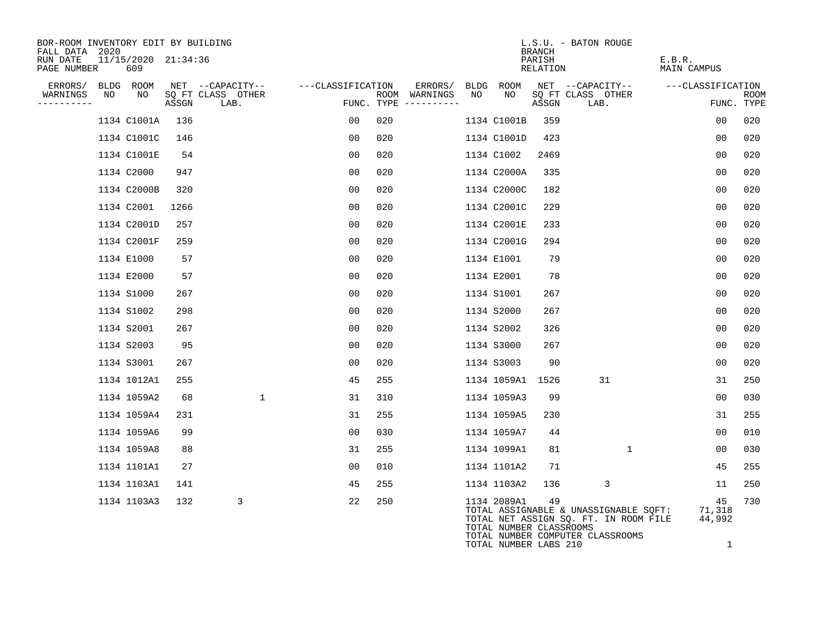| BOR-ROOM INVENTORY EDIT BY BUILDING<br>FALL DATA 2020 |    |                            |       |                           |                   |                                        |                                      | L.S.U. - BATON ROUGE<br><b>BRANCH</b>                                                                                                               |    |                              |                           |
|-------------------------------------------------------|----|----------------------------|-------|---------------------------|-------------------|----------------------------------------|--------------------------------------|-----------------------------------------------------------------------------------------------------------------------------------------------------|----|------------------------------|---------------------------|
| RUN DATE<br>PAGE NUMBER                               |    | 11/15/2020 21:34:36<br>609 |       |                           |                   |                                        |                                      | PARISH<br>RELATION                                                                                                                                  |    | E.B.R.<br><b>MAIN CAMPUS</b> |                           |
| ERRORS/                                               |    | BLDG ROOM                  |       | NET --CAPACITY--          | ---CLASSIFICATION | ERRORS/                                | BLDG ROOM                            | NET --CAPACITY--                                                                                                                                    |    | ---CLASSIFICATION            |                           |
| WARNINGS<br>----------                                | NO | NO                         | ASSGN | SQ FT CLASS OTHER<br>LAB. |                   | ROOM WARNINGS<br>FUNC. TYPE ---------- | NO<br>NO                             | SQ FT CLASS OTHER<br>ASSGN<br>LAB.                                                                                                                  |    |                              | <b>ROOM</b><br>FUNC. TYPE |
|                                                       |    | 1134 C1001A                | 136   |                           | 00                | 020                                    | 1134 C1001B                          | 359                                                                                                                                                 |    | 0 <sub>0</sub>               | 020                       |
|                                                       |    | 1134 C1001C                | 146   |                           | 00                | 020                                    | 1134 C1001D                          | 423                                                                                                                                                 |    | 00                           | 020                       |
|                                                       |    | 1134 C1001E                | 54    |                           | 0 <sub>0</sub>    | 020                                    | 1134 C1002                           | 2469                                                                                                                                                |    | 00                           | 020                       |
|                                                       |    | 1134 C2000                 | 947   |                           | 00                | 020                                    | 1134 C2000A                          | 335                                                                                                                                                 |    | 0 <sub>0</sub>               | 020                       |
|                                                       |    | 1134 C2000B                | 320   |                           | 0 <sub>0</sub>    | 020                                    | 1134 C2000C                          | 182                                                                                                                                                 |    | 0 <sub>0</sub>               | 020                       |
|                                                       |    | 1134 C2001                 | 1266  |                           | 00                | 020                                    | 1134 C2001C                          | 229                                                                                                                                                 |    | 00                           | 020                       |
|                                                       |    | 1134 C2001D                | 257   |                           | 00                | 020                                    | 1134 C2001E                          | 233                                                                                                                                                 |    | 0 <sub>0</sub>               | 020                       |
|                                                       |    | 1134 C2001F                | 259   |                           | 00                | 020                                    | 1134 C2001G                          | 294                                                                                                                                                 |    | 0 <sub>0</sub>               | 020                       |
|                                                       |    | 1134 E1000                 | 57    |                           | 0 <sub>0</sub>    | 020                                    | 1134 E1001                           | 79                                                                                                                                                  |    | 0 <sub>0</sub>               | 020                       |
|                                                       |    | 1134 E2000                 | 57    |                           | 00                | 020                                    | 1134 E2001                           | 78                                                                                                                                                  |    | 0 <sub>0</sub>               | 020                       |
|                                                       |    | 1134 S1000                 | 267   |                           | 00                | 020                                    | 1134 S1001                           | 267                                                                                                                                                 |    | 0 <sub>0</sub>               | 020                       |
|                                                       |    | 1134 S1002                 | 298   |                           | 00                | 020                                    | 1134 S2000                           | 267                                                                                                                                                 |    | 00                           | 020                       |
|                                                       |    | 1134 S2001                 | 267   |                           | 0 <sub>0</sub>    | 020                                    | 1134 S2002                           | 326                                                                                                                                                 |    | 0 <sub>0</sub>               | 020                       |
|                                                       |    | 1134 S2003                 | 95    |                           | 00                | 020                                    | 1134 S3000                           | 267                                                                                                                                                 |    | 00                           | 020                       |
|                                                       |    | 1134 S3001                 | 267   |                           | 00                | 020                                    | 1134 S3003                           | 90                                                                                                                                                  |    | 00                           | 020                       |
|                                                       |    | 1134 1012A1                | 255   |                           | 45                | 255                                    | 1134 1059A1 1526                     |                                                                                                                                                     | 31 | 31                           | 250                       |
|                                                       |    | 1134 1059A2                | 68    | $\mathbf{1}$              | 31                | 310                                    | 1134 1059A3                          | 99                                                                                                                                                  |    | 00                           | 030                       |
|                                                       |    | 1134 1059A4                | 231   |                           | 31                | 255                                    | 1134 1059A5                          | 230                                                                                                                                                 |    | 31                           | 255                       |
|                                                       |    | 1134 1059A6                | 99    |                           | 00                | 030                                    | 1134 1059A7                          | 44                                                                                                                                                  |    | 0 <sub>0</sub>               | 010                       |
|                                                       |    | 1134 1059A8                | 88    |                           | 31                | 255                                    | 1134 1099A1                          | 81                                                                                                                                                  | 1  | 00                           | 030                       |
|                                                       |    | 1134 1101A1                | 27    |                           | 00                | 010                                    | 1134 1101A2                          | 71                                                                                                                                                  |    | 45                           | 255                       |
|                                                       |    | 1134 1103A1                | 141   |                           | 45                | 255                                    | 1134 1103A2                          | 136                                                                                                                                                 | 3  | 11                           | 250                       |
|                                                       |    | 1134 1103A3                | 132   | 3                         | 22                | 250                                    | 1134 2089A1<br>TOTAL NUMBER LABS 210 | 49<br>TOTAL ASSIGNABLE & UNASSIGNABLE SQFT:<br>TOTAL NET ASSIGN SQ. FT. IN ROOM FILE<br>TOTAL NUMBER CLASSROOMS<br>TOTAL NUMBER COMPUTER CLASSROOMS |    | 45<br>71,318<br>44,992<br>1  | 730                       |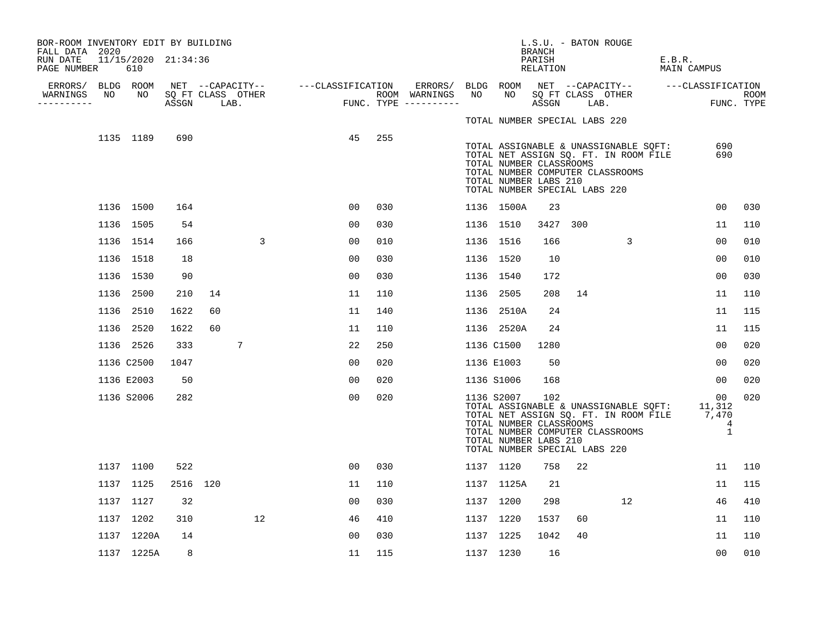| BOR-ROOM INVENTORY EDIT BY BUILDING<br>FALL DATA 2020 |    |                            |      |          |                                 |                                    |                |     |                                                                                                |     |                                                                                                 | L.S.U. - BATON ROUGE<br><b>BRANCH</b> |     |                                                                                                                                 |        |                           |                           |
|-------------------------------------------------------|----|----------------------------|------|----------|---------------------------------|------------------------------------|----------------|-----|------------------------------------------------------------------------------------------------|-----|-------------------------------------------------------------------------------------------------|---------------------------------------|-----|---------------------------------------------------------------------------------------------------------------------------------|--------|---------------------------|---------------------------|
| RUN DATE<br>PAGE NUMBER                               |    | 11/15/2020 21:34:36<br>610 |      |          |                                 |                                    |                |     |                                                                                                |     |                                                                                                 | PARISH<br>RELATION                    |     |                                                                                                                                 | E.B.R. | MAIN CAMPUS               |                           |
| ERRORS/<br>WARNINGS<br>----------                     | NO | BLDG ROOM<br>NO            |      |          | SQ FT CLASS OTHER<br>ASSGN LAB. | NET --CAPACITY-- ---CLASSIFICATION |                |     | ERRORS/ BLDG ROOM NET --CAPACITY--  ---CLASSIFICATION<br>ROOM WARNINGS<br>FUNC. TYPE --------- | NO. | NO 11                                                                                           | ASSGN LAB.                            |     | SQ FT CLASS OTHER                                                                                                               |        |                           | <b>ROOM</b><br>FUNC. TYPE |
|                                                       |    | 1135 1189                  | 690  |          |                                 |                                    | 45             | 255 |                                                                                                |     | TOTAL NUMBER SPECIAL LABS 220                                                                   |                                       |     |                                                                                                                                 |        |                           |                           |
|                                                       |    |                            |      |          |                                 |                                    |                |     |                                                                                                |     | TOTAL NUMBER CLASSROOMS<br>TOTAL NUMBER LABS 210<br>TOTAL NUMBER SPECIAL LABS 220               |                                       |     | TOTAL ASSIGNABLE & UNASSIGNABLE SQFT:<br>TOTAL NET ASSIGN SQ. FT. IN ROOM FILE<br>TOTAL NUMBER COMPUTER CLASSROOMS              |        | 690<br>690                |                           |
|                                                       |    | 1136 1500                  | 164  |          |                                 |                                    | 00             | 030 |                                                                                                |     | 1136 1500A                                                                                      | 23                                    |     |                                                                                                                                 |        | 00                        | 030                       |
|                                                       |    | 1136 1505                  | 54   |          |                                 |                                    | 00             | 030 |                                                                                                |     | 1136 1510                                                                                       | 3427                                  | 300 |                                                                                                                                 |        | 11                        | 110                       |
|                                                       |    | 1136 1514                  | 166  |          | 3                               |                                    | 00             | 010 |                                                                                                |     | 1136 1516                                                                                       | 166                                   |     | 3                                                                                                                               |        | 0 <sub>0</sub>            | 010                       |
|                                                       |    | 1136 1518                  | 18   |          |                                 |                                    | 00             | 030 |                                                                                                |     | 1136 1520                                                                                       | 10                                    |     |                                                                                                                                 |        | 00                        | 010                       |
|                                                       |    | 1136 1530                  | 90   |          |                                 |                                    | 00             | 030 |                                                                                                |     | 1136 1540                                                                                       | 172                                   |     |                                                                                                                                 |        | 0 <sub>0</sub>            | 030                       |
|                                                       |    | 1136 2500                  | 210  | 14       |                                 |                                    | 11             | 110 |                                                                                                |     | 1136 2505                                                                                       | 208                                   | 14  |                                                                                                                                 |        | 11                        | 110                       |
|                                                       |    | 1136 2510                  | 1622 | 60       |                                 |                                    | 11             | 140 |                                                                                                |     | 1136 2510A                                                                                      | 24                                    |     |                                                                                                                                 |        | 11                        | 115                       |
|                                                       |    | 1136 2520                  | 1622 | 60       |                                 |                                    | 11             | 110 |                                                                                                |     | 1136 2520A                                                                                      | 24                                    |     |                                                                                                                                 |        | 11                        | 115                       |
|                                                       |    | 1136 2526                  | 333  |          | 7                               |                                    | 22             | 250 |                                                                                                |     | 1136 C1500                                                                                      | 1280                                  |     |                                                                                                                                 |        | 0 <sub>0</sub>            | 020                       |
|                                                       |    | 1136 C2500                 | 1047 |          |                                 |                                    | 00             | 020 |                                                                                                |     | 1136 E1003                                                                                      | 50                                    |     |                                                                                                                                 |        | 00                        | 020                       |
|                                                       |    | 1136 E2003                 | 50   |          |                                 |                                    | 00             | 020 |                                                                                                |     | 1136 S1006                                                                                      | 168                                   |     |                                                                                                                                 |        | 00                        | 020                       |
|                                                       |    | 1136 S2006                 | 282  |          |                                 |                                    | 00             | 020 |                                                                                                |     | 1136 S2007<br>TOTAL NUMBER CLASSROOMS<br>TOTAL NUMBER LABS 210<br>TOTAL NUMBER SPECIAL LABS 220 | 102                                   |     | TOTAL ASSIGNABLE & UNASSIGNABLE SQFT: 11,312<br>TOTAL NET ASSIGN SQ. FT. IN ROOM FILE 7,470<br>TOTAL NUMBER COMPUTER CLASSROOMS |        | 00<br>$\overline{4}$<br>1 | 020                       |
|                                                       |    | 1137 1100                  | 522  |          |                                 |                                    | 0 <sub>0</sub> | 030 |                                                                                                |     | 1137 1120                                                                                       | 758                                   | 22  |                                                                                                                                 |        | 11                        | 110                       |
|                                                       |    | 1137 1125                  |      | 2516 120 |                                 |                                    | 11             | 110 |                                                                                                |     | 1137 1125A                                                                                      | 21                                    |     |                                                                                                                                 |        | 11                        | 115                       |
|                                                       |    | 1137 1127                  | 32   |          |                                 |                                    | 00             | 030 |                                                                                                |     | 1137 1200                                                                                       | 298                                   |     | 12                                                                                                                              |        | 46                        | 410                       |
|                                                       |    | 1137 1202                  | 310  |          | 12                              |                                    | 46             | 410 |                                                                                                |     | 1137 1220                                                                                       | 1537                                  | 60  |                                                                                                                                 |        | 11                        | 110                       |
|                                                       |    | 1137 1220A                 | 14   |          |                                 |                                    | 00             | 030 |                                                                                                |     | 1137 1225                                                                                       | 1042                                  | 40  |                                                                                                                                 |        | 11                        | 110                       |
|                                                       |    | 1137 1225A                 | 8    |          |                                 |                                    | 11             | 115 |                                                                                                |     | 1137 1230                                                                                       | 16                                    |     |                                                                                                                                 |        | 0 <sub>0</sub>            | 010                       |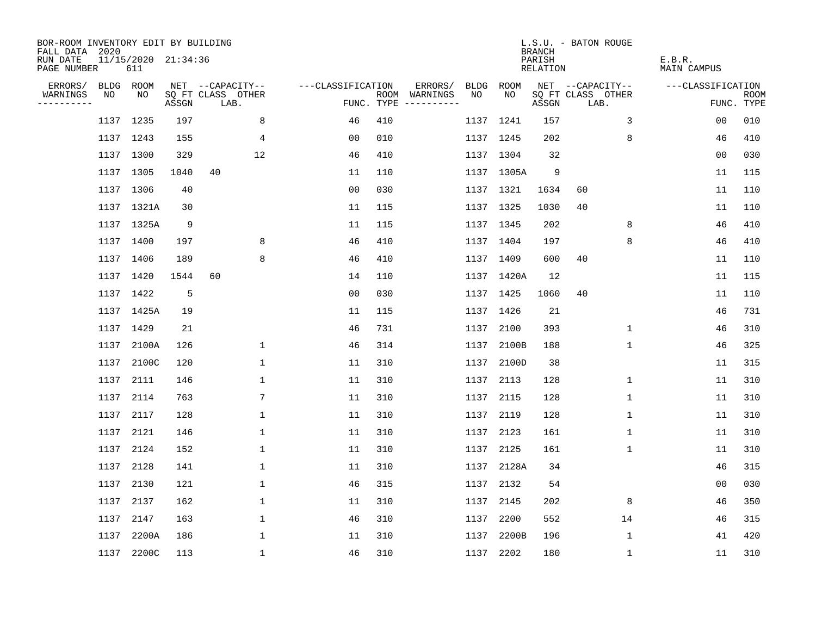| BOR-ROOM INVENTORY EDIT BY BUILDING<br>FALL DATA 2020 |      |                            |       |                           |                   |     |                                      |      |            | <b>BRANCH</b>                   | L.S.U. - BATON ROUGE      |              |                       |                           |
|-------------------------------------------------------|------|----------------------------|-------|---------------------------|-------------------|-----|--------------------------------------|------|------------|---------------------------------|---------------------------|--------------|-----------------------|---------------------------|
| RUN DATE<br>PAGE NUMBER                               |      | 11/15/2020 21:34:36<br>611 |       |                           |                   |     |                                      |      |            | PARISH<br>RELATION              |                           |              | E.B.R.<br>MAIN CAMPUS |                           |
| ERRORS/                                               |      | BLDG ROOM                  |       | NET --CAPACITY--          | ---CLASSIFICATION |     | ERRORS/                              | BLDG | ROOM       |                                 | NET --CAPACITY--          |              | ---CLASSIFICATION     |                           |
| WARNINGS<br>----------                                | NO   | NO                         | ASSGN | SQ FT CLASS OTHER<br>LAB. |                   |     | ROOM WARNINGS<br>FUNC. TYPE $------$ | NO.  | NO.        | $\operatorname{\mathsf{ASSGN}}$ | SQ FT CLASS OTHER<br>LAB. |              |                       | <b>ROOM</b><br>FUNC. TYPE |
|                                                       |      | 1137 1235                  | 197   | 8                         | 46                | 410 |                                      |      | 1137 1241  | 157                             |                           | 3            | 0 <sub>0</sub>        | 010                       |
|                                                       |      | 1137 1243                  | 155   | 4                         | 0 <sub>0</sub>    | 010 |                                      |      | 1137 1245  | 202                             |                           | 8            | 46                    | 410                       |
|                                                       |      | 1137 1300                  | 329   | 12                        | 46                | 410 |                                      |      | 1137 1304  | 32                              |                           |              | 00                    | 030                       |
|                                                       |      | 1137 1305                  | 1040  | 40                        | 11                | 110 |                                      |      | 1137 1305A | 9                               |                           |              | 11                    | 115                       |
|                                                       |      | 1137 1306                  | 40    |                           | 0 <sub>0</sub>    | 030 |                                      |      | 1137 1321  | 1634                            | 60                        |              | 11                    | 110                       |
|                                                       |      | 1137 1321A                 | 30    |                           | 11                | 115 |                                      |      | 1137 1325  | 1030                            | 40                        |              | 11                    | 110                       |
|                                                       |      | 1137 1325A                 | 9     |                           | 11                | 115 |                                      |      | 1137 1345  | 202                             |                           | 8            | 46                    | 410                       |
|                                                       |      | 1137 1400                  | 197   | 8                         | 46                | 410 |                                      |      | 1137 1404  | 197                             |                           | 8            | 46                    | 410                       |
|                                                       |      | 1137 1406                  | 189   | 8                         | 46                | 410 |                                      |      | 1137 1409  | 600                             | 40                        |              | 11                    | 110                       |
|                                                       |      | 1137 1420                  | 1544  | 60                        | 14                | 110 |                                      |      | 1137 1420A | 12                              |                           |              | 11                    | 115                       |
|                                                       |      | 1137 1422                  | 5     |                           | 0 <sub>0</sub>    | 030 |                                      |      | 1137 1425  | 1060                            | 40                        |              | 11                    | 110                       |
|                                                       |      | 1137 1425A                 | 19    |                           | 11                | 115 |                                      |      | 1137 1426  | 21                              |                           |              | 46                    | 731                       |
|                                                       |      | 1137 1429                  | 21    |                           | 46                | 731 |                                      | 1137 | 2100       | 393                             |                           | $\mathbf{1}$ | 46                    | 310                       |
|                                                       |      | 1137 2100A                 | 126   | $\mathbf 1$               | 46                | 314 |                                      |      | 1137 2100B | 188                             |                           | $\mathbf 1$  | 46                    | 325                       |
|                                                       | 1137 | 2100C                      | 120   | 1                         | 11                | 310 |                                      | 1137 | 2100D      | 38                              |                           |              | 11                    | 315                       |
|                                                       | 1137 | 2111                       | 146   | 1                         | 11                | 310 |                                      | 1137 | 2113       | 128                             |                           | 1            | 11                    | 310                       |
|                                                       | 1137 | 2114                       | 763   | 7                         | 11                | 310 |                                      | 1137 | 2115       | 128                             |                           | 1            | 11                    | 310                       |
|                                                       | 1137 | 2117                       | 128   | 1                         | 11                | 310 |                                      | 1137 | 2119       | 128                             |                           | 1            | 11                    | 310                       |
|                                                       | 1137 | 2121                       | 146   | 1                         | 11                | 310 |                                      | 1137 | 2123       | 161                             |                           | 1            | 11                    | 310                       |
|                                                       | 1137 | 2124                       | 152   | $\mathbf{1}$              | 11                | 310 |                                      | 1137 | 2125       | 161                             |                           | 1            | 11                    | 310                       |
|                                                       | 1137 | 2128                       | 141   | 1                         | 11                | 310 |                                      | 1137 | 2128A      | 34                              |                           |              | 46                    | 315                       |
|                                                       | 1137 | 2130                       | 121   | $\mathbf 1$               | 46                | 315 |                                      | 1137 | 2132       | 54                              |                           |              | 00                    | 030                       |
|                                                       | 1137 | 2137                       | 162   | 1                         | 11                | 310 |                                      | 1137 | 2145       | 202                             |                           | 8            | 46                    | 350                       |
|                                                       | 1137 | 2147                       | 163   | $\mathbf 1$               | 46                | 310 |                                      | 1137 | 2200       | 552                             |                           | 14           | 46                    | 315                       |
|                                                       | 1137 | 2200A                      | 186   | 1                         | 11                | 310 |                                      | 1137 | 2200B      | 196                             |                           | 1            | 41                    | 420                       |
|                                                       |      | 1137 2200C                 | 113   | $\mathbf{1}$              | 46                | 310 |                                      |      | 1137 2202  | 180                             |                           | 1            | 11                    | 310                       |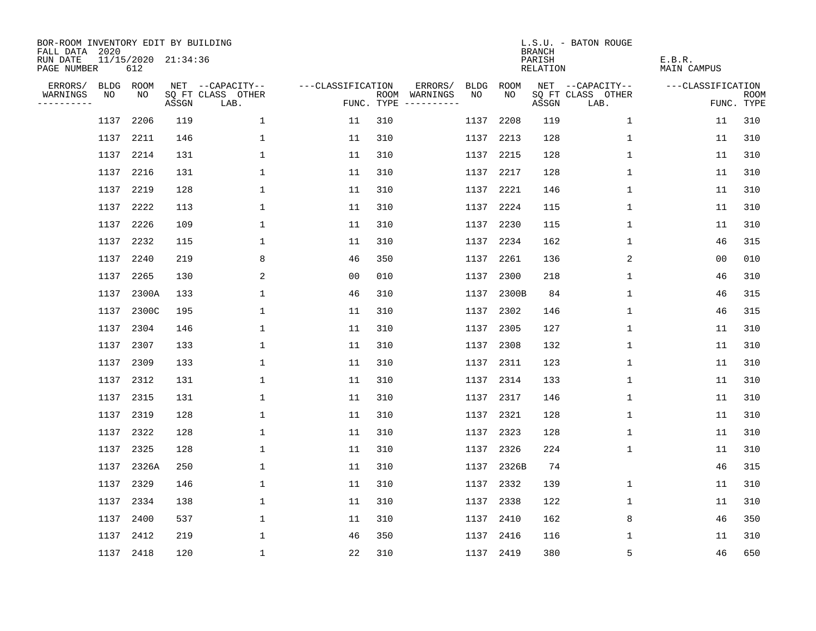| BOR-ROOM INVENTORY EDIT BY BUILDING<br>FALL DATA 2020 |      |           |                     |                           |                   |     |                                      |           |           | <b>BRANCH</b>      | L.S.U. - BATON ROUGE      |                       |                           |
|-------------------------------------------------------|------|-----------|---------------------|---------------------------|-------------------|-----|--------------------------------------|-----------|-----------|--------------------|---------------------------|-----------------------|---------------------------|
| RUN DATE<br>PAGE NUMBER                               |      | 612       | 11/15/2020 21:34:36 |                           |                   |     |                                      |           |           | PARISH<br>RELATION |                           | E.B.R.<br>MAIN CAMPUS |                           |
| ERRORS/                                               |      | BLDG ROOM |                     | NET --CAPACITY--          | ---CLASSIFICATION |     | ERRORS/                              | BLDG      | ROOM      |                    | NET --CAPACITY--          | ---CLASSIFICATION     |                           |
| WARNINGS<br>----------                                | NO   | NO        | ASSGN               | SQ FT CLASS OTHER<br>LAB. |                   |     | ROOM WARNINGS<br>FUNC. TYPE $------$ | NO.       | NO.       | ASSGN              | SQ FT CLASS OTHER<br>LAB. |                       | <b>ROOM</b><br>FUNC. TYPE |
|                                                       | 1137 | 2206      | 119                 | $\mathbf 1$               | 11                | 310 |                                      | 1137      | 2208      | 119                | 1                         | 11                    | 310                       |
|                                                       | 1137 | 2211      | 146                 | 1                         | 11                | 310 |                                      | 1137      | 2213      | 128                | 1                         | 11                    | 310                       |
|                                                       | 1137 | 2214      | 131                 | $\mathbf{1}$              | 11                | 310 |                                      | 1137      | 2215      | 128                | 1                         | 11                    | 310                       |
|                                                       | 1137 | 2216      | 131                 | 1                         | 11                | 310 |                                      | 1137      | 2217      | 128                | 1                         | 11                    | 310                       |
|                                                       | 1137 | 2219      | 128                 | 1                         | 11                | 310 |                                      | 1137      | 2221      | 146                | 1                         | 11                    | 310                       |
|                                                       | 1137 | 2222      | 113                 | $\mathbf 1$               | 11                | 310 |                                      |           | 1137 2224 | 115                | 1                         | 11                    | 310                       |
|                                                       | 1137 | 2226      | 109                 | $\mathbf 1$               | 11                | 310 |                                      | 1137      | 2230      | 115                | 1                         | 11                    | 310                       |
|                                                       | 1137 | 2232      | 115                 | $\mathbf 1$               | 11                | 310 |                                      |           | 1137 2234 | 162                | 1                         | 46                    | 315                       |
|                                                       | 1137 | 2240      | 219                 | 8                         | 46                | 350 |                                      | 1137      | 2261      | 136                | 2                         | 0 <sub>0</sub>        | 010                       |
|                                                       | 1137 | 2265      | 130                 | 2                         | 0 <sub>0</sub>    | 010 |                                      |           | 1137 2300 | 218                | 1                         | 46                    | 310                       |
|                                                       | 1137 | 2300A     | 133                 | $\mathbf 1$               | 46                | 310 |                                      | 1137      | 2300B     | 84                 | $\mathbf 1$               | 46                    | 315                       |
|                                                       | 1137 | 2300C     | 195                 | 1                         | 11                | 310 |                                      |           | 1137 2302 | 146                | 1                         | 46                    | 315                       |
|                                                       | 1137 | 2304      | 146                 | $\mathbf{1}$              | 11                | 310 |                                      | 1137      | 2305      | 127                | $\mathbf 1$               | 11                    | 310                       |
|                                                       | 1137 | 2307      | 133                 | 1                         | 11                | 310 |                                      |           | 1137 2308 | 132                | $\mathbf 1$               | 11                    | 310                       |
|                                                       | 1137 | 2309      | 133                 | 1                         | 11                | 310 |                                      | 1137      | 2311      | 123                | 1                         | 11                    | 310                       |
|                                                       | 1137 | 2312      | 131                 | 1                         | 11                | 310 |                                      | 1137      | 2314      | 133                | 1                         | 11                    | 310                       |
|                                                       | 1137 | 2315      | 131                 | 1                         | 11                | 310 |                                      | 1137      | 2317      | 146                | 1                         | 11                    | 310                       |
|                                                       | 1137 | 2319      | 128                 | 1                         | 11                | 310 |                                      | 1137      | 2321      | 128                | 1                         | 11                    | 310                       |
|                                                       | 1137 | 2322      | 128                 | $\mathbf{1}$              | 11                | 310 |                                      | 1137      | 2323      | 128                | 1                         | 11                    | 310                       |
|                                                       | 1137 | 2325      | 128                 | $\mathbf{1}$              | 11                | 310 |                                      | 1137      | 2326      | 224                | 1                         | 11                    | 310                       |
|                                                       | 1137 | 2326A     | 250                 | 1                         | 11                | 310 |                                      | 1137      | 2326B     | 74                 |                           | 46                    | 315                       |
|                                                       | 1137 | 2329      | 146                 | $\mathbf 1$               | 11                | 310 |                                      | 1137      | 2332      | 139                | 1                         | 11                    | 310                       |
|                                                       | 1137 | 2334      | 138                 | 1                         | 11                | 310 |                                      | 1137      | 2338      | 122                | 1                         | 11                    | 310                       |
|                                                       | 1137 | 2400      | 537                 | $\mathbf 1$               | 11                | 310 |                                      | 1137      | 2410      | 162                | 8                         | 46                    | 350                       |
|                                                       | 1137 | 2412      | 219                 | 1                         | 46                | 350 |                                      | 1137      | 2416      | 116                | 1                         | 11                    | 310                       |
|                                                       |      | 1137 2418 | 120                 | $\mathbf{1}$              | 22                | 310 |                                      | 1137 2419 |           | 380                | 5                         | 46                    | 650                       |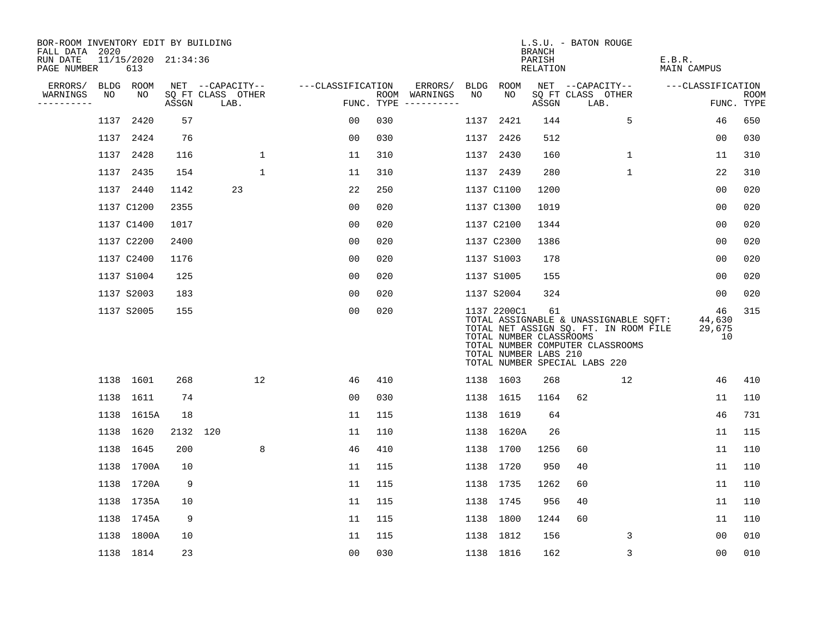| BOR-ROOM INVENTORY EDIT BY BUILDING<br>FALL DATA 2020 |      |                            |       |                           |                   |     |                                      |      |                                                                 | <b>BRANCH</b>      | L.S.U. - BATON ROUGE                                                                                                                                |                              |                           |
|-------------------------------------------------------|------|----------------------------|-------|---------------------------|-------------------|-----|--------------------------------------|------|-----------------------------------------------------------------|--------------------|-----------------------------------------------------------------------------------------------------------------------------------------------------|------------------------------|---------------------------|
| RUN DATE<br>PAGE NUMBER                               |      | 11/15/2020 21:34:36<br>613 |       |                           |                   |     |                                      |      |                                                                 | PARISH<br>RELATION |                                                                                                                                                     | E.B.R.<br>MAIN CAMPUS        |                           |
| ERRORS/                                               |      | BLDG ROOM                  |       | NET --CAPACITY--          | ---CLASSIFICATION |     | ERRORS/                              |      | BLDG ROOM                                                       |                    | NET --CAPACITY--                                                                                                                                    | ---CLASSIFICATION            |                           |
| WARNINGS<br>----------                                | NO   | NO                         | ASSGN | SQ FT CLASS OTHER<br>LAB. |                   |     | ROOM WARNINGS<br>FUNC. TYPE $------$ | NO   | NO                                                              | ASSGN              | SQ FT CLASS OTHER<br>LAB.                                                                                                                           |                              | <b>ROOM</b><br>FUNC. TYPE |
|                                                       | 1137 | 2420                       | 57    |                           | 00                | 030 |                                      | 1137 | 2421                                                            | 144                | 5                                                                                                                                                   | 46                           | 650                       |
|                                                       | 1137 | 2424                       | 76    |                           | 0 <sub>0</sub>    | 030 |                                      |      | 1137 2426                                                       | 512                |                                                                                                                                                     | 0 <sub>0</sub>               | 030                       |
|                                                       | 1137 | 2428                       | 116   | 1                         | 11                | 310 |                                      |      | 1137 2430                                                       | 160                | $\mathbf{1}$                                                                                                                                        | 11                           | 310                       |
|                                                       | 1137 | 2435                       | 154   | $\mathbf{1}$              | 11                | 310 |                                      |      | 1137 2439                                                       | 280                | $\mathbf 1$                                                                                                                                         | 22                           | 310                       |
|                                                       |      | 1137 2440                  | 1142  | 23                        | 22                | 250 |                                      |      | 1137 C1100                                                      | 1200               |                                                                                                                                                     | 00                           | 020                       |
|                                                       |      | 1137 C1200                 | 2355  |                           | 0 <sub>0</sub>    | 020 |                                      |      | 1137 C1300                                                      | 1019               |                                                                                                                                                     | 0 <sub>0</sub>               | 020                       |
|                                                       |      | 1137 C1400                 | 1017  |                           | 0 <sub>0</sub>    | 020 |                                      |      | 1137 C2100                                                      | 1344               |                                                                                                                                                     | 00                           | 020                       |
|                                                       |      | 1137 C2200                 | 2400  |                           | 0 <sub>0</sub>    | 020 |                                      |      | 1137 C2300                                                      | 1386               |                                                                                                                                                     | 0 <sub>0</sub>               | 020                       |
|                                                       |      | 1137 C2400                 | 1176  |                           | 0 <sub>0</sub>    | 020 |                                      |      | 1137 S1003                                                      | 178                |                                                                                                                                                     | 0 <sub>0</sub>               | 020                       |
|                                                       |      | 1137 S1004                 | 125   |                           | 0 <sub>0</sub>    | 020 |                                      |      | 1137 S1005                                                      | 155                |                                                                                                                                                     | 0 <sub>0</sub>               | 020                       |
|                                                       |      | 1137 S2003                 | 183   |                           | 0 <sub>0</sub>    | 020 |                                      |      | 1137 S2004                                                      | 324                |                                                                                                                                                     | 00                           | 020                       |
|                                                       |      | 1137 S2005                 | 155   |                           | 0 <sub>0</sub>    | 020 |                                      |      | 1137 2200C1<br>TOTAL NUMBER CLASSROOMS<br>TOTAL NUMBER LABS 210 | 61                 | TOTAL ASSIGNABLE & UNASSIGNABLE SQFT:<br>TOTAL NET ASSIGN SQ. FT. IN ROOM FILE<br>TOTAL NUMBER COMPUTER CLASSROOMS<br>TOTAL NUMBER SPECIAL LABS 220 | 46<br>44,630<br>29,675<br>10 | 315                       |
|                                                       |      | 1138 1601                  | 268   | 12                        | 46                | 410 |                                      |      | 1138 1603                                                       | 268                | 12                                                                                                                                                  | 46                           | 410                       |
|                                                       |      | 1138 1611                  | 74    |                           | 0 <sub>0</sub>    | 030 |                                      |      | 1138 1615                                                       | 1164               | 62                                                                                                                                                  | 11                           | 110                       |
|                                                       | 1138 | 1615A                      | 18    |                           | 11                | 115 |                                      |      | 1138 1619                                                       | 64                 |                                                                                                                                                     | 46                           | 731                       |
|                                                       |      | 1138 1620                  |       | 2132 120                  | 11                | 110 |                                      |      | 1138 1620A                                                      | 26                 |                                                                                                                                                     | 11                           | 115                       |
|                                                       | 1138 | 1645                       | 200   | 8                         | 46                | 410 |                                      |      | 1138 1700                                                       | 1256               | 60                                                                                                                                                  | 11                           | 110                       |
|                                                       |      | 1138 1700A                 | 10    |                           | 11                | 115 |                                      |      | 1138 1720                                                       | 950                | 40                                                                                                                                                  | 11                           | 110                       |
|                                                       | 1138 | 1720A                      | 9     |                           | 11                | 115 |                                      |      | 1138 1735                                                       | 1262               | 60                                                                                                                                                  | 11                           | 110                       |
|                                                       |      | 1138 1735A                 | 10    |                           | 11                | 115 |                                      |      | 1138 1745                                                       | 956                | 40                                                                                                                                                  | 11                           | 110                       |
|                                                       |      | 1138 1745A                 | 9     |                           | 11                | 115 |                                      |      | 1138 1800                                                       | 1244               | 60                                                                                                                                                  | 11                           | 110                       |
|                                                       |      | 1138 1800A                 | 10    |                           | 11                | 115 |                                      |      | 1138 1812                                                       | 156                | 3                                                                                                                                                   | 00                           | 010                       |
|                                                       |      | 1138 1814                  | 23    |                           | 0 <sub>0</sub>    | 030 |                                      |      | 1138 1816                                                       | 162                | 3                                                                                                                                                   | 00                           | 010                       |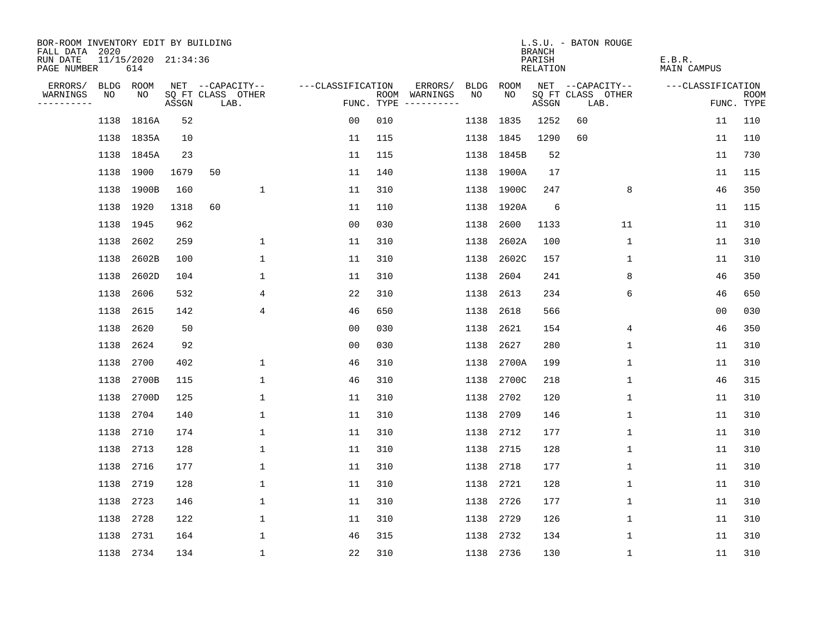| BOR-ROOM INVENTORY EDIT BY BUILDING<br>FALL DATA 2020 |             |                            |       |                           |                   |            |                              |             |            | <b>BRANCH</b>      | L.S.U. - BATON ROUGE      |              |                    |                           |
|-------------------------------------------------------|-------------|----------------------------|-------|---------------------------|-------------------|------------|------------------------------|-------------|------------|--------------------|---------------------------|--------------|--------------------|---------------------------|
| RUN DATE<br>PAGE NUMBER                               |             | 11/15/2020 21:34:36<br>614 |       |                           |                   |            |                              |             |            | PARISH<br>RELATION |                           | E.B.R.       | <b>MAIN CAMPUS</b> |                           |
| ERRORS/                                               | <b>BLDG</b> | ROOM                       |       | NET --CAPACITY--          | ---CLASSIFICATION |            | ERRORS/                      | <b>BLDG</b> | ROOM       |                    | NET --CAPACITY--          |              | ---CLASSIFICATION  |                           |
| WARNINGS<br>----------                                | NO          | NO.                        | ASSGN | SQ FT CLASS OTHER<br>LAB. |                   | FUNC. TYPE | ROOM WARNINGS<br>----------- | NO          | NO.        | ASSGN              | SQ FT CLASS OTHER<br>LAB. |              |                    | <b>ROOM</b><br>FUNC. TYPE |
|                                                       | 1138        | 1816A                      | 52    |                           | 0 <sub>0</sub>    | 010        |                              | 1138        | 1835       | 1252               | 60                        |              | 11                 | 110                       |
|                                                       |             | 1138 1835A                 | 10    |                           | 11                | 115        |                              |             | 1138 1845  | 1290               | 60                        |              | 11                 | 110                       |
|                                                       |             | 1138 1845A                 | 23    |                           | 11                | 115        |                              |             | 1138 1845B | 52                 |                           |              | 11                 | 730                       |
|                                                       |             | 1138 1900                  | 1679  | 50                        | 11                | 140        |                              |             | 1138 1900A | 17                 |                           |              | 11                 | 115                       |
|                                                       | 1138        | 1900B                      | 160   | 1                         | 11                | 310        |                              |             | 1138 1900C | 247                |                           | 8            | 46                 | 350                       |
|                                                       |             | 1138 1920                  | 1318  | 60                        | 11                | 110        |                              |             | 1138 1920A | 6                  |                           |              | 11                 | 115                       |
|                                                       | 1138        | 1945                       | 962   |                           | 0 <sub>0</sub>    | 030        |                              | 1138        | 2600       | 1133               | 11                        |              | 11                 | 310                       |
|                                                       | 1138        | 2602                       | 259   | 1                         | 11                | 310        |                              | 1138        | 2602A      | 100                |                           | $\mathbf 1$  | 11                 | 310                       |
|                                                       | 1138        | 2602B                      | 100   | $\mathbf{1}$              | 11                | 310        |                              | 1138        | 2602C      | 157                |                           | $\mathbf{1}$ | 11                 | 310                       |
|                                                       | 1138        | 2602D                      | 104   | 1                         | 11                | 310        |                              | 1138        | 2604       | 241                |                           | 8            | 46                 | 350                       |
|                                                       | 1138        | 2606                       | 532   | 4                         | 22                | 310        |                              | 1138        | 2613       | 234                |                           | 6            | 46                 | 650                       |
|                                                       | 1138        | 2615                       | 142   | 4                         | 46                | 650        |                              | 1138        | 2618       | 566                |                           |              | 0 <sub>0</sub>     | 030                       |
|                                                       | 1138        | 2620                       | 50    |                           | 0 <sub>0</sub>    | 030        |                              | 1138        | 2621       | 154                |                           | 4            | 46                 | 350                       |
|                                                       | 1138        | 2624                       | 92    |                           | 0 <sub>0</sub>    | 030        |                              | 1138        | 2627       | 280                |                           | $\mathbf{1}$ | 11                 | 310                       |
|                                                       | 1138        | 2700                       | 402   | 1                         | 46                | 310        |                              | 1138        | 2700A      | 199                |                           | 1            | 11                 | 310                       |
|                                                       | 1138        | 2700B                      | 115   | 1                         | 46                | 310        |                              | 1138        | 2700C      | 218                |                           | 1            | 46                 | 315                       |
|                                                       | 1138        | 2700D                      | 125   | 1                         | 11                | 310        |                              | 1138        | 2702       | 120                |                           | 1            | 11                 | 310                       |
|                                                       | 1138        | 2704                       | 140   | $\mathbf{1}$              | 11                | 310        |                              | 1138        | 2709       | 146                |                           | $\mathbf{1}$ | 11                 | 310                       |
|                                                       | 1138        | 2710                       | 174   | 1                         | 11                | 310        |                              | 1138        | 2712       | 177                |                           | $\mathbf{1}$ | 11                 | 310                       |
|                                                       | 1138        | 2713                       | 128   | $\mathbf{1}$              | 11                | 310        |                              | 1138        | 2715       | 128                |                           | $\mathbf{1}$ | 11                 | 310                       |
|                                                       | 1138        | 2716                       | 177   | 1                         | 11                | 310        |                              | 1138        | 2718       | 177                |                           | 1            | 11                 | 310                       |
|                                                       | 1138        | 2719                       | 128   | 1                         | 11                | 310        |                              | 1138        | 2721       | 128                |                           | $\mathbf 1$  | 11                 | 310                       |
|                                                       | 1138        | 2723                       | 146   | 1                         | 11                | 310        |                              | 1138        | 2726       | 177                |                           | 1            | 11                 | 310                       |
|                                                       | 1138        | 2728                       | 122   | 1                         | 11                | 310        |                              | 1138        | 2729       | 126                |                           | 1            | 11                 | 310                       |
|                                                       | 1138        | 2731                       | 164   | $\mathbf{1}$              | 46                | 315        |                              | 1138        | 2732       | 134                |                           | $\mathbf 1$  | 11                 | 310                       |
|                                                       |             | 1138 2734                  | 134   | $\mathbf{1}$              | 22                | 310        |                              |             | 1138 2736  | 130                |                           | $\mathbf{1}$ | 11                 | 310                       |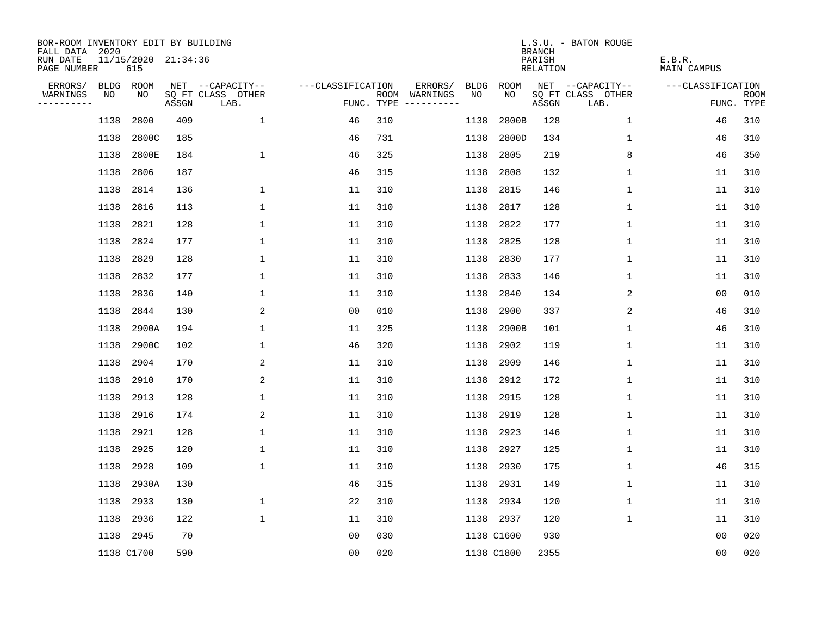| BOR-ROOM INVENTORY EDIT BY BUILDING<br>FALL DATA 2020 |      |                            |       |                           |                   |                                      |         |      |            | <b>BRANCH</b>      | L.S.U. - BATON ROUGE      |                       |                           |
|-------------------------------------------------------|------|----------------------------|-------|---------------------------|-------------------|--------------------------------------|---------|------|------------|--------------------|---------------------------|-----------------------|---------------------------|
| RUN DATE<br>PAGE NUMBER                               |      | 11/15/2020 21:34:36<br>615 |       |                           |                   |                                      |         |      |            | PARISH<br>RELATION |                           | E.B.R.<br>MAIN CAMPUS |                           |
| ERRORS/                                               |      | BLDG ROOM                  |       | NET --CAPACITY--          | ---CLASSIFICATION |                                      | ERRORS/ | BLDG | ROOM       |                    | NET --CAPACITY--          | ---CLASSIFICATION     |                           |
| WARNINGS<br>----------                                | NO   | NO                         | ASSGN | SQ FT CLASS OTHER<br>LAB. |                   | ROOM WARNINGS<br>FUNC. TYPE $------$ |         | NO.  | NO.        | ASSGN              | SQ FT CLASS OTHER<br>LAB. |                       | <b>ROOM</b><br>FUNC. TYPE |
|                                                       | 1138 | 2800                       | 409   | $\mathbf{1}$              | 46                | 310                                  |         | 1138 | 2800B      | 128                | 1                         | 46                    | 310                       |
|                                                       | 1138 | 2800C                      | 185   |                           | 46                | 731                                  |         | 1138 | 2800D      | 134                | 1                         | 46                    | 310                       |
|                                                       | 1138 | 2800E                      | 184   | $\mathbf 1$               | 46                | 325                                  |         | 1138 | 2805       | 219                | 8                         | 46                    | 350                       |
|                                                       | 1138 | 2806                       | 187   |                           | 46                | 315                                  |         | 1138 | 2808       | 132                | 1                         | 11                    | 310                       |
|                                                       | 1138 | 2814                       | 136   | 1                         | 11                | 310                                  |         | 1138 | 2815       | 146                | 1                         | 11                    | 310                       |
|                                                       | 1138 | 2816                       | 113   | $\mathbf 1$               | 11                | 310                                  |         | 1138 | 2817       | 128                | 1                         | 11                    | 310                       |
|                                                       | 1138 | 2821                       | 128   | $\mathbf 1$               | 11                | 310                                  |         | 1138 | 2822       | 177                | 1                         | 11                    | 310                       |
|                                                       | 1138 | 2824                       | 177   | $\mathbf 1$               | 11                | 310                                  |         | 1138 | 2825       | 128                | 1                         | 11                    | 310                       |
|                                                       | 1138 | 2829                       | 128   | $\mathbf{1}$              | 11                | 310                                  |         | 1138 | 2830       | 177                | $\mathbf{1}$              | 11                    | 310                       |
|                                                       | 1138 | 2832                       | 177   | 1                         | 11                | 310                                  |         | 1138 | 2833       | 146                | 1                         | 11                    | 310                       |
|                                                       | 1138 | 2836                       | 140   | $\mathbf 1$               | 11                | 310                                  |         | 1138 | 2840       | 134                | 2                         | 0 <sub>0</sub>        | 010                       |
|                                                       | 1138 | 2844                       | 130   | 2                         | 0 <sub>0</sub>    | 010                                  |         | 1138 | 2900       | 337                | 2                         | 46                    | 310                       |
|                                                       | 1138 | 2900A                      | 194   | $\mathbf 1$               | 11                | 325                                  |         | 1138 | 2900B      | 101                | $\mathbf 1$               | 46                    | 310                       |
|                                                       | 1138 | 2900C                      | 102   | $\mathbf 1$               | 46                | 320                                  |         | 1138 | 2902       | 119                | $\mathbf 1$               | 11                    | 310                       |
|                                                       | 1138 | 2904                       | 170   | 2                         | 11                | 310                                  |         | 1138 | 2909       | 146                | 1                         | 11                    | 310                       |
|                                                       | 1138 | 2910                       | 170   | 2                         | 11                | 310                                  |         | 1138 | 2912       | 172                | 1                         | 11                    | 310                       |
|                                                       | 1138 | 2913                       | 128   | 1                         | 11                | 310                                  |         | 1138 | 2915       | 128                | 1                         | 11                    | 310                       |
|                                                       | 1138 | 2916                       | 174   | 2                         | 11                | 310                                  |         | 1138 | 2919       | 128                | 1                         | 11                    | 310                       |
|                                                       | 1138 | 2921                       | 128   | $\mathbf{1}$              | 11                | 310                                  |         | 1138 | 2923       | 146                | 1                         | 11                    | 310                       |
|                                                       | 1138 | 2925                       | 120   | $\mathbf{1}$              | 11                | 310                                  |         | 1138 | 2927       | 125                | 1                         | 11                    | 310                       |
|                                                       | 1138 | 2928                       | 109   | $\mathbf 1$               | 11                | 310                                  |         | 1138 | 2930       | 175                | 1                         | 46                    | 315                       |
|                                                       | 1138 | 2930A                      | 130   |                           | 46                | 315                                  |         | 1138 | 2931       | 149                | 1                         | 11                    | 310                       |
|                                                       | 1138 | 2933                       | 130   | 1                         | 22                | 310                                  |         | 1138 | 2934       | 120                | 1                         | 11                    | 310                       |
|                                                       | 1138 | 2936                       | 122   | $\mathbf 1$               | 11                | 310                                  |         |      | 1138 2937  | 120                | $\mathbf 1$               | 11                    | 310                       |
|                                                       |      | 1138 2945                  | 70    |                           | 0 <sub>0</sub>    | 030                                  |         |      | 1138 C1600 | 930                |                           | 0 <sub>0</sub>        | 020                       |
|                                                       |      | 1138 C1700                 | 590   |                           | 0 <sub>0</sub>    | 020                                  |         |      | 1138 C1800 | 2355               |                           | 0 <sub>0</sub>        | 020                       |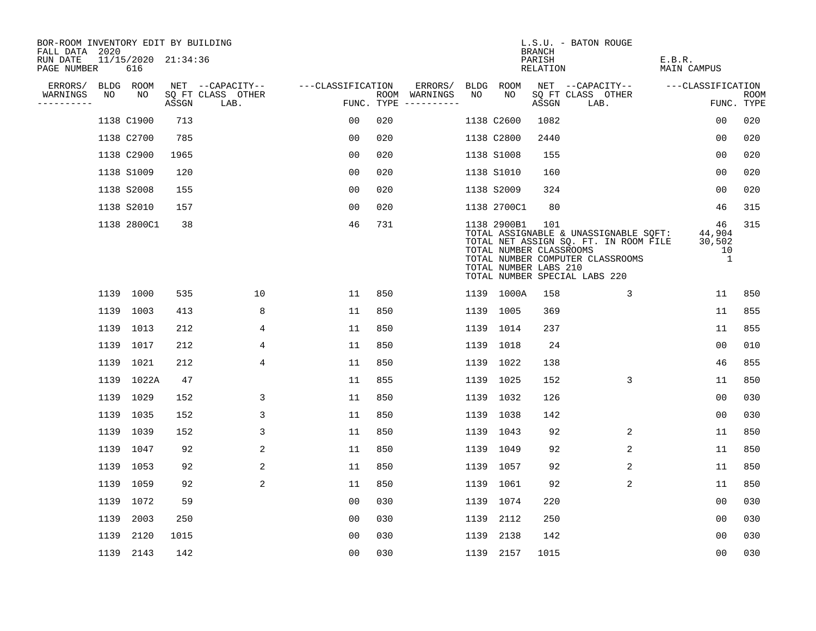| BOR-ROOM INVENTORY EDIT BY BUILDING<br>FALL DATA 2020 |      |                            |       |                           |                   |     |                                      |    |                                                                 | <b>BRANCH</b>      | L.S.U. - BATON ROUGE                                                                                                                                |                                   |                           |
|-------------------------------------------------------|------|----------------------------|-------|---------------------------|-------------------|-----|--------------------------------------|----|-----------------------------------------------------------------|--------------------|-----------------------------------------------------------------------------------------------------------------------------------------------------|-----------------------------------|---------------------------|
| RUN DATE<br>PAGE NUMBER                               |      | 11/15/2020 21:34:36<br>616 |       |                           |                   |     |                                      |    |                                                                 | PARISH<br>RELATION |                                                                                                                                                     | E.B.R.<br><b>MAIN CAMPUS</b>      |                           |
| ERRORS/                                               |      | BLDG ROOM                  |       | NET --CAPACITY--          | ---CLASSIFICATION |     | ERRORS/                              |    | BLDG ROOM                                                       |                    | NET --CAPACITY--                                                                                                                                    | ---CLASSIFICATION                 |                           |
| WARNINGS<br>----------                                | NO   | NO                         | ASSGN | SQ FT CLASS OTHER<br>LAB. |                   |     | ROOM WARNINGS<br>FUNC. TYPE $------$ | NO | NO                                                              | ASSGN              | SQ FT CLASS OTHER<br>LAB.                                                                                                                           |                                   | <b>ROOM</b><br>FUNC. TYPE |
|                                                       |      | 1138 C1900                 | 713   |                           | 00                | 020 |                                      |    | 1138 C2600                                                      | 1082               |                                                                                                                                                     | 0 <sub>0</sub>                    | 020                       |
|                                                       |      | 1138 C2700                 | 785   |                           | 0 <sub>0</sub>    | 020 |                                      |    | 1138 C2800                                                      | 2440               |                                                                                                                                                     | 0 <sub>0</sub>                    | 020                       |
|                                                       |      | 1138 C2900                 | 1965  |                           | 00                | 020 |                                      |    | 1138 S1008                                                      | 155                |                                                                                                                                                     | 0 <sub>0</sub>                    | 020                       |
|                                                       |      | 1138 S1009                 | 120   |                           | 0 <sub>0</sub>    | 020 |                                      |    | 1138 S1010                                                      | 160                |                                                                                                                                                     | 0 <sub>0</sub>                    | 020                       |
|                                                       |      | 1138 S2008                 | 155   |                           | 0 <sub>0</sub>    | 020 |                                      |    | 1138 S2009                                                      | 324                |                                                                                                                                                     | 0 <sub>0</sub>                    | 020                       |
|                                                       |      | 1138 S2010                 | 157   |                           | 0 <sub>0</sub>    | 020 |                                      |    | 1138 2700C1                                                     | 80                 |                                                                                                                                                     | 46                                | 315                       |
|                                                       |      | 1138 2800C1                | 38    |                           | 46                | 731 |                                      |    | 1138 2900B1<br>TOTAL NUMBER CLASSROOMS<br>TOTAL NUMBER LABS 210 | 101                | TOTAL ASSIGNABLE & UNASSIGNABLE SQFT:<br>TOTAL NET ASSIGN SQ. FT. IN ROOM FILE<br>TOTAL NUMBER COMPUTER CLASSROOMS<br>TOTAL NUMBER SPECIAL LABS 220 | 46<br>44,904<br>30,502<br>10<br>1 | 315                       |
|                                                       |      | 1139 1000                  | 535   | 10                        | 11                | 850 |                                      |    | 1139 1000A                                                      | 158                | 3                                                                                                                                                   | 11                                | 850                       |
|                                                       |      | 1139 1003                  | 413   | 8                         | 11                | 850 |                                      |    | 1139 1005                                                       | 369                |                                                                                                                                                     | 11                                | 855                       |
|                                                       | 1139 | 1013                       | 212   | 4                         | 11                | 850 |                                      |    | 1139 1014                                                       | 237                |                                                                                                                                                     | 11                                | 855                       |
|                                                       |      | 1139 1017                  | 212   | 4                         | 11                | 850 |                                      |    | 1139 1018                                                       | 24                 |                                                                                                                                                     | 0 <sub>0</sub>                    | 010                       |
|                                                       |      | 1139 1021                  | 212   | 4                         | 11                | 850 |                                      |    | 1139 1022                                                       | 138                |                                                                                                                                                     | 46                                | 855                       |
|                                                       |      | 1139 1022A                 | 47    |                           | 11                | 855 |                                      |    | 1139 1025                                                       | 152                | 3                                                                                                                                                   | 11                                | 850                       |
|                                                       |      | 1139 1029                  | 152   | 3                         | 11                | 850 |                                      |    | 1139 1032                                                       | 126                |                                                                                                                                                     | 0 <sub>0</sub>                    | 030                       |
|                                                       | 1139 | 1035                       | 152   | 3                         | 11                | 850 |                                      |    | 1139 1038                                                       | 142                |                                                                                                                                                     | 0 <sub>0</sub>                    | 030                       |
|                                                       |      | 1139 1039                  | 152   | 3                         | 11                | 850 |                                      |    | 1139 1043                                                       | 92                 | 2                                                                                                                                                   | 11                                | 850                       |
|                                                       |      | 1139 1047                  | 92    | 2                         | 11                | 850 |                                      |    | 1139 1049                                                       | 92                 | 2                                                                                                                                                   | 11                                | 850                       |
|                                                       |      | 1139 1053                  | 92    | 2                         | 11                | 850 |                                      |    | 1139 1057                                                       | 92                 | 2                                                                                                                                                   | 11                                | 850                       |
|                                                       | 1139 | 1059                       | 92    | $\overline{\mathbf{c}}$   | 11                | 850 |                                      |    | 1139 1061                                                       | 92                 | 2                                                                                                                                                   | 11                                | 850                       |
|                                                       |      | 1139 1072                  | 59    |                           | 00                | 030 |                                      |    | 1139 1074                                                       | 220                |                                                                                                                                                     | 0 <sub>0</sub>                    | 030                       |
|                                                       | 1139 | 2003                       | 250   |                           | 0 <sub>0</sub>    | 030 |                                      |    | 1139 2112                                                       | 250                |                                                                                                                                                     | 0 <sub>0</sub>                    | 030                       |
|                                                       | 1139 | 2120                       | 1015  |                           | 0 <sub>0</sub>    | 030 |                                      |    | 1139 2138                                                       | 142                |                                                                                                                                                     | 0 <sub>0</sub>                    | 030                       |
|                                                       |      | 1139 2143                  | 142   |                           | 0 <sub>0</sub>    | 030 |                                      |    | 1139 2157                                                       | 1015               |                                                                                                                                                     | 0 <sub>0</sub>                    | 030                       |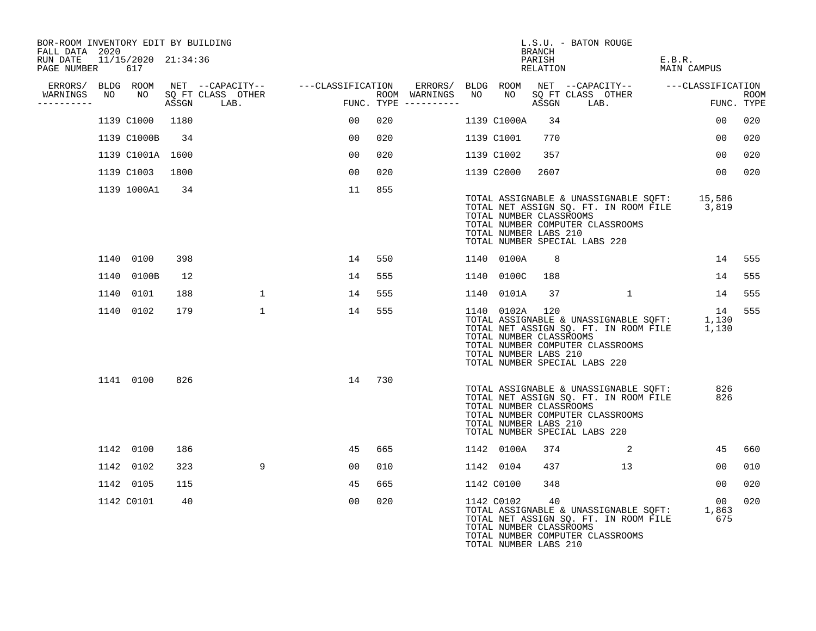| BOR-ROOM INVENTORY EDIT BY BUILDING<br>FALL DATA 2020 |    |                            |      |            |                   |                                                                                                                                                                               |     |                                                                                              |                | L.S.U. - BATON ROUGE<br>BRANCH                                                                                        |                                                                                |        |                                                                                                  |                           |
|-------------------------------------------------------|----|----------------------------|------|------------|-------------------|-------------------------------------------------------------------------------------------------------------------------------------------------------------------------------|-----|----------------------------------------------------------------------------------------------|----------------|-----------------------------------------------------------------------------------------------------------------------|--------------------------------------------------------------------------------|--------|--------------------------------------------------------------------------------------------------|---------------------------|
| RUN DATE<br>PAGE NUMBER                               |    | 11/15/2020 21:34:36<br>617 |      |            |                   |                                                                                                                                                                               |     |                                                                                              |                | PARISH<br>RELATION                                                                                                    |                                                                                | E.B.R. | MAIN CAMPUS                                                                                      |                           |
| ERRORS/ BLDG ROOM<br>WARNINGS<br>----------           | NO | NO                         |      | ASSGN LAB. | SQ FT CLASS OTHER | NET --CAPACITY-- ---CLASSIFICATION<br>$\begin{aligned} \mathbf{F}^{\text{H}}(\mathbf{r}) = \mathbf{F}^{\text{H}}(\mathbf{r}) \mathbf{F}^{\text{H}}(\mathbf{r}) \end{aligned}$ |     | ERRORS/ BLDG ROOM NET --CAPACITY-- ---CLASSIFICATION<br>ROOM WARNINGS<br>FUNC. TYPE $------$ |                | ASSGN LAB.                                                                                                            | NO NO SQ FT CLASS OTHER<br>aggern LAR .                                        |        |                                                                                                  | <b>ROOM</b><br>FUNC. TYPE |
|                                                       |    | 1139 C1000                 | 1180 |            |                   | 00 <sup>o</sup>                                                                                                                                                               | 020 |                                                                                              | 1139 C1000A    | 34                                                                                                                    |                                                                                |        | 00                                                                                               | 020                       |
|                                                       |    | 1139 C1000B                | 34   |            |                   | 00                                                                                                                                                                            | 020 |                                                                                              | 1139 C1001     | 770                                                                                                                   |                                                                                |        | 0 <sub>0</sub>                                                                                   | 020                       |
|                                                       |    |                            |      |            |                   | 00                                                                                                                                                                            |     |                                                                                              |                |                                                                                                                       |                                                                                |        | 00                                                                                               |                           |
|                                                       |    | 1139 C1001A 1600           |      |            |                   |                                                                                                                                                                               | 020 |                                                                                              | 1139 C1002     | 357                                                                                                                   |                                                                                |        |                                                                                                  | 020                       |
|                                                       |    | 1139 C1003                 | 1800 |            |                   | 00                                                                                                                                                                            | 020 |                                                                                              | 1139 C2000     | 2607                                                                                                                  |                                                                                |        | 0 <sub>0</sub>                                                                                   | 020                       |
|                                                       |    | 1139 1000A1                | 34   |            |                   | 11                                                                                                                                                                            | 855 |                                                                                              |                | TOTAL NUMBER CLASSROOMS<br>TOTAL NUMBER COMPUTER CLASSROOMS<br>TOTAL NUMBER LABS 210<br>TOTAL NUMBER SPECIAL LABS 220 |                                                                                |        | TOTAL ASSIGNABLE & UNASSIGNABLE SQFT: 15,586<br>TOTAL NET ASSIGN SQ. FT. IN ROOM FILE 3,819      |                           |
|                                                       |    | 1140 0100                  | 398  |            |                   | 14                                                                                                                                                                            | 550 |                                                                                              | 1140 0100A     | 8                                                                                                                     |                                                                                |        | 14                                                                                               | 555                       |
|                                                       |    | 1140 0100B                 | 12   |            |                   | 14                                                                                                                                                                            | 555 |                                                                                              | 1140 0100C     | 188                                                                                                                   |                                                                                |        | 14                                                                                               | 555                       |
|                                                       |    | 1140 0101                  | 188  |            | $\mathbf{1}$      | 14                                                                                                                                                                            | 555 |                                                                                              | 1140 0101A     | 37                                                                                                                    | $\overline{1}$                                                                 |        | 14                                                                                               | 555                       |
|                                                       |    | 1140 0102                  | 179  |            | $\mathbf{1}$      | 14                                                                                                                                                                            | 555 |                                                                                              | 1140 0102A 120 | TOTAL NUMBER CLASSROOMS<br>TOTAL NUMBER COMPUTER CLASSROOMS<br>TOTAL NUMBER LABS 210<br>TOTAL NUMBER SPECIAL LABS 220 |                                                                                |        | 14<br>TOTAL ASSIGNABLE & UNASSIGNABLE SQFT: 1,130<br>TOTAL NET ASSIGN SQ. FT. IN ROOM FILE 1,130 | 555                       |
|                                                       |    | 1141 0100                  | 826  |            |                   | 14                                                                                                                                                                            | 730 |                                                                                              |                | TOTAL NUMBER CLASSROOMS<br>TOTAL NUMBER COMPUTER CLASSROOMS<br>TOTAL NUMBER LABS 210<br>TOTAL NUMBER SPECIAL LABS 220 | TOTAL ASSIGNABLE & UNASSIGNABLE SQFT:<br>TOTAL NET ASSIGN SQ. FT. IN ROOM FILE |        | 826<br>826                                                                                       |                           |
|                                                       |    | 1142 0100                  | 186  |            |                   | 45                                                                                                                                                                            | 665 |                                                                                              | 1142 0100A     | 374                                                                                                                   | 2                                                                              |        | 45                                                                                               | 660                       |
|                                                       |    | 1142 0102                  | 323  |            | 9                 | 00                                                                                                                                                                            | 010 |                                                                                              | 1142 0104      | 437                                                                                                                   | 13                                                                             |        | 00                                                                                               | 010                       |
|                                                       |    | 1142 0105                  | 115  |            |                   | 45                                                                                                                                                                            | 665 |                                                                                              | 1142 C0100     | 348                                                                                                                   |                                                                                |        | 00                                                                                               | 020                       |
|                                                       |    | 1142 C0101                 | 40   |            |                   | 0 <sub>0</sub>                                                                                                                                                                | 020 |                                                                                              | 1142 C0102     | 40<br>TOTAL NUMBER CLASSROOMS<br>TOTAL NUMBER COMPUTER CLASSROOMS<br>TOTAL NUMBER LABS 210                            | TOTAL ASSIGNABLE & UNASSIGNABLE SQFT:<br>TOTAL NET ASSIGN SQ. FT. IN ROOM FILE |        | 00<br>1,863<br>675                                                                               | 020                       |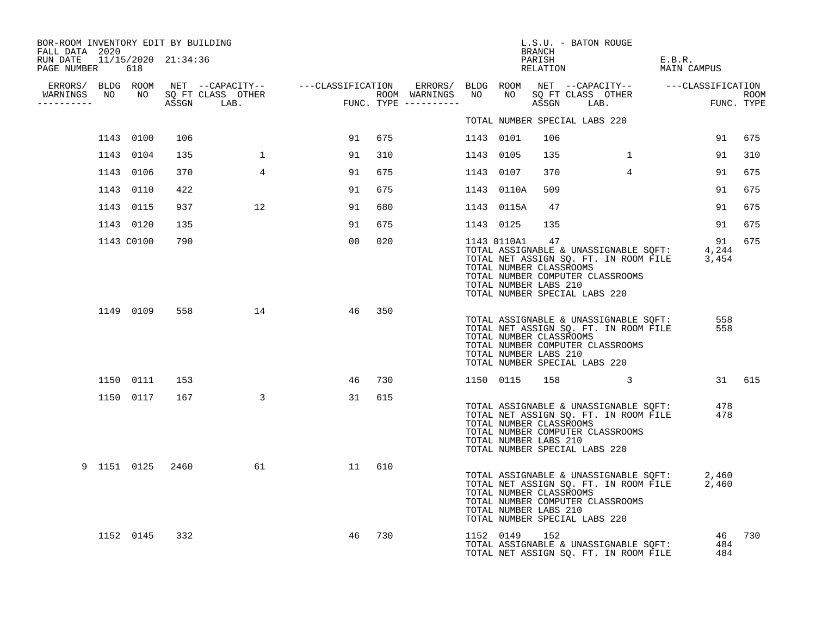| BOR-ROOM INVENTORY EDIT BY BUILDING                               |            |                  |                                  |                                                                                                                                                                                                                                      |     |           |                                                                    | BRANCH | L.S.U. - BATON ROUGE                                                                                                                                            |        |             |        |
|-------------------------------------------------------------------|------------|------------------|----------------------------------|--------------------------------------------------------------------------------------------------------------------------------------------------------------------------------------------------------------------------------------|-----|-----------|--------------------------------------------------------------------|--------|-----------------------------------------------------------------------------------------------------------------------------------------------------------------|--------|-------------|--------|
| FALL DATA 2020<br>RUN DATE 11/15/2020 21:34:36<br>PAGE NUMBER 618 |            |                  |                                  |                                                                                                                                                                                                                                      |     |           |                                                                    |        | PARISH<br>RELATION                                                                                                                                              | E.B.R. | MAIN CAMPUS |        |
|                                                                   |            |                  |                                  |                                                                                                                                                                                                                                      |     |           |                                                                    |        |                                                                                                                                                                 |        |             |        |
| -----------                                                       |            |                  | WARNINGS NO NO SQ FT CLASS OTHER | ERRORS/ BLDG ROOM NET --CAPACITY-- ----CLASSIFICATION ERRORS/ BLDG ROOM NET --CAPACITY-- -----CLASSIFICATION<br>WARNINGS NO NO SQFTCLASS OTHER ROOM WARNINGS NO NO SQFTCLASS OTHER ROOM<br>---------- ASSGN LAB. FUNC.TYPE --------- |     |           |                                                                    |        |                                                                                                                                                                 |        |             |        |
|                                                                   |            |                  |                                  |                                                                                                                                                                                                                                      |     |           |                                                                    |        | TOTAL NUMBER SPECIAL LABS 220                                                                                                                                   |        |             |        |
|                                                                   | 1143 0100  | 106              |                                  | 91                                                                                                                                                                                                                                   | 675 | 1143 0101 |                                                                    | 106    |                                                                                                                                                                 |        |             | 91 675 |
|                                                                   | 1143 0104  | 135              |                                  | 91                                                                                                                                                                                                                                   | 310 | 1143 0105 |                                                                    | 135    | 1                                                                                                                                                               |        | 91          | 310    |
|                                                                   | 1143 0106  | 370              | $4\overline{ }$                  | 91                                                                                                                                                                                                                                   | 675 | 1143 0107 |                                                                    | 370    | $\overline{4}$                                                                                                                                                  |        | 91          | 675    |
|                                                                   | 1143 0110  | 422              |                                  | 91                                                                                                                                                                                                                                   | 675 |           | 1143 0110A                                                         | 509    |                                                                                                                                                                 |        | 91          | 675    |
|                                                                   | 1143 0115  | 937              | 12                               | 91                                                                                                                                                                                                                                   | 680 |           | 1143 0115A                                                         | 47     |                                                                                                                                                                 |        | 91          | 675    |
|                                                                   | 1143 0120  | 135              |                                  | 91                                                                                                                                                                                                                                   | 675 |           | 1143 0125                                                          | 135    |                                                                                                                                                                 |        | 91          | 675    |
|                                                                   | 1143 C0100 | 790              |                                  | 00 <sup>o</sup>                                                                                                                                                                                                                      | 020 |           | 1143 0110A1 47<br>TOTAL NUMBER CLASSROOMS<br>TOTAL NUMBER LABS 210 |        | TOTAL ASSIGNABLE & UNASSIGNABLE SQFT: 4,244<br>TOTAL NET ASSIGN SQ. FT. IN ROOM FILE 3,454<br>TOTAL NUMBER COMPUTER CLASSROOMS<br>TOTAL NUMBER SPECIAL LABS 220 |        | 91          | 675    |
|                                                                   | 1149 0109  |                  | 558 14                           | 46                                                                                                                                                                                                                                   | 350 |           | TOTAL NUMBER CLASSROOMS<br>TOTAL NUMBER LABS 210                   |        | TOTAL ASSIGNABLE & UNASSIGNABLE SQFT:<br>TOTAL NET ASSIGN SQ. FT. IN ROOM FILE<br>TOTAL NUMBER COMPUTER CLASSROOMS<br>TOTAL NUMBER SPECIAL LABS 220             |        | 558<br>558  |        |
|                                                                   | 1150 0111  | 153              |                                  | 46                                                                                                                                                                                                                                   | 730 |           | 1150 0115                                                          | 158    | $\overline{\mathbf{3}}$                                                                                                                                         |        |             | 31 615 |
|                                                                   | 1150 0117  | 167              | $\sim$ 3                         | 31                                                                                                                                                                                                                                   | 615 |           | TOTAL NUMBER CLASSROOMS<br>TOTAL NUMBER LABS 210                   |        | TOTAL ASSIGNABLE & UNASSIGNABLE SQFT:<br>TOTAL NET ASSIGN SQ. FT. IN ROOM FILE<br>TOTAL NUMBER COMPUTER CLASSROOMS<br>TOTAL NUMBER SPECIAL LABS 220             |        | 478<br>478  |        |
|                                                                   |            | 9 1151 0125 2460 | 61 — 10                          | 11                                                                                                                                                                                                                                   | 610 |           | TOTAL NUMBER CLASSROOMS<br>TOTAL NUMBER LABS 210                   |        | TOTAL ASSIGNABLE & UNASSIGNABLE SQFT: 2,460<br>TOTAL NET ASSIGN SQ. FT. IN ROOM FILE 2,460<br>TOTAL NUMBER COMPUTER CLASSROOMS<br>TOTAL NUMBER SPECIAL LABS 220 |        |             |        |
|                                                                   | 1152 0145  | 332              |                                  | 46                                                                                                                                                                                                                                   | 730 |           | 1152 0149                                                          | 152    | TOTAL ASSIGNABLE & UNASSIGNABLE SQFT: 484<br>TOTAL NET ASSIGN SQ. FT. IN ROOM FILE 484<br>TOTAL NET ASSIGN SQ. FT. IN ROOM FILE                                 |        |             | 46 730 |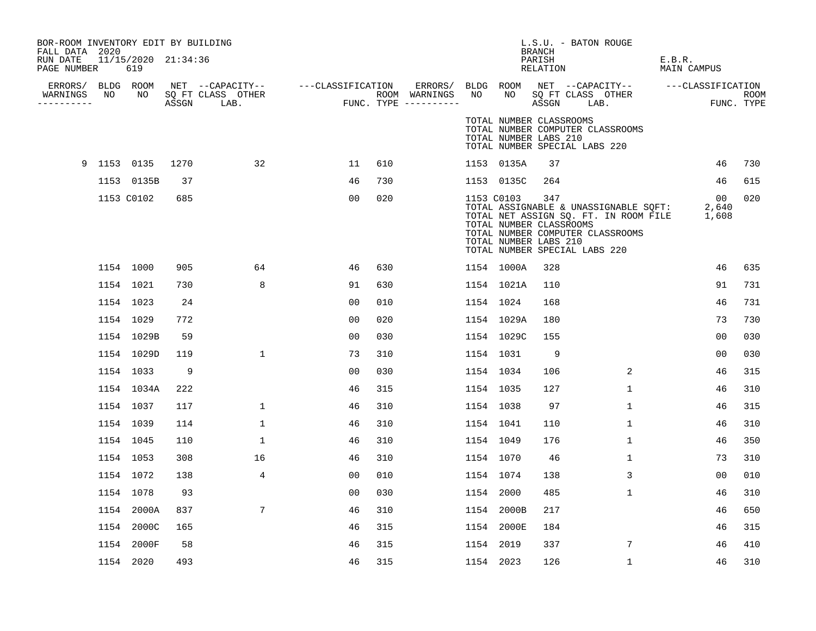| BOR-ROOM INVENTORY EDIT BY BUILDING<br>FALL DATA 2020 |             |                            |      |                                 |                                                      |     |                                      |           |            | <b>BRANCH</b>                                           | L.S.U. - BATON ROUGE                                                                                                                                            |                       |                |             |
|-------------------------------------------------------|-------------|----------------------------|------|---------------------------------|------------------------------------------------------|-----|--------------------------------------|-----------|------------|---------------------------------------------------------|-----------------------------------------------------------------------------------------------------------------------------------------------------------------|-----------------------|----------------|-------------|
| RUN DATE<br>PAGE NUMBER                               |             | 11/15/2020 21:34:36<br>619 |      |                                 |                                                      |     |                                      |           |            | PARISH<br>RELATION                                      |                                                                                                                                                                 | E.B.R.<br>MAIN CAMPUS |                |             |
|                                                       |             |                            |      |                                 | ERRORS/ BLDG ROOM NET --CAPACITY-- ---CLASSIFICATION |     | ERRORS/                              | BLDG ROOM |            |                                                         | NET --CAPACITY-- ---CLASSIFICATION                                                                                                                              |                       |                |             |
| WARNINGS<br>----------                                | NO.         | NO                         |      | SQ FT CLASS OTHER<br>ASSGN LAB. |                                                      |     | ROOM WARNINGS<br>FUNC. TYPE $------$ | NO        | NO .       | ASSGN                                                   | SQ FT CLASS OTHER<br>LAB.                                                                                                                                       |                       | FUNC. TYPE     | <b>ROOM</b> |
|                                                       |             |                            |      |                                 |                                                      |     |                                      |           |            | TOTAL NUMBER CLASSROOMS<br>TOTAL NUMBER LABS 210        | TOTAL NUMBER COMPUTER CLASSROOMS<br>TOTAL NUMBER SPECIAL LABS 220                                                                                               |                       |                |             |
|                                                       | 9 1153 0135 |                            | 1270 | 32                              | 11                                                   | 610 |                                      |           | 1153 0135A | 37                                                      |                                                                                                                                                                 |                       | 46             | 730         |
|                                                       |             | 1153 0135B                 | 37   |                                 | 46                                                   | 730 |                                      |           | 1153 0135C | 264                                                     |                                                                                                                                                                 |                       | 46             | 615         |
|                                                       |             | 1153 C0102                 | 685  |                                 | 00                                                   | 020 |                                      |           | 1153 C0103 | 347<br>TOTAL NUMBER CLASSROOMS<br>TOTAL NUMBER LABS 210 | TOTAL ASSIGNABLE & UNASSIGNABLE SQFT: 2,640<br>TOTAL NET ASSIGN SQ. FT. IN ROOM FILE 1,608<br>TOTAL NUMBER COMPUTER CLASSROOMS<br>TOTAL NUMBER SPECIAL LABS 220 |                       | 00             | 020         |
|                                                       |             | 1154 1000                  | 905  | 64                              | 46                                                   | 630 |                                      |           | 1154 1000A | 328                                                     |                                                                                                                                                                 |                       | 46             | 635         |
|                                                       |             | 1154 1021                  | 730  | 8                               | 91                                                   | 630 |                                      |           | 1154 1021A | 110                                                     |                                                                                                                                                                 |                       | 91             | 731         |
|                                                       |             | 1154 1023                  | 24   |                                 | 0 <sub>0</sub>                                       | 010 |                                      | 1154 1024 |            | 168                                                     |                                                                                                                                                                 |                       | 46             | 731         |
|                                                       |             | 1154 1029                  | 772  |                                 | 0 <sub>0</sub>                                       | 020 |                                      |           | 1154 1029A | 180                                                     |                                                                                                                                                                 |                       | 73             | 730         |
|                                                       |             | 1154 1029B                 | 59   |                                 | 0 <sub>0</sub>                                       | 030 |                                      |           | 1154 1029C | 155                                                     |                                                                                                                                                                 |                       | 00             | 030         |
|                                                       |             | 1154 1029D                 | 119  | $\mathbf{1}$                    | 73                                                   | 310 |                                      | 1154 1031 |            | - 9                                                     |                                                                                                                                                                 |                       | 00             | 030         |
|                                                       |             | 1154 1033                  | 9    |                                 | 0 <sub>0</sub>                                       | 030 |                                      | 1154 1034 |            | 106                                                     | 2                                                                                                                                                               |                       | 46             | 315         |
|                                                       |             | 1154 1034A                 | 222  |                                 | 46                                                   | 315 |                                      | 1154 1035 |            | 127                                                     | $\mathbf{1}$                                                                                                                                                    |                       | 46             | 310         |
|                                                       |             | 1154 1037                  | 117  | $\mathbf{1}$                    | 46                                                   | 310 |                                      | 1154 1038 |            | 97                                                      | 1                                                                                                                                                               |                       | 46             | 315         |
|                                                       |             | 1154 1039                  | 114  | 1                               | 46                                                   | 310 |                                      | 1154 1041 |            | 110                                                     | 1                                                                                                                                                               |                       | 46             | 310         |
|                                                       |             | 1154 1045                  | 110  | 1                               | 46                                                   | 310 |                                      | 1154 1049 |            | 176                                                     | $\mathbf{1}$                                                                                                                                                    |                       | 46             | 350         |
|                                                       |             | 1154 1053                  | 308  | 16                              | 46                                                   | 310 |                                      | 1154 1070 |            | 46                                                      | $\mathbf{1}$                                                                                                                                                    |                       | 73             | 310         |
|                                                       |             | 1154 1072                  | 138  | $\overline{4}$                  | 0 <sub>0</sub>                                       | 010 |                                      | 1154 1074 |            | 138                                                     | 3                                                                                                                                                               |                       | 0 <sub>0</sub> | 010         |
|                                                       |             | 1154 1078                  | 93   |                                 | 0 <sub>0</sub>                                       | 030 |                                      | 1154 2000 |            | 485                                                     | $\mathbf{1}$                                                                                                                                                    |                       | 46             | 310         |
|                                                       |             | 1154 2000A                 | 837  | $7\phantom{.0}$                 | 46                                                   | 310 |                                      |           | 1154 2000B | 217                                                     |                                                                                                                                                                 |                       | 46             | 650         |
|                                                       |             | 1154 2000C                 | 165  |                                 | 46                                                   | 315 |                                      |           | 1154 2000E | 184                                                     |                                                                                                                                                                 |                       | 46             | 315         |
|                                                       |             | 1154 2000F                 | 58   |                                 | 46                                                   | 315 |                                      | 1154 2019 |            | 337                                                     | 7                                                                                                                                                               |                       | 46             | 410         |
|                                                       |             | 1154 2020                  | 493  |                                 | 46                                                   | 315 |                                      | 1154 2023 |            | 126                                                     | $\mathbf{1}$                                                                                                                                                    |                       | 46             | 310         |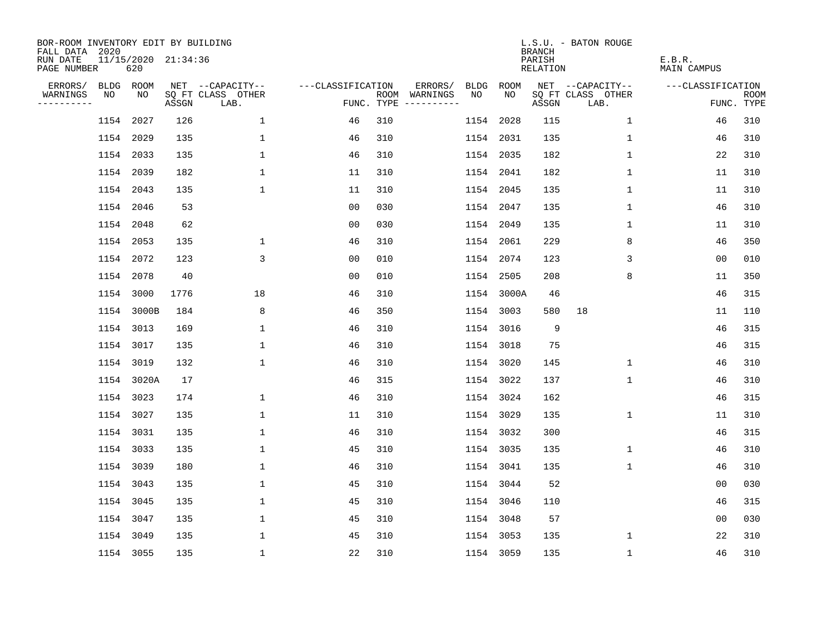| BOR-ROOM INVENTORY EDIT BY BUILDING<br>FALL DATA 2020 |    |                            |       |                           |                   |     |                                      |             |             | <b>BRANCH</b>             | L.S.U. - BATON ROUGE      |                              |                           |
|-------------------------------------------------------|----|----------------------------|-------|---------------------------|-------------------|-----|--------------------------------------|-------------|-------------|---------------------------|---------------------------|------------------------------|---------------------------|
| RUN DATE<br>PAGE NUMBER                               |    | 11/15/2020 21:34:36<br>620 |       |                           |                   |     |                                      |             |             | PARISH<br><b>RELATION</b> |                           | E.B.R.<br><b>MAIN CAMPUS</b> |                           |
| ERRORS/                                               |    | BLDG ROOM                  |       | NET --CAPACITY--          | ---CLASSIFICATION |     | ERRORS/                              | <b>BLDG</b> | <b>ROOM</b> |                           | NET --CAPACITY--          | ---CLASSIFICATION            |                           |
| WARNINGS<br>----------                                | NO | NO                         | ASSGN | SQ FT CLASS OTHER<br>LAB. |                   |     | ROOM WARNINGS<br>FUNC. TYPE $------$ | NO          | NO          | ASSGN                     | SQ FT CLASS OTHER<br>LAB. |                              | <b>ROOM</b><br>FUNC. TYPE |
|                                                       |    | 1154 2027                  | 126   | $\mathbf{1}$              | 46                | 310 |                                      |             | 1154 2028   | 115                       | $\mathbf 1$               | 46                           | 310                       |
|                                                       |    | 1154 2029                  | 135   | $\mathbf 1$               | 46                | 310 |                                      |             | 1154 2031   | 135                       | 1                         | 46                           | 310                       |
|                                                       |    | 1154 2033                  | 135   | $\mathbf 1$               | 46                | 310 |                                      |             | 1154 2035   | 182                       | $\mathbf 1$               | 22                           | 310                       |
|                                                       |    | 1154 2039                  | 182   | 1                         | 11                | 310 |                                      |             | 1154 2041   | 182                       | $\mathbf 1$               | 11                           | 310                       |
|                                                       |    | 1154 2043                  | 135   | $\mathbf{1}$              | 11                | 310 |                                      |             | 1154 2045   | 135                       | 1                         | 11                           | 310                       |
|                                                       |    | 1154 2046                  | 53    |                           | 0 <sub>0</sub>    | 030 |                                      |             | 1154 2047   | 135                       | $\mathbf 1$               | 46                           | 310                       |
|                                                       |    | 1154 2048                  | 62    |                           | 0 <sub>0</sub>    | 030 |                                      |             | 1154 2049   | 135                       | $\mathbf 1$               | 11                           | 310                       |
|                                                       |    | 1154 2053                  | 135   | $\mathbf 1$               | 46                | 310 |                                      |             | 1154 2061   | 229                       | 8                         | 46                           | 350                       |
|                                                       |    | 1154 2072                  | 123   | 3                         | 0 <sub>0</sub>    | 010 |                                      |             | 1154 2074   | 123                       | 3                         | 0 <sub>0</sub>               | 010                       |
|                                                       |    | 1154 2078                  | 40    |                           | 0 <sub>0</sub>    | 010 |                                      |             | 1154 2505   | 208                       | 8                         | 11                           | 350                       |
|                                                       |    | 1154 3000                  | 1776  | 18                        | 46                | 310 |                                      |             | 1154 3000A  | 46                        |                           | 46                           | 315                       |
|                                                       |    | 1154 3000B                 | 184   | 8                         | 46                | 350 |                                      |             | 1154 3003   | 580                       | 18                        | 11                           | 110                       |
|                                                       |    | 1154 3013                  | 169   | 1                         | 46                | 310 |                                      | 1154        | 3016        | 9                         |                           | 46                           | 315                       |
|                                                       |    | 1154 3017                  | 135   | 1                         | 46                | 310 |                                      |             | 1154 3018   | 75                        |                           | 46                           | 315                       |
|                                                       |    | 1154 3019                  | 132   | $\mathbf 1$               | 46                | 310 |                                      | 1154        | 3020        | 145                       | 1                         | 46                           | 310                       |
|                                                       |    | 1154 3020A                 | 17    |                           | 46                | 315 |                                      |             | 1154 3022   | 137                       | $\mathbf 1$               | 46                           | 310                       |
|                                                       |    | 1154 3023                  | 174   | $\mathbf 1$               | 46                | 310 |                                      | 1154        | 3024        | 162                       |                           | 46                           | 315                       |
|                                                       |    | 1154 3027                  | 135   | $\mathbf 1$               | 11                | 310 |                                      |             | 1154 3029   | 135                       | 1                         | 11                           | 310                       |
|                                                       |    | 1154 3031                  | 135   | $\mathbf{1}$              | 46                | 310 |                                      |             | 1154 3032   | 300                       |                           | 46                           | 315                       |
|                                                       |    | 1154 3033                  | 135   | $\mathbf 1$               | 45                | 310 |                                      |             | 1154 3035   | 135                       | 1                         | 46                           | 310                       |
|                                                       |    | 1154 3039                  | 180   | 1                         | 46                | 310 |                                      |             | 1154 3041   | 135                       | 1                         | 46                           | 310                       |
|                                                       |    | 1154 3043                  | 135   | $\mathbf 1$               | 45                | 310 |                                      |             | 1154 3044   | 52                        |                           | 00                           | 030                       |
|                                                       |    | 1154 3045                  | 135   | 1                         | 45                | 310 |                                      |             | 1154 3046   | 110                       |                           | 46                           | 315                       |
|                                                       |    | 1154 3047                  | 135   | $\mathbf 1$               | 45                | 310 |                                      |             | 1154 3048   | 57                        |                           | 0 <sub>0</sub>               | 030                       |
|                                                       |    | 1154 3049                  | 135   | $\mathbf{1}$              | 45                | 310 |                                      |             | 1154 3053   | 135                       | 1                         | 22                           | 310                       |
|                                                       |    | 1154 3055                  | 135   | $\mathbf{1}$              | 22                | 310 |                                      |             | 1154 3059   | 135                       | $\mathbf 1$               | 46                           | 310                       |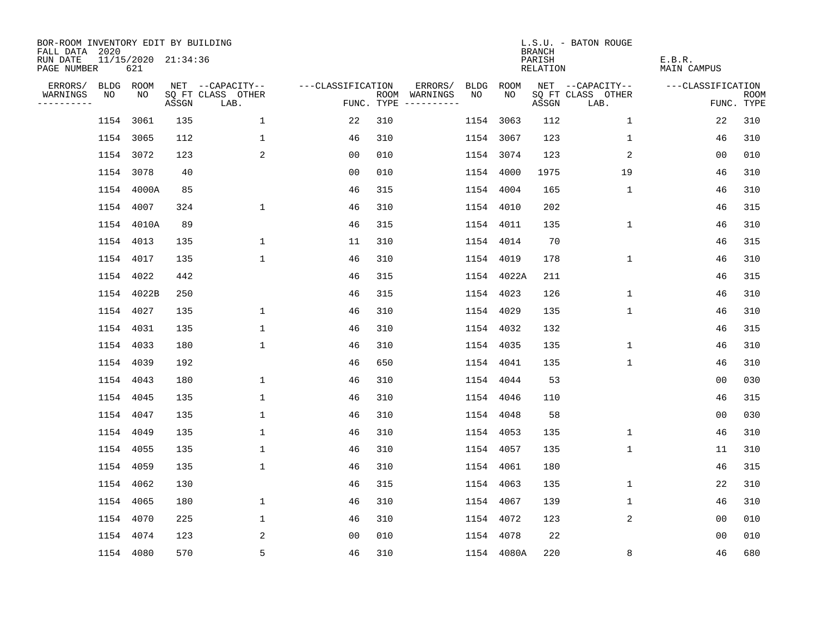| BOR-ROOM INVENTORY EDIT BY BUILDING<br>FALL DATA 2020 |           |                            |       |                           |                   |     |                                      |      |             | <b>BRANCH</b>             | L.S.U. - BATON ROUGE      |                              |                           |
|-------------------------------------------------------|-----------|----------------------------|-------|---------------------------|-------------------|-----|--------------------------------------|------|-------------|---------------------------|---------------------------|------------------------------|---------------------------|
| RUN DATE<br>PAGE NUMBER                               |           | 11/15/2020 21:34:36<br>621 |       |                           |                   |     |                                      |      |             | PARISH<br><b>RELATION</b> |                           | E.B.R.<br><b>MAIN CAMPUS</b> |                           |
| ERRORS/                                               | BLDG ROOM |                            |       | NET --CAPACITY--          | ---CLASSIFICATION |     | ERRORS/                              | BLDG | <b>ROOM</b> |                           | NET --CAPACITY--          | ---CLASSIFICATION            |                           |
| WARNINGS<br>----------                                | NO        | NO                         | ASSGN | SQ FT CLASS OTHER<br>LAB. |                   |     | ROOM WARNINGS<br>FUNC. TYPE $------$ | NO   | NO          | ASSGN                     | SQ FT CLASS OTHER<br>LAB. |                              | <b>ROOM</b><br>FUNC. TYPE |
|                                                       |           | 1154 3061                  | 135   | $\mathbf{1}$              | 22                | 310 |                                      |      | 1154 3063   | 112                       | 1                         | 22                           | 310                       |
|                                                       |           | 1154 3065                  | 112   | $\mathbf 1$               | 46                | 310 |                                      |      | 1154 3067   | 123                       | 1                         | 46                           | 310                       |
|                                                       |           | 1154 3072                  | 123   | 2                         | 0 <sub>0</sub>    | 010 |                                      |      | 1154 3074   | 123                       | 2                         | 0 <sub>0</sub>               | 010                       |
|                                                       | 1154 3078 |                            | 40    |                           | 0 <sub>0</sub>    | 010 |                                      | 1154 | 4000        | 1975                      | 19                        | 46                           | 310                       |
|                                                       |           | 1154 4000A                 | 85    |                           | 46                | 315 |                                      | 1154 | 4004        | 165                       | $\mathbf 1$               | 46                           | 310                       |
|                                                       |           | 1154 4007                  | 324   | $\mathbf 1$               | 46                | 310 |                                      |      | 1154 4010   | 202                       |                           | 46                           | 315                       |
|                                                       |           | 1154 4010A                 | 89    |                           | 46                | 315 |                                      |      | 1154 4011   | 135                       | $\mathbf 1$               | 46                           | 310                       |
|                                                       |           | 1154 4013                  | 135   | $\mathbf 1$               | 11                | 310 |                                      |      | 1154 4014   | 70                        |                           | 46                           | 315                       |
|                                                       |           | 1154 4017                  | 135   | $\mathbf{1}$              | 46                | 310 |                                      | 1154 | 4019        | 178                       | $\mathbf 1$               | 46                           | 310                       |
|                                                       |           | 1154 4022                  | 442   |                           | 46                | 315 |                                      |      | 1154 4022A  | 211                       |                           | 46                           | 315                       |
|                                                       |           | 1154 4022B                 | 250   |                           | 46                | 315 |                                      |      | 1154 4023   | 126                       | $\mathbf 1$               | 46                           | 310                       |
|                                                       |           | 1154 4027                  | 135   | $\mathbf 1$               | 46                | 310 |                                      | 1154 | 4029        | 135                       | $\mathbf 1$               | 46                           | 310                       |
|                                                       |           | 1154 4031                  | 135   | $\mathbf 1$               | 46                | 310 |                                      | 1154 | 4032        | 132                       |                           | 46                           | 315                       |
|                                                       | 1154 4033 |                            | 180   | $\mathbf{1}$              | 46                | 310 |                                      | 1154 | 4035        | 135                       | $\mathbf 1$               | 46                           | 310                       |
|                                                       | 1154 4039 |                            | 192   |                           | 46                | 650 |                                      | 1154 | 4041        | 135                       | $\mathbf{1}$              | 46                           | 310                       |
|                                                       | 1154 4043 |                            | 180   | 1                         | 46                | 310 |                                      |      | 1154 4044   | 53                        |                           | 0 <sub>0</sub>               | 030                       |
|                                                       | 1154 4045 |                            | 135   | $\mathbf 1$               | 46                | 310 |                                      | 1154 | 4046        | 110                       |                           | 46                           | 315                       |
|                                                       | 1154 4047 |                            | 135   | $\mathbf{1}$              | 46                | 310 |                                      |      | 1154 4048   | 58                        |                           | 0 <sub>0</sub>               | 030                       |
|                                                       |           | 1154 4049                  | 135   | $\mathbf{1}$              | 46                | 310 |                                      |      | 1154 4053   | 135                       | $\mathbf 1$               | 46                           | 310                       |
|                                                       | 1154 4055 |                            | 135   | $\mathbf{1}$              | 46                | 310 |                                      |      | 1154 4057   | 135                       | $\mathbf 1$               | 11                           | 310                       |
|                                                       | 1154 4059 |                            | 135   | $\mathbf{1}$              | 46                | 310 |                                      |      | 1154 4061   | 180                       |                           | 46                           | 315                       |
|                                                       |           | 1154 4062                  | 130   |                           | 46                | 315 |                                      |      | 1154 4063   | 135                       | 1                         | 22                           | 310                       |
|                                                       |           | 1154 4065                  | 180   | $\mathbf 1$               | 46                | 310 |                                      |      | 1154 4067   | 139                       | 1                         | 46                           | 310                       |
|                                                       |           | 1154 4070                  | 225   | $\mathbf 1$               | 46                | 310 |                                      |      | 1154 4072   | 123                       | 2                         | 0 <sub>0</sub>               | 010                       |
|                                                       | 1154 4074 |                            | 123   | 2                         | 0 <sub>0</sub>    | 010 |                                      | 1154 | 4078        | 22                        |                           | 0 <sub>0</sub>               | 010                       |
|                                                       |           | 1154 4080                  | 570   | 5                         | 46                | 310 |                                      |      | 1154 4080A  | 220                       | 8                         | 46                           | 680                       |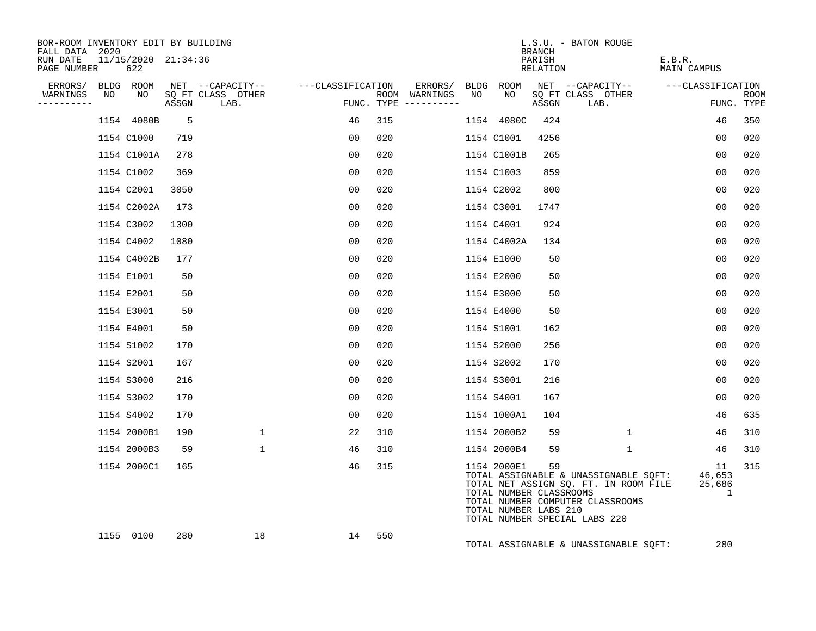| BOR-ROOM INVENTORY EDIT BY BUILDING<br>FALL DATA 2020 |    |                            |       |                           |                   |     |                                      |    |                                                                 | <b>BRANCH</b>      | L.S.U. - BATON ROUGE                                                                                                                                |                              |                           |
|-------------------------------------------------------|----|----------------------------|-------|---------------------------|-------------------|-----|--------------------------------------|----|-----------------------------------------------------------------|--------------------|-----------------------------------------------------------------------------------------------------------------------------------------------------|------------------------------|---------------------------|
| RUN DATE<br>PAGE NUMBER                               |    | 11/15/2020 21:34:36<br>622 |       |                           |                   |     |                                      |    |                                                                 | PARISH<br>RELATION |                                                                                                                                                     | E.B.R.<br><b>MAIN CAMPUS</b> |                           |
| ERRORS/<br>WARNINGS                                   | NO | BLDG ROOM<br>NO            |       | NET --CAPACITY--          | ---CLASSIFICATION |     | ERRORS/                              |    | BLDG ROOM<br>NO                                                 |                    | NET --CAPACITY--                                                                                                                                    | ---CLASSIFICATION            |                           |
| ---------                                             |    |                            | ASSGN | SQ FT CLASS OTHER<br>LAB. |                   |     | ROOM WARNINGS<br>FUNC. TYPE $------$ | NO |                                                                 | ASSGN              | SQ FT CLASS OTHER<br>LAB.                                                                                                                           |                              | <b>ROOM</b><br>FUNC. TYPE |
|                                                       |    | 1154 4080B                 | -5    |                           | 46                | 315 |                                      |    | 1154 4080C                                                      | 424                |                                                                                                                                                     | 46                           | 350                       |
|                                                       |    | 1154 C1000                 | 719   |                           | 00                | 020 |                                      |    | 1154 C1001                                                      | 4256               |                                                                                                                                                     | 0 <sub>0</sub>               | 020                       |
|                                                       |    | 1154 C1001A                | 278   |                           | 0 <sub>0</sub>    | 020 |                                      |    | 1154 C1001B                                                     | 265                |                                                                                                                                                     | 0 <sub>0</sub>               | 020                       |
|                                                       |    | 1154 C1002                 | 369   |                           | 00                | 020 |                                      |    | 1154 C1003                                                      | 859                |                                                                                                                                                     | 0 <sub>0</sub>               | 020                       |
|                                                       |    | 1154 C2001                 | 3050  |                           | 00                | 020 |                                      |    | 1154 C2002                                                      | 800                |                                                                                                                                                     | 0 <sub>0</sub>               | 020                       |
|                                                       |    | 1154 C2002A                | 173   |                           | 00                | 020 |                                      |    | 1154 C3001                                                      | 1747               |                                                                                                                                                     | 0 <sub>0</sub>               | 020                       |
|                                                       |    | 1154 C3002                 | 1300  |                           | 00                | 020 |                                      |    | 1154 C4001                                                      | 924                |                                                                                                                                                     | 0 <sub>0</sub>               | 020                       |
|                                                       |    | 1154 C4002                 | 1080  |                           | 00                | 020 |                                      |    | 1154 C4002A                                                     | 134                |                                                                                                                                                     | 0 <sub>0</sub>               | 020                       |
|                                                       |    | 1154 C4002B                | 177   |                           | 00                | 020 |                                      |    | 1154 E1000                                                      | 50                 |                                                                                                                                                     | 00                           | 020                       |
|                                                       |    | 1154 E1001                 | 50    |                           | 00                | 020 |                                      |    | 1154 E2000                                                      | 50                 |                                                                                                                                                     | 00                           | 020                       |
|                                                       |    | 1154 E2001                 | 50    |                           | 00                | 020 |                                      |    | 1154 E3000                                                      | 50                 |                                                                                                                                                     | 0 <sub>0</sub>               | 020                       |
|                                                       |    | 1154 E3001                 | 50    |                           | 0 <sub>0</sub>    | 020 |                                      |    | 1154 E4000                                                      | 50                 |                                                                                                                                                     | 0 <sub>0</sub>               | 020                       |
|                                                       |    | 1154 E4001                 | 50    |                           | 00                | 020 |                                      |    | 1154 S1001                                                      | 162                |                                                                                                                                                     | 0 <sub>0</sub>               | 020                       |
|                                                       |    | 1154 S1002                 | 170   |                           | 0 <sub>0</sub>    | 020 |                                      |    | 1154 S2000                                                      | 256                |                                                                                                                                                     | 0 <sub>0</sub>               | 020                       |
|                                                       |    | 1154 S2001                 | 167   |                           | 00                | 020 |                                      |    | 1154 S2002                                                      | 170                |                                                                                                                                                     | 0 <sub>0</sub>               | 020                       |
|                                                       |    | 1154 S3000                 | 216   |                           | 00                | 020 |                                      |    | 1154 S3001                                                      | 216                |                                                                                                                                                     | 0 <sub>0</sub>               | 020                       |
|                                                       |    | 1154 S3002                 | 170   |                           | 00                | 020 |                                      |    | 1154 S4001                                                      | 167                |                                                                                                                                                     | 0 <sub>0</sub>               | 020                       |
|                                                       |    | 1154 S4002                 | 170   |                           | 00                | 020 |                                      |    | 1154 1000A1                                                     | 104                |                                                                                                                                                     | 46                           | 635                       |
|                                                       |    | 1154 2000B1                | 190   | $\mathbf{1}$              | 22                | 310 |                                      |    | 1154 2000B2                                                     | 59                 | $\mathbf{1}$                                                                                                                                        | 46                           | 310                       |
|                                                       |    | 1154 2000B3                | 59    | $\mathbf{1}$              | 46                | 310 |                                      |    | 1154 2000B4                                                     | 59                 | $\mathbf{1}$                                                                                                                                        | 46                           | 310                       |
|                                                       |    | 1154 2000C1                | 165   |                           | 46                | 315 |                                      |    | 1154 2000E1<br>TOTAL NUMBER CLASSROOMS<br>TOTAL NUMBER LABS 210 | 59                 | TOTAL ASSIGNABLE & UNASSIGNABLE SQFT:<br>TOTAL NET ASSIGN SQ. FT. IN ROOM FILE<br>TOTAL NUMBER COMPUTER CLASSROOMS<br>TOTAL NUMBER SPECIAL LABS 220 | 11<br>46,653<br>25,686<br>1  | 315                       |
|                                                       |    | 1155 0100                  | 280   | 18                        | 14                | 550 |                                      |    |                                                                 |                    | TOTAL ASSIGNABLE & UNASSIGNABLE SOFT:                                                                                                               | 280                          |                           |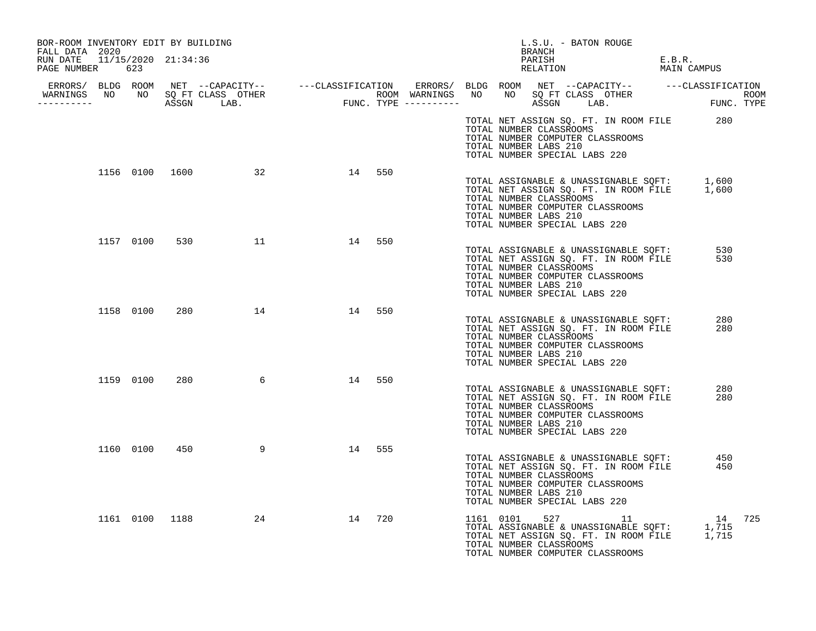| BOR-ROOM INVENTORY EDIT BY BUILDING<br>FALL DATA 2020 |           |     |                          |    |        |                       | L.S.U. - BATON ROUGE<br>BRANCH                                                                                                                                                                                                                                           |                       |  |
|-------------------------------------------------------|-----------|-----|--------------------------|----|--------|-----------------------|--------------------------------------------------------------------------------------------------------------------------------------------------------------------------------------------------------------------------------------------------------------------------|-----------------------|--|
| RUN DATE 11/15/2020 21:34:36<br>PAGE NUMBER 623       |           |     |                          |    |        |                       | PARISH<br>RELATION                                                                                                                                                                                                                                                       | E.B.R.<br>MAIN CAMPUS |  |
|                                                       |           |     |                          |    |        |                       |                                                                                                                                                                                                                                                                          |                       |  |
|                                                       |           |     |                          |    |        |                       |                                                                                                                                                                                                                                                                          |                       |  |
|                                                       |           |     |                          |    |        | TOTAL NUMBER LABS 210 | TOTAL NET ASSIGN SQ. FT. IN ROOM FILE 280<br>TOTAL NUMBER CLASSROOMS<br>TOTAL NUMBER COMPUTER CLASSROOMS<br>TOTAL NUMBER SPECIAL LABS 220                                                                                                                                |                       |  |
|                                                       |           |     | 1156 0100 1600 32 14 550 |    |        | TOTAL NUMBER LABS 210 | TOTAL ASSIGNABLE & UNASSIGNABLE SQFT: 1,600<br>TOTAL NET ASSIGN SQ. FT. IN ROOM FILE 1,600<br>TOTAL NUMBER CLASSROOMS<br>TOTAL NUMBER COMPUTER CLASSROOMS<br>TOTAL NUMBER SPECIAL LABS 220                                                                               |                       |  |
|                                                       |           |     | 1157 0100 530 11 14      |    | 550    | TOTAL NUMBER LABS 210 | TOTAL ASSIGNABLE & UNASSIGNABLE SQFT: 530<br>TOTAL NET ASSIGN SO. FT. IN ROOM FILE 530<br>TOTAL NET ASSIGN SQ. FT. IN ROOM FILE<br>TOTAL NUMBER CLASSROOMS<br>TOTAL NUMBER COMPUTER CLASSROOMS<br>TOTAL NUMBER SPECIAL LABS 220                                          | 530                   |  |
|                                                       |           |     | 1158 0100 280 14 14 550  |    |        | TOTAL NUMBER LABS 210 | TOTAL ASSIGNABLE & UNASSIGNABLE SQFT:<br>TOTAL NET ASSIGN SQ. FT. IN ROOM FILE<br>TOTAL NUMBER CLASSROOMS<br>TOTAL NUMBER COMPUTER CLASSROOMS<br>TOTAL NUMBER SPECIAL LABS 220                                                                                           | 280<br>280            |  |
|                                                       | 1159 0100 | 280 | $6\overline{6}$          | 14 | 550    | TOTAL NUMBER LABS 210 | TOTAL NET ASSIGN SQ. FT. IN ROOM FILE<br>TOTAL NET ASSIGN SQ. FT. IN ROOM FILE<br>TOTAL NUMBER CLASSROOMS<br>TOTAL NUMBER COMPUTER CLASSROOMS<br>TOTAL NUMBER SPECIAL LABS 220                                                                                           | 280<br>280            |  |
|                                                       | 1160 0100 | 450 | 9                        |    | 14 555 | TOTAL NUMBER LABS 210 | TOTAL ASSIGNABLE & UNASSIGNABLE SQFT:<br>TOTAL NET ASSIGN SQ. FT. IN ROOM FILE<br>TOTAL NUMBER CLASSROOMS<br>TOTAL NUMBER COMPUTER CLASSROOMS<br>TOTAL NUMBER SPECIAL LABS 220                                                                                           | 450<br>450            |  |
|                                                       |           |     | 1161 0100 1188 24        |    | 14 720 |                       | $\begin{tabular}{lllllllllll} 1161 & 0101 & 527 & 11 & 14 & 725 \\ \text{TOTAL ASSIGNABLE & UNASSIGNABLE} & \text{SQFT:} & 1,715 \\ \text{TOTAL NET ASSIGN SQ. FT. IN ROM FILE} & 1,715 \\ \end{tabular}$<br>TOTAL NUMBER CLASSROOMS<br>TOTAL NUMBER COMPUTER CLASSROOMS |                       |  |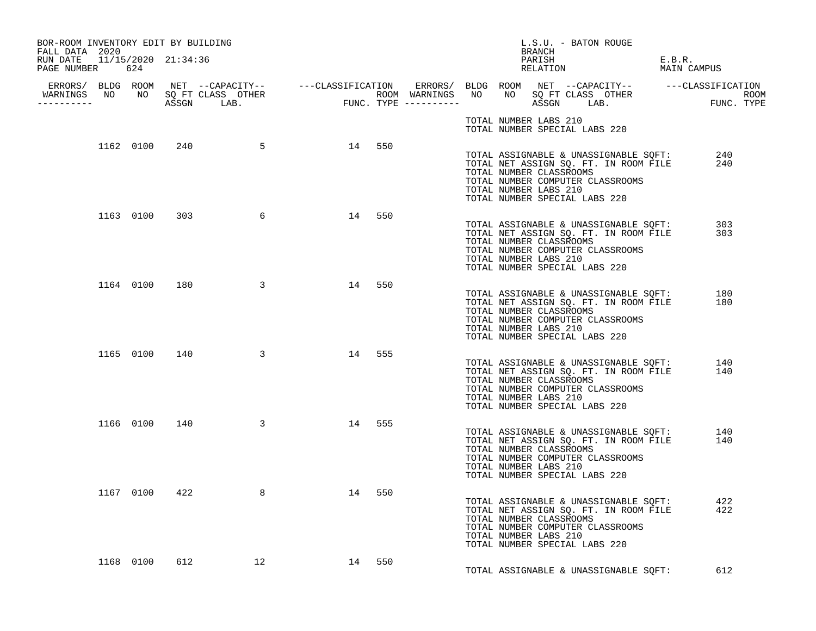| BOR-ROOM INVENTORY EDIT BY BUILDING<br>FALL DATA 2020 |           |               |                         |        |     |  | L.S.U. - BATON ROUGE<br>BRANCH                                                                                                                                                                                                                           |                       |
|-------------------------------------------------------|-----------|---------------|-------------------------|--------|-----|--|----------------------------------------------------------------------------------------------------------------------------------------------------------------------------------------------------------------------------------------------------------|-----------------------|
| RUN DATE 11/15/2020 21:34:36<br>PAGE NUMBER 624       |           |               |                         |        |     |  | PARISH<br>RELATION                                                                                                                                                                                                                                       | E.B.R.<br>MAIN CAMPUS |
| -----------                                           |           |               |                         |        |     |  |                                                                                                                                                                                                                                                          |                       |
|                                                       |           |               |                         |        |     |  | TOTAL NUMBER LABS 210<br>TOTAL NUMBER SPECIAL LABS 220                                                                                                                                                                                                   |                       |
|                                                       |           |               | 1162 0100 240 5 14 550  |        |     |  | TOTAL ASSIGNABLE & UNASSIGNABLE SQFT: 240<br>TOTAL NET ASSIGN SO. FT. IN ROOM FILE 240<br>TOTAL NET ASSIGN SQ. FT. IN ROOM FILE<br>TOTAL NUMBER CLASSROOMS<br>TOTAL NUMBER COMPUTER CLASSROOMS<br>TOTAL NUMBER LABS 210<br>TOTAL NUMBER SPECIAL LABS 220 |                       |
|                                                       |           |               | 1163 0100 303 6         | 14 550 |     |  | TOTAL ASSIGNABLE & UNASSIGNABLE SQFT:<br>TOTAL NET ASSIGN SQ. FT. IN ROOM FILE<br>TOTAL NUMBER CLASSROOMS<br>TOTAL NUMBER COMPUTER CLASSROOMS<br>TOTAL NUMBER LABS 210<br>TOTAL NUMBER SPECIAL LABS 220                                                  | 303<br>303            |
|                                                       |           | 1164 0100 180 | $\overline{\mathbf{3}}$ | 14 550 |     |  | TOTAL ASSIGNABLE & UNASSIGNABLE SQFT:<br>TOTAL NET ASSIGN SQ. FT. IN ROOM FILE<br>TOTAL NUMBER CLASSROOMS<br>TOTAL NUMBER COMPUTER CLASSROOMS<br>TOTAL NUMBER LABS 210<br>TOTAL NUMBER SPECIAL LABS 220                                                  | 180<br>180            |
|                                                       |           |               | 1165 0100 140 3         | 14 555 |     |  | TOTAL ASSIGNABLE & UNASSIGNABLE SQFT:<br>TOTAL NET ASSIGN SQ. FT. IN ROOM FILE<br>TOTAL NUMBER CLASSROOMS<br>TOTAL NUMBER COMPUTER CLASSROOMS<br>TOTAL NUMBER LABS 210<br>TOTAL NUMBER SPECIAL LABS 220                                                  | 140<br>140            |
|                                                       |           |               | 1166 0100 140 3         | 14 555 |     |  | TOTAL ASSIGNABLE & UNASSIGNABLE SQFT:<br>TOTAL NET ASSIGN SQ. FT. IN ROOM FILE<br>TOTAL NUMBER CLASSROOMS<br>TOTAL NUMBER COMPUTER CLASSROOMS<br>TOTAL NUMBER LABS 210<br>TOTAL NUMBER SPECIAL LABS 220                                                  | 140<br>140            |
|                                                       | 1167 0100 |               | 422<br>8                | 14     | 550 |  | COTAL NET ASSIGN SQ. FT. IN ROOM FILE<br>TOTAL NET ASSIGN SQ. FT. IN ROOM FILE<br>TOTAL NUMBER CLASSROOMS<br>TOTAL NUMBER CLASSROOMS<br>TOTAL NUMBER COMPUTER CLASSROOMS<br>TOTAL NUMBER LABS 210<br>TOTAL NUMBER SPECIAL LABS 220                       | 422<br>422            |
|                                                       | 1168 0100 | 612           | 12                      | 14 550 |     |  | TOTAL ASSIGNABLE & UNASSIGNABLE SOFT:                                                                                                                                                                                                                    | 612                   |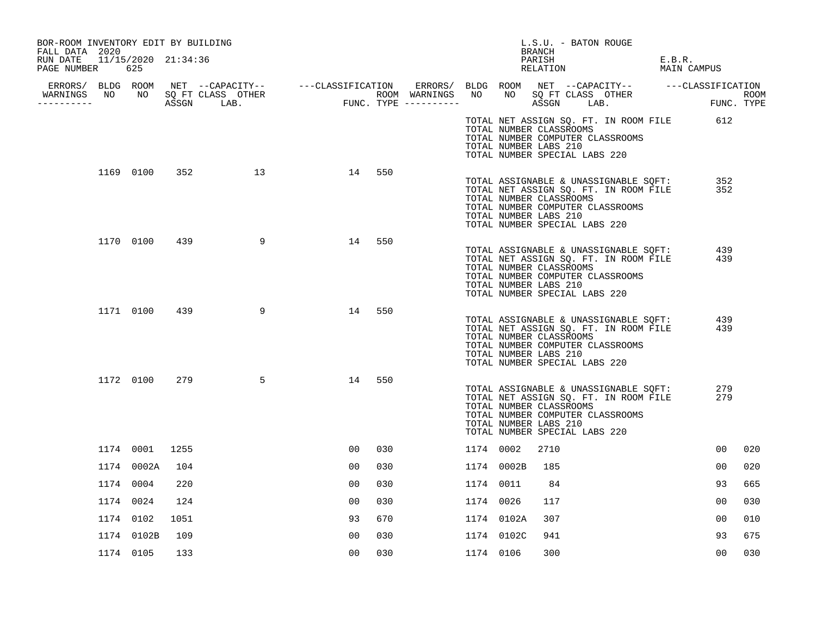| BOR-ROOM INVENTORY EDIT BY BUILDING<br>FALL DATA 2020 |               |      |                  |                |        |           |            | BRANCH                                           | L.S.U. - BATON ROUGE                                                                                                                                                                         |                                                  |     |
|-------------------------------------------------------|---------------|------|------------------|----------------|--------|-----------|------------|--------------------------------------------------|----------------------------------------------------------------------------------------------------------------------------------------------------------------------------------------------|--------------------------------------------------|-----|
| RUN DATE 11/15/2020 21:34:36<br>PAGE NUMBER 625       |               |      |                  |                |        |           |            |                                                  | PARISH<br>RELATION                                                                                                                                                                           | E.B.R.<br>MAIN CAMPUS                            |     |
|                                                       |               |      |                  |                |        |           |            |                                                  |                                                                                                                                                                                              |                                                  |     |
| ----------                                            |               |      |                  |                |        |           |            |                                                  |                                                                                                                                                                                              |                                                  |     |
|                                                       |               |      |                  |                |        |           |            | TOTAL NUMBER CLASSROOMS<br>TOTAL NUMBER LABS 210 | TOTAL NUMBER COMPUTER CLASSROOMS<br>TOTAL NUMBER SPECIAL LABS 220                                                                                                                            | TOTAL NET ASSIGN SQ. FT. IN ROOM FILE 612        |     |
|                                                       |               |      | 1169 0100 352 13 | 14             | 550    |           |            | TOTAL NUMBER CLASSROOMS<br>TOTAL NUMBER LABS 210 | TOTAL ASSIGNABLE & UNASSIGNABLE SQFT:<br>TOTAL NET ASSIGN SO. FT. IN ROOM FILE<br>TOTAL NET ASSIGN SQ. FT. IN ROOM FILE<br>TOTAL NUMBER COMPUTER CLASSROOMS<br>TOTAL NUMBER SPECIAL LABS 220 | 352<br>352                                       |     |
|                                                       | 1170 0100 439 |      | 9                | 14             | 550    |           |            | TOTAL NUMBER CLASSROOMS<br>TOTAL NUMBER LABS 210 | TOTAL NET ASSIGN SQ. FT. IN ROOM FILE<br>TOTAL NUMBER COMPUTER CLASSROOMS<br>TOTAL NUMBER SPECIAL LABS 220                                                                                   | TOTAL ASSIGNABLE & UNASSIGNABLE SQFT: 439<br>439 |     |
|                                                       | 1171 0100 439 |      | 9                |                | 14 550 |           |            | TOTAL NUMBER CLASSROOMS<br>TOTAL NUMBER LABS 210 | TOTAL ASSIGNABLE & UNASSIGNABLE SQFT:<br>TOTAL NET ASSIGN SQ. FT. IN ROOM FILE<br>TOTAL NUMBER COMPUTER CLASSROOMS<br>TOTAL NUMBER SPECIAL LABS 220                                          | 439<br>439                                       |     |
|                                                       | 1172 0100     | 279  | 5                | 14             | 550    |           |            | TOTAL NUMBER CLASSROOMS<br>TOTAL NUMBER LABS 210 | TOTAL ASSIGNABLE & UNASSIGNABLE SQFT:<br>TOTAL NET ASSIGN SQ. FT. IN ROOM FILE<br>TOTAL NUMBER COMPUTER CLASSROOMS<br>TOTAL NUMBER SPECIAL LABS 220                                          | 279<br>279                                       |     |
|                                                       | 1174 0001     | 1255 |                  | 00             | 030    | 1174 0002 |            | 2710                                             |                                                                                                                                                                                              | 00                                               | 020 |
|                                                       | 1174 0002A    | 104  |                  | 0 <sub>0</sub> | 030    |           | 1174 0002B | 185                                              |                                                                                                                                                                                              | 00                                               | 020 |
|                                                       | 1174 0004     | 220  |                  | 00             | 030    | 1174 0011 |            | 84                                               |                                                                                                                                                                                              | 93                                               | 665 |
|                                                       | 1174 0024     | 124  |                  | 00             | 030    | 1174 0026 |            | 117                                              |                                                                                                                                                                                              | 00                                               | 030 |
|                                                       | 1174 0102     | 1051 |                  | 93             | 670    |           | 1174 0102A | 307                                              |                                                                                                                                                                                              | 00                                               | 010 |
|                                                       | 1174 0102B    | 109  |                  | 00             | 030    |           | 1174 0102C | 941                                              |                                                                                                                                                                                              | 93                                               | 675 |
|                                                       | 1174 0105     | 133  |                  | 0 <sub>0</sub> | 030    | 1174 0106 |            | 300                                              |                                                                                                                                                                                              | 00                                               | 030 |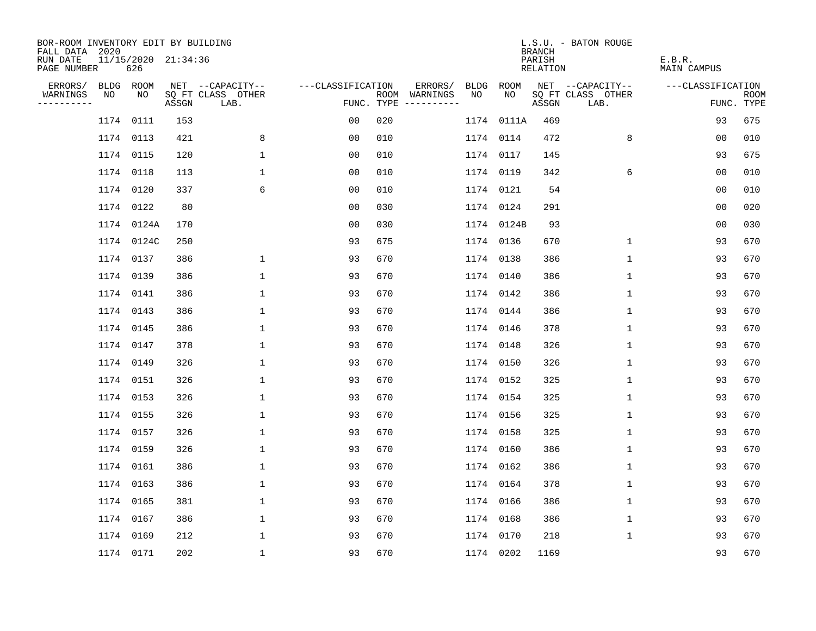| BOR-ROOM INVENTORY EDIT BY BUILDING<br>FALL DATA 2020 |                            |       |                           |                   |     |                                      |             |             | <b>BRANCH</b>             | L.S.U. - BATON ROUGE      |                              |                           |
|-------------------------------------------------------|----------------------------|-------|---------------------------|-------------------|-----|--------------------------------------|-------------|-------------|---------------------------|---------------------------|------------------------------|---------------------------|
| RUN DATE<br>PAGE NUMBER                               | 11/15/2020 21:34:36<br>626 |       |                           |                   |     |                                      |             |             | PARISH<br><b>RELATION</b> |                           | E.B.R.<br><b>MAIN CAMPUS</b> |                           |
| ERRORS/                                               | BLDG ROOM                  |       | NET --CAPACITY--          | ---CLASSIFICATION |     | ERRORS/                              | <b>BLDG</b> | <b>ROOM</b> |                           | NET --CAPACITY--          | ---CLASSIFICATION            |                           |
| WARNINGS<br>NO<br>----------                          | NO                         | ASSGN | SQ FT CLASS OTHER<br>LAB. |                   |     | ROOM WARNINGS<br>FUNC. TYPE $------$ | NO          | NO          | ASSGN                     | SQ FT CLASS OTHER<br>LAB. |                              | <b>ROOM</b><br>FUNC. TYPE |
|                                                       | 1174 0111                  | 153   |                           | 00                | 020 |                                      |             | 1174 0111A  | 469                       |                           | 93                           | 675                       |
|                                                       | 1174 0113                  | 421   | 8                         | 0 <sub>0</sub>    | 010 |                                      |             | 1174 0114   | 472                       | 8                         | 0 <sub>0</sub>               | 010                       |
|                                                       | 1174 0115                  | 120   | $\mathbf{1}$              | 0 <sub>0</sub>    | 010 |                                      |             | 1174 0117   | 145                       |                           | 93                           | 675                       |
|                                                       | 1174 0118                  | 113   | $\mathbf{1}$              | 0 <sub>0</sub>    | 010 |                                      |             | 1174 0119   | 342                       | 6                         | 0 <sub>0</sub>               | 010                       |
|                                                       | 1174 0120                  | 337   | 6                         | 0 <sub>0</sub>    | 010 |                                      |             | 1174 0121   | 54                        |                           | 0 <sub>0</sub>               | 010                       |
|                                                       | 1174 0122                  | 80    |                           | 0 <sub>0</sub>    | 030 |                                      |             | 1174 0124   | 291                       |                           | 0 <sub>0</sub>               | 020                       |
|                                                       | 1174 0124A                 | 170   |                           | 0 <sub>0</sub>    | 030 |                                      |             | 1174 0124B  | 93                        |                           | 0 <sub>0</sub>               | 030                       |
|                                                       | 1174 0124C                 | 250   |                           | 93                | 675 |                                      |             | 1174 0136   | 670                       | $\mathbf 1$               | 93                           | 670                       |
|                                                       | 1174 0137                  | 386   | $\mathbf 1$               | 93                | 670 |                                      |             | 1174 0138   | 386                       | $\mathbf 1$               | 93                           | 670                       |
|                                                       | 1174 0139                  | 386   | $\mathbf{1}$              | 93                | 670 |                                      |             | 1174 0140   | 386                       | $\mathbf{1}$              | 93                           | 670                       |
|                                                       | 1174 0141                  | 386   | $\mathbf{1}$              | 93                | 670 |                                      |             | 1174 0142   | 386                       | $\mathbf{1}$              | 93                           | 670                       |
|                                                       | 1174 0143                  | 386   | $\mathbf{1}$              | 93                | 670 |                                      |             | 1174 0144   | 386                       | $\mathbf{1}$              | 93                           | 670                       |
|                                                       | 1174 0145                  | 386   | $\mathbf{1}$              | 93                | 670 |                                      |             | 1174 0146   | 378                       | $\mathbf 1$               | 93                           | 670                       |
|                                                       | 1174 0147                  | 378   | 1                         | 93                | 670 |                                      |             | 1174 0148   | 326                       | 1                         | 93                           | 670                       |
|                                                       | 1174 0149                  | 326   | 1                         | 93                | 670 |                                      |             | 1174 0150   | 326                       | 1                         | 93                           | 670                       |
|                                                       | 1174 0151                  | 326   | 1                         | 93                | 670 |                                      |             | 1174 0152   | 325                       | $\mathbf 1$               | 93                           | 670                       |
|                                                       | 1174 0153                  | 326   | $\mathbf{1}$              | 93                | 670 |                                      |             | 1174 0154   | 325                       | $\mathbf 1$               | 93                           | 670                       |
|                                                       | 1174 0155                  | 326   | $\mathbf{1}$              | 93                | 670 |                                      |             | 1174 0156   | 325                       | $\mathbf 1$               | 93                           | 670                       |
|                                                       | 1174 0157                  | 326   | $\mathbf{1}$              | 93                | 670 |                                      |             | 1174 0158   | 325                       | $\mathbf 1$               | 93                           | 670                       |
|                                                       | 1174 0159                  | 326   | 1                         | 93                | 670 |                                      |             | 1174 0160   | 386                       | 1                         | 93                           | 670                       |
|                                                       | 1174 0161                  | 386   | 1                         | 93                | 670 |                                      |             | 1174 0162   | 386                       | 1                         | 93                           | 670                       |
|                                                       | 1174 0163                  | 386   | 1                         | 93                | 670 |                                      |             | 1174 0164   | 378                       | $\mathbf{1}$              | 93                           | 670                       |
|                                                       | 1174 0165                  | 381   | $\mathbf{1}$              | 93                | 670 |                                      |             | 1174 0166   | 386                       | $\mathbf 1$               | 93                           | 670                       |
|                                                       | 1174 0167                  | 386   | $\mathbf{1}$              | 93                | 670 |                                      |             | 1174 0168   | 386                       | 1                         | 93                           | 670                       |
|                                                       | 1174 0169                  | 212   | $\mathbf{1}$              | 93                | 670 |                                      |             | 1174 0170   | 218                       | $\mathbf 1$               | 93                           | 670                       |
|                                                       | 1174 0171                  | 202   | $\mathbf{1}$              | 93                | 670 |                                      |             | 1174 0202   | 1169                      |                           | 93                           | 670                       |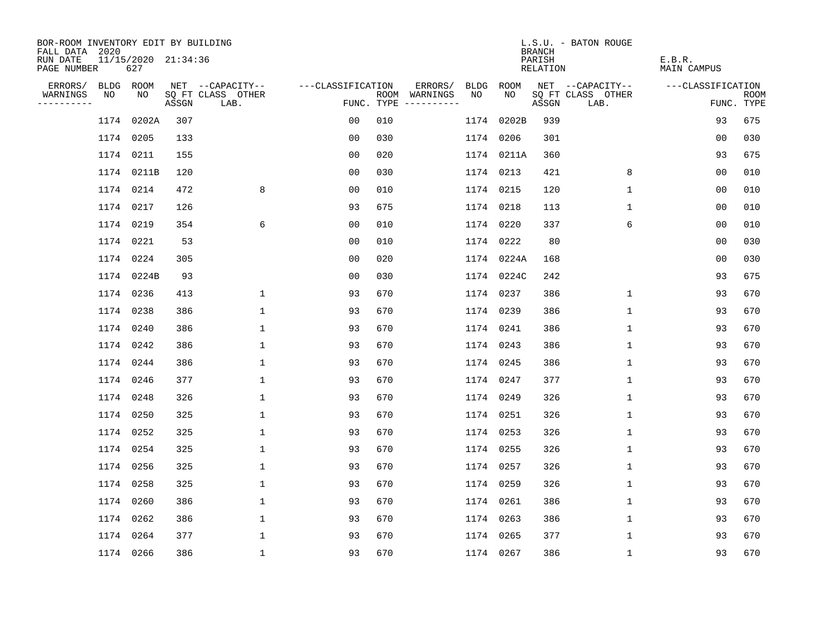| BOR-ROOM INVENTORY EDIT BY BUILDING<br>FALL DATA 2020 |           |                            |       |                           |                   |     |                                      |      |            | <b>BRANCH</b>      | L.S.U. - BATON ROUGE      |                       |                           |
|-------------------------------------------------------|-----------|----------------------------|-------|---------------------------|-------------------|-----|--------------------------------------|------|------------|--------------------|---------------------------|-----------------------|---------------------------|
| RUN DATE<br>PAGE NUMBER                               |           | 11/15/2020 21:34:36<br>627 |       |                           |                   |     |                                      |      |            | PARISH<br>RELATION |                           | E.B.R.<br>MAIN CAMPUS |                           |
| ERRORS/                                               | BLDG      | ROOM                       |       | NET --CAPACITY--          | ---CLASSIFICATION |     | ERRORS/                              | BLDG | ROOM       |                    | NET --CAPACITY--          | ---CLASSIFICATION     |                           |
| WARNINGS<br>----------                                | NO        | NO.                        | ASSGN | SQ FT CLASS OTHER<br>LAB. |                   |     | ROOM WARNINGS<br>FUNC. TYPE $------$ | NO   | NO.        | ASSGN              | SQ FT CLASS OTHER<br>LAB. |                       | <b>ROOM</b><br>FUNC. TYPE |
|                                                       |           | 1174 0202A                 | 307   |                           | 0 <sub>0</sub>    | 010 |                                      | 1174 | 0202B      | 939                |                           | 93                    | 675                       |
|                                                       |           | 1174 0205                  | 133   |                           | 00                | 030 |                                      |      | 1174 0206  | 301                |                           | 0 <sub>0</sub>        | 030                       |
|                                                       |           | 1174 0211                  | 155   |                           | 0 <sub>0</sub>    | 020 |                                      |      | 1174 0211A | 360                |                           | 93                    | 675                       |
|                                                       |           | 1174 0211B                 | 120   |                           | 0 <sub>0</sub>    | 030 |                                      |      | 1174 0213  | 421                | 8                         | 0 <sub>0</sub>        | 010                       |
|                                                       |           | 1174 0214                  | 472   | 8                         | 0 <sub>0</sub>    | 010 |                                      |      | 1174 0215  | 120                | $\mathbf{1}$              | 0 <sub>0</sub>        | 010                       |
|                                                       |           | 1174 0217                  | 126   |                           | 93                | 675 |                                      |      | 1174 0218  | 113                | 1                         | 00                    | 010                       |
|                                                       | 1174 0219 |                            | 354   | 6                         | 0 <sub>0</sub>    | 010 |                                      |      | 1174 0220  | 337                | 6                         | 0 <sub>0</sub>        | 010                       |
|                                                       |           | 1174 0221                  | 53    |                           | 0 <sub>0</sub>    | 010 |                                      |      | 1174 0222  | 80                 |                           | 00                    | 030                       |
|                                                       |           | 1174 0224                  | 305   |                           | 0 <sub>0</sub>    | 020 |                                      |      | 1174 0224A | 168                |                           | 0 <sub>0</sub>        | 030                       |
|                                                       |           | 1174 0224B                 | 93    |                           | 0 <sub>0</sub>    | 030 |                                      |      | 1174 0224C | 242                |                           | 93                    | 675                       |
|                                                       |           | 1174 0236                  | 413   | 1                         | 93                | 670 |                                      |      | 1174 0237  | 386                | $\mathbf 1$               | 93                    | 670                       |
|                                                       |           | 1174 0238                  | 386   | $\mathbf{1}$              | 93                | 670 |                                      |      | 1174 0239  | 386                | $\mathbf{1}$              | 93                    | 670                       |
|                                                       |           | 1174 0240                  | 386   | $\mathbf{1}$              | 93                | 670 |                                      |      | 1174 0241  | 386                | $\mathbf{1}$              | 93                    | 670                       |
|                                                       |           | 1174 0242                  | 386   | $\mathbf{1}$              | 93                | 670 |                                      |      | 1174 0243  | 386                | $\mathbf 1$               | 93                    | 670                       |
|                                                       |           | 1174 0244                  | 386   | 1                         | 93                | 670 |                                      |      | 1174 0245  | 386                | $\mathbf{1}$              | 93                    | 670                       |
|                                                       |           | 1174 0246                  | 377   | 1                         | 93                | 670 |                                      |      | 1174 0247  | 377                | 1                         | 93                    | 670                       |
|                                                       | 1174 0248 |                            | 326   | 1                         | 93                | 670 |                                      |      | 1174 0249  | 326                | $\mathbf{1}$              | 93                    | 670                       |
|                                                       | 1174 0250 |                            | 325   | $\mathbf{1}$              | 93                | 670 |                                      |      | 1174 0251  | 326                | $\mathbf{1}$              | 93                    | 670                       |
|                                                       |           | 1174 0252                  | 325   | 1                         | 93                | 670 |                                      |      | 1174 0253  | 326                | 1                         | 93                    | 670                       |
|                                                       |           | 1174 0254                  | 325   | $\mathbf{1}$              | 93                | 670 |                                      |      | 1174 0255  | 326                | $\mathbf 1$               | 93                    | 670                       |
|                                                       |           | 1174 0256                  | 325   | 1                         | 93                | 670 |                                      |      | 1174 0257  | 326                | 1                         | 93                    | 670                       |
|                                                       |           | 1174 0258                  | 325   | $\mathbf{1}$              | 93                | 670 |                                      |      | 1174 0259  | 326                | $\mathbf{1}$              | 93                    | 670                       |
|                                                       |           | 1174 0260                  | 386   | 1                         | 93                | 670 |                                      |      | 1174 0261  | 386                | 1                         | 93                    | 670                       |
|                                                       |           | 1174 0262                  | 386   | $\mathbf{1}$              | 93                | 670 |                                      |      | 1174 0263  | 386                | $\mathbf 1$               | 93                    | 670                       |
|                                                       |           | 1174 0264                  | 377   | $\mathbf{1}$              | 93                | 670 |                                      |      | 1174 0265  | 377                | $\mathbf{1}$              | 93                    | 670                       |
|                                                       |           | 1174 0266                  | 386   | $\mathbf{1}$              | 93                | 670 |                                      |      | 1174 0267  | 386                | $\mathbf{1}$              | 93                    | 670                       |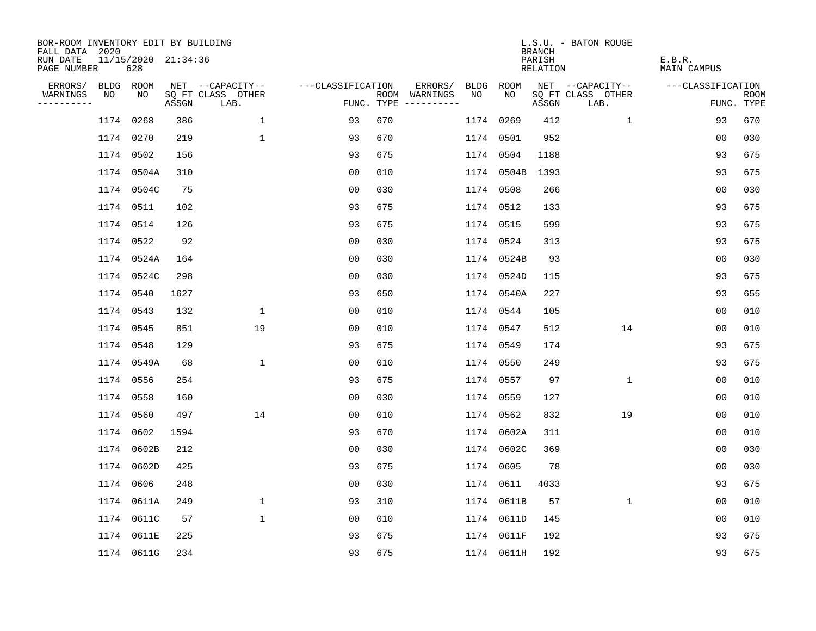| BOR-ROOM INVENTORY EDIT BY BUILDING       |    |                            |       |                           |                   |     |                                      |           |            | <b>BRANCH</b>      | L.S.U. - BATON ROUGE      |                       |                           |
|-------------------------------------------|----|----------------------------|-------|---------------------------|-------------------|-----|--------------------------------------|-----------|------------|--------------------|---------------------------|-----------------------|---------------------------|
| FALL DATA 2020<br>RUN DATE<br>PAGE NUMBER |    | 11/15/2020 21:34:36<br>628 |       |                           |                   |     |                                      |           |            | PARISH<br>RELATION |                           | E.B.R.<br>MAIN CAMPUS |                           |
| ERRORS/                                   |    | BLDG ROOM                  |       | NET --CAPACITY--          | ---CLASSIFICATION |     | ERRORS/                              | BLDG      | ROOM       |                    | NET --CAPACITY--          | ---CLASSIFICATION     |                           |
| WARNINGS<br>----------                    | NO | NO                         | ASSGN | SQ FT CLASS OTHER<br>LAB. |                   |     | ROOM WARNINGS<br>FUNC. TYPE $------$ | NO.       | NO.        | ASSGN              | SQ FT CLASS OTHER<br>LAB. |                       | <b>ROOM</b><br>FUNC. TYPE |
|                                           |    | 1174 0268                  | 386   | $\mathbf 1$               | 93                | 670 |                                      | 1174 0269 |            | 412                | $\mathbf{1}$              | 93                    | 670                       |
|                                           |    | 1174 0270                  | 219   | $\mathbf{1}$              | 93                | 670 |                                      |           | 1174 0501  | 952                |                           | 00                    | 030                       |
|                                           |    | 1174 0502                  | 156   |                           | 93                | 675 |                                      | 1174 0504 |            | 1188               |                           | 93                    | 675                       |
|                                           |    | 1174 0504A                 | 310   |                           | 0 <sub>0</sub>    | 010 |                                      |           | 1174 0504B | 1393               |                           | 93                    | 675                       |
|                                           |    | 1174 0504C                 | 75    |                           | 0 <sub>0</sub>    | 030 |                                      |           | 1174 0508  | 266                |                           | 0 <sub>0</sub>        | 030                       |
|                                           |    | 1174 0511                  | 102   |                           | 93                | 675 |                                      |           | 1174 0512  | 133                |                           | 93                    | 675                       |
|                                           |    | 1174 0514                  | 126   |                           | 93                | 675 |                                      |           | 1174 0515  | 599                |                           | 93                    | 675                       |
|                                           |    | 1174 0522                  | 92    |                           | 0 <sub>0</sub>    | 030 |                                      |           | 1174 0524  | 313                |                           | 93                    | 675                       |
|                                           |    | 1174 0524A                 | 164   |                           | 0 <sub>0</sub>    | 030 |                                      |           | 1174 0524B | 93                 |                           | 0 <sub>0</sub>        | 030                       |
|                                           |    | 1174 0524C                 | 298   |                           | 0 <sub>0</sub>    | 030 |                                      |           | 1174 0524D | 115                |                           | 93                    | 675                       |
|                                           |    | 1174 0540                  | 1627  |                           | 93                | 650 |                                      |           | 1174 0540A | 227                |                           | 93                    | 655                       |
|                                           |    | 1174 0543                  | 132   | $\mathbf{1}$              | 00                | 010 |                                      |           | 1174 0544  | 105                |                           | 0 <sub>0</sub>        | 010                       |
|                                           |    | 1174 0545                  | 851   | 19                        | 00                | 010 |                                      |           | 1174 0547  | 512                | 14                        | 0 <sub>0</sub>        | 010                       |
|                                           |    | 1174 0548                  | 129   |                           | 93                | 675 |                                      |           | 1174 0549  | 174                |                           | 93                    | 675                       |
|                                           |    | 1174 0549A                 | 68    | $\mathbf{1}$              | 00                | 010 |                                      | 1174 0550 |            | 249                |                           | 93                    | 675                       |
|                                           |    | 1174 0556                  | 254   |                           | 93                | 675 |                                      |           | 1174 0557  | 97                 | $\mathbf{1}$              | 00                    | 010                       |
|                                           |    | 1174 0558                  | 160   |                           | 0 <sub>0</sub>    | 030 |                                      | 1174 0559 |            | 127                |                           | 0 <sub>0</sub>        | 010                       |
|                                           |    | 1174 0560                  | 497   | 14                        | 00                | 010 |                                      |           | 1174 0562  | 832                | 19                        | 0 <sub>0</sub>        | 010                       |
|                                           |    | 1174 0602                  | 1594  |                           | 93                | 670 |                                      |           | 1174 0602A | 311                |                           | 0 <sub>0</sub>        | 010                       |
|                                           |    | 1174 0602B                 | 212   |                           | 0 <sub>0</sub>    | 030 |                                      |           | 1174 0602C | 369                |                           | 0 <sub>0</sub>        | 030                       |
|                                           |    | 1174 0602D                 | 425   |                           | 93                | 675 |                                      |           | 1174 0605  | 78                 |                           | 0 <sub>0</sub>        | 030                       |
|                                           |    | 1174 0606                  | 248   |                           | 00                | 030 |                                      |           | 1174 0611  | 4033               |                           | 93                    | 675                       |
|                                           |    | 1174 0611A                 | 249   | $\mathbf 1$               | 93                | 310 |                                      |           | 1174 0611B | 57                 | $\mathbf 1$               | 0 <sub>0</sub>        | 010                       |
|                                           |    | 1174 0611C                 | 57    | $\mathbf{1}$              | 0 <sub>0</sub>    | 010 |                                      |           | 1174 0611D | 145                |                           | 00                    | 010                       |
|                                           |    | 1174 0611E                 | 225   |                           | 93                | 675 |                                      |           | 1174 0611F | 192                |                           | 93                    | 675                       |
|                                           |    | 1174 0611G                 | 234   |                           | 93                | 675 |                                      |           | 1174 0611H | 192                |                           | 93                    | 675                       |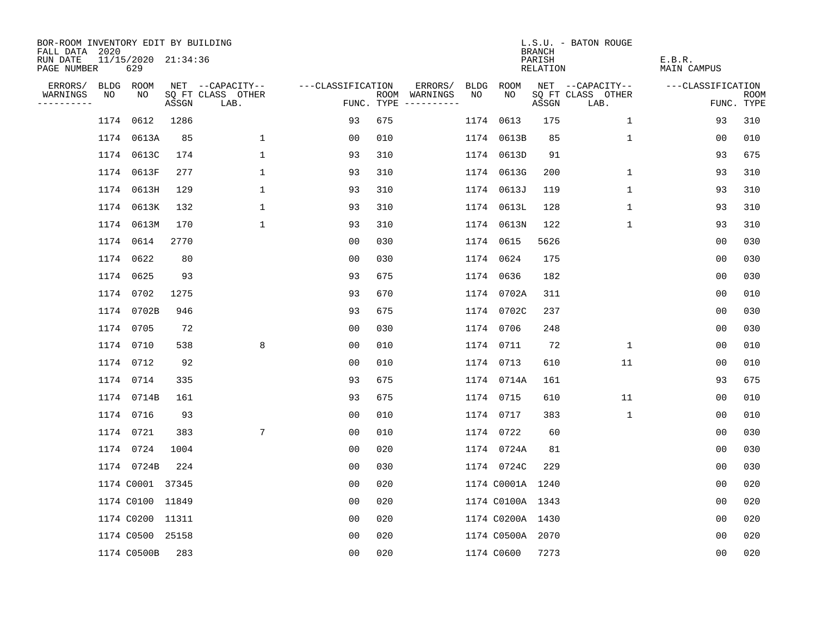| BOR-ROOM INVENTORY EDIT BY BUILDING<br>FALL DATA 2020 |      |                            |       |                           |                   |     |                                      |      |                  | <b>BRANCH</b>      | L.S.U. - BATON ROUGE      |                       |                    |
|-------------------------------------------------------|------|----------------------------|-------|---------------------------|-------------------|-----|--------------------------------------|------|------------------|--------------------|---------------------------|-----------------------|--------------------|
| RUN DATE<br>PAGE NUMBER                               |      | 11/15/2020 21:34:36<br>629 |       |                           |                   |     |                                      |      |                  | PARISH<br>RELATION |                           | E.B.R.<br>MAIN CAMPUS |                    |
| ERRORS/                                               |      | BLDG ROOM                  |       | NET --CAPACITY--          | ---CLASSIFICATION |     | ERRORS/                              | BLDG | ROOM             |                    | NET --CAPACITY--          | ---CLASSIFICATION     |                    |
| WARNINGS<br>----------                                | NO   | NO                         | ASSGN | SQ FT CLASS OTHER<br>LAB. |                   |     | ROOM WARNINGS<br>FUNC. TYPE $------$ | NO.  | NO               | ASSGN              | SQ FT CLASS OTHER<br>LAB. |                       | ROOM<br>FUNC. TYPE |
|                                                       | 1174 | 0612                       | 1286  |                           | 93                | 675 |                                      |      | 1174 0613        | 175                | $\mathbf{1}$              | 93                    | 310                |
|                                                       |      | 1174 0613A                 | 85    | $\mathbf 1$               | 00                | 010 |                                      |      | 1174 0613B       | 85                 | 1                         | 00                    | 010                |
|                                                       |      | 1174 0613C                 | 174   | $\mathbf{1}$              | 93                | 310 |                                      |      | 1174 0613D       | 91                 |                           | 93                    | 675                |
|                                                       |      | 1174 0613F                 | 277   | $\mathbf{1}$              | 93                | 310 |                                      |      | 1174 0613G       | 200                | $\mathbf{1}$              | 93                    | 310                |
|                                                       |      | 1174 0613H                 | 129   | $\mathbf{1}$              | 93                | 310 |                                      |      | 1174 0613J       | 119                | $\mathbf{1}$              | 93                    | 310                |
|                                                       |      | 1174 0613K                 | 132   | $\mathbf 1$               | 93                | 310 |                                      |      | 1174 0613L       | 128                | $\mathbf{1}$              | 93                    | 310                |
|                                                       |      | 1174 0613M                 | 170   | $\mathbf{1}$              | 93                | 310 |                                      |      | 1174 0613N       | 122                | $\mathbf{1}$              | 93                    | 310                |
|                                                       |      | 1174 0614                  | 2770  |                           | 0 <sub>0</sub>    | 030 |                                      |      | 1174 0615        | 5626               |                           | 0 <sub>0</sub>        | 030                |
|                                                       |      | 1174 0622                  | 80    |                           | 00                | 030 |                                      |      | 1174 0624        | 175                |                           | 0 <sub>0</sub>        | 030                |
|                                                       |      | 1174 0625                  | 93    |                           | 93                | 675 |                                      |      | 1174 0636        | 182                |                           | 0 <sub>0</sub>        | 030                |
|                                                       |      | 1174 0702                  | 1275  |                           | 93                | 670 |                                      |      | 1174 0702A       | 311                |                           | 0 <sub>0</sub>        | 010                |
|                                                       |      | 1174 0702B                 | 946   |                           | 93                | 675 |                                      |      | 1174 0702C       | 237                |                           | 00                    | 030                |
|                                                       |      | 1174 0705                  | 72    |                           | 00                | 030 |                                      |      | 1174 0706        | 248                |                           | 0 <sub>0</sub>        | 030                |
|                                                       |      | 1174 0710                  | 538   | 8                         | 00                | 010 |                                      |      | 1174 0711        | 72                 | 1                         | 0 <sub>0</sub>        | 010                |
|                                                       |      | 1174 0712                  | 92    |                           | 0 <sub>0</sub>    | 010 |                                      |      | 1174 0713        | 610                | 11                        | 0 <sub>0</sub>        | 010                |
|                                                       |      | 1174 0714                  | 335   |                           | 93                | 675 |                                      |      | 1174 0714A       | 161                |                           | 93                    | 675                |
|                                                       |      | 1174 0714B                 | 161   |                           | 93                | 675 |                                      |      | 1174 0715        | 610                | 11                        | 0 <sub>0</sub>        | 010                |
|                                                       |      | 1174 0716                  | 93    |                           | 0 <sub>0</sub>    | 010 |                                      |      | 1174 0717        | 383                | $\mathbf{1}$              | 0 <sub>0</sub>        | 010                |
|                                                       |      | 1174 0721                  | 383   | $7\phantom{.0}$           | 0 <sub>0</sub>    | 010 |                                      |      | 1174 0722        | 60                 |                           | 0 <sub>0</sub>        | 030                |
|                                                       |      | 1174 0724                  | 1004  |                           | 00                | 020 |                                      |      | 1174 0724A       | 81                 |                           | 00                    | 030                |
|                                                       |      | 1174 0724B                 | 224   |                           | 0 <sub>0</sub>    | 030 |                                      |      | 1174 0724C       | 229                |                           | 0 <sub>0</sub>        | 030                |
|                                                       |      | 1174 C0001 37345           |       |                           | 0 <sub>0</sub>    | 020 |                                      |      | 1174 C0001A 1240 |                    |                           | 00                    | 020                |
|                                                       |      | 1174 C0100 11849           |       |                           | 0 <sub>0</sub>    | 020 |                                      |      | 1174 C0100A 1343 |                    |                           | 0 <sub>0</sub>        | 020                |
|                                                       |      | 1174 C0200 11311           |       |                           | 0 <sub>0</sub>    | 020 |                                      |      | 1174 C0200A 1430 |                    |                           | 0 <sub>0</sub>        | 020                |
|                                                       |      | 1174 C0500 25158           |       |                           | 0 <sub>0</sub>    | 020 |                                      |      | 1174 C0500A 2070 |                    |                           | 0 <sub>0</sub>        | 020                |
|                                                       |      | 1174 C0500B                | 283   |                           | 0 <sub>0</sub>    | 020 |                                      |      | 1174 C0600       | 7273               |                           | 0 <sub>0</sub>        | 020                |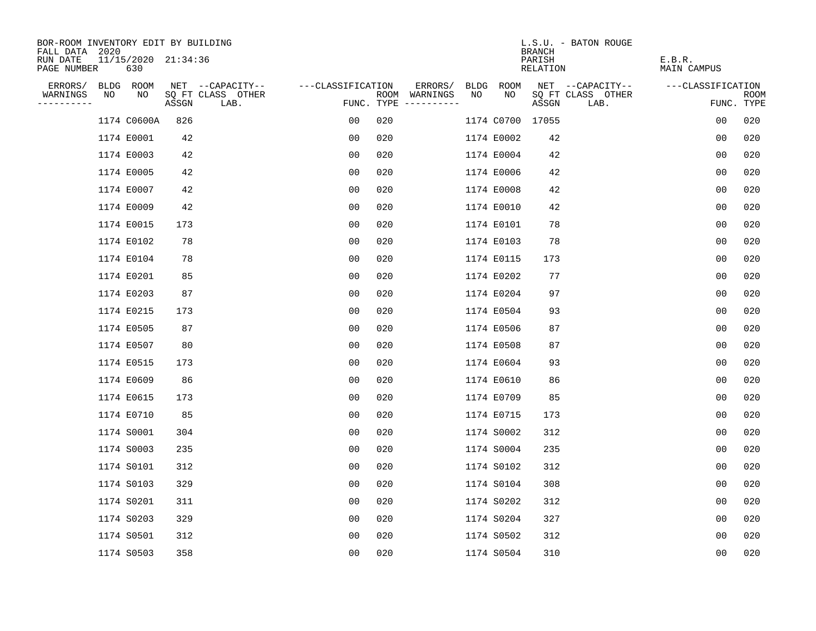| BOR-ROOM INVENTORY EDIT BY BUILDING       |            |                            |       |                           |                   |     |                                      |      |                  | L.S.U. - BATON ROUGE<br><b>BRANCH</b> |      |                       |                           |
|-------------------------------------------|------------|----------------------------|-------|---------------------------|-------------------|-----|--------------------------------------|------|------------------|---------------------------------------|------|-----------------------|---------------------------|
| FALL DATA 2020<br>RUN DATE<br>PAGE NUMBER |            | 11/15/2020 21:34:36<br>630 |       |                           |                   |     |                                      |      |                  | PARISH<br>RELATION                    |      | E.B.R.<br>MAIN CAMPUS |                           |
| ERRORS/                                   |            | BLDG ROOM                  |       | NET --CAPACITY--          | ---CLASSIFICATION |     | ERRORS/                              | BLDG | ROOM             | NET --CAPACITY--                      |      | ---CLASSIFICATION     |                           |
| WARNINGS<br>----------                    | NO         | NO                         | ASSGN | SQ FT CLASS OTHER<br>LAB. |                   |     | ROOM WARNINGS<br>FUNC. TYPE $------$ | NO   | NO               | SQ FT CLASS OTHER<br>ASSGN            | LAB. |                       | <b>ROOM</b><br>FUNC. TYPE |
|                                           |            | 1174 C0600A                | 826   |                           | 00                | 020 |                                      |      | 1174 C0700 17055 |                                       |      | 0 <sub>0</sub>        | 020                       |
|                                           | 1174 E0001 |                            | 42    |                           | 0 <sub>0</sub>    | 020 |                                      |      | 1174 E0002       | 42                                    |      | 0 <sub>0</sub>        | 020                       |
|                                           | 1174 E0003 |                            | 42    |                           | 0 <sub>0</sub>    | 020 |                                      |      | 1174 E0004       | 42                                    |      | 0 <sub>0</sub>        | 020                       |
|                                           | 1174 E0005 |                            | 42    |                           | 00                | 020 |                                      |      | 1174 E0006       | 42                                    |      | 00                    | 020                       |
|                                           | 1174 E0007 |                            | 42    |                           | 00                | 020 |                                      |      | 1174 E0008       | 42                                    |      | 0 <sub>0</sub>        | 020                       |
|                                           | 1174 E0009 |                            | 42    |                           | 0 <sub>0</sub>    | 020 |                                      |      | 1174 E0010       | 42                                    |      | 0 <sub>0</sub>        | 020                       |
|                                           | 1174 E0015 |                            | 173   |                           | 0 <sub>0</sub>    | 020 |                                      |      | 1174 E0101       | 78                                    |      | 00                    | 020                       |
|                                           |            | 1174 E0102                 | 78    |                           | 0 <sub>0</sub>    | 020 |                                      |      | 1174 E0103       | 78                                    |      | 00                    | 020                       |
|                                           |            | 1174 E0104                 | 78    |                           | 0 <sub>0</sub>    | 020 |                                      |      | 1174 E0115       | 173                                   |      | 0 <sub>0</sub>        | 020                       |
|                                           | 1174 E0201 |                            | 85    |                           | 0 <sub>0</sub>    | 020 |                                      |      | 1174 E0202       | 77                                    |      | 0 <sub>0</sub>        | 020                       |
|                                           | 1174 E0203 |                            | 87    |                           | 00                | 020 |                                      |      | 1174 E0204       | 97                                    |      | 0 <sub>0</sub>        | 020                       |
|                                           | 1174 E0215 |                            | 173   |                           | 0 <sub>0</sub>    | 020 |                                      |      | 1174 E0504       | 93                                    |      | 0 <sub>0</sub>        | 020                       |
|                                           | 1174 E0505 |                            | 87    |                           | 0 <sub>0</sub>    | 020 |                                      |      | 1174 E0506       | 87                                    |      | 0 <sub>0</sub>        | 020                       |
|                                           | 1174 E0507 |                            | 80    |                           | 0 <sub>0</sub>    | 020 |                                      |      | 1174 E0508       | 87                                    |      | 0 <sub>0</sub>        | 020                       |
|                                           | 1174 E0515 |                            | 173   |                           | 00                | 020 |                                      |      | 1174 E0604       | 93                                    |      | 00                    | 020                       |
|                                           | 1174 E0609 |                            | 86    |                           | 00                | 020 |                                      |      | 1174 E0610       | 86                                    |      | 0 <sub>0</sub>        | 020                       |
|                                           | 1174 E0615 |                            | 173   |                           | 00                | 020 |                                      |      | 1174 E0709       | 85                                    |      | 0 <sub>0</sub>        | 020                       |
|                                           | 1174 E0710 |                            | 85    |                           | 0 <sub>0</sub>    | 020 |                                      |      | 1174 E0715       | 173                                   |      | 0 <sub>0</sub>        | 020                       |
|                                           | 1174 S0001 |                            | 304   |                           | 00                | 020 |                                      |      | 1174 S0002       | 312                                   |      | 0 <sub>0</sub>        | 020                       |
|                                           | 1174 S0003 |                            | 235   |                           | 0 <sub>0</sub>    | 020 |                                      |      | 1174 S0004       | 235                                   |      | 0 <sub>0</sub>        | 020                       |
|                                           | 1174 S0101 |                            | 312   |                           | 0 <sub>0</sub>    | 020 |                                      |      | 1174 S0102       | 312                                   |      | 0 <sub>0</sub>        | 020                       |
|                                           | 1174 S0103 |                            | 329   |                           | 0 <sub>0</sub>    | 020 |                                      |      | 1174 S0104       | 308                                   |      | 0 <sub>0</sub>        | 020                       |
|                                           | 1174 S0201 |                            | 311   |                           | 00                | 020 |                                      |      | 1174 S0202       | 312                                   |      | 0 <sub>0</sub>        | 020                       |
|                                           | 1174 S0203 |                            | 329   |                           | 0 <sub>0</sub>    | 020 |                                      |      | 1174 S0204       | 327                                   |      | 0 <sub>0</sub>        | 020                       |
|                                           | 1174 S0501 |                            | 312   |                           | 0 <sub>0</sub>    | 020 |                                      |      | 1174 S0502       | 312                                   |      | 0 <sub>0</sub>        | 020                       |
|                                           | 1174 S0503 |                            | 358   |                           | 0 <sub>0</sub>    | 020 |                                      |      | 1174 S0504       | 310                                   |      | 0 <sub>0</sub>        | 020                       |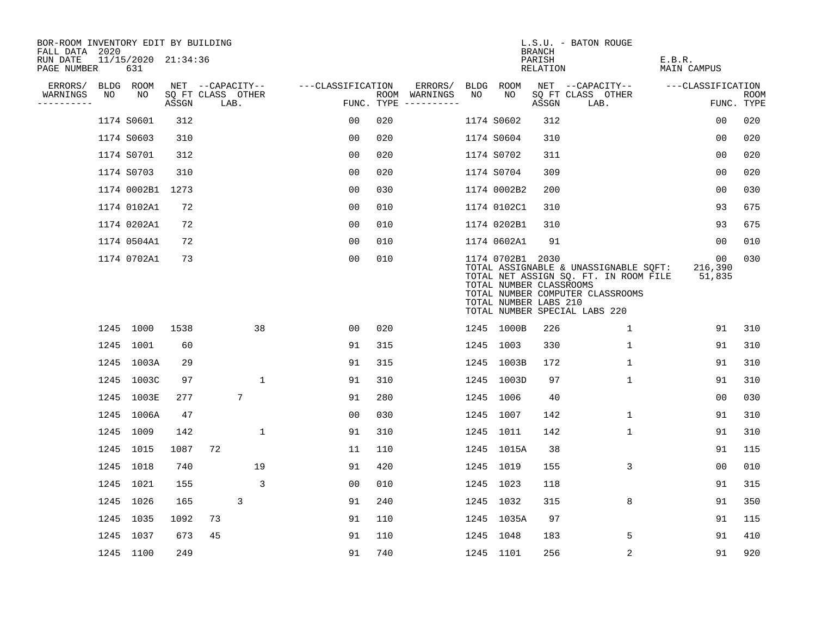| BOR-ROOM INVENTORY EDIT BY BUILDING<br>FALL DATA 2020 |    |                            |       |                           |              |                   |     |                                      |      |                                                                      | <b>BRANCH</b>      | L.S.U. - BATON ROUGE                                                                                                                                |                         |                    |
|-------------------------------------------------------|----|----------------------------|-------|---------------------------|--------------|-------------------|-----|--------------------------------------|------|----------------------------------------------------------------------|--------------------|-----------------------------------------------------------------------------------------------------------------------------------------------------|-------------------------|--------------------|
| RUN DATE<br>PAGE NUMBER                               |    | 11/15/2020 21:34:36<br>631 |       |                           |              |                   |     |                                      |      |                                                                      | PARISH<br>RELATION |                                                                                                                                                     | E.B.R.<br>MAIN CAMPUS   |                    |
| ERRORS/                                               |    | BLDG ROOM                  |       | NET --CAPACITY--          |              | ---CLASSIFICATION |     | ERRORS/                              | BLDG | ROOM                                                                 |                    | NET --CAPACITY--                                                                                                                                    | ---CLASSIFICATION       |                    |
| WARNINGS<br>----------                                | NO | NO                         | ASSGN | SQ FT CLASS OTHER<br>LAB. |              |                   |     | ROOM WARNINGS<br>FUNC. TYPE $------$ | NO.  | NO.                                                                  | ASSGN              | SQ FT CLASS OTHER<br>LAB.                                                                                                                           |                         | ROOM<br>FUNC. TYPE |
|                                                       |    | 1174 S0601                 | 312   |                           |              | 0 <sub>0</sub>    | 020 |                                      |      | 1174 S0602                                                           | 312                |                                                                                                                                                     | 00                      | 020                |
|                                                       |    | 1174 S0603                 | 310   |                           |              | 00                | 020 |                                      |      | 1174 S0604                                                           | 310                |                                                                                                                                                     | 0 <sub>0</sub>          | 020                |
|                                                       |    | 1174 S0701                 | 312   |                           |              | 0 <sub>0</sub>    | 020 |                                      |      | 1174 S0702                                                           | 311                |                                                                                                                                                     | 0 <sub>0</sub>          | 020                |
|                                                       |    | 1174 S0703                 | 310   |                           |              | 0 <sub>0</sub>    | 020 |                                      |      | 1174 S0704                                                           | 309                |                                                                                                                                                     | 0 <sub>0</sub>          | 020                |
|                                                       |    | 1174 0002B1                | 1273  |                           |              | 0 <sub>0</sub>    | 030 |                                      |      | 1174 0002B2                                                          | 200                |                                                                                                                                                     | 00                      | 030                |
|                                                       |    | 1174 0102A1                | 72    |                           |              | 00                | 010 |                                      |      | 1174 0102C1                                                          | 310                |                                                                                                                                                     | 93                      | 675                |
|                                                       |    | 1174 0202A1                | 72    |                           |              | 0 <sub>0</sub>    | 010 |                                      |      | 1174 0202B1                                                          | 310                |                                                                                                                                                     | 93                      | 675                |
|                                                       |    | 1174 0504A1                | 72    |                           |              | 0 <sub>0</sub>    | 010 |                                      |      | 1174 0602A1                                                          | 91                 |                                                                                                                                                     | 0 <sub>0</sub>          | 010                |
|                                                       |    | 1174 0702A1                | 73    |                           |              | 00                | 010 |                                      |      | 1174 0702B1 2030<br>TOTAL NUMBER CLASSROOMS<br>TOTAL NUMBER LABS 210 |                    | TOTAL ASSIGNABLE & UNASSIGNABLE SQFT:<br>TOTAL NET ASSIGN SQ. FT. IN ROOM FILE<br>TOTAL NUMBER COMPUTER CLASSROOMS<br>TOTAL NUMBER SPECIAL LABS 220 | 00<br>216,390<br>51,835 | 030                |
|                                                       |    | 1245 1000                  | 1538  |                           | 38           | 00                | 020 |                                      |      | 1245 1000B                                                           | 226                | 1                                                                                                                                                   | 91                      | 310                |
|                                                       |    | 1245 1001                  | 60    |                           |              | 91                | 315 |                                      |      | 1245 1003                                                            | 330                | 1                                                                                                                                                   | 91                      | 310                |
|                                                       |    | 1245 1003A                 | 29    |                           |              | 91                | 315 |                                      |      | 1245 1003B                                                           | 172                | 1                                                                                                                                                   | 91                      | 310                |
|                                                       |    | 1245 1003C                 | 97    |                           | $\mathbf{1}$ | 91                | 310 |                                      |      | 1245 1003D                                                           | 97                 | 1                                                                                                                                                   | 91                      | 310                |
|                                                       |    | 1245 1003E                 | 277   |                           | 7            | 91                | 280 |                                      |      | 1245 1006                                                            | 40                 |                                                                                                                                                     | 00                      | 030                |
|                                                       |    | 1245 1006A                 | 47    |                           |              | 0 <sub>0</sub>    | 030 |                                      |      | 1245 1007                                                            | 142                | $\mathbf{1}$                                                                                                                                        | 91                      | 310                |
|                                                       |    | 1245 1009                  | 142   |                           | $\mathbf{1}$ | 91                | 310 |                                      |      | 1245 1011                                                            | 142                | 1                                                                                                                                                   | 91                      | 310                |
|                                                       |    | 1245 1015                  | 1087  | 72                        |              | 11                | 110 |                                      |      | 1245 1015A                                                           | 38                 |                                                                                                                                                     | 91                      | 115                |
|                                                       |    | 1245 1018                  | 740   |                           | 19           | 91                | 420 |                                      |      | 1245 1019                                                            | 155                | 3                                                                                                                                                   | 0 <sub>0</sub>          | 010                |
|                                                       |    | 1245 1021                  | 155   |                           | 3            | 0 <sub>0</sub>    | 010 |                                      |      | 1245 1023                                                            | 118                |                                                                                                                                                     | 91                      | 315                |
|                                                       |    | 1245 1026                  | 165   |                           | 3            | 91                | 240 |                                      |      | 1245 1032                                                            | 315                | 8                                                                                                                                                   | 91                      | 350                |
|                                                       |    | 1245 1035                  | 1092  | 73                        |              | 91                | 110 |                                      |      | 1245 1035A                                                           | 97                 |                                                                                                                                                     | 91                      | 115                |
|                                                       |    | 1245 1037                  | 673   | 45                        |              | 91                | 110 |                                      |      | 1245 1048                                                            | 183                | 5                                                                                                                                                   | 91                      | 410                |
|                                                       |    | 1245 1100                  | 249   |                           |              | 91                | 740 |                                      |      | 1245 1101                                                            | 256                | 2                                                                                                                                                   | 91                      | 920                |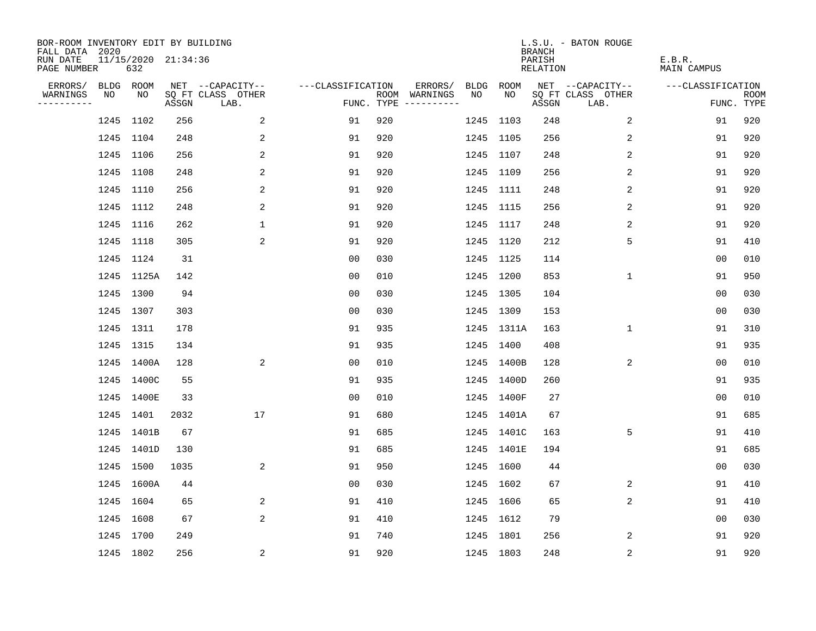| BOR-ROOM INVENTORY EDIT BY BUILDING<br>FALL DATA 2020 |           |            |                     |                           |                   |     |                                      |      |             | <b>BRANCH</b>             | L.S.U. - BATON ROUGE      |                              |                           |
|-------------------------------------------------------|-----------|------------|---------------------|---------------------------|-------------------|-----|--------------------------------------|------|-------------|---------------------------|---------------------------|------------------------------|---------------------------|
| RUN DATE<br>PAGE NUMBER                               |           | 632        | 11/15/2020 21:34:36 |                           |                   |     |                                      |      |             | PARISH<br><b>RELATION</b> |                           | E.B.R.<br><b>MAIN CAMPUS</b> |                           |
| ERRORS/                                               | BLDG ROOM |            |                     | NET --CAPACITY--          | ---CLASSIFICATION |     | ERRORS/                              | BLDG | <b>ROOM</b> |                           | NET --CAPACITY--          | ---CLASSIFICATION            |                           |
| WARNINGS<br>----------                                | NO        | NO         | ASSGN               | SQ FT CLASS OTHER<br>LAB. |                   |     | ROOM WARNINGS<br>FUNC. TYPE $------$ | NO   | NO          | ASSGN                     | SQ FT CLASS OTHER<br>LAB. |                              | <b>ROOM</b><br>FUNC. TYPE |
|                                                       | 1245 1102 |            | 256                 | 2                         | 91                | 920 |                                      |      | 1245 1103   | 248                       | 2                         | 91                           | 920                       |
|                                                       | 1245 1104 |            | 248                 | 2                         | 91                | 920 |                                      |      | 1245 1105   | 256                       | 2                         | 91                           | 920                       |
|                                                       | 1245 1106 |            | 256                 | 2                         | 91                | 920 |                                      |      | 1245 1107   | 248                       | 2                         | 91                           | 920                       |
|                                                       | 1245 1108 |            | 248                 | 2                         | 91                | 920 |                                      |      | 1245 1109   | 256                       | 2                         | 91                           | 920                       |
|                                                       | 1245 1110 |            | 256                 | $\overline{c}$            | 91                | 920 |                                      |      | 1245 1111   | 248                       | 2                         | 91                           | 920                       |
|                                                       | 1245 1112 |            | 248                 | 2                         | 91                | 920 |                                      |      | 1245 1115   | 256                       | 2                         | 91                           | 920                       |
|                                                       | 1245 1116 |            | 262                 | $\mathbf{1}$              | 91                | 920 |                                      |      | 1245 1117   | 248                       | 2                         | 91                           | 920                       |
|                                                       | 1245 1118 |            | 305                 | 2                         | 91                | 920 |                                      |      | 1245 1120   | 212                       | 5                         | 91                           | 410                       |
|                                                       | 1245 1124 |            | 31                  |                           | 0 <sub>0</sub>    | 030 |                                      |      | 1245 1125   | 114                       |                           | 0 <sub>0</sub>               | 010                       |
|                                                       |           | 1245 1125A | 142                 |                           | 0 <sub>0</sub>    | 010 |                                      |      | 1245 1200   | 853                       | $\mathbf{1}$              | 91                           | 950                       |
|                                                       | 1245 1300 |            | 94                  |                           | 0 <sub>0</sub>    | 030 |                                      |      | 1245 1305   | 104                       |                           | 0 <sub>0</sub>               | 030                       |
|                                                       | 1245 1307 |            | 303                 |                           | 0 <sub>0</sub>    | 030 |                                      |      | 1245 1309   | 153                       |                           | 0 <sub>0</sub>               | 030                       |
|                                                       | 1245 1311 |            | 178                 |                           | 91                | 935 |                                      |      | 1245 1311A  | 163                       | $\mathbf 1$               | 91                           | 310                       |
|                                                       | 1245 1315 |            | 134                 |                           | 91                | 935 |                                      |      | 1245 1400   | 408                       |                           | 91                           | 935                       |
|                                                       |           | 1245 1400A | 128                 | 2                         | 0 <sub>0</sub>    | 010 |                                      |      | 1245 1400B  | 128                       | 2                         | 0 <sub>0</sub>               | 010                       |
|                                                       |           | 1245 1400C | 55                  |                           | 91                | 935 |                                      |      | 1245 1400D  | 260                       |                           | 91                           | 935                       |
|                                                       |           | 1245 1400E | 33                  |                           | 0 <sub>0</sub>    | 010 |                                      |      | 1245 1400F  | 27                        |                           | 0 <sub>0</sub>               | 010                       |
|                                                       | 1245 1401 |            | 2032                | 17                        | 91                | 680 |                                      |      | 1245 1401A  | 67                        |                           | 91                           | 685                       |
|                                                       |           | 1245 1401B | 67                  |                           | 91                | 685 |                                      |      | 1245 1401C  | 163                       | 5                         | 91                           | 410                       |
|                                                       |           | 1245 1401D | 130                 |                           | 91                | 685 |                                      |      | 1245 1401E  | 194                       |                           | 91                           | 685                       |
|                                                       | 1245 1500 |            | 1035                | 2                         | 91                | 950 |                                      |      | 1245 1600   | 44                        |                           | 0 <sub>0</sub>               | 030                       |
|                                                       |           | 1245 1600A | 44                  |                           | 0 <sub>0</sub>    | 030 |                                      |      | 1245 1602   | 67                        | 2                         | 91                           | 410                       |
|                                                       | 1245 1604 |            | 65                  | 2                         | 91                | 410 |                                      |      | 1245 1606   | 65                        | 2                         | 91                           | 410                       |
|                                                       | 1245 1608 |            | 67                  | 2                         | 91                | 410 |                                      |      | 1245 1612   | 79                        |                           | 00                           | 030                       |
|                                                       | 1245 1700 |            | 249                 |                           | 91                | 740 |                                      |      | 1245 1801   | 256                       | 2                         | 91                           | 920                       |
|                                                       | 1245 1802 |            | 256                 | 2                         | 91                | 920 |                                      |      | 1245 1803   | 248                       | 2                         | 91                           | 920                       |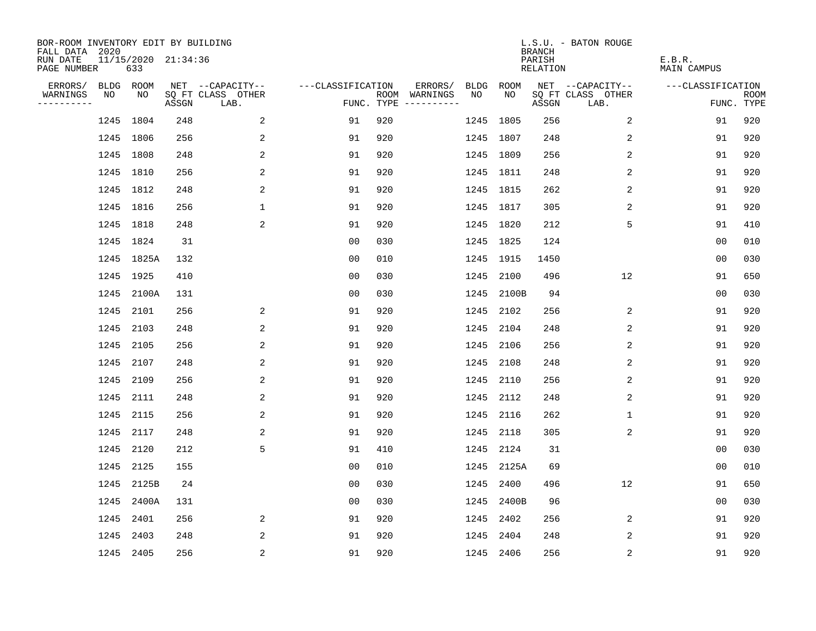| BOR-ROOM INVENTORY EDIT BY BUILDING<br>FALL DATA 2020 |           |                            |       |                           |                   |     |                                      |      |           | <b>BRANCH</b>             | L.S.U. - BATON ROUGE      |                              |                           |
|-------------------------------------------------------|-----------|----------------------------|-------|---------------------------|-------------------|-----|--------------------------------------|------|-----------|---------------------------|---------------------------|------------------------------|---------------------------|
| RUN DATE<br>PAGE NUMBER                               |           | 11/15/2020 21:34:36<br>633 |       |                           |                   |     |                                      |      |           | PARISH<br><b>RELATION</b> |                           | E.B.R.<br><b>MAIN CAMPUS</b> |                           |
| ERRORS/                                               |           | BLDG ROOM                  |       | NET --CAPACITY--          | ---CLASSIFICATION |     | ERRORS/                              | BLDG | ROOM      |                           | NET --CAPACITY--          | ---CLASSIFICATION            |                           |
| WARNINGS<br>----------                                | NO        | NO                         | ASSGN | SQ FT CLASS OTHER<br>LAB. |                   |     | ROOM WARNINGS<br>FUNC. TYPE $------$ | NO   | NO        | ASSGN                     | SQ FT CLASS OTHER<br>LAB. |                              | <b>ROOM</b><br>FUNC. TYPE |
|                                                       |           | 1245 1804                  | 248   | 2                         | 91                | 920 |                                      |      | 1245 1805 | 256                       | 2                         | 91                           | 920                       |
|                                                       | 1245 1806 |                            | 256   | 2                         | 91                | 920 |                                      |      | 1245 1807 | 248                       | 2                         | 91                           | 920                       |
|                                                       |           | 1245 1808                  | 248   | 2                         | 91                | 920 |                                      |      | 1245 1809 | 256                       | 2                         | 91                           | 920                       |
|                                                       | 1245 1810 |                            | 256   | 2                         | 91                | 920 |                                      |      | 1245 1811 | 248                       | 2                         | 91                           | 920                       |
|                                                       |           | 1245 1812                  | 248   | 2                         | 91                | 920 |                                      |      | 1245 1815 | 262                       | 2                         | 91                           | 920                       |
|                                                       | 1245 1816 |                            | 256   | $\mathbf{1}$              | 91                | 920 |                                      |      | 1245 1817 | 305                       | 2                         | 91                           | 920                       |
|                                                       | 1245 1818 |                            | 248   | 2                         | 91                | 920 |                                      |      | 1245 1820 | 212                       | 5                         | 91                           | 410                       |
|                                                       |           | 1245 1824                  | 31    |                           | 0 <sub>0</sub>    | 030 |                                      |      | 1245 1825 | 124                       |                           | 0 <sub>0</sub>               | 010                       |
|                                                       |           | 1245 1825A                 | 132   |                           | 0 <sub>0</sub>    | 010 |                                      |      | 1245 1915 | 1450                      |                           | 0 <sub>0</sub>               | 030                       |
|                                                       |           | 1245 1925                  | 410   |                           | 0 <sub>0</sub>    | 030 |                                      |      | 1245 2100 | 496                       | 12                        | 91                           | 650                       |
|                                                       |           | 1245 2100A                 | 131   |                           | 0 <sub>0</sub>    | 030 |                                      | 1245 | 2100B     | 94                        |                           | 0 <sub>0</sub>               | 030                       |
|                                                       |           | 1245 2101                  | 256   | 2                         | 91                | 920 |                                      |      | 1245 2102 | 256                       | 2                         | 91                           | 920                       |
|                                                       | 1245      | 2103                       | 248   | 2                         | 91                | 920 |                                      | 1245 | 2104      | 248                       | 2                         | 91                           | 920                       |
|                                                       | 1245      | 2105                       | 256   | 2                         | 91                | 920 |                                      |      | 1245 2106 | 256                       | 2                         | 91                           | 920                       |
|                                                       | 1245 2107 |                            | 248   | 2                         | 91                | 920 |                                      | 1245 | 2108      | 248                       | 2                         | 91                           | 920                       |
|                                                       | 1245      | 2109                       | 256   | 2                         | 91                | 920 |                                      | 1245 | 2110      | 256                       | 2                         | 91                           | 920                       |
|                                                       | 1245      | 2111                       | 248   | 2                         | 91                | 920 |                                      | 1245 | 2112      | 248                       | 2                         | 91                           | 920                       |
|                                                       | 1245      | 2115                       | 256   | 2                         | 91                | 920 |                                      | 1245 | 2116      | 262                       | 1                         | 91                           | 920                       |
|                                                       |           | 1245 2117                  | 248   | 2                         | 91                | 920 |                                      | 1245 | 2118      | 305                       | 2                         | 91                           | 920                       |
|                                                       | 1245      | 2120                       | 212   | 5                         | 91                | 410 |                                      | 1245 | 2124      | 31                        |                           | 0 <sub>0</sub>               | 030                       |
|                                                       |           | 1245 2125                  | 155   |                           | 0 <sub>0</sub>    | 010 |                                      | 1245 | 2125A     | 69                        |                           | 0 <sub>0</sub>               | 010                       |
|                                                       | 1245      | 2125B                      | 24    |                           | 0 <sub>0</sub>    | 030 |                                      | 1245 | 2400      | 496                       | 12                        | 91                           | 650                       |
|                                                       |           | 1245 2400A                 | 131   |                           | 0 <sub>0</sub>    | 030 |                                      | 1245 | 2400B     | 96                        |                           | 0 <sub>0</sub>               | 030                       |
|                                                       | 1245      | 2401                       | 256   | 2                         | 91                | 920 |                                      | 1245 | 2402      | 256                       | 2                         | 91                           | 920                       |
|                                                       | 1245      | 2403                       | 248   | 2                         | 91                | 920 |                                      | 1245 | 2404      | 248                       | 2                         | 91                           | 920                       |
|                                                       |           | 1245 2405                  | 256   | 2                         | 91                | 920 |                                      |      | 1245 2406 | 256                       | 2                         | 91                           | 920                       |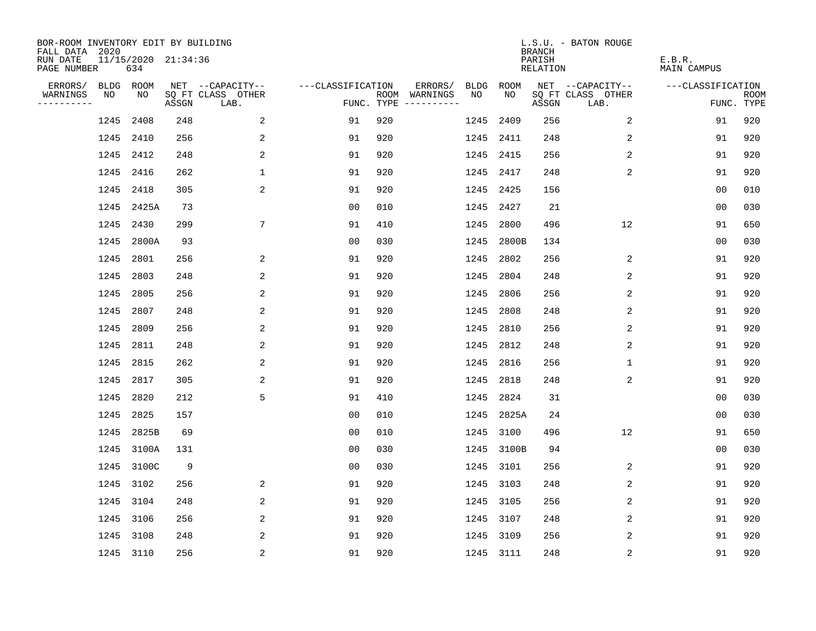| BOR-ROOM INVENTORY EDIT BY BUILDING<br>FALL DATA 2020 |           |                            |       |                           |                   |     |                                      |             |             | <b>BRANCH</b>             | L.S.U. - BATON ROUGE      |                              |                           |
|-------------------------------------------------------|-----------|----------------------------|-------|---------------------------|-------------------|-----|--------------------------------------|-------------|-------------|---------------------------|---------------------------|------------------------------|---------------------------|
| RUN DATE<br>PAGE NUMBER                               |           | 11/15/2020 21:34:36<br>634 |       |                           |                   |     |                                      |             |             | PARISH<br><b>RELATION</b> |                           | E.B.R.<br><b>MAIN CAMPUS</b> |                           |
| ERRORS/                                               | BLDG ROOM |                            |       | NET --CAPACITY--          | ---CLASSIFICATION |     | ERRORS/                              | <b>BLDG</b> | <b>ROOM</b> |                           | NET --CAPACITY--          | ---CLASSIFICATION            |                           |
| WARNINGS<br>----------                                | NO        | NO                         | ASSGN | SQ FT CLASS OTHER<br>LAB. |                   |     | ROOM WARNINGS<br>FUNC. TYPE $------$ | NO          | NO          | ASSGN                     | SQ FT CLASS OTHER<br>LAB. |                              | <b>ROOM</b><br>FUNC. TYPE |
|                                                       | 1245      | 2408                       | 248   | 2                         | 91                | 920 |                                      | 1245        | 2409        | 256                       | 2                         | 91                           | 920                       |
|                                                       | 1245 2410 |                            | 256   | 2                         | 91                | 920 |                                      | 1245        | 2411        | 248                       | 2                         | 91                           | 920                       |
|                                                       | 1245      | 2412                       | 248   | 2                         | 91                | 920 |                                      | 1245        | 2415        | 256                       | 2                         | 91                           | 920                       |
|                                                       | 1245      | 2416                       | 262   | $\mathbf 1$               | 91                | 920 |                                      | 1245        | 2417        | 248                       | 2                         | 91                           | 920                       |
|                                                       | 1245      | 2418                       | 305   | 2                         | 91                | 920 |                                      |             | 1245 2425   | 156                       |                           | 0 <sub>0</sub>               | 010                       |
|                                                       |           | 1245 2425A                 | 73    |                           | 0 <sub>0</sub>    | 010 |                                      |             | 1245 2427   | 21                        |                           | 0 <sub>0</sub>               | 030                       |
|                                                       | 1245      | 2430                       | 299   | $7\phantom{.0}$           | 91                | 410 |                                      | 1245        | 2800        | 496                       | 12                        | 91                           | 650                       |
|                                                       | 1245      | 2800A                      | 93    |                           | 0 <sub>0</sub>    | 030 |                                      | 1245        | 2800B       | 134                       |                           | 0 <sub>0</sub>               | 030                       |
|                                                       | 1245      | 2801                       | 256   | 2                         | 91                | 920 |                                      | 1245        | 2802        | 256                       | 2                         | 91                           | 920                       |
|                                                       | 1245      | 2803                       | 248   | 2                         | 91                | 920 |                                      | 1245        | 2804        | 248                       | 2                         | 91                           | 920                       |
|                                                       | 1245      | 2805                       | 256   | 2                         | 91                | 920 |                                      | 1245        | 2806        | 256                       | 2                         | 91                           | 920                       |
|                                                       | 1245      | 2807                       | 248   | $\overline{2}$            | 91                | 920 |                                      | 1245        | 2808        | 248                       | 2                         | 91                           | 920                       |
|                                                       | 1245      | 2809                       | 256   | 2                         | 91                | 920 |                                      | 1245        | 2810        | 256                       | 2                         | 91                           | 920                       |
|                                                       | 1245      | 2811                       | 248   | 2                         | 91                | 920 |                                      | 1245        | 2812        | 248                       | 2                         | 91                           | 920                       |
|                                                       | 1245      | 2815                       | 262   | 2                         | 91                | 920 |                                      | 1245        | 2816        | 256                       | 1                         | 91                           | 920                       |
|                                                       | 1245      | 2817                       | 305   | 2                         | 91                | 920 |                                      | 1245        | 2818        | 248                       | 2                         | 91                           | 920                       |
|                                                       | 1245      | 2820                       | 212   | 5                         | 91                | 410 |                                      | 1245        | 2824        | 31                        |                           | 0 <sub>0</sub>               | 030                       |
|                                                       | 1245      | 2825                       | 157   |                           | 0 <sub>0</sub>    | 010 |                                      | 1245        | 2825A       | 24                        |                           | 0 <sub>0</sub>               | 030                       |
|                                                       | 1245      | 2825B                      | 69    |                           | 0 <sub>0</sub>    | 010 |                                      | 1245        | 3100        | 496                       | 12                        | 91                           | 650                       |
|                                                       | 1245      | 3100A                      | 131   |                           | 0 <sub>0</sub>    | 030 |                                      | 1245        | 3100B       | 94                        |                           | 0 <sub>0</sub>               | 030                       |
|                                                       |           | 1245 3100C                 | 9     |                           | 0 <sub>0</sub>    | 030 |                                      | 1245        | 3101        | 256                       | 2                         | 91                           | 920                       |
|                                                       | 1245      | 3102                       | 256   | 2                         | 91                | 920 |                                      | 1245        | 3103        | 248                       | 2                         | 91                           | 920                       |
|                                                       | 1245 3104 |                            | 248   | 2                         | 91                | 920 |                                      | 1245        | 3105        | 256                       | 2                         | 91                           | 920                       |
|                                                       | 1245      | 3106                       | 256   | 2                         | 91                | 920 |                                      | 1245        | 3107        | 248                       | 2                         | 91                           | 920                       |
|                                                       | 1245 3108 |                            | 248   | 2                         | 91                | 920 |                                      | 1245        | 3109        | 256                       | 2                         | 91                           | 920                       |
|                                                       | 1245 3110 |                            | 256   | 2                         | 91                | 920 |                                      | 1245 3111   |             | 248                       | $\sqrt{2}$                | 91                           | 920                       |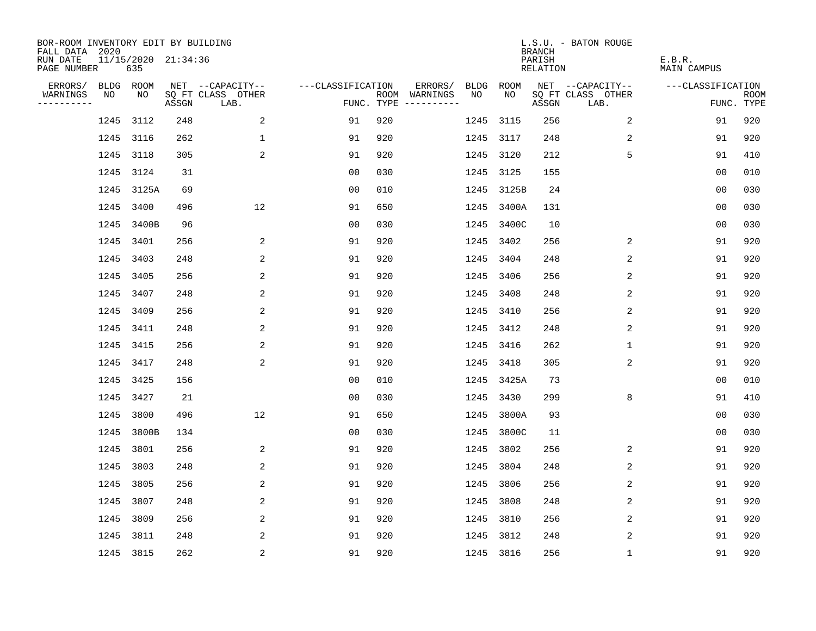| BOR-ROOM INVENTORY EDIT BY BUILDING<br>FALL DATA 2020 |      |                            |       |                           |                   |     |                                      |             |             | <b>BRANCH</b>             | L.S.U. - BATON ROUGE      |                              |                           |
|-------------------------------------------------------|------|----------------------------|-------|---------------------------|-------------------|-----|--------------------------------------|-------------|-------------|---------------------------|---------------------------|------------------------------|---------------------------|
| RUN DATE<br>PAGE NUMBER                               |      | 11/15/2020 21:34:36<br>635 |       |                           |                   |     |                                      |             |             | PARISH<br><b>RELATION</b> |                           | E.B.R.<br><b>MAIN CAMPUS</b> |                           |
| ERRORS/                                               |      | BLDG ROOM                  |       | NET --CAPACITY--          | ---CLASSIFICATION |     | ERRORS/                              | <b>BLDG</b> | <b>ROOM</b> |                           | NET --CAPACITY--          | ---CLASSIFICATION            |                           |
| WARNINGS<br>----------                                | NO   | NO                         | ASSGN | SQ FT CLASS OTHER<br>LAB. |                   |     | ROOM WARNINGS<br>FUNC. TYPE $------$ | NO          | NO          | ASSGN                     | SQ FT CLASS OTHER<br>LAB. |                              | <b>ROOM</b><br>FUNC. TYPE |
|                                                       | 1245 | 3112                       | 248   | 2                         | 91                | 920 |                                      | 1245        | 3115        | 256                       | 2                         | 91                           | 920                       |
|                                                       |      | 1245 3116                  | 262   | $\mathbf 1$               | 91                | 920 |                                      | 1245        | 3117        | 248                       | 2                         | 91                           | 920                       |
|                                                       | 1245 | 3118                       | 305   | 2                         | 91                | 920 |                                      | 1245        | 3120        | 212                       | 5                         | 91                           | 410                       |
|                                                       |      | 1245 3124                  | 31    |                           | 0 <sub>0</sub>    | 030 |                                      |             | 1245 3125   | 155                       |                           | 0 <sub>0</sub>               | 010                       |
|                                                       | 1245 | 3125A                      | 69    |                           | 0 <sub>0</sub>    | 010 |                                      |             | 1245 3125B  | 24                        |                           | 0 <sub>0</sub>               | 030                       |
|                                                       |      | 1245 3400                  | 496   | 12                        | 91                | 650 |                                      |             | 1245 3400A  | 131                       |                           | 0 <sub>0</sub>               | 030                       |
|                                                       | 1245 | 3400B                      | 96    |                           | 0 <sub>0</sub>    | 030 |                                      |             | 1245 3400C  | 10                        |                           | 0 <sub>0</sub>               | 030                       |
|                                                       | 1245 | 3401                       | 256   | 2                         | 91                | 920 |                                      | 1245        | 3402        | 256                       | 2                         | 91                           | 920                       |
|                                                       | 1245 | 3403                       | 248   | 2                         | 91                | 920 |                                      | 1245        | 3404        | 248                       | 2                         | 91                           | 920                       |
|                                                       |      | 1245 3405                  | 256   | 2                         | 91                | 920 |                                      | 1245        | 3406        | 256                       | 2                         | 91                           | 920                       |
|                                                       |      | 1245 3407                  | 248   | 2                         | 91                | 920 |                                      | 1245        | 3408        | 248                       | 2                         | 91                           | 920                       |
|                                                       | 1245 | 3409                       | 256   | 2                         | 91                | 920 |                                      | 1245        | 3410        | 256                       | 2                         | 91                           | 920                       |
|                                                       | 1245 | 3411                       | 248   | 2                         | 91                | 920 |                                      | 1245        | 3412        | 248                       | 2                         | 91                           | 920                       |
|                                                       |      | 1245 3415                  | 256   | 2                         | 91                | 920 |                                      |             | 1245 3416   | 262                       | 1                         | 91                           | 920                       |
|                                                       |      | 1245 3417                  | 248   | 2                         | 91                | 920 |                                      | 1245        | 3418        | 305                       | 2                         | 91                           | 920                       |
|                                                       |      | 1245 3425                  | 156   |                           | 0 <sub>0</sub>    | 010 |                                      |             | 1245 3425A  | 73                        |                           | 0 <sub>0</sub>               | 010                       |
|                                                       | 1245 | 3427                       | 21    |                           | 0 <sub>0</sub>    | 030 |                                      | 1245        | 3430        | 299                       | 8                         | 91                           | 410                       |
|                                                       | 1245 | 3800                       | 496   | 12                        | 91                | 650 |                                      |             | 1245 3800A  | 93                        |                           | 0 <sub>0</sub>               | 030                       |
|                                                       |      | 1245 3800B                 | 134   |                           | 0 <sub>0</sub>    | 030 |                                      | 1245        | 3800C       | 11                        |                           | 0 <sub>0</sub>               | 030                       |
|                                                       | 1245 | 3801                       | 256   | 2                         | 91                | 920 |                                      | 1245        | 3802        | 256                       | 2                         | 91                           | 920                       |
|                                                       | 1245 | 3803                       | 248   | 2                         | 91                | 920 |                                      | 1245        | 3804        | 248                       | 2                         | 91                           | 920                       |
|                                                       | 1245 | 3805                       | 256   | 2                         | 91                | 920 |                                      | 1245        | 3806        | 256                       | 2                         | 91                           | 920                       |
|                                                       | 1245 | 3807                       | 248   | 2                         | 91                | 920 |                                      | 1245        | 3808        | 248                       | 2                         | 91                           | 920                       |
|                                                       | 1245 | 3809                       | 256   | 2                         | 91                | 920 |                                      | 1245        | 3810        | 256                       | 2                         | 91                           | 920                       |
|                                                       | 1245 | 3811                       | 248   | 2                         | 91                | 920 |                                      | 1245        | 3812        | 248                       | 2                         | 91                           | 920                       |
|                                                       |      | 1245 3815                  | 262   | 2                         | 91                | 920 |                                      | 1245 3816   |             | 256                       | 1                         | 91                           | 920                       |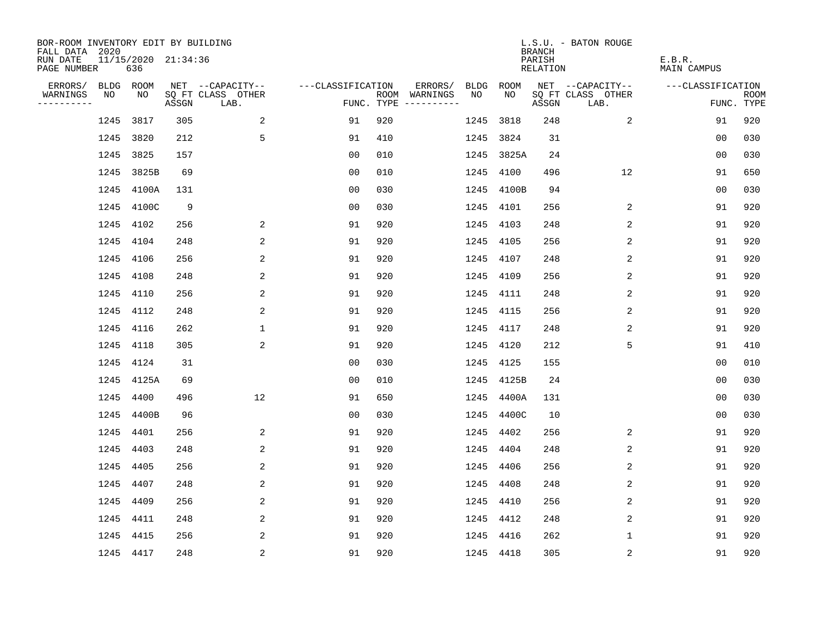| BOR-ROOM INVENTORY EDIT BY BUILDING<br>FALL DATA 2020 |      |                            |       |                           |                   |     |                                      |           |            | <b>BRANCH</b>      | L.S.U. - BATON ROUGE      |                              |                           |
|-------------------------------------------------------|------|----------------------------|-------|---------------------------|-------------------|-----|--------------------------------------|-----------|------------|--------------------|---------------------------|------------------------------|---------------------------|
| RUN DATE<br>PAGE NUMBER                               |      | 11/15/2020 21:34:36<br>636 |       |                           |                   |     |                                      |           |            | PARISH<br>RELATION |                           | E.B.R.<br><b>MAIN CAMPUS</b> |                           |
| ERRORS/                                               |      | BLDG ROOM                  |       | NET --CAPACITY--          | ---CLASSIFICATION |     | ERRORS/                              | BLDG      | ROOM       |                    | NET --CAPACITY--          | ---CLASSIFICATION            |                           |
| WARNINGS<br>----------                                | NO   | NO                         | ASSGN | SQ FT CLASS OTHER<br>LAB. |                   |     | ROOM WARNINGS<br>FUNC. TYPE $------$ | NO.       | NO.        | ASSGN              | SQ FT CLASS OTHER<br>LAB. |                              | <b>ROOM</b><br>FUNC. TYPE |
|                                                       | 1245 | 3817                       | 305   | 2                         | 91                | 920 |                                      | 1245      | 3818       | 248                | 2                         | 91                           | 920                       |
|                                                       | 1245 | 3820                       | 212   | 5                         | 91                | 410 |                                      | 1245      | 3824       | 31                 |                           | 00                           | 030                       |
|                                                       | 1245 | 3825                       | 157   |                           | 0 <sub>0</sub>    | 010 |                                      |           | 1245 3825A | 24                 |                           | 0 <sub>0</sub>               | 030                       |
|                                                       |      | 1245 3825B                 | 69    |                           | 0 <sub>0</sub>    | 010 |                                      | 1245      | 4100       | 496                | 12                        | 91                           | 650                       |
|                                                       |      | 1245 4100A                 | 131   |                           | 0 <sub>0</sub>    | 030 |                                      | 1245      | 4100B      | 94                 |                           | 00                           | 030                       |
|                                                       |      | 1245 4100C                 | 9     |                           | 0 <sub>0</sub>    | 030 |                                      | 1245      | 4101       | 256                | 2                         | 91                           | 920                       |
|                                                       |      | 1245 4102                  | 256   | 2                         | 91                | 920 |                                      | 1245      | 4103       | 248                | 2                         | 91                           | 920                       |
|                                                       |      | 1245 4104                  | 248   | 2                         | 91                | 920 |                                      | 1245      | 4105       | 256                | 2                         | 91                           | 920                       |
|                                                       |      | 1245 4106                  | 256   | 2                         | 91                | 920 |                                      | 1245      | 4107       | 248                | 2                         | 91                           | 920                       |
|                                                       |      | 1245 4108                  | 248   | 2                         | 91                | 920 |                                      | 1245      | 4109       | 256                | 2                         | 91                           | 920                       |
|                                                       |      | 1245 4110                  | 256   | 2                         | 91                | 920 |                                      | 1245      | 4111       | 248                | 2                         | 91                           | 920                       |
|                                                       |      | 1245 4112                  | 248   | 2                         | 91                | 920 |                                      | 1245      | 4115       | 256                | 2                         | 91                           | 920                       |
|                                                       |      | 1245 4116                  | 262   | $\mathbf 1$               | 91                | 920 |                                      | 1245      | 4117       | 248                | 2                         | 91                           | 920                       |
|                                                       | 1245 | 4118                       | 305   | 2                         | 91                | 920 |                                      | 1245      | 4120       | 212                | 5                         | 91                           | 410                       |
|                                                       |      | 1245 4124                  | 31    |                           | 0 <sub>0</sub>    | 030 |                                      | 1245      | 4125       | 155                |                           | 0 <sub>0</sub>               | 010                       |
|                                                       | 1245 | 4125A                      | 69    |                           | 0 <sub>0</sub>    | 010 |                                      |           | 1245 4125B | 24                 |                           | 0 <sub>0</sub>               | 030                       |
|                                                       | 1245 | 4400                       | 496   | 12                        | 91                | 650 |                                      | 1245      | 4400A      | 131                |                           | 0 <sub>0</sub>               | 030                       |
|                                                       | 1245 | 4400B                      | 96    |                           | 0 <sub>0</sub>    | 030 |                                      | 1245      | 4400C      | 10                 |                           | 0 <sub>0</sub>               | 030                       |
|                                                       |      | 1245 4401                  | 256   | 2                         | 91                | 920 |                                      | 1245      | 4402       | 256                | 2                         | 91                           | 920                       |
|                                                       | 1245 | 4403                       | 248   | 2                         | 91                | 920 |                                      | 1245      | 4404       | 248                | 2                         | 91                           | 920                       |
|                                                       |      | 1245 4405                  | 256   | 2                         | 91                | 920 |                                      | 1245      | 4406       | 256                | 2                         | 91                           | 920                       |
|                                                       | 1245 | 4407                       | 248   | 2                         | 91                | 920 |                                      | 1245      | 4408       | 248                | 2                         | 91                           | 920                       |
|                                                       |      | 1245 4409                  | 256   | 2                         | 91                | 920 |                                      | 1245      | 4410       | 256                | 2                         | 91                           | 920                       |
|                                                       |      | 1245 4411                  | 248   | 2                         | 91                | 920 |                                      | 1245      | 4412       | 248                | 2                         | 91                           | 920                       |
|                                                       |      | 1245 4415                  | 256   | 2                         | 91                | 920 |                                      | 1245      | 4416       | 262                | 1                         | 91                           | 920                       |
|                                                       |      | 1245 4417                  | 248   | 2                         | 91                | 920 |                                      | 1245 4418 |            | 305                | 2                         | 91                           | 920                       |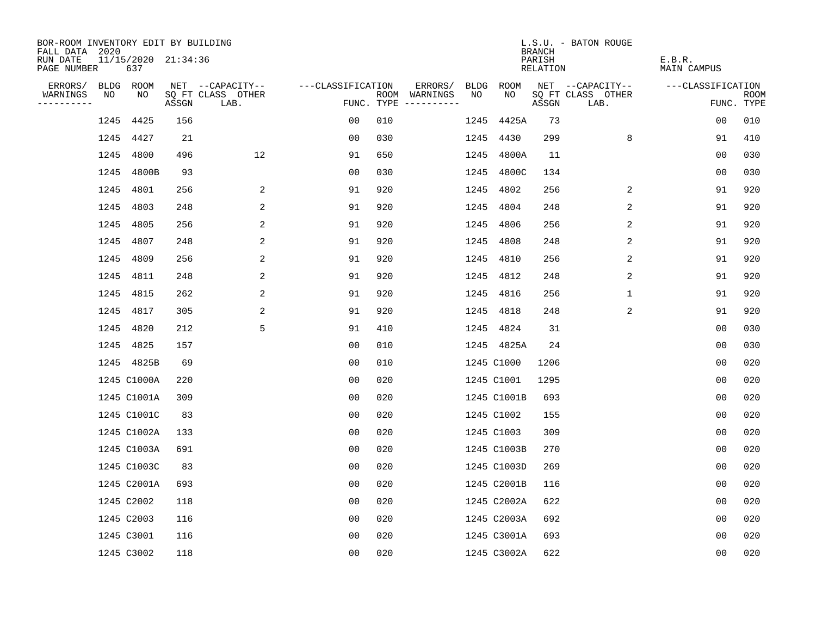| BOR-ROOM INVENTORY EDIT BY BUILDING       |      |                            |       |                           |                   |     |                                      |      |             | <b>BRANCH</b>      | L.S.U. - BATON ROUGE      |                              |                           |
|-------------------------------------------|------|----------------------------|-------|---------------------------|-------------------|-----|--------------------------------------|------|-------------|--------------------|---------------------------|------------------------------|---------------------------|
| FALL DATA 2020<br>RUN DATE<br>PAGE NUMBER |      | 11/15/2020 21:34:36<br>637 |       |                           |                   |     |                                      |      |             | PARISH<br>RELATION |                           | E.B.R.<br><b>MAIN CAMPUS</b> |                           |
| ERRORS/                                   |      | BLDG ROOM                  |       | NET --CAPACITY--          | ---CLASSIFICATION |     | ERRORS/                              | BLDG | ROOM        |                    | NET --CAPACITY--          | ---CLASSIFICATION            |                           |
| WARNINGS<br>----------                    | NO   | NO                         | ASSGN | SQ FT CLASS OTHER<br>LAB. |                   |     | ROOM WARNINGS<br>FUNC. TYPE $------$ | NO.  | NO.         | ASSGN              | SQ FT CLASS OTHER<br>LAB. |                              | <b>ROOM</b><br>FUNC. TYPE |
|                                           | 1245 | 4425                       | 156   |                           | 0 <sub>0</sub>    | 010 |                                      | 1245 | 4425A       | 73                 |                           | 0 <sub>0</sub>               | 010                       |
|                                           |      | 1245 4427                  | 21    |                           | 00                | 030 |                                      | 1245 | 4430        | 299                | 8                         | 91                           | 410                       |
|                                           | 1245 | 4800                       | 496   | 12                        | 91                | 650 |                                      | 1245 | 4800A       | 11                 |                           | 00                           | 030                       |
|                                           |      | 1245 4800B                 | 93    |                           | 00                | 030 |                                      | 1245 | 4800C       | 134                |                           | 0 <sub>0</sub>               | 030                       |
|                                           |      | 1245 4801                  | 256   | 2                         | 91                | 920 |                                      | 1245 | 4802        | 256                | 2                         | 91                           | 920                       |
|                                           |      | 1245 4803                  | 248   | 2                         | 91                | 920 |                                      | 1245 | 4804        | 248                | 2                         | 91                           | 920                       |
|                                           |      | 1245 4805                  | 256   | 2                         | 91                | 920 |                                      | 1245 | 4806        | 256                | 2                         | 91                           | 920                       |
|                                           |      | 1245 4807                  | 248   | 2                         | 91                | 920 |                                      | 1245 | 4808        | 248                | $\overline{2}$            | 91                           | 920                       |
|                                           |      | 1245 4809                  | 256   | 2                         | 91                | 920 |                                      | 1245 | 4810        | 256                | 2                         | 91                           | 920                       |
|                                           |      | 1245 4811                  | 248   | 2                         | 91                | 920 |                                      |      | 1245 4812   | 248                | 2                         | 91                           | 920                       |
|                                           |      | 1245 4815                  | 262   | 2                         | 91                | 920 |                                      | 1245 | 4816        | 256                | $\mathbf 1$               | 91                           | 920                       |
|                                           |      | 1245 4817                  | 305   | 2                         | 91                | 920 |                                      | 1245 | 4818        | 248                | 2                         | 91                           | 920                       |
|                                           |      | 1245 4820                  | 212   | 5                         | 91                | 410 |                                      | 1245 | 4824        | 31                 |                           | 0 <sub>0</sub>               | 030                       |
|                                           |      | 1245 4825                  | 157   |                           | 00                | 010 |                                      |      | 1245 4825A  | 24                 |                           | 0 <sub>0</sub>               | 030                       |
|                                           |      | 1245 4825B                 | 69    |                           | 0 <sub>0</sub>    | 010 |                                      |      | 1245 C1000  | 1206               |                           | 0 <sub>0</sub>               | 020                       |
|                                           |      | 1245 C1000A                | 220   |                           | 0 <sub>0</sub>    | 020 |                                      |      | 1245 C1001  | 1295               |                           | 00                           | 020                       |
|                                           |      | 1245 C1001A                | 309   |                           | 00                | 020 |                                      |      | 1245 C1001B | 693                |                           | 0 <sub>0</sub>               | 020                       |
|                                           |      | 1245 C1001C                | 83    |                           | 0 <sub>0</sub>    | 020 |                                      |      | 1245 C1002  | 155                |                           | 0 <sub>0</sub>               | 020                       |
|                                           |      | 1245 C1002A                | 133   |                           | 0 <sub>0</sub>    | 020 |                                      |      | 1245 C1003  | 309                |                           | 0 <sub>0</sub>               | 020                       |
|                                           |      | 1245 C1003A                | 691   |                           | 0 <sub>0</sub>    | 020 |                                      |      | 1245 C1003B | 270                |                           | 0 <sub>0</sub>               | 020                       |
|                                           |      | 1245 C1003C                | 83    |                           | 0 <sub>0</sub>    | 020 |                                      |      | 1245 C1003D | 269                |                           | 0 <sub>0</sub>               | 020                       |
|                                           |      | 1245 C2001A                | 693   |                           | 00                | 020 |                                      |      | 1245 C2001B | 116                |                           | 0 <sub>0</sub>               | 020                       |
|                                           |      | 1245 C2002                 | 118   |                           | 0 <sub>0</sub>    | 020 |                                      |      | 1245 C2002A | 622                |                           | 0 <sub>0</sub>               | 020                       |
|                                           |      | 1245 C2003                 | 116   |                           | 0 <sub>0</sub>    | 020 |                                      |      | 1245 C2003A | 692                |                           | 0 <sub>0</sub>               | 020                       |
|                                           |      | 1245 C3001                 | 116   |                           | 0 <sub>0</sub>    | 020 |                                      |      | 1245 C3001A | 693                |                           | 0 <sub>0</sub>               | 020                       |
|                                           |      | 1245 C3002                 | 118   |                           | 0 <sub>0</sub>    | 020 |                                      |      | 1245 C3002A | 622                |                           | 0 <sub>0</sub>               | 020                       |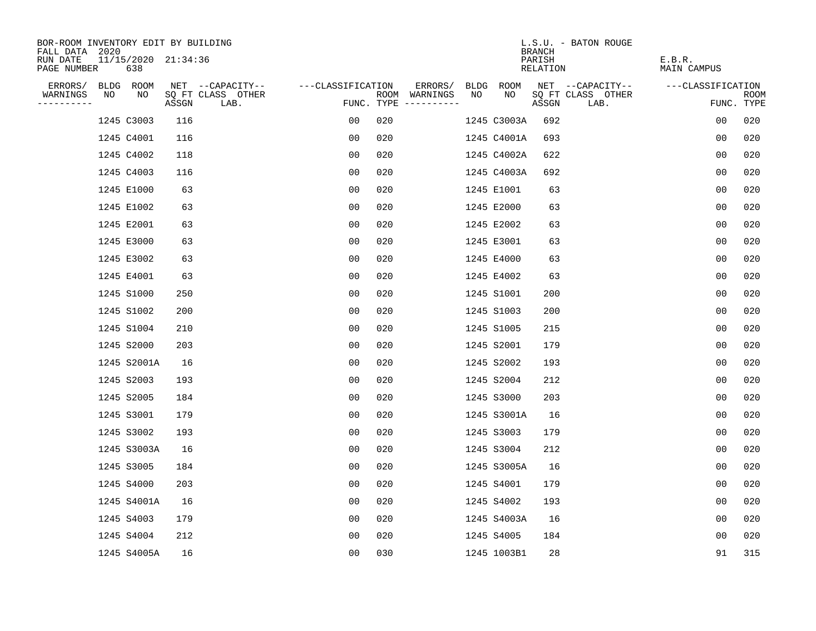| BOR-ROOM INVENTORY EDIT BY BUILDING       |    |                            |       |                           |                   |     |                                      |    |             | <b>BRANCH</b>      | L.S.U. - BATON ROUGE      |                              |                    |
|-------------------------------------------|----|----------------------------|-------|---------------------------|-------------------|-----|--------------------------------------|----|-------------|--------------------|---------------------------|------------------------------|--------------------|
| FALL DATA 2020<br>RUN DATE<br>PAGE NUMBER |    | 11/15/2020 21:34:36<br>638 |       |                           |                   |     |                                      |    |             | PARISH<br>RELATION |                           | E.B.R.<br><b>MAIN CAMPUS</b> |                    |
| ERRORS/                                   |    | BLDG ROOM                  |       | NET --CAPACITY--          | ---CLASSIFICATION |     | ERRORS/                              |    | BLDG ROOM   |                    | NET --CAPACITY--          | ---CLASSIFICATION            |                    |
| WARNINGS<br>----------                    | NO | NO                         | ASSGN | SQ FT CLASS OTHER<br>LAB. |                   |     | ROOM WARNINGS<br>FUNC. TYPE $------$ | NO | NO.         | ASSGN              | SQ FT CLASS OTHER<br>LAB. |                              | ROOM<br>FUNC. TYPE |
|                                           |    | 1245 C3003                 | 116   |                           | 0 <sub>0</sub>    | 020 |                                      |    | 1245 C3003A | 692                |                           | 00                           | 020                |
|                                           |    | 1245 C4001                 | 116   |                           | 00                | 020 |                                      |    | 1245 C4001A | 693                |                           | 0 <sub>0</sub>               | 020                |
|                                           |    | 1245 C4002                 | 118   |                           | 0 <sub>0</sub>    | 020 |                                      |    | 1245 C4002A | 622                |                           | 0 <sub>0</sub>               | 020                |
|                                           |    | 1245 C4003                 | 116   |                           | 0 <sub>0</sub>    | 020 |                                      |    | 1245 C4003A | 692                |                           | 0 <sub>0</sub>               | 020                |
|                                           |    | 1245 E1000                 | 63    |                           | 0 <sub>0</sub>    | 020 |                                      |    | 1245 E1001  | 63                 |                           | 00                           | 020                |
|                                           |    | 1245 E1002                 | 63    |                           | 0 <sub>0</sub>    | 020 |                                      |    | 1245 E2000  | 63                 |                           | 0 <sub>0</sub>               | 020                |
|                                           |    | 1245 E2001                 | 63    |                           | 0 <sub>0</sub>    | 020 |                                      |    | 1245 E2002  | 63                 |                           | 0 <sub>0</sub>               | 020                |
|                                           |    | 1245 E3000                 | 63    |                           | 0 <sub>0</sub>    | 020 |                                      |    | 1245 E3001  | 63                 |                           | 0 <sub>0</sub>               | 020                |
|                                           |    | 1245 E3002                 | 63    |                           | 0 <sub>0</sub>    | 020 |                                      |    | 1245 E4000  | 63                 |                           | 0 <sub>0</sub>               | 020                |
|                                           |    | 1245 E4001                 | 63    |                           | 0 <sub>0</sub>    | 020 |                                      |    | 1245 E4002  | 63                 |                           | 0 <sub>0</sub>               | 020                |
|                                           |    | 1245 S1000                 | 250   |                           | 00                | 020 |                                      |    | 1245 S1001  | 200                |                           | 0 <sub>0</sub>               | 020                |
|                                           |    | 1245 S1002                 | 200   |                           | 0 <sub>0</sub>    | 020 |                                      |    | 1245 S1003  | 200                |                           | 0 <sub>0</sub>               | 020                |
|                                           |    | 1245 S1004                 | 210   |                           | 0 <sub>0</sub>    | 020 |                                      |    | 1245 S1005  | 215                |                           | 0 <sub>0</sub>               | 020                |
|                                           |    | 1245 S2000                 | 203   |                           | 0 <sub>0</sub>    | 020 |                                      |    | 1245 S2001  | 179                |                           | 0 <sub>0</sub>               | 020                |
|                                           |    | 1245 S2001A                | 16    |                           | 0 <sub>0</sub>    | 020 |                                      |    | 1245 S2002  | 193                |                           | 0 <sub>0</sub>               | 020                |
|                                           |    | 1245 S2003                 | 193   |                           | 0 <sub>0</sub>    | 020 |                                      |    | 1245 S2004  | 212                |                           | 0 <sub>0</sub>               | 020                |
|                                           |    | 1245 S2005                 | 184   |                           | 0 <sub>0</sub>    | 020 |                                      |    | 1245 S3000  | 203                |                           | 0 <sub>0</sub>               | 020                |
|                                           |    | 1245 S3001                 | 179   |                           | 0 <sub>0</sub>    | 020 |                                      |    | 1245 S3001A | 16                 |                           | 0 <sub>0</sub>               | 020                |
|                                           |    | 1245 S3002                 | 193   |                           | 00                | 020 |                                      |    | 1245 S3003  | 179                |                           | 00                           | 020                |
|                                           |    | 1245 S3003A                | 16    |                           | 0 <sub>0</sub>    | 020 |                                      |    | 1245 S3004  | 212                |                           | 0 <sub>0</sub>               | 020                |
|                                           |    | 1245 S3005                 | 184   |                           | 0 <sub>0</sub>    | 020 |                                      |    | 1245 S3005A | 16                 |                           | 0 <sub>0</sub>               | 020                |
|                                           |    | 1245 S4000                 | 203   |                           | 0 <sub>0</sub>    | 020 |                                      |    | 1245 S4001  | 179                |                           | 00                           | 020                |
|                                           |    | 1245 S4001A                | 16    |                           | 00                | 020 |                                      |    | 1245 S4002  | 193                |                           | 0 <sub>0</sub>               | 020                |
|                                           |    | 1245 S4003                 | 179   |                           | 0 <sub>0</sub>    | 020 |                                      |    | 1245 S4003A | 16                 |                           | 0 <sub>0</sub>               | 020                |
|                                           |    | 1245 S4004                 | 212   |                           | 0 <sub>0</sub>    | 020 |                                      |    | 1245 S4005  | 184                |                           | 0 <sub>0</sub>               | 020                |
|                                           |    | 1245 S4005A                | 16    |                           | 0 <sub>0</sub>    | 030 |                                      |    | 1245 1003B1 | 28                 |                           | 91                           | 315                |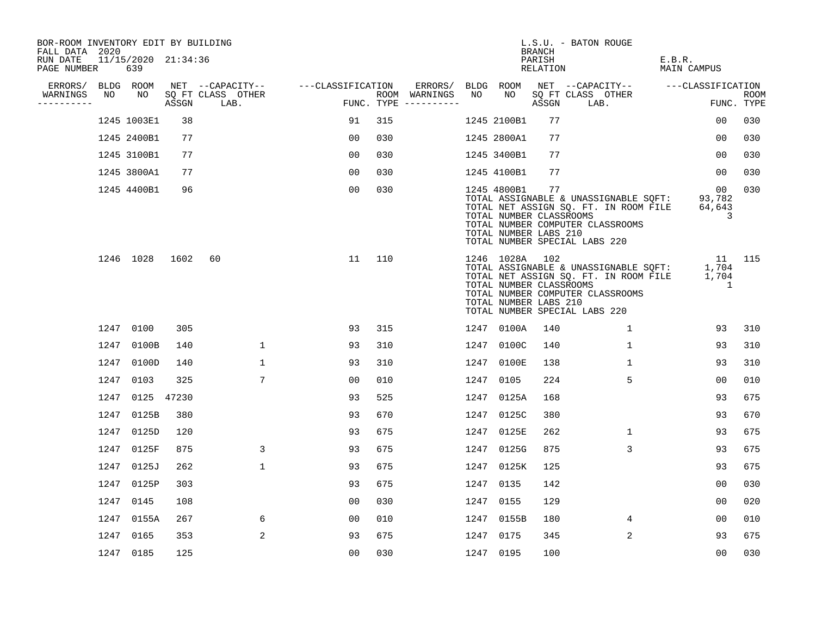| BOR-ROOM INVENTORY EDIT BY BUILDING<br>FALL DATA 2020 |      |                            |            |                           |                   |     |                                      |      |                                                                    | BRANCH             | L.S.U. - BATON ROUGE                                                                                                                                       |                                            |                    |
|-------------------------------------------------------|------|----------------------------|------------|---------------------------|-------------------|-----|--------------------------------------|------|--------------------------------------------------------------------|--------------------|------------------------------------------------------------------------------------------------------------------------------------------------------------|--------------------------------------------|--------------------|
| RUN DATE<br>PAGE NUMBER                               |      | 11/15/2020 21:34:36<br>639 |            |                           |                   |     |                                      |      |                                                                    | PARISH<br>RELATION |                                                                                                                                                            | E.B.R.<br>MAIN CAMPUS                      |                    |
| ERRORS/                                               |      | BLDG ROOM                  |            | NET --CAPACITY--          | ---CLASSIFICATION |     | ERRORS/                              |      | BLDG ROOM                                                          |                    | NET --CAPACITY-- ----CLASSIFICATION                                                                                                                        |                                            |                    |
| WARNINGS<br>----------                                | NO   | NO                         | ASSGN      | SQ FT CLASS OTHER<br>LAB. |                   |     | ROOM WARNINGS<br>FUNC. TYPE $------$ | NO   | NO                                                                 | ASSGN              | SQ FT CLASS OTHER<br>LAB.                                                                                                                                  |                                            | ROOM<br>FUNC. TYPE |
|                                                       |      | 1245 1003E1                | 38         |                           | 91                | 315 |                                      |      | 1245 2100B1                                                        | 77                 |                                                                                                                                                            | 00                                         | 030                |
|                                                       |      | 1245 2400B1                | 77         |                           | 00                | 030 |                                      |      | 1245 2800A1                                                        | 77                 |                                                                                                                                                            | 00                                         | 030                |
|                                                       |      | 1245 3100B1                | 77         |                           | 00                | 030 |                                      |      | 1245 3400B1                                                        | 77                 |                                                                                                                                                            | 00                                         | 030                |
|                                                       |      | 1245 3800A1                | 77         |                           | 0 <sub>0</sub>    | 030 |                                      |      | 1245 4100B1                                                        | 77                 |                                                                                                                                                            | 00                                         | 030                |
|                                                       |      | 1245 4400B1                | 96         |                           | 0 <sub>0</sub>    | 030 |                                      |      | 1245 4800B1<br>TOTAL NUMBER CLASSROOMS<br>TOTAL NUMBER LABS 210    | 77                 | TOTAL ASSIGNABLE & UNASSIGNABLE SOFT: 93,782<br>TOTAL NET ASSIGN SQ. FT. IN ROOM FILE<br>TOTAL NUMBER COMPUTER CLASSROOMS<br>TOTAL NUMBER SPECIAL LABS 220 | 00<br>64,643<br>3                          | 0.30               |
|                                                       |      | 1246 1028                  | 1602       | 60                        | 11                | 110 |                                      |      | 1246 1028A 102<br>TOTAL NUMBER CLASSROOMS<br>TOTAL NUMBER LABS 210 |                    | TOTAL ASSIGNABLE & UNASSIGNABLE SQFT:<br>TOTAL NET ASSIGN SQ. FT. IN ROOM FILE<br>TOTAL NUMBER COMPUTER CLASSROOMS<br>TOTAL NUMBER SPECIAL LABS 220        | 1,704<br>1,704<br>$\overline{\phantom{1}}$ | 11 115             |
|                                                       |      | 1247 0100                  | 305        |                           | 93                | 315 |                                      |      | 1247 0100A                                                         | 140                | $\mathbf{1}$                                                                                                                                               | 93                                         | 310                |
|                                                       | 1247 | 0100B                      | 140        | $\mathbf{1}$              | 93                | 310 |                                      | 1247 | 0100C                                                              | 140                | $\mathbf{1}$                                                                                                                                               | 93                                         | 310                |
|                                                       | 1247 | 0100D                      | 140        | $\mathbf{1}$              | 93                | 310 |                                      | 1247 | 0100E                                                              | 138                | $\mathbf{1}$                                                                                                                                               | 93                                         | 310                |
|                                                       | 1247 | 0103                       | 325        | 7                         | 00                | 010 |                                      |      | 1247 0105                                                          | 224                | 5                                                                                                                                                          | 00                                         | 010                |
|                                                       | 1247 |                            | 0125 47230 |                           | 93                | 525 |                                      | 1247 | 0125A                                                              | 168                |                                                                                                                                                            | 93                                         | 675                |
|                                                       | 1247 | 0125B                      | 380        |                           | 93                | 670 |                                      | 1247 | 0125C                                                              | 380                |                                                                                                                                                            | 93                                         | 670                |
|                                                       | 1247 | 0125D                      | 120        |                           | 93                | 675 |                                      |      | 1247 0125E                                                         | 262                | $\mathbf 1$                                                                                                                                                | 93                                         | 675                |
|                                                       | 1247 | 0125F                      | 875        | 3                         | 93                | 675 |                                      | 1247 | 0125G                                                              | 875                | 3                                                                                                                                                          | 93                                         | 675                |
|                                                       | 1247 | 0125J                      | 262        | $\mathbf 1$               | 93                | 675 |                                      |      | 1247 0125K                                                         | 125                |                                                                                                                                                            | 93                                         | 675                |
|                                                       | 1247 | 0125P                      | 303        |                           | 93                | 675 |                                      | 1247 | 0135                                                               | 142                |                                                                                                                                                            | 00                                         | 030                |
|                                                       | 1247 | 0145                       | 108        |                           | 0 <sub>0</sub>    | 030 |                                      |      | 1247 0155                                                          | 129                |                                                                                                                                                            | 0 <sub>0</sub>                             | 020                |
|                                                       | 1247 | 0155A                      | 267        | 6                         | 00                | 010 |                                      |      | 1247 0155B                                                         | 180                | 4                                                                                                                                                          | 00                                         | 010                |
|                                                       | 1247 | 0165                       | 353        | 2                         | 93                | 675 |                                      |      | 1247 0175                                                          | 345                | 2                                                                                                                                                          | 93                                         | 675                |
|                                                       |      | 1247 0185                  | 125        |                           | 00                | 030 |                                      |      | 1247 0195                                                          | 100                |                                                                                                                                                            | 0 <sub>0</sub>                             | 030                |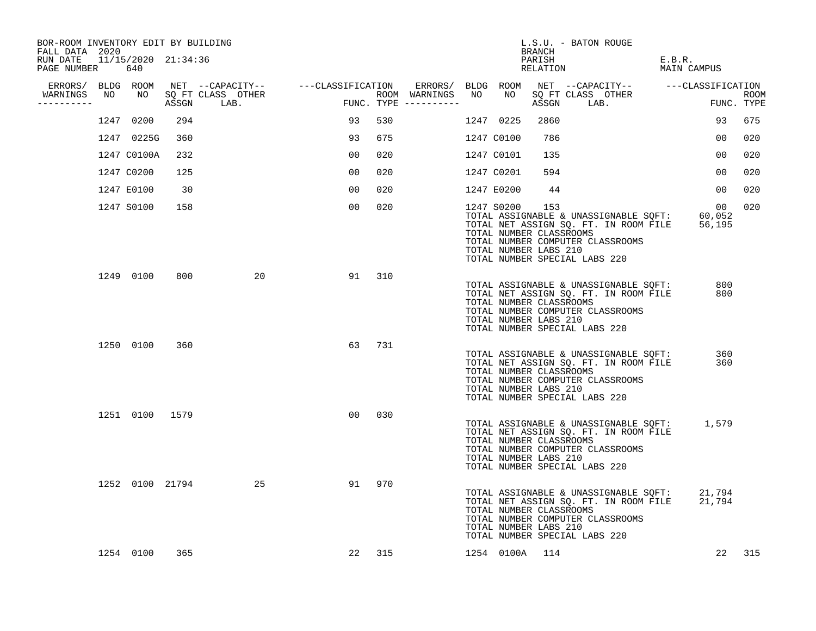| BOR-ROOM INVENTORY EDIT BY BUILDING<br>FALL DATA 2020 |    |                |       |                                    |                |                                      |                   |                | BRANCH                                                  | L.S.U. - BATON ROUGE                                                                                                                                |                        |                    |
|-------------------------------------------------------|----|----------------|-------|------------------------------------|----------------|--------------------------------------|-------------------|----------------|---------------------------------------------------------|-----------------------------------------------------------------------------------------------------------------------------------------------------|------------------------|--------------------|
| RUN DATE 11/15/2020 21:34:36<br>PAGE NUMBER           |    | 640            |       |                                    |                |                                      |                   |                | PARISH<br>RELATION                                      |                                                                                                                                                     | E.B.R.<br>MAIN CAMPUS  |                    |
| ERRORS/ BLDG ROOM                                     |    |                |       | NET --CAPACITY-- ---CLASSIFICATION |                |                                      | ERRORS/ BLDG ROOM |                |                                                         | NET --CAPACITY-- ---CLASSIFICATION                                                                                                                  |                        |                    |
| WARNINGS<br>----------                                | NO | NO             | ASSGN | SQ FT CLASS OTHER<br>LAB.          |                | ROOM WARNINGS<br>FUNC. TYPE $------$ | NO                | NO             | ASSGN                                                   | SQ FT CLASS OTHER<br>LAB.                                                                                                                           |                        | ROOM<br>FUNC. TYPE |
|                                                       |    | 1247 0200      | 294   |                                    | 93             | 530                                  |                   | 1247 0225      | 2860                                                    |                                                                                                                                                     | 93                     | 675                |
|                                                       |    | 1247 0225G     | 360   |                                    | 93             | 675                                  |                   | 1247 C0100     | 786                                                     |                                                                                                                                                     | 00                     | 020                |
|                                                       |    | 1247 C0100A    | 232   |                                    | 00             | 020                                  |                   | 1247 C0101     | 135                                                     |                                                                                                                                                     | 00                     | 020                |
|                                                       |    | 1247 C0200     | 125   |                                    | 0 <sub>0</sub> | 020                                  |                   | 1247 C0201     | 594                                                     |                                                                                                                                                     | 00                     | 020                |
|                                                       |    | 1247 E0100     | 30    |                                    | 0 <sub>0</sub> | 020                                  |                   | 1247 E0200     | 44                                                      |                                                                                                                                                     | 00                     | 020                |
|                                                       |    | 1247 S0100     | 158   |                                    | 00             | 020                                  |                   | 1247 S0200     | 153<br>TOTAL NUMBER CLASSROOMS<br>TOTAL NUMBER LABS 210 | TOTAL ASSIGNABLE & UNASSIGNABLE SQFT:<br>TOTAL NET ASSIGN SQ. FT. IN ROOM FILE<br>TOTAL NUMBER COMPUTER CLASSROOMS<br>TOTAL NUMBER SPECIAL LABS 220 | 00<br>60,052<br>56,195 | 020                |
|                                                       |    | 1249 0100      | 800   | 20                                 | 91             | 310                                  |                   |                | TOTAL NUMBER CLASSROOMS<br>TOTAL NUMBER LABS 210        | TOTAL ASSIGNABLE & UNASSIGNABLE SQFT:<br>TOTAL NET ASSIGN SQ. FT. IN ROOM FILE<br>TOTAL NUMBER COMPUTER CLASSROOMS<br>TOTAL NUMBER SPECIAL LABS 220 | 800<br>800             |                    |
|                                                       |    | 1250 0100      | 360   |                                    | 63             | 731                                  |                   |                | TOTAL NUMBER CLASSROOMS<br>TOTAL NUMBER LABS 210        | TOTAL ASSIGNABLE & UNASSIGNABLE SQFT:<br>TOTAL NET ASSIGN SQ. FT. IN ROOM FILE<br>TOTAL NUMBER COMPUTER CLASSROOMS<br>TOTAL NUMBER SPECIAL LABS 220 | 360<br>360             |                    |
|                                                       |    | 1251 0100 1579 |       |                                    | 00             | 030                                  |                   |                | TOTAL NUMBER CLASSROOMS<br>TOTAL NUMBER LABS 210        | TOTAL ASSIGNABLE & UNASSIGNABLE SQFT:<br>TOTAL NET ASSIGN SQ. FT. IN ROOM FILE<br>TOTAL NUMBER COMPUTER CLASSROOMS<br>TOTAL NUMBER SPECIAL LABS 220 | 1,579                  |                    |
|                                                       |    |                |       | 1252 0100 21794<br>25              | 91             | 970                                  |                   |                | TOTAL NUMBER CLASSROOMS<br>TOTAL NUMBER LABS 210        | TOTAL ASSIGNABLE & UNASSIGNABLE SQFT:<br>TOTAL NET ASSIGN SQ. FT. IN ROOM FILE<br>TOTAL NUMBER COMPUTER CLASSROOMS<br>TOTAL NUMBER SPECIAL LABS 220 | 21,794<br>21,794       |                    |
|                                                       |    | 1254 0100      | 365   |                                    | 22             | 315                                  |                   | 1254 0100A 114 |                                                         |                                                                                                                                                     | 22                     | 315                |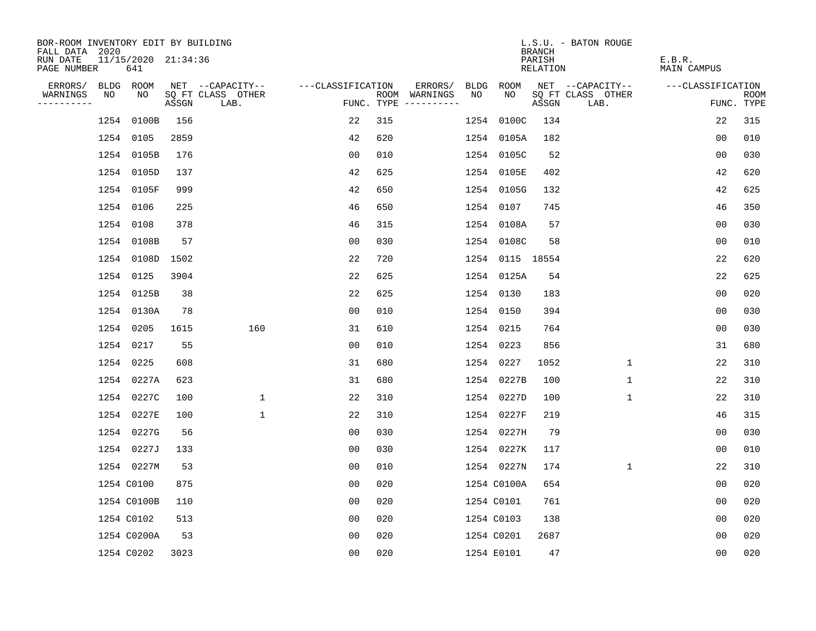| BOR-ROOM INVENTORY EDIT BY BUILDING<br>FALL DATA 2020 |    |                            |       |                           |                   |     |                                      |      |                 | <b>BRANCH</b>      | L.S.U. - BATON ROUGE      |                              |                           |
|-------------------------------------------------------|----|----------------------------|-------|---------------------------|-------------------|-----|--------------------------------------|------|-----------------|--------------------|---------------------------|------------------------------|---------------------------|
| RUN DATE<br>PAGE NUMBER                               |    | 11/15/2020 21:34:36<br>641 |       |                           |                   |     |                                      |      |                 | PARISH<br>RELATION |                           | E.B.R.<br><b>MAIN CAMPUS</b> |                           |
| ERRORS/                                               |    | BLDG ROOM                  |       | NET --CAPACITY--          | ---CLASSIFICATION |     | ERRORS/                              | BLDG | ROOM            |                    | NET --CAPACITY--          | ---CLASSIFICATION            |                           |
| WARNINGS<br>----------                                | NO | NO.                        | ASSGN | SQ FT CLASS OTHER<br>LAB. |                   |     | ROOM WARNINGS<br>FUNC. TYPE $------$ | NO   | NO.             | ASSGN              | SQ FT CLASS OTHER<br>LAB. |                              | <b>ROOM</b><br>FUNC. TYPE |
|                                                       |    | 1254 0100B                 | 156   |                           | 22                | 315 |                                      | 1254 | 0100C           | 134                |                           | 22                           | 315                       |
|                                                       |    | 1254 0105                  | 2859  |                           | 42                | 620 |                                      |      | 1254 0105A      | 182                |                           | 0 <sub>0</sub>               | 010                       |
|                                                       |    | 1254 0105B                 | 176   |                           | 0 <sub>0</sub>    | 010 |                                      |      | 1254 0105C      | 52                 |                           | 00                           | 030                       |
|                                                       |    | 1254 0105D                 | 137   |                           | 42                | 625 |                                      |      | 1254 0105E      | 402                |                           | 42                           | 620                       |
|                                                       |    | 1254 0105F                 | 999   |                           | 42                | 650 |                                      |      | 1254 0105G      | 132                |                           | 42                           | 625                       |
|                                                       |    | 1254 0106                  | 225   |                           | 46                | 650 |                                      |      | 1254 0107       | 745                |                           | 46                           | 350                       |
|                                                       |    | 1254 0108                  | 378   |                           | 46                | 315 |                                      |      | 1254 0108A      | 57                 |                           | 0 <sub>0</sub>               | 030                       |
|                                                       |    | 1254 0108B                 | 57    |                           | 0 <sub>0</sub>    | 030 |                                      |      | 1254 0108C      | 58                 |                           | 0 <sub>0</sub>               | 010                       |
|                                                       |    | 1254 0108D                 | 1502  |                           | 22                | 720 |                                      |      | 1254 0115 18554 |                    |                           | 22                           | 620                       |
|                                                       |    | 1254 0125                  | 3904  |                           | 22                | 625 |                                      |      | 1254 0125A      | 54                 |                           | 22                           | 625                       |
|                                                       |    | 1254 0125B                 | 38    |                           | 22                | 625 |                                      |      | 1254 0130       | 183                |                           | 0 <sub>0</sub>               | 020                       |
|                                                       |    | 1254 0130A                 | 78    |                           | 0 <sub>0</sub>    | 010 |                                      |      | 1254 0150       | 394                |                           | 0 <sub>0</sub>               | 030                       |
|                                                       |    | 1254 0205                  | 1615  | 160                       | 31                | 610 |                                      |      | 1254 0215       | 764                |                           | 0 <sub>0</sub>               | 030                       |
|                                                       |    | 1254 0217                  | 55    |                           | 00                | 010 |                                      |      | 1254 0223       | 856                |                           | 31                           | 680                       |
|                                                       |    | 1254 0225                  | 608   |                           | 31                | 680 |                                      | 1254 | 0227            | 1052               | $\mathbf{1}$              | 22                           | 310                       |
|                                                       |    | 1254 0227A                 | 623   |                           | 31                | 680 |                                      |      | 1254 0227B      | 100                | $\mathbf{1}$              | 22                           | 310                       |
|                                                       |    | 1254 0227C                 | 100   | 1                         | 22                | 310 |                                      |      | 1254 0227D      | 100                | 1                         | 22                           | 310                       |
|                                                       |    | 1254 0227E                 | 100   | $\mathbf{1}$              | 22                | 310 |                                      |      | 1254 0227F      | 219                |                           | 46                           | 315                       |
|                                                       |    | 1254 0227G                 | 56    |                           | 0 <sub>0</sub>    | 030 |                                      |      | 1254 0227H      | 79                 |                           | 0 <sub>0</sub>               | 030                       |
|                                                       |    | 1254 0227J                 | 133   |                           | 0 <sub>0</sub>    | 030 |                                      |      | 1254 0227K      | 117                |                           | 0 <sub>0</sub>               | 010                       |
|                                                       |    | 1254 0227M                 | 53    |                           | 0 <sub>0</sub>    | 010 |                                      |      | 1254 0227N      | 174                | $\mathbf{1}$              | 22                           | 310                       |
|                                                       |    | 1254 C0100                 | 875   |                           | 00                | 020 |                                      |      | 1254 C0100A     | 654                |                           | 0 <sub>0</sub>               | 020                       |
|                                                       |    | 1254 C0100B                | 110   |                           | 0 <sub>0</sub>    | 020 |                                      |      | 1254 C0101      | 761                |                           | 0 <sub>0</sub>               | 020                       |
|                                                       |    | 1254 C0102                 | 513   |                           | 0 <sub>0</sub>    | 020 |                                      |      | 1254 C0103      | 138                |                           | 00                           | 020                       |
|                                                       |    | 1254 C0200A                | 53    |                           | 0 <sub>0</sub>    | 020 |                                      |      | 1254 C0201      | 2687               |                           | 0 <sub>0</sub>               | 020                       |
|                                                       |    | 1254 C0202                 | 3023  |                           | 0 <sub>0</sub>    | 020 |                                      |      | 1254 E0101      | 47                 |                           | 0 <sub>0</sub>               | 020                       |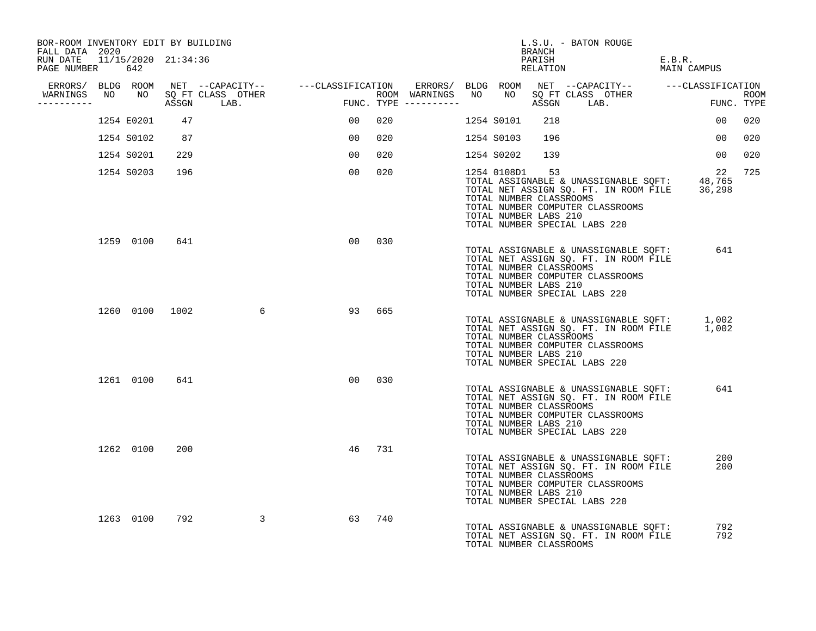| BOR-ROOM INVENTORY EDIT BY BUILDING<br>FALL DATA 2020 |                |     |                                       |                                                                                                               |                        |                  |                | L.S.U. - BATON ROUGE<br>BRANCH                                                                                                                                                                          |                                                                                                    |     |
|-------------------------------------------------------|----------------|-----|---------------------------------------|---------------------------------------------------------------------------------------------------------------|------------------------|------------------|----------------|---------------------------------------------------------------------------------------------------------------------------------------------------------------------------------------------------------|----------------------------------------------------------------------------------------------------|-----|
| RUN DATE 11/15/2020 21:34:36<br>PAGE NUMBER 642       |                |     |                                       |                                                                                                               |                        |                  |                | PARISH<br>RELATION                                                                                                                                                                                      | E.B.R.<br>MAIN CAMPUS                                                                              |     |
|                                                       |                |     |                                       | ERRORS/ BLDG ROOM NET --CAPACITY-- - ---CLASSIFICATION ERRORS/ BLDG ROOM NET --CAPACITY-- - ---CLASSIFICATION |                        |                  |                |                                                                                                                                                                                                         |                                                                                                    |     |
| WARNINGS<br>-----------                               |                |     | NO NO SQ FT CLASS OTHER<br>ASSGN LAB. | FUNC                                                                                                          | $FUNC. TYPE$ --------- | ROOM WARNINGS NO |                | NO SQ FT CLASS OTHER<br>ASSGN LAB.                                                                                                                                                                      | ROOM<br>FUNC. TYPE                                                                                 |     |
|                                                       | 1254 E0201     | 47  |                                       | 00 <sub>o</sub>                                                                                               | 020                    |                  | 1254 S0101     | 218                                                                                                                                                                                                     | 00 <sub>o</sub>                                                                                    | 020 |
|                                                       | 1254 S0102     | 87  |                                       | 00 <sub>o</sub>                                                                                               | 020                    |                  | 1254 S0103     | 196                                                                                                                                                                                                     | 00 <sub>o</sub>                                                                                    | 020 |
|                                                       | 1254 S0201     | 229 |                                       | 0 <sub>0</sub>                                                                                                | 020                    |                  | 1254 S0202     | 139                                                                                                                                                                                                     | 00 <sup>o</sup>                                                                                    | 020 |
|                                                       | 1254 S0203 196 |     |                                       | 00 <sub>o</sub>                                                                                               | 020                    |                  | 1254 0108D1 53 | TOTAL NUMBER CLASSROOMS<br>TOTAL NUMBER COMPUTER CLASSROOMS<br>TOTAL NUMBER LABS 210<br>TOTAL NUMBER SPECIAL LABS 220                                                                                   | 22<br>TOTAL ASSIGNABLE & UNASSIGNABLE SQFT: 48,765<br>TOTAL NET ASSIGN SQ. FT. IN ROOM FILE 36,298 | 725 |
|                                                       | 1259 0100      | 641 |                                       |                                                                                                               | 00 030                 |                  |                | TOTAL ASSIGNABLE & UNASSIGNABLE SQFT:<br>TOTAL NET ASSIGN SQ. FT. IN ROOM FILE<br>TOTAL NUMBER CLASSROOMS<br>TOTAL NUMBER COMPUTER CLASSROOMS<br>TOTAL NUMBER LABS 210<br>TOTAL NUMBER SPECIAL LABS 220 | 641                                                                                                |     |
|                                                       |                |     | 1260 0100 1002 6                      | 93                                                                                                            | 665                    |                  |                | TOTAL NUMBER CLASSROOMS<br>TOTAL NUMBER COMPUTER CLASSROOMS<br>TOTAL NUMBER LABS 210<br>TOTAL NUMBER SPECIAL LABS 220                                                                                   | TOTAL ASSIGNABLE & UNASSIGNABLE SQFT: 1,002<br>TOTAL NET ASSIGN SQ. FT. IN ROOM FILE 1,002         |     |
|                                                       | 1261 0100      | 641 |                                       | 00                                                                                                            | 030                    |                  |                | TOTAL ASSIGNABLE & UNASSIGNABLE SQFT:<br>TOTAL NET ASSIGN SQ. FT. IN ROOM FILE<br>TOTAL NUMBER CLASSROOMS<br>TOTAL NUMBER COMPUTER CLASSROOMS<br>TOTAL NUMBER LABS 210<br>TOTAL NUMBER SPECIAL LABS 220 | 641                                                                                                |     |
|                                                       | 1262 0100      | 200 |                                       | 46                                                                                                            | 731                    |                  |                | TOTAL ASSIGNABLE & UNASSIGNABLE SQFT:<br>TOTAL NET ASSIGN SQ. FT. IN ROOM FILE<br>TOTAL NUMBER CLASSROOMS<br>TOTAL NUMBER COMPUTER CLASSROOMS<br>TOTAL NUMBER LABS 210<br>TOTAL NUMBER SPECIAL LABS 220 | 200<br>200                                                                                         |     |
|                                                       | 1263 0100      | 792 | $\sim$ 3                              | 63                                                                                                            | 740                    |                  |                | TOTAL ASSIGNABLE & UNASSIGNABLE SQFT:<br>TOTAL NET ASSIGN SQ. FT. IN ROOM FILE<br>TOTAL NUMBER CLASSROOMS                                                                                               | 792<br>792                                                                                         |     |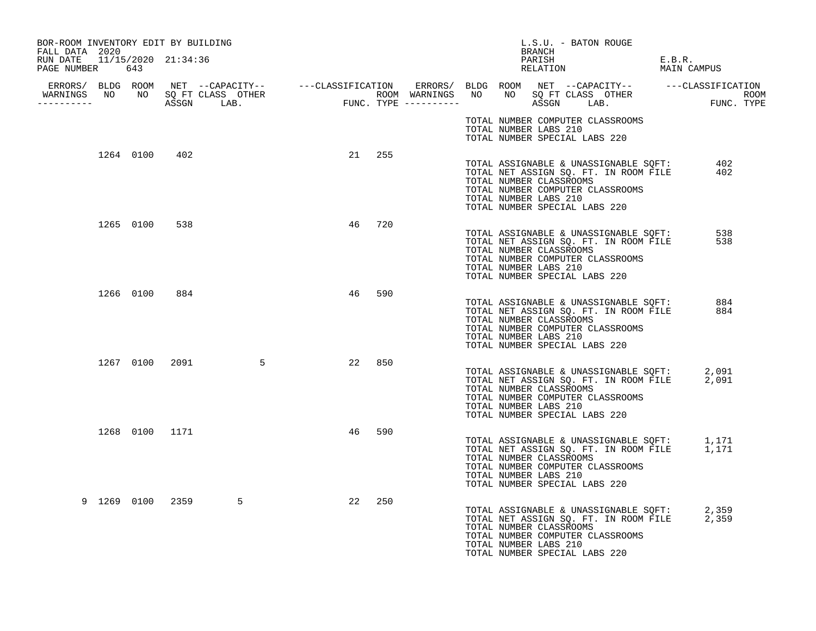| BOR-ROOM INVENTORY EDIT BY BUILDING<br>FALL DATA 2020 |           |                |                                  |    |        | L.S.U. - BATON ROUGE<br>BRANCH                                                                                                                                                                                        |  |
|-------------------------------------------------------|-----------|----------------|----------------------------------|----|--------|-----------------------------------------------------------------------------------------------------------------------------------------------------------------------------------------------------------------------|--|
| RUN DATE 11/15/2020 21:34:36<br>PAGE NUMBER 643       |           |                |                                  |    |        | PARISH<br>E.B.R.<br>RELATION<br>MAIN CAMPUS                                                                                                                                                                           |  |
| -----------                                           |           |                | WARNINGS NO NO SQ FT CLASS OTHER |    |        |                                                                                                                                                                                                                       |  |
|                                                       |           |                |                                  |    |        | TOTAL NUMBER COMPUTER CLASSROOMS<br>TOTAL NUMBER LABS 210<br>TOTAL NUMBER SPECIAL LABS 220                                                                                                                            |  |
|                                                       |           | 1264 0100 402  |                                  |    | 21 255 | TOTAL ASSIGNABLE & UNASSIGNABLE SQFT:<br>TOTAL NET ASSIGN SQ. FT. IN ROOM FILE<br>402<br>402<br>TOTAL NUMBER CLASSROOMS<br>TOTAL NUMBER COMPUTER CLASSROOMS<br>TOTAL NUMBER LABS 210<br>TOTAL NUMBER SPECIAL LABS 220 |  |
|                                                       |           | 1265 0100 538  |                                  |    | 46 720 | TOTAL ASSIGNABLE & UNASSIGNABLE SQFT:<br>538<br>TOTAL NET ASSIGN SQ. FT. IN ROOM FILE<br>538<br>TOTAL NUMBER CLASSROOMS<br>TOTAL NUMBER COMPUTER CLASSROOMS<br>TOTAL NUMBER LABS 210<br>TOTAL NUMBER SPECIAL LABS 220 |  |
|                                                       | 1266 0100 | 884            |                                  | 46 | 590    | TOTAL ASSIGNABLE & UNASSIGNABLE SQFT:<br>884<br>TOTAL NET ASSIGN SQ. FT. IN ROOM FILE<br>884<br>TOTAL NUMBER CLASSROOMS<br>TOTAL NUMBER COMPUTER CLASSROOMS<br>TOTAL NUMBER LABS 210<br>TOTAL NUMBER SPECIAL LABS 220 |  |
|                                                       |           |                | 1267 0100 2091 5                 | 22 | 850    | TOTAL ASSIGNABLE & UNASSIGNABLE SQFT: 2,091<br>TOTAL NET ASSIGN SQ. FT. IN ROOM FILE 2,091<br>TOTAL NUMBER CLASSROOMS<br>TOTAL NUMBER COMPUTER CLASSROOMS<br>TOTAL NUMBER LABS 210<br>TOTAL NUMBER SPECIAL LABS 220   |  |
|                                                       |           | 1268 0100 1171 |                                  | 46 | 590    | TOTAL ASSIGNABLE & UNASSIGNABLE SQFT: 1,171<br>TOTAL NET ASSIGN SQ. FT. IN ROOM FILE 1,171<br>TOTAL NUMBER CLASSROOMS<br>TOTAL NUMBER COMPUTER CLASSROOMS<br>TOTAL NUMBER LABS 210<br>TOTAL NUMBER SPECIAL LABS 220   |  |
|                                                       |           |                | 9 1269 0100 2359<br>5            | 22 | 250    | TOTAL ASSIGNABLE & UNASSIGNABLE SQFT: 2,359<br>TOTAL NET ASSIGN SQ. FT. IN ROOM FILE 2,359<br>TOTAL NUMBER CLASSROOMS<br>TOTAL NUMBER COMPUTER CLASSROOMS<br>TOTAL NUMBER LABS 210<br>TOTAL NUMBER SPECIAL LABS 220   |  |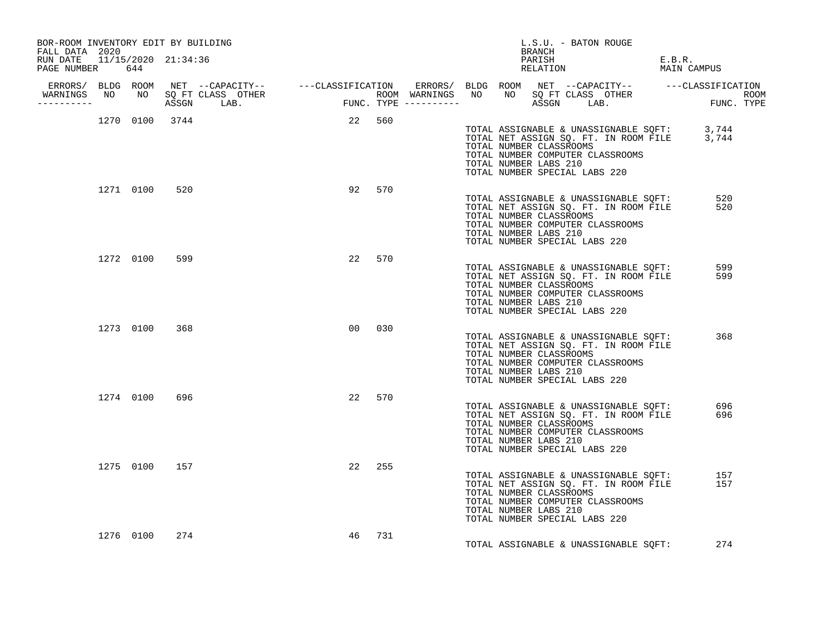| BOR-ROOM INVENTORY EDIT BY BUILDING<br>FALL DATA 2020 |           |           |               |                |                 |        |  | BRANCH                                                                                                                | L.S.U. - BATON ROUGE |                                                                                |                                                                                            |  |
|-------------------------------------------------------|-----------|-----------|---------------|----------------|-----------------|--------|--|-----------------------------------------------------------------------------------------------------------------------|----------------------|--------------------------------------------------------------------------------|--------------------------------------------------------------------------------------------|--|
| RUN DATE 11/15/2020 21:34:36<br>PAGE NUMBER 644       |           |           |               |                |                 |        |  | PARISH                                                                                                                | RELATION             |                                                                                | E.B.R.<br>MAIN CAMPUS                                                                      |  |
| -----------                                           |           |           |               |                |                 |        |  |                                                                                                                       |                      |                                                                                |                                                                                            |  |
|                                                       |           |           |               | 1270 0100 3744 | 22 560          |        |  | TOTAL NUMBER CLASSROOMS<br>TOTAL NUMBER COMPUTER CLASSROOMS<br>TOTAL NUMBER LABS 210<br>TOTAL NUMBER SPECIAL LABS 220 |                      |                                                                                | TOTAL ASSIGNABLE & UNASSIGNABLE SQFT: 3,744<br>TOTAL NET ASSIGN SQ. FT. IN ROOM FILE 3,744 |  |
|                                                       |           | 1271 0100 | 520           |                |                 | 92 570 |  | TOTAL NUMBER CLASSROOMS<br>TOTAL NUMBER COMPUTER CLASSROOMS<br>TOTAL NUMBER LABS 210<br>TOTAL NUMBER SPECIAL LABS 220 |                      | TOTAL ASSIGNABLE & UNASSIGNABLE SQFT:<br>TOTAL NET ASSIGN SQ. FT. IN ROOM FILE | 520<br>520                                                                                 |  |
|                                                       |           | 1272 0100 | 599           |                |                 | 22 570 |  | TOTAL NUMBER CLASSROOMS<br>TOTAL NUMBER COMPUTER CLASSROOMS<br>TOTAL NUMBER LABS 210<br>TOTAL NUMBER SPECIAL LABS 220 |                      | TOTAL ASSIGNABLE & UNASSIGNABLE SQFT:<br>TOTAL NET ASSIGN SQ. FT. IN ROOM FILE | 599<br>599                                                                                 |  |
|                                                       |           | 1273 0100 | 368           |                | 00 <sub>o</sub> | 030    |  | TOTAL NUMBER CLASSROOMS<br>TOTAL NUMBER COMPUTER CLASSROOMS<br>TOTAL NUMBER LABS 210<br>TOTAL NUMBER SPECIAL LABS 220 |                      | TOTAL ASSIGNABLE & UNASSIGNABLE SQFT:<br>TOTAL NET ASSIGN SQ. FT. IN ROOM FILE | 368                                                                                        |  |
|                                                       |           | 1274 0100 | 696           |                |                 | 22 570 |  | TOTAL NUMBER CLASSROOMS<br>TOTAL NUMBER COMPUTER CLASSROOMS<br>TOTAL NUMBER LABS 210<br>TOTAL NUMBER SPECIAL LABS 220 |                      | TOTAL ASSIGNABLE & UNASSIGNABLE SQFT:<br>TOTAL NET ASSIGN SQ. FT. IN ROOM FILE | 696<br>696                                                                                 |  |
|                                                       |           |           | 1275 0100 157 |                |                 | 22 255 |  | TOTAL NUMBER CLASSROOMS<br>TOTAL NUMBER COMPUTER CLASSROOMS<br>TOTAL NUMBER LABS 210<br>TOTAL NUMBER SPECIAL LABS 220 |                      | TOTAL ASSIGNABLE & UNASSIGNABLE SQFT:<br>TOTAL NET ASSIGN SQ. FT. IN ROOM FILE | 157<br>157                                                                                 |  |
|                                                       | 1276 0100 |           | 274           |                | 46              | 731    |  |                                                                                                                       |                      | TOTAL ASSIGNABLE & UNASSIGNABLE SQFT:                                          | 274                                                                                        |  |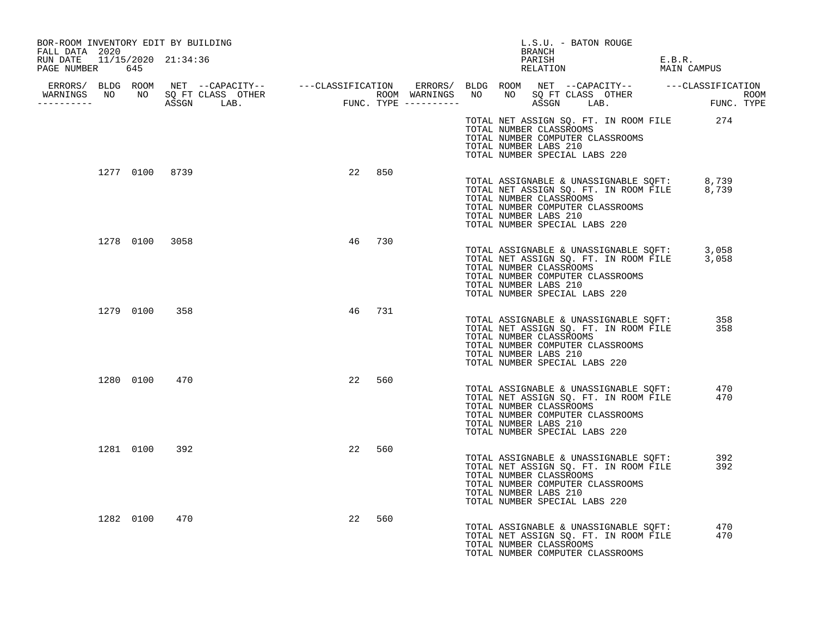| BOR-ROOM INVENTORY EDIT BY BUILDING<br>FALL DATA 2020 |               |                                  |    |     | L.S.U. - BATON ROUGE<br>BRANCH                                                                                                                                                                                      |                       |
|-------------------------------------------------------|---------------|----------------------------------|----|-----|---------------------------------------------------------------------------------------------------------------------------------------------------------------------------------------------------------------------|-----------------------|
| RUN DATE 11/15/2020 21:34:36<br>PAGE NUMBER 645       |               |                                  |    |     | PARISH<br>PARISH<br>RELATION                                                                                                                                                                                        | E.B.R.<br>MAIN CAMPUS |
| -----------                                           |               | WARNINGS NO NO SQ FT CLASS OTHER |    |     |                                                                                                                                                                                                                     |                       |
|                                                       |               |                                  |    |     | TOTAL NET ASSIGN SQ. FT. IN ROOM FILE 274<br>TOTAL NUMBER CLASSROOMS<br>TOTAL NUMBER COMPUTER CLASSROOMS<br>TOTAL NUMBER LABS 210<br>TOTAL NUMBER SPECIAL LABS 220                                                  |                       |
|                                                       |               | 1277 0100 8739                   | 22 | 850 | TOTAL ASSIGNABLE & UNASSIGNABLE SQFT: 8,739<br>TOTAL NET ASSIGN SQ. FT. IN ROOM FILE 8,739<br>TOTAL NUMBER CLASSROOMS<br>TOTAL NUMBER COMPUTER CLASSROOMS<br>TOTAL NUMBER LABS 210<br>TOTAL NUMBER SPECIAL LABS 220 |                       |
|                                                       |               | 1278 0100 3058                   | 46 | 730 | TOTAL ASSIGNABLE & UNASSIGNABLE SQFT: 3,058<br>TOTAL NET ASSIGN SQ. FT. IN ROOM FILE 3,058<br>TOTAL NUMBER CLASSROOMS<br>TOTAL NUMBER COMPUTER CLASSROOMS<br>TOTAL NUMBER LABS 210<br>TOTAL NUMBER SPECIAL LABS 220 |                       |
|                                                       | 1279 0100 358 |                                  | 46 | 731 | TOTAL ASSIGNABLE & UNASSIGNABLE SQFT:<br>TOTAL NET ASSIGN SQ. FT. IN ROOM FILE<br>TOTAL NUMBER CLASSROOMS<br>TOTAL NUMBER COMPUTER CLASSROOMS<br>TOTAL NUMBER LABS 210<br>TOTAL NUMBER SPECIAL LABS 220             | 358<br>358            |
|                                                       | 1280 0100     | 470                              | 22 | 560 | TOTAL ASSIGNABLE & UNASSIGNABLE SQFT:<br>TOTAL NET ASSIGN SQ. FT. IN ROOM FILE<br>TOTAL NUMBER CLASSROOMS<br>TOTAL NUMBER COMPUTER CLASSROOMS<br>TOTAL NUMBER LABS 210<br>TOTAL NUMBER SPECIAL LABS 220             | 470<br>470            |
|                                                       | 1281 0100     | 392                              | 22 | 560 | TOTAL ASSIGNABLE & UNASSIGNABLE SQFT:<br>TOTAL NET ASSIGN SQ. FT. IN ROOM FILE<br>TOTAL NUMBER CLASSROOMS<br>TOTAL NUMBER COMPUTER CLASSROOMS<br>TOTAL NUMBER LABS 210<br>TOTAL NUMBER SPECIAL LABS 220             | 392<br>392            |
|                                                       | 1282 0100     | 470                              | 22 | 560 | TOTAL ASSIGNABLE & UNASSIGNABLE SQFT:<br>TOTAL NET ASSIGN SQ. FT. IN ROOM FILE<br>TOTAL NUMBER CLASSROOMS<br>TOTAL NUMBER COMPUTER CLASSROOMS                                                                       | 470<br>470            |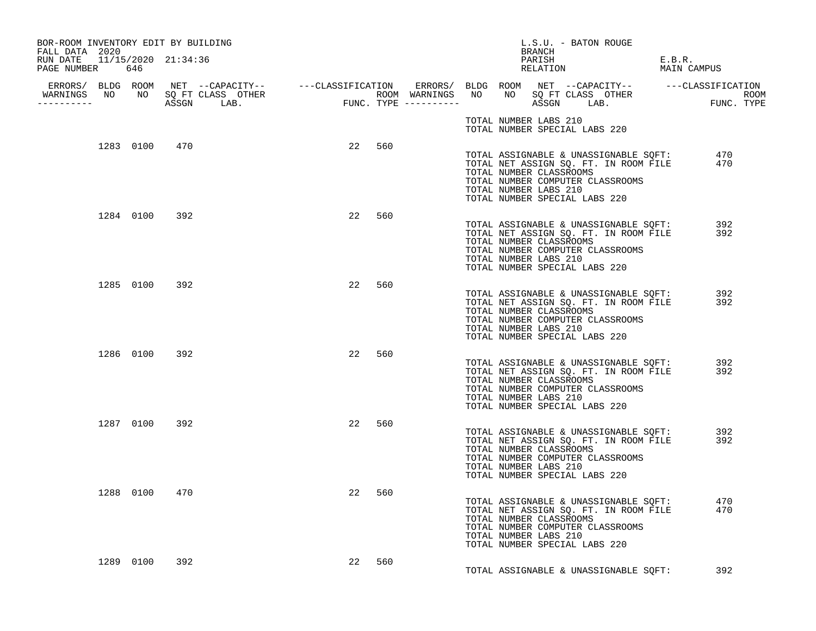| BOR-ROOM INVENTORY EDIT BY BUILDING                               |               |                                                                                                                                                                                                                                      |        |        |  |                       | BRANCH | L.S.U. - BATON ROUGE                                                                      |                                                                                                                                                                     |        |             |  |
|-------------------------------------------------------------------|---------------|--------------------------------------------------------------------------------------------------------------------------------------------------------------------------------------------------------------------------------------|--------|--------|--|-----------------------|--------|-------------------------------------------------------------------------------------------|---------------------------------------------------------------------------------------------------------------------------------------------------------------------|--------|-------------|--|
| FALL DATA 2020<br>RUN DATE 11/15/2020 21:34:36<br>PAGE NUMBER 646 |               |                                                                                                                                                                                                                                      |        |        |  |                       | PARISH | PARISH<br>RELATION                                                                        |                                                                                                                                                                     | E.B.R. | MAIN CAMPUS |  |
| -----------                                                       |               | ERRORS/ BLDG ROOM NET --CAPACITY-- ----CLASSIFICATION ERRORS/ BLDG ROOM NET --CAPACITY-- -----CLASSIFICATION<br>WARNINGS NO NO SQETCLASS OTHER ROOM WARNINGS NO NO SQETCLASS OTHER ROOM<br>----------- ASSGN LAB. FUNC.TYPE -------- |        |        |  |                       |        |                                                                                           |                                                                                                                                                                     |        |             |  |
|                                                                   |               |                                                                                                                                                                                                                                      |        |        |  |                       |        | TOTAL NUMBER LABS 210<br>TOTAL NUMBER SPECIAL LABS 220                                    |                                                                                                                                                                     |        |             |  |
|                                                                   | 1283 0100 470 |                                                                                                                                                                                                                                      |        | 22 560 |  | TOTAL NUMBER LABS 210 |        | TOTAL NUMBER CLASSROOMS                                                                   | TOTAL ASSIGNABLE & UNASSIGNABLE SQFT: 470<br>TOTAL NET ASSIGN SQ. FT. IN ROOM FILE 470<br>TOTAL NET ASSIGN SQ. FT. IN ROOM FILE<br>TOTAL NUMBER COMPUTER CLASSROOMS |        |             |  |
|                                                                   | 1284 0100 392 |                                                                                                                                                                                                                                      |        | 22 560 |  | TOTAL NUMBER LABS 210 |        | TOTAL NUMBER SPECIAL LABS 220<br>TOTAL NUMBER CLASSROOMS<br>TOTAL NUMBER SPECIAL LABS 220 | TOTAL ASSIGNABLE & UNASSIGNABLE SQFT: 392<br>TOTAL NET ASSIGN SQ. FT. IN ROOM FILE 392<br>TOTAL NUMBER COMPUTER CLASSROOMS                                          |        |             |  |
|                                                                   | 1285 0100 392 |                                                                                                                                                                                                                                      | 22 560 |        |  | TOTAL NUMBER LABS 210 |        | TOTAL NUMBER CLASSROOMS<br>TOTAL NUMBER SPECIAL LABS 220                                  | TOTAL ASSIGNABLE & UNASSIGNABLE SQFT:<br>TOTAL NET ASSIGN SQ. FT. IN ROOM FILE<br>TOTAL NUMBER COMPUTER CLASSROOMS                                                  |        | 392<br>392  |  |
|                                                                   | 1286 0100 392 |                                                                                                                                                                                                                                      |        | 22 560 |  | TOTAL NUMBER LABS 210 |        | TOTAL NUMBER CLASSROOMS<br>TOTAL NUMBER SPECIAL LABS 220                                  | TOTAL ASSIGNABLE & UNASSIGNABLE SQFT:<br>TOTAL NET ASSIGN SQ. FT. IN ROOM FILE<br>TOTAL NUMBER COMPUTER CLASSROOMS                                                  |        | 392<br>392  |  |
|                                                                   | 1287 0100 392 |                                                                                                                                                                                                                                      |        | 22 560 |  | TOTAL NUMBER LABS 210 |        | TOTAL NUMBER CLASSROOMS<br>TOTAL NUMBER SPECIAL LABS 220                                  | TOTAL ASSIGNABLE & UNASSIGNABLE SQFT:<br>TOTAL NET ASSIGN SQ. FT. IN ROOM FILE<br>TOTAL NUMBER COMPUTER CLASSROOMS                                                  |        | 392<br>392  |  |
|                                                                   | 1288 0100 470 |                                                                                                                                                                                                                                      | 22     | 560    |  | TOTAL NUMBER LABS 210 |        | TOTAL NUMBER CLASSROOMS<br>TOTAL NUMBER SPECIAL LABS 220                                  | TOTAL ASSIGNABLE & UNASSIGNABLE SQFT:<br>TOTAL NET ASSIGN SQ. FT. IN ROOM FILE<br>TOTAL NUMBER COMPUTER CLASSROOMS                                                  |        | 470<br>470  |  |
|                                                                   | 1289 0100 392 |                                                                                                                                                                                                                                      | 22     | 560    |  |                       |        |                                                                                           | TOTAL ASSIGNABLE & UNASSIGNABLE SOFT:                                                                                                                               |        | 392         |  |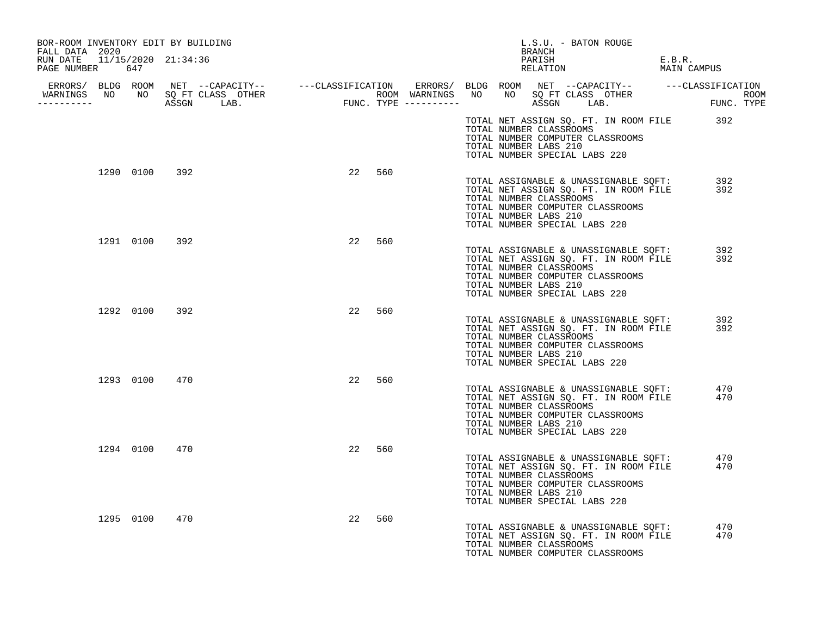| BOR-ROOM INVENTORY EDIT BY BUILDING<br>FALL DATA 2020 |               |               |           | L.S.U. - BATON ROUGE<br>BRANCH                                                                                                                                                                          |                       |
|-------------------------------------------------------|---------------|---------------|-----------|---------------------------------------------------------------------------------------------------------------------------------------------------------------------------------------------------------|-----------------------|
| RUN DATE 11/15/2020 21:34:36<br>PAGE NUMBER 647       |               |               |           | PARISH<br>PARISH<br>RELATION                                                                                                                                                                            | E.B.R.<br>MAIN CAMPUS |
|                                                       |               |               |           |                                                                                                                                                                                                         |                       |
|                                                       |               |               |           |                                                                                                                                                                                                         |                       |
|                                                       |               |               |           | TOTAL NET ASSIGN SQ. FT. IN ROOM FILE 392<br>TOTAL NUMBER CLASSROOMS<br>TOTAL NUMBER COMPUTER CLASSROOMS<br>TOTAL NUMBER LABS 210<br>TOTAL NUMBER SPECIAL LABS 220                                      |                       |
|                                                       |               | 1290 0100 392 | 22<br>560 | TOTAL NET ASSIGN SQ. FT. IN ROOM FILE<br>TOTAL NET ASSIGN SQ. FT. IN ROOM FILE<br>TOTAL NUMBER CLASSROOMS<br>TOTAL NUMBER COMPUTER CLASSROOMS<br>TOTAL NUMBER LABS 210<br>TOTAL NUMBER SPECIAL LABS 220 | 392<br>392            |
|                                                       | 1291 0100     | 392           | 22<br>560 | TOTAL ASSIGNABLE & UNASSIGNABLE SQFT:<br>TOTAL NET ASSIGN SQ. FT. IN ROOM FILE<br>TOTAL NUMBER CLASSROOMS<br>TOTAL NUMBER COMPUTER CLASSROOMS<br>TOTAL NUMBER LABS 210<br>TOTAL NUMBER SPECIAL LABS 220 | 392<br>392            |
|                                                       |               | 1292 0100 392 | 22<br>560 | TOTAL ASSIGNABLE & UNASSIGNABLE SQFT:<br>TOTAL NET ASSIGN SQ. FT. IN ROOM FILE<br>TOTAL NUMBER CLASSROOMS<br>TOTAL NUMBER COMPUTER CLASSROOMS<br>TOTAL NUMBER LABS 210<br>TOTAL NUMBER SPECIAL LABS 220 | 392<br>392            |
|                                                       | 1293 0100 470 |               | 22<br>560 | TOTAL ASSIGNABLE & UNASSIGNABLE SQFT:<br>TOTAL NET ASSIGN SQ. FT. IN ROOM FILE<br>TOTAL NUMBER CLASSROOMS<br>TOTAL NUMBER COMPUTER CLASSROOMS<br>TOTAL NUMBER LABS 210<br>TOTAL NUMBER SPECIAL LABS 220 | 470<br>470            |
|                                                       | 1294 0100     | 470           | 22<br>560 | TOTAL ASSIGNABLE & UNASSIGNABLE SQFT:<br>TOTAL NET ASSIGN SQ. FT. IN ROOM FILE<br>TOTAL NUMBER CLASSROOMS<br>TOTAL NUMBER COMPUTER CLASSROOMS<br>TOTAL NUMBER LABS 210<br>TOTAL NUMBER SPECIAL LABS 220 | 470<br>470            |
|                                                       | 1295 0100     | 470           | 22<br>560 | TOTAL ASSIGNABLE & UNASSIGNABLE SQFT:<br>TOTAL NET ASSIGN SQ. FT. IN ROOM FILE<br>TOTAL NUMBER CLASSROOMS<br>TOTAL NUMBER COMPUTER CLASSROOMS                                                           | 470<br>470            |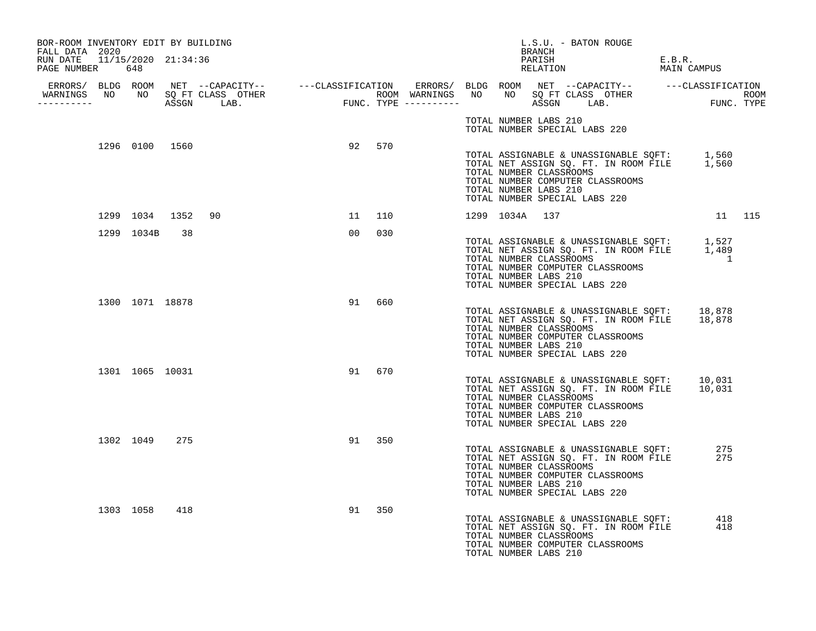| BOR-ROOM INVENTORY EDIT BY BUILDING<br>FALL DATA 2020 |                   |           | L.S.U. - BATON ROUGE<br>BRANCH                                                                                                                                                                                                       |                       |
|-------------------------------------------------------|-------------------|-----------|--------------------------------------------------------------------------------------------------------------------------------------------------------------------------------------------------------------------------------------|-----------------------|
| RUN DATE 11/15/2020 21:34:36<br>PAGE NUMBER 648       |                   |           | PARISH<br>RELATION                                                                                                                                                                                                                   | E.B.R.<br>MAIN CAMPUS |
|                                                       |                   |           | ERRORS/ BLDG ROOM NET --CAPACITY-- ----CLASSIFICATION ERRORS/ BLDG ROOM NET --CAPACITY-- -----CLASSIFICATION<br>WARNINGS NO NO SQFTCLASS OTHER ROOM WARNINGS NO NO SQFTCLASS OTHER ROOM<br>----------- ASSGN LAB. FUNC.TYPE -------- |                       |
|                                                       |                   |           | TOTAL NUMBER LABS 210<br>TOTAL NUMBER SPECIAL LABS 220                                                                                                                                                                               |                       |
|                                                       | 1296 0100 1560    | 92 570    | TOTAL ASSIGNABLE & UNASSIGNABLE SQFT: 1,560<br>TOTAL NET ASSIGN SQ. FT. IN ROOM FILE 1,560<br>TOTAL NUMBER CLASSROOMS<br>TOTAL NUMBER COMPUTER CLASSROOMS<br>TOTAL NUMBER LABS 210<br>TOTAL NUMBER SPECIAL LABS 220                  |                       |
|                                                       | 1299 1034 1352 90 | 11 110    | 1299 1034A 137                                                                                                                                                                                                                       | 11 115                |
| 1299 1034B                                            | 38                | 00<br>030 | TOTAL ASSIGNABLE & UNASSIGNABLE SQFT: 1,527<br>TOTAL NET ASSIGN SQ. FT. IN ROOM FILE 1,489<br>TOTAL NUMBER CLASSROOMS<br>TOTAL NUMBER COMPUTER CLASSROOMS<br>TOTAL NUMBER LABS 210<br>TOTAL NUMBER SPECIAL LABS 220                  | $\overline{1}$        |
| 1300 1071 18878                                       |                   | 91 660    | TOTAL ASSIGNABLE & UNASSIGNABLE SOFT: 18,878<br>TOTAL NET ASSIGN SQ. FT. IN ROOM FILE 18,878<br>TOTAL NUMBER CLASSROOMS<br>TOTAL NUMBER COMPUTER CLASSROOMS<br>TOTAL NUMBER LABS 210<br>TOTAL NUMBER SPECIAL LABS 220                |                       |
|                                                       | 1301 1065 10031   | 91<br>670 | TOTAL ASSIGNABLE & UNASSIGNABLE SOFT: 10,031<br>TOTAL NET ASSIGN SQ. FT. IN ROOM FILE 10,031<br>TOTAL NUMBER CLASSROOMS<br>TOTAL NUMBER COMPUTER CLASSROOMS<br>TOTAL NUMBER LABS 210<br>TOTAL NUMBER SPECIAL LABS 220                |                       |
| 1302 1049 275                                         |                   | 91 350    | TOTAL ASSIGNABLE & UNASSIGNABLE SQFT:<br>TOTAL NET ASSIGN SQ. FT. IN ROOM FILE<br>TOTAL NUMBER CLASSROOMS<br>TOTAL NUMBER COMPUTER CLASSROOMS<br>TOTAL NUMBER LABS 210<br>TOTAL NUMBER SPECIAL LABS 220                              | 275<br>275            |
| 1303 1058 418                                         |                   | 350<br>91 | TOTAL ASSIGNABLE & UNASSIGNABLE SQFT: 418<br>TOTAL NET ASSIGN SQ. FT. IN ROOM FILE 418<br>TOTAL NUMBER CLASSROOMS<br>TOTAL NUMBER COMPUTER CLASSROOMS<br>TOTAL NUMBER LABS 210                                                       |                       |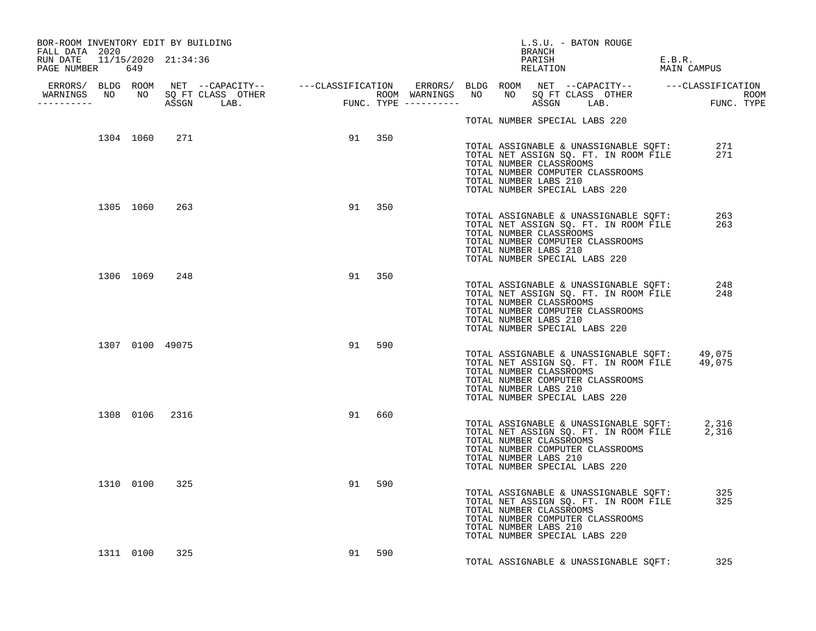| BOR-ROOM INVENTORY EDIT BY BUILDING<br>FALL DATA 2020 |                |               |                 |        |           |  |                                                                                   | BRANCH | L.S.U. - BATON ROUGE |                                                                                                                                  |                       |            |  |
|-------------------------------------------------------|----------------|---------------|-----------------|--------|-----------|--|-----------------------------------------------------------------------------------|--------|----------------------|----------------------------------------------------------------------------------------------------------------------------------|-----------------------|------------|--|
| RUN DATE 11/15/2020 21:34:36<br>PAGE NUMBER 649       |                |               |                 |        |           |  |                                                                                   | PARISH | PARISH<br>RELATION   |                                                                                                                                  | E.B.R.<br>MAIN CAMPUS |            |  |
|                                                       |                |               |                 |        |           |  |                                                                                   |        |                      |                                                                                                                                  |                       |            |  |
| __________                                            |                |               |                 |        |           |  |                                                                                   |        |                      |                                                                                                                                  |                       |            |  |
|                                                       |                |               |                 |        |           |  | TOTAL NUMBER SPECIAL LABS 220                                                     |        |                      |                                                                                                                                  |                       |            |  |
|                                                       | 1304 1060 271  |               |                 | 91 350 |           |  | TOTAL NUMBER CLASSROOMS<br>TOTAL NUMBER LABS 210<br>TOTAL NUMBER SPECIAL LABS 220 |        |                      | TOTAL ASSIGNABLE & UNASSIGNABLE SQFT:<br>TOTAL NET ASSIGN SQ. FT. IN ROOM FILE<br>TOTAL NUMBER COMPUTER CLASSROOMS               |                       | 271<br>271 |  |
|                                                       |                | 1305 1060 263 |                 |        | 91 350    |  | TOTAL NUMBER CLASSROOMS<br>TOTAL NUMBER LABS 210<br>TOTAL NUMBER SPECIAL LABS 220 |        |                      | TOTAL ASSIGNABLE & UNASSIGNABLE SQFT:<br>TOTAL NET ASSIGN SQ. FT. IN ROOM FILE<br>TOTAL NUMBER COMPUTER CLASSROOMS               |                       | 263<br>263 |  |
|                                                       | 1306 1069 248  |               |                 |        | 91 350    |  | TOTAL NUMBER CLASSROOMS<br>TOTAL NUMBER LABS 210<br>TOTAL NUMBER SPECIAL LABS 220 |        |                      | TOTAL ASSIGNABLE & UNASSIGNABLE SQFT:<br>TOTAL NET ASSIGN SQ. FT. IN ROOM FILE<br>TOTAL NUMBER COMPUTER CLASSROOMS               |                       | 248<br>248 |  |
|                                                       |                |               | 1307 0100 49075 |        | 91 590    |  | TOTAL NUMBER CLASSROOMS<br>TOTAL NUMBER LABS 210<br>TOTAL NUMBER SPECIAL LABS 220 |        |                      | TOTAL ASSIGNABLE & UNASSIGNABLE SOFT: 49,075<br>TOTAL NET ASSIGN SQ. FT. IN ROOM FILE 49,075<br>TOTAL NUMBER COMPUTER CLASSROOMS |                       |            |  |
|                                                       | 1308 0106 2316 |               |                 |        | 91<br>660 |  | TOTAL NUMBER CLASSROOMS<br>TOTAL NUMBER LABS 210<br>TOTAL NUMBER SPECIAL LABS 220 |        |                      | TOTAL ASSIGNABLE & UNASSIGNABLE SQFT: 2,316<br>TOTAL NET ASSIGN SQ. FT. IN ROOM FILE 2,316<br>TOTAL NUMBER COMPUTER CLASSROOMS   |                       |            |  |
|                                                       | 1310 0100 325  |               |                 |        | 91<br>590 |  | TOTAL NUMBER CLASSROOMS<br>TOTAL NUMBER LABS 210<br>TOTAL NUMBER SPECIAL LABS 220 |        |                      | TOTAL ASSIGNABLE & UNASSIGNABLE SQFT:<br>TOTAL NET ASSIGN SQ. FT. IN ROOM FILE<br>TOTAL NUMBER COMPUTER CLASSROOMS               |                       | 325<br>325 |  |
|                                                       | 1311 0100      | 325           |                 |        | 91 590    |  |                                                                                   |        |                      | TOTAL ASSIGNABLE & UNASSIGNABLE SQFT:                                                                                            |                       | 325        |  |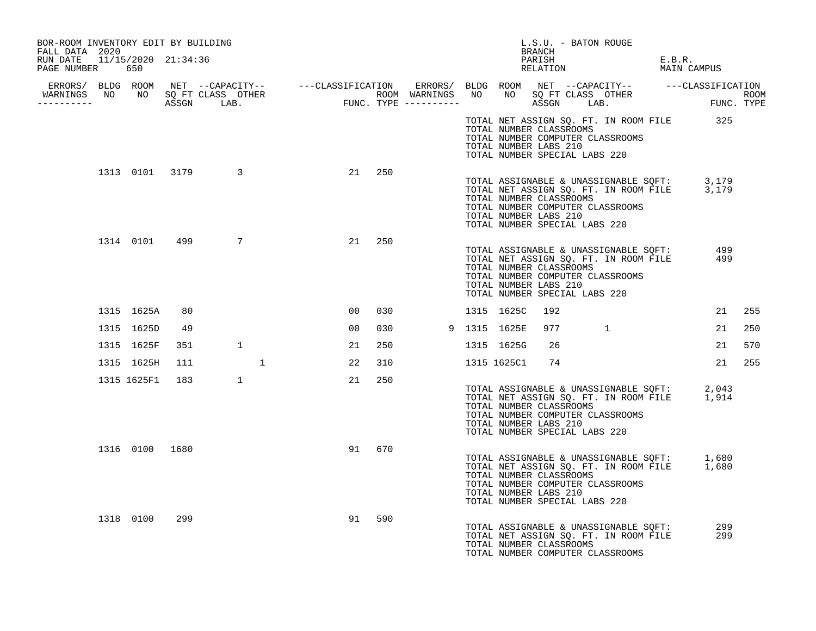| BOR-ROOM INVENTORY EDIT BY BUILDING<br>FALL DATA 2020 |                 |     |                  |    |     |  |                | L.S.U. - BATON ROUGE<br>BRANCH                                                                                        |                                                                                            |                       |            |        |
|-------------------------------------------------------|-----------------|-----|------------------|----|-----|--|----------------|-----------------------------------------------------------------------------------------------------------------------|--------------------------------------------------------------------------------------------|-----------------------|------------|--------|
| RUN DATE  11/15/2020  21:34:36<br>PAGE NUMBER 650     |                 |     |                  |    |     |  |                | PARISH<br>PARISH<br>RELATION                                                                                          |                                                                                            | E.B.R.<br>MAIN CAMPUS |            |        |
|                                                       |                 |     |                  |    |     |  |                |                                                                                                                       |                                                                                            |                       |            |        |
|                                                       |                 |     |                  |    |     |  |                |                                                                                                                       |                                                                                            |                       |            |        |
|                                                       |                 |     |                  |    |     |  |                | TOTAL NUMBER CLASSROOMS<br>TOTAL NUMBER COMPUTER CLASSROOMS<br>TOTAL NUMBER LABS 210<br>TOTAL NUMBER SPECIAL LABS 220 | TOTAL NET ASSIGN SQ. FT. IN ROOM FILE 325                                                  |                       |            |        |
|                                                       |                 |     | 1313 0101 3179 3 | 21 | 250 |  |                | TOTAL NUMBER CLASSROOMS<br>TOTAL NUMBER COMPUTER CLASSROOMS<br>TOTAL NUMBER LABS 210<br>TOTAL NUMBER SPECIAL LABS 220 | TOTAL ASSIGNABLE & UNASSIGNABLE SQFT: 3,179<br>TOTAL NET ASSIGN SQ. FT. IN ROOM FILE 3,179 |                       |            |        |
|                                                       |                 |     | 1314 0101 499 7  | 21 | 250 |  |                | TOTAL NUMBER CLASSROOMS<br>TOTAL NUMBER COMPUTER CLASSROOMS<br>TOTAL NUMBER LABS 210<br>TOTAL NUMBER SPECIAL LABS 220 | TOTAL ASSIGNABLE & UNASSIGNABLE SQFT: 499<br>TOTAL NET ASSIGN SQ. FT. IN ROOM FILE         |                       | 499        |        |
|                                                       | 1315 1625A      | 80  |                  | 00 | 030 |  | 1315 1625C     | 192                                                                                                                   |                                                                                            |                       |            | 21 255 |
|                                                       | 1315 1625D      | 49  |                  | 00 | 030 |  | 9 1315 1625E   | 977 1                                                                                                                 |                                                                                            |                       | 21         | 250    |
|                                                       | 1315 1625F      | 351 | 1                | 21 | 250 |  | 1315 1625G     | 26                                                                                                                    |                                                                                            |                       | 21         | 570    |
|                                                       | 1315 1625H      | 111 | $\mathbf{1}$     | 22 | 310 |  | 1315 1625C1 74 |                                                                                                                       |                                                                                            |                       |            | 21 255 |
|                                                       | 1315 1625F1 183 |     | 1                | 21 | 250 |  |                | TOTAL NUMBER CLASSROOMS<br>TOTAL NUMBER COMPUTER CLASSROOMS<br>TOTAL NUMBER LABS 210<br>TOTAL NUMBER SPECIAL LABS 220 | TOTAL ASSIGNABLE & UNASSIGNABLE SQFT: 2,043<br>TOTAL NET ASSIGN SQ. FT. IN ROOM FILE 1,914 |                       |            |        |
|                                                       | 1316 0100 1680  |     |                  | 91 | 670 |  |                | TOTAL NUMBER CLASSROOMS<br>TOTAL NUMBER COMPUTER CLASSROOMS<br>TOTAL NUMBER LABS 210<br>TOTAL NUMBER SPECIAL LABS 220 | TOTAL ASSIGNABLE & UNASSIGNABLE SQFT: 1,680<br>TOTAL NET ASSIGN SQ. FT. IN ROOM FILE 1,680 |                       |            |        |
|                                                       | 1318 0100       | 299 |                  | 91 | 590 |  |                | TOTAL NUMBER CLASSROOMS<br>TOTAL NUMBER COMPUTER CLASSROOMS                                                           | TOTAL ASSIGNABLE & UNASSIGNABLE SQFT:<br>TOTAL NET ASSIGN SQ. FT. IN ROOM FILE             |                       | 299<br>299 |        |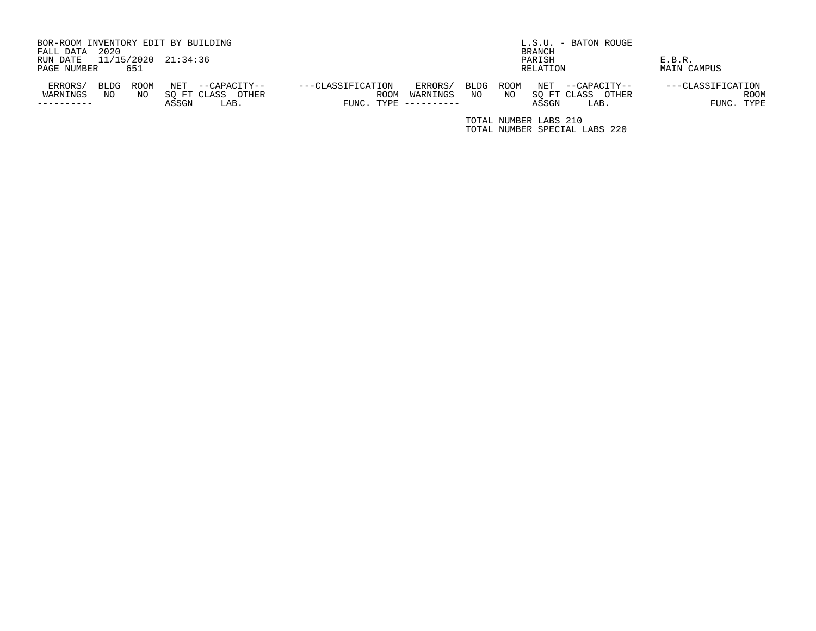| BOR-ROOM INVENTORY EDIT BY BUILDING<br>2020<br>FALL DATA |                                                              |                                                         |                     | L.S.U. - BATON ROUGE<br>BRANCH |                                                              |                                                |  |  |  |
|----------------------------------------------------------|--------------------------------------------------------------|---------------------------------------------------------|---------------------|--------------------------------|--------------------------------------------------------------|------------------------------------------------|--|--|--|
| 11/15/2020 21:34:36<br>RUN DATE                          |                                                              |                                                         |                     |                                | PARISH                                                       | E.B.R.                                         |  |  |  |
| 651<br>PAGE NUMBER                                       |                                                              |                                                         |                     |                                | RELATION                                                     | MAIN CAMPUS                                    |  |  |  |
| ERRORS/<br>ROOM<br>BLDG<br>WARNINGS<br>NO<br>NO.         | NET<br>--CAPACITY--<br>SO FT CLASS<br>OTHER<br>ASSGN<br>LAB. | ---CLASSIFICATION<br><b>ROOM</b><br>FUNC. TYPE $------$ | ERRORS/<br>WARNINGS | ROOM<br>BLDG<br>NO.<br>NO.     | NET<br>--CAPACITY--<br>SO FT CLASS<br>OTHER<br>ASSGN<br>LAB. | ---CLASSIFICATION<br><b>ROOM</b><br>FUNC. TYPE |  |  |  |

TOTAL NUMBER LABS 210 TOTAL NUMBER SPECIAL LABS 220